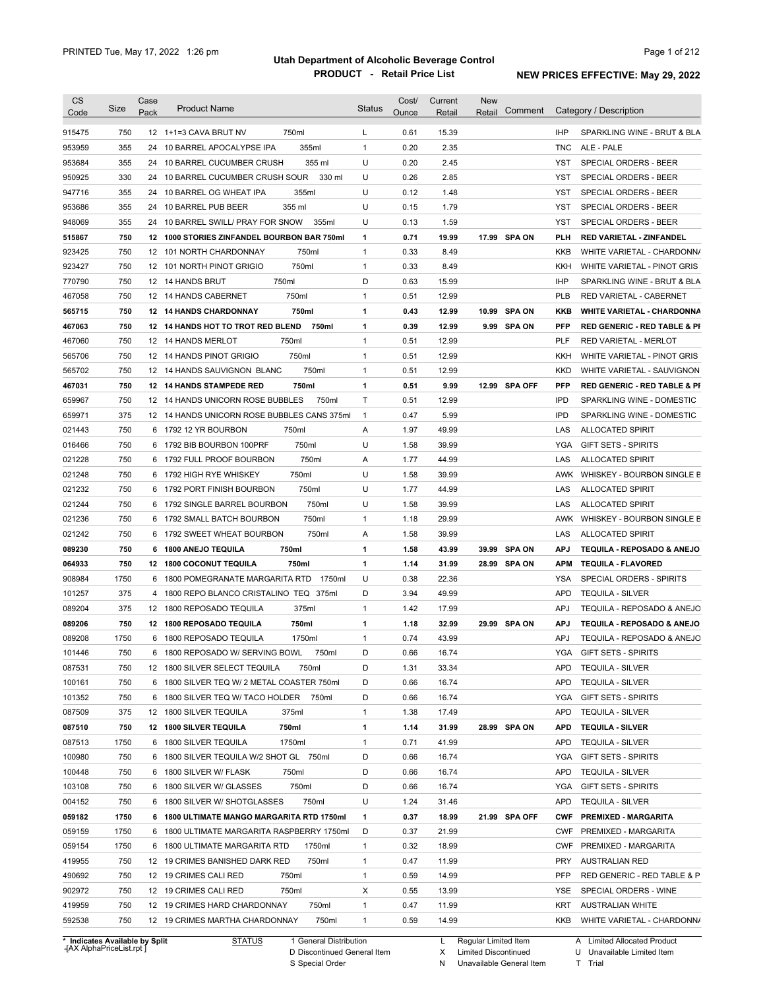|                  | Size        | Case | <b>Product Name</b>                            | <b>Status</b> | Cost/        | Current        | <b>New</b> |               |            |                                                     |
|------------------|-------------|------|------------------------------------------------|---------------|--------------|----------------|------------|---------------|------------|-----------------------------------------------------|
| Code             |             | Pack |                                                |               | Ounce        | Retail         | Retail     | Comment       |            | Category / Description                              |
| 915475           | 750         |      | 750ml<br>12 1+1=3 CAVA BRUT NV                 | L             | 0.61         | 15.39          |            |               | <b>IHP</b> | SPARKLING WINE - BRUT & BLA                         |
| 953959           | 355         | 24   | 355ml<br>10 BARREL APOCALYPSE IPA              | $\mathbf{1}$  | 0.20         | 2.35           |            |               | <b>TNC</b> | ALE - PALE                                          |
| 953684           | 355         |      | 355 ml<br>24 10 BARREL CUCUMBER CRUSH          | U             | 0.20         | 2.45           |            |               | <b>YST</b> | SPECIAL ORDERS - BEER                               |
| 950925           | 330         |      | 24 10 BARREL CUCUMBER CRUSH SOUR<br>330 ml     | U             | 0.26         | 2.85           |            |               | <b>YST</b> | <b>SPECIAL ORDERS - BEER</b>                        |
| 947716           | 355         |      | 24 10 BARREL OG WHEAT IPA<br>355ml             | U             | 0.12         | 1.48           |            |               | <b>YST</b> | <b>SPECIAL ORDERS - BEER</b>                        |
| 953686           | 355         |      | 355 ml<br>24 10 BARREL PUB BEER                | U             | 0.15         | 1.79           |            |               | <b>YST</b> | <b>SPECIAL ORDERS - BEER</b>                        |
| 948069           | 355         |      | 24 10 BARREL SWILL/ PRAY FOR SNOW<br>355ml     | U             | 0.13         | 1.59           |            |               | <b>YST</b> | SPECIAL ORDERS - BEER                               |
| 515867           | 750         |      | 12 1000 STORIES ZINFANDEL BOURBON BAR 750ml    | 1             | 0.71         | 19.99          |            | 17.99 SPA ON  | PLH        | <b>RED VARIETAL - ZINFANDEL</b>                     |
| 923425           | 750         |      | 750ml<br>12 101 NORTH CHARDONNAY               | $\mathbf{1}$  | 0.33         | 8.49           |            |               | <b>KKB</b> | WHITE VARIETAL - CHARDONN/                          |
| 923427           | 750         |      | 750ml<br>12 101 NORTH PINOT GRIGIO             | $\mathbf{1}$  | 0.33         | 8.49           |            |               | <b>KKH</b> | WHITE VARIETAL - PINOT GRIS                         |
| 770790           | 750         |      | 750ml<br>12 14 HANDS BRUT                      | D             | 0.63         | 15.99          |            |               | <b>IHP</b> | SPARKLING WINE - BRUT & BLA                         |
| 467058           | 750         |      | 750ml<br>12 14 HANDS CABERNET                  | $\mathbf{1}$  | 0.51         | 12.99          |            |               | <b>PLB</b> | RED VARIETAL - CABERNET                             |
| 565715           | 750         |      | 750ml<br>12 14 HANDS CHARDONNAY                | 1             | 0.43         | 12.99          |            | 10.99 SPA ON  | KKB        | <b>WHITE VARIETAL - CHARDONNA</b>                   |
| 467063           | 750         |      | 12 14 HANDS HOT TO TROT RED BLEND<br>750ml     | 1             | 0.39         | 12.99          |            | 9.99 SPA ON   | <b>PFP</b> | <b>RED GENERIC - RED TABLE &amp; PI</b>             |
| 467060           | 750         |      | 750ml<br>12 14 HANDS MERLOT                    | $\mathbf{1}$  | 0.51         | 12.99          |            |               | PLF        | RED VARIETAL - MERLOT                               |
| 565706           | 750         |      | 750ml<br>12 14 HANDS PINOT GRIGIO              | $\mathbf{1}$  | 0.51         | 12.99          |            |               | <b>KKH</b> | WHITE VARIETAL - PINOT GRIS                         |
| 565702           | 750         |      | 750ml<br>12 14 HANDS SAUVIGNON BLANC           | $\mathbf{1}$  | 0.51         | 12.99          |            |               | <b>KKD</b> | WHITE VARIETAL - SAUVIGNON                          |
| 467031           | 750         |      | 750ml<br>12 14 HANDS STAMPEDE RED              | 1             | 0.51         | 9.99           |            | 12.99 SPA OFF | <b>PFP</b> | <b>RED GENERIC - RED TABLE &amp; PI</b>             |
| 659967           | 750         |      | 12 14 HANDS UNICORN ROSE BUBBLES<br>750ml      | T             | 0.51         | 12.99          |            |               | <b>IPD</b> | SPARKLING WINE - DOMESTIC                           |
| 659971           | 375         |      | 12 14 HANDS UNICORN ROSE BUBBLES CANS 375ml    | $\mathbf{1}$  | 0.47         | 5.99           |            |               | <b>IPD</b> | SPARKLING WINE - DOMESTIC                           |
| 021443           | 750         |      | 750ml<br>6 1792 12 YR BOURBON                  | Α             | 1.97         | 49.99          |            |               | LAS        | <b>ALLOCATED SPIRIT</b>                             |
| 016466           | 750         | 6    | 750ml<br>1792 BIB BOURBON 100PRF               | U             | 1.58         | 39.99          |            |               | <b>YGA</b> | <b>GIFT SETS - SPIRITS</b>                          |
| 021228           | 750         | 6    | 750ml<br>1792 FULL PROOF BOURBON               | Α             | 1.77         | 44.99          |            |               | LAS        | <b>ALLOCATED SPIRIT</b>                             |
| 021248           | 750         | 6    | 750ml<br>1792 HIGH RYE WHISKEY                 | U             | 1.58         | 39.99          |            |               | <b>AWK</b> | WHISKEY - BOURBON SINGLE B                          |
| 021232           | 750         | 6    | 750ml<br>1792 PORT FINISH BOURBON              | U             | 1.77         | 44.99          |            |               | LAS        | <b>ALLOCATED SPIRIT</b>                             |
| 021244           | 750         | 6    | 1792 SINGLE BARREL BOURBON<br>750ml            | U             | 1.58         | 39.99          |            |               | LAS        | <b>ALLOCATED SPIRIT</b>                             |
| 021236           | 750         | 6    | 750ml<br>1792 SMALL BATCH BOURBON              | $\mathbf{1}$  | 1.18         | 29.99          |            |               | AWK        | WHISKEY - BOURBON SINGLE B                          |
| 021242           | 750         | 6    | 750ml                                          | Α             | 1.58         | 39.99          |            |               | LAS        | <b>ALLOCATED SPIRIT</b>                             |
|                  |             |      | 1792 SWEET WHEAT BOURBON                       |               |              |                |            |               |            |                                                     |
| 089230           | 750         | 6    | <b>1800 ANEJO TEQUILA</b><br>750ml             | 1             | 1.58         | 43.99          |            | 39.99 SPA ON  | <b>APJ</b> | TEQUILA - REPOSADO & ANEJO                          |
| 064933<br>908984 | 750         | 12   | <b>1800 COCONUT TEQUILA</b><br>750ml<br>1750ml | 1<br>U        | 1.14<br>0.38 | 31.99<br>22.36 |            | 28.99 SPA ON  | APM<br>YSA | <b>TEQUILA - FLAVORED</b>                           |
|                  | 1750<br>375 |      | 6 1800 POMEGRANATE MARGARITA RTD               | D             |              |                |            |               | <b>APD</b> | SPECIAL ORDERS - SPIRITS<br><b>TEQUILA - SILVER</b> |
| 101257           |             | 4    | 1800 REPO BLANCO CRISTALINO TEQ 375ml          |               | 3.94         | 49.99          |            |               |            |                                                     |
| 089204           | 375         |      |                                                |               |              |                |            |               | <b>APJ</b> | TEQUILA - REPOSADO & ANEJO                          |
| 089206           |             |      | 375ml<br>12 1800 REPOSADO TEQUILA              | $\mathbf{1}$  | 1.42         | 17.99          |            |               |            |                                                     |
|                  | 750         |      | 750ml<br>12 1800 REPOSADO TEQUILA              | 1             | 1.18         | 32.99          |            | 29.99 SPA ON  | <b>APJ</b> | <b>TEQUILA - REPOSADO &amp; ANEJO</b>               |
| 089208           | 1750        |      | 6 1800 REPOSADO TEQUILA<br>1750ml              | $\mathbf{1}$  | 0.74         | 43.99          |            |               | APJ        | TEQUILA - REPOSADO & ANEJO                          |
| 101446           | 750         |      | 6 1800 REPOSADO W/ SERVING BOWL<br>750ml       | D             | 0.66         | 16.74          |            |               | <b>YGA</b> | GIFT SETS - SPIRITS                                 |
| 087531           | 750         |      | 750ml<br>12 1800 SILVER SELECT TEQUILA         | D             | 1.31         | 33.34          |            |               |            | APD TEQUILA - SILVER                                |
| 100161           | 750         |      | 6 1800 SILVER TEQ W/ 2 METAL COASTER 750ml     | D             | 0.66         | 16.74          |            |               | APD        | <b>TEQUILA - SILVER</b>                             |
| 101352           | 750         |      | 6 1800 SILVER TEQ W/ TACO HOLDER 750ml         | D             | 0.66         | 16.74          |            |               | YGA        | <b>GIFT SETS - SPIRITS</b>                          |
| 087509           | 375         |      | 12 1800 SILVER TEQUILA<br>375ml                | $\mathbf{1}$  | 1.38         | 17.49          |            |               | APD        | <b>TEQUILA - SILVER</b>                             |
| 087510           | 750         |      | 12 1800 SILVER TEQUILA<br>750ml                | 1             | 1.14         | 31.99          |            | 28.99 SPA ON  | APD        | <b>TEQUILA - SILVER</b>                             |
| 087513           | 1750        |      | 1750ml<br>6 1800 SILVER TEQUILA                | 1             | 0.71         | 41.99          |            |               | APD        | <b>TEQUILA - SILVER</b>                             |
| 100980           | 750         |      | 6 1800 SILVER TEQUILA W/2 SHOT GL 750ml        | D             | 0.66         | 16.74          |            |               | YGA        | <b>GIFT SETS - SPIRITS</b>                          |
| 100448           | 750         |      | 6 1800 SILVER W/ FLASK<br>750ml                | D             | 0.66         | 16.74          |            |               | <b>APD</b> | <b>TEQUILA - SILVER</b>                             |
| 103108           | 750         |      | 6 1800 SILVER W/ GLASSES<br>750ml              | D             | 0.66         | 16.74          |            |               | YGA        | <b>GIFT SETS - SPIRITS</b>                          |
| 004152           | 750         |      | 750ml<br>6 1800 SILVER W/ SHOTGLASSES          | U             | 1.24         | 31.46          |            |               | <b>APD</b> | <b>TEQUILA - SILVER</b>                             |
| 059182           | 1750        |      | 6 1800 ULTIMATE MANGO MARGARITA RTD 1750ml     | 1             | 0.37         | 18.99          |            | 21.99 SPA OFF | <b>CWF</b> | <b>PREMIXED - MARGARITA</b>                         |
| 059159           | 1750        |      | 6 1800 ULTIMATE MARGARITA RASPBERRY 1750ml     | D             | 0.37         | 21.99          |            |               | <b>CWF</b> | PREMIXED - MARGARITA                                |
| 059154           | 1750        |      | 6 1800 ULTIMATE MARGARITA RTD<br>1750ml        | $\mathbf{1}$  | 0.32         | 18.99          |            |               | <b>CWF</b> | PREMIXED - MARGARITA                                |
| 419955           | 750         |      | 750ml<br>12 19 CRIMES BANISHED DARK RED        | $\mathbf{1}$  | 0.47         | 11.99          |            |               | <b>PRY</b> | <b>AUSTRALIAN RED</b>                               |
| 490692           | 750         |      | 12 19 CRIMES CALI RED<br>750ml                 | $\mathbf{1}$  | 0.59         | 14.99          |            |               | <b>PFP</b> | RED GENERIC - RED TABLE & P                         |
| 902972           | 750         |      | 12 19 CRIMES CALI RED<br>750ml                 | Х             | 0.55         | 13.99          |            |               | YSE        | SPECIAL ORDERS - WINE                               |
| 419959           | 750         |      | 12 19 CRIMES HARD CHARDONNAY<br>750ml          | $\mathbf{1}$  | 0.47         | 11.99          |            |               | KRT        | <b>AUSTRALIAN WHITE</b>                             |

**Case** [AX AlphaPriceList.rpt ]

D Discontinued General Item

S Special Order

L Regular Limited Item

X N Limited Discontinued U T

Unavailable General Item

Unavailable Limited Item

Trial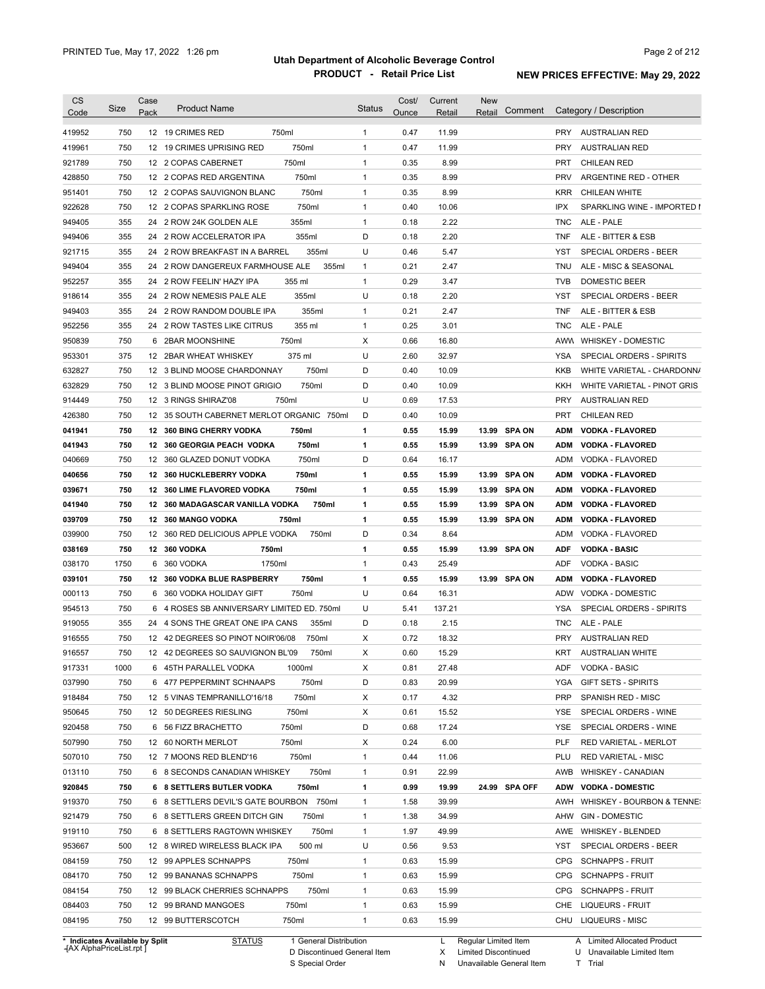| <b>CS</b><br>Code                                            | Size              | Case<br>Pack | <b>Product Name</b>                                                                                                                                  | <b>Status</b>     | Cost/<br><b>Ounce</b> | Current<br>Retail            | <b>New</b><br>Retail | Comment       |                          | Category / Description                                                                                       |
|--------------------------------------------------------------|-------------------|--------------|------------------------------------------------------------------------------------------------------------------------------------------------------|-------------------|-----------------------|------------------------------|----------------------|---------------|--------------------------|--------------------------------------------------------------------------------------------------------------|
| 419952                                                       | 750               |              | 12 19 CRIMES RED<br>750ml                                                                                                                            | $\mathbf{1}$      | 0.47                  | 11.99                        |                      |               | <b>PRY</b>               | AUSTRALIAN RED                                                                                               |
| 419961                                                       | 750               |              | 750ml<br>12 19 CRIMES UPRISING RED                                                                                                                   | $\mathbf{1}$      | 0.47                  | 11.99                        |                      |               | <b>PRY</b>               | <b>AUSTRALIAN RED</b>                                                                                        |
| 921789                                                       | 750               |              | 12 2 COPAS CABERNET<br>750ml                                                                                                                         | $\mathbf{1}$      | 0.35                  | 8.99                         |                      |               | PRT                      | <b>CHILEAN RED</b>                                                                                           |
| 428850                                                       | 750               |              | 750ml<br>12 2 COPAS RED ARGENTINA                                                                                                                    | $\mathbf{1}$      | 0.35                  | 8.99                         |                      |               | <b>PRV</b>               | ARGENTINE RED - OTHER                                                                                        |
| 951401                                                       | 750               |              | 12 2 COPAS SAUVIGNON BLANC<br>750ml                                                                                                                  | $\mathbf{1}$      | 0.35                  | 8.99                         |                      |               | <b>KRR</b>               | CHILEAN WHITE                                                                                                |
| 922628                                                       | 750               |              | 12 2 COPAS SPARKLING ROSE<br>750ml                                                                                                                   | $\mathbf{1}$      | 0.40                  | 10.06                        |                      |               | <b>IPX</b>               | SPARKLING WINE - IMPORTED I                                                                                  |
| 949405                                                       | 355               |              | 24 2 ROW 24K GOLDEN ALE<br>355ml                                                                                                                     | $\mathbf{1}$      | 0.18                  | 2.22                         |                      |               | <b>TNC</b>               | ALE - PALE                                                                                                   |
| 949406                                                       | 355               |              | 24 2 ROW ACCELERATOR IPA<br>355ml                                                                                                                    | D                 | 0.18                  | 2.20                         |                      |               | <b>TNF</b>               | ALE - BITTER & ESB                                                                                           |
| 921715                                                       | 355               |              | 24 2 ROW BREAKFAST IN A BARREL<br>355ml                                                                                                              | U                 | 0.46                  | 5.47                         |                      |               | YST                      | SPECIAL ORDERS - BEER                                                                                        |
| 949404                                                       | 355               |              | 24 2 ROW DANGEREUX FARMHOUSE ALE<br>355ml                                                                                                            | $\mathbf{1}$      | 0.21                  | 2.47                         |                      |               | TNU                      | ALE - MISC & SEASONAL                                                                                        |
| 952257                                                       | 355               |              | 24 2 ROW FEELIN' HAZY IPA<br>355 ml                                                                                                                  | $\mathbf{1}$      | 0.29                  | 3.47                         |                      |               | <b>TVB</b>               | DOMESTIC BEER                                                                                                |
| 918614                                                       | 355               |              | 24 2 ROW NEMESIS PALE ALE<br>355ml                                                                                                                   | U                 | 0.18                  | 2.20                         |                      |               | YST                      | SPECIAL ORDERS - BEER                                                                                        |
| 949403                                                       | 355               |              | 355ml<br>24 2 ROW RANDOM DOUBLE IPA                                                                                                                  | $\mathbf{1}$      | 0.21                  | 2.47                         |                      |               | <b>TNF</b>               | ALE - BITTER & ESB                                                                                           |
| 952256                                                       | 355               |              | 24 2 ROW TASTES LIKE CITRUS<br>355 ml                                                                                                                | $\mathbf{1}$      | 0.25                  | 3.01                         |                      |               | TNC                      | ALE - PALE                                                                                                   |
| 950839                                                       | 750               |              | 750ml<br>6 2BAR MOONSHINE                                                                                                                            | X                 | 0.66                  | 16.80                        |                      |               | AWW                      | WHISKEY - DOMESTIC                                                                                           |
| 953301                                                       | 375               |              | 375 ml<br>12 2BAR WHEAT WHISKEY                                                                                                                      | U                 | 2.60                  | 32.97                        |                      |               | <b>YSA</b>               | SPECIAL ORDERS - SPIRITS                                                                                     |
| 632827                                                       | 750               |              | 750ml<br>12 3 BLIND MOOSE CHARDONNAY                                                                                                                 | D                 | 0.40                  | 10.09                        |                      |               | KKB                      | WHITE VARIETAL - CHARDONN/                                                                                   |
| 632829                                                       | 750               |              | 750ml<br>12 3 BLIND MOOSE PINOT GRIGIO                                                                                                               | D                 | 0.40                  | 10.09                        |                      |               | KKH                      | WHITE VARIETAL - PINOT GRIS                                                                                  |
| 914449                                                       | 750               |              | 750ml<br>12 3 RINGS SHIRAZ'08                                                                                                                        | U                 | 0.69                  | 17.53                        |                      |               | <b>PRY</b>               | <b>AUSTRALIAN RED</b>                                                                                        |
| 426380                                                       | 750               |              | 12 35 SOUTH CABERNET MERLOT ORGANIC 750ml                                                                                                            | D                 | 0.40                  | 10.09                        |                      |               | <b>PRT</b>               | <b>CHILEAN RED</b>                                                                                           |
| 041941                                                       | 750               |              | 12 360 BING CHERRY VODKA<br>750ml                                                                                                                    | 1                 | 0.55                  | 15.99                        |                      | 13.99 SPA ON  | <b>ADM</b>               | <b>VODKA FLAVORED</b>                                                                                        |
| 041943                                                       | 750               |              | 12 360 GEORGIA PEACH VODKA<br>750ml                                                                                                                  | 1                 | 0.55                  | 15.99                        |                      | 13.99 SPA ON  | <b>ADM</b>               | <b>VODKA - FLAVORED</b>                                                                                      |
| 040669                                                       | 750               |              | 750ml<br>12 360 GLAZED DONUT VODKA                                                                                                                   | D                 | 0.64                  | 16.17                        |                      |               | ADM                      | VODKA - FLAVORED                                                                                             |
| 040656                                                       | 750               |              | 750ml<br>12 360 HUCKLEBERRY VODKA                                                                                                                    | 1                 | 0.55                  | 15.99                        | 13.99                | <b>SPA ON</b> | <b>ADM</b>               | <b>VODKA - FLAVORED</b>                                                                                      |
| 039671                                                       | 750               |              | 12 360 LIME FLAVORED VODKA<br>750ml                                                                                                                  | 1                 | 0.55                  | 15.99                        |                      | 13.99 SPA ON  | <b>ADM</b>               | <b>VODKA - FLAVORED</b>                                                                                      |
| 041940                                                       | 750               |              | 12 360 MADAGASCAR VANILLA VODKA<br>750ml                                                                                                             | 1                 | 0.55                  | 15.99                        | 13.99                | <b>SPA ON</b> | <b>ADM</b>               | <b>VODKA - FLAVORED</b>                                                                                      |
| 039709                                                       | 750               |              | 12 360 MANGO VODKA<br>750ml                                                                                                                          | 1                 | 0.55                  | 15.99                        |                      | 13.99 SPA ON  | <b>ADM</b>               | <b>VODKA - FLAVORED</b>                                                                                      |
| 039900                                                       | 750               |              | 12 360 RED DELICIOUS APPLE VODKA<br>750ml                                                                                                            | D                 | 0.34                  | 8.64                         |                      |               | ADM                      | VODKA - FLAVORED                                                                                             |
| 038169                                                       | 750               |              | 12 360 VODKA<br>750ml                                                                                                                                | 1                 | 0.55                  | 15.99                        |                      | 13.99 SPA ON  | <b>ADF</b>               | <b>VODKA - BASIC</b>                                                                                         |
| 038170                                                       | 1750              | 6            | 1750ml<br>360 VODKA                                                                                                                                  | $\mathbf{1}$      | 0.43                  | 25.49                        |                      |               | ADF                      | <b>VODKA - BASIC</b>                                                                                         |
| 039101                                                       | 750               |              | 12 360 VODKA BLUE RASPBERRY<br>750ml                                                                                                                 | 1                 | 0.55                  | 15.99                        |                      | 13.99 SPA ON  | <b>ADM</b>               | <b>VODKA - FLAVORED</b>                                                                                      |
| 000113                                                       | 750               | 6            | 360 VODKA HOLIDAY GIFT<br>750ml                                                                                                                      | U                 | 0.64                  | 16.31                        |                      |               | <b>ADW</b>               | <b>VODKA - DOMESTIC</b>                                                                                      |
| 954513                                                       | 750               |              | 6 4 ROSES SB ANNIVERSARY LIMITED ED. 750ml                                                                                                           | U                 | 5.41                  | 137.21                       |                      |               | YSA                      | SPECIAL ORDERS - SPIRITS                                                                                     |
| 919055                                                       | 355               |              | 24 4 SONS THE GREAT ONE IPA CANS<br>355ml                                                                                                            | D                 | 0.18                  | 2.15                         |                      |               | <b>TNC</b>               | ALE - PALE                                                                                                   |
| 916555                                                       | 750               |              | 750ml<br>12 42 DEGREES SO PINOT NOIR'06/08                                                                                                           | X                 | 0.72                  | 18.32                        |                      |               | <b>PRY</b>               | <b>AUSTRALIAN RED</b>                                                                                        |
| 916557                                                       | 750               |              | 12 42 DEGREES SO SAUVIGNON BL'09<br>750ml                                                                                                            | х                 | 0.60                  | 15.29                        |                      |               |                          | KRT AUSTRALIAN WHITE                                                                                         |
| 917331                                                       | 1000              |              | 6 45TH PARALLEL VODKA<br>1000ml                                                                                                                      | х                 | 0.81                  | 27.48                        |                      |               | ADF                      | <b>VODKA - BASIC</b>                                                                                         |
| 037990                                                       | 750               |              | 750ml<br>6 477 PEPPERMINT SCHNAAPS                                                                                                                   | D                 | 0.83                  | 20.99                        |                      |               | YGA                      | <b>GIFT SETS - SPIRITS</b>                                                                                   |
| 918484                                                       | 750               |              | 750ml<br>12 5 VINAS TEMPRANILLO'16/18                                                                                                                | х                 | 0.17                  | 4.32                         |                      |               | <b>PRP</b>               | SPANISH RED - MISC                                                                                           |
| 950645                                                       | 750               |              | 750ml<br>12 50 DEGREES RIESLING                                                                                                                      | х                 | 0.61                  | 15.52                        |                      |               | YSE                      | SPECIAL ORDERS - WINE                                                                                        |
| 920458                                                       | 750               |              | 750ml<br>6 56 FIZZ BRACHETTO                                                                                                                         | D                 | 0.68                  | 17.24                        |                      |               | YSE                      | SPECIAL ORDERS - WINE                                                                                        |
| 507990                                                       | 750               |              | 750ml<br>12 60 NORTH MERLOT                                                                                                                          | х                 | 0.24                  | 6.00                         |                      |               | PLF                      | RED VARIETAL - MERLOT                                                                                        |
| 507010                                                       | 750               |              | 750ml<br>12 7 MOONS RED BLEND'16                                                                                                                     | 1                 | 0.44                  | 11.06                        |                      |               | PLU                      | RED VARIETAL - MISC                                                                                          |
| 013110                                                       | 750               |              | 750ml<br>6 8 SECONDS CANADIAN WHISKEY                                                                                                                | 1                 | 0.91                  | 22.99                        |                      |               | AWB                      | WHISKEY - CANADIAN                                                                                           |
| 920845                                                       | 750               |              | 750ml<br>6 8 SETTLERS BUTLER VODKA                                                                                                                   | 1                 | 0.99                  | 19.99                        |                      | 24.99 SPA OFF | <b>ADW</b>               | <b>VODKA - DOMESTIC</b>                                                                                      |
| 919370                                                       | 750               |              | 6 8 SETTLERS DEVIL'S GATE BOURBON 750ml                                                                                                              | 1                 | 1.58                  | 39.99                        |                      |               | AWH                      | WHISKEY - BOURBON & TENNE:                                                                                   |
| 921479                                                       | 750               |              | 750ml<br>6 8 SETTLERS GREEN DITCH GIN                                                                                                                | $\mathbf{1}$      | 1.38                  | 34.99                        |                      |               | AHW                      | <b>GIN - DOMESTIC</b>                                                                                        |
| 919110                                                       | 750               |              | 750ml<br>6 8 SETTLERS RAGTOWN WHISKEY                                                                                                                | $\mathbf{1}$      | 1.97                  | 49.99                        |                      |               | AWE                      | <b>WHISKEY - BLENDED</b>                                                                                     |
|                                                              |                   |              |                                                                                                                                                      |                   |                       |                              |                      |               |                          |                                                                                                              |
| 953667                                                       | 500               |              | 500 ml<br>12 8 WIRED WIRELESS BLACK IPA                                                                                                              | U                 | 0.56                  | 9.53                         |                      |               | YST                      | SPECIAL ORDERS - BEER                                                                                        |
| 084159                                                       | 750               |              | 12 99 APPLES SCHNAPPS<br>750ml                                                                                                                       | $\mathbf{1}$      | 0.63                  | 15.99                        |                      |               | <b>CPG</b>               | <b>SCHNAPPS - FRUIT</b>                                                                                      |
|                                                              |                   |              |                                                                                                                                                      |                   |                       |                              |                      |               |                          |                                                                                                              |
|                                                              |                   |              |                                                                                                                                                      |                   |                       |                              |                      |               |                          |                                                                                                              |
|                                                              |                   |              |                                                                                                                                                      | 1                 |                       |                              |                      |               | CHE                      |                                                                                                              |
| 084195                                                       | 750               |              | 12 99 BUTTERSCOTCH<br>750ml                                                                                                                          | 1                 | 0.63                  | 15.99                        |                      |               | CHU                      | <b>LIQUEURS - MISC</b>                                                                                       |
| 084170<br>084154<br>084403<br>* Indicates Available by Split | 750<br>750<br>750 |              | 12 99 BANANAS SCHNAPPS<br>750ml<br>750ml<br>12 99 BLACK CHERRIES SCHNAPPS<br>12 99 BRAND MANGOES<br>750ml<br>1 General Distribution<br><b>STATUS</b> | $\mathbf{1}$<br>1 | 0.63<br>0.63<br>0.63  | 15.99<br>15.99<br>15.99<br>L | Regular Limited Item |               | <b>CPG</b><br><b>CPG</b> | <b>SCHNAPPS - FRUIT</b><br><b>SCHNAPPS - FRUIT</b><br><b>LIQUEURS - FRUIT</b><br>A Limited Allocated Product |

**Case** [AX AlphaPriceList.rpt ]

D Discontinued General Item S Special Order

X Limited Discontinued

N Unavailable General Item

U Unavailable Limited Item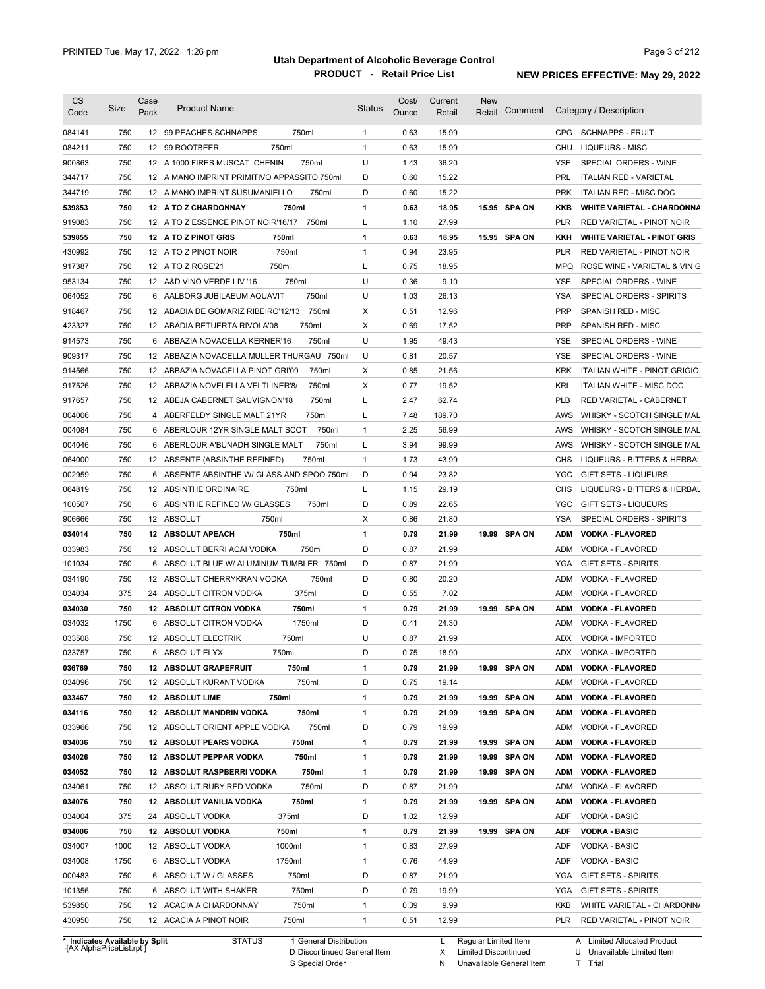| <b>CS</b><br>Code              | Size       | Case<br>Pack | <b>Product Name</b>                                  | <b>Status</b>     | Cost/<br>Ounce | Current<br>Retail | <b>New</b><br>Retail | Comment      |                          | Category / Description                                                 |
|--------------------------------|------------|--------------|------------------------------------------------------|-------------------|----------------|-------------------|----------------------|--------------|--------------------------|------------------------------------------------------------------------|
|                                |            |              |                                                      |                   |                |                   |                      |              |                          |                                                                        |
| 084141                         | 750        |              | 12 99 PEACHES SCHNAPPS<br>750ml                      | 1                 | 0.63           | 15.99             |                      |              |                          | CPG SCHNAPPS - FRUIT                                                   |
| 084211                         | 750        |              | 12 99 ROOTBEER<br>750ml                              | $\mathbf{1}$      | 0.63           | 15.99             |                      |              | <b>CHU</b>               | <b>LIQUEURS - MISC</b>                                                 |
| 900863                         | 750        |              | 12 A 1000 FIRES MUSCAT CHENIN<br>750ml               | U                 | 1.43           | 36.20             |                      |              | <b>YSE</b>               | SPECIAL ORDERS - WINE                                                  |
| 344717                         | 750        |              | 12 A MANO IMPRINT PRIMITIVO APPASSITO 750ml          | D                 | 0.60           | 15.22             |                      |              | PRL                      | <b>ITALIAN RED - VARIETAL</b>                                          |
| 344719                         | 750        |              | 12 A MANO IMPRINT SUSUMANIELLO<br>750ml              | D                 | 0.60           | 15.22             |                      |              | <b>PRK</b>               | ITALIAN RED - MISC DOC                                                 |
| 539853                         | 750        |              | 750ml<br>12 A TO Z CHARDONNAY                        | 1                 | 0.63           | 18.95             |                      | 15.95 SPA ON | KKB                      | <b>WHITE VARIETAL - CHARDONNA</b>                                      |
| 919083                         | 750        |              | 12 A TO Z ESSENCE PINOT NOIR'16/17<br>750ml          | L                 | 1.10           | 27.99             |                      |              | <b>PLR</b>               | RED VARIETAL - PINOT NOIR                                              |
| 539855                         | 750<br>750 |              | 12 A TO Z PINOT GRIS<br>750ml<br>750ml               | 1<br>$\mathbf{1}$ | 0.63           | 18.95             |                      | 15.95 SPA ON | KKH                      | <b>WHITE VARIETAL - PINOT GRIS</b><br><b>RED VARIETAL - PINOT NOIR</b> |
| 430992                         | 750        |              | 12 A TO Z PINOT NOIR<br>750ml                        | L                 | 0.94           | 23.95             |                      |              | <b>PLR</b><br><b>MPQ</b> | ROSE WINE - VARIETAL & VIN G                                           |
| 917387<br>953134               | 750        | 12           | 12 A TO Z ROSE'21<br>750ml<br>A&D VINO VERDE LIV '16 | U                 | 0.75<br>0.36   | 18.95<br>9.10     |                      |              | <b>YSE</b>               | SPECIAL ORDERS - WINE                                                  |
| 064052                         | 750        | 6            | 750ml<br>AALBORG JUBILAEUM AQUAVIT                   | U                 | 1.03           | 26.13             |                      |              | <b>YSA</b>               | SPECIAL ORDERS - SPIRITS                                               |
| 918467                         | 750        | 12           | 750ml<br>ABADIA DE GOMARIZ RIBEIRO'12/13             | X                 | 0.51           | 12.96             |                      |              | <b>PRP</b>               | SPANISH RED - MISC                                                     |
| 423327                         | 750        | 12           | 750ml<br>ABADIA RETUERTA RIVOLA'08                   | X                 | 0.69           | 17.52             |                      |              | <b>PRP</b>               | SPANISH RED - MISC                                                     |
| 914573                         | 750        | 6            | 750ml<br>ABBAZIA NOVACELLA KERNER'16                 | U                 | 1.95           | 49.43             |                      |              | <b>YSE</b>               | SPECIAL ORDERS - WINE                                                  |
| 909317                         | 750        | 12           | ABBAZIA NOVACELLA MULLER THURGAU 750ml               | U                 | 0.81           | 20.57             |                      |              | <b>YSE</b>               | SPECIAL ORDERS - WINE                                                  |
| 914566                         | 750        | 12           | 750ml<br>ABBAZIA NOVACELLA PINOT GRI'09              | Х                 | 0.85           | 21.56             |                      |              | <b>KRK</b>               | ITALIAN WHITE - PINOT GRIGIO                                           |
| 917526                         | 750        |              | 12 ABBAZIA NOVELELLA VELTLINER'8/<br>750ml           | X                 | 0.77           | 19.52             |                      |              | KRL                      | <b>ITALIAN WHITE - MISC DOC</b>                                        |
| 917657                         | 750        |              | 12 ABEJA CABERNET SAUVIGNON'18<br>750ml              | Г                 | 2.47           | 62.74             |                      |              | <b>PLB</b>               | RED VARIETAL - CABERNET                                                |
| 004006                         | 750        |              | 750ml<br>4 ABERFELDY SINGLE MALT 21YR                | Г                 | 7.48           | 189.70            |                      |              | AWS                      | WHISKY - SCOTCH SINGLE MAL                                             |
| 004084                         | 750        |              | 750ml<br>6 ABERLOUR 12YR SINGLE MALT SCOT            | 1                 | 2.25           | 56.99             |                      |              | AWS                      | WHISKY - SCOTCH SINGLE MAL                                             |
| 004046                         | 750        | 6            | ABERLOUR A'BUNADH SINGLE MALT<br>750ml               | L                 | 3.94           | 99.99             |                      |              | AWS                      | WHISKY - SCOTCH SINGLE MAL                                             |
| 064000                         | 750        |              | 750ml<br>12 ABSENTE (ABSINTHE REFINED)               | $\mathbf{1}$      | 1.73           | 43.99             |                      |              | CHS                      | LIQUEURS - BITTERS & HERBAL                                            |
| 002959                         | 750        | 6            | ABSENTE ABSINTHE W/ GLASS AND SPOO 750ml             | D                 | 0.94           | 23.82             |                      |              | <b>YGC</b>               | <b>GIFT SETS - LIQUEURS</b>                                            |
| 064819                         | 750        |              | 750ml<br>12 ABSINTHE ORDINAIRE                       | Г                 | 1.15           | 29.19             |                      |              | <b>CHS</b>               | LIQUEURS - BITTERS & HERBAL                                            |
| 100507                         | 750        | 6            | ABSINTHE REFINED W/ GLASSES<br>750ml                 | D                 | 0.89           | 22.65             |                      |              | <b>YGC</b>               | <b>GIFT SETS - LIQUEURS</b>                                            |
| 906666                         | 750        |              | 12 ABSOLUT<br>750ml                                  | X                 | 0.86           | 21.80             |                      |              | <b>YSA</b>               | SPECIAL ORDERS - SPIRITS                                               |
| 034014                         | 750        |              | 750ml<br>12 ABSOLUT APEACH                           | 1                 | 0.79           | 21.99             |                      | 19.99 SPA ON | <b>ADM</b>               | <b>VODKA - FLAVORED</b>                                                |
| 033983                         | 750        |              | 750ml<br>12 ABSOLUT BERRI ACAI VODKA                 | D                 | 0.87           | 21.99             |                      |              | <b>ADM</b>               | VODKA - FLAVORED                                                       |
| 101034                         | 750        |              | 6 ABSOLUT BLUE W/ ALUMINUM TUMBLER 750ml             | D                 | 0.87           | 21.99             |                      |              | <b>YGA</b>               | <b>GIFT SETS - SPIRITS</b>                                             |
| 034190                         | 750        |              | 750ml<br>12 ABSOLUT CHERRYKRAN VODKA                 | D                 | 0.80           | 20.20             |                      |              | ADM                      | VODKA - FLAVORED                                                       |
| 034034                         | 375        |              | 24 ABSOLUT CITRON VODKA<br>375ml                     | D                 | 0.55           | 7.02              |                      |              | ADM                      | VODKA - FLAVORED                                                       |
| 034030                         | 750        |              | 12 ABSOLUT CITRON VODKA<br>750ml                     | 1                 | 0.79           | 21.99             |                      | 19.99 SPA ON | <b>ADM</b>               | <b>VODKA - FLAVORED</b>                                                |
| 034032                         | 1750       | 6            | 1750ml<br>ABSOLUT CITRON VODKA                       | D                 | 0.41           | 24.30             |                      |              | <b>ADM</b>               | VODKA - FLAVORED                                                       |
| 033508                         | 750        |              | 12 ABSOLUT ELECTRIK<br>750ml                         | U                 | 0.87           | 21.99             |                      |              | ADX                      | VODKA - IMPORTED                                                       |
| 033757                         | 750        | 6            | ABSOLUT ELYX<br>750ml                                | D                 | 0.75           | 18.90             |                      |              |                          | ADX VODKA - IMPORTED                                                   |
| 036769                         | 750        |              | 12 ABSOLUT GRAPEFRUIT<br>750ml                       | 1                 | 0.79           | 21.99             |                      | 19.99 SPA ON | ADM                      | <b>VODKA - FLAVORED</b>                                                |
| 034096                         | 750        |              | 750ml<br>12 ABSOLUT KURANT VODKA                     | D                 | 0.75           | 19.14             |                      |              | ADM                      | VODKA - FLAVORED                                                       |
| 033467                         | 750        |              | 750ml<br>12 ABSOLUT LIME                             | 1                 | 0.79           | 21.99             |                      | 19.99 SPA ON | <b>ADM</b>               | <b>VODKA - FLAVORED</b>                                                |
| 034116                         | 750        |              | <b>12 ABSOLUT MANDRIN VODKA</b><br>750ml             | 1                 | 0.79           | 21.99             |                      | 19.99 SPA ON | <b>ADM</b>               | <b>VODKA - FLAVORED</b>                                                |
| 033966                         | 750        |              | 750ml<br>12 ABSOLUT ORIENT APPLE VODKA               | D                 | 0.79           | 19.99             |                      |              | ADM                      | VODKA - FLAVORED                                                       |
| 034036                         | 750        |              | 12 ABSOLUT PEARS VODKA<br>750ml                      | 1                 | 0.79           | 21.99             |                      | 19.99 SPA ON | <b>ADM</b>               | <b>VODKA - FLAVORED</b>                                                |
| 034026                         | 750        |              | 12 ABSOLUT PEPPAR VODKA<br>750ml                     | 1                 | 0.79           | 21.99             |                      | 19.99 SPA ON | <b>ADM</b>               | <b>VODKA - FLAVORED</b>                                                |
| 034052                         | 750        |              | 12 ABSOLUT RASPBERRI VODKA<br>750ml                  | 1                 | 0.79           | 21.99             |                      | 19.99 SPA ON | ADM                      | <b>VODKA - FLAVORED</b>                                                |
| 034061                         | 750        |              | 750ml<br>12 ABSOLUT RUBY RED VODKA                   | D                 | 0.87           | 21.99             |                      |              | ADM                      | VODKA - FLAVORED                                                       |
| 034076                         | 750        |              | 12 ABSOLUT VANILIA VODKA<br>750ml                    | 1                 | 0.79           | 21.99             |                      | 19.99 SPA ON | ADM                      | <b>VODKA - FLAVORED</b>                                                |
| 034004                         | 375        |              | 375ml<br>24 ABSOLUT VODKA                            | D                 | 1.02           | 12.99             |                      |              | ADF                      | <b>VODKA - BASIC</b>                                                   |
| 034006                         | 750        |              | 750ml<br>12 ABSOLUT VODKA                            | 1                 | 0.79           | 21.99             |                      | 19.99 SPA ON | ADF                      | <b>VODKA - BASIC</b>                                                   |
| 034007                         | 1000       |              | 1000ml<br>12 ABSOLUT VODKA                           | 1                 | 0.83           | 27.99             |                      |              | ADF                      | VODKA - BASIC                                                          |
| 034008                         | 1750       |              | 6 ABSOLUT VODKA<br>1750ml                            | 1                 | 0.76           | 44.99             |                      |              | ADF                      | VODKA - BASIC                                                          |
| 000483                         | 750        |              | 750ml<br>6 ABSOLUT W / GLASSES                       | D                 | 0.87           | 21.99             |                      |              | YGA                      | <b>GIFT SETS - SPIRITS</b>                                             |
| 101356                         | 750        |              | 6 ABSOLUT WITH SHAKER<br>750ml                       | D                 | 0.79           | 19.99             |                      |              | YGA                      | <b>GIFT SETS - SPIRITS</b>                                             |
| 539850                         | 750        |              | 12 ACACIA A CHARDONNAY<br>750ml                      | 1                 | 0.39           | 9.99              |                      |              | KKB                      | WHITE VARIETAL - CHARDONN/                                             |
| 430950                         | 750        |              | 12 ACACIA A PINOT NOIR<br>750ml                      | 1                 | 0.51           | 12.99             |                      |              | PLR                      | RED VARIETAL - PINOT NOIR                                              |
| * Indicates Available by Split |            |              | <b>STATUS</b><br>1 General Distribution              |                   |                | L                 | Regular Limited Item |              |                          | A Limited Allocated Product                                            |

**Case** [AX AlphaPriceList.rpt ]

D Discontinued General Item S Special Order

X Limited Discontinued

N Unavailable General Item

U Unavailable Limited Item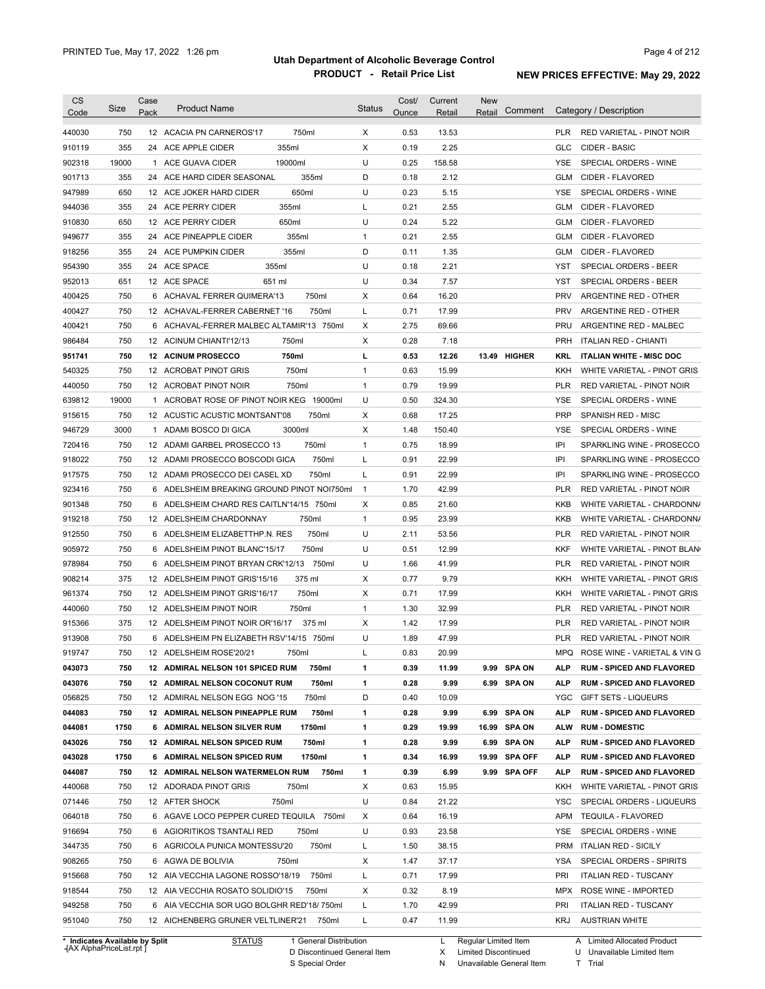| <b>CS</b><br>Code              | Size  | Case<br>Pack | <b>Product Name</b>                        | <b>Status</b> | Cost/<br>Ounce | Current<br><b>Retail</b> | <b>New</b><br>Retail | Comment       |            | Category / Description           |
|--------------------------------|-------|--------------|--------------------------------------------|---------------|----------------|--------------------------|----------------------|---------------|------------|----------------------------------|
| 440030                         | 750   |              | 750ml<br>12 ACACIA PN CARNEROS'17          | X             | 0.53           | 13.53                    |                      |               | <b>PLR</b> | RED VARIETAL - PINOT NOIR        |
| 910119                         | 355   |              | 24 ACE APPLE CIDER<br>355ml                | X             | 0.19           | 2.25                     |                      |               | <b>GLC</b> | CIDER - BASIC                    |
| 902318                         | 19000 |              | 19000ml<br>1 ACE GUAVA CIDER               | U             | 0.25           | 158.58                   |                      |               | <b>YSE</b> | SPECIAL ORDERS - WINE            |
| 901713                         | 355   |              | 355ml<br>24 ACE HARD CIDER SEASONAL        | D             | 0.18           | 2.12                     |                      |               | <b>GLM</b> | CIDER - FLAVORED                 |
| 947989                         | 650   |              | 12 ACE JOKER HARD CIDER<br>650ml           | U             | 0.23           | 5.15                     |                      |               | <b>YSE</b> | SPECIAL ORDERS - WINE            |
| 944036                         | 355   |              | 355ml<br>24 ACE PERRY CIDER                | Г             | 0.21           | 2.55                     |                      |               | <b>GLM</b> | CIDER - FLAVORED                 |
| 910830                         | 650   |              | 650ml<br>12 ACE PERRY CIDER                | U             | 0.24           | 5.22                     |                      |               | <b>GLM</b> | CIDER - FLAVORED                 |
| 949677                         | 355   |              | 355ml<br>24 ACE PINEAPPLE CIDER            | 1             | 0.21           | 2.55                     |                      |               | <b>GLM</b> | CIDER - FLAVORED                 |
| 918256                         | 355   | 24           | ACE PUMPKIN CIDER<br>355ml                 | D             | 0.11           | 1.35                     |                      |               | <b>GLM</b> | CIDER - FLAVORED                 |
| 954390                         | 355   |              | 24 ACE SPACE<br>355ml                      | U             | 0.18           | 2.21                     |                      |               | YST        | SPECIAL ORDERS - BEER            |
| 952013                         | 651   |              | 12 ACE SPACE<br>651 ml                     | U             | 0.34           | 7.57                     |                      |               | YST        | SPECIAL ORDERS - BEER            |
| 400425                         | 750   | 6            | 750ml<br>ACHAVAL FERRER QUIMERA'13         | Х             | 0.64           | 16.20                    |                      |               | <b>PRV</b> | ARGENTINE RED - OTHER            |
| 400427                         | 750   |              | 12 ACHAVAL-FERRER CABERNET '16<br>750ml    | L             | 0.71           | 17.99                    |                      |               | <b>PRV</b> | ARGENTINE RED - OTHER            |
| 400421                         | 750   | 6            | ACHAVAL-FERRER MALBEC ALTAMIR'13 750ml     | X             | 2.75           | 69.66                    |                      |               | <b>PRU</b> | ARGENTINE RED - MALBEC           |
| 986484                         | 750   |              | 12 ACINUM CHIANTI'12/13<br>750ml           | X             | 0.28           | 7.18                     |                      |               | <b>PRH</b> | <b>ITALIAN RED - CHIANTI</b>     |
| 951741                         | 750   |              | <b>12 ACINUM PROSECCO</b><br>750ml         | L             | 0.53           | 12.26                    |                      | 13.49 HIGHER  | <b>KRL</b> | <b>ITALIAN WHITE - MISC DOC</b>  |
| 540325                         | 750   |              | 750ml<br>12 ACROBAT PINOT GRIS             | 1             | 0.63           | 15.99                    |                      |               | <b>KKH</b> | WHITE VARIETAL - PINOT GRIS      |
| 440050                         | 750   |              | 750ml<br>12 ACROBAT PINOT NOIR             | $\mathbf{1}$  | 0.79           | 19.99                    |                      |               | <b>PLR</b> | RED VARIETAL - PINOT NOIR        |
| 639812                         | 19000 |              | 1 ACROBAT ROSE OF PINOT NOIR KEG 19000ml   | U             | 0.50           | 324.30                   |                      |               | <b>YSE</b> | SPECIAL ORDERS - WINE            |
| 915615                         | 750   |              | 750ml<br>12 ACUSTIC ACUSTIC MONTSANT'08    | Х             | 0.68           | 17.25                    |                      |               | <b>PRP</b> | SPANISH RED - MISC               |
| 946729                         | 3000  |              | 3000ml<br>1 ADAMI BOSCO DI GICA            | X             | 1.48           | 150.40                   |                      |               | <b>YSE</b> | SPECIAL ORDERS - WINE            |
| 720416                         | 750   |              | 750ml<br>12 ADAMI GARBEL PROSECCO 13       | 1             | 0.75           | 18.99                    |                      |               | IPI        | SPARKLING WINE - PROSECCO        |
| 918022                         | 750   |              | 750ml<br>12 ADAMI PROSECCO BOSCODI GICA    | Г             | 0.91           | 22.99                    |                      |               | IPI        | SPARKLING WINE - PROSECCO        |
| 917575                         | 750   |              | 12 ADAMI PROSECCO DEI CASEL XD<br>750ml    | L             | 0.91           | 22.99                    |                      |               | IPI        | SPARKLING WINE - PROSECCO        |
| 923416                         | 750   | 6            | ADELSHEIM BREAKING GROUND PINOT NOI750ml   | $\mathbf{1}$  | 1.70           | 42.99                    |                      |               | <b>PLR</b> | RED VARIETAL - PINOT NOIR        |
| 901348                         | 750   | 6            | ADELSHEIM CHARD RES CAITLN'14/15 750ml     | X             | 0.85           | 21.60                    |                      |               | <b>KKB</b> | WHITE VARIETAL - CHARDONNA       |
| 919218                         | 750   | 12           | ADELSHEIM CHARDONNAY<br>750ml              | $\mathbf{1}$  | 0.95           | 23.99                    |                      |               | <b>KKB</b> | WHITE VARIETAL - CHARDONN/       |
| 912550                         | 750   | 6            | 750ml<br>ADELSHEIM ELIZABETTHP.N. RES      | U             | 2.11           | 53.56                    |                      |               | <b>PLR</b> | RED VARIETAL - PINOT NOIR        |
| 905972                         | 750   | 6            | 750ml<br>ADELSHEIM PINOT BLANC'15/17       | U             | 0.51           | 12.99                    |                      |               | <b>KKF</b> | WHITE VARIETAL - PINOT BLAN      |
| 978984                         | 750   | 6            | ADELSHEIM PINOT BRYAN CRK'12/13<br>750ml   | U             | 1.66           | 41.99                    |                      |               | <b>PLR</b> | RED VARIETAL - PINOT NOIR        |
| 908214                         | 375   | 12           | 375 ml<br>ADELSHEIM PINOT GRIS'15/16       | X             | 0.77           | 9.79                     |                      |               | <b>KKH</b> | WHITE VARIETAL - PINOT GRIS      |
| 961374                         | 750   | 12           | 750ml<br>ADELSHEIM PINOT GRIS'16/17        | X             | 0.71           | 17.99                    |                      |               | <b>KKH</b> | WHITE VARIETAL - PINOT GRIS      |
| 440060                         | 750   | 12           | 750ml<br>ADELSHEIM PINOT NOIR              | 1             | 1.30           | 32.99                    |                      |               | <b>PLR</b> | RED VARIETAL - PINOT NOIR        |
| 915366                         | 375   |              | 12 ADELSHEIM PINOT NOIR OR'16/17<br>375 ml | X             | 1.42           | 17.99                    |                      |               | <b>PLR</b> | RED VARIETAL - PINOT NOIR        |
| 913908                         | 750   |              | 6 ADELSHEIM PN ELIZABETH RSV'14/15 750ml   | U             | 1.89           | 47.99                    |                      |               | <b>PLR</b> | RED VARIETAL - PINOT NOIR        |
| 919747                         | 750   |              | 12 ADELSHEIM ROSE'20/21<br>750ml           |               | 0.83           | 20.99                    |                      |               |            | MPQ ROSE WINE - VARIETAL & VIN G |
| 043073                         | 750   |              | 12 ADMIRAL NELSON 101 SPICED RUM<br>750ml  | 1             | 0.39           | 11.99                    |                      | 9.99 SPA ON   | ALP        | <b>RUM - SPICED AND FLAVORED</b> |
| 043076                         | 750   |              | 750ml<br>12 ADMIRAL NELSON COCONUT RUM     | 1             | 0.28           | 9.99                     |                      | 6.99 SPA ON   | ALP        | <b>RUM - SPICED AND FLAVORED</b> |
| 056825                         | 750   |              | 12 ADMIRAL NELSON EGG NOG '15<br>750ml     | D             | 0.40           | 10.09                    |                      |               | YGC        | GIFT SETS - LIQUEURS             |
| 044083                         | 750   |              | 12 ADMIRAL NELSON PINEAPPLE RUM<br>750ml   | 1             | 0.28           | 9.99                     |                      | 6.99 SPA ON   | ALP        | <b>RUM - SPICED AND FLAVORED</b> |
| 044081                         | 1750  |              | 6 ADMIRAL NELSON SILVER RUM<br>1750ml      | 1             | 0.29           | 19.99                    |                      | 16.99 SPA ON  | <b>ALW</b> | <b>RUM - DOMESTIC</b>            |
| 043026                         | 750   |              | 750ml<br>12 ADMIRAL NELSON SPICED RUM      | 1             | 0.28           | 9.99                     |                      | 6.99 SPA ON   | ALP        | <b>RUM - SPICED AND FLAVORED</b> |
| 043028                         | 1750  |              | 6 ADMIRAL NELSON SPICED RUM<br>1750ml      | 1             | 0.34           | 16.99                    |                      | 19.99 SPA OFF | ALP        | <b>RUM - SPICED AND FLAVORED</b> |
| 044087                         | 750   |              | 12 ADMIRAL NELSON WATERMELON RUM<br>750ml  | 1             | 0.39           | 6.99                     |                      | 9.99 SPA OFF  | ALP        | <b>RUM - SPICED AND FLAVORED</b> |
| 440068                         | 750   |              | 750ml<br>12 ADORADA PINOT GRIS             | X             | 0.63           | 15.95                    |                      |               | KKH        | WHITE VARIETAL - PINOT GRIS      |
| 071446                         | 750   |              | 750ml<br>12 AFTER SHOCK                    | U             | 0.84           | 21.22                    |                      |               | YSC        | SPECIAL ORDERS - LIQUEURS        |
| 064018                         | 750   |              | 6 AGAVE LOCO PEPPER CURED TEQUILA 750ml    | X             | 0.64           | 16.19                    |                      |               | <b>APM</b> | <b>TEQUILA - FLAVORED</b>        |
| 916694                         | 750   |              | 6 AGIORITIKOS TSANTALI RED<br>750ml        | U             | 0.93           | 23.58                    |                      |               | YSE        | SPECIAL ORDERS - WINE            |
| 344735                         | 750   |              | 750ml<br>6 AGRICOLA PUNICA MONTESSU'20     | L             | 1.50           | 38.15                    |                      |               | <b>PRM</b> | <b>ITALIAN RED - SICILY</b>      |
| 908265                         | 750   |              | 6 AGWA DE BOLIVIA<br>750ml                 | х             | 1.47           | 37.17                    |                      |               | YSA        | SPECIAL ORDERS - SPIRITS         |
| 915668                         | 750   |              | 12 AIA VECCHIA LAGONE ROSSO'18/19<br>750ml | Г             | 0.71           | 17.99                    |                      |               | PRI        | <b>ITALIAN RED - TUSCANY</b>     |
| 918544                         | 750   |              | 12 AIA VECCHIA ROSATO SOLIDIO'15<br>750ml  | X             | 0.32           | 8.19                     |                      |               | <b>MPX</b> | ROSE WINE - IMPORTED             |
| 949258                         | 750   |              | 6 AIA VECCHIA SOR UGO BOLGHR RED'18/750ml  | Г             | 1.70           | 42.99                    |                      |               | PRI        | <b>ITALIAN RED - TUSCANY</b>     |
| 951040                         | 750   |              | 12 AICHENBERG GRUNER VELTLINER'21<br>750ml | L             | 0.47           | 11.99                    |                      |               | KRJ        | <b>AUSTRIAN WHITE</b>            |
| * Indicates Available by Split |       |              | <b>STATUS</b><br>1 General Distribution    |               |                | L                        | Regular Limited Item |               |            | A Limited Allocated Product      |

**Case** [AX AlphaPriceList.rpt ]

D Discontinued General Item

S Special Order

X Limited Discontinued

N Unavailable General Item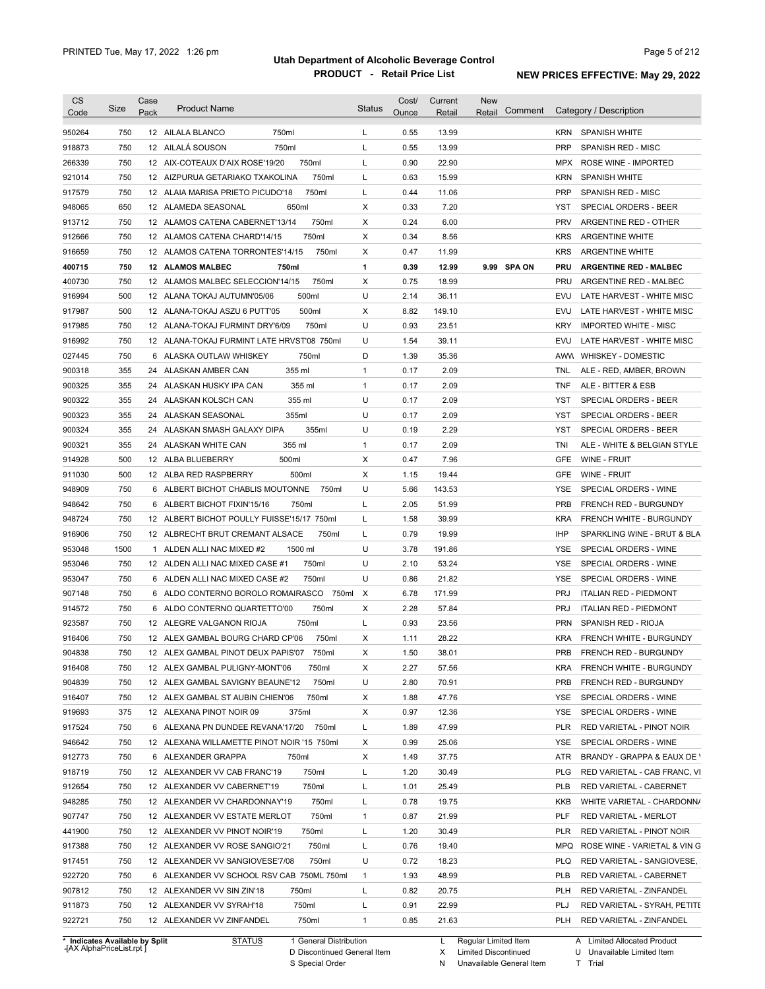| <b>CS</b><br>Code              | Size | Case<br>Pack | <b>Product Name</b>                                                          | <b>Status</b>             | Cost/<br>Ounce | Current<br>Retail | <b>New</b><br>Comment<br>Retail |            | Category / Description                               |
|--------------------------------|------|--------------|------------------------------------------------------------------------------|---------------------------|----------------|-------------------|---------------------------------|------------|------------------------------------------------------|
| 950264                         | 750  |              | 750ml<br>12 AILALA BLANCO                                                    | L                         | 0.55           | 13.99             |                                 | KRN        | SPANISH WHITE                                        |
| 918873                         | 750  |              | 12 AILALÁ SOUSON<br>750ml                                                    | Г                         | 0.55           | 13.99             |                                 | <b>PRP</b> | SPANISH RED - MISC                                   |
| 266339                         | 750  |              | 750ml<br>12 AIX-COTEAUX D'AIX ROSE'19/20                                     | Г                         | 0.90           | 22.90             |                                 | MPX        | ROSE WINE - IMPORTED                                 |
| 921014                         | 750  |              | 750ml<br>12 AIZPURUA GETARIAKO TXAKOLINA                                     | Г                         | 0.63           | 15.99             |                                 | <b>KRN</b> | <b>SPANISH WHITE</b>                                 |
| 917579                         | 750  |              | 750ml<br>12 ALAIA MARISA PRIETO PICUDO'18                                    | L                         | 0.44           | 11.06             |                                 | <b>PRP</b> | <b>SPANISH RED - MISC</b>                            |
| 948065                         | 650  |              | 12 ALAMEDA SEASONAL<br>650ml                                                 | X                         | 0.33           | 7.20              |                                 | YST        | SPECIAL ORDERS - BEER                                |
| 913712                         | 750  |              | 750ml<br>12 ALAMOS CATENA CABERNET'13/14                                     | Χ                         | 0.24           | 6.00              |                                 | <b>PRV</b> | ARGENTINE RED - OTHER                                |
| 912666                         | 750  |              | 750ml<br>12 ALAMOS CATENA CHARD'14/15                                        | X                         | 0.34           | 8.56              |                                 | <b>KRS</b> | <b>ARGENTINE WHITE</b>                               |
| 916659                         | 750  |              | 750ml<br>12 ALAMOS CATENA TORRONTES'14/15                                    | X                         | 0.47           | 11.99             |                                 | <b>KRS</b> | <b>ARGENTINE WHITE</b>                               |
| 400715                         | 750  |              | 12 ALAMOS MALBEC<br>750ml                                                    | 1                         | 0.39           | 12.99             | 9.99 SPA ON                     | <b>PRU</b> | <b>ARGENTINE RED - MALBEC</b>                        |
| 400730                         | 750  |              | 750ml<br>12 ALAMOS MALBEC SELECCION'14/15                                    | х                         | 0.75           | 18.99             |                                 | <b>PRU</b> | ARGENTINE RED - MALBEC                               |
| 916994                         | 500  |              | 500ml<br>12 ALANA TOKAJ AUTUMN'05/06                                         | U                         | 2.14           | 36.11             |                                 | EVU        | LATE HARVEST - WHITE MISC                            |
| 917987                         | 500  |              | 500ml<br>12 ALANA-TOKAJ ASZU 6 PUTT'05                                       | х                         | 8.82           | 149.10            |                                 | EVU        | LATE HARVEST - WHITE MISC                            |
| 917985                         | 750  |              | 12 ALANA-TOKAJ FURMINT DRY'6/09<br>750ml                                     | U                         | 0.93           | 23.51             |                                 | <b>KRY</b> | <b>IMPORTED WHITE - MISC</b>                         |
| 916992                         | 750  |              | 12 ALANA-TOKAJ FURMINT LATE HRVST'08 750ml                                   | U                         | 1.54           | 39.11             |                                 | EVU        | LATE HARVEST - WHITE MISC                            |
| 027445                         | 750  |              | 750ml<br>6 ALASKA OUTLAW WHISKEY                                             | D                         | 1.39           | 35.36             |                                 |            | AWW WHISKEY - DOMESTIC                               |
| 900318                         | 355  |              | 355 ml<br>24 ALASKAN AMBER CAN                                               | 1                         | 0.17           | 2.09              |                                 | <b>TNL</b> | ALE - RED, AMBER, BROWN                              |
| 900325                         | 355  |              | 355 ml<br>24 ALASKAN HUSKY IPA CAN                                           | 1                         | 0.17           | 2.09              |                                 | TNF        | ALE - BITTER & ESB                                   |
| 900322                         | 355  |              | 355 ml<br>24 ALASKAN KOLSCH CAN                                              | U                         | 0.17           | 2.09              |                                 | YST        | SPECIAL ORDERS - BEER                                |
| 900323                         | 355  |              | 355ml<br>24 ALASKAN SEASONAL                                                 | U                         | 0.17           | 2.09              |                                 | YST        | SPECIAL ORDERS - BEER                                |
| 900324                         | 355  |              | 355ml<br>24 ALASKAN SMASH GALAXY DIPA                                        | U                         | 0.19           | 2.29              |                                 | <b>YST</b> | SPECIAL ORDERS - BEER                                |
| 900321                         | 355  |              | 24 ALASKAN WHITE CAN<br>355 ml                                               | $\mathbf{1}$              | 0.17           | 2.09              |                                 | TNI        | ALE - WHITE & BELGIAN STYLE                          |
| 914928                         | 500  |              | 500ml<br>12 ALBA BLUEBERRY                                                   | X                         | 0.47           | 7.96              |                                 | <b>GFE</b> | WINE - FRUIT                                         |
| 911030                         | 500  |              | 12 ALBA RED RASPBERRY<br>500ml                                               | X                         | 1.15           | 19.44             |                                 | <b>GFE</b> | WINE - FRUIT                                         |
| 948909                         | 750  |              | 6 ALBERT BICHOT CHABLIS MOUTONNE<br>750ml                                    | U                         | 5.66           | 143.53            |                                 | <b>YSE</b> | SPECIAL ORDERS - WINE                                |
| 948642                         | 750  |              | 6 ALBERT BICHOT FIXIN'15/16<br>750ml                                         | L                         | 2.05           | 51.99             |                                 | <b>PRB</b> | <b>FRENCH RED - BURGUNDY</b>                         |
| 948724                         | 750  |              | 12 ALBERT BICHOT POULLY FUISSE'15/17 750ml                                   | L                         | 1.58           | 39.99             |                                 | <b>KRA</b> | FRENCH WHITE - BURGUNDY                              |
| 916906                         | 750  |              | 12 ALBRECHT BRUT CREMANT ALSACE<br>750ml                                     | L                         | 0.79           | 19.99             |                                 | IHP        | SPARKLING WINE - BRUT & BLA                          |
|                                | 1500 |              |                                                                              | U                         |                |                   |                                 | <b>YSE</b> |                                                      |
| 953048                         | 750  |              | 1 ALDEN ALLI NAC MIXED #2<br>1500 ml                                         | U                         | 3.78           | 191.86<br>53.24   |                                 | <b>YSE</b> | SPECIAL ORDERS - WINE                                |
| 953046                         |      |              | 12 ALDEN ALLI NAC MIXED CASE #1<br>750ml                                     | U                         | 2.10           |                   |                                 |            | SPECIAL ORDERS - WINE                                |
| 953047                         | 750  |              | 6 ALDEN ALLI NAC MIXED CASE #2<br>750ml<br>6 ALDO CONTERNO BOROLO ROMAIRASCO |                           | 0.86           | 21.82             |                                 | <b>YSE</b> | SPECIAL ORDERS - WINE                                |
| 907148                         | 750  |              | 750ml                                                                        | $\boldsymbol{\mathsf{x}}$ | 6.78           | 171.99            |                                 | <b>PRJ</b> | <b>ITALIAN RED - PIEDMONT</b>                        |
| 914572                         | 750  |              | 750ml<br>6 ALDO CONTERNO QUARTETTO'00                                        | х                         | 2.28           | 57.84             |                                 | <b>PRJ</b> | <b>ITALIAN RED - PIEDMONT</b><br>SPANISH RED - RIOJA |
| 923587                         | 750  |              | 750ml<br>12 ALEGRE VALGANON RIOJA                                            | L                         | 0.93           | 23.56             |                                 | <b>PRN</b> |                                                      |
| 916406                         | 750  |              | 12 ALEX GAMBAL BOURG CHARD CP'06<br>750ml                                    | X                         | 1.11           | 28.22             |                                 | <b>KRA</b> | FRENCH WHITE - BURGUNDY                              |
| 904838                         | 750  |              | 12 ALEX GAMBAL PINOT DEUX PAPIS'07<br>750ml                                  | х                         | 1.50           | 38.01             |                                 | PRB        | FRENCH RED - BURGUNDY                                |
| 916408                         | 750  |              | 12 ALEX GAMBAL PULIGNY-MONT'06<br>750ml                                      | Х                         | 2.27           | 57.56             |                                 | KRA        | FRENCH WHITE - BURGUNDY                              |
| 904839                         | 750  |              | 750ml<br>12 ALEX GAMBAL SAVIGNY BEAUNE'12                                    | U                         | 2.80           | 70.91             |                                 | <b>PRB</b> | FRENCH RED - BURGUNDY                                |
| 916407                         | 750  |              | 750ml<br>12 ALEX GAMBAL ST AUBIN CHIEN'06                                    | Х                         | 1.88           | 47.76             |                                 | YSE        | SPECIAL ORDERS - WINE                                |
| 919693                         | 375  |              | 375ml<br>12 ALEXANA PINOT NOIR 09                                            | Х                         | 0.97           | 12.36             |                                 | YSE        | SPECIAL ORDERS - WINE                                |
| 917524                         | 750  |              | 750ml<br>6 ALEXANA PN DUNDEE REVANA'17/20                                    | Г                         | 1.89           | 47.99             |                                 | <b>PLR</b> | RED VARIETAL - PINOT NOIR                            |
| 946642                         | 750  |              | 12 ALEXANA WILLAMETTE PINOT NOIR '15 750ml                                   | х                         | 0.99           | 25.06             |                                 | YSE        | SPECIAL ORDERS - WINE                                |
| 912773                         | 750  |              | 6 ALEXANDER GRAPPA<br>750ml                                                  | х                         | 1.49           | 37.75             |                                 | ATR        | BRANDY - GRAPPA & EAUX DE Y                          |
| 918719                         | 750  |              | 750ml<br>12 ALEXANDER VV CAB FRANC'19                                        | L                         | 1.20           | 30.49             |                                 | <b>PLG</b> | RED VARIETAL - CAB FRANC, VI                         |
| 912654                         | 750  |              | 750ml<br>12 ALEXANDER VV CABERNET'19                                         | L                         | 1.01           | 25.49             |                                 | PLB        | RED VARIETAL - CABERNET                              |
| 948285                         | 750  |              | 750ml<br>12 ALEXANDER VV CHARDONNAY'19                                       | L                         | 0.78           | 19.75             |                                 | KKB        | WHITE VARIETAL - CHARDONN/                           |
| 907747                         | 750  |              | 750ml<br>12 ALEXANDER VV ESTATE MERLOT                                       | $\mathbf{1}$              | 0.87           | 21.99             |                                 | <b>PLF</b> | RED VARIETAL - MERLOT                                |
| 441900                         | 750  |              | 750ml<br>12 ALEXANDER VV PINOT NOIR'19                                       | L                         | 1.20           | 30.49             |                                 | <b>PLR</b> | RED VARIETAL - PINOT NOIR                            |
| 917388                         | 750  |              | 750ml<br>12 ALEXANDER VV ROSE SANGIO'21                                      | L                         | 0.76           | 19.40             |                                 | MPQ        | ROSE WINE - VARIETAL & VIN G                         |
| 917451                         | 750  |              | 750ml<br>12 ALEXANDER VV SANGIOVESE'7/08                                     | U                         | 0.72           | 18.23             |                                 | <b>PLQ</b> | RED VARIETAL - SANGIOVESE,                           |
| 922720                         | 750  |              | 6 ALEXANDER VV SCHOOL RSV CAB 750ML 750ml                                    | $\mathbf{1}$              | 1.93           | 48.99             |                                 | <b>PLB</b> | RED VARIETAL - CABERNET                              |
| 907812                         | 750  |              | 12 ALEXANDER VV SIN ZIN'18<br>750ml                                          | Г                         | 0.82           | 20.75             |                                 | <b>PLH</b> | RED VARIETAL - ZINFANDEL                             |
| 911873                         | 750  |              | 750ml<br>12 ALEXANDER VV SYRAH'18                                            | L                         | 0.91           | 22.99             |                                 | PLJ        | RED VARIETAL - SYRAH, PETITE                         |
| 922721                         | 750  |              | 750ml<br>12 ALEXANDER VV ZINFANDEL                                           | 1                         | 0.85           | 21.63             |                                 | PLH        | RED VARIETAL - ZINFANDEL                             |
| * Indicates Available by Split |      |              | <b>STATUS</b><br>1 General Distribution                                      |                           |                | L                 | Regular Limited Item            |            | A Limited Allocated Product                          |

**Case** [AX AlphaPriceList.rpt ]

D Discontinued General Item

S Special Order

X Limited Discontinued N Unavailable General Item

U Unavailable Limited Item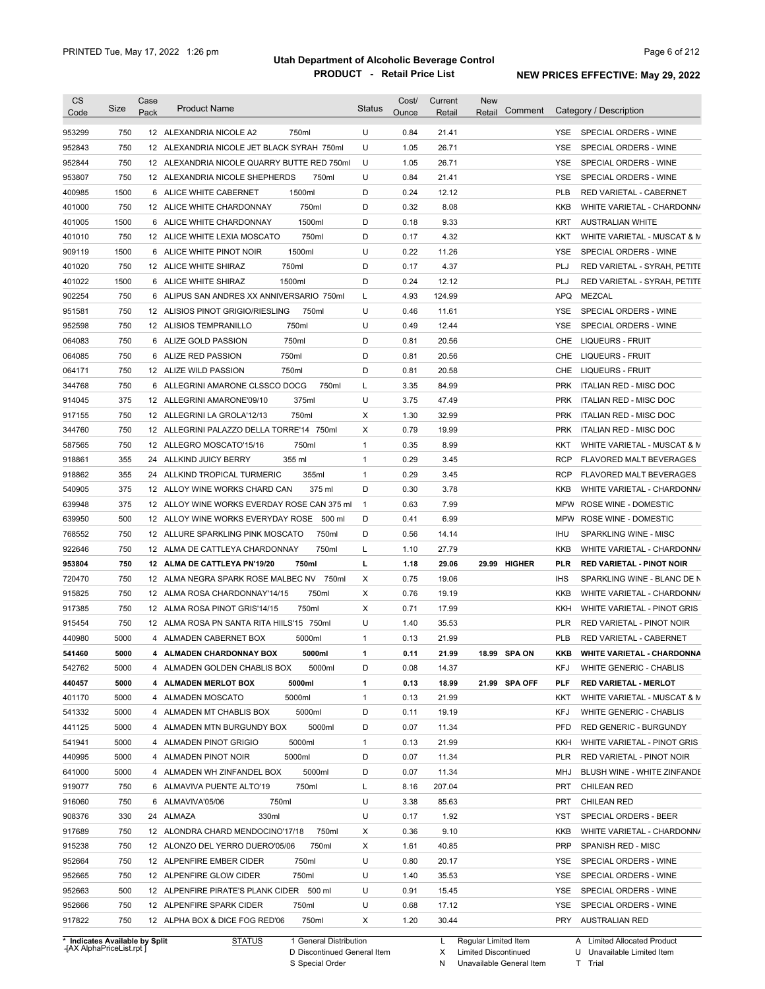| <b>CS</b><br>Code | Size                           | Case<br>Pack | <b>Product Name</b>                         | <b>Status</b> | Cost/<br>Ounce | Current<br>Retail | <b>New</b><br>Comment<br>Retail | Category / Description                       |
|-------------------|--------------------------------|--------------|---------------------------------------------|---------------|----------------|-------------------|---------------------------------|----------------------------------------------|
| 953299            | 750                            |              | 12 ALEXANDRIA NICOLE A2<br>750ml            | U             | 0.84           | 21.41             |                                 | YSE SPECIAL ORDERS - WINE                    |
| 952843            | 750                            |              | 12 ALEXANDRIA NICOLE JET BLACK SYRAH 750ml  | U             | 1.05           | 26.71             |                                 | SPECIAL ORDERS - WINE<br>YSE                 |
| 952844            | 750                            |              | 12 ALEXANDRIA NICOLE QUARRY BUTTE RED 750ml | U             | 1.05           | 26.71             |                                 | YSE<br>SPECIAL ORDERS - WINE                 |
| 953807            | 750                            |              | 12 ALEXANDRIA NICOLE SHEPHERDS<br>750ml     | U             | 0.84           | 21.41             |                                 | YSE<br>SPECIAL ORDERS - WINE                 |
| 400985            | 1500                           |              | 1500ml<br>6 ALICE WHITE CABERNET            | D             | 0.24           | 12.12             |                                 | <b>PLB</b><br>RED VARIETAL - CABERNET        |
| 401000            | 750                            |              | 750ml<br>12 ALICE WHITE CHARDONNAY          | D             | 0.32           | 8.08              |                                 | KKB<br>WHITE VARIETAL - CHARDONN/            |
| 401005            | 1500                           |              | 1500ml<br>6 ALICE WHITE CHARDONNAY          | D             | 0.18           | 9.33              |                                 | KRT<br><b>AUSTRALIAN WHITE</b>               |
| 401010            | 750                            |              | 750ml<br>12 ALICE WHITE LEXIA MOSCATO       | D             | 0.17           | 4.32              |                                 | KKT<br>WHITE VARIETAL - MUSCAT & M           |
| 909119            | 1500                           |              | 1500ml<br>6 ALICE WHITE PINOT NOIR          | U             | 0.22           | 11.26             |                                 | YSE<br>SPECIAL ORDERS - WINE                 |
| 401020            | 750                            |              | 750ml<br>12 ALICE WHITE SHIRAZ              | D             | 0.17           | 4.37              |                                 | PLJ<br>RED VARIETAL - SYRAH, PETITE          |
| 401022            | 1500                           |              | 1500ml<br>6 ALICE WHITE SHIRAZ              | D             | 0.24           | 12.12             |                                 | <b>PLJ</b><br>RED VARIETAL - SYRAH, PETITE   |
| 902254            | 750                            |              | 6 ALIPUS SAN ANDRES XX ANNIVERSARIO 750ml   | L             | 4.93           | 124.99            |                                 | <b>APQ</b><br>MEZCAL                         |
| 951581            | 750                            |              | 12 ALISIOS PINOT GRIGIO/RIESLING<br>750ml   | U             | 0.46           | 11.61             |                                 | SPECIAL ORDERS - WINE<br>YSE                 |
| 952598            | 750                            |              | 750ml<br>12 ALISIOS TEMPRANILLO             | U             | 0.49           | 12.44             |                                 | <b>YSE</b><br>SPECIAL ORDERS - WINE          |
| 064083            | 750                            |              | 750ml<br>6 ALIZE GOLD PASSION               | D             | 0.81           | 20.56             |                                 | CHE<br>LIQUEURS - FRUIT                      |
| 064085            | 750                            |              | 750ml<br>6 ALIZE RED PASSION                | D             | 0.81           | 20.56             |                                 | CHE<br><b>LIQUEURS - FRUIT</b>               |
| 064171            | 750                            |              | 750ml<br>12 ALIZE WILD PASSION              | D             | 0.81           | 20.58             |                                 | <b>LIQUEURS - FRUIT</b><br>CHE               |
| 344768            | 750                            |              | 6 ALLEGRINI AMARONE CLSSCO DOCG<br>750ml    | L             | 3.35           | 84.99             |                                 | <b>PRK</b><br>ITALIAN RED - MISC DOC         |
| 914045            | 375                            |              | 375ml<br>12 ALLEGRINI AMARONE'09/10         | U             | 3.75           | 47.49             |                                 | <b>PRK</b><br>ITALIAN RED - MISC DOC         |
| 917155            | 750                            |              | 750ml<br>12 ALLEGRINI LA GROLA'12/13        | Х             | 1.30           | 32.99             |                                 | <b>PRK</b><br>ITALIAN RED - MISC DOC         |
| 344760            | 750                            |              | 12 ALLEGRINI PALAZZO DELLA TORRE'14 750ml   | Χ             | 0.79           | 19.99             |                                 | <b>PRK</b><br>ITALIAN RED - MISC DOC         |
| 587565            | 750                            |              | 12 ALLEGRO MOSCATO'15/16<br>750ml           | $\mathbf{1}$  | 0.35           | 8.99              |                                 | KKT<br>WHITE VARIETAL - MUSCAT & M           |
| 918861            | 355                            | 24           | 355 ml<br>ALLKIND JUICY BERRY               | $\mathbf{1}$  | 0.29           | 3.45              |                                 | <b>RCP</b><br><b>FLAVORED MALT BEVERAGES</b> |
| 918862            | 355                            |              | 24 ALLKIND TROPICAL TURMERIC<br>355ml       | $\mathbf{1}$  | 0.29           | 3.45              |                                 | <b>RCP</b><br>FLAVORED MALT BEVERAGES        |
| 540905            | 375                            |              | 12 ALLOY WINE WORKS CHARD CAN<br>375 ml     | D             | 0.30           | 3.78              |                                 | KKB<br>WHITE VARIETAL - CHARDONN/            |
| 639948            | 375                            |              | 12 ALLOY WINE WORKS EVERDAY ROSE CAN 375 ml | $\mathbf{1}$  | 0.63           | 7.99              |                                 | <b>MPW</b><br>ROSE WINE - DOMESTIC           |
| 639950            | 500                            |              | 12 ALLOY WINE WORKS EVERYDAY ROSE 500 ml    | D             | 0.41           | 6.99              |                                 | MPW<br>ROSE WINE - DOMESTIC                  |
| 768552            | 750                            |              | 750ml<br>12 ALLURE SPARKLING PINK MOSCATO   | D             | 0.56           | 14.14             |                                 | IHU<br>SPARKLING WINE - MISC                 |
| 922646            | 750                            |              | 12 ALMA DE CATTLEYA CHARDONNAY<br>750ml     | Г             | 1.10           | 27.79             |                                 | KKB<br>WHITE VARIETAL - CHARDONN/            |
| 953804            | 750                            |              | 12 ALMA DE CATTLEYA PN'19/20<br>750ml       | L             | 1.18           | 29.06             | <b>HIGHER</b><br>29.99          | PLR<br><b>RED VARIETAL - PINOT NOIR</b>      |
| 720470            | 750                            |              | 12 ALMA NEGRA SPARK ROSE MALBEC NV 750ml    | Χ             | 0.75           | 19.06             |                                 | IHS<br>SPARKLING WINE - BLANC DE N           |
| 915825            | 750                            |              | 750ml<br>12 ALMA ROSA CHARDONNAY'14/15      | Χ             | 0.76           | 19.19             |                                 | KKB<br>WHITE VARIETAL - CHARDONN/            |
| 917385            | 750                            |              | 750ml<br>12 ALMA ROSA PINOT GRIS'14/15      | Χ             | 0.71           | 17.99             |                                 | KKH<br>WHITE VARIETAL - PINOT GRIS           |
| 915454            | 750                            |              | 12 ALMA ROSA PN SANTA RITA HIILS'15 750ml   | U             | 1.40           | 35.53             |                                 | RED VARIETAL - PINOT NOIR<br>PLR             |
| 440980            | 5000                           |              | 4 ALMADEN CABERNET BOX<br>5000ml            | 1             | 0.13           | 21.99             |                                 | <b>PLB</b><br>RED VARIETAL - CABERNET        |
|                   | 5000                           |              |                                             |               |                |                   |                                 |                                              |
| 541460            |                                |              | 4 ALMADEN CHARDONNAY BOX<br>5000ml          | 1<br>D        | 0.11           | 21.99             | 18.99 SPA ON                    | KKB<br><b>WHITE VARIETAL - CHARDONNA</b>     |
| 542762            | 5000                           |              | 4 ALMADEN GOLDEN CHABLIS BOX<br>5000ml      |               | 0.08           | 14.37             |                                 | KFJ<br>WHITE GENERIC - CHABLIS               |
| 440457            | 5000                           |              | 4 ALMADEN MERLOT BOX<br>5000ml              | $\mathbf{1}$  | 0.13           | 18.99             | 21.99 SPA OFF                   | <b>PLF</b><br><b>RED VARIETAL - MERLOT</b>   |
| 401170            | 5000                           |              | 5000ml<br>4 ALMADEN MOSCATO                 | $\mathbf{1}$  | 0.13           | 21.99             |                                 | WHITE VARIETAL - MUSCAT & M<br>KKT           |
| 541332            | 5000                           |              | 4 ALMADEN MT CHABLIS BOX<br>5000ml          | D             | 0.11           | 19.19             |                                 | KFJ<br>WHITE GENERIC - CHABLIS               |
| 441125            | 5000                           |              | 5000ml<br>4 ALMADEN MTN BURGUNDY BOX        | D             | 0.07           | 11.34             |                                 | <b>PFD</b><br>RED GENERIC - BURGUNDY         |
| 541941            | 5000                           |              | 5000ml<br>4 ALMADEN PINOT GRIGIO            | $\mathbf{1}$  | 0.13           | 21.99             |                                 | WHITE VARIETAL - PINOT GRIS<br>KKH           |
| 440995            | 5000                           |              | 5000ml<br>4 ALMADEN PINOT NOIR              | D             | 0.07           | 11.34             |                                 | <b>PLR</b><br>RED VARIETAL - PINOT NOIR      |
| 641000            | 5000                           |              | 5000ml<br>4 ALMADEN WH ZINFANDEL BOX        | D             | 0.07           | 11.34             |                                 | BLUSH WINE - WHITE ZINFANDE<br>MHJ           |
| 919077            | 750                            |              | 750ml<br>6 ALMAVIVA PUENTE ALTO'19          | L             | 8.16           | 207.04            |                                 | PRT<br><b>CHILEAN RED</b>                    |
| 916060            | 750                            |              | 6 ALMAVIVA'05/06<br>750ml                   | U             | 3.38           | 85.63             |                                 | PRT<br><b>CHILEAN RED</b>                    |
| 908376            | 330                            |              | 24 ALMAZA<br>330ml                          | U             | 0.17           | 1.92              |                                 | YST<br>SPECIAL ORDERS - BEER                 |
| 917689            | 750                            |              | 12 ALONDRA CHARD MENDOCINO'17/18<br>750ml   | Х             | 0.36           | 9.10              |                                 | KKB<br>WHITE VARIETAL - CHARDONN/            |
| 915238            | 750                            |              | 12 ALONZO DEL YERRO DUERO'05/06<br>750ml    | Х             | 1.61           | 40.85             |                                 | <b>PRP</b><br>SPANISH RED - MISC             |
| 952664            | 750                            |              | 12 ALPENFIRE EMBER CIDER<br>750ml           | U             | 0.80           | 20.17             |                                 | YSE<br>SPECIAL ORDERS - WINE                 |
| 952665            | 750                            |              | 12 ALPENFIRE GLOW CIDER<br>750ml            | U             | 1.40           | 35.53             |                                 | YSE<br>SPECIAL ORDERS - WINE                 |
| 952663            | 500                            |              | 12 ALPENFIRE PIRATE'S PLANK CIDER 500 ml    | U             | 0.91           | 15.45             |                                 | YSE<br>SPECIAL ORDERS - WINE                 |
| 952666            | 750                            |              | 12 ALPENFIRE SPARK CIDER<br>750ml           | U             | 0.68           | 17.12             |                                 | YSE<br>SPECIAL ORDERS - WINE                 |
| 917822            | 750                            |              | 12 ALPHA BOX & DICE FOG RED'06<br>750ml     | X             | 1.20           | 30.44             |                                 | PRY<br>AUSTRALIAN RED                        |
|                   | * Indicates Available by Split |              | 1 General Distribution<br><b>STATUS</b>     |               |                | L                 | Regular Limited Item            | A Limited Allocated Product                  |

**Case** [AX AlphaPriceList.rpt ]

D Discontinued General Item

S Special Order

X Limited Discontinued

N Unavailable General Item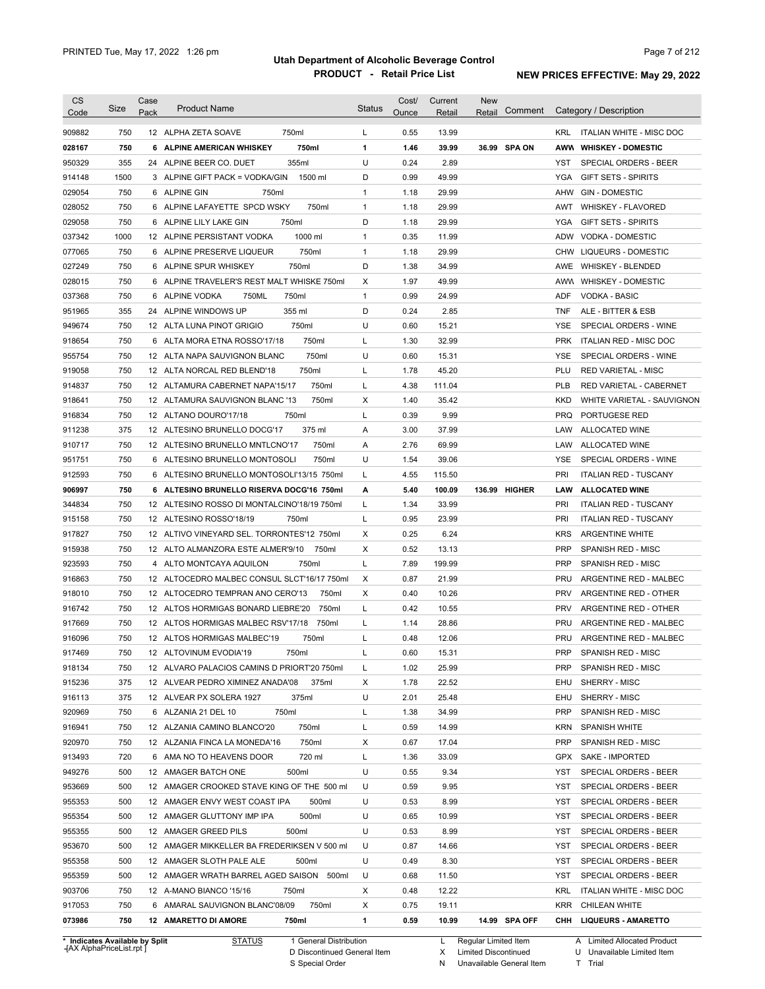| <b>CS</b> |      | Case |                                                                     |         |               | Cost/ | Current | <b>New</b>    |            |                                                  |
|-----------|------|------|---------------------------------------------------------------------|---------|---------------|-------|---------|---------------|------------|--------------------------------------------------|
| Code      | Size | Pack | <b>Product Name</b>                                                 |         | <b>Status</b> | Ounce | Retail  | Retail        | Comment    | Category / Description                           |
| 909882    | 750  |      | 750ml<br>12 ALPHA ZETA SOAVE                                        |         | L             | 0.55  | 13.99   |               |            | KRL ITALIAN WHITE - MISC DOC                     |
| 028167    | 750  |      | 6 ALPINE AMERICAN WHISKEY                                           | 750ml   | 1             | 1.46  | 39.99   | 36.99 SPA ON  |            | AWW WHISKEY - DOMESTIC                           |
| 950329    | 355  |      | 355ml<br>24 ALPINE BEER CO. DUET                                    |         | U             | 0.24  | 2.89    |               | YST        | SPECIAL ORDERS - BEER                            |
| 914148    | 1500 |      | 3 ALPINE GIFT PACK = VODKA/GIN                                      | 1500 ml | D             | 0.99  | 49.99   |               | YGA        | <b>GIFT SETS - SPIRITS</b>                       |
| 029054    | 750  |      | 6 ALPINE GIN<br>750ml                                               |         | $\mathbf{1}$  | 1.18  | 29.99   |               |            | AHW<br><b>GIN - DOMESTIC</b>                     |
| 028052    | 750  |      | 6 ALPINE LAFAYETTE SPCD WSKY                                        | 750ml   | $\mathbf{1}$  | 1.18  | 29.99   |               | AWT        | <b>WHISKEY - FLAVORED</b>                        |
| 029058    | 750  |      | 750ml<br>6 ALPINE LILY LAKE GIN                                     |         | D             | 1.18  | 29.99   |               |            | YGA<br><b>GIFT SETS - SPIRITS</b>                |
| 037342    | 1000 |      | 12 ALPINE PERSISTANT VODKA                                          | 1000 ml | $\mathbf{1}$  | 0.35  | 11.99   |               |            | ADW VODKA - DOMESTIC                             |
| 077065    | 750  |      |                                                                     | 750ml   | $\mathbf{1}$  | 1.18  | 29.99   |               |            |                                                  |
|           | 750  |      | 6 ALPINE PRESERVE LIQUEUR<br>750ml                                  |         | D             | 1.38  | 34.99   |               |            | CHW LIQUEURS - DOMESTIC<br>AWE WHISKEY - BLENDED |
| 027249    | 750  |      | 6 ALPINE SPUR WHISKEY<br>6 ALPINE TRAVELER'S REST MALT WHISKE 750ml |         | Χ             | 1.97  | 49.99   |               |            |                                                  |
| 028015    |      |      |                                                                     |         |               |       |         |               |            | AWW WHISKEY - DOMESTIC                           |
| 037368    | 750  |      | 750ml<br>6 ALPINE VODKA<br>750ML                                    |         | $\mathbf{1}$  | 0.99  | 24.99   |               | ADF        | VODKA - BASIC                                    |
| 951965    | 355  |      | 24 ALPINE WINDOWS UP<br>355 ml                                      |         | D             | 0.24  | 2.85    |               | <b>TNF</b> | ALE - BITTER & ESB                               |
| 949674    | 750  |      | 750ml<br>12 ALTA LUNA PINOT GRIGIO                                  |         | U             | 0.60  | 15.21   |               | YSE        | SPECIAL ORDERS - WINE                            |
| 918654    | 750  |      | 6 ALTA MORA ETNA ROSSO'17/18                                        | 750ml   | Г             | 1.30  | 32.99   |               | <b>PRK</b> | ITALIAN RED - MISC DOC                           |
| 955754    | 750  |      | 12 ALTA NAPA SAUVIGNON BLANC                                        | 750ml   | U             | 0.60  | 15.31   |               | <b>YSE</b> | SPECIAL ORDERS - WINE                            |
| 919058    | 750  |      | 12 ALTA NORCAL RED BLEND'18                                         | 750ml   | Г             | 1.78  | 45.20   |               | PLU        | <b>RED VARIETAL - MISC</b>                       |
| 914837    | 750  |      | 12 ALTAMURA CABERNET NAPA'15/17                                     | 750ml   | Г             | 4.38  | 111.04  |               | <b>PLB</b> | RED VARIETAL - CABERNET                          |
| 918641    | 750  |      | 12 ALTAMURA SAUVIGNON BLANC '13                                     | 750ml   | Х             | 1.40  | 35.42   |               | KKD        | WHITE VARIETAL - SAUVIGNON                       |
| 916834    | 750  |      | 12 ALTANO DOURO'17/18<br>750ml                                      |         | L             | 0.39  | 9.99    |               | <b>PRQ</b> | PORTUGESE RED                                    |
| 911238    | 375  |      | 12 ALTESINO BRUNELLO DOCG'17                                        | 375 ml  | Α             | 3.00  | 37.99   |               | LAW        | ALLOCATED WINE                                   |
| 910717    | 750  |      | 12 ALTESINO BRUNELLO MNTLCNO'17                                     | 750ml   | Α             | 2.76  | 69.99   |               | LAW        | ALLOCATED WINE                                   |
| 951751    | 750  |      | 6 ALTESINO BRUNELLO MONTOSOLI                                       | 750ml   | U             | 1.54  | 39.06   |               | YSE        | SPECIAL ORDERS - WINE                            |
| 912593    | 750  |      | 6 ALTESINO BRUNELLO MONTOSOLI'13/15 750ml                           |         | L             | 4.55  | 115.50  |               | <b>PRI</b> | <b>ITALIAN RED - TUSCANY</b>                     |
| 906997    | 750  |      | 6 ALTESINO BRUNELLO RISERVA DOCG'16 750ml                           |         | А             | 5.40  | 100.09  | 136.99 HIGHER | LAW        | <b>ALLOCATED WINE</b>                            |
| 344834    | 750  |      | 12 ALTESINO ROSSO DI MONTALCINO'18/19 750ml                         |         | Г             | 1.34  | 33.99   |               | PRI        | <b>ITALIAN RED - TUSCANY</b>                     |
| 915158    | 750  |      | 12 ALTESINO ROSSO'18/19<br>750ml                                    |         | Г             | 0.95  | 23.99   |               | <b>PRI</b> | <b>ITALIAN RED - TUSCANY</b>                     |
| 917827    | 750  |      | 12 ALTIVO VINEYARD SEL. TORRONTES'12 750ml                          |         | Χ             | 0.25  | 6.24    |               | <b>KRS</b> | <b>ARGENTINE WHITE</b>                           |
| 915938    | 750  |      | 12 ALTO ALMANZORA ESTE ALMER'9/10                                   | 750ml   | Х             | 0.52  | 13.13   |               | <b>PRP</b> | SPANISH RED - MISC                               |
| 923593    | 750  |      | 4 ALTO MONTCAYA AQUILON                                             | 750ml   | L             | 7.89  | 199.99  |               | <b>PRP</b> | SPANISH RED - MISC                               |
| 916863    | 750  |      | 12 ALTOCEDRO MALBEC CONSUL SLCT'16/17 750ml                         |         | X             | 0.87  | 21.99   |               | <b>PRU</b> | ARGENTINE RED - MALBEC                           |
| 918010    | 750  |      | 12 ALTOCEDRO TEMPRAN ANO CERO'13                                    | 750ml   | Χ             | 0.40  | 10.26   |               | <b>PRV</b> | ARGENTINE RED - OTHER                            |
| 916742    | 750  |      | 12 ALTOS HORMIGAS BONARD LIEBRE'20                                  | 750ml   | L             | 0.42  | 10.55   |               | <b>PRV</b> | ARGENTINE RED - OTHER                            |
| 917669    |      |      |                                                                     |         | Г             |       |         |               |            |                                                  |
|           | 750  |      | 12 ALTOS HORMIGAS MALBEC RSV'17/18                                  | 750ml   |               | 1.14  | 28.86   |               | <b>PRU</b> | ARGENTINE RED - MALBEC                           |
| 916096    | 750  |      | 12 ALTOS HORMIGAS MALBEC'19                                         | 750ml   | Г             | 0.48  | 12.06   |               | PRU        | ARGENTINE RED - MALBEC                           |
|           |      |      | 750ml                                                               |         |               |       |         |               | <b>PRP</b> |                                                  |
| 917469    | 750  |      | 12 ALTOVINUM EVODIA'19                                              |         |               | 0.60  | 15.31   |               | <b>PRP</b> | SPANISH RED - MISC                               |
| 918134    | 750  |      | 12 ALVARO PALACIOS CAMINS D PRIORT'20 750ml                         |         | L             | 1.02  | 25.99   |               |            | SPANISH RED - MISC                               |
| 915236    | 375  |      | 12 ALVEAR PEDRO XIMINEZ ANADA'08 375ml                              |         | Х             | 1.78  | 22.52   |               | EHU        | SHERRY - MISC                                    |
| 916113    | 375  |      | 12 ALVEAR PX SOLERA 1927<br>375ml                                   |         | U             | 2.01  | 25.48   |               | EHU        | SHERRY - MISC                                    |
| 920969    | 750  |      | 6 ALZANIA 21 DEL 10<br>750ml                                        |         | Г             | 1.38  | 34.99   |               | <b>PRP</b> | SPANISH RED - MISC                               |
| 916941    | 750  |      | 12 ALZANIA CAMINO BLANCO'20                                         | 750ml   | L             | 0.59  | 14.99   |               | KRN        | <b>SPANISH WHITE</b>                             |
| 920970    | 750  |      | 12 ALZANIA FINCA LA MONEDA'16                                       | 750ml   | Х             | 0.67  | 17.04   |               | <b>PRP</b> | SPANISH RED - MISC                               |
| 913493    | 720  |      | 6 AMA NO TO HEAVENS DOOR                                            | 720 ml  | L             | 1.36  | 33.09   |               |            | GPX SAKE - IMPORTED                              |
| 949276    | 500  |      | 12 AMAGER BATCH ONE<br>500ml                                        |         | U             | 0.55  | 9.34    |               | YST        | SPECIAL ORDERS - BEER                            |
| 953669    | 500  |      | 12 AMAGER CROOKED STAVE KING OF THE 500 ml                          |         | U             | 0.59  | 9.95    |               | YST        | SPECIAL ORDERS - BEER                            |
| 955353    | 500  |      | 12 AMAGER ENVY WEST COAST IPA                                       | 500ml   | U             | 0.53  | 8.99    |               | YST        | SPECIAL ORDERS - BEER                            |
| 955354    | 500  |      | 12 AMAGER GLUTTONY IMP IPA                                          | 500ml   | U             | 0.65  | 10.99   |               | YST        | SPECIAL ORDERS - BEER                            |
| 955355    | 500  |      | 12 AMAGER GREED PILS<br>500ml                                       |         | U             | 0.53  | 8.99    |               | YST        | SPECIAL ORDERS - BEER                            |
| 953670    | 500  |      | 12 AMAGER MIKKELLER BA FREDERIKSEN V 500 ml                         |         | U             | 0.87  | 14.66   |               | YST        | SPECIAL ORDERS - BEER                            |
| 955358    | 500  |      | 12 AMAGER SLOTH PALE ALE                                            | 500ml   | U             | 0.49  | 8.30    |               | YST        | SPECIAL ORDERS - BEER                            |
| 955359    | 500  |      | 12 AMAGER WRATH BARREL AGED SAISON 500ml                            |         | U             | 0.68  | 11.50   |               | YST        | SPECIAL ORDERS - BEER                            |
| 903706    | 750  |      | 12 A-MANO BIANCO '15/16<br>750ml                                    |         | X             | 0.48  | 12.22   |               |            | KRL ITALIAN WHITE - MISC DOC                     |
| 917053    | 750  |      | 6 AMARAL SAUVIGNON BLANC'08/09                                      | 750ml   | X             | 0.75  | 19.11   |               |            | KRR CHILEAN WHITE                                |
| 073986    | 750  |      | 12 AMARETTO DI AMORE<br>750ml                                       |         | 1             | 0.59  | 10.99   | 14.99 SPA OFF |            | CHH LIQUEURS - AMARETTO                          |

**Case** [AX AlphaPriceList.rpt ]

D Discontinued General Item S Special Order

Regular Limited Item

X

Limited Discontinued

N Unavailable General Item

A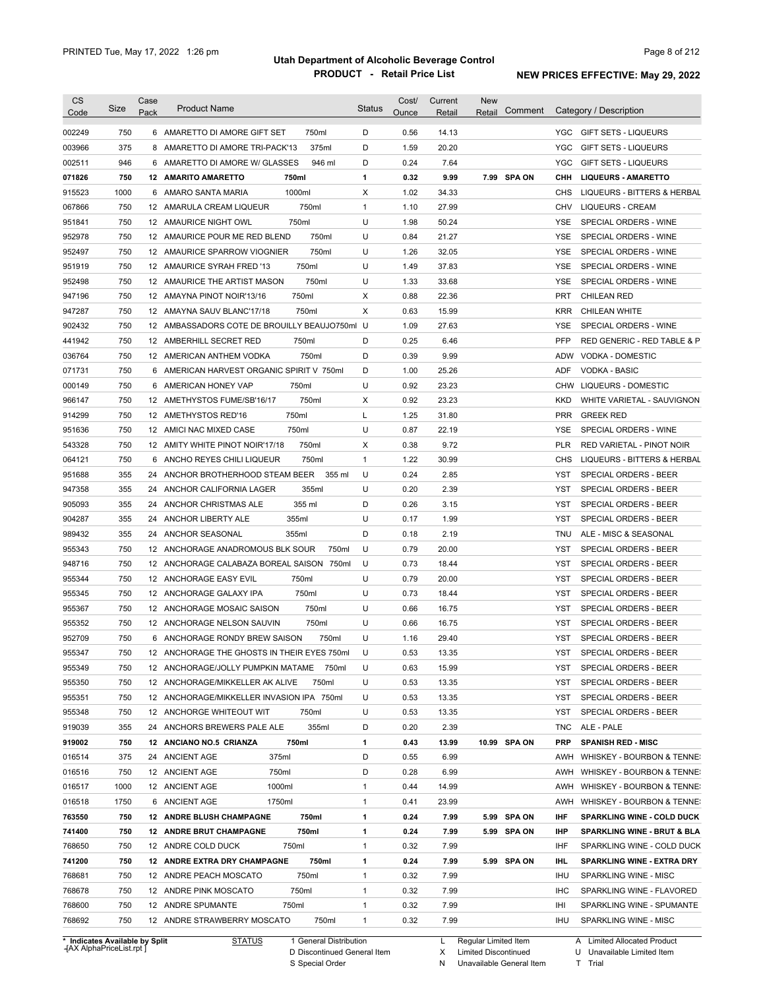| <b>CS</b><br>Code | Size | Case<br>Pack | <b>Product Name</b>                           | <b>Status</b> | Cost/<br>Ounce | Current<br>Retail | <b>New</b><br>Comment<br>Retail | Category / Description                                                    |
|-------------------|------|--------------|-----------------------------------------------|---------------|----------------|-------------------|---------------------------------|---------------------------------------------------------------------------|
| 002249            | 750  |              | 750ml<br>6 AMARETTO DI AMORE GIFT SET         | D             | 0.56           | 14.13             |                                 | YGC<br>GIFT SETS - LIQUEURS                                               |
| 003966            | 375  |              | 375ml<br>8 AMARETTO DI AMORE TRI-PACK'13      | D             | 1.59           | 20.20             |                                 | <b>YGC</b><br><b>GIFT SETS - LIQUEURS</b>                                 |
| 002511            | 946  |              | 946 ml<br>6 AMARETTO DI AMORE W/ GLASSES      | D             | 0.24           | 7.64              |                                 | YGC<br><b>GIFT SETS - LIQUEURS</b>                                        |
| 071826            | 750  |              | 750ml<br><b>12 AMARITO AMARETTO</b>           | 1             | 0.32           | 9.99              | 7.99 SPA ON                     | снн<br><b>LIQUEURS - AMARETTO</b>                                         |
| 915523            | 1000 |              | 1000ml<br>6 AMARO SANTA MARIA                 | X             | 1.02           | 34.33             |                                 | CHS<br>LIQUEURS - BITTERS & HERBAL                                        |
| 067866            | 750  |              | 750ml<br>12 AMARULA CREAM LIQUEUR             | $\mathbf{1}$  | 1.10           | 27.99             |                                 | <b>LIQUEURS - CREAM</b><br>CHV                                            |
| 951841            | 750  |              | 750ml<br>12 AMAURICE NIGHT OWL                | U             | 1.98           | 50.24             |                                 | <b>YSE</b><br>SPECIAL ORDERS - WINE                                       |
| 952978            | 750  |              | 750ml<br>12 AMAURICE POUR ME RED BLEND        | U             | 0.84           | 21.27             |                                 | <b>YSE</b><br>SPECIAL ORDERS - WINE                                       |
| 952497            | 750  |              | 750ml<br>12 AMAURICE SPARROW VIOGNIER         | U             | 1.26           | 32.05             |                                 | <b>YSE</b><br>SPECIAL ORDERS - WINE                                       |
| 951919            | 750  |              | 750ml<br>12 AMAURICE SYRAH FRED '13           | U             | 1.49           | 37.83             |                                 | <b>YSE</b><br>SPECIAL ORDERS - WINE                                       |
| 952498            | 750  |              | 750ml<br>12 AMAURICE THE ARTIST MASON         | U             | 1.33           | 33.68             |                                 | YSE<br>SPECIAL ORDERS - WINE                                              |
| 947196            | 750  |              | 750ml<br>12 AMAYNA PINOT NOIR'13/16           | X             | 0.88           | 22.36             |                                 | <b>PRT</b><br><b>CHILEAN RED</b>                                          |
| 947287            | 750  |              | 750ml<br>12 AMAYNA SAUV BLANC'17/18           | X             | 0.63           | 15.99             |                                 | <b>KRR</b><br>CHILEAN WHITE                                               |
|                   | 750  |              | 12 AMBASSADORS COTE DE BROUILLY BEAUJO750ml U |               | 1.09           | 27.63             |                                 |                                                                           |
| 902432<br>441942  | 750  |              | 750ml                                         | D             | 0.25           | 6.46              |                                 | YSE<br>SPECIAL ORDERS - WINE<br><b>PFP</b><br>RED GENERIC - RED TABLE & P |
|                   |      |              | 12 AMBERHILL SECRET RED                       |               |                |                   |                                 |                                                                           |
| 036764            | 750  |              | 750ml<br>12 AMERICAN ANTHEM VODKA             | D             | 0.39           | 9.99              |                                 | VODKA - DOMESTIC<br><b>ADW</b>                                            |
| 071731            | 750  |              | 6 AMERICAN HARVEST ORGANIC SPIRIT V 750ml     | D             | 1.00           | 25.26             |                                 | <b>VODKA - BASIC</b><br>ADF                                               |
| 000149            | 750  | 6            | 750ml<br>AMERICAN HONEY VAP                   | U             | 0.92           | 23.23             |                                 | <b>CHW</b><br>LIQUEURS - DOMESTIC                                         |
| 966147            | 750  |              | 750ml<br>12 AMETHYSTOS FUME/SB'16/17          | х             | 0.92           | 23.23             |                                 | KKD<br>WHITE VARIETAL - SAUVIGNON                                         |
| 914299            | 750  |              | 750ml<br>12 AMETHYSTOS RED'16                 | L             | 1.25           | 31.80             |                                 | <b>PRR</b><br><b>GREEK RED</b>                                            |
| 951636            | 750  |              | 750ml<br>12 AMICI NAC MIXED CASE              | U             | 0.87           | 22.19             |                                 | SPECIAL ORDERS - WINE<br>YSE                                              |
| 543328            | 750  |              | 12 AMITY WHITE PINOT NOIR'17/18<br>750ml      | X             | 0.38           | 9.72              |                                 | PLR<br>RED VARIETAL - PINOT NOIR                                          |
| 064121            | 750  |              | 6 ANCHO REYES CHILI LIQUEUR<br>750ml          | $\mathbf{1}$  | 1.22           | 30.99             |                                 | CHS<br>LIQUEURS - BITTERS & HERBAL                                        |
| 951688            | 355  | 24           | ANCHOR BROTHERHOOD STEAM BEER<br>355 ml       | U             | 0.24           | 2.85              |                                 | YST<br>SPECIAL ORDERS - BEER                                              |
| 947358            | 355  | 24           | 355ml<br>ANCHOR CALIFORNIA LAGER              | U             | 0.20           | 2.39              |                                 | YST<br>SPECIAL ORDERS - BEER                                              |
| 905093            | 355  | 24           | 355 ml<br>ANCHOR CHRISTMAS ALE                | D             | 0.26           | 3.15              |                                 | YST<br>SPECIAL ORDERS - BEER                                              |
| 904287            | 355  | 24           | ANCHOR LIBERTY ALE<br>355ml                   | U             | 0.17           | 1.99              |                                 | SPECIAL ORDERS - BEER<br>YST                                              |
| 989432            | 355  | 24           | ANCHOR SEASONAL<br>355ml                      | D             | 0.18           | 2.19              |                                 | ALE - MISC & SEASONAL<br><b>TNU</b>                                       |
| 955343            | 750  |              | 12 ANCHORAGE ANADROMOUS BLK SOUR<br>750ml     | U             | 0.79           | 20.00             |                                 | SPECIAL ORDERS - BEER<br>YST                                              |
| 948716            | 750  |              | 12 ANCHORAGE CALABAZA BOREAL SAISON 750ml     | U             | 0.73           | 18.44             |                                 | SPECIAL ORDERS - BEER<br>YST                                              |
| 955344            | 750  |              | 12 ANCHORAGE EASY EVIL<br>750ml               | U             | 0.79           | 20.00             |                                 | <b>YST</b><br>SPECIAL ORDERS - BEER                                       |
| 955345            | 750  |              | 750ml<br>12 ANCHORAGE GALAXY IPA              | U             | 0.73           | 18.44             |                                 | <b>YST</b><br>SPECIAL ORDERS - BEER                                       |
| 955367            | 750  |              | 750ml<br>12 ANCHORAGE MOSAIC SAISON           | U             | 0.66           | 16.75             |                                 | SPECIAL ORDERS - BEER<br>YST                                              |
| 955352            | 750  |              | 12 ANCHORAGE NELSON SAUVIN<br>750ml           | U             | 0.66           | 16.75             |                                 | SPECIAL ORDERS - BEER<br>YST                                              |
| 952709            | 750  |              | 6 ANCHORAGE RONDY BREW SAISON<br>750ml        | U             | 1.16           | 29.40             |                                 | <b>YST</b><br>SPECIAL ORDERS - BEER                                       |
| 955347            | 750  |              | 12 ANCHORAGE THE GHOSTS IN THEIR EYES 750ml   | U             | 0.53           | 13.35             |                                 | YST<br>SPECIAL ORDERS - BEER                                              |
| 955349            | 750  |              | 12 ANCHORAGE/JOLLY PUMPKIN MATAME<br>750ml    | U             | 0.63           | 15.99             |                                 | YST<br>SPECIAL ORDERS - BEER                                              |
| 955350            | 750  |              | 12 ANCHORAGE/MIKKELLER AK ALIVE<br>750ml      | U             | 0.53           | 13.35             |                                 | YST<br>SPECIAL ORDERS - BEER                                              |
| 955351            | 750  |              | 12 ANCHORAGE/MIKKELLER INVASION IPA 750ml     | U             | 0.53           | 13.35             |                                 | YST<br>SPECIAL ORDERS - BEER                                              |
| 955348            | 750  |              | 12 ANCHORGE WHITEOUT WIT<br>750ml             | U             | 0.53           | 13.35             |                                 | YST<br>SPECIAL ORDERS - BEER                                              |
| 919039            | 355  |              | 355ml<br>24 ANCHORS BREWERS PALE ALE          | D             | 0.20           | 2.39              |                                 | <b>TNC</b><br>ALE - PALE                                                  |
| 919002            | 750  |              | 750ml<br>12 ANCIANO NO.5 CRIANZA              | 1             | 0.43           | 13.99             | 10.99 SPA ON                    | <b>PRP</b><br><b>SPANISH RED - MISC</b>                                   |
| 016514            | 375  |              | 24 ANCIENT AGE<br>375ml                       | D             | 0.55           | 6.99              |                                 | AWH<br>WHISKEY - BOURBON & TENNE:                                         |
| 016516            | 750  |              | 12 ANCIENT AGE<br>750ml                       | D             | 0.28           | 6.99              |                                 | WHISKEY - BOURBON & TENNE:<br>AWH                                         |
| 016517            | 1000 |              | 1000ml<br>12 ANCIENT AGE                      | $\mathbf{1}$  | 0.44           | 14.99             |                                 | AWH<br>WHISKEY - BOURBON & TENNE:                                         |
| 016518            | 1750 |              | 1750ml<br>6 ANCIENT AGE                       | $\mathbf{1}$  | 0.41           | 23.99             |                                 | WHISKEY - BOURBON & TENNE:<br>AWH                                         |
| 763550            | 750  |              | 750ml<br>12 ANDRE BLUSH CHAMPAGNE             | 1             | 0.24           | 7.99              | 5.99 SPA ON                     | IHF<br><b>SPARKLING WINE - COLD DUCK</b>                                  |
| 741400            | 750  |              | 750ml<br>12 ANDRE BRUT CHAMPAGNE              | 1             | 0.24           | 7.99              | 5.99 SPA ON                     | IHP<br>SPARKLING WINE - BRUT & BLA                                        |
| 768650            | 750  |              | 750ml<br>12 ANDRE COLD DUCK                   | $\mathbf{1}$  | 0.32           | 7.99              |                                 | IHF<br>SPARKLING WINE - COLD DUCK                                         |
| 741200            | 750  |              | 12 ANDRE EXTRA DRY CHAMPAGNE<br>750ml         | 1             | 0.24           | 7.99              | 5.99 SPA ON                     | IHL<br>SPARKLING WINE - EXTRA DRY                                         |
| 768681            | 750  |              | 750ml<br>12 ANDRE PEACH MOSCATO               | $\mathbf{1}$  | 0.32           | 7.99              |                                 | IHU<br>SPARKLING WINE - MISC                                              |
|                   | 750  |              | 12 ANDRE PINK MOSCATO<br>750ml                | $\mathbf{1}$  | 0.32           | 7.99              |                                 | <b>IHC</b><br>SPARKLING WINE - FLAVORED                                   |
| 768678            |      |              |                                               |               |                |                   |                                 |                                                                           |
| 768600            | 750  |              | 12 ANDRE SPUMANTE<br>750ml                    | $\mathbf{1}$  | 0.32           | 7.99              |                                 | IHI<br>SPARKLING WINE - SPUMANTE                                          |

**Case** [AX AlphaPriceList.rpt ]

General Distribution 

Discontinued General Item D

S Special Order

Regular Limited Item

X N Limited Discontinued

Unavailable General Item

U Unavailable Limited Item

T

A Limited Allocated Product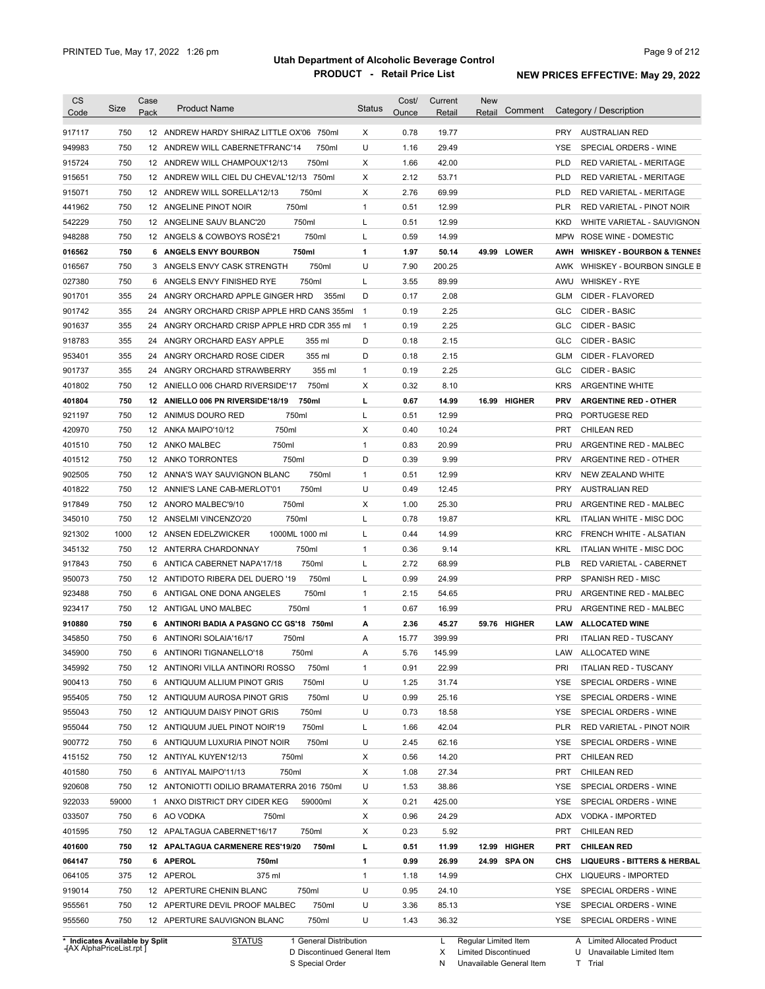| <b>CS</b> | Size  | Case | <b>Product Name</b>                         | <b>Status</b> | Cost/ | Current         | <b>New</b>        |            |                                        |
|-----------|-------|------|---------------------------------------------|---------------|-------|-----------------|-------------------|------------|----------------------------------------|
| Code      |       | Pack |                                             |               | Ounce | Retail          | Comment<br>Retail |            | Category / Description                 |
| 917117    | 750   |      | 12 ANDREW HARDY SHIRAZ LITTLE OX'06 750ml   | X             | 0.78  | 19.77           |                   | <b>PRY</b> | <b>AUSTRALIAN RED</b>                  |
| 949983    | 750   |      | 750ml<br>12 ANDREW WILL CABERNETFRANC'14    | U             | 1.16  | 29.49           |                   | YSE        | SPECIAL ORDERS - WINE                  |
| 915724    | 750   |      | 750ml<br>12 ANDREW WILL CHAMPOUX'12/13      | X             | 1.66  | 42.00           |                   | <b>PLD</b> | RED VARIETAL - MERITAGE                |
| 915651    | 750   |      | 12 ANDREW WILL CIEL DU CHEVAL'12/13 750ml   | X             | 2.12  | 53.71           |                   | <b>PLD</b> | RED VARIETAL - MERITAGE                |
| 915071    | 750   |      | 12 ANDREW WILL SORELLA'12/13<br>750ml       | X             | 2.76  | 69.99           |                   | <b>PLD</b> | RED VARIETAL - MERITAGE                |
| 441962    | 750   |      | 750ml<br>12 ANGELINE PINOT NOIR             | $\mathbf{1}$  | 0.51  | 12.99           |                   | <b>PLR</b> | RED VARIETAL - PINOT NOIR              |
| 542229    | 750   |      | 750ml<br>12 ANGELINE SAUV BLANC'20          | Г             | 0.51  | 12.99           |                   | <b>KKD</b> | WHITE VARIETAL - SAUVIGNON             |
| 948288    | 750   |      | 750ml<br>12 ANGELS & COWBOYS ROSE'21        | Г             | 0.59  | 14.99           |                   | <b>MPW</b> | ROSE WINE - DOMESTIC                   |
| 016562    | 750   |      | 750ml<br>6 ANGELS ENVY BOURBON              | 1             | 1.97  | 50.14           | 49.99 LOWER       |            | AWH WHISKEY - BOURBON & TENNES         |
| 016567    | 750   |      | 750ml<br>3 ANGELS ENVY CASK STRENGTH        | U             | 7.90  | 200.25          |                   |            | AWK WHISKEY - BOURBON SINGLE B         |
| 027380    | 750   |      | 750ml<br>6 ANGELS ENVY FINISHED RYE         | L             | 3.55  | 89.99           |                   | AWU        | <b>WHISKEY - RYE</b>                   |
| 901701    | 355   |      | 24 ANGRY ORCHARD APPLE GINGER HRD<br>355ml  | D             | 0.17  | 2.08            |                   | GLM        | CIDER - FLAVORED                       |
| 901742    | 355   |      | 24 ANGRY ORCHARD CRISP APPLE HRD CANS 355ml | $\mathbf{1}$  | 0.19  | 2.25            |                   | <b>GLC</b> | <b>CIDER - BASIC</b>                   |
| 901637    | 355   |      | 24 ANGRY ORCHARD CRISP APPLE HRD CDR 355 ml | $\mathbf{1}$  | 0.19  | 2.25            |                   | <b>GLC</b> | CIDER - BASIC                          |
| 918783    | 355   | 24   | ANGRY ORCHARD EASY APPLE<br>355 ml          | D             | 0.18  | 2.15            |                   | GLC        | CIDER - BASIC                          |
| 953401    | 355   | 24   | 355 ml<br>ANGRY ORCHARD ROSE CIDER          | D             | 0.18  | 2.15            |                   | GLM        | CIDER - FLAVORED                       |
| 901737    | 355   | 24   | 355 ml<br>ANGRY ORCHARD STRAWBERRY          | 1             | 0.19  | 2.25            |                   | <b>GLC</b> | <b>CIDER - BASIC</b>                   |
| 401802    | 750   |      | 750ml<br>12 ANIELLO 006 CHARD RIVERSIDE'17  | Χ             | 0.32  | 8.10            |                   | <b>KRS</b> | <b>ARGENTINE WHITE</b>                 |
| 401804    | 750   |      | 750ml<br>12 ANIELLO 006 PN RIVERSIDE'18/19  | L             | 0.67  | 14.99           | 16.99 HIGHER      | <b>PRV</b> | <b>ARGENTINE RED - OTHER</b>           |
| 921197    | 750   |      | 750ml<br>12 ANIMUS DOURO RED                | L             | 0.51  | 12.99           |                   | <b>PRQ</b> | PORTUGESE RED                          |
| 420970    | 750   |      | 12 ANKA MAIPO'10/12<br>750ml                | Χ             | 0.40  | 10.24           |                   | <b>PRT</b> | <b>CHILEAN RED</b>                     |
| 401510    | 750   |      | 12 ANKO MALBEC<br>750ml                     | $\mathbf{1}$  | 0.83  | 20.99           |                   | PRU        | ARGENTINE RED - MALBEC                 |
| 401512    | 750   |      | 12 ANKO TORRONTES<br>750ml                  | D             | 0.39  | 9.99            |                   | <b>PRV</b> | ARGENTINE RED - OTHER                  |
| 902505    | 750   |      | 12 ANNA'S WAY SAUVIGNON BLANC<br>750ml      | $\mathbf{1}$  | 0.51  | 12.99           |                   | <b>KRV</b> | NEW ZEALAND WHITE                      |
| 401822    | 750   |      | 750ml<br>12 ANNIE'S LANE CAB-MERLOT'01      | U             | 0.49  | 12.45           |                   | <b>PRY</b> | <b>AUSTRALIAN RED</b>                  |
| 917849    | 750   |      | 750ml<br>12 ANORO MALBEC'9/10               | X             | 1.00  | 25.30           |                   | PRU        | ARGENTINE RED - MALBEC                 |
| 345010    | 750   |      | 750ml<br>12 ANSELMI VINCENZO'20             | Г             | 0.78  | 19.87           |                   | <b>KRL</b> | <b>ITALIAN WHITE - MISC DOC</b>        |
| 921302    | 1000  |      | 1000ML 1000 ml<br>12 ANSEN EDELZWICKER      | L             | 0.44  | 14.99           |                   | <b>KRC</b> | FRENCH WHITE - ALSATIAN                |
| 345132    | 750   |      | 750ml<br>12 ANTERRA CHARDONNAY              | $\mathbf{1}$  | 0.36  | 9.14            |                   | <b>KRL</b> | <b>ITALIAN WHITE - MISC DOC</b>        |
| 917843    | 750   |      | 750ml<br>6 ANTICA CABERNET NAPA'17/18       | L             | 2.72  | 68.99           |                   | PLB        | RED VARIETAL - CABERNET                |
| 950073    | 750   |      | 750ml<br>12 ANTIDOTO RIBERA DEL DUERO '19   | L             | 0.99  | 24.99           |                   | <b>PRP</b> | SPANISH RED - MISC                     |
| 923488    | 750   |      | 750ml<br>6 ANTIGAL ONE DONA ANGELES         | $\mathbf{1}$  | 2.15  | 54.65           |                   | PRU        | ARGENTINE RED - MALBEC                 |
| 923417    | 750   |      | 750ml<br>12 ANTIGAL UNO MALBEC              | $\mathbf{1}$  | 0.67  | 16.99           |                   | PRU        | ARGENTINE RED - MALBEC                 |
|           |       |      |                                             |               |       |                 |                   |            |                                        |
| 910880    | 750   |      | 6 ANTINORI BADIA A PASGNO CC GS'18 750ml    | А             | 2.36  | 45.27<br>399.99 | 59.76 HIGHER      | LAW        | <b>ALLOCATED WINE</b>                  |
| 345850    | 750   |      | 6 ANTINORI SOLAIA'16/17<br>750ml            | Α             | 15.77 |                 |                   | PRI        | <b>ITALIAN RED - TUSCANY</b>           |
| 345900    | 750   |      | 750ml<br>6 ANTINORI TIGNANELLO'18           | A             | 5.76  | 145.99          |                   |            | LAW ALLOCATED WINE                     |
| 345992    | 750   |      | 12 ANTINORI VILLA ANTINORI ROSSO<br>750ml   | $\mathbf{1}$  | 0.91  | 22.99           |                   | PRI        | <b>ITALIAN RED - TUSCANY</b>           |
| 900413    | 750   |      | 6 ANTIQUUM ALLIUM PINOT GRIS<br>750ml       | U             | 1.25  | 31.74           |                   | YSE        | SPECIAL ORDERS - WINE                  |
| 955405    | 750   |      | 750ml<br>12 ANTIQUUM AUROSA PINOT GRIS      | U             | 0.99  | 25.16           |                   | <b>YSE</b> | SPECIAL ORDERS - WINE                  |
| 955043    | 750   |      | 750ml<br>12 ANTIQUUM DAISY PINOT GRIS       | U             | 0.73  | 18.58           |                   | <b>YSE</b> | SPECIAL ORDERS - WINE                  |
| 955044    | 750   |      | 750ml<br>12 ANTIQUUM JUEL PINOT NOIR'19     | L             | 1.66  | 42.04           |                   | PLR        | RED VARIETAL - PINOT NOIR              |
| 900772    | 750   |      | 750ml<br>6 ANTIQUUM LUXURIA PINOT NOIR      | U             | 2.45  | 62.16           |                   | YSE        | SPECIAL ORDERS - WINE                  |
| 415152    | 750   |      | 12 ANTIYAL KUYEN'12/13<br>750ml             | X             | 0.56  | 14.20           |                   | PRT        | <b>CHILEAN RED</b>                     |
| 401580    | 750   |      | 6 ANTIYAL MAIPO'11/13<br>750ml              | X             | 1.08  | 27.34           |                   | PRT        | <b>CHILEAN RED</b>                     |
| 920608    | 750   |      | 12 ANTONIOTTI ODILIO BRAMATERRA 2016 750ml  | U             | 1.53  | 38.86           |                   | YSE        | SPECIAL ORDERS - WINE                  |
| 922033    | 59000 |      | 1 ANXO DISTRICT DRY CIDER KEG<br>59000ml    | X             | 0.21  | 425.00          |                   | YSE        | SPECIAL ORDERS - WINE                  |
| 033507    | 750   |      | 6 AO VODKA<br>750ml                         | X             | 0.96  | 24.29           |                   | ADX        | VODKA - IMPORTED                       |
| 401595    | 750   |      | 12 APALTAGUA CABERNET'16/17<br>750ml        | X             | 0.23  | 5.92            |                   | PRT        | <b>CHILEAN RED</b>                     |
| 401600    | 750   |      | 12 APALTAGUA CARMENERE RES'19/20<br>750ml   | L             | 0.51  | 11.99           | 12.99 HIGHER      | PRT        | <b>CHILEAN RED</b>                     |
| 064147    | 750   |      | 6 APEROL<br>750ml                           | 1             | 0.99  | 26.99           | 24.99 SPA ON      | CHS        | <b>LIQUEURS - BITTERS &amp; HERBAL</b> |
| 064105    | 375   |      | 12 APEROL<br>375 ml                         | $\mathbf{1}$  | 1.18  | 14.99           |                   |            | CHX LIQUEURS - IMPORTED                |
| 919014    | 750   |      | 12 APERTURE CHENIN BLANC<br>750ml           | U             | 0.95  | 24.10           |                   | YSE        | SPECIAL ORDERS - WINE                  |
|           |       |      |                                             |               |       |                 |                   |            |                                        |
| 955561    | 750   |      | 750ml<br>12 APERTURE DEVIL PROOF MALBEC     | U             | 3.36  | 85.13           |                   | YSE        | SPECIAL ORDERS - WINE                  |

**Case** [AX AlphaPriceList.rpt ]

General Distribution 

Discontinued General Item S Special Order D

L X Regular Limited Item

N

Limited Discontinued Unavailable General Item

A Limited Allocated Product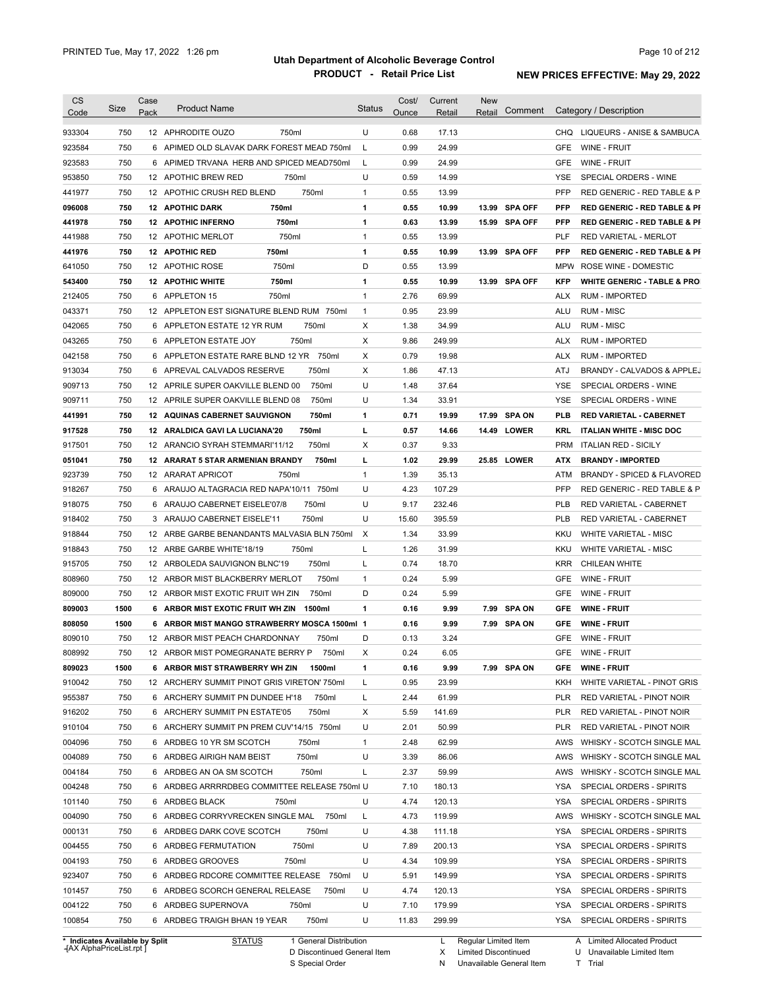| Code                                                                                                       |      | Case |                                               |                           | Cost/ | Current | <b>New</b> |                |            |                                                                                                                                                  |
|------------------------------------------------------------------------------------------------------------|------|------|-----------------------------------------------|---------------------------|-------|---------|------------|----------------|------------|--------------------------------------------------------------------------------------------------------------------------------------------------|
|                                                                                                            | Size | Pack | <b>Product Name</b>                           | <b>Status</b>             | Ounce | Retail  | Retail     | Comment        |            | Category / Description                                                                                                                           |
| 933304                                                                                                     | 750  |      | 12 APHRODITE OUZO<br>750ml                    | U                         | 0.68  | 17.13   |            |                |            | CHQ LIQUEURS - ANISE & SAMBUCA                                                                                                                   |
| 923584                                                                                                     | 750  |      | 6 APIMED OLD SLAVAK DARK FOREST MEAD 750ml    | L                         | 0.99  | 24.99   |            |                | GFE        | WINE - FRUIT                                                                                                                                     |
| 923583                                                                                                     | 750  |      | 6 APIMED TRVANA HERB AND SPICED MEAD750ml     | L                         | 0.99  | 24.99   |            |                | GFE        | WINE - FRUIT                                                                                                                                     |
| 953850                                                                                                     | 750  |      | 750ml<br>12 APOTHIC BREW RED                  | U                         | 0.59  | 14.99   |            |                | YSE        | SPECIAL ORDERS - WINE                                                                                                                            |
| 441977                                                                                                     | 750  |      | 750ml<br>12 APOTHIC CRUSH RED BLEND           | $\mathbf{1}$              | 0.55  | 13.99   |            |                | <b>PFP</b> | RED GENERIC - RED TABLE & P                                                                                                                      |
| 096008                                                                                                     | 750  |      | 750ml<br><b>12 APOTHIC DARK</b>               | 1                         | 0.55  | 10.99   | 13.99      | <b>SPA OFF</b> | PFP        | <b>RED GENERIC - RED TABLE &amp; PI</b>                                                                                                          |
| 441978                                                                                                     | 750  |      | 750ml<br><b>12 APOTHIC INFERNO</b>            | 1                         | 0.63  | 13.99   |            | 15.99 SPA OFF  | PFP        | <b>RED GENERIC - RED TABLE &amp; PI</b>                                                                                                          |
| 441988                                                                                                     | 750  |      | 750ml<br>12 APOTHIC MERLOT                    | $\mathbf{1}$              | 0.55  | 13.99   |            |                | PLF        | RED VARIETAL - MERLOT                                                                                                                            |
| 441976                                                                                                     | 750  |      | <b>12 APOTHIC RED</b><br>750ml                | 1                         | 0.55  | 10.99   | 13.99      | <b>SPA OFF</b> | PFP        | <b>RED GENERIC - RED TABLE &amp; PI</b>                                                                                                          |
|                                                                                                            | 750  |      | 750ml<br>12 APOTHIC ROSE                      | D                         | 0.55  |         |            |                | <b>MPW</b> | ROSE WINE - DOMESTIC                                                                                                                             |
| 641050                                                                                                     |      |      |                                               |                           |       | 13.99   |            |                |            |                                                                                                                                                  |
| 543400                                                                                                     | 750  |      | 750ml<br><b>12 APOTHIC WHITE</b>              | 1                         | 0.55  | 10.99   | 13.99      | <b>SPA OFF</b> | <b>KFP</b> | <b>WHITE GENERIC - TABLE &amp; PRO</b>                                                                                                           |
| 212405                                                                                                     | 750  |      | 750ml<br>6 APPLETON 15                        | $\mathbf{1}$              | 2.76  | 69.99   |            |                | <b>ALX</b> | <b>RUM - IMPORTED</b>                                                                                                                            |
| 043371                                                                                                     | 750  |      | 12 APPLETON EST SIGNATURE BLEND RUM 750ml     | $\mathbf{1}$              | 0.95  | 23.99   |            |                | ALU        | RUM - MISC                                                                                                                                       |
| 042065                                                                                                     | 750  |      | 750ml<br>6 APPLETON ESTATE 12 YR RUM          | Х                         | 1.38  | 34.99   |            |                | ALU        | RUM - MISC                                                                                                                                       |
| 043265                                                                                                     | 750  |      | 750ml<br>6 APPLETON ESTATE JOY                | Х                         | 9.86  | 249.99  |            |                | ALX        | <b>RUM - IMPORTED</b>                                                                                                                            |
| 042158                                                                                                     | 750  |      | 6 APPLETON ESTATE RARE BLND 12 YR<br>750ml    | X                         | 0.79  | 19.98   |            |                | ALX        | <b>RUM - IMPORTED</b>                                                                                                                            |
| 913034                                                                                                     | 750  |      | 750ml<br>6 APREVAL CALVADOS RESERVE           | Х                         | 1.86  | 47.13   |            |                | ATJ        | BRANDY - CALVADOS & APPLEJ                                                                                                                       |
| 909713                                                                                                     | 750  |      | 750ml<br>12 APRILE SUPER OAKVILLE BLEND 00    | U                         | 1.48  | 37.64   |            |                | <b>YSE</b> | SPECIAL ORDERS - WINE                                                                                                                            |
| 909711                                                                                                     | 750  |      | 750ml<br>12 APRILE SUPER OAKVILLE BLEND 08    | U                         | 1.34  | 33.91   |            |                | <b>YSE</b> | SPECIAL ORDERS - WINE                                                                                                                            |
| 441991                                                                                                     | 750  |      | 750ml<br><b>12 AQUINAS CABERNET SAUVIGNON</b> | 1                         | 0.71  | 19.99   |            | 17.99 SPA ON   | <b>PLB</b> | <b>RED VARIETAL - CABERNET</b>                                                                                                                   |
| 917528                                                                                                     | 750  |      | 750ml<br>12 ARALDICA GAVI LA LUCIANA'20       | L                         | 0.57  | 14.66   |            | 14.49 LOWER    | KRL        | <b>ITALIAN WHITE - MISC DOC</b>                                                                                                                  |
| 917501                                                                                                     | 750  |      | 750ml<br>12 ARANCIO SYRAH STEMMARI'11/12      | Х                         | 0.37  | 9.33    |            |                | <b>PRM</b> | <b>ITALIAN RED - SICILY</b>                                                                                                                      |
| 051041                                                                                                     | 750  |      | 12 ARARAT 5 STAR ARMENIAN BRANDY<br>750ml     | г                         | 1.02  | 29.99   |            | 25.85 LOWER    | ATX        | <b>BRANDY - IMPORTED</b>                                                                                                                         |
| 923739                                                                                                     | 750  |      | 12 ARARAT APRICOT<br>750ml                    | $\mathbf{1}$              | 1.39  | 35.13   |            |                | ATM        | <b>BRANDY - SPICED &amp; FLAVORED</b>                                                                                                            |
| 918267                                                                                                     | 750  |      | 6 ARAUJO ALTAGRACIA RED NAPA'10/11 750ml      | U                         | 4.23  | 107.29  |            |                | <b>PFP</b> | RED GENERIC - RED TABLE & P                                                                                                                      |
| 918075                                                                                                     | 750  |      | 6 ARAUJO CABERNET EISELE'07/8<br>750ml        | U                         | 9.17  | 232.46  |            |                | <b>PLB</b> | RED VARIETAL - CABERNET                                                                                                                          |
| 918402                                                                                                     | 750  |      | 3 ARAUJO CABERNET EISELE'11<br>750ml          | U                         | 15.60 | 395.59  |            |                | <b>PLB</b> | RED VARIETAL - CABERNET                                                                                                                          |
| 918844                                                                                                     | 750  |      | 12 ARBE GARBE BENANDANTS MALVASIA BLN 750ml   | $\boldsymbol{\mathsf{x}}$ | 1.34  | 33.99   |            |                | KKU        | WHITE VARIETAL - MISC                                                                                                                            |
| 918843                                                                                                     | 750  |      | 12 ARBE GARBE WHITE'18/19<br>750ml            | L                         | 1.26  | 31.99   |            |                | KKU        | WHITE VARIETAL - MISC                                                                                                                            |
| 915705                                                                                                     | 750  |      | 750ml<br>12 ARBOLEDA SAUVIGNON BLNC'19        | Г                         | 0.74  | 18.70   |            |                | <b>KRR</b> | <b>CHILEAN WHITE</b>                                                                                                                             |
|                                                                                                            | 750  |      | 750ml<br>12 ARBOR MIST BLACKBERRY MERLOT      |                           | 0.24  | 5.99    |            |                | <b>GFE</b> | WINE - FRUIT                                                                                                                                     |
| 808960                                                                                                     |      |      |                                               | $\mathbf{1}$              |       |         |            |                |            |                                                                                                                                                  |
| 809000                                                                                                     | 750  |      | 750ml<br>12 ARBOR MIST EXOTIC FRUIT WH ZIN    | D                         | 0.24  | 5.99    |            |                | <b>GFE</b> | <b>WINE - FRUIT</b>                                                                                                                              |
| 809003                                                                                                     | 1500 |      | 6 ARBOR MIST EXOTIC FRUIT WH ZIN<br>1500ml    | 1                         | 0.16  | 9.99    | 7.99       | <b>SPA ON</b>  | <b>GFE</b> | <b>WINE FRUIT</b>                                                                                                                                |
| 808050                                                                                                     | 1500 |      | 6 ARBOR MIST MANGO STRAWBERRY MOSCA 1500ml 1  |                           | 0.16  | 9.99    |            | 7.99 SPA ON    | <b>GFE</b> | <b>WINE FRUIT</b>                                                                                                                                |
| 809010                                                                                                     | 750  |      |                                               | D                         |       |         |            |                |            | WINE - FRUIT                                                                                                                                     |
|                                                                                                            |      |      | 750ml<br>12 ARBOR MIST PEACH CHARDONNAY       |                           | 0.13  | 3.24    |            |                | GFE        |                                                                                                                                                  |
|                                                                                                            | 750  |      | 12 ARBOR MIST POMEGRANATE BERRY P             | 750ml<br>х                | 0.24  | 6.05    |            |                | <b>GFE</b> | WINE - FRUIT                                                                                                                                     |
|                                                                                                            | 1500 |      | 6 ARBOR MIST STRAWBERRY WH ZIN<br>1500ml      | 1                         | 0.16  | 9.99    |            | 7.99 SPA ON    | <b>GFE</b> | <b>WINE FRUIT</b>                                                                                                                                |
|                                                                                                            | 750  |      | 12 ARCHERY SUMMIT PINOT GRIS VIRETON' 750ml   | L                         | 0.95  | 23.99   |            |                | KKH        | WHITE VARIETAL - PINOT GRIS                                                                                                                      |
|                                                                                                            | 750  |      | 6 ARCHERY SUMMIT PN DUNDEE H'18<br>750ml      | L                         | 2.44  | 61.99   |            |                | PLR        | RED VARIETAL - PINOT NOIR                                                                                                                        |
|                                                                                                            | 750  |      | 750ml<br>6 ARCHERY SUMMIT PN ESTATE'05        | $\times$                  | 5.59  | 141.69  |            |                | PLR        | RED VARIETAL - PINOT NOIR                                                                                                                        |
| 808992<br>809023<br>910042<br>955387<br>916202<br>910104                                                   | 750  |      | 6 ARCHERY SUMMIT PN PREM CUV'14/15 750ml      | U                         | 2.01  | 50.99   |            |                | PLR        | RED VARIETAL - PINOT NOIR                                                                                                                        |
|                                                                                                            | 750  |      | 6 ARDBEG 10 YR SM SCOTCH<br>750ml             | $\mathbf{1}$              | 2.48  | 62.99   |            |                | AWS        |                                                                                                                                                  |
|                                                                                                            | 750  |      | 6 ARDBEG AIRIGH NAM BEIST<br>750ml            | U                         | 3.39  | 86.06   |            |                | AWS        |                                                                                                                                                  |
|                                                                                                            | 750  |      | 750ml<br>6 ARDBEG AN OA SM SCOTCH             | L                         | 2.37  | 59.99   |            |                | AWS        |                                                                                                                                                  |
|                                                                                                            | 750  |      | 6 ARDBEG ARRRRDBEG COMMITTEE RELEASE 750ml U  |                           | 7.10  | 180.13  |            |                | YSA        | SPECIAL ORDERS - SPIRITS                                                                                                                         |
|                                                                                                            | 750  |      | 750ml                                         | U                         | 4.74  |         |            |                | YSA        |                                                                                                                                                  |
|                                                                                                            |      |      | 6 ARDBEG BLACK                                |                           |       | 120.13  |            |                |            | SPECIAL ORDERS - SPIRITS                                                                                                                         |
|                                                                                                            | 750  |      | 6 ARDBEG CORRYVRECKEN SINGLE MAL              | 750ml<br>L                | 4.73  | 119.99  |            |                | AWS        |                                                                                                                                                  |
|                                                                                                            | 750  |      | 6 ARDBEG DARK COVE SCOTCH<br>750ml            | U                         | 4.38  | 111.18  |            |                | YSA        | SPECIAL ORDERS - SPIRITS                                                                                                                         |
|                                                                                                            | 750  |      | 750ml<br>6 ARDBEG FERMUTATION                 | U                         | 7.89  | 200.13  |            |                | YSA        | SPECIAL ORDERS - SPIRITS                                                                                                                         |
|                                                                                                            | 750  |      | 750ml<br>6 ARDBEG GROOVES                     | U                         | 4.34  | 109.99  |            |                | YSA        | SPECIAL ORDERS - SPIRITS                                                                                                                         |
|                                                                                                            | 750  |      | 6 ARDBEG RDCORE COMMITTEE RELEASE             | 750ml<br>U                | 5.91  | 149.99  |            |                | <b>YSA</b> | SPECIAL ORDERS - SPIRITS                                                                                                                         |
| 004096<br>004089<br>004184<br>004248<br>101140<br>004090<br>000131<br>004455<br>004193<br>923407<br>101457 | 750  |      | 6 ARDBEG SCORCH GENERAL RELEASE               | U<br>750ml                | 4.74  | 120.13  |            |                | YSA        | SPECIAL ORDERS - SPIRITS                                                                                                                         |
| 004122                                                                                                     | 750  |      | 6 ARDBEG SUPERNOVA<br>750ml                   | U                         | 7.10  | 179.99  |            |                | YSA        | WHISKY - SCOTCH SINGLE MAL<br>WHISKY - SCOTCH SINGLE MAL<br>WHISKY - SCOTCH SINGLE MAL<br>WHISKY - SCOTCH SINGLE MAL<br>SPECIAL ORDERS - SPIRITS |

**Case** [AX AlphaPriceList.rpt ]

D Discontinued General Item S Special Order

X Limited Discontinued

N Unavailable General Item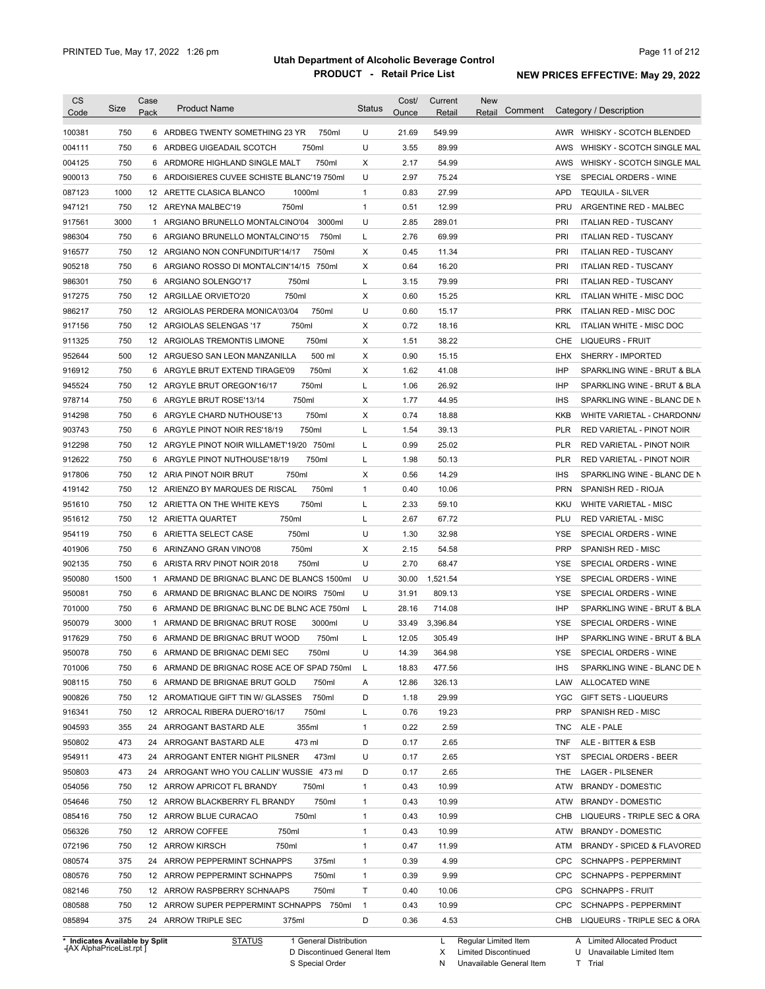| <b>CS</b>                      |      | Case |                                              |                | Cost/ | Current  | <b>New</b>             |            |                                 |
|--------------------------------|------|------|----------------------------------------------|----------------|-------|----------|------------------------|------------|---------------------------------|
| Code                           | Size | Pack | <b>Product Name</b>                          | <b>Status</b>  | Ounce | Retail   | Comment<br>Retail      |            | Category / Description          |
| 100381                         | 750  |      | 6 ARDBEG TWENTY SOMETHING 23 YR<br>750ml     | U              | 21.69 | 549.99   |                        |            | AWR WHISKY - SCOTCH BLENDED     |
| 004111                         | 750  | 6    | 750ml<br>ARDBEG UIGEADAIL SCOTCH             | U              | 3.55  | 89.99    |                        | AWS        | WHISKY - SCOTCH SINGLE MAL      |
| 004125                         | 750  |      | 750ml<br>6 ARDMORE HIGHLAND SINGLE MALT      | X              | 2.17  | 54.99    |                        | AWS        | WHISKY - SCOTCH SINGLE MAL      |
| 900013                         | 750  |      | 6 ARDOISIERES CUVEE SCHISTE BLANC'19 750ml   | U              | 2.97  | 75.24    |                        | YSE        | SPECIAL ORDERS - WINE           |
|                                |      |      |                                              |                |       |          |                        | <b>APD</b> |                                 |
| 087123                         | 1000 |      | 12 ARETTE CLASICA BLANCO<br>1000ml           | $\mathbf{1}$   | 0.83  | 27.99    |                        |            | <b>TEQUILA - SILVER</b>         |
| 947121                         | 750  |      | 750ml<br>12 AREYNA MALBEC'19                 | $\mathbf{1}$   | 0.51  | 12.99    |                        | <b>PRU</b> | ARGENTINE RED - MALBEC          |
| 917561                         | 3000 |      | 1 ARGIANO BRUNELLO MONTALCINO'04<br>3000ml   | U              | 2.85  | 289.01   |                        | <b>PRI</b> | <b>ITALIAN RED - TUSCANY</b>    |
| 986304                         | 750  |      | 6 ARGIANO BRUNELLO MONTALCINO'15<br>750ml    | Г              | 2.76  | 69.99    |                        | <b>PRI</b> | <b>ITALIAN RED - TUSCANY</b>    |
| 916577                         | 750  |      | 12 ARGIANO NON CONFUNDITUR'14/17<br>750ml    | X              | 0.45  | 11.34    |                        | <b>PRI</b> | <b>ITALIAN RED - TUSCANY</b>    |
| 905218                         | 750  |      | 6 ARGIANO ROSSO DI MONTALCIN'14/15 750ml     | Χ              | 0.64  | 16.20    |                        | PRI        | <b>ITALIAN RED - TUSCANY</b>    |
| 986301                         | 750  |      | 750ml<br>6 ARGIANO SOLENGO'17                | Г              | 3.15  | 79.99    |                        | <b>PRI</b> | <b>ITALIAN RED - TUSCANY</b>    |
| 917275                         | 750  |      | 750ml<br>12 ARGILLAE ORVIETO'20              | Χ              | 0.60  | 15.25    |                        | <b>KRL</b> | ITALIAN WHITE - MISC DOC        |
| 986217                         | 750  |      | 12 ARGIOLAS PERDERA MONICA'03/04<br>750ml    | U              | 0.60  | 15.17    |                        | <b>PRK</b> | <b>ITALIAN RED - MISC DOC</b>   |
| 917156                         | 750  |      | 12 ARGIOLAS SELENGAS '17<br>750ml            | X              | 0.72  | 18.16    |                        | <b>KRL</b> | ITALIAN WHITE - MISC DOC        |
| 911325                         | 750  |      | 750ml<br>12 ARGIOLAS TREMONTIS LIMONE        | X              | 1.51  | 38.22    |                        | CHE        | LIQUEURS - FRUIT                |
| 952644                         | 500  |      | 500 ml<br>12 ARGUESO SAN LEON MANZANILLA     | X              | 0.90  | 15.15    |                        | EHX        | SHERRY - IMPORTED               |
| 916912                         | 750  | 6    | 750ml<br>ARGYLE BRUT EXTEND TIRAGE'09        | X              | 1.62  | 41.08    |                        | <b>IHP</b> | SPARKLING WINE - BRUT & BLA     |
| 945524                         | 750  |      | 750ml<br>12 ARGYLE BRUT OREGON'16/17         | Г              | 1.06  | 26.92    |                        | <b>IHP</b> | SPARKLING WINE - BRUT & BLA     |
| 978714                         | 750  |      | 750ml<br>6 ARGYLE BRUT ROSE'13/14            | Х              | 1.77  | 44.95    |                        | <b>IHS</b> | SPARKLING WINE - BLANC DE N     |
| 914298                         | 750  |      | 750ml<br>6 ARGYLE CHARD NUTHOUSE'13          | X              | 0.74  | 18.88    |                        | KKB        | WHITE VARIETAL - CHARDONN/      |
| 903743                         | 750  |      | 6 ARGYLE PINOT NOIR RES'18/19<br>750ml       | Г              | 1.54  | 39.13    |                        | <b>PLR</b> | RED VARIETAL - PINOT NOIR       |
| 912298                         | 750  |      | 750ml<br>12 ARGYLE PINOT NOIR WILLAMET'19/20 | Г              | 0.99  | 25.02    |                        | <b>PLR</b> | RED VARIETAL - PINOT NOIR       |
| 912622                         | 750  |      | 750ml<br>6 ARGYLE PINOT NUTHOUSE'18/19       | L              | 1.98  | 50.13    |                        | <b>PLR</b> | RED VARIETAL - PINOT NOIR       |
| 917806                         | 750  |      | 750ml<br>12 ARIA PINOT NOIR BRUT             | X              | 0.56  | 14.29    |                        | <b>IHS</b> | SPARKLING WINE - BLANC DE N     |
| 419142                         | 750  |      | 750ml<br>12 ARIENZO BY MARQUES DE RISCAL     | $\mathbf{1}$   | 0.40  | 10.06    |                        | <b>PRN</b> | SPANISH RED - RIOJA             |
| 951610                         | 750  |      | 750ml<br>12 ARIETTA ON THE WHITE KEYS        | Г              | 2.33  | 59.10    |                        | KKU        | <b>WHITE VARIETAL - MISC</b>    |
| 951612                         | 750  |      | 750ml<br>12 ARIETTA QUARTET                  | Г              | 2.67  | 67.72    |                        | PLU        | <b>RED VARIETAL - MISC</b>      |
|                                | 750  |      | 750ml                                        | U              | 1.30  | 32.98    |                        | YSE        | SPECIAL ORDERS - WINE           |
| 954119                         |      |      | 6 ARIETTA SELECT CASE                        |                |       |          |                        |            |                                 |
| 401906                         | 750  | 6    | 750ml<br>ARINZANO GRAN VINO'08               | Х              | 2.15  | 54.58    |                        | <b>PRP</b> | SPANISH RED - MISC              |
| 902135                         | 750  |      | 750ml<br>6 ARISTA RRV PINOT NOIR 2018        | U              | 2.70  | 68.47    |                        | YSE        | SPECIAL ORDERS - WINE           |
| 950080                         | 1500 |      | 1 ARMAND DE BRIGNAC BLANC DE BLANCS 1500ml   | U              | 30.00 | 1,521.54 |                        | <b>YSE</b> | SPECIAL ORDERS - WINE           |
| 950081                         | 750  |      | 6 ARMAND DE BRIGNAC BLANC DE NOIRS 750ml     | U              | 31.91 | 809.13   |                        | <b>YSE</b> | SPECIAL ORDERS - WINE           |
| 701000                         | 750  |      | 6 ARMAND DE BRIGNAC BLNC DE BLNC ACE 750ml   | L              | 28.16 | 714.08   |                        | <b>IHP</b> | SPARKLING WINE - BRUT & BLA     |
| 950079                         | 3000 |      | 3000ml<br>1 ARMAND DE BRIGNAC BRUT ROSE      | U              | 33.49 | 3,396.84 |                        | <b>YSE</b> | SPECIAL ORDERS - WINE           |
| 917629                         | 750  |      | 6 ARMAND DE BRIGNAC BRUT WOOD<br>750ml       | Г              | 12.05 | 305.49   |                        | IHP        | SPARKLING WINE - BRUT & BLA     |
| 950078                         | 750  |      | 6 ARMAND DE BRIGNAC DEMI SEC<br>750ml        | U              | 14.39 | 364.98   |                        | YSE        | SPECIAL ORDERS - WINE           |
| 701006                         | 750  |      | 6 ARMAND DE BRIGNAC ROSE ACE OF SPAD 750ml L |                | 18.83 | 477.56   |                        | <b>IHS</b> | SPARKLING WINE - BLANC DE N     |
| 908115                         | 750  |      | 6 ARMAND DE BRIGNAE BRUT GOLD<br>750ml       | A              | 12.86 | 326.13   |                        |            | LAW ALLOCATED WINE              |
| 900826                         | 750  |      | 750ml<br>12 AROMATIQUE GIFT TIN W/ GLASSES   | D              | 1.18  | 29.99    |                        |            | YGC GIFT SETS - LIQUEURS        |
| 916341                         | 750  |      | 12 ARROCAL RIBERA DUERO'16/17<br>750ml       | L              | 0.76  | 19.23    |                        | <b>PRP</b> | SPANISH RED - MISC              |
| 904593                         | 355  |      | 355ml<br>24 ARROGANT BASTARD ALE             | $\mathbf{1}$   | 0.22  | 2.59     |                        |            | TNC ALE - PALE                  |
| 950802                         | 473  |      | 473 ml<br>24 ARROGANT BASTARD ALE            | D              | 0.17  | 2.65     |                        | TNF        | ALE - BITTER & ESB              |
| 954911                         | 473  |      | 24 ARROGANT ENTER NIGHT PILSNER 473ml        | U              | 0.17  | 2.65     |                        | YST        | SPECIAL ORDERS - BEER           |
| 950803                         | 473  |      | 24 ARROGANT WHO YOU CALLIN' WUSSIE 473 ml    | D              | 0.17  | 2.65     |                        | THE        | <b>LAGER - PILSENER</b>         |
| 054056                         | 750  |      | 12 ARROW APRICOT FL BRANDY<br>750ml          | $\mathbf{1}$   | 0.43  | 10.99    |                        |            | ATW BRANDY - DOMESTIC           |
| 054646                         | 750  |      | 12 ARROW BLACKBERRY FL BRANDY<br>750ml       | 1              | 0.43  | 10.99    |                        | ATW        | <b>BRANDY - DOMESTIC</b>        |
| 085416                         | 750  |      | 12 ARROW BLUE CURACAO<br>750ml               | $\mathbf{1}$   | 0.43  | 10.99    |                        | CHB        | LIQUEURS - TRIPLE SEC & ORA     |
| 056326                         | 750  |      | 750ml<br>12 ARROW COFFEE                     | $\mathbf{1}$   | 0.43  | 10.99    |                        |            | ATW BRANDY - DOMESTIC           |
| 072196                         | 750  |      | 12 ARROW KIRSCH<br>750ml                     | $\mathbf{1}$   | 0.47  | 11.99    |                        |            | ATM BRANDY - SPICED & FLAVORED  |
| 080574                         | 375  |      | 24 ARROW PEPPERMINT SCHNAPPS<br>375ml        | 1              | 0.39  | 4.99     |                        | <b>CPC</b> | <b>SCHNAPPS - PEPPERMINT</b>    |
|                                |      |      |                                              |                |       |          |                        |            |                                 |
| 080576                         | 750  |      | 12 ARROW PEPPERMINT SCHNAPPS<br>750ml        | $\mathbf{1}$   | 0.39  | 9.99     |                        | <b>CPC</b> | <b>SCHNAPPS - PEPPERMINT</b>    |
| 082146                         | 750  |      | 750ml<br>12 ARROW RASPBERRY SCHNAAPS         | Τ              | 0.40  | 10.06    |                        |            | CPG SCHNAPPS - FRUIT            |
| 080588                         | 750  |      | 12 ARROW SUPER PEPPERMINT SCHNAPPS 750ml     | $\overline{1}$ | 0.43  | 10.99    |                        |            | CPC SCHNAPPS - PEPPERMINT       |
| 085894                         | 375  |      | 24 ARROW TRIPLE SEC<br>375ml                 | D              | 0.36  | 4.53     |                        |            | CHB LIQUEURS - TRIPLE SEC & ORA |
| * Indicates Available by Split |      |      | <b>STATUS</b><br>1 General Distribution      |                |       |          | L Regular Limited Item |            | A Limited Allocated Product     |

**Case** [AX AlphaPriceList.rpt ]

D Discontinued General Item

S Special Order

X Limited Discontinued

N

Unavailable General Item

U Unavailable Limited Item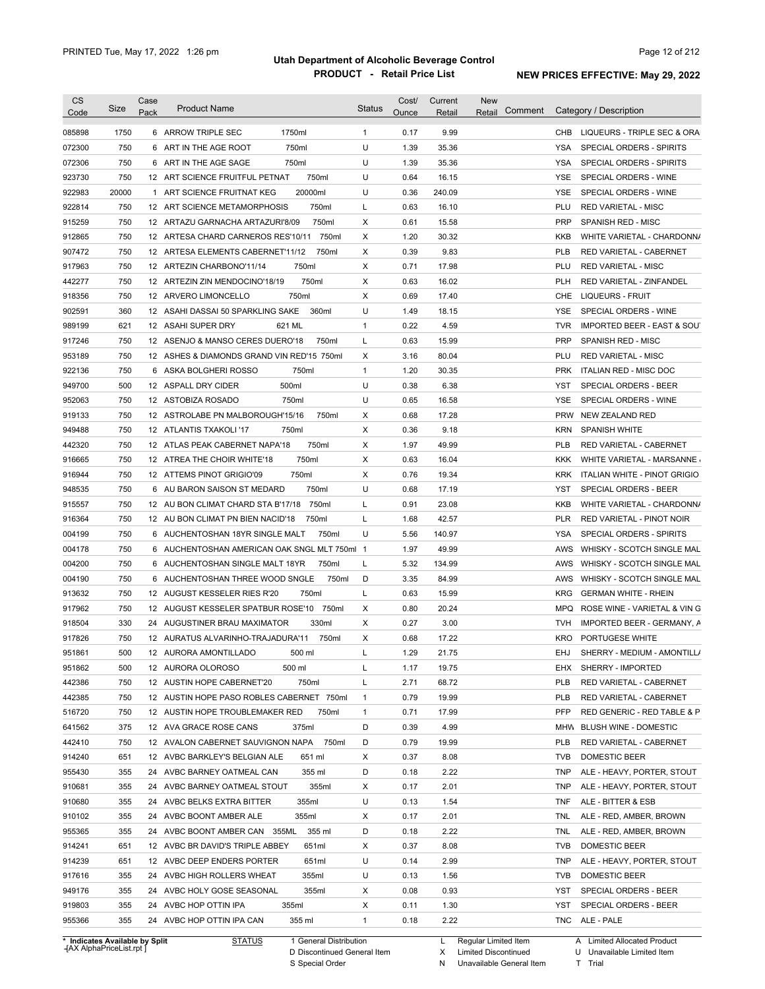| <b>CS</b>                  | Size  | Case<br>Pack | <b>Product Name</b>                          | <b>Status</b> | Cost/ | Current | <b>New</b><br>Comment<br>Retail |            | Category / Description                 |
|----------------------------|-------|--------------|----------------------------------------------|---------------|-------|---------|---------------------------------|------------|----------------------------------------|
| Code                       |       |              |                                              |               | Ounce | Retail  |                                 |            |                                        |
| 085898                     | 1750  |              | 6 ARROW TRIPLE SEC<br>1750ml                 | $\mathbf{1}$  | 0.17  | 9.99    |                                 | CHB        | LIQUEURS - TRIPLE SEC & ORA            |
| 072300                     | 750   |              | 750ml<br>6 ART IN THE AGE ROOT               | U             | 1.39  | 35.36   |                                 | YSA        | SPECIAL ORDERS - SPIRITS               |
| 072306                     | 750   | 6            | 750ml<br>ART IN THE AGE SAGE                 | U             | 1.39  | 35.36   |                                 | <b>YSA</b> | SPECIAL ORDERS - SPIRITS               |
| 923730                     | 750   |              | 750ml<br>12 ART SCIENCE FRUITFUL PETNAT      | U             | 0.64  | 16.15   |                                 | <b>YSE</b> | SPECIAL ORDERS - WINE                  |
| 922983                     | 20000 |              | 20000ml<br>1 ART SCIENCE FRUITNAT KEG        | U             | 0.36  | 240.09  |                                 | <b>YSE</b> | SPECIAL ORDERS - WINE                  |
| 922814                     | 750   |              | 750ml<br>12 ART SCIENCE METAMORPHOSIS        | L             | 0.63  | 16.10   |                                 | PLU        | <b>RED VARIETAL - MISC</b>             |
| 915259                     | 750   |              | 750ml<br>12 ARTAZU GARNACHA ARTAZURI'8/09    | Χ             | 0.61  | 15.58   |                                 | <b>PRP</b> | SPANISH RED - MISC                     |
| 912865                     | 750   |              | 12 ARTESA CHARD CARNEROS RES'10/11 750ml     | Χ             | 1.20  | 30.32   |                                 | <b>KKB</b> | WHITE VARIETAL - CHARDONN/             |
| 907472                     | 750   |              | 12 ARTESA ELEMENTS CABERNET'11/12<br>750ml   | X             | 0.39  | 9.83    |                                 | PLB        | RED VARIETAL - CABERNET                |
| 917963                     | 750   |              | 750ml<br>12 ARTEZIN CHARBONO'11/14           | X             | 0.71  | 17.98   |                                 | PLU        | <b>RED VARIETAL - MISC</b>             |
| 442277                     | 750   |              | 750ml<br>12 ARTEZIN ZIN MENDOCINO'18/19      | Χ             | 0.63  | 16.02   |                                 | <b>PLH</b> | RED VARIETAL - ZINFANDEL               |
| 918356                     | 750   |              | 750ml<br>12 ARVERO LIMONCELLO                | Χ             | 0.69  | 17.40   |                                 | <b>CHE</b> | LIQUEURS - FRUIT                       |
| 902591                     | 360   |              | 12 ASAHI DASSAI 50 SPARKLING SAKE<br>360ml   | U             | 1.49  | 18.15   |                                 | <b>YSE</b> | SPECIAL ORDERS - WINE                  |
| 989199                     | 621   |              | 621 ML<br>12 ASAHI SUPER DRY                 | 1             | 0.22  | 4.59    |                                 | <b>TVR</b> | <b>IMPORTED BEER - EAST &amp; SOUT</b> |
| 917246                     | 750   |              | 12 ASENJO & MANSO CERES DUERO'18<br>750ml    | L             | 0.63  | 15.99   |                                 | <b>PRP</b> | SPANISH RED - MISC                     |
| 953189                     | 750   |              | 12 ASHES & DIAMONDS GRAND VIN RED'15 750ml   | Х             | 3.16  | 80.04   |                                 | PLU        | <b>RED VARIETAL - MISC</b>             |
| 922136                     | 750   |              | 750ml<br>6 ASKA BOLGHERI ROSSO               | 1             | 1.20  | 30.35   |                                 | <b>PRK</b> | <b>ITALIAN RED - MISC DOC</b>          |
| 949700                     | 500   |              | 500ml<br>12 ASPALL DRY CIDER                 | U             | 0.38  | 6.38    |                                 | YST        | SPECIAL ORDERS - BEER                  |
| 952063                     | 750   |              | 12 ASTOBIZA ROSADO<br>750ml                  | U             | 0.65  | 16.58   |                                 | YSE        | SPECIAL ORDERS - WINE                  |
|                            | 750   |              |                                              | Χ             | 0.68  |         |                                 | <b>PRW</b> | <b>NEW ZEALAND RED</b>                 |
| 919133                     |       |              | 12 ASTROLABE PN MALBOROUGH'15/16<br>750ml    |               |       | 17.28   |                                 |            |                                        |
| 949488                     | 750   |              | 12 ATLANTIS TXAKOLI '17<br>750ml             | Χ             | 0.36  | 9.18    |                                 | <b>KRN</b> | <b>SPANISH WHITE</b>                   |
| 442320                     | 750   |              | 750ml<br>12 ATLAS PEAK CABERNET NAPA'18      | X             | 1.97  | 49.99   |                                 | <b>PLB</b> | RED VARIETAL - CABERNET                |
| 916665                     | 750   |              | 750ml<br>12 ATREA THE CHOIR WHITE'18         | Χ             | 0.63  | 16.04   |                                 | KKK        | WHITE VARIETAL - MARSANNE              |
| 916944                     | 750   |              | 12 ATTEMS PINOT GRIGIO'09<br>750ml           | Χ             | 0.76  | 19.34   |                                 | <b>KRK</b> | ITALIAN WHITE - PINOT GRIGIO           |
| 948535                     | 750   |              | 750ml<br>6 AU BARON SAISON ST MEDARD         | U             | 0.68  | 17.19   |                                 | <b>YST</b> | SPECIAL ORDERS - BEER                  |
| 915557                     | 750   |              | 750ml<br>12 AU BON CLIMAT CHARD STA B'17/18  | L             | 0.91  | 23.08   |                                 | <b>KKB</b> | WHITE VARIETAL - CHARDONN/             |
| 916364                     | 750   |              | 12 AU BON CLIMAT PN BIEN NACID'18<br>750ml   | L             | 1.68  | 42.57   |                                 | <b>PLR</b> | RED VARIETAL - PINOT NOIR              |
| 004199                     | 750   |              | 750ml<br>6 AUCHENTOSHAN 18YR SINGLE MALT     | U             | 5.56  | 140.97  |                                 | <b>YSA</b> | SPECIAL ORDERS - SPIRITS               |
| 004178                     | 750   |              | 6 AUCHENTOSHAN AMERICAN OAK SNGL MLT 750ml 1 |               | 1.97  | 49.99   |                                 | AWS        | WHISKY - SCOTCH SINGLE MAL             |
| 004200                     | 750   |              | 750ml<br>6 AUCHENTOSHAN SINGLE MALT 18YR     | L             | 5.32  | 134.99  |                                 | AWS        | WHISKY - SCOTCH SINGLE MAL             |
| 004190                     | 750   |              | 6 AUCHENTOSHAN THREE WOOD SNGLE<br>750ml     | D             | 3.35  | 84.99   |                                 | AWS        | WHISKY - SCOTCH SINGLE MAL             |
| 913632                     | 750   |              | 12 AUGUST KESSELER RIES R'20<br>750ml        | L             | 0.63  | 15.99   |                                 | <b>KRG</b> | <b>GERMAN WHITE - RHEIN</b>            |
| 917962                     | 750   |              | 750ml<br>12 AUGUST KESSELER SPATBUR ROSE'10  | X             | 0.80  | 20.24   |                                 | <b>MPQ</b> | ROSE WINE - VARIETAL & VIN G           |
| 918504                     | 330   |              | 330ml<br>24 AUGUSTINER BRAU MAXIMATOR        | Χ             | 0.27  | 3.00    |                                 | <b>TVH</b> | <b>IMPORTED BEER - GERMANY, A</b>      |
| 917826                     | 750   |              | 750ml<br>12 AURATUS ALVARINHO-TRAJADURA'11   | X             | 0.68  | 17.22   |                                 | <b>KRO</b> | PORTUGESE WHITE                        |
| 951861                     | 500   |              | 12 AURORA AMONTILLADO<br>500 ml              | L             | 1.29  | 21.75   |                                 | EHJ        | SHERRY - MEDIUM - AMONTILL/            |
| 951862                     | 500   |              | 500 ml<br>12 AURORA OLOROSO                  | L             | 1.17  | 19.75   |                                 | EHX        | SHERRY - IMPORTED                      |
| 442386                     | 750   |              | 750ml<br>12 AUSTIN HOPE CABERNET'20          | L             | 2.71  | 68.72   |                                 | <b>PLB</b> | RED VARIETAL - CABERNET                |
| 442385                     | 750   |              | 12 AUSTIN HOPE PASO ROBLES CABERNET 750ml    | $\mathbf{1}$  | 0.79  | 19.99   |                                 | <b>PLB</b> | RED VARIETAL - CABERNET                |
| 516720                     | 750   |              | 750ml                                        | 1             | 0.71  | 17.99   |                                 | <b>PFP</b> | RED GENERIC - RED TABLE & P            |
| 641562                     |       |              | 12 AUSTIN HOPE TROUBLEMAKER RED              |               |       |         |                                 |            |                                        |
|                            | 375   |              | 12 AVA GRACE ROSE CANS<br>375ml              | D             | 0.39  | 4.99    |                                 | MHW        | <b>BLUSH WINE - DOMESTIC</b>           |
| 442410                     | 750   |              | 12 AVALON CABERNET SAUVIGNON NAPA<br>750ml   | D             | 0.79  | 19.99   |                                 | <b>PLB</b> | RED VARIETAL - CABERNET                |
| 914240                     | 651   |              | 12 AVBC BARKLEY'S BELGIAN ALE<br>651 ml      | Х             | 0.37  | 8.08    |                                 | <b>TVB</b> | DOMESTIC BEER                          |
| 955430                     | 355   |              | 24 AVBC BARNEY OATMEAL CAN<br>355 ml         | D             | 0.18  | 2.22    |                                 | TNP        | ALE - HEAVY, PORTER, STOUT             |
| 910681                     | 355   |              | 355ml<br>24 AVBC BARNEY OATMEAL STOUT        | Х             | 0.17  | 2.01    |                                 | TNP        | ALE - HEAVY, PORTER, STOUT             |
| 910680                     | 355   |              | 355ml<br>24 AVBC BELKS EXTRA BITTER          | U             | 0.13  | 1.54    |                                 | TNF        | ALE - BITTER & ESB                     |
| 910102                     | 355   |              | 355ml<br>24 AVBC BOONT AMBER ALE             | Х             | 0.17  | 2.01    |                                 | <b>TNL</b> | ALE - RED, AMBER, BROWN                |
| 955365                     | 355   |              | 24 AVBC BOONT AMBER CAN 355ML<br>355 ml      | D             | 0.18  | 2.22    |                                 | <b>TNL</b> | ALE - RED, AMBER, BROWN                |
| 914241                     | 651   |              | 12 AVBC BR DAVID'S TRIPLE ABBEY<br>651ml     | Х             | 0.37  | 8.08    |                                 | <b>TVB</b> | DOMESTIC BEER                          |
| 914239                     | 651   |              | 12 AVBC DEEP ENDERS PORTER<br>651ml          | U             | 0.14  | 2.99    |                                 | <b>TNP</b> | ALE - HEAVY, PORTER, STOUT             |
|                            | 355   |              | 355ml<br>24 AVBC HIGH ROLLERS WHEAT          | U             | 0.13  | 1.56    |                                 | <b>TVB</b> | DOMESTIC BEER                          |
|                            |       |              | 355ml<br>24 AVBC HOLY GOSE SEASONAL          | Х             | 0.08  | 0.93    |                                 | YST        | SPECIAL ORDERS - BEER                  |
|                            | 355   |              |                                              |               |       |         |                                 |            |                                        |
| 917616<br>949176<br>919803 | 355   |              | 355ml<br>24 AVBC HOP OTTIN IPA               | Х             | 0.11  | 1.30    |                                 | <b>YST</b> | SPECIAL ORDERS - BEER                  |

**Case** [AX AlphaPriceList.rpt ]

D Discontinued General Item S Special Order

X Limited Discontinued

N Unavailable General Item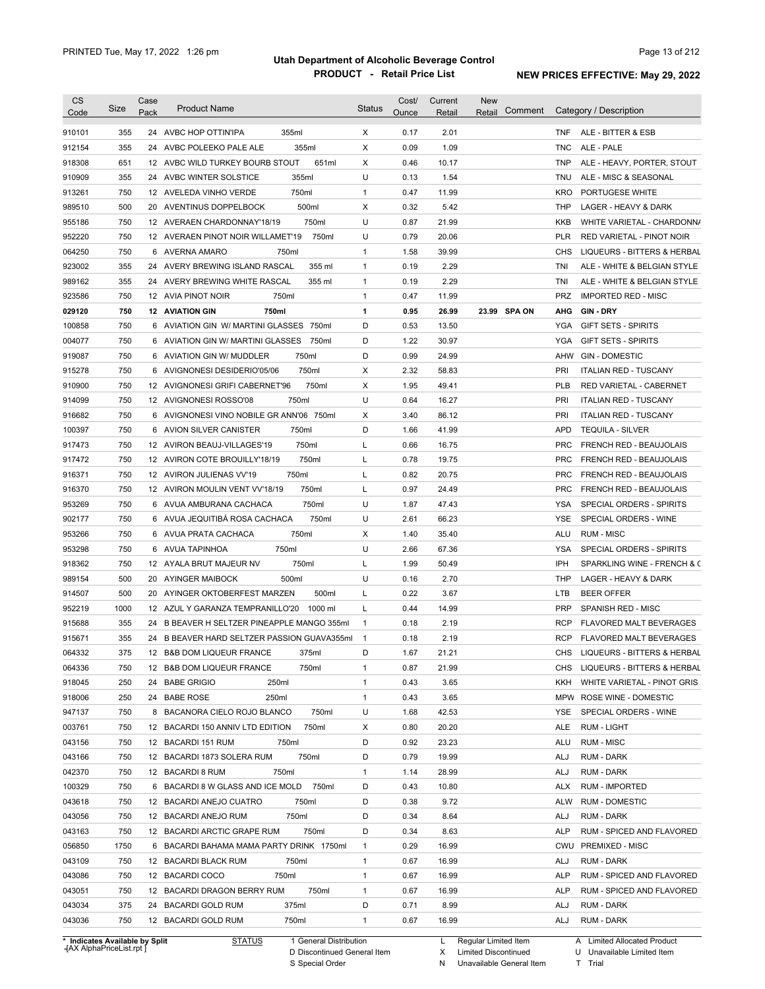| <b>CS</b> | Size | Case | <b>Product Name</b>                         | <b>Status</b> | Cost/ | Current | <b>New</b>        |            |                                            |
|-----------|------|------|---------------------------------------------|---------------|-------|---------|-------------------|------------|--------------------------------------------|
| Code      |      | Pack |                                             |               | Ounce | Retail  | Comment<br>Retail |            | Category / Description                     |
| 910101    | 355  |      | 24 AVBC HOP OTTIN'IPA<br>355ml              | X             | 0.17  | 2.01    |                   | TNF        | ALE - BITTER & ESB                         |
| 912154    | 355  |      | 355ml<br>24 AVBC POLEEKO PALE ALE           | х             | 0.09  | 1.09    |                   | TNC        | ALE - PALE                                 |
| 918308    | 651  |      | 651ml<br>12 AVBC WILD TURKEY BOURB STOUT    | X             | 0.46  | 10.17   |                   | <b>TNP</b> | ALE - HEAVY, PORTER, STOUT                 |
| 910909    | 355  |      | 355ml<br>24 AVBC WINTER SOLSTICE            | U             | 0.13  | 1.54    |                   | TNU        | ALE - MISC & SEASONAL                      |
| 913261    | 750  |      | 750ml<br>12 AVELEDA VINHO VERDE             | $\mathbf{1}$  | 0.47  | 11.99   |                   | KRO        | PORTUGESE WHITE                            |
| 989510    | 500  |      | 500ml<br>20 AVENTINUS DOPPELBOCK            | х             | 0.32  | 5.42    |                   | THP        | LAGER - HEAVY & DARK                       |
| 955186    | 750  |      | 750ml<br>12 AVERAEN CHARDONNAY'18/19        | U             | 0.87  | 21.99   |                   | <b>KKB</b> | WHITE VARIETAL - CHARDONN/                 |
| 952220    | 750  |      | 750ml<br>12 AVERAEN PINOT NOIR WILLAMET'19  | U             | 0.79  | 20.06   |                   | PLR        | RED VARIETAL - PINOT NOIR                  |
| 064250    | 750  |      | 6 AVERNA AMARO<br>750ml                     | $\mathbf{1}$  | 1.58  | 39.99   |                   | CHS        | LIQUEURS - BITTERS & HERBAL                |
| 923002    | 355  |      | 355 ml<br>24 AVERY BREWING ISLAND RASCAL    | $\mathbf{1}$  | 0.19  | 2.29    |                   | TNI        | ALE - WHITE & BELGIAN STYLE                |
| 989162    | 355  |      | 355 ml<br>24 AVERY BREWING WHITE RASCAL     | $\mathbf{1}$  | 0.19  | 2.29    |                   | TNI        | ALE - WHITE & BELGIAN STYLE                |
| 923586    | 750  |      | 750ml<br>12 AVIA PINOT NOIR                 | $\mathbf{1}$  | 0.47  | 11.99   |                   | <b>PRZ</b> | <b>IMPORTED RED - MISC</b>                 |
| 029120    | 750  |      | <b>12 AVIATION GIN</b><br>750ml             | 1             | 0.95  | 26.99   | 23.99 SPA ON      | AHG        | <b>GIN-DRY</b>                             |
| 100858    | 750  |      | 6 AVIATION GIN W/ MARTINI GLASSES 750ml     | D             | 0.53  | 13.50   |                   | YGA        | <b>GIFT SETS - SPIRITS</b>                 |
| 004077    | 750  |      | 6 AVIATION GIN W/ MARTINI GLASSES 750ml     | D             | 1.22  | 30.97   |                   | YGA        | <b>GIFT SETS - SPIRITS</b>                 |
| 919087    | 750  |      | 750ml<br>6 AVIATION GIN W/ MUDDLER          | D             | 0.99  | 24.99   |                   | AHW        | <b>GIN - DOMESTIC</b>                      |
| 915278    | 750  |      | 750ml<br>6 AVIGNONESI DESIDERIO'05/06       | х             | 2.32  | 58.83   |                   | PRI        | <b>ITALIAN RED - TUSCANY</b>               |
| 910900    | 750  |      | 12 AVIGNONESI GRIFI CABERNET'96<br>750ml    | х             | 1.95  | 49.41   |                   | <b>PLB</b> | <b>RED VARIETAL - CABERNET</b>             |
| 914099    | 750  |      | 12 AVIGNONESI ROSSO'08<br>750ml             | U             | 0.64  | 16.27   |                   | PRI        | <b>ITALIAN RED - TUSCANY</b>               |
| 916682    | 750  |      | 6 AVIGNONESI VINO NOBILE GR ANN'06 750ml    | х             | 3.40  | 86.12   |                   | PRI        | <b>ITALIAN RED - TUSCANY</b>               |
| 100397    | 750  |      | 6 AVION SILVER CANISTER<br>750ml            | D             | 1.66  | 41.99   |                   | <b>APD</b> | <b>TEQUILA - SILVER</b>                    |
| 917473    | 750  |      | 750ml<br>12 AVIRON BEAUJ-VILLAGES'19        | Г             | 0.66  | 16.75   |                   | <b>PRC</b> | <b>FRENCH RED - BEAUJOLAIS</b>             |
| 917472    | 750  |      | 750ml<br>12 AVIRON COTE BROUILLY'18/19      | Г             | 0.78  | 19.75   |                   | <b>PRC</b> | FRENCH RED - BEAUJOLAIS                    |
| 916371    | 750  |      | 750ml<br>12 AVIRON JULIENAS VV'19           | Г             | 0.82  | 20.75   |                   | <b>PRC</b> | FRENCH RED - BEAUJOLAIS                    |
| 916370    | 750  |      | 750ml<br>12 AVIRON MOULIN VENT VV'18/19     | L             | 0.97  | 24.49   |                   | <b>PRC</b> | FRENCH RED - BEAUJOLAIS                    |
| 953269    | 750  |      | 750ml<br>6 AVUA AMBURANA CACHACA            | U             | 1.87  | 47.43   |                   | YSA        | SPECIAL ORDERS - SPIRITS                   |
| 902177    | 750  |      | 6 AVUA JEQUITIBA ROSA CACHACA<br>750ml      | U             | 2.61  | 66.23   |                   | <b>YSE</b> | SPECIAL ORDERS - WINE                      |
| 953266    | 750  |      | 750ml<br>6 AVUA PRATA CACHACA               | X             | 1.40  | 35.40   |                   | <b>ALU</b> | <b>RUM - MISC</b>                          |
| 953298    | 750  |      | 6 AVUA TAPINHOA<br>750ml                    | U             | 2.66  | 67.36   |                   | <b>YSA</b> | SPECIAL ORDERS - SPIRITS                   |
| 918362    | 750  |      | 12 AYALA BRUT MAJEUR NV<br>750ml            | Г             | 1.99  | 50.49   |                   | IPH        | SPARKLING WINE - FRENCH & C                |
| 989154    | 500  |      | 500ml<br>20 AYINGER MAIBOCK                 | U             | 0.16  | 2.70    |                   | THP        | LAGER - HEAVY & DARK                       |
| 914507    | 500  |      | 20 AYINGER OKTOBERFEST MARZEN<br>500ml      | L             | 0.22  | 3.67    |                   | LTB        | <b>BEER OFFER</b>                          |
| 952219    | 1000 |      | 12 AZUL Y GARANZA TEMPRANILLO'20<br>1000 ml | L             | 0.44  | 14.99   |                   | <b>PRP</b> | SPANISH RED - MISC                         |
| 915688    | 355  |      | 24 B BEAVER H SELTZER PINEAPPLE MANGO 355ml | $\mathbf{1}$  | 0.18  | 2.19    |                   | <b>RCP</b> | <b>FLAVORED MALT BEVERAGES</b>             |
| 915671    | 355  |      | 24 B BEAVER HARD SELTZER PASSION GUAVA355ml | $\mathbf{1}$  | 0.18  | 2.19    |                   | <b>RCP</b> | FLAVORED MALT BEVERAGES                    |
| 064332    | 375  |      | 12 B&B DOM LIQUEUR FRANCE<br>375ml          | D             | 1.67  | 21.21   |                   | CHS        | LIQUEURS - BITTERS & HERBAL                |
| 064336    | 750  |      | 750ml<br>12 B&B DOM LIQUEUR FRANCE          | 1             | 0.87  | 21.99   |                   | CHS        | LIQUEURS - BITTERS & HERBAL                |
| 918045    | 250  |      | 250ml<br>24 BABE GRIGIO                     | 1             | 0.43  | 3.65    |                   | KKH        | WHITE VARIETAL - PINOT GRIS                |
| 918006    | 250  |      | 24 BABE ROSE<br>250ml                       | $\mathbf{1}$  | 0.43  | 3.65    |                   | MPW        | ROSE WINE - DOMESTIC                       |
| 947137    | 750  |      | 8 BACANORA CIELO ROJO BLANCO<br>750ml       | U             | 1.68  | 42.53   |                   | YSE        | SPECIAL ORDERS - WINE                      |
| 003761    | 750  |      | 750ml<br>12 BACARDI 150 ANNIV LTD EDITION   | х             | 0.80  | 20.20   |                   | ALE        | <b>RUM - LIGHT</b>                         |
| 043156    | 750  |      | 12 BACARDI 151 RUM<br>750ml                 | D             | 0.92  | 23.23   |                   | ALU        | RUM - MISC                                 |
| 043166    | 750  |      | 750ml<br>12 BACARDI 1873 SOLERA RUM         | D             | 0.79  | 19.99   |                   | <b>ALJ</b> | <b>RUM - DARK</b>                          |
| 042370    | 750  |      | 12 BACARDI 8 RUM<br>750ml                   | 1             | 1.14  | 28.99   |                   | <b>ALJ</b> |                                            |
| 100329    | 750  |      | 6 BACARDI 8 W GLASS AND ICE MOLD<br>750ml   | D             |       |         |                   | <b>ALX</b> | <b>RUM - DARK</b><br><b>RUM - IMPORTED</b> |
|           |      |      |                                             |               | 0.43  | 10.80   |                   |            | <b>RUM - DOMESTIC</b>                      |
| 043618    | 750  |      | 12 BACARDI ANEJO CUATRO<br>750ml            | D             | 0.38  | 9.72    |                   | ALW        |                                            |
| 043056    | 750  |      | 750ml<br>12 BACARDI ANEJO RUM               | D             | 0.34  | 8.64    |                   | ALJ        | <b>RUM - DARK</b>                          |
| 043163    | 750  |      | 750ml<br>12 BACARDI ARCTIC GRAPE RUM        | D             | 0.34  | 8.63    |                   | ALP        | RUM - SPICED AND FLAVORED                  |
| 056850    | 1750 |      | 6 BACARDI BAHAMA MAMA PARTY DRINK 1750ml    | $\mathbf{1}$  | 0.29  | 16.99   |                   | CWU        | <b>PREMIXED - MISC</b>                     |
| 043109    | 750  |      | 12 BACARDI BLACK RUM<br>750ml               | $\mathbf{1}$  | 0.67  | 16.99   |                   | ALJ        | <b>RUM - DARK</b>                          |
| 043086    | 750  |      | 12 BACARDI COCO<br>750ml                    | $\mathbf{1}$  | 0.67  | 16.99   |                   | ALP        | RUM - SPICED AND FLAVORED                  |
| 043051    | 750  |      | 750ml<br>12 BACARDI DRAGON BERRY RUM        | $\mathbf{1}$  | 0.67  | 16.99   |                   | <b>ALP</b> | RUM - SPICED AND FLAVORED                  |
| 043034    | 375  |      | 375ml<br>24 BACARDI GOLD RUM                | D             | 0.71  | 8.99    |                   | ALJ        | RUM - DARK                                 |
| 043036    | 750  |      | 12 BACARDI GOLD RUM<br>750ml                | $\mathbf{1}$  | 0.67  | 16.99   |                   | ALJ        | <b>RUM - DARK</b>                          |

**Case** [AX AlphaPriceList.rpt ]

D Discontinued General Item

S Special Order

X Limited Discontinued

N Unavailable General Item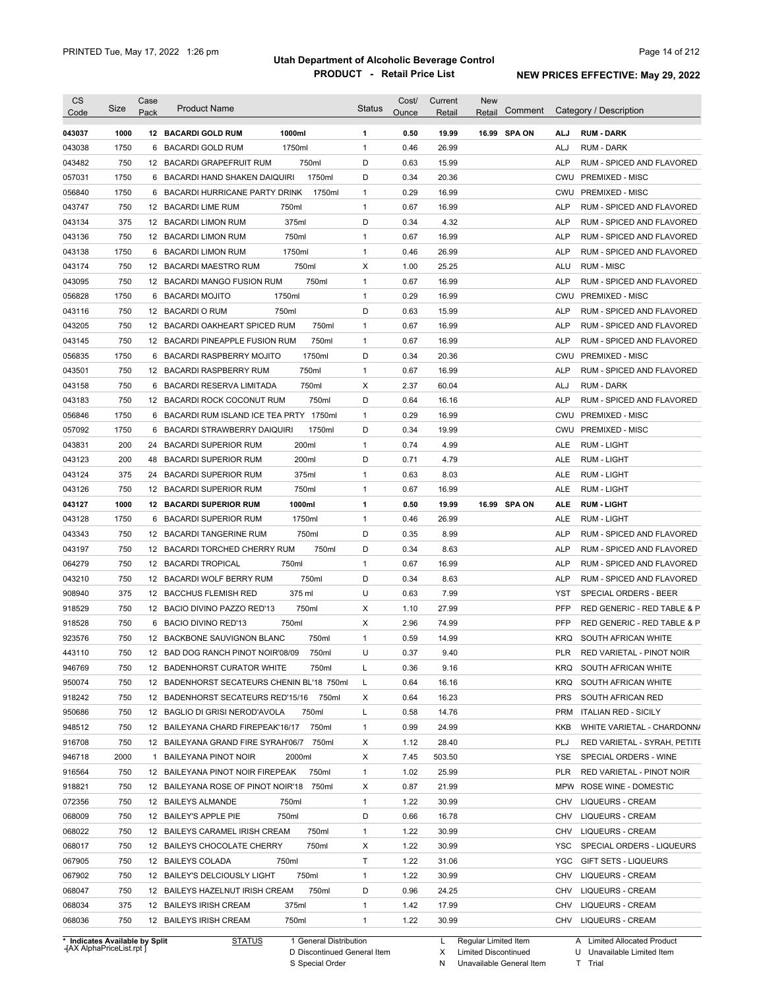| 1000<br>1000ml<br>16.99 SPA ON<br>043037<br><b>12 BACARDI GOLD RUM</b><br>1<br>0.50<br>19.99<br>ALJ<br><b>RUM - DARK</b><br>1750<br>1750ml<br>$\mathbf{1}$<br>0.46<br>26.99<br>043038<br>6 BACARDI GOLD RUM<br>ALJ<br><b>RUM - DARK</b><br>750<br>750ml<br>D<br>0.63<br>15.99<br>RUM - SPICED AND FLAVORED<br>043482<br>12 BACARDI GRAPEFRUIT RUM<br>ALP<br>1750<br>6 BACARDI HAND SHAKEN DAIQUIRI<br>1750ml<br>D<br>0.34<br>20.36<br>CWU PREMIXED - MISC<br>057031<br>1750<br>$\mathbf{1}$<br>0.29<br>16.99<br>CWU PREMIXED - MISC<br>056840<br>6 BACARDI HURRICANE PARTY DRINK<br>1750ml<br>750<br>$\mathbf{1}$<br>0.67<br>16.99<br>043747<br>12 BACARDI LIME RUM<br>750ml<br>ALP<br>RUM - SPICED AND FLAVORED<br>D<br>375<br>375ml<br>0.34<br>4.32<br>043134<br>12 BACARDI LIMON RUM<br>ALP<br>RUM - SPICED AND FLAVORED<br>750<br>750ml<br>16.99<br>043136<br>12 BACARDI LIMON RUM<br>$\mathbf{1}$<br>0.67<br>ALP<br>RUM - SPICED AND FLAVORED<br>1750<br>1750ml<br>$\mathbf{1}$<br>0.46<br>26.99<br>RUM - SPICED AND FLAVORED<br>043138<br>6 BACARDI LIMON RUM<br>ALP<br>750<br>750ml<br>Χ<br>1.00<br>25.25<br><b>RUM - MISC</b><br>043174<br>12 BACARDI MAESTRO RUM<br>ALU<br>750<br>750ml<br>$\mathbf{1}$<br>0.67<br>16.99<br>043095<br>12 BACARDI MANGO FUSION RUM<br>ALP<br>RUM - SPICED AND FLAVORED<br>1750<br>$\mathbf{1}$<br>0.29<br>16.99<br>PREMIXED - MISC<br>056828<br>6 BACARDI MOJITO<br>1750ml<br>CWU<br>750<br>750ml<br>D<br>0.63<br>043116<br>12 BACARDIO RUM<br>15.99<br>ALP<br>RUM - SPICED AND FLAVORED<br>750<br>12 BACARDI OAKHEART SPICED RUM<br>750ml<br>0.67<br>16.99<br>043205<br>$\mathbf{1}$<br>ALP<br>RUM - SPICED AND FLAVORED<br>750<br>750ml<br>$\mathbf{1}$<br>0.67<br>16.99<br>043145<br>12 BACARDI PINEAPPLE FUSION RUM<br>ALP<br>RUM - SPICED AND FLAVORED<br>D<br>1750<br>1750ml<br>0.34<br>20.36<br><b>CWU</b><br><b>PREMIXED - MISC</b><br>056835<br>6 BACARDI RASPBERRY MOJITO<br>750<br>12 BACARDI RASPBERRY RUM<br>750ml<br>$\mathbf{1}$<br>0.67<br>16.99<br>RUM - SPICED AND FLAVORED<br>043501<br>ALP<br>750<br>750ml<br>Х<br>2.37<br>60.04<br>043158<br>BACARDI RESERVA LIMITADA<br>ALJ<br>RUM - DARK<br>6<br>750<br>750ml<br>D<br>0.64<br>16.16<br>RUM - SPICED AND FLAVORED<br>043183<br>12 BACARDI ROCK COCONUT RUM<br>ALP<br>1750<br>$\mathbf{1}$<br>0.29<br>16.99<br><b>CWU</b><br><b>PREMIXED - MISC</b><br>056846<br>6 BACARDI RUM ISLAND ICE TEA PRTY 1750ml<br>057092<br>1750<br>1750ml<br>D<br>0.34<br>19.99<br><b>PREMIXED - MISC</b><br><b>BACARDI STRAWBERRY DAIQUIRI</b><br>CWU<br>6<br>200<br>200ml<br>$\mathbf{1}$<br>0.74<br>4.99<br>043831<br>24 BACARDI SUPERIOR RUM<br>ALE<br><b>RUM - LIGHT</b><br>200<br>200ml<br>D<br>0.71<br>4.79<br>043123<br>48<br><b>BACARDI SUPERIOR RUM</b><br>ALE<br>RUM - LIGHT<br>375<br>375ml<br>$\mathbf{1}$<br>0.63<br>8.03<br>043124<br>24<br><b>BACARDI SUPERIOR RUM</b><br>ALE<br>RUM - LIGHT<br>750<br>750ml<br>$\mathbf{1}$<br>0.67<br>16.99<br>043126<br>12 BACARDI SUPERIOR RUM<br>ALE<br>RUM - LIGHT<br>1000<br>1000ml<br>1<br>0.50<br>19.99<br>16.99 SPA ON<br>043127<br><b>12 BACARDI SUPERIOR RUM</b><br>ALE<br><b>RUM - LIGHT</b><br>1750ml<br>043128<br>1750<br>BACARDI SUPERIOR RUM<br>$\mathbf{1}$<br>0.46<br>26.99<br>ALE<br>RUM - LIGHT<br>6<br>043343<br>750<br>750ml<br>D<br>8.99<br>12 BACARDI TANGERINE RUM<br>0.35<br>ALP<br>RUM - SPICED AND FLAVORED<br>043197<br>750<br>D<br>8.63<br>12 BACARDI TORCHED CHERRY RUM<br>750ml<br>0.34<br>ALP<br>RUM - SPICED AND FLAVORED<br>064279<br>750<br>750ml<br>0.67<br>16.99<br><b>ALP</b><br>12 BACARDI TROPICAL<br>$\mathbf{1}$<br>RUM - SPICED AND FLAVORED<br>043210<br>750<br>750ml<br>D<br>8.63<br>12 BACARDI WOLF BERRY RUM<br>0.34<br>ALP<br>RUM - SPICED AND FLAVORED<br>U<br>908940<br>375<br>375 ml<br>7.99<br>SPECIAL ORDERS - BEER<br>12 BACCHUS FLEMISH RED<br>0.63<br>YST<br>918529<br>750<br>750ml<br>Х<br>27.99<br><b>PFP</b><br>RED GENERIC - RED TABLE & P<br>12 BACIO DIVINO PAZZO RED'13<br>1.10<br>750<br>6 BACIO DIVINO RED'13<br>750ml<br>Х<br>2.96<br>74.99<br><b>PFP</b><br>RED GENERIC - RED TABLE & P<br>750<br>12 BACKBONE SAUVIGNON BLANC<br>750ml<br>$\mathbf{1}$<br>0.59<br>14.99<br><b>KRQ</b><br>SOUTH AFRICAN WHITE<br>750<br>12 BAD DOG RANCH PINOT NOIR'08/09<br>U<br>0.37<br>9.40<br>PLR<br>750ml<br>RED VARIETAL - PINOT NOIR<br>750<br>12 BADENHORST CURATOR WHITE<br>750ml<br>L<br>0.36<br>9.16<br>KRQ SOUTH AFRICAN WHITE<br>750<br>0.64<br>16.16<br>12 BADENHORST SECATEURS CHENIN BL'18 750ml<br>L<br>KRQ<br>SOUTH AFRICAN WHITE<br>0.64<br>16.23<br>750<br>12 BADENHORST SECATEURS RED'15/16 750ml<br>Х<br><b>PRS</b><br>SOUTH AFRICAN RED<br>12 BAGLIO DI GRISI NEROD'AVOLA<br>750ml<br>L<br>0.58<br>14.76<br><b>ITALIAN RED - SICILY</b><br>750<br><b>PRM</b><br>750ml<br>24.99<br>750<br>12 BAILEYANA CHARD FIREPEAK'16/17<br>$\mathbf{1}$<br>0.99<br>KKB<br>750ml<br>28.40<br>PLJ<br>750<br>12 BAILEYANA GRAND FIRE SYRAH'06/7<br>х<br>1.12<br>2000<br>Х<br>503.50<br>SPECIAL ORDERS - WINE<br>1 BAILEYANA PINOT NOIR<br>2000ml<br>7.45<br>YSE<br>25.99<br>750<br>12 BAILEYANA PINOT NOIR FIREPEAK<br>750ml<br>1<br>1.02<br>PLR<br>RED VARIETAL - PINOT NOIR<br>750<br>Х<br>21.99<br>12 BAILEYANA ROSE OF PINOT NOIR'18<br>750ml<br>0.87<br>MPW<br>ROSE WINE - DOMESTIC<br>$\mathbf{1}$<br>30.99<br>750<br>12 BAILEYS ALMANDE<br>750ml<br>1.22<br>CHV<br><b>LIQUEURS - CREAM</b><br>750<br>12 BAILEY'S APPLE PIE<br>D<br>16.78<br><b>LIQUEURS - CREAM</b><br>750ml<br>0.66<br>CHV<br>750<br>750ml<br>$\mathbf{1}$<br>1.22<br>30.99<br><b>LIQUEURS - CREAM</b><br>12 BAILEYS CARAMEL IRISH CREAM<br>CHV<br>750<br>750ml<br>Х<br>1.22<br>30.99<br>12 BAILEYS CHOCOLATE CHERRY<br>YSC<br>750<br>Т<br>1.22<br>31.06<br>GIFT SETS - LIQUEURS<br>12 BAILEYS COLADA<br>750ml<br>YGC<br>750<br>750ml<br>$\mathbf{1}$<br>1.22<br>30.99<br><b>CHV</b><br>12 BAILEY'S DELCIOUSLY LIGHT<br><b>LIQUEURS - CREAM</b><br>750ml<br>D<br>24.25<br>750<br>12 BAILEYS HAZELNUT IRISH CREAM<br>0.96<br>CHV<br><b>LIQUEURS - CREAM</b><br>$\mathbf{1}$<br>17.99<br>375<br>12 BAILEYS IRISH CREAM<br>375ml<br>1.42<br>CHV<br>LIQUEURS - CREAM<br>750<br>750ml<br>1.22<br>30.99<br>12 BAILEYS IRISH CREAM<br>$\mathbf{1}$<br>CHV LIQUEURS - CREAM<br>1 General Distribution<br>* Indicates Available by Split | <b>CS</b><br>Code | Size | Case<br>Pack | <b>Product Name</b> | <b>Status</b> | Cost/<br>Ounce | Current<br>Retail | <b>New</b><br>Comment<br>Retail | Category / Description       |
|-------------------------------------------------------------------------------------------------------------------------------------------------------------------------------------------------------------------------------------------------------------------------------------------------------------------------------------------------------------------------------------------------------------------------------------------------------------------------------------------------------------------------------------------------------------------------------------------------------------------------------------------------------------------------------------------------------------------------------------------------------------------------------------------------------------------------------------------------------------------------------------------------------------------------------------------------------------------------------------------------------------------------------------------------------------------------------------------------------------------------------------------------------------------------------------------------------------------------------------------------------------------------------------------------------------------------------------------------------------------------------------------------------------------------------------------------------------------------------------------------------------------------------------------------------------------------------------------------------------------------------------------------------------------------------------------------------------------------------------------------------------------------------------------------------------------------------------------------------------------------------------------------------------------------------------------------------------------------------------------------------------------------------------------------------------------------------------------------------------------------------------------------------------------------------------------------------------------------------------------------------------------------------------------------------------------------------------------------------------------------------------------------------------------------------------------------------------------------------------------------------------------------------------------------------------------------------------------------------------------------------------------------------------------------------------------------------------------------------------------------------------------------------------------------------------------------------------------------------------------------------------------------------------------------------------------------------------------------------------------------------------------------------------------------------------------------------------------------------------------------------------------------------------------------------------------------------------------------------------------------------------------------------------------------------------------------------------------------------------------------------------------------------------------------------------------------------------------------------------------------------------------------------------------------------------------------------------------------------------------------------------------------------------------------------------------------------------------------------------------------------------------------------------------------------------------------------------------------------------------------------------------------------------------------------------------------------------------------------------------------------------------------------------------------------------------------------------------------------------------------------------------------------------------------------------------------------------------------------------------------------------------------------------------------------------------------------------------------------------------------------------------------------------------------------------------------------------------------------------------------------------------------------------------------------------------------------------------------------------------------------------------------------------------------------------------------------------------------------------------------------------------------------------------------------------------------------------------------------------------------------------------------------------------------------------------------------------------------------------------------------------------------------------------------------------------------------------------------------------------------------------------------------------------------------------------------------------------------------------------------------------------------------------------------------------------------------------------------------------------------------------------------------------------------------------------------------------------------------------------------------------------------------------------------------------------------------------------------------------------------------------------------------------------------------------------------------------------------------------------------------------------------------------------------------------------------------------------------------------------------------------------------------------------------------------------------------------------------------------------------------------------------------------------------------------------------------------------------------------------------------------------------------------------------------------------------------------------------------------------------------------------------------------------------------------|-------------------|------|--------------|---------------------|---------------|----------------|-------------------|---------------------------------|------------------------------|
|                                                                                                                                                                                                                                                                                                                                                                                                                                                                                                                                                                                                                                                                                                                                                                                                                                                                                                                                                                                                                                                                                                                                                                                                                                                                                                                                                                                                                                                                                                                                                                                                                                                                                                                                                                                                                                                                                                                                                                                                                                                                                                                                                                                                                                                                                                                                                                                                                                                                                                                                                                                                                                                                                                                                                                                                                                                                                                                                                                                                                                                                                                                                                                                                                                                                                                                                                                                                                                                                                                                                                                                                                                                                                                                                                                                                                                                                                                                                                                                                                                                                                                                                                                                                                                                                                                                                                                                                                                                                                                                                                                                                                                                                                                                                                                                                                                                                                                                                                                                                                                                                                                                                                                                                                                                                                                                                                                                                                                                                                                                                                                                                                                                                                                                                                                                                                                                                                                                                                                                                                                                                                                                                                                                                                                                                                                             |                   |      |              |                     |               |                |                   |                                 |                              |
|                                                                                                                                                                                                                                                                                                                                                                                                                                                                                                                                                                                                                                                                                                                                                                                                                                                                                                                                                                                                                                                                                                                                                                                                                                                                                                                                                                                                                                                                                                                                                                                                                                                                                                                                                                                                                                                                                                                                                                                                                                                                                                                                                                                                                                                                                                                                                                                                                                                                                                                                                                                                                                                                                                                                                                                                                                                                                                                                                                                                                                                                                                                                                                                                                                                                                                                                                                                                                                                                                                                                                                                                                                                                                                                                                                                                                                                                                                                                                                                                                                                                                                                                                                                                                                                                                                                                                                                                                                                                                                                                                                                                                                                                                                                                                                                                                                                                                                                                                                                                                                                                                                                                                                                                                                                                                                                                                                                                                                                                                                                                                                                                                                                                                                                                                                                                                                                                                                                                                                                                                                                                                                                                                                                                                                                                                                             |                   |      |              |                     |               |                |                   |                                 |                              |
|                                                                                                                                                                                                                                                                                                                                                                                                                                                                                                                                                                                                                                                                                                                                                                                                                                                                                                                                                                                                                                                                                                                                                                                                                                                                                                                                                                                                                                                                                                                                                                                                                                                                                                                                                                                                                                                                                                                                                                                                                                                                                                                                                                                                                                                                                                                                                                                                                                                                                                                                                                                                                                                                                                                                                                                                                                                                                                                                                                                                                                                                                                                                                                                                                                                                                                                                                                                                                                                                                                                                                                                                                                                                                                                                                                                                                                                                                                                                                                                                                                                                                                                                                                                                                                                                                                                                                                                                                                                                                                                                                                                                                                                                                                                                                                                                                                                                                                                                                                                                                                                                                                                                                                                                                                                                                                                                                                                                                                                                                                                                                                                                                                                                                                                                                                                                                                                                                                                                                                                                                                                                                                                                                                                                                                                                                                             |                   |      |              |                     |               |                |                   |                                 |                              |
|                                                                                                                                                                                                                                                                                                                                                                                                                                                                                                                                                                                                                                                                                                                                                                                                                                                                                                                                                                                                                                                                                                                                                                                                                                                                                                                                                                                                                                                                                                                                                                                                                                                                                                                                                                                                                                                                                                                                                                                                                                                                                                                                                                                                                                                                                                                                                                                                                                                                                                                                                                                                                                                                                                                                                                                                                                                                                                                                                                                                                                                                                                                                                                                                                                                                                                                                                                                                                                                                                                                                                                                                                                                                                                                                                                                                                                                                                                                                                                                                                                                                                                                                                                                                                                                                                                                                                                                                                                                                                                                                                                                                                                                                                                                                                                                                                                                                                                                                                                                                                                                                                                                                                                                                                                                                                                                                                                                                                                                                                                                                                                                                                                                                                                                                                                                                                                                                                                                                                                                                                                                                                                                                                                                                                                                                                                             |                   |      |              |                     |               |                |                   |                                 |                              |
|                                                                                                                                                                                                                                                                                                                                                                                                                                                                                                                                                                                                                                                                                                                                                                                                                                                                                                                                                                                                                                                                                                                                                                                                                                                                                                                                                                                                                                                                                                                                                                                                                                                                                                                                                                                                                                                                                                                                                                                                                                                                                                                                                                                                                                                                                                                                                                                                                                                                                                                                                                                                                                                                                                                                                                                                                                                                                                                                                                                                                                                                                                                                                                                                                                                                                                                                                                                                                                                                                                                                                                                                                                                                                                                                                                                                                                                                                                                                                                                                                                                                                                                                                                                                                                                                                                                                                                                                                                                                                                                                                                                                                                                                                                                                                                                                                                                                                                                                                                                                                                                                                                                                                                                                                                                                                                                                                                                                                                                                                                                                                                                                                                                                                                                                                                                                                                                                                                                                                                                                                                                                                                                                                                                                                                                                                                             |                   |      |              |                     |               |                |                   |                                 |                              |
|                                                                                                                                                                                                                                                                                                                                                                                                                                                                                                                                                                                                                                                                                                                                                                                                                                                                                                                                                                                                                                                                                                                                                                                                                                                                                                                                                                                                                                                                                                                                                                                                                                                                                                                                                                                                                                                                                                                                                                                                                                                                                                                                                                                                                                                                                                                                                                                                                                                                                                                                                                                                                                                                                                                                                                                                                                                                                                                                                                                                                                                                                                                                                                                                                                                                                                                                                                                                                                                                                                                                                                                                                                                                                                                                                                                                                                                                                                                                                                                                                                                                                                                                                                                                                                                                                                                                                                                                                                                                                                                                                                                                                                                                                                                                                                                                                                                                                                                                                                                                                                                                                                                                                                                                                                                                                                                                                                                                                                                                                                                                                                                                                                                                                                                                                                                                                                                                                                                                                                                                                                                                                                                                                                                                                                                                                                             |                   |      |              |                     |               |                |                   |                                 |                              |
|                                                                                                                                                                                                                                                                                                                                                                                                                                                                                                                                                                                                                                                                                                                                                                                                                                                                                                                                                                                                                                                                                                                                                                                                                                                                                                                                                                                                                                                                                                                                                                                                                                                                                                                                                                                                                                                                                                                                                                                                                                                                                                                                                                                                                                                                                                                                                                                                                                                                                                                                                                                                                                                                                                                                                                                                                                                                                                                                                                                                                                                                                                                                                                                                                                                                                                                                                                                                                                                                                                                                                                                                                                                                                                                                                                                                                                                                                                                                                                                                                                                                                                                                                                                                                                                                                                                                                                                                                                                                                                                                                                                                                                                                                                                                                                                                                                                                                                                                                                                                                                                                                                                                                                                                                                                                                                                                                                                                                                                                                                                                                                                                                                                                                                                                                                                                                                                                                                                                                                                                                                                                                                                                                                                                                                                                                                             |                   |      |              |                     |               |                |                   |                                 |                              |
|                                                                                                                                                                                                                                                                                                                                                                                                                                                                                                                                                                                                                                                                                                                                                                                                                                                                                                                                                                                                                                                                                                                                                                                                                                                                                                                                                                                                                                                                                                                                                                                                                                                                                                                                                                                                                                                                                                                                                                                                                                                                                                                                                                                                                                                                                                                                                                                                                                                                                                                                                                                                                                                                                                                                                                                                                                                                                                                                                                                                                                                                                                                                                                                                                                                                                                                                                                                                                                                                                                                                                                                                                                                                                                                                                                                                                                                                                                                                                                                                                                                                                                                                                                                                                                                                                                                                                                                                                                                                                                                                                                                                                                                                                                                                                                                                                                                                                                                                                                                                                                                                                                                                                                                                                                                                                                                                                                                                                                                                                                                                                                                                                                                                                                                                                                                                                                                                                                                                                                                                                                                                                                                                                                                                                                                                                                             |                   |      |              |                     |               |                |                   |                                 |                              |
|                                                                                                                                                                                                                                                                                                                                                                                                                                                                                                                                                                                                                                                                                                                                                                                                                                                                                                                                                                                                                                                                                                                                                                                                                                                                                                                                                                                                                                                                                                                                                                                                                                                                                                                                                                                                                                                                                                                                                                                                                                                                                                                                                                                                                                                                                                                                                                                                                                                                                                                                                                                                                                                                                                                                                                                                                                                                                                                                                                                                                                                                                                                                                                                                                                                                                                                                                                                                                                                                                                                                                                                                                                                                                                                                                                                                                                                                                                                                                                                                                                                                                                                                                                                                                                                                                                                                                                                                                                                                                                                                                                                                                                                                                                                                                                                                                                                                                                                                                                                                                                                                                                                                                                                                                                                                                                                                                                                                                                                                                                                                                                                                                                                                                                                                                                                                                                                                                                                                                                                                                                                                                                                                                                                                                                                                                                             |                   |      |              |                     |               |                |                   |                                 |                              |
|                                                                                                                                                                                                                                                                                                                                                                                                                                                                                                                                                                                                                                                                                                                                                                                                                                                                                                                                                                                                                                                                                                                                                                                                                                                                                                                                                                                                                                                                                                                                                                                                                                                                                                                                                                                                                                                                                                                                                                                                                                                                                                                                                                                                                                                                                                                                                                                                                                                                                                                                                                                                                                                                                                                                                                                                                                                                                                                                                                                                                                                                                                                                                                                                                                                                                                                                                                                                                                                                                                                                                                                                                                                                                                                                                                                                                                                                                                                                                                                                                                                                                                                                                                                                                                                                                                                                                                                                                                                                                                                                                                                                                                                                                                                                                                                                                                                                                                                                                                                                                                                                                                                                                                                                                                                                                                                                                                                                                                                                                                                                                                                                                                                                                                                                                                                                                                                                                                                                                                                                                                                                                                                                                                                                                                                                                                             |                   |      |              |                     |               |                |                   |                                 |                              |
|                                                                                                                                                                                                                                                                                                                                                                                                                                                                                                                                                                                                                                                                                                                                                                                                                                                                                                                                                                                                                                                                                                                                                                                                                                                                                                                                                                                                                                                                                                                                                                                                                                                                                                                                                                                                                                                                                                                                                                                                                                                                                                                                                                                                                                                                                                                                                                                                                                                                                                                                                                                                                                                                                                                                                                                                                                                                                                                                                                                                                                                                                                                                                                                                                                                                                                                                                                                                                                                                                                                                                                                                                                                                                                                                                                                                                                                                                                                                                                                                                                                                                                                                                                                                                                                                                                                                                                                                                                                                                                                                                                                                                                                                                                                                                                                                                                                                                                                                                                                                                                                                                                                                                                                                                                                                                                                                                                                                                                                                                                                                                                                                                                                                                                                                                                                                                                                                                                                                                                                                                                                                                                                                                                                                                                                                                                             |                   |      |              |                     |               |                |                   |                                 |                              |
|                                                                                                                                                                                                                                                                                                                                                                                                                                                                                                                                                                                                                                                                                                                                                                                                                                                                                                                                                                                                                                                                                                                                                                                                                                                                                                                                                                                                                                                                                                                                                                                                                                                                                                                                                                                                                                                                                                                                                                                                                                                                                                                                                                                                                                                                                                                                                                                                                                                                                                                                                                                                                                                                                                                                                                                                                                                                                                                                                                                                                                                                                                                                                                                                                                                                                                                                                                                                                                                                                                                                                                                                                                                                                                                                                                                                                                                                                                                                                                                                                                                                                                                                                                                                                                                                                                                                                                                                                                                                                                                                                                                                                                                                                                                                                                                                                                                                                                                                                                                                                                                                                                                                                                                                                                                                                                                                                                                                                                                                                                                                                                                                                                                                                                                                                                                                                                                                                                                                                                                                                                                                                                                                                                                                                                                                                                             |                   |      |              |                     |               |                |                   |                                 |                              |
|                                                                                                                                                                                                                                                                                                                                                                                                                                                                                                                                                                                                                                                                                                                                                                                                                                                                                                                                                                                                                                                                                                                                                                                                                                                                                                                                                                                                                                                                                                                                                                                                                                                                                                                                                                                                                                                                                                                                                                                                                                                                                                                                                                                                                                                                                                                                                                                                                                                                                                                                                                                                                                                                                                                                                                                                                                                                                                                                                                                                                                                                                                                                                                                                                                                                                                                                                                                                                                                                                                                                                                                                                                                                                                                                                                                                                                                                                                                                                                                                                                                                                                                                                                                                                                                                                                                                                                                                                                                                                                                                                                                                                                                                                                                                                                                                                                                                                                                                                                                                                                                                                                                                                                                                                                                                                                                                                                                                                                                                                                                                                                                                                                                                                                                                                                                                                                                                                                                                                                                                                                                                                                                                                                                                                                                                                                             |                   |      |              |                     |               |                |                   |                                 |                              |
|                                                                                                                                                                                                                                                                                                                                                                                                                                                                                                                                                                                                                                                                                                                                                                                                                                                                                                                                                                                                                                                                                                                                                                                                                                                                                                                                                                                                                                                                                                                                                                                                                                                                                                                                                                                                                                                                                                                                                                                                                                                                                                                                                                                                                                                                                                                                                                                                                                                                                                                                                                                                                                                                                                                                                                                                                                                                                                                                                                                                                                                                                                                                                                                                                                                                                                                                                                                                                                                                                                                                                                                                                                                                                                                                                                                                                                                                                                                                                                                                                                                                                                                                                                                                                                                                                                                                                                                                                                                                                                                                                                                                                                                                                                                                                                                                                                                                                                                                                                                                                                                                                                                                                                                                                                                                                                                                                                                                                                                                                                                                                                                                                                                                                                                                                                                                                                                                                                                                                                                                                                                                                                                                                                                                                                                                                                             |                   |      |              |                     |               |                |                   |                                 |                              |
|                                                                                                                                                                                                                                                                                                                                                                                                                                                                                                                                                                                                                                                                                                                                                                                                                                                                                                                                                                                                                                                                                                                                                                                                                                                                                                                                                                                                                                                                                                                                                                                                                                                                                                                                                                                                                                                                                                                                                                                                                                                                                                                                                                                                                                                                                                                                                                                                                                                                                                                                                                                                                                                                                                                                                                                                                                                                                                                                                                                                                                                                                                                                                                                                                                                                                                                                                                                                                                                                                                                                                                                                                                                                                                                                                                                                                                                                                                                                                                                                                                                                                                                                                                                                                                                                                                                                                                                                                                                                                                                                                                                                                                                                                                                                                                                                                                                                                                                                                                                                                                                                                                                                                                                                                                                                                                                                                                                                                                                                                                                                                                                                                                                                                                                                                                                                                                                                                                                                                                                                                                                                                                                                                                                                                                                                                                             |                   |      |              |                     |               |                |                   |                                 |                              |
|                                                                                                                                                                                                                                                                                                                                                                                                                                                                                                                                                                                                                                                                                                                                                                                                                                                                                                                                                                                                                                                                                                                                                                                                                                                                                                                                                                                                                                                                                                                                                                                                                                                                                                                                                                                                                                                                                                                                                                                                                                                                                                                                                                                                                                                                                                                                                                                                                                                                                                                                                                                                                                                                                                                                                                                                                                                                                                                                                                                                                                                                                                                                                                                                                                                                                                                                                                                                                                                                                                                                                                                                                                                                                                                                                                                                                                                                                                                                                                                                                                                                                                                                                                                                                                                                                                                                                                                                                                                                                                                                                                                                                                                                                                                                                                                                                                                                                                                                                                                                                                                                                                                                                                                                                                                                                                                                                                                                                                                                                                                                                                                                                                                                                                                                                                                                                                                                                                                                                                                                                                                                                                                                                                                                                                                                                                             |                   |      |              |                     |               |                |                   |                                 |                              |
|                                                                                                                                                                                                                                                                                                                                                                                                                                                                                                                                                                                                                                                                                                                                                                                                                                                                                                                                                                                                                                                                                                                                                                                                                                                                                                                                                                                                                                                                                                                                                                                                                                                                                                                                                                                                                                                                                                                                                                                                                                                                                                                                                                                                                                                                                                                                                                                                                                                                                                                                                                                                                                                                                                                                                                                                                                                                                                                                                                                                                                                                                                                                                                                                                                                                                                                                                                                                                                                                                                                                                                                                                                                                                                                                                                                                                                                                                                                                                                                                                                                                                                                                                                                                                                                                                                                                                                                                                                                                                                                                                                                                                                                                                                                                                                                                                                                                                                                                                                                                                                                                                                                                                                                                                                                                                                                                                                                                                                                                                                                                                                                                                                                                                                                                                                                                                                                                                                                                                                                                                                                                                                                                                                                                                                                                                                             |                   |      |              |                     |               |                |                   |                                 |                              |
|                                                                                                                                                                                                                                                                                                                                                                                                                                                                                                                                                                                                                                                                                                                                                                                                                                                                                                                                                                                                                                                                                                                                                                                                                                                                                                                                                                                                                                                                                                                                                                                                                                                                                                                                                                                                                                                                                                                                                                                                                                                                                                                                                                                                                                                                                                                                                                                                                                                                                                                                                                                                                                                                                                                                                                                                                                                                                                                                                                                                                                                                                                                                                                                                                                                                                                                                                                                                                                                                                                                                                                                                                                                                                                                                                                                                                                                                                                                                                                                                                                                                                                                                                                                                                                                                                                                                                                                                                                                                                                                                                                                                                                                                                                                                                                                                                                                                                                                                                                                                                                                                                                                                                                                                                                                                                                                                                                                                                                                                                                                                                                                                                                                                                                                                                                                                                                                                                                                                                                                                                                                                                                                                                                                                                                                                                                             |                   |      |              |                     |               |                |                   |                                 |                              |
|                                                                                                                                                                                                                                                                                                                                                                                                                                                                                                                                                                                                                                                                                                                                                                                                                                                                                                                                                                                                                                                                                                                                                                                                                                                                                                                                                                                                                                                                                                                                                                                                                                                                                                                                                                                                                                                                                                                                                                                                                                                                                                                                                                                                                                                                                                                                                                                                                                                                                                                                                                                                                                                                                                                                                                                                                                                                                                                                                                                                                                                                                                                                                                                                                                                                                                                                                                                                                                                                                                                                                                                                                                                                                                                                                                                                                                                                                                                                                                                                                                                                                                                                                                                                                                                                                                                                                                                                                                                                                                                                                                                                                                                                                                                                                                                                                                                                                                                                                                                                                                                                                                                                                                                                                                                                                                                                                                                                                                                                                                                                                                                                                                                                                                                                                                                                                                                                                                                                                                                                                                                                                                                                                                                                                                                                                                             |                   |      |              |                     |               |                |                   |                                 |                              |
|                                                                                                                                                                                                                                                                                                                                                                                                                                                                                                                                                                                                                                                                                                                                                                                                                                                                                                                                                                                                                                                                                                                                                                                                                                                                                                                                                                                                                                                                                                                                                                                                                                                                                                                                                                                                                                                                                                                                                                                                                                                                                                                                                                                                                                                                                                                                                                                                                                                                                                                                                                                                                                                                                                                                                                                                                                                                                                                                                                                                                                                                                                                                                                                                                                                                                                                                                                                                                                                                                                                                                                                                                                                                                                                                                                                                                                                                                                                                                                                                                                                                                                                                                                                                                                                                                                                                                                                                                                                                                                                                                                                                                                                                                                                                                                                                                                                                                                                                                                                                                                                                                                                                                                                                                                                                                                                                                                                                                                                                                                                                                                                                                                                                                                                                                                                                                                                                                                                                                                                                                                                                                                                                                                                                                                                                                                             |                   |      |              |                     |               |                |                   |                                 |                              |
|                                                                                                                                                                                                                                                                                                                                                                                                                                                                                                                                                                                                                                                                                                                                                                                                                                                                                                                                                                                                                                                                                                                                                                                                                                                                                                                                                                                                                                                                                                                                                                                                                                                                                                                                                                                                                                                                                                                                                                                                                                                                                                                                                                                                                                                                                                                                                                                                                                                                                                                                                                                                                                                                                                                                                                                                                                                                                                                                                                                                                                                                                                                                                                                                                                                                                                                                                                                                                                                                                                                                                                                                                                                                                                                                                                                                                                                                                                                                                                                                                                                                                                                                                                                                                                                                                                                                                                                                                                                                                                                                                                                                                                                                                                                                                                                                                                                                                                                                                                                                                                                                                                                                                                                                                                                                                                                                                                                                                                                                                                                                                                                                                                                                                                                                                                                                                                                                                                                                                                                                                                                                                                                                                                                                                                                                                                             |                   |      |              |                     |               |                |                   |                                 |                              |
|                                                                                                                                                                                                                                                                                                                                                                                                                                                                                                                                                                                                                                                                                                                                                                                                                                                                                                                                                                                                                                                                                                                                                                                                                                                                                                                                                                                                                                                                                                                                                                                                                                                                                                                                                                                                                                                                                                                                                                                                                                                                                                                                                                                                                                                                                                                                                                                                                                                                                                                                                                                                                                                                                                                                                                                                                                                                                                                                                                                                                                                                                                                                                                                                                                                                                                                                                                                                                                                                                                                                                                                                                                                                                                                                                                                                                                                                                                                                                                                                                                                                                                                                                                                                                                                                                                                                                                                                                                                                                                                                                                                                                                                                                                                                                                                                                                                                                                                                                                                                                                                                                                                                                                                                                                                                                                                                                                                                                                                                                                                                                                                                                                                                                                                                                                                                                                                                                                                                                                                                                                                                                                                                                                                                                                                                                                             |                   |      |              |                     |               |                |                   |                                 |                              |
|                                                                                                                                                                                                                                                                                                                                                                                                                                                                                                                                                                                                                                                                                                                                                                                                                                                                                                                                                                                                                                                                                                                                                                                                                                                                                                                                                                                                                                                                                                                                                                                                                                                                                                                                                                                                                                                                                                                                                                                                                                                                                                                                                                                                                                                                                                                                                                                                                                                                                                                                                                                                                                                                                                                                                                                                                                                                                                                                                                                                                                                                                                                                                                                                                                                                                                                                                                                                                                                                                                                                                                                                                                                                                                                                                                                                                                                                                                                                                                                                                                                                                                                                                                                                                                                                                                                                                                                                                                                                                                                                                                                                                                                                                                                                                                                                                                                                                                                                                                                                                                                                                                                                                                                                                                                                                                                                                                                                                                                                                                                                                                                                                                                                                                                                                                                                                                                                                                                                                                                                                                                                                                                                                                                                                                                                                                             |                   |      |              |                     |               |                |                   |                                 |                              |
|                                                                                                                                                                                                                                                                                                                                                                                                                                                                                                                                                                                                                                                                                                                                                                                                                                                                                                                                                                                                                                                                                                                                                                                                                                                                                                                                                                                                                                                                                                                                                                                                                                                                                                                                                                                                                                                                                                                                                                                                                                                                                                                                                                                                                                                                                                                                                                                                                                                                                                                                                                                                                                                                                                                                                                                                                                                                                                                                                                                                                                                                                                                                                                                                                                                                                                                                                                                                                                                                                                                                                                                                                                                                                                                                                                                                                                                                                                                                                                                                                                                                                                                                                                                                                                                                                                                                                                                                                                                                                                                                                                                                                                                                                                                                                                                                                                                                                                                                                                                                                                                                                                                                                                                                                                                                                                                                                                                                                                                                                                                                                                                                                                                                                                                                                                                                                                                                                                                                                                                                                                                                                                                                                                                                                                                                                                             |                   |      |              |                     |               |                |                   |                                 |                              |
|                                                                                                                                                                                                                                                                                                                                                                                                                                                                                                                                                                                                                                                                                                                                                                                                                                                                                                                                                                                                                                                                                                                                                                                                                                                                                                                                                                                                                                                                                                                                                                                                                                                                                                                                                                                                                                                                                                                                                                                                                                                                                                                                                                                                                                                                                                                                                                                                                                                                                                                                                                                                                                                                                                                                                                                                                                                                                                                                                                                                                                                                                                                                                                                                                                                                                                                                                                                                                                                                                                                                                                                                                                                                                                                                                                                                                                                                                                                                                                                                                                                                                                                                                                                                                                                                                                                                                                                                                                                                                                                                                                                                                                                                                                                                                                                                                                                                                                                                                                                                                                                                                                                                                                                                                                                                                                                                                                                                                                                                                                                                                                                                                                                                                                                                                                                                                                                                                                                                                                                                                                                                                                                                                                                                                                                                                                             |                   |      |              |                     |               |                |                   |                                 |                              |
|                                                                                                                                                                                                                                                                                                                                                                                                                                                                                                                                                                                                                                                                                                                                                                                                                                                                                                                                                                                                                                                                                                                                                                                                                                                                                                                                                                                                                                                                                                                                                                                                                                                                                                                                                                                                                                                                                                                                                                                                                                                                                                                                                                                                                                                                                                                                                                                                                                                                                                                                                                                                                                                                                                                                                                                                                                                                                                                                                                                                                                                                                                                                                                                                                                                                                                                                                                                                                                                                                                                                                                                                                                                                                                                                                                                                                                                                                                                                                                                                                                                                                                                                                                                                                                                                                                                                                                                                                                                                                                                                                                                                                                                                                                                                                                                                                                                                                                                                                                                                                                                                                                                                                                                                                                                                                                                                                                                                                                                                                                                                                                                                                                                                                                                                                                                                                                                                                                                                                                                                                                                                                                                                                                                                                                                                                                             |                   |      |              |                     |               |                |                   |                                 |                              |
|                                                                                                                                                                                                                                                                                                                                                                                                                                                                                                                                                                                                                                                                                                                                                                                                                                                                                                                                                                                                                                                                                                                                                                                                                                                                                                                                                                                                                                                                                                                                                                                                                                                                                                                                                                                                                                                                                                                                                                                                                                                                                                                                                                                                                                                                                                                                                                                                                                                                                                                                                                                                                                                                                                                                                                                                                                                                                                                                                                                                                                                                                                                                                                                                                                                                                                                                                                                                                                                                                                                                                                                                                                                                                                                                                                                                                                                                                                                                                                                                                                                                                                                                                                                                                                                                                                                                                                                                                                                                                                                                                                                                                                                                                                                                                                                                                                                                                                                                                                                                                                                                                                                                                                                                                                                                                                                                                                                                                                                                                                                                                                                                                                                                                                                                                                                                                                                                                                                                                                                                                                                                                                                                                                                                                                                                                                             |                   |      |              |                     |               |                |                   |                                 |                              |
|                                                                                                                                                                                                                                                                                                                                                                                                                                                                                                                                                                                                                                                                                                                                                                                                                                                                                                                                                                                                                                                                                                                                                                                                                                                                                                                                                                                                                                                                                                                                                                                                                                                                                                                                                                                                                                                                                                                                                                                                                                                                                                                                                                                                                                                                                                                                                                                                                                                                                                                                                                                                                                                                                                                                                                                                                                                                                                                                                                                                                                                                                                                                                                                                                                                                                                                                                                                                                                                                                                                                                                                                                                                                                                                                                                                                                                                                                                                                                                                                                                                                                                                                                                                                                                                                                                                                                                                                                                                                                                                                                                                                                                                                                                                                                                                                                                                                                                                                                                                                                                                                                                                                                                                                                                                                                                                                                                                                                                                                                                                                                                                                                                                                                                                                                                                                                                                                                                                                                                                                                                                                                                                                                                                                                                                                                                             |                   |      |              |                     |               |                |                   |                                 |                              |
|                                                                                                                                                                                                                                                                                                                                                                                                                                                                                                                                                                                                                                                                                                                                                                                                                                                                                                                                                                                                                                                                                                                                                                                                                                                                                                                                                                                                                                                                                                                                                                                                                                                                                                                                                                                                                                                                                                                                                                                                                                                                                                                                                                                                                                                                                                                                                                                                                                                                                                                                                                                                                                                                                                                                                                                                                                                                                                                                                                                                                                                                                                                                                                                                                                                                                                                                                                                                                                                                                                                                                                                                                                                                                                                                                                                                                                                                                                                                                                                                                                                                                                                                                                                                                                                                                                                                                                                                                                                                                                                                                                                                                                                                                                                                                                                                                                                                                                                                                                                                                                                                                                                                                                                                                                                                                                                                                                                                                                                                                                                                                                                                                                                                                                                                                                                                                                                                                                                                                                                                                                                                                                                                                                                                                                                                                                             |                   |      |              |                     |               |                |                   |                                 |                              |
|                                                                                                                                                                                                                                                                                                                                                                                                                                                                                                                                                                                                                                                                                                                                                                                                                                                                                                                                                                                                                                                                                                                                                                                                                                                                                                                                                                                                                                                                                                                                                                                                                                                                                                                                                                                                                                                                                                                                                                                                                                                                                                                                                                                                                                                                                                                                                                                                                                                                                                                                                                                                                                                                                                                                                                                                                                                                                                                                                                                                                                                                                                                                                                                                                                                                                                                                                                                                                                                                                                                                                                                                                                                                                                                                                                                                                                                                                                                                                                                                                                                                                                                                                                                                                                                                                                                                                                                                                                                                                                                                                                                                                                                                                                                                                                                                                                                                                                                                                                                                                                                                                                                                                                                                                                                                                                                                                                                                                                                                                                                                                                                                                                                                                                                                                                                                                                                                                                                                                                                                                                                                                                                                                                                                                                                                                                             |                   |      |              |                     |               |                |                   |                                 |                              |
|                                                                                                                                                                                                                                                                                                                                                                                                                                                                                                                                                                                                                                                                                                                                                                                                                                                                                                                                                                                                                                                                                                                                                                                                                                                                                                                                                                                                                                                                                                                                                                                                                                                                                                                                                                                                                                                                                                                                                                                                                                                                                                                                                                                                                                                                                                                                                                                                                                                                                                                                                                                                                                                                                                                                                                                                                                                                                                                                                                                                                                                                                                                                                                                                                                                                                                                                                                                                                                                                                                                                                                                                                                                                                                                                                                                                                                                                                                                                                                                                                                                                                                                                                                                                                                                                                                                                                                                                                                                                                                                                                                                                                                                                                                                                                                                                                                                                                                                                                                                                                                                                                                                                                                                                                                                                                                                                                                                                                                                                                                                                                                                                                                                                                                                                                                                                                                                                                                                                                                                                                                                                                                                                                                                                                                                                                                             |                   |      |              |                     |               |                |                   |                                 |                              |
|                                                                                                                                                                                                                                                                                                                                                                                                                                                                                                                                                                                                                                                                                                                                                                                                                                                                                                                                                                                                                                                                                                                                                                                                                                                                                                                                                                                                                                                                                                                                                                                                                                                                                                                                                                                                                                                                                                                                                                                                                                                                                                                                                                                                                                                                                                                                                                                                                                                                                                                                                                                                                                                                                                                                                                                                                                                                                                                                                                                                                                                                                                                                                                                                                                                                                                                                                                                                                                                                                                                                                                                                                                                                                                                                                                                                                                                                                                                                                                                                                                                                                                                                                                                                                                                                                                                                                                                                                                                                                                                                                                                                                                                                                                                                                                                                                                                                                                                                                                                                                                                                                                                                                                                                                                                                                                                                                                                                                                                                                                                                                                                                                                                                                                                                                                                                                                                                                                                                                                                                                                                                                                                                                                                                                                                                                                             |                   |      |              |                     |               |                |                   |                                 |                              |
|                                                                                                                                                                                                                                                                                                                                                                                                                                                                                                                                                                                                                                                                                                                                                                                                                                                                                                                                                                                                                                                                                                                                                                                                                                                                                                                                                                                                                                                                                                                                                                                                                                                                                                                                                                                                                                                                                                                                                                                                                                                                                                                                                                                                                                                                                                                                                                                                                                                                                                                                                                                                                                                                                                                                                                                                                                                                                                                                                                                                                                                                                                                                                                                                                                                                                                                                                                                                                                                                                                                                                                                                                                                                                                                                                                                                                                                                                                                                                                                                                                                                                                                                                                                                                                                                                                                                                                                                                                                                                                                                                                                                                                                                                                                                                                                                                                                                                                                                                                                                                                                                                                                                                                                                                                                                                                                                                                                                                                                                                                                                                                                                                                                                                                                                                                                                                                                                                                                                                                                                                                                                                                                                                                                                                                                                                                             |                   |      |              |                     |               |                |                   |                                 |                              |
|                                                                                                                                                                                                                                                                                                                                                                                                                                                                                                                                                                                                                                                                                                                                                                                                                                                                                                                                                                                                                                                                                                                                                                                                                                                                                                                                                                                                                                                                                                                                                                                                                                                                                                                                                                                                                                                                                                                                                                                                                                                                                                                                                                                                                                                                                                                                                                                                                                                                                                                                                                                                                                                                                                                                                                                                                                                                                                                                                                                                                                                                                                                                                                                                                                                                                                                                                                                                                                                                                                                                                                                                                                                                                                                                                                                                                                                                                                                                                                                                                                                                                                                                                                                                                                                                                                                                                                                                                                                                                                                                                                                                                                                                                                                                                                                                                                                                                                                                                                                                                                                                                                                                                                                                                                                                                                                                                                                                                                                                                                                                                                                                                                                                                                                                                                                                                                                                                                                                                                                                                                                                                                                                                                                                                                                                                                             |                   |      |              |                     |               |                |                   |                                 |                              |
|                                                                                                                                                                                                                                                                                                                                                                                                                                                                                                                                                                                                                                                                                                                                                                                                                                                                                                                                                                                                                                                                                                                                                                                                                                                                                                                                                                                                                                                                                                                                                                                                                                                                                                                                                                                                                                                                                                                                                                                                                                                                                                                                                                                                                                                                                                                                                                                                                                                                                                                                                                                                                                                                                                                                                                                                                                                                                                                                                                                                                                                                                                                                                                                                                                                                                                                                                                                                                                                                                                                                                                                                                                                                                                                                                                                                                                                                                                                                                                                                                                                                                                                                                                                                                                                                                                                                                                                                                                                                                                                                                                                                                                                                                                                                                                                                                                                                                                                                                                                                                                                                                                                                                                                                                                                                                                                                                                                                                                                                                                                                                                                                                                                                                                                                                                                                                                                                                                                                                                                                                                                                                                                                                                                                                                                                                                             | 918528            |      |              |                     |               |                |                   |                                 |                              |
|                                                                                                                                                                                                                                                                                                                                                                                                                                                                                                                                                                                                                                                                                                                                                                                                                                                                                                                                                                                                                                                                                                                                                                                                                                                                                                                                                                                                                                                                                                                                                                                                                                                                                                                                                                                                                                                                                                                                                                                                                                                                                                                                                                                                                                                                                                                                                                                                                                                                                                                                                                                                                                                                                                                                                                                                                                                                                                                                                                                                                                                                                                                                                                                                                                                                                                                                                                                                                                                                                                                                                                                                                                                                                                                                                                                                                                                                                                                                                                                                                                                                                                                                                                                                                                                                                                                                                                                                                                                                                                                                                                                                                                                                                                                                                                                                                                                                                                                                                                                                                                                                                                                                                                                                                                                                                                                                                                                                                                                                                                                                                                                                                                                                                                                                                                                                                                                                                                                                                                                                                                                                                                                                                                                                                                                                                                             | 923576            |      |              |                     |               |                |                   |                                 |                              |
|                                                                                                                                                                                                                                                                                                                                                                                                                                                                                                                                                                                                                                                                                                                                                                                                                                                                                                                                                                                                                                                                                                                                                                                                                                                                                                                                                                                                                                                                                                                                                                                                                                                                                                                                                                                                                                                                                                                                                                                                                                                                                                                                                                                                                                                                                                                                                                                                                                                                                                                                                                                                                                                                                                                                                                                                                                                                                                                                                                                                                                                                                                                                                                                                                                                                                                                                                                                                                                                                                                                                                                                                                                                                                                                                                                                                                                                                                                                                                                                                                                                                                                                                                                                                                                                                                                                                                                                                                                                                                                                                                                                                                                                                                                                                                                                                                                                                                                                                                                                                                                                                                                                                                                                                                                                                                                                                                                                                                                                                                                                                                                                                                                                                                                                                                                                                                                                                                                                                                                                                                                                                                                                                                                                                                                                                                                             | 443110            |      |              |                     |               |                |                   |                                 |                              |
|                                                                                                                                                                                                                                                                                                                                                                                                                                                                                                                                                                                                                                                                                                                                                                                                                                                                                                                                                                                                                                                                                                                                                                                                                                                                                                                                                                                                                                                                                                                                                                                                                                                                                                                                                                                                                                                                                                                                                                                                                                                                                                                                                                                                                                                                                                                                                                                                                                                                                                                                                                                                                                                                                                                                                                                                                                                                                                                                                                                                                                                                                                                                                                                                                                                                                                                                                                                                                                                                                                                                                                                                                                                                                                                                                                                                                                                                                                                                                                                                                                                                                                                                                                                                                                                                                                                                                                                                                                                                                                                                                                                                                                                                                                                                                                                                                                                                                                                                                                                                                                                                                                                                                                                                                                                                                                                                                                                                                                                                                                                                                                                                                                                                                                                                                                                                                                                                                                                                                                                                                                                                                                                                                                                                                                                                                                             | 946769            |      |              |                     |               |                |                   |                                 |                              |
|                                                                                                                                                                                                                                                                                                                                                                                                                                                                                                                                                                                                                                                                                                                                                                                                                                                                                                                                                                                                                                                                                                                                                                                                                                                                                                                                                                                                                                                                                                                                                                                                                                                                                                                                                                                                                                                                                                                                                                                                                                                                                                                                                                                                                                                                                                                                                                                                                                                                                                                                                                                                                                                                                                                                                                                                                                                                                                                                                                                                                                                                                                                                                                                                                                                                                                                                                                                                                                                                                                                                                                                                                                                                                                                                                                                                                                                                                                                                                                                                                                                                                                                                                                                                                                                                                                                                                                                                                                                                                                                                                                                                                                                                                                                                                                                                                                                                                                                                                                                                                                                                                                                                                                                                                                                                                                                                                                                                                                                                                                                                                                                                                                                                                                                                                                                                                                                                                                                                                                                                                                                                                                                                                                                                                                                                                                             | 950074            |      |              |                     |               |                |                   |                                 |                              |
|                                                                                                                                                                                                                                                                                                                                                                                                                                                                                                                                                                                                                                                                                                                                                                                                                                                                                                                                                                                                                                                                                                                                                                                                                                                                                                                                                                                                                                                                                                                                                                                                                                                                                                                                                                                                                                                                                                                                                                                                                                                                                                                                                                                                                                                                                                                                                                                                                                                                                                                                                                                                                                                                                                                                                                                                                                                                                                                                                                                                                                                                                                                                                                                                                                                                                                                                                                                                                                                                                                                                                                                                                                                                                                                                                                                                                                                                                                                                                                                                                                                                                                                                                                                                                                                                                                                                                                                                                                                                                                                                                                                                                                                                                                                                                                                                                                                                                                                                                                                                                                                                                                                                                                                                                                                                                                                                                                                                                                                                                                                                                                                                                                                                                                                                                                                                                                                                                                                                                                                                                                                                                                                                                                                                                                                                                                             | 918242            |      |              |                     |               |                |                   |                                 |                              |
|                                                                                                                                                                                                                                                                                                                                                                                                                                                                                                                                                                                                                                                                                                                                                                                                                                                                                                                                                                                                                                                                                                                                                                                                                                                                                                                                                                                                                                                                                                                                                                                                                                                                                                                                                                                                                                                                                                                                                                                                                                                                                                                                                                                                                                                                                                                                                                                                                                                                                                                                                                                                                                                                                                                                                                                                                                                                                                                                                                                                                                                                                                                                                                                                                                                                                                                                                                                                                                                                                                                                                                                                                                                                                                                                                                                                                                                                                                                                                                                                                                                                                                                                                                                                                                                                                                                                                                                                                                                                                                                                                                                                                                                                                                                                                                                                                                                                                                                                                                                                                                                                                                                                                                                                                                                                                                                                                                                                                                                                                                                                                                                                                                                                                                                                                                                                                                                                                                                                                                                                                                                                                                                                                                                                                                                                                                             | 950686            |      |              |                     |               |                |                   |                                 |                              |
|                                                                                                                                                                                                                                                                                                                                                                                                                                                                                                                                                                                                                                                                                                                                                                                                                                                                                                                                                                                                                                                                                                                                                                                                                                                                                                                                                                                                                                                                                                                                                                                                                                                                                                                                                                                                                                                                                                                                                                                                                                                                                                                                                                                                                                                                                                                                                                                                                                                                                                                                                                                                                                                                                                                                                                                                                                                                                                                                                                                                                                                                                                                                                                                                                                                                                                                                                                                                                                                                                                                                                                                                                                                                                                                                                                                                                                                                                                                                                                                                                                                                                                                                                                                                                                                                                                                                                                                                                                                                                                                                                                                                                                                                                                                                                                                                                                                                                                                                                                                                                                                                                                                                                                                                                                                                                                                                                                                                                                                                                                                                                                                                                                                                                                                                                                                                                                                                                                                                                                                                                                                                                                                                                                                                                                                                                                             | 948512            |      |              |                     |               |                |                   |                                 | WHITE VARIETAL - CHARDONN/   |
|                                                                                                                                                                                                                                                                                                                                                                                                                                                                                                                                                                                                                                                                                                                                                                                                                                                                                                                                                                                                                                                                                                                                                                                                                                                                                                                                                                                                                                                                                                                                                                                                                                                                                                                                                                                                                                                                                                                                                                                                                                                                                                                                                                                                                                                                                                                                                                                                                                                                                                                                                                                                                                                                                                                                                                                                                                                                                                                                                                                                                                                                                                                                                                                                                                                                                                                                                                                                                                                                                                                                                                                                                                                                                                                                                                                                                                                                                                                                                                                                                                                                                                                                                                                                                                                                                                                                                                                                                                                                                                                                                                                                                                                                                                                                                                                                                                                                                                                                                                                                                                                                                                                                                                                                                                                                                                                                                                                                                                                                                                                                                                                                                                                                                                                                                                                                                                                                                                                                                                                                                                                                                                                                                                                                                                                                                                             | 916708            |      |              |                     |               |                |                   |                                 | RED VARIETAL - SYRAH, PETITE |
|                                                                                                                                                                                                                                                                                                                                                                                                                                                                                                                                                                                                                                                                                                                                                                                                                                                                                                                                                                                                                                                                                                                                                                                                                                                                                                                                                                                                                                                                                                                                                                                                                                                                                                                                                                                                                                                                                                                                                                                                                                                                                                                                                                                                                                                                                                                                                                                                                                                                                                                                                                                                                                                                                                                                                                                                                                                                                                                                                                                                                                                                                                                                                                                                                                                                                                                                                                                                                                                                                                                                                                                                                                                                                                                                                                                                                                                                                                                                                                                                                                                                                                                                                                                                                                                                                                                                                                                                                                                                                                                                                                                                                                                                                                                                                                                                                                                                                                                                                                                                                                                                                                                                                                                                                                                                                                                                                                                                                                                                                                                                                                                                                                                                                                                                                                                                                                                                                                                                                                                                                                                                                                                                                                                                                                                                                                             | 946718            |      |              |                     |               |                |                   |                                 |                              |
|                                                                                                                                                                                                                                                                                                                                                                                                                                                                                                                                                                                                                                                                                                                                                                                                                                                                                                                                                                                                                                                                                                                                                                                                                                                                                                                                                                                                                                                                                                                                                                                                                                                                                                                                                                                                                                                                                                                                                                                                                                                                                                                                                                                                                                                                                                                                                                                                                                                                                                                                                                                                                                                                                                                                                                                                                                                                                                                                                                                                                                                                                                                                                                                                                                                                                                                                                                                                                                                                                                                                                                                                                                                                                                                                                                                                                                                                                                                                                                                                                                                                                                                                                                                                                                                                                                                                                                                                                                                                                                                                                                                                                                                                                                                                                                                                                                                                                                                                                                                                                                                                                                                                                                                                                                                                                                                                                                                                                                                                                                                                                                                                                                                                                                                                                                                                                                                                                                                                                                                                                                                                                                                                                                                                                                                                                                             | 916564            |      |              |                     |               |                |                   |                                 |                              |
|                                                                                                                                                                                                                                                                                                                                                                                                                                                                                                                                                                                                                                                                                                                                                                                                                                                                                                                                                                                                                                                                                                                                                                                                                                                                                                                                                                                                                                                                                                                                                                                                                                                                                                                                                                                                                                                                                                                                                                                                                                                                                                                                                                                                                                                                                                                                                                                                                                                                                                                                                                                                                                                                                                                                                                                                                                                                                                                                                                                                                                                                                                                                                                                                                                                                                                                                                                                                                                                                                                                                                                                                                                                                                                                                                                                                                                                                                                                                                                                                                                                                                                                                                                                                                                                                                                                                                                                                                                                                                                                                                                                                                                                                                                                                                                                                                                                                                                                                                                                                                                                                                                                                                                                                                                                                                                                                                                                                                                                                                                                                                                                                                                                                                                                                                                                                                                                                                                                                                                                                                                                                                                                                                                                                                                                                                                             | 918821            |      |              |                     |               |                |                   |                                 |                              |
|                                                                                                                                                                                                                                                                                                                                                                                                                                                                                                                                                                                                                                                                                                                                                                                                                                                                                                                                                                                                                                                                                                                                                                                                                                                                                                                                                                                                                                                                                                                                                                                                                                                                                                                                                                                                                                                                                                                                                                                                                                                                                                                                                                                                                                                                                                                                                                                                                                                                                                                                                                                                                                                                                                                                                                                                                                                                                                                                                                                                                                                                                                                                                                                                                                                                                                                                                                                                                                                                                                                                                                                                                                                                                                                                                                                                                                                                                                                                                                                                                                                                                                                                                                                                                                                                                                                                                                                                                                                                                                                                                                                                                                                                                                                                                                                                                                                                                                                                                                                                                                                                                                                                                                                                                                                                                                                                                                                                                                                                                                                                                                                                                                                                                                                                                                                                                                                                                                                                                                                                                                                                                                                                                                                                                                                                                                             | 072356            |      |              |                     |               |                |                   |                                 |                              |
|                                                                                                                                                                                                                                                                                                                                                                                                                                                                                                                                                                                                                                                                                                                                                                                                                                                                                                                                                                                                                                                                                                                                                                                                                                                                                                                                                                                                                                                                                                                                                                                                                                                                                                                                                                                                                                                                                                                                                                                                                                                                                                                                                                                                                                                                                                                                                                                                                                                                                                                                                                                                                                                                                                                                                                                                                                                                                                                                                                                                                                                                                                                                                                                                                                                                                                                                                                                                                                                                                                                                                                                                                                                                                                                                                                                                                                                                                                                                                                                                                                                                                                                                                                                                                                                                                                                                                                                                                                                                                                                                                                                                                                                                                                                                                                                                                                                                                                                                                                                                                                                                                                                                                                                                                                                                                                                                                                                                                                                                                                                                                                                                                                                                                                                                                                                                                                                                                                                                                                                                                                                                                                                                                                                                                                                                                                             | 068009            |      |              |                     |               |                |                   |                                 |                              |
|                                                                                                                                                                                                                                                                                                                                                                                                                                                                                                                                                                                                                                                                                                                                                                                                                                                                                                                                                                                                                                                                                                                                                                                                                                                                                                                                                                                                                                                                                                                                                                                                                                                                                                                                                                                                                                                                                                                                                                                                                                                                                                                                                                                                                                                                                                                                                                                                                                                                                                                                                                                                                                                                                                                                                                                                                                                                                                                                                                                                                                                                                                                                                                                                                                                                                                                                                                                                                                                                                                                                                                                                                                                                                                                                                                                                                                                                                                                                                                                                                                                                                                                                                                                                                                                                                                                                                                                                                                                                                                                                                                                                                                                                                                                                                                                                                                                                                                                                                                                                                                                                                                                                                                                                                                                                                                                                                                                                                                                                                                                                                                                                                                                                                                                                                                                                                                                                                                                                                                                                                                                                                                                                                                                                                                                                                                             | 068022            |      |              |                     |               |                |                   |                                 |                              |
|                                                                                                                                                                                                                                                                                                                                                                                                                                                                                                                                                                                                                                                                                                                                                                                                                                                                                                                                                                                                                                                                                                                                                                                                                                                                                                                                                                                                                                                                                                                                                                                                                                                                                                                                                                                                                                                                                                                                                                                                                                                                                                                                                                                                                                                                                                                                                                                                                                                                                                                                                                                                                                                                                                                                                                                                                                                                                                                                                                                                                                                                                                                                                                                                                                                                                                                                                                                                                                                                                                                                                                                                                                                                                                                                                                                                                                                                                                                                                                                                                                                                                                                                                                                                                                                                                                                                                                                                                                                                                                                                                                                                                                                                                                                                                                                                                                                                                                                                                                                                                                                                                                                                                                                                                                                                                                                                                                                                                                                                                                                                                                                                                                                                                                                                                                                                                                                                                                                                                                                                                                                                                                                                                                                                                                                                                                             | 068017            |      |              |                     |               |                |                   |                                 | SPECIAL ORDERS - LIQUEURS    |
|                                                                                                                                                                                                                                                                                                                                                                                                                                                                                                                                                                                                                                                                                                                                                                                                                                                                                                                                                                                                                                                                                                                                                                                                                                                                                                                                                                                                                                                                                                                                                                                                                                                                                                                                                                                                                                                                                                                                                                                                                                                                                                                                                                                                                                                                                                                                                                                                                                                                                                                                                                                                                                                                                                                                                                                                                                                                                                                                                                                                                                                                                                                                                                                                                                                                                                                                                                                                                                                                                                                                                                                                                                                                                                                                                                                                                                                                                                                                                                                                                                                                                                                                                                                                                                                                                                                                                                                                                                                                                                                                                                                                                                                                                                                                                                                                                                                                                                                                                                                                                                                                                                                                                                                                                                                                                                                                                                                                                                                                                                                                                                                                                                                                                                                                                                                                                                                                                                                                                                                                                                                                                                                                                                                                                                                                                                             | 067905            |      |              |                     |               |                |                   |                                 |                              |
|                                                                                                                                                                                                                                                                                                                                                                                                                                                                                                                                                                                                                                                                                                                                                                                                                                                                                                                                                                                                                                                                                                                                                                                                                                                                                                                                                                                                                                                                                                                                                                                                                                                                                                                                                                                                                                                                                                                                                                                                                                                                                                                                                                                                                                                                                                                                                                                                                                                                                                                                                                                                                                                                                                                                                                                                                                                                                                                                                                                                                                                                                                                                                                                                                                                                                                                                                                                                                                                                                                                                                                                                                                                                                                                                                                                                                                                                                                                                                                                                                                                                                                                                                                                                                                                                                                                                                                                                                                                                                                                                                                                                                                                                                                                                                                                                                                                                                                                                                                                                                                                                                                                                                                                                                                                                                                                                                                                                                                                                                                                                                                                                                                                                                                                                                                                                                                                                                                                                                                                                                                                                                                                                                                                                                                                                                                             | 067902            |      |              |                     |               |                |                   |                                 |                              |
|                                                                                                                                                                                                                                                                                                                                                                                                                                                                                                                                                                                                                                                                                                                                                                                                                                                                                                                                                                                                                                                                                                                                                                                                                                                                                                                                                                                                                                                                                                                                                                                                                                                                                                                                                                                                                                                                                                                                                                                                                                                                                                                                                                                                                                                                                                                                                                                                                                                                                                                                                                                                                                                                                                                                                                                                                                                                                                                                                                                                                                                                                                                                                                                                                                                                                                                                                                                                                                                                                                                                                                                                                                                                                                                                                                                                                                                                                                                                                                                                                                                                                                                                                                                                                                                                                                                                                                                                                                                                                                                                                                                                                                                                                                                                                                                                                                                                                                                                                                                                                                                                                                                                                                                                                                                                                                                                                                                                                                                                                                                                                                                                                                                                                                                                                                                                                                                                                                                                                                                                                                                                                                                                                                                                                                                                                                             | 068047            |      |              |                     |               |                |                   |                                 |                              |
|                                                                                                                                                                                                                                                                                                                                                                                                                                                                                                                                                                                                                                                                                                                                                                                                                                                                                                                                                                                                                                                                                                                                                                                                                                                                                                                                                                                                                                                                                                                                                                                                                                                                                                                                                                                                                                                                                                                                                                                                                                                                                                                                                                                                                                                                                                                                                                                                                                                                                                                                                                                                                                                                                                                                                                                                                                                                                                                                                                                                                                                                                                                                                                                                                                                                                                                                                                                                                                                                                                                                                                                                                                                                                                                                                                                                                                                                                                                                                                                                                                                                                                                                                                                                                                                                                                                                                                                                                                                                                                                                                                                                                                                                                                                                                                                                                                                                                                                                                                                                                                                                                                                                                                                                                                                                                                                                                                                                                                                                                                                                                                                                                                                                                                                                                                                                                                                                                                                                                                                                                                                                                                                                                                                                                                                                                                             | 068034            |      |              |                     |               |                |                   |                                 |                              |
|                                                                                                                                                                                                                                                                                                                                                                                                                                                                                                                                                                                                                                                                                                                                                                                                                                                                                                                                                                                                                                                                                                                                                                                                                                                                                                                                                                                                                                                                                                                                                                                                                                                                                                                                                                                                                                                                                                                                                                                                                                                                                                                                                                                                                                                                                                                                                                                                                                                                                                                                                                                                                                                                                                                                                                                                                                                                                                                                                                                                                                                                                                                                                                                                                                                                                                                                                                                                                                                                                                                                                                                                                                                                                                                                                                                                                                                                                                                                                                                                                                                                                                                                                                                                                                                                                                                                                                                                                                                                                                                                                                                                                                                                                                                                                                                                                                                                                                                                                                                                                                                                                                                                                                                                                                                                                                                                                                                                                                                                                                                                                                                                                                                                                                                                                                                                                                                                                                                                                                                                                                                                                                                                                                                                                                                                                                             | 068036            |      |              |                     |               |                |                   |                                 |                              |
|                                                                                                                                                                                                                                                                                                                                                                                                                                                                                                                                                                                                                                                                                                                                                                                                                                                                                                                                                                                                                                                                                                                                                                                                                                                                                                                                                                                                                                                                                                                                                                                                                                                                                                                                                                                                                                                                                                                                                                                                                                                                                                                                                                                                                                                                                                                                                                                                                                                                                                                                                                                                                                                                                                                                                                                                                                                                                                                                                                                                                                                                                                                                                                                                                                                                                                                                                                                                                                                                                                                                                                                                                                                                                                                                                                                                                                                                                                                                                                                                                                                                                                                                                                                                                                                                                                                                                                                                                                                                                                                                                                                                                                                                                                                                                                                                                                                                                                                                                                                                                                                                                                                                                                                                                                                                                                                                                                                                                                                                                                                                                                                                                                                                                                                                                                                                                                                                                                                                                                                                                                                                                                                                                                                                                                                                                                             |                   |      |              | <b>STATUS</b>       |               |                | L                 | Regular Limited Item            | A Limited Allocated Product  |

**Case** [AX AlphaPriceList.rpt ]

D Discontinued General Item

S Special Order

X

N

Limited Discontinued Unavailable General Item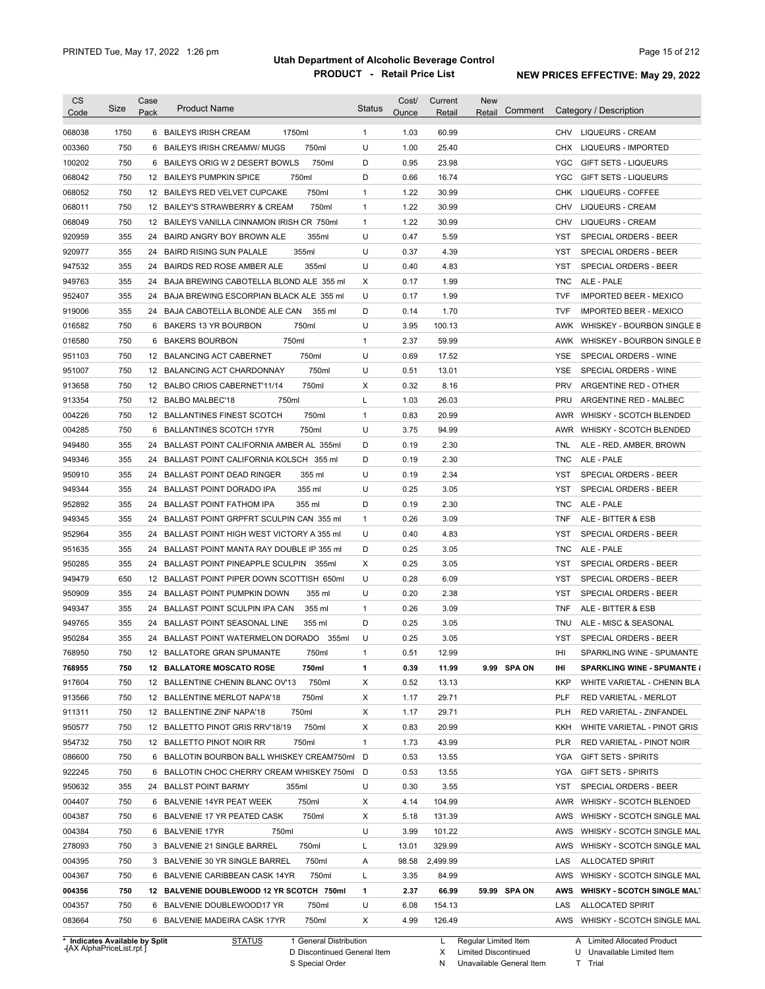| <b>CS</b><br>Code                    | <b>Size</b> | Case<br>Pack | <b>Product Name</b>                         | <b>Status</b> | Cost/<br>Ounce | Current<br>Retail | <b>New</b><br>Comment<br>Retail | Category / Description                      |
|--------------------------------------|-------------|--------------|---------------------------------------------|---------------|----------------|-------------------|---------------------------------|---------------------------------------------|
| 068038                               | 1750        |              | 1750ml<br>6 BAILEYS IRISH CREAM             | $\mathbf{1}$  | 1.03           | 60.99             |                                 | <b>LIQUEURS - CREAM</b><br>CHV              |
| 003360                               | 750         | 6            | 750ml<br>BAILEYS IRISH CREAMW/ MUGS         | U             | 1.00           | 25.40             |                                 | CHX<br>LIQUEURS - IMPORTED                  |
| 100202                               | 750         |              | 6 BAILEYS ORIG W 2 DESERT BOWLS<br>750ml    | D             | 0.95           | 23.98             |                                 | YGC<br><b>GIFT SETS - LIQUEURS</b>          |
| 068042                               | 750         |              | 750ml<br>12 BAILEYS PUMPKIN SPICE           | D             | 0.66           | 16.74             |                                 | <b>YGC</b><br><b>GIFT SETS - LIQUEURS</b>   |
| 068052                               | 750         |              | 750ml<br>12 BAILEYS RED VELVET CUPCAKE      | $\mathbf{1}$  | 1.22           | 30.99             |                                 | CHK<br><b>LIQUEURS - COFFEE</b>             |
| 068011                               | 750         |              | 750ml<br>12 BAILEY'S STRAWBERRY & CREAM     | $\mathbf{1}$  | 1.22           | 30.99             |                                 | <b>CHV</b><br><b>LIQUEURS - CREAM</b>       |
| 068049                               | 750         |              | 12 BAILEYS VANILLA CINNAMON IRISH CR 750ml  | $\mathbf{1}$  | 1.22           | 30.99             |                                 | CHV<br><b>LIQUEURS - CREAM</b>              |
| 920959                               | 355         |              | 24 BAIRD ANGRY BOY BROWN ALE<br>355ml       | U             | 0.47           | 5.59              |                                 | YST<br>SPECIAL ORDERS - BEER                |
| 920977                               | 355         |              | 355ml<br>24 BAIRD RISING SUN PALALE         | U             | 0.37           | 4.39              |                                 | SPECIAL ORDERS - BEER<br>YST                |
| 947532                               | 355         |              | 24 BAIRDS RED ROSE AMBER ALE<br>355ml       | U             | 0.40           | 4.83              |                                 | SPECIAL ORDERS - BEER<br>YST                |
| 949763                               | 355         | 24           | BAJA BREWING CABOTELLA BLOND ALE 355 ml     | X             | 0.17           | 1.99              |                                 | <b>TNC</b><br>ALE - PALE                    |
| 952407                               | 355         | 24           | BAJA BREWING ESCORPIAN BLACK ALE 355 ml     | U             | 0.17           | 1.99              |                                 | <b>TVF</b><br><b>IMPORTED BEER - MEXICO</b> |
| 919006                               | 355         | 24           | BAJA CABOTELLA BLONDE ALE CAN<br>355 ml     | D             | 0.14           | 1.70              |                                 | <b>TVF</b><br><b>IMPORTED BEER - MEXICO</b> |
| 016582                               | 750         | 6            | BAKERS 13 YR BOURBON<br>750ml               | U             | 3.95           | 100.13            |                                 | AWK<br>WHISKEY - BOURBON SINGLE B           |
| 016580                               | 750         | 6            | 750ml<br><b>BAKERS BOURBON</b>              | $\mathbf{1}$  | 2.37           | 59.99             |                                 | AWK<br>WHISKEY - BOURBON SINGLE B           |
| 951103                               | 750         | 12           | 750ml<br><b>BALANCING ACT CABERNET</b>      | U             | 0.69           | 17.52             |                                 | <b>YSE</b><br>SPECIAL ORDERS - WINE         |
| 951007                               | 750         | 12           | 750ml<br>BALANCING ACT CHARDONNAY           | U             | 0.51           | 13.01             |                                 | <b>YSE</b><br>SPECIAL ORDERS - WINE         |
| 913658                               | 750         |              | 750ml<br>12 BALBO CRIOS CABERNET'11/14      | Χ             | 0.32           | 8.16              |                                 | <b>PRV</b><br>ARGENTINE RED - OTHER         |
| 913354                               | 750         |              | 750ml<br>12 BALBO MALBEC'18                 | Г             | 1.03           | 26.03             |                                 | PRU<br>ARGENTINE RED - MALBEC               |
| 004226                               | 750         |              | 750ml<br>12 BALLANTINES FINEST SCOTCH       | $\mathbf{1}$  | 0.83           | 20.99             |                                 | AWR<br>WHISKY - SCOTCH BLENDED              |
| 004285                               | 750         | 6            | 750ml<br><b>BALLANTINES SCOTCH 17YR</b>     | U             | 3.75           | 94.99             |                                 | AWR<br>WHISKY - SCOTCH BLENDED              |
| 949480                               | 355         | 24           | BALLAST POINT CALIFORNIA AMBER AL 355ml     | D             | 0.19           | 2.30              |                                 | TNL<br>ALE - RED, AMBER, BROWN              |
| 949346                               | 355         | 24           | BALLAST POINT CALIFORNIA KOLSCH 355 ml      | D             | 0.19           | 2.30              |                                 | <b>TNC</b><br>ALE - PALE                    |
| 950910                               | 355         | 24           | <b>BALLAST POINT DEAD RINGER</b><br>355 ml  | U             | 0.19           | 2.34              |                                 | SPECIAL ORDERS - BEER<br>YST                |
|                                      |             |              |                                             |               |                |                   |                                 |                                             |
| 949344                               | 355         | 24           | 355 ml<br><b>BALLAST POINT DORADO IPA</b>   | U<br>D        | 0.25           | 3.05              |                                 | SPECIAL ORDERS - BEER<br>YST                |
| 952892                               | 355         | 24           | <b>BALLAST POINT FATHOM IPA</b><br>355 ml   |               | 0.19           | 2.30              |                                 | ALE - PALE<br>TNC                           |
| 949345                               | 355         | 24           | BALLAST POINT GRPFRT SCULPIN CAN 355 ml     | $\mathbf{1}$  | 0.26           | 3.09              |                                 | ALE - BITTER & ESB<br>TNF                   |
| 952964                               | 355         | 24           | BALLAST POINT HIGH WEST VICTORY A 355 ml    | U             | 0.40           | 4.83              |                                 | YST<br>SPECIAL ORDERS - BEER                |
| 951635                               | 355         | 24           | BALLAST POINT MANTA RAY DOUBLE IP 355 ml    | D             | 0.25           | 3.05              |                                 | <b>TNC</b><br>ALE - PALE                    |
| 950285                               | 355         | 24           | BALLAST POINT PINEAPPLE SCULPIN 355ml       | Χ             | 0.25           | 3.05              |                                 | <b>YST</b><br>SPECIAL ORDERS - BEER         |
| 949479                               | 650         | 12           | BALLAST POINT PIPER DOWN SCOTTISH 650ml     | U             | 0.28           | 6.09              |                                 | <b>YST</b><br>SPECIAL ORDERS - BEER         |
| 950909                               | 355         | 24           | <b>BALLAST POINT PUMPKIN DOWN</b><br>355 ml | U             | 0.20           | 2.38              |                                 | <b>YST</b><br>SPECIAL ORDERS - BEER         |
| 949347                               | 355         | 24           | BALLAST POINT SCULPIN IPA CAN<br>355 ml     | $\mathbf{1}$  | 0.26           | 3.09              |                                 | <b>TNF</b><br>ALE - BITTER & ESB            |
| 949765                               | 355         |              | 24 BALLAST POINT SEASONAL LINE<br>355 ml    | D             | 0.25           | 3.05              |                                 | <b>TNU</b><br>ALE - MISC & SEASONAL         |
| 950284                               | 355         |              | 24 BALLAST POINT WATERMELON DORADO 355ml    | U             | 0.25           | 3.05              |                                 | YST<br>SPECIAL ORDERS - BEER                |
| 768950                               | 750         |              | 12 BALLATORE GRAN SPUMANTE<br>750ml         | 1             | 0.51           | 12.99             |                                 | IHI<br>SPARKLING WINE - SPUMANTE            |
| 768955                               | 750         |              | 12 BALLATORE MOSCATO ROSE<br>750ml          | 1             | 0.39           | 11.99             | 9.99 SPA ON                     | Ш<br><b>SPARKLING WINE - SPUMANTE &amp;</b> |
| 917604                               | 750         |              | 750ml<br>12 BALLENTINE CHENIN BLANC OV'13   | Х             | 0.52           | 13.13             |                                 | KKP<br>WHITE VARIETAL - CHENIN BLA          |
| 913566                               | 750         |              | 750ml<br>12 BALLENTINE MERLOT NAPA'18       | Х             | 1.17           | 29.71             |                                 | <b>PLF</b><br>RED VARIETAL - MERLOT         |
| 911311                               | 750         |              | 750ml<br>12 BALLENTINE ZINF NAPA'18         | Х             | 1.17           | 29.71             |                                 | PLH<br>RED VARIETAL - ZINFANDEL             |
| 950577                               | 750         |              | 750ml<br>12 BALLETTO PINOT GRIS RRV'18/19   | Х             | 0.83           | 20.99             |                                 | KKH<br>WHITE VARIETAL - PINOT GRIS          |
| 954732                               | 750         |              | 12 BALLETTO PINOT NOIR RR<br>750ml          | $\mathbf{1}$  | 1.73           | 43.99             |                                 | PLR<br>RED VARIETAL - PINOT NOIR            |
| 086600                               | 750         |              | 6 BALLOTIN BOURBON BALL WHISKEY CREAM750ml  | D             | 0.53           | 13.55             |                                 | YGA<br><b>GIFT SETS - SPIRITS</b>           |
| 922245                               | 750         |              | 6 BALLOTIN CHOC CHERRY CREAM WHISKEY 750ml  | D             | 0.53           | 13.55             |                                 | YGA<br><b>GIFT SETS - SPIRITS</b>           |
| 950632                               | 355         |              | 24 BALLST POINT BARMY<br>355ml              | U             | 0.30           | 3.55              |                                 | <b>YST</b><br>SPECIAL ORDERS - BEER         |
| 004407                               | 750         |              | 6 BALVENIE 14YR PEAT WEEK<br>750ml          | Х             | 4.14           | 104.99            |                                 | AWR<br>WHISKY - SCOTCH BLENDED              |
| 004387                               | 750         |              | 750ml<br>6 BALVENIE 17 YR PEATED CASK       | Х             | 5.18           | 131.39            |                                 | AWS<br>WHISKY - SCOTCH SINGLE MAL           |
| 004384                               | 750         |              | 6 BALVENIE 17YR<br>750ml                    | U             | 3.99           | 101.22            |                                 | AWS<br>WHISKY - SCOTCH SINGLE MAL           |
| 278093                               | 750         |              | 3 BALVENIE 21 SINGLE BARREL<br>750ml        | Г             | 13.01          | 329.99            |                                 | AWS<br>WHISKY - SCOTCH SINGLE MAL           |
|                                      | 750         |              | 3 BALVENIE 30 YR SINGLE BARREL<br>750ml     | Α             | 98.58          | 2,499.99          |                                 | LAS<br><b>ALLOCATED SPIRIT</b>              |
|                                      |             |              | 750ml<br>6 BALVENIE CARIBBEAN CASK 14YR     | L             | 3.35           | 84.99             |                                 | AWS<br>WHISKY - SCOTCH SINGLE MAL           |
|                                      | 750         |              |                                             |               |                |                   |                                 |                                             |
|                                      | 750         |              | 12 BALVENIE DOUBLEWOOD 12 YR SCOTCH 750ml   | 1             | 2.37           | 66.99             | 59.99 SPA ON                    | AWS<br><b>WHISKY - SCOTCH SINGLE MALT</b>   |
| 004395<br>004367<br>004356<br>004357 | 750         |              | 6 BALVENIE DOUBLEWOOD17 YR<br>750ml         | U             | 6.08           | 154.13            |                                 | LAS<br><b>ALLOCATED SPIRIT</b>              |

**Case** [AX AlphaPriceList.rpt ]

General Distribution 

Discontinued General Item D

S Special Order

Regular Limited Item Limited Discontinued

Unavailable General Item

X N U Unavailable Limited Item

T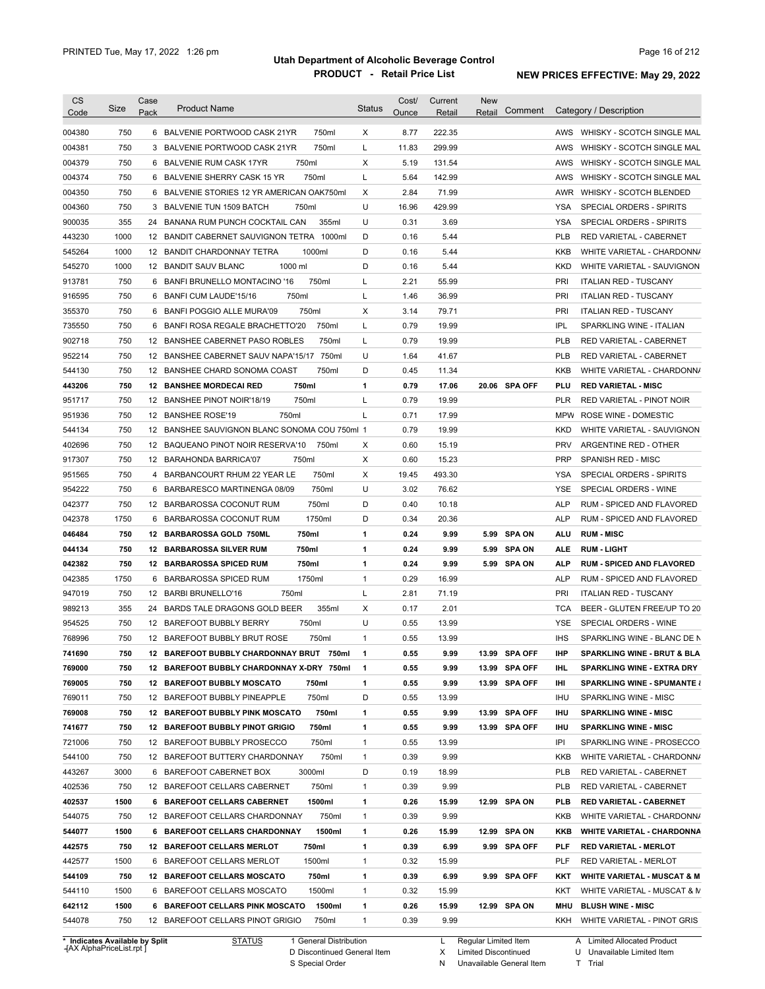| <b>CS</b>                                                                                                                      |             | Case |                                                                                        |                   | Cost/        | Current       | <b>New</b>            |                   |                                                         |
|--------------------------------------------------------------------------------------------------------------------------------|-------------|------|----------------------------------------------------------------------------------------|-------------------|--------------|---------------|-----------------------|-------------------|---------------------------------------------------------|
| Code                                                                                                                           | Size        | Pack | <b>Product Name</b>                                                                    | <b>Status</b>     | Ounce        | Retail        | Comment<br>Retail     |                   | Category / Description                                  |
| 004380                                                                                                                         | 750         |      | 6 BALVENIE PORTWOOD CASK 21YR<br>750ml                                                 | Χ                 | 8.77         | 222.35        |                       |                   | AWS WHISKY - SCOTCH SINGLE MAL                          |
| 004381                                                                                                                         | 750         |      | 3 BALVENIE PORTWOOD CASK 21YR<br>750ml                                                 | L                 | 11.83        | 299.99        |                       | AWS               | WHISKY - SCOTCH SINGLE MAL                              |
| 004379                                                                                                                         | 750         |      | 750ml<br>6 BALVENIE RUM CASK 17YR                                                      | Χ                 | 5.19         | 131.54        |                       | AWS               | WHISKY - SCOTCH SINGLE MAL                              |
| 004374                                                                                                                         | 750         |      | 750ml<br>6 BALVENIE SHERRY CASK 15 YR                                                  | L                 | 5.64         | 142.99        |                       | AWS               | WHISKY - SCOTCH SINGLE MAL                              |
| 004350                                                                                                                         | 750         | 6    | BALVENIE STORIES 12 YR AMERICAN OAK750ml                                               | Χ                 | 2.84         | 71.99         |                       | AWR               | WHISKY - SCOTCH BLENDED                                 |
| 004360                                                                                                                         | 750         |      | 750ml<br>3 BALVENIE TUN 1509 BATCH                                                     | U                 | 16.96        | 429.99        |                       | <b>YSA</b>        | SPECIAL ORDERS - SPIRITS                                |
| 900035                                                                                                                         | 355         |      | 355ml<br>24 BANANA RUM PUNCH COCKTAIL CAN                                              | U                 | 0.31         | 3.69          |                       | YSA               | SPECIAL ORDERS - SPIRITS                                |
| 443230                                                                                                                         | 1000        |      | 12 BANDIT CABERNET SAUVIGNON TETRA 1000ml                                              | D                 | 0.16         | 5.44          |                       | <b>PLB</b>        | RED VARIETAL - CABERNET                                 |
| 545264                                                                                                                         | 1000        |      | 1000ml<br>12 BANDIT CHARDONNAY TETRA                                                   | D                 | 0.16         | 5.44          |                       | <b>KKB</b>        | WHITE VARIETAL - CHARDONN/                              |
| 545270                                                                                                                         | 1000        |      | 1000 ml<br>12 BANDIT SAUV BLANC                                                        | D                 | 0.16         | 5.44          |                       | <b>KKD</b>        | WHITE VARIETAL - SAUVIGNON                              |
| 913781                                                                                                                         | 750         | 6    | BANFI BRUNELLO MONTACINO '16<br>750ml                                                  | L                 | 2.21         | 55.99         |                       | PRI               | <b>ITALIAN RED - TUSCANY</b>                            |
| 916595                                                                                                                         | 750         | 6    | 750ml<br>BANFI CUM LAUDE'15/16                                                         | L                 | 1.46         | 36.99         |                       | PRI               | <b>ITALIAN RED - TUSCANY</b>                            |
| 355370                                                                                                                         | 750         |      | 750ml<br>6 BANFI POGGIO ALLE MURA'09                                                   | Х                 | 3.14         | 79.71         |                       | PRI               | <b>ITALIAN RED - TUSCANY</b>                            |
| 735550                                                                                                                         | 750         | 6    | 750ml<br>BANFI ROSA REGALE BRACHETTO'20                                                | L                 | 0.79         | 19.99         |                       | <b>IPL</b>        | SPARKLING WINE - ITALIAN                                |
| 902718                                                                                                                         | 750         |      | 750ml<br>12 BANSHEE CABERNET PASO ROBLES                                               | L                 | 0.79         | 19.99         |                       | <b>PLB</b>        | <b>RED VARIETAL - CABERNET</b>                          |
| 952214                                                                                                                         | 750         |      | 12 BANSHEE CABERNET SAUV NAPA'15/17 750ml                                              | U                 | 1.64         | 41.67         |                       | <b>PLB</b>        | <b>RED VARIETAL - CABERNET</b>                          |
| 544130                                                                                                                         | 750         |      | 12 BANSHEE CHARD SONOMA COAST<br>750ml                                                 | D                 | 0.45         | 11.34         |                       | KKB               | WHITE VARIETAL - CHARDONN/                              |
| 443206                                                                                                                         | 750         |      | 750ml<br><b>12 BANSHEE MORDECAI RED</b>                                                | $\mathbf{1}$      | 0.79         | 17.06         | 20.06 SPA OFF         | PLU               | <b>RED VARIETAL - MISC</b>                              |
| 951717                                                                                                                         | 750         |      | 750ml<br>12 BANSHEE PINOT NOIR'18/19                                                   | L                 | 0.79         | 19.99         |                       | <b>PLR</b>        | RED VARIETAL - PINOT NOIR                               |
| 951936                                                                                                                         | 750         |      | 750ml<br>12 BANSHEE ROSE'19                                                            | L                 | 0.71         | 17.99         |                       | <b>MPW</b>        | ROSE WINE - DOMESTIC                                    |
| 544134                                                                                                                         | 750         |      | 12 BANSHEE SAUVIGNON BLANC SONOMA COU 750ml 1                                          |                   | 0.79         | 19.99         |                       | <b>KKD</b>        | WHITE VARIETAL - SAUVIGNON                              |
| 402696                                                                                                                         | 750         |      | 12 BAQUEANO PINOT NOIR RESERVA'10<br>750ml                                             | Х                 | 0.60         | 15.19         |                       | <b>PRV</b>        | ARGENTINE RED - OTHER                                   |
| 917307                                                                                                                         | 750         |      | 750ml<br>12 BARAHONDA BARRICA'07                                                       | Х                 | 0.60         | 15.23         |                       | <b>PRP</b>        | SPANISH RED - MISC                                      |
| 951565                                                                                                                         | 750         | 4    | 750ml<br>BARBANCOURT RHUM 22 YEAR LE                                                   | Х                 | 19.45        | 493.30        |                       | YSA               | SPECIAL ORDERS - SPIRITS                                |
| 954222                                                                                                                         | 750         | 6    | 750ml<br>BARBARESCO MARTINENGA 08/09                                                   | U                 | 3.02         | 76.62         |                       | <b>YSE</b>        | SPECIAL ORDERS - WINE                                   |
| 042377                                                                                                                         | 750         |      | 750ml<br>12 BARBAROSSA COCONUT RUM                                                     | D                 | 0.40         | 10.18         |                       | <b>ALP</b>        | RUM - SPICED AND FLAVORED                               |
| 042378                                                                                                                         | 1750        | 6    | 1750ml<br>BARBAROSSA COCONUT RUM                                                       | D                 | 0.34         | 20.36         |                       | <b>ALP</b>        | RUM - SPICED AND FLAVORED                               |
| 046484                                                                                                                         | 750         |      | 750ml<br>12 BARBAROSSA GOLD 750ML                                                      | 1                 | 0.24         | 9.99          | <b>SPA ON</b><br>5.99 | <b>ALU</b>        | <b>RUM - MISC</b>                                       |
| 044134                                                                                                                         | 750         |      | 750ml<br>12 BARBAROSSA SILVER RUM                                                      | 1                 | 0.24         | 9.99          | <b>SPA ON</b><br>5.99 | <b>ALE</b>        | <b>RUM LIGHT</b>                                        |
| 042382                                                                                                                         | 750         |      | 750ml<br><b>12 BARBAROSSA SPICED RUM</b>                                               | 1                 | 0.24         | 9.99          | 5.99 SPA ON           | <b>ALP</b>        | <b>RUM - SPICED AND FLAVORED</b>                        |
| 042385                                                                                                                         | 1750        |      | 6 BARBAROSSA SPICED RUM<br>1750ml                                                      | $\mathbf{1}$      | 0.29         | 16.99         |                       | <b>ALP</b>        | RUM - SPICED AND FLAVORED                               |
| 947019                                                                                                                         | 750         |      | 12 BARBI BRUNELLO'16<br>750ml                                                          | L                 | 2.81         | 71.19         |                       | PRI               | <b>ITALIAN RED - TUSCANY</b>                            |
| 989213                                                                                                                         | 355         | 24   | BARDS TALE DRAGONS GOLD BEER<br>355ml                                                  | Х                 | 0.17         | 2.01          |                       | <b>TCA</b>        | BEER - GLUTEN FREE/UP TO 20                             |
| 954525                                                                                                                         | 750         |      | 750ml<br>12 BAREFOOT BUBBLY BERRY                                                      | U                 | 0.55         | 13.99         |                       | YSE               | SPECIAL ORDERS - WINE                                   |
| 768996                                                                                                                         | 750         |      | 12 BAREFOOT BUBBLY BRUT ROSE<br>750ml                                                  | $\mathbf{1}$      | 0.55         | 13.99         |                       | <b>IHS</b>        | SPARKLING WINE - BLANC DE N                             |
| 741690                                                                                                                         | 750         |      | 12 BAREFOOT BUBBLY CHARDONNAY BRUT 750ml                                               | 1                 | 0.55         | 9.99          | 13.99 SPA OFF         | <b>IHP</b>        | <b>SPARKLING WINE - BRUT &amp; BLA</b>                  |
| 769000                                                                                                                         | 750         |      | 12 BAREFOOT BUBBLY CHARDONNAY X-DRY 750ml                                              | 1                 | 0.55         | 9.99          | 13.99 SPA OFF         | IHL               | <b>SPARKLING WINE - EXTRA DRY</b>                       |
| 769005                                                                                                                         | 750         |      | 12 BAREFOOT BUBBLY MOSCATO<br>750ml                                                    | 1                 | 0.55         | 9.99          |                       | Ш                 | <b>SPARKLING WINE - SPUMANTE &amp;</b>                  |
|                                                                                                                                |             |      |                                                                                        |                   |              |               |                       |                   |                                                         |
|                                                                                                                                |             |      |                                                                                        |                   |              |               | 13.99 SPA OFF         |                   |                                                         |
|                                                                                                                                | 750         |      | 750ml<br>12 BAREFOOT BUBBLY PINEAPPLE                                                  | D                 | 0.55         | 13.99         |                       | IHU               | SPARKLING WINE - MISC                                   |
|                                                                                                                                | 750         |      | 750ml<br>12 BAREFOOT BUBBLY PINK MOSCATO                                               | 1                 | 0.55         | 9.99          | 13.99 SPA OFF         | IHU               | <b>SPARKLING WINE - MISC</b>                            |
|                                                                                                                                | 750         |      | 750ml<br>12 BAREFOOT BUBBLY PINOT GRIGIO                                               | 1                 | 0.55         | 9.99          | 13.99 SPA OFF         | IHU               | <b>SPARKLING WINE - MISC</b>                            |
|                                                                                                                                | 750         |      | 750ml<br>12 BAREFOOT BUBBLY PROSECCO                                                   | $\mathbf{1}$      | 0.55         | 13.99         |                       | IPI               | SPARKLING WINE - PROSECCO                               |
|                                                                                                                                | 750         |      | 750ml<br>12 BAREFOOT BUTTERY CHARDONNAY                                                | $\mathbf{1}$      | 0.39         | 9.99          |                       | KKB               | WHITE VARIETAL - CHARDONN/                              |
|                                                                                                                                | 3000        |      | 3000ml<br>6 BAREFOOT CABERNET BOX                                                      | D                 | 0.19         | 18.99         |                       | <b>PLB</b>        | RED VARIETAL - CABERNET                                 |
|                                                                                                                                | 750         |      | 12 BAREFOOT CELLARS CABERNET<br>750ml                                                  | $\mathbf{1}$      | 0.39         | 9.99          |                       | <b>PLB</b>        | RED VARIETAL - CABERNET                                 |
|                                                                                                                                | 1500        |      | 1500ml<br>6 BAREFOOT CELLARS CABERNET                                                  | 1                 | 0.26         | 15.99         | 12.99 SPA ON          | <b>PLB</b>        | RED VARIETAL - CABERNET                                 |
|                                                                                                                                | 750         |      | 750ml<br>12 BAREFOOT CELLARS CHARDONNAY                                                | $\mathbf{1}$      | 0.39         | 9.99          |                       | KKB               | WHITE VARIETAL - CHARDONN/                              |
|                                                                                                                                | 1500        |      | 6 BAREFOOT CELLARS CHARDONNAY<br>1500ml                                                | 1                 | 0.26         | 15.99         | 12.99 SPA ON          | KKB               | <b>WHITE VARIETAL - CHARDONNA</b>                       |
|                                                                                                                                | 750         |      | 12 BAREFOOT CELLARS MERLOT<br>750ml                                                    | 1                 | 0.39         | 6.99          | 9.99 SPA OFF          | PLF               | <b>RED VARIETAL - MERLOT</b>                            |
|                                                                                                                                | 1500        |      | 1500ml<br>6 BAREFOOT CELLARS MERLOT                                                    | $\mathbf{1}$      | 0.32         | 15.99         |                       | PLF               | RED VARIETAL - MERLOT                                   |
| 769011<br>769008<br>741677<br>721006<br>544100<br>443267<br>402536<br>402537<br>544075<br>544077<br>442575<br>442577<br>544109 | 750         |      | 12 BAREFOOT CELLARS MOSCATO<br>750ml                                                   | 1                 | 0.39         | 6.99          | 9.99 SPA OFF          | KKT               | <b>WHITE VARIETAL - MUSCAT &amp; M</b>                  |
| 544110                                                                                                                         | 1500        |      | 1500ml<br>6 BAREFOOT CELLARS MOSCATO                                                   | $\mathbf{1}$      | 0.32         | 15.99         |                       | KKT               | WHITE VARIETAL - MUSCAT & M                             |
| 642112<br>544078                                                                                                               | 1500<br>750 |      | 6 BAREFOOT CELLARS PINK MOSCATO<br>1500ml<br>12 BAREFOOT CELLARS PINOT GRIGIO<br>750ml | 1<br>$\mathbf{1}$ | 0.26<br>0.39 | 15.99<br>9.99 | 12.99 SPA ON          | <b>MHU</b><br>KKH | <b>BLUSH WINE - MISC</b><br>WHITE VARIETAL - PINOT GRIS |

**Case** [AX AlphaPriceList.rpt ]

D Discontinued General Item S Special Order

L Regular Limited Item

X N Limited Discontinued

Unavailable General Item

A Limited Allocated Product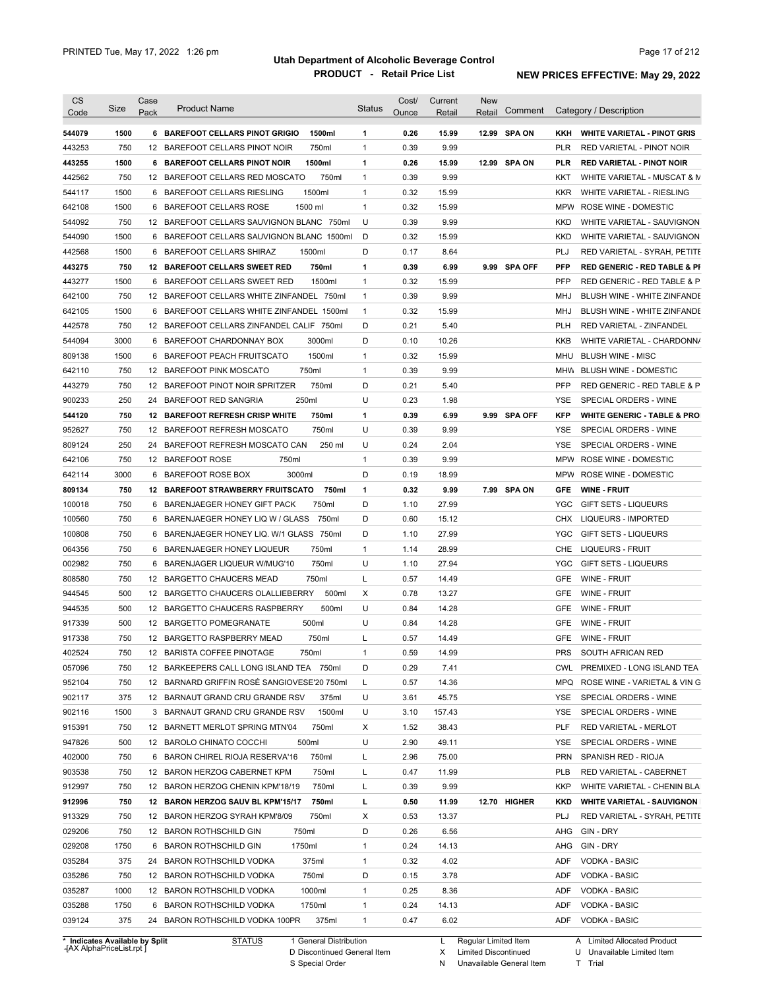| <b>CS</b><br>Code          | Size | Case<br>Pack | <b>Product Name</b>                               | <b>Status</b> | Cost/<br>Ounce | Current<br>Retail | <b>New</b><br>Retail | Comment       |            | Category / Description                  |
|----------------------------|------|--------------|---------------------------------------------------|---------------|----------------|-------------------|----------------------|---------------|------------|-----------------------------------------|
| 544079                     | 1500 |              | 1500ml<br>6 BAREFOOT CELLARS PINOT GRIGIO         | 1             | 0.26           | 15.99             | 12.99                | <b>SPA ON</b> | KKH        | <b>WHITE VARIETAL - PINOT GRIS</b>      |
| 443253                     | 750  |              | 750ml<br>12 BAREFOOT CELLARS PINOT NOIR           | $\mathbf{1}$  | 0.39           | 9.99              |                      |               | <b>PLR</b> | RED VARIETAL - PINOT NOIR               |
| 443255                     | 1500 |              | 6 BAREFOOT CELLARS PINOT NOIR<br>1500ml           | 1             | 0.26           | 15.99             |                      | 12.99 SPA ON  | <b>PLR</b> | <b>RED VARIETAL - PINOT NOIR</b>        |
| 442562                     | 750  |              | 12 BAREFOOT CELLARS RED MOSCATO<br>750ml          | $\mathbf{1}$  | 0.39           | 9.99              |                      |               | KKT        | WHITE VARIETAL - MUSCAT & M             |
| 544117                     | 1500 |              | 1500ml<br>6 BAREFOOT CELLARS RIESLING             | $\mathbf{1}$  | 0.32           | 15.99             |                      |               | <b>KKR</b> | WHITE VARIETAL - RIESLING               |
| 642108                     | 1500 |              | 6 BAREFOOT CELLARS ROSE<br>1500 ml                | $\mathbf{1}$  | 0.32           | 15.99             |                      |               |            | MPW ROSE WINE - DOMESTIC                |
| 544092                     | 750  |              | 12 BAREFOOT CELLARS SAUVIGNON BLANC 750ml         | U             | 0.39           | 9.99              |                      |               | <b>KKD</b> | WHITE VARIETAL - SAUVIGNON              |
| 544090                     | 1500 | 6            | BAREFOOT CELLARS SAUVIGNON BLANC 1500ml           | D             | 0.32           | 15.99             |                      |               | <b>KKD</b> | WHITE VARIETAL - SAUVIGNON              |
| 442568                     | 1500 | 6            | BAREFOOT CELLARS SHIRAZ<br>1500ml                 | D             | 0.17           | 8.64              |                      |               | PLJ        | RED VARIETAL - SYRAH, PETITE            |
| 443275                     | 750  |              | 750ml<br>12 BAREFOOT CELLARS SWEET RED            | 1             | 0.39           | 6.99              |                      | 9.99 SPA OFF  | <b>PFP</b> | <b>RED GENERIC - RED TABLE &amp; PI</b> |
| 443277                     | 1500 |              | 6 BAREFOOT CELLARS SWEET RED<br>1500ml            | $\mathbf{1}$  | 0.32           | 15.99             |                      |               | PFP        | RED GENERIC - RED TABLE & P             |
| 642100                     | 750  |              | 12 BAREFOOT CELLARS WHITE ZINFANDEL 750ml         | $\mathbf{1}$  | 0.39           | 9.99              |                      |               | MHJ        | BLUSH WINE - WHITE ZINFANDE             |
| 642105                     | 1500 |              | 6 BAREFOOT CELLARS WHITE ZINFANDEL 1500ml         | $\mathbf{1}$  | 0.32           | 15.99             |                      |               | MHJ        | BLUSH WINE - WHITE ZINFANDE             |
| 442578                     | 750  |              | 12 BAREFOOT CELLARS ZINFANDEL CALIF 750ml         | D             | 0.21           | 5.40              |                      |               | <b>PLH</b> | RED VARIETAL - ZINFANDEL                |
| 544094                     | 3000 |              | 6 BAREFOOT CHARDONNAY BOX<br>3000ml               | D             | 0.10           | 10.26             |                      |               | KKB        | WHITE VARIETAL - CHARDONN/              |
| 809138                     | 1500 | 6            | 1500ml<br>BAREFOOT PEACH FRUITSCATO               | $\mathbf{1}$  | 0.32           | 15.99             |                      |               | MHU        | <b>BLUSH WINE - MISC</b>                |
| 642110                     | 750  |              | 750ml<br>12 BAREFOOT PINK MOSCATO                 | $\mathbf{1}$  | 0.39           | 9.99              |                      |               |            | MHW BLUSH WINE - DOMESTIC               |
| 443279                     | 750  |              | 750ml<br>12 BAREFOOT PINOT NOIR SPRITZER          | D             | 0.21           | 5.40              |                      |               | <b>PFP</b> | RED GENERIC - RED TABLE & P             |
| 900233                     | 250  | 24           | 250ml<br>BAREFOOT RED SANGRIA                     | U             | 0.23           | 1.98              |                      |               | YSE        | SPECIAL ORDERS - WINE                   |
| 544120                     | 750  |              | 12 BAREFOOT REFRESH CRISP WHITE<br>750ml          | 1             | 0.39           | 6.99              |                      | 9.99 SPA OFF  | <b>KFP</b> | <b>WHITE GENERIC - TABLE &amp; PRO</b>  |
| 952627                     | 750  |              | 12 BAREFOOT REFRESH MOSCATO<br>750ml              | U             | 0.39           | 9.99              |                      |               | YSE        | SPECIAL ORDERS - WINE                   |
| 809124                     | 250  | 24           | 250 ml<br>BAREFOOT REFRESH MOSCATO CAN            | U             | 0.24           | 2.04              |                      |               | YSE        | SPECIAL ORDERS - WINE                   |
| 642106                     | 750  |              | 750ml<br>12 BAREFOOT ROSE                         | $\mathbf{1}$  | 0.39           | 9.99              |                      |               | MPW        | ROSE WINE - DOMESTIC                    |
| 642114                     | 3000 | 6            | 3000ml<br>BAREFOOT ROSE BOX                       | D             | 0.19           | 18.99             |                      |               |            | MPW ROSE WINE - DOMESTIC                |
| 809134                     | 750  |              | <b>12 BAREFOOT STRAWBERRY FRUITSCATO</b><br>750ml | 1             | 0.32           | 9.99              |                      | 7.99 SPA ON   | <b>GFE</b> | <b>WINE FRUIT</b>                       |
| 100018                     | 750  | 6            | 750ml<br>BARENJAEGER HONEY GIFT PACK              | D             | 1.10           | 27.99             |                      |               | YGC        | GIFT SETS - LIQUEURS                    |
| 100560                     | 750  | 6            | 750ml<br>BARENJAEGER HONEY LIQ W / GLASS          | D             | 0.60           | 15.12             |                      |               | CHX        | LIQUEURS - IMPORTED                     |
| 100808                     | 750  | 6            | BARENJAEGER HONEY LIQ. W/1 GLASS 750ml            | D             | 1.10           | 27.99             |                      |               | <b>YGC</b> | <b>GIFT SETS - LIQUEURS</b>             |
| 064356                     | 750  | 6            | 750ml<br>BARENJAEGER HONEY LIQUEUR                | $\mathbf{1}$  | 1.14           | 28.99             |                      |               | CHE        | LIQUEURS - FRUIT                        |
|                            | 750  | 6            | BARENJAGER LIQUEUR W/MUG'10<br>750ml              | U             | 1.10           | 27.94             |                      |               | <b>YGC</b> | <b>GIFT SETS - LIQUEURS</b>             |
| 002982<br>808580           | 750  |              | 750ml<br>12 BARGETTO CHAUCERS MEAD                | L             | 0.57           | 14.49             |                      |               | <b>GFE</b> |                                         |
|                            |      |              |                                                   |               |                |                   |                      |               |            | WINE - FRUIT                            |
| 944545                     | 500  |              | 12 BARGETTO CHAUCERS OLALLIEBERRY<br>500ml        | Х             | 0.78           | 13.27             |                      |               | GFE        | WINE - FRUIT                            |
| 944535                     | 500  |              | 12 BARGETTO CHAUCERS RASPBERRY<br>500ml           | U             | 0.84           | 14.28             |                      |               | GFE        | WINE - FRUIT                            |
| 917339                     | 500  |              | 500ml<br>12 BARGETTO POMEGRANATE                  | U             | 0.84           | 14.28             |                      |               | GFE        | WINE - FRUIT                            |
| 917338                     | 750  |              | 12 BARGETTO RASPBERRY MEAD<br>750ml               | L             | 0.57           | 14.49             |                      |               | <b>GFE</b> | WINE - FRUIT                            |
| 402524                     | 750  |              | 12 BARISTA COFFEE PINOTAGE<br>750ml               | 1             | 0.59           | 14.99             |                      |               |            | PRS SOUTH AFRICAN RED                   |
| 057096                     | 750  |              | 12 BARKEEPERS CALL LONG ISLAND TEA 750ml          | D             | 0.29           | 7.41              |                      |               |            | CWL PREMIXED - LONG ISLAND TEA          |
| 952104                     | 750  |              | 12 BARNARD GRIFFIN ROSÉ SANGIOVESE'20 750ml       | L             | 0.57           | 14.36             |                      |               | MPQ        | ROSE WINE - VARIETAL & VIN G            |
| 902117                     | 375  |              | 12 BARNAUT GRAND CRU GRANDE RSV<br>375ml          | U             | 3.61           | 45.75             |                      |               | YSE        | SPECIAL ORDERS - WINE                   |
| 902116                     | 1500 |              | 1500ml<br>3 BARNAUT GRAND CRU GRANDE RSV          | U             | 3.10           | 157.43            |                      |               | YSE        | SPECIAL ORDERS - WINE                   |
| 915391                     | 750  |              | 12 BARNETT MERLOT SPRING MTN'04<br>750ml          | х             | 1.52           | 38.43             |                      |               | <b>PLF</b> | RED VARIETAL - MERLOT                   |
| 947826                     | 500  |              | 500ml<br>12 BAROLO CHINATO COCCHI                 | U             | 2.90           | 49.11             |                      |               | YSE        | SPECIAL ORDERS - WINE                   |
| 402000                     | 750  |              | 6 BARON CHIREL RIOJA RESERVA'16<br>750ml          | Г             | 2.96           | 75.00             |                      |               | <b>PRN</b> | SPANISH RED - RIOJA                     |
| 903538                     | 750  |              | 12 BARON HERZOG CABERNET KPM<br>750ml             | L             | 0.47           | 11.99             |                      |               | <b>PLB</b> | RED VARIETAL - CABERNET                 |
| 912997                     | 750  |              | 12 BARON HERZOG CHENIN KPM'18/19<br>750ml         | L             | 0.39           | 9.99              |                      |               | <b>KKP</b> | WHITE VARIETAL - CHENIN BLA             |
|                            | 750  |              | 12 BARON HERZOG SAUV BL KPM'15/17<br>750ml        | L             | 0.50           | 11.99             |                      | 12.70 HIGHER  | <b>KKD</b> | <b>WHITE VARIETAL - SAUVIGNON</b>       |
|                            |      |              |                                                   | Х             | 0.53           | 13.37             |                      |               | PLJ        | RED VARIETAL - SYRAH, PETITE            |
|                            | 750  |              | 12 BARON HERZOG SYRAH KPM'8/09<br>750ml           |               |                |                   |                      |               |            |                                         |
|                            | 750  |              | 12 BARON ROTHSCHILD GIN<br>750ml                  | D             | 0.26           | 6.56              |                      |               | AHG        | GIN - DRY                               |
| 913329<br>029206<br>029208 | 1750 |              | 1750ml<br>6 BARON ROTHSCHILD GIN                  | $\mathbf{1}$  | 0.24           | 14.13             |                      |               | AHG        | GIN - DRY                               |
|                            | 375  |              | 375ml<br>24 BARON ROTHSCHILD VODKA                | $\mathbf{1}$  | 0.32           | 4.02              |                      |               | ADF        | VODKA - BASIC                           |
| 035284<br>035286           | 750  |              | 750ml<br>12 BARON ROTHSCHILD VODKA                | D             | 0.15           | 3.78              |                      |               | ADF        | VODKA - BASIC                           |
| 912996<br>035287           | 1000 |              | 1000ml<br>12 BARON ROTHSCHILD VODKA               | $\mathbf{1}$  | 0.25           | 8.36              |                      |               | ADF        | VODKA - BASIC                           |
| 035288                     | 1750 |              | 1750ml<br>6 BARON ROTHSCHILD VODKA                | $\mathbf{1}$  | 0.24           | 14.13             |                      |               | ADF        | VODKA - BASIC                           |

**Case** [AX AlphaPriceList.rpt ]

D Discontinued General Item S Special Order

X Limited Discontinued

N Unavailable General Item

A Limited Allocated Product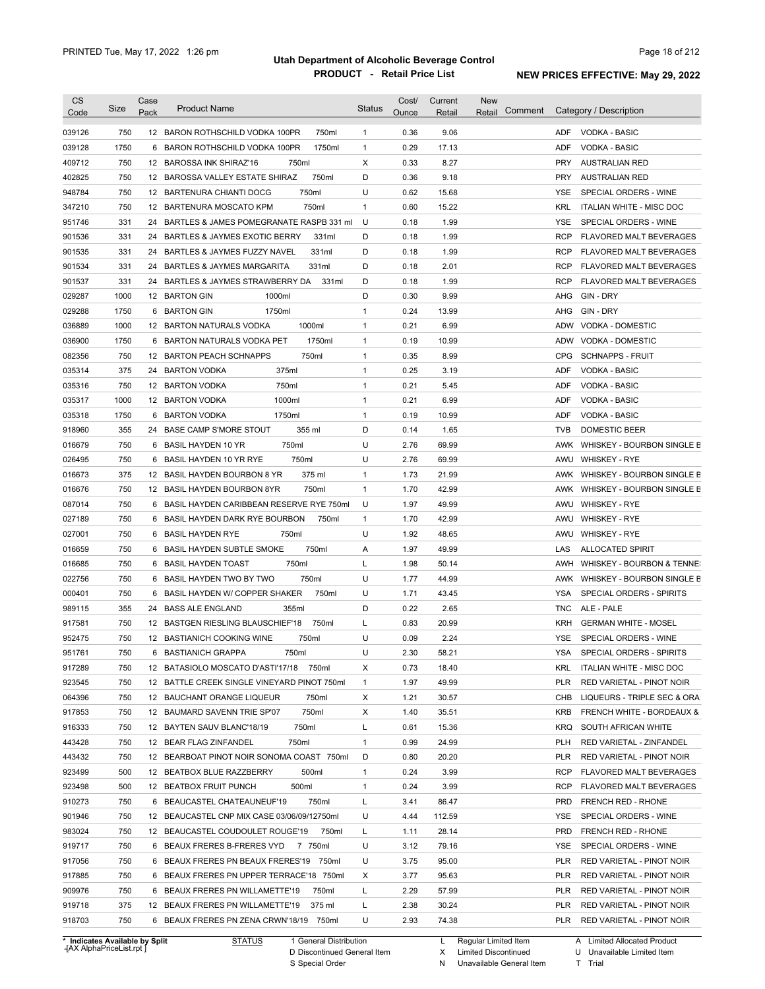| <b>CS</b><br>Code | Size | Case<br>Pack | <b>Product Name</b>                            | <b>Status</b> | Cost/<br>Ounce | Current<br>Retail | <b>New</b><br>Comment<br>Retail | Category / Description                        |
|-------------------|------|--------------|------------------------------------------------|---------------|----------------|-------------------|---------------------------------|-----------------------------------------------|
| 039126            | 750  |              | 12 BARON ROTHSCHILD VODKA 100PR<br>750ml       | $\mathbf{1}$  | 0.36           | 9.06              |                                 | <b>ADF</b><br><b>VODKA - BASIC</b>            |
| 039128            | 1750 |              | 1750ml<br>6 BARON ROTHSCHILD VODKA 100PR       | $\mathbf{1}$  | 0.29           | 17.13             |                                 | ADF<br><b>VODKA - BASIC</b>                   |
| 409712            | 750  |              | 12 BAROSSA INK SHIRAZ'16<br>750ml              | Χ             | 0.33           | 8.27              |                                 | PRY<br><b>AUSTRALIAN RED</b>                  |
| 402825            | 750  |              | 12 BAROSSA VALLEY ESTATE SHIRAZ<br>750ml       | D             | 0.36           | 9.18              |                                 | <b>PRY</b><br><b>AUSTRALIAN RED</b>           |
| 948784            | 750  |              | 12 BARTENURA CHIANTI DOCG<br>750ml             | U             | 0.62           | 15.68             |                                 | SPECIAL ORDERS - WINE<br>YSE                  |
| 347210            | 750  |              | 12 BARTENURA MOSCATO KPM<br>750ml              | $\mathbf{1}$  | 0.60           | 15.22             |                                 | <b>KRL</b><br><b>ITALIAN WHITE - MISC DOC</b> |
| 951746            | 331  |              | 24 BARTLES & JAMES POMEGRANATE RASPB 331 ml    | U             | 0.18           | 1.99              |                                 | <b>YSE</b><br>SPECIAL ORDERS - WINE           |
| 901536            | 331  |              | 24 BARTLES & JAYMES EXOTIC BERRY<br>331ml      | D             | 0.18           | 1.99              |                                 | <b>RCP</b><br><b>FLAVORED MALT BEVERAGES</b>  |
| 901535            | 331  |              | 331ml<br>24 BARTLES & JAYMES FUZZY NAVEL       | D             | 0.18           | 1.99              |                                 | <b>RCP</b><br><b>FLAVORED MALT BEVERAGES</b>  |
| 901534            | 331  | 24           | <b>BARTLES &amp; JAYMES MARGARITA</b><br>331ml | D             | 0.18           | 2.01              |                                 | RCP<br><b>FLAVORED MALT BEVERAGES</b>         |
| 901537            | 331  | 24           | 331ml<br>BARTLES & JAYMES STRAWBERRY DA        | D             | 0.18           | 1.99              |                                 | <b>RCP</b><br><b>FLAVORED MALT BEVERAGES</b>  |
| 029287            | 1000 |              | 1000ml<br>12 BARTON GIN                        | D             | 0.30           | 9.99              |                                 | GIN - DRY<br>AHG                              |
| 029288            | 1750 | 6            | 1750ml<br><b>BARTON GIN</b>                    | 1             | 0.24           | 13.99             |                                 | AHG<br>GIN - DRY                              |
| 036889            | 1000 |              | 1000ml<br>12 BARTON NATURALS VODKA             | 1             | 0.21           | 6.99              |                                 | <b>ADW</b><br>VODKA - DOMESTIC                |
| 036900            | 1750 | 6            | 1750ml<br>BARTON NATURALS VODKA PET            | $\mathbf{1}$  | 0.19           | 10.99             |                                 | ADW<br><b>VODKA - DOMESTIC</b>                |
| 082356            | 750  | 12           | <b>BARTON PEACH SCHNAPPS</b><br>750ml          | $\mathbf{1}$  | 0.35           | 8.99              |                                 | <b>CPG</b><br><b>SCHNAPPS - FRUIT</b>         |
| 035314            | 375  | 24           | <b>BARTON VODKA</b><br>375ml                   | $\mathbf{1}$  | 0.25           | 3.19              |                                 | ADF<br>VODKA - BASIC                          |
| 035316            | 750  |              | 750ml<br>12 BARTON VODKA                       | $\mathbf{1}$  | 0.21           | 5.45              |                                 | ADF<br><b>VODKA - BASIC</b>                   |
| 035317            | 1000 |              | 1000ml<br>12 BARTON VODKA                      | $\mathbf{1}$  | 0.21           | 6.99              |                                 | ADF<br><b>VODKA - BASIC</b>                   |
| 035318            | 1750 | 6            | 1750ml<br><b>BARTON VODKA</b>                  | $\mathbf{1}$  | 0.19           | 10.99             |                                 | ADF<br>VODKA - BASIC                          |
| 918960            | 355  | 24           | <b>BASE CAMP S'MORE STOUT</b><br>355 ml        | D             | 0.14           | 1.65              |                                 | <b>TVB</b><br><b>DOMESTIC BEER</b>            |
| 016679            | 750  | 6            | 750ml<br><b>BASIL HAYDEN 10 YR</b>             | U             | 2.76           | 69.99             |                                 | AWK<br>WHISKEY - BOURBON SINGLE B             |
| 026495            | 750  | 6            | 750ml<br><b>BASIL HAYDEN 10 YR RYE</b>         | U             | 2.76           | 69.99             |                                 | AWU<br><b>WHISKEY - RYE</b>                   |
| 016673            | 375  |              | 375 ml<br>12 BASIL HAYDEN BOURBON 8 YR         | $\mathbf{1}$  | 1.73           | 21.99             |                                 | AWK WHISKEY - BOURBON SINGLE B                |
| 016676            | 750  |              | 750ml<br>12 BASIL HAYDEN BOURBON 8YR           | $\mathbf{1}$  | 1.70           | 42.99             |                                 | AWK WHISKEY - BOURBON SINGLE B                |
| 087014            | 750  | 6            | BASIL HAYDEN CARIBBEAN RESERVE RYE 750ml       | U             | 1.97           | 49.99             |                                 | AWU<br><b>WHISKEY - RYE</b>                   |
| 027189            | 750  | 6            | BASIL HAYDEN DARK RYE BOURBON<br>750ml         | $\mathbf{1}$  | 1.70           | 42.99             |                                 | <b>WHISKEY - RYE</b><br>AWU                   |
| 027001            | 750  | 6            | <b>BASIL HAYDEN RYE</b><br>750ml               | U             | 1.92           | 48.65             |                                 | <b>WHISKEY - RYE</b><br>AWU                   |
| 016659            | 750  | 6            | <b>BASIL HAYDEN SUBTLE SMOKE</b><br>750ml      | Α             | 1.97           | 49.99             |                                 | LAS<br><b>ALLOCATED SPIRIT</b>                |
| 016685            | 750  |              | 750ml<br>6 BASIL HAYDEN TOAST                  | Г             | 1.98           | 50.14             |                                 | WHISKEY - BOURBON & TENNE:<br>AWH             |
| 022756            | 750  |              | 750ml<br>6 BASIL HAYDEN TWO BY TWO             | U             | 1.77           | 44.99             |                                 | AWK WHISKEY - BOURBON SINGLE B                |
| 000401            | 750  |              | 6 BASIL HAYDEN W/ COPPER SHAKER<br>750ml       | U             | 1.71           | 43.45             |                                 | <b>YSA</b><br>SPECIAL ORDERS - SPIRITS        |
| 989115            | 355  |              | 355ml<br>24 BASS ALE ENGLAND                   | D             | 0.22           | 2.65              |                                 | <b>TNC</b><br>ALE - PALE                      |
| 917581            | 750  |              | 12 BASTGEN RIESLING BLAUSCHIEF'18<br>750ml     | L             | 0.83           | 20.99             |                                 | <b>GERMAN WHITE - MOSEL</b><br>KRH            |
| 952475            | 750  |              | 12 BASTIANICH COOKING WINE<br>750ml            | U             | 0.09           | 2.24              |                                 | SPECIAL ORDERS - WINE<br>YSE                  |
| 951761            | 750  |              | 6 BASTIANICH GRAPPA<br>750ml                   | U             | 2.30           | 58.21             |                                 | YSA<br>SPECIAL ORDERS - SPIRITS               |
| 917289            | 750  |              | 12 BATASIOLO MOSCATO D'ASTI'17/18 750ml        | Х             | 0.73           | 18.40             |                                 | KRL<br>ITALIAN WHITE - MISC DOC               |
| 923545            | 750  |              | 12 BATTLE CREEK SINGLE VINEYARD PINOT 750ml    | $\mathbf{1}$  | 1.97           | 49.99             |                                 | <b>PLR</b><br>RED VARIETAL - PINOT NOIR       |
| 064396            | 750  |              | 12 BAUCHANT ORANGE LIQUEUR<br>750ml            | Х             | 1.21           | 30.57             |                                 | CHB<br>LIQUEURS - TRIPLE SEC & ORA            |
| 917853            | 750  |              | 750ml<br>12 BAUMARD SAVENN TRIE SP'07          | Х             | 1.40           | 35.51             |                                 | KRB<br>FRENCH WHITE - BORDEAUX &              |
| 916333            | 750  |              | 12 BAYTEN SAUV BLANC'18/19<br>750ml            | L             | 0.61           | 15.36             |                                 | KRQ<br>SOUTH AFRICAN WHITE                    |
| 443428            | 750  |              | 12 BEAR FLAG ZINFANDEL<br>750ml                | 1             | 0.99           | 24.99             |                                 | PLH<br>RED VARIETAL - ZINFANDEL               |
|                   | 750  |              | 12 BEARBOAT PINOT NOIR SONOMA COAST 750ml      | D             | 0.80           |                   |                                 | RED VARIETAL - PINOT NOIR                     |
| 443432            |      |              |                                                |               |                | 20.20             |                                 | PLR                                           |
| 923499            | 500  |              | 500ml<br>12 BEATBOX BLUE RAZZBERRY             | $\mathbf{1}$  | 0.24           | 3.99              |                                 | <b>RCP</b><br><b>FLAVORED MALT BEVERAGES</b>  |
| 923498            | 500  |              | 500ml<br>12 BEATBOX FRUIT PUNCH                | $\mathbf{1}$  | 0.24           | 3.99              |                                 | <b>RCP</b><br><b>FLAVORED MALT BEVERAGES</b>  |
| 910273            | 750  |              | 750ml<br>6 BEAUCASTEL CHATEAUNEUF'19           | L             | 3.41           | 86.47             |                                 | PRD<br>FRENCH RED - RHONE                     |
| 901946            | 750  |              | 12 BEAUCASTEL CNP MIX CASE 03/06/09/12750ml    | U             | 4.44           | 112.59            |                                 | YSE<br>SPECIAL ORDERS - WINE                  |
| 983024            | 750  |              | 12 BEAUCASTEL COUDOULET ROUGE'19<br>750ml      | L             | 1.11           | 28.14             |                                 | PRD<br>FRENCH RED - RHONE                     |
| 919717            | 750  |              | 6 BEAUX FRERES B-FRERES VYD<br>7 750ml         | U             | 3.12           | 79.16             |                                 | YSE<br>SPECIAL ORDERS - WINE                  |
| 917056            | 750  |              | 6 BEAUX FRERES PN BEAUX FRERES'19 750ml        | U             | 3.75           | 95.00             |                                 | PLR<br>RED VARIETAL - PINOT NOIR              |
| 917885            | 750  |              | 6 BEAUX FRERES PN UPPER TERRACE'18 750ml       | Х             | 3.77           | 95.63             |                                 | PLR<br>RED VARIETAL - PINOT NOIR              |
| 909976            | 750  |              | 6 BEAUX FRERES PN WILLAMETTE'19<br>750ml       | L             | 2.29           | 57.99             |                                 | PLR<br>RED VARIETAL - PINOT NOIR              |
| 919718            | 375  |              | 12 BEAUX FRERES PN WILLAMETTE'19<br>375 ml     | Г             | 2.38           | 30.24             |                                 | PLR<br>RED VARIETAL - PINOT NOIR              |
| 918703            | 750  |              | 6 BEAUX FRERES PN ZENA CRWN'18/19 750ml        | U             | 2.93           | 74.38             |                                 | PLR<br>RED VARIETAL - PINOT NOIR              |

**Case** [AX AlphaPriceList.rpt ]

General Distribution

Discontinued General Item S Special Order D

Regular Limited Item

X N Limited Discontinued

Unavailable General Item

A Limited Allocated Product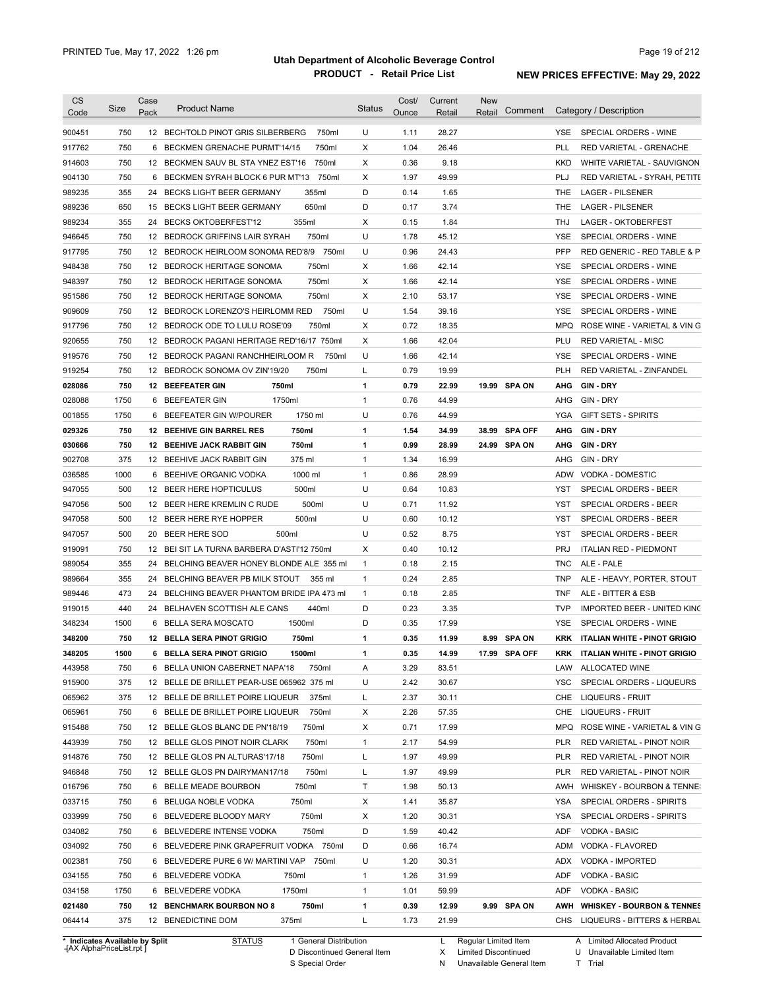| Code                                                                                             | Size       | Case | <b>Product Name</b>                                                      | <b>Status</b> | Cost/        | Current        | <b>New</b> | Comment        |            | Category / Description                                               |
|--------------------------------------------------------------------------------------------------|------------|------|--------------------------------------------------------------------------|---------------|--------------|----------------|------------|----------------|------------|----------------------------------------------------------------------|
|                                                                                                  |            | Pack |                                                                          |               | Ounce        | Retail         | Retail     |                |            |                                                                      |
| 900451                                                                                           | 750        |      | 12 BECHTOLD PINOT GRIS SILBERBERG<br>750ml                               | U             | 1.11         | 28.27          |            |                | <b>YSE</b> | SPECIAL ORDERS - WINE                                                |
| 917762                                                                                           | 750        |      | 750ml<br>6 BECKMEN GRENACHE PURMT'14/15                                  | X             | 1.04         | 26.46          |            |                | PLL        | RED VARIETAL - GRENACHE                                              |
| 914603                                                                                           | 750        |      | 750ml<br>12 BECKMEN SAUV BL STA YNEZ EST'16                              | X             | 0.36         | 9.18           |            |                | KKD        | WHITE VARIETAL - SAUVIGNON                                           |
| 904130                                                                                           | 750        |      | 750ml<br>6 BECKMEN SYRAH BLOCK 6 PUR MT'13                               | X             | 1.97         | 49.99          |            |                | PLJ        | RED VARIETAL - SYRAH, PETITE                                         |
| 989235                                                                                           | 355        |      | 355ml<br>24 BECKS LIGHT BEER GERMANY                                     | D             | 0.14         | 1.65           |            |                | THE        | <b>LAGER - PILSENER</b>                                              |
| 989236                                                                                           | 650        |      | 650ml<br>15 BECKS LIGHT BEER GERMANY                                     | D             | 0.17         | 3.74           |            |                | THE        | <b>LAGER - PILSENER</b>                                              |
| 989234                                                                                           | 355        |      | 355ml<br>24 BECKS OKTOBERFEST'12                                         | X             | 0.15         | 1.84           |            |                | THJ        | LAGER - OKTOBERFEST                                                  |
| 946645                                                                                           | 750        |      | 750ml<br>12 BEDROCK GRIFFINS LAIR SYRAH                                  | U             | 1.78         | 45.12          |            |                | <b>YSE</b> | SPECIAL ORDERS - WINE                                                |
| 917795                                                                                           | 750        |      | 12 BEDROCK HEIRLOOM SONOMA RED'8/9 750ml                                 | U             | 0.96         | 24.43          |            |                | <b>PFP</b> | RED GENERIC - RED TABLE & P                                          |
| 948438                                                                                           | 750        |      | 750ml<br>12 BEDROCK HERITAGE SONOMA                                      | Х             | 1.66         | 42.14          |            |                | <b>YSE</b> | SPECIAL ORDERS - WINE                                                |
| 948397                                                                                           | 750        |      | 750ml<br>12 BEDROCK HERITAGE SONOMA                                      | X             | 1.66         | 42.14          |            |                | YSE        | SPECIAL ORDERS - WINE                                                |
| 951586                                                                                           | 750        |      | 750ml<br>12 BEDROCK HERITAGE SONOMA                                      | X             | 2.10         | 53.17          |            |                | YSE        | SPECIAL ORDERS - WINE                                                |
| 909609                                                                                           | 750        |      | 750ml<br>12 BEDROCK LORENZO'S HEIRLOMM RED                               | U             | 1.54         | 39.16          |            |                | <b>YSE</b> | SPECIAL ORDERS - WINE                                                |
| 917796                                                                                           | 750        |      | 750ml<br>12 BEDROCK ODE TO LULU ROSE'09                                  | X             | 0.72         | 18.35          |            |                | <b>MPQ</b> | ROSE WINE - VARIETAL & VIN G                                         |
| 920655                                                                                           | 750        |      | 12 BEDROCK PAGANI HERITAGE RED'16/17 750ml                               | X             | 1.66         | 42.04          |            |                | PLU        | <b>RED VARIETAL - MISC</b>                                           |
| 919576                                                                                           | 750        |      | 12 BEDROCK PAGANI RANCHHEIRLOOM R<br>750ml                               | U             | 1.66         | 42.14          |            |                | YSE        | SPECIAL ORDERS - WINE                                                |
| 919254                                                                                           | 750        |      | 12 BEDROCK SONOMA OV ZIN'19/20<br>750ml                                  | L             | 0.79         | 19.99          |            |                | <b>PLH</b> | RED VARIETAL - ZINFANDEL                                             |
| 028086                                                                                           | 750        |      | <b>12 BEEFEATER GIN</b><br>750ml                                         | 1             | 0.79         | 22.99          |            | 19.99 SPA ON   | AHG        | <b>GIN DRY</b>                                                       |
| 028088                                                                                           | 1750       |      | 1750ml<br>6 BEEFEATER GIN                                                | $\mathbf{1}$  | 0.76         | 44.99          |            |                | AHG        | GIN - DRY                                                            |
| 001855                                                                                           | 1750       | 6    | 1750 ml<br>BEEFEATER GIN W/POURER                                        | U             | 0.76         | 44.99          |            |                | YGA        | <b>GIFT SETS - SPIRITS</b>                                           |
| 029326                                                                                           | 750        |      | 750ml<br>12 BEEHIVE GIN BARREL RES                                       | 1             | 1.54         | 34.99          | 38.99      | <b>SPA OFF</b> | AHG        | <b>GIN-DRY</b>                                                       |
| 030666                                                                                           | 750        |      | 750ml<br><b>12 BEEHIVE JACK RABBIT GIN</b>                               | 1             | 0.99         | 28.99          |            | 24.99 SPA ON   | AHG        | GIN DRY                                                              |
| 902708                                                                                           | 375        |      | 375 ml<br>12 BEEHIVE JACK RABBIT GIN                                     | $\mathbf{1}$  | 1.34         | 16.99          |            |                | AHG        | GIN - DRY                                                            |
| 036585                                                                                           | 1000       |      | 1000 ml<br>6 BEEHIVE ORGANIC VODKA                                       | $\mathbf{1}$  | 0.86         | 28.99          |            |                | <b>ADW</b> | VODKA - DOMESTIC                                                     |
| 947055                                                                                           | 500        |      | 500ml<br>12 BEER HERE HOPTICULUS                                         | U             | 0.64         | 10.83          |            |                | <b>YST</b> | SPECIAL ORDERS - BEER                                                |
| 947056                                                                                           | 500        |      | 500ml<br>12 BEER HERE KREMLIN C RUDE                                     | U             | 0.71         | 11.92          |            |                | YST        | SPECIAL ORDERS - BEER                                                |
| 947058                                                                                           | 500        |      | 500ml<br>12 BEER HERE RYE HOPPER                                         | U             | 0.60         | 10.12          |            |                | <b>YST</b> | SPECIAL ORDERS - BEER                                                |
| 947057                                                                                           | 500        | 20   | <b>BEER HERE SOD</b><br>500ml                                            | U             | 0.52         | 8.75           |            |                | <b>YST</b> | SPECIAL ORDERS - BEER                                                |
| 919091                                                                                           | 750        |      | 12 BEI SIT LA TURNA BARBERA D'ASTI'12 750ml                              | X             | 0.40         | 10.12          |            |                | <b>PRJ</b> | <b>ITALIAN RED - PIEDMONT</b>                                        |
| 989054                                                                                           | 355        | 24   | BELCHING BEAVER HONEY BLONDE ALE 355 ml                                  | $\mathbf{1}$  | 0.18         | 2.15           |            |                | <b>TNC</b> | ALE - PALE                                                           |
| 989664                                                                                           | 355        | 24   | BELCHING BEAVER PB MILK STOUT<br>355 ml                                  | $\mathbf{1}$  | 0.24         | 2.85           |            |                | <b>TNP</b> | ALE - HEAVY, PORTER, STOUT                                           |
| 989446                                                                                           | 473        | 24   | BELCHING BEAVER PHANTOM BRIDE IPA 473 ml                                 | $\mathbf{1}$  | 0.18         | 2.85           |            |                | <b>TNF</b> | ALE - BITTER & ESB                                                   |
| 919015                                                                                           | 440        |      | 440ml<br>24 BELHAVEN SCOTTISH ALE CANS                                   | D             | 0.23         | 3.35           |            |                | <b>TVP</b> | IMPORTED BEER - UNITED KING                                          |
| 348234                                                                                           | 1500       |      | 1500ml<br>6 BELLA SERA MOSCATO                                           | D             | 0.35         | 17.99          |            |                | <b>YSE</b> | SPECIAL ORDERS - WINE                                                |
| 348200                                                                                           | 750        |      | 12 BELLA SERA PINOT GRIGIO<br>750ml                                      | 1             | 0.35         | 11.99          |            | 8.99 SPA ON    | KRK        | <b>ITALIAN WHITE - PINOT GRIGIO</b>                                  |
| 348205                                                                                           | 1500       |      | 6 BELLA SERA PINOT GRIGIO<br>1500ml                                      | 1             | 0.35         | 14.99          |            | 17.99 SPA OFF  |            | KRK ITALIAN WHITE - PINOT GRIGIO                                     |
| 443958                                                                                           | 750        |      | 6 BELLA UNION CABERNET NAPA'18<br>750ml                                  | Α             | 3.29         | 83.51          |            |                | LAW        | ALLOCATED WINE                                                       |
|                                                                                                  | 375        |      | 12 BELLE DE BRILLET PEAR-USE 065962 375 ml                               | U             | 2.42         | 30.67          |            |                | <b>YSC</b> | SPECIAL ORDERS - LIQUEURS                                            |
|                                                                                                  |            |      |                                                                          | L             |              |                |            |                | CHE        | <b>LIQUEURS - FRUIT</b>                                              |
|                                                                                                  |            |      |                                                                          |               |              |                |            |                |            |                                                                      |
|                                                                                                  | 375        |      | 375ml<br>12 BELLE DE BRILLET POIRE LIQUEUR                               |               | 2.37         | 30.11          |            |                |            |                                                                      |
|                                                                                                  | 750        |      | 6 BELLE DE BRILLET POIRE LIQUEUR<br>750ml                                | х             | 2.26         | 57.35          |            |                | CHE        | LIQUEURS - FRUIT                                                     |
|                                                                                                  | 750        |      | 12 BELLE GLOS BLANC DE PN'18/19<br>750ml                                 | х             | 0.71         | 17.99          |            |                | <b>MPQ</b> | ROSE WINE - VARIETAL & VIN G                                         |
|                                                                                                  | 750        |      | 12 BELLE GLOS PINOT NOIR CLARK<br>750ml                                  | $\mathbf{1}$  | 2.17         | 54.99          |            |                | <b>PLR</b> | RED VARIETAL - PINOT NOIR                                            |
|                                                                                                  | 750        |      | 12 BELLE GLOS PN ALTURAS'17/18<br>750ml                                  | L             | 1.97         | 49.99          |            |                | <b>PLR</b> | RED VARIETAL - PINOT NOIR                                            |
|                                                                                                  | 750        |      | 750ml<br>12 BELLE GLOS PN DAIRYMAN17/18                                  | L             | 1.97         | 49.99          |            |                | <b>PLR</b> | RED VARIETAL - PINOT NOIR                                            |
|                                                                                                  | 750        |      | 6 BELLE MEADE BOURBON<br>750ml                                           | Τ             | 1.98         | 50.13          |            |                | AWH        | WHISKEY - BOURBON & TENNE:                                           |
|                                                                                                  | 750        |      | 750ml<br>6 BELUGA NOBLE VODKA                                            | х             | 1.41         | 35.87          |            |                | YSA        | SPECIAL ORDERS - SPIRITS                                             |
| 915900<br>065962<br>065961<br>915488<br>443939<br>914876<br>946848<br>016796<br>033715<br>033999 | 750        |      | 750ml<br>6 BELVEDERE BLOODY MARY                                         | х             | 1.20         | 30.31          |            |                | YSA        | SPECIAL ORDERS - SPIRITS                                             |
| 034082                                                                                           | 750        |      | 750ml<br>6 BELVEDERE INTENSE VODKA                                       | D             | 1.59         | 40.42          |            |                | ADF        | VODKA - BASIC                                                        |
| 034092                                                                                           | 750        |      | 6 BELVEDERE PINK GRAPEFRUIT VODKA 750ml                                  | D             | 0.66         | 16.74          |            |                | ADM        | VODKA - FLAVORED                                                     |
| 002381                                                                                           | 750        |      | 6 BELVEDERE PURE 6 W/ MARTINI VAP<br>750ml                               | U             | 1.20         | 30.31          |            |                | ADX        | VODKA - IMPORTED                                                     |
| 034155                                                                                           | 750        |      | 6 BELVEDERE VODKA<br>750ml                                               | $\mathbf{1}$  | 1.26         | 31.99          |            |                | ADF        | VODKA - BASIC                                                        |
| 034158                                                                                           | 1750       |      | 6 BELVEDERE VODKA<br>1750ml                                              | $\mathbf{1}$  | 1.01         | 59.99          |            |                | ADF        | VODKA - BASIC                                                        |
| 021480<br>064414                                                                                 | 750<br>375 |      | 750ml<br><b>12 BENCHMARK BOURBON NO 8</b><br>12 BENEDICTINE DOM<br>375ml | 1<br>L        | 0.39<br>1.73 | 12.99<br>21.99 |            | 9.99 SPA ON    | AWH<br>CHS | <b>WHISKEY - BOURBON &amp; TENNES</b><br>LIQUEURS - BITTERS & HERBAL |

**Case** [AX AlphaPriceList.rpt ]

D Discontinued General Item

S Special Order

X Limited Discontinued

N Unavailable General Item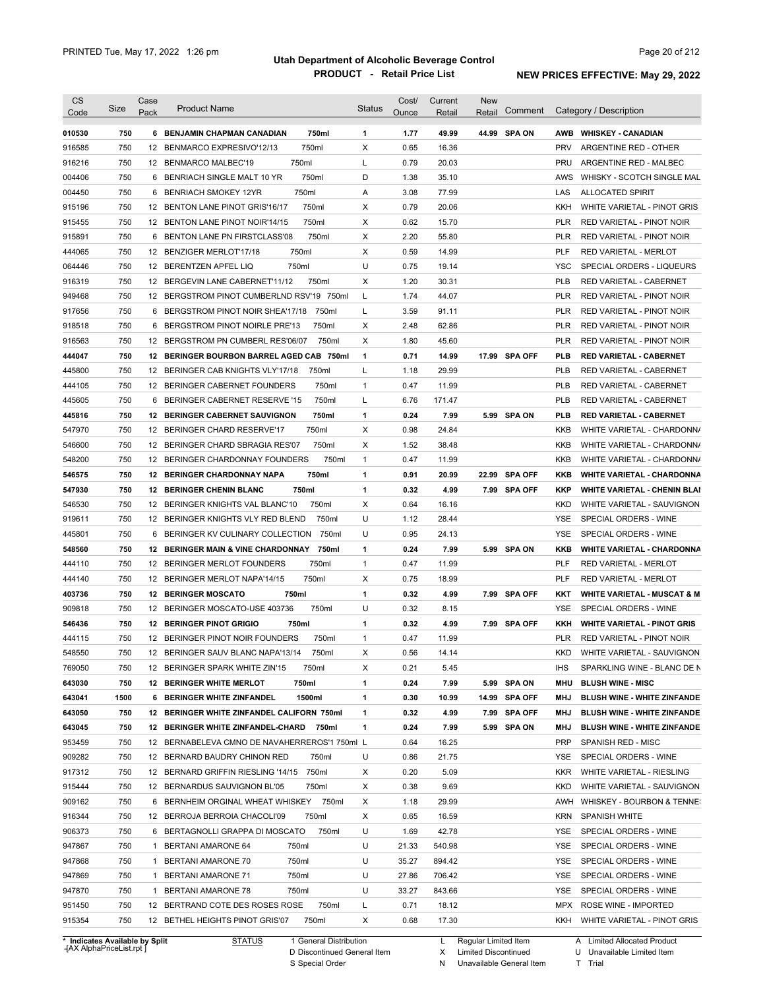| <b>CS</b><br>Code                        | Size | Case<br>Pack | <b>Product Name</b>                            | <b>Status</b> | Cost/<br>Ounce | Current<br>Retail | <b>New</b><br>Retail | Comment        |            | Category / Description                 |
|------------------------------------------|------|--------------|------------------------------------------------|---------------|----------------|-------------------|----------------------|----------------|------------|----------------------------------------|
| 010530                                   | 750  |              | 6 BENJAMIN CHAPMAN CANADIAN<br>750ml           | 1             | 1.77           | 49.99             |                      | 44.99 SPA ON   | AWB        | <b>WHISKEY - CANADIAN</b>              |
| 916585                                   | 750  |              | 750ml<br>12 BENMARCO EXPRESIVO'12/13           | X             | 0.65           | 16.36             |                      |                | <b>PRV</b> | ARGENTINE RED - OTHER                  |
| 916216                                   | 750  |              | 750ml<br>12 BENMARCO MALBEC'19                 | L             | 0.79           | 20.03             |                      |                | PRU        | ARGENTINE RED - MALBEC                 |
| 004406                                   | 750  |              | 750ml<br>6 BENRIACH SINGLE MALT 10 YR          | D             | 1.38           | 35.10             |                      |                | AWS        | WHISKY - SCOTCH SINGLE MAL             |
| 004450                                   | 750  |              | 750ml<br>6 BENRIACH SMOKEY 12YR                | Α             | 3.08           | 77.99             |                      |                | LAS        | <b>ALLOCATED SPIRIT</b>                |
| 915196                                   | 750  |              | 750ml<br>12 BENTON LANE PINOT GRIS'16/17       | X             | 0.79           | 20.06             |                      |                | KKH        | WHITE VARIETAL - PINOT GRIS            |
| 915455                                   | 750  |              | 750ml<br>12 BENTON LANE PINOT NOIR'14/15       | х             | 0.62           | 15.70             |                      |                | PLR        | RED VARIETAL - PINOT NOIR              |
| 915891                                   | 750  |              | 750ml<br>6 BENTON LANE PN FIRSTCLASS'08        | х             | 2.20           | 55.80             |                      |                | PLR        | RED VARIETAL - PINOT NOIR              |
| 444065                                   | 750  |              | 750ml<br>12 BENZIGER MERLOT'17/18              | X             | 0.59           | 14.99             |                      |                | <b>PLF</b> | <b>RED VARIETAL - MERLOT</b>           |
| 064446                                   | 750  |              | 12 BERENTZEN APFEL LIQ<br>750ml                | U             | 0.75           | 19.14             |                      |                | <b>YSC</b> | SPECIAL ORDERS - LIQUEURS              |
| 916319                                   | 750  |              | 750ml<br>12 BERGEVIN LANE CABERNET'11/12       | X             | 1.20           | 30.31             |                      |                | <b>PLB</b> | RED VARIETAL - CABERNET                |
| 949468                                   | 750  |              | 12 BERGSTROM PINOT CUMBERLND RSV'19 750ml      | L             | 1.74           | 44.07             |                      |                | <b>PLR</b> | RED VARIETAL - PINOT NOIR              |
| 917656                                   | 750  |              | 6 BERGSTROM PINOT NOIR SHEA'17/18<br>750ml     | L             | 3.59           | 91.11             |                      |                | <b>PLR</b> | RED VARIETAL - PINOT NOIR              |
| 918518                                   | 750  |              | 6 BERGSTROM PINOT NOIRLE PRE'13<br>750ml       | X             | 2.48           | 62.86             |                      |                | <b>PLR</b> | RED VARIETAL - PINOT NOIR              |
| 916563                                   | 750  |              | 12 BERGSTROM PN CUMBERL RES'06/07<br>750ml     | X             | 1.80           | 45.60             |                      |                | <b>PLR</b> | RED VARIETAL - PINOT NOIR              |
| 444047                                   | 750  |              | 12 BERINGER BOURBON BARREL AGED CAB 750ml      | 1             | 0.71           | 14.99             |                      | 17.99 SPA OFF  | <b>PLB</b> | <b>RED VARIETAL - CABERNET</b>         |
| 445800                                   | 750  |              | 12 BERINGER CAB KNIGHTS VLY'17/18<br>750ml     | Г             | 1.18           | 29.99             |                      |                | <b>PLB</b> | RED VARIETAL - CABERNET                |
|                                          | 750  |              | 750ml<br>12 BERINGER CABERNET FOUNDERS         | $\mathbf{1}$  | 0.47           | 11.99             |                      |                | <b>PLB</b> | RED VARIETAL - CABERNET                |
| 444105<br>445605                         | 750  |              | 6 BERINGER CABERNET RESERVE '15                | Г             | 6.76           |                   |                      |                | <b>PLB</b> |                                        |
|                                          |      |              | 750ml                                          |               |                | 171.47            |                      |                |            | RED VARIETAL - CABERNET                |
| 445816                                   | 750  |              | 750ml<br><b>12 BERINGER CABERNET SAUVIGNON</b> | 1             | 0.24           | 7.99              |                      | 5.99 SPA ON    | PLB        | <b>RED VARIETAL - CABERNET</b>         |
| 547970                                   | 750  |              | 750ml<br>12 BERINGER CHARD RESERVE'17          | х             | 0.98           | 24.84             |                      |                | <b>KKB</b> | WHITE VARIETAL - CHARDONN/             |
| 546600                                   | 750  |              | 12 BERINGER CHARD SBRAGIA RES'07<br>750ml      | X             | 1.52           | 38.48             |                      |                | <b>KKB</b> | WHITE VARIETAL - CHARDONN/             |
| 548200                                   | 750  |              | 750ml<br>12 BERINGER CHARDONNAY FOUNDERS       | $\mathbf{1}$  | 0.47           | 11.99             |                      |                | <b>KKB</b> | WHITE VARIETAL - CHARDONN/             |
| 546575                                   | 750  |              | 750ml<br><b>12 BERINGER CHARDONNAY NAPA</b>    | 1             | 0.91           | 20.99             | 22.99                | <b>SPA OFF</b> | KKB        | <b>WHITE VARIETAL - CHARDONNA</b>      |
| 547930                                   | 750  |              | 750ml<br><b>12 BERINGER CHENIN BLANC</b>       | 1             | 0.32           | 4.99              | 7.99                 | <b>SPA OFF</b> | <b>KKP</b> | <b>WHITE VARIETAL - CHENIN BLAI</b>    |
| 546530                                   | 750  |              | 12 BERINGER KNIGHTS VAL BLANC'10<br>750ml      | х             | 0.64           | 16.16             |                      |                | <b>KKD</b> | WHITE VARIETAL - SAUVIGNON             |
| 919611                                   | 750  |              | 12 BERINGER KNIGHTS VLY RED BLEND<br>750ml     | U             | 1.12           | 28.44             |                      |                | YSE        | SPECIAL ORDERS - WINE                  |
| 445801                                   | 750  |              | 6 BERINGER KV CULINARY COLLECTION<br>750ml     | U             | 0.95           | 24.13             |                      |                | YSE        | SPECIAL ORDERS - WINE                  |
| 548560                                   | 750  |              | 12 BERINGER MAIN & VINE CHARDONNAY<br>750ml    | 1             | 0.24           | 7.99              |                      | 5.99 SPA ON    | <b>KKB</b> | <b>WHITE VARIETAL - CHARDONNA</b>      |
| 444110                                   | 750  |              | 750ml<br>12 BERINGER MERLOT FOUNDERS           | $\mathbf{1}$  | 0.47           | 11.99             |                      |                | PLF        | RED VARIETAL - MERLOT                  |
| 444140                                   | 750  |              | 750ml<br>12 BERINGER MERLOT NAPA'14/15         | X             | 0.75           | 18.99             |                      |                | <b>PLF</b> | <b>RED VARIETAL - MERLOT</b>           |
| 403736                                   | 750  |              | <b>12 BERINGER MOSCATO</b><br>750ml            | 1             | 0.32           | 4.99              |                      | 7.99 SPA OFF   | KKT        | <b>WHITE VARIETAL - MUSCAT &amp; M</b> |
| 909818                                   | 750  |              | 750ml<br>12 BERINGER MOSCATO-USE 403736        | U             | 0.32           | 8.15              |                      |                | YSE        | SPECIAL ORDERS - WINE                  |
| 546436                                   | 750  |              | <b>12 BERINGER PINOT GRIGIO</b><br>750ml       | 1             | 0.32           | 4.99              |                      | 7.99 SPA OFF   | KKH        | <b>WHITE VARIETAL - PINOT GRIS</b>     |
| 444115                                   | 750  |              | 12 BERINGER PINOT NOIR FOUNDERS<br>750ml       | 1             | 0.47           | 11.99             |                      |                | <b>PLR</b> | RED VARIETAL - PINOT NOIR              |
| 548550                                   | 750  |              | 12 BERINGER SAUV BLANC NAPA'13/14<br>750ml     | х             | 0.56           | 14.14             |                      |                | KKD        | WHITE VARIETAL - SAUVIGNON             |
| 769050                                   | 750  |              | 12 BERINGER SPARK WHITE ZIN'15<br>750ml        | х             | 0.21           | 5.45              |                      |                | <b>IHS</b> | SPARKLING WINE - BLANC DE N            |
| 643030                                   | 750  |              | <b>12 BERINGER WHITE MERLOT</b><br>750ml       | 1             | 0.24           | 7.99              |                      | 5.99 SPA ON    | MHU        | <b>BLUSH WINE - MISC</b>               |
| 643041                                   | 1500 |              | 1500ml<br>6 BERINGER WHITE ZINFANDEL           | 1             | 0.30           | 10.99             |                      | 14.99 SPA OFF  | MHJ        | <b>BLUSH WINE - WHITE ZINFANDE</b>     |
| 643050                                   | 750  |              | 12 BERINGER WHITE ZINFANDEL CALIFORN 750ml     | 1             | 0.32           | 4.99              |                      | 7.99 SPA OFF   | MHJ        | <b>BLUSH WINE - WHITE ZINFANDE</b>     |
| 643045                                   | 750  |              | 12 BERINGER WHITE ZINFANDEL-CHARD<br>750ml     | 1             | 0.24           | 7.99              |                      | 5.99 SPA ON    | MHJ        | <b>BLUSH WINE - WHITE ZINFANDE</b>     |
| 953459                                   | 750  |              | 12 BERNABELEVA CMNO DE NAVAHERREROS'1 750ml L  |               | 0.64           | 16.25             |                      |                | <b>PRP</b> | SPANISH RED - MISC                     |
| 909282                                   | 750  |              | 12 BERNARD BAUDRY CHINON RED<br>750ml          | U             | 0.86           | 21.75             |                      |                | YSE        | SPECIAL ORDERS - WINE                  |
| 917312                                   | 750  |              | 12 BERNARD GRIFFIN RIESLING '14/15<br>750ml    | х             | 0.20           | 5.09              |                      |                | KKR        | WHITE VARIETAL - RIESLING              |
| 915444                                   | 750  |              | 12 BERNARDUS SAUVIGNON BL'05<br>750ml          | х             | 0.38           | 9.69              |                      |                | <b>KKD</b> | WHITE VARIETAL - SAUVIGNON             |
| 909162                                   | 750  |              | 6 BERNHEIM ORGINAL WHEAT WHISKEY 750ml         | х             | 1.18           | 29.99             |                      |                | AWH        | WHISKEY - BOURBON & TENNE:             |
| 916344                                   | 750  |              | 750ml<br>12 BERROJA BERROIA CHACOLI'09         | х             | 0.65           | 16.59             |                      |                | <b>KRN</b> | <b>SPANISH WHITE</b>                   |
| 906373                                   | 750  |              | 750ml<br>6 BERTAGNOLLI GRAPPA DI MOSCATO       | U             | 1.69           | 42.78             |                      |                | YSE        | SPECIAL ORDERS - WINE                  |
| 947867                                   | 750  |              | 1 BERTANI AMARONE 64<br>750ml                  | U             | 21.33          | 540.98            |                      |                | YSE        | SPECIAL ORDERS - WINE                  |
| 947868                                   | 750  |              | 750ml<br>1 BERTANI AMARONE 70                  | U             | 35.27          | 894.42            |                      |                | YSE        | SPECIAL ORDERS - WINE                  |
| 947869                                   | 750  |              | 750ml<br>1 BERTANI AMARONE 71                  | U             | 27.86          | 706.42            |                      |                | YSE        | SPECIAL ORDERS - WINE                  |
| 947870                                   | 750  |              | 1 BERTANI AMARONE 78<br>750ml                  | U             | 33.27          | 843.66            |                      |                | YSE        | SPECIAL ORDERS - WINE                  |
| 951450                                   | 750  |              | 12 BERTRAND COTE DES ROSES ROSE<br>750ml       | L             | 0.71           | 18.12             |                      |                | MPX        | ROSE WINE - IMPORTED                   |
|                                          | 750  |              | 12 BETHEL HEIGHTS PINOT GRIS'07<br>750ml       | х             | 0.68           | 17.30             |                      |                |            | KKH WHITE VARIETAL - PINOT GRIS        |
| 915354<br>* Indicates Available by Split |      |              | 1 General Distribution<br><b>STATUS</b>        |               |                | $\mathsf{L}$      | Regular Limited Item |                |            | A Limited Allocated Product            |

**Case** [AX AlphaPriceList.rpt ]

D Discontinued General Item S Special Order

Regular Limited Item

X

Limited Discontinued

N Unavailable General Item

U Unavailable Limited Item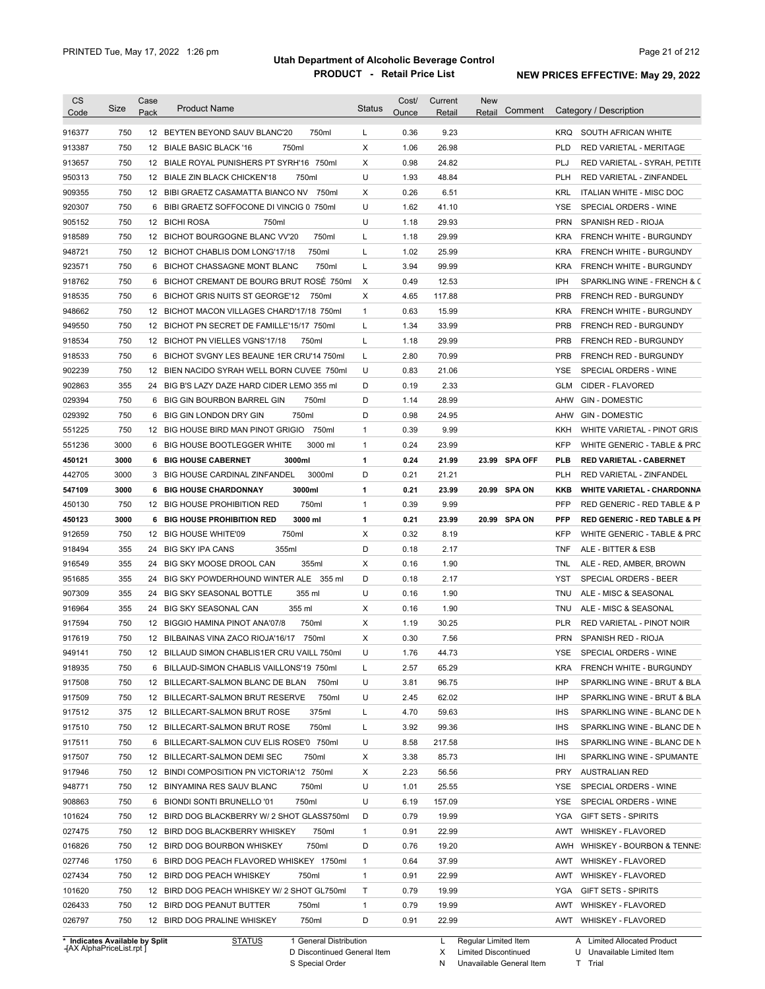| Code                                                                                                                                                                   | Size | Case<br>Pack | <b>Product Name</b>                                                           | <b>Status</b>     | Cost/<br>Ounce | Current<br>Retail | <b>New</b><br>Comment<br>Retail |                          | Category / Description                                     |
|------------------------------------------------------------------------------------------------------------------------------------------------------------------------|------|--------------|-------------------------------------------------------------------------------|-------------------|----------------|-------------------|---------------------------------|--------------------------|------------------------------------------------------------|
| 916377                                                                                                                                                                 | 750  |              | 12 BEYTEN BEYOND SAUV BLANC'20<br>750ml                                       | L                 | 0.36           | 9.23              |                                 | KRQ.                     | SOUTH AFRICAN WHITE                                        |
| 913387                                                                                                                                                                 | 750  |              | 12 BIALE BASIC BLACK '16<br>750ml                                             | X                 | 1.06           | 26.98             |                                 | <b>PLD</b>               | RED VARIETAL - MERITAGE                                    |
| 913657                                                                                                                                                                 | 750  |              | 12 BIALE ROYAL PUNISHERS PT SYRH'16 750ml                                     | х                 | 0.98           | 24.82             |                                 | PLJ                      | RED VARIETAL - SYRAH, PETITE                               |
| 950313                                                                                                                                                                 | 750  |              | 750ml<br>12 BIALE ZIN BLACK CHICKEN'18                                        | U                 | 1.93           | 48.84             |                                 | <b>PLH</b>               | RED VARIETAL - ZINFANDEL                                   |
| 909355                                                                                                                                                                 | 750  |              | 12 BIBI GRAETZ CASAMATTA BIANCO NV<br>750ml                                   | х                 | 0.26           | 6.51              |                                 | <b>KRL</b>               | ITALIAN WHITE - MISC DOC                                   |
| 920307                                                                                                                                                                 | 750  |              | 6 BIBI GRAETZ SOFFOCONE DI VINCIG 0 750ml                                     | U                 | 1.62           | 41.10             |                                 | <b>YSE</b>               | SPECIAL ORDERS - WINE                                      |
| 905152                                                                                                                                                                 | 750  |              | 750ml<br>12 BICHI ROSA                                                        | U                 | 1.18           | 29.93             |                                 | <b>PRN</b>               | SPANISH RED - RIOJA                                        |
| 918589                                                                                                                                                                 | 750  |              | 12 BICHOT BOURGOGNE BLANC VV'20<br>750ml                                      | L                 | 1.18           | 29.99             |                                 | <b>KRA</b>               | FRENCH WHITE - BURGUNDY                                    |
| 948721                                                                                                                                                                 | 750  |              | 12 BICHOT CHABLIS DOM LONG'17/18<br>750ml                                     | L                 | 1.02           | 25.99             |                                 | <b>KRA</b>               | FRENCH WHITE - BURGUNDY                                    |
| 923571                                                                                                                                                                 | 750  |              | 6 BICHOT CHASSAGNE MONT BLANC<br>750ml                                        | Г                 | 3.94           | 99.99             |                                 | <b>KRA</b>               | FRENCH WHITE - BURGUNDY                                    |
| 918762                                                                                                                                                                 | 750  | 6            | BICHOT CREMANT DE BOURG BRUT ROSÉ 750ml                                       | Х                 | 0.49           | 12.53             |                                 | IPH                      | SPARKLING WINE - FRENCH & C                                |
| 918535                                                                                                                                                                 | 750  | 6            | BICHOT GRIS NUITS ST GEORGE'12<br>750ml                                       | X                 | 4.65           | 117.88            |                                 | <b>PRB</b>               | <b>FRENCH RED - BURGUNDY</b>                               |
| 948662                                                                                                                                                                 | 750  |              | 12 BICHOT MACON VILLAGES CHARD'17/18 750ml                                    | $\mathbf{1}$      | 0.63           | 15.99             |                                 | <b>KRA</b>               | FRENCH WHITE - BURGUNDY                                    |
| 949550                                                                                                                                                                 | 750  |              | 12 BICHOT PN SECRET DE FAMILLE'15/17 750ml                                    | Г                 | 1.34           | 33.99             |                                 | <b>PRB</b>               | FRENCH RED - BURGUNDY                                      |
| 918534                                                                                                                                                                 | 750  |              | 12 BICHOT PN VIELLES VGNS'17/18<br>750ml                                      | L                 | 1.18           | 29.99             |                                 | <b>PRB</b>               | FRENCH RED - BURGUNDY                                      |
| 918533                                                                                                                                                                 | 750  |              | 6 BICHOT SVGNY LES BEAUNE 1ER CRU'14 750ml                                    | L                 | 2.80           | 70.99             |                                 | <b>PRB</b>               | FRENCH RED - BURGUNDY                                      |
| 902239                                                                                                                                                                 | 750  |              | 12 BIEN NACIDO SYRAH WELL BORN CUVEE 750ml                                    | U                 | 0.83           | 21.06             |                                 | <b>YSE</b>               | SPECIAL ORDERS - WINE                                      |
| 902863                                                                                                                                                                 | 355  |              | 24 BIG B'S LAZY DAZE HARD CIDER LEMO 355 ml                                   | D                 | 0.19           | 2.33              |                                 | GLM                      | CIDER - FLAVORED                                           |
| 029394                                                                                                                                                                 | 750  | 6            | 750ml<br>BIG GIN BOURBON BARREL GIN                                           | D                 | 1.14           | 28.99             |                                 | AHW                      | <b>GIN - DOMESTIC</b>                                      |
| 029392                                                                                                                                                                 | 750  | 6            | 750ml<br>BIG GIN LONDON DRY GIN                                               | D                 | 0.98           | 24.95             |                                 | AHW                      | <b>GIN - DOMESTIC</b>                                      |
| 551225                                                                                                                                                                 | 750  |              | 12 BIG HOUSE BIRD MAN PINOT GRIGIO<br>750ml                                   | $\mathbf{1}$      | 0.39           | 9.99              |                                 | KKH                      | WHITE VARIETAL - PINOT GRIS                                |
| 551236                                                                                                                                                                 | 3000 |              | 6 BIG HOUSE BOOTLEGGER WHITE<br>3000 ml                                       | $\mathbf{1}$      | 0.24           | 23.99             |                                 | <b>KFP</b>               | WHITE GENERIC - TABLE & PRC                                |
|                                                                                                                                                                        | 3000 |              | <b>6 BIG HOUSE CABERNET</b><br>3000ml                                         | 1                 | 0.24           | 21.99             | 23.99 SPA OFF                   | PLB                      |                                                            |
| 450121<br>442705                                                                                                                                                       | 3000 |              | 3 BIG HOUSE CARDINAL ZINFANDEL<br>3000ml                                      | D                 | 0.21           | 21.21             |                                 | <b>PLH</b>               | <b>RED VARIETAL - CABERNET</b><br>RED VARIETAL - ZINFANDEL |
|                                                                                                                                                                        |      |              | 3000ml                                                                        |                   |                |                   |                                 |                          |                                                            |
| 547109                                                                                                                                                                 | 3000 |              | <b>6 BIG HOUSE CHARDONNAY</b><br>750ml                                        | 1<br>$\mathbf{1}$ | 0.21<br>0.39   | 23.99<br>9.99     | 20.99<br>SPA ON                 | <b>KKB</b><br><b>PFP</b> | <b>WHITE VARIETAL - CHARDONNA</b>                          |
| 450130                                                                                                                                                                 | 750  |              | 12 BIG HOUSE PROHIBITION RED                                                  |                   |                |                   |                                 |                          | RED GENERIC - RED TABLE & P                                |
| 450123                                                                                                                                                                 | 3000 | 6            | <b>BIG HOUSE PROHIBITION RED</b><br>3000 ml<br>12 BIG HOUSE WHITE'09<br>750ml | 1<br>X            | 0.21<br>0.32   | 23.99             | 20.99<br>SPA ON                 | <b>PFP</b><br><b>KFP</b> | <b>RED GENERIC - RED TABLE &amp; PI</b>                    |
| 912659                                                                                                                                                                 | 750  |              |                                                                               |                   |                | 8.19              |                                 |                          | WHITE GENERIC - TABLE & PRC                                |
| 918494                                                                                                                                                                 | 355  |              | 355ml<br>24 BIG SKY IPA CANS                                                  | D                 | 0.18           | 2.17              |                                 | TNF                      | ALE - BITTER & ESB                                         |
| 916549                                                                                                                                                                 | 355  |              | 24 BIG SKY MOOSE DROOL CAN<br>355ml                                           | х                 | 0.16           | 1.90              |                                 | TNL                      | ALE - RED, AMBER, BROWN                                    |
| 951685                                                                                                                                                                 | 355  |              | 24 BIG SKY POWDERHOUND WINTER ALE 355 ml                                      | D                 | 0.18           | 2.17              |                                 | <b>YST</b>               | SPECIAL ORDERS - BEER                                      |
| 907309                                                                                                                                                                 | 355  |              | 24 BIG SKY SEASONAL BOTTLE<br>355 ml<br>24 BIG SKY SEASONAL CAN               | U                 | 0.16           | 1.90              |                                 | TNU                      | ALE - MISC & SEASONAL                                      |
| 916964                                                                                                                                                                 | 355  |              | 355 ml                                                                        | Χ                 | 0.16<br>1.19   | 1.90              |                                 | TNU                      | ALE - MISC & SEASONAL                                      |
| 917594                                                                                                                                                                 |      |              |                                                                               | х                 |                |                   |                                 |                          | RED VARIETAL - PINOT NOIR                                  |
|                                                                                                                                                                        | 750  |              | 750ml<br>12 BIGGIO HAMINA PINOT ANA'07/8                                      |                   |                | 30.25             |                                 | <b>PLR</b>               |                                                            |
|                                                                                                                                                                        | 750  |              | 12 BILBAINAS VINA ZACO RIOJA'16/17 750ml                                      | X                 | 0.30           | 7.56              |                                 | <b>PRN</b>               | SPANISH RED - RIOJA                                        |
|                                                                                                                                                                        | 750  |              | 12 BILLAUD SIMON CHABLIS1ER CRU VAILL 750ml                                   | U                 | 1.76           | 44.73             |                                 | YSE                      | SPECIAL ORDERS - WINE                                      |
|                                                                                                                                                                        | 750  |              | 6 BILLAUD-SIMON CHABLIS VAILLONS'19 750ml                                     | Г                 | 2.57           | 65.29             |                                 | <b>KRA</b>               | FRENCH WHITE - BURGUNDY                                    |
|                                                                                                                                                                        | 750  |              | 12 BILLECART-SALMON BLANC DE BLAN<br>750ml                                    | U                 | 3.81           | 96.75             |                                 | IHP                      | SPARKLING WINE - BRUT & BLA                                |
|                                                                                                                                                                        | 750  |              | 750ml<br>12 BILLECART-SALMON BRUT RESERVE                                     | U                 | 2.45           | 62.02             |                                 | IHP                      | SPARKLING WINE - BRUT & BLA                                |
|                                                                                                                                                                        | 375  |              | 12 BILLECART-SALMON BRUT ROSE<br>375ml                                        | L                 | 4.70           | 59.63             |                                 | <b>IHS</b>               | SPARKLING WINE - BLANC DE N                                |
|                                                                                                                                                                        | 750  |              | 12 BILLECART-SALMON BRUT ROSE<br>750ml                                        | L                 | 3.92           | 99.36             |                                 | <b>IHS</b>               | SPARKLING WINE - BLANC DE N                                |
|                                                                                                                                                                        | 750  |              | 6 BILLECART-SALMON CUV ELIS ROSE'0 750ml                                      | U                 | 8.58           | 217.58            |                                 | <b>IHS</b>               | SPARKLING WINE - BLANC DE N                                |
|                                                                                                                                                                        | 750  |              | 12 BILLECART-SALMON DEMI SEC<br>750ml                                         | х                 | 3.38           | 85.73             |                                 | IHI                      | SPARKLING WINE - SPUMANTE                                  |
|                                                                                                                                                                        | 750  |              | 12 BINDI COMPOSITION PN VICTORIA'12 750ml                                     | х                 | 2.23           | 56.56             |                                 | <b>PRY</b>               | <b>AUSTRALIAN RED</b>                                      |
|                                                                                                                                                                        | 750  |              | 12 BINYAMINA RES SAUV BLANC<br>750ml                                          | U                 | 1.01           | 25.55             |                                 | YSE                      | SPECIAL ORDERS - WINE                                      |
|                                                                                                                                                                        | 750  |              | 750ml<br>6 BIONDI SONTI BRUNELLO '01                                          | U                 | 6.19           | 157.09            |                                 | YSE                      | SPECIAL ORDERS - WINE                                      |
|                                                                                                                                                                        | 750  |              | 12 BIRD DOG BLACKBERRY W/ 2 SHOT GLASS750ml                                   | D                 | 0.79           | 19.99             |                                 | YGA                      | <b>GIFT SETS - SPIRITS</b>                                 |
|                                                                                                                                                                        | 750  |              | 12 BIRD DOG BLACKBERRY WHISKEY<br>750ml                                       | $\mathbf{1}$      | 0.91           | 22.99             |                                 | AWT                      | <b>WHISKEY - FLAVORED</b>                                  |
|                                                                                                                                                                        | 750  |              | 750ml<br>12 BIRD DOG BOURBON WHISKEY                                          | D                 | 0.76           | 19.20             |                                 |                          | AWH WHISKEY - BOURBON & TENNE:                             |
|                                                                                                                                                                        | 1750 |              | 6 BIRD DOG PEACH FLAVORED WHISKEY 1750ml                                      | $\mathbf{1}$      | 0.64           | 37.99             |                                 | AWT                      | <b>WHISKEY - FLAVORED</b>                                  |
| 917619<br>949141<br>918935<br>917508<br>917509<br>917512<br>917510<br>917511<br>917507<br>917946<br>948771<br>908863<br>101624<br>027475<br>016826<br>027746<br>027434 | 750  |              | 12 BIRD DOG PEACH WHISKEY<br>750ml                                            | $\mathbf{1}$      | 0.91           | 22.99             |                                 | AWT                      | <b>WHISKEY - FLAVORED</b>                                  |
| 101620                                                                                                                                                                 | 750  |              | 12 BIRD DOG PEACH WHISKEY W/ 2 SHOT GL750ml                                   | Τ                 | 0.79           | 19.99             |                                 | YGA                      | <b>GIFT SETS - SPIRITS</b>                                 |
| 026433                                                                                                                                                                 | 750  |              | 12 BIRD DOG PEANUT BUTTER<br>750ml                                            | $\mathbf{1}$      | 0.79           | 19.99             |                                 | AWT                      | <b>WHISKEY - FLAVORED</b>                                  |

**Case** [AX AlphaPriceList.rpt ]

D Discontinued General Item

S Special Order

X Limited Discontinued

N Unavailable General Item

U Unavailable Limited Item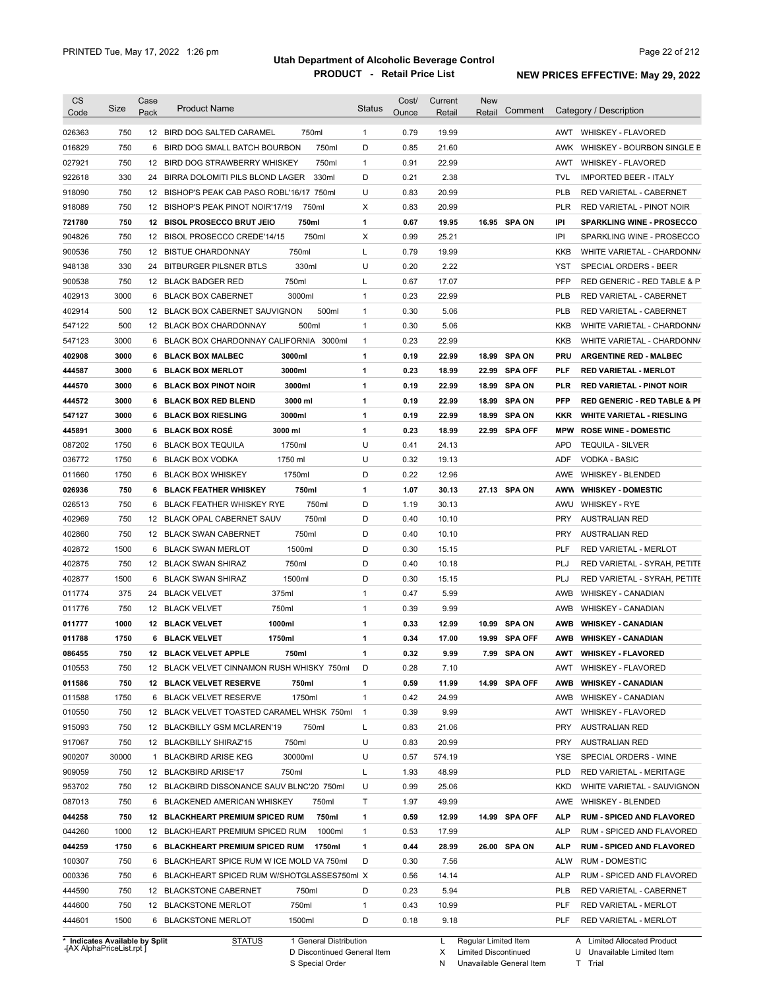|                                                                                                                                                    | Size        | Case | <b>Product Name</b>                                   |        | <b>Status</b>     | Cost/        | Current       | <b>New</b>    |               |                          |                                                |
|----------------------------------------------------------------------------------------------------------------------------------------------------|-------------|------|-------------------------------------------------------|--------|-------------------|--------------|---------------|---------------|---------------|--------------------------|------------------------------------------------|
| Code                                                                                                                                               |             | Pack |                                                       |        |                   | Ounce        | Retail        | Retail        | Comment       |                          | Category / Description                         |
| 026363                                                                                                                                             | 750         |      | 12 BIRD DOG SALTED CARAMEL                            | 750ml  | $\mathbf{1}$      | 0.79         | 19.99         |               |               | AWT                      | <b>WHISKEY - FLAVORED</b>                      |
| 016829                                                                                                                                             | 750         | 6    | BIRD DOG SMALL BATCH BOURBON                          | 750ml  | D                 | 0.85         | 21.60         |               |               | AWK                      | WHISKEY - BOURBON SINGLE B                     |
| 027921                                                                                                                                             | 750         | 12   | BIRD DOG STRAWBERRY WHISKEY                           | 750ml  | 1                 | 0.91         | 22.99         |               |               | AWT                      | <b>WHISKEY - FLAVORED</b>                      |
| 922618                                                                                                                                             | 330         | 24   | BIRRA DOLOMITI PILS BLOND LAGER                       | 330ml  | D                 | 0.21         | 2.38          |               |               | <b>TVL</b>               | <b>IMPORTED BEER - ITALY</b>                   |
| 918090                                                                                                                                             | 750         | 12   | BISHOP'S PEAK CAB PASO ROBL'16/17 750ml               |        | U                 | 0.83         | 20.99         |               |               | PLB                      | RED VARIETAL - CABERNET                        |
| 918089                                                                                                                                             | 750         | 12   | BISHOP'S PEAK PINOT NOIR'17/19                        | 750ml  | Χ                 | 0.83         | 20.99         |               |               | <b>PLR</b>               | RED VARIETAL - PINOT NOIR                      |
| 721780                                                                                                                                             | 750         |      | 12 BISOL PROSECCO BRUT JEIO                           | 750ml  | 1                 | 0.67         | 19.95         |               | 16.95 SPA ON  | IPI                      | <b>SPARKLING WINE - PROSECCO</b>               |
| 904826                                                                                                                                             | 750         | 12   | BISOL PROSECCO CREDE'14/15                            | 750ml  | Χ                 | 0.99         | 25.21         |               |               | IPI                      | SPARKLING WINE - PROSECCO                      |
| 900536                                                                                                                                             | 750         | 12   | 750ml<br><b>BISTUE CHARDONNAY</b>                     |        | Г                 | 0.79         | 19.99         |               |               | <b>KKB</b>               | WHITE VARIETAL - CHARDONN/                     |
| 948138                                                                                                                                             | 330         | 24   | <b>BITBURGER PILSNER BTLS</b>                         | 330ml  | U                 | 0.20         | 2.22          |               |               | <b>YST</b>               | SPECIAL ORDERS - BEER                          |
| 900538                                                                                                                                             | 750         |      | 750ml<br>12 BLACK BADGER RED                          |        | L                 | 0.67         | 17.07         |               |               | <b>PFP</b>               | RED GENERIC - RED TABLE & P                    |
| 402913                                                                                                                                             | 3000        |      | 3000ml<br>6 BLACK BOX CABERNET                        |        | $\mathbf{1}$      | 0.23         | 22.99         |               |               | <b>PLB</b>               | RED VARIETAL - CABERNET                        |
| 402914                                                                                                                                             | 500         |      | 12 BLACK BOX CABERNET SAUVIGNON                       | 500ml  | $\mathbf{1}$      | 0.30         | 5.06          |               |               | <b>PLB</b>               | RED VARIETAL - CABERNET                        |
| 547122                                                                                                                                             | 500         |      | 12 BLACK BOX CHARDONNAY                               | 500ml  | $\mathbf{1}$      | 0.30         | 5.06          |               |               | <b>KKB</b>               | WHITE VARIETAL - CHARDONN/                     |
| 547123                                                                                                                                             | 3000        |      | 6 BLACK BOX CHARDONNAY CALIFORNIA 3000ml              |        | $\mathbf{1}$      | 0.23         | 22.99         |               |               | KKB                      | WHITE VARIETAL - CHARDONN/                     |
|                                                                                                                                                    | 3000        |      | 3000ml                                                |        | 1                 | 0.19         | 22.99         |               | 18.99 SPA ON  |                          |                                                |
| 402908                                                                                                                                             |             |      | 6 BLACK BOX MALBEC<br>3000ml<br>6 BLACK BOX MERLOT    |        | 1                 | 0.23         |               |               |               | PRU                      | <b>ARGENTINE RED - MALBEC</b>                  |
| 444587                                                                                                                                             | 3000        |      |                                                       |        |                   |              | 18.99         |               | 22.99 SPA OFF | PLF                      | <b>RED VARIETAL - MERLOT</b>                   |
| 444570                                                                                                                                             | 3000        |      | 3000ml<br>6 BLACK BOX PINOT NOIR                      |        | 1                 | 0.19         | 22.99         |               | 18.99 SPA ON  | <b>PLR</b>               | <b>RED VARIETAL - PINOT NOIR</b>               |
| 444572                                                                                                                                             | 3000        | 6    | 3000 ml<br><b>BLACK BOX RED BLEND</b>                 |        | 1                 | 0.19         | 22.99         |               | 18.99 SPA ON  | <b>PFP</b>               | <b>RED GENERIC - RED TABLE &amp; PI</b>        |
| 547127                                                                                                                                             | 3000        | 6    | 3000ml<br><b>BLACK BOX RIESLING</b>                   |        | 1                 | 0.19         | 22.99         |               | 18.99 SPA ON  | KKR                      | <b>WHITE VARIETAL - RIESLING</b>               |
| 445891                                                                                                                                             | 3000        | 6    | <b>BLACK BOX ROSÉ</b><br>3000 ml                      |        | 1                 | 0.23         | 18.99         |               | 22.99 SPA OFF | <b>MPW</b>               | <b>ROSE WINE - DOMESTIC</b>                    |
| 087202                                                                                                                                             | 1750        |      | 1750ml<br>6 BLACK BOX TEQUILA                         |        | U                 | 0.41         | 24.13         |               |               | <b>APD</b>               | <b>TEQUILA - SILVER</b>                        |
| 036772                                                                                                                                             | 1750        |      | 1750 ml<br>6 BLACK BOX VODKA                          |        | U                 | 0.32         | 19.13         |               |               | <b>ADF</b>               | <b>VODKA - BASIC</b>                           |
| 011660                                                                                                                                             | 1750        |      | 1750ml<br>6 BLACK BOX WHISKEY                         |        | D                 | 0.22         | 12.96         |               |               | AWE                      | <b>WHISKEY - BLENDED</b>                       |
| 026936                                                                                                                                             | 750         |      | <b>6 BLACK FEATHER WHISKEY</b>                        | 750ml  | 1                 | 1.07         | 30.13         |               | 27.13 SPA ON  | AWW                      | <b>WHISKEY - DOMESTIC</b>                      |
| 026513                                                                                                                                             | 750         |      | 6 BLACK FEATHER WHISKEY RYE                           | 750ml  | D                 | 1.19         | 30.13         |               |               | AWU                      | <b>WHISKEY - RYE</b>                           |
| 402969                                                                                                                                             | 750         |      | 12 BLACK OPAL CABERNET SAUV                           | 750ml  | D                 | 0.40         | 10.10         |               |               | <b>PRY</b>               | <b>AUSTRALIAN RED</b>                          |
| 402860                                                                                                                                             | 750         |      | 12 BLACK SWAN CABERNET                                | 750ml  | D                 | 0.40         | 10.10         |               |               | <b>PRY</b>               | <b>AUSTRALIAN RED</b>                          |
| 402872                                                                                                                                             | 1500        |      | 1500ml<br>6 BLACK SWAN MERLOT                         |        | D                 | 0.30         | 15.15         |               |               | <b>PLF</b>               | RED VARIETAL - MERLOT                          |
| 402875                                                                                                                                             | 750         |      | 750ml<br>12 BLACK SWAN SHIRAZ                         |        | D                 | 0.40         | 10.18         |               |               | PLJ                      | RED VARIETAL - SYRAH, PETITE                   |
| 402877                                                                                                                                             | 1500        |      | 1500ml<br>6 BLACK SWAN SHIRAZ                         |        | D                 | 0.30         | 15.15         |               |               | PLJ                      | RED VARIETAL - SYRAH, PETITE                   |
| 011774                                                                                                                                             | 375         |      | 375ml<br>24 BLACK VELVET                              |        | $\mathbf{1}$      | 0.47         | 5.99          |               |               | AWB                      | <b>WHISKEY - CANADIAN</b>                      |
| 011776                                                                                                                                             | 750         |      | 750ml<br>12 BLACK VELVET                              |        | $\mathbf{1}$      | 0.39         | 9.99          |               |               | AWB                      | <b>WHISKEY - CANADIAN</b>                      |
| 011777                                                                                                                                             | 1000        |      | <b>12 BLACK VELVET</b><br>1000ml                      |        | 1                 | 0.33         | 12.99         |               | 10.99 SPA ON  | <b>AWB</b>               | <b>WHISKEY - CANADIAN</b>                      |
| 011788                                                                                                                                             | 1750        |      | 6 BLACK VELVET<br>1750ml                              |        | 1                 |              |               |               |               |                          | <b>WHISKEY - CANADIAN</b>                      |
| 086455                                                                                                                                             | 750         |      |                                                       |        |                   | 0.34         | 17.00         | 19.99 SPA OFF |               | AWB                      |                                                |
|                                                                                                                                                    |             |      | 750ml<br>12 BLACK VELVET APPLE                        |        | 1                 | 0.32         | 9.99          |               | 7.99 SPA ON   |                          | AWT WHISKEY - FLAVORED                         |
|                                                                                                                                                    | 750         |      | 12 BLACK VELVET CINNAMON RUSH WHISKY 750ml            |        | D                 | 0.28         | 7.10          |               |               | AWT                      | <b>WHISKEY - FLAVORED</b>                      |
|                                                                                                                                                    | 750         |      | <b>12 BLACK VELVET RESERVE</b>                        | 750ml  | 1                 | 0.59         | 11.99         |               | 14.99 SPA OFF | AWB                      | <b>WHISKEY - CANADIAN</b>                      |
|                                                                                                                                                    | 1750        |      | 6 BLACK VELVET RESERVE                                | 1750ml | $\mathbf{1}$      | 0.42         | 24.99         |               |               | AWB                      | <b>WHISKEY - CANADIAN</b>                      |
|                                                                                                                                                    | 750         |      | 12 BLACK VELVET TOASTED CARAMEL WHSK 750ml            |        | $\mathbf{1}$      | 0.39         | 9.99          |               |               | AWT                      | WHISKEY - FLAVORED                             |
|                                                                                                                                                    | 750         |      | 12 BLACKBILLY GSM MCLAREN'19                          | 750ml  | Г                 | 0.83         | 21.06         |               |               | PRY                      | <b>AUSTRALIAN RED</b>                          |
|                                                                                                                                                    | 750         |      | 750ml<br>12 BLACKBILLY SHIRAZ'15                      |        | U                 | 0.83         | 20.99         |               |               | PRY                      | <b>AUSTRALIAN RED</b>                          |
|                                                                                                                                                    | 30000       |      | 30000ml<br>1 BLACKBIRD ARISE KEG                      |        | U                 | 0.57         | 574.19        |               |               | YSE                      | SPECIAL ORDERS - WINE                          |
|                                                                                                                                                    | 750         |      | 750ml<br>12 BLACKBIRD ARISE'17                        |        | L                 | 1.93         | 48.99         |               |               | <b>PLD</b>               | RED VARIETAL - MERITAGE                        |
|                                                                                                                                                    | 750         |      | 12 BLACKBIRD DISSONANCE SAUV BLNC'20 750ml            |        | U                 | 0.99         | 25.06         |               |               | <b>KKD</b>               | WHITE VARIETAL - SAUVIGNON                     |
|                                                                                                                                                    | 750         |      | 6 BLACKENED AMERICAN WHISKEY                          | 750ml  | Τ                 | 1.97         | 49.99         |               |               | AWE                      | WHISKEY - BLENDED                              |
|                                                                                                                                                    | 750         |      |                                                       | 750ml  |                   | 0.59         | 12.99         |               | 14.99 SPA OFF | ALP                      | <b>RUM - SPICED AND FLAVORED</b>               |
|                                                                                                                                                    |             |      | <b>12 BLACKHEART PREMIUM SPICED RUM</b>               | 1000ml | 1<br>$\mathbf{1}$ | 0.53         | 17.99         |               |               | ALP                      |                                                |
|                                                                                                                                                    | 1000        |      | 12 BLACKHEART PREMIUM SPICED RUM                      |        |                   |              |               |               |               |                          | RUM - SPICED AND FLAVORED                      |
|                                                                                                                                                    | 1750        |      | 6 BLACKHEART PREMIUM SPICED RUM                       | 1750ml | 1                 | 0.44         | 28.99         |               | 26.00 SPA ON  | ALP                      | <b>RUM - SPICED AND FLAVORED</b>               |
|                                                                                                                                                    | 750         |      | 6 BLACKHEART SPICE RUM W ICE MOLD VA 750ml            |        | D                 | 0.30         | 7.56          |               |               | ALW                      | <b>RUM - DOMESTIC</b>                          |
| 010553<br>011586<br>011588<br>010550<br>915093<br>917067<br>900207<br>909059<br>953702<br>087013<br>044258<br>044260<br>044259<br>100307<br>000336 | 750         |      | 6 BLACKHEART SPICED RUM W/SHOTGLASSES750ml X          |        |                   | 0.56         | 14.14         |               |               | <b>ALP</b>               | RUM - SPICED AND FLAVORED                      |
| 444590                                                                                                                                             | 750         |      | 12 BLACKSTONE CABERNET                                | 750ml  | D                 | 0.23         | 5.94          |               |               | <b>PLB</b>               | RED VARIETAL - CABERNET                        |
| 444600<br>444601                                                                                                                                   | 750<br>1500 |      | 12 BLACKSTONE MERLOT<br>1500ml<br>6 BLACKSTONE MERLOT | 750ml  | $\mathbf{1}$<br>D | 0.43<br>0.18 | 10.99<br>9.18 |               |               | <b>PLF</b><br><b>PLF</b> | RED VARIETAL - MERLOT<br>RED VARIETAL - MERLOT |

**Case** [AX AlphaPriceList.rpt ]

D Discontinued General Item

S Special Order

X Limited Discontinued

N Unavailable General Item

U Unavailable Limited Item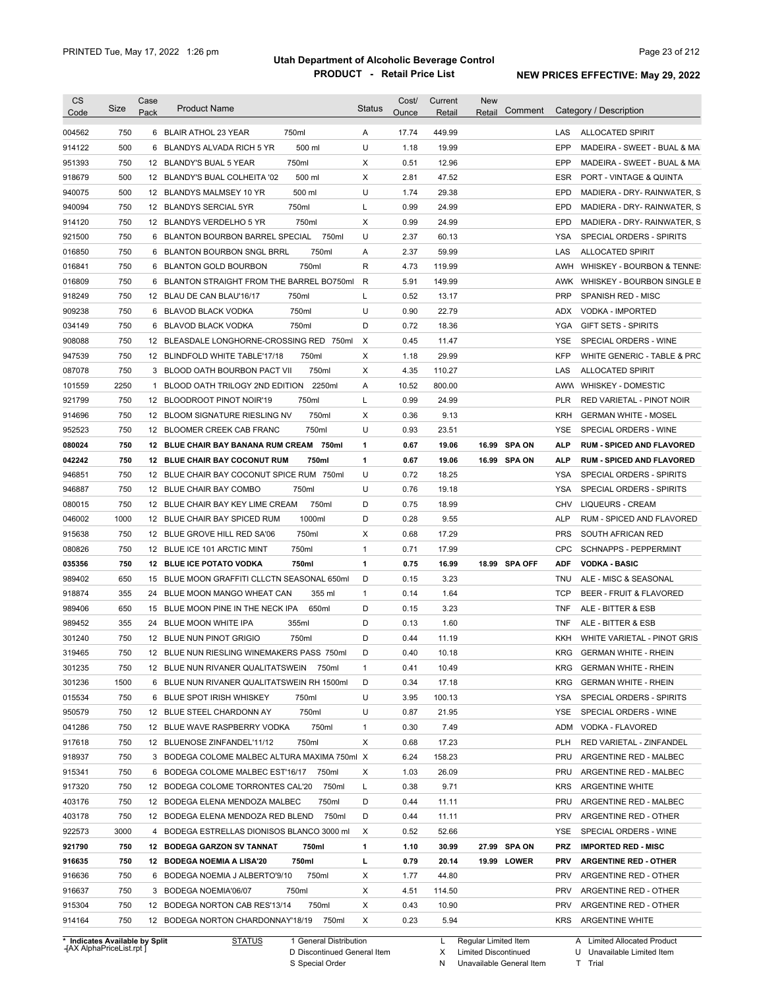| <b>CS</b><br>Code              | Size | Case<br>Pack | <b>Product Name</b>                          |                        | <b>Status</b> | Cost/<br>Ounce | Current<br>Retail | New<br>Retail          | Comment | Category / Description                           |
|--------------------------------|------|--------------|----------------------------------------------|------------------------|---------------|----------------|-------------------|------------------------|---------|--------------------------------------------------|
| 004562                         | 750  |              | 6 BLAIR ATHOL 23 YEAR                        | 750ml                  | A             | 17.74          | 449.99            |                        |         | <b>ALLOCATED SPIRIT</b><br>LAS                   |
| 914122                         | 500  | 6            | BLANDYS ALVADA RICH 5 YR                     | 500 ml                 | U             | 1.18           | 19.99             |                        |         | EPP<br>MADEIRA - SWEET - BUAL & MA               |
| 951393                         | 750  |              | 12 BLANDY'S BUAL 5 YEAR                      | 750ml                  | Χ             | 0.51           | 12.96             |                        |         | EPP<br>MADEIRA - SWEET - BUAL & MA               |
| 918679                         | 500  |              | 12 BLANDY'S BUAL COLHEITA '02                | 500 ml                 | Χ             | 2.81           | 47.52             |                        |         | ESR<br>PORT - VINTAGE & QUINTA                   |
| 940075                         | 500  |              | 12 BLANDYS MALMSEY 10 YR                     | 500 ml                 | U             | 1.74           | 29.38             |                        |         | <b>EPD</b><br>MADIERA - DRY- RAINWATER, S        |
| 940094                         | 750  |              | 12 BLANDYS SERCIAL 5YR                       | 750ml                  | Г             | 0.99           | 24.99             |                        |         | EPD<br>MADIERA - DRY- RAINWATER, S               |
| 914120                         | 750  |              | 12 BLANDYS VERDELHO 5 YR                     | 750ml                  | Х             | 0.99           | 24.99             |                        |         | <b>EPD</b><br>MADIERA - DRY- RAINWATER, S        |
| 921500                         | 750  |              | 6 BLANTON BOURBON BARREL SPECIAL             | 750ml                  | U             | 2.37           | 60.13             |                        |         | YSA<br>SPECIAL ORDERS - SPIRITS                  |
| 016850                         | 750  |              | 6 BLANTON BOURBON SNGL BRRL                  | 750ml                  | Α             | 2.37           | 59.99             |                        |         | LAS<br><b>ALLOCATED SPIRIT</b>                   |
| 016841                         | 750  |              | 6 BLANTON GOLD BOURBON                       | 750ml                  | R             | 4.73           | 119.99            |                        |         | AWH<br>WHISKEY - BOURBON & TENNE:                |
| 016809                         | 750  | 6            | BLANTON STRAIGHT FROM THE BARREL BO750ml     |                        | R             | 5.91           | 149.99            |                        |         | AWK<br>WHISKEY - BOURBON SINGLE B                |
| 918249                         | 750  |              | 12 BLAU DE CAN BLAU'16/17                    | 750ml                  | Г             | 0.52           | 13.17             |                        |         | <b>PRP</b><br>SPANISH RED - MISC                 |
| 909238                         | 750  | 6            | BLAVOD BLACK VODKA                           | 750ml                  | U             | 0.90           | 22.79             |                        |         | ADX<br>VODKA - IMPORTED                          |
| 034149                         | 750  | 6            | BLAVOD BLACK VODKA                           | 750ml                  | D             | 0.72           | 18.36             |                        |         | YGA<br><b>GIFT SETS - SPIRITS</b>                |
| 908088                         | 750  |              | 12 BLEASDALE LONGHORNE-CROSSING RED          | 750ml                  | X             | 0.45           | 11.47             |                        |         | <b>YSE</b><br>SPECIAL ORDERS - WINE              |
| 947539                         | 750  |              | 12 BLINDFOLD WHITE TABLE'17/18               | 750ml                  | X             | 1.18           | 29.99             |                        |         | <b>KFP</b><br>WHITE GENERIC - TABLE & PRC        |
| 087078                         | 750  | 3            | BLOOD OATH BOURBON PACT VII                  | 750ml                  | Χ             | 4.35           | 110.27            |                        |         | LAS<br><b>ALLOCATED SPIRIT</b>                   |
| 101559                         | 2250 | 1            | BLOOD OATH TRILOGY 2ND EDITION               | 2250ml                 | Α             | 10.52          | 800.00            |                        |         | <b>AWW</b><br>WHISKEY - DOMESTIC                 |
|                                | 750  |              | 12 BLOODROOT PINOT NOIR'19                   | 750ml                  | L             | 0.99           | 24.99             |                        |         | <b>PLR</b>                                       |
| 921799                         |      |              |                                              |                        |               |                |                   |                        |         | RED VARIETAL - PINOT NOIR                        |
| 914696                         | 750  |              | 12 BLOOM SIGNATURE RIESLING NV               | 750ml                  | Χ             | 0.36           | 9.13              |                        |         | <b>KRH</b><br><b>GERMAN WHITE - MOSEL</b>        |
| 952523                         | 750  |              | 12 BLOOMER CREEK CAB FRANC                   | 750ml                  | U             | 0.93           | 23.51             |                        |         | <b>YSE</b><br>SPECIAL ORDERS - WINE              |
| 080024                         | 750  |              | 12 BLUE CHAIR BAY BANANA RUM CREAM           | 750ml                  | 1             | 0.67           | 19.06             | 16.99 SPA ON           |         | ALP<br><b>RUM - SPICED AND FLAVORED</b>          |
| 042242                         | 750  |              | <b>12 BLUE CHAIR BAY COCONUT RUM</b>         | 750ml                  | 1             | 0.67           | 19.06             | 16.99 SPA ON           |         | ALP<br><b>RUM - SPICED AND FLAVORED</b>          |
| 946851                         | 750  |              | 12 BLUE CHAIR BAY COCONUT SPICE RUM 750ml    |                        | U             | 0.72           | 18.25             |                        |         | YSA<br>SPECIAL ORDERS - SPIRITS                  |
| 946887                         | 750  |              | 12 BLUE CHAIR BAY COMBO                      | 750ml                  | U             | 0.76           | 19.18             |                        |         | YSA<br>SPECIAL ORDERS - SPIRITS                  |
| 080015                         | 750  |              | 12 BLUE CHAIR BAY KEY LIME CREAM             | 750ml                  | D             | 0.75           | 18.99             |                        |         | CHV<br><b>LIQUEURS - CREAM</b>                   |
| 046002                         | 1000 |              | 12 BLUE CHAIR BAY SPICED RUM                 | 1000ml                 | D             | 0.28           | 9.55              |                        |         | <b>ALP</b><br>RUM - SPICED AND FLAVORED          |
| 915638                         | 750  | 12           | BLUE GROVE HILL RED SA'06                    | 750ml                  | Χ             | 0.68           | 17.29             |                        |         | <b>PRS</b><br>SOUTH AFRICAN RED                  |
| 080826                         | 750  |              | 12 BLUE ICE 101 ARCTIC MINT                  | 750ml                  | 1             | 0.71           | 17.99             |                        |         | <b>CPC</b><br><b>SCHNAPPS - PEPPERMINT</b>       |
| 035356                         | 750  |              | 12 BLUE ICE POTATO VODKA                     | 750ml                  | 1             | 0.75           | 16.99             | 18.99 SPA OFF          |         | ADF<br><b>VODKA - BASIC</b>                      |
| 989402                         | 650  | 15           | BLUE MOON GRAFFITI CLLCTN SEASONAL 650ml     |                        | D             | 0.15           | 3.23              |                        |         | TNU<br>ALE - MISC & SEASONAL                     |
| 918874                         | 355  | 24           | BLUE MOON MANGO WHEAT CAN                    | 355 ml                 | $\mathbf{1}$  | 0.14           | 1.64              |                        |         | <b>TCP</b><br><b>BEER - FRUIT &amp; FLAVORED</b> |
| 989406                         | 650  | 15           | BLUE MOON PINE IN THE NECK IPA               | 650ml                  | D             | 0.15           | 3.23              |                        |         | <b>TNF</b><br>ALE - BITTER & ESB                 |
| 989452                         | 355  | 24           | BLUE MOON WHITE IPA                          | 355ml                  | D             | 0.13           | 1.60              |                        |         | <b>TNF</b><br>ALE - BITTER & ESB                 |
| 301240                         | 750  |              | 12 BLUE NUN PINOT GRIGIO                     | 750ml                  | D             | 0.44           | 11.19             |                        |         | KKH<br>WHITE VARIETAL - PINOT GRIS               |
| 319465                         | 750  |              | 12 BLUE NUN RIESLING WINEMAKERS PASS 750ml   |                        | D             | 0.40           | 10.18             |                        |         | KRG<br><b>GERMAN WHITE - RHEIN</b>               |
| 301235                         | 750  |              | 12 BLUE NUN RIVANER QUALITATSWEIN 750ml      |                        | $\mathbf{1}$  | 0.41           | 10.49             |                        |         | KRG<br><b>GERMAN WHITE - RHEIN</b>               |
| 301236                         | 1500 |              | 6 BLUE NUN RIVANER QUALITATSWEIN RH 1500ml   |                        | D             | 0.34           | 17.18             |                        |         | KRG<br><b>GERMAN WHITE - RHEIN</b>               |
| 015534                         | 750  |              | 6 BLUE SPOT IRISH WHISKEY                    | 750ml                  | U             | 3.95           | 100.13            |                        |         | SPECIAL ORDERS - SPIRITS<br>YSA                  |
| 950579                         | 750  |              | 12 BLUE STEEL CHARDONN AY                    | 750ml                  | U             | 0.87           | 21.95             |                        |         | SPECIAL ORDERS - WINE<br>YSE                     |
| 041286                         | 750  |              | 12 BLUE WAVE RASPBERRY VODKA                 | 750ml                  | $\mathbf{1}$  | 0.30           | 7.49              |                        |         | ADM<br>VODKA - FLAVORED                          |
| 917618                         | 750  |              | 12 BLUENOSE ZINFANDEL'11/12                  | 750ml                  | X             | 0.68           | 17.23             |                        |         | PLH<br>RED VARIETAL - ZINFANDEL                  |
| 918937                         | 750  |              | 3 BODEGA COLOME MALBEC ALTURA MAXIMA 750ml X |                        |               | 6.24           | 158.23            |                        |         | PRU<br>ARGENTINE RED - MALBEC                    |
| 915341                         | 750  |              | 6 BODEGA COLOME MALBEC EST'16/17             | 750ml                  | X             | 1.03           | 26.09             |                        |         | PRU<br>ARGENTINE RED - MALBEC                    |
| 917320                         | 750  |              | 12 BODEGA COLOME TORRONTES CAL'20            | 750ml                  | L             | 0.38           | 9.71              |                        |         | KRS<br><b>ARGENTINE WHITE</b>                    |
| 403176                         | 750  |              | 12 BODEGA ELENA MENDOZA MALBEC               | 750ml                  | D             | 0.44           | 11.11             |                        |         | PRU<br>ARGENTINE RED - MALBEC                    |
| 403178                         | 750  |              | 12 BODEGA ELENA MENDOZA RED BLEND            | 750ml                  | D             | 0.44           | 11.11             |                        |         | <b>PRV</b><br>ARGENTINE RED - OTHER              |
| 922573                         | 3000 |              | 4 BODEGA ESTRELLAS DIONISOS BLANCO 3000 ml   |                        | X             | 0.52           | 52.66             |                        |         | YSE<br>SPECIAL ORDERS - WINE                     |
| 921790                         | 750  |              | 12 BODEGA GARZON SV TANNAT                   | 750ml                  | 1             | 1.10           | 30.99             | 27.99 SPA ON           |         | <b>PRZ</b><br><b>IMPORTED RED - MISC</b>         |
| 916635                         | 750  |              | 12 BODEGA NOEMIA A LISA'20                   | 750ml                  | L             | 0.79           | 20.14             | 19.99 LOWER            |         | <b>PRV</b><br><b>ARGENTINE RED - OTHER</b>       |
| 916636                         | 750  |              | 6 BODEGA NOEMIA J ALBERTO'9/10               | 750ml                  | X             | 1.77           | 44.80             |                        |         | PRV<br>ARGENTINE RED - OTHER                     |
| 916637                         | 750  |              | 3 BODEGA NOEMIA'06/07                        | 750ml                  | X             | 4.51           | 114.50            |                        |         | PRV<br>ARGENTINE RED - OTHER                     |
| 915304                         | 750  |              | 12 BODEGA NORTON CAB RES'13/14               | 750ml                  | X             | 0.43           | 10.90             |                        |         | <b>PRV</b><br>ARGENTINE RED - OTHER              |
| 914164                         | 750  |              | 12 BODEGA NORTON CHARDONNAY'18/19 750ml      |                        | X             | 0.23           | 5.94              |                        |         | KRS<br><b>ARGENTINE WHITE</b>                    |
| * Indicates Available by Split |      |              | <b>STATUS</b>                                | 1 General Distribution |               |                |                   | L Regular Limited Item |         | A Limited Allocated Product                      |

**Case** [AX AlphaPriceList.rpt ]

D Discontinued General Item S Special Order

Regular Limited Item

X

Limited Discontinued

N Unavailable General Item

U Unavailable Limited Item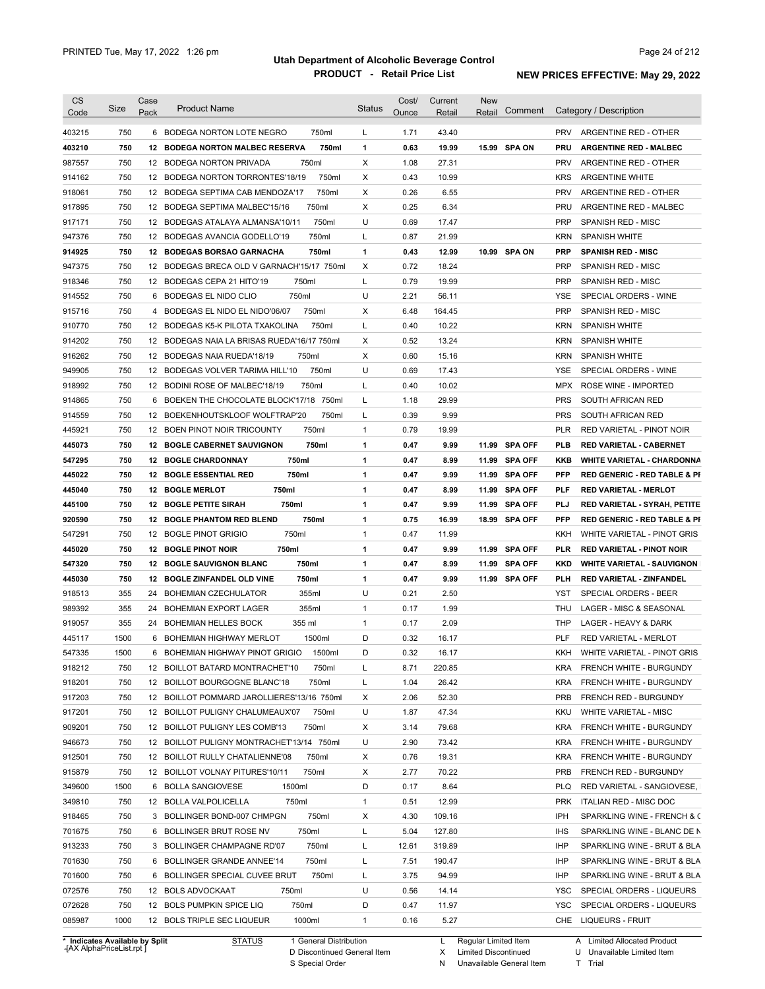| 750<br>6 BODEGA NORTON LOTE NEGRO<br>750ml<br>1.71<br>43.40<br><b>PRV</b><br>ARGENTINE RED - OTHER<br>L<br>750<br>750ml<br>1<br>0.63<br>19.99<br>15.99 SPA ON<br>403210<br>12 BODEGA NORTON MALBEC RESERVA<br>PRU<br><b>ARGENTINE RED - MALBEC</b><br>750<br>750ml<br>Х<br>12 BODEGA NORTON PRIVADA<br>1.08<br>27.31<br><b>PRV</b><br>ARGENTINE RED - OTHER<br>750<br>Х<br>914162<br>12 BODEGA NORTON TORRONTES'18/19<br>750ml<br>0.43<br>10.99<br><b>KRS</b><br><b>ARGENTINE WHITE</b><br>750<br>750ml<br>Х<br>6.55<br><b>PRV</b><br>918061<br>12 BODEGA SEPTIMA CAB MENDOZA'17<br>0.26<br>ARGENTINE RED - OTHER<br>X<br>750<br>0.25<br>6.34<br>12 BODEGA SEPTIMA MALBEC'15/16<br>750ml<br>PRU<br>ARGENTINE RED - MALBEC<br>750<br>750ml<br>U<br>0.69<br>917171<br>17.47<br><b>PRP</b><br>SPANISH RED - MISC<br>12 BODEGAS ATALAYA ALMANSA'10/11<br>750<br>750ml<br>L<br>0.87<br>12 BODEGAS AVANCIA GODELLO'19<br>21.99<br>KRN<br><b>SPANISH WHITE</b><br>750<br>1<br>12.99<br>10.99 SPA ON<br>12 BODEGAS BORSAO GARNACHA<br>750ml<br>0.43<br><b>PRP</b><br><b>SPANISH RED - MISC</b><br>X<br>750<br>0.72<br>18.24<br><b>PRP</b><br>12 BODEGAS BRECA OLD V GARNACH'15/17 750ml<br>SPANISH RED - MISC<br>750<br>750ml<br>L<br>0.79<br>19.99<br>12 BODEGAS CEPA 21 HITO'19<br><b>PRP</b><br>SPANISH RED - MISC<br>750<br>750ml<br>U<br>2.21<br>6 BODEGAS EL NIDO CLIO<br>56.11<br>YSE<br>SPECIAL ORDERS - WINE<br>750<br>750ml<br>х<br>6.48<br>164.45<br><b>PRP</b><br>4 BODEGAS EL NIDO EL NIDO'06/07<br>SPANISH RED - MISC<br>750<br>L<br>0.40<br>10.22<br><b>KRN</b><br>12 BODEGAS K5-K PILOTA TXAKOLINA<br>750ml<br><b>SPANISH WHITE</b><br>750<br>0.52<br>13.24<br><b>KRN</b><br>12 BODEGAS NAIA LA BRISAS RUEDA'16/17 750ml<br>Х<br><b>SPANISH WHITE</b><br>750<br>Х<br>0.60<br><b>KRN</b><br>12 BODEGAS NAIA RUEDA'18/19<br>750ml<br>15.16<br><b>SPANISH WHITE</b><br>750<br>750ml<br>U<br>0.69<br>17.43<br>SPECIAL ORDERS - WINE<br>12 BODEGAS VOLVER TARIMA HILL'10<br>YSE<br>750<br>750ml<br>0.40<br>12 BODINI ROSE OF MALBEC'18/19<br>L<br>10.02<br><b>MPX</b><br>ROSE WINE - IMPORTED<br>750<br><b>PRS</b><br>6 BOEKEN THE CHOCOLATE BLOCK'17/18 750ml<br>L<br>1.18<br>29.99<br>SOUTH AFRICAN RED<br>750<br>0.39<br>9.99<br><b>PRS</b><br>12 BOEKENHOUTSKLOOF WOLFTRAP'20<br>750ml<br>L<br>SOUTH AFRICAN RED<br>750<br>$\mathbf{1}$<br>0.79<br><b>PLR</b><br>12 BOEN PINOT NOIR TRICOUNTY<br>750ml<br>19.99<br><b>RED VARIETAL - PINOT NOIR</b><br>750<br>750ml<br>0.47<br><b>12 BOGLE CABERNET SAUVIGNON</b><br>1<br>9.99<br>11.99<br>SPA OFF<br><b>PLB</b><br><b>RED VARIETAL - CABERNET</b><br>750<br>750ml<br>0.47<br><b>12 BOGLE CHARDONNAY</b><br>1<br>8.99<br>11.99 SPA OFF<br><b>KKB</b><br>750<br>750ml<br>1<br>0.47<br>9.99<br><b>12 BOGLE ESSENTIAL RED</b><br>11.99 SPA OFF<br>PFP<br>750<br>750ml<br>1<br>0.47<br>8.99<br>12<br><b>BOGLE MERLOT</b><br>SPA OFF<br>PLF<br><b>RED VARIETAL - MERLOT</b><br>11.99<br>750<br>$\mathbf{1}$<br>0.47<br>9.99<br><b>12 BOGLE PETITE SIRAH</b><br>750ml<br>11.99<br><b>SPA OFF</b><br>PLJ<br>750<br>750ml<br>$\mathbf{1}$<br>0.75<br>12<br><b>BOGLE PHANTOM RED BLEND</b><br>16.99<br>SPA OFF<br>PFP<br>18.99<br>750<br>750ml<br>$\mathbf{1}$<br>0.47<br>12 BOGLE PINOT GRIGIO<br>11.99<br>KKH<br>WHITE VARIETAL - PINOT GRIS<br>750<br>750ml<br>1<br>0.47<br>9.99<br><b>SPA OFF</b><br>12 BOGLE PINOT NOIR<br>11.99<br>PLR<br><b>RED VARIETAL - PINOT NOIR</b><br>750<br>1<br>0.47<br>8.99<br><b>12 BOGLE SAUVIGNON BLANC</b><br>750ml<br>11.99<br>SPA OFF<br><b>KKD</b><br><b>WHITE VARIETAL - SAUVIGNON</b><br>750<br>750ml<br>1<br>0.47<br>9.99<br>12 BOGLE ZINFANDEL OLD VINE<br>11.99 SPA OFF<br>PLH<br>RED VARIETAL - ZINFANDEL<br>355<br>355ml<br>U<br>0.21<br>2.50<br>24<br><b>BOHEMIAN CZECHULATOR</b><br>YST<br>SPECIAL ORDERS - BEER<br>355ml<br>$\mathbf{1}$<br>355<br>24<br>BOHEMIAN EXPORT LAGER<br>0.17<br>1.99<br>THU<br>LAGER - MISC & SEASONAL<br>355<br>$\mathbf{1}$<br>24 BOHEMIAN HELLES BOCK<br>355 ml<br>0.17<br>2.09<br>THP<br>LAGER - HEAVY & DARK<br>1500<br>D<br>0.32<br><b>PLF</b><br>445117<br>6 BOHEMIAN HIGHWAY MERLOT<br>1500ml<br>16.17<br><b>RED VARIETAL - MERLOT</b><br>547335<br>1500<br>6 BOHEMIAN HIGHWAY PINOT GRIGIO<br>1500ml<br>D<br>0.32<br>KKH WHITE VARIETAL - PINOT GRIS<br>16.17<br>918212<br>750<br>12 BOILLOT BATARD MONTRACHET'10<br>750ml<br>L<br>220.85<br>KRA<br>8.71<br>FRENCH WHITE - BURGUNDY<br>918201<br>750<br>L<br>1.04<br>12 BOILLOT BOURGOGNE BLANC'18<br>750ml<br>26.42<br><b>KRA</b><br>FRENCH WHITE - BURGUNDY<br>917203<br>750<br>12 BOILLOT POMMARD JAROLLIERES'13/16 750ml<br>х<br>2.06<br>52.30<br><b>PRB</b><br>FRENCH RED - BURGUNDY<br>917201<br>750<br>750ml<br>U<br>47.34<br>12 BOILLOT PULIGNY CHALUMEAUX'07<br>1.87<br>KKU<br>WHITE VARIETAL - MISC<br>909201<br>750<br>750ml<br>Х<br>79.68<br>12 BOILLOT PULIGNY LES COMB'13<br>3.14<br><b>KRA</b><br>FRENCH WHITE - BURGUNDY<br>946673<br>750<br>12 BOILLOT PULIGNY MONTRACHET'13/14 750ml<br>U<br>2.90<br>73.42<br><b>KRA</b><br>FRENCH WHITE - BURGUNDY<br>912501<br>750<br>750ml<br>Х<br>0.76<br>19.31<br><b>KRA</b><br>12 BOILLOT RULLY CHATALIENNE'08<br>FRENCH WHITE - BURGUNDY<br>750<br>750ml<br>Х<br>70.22<br><b>PRB</b><br>12 BOILLOT VOLNAY PITURES'10/11<br>2.77<br>FRENCH RED - BURGUNDY<br>1500<br>1500ml<br>D<br>8.64<br>6 BOLLA SANGIOVESE<br>0.17<br><b>PLQ</b><br>RED VARIETAL - SANGIOVESE,<br>750<br>12 BOLLA VALPOLICELLA<br>750ml<br>0.51<br>12.99<br><b>ITALIAN RED - MISC DOC</b><br>$\mathbf{1}$<br><b>PRK</b><br>750<br>750ml<br>Х<br>4.30<br>109.16<br>IPH<br>3 BOLLINGER BOND-007 CHMPGN<br>750<br>750ml<br>5.04<br>127.80<br>6 BOLLINGER BRUT ROSE NV<br>L<br><b>IHS</b><br>750<br>750ml<br>319.89<br>3 BOLLINGER CHAMPAGNE RD'07<br>L<br>12.61<br>IHP<br>750<br>750ml<br>7.51<br>190.47<br>6 BOLLINGER GRANDE ANNEE'14<br>L<br>IHP<br>750<br>6 BOLLINGER SPECIAL CUVEE BRUT<br>750ml<br>L<br>3.75<br>94.99<br>IHP<br>750<br>U<br>0.56<br>12 BOLS ADVOCKAAT<br>750ml<br>14.14<br>YSC<br>SPECIAL ORDERS - LIQUEURS<br>750<br>750ml<br>D<br>11.97<br>12 BOLS PUMPKIN SPICE LIQ<br>0.47<br>YSC<br>SPECIAL ORDERS - LIQUEURS<br>1000<br>1000ml<br>5.27<br><b>LIQUEURS - FRUIT</b><br>12 BOLS TRIPLE SEC LIQUEUR<br>$\mathbf{1}$<br>0.16<br>CHE<br>* Indicates Available by Split<br><b>STATUS</b><br>1 General Distribution<br>Regular Limited Item<br>A Limited Allocated Product<br>L | <b>CS</b><br>Code | Size | Case<br>Pack | <b>Product Name</b> | <b>Status</b> | Cost/<br>Ounce | Current<br>Retail | <b>New</b><br>Comment<br>Retail | Category / Description                  |
|-----------------------------------------------------------------------------------------------------------------------------------------------------------------------------------------------------------------------------------------------------------------------------------------------------------------------------------------------------------------------------------------------------------------------------------------------------------------------------------------------------------------------------------------------------------------------------------------------------------------------------------------------------------------------------------------------------------------------------------------------------------------------------------------------------------------------------------------------------------------------------------------------------------------------------------------------------------------------------------------------------------------------------------------------------------------------------------------------------------------------------------------------------------------------------------------------------------------------------------------------------------------------------------------------------------------------------------------------------------------------------------------------------------------------------------------------------------------------------------------------------------------------------------------------------------------------------------------------------------------------------------------------------------------------------------------------------------------------------------------------------------------------------------------------------------------------------------------------------------------------------------------------------------------------------------------------------------------------------------------------------------------------------------------------------------------------------------------------------------------------------------------------------------------------------------------------------------------------------------------------------------------------------------------------------------------------------------------------------------------------------------------------------------------------------------------------------------------------------------------------------------------------------------------------------------------------------------------------------------------------------------------------------------------------------------------------------------------------------------------------------------------------------------------------------------------------------------------------------------------------------------------------------------------------------------------------------------------------------------------------------------------------------------------------------------------------------------------------------------------------------------------------------------------------------------------------------------------------------------------------------------------------------------------------------------------------------------------------------------------------------------------------------------------------------------------------------------------------------------------------------------------------------------------------------------------------------------------------------------------------------------------------------------------------------------------------------------------------------------------------------------------------------------------------------------------------------------------------------------------------------------------------------------------------------------------------------------------------------------------------------------------------------------------------------------------------------------------------------------------------------------------------------------------------------------------------------------------------------------------------------------------------------------------------------------------------------------------------------------------------------------------------------------------------------------------------------------------------------------------------------------------------------------------------------------------------------------------------------------------------------------------------------------------------------------------------------------------------------------------------------------------------------------------------------------------------------------------------------------------------------------------------------------------------------------------------------------------------------------------------------------------------------------------------------------------------------------------------------------------------------------------------------------------------------------------------------------------------------------------------------------------------------------------------------------------------------------------------------------------------------------------------------------------------------------------------------------------------------------------------------------------------------------------------------------------------------------------------------------------------------------------------------------------------------------------------------------------------------------------------------------------------------------------------------------------------------------------------------------------------------------------------------------------------------------------------------------------------------------------------------------------------------------------------------------------------------------------------------------------------------------------------------------------------------------------------------------------------------------------------------------------------------------------------------------------------------------------------------------------------------------------------------------------|-------------------|------|--------------|---------------------|---------------|----------------|-------------------|---------------------------------|-----------------------------------------|
|                                                                                                                                                                                                                                                                                                                                                                                                                                                                                                                                                                                                                                                                                                                                                                                                                                                                                                                                                                                                                                                                                                                                                                                                                                                                                                                                                                                                                                                                                                                                                                                                                                                                                                                                                                                                                                                                                                                                                                                                                                                                                                                                                                                                                                                                                                                                                                                                                                                                                                                                                                                                                                                                                                                                                                                                                                                                                                                                                                                                                                                                                                                                                                                                                                                                                                                                                                                                                                                                                                                                                                                                                                                                                                                                                                                                                                                                                                                                                                                                                                                                                                                                                                                                                                                                                                                                                                                                                                                                                                                                                                                                                                                                                                                                                                                                                                                                                                                                                                                                                                                                                                                                                                                                                                                                                                                                                                                                                                                                                                                                                                                                                                                                                                                                                                                                                                                                                                                                                                                                                                                                                                                                                                                                                                                                                                                                                                                                                 |                   |      |              |                     |               |                |                   |                                 |                                         |
|                                                                                                                                                                                                                                                                                                                                                                                                                                                                                                                                                                                                                                                                                                                                                                                                                                                                                                                                                                                                                                                                                                                                                                                                                                                                                                                                                                                                                                                                                                                                                                                                                                                                                                                                                                                                                                                                                                                                                                                                                                                                                                                                                                                                                                                                                                                                                                                                                                                                                                                                                                                                                                                                                                                                                                                                                                                                                                                                                                                                                                                                                                                                                                                                                                                                                                                                                                                                                                                                                                                                                                                                                                                                                                                                                                                                                                                                                                                                                                                                                                                                                                                                                                                                                                                                                                                                                                                                                                                                                                                                                                                                                                                                                                                                                                                                                                                                                                                                                                                                                                                                                                                                                                                                                                                                                                                                                                                                                                                                                                                                                                                                                                                                                                                                                                                                                                                                                                                                                                                                                                                                                                                                                                                                                                                                                                                                                                                                                 | 403215            |      |              |                     |               |                |                   |                                 |                                         |
|                                                                                                                                                                                                                                                                                                                                                                                                                                                                                                                                                                                                                                                                                                                                                                                                                                                                                                                                                                                                                                                                                                                                                                                                                                                                                                                                                                                                                                                                                                                                                                                                                                                                                                                                                                                                                                                                                                                                                                                                                                                                                                                                                                                                                                                                                                                                                                                                                                                                                                                                                                                                                                                                                                                                                                                                                                                                                                                                                                                                                                                                                                                                                                                                                                                                                                                                                                                                                                                                                                                                                                                                                                                                                                                                                                                                                                                                                                                                                                                                                                                                                                                                                                                                                                                                                                                                                                                                                                                                                                                                                                                                                                                                                                                                                                                                                                                                                                                                                                                                                                                                                                                                                                                                                                                                                                                                                                                                                                                                                                                                                                                                                                                                                                                                                                                                                                                                                                                                                                                                                                                                                                                                                                                                                                                                                                                                                                                                                 |                   |      |              |                     |               |                |                   |                                 |                                         |
|                                                                                                                                                                                                                                                                                                                                                                                                                                                                                                                                                                                                                                                                                                                                                                                                                                                                                                                                                                                                                                                                                                                                                                                                                                                                                                                                                                                                                                                                                                                                                                                                                                                                                                                                                                                                                                                                                                                                                                                                                                                                                                                                                                                                                                                                                                                                                                                                                                                                                                                                                                                                                                                                                                                                                                                                                                                                                                                                                                                                                                                                                                                                                                                                                                                                                                                                                                                                                                                                                                                                                                                                                                                                                                                                                                                                                                                                                                                                                                                                                                                                                                                                                                                                                                                                                                                                                                                                                                                                                                                                                                                                                                                                                                                                                                                                                                                                                                                                                                                                                                                                                                                                                                                                                                                                                                                                                                                                                                                                                                                                                                                                                                                                                                                                                                                                                                                                                                                                                                                                                                                                                                                                                                                                                                                                                                                                                                                                                 | 987557            |      |              |                     |               |                |                   |                                 |                                         |
|                                                                                                                                                                                                                                                                                                                                                                                                                                                                                                                                                                                                                                                                                                                                                                                                                                                                                                                                                                                                                                                                                                                                                                                                                                                                                                                                                                                                                                                                                                                                                                                                                                                                                                                                                                                                                                                                                                                                                                                                                                                                                                                                                                                                                                                                                                                                                                                                                                                                                                                                                                                                                                                                                                                                                                                                                                                                                                                                                                                                                                                                                                                                                                                                                                                                                                                                                                                                                                                                                                                                                                                                                                                                                                                                                                                                                                                                                                                                                                                                                                                                                                                                                                                                                                                                                                                                                                                                                                                                                                                                                                                                                                                                                                                                                                                                                                                                                                                                                                                                                                                                                                                                                                                                                                                                                                                                                                                                                                                                                                                                                                                                                                                                                                                                                                                                                                                                                                                                                                                                                                                                                                                                                                                                                                                                                                                                                                                                                 |                   |      |              |                     |               |                |                   |                                 |                                         |
|                                                                                                                                                                                                                                                                                                                                                                                                                                                                                                                                                                                                                                                                                                                                                                                                                                                                                                                                                                                                                                                                                                                                                                                                                                                                                                                                                                                                                                                                                                                                                                                                                                                                                                                                                                                                                                                                                                                                                                                                                                                                                                                                                                                                                                                                                                                                                                                                                                                                                                                                                                                                                                                                                                                                                                                                                                                                                                                                                                                                                                                                                                                                                                                                                                                                                                                                                                                                                                                                                                                                                                                                                                                                                                                                                                                                                                                                                                                                                                                                                                                                                                                                                                                                                                                                                                                                                                                                                                                                                                                                                                                                                                                                                                                                                                                                                                                                                                                                                                                                                                                                                                                                                                                                                                                                                                                                                                                                                                                                                                                                                                                                                                                                                                                                                                                                                                                                                                                                                                                                                                                                                                                                                                                                                                                                                                                                                                                                                 |                   |      |              |                     |               |                |                   |                                 |                                         |
|                                                                                                                                                                                                                                                                                                                                                                                                                                                                                                                                                                                                                                                                                                                                                                                                                                                                                                                                                                                                                                                                                                                                                                                                                                                                                                                                                                                                                                                                                                                                                                                                                                                                                                                                                                                                                                                                                                                                                                                                                                                                                                                                                                                                                                                                                                                                                                                                                                                                                                                                                                                                                                                                                                                                                                                                                                                                                                                                                                                                                                                                                                                                                                                                                                                                                                                                                                                                                                                                                                                                                                                                                                                                                                                                                                                                                                                                                                                                                                                                                                                                                                                                                                                                                                                                                                                                                                                                                                                                                                                                                                                                                                                                                                                                                                                                                                                                                                                                                                                                                                                                                                                                                                                                                                                                                                                                                                                                                                                                                                                                                                                                                                                                                                                                                                                                                                                                                                                                                                                                                                                                                                                                                                                                                                                                                                                                                                                                                 | 917895            |      |              |                     |               |                |                   |                                 |                                         |
|                                                                                                                                                                                                                                                                                                                                                                                                                                                                                                                                                                                                                                                                                                                                                                                                                                                                                                                                                                                                                                                                                                                                                                                                                                                                                                                                                                                                                                                                                                                                                                                                                                                                                                                                                                                                                                                                                                                                                                                                                                                                                                                                                                                                                                                                                                                                                                                                                                                                                                                                                                                                                                                                                                                                                                                                                                                                                                                                                                                                                                                                                                                                                                                                                                                                                                                                                                                                                                                                                                                                                                                                                                                                                                                                                                                                                                                                                                                                                                                                                                                                                                                                                                                                                                                                                                                                                                                                                                                                                                                                                                                                                                                                                                                                                                                                                                                                                                                                                                                                                                                                                                                                                                                                                                                                                                                                                                                                                                                                                                                                                                                                                                                                                                                                                                                                                                                                                                                                                                                                                                                                                                                                                                                                                                                                                                                                                                                                                 |                   |      |              |                     |               |                |                   |                                 |                                         |
|                                                                                                                                                                                                                                                                                                                                                                                                                                                                                                                                                                                                                                                                                                                                                                                                                                                                                                                                                                                                                                                                                                                                                                                                                                                                                                                                                                                                                                                                                                                                                                                                                                                                                                                                                                                                                                                                                                                                                                                                                                                                                                                                                                                                                                                                                                                                                                                                                                                                                                                                                                                                                                                                                                                                                                                                                                                                                                                                                                                                                                                                                                                                                                                                                                                                                                                                                                                                                                                                                                                                                                                                                                                                                                                                                                                                                                                                                                                                                                                                                                                                                                                                                                                                                                                                                                                                                                                                                                                                                                                                                                                                                                                                                                                                                                                                                                                                                                                                                                                                                                                                                                                                                                                                                                                                                                                                                                                                                                                                                                                                                                                                                                                                                                                                                                                                                                                                                                                                                                                                                                                                                                                                                                                                                                                                                                                                                                                                                 | 947376            |      |              |                     |               |                |                   |                                 |                                         |
|                                                                                                                                                                                                                                                                                                                                                                                                                                                                                                                                                                                                                                                                                                                                                                                                                                                                                                                                                                                                                                                                                                                                                                                                                                                                                                                                                                                                                                                                                                                                                                                                                                                                                                                                                                                                                                                                                                                                                                                                                                                                                                                                                                                                                                                                                                                                                                                                                                                                                                                                                                                                                                                                                                                                                                                                                                                                                                                                                                                                                                                                                                                                                                                                                                                                                                                                                                                                                                                                                                                                                                                                                                                                                                                                                                                                                                                                                                                                                                                                                                                                                                                                                                                                                                                                                                                                                                                                                                                                                                                                                                                                                                                                                                                                                                                                                                                                                                                                                                                                                                                                                                                                                                                                                                                                                                                                                                                                                                                                                                                                                                                                                                                                                                                                                                                                                                                                                                                                                                                                                                                                                                                                                                                                                                                                                                                                                                                                                 | 914925            |      |              |                     |               |                |                   |                                 |                                         |
|                                                                                                                                                                                                                                                                                                                                                                                                                                                                                                                                                                                                                                                                                                                                                                                                                                                                                                                                                                                                                                                                                                                                                                                                                                                                                                                                                                                                                                                                                                                                                                                                                                                                                                                                                                                                                                                                                                                                                                                                                                                                                                                                                                                                                                                                                                                                                                                                                                                                                                                                                                                                                                                                                                                                                                                                                                                                                                                                                                                                                                                                                                                                                                                                                                                                                                                                                                                                                                                                                                                                                                                                                                                                                                                                                                                                                                                                                                                                                                                                                                                                                                                                                                                                                                                                                                                                                                                                                                                                                                                                                                                                                                                                                                                                                                                                                                                                                                                                                                                                                                                                                                                                                                                                                                                                                                                                                                                                                                                                                                                                                                                                                                                                                                                                                                                                                                                                                                                                                                                                                                                                                                                                                                                                                                                                                                                                                                                                                 | 947375            |      |              |                     |               |                |                   |                                 |                                         |
|                                                                                                                                                                                                                                                                                                                                                                                                                                                                                                                                                                                                                                                                                                                                                                                                                                                                                                                                                                                                                                                                                                                                                                                                                                                                                                                                                                                                                                                                                                                                                                                                                                                                                                                                                                                                                                                                                                                                                                                                                                                                                                                                                                                                                                                                                                                                                                                                                                                                                                                                                                                                                                                                                                                                                                                                                                                                                                                                                                                                                                                                                                                                                                                                                                                                                                                                                                                                                                                                                                                                                                                                                                                                                                                                                                                                                                                                                                                                                                                                                                                                                                                                                                                                                                                                                                                                                                                                                                                                                                                                                                                                                                                                                                                                                                                                                                                                                                                                                                                                                                                                                                                                                                                                                                                                                                                                                                                                                                                                                                                                                                                                                                                                                                                                                                                                                                                                                                                                                                                                                                                                                                                                                                                                                                                                                                                                                                                                                 | 918346            |      |              |                     |               |                |                   |                                 |                                         |
|                                                                                                                                                                                                                                                                                                                                                                                                                                                                                                                                                                                                                                                                                                                                                                                                                                                                                                                                                                                                                                                                                                                                                                                                                                                                                                                                                                                                                                                                                                                                                                                                                                                                                                                                                                                                                                                                                                                                                                                                                                                                                                                                                                                                                                                                                                                                                                                                                                                                                                                                                                                                                                                                                                                                                                                                                                                                                                                                                                                                                                                                                                                                                                                                                                                                                                                                                                                                                                                                                                                                                                                                                                                                                                                                                                                                                                                                                                                                                                                                                                                                                                                                                                                                                                                                                                                                                                                                                                                                                                                                                                                                                                                                                                                                                                                                                                                                                                                                                                                                                                                                                                                                                                                                                                                                                                                                                                                                                                                                                                                                                                                                                                                                                                                                                                                                                                                                                                                                                                                                                                                                                                                                                                                                                                                                                                                                                                                                                 | 914552            |      |              |                     |               |                |                   |                                 |                                         |
|                                                                                                                                                                                                                                                                                                                                                                                                                                                                                                                                                                                                                                                                                                                                                                                                                                                                                                                                                                                                                                                                                                                                                                                                                                                                                                                                                                                                                                                                                                                                                                                                                                                                                                                                                                                                                                                                                                                                                                                                                                                                                                                                                                                                                                                                                                                                                                                                                                                                                                                                                                                                                                                                                                                                                                                                                                                                                                                                                                                                                                                                                                                                                                                                                                                                                                                                                                                                                                                                                                                                                                                                                                                                                                                                                                                                                                                                                                                                                                                                                                                                                                                                                                                                                                                                                                                                                                                                                                                                                                                                                                                                                                                                                                                                                                                                                                                                                                                                                                                                                                                                                                                                                                                                                                                                                                                                                                                                                                                                                                                                                                                                                                                                                                                                                                                                                                                                                                                                                                                                                                                                                                                                                                                                                                                                                                                                                                                                                 | 915716            |      |              |                     |               |                |                   |                                 |                                         |
|                                                                                                                                                                                                                                                                                                                                                                                                                                                                                                                                                                                                                                                                                                                                                                                                                                                                                                                                                                                                                                                                                                                                                                                                                                                                                                                                                                                                                                                                                                                                                                                                                                                                                                                                                                                                                                                                                                                                                                                                                                                                                                                                                                                                                                                                                                                                                                                                                                                                                                                                                                                                                                                                                                                                                                                                                                                                                                                                                                                                                                                                                                                                                                                                                                                                                                                                                                                                                                                                                                                                                                                                                                                                                                                                                                                                                                                                                                                                                                                                                                                                                                                                                                                                                                                                                                                                                                                                                                                                                                                                                                                                                                                                                                                                                                                                                                                                                                                                                                                                                                                                                                                                                                                                                                                                                                                                                                                                                                                                                                                                                                                                                                                                                                                                                                                                                                                                                                                                                                                                                                                                                                                                                                                                                                                                                                                                                                                                                 | 910770            |      |              |                     |               |                |                   |                                 |                                         |
|                                                                                                                                                                                                                                                                                                                                                                                                                                                                                                                                                                                                                                                                                                                                                                                                                                                                                                                                                                                                                                                                                                                                                                                                                                                                                                                                                                                                                                                                                                                                                                                                                                                                                                                                                                                                                                                                                                                                                                                                                                                                                                                                                                                                                                                                                                                                                                                                                                                                                                                                                                                                                                                                                                                                                                                                                                                                                                                                                                                                                                                                                                                                                                                                                                                                                                                                                                                                                                                                                                                                                                                                                                                                                                                                                                                                                                                                                                                                                                                                                                                                                                                                                                                                                                                                                                                                                                                                                                                                                                                                                                                                                                                                                                                                                                                                                                                                                                                                                                                                                                                                                                                                                                                                                                                                                                                                                                                                                                                                                                                                                                                                                                                                                                                                                                                                                                                                                                                                                                                                                                                                                                                                                                                                                                                                                                                                                                                                                 | 914202            |      |              |                     |               |                |                   |                                 |                                         |
|                                                                                                                                                                                                                                                                                                                                                                                                                                                                                                                                                                                                                                                                                                                                                                                                                                                                                                                                                                                                                                                                                                                                                                                                                                                                                                                                                                                                                                                                                                                                                                                                                                                                                                                                                                                                                                                                                                                                                                                                                                                                                                                                                                                                                                                                                                                                                                                                                                                                                                                                                                                                                                                                                                                                                                                                                                                                                                                                                                                                                                                                                                                                                                                                                                                                                                                                                                                                                                                                                                                                                                                                                                                                                                                                                                                                                                                                                                                                                                                                                                                                                                                                                                                                                                                                                                                                                                                                                                                                                                                                                                                                                                                                                                                                                                                                                                                                                                                                                                                                                                                                                                                                                                                                                                                                                                                                                                                                                                                                                                                                                                                                                                                                                                                                                                                                                                                                                                                                                                                                                                                                                                                                                                                                                                                                                                                                                                                                                 | 916262            |      |              |                     |               |                |                   |                                 |                                         |
|                                                                                                                                                                                                                                                                                                                                                                                                                                                                                                                                                                                                                                                                                                                                                                                                                                                                                                                                                                                                                                                                                                                                                                                                                                                                                                                                                                                                                                                                                                                                                                                                                                                                                                                                                                                                                                                                                                                                                                                                                                                                                                                                                                                                                                                                                                                                                                                                                                                                                                                                                                                                                                                                                                                                                                                                                                                                                                                                                                                                                                                                                                                                                                                                                                                                                                                                                                                                                                                                                                                                                                                                                                                                                                                                                                                                                                                                                                                                                                                                                                                                                                                                                                                                                                                                                                                                                                                                                                                                                                                                                                                                                                                                                                                                                                                                                                                                                                                                                                                                                                                                                                                                                                                                                                                                                                                                                                                                                                                                                                                                                                                                                                                                                                                                                                                                                                                                                                                                                                                                                                                                                                                                                                                                                                                                                                                                                                                                                 | 949905            |      |              |                     |               |                |                   |                                 |                                         |
|                                                                                                                                                                                                                                                                                                                                                                                                                                                                                                                                                                                                                                                                                                                                                                                                                                                                                                                                                                                                                                                                                                                                                                                                                                                                                                                                                                                                                                                                                                                                                                                                                                                                                                                                                                                                                                                                                                                                                                                                                                                                                                                                                                                                                                                                                                                                                                                                                                                                                                                                                                                                                                                                                                                                                                                                                                                                                                                                                                                                                                                                                                                                                                                                                                                                                                                                                                                                                                                                                                                                                                                                                                                                                                                                                                                                                                                                                                                                                                                                                                                                                                                                                                                                                                                                                                                                                                                                                                                                                                                                                                                                                                                                                                                                                                                                                                                                                                                                                                                                                                                                                                                                                                                                                                                                                                                                                                                                                                                                                                                                                                                                                                                                                                                                                                                                                                                                                                                                                                                                                                                                                                                                                                                                                                                                                                                                                                                                                 | 918992            |      |              |                     |               |                |                   |                                 |                                         |
|                                                                                                                                                                                                                                                                                                                                                                                                                                                                                                                                                                                                                                                                                                                                                                                                                                                                                                                                                                                                                                                                                                                                                                                                                                                                                                                                                                                                                                                                                                                                                                                                                                                                                                                                                                                                                                                                                                                                                                                                                                                                                                                                                                                                                                                                                                                                                                                                                                                                                                                                                                                                                                                                                                                                                                                                                                                                                                                                                                                                                                                                                                                                                                                                                                                                                                                                                                                                                                                                                                                                                                                                                                                                                                                                                                                                                                                                                                                                                                                                                                                                                                                                                                                                                                                                                                                                                                                                                                                                                                                                                                                                                                                                                                                                                                                                                                                                                                                                                                                                                                                                                                                                                                                                                                                                                                                                                                                                                                                                                                                                                                                                                                                                                                                                                                                                                                                                                                                                                                                                                                                                                                                                                                                                                                                                                                                                                                                                                 | 914865            |      |              |                     |               |                |                   |                                 |                                         |
|                                                                                                                                                                                                                                                                                                                                                                                                                                                                                                                                                                                                                                                                                                                                                                                                                                                                                                                                                                                                                                                                                                                                                                                                                                                                                                                                                                                                                                                                                                                                                                                                                                                                                                                                                                                                                                                                                                                                                                                                                                                                                                                                                                                                                                                                                                                                                                                                                                                                                                                                                                                                                                                                                                                                                                                                                                                                                                                                                                                                                                                                                                                                                                                                                                                                                                                                                                                                                                                                                                                                                                                                                                                                                                                                                                                                                                                                                                                                                                                                                                                                                                                                                                                                                                                                                                                                                                                                                                                                                                                                                                                                                                                                                                                                                                                                                                                                                                                                                                                                                                                                                                                                                                                                                                                                                                                                                                                                                                                                                                                                                                                                                                                                                                                                                                                                                                                                                                                                                                                                                                                                                                                                                                                                                                                                                                                                                                                                                 | 914559            |      |              |                     |               |                |                   |                                 |                                         |
|                                                                                                                                                                                                                                                                                                                                                                                                                                                                                                                                                                                                                                                                                                                                                                                                                                                                                                                                                                                                                                                                                                                                                                                                                                                                                                                                                                                                                                                                                                                                                                                                                                                                                                                                                                                                                                                                                                                                                                                                                                                                                                                                                                                                                                                                                                                                                                                                                                                                                                                                                                                                                                                                                                                                                                                                                                                                                                                                                                                                                                                                                                                                                                                                                                                                                                                                                                                                                                                                                                                                                                                                                                                                                                                                                                                                                                                                                                                                                                                                                                                                                                                                                                                                                                                                                                                                                                                                                                                                                                                                                                                                                                                                                                                                                                                                                                                                                                                                                                                                                                                                                                                                                                                                                                                                                                                                                                                                                                                                                                                                                                                                                                                                                                                                                                                                                                                                                                                                                                                                                                                                                                                                                                                                                                                                                                                                                                                                                 | 445921            |      |              |                     |               |                |                   |                                 |                                         |
|                                                                                                                                                                                                                                                                                                                                                                                                                                                                                                                                                                                                                                                                                                                                                                                                                                                                                                                                                                                                                                                                                                                                                                                                                                                                                                                                                                                                                                                                                                                                                                                                                                                                                                                                                                                                                                                                                                                                                                                                                                                                                                                                                                                                                                                                                                                                                                                                                                                                                                                                                                                                                                                                                                                                                                                                                                                                                                                                                                                                                                                                                                                                                                                                                                                                                                                                                                                                                                                                                                                                                                                                                                                                                                                                                                                                                                                                                                                                                                                                                                                                                                                                                                                                                                                                                                                                                                                                                                                                                                                                                                                                                                                                                                                                                                                                                                                                                                                                                                                                                                                                                                                                                                                                                                                                                                                                                                                                                                                                                                                                                                                                                                                                                                                                                                                                                                                                                                                                                                                                                                                                                                                                                                                                                                                                                                                                                                                                                 | 445073            |      |              |                     |               |                |                   |                                 |                                         |
|                                                                                                                                                                                                                                                                                                                                                                                                                                                                                                                                                                                                                                                                                                                                                                                                                                                                                                                                                                                                                                                                                                                                                                                                                                                                                                                                                                                                                                                                                                                                                                                                                                                                                                                                                                                                                                                                                                                                                                                                                                                                                                                                                                                                                                                                                                                                                                                                                                                                                                                                                                                                                                                                                                                                                                                                                                                                                                                                                                                                                                                                                                                                                                                                                                                                                                                                                                                                                                                                                                                                                                                                                                                                                                                                                                                                                                                                                                                                                                                                                                                                                                                                                                                                                                                                                                                                                                                                                                                                                                                                                                                                                                                                                                                                                                                                                                                                                                                                                                                                                                                                                                                                                                                                                                                                                                                                                                                                                                                                                                                                                                                                                                                                                                                                                                                                                                                                                                                                                                                                                                                                                                                                                                                                                                                                                                                                                                                                                 | 547295            |      |              |                     |               |                |                   |                                 | <b>WHITE VARIETAL - CHARDONNA</b>       |
|                                                                                                                                                                                                                                                                                                                                                                                                                                                                                                                                                                                                                                                                                                                                                                                                                                                                                                                                                                                                                                                                                                                                                                                                                                                                                                                                                                                                                                                                                                                                                                                                                                                                                                                                                                                                                                                                                                                                                                                                                                                                                                                                                                                                                                                                                                                                                                                                                                                                                                                                                                                                                                                                                                                                                                                                                                                                                                                                                                                                                                                                                                                                                                                                                                                                                                                                                                                                                                                                                                                                                                                                                                                                                                                                                                                                                                                                                                                                                                                                                                                                                                                                                                                                                                                                                                                                                                                                                                                                                                                                                                                                                                                                                                                                                                                                                                                                                                                                                                                                                                                                                                                                                                                                                                                                                                                                                                                                                                                                                                                                                                                                                                                                                                                                                                                                                                                                                                                                                                                                                                                                                                                                                                                                                                                                                                                                                                                                                 | 445022            |      |              |                     |               |                |                   |                                 | <b>RED GENERIC - RED TABLE &amp; PI</b> |
|                                                                                                                                                                                                                                                                                                                                                                                                                                                                                                                                                                                                                                                                                                                                                                                                                                                                                                                                                                                                                                                                                                                                                                                                                                                                                                                                                                                                                                                                                                                                                                                                                                                                                                                                                                                                                                                                                                                                                                                                                                                                                                                                                                                                                                                                                                                                                                                                                                                                                                                                                                                                                                                                                                                                                                                                                                                                                                                                                                                                                                                                                                                                                                                                                                                                                                                                                                                                                                                                                                                                                                                                                                                                                                                                                                                                                                                                                                                                                                                                                                                                                                                                                                                                                                                                                                                                                                                                                                                                                                                                                                                                                                                                                                                                                                                                                                                                                                                                                                                                                                                                                                                                                                                                                                                                                                                                                                                                                                                                                                                                                                                                                                                                                                                                                                                                                                                                                                                                                                                                                                                                                                                                                                                                                                                                                                                                                                                                                 | 445040            |      |              |                     |               |                |                   |                                 |                                         |
|                                                                                                                                                                                                                                                                                                                                                                                                                                                                                                                                                                                                                                                                                                                                                                                                                                                                                                                                                                                                                                                                                                                                                                                                                                                                                                                                                                                                                                                                                                                                                                                                                                                                                                                                                                                                                                                                                                                                                                                                                                                                                                                                                                                                                                                                                                                                                                                                                                                                                                                                                                                                                                                                                                                                                                                                                                                                                                                                                                                                                                                                                                                                                                                                                                                                                                                                                                                                                                                                                                                                                                                                                                                                                                                                                                                                                                                                                                                                                                                                                                                                                                                                                                                                                                                                                                                                                                                                                                                                                                                                                                                                                                                                                                                                                                                                                                                                                                                                                                                                                                                                                                                                                                                                                                                                                                                                                                                                                                                                                                                                                                                                                                                                                                                                                                                                                                                                                                                                                                                                                                                                                                                                                                                                                                                                                                                                                                                                                 | 445100            |      |              |                     |               |                |                   |                                 | RED VARIETAL - SYRAH, PETITE            |
|                                                                                                                                                                                                                                                                                                                                                                                                                                                                                                                                                                                                                                                                                                                                                                                                                                                                                                                                                                                                                                                                                                                                                                                                                                                                                                                                                                                                                                                                                                                                                                                                                                                                                                                                                                                                                                                                                                                                                                                                                                                                                                                                                                                                                                                                                                                                                                                                                                                                                                                                                                                                                                                                                                                                                                                                                                                                                                                                                                                                                                                                                                                                                                                                                                                                                                                                                                                                                                                                                                                                                                                                                                                                                                                                                                                                                                                                                                                                                                                                                                                                                                                                                                                                                                                                                                                                                                                                                                                                                                                                                                                                                                                                                                                                                                                                                                                                                                                                                                                                                                                                                                                                                                                                                                                                                                                                                                                                                                                                                                                                                                                                                                                                                                                                                                                                                                                                                                                                                                                                                                                                                                                                                                                                                                                                                                                                                                                                                 | 920590            |      |              |                     |               |                |                   |                                 | <b>RED GENERIC - RED TABLE &amp; PI</b> |
|                                                                                                                                                                                                                                                                                                                                                                                                                                                                                                                                                                                                                                                                                                                                                                                                                                                                                                                                                                                                                                                                                                                                                                                                                                                                                                                                                                                                                                                                                                                                                                                                                                                                                                                                                                                                                                                                                                                                                                                                                                                                                                                                                                                                                                                                                                                                                                                                                                                                                                                                                                                                                                                                                                                                                                                                                                                                                                                                                                                                                                                                                                                                                                                                                                                                                                                                                                                                                                                                                                                                                                                                                                                                                                                                                                                                                                                                                                                                                                                                                                                                                                                                                                                                                                                                                                                                                                                                                                                                                                                                                                                                                                                                                                                                                                                                                                                                                                                                                                                                                                                                                                                                                                                                                                                                                                                                                                                                                                                                                                                                                                                                                                                                                                                                                                                                                                                                                                                                                                                                                                                                                                                                                                                                                                                                                                                                                                                                                 | 547291            |      |              |                     |               |                |                   |                                 |                                         |
|                                                                                                                                                                                                                                                                                                                                                                                                                                                                                                                                                                                                                                                                                                                                                                                                                                                                                                                                                                                                                                                                                                                                                                                                                                                                                                                                                                                                                                                                                                                                                                                                                                                                                                                                                                                                                                                                                                                                                                                                                                                                                                                                                                                                                                                                                                                                                                                                                                                                                                                                                                                                                                                                                                                                                                                                                                                                                                                                                                                                                                                                                                                                                                                                                                                                                                                                                                                                                                                                                                                                                                                                                                                                                                                                                                                                                                                                                                                                                                                                                                                                                                                                                                                                                                                                                                                                                                                                                                                                                                                                                                                                                                                                                                                                                                                                                                                                                                                                                                                                                                                                                                                                                                                                                                                                                                                                                                                                                                                                                                                                                                                                                                                                                                                                                                                                                                                                                                                                                                                                                                                                                                                                                                                                                                                                                                                                                                                                                 | 445020            |      |              |                     |               |                |                   |                                 |                                         |
|                                                                                                                                                                                                                                                                                                                                                                                                                                                                                                                                                                                                                                                                                                                                                                                                                                                                                                                                                                                                                                                                                                                                                                                                                                                                                                                                                                                                                                                                                                                                                                                                                                                                                                                                                                                                                                                                                                                                                                                                                                                                                                                                                                                                                                                                                                                                                                                                                                                                                                                                                                                                                                                                                                                                                                                                                                                                                                                                                                                                                                                                                                                                                                                                                                                                                                                                                                                                                                                                                                                                                                                                                                                                                                                                                                                                                                                                                                                                                                                                                                                                                                                                                                                                                                                                                                                                                                                                                                                                                                                                                                                                                                                                                                                                                                                                                                                                                                                                                                                                                                                                                                                                                                                                                                                                                                                                                                                                                                                                                                                                                                                                                                                                                                                                                                                                                                                                                                                                                                                                                                                                                                                                                                                                                                                                                                                                                                                                                 | 547320            |      |              |                     |               |                |                   |                                 |                                         |
|                                                                                                                                                                                                                                                                                                                                                                                                                                                                                                                                                                                                                                                                                                                                                                                                                                                                                                                                                                                                                                                                                                                                                                                                                                                                                                                                                                                                                                                                                                                                                                                                                                                                                                                                                                                                                                                                                                                                                                                                                                                                                                                                                                                                                                                                                                                                                                                                                                                                                                                                                                                                                                                                                                                                                                                                                                                                                                                                                                                                                                                                                                                                                                                                                                                                                                                                                                                                                                                                                                                                                                                                                                                                                                                                                                                                                                                                                                                                                                                                                                                                                                                                                                                                                                                                                                                                                                                                                                                                                                                                                                                                                                                                                                                                                                                                                                                                                                                                                                                                                                                                                                                                                                                                                                                                                                                                                                                                                                                                                                                                                                                                                                                                                                                                                                                                                                                                                                                                                                                                                                                                                                                                                                                                                                                                                                                                                                                                                 | 445030            |      |              |                     |               |                |                   |                                 |                                         |
|                                                                                                                                                                                                                                                                                                                                                                                                                                                                                                                                                                                                                                                                                                                                                                                                                                                                                                                                                                                                                                                                                                                                                                                                                                                                                                                                                                                                                                                                                                                                                                                                                                                                                                                                                                                                                                                                                                                                                                                                                                                                                                                                                                                                                                                                                                                                                                                                                                                                                                                                                                                                                                                                                                                                                                                                                                                                                                                                                                                                                                                                                                                                                                                                                                                                                                                                                                                                                                                                                                                                                                                                                                                                                                                                                                                                                                                                                                                                                                                                                                                                                                                                                                                                                                                                                                                                                                                                                                                                                                                                                                                                                                                                                                                                                                                                                                                                                                                                                                                                                                                                                                                                                                                                                                                                                                                                                                                                                                                                                                                                                                                                                                                                                                                                                                                                                                                                                                                                                                                                                                                                                                                                                                                                                                                                                                                                                                                                                 | 918513            |      |              |                     |               |                |                   |                                 |                                         |
|                                                                                                                                                                                                                                                                                                                                                                                                                                                                                                                                                                                                                                                                                                                                                                                                                                                                                                                                                                                                                                                                                                                                                                                                                                                                                                                                                                                                                                                                                                                                                                                                                                                                                                                                                                                                                                                                                                                                                                                                                                                                                                                                                                                                                                                                                                                                                                                                                                                                                                                                                                                                                                                                                                                                                                                                                                                                                                                                                                                                                                                                                                                                                                                                                                                                                                                                                                                                                                                                                                                                                                                                                                                                                                                                                                                                                                                                                                                                                                                                                                                                                                                                                                                                                                                                                                                                                                                                                                                                                                                                                                                                                                                                                                                                                                                                                                                                                                                                                                                                                                                                                                                                                                                                                                                                                                                                                                                                                                                                                                                                                                                                                                                                                                                                                                                                                                                                                                                                                                                                                                                                                                                                                                                                                                                                                                                                                                                                                 | 989392            |      |              |                     |               |                |                   |                                 |                                         |
|                                                                                                                                                                                                                                                                                                                                                                                                                                                                                                                                                                                                                                                                                                                                                                                                                                                                                                                                                                                                                                                                                                                                                                                                                                                                                                                                                                                                                                                                                                                                                                                                                                                                                                                                                                                                                                                                                                                                                                                                                                                                                                                                                                                                                                                                                                                                                                                                                                                                                                                                                                                                                                                                                                                                                                                                                                                                                                                                                                                                                                                                                                                                                                                                                                                                                                                                                                                                                                                                                                                                                                                                                                                                                                                                                                                                                                                                                                                                                                                                                                                                                                                                                                                                                                                                                                                                                                                                                                                                                                                                                                                                                                                                                                                                                                                                                                                                                                                                                                                                                                                                                                                                                                                                                                                                                                                                                                                                                                                                                                                                                                                                                                                                                                                                                                                                                                                                                                                                                                                                                                                                                                                                                                                                                                                                                                                                                                                                                 | 919057            |      |              |                     |               |                |                   |                                 |                                         |
|                                                                                                                                                                                                                                                                                                                                                                                                                                                                                                                                                                                                                                                                                                                                                                                                                                                                                                                                                                                                                                                                                                                                                                                                                                                                                                                                                                                                                                                                                                                                                                                                                                                                                                                                                                                                                                                                                                                                                                                                                                                                                                                                                                                                                                                                                                                                                                                                                                                                                                                                                                                                                                                                                                                                                                                                                                                                                                                                                                                                                                                                                                                                                                                                                                                                                                                                                                                                                                                                                                                                                                                                                                                                                                                                                                                                                                                                                                                                                                                                                                                                                                                                                                                                                                                                                                                                                                                                                                                                                                                                                                                                                                                                                                                                                                                                                                                                                                                                                                                                                                                                                                                                                                                                                                                                                                                                                                                                                                                                                                                                                                                                                                                                                                                                                                                                                                                                                                                                                                                                                                                                                                                                                                                                                                                                                                                                                                                                                 |                   |      |              |                     |               |                |                   |                                 |                                         |
|                                                                                                                                                                                                                                                                                                                                                                                                                                                                                                                                                                                                                                                                                                                                                                                                                                                                                                                                                                                                                                                                                                                                                                                                                                                                                                                                                                                                                                                                                                                                                                                                                                                                                                                                                                                                                                                                                                                                                                                                                                                                                                                                                                                                                                                                                                                                                                                                                                                                                                                                                                                                                                                                                                                                                                                                                                                                                                                                                                                                                                                                                                                                                                                                                                                                                                                                                                                                                                                                                                                                                                                                                                                                                                                                                                                                                                                                                                                                                                                                                                                                                                                                                                                                                                                                                                                                                                                                                                                                                                                                                                                                                                                                                                                                                                                                                                                                                                                                                                                                                                                                                                                                                                                                                                                                                                                                                                                                                                                                                                                                                                                                                                                                                                                                                                                                                                                                                                                                                                                                                                                                                                                                                                                                                                                                                                                                                                                                                 |                   |      |              |                     |               |                |                   |                                 |                                         |
|                                                                                                                                                                                                                                                                                                                                                                                                                                                                                                                                                                                                                                                                                                                                                                                                                                                                                                                                                                                                                                                                                                                                                                                                                                                                                                                                                                                                                                                                                                                                                                                                                                                                                                                                                                                                                                                                                                                                                                                                                                                                                                                                                                                                                                                                                                                                                                                                                                                                                                                                                                                                                                                                                                                                                                                                                                                                                                                                                                                                                                                                                                                                                                                                                                                                                                                                                                                                                                                                                                                                                                                                                                                                                                                                                                                                                                                                                                                                                                                                                                                                                                                                                                                                                                                                                                                                                                                                                                                                                                                                                                                                                                                                                                                                                                                                                                                                                                                                                                                                                                                                                                                                                                                                                                                                                                                                                                                                                                                                                                                                                                                                                                                                                                                                                                                                                                                                                                                                                                                                                                                                                                                                                                                                                                                                                                                                                                                                                 |                   |      |              |                     |               |                |                   |                                 |                                         |
|                                                                                                                                                                                                                                                                                                                                                                                                                                                                                                                                                                                                                                                                                                                                                                                                                                                                                                                                                                                                                                                                                                                                                                                                                                                                                                                                                                                                                                                                                                                                                                                                                                                                                                                                                                                                                                                                                                                                                                                                                                                                                                                                                                                                                                                                                                                                                                                                                                                                                                                                                                                                                                                                                                                                                                                                                                                                                                                                                                                                                                                                                                                                                                                                                                                                                                                                                                                                                                                                                                                                                                                                                                                                                                                                                                                                                                                                                                                                                                                                                                                                                                                                                                                                                                                                                                                                                                                                                                                                                                                                                                                                                                                                                                                                                                                                                                                                                                                                                                                                                                                                                                                                                                                                                                                                                                                                                                                                                                                                                                                                                                                                                                                                                                                                                                                                                                                                                                                                                                                                                                                                                                                                                                                                                                                                                                                                                                                                                 |                   |      |              |                     |               |                |                   |                                 |                                         |
|                                                                                                                                                                                                                                                                                                                                                                                                                                                                                                                                                                                                                                                                                                                                                                                                                                                                                                                                                                                                                                                                                                                                                                                                                                                                                                                                                                                                                                                                                                                                                                                                                                                                                                                                                                                                                                                                                                                                                                                                                                                                                                                                                                                                                                                                                                                                                                                                                                                                                                                                                                                                                                                                                                                                                                                                                                                                                                                                                                                                                                                                                                                                                                                                                                                                                                                                                                                                                                                                                                                                                                                                                                                                                                                                                                                                                                                                                                                                                                                                                                                                                                                                                                                                                                                                                                                                                                                                                                                                                                                                                                                                                                                                                                                                                                                                                                                                                                                                                                                                                                                                                                                                                                                                                                                                                                                                                                                                                                                                                                                                                                                                                                                                                                                                                                                                                                                                                                                                                                                                                                                                                                                                                                                                                                                                                                                                                                                                                 |                   |      |              |                     |               |                |                   |                                 |                                         |
|                                                                                                                                                                                                                                                                                                                                                                                                                                                                                                                                                                                                                                                                                                                                                                                                                                                                                                                                                                                                                                                                                                                                                                                                                                                                                                                                                                                                                                                                                                                                                                                                                                                                                                                                                                                                                                                                                                                                                                                                                                                                                                                                                                                                                                                                                                                                                                                                                                                                                                                                                                                                                                                                                                                                                                                                                                                                                                                                                                                                                                                                                                                                                                                                                                                                                                                                                                                                                                                                                                                                                                                                                                                                                                                                                                                                                                                                                                                                                                                                                                                                                                                                                                                                                                                                                                                                                                                                                                                                                                                                                                                                                                                                                                                                                                                                                                                                                                                                                                                                                                                                                                                                                                                                                                                                                                                                                                                                                                                                                                                                                                                                                                                                                                                                                                                                                                                                                                                                                                                                                                                                                                                                                                                                                                                                                                                                                                                                                 |                   |      |              |                     |               |                |                   |                                 |                                         |
|                                                                                                                                                                                                                                                                                                                                                                                                                                                                                                                                                                                                                                                                                                                                                                                                                                                                                                                                                                                                                                                                                                                                                                                                                                                                                                                                                                                                                                                                                                                                                                                                                                                                                                                                                                                                                                                                                                                                                                                                                                                                                                                                                                                                                                                                                                                                                                                                                                                                                                                                                                                                                                                                                                                                                                                                                                                                                                                                                                                                                                                                                                                                                                                                                                                                                                                                                                                                                                                                                                                                                                                                                                                                                                                                                                                                                                                                                                                                                                                                                                                                                                                                                                                                                                                                                                                                                                                                                                                                                                                                                                                                                                                                                                                                                                                                                                                                                                                                                                                                                                                                                                                                                                                                                                                                                                                                                                                                                                                                                                                                                                                                                                                                                                                                                                                                                                                                                                                                                                                                                                                                                                                                                                                                                                                                                                                                                                                                                 |                   |      |              |                     |               |                |                   |                                 |                                         |
|                                                                                                                                                                                                                                                                                                                                                                                                                                                                                                                                                                                                                                                                                                                                                                                                                                                                                                                                                                                                                                                                                                                                                                                                                                                                                                                                                                                                                                                                                                                                                                                                                                                                                                                                                                                                                                                                                                                                                                                                                                                                                                                                                                                                                                                                                                                                                                                                                                                                                                                                                                                                                                                                                                                                                                                                                                                                                                                                                                                                                                                                                                                                                                                                                                                                                                                                                                                                                                                                                                                                                                                                                                                                                                                                                                                                                                                                                                                                                                                                                                                                                                                                                                                                                                                                                                                                                                                                                                                                                                                                                                                                                                                                                                                                                                                                                                                                                                                                                                                                                                                                                                                                                                                                                                                                                                                                                                                                                                                                                                                                                                                                                                                                                                                                                                                                                                                                                                                                                                                                                                                                                                                                                                                                                                                                                                                                                                                                                 |                   |      |              |                     |               |                |                   |                                 |                                         |
|                                                                                                                                                                                                                                                                                                                                                                                                                                                                                                                                                                                                                                                                                                                                                                                                                                                                                                                                                                                                                                                                                                                                                                                                                                                                                                                                                                                                                                                                                                                                                                                                                                                                                                                                                                                                                                                                                                                                                                                                                                                                                                                                                                                                                                                                                                                                                                                                                                                                                                                                                                                                                                                                                                                                                                                                                                                                                                                                                                                                                                                                                                                                                                                                                                                                                                                                                                                                                                                                                                                                                                                                                                                                                                                                                                                                                                                                                                                                                                                                                                                                                                                                                                                                                                                                                                                                                                                                                                                                                                                                                                                                                                                                                                                                                                                                                                                                                                                                                                                                                                                                                                                                                                                                                                                                                                                                                                                                                                                                                                                                                                                                                                                                                                                                                                                                                                                                                                                                                                                                                                                                                                                                                                                                                                                                                                                                                                                                                 |                   |      |              |                     |               |                |                   |                                 |                                         |
|                                                                                                                                                                                                                                                                                                                                                                                                                                                                                                                                                                                                                                                                                                                                                                                                                                                                                                                                                                                                                                                                                                                                                                                                                                                                                                                                                                                                                                                                                                                                                                                                                                                                                                                                                                                                                                                                                                                                                                                                                                                                                                                                                                                                                                                                                                                                                                                                                                                                                                                                                                                                                                                                                                                                                                                                                                                                                                                                                                                                                                                                                                                                                                                                                                                                                                                                                                                                                                                                                                                                                                                                                                                                                                                                                                                                                                                                                                                                                                                                                                                                                                                                                                                                                                                                                                                                                                                                                                                                                                                                                                                                                                                                                                                                                                                                                                                                                                                                                                                                                                                                                                                                                                                                                                                                                                                                                                                                                                                                                                                                                                                                                                                                                                                                                                                                                                                                                                                                                                                                                                                                                                                                                                                                                                                                                                                                                                                                                 |                   |      |              |                     |               |                |                   |                                 |                                         |
|                                                                                                                                                                                                                                                                                                                                                                                                                                                                                                                                                                                                                                                                                                                                                                                                                                                                                                                                                                                                                                                                                                                                                                                                                                                                                                                                                                                                                                                                                                                                                                                                                                                                                                                                                                                                                                                                                                                                                                                                                                                                                                                                                                                                                                                                                                                                                                                                                                                                                                                                                                                                                                                                                                                                                                                                                                                                                                                                                                                                                                                                                                                                                                                                                                                                                                                                                                                                                                                                                                                                                                                                                                                                                                                                                                                                                                                                                                                                                                                                                                                                                                                                                                                                                                                                                                                                                                                                                                                                                                                                                                                                                                                                                                                                                                                                                                                                                                                                                                                                                                                                                                                                                                                                                                                                                                                                                                                                                                                                                                                                                                                                                                                                                                                                                                                                                                                                                                                                                                                                                                                                                                                                                                                                                                                                                                                                                                                                                 | 915879            |      |              |                     |               |                |                   |                                 |                                         |
|                                                                                                                                                                                                                                                                                                                                                                                                                                                                                                                                                                                                                                                                                                                                                                                                                                                                                                                                                                                                                                                                                                                                                                                                                                                                                                                                                                                                                                                                                                                                                                                                                                                                                                                                                                                                                                                                                                                                                                                                                                                                                                                                                                                                                                                                                                                                                                                                                                                                                                                                                                                                                                                                                                                                                                                                                                                                                                                                                                                                                                                                                                                                                                                                                                                                                                                                                                                                                                                                                                                                                                                                                                                                                                                                                                                                                                                                                                                                                                                                                                                                                                                                                                                                                                                                                                                                                                                                                                                                                                                                                                                                                                                                                                                                                                                                                                                                                                                                                                                                                                                                                                                                                                                                                                                                                                                                                                                                                                                                                                                                                                                                                                                                                                                                                                                                                                                                                                                                                                                                                                                                                                                                                                                                                                                                                                                                                                                                                 | 349600            |      |              |                     |               |                |                   |                                 |                                         |
|                                                                                                                                                                                                                                                                                                                                                                                                                                                                                                                                                                                                                                                                                                                                                                                                                                                                                                                                                                                                                                                                                                                                                                                                                                                                                                                                                                                                                                                                                                                                                                                                                                                                                                                                                                                                                                                                                                                                                                                                                                                                                                                                                                                                                                                                                                                                                                                                                                                                                                                                                                                                                                                                                                                                                                                                                                                                                                                                                                                                                                                                                                                                                                                                                                                                                                                                                                                                                                                                                                                                                                                                                                                                                                                                                                                                                                                                                                                                                                                                                                                                                                                                                                                                                                                                                                                                                                                                                                                                                                                                                                                                                                                                                                                                                                                                                                                                                                                                                                                                                                                                                                                                                                                                                                                                                                                                                                                                                                                                                                                                                                                                                                                                                                                                                                                                                                                                                                                                                                                                                                                                                                                                                                                                                                                                                                                                                                                                                 | 349810            |      |              |                     |               |                |                   |                                 |                                         |
|                                                                                                                                                                                                                                                                                                                                                                                                                                                                                                                                                                                                                                                                                                                                                                                                                                                                                                                                                                                                                                                                                                                                                                                                                                                                                                                                                                                                                                                                                                                                                                                                                                                                                                                                                                                                                                                                                                                                                                                                                                                                                                                                                                                                                                                                                                                                                                                                                                                                                                                                                                                                                                                                                                                                                                                                                                                                                                                                                                                                                                                                                                                                                                                                                                                                                                                                                                                                                                                                                                                                                                                                                                                                                                                                                                                                                                                                                                                                                                                                                                                                                                                                                                                                                                                                                                                                                                                                                                                                                                                                                                                                                                                                                                                                                                                                                                                                                                                                                                                                                                                                                                                                                                                                                                                                                                                                                                                                                                                                                                                                                                                                                                                                                                                                                                                                                                                                                                                                                                                                                                                                                                                                                                                                                                                                                                                                                                                                                 | 918465            |      |              |                     |               |                |                   |                                 | SPARKLING WINE - FRENCH & C             |
|                                                                                                                                                                                                                                                                                                                                                                                                                                                                                                                                                                                                                                                                                                                                                                                                                                                                                                                                                                                                                                                                                                                                                                                                                                                                                                                                                                                                                                                                                                                                                                                                                                                                                                                                                                                                                                                                                                                                                                                                                                                                                                                                                                                                                                                                                                                                                                                                                                                                                                                                                                                                                                                                                                                                                                                                                                                                                                                                                                                                                                                                                                                                                                                                                                                                                                                                                                                                                                                                                                                                                                                                                                                                                                                                                                                                                                                                                                                                                                                                                                                                                                                                                                                                                                                                                                                                                                                                                                                                                                                                                                                                                                                                                                                                                                                                                                                                                                                                                                                                                                                                                                                                                                                                                                                                                                                                                                                                                                                                                                                                                                                                                                                                                                                                                                                                                                                                                                                                                                                                                                                                                                                                                                                                                                                                                                                                                                                                                 | 701675            |      |              |                     |               |                |                   |                                 | SPARKLING WINE - BLANC DE N             |
|                                                                                                                                                                                                                                                                                                                                                                                                                                                                                                                                                                                                                                                                                                                                                                                                                                                                                                                                                                                                                                                                                                                                                                                                                                                                                                                                                                                                                                                                                                                                                                                                                                                                                                                                                                                                                                                                                                                                                                                                                                                                                                                                                                                                                                                                                                                                                                                                                                                                                                                                                                                                                                                                                                                                                                                                                                                                                                                                                                                                                                                                                                                                                                                                                                                                                                                                                                                                                                                                                                                                                                                                                                                                                                                                                                                                                                                                                                                                                                                                                                                                                                                                                                                                                                                                                                                                                                                                                                                                                                                                                                                                                                                                                                                                                                                                                                                                                                                                                                                                                                                                                                                                                                                                                                                                                                                                                                                                                                                                                                                                                                                                                                                                                                                                                                                                                                                                                                                                                                                                                                                                                                                                                                                                                                                                                                                                                                                                                 | 913233            |      |              |                     |               |                |                   |                                 | SPARKLING WINE - BRUT & BLA             |
|                                                                                                                                                                                                                                                                                                                                                                                                                                                                                                                                                                                                                                                                                                                                                                                                                                                                                                                                                                                                                                                                                                                                                                                                                                                                                                                                                                                                                                                                                                                                                                                                                                                                                                                                                                                                                                                                                                                                                                                                                                                                                                                                                                                                                                                                                                                                                                                                                                                                                                                                                                                                                                                                                                                                                                                                                                                                                                                                                                                                                                                                                                                                                                                                                                                                                                                                                                                                                                                                                                                                                                                                                                                                                                                                                                                                                                                                                                                                                                                                                                                                                                                                                                                                                                                                                                                                                                                                                                                                                                                                                                                                                                                                                                                                                                                                                                                                                                                                                                                                                                                                                                                                                                                                                                                                                                                                                                                                                                                                                                                                                                                                                                                                                                                                                                                                                                                                                                                                                                                                                                                                                                                                                                                                                                                                                                                                                                                                                 | 701630            |      |              |                     |               |                |                   |                                 | SPARKLING WINE - BRUT & BLA             |
|                                                                                                                                                                                                                                                                                                                                                                                                                                                                                                                                                                                                                                                                                                                                                                                                                                                                                                                                                                                                                                                                                                                                                                                                                                                                                                                                                                                                                                                                                                                                                                                                                                                                                                                                                                                                                                                                                                                                                                                                                                                                                                                                                                                                                                                                                                                                                                                                                                                                                                                                                                                                                                                                                                                                                                                                                                                                                                                                                                                                                                                                                                                                                                                                                                                                                                                                                                                                                                                                                                                                                                                                                                                                                                                                                                                                                                                                                                                                                                                                                                                                                                                                                                                                                                                                                                                                                                                                                                                                                                                                                                                                                                                                                                                                                                                                                                                                                                                                                                                                                                                                                                                                                                                                                                                                                                                                                                                                                                                                                                                                                                                                                                                                                                                                                                                                                                                                                                                                                                                                                                                                                                                                                                                                                                                                                                                                                                                                                 | 701600            |      |              |                     |               |                |                   |                                 | SPARKLING WINE - BRUT & BLA             |
|                                                                                                                                                                                                                                                                                                                                                                                                                                                                                                                                                                                                                                                                                                                                                                                                                                                                                                                                                                                                                                                                                                                                                                                                                                                                                                                                                                                                                                                                                                                                                                                                                                                                                                                                                                                                                                                                                                                                                                                                                                                                                                                                                                                                                                                                                                                                                                                                                                                                                                                                                                                                                                                                                                                                                                                                                                                                                                                                                                                                                                                                                                                                                                                                                                                                                                                                                                                                                                                                                                                                                                                                                                                                                                                                                                                                                                                                                                                                                                                                                                                                                                                                                                                                                                                                                                                                                                                                                                                                                                                                                                                                                                                                                                                                                                                                                                                                                                                                                                                                                                                                                                                                                                                                                                                                                                                                                                                                                                                                                                                                                                                                                                                                                                                                                                                                                                                                                                                                                                                                                                                                                                                                                                                                                                                                                                                                                                                                                 | 072576            |      |              |                     |               |                |                   |                                 |                                         |
|                                                                                                                                                                                                                                                                                                                                                                                                                                                                                                                                                                                                                                                                                                                                                                                                                                                                                                                                                                                                                                                                                                                                                                                                                                                                                                                                                                                                                                                                                                                                                                                                                                                                                                                                                                                                                                                                                                                                                                                                                                                                                                                                                                                                                                                                                                                                                                                                                                                                                                                                                                                                                                                                                                                                                                                                                                                                                                                                                                                                                                                                                                                                                                                                                                                                                                                                                                                                                                                                                                                                                                                                                                                                                                                                                                                                                                                                                                                                                                                                                                                                                                                                                                                                                                                                                                                                                                                                                                                                                                                                                                                                                                                                                                                                                                                                                                                                                                                                                                                                                                                                                                                                                                                                                                                                                                                                                                                                                                                                                                                                                                                                                                                                                                                                                                                                                                                                                                                                                                                                                                                                                                                                                                                                                                                                                                                                                                                                                 | 072628            |      |              |                     |               |                |                   |                                 |                                         |
|                                                                                                                                                                                                                                                                                                                                                                                                                                                                                                                                                                                                                                                                                                                                                                                                                                                                                                                                                                                                                                                                                                                                                                                                                                                                                                                                                                                                                                                                                                                                                                                                                                                                                                                                                                                                                                                                                                                                                                                                                                                                                                                                                                                                                                                                                                                                                                                                                                                                                                                                                                                                                                                                                                                                                                                                                                                                                                                                                                                                                                                                                                                                                                                                                                                                                                                                                                                                                                                                                                                                                                                                                                                                                                                                                                                                                                                                                                                                                                                                                                                                                                                                                                                                                                                                                                                                                                                                                                                                                                                                                                                                                                                                                                                                                                                                                                                                                                                                                                                                                                                                                                                                                                                                                                                                                                                                                                                                                                                                                                                                                                                                                                                                                                                                                                                                                                                                                                                                                                                                                                                                                                                                                                                                                                                                                                                                                                                                                 | 085987            |      |              |                     |               |                |                   |                                 |                                         |
|                                                                                                                                                                                                                                                                                                                                                                                                                                                                                                                                                                                                                                                                                                                                                                                                                                                                                                                                                                                                                                                                                                                                                                                                                                                                                                                                                                                                                                                                                                                                                                                                                                                                                                                                                                                                                                                                                                                                                                                                                                                                                                                                                                                                                                                                                                                                                                                                                                                                                                                                                                                                                                                                                                                                                                                                                                                                                                                                                                                                                                                                                                                                                                                                                                                                                                                                                                                                                                                                                                                                                                                                                                                                                                                                                                                                                                                                                                                                                                                                                                                                                                                                                                                                                                                                                                                                                                                                                                                                                                                                                                                                                                                                                                                                                                                                                                                                                                                                                                                                                                                                                                                                                                                                                                                                                                                                                                                                                                                                                                                                                                                                                                                                                                                                                                                                                                                                                                                                                                                                                                                                                                                                                                                                                                                                                                                                                                                                                 |                   |      |              |                     |               |                |                   |                                 |                                         |

**Case** [AX AlphaPriceList.rpt ]

D Discontinued General Item

S Special Order

X Limited Discontinued N Unavailable General Item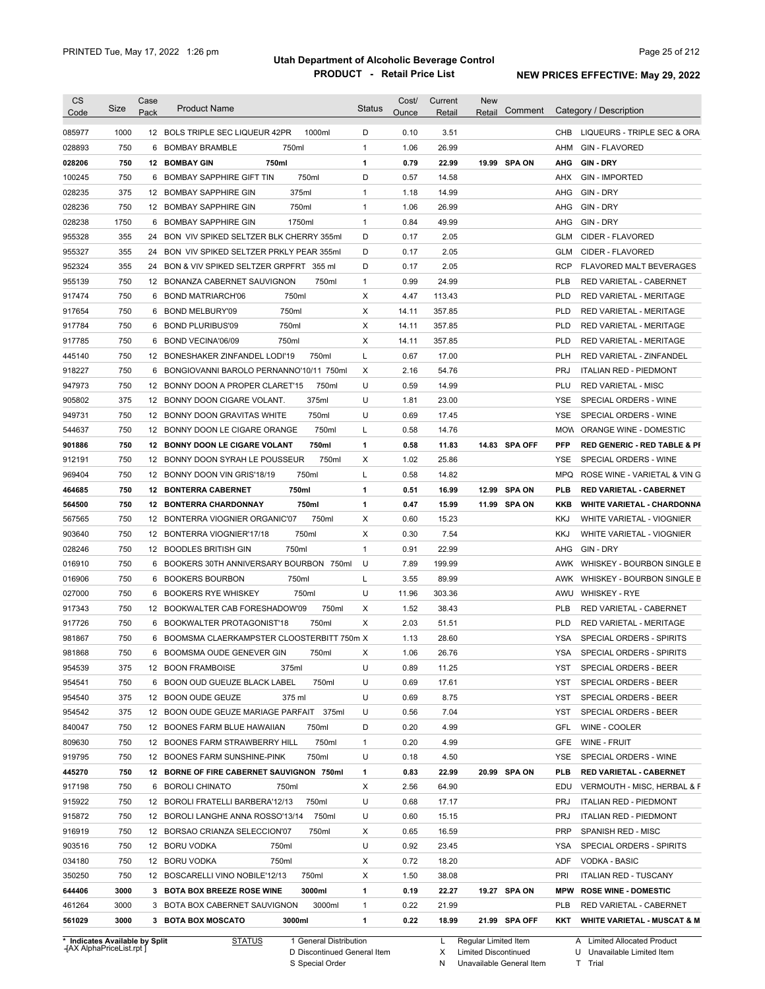|                                                                                                                                                                                                                                              | Size | Case<br>Pack | <b>Product Name</b>                         | <b>Status</b> | Cost/<br>Ounce | Current<br>Retail | <b>New</b><br>Retail | Comment       |            | Category / Description                  |
|----------------------------------------------------------------------------------------------------------------------------------------------------------------------------------------------------------------------------------------------|------|--------------|---------------------------------------------|---------------|----------------|-------------------|----------------------|---------------|------------|-----------------------------------------|
| 085977                                                                                                                                                                                                                                       | 1000 |              | 12 BOLS TRIPLE SEC LIQUEUR 42PR<br>1000ml   | D             | 0.10           | 3.51              |                      |               | CHB        | LIQUEURS - TRIPLE SEC & ORA             |
| 028893                                                                                                                                                                                                                                       | 750  | 6            | <b>BOMBAY BRAMBLE</b><br>750ml              | $\mathbf{1}$  | 1.06           | 26.99             |                      |               | AHM        | <b>GIN - FLAVORED</b>                   |
| 028206                                                                                                                                                                                                                                       | 750  |              | 750ml<br><b>12 BOMBAY GIN</b>               | 1             | 0.79           | 22.99             |                      | 19.99 SPA ON  | AHG        | <b>GIN-DRY</b>                          |
| 100245                                                                                                                                                                                                                                       | 750  | 6            | 750ml<br><b>BOMBAY SAPPHIRE GIFT TIN</b>    | D             | 0.57           | 14.58             |                      |               | AHX        | <b>GIN - IMPORTED</b>                   |
| 028235                                                                                                                                                                                                                                       | 375  |              | 12 BOMBAY SAPPHIRE GIN<br>375ml             | $\mathbf{1}$  | 1.18           | 14.99             |                      |               | AHG        | GIN - DRY                               |
| 028236                                                                                                                                                                                                                                       | 750  |              | 750ml<br>12 BOMBAY SAPPHIRE GIN             | $\mathbf{1}$  | 1.06           | 26.99             |                      |               | AHG        | GIN - DRY                               |
| 028238                                                                                                                                                                                                                                       | 1750 | 6            | 1750ml<br><b>BOMBAY SAPPHIRE GIN</b>        | $\mathbf{1}$  | 0.84           | 49.99             |                      |               | AHG        | GIN - DRY                               |
| 955328                                                                                                                                                                                                                                       | 355  | 24           | BON VIV SPIKED SELTZER BLK CHERRY 355ml     | D             | 0.17           | 2.05              |                      |               | GLM        | CIDER - FLAVORED                        |
| 955327                                                                                                                                                                                                                                       | 355  | 24           | BON VIV SPIKED SELTZER PRKLY PEAR 355ml     | D             | 0.17           | 2.05              |                      |               | GLM        | CIDER - FLAVORED                        |
| 952324                                                                                                                                                                                                                                       | 355  | 24           | BON & VIV SPIKED SELTZER GRPFRT 355 ml      | D             | 0.17           | 2.05              |                      |               | <b>RCP</b> | FLAVORED MALT BEVERAGES                 |
| 955139                                                                                                                                                                                                                                       | 750  |              | 12 BONANZA CABERNET SAUVIGNON<br>750ml      | $\mathbf{1}$  | 0.99           | 24.99             |                      |               | <b>PLB</b> | RED VARIETAL - CABERNET                 |
| 917474                                                                                                                                                                                                                                       | 750  |              | 750ml<br>6 BOND MATRIARCH'06                | Χ             | 4.47           | 113.43            |                      |               | <b>PLD</b> | RED VARIETAL - MERITAGE                 |
| 917654                                                                                                                                                                                                                                       | 750  |              | 750ml<br>6 BOND MELBURY'09                  | Χ             | 14.11          | 357.85            |                      |               | <b>PLD</b> | RED VARIETAL - MERITAGE                 |
|                                                                                                                                                                                                                                              | 750  |              | 6 BOND PLURIBUS'09<br>750ml                 | Χ             | 14.11          | 357.85            |                      |               | <b>PLD</b> | RED VARIETAL - MERITAGE                 |
| 917784<br>917785                                                                                                                                                                                                                             | 750  | 6            | 750ml<br>BOND VECINA'06/09                  | Х             | 14.11          | 357.85            |                      |               | <b>PLD</b> | <b>RED VARIETAL - MERITAGE</b>          |
|                                                                                                                                                                                                                                              |      |              |                                             |               |                |                   |                      |               |            |                                         |
| 445140                                                                                                                                                                                                                                       | 750  |              | 750ml<br>12 BONESHAKER ZINFANDEL LODI'19    | L             | 0.67           | 17.00             |                      |               | <b>PLH</b> | RED VARIETAL - ZINFANDEL                |
| 918227                                                                                                                                                                                                                                       | 750  |              | 6 BONGIOVANNI BAROLO PERNANNO'10/11 750ml   | Χ             | 2.16           | 54.76             |                      |               | <b>PRJ</b> | <b>ITALIAN RED - PIEDMONT</b>           |
| 947973                                                                                                                                                                                                                                       | 750  |              | 750ml<br>12 BONNY DOON A PROPER CLARET'15   | U             | 0.59           | 14.99             |                      |               | PLU        | <b>RED VARIETAL - MISC</b>              |
| 905802                                                                                                                                                                                                                                       | 375  |              | 375ml<br>12 BONNY DOON CIGARE VOLANT.       | U             | 1.81           | 23.00             |                      |               | <b>YSE</b> | SPECIAL ORDERS - WINE                   |
| 949731                                                                                                                                                                                                                                       | 750  |              | 12 BONNY DOON GRAVITAS WHITE<br>750ml       | U             | 0.69           | 17.45             |                      |               | <b>YSE</b> | SPECIAL ORDERS - WINE                   |
| 544637                                                                                                                                                                                                                                       | 750  |              | 12 BONNY DOON LE CIGARE ORANGE<br>750ml     | L             | 0.58           | 14.76             |                      |               | <b>MOW</b> | ORANGE WINE - DOMESTIC                  |
| 901886                                                                                                                                                                                                                                       | 750  |              | 750ml<br>12 BONNY DOON LE CIGARE VOLANT     | 1             | 0.58           | 11.83             |                      | 14.83 SPA OFF | <b>PFP</b> | <b>RED GENERIC - RED TABLE &amp; PI</b> |
| 912191                                                                                                                                                                                                                                       | 750  |              | 12 BONNY DOON SYRAH LE POUSSEUR<br>750ml    | Χ             | 1.02           | 25.86             |                      |               | <b>YSE</b> | SPECIAL ORDERS - WINE                   |
| 969404                                                                                                                                                                                                                                       | 750  | 12           | BONNY DOON VIN GRIS'18/19<br>750ml          | Г             | 0.58           | 14.82             |                      |               | <b>MPQ</b> | ROSE WINE - VARIETAL & VIN G            |
| 464685                                                                                                                                                                                                                                       | 750  |              | <b>12 BONTERRA CABERNET</b><br>750ml        | 1             | 0.51           | 16.99             |                      | 12.99 SPA ON  | <b>PLB</b> | <b>RED VARIETAL - CABERNET</b>          |
| 564500                                                                                                                                                                                                                                       | 750  |              | <b>12 BONTERRA CHARDONNAY</b><br>750ml      | 1             | 0.47           | 15.99             |                      | 11.99 SPA ON  | KKB        | <b>WHITE VARIETAL - CHARDONNA</b>       |
| 567565                                                                                                                                                                                                                                       | 750  |              | 750ml<br>12 BONTERRA VIOGNIER ORGANIC'07    | Χ             | 0.60           | 15.23             |                      |               | <b>KKJ</b> | WHITE VARIETAL - VIOGNIER               |
|                                                                                                                                                                                                                                              |      |              |                                             |               |                |                   |                      |               |            |                                         |
|                                                                                                                                                                                                                                              | 750  |              | 750ml<br>12 BONTERRA VIOGNIER'17/18         | Χ             | 0.30           | 7.54              |                      |               | <b>KKJ</b> | WHITE VARIETAL - VIOGNIER               |
|                                                                                                                                                                                                                                              | 750  |              | 750ml<br>12 BOODLES BRITISH GIN             | $\mathbf{1}$  | 0.91           | 22.99             |                      |               | AHG        | GIN - DRY                               |
|                                                                                                                                                                                                                                              | 750  | 6            | BOOKERS 30TH ANNIVERSARY BOURBON 750ml      | U             | 7.89           | 199.99            |                      |               | AWK        | WHISKEY - BOURBON SINGLE B              |
|                                                                                                                                                                                                                                              | 750  | 6            | <b>BOOKERS BOURBON</b><br>750ml             | L             | 3.55           | 89.99             |                      |               | AWK        | WHISKEY - BOURBON SINGLE B              |
|                                                                                                                                                                                                                                              | 750  | 6            | 750ml<br><b>BOOKERS RYE WHISKEY</b>         | U             | 11.96          | 303.36            |                      |               | AWU        | <b>WHISKEY - RYE</b>                    |
|                                                                                                                                                                                                                                              | 750  |              | 12 BOOKWALTER CAB FORESHADOW'09<br>750ml    | Χ             | 1.52           | 38.43             |                      |               | PLB        | RED VARIETAL - CABERNET                 |
|                                                                                                                                                                                                                                              | 750  | 6            | BOOKWALTER PROTAGONIST'18<br>750ml          | Χ             | 2.03           | 51.51             |                      |               | <b>PLD</b> | <b>RED VARIETAL - MERITAGE</b>          |
|                                                                                                                                                                                                                                              | 750  |              | 6 BOOMSMA CLAERKAMPSTER CLOOSTERBITT 750m X |               | 1.13           | 28.60             |                      |               | <b>YSA</b> | <b>SPECIAL ORDERS - SPIRITS</b>         |
|                                                                                                                                                                                                                                              | 750  |              | 6 BOOMSMA OUDE GENEVER GIN<br>750ml         | х             | 1.06           | 26.76             |                      |               | YSA        | SPECIAL ORDERS - SPIRITS                |
|                                                                                                                                                                                                                                              | 375  |              | 12 BOON FRAMBOISE<br>375ml                  | U             | 0.89           | 11.25             |                      |               | YST        | SPECIAL ORDERS - BEER                   |
|                                                                                                                                                                                                                                              | 750  |              | 750ml<br>6 BOON OUD GUEUZE BLACK LABEL      | U             | 0.69           | 17.61             |                      |               | YST        | SPECIAL ORDERS - BEER                   |
|                                                                                                                                                                                                                                              | 375  |              | 375 ml<br>12 BOON OUDE GEUZE                | U             | 0.69           | 8.75              |                      |               | YST        | SPECIAL ORDERS - BEER                   |
|                                                                                                                                                                                                                                              | 375  |              | 12 BOON OUDE GEUZE MARIAGE PARFAIT 375ml    | U             | 0.56           | 7.04              |                      |               | YST        | SPECIAL ORDERS - BEER                   |
|                                                                                                                                                                                                                                              | 750  |              | 12 BOONES FARM BLUE HAWAIIAN<br>750ml       | D             | 0.20           | 4.99              |                      |               | GFL        | WINE - COOLER                           |
|                                                                                                                                                                                                                                              | 750  |              | 12 BOONES FARM STRAWBERRY HILL<br>750ml     | $\mathbf{1}$  | 0.20           | 4.99              |                      |               | GFE        | WINE - FRUIT                            |
|                                                                                                                                                                                                                                              | 750  |              | 750ml<br>12 BOONES FARM SUNSHINE-PINK       | U             | 0.18           | 4.50              |                      |               | YSE        | SPECIAL ORDERS - WINE                   |
|                                                                                                                                                                                                                                              | 750  |              | 12 BORNE OF FIRE CABERNET SAUVIGNON 750ml   | 1             | 0.83           | 22.99             |                      | 20.99 SPA ON  | PLB        | <b>RED VARIETAL - CABERNET</b>          |
|                                                                                                                                                                                                                                              | 750  |              | 6 BOROLI CHINATO<br>750ml                   | Х             | 2.56           | 64.90             |                      |               | EDU        | VERMOUTH - MISC, HERBAL & F             |
|                                                                                                                                                                                                                                              | 750  |              | 750ml<br>12 BOROLI FRATELLI BARBERA'12/13   | U             | 0.68           | 17.17             |                      |               | <b>PRJ</b> | <b>ITALIAN RED - PIEDMONT</b>           |
|                                                                                                                                                                                                                                              | 750  |              | 750ml<br>12 BOROLI LANGHE ANNA ROSSO'13/14  | U             | 0.60           | 15.15             |                      |               | <b>PRJ</b> | <b>ITALIAN RED - PIEDMONT</b>           |
|                                                                                                                                                                                                                                              | 750  |              | 12 BORSAO CRIANZA SELECCION'07<br>750ml     | Х             | 0.65           | 16.59             |                      |               | <b>PRP</b> | SPANISH RED - MISC                      |
|                                                                                                                                                                                                                                              | 750  |              | 12 BORU VODKA<br>750ml                      | U             | 0.92           | 23.45             |                      |               | YSA        | SPECIAL ORDERS - SPIRITS                |
|                                                                                                                                                                                                                                              | 750  |              | 12 BORU VODKA<br>750ml                      | Х             | 0.72           | 18.20             |                      |               | ADF        | VODKA - BASIC                           |
| 903640<br>028246<br>016910<br>016906<br>027000<br>917343<br>917726<br>981867<br>981868<br>954539<br>954541<br>954540<br>954542<br>840047<br>809630<br>919795<br>445270<br>917198<br>915922<br>915872<br>916919<br>903516<br>034180<br>350250 | 750  |              | 12 BOSCARELLI VINO NOBILE'12/13<br>750ml    | Х             | 1.50           | 38.08             |                      |               | PRI        | <b>ITALIAN RED - TUSCANY</b>            |
| 644406                                                                                                                                                                                                                                       | 3000 |              | 3000ml<br>3 BOTA BOX BREEZE ROSE WINE       | 1             | 0.19           | 22.27             |                      | 19.27 SPA ON  | <b>MPW</b> | <b>ROSE WINE - DOMESTIC</b>             |
| 461264                                                                                                                                                                                                                                       | 3000 |              | 3000ml<br>3 BOTA BOX CABERNET SAUVIGNON     | $\mathbf{1}$  | 0.22           | 21.99             |                      |               | PLB        | RED VARIETAL - CABERNET                 |

**Case** [AX AlphaPriceList.rpt ]

D Discontinued General Item S Special Order

Regular Limited Item

X

Limited Discontinued

N Unavailable General Item

U Unavailable Limited Item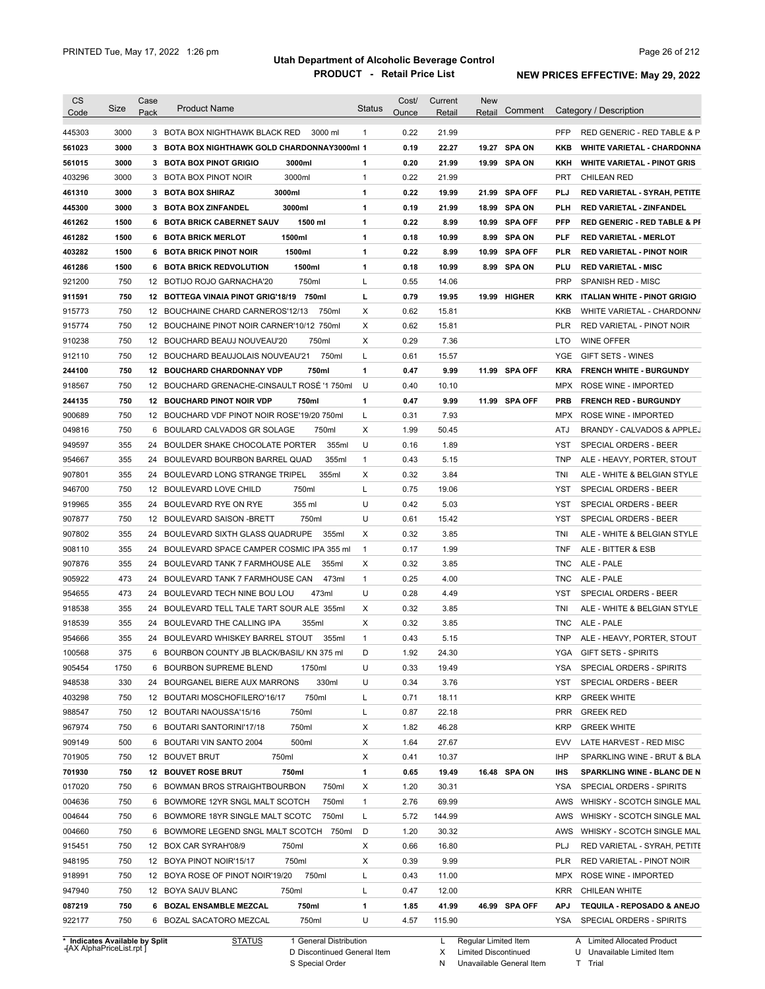| CS     | Size                                                        | Case | <b>Product Name</b>                                                    | Status       | Cost/ | Current        | New                                                 |                |            |                                                                     |
|--------|-------------------------------------------------------------|------|------------------------------------------------------------------------|--------------|-------|----------------|-----------------------------------------------------|----------------|------------|---------------------------------------------------------------------|
| Code   |                                                             | Pack |                                                                        |              | Ounce | Retail         | Retail                                              | Comment        |            | Category / Description                                              |
| 445303 | 3000                                                        |      | 3 BOTA BOX NIGHTHAWK BLACK RED<br>3000 ml                              | $\mathbf{1}$ | 0.22  | 21.99          |                                                     |                | <b>PFP</b> | RED GENERIC - RED TABLE & P                                         |
| 561023 | 3000                                                        |      | 3 BOTA BOX NIGHTHAWK GOLD CHARDONNAY3000ml 1                           |              | 0.19  | 22.27          | 19.27                                               | <b>SPA ON</b>  | KKB        | <b>WHITE VARIETAL - CHARDONNA</b>                                   |
| 561015 | 3000                                                        |      | 3 BOTA BOX PINOT GRIGIO<br>3000ml                                      | 1            | 0.20  | 21.99          |                                                     | 19.99 SPA ON   | KKH        | <b>WHITE VARIETAL - PINOT GRIS</b>                                  |
| 403296 | 3000                                                        |      | 3000ml<br>3 BOTA BOX PINOT NOIR                                        | 1            | 0.22  | 21.99          |                                                     |                | <b>PRT</b> | <b>CHILEAN RED</b>                                                  |
| 461310 | 3000                                                        |      | 3000ml<br>3 BOTA BOX SHIRAZ                                            | 1            | 0.22  | 19.99          | 21.99                                               | <b>SPA OFF</b> | PLJ        | RED VARIETAL - SYRAH, PETITE                                        |
| 445300 | 3000                                                        |      | 3 BOTA BOX ZINFANDEL<br>3000ml                                         | 1            | 0.19  | 21.99          |                                                     | 18.99 SPA ON   | PLH        | <b>RED VARIETAL - ZINFANDEL</b>                                     |
| 461262 | 1500                                                        |      | 6 BOTA BRICK CABERNET SAUV<br>1500 ml                                  | 1            | 0.22  | 8.99           |                                                     | 10.99 SPA OFF  | <b>PFP</b> | <b>RED GENERIC - RED TABLE &amp; PI</b>                             |
| 461282 | 1500                                                        |      | 1500ml<br><b>6 BOTA BRICK MERLOT</b>                                   | 1            | 0.18  | 10.99          |                                                     | 8.99 SPA ON    | PLF        | <b>RED VARIETAL - MERLOT</b>                                        |
| 403282 | 1500                                                        |      | 6 BOTA BRICK PINOT NOIR<br>1500ml                                      | 1            | 0.22  | 8.99           | 10.99                                               | <b>SPA OFF</b> | PLR        | <b>RED VARIETAL - PINOT NOIR</b>                                    |
| 461286 | 1500                                                        |      | 6 BOTA BRICK REDVOLUTION<br>1500ml                                     | 1            | 0.18  | 10.99          | 8.99                                                | SPA ON         | PLU        | <b>RED VARIETAL - MISC</b>                                          |
| 921200 | 750                                                         |      | 750ml<br>12 BOTIJO ROJO GARNACHA'20                                    | L            | 0.55  | 14.06          |                                                     |                | PRP        | <b>SPANISH RED - MISC</b>                                           |
|        | 750                                                         |      |                                                                        | L            | 0.79  |                |                                                     |                |            |                                                                     |
| 911591 | 750                                                         |      | 12 BOTTEGA VINAIA PINOT GRIG'18/19 750ml                               | Χ            | 0.62  | 19.95<br>15.81 | 19.99                                               | <b>HIGHER</b>  | <b>KRK</b> | <b>ITALIAN WHITE - PINOT GRIGIO</b>                                 |
| 915773 |                                                             |      | 12 BOUCHAINE CHARD CARNEROS'12/13<br>750ml                             |              |       |                |                                                     |                | KKB        | WHITE VARIETAL - CHARDONN/                                          |
| 915774 | 750                                                         |      | 12 BOUCHAINE PINOT NOIR CARNER'10/12 750ml                             | Х            | 0.62  | 15.81          |                                                     |                | <b>PLR</b> | RED VARIETAL - PINOT NOIR                                           |
| 910238 | 750                                                         |      | 12 BOUCHARD BEAUJ NOUVEAU'20<br>750ml                                  | Χ            | 0.29  | 7.36           |                                                     |                | LTO        | <b>WINE OFFER</b>                                                   |
| 912110 | 750                                                         |      | 12 BOUCHARD BEAUJOLAIS NOUVEAU'21<br>750ml                             | L            | 0.61  | 15.57          |                                                     |                | YGE        | GIFT SETS - WINES                                                   |
| 244100 | 750                                                         |      | 750ml<br><b>12 BOUCHARD CHARDONNAY VDP</b>                             | 1            | 0.47  | 9.99           |                                                     | 11.99 SPA OFF  | KRA        | <b>FRENCH WHITE - BURGUNDY</b>                                      |
| 918567 | 750                                                         |      | 12 BOUCHARD GRENACHE-CINSAULT ROSÉ '1 750ml                            | U            | 0.40  | 10.10          |                                                     |                | MPX        | ROSE WINE - IMPORTED                                                |
| 244135 | 750                                                         |      | 12 BOUCHARD PINOT NOIR VDP<br>750ml                                    | 1            | 0.47  | 9.99           |                                                     | 11.99 SPA OFF  | <b>PRB</b> | <b>FRENCH RED - BURGUNDY</b>                                        |
| 900689 | 750                                                         |      | 12 BOUCHARD VDF PINOT NOIR ROSE'19/20 750ml                            | L            | 0.31  | 7.93           |                                                     |                | MPX        | ROSE WINE - IMPORTED                                                |
| 049816 | 750                                                         | 6    | BOULARD CALVADOS GR SOLAGE<br>750ml                                    | Χ            | 1.99  | 50.45          |                                                     |                | ATJ        | <b>BRANDY - CALVADOS &amp; APPLEJ</b>                               |
| 949597 | 355                                                         | 24   | BOULDER SHAKE CHOCOLATE PORTER<br>355ml                                | U            | 0.16  | 1.89           |                                                     |                | YST        | <b>SPECIAL ORDERS - BEER</b>                                        |
| 954667 | 355                                                         |      | 24 BOULEVARD BOURBON BARREL QUAD<br>355ml                              | $\mathbf{1}$ | 0.43  | 5.15           |                                                     |                | <b>TNP</b> | ALE - HEAVY, PORTER, STOUT                                          |
| 907801 | 355                                                         | 24   | BOULEVARD LONG STRANGE TRIPEL<br>355ml                                 | Х            | 0.32  | 3.84           |                                                     |                | TNI        | ALE - WHITE & BELGIAN STYLE                                         |
| 946700 | 750                                                         |      | 12 BOULEVARD LOVE CHILD<br>750ml                                       | L            | 0.75  | 19.06          |                                                     |                | YST        | <b>SPECIAL ORDERS - BEER</b>                                        |
| 919965 | 355                                                         |      | 355 ml<br>24 BOULEVARD RYE ON RYE                                      | U            | 0.42  | 5.03           |                                                     |                | YST        | <b>SPECIAL ORDERS - BEER</b>                                        |
| 907877 | 750                                                         |      | 12 BOULEVARD SAISON - BRETT<br>750ml                                   | U            | 0.61  | 15.42          |                                                     |                | YST        | <b>SPECIAL ORDERS - BEER</b>                                        |
| 907802 | 355                                                         |      | 24 BOULEVARD SIXTH GLASS QUADRUPE<br>355ml                             | Χ            | 0.32  | 3.85           |                                                     |                | TNI        | ALE - WHITE & BELGIAN STYLE                                         |
| 908110 | 355                                                         |      | 24 BOULEVARD SPACE CAMPER COSMIC IPA 355 ml                            | $\mathbf{1}$ | 0.17  | 1.99           |                                                     |                | TNF        | ALE - BITTER & ESB                                                  |
| 907876 | 355                                                         |      | 24 BOULEVARD TANK 7 FARMHOUSE ALE<br>355ml                             | X            | 0.32  | 3.85           |                                                     |                | TNC        | ALE - PALE                                                          |
| 905922 | 473                                                         |      | 24 BOULEVARD TANK 7 FARMHOUSE CAN<br>473ml                             | $\mathbf{1}$ | 0.25  | 4.00           |                                                     |                | TNC        | ALE - PALE                                                          |
| 954655 | 473                                                         |      | 24 BOULEVARD TECH NINE BOU LOU<br>473ml                                | U            | 0.28  | 4.49           |                                                     |                | YST        | <b>SPECIAL ORDERS - BEER</b>                                        |
| 918538 | 355                                                         |      | 24 BOULEVARD TELL TALE TART SOUR ALE 355ml                             | X            | 0.32  | 3.85           |                                                     |                | TNI        | ALE - WHITE & BELGIAN STYLE                                         |
| 918539 | 355                                                         |      | 24 BOULEVARD THE CALLING IPA<br>355ml                                  | Χ            | 0.32  | 3.85           |                                                     |                | TNC        | ALE - PALE                                                          |
| 954666 | 355                                                         |      | 24 BOULEVARD WHISKEY BARREL STOUT<br>355ml                             | 1            | 0.43  | 5.15           |                                                     |                | TNP        | ALE - HEAVY, PORTER, STOUT                                          |
| 100568 | 375                                                         |      | 6 BOURBON COUNTY JB BLACK/BASIL/ KN 375 ml                             | D            | 1.92  | 24.30          |                                                     |                | YGA        | <b>GIFT SETS - SPIRITS</b>                                          |
| 905454 | 1750                                                        |      | 6 BOURBON SUPREME BLEND<br>1750ml                                      | U            | 0.33  | 19.49          |                                                     |                | <b>YSA</b> | SPECIAL ORDERS - SPIRITS                                            |
| 948538 | 330                                                         |      | 330ml<br>24 BOURGANEL BIERE AUX MARRONS                                | U            | 0.34  | 3.76           |                                                     |                | YST        | SPECIAL ORDERS - BEER                                               |
|        | 750                                                         |      | 750ml                                                                  |              | 0.71  | 18.11          |                                                     |                | <b>KRP</b> | <b>GREEK WHITE</b>                                                  |
| 403298 |                                                             |      | 12 BOUTARI MOSCHOFILERO'16/17                                          | L            |       |                |                                                     |                |            |                                                                     |
| 988547 | 750                                                         |      | 12 BOUTARI NAOUSSA'15/16<br>750ml                                      | L            | 0.87  | 22.18          |                                                     |                | <b>PRR</b> | <b>GREEK RED</b>                                                    |
| 967974 | 750                                                         |      | 6 BOUTARI SANTORINI'17/18<br>750ml                                     | Χ            | 1.82  | 46.28          |                                                     |                | <b>KRP</b> | <b>GREEK WHITE</b>                                                  |
| 909149 | 500                                                         |      | 500ml<br>6 BOUTARI VIN SANTO 2004                                      | Х            | 1.64  | 27.67          |                                                     |                | EVV        | LATE HARVEST - RED MISC                                             |
| 701905 | 750                                                         |      | 750ml<br>12 BOUVET BRUT                                                | Х            | 0.41  | 10.37          |                                                     |                | IHP        | SPARKLING WINE - BRUT & BLA                                         |
| 701930 | 750                                                         |      | 12 BOUVET ROSE BRUT<br>750ml                                           | 1            | 0.65  | 19.49          |                                                     | 16.48 SPA ON   | IHS        | SPARKLING WINE - BLANC DE N                                         |
| 017020 | 750                                                         |      | 750ml<br>6 BOWMAN BROS STRAIGHTBOURBON                                 | Х            | 1.20  | 30.31          |                                                     |                | YSA        | SPECIAL ORDERS - SPIRITS                                            |
| 004636 | 750                                                         |      | 6 BOWMORE 12YR SNGL MALT SCOTCH<br>750ml                               | 1            | 2.76  | 69.99          |                                                     |                | AWS        | WHISKY - SCOTCH SINGLE MAL                                          |
| 004644 | 750                                                         |      | 6 BOWMORE 18YR SINGLE MALT SCOTC<br>750ml                              | L            | 5.72  | 144.99         |                                                     |                | AWS        | WHISKY - SCOTCH SINGLE MAL                                          |
| 004660 | 750                                                         |      | 6 BOWMORE LEGEND SNGL MALT SCOTCH 750ml                                | D            | 1.20  | 30.32          |                                                     |                | AWS        | WHISKY - SCOTCH SINGLE MAL                                          |
| 915451 | 750                                                         |      | 12 BOX CAR SYRAH'08/9<br>750ml                                         | X            | 0.66  | 16.80          |                                                     |                | PLJ        | RED VARIETAL - SYRAH, PETITE                                        |
| 948195 | 750                                                         |      | 12 BOYA PINOT NOIR'15/17<br>750ml                                      | Χ            | 0.39  | 9.99           |                                                     |                | PLR        | RED VARIETAL - PINOT NOIR                                           |
| 918991 | 750                                                         |      | 750ml<br>12 BOYA ROSE OF PINOT NOIR'19/20                              | Г            | 0.43  | 11.00          |                                                     |                | MPX        | ROSE WINE - IMPORTED                                                |
| 947940 | 750                                                         |      | 750ml<br>12 BOYA SAUV BLANC                                            | L            | 0.47  | 12.00          |                                                     |                | <b>KRR</b> | CHILEAN WHITE                                                       |
| 087219 | 750                                                         |      | 750ml<br>6 BOZAL ENSAMBLE MEZCAL                                       | 1            | 1.85  | 41.99          |                                                     | 46.99 SPA OFF  | <b>APJ</b> | TEQUILA - REPOSADO & ANEJO                                          |
| 922177 | 750                                                         |      | 750ml<br>6 BOZAL SACATORO MEZCAL                                       | U            | 4.57  | 115.90         |                                                     |                | YSA        | SPECIAL ORDERS - SPIRITS                                            |
|        | * Indicates Available by Split<br>-{AX AlphaPriceList.rpt ] |      | 1 General Distribution<br><b>STATUS</b><br>D Discontinued General Item |              |       | L<br>X         | Regular Limited Item<br><b>Limited Discontinued</b> |                |            | <b>Limited Allocated Product</b><br>A<br>U Unavailable Limited Item |

S Special Order

N Unavailable General Item

U Unavailable Limited Item T Trial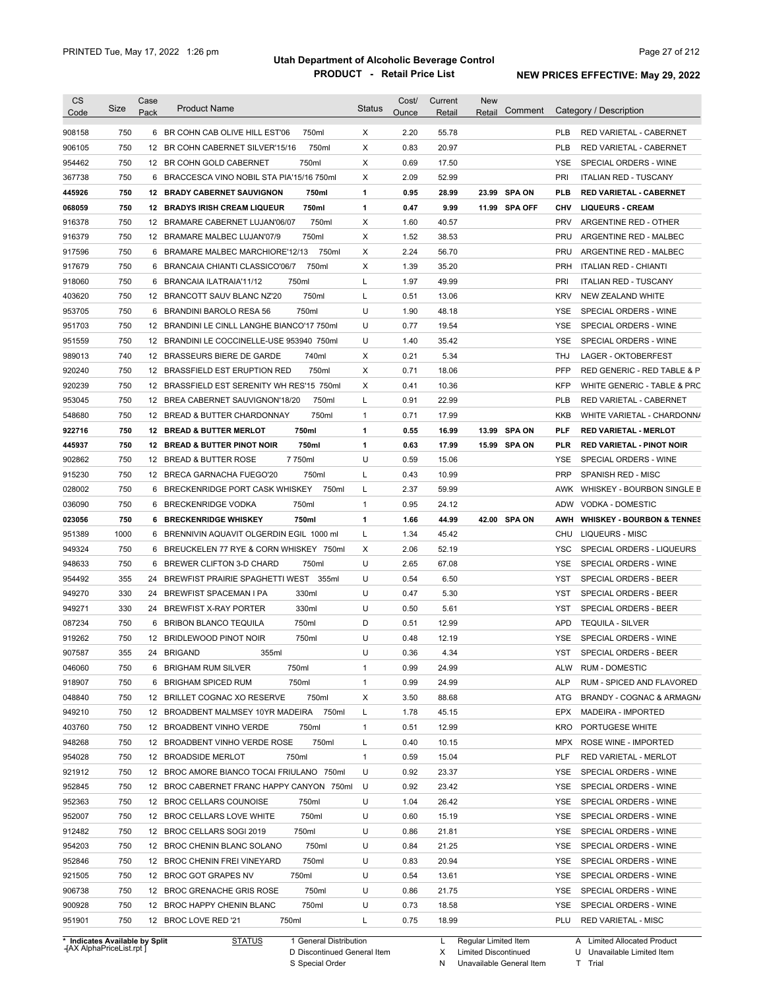| <b>CS</b><br>Code                                                  | <b>Size</b> | Case<br>Pack | <b>Product Name</b>                                                      | <b>Status</b> | Cost/<br>Ounce | Current<br>Retail | <b>New</b><br>Retail | Comment       |                   | Category / Description                                |
|--------------------------------------------------------------------|-------------|--------------|--------------------------------------------------------------------------|---------------|----------------|-------------------|----------------------|---------------|-------------------|-------------------------------------------------------|
|                                                                    |             |              |                                                                          |               |                |                   |                      |               |                   |                                                       |
| 908158                                                             | 750         |              | 6 BR COHN CAB OLIVE HILL EST'06<br>750ml                                 | Χ             | 2.20           | 55.78             |                      |               | <b>PLB</b>        | RED VARIETAL - CABERNET                               |
| 906105                                                             | 750         |              | 750ml<br>12 BR COHN CABERNET SILVER'15/16                                | Χ             | 0.83           | 20.97             |                      |               | <b>PLB</b>        | RED VARIETAL - CABERNET                               |
| 954462                                                             | 750         |              | 750ml<br>12 BR COHN GOLD CABERNET                                        | Χ             | 0.69           | 17.50             |                      |               | YSE.              | SPECIAL ORDERS - WINE<br><b>ITALIAN RED - TUSCANY</b> |
| 367738                                                             | 750<br>750  |              | 6 BRACCESCA VINO NOBIL STA PIA'15/16 750ml<br>750ml                      | Χ             | 2.09<br>0.95   | 52.99<br>28.99    |                      | 23.99 SPA ON  | PRI<br><b>PLB</b> |                                                       |
| 445926                                                             |             |              | <b>12 BRADY CABERNET SAUVIGNON</b>                                       | 1             |                |                   |                      |               |                   | <b>RED VARIETAL - CABERNET</b>                        |
| 068059                                                             | 750<br>750  |              | 12 BRADYS IRISH CREAM LIQUEUR<br>750ml<br>750ml                          | 1<br>X        | 0.47<br>1.60   | 9.99<br>40.57     |                      | 11.99 SPA OFF | CHV<br><b>PRV</b> | <b>LIQUEURS - CREAM</b><br>ARGENTINE RED - OTHER      |
| 916378                                                             | 750         |              | 12 BRAMARE CABERNET LUJAN'06/07<br>750ml<br>12 BRAMARE MALBEC LUJAN'07/9 | X             | 1.52           | 38.53             |                      |               | <b>PRU</b>        | ARGENTINE RED - MALBEC                                |
| 916379                                                             | 750         |              | 6 BRAMARE MALBEC MARCHIORE'12/13<br>750ml                                | X             | 2.24           | 56.70             |                      |               | <b>PRU</b>        | ARGENTINE RED - MALBEC                                |
| 917596                                                             | 750         |              | 750ml<br>6 BRANCAIA CHIANTI CLASSICO'06/7                                | X             | 1.39           | 35.20             |                      |               | <b>PRH</b>        | <b>ITALIAN RED - CHIANTI</b>                          |
| 917679<br>918060                                                   | 750         | 6            | 750ml<br>BRANCAIA ILATRAIA'11/12                                         | L             | 1.97           | 49.99             |                      |               | PRI               | <b>ITALIAN RED - TUSCANY</b>                          |
| 403620                                                             | 750         |              | 750ml<br>12 BRANCOTT SAUV BLANC NZ'20                                    | L             | 0.51           | 13.06             |                      |               | <b>KRV</b>        | NEW ZEALAND WHITE                                     |
| 953705                                                             | 750         | 6            | 750ml<br>BRANDINI BAROLO RESA 56                                         | U             | 1.90           | 48.18             |                      |               | <b>YSE</b>        | SPECIAL ORDERS - WINE                                 |
|                                                                    | 750         |              |                                                                          |               | 0.77           |                   |                      |               |                   |                                                       |
| 951703                                                             |             |              | 12 BRANDINI LE CINLL LANGHE BIANCO'17 750ml                              | U             |                | 19.54             |                      |               | <b>YSE</b>        | SPECIAL ORDERS - WINE                                 |
| 951559                                                             | 750         |              | 12 BRANDINI LE COCCINELLE-USE 953940 750ml                               | U             | 1.40           | 35.42             |                      |               | <b>YSE</b>        | SPECIAL ORDERS - WINE                                 |
| 989013                                                             | 740         |              | 740ml<br>12 BRASSEURS BIERE DE GARDE                                     | Χ             | 0.21           | 5.34              |                      |               | THJ               | LAGER - OKTOBERFEST                                   |
| 920240                                                             | 750         |              | 750ml<br>12 BRASSFIELD EST ERUPTION RED                                  | Χ             | 0.71           | 18.06             |                      |               | <b>PFP</b>        | RED GENERIC - RED TABLE & P                           |
| 920239                                                             | 750         |              | 12 BRASSFIELD EST SERENITY WH RES'15 750ml                               | Χ             | 0.41           | 10.36             |                      |               | <b>KFP</b>        | WHITE GENERIC - TABLE & PRC                           |
| 953045                                                             | 750         |              | 12 BREA CABERNET SAUVIGNON'18/20<br>750ml                                | Г             | 0.91           | 22.99             |                      |               | <b>PLB</b>        | RED VARIETAL - CABERNET                               |
| 548680                                                             | 750         |              | 750ml<br>12 BREAD & BUTTER CHARDONNAY                                    | 1             | 0.71           | 17.99             |                      |               | <b>KKB</b>        | WHITE VARIETAL - CHARDONN/                            |
| 922716                                                             | 750         |              | 750ml<br>12 BREAD & BUTTER MERLOT                                        | 1             | 0.55           | 16.99             |                      | 13.99 SPA ON  | PLF               | <b>RED VARIETAL - MERLOT</b>                          |
| 445937                                                             | 750         |              | 750ml<br>12 BREAD & BUTTER PINOT NOIR                                    | 1             | 0.63           | 17.99             |                      | 15.99 SPA ON  | PLR               | <b>RED VARIETAL - PINOT NOIR</b>                      |
| 902862                                                             | 750         |              | 12 BREAD & BUTTER ROSE<br>7 750ml                                        | U             | 0.59           | 15.06             |                      |               | YSE               | SPECIAL ORDERS - WINE                                 |
| 915230                                                             | 750         |              | 750ml<br>12 BRECA GARNACHA FUEGO'20                                      | L             | 0.43           | 10.99             |                      |               | <b>PRP</b>        | SPANISH RED - MISC                                    |
| 028002                                                             | 750         | 6            | BRECKENRIDGE PORT CASK WHISKEY<br>750ml                                  | Г             | 2.37           | 59.99             |                      |               | AWK               | WHISKEY - BOURBON SINGLE B                            |
| 036090                                                             | 750         |              | 750ml<br>6 BRECKENRIDGE VODKA                                            | 1             | 0.95           | 24.12             |                      |               | ADW               | <b>VODKA - DOMESTIC</b>                               |
| 023056                                                             | 750         | 6            | <b>BRECKENRIDGE WHISKEY</b><br>750ml                                     | 1             | 1.66           | 44.99             |                      | 42.00 SPA ON  | AWH               | <b>WHISKEY - BOURBON &amp; TENNES</b>                 |
| 951389                                                             | 1000        |              | 6 BRENNIVIN AQUAVIT OLGERDIN EGIL 1000 ml                                | L             | 1.34           | 45.42             |                      |               | CHU               | <b>LIQUEURS - MISC</b>                                |
| 949324                                                             | 750         |              | 6 BREUCKELEN 77 RYE & CORN WHISKEY 750ml                                 | Χ             | 2.06           | 52.19             |                      |               | <b>YSC</b>        | SPECIAL ORDERS - LIQUEURS                             |
| 948633                                                             | 750         |              | 750ml<br>6 BREWER CLIFTON 3-D CHARD                                      | U             | 2.65           | 67.08             |                      |               | YSE               | SPECIAL ORDERS - WINE                                 |
| 954492                                                             | 355         |              | 24 BREWFIST PRAIRIE SPAGHETTI WEST<br>355ml                              | U             | 0.54           | 6.50              |                      |               | <b>YST</b>        | SPECIAL ORDERS - BEER                                 |
| 949270                                                             | 330         |              | 24 BREWFIST SPACEMAN I PA<br>330ml                                       | U             | 0.47           | 5.30              |                      |               | <b>YST</b>        | SPECIAL ORDERS - BEER                                 |
| 949271                                                             | 330         |              | 330ml<br>24 BREWFIST X-RAY PORTER                                        | U             | 0.50           | 5.61              |                      |               | YST               | SPECIAL ORDERS - BEER                                 |
| 087234                                                             | 750         |              | 750ml<br>6 BRIBON BLANCO TEQUILA                                         | D             | 0.51           | 12.99             |                      |               | <b>APD</b>        | <b>TEQUILA - SILVER</b>                               |
| 919262                                                             | 750         |              | 12 BRIDLEWOOD PINOT NOIR<br>750ml                                        | U             | 0.48           | 12.19             |                      |               | YSE.              | SPECIAL ORDERS - WINE                                 |
| 907587                                                             | 355         |              | 24 BRIGAND<br>355ml                                                      | U             | 0.36           | 4.34              |                      |               | YST               | SPECIAL ORDERS - BEER                                 |
| 046060                                                             | 750         |              | 6 BRIGHAM RUM SILVER<br>750ml                                            | 1             | 0.99           | 24.99             |                      |               | ALW               | <b>RUM - DOMESTIC</b>                                 |
| 918907                                                             | 750         |              | 750ml<br>6 BRIGHAM SPICED RUM                                            | 1             | 0.99           | 24.99             |                      |               | ALP               | RUM - SPICED AND FLAVORED                             |
| 048840                                                             | 750         |              | 750ml<br>12 BRILLET COGNAC XO RESERVE                                    | Х             | 3.50           | 88.68             |                      |               | ATG               | BRANDY - COGNAC & ARMAGN/                             |
| 949210                                                             | 750         |              | 750ml<br>12 BROADBENT MALMSEY 10YR MADEIRA                               | L             | 1.78           | 45.15             |                      |               | EPX               | MADEIRA - IMPORTED                                    |
| 403760                                                             | 750         |              | 12 BROADBENT VINHO VERDE<br>750ml                                        | 1             | 0.51           | 12.99             |                      |               | KRO               | PORTUGESE WHITE                                       |
| 948268                                                             | 750         |              | 750ml<br>12 BROADBENT VINHO VERDE ROSE                                   | L             | 0.40           | 10.15             |                      |               | MPX               | ROSE WINE - IMPORTED                                  |
| 954028                                                             | 750         |              | 750ml<br>12 BROADSIDE MERLOT                                             | 1             | 0.59           | 15.04             |                      |               | <b>PLF</b>        | RED VARIETAL - MERLOT                                 |
| 921912                                                             | 750         |              | 12 BROC AMORE BIANCO TOCAI FRIULANO 750ml                                | U             | 0.92           | 23.37             |                      |               | YSE               | SPECIAL ORDERS - WINE                                 |
| 952845                                                             | 750         |              | 12 BROC CABERNET FRANC HAPPY CANYON 750ml                                | U             | 0.92           | 23.42             |                      |               | YSE               | SPECIAL ORDERS - WINE                                 |
| 952363                                                             | 750         |              | 12 BROC CELLARS COUNOISE<br>750ml                                        | U             | 1.04           | 26.42             |                      |               | YSE               | SPECIAL ORDERS - WINE                                 |
|                                                                    | 750         |              | 750ml<br>12 BROC CELLARS LOVE WHITE                                      | U             | 0.60           | 15.19             |                      |               | YSE               | SPECIAL ORDERS - WINE                                 |
|                                                                    | 750         |              | 12 BROC CELLARS SOGI 2019<br>750ml                                       | U             | 0.86           | 21.81             |                      |               | YSE               | SPECIAL ORDERS - WINE                                 |
|                                                                    |             |              | 750ml<br>12 BROC CHENIN BLANC SOLANO                                     | U             | 0.84           | 21.25             |                      |               | YSE               | SPECIAL ORDERS - WINE                                 |
|                                                                    | 750         |              |                                                                          |               |                | 20.94             |                      |               | YSE               | SPECIAL ORDERS - WINE                                 |
|                                                                    | 750         |              | 750ml<br>12 BROC CHENIN FREI VINEYARD                                    | U             | 0.83           |                   |                      |               |                   |                                                       |
|                                                                    | 750         |              | 750ml<br>12 BROC GOT GRAPES NV                                           | U             | 0.54           | 13.61             |                      |               | YSE               | SPECIAL ORDERS - WINE                                 |
|                                                                    | 750         |              | 750ml<br>12 BROC GRENACHE GRIS ROSE                                      | U             | 0.86           | 21.75             |                      |               | YSE               | SPECIAL ORDERS - WINE                                 |
| 952007<br>912482<br>954203<br>952846<br>921505<br>906738<br>900928 | 750         |              | 750ml<br>12 BROC HAPPY CHENIN BLANC                                      | U             | 0.73           | 18.58             |                      |               | YSE               | SPECIAL ORDERS - WINE                                 |

**Case** [AX AlphaPriceList.rpt ]

D Discontinued General Item S Special Order

X

N

Limited Discontinued

Unavailable General Item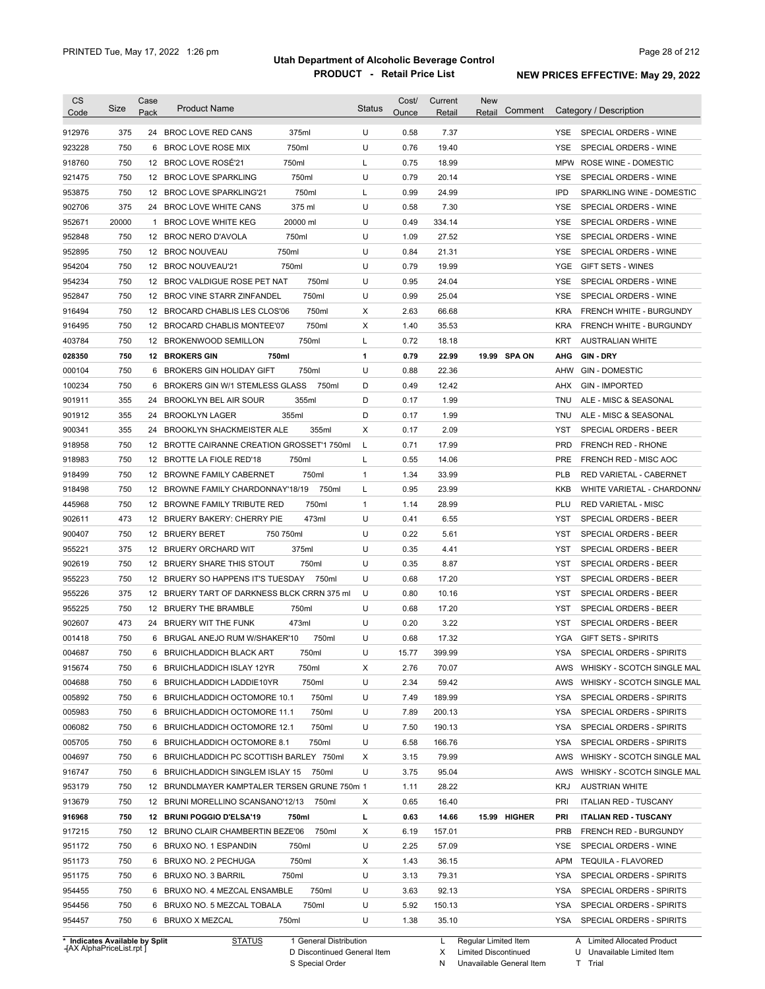| <b>CS</b><br>Code              | Size  | Case<br>Pack | <b>Product Name</b>                                            | <b>Status</b> | Cost/<br>Ounce | Current<br>Retail | <b>New</b><br>Comment<br>Retail | Category / Description                                |
|--------------------------------|-------|--------------|----------------------------------------------------------------|---------------|----------------|-------------------|---------------------------------|-------------------------------------------------------|
| 912976                         | 375   |              | 24 BROC LOVE RED CANS<br>375ml                                 | U             | 0.58           | 7.37              |                                 | SPECIAL ORDERS - WINE<br>YSE.                         |
| 923228                         | 750   | 6            | 750ml<br>BROC LOVE ROSE MIX                                    | U             | 0.76           | 19.40             |                                 | <b>YSE</b><br>SPECIAL ORDERS - WINE                   |
| 918760                         | 750   |              | 750ml<br>12 BROC LOVE ROSE'21                                  | L             | 0.75           | 18.99             |                                 | <b>MPW</b><br>ROSE WINE - DOMESTIC                    |
| 921475                         | 750   |              | 750ml<br>12 BROC LOVE SPARKLING                                | U             | 0.79           | 20.14             |                                 | <b>YSE</b><br>SPECIAL ORDERS - WINE                   |
| 953875                         | 750   |              | 750ml<br>12 BROC LOVE SPARKLING'21                             | L             | 0.99           | 24.99             |                                 | <b>IPD</b><br>SPARKLING WINE - DOMESTIC               |
| 902706                         | 375   |              | 375 ml<br>24 BROC LOVE WHITE CANS                              | U             | 0.58           | 7.30              |                                 | <b>YSE</b><br>SPECIAL ORDERS - WINE                   |
| 952671                         | 20000 | $\mathbf{1}$ | 20000 ml<br><b>BROC LOVE WHITE KEG</b>                         | U             | 0.49           | 334.14            |                                 | <b>YSE</b><br>SPECIAL ORDERS - WINE                   |
| 952848                         | 750   |              | 750ml<br>12 BROC NERO D'AVOLA                                  | U             | 1.09           | 27.52             |                                 | <b>YSE</b><br>SPECIAL ORDERS - WINE                   |
| 952895                         | 750   |              | 750ml<br>12 BROC NOUVEAU                                       | U             | 0.84           | 21.31             |                                 | <b>YSE</b><br>SPECIAL ORDERS - WINE                   |
| 954204                         | 750   |              | 12 BROC NOUVEAU'21<br>750ml                                    | U             | 0.79           | 19.99             |                                 | <b>YGE</b><br><b>GIFT SETS - WINES</b>                |
| 954234                         | 750   |              | 750ml<br>12 BROC VALDIGUE ROSE PET NAT                         | U             | 0.95           | 24.04             |                                 | <b>YSE</b><br>SPECIAL ORDERS - WINE                   |
| 952847                         | 750   |              | 750ml<br>12 BROC VINE STARR ZINFANDEL                          | U             | 0.99           | 25.04             |                                 | <b>YSE</b><br>SPECIAL ORDERS - WINE                   |
| 916494                         | 750   |              | 750ml<br>12 BROCARD CHABLIS LES CLOS'06                        | Χ             | 2.63           | 66.68             |                                 | <b>KRA</b><br>FRENCH WHITE - BURGUNDY                 |
| 916495                         | 750   |              | 750ml<br>12 BROCARD CHABLIS MONTEE'07                          | Χ             | 1.40           | 35.53             |                                 | <b>KRA</b><br>FRENCH WHITE - BURGUNDY                 |
| 403784                         | 750   |              | 750ml<br>12 BROKENWOOD SEMILLON                                | Г             | 0.72           | 18.18             |                                 | <b>KRT</b><br><b>AUSTRALIAN WHITE</b>                 |
| 028350                         | 750   |              | 750ml<br><b>12 BROKERS GIN</b>                                 | 1             | 0.79           | 22.99             | 19.99 SPA ON                    | AHG<br>GIN DRY                                        |
| 000104                         | 750   | 6            | 750ml<br><b>BROKERS GIN HOLIDAY GIFT</b>                       | U             | 0.88           | 22.36             |                                 | AHW<br><b>GIN - DOMESTIC</b>                          |
| 100234                         | 750   | 6            | 750ml<br><b>BROKERS GIN W/1 STEMLESS GLASS</b>                 | D             | 0.49           | 12.42             |                                 | AHX<br><b>GIN - IMPORTED</b>                          |
| 901911                         | 355   | 24           | BROOKLYN BEL AIR SOUR<br>355ml                                 | D             | 0.17           | 1.99              |                                 | <b>TNU</b><br>ALE - MISC & SEASONAL                   |
| 901912                         | 355   | 24           | 355ml<br><b>BROOKLYN LAGER</b>                                 | D             | 0.17           | 1.99              |                                 | <b>TNU</b><br>ALE - MISC & SEASONAL                   |
| 900341                         | 355   | 24           | <b>BROOKLYN SHACKMEISTER ALE</b><br>355ml                      | Х             | 0.17           | 2.09              |                                 | <b>YST</b><br>SPECIAL ORDERS - BEER                   |
| 918958                         | 750   | 12           | BROTTE CAIRANNE CREATION GROSSET'1 750ml                       | L             | 0.71           | 17.99             |                                 | <b>PRD</b><br><b>FRENCH RED - RHONE</b>               |
| 918983                         | 750   | 12           | BROTTE LA FIOLE RED'18<br>750ml                                | L             | 0.55           | 14.06             |                                 | <b>PRE</b><br>FRENCH RED - MISC AOC                   |
| 918499                         | 750   | 12           | 750ml<br><b>BROWNE FAMILY CABERNET</b>                         | $\mathbf{1}$  | 1.34           | 33.99             |                                 | <b>PLB</b><br>RED VARIETAL - CABERNET                 |
| 918498                         | 750   | 12           | BROWNE FAMILY CHARDONNAY'18/19<br>750ml                        | L             | 0.95           | 23.99             |                                 | <b>KKB</b><br>WHITE VARIETAL - CHARDONNA              |
| 445968                         | 750   | 12           | 750ml<br>BROWNE FAMILY TRIBUTE RED                             | $\mathbf{1}$  | 1.14           | 28.99             |                                 | PLU<br><b>RED VARIETAL - MISC</b>                     |
| 902611                         | 473   | 12           | 473ml<br>BRUERY BAKERY: CHERRY PIE                             | U             | 0.41           | 6.55              |                                 | YST<br>SPECIAL ORDERS - BEER                          |
| 900407                         | 750   | 12           | <b>BRUERY BERET</b><br>750 750ml                               | U             | 0.22           | 5.61              |                                 | <b>YST</b>                                            |
| 955221                         | 375   | 12           | 375ml                                                          | U             | 0.35           | 4.41              |                                 | SPECIAL ORDERS - BEER<br>YST                          |
| 902619                         | 750   | 12           | BRUERY ORCHARD WIT<br>750ml<br>BRUERY SHARE THIS STOUT         | U             | 0.35           | 8.87              |                                 | SPECIAL ORDERS - BEER<br>YST<br>SPECIAL ORDERS - BEER |
| 955223                         | 750   | 12           | BRUERY SO HAPPENS IT'S TUESDAY<br>750ml                        | U             | 0.68           | 17.20             |                                 | YST<br><b>SPECIAL ORDERS - BEER</b>                   |
| 955226                         | 375   | 12           | BRUERY TART OF DARKNESS BLCK CRRN 375 ml                       | U             | 0.80           | 10.16             |                                 | YST<br>SPECIAL ORDERS - BEER                          |
| 955225                         | 750   | 12           | BRUERY THE BRAMBLE<br>750ml                                    | U             | 0.68           | 17.20             |                                 | YST<br>SPECIAL ORDERS - BEER                          |
|                                | 473   | 24           | BRUERY WIT THE FUNK<br>473ml                                   | U             | 0.20           | 3.22              |                                 | <b>YST</b><br>SPECIAL ORDERS - BEER                   |
| 902607<br>001418               | 750   |              | 6 BRUGAL ANEJO RUM W/SHAKER'10<br>750ml                        | U             | 0.68           | 17.32             |                                 | <b>YGA</b><br><b>GIFT SETS - SPIRITS</b>              |
|                                | 750   |              |                                                                | U             |                |                   |                                 | <b>YSA</b>                                            |
| 004687                         |       |              | 750ml<br>BRUICHLADDICH BLACK ART<br>6 BRUICHLADDICH ISLAY 12YR |               | 15.77          | 399.99            |                                 | SPECIAL ORDERS - SPIRITS                              |
| 915674                         | 750   |              | 750ml                                                          | Х             | 2.76           | 70.07             |                                 | WHISKY - SCOTCH SINGLE MAL<br>AWS                     |
| 004688                         | 750   |              | 750ml<br>6 BRUICHLADDICH LADDIE10YR                            | U             | 2.34           | 59.42             |                                 | AWS<br>WHISKY - SCOTCH SINGLE MAL                     |
| 005892                         | 750   |              | 750ml<br>6 BRUICHLADDICH OCTOMORE 10.1                         | U             | 7.49           | 189.99            |                                 | YSA<br>SPECIAL ORDERS - SPIRITS                       |
| 005983                         | 750   |              | 750ml<br>6 BRUICHLADDICH OCTOMORE 11.1                         | U<br>U        | 7.89           | 200.13            |                                 | <b>YSA</b><br>SPECIAL ORDERS - SPIRITS<br><b>YSA</b>  |
| 006082                         | 750   |              | 750ml<br>6 BRUICHLADDICH OCTOMORE 12.1                         |               | 7.50           | 190.13            |                                 | SPECIAL ORDERS - SPIRITS                              |
| 005705                         | 750   |              | 750ml<br>6 BRUICHLADDICH OCTOMORE 8.1                          | U             | 6.58           | 166.76            |                                 | YSA<br>SPECIAL ORDERS - SPIRITS                       |
| 004697                         | 750   |              | 6 BRUICHLADDICH PC SCOTTISH BARLEY 750ml                       | Χ             | 3.15           | 79.99             |                                 | WHISKY - SCOTCH SINGLE MAL<br>AWS                     |
| 916747                         | 750   |              | 6 BRUICHLADDICH SINGLEM ISLAY 15<br>750ml                      | U             | 3.75           | 95.04             |                                 | WHISKY - SCOTCH SINGLE MAL<br>AWS                     |
| 953179                         | 750   |              | 12 BRUNDLMAYER KAMPTALER TERSEN GRUNE 750ml 1                  |               | 1.11           | 28.22             |                                 | KRJ<br><b>AUSTRIAN WHITE</b>                          |
| 913679                         | 750   |              | 12 BRUNI MORELLINO SCANSANO'12/13<br>750ml                     | Х             | 0.65           | 16.40             |                                 | <b>ITALIAN RED - TUSCANY</b><br>PRI                   |
| 916968                         | 750   |              | 12 BRUNI POGGIO D'ELSA'19<br>750ml                             | L             | 0.63           | 14.66             | 15.99 HIGHER                    | <b>ITALIAN RED - TUSCANY</b><br>PRI                   |
| 917215                         | 750   |              | 12 BRUNO CLAIR CHAMBERTIN BEZE'06<br>750ml                     | Х             | 6.19           | 157.01            |                                 | PRB<br>FRENCH RED - BURGUNDY                          |
| 951172                         | 750   |              | 6 BRUXO NO. 1 ESPANDIN<br>750ml                                | U             | 2.25           | 57.09             |                                 | YSE<br>SPECIAL ORDERS - WINE                          |
| 951173                         | 750   |              | 750ml<br>6 BRUXO NO. 2 PECHUGA                                 | Х             | 1.43           | 36.15             |                                 | <b>APM</b><br><b>TEQUILA - FLAVORED</b>               |
| 951175                         | 750   |              | 6 BRUXO NO. 3 BARRIL<br>750ml                                  | U             | 3.13           | 79.31             |                                 | <b>YSA</b><br>SPECIAL ORDERS - SPIRITS                |
| 954455                         | 750   |              | 750ml<br>6 BRUXO NO. 4 MEZCAL ENSAMBLE                         | U             | 3.63           | 92.13             |                                 | YSA<br>SPECIAL ORDERS - SPIRITS                       |
| 954456                         | 750   |              | 6 BRUXO NO. 5 MEZCAL TOBALA<br>750ml                           | U             | 5.92           | 150.13            |                                 | YSA<br>SPECIAL ORDERS - SPIRITS                       |
| 954457                         | 750   |              | 750ml<br>6 BRUXO X MEZCAL                                      | U             | 1.38           | 35.10             |                                 | YSA SPECIAL ORDERS - SPIRITS                          |
| * Indicates Available by Split |       |              | <b>STATUS</b><br>1 General Distribution                        |               |                | L.                | Regular Limited Item            | A Limited Allocated Product                           |

**Case** [AX AlphaPriceList.rpt ]

D Discontinued General Item

S Special Order

X Limited Discontinued

N Unavailable General Item

U Unavailable Limited Item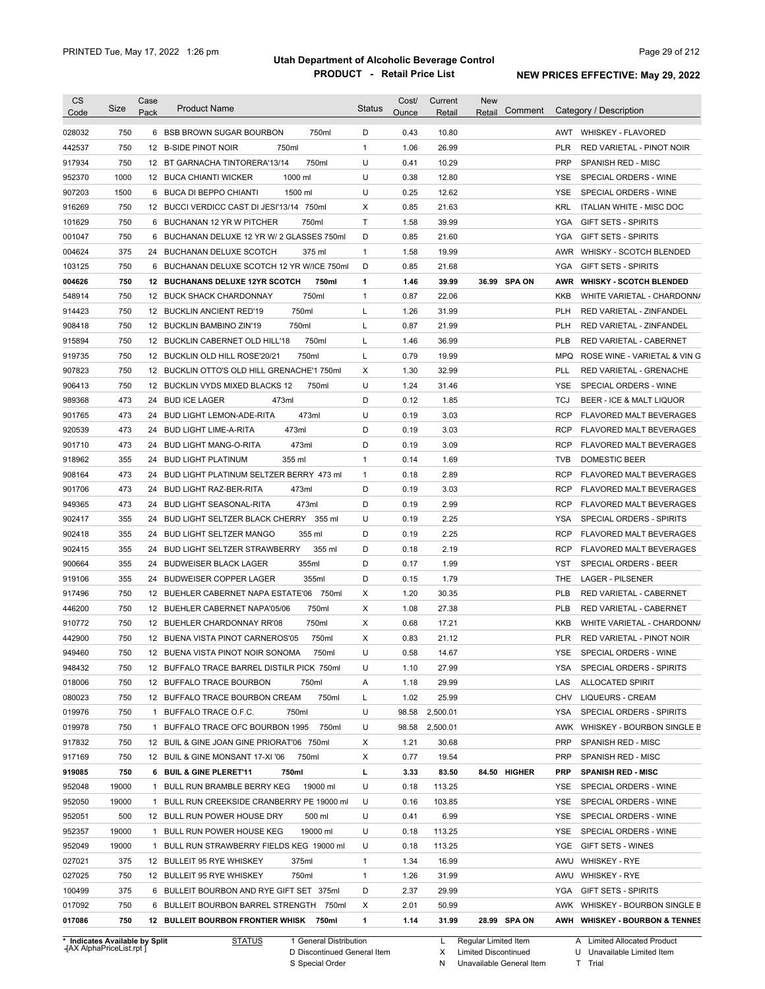| <b>CS</b><br>Code | Size        | Case<br>Pack | <b>Product Name</b>                                                          | <b>Status</b> | Cost/<br>Ounce | Current<br>Retail | New<br>Comment<br>Retail | Category / Description                       |
|-------------------|-------------|--------------|------------------------------------------------------------------------------|---------------|----------------|-------------------|--------------------------|----------------------------------------------|
|                   |             |              |                                                                              | D             |                |                   |                          | AWT WHISKEY - FLAVORED                       |
| 028032            | 750         |              | 6 BSB BROWN SUGAR BOURBON<br>750ml                                           |               | 0.43           | 10.80             |                          |                                              |
| 442537            | 750         |              | 12 B-SIDE PINOT NOIR<br>750ml                                                | $\mathbf{1}$  | 1.06           | 26.99             |                          | <b>PLR</b><br>RED VARIETAL - PINOT NOIR      |
| 917934            | 750<br>1000 |              | 750ml<br>12 BT GARNACHA TINTORERA'13/14<br>1000 ml                           | U<br>U        | 0.41<br>0.38   | 10.29<br>12.80    |                          | <b>PRP</b><br>SPANISH RED - MISC             |
| 952370            |             |              | 12 BUCA CHIANTI WICKER                                                       |               |                |                   |                          | YSE<br>SPECIAL ORDERS - WINE                 |
| 907203            | 1500        |              | 6 BUCA DI BEPPO CHIANTI<br>1500 ml                                           | U             | 0.25           | 12.62             |                          | <b>YSE</b><br>SPECIAL ORDERS - WINE          |
| 916269            | 750         |              | 12 BUCCI VERDICC CAST DI JESI'13/14 750ml                                    | Х             | 0.85           | 21.63             |                          | KRL<br><b>ITALIAN WHITE - MISC DOC</b>       |
| 101629            | 750         | 6            | 750ml<br>BUCHANAN 12 YR W PITCHER                                            | T             | 1.58           | 39.99             |                          | YGA<br><b>GIFT SETS - SPIRITS</b>            |
| 001047            | 750         | 6            | BUCHANAN DELUXE 12 YR W/ 2 GLASSES 750ml                                     | D             | 0.85           | 21.60             |                          | YGA<br><b>GIFT SETS - SPIRITS</b>            |
| 004624            | 375         |              | 24 BUCHANAN DELUXE SCOTCH<br>375 ml                                          | $\mathbf{1}$  | 1.58           | 19.99             |                          | AWR<br><b>WHISKY - SCOTCH BLENDED</b>        |
| 103125            | 750         | 6            | BUCHANAN DELUXE SCOTCH 12 YR W/ICE 750ml                                     | D             | 0.85           | 21.68             |                          | YGA<br><b>GIFT SETS - SPIRITS</b>            |
| 004626            | 750         |              | 12 BUCHANANS DELUXE 12YR SCOTCH<br>750ml                                     | 1             | 1.46           | 39.99             | 36.99 SPA ON             | AWR<br><b>WHISKY - SCOTCH BLENDED</b>        |
| 548914            | 750         |              | 750ml<br>12 BUCK SHACK CHARDONNAY                                            | $\mathbf{1}$  | 0.87           | 22.06             |                          | <b>KKB</b><br>WHITE VARIETAL - CHARDONN/     |
| 914423            | 750         |              | 750ml<br>12 BUCKLIN ANCIENT RED'19                                           | L             | 1.26           | 31.99             |                          | <b>PLH</b><br>RED VARIETAL - ZINFANDEL       |
| 908418            | 750         |              | 750ml<br>12 BUCKLIN BAMBINO ZIN'19                                           | L             | 0.87           | 21.99             |                          | <b>PLH</b><br>RED VARIETAL - ZINFANDEL       |
| 915894            | 750         |              | 750ml<br>12 BUCKLIN CABERNET OLD HILL'18                                     | Г             | 1.46           | 36.99             |                          | <b>PLB</b><br>RED VARIETAL - CABERNET        |
| 919735            | 750         |              | 750ml<br>12 BUCKLIN OLD HILL ROSE'20/21                                      | Г             | 0.79           | 19.99             |                          | <b>MPQ</b><br>ROSE WINE - VARIETAL & VIN G   |
| 907823            | 750         |              | 12 BUCKLIN OTTO'S OLD HILL GRENACHE'1 750ml                                  | Χ             | 1.30           | 32.99             |                          | PLL<br>RED VARIETAL - GRENACHE               |
| 906413            | 750         |              | 12 BUCKLIN VYDS MIXED BLACKS 12<br>750ml                                     | U             | 1.24           | 31.46             |                          | YSE<br>SPECIAL ORDERS - WINE                 |
| 989368            | 473         | 24           | <b>BUD ICE LAGER</b><br>473ml                                                | D             | 0.12           | 1.85              |                          | TCJ<br>BEER - ICE & MALT LIQUOR              |
| 901765            | 473         | 24           | 473ml<br><b>BUD LIGHT LEMON-ADE-RITA</b>                                     | U             | 0.19           | 3.03              |                          | RCP<br><b>FLAVORED MALT BEVERAGES</b>        |
| 920539            | 473         | 24           | 473ml<br><b>BUD LIGHT LIME-A-RITA</b>                                        | D             | 0.19           | 3.03              |                          | RCP<br><b>FLAVORED MALT BEVERAGES</b>        |
| 901710            | 473         | 24           | 473ml<br><b>BUD LIGHT MANG-O-RITA</b>                                        | D             | 0.19           | 3.09              |                          | RCP<br><b>FLAVORED MALT BEVERAGES</b>        |
| 918962            | 355         | 24           | 355 ml<br><b>BUD LIGHT PLATINUM</b>                                          | $\mathbf{1}$  | 0.14           | 1.69              |                          | <b>TVB</b><br>DOMESTIC BEER                  |
| 908164            | 473         | 24           | BUD LIGHT PLATINUM SELTZER BERRY 473 ml                                      | $\mathbf{1}$  | 0.18           | 2.89              |                          | RCP<br>FLAVORED MALT BEVERAGES               |
| 901706            | 473         | 24           | 473ml<br><b>BUD LIGHT RAZ-BER-RITA</b>                                       | D             | 0.19           | 3.03              |                          | RCP<br>FLAVORED MALT BEVERAGES               |
| 949365            | 473         | 24           | 473ml<br><b>BUD LIGHT SEASONAL-RITA</b>                                      | D             | 0.19           | 2.99              |                          | <b>RCP</b><br>FLAVORED MALT BEVERAGES        |
| 902417            | 355         | 24           | BUD LIGHT SELTZER BLACK CHERRY 355 ml                                        | U             | 0.19           | 2.25              |                          | <b>YSA</b><br>SPECIAL ORDERS - SPIRITS       |
| 902418            | 355         | 24           | <b>BUD LIGHT SELTZER MANGO</b><br>355 ml                                     | D             | 0.19           | 2.25              |                          | <b>RCP</b><br><b>FLAVORED MALT BEVERAGES</b> |
| 902415            | 355         | 24           | 355 ml<br><b>BUD LIGHT SELTZER STRAWBERRY</b>                                | D             | 0.18           | 2.19              |                          | <b>RCP</b><br>FLAVORED MALT BEVERAGES        |
| 900664            | 355         |              | 355ml<br>24 BUDWEISER BLACK LAGER                                            | D             | 0.17           | 1.99              |                          | SPECIAL ORDERS - BEER<br>YST                 |
| 919106            | 355         |              | 24 BUDWEISER COPPER LAGER<br>355ml                                           | D             | 0.15           | 1.79              |                          | <b>THE</b><br><b>LAGER - PILSENER</b>        |
| 917496            | 750         |              | 12 BUEHLER CABERNET NAPA ESTATE'06 750ml                                     | Χ             | 1.20           | 30.35             |                          | <b>PLB</b><br>RED VARIETAL - CABERNET        |
| 446200            | 750         |              | 750ml<br>12 BUEHLER CABERNET NAPA'05/06                                      | X             | 1.08           | 27.38             |                          | <b>PLB</b><br><b>RED VARIETAL - CABERNET</b> |
| 910772            | 750         |              | 750ml<br>12 BUEHLER CHARDONNAY RR'08                                         | X             | 0.68           | 17.21             |                          | KKB<br>WHITE VARIETAL - CHARDONN/            |
| 442900            | 750         |              | 12 BUENA VISTA PINOT CARNEROS'05<br>750ml                                    | X             | 0.83           | 21.12             |                          | <b>PLR</b><br>RED VARIETAL - PINOT NOIR      |
| 949460            | 750         |              | 12 BUENA VISTA PINOT NOIR SONOMA<br>750ml                                    | U             | 0.58           | 14.67             |                          | YSE SPECIAL ORDERS - WINE                    |
| 948432            | 750         |              | 12 BUFFALO TRACE BARREL DISTILR PICK 750ml                                   | U             | 1.10           | 27.99             |                          | YSA<br>SPECIAL ORDERS - SPIRITS              |
| 018006            | 750         |              | 12 BUFFALO TRACE BOURBON<br>750ml                                            | Α             | 1.18           | 29.99             |                          | LAS<br><b>ALLOCATED SPIRIT</b>               |
| 080023            | 750         |              | 750ml<br>12 BUFFALO TRACE BOURBON CREAM                                      | L             | 1.02           | 25.99             |                          | LIQUEURS - CREAM<br>CHV                      |
|                   |             |              |                                                                              | U             |                |                   |                          |                                              |
| 019976            | 750         |              | 1 BUFFALO TRACE O.F.C.<br>750ml<br>1 BUFFALO TRACE OFC BOURBON 1995<br>750ml | U             | 98.58          | 2,500.01          |                          | SPECIAL ORDERS - SPIRITS<br>YSA              |
| 019978            | 750         |              |                                                                              |               | 98.58          | 2,500.01          |                          | AWK<br>WHISKEY - BOURBON SINGLE B            |
| 917832            | 750         |              | 12 BUIL & GINE JOAN GINE PRIORAT'06 750ml                                    | X             | 1.21           | 30.68             |                          | <b>PRP</b><br>SPANISH RED - MISC             |
| 917169            | 750         |              | 12 BUIL & GINE MONSANT 17-XI '06<br>750ml                                    | X             | 0.77           | 19.54             |                          | <b>PRP</b><br>SPANISH RED - MISC             |
| 919085            | 750         |              | 6 BUIL & GINE PLERET'11<br>750ml                                             | г             | 3.33           | 83.50             | 84.50 HIGHER             | <b>PRP</b><br><b>SPANISH RED - MISC</b>      |
| 952048            | 19000       |              | 19000 ml<br>1 BULL RUN BRAMBLE BERRY KEG                                     | U             | 0.18           | 113.25            |                          | YSE<br>SPECIAL ORDERS - WINE                 |
| 952050            | 19000       |              | 1 BULL RUN CREEKSIDE CRANBERRY PE 19000 ml                                   | U             | 0.16           | 103.85            |                          | YSE<br>SPECIAL ORDERS - WINE                 |
| 952051            | 500         |              | 12 BULL RUN POWER HOUSE DRY<br>500 ml                                        | U             | 0.41           | 6.99              |                          | SPECIAL ORDERS - WINE<br>YSE                 |
| 952357            | 19000       |              | 1 BULL RUN POWER HOUSE KEG<br>19000 ml                                       | U             | 0.18           | 113.25            |                          | YSE<br>SPECIAL ORDERS - WINE                 |
| 952049            | 19000       | 1            | BULL RUN STRAWBERRY FIELDS KEG 19000 ml                                      | U             | 0.18           | 113.25            |                          | YGE<br>GIFT SETS - WINES                     |
| 027021            | 375         |              | 12 BULLEIT 95 RYE WHISKEY<br>375ml                                           | $\mathbf{1}$  | 1.34           | 16.99             |                          | AWU<br><b>WHISKEY - RYE</b>                  |
| 027025            | 750         |              | 750ml<br>12 BULLEIT 95 RYE WHISKEY                                           | $\mathbf{1}$  | 1.26           | 31.99             |                          | AWU WHISKEY - RYE                            |
| 100499            | 375         |              | 6 BULLEIT BOURBON AND RYE GIFT SET 375ml                                     | D             | 2.37           | 29.99             |                          | YGA<br><b>GIFT SETS - SPIRITS</b>            |
|                   | 750         |              | 6 BULLEIT BOURBON BARREL STRENGTH 750ml                                      | X             | 2.01           | 50.99             |                          | AWK WHISKEY - BOURBON SINGLE B               |
| 017092            |             |              |                                                                              |               |                |                   |                          |                                              |

**Case** [AX AlphaPriceList.rpt ]

D Discontinued General Item

S Special Order

X Limited Discontinued

N Unavailable General Item

U Unavailable Limited Item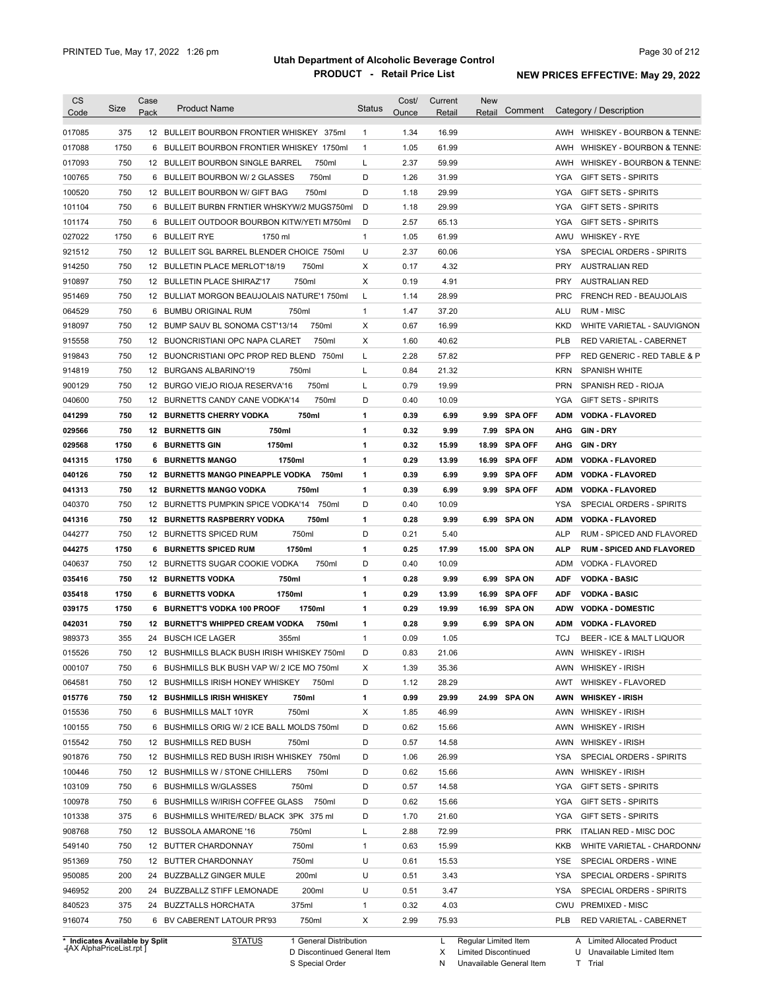| <b>CS</b>                                                  | Size | Case | <b>Product Name</b>                              | <b>Status</b> | Cost/ | Current | <b>New</b>           | Comment        |            | Category / Description           |
|------------------------------------------------------------|------|------|--------------------------------------------------|---------------|-------|---------|----------------------|----------------|------------|----------------------------------|
| Code                                                       |      | Pack |                                                  |               | Ounce | Retail  | Retail               |                |            |                                  |
| 017085                                                     | 375  |      | 12 BULLEIT BOURBON FRONTIER WHISKEY 375ml        | $\mathbf{1}$  | 1.34  | 16.99   |                      |                |            | AWH WHISKEY - BOURBON & TENNE:   |
| 017088                                                     | 1750 |      | 6 BULLEIT BOURBON FRONTIER WHISKEY 1750ml        | $\mathbf{1}$  | 1.05  | 61.99   |                      |                | AWH        | WHISKEY - BOURBON & TENNE:       |
| 017093                                                     | 750  |      | 12 BULLEIT BOURBON SINGLE BARREL<br>750ml        | L             | 2.37  | 59.99   |                      |                | AWH        | WHISKEY - BOURBON & TENNE:       |
| 100765                                                     | 750  | 6    | 750ml<br><b>BULLEIT BOURBON W/ 2 GLASSES</b>     | D             | 1.26  | 31.99   |                      |                | YGA        | <b>GIFT SETS - SPIRITS</b>       |
| 100520                                                     | 750  |      | 750ml<br>12 BULLEIT BOURBON W/ GIFT BAG          | D             | 1.18  | 29.99   |                      |                | YGA        | <b>GIFT SETS - SPIRITS</b>       |
| 101104                                                     | 750  | 6    | BULLEIT BURBN FRNTIER WHSKYW/2 MUGS750ml         | D             | 1.18  | 29.99   |                      |                | YGA        | <b>GIFT SETS - SPIRITS</b>       |
| 101174                                                     | 750  |      | 6 BULLEIT OUTDOOR BOURBON KITW/YETI M750ml       | D             | 2.57  | 65.13   |                      |                | <b>YGA</b> | <b>GIFT SETS - SPIRITS</b>       |
| 027022                                                     | 1750 |      | 6 BULLEIT RYE<br>1750 ml                         | $\mathbf{1}$  | 1.05  | 61.99   |                      |                |            | AWU WHISKEY - RYE                |
| 921512                                                     | 750  |      | 12 BULLEIT SGL BARREL BLENDER CHOICE 750ml       | U             | 2.37  | 60.06   |                      |                | YSA        | SPECIAL ORDERS - SPIRITS         |
| 914250                                                     | 750  |      | 12 BULLETIN PLACE MERLOT'18/19<br>750ml          | Х             | 0.17  | 4.32    |                      |                | <b>PRY</b> | <b>AUSTRALIAN RED</b>            |
| 910897                                                     | 750  |      | 750ml<br>12 BULLETIN PLACE SHIRAZ'17             | Х             | 0.19  | 4.91    |                      |                | <b>PRY</b> | <b>AUSTRALIAN RED</b>            |
| 951469                                                     | 750  |      | 12 BULLIAT MORGON BEAUJOLAIS NATURE'1 750ml      | L             | 1.14  | 28.99   |                      |                | <b>PRC</b> | FRENCH RED - BEAUJOLAIS          |
| 064529                                                     | 750  |      | 6 BUMBU ORIGINAL RUM<br>750ml                    | $\mathbf{1}$  | 1.47  | 37.20   |                      |                | <b>ALU</b> | <b>RUM - MISC</b>                |
| 918097                                                     | 750  |      | 12 BUMP SAUV BL SONOMA CST'13/14<br>750ml        | Х             | 0.67  | 16.99   |                      |                | KKD        | WHITE VARIETAL - SAUVIGNON       |
| 915558                                                     | 750  |      | 12 BUONCRISTIANI OPC NAPA CLARET<br>750ml        | X             | 1.60  | 40.62   |                      |                | <b>PLB</b> | RED VARIETAL - CABERNET          |
| 919843                                                     | 750  |      | 12 BUONCRISTIANI OPC PROP RED BLEND 750ml        | L             | 2.28  | 57.82   |                      |                | <b>PFP</b> | RED GENERIC - RED TABLE & P      |
| 914819                                                     | 750  |      | 12 BURGANS ALBARINO'19<br>750ml                  | Г             | 0.84  | 21.32   |                      |                | <b>KRN</b> | <b>SPANISH WHITE</b>             |
| 900129                                                     | 750  |      | 750ml<br>12 BURGO VIEJO RIOJA RESERVA'16         | L             | 0.79  | 19.99   |                      |                | <b>PRN</b> | SPANISH RED - RIOJA              |
| 040600                                                     | 750  |      | 750ml<br>12 BURNETTS CANDY CANE VODKA'14         | D             | 0.40  | 10.09   |                      |                | YGA        | <b>GIFT SETS - SPIRITS</b>       |
| 041299                                                     | 750  |      | 750ml<br><b>12 BURNETTS CHERRY VODKA</b>         | 1             | 0.39  | 6.99    | 9.99                 | <b>SPA OFF</b> | <b>ADM</b> | <b>VODKA - FLAVORED</b>          |
| 029566                                                     | 750  |      | 750ml<br><b>12 BURNETTS GIN</b>                  | 1             | 0.32  | 9.99    | 7.99                 | <b>SPA ON</b>  | AHG        | <b>GIN DRY</b>                   |
| 029568                                                     | 1750 |      | 1750ml<br>6 BURNETTS GIN                         | 1             | 0.32  | 15.99   | 18.99                | <b>SPA OFF</b> | AHG        | <b>GIN DRY</b>                   |
| 041315                                                     | 1750 | 6    | <b>BURNETTS MANGO</b><br>1750ml                  | 1             | 0.29  | 13.99   | 16.99                | <b>SPA OFF</b> | <b>ADM</b> | <b>VODKA - FLAVORED</b>          |
| 040126                                                     | 750  |      | 12 BURNETTS MANGO PINEAPPLE VODKA<br>750ml       | 1             | 0.39  | 6.99    | 9.99                 | <b>SPA OFF</b> | <b>ADM</b> | <b>VODKA - FLAVORED</b>          |
| 041313                                                     | 750  |      | <b>12 BURNETTS MANGO VODKA</b><br>750ml          | 1             | 0.39  | 6.99    | 9.99                 | <b>SPA OFF</b> | <b>ADM</b> | <b>VODKA - FLAVORED</b>          |
| 040370                                                     | 750  |      | 12 BURNETTS PUMPKIN SPICE VODKA'14<br>750ml      | D             | 0.40  | 10.09   |                      |                | YSA        | SPECIAL ORDERS - SPIRITS         |
| 041316                                                     | 750  |      | 750ml<br><b>12 BURNETTS RASPBERRY VODKA</b>      | 1             | 0.28  | 9.99    | 6.99                 | <b>SPA ON</b>  | <b>ADM</b> | <b>VODKA - FLAVORED</b>          |
| 044277                                                     | 750  |      | 750ml<br>12 BURNETTS SPICED RUM                  | D             | 0.21  | 5.40    |                      |                | <b>ALP</b> | RUM - SPICED AND FLAVORED        |
| 044275                                                     | 1750 | 6    | <b>BURNETTS SPICED RUM</b><br>1750ml             | 1             | 0.25  | 17.99   | 15.00                | <b>SPA ON</b>  | <b>ALP</b> | <b>RUM - SPICED AND FLAVORED</b> |
| 040637                                                     | 750  |      | 12 BURNETTS SUGAR COOKIE VODKA<br>750ml          | D             | 0.40  | 10.09   |                      |                | ADM        | VODKA - FLAVORED                 |
| 035416                                                     | 750  |      | <b>12 BURNETTS VODKA</b><br>750ml                | 1             | 0.28  | 9.99    | 6.99                 | <b>SPA ON</b>  | <b>ADF</b> | <b>VODKA - BASIC</b>             |
| 035418                                                     | 1750 | 6    | <b>BURNETTS VODKA</b><br>1750ml                  | 1             | 0.29  | 13.99   | 16.99                | <b>SPA OFF</b> | <b>ADF</b> | <b>VODKA - BASIC</b>             |
| 039175                                                     | 1750 | 6    | <b>BURNETT'S VODKA 100 PROOF</b><br>1750ml       | 1             | 0.29  | 19.99   | 16.99                | <b>SPA ON</b>  | <b>ADW</b> | <b>VODKA - DOMESTIC</b>          |
| 042031                                                     | 750  |      | <b>12 BURNETT'S WHIPPED CREAM VODKA</b><br>750ml | 1             | 0.28  | 9.99    | 6.99                 | <b>SPA ON</b>  | <b>ADM</b> | <b>VODKA - FLAVORED</b>          |
| 989373                                                     | 355  |      | 24 BUSCH ICE LAGER<br>355ml                      | $\mathbf{1}$  | 0.09  | 1.05    |                      |                | TCJ        | BEER - ICE & MALT LIQUOR         |
|                                                            |      |      | 12 BUSHMILLS BLACK BUSH IRISH WHISKEY 750ml      | D             |       |         |                      |                |            | AWN WHISKEY - IRISH              |
| 015526                                                     | 750  |      |                                                  |               | 0.83  | 21.06   |                      |                |            |                                  |
| 000107                                                     | 750  |      | 6 BUSHMILLS BLK BUSH VAP W/ 2 ICE MO 750ml       | Х             | 1.39  | 35.36   |                      |                |            | AWN WHISKEY - IRISH              |
| 064581                                                     | 750  |      | 12 BUSHMILLS IRISH HONEY WHISKEY<br>750ml        | D             | 1.12  | 28.29   |                      |                | AWT        | WHISKEY - FLAVORED               |
| 015776                                                     | 750  |      | <b>12 BUSHMILLS IRISH WHISKEY</b><br>750ml       | 1             | 0.99  | 29.99   |                      | 24.99 SPA ON   |            | AWN WHISKEY-IRISH                |
| 015536                                                     | 750  |      | 750ml<br>6 BUSHMILLS MALT 10YR                   | х             | 1.85  | 46.99   |                      |                | AWN        | <b>WHISKEY - IRISH</b>           |
| 100155                                                     | 750  |      | 6 BUSHMILLS ORIG W/ 2 ICE BALL MOLDS 750ml       | D             | 0.62  | 15.66   |                      |                | AWN        | <b>WHISKEY - IRISH</b>           |
| 015542                                                     | 750  |      | 12 BUSHMILLS RED BUSH<br>750ml                   | D             | 0.57  | 14.58   |                      |                | AWN        | <b>WHISKEY - IRISH</b>           |
| 901876                                                     | 750  |      | 12 BUSHMILLS RED BUSH IRISH WHISKEY 750ml        | D             | 1.06  | 26.99   |                      |                | YSA        | SPECIAL ORDERS - SPIRITS         |
| 100446                                                     | 750  |      | 12 BUSHMILLS W / STONE CHILLERS<br>750ml         | D             | 0.62  | 15.66   |                      |                | AWN        | <b>WHISKEY - IRISH</b>           |
| 103109                                                     | 750  |      | 6 BUSHMILLS W/GLASSES<br>750ml                   | D             | 0.57  | 14.58   |                      |                | YGA        | <b>GIFT SETS - SPIRITS</b>       |
| 100978                                                     | 750  |      | 6 BUSHMILLS W/IRISH COFFEE GLASS 750ml           | D             | 0.62  | 15.66   |                      |                | YGA        | <b>GIFT SETS - SPIRITS</b>       |
| 101338                                                     | 375  |      | 6 BUSHMILLS WHITE/RED/ BLACK 3PK 375 ml          | D             | 1.70  | 21.60   |                      |                | YGA        | <b>GIFT SETS - SPIRITS</b>       |
| 908768                                                     | 750  |      | 12 BUSSOLA AMARONE '16<br>750ml                  | L             | 2.88  | 72.99   |                      |                | <b>PRK</b> | ITALIAN RED - MISC DOC           |
| 549140                                                     | 750  |      | 750ml<br>12 BUTTER CHARDONNAY                    | $\mathbf{1}$  | 0.63  | 15.99   |                      |                | KKB        | WHITE VARIETAL - CHARDONN/       |
| 951369                                                     | 750  |      | 750ml<br>12 BUTTER CHARDONNAY                    | U             | 0.61  | 15.53   |                      |                | YSE        | SPECIAL ORDERS - WINE            |
| 950085                                                     | 200  |      | 24 BUZZBALLZ GINGER MULE<br>200ml                | U             | 0.51  | 3.43    |                      |                | YSA        | SPECIAL ORDERS - SPIRITS         |
| 946952                                                     | 200  |      | 200ml<br>24 BUZZBALLZ STIFF LEMONADE             | U             | 0.51  | 3.47    |                      |                | YSA        | SPECIAL ORDERS - SPIRITS         |
| 840523                                                     | 375  |      | 375ml<br>24 BUZZTALLS HORCHATA                   | $\mathbf{1}$  | 0.32  | 4.03    |                      |                | CWU        | <b>PREMIXED - MISC</b>           |
| 916074                                                     | 750  |      | 750ml<br>6 BV CABERENT LATOUR PR'93              | х             | 2.99  | 75.93   |                      |                | PLB        | RED VARIETAL - CABERNET          |
|                                                            |      |      |                                                  |               |       |         |                      |                |            |                                  |
| * Indicates Available by Split<br>JAX AlphaPriceList rnt 1 |      |      | <b>STATUS</b><br>1 General Distribution          |               |       | L       | Regular Limited Item |                |            | A Limited Allocated Product      |

**Case** [AX AlphaPriceList.rpt ]

D Discontinued General Item S Special Order

X Limited Discontinued N Unavailable General Item U Unavailable Limited Item

T Trial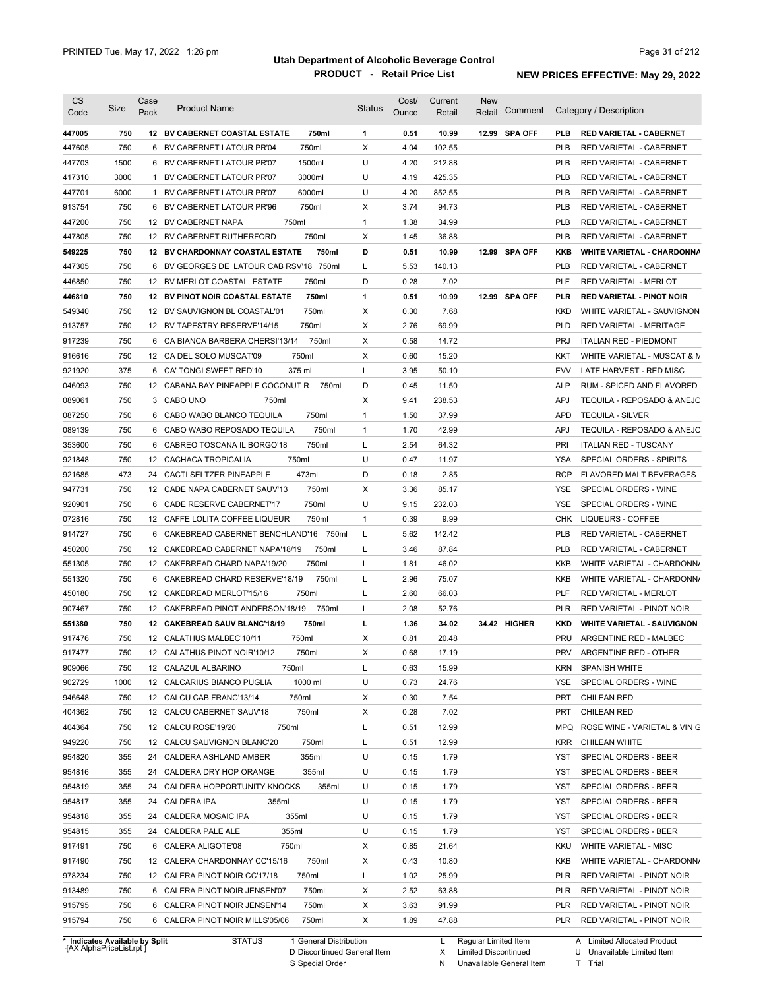| <b>CS</b><br>Code              | Size | Case<br>Pack | <b>Product Name</b>                     |                        | <b>Status</b> | Cost/<br>Ounce | Current<br>Retail | <b>New</b><br>Retail | Comment       |            | Category / Description            |
|--------------------------------|------|--------------|-----------------------------------------|------------------------|---------------|----------------|-------------------|----------------------|---------------|------------|-----------------------------------|
| 447005                         | 750  |              | 12 BV CABERNET COASTAL ESTATE           | 750ml                  | $\mathbf{1}$  | 0.51           | 10.99             |                      | 12.99 SPA OFF | <b>PLB</b> | <b>RED VARIETAL - CABERNET</b>    |
| 447605                         | 750  |              | 6 BV CABERNET LATOUR PR'04              | 750ml                  | Χ             | 4.04           | 102.55            |                      |               | <b>PLB</b> | RED VARIETAL - CABERNET           |
| 447703                         | 1500 |              | 6 BV CABERNET LATOUR PR'07              | 1500ml                 | U             | 4.20           | 212.88            |                      |               | <b>PLB</b> | RED VARIETAL - CABERNET           |
| 417310                         | 3000 |              | 1 BV CABERNET LATOUR PR'07              | 3000ml                 | U             | 4.19           | 425.35            |                      |               | <b>PLB</b> | RED VARIETAL - CABERNET           |
| 447701                         | 6000 |              | 1 BV CABERNET LATOUR PR'07              | 6000ml                 | U             | 4.20           | 852.55            |                      |               | <b>PLB</b> | RED VARIETAL - CABERNET           |
| 913754                         | 750  |              | 6 BV CABERNET LATOUR PR'96              | 750ml                  | Х             | 3.74           | 94.73             |                      |               | <b>PLB</b> | RED VARIETAL - CABERNET           |
| 447200                         | 750  |              | 12 BV CABERNET NAPA                     | 750ml                  | $\mathbf{1}$  | 1.38           | 34.99             |                      |               | <b>PLB</b> | RED VARIETAL - CABERNET           |
| 447805                         | 750  |              | 12 BV CABERNET RUTHERFORD               | 750ml                  | Χ             | 1.45           | 36.88             |                      |               | <b>PLB</b> | RED VARIETAL - CABERNET           |
| 549225                         | 750  |              | <b>12 BV CHARDONNAY COASTAL ESTATE</b>  | 750ml                  | D             | 0.51           | 10.99             |                      | 12.99 SPA OFF | KKB        | <b>WHITE VARIETAL - CHARDONNA</b> |
| 447305                         | 750  |              | 6 BV GEORGES DE LATOUR CAB RSV'18 750ml |                        | L             | 5.53           | 140.13            |                      |               | <b>PLB</b> | <b>RED VARIETAL - CABERNET</b>    |
| 446850                         | 750  |              | 12 BV MERLOT COASTAL ESTATE             | 750ml                  | D             | 0.28           | 7.02              |                      |               | PLF        | RED VARIETAL - MERLOT             |
| 446810                         | 750  |              | <b>12 BV PINOT NOIR COASTAL ESTATE</b>  | 750ml                  | $\mathbf{1}$  | 0.51           | 10.99             |                      | 12.99 SPA OFF | <b>PLR</b> | <b>RED VARIETAL - PINOT NOIR</b>  |
| 549340                         | 750  |              | 12 BV SAUVIGNON BL COASTAL'01           | 750ml                  | Х             | 0.30           | 7.68              |                      |               | <b>KKD</b> | WHITE VARIETAL - SAUVIGNON        |
| 913757                         | 750  |              | 12 BV TAPESTRY RESERVE'14/15            | 750ml                  | Х             | 2.76           | 69.99             |                      |               | <b>PLD</b> | RED VARIETAL - MERITAGE           |
| 917239                         | 750  |              | 6 CA BIANCA BARBERA CHERSI'13/14        | 750ml                  | Х             | 0.58           | 14.72             |                      |               | <b>PRJ</b> | <b>ITALIAN RED - PIEDMONT</b>     |
| 916616                         | 750  |              | 12 CA DEL SOLO MUSCAT'09                | 750ml                  | Х             | 0.60           | 15.20             |                      |               | KKT        | WHITE VARIETAL - MUSCAT & M       |
| 921920                         | 375  |              | 6 CA' TONGI SWEET RED'10                | 375 ml                 | L             | 3.95           | 50.10             |                      |               | <b>EVV</b> | LATE HARVEST - RED MISC           |
| 046093                         | 750  |              | 12 CABANA BAY PINEAPPLE COCONUT R       | 750ml                  | D             | 0.45           | 11.50             |                      |               | <b>ALP</b> | RUM - SPICED AND FLAVORED         |
| 089061                         | 750  |              | 3 CABO UNO<br>750ml                     |                        | Х             | 9.41           | 238.53            |                      |               | <b>APJ</b> | TEQUILA - REPOSADO & ANEJO        |
| 087250                         | 750  |              | 6 CABO WABO BLANCO TEQUILA              | 750ml                  | $\mathbf{1}$  | 1.50           | 37.99             |                      |               | <b>APD</b> | <b>TEQUILA - SILVER</b>           |
| 089139                         | 750  |              | 6 CABO WABO REPOSADO TEQUILA            | 750ml                  | $\mathbf{1}$  | 1.70           | 42.99             |                      |               | <b>APJ</b> | TEQUILA - REPOSADO & ANEJO        |
| 353600                         | 750  |              | 6 CABREO TOSCANA IL BORGO'18            | 750ml                  | L             | 2.54           | 64.32             |                      |               | PRI        | <b>ITALIAN RED - TUSCANY</b>      |
| 921848                         | 750  |              | 12 CACHACA TROPICALIA                   | 750ml                  | U             | 0.47           | 11.97             |                      |               | YSA        | SPECIAL ORDERS - SPIRITS          |
| 921685                         | 473  | 24           | CACTI SELTZER PINEAPPLE                 | 473ml                  | D             | 0.18           | 2.85              |                      |               | <b>RCP</b> | FLAVORED MALT BEVERAGES           |
| 947731                         | 750  |              | 12 CADE NAPA CABERNET SAUV'13           | 750ml                  | Х             | 3.36           | 85.17             |                      |               | <b>YSE</b> | SPECIAL ORDERS - WINE             |
| 920901                         | 750  |              | 6 CADE RESERVE CABERNET'17              | 750ml                  | U             | 9.15           | 232.03            |                      |               | YSE        | SPECIAL ORDERS - WINE             |
| 072816                         | 750  |              | 12 CAFFE LOLITA COFFEE LIQUEUR          | 750ml                  | $\mathbf{1}$  | 0.39           | 9.99              |                      |               | <b>CHK</b> | LIQUEURS - COFFEE                 |
| 914727                         | 750  |              | 6 CAKEBREAD CABERNET BENCHLAND'16 750ml |                        | L             | 5.62           | 142.42            |                      |               | <b>PLB</b> | RED VARIETAL - CABERNET           |
| 450200                         | 750  |              | 12 CAKEBREAD CABERNET NAPA'18/19        | 750ml                  | L             | 3.46           | 87.84             |                      |               | <b>PLB</b> | RED VARIETAL - CABERNET           |
| 551305                         | 750  |              | 12 CAKEBREAD CHARD NAPA'19/20           | 750ml                  | L             | 1.81           | 46.02             |                      |               | KKB        | WHITE VARIETAL - CHARDONN/        |
| 551320                         | 750  |              | 6 CAKEBREAD CHARD RESERVE'18/19         | 750ml                  | L             | 2.96           | 75.07             |                      |               | KKB        | WHITE VARIETAL - CHARDONN/        |
| 450180                         | 750  |              | 12 CAKEBREAD MERLOT'15/16               | 750ml                  | L             | 2.60           | 66.03             |                      |               | PLF        | RED VARIETAL - MERLOT             |
| 907467                         | 750  |              | 12 CAKEBREAD PINOT ANDERSON'18/19       | 750ml                  | L             | 2.08           | 52.76             |                      |               | <b>PLR</b> | <b>RED VARIETAL - PINOT NOIR</b>  |
|                                |      |              |                                         |                        |               |                |                   |                      | 34.42 HIGHER  |            |                                   |
| 551380                         | 750  |              | 12 CAKEBREAD SAUV BLANC'18/19           | 750ml                  | г             | 1.36           | 34.02             |                      |               | <b>KKD</b> | <b>WHITE VARIETAL - SAUVIGNON</b> |
| 917476                         | 750  |              | 12 CALATHUS MALBEC'10/11                | 750ml                  | Х             | 0.81           | 20.48             |                      |               | <b>PRU</b> | ARGENTINE RED - MALBEC            |
| 917477                         | 750  |              | 12 CALATHUS PINOT NOIR'10/12            | 750ml                  | Χ             | 0.68           | 17.19             |                      |               | PRV        | ARGENTINE RED - OTHER             |
| 909066                         | 750  |              | 12 CALAZUL ALBARINO                     | 750ml                  | L             | 0.63           | 15.99             |                      |               | <b>KRN</b> | <b>SPANISH WHITE</b>              |
| 902729                         | 1000 |              | 12 CALCARIUS BIANCO PUGLIA              | 1000 ml                | U             | 0.73           | 24.76             |                      |               | YSE        | SPECIAL ORDERS - WINE             |
| 946648                         | 750  |              | 12 CALCU CAB FRANC'13/14                | 750ml                  | Х             | 0.30           | 7.54              |                      |               | <b>PRT</b> | <b>CHILEAN RED</b>                |
| 404362                         | 750  |              | 12 CALCU CABERNET SAUV'18               | 750ml                  | Х             | 0.28           | 7.02              |                      |               | PRT        | <b>CHILEAN RED</b>                |
| 404364                         | 750  |              | 750ml<br>12 CALCU ROSE'19/20            |                        | L             | 0.51           | 12.99             |                      |               | MPQ        | ROSE WINE - VARIETAL & VIN G      |
| 949220                         | 750  |              | 12 CALCU SAUVIGNON BLANC'20             | 750ml                  | L             | 0.51           | 12.99             |                      |               | <b>KRR</b> | CHILEAN WHITE                     |
| 954820                         | 355  |              | 24 CALDERA ASHLAND AMBER                | 355ml                  | U             | 0.15           | 1.79              |                      |               | YST        | SPECIAL ORDERS - BEER             |
| 954816                         | 355  |              | 24 CALDERA DRY HOP ORANGE               | 355ml                  | U             | 0.15           | 1.79              |                      |               | YST        | SPECIAL ORDERS - BEER             |
| 954819                         | 355  |              | 24 CALDERA HOPPORTUNITY KNOCKS          | 355ml                  | U             | 0.15           | 1.79              |                      |               | YST        | SPECIAL ORDERS - BEER             |
| 954817                         | 355  |              | 24 CALDERA IPA<br>355ml                 |                        | U             | 0.15           | 1.79              |                      |               | YST        | SPECIAL ORDERS - BEER             |
| 954818                         | 355  |              | 24 CALDERA MOSAIC IPA                   | 355ml                  | U             | 0.15           | 1.79              |                      |               | YST        | SPECIAL ORDERS - BEER             |
| 954815                         | 355  |              | 355ml<br>24 CALDERA PALE ALE            |                        | U             | 0.15           | 1.79              |                      |               | YST        | SPECIAL ORDERS - BEER             |
| 917491                         | 750  |              | 6 CALERA ALIGOTE'08<br>750ml            |                        | Х             | 0.85           | 21.64             |                      |               | <b>KKU</b> | WHITE VARIETAL - MISC             |
| 917490                         | 750  |              | 12 CALERA CHARDONNAY CC'15/16           | 750ml                  | Х             | 0.43           | 10.80             |                      |               | KKB        | WHITE VARIETAL - CHARDONN/        |
| 978234                         | 750  |              | 12 CALERA PINOT NOIR CC'17/18           | 750ml                  | L             | 1.02           | 25.99             |                      |               | <b>PLR</b> | RED VARIETAL - PINOT NOIR         |
| 913489                         | 750  |              | 6 CALERA PINOT NOIR JENSEN'07           | 750ml                  | Х             | 2.52           | 63.88             |                      |               | PLR        | RED VARIETAL - PINOT NOIR         |
| 915795                         | 750  |              | 6 CALERA PINOT NOIR JENSEN'14           | 750ml                  | Х             | 3.63           | 91.99             |                      |               | PLR        | RED VARIETAL - PINOT NOIR         |
| 915794                         | 750  |              | 6 CALERA PINOT NOIR MILLS'05/06         | 750ml                  | Х             | 1.89           | 47.88             |                      |               | <b>PLR</b> | RED VARIETAL - PINOT NOIR         |
| * Indicates Available by Split |      |              | <b>STATUS</b>                           | 1 General Distribution |               |                | L.                | Regular Limited Item |               |            | A Limited Allocated Product       |

**Case** [AX AlphaPriceList.rpt ]

D Discontinued General Item S Special Order

Regular Limited Item

X

Limited Discontinued

N Unavailable General Item

Limited Allocated Product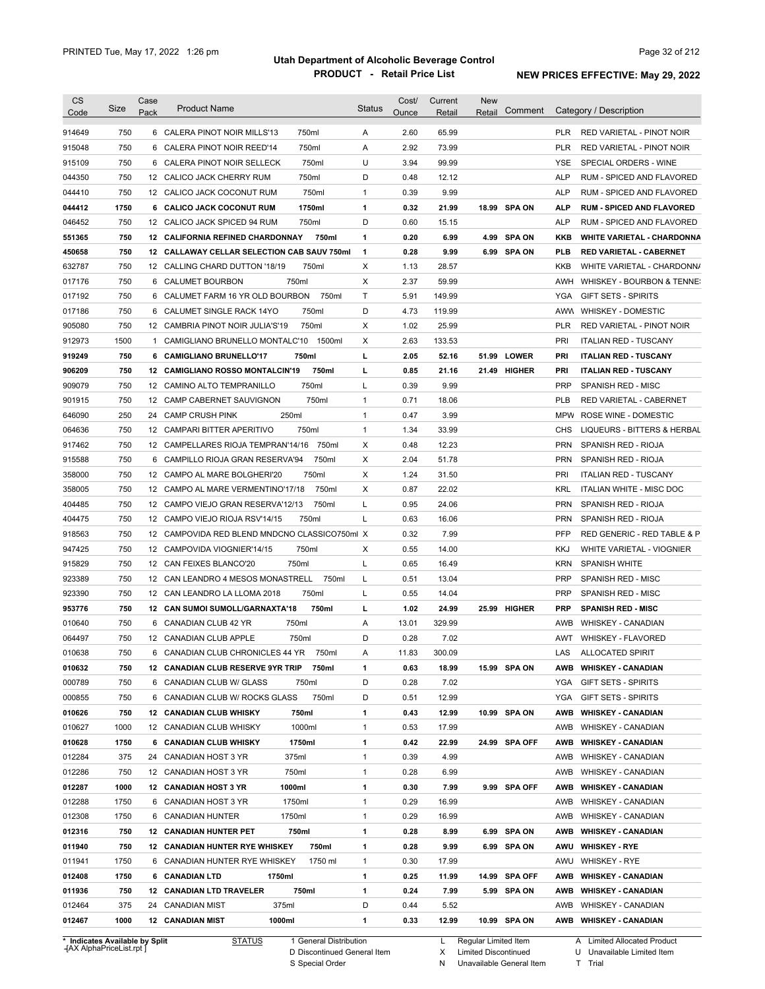| <b>CS</b><br>Code | Size                                                        | Case<br>Pack    | <b>Product Name</b>                           |                                                       | <b>Status</b> | Cost/<br>Ounce | Current<br>Retail | <b>New</b><br>Retail                                | Comment       |            | Category / Description                                              |
|-------------------|-------------------------------------------------------------|-----------------|-----------------------------------------------|-------------------------------------------------------|---------------|----------------|-------------------|-----------------------------------------------------|---------------|------------|---------------------------------------------------------------------|
| 914649            | 750                                                         |                 | 6 CALERA PINOT NOIR MILLS'13                  | 750ml                                                 | Α             | 2.60           | 65.99             |                                                     |               | <b>PLR</b> | RED VARIETAL - PINOT NOIR                                           |
| 915048            | 750                                                         |                 | 6 CALERA PINOT NOIR REED'14                   | 750ml                                                 | Α             | 2.92           | 73.99             |                                                     |               | PLR        | RED VARIETAL - PINOT NOIR                                           |
| 915109            | 750                                                         |                 | 6 CALERA PINOT NOIR SELLECK                   | 750ml                                                 | U             | 3.94           | 99.99             |                                                     |               | <b>YSE</b> | SPECIAL ORDERS - WINE                                               |
| 044350            | 750                                                         |                 | 12 CALICO JACK CHERRY RUM                     | 750ml                                                 | D             | 0.48           | 12.12             |                                                     |               | <b>ALP</b> | RUM - SPICED AND FLAVORED                                           |
| 044410            | 750                                                         |                 | 12 CALICO JACK COCONUT RUM                    | 750ml                                                 | $\mathbf{1}$  | 0.39           | 9.99              |                                                     |               | <b>ALP</b> | RUM - SPICED AND FLAVORED                                           |
| 044412            | 1750                                                        |                 | 6 CALICO JACK COCONUT RUM                     | 1750ml                                                | 1             | 0.32           | 21.99             |                                                     | 18.99 SPA ON  | <b>ALP</b> | <b>RUM - SPICED AND FLAVORED</b>                                    |
| 046452            | 750                                                         |                 | 12 CALICO JACK SPICED 94 RUM                  | 750ml                                                 | D             | 0.60           | 15.15             |                                                     |               | <b>ALP</b> | RUM - SPICED AND FLAVORED                                           |
| 551365            | 750                                                         |                 | 12 CALIFORNIA REFINED CHARDONNAY              | 750ml                                                 | 1             | 0.20           | 6.99              | 4.99                                                | <b>SPA ON</b> | KKB        | <b>WHITE VARIETAL - CHARDONNA</b>                                   |
| 450658            | 750                                                         |                 | 12 CALLAWAY CELLAR SELECTION CAB SAUV 750ml   |                                                       | $\mathbf{1}$  | 0.28           | 9.99              |                                                     | 6.99 SPA ON   | <b>PLB</b> | <b>RED VARIETAL - CABERNET</b>                                      |
| 632787            | 750                                                         |                 | 12 CALLING CHARD DUTTON '18/19                | 750ml                                                 | х             | 1.13           | 28.57             |                                                     |               | KKB        | WHITE VARIETAL - CHARDONN/                                          |
| 017176            | 750                                                         | 6               | <b>CALUMET BOURBON</b>                        | 750ml                                                 | X             | 2.37           | 59.99             |                                                     |               | AWH        | WHISKEY - BOURBON & TENNE:                                          |
|                   |                                                             |                 |                                               |                                                       |               |                |                   |                                                     |               |            |                                                                     |
| 017192            | 750                                                         | 6               | CALUMET FARM 16 YR OLD BOURBON                | 750ml                                                 | Т             | 5.91           | 149.99            |                                                     |               | YGA        | <b>GIFT SETS - SPIRITS</b>                                          |
| 017186            | 750                                                         | 6               | CALUMET SINGLE RACK 14YO                      | 750ml                                                 | D             | 4.73           | 119.99            |                                                     |               | AWW        | <b>WHISKEY - DOMESTIC</b>                                           |
| 905080            | 750                                                         | 12 <sup>°</sup> | CAMBRIA PINOT NOIR JULIA'S'19                 | 750ml                                                 | х             | 1.02           | 25.99             |                                                     |               | <b>PLR</b> | RED VARIETAL - PINOT NOIR                                           |
| 912973            | 1500                                                        | 1               | CAMIGLIANO BRUNELLO MONTALC'10                | 1500ml                                                | X             | 2.63           | 133.53            |                                                     |               | PRI        | <b>ITALIAN RED - TUSCANY</b>                                        |
| 919249            | 750                                                         |                 | 6 CAMIGLIANO BRUNELLO'17                      | 750ml                                                 | г             | 2.05           | 52.16             | 51.99                                               | <b>LOWER</b>  | PRI        | <b>ITALIAN RED - TUSCANY</b>                                        |
| 906209            | 750                                                         |                 | 12 CAMIGLIANO ROSSO MONTALCIN'19              | 750ml                                                 | г             | 0.85           | 21.16             | 21.49                                               | <b>HIGHER</b> | PRI        | <b>ITALIAN RED - TUSCANY</b>                                        |
| 909079            | 750                                                         |                 | 12 CAMINO ALTO TEMPRANILLO                    | 750ml                                                 | Г             | 0.39           | 9.99              |                                                     |               | <b>PRP</b> | SPANISH RED - MISC                                                  |
| 901915            | 750                                                         |                 | 12 CAMP CABERNET SAUVIGNON                    | 750ml                                                 | $\mathbf{1}$  | 0.71           | 18.06             |                                                     |               | <b>PLB</b> | RED VARIETAL - CABERNET                                             |
| 646090            | 250                                                         | 24              | <b>CAMP CRUSH PINK</b><br>250ml               |                                                       | $\mathbf{1}$  | 0.47           | 3.99              |                                                     |               | <b>MPW</b> | ROSE WINE - DOMESTIC                                                |
| 064636            | 750                                                         |                 | 12 CAMPARI BITTER APERITIVO                   | 750ml                                                 | $\mathbf{1}$  | 1.34           | 33.99             |                                                     |               | CHS        | LIQUEURS - BITTERS & HERBAL                                         |
| 917462            | 750                                                         |                 | 12 CAMPELLARES RIOJA TEMPRAN'14/16            | 750ml                                                 | X             | 0.48           | 12.23             |                                                     |               | <b>PRN</b> | SPANISH RED - RIOJA                                                 |
| 915588            | 750                                                         | 6               | CAMPILLO RIOJA GRAN RESERVA'94                | 750ml                                                 | X             | 2.04           | 51.78             |                                                     |               | <b>PRN</b> | SPANISH RED - RIOJA                                                 |
| 358000            | 750                                                         |                 | 12 CAMPO AL MARE BOLGHERI'20                  | 750ml                                                 | х             | 1.24           | 31.50             |                                                     |               | PRI        | <b>ITALIAN RED - TUSCANY</b>                                        |
| 358005            | 750                                                         |                 | 12 CAMPO AL MARE VERMENTINO'17/18             | 750ml                                                 | х             | 0.87           | 22.02             |                                                     |               | <b>KRL</b> | <b>ITALIAN WHITE - MISC DOC</b>                                     |
| 404485            | 750                                                         |                 | 12 CAMPO VIEJO GRAN RESERVA'12/13             | 750ml                                                 | L             | 0.95           | 24.06             |                                                     |               | <b>PRN</b> | SPANISH RED - RIOJA                                                 |
| 404475            | 750                                                         |                 | 12 CAMPO VIEJO RIOJA RSV'14/15                | 750ml                                                 | Г             | 0.63           | 16.06             |                                                     |               | <b>PRN</b> | SPANISH RED - RIOJA                                                 |
| 918563            | 750                                                         |                 | 12 CAMPOVIDA RED BLEND MNDCNO CLASSICO750ml X |                                                       |               | 0.32           | 7.99              |                                                     |               | <b>PFP</b> | RED GENERIC - RED TABLE & P                                         |
|                   |                                                             |                 |                                               |                                                       |               |                |                   |                                                     |               |            |                                                                     |
| 947425            | 750                                                         |                 | 12 CAMPOVIDA VIOGNIER'14/15                   | 750ml                                                 | Χ             | 0.55           | 14.00             |                                                     |               | KKJ        | WHITE VARIETAL - VIOGNIER                                           |
| 915829            | 750                                                         |                 | 12 CAN FEIXES BLANCO'20                       | 750ml                                                 | Г             | 0.65           | 16.49             |                                                     |               | <b>KRN</b> | <b>SPANISH WHITE</b>                                                |
| 923389            | 750                                                         |                 | 12 CAN LEANDRO 4 MESOS MONASTRELL             | 750ml                                                 | Г             | 0.51           | 13.04             |                                                     |               | <b>PRP</b> | SPANISH RED - MISC                                                  |
| 923390            | 750                                                         |                 | 12 CAN LEANDRO LA LLOMA 2018                  | 750ml                                                 | Г             | 0.55           | 14.04             |                                                     |               | <b>PRP</b> | SPANISH RED - MISC                                                  |
| 953776            | 750                                                         |                 | 12 CAN SUMOI SUMOLL/GARNAXTA'18               | 750ml                                                 | г             | 1.02           | 24.99             |                                                     | 25.99 HIGHER  | <b>PRP</b> | <b>SPANISH RED - MISC</b>                                           |
| 010640            | 750                                                         |                 | 6 CANADIAN CLUB 42 YR                         | 750ml                                                 | Α             | 13.01          | 329.99            |                                                     |               | AWB        | WHISKEY - CANADIAN                                                  |
| 064497            | 750                                                         |                 | 12 CANADIAN CLUB APPLE                        | 750ml                                                 | D             | 0.28           | 7.02              |                                                     |               | <b>AWT</b> | WHISKEY - FLAVORED                                                  |
| 010638            | 750                                                         |                 | 6 CANADIAN CLUB CHRONICLES 44 YR 750ml        |                                                       | Α             | 11.83          | 300.09            |                                                     |               | LAS        | ALLOCATED SPIRIT                                                    |
| 010632            | 750                                                         |                 | 12 CANADIAN CLUB RESERVE 9YR TRIP             | 750ml                                                 | 1             | 0.63           | 18.99             |                                                     | 15.99 SPA ON  | AWB        | <b>WHISKEY - CANADIAN</b>                                           |
| 000789            | 750                                                         |                 | 6 CANADIAN CLUB W/ GLASS                      | 750ml                                                 | D             | 0.28           | 7.02              |                                                     |               | YGA        | <b>GIFT SETS - SPIRITS</b>                                          |
| 000855            | 750                                                         |                 | 6 CANADIAN CLUB W/ ROCKS GLASS                | 750ml                                                 | D             | 0.51           | 12.99             |                                                     |               | YGA        | <b>GIFT SETS - SPIRITS</b>                                          |
| 010626            | 750                                                         |                 | 12 CANADIAN CLUB WHISKY                       | 750ml                                                 | 1             | 0.43           | 12.99             |                                                     | 10.99 SPA ON  | AWB        | <b>WHISKEY - CANADIAN</b>                                           |
| 010627            | 1000                                                        |                 | 12 CANADIAN CLUB WHISKY                       | 1000ml                                                | 1             | 0.53           | 17.99             |                                                     |               | AWB        | <b>WHISKEY - CANADIAN</b>                                           |
| 010628            | 1750                                                        |                 | 6 CANADIAN CLUB WHISKY                        | 1750ml                                                | 1             | 0.42           | 22.99             |                                                     | 24.99 SPA OFF | AWB        | <b>WHISKEY - CANADIAN</b>                                           |
| 012284            | 375                                                         |                 | 24 CANADIAN HOST 3 YR                         | 375ml                                                 | 1             | 0.39           | 4.99              |                                                     |               | AWB        | <b>WHISKEY - CANADIAN</b>                                           |
| 012286            | 750                                                         |                 | 12 CANADIAN HOST 3 YR                         | 750ml                                                 | 1             | 0.28           | 6.99              |                                                     |               | AWB        | <b>WHISKEY - CANADIAN</b>                                           |
| 012287            | 1000                                                        |                 | 12 CANADIAN HOST 3 YR<br>1000ml               |                                                       | 1             | 0.30           | 7.99              |                                                     | 9.99 SPA OFF  | AWB        | <b>WHISKEY - CANADIAN</b>                                           |
| 012288            | 1750                                                        |                 | 6 CANADIAN HOST 3 YR                          | 1750ml                                                | 1             | 0.29           | 16.99             |                                                     |               | AWB        | <b>WHISKEY - CANADIAN</b>                                           |
| 012308            | 1750                                                        |                 | 1750ml<br>6 CANADIAN HUNTER                   |                                                       | $\mathbf{1}$  | 0.29           | 16.99             |                                                     |               | AWB        | <b>WHISKEY - CANADIAN</b>                                           |
|                   | 750                                                         |                 |                                               | 750ml                                                 | 1             | 0.28           | 8.99              |                                                     | 6.99 SPA ON   | AWB        |                                                                     |
| 012316            |                                                             |                 | <b>12 CANADIAN HUNTER PET</b>                 |                                                       |               |                |                   |                                                     |               |            | <b>WHISKEY - CANADIAN</b>                                           |
| 011940            | 750                                                         |                 | <b>12 CANADIAN HUNTER RYE WHISKEY</b>         | 750ml                                                 | 1             | 0.28           | 9.99              |                                                     | 6.99 SPA ON   | AWU        | <b>WHISKEY - RYE</b>                                                |
| 011941            | 1750                                                        |                 | 6 CANADIAN HUNTER RYE WHISKEY                 | 1750 ml                                               | 1             | 0.30           | 17.99             |                                                     |               | AWU        | <b>WHISKEY - RYE</b>                                                |
| 012408            | 1750                                                        |                 | 6 CANADIAN LTD<br>1750ml                      |                                                       | 1             | 0.25           | 11.99             |                                                     | 14.99 SPA OFF | AWB        | <b>WHISKEY - CANADIAN</b>                                           |
| 011936            | 750                                                         |                 | 12 CANADIAN LTD TRAVELER                      | 750ml                                                 | 1             | 0.24           | 7.99              |                                                     | 5.99 SPA ON   | AWB        | <b>WHISKEY - CANADIAN</b>                                           |
| 012464            | 375                                                         |                 | 375ml<br>24 CANADIAN MIST                     |                                                       | D             | 0.44           | 5.52              |                                                     |               | AWB        | <b>WHISKEY - CANADIAN</b>                                           |
| 012467            | 1000                                                        |                 | <b>12 CANADIAN MIST</b><br>1000ml             |                                                       | 1             | 0.33           | 12.99             |                                                     | 10.99 SPA ON  |            | AWB WHISKEY - CANADIAN                                              |
|                   | * Indicates Available by Split<br>-{AX AlphaPriceList.rpt ] |                 | STATUS                                        | 1 General Distribution<br>D Discontinued General Item |               |                | L<br>X            | Regular Limited Item<br><b>Limited Discontinued</b> |               |            | <b>Limited Allocated Product</b><br>A<br>U Unavailable Limited Item |

S Special Order

N Unavailable General Item

A Limited Allocated Product U Unavailable Limited Item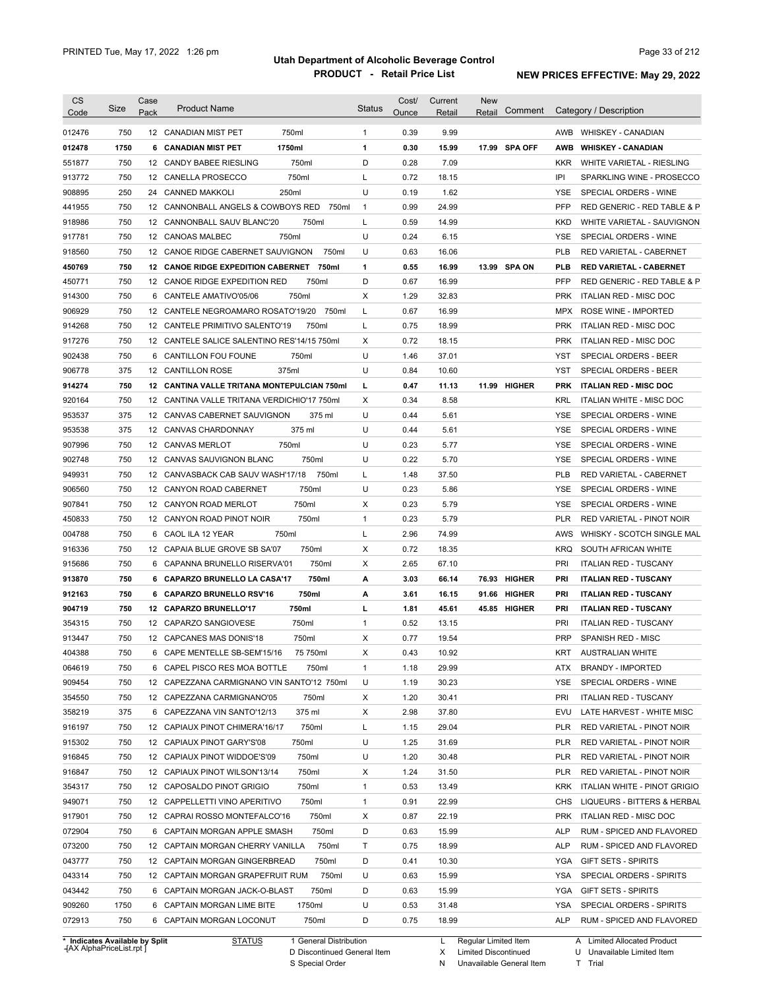| <b>CS</b><br>Code              | Size | Case<br>Pack    | <b>Product Name</b>                         |                        | <b>Status</b>  | Cost/<br>Ounce | Current<br>Retail | <b>New</b><br>Retail | Comment        |            | Category / Description         |
|--------------------------------|------|-----------------|---------------------------------------------|------------------------|----------------|----------------|-------------------|----------------------|----------------|------------|--------------------------------|
| 012476                         | 750  |                 | 12 CANADIAN MIST PET                        | 750ml                  | $\mathbf{1}$   | 0.39           | 9.99              |                      |                |            | AWB WHISKEY - CANADIAN         |
| 012478                         | 1750 |                 | 6 CANADIAN MIST PET<br>1750ml               |                        | 1              | 0.30           | 15.99             | 17.99                | <b>SPA OFF</b> | AWB        | <b>WHISKEY - CANADIAN</b>      |
| 551877                         | 750  |                 | 12 CANDY BABEE RIESLING                     | 750ml                  | D              | 0.28           | 7.09              |                      |                | KKR.       | WHITE VARIETAL - RIESLING      |
| 913772                         | 750  |                 | 12 CANELLA PROSECCO                         | 750ml                  | Г              | 0.72           | 18.15             |                      |                | IPI        | SPARKLING WINE - PROSECCO      |
| 908895                         | 250  |                 | 24 CANNED MAKKOLI<br>250ml                  |                        | U              | 0.19           | 1.62              |                      |                | YSE        | SPECIAL ORDERS - WINE          |
| 441955                         | 750  |                 | 12 CANNONBALL ANGELS & COWBOYS RED          | 750ml                  | $\overline{1}$ | 0.99           | 24.99             |                      |                | <b>PFP</b> | RED GENERIC - RED TABLE & P    |
| 918986                         | 750  |                 | 12 CANNONBALL SAUV BLANC'20                 | 750ml                  | L              | 0.59           | 14.99             |                      |                | KKD        | WHITE VARIETAL - SAUVIGNON     |
| 917781                         | 750  |                 | 750ml<br>12 CANOAS MALBEC                   |                        | U              | 0.24           | 6.15              |                      |                | YSE        | SPECIAL ORDERS - WINE          |
| 918560                         | 750  |                 | 12 CANOE RIDGE CABERNET SAUVIGNON           | 750ml                  | U              | 0.63           | 16.06             |                      |                | <b>PLB</b> | RED VARIETAL - CABERNET        |
| 450769                         | 750  |                 | 12 CANOE RIDGE EXPEDITION CABERNET 750ml    |                        | 1              | 0.55           | 16.99             |                      | 13.99 SPA ON   | <b>PLB</b> | <b>RED VARIETAL - CABERNET</b> |
| 450771                         | 750  |                 | 12 CANOE RIDGE EXPEDITION RED               | 750ml                  | D              | 0.67           | 16.99             |                      |                | <b>PFP</b> | RED GENERIC - RED TABLE & P    |
| 914300                         | 750  | 6               | CANTELE AMATIVO'05/06                       | 750ml                  | Х              | 1.29           | 32.83             |                      |                | <b>PRK</b> | ITALIAN RED - MISC DOC         |
| 906929                         | 750  | 12 <sup>2</sup> | CANTELE NEGROAMARO ROSATO'19/20             | 750ml                  | Г              | 0.67           | 16.99             |                      |                | MPX.       | ROSE WINE - IMPORTED           |
| 914268                         | 750  |                 | 12 CANTELE PRIMITIVO SALENTO'19             | 750ml                  | Г              | 0.75           | 18.99             |                      |                | <b>PRK</b> | ITALIAN RED - MISC DOC         |
| 917276                         | 750  |                 | 12 CANTELE SALICE SALENTINO RES'14/15 750ml |                        | Х              | 0.72           | 18.15             |                      |                | <b>PRK</b> | ITALIAN RED - MISC DOC         |
| 902438                         | 750  |                 | 6 CANTILLON FOU FOUNE                       | 750ml                  | U              | 1.46           | 37.01             |                      |                | YST        | SPECIAL ORDERS - BEER          |
| 906778                         | 375  |                 | 375ml<br>12 CANTILLON ROSE                  |                        | U              | 0.84           | 10.60             |                      |                | YST        | <b>SPECIAL ORDERS - BEER</b>   |
| 914274                         | 750  |                 | 12 CANTINA VALLE TRITANA MONTEPULCIAN 750ml |                        | г              | 0.47           | 11.13             |                      | 11.99 HIGHER   | <b>PRK</b> | <b>ITALIAN RED - MISC DOC</b>  |
| 920164                         | 750  |                 | 12 CANTINA VALLE TRITANA VERDICHIO'17 750ml |                        | Х              | 0.34           | 8.58              |                      |                | <b>KRL</b> | ITALIAN WHITE - MISC DOC       |
| 953537                         | 375  |                 | 12 CANVAS CABERNET SAUVIGNON                | 375 ml                 | U              | 0.44           | 5.61              |                      |                | YSE        | SPECIAL ORDERS - WINE          |
| 953538                         | 375  |                 | 12 CANVAS CHARDONNAY                        | 375 ml                 | U              | 0.44           | 5.61              |                      |                | YSE        | SPECIAL ORDERS - WINE          |
| 907996                         | 750  |                 | 750ml<br>12 CANVAS MERLOT                   |                        | U              | 0.23           | 5.77              |                      |                | YSE        | SPECIAL ORDERS - WINE          |
| 902748                         | 750  |                 | 12 CANVAS SAUVIGNON BLANC                   | 750ml                  | U              | 0.22           | 5.70              |                      |                | YSE        | SPECIAL ORDERS - WINE          |
| 949931                         | 750  |                 | 12 CANVASBACK CAB SAUV WASH'17/18           | 750ml                  | Г              | 1.48           | 37.50             |                      |                | PLB        | RED VARIETAL - CABERNET        |
| 906560                         | 750  |                 | 12 CANYON ROAD CABERNET                     | 750ml                  | U              | 0.23           | 5.86              |                      |                | YSE        | SPECIAL ORDERS - WINE          |
| 907841                         | 750  | 12 <sup>2</sup> | CANYON ROAD MERLOT                          | 750ml                  | Х              | 0.23           | 5.79              |                      |                | YSE        | SPECIAL ORDERS - WINE          |
| 450833                         | 750  |                 | 12 CANYON ROAD PINOT NOIR                   | 750ml                  | 1              | 0.23           | 5.79              |                      |                | <b>PLR</b> | RED VARIETAL - PINOT NOIR      |
| 004788                         | 750  | 6               | 750ml<br>CAOL ILA 12 YEAR                   |                        | Г              | 2.96           | 74.99             |                      |                | AWS        | WHISKY - SCOTCH SINGLE MAL     |
| 916336                         | 750  |                 | 12 CAPAIA BLUE GROVE SB SA'07               | 750ml                  | Х              | 0.72           | 18.35             |                      |                | <b>KRQ</b> | SOUTH AFRICAN WHITE            |
| 915686                         | 750  |                 | 6 CAPANNA BRUNELLO RISERVA'01               | 750ml                  | X              | 2.65           | 67.10             |                      |                | <b>PRI</b> | <b>ITALIAN RED - TUSCANY</b>   |
| 913870                         | 750  |                 | 6 CAPARZO BRUNELLO LA CASA'17               | 750ml                  | А              | 3.03           | 66.14             |                      | 76.93 HIGHER   | PRI        | <b>ITALIAN RED - TUSCANY</b>   |
| 912163                         | 750  |                 | 6 CAPARZO BRUNELLO RSV'16                   | 750ml                  | А              | 3.61           | 16.15             | 91.66                | <b>HIGHER</b>  | PRI        | <b>ITALIAN RED - TUSCANY</b>   |
| 904719                         | 750  |                 | 12 CAPARZO BRUNELLO'17                      | 750ml                  | L              | 1.81           | 45.61             |                      | 45.85 HIGHER   | PRI        | <b>ITALIAN RED - TUSCANY</b>   |
| 354315                         | 750  |                 | 12 CAPARZO SANGIOVESE                       | 750ml                  | $\mathbf{1}$   | 0.52           | 13.15             |                      |                | <b>PRI</b> | <b>ITALIAN RED - TUSCANY</b>   |
| 913447                         | 750  |                 | 12 CAPCANES MAS DONIS'18                    | 750ml                  | X              | 0.77           | 19.54             |                      |                | <b>PRP</b> | SPANISH RED - MISC             |
| 404388                         | 750  |                 | 6 CAPE MENTELLE SB-SEM'15/16                | 75 750ml               | х              | 0.43           | 10.92             |                      |                | KRT        | <b>AUSTRALIAN WHITE</b>        |
| 064619                         | 750  |                 | 6 CAPEL PISCO RES MOA BOTTLE                | 750ml                  | $\mathbf{1}$   | 1.18           | 29.99             |                      |                | ATX        | <b>BRANDY - IMPORTED</b>       |
| 909454                         | 750  |                 | 12 CAPEZZANA CARMIGNANO VIN SANTO'12 750ml  |                        | U              | 1.19           | 30.23             |                      |                | YSE        | SPECIAL ORDERS - WINE          |
| 354550                         | 750  |                 | 12 CAPEZZANA CARMIGNANO'05                  | 750ml                  | X              | 1.20           | 30.41             |                      |                | <b>PRI</b> | <b>ITALIAN RED - TUSCANY</b>   |
| 358219                         | 375  |                 | 6 CAPEZZANA VIN SANTO'12/13                 | 375 ml                 | Х              | 2.98           | 37.80             |                      |                | EVU        | LATE HARVEST - WHITE MISC      |
| 916197                         | 750  |                 | 12 CAPIAUX PINOT CHIMERA'16/17              | 750ml                  | L              | 1.15           | 29.04             |                      |                | PLR        | RED VARIETAL - PINOT NOIR      |
| 915302                         | 750  |                 | 12 CAPIAUX PINOT GARY'S'08                  | 750ml                  | U              | 1.25           | 31.69             |                      |                | PLR        | RED VARIETAL - PINOT NOIR      |
| 916845                         | 750  |                 | 12 CAPIAUX PINOT WIDDOE'S'09                | 750ml                  | U              | 1.20           | 30.48             |                      |                | PLR        | RED VARIETAL - PINOT NOIR      |
| 916847                         | 750  |                 | 12 CAPIAUX PINOT WILSON'13/14               | 750ml                  | Х              | 1.24           | 31.50             |                      |                | PLR        | RED VARIETAL - PINOT NOIR      |
| 354317                         | 750  |                 | 12 CAPOSALDO PINOT GRIGIO                   | 750ml                  | $\mathbf{1}$   | 0.53           | 13.49             |                      |                | <b>KRK</b> | ITALIAN WHITE - PINOT GRIGIO   |
| 949071                         | 750  |                 | 12 CAPPELLETTI VINO APERITIVO               | 750ml                  | 1              | 0.91           | 22.99             |                      |                | CHS        | LIQUEURS - BITTERS & HERBAL    |
| 917901                         | 750  |                 | 12 CAPRAI ROSSO MONTEFALCO'16               | 750ml                  | Х              | 0.87           | 22.19             |                      |                | <b>PRK</b> | ITALIAN RED - MISC DOC         |
| 072904                         | 750  |                 | 6 CAPTAIN MORGAN APPLE SMASH                | 750ml                  | D              | 0.63           | 15.99             |                      |                | <b>ALP</b> | RUM - SPICED AND FLAVORED      |
| 073200                         | 750  |                 | 12 CAPTAIN MORGAN CHERRY VANILLA            | 750ml                  | Т              | 0.75           | 18.99             |                      |                | <b>ALP</b> | RUM - SPICED AND FLAVORED      |
| 043777                         | 750  |                 | 12 CAPTAIN MORGAN GINGERBREAD               | 750ml                  | D              | 0.41           | 10.30             |                      |                | YGA        | <b>GIFT SETS - SPIRITS</b>     |
| 043314                         | 750  |                 | 12 CAPTAIN MORGAN GRAPEFRUIT RUM            | 750ml                  | U              | 0.63           | 15.99             |                      |                | YSA        | SPECIAL ORDERS - SPIRITS       |
| 043442                         | 750  |                 | 6 CAPTAIN MORGAN JACK-O-BLAST               | 750ml                  | D              | 0.63           | 15.99             |                      |                | YGA        | <b>GIFT SETS - SPIRITS</b>     |
| 909260                         | 1750 |                 | 6 CAPTAIN MORGAN LIME BITE                  | 1750ml                 | U              | 0.53           | 31.48             |                      |                | YSA        | SPECIAL ORDERS - SPIRITS       |
| 072913                         | 750  |                 | 6 CAPTAIN MORGAN LOCONUT                    | 750ml                  | D              | 0.75           | 18.99             |                      |                | ALP        | RUM - SPICED AND FLAVORED      |
| * Indicates Available by Split |      |                 | <b>STATUS</b>                               | 1 General Distribution |                |                | L                 | Regular Limited Item |                |            | A Limited Allocated Product    |

**Case** [AX AlphaPriceList.rpt ]

D Discontinued General Item

S Special Order

X

N Unavailable General Item Limited Discontinued

U Unavailable Limited Item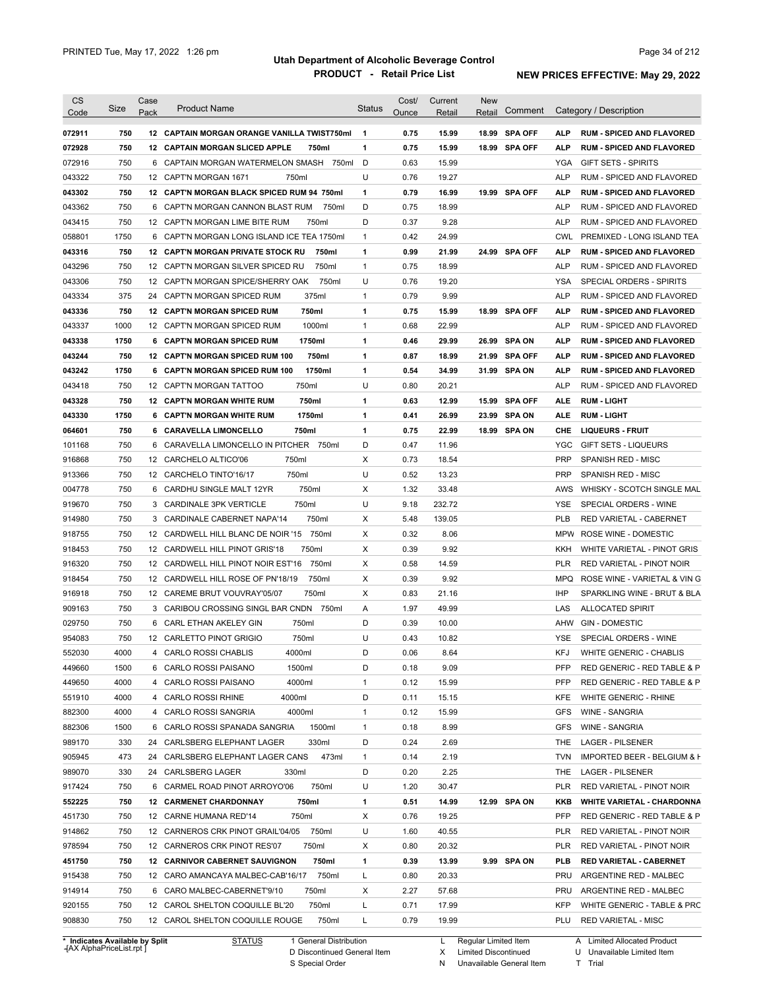| Category / Description<br>Comment<br>Pack<br>Code<br>Ounce<br>Retail<br>Retail<br>750<br>15.99<br><b>SPA OFF</b><br>072911<br>12 CAPTAIN MORGAN ORANGE VANILLA TWIST750ml<br>$\mathbf 1$<br>0.75<br>18.99<br><b>ALP</b><br><b>RUM - SPICED AND FLAVORED</b><br>750<br>$\mathbf{1}$<br>072928<br>12 CAPTAIN MORGAN SLICED APPLE<br>750ml<br>0.75<br>15.99<br>18.99 SPA OFF<br><b>ALP</b><br><b>RUM - SPICED AND FLAVORED</b><br>750<br>750ml<br>D<br>15.99<br>072916<br>CAPTAIN MORGAN WATERMELON SMASH<br>0.63<br>YGA<br><b>GIFT SETS - SPIRITS</b><br>6<br>U<br>750<br>0.76<br>043322<br>12 CAPT'N MORGAN 1671<br>750ml<br>19.27<br><b>ALP</b><br>RUM - SPICED AND FLAVORED<br>1<br>0.79<br><b>SPA OFF</b><br>043302<br>750<br>12 CAPT'N MORGAN BLACK SPICED RUM 94 750ml<br>16.99<br>19.99<br>ALP<br><b>RUM - SPICED AND FLAVORED</b><br>750<br>D<br>18.99<br>043362<br>CAPT'N MORGAN CANNON BLAST RUM<br>750ml<br>0.75<br>ALP<br>RUM - SPICED AND FLAVORED<br>6<br>750<br>D<br>0.37<br>9.28<br><b>ALP</b><br>043415<br>12 CAPT'N MORGAN LIME BITE RUM<br>750ml<br>RUM - SPICED AND FLAVORED<br>1750<br>$\mathbf{1}$<br>0.42<br>24.99<br>6 CAPT'N MORGAN LONG ISLAND ICE TEA 1750ml<br><b>CWL</b><br>PREMIXED - LONG ISLAND TEA<br>750<br>1<br>0.99<br>24.99 SPA OFF<br><b>12 CAPT'N MORGAN PRIVATE STOCK RU</b><br>750ml<br>21.99<br>ALP<br><b>RUM - SPICED AND FLAVORED</b><br>750<br>750ml<br>$\mathbf{1}$<br>0.75<br>18.99<br><b>ALP</b><br>12 CAPT'N MORGAN SILVER SPICED RU<br>RUM - SPICED AND FLAVORED<br>750<br>750ml<br>U<br>0.76<br>19.20<br>12 CAPT'N MORGAN SPICE/SHERRY OAK<br>YSA<br>SPECIAL ORDERS - SPIRITS<br>375<br>375ml<br>0.79<br>9.99<br>24<br>CAPT'N MORGAN SPICED RUM<br>$\mathbf{1}$<br><b>ALP</b><br>RUM - SPICED AND FLAVORED<br>750<br>750ml<br><b>SPA OFF</b><br>12 CAPT'N MORGAN SPICED RUM<br>1<br>0.75<br>15.99<br>18.99<br>ALP<br><b>RUM - SPICED AND FLAVORED</b><br>1000<br>1000ml<br>0.68<br>22.99<br>12 CAPT'N MORGAN SPICED RUM<br>$\mathbf{1}$<br><b>ALP</b><br>RUM - SPICED AND FLAVORED<br>1750<br>1750ml<br>1<br>0.46<br>29.99<br><b>SPA ON</b><br>6 CAPT'N MORGAN SPICED RUM<br>26.99<br>ALP<br><b>RUM - SPICED AND FLAVORED</b><br>750<br>750ml<br>0.87<br>18.99<br><b>SPA OFF</b><br>12 CAPT'N MORGAN SPICED RUM 100<br>1<br>21.99<br>ALP<br><b>RUM - SPICED AND FLAVORED</b><br>1750<br>6 CAPT'N MORGAN SPICED RUM 100<br>1750ml<br>1<br>0.54<br>34.99<br>31.99 SPA ON<br><b>ALP</b><br><b>RUM - SPICED AND FLAVORED</b><br>U<br>750<br>750ml<br>0.80<br>20.21<br>043418<br><b>CAPT'N MORGAN TATTOO</b><br><b>ALP</b><br>RUM - SPICED AND FLAVORED<br>12<br>750<br>750ml<br>043328<br><b>12 CAPT'N MORGAN WHITE RUM</b><br>1<br>0.63<br>12.99<br>15.99<br><b>SPA OFF</b><br><b>ALE</b><br><b>RUM LIGHT</b><br>1750<br>1750ml<br>1<br>043330<br>6 CAPT'N MORGAN WHITE RUM<br>0.41<br>26.99<br>23.99<br><b>SPA ON</b><br><b>RUM LIGHT</b><br>ALE<br>750<br>1<br>0.75<br>22.99<br><b>SPA ON</b><br>064601<br>6 CARAVELLA LIMONCELLO<br>750ml<br>18.99<br>CHE<br><b>LIQUEURS - FRUIT</b><br>750<br>D<br>0.47<br>11.96<br>101168<br>CARAVELLA LIMONCELLO IN PITCHER<br>750ml<br>YGC<br><b>GIFT SETS - LIQUEURS</b><br>6<br>750<br>750ml<br>Х<br>0.73<br>18.54<br><b>PRP</b><br>916868<br>12<br>CARCHELO ALTICO'06<br><b>SPANISH RED - MISC</b><br>U<br>750<br>750ml<br>0.52<br>13.23<br>913366<br>12 CARCHELO TINTO'16/17<br><b>PRP</b><br><b>SPANISH RED - MISC</b><br>750<br>750ml<br>Х<br>1.32<br>33.48<br>004778<br>6<br>CARDHU SINGLE MALT 12YR<br>AWS<br>WHISKY - SCOTCH SINGLE MAL<br>750<br>750ml<br>U<br>9.18<br>232.72<br>919670<br>3<br>CARDINALE 3PK VERTICLE<br>YSE<br>SPECIAL ORDERS - WINE<br>750<br>Х<br>5.48<br>914980<br>CARDINALE CABERNET NAPA'14<br>750ml<br>139.05<br><b>PLB</b><br>RED VARIETAL - CABERNET<br>3<br>750<br>Х<br>0.32<br>8.06<br>12<br>CARDWELL HILL BLANC DE NOIR '15<br>750ml<br><b>MPW</b><br>ROSE WINE - DOMESTIC<br>750<br>750ml<br>Х<br>0.39<br>9.92<br>12 CARDWELL HILL PINOT GRIS'18<br>KKH<br>WHITE VARIETAL - PINOT GRIS<br>750<br>Х<br>12<br>CARDWELL HILL PINOT NOIR EST'16<br>750ml<br>0.58<br>14.59<br>PLR<br>RED VARIETAL - PINOT NOIR<br>750<br>750ml<br>Х<br>12 CARDWELL HILL ROSE OF PN'18/19<br>0.39<br>9.92<br>MPQ<br>ROSE WINE - VARIETAL & VIN G<br>Х<br>750<br>12 CAREME BRUT VOUVRAY'05/07<br>750ml<br>0.83<br>21.16<br>IHP<br>SPARKLING WINE - BRUT & BLA<br>750<br>CARIBOU CROSSING SINGL BAR CNDN<br>Α<br>49.99<br>750ml<br>1.97<br>LAS<br><b>ALLOCATED SPIRIT</b><br>3<br>750<br>750ml<br>D<br>CARL ETHAN AKELEY GIN<br>0.39<br>10.00<br>AHW<br><b>GIN - DOMESTIC</b><br>6<br>U<br>750<br>12 CARLETTO PINOT GRIGIO<br>750ml<br>0.43<br>10.82<br><b>YSE</b><br>SPECIAL ORDERS - WINE<br>KFJ<br>4000<br>4000ml<br>D<br>0.06<br>8.64<br>WHITE GENERIC - CHABLIS<br>4 CARLO ROSSI CHABLIS<br>1500<br>6 CARLO ROSSI PAISANO<br>1500ml<br>D<br>0.18<br>9.09<br>PFP<br>RED GENERIC - RED TABLE & P<br>4000<br>4 CARLO ROSSI PAISANO<br>4000ml<br>15.99<br><b>PFP</b><br>RED GENERIC - RED TABLE & P<br>1<br>0.12<br>4000<br>4 CARLO ROSSI RHINE<br>4000ml<br>D<br>15.15<br>0.11<br>KFE<br>WHITE GENERIC - RHINE<br>882300<br>4000<br>4 CARLO ROSSI SANGRIA<br>4000ml<br>15.99<br>WINE - SANGRIA<br>$\mathbf{1}$<br>0.12<br>GFS<br>882306<br>1500<br>1500ml<br>8.99<br>WINE - SANGRIA<br>6 CARLO ROSSI SPANADA SANGRIA<br>1<br>0.18<br><b>GFS</b><br>989170<br>330<br>330ml<br>2.69<br>24 CARLSBERG ELEPHANT LAGER<br>D<br>0.24<br><b>LAGER - PILSENER</b><br>THE.<br>905945<br>473<br>473ml<br>2.19<br>IMPORTED BEER - BELGIUM & H<br>24 CARLSBERG ELEPHANT LAGER CANS<br>0.14<br>TVN<br>1<br>989070<br>330<br>D<br>2.25<br><b>LAGER - PILSENER</b><br>24 CARLSBERG LAGER<br>330ml<br>0.20<br>THE<br>917424<br>750<br>750ml<br>U<br>6 CARMEL ROAD PINOT ARROYO'06<br>1.20<br>30.47<br>PLR<br>RED VARIETAL - PINOT NOIR<br>552225<br>14.99<br>12.99 SPA ON<br><b>WHITE VARIETAL - CHARDONNA</b><br>750<br>12 CARMENET CHARDONNAY<br>750ml<br>1<br>0.51<br>KKB<br>451730<br>19.25<br>750<br>12 CARNE HUMANA RED'14<br>750ml<br>х<br>0.76<br>PFP<br>RED GENERIC - RED TABLE & P<br>750<br>12 CARNEROS CRK PINOT GRAIL'04/05 750ml<br>U<br>40.55<br>1.60<br>PLR<br>RED VARIETAL - PINOT NOIR<br>20.32<br>750<br>12 CARNEROS CRK PINOT RES'07<br>750ml<br>х<br>0.80<br>PLR<br>RED VARIETAL - PINOT NOIR<br>13.99<br>9.99 SPA ON<br>750<br>12 CARNIVOR CABERNET SAUVIGNON<br>750ml<br>1<br>0.39<br>PLB<br><b>RED VARIETAL - CABERNET</b><br>750<br>12 CARO AMANCAYA MALBEC-CAB'16/17 750ml<br>20.33<br>L<br>0.80<br>PRU<br>ARGENTINE RED - MALBEC<br>750<br>57.68<br>6 CARO MALBEC-CABERNET'9/10<br>750ml<br>х<br>2.27<br>PRU<br>ARGENTINE RED - MALBEC<br>750<br>L<br>17.99<br>12 CAROL SHELTON COQUILLE BL'20<br>750ml<br>0.71<br>KFP<br>750<br>750ml<br>0.79<br>19.99<br>12 CAROL SHELTON COQUILLE ROUGE<br>L<br>PLU RED VARIETAL - MISC<br>* Indicates Available by Split<br><b>STATUS</b><br>1 General Distribution<br>L Regular Limited Item<br>A Limited Allocated Product | <b>CS</b> |      | Case |                     |               | Cost/ | Current | <b>New</b> |                             |
|-----------------------------------------------------------------------------------------------------------------------------------------------------------------------------------------------------------------------------------------------------------------------------------------------------------------------------------------------------------------------------------------------------------------------------------------------------------------------------------------------------------------------------------------------------------------------------------------------------------------------------------------------------------------------------------------------------------------------------------------------------------------------------------------------------------------------------------------------------------------------------------------------------------------------------------------------------------------------------------------------------------------------------------------------------------------------------------------------------------------------------------------------------------------------------------------------------------------------------------------------------------------------------------------------------------------------------------------------------------------------------------------------------------------------------------------------------------------------------------------------------------------------------------------------------------------------------------------------------------------------------------------------------------------------------------------------------------------------------------------------------------------------------------------------------------------------------------------------------------------------------------------------------------------------------------------------------------------------------------------------------------------------------------------------------------------------------------------------------------------------------------------------------------------------------------------------------------------------------------------------------------------------------------------------------------------------------------------------------------------------------------------------------------------------------------------------------------------------------------------------------------------------------------------------------------------------------------------------------------------------------------------------------------------------------------------------------------------------------------------------------------------------------------------------------------------------------------------------------------------------------------------------------------------------------------------------------------------------------------------------------------------------------------------------------------------------------------------------------------------------------------------------------------------------------------------------------------------------------------------------------------------------------------------------------------------------------------------------------------------------------------------------------------------------------------------------------------------------------------------------------------------------------------------------------------------------------------------------------------------------------------------------------------------------------------------------------------------------------------------------------------------------------------------------------------------------------------------------------------------------------------------------------------------------------------------------------------------------------------------------------------------------------------------------------------------------------------------------------------------------------------------------------------------------------------------------------------------------------------------------------------------------------------------------------------------------------------------------------------------------------------------------------------------------------------------------------------------------------------------------------------------------------------------------------------------------------------------------------------------------------------------------------------------------------------------------------------------------------------------------------------------------------------------------------------------------------------------------------------------------------------------------------------------------------------------------------------------------------------------------------------------------------------------------------------------------------------------------------------------------------------------------------------------------------------------------------------------------------------------------------------------------------------------------------------------------------------------------------------------------------------------------------------------------------------------------------------------------------------------------------------------------------------------------------------------------------------------------------------------------------------------------------------------------------------------------------------------------------------------------------------------------------------------------------------------------------------------------------------------------------------------------------------------------------------------------------------------------------------------------------------------------------------------------------------------------------------------------------------------------------------------------------------------------------------------------------------------------------------------------------------------------------------------------------------------------------------------------------------------------------------------------------------------------------------------------------------------------------------------------------------------------------------------------------------------------------------------------------------------------------------------------------------------------------------------------------------------------------------------------------------------------------------------------------------------------------------------------------------------------------------------------------------------------------------------------------------------------------------|-----------|------|------|---------------------|---------------|-------|---------|------------|-----------------------------|
|                                                                                                                                                                                                                                                                                                                                                                                                                                                                                                                                                                                                                                                                                                                                                                                                                                                                                                                                                                                                                                                                                                                                                                                                                                                                                                                                                                                                                                                                                                                                                                                                                                                                                                                                                                                                                                                                                                                                                                                                                                                                                                                                                                                                                                                                                                                                                                                                                                                                                                                                                                                                                                                                                                                                                                                                                                                                                                                                                                                                                                                                                                                                                                                                                                                                                                                                                                                                                                                                                                                                                                                                                                                                                                                                                                                                                                                                                                                                                                                                                                                                                                                                                                                                                                                                                                                                                                                                                                                                                                                                                                                                                                                                                                                                                                                                                                                                                                                                                                                                                                                                                                                                                                                                                                                                                                                                                                                                                                                                                                                                                                                                                                                                                                                                                                                                                                                                                                                                                                                                                                                                                                                                                                                                                                                                                                                                                                                                                                                                                                                                                                                                                                                                                                                                                                                                                                                                                                                                                                                   |           | Size |      | <b>Product Name</b> | <b>Status</b> |       |         |            |                             |
|                                                                                                                                                                                                                                                                                                                                                                                                                                                                                                                                                                                                                                                                                                                                                                                                                                                                                                                                                                                                                                                                                                                                                                                                                                                                                                                                                                                                                                                                                                                                                                                                                                                                                                                                                                                                                                                                                                                                                                                                                                                                                                                                                                                                                                                                                                                                                                                                                                                                                                                                                                                                                                                                                                                                                                                                                                                                                                                                                                                                                                                                                                                                                                                                                                                                                                                                                                                                                                                                                                                                                                                                                                                                                                                                                                                                                                                                                                                                                                                                                                                                                                                                                                                                                                                                                                                                                                                                                                                                                                                                                                                                                                                                                                                                                                                                                                                                                                                                                                                                                                                                                                                                                                                                                                                                                                                                                                                                                                                                                                                                                                                                                                                                                                                                                                                                                                                                                                                                                                                                                                                                                                                                                                                                                                                                                                                                                                                                                                                                                                                                                                                                                                                                                                                                                                                                                                                                                                                                                                                   |           |      |      |                     |               |       |         |            |                             |
|                                                                                                                                                                                                                                                                                                                                                                                                                                                                                                                                                                                                                                                                                                                                                                                                                                                                                                                                                                                                                                                                                                                                                                                                                                                                                                                                                                                                                                                                                                                                                                                                                                                                                                                                                                                                                                                                                                                                                                                                                                                                                                                                                                                                                                                                                                                                                                                                                                                                                                                                                                                                                                                                                                                                                                                                                                                                                                                                                                                                                                                                                                                                                                                                                                                                                                                                                                                                                                                                                                                                                                                                                                                                                                                                                                                                                                                                                                                                                                                                                                                                                                                                                                                                                                                                                                                                                                                                                                                                                                                                                                                                                                                                                                                                                                                                                                                                                                                                                                                                                                                                                                                                                                                                                                                                                                                                                                                                                                                                                                                                                                                                                                                                                                                                                                                                                                                                                                                                                                                                                                                                                                                                                                                                                                                                                                                                                                                                                                                                                                                                                                                                                                                                                                                                                                                                                                                                                                                                                                                   |           |      |      |                     |               |       |         |            |                             |
|                                                                                                                                                                                                                                                                                                                                                                                                                                                                                                                                                                                                                                                                                                                                                                                                                                                                                                                                                                                                                                                                                                                                                                                                                                                                                                                                                                                                                                                                                                                                                                                                                                                                                                                                                                                                                                                                                                                                                                                                                                                                                                                                                                                                                                                                                                                                                                                                                                                                                                                                                                                                                                                                                                                                                                                                                                                                                                                                                                                                                                                                                                                                                                                                                                                                                                                                                                                                                                                                                                                                                                                                                                                                                                                                                                                                                                                                                                                                                                                                                                                                                                                                                                                                                                                                                                                                                                                                                                                                                                                                                                                                                                                                                                                                                                                                                                                                                                                                                                                                                                                                                                                                                                                                                                                                                                                                                                                                                                                                                                                                                                                                                                                                                                                                                                                                                                                                                                                                                                                                                                                                                                                                                                                                                                                                                                                                                                                                                                                                                                                                                                                                                                                                                                                                                                                                                                                                                                                                                                                   |           |      |      |                     |               |       |         |            |                             |
|                                                                                                                                                                                                                                                                                                                                                                                                                                                                                                                                                                                                                                                                                                                                                                                                                                                                                                                                                                                                                                                                                                                                                                                                                                                                                                                                                                                                                                                                                                                                                                                                                                                                                                                                                                                                                                                                                                                                                                                                                                                                                                                                                                                                                                                                                                                                                                                                                                                                                                                                                                                                                                                                                                                                                                                                                                                                                                                                                                                                                                                                                                                                                                                                                                                                                                                                                                                                                                                                                                                                                                                                                                                                                                                                                                                                                                                                                                                                                                                                                                                                                                                                                                                                                                                                                                                                                                                                                                                                                                                                                                                                                                                                                                                                                                                                                                                                                                                                                                                                                                                                                                                                                                                                                                                                                                                                                                                                                                                                                                                                                                                                                                                                                                                                                                                                                                                                                                                                                                                                                                                                                                                                                                                                                                                                                                                                                                                                                                                                                                                                                                                                                                                                                                                                                                                                                                                                                                                                                                                   |           |      |      |                     |               |       |         |            |                             |
|                                                                                                                                                                                                                                                                                                                                                                                                                                                                                                                                                                                                                                                                                                                                                                                                                                                                                                                                                                                                                                                                                                                                                                                                                                                                                                                                                                                                                                                                                                                                                                                                                                                                                                                                                                                                                                                                                                                                                                                                                                                                                                                                                                                                                                                                                                                                                                                                                                                                                                                                                                                                                                                                                                                                                                                                                                                                                                                                                                                                                                                                                                                                                                                                                                                                                                                                                                                                                                                                                                                                                                                                                                                                                                                                                                                                                                                                                                                                                                                                                                                                                                                                                                                                                                                                                                                                                                                                                                                                                                                                                                                                                                                                                                                                                                                                                                                                                                                                                                                                                                                                                                                                                                                                                                                                                                                                                                                                                                                                                                                                                                                                                                                                                                                                                                                                                                                                                                                                                                                                                                                                                                                                                                                                                                                                                                                                                                                                                                                                                                                                                                                                                                                                                                                                                                                                                                                                                                                                                                                   |           |      |      |                     |               |       |         |            |                             |
|                                                                                                                                                                                                                                                                                                                                                                                                                                                                                                                                                                                                                                                                                                                                                                                                                                                                                                                                                                                                                                                                                                                                                                                                                                                                                                                                                                                                                                                                                                                                                                                                                                                                                                                                                                                                                                                                                                                                                                                                                                                                                                                                                                                                                                                                                                                                                                                                                                                                                                                                                                                                                                                                                                                                                                                                                                                                                                                                                                                                                                                                                                                                                                                                                                                                                                                                                                                                                                                                                                                                                                                                                                                                                                                                                                                                                                                                                                                                                                                                                                                                                                                                                                                                                                                                                                                                                                                                                                                                                                                                                                                                                                                                                                                                                                                                                                                                                                                                                                                                                                                                                                                                                                                                                                                                                                                                                                                                                                                                                                                                                                                                                                                                                                                                                                                                                                                                                                                                                                                                                                                                                                                                                                                                                                                                                                                                                                                                                                                                                                                                                                                                                                                                                                                                                                                                                                                                                                                                                                                   |           |      |      |                     |               |       |         |            |                             |
|                                                                                                                                                                                                                                                                                                                                                                                                                                                                                                                                                                                                                                                                                                                                                                                                                                                                                                                                                                                                                                                                                                                                                                                                                                                                                                                                                                                                                                                                                                                                                                                                                                                                                                                                                                                                                                                                                                                                                                                                                                                                                                                                                                                                                                                                                                                                                                                                                                                                                                                                                                                                                                                                                                                                                                                                                                                                                                                                                                                                                                                                                                                                                                                                                                                                                                                                                                                                                                                                                                                                                                                                                                                                                                                                                                                                                                                                                                                                                                                                                                                                                                                                                                                                                                                                                                                                                                                                                                                                                                                                                                                                                                                                                                                                                                                                                                                                                                                                                                                                                                                                                                                                                                                                                                                                                                                                                                                                                                                                                                                                                                                                                                                                                                                                                                                                                                                                                                                                                                                                                                                                                                                                                                                                                                                                                                                                                                                                                                                                                                                                                                                                                                                                                                                                                                                                                                                                                                                                                                                   |           |      |      |                     |               |       |         |            |                             |
|                                                                                                                                                                                                                                                                                                                                                                                                                                                                                                                                                                                                                                                                                                                                                                                                                                                                                                                                                                                                                                                                                                                                                                                                                                                                                                                                                                                                                                                                                                                                                                                                                                                                                                                                                                                                                                                                                                                                                                                                                                                                                                                                                                                                                                                                                                                                                                                                                                                                                                                                                                                                                                                                                                                                                                                                                                                                                                                                                                                                                                                                                                                                                                                                                                                                                                                                                                                                                                                                                                                                                                                                                                                                                                                                                                                                                                                                                                                                                                                                                                                                                                                                                                                                                                                                                                                                                                                                                                                                                                                                                                                                                                                                                                                                                                                                                                                                                                                                                                                                                                                                                                                                                                                                                                                                                                                                                                                                                                                                                                                                                                                                                                                                                                                                                                                                                                                                                                                                                                                                                                                                                                                                                                                                                                                                                                                                                                                                                                                                                                                                                                                                                                                                                                                                                                                                                                                                                                                                                                                   |           |      |      |                     |               |       |         |            |                             |
|                                                                                                                                                                                                                                                                                                                                                                                                                                                                                                                                                                                                                                                                                                                                                                                                                                                                                                                                                                                                                                                                                                                                                                                                                                                                                                                                                                                                                                                                                                                                                                                                                                                                                                                                                                                                                                                                                                                                                                                                                                                                                                                                                                                                                                                                                                                                                                                                                                                                                                                                                                                                                                                                                                                                                                                                                                                                                                                                                                                                                                                                                                                                                                                                                                                                                                                                                                                                                                                                                                                                                                                                                                                                                                                                                                                                                                                                                                                                                                                                                                                                                                                                                                                                                                                                                                                                                                                                                                                                                                                                                                                                                                                                                                                                                                                                                                                                                                                                                                                                                                                                                                                                                                                                                                                                                                                                                                                                                                                                                                                                                                                                                                                                                                                                                                                                                                                                                                                                                                                                                                                                                                                                                                                                                                                                                                                                                                                                                                                                                                                                                                                                                                                                                                                                                                                                                                                                                                                                                                                   | 058801    |      |      |                     |               |       |         |            |                             |
|                                                                                                                                                                                                                                                                                                                                                                                                                                                                                                                                                                                                                                                                                                                                                                                                                                                                                                                                                                                                                                                                                                                                                                                                                                                                                                                                                                                                                                                                                                                                                                                                                                                                                                                                                                                                                                                                                                                                                                                                                                                                                                                                                                                                                                                                                                                                                                                                                                                                                                                                                                                                                                                                                                                                                                                                                                                                                                                                                                                                                                                                                                                                                                                                                                                                                                                                                                                                                                                                                                                                                                                                                                                                                                                                                                                                                                                                                                                                                                                                                                                                                                                                                                                                                                                                                                                                                                                                                                                                                                                                                                                                                                                                                                                                                                                                                                                                                                                                                                                                                                                                                                                                                                                                                                                                                                                                                                                                                                                                                                                                                                                                                                                                                                                                                                                                                                                                                                                                                                                                                                                                                                                                                                                                                                                                                                                                                                                                                                                                                                                                                                                                                                                                                                                                                                                                                                                                                                                                                                                   | 043316    |      |      |                     |               |       |         |            |                             |
|                                                                                                                                                                                                                                                                                                                                                                                                                                                                                                                                                                                                                                                                                                                                                                                                                                                                                                                                                                                                                                                                                                                                                                                                                                                                                                                                                                                                                                                                                                                                                                                                                                                                                                                                                                                                                                                                                                                                                                                                                                                                                                                                                                                                                                                                                                                                                                                                                                                                                                                                                                                                                                                                                                                                                                                                                                                                                                                                                                                                                                                                                                                                                                                                                                                                                                                                                                                                                                                                                                                                                                                                                                                                                                                                                                                                                                                                                                                                                                                                                                                                                                                                                                                                                                                                                                                                                                                                                                                                                                                                                                                                                                                                                                                                                                                                                                                                                                                                                                                                                                                                                                                                                                                                                                                                                                                                                                                                                                                                                                                                                                                                                                                                                                                                                                                                                                                                                                                                                                                                                                                                                                                                                                                                                                                                                                                                                                                                                                                                                                                                                                                                                                                                                                                                                                                                                                                                                                                                                                                   | 043296    |      |      |                     |               |       |         |            |                             |
|                                                                                                                                                                                                                                                                                                                                                                                                                                                                                                                                                                                                                                                                                                                                                                                                                                                                                                                                                                                                                                                                                                                                                                                                                                                                                                                                                                                                                                                                                                                                                                                                                                                                                                                                                                                                                                                                                                                                                                                                                                                                                                                                                                                                                                                                                                                                                                                                                                                                                                                                                                                                                                                                                                                                                                                                                                                                                                                                                                                                                                                                                                                                                                                                                                                                                                                                                                                                                                                                                                                                                                                                                                                                                                                                                                                                                                                                                                                                                                                                                                                                                                                                                                                                                                                                                                                                                                                                                                                                                                                                                                                                                                                                                                                                                                                                                                                                                                                                                                                                                                                                                                                                                                                                                                                                                                                                                                                                                                                                                                                                                                                                                                                                                                                                                                                                                                                                                                                                                                                                                                                                                                                                                                                                                                                                                                                                                                                                                                                                                                                                                                                                                                                                                                                                                                                                                                                                                                                                                                                   | 043306    |      |      |                     |               |       |         |            |                             |
|                                                                                                                                                                                                                                                                                                                                                                                                                                                                                                                                                                                                                                                                                                                                                                                                                                                                                                                                                                                                                                                                                                                                                                                                                                                                                                                                                                                                                                                                                                                                                                                                                                                                                                                                                                                                                                                                                                                                                                                                                                                                                                                                                                                                                                                                                                                                                                                                                                                                                                                                                                                                                                                                                                                                                                                                                                                                                                                                                                                                                                                                                                                                                                                                                                                                                                                                                                                                                                                                                                                                                                                                                                                                                                                                                                                                                                                                                                                                                                                                                                                                                                                                                                                                                                                                                                                                                                                                                                                                                                                                                                                                                                                                                                                                                                                                                                                                                                                                                                                                                                                                                                                                                                                                                                                                                                                                                                                                                                                                                                                                                                                                                                                                                                                                                                                                                                                                                                                                                                                                                                                                                                                                                                                                                                                                                                                                                                                                                                                                                                                                                                                                                                                                                                                                                                                                                                                                                                                                                                                   | 043334    |      |      |                     |               |       |         |            |                             |
|                                                                                                                                                                                                                                                                                                                                                                                                                                                                                                                                                                                                                                                                                                                                                                                                                                                                                                                                                                                                                                                                                                                                                                                                                                                                                                                                                                                                                                                                                                                                                                                                                                                                                                                                                                                                                                                                                                                                                                                                                                                                                                                                                                                                                                                                                                                                                                                                                                                                                                                                                                                                                                                                                                                                                                                                                                                                                                                                                                                                                                                                                                                                                                                                                                                                                                                                                                                                                                                                                                                                                                                                                                                                                                                                                                                                                                                                                                                                                                                                                                                                                                                                                                                                                                                                                                                                                                                                                                                                                                                                                                                                                                                                                                                                                                                                                                                                                                                                                                                                                                                                                                                                                                                                                                                                                                                                                                                                                                                                                                                                                                                                                                                                                                                                                                                                                                                                                                                                                                                                                                                                                                                                                                                                                                                                                                                                                                                                                                                                                                                                                                                                                                                                                                                                                                                                                                                                                                                                                                                   | 043336    |      |      |                     |               |       |         |            |                             |
|                                                                                                                                                                                                                                                                                                                                                                                                                                                                                                                                                                                                                                                                                                                                                                                                                                                                                                                                                                                                                                                                                                                                                                                                                                                                                                                                                                                                                                                                                                                                                                                                                                                                                                                                                                                                                                                                                                                                                                                                                                                                                                                                                                                                                                                                                                                                                                                                                                                                                                                                                                                                                                                                                                                                                                                                                                                                                                                                                                                                                                                                                                                                                                                                                                                                                                                                                                                                                                                                                                                                                                                                                                                                                                                                                                                                                                                                                                                                                                                                                                                                                                                                                                                                                                                                                                                                                                                                                                                                                                                                                                                                                                                                                                                                                                                                                                                                                                                                                                                                                                                                                                                                                                                                                                                                                                                                                                                                                                                                                                                                                                                                                                                                                                                                                                                                                                                                                                                                                                                                                                                                                                                                                                                                                                                                                                                                                                                                                                                                                                                                                                                                                                                                                                                                                                                                                                                                                                                                                                                   | 043337    |      |      |                     |               |       |         |            |                             |
|                                                                                                                                                                                                                                                                                                                                                                                                                                                                                                                                                                                                                                                                                                                                                                                                                                                                                                                                                                                                                                                                                                                                                                                                                                                                                                                                                                                                                                                                                                                                                                                                                                                                                                                                                                                                                                                                                                                                                                                                                                                                                                                                                                                                                                                                                                                                                                                                                                                                                                                                                                                                                                                                                                                                                                                                                                                                                                                                                                                                                                                                                                                                                                                                                                                                                                                                                                                                                                                                                                                                                                                                                                                                                                                                                                                                                                                                                                                                                                                                                                                                                                                                                                                                                                                                                                                                                                                                                                                                                                                                                                                                                                                                                                                                                                                                                                                                                                                                                                                                                                                                                                                                                                                                                                                                                                                                                                                                                                                                                                                                                                                                                                                                                                                                                                                                                                                                                                                                                                                                                                                                                                                                                                                                                                                                                                                                                                                                                                                                                                                                                                                                                                                                                                                                                                                                                                                                                                                                                                                   | 043338    |      |      |                     |               |       |         |            |                             |
|                                                                                                                                                                                                                                                                                                                                                                                                                                                                                                                                                                                                                                                                                                                                                                                                                                                                                                                                                                                                                                                                                                                                                                                                                                                                                                                                                                                                                                                                                                                                                                                                                                                                                                                                                                                                                                                                                                                                                                                                                                                                                                                                                                                                                                                                                                                                                                                                                                                                                                                                                                                                                                                                                                                                                                                                                                                                                                                                                                                                                                                                                                                                                                                                                                                                                                                                                                                                                                                                                                                                                                                                                                                                                                                                                                                                                                                                                                                                                                                                                                                                                                                                                                                                                                                                                                                                                                                                                                                                                                                                                                                                                                                                                                                                                                                                                                                                                                                                                                                                                                                                                                                                                                                                                                                                                                                                                                                                                                                                                                                                                                                                                                                                                                                                                                                                                                                                                                                                                                                                                                                                                                                                                                                                                                                                                                                                                                                                                                                                                                                                                                                                                                                                                                                                                                                                                                                                                                                                                                                   | 043244    |      |      |                     |               |       |         |            |                             |
|                                                                                                                                                                                                                                                                                                                                                                                                                                                                                                                                                                                                                                                                                                                                                                                                                                                                                                                                                                                                                                                                                                                                                                                                                                                                                                                                                                                                                                                                                                                                                                                                                                                                                                                                                                                                                                                                                                                                                                                                                                                                                                                                                                                                                                                                                                                                                                                                                                                                                                                                                                                                                                                                                                                                                                                                                                                                                                                                                                                                                                                                                                                                                                                                                                                                                                                                                                                                                                                                                                                                                                                                                                                                                                                                                                                                                                                                                                                                                                                                                                                                                                                                                                                                                                                                                                                                                                                                                                                                                                                                                                                                                                                                                                                                                                                                                                                                                                                                                                                                                                                                                                                                                                                                                                                                                                                                                                                                                                                                                                                                                                                                                                                                                                                                                                                                                                                                                                                                                                                                                                                                                                                                                                                                                                                                                                                                                                                                                                                                                                                                                                                                                                                                                                                                                                                                                                                                                                                                                                                   | 043242    |      |      |                     |               |       |         |            |                             |
|                                                                                                                                                                                                                                                                                                                                                                                                                                                                                                                                                                                                                                                                                                                                                                                                                                                                                                                                                                                                                                                                                                                                                                                                                                                                                                                                                                                                                                                                                                                                                                                                                                                                                                                                                                                                                                                                                                                                                                                                                                                                                                                                                                                                                                                                                                                                                                                                                                                                                                                                                                                                                                                                                                                                                                                                                                                                                                                                                                                                                                                                                                                                                                                                                                                                                                                                                                                                                                                                                                                                                                                                                                                                                                                                                                                                                                                                                                                                                                                                                                                                                                                                                                                                                                                                                                                                                                                                                                                                                                                                                                                                                                                                                                                                                                                                                                                                                                                                                                                                                                                                                                                                                                                                                                                                                                                                                                                                                                                                                                                                                                                                                                                                                                                                                                                                                                                                                                                                                                                                                                                                                                                                                                                                                                                                                                                                                                                                                                                                                                                                                                                                                                                                                                                                                                                                                                                                                                                                                                                   |           |      |      |                     |               |       |         |            |                             |
|                                                                                                                                                                                                                                                                                                                                                                                                                                                                                                                                                                                                                                                                                                                                                                                                                                                                                                                                                                                                                                                                                                                                                                                                                                                                                                                                                                                                                                                                                                                                                                                                                                                                                                                                                                                                                                                                                                                                                                                                                                                                                                                                                                                                                                                                                                                                                                                                                                                                                                                                                                                                                                                                                                                                                                                                                                                                                                                                                                                                                                                                                                                                                                                                                                                                                                                                                                                                                                                                                                                                                                                                                                                                                                                                                                                                                                                                                                                                                                                                                                                                                                                                                                                                                                                                                                                                                                                                                                                                                                                                                                                                                                                                                                                                                                                                                                                                                                                                                                                                                                                                                                                                                                                                                                                                                                                                                                                                                                                                                                                                                                                                                                                                                                                                                                                                                                                                                                                                                                                                                                                                                                                                                                                                                                                                                                                                                                                                                                                                                                                                                                                                                                                                                                                                                                                                                                                                                                                                                                                   |           |      |      |                     |               |       |         |            |                             |
|                                                                                                                                                                                                                                                                                                                                                                                                                                                                                                                                                                                                                                                                                                                                                                                                                                                                                                                                                                                                                                                                                                                                                                                                                                                                                                                                                                                                                                                                                                                                                                                                                                                                                                                                                                                                                                                                                                                                                                                                                                                                                                                                                                                                                                                                                                                                                                                                                                                                                                                                                                                                                                                                                                                                                                                                                                                                                                                                                                                                                                                                                                                                                                                                                                                                                                                                                                                                                                                                                                                                                                                                                                                                                                                                                                                                                                                                                                                                                                                                                                                                                                                                                                                                                                                                                                                                                                                                                                                                                                                                                                                                                                                                                                                                                                                                                                                                                                                                                                                                                                                                                                                                                                                                                                                                                                                                                                                                                                                                                                                                                                                                                                                                                                                                                                                                                                                                                                                                                                                                                                                                                                                                                                                                                                                                                                                                                                                                                                                                                                                                                                                                                                                                                                                                                                                                                                                                                                                                                                                   |           |      |      |                     |               |       |         |            |                             |
|                                                                                                                                                                                                                                                                                                                                                                                                                                                                                                                                                                                                                                                                                                                                                                                                                                                                                                                                                                                                                                                                                                                                                                                                                                                                                                                                                                                                                                                                                                                                                                                                                                                                                                                                                                                                                                                                                                                                                                                                                                                                                                                                                                                                                                                                                                                                                                                                                                                                                                                                                                                                                                                                                                                                                                                                                                                                                                                                                                                                                                                                                                                                                                                                                                                                                                                                                                                                                                                                                                                                                                                                                                                                                                                                                                                                                                                                                                                                                                                                                                                                                                                                                                                                                                                                                                                                                                                                                                                                                                                                                                                                                                                                                                                                                                                                                                                                                                                                                                                                                                                                                                                                                                                                                                                                                                                                                                                                                                                                                                                                                                                                                                                                                                                                                                                                                                                                                                                                                                                                                                                                                                                                                                                                                                                                                                                                                                                                                                                                                                                                                                                                                                                                                                                                                                                                                                                                                                                                                                                   |           |      |      |                     |               |       |         |            |                             |
|                                                                                                                                                                                                                                                                                                                                                                                                                                                                                                                                                                                                                                                                                                                                                                                                                                                                                                                                                                                                                                                                                                                                                                                                                                                                                                                                                                                                                                                                                                                                                                                                                                                                                                                                                                                                                                                                                                                                                                                                                                                                                                                                                                                                                                                                                                                                                                                                                                                                                                                                                                                                                                                                                                                                                                                                                                                                                                                                                                                                                                                                                                                                                                                                                                                                                                                                                                                                                                                                                                                                                                                                                                                                                                                                                                                                                                                                                                                                                                                                                                                                                                                                                                                                                                                                                                                                                                                                                                                                                                                                                                                                                                                                                                                                                                                                                                                                                                                                                                                                                                                                                                                                                                                                                                                                                                                                                                                                                                                                                                                                                                                                                                                                                                                                                                                                                                                                                                                                                                                                                                                                                                                                                                                                                                                                                                                                                                                                                                                                                                                                                                                                                                                                                                                                                                                                                                                                                                                                                                                   |           |      |      |                     |               |       |         |            |                             |
|                                                                                                                                                                                                                                                                                                                                                                                                                                                                                                                                                                                                                                                                                                                                                                                                                                                                                                                                                                                                                                                                                                                                                                                                                                                                                                                                                                                                                                                                                                                                                                                                                                                                                                                                                                                                                                                                                                                                                                                                                                                                                                                                                                                                                                                                                                                                                                                                                                                                                                                                                                                                                                                                                                                                                                                                                                                                                                                                                                                                                                                                                                                                                                                                                                                                                                                                                                                                                                                                                                                                                                                                                                                                                                                                                                                                                                                                                                                                                                                                                                                                                                                                                                                                                                                                                                                                                                                                                                                                                                                                                                                                                                                                                                                                                                                                                                                                                                                                                                                                                                                                                                                                                                                                                                                                                                                                                                                                                                                                                                                                                                                                                                                                                                                                                                                                                                                                                                                                                                                                                                                                                                                                                                                                                                                                                                                                                                                                                                                                                                                                                                                                                                                                                                                                                                                                                                                                                                                                                                                   |           |      |      |                     |               |       |         |            |                             |
|                                                                                                                                                                                                                                                                                                                                                                                                                                                                                                                                                                                                                                                                                                                                                                                                                                                                                                                                                                                                                                                                                                                                                                                                                                                                                                                                                                                                                                                                                                                                                                                                                                                                                                                                                                                                                                                                                                                                                                                                                                                                                                                                                                                                                                                                                                                                                                                                                                                                                                                                                                                                                                                                                                                                                                                                                                                                                                                                                                                                                                                                                                                                                                                                                                                                                                                                                                                                                                                                                                                                                                                                                                                                                                                                                                                                                                                                                                                                                                                                                                                                                                                                                                                                                                                                                                                                                                                                                                                                                                                                                                                                                                                                                                                                                                                                                                                                                                                                                                                                                                                                                                                                                                                                                                                                                                                                                                                                                                                                                                                                                                                                                                                                                                                                                                                                                                                                                                                                                                                                                                                                                                                                                                                                                                                                                                                                                                                                                                                                                                                                                                                                                                                                                                                                                                                                                                                                                                                                                                                   |           |      |      |                     |               |       |         |            |                             |
|                                                                                                                                                                                                                                                                                                                                                                                                                                                                                                                                                                                                                                                                                                                                                                                                                                                                                                                                                                                                                                                                                                                                                                                                                                                                                                                                                                                                                                                                                                                                                                                                                                                                                                                                                                                                                                                                                                                                                                                                                                                                                                                                                                                                                                                                                                                                                                                                                                                                                                                                                                                                                                                                                                                                                                                                                                                                                                                                                                                                                                                                                                                                                                                                                                                                                                                                                                                                                                                                                                                                                                                                                                                                                                                                                                                                                                                                                                                                                                                                                                                                                                                                                                                                                                                                                                                                                                                                                                                                                                                                                                                                                                                                                                                                                                                                                                                                                                                                                                                                                                                                                                                                                                                                                                                                                                                                                                                                                                                                                                                                                                                                                                                                                                                                                                                                                                                                                                                                                                                                                                                                                                                                                                                                                                                                                                                                                                                                                                                                                                                                                                                                                                                                                                                                                                                                                                                                                                                                                                                   |           |      |      |                     |               |       |         |            |                             |
|                                                                                                                                                                                                                                                                                                                                                                                                                                                                                                                                                                                                                                                                                                                                                                                                                                                                                                                                                                                                                                                                                                                                                                                                                                                                                                                                                                                                                                                                                                                                                                                                                                                                                                                                                                                                                                                                                                                                                                                                                                                                                                                                                                                                                                                                                                                                                                                                                                                                                                                                                                                                                                                                                                                                                                                                                                                                                                                                                                                                                                                                                                                                                                                                                                                                                                                                                                                                                                                                                                                                                                                                                                                                                                                                                                                                                                                                                                                                                                                                                                                                                                                                                                                                                                                                                                                                                                                                                                                                                                                                                                                                                                                                                                                                                                                                                                                                                                                                                                                                                                                                                                                                                                                                                                                                                                                                                                                                                                                                                                                                                                                                                                                                                                                                                                                                                                                                                                                                                                                                                                                                                                                                                                                                                                                                                                                                                                                                                                                                                                                                                                                                                                                                                                                                                                                                                                                                                                                                                                                   |           |      |      |                     |               |       |         |            |                             |
|                                                                                                                                                                                                                                                                                                                                                                                                                                                                                                                                                                                                                                                                                                                                                                                                                                                                                                                                                                                                                                                                                                                                                                                                                                                                                                                                                                                                                                                                                                                                                                                                                                                                                                                                                                                                                                                                                                                                                                                                                                                                                                                                                                                                                                                                                                                                                                                                                                                                                                                                                                                                                                                                                                                                                                                                                                                                                                                                                                                                                                                                                                                                                                                                                                                                                                                                                                                                                                                                                                                                                                                                                                                                                                                                                                                                                                                                                                                                                                                                                                                                                                                                                                                                                                                                                                                                                                                                                                                                                                                                                                                                                                                                                                                                                                                                                                                                                                                                                                                                                                                                                                                                                                                                                                                                                                                                                                                                                                                                                                                                                                                                                                                                                                                                                                                                                                                                                                                                                                                                                                                                                                                                                                                                                                                                                                                                                                                                                                                                                                                                                                                                                                                                                                                                                                                                                                                                                                                                                                                   |           |      |      |                     |               |       |         |            |                             |
|                                                                                                                                                                                                                                                                                                                                                                                                                                                                                                                                                                                                                                                                                                                                                                                                                                                                                                                                                                                                                                                                                                                                                                                                                                                                                                                                                                                                                                                                                                                                                                                                                                                                                                                                                                                                                                                                                                                                                                                                                                                                                                                                                                                                                                                                                                                                                                                                                                                                                                                                                                                                                                                                                                                                                                                                                                                                                                                                                                                                                                                                                                                                                                                                                                                                                                                                                                                                                                                                                                                                                                                                                                                                                                                                                                                                                                                                                                                                                                                                                                                                                                                                                                                                                                                                                                                                                                                                                                                                                                                                                                                                                                                                                                                                                                                                                                                                                                                                                                                                                                                                                                                                                                                                                                                                                                                                                                                                                                                                                                                                                                                                                                                                                                                                                                                                                                                                                                                                                                                                                                                                                                                                                                                                                                                                                                                                                                                                                                                                                                                                                                                                                                                                                                                                                                                                                                                                                                                                                                                   |           |      |      |                     |               |       |         |            |                             |
|                                                                                                                                                                                                                                                                                                                                                                                                                                                                                                                                                                                                                                                                                                                                                                                                                                                                                                                                                                                                                                                                                                                                                                                                                                                                                                                                                                                                                                                                                                                                                                                                                                                                                                                                                                                                                                                                                                                                                                                                                                                                                                                                                                                                                                                                                                                                                                                                                                                                                                                                                                                                                                                                                                                                                                                                                                                                                                                                                                                                                                                                                                                                                                                                                                                                                                                                                                                                                                                                                                                                                                                                                                                                                                                                                                                                                                                                                                                                                                                                                                                                                                                                                                                                                                                                                                                                                                                                                                                                                                                                                                                                                                                                                                                                                                                                                                                                                                                                                                                                                                                                                                                                                                                                                                                                                                                                                                                                                                                                                                                                                                                                                                                                                                                                                                                                                                                                                                                                                                                                                                                                                                                                                                                                                                                                                                                                                                                                                                                                                                                                                                                                                                                                                                                                                                                                                                                                                                                                                                                   | 918755    |      |      |                     |               |       |         |            |                             |
|                                                                                                                                                                                                                                                                                                                                                                                                                                                                                                                                                                                                                                                                                                                                                                                                                                                                                                                                                                                                                                                                                                                                                                                                                                                                                                                                                                                                                                                                                                                                                                                                                                                                                                                                                                                                                                                                                                                                                                                                                                                                                                                                                                                                                                                                                                                                                                                                                                                                                                                                                                                                                                                                                                                                                                                                                                                                                                                                                                                                                                                                                                                                                                                                                                                                                                                                                                                                                                                                                                                                                                                                                                                                                                                                                                                                                                                                                                                                                                                                                                                                                                                                                                                                                                                                                                                                                                                                                                                                                                                                                                                                                                                                                                                                                                                                                                                                                                                                                                                                                                                                                                                                                                                                                                                                                                                                                                                                                                                                                                                                                                                                                                                                                                                                                                                                                                                                                                                                                                                                                                                                                                                                                                                                                                                                                                                                                                                                                                                                                                                                                                                                                                                                                                                                                                                                                                                                                                                                                                                   | 918453    |      |      |                     |               |       |         |            |                             |
|                                                                                                                                                                                                                                                                                                                                                                                                                                                                                                                                                                                                                                                                                                                                                                                                                                                                                                                                                                                                                                                                                                                                                                                                                                                                                                                                                                                                                                                                                                                                                                                                                                                                                                                                                                                                                                                                                                                                                                                                                                                                                                                                                                                                                                                                                                                                                                                                                                                                                                                                                                                                                                                                                                                                                                                                                                                                                                                                                                                                                                                                                                                                                                                                                                                                                                                                                                                                                                                                                                                                                                                                                                                                                                                                                                                                                                                                                                                                                                                                                                                                                                                                                                                                                                                                                                                                                                                                                                                                                                                                                                                                                                                                                                                                                                                                                                                                                                                                                                                                                                                                                                                                                                                                                                                                                                                                                                                                                                                                                                                                                                                                                                                                                                                                                                                                                                                                                                                                                                                                                                                                                                                                                                                                                                                                                                                                                                                                                                                                                                                                                                                                                                                                                                                                                                                                                                                                                                                                                                                   | 916320    |      |      |                     |               |       |         |            |                             |
|                                                                                                                                                                                                                                                                                                                                                                                                                                                                                                                                                                                                                                                                                                                                                                                                                                                                                                                                                                                                                                                                                                                                                                                                                                                                                                                                                                                                                                                                                                                                                                                                                                                                                                                                                                                                                                                                                                                                                                                                                                                                                                                                                                                                                                                                                                                                                                                                                                                                                                                                                                                                                                                                                                                                                                                                                                                                                                                                                                                                                                                                                                                                                                                                                                                                                                                                                                                                                                                                                                                                                                                                                                                                                                                                                                                                                                                                                                                                                                                                                                                                                                                                                                                                                                                                                                                                                                                                                                                                                                                                                                                                                                                                                                                                                                                                                                                                                                                                                                                                                                                                                                                                                                                                                                                                                                                                                                                                                                                                                                                                                                                                                                                                                                                                                                                                                                                                                                                                                                                                                                                                                                                                                                                                                                                                                                                                                                                                                                                                                                                                                                                                                                                                                                                                                                                                                                                                                                                                                                                   | 918454    |      |      |                     |               |       |         |            |                             |
|                                                                                                                                                                                                                                                                                                                                                                                                                                                                                                                                                                                                                                                                                                                                                                                                                                                                                                                                                                                                                                                                                                                                                                                                                                                                                                                                                                                                                                                                                                                                                                                                                                                                                                                                                                                                                                                                                                                                                                                                                                                                                                                                                                                                                                                                                                                                                                                                                                                                                                                                                                                                                                                                                                                                                                                                                                                                                                                                                                                                                                                                                                                                                                                                                                                                                                                                                                                                                                                                                                                                                                                                                                                                                                                                                                                                                                                                                                                                                                                                                                                                                                                                                                                                                                                                                                                                                                                                                                                                                                                                                                                                                                                                                                                                                                                                                                                                                                                                                                                                                                                                                                                                                                                                                                                                                                                                                                                                                                                                                                                                                                                                                                                                                                                                                                                                                                                                                                                                                                                                                                                                                                                                                                                                                                                                                                                                                                                                                                                                                                                                                                                                                                                                                                                                                                                                                                                                                                                                                                                   | 916918    |      |      |                     |               |       |         |            |                             |
|                                                                                                                                                                                                                                                                                                                                                                                                                                                                                                                                                                                                                                                                                                                                                                                                                                                                                                                                                                                                                                                                                                                                                                                                                                                                                                                                                                                                                                                                                                                                                                                                                                                                                                                                                                                                                                                                                                                                                                                                                                                                                                                                                                                                                                                                                                                                                                                                                                                                                                                                                                                                                                                                                                                                                                                                                                                                                                                                                                                                                                                                                                                                                                                                                                                                                                                                                                                                                                                                                                                                                                                                                                                                                                                                                                                                                                                                                                                                                                                                                                                                                                                                                                                                                                                                                                                                                                                                                                                                                                                                                                                                                                                                                                                                                                                                                                                                                                                                                                                                                                                                                                                                                                                                                                                                                                                                                                                                                                                                                                                                                                                                                                                                                                                                                                                                                                                                                                                                                                                                                                                                                                                                                                                                                                                                                                                                                                                                                                                                                                                                                                                                                                                                                                                                                                                                                                                                                                                                                                                   | 909163    |      |      |                     |               |       |         |            |                             |
|                                                                                                                                                                                                                                                                                                                                                                                                                                                                                                                                                                                                                                                                                                                                                                                                                                                                                                                                                                                                                                                                                                                                                                                                                                                                                                                                                                                                                                                                                                                                                                                                                                                                                                                                                                                                                                                                                                                                                                                                                                                                                                                                                                                                                                                                                                                                                                                                                                                                                                                                                                                                                                                                                                                                                                                                                                                                                                                                                                                                                                                                                                                                                                                                                                                                                                                                                                                                                                                                                                                                                                                                                                                                                                                                                                                                                                                                                                                                                                                                                                                                                                                                                                                                                                                                                                                                                                                                                                                                                                                                                                                                                                                                                                                                                                                                                                                                                                                                                                                                                                                                                                                                                                                                                                                                                                                                                                                                                                                                                                                                                                                                                                                                                                                                                                                                                                                                                                                                                                                                                                                                                                                                                                                                                                                                                                                                                                                                                                                                                                                                                                                                                                                                                                                                                                                                                                                                                                                                                                                   | 029750    |      |      |                     |               |       |         |            |                             |
|                                                                                                                                                                                                                                                                                                                                                                                                                                                                                                                                                                                                                                                                                                                                                                                                                                                                                                                                                                                                                                                                                                                                                                                                                                                                                                                                                                                                                                                                                                                                                                                                                                                                                                                                                                                                                                                                                                                                                                                                                                                                                                                                                                                                                                                                                                                                                                                                                                                                                                                                                                                                                                                                                                                                                                                                                                                                                                                                                                                                                                                                                                                                                                                                                                                                                                                                                                                                                                                                                                                                                                                                                                                                                                                                                                                                                                                                                                                                                                                                                                                                                                                                                                                                                                                                                                                                                                                                                                                                                                                                                                                                                                                                                                                                                                                                                                                                                                                                                                                                                                                                                                                                                                                                                                                                                                                                                                                                                                                                                                                                                                                                                                                                                                                                                                                                                                                                                                                                                                                                                                                                                                                                                                                                                                                                                                                                                                                                                                                                                                                                                                                                                                                                                                                                                                                                                                                                                                                                                                                   | 954083    |      |      |                     |               |       |         |            |                             |
|                                                                                                                                                                                                                                                                                                                                                                                                                                                                                                                                                                                                                                                                                                                                                                                                                                                                                                                                                                                                                                                                                                                                                                                                                                                                                                                                                                                                                                                                                                                                                                                                                                                                                                                                                                                                                                                                                                                                                                                                                                                                                                                                                                                                                                                                                                                                                                                                                                                                                                                                                                                                                                                                                                                                                                                                                                                                                                                                                                                                                                                                                                                                                                                                                                                                                                                                                                                                                                                                                                                                                                                                                                                                                                                                                                                                                                                                                                                                                                                                                                                                                                                                                                                                                                                                                                                                                                                                                                                                                                                                                                                                                                                                                                                                                                                                                                                                                                                                                                                                                                                                                                                                                                                                                                                                                                                                                                                                                                                                                                                                                                                                                                                                                                                                                                                                                                                                                                                                                                                                                                                                                                                                                                                                                                                                                                                                                                                                                                                                                                                                                                                                                                                                                                                                                                                                                                                                                                                                                                                   | 552030    |      |      |                     |               |       |         |            |                             |
|                                                                                                                                                                                                                                                                                                                                                                                                                                                                                                                                                                                                                                                                                                                                                                                                                                                                                                                                                                                                                                                                                                                                                                                                                                                                                                                                                                                                                                                                                                                                                                                                                                                                                                                                                                                                                                                                                                                                                                                                                                                                                                                                                                                                                                                                                                                                                                                                                                                                                                                                                                                                                                                                                                                                                                                                                                                                                                                                                                                                                                                                                                                                                                                                                                                                                                                                                                                                                                                                                                                                                                                                                                                                                                                                                                                                                                                                                                                                                                                                                                                                                                                                                                                                                                                                                                                                                                                                                                                                                                                                                                                                                                                                                                                                                                                                                                                                                                                                                                                                                                                                                                                                                                                                                                                                                                                                                                                                                                                                                                                                                                                                                                                                                                                                                                                                                                                                                                                                                                                                                                                                                                                                                                                                                                                                                                                                                                                                                                                                                                                                                                                                                                                                                                                                                                                                                                                                                                                                                                                   | 449660    |      |      |                     |               |       |         |            |                             |
|                                                                                                                                                                                                                                                                                                                                                                                                                                                                                                                                                                                                                                                                                                                                                                                                                                                                                                                                                                                                                                                                                                                                                                                                                                                                                                                                                                                                                                                                                                                                                                                                                                                                                                                                                                                                                                                                                                                                                                                                                                                                                                                                                                                                                                                                                                                                                                                                                                                                                                                                                                                                                                                                                                                                                                                                                                                                                                                                                                                                                                                                                                                                                                                                                                                                                                                                                                                                                                                                                                                                                                                                                                                                                                                                                                                                                                                                                                                                                                                                                                                                                                                                                                                                                                                                                                                                                                                                                                                                                                                                                                                                                                                                                                                                                                                                                                                                                                                                                                                                                                                                                                                                                                                                                                                                                                                                                                                                                                                                                                                                                                                                                                                                                                                                                                                                                                                                                                                                                                                                                                                                                                                                                                                                                                                                                                                                                                                                                                                                                                                                                                                                                                                                                                                                                                                                                                                                                                                                                                                   | 449650    |      |      |                     |               |       |         |            |                             |
|                                                                                                                                                                                                                                                                                                                                                                                                                                                                                                                                                                                                                                                                                                                                                                                                                                                                                                                                                                                                                                                                                                                                                                                                                                                                                                                                                                                                                                                                                                                                                                                                                                                                                                                                                                                                                                                                                                                                                                                                                                                                                                                                                                                                                                                                                                                                                                                                                                                                                                                                                                                                                                                                                                                                                                                                                                                                                                                                                                                                                                                                                                                                                                                                                                                                                                                                                                                                                                                                                                                                                                                                                                                                                                                                                                                                                                                                                                                                                                                                                                                                                                                                                                                                                                                                                                                                                                                                                                                                                                                                                                                                                                                                                                                                                                                                                                                                                                                                                                                                                                                                                                                                                                                                                                                                                                                                                                                                                                                                                                                                                                                                                                                                                                                                                                                                                                                                                                                                                                                                                                                                                                                                                                                                                                                                                                                                                                                                                                                                                                                                                                                                                                                                                                                                                                                                                                                                                                                                                                                   | 551910    |      |      |                     |               |       |         |            |                             |
|                                                                                                                                                                                                                                                                                                                                                                                                                                                                                                                                                                                                                                                                                                                                                                                                                                                                                                                                                                                                                                                                                                                                                                                                                                                                                                                                                                                                                                                                                                                                                                                                                                                                                                                                                                                                                                                                                                                                                                                                                                                                                                                                                                                                                                                                                                                                                                                                                                                                                                                                                                                                                                                                                                                                                                                                                                                                                                                                                                                                                                                                                                                                                                                                                                                                                                                                                                                                                                                                                                                                                                                                                                                                                                                                                                                                                                                                                                                                                                                                                                                                                                                                                                                                                                                                                                                                                                                                                                                                                                                                                                                                                                                                                                                                                                                                                                                                                                                                                                                                                                                                                                                                                                                                                                                                                                                                                                                                                                                                                                                                                                                                                                                                                                                                                                                                                                                                                                                                                                                                                                                                                                                                                                                                                                                                                                                                                                                                                                                                                                                                                                                                                                                                                                                                                                                                                                                                                                                                                                                   |           |      |      |                     |               |       |         |            |                             |
|                                                                                                                                                                                                                                                                                                                                                                                                                                                                                                                                                                                                                                                                                                                                                                                                                                                                                                                                                                                                                                                                                                                                                                                                                                                                                                                                                                                                                                                                                                                                                                                                                                                                                                                                                                                                                                                                                                                                                                                                                                                                                                                                                                                                                                                                                                                                                                                                                                                                                                                                                                                                                                                                                                                                                                                                                                                                                                                                                                                                                                                                                                                                                                                                                                                                                                                                                                                                                                                                                                                                                                                                                                                                                                                                                                                                                                                                                                                                                                                                                                                                                                                                                                                                                                                                                                                                                                                                                                                                                                                                                                                                                                                                                                                                                                                                                                                                                                                                                                                                                                                                                                                                                                                                                                                                                                                                                                                                                                                                                                                                                                                                                                                                                                                                                                                                                                                                                                                                                                                                                                                                                                                                                                                                                                                                                                                                                                                                                                                                                                                                                                                                                                                                                                                                                                                                                                                                                                                                                                                   |           |      |      |                     |               |       |         |            |                             |
|                                                                                                                                                                                                                                                                                                                                                                                                                                                                                                                                                                                                                                                                                                                                                                                                                                                                                                                                                                                                                                                                                                                                                                                                                                                                                                                                                                                                                                                                                                                                                                                                                                                                                                                                                                                                                                                                                                                                                                                                                                                                                                                                                                                                                                                                                                                                                                                                                                                                                                                                                                                                                                                                                                                                                                                                                                                                                                                                                                                                                                                                                                                                                                                                                                                                                                                                                                                                                                                                                                                                                                                                                                                                                                                                                                                                                                                                                                                                                                                                                                                                                                                                                                                                                                                                                                                                                                                                                                                                                                                                                                                                                                                                                                                                                                                                                                                                                                                                                                                                                                                                                                                                                                                                                                                                                                                                                                                                                                                                                                                                                                                                                                                                                                                                                                                                                                                                                                                                                                                                                                                                                                                                                                                                                                                                                                                                                                                                                                                                                                                                                                                                                                                                                                                                                                                                                                                                                                                                                                                   |           |      |      |                     |               |       |         |            |                             |
|                                                                                                                                                                                                                                                                                                                                                                                                                                                                                                                                                                                                                                                                                                                                                                                                                                                                                                                                                                                                                                                                                                                                                                                                                                                                                                                                                                                                                                                                                                                                                                                                                                                                                                                                                                                                                                                                                                                                                                                                                                                                                                                                                                                                                                                                                                                                                                                                                                                                                                                                                                                                                                                                                                                                                                                                                                                                                                                                                                                                                                                                                                                                                                                                                                                                                                                                                                                                                                                                                                                                                                                                                                                                                                                                                                                                                                                                                                                                                                                                                                                                                                                                                                                                                                                                                                                                                                                                                                                                                                                                                                                                                                                                                                                                                                                                                                                                                                                                                                                                                                                                                                                                                                                                                                                                                                                                                                                                                                                                                                                                                                                                                                                                                                                                                                                                                                                                                                                                                                                                                                                                                                                                                                                                                                                                                                                                                                                                                                                                                                                                                                                                                                                                                                                                                                                                                                                                                                                                                                                   |           |      |      |                     |               |       |         |            |                             |
|                                                                                                                                                                                                                                                                                                                                                                                                                                                                                                                                                                                                                                                                                                                                                                                                                                                                                                                                                                                                                                                                                                                                                                                                                                                                                                                                                                                                                                                                                                                                                                                                                                                                                                                                                                                                                                                                                                                                                                                                                                                                                                                                                                                                                                                                                                                                                                                                                                                                                                                                                                                                                                                                                                                                                                                                                                                                                                                                                                                                                                                                                                                                                                                                                                                                                                                                                                                                                                                                                                                                                                                                                                                                                                                                                                                                                                                                                                                                                                                                                                                                                                                                                                                                                                                                                                                                                                                                                                                                                                                                                                                                                                                                                                                                                                                                                                                                                                                                                                                                                                                                                                                                                                                                                                                                                                                                                                                                                                                                                                                                                                                                                                                                                                                                                                                                                                                                                                                                                                                                                                                                                                                                                                                                                                                                                                                                                                                                                                                                                                                                                                                                                                                                                                                                                                                                                                                                                                                                                                                   |           |      |      |                     |               |       |         |            |                             |
|                                                                                                                                                                                                                                                                                                                                                                                                                                                                                                                                                                                                                                                                                                                                                                                                                                                                                                                                                                                                                                                                                                                                                                                                                                                                                                                                                                                                                                                                                                                                                                                                                                                                                                                                                                                                                                                                                                                                                                                                                                                                                                                                                                                                                                                                                                                                                                                                                                                                                                                                                                                                                                                                                                                                                                                                                                                                                                                                                                                                                                                                                                                                                                                                                                                                                                                                                                                                                                                                                                                                                                                                                                                                                                                                                                                                                                                                                                                                                                                                                                                                                                                                                                                                                                                                                                                                                                                                                                                                                                                                                                                                                                                                                                                                                                                                                                                                                                                                                                                                                                                                                                                                                                                                                                                                                                                                                                                                                                                                                                                                                                                                                                                                                                                                                                                                                                                                                                                                                                                                                                                                                                                                                                                                                                                                                                                                                                                                                                                                                                                                                                                                                                                                                                                                                                                                                                                                                                                                                                                   |           |      |      |                     |               |       |         |            |                             |
|                                                                                                                                                                                                                                                                                                                                                                                                                                                                                                                                                                                                                                                                                                                                                                                                                                                                                                                                                                                                                                                                                                                                                                                                                                                                                                                                                                                                                                                                                                                                                                                                                                                                                                                                                                                                                                                                                                                                                                                                                                                                                                                                                                                                                                                                                                                                                                                                                                                                                                                                                                                                                                                                                                                                                                                                                                                                                                                                                                                                                                                                                                                                                                                                                                                                                                                                                                                                                                                                                                                                                                                                                                                                                                                                                                                                                                                                                                                                                                                                                                                                                                                                                                                                                                                                                                                                                                                                                                                                                                                                                                                                                                                                                                                                                                                                                                                                                                                                                                                                                                                                                                                                                                                                                                                                                                                                                                                                                                                                                                                                                                                                                                                                                                                                                                                                                                                                                                                                                                                                                                                                                                                                                                                                                                                                                                                                                                                                                                                                                                                                                                                                                                                                                                                                                                                                                                                                                                                                                                                   |           |      |      |                     |               |       |         |            |                             |
|                                                                                                                                                                                                                                                                                                                                                                                                                                                                                                                                                                                                                                                                                                                                                                                                                                                                                                                                                                                                                                                                                                                                                                                                                                                                                                                                                                                                                                                                                                                                                                                                                                                                                                                                                                                                                                                                                                                                                                                                                                                                                                                                                                                                                                                                                                                                                                                                                                                                                                                                                                                                                                                                                                                                                                                                                                                                                                                                                                                                                                                                                                                                                                                                                                                                                                                                                                                                                                                                                                                                                                                                                                                                                                                                                                                                                                                                                                                                                                                                                                                                                                                                                                                                                                                                                                                                                                                                                                                                                                                                                                                                                                                                                                                                                                                                                                                                                                                                                                                                                                                                                                                                                                                                                                                                                                                                                                                                                                                                                                                                                                                                                                                                                                                                                                                                                                                                                                                                                                                                                                                                                                                                                                                                                                                                                                                                                                                                                                                                                                                                                                                                                                                                                                                                                                                                                                                                                                                                                                                   |           |      |      |                     |               |       |         |            |                             |
|                                                                                                                                                                                                                                                                                                                                                                                                                                                                                                                                                                                                                                                                                                                                                                                                                                                                                                                                                                                                                                                                                                                                                                                                                                                                                                                                                                                                                                                                                                                                                                                                                                                                                                                                                                                                                                                                                                                                                                                                                                                                                                                                                                                                                                                                                                                                                                                                                                                                                                                                                                                                                                                                                                                                                                                                                                                                                                                                                                                                                                                                                                                                                                                                                                                                                                                                                                                                                                                                                                                                                                                                                                                                                                                                                                                                                                                                                                                                                                                                                                                                                                                                                                                                                                                                                                                                                                                                                                                                                                                                                                                                                                                                                                                                                                                                                                                                                                                                                                                                                                                                                                                                                                                                                                                                                                                                                                                                                                                                                                                                                                                                                                                                                                                                                                                                                                                                                                                                                                                                                                                                                                                                                                                                                                                                                                                                                                                                                                                                                                                                                                                                                                                                                                                                                                                                                                                                                                                                                                                   |           |      |      |                     |               |       |         |            |                             |
|                                                                                                                                                                                                                                                                                                                                                                                                                                                                                                                                                                                                                                                                                                                                                                                                                                                                                                                                                                                                                                                                                                                                                                                                                                                                                                                                                                                                                                                                                                                                                                                                                                                                                                                                                                                                                                                                                                                                                                                                                                                                                                                                                                                                                                                                                                                                                                                                                                                                                                                                                                                                                                                                                                                                                                                                                                                                                                                                                                                                                                                                                                                                                                                                                                                                                                                                                                                                                                                                                                                                                                                                                                                                                                                                                                                                                                                                                                                                                                                                                                                                                                                                                                                                                                                                                                                                                                                                                                                                                                                                                                                                                                                                                                                                                                                                                                                                                                                                                                                                                                                                                                                                                                                                                                                                                                                                                                                                                                                                                                                                                                                                                                                                                                                                                                                                                                                                                                                                                                                                                                                                                                                                                                                                                                                                                                                                                                                                                                                                                                                                                                                                                                                                                                                                                                                                                                                                                                                                                                                   | 914862    |      |      |                     |               |       |         |            |                             |
|                                                                                                                                                                                                                                                                                                                                                                                                                                                                                                                                                                                                                                                                                                                                                                                                                                                                                                                                                                                                                                                                                                                                                                                                                                                                                                                                                                                                                                                                                                                                                                                                                                                                                                                                                                                                                                                                                                                                                                                                                                                                                                                                                                                                                                                                                                                                                                                                                                                                                                                                                                                                                                                                                                                                                                                                                                                                                                                                                                                                                                                                                                                                                                                                                                                                                                                                                                                                                                                                                                                                                                                                                                                                                                                                                                                                                                                                                                                                                                                                                                                                                                                                                                                                                                                                                                                                                                                                                                                                                                                                                                                                                                                                                                                                                                                                                                                                                                                                                                                                                                                                                                                                                                                                                                                                                                                                                                                                                                                                                                                                                                                                                                                                                                                                                                                                                                                                                                                                                                                                                                                                                                                                                                                                                                                                                                                                                                                                                                                                                                                                                                                                                                                                                                                                                                                                                                                                                                                                                                                   | 978594    |      |      |                     |               |       |         |            |                             |
|                                                                                                                                                                                                                                                                                                                                                                                                                                                                                                                                                                                                                                                                                                                                                                                                                                                                                                                                                                                                                                                                                                                                                                                                                                                                                                                                                                                                                                                                                                                                                                                                                                                                                                                                                                                                                                                                                                                                                                                                                                                                                                                                                                                                                                                                                                                                                                                                                                                                                                                                                                                                                                                                                                                                                                                                                                                                                                                                                                                                                                                                                                                                                                                                                                                                                                                                                                                                                                                                                                                                                                                                                                                                                                                                                                                                                                                                                                                                                                                                                                                                                                                                                                                                                                                                                                                                                                                                                                                                                                                                                                                                                                                                                                                                                                                                                                                                                                                                                                                                                                                                                                                                                                                                                                                                                                                                                                                                                                                                                                                                                                                                                                                                                                                                                                                                                                                                                                                                                                                                                                                                                                                                                                                                                                                                                                                                                                                                                                                                                                                                                                                                                                                                                                                                                                                                                                                                                                                                                                                   | 451750    |      |      |                     |               |       |         |            |                             |
|                                                                                                                                                                                                                                                                                                                                                                                                                                                                                                                                                                                                                                                                                                                                                                                                                                                                                                                                                                                                                                                                                                                                                                                                                                                                                                                                                                                                                                                                                                                                                                                                                                                                                                                                                                                                                                                                                                                                                                                                                                                                                                                                                                                                                                                                                                                                                                                                                                                                                                                                                                                                                                                                                                                                                                                                                                                                                                                                                                                                                                                                                                                                                                                                                                                                                                                                                                                                                                                                                                                                                                                                                                                                                                                                                                                                                                                                                                                                                                                                                                                                                                                                                                                                                                                                                                                                                                                                                                                                                                                                                                                                                                                                                                                                                                                                                                                                                                                                                                                                                                                                                                                                                                                                                                                                                                                                                                                                                                                                                                                                                                                                                                                                                                                                                                                                                                                                                                                                                                                                                                                                                                                                                                                                                                                                                                                                                                                                                                                                                                                                                                                                                                                                                                                                                                                                                                                                                                                                                                                   | 915438    |      |      |                     |               |       |         |            |                             |
|                                                                                                                                                                                                                                                                                                                                                                                                                                                                                                                                                                                                                                                                                                                                                                                                                                                                                                                                                                                                                                                                                                                                                                                                                                                                                                                                                                                                                                                                                                                                                                                                                                                                                                                                                                                                                                                                                                                                                                                                                                                                                                                                                                                                                                                                                                                                                                                                                                                                                                                                                                                                                                                                                                                                                                                                                                                                                                                                                                                                                                                                                                                                                                                                                                                                                                                                                                                                                                                                                                                                                                                                                                                                                                                                                                                                                                                                                                                                                                                                                                                                                                                                                                                                                                                                                                                                                                                                                                                                                                                                                                                                                                                                                                                                                                                                                                                                                                                                                                                                                                                                                                                                                                                                                                                                                                                                                                                                                                                                                                                                                                                                                                                                                                                                                                                                                                                                                                                                                                                                                                                                                                                                                                                                                                                                                                                                                                                                                                                                                                                                                                                                                                                                                                                                                                                                                                                                                                                                                                                   | 914914    |      |      |                     |               |       |         |            |                             |
|                                                                                                                                                                                                                                                                                                                                                                                                                                                                                                                                                                                                                                                                                                                                                                                                                                                                                                                                                                                                                                                                                                                                                                                                                                                                                                                                                                                                                                                                                                                                                                                                                                                                                                                                                                                                                                                                                                                                                                                                                                                                                                                                                                                                                                                                                                                                                                                                                                                                                                                                                                                                                                                                                                                                                                                                                                                                                                                                                                                                                                                                                                                                                                                                                                                                                                                                                                                                                                                                                                                                                                                                                                                                                                                                                                                                                                                                                                                                                                                                                                                                                                                                                                                                                                                                                                                                                                                                                                                                                                                                                                                                                                                                                                                                                                                                                                                                                                                                                                                                                                                                                                                                                                                                                                                                                                                                                                                                                                                                                                                                                                                                                                                                                                                                                                                                                                                                                                                                                                                                                                                                                                                                                                                                                                                                                                                                                                                                                                                                                                                                                                                                                                                                                                                                                                                                                                                                                                                                                                                   | 920155    |      |      |                     |               |       |         |            | WHITE GENERIC - TABLE & PRC |
|                                                                                                                                                                                                                                                                                                                                                                                                                                                                                                                                                                                                                                                                                                                                                                                                                                                                                                                                                                                                                                                                                                                                                                                                                                                                                                                                                                                                                                                                                                                                                                                                                                                                                                                                                                                                                                                                                                                                                                                                                                                                                                                                                                                                                                                                                                                                                                                                                                                                                                                                                                                                                                                                                                                                                                                                                                                                                                                                                                                                                                                                                                                                                                                                                                                                                                                                                                                                                                                                                                                                                                                                                                                                                                                                                                                                                                                                                                                                                                                                                                                                                                                                                                                                                                                                                                                                                                                                                                                                                                                                                                                                                                                                                                                                                                                                                                                                                                                                                                                                                                                                                                                                                                                                                                                                                                                                                                                                                                                                                                                                                                                                                                                                                                                                                                                                                                                                                                                                                                                                                                                                                                                                                                                                                                                                                                                                                                                                                                                                                                                                                                                                                                                                                                                                                                                                                                                                                                                                                                                   | 908830    |      |      |                     |               |       |         |            |                             |
|                                                                                                                                                                                                                                                                                                                                                                                                                                                                                                                                                                                                                                                                                                                                                                                                                                                                                                                                                                                                                                                                                                                                                                                                                                                                                                                                                                                                                                                                                                                                                                                                                                                                                                                                                                                                                                                                                                                                                                                                                                                                                                                                                                                                                                                                                                                                                                                                                                                                                                                                                                                                                                                                                                                                                                                                                                                                                                                                                                                                                                                                                                                                                                                                                                                                                                                                                                                                                                                                                                                                                                                                                                                                                                                                                                                                                                                                                                                                                                                                                                                                                                                                                                                                                                                                                                                                                                                                                                                                                                                                                                                                                                                                                                                                                                                                                                                                                                                                                                                                                                                                                                                                                                                                                                                                                                                                                                                                                                                                                                                                                                                                                                                                                                                                                                                                                                                                                                                                                                                                                                                                                                                                                                                                                                                                                                                                                                                                                                                                                                                                                                                                                                                                                                                                                                                                                                                                                                                                                                                   |           |      |      |                     |               |       |         |            |                             |

**Case** [AX AlphaPriceList.rpt ]

D Discontinued General Item S Special Order

L Regular Limited Item X

N

Limited Discontinued

Unavailable General Item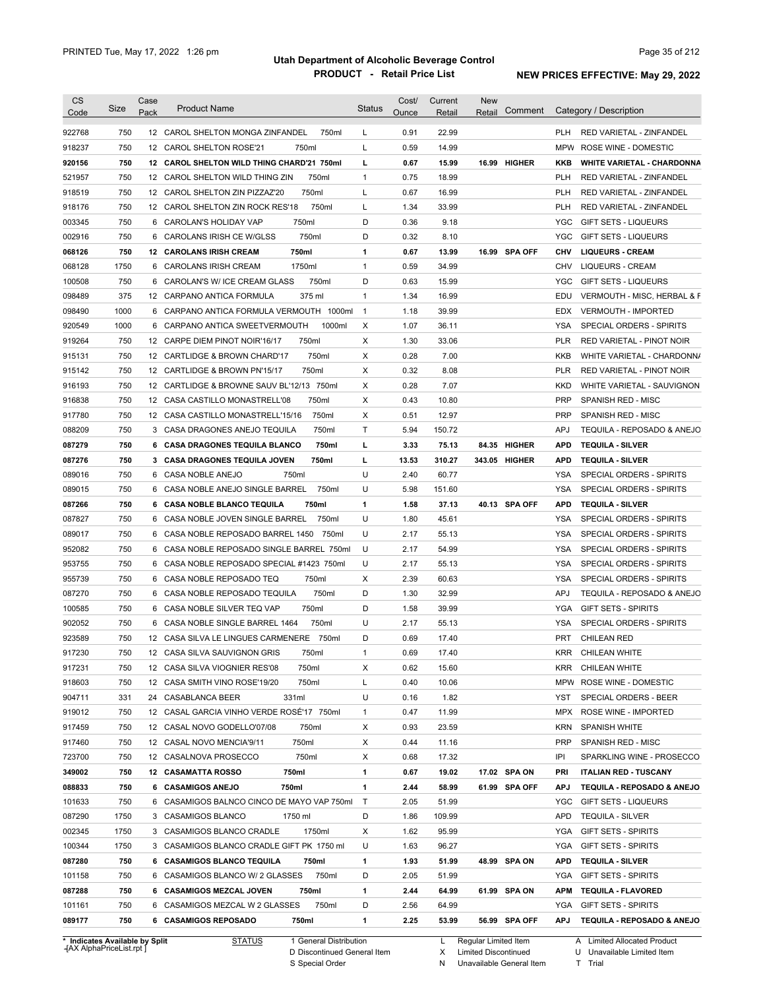| Code   |      | Pack | <b>Product Name</b>                         | <b>Status</b>  | Ounce | Retail | Retail | Comment       |            | Category / Description            |
|--------|------|------|---------------------------------------------|----------------|-------|--------|--------|---------------|------------|-----------------------------------|
| 922768 | 750  |      | 12 CAROL SHELTON MONGA ZINFANDEL<br>750ml   | L              | 0.91  | 22.99  |        |               | <b>PLH</b> | <b>RED VARIETAL - ZINFANDEL</b>   |
| 918237 | 750  |      | 12 CAROL SHELTON ROSE'21<br>750ml           | Г              | 0.59  | 14.99  |        |               | <b>MPW</b> | ROSE WINE - DOMESTIC              |
| 920156 | 750  |      | 12 CAROL SHELTON WILD THING CHARD'21 750ml  | L              | 0.67  | 15.99  |        | 16.99 HIGHER  | KKB        | <b>WHITE VARIETAL - CHARDONNA</b> |
| 521957 | 750  |      | 12 CAROL SHELTON WILD THING ZIN<br>750ml    | $\mathbf{1}$   | 0.75  | 18.99  |        |               | <b>PLH</b> | RED VARIETAL - ZINFANDEL          |
| 918519 | 750  |      | 750ml<br>12 CAROL SHELTON ZIN PIZZAZ'20     | L              | 0.67  | 16.99  |        |               | <b>PLH</b> | RED VARIETAL - ZINFANDEL          |
| 918176 | 750  |      | 750ml<br>12 CAROL SHELTON ZIN ROCK RES'18   | L              | 1.34  | 33.99  |        |               | <b>PLH</b> | RED VARIETAL - ZINFANDEL          |
| 003345 | 750  | 6    | 750ml<br>CAROLAN'S HOLIDAY VAP              | D              | 0.36  | 9.18   |        |               | YGC        | <b>GIFT SETS - LIQUEURS</b>       |
| 002916 | 750  | 6    | 750ml<br>CAROLANS IRISH CE W/GLSS           | D              | 0.32  | 8.10   |        |               | YGC        | <b>GIFT SETS - LIQUEURS</b>       |
| 068126 | 750  | 12   | 750ml<br><b>CAROLANS IRISH CREAM</b>        | 1              | 0.67  | 13.99  |        | 16.99 SPA OFF | <b>CHV</b> | <b>LIQUEURS - CREAM</b>           |
| 068128 | 1750 | 6    | 1750ml<br><b>CAROLANS IRISH CREAM</b>       | $\mathbf{1}$   | 0.59  | 34.99  |        |               | <b>CHV</b> | <b>LIQUEURS - CREAM</b>           |
| 100508 | 750  | 6    | CAROLAN'S W/ ICE CREAM GLASS<br>750ml       | D              | 0.63  | 15.99  |        |               | <b>YGC</b> | <b>GIFT SETS - LIQUEURS</b>       |
| 098489 | 375  |      | 12 CARPANO ANTICA FORMULA<br>375 ml         | $\mathbf{1}$   | 1.34  | 16.99  |        |               | EDU        | VERMOUTH - MISC, HERBAL & F       |
| 098490 | 1000 |      | 6 CARPANO ANTICA FORMULA VERMOUTH 1000ml    | $\overline{1}$ | 1.18  | 39.99  |        |               | <b>EDX</b> | <b>VERMOUTH - IMPORTED</b>        |
|        | 1000 |      |                                             |                | 1.07  |        |        |               | <b>YSA</b> |                                   |
| 920549 |      | 6    | CARPANO ANTICA SWEETVERMOUTH<br>1000ml      | Х              |       | 36.11  |        |               |            | SPECIAL ORDERS - SPIRITS          |
| 919264 | 750  |      | 750ml<br>12 CARPE DIEM PINOT NOIR'16/17     | Х              | 1.30  | 33.06  |        |               | <b>PLR</b> | RED VARIETAL - PINOT NOIR         |
| 915131 | 750  |      | 750ml<br>12 CARTLIDGE & BROWN CHARD'17      | Х              | 0.28  | 7.00   |        |               | <b>KKB</b> | WHITE VARIETAL - CHARDONN/        |
| 915142 | 750  |      | 750ml<br>12 CARTLIDGE & BROWN PN'15/17      | Х              | 0.32  | 8.08   |        |               | <b>PLR</b> | RED VARIETAL - PINOT NOIR         |
| 916193 | 750  |      | 12 CARTLIDGE & BROWNE SAUV BL'12/13 750ml   | Х              | 0.28  | 7.07   |        |               | KKD        | WHITE VARIETAL - SAUVIGNON        |
| 916838 | 750  |      | 750ml<br>12 CASA CASTILLO MONASTRELL'08     | Х              | 0.43  | 10.80  |        |               | <b>PRP</b> | SPANISH RED - MISC                |
| 917780 | 750  |      | 12 CASA CASTILLO MONASTRELL'15/16<br>750ml  | Х              | 0.51  | 12.97  |        |               | <b>PRP</b> | <b>SPANISH RED - MISC</b>         |
| 088209 | 750  |      | 3 CASA DRAGONES ANEJO TEQUILA<br>750ml      | Т              | 5.94  | 150.72 |        |               | APJ        | TEQUILA - REPOSADO & ANEJO        |
| 087279 | 750  |      | 750ml<br>6 CASA DRAGONES TEQUILA BLANCO     | г              | 3.33  | 75.13  |        | 84.35 HIGHER  | <b>APD</b> | <b>TEQUILA - SILVER</b>           |
| 087276 | 750  |      | 3 CASA DRAGONES TEQUILA JOVEN<br>750ml      | г              | 13.53 | 310.27 |        | 343.05 HIGHER | <b>APD</b> | <b>TEQUILA - SILVER</b>           |
| 089016 | 750  |      | 6 CASA NOBLE ANEJO<br>750ml                 | U              | 2.40  | 60.77  |        |               | YSA        | SPECIAL ORDERS - SPIRITS          |
| 089015 | 750  | 6    | CASA NOBLE ANEJO SINGLE BARREL<br>750ml     | U              | 5.98  | 151.60 |        |               | YSA        | SPECIAL ORDERS - SPIRITS          |
| 087266 | 750  | 6    | <b>CASA NOBLE BLANCO TEQUILA</b><br>750ml   | 1              | 1.58  | 37.13  |        | 40.13 SPA OFF | <b>APD</b> | <b>TEQUILA - SILVER</b>           |
| 087827 | 750  | 6    | CASA NOBLE JOVEN SINGLE BARREL<br>750ml     | U              | 1.80  | 45.61  |        |               | <b>YSA</b> | SPECIAL ORDERS - SPIRITS          |
| 089017 | 750  | 6    | CASA NOBLE REPOSADO BARREL 1450<br>750ml    | U              | 2.17  | 55.13  |        |               | <b>YSA</b> | SPECIAL ORDERS - SPIRITS          |
| 952082 | 750  |      | 6 CASA NOBLE REPOSADO SINGLE BARREL 750ml   | U              | 2.17  | 54.99  |        |               | <b>YSA</b> | SPECIAL ORDERS - SPIRITS          |
| 953755 | 750  |      | 6 CASA NOBLE REPOSADO SPECIAL #1423 750ml   | U              | 2.17  | 55.13  |        |               | <b>YSA</b> | SPECIAL ORDERS - SPIRITS          |
| 955739 | 750  |      | 750ml<br>6 CASA NOBLE REPOSADO TEQ          | Х              | 2.39  | 60.63  |        |               | <b>YSA</b> | SPECIAL ORDERS - SPIRITS          |
| 087270 | 750  |      | 6 CASA NOBLE REPOSADO TEQUILA<br>750ml      | D              | 1.30  | 32.99  |        |               | <b>APJ</b> | TEQUILA - REPOSADO & ANEJO        |
| 100585 | 750  |      | 750ml<br>6 CASA NOBLE SILVER TEQ VAP        | D              | 1.58  | 39.99  |        |               | YGA        | <b>GIFT SETS - SPIRITS</b>        |
| 902052 | 750  |      | 6 CASA NOBLE SINGLE BARREL 1464<br>750ml    | U              | 2.17  | 55.13  |        |               | YSA        | <b>SPECIAL ORDERS - SPIRITS</b>   |
| 923589 | 750  |      | 12 CASA SILVA LE LINGUES CARMENERE<br>750ml | D              | 0.69  | 17.40  |        |               | <b>PRT</b> | <b>CHILEAN RED</b>                |
| 917230 | 750  |      | 12 CASA SILVA SAUVIGNON GRIS<br>750ml       | 1              | 0.69  | 17.40  |        |               | KRR        | CHILEAN WHITE                     |
| 917231 | 750  |      | 12 CASA SILVA VIOGNIER RES'08<br>750ml      | х              | 0.62  | 15.60  |        |               | KRR        | <b>CHILEAN WHITE</b>              |
| 918603 | 750  |      | 750ml<br>12 CASA SMITH VINO ROSE'19/20      | L              | 0.40  | 10.06  |        |               | <b>MPW</b> | ROSE WINE - DOMESTIC              |
| 904711 | 331  |      | 331ml<br>24 CASABLANCA BEER                 | U              | 0.16  | 1.82   |        |               | YST        | SPECIAL ORDERS - BEER             |
| 919012 | 750  |      | 12 CASAL GARCIA VINHO VERDE ROSÉ'17 750ml   | 1              | 0.47  | 11.99  |        |               | MPX        | ROSE WINE - IMPORTED              |
| 917459 | 750  |      | 12 CASAL NOVO GODELLO'07/08<br>750ml        | х              | 0.93  | 23.59  |        |               | <b>KRN</b> | <b>SPANISH WHITE</b>              |
| 917460 | 750  |      | 750ml<br>12 CASAL NOVO MENCIA'9/11          | х              | 0.44  | 11.16  |        |               | <b>PRP</b> | SPANISH RED - MISC                |
|        |      |      | 750ml                                       |                |       |        |        |               |            | SPARKLING WINE - PROSECCO         |
| 723700 | 750  |      | 12 CASALNOVA PROSECCO                       | х              | 0.68  | 17.32  |        |               | IPI        |                                   |
| 349002 | 750  |      | 12 CASAMATTA ROSSO<br>750ml                 | 1              | 0.67  | 19.02  |        | 17.02 SPA ON  | <b>PRI</b> | <b>ITALIAN RED - TUSCANY</b>      |
| 088833 | 750  |      | 6 CASAMIGOS ANEJO<br>750ml                  | 1              | 2.44  | 58.99  |        | 61.99 SPA OFF | <b>APJ</b> | TEQUILA - REPOSADO & ANEJO        |
| 101633 | 750  |      | 6 CASAMIGOS BALNCO CINCO DE MAYO VAP 750ml  | $\top$         | 2.05  | 51.99  |        |               | YGC        | <b>GIFT SETS - LIQUEURS</b>       |
| 087290 | 1750 |      | 3 CASAMIGOS BLANCO<br>1750 ml               | D              | 1.86  | 109.99 |        |               | <b>APD</b> | <b>TEQUILA - SILVER</b>           |
| 002345 | 1750 |      | 1750ml<br>3 CASAMIGOS BLANCO CRADLE         | Х              | 1.62  | 95.99  |        |               | YGA        | <b>GIFT SETS - SPIRITS</b>        |
| 100344 | 1750 |      | 3 CASAMIGOS BLANCO CRADLE GIFT PK 1750 ml   | U              | 1.63  | 96.27  |        |               | YGA        | <b>GIFT SETS - SPIRITS</b>        |
| 087280 | 750  |      | 6 CASAMIGOS BLANCO TEQUILA<br>750ml         | 1              | 1.93  | 51.99  |        | 48.99 SPA ON  | <b>APD</b> | <b>TEQUILA - SILVER</b>           |
| 101158 | 750  |      | 750ml<br>6 CASAMIGOS BLANCO W/ 2 GLASSES    | D              | 2.05  | 51.99  |        |               | YGA        | <b>GIFT SETS - SPIRITS</b>        |
| 087288 | 750  |      | 6 CASAMIGOS MEZCAL JOVEN<br>750ml           | 1              | 2.44  | 64.99  |        | 61.99 SPA ON  | APM        | <b>TEQUILA - FLAVORED</b>         |
|        | 750  |      | 750ml<br>6 CASAMIGOS MEZCAL W 2 GLASSES     | D              | 2.56  | 64.99  |        |               | YGA        | <b>GIFT SETS - SPIRITS</b>        |
| 101161 |      |      |                                             |                |       |        |        |               |            |                                   |

**Case** [AX AlphaPriceList.rpt ]

D Discontinued General Item

S Special Order

L Regular Limited Item X

N

Limited Discontinued

Unavailable General Item

A Limited Allocated Product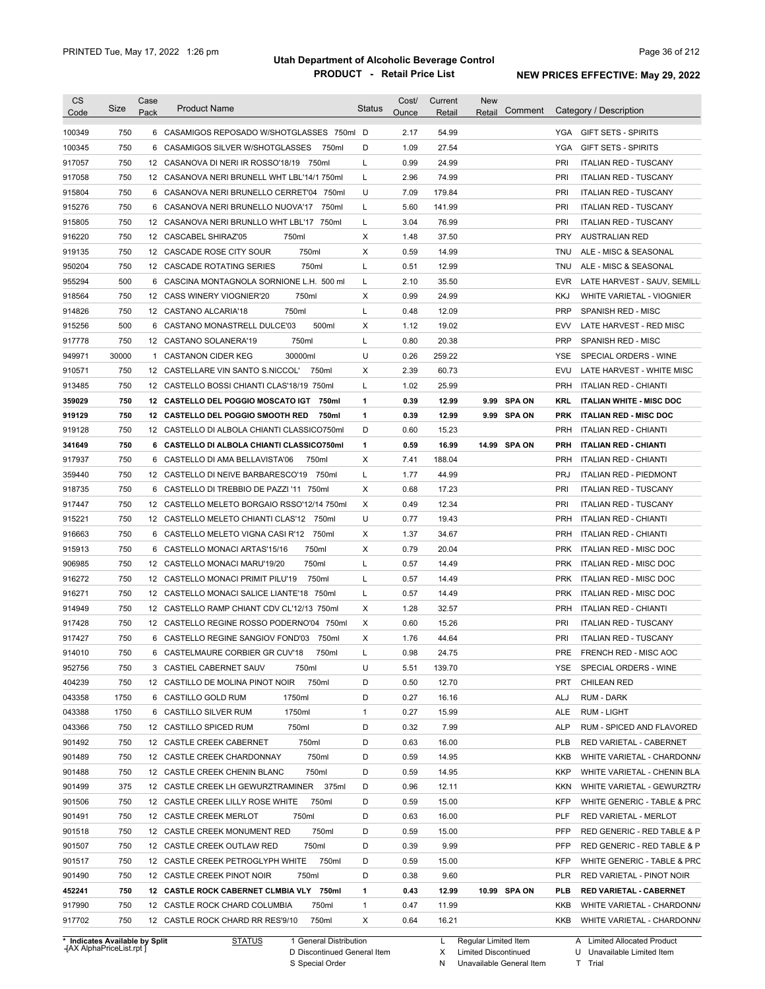| CS                             | Size  | Case<br>Pack | <b>Product Name</b>                         | Status       | Cost/ | Current      | <b>New</b><br>Comment |            | Category / Description          |
|--------------------------------|-------|--------------|---------------------------------------------|--------------|-------|--------------|-----------------------|------------|---------------------------------|
| Code                           |       |              |                                             |              | Ounce | Retail       | Retail                |            |                                 |
| 100349                         | 750   |              | 6 CASAMIGOS REPOSADO W/SHOTGLASSES 750ml D  |              | 2.17  | 54.99        |                       | YGA        | <b>GIFT SETS - SPIRITS</b>      |
| 100345                         | 750   |              | 6 CASAMIGOS SILVER W/SHOTGLASSES<br>750ml   | D            | 1.09  | 27.54        |                       | <b>YGA</b> | <b>GIFT SETS - SPIRITS</b>      |
| 917057                         | 750   |              | 12 CASANOVA DI NERI IR ROSSO'18/19 750ml    | L            | 0.99  | 24.99        |                       | PRI        | <b>ITALIAN RED - TUSCANY</b>    |
| 917058                         | 750   |              | 12 CASANOVA NERI BRUNELL WHT LBL'14/1 750ml | L            | 2.96  | 74.99        |                       | PRI        | <b>ITALIAN RED - TUSCANY</b>    |
| 915804                         | 750   |              | 6 CASANOVA NERI BRUNELLO CERRET'04 750ml    | U            | 7.09  | 179.84       |                       | PRI        | <b>ITALIAN RED - TUSCANY</b>    |
| 915276                         | 750   |              | 6 CASANOVA NERI BRUNELLO NUOVA'17 750ml     | L            | 5.60  | 141.99       |                       | PRI        | <b>ITALIAN RED - TUSCANY</b>    |
| 915805                         | 750   |              | 12 CASANOVA NERI BRUNLLO WHT LBL'17 750ml   | L            | 3.04  | 76.99        |                       | PRI        | <b>ITALIAN RED - TUSCANY</b>    |
| 916220                         | 750   |              | 750ml<br>12 CASCABEL SHIRAZ'05              | Х            | 1.48  | 37.50        |                       | <b>PRY</b> | <b>AUSTRALIAN RED</b>           |
| 919135                         | 750   |              | 12 CASCADE ROSE CITY SOUR<br>750ml          | Χ            | 0.59  | 14.99        |                       | <b>TNU</b> | ALE - MISC & SEASONAL           |
| 950204                         | 750   |              | 750ml<br>12 CASCADE ROTATING SERIES         | Г            | 0.51  | 12.99        |                       | <b>TNU</b> | ALE - MISC & SEASONAL           |
| 955294                         | 500   |              | 6 CASCINA MONTAGNOLA SORNIONE L.H. 500 ml   | Г            | 2.10  | 35.50        |                       | <b>EVR</b> | LATE HARVEST - SAUV, SEMILL     |
| 918564                         | 750   |              | 750ml<br>12 CASS WINERY VIOGNIER'20         | Х            | 0.99  | 24.99        |                       | <b>KKJ</b> | WHITE VARIETAL - VIOGNIER       |
| 914826                         | 750   |              | 12 CASTANO ALCARIA'18<br>750ml              | Г            | 0.48  | 12.09        |                       | <b>PRP</b> | SPANISH RED - MISC              |
| 915256                         | 500   |              | 6 CASTANO MONASTRELL DULCE'03<br>500ml      | Х            | 1.12  | 19.02        |                       | <b>EVV</b> | LATE HARVEST - RED MISC         |
| 917778                         | 750   |              | 750ml<br>12 CASTANO SOLANERA'19             | Г            | 0.80  | 20.38        |                       | <b>PRP</b> | SPANISH RED - MISC              |
| 949971                         | 30000 |              | 30000ml<br>1 CASTANON CIDER KEG             | U            | 0.26  | 259.22       |                       | YSE        | SPECIAL ORDERS - WINE           |
| 910571                         | 750   |              | 12 CASTELLARE VIN SANTO S.NICCOL'<br>750ml  | X            | 2.39  | 60.73        |                       | <b>EVU</b> | LATE HARVEST - WHITE MISC       |
| 913485                         | 750   |              | 12 CASTELLO BOSSI CHIANTI CLAS'18/19 750ml  | Г            | 1.02  | 25.99        |                       | <b>PRH</b> | <b>ITALIAN RED - CHIANTI</b>    |
| 359029                         | 750   |              | 12 CASTELLO DEL POGGIO MOSCATO IGT<br>750ml | 1            | 0.39  | 12.99        | <b>SPA ON</b><br>9.99 | <b>KRL</b> | <b>ITALIAN WHITE - MISC DOC</b> |
| 919129                         | 750   |              | 12 CASTELLO DEL POGGIO SMOOTH RED<br>750ml  | 1            | 0.39  | 12.99        | 9.99 SPA ON           | <b>PRK</b> | <b>ITALIAN RED - MISC DOC</b>   |
| 919128                         | 750   |              | 12 CASTELLO DI ALBOLA CHIANTI CLASSICO750ml | D            | 0.60  | 15.23        |                       | <b>PRH</b> | <b>ITALIAN RED - CHIANTI</b>    |
| 341649                         | 750   |              | 6 CASTELLO DI ALBOLA CHIANTI CLASSICO750ml  | 1            | 0.59  | 16.99        | 14.99 SPA ON          | <b>PRH</b> | <b>ITALIAN RED - CHIANTI</b>    |
| 917937                         | 750   |              | 6 CASTELLO DI AMA BELLAVISTA'06<br>750ml    | Х            | 7.41  | 188.04       |                       | <b>PRH</b> | <b>ITALIAN RED - CHIANTI</b>    |
| 359440                         | 750   |              | 12 CASTELLO DI NEIVE BARBARESCO'19 750ml    | Г            | 1.77  | 44.99        |                       | <b>PRJ</b> | <b>ITALIAN RED - PIEDMONT</b>   |
| 918735                         | 750   |              | 6 CASTELLO DI TREBBIO DE PAZZI '11 750ml    | Х            | 0.68  | 17.23        |                       | PRI        | <b>ITALIAN RED - TUSCANY</b>    |
| 917447                         | 750   |              | 12 CASTELLO MELETO BORGAIO RSSO'12/14 750ml | Χ            | 0.49  | 12.34        |                       | PRI        | <b>ITALIAN RED - TUSCANY</b>    |
| 915221                         | 750   |              | 12 CASTELLO MELETO CHIANTI CLAS'12 750ml    | U            | 0.77  | 19.43        |                       | <b>PRH</b> | <b>ITALIAN RED - CHIANTI</b>    |
| 916663                         | 750   | 6            | 750ml<br>CASTELLO MELETO VIGNA CASI R'12    | Х            | 1.37  | 34.67        |                       | <b>PRH</b> | <b>ITALIAN RED - CHIANTI</b>    |
| 915913                         | 750   | 6            | 750ml<br>CASTELLO MONACI ARTAS'15/16        | X            | 0.79  | 20.04        |                       | <b>PRK</b> | <b>ITALIAN RED - MISC DOC</b>   |
| 906985                         | 750   |              | 750ml<br>12 CASTELLO MONACI MARU'19/20      | Г            | 0.57  | 14.49        |                       | <b>PRK</b> | ITALIAN RED - MISC DOC          |
| 916272                         | 750   |              | 12 CASTELLO MONACI PRIMIT PILU'19<br>750ml  | Г            | 0.57  | 14.49        |                       | <b>PRK</b> | ITALIAN RED - MISC DOC          |
| 916271                         | 750   |              | 12 CASTELLO MONACI SALICE LIANTE'18 750ml   | Г            | 0.57  | 14.49        |                       | <b>PRK</b> | ITALIAN RED - MISC DOC          |
| 914949                         | 750   |              | 12 CASTELLO RAMP CHIANT CDV CL'12/13 750ml  | Х            | 1.28  | 32.57        |                       | <b>PRH</b> | <b>ITALIAN RED - CHIANTI</b>    |
| 917428                         | 750   |              | 12 CASTELLO REGINE ROSSO PODERNO'04 750ml   | Х            | 0.60  | 15.26        |                       | PRI        | <b>ITALIAN RED - TUSCANY</b>    |
| 917427                         | 750   |              | 6 CASTELLO REGINE SANGIOV FOND'03 750ml     | X            | 1.76  | 44.64        |                       | PRI        | <b>ITALIAN RED - TUSCANY</b>    |
| 914010                         | 750   |              | 6 CASTELMAURE CORBIER GR CUV'18<br>750ml    |              | 0.98  | 24.75        |                       | PRE        | FRENCH RED - MISC AOC           |
| 952756                         | 750   |              | 3 CASTIEL CABERNET SAUV<br>750ml            | U            | 5.51  | 139.70       |                       | YSE        | SPECIAL ORDERS - WINE           |
| 404239                         | 750   |              | 750ml<br>12 CASTILLO DE MOLINA PINOT NOIR   | D            | 0.50  | 12.70        |                       | <b>PRT</b> | <b>CHILEAN RED</b>              |
| 043358                         | 1750  |              | 1750ml<br>6 CASTILLO GOLD RUM               | D            | 0.27  | 16.16        |                       | ALJ        | <b>RUM - DARK</b>               |
| 043388                         | 1750  |              | 6 CASTILLO SILVER RUM<br>1750ml             | $\mathbf{1}$ | 0.27  | 15.99        |                       | ALE        | <b>RUM - LIGHT</b>              |
| 043366                         | 750   |              | 750ml<br>12 CASTILLO SPICED RUM             | D            | 0.32  | 7.99         |                       | <b>ALP</b> | RUM - SPICED AND FLAVORED       |
| 901492                         | 750   |              | 750ml<br>12 CASTLE CREEK CABERNET           | D            | 0.63  | 16.00        |                       | <b>PLB</b> | RED VARIETAL - CABERNET         |
| 901489                         | 750   |              | 750ml<br>12 CASTLE CREEK CHARDONNAY         | D            | 0.59  | 14.95        |                       | KKB        | WHITE VARIETAL - CHARDONN/      |
| 901488                         | 750   |              | 750ml<br>12 CASTLE CREEK CHENIN BLANC       | D            | 0.59  | 14.95        |                       | KKP        | WHITE VARIETAL - CHENIN BLA     |
| 901499                         | 375   |              | 12 CASTLE CREEK LH GEWURZTRAMINER 375ml     | D            | 0.96  | 12.11        |                       | KKN        | WHITE VARIETAL - GEWURZTR/      |
| 901506                         | 750   |              | 12 CASTLE CREEK LILLY ROSE WHITE<br>750ml   | D            | 0.59  | 15.00        |                       | <b>KFP</b> | WHITE GENERIC - TABLE & PRC     |
| 901491                         | 750   |              | 12 CASTLE CREEK MERLOT<br>750ml             | D            | 0.63  | 16.00        |                       | PLF        | RED VARIETAL - MERLOT           |
| 901518                         | 750   |              | 750ml<br>12 CASTLE CREEK MONUMENT RED       | D            | 0.59  | 15.00        |                       | PFP        | RED GENERIC - RED TABLE & P     |
| 901507                         | 750   |              | 12 CASTLE CREEK OUTLAW RED<br>750ml         | D            | 0.39  | 9.99         |                       | <b>PFP</b> | RED GENERIC - RED TABLE & P     |
| 901517                         | 750   |              | 750ml<br>12 CASTLE CREEK PETROGLYPH WHITE   | D            | 0.59  | 15.00        |                       | <b>KFP</b> | WHITE GENERIC - TABLE & PRC     |
| 901490                         | 750   |              | 12 CASTLE CREEK PINOT NOIR<br>750ml         | D            | 0.38  | 9.60         |                       | PLR        | RED VARIETAL - PINOT NOIR       |
| 452241                         | 750   |              | 12 CASTLE ROCK CABERNET CLMBIA VLY 750ml    | 1            | 0.43  | 12.99        | 10.99 SPA ON          | <b>PLB</b> | <b>RED VARIETAL - CABERNET</b>  |
| 917990                         | 750   |              | 12 CASTLE ROCK CHARD COLUMBIA<br>750ml      | $\mathbf{1}$ | 0.47  | 11.99        |                       | KKB        | WHITE VARIETAL - CHARDONN/      |
|                                | 750   |              |                                             |              |       |              |                       |            |                                 |
| 917702                         |       |              | 750ml<br>12 CASTLE ROCK CHARD RR RES'9/10   | Х            | 0.64  | 16.21        |                       | KKB        | WHITE VARIETAL - CHARDONN/      |
| * Indicates Available by Split |       |              | <b>STATUS</b><br>1 General Distribution     |              |       | $\mathsf{L}$ | Regular Limited Item  |            | A Limited Allocated Product     |

**Case** [AX AlphaPriceList.rpt ]

D Discontinued General Item

S Special Order

L Regular Limited Item

X N Limited Discontinued U Unavailable Limited Item Trial

Unavailable General Item T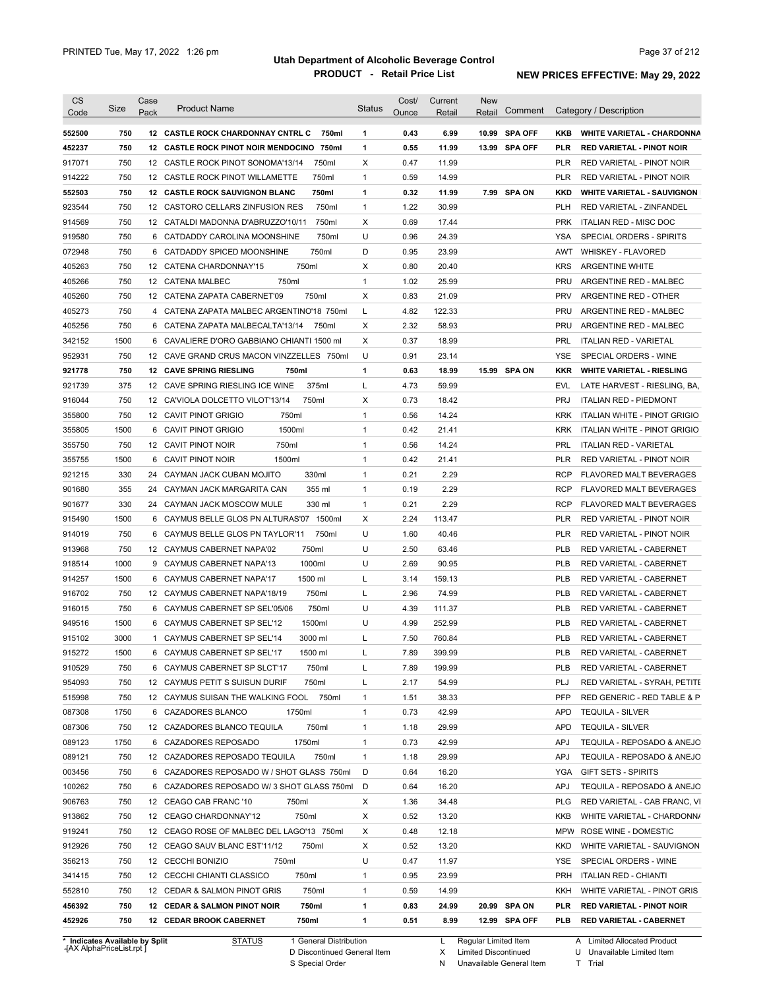| <b>CS</b>        | Size | Case | <b>Product Name</b>                                | Status       | Cost/        | Current        | <b>New</b>        |            |                                                            |
|------------------|------|------|----------------------------------------------------|--------------|--------------|----------------|-------------------|------------|------------------------------------------------------------|
| Code             |      | Pack |                                                    |              | Ounce        | Retail         | Comment<br>Retail |            | Category / Description                                     |
| 552500           | 750  |      | 12 CASTLE ROCK CHARDONNAY CNTRL C<br>750ml         | $\mathbf{1}$ | 0.43         | 6.99           | 10.99 SPA OFF     | KKB        | <b>WHITE VARIETAL - CHARDONNA</b>                          |
| 452237           | 750  |      | 12 CASTLE ROCK PINOT NOIR MENDOCINO 750ml          | 1            | 0.55         | 11.99          | 13.99 SPA OFF     | <b>PLR</b> | <b>RED VARIETAL - PINOT NOIR</b>                           |
| 917071           | 750  |      | 750ml<br>12 CASTLE ROCK PINOT SONOMA'13/14         | Χ            | 0.47         | 11.99          |                   | PLR        | RED VARIETAL - PINOT NOIR                                  |
| 914222           | 750  |      | 12 CASTLE ROCK PINOT WILLAMETTE<br>750ml           | 1            | 0.59         | 14.99          |                   | PLR        | RED VARIETAL - PINOT NOIR                                  |
| 552503           | 750  |      | <b>12 CASTLE ROCK SAUVIGNON BLANC</b><br>750ml     | $\mathbf{1}$ | 0.32         | 11.99          | 7.99 SPA ON       | KKD        | <b>WHITE VARIETAL - SAUVIGNON</b>                          |
| 923544           | 750  |      | 750ml<br>12 CASTORO CELLARS ZINFUSION RES          | 1            | 1.22         | 30.99          |                   | PLH        | RED VARIETAL - ZINFANDEL                                   |
| 914569           | 750  |      | 750ml<br>12 CATALDI MADONNA D'ABRUZZO'10/11        | Χ            | 0.69         | 17.44          |                   | <b>PRK</b> | <b>ITALIAN RED - MISC DOC</b>                              |
| 919580           | 750  |      | 750ml<br>6 CATDADDY CAROLINA MOONSHINE             | U            | 0.96         | 24.39          |                   | YSA        | SPECIAL ORDERS - SPIRITS                                   |
| 072948           | 750  |      | 6 CATDADDY SPICED MOONSHINE<br>750ml               | D            | 0.95         | 23.99          |                   | AWT        | <b>WHISKEY - FLAVORED</b>                                  |
| 405263           | 750  |      | 750ml<br>12 CATENA CHARDONNAY'15                   | Χ            | 0.80         | 20.40          |                   | <b>KRS</b> | <b>ARGENTINE WHITE</b>                                     |
| 405266           | 750  |      | 750ml<br>12 CATENA MALBEC                          | 1            | 1.02         | 25.99          |                   | <b>PRU</b> | ARGENTINE RED - MALBEC                                     |
| 405260           | 750  |      | 12 CATENA ZAPATA CABERNET'09<br>750ml              | Χ            | 0.83         | 21.09          |                   | <b>PRV</b> | ARGENTINE RED - OTHER                                      |
| 405273           | 750  |      | 4 CATENA ZAPATA MALBEC ARGENTINO'18 750ml          | L            | 4.82         | 122.33         |                   | <b>PRU</b> | ARGENTINE RED - MALBEC                                     |
| 405256           | 750  |      | 6 CATENA ZAPATA MALBECALTA'13/14<br>750ml          | Χ            | 2.32         | 58.93          |                   | PRU        | ARGENTINE RED - MALBEC                                     |
| 342152           | 1500 |      | 6 CAVALIERE D'ORO GABBIANO CHIANTI 1500 mI         | Х            | 0.37         | 18.99          |                   | <b>PRL</b> | <b>ITALIAN RED - VARIETAL</b>                              |
| 952931           | 750  |      | 12 CAVE GRAND CRUS MACON VINZZELLES 750ml          | U            | 0.91         | 23.14          |                   | YSE        | SPECIAL ORDERS - WINE                                      |
| 921778           | 750  |      | <b>12 CAVE SPRING RIESLING</b><br>750ml            | 1            | 0.63         | 18.99          | 15.99 SPA ON      | <b>KKR</b> | <b>WHITE VARIETAL - RIESLING</b>                           |
| 921739           | 375  |      | 375ml<br>12 CAVE SPRING RIESLING ICE WINE          | L            | 4.73         | 59.99          |                   | EVL        | LATE HARVEST - RIESLING, BA,                               |
| 916044           | 750  |      | 750ml<br>12 CA'VIOLA DOLCETTO VILOT'13/14          | Х            | 0.73         | 18.42          |                   | <b>PRJ</b> | <b>ITALIAN RED - PIEDMONT</b>                              |
| 355800           | 750  |      | 12 CAVIT PINOT GRIGIO<br>750ml                     | 1            | 0.56         | 14.24          |                   | <b>KRK</b> | <b>ITALIAN WHITE - PINOT GRIGIO</b>                        |
| 355805           | 1500 |      | 1500ml<br>6 CAVIT PINOT GRIGIO                     | 1            | 0.42         | 21.41          |                   | <b>KRK</b> | ITALIAN WHITE - PINOT GRIGIO                               |
| 355750           | 750  |      | 750ml<br>12 CAVIT PINOT NOIR                       | 1            | 0.56         | 14.24          |                   | PRL        | <b>ITALIAN RED - VARIETAL</b>                              |
| 355755           | 1500 |      | 1500ml<br>6 CAVIT PINOT NOIR                       | 1            | 0.42         | 21.41          |                   | PLR        | RED VARIETAL - PINOT NOIR                                  |
| 921215           | 330  | 24   | 330ml<br>CAYMAN JACK CUBAN MOJITO                  | 1            | 0.21         | 2.29           |                   | RCP        | FLAVORED MALT BEVERAGES                                    |
| 901680           | 355  | 24   | 355 ml<br>CAYMAN JACK MARGARITA CAN                | 1            | 0.19         | 2.29           |                   | RCP        | FLAVORED MALT BEVERAGES                                    |
| 901677           | 330  | 24   | 330 ml<br>CAYMAN JACK MOSCOW MULE                  | 1            | 0.21         | 2.29           |                   | <b>RCP</b> | FLAVORED MALT BEVERAGES                                    |
| 915490           | 1500 |      | 6 CAYMUS BELLE GLOS PN ALTURAS'07 1500ml           | Х            | 2.24         | 113.47         |                   | PLR        | RED VARIETAL - PINOT NOIR                                  |
| 914019           | 750  | 6    | 750ml<br>CAYMUS BELLE GLOS PN TAYLOR'11            | U            | 1.60         | 40.46          |                   | PLR        | RED VARIETAL - PINOT NOIR                                  |
| 913968           | 750  |      | 750ml<br>12 CAYMUS CABERNET NAPA'02                | U            | 2.50         | 63.46          |                   | PLB        | RED VARIETAL - CABERNET                                    |
| 918514           | 1000 |      | 1000ml<br>9 CAYMUS CABERNET NAPA'13                | U            | 2.69         | 90.95          |                   | <b>PLB</b> | RED VARIETAL - CABERNET                                    |
| 914257           | 1500 | 6    | CAYMUS CABERNET NAPA'17<br>1500 ml                 | L            | 3.14         | 159.13         |                   | <b>PLB</b> | RED VARIETAL - CABERNET                                    |
| 916702           | 750  |      | 750ml<br>12 CAYMUS CABERNET NAPA'18/19             | L            | 2.96         | 74.99          |                   | PLB        | RED VARIETAL - CABERNET                                    |
| 916015           | 750  |      | 6 CAYMUS CABERNET SP SEL'05/06<br>750ml            | U            | 4.39         | 111.37         |                   | PLB        | RED VARIETAL - CABERNET                                    |
| 949516           | 1500 |      | 1500ml<br>6 CAYMUS CABERNET SP SEL'12              | U            | 4.99         | 252.99         |                   | PLB        | RED VARIETAL - CABERNET                                    |
| 915102           | 3000 |      | 1 CAYMUS CABERNET SP SEL'14<br>3000 ml             | L            | 7.50         | 760.84         |                   | <b>PLB</b> | RED VARIETAL - CABERNET                                    |
| 915272           | 1500 |      | 6 CAYMUS CABERNET SP SEL'17<br>1500 ml             |              | 7.89         | 399.99         |                   | <b>PLB</b> | RED VARIETAL - CABERNET                                    |
| 910529           | 750  |      | 6 CAYMUS CABERNET SP SLCT'17<br>750ml              | Г            | 7.89         | 199.99         |                   | PLB        | RED VARIETAL - CABERNET                                    |
| 954093           | 750  |      | 750ml<br>12 CAYMUS PETIT S SUISUN DURIF            | Г            | 2.17         | 54.99          |                   | PLJ        | RED VARIETAL - SYRAH, PETITE                               |
| 515998           | 750  |      | 12 CAYMUS SUISAN THE WALKING FOOL 750ml            | 1            | 1.51         | 38.33          |                   | <b>PFP</b> | RED GENERIC - RED TABLE & P                                |
| 087308           | 1750 |      | 6 CAZADORES BLANCO<br>1750ml                       | 1            | 0.73         | 42.99          |                   | <b>APD</b> | <b>TEQUILA - SILVER</b>                                    |
| 087306           | 750  |      | 750ml<br>12 CAZADORES BLANCO TEQUILA               | $\mathbf{1}$ | 1.18         | 29.99          |                   | APD        | <b>TEQUILA - SILVER</b>                                    |
| 089123           | 1750 |      | 1750ml<br>6 CAZADORES REPOSADO                     | $\mathbf{1}$ | 0.73         | 42.99          |                   | APJ        | TEQUILA - REPOSADO & ANEJO                                 |
| 089121           | 750  |      | 750ml<br>12 CAZADORES REPOSADO TEQUILA             | $\mathbf{1}$ | 1.18         | 29.99          |                   | APJ        | TEQUILA - REPOSADO & ANEJO                                 |
|                  | 750  |      |                                                    |              | 0.64         |                |                   |            | <b>GIFT SETS - SPIRITS</b>                                 |
| 003456<br>100262 | 750  |      | 6 CAZADORES REPOSADO W / SHOT GLASS 750ml          | D<br>D       | 0.64         | 16.20<br>16.20 |                   | YGA<br>APJ |                                                            |
| 906763           | 750  |      | 6 CAZADORES REPOSADO W/3 SHOT GLASS 750ml<br>750ml |              | 1.36         | 34.48          |                   | <b>PLG</b> | TEQUILA - REPOSADO & ANEJO<br>RED VARIETAL - CAB FRANC, VI |
|                  |      |      | 12 CEAGO CAB FRANC '10                             | Х            |              |                |                   |            |                                                            |
| 913862<br>919241 | 750  |      | 12 CEAGO CHARDONNAY'12<br>750ml                    | Х            | 0.52<br>0.48 | 13.20<br>12.18 |                   | KKB<br>MPW | WHITE VARIETAL - CHARDONN/                                 |
|                  | 750  |      | 12 CEAGO ROSE OF MALBEC DEL LAGO'13 750ml          | х            |              |                |                   |            | ROSE WINE - DOMESTIC                                       |
| 912926           | 750  |      | 12 CEAGO SAUV BLANC EST'11/12<br>750ml             | Х            | 0.52         | 13.20          |                   | KKD        | WHITE VARIETAL - SAUVIGNON                                 |
| 356213           | 750  |      | 12 CECCHI BONIZIO<br>750ml                         | U            | 0.47         | 11.97          |                   | YSE        | SPECIAL ORDERS - WINE                                      |
| 341415           | 750  |      | 750ml<br>12 CECCHI CHIANTI CLASSICO                | $\mathbf{1}$ | 0.95         | 23.99          |                   | PRH        | ITALIAN RED - CHIANTI                                      |
| 552810           | 750  |      | 750ml<br>12 CEDAR & SALMON PINOT GRIS              | $\mathbf{1}$ | 0.59         | 14.99          |                   | KKH        | WHITE VARIETAL - PINOT GRIS                                |
| 456392           | 750  |      | 750ml<br>12 CEDAR & SALMON PINOT NOIR              | 1            | 0.83         | 24.99          | 20.99 SPA ON      | PLR        | <b>RED VARIETAL - PINOT NOIR</b>                           |
| 452926           | 750  |      | 750ml<br>12 CEDAR BROOK CABERNET                   | 1            | 0.51         | 8.99           | 12.99 SPA OFF     | PLB        | <b>RED VARIETAL - CABERNET</b>                             |

**Case** [AX AlphaPriceList.rpt ]

D Discontinued General Item

S Special Order

X Limited Discontinued N Unavailable General Item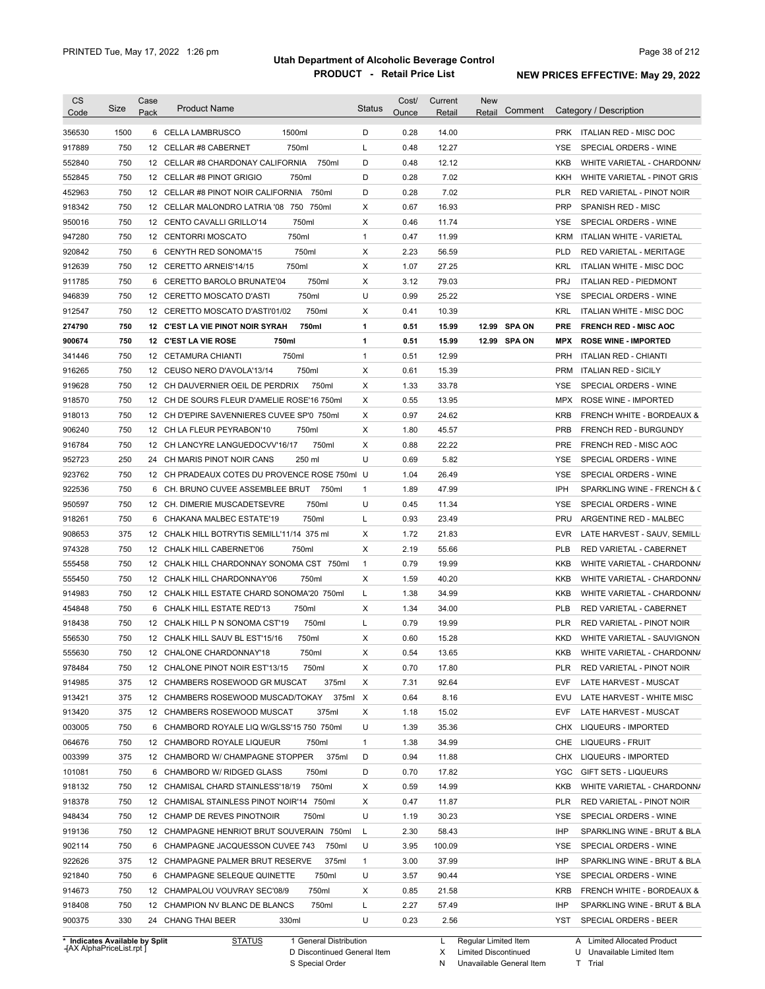| <b>CS</b><br>Code | Size | Case<br>Pack | <b>Product Name</b>                           | <b>Status</b> | Cost/<br>Ounce | Current<br>Retail | <b>New</b><br>Retail | Comment       |            | Category / Description        |
|-------------------|------|--------------|-----------------------------------------------|---------------|----------------|-------------------|----------------------|---------------|------------|-------------------------------|
| 356530            | 1500 |              | 1500ml<br>6 CELLA LAMBRUSCO                   | D             | 0.28           | 14.00             |                      |               |            | PRK ITALIAN RED - MISC DOC    |
| 917889            | 750  |              | 750ml<br>12 CELLAR #8 CABERNET                | L             | 0.48           | 12.27             |                      |               | YSE        | SPECIAL ORDERS - WINE         |
| 552840            | 750  |              | 12 CELLAR #8 CHARDONAY CALIFORNIA<br>750ml    | D             | 0.48           | 12.12             |                      |               | KKB        | WHITE VARIETAL - CHARDONN/    |
| 552845            | 750  |              | 12 CELLAR #8 PINOT GRIGIO<br>750ml            | D             | 0.28           | 7.02              |                      |               | KKH        | WHITE VARIETAL - PINOT GRIS   |
| 452963            | 750  |              | 12 CELLAR #8 PINOT NOIR CALIFORNIA<br>750ml   | D             | 0.28           | 7.02              |                      |               | <b>PLR</b> | RED VARIETAL - PINOT NOIR     |
| 918342            | 750  |              | 12 CELLAR MALONDRO LATRIA '08 750 750ml       | х             | 0.67           | 16.93             |                      |               | <b>PRP</b> | SPANISH RED - MISC            |
| 950016            | 750  |              | 12 CENTO CAVALLI GRILLO'14<br>750ml           | X             | 0.46           | 11.74             |                      |               | <b>YSE</b> | SPECIAL ORDERS - WINE         |
| 947280            | 750  |              | 750ml<br>12 CENTORRI MOSCATO                  | $\mathbf{1}$  | 0.47           | 11.99             |                      |               | KRM        | ITALIAN WHITE - VARIETAL      |
| 920842            | 750  |              | 750ml<br>6 CENYTH RED SONOMA'15               | X             | 2.23           | 56.59             |                      |               | <b>PLD</b> | RED VARIETAL - MERITAGE       |
| 912639            | 750  |              | 12 CERETTO ARNEIS'14/15<br>750ml              | X             | 1.07           | 27.25             |                      |               | <b>KRL</b> | ITALIAN WHITE - MISC DOC      |
| 911785            | 750  |              | 750ml<br>6 CERETTO BAROLO BRUNATE'04          | X             | 3.12           | 79.03             |                      |               | <b>PRJ</b> | <b>ITALIAN RED - PIEDMONT</b> |
| 946839            | 750  |              | 750ml<br>12 CERETTO MOSCATO D'ASTI            | U             | 0.99           | 25.22             |                      |               | <b>YSE</b> | SPECIAL ORDERS - WINE         |
| 912547            | 750  |              | 750ml<br>12 CERETTO MOSCATO D'ASTI'01/02      | X             | 0.41           | 10.39             |                      |               | <b>KRL</b> | ITALIAN WHITE - MISC DOC      |
| 274790            | 750  |              | 750ml<br>12 C'EST LA VIE PINOT NOIR SYRAH     | 1             | 0.51           | 15.99             | 12.99                | <b>SPA ON</b> | <b>PRE</b> | <b>FRENCH RED - MISC AOC</b>  |
| 900674            | 750  |              | 750ml<br>12 C'EST LA VIE ROSE                 | 1             | 0.51           | 15.99             | 12.99 SPA ON         |               | <b>MPX</b> | <b>ROSE WINE - IMPORTED</b>   |
| 341446            | 750  |              | 750ml<br>12 CETAMURA CHIANTI                  | $\mathbf{1}$  | 0.51           | 12.99             |                      |               | <b>PRH</b> | <b>ITALIAN RED - CHIANTI</b>  |
| 916265            | 750  |              | 750ml<br>12 CEUSO NERO D'AVOLA'13/14          | Х             | 0.61           | 15.39             |                      |               | <b>PRM</b> | <b>ITALIAN RED - SICILY</b>   |
| 919628            | 750  |              | 12 CH DAUVERNIER OEIL DE PERDRIX<br>750ml     | х             | 1.33           | 33.78             |                      |               | YSE        | SPECIAL ORDERS - WINE         |
| 918570            | 750  |              | 12 CH DE SOURS FLEUR D'AMELIE ROSE'16 750ml   | Х             | 0.55           | 13.95             |                      |               | <b>MPX</b> | ROSE WINE - IMPORTED          |
| 918013            | 750  |              | 12 CH D'EPIRE SAVENNIERES CUVEE SP'0 750ml    | Х             | 0.97           | 24.62             |                      |               | <b>KRB</b> | FRENCH WHITE - BORDEAUX &     |
| 906240            | 750  |              | 750ml<br>12 CH LA FLEUR PEYRABON'10           | X             | 1.80           | 45.57             |                      |               | <b>PRB</b> | FRENCH RED - BURGUNDY         |
| 916784            | 750  |              | 12 CH LANCYRE LANGUEDOCVV'16/17<br>750ml      | X             | 0.88           | 22.22             |                      |               | PRE        | FRENCH RED - MISC AOC         |
| 952723            | 250  |              | 24 CH MARIS PINOT NOIR CANS<br>250 ml         | U             | 0.69           | 5.82              |                      |               | YSE        | SPECIAL ORDERS - WINE         |
|                   | 750  |              |                                               |               |                |                   |                      |               | <b>YSE</b> |                               |
| 923762            |      |              | 12 CH PRADEAUX COTES DU PROVENCE ROSE 750ml U |               | 1.04           | 26.49             |                      |               |            | SPECIAL ORDERS - WINE         |
| 922536            | 750  |              | 6 CH. BRUNO CUVEE ASSEMBLEE BRUT<br>750ml     | $\mathbf{1}$  | 1.89           | 47.99             |                      |               | IPH        | SPARKLING WINE - FRENCH & C   |
| 950597            | 750  |              | 750ml<br>12 CH. DIMERIE MUSCADETSEVRE         | U             | 0.45           | 11.34             |                      |               | YSE        | SPECIAL ORDERS - WINE         |
| 918261            | 750  | 6            | CHAKANA MALBEC ESTATE'19<br>750ml             | L             | 0.93           | 23.49             |                      |               | PRU        | ARGENTINE RED - MALBEC        |
| 908653            | 375  |              | 12 CHALK HILL BOTRYTIS SEMILL'11/14 375 ml    | X             | 1.72           | 21.83             |                      |               | <b>EVR</b> | LATE HARVEST - SAUV, SEMILL   |
| 974328            | 750  |              | 12 CHALK HILL CABERNET'06<br>750ml            | X             | 2.19           | 55.66             |                      |               | PLB        | RED VARIETAL - CABERNET       |
| 555458            | 750  |              | 12 CHALK HILL CHARDONNAY SONOMA CST 750ml     | $\mathbf{1}$  | 0.79           | 19.99             |                      |               | KKB        | WHITE VARIETAL - CHARDONN/    |
| 555450            | 750  |              | 12 CHALK HILL CHARDONNAY'06<br>750ml          | Х             | 1.59           | 40.20             |                      |               | KKB        | WHITE VARIETAL - CHARDONN/    |
| 914983            | 750  |              | 12 CHALK HILL ESTATE CHARD SONOMA'20 750ml    | L             | 1.38           | 34.99             |                      |               | KKB        | WHITE VARIETAL - CHARDONN/    |
| 454848            | 750  |              | 6 CHALK HILL ESTATE RED'13<br>750ml           | х             | 1.34           | 34.00             |                      |               | PLB        | RED VARIETAL - CABERNET       |
| 918438            | 750  |              | 750ml<br>12 CHALK HILL P N SONOMA CST'19      | L             | 0.79           | 19.99             |                      |               | PLR        | RED VARIETAL - PINOT NOIR     |
| 556530            | 750  |              | 12 CHALK HILL SAUV BL EST'15/16<br>750ml      | X             | 0.60           | 15.28             |                      |               | <b>KKD</b> | WHITE VARIETAL - SAUVIGNON    |
| 555630            | 750  |              | 12 CHALONE CHARDONNAY'18<br>750ml             | х             | 0.54           | 13.65             |                      |               | KKB        | WHITE VARIETAL - CHARDONN/    |
| 978484            | 750  |              | 12 CHALONE PINOT NOIR EST'13/15<br>750ml      | х             | 0.70           | 17.80             |                      |               | PLR        | RED VARIETAL - PINOT NOIR     |
| 914985            | 375  |              | 12 CHAMBERS ROSEWOOD GR MUSCAT<br>375ml       | х             | 7.31           | 92.64             |                      |               | EVF        | LATE HARVEST - MUSCAT         |
| 913421            | 375  |              | 12 CHAMBERS ROSEWOOD MUSCAD/TOKAY<br>375ml X  |               | 0.64           | 8.16              |                      |               | EVU        | LATE HARVEST - WHITE MISC     |
| 913420            | 375  |              | 12 CHAMBERS ROSEWOOD MUSCAT<br>375ml          | х             | 1.18           | 15.02             |                      |               | EVF        | LATE HARVEST - MUSCAT         |
| 003005            | 750  |              | 6 CHAMBORD ROYALE LIQ W/GLSS'15 750 750ml     | U             | 1.39           | 35.36             |                      |               | <b>CHX</b> | LIQUEURS - IMPORTED           |
| 064676            | 750  |              | 12 CHAMBORD ROYALE LIQUEUR<br>750ml           | $\mathbf{1}$  | 1.38           | 34.99             |                      |               | CHE        | <b>LIQUEURS - FRUIT</b>       |
| 003399            | 375  |              | 375ml<br>12 CHAMBORD W/ CHAMPAGNE STOPPER     | D             | 0.94           | 11.88             |                      |               | <b>CHX</b> | LIQUEURS - IMPORTED           |
| 101081            | 750  |              | 6 CHAMBORD W/ RIDGED GLASS<br>750ml           | D             | 0.70           | 17.82             |                      |               | YGC        | GIFT SETS - LIQUEURS          |
| 918132            | 750  |              | 750ml<br>12 CHAMISAL CHARD STAINLESS'18/19    | Х             | 0.59           | 14.99             |                      |               | KKB        | WHITE VARIETAL - CHARDONN/    |
| 918378            | 750  |              | 12 CHAMISAL STAINLESS PINOT NOIR'14 750ml     | Х             | 0.47           | 11.87             |                      |               | PLR        | RED VARIETAL - PINOT NOIR     |
| 948434            | 750  |              | 12 CHAMP DE REVES PINOTNOIR<br>750ml          | U             | 1.19           | 30.23             |                      |               | YSE        | SPECIAL ORDERS - WINE         |
| 919136            | 750  |              | 12 CHAMPAGNE HENRIOT BRUT SOUVERAIN 750ml     | L             | 2.30           | 58.43             |                      |               | IHP        | SPARKLING WINE - BRUT & BLA   |
| 902114            | 750  |              | 6 CHAMPAGNE JACQUESSON CUVEE 743<br>750ml     | U             | 3.95           | 100.09            |                      |               | YSE        | SPECIAL ORDERS - WINE         |
| 922626            | 375  |              | 12 CHAMPAGNE PALMER BRUT RESERVE<br>375ml     | $\mathbf{1}$  | 3.00           | 37.99             |                      |               | IHP        | SPARKLING WINE - BRUT & BLA   |
| 921840            | 750  |              | 6 CHAMPAGNE SELEQUE QUINETTE<br>750ml         | U             | 3.57           | 90.44             |                      |               | YSE        | SPECIAL ORDERS - WINE         |
| 914673            | 750  |              | 12 CHAMPALOU VOUVRAY SEC'08/9<br>750ml        | х             | 0.85           | 21.58             |                      |               | KRB        | FRENCH WHITE - BORDEAUX &     |
|                   |      |              |                                               |               |                |                   |                      |               |            |                               |
| 918408            | 750  |              | 12 CHAMPION NV BLANC DE BLANCS<br>750ml       | L             | 2.27           | 57.49             |                      |               | IHP        | SPARKLING WINE - BRUT & BLA   |

**Case** [AX AlphaPriceList.rpt ]

D Discontinued General Item

S Special Order

X

N

Limited Discontinued

Unavailable General Item

U Unavailable Limited Item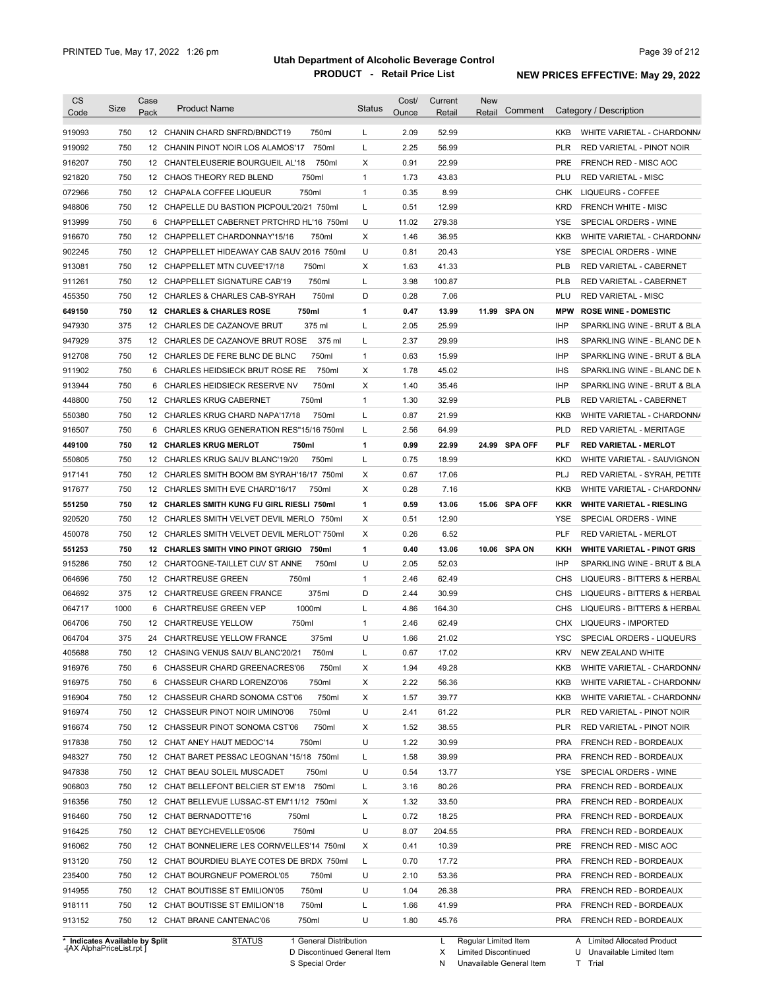| <b>CS</b>                      |      | Case |                                                    |               | Cost/ | Current | <b>New</b>             |               |            |                                    |
|--------------------------------|------|------|----------------------------------------------------|---------------|-------|---------|------------------------|---------------|------------|------------------------------------|
| Code                           | Size | Pack | <b>Product Name</b>                                | <b>Status</b> | Ounce | Retail  | Retail                 | Comment       |            | Category / Description             |
| 919093                         | 750  |      | 12 CHANIN CHARD SNFRD/BNDCT19<br>750ml             | L             | 2.09  | 52.99   |                        |               | KKB        | WHITE VARIETAL - CHARDONN/         |
| 919092                         | 750  |      | 750ml<br>12 CHANIN PINOT NOIR LOS ALAMOS'17        | L             | 2.25  | 56.99   |                        |               | <b>PLR</b> | RED VARIETAL - PINOT NOIR          |
| 916207                         | 750  |      | 750ml<br>12 CHANTELEUSERIE BOURGUEIL AL'18         | Х             | 0.91  | 22.99   |                        |               | <b>PRE</b> | FRENCH RED - MISC AOC              |
| 921820                         | 750  |      | 750ml<br>12 CHAOS THEORY RED BLEND                 | $\mathbf{1}$  | 1.73  | 43.83   |                        |               | PLU        | <b>RED VARIETAL - MISC</b>         |
|                                |      |      |                                                    | $\mathbf{1}$  |       |         |                        |               |            |                                    |
| 072966                         | 750  |      | 750ml<br>12 CHAPALA COFFEE LIQUEUR                 |               | 0.35  | 8.99    |                        |               | CHK        | LIQUEURS - COFFEE                  |
| 948806                         | 750  |      | 12 CHAPELLE DU BASTION PICPOUL'20/21 750ml         | L             | 0.51  | 12.99   |                        |               | <b>KRD</b> | <b>FRENCH WHITE - MISC</b>         |
| 913999                         | 750  |      | 6 CHAPPELLET CABERNET PRTCHRD HL'16 750ml          | U             | 11.02 | 279.38  |                        |               | <b>YSE</b> | SPECIAL ORDERS - WINE              |
| 916670                         | 750  |      | 750ml<br>12 CHAPPELLET CHARDONNAY'15/16            | Χ             | 1.46  | 36.95   |                        |               | KKB        | WHITE VARIETAL - CHARDONN/         |
| 902245                         | 750  |      | 12 CHAPPELLET HIDEAWAY CAB SAUV 2016 750ml         | U             | 0.81  | 20.43   |                        |               | <b>YSE</b> | SPECIAL ORDERS - WINE              |
| 913081                         | 750  |      | 750ml<br>12 CHAPPELLET MTN CUVEE'17/18             | Χ             | 1.63  | 41.33   |                        |               | <b>PLB</b> | RED VARIETAL - CABERNET            |
| 911261                         | 750  |      | 750ml<br>12 CHAPPELLET SIGNATURE CAB'19            | Г             | 3.98  | 100.87  |                        |               | <b>PLB</b> | RED VARIETAL - CABERNET            |
| 455350                         | 750  |      | 750ml<br>12 CHARLES & CHARLES CAB-SYRAH            | D             | 0.28  | 7.06    |                        |               | PLU        | <b>RED VARIETAL - MISC</b>         |
| 649150                         | 750  |      | 750ml<br>12 CHARLES & CHARLES ROSE                 | 1             | 0.47  | 13.99   |                        | 11.99 SPA ON  | <b>MPW</b> | <b>ROSE WINE - DOMESTIC</b>        |
| 947930                         | 375  |      | 12 CHARLES DE CAZANOVE BRUT<br>375 ml              | Г             | 2.05  | 25.99   |                        |               | <b>IHP</b> | SPARKLING WINE - BRUT & BLA        |
| 947929                         | 375  |      | 375 ml<br>12 CHARLES DE CAZANOVE BRUT ROSE         | Г             | 2.37  | 29.99   |                        |               | <b>IHS</b> | SPARKLING WINE - BLANC DE N        |
| 912708                         | 750  |      | 750ml<br>12 CHARLES DE FERE BLNC DE BLNC           | $\mathbf{1}$  | 0.63  | 15.99   |                        |               | <b>IHP</b> | SPARKLING WINE - BRUT & BLA        |
| 911902                         | 750  | 6    | 750ml<br>CHARLES HEIDSIECK BRUT ROSE RE            | Х             | 1.78  | 45.02   |                        |               | <b>IHS</b> | SPARKLING WINE - BLANC DE N        |
| 913944                         | 750  | 6    | 750ml<br>CHARLES HEIDSIECK RESERVE NV              | Х             | 1.40  | 35.46   |                        |               | <b>IHP</b> | SPARKLING WINE - BRUT & BLA        |
| 448800                         | 750  |      | 750ml<br>12 CHARLES KRUG CABERNET                  | $\mathbf{1}$  | 1.30  | 32.99   |                        |               | <b>PLB</b> | RED VARIETAL - CABERNET            |
| 550380                         | 750  |      | 750ml<br>12 CHARLES KRUG CHARD NAPA'17/18          | L             | 0.87  | 21.99   |                        |               | KKB        | WHITE VARIETAL - CHARDONN/         |
| 916507                         | 750  |      | 6 CHARLES KRUG GENERATION RES"15/16 750ml          | Г             | 2.56  | 64.99   |                        |               | <b>PLD</b> | <b>RED VARIETAL - MERITAGE</b>     |
| 449100                         | 750  |      | <b>12 CHARLES KRUG MERLOT</b><br>750ml             | 1             | 0.99  | 22.99   |                        | 24.99 SPA OFF | <b>PLF</b> | <b>RED VARIETAL - MERLOT</b>       |
| 550805                         | 750  |      | 750ml<br>12 CHARLES KRUG SAUV BLANC'19/20          | Г             | 0.75  | 18.99   |                        |               | <b>KKD</b> | WHITE VARIETAL - SAUVIGNON         |
| 917141                         | 750  |      | 12 CHARLES SMITH BOOM BM SYRAH'16/17 750ml         | Χ             | 0.67  | 17.06   |                        |               | PLJ        | RED VARIETAL - SYRAH, PETITE       |
| 917677                         | 750  |      | 12 CHARLES SMITH EVE CHARD'16/17<br>750ml          | Χ             | 0.28  | 7.16    |                        |               | KKB        | WHITE VARIETAL - CHARDONN/         |
| 551250                         | 750  |      | 12 CHARLES SMITH KUNG FU GIRL RIESLI 750ml         | 1             | 0.59  | 13.06   |                        | 15.06 SPA OFF | <b>KKR</b> | <b>WHITE VARIETAL - RIESLING</b>   |
| 920520                         | 750  |      | 12 CHARLES SMITH VELVET DEVIL MERLO 750ml          | Х             | 0.51  | 12.90   |                        |               | YSE        | SPECIAL ORDERS - WINE              |
| 450078                         | 750  |      | 12 CHARLES SMITH VELVET DEVIL MERLOT' 750ml        | Χ             | 0.26  | 6.52    |                        |               | <b>PLF</b> | RED VARIETAL - MERLOT              |
|                                |      |      |                                                    |               |       |         |                        |               |            |                                    |
| 551253                         | 750  |      | <b>12 CHARLES SMITH VINO PINOT GRIGIO</b><br>750ml | 1             | 0.40  | 13.06   |                        | 10.06 SPA ON  | KKH        | <b>WHITE VARIETAL - PINOT GRIS</b> |
| 915286                         | 750  |      | 750ml<br>12 CHARTOGNE-TAILLET CUV ST ANNE          | U             | 2.05  | 52.03   |                        |               | <b>IHP</b> | SPARKLING WINE - BRUT & BLA        |
| 064696                         | 750  |      | 12 CHARTREUSE GREEN<br>750ml                       | $\mathbf{1}$  | 2.46  | 62.49   |                        |               | CHS        | LIQUEURS - BITTERS & HERBAL        |
| 064692                         | 375  |      | 375ml<br>12 CHARTREUSE GREEN FRANCE                | D             | 2.44  | 30.99   |                        |               | <b>CHS</b> | LIQUEURS - BITTERS & HERBAL        |
| 064717                         | 1000 |      | 1000ml<br>6 CHARTREUSE GREEN VEP                   | Г             | 4.86  | 164.30  |                        |               | <b>CHS</b> | LIQUEURS - BITTERS & HERBAL        |
| 064706                         | 750  |      | 750ml<br>12 CHARTREUSE YELLOW                      | $\mathbf{1}$  | 2.46  | 62.49   |                        |               | <b>CHX</b> | <b>LIQUEURS - IMPORTED</b>         |
| 064704                         | 375  |      | 24 CHARTREUSE YELLOW FRANCE<br>375ml               | U             | 1.66  | 21.02   |                        |               | <b>YSC</b> | SPECIAL ORDERS - LIQUEURS          |
| 405688                         | 750  |      | 12 CHASING VENUS SAUV BLANC'20/21<br>750ml         |               | 0.67  | 17.02   |                        |               | KRV        | NEW ZEALAND WHITE                  |
| 916976                         | 750  |      | 6 CHASSEUR CHARD GREENACRES'06<br>750ml            | X             | 1.94  | 49.28   |                        |               | KKB        | WHITE VARIETAL - CHARDONN/         |
| 916975                         | 750  |      | 750ml<br>6 CHASSEUR CHARD LORENZO'06               | Х             | 2.22  | 56.36   |                        |               | KKB        | WHITE VARIETAL - CHARDONN/         |
| 916904                         | 750  |      | 750ml<br>12 CHASSEUR CHARD SONOMA CST'06           | х             | 1.57  | 39.77   |                        |               | KKB        | WHITE VARIETAL - CHARDONN/         |
| 916974                         | 750  |      | 12 CHASSEUR PINOT NOIR UMINO'06<br>750ml           | U             | 2.41  | 61.22   |                        |               | <b>PLR</b> | RED VARIETAL - PINOT NOIR          |
| 916674                         | 750  |      | 750ml<br>12 CHASSEUR PINOT SONOMA CST'06           | Х             | 1.52  | 38.55   |                        |               | PLR        | RED VARIETAL - PINOT NOIR          |
| 917838                         | 750  |      | 12 CHAT ANEY HAUT MEDOC'14<br>750ml                | U             | 1.22  | 30.99   |                        |               | PRA        | FRENCH RED - BORDEAUX              |
| 948327                         | 750  |      | 12 CHAT BARET PESSAC LEOGNAN '15/18 750ml          | L             | 1.58  | 39.99   |                        |               | PRA        | FRENCH RED - BORDEAUX              |
| 947838                         | 750  |      | 750ml<br>12 CHAT BEAU SOLEIL MUSCADET              | U             | 0.54  | 13.77   |                        |               | YSE        | SPECIAL ORDERS - WINE              |
| 906803                         | 750  |      | 12 CHAT BELLEFONT BELCIER ST EM'18 750ml           | L             | 3.16  | 80.26   |                        |               | PRA        | FRENCH RED - BORDEAUX              |
| 916356                         | 750  |      | 12 CHAT BELLEVUE LUSSAC-ST EM'11/12 750ml          | Х             | 1.32  | 33.50   |                        |               | PRA        | FRENCH RED - BORDEAUX              |
| 916460                         | 750  |      | 12 CHAT BERNADOTTE'16<br>750ml                     | L             | 0.72  | 18.25   |                        |               | PRA        | FRENCH RED - BORDEAUX              |
| 916425                         | 750  |      | 750ml<br>12 CHAT BEYCHEVELLE'05/06                 | U             | 8.07  | 204.55  |                        |               | PRA        | FRENCH RED - BORDEAUX              |
| 916062                         | 750  |      | 12 CHAT BONNELIERE LES CORNVELLES'14 750ml         | Х             | 0.41  | 10.39   |                        |               | PRE        | FRENCH RED - MISC AOC              |
|                                | 750  |      |                                                    |               |       |         |                        |               |            |                                    |
| 913120                         |      |      | 12 CHAT BOURDIEU BLAYE COTES DE BRDX 750ml         | L             | 0.70  | 17.72   |                        |               | PRA        | FRENCH RED - BORDEAUX              |
| 235400                         | 750  |      | 12 CHAT BOURGNEUF POMEROL'05<br>750ml              | U             | 2.10  | 53.36   |                        |               | PRA        | FRENCH RED - BORDEAUX              |
| 914955                         | 750  |      | 12 CHAT BOUTISSE ST EMILION'05<br>750ml            | U             | 1.04  | 26.38   |                        |               | PRA        | FRENCH RED - BORDEAUX              |
| 918111                         | 750  |      | 750ml<br>12 CHAT BOUTISSE ST EMILION'18            | L             | 1.66  | 41.99   |                        |               |            | PRA FRENCH RED - BORDEAUX          |
| 913152                         | 750  |      | 750ml<br>12 CHAT BRANE CANTENAC'06                 | U             | 1.80  | 45.76   |                        |               |            | PRA FRENCH RED - BORDEAUX          |
| * Indicates Available by Split |      |      | <b>STATUS</b><br>1 General Distribution            |               |       |         | L Regular Limited Item |               |            | A Limited Allocated Product        |

**Case** [AX AlphaPriceList.rpt ]

D Discontinued General Item

S Special Order

N Unavailable General Item

X Limited Discontinued T Trial

U Unavailable Limited Item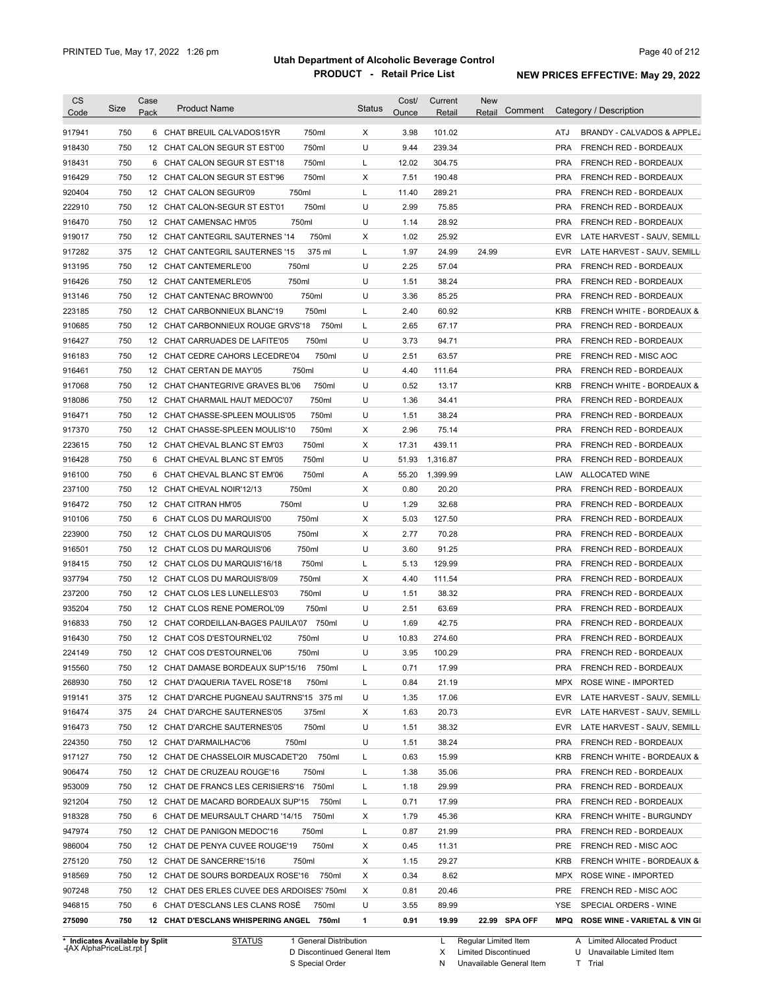| CS<br>Code | Size | Case<br>Pack    | <b>Product Name</b>                         | <b>Status</b> | Cost/<br>Ounce | Current<br>Retail | <b>New</b><br>Comment<br>Retail | Category / Description                                            |
|------------|------|-----------------|---------------------------------------------|---------------|----------------|-------------------|---------------------------------|-------------------------------------------------------------------|
|            |      |                 |                                             |               |                |                   |                                 |                                                                   |
| 917941     | 750  |                 | 750ml<br>6 CHAT BREUIL CALVADOS15YR         | X             | 3.98           | 101.02            |                                 | ATJ<br>BRANDY - CALVADOS & APPLEJ                                 |
| 918430     | 750  |                 | 750ml<br>12 CHAT CALON SEGUR ST EST'00      | U             | 9.44           | 239.34            |                                 | <b>PRA</b><br>FRENCH RED - BORDEAUX                               |
| 918431     | 750  | 6               | 750ml<br>CHAT CALON SEGUR ST EST'18         | L             | 12.02          | 304.75            |                                 | <b>PRA</b><br>FRENCH RED - BORDEAUX                               |
| 916429     | 750  |                 | 750ml<br>12 CHAT CALON SEGUR ST EST'96      | Х             | 7.51           | 190.48            |                                 | <b>PRA</b><br>FRENCH RED - BORDEAUX                               |
| 920404     | 750  |                 | 750ml<br>12 CHAT CALON SEGUR'09             | L             | 11.40          | 289.21            |                                 | <b>PRA</b><br>FRENCH RED - BORDEAUX                               |
| 222910     | 750  |                 | 750ml<br>12 CHAT CALON-SEGUR ST EST'01      | U             | 2.99           | 75.85             |                                 | <b>PRA</b><br>FRENCH RED - BORDEAUX                               |
| 916470     | 750  |                 | 750ml<br>12 CHAT CAMENSAC HM'05             | U             | 1.14           | 28.92             |                                 | <b>PRA</b><br><b>FRENCH RED - BORDEAUX</b>                        |
| 919017     | 750  |                 | 750ml<br>12 CHAT CANTEGRIL SAUTERNES '14    | Χ             | 1.02           | 25.92             |                                 | EVR<br>LATE HARVEST - SAUV, SEMILL                                |
| 917282     | 375  |                 | 12 CHAT CANTEGRIL SAUTERNES '15<br>375 ml   | L             | 1.97           | 24.99             | 24.99                           | EVR<br>LATE HARVEST - SAUV, SEMILL                                |
| 913195     | 750  |                 | 750ml<br>12 CHAT CANTEMERLE'00              | U             | 2.25           | 57.04             |                                 | <b>PRA</b><br>FRENCH RED - BORDEAUX                               |
| 916426     | 750  |                 | 750ml<br>12 CHAT CANTEMERLE'05              | U             | 1.51           | 38.24             |                                 | <b>PRA</b><br>FRENCH RED - BORDEAUX                               |
| 913146     | 750  |                 | 750ml<br>12 CHAT CANTENAC BROWN'00          | U             | 3.36           | 85.25             |                                 | <b>PRA</b><br>FRENCH RED - BORDEAUX                               |
| 223185     | 750  |                 | 750ml<br>12 CHAT CARBONNIEUX BLANC'19       | L             | 2.40           | 60.92             |                                 | <b>KRB</b><br><b>FRENCH WHITE - BORDEAUX &amp;</b>                |
| 910685     | 750  |                 | 750ml<br>12 CHAT CARBONNIEUX ROUGE GRVS'18  | L             | 2.65           | 67.17             |                                 | <b>PRA</b><br>FRENCH RED - BORDEAUX                               |
| 916427     | 750  |                 | 750ml<br>12 CHAT CARRUADES DE LAFITE'05     | U             | 3.73           | 94.71             |                                 | <b>PRA</b><br>FRENCH RED - BORDEAUX                               |
| 916183     | 750  |                 | 750ml<br>12 CHAT CEDRE CAHORS LECEDRE'04    | U             | 2.51           | 63.57             |                                 | <b>PRE</b><br>FRENCH RED - MISC AOC                               |
| 916461     | 750  |                 | 750ml<br>12 CHAT CERTAN DE MAY'05           | U             | 4.40           | 111.64            |                                 | <b>PRA</b><br>FRENCH RED - BORDEAUX                               |
| 917068     | 750  | 12              | CHAT CHANTEGRIVE GRAVES BL'06<br>750ml      | U             | 0.52           | 13.17             |                                 | <b>KRB</b><br><b>FRENCH WHITE - BORDEAUX &amp;</b>                |
| 918086     | 750  |                 | 12 CHAT CHARMAIL HAUT MEDOC'07<br>750ml     | U             | 1.36           | 34.41             |                                 | <b>PRA</b><br>FRENCH RED - BORDEAUX                               |
| 916471     | 750  |                 | 12 CHAT CHASSE-SPLEEN MOULIS'05<br>750ml    | U             | 1.51           | 38.24             |                                 | <b>PRA</b><br>FRENCH RED - BORDEAUX                               |
| 917370     | 750  | 12 <sup>2</sup> | CHAT CHASSE-SPLEEN MOULIS'10<br>750ml       | X             | 2.96           | 75.14             |                                 | <b>PRA</b><br>FRENCH RED - BORDEAUX                               |
| 223615     | 750  |                 | 750ml<br>12 CHAT CHEVAL BLANC ST EM'03      | Χ             | 17.31          | 439.11            |                                 | <b>PRA</b><br>FRENCH RED - BORDEAUX                               |
| 916428     | 750  |                 | 750ml<br>6 CHAT CHEVAL BLANC ST EM'05       | U             | 51.93          | 1,316.87          |                                 | <b>PRA</b><br>FRENCH RED - BORDEAUX                               |
| 916100     | 750  | 6               | 750ml<br>CHAT CHEVAL BLANC ST EM'06         | Α             | 55.20          | 1,399.99          |                                 | ALLOCATED WINE<br>LAW                                             |
| 237100     | 750  |                 | 750ml<br>12 CHAT CHEVAL NOIR'12/13          | Χ             | 0.80           | 20.20             |                                 | <b>PRA</b><br>FRENCH RED - BORDEAUX                               |
| 916472     | 750  |                 | 750ml<br>12 CHAT CITRAN HM'05               | U             | 1.29           | 32.68             |                                 | <b>PRA</b><br>FRENCH RED - BORDEAUX                               |
| 910106     | 750  |                 | 750ml<br>6 CHAT CLOS DU MARQUIS'00          | Χ             | 5.03           | 127.50            |                                 | <b>PRA</b><br>FRENCH RED - BORDEAUX                               |
| 223900     | 750  |                 | 750ml<br>12 CHAT CLOS DU MARQUIS'05         | Χ             | 2.77           | 70.28             |                                 | <b>PRA</b><br>FRENCH RED - BORDEAUX                               |
| 916501     | 750  |                 | 750ml<br>12 CHAT CLOS DU MARQUIS'06         | U             | 3.60           | 91.25             |                                 | <b>PRA</b><br>FRENCH RED - BORDEAUX                               |
| 918415     | 750  |                 | 750ml<br>12 CHAT CLOS DU MARQUIS'16/18      | L             | 5.13           | 129.99            |                                 | <b>PRA</b><br>FRENCH RED - BORDEAUX                               |
| 937794     | 750  |                 | 750ml<br>12 CHAT CLOS DU MARQUIS'8/09       | Х             | 4.40           | 111.54            |                                 | <b>PRA</b><br>FRENCH RED - BORDEAUX                               |
| 237200     | 750  |                 | 750ml<br>12 CHAT CLOS LES LUNELLES'03       | U             | 1.51           | 38.32             |                                 | <b>PRA</b><br>FRENCH RED - BORDEAUX                               |
| 935204     | 750  |                 | 12 CHAT CLOS RENE POMEROL'09<br>750ml       | U             | 2.51           | 63.69             |                                 | <b>PRA</b><br>FRENCH RED - BORDEAUX                               |
| 916833     | 750  |                 | 12 CHAT CORDEILLAN-BAGES PAUILA'07 750ml    | U             | 1.69           | 42.75             |                                 | <b>PRA</b><br>FRENCH RED - BORDEAUX                               |
| 916430     | 750  |                 | 12 CHAT COS D'ESTOURNEL'02<br>750ml         | U             | 10.83          | 274.60            |                                 | <b>PRA</b><br>FRENCH RED - BORDEAUX                               |
| 224149     | 750  |                 | 750ml<br>12 CHAT COS D'ESTOURNEL'06         | U             | 3.95           | 100.29            |                                 | <b>PRA</b><br>FRENCH RED - BORDEAUX                               |
| 915560     | 750  |                 | 12 CHAT DAMASE BORDEAUX SUP'15/16<br>750ml  | L             | 0.71           | 17.99             |                                 | <b>PRA</b><br>FRENCH RED - BORDEAUX                               |
| 268930     | 750  |                 | 12 CHAT D'AQUERIA TAVEL ROSE'18<br>750ml    | L             | 0.84           | 21.19             |                                 | MPX<br>ROSE WINE - IMPORTED                                       |
| 919141     | 375  |                 | 12 CHAT D'ARCHE PUGNEAU SAUTRNS'15 375 ml   | U             | 1.35           | 17.06             |                                 | LATE HARVEST - SAUV, SEMILL                                       |
|            | 375  |                 |                                             |               |                |                   |                                 | <b>EVR</b>                                                        |
| 916474     |      |                 | 24 CHAT D'ARCHE SAUTERNES'05<br>375ml       | Х<br>U        | 1.63           | 20.73             |                                 | LATE HARVEST - SAUV, SEMILL<br>EVR<br>LATE HARVEST - SAUV, SEMILL |
| 916473     | 750  |                 | 750ml<br>12 CHAT D'ARCHE SAUTERNES'05       |               | 1.51           | 38.32             |                                 | <b>EVR</b>                                                        |
| 224350     | 750  |                 | 12 CHAT D'ARMAILHAC'06<br>750ml             | U             | 1.51           | 38.24             |                                 | <b>PRA</b><br>FRENCH RED - BORDEAUX                               |
| 917127     | 750  |                 | 750ml<br>12 CHAT DE CHASSELOIR MUSCADET'20  | L             | 0.63           | 15.99             |                                 | <b>KRB</b><br>FRENCH WHITE - BORDEAUX &                           |
| 906474     | 750  |                 | 12 CHAT DE CRUZEAU ROUGE'16<br>750ml        | L             | 1.38           | 35.06             |                                 | <b>PRA</b><br>FRENCH RED - BORDEAUX                               |
| 953009     | 750  |                 | 12 CHAT DE FRANCS LES CERISIERS'16 750ml    | L             | 1.18           | 29.99             |                                 | <b>PRA</b><br>FRENCH RED - BORDEAUX                               |
| 921204     | 750  |                 | 12 CHAT DE MACARD BORDEAUX SUP'15<br>750ml  | L             | 0.71           | 17.99             |                                 | <b>PRA</b><br>FRENCH RED - BORDEAUX                               |
| 918328     | 750  |                 | 750ml<br>6 CHAT DE MEURSAULT CHARD '14/15   | Х             | 1.79           | 45.36             |                                 | <b>KRA</b><br>FRENCH WHITE - BURGUNDY                             |
| 947974     | 750  |                 | 12 CHAT DE PANIGON MEDOC'16<br>750ml        | L             | 0.87           | 21.99             |                                 | <b>PRA</b><br>FRENCH RED - BORDEAUX                               |
| 986004     | 750  |                 | 750ml<br>12 CHAT DE PENYA CUVEE ROUGE'19    | Х             | 0.45           | 11.31             |                                 | PRE<br>FRENCH RED - MISC AOC                                      |
| 275120     | 750  |                 | 12 CHAT DE SANCERRE'15/16<br>750ml          | Х             | 1.15           | 29.27             |                                 | KRB<br>FRENCH WHITE - BORDEAUX &                                  |
| 918569     | 750  |                 | 12 CHAT DE SOURS BORDEAUX ROSE'16<br>750ml  | Х             | 0.34           | 8.62              |                                 | MPX<br>ROSE WINE - IMPORTED                                       |
| 907248     | 750  |                 | 12 CHAT DES ERLES CUVEE DES ARDOISES' 750ml | Х             | 0.81           | 20.46             |                                 | PRE<br>FRENCH RED - MISC AOC                                      |
| 946815     | 750  |                 | 6 CHAT D'ESCLANS LES CLANS ROSE<br>750ml    | U             | 3.55           | 89.99             |                                 | YSE<br>SPECIAL ORDERS - WINE                                      |
| 275090     | 750  |                 | 12 CHAT D'ESCLANS WHISPERING ANGEL 750ml    | 1             | 0.91           | 19.99             | 22.99 SPA OFF                   | MPQ<br><b>ROSE WINE - VARIETAL &amp; VIN GI</b>                   |

**Case** [AX AlphaPriceList.rpt ]

Discontinued General Item S Special Order D

X Regular Limited Item

N

Limited Discontinued

Unavailable General Item

Unavailable Limited Item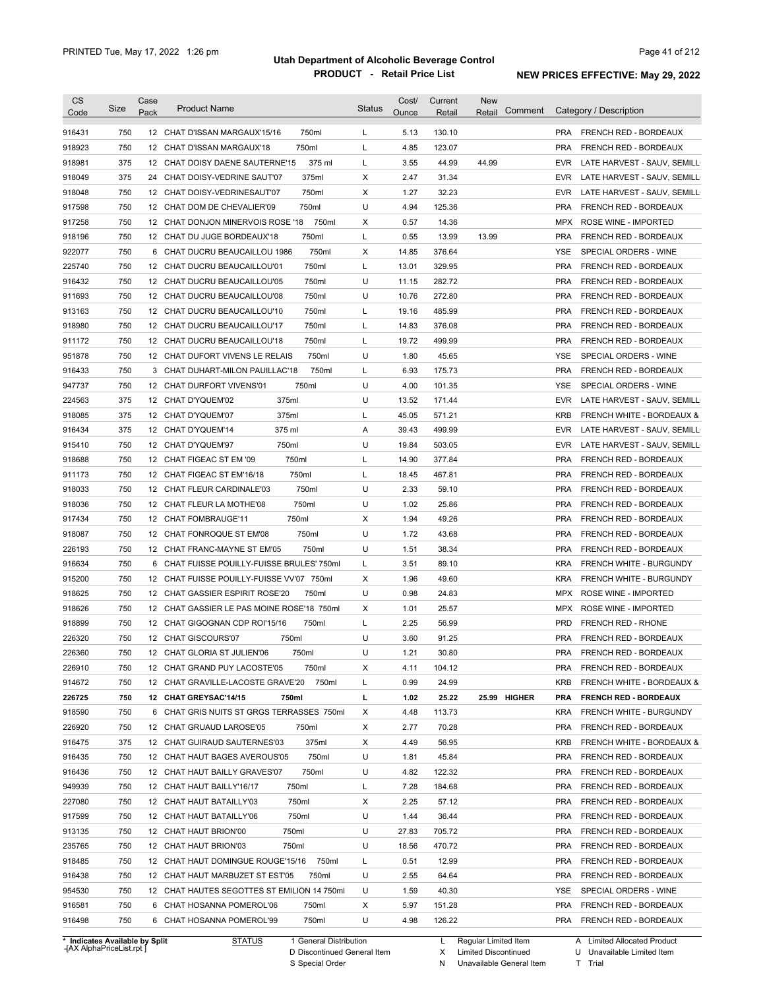| CS               | Size       | Case            | <b>Product Name</b>                                    |                | <b>Status</b> | Cost/        | Current          | <b>New</b><br>Comment |                   | Category / Description                         |
|------------------|------------|-----------------|--------------------------------------------------------|----------------|---------------|--------------|------------------|-----------------------|-------------------|------------------------------------------------|
| Code             |            | Pack            |                                                        |                |               | Ounce        | Retail           | Retail                |                   |                                                |
| 916431           | 750        |                 | 12 CHAT D'ISSAN MARGAUX'15/16                          | 750ml          | L             | 5.13         | 130.10           |                       | <b>PRA</b>        | FRENCH RED - BORDEAUX                          |
| 918923           | 750        |                 | 12 CHAT D'ISSAN MARGAUX'18                             | 750ml          | L             | 4.85         | 123.07           |                       | <b>PRA</b>        | FRENCH RED - BORDEAUX                          |
| 918981           | 375        |                 | 12 CHAT DOISY DAENE SAUTERNE'15                        | 375 ml         | L             | 3.55         | 44.99            | 44.99                 | <b>EVR</b>        | LATE HARVEST - SAUV, SEMILL                    |
| 918049           | 375        |                 | 24 CHAT DOISY-VEDRINE SAUT'07                          | 375ml          | X             | 2.47         | 31.34            |                       | <b>EVR</b>        | LATE HARVEST - SAUV, SEMILL                    |
| 918048           | 750        |                 | 12 CHAT DOISY-VEDRINESAUT'07                           | 750ml          | Х             | 1.27         | 32.23            |                       | <b>EVR</b>        | LATE HARVEST - SAUV, SEMILL                    |
| 917598           | 750        |                 | 12 CHAT DOM DE CHEVALIER'09                            | 750ml          | U             | 4.94         | 125.36           |                       | <b>PRA</b>        | FRENCH RED - BORDEAUX                          |
| 917258           | 750        |                 | 12 CHAT DONJON MINERVOIS ROSE '18                      | 750ml          | Χ             | 0.57         | 14.36            |                       | MPX               | ROSE WINE - IMPORTED                           |
| 918196           | 750        |                 | 12 CHAT DU JUGE BORDEAUX'18                            | 750ml          | L             | 0.55         | 13.99            | 13.99                 | <b>PRA</b>        | FRENCH RED - BORDEAUX                          |
| 922077           | 750        |                 | 6 CHAT DUCRU BEAUCAILLOU 1986                          | 750ml          | Χ             | 14.85        | 376.64           |                       | YSE               | SPECIAL ORDERS - WINE                          |
| 225740           | 750        |                 | 12 CHAT DUCRU BEAUCAILLOU'01                           | 750ml          | L             | 13.01        | 329.95           |                       | <b>PRA</b>        | FRENCH RED - BORDEAUX                          |
| 916432           | 750        |                 | 12 CHAT DUCRU BEAUCAILLOU'05                           | 750ml          | U             | 11.15        | 282.72           |                       | <b>PRA</b>        | FRENCH RED - BORDEAUX                          |
| 911693           | 750        |                 | 12 CHAT DUCRU BEAUCAILLOU'08                           | 750ml          | U             | 10.76        | 272.80           |                       | <b>PRA</b>        | FRENCH RED - BORDEAUX                          |
| 913163           | 750        |                 | 12 CHAT DUCRU BEAUCAILLOU'10                           | 750ml          | L             | 19.16        | 485.99           |                       | <b>PRA</b>        | FRENCH RED - BORDEAUX                          |
| 918980           | 750        |                 | 12 CHAT DUCRU BEAUCAILLOU'17                           | 750ml          | L             | 14.83        | 376.08           |                       | <b>PRA</b>        | FRENCH RED - BORDEAUX                          |
| 911172           | 750        |                 | 12 CHAT DUCRU BEAUCAILLOU'18                           | 750ml          | L             | 19.72        | 499.99           |                       | <b>PRA</b>        | FRENCH RED - BORDEAUX                          |
| 951878           | 750        |                 | 12 CHAT DUFORT VIVENS LE RELAIS                        | 750ml          | U             | 1.80         | 45.65            |                       | YSE               | SPECIAL ORDERS - WINE                          |
| 916433           | 750        |                 | 3 CHAT DUHART-MILON PAUILLAC'18                        | 750ml          | L             | 6.93         | 175.73           |                       | <b>PRA</b>        | <b>FRENCH RED - BORDEAUX</b>                   |
| 947737           | 750        | 12 <sup>2</sup> | <b>CHAT DURFORT VIVENS'01</b>                          | 750ml          | U             | 4.00         | 101.35           |                       | YSE               | SPECIAL ORDERS - WINE                          |
|                  |            |                 | 375ml                                                  |                | U             |              |                  |                       |                   |                                                |
| 224563           | 375        |                 | 12 CHAT D'YQUEM'02                                     |                |               | 13.52        | 171.44           |                       | <b>EVR</b>        | LATE HARVEST - SAUV, SEMILL                    |
| 918085           | 375        |                 | 12 CHAT D'YQUEM'07<br>375ml                            |                | L             | 45.05        | 571.21           |                       | <b>KRB</b>        | <b>FRENCH WHITE - BORDEAUX &amp;</b>           |
| 916434           | 375        | 12 <sup>2</sup> | CHAT D'YQUEM'14<br>375 ml                              |                | Α             | 39.43        | 499.99           |                       | EVR               | LATE HARVEST - SAUV, SEMILL                    |
| 915410           | 750        |                 | 750ml<br>12 CHAT D'YQUEM'97                            |                | U             | 19.84        | 503.05           |                       | <b>EVR</b>        | LATE HARVEST - SAUV, SEMILL                    |
| 918688           | 750        |                 | 12 CHAT FIGEAC ST EM '09<br>750ml                      |                | L             | 14.90        | 377.84           |                       | <b>PRA</b>        | FRENCH RED - BORDEAUX                          |
| 911173           | 750        | 12              | 750ml<br>CHAT FIGEAC ST EM'16/18                       |                | L             | 18.45        | 467.81           |                       | <b>PRA</b>        | FRENCH RED - BORDEAUX                          |
| 918033           | 750        |                 | 12 CHAT FLEUR CARDINALE'03                             | 750ml          | U             | 2.33         | 59.10            |                       | <b>PRA</b>        | FRENCH RED - BORDEAUX                          |
| 918036           | 750        |                 | 12 CHAT FLEUR LA MOTHE'08                              | 750ml          | U             | 1.02         | 25.86            |                       | <b>PRA</b>        | FRENCH RED - BORDEAUX                          |
| 917434           | 750        |                 | 12 CHAT FOMBRAUGE'11<br>750ml                          |                | Χ             | 1.94         | 49.26            |                       | <b>PRA</b>        | FRENCH RED - BORDEAUX                          |
| 918087           | 750        |                 | 12 CHAT FONROQUE ST EM'08                              | 750ml          | U             | 1.72         | 43.68            |                       | <b>PRA</b>        | FRENCH RED - BORDEAUX                          |
| 226193           | 750        |                 | 12 CHAT FRANC-MAYNE ST EM'05                           | 750ml          | U             | 1.51         | 38.34            |                       | <b>PRA</b>        | FRENCH RED - BORDEAUX                          |
| 916634           | 750        |                 | 6 CHAT FUISSE POUILLY-FUISSE BRULES' 750ml             |                | L             | 3.51         | 89.10            |                       | <b>KRA</b>        | FRENCH WHITE - BURGUNDY                        |
| 915200           | 750        |                 | 12 CHAT FUISSE POUILLY-FUISSE VV'07 750ml              |                | Х             | 1.96         | 49.60            |                       | <b>KRA</b>        | FRENCH WHITE - BURGUNDY                        |
| 918625           | 750        |                 | 12 CHAT GASSIER ESPIRIT ROSE'20                        | 750ml          | U             | 0.98         | 24.83            |                       | <b>MPX</b>        | <b>ROSE WINE - IMPORTED</b>                    |
| 918626           | 750        |                 | 12 CHAT GASSIER LE PAS MOINE ROSE'18 750ml             |                | Х             | 1.01         | 25.57            |                       | <b>MPX</b>        | ROSE WINE - IMPORTED                           |
| 918899           | 750        |                 | 12 CHAT GIGOGNAN CDP ROI'15/16                         | 750ml          | L             | 2.25         | 56.99            |                       | <b>PRD</b>        | <b>FRENCH RED - RHONE</b>                      |
| 226320           | 750        |                 | 12 CHAT GISCOURS'07<br>750ml                           |                | U             | 3.60         | 91.25            |                       | <b>PRA</b>        | FRENCH RED - BORDEAUX                          |
| 226360           | 750        |                 | 12 CHAT GLORIA ST JULIEN'06                            | 750ml          | U             | 1.21         | 30.80            |                       | <b>PRA</b>        | FRENCH RED - BORDEAUX                          |
| 226910           | 750        |                 | 12 CHAT GRAND PUY LACOSTE'05                           | 750ml          | Х             | 4.11         | 104.12           |                       | <b>PRA</b>        | FRENCH RED - BORDEAUX                          |
| 914672           | 750        |                 | 12 CHAT GRAVILLE-LACOSTE GRAVE'20                      | 750ml          | L             | 0.99         | 24.99            |                       | <b>KRB</b>        | FRENCH WHITE - BORDEAUX &                      |
| 226725           | 750        |                 | 12 CHAT GREYSAC'14/15<br>750ml                         |                | L             | 1.02         | 25.22            | 25.99 HIGHER          | <b>PRA</b>        | <b>FRENCH RED - BORDEAUX</b>                   |
| 918590           | 750        |                 | 6 CHAT GRIS NUITS ST GRGS TERRASSES 750ml              |                | Х             | 4.48         | 113.73           |                       | <b>KRA</b>        | FRENCH WHITE - BURGUNDY                        |
| 226920           | 750        |                 | 12 CHAT GRUAUD LAROSE'05                               | 750ml          | Х             | 2.77         | 70.28            |                       | <b>PRA</b>        | FRENCH RED - BORDEAUX                          |
| 916475           | 375        |                 | 12 CHAT GUIRAUD SAUTERNES'03                           | 375ml          | Х             | 4.49         | 56.95            |                       | KRB               | FRENCH WHITE - BORDEAUX &                      |
| 916435           | 750        |                 | 12 CHAT HAUT BAGES AVEROUS'05                          | 750ml          | U             | 1.81         | 45.84            |                       | <b>PRA</b>        | FRENCH RED - BORDEAUX                          |
| 916436           | 750        |                 | 12 CHAT HAUT BAILLY GRAVES'07                          | 750ml          | U             | 4.82         | 122.32           |                       | <b>PRA</b>        | FRENCH RED - BORDEAUX                          |
| 949939           | 750        |                 | 750ml<br>12 CHAT HAUT BAILLY'16/17                     |                | L             | 7.28         | 184.68           |                       | <b>PRA</b>        | FRENCH RED - BORDEAUX                          |
|                  | 750        |                 | 750ml<br>12 CHAT HAUT BATAILLY'03                      |                | Х             | 2.25         | 57.12            |                       | <b>PRA</b>        | FRENCH RED - BORDEAUX                          |
| 227080<br>917599 |            |                 |                                                        |                |               |              |                  |                       |                   | FRENCH RED - BORDEAUX                          |
|                  | 750        |                 | 750ml<br>12 CHAT HAUT BATAILLY'06                      |                | U             | 1.44         | 36.44            |                       | <b>PRA</b>        |                                                |
| 913135           | 750        |                 | 12 CHAT HAUT BRION'00<br>750ml                         |                | U             | 27.83        | 705.72           |                       | <b>PRA</b>        | FRENCH RED - BORDEAUX                          |
| 235765           | 750        |                 | 12 CHAT HAUT BRION'03<br>750ml                         |                | U             | 18.56        | 470.72           |                       | <b>PRA</b>        | FRENCH RED - BORDEAUX                          |
| 918485           | 750        |                 | 12 CHAT HAUT DOMINGUE ROUGE'15/16                      | 750ml          | L             | 0.51         | 12.99            |                       | <b>PRA</b>        | FRENCH RED - BORDEAUX                          |
| 916438           | 750        |                 | 12 CHAT HAUT MARBUZET ST EST'05                        | 750ml          | U             | 2.55         | 64.64            |                       | <b>PRA</b>        | FRENCH RED - BORDEAUX                          |
|                  |            |                 | 12 CHAT HAUTES SEGOTTES ST EMILION 14 750ml            |                | U             | 1.59         | 40.30            |                       | YSE               | SPECIAL ORDERS - WINE                          |
| 954530           | 750        |                 |                                                        |                |               |              |                  |                       |                   |                                                |
| 916581<br>916498 | 750<br>750 |                 | 6 CHAT HOSANNA POMEROL'06<br>6 CHAT HOSANNA POMEROL'99 | 750ml<br>750ml | Х<br>U        | 5.97<br>4.98 | 151.28<br>126.22 |                       | <b>PRA</b><br>PRA | FRENCH RED - BORDEAUX<br>FRENCH RED - BORDEAUX |

**Case** [AX AlphaPriceList.rpt ]

D Discontinued General Item

S Special Order

X

N

Limited Discontinued

Unavailable General Item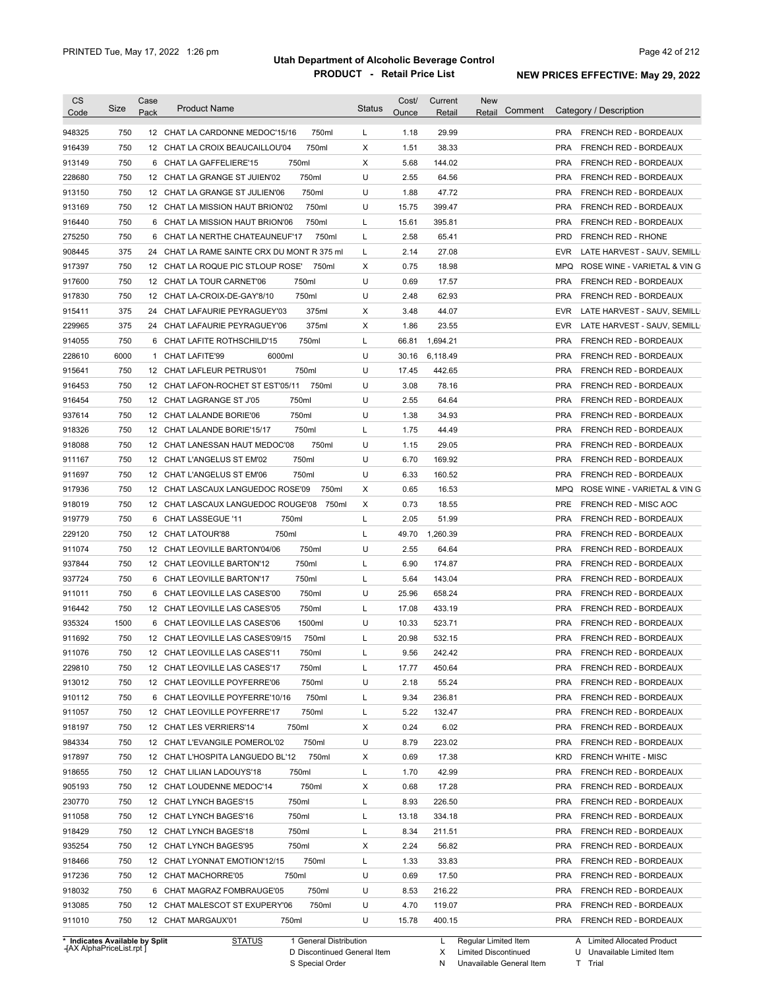| CS<br>Code                     | <b>Size</b> | Case<br>Pack | <b>Product Name</b>                         | <b>Status</b> | Cost/<br>Ounce | Current<br>Retail | <b>New</b><br>Comment<br>Retail |            | Category / Description       |
|--------------------------------|-------------|--------------|---------------------------------------------|---------------|----------------|-------------------|---------------------------------|------------|------------------------------|
|                                |             |              |                                             |               |                |                   |                                 |            |                              |
| 948325                         | 750         |              | 12 CHAT LA CARDONNE MEDOC'15/16<br>750ml    | L             | 1.18           | 29.99             |                                 |            | PRA FRENCH RED - BORDEAUX    |
| 916439                         | 750         |              | 12 CHAT LA CROIX BEAUCAILLOU'04<br>750ml    | X             | 1.51           | 38.33             |                                 | <b>PRA</b> | FRENCH RED - BORDEAUX        |
| 913149                         | 750         |              | 750ml<br>6 CHAT LA GAFFELIERE'15            | $\times$      | 5.68           | 144.02            |                                 | <b>PRA</b> | FRENCH RED - BORDEAUX        |
| 228680                         | 750         |              | 750ml<br>12 CHAT LA GRANGE ST JUIEN'02      | U             | 2.55           | 64.56             |                                 | <b>PRA</b> | FRENCH RED - BORDEAUX        |
| 913150                         | 750         |              | 750ml<br>12 CHAT LA GRANGE ST JULIEN'06     | U             | 1.88           | 47.72             |                                 | <b>PRA</b> | FRENCH RED - BORDEAUX        |
| 913169                         | 750         |              | 750ml<br>12 CHAT LA MISSION HAUT BRION'02   | U             | 15.75          | 399.47            |                                 | <b>PRA</b> | FRENCH RED - BORDEAUX        |
| 916440                         | 750         |              | 750ml<br>6 CHAT LA MISSION HAUT BRION'06    | L             | 15.61          | 395.81            |                                 | <b>PRA</b> | FRENCH RED - BORDEAUX        |
| 275250                         | 750         | 6            | CHAT LA NERTHE CHATEAUNEUF'17<br>750ml      | L             | 2.58           | 65.41             |                                 | <b>PRD</b> | <b>FRENCH RED - RHONE</b>    |
| 908445                         | 375         | 24           | CHAT LA RAME SAINTE CRX DU MONT R 375 ml    | L             | 2.14           | 27.08             |                                 | <b>EVR</b> | LATE HARVEST - SAUV, SEMILL  |
| 917397                         | 750         |              | 750ml<br>12 CHAT LA ROQUE PIC STLOUP ROSE'  | X             | 0.75           | 18.98             |                                 | <b>MPQ</b> | ROSE WINE - VARIETAL & VIN G |
| 917600                         | 750         |              | 750ml<br>12 CHAT LA TOUR CARNET'06          | U             | 0.69           | 17.57             |                                 | <b>PRA</b> | FRENCH RED - BORDEAUX        |
| 917830                         | 750         |              | 750ml<br>12 CHAT LA-CROIX-DE-GAY'8/10       | U             | 2.48           | 62.93             |                                 | <b>PRA</b> | FRENCH RED - BORDEAUX        |
| 915411                         | 375         | 24           | 375ml<br>CHAT LAFAURIE PEYRAGUEY'03         | X             | 3.48           | 44.07             |                                 | <b>EVR</b> | LATE HARVEST - SAUV, SEMILL  |
| 229965                         | 375         | 24           | 375ml<br>CHAT LAFAURIE PEYRAGUEY'06         | X             | 1.86           | 23.55             |                                 | <b>EVR</b> | LATE HARVEST - SAUV, SEMILL  |
| 914055                         | 750         |              | 750ml<br>6 CHAT LAFITE ROTHSCHILD'15        | L             | 66.81          | 1,694.21          |                                 | <b>PRA</b> | FRENCH RED - BORDEAUX        |
| 228610                         | 6000        | $\mathbf{1}$ | 6000ml<br>CHAT LAFITE'99                    | U             | 30.16          | 6,118.49          |                                 | <b>PRA</b> | FRENCH RED - BORDEAUX        |
| 915641                         | 750         |              | 750ml<br>12 CHAT LAFLEUR PETRUS'01          | U             | 17.45          | 442.65            |                                 | <b>PRA</b> | FRENCH RED - BORDEAUX        |
| 916453                         | 750         |              | 12 CHAT LAFON-ROCHET ST EST'05/11<br>750ml  | U             | 3.08           | 78.16             |                                 | <b>PRA</b> | FRENCH RED - BORDEAUX        |
| 916454                         | 750         |              | 750ml<br>12 CHAT LAGRANGE ST J'05           | U             | 2.55           | 64.64             |                                 | <b>PRA</b> | FRENCH RED - BORDEAUX        |
| 937614                         | 750         |              | 750ml<br>12 CHAT LALANDE BORIE'06           | U             | 1.38           | 34.93             |                                 | <b>PRA</b> | <b>FRENCH RED - BORDEAUX</b> |
| 918326                         | 750         |              | 12 CHAT LALANDE BORIE'15/17<br>750ml        | L             | 1.75           | 44.49             |                                 | <b>PRA</b> | <b>FRENCH RED - BORDEAUX</b> |
| 918088                         | 750         |              | 750ml<br>12 CHAT LANESSAN HAUT MEDOC'08     | U             | 1.15           | 29.05             |                                 | <b>PRA</b> | FRENCH RED - BORDEAUX        |
|                                | 750         |              | 750ml<br>12 CHAT L'ANGELUS ST EM'02         | U             | 6.70           | 169.92            |                                 | <b>PRA</b> | FRENCH RED - BORDEAUX        |
| 911167                         |             |              |                                             | U             |                |                   |                                 |            |                              |
| 911697                         | 750         |              | 750ml<br>12 CHAT L'ANGELUS ST EM'06         |               | 6.33           | 160.52            |                                 | <b>PRA</b> | FRENCH RED - BORDEAUX        |
| 917936                         | 750         |              | 750ml<br>12 CHAT LASCAUX LANGUEDOC ROSE'09  | X             | 0.65           | 16.53             |                                 | <b>MPQ</b> | ROSE WINE - VARIETAL & VIN G |
| 918019                         | 750         |              | 12 CHAT LASCAUX LANGUEDOC ROUGE'08<br>750ml | X             | 0.73           | 18.55             |                                 | <b>PRE</b> | FRENCH RED - MISC AOC        |
| 919779                         | 750         |              | 6 CHAT LASSEGUE '11<br>750ml                | L             | 2.05           | 51.99             |                                 | <b>PRA</b> | FRENCH RED - BORDEAUX        |
| 229120                         | 750         |              | 12 CHAT LATOUR'88<br>750ml                  | L             | 49.70          | 1,260.39          |                                 | <b>PRA</b> | FRENCH RED - BORDEAUX        |
| 911074                         | 750         |              | 750ml<br>12 CHAT LEOVILLE BARTON'04/06      | U             | 2.55           | 64.64             |                                 | <b>PRA</b> | FRENCH RED - BORDEAUX        |
| 937844                         | 750         |              | 750ml<br>12 CHAT LEOVILLE BARTON'12         | L             | 6.90           | 174.87            |                                 | <b>PRA</b> | FRENCH RED - BORDEAUX        |
| 937724                         | 750         |              | 6 CHAT LEOVILLE BARTON'17<br>750ml          | L             | 5.64           | 143.04            |                                 | <b>PRA</b> | FRENCH RED - BORDEAUX        |
| 911011                         | 750         |              | 6 CHAT LEOVILLE LAS CASES'00<br>750ml       | U             | 25.96          | 658.24            |                                 | <b>PRA</b> | FRENCH RED - BORDEAUX        |
| 916442                         | 750         |              | 12 CHAT LEOVILLE LAS CASES'05<br>750ml      | L             | 17.08          | 433.19            |                                 | <b>PRA</b> | FRENCH RED - BORDEAUX        |
| 935324                         | 1500        |              | 6 CHAT LEOVILLE LAS CASES'06<br>1500ml      | U             | 10.33          | 523.71            |                                 | <b>PRA</b> | <b>FRENCH RED - BORDEAUX</b> |
| 911692                         | 750         |              | 12 CHAT LEOVILLE LAS CASES'09/15<br>750ml   | L             | 20.98          | 532.15            |                                 | <b>PRA</b> | FRENCH RED - BORDEAUX        |
| 911076                         | 750         |              | 750ml<br>12 CHAT LEOVILLE LAS CASES'11      |               | 9.56           | 242.42            |                                 | <b>PRA</b> | FRENCH RED - BORDEAUX        |
| 229810                         | 750         |              | 12 CHAT LEOVILLE LAS CASES'17<br>750ml      | L             | 17.77          | 450.64            |                                 | PRA        | FRENCH RED - BORDEAUX        |
| 913012                         | 750         |              | 750ml<br>12 CHAT LEOVILLE POYFERRE'06       | U             | 2.18           | 55.24             |                                 | <b>PRA</b> | FRENCH RED - BORDEAUX        |
| 910112                         | 750         |              | 750ml<br>6 CHAT LEOVILLE POYFERRE'10/16     | L             | 9.34           | 236.81            |                                 | <b>PRA</b> | FRENCH RED - BORDEAUX        |
| 911057                         | 750         |              | 750ml<br>12 CHAT LEOVILLE POYFERRE'17       | L             | 5.22           | 132.47            |                                 | <b>PRA</b> | FRENCH RED - BORDEAUX        |
| 918197                         | 750         |              | 750ml<br>12 CHAT LES VERRIERS'14            | Х             | 0.24           | 6.02              |                                 | <b>PRA</b> | FRENCH RED - BORDEAUX        |
| 984334                         | 750         |              | 750ml<br>12 CHAT L'EVANGILE POMEROL'02      | U             | 8.79           | 223.02            |                                 | <b>PRA</b> | FRENCH RED - BORDEAUX        |
| 917897                         | 750         |              | 12 CHAT L'HOSPITA LANGUEDO BL'12<br>750ml   | Х             | 0.69           | 17.38             |                                 | <b>KRD</b> | FRENCH WHITE - MISC          |
| 918655                         | 750         |              | 750ml<br>12 CHAT LILIAN LADOUYS'18          | L             | 1.70           | 42.99             |                                 | <b>PRA</b> | FRENCH RED - BORDEAUX        |
| 905193                         | 750         |              | 750ml<br>12 CHAT LOUDENNE MEDOC'14          | Х             | 0.68           | 17.28             |                                 | PRA        | FRENCH RED - BORDEAUX        |
| 230770                         | 750         |              | 750ml<br>12 CHAT LYNCH BAGES'15             | L             | 8.93           | 226.50            |                                 | PRA        | FRENCH RED - BORDEAUX        |
| 911058                         | 750         |              | 750ml<br>12 CHAT LYNCH BAGES'16             | L             | 13.18          | 334.18            |                                 | PRA        | FRENCH RED - BORDEAUX        |
| 918429                         | 750         |              | 12 CHAT LYNCH BAGES'18<br>750ml             | L             | 8.34           | 211.51            |                                 | PRA        | FRENCH RED - BORDEAUX        |
| 935254                         | 750         |              | 12 CHAT LYNCH BAGES'95<br>750ml             | X             | 2.24           | 56.82             |                                 | PRA        | FRENCH RED - BORDEAUX        |
|                                | 750         |              |                                             |               |                | 33.83             |                                 | PRA        |                              |
| 918466                         |             |              | 12 CHAT LYONNAT EMOTION'12/15<br>750ml      | L             | 1.33           |                   |                                 |            | FRENCH RED - BORDEAUX        |
| 917236                         | 750         |              | 750ml<br>12 CHAT MACHORRE'05                | U             | 0.69           | 17.50             |                                 | PRA        | FRENCH RED - BORDEAUX        |
| 918032                         | 750         |              | 6 CHAT MAGRAZ FOMBRAUGE'05<br>750ml         | U             | 8.53           | 216.22            |                                 | PRA        | FRENCH RED - BORDEAUX        |
| 913085                         | 750         |              | 12 CHAT MALESCOT ST EXUPERY'06<br>750ml     | U             | 4.70           | 119.07            |                                 | <b>PRA</b> | FRENCH RED - BORDEAUX        |
| 911010                         | 750         |              | 12 CHAT MARGAUX'01<br>750ml                 | U             | 15.78          | 400.15            |                                 |            | PRA FRENCH RED - BORDEAUX    |
| * Indicates Available by Split |             |              | <b>STATUS</b><br>1 General Distribution     |               |                | L                 | Regular Limited Item            |            | A Limited Allocated Product  |

**Case** [AX AlphaPriceList.rpt ]

D Discontinued General Item S Special Order

X

N Unavailable General Item

Limited Discontinued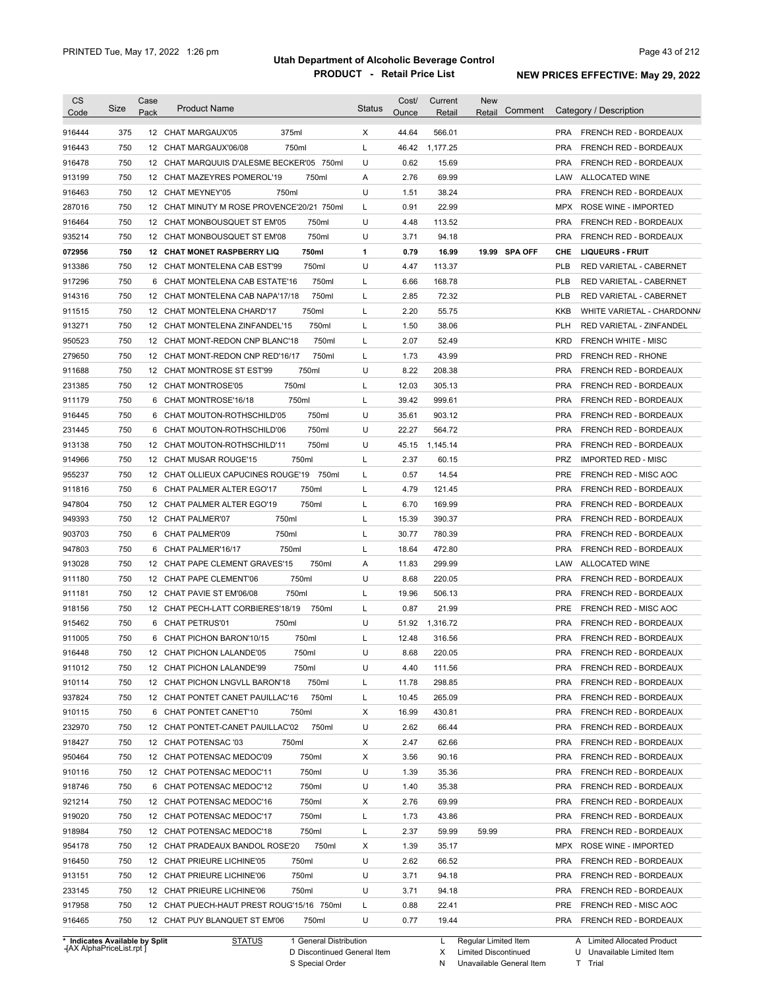| <b>CS</b><br>Code              | Size | Case<br>Pack | <b>Product Name</b>                         | <b>Status</b> | Cost/<br>Ounce | Current<br>Retail | <b>New</b><br>Comment<br>Retail | Category / Description                     |
|--------------------------------|------|--------------|---------------------------------------------|---------------|----------------|-------------------|---------------------------------|--------------------------------------------|
| 916444                         | 375  |              | 375ml<br>12 CHAT MARGAUX'05                 | Х             | 44.64          | 566.01            |                                 | FRENCH RED - BORDEAUX<br><b>PRA</b>        |
| 916443                         | 750  |              | 750ml<br>12 CHAT MARGAUX'06/08              | L             | 46.42          | 1,177.25          |                                 | <b>PRA</b><br>FRENCH RED - BORDEAUX        |
| 916478                         | 750  |              | 12 CHAT MARQUUIS D'ALESME BECKER'05 750ml   | U             | 0.62           | 15.69             |                                 | <b>PRA</b><br>FRENCH RED - BORDEAUX        |
| 913199                         | 750  |              | 12 CHAT MAZEYRES POMEROL'19<br>750ml        | Α             | 2.76           | 69.99             |                                 | LAW<br>ALLOCATED WINE                      |
| 916463                         | 750  |              | 750ml<br>12 CHAT MEYNEY'05                  | U             | 1.51           | 38.24             |                                 | <b>PRA</b><br>FRENCH RED - BORDEAUX        |
| 287016                         | 750  |              | 12 CHAT MINUTY M ROSE PROVENCE'20/21 750ml  | L             | 0.91           | 22.99             |                                 | <b>MPX</b><br>ROSE WINE - IMPORTED         |
| 916464                         | 750  |              | 750ml<br>12 CHAT MONBOUSQUET ST EM'05       | U             | 4.48           | 113.52            |                                 | <b>PRA</b><br><b>FRENCH RED - BORDEAUX</b> |
| 935214                         | 750  |              | 750ml<br>12 CHAT MONBOUSQUET ST EM'08       | U             | 3.71           | 94.18             |                                 | <b>PRA</b><br>FRENCH RED - BORDEAUX        |
| 072956                         | 750  |              | 750ml<br><b>12 CHAT MONET RASPBERRY LIQ</b> | 1             | 0.79           | 16.99             | 19.99 SPA OFF                   | CHE<br><b>LIQUEURS - FRUIT</b>             |
| 913386                         | 750  | 12           | 750ml<br>CHAT MONTELENA CAB EST'99          | U             | 4.47           | 113.37            |                                 | <b>PLB</b><br>RED VARIETAL - CABERNET      |
| 917296                         | 750  | 6            | 750ml<br>CHAT MONTELENA CAB ESTATE'16       | L             | 6.66           | 168.78            |                                 | <b>PLB</b><br>RED VARIETAL - CABERNET      |
| 914316                         | 750  | 12           | 750ml<br>CHAT MONTELENA CAB NAPA'17/18      | L             | 2.85           | 72.32             |                                 | <b>PLB</b><br>RED VARIETAL - CABERNET      |
| 911515                         | 750  | 12           | 750ml<br>CHAT MONTELENA CHARD'17            | Г             | 2.20           | 55.75             |                                 | <b>KKB</b><br>WHITE VARIETAL - CHARDONN/   |
| 913271                         | 750  | 12           | 750ml<br>CHAT MONTELENA ZINFANDEL'15        | L             | 1.50           | 38.06             |                                 | <b>PLH</b><br>RED VARIETAL - ZINFANDEL     |
| 950523                         | 750  | 12           | 750ml<br>CHAT MONT-REDON CNP BLANC'18       | Г             | 2.07           | 52.49             |                                 | <b>KRD</b><br><b>FRENCH WHITE - MISC</b>   |
| 279650                         | 750  | 12           | 750ml<br>CHAT MONT-REDON CNP RED'16/17      | Г             | 1.73           | 43.99             |                                 | <b>PRD</b><br><b>FRENCH RED - RHONE</b>    |
| 911688                         | 750  | 12           | 750ml<br>CHAT MONTROSE ST EST'99            | U             | 8.22           | 208.38            |                                 | <b>PRA</b><br>FRENCH RED - BORDEAUX        |
| 231385                         | 750  | 12           | 750ml<br><b>CHAT MONTROSE'05</b>            | L             | 12.03          | 305.13            |                                 | <b>PRA</b><br>FRENCH RED - BORDEAUX        |
| 911179                         | 750  | 6            | 750ml<br>CHAT MONTROSE'16/18                | L             | 39.42          | 999.61            |                                 | <b>PRA</b><br>FRENCH RED - BORDEAUX        |
| 916445                         | 750  | 6            | 750ml<br>CHAT MOUTON-ROTHSCHILD'05          | U             | 35.61          | 903.12            |                                 | <b>PRA</b><br>FRENCH RED - BORDEAUX        |
| 231445                         | 750  | 6            | 750ml<br>CHAT MOUTON-ROTHSCHILD'06          | U             | 22.27          | 564.72            |                                 | <b>PRA</b><br>FRENCH RED - BORDEAUX        |
| 913138                         | 750  | 12           | 750ml<br>CHAT MOUTON-ROTHSCHILD'11          | U             | 45.15          | 1,145.14          |                                 | <b>PRA</b><br>FRENCH RED - BORDEAUX        |
| 914966                         | 750  | 12           | 750ml<br>CHAT MUSAR ROUGE'15                | L             | 2.37           | 60.15             |                                 | <b>PRZ</b><br><b>IMPORTED RED - MISC</b>   |
| 955237                         | 750  | 12           | CHAT OLLIEUX CAPUCINES ROUGE'19<br>750ml    | Г             | 0.57           | 14.54             |                                 | <b>PRE</b><br>FRENCH RED - MISC AOC        |
| 911816                         | 750  | 6            | 750ml<br>CHAT PALMER ALTER EGO'17           | Г             | 4.79           | 121.45            |                                 | <b>PRA</b><br>FRENCH RED - BORDEAUX        |
| 947804                         | 750  |              | 750ml<br>12 CHAT PALMER ALTER EGO'19        | L             | 6.70           | 169.99            |                                 | <b>PRA</b><br>FRENCH RED - BORDEAUX        |
| 949393                         | 750  |              | 12 CHAT PALMER'07<br>750ml                  | L             | 15.39          | 390.37            |                                 | <b>PRA</b><br>FRENCH RED - BORDEAUX        |
| 903703                         | 750  | 6            | 750ml<br>CHAT PALMER'09                     | L             | 30.77          | 780.39            |                                 | <b>PRA</b><br>FRENCH RED - BORDEAUX        |
| 947803                         | 750  | 6            | CHAT PALMER'16/17<br>750ml                  | L             | 18.64          | 472.80            |                                 | <b>PRA</b><br>FRENCH RED - BORDEAUX        |
| 913028                         | 750  |              | 12 CHAT PAPE CLEMENT GRAVES'15<br>750ml     | Α             | 11.83          | 299.99            |                                 | LAW<br>ALLOCATED WINE                      |
| 911180                         | 750  |              | 750ml<br>12 CHAT PAPE CLEMENT'06            | U             | 8.68           | 220.05            |                                 | <b>PRA</b><br><b>FRENCH RED - BORDEAUX</b> |
| 911181                         | 750  |              | 750ml<br>12 CHAT PAVIE ST EM'06/08          | L             | 19.96          | 506.13            |                                 | <b>PRA</b><br>FRENCH RED - BORDEAUX        |
| 918156                         | 750  |              | 12 CHAT PECH-LATT CORBIERES'18/19<br>750ml  | Г             | 0.87           | 21.99             |                                 | <b>PRE</b><br>FRENCH RED - MISC AOC        |
| 915462                         | 750  |              | 750ml<br>6 CHAT PETRUS'01                   | U             | 51.92          | 1,316.72          |                                 | <b>PRA</b><br>FRENCH RED - BORDEAUX        |
| 911005                         | 750  |              | 6 CHAT PICHON BARON'10/15<br>750ml          | Г             | 12.48          | 316.56            |                                 | <b>PRA</b><br>FRENCH RED - BORDEAUX        |
| 916448                         | 750  |              | 12 CHAT PICHON LALANDE'05<br>750ml          | U             | 8.68           | 220.05            |                                 | <b>PRA</b><br>FRENCH RED - BORDEAUX        |
| 911012                         | 750  |              | 750ml<br>12 CHAT PICHON LALANDE'99          | U             | 4.40           | 111.56            |                                 | PRA<br><b>FRENCH RED - BORDEAUX</b>        |
| 910114                         | 750  |              | 750ml<br>12 CHAT PICHON LNGVLL BARON'18     | L             | 11.78          | 298.85            |                                 | <b>PRA</b><br>FRENCH RED - BORDEAUX        |
| 937824                         | 750  |              | 12 CHAT PONTET CANET PAUILLAC'16<br>750ml   | L             | 10.45          | 265.09            |                                 | FRENCH RED - BORDEAUX<br><b>PRA</b>        |
| 910115                         | 750  |              | 750ml<br>6 CHAT PONTET CANET'10             | Х             | 16.99          | 430.81            |                                 | FRENCH RED - BORDEAUX<br><b>PRA</b>        |
| 232970                         | 750  |              | 12 CHAT PONTET-CANET PAUILLAC'02<br>750ml   | U             | 2.62           | 66.44             |                                 | <b>PRA</b><br>FRENCH RED - BORDEAUX        |
| 918427                         | 750  |              | 12 CHAT POTENSAC '03<br>750ml               | х             | 2.47           | 62.66             |                                 | <b>PRA</b><br>FRENCH RED - BORDEAUX        |
| 950464                         | 750  |              | 750ml<br>12 CHAT POTENSAC MEDOC'09          | Х             | 3.56           | 90.16             |                                 | <b>PRA</b><br>FRENCH RED - BORDEAUX        |
| 910116                         | 750  |              | 750ml<br>12 CHAT POTENSAC MEDOC'11          | U             | 1.39           | 35.36             |                                 | <b>PRA</b><br>FRENCH RED - BORDEAUX        |
| 918746                         | 750  |              | 750ml<br>6 CHAT POTENSAC MEDOC'12           | U             | 1.40           | 35.38             |                                 | <b>PRA</b><br>FRENCH RED - BORDEAUX        |
| 921214                         | 750  |              | 750ml<br>12 CHAT POTENSAC MEDOC'16          | Х             | 2.76           | 69.99             |                                 | <b>PRA</b><br>FRENCH RED - BORDEAUX        |
| 919020                         | 750  |              | 750ml<br>12 CHAT POTENSAC MEDOC'17          | L             | 1.73           | 43.86             |                                 | <b>PRA</b><br>FRENCH RED - BORDEAUX        |
| 918984                         | 750  |              | 750ml<br>12 CHAT POTENSAC MEDOC'18          | L             | 2.37           | 59.99             | 59.99                           | <b>PRA</b><br>FRENCH RED - BORDEAUX        |
| 954178                         | 750  |              | 12 CHAT PRADEAUX BANDOL ROSE'20<br>750ml    | Х             | 1.39           | 35.17             |                                 | MPX<br>ROSE WINE - IMPORTED                |
| 916450                         | 750  |              | 750ml<br>12 CHAT PRIEURE LICHINE'05         | U             | 2.62           | 66.52             |                                 | <b>PRA</b><br>FRENCH RED - BORDEAUX        |
| 913151                         | 750  |              | 750ml<br>12 CHAT PRIEURE LICHINE'06         | U             | 3.71           | 94.18             |                                 | <b>PRA</b><br>FRENCH RED - BORDEAUX        |
| 233145                         | 750  |              | 12 CHAT PRIEURE LICHINE'06<br>750ml         | U             | 3.71           | 94.18             |                                 | <b>PRA</b><br>FRENCH RED - BORDEAUX        |
| 917958                         | 750  |              | 12 CHAT PUECH-HAUT PREST ROUG'15/16 750ml   | L             | 0.88           | 22.41             |                                 | PRE<br>FRENCH RED - MISC AOC               |
| 916465                         | 750  |              | 12 CHAT PUY BLANQUET ST EM'06<br>750ml      | U             | 0.77           | 19.44             |                                 | PRA FRENCH RED - BORDEAUX                  |
| * Indicates Available by Split |      |              | <b>STATUS</b><br>1 General Distribution     |               |                |                   | L Regular Limited Item          | A Limited Allocated Product                |

**Case** [AX AlphaPriceList.rpt ]

D Discontinued General Item

S Special Order

X

N

Limited Discontinued

Unavailable General Item

U Unavailable Limited Item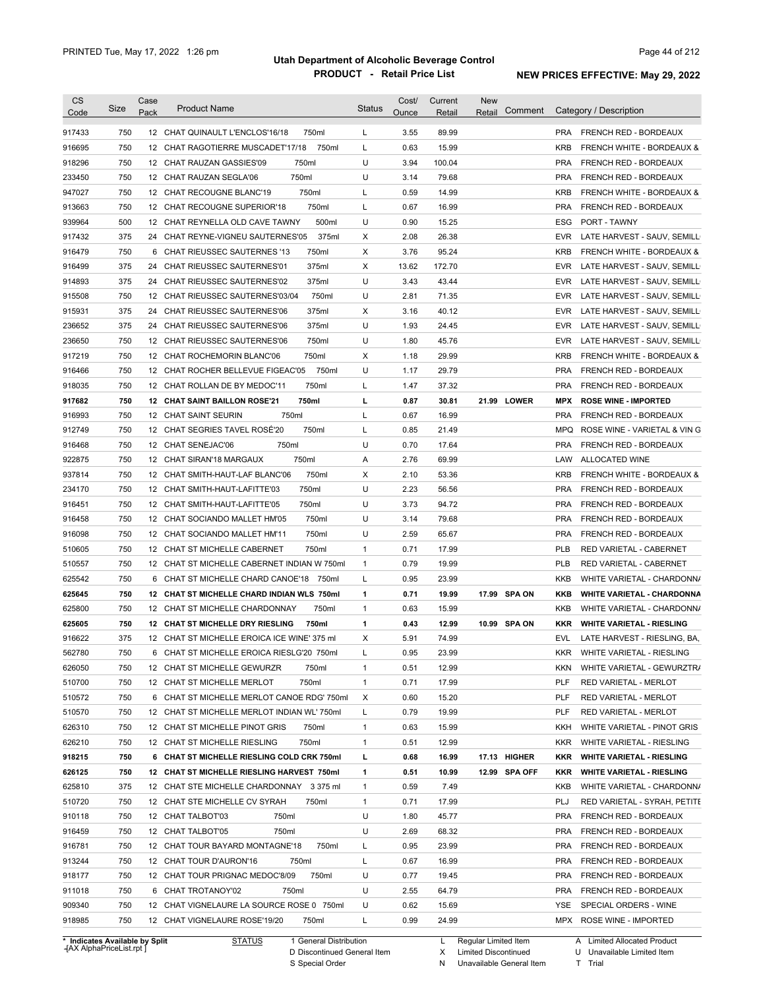| <b>CS</b>        | Size       | Case | <b>Product Name</b>                                                                 | <b>Status</b> | Cost/        | Current        | <b>New</b> | Comment       |            | Category / Description               |
|------------------|------------|------|-------------------------------------------------------------------------------------|---------------|--------------|----------------|------------|---------------|------------|--------------------------------------|
| Code             |            | Pack |                                                                                     |               | <u>Ounce</u> | Retail         | Retail     |               |            |                                      |
| 917433           | 750        |      | 12 CHAT QUINAULT L'ENCLOS'16/18<br>750ml                                            | L             | 3.55         | 89.99          |            |               | <b>PRA</b> | FRENCH RED - BORDEAUX                |
| 916695           | 750        |      | 750ml<br>12 CHAT RAGOTIERRE MUSCADET'17/18                                          | L             | 0.63         | 15.99          |            |               | <b>KRB</b> | <b>FRENCH WHITE - BORDEAUX &amp;</b> |
| 918296           | 750        |      | 750ml<br>12 CHAT RAUZAN GASSIES'09                                                  | U             | 3.94         | 100.04         |            |               | <b>PRA</b> | FRENCH RED - BORDEAUX                |
| 233450           | 750        |      | 750ml<br>12 CHAT RAUZAN SEGLA'06                                                    | U             | 3.14         | 79.68          |            |               | <b>PRA</b> | FRENCH RED - BORDEAUX                |
| 947027           | 750        |      | 12 CHAT RECOUGNE BLANC'19<br>750ml                                                  | L             | 0.59         | 14.99          |            |               | <b>KRB</b> | FRENCH WHITE - BORDEAUX &            |
| 913663           | 750        |      | 750ml<br>12 CHAT RECOUGNE SUPERIOR'18                                               | L             | 0.67         | 16.99          |            |               | <b>PRA</b> | FRENCH RED - BORDEAUX                |
| 939964           | 500        |      | 500ml<br>12 CHAT REYNELLA OLD CAVE TAWNY                                            | U             | 0.90         | 15.25          |            |               | ESG        | PORT - TAWNY                         |
| 917432           | 375        |      | 375ml<br>24 CHAT REYNE-VIGNEU SAUTERNES'05                                          | Х             | 2.08         | 26.38          |            |               | <b>EVR</b> | LATE HARVEST - SAUV, SEMILL          |
| 916479           | 750        | 6    | CHAT RIEUSSEC SAUTERNES '13<br>750ml                                                | Х             | 3.76         | 95.24          |            |               | <b>KRB</b> | FRENCH WHITE - BORDEAUX &            |
| 916499           | 375        | 24   | CHAT RIEUSSEC SAUTERNES'01<br>375ml                                                 | Χ             | 13.62        | 172.70         |            |               | <b>EVR</b> | LATE HARVEST - SAUV, SEMILL          |
| 914893           | 375        |      | 24 CHAT RIEUSSEC SAUTERNES'02<br>375ml                                              | U             | 3.43         | 43.44          |            |               | <b>EVR</b> | LATE HARVEST - SAUV, SEMILL          |
| 915508           | 750        |      | 12 CHAT RIEUSSEC SAUTERNES'03/04<br>750ml                                           | U             | 2.81         | 71.35          |            |               | <b>EVR</b> | LATE HARVEST - SAUV, SEMILL          |
| 915931           | 375        | 24   | CHAT RIEUSSEC SAUTERNES'06<br>375ml                                                 | Χ             | 3.16         | 40.12          |            |               | <b>EVR</b> | LATE HARVEST - SAUV, SEMILL          |
| 236652           | 375        | 24   | CHAT RIEUSSEC SAUTERNES'06<br>375ml                                                 | U             | 1.93         | 24.45          |            |               | <b>EVR</b> | LATE HARVEST - SAUV, SEMILL          |
| 236650           | 750        |      | 12 CHAT RIEUSSEC SAUTERNES'06<br>750ml                                              | U             | 1.80         | 45.76          |            |               | <b>EVR</b> | LATE HARVEST - SAUV, SEMILL          |
| 917219           | 750        |      | 12 CHAT ROCHEMORIN BLANC'06<br>750ml                                                | Χ             | 1.18         | 29.99          |            |               | <b>KRB</b> | <b>FRENCH WHITE - BORDEAUX &amp;</b> |
| 916466           | 750        |      | 12 CHAT ROCHER BELLEVUE FIGEAC'05<br>750ml                                          | U             | 1.17         | 29.79          |            |               | <b>PRA</b> | FRENCH RED - BORDEAUX                |
| 918035           | 750        |      | 750ml<br>12 CHAT ROLLAN DE BY MEDOC'11                                              | L             | 1.47         | 37.32          |            |               | <b>PRA</b> | FRENCH RED - BORDEAUX                |
| 917682           | 750        |      | <b>12 CHAT SAINT BAILLON ROSE'21</b><br>750ml                                       | г             | 0.87         | 30.81          |            | 21.99 LOWER   | <b>MPX</b> | <b>ROSE WINE - IMPORTED</b>          |
| 916993           | 750        |      | 12 CHAT SAINT SEURIN<br>750ml                                                       | L             | 0.67         | 16.99          |            |               | <b>PRA</b> | FRENCH RED - BORDEAUX                |
| 912749           | 750        |      | 12 CHAT SEGRIES TAVEL ROSÉ'20<br>750ml                                              | L             | 0.85         | 21.49          |            |               | <b>MPQ</b> | ROSE WINE - VARIETAL & VIN G         |
| 916468           | 750        |      | 750ml<br>12 CHAT SENEJAC'06                                                         | U             | 0.70         | 17.64          |            |               | <b>PRA</b> | FRENCH RED - BORDEAUX                |
| 922875           | 750        |      | 750ml<br>12 CHAT SIRAN'18 MARGAUX                                                   | Α             | 2.76         | 69.99          |            |               | LAW        | <b>ALLOCATED WINE</b>                |
| 937814           | 750        |      | 750ml<br>12 CHAT SMITH-HAUT-LAF BLANC'06                                            | Χ             | 2.10         | 53.36          |            |               | <b>KRB</b> | FRENCH WHITE - BORDEAUX &            |
| 234170           | 750        |      | 12 CHAT SMITH-HAUT-LAFITTE'03<br>750ml                                              | U             | 2.23         | 56.56          |            |               | <b>PRA</b> | FRENCH RED - BORDEAUX                |
| 916451           | 750        |      | 12 CHAT SMITH-HAUT-LAFITTE'05<br>750ml                                              | U             | 3.73         | 94.72          |            |               | <b>PRA</b> | FRENCH RED - BORDEAUX                |
| 916458           | 750        |      | 750ml<br>12 CHAT SOCIANDO MALLET HM'05                                              | U             | 3.14         | 79.68          |            |               | <b>PRA</b> | FRENCH RED - BORDEAUX                |
| 916098           | 750        |      | 750ml<br>12 CHAT SOCIANDO MALLET HM'11                                              | U             | 2.59         | 65.67          |            |               | <b>PRA</b> | FRENCH RED - BORDEAUX                |
| 510605           | 750        |      | 12 CHAT ST MICHELLE CABERNET<br>750ml                                               | 1             | 0.71         | 17.99          |            |               | <b>PLB</b> | RED VARIETAL - CABERNET              |
| 510557           | 750        |      | 12 CHAT ST MICHELLE CABERNET INDIAN W 750ml                                         | 1             | 0.79         | 19.99          |            |               | <b>PLB</b> | RED VARIETAL - CABERNET              |
| 625542           | 750        |      | 6 CHAT ST MICHELLE CHARD CANOE'18 750ml                                             | L             | 0.95         | 23.99          |            |               | KKB        | WHITE VARIETAL - CHARDONN/           |
| 625645           | 750        |      | 12 CHAT ST MICHELLE CHARD INDIAN WLS 750ml                                          | 1             | 0.71         | 19.99          |            | 17.99 SPA ON  | KKB        | <b>WHITE VARIETAL - CHARDONNA</b>    |
| 625800           | 750        |      | 750ml<br>12 CHAT ST MICHELLE CHARDONNAY                                             | 1             | 0.63         | 15.99          |            |               | KKB        | WHITE VARIETAL - CHARDONN/           |
| 625605           | 750        |      | 12 CHAT ST MICHELLE DRY RIESLING<br>750ml                                           | 1             | 0.43         | 12.99          |            | 10.99 SPA ON  | <b>KKR</b> | <b>WHITE VARIETAL - RIESLING</b>     |
| 916622           | 375        |      | 12 CHAT ST MICHELLE EROICA ICE WINE' 375 ml                                         | Χ             | 5.91         | 74.99          |            |               | <b>EVL</b> | LATE HARVEST - RIESLING, BA,         |
| 562780           | 750        |      | 6 CHAT ST MICHELLE EROICA RIESLG'20 750ml                                           | L             | 0.95         | 23.99          |            |               | KKR        | WHITE VARIETAL - RIESLING            |
| 626050           | 750        |      | 750ml<br>12 CHAT ST MICHELLE GEWURZR                                                | 1             | 0.51         | 12.99          |            |               | KKN        | WHITE VARIETAL - GEWURZTR/           |
| 510700           | 750        |      | 750ml<br>12 CHAT ST MICHELLE MERLOT                                                 | $\mathbf{1}$  | 0.71         | 17.99          |            |               | PLF        | RED VARIETAL - MERLOT                |
| 510572           | 750        |      | 6 CHAT ST MICHELLE MERLOT CANOE RDG' 750ml                                          | X             | 0.60         | 15.20          |            |               | PLF        | RED VARIETAL - MERLOT                |
| 510570           | 750        |      | 12 CHAT ST MICHELLE MERLOT INDIAN WL'750ml                                          | L             | 0.79         | 19.99          |            |               | PLF        | RED VARIETAL - MERLOT                |
| 626310           | 750        |      | 12 CHAT ST MICHELLE PINOT GRIS<br>750ml                                             | 1             | 0.63         | 15.99          |            |               | KKH        | WHITE VARIETAL - PINOT GRIS          |
| 626210           | 750        |      | 12 CHAT ST MICHELLE RIESLING<br>750ml                                               | $\mathbf{1}$  | 0.51         | 12.99          |            |               | <b>KKR</b> | WHITE VARIETAL - RIESLING            |
| 918215           | 750        |      | 6 CHAT ST MICHELLE RIESLING COLD CRK 750ml                                          | L             | 0.68         | 16.99          |            | 17.13 HIGHER  | KKR        | <b>WHITE VARIETAL - RIESLING</b>     |
| 626125           | 750        |      | 12 CHAT ST MICHELLE RIESLING HARVEST 750ml                                          | 1             | 0.51         | 10.99          |            | 12.99 SPA OFF | <b>KKR</b> | <b>WHITE VARIETAL - RIESLING</b>     |
| 625810           | 375        |      | 12 CHAT STE MICHELLE CHARDONNAY 3375 ml                                             | $\mathbf{1}$  | 0.59         | 7.49           |            |               | KKB        | WHITE VARIETAL - CHARDONN/           |
| 510720           | 750        |      | 12 CHAT STE MICHELLE CV SYRAH<br>750ml                                              | 1             | 0.71         | 17.99          |            |               | <b>PLJ</b> | RED VARIETAL - SYRAH, PETITE         |
| 910118           | 750        |      | 12 CHAT TALBOT'03<br>750ml                                                          | U             | 1.80         | 45.77          |            |               | <b>PRA</b> | FRENCH RED - BORDEAUX                |
| 916459           | 750        |      | 12 CHAT TALBOT'05<br>750ml                                                          | U             | 2.69         | 68.32          |            |               | PRA        | FRENCH RED - BORDEAUX                |
| 916781           | 750        |      | 12 CHAT TOUR BAYARD MONTAGNE'18<br>750ml                                            | L             | 0.95         | 23.99          |            |               | PRA        | FRENCH RED - BORDEAUX                |
| 913244           | 750        |      | 750ml                                                                               |               | 0.67         |                |            |               | <b>PRA</b> |                                      |
|                  |            |      | 12 CHAT TOUR D'AURON'16                                                             | L             |              | 16.99          |            |               |            | FRENCH RED - BORDEAUX                |
| 918177<br>911018 | 750        |      | 12 CHAT TOUR PRIGNAC MEDOC'8/09<br>750ml                                            | U             | 0.77         | 19.45          |            |               | <b>PRA</b> | FRENCH RED - BORDEAUX                |
|                  | 750        |      | 6 CHAT TROTANOY'02<br>750ml                                                         | U<br>U        | 2.55         | 64.79          |            |               | PRA        | FRENCH RED - BORDEAUX                |
|                  |            |      |                                                                                     |               |              |                |            |               | YSE        | SPECIAL ORDERS - WINE                |
| 909340<br>918985 | 750<br>750 |      | 12 CHAT VIGNELAURE LA SOURCE ROSE 0 750ml<br>12 CHAT VIGNELAURE ROSE'19/20<br>750ml | L             | 0.62<br>0.99 | 15.69<br>24.99 |            |               | MPX        | ROSE WINE - IMPORTED                 |

**Case** [AX AlphaPriceList.rpt ]

D Discontinued General Item

S Special Order

X

N

Limited Discontinued

U Unavailable Limited Item

Unavailable General Item

T Trial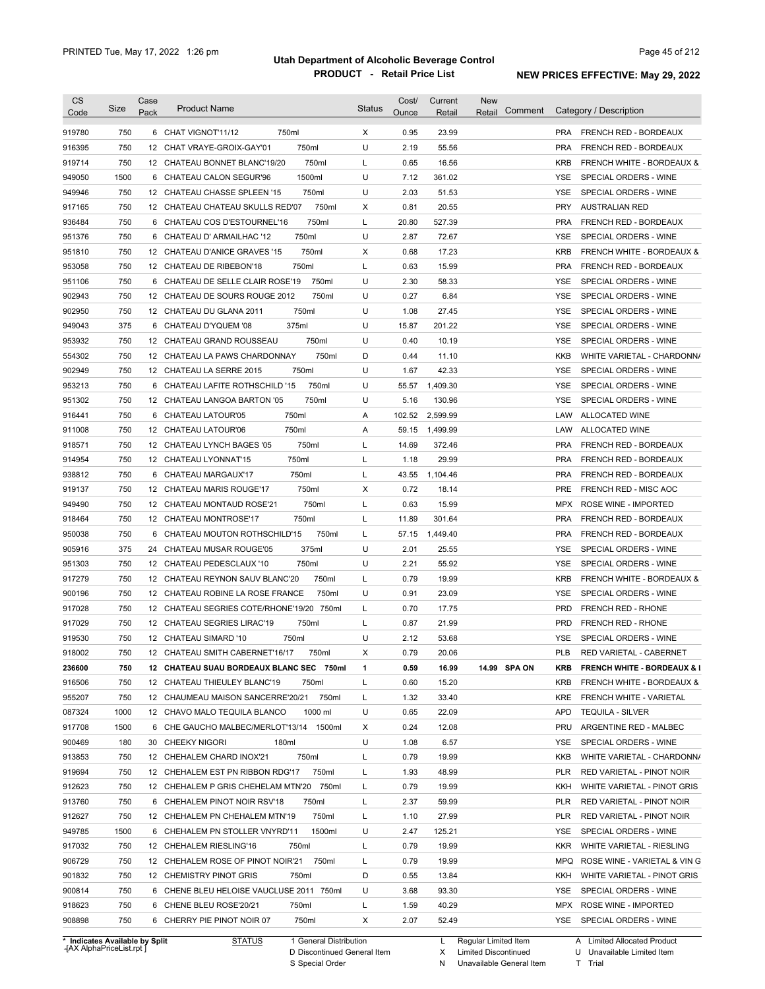| <b>CS</b><br>Code | Size                           | Case<br>Pack | <b>Product Name</b>                        | <b>Status</b> | Cost/<br>Ounce | Current<br>Retail | <b>New</b><br>Comment<br>Retail | Category / Description                             |
|-------------------|--------------------------------|--------------|--------------------------------------------|---------------|----------------|-------------------|---------------------------------|----------------------------------------------------|
|                   |                                |              |                                            |               |                |                   |                                 |                                                    |
| 919780            | 750                            |              | 750ml<br>6 CHAT VIGNOT'11/12               | Χ             | 0.95           | 23.99             |                                 | FRENCH RED - BORDEAUX<br><b>PRA</b>                |
| 916395            | 750                            | 12           | 750ml<br>CHAT VRAYE-GROIX-GAY'01           | U             | 2.19           | 55.56             |                                 | <b>PRA</b><br>FRENCH RED - BORDEAUX                |
| 919714            | 750                            |              | 750ml<br>12 CHATEAU BONNET BLANC'19/20     | L             | 0.65           | 16.56             |                                 | <b>KRB</b><br><b>FRENCH WHITE - BORDEAUX &amp;</b> |
| 949050            | 1500                           | 6            | 1500ml<br>CHATEAU CALON SEGUR'96           | U             | 7.12           | 361.02            |                                 | YSE<br>SPECIAL ORDERS - WINE                       |
| 949946            | 750                            |              | 750ml<br>12 CHATEAU CHASSE SPLEEN '15      | U             | 2.03           | 51.53             |                                 | <b>YSE</b><br>SPECIAL ORDERS - WINE                |
| 917165            | 750                            |              | 750ml<br>12 CHATEAU CHATEAU SKULLS RED'07  | Х             | 0.81           | 20.55             |                                 | <b>PRY</b><br><b>AUSTRALIAN RED</b>                |
| 936484            | 750                            | 6            | 750ml<br>CHATEAU COS D'ESTOURNEL'16        | L             | 20.80          | 527.39            |                                 | <b>PRA</b><br>FRENCH RED - BORDEAUX                |
| 951376            | 750                            | 6            | 750ml<br>CHATEAU D' ARMAILHAC '12          | U             | 2.87           | 72.67             |                                 | SPECIAL ORDERS - WINE<br>YSE                       |
| 951810            | 750                            |              | 750ml<br>12 CHATEAU D'ANICE GRAVES '15     | Х             | 0.68           | 17.23             |                                 | <b>KRB</b><br>FRENCH WHITE - BORDEAUX &            |
| 953058            | 750                            |              | 750ml<br>12 CHATEAU DE RIBEBON'18          | L             | 0.63           | 15.99             |                                 | <b>PRA</b><br>FRENCH RED - BORDEAUX                |
| 951106            | 750                            | 6            | 750ml<br>CHATEAU DE SELLE CLAIR ROSE'19    | U             | 2.30           | 58.33             |                                 | YSE<br>SPECIAL ORDERS - WINE                       |
| 902943            | 750                            |              | 750ml<br>12 CHATEAU DE SOURS ROUGE 2012    | U             | 0.27           | 6.84              |                                 | YSE<br>SPECIAL ORDERS - WINE                       |
| 902950            | 750                            |              | 750ml<br>12 CHATEAU DU GLANA 2011          | U             | 1.08           | 27.45             |                                 | YSE<br>SPECIAL ORDERS - WINE                       |
| 949043            | 375                            | 6            | CHATEAU D'YQUEM '08<br>375ml               | U             | 15.87          | 201.22            |                                 | YSE<br>SPECIAL ORDERS - WINE                       |
| 953932            | 750                            |              | 750ml<br>12 CHATEAU GRAND ROUSSEAU         | U             | 0.40           | 10.19             |                                 | YSE<br>SPECIAL ORDERS - WINE                       |
| 554302            | 750                            |              | 750ml<br>12 CHATEAU LA PAWS CHARDONNAY     | D             | 0.44           | 11.10             |                                 | KKB<br>WHITE VARIETAL - CHARDONN/                  |
| 902949            | 750                            |              | 750ml<br>12 CHATEAU LA SERRE 2015          | U             | 1.67           | 42.33             |                                 | YSE<br>SPECIAL ORDERS - WINE                       |
| 953213            | 750                            | 6            | CHATEAU LAFITE ROTHSCHILD '15<br>750ml     | U             | 55.57          | 1,409.30          |                                 | YSE<br>SPECIAL ORDERS - WINE                       |
| 951302            | 750                            |              | 750ml<br>12 CHATEAU LANGOA BARTON '05      | U             | 5.16           | 130.96            |                                 | YSE<br>SPECIAL ORDERS - WINE                       |
| 916441            | 750                            | 6            | 750ml<br>CHATEAU LATOUR'05                 | Α             | 102.52         | 2,599.99          |                                 | ALLOCATED WINE<br>LAW                              |
| 911008            | 750                            |              | 750ml<br>12 CHATEAU LATOUR'06              | Α             | 59.15          | 1,499.99          |                                 | <b>ALLOCATED WINE</b><br>LAW                       |
| 918571            | 750                            |              | 750ml<br>12 CHATEAU LYNCH BAGES '05        | L             | 14.69          | 372.46            |                                 | <b>PRA</b><br>FRENCH RED - BORDEAUX                |
|                   | 750                            |              | 750ml                                      | L             | 1.18           | 29.99             |                                 | <b>PRA</b><br>FRENCH RED - BORDEAUX                |
| 914954            |                                |              | 12 CHATEAU LYONNAT'15                      |               |                |                   |                                 |                                                    |
| 938812            | 750                            |              | 750ml<br>6 CHATEAU MARGAUX'17              | L             | 43.55          | 1,104.46          |                                 | <b>PRA</b><br>FRENCH RED - BORDEAUX                |
| 919137            | 750                            |              | 750ml<br>12 CHATEAU MARIS ROUGE'17         | Χ             | 0.72           | 18.14             |                                 | <b>PRE</b><br>FRENCH RED - MISC AOC                |
| 949490            | 750                            |              | 750ml<br>12 CHATEAU MONTAUD ROSE'21        | L             | 0.63           | 15.99             |                                 | MPX<br>ROSE WINE - IMPORTED                        |
| 918464            | 750                            |              | 12 CHATEAU MONTROSE'17<br>750ml            | L             | 11.89          | 301.64            |                                 | <b>PRA</b><br>FRENCH RED - BORDEAUX                |
| 950038            | 750                            |              | 6 CHATEAU MOUTON ROTHSCHILD'15<br>750ml    | L             | 57.15          | 1,449.40          |                                 | <b>PRA</b><br>FRENCH RED - BORDEAUX                |
| 905916            | 375                            |              | 24 CHATEAU MUSAR ROUGE'05<br>375ml         | U             | 2.01           | 25.55             |                                 | SPECIAL ORDERS - WINE<br>YSE                       |
| 951303            | 750                            |              | 12 CHATEAU PEDESCLAUX '10<br>750ml         | U             | 2.21           | 55.92             |                                 | SPECIAL ORDERS - WINE<br>YSE                       |
| 917279            | 750                            |              | 12 CHATEAU REYNON SAUV BLANC'20<br>750ml   | L             | 0.79           | 19.99             |                                 | <b>KRB</b><br><b>FRENCH WHITE - BORDEAUX &amp;</b> |
| 900196            | 750                            |              | 12 CHATEAU ROBINE LA ROSE FRANCE<br>750ml  | U             | 0.91           | 23.09             |                                 | SPECIAL ORDERS - WINE<br><b>YSE</b>                |
| 917028            | 750                            |              | 12 CHATEAU SEGRIES COTE/RHONE'19/20 750ml  | L             | 0.70           | 17.75             |                                 | <b>PRD</b><br>FRENCH RED - RHONE                   |
| 917029            | 750                            |              | 12 CHATEAU SEGRIES LIRAC'19<br>750ml       | L             | 0.87           | 21.99             |                                 | <b>PRD</b><br>FRENCH RED - RHONE                   |
| 919530            | 750                            |              | 12 CHATEAU SIMARD '10<br>750ml             | U             | 2.12           | 53.68             |                                 | <b>YSE</b><br>SPECIAL ORDERS - WINE                |
| 918002            | 750                            |              | 750ml<br>12 CHATEAU SMITH CABERNET'16/17   | X             | 0.79           | 20.06             |                                 | PLB<br>RED VARIETAL - CABERNET                     |
| 236600            | 750                            |              | 12 CHATEAU SUAU BORDEAUX BLANC SEC 750ml   | 1             | 0.59           | 16.99             | 14.99 SPA ON                    | <b>FRENCH WHITE - BORDEAUX &amp; I</b><br>KRB      |
| 916506            | 750                            |              | 12 CHATEAU THIEULEY BLANC'19<br>750ml      | L             | 0.60           | 15.20             |                                 | <b>KRB</b><br>FRENCH WHITE - BORDEAUX &            |
| 955207            | 750                            |              | 750ml<br>12 CHAUMEAU MAISON SANCERRE'20/21 | L             | 1.32           | 33.40             |                                 | KRE<br>FRENCH WHITE - VARIETAL                     |
| 087324            | 1000                           |              | 12 CHAVO MALO TEQUILA BLANCO<br>1000 ml    | U             | 0.65           | 22.09             |                                 | <b>APD</b><br><b>TEQUILA - SILVER</b>              |
| 917708            | 1500                           |              | 6 CHE GAUCHO MALBEC/MERLOT'13/14<br>1500ml | Х             | 0.24           | 12.08             |                                 | PRU<br>ARGENTINE RED - MALBEC                      |
| 900469            | 180                            |              | 30 CHEEKY NIGORI<br>180ml                  | U             | 1.08           | 6.57              |                                 | YSE<br>SPECIAL ORDERS - WINE                       |
| 913853            | 750                            |              | 750ml<br>12 CHEHALEM CHARD INOX'21         | L             | 0.79           | 19.99             |                                 | KKB<br>WHITE VARIETAL - CHARDONN/                  |
| 919694            | 750                            |              | 12 CHEHALEM EST PN RIBBON RDG'17<br>750ml  | L             | 1.93           | 48.99             |                                 | <b>PLR</b><br>RED VARIETAL - PINOT NOIR            |
|                   |                                |              | 12 CHEHALEM P GRIS CHEHELAM MTN'20         |               |                |                   |                                 |                                                    |
| 912623            | 750                            |              | 750ml                                      | L             | 0.79           | 19.99             |                                 | KKH<br>WHITE VARIETAL - PINOT GRIS                 |
| 913760            | 750                            |              | 6 CHEHALEM PINOT NOIR RSV'18<br>750ml      | L             | 2.37           | 59.99             |                                 | <b>PLR</b><br>RED VARIETAL - PINOT NOIR            |
| 912627            | 750                            |              | 12 CHEHALEM PN CHEHALEM MTN'19<br>750ml    | L             | 1.10           | 27.99             |                                 | <b>PLR</b><br>RED VARIETAL - PINOT NOIR            |
| 949785            | 1500                           |              | 1500ml<br>6 CHEHALEM PN STOLLER VNYRD'11   | U             | 2.47           | 125.21            |                                 | YSE<br>SPECIAL ORDERS - WINE                       |
| 917032            | 750                            |              | 12 CHEHALEM RIESLING'16<br>750ml           | L             | 0.79           | 19.99             |                                 | <b>KKR</b><br>WHITE VARIETAL - RIESLING            |
| 906729            | 750                            |              | 750ml<br>12 CHEHALEM ROSE OF PINOT NOIR'21 | L             | 0.79           | 19.99             |                                 | <b>MPQ</b><br>ROSE WINE - VARIETAL & VIN G         |
| 901832            | 750                            |              | 12 CHEMISTRY PINOT GRIS<br>750ml           | D             | 0.55           | 13.84             |                                 | KKH<br>WHITE VARIETAL - PINOT GRIS                 |
| 900814            | 750                            |              | 6 CHENE BLEU HELOISE VAUCLUSE 2011 750ml   | U             | 3.68           | 93.30             |                                 | YSE<br>SPECIAL ORDERS - WINE                       |
| 918623            | 750                            |              | 750ml<br>6 CHENE BLEU ROSE'20/21           | L             | 1.59           | 40.29             |                                 | MPX ROSE WINE - IMPORTED                           |
| 908898            | 750                            |              | 6 CHERRY PIE PINOT NOIR 07<br>750ml        | Х             | 2.07           | 52.49             |                                 | YSE<br>SPECIAL ORDERS - WINE                       |
|                   |                                |              | <b>STATUS</b><br>1 General Distribution    |               |                | L                 | Regular Limited Item            | A Limited Allocated Product                        |
|                   | * Indicates Available by Split |              |                                            |               |                |                   |                                 |                                                    |

**Case** [AX AlphaPriceList.rpt ]

D Discontinued General Item S Special Order

X Limited Discontinued

N Unavailable General Item

U Unavailable Limited Item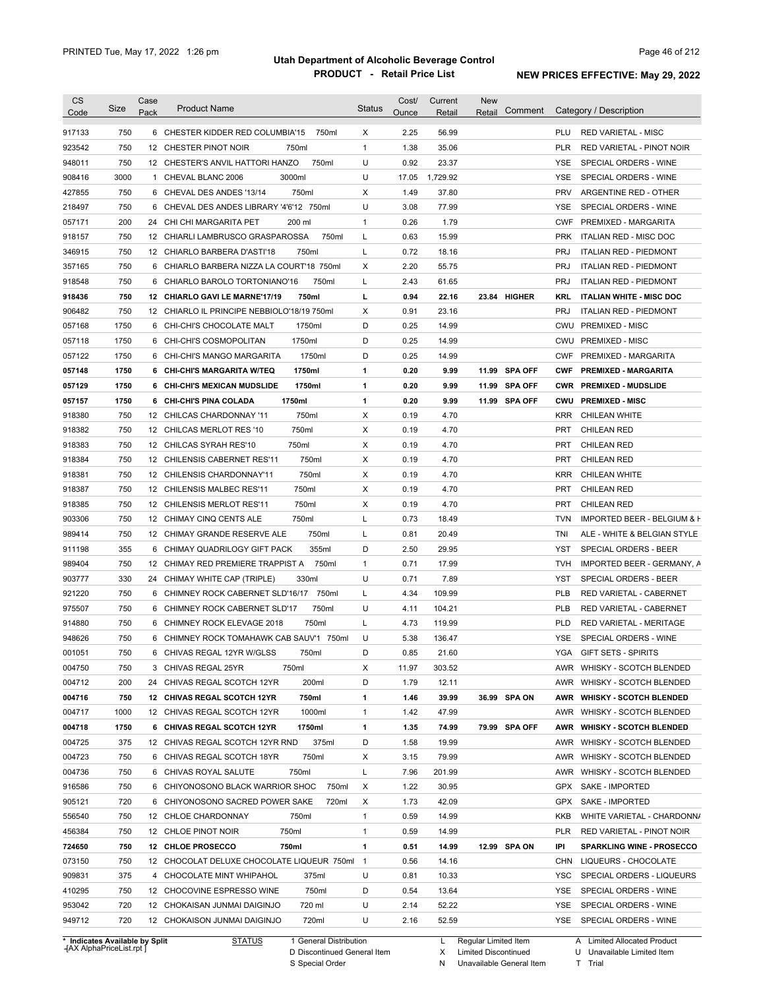| <b>CS</b><br>Code | Size        | Case<br>Pack | <b>Product Name</b>                                                             | <b>Status</b>  | Cost/<br>Ounce | Current<br>Retail | <b>New</b><br>Retail | Comment       |            | Category / Description                         |
|-------------------|-------------|--------------|---------------------------------------------------------------------------------|----------------|----------------|-------------------|----------------------|---------------|------------|------------------------------------------------|
| 917133            | 750         |              | 6 CHESTER KIDDER RED COLUMBIA'15<br>750ml                                       | X              | 2.25           | 56.99             |                      |               | PLU        | <b>RED VARIETAL - MISC</b>                     |
| 923542            | 750         |              | 12 CHESTER PINOT NOIR<br>750ml                                                  | $\mathbf{1}$   | 1.38           | 35.06             |                      |               | <b>PLR</b> | RED VARIETAL - PINOT NOIR                      |
| 948011            | 750         |              | 750ml<br>12 CHESTER'S ANVIL HATTORI HANZO                                       | U              | 0.92           | 23.37             |                      |               | YSE        | SPECIAL ORDERS - WINE                          |
| 908416            | 3000        |              | 1 CHEVAL BLANC 2006<br>3000ml                                                   | U              | 17.05          | 1,729.92          |                      |               | YSE        | SPECIAL ORDERS - WINE                          |
| 427855            | 750         |              | 750ml<br>6 CHEVAL DES ANDES '13/14                                              | Χ              | 1.49           | 37.80             |                      |               | <b>PRV</b> | ARGENTINE RED - OTHER                          |
| 218497            | 750         |              | 6 CHEVAL DES ANDES LIBRARY '4'6'12 750ml                                        | U              | 3.08           | 77.99             |                      |               | <b>YSE</b> | SPECIAL ORDERS - WINE                          |
| 057171            | 200         |              | 24 CHI CHI MARGARITA PET<br>200 ml                                              | $\mathbf{1}$   | 0.26           | 1.79              |                      |               | <b>CWF</b> | PREMIXED - MARGARITA                           |
| 918157            | 750         |              | 750ml<br>12 CHIARLI LAMBRUSCO GRASPAROSSA                                       | L              | 0.63           | 15.99             |                      |               | <b>PRK</b> | ITALIAN RED - MISC DOC                         |
| 346915            | 750         |              | 750ml<br>12 CHIARLO BARBERA D'ASTI'18                                           | L              | 0.72           | 18.16             |                      |               | <b>PRJ</b> | <b>ITALIAN RED - PIEDMONT</b>                  |
| 357165            | 750         |              | 6 CHIARLO BARBERA NIZZA LA COURT'18 750ml                                       | X              | 2.20           | 55.75             |                      |               | <b>PRJ</b> | <b>ITALIAN RED - PIEDMONT</b>                  |
| 918548            | 750         |              | 6 CHIARLO BAROLO TORTONIANO'16<br>750ml                                         | L              | 2.43           | 61.65             |                      |               | <b>PRJ</b> | <b>ITALIAN RED - PIEDMONT</b>                  |
| 918436            | 750         |              | 12 CHIARLO GAVI LE MARNE'17/19<br>750ml                                         | L              | 0.94           | 22.16             |                      | 23.84 HIGHER  | KRL        | <b>ITALIAN WHITE - MISC DOC</b>                |
| 906482            | 750         |              | 12 CHIARLO IL PRINCIPE NEBBIOLO'18/19 750ml                                     | X              | 0.91           | 23.16             |                      |               | <b>PRJ</b> | <b>ITALIAN RED - PIEDMONT</b>                  |
| 057168            | 1750        |              | 6 CHI-CHI'S CHOCOLATE MALT<br>1750ml                                            | D              | 0.25           | 14.99             |                      |               | <b>CWU</b> | <b>PREMIXED - MISC</b>                         |
| 057118            | 1750        | 6            | CHI-CHI'S COSMOPOLITAN<br>1750ml                                                | D              | 0.25           | 14.99             |                      |               | <b>CWU</b> | <b>PREMIXED - MISC</b>                         |
| 057122            | 1750        | 6            | 1750ml<br>CHI-CHI'S MANGO MARGARITA                                             | D              | 0.25           | 14.99             |                      |               | <b>CWF</b> | PREMIXED - MARGARITA                           |
| 057148            | 1750        |              | 1750ml<br>6 CHI-CHI'S MARGARITA W/TEQ                                           | 1              | 0.20           | 9.99              |                      | 11.99 SPA OFF | <b>CWF</b> | <b>PREMIXED - MARGARITA</b>                    |
| 057129            | 1750        |              | 1750ml<br>6 CHI-CHI'S MEXICAN MUDSLIDE                                          | 1              | 0.20           | 9.99              |                      | 11.99 SPA OFF | <b>CWR</b> | <b>PREMIXED - MUDSLIDE</b>                     |
| 057157            | 1750        |              | 6 CHI-CHI'S PINA COLADA<br>1750ml                                               | 1              | 0.20           | 9.99              |                      | 11.99 SPA OFF | <b>CWU</b> | <b>PREMIXED - MISC</b>                         |
| 918380            | 750         |              | 750ml<br>12 CHILCAS CHARDONNAY '11                                              | Х              | 0.19           | 4.70              |                      |               | KRR        | CHILEAN WHITE                                  |
| 918382            | 750         |              | 750ml<br>12 CHILCAS MERLOT RES '10                                              | X              | 0.19           | 4.70              |                      |               | <b>PRT</b> | <b>CHILEAN RED</b>                             |
| 918383            | 750         |              | 12 CHILCAS SYRAH RES'10<br>750ml                                                | Χ              | 0.19           | 4.70              |                      |               | PRT        | <b>CHILEAN RED</b>                             |
| 918384            | 750         |              | 750ml<br>12 CHILENSIS CABERNET RES'11                                           | Х              | 0.19           | 4.70              |                      |               | PRT        | <b>CHILEAN RED</b>                             |
| 918381            | 750         |              | 750ml<br>12 CHILENSIS CHARDONNAY'11                                             | Х              | 0.19           | 4.70              |                      |               | <b>KRR</b> | CHILEAN WHITE                                  |
| 918387            | 750         |              | 750ml<br>12 CHILENSIS MALBEC RES'11                                             | Х              | 0.19           | 4.70              |                      |               | PRT        | <b>CHILEAN RED</b>                             |
| 918385            | 750         |              | 750ml<br>12 CHILENSIS MERLOT RES'11                                             | Χ              | 0.19           | 4.70              |                      |               | PRT        | <b>CHILEAN RED</b>                             |
| 903306            | 750         |              | 12 CHIMAY CINQ CENTS ALE<br>750ml                                               | L              | 0.73           | 18.49             |                      |               | <b>TVN</b> | IMPORTED BEER - BELGIUM & H                    |
| 989414            | 750         |              | 12 CHIMAY GRANDE RESERVE ALE<br>750ml                                           | L              | 0.81           | 20.49             |                      |               | TNI        | ALE - WHITE & BELGIAN STYLE                    |
| 911198            | 355         | 6            | CHIMAY QUADRILOGY GIFT PACK<br>355ml                                            | D              | 2.50           | 29.95             |                      |               | <b>YST</b> | SPECIAL ORDERS - BEER                          |
| 989404            | 750         |              | 12 CHIMAY RED PREMIERE TRAPPIST A<br>750ml                                      | $\mathbf{1}$   | 0.71           | 17.99             |                      |               | <b>TVH</b> | IMPORTED BEER - GERMANY, A                     |
| 903777            | 330         |              | 330ml<br>24 CHIMAY WHITE CAP (TRIPLE)                                           | U              | 0.71           | 7.89              |                      |               | YST        | SPECIAL ORDERS - BEER                          |
| 921220            | 750         |              | 6 CHIMNEY ROCK CABERNET SLD'16/17<br>750ml                                      | L              | 4.34           | 109.99            |                      |               | <b>PLB</b> | RED VARIETAL - CABERNET                        |
| 975507            | 750         |              | 750ml<br>6 CHIMNEY ROCK CABERNET SLD'17                                         | U              | 4.11           | 104.21            |                      |               | <b>PLB</b> | RED VARIETAL - CABERNET                        |
| 914880            | 750         |              | 750ml<br>6 CHIMNEY ROCK ELEVAGE 2018                                            | Г              | 4.73           | 119.99            |                      |               | <b>PLD</b> | RED VARIETAL - MERITAGE                        |
| 948626            | 750         |              | 6 CHIMNEY ROCK TOMAHAWK CAB SAUV'1 750ml                                        | U              | 5.38           | 136.47            |                      |               | <b>YSE</b> | SPECIAL ORDERS - WINE                          |
| 001051            | 750         |              | 6 CHIVAS REGAL 12YR W/GLSS<br>750ml                                             | D              | 0.85           | 21.60             |                      |               |            | YGA GIFT SETS - SPIRITS                        |
| 004750            | 750         |              | 750ml<br>3 CHIVAS REGAL 25YR                                                    | Х              | 11.97          | 303.52            |                      |               | AWR        | WHISKY - SCOTCH BLENDED                        |
| 004712            | 200         |              | 24 CHIVAS REGAL SCOTCH 12YR<br>200ml                                            | D              | 1.79           | 12.11             |                      |               | AWR        | WHISKY - SCOTCH BLENDED                        |
| 004716            | 750         |              | 750ml<br>12 CHIVAS REGAL SCOTCH 12YR                                            | 1              | 1.46           | 39.99             |                      | 36.99 SPA ON  | AWR        | <b>WHISKY - SCOTCH BLENDED</b>                 |
| 004717            | 1000        |              | 1000ml<br>12 CHIVAS REGAL SCOTCH 12YR                                           | $\mathbf{1}$   | 1.42           | 47.99             |                      |               | AWR        | WHISKY - SCOTCH BLENDED                        |
|                   |             |              | 1750ml                                                                          | 1              | 1.35           |                   |                      | 79.99 SPA OFF | AWR        | <b>WHISKY - SCOTCH BLENDED</b>                 |
| 004718<br>004725  | 1750<br>375 |              | 6 CHIVAS REGAL SCOTCH 12YR<br>375ml<br>12 CHIVAS REGAL SCOTCH 12YR RND          | D              | 1.58           | 74.99<br>19.99    |                      |               | AWR        | WHISKY - SCOTCH BLENDED                        |
|                   |             |              |                                                                                 |                |                |                   |                      |               |            |                                                |
| 004723            | 750         |              | 750ml<br>6 CHIVAS REGAL SCOTCH 18YR                                             | Х              | 3.15           | 79.99             |                      |               | AWR        | WHISKY - SCOTCH BLENDED                        |
| 004736            | 750         |              | 6 CHIVAS ROYAL SALUTE<br>750ml<br>750ml<br>6 CHIYONOSONO BLACK WARRIOR SHOC     | L              | 7.96           | 201.99            |                      |               | AWR        | WHISKY - SCOTCH BLENDED                        |
| 916586            | 750         |              |                                                                                 | Х              | 1.22           | 30.95             |                      |               | GPX        | SAKE - IMPORTED                                |
| 905121            | 720         |              | 6 CHIYONOSONO SACRED POWER SAKE<br>720ml                                        | Х              | 1.73           | 42.09             |                      |               | GPX        | SAKE - IMPORTED                                |
| 556540            | 750         |              | 12 CHLOE CHARDONNAY<br>750ml                                                    | $\mathbf{1}$   | 0.59           | 14.99             |                      |               | KKB        | WHITE VARIETAL - CHARDONN/                     |
| 456384            | 750         |              | 750ml<br>12 CHLOE PINOT NOIR                                                    | $\mathbf{1}$   | 0.59           | 14.99             |                      |               | PLR        | RED VARIETAL - PINOT NOIR                      |
|                   | 750         |              | 12 CHLOE PROSECCO<br>750ml                                                      | 1              | 0.51           | 14.99             |                      | 12.99 SPA ON  | IPI        | <b>SPARKLING WINE - PROSECCO</b>               |
| 724650            |             |              | 12 CHOCOLAT DELUXE CHOCOLATE LIQUEUR 750ml                                      | $\overline{1}$ | 0.56           | 14.16             |                      |               | CHN        | LIQUEURS - CHOCOLATE                           |
| 073150            | 750         |              |                                                                                 |                |                |                   |                      |               |            |                                                |
| 909831            | 375         |              | 4 CHOCOLATE MINT WHIPAHOL<br>375ml                                              | U              | 0.81           | 10.33             |                      |               | YSC        | SPECIAL ORDERS - LIQUEURS                      |
| 410295            | 750         |              | 750ml<br>12 CHOCOVINE ESPRESSO WINE                                             | D              | 0.54           | 13.64             |                      |               | YSE        | SPECIAL ORDERS - WINE                          |
| 953042<br>949712  | 720<br>720  |              | 720 ml<br>12 CHOKAISAN JUNMAI DAIGINJO<br>720ml<br>12 CHOKAISON JUNMAI DAIGINJO | U<br>U         | 2.14<br>2.16   | 52.22<br>52.59    |                      |               | YSE<br>YSE | SPECIAL ORDERS - WINE<br>SPECIAL ORDERS - WINE |

**Case** [AX AlphaPriceList.rpt ]

D Discontinued General Item S Special Order

X Limited Discontinued

N Unavailable General Item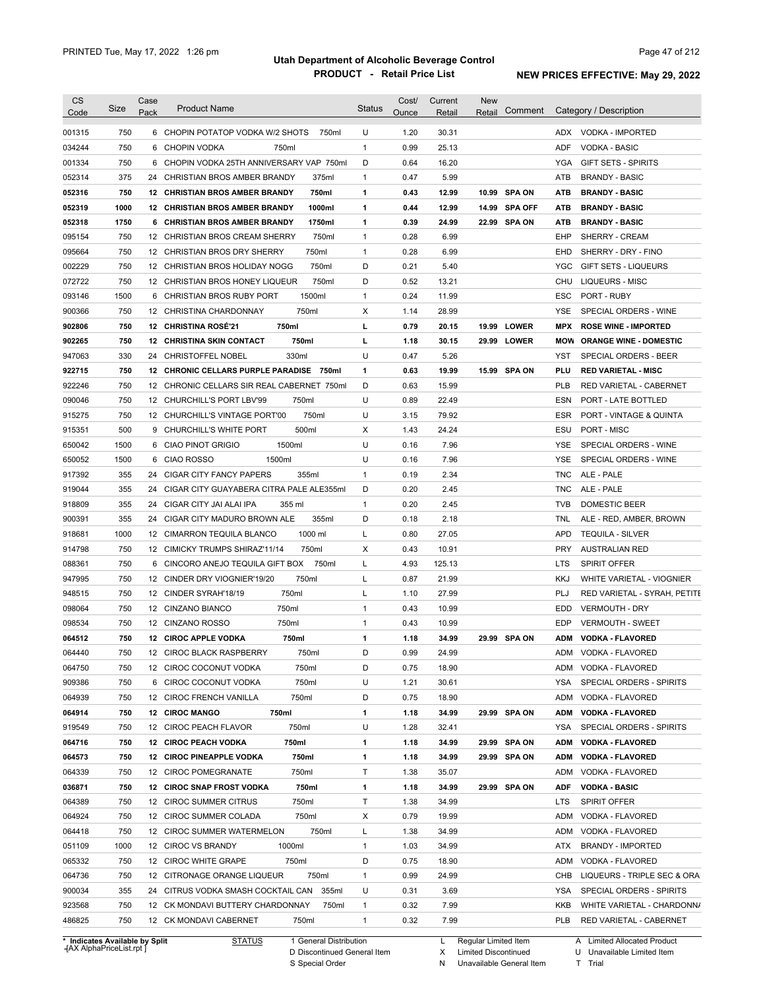| <b>CS</b><br>Code              | Size       | Case<br>Pack    | <b>Product Name</b>                                                              | <b>Status</b>                | Cost/<br>Ounce | Current<br>Retail | New<br>Retail        | Comment       |            | Category / Description                |
|--------------------------------|------------|-----------------|----------------------------------------------------------------------------------|------------------------------|----------------|-------------------|----------------------|---------------|------------|---------------------------------------|
|                                |            |                 |                                                                                  |                              |                |                   |                      |               |            |                                       |
| 001315                         | 750        |                 | 6 CHOPIN POTATOP VODKA W/2 SHOTS<br>750ml                                        | U                            | 1.20           | 30.31             |                      |               |            | ADX VODKA - IMPORTED                  |
| 034244                         | 750        | 6               | CHOPIN VODKA<br>750ml                                                            | $\mathbf{1}$                 | 0.99           | 25.13             |                      |               | <b>ADF</b> | <b>VODKA - BASIC</b>                  |
| 001334                         | 750        |                 | 6 CHOPIN VODKA 25TH ANNIVERSARY VAP 750ml                                        | D                            | 0.64           | 16.20             |                      |               | YGA        | <b>GIFT SETS - SPIRITS</b>            |
| 052314                         | 375        |                 | 24 CHRISTIAN BROS AMBER BRANDY<br>375ml                                          | $\mathbf{1}$                 | 0.47           | 5.99              |                      |               | ATB        | <b>BRANDY - BASIC</b>                 |
| 052316                         | 750        |                 | 750ml<br>12 CHRISTIAN BROS AMBER BRANDY                                          | 1                            | 0.43           | 12.99             |                      | 10.99 SPA ON  | ATB        | <b>BRANDY BASIC</b>                   |
| 052319                         | 1000       |                 | 1000ml<br>12 CHRISTIAN BROS AMBER BRANDY                                         | 1                            | 0.44           | 12.99             |                      | 14.99 SPA OFF | <b>ATB</b> | <b>BRANDY - BASIC</b>                 |
| 052318                         | 1750       |                 | 1750ml<br>6 CHRISTIAN BROS AMBER BRANDY                                          | 1                            | 0.39           | 24.99             |                      | 22.99 SPA ON  | ATB        | <b>BRANDY BASIC</b>                   |
| 095154                         | 750<br>750 |                 | 12 CHRISTIAN BROS CREAM SHERRY<br>750ml<br>750ml<br>12 CHRISTIAN BROS DRY SHERRY | $\mathbf{1}$<br>$\mathbf{1}$ | 0.28<br>0.28   | 6.99<br>6.99      |                      |               | EHP<br>EHD | SHERRY - CREAM<br>SHERRY - DRY - FINO |
| 095664<br>002229               | 750        |                 | 750ml<br>12 CHRISTIAN BROS HOLIDAY NOGG                                          | D                            | 0.21           | 5.40              |                      |               | <b>YGC</b> | <b>GIFT SETS - LIQUEURS</b>           |
| 072722                         | 750        |                 | 12 CHRISTIAN BROS HONEY LIQUEUR<br>750ml                                         | D                            | 0.52           | 13.21             |                      |               | CHU        | LIQUEURS - MISC                       |
| 093146                         | 1500       |                 | 1500ml<br>6 CHRISTIAN BROS RUBY PORT                                             | 1                            | 0.24           | 11.99             |                      |               | ESC        | PORT - RUBY                           |
| 900366                         | 750        |                 | 750ml<br>12 CHRISTINA CHARDONNAY                                                 | х                            | 1.14           | 28.99             |                      |               | YSE        | SPECIAL ORDERS - WINE                 |
| 902806                         | 750        |                 | 12 CHRISTINA ROSE'21<br>750ml                                                    | г                            | 0.79           | 20.15             |                      | 19.99 LOWER   | <b>MPX</b> | <b>ROSE WINE - IMPORTED</b>           |
| 902265                         | 750        |                 | <b>12 CHRISTINA SKIN CONTACT</b><br>750ml                                        | L                            | 1.18           | 30.15             |                      | 29.99 LOWER   | MOW        | <b>ORANGE WINE - DOMESTIC</b>         |
| 947063                         | 330        |                 | 330ml<br>24 CHRISTOFFEL NOBEL                                                    | U                            | 0.47           | 5.26              |                      |               | YST        | <b>SPECIAL ORDERS - BEER</b>          |
| 922715                         | 750        |                 | 12 CHRONIC CELLARS PURPLE PARADISE<br>750ml                                      | 1                            | 0.63           | 19.99             |                      | 15.99 SPA ON  | PLU        | <b>RED VARIETAL - MISC</b>            |
| 922246                         | 750        |                 | 12 CHRONIC CELLARS SIR REAL CABERNET 750ml                                       | D                            | 0.63           | 15.99             |                      |               | <b>PLB</b> | RED VARIETAL - CABERNET               |
| 090046                         | 750        |                 | 12 CHURCHILL'S PORT LBV'99<br>750ml                                              | U                            | 0.89           | 22.49             |                      |               | ESN        | PORT - LATE BOTTLED                   |
| 915275                         | 750        |                 | 750ml<br>12 CHURCHILL'S VINTAGE PORT'00                                          | U                            | 3.15           | 79.92             |                      |               | ESR        | PORT - VINTAGE & QUINTA               |
| 915351                         | 500        |                 | 500ml<br>9 CHURCHILL'S WHITE PORT                                                | Х                            | 1.43           | 24.24             |                      |               | ESU        | PORT - MISC                           |
| 650042                         | 1500       | 6               | 1500ml<br><b>CIAO PINOT GRIGIO</b>                                               | U                            | 0.16           | 7.96              |                      |               | YSE        | SPECIAL ORDERS - WINE                 |
| 650052                         | 1500       | 6               | 1500ml<br>CIAO ROSSO                                                             | U                            | 0.16           | 7.96              |                      |               | YSE        | SPECIAL ORDERS - WINE                 |
| 917392                         | 355        | 24              | 355ml<br>CIGAR CITY FANCY PAPERS                                                 | $\mathbf{1}$                 | 0.19           | 2.34              |                      |               | <b>TNC</b> | ALE - PALE                            |
| 919044                         | 355        | 24              | CIGAR CITY GUAYABERA CITRA PALE ALE355ml                                         | D                            | 0.20           | 2.45              |                      |               | <b>TNC</b> | ALE - PALE                            |
| 918809                         | 355        | 24              | CIGAR CITY JAI ALAI IPA<br>355 ml                                                | 1                            | 0.20           | 2.45              |                      |               | <b>TVB</b> | <b>DOMESTIC BEER</b>                  |
| 900391                         | 355        | 24              | CIGAR CITY MADURO BROWN ALE<br>355ml                                             | D                            | 0.18           | 2.18              |                      |               | TNL        | ALE - RED, AMBER, BROWN               |
| 918681                         | 1000       | 12 <sup>2</sup> | 1000 ml<br>CIMARRON TEQUILA BLANCO                                               | L                            | 0.80           | 27.05             |                      |               | <b>APD</b> | <b>TEQUILA - SILVER</b>               |
| 914798                         | 750        |                 | 12 CIMICKY TRUMPS SHIRAZ'11/14<br>750ml                                          | X                            | 0.43           | 10.91             |                      |               | <b>PRY</b> | <b>AUSTRALIAN RED</b>                 |
| 088361                         | 750        | 6               | CINCORO ANEJO TEQUILA GIFT BOX<br>750ml                                          | L                            | 4.93           | 125.13            |                      |               | LTS        | <b>SPIRIT OFFER</b>                   |
| 947995                         | 750        |                 | 750ml<br>12 CINDER DRY VIOGNIER'19/20                                            | Г                            | 0.87           | 21.99             |                      |               | <b>KKJ</b> | WHITE VARIETAL - VIOGNIER             |
| 948515                         | 750        |                 | 750ml<br>12 CINDER SYRAH'18/19                                                   | Г                            | 1.10           | 27.99             |                      |               | PLJ        | RED VARIETAL - SYRAH, PETITE          |
| 098064                         | 750        |                 | 750ml<br>12 CINZANO BIANCO                                                       | $\mathbf{1}$                 | 0.43           | 10.99             |                      |               | EDD        | <b>VERMOUTH - DRY</b>                 |
| 098534                         | 750        |                 | 750ml<br>12 CINZANO ROSSO                                                        | 1                            | 0.43           | 10.99             |                      |               | EDP        | <b>VERMOUTH - SWEET</b>               |
| 064512                         | 750        |                 | 12 CIROC APPLE VODKA<br>750ml                                                    | 1                            | 1.18           | 34.99             |                      | 29.99 SPA ON  | ADM        | <b>VODKA - FLAVORED</b>               |
| 064440                         | 750        |                 | 12 CIROC BLACK RASPBERRY<br>750ml                                                | D                            | 0.99           | 24.99             |                      |               |            | ADM VODKA - FLAVORED                  |
| 064750                         | 750        |                 | 12 CIROC COCONUT VODKA<br>750ml                                                  | D                            | 0.75           | 18.90             |                      |               |            | ADM VODKA - FLAVORED                  |
| 909386                         | 750        |                 | 750ml<br>6 CIROC COCONUT VODKA                                                   | U                            | 1.21           | 30.61             |                      |               | YSA        | SPECIAL ORDERS - SPIRITS              |
| 064939                         | 750        |                 | 750ml<br>12 CIROC FRENCH VANILLA                                                 | D                            | 0.75           | 18.90             |                      |               | ADM        | VODKA - FLAVORED                      |
| 064914                         | 750        |                 | 750ml<br>12 CIROC MANGO                                                          | 1                            | 1.18           | 34.99             |                      | 29.99 SPA ON  | <b>ADM</b> | <b>VODKA - FLAVORED</b>               |
| 919549                         | 750        |                 | 12 CIROC PEACH FLAVOR<br>750ml                                                   | U                            | 1.28           | 32.41             |                      |               | YSA        | SPECIAL ORDERS - SPIRITS              |
| 064716                         | 750        |                 | 12 CIROC PEACH VODKA<br>750ml                                                    | 1                            | 1.18           | 34.99             |                      | 29.99 SPA ON  | <b>ADM</b> | <b>VODKA - FLAVORED</b>               |
| 064573                         | 750        |                 | 750ml<br>12 CIROC PINEAPPLE VODKA                                                | 1                            | 1.18           | 34.99             |                      | 29.99 SPA ON  | <b>ADM</b> | <b>VODKA - FLAVORED</b>               |
| 064339                         | 750        |                 | 750ml<br>12 CIROC POMEGRANATE                                                    | Τ                            | 1.38           | 35.07             |                      |               | ADM        | VODKA - FLAVORED                      |
| 036871                         | 750        |                 | <b>12 CIROC SNAP FROST VODKA</b><br>750ml                                        | 1                            | 1.18           | 34.99             |                      | 29.99 SPA ON  | <b>ADF</b> | <b>VODKA - BASIC</b>                  |
| 064389                         | 750        |                 | 750ml<br>12 CIROC SUMMER CITRUS                                                  | Τ                            | 1.38           | 34.99             |                      |               | <b>LTS</b> | SPIRIT OFFER                          |
| 064924                         | 750        |                 | 750ml<br>12 CIROC SUMMER COLADA                                                  | х                            | 0.79           | 19.99             |                      |               | ADM        | VODKA - FLAVORED                      |
| 064418                         | 750        |                 | 750ml<br>12 CIROC SUMMER WATERMELON                                              | L                            | 1.38           | 34.99             |                      |               | ADM        | VODKA - FLAVORED                      |
| 051109                         | 1000       |                 | 1000ml<br>12 CIROC VS BRANDY                                                     | 1                            | 1.03           | 34.99             |                      |               | ATX        | <b>BRANDY - IMPORTED</b>              |
| 065332                         | 750        |                 | 750ml<br>12 CIROC WHITE GRAPE                                                    | D                            | 0.75           | 18.90             |                      |               | ADM        | VODKA - FLAVORED                      |
| 064736                         | 750        |                 | 750ml<br>12 CITRONAGE ORANGE LIQUEUR                                             | 1                            | 0.99           | 24.99             |                      |               | CHB        | LIQUEURS - TRIPLE SEC & ORA           |
| 900034                         | 355        |                 | 24 CITRUS VODKA SMASH COCKTAIL CAN<br>355ml                                      | U                            | 0.31           | 3.69              |                      |               | YSA        | SPECIAL ORDERS - SPIRITS              |
| 923568                         | 750        |                 | 12 CK MONDAVI BUTTERY CHARDONNAY<br>750ml                                        | 1                            | 0.32           | 7.99              |                      |               | KKB        | WHITE VARIETAL - CHARDONN/            |
| 486825                         | 750        |                 | 12 CK MONDAVI CABERNET<br>750ml                                                  | 1                            | 0.32           | 7.99              |                      |               | PLB        | RED VARIETAL - CABERNET               |
| * Indicates Available by Split |            |                 | 1 General Distribution<br><b>STATUS</b>                                          |                              |                | L.                | Regular Limited Item |               |            | A Limited Allocated Product           |

**Case** [AX AlphaPriceList.rpt ]

D Discontinued General Item

S Special Order

X Limited Discontinued N Unavailable General Item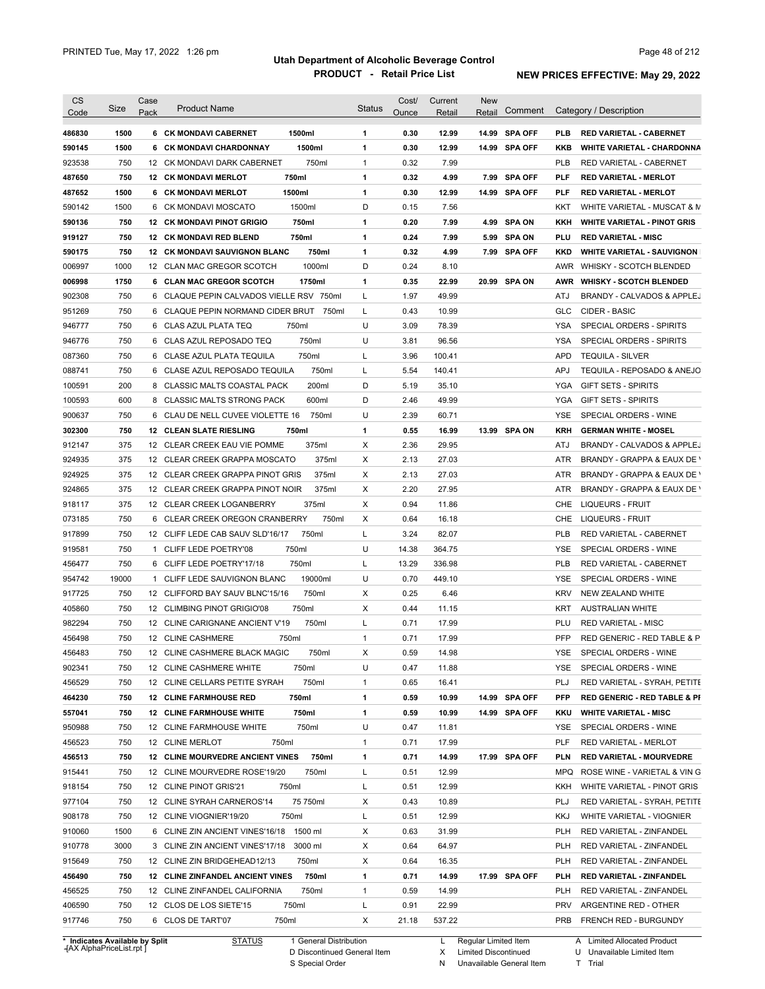| 486830<br>$\mathbf{1}$<br>0.30<br>12.99<br>14.99 SPA OFF<br>1500<br>6 CK MONDAVI CABERNET<br>1500ml<br><b>PLB</b><br><b>RED VARIETAL - CABERNET</b><br>1500<br>1500ml<br>1<br>0.30<br>12.99<br>14.99 SPA OFF<br>590145<br>6 CK MONDAVI CHARDONNAY<br>KKB<br><b>WHITE VARIETAL - CHARDONNA</b><br>750<br>750ml<br>$\mathbf{1}$<br>0.32<br>7.99<br>923538<br>12 CK MONDAVI DARK CABERNET<br><b>PLB</b><br>RED VARIETAL - CABERNET<br>750<br>750ml<br>$\mathbf{1}$<br>0.32<br>4.99<br>7.99 SPA OFF<br><b>PLF</b><br>487650<br><b>12 CK MONDAVI MERLOT</b><br><b>RED VARIETAL - MERLOT</b><br>1500<br>$\mathbf{1}$<br>0.30<br>487652<br>6 CK MONDAVI MERLOT<br>1500ml<br>12.99<br>14.99 SPA OFF<br><b>PLF</b><br><b>RED VARIETAL - MERLOT</b><br>1500<br>1500ml<br>D<br>7.56<br>590142<br>6 CK MONDAVI MOSCATO<br>0.15<br>KKT<br>WHITE VARIETAL - MUSCAT & M<br>750<br>750ml<br>1<br>0.20<br>4.99 SPA ON<br>590136<br><b>12 CK MONDAVI PINOT GRIGIO</b><br>7.99<br>KKH<br><b>WHITE VARIETAL - PINOT GRIS</b><br>750<br>750ml<br>$\mathbf{1}$<br>0.24<br>919127<br><b>12 CK MONDAVI RED BLEND</b><br>7.99<br>5.99 SPA ON<br>PLU<br><b>RED VARIETAL - MISC</b><br>590175<br>750<br><b>12 CK MONDAVI SAUVIGNON BLANC</b><br>750ml<br>1<br>0.32<br>4.99<br>7.99 SPA OFF<br><b>KKD</b><br><b>WHITE VARIETAL - SAUVIGNON</b><br>1000<br>1000ml<br>D<br>0.24<br>006997<br>12 CLAN MAC GREGOR SCOTCH<br>8.10<br>AWR WHISKY - SCOTCH BLENDED<br>$\mathbf{1}$<br>006998<br>1750<br>6 CLAN MAC GREGOR SCOTCH<br>1750ml<br>0.35<br>22.99<br>20.99 SPA ON<br>AWR WHISKY - SCOTCH BLENDED<br>750<br>L<br>1.97<br>49.99<br>902308<br>6 CLAQUE PEPIN CALVADOS VIELLE RSV 750ml<br>ATJ<br>BRANDY - CALVADOS & APPLEJ<br>750<br>L<br>10.99<br>951269<br>6 CLAQUE PEPIN NORMAND CIDER BRUT<br>750ml<br>0.43<br>GLC<br>CIDER - BASIC<br>U<br>750<br>750ml<br>3.09<br>78.39<br>SPECIAL ORDERS - SPIRITS<br>946777<br>6 CLAS AZUL PLATA TEQ<br>YSA<br>750<br>750ml<br>U<br>3.81<br>96.56<br><b>YSA</b><br>946776<br>6 CLAS AZUL REPOSADO TEQ<br>SPECIAL ORDERS - SPIRITS<br>750<br>750ml<br>L<br>3.96<br>100.41<br>087360<br>6 CLASE AZUL PLATA TEQUILA<br><b>APD</b><br><b>TEQUILA - SILVER</b><br>750<br>6 CLASE AZUL REPOSADO TEQUILA<br>750ml<br>5.54<br>140.41<br><b>APJ</b><br>TEQUILA - REPOSADO & ANEJO<br>088741<br>L<br>200<br>200ml<br>D<br>5.19<br>35.10<br>100591<br>8 CLASSIC MALTS COASTAL PACK<br>YGA<br><b>GIFT SETS - SPIRITS</b><br>600<br>600ml<br>D<br>2.46<br>49.99<br>8 CLASSIC MALTS STRONG PACK<br>YGA<br><b>GIFT SETS - SPIRITS</b><br>750<br>U<br>2.39<br>60.71<br>SPECIAL ORDERS - WINE<br>6 CLAU DE NELL CUVEE VIOLETTE 16<br>750ml<br>YSE<br>750<br>0.55<br>16.99<br>13.99 SPA ON<br><b>12 CLEAN SLATE RIESLING</b><br>750ml<br>1<br><b>KRH</b><br><b>GERMAN WHITE - MOSEL</b><br>375<br>375ml<br>Х<br>2.36<br>29.95<br>12 CLEAR CREEK EAU VIE POMME<br>ATJ<br>375<br>Х<br>2.13<br>12 CLEAR CREEK GRAPPA MOSCATO<br>375ml<br>27.03<br>ATR<br>375<br>Х<br>2.13<br>12 CLEAR CREEK GRAPPA PINOT GRIS<br>375ml<br>27.03<br><b>ATR</b><br>375<br>Х<br>2.20<br>12 CLEAR CREEK GRAPPA PINOT NOIR<br>375ml<br>27.95<br>ATR<br>375<br>X<br>0.94<br>11.86<br>12 CLEAR CREEK LOGANBERRY<br>375ml<br>CHE<br>LIQUEURS - FRUIT<br>750<br>750ml<br>Х<br>0.64<br>6 CLEAR CREEK OREGON CRANBERRY<br>16.18<br>CHE<br>LIQUEURS - FRUIT<br>750<br>750ml<br>L<br>3.24<br>82.07<br><b>PLB</b><br>12 CLIFF LEDE CAB SAUV SLD'16/17<br>RED VARIETAL - CABERNET<br>U<br>750<br>750ml<br>14.38<br><b>YSE</b><br>1 CLIFF LEDE POETRY'08<br>364.75<br>SPECIAL ORDERS - WINE<br>750<br>750ml<br>L<br>13.29<br>336.98<br><b>PLB</b><br>6 CLIFF LEDE POETRY'17/18<br>RED VARIETAL - CABERNET<br>19000<br>19000ml<br>U<br>0.70<br>449.10<br>1 CLIFF LEDE SAUVIGNON BLANC<br>YSE<br>SPECIAL ORDERS - WINE<br>750<br>750ml<br>Х<br>0.25<br>6.46<br><b>KRV</b><br>12 CLIFFORD BAY SAUV BLNC'15/16<br>NEW ZEALAND WHITE<br>750<br>750ml<br>Х<br>0.44<br>12 CLIMBING PINOT GRIGIO'08<br>11.15<br>KRT<br><b>AUSTRALIAN WHITE</b><br>750<br>750ml<br>L<br>0.71<br>12 CLINE CARIGNANE ANCIENT V'19<br>17.99<br>PLU<br><b>RED VARIETAL - MISC</b><br>750<br>750ml<br>$\mathbf{1}$<br>0.71<br><b>PFP</b><br>456498<br>12 CLINE CASHMERE<br>17.99<br>RED GENERIC - RED TABLE & P<br>Χ<br>456483<br>750<br>12 CLINE CASHMERE BLACK MAGIC<br>750ml<br>0.59<br>14.98<br>YSE<br>SPECIAL ORDERS - WINE<br>902341<br>750<br>12 CLINE CASHMERE WHITE<br>750ml<br>U<br>SPECIAL ORDERS - WINE<br>0.47<br>11.88<br><b>YSE</b><br>456529<br>750ml<br>750<br>12 CLINE CELLARS PETITE SYRAH<br>$\mathbf{1}$<br>0.65<br>16.41<br>PLJ<br>RED VARIETAL - SYRAH, PETITE<br>464230<br>750<br>12 CLINE FARMHOUSE RED<br>750ml<br>1<br>0.59<br>10.99<br>14.99 SPA OFF<br><b>PFP</b><br><b>RED GENERIC - RED TABLE &amp; PI</b><br>557041<br>750<br><b>12 CLINE FARMHOUSE WHITE</b><br>750ml<br>1<br>0.59<br>10.99<br>14.99 SPA OFF<br><b>WHITE VARIETAL - MISC</b><br>KKU<br>950988<br>750ml<br>U<br>750<br>12 CLINE FARMHOUSE WHITE<br>0.47<br>11.81<br>SPECIAL ORDERS - WINE<br>YSE<br>PLF<br>750<br>12 CLINE MERLOT<br>750ml<br>$\mathbf{1}$<br>0.71<br>17.99<br>RED VARIETAL - MERLOT<br>750<br><b>12 CLINE MOURVEDRE ANCIENT VINES</b><br>750ml<br>1<br>0.71<br>14.99<br>17.99 SPA OFF<br><b>PLN</b><br><b>RED VARIETAL - MOURVEDRE</b><br>750<br>750ml<br>L<br>12.99<br>12 CLINE MOURVEDRE ROSE'19/20<br>0.51<br>MPQ<br>L<br>12.99<br>750<br>12 CLINE PINOT GRIS'21<br>750ml<br>0.51<br>KKH<br>WHITE VARIETAL - PINOT GRIS<br>75 750ml<br>10.89<br>750<br>12 CLINE SYRAH CARNEROS'14<br>Х<br>0.43<br>PLJ<br>750ml<br>L<br>12.99<br>750<br>12 CLINE VIOGNIER'19/20<br>0.51<br>KKJ<br>WHITE VARIETAL - VIOGNIER<br>1500<br>31.99<br>6 CLINE ZIN ANCIENT VINES'16/18 1500 ml<br>Х<br>0.63<br><b>PLH</b><br>RED VARIETAL - ZINFANDEL<br>3000<br>64.97<br>3 CLINE ZIN ANCIENT VINES'17/18<br>3000 ml<br>Х<br>0.64<br><b>PLH</b><br>RED VARIETAL - ZINFANDEL<br>Х<br>750<br>12 CLINE ZIN BRIDGEHEAD12/13<br>750ml<br>0.64<br>16.35<br><b>PLH</b><br>RED VARIETAL - ZINFANDEL<br>750ml<br>14.99<br>17.99 SPA OFF<br>750<br>12 CLINE ZINFANDEL ANCIENT VINES<br>1<br>0.71<br>PLH<br>RED VARIETAL - ZINFANDEL<br>750ml<br>14.99<br>750<br>12 CLINE ZINFANDEL CALIFORNIA<br>$\mathbf{1}$<br>0.59<br><b>PLH</b><br>RED VARIETAL - ZINFANDEL<br>L<br>22.99<br>750<br>12 CLOS DE LOS SIETE'15<br>750ml<br>0.91<br><b>PRV</b><br>ARGENTINE RED - OTHER<br>750<br>6 CLOS DE TART'07<br>750ml<br>X<br>21.18<br>537.22<br><b>PRB</b><br>FRENCH RED - BURGUNDY<br>* Indicates Available by Split<br><b>STATUS</b><br>1 General Distribution<br>Regular Limited Item<br>A Limited Allocated Product<br>L. | <b>CS</b><br>Code | Size | Case<br>Pack | <b>Product Name</b> | <b>Status</b> | Cost/<br>Ounce | Current<br>Retail | <b>New</b><br>Retail | Comment | Category / Description       |
|-----------------------------------------------------------------------------------------------------------------------------------------------------------------------------------------------------------------------------------------------------------------------------------------------------------------------------------------------------------------------------------------------------------------------------------------------------------------------------------------------------------------------------------------------------------------------------------------------------------------------------------------------------------------------------------------------------------------------------------------------------------------------------------------------------------------------------------------------------------------------------------------------------------------------------------------------------------------------------------------------------------------------------------------------------------------------------------------------------------------------------------------------------------------------------------------------------------------------------------------------------------------------------------------------------------------------------------------------------------------------------------------------------------------------------------------------------------------------------------------------------------------------------------------------------------------------------------------------------------------------------------------------------------------------------------------------------------------------------------------------------------------------------------------------------------------------------------------------------------------------------------------------------------------------------------------------------------------------------------------------------------------------------------------------------------------------------------------------------------------------------------------------------------------------------------------------------------------------------------------------------------------------------------------------------------------------------------------------------------------------------------------------------------------------------------------------------------------------------------------------------------------------------------------------------------------------------------------------------------------------------------------------------------------------------------------------------------------------------------------------------------------------------------------------------------------------------------------------------------------------------------------------------------------------------------------------------------------------------------------------------------------------------------------------------------------------------------------------------------------------------------------------------------------------------------------------------------------------------------------------------------------------------------------------------------------------------------------------------------------------------------------------------------------------------------------------------------------------------------------------------------------------------------------------------------------------------------------------------------------------------------------------------------------------------------------------------------------------------------------------------------------------------------------------------------------------------------------------------------------------------------------------------------------------------------------------------------------------------------------------------------------------------------------------------------------------------------------------------------------------------------------------------------------------------------------------------------------------------------------------------------------------------------------------------------------------------------------------------------------------------------------------------------------------------------------------------------------------------------------------------------------------------------------------------------------------------------------------------------------------------------------------------------------------------------------------------------------------------------------------------------------------------------------------------------------------------------------------------------------------------------------------------------------------------------------------------------------------------------------------------------------------------------------------------------------------------------------------------------------------------------------------------------------------------------------------------------------------------------------------------------------------------------------------------------------------------------------------------------------------------------------------------------------------------------------------------------------------------------------------------------------------------------------------------------------------------------------------------------------------------------------------------------------------------------------------------------------------------------------------------------------------------------------------------------------------------------------------------------------------------------------------------------------------------------------------------------------------------------------------------------------------------------------------------------------------------------------------------------------------------------------------------------------------------------------------------------------------------------------------------------------------------------------------------------------------------------------------------------------------------------------------------------------------------------------------------------------------------------------------------------------------------------------------------------------------------------------------------------------------------------|-------------------|------|--------------|---------------------|---------------|----------------|-------------------|----------------------|---------|------------------------------|
|                                                                                                                                                                                                                                                                                                                                                                                                                                                                                                                                                                                                                                                                                                                                                                                                                                                                                                                                                                                                                                                                                                                                                                                                                                                                                                                                                                                                                                                                                                                                                                                                                                                                                                                                                                                                                                                                                                                                                                                                                                                                                                                                                                                                                                                                                                                                                                                                                                                                                                                                                                                                                                                                                                                                                                                                                                                                                                                                                                                                                                                                                                                                                                                                                                                                                                                                                                                                                                                                                                                                                                                                                                                                                                                                                                                                                                                                                                                                                                                                                                                                                                                                                                                                                                                                                                                                                                                                                                                                                                                                                                                                                                                                                                                                                                                                                                                                                                                                                                                                                                                                                                                                                                                                                                                                                                                                                                                                                                                                                                                                                                                                                                                                                                                                                                                                                                                                                                                                                                                                                                                                                                                                                                                                                                                                                                                                                                                                                                                                                                                                                                                                                                   |                   |      |              |                     |               |                |                   |                      |         |                              |
|                                                                                                                                                                                                                                                                                                                                                                                                                                                                                                                                                                                                                                                                                                                                                                                                                                                                                                                                                                                                                                                                                                                                                                                                                                                                                                                                                                                                                                                                                                                                                                                                                                                                                                                                                                                                                                                                                                                                                                                                                                                                                                                                                                                                                                                                                                                                                                                                                                                                                                                                                                                                                                                                                                                                                                                                                                                                                                                                                                                                                                                                                                                                                                                                                                                                                                                                                                                                                                                                                                                                                                                                                                                                                                                                                                                                                                                                                                                                                                                                                                                                                                                                                                                                                                                                                                                                                                                                                                                                                                                                                                                                                                                                                                                                                                                                                                                                                                                                                                                                                                                                                                                                                                                                                                                                                                                                                                                                                                                                                                                                                                                                                                                                                                                                                                                                                                                                                                                                                                                                                                                                                                                                                                                                                                                                                                                                                                                                                                                                                                                                                                                                                                   |                   |      |              |                     |               |                |                   |                      |         |                              |
|                                                                                                                                                                                                                                                                                                                                                                                                                                                                                                                                                                                                                                                                                                                                                                                                                                                                                                                                                                                                                                                                                                                                                                                                                                                                                                                                                                                                                                                                                                                                                                                                                                                                                                                                                                                                                                                                                                                                                                                                                                                                                                                                                                                                                                                                                                                                                                                                                                                                                                                                                                                                                                                                                                                                                                                                                                                                                                                                                                                                                                                                                                                                                                                                                                                                                                                                                                                                                                                                                                                                                                                                                                                                                                                                                                                                                                                                                                                                                                                                                                                                                                                                                                                                                                                                                                                                                                                                                                                                                                                                                                                                                                                                                                                                                                                                                                                                                                                                                                                                                                                                                                                                                                                                                                                                                                                                                                                                                                                                                                                                                                                                                                                                                                                                                                                                                                                                                                                                                                                                                                                                                                                                                                                                                                                                                                                                                                                                                                                                                                                                                                                                                                   |                   |      |              |                     |               |                |                   |                      |         |                              |
|                                                                                                                                                                                                                                                                                                                                                                                                                                                                                                                                                                                                                                                                                                                                                                                                                                                                                                                                                                                                                                                                                                                                                                                                                                                                                                                                                                                                                                                                                                                                                                                                                                                                                                                                                                                                                                                                                                                                                                                                                                                                                                                                                                                                                                                                                                                                                                                                                                                                                                                                                                                                                                                                                                                                                                                                                                                                                                                                                                                                                                                                                                                                                                                                                                                                                                                                                                                                                                                                                                                                                                                                                                                                                                                                                                                                                                                                                                                                                                                                                                                                                                                                                                                                                                                                                                                                                                                                                                                                                                                                                                                                                                                                                                                                                                                                                                                                                                                                                                                                                                                                                                                                                                                                                                                                                                                                                                                                                                                                                                                                                                                                                                                                                                                                                                                                                                                                                                                                                                                                                                                                                                                                                                                                                                                                                                                                                                                                                                                                                                                                                                                                                                   |                   |      |              |                     |               |                |                   |                      |         |                              |
|                                                                                                                                                                                                                                                                                                                                                                                                                                                                                                                                                                                                                                                                                                                                                                                                                                                                                                                                                                                                                                                                                                                                                                                                                                                                                                                                                                                                                                                                                                                                                                                                                                                                                                                                                                                                                                                                                                                                                                                                                                                                                                                                                                                                                                                                                                                                                                                                                                                                                                                                                                                                                                                                                                                                                                                                                                                                                                                                                                                                                                                                                                                                                                                                                                                                                                                                                                                                                                                                                                                                                                                                                                                                                                                                                                                                                                                                                                                                                                                                                                                                                                                                                                                                                                                                                                                                                                                                                                                                                                                                                                                                                                                                                                                                                                                                                                                                                                                                                                                                                                                                                                                                                                                                                                                                                                                                                                                                                                                                                                                                                                                                                                                                                                                                                                                                                                                                                                                                                                                                                                                                                                                                                                                                                                                                                                                                                                                                                                                                                                                                                                                                                                   |                   |      |              |                     |               |                |                   |                      |         |                              |
|                                                                                                                                                                                                                                                                                                                                                                                                                                                                                                                                                                                                                                                                                                                                                                                                                                                                                                                                                                                                                                                                                                                                                                                                                                                                                                                                                                                                                                                                                                                                                                                                                                                                                                                                                                                                                                                                                                                                                                                                                                                                                                                                                                                                                                                                                                                                                                                                                                                                                                                                                                                                                                                                                                                                                                                                                                                                                                                                                                                                                                                                                                                                                                                                                                                                                                                                                                                                                                                                                                                                                                                                                                                                                                                                                                                                                                                                                                                                                                                                                                                                                                                                                                                                                                                                                                                                                                                                                                                                                                                                                                                                                                                                                                                                                                                                                                                                                                                                                                                                                                                                                                                                                                                                                                                                                                                                                                                                                                                                                                                                                                                                                                                                                                                                                                                                                                                                                                                                                                                                                                                                                                                                                                                                                                                                                                                                                                                                                                                                                                                                                                                                                                   |                   |      |              |                     |               |                |                   |                      |         |                              |
|                                                                                                                                                                                                                                                                                                                                                                                                                                                                                                                                                                                                                                                                                                                                                                                                                                                                                                                                                                                                                                                                                                                                                                                                                                                                                                                                                                                                                                                                                                                                                                                                                                                                                                                                                                                                                                                                                                                                                                                                                                                                                                                                                                                                                                                                                                                                                                                                                                                                                                                                                                                                                                                                                                                                                                                                                                                                                                                                                                                                                                                                                                                                                                                                                                                                                                                                                                                                                                                                                                                                                                                                                                                                                                                                                                                                                                                                                                                                                                                                                                                                                                                                                                                                                                                                                                                                                                                                                                                                                                                                                                                                                                                                                                                                                                                                                                                                                                                                                                                                                                                                                                                                                                                                                                                                                                                                                                                                                                                                                                                                                                                                                                                                                                                                                                                                                                                                                                                                                                                                                                                                                                                                                                                                                                                                                                                                                                                                                                                                                                                                                                                                                                   |                   |      |              |                     |               |                |                   |                      |         |                              |
|                                                                                                                                                                                                                                                                                                                                                                                                                                                                                                                                                                                                                                                                                                                                                                                                                                                                                                                                                                                                                                                                                                                                                                                                                                                                                                                                                                                                                                                                                                                                                                                                                                                                                                                                                                                                                                                                                                                                                                                                                                                                                                                                                                                                                                                                                                                                                                                                                                                                                                                                                                                                                                                                                                                                                                                                                                                                                                                                                                                                                                                                                                                                                                                                                                                                                                                                                                                                                                                                                                                                                                                                                                                                                                                                                                                                                                                                                                                                                                                                                                                                                                                                                                                                                                                                                                                                                                                                                                                                                                                                                                                                                                                                                                                                                                                                                                                                                                                                                                                                                                                                                                                                                                                                                                                                                                                                                                                                                                                                                                                                                                                                                                                                                                                                                                                                                                                                                                                                                                                                                                                                                                                                                                                                                                                                                                                                                                                                                                                                                                                                                                                                                                   |                   |      |              |                     |               |                |                   |                      |         |                              |
|                                                                                                                                                                                                                                                                                                                                                                                                                                                                                                                                                                                                                                                                                                                                                                                                                                                                                                                                                                                                                                                                                                                                                                                                                                                                                                                                                                                                                                                                                                                                                                                                                                                                                                                                                                                                                                                                                                                                                                                                                                                                                                                                                                                                                                                                                                                                                                                                                                                                                                                                                                                                                                                                                                                                                                                                                                                                                                                                                                                                                                                                                                                                                                                                                                                                                                                                                                                                                                                                                                                                                                                                                                                                                                                                                                                                                                                                                                                                                                                                                                                                                                                                                                                                                                                                                                                                                                                                                                                                                                                                                                                                                                                                                                                                                                                                                                                                                                                                                                                                                                                                                                                                                                                                                                                                                                                                                                                                                                                                                                                                                                                                                                                                                                                                                                                                                                                                                                                                                                                                                                                                                                                                                                                                                                                                                                                                                                                                                                                                                                                                                                                                                                   |                   |      |              |                     |               |                |                   |                      |         |                              |
|                                                                                                                                                                                                                                                                                                                                                                                                                                                                                                                                                                                                                                                                                                                                                                                                                                                                                                                                                                                                                                                                                                                                                                                                                                                                                                                                                                                                                                                                                                                                                                                                                                                                                                                                                                                                                                                                                                                                                                                                                                                                                                                                                                                                                                                                                                                                                                                                                                                                                                                                                                                                                                                                                                                                                                                                                                                                                                                                                                                                                                                                                                                                                                                                                                                                                                                                                                                                                                                                                                                                                                                                                                                                                                                                                                                                                                                                                                                                                                                                                                                                                                                                                                                                                                                                                                                                                                                                                                                                                                                                                                                                                                                                                                                                                                                                                                                                                                                                                                                                                                                                                                                                                                                                                                                                                                                                                                                                                                                                                                                                                                                                                                                                                                                                                                                                                                                                                                                                                                                                                                                                                                                                                                                                                                                                                                                                                                                                                                                                                                                                                                                                                                   |                   |      |              |                     |               |                |                   |                      |         |                              |
|                                                                                                                                                                                                                                                                                                                                                                                                                                                                                                                                                                                                                                                                                                                                                                                                                                                                                                                                                                                                                                                                                                                                                                                                                                                                                                                                                                                                                                                                                                                                                                                                                                                                                                                                                                                                                                                                                                                                                                                                                                                                                                                                                                                                                                                                                                                                                                                                                                                                                                                                                                                                                                                                                                                                                                                                                                                                                                                                                                                                                                                                                                                                                                                                                                                                                                                                                                                                                                                                                                                                                                                                                                                                                                                                                                                                                                                                                                                                                                                                                                                                                                                                                                                                                                                                                                                                                                                                                                                                                                                                                                                                                                                                                                                                                                                                                                                                                                                                                                                                                                                                                                                                                                                                                                                                                                                                                                                                                                                                                                                                                                                                                                                                                                                                                                                                                                                                                                                                                                                                                                                                                                                                                                                                                                                                                                                                                                                                                                                                                                                                                                                                                                   |                   |      |              |                     |               |                |                   |                      |         |                              |
|                                                                                                                                                                                                                                                                                                                                                                                                                                                                                                                                                                                                                                                                                                                                                                                                                                                                                                                                                                                                                                                                                                                                                                                                                                                                                                                                                                                                                                                                                                                                                                                                                                                                                                                                                                                                                                                                                                                                                                                                                                                                                                                                                                                                                                                                                                                                                                                                                                                                                                                                                                                                                                                                                                                                                                                                                                                                                                                                                                                                                                                                                                                                                                                                                                                                                                                                                                                                                                                                                                                                                                                                                                                                                                                                                                                                                                                                                                                                                                                                                                                                                                                                                                                                                                                                                                                                                                                                                                                                                                                                                                                                                                                                                                                                                                                                                                                                                                                                                                                                                                                                                                                                                                                                                                                                                                                                                                                                                                                                                                                                                                                                                                                                                                                                                                                                                                                                                                                                                                                                                                                                                                                                                                                                                                                                                                                                                                                                                                                                                                                                                                                                                                   |                   |      |              |                     |               |                |                   |                      |         |                              |
|                                                                                                                                                                                                                                                                                                                                                                                                                                                                                                                                                                                                                                                                                                                                                                                                                                                                                                                                                                                                                                                                                                                                                                                                                                                                                                                                                                                                                                                                                                                                                                                                                                                                                                                                                                                                                                                                                                                                                                                                                                                                                                                                                                                                                                                                                                                                                                                                                                                                                                                                                                                                                                                                                                                                                                                                                                                                                                                                                                                                                                                                                                                                                                                                                                                                                                                                                                                                                                                                                                                                                                                                                                                                                                                                                                                                                                                                                                                                                                                                                                                                                                                                                                                                                                                                                                                                                                                                                                                                                                                                                                                                                                                                                                                                                                                                                                                                                                                                                                                                                                                                                                                                                                                                                                                                                                                                                                                                                                                                                                                                                                                                                                                                                                                                                                                                                                                                                                                                                                                                                                                                                                                                                                                                                                                                                                                                                                                                                                                                                                                                                                                                                                   |                   |      |              |                     |               |                |                   |                      |         |                              |
|                                                                                                                                                                                                                                                                                                                                                                                                                                                                                                                                                                                                                                                                                                                                                                                                                                                                                                                                                                                                                                                                                                                                                                                                                                                                                                                                                                                                                                                                                                                                                                                                                                                                                                                                                                                                                                                                                                                                                                                                                                                                                                                                                                                                                                                                                                                                                                                                                                                                                                                                                                                                                                                                                                                                                                                                                                                                                                                                                                                                                                                                                                                                                                                                                                                                                                                                                                                                                                                                                                                                                                                                                                                                                                                                                                                                                                                                                                                                                                                                                                                                                                                                                                                                                                                                                                                                                                                                                                                                                                                                                                                                                                                                                                                                                                                                                                                                                                                                                                                                                                                                                                                                                                                                                                                                                                                                                                                                                                                                                                                                                                                                                                                                                                                                                                                                                                                                                                                                                                                                                                                                                                                                                                                                                                                                                                                                                                                                                                                                                                                                                                                                                                   |                   |      |              |                     |               |                |                   |                      |         |                              |
|                                                                                                                                                                                                                                                                                                                                                                                                                                                                                                                                                                                                                                                                                                                                                                                                                                                                                                                                                                                                                                                                                                                                                                                                                                                                                                                                                                                                                                                                                                                                                                                                                                                                                                                                                                                                                                                                                                                                                                                                                                                                                                                                                                                                                                                                                                                                                                                                                                                                                                                                                                                                                                                                                                                                                                                                                                                                                                                                                                                                                                                                                                                                                                                                                                                                                                                                                                                                                                                                                                                                                                                                                                                                                                                                                                                                                                                                                                                                                                                                                                                                                                                                                                                                                                                                                                                                                                                                                                                                                                                                                                                                                                                                                                                                                                                                                                                                                                                                                                                                                                                                                                                                                                                                                                                                                                                                                                                                                                                                                                                                                                                                                                                                                                                                                                                                                                                                                                                                                                                                                                                                                                                                                                                                                                                                                                                                                                                                                                                                                                                                                                                                                                   |                   |      |              |                     |               |                |                   |                      |         |                              |
|                                                                                                                                                                                                                                                                                                                                                                                                                                                                                                                                                                                                                                                                                                                                                                                                                                                                                                                                                                                                                                                                                                                                                                                                                                                                                                                                                                                                                                                                                                                                                                                                                                                                                                                                                                                                                                                                                                                                                                                                                                                                                                                                                                                                                                                                                                                                                                                                                                                                                                                                                                                                                                                                                                                                                                                                                                                                                                                                                                                                                                                                                                                                                                                                                                                                                                                                                                                                                                                                                                                                                                                                                                                                                                                                                                                                                                                                                                                                                                                                                                                                                                                                                                                                                                                                                                                                                                                                                                                                                                                                                                                                                                                                                                                                                                                                                                                                                                                                                                                                                                                                                                                                                                                                                                                                                                                                                                                                                                                                                                                                                                                                                                                                                                                                                                                                                                                                                                                                                                                                                                                                                                                                                                                                                                                                                                                                                                                                                                                                                                                                                                                                                                   |                   |      |              |                     |               |                |                   |                      |         |                              |
|                                                                                                                                                                                                                                                                                                                                                                                                                                                                                                                                                                                                                                                                                                                                                                                                                                                                                                                                                                                                                                                                                                                                                                                                                                                                                                                                                                                                                                                                                                                                                                                                                                                                                                                                                                                                                                                                                                                                                                                                                                                                                                                                                                                                                                                                                                                                                                                                                                                                                                                                                                                                                                                                                                                                                                                                                                                                                                                                                                                                                                                                                                                                                                                                                                                                                                                                                                                                                                                                                                                                                                                                                                                                                                                                                                                                                                                                                                                                                                                                                                                                                                                                                                                                                                                                                                                                                                                                                                                                                                                                                                                                                                                                                                                                                                                                                                                                                                                                                                                                                                                                                                                                                                                                                                                                                                                                                                                                                                                                                                                                                                                                                                                                                                                                                                                                                                                                                                                                                                                                                                                                                                                                                                                                                                                                                                                                                                                                                                                                                                                                                                                                                                   |                   |      |              |                     |               |                |                   |                      |         |                              |
|                                                                                                                                                                                                                                                                                                                                                                                                                                                                                                                                                                                                                                                                                                                                                                                                                                                                                                                                                                                                                                                                                                                                                                                                                                                                                                                                                                                                                                                                                                                                                                                                                                                                                                                                                                                                                                                                                                                                                                                                                                                                                                                                                                                                                                                                                                                                                                                                                                                                                                                                                                                                                                                                                                                                                                                                                                                                                                                                                                                                                                                                                                                                                                                                                                                                                                                                                                                                                                                                                                                                                                                                                                                                                                                                                                                                                                                                                                                                                                                                                                                                                                                                                                                                                                                                                                                                                                                                                                                                                                                                                                                                                                                                                                                                                                                                                                                                                                                                                                                                                                                                                                                                                                                                                                                                                                                                                                                                                                                                                                                                                                                                                                                                                                                                                                                                                                                                                                                                                                                                                                                                                                                                                                                                                                                                                                                                                                                                                                                                                                                                                                                                                                   |                   |      |              |                     |               |                |                   |                      |         |                              |
|                                                                                                                                                                                                                                                                                                                                                                                                                                                                                                                                                                                                                                                                                                                                                                                                                                                                                                                                                                                                                                                                                                                                                                                                                                                                                                                                                                                                                                                                                                                                                                                                                                                                                                                                                                                                                                                                                                                                                                                                                                                                                                                                                                                                                                                                                                                                                                                                                                                                                                                                                                                                                                                                                                                                                                                                                                                                                                                                                                                                                                                                                                                                                                                                                                                                                                                                                                                                                                                                                                                                                                                                                                                                                                                                                                                                                                                                                                                                                                                                                                                                                                                                                                                                                                                                                                                                                                                                                                                                                                                                                                                                                                                                                                                                                                                                                                                                                                                                                                                                                                                                                                                                                                                                                                                                                                                                                                                                                                                                                                                                                                                                                                                                                                                                                                                                                                                                                                                                                                                                                                                                                                                                                                                                                                                                                                                                                                                                                                                                                                                                                                                                                                   |                   |      |              |                     |               |                |                   |                      |         |                              |
|                                                                                                                                                                                                                                                                                                                                                                                                                                                                                                                                                                                                                                                                                                                                                                                                                                                                                                                                                                                                                                                                                                                                                                                                                                                                                                                                                                                                                                                                                                                                                                                                                                                                                                                                                                                                                                                                                                                                                                                                                                                                                                                                                                                                                                                                                                                                                                                                                                                                                                                                                                                                                                                                                                                                                                                                                                                                                                                                                                                                                                                                                                                                                                                                                                                                                                                                                                                                                                                                                                                                                                                                                                                                                                                                                                                                                                                                                                                                                                                                                                                                                                                                                                                                                                                                                                                                                                                                                                                                                                                                                                                                                                                                                                                                                                                                                                                                                                                                                                                                                                                                                                                                                                                                                                                                                                                                                                                                                                                                                                                                                                                                                                                                                                                                                                                                                                                                                                                                                                                                                                                                                                                                                                                                                                                                                                                                                                                                                                                                                                                                                                                                                                   | 100593            |      |              |                     |               |                |                   |                      |         |                              |
|                                                                                                                                                                                                                                                                                                                                                                                                                                                                                                                                                                                                                                                                                                                                                                                                                                                                                                                                                                                                                                                                                                                                                                                                                                                                                                                                                                                                                                                                                                                                                                                                                                                                                                                                                                                                                                                                                                                                                                                                                                                                                                                                                                                                                                                                                                                                                                                                                                                                                                                                                                                                                                                                                                                                                                                                                                                                                                                                                                                                                                                                                                                                                                                                                                                                                                                                                                                                                                                                                                                                                                                                                                                                                                                                                                                                                                                                                                                                                                                                                                                                                                                                                                                                                                                                                                                                                                                                                                                                                                                                                                                                                                                                                                                                                                                                                                                                                                                                                                                                                                                                                                                                                                                                                                                                                                                                                                                                                                                                                                                                                                                                                                                                                                                                                                                                                                                                                                                                                                                                                                                                                                                                                                                                                                                                                                                                                                                                                                                                                                                                                                                                                                   | 900637            |      |              |                     |               |                |                   |                      |         |                              |
|                                                                                                                                                                                                                                                                                                                                                                                                                                                                                                                                                                                                                                                                                                                                                                                                                                                                                                                                                                                                                                                                                                                                                                                                                                                                                                                                                                                                                                                                                                                                                                                                                                                                                                                                                                                                                                                                                                                                                                                                                                                                                                                                                                                                                                                                                                                                                                                                                                                                                                                                                                                                                                                                                                                                                                                                                                                                                                                                                                                                                                                                                                                                                                                                                                                                                                                                                                                                                                                                                                                                                                                                                                                                                                                                                                                                                                                                                                                                                                                                                                                                                                                                                                                                                                                                                                                                                                                                                                                                                                                                                                                                                                                                                                                                                                                                                                                                                                                                                                                                                                                                                                                                                                                                                                                                                                                                                                                                                                                                                                                                                                                                                                                                                                                                                                                                                                                                                                                                                                                                                                                                                                                                                                                                                                                                                                                                                                                                                                                                                                                                                                                                                                   | 302300            |      |              |                     |               |                |                   |                      |         |                              |
|                                                                                                                                                                                                                                                                                                                                                                                                                                                                                                                                                                                                                                                                                                                                                                                                                                                                                                                                                                                                                                                                                                                                                                                                                                                                                                                                                                                                                                                                                                                                                                                                                                                                                                                                                                                                                                                                                                                                                                                                                                                                                                                                                                                                                                                                                                                                                                                                                                                                                                                                                                                                                                                                                                                                                                                                                                                                                                                                                                                                                                                                                                                                                                                                                                                                                                                                                                                                                                                                                                                                                                                                                                                                                                                                                                                                                                                                                                                                                                                                                                                                                                                                                                                                                                                                                                                                                                                                                                                                                                                                                                                                                                                                                                                                                                                                                                                                                                                                                                                                                                                                                                                                                                                                                                                                                                                                                                                                                                                                                                                                                                                                                                                                                                                                                                                                                                                                                                                                                                                                                                                                                                                                                                                                                                                                                                                                                                                                                                                                                                                                                                                                                                   | 912147            |      |              |                     |               |                |                   |                      |         | BRANDY - CALVADOS & APPLEJ   |
|                                                                                                                                                                                                                                                                                                                                                                                                                                                                                                                                                                                                                                                                                                                                                                                                                                                                                                                                                                                                                                                                                                                                                                                                                                                                                                                                                                                                                                                                                                                                                                                                                                                                                                                                                                                                                                                                                                                                                                                                                                                                                                                                                                                                                                                                                                                                                                                                                                                                                                                                                                                                                                                                                                                                                                                                                                                                                                                                                                                                                                                                                                                                                                                                                                                                                                                                                                                                                                                                                                                                                                                                                                                                                                                                                                                                                                                                                                                                                                                                                                                                                                                                                                                                                                                                                                                                                                                                                                                                                                                                                                                                                                                                                                                                                                                                                                                                                                                                                                                                                                                                                                                                                                                                                                                                                                                                                                                                                                                                                                                                                                                                                                                                                                                                                                                                                                                                                                                                                                                                                                                                                                                                                                                                                                                                                                                                                                                                                                                                                                                                                                                                                                   | 924935            |      |              |                     |               |                |                   |                      |         | BRANDY - GRAPPA & EAUX DE \  |
|                                                                                                                                                                                                                                                                                                                                                                                                                                                                                                                                                                                                                                                                                                                                                                                                                                                                                                                                                                                                                                                                                                                                                                                                                                                                                                                                                                                                                                                                                                                                                                                                                                                                                                                                                                                                                                                                                                                                                                                                                                                                                                                                                                                                                                                                                                                                                                                                                                                                                                                                                                                                                                                                                                                                                                                                                                                                                                                                                                                                                                                                                                                                                                                                                                                                                                                                                                                                                                                                                                                                                                                                                                                                                                                                                                                                                                                                                                                                                                                                                                                                                                                                                                                                                                                                                                                                                                                                                                                                                                                                                                                                                                                                                                                                                                                                                                                                                                                                                                                                                                                                                                                                                                                                                                                                                                                                                                                                                                                                                                                                                                                                                                                                                                                                                                                                                                                                                                                                                                                                                                                                                                                                                                                                                                                                                                                                                                                                                                                                                                                                                                                                                                   | 924925            |      |              |                     |               |                |                   |                      |         | BRANDY - GRAPPA & EAUX DE \  |
|                                                                                                                                                                                                                                                                                                                                                                                                                                                                                                                                                                                                                                                                                                                                                                                                                                                                                                                                                                                                                                                                                                                                                                                                                                                                                                                                                                                                                                                                                                                                                                                                                                                                                                                                                                                                                                                                                                                                                                                                                                                                                                                                                                                                                                                                                                                                                                                                                                                                                                                                                                                                                                                                                                                                                                                                                                                                                                                                                                                                                                                                                                                                                                                                                                                                                                                                                                                                                                                                                                                                                                                                                                                                                                                                                                                                                                                                                                                                                                                                                                                                                                                                                                                                                                                                                                                                                                                                                                                                                                                                                                                                                                                                                                                                                                                                                                                                                                                                                                                                                                                                                                                                                                                                                                                                                                                                                                                                                                                                                                                                                                                                                                                                                                                                                                                                                                                                                                                                                                                                                                                                                                                                                                                                                                                                                                                                                                                                                                                                                                                                                                                                                                   | 924865            |      |              |                     |               |                |                   |                      |         | BRANDY - GRAPPA & EAUX DE \  |
|                                                                                                                                                                                                                                                                                                                                                                                                                                                                                                                                                                                                                                                                                                                                                                                                                                                                                                                                                                                                                                                                                                                                                                                                                                                                                                                                                                                                                                                                                                                                                                                                                                                                                                                                                                                                                                                                                                                                                                                                                                                                                                                                                                                                                                                                                                                                                                                                                                                                                                                                                                                                                                                                                                                                                                                                                                                                                                                                                                                                                                                                                                                                                                                                                                                                                                                                                                                                                                                                                                                                                                                                                                                                                                                                                                                                                                                                                                                                                                                                                                                                                                                                                                                                                                                                                                                                                                                                                                                                                                                                                                                                                                                                                                                                                                                                                                                                                                                                                                                                                                                                                                                                                                                                                                                                                                                                                                                                                                                                                                                                                                                                                                                                                                                                                                                                                                                                                                                                                                                                                                                                                                                                                                                                                                                                                                                                                                                                                                                                                                                                                                                                                                   | 918117            |      |              |                     |               |                |                   |                      |         |                              |
|                                                                                                                                                                                                                                                                                                                                                                                                                                                                                                                                                                                                                                                                                                                                                                                                                                                                                                                                                                                                                                                                                                                                                                                                                                                                                                                                                                                                                                                                                                                                                                                                                                                                                                                                                                                                                                                                                                                                                                                                                                                                                                                                                                                                                                                                                                                                                                                                                                                                                                                                                                                                                                                                                                                                                                                                                                                                                                                                                                                                                                                                                                                                                                                                                                                                                                                                                                                                                                                                                                                                                                                                                                                                                                                                                                                                                                                                                                                                                                                                                                                                                                                                                                                                                                                                                                                                                                                                                                                                                                                                                                                                                                                                                                                                                                                                                                                                                                                                                                                                                                                                                                                                                                                                                                                                                                                                                                                                                                                                                                                                                                                                                                                                                                                                                                                                                                                                                                                                                                                                                                                                                                                                                                                                                                                                                                                                                                                                                                                                                                                                                                                                                                   | 073185            |      |              |                     |               |                |                   |                      |         |                              |
|                                                                                                                                                                                                                                                                                                                                                                                                                                                                                                                                                                                                                                                                                                                                                                                                                                                                                                                                                                                                                                                                                                                                                                                                                                                                                                                                                                                                                                                                                                                                                                                                                                                                                                                                                                                                                                                                                                                                                                                                                                                                                                                                                                                                                                                                                                                                                                                                                                                                                                                                                                                                                                                                                                                                                                                                                                                                                                                                                                                                                                                                                                                                                                                                                                                                                                                                                                                                                                                                                                                                                                                                                                                                                                                                                                                                                                                                                                                                                                                                                                                                                                                                                                                                                                                                                                                                                                                                                                                                                                                                                                                                                                                                                                                                                                                                                                                                                                                                                                                                                                                                                                                                                                                                                                                                                                                                                                                                                                                                                                                                                                                                                                                                                                                                                                                                                                                                                                                                                                                                                                                                                                                                                                                                                                                                                                                                                                                                                                                                                                                                                                                                                                   | 917899            |      |              |                     |               |                |                   |                      |         |                              |
|                                                                                                                                                                                                                                                                                                                                                                                                                                                                                                                                                                                                                                                                                                                                                                                                                                                                                                                                                                                                                                                                                                                                                                                                                                                                                                                                                                                                                                                                                                                                                                                                                                                                                                                                                                                                                                                                                                                                                                                                                                                                                                                                                                                                                                                                                                                                                                                                                                                                                                                                                                                                                                                                                                                                                                                                                                                                                                                                                                                                                                                                                                                                                                                                                                                                                                                                                                                                                                                                                                                                                                                                                                                                                                                                                                                                                                                                                                                                                                                                                                                                                                                                                                                                                                                                                                                                                                                                                                                                                                                                                                                                                                                                                                                                                                                                                                                                                                                                                                                                                                                                                                                                                                                                                                                                                                                                                                                                                                                                                                                                                                                                                                                                                                                                                                                                                                                                                                                                                                                                                                                                                                                                                                                                                                                                                                                                                                                                                                                                                                                                                                                                                                   | 919581            |      |              |                     |               |                |                   |                      |         |                              |
|                                                                                                                                                                                                                                                                                                                                                                                                                                                                                                                                                                                                                                                                                                                                                                                                                                                                                                                                                                                                                                                                                                                                                                                                                                                                                                                                                                                                                                                                                                                                                                                                                                                                                                                                                                                                                                                                                                                                                                                                                                                                                                                                                                                                                                                                                                                                                                                                                                                                                                                                                                                                                                                                                                                                                                                                                                                                                                                                                                                                                                                                                                                                                                                                                                                                                                                                                                                                                                                                                                                                                                                                                                                                                                                                                                                                                                                                                                                                                                                                                                                                                                                                                                                                                                                                                                                                                                                                                                                                                                                                                                                                                                                                                                                                                                                                                                                                                                                                                                                                                                                                                                                                                                                                                                                                                                                                                                                                                                                                                                                                                                                                                                                                                                                                                                                                                                                                                                                                                                                                                                                                                                                                                                                                                                                                                                                                                                                                                                                                                                                                                                                                                                   | 456477            |      |              |                     |               |                |                   |                      |         |                              |
|                                                                                                                                                                                                                                                                                                                                                                                                                                                                                                                                                                                                                                                                                                                                                                                                                                                                                                                                                                                                                                                                                                                                                                                                                                                                                                                                                                                                                                                                                                                                                                                                                                                                                                                                                                                                                                                                                                                                                                                                                                                                                                                                                                                                                                                                                                                                                                                                                                                                                                                                                                                                                                                                                                                                                                                                                                                                                                                                                                                                                                                                                                                                                                                                                                                                                                                                                                                                                                                                                                                                                                                                                                                                                                                                                                                                                                                                                                                                                                                                                                                                                                                                                                                                                                                                                                                                                                                                                                                                                                                                                                                                                                                                                                                                                                                                                                                                                                                                                                                                                                                                                                                                                                                                                                                                                                                                                                                                                                                                                                                                                                                                                                                                                                                                                                                                                                                                                                                                                                                                                                                                                                                                                                                                                                                                                                                                                                                                                                                                                                                                                                                                                                   | 954742            |      |              |                     |               |                |                   |                      |         |                              |
|                                                                                                                                                                                                                                                                                                                                                                                                                                                                                                                                                                                                                                                                                                                                                                                                                                                                                                                                                                                                                                                                                                                                                                                                                                                                                                                                                                                                                                                                                                                                                                                                                                                                                                                                                                                                                                                                                                                                                                                                                                                                                                                                                                                                                                                                                                                                                                                                                                                                                                                                                                                                                                                                                                                                                                                                                                                                                                                                                                                                                                                                                                                                                                                                                                                                                                                                                                                                                                                                                                                                                                                                                                                                                                                                                                                                                                                                                                                                                                                                                                                                                                                                                                                                                                                                                                                                                                                                                                                                                                                                                                                                                                                                                                                                                                                                                                                                                                                                                                                                                                                                                                                                                                                                                                                                                                                                                                                                                                                                                                                                                                                                                                                                                                                                                                                                                                                                                                                                                                                                                                                                                                                                                                                                                                                                                                                                                                                                                                                                                                                                                                                                                                   | 917725            |      |              |                     |               |                |                   |                      |         |                              |
|                                                                                                                                                                                                                                                                                                                                                                                                                                                                                                                                                                                                                                                                                                                                                                                                                                                                                                                                                                                                                                                                                                                                                                                                                                                                                                                                                                                                                                                                                                                                                                                                                                                                                                                                                                                                                                                                                                                                                                                                                                                                                                                                                                                                                                                                                                                                                                                                                                                                                                                                                                                                                                                                                                                                                                                                                                                                                                                                                                                                                                                                                                                                                                                                                                                                                                                                                                                                                                                                                                                                                                                                                                                                                                                                                                                                                                                                                                                                                                                                                                                                                                                                                                                                                                                                                                                                                                                                                                                                                                                                                                                                                                                                                                                                                                                                                                                                                                                                                                                                                                                                                                                                                                                                                                                                                                                                                                                                                                                                                                                                                                                                                                                                                                                                                                                                                                                                                                                                                                                                                                                                                                                                                                                                                                                                                                                                                                                                                                                                                                                                                                                                                                   | 405860            |      |              |                     |               |                |                   |                      |         |                              |
|                                                                                                                                                                                                                                                                                                                                                                                                                                                                                                                                                                                                                                                                                                                                                                                                                                                                                                                                                                                                                                                                                                                                                                                                                                                                                                                                                                                                                                                                                                                                                                                                                                                                                                                                                                                                                                                                                                                                                                                                                                                                                                                                                                                                                                                                                                                                                                                                                                                                                                                                                                                                                                                                                                                                                                                                                                                                                                                                                                                                                                                                                                                                                                                                                                                                                                                                                                                                                                                                                                                                                                                                                                                                                                                                                                                                                                                                                                                                                                                                                                                                                                                                                                                                                                                                                                                                                                                                                                                                                                                                                                                                                                                                                                                                                                                                                                                                                                                                                                                                                                                                                                                                                                                                                                                                                                                                                                                                                                                                                                                                                                                                                                                                                                                                                                                                                                                                                                                                                                                                                                                                                                                                                                                                                                                                                                                                                                                                                                                                                                                                                                                                                                   | 982294            |      |              |                     |               |                |                   |                      |         |                              |
|                                                                                                                                                                                                                                                                                                                                                                                                                                                                                                                                                                                                                                                                                                                                                                                                                                                                                                                                                                                                                                                                                                                                                                                                                                                                                                                                                                                                                                                                                                                                                                                                                                                                                                                                                                                                                                                                                                                                                                                                                                                                                                                                                                                                                                                                                                                                                                                                                                                                                                                                                                                                                                                                                                                                                                                                                                                                                                                                                                                                                                                                                                                                                                                                                                                                                                                                                                                                                                                                                                                                                                                                                                                                                                                                                                                                                                                                                                                                                                                                                                                                                                                                                                                                                                                                                                                                                                                                                                                                                                                                                                                                                                                                                                                                                                                                                                                                                                                                                                                                                                                                                                                                                                                                                                                                                                                                                                                                                                                                                                                                                                                                                                                                                                                                                                                                                                                                                                                                                                                                                                                                                                                                                                                                                                                                                                                                                                                                                                                                                                                                                                                                                                   |                   |      |              |                     |               |                |                   |                      |         |                              |
|                                                                                                                                                                                                                                                                                                                                                                                                                                                                                                                                                                                                                                                                                                                                                                                                                                                                                                                                                                                                                                                                                                                                                                                                                                                                                                                                                                                                                                                                                                                                                                                                                                                                                                                                                                                                                                                                                                                                                                                                                                                                                                                                                                                                                                                                                                                                                                                                                                                                                                                                                                                                                                                                                                                                                                                                                                                                                                                                                                                                                                                                                                                                                                                                                                                                                                                                                                                                                                                                                                                                                                                                                                                                                                                                                                                                                                                                                                                                                                                                                                                                                                                                                                                                                                                                                                                                                                                                                                                                                                                                                                                                                                                                                                                                                                                                                                                                                                                                                                                                                                                                                                                                                                                                                                                                                                                                                                                                                                                                                                                                                                                                                                                                                                                                                                                                                                                                                                                                                                                                                                                                                                                                                                                                                                                                                                                                                                                                                                                                                                                                                                                                                                   |                   |      |              |                     |               |                |                   |                      |         |                              |
|                                                                                                                                                                                                                                                                                                                                                                                                                                                                                                                                                                                                                                                                                                                                                                                                                                                                                                                                                                                                                                                                                                                                                                                                                                                                                                                                                                                                                                                                                                                                                                                                                                                                                                                                                                                                                                                                                                                                                                                                                                                                                                                                                                                                                                                                                                                                                                                                                                                                                                                                                                                                                                                                                                                                                                                                                                                                                                                                                                                                                                                                                                                                                                                                                                                                                                                                                                                                                                                                                                                                                                                                                                                                                                                                                                                                                                                                                                                                                                                                                                                                                                                                                                                                                                                                                                                                                                                                                                                                                                                                                                                                                                                                                                                                                                                                                                                                                                                                                                                                                                                                                                                                                                                                                                                                                                                                                                                                                                                                                                                                                                                                                                                                                                                                                                                                                                                                                                                                                                                                                                                                                                                                                                                                                                                                                                                                                                                                                                                                                                                                                                                                                                   |                   |      |              |                     |               |                |                   |                      |         |                              |
|                                                                                                                                                                                                                                                                                                                                                                                                                                                                                                                                                                                                                                                                                                                                                                                                                                                                                                                                                                                                                                                                                                                                                                                                                                                                                                                                                                                                                                                                                                                                                                                                                                                                                                                                                                                                                                                                                                                                                                                                                                                                                                                                                                                                                                                                                                                                                                                                                                                                                                                                                                                                                                                                                                                                                                                                                                                                                                                                                                                                                                                                                                                                                                                                                                                                                                                                                                                                                                                                                                                                                                                                                                                                                                                                                                                                                                                                                                                                                                                                                                                                                                                                                                                                                                                                                                                                                                                                                                                                                                                                                                                                                                                                                                                                                                                                                                                                                                                                                                                                                                                                                                                                                                                                                                                                                                                                                                                                                                                                                                                                                                                                                                                                                                                                                                                                                                                                                                                                                                                                                                                                                                                                                                                                                                                                                                                                                                                                                                                                                                                                                                                                                                   |                   |      |              |                     |               |                |                   |                      |         |                              |
|                                                                                                                                                                                                                                                                                                                                                                                                                                                                                                                                                                                                                                                                                                                                                                                                                                                                                                                                                                                                                                                                                                                                                                                                                                                                                                                                                                                                                                                                                                                                                                                                                                                                                                                                                                                                                                                                                                                                                                                                                                                                                                                                                                                                                                                                                                                                                                                                                                                                                                                                                                                                                                                                                                                                                                                                                                                                                                                                                                                                                                                                                                                                                                                                                                                                                                                                                                                                                                                                                                                                                                                                                                                                                                                                                                                                                                                                                                                                                                                                                                                                                                                                                                                                                                                                                                                                                                                                                                                                                                                                                                                                                                                                                                                                                                                                                                                                                                                                                                                                                                                                                                                                                                                                                                                                                                                                                                                                                                                                                                                                                                                                                                                                                                                                                                                                                                                                                                                                                                                                                                                                                                                                                                                                                                                                                                                                                                                                                                                                                                                                                                                                                                   |                   |      |              |                     |               |                |                   |                      |         |                              |
|                                                                                                                                                                                                                                                                                                                                                                                                                                                                                                                                                                                                                                                                                                                                                                                                                                                                                                                                                                                                                                                                                                                                                                                                                                                                                                                                                                                                                                                                                                                                                                                                                                                                                                                                                                                                                                                                                                                                                                                                                                                                                                                                                                                                                                                                                                                                                                                                                                                                                                                                                                                                                                                                                                                                                                                                                                                                                                                                                                                                                                                                                                                                                                                                                                                                                                                                                                                                                                                                                                                                                                                                                                                                                                                                                                                                                                                                                                                                                                                                                                                                                                                                                                                                                                                                                                                                                                                                                                                                                                                                                                                                                                                                                                                                                                                                                                                                                                                                                                                                                                                                                                                                                                                                                                                                                                                                                                                                                                                                                                                                                                                                                                                                                                                                                                                                                                                                                                                                                                                                                                                                                                                                                                                                                                                                                                                                                                                                                                                                                                                                                                                                                                   |                   |      |              |                     |               |                |                   |                      |         |                              |
|                                                                                                                                                                                                                                                                                                                                                                                                                                                                                                                                                                                                                                                                                                                                                                                                                                                                                                                                                                                                                                                                                                                                                                                                                                                                                                                                                                                                                                                                                                                                                                                                                                                                                                                                                                                                                                                                                                                                                                                                                                                                                                                                                                                                                                                                                                                                                                                                                                                                                                                                                                                                                                                                                                                                                                                                                                                                                                                                                                                                                                                                                                                                                                                                                                                                                                                                                                                                                                                                                                                                                                                                                                                                                                                                                                                                                                                                                                                                                                                                                                                                                                                                                                                                                                                                                                                                                                                                                                                                                                                                                                                                                                                                                                                                                                                                                                                                                                                                                                                                                                                                                                                                                                                                                                                                                                                                                                                                                                                                                                                                                                                                                                                                                                                                                                                                                                                                                                                                                                                                                                                                                                                                                                                                                                                                                                                                                                                                                                                                                                                                                                                                                                   |                   |      |              |                     |               |                |                   |                      |         |                              |
|                                                                                                                                                                                                                                                                                                                                                                                                                                                                                                                                                                                                                                                                                                                                                                                                                                                                                                                                                                                                                                                                                                                                                                                                                                                                                                                                                                                                                                                                                                                                                                                                                                                                                                                                                                                                                                                                                                                                                                                                                                                                                                                                                                                                                                                                                                                                                                                                                                                                                                                                                                                                                                                                                                                                                                                                                                                                                                                                                                                                                                                                                                                                                                                                                                                                                                                                                                                                                                                                                                                                                                                                                                                                                                                                                                                                                                                                                                                                                                                                                                                                                                                                                                                                                                                                                                                                                                                                                                                                                                                                                                                                                                                                                                                                                                                                                                                                                                                                                                                                                                                                                                                                                                                                                                                                                                                                                                                                                                                                                                                                                                                                                                                                                                                                                                                                                                                                                                                                                                                                                                                                                                                                                                                                                                                                                                                                                                                                                                                                                                                                                                                                                                   |                   |      |              |                     |               |                |                   |                      |         |                              |
|                                                                                                                                                                                                                                                                                                                                                                                                                                                                                                                                                                                                                                                                                                                                                                                                                                                                                                                                                                                                                                                                                                                                                                                                                                                                                                                                                                                                                                                                                                                                                                                                                                                                                                                                                                                                                                                                                                                                                                                                                                                                                                                                                                                                                                                                                                                                                                                                                                                                                                                                                                                                                                                                                                                                                                                                                                                                                                                                                                                                                                                                                                                                                                                                                                                                                                                                                                                                                                                                                                                                                                                                                                                                                                                                                                                                                                                                                                                                                                                                                                                                                                                                                                                                                                                                                                                                                                                                                                                                                                                                                                                                                                                                                                                                                                                                                                                                                                                                                                                                                                                                                                                                                                                                                                                                                                                                                                                                                                                                                                                                                                                                                                                                                                                                                                                                                                                                                                                                                                                                                                                                                                                                                                                                                                                                                                                                                                                                                                                                                                                                                                                                                                   | 456523            |      |              |                     |               |                |                   |                      |         |                              |
|                                                                                                                                                                                                                                                                                                                                                                                                                                                                                                                                                                                                                                                                                                                                                                                                                                                                                                                                                                                                                                                                                                                                                                                                                                                                                                                                                                                                                                                                                                                                                                                                                                                                                                                                                                                                                                                                                                                                                                                                                                                                                                                                                                                                                                                                                                                                                                                                                                                                                                                                                                                                                                                                                                                                                                                                                                                                                                                                                                                                                                                                                                                                                                                                                                                                                                                                                                                                                                                                                                                                                                                                                                                                                                                                                                                                                                                                                                                                                                                                                                                                                                                                                                                                                                                                                                                                                                                                                                                                                                                                                                                                                                                                                                                                                                                                                                                                                                                                                                                                                                                                                                                                                                                                                                                                                                                                                                                                                                                                                                                                                                                                                                                                                                                                                                                                                                                                                                                                                                                                                                                                                                                                                                                                                                                                                                                                                                                                                                                                                                                                                                                                                                   | 456513            |      |              |                     |               |                |                   |                      |         |                              |
|                                                                                                                                                                                                                                                                                                                                                                                                                                                                                                                                                                                                                                                                                                                                                                                                                                                                                                                                                                                                                                                                                                                                                                                                                                                                                                                                                                                                                                                                                                                                                                                                                                                                                                                                                                                                                                                                                                                                                                                                                                                                                                                                                                                                                                                                                                                                                                                                                                                                                                                                                                                                                                                                                                                                                                                                                                                                                                                                                                                                                                                                                                                                                                                                                                                                                                                                                                                                                                                                                                                                                                                                                                                                                                                                                                                                                                                                                                                                                                                                                                                                                                                                                                                                                                                                                                                                                                                                                                                                                                                                                                                                                                                                                                                                                                                                                                                                                                                                                                                                                                                                                                                                                                                                                                                                                                                                                                                                                                                                                                                                                                                                                                                                                                                                                                                                                                                                                                                                                                                                                                                                                                                                                                                                                                                                                                                                                                                                                                                                                                                                                                                                                                   | 915441            |      |              |                     |               |                |                   |                      |         | ROSE WINE - VARIETAL & VIN G |
|                                                                                                                                                                                                                                                                                                                                                                                                                                                                                                                                                                                                                                                                                                                                                                                                                                                                                                                                                                                                                                                                                                                                                                                                                                                                                                                                                                                                                                                                                                                                                                                                                                                                                                                                                                                                                                                                                                                                                                                                                                                                                                                                                                                                                                                                                                                                                                                                                                                                                                                                                                                                                                                                                                                                                                                                                                                                                                                                                                                                                                                                                                                                                                                                                                                                                                                                                                                                                                                                                                                                                                                                                                                                                                                                                                                                                                                                                                                                                                                                                                                                                                                                                                                                                                                                                                                                                                                                                                                                                                                                                                                                                                                                                                                                                                                                                                                                                                                                                                                                                                                                                                                                                                                                                                                                                                                                                                                                                                                                                                                                                                                                                                                                                                                                                                                                                                                                                                                                                                                                                                                                                                                                                                                                                                                                                                                                                                                                                                                                                                                                                                                                                                   | 918154            |      |              |                     |               |                |                   |                      |         |                              |
|                                                                                                                                                                                                                                                                                                                                                                                                                                                                                                                                                                                                                                                                                                                                                                                                                                                                                                                                                                                                                                                                                                                                                                                                                                                                                                                                                                                                                                                                                                                                                                                                                                                                                                                                                                                                                                                                                                                                                                                                                                                                                                                                                                                                                                                                                                                                                                                                                                                                                                                                                                                                                                                                                                                                                                                                                                                                                                                                                                                                                                                                                                                                                                                                                                                                                                                                                                                                                                                                                                                                                                                                                                                                                                                                                                                                                                                                                                                                                                                                                                                                                                                                                                                                                                                                                                                                                                                                                                                                                                                                                                                                                                                                                                                                                                                                                                                                                                                                                                                                                                                                                                                                                                                                                                                                                                                                                                                                                                                                                                                                                                                                                                                                                                                                                                                                                                                                                                                                                                                                                                                                                                                                                                                                                                                                                                                                                                                                                                                                                                                                                                                                                                   | 977104            |      |              |                     |               |                |                   |                      |         | RED VARIETAL - SYRAH, PETITE |
|                                                                                                                                                                                                                                                                                                                                                                                                                                                                                                                                                                                                                                                                                                                                                                                                                                                                                                                                                                                                                                                                                                                                                                                                                                                                                                                                                                                                                                                                                                                                                                                                                                                                                                                                                                                                                                                                                                                                                                                                                                                                                                                                                                                                                                                                                                                                                                                                                                                                                                                                                                                                                                                                                                                                                                                                                                                                                                                                                                                                                                                                                                                                                                                                                                                                                                                                                                                                                                                                                                                                                                                                                                                                                                                                                                                                                                                                                                                                                                                                                                                                                                                                                                                                                                                                                                                                                                                                                                                                                                                                                                                                                                                                                                                                                                                                                                                                                                                                                                                                                                                                                                                                                                                                                                                                                                                                                                                                                                                                                                                                                                                                                                                                                                                                                                                                                                                                                                                                                                                                                                                                                                                                                                                                                                                                                                                                                                                                                                                                                                                                                                                                                                   | 908178            |      |              |                     |               |                |                   |                      |         |                              |
|                                                                                                                                                                                                                                                                                                                                                                                                                                                                                                                                                                                                                                                                                                                                                                                                                                                                                                                                                                                                                                                                                                                                                                                                                                                                                                                                                                                                                                                                                                                                                                                                                                                                                                                                                                                                                                                                                                                                                                                                                                                                                                                                                                                                                                                                                                                                                                                                                                                                                                                                                                                                                                                                                                                                                                                                                                                                                                                                                                                                                                                                                                                                                                                                                                                                                                                                                                                                                                                                                                                                                                                                                                                                                                                                                                                                                                                                                                                                                                                                                                                                                                                                                                                                                                                                                                                                                                                                                                                                                                                                                                                                                                                                                                                                                                                                                                                                                                                                                                                                                                                                                                                                                                                                                                                                                                                                                                                                                                                                                                                                                                                                                                                                                                                                                                                                                                                                                                                                                                                                                                                                                                                                                                                                                                                                                                                                                                                                                                                                                                                                                                                                                                   | 910060            |      |              |                     |               |                |                   |                      |         |                              |
|                                                                                                                                                                                                                                                                                                                                                                                                                                                                                                                                                                                                                                                                                                                                                                                                                                                                                                                                                                                                                                                                                                                                                                                                                                                                                                                                                                                                                                                                                                                                                                                                                                                                                                                                                                                                                                                                                                                                                                                                                                                                                                                                                                                                                                                                                                                                                                                                                                                                                                                                                                                                                                                                                                                                                                                                                                                                                                                                                                                                                                                                                                                                                                                                                                                                                                                                                                                                                                                                                                                                                                                                                                                                                                                                                                                                                                                                                                                                                                                                                                                                                                                                                                                                                                                                                                                                                                                                                                                                                                                                                                                                                                                                                                                                                                                                                                                                                                                                                                                                                                                                                                                                                                                                                                                                                                                                                                                                                                                                                                                                                                                                                                                                                                                                                                                                                                                                                                                                                                                                                                                                                                                                                                                                                                                                                                                                                                                                                                                                                                                                                                                                                                   | 910778            |      |              |                     |               |                |                   |                      |         |                              |
|                                                                                                                                                                                                                                                                                                                                                                                                                                                                                                                                                                                                                                                                                                                                                                                                                                                                                                                                                                                                                                                                                                                                                                                                                                                                                                                                                                                                                                                                                                                                                                                                                                                                                                                                                                                                                                                                                                                                                                                                                                                                                                                                                                                                                                                                                                                                                                                                                                                                                                                                                                                                                                                                                                                                                                                                                                                                                                                                                                                                                                                                                                                                                                                                                                                                                                                                                                                                                                                                                                                                                                                                                                                                                                                                                                                                                                                                                                                                                                                                                                                                                                                                                                                                                                                                                                                                                                                                                                                                                                                                                                                                                                                                                                                                                                                                                                                                                                                                                                                                                                                                                                                                                                                                                                                                                                                                                                                                                                                                                                                                                                                                                                                                                                                                                                                                                                                                                                                                                                                                                                                                                                                                                                                                                                                                                                                                                                                                                                                                                                                                                                                                                                   | 915649            |      |              |                     |               |                |                   |                      |         |                              |
|                                                                                                                                                                                                                                                                                                                                                                                                                                                                                                                                                                                                                                                                                                                                                                                                                                                                                                                                                                                                                                                                                                                                                                                                                                                                                                                                                                                                                                                                                                                                                                                                                                                                                                                                                                                                                                                                                                                                                                                                                                                                                                                                                                                                                                                                                                                                                                                                                                                                                                                                                                                                                                                                                                                                                                                                                                                                                                                                                                                                                                                                                                                                                                                                                                                                                                                                                                                                                                                                                                                                                                                                                                                                                                                                                                                                                                                                                                                                                                                                                                                                                                                                                                                                                                                                                                                                                                                                                                                                                                                                                                                                                                                                                                                                                                                                                                                                                                                                                                                                                                                                                                                                                                                                                                                                                                                                                                                                                                                                                                                                                                                                                                                                                                                                                                                                                                                                                                                                                                                                                                                                                                                                                                                                                                                                                                                                                                                                                                                                                                                                                                                                                                   | 456490            |      |              |                     |               |                |                   |                      |         |                              |
|                                                                                                                                                                                                                                                                                                                                                                                                                                                                                                                                                                                                                                                                                                                                                                                                                                                                                                                                                                                                                                                                                                                                                                                                                                                                                                                                                                                                                                                                                                                                                                                                                                                                                                                                                                                                                                                                                                                                                                                                                                                                                                                                                                                                                                                                                                                                                                                                                                                                                                                                                                                                                                                                                                                                                                                                                                                                                                                                                                                                                                                                                                                                                                                                                                                                                                                                                                                                                                                                                                                                                                                                                                                                                                                                                                                                                                                                                                                                                                                                                                                                                                                                                                                                                                                                                                                                                                                                                                                                                                                                                                                                                                                                                                                                                                                                                                                                                                                                                                                                                                                                                                                                                                                                                                                                                                                                                                                                                                                                                                                                                                                                                                                                                                                                                                                                                                                                                                                                                                                                                                                                                                                                                                                                                                                                                                                                                                                                                                                                                                                                                                                                                                   | 456525            |      |              |                     |               |                |                   |                      |         |                              |
|                                                                                                                                                                                                                                                                                                                                                                                                                                                                                                                                                                                                                                                                                                                                                                                                                                                                                                                                                                                                                                                                                                                                                                                                                                                                                                                                                                                                                                                                                                                                                                                                                                                                                                                                                                                                                                                                                                                                                                                                                                                                                                                                                                                                                                                                                                                                                                                                                                                                                                                                                                                                                                                                                                                                                                                                                                                                                                                                                                                                                                                                                                                                                                                                                                                                                                                                                                                                                                                                                                                                                                                                                                                                                                                                                                                                                                                                                                                                                                                                                                                                                                                                                                                                                                                                                                                                                                                                                                                                                                                                                                                                                                                                                                                                                                                                                                                                                                                                                                                                                                                                                                                                                                                                                                                                                                                                                                                                                                                                                                                                                                                                                                                                                                                                                                                                                                                                                                                                                                                                                                                                                                                                                                                                                                                                                                                                                                                                                                                                                                                                                                                                                                   | 406590            |      |              |                     |               |                |                   |                      |         |                              |
|                                                                                                                                                                                                                                                                                                                                                                                                                                                                                                                                                                                                                                                                                                                                                                                                                                                                                                                                                                                                                                                                                                                                                                                                                                                                                                                                                                                                                                                                                                                                                                                                                                                                                                                                                                                                                                                                                                                                                                                                                                                                                                                                                                                                                                                                                                                                                                                                                                                                                                                                                                                                                                                                                                                                                                                                                                                                                                                                                                                                                                                                                                                                                                                                                                                                                                                                                                                                                                                                                                                                                                                                                                                                                                                                                                                                                                                                                                                                                                                                                                                                                                                                                                                                                                                                                                                                                                                                                                                                                                                                                                                                                                                                                                                                                                                                                                                                                                                                                                                                                                                                                                                                                                                                                                                                                                                                                                                                                                                                                                                                                                                                                                                                                                                                                                                                                                                                                                                                                                                                                                                                                                                                                                                                                                                                                                                                                                                                                                                                                                                                                                                                                                   | 917746            |      |              |                     |               |                |                   |                      |         |                              |
|                                                                                                                                                                                                                                                                                                                                                                                                                                                                                                                                                                                                                                                                                                                                                                                                                                                                                                                                                                                                                                                                                                                                                                                                                                                                                                                                                                                                                                                                                                                                                                                                                                                                                                                                                                                                                                                                                                                                                                                                                                                                                                                                                                                                                                                                                                                                                                                                                                                                                                                                                                                                                                                                                                                                                                                                                                                                                                                                                                                                                                                                                                                                                                                                                                                                                                                                                                                                                                                                                                                                                                                                                                                                                                                                                                                                                                                                                                                                                                                                                                                                                                                                                                                                                                                                                                                                                                                                                                                                                                                                                                                                                                                                                                                                                                                                                                                                                                                                                                                                                                                                                                                                                                                                                                                                                                                                                                                                                                                                                                                                                                                                                                                                                                                                                                                                                                                                                                                                                                                                                                                                                                                                                                                                                                                                                                                                                                                                                                                                                                                                                                                                                                   |                   |      |              |                     |               |                |                   |                      |         |                              |

**Case** [AX AlphaPriceList.rpt ]

D Discontinued General Item

S Special Order

L Regular Limited Item

X N Limited Discontinued U

Unavailable General Item

Unavailable Limited Item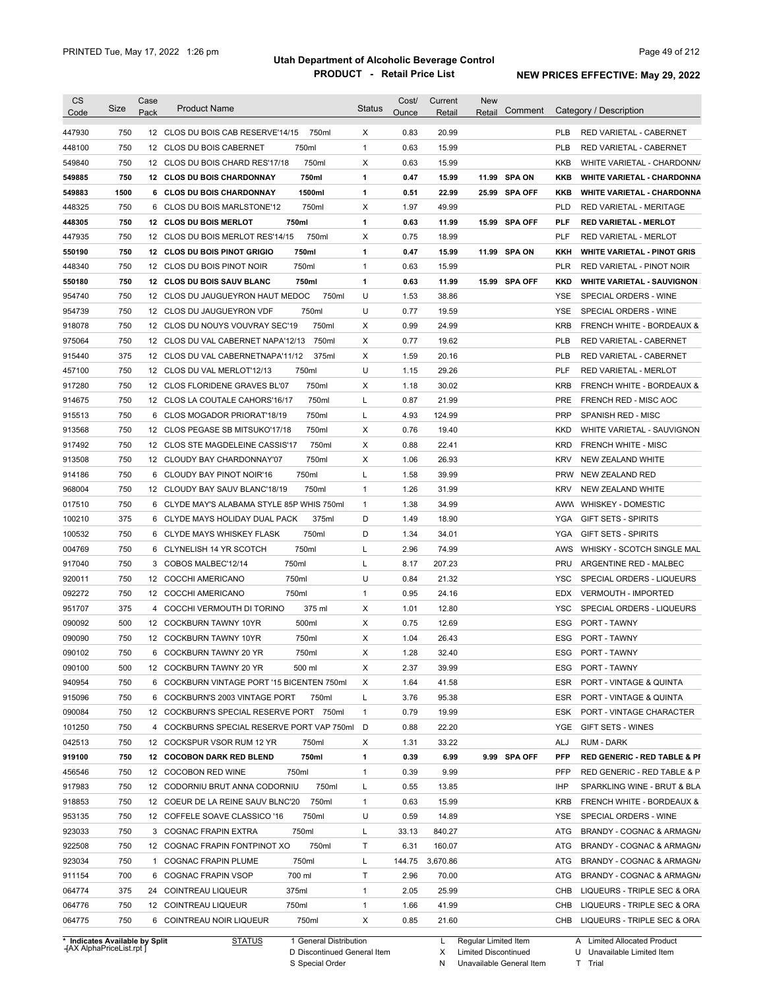| CS               | Size                                                   | Case | <b>Product Name</b>                         | <b>Status</b> | Cost/  | Current        | <b>New</b>           |            |                                         |
|------------------|--------------------------------------------------------|------|---------------------------------------------|---------------|--------|----------------|----------------------|------------|-----------------------------------------|
| Code             |                                                        | Pack |                                             |               | Ounce  | Retail         | Retail               | Comment    | Category / Description                  |
| 447930           | 750                                                    |      | 12 CLOS DU BOIS CAB RESERVE'14/15<br>750ml  | X             | 0.83   | 20.99          |                      | <b>PLB</b> | RED VARIETAL - CABERNET                 |
| 448100           | 750                                                    |      | 750ml<br>12 CLOS DU BOIS CABERNET           | $\mathbf{1}$  | 0.63   | 15.99          |                      | <b>PLB</b> | RED VARIETAL - CABERNET                 |
| 549840           | 750                                                    |      | 750ml<br>12 CLOS DU BOIS CHARD RES'17/18    | Х             | 0.63   | 15.99          |                      | <b>KKB</b> | WHITE VARIETAL - CHARDONN/              |
| 549885           | 750                                                    |      | 750ml<br>12 CLOS DU BOIS CHARDONNAY         | 1             | 0.47   | 15.99          | 11.99 SPA ON         | KKB        | <b>WHITE VARIETAL - CHARDONNA</b>       |
| 549883           | 1500                                                   |      | 6 CLOS DU BOIS CHARDONNAY<br>1500ml         | 1             | 0.51   | 22.99          | 25.99 SPA OFF        | <b>KKB</b> | <b>WHITE VARIETAL - CHARDONNA</b>       |
| 448325           | 750                                                    |      | 6 CLOS DU BOIS MARLSTONE'12<br>750ml        | Х             | 1.97   | 49.99          |                      | <b>PLD</b> | RED VARIETAL - MERITAGE                 |
| 448305           | 750                                                    |      | 750ml<br>12 CLOS DU BOIS MERLOT             | $\mathbf{1}$  | 0.63   | 11.99          | 15.99 SPA OFF        | <b>PLF</b> | <b>RED VARIETAL - MERLOT</b>            |
| 447935           | 750                                                    |      | 750ml<br>12 CLOS DU BOIS MERLOT RES'14/15   | Х             | 0.75   | 18.99          |                      | <b>PLF</b> | RED VARIETAL - MERLOT                   |
| 550190           | 750                                                    |      | 12 CLOS DU BOIS PINOT GRIGIO<br>750ml       | $\mathbf{1}$  | 0.47   | 15.99          | 11.99 SPA ON         | KKH        | <b>WHITE VARIETAL - PINOT GRIS</b>      |
| 448340           | 750                                                    |      | 750ml<br>12 CLOS DU BOIS PINOT NOIR         | $\mathbf{1}$  | 0.63   | 15.99          |                      | <b>PLR</b> | <b>RED VARIETAL - PINOT NOIR</b>        |
| 550180           | 750                                                    |      | 12 CLOS DU BOIS SAUV BLANC<br>750ml         | $\mathbf{1}$  | 0.63   | 11.99          | 15.99 SPA OFF        | <b>KKD</b> | <b>WHITE VARIETAL - SAUVIGNON</b>       |
| 954740           | 750                                                    |      | 12 CLOS DU JAUGUEYRON HAUT MEDOC<br>750ml   | U             | 1.53   | 38.86          |                      | YSE        | SPECIAL ORDERS - WINE                   |
| 954739           | 750                                                    |      | 750ml<br>12 CLOS DU JAUGUEYRON VDF          | U             | 0.77   | 19.59          |                      | <b>YSE</b> | SPECIAL ORDERS - WINE                   |
|                  | 750                                                    |      | 750ml                                       |               | 0.99   |                |                      |            |                                         |
| 918078           |                                                        |      | 12 CLOS DU NOUYS VOUVRAY SEC'19             | Х             |        | 24.99          |                      | <b>KRB</b> | FRENCH WHITE - BORDEAUX &               |
| 975064           | 750                                                    |      | 750ml<br>12 CLOS DU VAL CABERNET NAPA'12/13 | Х             | 0.77   | 19.62          |                      | <b>PLB</b> | RED VARIETAL - CABERNET                 |
| 915440           | 375                                                    |      | 12 CLOS DU VAL CABERNETNAPA'11/12<br>375ml  | Х             | 1.59   | 20.16          |                      | <b>PLB</b> | RED VARIETAL - CABERNET                 |
| 457100           | 750                                                    |      | 12 CLOS DU VAL MERLOT'12/13<br>750ml        | U             | 1.15   | 29.26          |                      | <b>PLF</b> | RED VARIETAL - MERLOT                   |
| 917280           | 750                                                    |      | 12 CLOS FLORIDENE GRAVES BL'07<br>750ml     | х             | 1.18   | 30.02          |                      | <b>KRB</b> | <b>FRENCH WHITE - BORDEAUX &amp;</b>    |
| 914675           | 750                                                    |      | 12 CLOS LA COUTALE CAHORS'16/17<br>750ml    | L             | 0.87   | 21.99          |                      | <b>PRE</b> | FRENCH RED - MISC AOC                   |
| 915513           | 750                                                    |      | 6 CLOS MOGADOR PRIORAT'18/19<br>750ml       | L             | 4.93   | 124.99         |                      | <b>PRP</b> | SPANISH RED - MISC                      |
| 913568           | 750                                                    |      | 12 CLOS PEGASE SB MITSUKO'17/18<br>750ml    | Х             | 0.76   | 19.40          |                      | <b>KKD</b> | WHITE VARIETAL - SAUVIGNON              |
| 917492           | 750                                                    |      | 12 CLOS STE MAGDELEINE CASSIS'17<br>750ml   | Χ             | 0.88   | 22.41          |                      | <b>KRD</b> | <b>FRENCH WHITE - MISC</b>              |
| 913508           | 750                                                    |      | 750ml<br>12 CLOUDY BAY CHARDONNAY'07        | Χ             | 1.06   | 26.93          |                      | <b>KRV</b> | NEW ZEALAND WHITE                       |
| 914186           | 750                                                    |      | 750ml<br>6 CLOUDY BAY PINOT NOIR'16         | L             | 1.58   | 39.99          |                      | <b>PRW</b> | NEW ZEALAND RED                         |
| 968004           | 750                                                    |      | 12 CLOUDY BAY SAUV BLANC'18/19<br>750ml     | $\mathbf{1}$  | 1.26   | 31.99          |                      | <b>KRV</b> | NEW ZEALAND WHITE                       |
| 017510           | 750                                                    |      | 6 CLYDE MAY'S ALABAMA STYLE 85P WHIS 750ml  | $\mathbf{1}$  | 1.38   | 34.99          |                      |            | AWW WHISKEY - DOMESTIC                  |
| 100210           | 375                                                    |      | 375ml<br>6 CLYDE MAYS HOLIDAY DUAL PACK     | D             | 1.49   | 18.90          |                      | YGA        | <b>GIFT SETS - SPIRITS</b>              |
| 100532           | 750                                                    |      | 750ml<br>6 CLYDE MAYS WHISKEY FLASK         | D             | 1.34   | 34.01          |                      | YGA        | <b>GIFT SETS - SPIRITS</b>              |
| 004769           | 750                                                    |      | 750ml<br>6 CLYNELISH 14 YR SCOTCH           | L             | 2.96   | 74.99          |                      | AWS        | WHISKY - SCOTCH SINGLE MAL              |
| 917040           | 750                                                    |      | 750ml<br>3 COBOS MALBEC'12/14               | L             | 8.17   | 207.23         |                      | <b>PRU</b> | ARGENTINE RED - MALBEC                  |
| 920011           | 750                                                    |      | 750ml<br>12 COCCHI AMERICANO                | U             | 0.84   | 21.32          |                      | YSC        | SPECIAL ORDERS - LIQUEURS               |
| 092272           | 750                                                    |      | 12 COCCHI AMERICANO<br>750ml                | $\mathbf{1}$  | 0.95   | 24.16          |                      | <b>EDX</b> | <b>VERMOUTH - IMPORTED</b>              |
| 951707           | 375                                                    |      | 375 ml<br>4 COCCHI VERMOUTH DI TORINO       | Х             | 1.01   | 12.80          |                      | YSC        | SPECIAL ORDERS - LIQUEURS               |
| 090092           | 500                                                    |      | 500ml<br>12 COCKBURN TAWNY 10YR             | Х             | 0.75   | 12.69          |                      | ESG        | PORT - TAWNY                            |
| 090090           | 750                                                    |      | 12 COCKBURN TAWNY 10YR<br>750ml             | Х             | 1.04   | 26.43          |                      | ESG        | PORT - TAWNY                            |
|                  |                                                        |      |                                             |               |        |                |                      |            |                                         |
| 090102<br>090100 | 750<br>500                                             |      | 750ml<br>6 COCKBURN TAWNY 20 YR             | х             | 1.28   | 32.40<br>39.99 |                      |            | ESG PORT - TAWNY                        |
|                  |                                                        |      | 12 COCKBURN TAWNY 20 YR<br>500 ml           | Х             | 2.37   |                |                      | ESG        | <b>PORT - TAWNY</b>                     |
| 940954           | 750                                                    |      | 6 COCKBURN VINTAGE PORT '15 BICENTEN 750ml  | Х             | 1.64   | 41.58          |                      | ESR        | PORT - VINTAGE & QUINTA                 |
| 915096           | 750                                                    |      | 6 COCKBURN'S 2003 VINTAGE PORT<br>750ml     | L             | 3.76   | 95.38          |                      | ESR        | PORT - VINTAGE & QUINTA                 |
| 090084           | 750                                                    |      | 12 COCKBURN'S SPECIAL RESERVE PORT 750ml    | $\mathbf{1}$  | 0.79   | 19.99          |                      | ESK        | PORT - VINTAGE CHARACTER                |
| 101250           | 750                                                    |      | 4 COCKBURNS SPECIAL RESERVE PORT VAP 750ml  | D             | 0.88   | 22.20          |                      | YGE        | GIFT SETS - WINES                       |
| 042513           | 750                                                    |      | 12 COCKSPUR VSOR RUM 12 YR<br>750ml         | Х             | 1.31   | 33.22          |                      | ALJ        | <b>RUM - DARK</b>                       |
| 919100           | 750                                                    |      | 750ml<br>12 COCOBON DARK RED BLEND          | 1             | 0.39   | 6.99           | 9.99 SPA OFF         | <b>PFP</b> | <b>RED GENERIC - RED TABLE &amp; PI</b> |
| 456546           | 750                                                    |      | 750ml<br>12 COCOBON RED WINE                | $\mathbf{1}$  | 0.39   | 9.99           |                      | PFP        | RED GENERIC - RED TABLE & P             |
| 917983           | 750                                                    |      | 750ml<br>12 CODORNIU BRUT ANNA CODORNIU     | L             | 0.55   | 13.85          |                      | IHP        | SPARKLING WINE - BRUT & BLA             |
| 918853           | 750                                                    |      | 750ml<br>12 COEUR DE LA REINE SAUV BLNC'20  | $\mathbf{1}$  | 0.63   | 15.99          |                      | <b>KRB</b> | FRENCH WHITE - BORDEAUX &               |
| 953135           | 750                                                    |      | 750ml<br>12 COFFELE SOAVE CLASSICO '16      | U             | 0.59   | 14.89          |                      | YSE        | SPECIAL ORDERS - WINE                   |
| 923033           | 750                                                    |      | 3 COGNAC FRAPIN EXTRA<br>750ml              | L             | 33.13  | 840.27         |                      | ATG        | BRANDY - COGNAC & ARMAGN/               |
| 922508           | 750                                                    |      | 750ml<br>12 COGNAC FRAPIN FONTPINOT XO      | Т             | 6.31   | 160.07         |                      | ATG        | BRANDY - COGNAC & ARMAGN/               |
| 923034           | 750                                                    |      | 1 COGNAC FRAPIN PLUME<br>750ml              | L             | 144.75 | 3,670.86       |                      | ATG        | BRANDY - COGNAC & ARMAGN/               |
| 911154           | 700                                                    |      | 6 COGNAC FRAPIN VSOP<br>700 ml              | Т             | 2.96   | 70.00          |                      | ATG        | BRANDY - COGNAC & ARMAGN/               |
| 064774           | 375                                                    |      | 375ml<br>24 COINTREAU LIQUEUR               | $\mathbf{1}$  | 2.05   | 25.99          |                      | CHB        | LIQUEURS - TRIPLE SEC & ORA             |
| 064776           | 750                                                    |      | 750ml<br>12 COINTREAU LIQUEUR               | $\mathbf{1}$  | 1.66   | 41.99          |                      | CHB        | LIQUEURS - TRIPLE SEC & ORA             |
| 064775           | 750                                                    |      | 750ml<br>6 COINTREAU NOIR LIQUEUR           | Х             | 0.85   | 21.60          |                      | CHB        | LIQUEURS - TRIPLE SEC & ORA             |
|                  |                                                        |      |                                             |               |        |                |                      |            |                                         |
|                  | Indicates Available by Split<br>AY AlphaDrical jet rnt |      | <b>STATUS</b><br>1 General Distribution     |               |        | L              | Regular Limited Item |            | A Limited Allocated Product             |

**Case** [AX AlphaPriceList.rpt ]

D Discontinued General Item S Special Order

X Limited Discontinued

N Unavailable General Item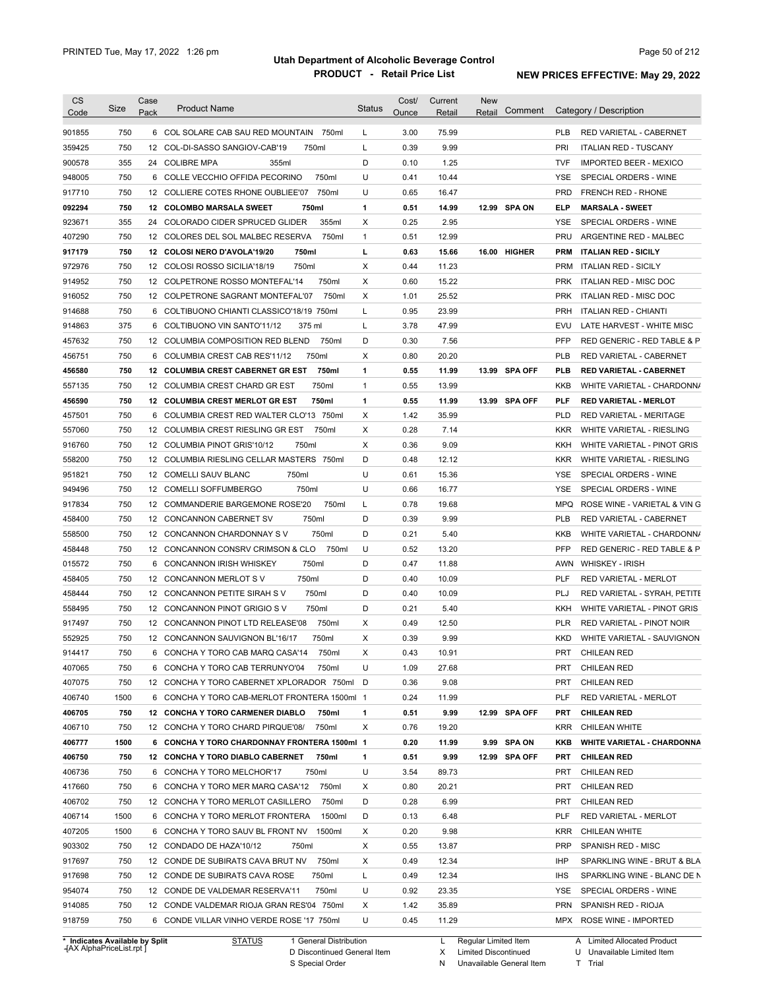| <b>CS</b> |                                | Case |                                              |               | Cost/ | Current | New                  |               |            |                                   |
|-----------|--------------------------------|------|----------------------------------------------|---------------|-------|---------|----------------------|---------------|------------|-----------------------------------|
| Code      | Size                           | Pack | <b>Product Name</b>                          | <b>Status</b> | Ounce | Retail  | Retail               | Comment       |            | Category / Description            |
| 901855    | 750                            |      | 6 COL SOLARE CAB SAU RED MOUNTAIN 750ml      | L             | 3.00  | 75.99   |                      |               | <b>PLB</b> | RED VARIETAL - CABERNET           |
| 359425    | 750                            |      | 12 COL-DI-SASSO SANGIOV-CAB'19<br>750ml      | L             | 0.39  | 9.99    |                      |               | PRI        | <b>ITALIAN RED - TUSCANY</b>      |
| 900578    | 355                            |      | 24 COLIBRE MPA<br>355ml                      | D             | 0.10  | 1.25    |                      |               | <b>TVF</b> | <b>IMPORTED BEER - MEXICO</b>     |
| 948005    | 750                            |      | 6 COLLE VECCHIO OFFIDA PECORINO<br>750ml     | U             | 0.41  | 10.44   |                      |               | YSE        | SPECIAL ORDERS - WINE             |
| 917710    | 750                            |      | 750ml<br>12 COLLIERE COTES RHONE OUBLIEE'07  | U             | 0.65  | 16.47   |                      |               | <b>PRD</b> | <b>FRENCH RED - RHONE</b>         |
| 092294    | 750                            |      | 12 COLOMBO MARSALA SWEET<br>750ml            | 1             | 0.51  | 14.99   |                      | 12.99 SPA ON  | ELP        | <b>MARSALA - SWEET</b>            |
| 923671    | 355                            |      | 24 COLORADO CIDER SPRUCED GLIDER<br>355ml    | Х             | 0.25  | 2.95    |                      |               | <b>YSE</b> | SPECIAL ORDERS - WINE             |
|           |                                |      |                                              |               |       |         |                      |               |            |                                   |
| 407290    | 750                            |      | 750ml<br>12 COLORES DEL SOL MALBEC RESERVA   | $\mathbf{1}$  | 0.51  | 12.99   |                      |               | PRU        | ARGENTINE RED - MALBEC            |
| 917179    | 750                            |      | 750ml<br>12 COLOSI NERO D'AVOLA'19/20        | г             | 0.63  | 15.66   |                      | 16.00 HIGHER  | <b>PRM</b> | <b>ITALIAN RED - SICILY</b>       |
| 972976    | 750                            |      | 12 COLOSI ROSSO SICILIA'18/19<br>750ml       | Х             | 0.44  | 11.23   |                      |               | <b>PRM</b> | <b>ITALIAN RED - SICILY</b>       |
| 914952    | 750                            |      | 750ml<br>12 COLPETRONE ROSSO MONTEFAL'14     | Х             | 0.60  | 15.22   |                      |               | <b>PRK</b> | ITALIAN RED - MISC DOC            |
| 916052    | 750                            |      | 750ml<br>12 COLPETRONE SAGRANT MONTEFAL'07   | Х             | 1.01  | 25.52   |                      |               | <b>PRK</b> | <b>ITALIAN RED - MISC DOC</b>     |
| 914688    | 750                            |      | 6 COLTIBUONO CHIANTI CLASSICO'18/19 750ml    | Г             | 0.95  | 23.99   |                      |               | <b>PRH</b> | ITALIAN RED - CHIANTI             |
| 914863    | 375                            |      | 6 COLTIBUONO VIN SANTO'11/12<br>375 ml       | Г             | 3.78  | 47.99   |                      |               | EVU        | LATE HARVEST - WHITE MISC         |
| 457632    | 750                            |      | 750ml<br>12 COLUMBIA COMPOSITION RED BLEND   | D             | 0.30  | 7.56    |                      |               | <b>PFP</b> | RED GENERIC - RED TABLE & P       |
| 456751    | 750                            | 6    | 750ml<br>COLUMBIA CREST CAB RES'11/12        | Х             | 0.80  | 20.20   |                      |               | <b>PLB</b> | <b>RED VARIETAL - CABERNET</b>    |
| 456580    | 750                            |      | 750ml<br>12 COLUMBIA CREST CABERNET GR EST   | 1             | 0.55  | 11.99   |                      | 13.99 SPA OFF | PLB        | <b>RED VARIETAL - CABERNET</b>    |
| 557135    | 750                            |      | 750ml<br>12 COLUMBIA CREST CHARD GR EST      | $\mathbf{1}$  | 0.55  | 13.99   |                      |               | KKB        | WHITE VARIETAL - CHARDONN/        |
| 456590    | 750                            |      | 12 COLUMBIA CREST MERLOT GR EST<br>750ml     | 1             | 0.55  | 11.99   |                      | 13.99 SPA OFF | PLF        | <b>RED VARIETAL - MERLOT</b>      |
| 457501    | 750                            |      | 6 COLUMBIA CREST RED WALTER CLO'13 750ml     | Х             | 1.42  | 35.99   |                      |               | <b>PLD</b> | RED VARIETAL - MERITAGE           |
| 557060    | 750                            |      | 12 COLUMBIA CREST RIESLING GR EST<br>750ml   | Х             | 0.28  | 7.14    |                      |               | <b>KKR</b> | WHITE VARIETAL - RIESLING         |
| 916760    | 750                            |      | 750ml<br>12 COLUMBIA PINOT GRIS'10/12        | Χ             | 0.36  | 9.09    |                      |               | KKH        | WHITE VARIETAL - PINOT GRIS       |
| 558200    | 750                            |      | 12 COLUMBIA RIESLING CELLAR MASTERS 750ml    | D             | 0.48  | 12.12   |                      |               | <b>KKR</b> | WHITE VARIETAL - RIESLING         |
| 951821    | 750                            |      | 12 COMELLI SAUV BLANC<br>750ml               | U             | 0.61  | 15.36   |                      |               | <b>YSE</b> | SPECIAL ORDERS - WINE             |
| 949496    | 750                            |      | 750ml<br>12 COMELLI SOFFUMBERGO              | U             | 0.66  | 16.77   |                      |               | YSE        | SPECIAL ORDERS - WINE             |
| 917834    | 750                            |      | 750ml<br>12 COMMANDERIE BARGEMONE ROSE'20    | L             | 0.78  | 19.68   |                      |               | MPQ        | ROSE WINE - VARIETAL & VIN G      |
| 458400    | 750                            |      | 750ml<br>12 CONCANNON CABERNET SV            | D             | 0.39  | 9.99    |                      |               | PLB        | RED VARIETAL - CABERNET           |
| 558500    | 750                            |      | 750ml<br>12 CONCANNON CHARDONNAY SV          | D             | 0.21  | 5.40    |                      |               | KKB        | WHITE VARIETAL - CHARDONN/        |
| 458448    | 750                            |      | 750ml<br>12 CONCANNON CONSRV CRIMSON & CLO   | U             | 0.52  | 13.20   |                      |               | <b>PFP</b> | RED GENERIC - RED TABLE & P       |
| 015572    | 750                            | 6    | 750ml<br><b>CONCANNON IRISH WHISKEY</b>      | D             | 0.47  | 11.88   |                      |               | AWN        | <b>WHISKEY - IRISH</b>            |
| 458405    | 750                            |      | 750ml<br>12 CONCANNON MERLOT S V             | D             | 0.40  | 10.09   |                      |               | <b>PLF</b> | RED VARIETAL - MERLOT             |
| 458444    | 750                            |      | 750ml<br>12 CONCANNON PETITE SIRAH SV        | D             | 0.40  | 10.09   |                      |               | PLJ        | RED VARIETAL - SYRAH, PETITE      |
| 558495    | 750                            |      | 750ml<br>12 CONCANNON PINOT GRIGIO S V       | D             | 0.21  | 5.40    |                      |               | KKH        | WHITE VARIETAL - PINOT GRIS       |
| 917497    | 750                            |      | 750ml<br>12 CONCANNON PINOT LTD RELEASE'08   | Х             | 0.49  | 12.50   |                      |               | <b>PLR</b> | RED VARIETAL - PINOT NOIR         |
|           | 750                            |      | 12 CONCANNON SAUVIGNON BL'16/17              | X             |       | 9.99    |                      |               |            |                                   |
| 552925    |                                |      | 750ml                                        |               | 0.39  |         |                      |               | <b>KKD</b> | WHITE VARIETAL - SAUVIGNON        |
| 914417    | 750                            |      | 6 CONCHA Y TORO CAB MARQ CASA'14<br>750ml    | X             | 0.43  | 10.91   |                      |               | PRT        | <b>CHILEAN RED</b>                |
| 407065    | 750                            |      | 6 CONCHA Y TORO CAB TERRUNYO'04<br>750ml     | U             | 1.09  | 27.68   |                      |               | PRT        | <b>CHILEAN RED</b>                |
| 407075    | 750                            |      | 12 CONCHA Y TORO CABERNET XPLORADOR 750ml D  |               | 0.36  | 9.08    |                      |               | <b>PRT</b> | <b>CHILEAN RED</b>                |
| 406740    | 1500                           |      | 6 CONCHA Y TORO CAB-MERLOT FRONTERA 1500ml 1 |               | 0.24  | 11.99   |                      |               | PLF        | RED VARIETAL - MERLOT             |
| 406705    | 750                            |      | 12 CONCHA Y TORO CARMENER DIABLO<br>750ml    | 1             | 0.51  | 9.99    |                      | 12.99 SPA OFF | PRT        | <b>CHILEAN RED</b>                |
| 406710    | 750                            |      | 12 CONCHA Y TORO CHARD PIRQUE'08/<br>750ml   | X             | 0.76  | 19.20   |                      |               | <b>KRR</b> | CHILEAN WHITE                     |
| 406777    | 1500                           |      | 6 CONCHA Y TORO CHARDONNAY FRONTERA 1500ml 1 |               | 0.20  | 11.99   |                      | 9.99 SPA ON   | KKB        | <b>WHITE VARIETAL - CHARDONNA</b> |
| 406750    | 750                            |      | 12 CONCHA Y TORO DIABLO CABERNET<br>750ml    | 1             | 0.51  | 9.99    |                      | 12.99 SPA OFF | PRT        | <b>CHILEAN RED</b>                |
| 406736    | 750                            |      | 6 CONCHA Y TORO MELCHOR'17<br>750ml          | U             | 3.54  | 89.73   |                      |               | PRT        | <b>CHILEAN RED</b>                |
| 417660    | 750                            |      | 6 CONCHA Y TORO MER MARQ CASA'12<br>750ml    | х             | 0.80  | 20.21   |                      |               | PRT        | <b>CHILEAN RED</b>                |
| 406702    | 750                            |      | 12 CONCHA Y TORO MERLOT CASILLERO<br>750ml   | D             | 0.28  | 6.99    |                      |               | PRT        | <b>CHILEAN RED</b>                |
| 406714    | 1500                           |      | 6 CONCHA Y TORO MERLOT FRONTERA<br>1500ml    | D             | 0.13  | 6.48    |                      |               | PLF        | RED VARIETAL - MERLOT             |
| 407205    | 1500                           |      | 1500ml<br>6 CONCHA Y TORO SAUV BL FRONT NV   | х             | 0.20  | 9.98    |                      |               | <b>KRR</b> | CHILEAN WHITE                     |
| 903302    | 750                            |      | 12 CONDADO DE HAZA'10/12<br>750ml            | Х             | 0.55  | 13.87   |                      |               | <b>PRP</b> | SPANISH RED - MISC                |
| 917697    | 750                            |      | 750ml<br>12 CONDE DE SUBIRATS CAVA BRUT NV   | х             | 0.49  | 12.34   |                      |               | <b>IHP</b> | SPARKLING WINE - BRUT & BLA       |
| 917698    | 750                            |      | 12 CONDE DE SUBIRATS CAVA ROSE<br>750ml      | Г             | 0.49  | 12.34   |                      |               | IHS        | SPARKLING WINE - BLANC DE N       |
| 954074    | 750                            |      | 12 CONDE DE VALDEMAR RESERVA'11<br>750ml     | U             | 0.92  | 23.35   |                      |               | YSE        | SPECIAL ORDERS - WINE             |
| 914085    | 750                            |      | 12 CONDE VALDEMAR RIOJA GRAN RES'04 750ml    | Х             | 1.42  | 35.89   |                      |               |            | PRN SPANISH RED - RIOJA           |
| 918759    | 750                            |      | 6 CONDE VILLAR VINHO VERDE ROSE '17 750ml    | U             | 0.45  | 11.29   |                      |               |            | MPX ROSE WINE - IMPORTED          |
|           |                                |      |                                              |               |       |         |                      |               |            |                                   |
|           | * Indicates Available by Split |      | <b>STATUS</b><br>1 General Distribution      |               |       | L.      | Regular Limited Item |               |            | A Limited Allocated Product       |

**Case** [AX AlphaPriceList.rpt ]

D Discontinued General Item S Special Order

X Limited Discontinued

N Unavailable General Item

U Unavailable Limited Item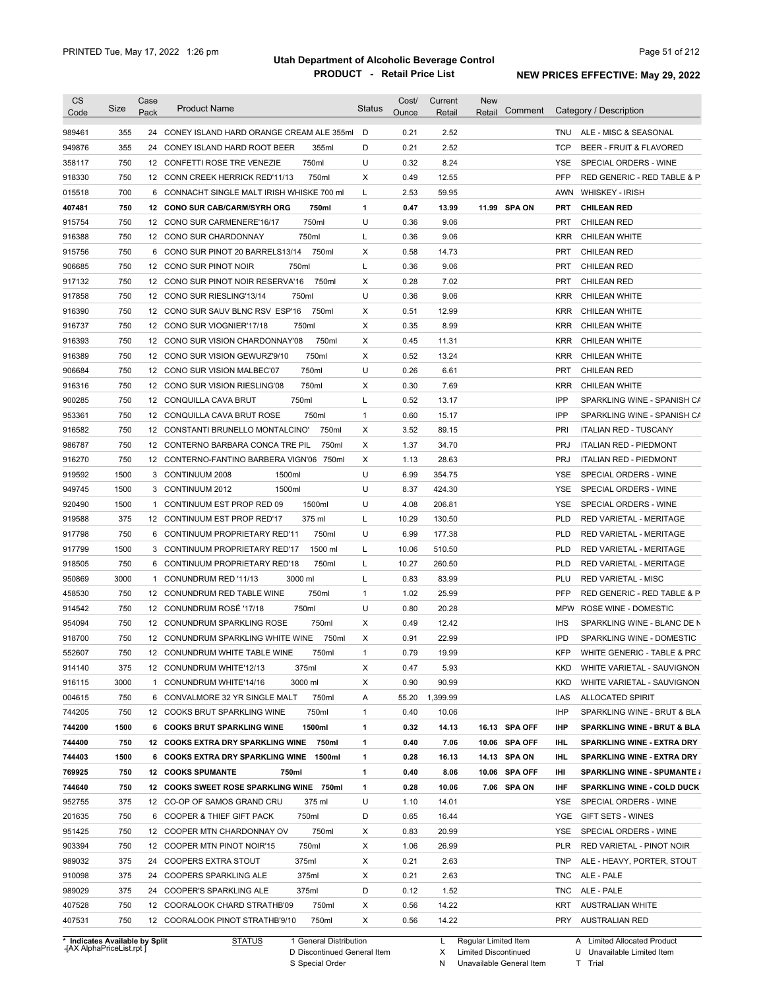| <b>CS</b><br>Code              | Size | Case<br>Pack | <b>Product Name</b>                                              | <b>Status</b>     | Cost/<br>Ounce | Current<br>Retail | <b>New</b><br>Comment<br>Retail |            | Category / Description                 |
|--------------------------------|------|--------------|------------------------------------------------------------------|-------------------|----------------|-------------------|---------------------------------|------------|----------------------------------------|
| 989461                         | 355  | 24           | CONEY ISLAND HARD ORANGE CREAM ALE 355ml                         | D                 | 0.21           | 2.52              |                                 | TNU        | ALE - MISC & SEASONAL                  |
| 949876                         | 355  | 24           | CONEY ISLAND HARD ROOT BEER<br>355ml                             | D                 | 0.21           | 2.52              |                                 | <b>TCP</b> | <b>BEER - FRUIT &amp; FLAVORED</b>     |
| 358117                         | 750  |              | 750ml<br>12 CONFETTI ROSE TRE VENEZIE                            | U                 | 0.32           | 8.24              |                                 | YSE        | SPECIAL ORDERS - WINE                  |
| 918330                         | 750  |              | 750ml<br>12 CONN CREEK HERRICK RED'11/13                         | Х                 | 0.49           | 12.55             |                                 | <b>PFP</b> | RED GENERIC - RED TABLE & P            |
| 015518                         | 700  |              | 6 CONNACHT SINGLE MALT IRISH WHISKE 700 ml                       | Г                 | 2.53           | 59.95             |                                 | AWN        | <b>WHISKEY - IRISH</b>                 |
| 407481                         | 750  |              | 750ml<br>12 CONO SUR CAB/CARM/SYRH ORG                           | 1                 | 0.47           | 13.99             | 11.99 SPA ON                    | PRT        | <b>CHILEAN RED</b>                     |
| 915754                         | 750  |              | 750ml<br>12 CONO SUR CARMENERE'16/17                             | U                 | 0.36           | 9.06              |                                 | PRT        | <b>CHILEAN RED</b>                     |
| 916388                         | 750  |              | 750ml<br>12 CONO SUR CHARDONNAY                                  | Г                 | 0.36           | 9.06              |                                 | <b>KRR</b> | CHILEAN WHITE                          |
| 915756                         | 750  |              | 750ml<br>6 CONO SUR PINOT 20 BARRELS13/14                        | Х                 | 0.58           | 14.73             |                                 | <b>PRT</b> | <b>CHILEAN RED</b>                     |
| 906685                         | 750  |              | 12 CONO SUR PINOT NOIR<br>750ml                                  | Г                 | 0.36           | 9.06              |                                 | PRT        | <b>CHILEAN RED</b>                     |
| 917132                         | 750  |              | 12 CONO SUR PINOT NOIR RESERVA'16<br>750ml                       | Х                 | 0.28           | 7.02              |                                 | <b>PRT</b> | <b>CHILEAN RED</b>                     |
| 917858                         | 750  |              | 750ml<br>12 CONO SUR RIESLING'13/14                              | U                 | 0.36           | 9.06              |                                 | <b>KRR</b> | <b>CHILEAN WHITE</b>                   |
| 916390                         | 750  |              | 12 CONO SUR SAUV BLNC RSV ESP'16<br>750ml                        | X                 | 0.51           | 12.99             |                                 | <b>KRR</b> | CHILEAN WHITE                          |
| 916737                         | 750  |              | 750ml<br>12 CONO SUR VIOGNIER'17/18                              | Х                 | 0.35           | 8.99              |                                 | <b>KRR</b> | CHILEAN WHITE                          |
| 916393                         | 750  |              | 750ml<br>12 CONO SUR VISION CHARDONNAY'08                        | Х                 | 0.45           | 11.31             |                                 | <b>KRR</b> | CHILEAN WHITE                          |
| 916389                         | 750  |              | 750ml<br>12 CONO SUR VISION GEWURZ'9/10                          | Х                 | 0.52           | 13.24             |                                 | <b>KRR</b> | CHILEAN WHITE                          |
| 906684                         | 750  |              | 750ml<br>12 CONO SUR VISION MALBEC'07                            | U                 | 0.26           | 6.61              |                                 | <b>PRT</b> | <b>CHILEAN RED</b>                     |
| 916316                         | 750  |              | 750ml<br>12 CONO SUR VISION RIESLING'08                          | Х                 | 0.30           | 7.69              |                                 | <b>KRR</b> | CHILEAN WHITE                          |
| 900285                         | 750  |              | 750ml<br>12 CONQUILLA CAVA BRUT                                  | Г                 | 0.52           | 13.17             |                                 | IPP        | SPARKLING WINE - SPANISH CA            |
| 953361                         | 750  |              | 750ml<br>12 CONQUILLA CAVA BRUT ROSE                             | $\mathbf{1}$      | 0.60           | 15.17             |                                 | IPP        | SPARKLING WINE - SPANISH CA            |
| 916582                         | 750  |              | 750ml<br>12 CONSTANTI BRUNELLO MONTALCINO'                       | Х                 | 3.52           | 89.15             |                                 | <b>PRI</b> | <b>ITALIAN RED - TUSCANY</b>           |
| 986787                         | 750  |              | 12 CONTERNO BARBARA CONCA TRE PIL<br>750ml                       | Х                 | 1.37           | 34.70             |                                 | <b>PRJ</b> | <b>ITALIAN RED - PIEDMONT</b>          |
| 916270                         | 750  |              | 12 CONTERNO-FANTINO BARBERA VIGN'06 750ml                        | Х                 | 1.13           | 28.63             |                                 | <b>PRJ</b> | <b>ITALIAN RED - PIEDMONT</b>          |
| 919592                         | 1500 |              | 1500ml<br>3 CONTINUUM 2008                                       | U                 | 6.99           | 354.75            |                                 | YSE        | SPECIAL ORDERS - WINE                  |
| 949745                         | 1500 |              | 1500ml<br>3 CONTINUUM 2012                                       | U                 | 8.37           | 424.30            |                                 | YSE        | SPECIAL ORDERS - WINE                  |
| 920490                         | 1500 | 1            | CONTINUUM EST PROP RED 09<br>1500ml                              | U                 | 4.08           | 206.81            |                                 | YSE        | SPECIAL ORDERS - WINE                  |
| 919588                         | 375  |              | 12 CONTINUUM EST PROP RED'17<br>375 ml                           | Г                 | 10.29          | 130.50            |                                 | <b>PLD</b> | RED VARIETAL - MERITAGE                |
|                                | 750  |              |                                                                  | U                 | 6.99           | 177.38            |                                 |            | RED VARIETAL - MERITAGE                |
| 917798                         |      | 6            | CONTINUUM PROPRIETARY RED'11<br>750ml                            |                   |                |                   |                                 | <b>PLD</b> |                                        |
| 917799                         | 1500 |              | 3 CONTINUUM PROPRIETARY RED'17<br>1500 ml                        | L                 | 10.06          | 510.50            |                                 | <b>PLD</b> | RED VARIETAL - MERITAGE                |
| 918505                         | 750  |              | 6 CONTINUUM PROPRIETARY RED'18<br>750ml                          | Г                 | 10.27          | 260.50            |                                 | <b>PLD</b> | RED VARIETAL - MERITAGE                |
| 950869                         | 3000 |              | 3000 ml<br>1 CONUNDRUM RED '11/13                                | Г                 | 0.83           | 83.99             |                                 | PLU        | <b>RED VARIETAL - MISC</b>             |
| 458530                         | 750  |              | 750ml<br>12 CONUNDRUM RED TABLE WINE<br>12 CONUNDRUM ROSÉ '17/18 | $\mathbf{1}$<br>U | 1.02           | 25.99             |                                 | <b>PFP</b> | RED GENERIC - RED TABLE & P            |
| 914542                         | 750  |              | 750ml                                                            |                   | 0.80           | 20.28             |                                 | <b>MPW</b> | ROSE WINE - DOMESTIC                   |
| 954094                         | 750  |              | 12 CONUNDRUM SPARKLING ROSE<br>750ml                             | Х                 | 0.49           | 12.42             |                                 | <b>IHS</b> | SPARKLING WINE - BLANC DE N            |
| 918700                         | 750  |              | 12 CONUNDRUM SPARKLING WHITE WINE<br>750ml                       | X                 | 0.91           | 22.99             |                                 | <b>IPD</b> | SPARKLING WINE - DOMESTIC              |
| 552607                         | 750  |              | 12 CONUNDRUM WHITE TABLE WINE<br>750ml                           | 1                 | 0.79           | 19.99             |                                 | KFP        | WHITE GENERIC - TABLE & PRC            |
| 914140                         | 375  |              | 12 CONUNDRUM WHITE'12/13<br>375ml                                | Х                 | 0.47           | 5.93              |                                 | KKD        | WHITE VARIETAL - SAUVIGNON             |
| 916115                         | 3000 |              | 3000 ml<br>1 CONUNDRUM WHITE'14/16                               | Х                 | 0.90           | 90.99             |                                 | <b>KKD</b> | WHITE VARIETAL - SAUVIGNON             |
| 004615                         | 750  |              | 750ml<br>6 CONVALMORE 32 YR SINGLE MALT                          | Α                 | 55.20          | 1,399.99          |                                 | LAS        | <b>ALLOCATED SPIRIT</b>                |
| 744205                         | 750  |              | 12 COOKS BRUT SPARKLING WINE<br>750ml                            | 1                 | 0.40           | 10.06             |                                 | IHP        | SPARKLING WINE - BRUT & BLA            |
| 744200                         | 1500 |              | 1500ml<br>6 COOKS BRUT SPARKLING WINE                            | 1                 | 0.32           | 14.13             | 16.13 SPA OFF                   | IHP        | SPARKLING WINE - BRUT & BLA            |
| 744400                         | 750  |              | 750ml<br>12 COOKS EXTRA DRY SPARKLING WINE                       | 1                 | 0.40           | 7.06              | 10.06 SPA OFF                   | IHL        | SPARKLING WINE - EXTRA DRY             |
| 744403                         | 1500 |              | 6 COOKS EXTRA DRY SPARKLING WINE<br>1500ml                       | 1                 | 0.28           | 16.13             | 14.13 SPA ON                    | IHL.       | SPARKLING WINE - EXTRA DRY             |
| 769925                         | 750  |              | <b>12 COOKS SPUMANTE</b><br>750ml                                | 1                 | 0.40           | 8.06              | 10.06 SPA OFF                   | IHI        | <b>SPARKLING WINE - SPUMANTE &amp;</b> |
| 744640                         | 750  |              | 12 COOKS SWEET ROSE SPARKLING WINE 750ml                         | 1                 | 0.28           | 10.06             | 7.06 SPA ON                     | IHF        | <b>SPARKLING WINE - COLD DUCK</b>      |
| 952755                         | 375  |              | 12 CO-OP OF SAMOS GRAND CRU<br>375 ml                            | U                 | 1.10           | 14.01             |                                 | YSE        | SPECIAL ORDERS - WINE                  |
| 201635                         | 750  |              | 6 COOPER & THIEF GIFT PACK<br>750ml                              | D                 | 0.65           | 16.44             |                                 | YGE        | <b>GIFT SETS - WINES</b>               |
| 951425                         | 750  |              | 750ml<br>12 COOPER MTN CHARDONNAY OV                             | Х                 | 0.83           | 20.99             |                                 | YSE        | SPECIAL ORDERS - WINE                  |
| 903394                         | 750  |              | 750ml<br>12 COOPER MTN PINOT NOIR'15                             | Х                 | 1.06           | 26.99             |                                 | PLR        | RED VARIETAL - PINOT NOIR              |
| 989032                         | 375  |              | 375ml<br>24 COOPERS EXTRA STOUT                                  | Х                 | 0.21           | 2.63              |                                 | TNP        | ALE - HEAVY, PORTER, STOUT             |
| 910098                         | 375  |              | 375ml<br>24 COOPERS SPARKLING ALE                                | Х                 | 0.21           | 2.63              |                                 | TNC        | ALE - PALE                             |
| 989029                         | 375  |              | 24 COOPER'S SPARKLING ALE<br>375ml                               | D                 | 0.12           | 1.52              |                                 |            | TNC ALE - PALE                         |
| 407528                         | 750  |              | 12 COORALOOK CHARD STRATHB'09<br>750ml                           | Х                 | 0.56           | 14.22             |                                 | KRT        | AUSTRALIAN WHITE                       |
| 407531                         | 750  |              | 12 COORALOOK PINOT STRATHB'9/10<br>750ml                         | Х                 | 0.56           | 14.22             |                                 |            | PRY AUSTRALIAN RED                     |
| * Indicates Available by Split |      |              | <b>STATUS</b><br>1 General Distribution                          |                   |                | L                 | Regular Limited Item            |            | A Limited Allocated Product            |

**Case** [AX AlphaPriceList.rpt ]

D Discontinued General Item S Special Order

X Limited Discontinued

N Unavailable General Item

U Unavailable Limited Item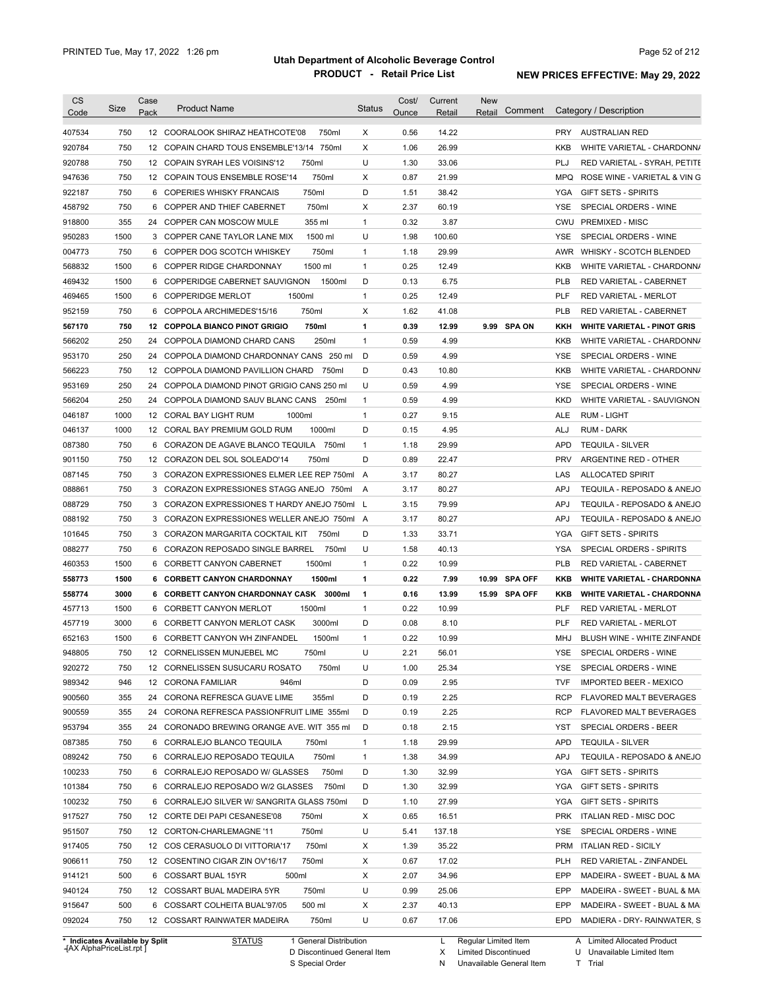| <b>CS</b><br>Code              | Size | Case<br>Pack | <b>Product Name</b>                          | <b>Status</b> | Cost/<br>Ounce | Current<br>Retail | New<br>Retail        | Comment        |            | Category / Description                              |
|--------------------------------|------|--------------|----------------------------------------------|---------------|----------------|-------------------|----------------------|----------------|------------|-----------------------------------------------------|
| 407534                         | 750  |              | 12 COORALOOK SHIRAZ HEATHCOTE'08<br>750ml    | Χ             | 0.56           | 14.22             |                      |                |            | PRY AUSTRALIAN RED                                  |
| 920784                         | 750  |              | 12 COPAIN CHARD TOUS ENSEMBLE'13/14 750ml    | Χ             | 1.06           | 26.99             |                      |                | KKB        | WHITE VARIETAL - CHARDONN/                          |
| 920788                         | 750  |              | 12 COPAIN SYRAH LES VOISINS'12<br>750ml      | U             | 1.30           | 33.06             |                      |                | PLJ        | RED VARIETAL - SYRAH, PETITE                        |
| 947636                         | 750  |              | 12 COPAIN TOUS ENSEMBLE ROSE'14<br>750ml     | Χ             | 0.87           | 21.99             |                      |                | MPQ        | ROSE WINE - VARIETAL & VIN G                        |
| 922187                         | 750  |              | 750ml<br>6 COPERIES WHISKY FRANCAIS          | D             | 1.51           | 38.42             |                      |                | YGA        | <b>GIFT SETS - SPIRITS</b>                          |
| 458792                         | 750  |              | 750ml<br>6 COPPER AND THIEF CABERNET         | Χ             | 2.37           | 60.19             |                      |                | <b>YSE</b> | SPECIAL ORDERS - WINE                               |
| 918800                         | 355  |              | 24 COPPER CAN MOSCOW MULE<br>355 ml          | $\mathbf{1}$  | 0.32           | 3.87              |                      |                |            | CWU PREMIXED - MISC                                 |
| 950283                         | 1500 |              | 1500 ml<br>3 COPPER CANE TAYLOR LANE MIX     | U             | 1.98           | 100.60            |                      |                | YSE        | SPECIAL ORDERS - WINE                               |
| 004773                         | 750  |              | 750ml<br>6 COPPER DOG SCOTCH WHISKEY         | 1             | 1.18           | 29.99             |                      |                |            | AWR WHISKY - SCOTCH BLENDED                         |
| 568832                         | 1500 |              | 6 COPPER RIDGE CHARDONNAY<br>1500 ml         | $\mathbf{1}$  | 0.25           | 12.49             |                      |                | KKB        | WHITE VARIETAL - CHARDONN/                          |
| 469432                         | 1500 |              | 6 COPPERIDGE CABERNET SAUVIGNON<br>1500ml    | D             | 0.13           | 6.75              |                      |                | PLB        | RED VARIETAL - CABERNET                             |
| 469465                         | 1500 |              | 1500ml<br>6 COPPERIDGE MERLOT                | $\mathbf{1}$  | 0.25           | 12.49             |                      |                | PLF        | <b>RED VARIETAL - MERLOT</b>                        |
| 952159                         | 750  |              | 750ml<br>6 COPPOLA ARCHIMEDES'15/16          | Χ             | 1.62           | 41.08             |                      |                | <b>PLB</b> | RED VARIETAL - CABERNET                             |
| 567170                         | 750  |              | 12 COPPOLA BIANCO PINOT GRIGIO<br>750ml      | 1             | 0.39           | 12.99             |                      | 9.99 SPA ON    | KKH        | <b>WHITE VARIETAL - PINOT GRIS</b>                  |
| 566202                         | 250  |              | 24 COPPOLA DIAMOND CHARD CANS<br>250ml       | $\mathbf{1}$  | 0.59           | 4.99              |                      |                | KKB        | WHITE VARIETAL - CHARDONN/                          |
|                                | 250  |              | 24 COPPOLA DIAMOND CHARDONNAY CANS 250 ml    | D             | 0.59           | 4.99              |                      |                | YSE        |                                                     |
| 953170                         | 750  |              | 12 COPPOLA DIAMOND PAVILLION CHARD 750ml     | D             | 0.43           |                   |                      |                | KKB        | SPECIAL ORDERS - WINE<br>WHITE VARIETAL - CHARDONN/ |
| 566223                         | 250  |              |                                              | U             | 0.59           | 10.80<br>4.99     |                      |                | <b>YSE</b> | SPECIAL ORDERS - WINE                               |
| 953169                         |      |              | 24 COPPOLA DIAMOND PINOT GRIGIO CANS 250 ml  |               |                |                   |                      |                |            |                                                     |
| 566204                         | 250  |              | 24 COPPOLA DIAMOND SAUV BLANC CANS<br>250ml  | $\mathbf{1}$  | 0.59           | 4.99              |                      |                | <b>KKD</b> | WHITE VARIETAL - SAUVIGNON                          |
| 046187                         | 1000 |              | 12 CORAL BAY LIGHT RUM<br>1000ml             | $\mathbf{1}$  | 0.27           | 9.15              |                      |                | <b>ALE</b> | <b>RUM - LIGHT</b>                                  |
| 046137                         | 1000 |              | 12 CORAL BAY PREMIUM GOLD RUM<br>1000ml      | D             | 0.15           | 4.95              |                      |                | ALJ        | <b>RUM - DARK</b>                                   |
| 087380                         | 750  |              | 6 CORAZON DE AGAVE BLANCO TEQUILA 750ml      | $\mathbf{1}$  | 1.18           | 29.99             |                      |                | <b>APD</b> | <b>TEQUILA - SILVER</b>                             |
| 901150                         | 750  |              | 12 CORAZON DEL SOL SOLEADO'14<br>750ml       | D             | 0.89           | 22.47             |                      |                | <b>PRV</b> | ARGENTINE RED - OTHER                               |
| 087145                         | 750  |              | 3 CORAZON EXPRESSIONES ELMER LEE REP 750ml   | A             | 3.17           | 80.27             |                      |                | LAS        | <b>ALLOCATED SPIRIT</b>                             |
| 088861                         | 750  |              | 3 CORAZON EXPRESSIONES STAGG ANEJO 750ml     | A             | 3.17           | 80.27             |                      |                | <b>APJ</b> | TEQUILA - REPOSADO & ANEJO                          |
| 088729                         | 750  |              | 3 CORAZON EXPRESSIONES T HARDY ANEJO 750ml L |               | 3.15           | 79.99             |                      |                | <b>APJ</b> | TEQUILA - REPOSADO & ANEJO                          |
| 088192                         | 750  |              | 3 CORAZON EXPRESSIONES WELLER ANEJO 750ml A  |               | 3.17           | 80.27             |                      |                | APJ        | TEQUILA - REPOSADO & ANEJO                          |
| 101645                         | 750  |              | 3 CORAZON MARGARITA COCKTAIL KIT<br>750ml    | D             | 1.33           | 33.71             |                      |                | YGA        | <b>GIFT SETS - SPIRITS</b>                          |
| 088277                         | 750  |              | 6 CORAZON REPOSADO SINGLE BARREL<br>750ml    | U             | 1.58           | 40.13             |                      |                | <b>YSA</b> | SPECIAL ORDERS - SPIRITS                            |
| 460353                         | 1500 |              | 1500ml<br>6 CORBETT CANYON CABERNET          | 1             | 0.22           | 10.99             |                      |                | <b>PLB</b> | RED VARIETAL - CABERNET                             |
| 558773                         | 1500 |              | 6 CORBETT CANYON CHARDONNAY<br>1500ml        | 1             | 0.22           | 7.99              | 10.99                | <b>SPA OFF</b> | KKB        | <b>WHITE VARIETAL - CHARDONNA</b>                   |
| 558774                         | 3000 |              | 6 CORBETT CANYON CHARDONNAY CASK 3000ml      | 1             | 0.16           | 13.99             |                      | 15.99 SPA OFF  | KKB        | <b>WHITE VARIETAL - CHARDONNA</b>                   |
| 457713                         | 1500 |              | 6 CORBETT CANYON MERLOT<br>1500ml            | $\mathbf{1}$  | 0.22           | 10.99             |                      |                | PLF        | <b>RED VARIETAL - MERLOT</b>                        |
| 457719                         | 3000 |              | 3000ml<br>6 CORBETT CANYON MERLOT CASK       | D             | 0.08           | 8.10              |                      |                | PLF        | <b>RED VARIETAL - MERLOT</b>                        |
| 652163                         | 1500 |              | 6 CORBETT CANYON WH ZINFANDEL<br>1500ml      | 1             | 0.22           | 10.99             |                      |                | MHJ        | BLUSH WINE - WHITE ZINFANDE                         |
| 948805                         | 750  |              | 12 CORNELISSEN MUNJEBEL MC<br>750ml          | U             | 2.21           | 56.01             |                      |                | YSE        | SPECIAL ORDERS - WINE                               |
| 920272                         | 750  |              | 12 CORNELISSEN SUSUCARU ROSATO<br>750ml      | U             | 1.00           | 25.34             |                      |                | YSE.       | SPECIAL ORDERS - WINE                               |
| 989342                         | 946  |              | 12 CORONA FAMILIAR<br>946ml                  | D             | 0.09           | 2.95              |                      |                | <b>TVF</b> | <b>IMPORTED BEER - MEXICO</b>                       |
| 900560                         | 355  |              | 24 CORONA REFRESCA GUAVE LIME<br>355ml       | D             | 0.19           | 2.25              |                      |                | RCP        | FLAVORED MALT BEVERAGES                             |
| 900559                         | 355  |              | 24 CORONA REFRESCA PASSIONFRUIT LIME 355ml   | D             | 0.19           | 2.25              |                      |                | RCP        | FLAVORED MALT BEVERAGES                             |
| 953794                         | 355  |              | 24 CORONADO BREWING ORANGE AVE. WIT 355 ml   | D             | 0.18           | 2.15              |                      |                | YST        | SPECIAL ORDERS - BEER                               |
| 087385                         | 750  |              | 6 CORRALEJO BLANCO TEQUILA<br>750ml          | 1             | 1.18           | 29.99             |                      |                | APD        | <b>TEQUILA - SILVER</b>                             |
| 089242                         | 750  |              | 6 CORRALEJO REPOSADO TEQUILA<br>750ml        | 1             | 1.38           | 34.99             |                      |                | <b>APJ</b> | TEQUILA - REPOSADO & ANEJO                          |
| 100233                         | 750  |              | 6 CORRALEJO REPOSADO W/ GLASSES<br>750ml     | D             | 1.30           | 32.99             |                      |                | YGA        | <b>GIFT SETS - SPIRITS</b>                          |
| 101384                         | 750  |              | 6 CORRALEJO REPOSADO W/2 GLASSES<br>750ml    | D             | 1.30           | 32.99             |                      |                | YGA        | <b>GIFT SETS - SPIRITS</b>                          |
| 100232                         | 750  |              | 6 CORRALEJO SILVER W/ SANGRITA GLASS 750ml   | D             | 1.10           | 27.99             |                      |                | YGA        | <b>GIFT SETS - SPIRITS</b>                          |
| 917527                         | 750  |              | 12 CORTE DEI PAPI CESANESE'08<br>750ml       | Х             | 0.65           | 16.51             |                      |                | PRK        | ITALIAN RED - MISC DOC                              |
| 951507                         | 750  |              | 750ml<br>12 CORTON-CHARLEMAGNE '11           | U             | 5.41           | 137.18            |                      |                | YSE        | SPECIAL ORDERS - WINE                               |
| 917405                         | 750  |              | 750ml<br>12 COS CERASUOLO DI VITTORIA'17     | Х             | 1.39           | 35.22             |                      |                |            | PRM ITALIAN RED - SICILY                            |
| 906611                         | 750  |              | 750ml<br>12 COSENTINO CIGAR ZIN OV'16/17     | Х             | 0.67           | 17.02             |                      |                | <b>PLH</b> | RED VARIETAL - ZINFANDEL                            |
| 914121                         | 500  |              | 6 COSSART BUAL 15YR<br>500ml                 | Х             | 2.07           | 34.96             |                      |                | EPP        | MADEIRA - SWEET - BUAL & MA                         |
| 940124                         | 750  |              | 750ml<br>12 COSSART BUAL MADEIRA 5YR         | U             | 0.99           | 25.06             |                      |                | EPP        | MADEIRA - SWEET - BUAL & MA                         |
| 915647                         | 500  |              | 500 ml<br>6 COSSART COLHEITA BUAL'97/05      | Х             | 2.37           | 40.13             |                      |                | EPP        | MADEIRA - SWEET - BUAL & MA                         |
| 092024                         | 750  |              | 750ml<br>12 COSSART RAINWATER MADEIRA        | U             | 0.67           | 17.06             |                      |                | EPD        | MADIERA - DRY- RAINWATER, S                         |
| * Indicates Available by Split |      |              | <b>STATUS</b><br>1 General Distribution      |               |                | L.                | Regular Limited Item |                |            | A Limited Allocated Product                         |

**Case** [AX AlphaPriceList.rpt ]

D Discontinued General Item

S Special Order

L Regular Limited Item Limited Discontinued

Unavailable General Item

X N U Unavailable Limited Item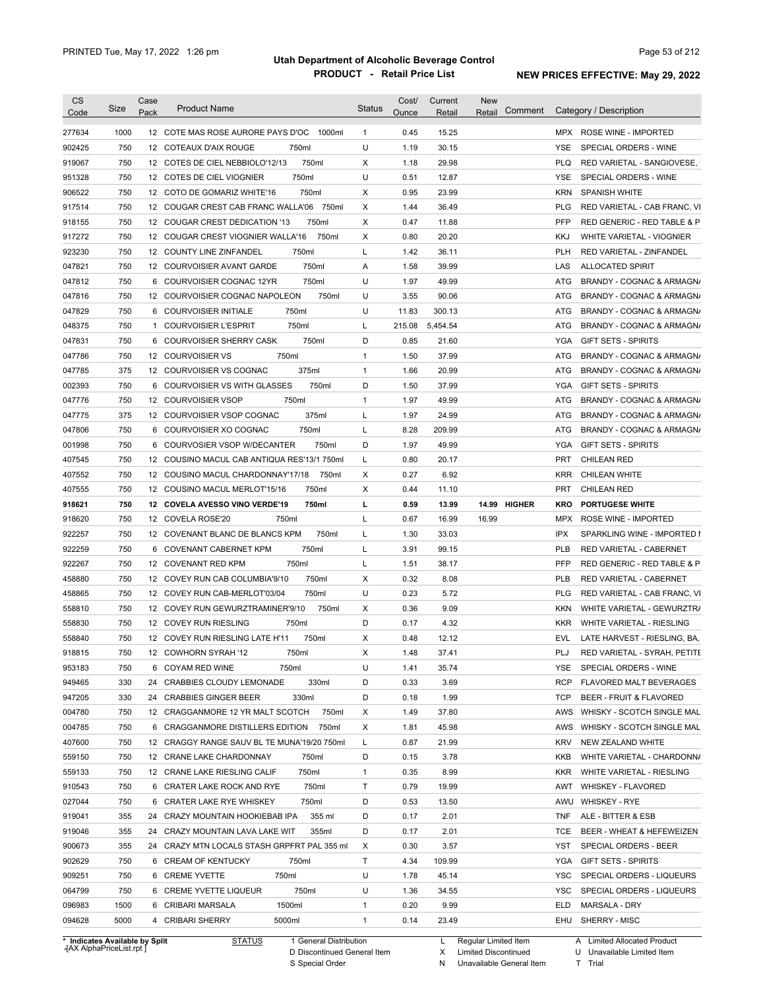| 1000<br>12 COTE MAS ROSE AURORE PAYS D'OC<br>0.45<br>15.25<br>277634<br>1000ml<br>$\mathbf{1}$<br>MPX ROSE WINE - IMPORTED<br>902425<br>750<br>U<br>1.19<br>30.15<br>SPECIAL ORDERS - WINE<br>12 COTEAUX D'AIX ROUGE<br>750ml<br><b>YSE</b><br>750<br>750ml<br>Χ<br>1.18<br>29.98<br><b>PLQ</b><br>919067<br>12 COTES DE CIEL NEBBIOLO'12/13<br>RED VARIETAL - SANGIOVESE,<br>750<br>U<br>750ml<br>0.51<br>12.87<br><b>YSE</b><br>951328<br>12 COTES DE CIEL VIOGNIER<br>SPECIAL ORDERS - WINE<br>750<br>750ml<br>Х<br>0.95<br>23.99<br><b>KRN</b><br><b>SPANISH WHITE</b><br>906522<br>12 COTO DE GOMARIZ WHITE'16<br>750<br>1.44<br>36.49<br><b>PLG</b><br>917514<br>12 COUGAR CREST CAB FRANC WALLA'06<br>750ml<br>X<br>RED VARIETAL - CAB FRANC, VI<br>PFP<br>750<br>750ml<br>Χ<br>0.47<br>918155<br>12 COUGAR CREST DEDICATION '13<br>11.88<br>RED GENERIC - RED TABLE & P<br>917272<br>750<br>750ml<br>Χ<br>0.80<br>20.20<br><b>KKJ</b><br>12 COUGAR CREST VIOGNIER WALLA'16<br>WHITE VARIETAL - VIOGNIER<br>750<br>923230<br>750ml<br>L<br>1.42<br>36.11<br><b>PLH</b><br>12 COUNTY LINE ZINFANDEL<br>RED VARIETAL - ZINFANDEL<br>750<br>047821<br>750ml<br>1.58<br>39.99<br>LAS<br>12 COURVOISIER AVANT GARDE<br>Α<br><b>ALLOCATED SPIRIT</b><br>750<br>750ml<br>U<br>1.97<br>49.99<br>047812<br>6 COURVOISIER COGNAC 12YR<br>ATG<br>BRANDY - COGNAC & ARMAGN/<br>750<br>12 COURVOISIER COGNAC NAPOLEON<br>750ml<br>U<br>3.55<br>90.06<br>ATG<br>BRANDY - COGNAC & ARMAGN/<br>750<br>750ml<br>U<br>11.83<br>300.13<br>ATG<br>6 COURVOISIER INITIALE<br>750<br>750ml<br>Г<br>215.08<br>5,454.54<br>ATG<br>1<br><b>COURVOISIER L'ESPRIT</b><br>750<br>750ml<br>D<br>0.85<br><b>COURVOISIER SHERRY CASK</b><br>21.60<br>YGA<br><b>GIFT SETS - SPIRITS</b><br>6<br>750<br>750ml<br>$\mathbf{1}$<br>1.50<br>37.99<br>12 COURVOISIER VS<br>ATG<br>375<br>375ml<br>$\mathbf{1}$<br>1.66<br>20.99<br>12 COURVOISIER VS COGNAC<br>ATG<br>750<br>COURVOISIER VS WITH GLASSES<br>750ml<br>D<br>37.99<br>6<br>1.50<br>YGA<br><b>GIFT SETS - SPIRITS</b><br>750<br>750ml<br>$\mathbf{1}$<br>49.99<br>12 COURVOISIER VSOP<br>1.97<br>ATG<br>375ml<br>24.99<br>375<br>12 COURVOISIER VSOP COGNAC<br>L<br>1.97<br>ATG<br>750<br>750ml<br>L<br>8.28<br>209.99<br>6<br>COURVOISIER XO COGNAC<br>ATG<br>750<br>D<br>1.97<br>49.99<br><b>YGA</b><br>COURVOSIER VSOP W/DECANTER<br>750ml<br><b>GIFT SETS - SPIRITS</b><br>6<br>Г<br>0.80<br>20.17<br><b>PRT</b><br>750<br>12 COUSINO MACUL CAB ANTIQUA RES'13/1 750ml<br><b>CHILEAN RED</b><br>Χ<br>0.27<br>6.92<br><b>KRR</b><br>750<br>12 COUSINO MACUL CHARDONNAY'17/18<br>750ml<br>CHILEAN WHITE<br>750ml<br>Χ<br>0.44<br><b>PRT</b><br>750<br>12 COUSINO MACUL MERLOT'15/16<br>11.10<br><b>CHILEAN RED</b><br>750<br>750ml<br>L<br>0.59<br>14.99 HIGHER<br>PORTUGESE WHITE<br>12 COVELA AVESSO VINO VERDE'19<br>13.99<br><b>KRO</b><br>918620<br>750<br>Г<br>0.67<br>16.99<br>16.99<br><b>MPX</b><br>12 COVELA ROSE'20<br>750ml<br>ROSE WINE - IMPORTED<br>922257<br>750<br>12 COVENANT BLANC DE BLANCS KPM<br>Г<br>1.30<br>33.03<br><b>IPX</b><br>750ml<br>SPARKLING WINE - IMPORTED I<br>922259<br>750<br>750ml<br>L<br>3.91<br>99.15<br><b>PLB</b><br>6 COVENANT CABERNET KPM<br>RED VARIETAL - CABERNET<br>922267<br>750<br>750ml<br>1.51<br>38.17<br><b>PFP</b><br>12 COVENANT RED KPM<br>L<br>RED GENERIC - RED TABLE & P<br>458880<br>750<br>750ml<br>0.32<br>8.08<br><b>PLB</b><br>RED VARIETAL - CABERNET<br>12 COVEY RUN CAB COLUMBIA'9/10<br>X<br>458865<br>750<br>750ml<br>U<br>0.23<br>5.72<br><b>PLG</b><br>RED VARIETAL - CAB FRANC, VI<br>12 COVEY RUN CAB-MERLOT'03/04<br>750<br>0.36<br>9.09<br>558810<br>12 COVEY RUN GEWURZTRAMINER'9/10<br>750ml<br>Х<br><b>KKN</b><br>WHITE VARIETAL - GEWURZTR/<br>750<br>D<br>0.17<br>558830<br>12 COVEY RUN RIESLING<br>750ml<br>4.32<br><b>KKR</b><br>WHITE VARIETAL - RIESLING<br>750<br>750ml<br>Χ<br>0.48<br>12.12<br>LATE HARVEST - RIESLING, BA,<br>558840<br>12 COVEY RUN RIESLING LATE H'11<br>EVL<br>PLJ<br>918815<br>750<br>12 COWHORN SYRAH '12<br>750ml<br>37.41<br>х<br>1.48<br>RED VARIETAL - SYRAH, PETITE<br>953183<br>U<br>SPECIAL ORDERS - WINE<br>750<br>6 COYAM RED WINE<br>750ml<br>1.41<br>35.74<br>YSE<br>949465<br>330<br>330ml<br>0.33<br><b>RCP</b><br>CRABBIES CLOUDY LEMONADE<br>D<br>3.69<br>FLAVORED MALT BEVERAGES<br>24<br>330<br>330ml<br>D<br>BEER - FRUIT & FLAVORED<br><b>CRABBIES GINGER BEER</b><br>0.18<br>1.99<br><b>TCP</b><br>24<br>750<br>750ml<br>37.80<br>12 CRAGGANMORE 12 YR MALT SCOTCH<br>X<br>1.49<br>AWS<br>750<br>Х<br>1.81<br>45.98<br>6 CRAGGANMORE DISTILLERS EDITION<br>750ml<br>AWS<br>750<br>L<br>0.87<br>21.99<br>12 CRAGGY RANGE SAUV BL TE MUNA'19/20 750ml<br><b>KRV</b><br>NEW ZEALAND WHITE<br>750<br>D<br>12 CRANE LAKE CHARDONNAY<br>750ml<br>0.15<br>3.78<br>KKB<br>750<br>$\mathbf{1}$<br>0.35<br>8.99<br>12 CRANE LAKE RIESLING CALIF<br>750ml<br><b>KKR</b><br>WHITE VARIETAL - RIESLING<br>750<br>750ml<br>Τ<br>0.79<br>19.99<br>6 CRATER LAKE ROCK AND RYE<br>AWT<br><b>WHISKEY - FLAVORED</b><br>750<br>750ml<br>D<br>6 CRATER LAKE RYE WHISKEY<br>0.53<br>13.50<br>AWU<br><b>WHISKEY - RYE</b><br>D<br>2.01<br>355<br>24 CRAZY MOUNTAIN HOOKIEBAB IPA<br>355 ml<br>0.17<br><b>TNF</b><br>ALE - BITTER & ESB<br>355<br>24 CRAZY MOUNTAIN LAVA LAKE WIT<br>355ml<br>D<br>0.17<br>2.01<br><b>TCE</b><br>355<br>24 CRAZY MTN LOCALS STASH GRPFRT PAL 355 ml<br>X<br>0.30<br>3.57<br>YST<br>SPECIAL ORDERS - BEER<br>Τ<br>750<br>6 CREAM OF KENTUCKY<br>750ml<br>4.34<br>109.99<br>YGA<br><b>GIFT SETS - SPIRITS</b><br>U<br>750<br>6 CREME YVETTE<br>750ml<br>1.78<br>45.14<br>YSC<br>SPECIAL ORDERS - LIQUEURS<br>750ml<br>U<br>064799<br>750<br>6 CREME YVETTE LIQUEUR<br>1.36<br>34.55<br>YSC<br>SPECIAL ORDERS - LIQUEURS<br>1500ml<br>$\mathbf{1}$<br>0.20<br>9.99<br>096983<br>1500<br>6 CRIBARI MARSALA<br>ELD<br>MARSALA - DRY<br>094628<br>5000<br>$\mathbf{1}$<br>SHERRY - MISC<br>4 CRIBARI SHERRY<br>5000ml<br>0.14<br>23.49<br>EHU | CS<br>Code | Size | Case<br>Pack | <b>Product Name</b> | <b>Status</b> | Cost/<br>Ounce | Current<br>Retail | <b>New</b><br>Comment<br>Retail | Category / Description     |
|------------------------------------------------------------------------------------------------------------------------------------------------------------------------------------------------------------------------------------------------------------------------------------------------------------------------------------------------------------------------------------------------------------------------------------------------------------------------------------------------------------------------------------------------------------------------------------------------------------------------------------------------------------------------------------------------------------------------------------------------------------------------------------------------------------------------------------------------------------------------------------------------------------------------------------------------------------------------------------------------------------------------------------------------------------------------------------------------------------------------------------------------------------------------------------------------------------------------------------------------------------------------------------------------------------------------------------------------------------------------------------------------------------------------------------------------------------------------------------------------------------------------------------------------------------------------------------------------------------------------------------------------------------------------------------------------------------------------------------------------------------------------------------------------------------------------------------------------------------------------------------------------------------------------------------------------------------------------------------------------------------------------------------------------------------------------------------------------------------------------------------------------------------------------------------------------------------------------------------------------------------------------------------------------------------------------------------------------------------------------------------------------------------------------------------------------------------------------------------------------------------------------------------------------------------------------------------------------------------------------------------------------------------------------------------------------------------------------------------------------------------------------------------------------------------------------------------------------------------------------------------------------------------------------------------------------------------------------------------------------------------------------------------------------------------------------------------------------------------------------------------------------------------------------------------------------------------------------------------------------------------------------------------------------------------------------------------------------------------------------------------------------------------------------------------------------------------------------------------------------------------------------------------------------------------------------------------------------------------------------------------------------------------------------------------------------------------------------------------------------------------------------------------------------------------------------------------------------------------------------------------------------------------------------------------------------------------------------------------------------------------------------------------------------------------------------------------------------------------------------------------------------------------------------------------------------------------------------------------------------------------------------------------------------------------------------------------------------------------------------------------------------------------------------------------------------------------------------------------------------------------------------------------------------------------------------------------------------------------------------------------------------------------------------------------------------------------------------------------------------------------------------------------------------------------------------------------------------------------------------------------------------------------------------------------------------------------------------------------------------------------------------------------------------------------------------------------------------------------------------------------------------------------------------------------------------------------------------------------------------------------------------------------------------------------------------------------------------------------------------------------------------------------------------------------------------------------------------------------------------------------------------------------------------------------------------------------------------------------------------------------------------------------------------------------------------------------------------------------------------------------------------------------------------------------------------------------------------------------------------------------------------------------------------------------------------------------------------------------------------------------------------|------------|------|--------------|---------------------|---------------|----------------|-------------------|---------------------------------|----------------------------|
|                                                                                                                                                                                                                                                                                                                                                                                                                                                                                                                                                                                                                                                                                                                                                                                                                                                                                                                                                                                                                                                                                                                                                                                                                                                                                                                                                                                                                                                                                                                                                                                                                                                                                                                                                                                                                                                                                                                                                                                                                                                                                                                                                                                                                                                                                                                                                                                                                                                                                                                                                                                                                                                                                                                                                                                                                                                                                                                                                                                                                                                                                                                                                                                                                                                                                                                                                                                                                                                                                                                                                                                                                                                                                                                                                                                                                                                                                                                                                                                                                                                                                                                                                                                                                                                                                                                                                                                                                                                                                                                                                                                                                                                                                                                                                                                                                                                                                                                                                                                                                                                                                                                                                                                                                                                                                                                                                                                                                                                                                                                                                                                                                                                                                                                                                                                                                                                                                                                                                                                                                        |            |      |              |                     |               |                |                   |                                 |                            |
|                                                                                                                                                                                                                                                                                                                                                                                                                                                                                                                                                                                                                                                                                                                                                                                                                                                                                                                                                                                                                                                                                                                                                                                                                                                                                                                                                                                                                                                                                                                                                                                                                                                                                                                                                                                                                                                                                                                                                                                                                                                                                                                                                                                                                                                                                                                                                                                                                                                                                                                                                                                                                                                                                                                                                                                                                                                                                                                                                                                                                                                                                                                                                                                                                                                                                                                                                                                                                                                                                                                                                                                                                                                                                                                                                                                                                                                                                                                                                                                                                                                                                                                                                                                                                                                                                                                                                                                                                                                                                                                                                                                                                                                                                                                                                                                                                                                                                                                                                                                                                                                                                                                                                                                                                                                                                                                                                                                                                                                                                                                                                                                                                                                                                                                                                                                                                                                                                                                                                                                                                        |            |      |              |                     |               |                |                   |                                 |                            |
|                                                                                                                                                                                                                                                                                                                                                                                                                                                                                                                                                                                                                                                                                                                                                                                                                                                                                                                                                                                                                                                                                                                                                                                                                                                                                                                                                                                                                                                                                                                                                                                                                                                                                                                                                                                                                                                                                                                                                                                                                                                                                                                                                                                                                                                                                                                                                                                                                                                                                                                                                                                                                                                                                                                                                                                                                                                                                                                                                                                                                                                                                                                                                                                                                                                                                                                                                                                                                                                                                                                                                                                                                                                                                                                                                                                                                                                                                                                                                                                                                                                                                                                                                                                                                                                                                                                                                                                                                                                                                                                                                                                                                                                                                                                                                                                                                                                                                                                                                                                                                                                                                                                                                                                                                                                                                                                                                                                                                                                                                                                                                                                                                                                                                                                                                                                                                                                                                                                                                                                                                        |            |      |              |                     |               |                |                   |                                 |                            |
|                                                                                                                                                                                                                                                                                                                                                                                                                                                                                                                                                                                                                                                                                                                                                                                                                                                                                                                                                                                                                                                                                                                                                                                                                                                                                                                                                                                                                                                                                                                                                                                                                                                                                                                                                                                                                                                                                                                                                                                                                                                                                                                                                                                                                                                                                                                                                                                                                                                                                                                                                                                                                                                                                                                                                                                                                                                                                                                                                                                                                                                                                                                                                                                                                                                                                                                                                                                                                                                                                                                                                                                                                                                                                                                                                                                                                                                                                                                                                                                                                                                                                                                                                                                                                                                                                                                                                                                                                                                                                                                                                                                                                                                                                                                                                                                                                                                                                                                                                                                                                                                                                                                                                                                                                                                                                                                                                                                                                                                                                                                                                                                                                                                                                                                                                                                                                                                                                                                                                                                                                        |            |      |              |                     |               |                |                   |                                 |                            |
|                                                                                                                                                                                                                                                                                                                                                                                                                                                                                                                                                                                                                                                                                                                                                                                                                                                                                                                                                                                                                                                                                                                                                                                                                                                                                                                                                                                                                                                                                                                                                                                                                                                                                                                                                                                                                                                                                                                                                                                                                                                                                                                                                                                                                                                                                                                                                                                                                                                                                                                                                                                                                                                                                                                                                                                                                                                                                                                                                                                                                                                                                                                                                                                                                                                                                                                                                                                                                                                                                                                                                                                                                                                                                                                                                                                                                                                                                                                                                                                                                                                                                                                                                                                                                                                                                                                                                                                                                                                                                                                                                                                                                                                                                                                                                                                                                                                                                                                                                                                                                                                                                                                                                                                                                                                                                                                                                                                                                                                                                                                                                                                                                                                                                                                                                                                                                                                                                                                                                                                                                        |            |      |              |                     |               |                |                   |                                 |                            |
|                                                                                                                                                                                                                                                                                                                                                                                                                                                                                                                                                                                                                                                                                                                                                                                                                                                                                                                                                                                                                                                                                                                                                                                                                                                                                                                                                                                                                                                                                                                                                                                                                                                                                                                                                                                                                                                                                                                                                                                                                                                                                                                                                                                                                                                                                                                                                                                                                                                                                                                                                                                                                                                                                                                                                                                                                                                                                                                                                                                                                                                                                                                                                                                                                                                                                                                                                                                                                                                                                                                                                                                                                                                                                                                                                                                                                                                                                                                                                                                                                                                                                                                                                                                                                                                                                                                                                                                                                                                                                                                                                                                                                                                                                                                                                                                                                                                                                                                                                                                                                                                                                                                                                                                                                                                                                                                                                                                                                                                                                                                                                                                                                                                                                                                                                                                                                                                                                                                                                                                                                        |            |      |              |                     |               |                |                   |                                 |                            |
|                                                                                                                                                                                                                                                                                                                                                                                                                                                                                                                                                                                                                                                                                                                                                                                                                                                                                                                                                                                                                                                                                                                                                                                                                                                                                                                                                                                                                                                                                                                                                                                                                                                                                                                                                                                                                                                                                                                                                                                                                                                                                                                                                                                                                                                                                                                                                                                                                                                                                                                                                                                                                                                                                                                                                                                                                                                                                                                                                                                                                                                                                                                                                                                                                                                                                                                                                                                                                                                                                                                                                                                                                                                                                                                                                                                                                                                                                                                                                                                                                                                                                                                                                                                                                                                                                                                                                                                                                                                                                                                                                                                                                                                                                                                                                                                                                                                                                                                                                                                                                                                                                                                                                                                                                                                                                                                                                                                                                                                                                                                                                                                                                                                                                                                                                                                                                                                                                                                                                                                                                        |            |      |              |                     |               |                |                   |                                 |                            |
|                                                                                                                                                                                                                                                                                                                                                                                                                                                                                                                                                                                                                                                                                                                                                                                                                                                                                                                                                                                                                                                                                                                                                                                                                                                                                                                                                                                                                                                                                                                                                                                                                                                                                                                                                                                                                                                                                                                                                                                                                                                                                                                                                                                                                                                                                                                                                                                                                                                                                                                                                                                                                                                                                                                                                                                                                                                                                                                                                                                                                                                                                                                                                                                                                                                                                                                                                                                                                                                                                                                                                                                                                                                                                                                                                                                                                                                                                                                                                                                                                                                                                                                                                                                                                                                                                                                                                                                                                                                                                                                                                                                                                                                                                                                                                                                                                                                                                                                                                                                                                                                                                                                                                                                                                                                                                                                                                                                                                                                                                                                                                                                                                                                                                                                                                                                                                                                                                                                                                                                                                        |            |      |              |                     |               |                |                   |                                 |                            |
|                                                                                                                                                                                                                                                                                                                                                                                                                                                                                                                                                                                                                                                                                                                                                                                                                                                                                                                                                                                                                                                                                                                                                                                                                                                                                                                                                                                                                                                                                                                                                                                                                                                                                                                                                                                                                                                                                                                                                                                                                                                                                                                                                                                                                                                                                                                                                                                                                                                                                                                                                                                                                                                                                                                                                                                                                                                                                                                                                                                                                                                                                                                                                                                                                                                                                                                                                                                                                                                                                                                                                                                                                                                                                                                                                                                                                                                                                                                                                                                                                                                                                                                                                                                                                                                                                                                                                                                                                                                                                                                                                                                                                                                                                                                                                                                                                                                                                                                                                                                                                                                                                                                                                                                                                                                                                                                                                                                                                                                                                                                                                                                                                                                                                                                                                                                                                                                                                                                                                                                                                        |            |      |              |                     |               |                |                   |                                 |                            |
|                                                                                                                                                                                                                                                                                                                                                                                                                                                                                                                                                                                                                                                                                                                                                                                                                                                                                                                                                                                                                                                                                                                                                                                                                                                                                                                                                                                                                                                                                                                                                                                                                                                                                                                                                                                                                                                                                                                                                                                                                                                                                                                                                                                                                                                                                                                                                                                                                                                                                                                                                                                                                                                                                                                                                                                                                                                                                                                                                                                                                                                                                                                                                                                                                                                                                                                                                                                                                                                                                                                                                                                                                                                                                                                                                                                                                                                                                                                                                                                                                                                                                                                                                                                                                                                                                                                                                                                                                                                                                                                                                                                                                                                                                                                                                                                                                                                                                                                                                                                                                                                                                                                                                                                                                                                                                                                                                                                                                                                                                                                                                                                                                                                                                                                                                                                                                                                                                                                                                                                                                        |            |      |              |                     |               |                |                   |                                 |                            |
|                                                                                                                                                                                                                                                                                                                                                                                                                                                                                                                                                                                                                                                                                                                                                                                                                                                                                                                                                                                                                                                                                                                                                                                                                                                                                                                                                                                                                                                                                                                                                                                                                                                                                                                                                                                                                                                                                                                                                                                                                                                                                                                                                                                                                                                                                                                                                                                                                                                                                                                                                                                                                                                                                                                                                                                                                                                                                                                                                                                                                                                                                                                                                                                                                                                                                                                                                                                                                                                                                                                                                                                                                                                                                                                                                                                                                                                                                                                                                                                                                                                                                                                                                                                                                                                                                                                                                                                                                                                                                                                                                                                                                                                                                                                                                                                                                                                                                                                                                                                                                                                                                                                                                                                                                                                                                                                                                                                                                                                                                                                                                                                                                                                                                                                                                                                                                                                                                                                                                                                                                        |            |      |              |                     |               |                |                   |                                 |                            |
|                                                                                                                                                                                                                                                                                                                                                                                                                                                                                                                                                                                                                                                                                                                                                                                                                                                                                                                                                                                                                                                                                                                                                                                                                                                                                                                                                                                                                                                                                                                                                                                                                                                                                                                                                                                                                                                                                                                                                                                                                                                                                                                                                                                                                                                                                                                                                                                                                                                                                                                                                                                                                                                                                                                                                                                                                                                                                                                                                                                                                                                                                                                                                                                                                                                                                                                                                                                                                                                                                                                                                                                                                                                                                                                                                                                                                                                                                                                                                                                                                                                                                                                                                                                                                                                                                                                                                                                                                                                                                                                                                                                                                                                                                                                                                                                                                                                                                                                                                                                                                                                                                                                                                                                                                                                                                                                                                                                                                                                                                                                                                                                                                                                                                                                                                                                                                                                                                                                                                                                                                        |            |      |              |                     |               |                |                   |                                 |                            |
|                                                                                                                                                                                                                                                                                                                                                                                                                                                                                                                                                                                                                                                                                                                                                                                                                                                                                                                                                                                                                                                                                                                                                                                                                                                                                                                                                                                                                                                                                                                                                                                                                                                                                                                                                                                                                                                                                                                                                                                                                                                                                                                                                                                                                                                                                                                                                                                                                                                                                                                                                                                                                                                                                                                                                                                                                                                                                                                                                                                                                                                                                                                                                                                                                                                                                                                                                                                                                                                                                                                                                                                                                                                                                                                                                                                                                                                                                                                                                                                                                                                                                                                                                                                                                                                                                                                                                                                                                                                                                                                                                                                                                                                                                                                                                                                                                                                                                                                                                                                                                                                                                                                                                                                                                                                                                                                                                                                                                                                                                                                                                                                                                                                                                                                                                                                                                                                                                                                                                                                                                        | 047816     |      |              |                     |               |                |                   |                                 |                            |
|                                                                                                                                                                                                                                                                                                                                                                                                                                                                                                                                                                                                                                                                                                                                                                                                                                                                                                                                                                                                                                                                                                                                                                                                                                                                                                                                                                                                                                                                                                                                                                                                                                                                                                                                                                                                                                                                                                                                                                                                                                                                                                                                                                                                                                                                                                                                                                                                                                                                                                                                                                                                                                                                                                                                                                                                                                                                                                                                                                                                                                                                                                                                                                                                                                                                                                                                                                                                                                                                                                                                                                                                                                                                                                                                                                                                                                                                                                                                                                                                                                                                                                                                                                                                                                                                                                                                                                                                                                                                                                                                                                                                                                                                                                                                                                                                                                                                                                                                                                                                                                                                                                                                                                                                                                                                                                                                                                                                                                                                                                                                                                                                                                                                                                                                                                                                                                                                                                                                                                                                                        | 047829     |      |              |                     |               |                |                   |                                 | BRANDY - COGNAC & ARMAGN/  |
|                                                                                                                                                                                                                                                                                                                                                                                                                                                                                                                                                                                                                                                                                                                                                                                                                                                                                                                                                                                                                                                                                                                                                                                                                                                                                                                                                                                                                                                                                                                                                                                                                                                                                                                                                                                                                                                                                                                                                                                                                                                                                                                                                                                                                                                                                                                                                                                                                                                                                                                                                                                                                                                                                                                                                                                                                                                                                                                                                                                                                                                                                                                                                                                                                                                                                                                                                                                                                                                                                                                                                                                                                                                                                                                                                                                                                                                                                                                                                                                                                                                                                                                                                                                                                                                                                                                                                                                                                                                                                                                                                                                                                                                                                                                                                                                                                                                                                                                                                                                                                                                                                                                                                                                                                                                                                                                                                                                                                                                                                                                                                                                                                                                                                                                                                                                                                                                                                                                                                                                                                        | 048375     |      |              |                     |               |                |                   |                                 | BRANDY - COGNAC & ARMAGN/  |
|                                                                                                                                                                                                                                                                                                                                                                                                                                                                                                                                                                                                                                                                                                                                                                                                                                                                                                                                                                                                                                                                                                                                                                                                                                                                                                                                                                                                                                                                                                                                                                                                                                                                                                                                                                                                                                                                                                                                                                                                                                                                                                                                                                                                                                                                                                                                                                                                                                                                                                                                                                                                                                                                                                                                                                                                                                                                                                                                                                                                                                                                                                                                                                                                                                                                                                                                                                                                                                                                                                                                                                                                                                                                                                                                                                                                                                                                                                                                                                                                                                                                                                                                                                                                                                                                                                                                                                                                                                                                                                                                                                                                                                                                                                                                                                                                                                                                                                                                                                                                                                                                                                                                                                                                                                                                                                                                                                                                                                                                                                                                                                                                                                                                                                                                                                                                                                                                                                                                                                                                                        | 047831     |      |              |                     |               |                |                   |                                 |                            |
|                                                                                                                                                                                                                                                                                                                                                                                                                                                                                                                                                                                                                                                                                                                                                                                                                                                                                                                                                                                                                                                                                                                                                                                                                                                                                                                                                                                                                                                                                                                                                                                                                                                                                                                                                                                                                                                                                                                                                                                                                                                                                                                                                                                                                                                                                                                                                                                                                                                                                                                                                                                                                                                                                                                                                                                                                                                                                                                                                                                                                                                                                                                                                                                                                                                                                                                                                                                                                                                                                                                                                                                                                                                                                                                                                                                                                                                                                                                                                                                                                                                                                                                                                                                                                                                                                                                                                                                                                                                                                                                                                                                                                                                                                                                                                                                                                                                                                                                                                                                                                                                                                                                                                                                                                                                                                                                                                                                                                                                                                                                                                                                                                                                                                                                                                                                                                                                                                                                                                                                                                        | 047786     |      |              |                     |               |                |                   |                                 | BRANDY - COGNAC & ARMAGN/  |
|                                                                                                                                                                                                                                                                                                                                                                                                                                                                                                                                                                                                                                                                                                                                                                                                                                                                                                                                                                                                                                                                                                                                                                                                                                                                                                                                                                                                                                                                                                                                                                                                                                                                                                                                                                                                                                                                                                                                                                                                                                                                                                                                                                                                                                                                                                                                                                                                                                                                                                                                                                                                                                                                                                                                                                                                                                                                                                                                                                                                                                                                                                                                                                                                                                                                                                                                                                                                                                                                                                                                                                                                                                                                                                                                                                                                                                                                                                                                                                                                                                                                                                                                                                                                                                                                                                                                                                                                                                                                                                                                                                                                                                                                                                                                                                                                                                                                                                                                                                                                                                                                                                                                                                                                                                                                                                                                                                                                                                                                                                                                                                                                                                                                                                                                                                                                                                                                                                                                                                                                                        | 047785     |      |              |                     |               |                |                   |                                 | BRANDY - COGNAC & ARMAGN/  |
|                                                                                                                                                                                                                                                                                                                                                                                                                                                                                                                                                                                                                                                                                                                                                                                                                                                                                                                                                                                                                                                                                                                                                                                                                                                                                                                                                                                                                                                                                                                                                                                                                                                                                                                                                                                                                                                                                                                                                                                                                                                                                                                                                                                                                                                                                                                                                                                                                                                                                                                                                                                                                                                                                                                                                                                                                                                                                                                                                                                                                                                                                                                                                                                                                                                                                                                                                                                                                                                                                                                                                                                                                                                                                                                                                                                                                                                                                                                                                                                                                                                                                                                                                                                                                                                                                                                                                                                                                                                                                                                                                                                                                                                                                                                                                                                                                                                                                                                                                                                                                                                                                                                                                                                                                                                                                                                                                                                                                                                                                                                                                                                                                                                                                                                                                                                                                                                                                                                                                                                                                        | 002393     |      |              |                     |               |                |                   |                                 |                            |
|                                                                                                                                                                                                                                                                                                                                                                                                                                                                                                                                                                                                                                                                                                                                                                                                                                                                                                                                                                                                                                                                                                                                                                                                                                                                                                                                                                                                                                                                                                                                                                                                                                                                                                                                                                                                                                                                                                                                                                                                                                                                                                                                                                                                                                                                                                                                                                                                                                                                                                                                                                                                                                                                                                                                                                                                                                                                                                                                                                                                                                                                                                                                                                                                                                                                                                                                                                                                                                                                                                                                                                                                                                                                                                                                                                                                                                                                                                                                                                                                                                                                                                                                                                                                                                                                                                                                                                                                                                                                                                                                                                                                                                                                                                                                                                                                                                                                                                                                                                                                                                                                                                                                                                                                                                                                                                                                                                                                                                                                                                                                                                                                                                                                                                                                                                                                                                                                                                                                                                                                                        | 047776     |      |              |                     |               |                |                   |                                 | BRANDY - COGNAC & ARMAGN/  |
|                                                                                                                                                                                                                                                                                                                                                                                                                                                                                                                                                                                                                                                                                                                                                                                                                                                                                                                                                                                                                                                                                                                                                                                                                                                                                                                                                                                                                                                                                                                                                                                                                                                                                                                                                                                                                                                                                                                                                                                                                                                                                                                                                                                                                                                                                                                                                                                                                                                                                                                                                                                                                                                                                                                                                                                                                                                                                                                                                                                                                                                                                                                                                                                                                                                                                                                                                                                                                                                                                                                                                                                                                                                                                                                                                                                                                                                                                                                                                                                                                                                                                                                                                                                                                                                                                                                                                                                                                                                                                                                                                                                                                                                                                                                                                                                                                                                                                                                                                                                                                                                                                                                                                                                                                                                                                                                                                                                                                                                                                                                                                                                                                                                                                                                                                                                                                                                                                                                                                                                                                        | 047775     |      |              |                     |               |                |                   |                                 | BRANDY - COGNAC & ARMAGN/  |
|                                                                                                                                                                                                                                                                                                                                                                                                                                                                                                                                                                                                                                                                                                                                                                                                                                                                                                                                                                                                                                                                                                                                                                                                                                                                                                                                                                                                                                                                                                                                                                                                                                                                                                                                                                                                                                                                                                                                                                                                                                                                                                                                                                                                                                                                                                                                                                                                                                                                                                                                                                                                                                                                                                                                                                                                                                                                                                                                                                                                                                                                                                                                                                                                                                                                                                                                                                                                                                                                                                                                                                                                                                                                                                                                                                                                                                                                                                                                                                                                                                                                                                                                                                                                                                                                                                                                                                                                                                                                                                                                                                                                                                                                                                                                                                                                                                                                                                                                                                                                                                                                                                                                                                                                                                                                                                                                                                                                                                                                                                                                                                                                                                                                                                                                                                                                                                                                                                                                                                                                                        | 047806     |      |              |                     |               |                |                   |                                 | BRANDY - COGNAC & ARMAGN/  |
|                                                                                                                                                                                                                                                                                                                                                                                                                                                                                                                                                                                                                                                                                                                                                                                                                                                                                                                                                                                                                                                                                                                                                                                                                                                                                                                                                                                                                                                                                                                                                                                                                                                                                                                                                                                                                                                                                                                                                                                                                                                                                                                                                                                                                                                                                                                                                                                                                                                                                                                                                                                                                                                                                                                                                                                                                                                                                                                                                                                                                                                                                                                                                                                                                                                                                                                                                                                                                                                                                                                                                                                                                                                                                                                                                                                                                                                                                                                                                                                                                                                                                                                                                                                                                                                                                                                                                                                                                                                                                                                                                                                                                                                                                                                                                                                                                                                                                                                                                                                                                                                                                                                                                                                                                                                                                                                                                                                                                                                                                                                                                                                                                                                                                                                                                                                                                                                                                                                                                                                                                        | 001998     |      |              |                     |               |                |                   |                                 |                            |
|                                                                                                                                                                                                                                                                                                                                                                                                                                                                                                                                                                                                                                                                                                                                                                                                                                                                                                                                                                                                                                                                                                                                                                                                                                                                                                                                                                                                                                                                                                                                                                                                                                                                                                                                                                                                                                                                                                                                                                                                                                                                                                                                                                                                                                                                                                                                                                                                                                                                                                                                                                                                                                                                                                                                                                                                                                                                                                                                                                                                                                                                                                                                                                                                                                                                                                                                                                                                                                                                                                                                                                                                                                                                                                                                                                                                                                                                                                                                                                                                                                                                                                                                                                                                                                                                                                                                                                                                                                                                                                                                                                                                                                                                                                                                                                                                                                                                                                                                                                                                                                                                                                                                                                                                                                                                                                                                                                                                                                                                                                                                                                                                                                                                                                                                                                                                                                                                                                                                                                                                                        | 407545     |      |              |                     |               |                |                   |                                 |                            |
|                                                                                                                                                                                                                                                                                                                                                                                                                                                                                                                                                                                                                                                                                                                                                                                                                                                                                                                                                                                                                                                                                                                                                                                                                                                                                                                                                                                                                                                                                                                                                                                                                                                                                                                                                                                                                                                                                                                                                                                                                                                                                                                                                                                                                                                                                                                                                                                                                                                                                                                                                                                                                                                                                                                                                                                                                                                                                                                                                                                                                                                                                                                                                                                                                                                                                                                                                                                                                                                                                                                                                                                                                                                                                                                                                                                                                                                                                                                                                                                                                                                                                                                                                                                                                                                                                                                                                                                                                                                                                                                                                                                                                                                                                                                                                                                                                                                                                                                                                                                                                                                                                                                                                                                                                                                                                                                                                                                                                                                                                                                                                                                                                                                                                                                                                                                                                                                                                                                                                                                                                        | 407552     |      |              |                     |               |                |                   |                                 |                            |
|                                                                                                                                                                                                                                                                                                                                                                                                                                                                                                                                                                                                                                                                                                                                                                                                                                                                                                                                                                                                                                                                                                                                                                                                                                                                                                                                                                                                                                                                                                                                                                                                                                                                                                                                                                                                                                                                                                                                                                                                                                                                                                                                                                                                                                                                                                                                                                                                                                                                                                                                                                                                                                                                                                                                                                                                                                                                                                                                                                                                                                                                                                                                                                                                                                                                                                                                                                                                                                                                                                                                                                                                                                                                                                                                                                                                                                                                                                                                                                                                                                                                                                                                                                                                                                                                                                                                                                                                                                                                                                                                                                                                                                                                                                                                                                                                                                                                                                                                                                                                                                                                                                                                                                                                                                                                                                                                                                                                                                                                                                                                                                                                                                                                                                                                                                                                                                                                                                                                                                                                                        | 407555     |      |              |                     |               |                |                   |                                 |                            |
|                                                                                                                                                                                                                                                                                                                                                                                                                                                                                                                                                                                                                                                                                                                                                                                                                                                                                                                                                                                                                                                                                                                                                                                                                                                                                                                                                                                                                                                                                                                                                                                                                                                                                                                                                                                                                                                                                                                                                                                                                                                                                                                                                                                                                                                                                                                                                                                                                                                                                                                                                                                                                                                                                                                                                                                                                                                                                                                                                                                                                                                                                                                                                                                                                                                                                                                                                                                                                                                                                                                                                                                                                                                                                                                                                                                                                                                                                                                                                                                                                                                                                                                                                                                                                                                                                                                                                                                                                                                                                                                                                                                                                                                                                                                                                                                                                                                                                                                                                                                                                                                                                                                                                                                                                                                                                                                                                                                                                                                                                                                                                                                                                                                                                                                                                                                                                                                                                                                                                                                                                        | 918621     |      |              |                     |               |                |                   |                                 |                            |
|                                                                                                                                                                                                                                                                                                                                                                                                                                                                                                                                                                                                                                                                                                                                                                                                                                                                                                                                                                                                                                                                                                                                                                                                                                                                                                                                                                                                                                                                                                                                                                                                                                                                                                                                                                                                                                                                                                                                                                                                                                                                                                                                                                                                                                                                                                                                                                                                                                                                                                                                                                                                                                                                                                                                                                                                                                                                                                                                                                                                                                                                                                                                                                                                                                                                                                                                                                                                                                                                                                                                                                                                                                                                                                                                                                                                                                                                                                                                                                                                                                                                                                                                                                                                                                                                                                                                                                                                                                                                                                                                                                                                                                                                                                                                                                                                                                                                                                                                                                                                                                                                                                                                                                                                                                                                                                                                                                                                                                                                                                                                                                                                                                                                                                                                                                                                                                                                                                                                                                                                                        |            |      |              |                     |               |                |                   |                                 |                            |
|                                                                                                                                                                                                                                                                                                                                                                                                                                                                                                                                                                                                                                                                                                                                                                                                                                                                                                                                                                                                                                                                                                                                                                                                                                                                                                                                                                                                                                                                                                                                                                                                                                                                                                                                                                                                                                                                                                                                                                                                                                                                                                                                                                                                                                                                                                                                                                                                                                                                                                                                                                                                                                                                                                                                                                                                                                                                                                                                                                                                                                                                                                                                                                                                                                                                                                                                                                                                                                                                                                                                                                                                                                                                                                                                                                                                                                                                                                                                                                                                                                                                                                                                                                                                                                                                                                                                                                                                                                                                                                                                                                                                                                                                                                                                                                                                                                                                                                                                                                                                                                                                                                                                                                                                                                                                                                                                                                                                                                                                                                                                                                                                                                                                                                                                                                                                                                                                                                                                                                                                                        |            |      |              |                     |               |                |                   |                                 |                            |
|                                                                                                                                                                                                                                                                                                                                                                                                                                                                                                                                                                                                                                                                                                                                                                                                                                                                                                                                                                                                                                                                                                                                                                                                                                                                                                                                                                                                                                                                                                                                                                                                                                                                                                                                                                                                                                                                                                                                                                                                                                                                                                                                                                                                                                                                                                                                                                                                                                                                                                                                                                                                                                                                                                                                                                                                                                                                                                                                                                                                                                                                                                                                                                                                                                                                                                                                                                                                                                                                                                                                                                                                                                                                                                                                                                                                                                                                                                                                                                                                                                                                                                                                                                                                                                                                                                                                                                                                                                                                                                                                                                                                                                                                                                                                                                                                                                                                                                                                                                                                                                                                                                                                                                                                                                                                                                                                                                                                                                                                                                                                                                                                                                                                                                                                                                                                                                                                                                                                                                                                                        |            |      |              |                     |               |                |                   |                                 |                            |
|                                                                                                                                                                                                                                                                                                                                                                                                                                                                                                                                                                                                                                                                                                                                                                                                                                                                                                                                                                                                                                                                                                                                                                                                                                                                                                                                                                                                                                                                                                                                                                                                                                                                                                                                                                                                                                                                                                                                                                                                                                                                                                                                                                                                                                                                                                                                                                                                                                                                                                                                                                                                                                                                                                                                                                                                                                                                                                                                                                                                                                                                                                                                                                                                                                                                                                                                                                                                                                                                                                                                                                                                                                                                                                                                                                                                                                                                                                                                                                                                                                                                                                                                                                                                                                                                                                                                                                                                                                                                                                                                                                                                                                                                                                                                                                                                                                                                                                                                                                                                                                                                                                                                                                                                                                                                                                                                                                                                                                                                                                                                                                                                                                                                                                                                                                                                                                                                                                                                                                                                                        |            |      |              |                     |               |                |                   |                                 |                            |
|                                                                                                                                                                                                                                                                                                                                                                                                                                                                                                                                                                                                                                                                                                                                                                                                                                                                                                                                                                                                                                                                                                                                                                                                                                                                                                                                                                                                                                                                                                                                                                                                                                                                                                                                                                                                                                                                                                                                                                                                                                                                                                                                                                                                                                                                                                                                                                                                                                                                                                                                                                                                                                                                                                                                                                                                                                                                                                                                                                                                                                                                                                                                                                                                                                                                                                                                                                                                                                                                                                                                                                                                                                                                                                                                                                                                                                                                                                                                                                                                                                                                                                                                                                                                                                                                                                                                                                                                                                                                                                                                                                                                                                                                                                                                                                                                                                                                                                                                                                                                                                                                                                                                                                                                                                                                                                                                                                                                                                                                                                                                                                                                                                                                                                                                                                                                                                                                                                                                                                                                                        |            |      |              |                     |               |                |                   |                                 |                            |
|                                                                                                                                                                                                                                                                                                                                                                                                                                                                                                                                                                                                                                                                                                                                                                                                                                                                                                                                                                                                                                                                                                                                                                                                                                                                                                                                                                                                                                                                                                                                                                                                                                                                                                                                                                                                                                                                                                                                                                                                                                                                                                                                                                                                                                                                                                                                                                                                                                                                                                                                                                                                                                                                                                                                                                                                                                                                                                                                                                                                                                                                                                                                                                                                                                                                                                                                                                                                                                                                                                                                                                                                                                                                                                                                                                                                                                                                                                                                                                                                                                                                                                                                                                                                                                                                                                                                                                                                                                                                                                                                                                                                                                                                                                                                                                                                                                                                                                                                                                                                                                                                                                                                                                                                                                                                                                                                                                                                                                                                                                                                                                                                                                                                                                                                                                                                                                                                                                                                                                                                                        |            |      |              |                     |               |                |                   |                                 |                            |
|                                                                                                                                                                                                                                                                                                                                                                                                                                                                                                                                                                                                                                                                                                                                                                                                                                                                                                                                                                                                                                                                                                                                                                                                                                                                                                                                                                                                                                                                                                                                                                                                                                                                                                                                                                                                                                                                                                                                                                                                                                                                                                                                                                                                                                                                                                                                                                                                                                                                                                                                                                                                                                                                                                                                                                                                                                                                                                                                                                                                                                                                                                                                                                                                                                                                                                                                                                                                                                                                                                                                                                                                                                                                                                                                                                                                                                                                                                                                                                                                                                                                                                                                                                                                                                                                                                                                                                                                                                                                                                                                                                                                                                                                                                                                                                                                                                                                                                                                                                                                                                                                                                                                                                                                                                                                                                                                                                                                                                                                                                                                                                                                                                                                                                                                                                                                                                                                                                                                                                                                                        |            |      |              |                     |               |                |                   |                                 |                            |
|                                                                                                                                                                                                                                                                                                                                                                                                                                                                                                                                                                                                                                                                                                                                                                                                                                                                                                                                                                                                                                                                                                                                                                                                                                                                                                                                                                                                                                                                                                                                                                                                                                                                                                                                                                                                                                                                                                                                                                                                                                                                                                                                                                                                                                                                                                                                                                                                                                                                                                                                                                                                                                                                                                                                                                                                                                                                                                                                                                                                                                                                                                                                                                                                                                                                                                                                                                                                                                                                                                                                                                                                                                                                                                                                                                                                                                                                                                                                                                                                                                                                                                                                                                                                                                                                                                                                                                                                                                                                                                                                                                                                                                                                                                                                                                                                                                                                                                                                                                                                                                                                                                                                                                                                                                                                                                                                                                                                                                                                                                                                                                                                                                                                                                                                                                                                                                                                                                                                                                                                                        |            |      |              |                     |               |                |                   |                                 |                            |
|                                                                                                                                                                                                                                                                                                                                                                                                                                                                                                                                                                                                                                                                                                                                                                                                                                                                                                                                                                                                                                                                                                                                                                                                                                                                                                                                                                                                                                                                                                                                                                                                                                                                                                                                                                                                                                                                                                                                                                                                                                                                                                                                                                                                                                                                                                                                                                                                                                                                                                                                                                                                                                                                                                                                                                                                                                                                                                                                                                                                                                                                                                                                                                                                                                                                                                                                                                                                                                                                                                                                                                                                                                                                                                                                                                                                                                                                                                                                                                                                                                                                                                                                                                                                                                                                                                                                                                                                                                                                                                                                                                                                                                                                                                                                                                                                                                                                                                                                                                                                                                                                                                                                                                                                                                                                                                                                                                                                                                                                                                                                                                                                                                                                                                                                                                                                                                                                                                                                                                                                                        |            |      |              |                     |               |                |                   |                                 |                            |
|                                                                                                                                                                                                                                                                                                                                                                                                                                                                                                                                                                                                                                                                                                                                                                                                                                                                                                                                                                                                                                                                                                                                                                                                                                                                                                                                                                                                                                                                                                                                                                                                                                                                                                                                                                                                                                                                                                                                                                                                                                                                                                                                                                                                                                                                                                                                                                                                                                                                                                                                                                                                                                                                                                                                                                                                                                                                                                                                                                                                                                                                                                                                                                                                                                                                                                                                                                                                                                                                                                                                                                                                                                                                                                                                                                                                                                                                                                                                                                                                                                                                                                                                                                                                                                                                                                                                                                                                                                                                                                                                                                                                                                                                                                                                                                                                                                                                                                                                                                                                                                                                                                                                                                                                                                                                                                                                                                                                                                                                                                                                                                                                                                                                                                                                                                                                                                                                                                                                                                                                                        |            |      |              |                     |               |                |                   |                                 |                            |
|                                                                                                                                                                                                                                                                                                                                                                                                                                                                                                                                                                                                                                                                                                                                                                                                                                                                                                                                                                                                                                                                                                                                                                                                                                                                                                                                                                                                                                                                                                                                                                                                                                                                                                                                                                                                                                                                                                                                                                                                                                                                                                                                                                                                                                                                                                                                                                                                                                                                                                                                                                                                                                                                                                                                                                                                                                                                                                                                                                                                                                                                                                                                                                                                                                                                                                                                                                                                                                                                                                                                                                                                                                                                                                                                                                                                                                                                                                                                                                                                                                                                                                                                                                                                                                                                                                                                                                                                                                                                                                                                                                                                                                                                                                                                                                                                                                                                                                                                                                                                                                                                                                                                                                                                                                                                                                                                                                                                                                                                                                                                                                                                                                                                                                                                                                                                                                                                                                                                                                                                                        |            |      |              |                     |               |                |                   |                                 |                            |
|                                                                                                                                                                                                                                                                                                                                                                                                                                                                                                                                                                                                                                                                                                                                                                                                                                                                                                                                                                                                                                                                                                                                                                                                                                                                                                                                                                                                                                                                                                                                                                                                                                                                                                                                                                                                                                                                                                                                                                                                                                                                                                                                                                                                                                                                                                                                                                                                                                                                                                                                                                                                                                                                                                                                                                                                                                                                                                                                                                                                                                                                                                                                                                                                                                                                                                                                                                                                                                                                                                                                                                                                                                                                                                                                                                                                                                                                                                                                                                                                                                                                                                                                                                                                                                                                                                                                                                                                                                                                                                                                                                                                                                                                                                                                                                                                                                                                                                                                                                                                                                                                                                                                                                                                                                                                                                                                                                                                                                                                                                                                                                                                                                                                                                                                                                                                                                                                                                                                                                                                                        |            |      |              |                     |               |                |                   |                                 |                            |
|                                                                                                                                                                                                                                                                                                                                                                                                                                                                                                                                                                                                                                                                                                                                                                                                                                                                                                                                                                                                                                                                                                                                                                                                                                                                                                                                                                                                                                                                                                                                                                                                                                                                                                                                                                                                                                                                                                                                                                                                                                                                                                                                                                                                                                                                                                                                                                                                                                                                                                                                                                                                                                                                                                                                                                                                                                                                                                                                                                                                                                                                                                                                                                                                                                                                                                                                                                                                                                                                                                                                                                                                                                                                                                                                                                                                                                                                                                                                                                                                                                                                                                                                                                                                                                                                                                                                                                                                                                                                                                                                                                                                                                                                                                                                                                                                                                                                                                                                                                                                                                                                                                                                                                                                                                                                                                                                                                                                                                                                                                                                                                                                                                                                                                                                                                                                                                                                                                                                                                                                                        |            |      |              |                     |               |                |                   |                                 |                            |
|                                                                                                                                                                                                                                                                                                                                                                                                                                                                                                                                                                                                                                                                                                                                                                                                                                                                                                                                                                                                                                                                                                                                                                                                                                                                                                                                                                                                                                                                                                                                                                                                                                                                                                                                                                                                                                                                                                                                                                                                                                                                                                                                                                                                                                                                                                                                                                                                                                                                                                                                                                                                                                                                                                                                                                                                                                                                                                                                                                                                                                                                                                                                                                                                                                                                                                                                                                                                                                                                                                                                                                                                                                                                                                                                                                                                                                                                                                                                                                                                                                                                                                                                                                                                                                                                                                                                                                                                                                                                                                                                                                                                                                                                                                                                                                                                                                                                                                                                                                                                                                                                                                                                                                                                                                                                                                                                                                                                                                                                                                                                                                                                                                                                                                                                                                                                                                                                                                                                                                                                                        | 947205     |      |              |                     |               |                |                   |                                 |                            |
|                                                                                                                                                                                                                                                                                                                                                                                                                                                                                                                                                                                                                                                                                                                                                                                                                                                                                                                                                                                                                                                                                                                                                                                                                                                                                                                                                                                                                                                                                                                                                                                                                                                                                                                                                                                                                                                                                                                                                                                                                                                                                                                                                                                                                                                                                                                                                                                                                                                                                                                                                                                                                                                                                                                                                                                                                                                                                                                                                                                                                                                                                                                                                                                                                                                                                                                                                                                                                                                                                                                                                                                                                                                                                                                                                                                                                                                                                                                                                                                                                                                                                                                                                                                                                                                                                                                                                                                                                                                                                                                                                                                                                                                                                                                                                                                                                                                                                                                                                                                                                                                                                                                                                                                                                                                                                                                                                                                                                                                                                                                                                                                                                                                                                                                                                                                                                                                                                                                                                                                                                        | 004780     |      |              |                     |               |                |                   |                                 | WHISKY - SCOTCH SINGLE MAL |
|                                                                                                                                                                                                                                                                                                                                                                                                                                                                                                                                                                                                                                                                                                                                                                                                                                                                                                                                                                                                                                                                                                                                                                                                                                                                                                                                                                                                                                                                                                                                                                                                                                                                                                                                                                                                                                                                                                                                                                                                                                                                                                                                                                                                                                                                                                                                                                                                                                                                                                                                                                                                                                                                                                                                                                                                                                                                                                                                                                                                                                                                                                                                                                                                                                                                                                                                                                                                                                                                                                                                                                                                                                                                                                                                                                                                                                                                                                                                                                                                                                                                                                                                                                                                                                                                                                                                                                                                                                                                                                                                                                                                                                                                                                                                                                                                                                                                                                                                                                                                                                                                                                                                                                                                                                                                                                                                                                                                                                                                                                                                                                                                                                                                                                                                                                                                                                                                                                                                                                                                                        | 004785     |      |              |                     |               |                |                   |                                 | WHISKY - SCOTCH SINGLE MAL |
|                                                                                                                                                                                                                                                                                                                                                                                                                                                                                                                                                                                                                                                                                                                                                                                                                                                                                                                                                                                                                                                                                                                                                                                                                                                                                                                                                                                                                                                                                                                                                                                                                                                                                                                                                                                                                                                                                                                                                                                                                                                                                                                                                                                                                                                                                                                                                                                                                                                                                                                                                                                                                                                                                                                                                                                                                                                                                                                                                                                                                                                                                                                                                                                                                                                                                                                                                                                                                                                                                                                                                                                                                                                                                                                                                                                                                                                                                                                                                                                                                                                                                                                                                                                                                                                                                                                                                                                                                                                                                                                                                                                                                                                                                                                                                                                                                                                                                                                                                                                                                                                                                                                                                                                                                                                                                                                                                                                                                                                                                                                                                                                                                                                                                                                                                                                                                                                                                                                                                                                                                        | 407600     |      |              |                     |               |                |                   |                                 |                            |
|                                                                                                                                                                                                                                                                                                                                                                                                                                                                                                                                                                                                                                                                                                                                                                                                                                                                                                                                                                                                                                                                                                                                                                                                                                                                                                                                                                                                                                                                                                                                                                                                                                                                                                                                                                                                                                                                                                                                                                                                                                                                                                                                                                                                                                                                                                                                                                                                                                                                                                                                                                                                                                                                                                                                                                                                                                                                                                                                                                                                                                                                                                                                                                                                                                                                                                                                                                                                                                                                                                                                                                                                                                                                                                                                                                                                                                                                                                                                                                                                                                                                                                                                                                                                                                                                                                                                                                                                                                                                                                                                                                                                                                                                                                                                                                                                                                                                                                                                                                                                                                                                                                                                                                                                                                                                                                                                                                                                                                                                                                                                                                                                                                                                                                                                                                                                                                                                                                                                                                                                                        | 559150     |      |              |                     |               |                |                   |                                 | WHITE VARIETAL - CHARDONN/ |
|                                                                                                                                                                                                                                                                                                                                                                                                                                                                                                                                                                                                                                                                                                                                                                                                                                                                                                                                                                                                                                                                                                                                                                                                                                                                                                                                                                                                                                                                                                                                                                                                                                                                                                                                                                                                                                                                                                                                                                                                                                                                                                                                                                                                                                                                                                                                                                                                                                                                                                                                                                                                                                                                                                                                                                                                                                                                                                                                                                                                                                                                                                                                                                                                                                                                                                                                                                                                                                                                                                                                                                                                                                                                                                                                                                                                                                                                                                                                                                                                                                                                                                                                                                                                                                                                                                                                                                                                                                                                                                                                                                                                                                                                                                                                                                                                                                                                                                                                                                                                                                                                                                                                                                                                                                                                                                                                                                                                                                                                                                                                                                                                                                                                                                                                                                                                                                                                                                                                                                                                                        | 559133     |      |              |                     |               |                |                   |                                 |                            |
|                                                                                                                                                                                                                                                                                                                                                                                                                                                                                                                                                                                                                                                                                                                                                                                                                                                                                                                                                                                                                                                                                                                                                                                                                                                                                                                                                                                                                                                                                                                                                                                                                                                                                                                                                                                                                                                                                                                                                                                                                                                                                                                                                                                                                                                                                                                                                                                                                                                                                                                                                                                                                                                                                                                                                                                                                                                                                                                                                                                                                                                                                                                                                                                                                                                                                                                                                                                                                                                                                                                                                                                                                                                                                                                                                                                                                                                                                                                                                                                                                                                                                                                                                                                                                                                                                                                                                                                                                                                                                                                                                                                                                                                                                                                                                                                                                                                                                                                                                                                                                                                                                                                                                                                                                                                                                                                                                                                                                                                                                                                                                                                                                                                                                                                                                                                                                                                                                                                                                                                                                        | 910543     |      |              |                     |               |                |                   |                                 |                            |
|                                                                                                                                                                                                                                                                                                                                                                                                                                                                                                                                                                                                                                                                                                                                                                                                                                                                                                                                                                                                                                                                                                                                                                                                                                                                                                                                                                                                                                                                                                                                                                                                                                                                                                                                                                                                                                                                                                                                                                                                                                                                                                                                                                                                                                                                                                                                                                                                                                                                                                                                                                                                                                                                                                                                                                                                                                                                                                                                                                                                                                                                                                                                                                                                                                                                                                                                                                                                                                                                                                                                                                                                                                                                                                                                                                                                                                                                                                                                                                                                                                                                                                                                                                                                                                                                                                                                                                                                                                                                                                                                                                                                                                                                                                                                                                                                                                                                                                                                                                                                                                                                                                                                                                                                                                                                                                                                                                                                                                                                                                                                                                                                                                                                                                                                                                                                                                                                                                                                                                                                                        | 027044     |      |              |                     |               |                |                   |                                 |                            |
|                                                                                                                                                                                                                                                                                                                                                                                                                                                                                                                                                                                                                                                                                                                                                                                                                                                                                                                                                                                                                                                                                                                                                                                                                                                                                                                                                                                                                                                                                                                                                                                                                                                                                                                                                                                                                                                                                                                                                                                                                                                                                                                                                                                                                                                                                                                                                                                                                                                                                                                                                                                                                                                                                                                                                                                                                                                                                                                                                                                                                                                                                                                                                                                                                                                                                                                                                                                                                                                                                                                                                                                                                                                                                                                                                                                                                                                                                                                                                                                                                                                                                                                                                                                                                                                                                                                                                                                                                                                                                                                                                                                                                                                                                                                                                                                                                                                                                                                                                                                                                                                                                                                                                                                                                                                                                                                                                                                                                                                                                                                                                                                                                                                                                                                                                                                                                                                                                                                                                                                                                        | 919041     |      |              |                     |               |                |                   |                                 |                            |
|                                                                                                                                                                                                                                                                                                                                                                                                                                                                                                                                                                                                                                                                                                                                                                                                                                                                                                                                                                                                                                                                                                                                                                                                                                                                                                                                                                                                                                                                                                                                                                                                                                                                                                                                                                                                                                                                                                                                                                                                                                                                                                                                                                                                                                                                                                                                                                                                                                                                                                                                                                                                                                                                                                                                                                                                                                                                                                                                                                                                                                                                                                                                                                                                                                                                                                                                                                                                                                                                                                                                                                                                                                                                                                                                                                                                                                                                                                                                                                                                                                                                                                                                                                                                                                                                                                                                                                                                                                                                                                                                                                                                                                                                                                                                                                                                                                                                                                                                                                                                                                                                                                                                                                                                                                                                                                                                                                                                                                                                                                                                                                                                                                                                                                                                                                                                                                                                                                                                                                                                                        | 919046     |      |              |                     |               |                |                   |                                 | BEER - WHEAT & HEFEWEIZEN  |
|                                                                                                                                                                                                                                                                                                                                                                                                                                                                                                                                                                                                                                                                                                                                                                                                                                                                                                                                                                                                                                                                                                                                                                                                                                                                                                                                                                                                                                                                                                                                                                                                                                                                                                                                                                                                                                                                                                                                                                                                                                                                                                                                                                                                                                                                                                                                                                                                                                                                                                                                                                                                                                                                                                                                                                                                                                                                                                                                                                                                                                                                                                                                                                                                                                                                                                                                                                                                                                                                                                                                                                                                                                                                                                                                                                                                                                                                                                                                                                                                                                                                                                                                                                                                                                                                                                                                                                                                                                                                                                                                                                                                                                                                                                                                                                                                                                                                                                                                                                                                                                                                                                                                                                                                                                                                                                                                                                                                                                                                                                                                                                                                                                                                                                                                                                                                                                                                                                                                                                                                                        | 900673     |      |              |                     |               |                |                   |                                 |                            |
|                                                                                                                                                                                                                                                                                                                                                                                                                                                                                                                                                                                                                                                                                                                                                                                                                                                                                                                                                                                                                                                                                                                                                                                                                                                                                                                                                                                                                                                                                                                                                                                                                                                                                                                                                                                                                                                                                                                                                                                                                                                                                                                                                                                                                                                                                                                                                                                                                                                                                                                                                                                                                                                                                                                                                                                                                                                                                                                                                                                                                                                                                                                                                                                                                                                                                                                                                                                                                                                                                                                                                                                                                                                                                                                                                                                                                                                                                                                                                                                                                                                                                                                                                                                                                                                                                                                                                                                                                                                                                                                                                                                                                                                                                                                                                                                                                                                                                                                                                                                                                                                                                                                                                                                                                                                                                                                                                                                                                                                                                                                                                                                                                                                                                                                                                                                                                                                                                                                                                                                                                        | 902629     |      |              |                     |               |                |                   |                                 |                            |
|                                                                                                                                                                                                                                                                                                                                                                                                                                                                                                                                                                                                                                                                                                                                                                                                                                                                                                                                                                                                                                                                                                                                                                                                                                                                                                                                                                                                                                                                                                                                                                                                                                                                                                                                                                                                                                                                                                                                                                                                                                                                                                                                                                                                                                                                                                                                                                                                                                                                                                                                                                                                                                                                                                                                                                                                                                                                                                                                                                                                                                                                                                                                                                                                                                                                                                                                                                                                                                                                                                                                                                                                                                                                                                                                                                                                                                                                                                                                                                                                                                                                                                                                                                                                                                                                                                                                                                                                                                                                                                                                                                                                                                                                                                                                                                                                                                                                                                                                                                                                                                                                                                                                                                                                                                                                                                                                                                                                                                                                                                                                                                                                                                                                                                                                                                                                                                                                                                                                                                                                                        | 909251     |      |              |                     |               |                |                   |                                 |                            |
|                                                                                                                                                                                                                                                                                                                                                                                                                                                                                                                                                                                                                                                                                                                                                                                                                                                                                                                                                                                                                                                                                                                                                                                                                                                                                                                                                                                                                                                                                                                                                                                                                                                                                                                                                                                                                                                                                                                                                                                                                                                                                                                                                                                                                                                                                                                                                                                                                                                                                                                                                                                                                                                                                                                                                                                                                                                                                                                                                                                                                                                                                                                                                                                                                                                                                                                                                                                                                                                                                                                                                                                                                                                                                                                                                                                                                                                                                                                                                                                                                                                                                                                                                                                                                                                                                                                                                                                                                                                                                                                                                                                                                                                                                                                                                                                                                                                                                                                                                                                                                                                                                                                                                                                                                                                                                                                                                                                                                                                                                                                                                                                                                                                                                                                                                                                                                                                                                                                                                                                                                        |            |      |              |                     |               |                |                   |                                 |                            |
|                                                                                                                                                                                                                                                                                                                                                                                                                                                                                                                                                                                                                                                                                                                                                                                                                                                                                                                                                                                                                                                                                                                                                                                                                                                                                                                                                                                                                                                                                                                                                                                                                                                                                                                                                                                                                                                                                                                                                                                                                                                                                                                                                                                                                                                                                                                                                                                                                                                                                                                                                                                                                                                                                                                                                                                                                                                                                                                                                                                                                                                                                                                                                                                                                                                                                                                                                                                                                                                                                                                                                                                                                                                                                                                                                                                                                                                                                                                                                                                                                                                                                                                                                                                                                                                                                                                                                                                                                                                                                                                                                                                                                                                                                                                                                                                                                                                                                                                                                                                                                                                                                                                                                                                                                                                                                                                                                                                                                                                                                                                                                                                                                                                                                                                                                                                                                                                                                                                                                                                                                        |            |      |              |                     |               |                |                   |                                 |                            |
|                                                                                                                                                                                                                                                                                                                                                                                                                                                                                                                                                                                                                                                                                                                                                                                                                                                                                                                                                                                                                                                                                                                                                                                                                                                                                                                                                                                                                                                                                                                                                                                                                                                                                                                                                                                                                                                                                                                                                                                                                                                                                                                                                                                                                                                                                                                                                                                                                                                                                                                                                                                                                                                                                                                                                                                                                                                                                                                                                                                                                                                                                                                                                                                                                                                                                                                                                                                                                                                                                                                                                                                                                                                                                                                                                                                                                                                                                                                                                                                                                                                                                                                                                                                                                                                                                                                                                                                                                                                                                                                                                                                                                                                                                                                                                                                                                                                                                                                                                                                                                                                                                                                                                                                                                                                                                                                                                                                                                                                                                                                                                                                                                                                                                                                                                                                                                                                                                                                                                                                                                        |            |      |              |                     |               |                |                   |                                 |                            |
| <b>STATUS</b><br>1 General Distribution<br>Regular Limited Item<br>A Limited Allocated Product                                                                                                                                                                                                                                                                                                                                                                                                                                                                                                                                                                                                                                                                                                                                                                                                                                                                                                                                                                                                                                                                                                                                                                                                                                                                                                                                                                                                                                                                                                                                                                                                                                                                                                                                                                                                                                                                                                                                                                                                                                                                                                                                                                                                                                                                                                                                                                                                                                                                                                                                                                                                                                                                                                                                                                                                                                                                                                                                                                                                                                                                                                                                                                                                                                                                                                                                                                                                                                                                                                                                                                                                                                                                                                                                                                                                                                                                                                                                                                                                                                                                                                                                                                                                                                                                                                                                                                                                                                                                                                                                                                                                                                                                                                                                                                                                                                                                                                                                                                                                                                                                                                                                                                                                                                                                                                                                                                                                                                                                                                                                                                                                                                                                                                                                                                                                                                                                                                                         |            |      |              |                     |               |                |                   |                                 |                            |

**Case** [AX AlphaPriceList.rpt ]

D Discontinued General Item

S Special Order

X Limited Discontinued

N Unavailable General Item

U Unavailable Limited Item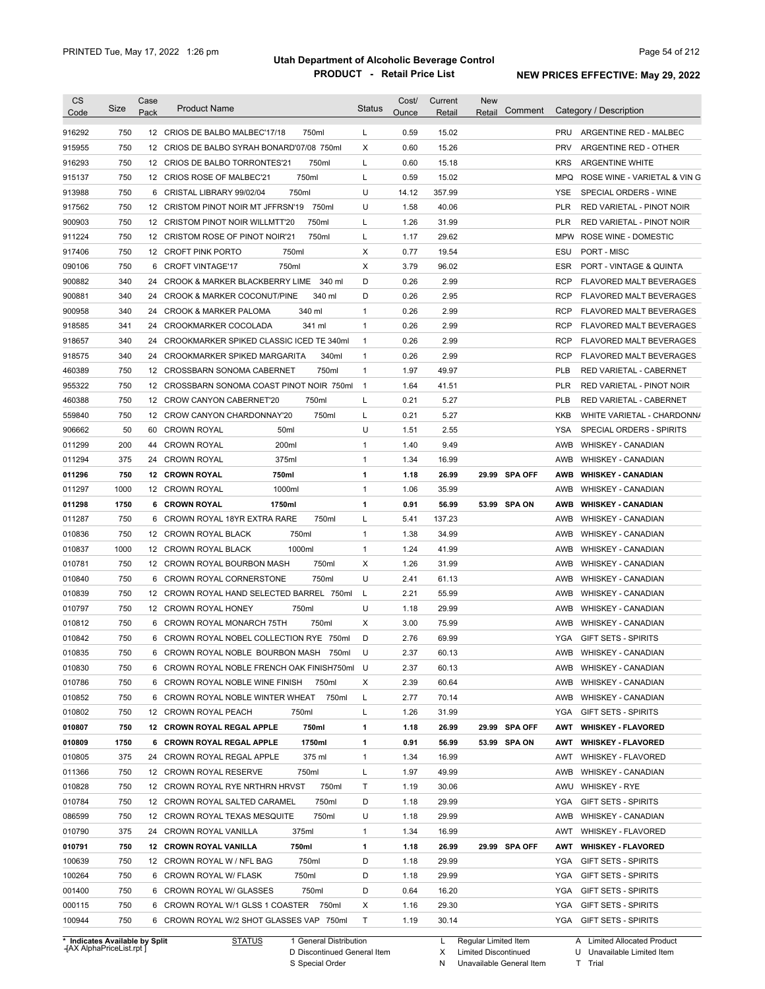| <b>CS</b><br>Code              | Size | Case<br>Pack     | <b>Product Name</b>                           | <b>Status</b>  | Cost/<br>Ounce | Current<br>Retail | <b>New</b><br>Comment<br>Retail | Category / Description                           |
|--------------------------------|------|------------------|-----------------------------------------------|----------------|----------------|-------------------|---------------------------------|--------------------------------------------------|
| 916292                         | 750  |                  | 750ml<br>12 CRIOS DE BALBO MALBEC'17/18       | L              | 0.59           | 15.02             |                                 | PRU<br>ARGENTINE RED - MALBEC                    |
| 915955                         | 750  | 12               | CRIOS DE BALBO SYRAH BONARD'07/08 750ml       | X              | 0.60           | 15.26             |                                 | PRV<br>ARGENTINE RED - OTHER                     |
| 916293                         | 750  |                  | 750ml<br>12 CRIOS DE BALBO TORRONTES'21       | Г              | 0.60           | 15.18             |                                 | <b>KRS</b><br><b>ARGENTINE WHITE</b>             |
| 915137                         | 750  |                  | 750ml<br>12 CRIOS ROSE OF MALBEC'21           | Г              | 0.59           | 15.02             |                                 | <b>MPQ</b><br>ROSE WINE - VARIETAL & VIN G       |
| 913988                         | 750  | 6                | 750ml<br>CRISTAL LIBRARY 99/02/04             | U              | 14.12          | 357.99            |                                 | YSE<br>SPECIAL ORDERS - WINE                     |
| 917562                         | 750  | 12 <sup>12</sup> | CRISTOM PINOT NOIR MT JFFRSN'19<br>750ml      | U              | 1.58           | 40.06             |                                 | <b>PLR</b><br>RED VARIETAL - PINOT NOIR          |
| 900903                         | 750  | 12               | 750ml<br>CRISTOM PINOT NOIR WILLMTT'20        | Г              | 1.26           | 31.99             |                                 | <b>PLR</b><br>RED VARIETAL - PINOT NOIR          |
| 911224                         | 750  | 12               | 750ml<br><b>CRISTOM ROSE OF PINOT NOIR'21</b> | Г              | 1.17           | 29.62             |                                 | <b>MPW</b><br>ROSE WINE - DOMESTIC               |
| 917406                         | 750  |                  | 750ml<br>12 CROFT PINK PORTO                  | Х              | 0.77           | 19.54             |                                 | ESU<br>PORT - MISC                               |
| 090106                         | 750  | 6                | <b>CROFT VINTAGE'17</b><br>750ml              | X              | 3.79           | 96.02             |                                 | <b>ESR</b><br><b>PORT - VINTAGE &amp; QUINTA</b> |
| 900882                         | 340  | 24               | CROOK & MARKER BLACKBERRY LIME<br>340 ml      | D              | 0.26           | 2.99              |                                 | <b>RCP</b><br>FLAVORED MALT BEVERAGES            |
| 900881                         | 340  | 24               | 340 ml<br>CROOK & MARKER COCONUT/PINE         | D              | 0.26           | 2.95              |                                 | <b>RCP</b><br>FLAVORED MALT BEVERAGES            |
| 900958                         | 340  | 24               | 340 ml<br><b>CROOK &amp; MARKER PALOMA</b>    | $\mathbf{1}$   | 0.26           | 2.99              |                                 | <b>RCP</b><br><b>FLAVORED MALT BEVERAGES</b>     |
| 918585                         | 341  | 24               | 341 ml<br>CROOKMARKER COCOLADA                | $\mathbf{1}$   | 0.26           | 2.99              |                                 | <b>RCP</b><br>FLAVORED MALT BEVERAGES            |
| 918657                         | 340  | 24               | CROOKMARKER SPIKED CLASSIC ICED TE 340ml      | $\mathbf{1}$   | 0.26           | 2.99              |                                 | <b>RCP</b><br><b>FLAVORED MALT BEVERAGES</b>     |
| 918575                         | 340  | 24               | 340ml<br>CROOKMARKER SPIKED MARGARITA         | 1              | 0.26           | 2.99              |                                 | <b>RCP</b><br>FLAVORED MALT BEVERAGES            |
| 460389                         | 750  | 12               | 750ml<br><b>CROSSBARN SONOMA CABERNET</b>     | $\mathbf{1}$   | 1.97           | 49.97             |                                 | <b>PLB</b><br>RED VARIETAL - CABERNET            |
| 955322                         | 750  | 12               | CROSSBARN SONOMA COAST PINOT NOIR 750ml       | $\overline{1}$ | 1.64           | 41.51             |                                 | <b>PLR</b><br>RED VARIETAL - PINOT NOIR          |
| 460388                         | 750  | 12               | 750ml<br><b>CROW CANYON CABERNET'20</b>       | L              | 0.21           | 5.27              |                                 | <b>PLB</b><br>RED VARIETAL - CABERNET            |
| 559840                         | 750  | 12               | 750ml<br>CROW CANYON CHARDONNAY'20            | Г              | 0.21           | 5.27              |                                 | <b>KKB</b><br>WHITE VARIETAL - CHARDONN/         |
| 906662                         | 50   | 60               | <b>CROWN ROYAL</b><br>50 <sub>ml</sub>        | U              | 1.51           | 2.55              |                                 | <b>YSA</b><br>SPECIAL ORDERS - SPIRITS           |
| 011299                         | 200  | 44               | 200ml<br><b>CROWN ROYAL</b>                   | 1              | 1.40           | 9.49              |                                 | AWB<br><b>WHISKEY - CANADIAN</b>                 |
| 011294                         | 375  | 24               | 375ml<br><b>CROWN ROYAL</b>                   | 1              | 1.34           | 16.99             |                                 | AWB<br><b>WHISKEY - CANADIAN</b>                 |
| 011296                         | 750  | 12               | 750ml<br><b>CROWN ROYAL</b>                   | 1              | 1.18           | 26.99             | 29.99 SPA OFF                   | <b>AWB</b><br><b>WHISKEY - CANADIAN</b>          |
| 011297                         | 1000 | 12               | 1000ml<br>CROWN ROYAL                         | $\mathbf{1}$   | 1.06           | 35.99             |                                 | AWB<br><b>WHISKEY - CANADIAN</b>                 |
| 011298                         | 1750 |                  | 6 CROWN ROYAL<br>1750ml                       | 1              | 0.91           | 56.99             | 53.99 SPA ON                    | AWB<br><b>WHISKEY - CANADIAN</b>                 |
| 011287                         | 750  | 6                | CROWN ROYAL 18YR EXTRA RARE<br>750ml          | L              | 5.41           | 137.23            |                                 | AWB<br><b>WHISKEY - CANADIAN</b>                 |
| 010836                         | 750  | 12               | 750ml<br>CROWN ROYAL BLACK                    | $\mathbf{1}$   | 1.38           | 34.99             |                                 | AWB<br><b>WHISKEY - CANADIAN</b>                 |
| 010837                         | 1000 | 12               | 1000ml<br>CROWN ROYAL BLACK                   | 1              | 1.24           | 41.99             |                                 | AWB<br><b>WHISKEY - CANADIAN</b>                 |
| 010781                         | 750  |                  | 750ml<br>12 CROWN ROYAL BOURBON MASH          | X              | 1.26           | 31.99             |                                 | AWB<br><b>WHISKEY - CANADIAN</b>                 |
| 010840                         | 750  | 6                | 750ml<br><b>CROWN ROYAL CORNERSTONE</b>       | U              | 2.41           | 61.13             |                                 | AWB<br><b>WHISKEY - CANADIAN</b>                 |
| 010839                         | 750  | 12               | CROWN ROYAL HAND SELECTED BARREL 750ml        | L              | 2.21           | 55.99             |                                 | AWB<br><b>WHISKEY - CANADIAN</b>                 |
| 010797                         | 750  |                  | 750ml<br>12 CROWN ROYAL HONEY                 | U              | 1.18           | 29.99             |                                 | <b>AWB</b><br><b>WHISKEY - CANADIAN</b>          |
| 010812                         | 750  | 6                | 750ml<br>CROWN ROYAL MONARCH 75TH             | X              | 3.00           | 75.99             |                                 | <b>AWB</b><br><b>WHISKEY - CANADIAN</b>          |
| 010842                         | 750  |                  | 6 CROWN ROYAL NOBEL COLLECTION RYE 750ml      | D              | 2.76           | 69.99             |                                 | <b>YGA</b><br><b>GIFT SETS - SPIRITS</b>         |
| 010835                         | 750  | 6                | CROWN ROYAL NOBLE BOURBON MASH 750ml          | U              | 2.37           | 60.13             |                                 | AWB WHISKEY - CANADIAN                           |
| 010830                         | 750  |                  | 6 CROWN ROYAL NOBLE FRENCH OAK FINISH750ml U  |                | 2.37           | 60.13             |                                 | AWB<br>WHISKEY - CANADIAN                        |
| 010786                         | 750  |                  | 6 CROWN ROYAL NOBLE WINE FINISH<br>750ml      | х              | 2.39           | 60.64             |                                 | AWB<br><b>WHISKEY - CANADIAN</b>                 |
| 010852                         | 750  |                  | 6 CROWN ROYAL NOBLE WINTER WHEAT<br>750ml     | L              | 2.77           | 70.14             |                                 | AWB<br><b>WHISKEY - CANADIAN</b>                 |
| 010802                         | 750  |                  | 12 CROWN ROYAL PEACH<br>750ml                 | Г              | 1.26           | 31.99             |                                 | YGA<br><b>GIFT SETS - SPIRITS</b>                |
| 010807                         | 750  |                  | 750ml<br>12 CROWN ROYAL REGAL APPLE           | 1              | 1.18           | 26.99             | 29.99 SPA OFF                   | AWT<br><b>WHISKEY - FLAVORED</b>                 |
| 010809                         | 1750 |                  | 1750ml<br>6 CROWN ROYAL REGAL APPLE           | 1              | 0.91           | 56.99             | 53.99 SPA ON                    | AWT<br><b>WHISKEY - FLAVORED</b>                 |
| 010805                         | 375  | 24               | 375 ml<br>CROWN ROYAL REGAL APPLE             | 1              | 1.34           | 16.99             |                                 | AWT<br><b>WHISKEY - FLAVORED</b>                 |
| 011366                         | 750  |                  | 12 CROWN ROYAL RESERVE<br>750ml               | Г              | 1.97           | 49.99             |                                 | AWB<br><b>WHISKEY - CANADIAN</b>                 |
| 010828                         | 750  |                  | 750ml<br>12 CROWN ROYAL RYE NRTHRN HRVST      | Т              | 1.19           | 30.06             |                                 | AWU<br><b>WHISKEY - RYE</b>                      |
| 010784                         | 750  |                  | 750ml<br>12 CROWN ROYAL SALTED CARAMEL        | D              | 1.18           | 29.99             |                                 | YGA<br><b>GIFT SETS - SPIRITS</b>                |
| 086599                         | 750  |                  | 750ml<br>12 CROWN ROYAL TEXAS MESQUITE        | U              | 1.18           | 29.99             |                                 | AWB<br><b>WHISKEY - CANADIAN</b>                 |
| 010790                         | 375  |                  | 24 CROWN ROYAL VANILLA<br>375ml               | 1              | 1.34           | 16.99             |                                 | AWT<br><b>WHISKEY - FLAVORED</b>                 |
| 010791                         | 750  |                  | 12 CROWN ROYAL VANILLA<br>750ml               | 1              | 1.18           | 26.99             | 29.99 SPA OFF                   | AWT<br><b>WHISKEY - FLAVORED</b>                 |
| 100639                         | 750  |                  | 750ml<br>12 CROWN ROYAL W / NFL BAG           | D              | 1.18           | 29.99             |                                 | YGA<br>GIFT SETS - SPIRITS                       |
| 100264                         | 750  |                  | 750ml<br>6 CROWN ROYAL W/ FLASK               | D              | 1.18           | 29.99             |                                 | YGA<br><b>GIFT SETS - SPIRITS</b>                |
| 001400                         | 750  |                  | 6 CROWN ROYAL W/ GLASSES<br>750ml             | D              | 0.64           | 16.20             |                                 | YGA<br>GIFT SETS - SPIRITS                       |
| 000115                         | 750  |                  | 6 CROWN ROYAL W/1 GLSS 1 COASTER 750ml        | х              | 1.16           | 29.30             |                                 | YGA<br>GIFT SETS - SPIRITS                       |
| 100944                         | 750  |                  | 6 CROWN ROYAL W/2 SHOT GLASSES VAP 750ml      | Τ              | 1.19           | 30.14             |                                 | YGA GIFT SETS - SPIRITS                          |
| * Indicates Available by Split |      |                  | <b>STATUS</b><br>1 General Distribution       |                |                | L.                | Regular Limited Item            | A Limited Allocated Product                      |

**Case** [AX AlphaPriceList.rpt ]

D Discontinued General Item S Special Order

X

N

Limited Discontinued

U Unavailable Limited Item

Unavailable General Item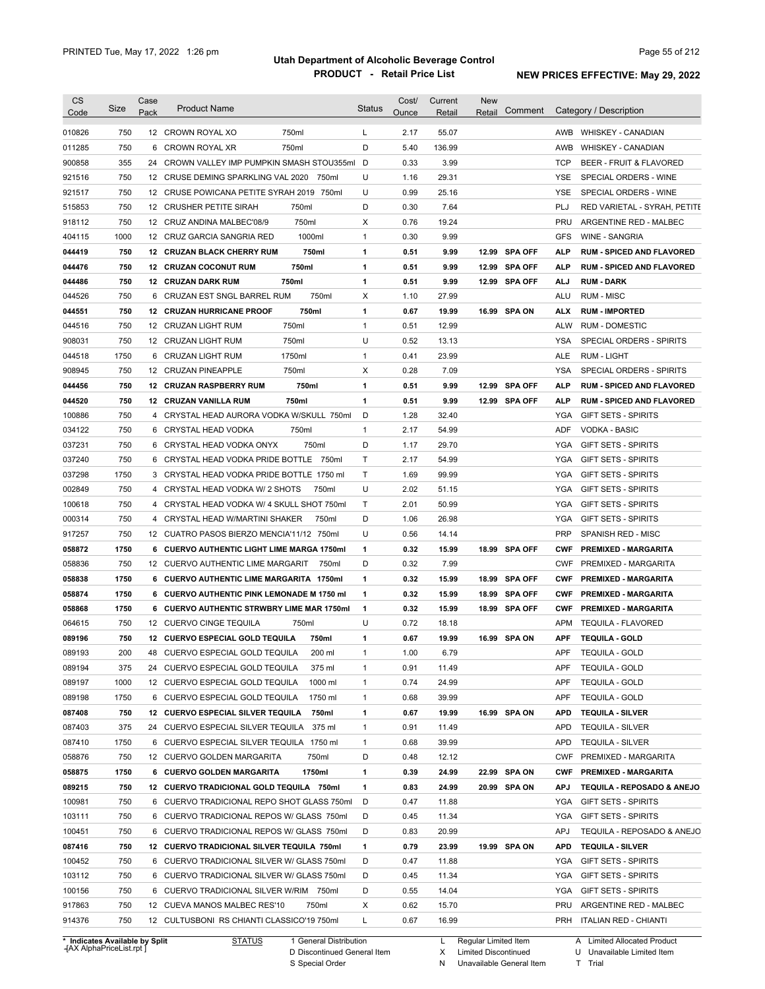| CS     | Size                                | Case | <b>Product Name</b>                             | <b>Status</b> | Cost/ | Current | <b>New</b>           |               |            |                                  |
|--------|-------------------------------------|------|-------------------------------------------------|---------------|-------|---------|----------------------|---------------|------------|----------------------------------|
| Code   |                                     | Pack |                                                 |               | Ounce | Retail  | Retail               | Comment       |            | Category / Description           |
| 010826 | 750                                 |      | 750ml<br>12 CROWN ROYAL XO                      | L             | 2.17  | 55.07   |                      |               | AWB        | <b>WHISKEY - CANADIAN</b>        |
| 011285 | 750                                 | 6    | 750ml<br><b>CROWN ROYAL XR</b>                  | D             | 5.40  | 136.99  |                      |               | AWB        | WHISKEY - CANADIAN               |
| 900858 | 355                                 | 24   | CROWN VALLEY IMP PUMPKIN SMASH STOU355ml        | D             | 0.33  | 3.99    |                      |               | <b>TCP</b> | BEER - FRUIT & FLAVORED          |
| 921516 | 750                                 | 12   | CRUSE DEMING SPARKLING VAL 2020<br>750ml        | U             | 1.16  | 29.31   |                      |               | <b>YSE</b> | SPECIAL ORDERS - WINE            |
| 921517 | 750                                 | 12   | CRUSE POWICANA PETITE SYRAH 2019 750ml          | U             | 0.99  | 25.16   |                      |               | <b>YSE</b> | SPECIAL ORDERS - WINE            |
| 515853 | 750                                 | 12   | CRUSHER PETITE SIRAH<br>750ml                   | D             | 0.30  | 7.64    |                      |               | PLJ        | RED VARIETAL - SYRAH, PETITE     |
| 918112 | 750                                 | 12   | 750ml<br>CRUZ ANDINA MALBEC'08/9                | X             | 0.76  | 19.24   |                      |               | PRU        | ARGENTINE RED - MALBEC           |
| 404115 | 1000                                | 12   | 1000ml<br>CRUZ GARCIA SANGRIA RED               | 1             | 0.30  | 9.99    |                      |               | <b>GFS</b> | WINE - SANGRIA                   |
| 044419 | 750                                 | 12   | <b>CRUZAN BLACK CHERRY RUM</b><br>750ml         | 1             | 0.51  | 9.99    |                      | 12.99 SPA OFF | <b>ALP</b> | <b>RUM - SPICED AND FLAVORED</b> |
| 044476 | 750                                 | 12   | 750ml<br><b>CRUZAN COCONUT RUM</b>              | 1             | 0.51  | 9.99    |                      | 12.99 SPA OFF | <b>ALP</b> | <b>RUM - SPICED AND FLAVORED</b> |
| 044486 | 750                                 | 12   | <b>CRUZAN DARK RUM</b><br>750ml                 | 1             | 0.51  | 9.99    |                      | 12.99 SPA OFF | <b>ALJ</b> | <b>RUM - DARK</b>                |
| 044526 | 750                                 | 6    | CRUZAN EST SNGL BARREL RUM<br>750ml             | X             | 1.10  | 27.99   |                      |               | <b>ALU</b> | <b>RUM - MISC</b>                |
| 044551 | 750                                 | 12   | 750ml<br><b>CRUZAN HURRICANE PROOF</b>          | 1             | 0.67  | 19.99   |                      | 16.99 SPA ON  | <b>ALX</b> | <b>RUM - IMPORTED</b>            |
| 044516 | 750                                 | 12   | 750ml<br>CRUZAN LIGHT RUM                       | 1             | 0.51  | 12.99   |                      |               | <b>ALW</b> | <b>RUM - DOMESTIC</b>            |
| 908031 | 750                                 |      | 750ml<br>12 CRUZAN LIGHT RUM                    | U             | 0.52  | 13.13   |                      |               | <b>YSA</b> | SPECIAL ORDERS - SPIRITS         |
| 044518 | 1750                                | 6    | 1750ml                                          | 1             | 0.41  | 23.99   |                      |               | <b>ALE</b> | <b>RUM - LIGHT</b>               |
|        |                                     |      | <b>CRUZAN LIGHT RUM</b>                         |               |       |         |                      |               |            |                                  |
| 908945 | 750                                 |      | 750ml<br>12 CRUZAN PINEAPPLE                    | Χ             | 0.28  | 7.09    |                      |               | <b>YSA</b> | SPECIAL ORDERS - SPIRITS         |
| 044456 | 750                                 |      | 750ml<br><b>12 CRUZAN RASPBERRY RUM</b>         | 1             | 0.51  | 9.99    |                      | 12.99 SPA OFF | <b>ALP</b> | <b>RUM - SPICED AND FLAVORED</b> |
| 044520 | 750                                 |      | 750ml<br>12 CRUZAN VANILLA RUM                  | 1             | 0.51  | 9.99    |                      | 12.99 SPA OFF | <b>ALP</b> | <b>RUM - SPICED AND FLAVORED</b> |
| 100886 | 750                                 |      | 4 CRYSTAL HEAD AURORA VODKA W/SKULL 750ml       | D             | 1.28  | 32.40   |                      |               | YGA        | <b>GIFT SETS - SPIRITS</b>       |
| 034122 | 750                                 |      | 750ml<br>6 CRYSTAL HEAD VODKA                   | $\mathbf{1}$  | 2.17  | 54.99   |                      |               | <b>ADF</b> | <b>VODKA - BASIC</b>             |
| 037231 | 750                                 | 6    | 750ml<br>CRYSTAL HEAD VODKA ONYX                | D             | 1.17  | 29.70   |                      |               | <b>YGA</b> | <b>GIFT SETS - SPIRITS</b>       |
| 037240 | 750                                 | 6    | CRYSTAL HEAD VODKA PRIDE BOTTLE 750ml           | T             | 2.17  | 54.99   |                      |               | <b>YGA</b> | <b>GIFT SETS - SPIRITS</b>       |
| 037298 | 1750                                |      | 3 CRYSTAL HEAD VODKA PRIDE BOTTLE 1750 ml       | T.            | 1.69  | 99.99   |                      |               | <b>YGA</b> | <b>GIFT SETS - SPIRITS</b>       |
| 002849 | 750                                 |      | 4 CRYSTAL HEAD VODKA W/ 2 SHOTS<br>750ml        | U             | 2.02  | 51.15   |                      |               | <b>YGA</b> | <b>GIFT SETS - SPIRITS</b>       |
| 100618 | 750                                 |      | 4 CRYSTAL HEAD VODKA W/ 4 SKULL SHOT 750ml      | Τ             | 2.01  | 50.99   |                      |               | <b>YGA</b> | GIFT SETS - SPIRITS              |
| 000314 | 750                                 |      | 4 CRYSTAL HEAD W/MARTINI SHAKER<br>750ml        | D             | 1.06  | 26.98   |                      |               | <b>YGA</b> | <b>GIFT SETS - SPIRITS</b>       |
| 917257 | 750                                 |      | 12 CUATRO PASOS BIERZO MENCIA'11/12 750ml       | U             | 0.56  | 14.14   |                      |               | <b>PRP</b> | SPANISH RED - MISC               |
| 058872 | 1750                                |      | 6 CUERVO AUTHENTIC LIGHT LIME MARGA 1750ml      | 1             | 0.32  | 15.99   |                      | 18.99 SPA OFF | <b>CWF</b> | <b>PREMIXED - MARGARITA</b>      |
| 058836 | 750                                 |      | 12 CUERVO AUTHENTIC LIME MARGARIT<br>750ml      | D             | 0.32  | 7.99    |                      |               | <b>CWF</b> | PREMIXED - MARGARITA             |
| 058838 | 1750                                |      | 6 CUERVO AUTHENTIC LIME MARGARITA 1750ml        | 1             | 0.32  | 15.99   |                      | 18.99 SPA OFF | <b>CWF</b> | <b>PREMIXED - MARGARITA</b>      |
| 058874 | 1750                                | 6    | <b>CUERVO AUTHENTIC PINK LEMONADE M 1750 ml</b> | 1             | 0.32  | 15.99   |                      | 18.99 SPA OFF | <b>CWF</b> | <b>PREMIXED - MARGARITA</b>      |
| 058868 | 1750                                | 6    | <b>CUERVO AUTHENTIC STRWBRY LIME MAR 1750ml</b> | 1             | 0.32  | 15.99   |                      | 18.99 SPA OFF | <b>CWF</b> | <b>PREMIXED - MARGARITA</b>      |
| 064615 | 750                                 |      | 12 CUERVO CINGE TEQUILA<br>750ml                | U             | 0.72  | 18.18   |                      |               | <b>APM</b> | <b>TEQUILA - FLAVORED</b>        |
| 089196 | 750                                 |      | 12 CUERVO ESPECIAL GOLD TEQUILA<br>750ml        | 1             | 0.67  | 19.99   |                      | 16.99 SPA ON  | <b>APF</b> | <b>TEQUILA - GOLD</b>            |
| 089193 | 200                                 | 48   | CUERVO ESPECIAL GOLD TEQUILA<br>200 ml          | 1             | 1.00  | 6.79    |                      |               | <b>APF</b> | <b>TEQUILA - GOLD</b>            |
| 089194 | 375                                 |      | 24 CUERVO ESPECIAL GOLD TEQUILA<br>375 ml       | 1             | 0.91  | 11.49   |                      |               | APF        | <b>TEQUILA - GOLD</b>            |
| 089197 | 1000                                |      | 1000 ml<br>12 CUERVO ESPECIAL GOLD TEQUILA      | 1             | 0.74  | 24.99   |                      |               | <b>APF</b> | <b>TEQUILA - GOLD</b>            |
| 089198 | 1750                                |      | 1750 ml<br>6 CUERVO ESPECIAL GOLD TEQUILA       | 1             | 0.68  | 39.99   |                      |               | APF        | <b>TEQUILA - GOLD</b>            |
| 087408 | 750                                 |      | 12 CUERVO ESPECIAL SILVER TEQUILA<br>750ml      | 1             | 0.67  | 19.99   |                      | 16.99 SPA ON  | <b>APD</b> | <b>TEQUILA - SILVER</b>          |
| 087403 | 375                                 |      | 24 CUERVO ESPECIAL SILVER TEQUILA 375 ml        | 1             | 0.91  | 11.49   |                      |               | <b>APD</b> | <b>TEQUILA - SILVER</b>          |
| 087410 | 1750                                |      | 6 CUERVO ESPECIAL SILVER TEQUILA 1750 ml        | 1             | 0.68  | 39.99   |                      |               | <b>APD</b> | <b>TEQUILA - SILVER</b>          |
| 058876 | 750                                 |      | 750ml<br>12 CUERVO GOLDEN MARGARITA             | D             | 0.48  | 12.12   |                      |               | <b>CWF</b> | PREMIXED - MARGARITA             |
| 058875 | 1750                                |      | 1750ml<br>6 CUERVO GOLDEN MARGARITA             | 1             | 0.39  | 24.99   |                      | 22.99 SPA ON  | <b>CWF</b> | <b>PREMIXED - MARGARITA</b>      |
| 089215 | 750                                 |      | 12 CUERVO TRADICIONAL GOLD TEQUILA 750ml        | 1             | 0.83  | 24.99   |                      | 20.99 SPA ON  | <b>APJ</b> | TEQUILA - REPOSADO & ANEJO       |
| 100981 | 750                                 |      | 6 CUERVO TRADICIONAL REPO SHOT GLASS 750ml      | D             | 0.47  | 11.88   |                      |               | YGA        | GIFT SETS - SPIRITS              |
| 103111 | 750                                 |      | 6 CUERVO TRADICIONAL REPOS W/ GLASS 750ml       | D             | 0.45  | 11.34   |                      |               | YGA        | <b>GIFT SETS - SPIRITS</b>       |
| 100451 | 750                                 |      | 6 CUERVO TRADICIONAL REPOS W/ GLASS 750ml       | D             | 0.83  | 20.99   |                      |               | APJ        | TEQUILA - REPOSADO & ANEJO       |
| 087416 | 750                                 |      | 12 CUERVO TRADICIONAL SILVER TEQUILA 750ml      | 1             | 0.79  | 23.99   |                      | 19.99 SPA ON  | APD        | <b>TEQUILA - SILVER</b>          |
| 100452 | 750                                 |      | 6 CUERVO TRADICIONAL SILVER W/ GLASS 750ml      | D             | 0.47  | 11.88   |                      |               | YGA        | GIFT SETS - SPIRITS              |
| 103112 | 750                                 |      | 6 CUERVO TRADICIONAL SILVER W/ GLASS 750ml      | D             | 0.45  | 11.34   |                      |               | YGA        | <b>GIFT SETS - SPIRITS</b>       |
| 100156 | 750                                 |      | 6 CUERVO TRADICIONAL SILVER W/RIM 750ml         | D             | 0.55  | 14.04   |                      |               | YGA        | <b>GIFT SETS - SPIRITS</b>       |
| 917863 | 750                                 |      | 12 CUEVA MANOS MALBEC RES'10<br>750ml           | Х             | 0.62  | 15.70   |                      |               | PRU        | ARGENTINE RED - MALBEC           |
| 914376 | 750                                 |      | 12 CULTUSBONI RS CHIANTI CLASSICO'19 750ml      | L             | 0.67  | 16.99   |                      |               | PRH        | <b>ITALIAN RED - CHIANTI</b>     |
|        |                                     |      |                                                 |               |       |         |                      |               |            |                                  |
|        | <b>Indicates Available by Split</b> |      | <b>STATUS</b><br>1 General Distribution         |               |       | L       | Regular Limited Item |               |            | A Limited Allocated Product      |

**Case** [AX AlphaPriceList.rpt ]

D Discontinued General Item

S Special Order

X Limited Discontinued

N Unavailable General Item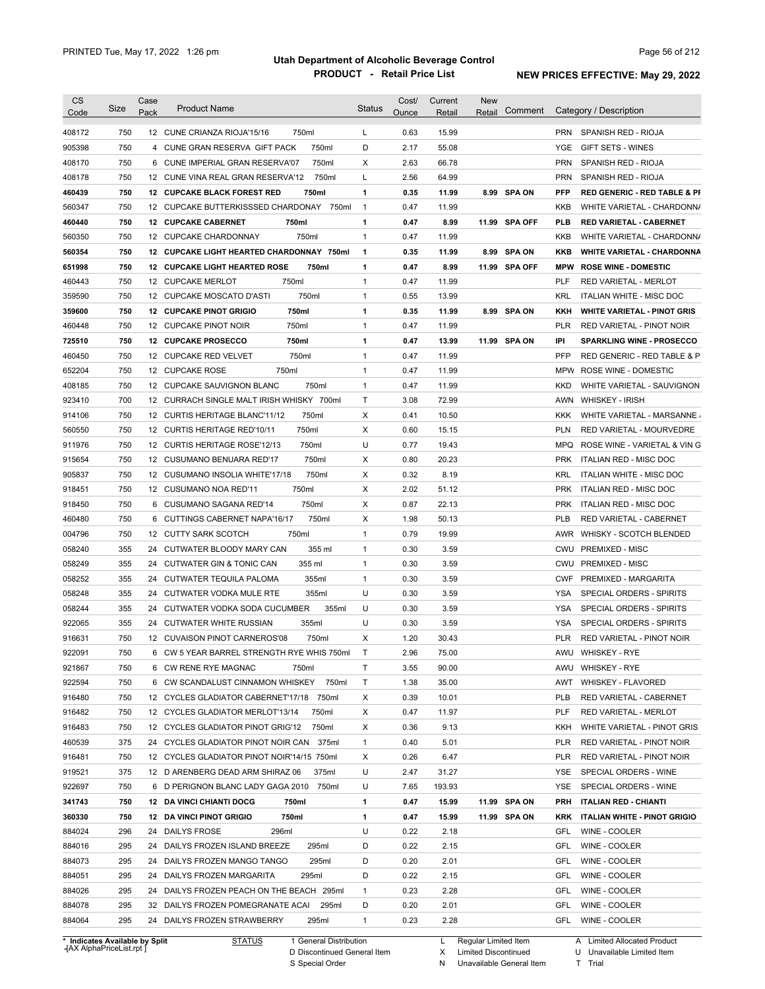| CS               |            | Case |                                             |                | Cost/ | Current | <b>New</b> |                |                          |                                         |
|------------------|------------|------|---------------------------------------------|----------------|-------|---------|------------|----------------|--------------------------|-----------------------------------------|
| Code             | Size       | Pack | <b>Product Name</b>                         | <b>Status</b>  | Ounce | Retail  | Retail     | Comment        |                          | Category / Description                  |
| 408172           | 750        |      | 12 CUNE CRIANZA RIOJA'15/16<br>750ml        | L              | 0.63  | 15.99   |            |                | <b>PRN</b>               | SPANISH RED - RIOJA                     |
| 905398           | 750        | 4    | 750ml<br>CUNE GRAN RESERVA GIFT PACK        | D              | 2.17  | 55.08   |            |                | YGE                      | GIFT SETS - WINES                       |
| 408170           | 750        | 6    | CUNE IMPERIAL GRAN RESERVA'07<br>750ml      | X              | 2.63  | 66.78   |            |                | <b>PRN</b>               | SPANISH RED - RIOJA                     |
| 408178           | 750        |      | 12 CUNE VINA REAL GRAN RESERVA'12<br>750ml  | L              | 2.56  | 64.99   |            |                | <b>PRN</b>               | SPANISH RED - RIOJA                     |
| 460439           | 750        |      | <b>12 CUPCAKE BLACK FOREST RED</b><br>750ml | 1              | 0.35  | 11.99   | 8.99       | <b>SPA ON</b>  | <b>PFP</b>               | <b>RED GENERIC - RED TABLE &amp; PI</b> |
| 560347           | 750        |      | 12 CUPCAKE BUTTERKISSSED CHARDONAY<br>750ml | $\overline{1}$ | 0.47  | 11.99   |            |                | KKB                      | WHITE VARIETAL - CHARDONN/              |
| 460440           | 750        |      | <b>12 CUPCAKE CABERNET</b><br>750ml         | $\mathbf{1}$   | 0.47  | 8.99    | 11.99      | <b>SPA OFF</b> | <b>PLB</b>               | <b>RED VARIETAL - CABERNET</b>          |
| 560350           | 750        |      | 750ml<br>12 CUPCAKE CHARDONNAY              | $\mathbf{1}$   | 0.47  | 11.99   |            |                | KKB                      | WHITE VARIETAL - CHARDONN/              |
| 560354           | 750        |      | 12 CUPCAKE LIGHT HEARTED CHARDONNAY 750ml   | 1              | 0.35  | 11.99   | 8.99       | <b>SPA ON</b>  | KKB                      | <b>WHITE VARIETAL - CHARDONNA</b>       |
| 651998           | 750        |      | 750ml<br>12 CUPCAKE LIGHT HEARTED ROSE      | 1              | 0.47  | 8.99    | 11.99      | <b>SPA OFF</b> | <b>MPW</b>               | <b>ROSE WINE - DOMESTIC</b>             |
| 460443           | 750        |      | 750ml<br>12 CUPCAKE MERLOT                  | 1              | 0.47  | 11.99   |            |                | PLF                      | RED VARIETAL - MERLOT                   |
| 359590           | 750        |      | 750ml<br>12 CUPCAKE MOSCATO D'ASTI          | 1              | 0.55  | 13.99   |            |                | <b>KRL</b>               | ITALIAN WHITE - MISC DOC                |
| 359600           | 750        |      | 750ml<br><b>12 CUPCAKE PINOT GRIGIO</b>     | 1              | 0.35  | 11.99   | 8.99       | <b>SPA ON</b>  | KKH                      | <b>WHITE VARIETAL - PINOT GRIS</b>      |
| 460448           | 750        |      | 750ml<br>12 CUPCAKE PINOT NOIR              | 1              | 0.47  | 11.99   |            |                | <b>PLR</b>               | RED VARIETAL - PINOT NOIR               |
| 725510           | 750        |      | 750ml<br>12 CUPCAKE PROSECCO                | 1              | 0.47  | 13.99   | 11.99      | <b>SPA ON</b>  | IPI                      | <b>SPARKLING WINE - PROSECCO</b>        |
| 460450           | 750        |      | 750ml<br>12 CUPCAKE RED VELVET              | 1              | 0.47  | 11.99   |            |                | <b>PFP</b>               | RED GENERIC - RED TABLE & P             |
| 652204           | 750        |      | 750ml                                       | 1              | 0.47  |         |            |                |                          |                                         |
|                  | 750        |      | 12 CUPCAKE ROSE<br>750ml                    | 1              |       | 11.99   |            |                | <b>MPW</b><br><b>KKD</b> | ROSE WINE - DOMESTIC                    |
| 408185           |            |      | 12 CUPCAKE SAUVIGNON BLANC                  |                | 0.47  | 11.99   |            |                |                          | WHITE VARIETAL - SAUVIGNON              |
| 923410           | 700        |      | 12 CURRACH SINGLE MALT IRISH WHISKY 700ml   | Т              | 3.08  | 72.99   |            |                | <b>AWN</b>               | <b>WHISKEY - IRISH</b>                  |
| 914106           | 750        |      | 12 CURTIS HERITAGE BLANC'11/12<br>750ml     | Х              | 0.41  | 10.50   |            |                | <b>KKK</b>               | WHITE VARIETAL - MARSANNE               |
| 560550           | 750        |      | 750ml<br>12 CURTIS HERITAGE RED'10/11       | Х              | 0.60  | 15.15   |            |                | <b>PLN</b>               | RED VARIETAL - MOURVEDRE                |
| 911976           | 750        |      | 12 CURTIS HERITAGE ROSE'12/13<br>750ml      | U              | 0.77  | 19.43   |            |                | MPQ                      | ROSE WINE - VARIETAL & VIN G            |
| 915654           | 750        |      | 12 CUSUMANO BENUARA RED'17<br>750ml         | Х              | 0.80  | 20.23   |            |                | <b>PRK</b>               | <b>ITALIAN RED - MISC DOC</b>           |
| 905837           | 750        |      | 750ml<br>12 CUSUMANO INSOLIA WHITE'17/18    | Х              | 0.32  | 8.19    |            |                | KRL                      | ITALIAN WHITE - MISC DOC                |
| 918451           | 750        |      | 750ml<br>12 CUSUMANO NOA RED'11             | Х              | 2.02  | 51.12   |            |                | <b>PRK</b>               | <b>ITALIAN RED - MISC DOC</b>           |
| 918450           | 750        |      | 750ml<br>6 CUSUMANO SAGANA RED'14           | Х              | 0.87  | 22.13   |            |                | <b>PRK</b>               | ITALIAN RED - MISC DOC                  |
| 460480           | 750        |      | 750ml<br>6 CUTTINGS CABERNET NAPA'16/17     | Х              | 1.98  | 50.13   |            |                | <b>PLB</b>               | RED VARIETAL - CABERNET                 |
| 004796           | 750        |      | 12 CUTTY SARK SCOTCH<br>750ml               | 1              | 0.79  | 19.99   |            |                |                          | AWR WHISKY - SCOTCH BLENDED             |
| 058240           | 355        |      | 355 ml<br>24 CUTWATER BLOODY MARY CAN       | 1              | 0.30  | 3.59    |            |                |                          | CWU PREMIXED - MISC                     |
| 058249           | 355        |      | 355 ml<br>24 CUTWATER GIN & TONIC CAN       | 1              | 0.30  | 3.59    |            |                |                          | CWU PREMIXED - MISC                     |
| 058252           | 355        |      | 355ml<br>24 CUTWATER TEQUILA PALOMA         | 1              | 0.30  | 3.59    |            |                | <b>CWF</b>               | PREMIXED - MARGARITA                    |
| 058248           | 355        |      | 355ml<br>24 CUTWATER VODKA MULE RTE         | U              | 0.30  | 3.59    |            |                | YSA                      | SPECIAL ORDERS - SPIRITS                |
| 058244           | 355        |      | 24 CUTWATER VODKA SODA CUCUMBER<br>355ml    | U              | 0.30  | 3.59    |            |                | YSA                      | SPECIAL ORDERS - SPIRITS                |
| 922065           | 355        |      | 355ml<br>24 CUTWATER WHITE RUSSIAN          | U              | 0.30  | 3.59    |            |                | YSA                      | SPECIAL ORDERS - SPIRITS                |
| 916631           | 750        |      | 12 CUVAISON PINOT CARNEROS'08<br>750ml      | X              | 1.20  | 30.43   |            |                | <b>PLR</b>               | <b>RED VARIETAL - PINOT NOIR</b>        |
| 922091           | 750        |      | 6 CW 5 YEAR BARREL STRENGTH RYE WHIS 750ml  | т              | 2.96  | 75.00   |            |                |                          | AWU WHISKEY - RYE                       |
| 921867           | 750        |      | 6 CW RENE RYE MAGNAC<br>750ml               | Т              | 3.55  | 90.00   |            |                |                          | AWU WHISKEY - RYE                       |
| 922594           | 750        |      | 6 CW SCANDALUST CINNAMON WHISKEY<br>750ml   | T              | 1.38  | 35.00   |            |                | AWT                      | WHISKEY - FLAVORED                      |
| 916480           | 750        |      | 12 CYCLES GLADIATOR CABERNET'17/18 750ml    | Х              | 0.39  | 10.01   |            |                | <b>PLB</b>               | RED VARIETAL - CABERNET                 |
| 916482           | 750        |      | 750ml<br>12 CYCLES GLADIATOR MERLOT'13/14   | Χ              | 0.47  | 11.97   |            |                | PLF                      | RED VARIETAL - MERLOT                   |
| 916483           | 750        |      | 750ml<br>12 CYCLES GLADIATOR PINOT GRIG'12  | Х              | 0.36  | 9.13    |            |                | KKH                      | WHITE VARIETAL - PINOT GRIS             |
| 460539           | 375        |      | 375ml<br>24 CYCLES GLADIATOR PINOT NOIR CAN | 1              | 0.40  | 5.01    |            |                | <b>PLR</b>               | RED VARIETAL - PINOT NOIR               |
| 916481           | 750        |      | 12 CYCLES GLADIATOR PINOT NOIR'14/15 750ml  | Х              | 0.26  | 6.47    |            |                | <b>PLR</b>               | RED VARIETAL - PINOT NOIR               |
| 919521           | 375        |      | 12 D ARENBERG DEAD ARM SHIRAZ 06<br>375ml   | U              | 2.47  | 31.27   |            |                | YSE                      | SPECIAL ORDERS - WINE                   |
| 922697           | 750        |      | 6 D PERIGNON BLANC LADY GAGA 2010<br>750ml  | U              | 7.65  | 193.93  |            |                | YSE                      | SPECIAL ORDERS - WINE                   |
| 341743           | 750        |      | 12 DA VINCI CHIANTI DOCG<br>750ml           | 1              | 0.47  | 15.99   |            | 11.99 SPA ON   | <b>PRH</b>               | <b>ITALIAN RED - CHIANTI</b>            |
| 360330           | 750        |      | 750ml<br>12 DA VINCI PINOT GRIGIO           | 1              | 0.47  | 15.99   |            | 11.99 SPA ON   | KRK                      | ITALIAN WHITE - PINOT GRIGIO            |
| 884024           | 296        |      | 24 DAILYS FROSE<br>296ml                    | U              | 0.22  | 2.18    |            |                | GFL                      | WINE - COOLER                           |
| 884016           | 295        |      | 24 DAILYS FROZEN ISLAND BREEZE<br>295ml     | D              | 0.22  | 2.15    |            |                | GFL                      | WINE - COOLER                           |
| 884073           | 295        |      | 24 DAILYS FROZEN MANGO TANGO<br>295ml       | D              | 0.20  | 2.01    |            |                | GFL                      | WINE - COOLER                           |
| 884051           | 295        | 24   | 295ml<br>DAILYS FROZEN MARGARITA            | D              | 0.22  | 2.15    |            |                | GFL                      | WINE - COOLER                           |
| 884026           | 295        | 24   | DAILYS FROZEN PEACH ON THE BEACH 295ml      | 1              | 0.23  | 2.28    |            |                | GFL                      | WINE - COOLER                           |
|                  |            |      | 32 DAILYS FROZEN POMEGRANATE ACAI<br>295ml  | D              | 0.20  | 2.01    |            |                | GFL                      | WINE - COOLER                           |
|                  |            |      |                                             |                |       |         |            |                |                          |                                         |
| 884078<br>884064 | 295<br>295 |      | 295ml<br>24 DAILYS FROZEN STRAWBERRY        | 1              | 0.23  | 2.28    |            |                | GFL                      | WINE - COOLER                           |

**Case** [AX AlphaPriceList.rpt ]

D Discontinued General Item S Special Order

X Limited Discontinued N Unavailable General Item

U Unavailable Limited Item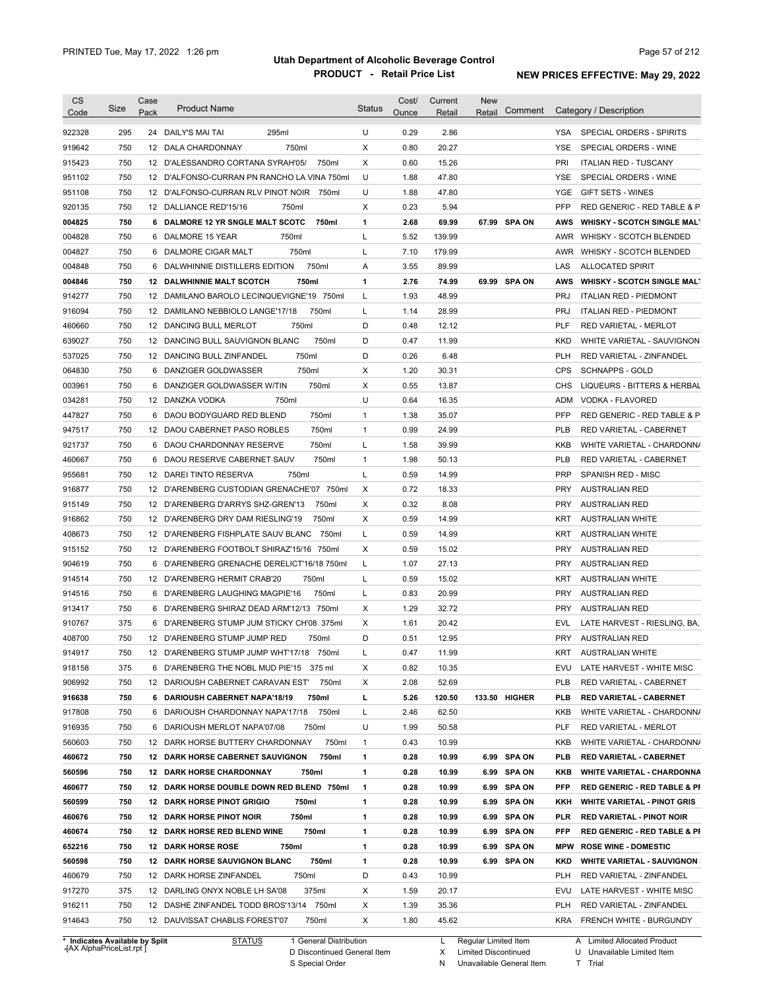| 922328<br>295<br>295ml<br>U<br>0.29<br>2.86<br>24 DAILY'S MAI TAI<br>YSA SPECIAL ORDERS - SPIRITS<br>750<br>X<br>20.27<br>750ml<br>0.80<br><b>YSE</b><br>919642<br>12 DALA CHARDONNAY<br>SPECIAL ORDERS - WINE<br>750<br>Χ<br>0.60<br>15.26<br>PRI<br>915423<br>12 D'ALESSANDRO CORTANA SYRAH'05/<br>750ml<br><b>ITALIAN RED - TUSCANY</b><br>U<br>750<br>1.88<br>47.80<br>951102<br>12 D'ALFONSO-CURRAN PN RANCHO LA VINA 750mI<br>YSE<br>SPECIAL ORDERS - WINE<br>750<br>U<br>1.88<br>47.80<br><b>YGE</b><br><b>GIFT SETS - WINES</b><br>951108<br>12 D'ALFONSO-CURRAN RLV PINOT NOIR 750ml<br>920135<br>750<br>Χ<br>0.23<br>5.94<br><b>PFP</b><br>12 DALLIANCE RED'15/16<br>750ml<br>RED GENERIC - RED TABLE & P<br>004825<br>750<br>750ml<br>1<br>2.68<br>69.99<br>67.99 SPA ON<br>6 DALMORE 12 YR SNGLE MALT SCOTC<br>AWS<br><b>WHISKY - SCOTCH SINGLE MALT</b><br>750<br>Г<br>5.52<br>139.99<br>004828<br>6 DALMORE 15 YEAR<br>750ml<br>AWR WHISKY - SCOTCH BLENDED<br>750<br>750ml<br>Г<br>7.10<br>179.99<br>AWR WHISKY - SCOTCH BLENDED<br>004827<br>6 DALMORE CIGAR MALT<br>750<br>750ml<br>3.55<br>89.99<br>004848<br>6 DALWHINNIE DISTILLERS EDITION<br>Α<br>LAS<br><b>ALLOCATED SPIRIT</b><br>750<br>12 DALWHINNIE MALT SCOTCH<br>750ml<br>2.76<br>74.99<br>69.99 SPA ON<br><b>WHISKY - SCOTCH SINGLE MALT</b><br>004846<br>1<br>AWS<br>750<br>12 DAMILANO BAROLO LECINQUEVIGNE'19 750ml<br>Г<br>1.93<br>48.99<br><b>PRJ</b><br>914277<br><b>ITALIAN RED - PIEDMONT</b><br>750<br>28.99<br>916094<br>12 DAMILANO NEBBIOLO LANGE'17/18<br>750ml<br>L<br>1.14<br><b>PRJ</b><br><b>ITALIAN RED - PIEDMONT</b><br>750<br>D<br>0.48<br>12.12<br><b>PLF</b><br>460660<br>12 DANCING BULL MERLOT<br>750ml<br><b>RED VARIETAL - MERLOT</b><br>750<br>750ml<br>D<br>0.47<br>11.99<br>639027<br>12 DANCING BULL SAUVIGNON BLANC<br>KKD<br>WHITE VARIETAL - SAUVIGNON<br>750<br>D<br>750ml<br>0.26<br>6.48<br><b>PLH</b><br>537025<br>12 DANCING BULL ZINFANDEL<br><b>RED VARIETAL - ZINFANDEL</b><br>750<br><b>CPS</b><br>750ml<br>Х<br>1.20<br>30.31<br><b>SCHNAPPS - GOLD</b><br>DANZIGER GOLDWASSER<br>6<br>750<br>750ml<br>Х<br>0.55<br>13.87<br>DANZIGER GOLDWASSER W/TIN<br>CHS<br>6<br>750<br>12 DANZKA VODKA<br>U<br>0.64<br>16.35<br>750ml<br>ADM<br>VODKA - FLAVORED<br>750<br>6 DAOU BODYGUARD RED BLEND<br>750ml<br>$\mathbf{1}$<br>1.38<br>35.07<br><b>PFP</b><br>750<br>750ml<br>$\mathbf{1}$<br>0.99<br>24.99<br><b>PLB</b><br>12 DAOU CABERNET PASO ROBLES<br>RED VARIETAL - CABERNET<br>750<br>750ml<br>Г<br>1.58<br>39.99<br>6 DAOU CHARDONNAY RESERVE<br>KKB<br>750<br>750ml<br>1.98<br>50.13<br>DAOU RESERVE CABERNET SAUV<br>$\mathbf{1}$<br>PLB<br>RED VARIETAL - CABERNET<br>6<br>750<br>750ml<br>Г<br>0.59<br>14.99<br>SPANISH RED - MISC<br>12 DAREI TINTO RESERVA<br>PRP<br>750<br>Χ<br>0.72<br>18.33<br>12 D'ARENBERG CUSTODIAN GRENACHE'07 750ml<br>PRY<br>AUSTRALIAN RED<br>750<br>Х<br>8.08<br>12 D'ARENBERG D'ARRYS SHZ-GREN'13<br>750ml<br>0.32<br><b>PRY</b><br>AUSTRALIAN RED<br>750<br>Χ<br>14.99<br>12 D'ARENBERG DRY DAM RIESLING'19<br>750ml<br>0.59<br>KRT<br><b>AUSTRALIAN WHITE</b><br>750<br>Г<br>0.59<br>14.99<br>12 D'ARENBERG FISHPLATE SAUV BLANC<br>750ml<br>KRT<br><b>AUSTRALIAN WHITE</b><br>750<br>15.02<br>12 D'ARENBERG FOOTBOLT SHIRAZ'15/16 750ml<br>X<br>0.59<br><b>PRY</b><br>AUSTRALIAN RED<br>750<br>6 D'ARENBERG GRENACHE DERELICT'16/18 750ml<br>L<br>27.13<br><b>PRY</b><br>1.07<br><b>AUSTRALIAN RED</b><br>750<br>Г<br>0.59<br>15.02<br>12 D'ARENBERG HERMIT CRAB'20<br>750ml<br>KRT<br><b>AUSTRALIAN WHITE</b><br>750<br>Г<br>0.83<br>20.99<br><b>PRY</b><br>6 D'ARENBERG LAUGHING MAGPIE'16<br>750ml<br><b>AUSTRALIAN RED</b><br>750<br>Х<br>1.29<br>32.72<br><b>PRY</b><br><b>AUSTRALIAN RED</b><br>6 D'ARENBERG SHIRAZ DEAD ARM'12/13 750ml<br>375<br>Х<br>1.61<br>20.42<br>6 D'ARENBERG STUMP JUM STICKY CH'08 375ml<br>EVL<br>750<br>12 D'ARENBERG STUMP JUMP RED<br>750ml<br>D<br>0.51<br>12.95<br><b>PRY</b><br><b>AUSTRALIAN RED</b><br>750<br>12 D'ARENBERG STUMP JUMP WHT'17/18 750ml<br>0.47<br>11.99<br>KRT<br><b>AUSTRALIAN WHITE</b><br>375<br>6 D'ARENBERG THE NOBL MUD PIE'15 375 ml<br>х<br>0.82<br>10.35<br>EVU<br>LATE HARVEST - WHITE MISC<br>2.08<br>52.69<br>750<br>12 DARIOUSH CABERNET CARAVAN EST'<br>750ml<br>х<br>PLB<br>RED VARIETAL - CABERNET<br>750ml<br>120.50<br>750<br>6 DARIOUSH CABERNET NAPA'18/19<br>г<br>5.26<br>133.50 HIGHER<br>PLB<br><b>RED VARIETAL - CABERNET</b><br>750ml<br>62.50<br>750<br>6 DARIOUSH CHARDONNAY NAPA'17/18<br>L<br>2.46<br>KKB<br>U<br>50.58<br>750<br>6 DARIOUSH MERLOT NAPA'07/08<br>750ml<br>1.99<br>PLF<br>RED VARIETAL - MERLOT<br>10.99<br>750<br>12 DARK HORSE BUTTERY CHARDONNAY<br>750ml<br>1<br>0.43<br>KKB<br>750ml<br>460672<br>750<br><b>12 DARK HORSE CABERNET SAUVIGNON</b><br>1<br>0.28<br>10.99<br>6.99 SPA ON<br>PLB<br><b>RED VARIETAL - CABERNET</b><br>560596<br>750<br><b>12 DARK HORSE CHARDONNAY</b><br>750ml<br>1<br>0.28<br>10.99<br>6.99 SPA ON<br>KKB<br><b>WHITE VARIETAL - CHARDONNA</b><br>460677<br>750<br>12 DARK HORSE DOUBLE DOWN RED BLEND 750ml<br>$\mathbf{1}$<br>0.28<br>10.99<br>6.99 SPA ON<br>PFP<br>560599<br>750<br><b>12 DARK HORSE PINOT GRIGIO</b><br>750ml<br>1<br>0.28<br>10.99<br>6.99 SPA ON<br>KKH<br><b>WHITE VARIETAL - PINOT GRIS</b><br>10.99<br>6.99 SPA ON<br>460676<br>750<br><b>12 DARK HORSE PINOT NOIR</b><br>750ml<br>1<br>0.28<br>PLR<br><b>RED VARIETAL - PINOT NOIR</b><br>750ml<br>460674<br>750<br>12 DARK HORSE RED BLEND WINE<br>1<br>0.28<br>10.99<br>6.99 SPA ON<br>PFP<br><b>RED GENERIC - RED TABLE &amp; PI</b><br>6.99 SPA ON<br>652216<br>750<br><b>12 DARK HORSE ROSE</b><br>750ml<br>1<br>0.28<br>10.99<br>MPW<br><b>ROSE WINE - DOMESTIC</b><br>750<br>750ml<br>1<br>10.99<br>6.99 SPA ON<br>560598<br><b>12 DARK HORSE SAUVIGNON BLANC</b><br>0.28<br>KKD<br><b>WHITE VARIETAL - SAUVIGNON</b><br>750ml<br>D<br>10.99<br>460679<br>750<br>12 DARK HORSE ZINFANDEL<br>0.43<br>PLH<br>RED VARIETAL - ZINFANDEL<br>Х<br>917270<br>375<br>12 DARLING ONYX NOBLE LH SA'08<br>375ml<br>1.59<br>20.17<br>EVU<br>LATE HARVEST - WHITE MISC<br>12 DASHE ZINFANDEL TODD BROS'13/14 750ml<br>Х<br>916211<br>750<br>1.39<br>35.36<br>PLH<br>RED VARIETAL - ZINFANDEL<br>750<br>Х<br>45.62<br>914643<br>12 DAUVISSAT CHABLIS FOREST'07<br>750ml<br>1.80<br>KRA<br><b>FRENCH WHITE - BURGUNDY</b> | <b>CS</b><br>Code | Size | Case<br>Pack | <b>Product Name</b> | <b>Status</b> | Cost/<br>Ounce | Current<br>Retail | <b>New</b><br>Comment<br>Retail | Category / Description                  |
|---------------------------------------------------------------------------------------------------------------------------------------------------------------------------------------------------------------------------------------------------------------------------------------------------------------------------------------------------------------------------------------------------------------------------------------------------------------------------------------------------------------------------------------------------------------------------------------------------------------------------------------------------------------------------------------------------------------------------------------------------------------------------------------------------------------------------------------------------------------------------------------------------------------------------------------------------------------------------------------------------------------------------------------------------------------------------------------------------------------------------------------------------------------------------------------------------------------------------------------------------------------------------------------------------------------------------------------------------------------------------------------------------------------------------------------------------------------------------------------------------------------------------------------------------------------------------------------------------------------------------------------------------------------------------------------------------------------------------------------------------------------------------------------------------------------------------------------------------------------------------------------------------------------------------------------------------------------------------------------------------------------------------------------------------------------------------------------------------------------------------------------------------------------------------------------------------------------------------------------------------------------------------------------------------------------------------------------------------------------------------------------------------------------------------------------------------------------------------------------------------------------------------------------------------------------------------------------------------------------------------------------------------------------------------------------------------------------------------------------------------------------------------------------------------------------------------------------------------------------------------------------------------------------------------------------------------------------------------------------------------------------------------------------------------------------------------------------------------------------------------------------------------------------------------------------------------------------------------------------------------------------------------------------------------------------------------------------------------------------------------------------------------------------------------------------------------------------------------------------------------------------------------------------------------------------------------------------------------------------------------------------------------------------------------------------------------------------------------------------------------------------------------------------------------------------------------------------------------------------------------------------------------------------------------------------------------------------------------------------------------------------------------------------------------------------------------------------------------------------------------------------------------------------------------------------------------------------------------------------------------------------------------------------------------------------------------------------------------------------------------------------------------------------------------------------------------------------------------------------------------------------------------------------------------------------------------------------------------------------------------------------------------------------------------------------------------------------------------------------------------------------------------------------------------------------------------------------------------------------------------------------------------------------------------------------------------------------------------------------------------------------------------------------------------------------------------------------------------------------------------------------------------------------------------------------------------------------------------------------------------------------------------------------------------------------------------------------------------------------------------------------------------------------------------------------------------------------------------------------------------------------------------------------------------------------------------------------------------------------------------------------------------------------------------------------------------------------------------------------------------------------------------------------------------------------------------------------------------------------------------------------------------------------------------------------------------------------------------------------------------------------------------------------------------------------------------------------------------------------------------------------------------------------------------------------------------------------------------------------------------------------------------------------------------------------------------------------------------------------------------------------------------------|-------------------|------|--------------|---------------------|---------------|----------------|-------------------|---------------------------------|-----------------------------------------|
|                                                                                                                                                                                                                                                                                                                                                                                                                                                                                                                                                                                                                                                                                                                                                                                                                                                                                                                                                                                                                                                                                                                                                                                                                                                                                                                                                                                                                                                                                                                                                                                                                                                                                                                                                                                                                                                                                                                                                                                                                                                                                                                                                                                                                                                                                                                                                                                                                                                                                                                                                                                                                                                                                                                                                                                                                                                                                                                                                                                                                                                                                                                                                                                                                                                                                                                                                                                                                                                                                                                                                                                                                                                                                                                                                                                                                                                                                                                                                                                                                                                                                                                                                                                                                                                                                                                                                                                                                                                                                                                                                                                                                                                                                                                                                                                                                                                                                                                                                                                                                                                                                                                                                                                                                                                                                                                                                                                                                                                                                                                                                                                                                                                                                                                                                                                                                                                                                                                                                                                                                                                                                                                                                                                                                                                                                                                                                                                                         |                   |      |              |                     |               |                |                   |                                 |                                         |
|                                                                                                                                                                                                                                                                                                                                                                                                                                                                                                                                                                                                                                                                                                                                                                                                                                                                                                                                                                                                                                                                                                                                                                                                                                                                                                                                                                                                                                                                                                                                                                                                                                                                                                                                                                                                                                                                                                                                                                                                                                                                                                                                                                                                                                                                                                                                                                                                                                                                                                                                                                                                                                                                                                                                                                                                                                                                                                                                                                                                                                                                                                                                                                                                                                                                                                                                                                                                                                                                                                                                                                                                                                                                                                                                                                                                                                                                                                                                                                                                                                                                                                                                                                                                                                                                                                                                                                                                                                                                                                                                                                                                                                                                                                                                                                                                                                                                                                                                                                                                                                                                                                                                                                                                                                                                                                                                                                                                                                                                                                                                                                                                                                                                                                                                                                                                                                                                                                                                                                                                                                                                                                                                                                                                                                                                                                                                                                                                         |                   |      |              |                     |               |                |                   |                                 |                                         |
|                                                                                                                                                                                                                                                                                                                                                                                                                                                                                                                                                                                                                                                                                                                                                                                                                                                                                                                                                                                                                                                                                                                                                                                                                                                                                                                                                                                                                                                                                                                                                                                                                                                                                                                                                                                                                                                                                                                                                                                                                                                                                                                                                                                                                                                                                                                                                                                                                                                                                                                                                                                                                                                                                                                                                                                                                                                                                                                                                                                                                                                                                                                                                                                                                                                                                                                                                                                                                                                                                                                                                                                                                                                                                                                                                                                                                                                                                                                                                                                                                                                                                                                                                                                                                                                                                                                                                                                                                                                                                                                                                                                                                                                                                                                                                                                                                                                                                                                                                                                                                                                                                                                                                                                                                                                                                                                                                                                                                                                                                                                                                                                                                                                                                                                                                                                                                                                                                                                                                                                                                                                                                                                                                                                                                                                                                                                                                                                                         |                   |      |              |                     |               |                |                   |                                 |                                         |
|                                                                                                                                                                                                                                                                                                                                                                                                                                                                                                                                                                                                                                                                                                                                                                                                                                                                                                                                                                                                                                                                                                                                                                                                                                                                                                                                                                                                                                                                                                                                                                                                                                                                                                                                                                                                                                                                                                                                                                                                                                                                                                                                                                                                                                                                                                                                                                                                                                                                                                                                                                                                                                                                                                                                                                                                                                                                                                                                                                                                                                                                                                                                                                                                                                                                                                                                                                                                                                                                                                                                                                                                                                                                                                                                                                                                                                                                                                                                                                                                                                                                                                                                                                                                                                                                                                                                                                                                                                                                                                                                                                                                                                                                                                                                                                                                                                                                                                                                                                                                                                                                                                                                                                                                                                                                                                                                                                                                                                                                                                                                                                                                                                                                                                                                                                                                                                                                                                                                                                                                                                                                                                                                                                                                                                                                                                                                                                                                         |                   |      |              |                     |               |                |                   |                                 |                                         |
|                                                                                                                                                                                                                                                                                                                                                                                                                                                                                                                                                                                                                                                                                                                                                                                                                                                                                                                                                                                                                                                                                                                                                                                                                                                                                                                                                                                                                                                                                                                                                                                                                                                                                                                                                                                                                                                                                                                                                                                                                                                                                                                                                                                                                                                                                                                                                                                                                                                                                                                                                                                                                                                                                                                                                                                                                                                                                                                                                                                                                                                                                                                                                                                                                                                                                                                                                                                                                                                                                                                                                                                                                                                                                                                                                                                                                                                                                                                                                                                                                                                                                                                                                                                                                                                                                                                                                                                                                                                                                                                                                                                                                                                                                                                                                                                                                                                                                                                                                                                                                                                                                                                                                                                                                                                                                                                                                                                                                                                                                                                                                                                                                                                                                                                                                                                                                                                                                                                                                                                                                                                                                                                                                                                                                                                                                                                                                                                                         |                   |      |              |                     |               |                |                   |                                 |                                         |
|                                                                                                                                                                                                                                                                                                                                                                                                                                                                                                                                                                                                                                                                                                                                                                                                                                                                                                                                                                                                                                                                                                                                                                                                                                                                                                                                                                                                                                                                                                                                                                                                                                                                                                                                                                                                                                                                                                                                                                                                                                                                                                                                                                                                                                                                                                                                                                                                                                                                                                                                                                                                                                                                                                                                                                                                                                                                                                                                                                                                                                                                                                                                                                                                                                                                                                                                                                                                                                                                                                                                                                                                                                                                                                                                                                                                                                                                                                                                                                                                                                                                                                                                                                                                                                                                                                                                                                                                                                                                                                                                                                                                                                                                                                                                                                                                                                                                                                                                                                                                                                                                                                                                                                                                                                                                                                                                                                                                                                                                                                                                                                                                                                                                                                                                                                                                                                                                                                                                                                                                                                                                                                                                                                                                                                                                                                                                                                                                         |                   |      |              |                     |               |                |                   |                                 |                                         |
|                                                                                                                                                                                                                                                                                                                                                                                                                                                                                                                                                                                                                                                                                                                                                                                                                                                                                                                                                                                                                                                                                                                                                                                                                                                                                                                                                                                                                                                                                                                                                                                                                                                                                                                                                                                                                                                                                                                                                                                                                                                                                                                                                                                                                                                                                                                                                                                                                                                                                                                                                                                                                                                                                                                                                                                                                                                                                                                                                                                                                                                                                                                                                                                                                                                                                                                                                                                                                                                                                                                                                                                                                                                                                                                                                                                                                                                                                                                                                                                                                                                                                                                                                                                                                                                                                                                                                                                                                                                                                                                                                                                                                                                                                                                                                                                                                                                                                                                                                                                                                                                                                                                                                                                                                                                                                                                                                                                                                                                                                                                                                                                                                                                                                                                                                                                                                                                                                                                                                                                                                                                                                                                                                                                                                                                                                                                                                                                                         |                   |      |              |                     |               |                |                   |                                 |                                         |
|                                                                                                                                                                                                                                                                                                                                                                                                                                                                                                                                                                                                                                                                                                                                                                                                                                                                                                                                                                                                                                                                                                                                                                                                                                                                                                                                                                                                                                                                                                                                                                                                                                                                                                                                                                                                                                                                                                                                                                                                                                                                                                                                                                                                                                                                                                                                                                                                                                                                                                                                                                                                                                                                                                                                                                                                                                                                                                                                                                                                                                                                                                                                                                                                                                                                                                                                                                                                                                                                                                                                                                                                                                                                                                                                                                                                                                                                                                                                                                                                                                                                                                                                                                                                                                                                                                                                                                                                                                                                                                                                                                                                                                                                                                                                                                                                                                                                                                                                                                                                                                                                                                                                                                                                                                                                                                                                                                                                                                                                                                                                                                                                                                                                                                                                                                                                                                                                                                                                                                                                                                                                                                                                                                                                                                                                                                                                                                                                         |                   |      |              |                     |               |                |                   |                                 |                                         |
|                                                                                                                                                                                                                                                                                                                                                                                                                                                                                                                                                                                                                                                                                                                                                                                                                                                                                                                                                                                                                                                                                                                                                                                                                                                                                                                                                                                                                                                                                                                                                                                                                                                                                                                                                                                                                                                                                                                                                                                                                                                                                                                                                                                                                                                                                                                                                                                                                                                                                                                                                                                                                                                                                                                                                                                                                                                                                                                                                                                                                                                                                                                                                                                                                                                                                                                                                                                                                                                                                                                                                                                                                                                                                                                                                                                                                                                                                                                                                                                                                                                                                                                                                                                                                                                                                                                                                                                                                                                                                                                                                                                                                                                                                                                                                                                                                                                                                                                                                                                                                                                                                                                                                                                                                                                                                                                                                                                                                                                                                                                                                                                                                                                                                                                                                                                                                                                                                                                                                                                                                                                                                                                                                                                                                                                                                                                                                                                                         |                   |      |              |                     |               |                |                   |                                 |                                         |
|                                                                                                                                                                                                                                                                                                                                                                                                                                                                                                                                                                                                                                                                                                                                                                                                                                                                                                                                                                                                                                                                                                                                                                                                                                                                                                                                                                                                                                                                                                                                                                                                                                                                                                                                                                                                                                                                                                                                                                                                                                                                                                                                                                                                                                                                                                                                                                                                                                                                                                                                                                                                                                                                                                                                                                                                                                                                                                                                                                                                                                                                                                                                                                                                                                                                                                                                                                                                                                                                                                                                                                                                                                                                                                                                                                                                                                                                                                                                                                                                                                                                                                                                                                                                                                                                                                                                                                                                                                                                                                                                                                                                                                                                                                                                                                                                                                                                                                                                                                                                                                                                                                                                                                                                                                                                                                                                                                                                                                                                                                                                                                                                                                                                                                                                                                                                                                                                                                                                                                                                                                                                                                                                                                                                                                                                                                                                                                                                         |                   |      |              |                     |               |                |                   |                                 |                                         |
|                                                                                                                                                                                                                                                                                                                                                                                                                                                                                                                                                                                                                                                                                                                                                                                                                                                                                                                                                                                                                                                                                                                                                                                                                                                                                                                                                                                                                                                                                                                                                                                                                                                                                                                                                                                                                                                                                                                                                                                                                                                                                                                                                                                                                                                                                                                                                                                                                                                                                                                                                                                                                                                                                                                                                                                                                                                                                                                                                                                                                                                                                                                                                                                                                                                                                                                                                                                                                                                                                                                                                                                                                                                                                                                                                                                                                                                                                                                                                                                                                                                                                                                                                                                                                                                                                                                                                                                                                                                                                                                                                                                                                                                                                                                                                                                                                                                                                                                                                                                                                                                                                                                                                                                                                                                                                                                                                                                                                                                                                                                                                                                                                                                                                                                                                                                                                                                                                                                                                                                                                                                                                                                                                                                                                                                                                                                                                                                                         |                   |      |              |                     |               |                |                   |                                 |                                         |
|                                                                                                                                                                                                                                                                                                                                                                                                                                                                                                                                                                                                                                                                                                                                                                                                                                                                                                                                                                                                                                                                                                                                                                                                                                                                                                                                                                                                                                                                                                                                                                                                                                                                                                                                                                                                                                                                                                                                                                                                                                                                                                                                                                                                                                                                                                                                                                                                                                                                                                                                                                                                                                                                                                                                                                                                                                                                                                                                                                                                                                                                                                                                                                                                                                                                                                                                                                                                                                                                                                                                                                                                                                                                                                                                                                                                                                                                                                                                                                                                                                                                                                                                                                                                                                                                                                                                                                                                                                                                                                                                                                                                                                                                                                                                                                                                                                                                                                                                                                                                                                                                                                                                                                                                                                                                                                                                                                                                                                                                                                                                                                                                                                                                                                                                                                                                                                                                                                                                                                                                                                                                                                                                                                                                                                                                                                                                                                                                         |                   |      |              |                     |               |                |                   |                                 |                                         |
|                                                                                                                                                                                                                                                                                                                                                                                                                                                                                                                                                                                                                                                                                                                                                                                                                                                                                                                                                                                                                                                                                                                                                                                                                                                                                                                                                                                                                                                                                                                                                                                                                                                                                                                                                                                                                                                                                                                                                                                                                                                                                                                                                                                                                                                                                                                                                                                                                                                                                                                                                                                                                                                                                                                                                                                                                                                                                                                                                                                                                                                                                                                                                                                                                                                                                                                                                                                                                                                                                                                                                                                                                                                                                                                                                                                                                                                                                                                                                                                                                                                                                                                                                                                                                                                                                                                                                                                                                                                                                                                                                                                                                                                                                                                                                                                                                                                                                                                                                                                                                                                                                                                                                                                                                                                                                                                                                                                                                                                                                                                                                                                                                                                                                                                                                                                                                                                                                                                                                                                                                                                                                                                                                                                                                                                                                                                                                                                                         |                   |      |              |                     |               |                |                   |                                 |                                         |
|                                                                                                                                                                                                                                                                                                                                                                                                                                                                                                                                                                                                                                                                                                                                                                                                                                                                                                                                                                                                                                                                                                                                                                                                                                                                                                                                                                                                                                                                                                                                                                                                                                                                                                                                                                                                                                                                                                                                                                                                                                                                                                                                                                                                                                                                                                                                                                                                                                                                                                                                                                                                                                                                                                                                                                                                                                                                                                                                                                                                                                                                                                                                                                                                                                                                                                                                                                                                                                                                                                                                                                                                                                                                                                                                                                                                                                                                                                                                                                                                                                                                                                                                                                                                                                                                                                                                                                                                                                                                                                                                                                                                                                                                                                                                                                                                                                                                                                                                                                                                                                                                                                                                                                                                                                                                                                                                                                                                                                                                                                                                                                                                                                                                                                                                                                                                                                                                                                                                                                                                                                                                                                                                                                                                                                                                                                                                                                                                         |                   |      |              |                     |               |                |                   |                                 |                                         |
|                                                                                                                                                                                                                                                                                                                                                                                                                                                                                                                                                                                                                                                                                                                                                                                                                                                                                                                                                                                                                                                                                                                                                                                                                                                                                                                                                                                                                                                                                                                                                                                                                                                                                                                                                                                                                                                                                                                                                                                                                                                                                                                                                                                                                                                                                                                                                                                                                                                                                                                                                                                                                                                                                                                                                                                                                                                                                                                                                                                                                                                                                                                                                                                                                                                                                                                                                                                                                                                                                                                                                                                                                                                                                                                                                                                                                                                                                                                                                                                                                                                                                                                                                                                                                                                                                                                                                                                                                                                                                                                                                                                                                                                                                                                                                                                                                                                                                                                                                                                                                                                                                                                                                                                                                                                                                                                                                                                                                                                                                                                                                                                                                                                                                                                                                                                                                                                                                                                                                                                                                                                                                                                                                                                                                                                                                                                                                                                                         |                   |      |              |                     |               |                |                   |                                 |                                         |
|                                                                                                                                                                                                                                                                                                                                                                                                                                                                                                                                                                                                                                                                                                                                                                                                                                                                                                                                                                                                                                                                                                                                                                                                                                                                                                                                                                                                                                                                                                                                                                                                                                                                                                                                                                                                                                                                                                                                                                                                                                                                                                                                                                                                                                                                                                                                                                                                                                                                                                                                                                                                                                                                                                                                                                                                                                                                                                                                                                                                                                                                                                                                                                                                                                                                                                                                                                                                                                                                                                                                                                                                                                                                                                                                                                                                                                                                                                                                                                                                                                                                                                                                                                                                                                                                                                                                                                                                                                                                                                                                                                                                                                                                                                                                                                                                                                                                                                                                                                                                                                                                                                                                                                                                                                                                                                                                                                                                                                                                                                                                                                                                                                                                                                                                                                                                                                                                                                                                                                                                                                                                                                                                                                                                                                                                                                                                                                                                         |                   |      |              |                     |               |                |                   |                                 |                                         |
|                                                                                                                                                                                                                                                                                                                                                                                                                                                                                                                                                                                                                                                                                                                                                                                                                                                                                                                                                                                                                                                                                                                                                                                                                                                                                                                                                                                                                                                                                                                                                                                                                                                                                                                                                                                                                                                                                                                                                                                                                                                                                                                                                                                                                                                                                                                                                                                                                                                                                                                                                                                                                                                                                                                                                                                                                                                                                                                                                                                                                                                                                                                                                                                                                                                                                                                                                                                                                                                                                                                                                                                                                                                                                                                                                                                                                                                                                                                                                                                                                                                                                                                                                                                                                                                                                                                                                                                                                                                                                                                                                                                                                                                                                                                                                                                                                                                                                                                                                                                                                                                                                                                                                                                                                                                                                                                                                                                                                                                                                                                                                                                                                                                                                                                                                                                                                                                                                                                                                                                                                                                                                                                                                                                                                                                                                                                                                                                                         |                   |      |              |                     |               |                |                   |                                 |                                         |
|                                                                                                                                                                                                                                                                                                                                                                                                                                                                                                                                                                                                                                                                                                                                                                                                                                                                                                                                                                                                                                                                                                                                                                                                                                                                                                                                                                                                                                                                                                                                                                                                                                                                                                                                                                                                                                                                                                                                                                                                                                                                                                                                                                                                                                                                                                                                                                                                                                                                                                                                                                                                                                                                                                                                                                                                                                                                                                                                                                                                                                                                                                                                                                                                                                                                                                                                                                                                                                                                                                                                                                                                                                                                                                                                                                                                                                                                                                                                                                                                                                                                                                                                                                                                                                                                                                                                                                                                                                                                                                                                                                                                                                                                                                                                                                                                                                                                                                                                                                                                                                                                                                                                                                                                                                                                                                                                                                                                                                                                                                                                                                                                                                                                                                                                                                                                                                                                                                                                                                                                                                                                                                                                                                                                                                                                                                                                                                                                         | 064830            |      |              |                     |               |                |                   |                                 |                                         |
|                                                                                                                                                                                                                                                                                                                                                                                                                                                                                                                                                                                                                                                                                                                                                                                                                                                                                                                                                                                                                                                                                                                                                                                                                                                                                                                                                                                                                                                                                                                                                                                                                                                                                                                                                                                                                                                                                                                                                                                                                                                                                                                                                                                                                                                                                                                                                                                                                                                                                                                                                                                                                                                                                                                                                                                                                                                                                                                                                                                                                                                                                                                                                                                                                                                                                                                                                                                                                                                                                                                                                                                                                                                                                                                                                                                                                                                                                                                                                                                                                                                                                                                                                                                                                                                                                                                                                                                                                                                                                                                                                                                                                                                                                                                                                                                                                                                                                                                                                                                                                                                                                                                                                                                                                                                                                                                                                                                                                                                                                                                                                                                                                                                                                                                                                                                                                                                                                                                                                                                                                                                                                                                                                                                                                                                                                                                                                                                                         | 003961            |      |              |                     |               |                |                   |                                 | LIQUEURS - BITTERS & HERBAL             |
|                                                                                                                                                                                                                                                                                                                                                                                                                                                                                                                                                                                                                                                                                                                                                                                                                                                                                                                                                                                                                                                                                                                                                                                                                                                                                                                                                                                                                                                                                                                                                                                                                                                                                                                                                                                                                                                                                                                                                                                                                                                                                                                                                                                                                                                                                                                                                                                                                                                                                                                                                                                                                                                                                                                                                                                                                                                                                                                                                                                                                                                                                                                                                                                                                                                                                                                                                                                                                                                                                                                                                                                                                                                                                                                                                                                                                                                                                                                                                                                                                                                                                                                                                                                                                                                                                                                                                                                                                                                                                                                                                                                                                                                                                                                                                                                                                                                                                                                                                                                                                                                                                                                                                                                                                                                                                                                                                                                                                                                                                                                                                                                                                                                                                                                                                                                                                                                                                                                                                                                                                                                                                                                                                                                                                                                                                                                                                                                                         | 034281            |      |              |                     |               |                |                   |                                 |                                         |
|                                                                                                                                                                                                                                                                                                                                                                                                                                                                                                                                                                                                                                                                                                                                                                                                                                                                                                                                                                                                                                                                                                                                                                                                                                                                                                                                                                                                                                                                                                                                                                                                                                                                                                                                                                                                                                                                                                                                                                                                                                                                                                                                                                                                                                                                                                                                                                                                                                                                                                                                                                                                                                                                                                                                                                                                                                                                                                                                                                                                                                                                                                                                                                                                                                                                                                                                                                                                                                                                                                                                                                                                                                                                                                                                                                                                                                                                                                                                                                                                                                                                                                                                                                                                                                                                                                                                                                                                                                                                                                                                                                                                                                                                                                                                                                                                                                                                                                                                                                                                                                                                                                                                                                                                                                                                                                                                                                                                                                                                                                                                                                                                                                                                                                                                                                                                                                                                                                                                                                                                                                                                                                                                                                                                                                                                                                                                                                                                         | 447827            |      |              |                     |               |                |                   |                                 | RED GENERIC - RED TABLE & P             |
|                                                                                                                                                                                                                                                                                                                                                                                                                                                                                                                                                                                                                                                                                                                                                                                                                                                                                                                                                                                                                                                                                                                                                                                                                                                                                                                                                                                                                                                                                                                                                                                                                                                                                                                                                                                                                                                                                                                                                                                                                                                                                                                                                                                                                                                                                                                                                                                                                                                                                                                                                                                                                                                                                                                                                                                                                                                                                                                                                                                                                                                                                                                                                                                                                                                                                                                                                                                                                                                                                                                                                                                                                                                                                                                                                                                                                                                                                                                                                                                                                                                                                                                                                                                                                                                                                                                                                                                                                                                                                                                                                                                                                                                                                                                                                                                                                                                                                                                                                                                                                                                                                                                                                                                                                                                                                                                                                                                                                                                                                                                                                                                                                                                                                                                                                                                                                                                                                                                                                                                                                                                                                                                                                                                                                                                                                                                                                                                                         | 947517            |      |              |                     |               |                |                   |                                 |                                         |
|                                                                                                                                                                                                                                                                                                                                                                                                                                                                                                                                                                                                                                                                                                                                                                                                                                                                                                                                                                                                                                                                                                                                                                                                                                                                                                                                                                                                                                                                                                                                                                                                                                                                                                                                                                                                                                                                                                                                                                                                                                                                                                                                                                                                                                                                                                                                                                                                                                                                                                                                                                                                                                                                                                                                                                                                                                                                                                                                                                                                                                                                                                                                                                                                                                                                                                                                                                                                                                                                                                                                                                                                                                                                                                                                                                                                                                                                                                                                                                                                                                                                                                                                                                                                                                                                                                                                                                                                                                                                                                                                                                                                                                                                                                                                                                                                                                                                                                                                                                                                                                                                                                                                                                                                                                                                                                                                                                                                                                                                                                                                                                                                                                                                                                                                                                                                                                                                                                                                                                                                                                                                                                                                                                                                                                                                                                                                                                                                         | 921737            |      |              |                     |               |                |                   |                                 | WHITE VARIETAL - CHARDONN/              |
|                                                                                                                                                                                                                                                                                                                                                                                                                                                                                                                                                                                                                                                                                                                                                                                                                                                                                                                                                                                                                                                                                                                                                                                                                                                                                                                                                                                                                                                                                                                                                                                                                                                                                                                                                                                                                                                                                                                                                                                                                                                                                                                                                                                                                                                                                                                                                                                                                                                                                                                                                                                                                                                                                                                                                                                                                                                                                                                                                                                                                                                                                                                                                                                                                                                                                                                                                                                                                                                                                                                                                                                                                                                                                                                                                                                                                                                                                                                                                                                                                                                                                                                                                                                                                                                                                                                                                                                                                                                                                                                                                                                                                                                                                                                                                                                                                                                                                                                                                                                                                                                                                                                                                                                                                                                                                                                                                                                                                                                                                                                                                                                                                                                                                                                                                                                                                                                                                                                                                                                                                                                                                                                                                                                                                                                                                                                                                                                                         | 460667            |      |              |                     |               |                |                   |                                 |                                         |
|                                                                                                                                                                                                                                                                                                                                                                                                                                                                                                                                                                                                                                                                                                                                                                                                                                                                                                                                                                                                                                                                                                                                                                                                                                                                                                                                                                                                                                                                                                                                                                                                                                                                                                                                                                                                                                                                                                                                                                                                                                                                                                                                                                                                                                                                                                                                                                                                                                                                                                                                                                                                                                                                                                                                                                                                                                                                                                                                                                                                                                                                                                                                                                                                                                                                                                                                                                                                                                                                                                                                                                                                                                                                                                                                                                                                                                                                                                                                                                                                                                                                                                                                                                                                                                                                                                                                                                                                                                                                                                                                                                                                                                                                                                                                                                                                                                                                                                                                                                                                                                                                                                                                                                                                                                                                                                                                                                                                                                                                                                                                                                                                                                                                                                                                                                                                                                                                                                                                                                                                                                                                                                                                                                                                                                                                                                                                                                                                         | 955681            |      |              |                     |               |                |                   |                                 |                                         |
|                                                                                                                                                                                                                                                                                                                                                                                                                                                                                                                                                                                                                                                                                                                                                                                                                                                                                                                                                                                                                                                                                                                                                                                                                                                                                                                                                                                                                                                                                                                                                                                                                                                                                                                                                                                                                                                                                                                                                                                                                                                                                                                                                                                                                                                                                                                                                                                                                                                                                                                                                                                                                                                                                                                                                                                                                                                                                                                                                                                                                                                                                                                                                                                                                                                                                                                                                                                                                                                                                                                                                                                                                                                                                                                                                                                                                                                                                                                                                                                                                                                                                                                                                                                                                                                                                                                                                                                                                                                                                                                                                                                                                                                                                                                                                                                                                                                                                                                                                                                                                                                                                                                                                                                                                                                                                                                                                                                                                                                                                                                                                                                                                                                                                                                                                                                                                                                                                                                                                                                                                                                                                                                                                                                                                                                                                                                                                                                                         | 916877            |      |              |                     |               |                |                   |                                 |                                         |
|                                                                                                                                                                                                                                                                                                                                                                                                                                                                                                                                                                                                                                                                                                                                                                                                                                                                                                                                                                                                                                                                                                                                                                                                                                                                                                                                                                                                                                                                                                                                                                                                                                                                                                                                                                                                                                                                                                                                                                                                                                                                                                                                                                                                                                                                                                                                                                                                                                                                                                                                                                                                                                                                                                                                                                                                                                                                                                                                                                                                                                                                                                                                                                                                                                                                                                                                                                                                                                                                                                                                                                                                                                                                                                                                                                                                                                                                                                                                                                                                                                                                                                                                                                                                                                                                                                                                                                                                                                                                                                                                                                                                                                                                                                                                                                                                                                                                                                                                                                                                                                                                                                                                                                                                                                                                                                                                                                                                                                                                                                                                                                                                                                                                                                                                                                                                                                                                                                                                                                                                                                                                                                                                                                                                                                                                                                                                                                                                         | 915149            |      |              |                     |               |                |                   |                                 |                                         |
|                                                                                                                                                                                                                                                                                                                                                                                                                                                                                                                                                                                                                                                                                                                                                                                                                                                                                                                                                                                                                                                                                                                                                                                                                                                                                                                                                                                                                                                                                                                                                                                                                                                                                                                                                                                                                                                                                                                                                                                                                                                                                                                                                                                                                                                                                                                                                                                                                                                                                                                                                                                                                                                                                                                                                                                                                                                                                                                                                                                                                                                                                                                                                                                                                                                                                                                                                                                                                                                                                                                                                                                                                                                                                                                                                                                                                                                                                                                                                                                                                                                                                                                                                                                                                                                                                                                                                                                                                                                                                                                                                                                                                                                                                                                                                                                                                                                                                                                                                                                                                                                                                                                                                                                                                                                                                                                                                                                                                                                                                                                                                                                                                                                                                                                                                                                                                                                                                                                                                                                                                                                                                                                                                                                                                                                                                                                                                                                                         | 916862            |      |              |                     |               |                |                   |                                 |                                         |
|                                                                                                                                                                                                                                                                                                                                                                                                                                                                                                                                                                                                                                                                                                                                                                                                                                                                                                                                                                                                                                                                                                                                                                                                                                                                                                                                                                                                                                                                                                                                                                                                                                                                                                                                                                                                                                                                                                                                                                                                                                                                                                                                                                                                                                                                                                                                                                                                                                                                                                                                                                                                                                                                                                                                                                                                                                                                                                                                                                                                                                                                                                                                                                                                                                                                                                                                                                                                                                                                                                                                                                                                                                                                                                                                                                                                                                                                                                                                                                                                                                                                                                                                                                                                                                                                                                                                                                                                                                                                                                                                                                                                                                                                                                                                                                                                                                                                                                                                                                                                                                                                                                                                                                                                                                                                                                                                                                                                                                                                                                                                                                                                                                                                                                                                                                                                                                                                                                                                                                                                                                                                                                                                                                                                                                                                                                                                                                                                         | 408673            |      |              |                     |               |                |                   |                                 |                                         |
|                                                                                                                                                                                                                                                                                                                                                                                                                                                                                                                                                                                                                                                                                                                                                                                                                                                                                                                                                                                                                                                                                                                                                                                                                                                                                                                                                                                                                                                                                                                                                                                                                                                                                                                                                                                                                                                                                                                                                                                                                                                                                                                                                                                                                                                                                                                                                                                                                                                                                                                                                                                                                                                                                                                                                                                                                                                                                                                                                                                                                                                                                                                                                                                                                                                                                                                                                                                                                                                                                                                                                                                                                                                                                                                                                                                                                                                                                                                                                                                                                                                                                                                                                                                                                                                                                                                                                                                                                                                                                                                                                                                                                                                                                                                                                                                                                                                                                                                                                                                                                                                                                                                                                                                                                                                                                                                                                                                                                                                                                                                                                                                                                                                                                                                                                                                                                                                                                                                                                                                                                                                                                                                                                                                                                                                                                                                                                                                                         | 915152            |      |              |                     |               |                |                   |                                 |                                         |
|                                                                                                                                                                                                                                                                                                                                                                                                                                                                                                                                                                                                                                                                                                                                                                                                                                                                                                                                                                                                                                                                                                                                                                                                                                                                                                                                                                                                                                                                                                                                                                                                                                                                                                                                                                                                                                                                                                                                                                                                                                                                                                                                                                                                                                                                                                                                                                                                                                                                                                                                                                                                                                                                                                                                                                                                                                                                                                                                                                                                                                                                                                                                                                                                                                                                                                                                                                                                                                                                                                                                                                                                                                                                                                                                                                                                                                                                                                                                                                                                                                                                                                                                                                                                                                                                                                                                                                                                                                                                                                                                                                                                                                                                                                                                                                                                                                                                                                                                                                                                                                                                                                                                                                                                                                                                                                                                                                                                                                                                                                                                                                                                                                                                                                                                                                                                                                                                                                                                                                                                                                                                                                                                                                                                                                                                                                                                                                                                         | 904619            |      |              |                     |               |                |                   |                                 |                                         |
|                                                                                                                                                                                                                                                                                                                                                                                                                                                                                                                                                                                                                                                                                                                                                                                                                                                                                                                                                                                                                                                                                                                                                                                                                                                                                                                                                                                                                                                                                                                                                                                                                                                                                                                                                                                                                                                                                                                                                                                                                                                                                                                                                                                                                                                                                                                                                                                                                                                                                                                                                                                                                                                                                                                                                                                                                                                                                                                                                                                                                                                                                                                                                                                                                                                                                                                                                                                                                                                                                                                                                                                                                                                                                                                                                                                                                                                                                                                                                                                                                                                                                                                                                                                                                                                                                                                                                                                                                                                                                                                                                                                                                                                                                                                                                                                                                                                                                                                                                                                                                                                                                                                                                                                                                                                                                                                                                                                                                                                                                                                                                                                                                                                                                                                                                                                                                                                                                                                                                                                                                                                                                                                                                                                                                                                                                                                                                                                                         | 914514            |      |              |                     |               |                |                   |                                 |                                         |
|                                                                                                                                                                                                                                                                                                                                                                                                                                                                                                                                                                                                                                                                                                                                                                                                                                                                                                                                                                                                                                                                                                                                                                                                                                                                                                                                                                                                                                                                                                                                                                                                                                                                                                                                                                                                                                                                                                                                                                                                                                                                                                                                                                                                                                                                                                                                                                                                                                                                                                                                                                                                                                                                                                                                                                                                                                                                                                                                                                                                                                                                                                                                                                                                                                                                                                                                                                                                                                                                                                                                                                                                                                                                                                                                                                                                                                                                                                                                                                                                                                                                                                                                                                                                                                                                                                                                                                                                                                                                                                                                                                                                                                                                                                                                                                                                                                                                                                                                                                                                                                                                                                                                                                                                                                                                                                                                                                                                                                                                                                                                                                                                                                                                                                                                                                                                                                                                                                                                                                                                                                                                                                                                                                                                                                                                                                                                                                                                         | 914516            |      |              |                     |               |                |                   |                                 |                                         |
|                                                                                                                                                                                                                                                                                                                                                                                                                                                                                                                                                                                                                                                                                                                                                                                                                                                                                                                                                                                                                                                                                                                                                                                                                                                                                                                                                                                                                                                                                                                                                                                                                                                                                                                                                                                                                                                                                                                                                                                                                                                                                                                                                                                                                                                                                                                                                                                                                                                                                                                                                                                                                                                                                                                                                                                                                                                                                                                                                                                                                                                                                                                                                                                                                                                                                                                                                                                                                                                                                                                                                                                                                                                                                                                                                                                                                                                                                                                                                                                                                                                                                                                                                                                                                                                                                                                                                                                                                                                                                                                                                                                                                                                                                                                                                                                                                                                                                                                                                                                                                                                                                                                                                                                                                                                                                                                                                                                                                                                                                                                                                                                                                                                                                                                                                                                                                                                                                                                                                                                                                                                                                                                                                                                                                                                                                                                                                                                                         | 913417            |      |              |                     |               |                |                   |                                 |                                         |
|                                                                                                                                                                                                                                                                                                                                                                                                                                                                                                                                                                                                                                                                                                                                                                                                                                                                                                                                                                                                                                                                                                                                                                                                                                                                                                                                                                                                                                                                                                                                                                                                                                                                                                                                                                                                                                                                                                                                                                                                                                                                                                                                                                                                                                                                                                                                                                                                                                                                                                                                                                                                                                                                                                                                                                                                                                                                                                                                                                                                                                                                                                                                                                                                                                                                                                                                                                                                                                                                                                                                                                                                                                                                                                                                                                                                                                                                                                                                                                                                                                                                                                                                                                                                                                                                                                                                                                                                                                                                                                                                                                                                                                                                                                                                                                                                                                                                                                                                                                                                                                                                                                                                                                                                                                                                                                                                                                                                                                                                                                                                                                                                                                                                                                                                                                                                                                                                                                                                                                                                                                                                                                                                                                                                                                                                                                                                                                                                         | 910767            |      |              |                     |               |                |                   |                                 | LATE HARVEST - RIESLING, BA,            |
|                                                                                                                                                                                                                                                                                                                                                                                                                                                                                                                                                                                                                                                                                                                                                                                                                                                                                                                                                                                                                                                                                                                                                                                                                                                                                                                                                                                                                                                                                                                                                                                                                                                                                                                                                                                                                                                                                                                                                                                                                                                                                                                                                                                                                                                                                                                                                                                                                                                                                                                                                                                                                                                                                                                                                                                                                                                                                                                                                                                                                                                                                                                                                                                                                                                                                                                                                                                                                                                                                                                                                                                                                                                                                                                                                                                                                                                                                                                                                                                                                                                                                                                                                                                                                                                                                                                                                                                                                                                                                                                                                                                                                                                                                                                                                                                                                                                                                                                                                                                                                                                                                                                                                                                                                                                                                                                                                                                                                                                                                                                                                                                                                                                                                                                                                                                                                                                                                                                                                                                                                                                                                                                                                                                                                                                                                                                                                                                                         | 408700            |      |              |                     |               |                |                   |                                 |                                         |
|                                                                                                                                                                                                                                                                                                                                                                                                                                                                                                                                                                                                                                                                                                                                                                                                                                                                                                                                                                                                                                                                                                                                                                                                                                                                                                                                                                                                                                                                                                                                                                                                                                                                                                                                                                                                                                                                                                                                                                                                                                                                                                                                                                                                                                                                                                                                                                                                                                                                                                                                                                                                                                                                                                                                                                                                                                                                                                                                                                                                                                                                                                                                                                                                                                                                                                                                                                                                                                                                                                                                                                                                                                                                                                                                                                                                                                                                                                                                                                                                                                                                                                                                                                                                                                                                                                                                                                                                                                                                                                                                                                                                                                                                                                                                                                                                                                                                                                                                                                                                                                                                                                                                                                                                                                                                                                                                                                                                                                                                                                                                                                                                                                                                                                                                                                                                                                                                                                                                                                                                                                                                                                                                                                                                                                                                                                                                                                                                         | 914917            |      |              |                     |               |                |                   |                                 |                                         |
|                                                                                                                                                                                                                                                                                                                                                                                                                                                                                                                                                                                                                                                                                                                                                                                                                                                                                                                                                                                                                                                                                                                                                                                                                                                                                                                                                                                                                                                                                                                                                                                                                                                                                                                                                                                                                                                                                                                                                                                                                                                                                                                                                                                                                                                                                                                                                                                                                                                                                                                                                                                                                                                                                                                                                                                                                                                                                                                                                                                                                                                                                                                                                                                                                                                                                                                                                                                                                                                                                                                                                                                                                                                                                                                                                                                                                                                                                                                                                                                                                                                                                                                                                                                                                                                                                                                                                                                                                                                                                                                                                                                                                                                                                                                                                                                                                                                                                                                                                                                                                                                                                                                                                                                                                                                                                                                                                                                                                                                                                                                                                                                                                                                                                                                                                                                                                                                                                                                                                                                                                                                                                                                                                                                                                                                                                                                                                                                                         | 918158            |      |              |                     |               |                |                   |                                 |                                         |
|                                                                                                                                                                                                                                                                                                                                                                                                                                                                                                                                                                                                                                                                                                                                                                                                                                                                                                                                                                                                                                                                                                                                                                                                                                                                                                                                                                                                                                                                                                                                                                                                                                                                                                                                                                                                                                                                                                                                                                                                                                                                                                                                                                                                                                                                                                                                                                                                                                                                                                                                                                                                                                                                                                                                                                                                                                                                                                                                                                                                                                                                                                                                                                                                                                                                                                                                                                                                                                                                                                                                                                                                                                                                                                                                                                                                                                                                                                                                                                                                                                                                                                                                                                                                                                                                                                                                                                                                                                                                                                                                                                                                                                                                                                                                                                                                                                                                                                                                                                                                                                                                                                                                                                                                                                                                                                                                                                                                                                                                                                                                                                                                                                                                                                                                                                                                                                                                                                                                                                                                                                                                                                                                                                                                                                                                                                                                                                                                         | 906992            |      |              |                     |               |                |                   |                                 |                                         |
|                                                                                                                                                                                                                                                                                                                                                                                                                                                                                                                                                                                                                                                                                                                                                                                                                                                                                                                                                                                                                                                                                                                                                                                                                                                                                                                                                                                                                                                                                                                                                                                                                                                                                                                                                                                                                                                                                                                                                                                                                                                                                                                                                                                                                                                                                                                                                                                                                                                                                                                                                                                                                                                                                                                                                                                                                                                                                                                                                                                                                                                                                                                                                                                                                                                                                                                                                                                                                                                                                                                                                                                                                                                                                                                                                                                                                                                                                                                                                                                                                                                                                                                                                                                                                                                                                                                                                                                                                                                                                                                                                                                                                                                                                                                                                                                                                                                                                                                                                                                                                                                                                                                                                                                                                                                                                                                                                                                                                                                                                                                                                                                                                                                                                                                                                                                                                                                                                                                                                                                                                                                                                                                                                                                                                                                                                                                                                                                                         | 916638            |      |              |                     |               |                |                   |                                 |                                         |
|                                                                                                                                                                                                                                                                                                                                                                                                                                                                                                                                                                                                                                                                                                                                                                                                                                                                                                                                                                                                                                                                                                                                                                                                                                                                                                                                                                                                                                                                                                                                                                                                                                                                                                                                                                                                                                                                                                                                                                                                                                                                                                                                                                                                                                                                                                                                                                                                                                                                                                                                                                                                                                                                                                                                                                                                                                                                                                                                                                                                                                                                                                                                                                                                                                                                                                                                                                                                                                                                                                                                                                                                                                                                                                                                                                                                                                                                                                                                                                                                                                                                                                                                                                                                                                                                                                                                                                                                                                                                                                                                                                                                                                                                                                                                                                                                                                                                                                                                                                                                                                                                                                                                                                                                                                                                                                                                                                                                                                                                                                                                                                                                                                                                                                                                                                                                                                                                                                                                                                                                                                                                                                                                                                                                                                                                                                                                                                                                         | 917808            |      |              |                     |               |                |                   |                                 | WHITE VARIETAL - CHARDONN/              |
|                                                                                                                                                                                                                                                                                                                                                                                                                                                                                                                                                                                                                                                                                                                                                                                                                                                                                                                                                                                                                                                                                                                                                                                                                                                                                                                                                                                                                                                                                                                                                                                                                                                                                                                                                                                                                                                                                                                                                                                                                                                                                                                                                                                                                                                                                                                                                                                                                                                                                                                                                                                                                                                                                                                                                                                                                                                                                                                                                                                                                                                                                                                                                                                                                                                                                                                                                                                                                                                                                                                                                                                                                                                                                                                                                                                                                                                                                                                                                                                                                                                                                                                                                                                                                                                                                                                                                                                                                                                                                                                                                                                                                                                                                                                                                                                                                                                                                                                                                                                                                                                                                                                                                                                                                                                                                                                                                                                                                                                                                                                                                                                                                                                                                                                                                                                                                                                                                                                                                                                                                                                                                                                                                                                                                                                                                                                                                                                                         | 916935            |      |              |                     |               |                |                   |                                 |                                         |
|                                                                                                                                                                                                                                                                                                                                                                                                                                                                                                                                                                                                                                                                                                                                                                                                                                                                                                                                                                                                                                                                                                                                                                                                                                                                                                                                                                                                                                                                                                                                                                                                                                                                                                                                                                                                                                                                                                                                                                                                                                                                                                                                                                                                                                                                                                                                                                                                                                                                                                                                                                                                                                                                                                                                                                                                                                                                                                                                                                                                                                                                                                                                                                                                                                                                                                                                                                                                                                                                                                                                                                                                                                                                                                                                                                                                                                                                                                                                                                                                                                                                                                                                                                                                                                                                                                                                                                                                                                                                                                                                                                                                                                                                                                                                                                                                                                                                                                                                                                                                                                                                                                                                                                                                                                                                                                                                                                                                                                                                                                                                                                                                                                                                                                                                                                                                                                                                                                                                                                                                                                                                                                                                                                                                                                                                                                                                                                                                         | 560603            |      |              |                     |               |                |                   |                                 | WHITE VARIETAL - CHARDONN/              |
|                                                                                                                                                                                                                                                                                                                                                                                                                                                                                                                                                                                                                                                                                                                                                                                                                                                                                                                                                                                                                                                                                                                                                                                                                                                                                                                                                                                                                                                                                                                                                                                                                                                                                                                                                                                                                                                                                                                                                                                                                                                                                                                                                                                                                                                                                                                                                                                                                                                                                                                                                                                                                                                                                                                                                                                                                                                                                                                                                                                                                                                                                                                                                                                                                                                                                                                                                                                                                                                                                                                                                                                                                                                                                                                                                                                                                                                                                                                                                                                                                                                                                                                                                                                                                                                                                                                                                                                                                                                                                                                                                                                                                                                                                                                                                                                                                                                                                                                                                                                                                                                                                                                                                                                                                                                                                                                                                                                                                                                                                                                                                                                                                                                                                                                                                                                                                                                                                                                                                                                                                                                                                                                                                                                                                                                                                                                                                                                                         |                   |      |              |                     |               |                |                   |                                 |                                         |
|                                                                                                                                                                                                                                                                                                                                                                                                                                                                                                                                                                                                                                                                                                                                                                                                                                                                                                                                                                                                                                                                                                                                                                                                                                                                                                                                                                                                                                                                                                                                                                                                                                                                                                                                                                                                                                                                                                                                                                                                                                                                                                                                                                                                                                                                                                                                                                                                                                                                                                                                                                                                                                                                                                                                                                                                                                                                                                                                                                                                                                                                                                                                                                                                                                                                                                                                                                                                                                                                                                                                                                                                                                                                                                                                                                                                                                                                                                                                                                                                                                                                                                                                                                                                                                                                                                                                                                                                                                                                                                                                                                                                                                                                                                                                                                                                                                                                                                                                                                                                                                                                                                                                                                                                                                                                                                                                                                                                                                                                                                                                                                                                                                                                                                                                                                                                                                                                                                                                                                                                                                                                                                                                                                                                                                                                                                                                                                                                         |                   |      |              |                     |               |                |                   |                                 |                                         |
|                                                                                                                                                                                                                                                                                                                                                                                                                                                                                                                                                                                                                                                                                                                                                                                                                                                                                                                                                                                                                                                                                                                                                                                                                                                                                                                                                                                                                                                                                                                                                                                                                                                                                                                                                                                                                                                                                                                                                                                                                                                                                                                                                                                                                                                                                                                                                                                                                                                                                                                                                                                                                                                                                                                                                                                                                                                                                                                                                                                                                                                                                                                                                                                                                                                                                                                                                                                                                                                                                                                                                                                                                                                                                                                                                                                                                                                                                                                                                                                                                                                                                                                                                                                                                                                                                                                                                                                                                                                                                                                                                                                                                                                                                                                                                                                                                                                                                                                                                                                                                                                                                                                                                                                                                                                                                                                                                                                                                                                                                                                                                                                                                                                                                                                                                                                                                                                                                                                                                                                                                                                                                                                                                                                                                                                                                                                                                                                                         |                   |      |              |                     |               |                |                   |                                 | <b>RED GENERIC - RED TABLE &amp; PI</b> |
|                                                                                                                                                                                                                                                                                                                                                                                                                                                                                                                                                                                                                                                                                                                                                                                                                                                                                                                                                                                                                                                                                                                                                                                                                                                                                                                                                                                                                                                                                                                                                                                                                                                                                                                                                                                                                                                                                                                                                                                                                                                                                                                                                                                                                                                                                                                                                                                                                                                                                                                                                                                                                                                                                                                                                                                                                                                                                                                                                                                                                                                                                                                                                                                                                                                                                                                                                                                                                                                                                                                                                                                                                                                                                                                                                                                                                                                                                                                                                                                                                                                                                                                                                                                                                                                                                                                                                                                                                                                                                                                                                                                                                                                                                                                                                                                                                                                                                                                                                                                                                                                                                                                                                                                                                                                                                                                                                                                                                                                                                                                                                                                                                                                                                                                                                                                                                                                                                                                                                                                                                                                                                                                                                                                                                                                                                                                                                                                                         |                   |      |              |                     |               |                |                   |                                 |                                         |
|                                                                                                                                                                                                                                                                                                                                                                                                                                                                                                                                                                                                                                                                                                                                                                                                                                                                                                                                                                                                                                                                                                                                                                                                                                                                                                                                                                                                                                                                                                                                                                                                                                                                                                                                                                                                                                                                                                                                                                                                                                                                                                                                                                                                                                                                                                                                                                                                                                                                                                                                                                                                                                                                                                                                                                                                                                                                                                                                                                                                                                                                                                                                                                                                                                                                                                                                                                                                                                                                                                                                                                                                                                                                                                                                                                                                                                                                                                                                                                                                                                                                                                                                                                                                                                                                                                                                                                                                                                                                                                                                                                                                                                                                                                                                                                                                                                                                                                                                                                                                                                                                                                                                                                                                                                                                                                                                                                                                                                                                                                                                                                                                                                                                                                                                                                                                                                                                                                                                                                                                                                                                                                                                                                                                                                                                                                                                                                                                         |                   |      |              |                     |               |                |                   |                                 |                                         |
|                                                                                                                                                                                                                                                                                                                                                                                                                                                                                                                                                                                                                                                                                                                                                                                                                                                                                                                                                                                                                                                                                                                                                                                                                                                                                                                                                                                                                                                                                                                                                                                                                                                                                                                                                                                                                                                                                                                                                                                                                                                                                                                                                                                                                                                                                                                                                                                                                                                                                                                                                                                                                                                                                                                                                                                                                                                                                                                                                                                                                                                                                                                                                                                                                                                                                                                                                                                                                                                                                                                                                                                                                                                                                                                                                                                                                                                                                                                                                                                                                                                                                                                                                                                                                                                                                                                                                                                                                                                                                                                                                                                                                                                                                                                                                                                                                                                                                                                                                                                                                                                                                                                                                                                                                                                                                                                                                                                                                                                                                                                                                                                                                                                                                                                                                                                                                                                                                                                                                                                                                                                                                                                                                                                                                                                                                                                                                                                                         |                   |      |              |                     |               |                |                   |                                 |                                         |
|                                                                                                                                                                                                                                                                                                                                                                                                                                                                                                                                                                                                                                                                                                                                                                                                                                                                                                                                                                                                                                                                                                                                                                                                                                                                                                                                                                                                                                                                                                                                                                                                                                                                                                                                                                                                                                                                                                                                                                                                                                                                                                                                                                                                                                                                                                                                                                                                                                                                                                                                                                                                                                                                                                                                                                                                                                                                                                                                                                                                                                                                                                                                                                                                                                                                                                                                                                                                                                                                                                                                                                                                                                                                                                                                                                                                                                                                                                                                                                                                                                                                                                                                                                                                                                                                                                                                                                                                                                                                                                                                                                                                                                                                                                                                                                                                                                                                                                                                                                                                                                                                                                                                                                                                                                                                                                                                                                                                                                                                                                                                                                                                                                                                                                                                                                                                                                                                                                                                                                                                                                                                                                                                                                                                                                                                                                                                                                                                         |                   |      |              |                     |               |                |                   |                                 |                                         |
|                                                                                                                                                                                                                                                                                                                                                                                                                                                                                                                                                                                                                                                                                                                                                                                                                                                                                                                                                                                                                                                                                                                                                                                                                                                                                                                                                                                                                                                                                                                                                                                                                                                                                                                                                                                                                                                                                                                                                                                                                                                                                                                                                                                                                                                                                                                                                                                                                                                                                                                                                                                                                                                                                                                                                                                                                                                                                                                                                                                                                                                                                                                                                                                                                                                                                                                                                                                                                                                                                                                                                                                                                                                                                                                                                                                                                                                                                                                                                                                                                                                                                                                                                                                                                                                                                                                                                                                                                                                                                                                                                                                                                                                                                                                                                                                                                                                                                                                                                                                                                                                                                                                                                                                                                                                                                                                                                                                                                                                                                                                                                                                                                                                                                                                                                                                                                                                                                                                                                                                                                                                                                                                                                                                                                                                                                                                                                                                                         |                   |      |              |                     |               |                |                   |                                 |                                         |
|                                                                                                                                                                                                                                                                                                                                                                                                                                                                                                                                                                                                                                                                                                                                                                                                                                                                                                                                                                                                                                                                                                                                                                                                                                                                                                                                                                                                                                                                                                                                                                                                                                                                                                                                                                                                                                                                                                                                                                                                                                                                                                                                                                                                                                                                                                                                                                                                                                                                                                                                                                                                                                                                                                                                                                                                                                                                                                                                                                                                                                                                                                                                                                                                                                                                                                                                                                                                                                                                                                                                                                                                                                                                                                                                                                                                                                                                                                                                                                                                                                                                                                                                                                                                                                                                                                                                                                                                                                                                                                                                                                                                                                                                                                                                                                                                                                                                                                                                                                                                                                                                                                                                                                                                                                                                                                                                                                                                                                                                                                                                                                                                                                                                                                                                                                                                                                                                                                                                                                                                                                                                                                                                                                                                                                                                                                                                                                                                         |                   |      |              |                     |               |                |                   |                                 |                                         |
|                                                                                                                                                                                                                                                                                                                                                                                                                                                                                                                                                                                                                                                                                                                                                                                                                                                                                                                                                                                                                                                                                                                                                                                                                                                                                                                                                                                                                                                                                                                                                                                                                                                                                                                                                                                                                                                                                                                                                                                                                                                                                                                                                                                                                                                                                                                                                                                                                                                                                                                                                                                                                                                                                                                                                                                                                                                                                                                                                                                                                                                                                                                                                                                                                                                                                                                                                                                                                                                                                                                                                                                                                                                                                                                                                                                                                                                                                                                                                                                                                                                                                                                                                                                                                                                                                                                                                                                                                                                                                                                                                                                                                                                                                                                                                                                                                                                                                                                                                                                                                                                                                                                                                                                                                                                                                                                                                                                                                                                                                                                                                                                                                                                                                                                                                                                                                                                                                                                                                                                                                                                                                                                                                                                                                                                                                                                                                                                                         |                   |      |              |                     |               |                |                   |                                 |                                         |
|                                                                                                                                                                                                                                                                                                                                                                                                                                                                                                                                                                                                                                                                                                                                                                                                                                                                                                                                                                                                                                                                                                                                                                                                                                                                                                                                                                                                                                                                                                                                                                                                                                                                                                                                                                                                                                                                                                                                                                                                                                                                                                                                                                                                                                                                                                                                                                                                                                                                                                                                                                                                                                                                                                                                                                                                                                                                                                                                                                                                                                                                                                                                                                                                                                                                                                                                                                                                                                                                                                                                                                                                                                                                                                                                                                                                                                                                                                                                                                                                                                                                                                                                                                                                                                                                                                                                                                                                                                                                                                                                                                                                                                                                                                                                                                                                                                                                                                                                                                                                                                                                                                                                                                                                                                                                                                                                                                                                                                                                                                                                                                                                                                                                                                                                                                                                                                                                                                                                                                                                                                                                                                                                                                                                                                                                                                                                                                                                         |                   |      |              |                     |               |                |                   |                                 |                                         |
|                                                                                                                                                                                                                                                                                                                                                                                                                                                                                                                                                                                                                                                                                                                                                                                                                                                                                                                                                                                                                                                                                                                                                                                                                                                                                                                                                                                                                                                                                                                                                                                                                                                                                                                                                                                                                                                                                                                                                                                                                                                                                                                                                                                                                                                                                                                                                                                                                                                                                                                                                                                                                                                                                                                                                                                                                                                                                                                                                                                                                                                                                                                                                                                                                                                                                                                                                                                                                                                                                                                                                                                                                                                                                                                                                                                                                                                                                                                                                                                                                                                                                                                                                                                                                                                                                                                                                                                                                                                                                                                                                                                                                                                                                                                                                                                                                                                                                                                                                                                                                                                                                                                                                                                                                                                                                                                                                                                                                                                                                                                                                                                                                                                                                                                                                                                                                                                                                                                                                                                                                                                                                                                                                                                                                                                                                                                                                                                                         |                   |      |              |                     |               |                |                   |                                 |                                         |
|                                                                                                                                                                                                                                                                                                                                                                                                                                                                                                                                                                                                                                                                                                                                                                                                                                                                                                                                                                                                                                                                                                                                                                                                                                                                                                                                                                                                                                                                                                                                                                                                                                                                                                                                                                                                                                                                                                                                                                                                                                                                                                                                                                                                                                                                                                                                                                                                                                                                                                                                                                                                                                                                                                                                                                                                                                                                                                                                                                                                                                                                                                                                                                                                                                                                                                                                                                                                                                                                                                                                                                                                                                                                                                                                                                                                                                                                                                                                                                                                                                                                                                                                                                                                                                                                                                                                                                                                                                                                                                                                                                                                                                                                                                                                                                                                                                                                                                                                                                                                                                                                                                                                                                                                                                                                                                                                                                                                                                                                                                                                                                                                                                                                                                                                                                                                                                                                                                                                                                                                                                                                                                                                                                                                                                                                                                                                                                                                         |                   |      |              |                     |               |                |                   |                                 |                                         |

**Case** [AX AlphaPriceList.rpt ]

D Discontinued General Item S Special Order

Regular Limited Item

X

Limited Discontinued

N Unavailable General Item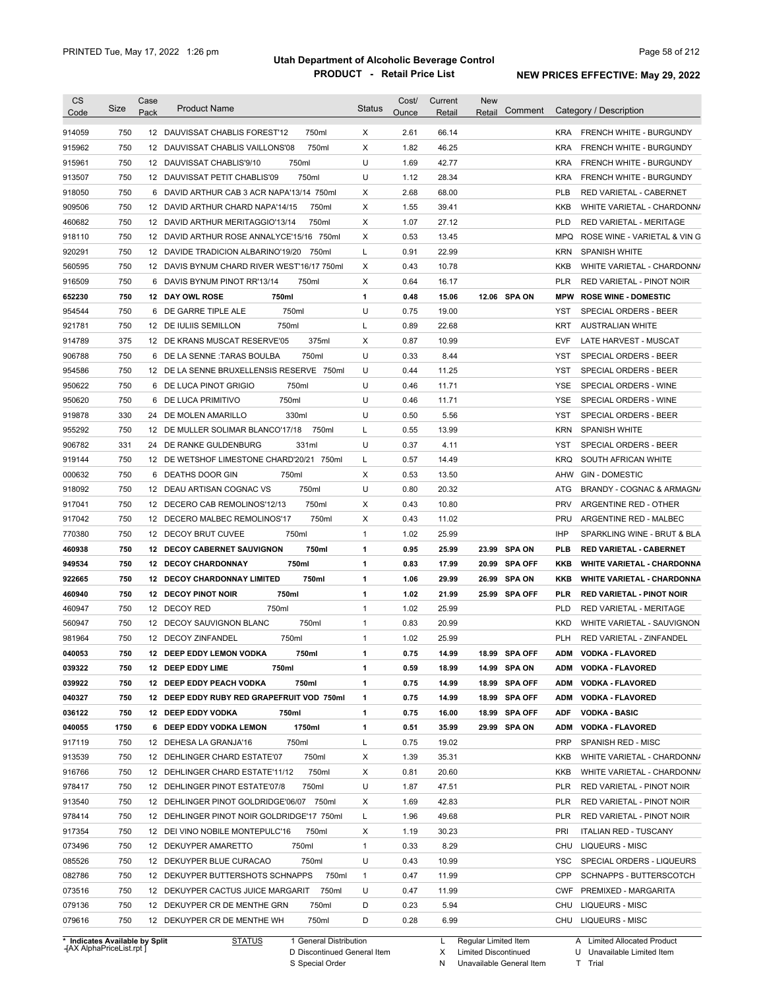|                                                          | <b>Size</b> | Case            | <b>Product Name</b>                         | Status       | Cost/ | Current | New          |               |                   |                                                                       |
|----------------------------------------------------------|-------------|-----------------|---------------------------------------------|--------------|-------|---------|--------------|---------------|-------------------|-----------------------------------------------------------------------|
| Code                                                     |             | Pack            |                                             |              | Ounce | Retail  | Retail       | Comment       |                   | Category / Description                                                |
| 914059                                                   | 750         |                 | 750ml<br>12 DAUVISSAT CHABLIS FOREST'12     | X            | 2.61  | 66.14   |              |               |                   | KRA FRENCH WHITE - BURGUNDY                                           |
| 915962                                                   | 750         |                 | 750ml<br>12 DAUVISSAT CHABLIS VAILLONS'08   | X            | 1.82  | 46.25   |              |               | <b>KRA</b>        | <b>FRENCH WHITE - BURGUNDY</b>                                        |
| 915961                                                   | 750         |                 | 750ml<br>12 DAUVISSAT CHABLIS'9/10          | U            | 1.69  | 42.77   |              |               | <b>KRA</b>        | <b>FRENCH WHITE - BURGUNDY</b>                                        |
| 913507                                                   | 750         |                 | 750ml<br>12 DAUVISSAT PETIT CHABLIS'09      | U            | 1.12  | 28.34   |              |               | <b>KRA</b>        | <b>FRENCH WHITE - BURGUNDY</b>                                        |
| 918050                                                   | 750         |                 | 6 DAVID ARTHUR CAB 3 ACR NAPA'13/14 750ml   | х            | 2.68  | 68.00   |              |               | <b>PLB</b>        | RED VARIETAL - CABERNET                                               |
| 909506                                                   | 750         |                 | 12 DAVID ARTHUR CHARD NAPA'14/15<br>750ml   | X            | 1.55  | 39.41   |              |               | <b>KKB</b>        | WHITE VARIETAL - CHARDONN/                                            |
| 460682                                                   | 750         |                 | 750ml<br>12 DAVID ARTHUR MERITAGGIO'13/14   | X            | 1.07  | 27.12   |              |               | <b>PLD</b>        | <b>RED VARIETAL - MERITAGE</b>                                        |
| 918110                                                   | 750         |                 | 12 DAVID ARTHUR ROSE ANNALYCE'15/16 750ml   | Х            | 0.53  | 13.45   |              |               | <b>MPQ</b>        | ROSE WINE - VARIETAL & VIN G                                          |
| 920291                                                   | 750         |                 | 12 DAVIDE TRADICION ALBARINO'19/20 750ml    | L            | 0.91  | 22.99   |              |               | <b>KRN</b>        | <b>SPANISH WHITE</b>                                                  |
| 560595                                                   | 750         |                 | 12 DAVIS BYNUM CHARD RIVER WEST'16/17 750ml | Х            | 0.43  | 10.78   |              |               | KKB               | WHITE VARIETAL - CHARDONN/                                            |
| 916509                                                   | 750         |                 | 6 DAVIS BYNUM PINOT RR'13/14<br>750ml       | Χ            | 0.64  | 16.17   |              |               | <b>PLR</b>        | RED VARIETAL - PINOT NOIR                                             |
| 652230                                                   | 750         |                 | 12 DAY OWL ROSE<br>750ml                    | 1            | 0.48  | 15.06   |              | 12.06 SPA ON  | <b>MPW</b>        | <b>ROSE WINE - DOMESTIC</b>                                           |
| 954544                                                   | 750         |                 | 750ml<br>6 DE GARRE TIPLE ALE               | U            | 0.75  | 19.00   |              |               | YST               | SPECIAL ORDERS - BEER                                                 |
| 921781                                                   | 750         |                 | 750ml<br>12 DE IULIIS SEMILLON              | Г            | 0.89  | 22.68   |              |               | <b>KRT</b>        | <b>AUSTRALIAN WHITE</b>                                               |
| 914789                                                   | 375         |                 | 375ml<br>12 DE KRANS MUSCAT RESERVE'05      | Х            | 0.87  | 10.99   |              |               | <b>EVF</b>        | LATE HARVEST - MUSCAT                                                 |
| 906788                                                   | 750         | 6               | 750ml<br>DE LA SENNE :TARAS BOULBA          | U            | 0.33  | 8.44    |              |               | YST               | SPECIAL ORDERS - BEER                                                 |
| 954586                                                   | 750         |                 | 12 DE LA SENNE BRUXELLENSIS RESERVE 750ml   | U            | 0.44  | 11.25   |              |               | YST               | SPECIAL ORDERS - BEER                                                 |
| 950622                                                   | 750         | 6               | DE LUCA PINOT GRIGIO<br>750ml               | U            | 0.46  | 11.71   |              |               | <b>YSE</b>        | SPECIAL ORDERS - WINE                                                 |
| 950620                                                   | 750         | 6               | 750ml<br>DE LUCA PRIMITIVO                  | U            | 0.46  | 11.71   |              |               | <b>YSE</b>        | SPECIAL ORDERS - WINE                                                 |
| 919878                                                   | 330         |                 | 24 DE MOLEN AMARILLO<br>330ml               | U            | 0.50  | 5.56    |              |               | <b>YST</b>        | <b>SPECIAL ORDERS - BEER</b>                                          |
| 955292                                                   | 750         | 12 <sup>2</sup> | 750ml<br>DE MULLER SOLIMAR BLANCO'17/18     | L            | 0.55  | 13.99   |              |               | <b>KRN</b>        | <b>SPANISH WHITE</b>                                                  |
| 906782                                                   | 331         |                 | 24 DE RANKE GULDENBURG<br>331ml             | U            | 0.37  | 4.11    |              |               | <b>YST</b>        | <b>SPECIAL ORDERS - BEER</b>                                          |
| 919144                                                   | 750         |                 | 12 DE WETSHOF LIMESTONE CHARD'20/21 750ml   | Г            | 0.57  | 14.49   |              |               | <b>KRQ</b>        | SOUTH AFRICAN WHITE                                                   |
| 000632                                                   | 750         |                 | 6 DEATHS DOOR GIN<br>750ml                  | Χ            | 0.53  | 13.50   |              |               | AHW               | <b>GIN - DOMESTIC</b>                                                 |
| 918092                                                   | 750         |                 | 750ml<br>12 DEAU ARTISAN COGNAC VS          | U            | 0.80  | 20.32   |              |               | <b>ATG</b>        | BRANDY - COGNAC & ARMAGN/                                             |
| 917041                                                   | 750         |                 | 750ml<br>12 DECERO CAB REMOLINOS'12/13      | X            | 0.43  | 10.80   |              |               | <b>PRV</b>        | ARGENTINE RED - OTHER                                                 |
| 917042                                                   | 750         |                 | 750ml<br>12 DECERO MALBEC REMOLINOS'17      | X            | 0.43  | 11.02   |              |               | <b>PRU</b>        | ARGENTINE RED - MALBEC                                                |
| 770380                                                   | 750         |                 | 12 DECOY BRUT CUVEE<br>750ml                | $\mathbf{1}$ | 1.02  | 25.99   |              |               | <b>IHP</b>        | SPARKLING WINE - BRUT & BLA                                           |
| 460938                                                   | 750         |                 | 750ml<br><b>12 DECOY CABERNET SAUVIGNON</b> | 1            | 0.95  | 25.99   |              | 23.99 SPA ON  | <b>PLB</b>        | <b>RED VARIETAL - CABERNET</b>                                        |
|                                                          | 750         |                 | 12 DECOY CHARDONNAY<br>750ml                |              | 0.83  | 17.99   |              | 20.99 SPA OFF |                   |                                                                       |
| 949534                                                   | 750         |                 | 12 DECOY CHARDONNAY LIMITED<br>750ml        | 1            | 1.06  | 29.99   |              | 26.99 SPA ON  | KKB               | <b>WHITE VARIETAL - CHARDONNA</b>                                     |
| 922665                                                   | 750         |                 | 750ml<br><b>12 DECOY PINOT NOIR</b>         | 1<br>1       | 1.02  | 21.99   |              | 25.99 SPA OFF | KKB<br><b>PLR</b> | <b>WHITE VARIETAL - CHARDONNA</b><br><b>RED VARIETAL - PINOT NOIR</b> |
| 460940                                                   | 750         |                 | 12 DECOY RED<br>750ml                       | 1            | 1.02  | 25.99   |              |               | <b>PLD</b>        | <b>RED VARIETAL - MERITAGE</b>                                        |
| 460947                                                   | 750         |                 | 750ml<br>12 DECOY SAUVIGNON BLANC           |              |       | 20.99   |              |               | <b>KKD</b>        |                                                                       |
| 560947                                                   |             |                 |                                             | $\mathbf{1}$ | 0.83  |         |              |               |                   | WHITE VARIETAL - SAUVIGNON                                            |
| 981964                                                   | 750         |                 | 12 DECOY ZINFANDEL<br>750ml                 | 1            | 1.02  | 25.99   |              |               | <b>PLH</b>        | <b>RED VARIETAL - ZINFANDEL</b>                                       |
| 040053                                                   | 750         |                 | 12 DEEP EDDY LEMON VODKA<br>750ml           | 1            | 0.75  | 14.99   |              | 18.99 SPA OFF | ADM               | <b>VODKA - FLAVORED</b>                                               |
| 039322                                                   | 750         |                 | 12 DEEP EDDY LIME<br>750ml                  | 1            |       |         |              |               | ADM               | <b>VODKA - FLAVORED</b>                                               |
| 039922                                                   |             |                 |                                             |              | 0.59  | 18.99   | 14.99 SPA ON |               |                   |                                                                       |
|                                                          | 750         |                 | 750ml<br>12 DEEP EDDY PEACH VODKA           | 1            | 0.75  | 14.99   |              | 18.99 SPA OFF | <b>ADM</b>        | <b>VODKA - FLAVORED</b>                                               |
|                                                          | 750         |                 | 12 DEEP EDDY RUBY RED GRAPEFRUIT VOD 750ml  | 1            | 0.75  | 14.99   |              | 18.99 SPA OFF | <b>ADM</b>        | <b>VODKA - FLAVORED</b>                                               |
|                                                          | 750         |                 | 12 DEEP EDDY VODKA<br>750ml                 | 1            | 0.75  | 16.00   |              | 18.99 SPA OFF | <b>ADF</b>        | <b>VODKA - BASIC</b>                                                  |
|                                                          | 1750        |                 | 1750ml<br>6 DEEP EDDY VODKA LEMON           | 1            | 0.51  | 35.99   |              | 29.99 SPA ON  | <b>ADM</b>        | <b>VODKA - FLAVORED</b>                                               |
|                                                          | 750         |                 | 750ml<br>12 DEHESA LA GRANJA'16             | L            | 0.75  | 19.02   |              |               | <b>PRP</b>        | SPANISH RED - MISC                                                    |
|                                                          | 750         |                 | 750ml<br>12 DEHLINGER CHARD ESTATE'07       | Х            | 1.39  | 35.31   |              |               | KKB               | WHITE VARIETAL - CHARDONN/                                            |
| 040327<br>036122<br>040055<br>917119<br>913539<br>916766 | 750         |                 | 750ml<br>12 DEHLINGER CHARD ESTATE'11/12    | Х            | 0.81  | 20.60   |              |               | KKB               | WHITE VARIETAL - CHARDONN/                                            |
| 978417                                                   | 750         |                 | 750ml<br>12 DEHLINGER PINOT ESTATE'07/8     | U            | 1.87  | 47.51   |              |               | PLR               | RED VARIETAL - PINOT NOIR                                             |
|                                                          | 750         |                 | 12 DEHLINGER PINOT GOLDRIDGE'06/07 750ml    | Х            | 1.69  | 42.83   |              |               | <b>PLR</b>        | RED VARIETAL - PINOT NOIR                                             |
|                                                          | 750         |                 | 12 DEHLINGER PINOT NOIR GOLDRIDGE'17 750ml  | L            | 1.96  | 49.68   |              |               | <b>PLR</b>        | RED VARIETAL - PINOT NOIR                                             |
| 913540<br>978414<br>917354                               | 750         |                 | 12 DEI VINO NOBILE MONTEPULC'16<br>750ml    | Х            | 1.19  | 30.23   |              |               | <b>PRI</b>        | <b>ITALIAN RED - TUSCANY</b>                                          |
| 073496                                                   | 750         |                 | 12 DEKUYPER AMARETTO<br>750ml               | $\mathbf{1}$ | 0.33  | 8.29    |              |               |                   | CHU LIQUEURS - MISC                                                   |
| 085526                                                   | 750         |                 | 750ml<br>12 DEKUYPER BLUE CURACAO           | U            | 0.43  | 10.99   |              |               | YSC               | SPECIAL ORDERS - LIQUEURS                                             |
| 082786                                                   | 750         |                 | 12 DEKUYPER BUTTERSHOTS SCHNAPPS<br>750ml   | $\mathbf{1}$ | 0.47  | 11.99   |              |               | CPP               | SCHNAPPS - BUTTERSCOTCH                                               |
| 073516                                                   | 750         |                 | 750ml<br>12 DEKUYPER CACTUS JUICE MARGARIT  | U            | 0.47  | 11.99   |              |               | <b>CWF</b>        | PREMIXED - MARGARITA                                                  |
| 079136                                                   | 750         |                 | 750ml<br>12 DEKUYPER CR DE MENTHE GRN       | D            | 0.23  | 5.94    |              |               | CHU               | <b>LIQUEURS - MISC</b>                                                |

**Case** [AX AlphaPriceList.rpt ]

D Discontinued General Item

S Special Order

X Limited Discontinued

N Unavailable General Item

U Unavailable Limited Item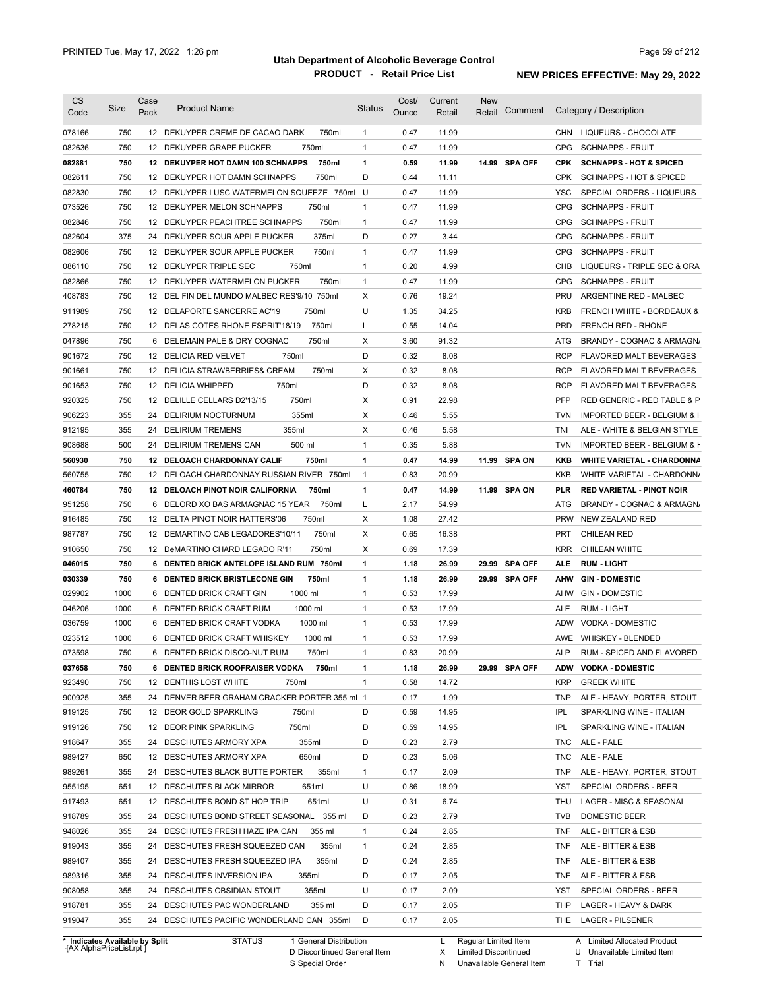| <b>CS</b><br>Code              | Size       | Case<br>Pack | <b>Product Name</b>                                 | <b>Status</b>  | Cost/<br>Ounce | Current<br>Retail | <b>New</b><br>Comment<br>Retail | Category / Description                                             |
|--------------------------------|------------|--------------|-----------------------------------------------------|----------------|----------------|-------------------|---------------------------------|--------------------------------------------------------------------|
|                                | 750        |              | 12 DEKUYPER CREME DE CACAO DARK<br>750ml            | $\mathbf{1}$   | 0.47           | 11.99             |                                 | CHN LIQUEURS - CHOCOLATE                                           |
| 078166                         | 750        |              | 750ml<br>12 DEKUYPER GRAPE PUCKER                   | $\mathbf{1}$   | 0.47           | 11.99             |                                 | <b>SCHNAPPS - FRUIT</b><br><b>CPG</b>                              |
| 082636                         | 750        |              | 750ml<br>12 DEKUYPER HOT DAMN 100 SCHNAPPS          | $\mathbf{1}$   |                | 11.99             | 14.99 SPA OFF                   | <b>CPK</b><br><b>SCHNAPPS - HOT &amp; SPICED</b>                   |
| 082881                         | 750        |              | 750ml<br>12 DEKUYPER HOT DAMN SCHNAPPS              | D              | 0.59<br>0.44   |                   |                                 | <b>CPK</b>                                                         |
| 082611                         | 750        |              | 12 DEKUYPER LUSC WATERMELON SQUEEZE 750ml U         |                | 0.47           | 11.11<br>11.99    |                                 | <b>SCHNAPPS - HOT &amp; SPICED</b><br>YSC                          |
| 082830                         | 750        |              | 750ml<br>12 DEKUYPER MELON SCHNAPPS                 | $\mathbf{1}$   | 0.47           | 11.99             |                                 | SPECIAL ORDERS - LIQUEURS<br><b>CPG</b><br><b>SCHNAPPS - FRUIT</b> |
| 073526<br>082846               | 750        |              | 750ml<br>12 DEKUYPER PEACHTREE SCHNAPPS             | $\mathbf{1}$   | 0.47           | 11.99             |                                 | <b>CPG</b><br><b>SCHNAPPS - FRUIT</b>                              |
| 082604                         | 375        |              | 375ml<br>24 DEKUYPER SOUR APPLE PUCKER              | D              | 0.27           | 3.44              |                                 | <b>CPG</b><br><b>SCHNAPPS - FRUIT</b>                              |
| 082606                         | 750        |              | 750ml<br>12 DEKUYPER SOUR APPLE PUCKER              | $\mathbf{1}$   | 0.47           | 11.99             |                                 | <b>CPG</b><br><b>SCHNAPPS - FRUIT</b>                              |
| 086110                         | 750        |              | 750ml<br>12 DEKUYPER TRIPLE SEC                     | $\mathbf{1}$   | 0.20           | 4.99              |                                 | LIQUEURS - TRIPLE SEC & ORA<br>CHB                                 |
| 082866                         | 750        |              | 12 DEKUYPER WATERMELON PUCKER<br>750ml              | $\mathbf{1}$   | 0.47           | 11.99             |                                 | <b>CPG</b><br><b>SCHNAPPS - FRUIT</b>                              |
| 408783                         | 750        |              | 12 DEL FIN DEL MUNDO MALBEC RES'9/10 750ml          | Х              | 0.76           | 19.24             |                                 | <b>PRU</b><br>ARGENTINE RED - MALBEC                               |
|                                | 750        |              | 12 DELAPORTE SANCERRE AC'19<br>750ml                | U              | 1.35           | 34.25             |                                 | <b>KRB</b><br><b>FRENCH WHITE - BORDEAUX &amp;</b>                 |
| 911989                         |            |              |                                                     |                |                | 14.04             |                                 | <b>PRD</b>                                                         |
| 278215                         | 750<br>750 |              | 750ml<br>12 DELAS COTES RHONE ESPRIT'18/19<br>750ml | L<br>Х         | 0.55<br>3.60   | 91.32             |                                 | <b>FRENCH RED - RHONE</b>                                          |
| 047896                         |            |              | 6 DELEMAIN PALE & DRY COGNAC                        |                |                |                   |                                 | ATG<br>BRANDY - COGNAC & ARMAGN/                                   |
| 901672                         | 750        |              | 12 DELICIA RED VELVET<br>750ml                      | D              | 0.32           | 8.08              |                                 | <b>RCP</b><br>FLAVORED MALT BEVERAGES                              |
| 901661                         | 750        |              | 12 DELICIA STRAWBERRIES& CREAM<br>750ml             | Х              | 0.32           | 8.08              |                                 | <b>RCP</b><br>FLAVORED MALT BEVERAGES                              |
| 901653                         | 750        |              | 750ml<br>12 DELICIA WHIPPED                         | D              | 0.32           | 8.08              |                                 | <b>RCP</b><br>FLAVORED MALT BEVERAGES                              |
| 920325                         | 750        |              | 750ml<br>12 DELILLE CELLARS D2'13/15                | х              | 0.91           | 22.98             |                                 | <b>PFP</b><br>RED GENERIC - RED TABLE & P                          |
| 906223                         | 355        |              | 24 DELIRIUM NOCTURNUM<br>355ml                      | Х              | 0.46           | 5.55              |                                 | <b>TVN</b><br>IMPORTED BEER - BELGIUM & F                          |
| 912195                         | 355        |              | 355ml<br>24 DELIRIUM TREMENS                        | X              | 0.46           | 5.58              |                                 | TNI<br>ALE - WHITE & BELGIAN STYLE                                 |
| 908688                         | 500        | 24           | 500 ml<br>DELIRIUM TREMENS CAN                      | $\mathbf{1}$   | 0.35           | 5.88              |                                 | <b>TVN</b><br>IMPORTED BEER - BELGIUM & H                          |
| 560930                         | 750        |              | 12 DELOACH CHARDONNAY CALIF<br>750ml                | 1              | 0.47           | 14.99             | 11.99 SPA ON                    | KKB<br><b>WHITE VARIETAL - CHARDONNA</b>                           |
| 560755                         | 750        |              | 12 DELOACH CHARDONNAY RUSSIAN RIVER 750ml           | $\overline{1}$ | 0.83           | 20.99             |                                 | KKB<br>WHITE VARIETAL - CHARDONN/                                  |
| 460784                         | 750        |              | 12 DELOACH PINOT NOIR CALIFORNIA<br>750ml           | 1              | 0.47           | 14.99             | 11.99 SPA ON                    | PLR<br><b>RED VARIETAL - PINOT NOIR</b>                            |
| 951258                         | 750        |              | 6 DELORD XO BAS ARMAGNAC 15 YEAR<br>750ml           | L              | 2.17           | 54.99             |                                 | ATG<br>BRANDY - COGNAC & ARMAGN/                                   |
| 916485                         | 750        |              | 12 DELTA PINOT NOIR HATTERS'06<br>750ml             | X              | 1.08           | 27.42             |                                 | <b>PRW</b><br>NEW ZEALAND RED                                      |
| 987787                         | 750        |              | 12 DEMARTINO CAB LEGADORES'10/11<br>750ml           | Х              | 0.65           | 16.38             |                                 | PRT<br><b>CHILEAN RED</b>                                          |
| 910650                         | 750        |              | 12 DeMARTINO CHARD LEGADO R'11<br>750ml             | Х              | 0.69           | 17.39             |                                 | <b>KRR</b><br>CHILEAN WHITE                                        |
| 046015                         | 750        |              | 6 DENTED BRICK ANTELOPE ISLAND RUM 750ml            | 1              | 1.18           | 26.99             | 29.99 SPA OFF                   | <b>ALE</b><br><b>RUM LIGHT</b>                                     |
| 030339                         | 750        |              | 6 DENTED BRICK BRISTLECONE GIN<br>750ml             | 1              | 1.18           | 26.99             | 29.99 SPA OFF                   | <b>AHW</b><br><b>GIN-DOMESTIC</b>                                  |
| 029902                         | 1000       |              | 1000 ml<br>6 DENTED BRICK CRAFT GIN                 | $\mathbf{1}$   | 0.53           | 17.99             |                                 | <b>GIN - DOMESTIC</b><br>AHW                                       |
| 046206                         | 1000       |              | 1000 ml<br>6 DENTED BRICK CRAFT RUM                 | $\mathbf{1}$   | 0.53           | 17.99             |                                 | ALE<br>RUM - LIGHT                                                 |
| 036759                         | 1000       |              | 1000 ml<br>6 DENTED BRICK CRAFT VODKA               | $\mathbf{1}$   | 0.53           | 17.99             |                                 | <b>ADW</b><br><b>VODKA - DOMESTIC</b>                              |
| 023512                         | 1000       |              | 6 DENTED BRICK CRAFT WHISKEY<br>1000 ml             | $\mathbf{1}$   | 0.53           | 17.99             |                                 | AWE<br><b>WHISKEY - BLENDED</b>                                    |
| 073598                         | 750        |              | 6 DENTED BRICK DISCO-NUT RUM<br>750ml               | 1              | 0.83           | 20.99             |                                 | ALP<br>RUM - SPICED AND FLAVORED                                   |
| 037658                         | 750        |              | 6 DENTED BRICK ROOFRAISER VODKA<br>750ml            | 1              | 1.18           | 26.99             | 29.99 SPA OFF                   | ADW VODKA - DOMESTIC                                               |
| 923490                         | 750        |              | 12 DENTHIS LOST WHITE<br>750ml                      | $\mathbf{1}$   | 0.58           | 14.72             |                                 | <b>KRP</b><br><b>GREEK WHITE</b>                                   |
| 900925                         | 355        |              | 24 DENVER BEER GRAHAM CRACKER PORTER 355 ml 1       |                | 0.17           | 1.99              |                                 | ALE - HEAVY, PORTER, STOUT<br><b>TNP</b>                           |
| 919125                         | 750        |              | 12 DEOR GOLD SPARKLING<br>750ml                     | D              | 0.59           | 14.95             |                                 | <b>IPL</b><br>SPARKLING WINE - ITALIAN                             |
| 919126                         | 750        |              | 750ml<br>12 DEOR PINK SPARKLING                     | D              | 0.59           | 14.95             |                                 | <b>IPL</b><br>SPARKLING WINE - ITALIAN                             |
| 918647                         | 355        |              | 355ml<br>24 DESCHUTES ARMORY XPA                    | D              | 0.23           | 2.79              |                                 | <b>TNC</b><br>ALE - PALE                                           |
| 989427                         | 650        |              | 650ml<br>12 DESCHUTES ARMORY XPA                    | D              | 0.23           | 5.06              |                                 | <b>TNC</b><br>ALE - PALE                                           |
| 989261                         | 355        |              | 355ml<br>24 DESCHUTES BLACK BUTTE PORTER            | $\mathbf{1}$   | 0.17           | 2.09              |                                 | ALE - HEAVY, PORTER, STOUT<br><b>TNP</b>                           |
| 955195                         | 651        |              | 12 DESCHUTES BLACK MIRROR<br>651ml                  | U              | 0.86           | 18.99             |                                 | <b>YST</b><br>SPECIAL ORDERS - BEER                                |
| 917493                         | 651        |              | 12 DESCHUTES BOND ST HOP TRIP<br>651ml              | U              | 0.31           | 6.74              |                                 | THU<br>LAGER - MISC & SEASONAL                                     |
| 918789                         | 355        |              | 24 DESCHUTES BOND STREET SEASONAL 355 ml            | D              | 0.23           | 2.79              |                                 | DOMESTIC BEER<br><b>TVB</b>                                        |
| 948026                         | 355        |              | 24 DESCHUTES FRESH HAZE IPA CAN<br>355 ml           | $\mathbf{1}$   | 0.24           | 2.85              |                                 | <b>TNF</b><br>ALE - BITTER & ESB                                   |
| 919043                         | 355        |              | 355ml<br>24 DESCHUTES FRESH SQUEEZED CAN            | $\mathbf{1}$   | 0.24           | 2.85              |                                 | <b>TNF</b><br>ALE - BITTER & ESB                                   |
| 989407                         | 355        |              | 355ml<br>24 DESCHUTES FRESH SQUEEZED IPA            | D              | 0.24           | 2.85              |                                 | <b>TNF</b><br>ALE - BITTER & ESB                                   |
| 989316                         | 355        |              | 355ml<br>24 DESCHUTES INVERSION IPA                 | D              | 0.17           | 2.05              |                                 | <b>TNF</b><br>ALE - BITTER & ESB                                   |
| 908058                         | 355        |              | 24 DESCHUTES OBSIDIAN STOUT<br>355ml                | U              | 0.17           | 2.09              |                                 | YST<br>SPECIAL ORDERS - BEER                                       |
| 918781                         | 355        |              | 24 DESCHUTES PAC WONDERLAND<br>355 ml               | D              | 0.17           | 2.05              |                                 | THP<br>LAGER - HEAVY & DARK                                        |
| 919047                         | 355        |              | 24 DESCHUTES PACIFIC WONDERLAND CAN 355ml           | D              | 0.17           | 2.05              |                                 | THE<br>LAGER - PILSENER                                            |
| * Indicates Available by Split |            |              | <b>STATUS</b><br>1 General Distribution             |                |                | L                 | Regular Limited Item            | A Limited Allocated Product                                        |

**Case** [AX AlphaPriceList.rpt ]

D Discontinued General Item

S Special Order

X Limited Discontinued

N Unavailable General Item

U Unavailable Limited Item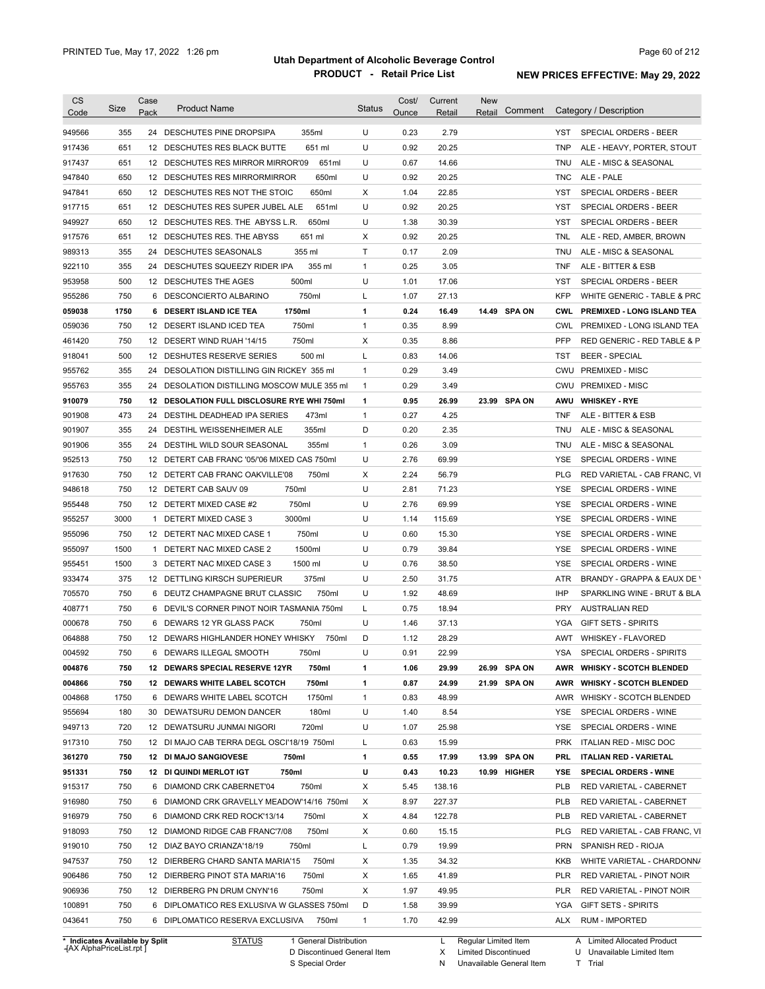| <b>CS</b><br>Code              | Size | Case<br>Pack | <b>Product Name</b>                         | Status       | Cost/<br>Ounce | Current<br>Retail | <b>New</b><br>Retail | Comment      |            | Category / Description            |
|--------------------------------|------|--------------|---------------------------------------------|--------------|----------------|-------------------|----------------------|--------------|------------|-----------------------------------|
| 949566                         | 355  |              | 355ml<br>24 DESCHUTES PINE DROPSIPA         | U            | 0.23           | 2.79              |                      |              | YST        | <b>SPECIAL ORDERS - BEER</b>      |
| 917436                         | 651  |              | 12 DESCHUTES RES BLACK BUTTE<br>651 ml      | U            | 0.92           | 20.25             |                      |              | <b>TNP</b> | ALE - HEAVY, PORTER, STOUT        |
| 917437                         | 651  |              | 12 DESCHUTES RES MIRROR MIRROR'09<br>651ml  | U            | 0.67           | 14.66             |                      |              | TNU        | ALE - MISC & SEASONAL             |
| 947840                         | 650  |              | 650ml<br>12 DESCHUTES RES MIRRORMIRROR      | U            | 0.92           | 20.25             |                      |              | TNC        | ALE - PALE                        |
| 947841                         | 650  |              | 12 DESCHUTES RES NOT THE STOIC<br>650ml     | Χ            | 1.04           | 22.85             |                      |              | YST        | SPECIAL ORDERS - BEER             |
| 917715                         | 651  |              | 12 DESCHUTES RES SUPER JUBEL ALE<br>651ml   | U            | 0.92           | 20.25             |                      |              | YST        | SPECIAL ORDERS - BEER             |
| 949927                         | 650  |              | 650ml<br>12 DESCHUTES RES. THE ABYSS L.R.   | U            | 1.38           | 30.39             |                      |              | YST        | SPECIAL ORDERS - BEER             |
| 917576                         | 651  |              | 12 DESCHUTES RES. THE ABYSS<br>651 ml       | Χ            | 0.92           | 20.25             |                      |              | TNL        | ALE - RED, AMBER, BROWN           |
| 989313                         | 355  |              | 24 DESCHUTES SEASONALS<br>355 ml            | Τ            | 0.17           | 2.09              |                      |              | TNU        | ALE - MISC & SEASONAL             |
| 922110                         | 355  |              | 355 ml<br>24 DESCHUTES SQUEEZY RIDER IPA    | $\mathbf{1}$ | 0.25           | 3.05              |                      |              | TNF        | ALE - BITTER & ESB                |
| 953958                         | 500  |              | 500ml<br>12 DESCHUTES THE AGES              | U            | 1.01           | 17.06             |                      |              | YST        | SPECIAL ORDERS - BEER             |
| 955286                         | 750  |              | 750ml<br>6 DESCONCIERTO ALBARINO            | L            | 1.07           | 27.13             |                      |              | <b>KFP</b> | WHITE GENERIC - TABLE & PRC       |
| 059038                         | 1750 |              | 6 DESERT ISLAND ICE TEA<br>1750ml           | 1            | 0.24           | 16.49             |                      | 14.49 SPA ON | <b>CWL</b> | <b>PREMIXED - LONG ISLAND TEA</b> |
| 059036                         | 750  |              | 750ml<br>12 DESERT ISLAND ICED TEA          | $\mathbf{1}$ | 0.35           | 8.99              |                      |              | CWL        | PREMIXED - LONG ISLAND TEA        |
| 461420                         | 750  |              | 750ml<br>12 DESERT WIND RUAH '14/15         | Х            | 0.35           | 8.86              |                      |              | <b>PFP</b> | RED GENERIC - RED TABLE & P       |
| 918041                         | 500  |              | 500 ml<br>12 DESHUTES RESERVE SERIES        | L            | 0.83           | 14.06             |                      |              | TST        | <b>BEER - SPECIAL</b>             |
| 955762                         | 355  |              | 24 DESOLATION DISTILLING GIN RICKEY 355 ml  | $\mathbf{1}$ | 0.29           | 3.49              |                      |              | CWU        | <b>PREMIXED - MISC</b>            |
| 955763                         | 355  |              | 24 DESOLATION DISTILLING MOSCOW MULE 355 ml | $\mathbf{1}$ | 0.29           | 3.49              |                      |              |            | CWU PREMIXED - MISC               |
| 910079                         | 750  |              | 12 DESOLATION FULL DISCLOSURE RYE WHI 750ml | 1            | 0.95           | 26.99             |                      | 23.99 SPA ON | AWU        | <b>WHISKEY - RYE</b>              |
| 901908                         | 473  |              | 24 DESTIHL DEADHEAD IPA SERIES<br>473ml     | $\mathbf{1}$ | 0.27           | 4.25              |                      |              | TNF        | ALE - BITTER & ESB                |
| 901907                         | 355  |              | 355ml<br>24 DESTIHL WEISSENHEIMER ALE       | D            | 0.20           | 2.35              |                      |              | TNU        | ALE - MISC & SEASONAL             |
| 901906                         | 355  |              | 355ml<br>24 DESTIHL WILD SOUR SEASONAL      | 1            | 0.26           | 3.09              |                      |              | TNU        | ALE - MISC & SEASONAL             |
| 952513                         | 750  |              | 12 DETERT CAB FRANC '05/'06 MIXED CAS 750ml | U            | 2.76           | 69.99             |                      |              | YSE        | SPECIAL ORDERS - WINE             |
| 917630                         | 750  |              | 750ml<br>12 DETERT CAB FRANC OAKVILLE'08    | Х            | 2.24           | 56.79             |                      |              | <b>PLG</b> | RED VARIETAL - CAB FRANC, VI      |
| 948618                         | 750  |              | 750ml<br>12 DETERT CAB SAUV 09              | U            | 2.81           | 71.23             |                      |              | YSE        | SPECIAL ORDERS - WINE             |
| 955448                         | 750  |              | 750ml<br>12 DETERT MIXED CASE #2            | U            | 2.76           | 69.99             |                      |              | YSE        | SPECIAL ORDERS - WINE             |
| 955257                         | 3000 |              | 1 DETERT MIXED CASE 3<br>3000ml             | U            | 1.14           | 115.69            |                      |              | <b>YSE</b> | SPECIAL ORDERS - WINE             |
| 955096                         | 750  |              | 750ml<br>12 DETERT NAC MIXED CASE 1         | U            | 0.60           | 15.30             |                      |              | YSE        | SPECIAL ORDERS - WINE             |
| 955097                         | 1500 |              | 1500ml<br>1 DETERT NAC MIXED CASE 2         | U            | 0.79           | 39.84             |                      |              | <b>YSE</b> | SPECIAL ORDERS - WINE             |
| 955451                         | 1500 |              | 1500 ml<br>3 DETERT NAC MIXED CASE 3        | U            | 0.76           | 38.50             |                      |              | <b>YSE</b> | SPECIAL ORDERS - WINE             |
| 933474                         | 375  |              | 12 DETTLING KIRSCH SUPERIEUR<br>375ml       | U            | 2.50           | 31.75             |                      |              | ATR        | BRANDY - GRAPPA & EAUX DE \       |
| 705570                         | 750  |              | 6 DEUTZ CHAMPAGNE BRUT CLASSIC<br>750ml     | U            | 1.92           | 48.69             |                      |              | IHP        | SPARKLING WINE - BRUT & BLA       |
| 408771                         | 750  |              | 6 DEVIL'S CORNER PINOT NOIR TASMANIA 750ml  | L            | 0.75           | 18.94             |                      |              | <b>PRY</b> | <b>AUSTRALIAN RED</b>             |
| 000678                         | 750  |              | 6 DEWARS 12 YR GLASS PACK<br>750ml          | U            | 1.46           | 37.13             |                      |              | YGA        | <b>GIFT SETS - SPIRITS</b>        |
| 064888                         | 750  |              | 12 DEWARS HIGHLANDER HONEY WHISKY<br>750ml  | D            | 1.12           | 28.29             |                      |              |            | AWT WHISKEY - FLAVORED            |
| 004592                         | 750  |              | 6 DEWARS ILLEGAL SMOOTH<br>750ml            | U            | 0.91           | 22.99             |                      |              |            | YSA SPECIAL ORDERS - SPIRITS      |
| 004876                         | 750  |              | 12 DEWARS SPECIAL RESERVE 12YR<br>750ml     | 1            | 1.06           | 29.99             |                      | 26.99 SPA ON |            | AWR WHISKY - SCOTCH BLENDED       |
| 004866                         | 750  |              | 750ml<br>12 DEWARS WHITE LABEL SCOTCH       | 1            | 0.87           | 24.99             |                      | 21.99 SPA ON |            | AWR WHISKY - SCOTCH BLENDED       |
| 004868                         | 1750 |              | 1750ml<br>6 DEWARS WHITE LABEL SCOTCH       | $\mathbf{1}$ | 0.83           | 48.99             |                      |              |            | AWR WHISKY - SCOTCH BLENDED       |
| 955694                         | 180  |              | 180ml<br>30 DEWATSURU DEMON DANCER          | U            | 1.40           | 8.54              |                      |              | YSE        | SPECIAL ORDERS - WINE             |
| 949713                         | 720  |              | 12 DEWATSURU JUNMAI NIGORI<br>720ml         | U            | 1.07           | 25.98             |                      |              | YSE        | SPECIAL ORDERS - WINE             |
| 917310                         | 750  |              | 12 DI MAJO CAB TERRA DEGL OSCI'18/19 750ml  | L            | 0.63           | 15.99             |                      |              | <b>PRK</b> | <b>ITALIAN RED - MISC DOC</b>     |
| 361270                         | 750  |              | 12 DI MAJO SANGIOVESE<br>750ml              | 1            | 0.55           | 17.99             |                      | 13.99 SPA ON | PRL        | <b>ITALIAN RED - VARIETAL</b>     |
| 951331                         | 750  |              | 12 DI QUINDI MERLOT IGT<br>750ml            | U            | 0.43           | 10.23             |                      | 10.99 HIGHER | YSE        | <b>SPECIAL ORDERS - WINE</b>      |
| 915317                         | 750  |              | 750ml<br>6 DIAMOND CRK CABERNET'04          | Х            | 5.45           | 138.16            |                      |              | <b>PLB</b> | RED VARIETAL - CABERNET           |
| 916980                         | 750  |              | 6 DIAMOND CRK GRAVELLY MEADOW'14/16 750ml   | Х            | 8.97           | 227.37            |                      |              | <b>PLB</b> | RED VARIETAL - CABERNET           |
| 916979                         | 750  |              | 6 DIAMOND CRK RED ROCK'13/14<br>750ml       | Х            | 4.84           | 122.78            |                      |              | <b>PLB</b> | RED VARIETAL - CABERNET           |
| 918093                         | 750  |              | 750ml<br>12 DIAMOND RIDGE CAB FRANC'7/08    | X            | 0.60           | 15.15             |                      |              | <b>PLG</b> | RED VARIETAL - CAB FRANC, VI      |
| 919010                         | 750  |              | 12 DIAZ BAYO CRIANZA'18/19<br>750ml         | L            | 0.79           | 19.99             |                      |              | PRN        | SPANISH RED - RIOJA               |
| 947537                         | 750  |              | 750ml<br>12 DIERBERG CHARD SANTA MARIA'15   | Х            | 1.35           | 34.32             |                      |              | KKB        | WHITE VARIETAL - CHARDONN/        |
| 906486                         | 750  |              | 750ml<br>12 DIERBERG PINOT STA MARIA'16     | Х            | 1.65           | 41.89             |                      |              | PLR        | RED VARIETAL - PINOT NOIR         |
| 906936                         | 750  |              | 750ml<br>12 DIERBERG PN DRUM CNYN'16        | Χ            | 1.97           | 49.95             |                      |              | PLR        | RED VARIETAL - PINOT NOIR         |
| 100891                         | 750  |              | 6 DIPLOMATICO RES EXLUSIVA W GLASSES 750ml  | D            | 1.58           | 39.99             |                      |              | YGA        | <b>GIFT SETS - SPIRITS</b>        |
| 043641                         | 750  |              | 6 DIPLOMATICO RESERVA EXCLUSIVA<br>750ml    | $\mathbf{1}$ | 1.70           | 42.99             |                      |              | ALX        | <b>RUM - IMPORTED</b>             |
| * Indicates Available by Split |      |              | 1 General Distribution<br><b>STATUS</b>     |              |                | L.                | Regular Limited Item |              |            | A Limited Allocated Product       |

**Case** [AX AlphaPriceList.rpt ]

D Discontinued General Item

S Special Order

X Limited Discontinued

N Unavailable General Item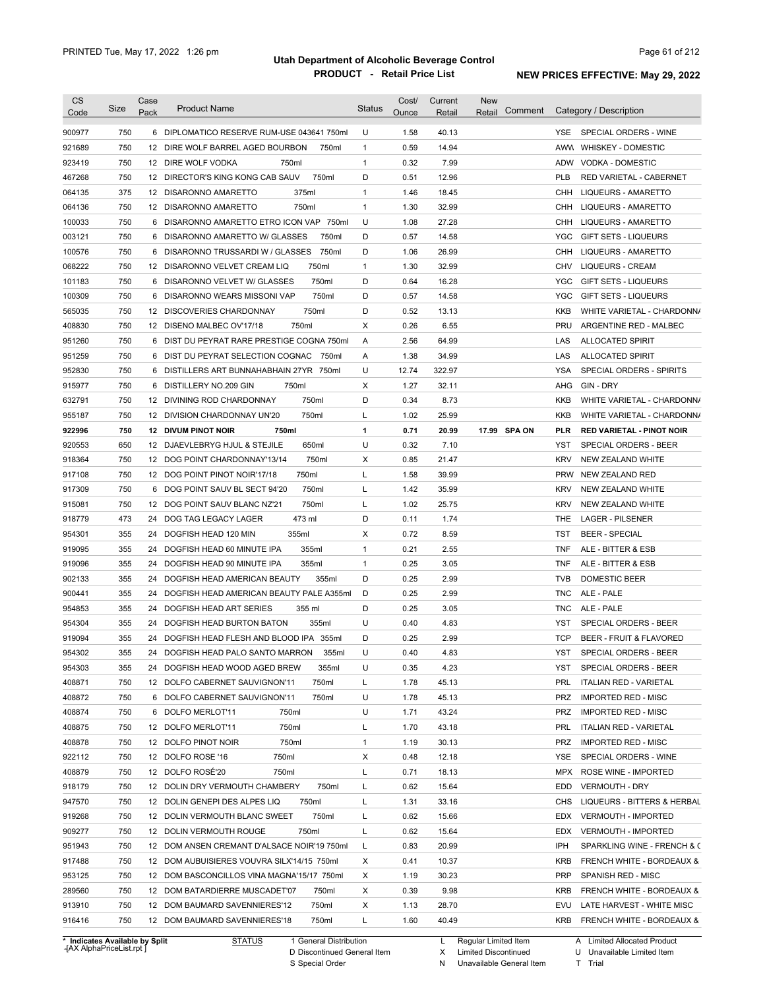| 750<br>U<br>1.58<br>40.13<br>6 DIPLOMATICO RESERVE RUM-USE 043641 750ml<br>YSE.<br>SPECIAL ORDERS - WINE<br>750<br>$\mathbf{1}$<br>0.59<br>14.94<br>12 DIRE WOLF BARREL AGED BOURBON<br>750ml<br>AWW WHISKEY - DOMESTIC<br>750<br>$\mathbf{1}$<br>0.32<br>7.99<br>ADW VODKA - DOMESTIC<br>12 DIRE WOLF VODKA<br>750ml<br>750<br>12 DIRECTOR'S KING KONG CAB SAUV<br>750ml<br>D<br>0.51<br>12.96<br>PLB<br>RED VARIETAL - CABERNET<br>375<br>375ml<br>$\mathbf{1}$<br>1.46<br>18.45<br>12 DISARONNO AMARETTO<br>CHH<br>LIQUEURS - AMARETTO<br>750<br>750ml<br>$\mathbf{1}$<br>1.30<br>32.99<br>LIQUEURS - AMARETTO<br>12 DISARONNO AMARETTO<br>CHH<br>100033<br>750<br>6 DISARONNO AMARETTO ETRO ICON VAP 750ml<br>U<br>1.08<br>27.28<br>CHH<br>LIQUEURS - AMARETTO<br>750<br>D<br>0.57<br>14.58<br>6 DISARONNO AMARETTO W/ GLASSES<br>750ml<br>YGC<br><b>GIFT SETS - LIQUEURS</b><br>750<br>750ml<br>D<br>1.06<br>26.99<br>100576<br>6 DISARONNO TRUSSARDI W / GLASSES<br>CHH<br><b>LIQUEURS - AMARETTO</b><br>750<br>750ml<br>1.30<br>32.99<br><b>LIQUEURS - CREAM</b><br>12 DISARONNO VELVET CREAM LIQ<br>1<br>CHV<br>750<br>750ml<br>D<br>0.64<br>16.28<br>101183<br>6 DISARONNO VELVET W/ GLASSES<br>YGC<br><b>GIFT SETS - LIQUEURS</b><br>750<br>750ml<br>D<br>0.57<br>14.58<br>100309<br>6 DISARONNO WEARS MISSONI VAP<br>YGC<br><b>GIFT SETS - LIQUEURS</b><br>750<br>750ml<br>D<br>0.52<br>12 DISCOVERIES CHARDONNAY<br>13.13<br>KKB<br>750<br>750ml<br>х<br>0.26<br>6.55<br><b>PRU</b><br>12 DISENO MALBEC OV'17/18<br>ARGENTINE RED - MALBEC<br>750<br>6 DIST DU PEYRAT RARE PRESTIGE COGNA 750ml<br>2.56<br>64.99<br>Α<br>LAS<br><b>ALLOCATED SPIRIT</b><br>750<br>1.38<br>34.99<br>951259<br>6 DIST DU PEYRAT SELECTION COGNAC<br>750ml<br>Α<br>LAS<br><b>ALLOCATED SPIRIT</b><br>750<br>U<br>952830<br>12.74<br>322.97<br><b>YSA</b><br>SPECIAL ORDERS - SPIRITS<br>6 DISTILLERS ART BUNNAHABHAIN 27YR 750ml<br>750<br>750ml<br>х<br>1.27<br>32.11<br>GIN - DRY<br>6 DISTILLERY NO.209 GIN<br>AHG<br>750<br>750ml<br>D<br>0.34<br>8.73<br><b>KKB</b><br>12 DIVINING ROD CHARDONNAY<br>750<br>750ml<br>Г<br>1.02<br>25.99<br><b>KKB</b><br>955187<br>12 DIVISION CHARDONNAY UN'20<br>WHITE VARIETAL - CHARDONN/<br>750<br>750ml<br>1<br>0.71<br>20.99<br>17.99 SPA ON<br>922996<br><b>12 DIVUM PINOT NOIR</b><br>PLR<br><b>RED VARIETAL - PINOT NOIR</b><br>650<br>650ml<br>U<br>0.32<br>7.10<br>920553<br>12 DJAEVLEBRYG HJUL & STEJILE<br>YST<br>SPECIAL ORDERS - BEER<br>750<br>750ml<br>х<br>0.85<br><b>KRV</b><br>918364<br>12 DOG POINT CHARDONNAY'13/14<br>21.47<br>NEW ZEALAND WHITE<br>917108<br>750<br>750ml<br>Г<br>1.58<br>39.99<br><b>PRW</b><br>12 DOG POINT PINOT NOIR'17/18<br>NEW ZEALAND RED<br>917309<br>750<br>750ml<br>Г<br>1.42<br>35.99<br>6 DOG POINT SAUV BL SECT 94'20<br><b>KRV</b><br>NEW ZEALAND WHITE<br>750ml<br>Г<br>1.02<br>915081<br>750<br>12 DOG POINT SAUV BLANC NZ'21<br>25.75<br><b>KRV</b><br>NEW ZEALAND WHITE<br>918779<br>473<br>D<br>0.11<br>24<br>DOG TAG LEGACY LAGER<br>473 ml<br>1.74<br>THE<br>LAGER - PILSENER<br>954301<br>355<br>X<br>0.72<br>8.59<br><b>BEER - SPECIAL</b><br>24<br>DOGFISH HEAD 120 MIN<br>355ml<br>TST<br>919095<br>355<br>355ml<br>0.21<br>2.55<br>ALE - BITTER & ESB<br>24 DOGFISH HEAD 60 MINUTE IPA<br>$\mathbf{1}$<br>TNF<br>919096<br>355<br>$\mathbf{1}$<br>0.25<br>3.05<br>24 DOGFISH HEAD 90 MINUTE IPA<br>355ml<br><b>TNF</b><br>ALE - BITTER & ESB<br>902133<br>355<br>D<br>0.25<br>2.99<br><b>TVB</b><br><b>DOMESTIC BEER</b><br>24<br>DOGFISH HEAD AMERICAN BEAUTY<br>355ml<br>900441<br>355<br>DOGFISH HEAD AMERICAN BEAUTY PALE A355ml<br>D<br>0.25<br>2.99<br>ALE - PALE<br>24<br><b>TNC</b><br>954853<br>355<br>D<br>0.25<br>3.05<br><b>TNC</b><br>ALE - PALE<br>24 DOGFISH HEAD ART SERIES<br>355 ml<br>954304<br>355<br>355ml<br>U<br>0.40<br>4.83<br>YST<br>SPECIAL ORDERS - BEER<br>24 DOGFISH HEAD BURTON BATON<br>919094<br>355<br>24 DOGFISH HEAD FLESH AND BLOOD IPA 355ml<br>D<br>0.25<br>2.99<br><b>TCP</b><br>BEER - FRUIT & FLAVORED<br>954302<br>355<br>U<br>0.40<br>4.83<br>YST<br>SPECIAL ORDERS - BEER<br>24 DOGFISH HEAD PALO SANTO MARRON<br>355ml<br>954303<br>U<br>355<br>24 DOGFISH HEAD WOOD AGED BREW<br>355ml<br>0.35<br>4.23<br>YST<br>SPECIAL ORDERS - BEER<br>408871<br>750<br>1.78<br>45.13<br>12 DOLFO CABERNET SAUVIGNON'11<br>750ml<br>L<br>PRL<br><b>ITALIAN RED - VARIETAL</b><br>408872<br>750<br>U<br>1.78<br><b>IMPORTED RED - MISC</b><br>6 DOLFO CABERNET SAUVIGNON'11<br>750ml<br>45.13<br>PRZ<br>408874<br>750<br>U<br>43.24<br><b>IMPORTED RED - MISC</b><br>6 DOLFO MERLOT'11<br>750ml<br>1.71<br>PRZ<br>408875<br>750<br>12 DOLFO MERLOT'11<br>750ml<br>Г<br>1.70<br>43.18<br>PRL<br><b>ITALIAN RED - VARIETAL</b><br>408878<br>750<br>12 DOLFO PINOT NOIR<br>750ml<br>$\mathbf{1}$<br>1.19<br>30.13<br>PRZ<br><b>IMPORTED RED - MISC</b><br>922112<br>750<br>12 DOLFO ROSE '16<br>750ml<br>х<br>0.48<br>12.18<br>YSE<br>SPECIAL ORDERS - WINE<br>408879<br>12 DOLFO ROSÉ'20<br>750<br>750ml<br>Г<br>0.71<br>18.13<br><b>MPX</b><br>ROSE WINE - IMPORTED<br>918179<br>750<br>750ml<br>12 DOLIN DRY VERMOUTH CHAMBERY<br>L<br>0.62<br>15.64<br>EDD<br><b>VERMOUTH - DRY</b><br>33.16<br>750<br>12 DOLIN GENEPI DES ALPES LIQ<br>750ml<br>L<br>1.31<br>LIQUEURS - BITTERS & HERBAL<br>CHS<br>750<br>750ml<br>0.62<br>12 DOLIN VERMOUTH BLANC SWEET<br>L<br>15.66<br>EDX<br><b>VERMOUTH - IMPORTED</b><br>750<br>750ml<br>Г<br>0.62<br>15.64<br>12 DOLIN VERMOUTH ROUGE<br>EDX<br><b>VERMOUTH - IMPORTED</b><br>750<br>L<br>0.83<br>20.99<br>12 DOM ANSEN CREMANT D'ALSACE NOIR'19 750ml<br>IPH<br>750<br>х<br>10.37<br>12 DOM AUBUISIERES VOUVRA SILX'14/15 750ml<br>0.41<br><b>KRB</b><br>FRENCH WHITE - BORDEAUX &<br>750<br>х<br>30.23<br>12 DOM BASCONCILLOS VINA MAGNA'15/17 750ml<br>1.19<br><b>PRP</b><br>SPANISH RED - MISC<br>х<br>9.98<br>750<br>12 DOM BATARDIERRE MUSCADET'07<br>750ml<br>0.39<br><b>KRB</b><br>FRENCH WHITE - BORDEAUX &<br>х<br>750<br>12 DOM BAUMARD SAVENNIERES'12<br>750ml<br>1.13<br>28.70<br>EVU<br>LATE HARVEST - WHITE MISC<br>750<br>12 DOM BAUMARD SAVENNIERES'18<br>750ml<br>L<br>1.60<br>40.49<br>KRB<br>FRENCH WHITE - BORDEAUX & | <b>CS</b><br>Code | Size | Case<br>Pack | <b>Product Name</b> | <b>Status</b> | Cost/<br>Ounce | Current<br>Retail | <b>New</b><br>Comment<br>Retail | Category / Description      |
|--------------------------------------------------------------------------------------------------------------------------------------------------------------------------------------------------------------------------------------------------------------------------------------------------------------------------------------------------------------------------------------------------------------------------------------------------------------------------------------------------------------------------------------------------------------------------------------------------------------------------------------------------------------------------------------------------------------------------------------------------------------------------------------------------------------------------------------------------------------------------------------------------------------------------------------------------------------------------------------------------------------------------------------------------------------------------------------------------------------------------------------------------------------------------------------------------------------------------------------------------------------------------------------------------------------------------------------------------------------------------------------------------------------------------------------------------------------------------------------------------------------------------------------------------------------------------------------------------------------------------------------------------------------------------------------------------------------------------------------------------------------------------------------------------------------------------------------------------------------------------------------------------------------------------------------------------------------------------------------------------------------------------------------------------------------------------------------------------------------------------------------------------------------------------------------------------------------------------------------------------------------------------------------------------------------------------------------------------------------------------------------------------------------------------------------------------------------------------------------------------------------------------------------------------------------------------------------------------------------------------------------------------------------------------------------------------------------------------------------------------------------------------------------------------------------------------------------------------------------------------------------------------------------------------------------------------------------------------------------------------------------------------------------------------------------------------------------------------------------------------------------------------------------------------------------------------------------------------------------------------------------------------------------------------------------------------------------------------------------------------------------------------------------------------------------------------------------------------------------------------------------------------------------------------------------------------------------------------------------------------------------------------------------------------------------------------------------------------------------------------------------------------------------------------------------------------------------------------------------------------------------------------------------------------------------------------------------------------------------------------------------------------------------------------------------------------------------------------------------------------------------------------------------------------------------------------------------------------------------------------------------------------------------------------------------------------------------------------------------------------------------------------------------------------------------------------------------------------------------------------------------------------------------------------------------------------------------------------------------------------------------------------------------------------------------------------------------------------------------------------------------------------------------------------------------------------------------------------------------------------------------------------------------------------------------------------------------------------------------------------------------------------------------------------------------------------------------------------------------------------------------------------------------------------------------------------------------------------------------------------------------------------------------------------------------------------------------------------------------------------------------------------------------------------------------------------------------------------------------------------------------------------------------------------------------------------------------------------------------------------------------------------------------------------------------------------------------------------------------------------------------------------------------------------------------------------------------------------------------------------------------------------------------------------------------------------------------------------------------------------------------------------------------------------------------------------------------------------------------------------------------------------------------------------------------------------------------------------|-------------------|------|--------------|---------------------|---------------|----------------|-------------------|---------------------------------|-----------------------------|
|                                                                                                                                                                                                                                                                                                                                                                                                                                                                                                                                                                                                                                                                                                                                                                                                                                                                                                                                                                                                                                                                                                                                                                                                                                                                                                                                                                                                                                                                                                                                                                                                                                                                                                                                                                                                                                                                                                                                                                                                                                                                                                                                                                                                                                                                                                                                                                                                                                                                                                                                                                                                                                                                                                                                                                                                                                                                                                                                                                                                                                                                                                                                                                                                                                                                                                                                                                                                                                                                                                                                                                                                                                                                                                                                                                                                                                                                                                                                                                                                                                                                                                                                                                                                                                                                                                                                                                                                                                                                                                                                                                                                                                                                                                                                                                                                                                                                                                                                                                                                                                                                                                                                                                                                                                                                                                                                                                                                                                                                                                                                                                                                                                                                                                                                                                                                                                                                                                                                                                                                                                                                                                                                                                                                                          | 900977            |      |              |                     |               |                |                   |                                 |                             |
|                                                                                                                                                                                                                                                                                                                                                                                                                                                                                                                                                                                                                                                                                                                                                                                                                                                                                                                                                                                                                                                                                                                                                                                                                                                                                                                                                                                                                                                                                                                                                                                                                                                                                                                                                                                                                                                                                                                                                                                                                                                                                                                                                                                                                                                                                                                                                                                                                                                                                                                                                                                                                                                                                                                                                                                                                                                                                                                                                                                                                                                                                                                                                                                                                                                                                                                                                                                                                                                                                                                                                                                                                                                                                                                                                                                                                                                                                                                                                                                                                                                                                                                                                                                                                                                                                                                                                                                                                                                                                                                                                                                                                                                                                                                                                                                                                                                                                                                                                                                                                                                                                                                                                                                                                                                                                                                                                                                                                                                                                                                                                                                                                                                                                                                                                                                                                                                                                                                                                                                                                                                                                                                                                                                                                          | 921689            |      |              |                     |               |                |                   |                                 |                             |
|                                                                                                                                                                                                                                                                                                                                                                                                                                                                                                                                                                                                                                                                                                                                                                                                                                                                                                                                                                                                                                                                                                                                                                                                                                                                                                                                                                                                                                                                                                                                                                                                                                                                                                                                                                                                                                                                                                                                                                                                                                                                                                                                                                                                                                                                                                                                                                                                                                                                                                                                                                                                                                                                                                                                                                                                                                                                                                                                                                                                                                                                                                                                                                                                                                                                                                                                                                                                                                                                                                                                                                                                                                                                                                                                                                                                                                                                                                                                                                                                                                                                                                                                                                                                                                                                                                                                                                                                                                                                                                                                                                                                                                                                                                                                                                                                                                                                                                                                                                                                                                                                                                                                                                                                                                                                                                                                                                                                                                                                                                                                                                                                                                                                                                                                                                                                                                                                                                                                                                                                                                                                                                                                                                                                                          | 923419            |      |              |                     |               |                |                   |                                 |                             |
|                                                                                                                                                                                                                                                                                                                                                                                                                                                                                                                                                                                                                                                                                                                                                                                                                                                                                                                                                                                                                                                                                                                                                                                                                                                                                                                                                                                                                                                                                                                                                                                                                                                                                                                                                                                                                                                                                                                                                                                                                                                                                                                                                                                                                                                                                                                                                                                                                                                                                                                                                                                                                                                                                                                                                                                                                                                                                                                                                                                                                                                                                                                                                                                                                                                                                                                                                                                                                                                                                                                                                                                                                                                                                                                                                                                                                                                                                                                                                                                                                                                                                                                                                                                                                                                                                                                                                                                                                                                                                                                                                                                                                                                                                                                                                                                                                                                                                                                                                                                                                                                                                                                                                                                                                                                                                                                                                                                                                                                                                                                                                                                                                                                                                                                                                                                                                                                                                                                                                                                                                                                                                                                                                                                                                          | 467268            |      |              |                     |               |                |                   |                                 |                             |
|                                                                                                                                                                                                                                                                                                                                                                                                                                                                                                                                                                                                                                                                                                                                                                                                                                                                                                                                                                                                                                                                                                                                                                                                                                                                                                                                                                                                                                                                                                                                                                                                                                                                                                                                                                                                                                                                                                                                                                                                                                                                                                                                                                                                                                                                                                                                                                                                                                                                                                                                                                                                                                                                                                                                                                                                                                                                                                                                                                                                                                                                                                                                                                                                                                                                                                                                                                                                                                                                                                                                                                                                                                                                                                                                                                                                                                                                                                                                                                                                                                                                                                                                                                                                                                                                                                                                                                                                                                                                                                                                                                                                                                                                                                                                                                                                                                                                                                                                                                                                                                                                                                                                                                                                                                                                                                                                                                                                                                                                                                                                                                                                                                                                                                                                                                                                                                                                                                                                                                                                                                                                                                                                                                                                                          | 064135            |      |              |                     |               |                |                   |                                 |                             |
|                                                                                                                                                                                                                                                                                                                                                                                                                                                                                                                                                                                                                                                                                                                                                                                                                                                                                                                                                                                                                                                                                                                                                                                                                                                                                                                                                                                                                                                                                                                                                                                                                                                                                                                                                                                                                                                                                                                                                                                                                                                                                                                                                                                                                                                                                                                                                                                                                                                                                                                                                                                                                                                                                                                                                                                                                                                                                                                                                                                                                                                                                                                                                                                                                                                                                                                                                                                                                                                                                                                                                                                                                                                                                                                                                                                                                                                                                                                                                                                                                                                                                                                                                                                                                                                                                                                                                                                                                                                                                                                                                                                                                                                                                                                                                                                                                                                                                                                                                                                                                                                                                                                                                                                                                                                                                                                                                                                                                                                                                                                                                                                                                                                                                                                                                                                                                                                                                                                                                                                                                                                                                                                                                                                                                          | 064136            |      |              |                     |               |                |                   |                                 |                             |
|                                                                                                                                                                                                                                                                                                                                                                                                                                                                                                                                                                                                                                                                                                                                                                                                                                                                                                                                                                                                                                                                                                                                                                                                                                                                                                                                                                                                                                                                                                                                                                                                                                                                                                                                                                                                                                                                                                                                                                                                                                                                                                                                                                                                                                                                                                                                                                                                                                                                                                                                                                                                                                                                                                                                                                                                                                                                                                                                                                                                                                                                                                                                                                                                                                                                                                                                                                                                                                                                                                                                                                                                                                                                                                                                                                                                                                                                                                                                                                                                                                                                                                                                                                                                                                                                                                                                                                                                                                                                                                                                                                                                                                                                                                                                                                                                                                                                                                                                                                                                                                                                                                                                                                                                                                                                                                                                                                                                                                                                                                                                                                                                                                                                                                                                                                                                                                                                                                                                                                                                                                                                                                                                                                                                                          |                   |      |              |                     |               |                |                   |                                 |                             |
|                                                                                                                                                                                                                                                                                                                                                                                                                                                                                                                                                                                                                                                                                                                                                                                                                                                                                                                                                                                                                                                                                                                                                                                                                                                                                                                                                                                                                                                                                                                                                                                                                                                                                                                                                                                                                                                                                                                                                                                                                                                                                                                                                                                                                                                                                                                                                                                                                                                                                                                                                                                                                                                                                                                                                                                                                                                                                                                                                                                                                                                                                                                                                                                                                                                                                                                                                                                                                                                                                                                                                                                                                                                                                                                                                                                                                                                                                                                                                                                                                                                                                                                                                                                                                                                                                                                                                                                                                                                                                                                                                                                                                                                                                                                                                                                                                                                                                                                                                                                                                                                                                                                                                                                                                                                                                                                                                                                                                                                                                                                                                                                                                                                                                                                                                                                                                                                                                                                                                                                                                                                                                                                                                                                                                          | 003121            |      |              |                     |               |                |                   |                                 |                             |
|                                                                                                                                                                                                                                                                                                                                                                                                                                                                                                                                                                                                                                                                                                                                                                                                                                                                                                                                                                                                                                                                                                                                                                                                                                                                                                                                                                                                                                                                                                                                                                                                                                                                                                                                                                                                                                                                                                                                                                                                                                                                                                                                                                                                                                                                                                                                                                                                                                                                                                                                                                                                                                                                                                                                                                                                                                                                                                                                                                                                                                                                                                                                                                                                                                                                                                                                                                                                                                                                                                                                                                                                                                                                                                                                                                                                                                                                                                                                                                                                                                                                                                                                                                                                                                                                                                                                                                                                                                                                                                                                                                                                                                                                                                                                                                                                                                                                                                                                                                                                                                                                                                                                                                                                                                                                                                                                                                                                                                                                                                                                                                                                                                                                                                                                                                                                                                                                                                                                                                                                                                                                                                                                                                                                                          |                   |      |              |                     |               |                |                   |                                 |                             |
|                                                                                                                                                                                                                                                                                                                                                                                                                                                                                                                                                                                                                                                                                                                                                                                                                                                                                                                                                                                                                                                                                                                                                                                                                                                                                                                                                                                                                                                                                                                                                                                                                                                                                                                                                                                                                                                                                                                                                                                                                                                                                                                                                                                                                                                                                                                                                                                                                                                                                                                                                                                                                                                                                                                                                                                                                                                                                                                                                                                                                                                                                                                                                                                                                                                                                                                                                                                                                                                                                                                                                                                                                                                                                                                                                                                                                                                                                                                                                                                                                                                                                                                                                                                                                                                                                                                                                                                                                                                                                                                                                                                                                                                                                                                                                                                                                                                                                                                                                                                                                                                                                                                                                                                                                                                                                                                                                                                                                                                                                                                                                                                                                                                                                                                                                                                                                                                                                                                                                                                                                                                                                                                                                                                                                          | 068222            |      |              |                     |               |                |                   |                                 |                             |
|                                                                                                                                                                                                                                                                                                                                                                                                                                                                                                                                                                                                                                                                                                                                                                                                                                                                                                                                                                                                                                                                                                                                                                                                                                                                                                                                                                                                                                                                                                                                                                                                                                                                                                                                                                                                                                                                                                                                                                                                                                                                                                                                                                                                                                                                                                                                                                                                                                                                                                                                                                                                                                                                                                                                                                                                                                                                                                                                                                                                                                                                                                                                                                                                                                                                                                                                                                                                                                                                                                                                                                                                                                                                                                                                                                                                                                                                                                                                                                                                                                                                                                                                                                                                                                                                                                                                                                                                                                                                                                                                                                                                                                                                                                                                                                                                                                                                                                                                                                                                                                                                                                                                                                                                                                                                                                                                                                                                                                                                                                                                                                                                                                                                                                                                                                                                                                                                                                                                                                                                                                                                                                                                                                                                                          |                   |      |              |                     |               |                |                   |                                 |                             |
|                                                                                                                                                                                                                                                                                                                                                                                                                                                                                                                                                                                                                                                                                                                                                                                                                                                                                                                                                                                                                                                                                                                                                                                                                                                                                                                                                                                                                                                                                                                                                                                                                                                                                                                                                                                                                                                                                                                                                                                                                                                                                                                                                                                                                                                                                                                                                                                                                                                                                                                                                                                                                                                                                                                                                                                                                                                                                                                                                                                                                                                                                                                                                                                                                                                                                                                                                                                                                                                                                                                                                                                                                                                                                                                                                                                                                                                                                                                                                                                                                                                                                                                                                                                                                                                                                                                                                                                                                                                                                                                                                                                                                                                                                                                                                                                                                                                                                                                                                                                                                                                                                                                                                                                                                                                                                                                                                                                                                                                                                                                                                                                                                                                                                                                                                                                                                                                                                                                                                                                                                                                                                                                                                                                                                          |                   |      |              |                     |               |                |                   |                                 |                             |
|                                                                                                                                                                                                                                                                                                                                                                                                                                                                                                                                                                                                                                                                                                                                                                                                                                                                                                                                                                                                                                                                                                                                                                                                                                                                                                                                                                                                                                                                                                                                                                                                                                                                                                                                                                                                                                                                                                                                                                                                                                                                                                                                                                                                                                                                                                                                                                                                                                                                                                                                                                                                                                                                                                                                                                                                                                                                                                                                                                                                                                                                                                                                                                                                                                                                                                                                                                                                                                                                                                                                                                                                                                                                                                                                                                                                                                                                                                                                                                                                                                                                                                                                                                                                                                                                                                                                                                                                                                                                                                                                                                                                                                                                                                                                                                                                                                                                                                                                                                                                                                                                                                                                                                                                                                                                                                                                                                                                                                                                                                                                                                                                                                                                                                                                                                                                                                                                                                                                                                                                                                                                                                                                                                                                                          | 565035            |      |              |                     |               |                |                   |                                 | WHITE VARIETAL - CHARDONN/  |
|                                                                                                                                                                                                                                                                                                                                                                                                                                                                                                                                                                                                                                                                                                                                                                                                                                                                                                                                                                                                                                                                                                                                                                                                                                                                                                                                                                                                                                                                                                                                                                                                                                                                                                                                                                                                                                                                                                                                                                                                                                                                                                                                                                                                                                                                                                                                                                                                                                                                                                                                                                                                                                                                                                                                                                                                                                                                                                                                                                                                                                                                                                                                                                                                                                                                                                                                                                                                                                                                                                                                                                                                                                                                                                                                                                                                                                                                                                                                                                                                                                                                                                                                                                                                                                                                                                                                                                                                                                                                                                                                                                                                                                                                                                                                                                                                                                                                                                                                                                                                                                                                                                                                                                                                                                                                                                                                                                                                                                                                                                                                                                                                                                                                                                                                                                                                                                                                                                                                                                                                                                                                                                                                                                                                                          | 408830            |      |              |                     |               |                |                   |                                 |                             |
|                                                                                                                                                                                                                                                                                                                                                                                                                                                                                                                                                                                                                                                                                                                                                                                                                                                                                                                                                                                                                                                                                                                                                                                                                                                                                                                                                                                                                                                                                                                                                                                                                                                                                                                                                                                                                                                                                                                                                                                                                                                                                                                                                                                                                                                                                                                                                                                                                                                                                                                                                                                                                                                                                                                                                                                                                                                                                                                                                                                                                                                                                                                                                                                                                                                                                                                                                                                                                                                                                                                                                                                                                                                                                                                                                                                                                                                                                                                                                                                                                                                                                                                                                                                                                                                                                                                                                                                                                                                                                                                                                                                                                                                                                                                                                                                                                                                                                                                                                                                                                                                                                                                                                                                                                                                                                                                                                                                                                                                                                                                                                                                                                                                                                                                                                                                                                                                                                                                                                                                                                                                                                                                                                                                                                          | 951260            |      |              |                     |               |                |                   |                                 |                             |
|                                                                                                                                                                                                                                                                                                                                                                                                                                                                                                                                                                                                                                                                                                                                                                                                                                                                                                                                                                                                                                                                                                                                                                                                                                                                                                                                                                                                                                                                                                                                                                                                                                                                                                                                                                                                                                                                                                                                                                                                                                                                                                                                                                                                                                                                                                                                                                                                                                                                                                                                                                                                                                                                                                                                                                                                                                                                                                                                                                                                                                                                                                                                                                                                                                                                                                                                                                                                                                                                                                                                                                                                                                                                                                                                                                                                                                                                                                                                                                                                                                                                                                                                                                                                                                                                                                                                                                                                                                                                                                                                                                                                                                                                                                                                                                                                                                                                                                                                                                                                                                                                                                                                                                                                                                                                                                                                                                                                                                                                                                                                                                                                                                                                                                                                                                                                                                                                                                                                                                                                                                                                                                                                                                                                                          |                   |      |              |                     |               |                |                   |                                 |                             |
|                                                                                                                                                                                                                                                                                                                                                                                                                                                                                                                                                                                                                                                                                                                                                                                                                                                                                                                                                                                                                                                                                                                                                                                                                                                                                                                                                                                                                                                                                                                                                                                                                                                                                                                                                                                                                                                                                                                                                                                                                                                                                                                                                                                                                                                                                                                                                                                                                                                                                                                                                                                                                                                                                                                                                                                                                                                                                                                                                                                                                                                                                                                                                                                                                                                                                                                                                                                                                                                                                                                                                                                                                                                                                                                                                                                                                                                                                                                                                                                                                                                                                                                                                                                                                                                                                                                                                                                                                                                                                                                                                                                                                                                                                                                                                                                                                                                                                                                                                                                                                                                                                                                                                                                                                                                                                                                                                                                                                                                                                                                                                                                                                                                                                                                                                                                                                                                                                                                                                                                                                                                                                                                                                                                                                          |                   |      |              |                     |               |                |                   |                                 |                             |
|                                                                                                                                                                                                                                                                                                                                                                                                                                                                                                                                                                                                                                                                                                                                                                                                                                                                                                                                                                                                                                                                                                                                                                                                                                                                                                                                                                                                                                                                                                                                                                                                                                                                                                                                                                                                                                                                                                                                                                                                                                                                                                                                                                                                                                                                                                                                                                                                                                                                                                                                                                                                                                                                                                                                                                                                                                                                                                                                                                                                                                                                                                                                                                                                                                                                                                                                                                                                                                                                                                                                                                                                                                                                                                                                                                                                                                                                                                                                                                                                                                                                                                                                                                                                                                                                                                                                                                                                                                                                                                                                                                                                                                                                                                                                                                                                                                                                                                                                                                                                                                                                                                                                                                                                                                                                                                                                                                                                                                                                                                                                                                                                                                                                                                                                                                                                                                                                                                                                                                                                                                                                                                                                                                                                                          | 915977            |      |              |                     |               |                |                   |                                 |                             |
|                                                                                                                                                                                                                                                                                                                                                                                                                                                                                                                                                                                                                                                                                                                                                                                                                                                                                                                                                                                                                                                                                                                                                                                                                                                                                                                                                                                                                                                                                                                                                                                                                                                                                                                                                                                                                                                                                                                                                                                                                                                                                                                                                                                                                                                                                                                                                                                                                                                                                                                                                                                                                                                                                                                                                                                                                                                                                                                                                                                                                                                                                                                                                                                                                                                                                                                                                                                                                                                                                                                                                                                                                                                                                                                                                                                                                                                                                                                                                                                                                                                                                                                                                                                                                                                                                                                                                                                                                                                                                                                                                                                                                                                                                                                                                                                                                                                                                                                                                                                                                                                                                                                                                                                                                                                                                                                                                                                                                                                                                                                                                                                                                                                                                                                                                                                                                                                                                                                                                                                                                                                                                                                                                                                                                          | 632791            |      |              |                     |               |                |                   |                                 | WHITE VARIETAL - CHARDONN/  |
|                                                                                                                                                                                                                                                                                                                                                                                                                                                                                                                                                                                                                                                                                                                                                                                                                                                                                                                                                                                                                                                                                                                                                                                                                                                                                                                                                                                                                                                                                                                                                                                                                                                                                                                                                                                                                                                                                                                                                                                                                                                                                                                                                                                                                                                                                                                                                                                                                                                                                                                                                                                                                                                                                                                                                                                                                                                                                                                                                                                                                                                                                                                                                                                                                                                                                                                                                                                                                                                                                                                                                                                                                                                                                                                                                                                                                                                                                                                                                                                                                                                                                                                                                                                                                                                                                                                                                                                                                                                                                                                                                                                                                                                                                                                                                                                                                                                                                                                                                                                                                                                                                                                                                                                                                                                                                                                                                                                                                                                                                                                                                                                                                                                                                                                                                                                                                                                                                                                                                                                                                                                                                                                                                                                                                          |                   |      |              |                     |               |                |                   |                                 |                             |
|                                                                                                                                                                                                                                                                                                                                                                                                                                                                                                                                                                                                                                                                                                                                                                                                                                                                                                                                                                                                                                                                                                                                                                                                                                                                                                                                                                                                                                                                                                                                                                                                                                                                                                                                                                                                                                                                                                                                                                                                                                                                                                                                                                                                                                                                                                                                                                                                                                                                                                                                                                                                                                                                                                                                                                                                                                                                                                                                                                                                                                                                                                                                                                                                                                                                                                                                                                                                                                                                                                                                                                                                                                                                                                                                                                                                                                                                                                                                                                                                                                                                                                                                                                                                                                                                                                                                                                                                                                                                                                                                                                                                                                                                                                                                                                                                                                                                                                                                                                                                                                                                                                                                                                                                                                                                                                                                                                                                                                                                                                                                                                                                                                                                                                                                                                                                                                                                                                                                                                                                                                                                                                                                                                                                                          |                   |      |              |                     |               |                |                   |                                 |                             |
|                                                                                                                                                                                                                                                                                                                                                                                                                                                                                                                                                                                                                                                                                                                                                                                                                                                                                                                                                                                                                                                                                                                                                                                                                                                                                                                                                                                                                                                                                                                                                                                                                                                                                                                                                                                                                                                                                                                                                                                                                                                                                                                                                                                                                                                                                                                                                                                                                                                                                                                                                                                                                                                                                                                                                                                                                                                                                                                                                                                                                                                                                                                                                                                                                                                                                                                                                                                                                                                                                                                                                                                                                                                                                                                                                                                                                                                                                                                                                                                                                                                                                                                                                                                                                                                                                                                                                                                                                                                                                                                                                                                                                                                                                                                                                                                                                                                                                                                                                                                                                                                                                                                                                                                                                                                                                                                                                                                                                                                                                                                                                                                                                                                                                                                                                                                                                                                                                                                                                                                                                                                                                                                                                                                                                          |                   |      |              |                     |               |                |                   |                                 |                             |
|                                                                                                                                                                                                                                                                                                                                                                                                                                                                                                                                                                                                                                                                                                                                                                                                                                                                                                                                                                                                                                                                                                                                                                                                                                                                                                                                                                                                                                                                                                                                                                                                                                                                                                                                                                                                                                                                                                                                                                                                                                                                                                                                                                                                                                                                                                                                                                                                                                                                                                                                                                                                                                                                                                                                                                                                                                                                                                                                                                                                                                                                                                                                                                                                                                                                                                                                                                                                                                                                                                                                                                                                                                                                                                                                                                                                                                                                                                                                                                                                                                                                                                                                                                                                                                                                                                                                                                                                                                                                                                                                                                                                                                                                                                                                                                                                                                                                                                                                                                                                                                                                                                                                                                                                                                                                                                                                                                                                                                                                                                                                                                                                                                                                                                                                                                                                                                                                                                                                                                                                                                                                                                                                                                                                                          |                   |      |              |                     |               |                |                   |                                 |                             |
|                                                                                                                                                                                                                                                                                                                                                                                                                                                                                                                                                                                                                                                                                                                                                                                                                                                                                                                                                                                                                                                                                                                                                                                                                                                                                                                                                                                                                                                                                                                                                                                                                                                                                                                                                                                                                                                                                                                                                                                                                                                                                                                                                                                                                                                                                                                                                                                                                                                                                                                                                                                                                                                                                                                                                                                                                                                                                                                                                                                                                                                                                                                                                                                                                                                                                                                                                                                                                                                                                                                                                                                                                                                                                                                                                                                                                                                                                                                                                                                                                                                                                                                                                                                                                                                                                                                                                                                                                                                                                                                                                                                                                                                                                                                                                                                                                                                                                                                                                                                                                                                                                                                                                                                                                                                                                                                                                                                                                                                                                                                                                                                                                                                                                                                                                                                                                                                                                                                                                                                                                                                                                                                                                                                                                          |                   |      |              |                     |               |                |                   |                                 |                             |
|                                                                                                                                                                                                                                                                                                                                                                                                                                                                                                                                                                                                                                                                                                                                                                                                                                                                                                                                                                                                                                                                                                                                                                                                                                                                                                                                                                                                                                                                                                                                                                                                                                                                                                                                                                                                                                                                                                                                                                                                                                                                                                                                                                                                                                                                                                                                                                                                                                                                                                                                                                                                                                                                                                                                                                                                                                                                                                                                                                                                                                                                                                                                                                                                                                                                                                                                                                                                                                                                                                                                                                                                                                                                                                                                                                                                                                                                                                                                                                                                                                                                                                                                                                                                                                                                                                                                                                                                                                                                                                                                                                                                                                                                                                                                                                                                                                                                                                                                                                                                                                                                                                                                                                                                                                                                                                                                                                                                                                                                                                                                                                                                                                                                                                                                                                                                                                                                                                                                                                                                                                                                                                                                                                                                                          |                   |      |              |                     |               |                |                   |                                 |                             |
|                                                                                                                                                                                                                                                                                                                                                                                                                                                                                                                                                                                                                                                                                                                                                                                                                                                                                                                                                                                                                                                                                                                                                                                                                                                                                                                                                                                                                                                                                                                                                                                                                                                                                                                                                                                                                                                                                                                                                                                                                                                                                                                                                                                                                                                                                                                                                                                                                                                                                                                                                                                                                                                                                                                                                                                                                                                                                                                                                                                                                                                                                                                                                                                                                                                                                                                                                                                                                                                                                                                                                                                                                                                                                                                                                                                                                                                                                                                                                                                                                                                                                                                                                                                                                                                                                                                                                                                                                                                                                                                                                                                                                                                                                                                                                                                                                                                                                                                                                                                                                                                                                                                                                                                                                                                                                                                                                                                                                                                                                                                                                                                                                                                                                                                                                                                                                                                                                                                                                                                                                                                                                                                                                                                                                          |                   |      |              |                     |               |                |                   |                                 |                             |
|                                                                                                                                                                                                                                                                                                                                                                                                                                                                                                                                                                                                                                                                                                                                                                                                                                                                                                                                                                                                                                                                                                                                                                                                                                                                                                                                                                                                                                                                                                                                                                                                                                                                                                                                                                                                                                                                                                                                                                                                                                                                                                                                                                                                                                                                                                                                                                                                                                                                                                                                                                                                                                                                                                                                                                                                                                                                                                                                                                                                                                                                                                                                                                                                                                                                                                                                                                                                                                                                                                                                                                                                                                                                                                                                                                                                                                                                                                                                                                                                                                                                                                                                                                                                                                                                                                                                                                                                                                                                                                                                                                                                                                                                                                                                                                                                                                                                                                                                                                                                                                                                                                                                                                                                                                                                                                                                                                                                                                                                                                                                                                                                                                                                                                                                                                                                                                                                                                                                                                                                                                                                                                                                                                                                                          |                   |      |              |                     |               |                |                   |                                 |                             |
|                                                                                                                                                                                                                                                                                                                                                                                                                                                                                                                                                                                                                                                                                                                                                                                                                                                                                                                                                                                                                                                                                                                                                                                                                                                                                                                                                                                                                                                                                                                                                                                                                                                                                                                                                                                                                                                                                                                                                                                                                                                                                                                                                                                                                                                                                                                                                                                                                                                                                                                                                                                                                                                                                                                                                                                                                                                                                                                                                                                                                                                                                                                                                                                                                                                                                                                                                                                                                                                                                                                                                                                                                                                                                                                                                                                                                                                                                                                                                                                                                                                                                                                                                                                                                                                                                                                                                                                                                                                                                                                                                                                                                                                                                                                                                                                                                                                                                                                                                                                                                                                                                                                                                                                                                                                                                                                                                                                                                                                                                                                                                                                                                                                                                                                                                                                                                                                                                                                                                                                                                                                                                                                                                                                                                          |                   |      |              |                     |               |                |                   |                                 |                             |
|                                                                                                                                                                                                                                                                                                                                                                                                                                                                                                                                                                                                                                                                                                                                                                                                                                                                                                                                                                                                                                                                                                                                                                                                                                                                                                                                                                                                                                                                                                                                                                                                                                                                                                                                                                                                                                                                                                                                                                                                                                                                                                                                                                                                                                                                                                                                                                                                                                                                                                                                                                                                                                                                                                                                                                                                                                                                                                                                                                                                                                                                                                                                                                                                                                                                                                                                                                                                                                                                                                                                                                                                                                                                                                                                                                                                                                                                                                                                                                                                                                                                                                                                                                                                                                                                                                                                                                                                                                                                                                                                                                                                                                                                                                                                                                                                                                                                                                                                                                                                                                                                                                                                                                                                                                                                                                                                                                                                                                                                                                                                                                                                                                                                                                                                                                                                                                                                                                                                                                                                                                                                                                                                                                                                                          |                   |      |              |                     |               |                |                   |                                 |                             |
|                                                                                                                                                                                                                                                                                                                                                                                                                                                                                                                                                                                                                                                                                                                                                                                                                                                                                                                                                                                                                                                                                                                                                                                                                                                                                                                                                                                                                                                                                                                                                                                                                                                                                                                                                                                                                                                                                                                                                                                                                                                                                                                                                                                                                                                                                                                                                                                                                                                                                                                                                                                                                                                                                                                                                                                                                                                                                                                                                                                                                                                                                                                                                                                                                                                                                                                                                                                                                                                                                                                                                                                                                                                                                                                                                                                                                                                                                                                                                                                                                                                                                                                                                                                                                                                                                                                                                                                                                                                                                                                                                                                                                                                                                                                                                                                                                                                                                                                                                                                                                                                                                                                                                                                                                                                                                                                                                                                                                                                                                                                                                                                                                                                                                                                                                                                                                                                                                                                                                                                                                                                                                                                                                                                                                          |                   |      |              |                     |               |                |                   |                                 |                             |
|                                                                                                                                                                                                                                                                                                                                                                                                                                                                                                                                                                                                                                                                                                                                                                                                                                                                                                                                                                                                                                                                                                                                                                                                                                                                                                                                                                                                                                                                                                                                                                                                                                                                                                                                                                                                                                                                                                                                                                                                                                                                                                                                                                                                                                                                                                                                                                                                                                                                                                                                                                                                                                                                                                                                                                                                                                                                                                                                                                                                                                                                                                                                                                                                                                                                                                                                                                                                                                                                                                                                                                                                                                                                                                                                                                                                                                                                                                                                                                                                                                                                                                                                                                                                                                                                                                                                                                                                                                                                                                                                                                                                                                                                                                                                                                                                                                                                                                                                                                                                                                                                                                                                                                                                                                                                                                                                                                                                                                                                                                                                                                                                                                                                                                                                                                                                                                                                                                                                                                                                                                                                                                                                                                                                                          |                   |      |              |                     |               |                |                   |                                 |                             |
|                                                                                                                                                                                                                                                                                                                                                                                                                                                                                                                                                                                                                                                                                                                                                                                                                                                                                                                                                                                                                                                                                                                                                                                                                                                                                                                                                                                                                                                                                                                                                                                                                                                                                                                                                                                                                                                                                                                                                                                                                                                                                                                                                                                                                                                                                                                                                                                                                                                                                                                                                                                                                                                                                                                                                                                                                                                                                                                                                                                                                                                                                                                                                                                                                                                                                                                                                                                                                                                                                                                                                                                                                                                                                                                                                                                                                                                                                                                                                                                                                                                                                                                                                                                                                                                                                                                                                                                                                                                                                                                                                                                                                                                                                                                                                                                                                                                                                                                                                                                                                                                                                                                                                                                                                                                                                                                                                                                                                                                                                                                                                                                                                                                                                                                                                                                                                                                                                                                                                                                                                                                                                                                                                                                                                          |                   |      |              |                     |               |                |                   |                                 |                             |
|                                                                                                                                                                                                                                                                                                                                                                                                                                                                                                                                                                                                                                                                                                                                                                                                                                                                                                                                                                                                                                                                                                                                                                                                                                                                                                                                                                                                                                                                                                                                                                                                                                                                                                                                                                                                                                                                                                                                                                                                                                                                                                                                                                                                                                                                                                                                                                                                                                                                                                                                                                                                                                                                                                                                                                                                                                                                                                                                                                                                                                                                                                                                                                                                                                                                                                                                                                                                                                                                                                                                                                                                                                                                                                                                                                                                                                                                                                                                                                                                                                                                                                                                                                                                                                                                                                                                                                                                                                                                                                                                                                                                                                                                                                                                                                                                                                                                                                                                                                                                                                                                                                                                                                                                                                                                                                                                                                                                                                                                                                                                                                                                                                                                                                                                                                                                                                                                                                                                                                                                                                                                                                                                                                                                                          |                   |      |              |                     |               |                |                   |                                 |                             |
|                                                                                                                                                                                                                                                                                                                                                                                                                                                                                                                                                                                                                                                                                                                                                                                                                                                                                                                                                                                                                                                                                                                                                                                                                                                                                                                                                                                                                                                                                                                                                                                                                                                                                                                                                                                                                                                                                                                                                                                                                                                                                                                                                                                                                                                                                                                                                                                                                                                                                                                                                                                                                                                                                                                                                                                                                                                                                                                                                                                                                                                                                                                                                                                                                                                                                                                                                                                                                                                                                                                                                                                                                                                                                                                                                                                                                                                                                                                                                                                                                                                                                                                                                                                                                                                                                                                                                                                                                                                                                                                                                                                                                                                                                                                                                                                                                                                                                                                                                                                                                                                                                                                                                                                                                                                                                                                                                                                                                                                                                                                                                                                                                                                                                                                                                                                                                                                                                                                                                                                                                                                                                                                                                                                                                          |                   |      |              |                     |               |                |                   |                                 |                             |
|                                                                                                                                                                                                                                                                                                                                                                                                                                                                                                                                                                                                                                                                                                                                                                                                                                                                                                                                                                                                                                                                                                                                                                                                                                                                                                                                                                                                                                                                                                                                                                                                                                                                                                                                                                                                                                                                                                                                                                                                                                                                                                                                                                                                                                                                                                                                                                                                                                                                                                                                                                                                                                                                                                                                                                                                                                                                                                                                                                                                                                                                                                                                                                                                                                                                                                                                                                                                                                                                                                                                                                                                                                                                                                                                                                                                                                                                                                                                                                                                                                                                                                                                                                                                                                                                                                                                                                                                                                                                                                                                                                                                                                                                                                                                                                                                                                                                                                                                                                                                                                                                                                                                                                                                                                                                                                                                                                                                                                                                                                                                                                                                                                                                                                                                                                                                                                                                                                                                                                                                                                                                                                                                                                                                                          |                   |      |              |                     |               |                |                   |                                 |                             |
|                                                                                                                                                                                                                                                                                                                                                                                                                                                                                                                                                                                                                                                                                                                                                                                                                                                                                                                                                                                                                                                                                                                                                                                                                                                                                                                                                                                                                                                                                                                                                                                                                                                                                                                                                                                                                                                                                                                                                                                                                                                                                                                                                                                                                                                                                                                                                                                                                                                                                                                                                                                                                                                                                                                                                                                                                                                                                                                                                                                                                                                                                                                                                                                                                                                                                                                                                                                                                                                                                                                                                                                                                                                                                                                                                                                                                                                                                                                                                                                                                                                                                                                                                                                                                                                                                                                                                                                                                                                                                                                                                                                                                                                                                                                                                                                                                                                                                                                                                                                                                                                                                                                                                                                                                                                                                                                                                                                                                                                                                                                                                                                                                                                                                                                                                                                                                                                                                                                                                                                                                                                                                                                                                                                                                          |                   |      |              |                     |               |                |                   |                                 |                             |
|                                                                                                                                                                                                                                                                                                                                                                                                                                                                                                                                                                                                                                                                                                                                                                                                                                                                                                                                                                                                                                                                                                                                                                                                                                                                                                                                                                                                                                                                                                                                                                                                                                                                                                                                                                                                                                                                                                                                                                                                                                                                                                                                                                                                                                                                                                                                                                                                                                                                                                                                                                                                                                                                                                                                                                                                                                                                                                                                                                                                                                                                                                                                                                                                                                                                                                                                                                                                                                                                                                                                                                                                                                                                                                                                                                                                                                                                                                                                                                                                                                                                                                                                                                                                                                                                                                                                                                                                                                                                                                                                                                                                                                                                                                                                                                                                                                                                                                                                                                                                                                                                                                                                                                                                                                                                                                                                                                                                                                                                                                                                                                                                                                                                                                                                                                                                                                                                                                                                                                                                                                                                                                                                                                                                                          |                   |      |              |                     |               |                |                   |                                 |                             |
|                                                                                                                                                                                                                                                                                                                                                                                                                                                                                                                                                                                                                                                                                                                                                                                                                                                                                                                                                                                                                                                                                                                                                                                                                                                                                                                                                                                                                                                                                                                                                                                                                                                                                                                                                                                                                                                                                                                                                                                                                                                                                                                                                                                                                                                                                                                                                                                                                                                                                                                                                                                                                                                                                                                                                                                                                                                                                                                                                                                                                                                                                                                                                                                                                                                                                                                                                                                                                                                                                                                                                                                                                                                                                                                                                                                                                                                                                                                                                                                                                                                                                                                                                                                                                                                                                                                                                                                                                                                                                                                                                                                                                                                                                                                                                                                                                                                                                                                                                                                                                                                                                                                                                                                                                                                                                                                                                                                                                                                                                                                                                                                                                                                                                                                                                                                                                                                                                                                                                                                                                                                                                                                                                                                                                          |                   |      |              |                     |               |                |                   |                                 |                             |
|                                                                                                                                                                                                                                                                                                                                                                                                                                                                                                                                                                                                                                                                                                                                                                                                                                                                                                                                                                                                                                                                                                                                                                                                                                                                                                                                                                                                                                                                                                                                                                                                                                                                                                                                                                                                                                                                                                                                                                                                                                                                                                                                                                                                                                                                                                                                                                                                                                                                                                                                                                                                                                                                                                                                                                                                                                                                                                                                                                                                                                                                                                                                                                                                                                                                                                                                                                                                                                                                                                                                                                                                                                                                                                                                                                                                                                                                                                                                                                                                                                                                                                                                                                                                                                                                                                                                                                                                                                                                                                                                                                                                                                                                                                                                                                                                                                                                                                                                                                                                                                                                                                                                                                                                                                                                                                                                                                                                                                                                                                                                                                                                                                                                                                                                                                                                                                                                                                                                                                                                                                                                                                                                                                                                                          |                   |      |              |                     |               |                |                   |                                 |                             |
|                                                                                                                                                                                                                                                                                                                                                                                                                                                                                                                                                                                                                                                                                                                                                                                                                                                                                                                                                                                                                                                                                                                                                                                                                                                                                                                                                                                                                                                                                                                                                                                                                                                                                                                                                                                                                                                                                                                                                                                                                                                                                                                                                                                                                                                                                                                                                                                                                                                                                                                                                                                                                                                                                                                                                                                                                                                                                                                                                                                                                                                                                                                                                                                                                                                                                                                                                                                                                                                                                                                                                                                                                                                                                                                                                                                                                                                                                                                                                                                                                                                                                                                                                                                                                                                                                                                                                                                                                                                                                                                                                                                                                                                                                                                                                                                                                                                                                                                                                                                                                                                                                                                                                                                                                                                                                                                                                                                                                                                                                                                                                                                                                                                                                                                                                                                                                                                                                                                                                                                                                                                                                                                                                                                                                          |                   |      |              |                     |               |                |                   |                                 |                             |
|                                                                                                                                                                                                                                                                                                                                                                                                                                                                                                                                                                                                                                                                                                                                                                                                                                                                                                                                                                                                                                                                                                                                                                                                                                                                                                                                                                                                                                                                                                                                                                                                                                                                                                                                                                                                                                                                                                                                                                                                                                                                                                                                                                                                                                                                                                                                                                                                                                                                                                                                                                                                                                                                                                                                                                                                                                                                                                                                                                                                                                                                                                                                                                                                                                                                                                                                                                                                                                                                                                                                                                                                                                                                                                                                                                                                                                                                                                                                                                                                                                                                                                                                                                                                                                                                                                                                                                                                                                                                                                                                                                                                                                                                                                                                                                                                                                                                                                                                                                                                                                                                                                                                                                                                                                                                                                                                                                                                                                                                                                                                                                                                                                                                                                                                                                                                                                                                                                                                                                                                                                                                                                                                                                                                                          |                   |      |              |                     |               |                |                   |                                 |                             |
|                                                                                                                                                                                                                                                                                                                                                                                                                                                                                                                                                                                                                                                                                                                                                                                                                                                                                                                                                                                                                                                                                                                                                                                                                                                                                                                                                                                                                                                                                                                                                                                                                                                                                                                                                                                                                                                                                                                                                                                                                                                                                                                                                                                                                                                                                                                                                                                                                                                                                                                                                                                                                                                                                                                                                                                                                                                                                                                                                                                                                                                                                                                                                                                                                                                                                                                                                                                                                                                                                                                                                                                                                                                                                                                                                                                                                                                                                                                                                                                                                                                                                                                                                                                                                                                                                                                                                                                                                                                                                                                                                                                                                                                                                                                                                                                                                                                                                                                                                                                                                                                                                                                                                                                                                                                                                                                                                                                                                                                                                                                                                                                                                                                                                                                                                                                                                                                                                                                                                                                                                                                                                                                                                                                                                          |                   |      |              |                     |               |                |                   |                                 |                             |
|                                                                                                                                                                                                                                                                                                                                                                                                                                                                                                                                                                                                                                                                                                                                                                                                                                                                                                                                                                                                                                                                                                                                                                                                                                                                                                                                                                                                                                                                                                                                                                                                                                                                                                                                                                                                                                                                                                                                                                                                                                                                                                                                                                                                                                                                                                                                                                                                                                                                                                                                                                                                                                                                                                                                                                                                                                                                                                                                                                                                                                                                                                                                                                                                                                                                                                                                                                                                                                                                                                                                                                                                                                                                                                                                                                                                                                                                                                                                                                                                                                                                                                                                                                                                                                                                                                                                                                                                                                                                                                                                                                                                                                                                                                                                                                                                                                                                                                                                                                                                                                                                                                                                                                                                                                                                                                                                                                                                                                                                                                                                                                                                                                                                                                                                                                                                                                                                                                                                                                                                                                                                                                                                                                                                                          |                   |      |              |                     |               |                |                   |                                 |                             |
|                                                                                                                                                                                                                                                                                                                                                                                                                                                                                                                                                                                                                                                                                                                                                                                                                                                                                                                                                                                                                                                                                                                                                                                                                                                                                                                                                                                                                                                                                                                                                                                                                                                                                                                                                                                                                                                                                                                                                                                                                                                                                                                                                                                                                                                                                                                                                                                                                                                                                                                                                                                                                                                                                                                                                                                                                                                                                                                                                                                                                                                                                                                                                                                                                                                                                                                                                                                                                                                                                                                                                                                                                                                                                                                                                                                                                                                                                                                                                                                                                                                                                                                                                                                                                                                                                                                                                                                                                                                                                                                                                                                                                                                                                                                                                                                                                                                                                                                                                                                                                                                                                                                                                                                                                                                                                                                                                                                                                                                                                                                                                                                                                                                                                                                                                                                                                                                                                                                                                                                                                                                                                                                                                                                                                          |                   |      |              |                     |               |                |                   |                                 |                             |
|                                                                                                                                                                                                                                                                                                                                                                                                                                                                                                                                                                                                                                                                                                                                                                                                                                                                                                                                                                                                                                                                                                                                                                                                                                                                                                                                                                                                                                                                                                                                                                                                                                                                                                                                                                                                                                                                                                                                                                                                                                                                                                                                                                                                                                                                                                                                                                                                                                                                                                                                                                                                                                                                                                                                                                                                                                                                                                                                                                                                                                                                                                                                                                                                                                                                                                                                                                                                                                                                                                                                                                                                                                                                                                                                                                                                                                                                                                                                                                                                                                                                                                                                                                                                                                                                                                                                                                                                                                                                                                                                                                                                                                                                                                                                                                                                                                                                                                                                                                                                                                                                                                                                                                                                                                                                                                                                                                                                                                                                                                                                                                                                                                                                                                                                                                                                                                                                                                                                                                                                                                                                                                                                                                                                                          |                   |      |              |                     |               |                |                   |                                 |                             |
|                                                                                                                                                                                                                                                                                                                                                                                                                                                                                                                                                                                                                                                                                                                                                                                                                                                                                                                                                                                                                                                                                                                                                                                                                                                                                                                                                                                                                                                                                                                                                                                                                                                                                                                                                                                                                                                                                                                                                                                                                                                                                                                                                                                                                                                                                                                                                                                                                                                                                                                                                                                                                                                                                                                                                                                                                                                                                                                                                                                                                                                                                                                                                                                                                                                                                                                                                                                                                                                                                                                                                                                                                                                                                                                                                                                                                                                                                                                                                                                                                                                                                                                                                                                                                                                                                                                                                                                                                                                                                                                                                                                                                                                                                                                                                                                                                                                                                                                                                                                                                                                                                                                                                                                                                                                                                                                                                                                                                                                                                                                                                                                                                                                                                                                                                                                                                                                                                                                                                                                                                                                                                                                                                                                                                          |                   |      |              |                     |               |                |                   |                                 |                             |
|                                                                                                                                                                                                                                                                                                                                                                                                                                                                                                                                                                                                                                                                                                                                                                                                                                                                                                                                                                                                                                                                                                                                                                                                                                                                                                                                                                                                                                                                                                                                                                                                                                                                                                                                                                                                                                                                                                                                                                                                                                                                                                                                                                                                                                                                                                                                                                                                                                                                                                                                                                                                                                                                                                                                                                                                                                                                                                                                                                                                                                                                                                                                                                                                                                                                                                                                                                                                                                                                                                                                                                                                                                                                                                                                                                                                                                                                                                                                                                                                                                                                                                                                                                                                                                                                                                                                                                                                                                                                                                                                                                                                                                                                                                                                                                                                                                                                                                                                                                                                                                                                                                                                                                                                                                                                                                                                                                                                                                                                                                                                                                                                                                                                                                                                                                                                                                                                                                                                                                                                                                                                                                                                                                                                                          | 947570            |      |              |                     |               |                |                   |                                 |                             |
|                                                                                                                                                                                                                                                                                                                                                                                                                                                                                                                                                                                                                                                                                                                                                                                                                                                                                                                                                                                                                                                                                                                                                                                                                                                                                                                                                                                                                                                                                                                                                                                                                                                                                                                                                                                                                                                                                                                                                                                                                                                                                                                                                                                                                                                                                                                                                                                                                                                                                                                                                                                                                                                                                                                                                                                                                                                                                                                                                                                                                                                                                                                                                                                                                                                                                                                                                                                                                                                                                                                                                                                                                                                                                                                                                                                                                                                                                                                                                                                                                                                                                                                                                                                                                                                                                                                                                                                                                                                                                                                                                                                                                                                                                                                                                                                                                                                                                                                                                                                                                                                                                                                                                                                                                                                                                                                                                                                                                                                                                                                                                                                                                                                                                                                                                                                                                                                                                                                                                                                                                                                                                                                                                                                                                          | 919268            |      |              |                     |               |                |                   |                                 |                             |
|                                                                                                                                                                                                                                                                                                                                                                                                                                                                                                                                                                                                                                                                                                                                                                                                                                                                                                                                                                                                                                                                                                                                                                                                                                                                                                                                                                                                                                                                                                                                                                                                                                                                                                                                                                                                                                                                                                                                                                                                                                                                                                                                                                                                                                                                                                                                                                                                                                                                                                                                                                                                                                                                                                                                                                                                                                                                                                                                                                                                                                                                                                                                                                                                                                                                                                                                                                                                                                                                                                                                                                                                                                                                                                                                                                                                                                                                                                                                                                                                                                                                                                                                                                                                                                                                                                                                                                                                                                                                                                                                                                                                                                                                                                                                                                                                                                                                                                                                                                                                                                                                                                                                                                                                                                                                                                                                                                                                                                                                                                                                                                                                                                                                                                                                                                                                                                                                                                                                                                                                                                                                                                                                                                                                                          | 909277            |      |              |                     |               |                |                   |                                 |                             |
|                                                                                                                                                                                                                                                                                                                                                                                                                                                                                                                                                                                                                                                                                                                                                                                                                                                                                                                                                                                                                                                                                                                                                                                                                                                                                                                                                                                                                                                                                                                                                                                                                                                                                                                                                                                                                                                                                                                                                                                                                                                                                                                                                                                                                                                                                                                                                                                                                                                                                                                                                                                                                                                                                                                                                                                                                                                                                                                                                                                                                                                                                                                                                                                                                                                                                                                                                                                                                                                                                                                                                                                                                                                                                                                                                                                                                                                                                                                                                                                                                                                                                                                                                                                                                                                                                                                                                                                                                                                                                                                                                                                                                                                                                                                                                                                                                                                                                                                                                                                                                                                                                                                                                                                                                                                                                                                                                                                                                                                                                                                                                                                                                                                                                                                                                                                                                                                                                                                                                                                                                                                                                                                                                                                                                          | 951943            |      |              |                     |               |                |                   |                                 | SPARKLING WINE - FRENCH & C |
|                                                                                                                                                                                                                                                                                                                                                                                                                                                                                                                                                                                                                                                                                                                                                                                                                                                                                                                                                                                                                                                                                                                                                                                                                                                                                                                                                                                                                                                                                                                                                                                                                                                                                                                                                                                                                                                                                                                                                                                                                                                                                                                                                                                                                                                                                                                                                                                                                                                                                                                                                                                                                                                                                                                                                                                                                                                                                                                                                                                                                                                                                                                                                                                                                                                                                                                                                                                                                                                                                                                                                                                                                                                                                                                                                                                                                                                                                                                                                                                                                                                                                                                                                                                                                                                                                                                                                                                                                                                                                                                                                                                                                                                                                                                                                                                                                                                                                                                                                                                                                                                                                                                                                                                                                                                                                                                                                                                                                                                                                                                                                                                                                                                                                                                                                                                                                                                                                                                                                                                                                                                                                                                                                                                                                          | 917488            |      |              |                     |               |                |                   |                                 |                             |
|                                                                                                                                                                                                                                                                                                                                                                                                                                                                                                                                                                                                                                                                                                                                                                                                                                                                                                                                                                                                                                                                                                                                                                                                                                                                                                                                                                                                                                                                                                                                                                                                                                                                                                                                                                                                                                                                                                                                                                                                                                                                                                                                                                                                                                                                                                                                                                                                                                                                                                                                                                                                                                                                                                                                                                                                                                                                                                                                                                                                                                                                                                                                                                                                                                                                                                                                                                                                                                                                                                                                                                                                                                                                                                                                                                                                                                                                                                                                                                                                                                                                                                                                                                                                                                                                                                                                                                                                                                                                                                                                                                                                                                                                                                                                                                                                                                                                                                                                                                                                                                                                                                                                                                                                                                                                                                                                                                                                                                                                                                                                                                                                                                                                                                                                                                                                                                                                                                                                                                                                                                                                                                                                                                                                                          | 953125            |      |              |                     |               |                |                   |                                 |                             |
|                                                                                                                                                                                                                                                                                                                                                                                                                                                                                                                                                                                                                                                                                                                                                                                                                                                                                                                                                                                                                                                                                                                                                                                                                                                                                                                                                                                                                                                                                                                                                                                                                                                                                                                                                                                                                                                                                                                                                                                                                                                                                                                                                                                                                                                                                                                                                                                                                                                                                                                                                                                                                                                                                                                                                                                                                                                                                                                                                                                                                                                                                                                                                                                                                                                                                                                                                                                                                                                                                                                                                                                                                                                                                                                                                                                                                                                                                                                                                                                                                                                                                                                                                                                                                                                                                                                                                                                                                                                                                                                                                                                                                                                                                                                                                                                                                                                                                                                                                                                                                                                                                                                                                                                                                                                                                                                                                                                                                                                                                                                                                                                                                                                                                                                                                                                                                                                                                                                                                                                                                                                                                                                                                                                                                          | 289560            |      |              |                     |               |                |                   |                                 |                             |
|                                                                                                                                                                                                                                                                                                                                                                                                                                                                                                                                                                                                                                                                                                                                                                                                                                                                                                                                                                                                                                                                                                                                                                                                                                                                                                                                                                                                                                                                                                                                                                                                                                                                                                                                                                                                                                                                                                                                                                                                                                                                                                                                                                                                                                                                                                                                                                                                                                                                                                                                                                                                                                                                                                                                                                                                                                                                                                                                                                                                                                                                                                                                                                                                                                                                                                                                                                                                                                                                                                                                                                                                                                                                                                                                                                                                                                                                                                                                                                                                                                                                                                                                                                                                                                                                                                                                                                                                                                                                                                                                                                                                                                                                                                                                                                                                                                                                                                                                                                                                                                                                                                                                                                                                                                                                                                                                                                                                                                                                                                                                                                                                                                                                                                                                                                                                                                                                                                                                                                                                                                                                                                                                                                                                                          | 913910            |      |              |                     |               |                |                   |                                 |                             |
|                                                                                                                                                                                                                                                                                                                                                                                                                                                                                                                                                                                                                                                                                                                                                                                                                                                                                                                                                                                                                                                                                                                                                                                                                                                                                                                                                                                                                                                                                                                                                                                                                                                                                                                                                                                                                                                                                                                                                                                                                                                                                                                                                                                                                                                                                                                                                                                                                                                                                                                                                                                                                                                                                                                                                                                                                                                                                                                                                                                                                                                                                                                                                                                                                                                                                                                                                                                                                                                                                                                                                                                                                                                                                                                                                                                                                                                                                                                                                                                                                                                                                                                                                                                                                                                                                                                                                                                                                                                                                                                                                                                                                                                                                                                                                                                                                                                                                                                                                                                                                                                                                                                                                                                                                                                                                                                                                                                                                                                                                                                                                                                                                                                                                                                                                                                                                                                                                                                                                                                                                                                                                                                                                                                                                          | 916416            |      |              |                     |               |                |                   |                                 |                             |

**Case** [AX AlphaPriceList.rpt ]

D Discontinued General Item

S Special Order

X N Limited Discontinued

U Unavailable Limited Item

Unavailable General Item

T Trial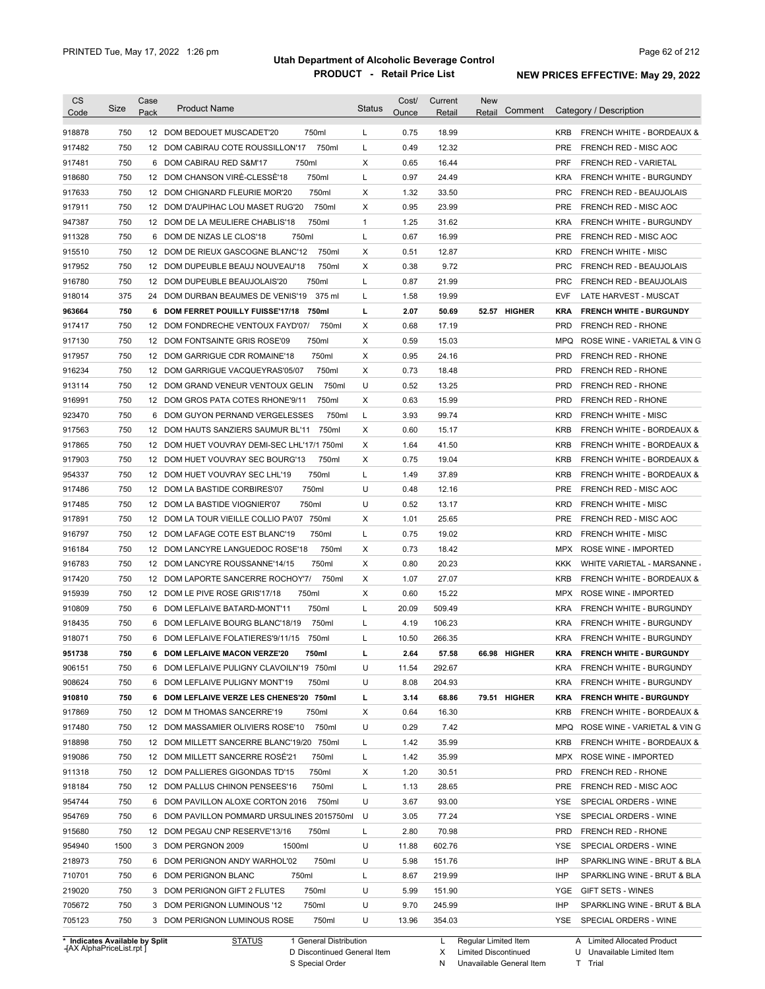| <b>CS</b><br>Code | Size       | Case<br>Pack | <b>Product Name</b>                                                           | <b>Status</b> | Cost/<br>Ounce | Current<br>Retail | <b>New</b><br>Comment<br>Retail | Category / Description                             |
|-------------------|------------|--------------|-------------------------------------------------------------------------------|---------------|----------------|-------------------|---------------------------------|----------------------------------------------------|
|                   |            |              |                                                                               |               |                |                   |                                 |                                                    |
| 918878            | 750        |              | 750ml<br>12 DOM BEDOUET MUSCADET'20                                           | L             | 0.75           | 18.99             |                                 | <b>KRB</b><br><b>FRENCH WHITE - BORDEAUX &amp;</b> |
| 917482            | 750        |              | 750ml<br>12 DOM CABIRAU COTE ROUSSILLON'17                                    | L             | 0.49           | 12.32             |                                 | <b>PRE</b><br>FRENCH RED - MISC AOC                |
| 917481            | 750        |              | 750ml<br>6 DOM CABIRAU RED S&M'17                                             | Х             | 0.65           | 16.44             |                                 | <b>PRF</b><br>FRENCH RED - VARIETAL                |
| 918680            | 750        |              | 12 DOM CHANSON VIRE-CLESSE'18<br>750ml                                        | L             | 0.97           | 24.49             |                                 | <b>KRA</b><br>FRENCH WHITE - BURGUNDY              |
| 917633            | 750        |              | 750ml<br>12 DOM CHIGNARD FLEURIE MOR'20                                       | Х             | 1.32           | 33.50             |                                 | <b>PRC</b><br><b>FRENCH RED - BEAUJOLAIS</b>       |
| 917911            | 750        |              | 750ml<br>12 DOM D'AUPIHAC LOU MASET RUG'20                                    | Х             | 0.95           | 23.99             |                                 | <b>PRE</b><br>FRENCH RED - MISC AOC                |
| 947387            | 750        |              | 750ml<br>12 DOM DE LA MEULIERE CHABLIS'18                                     | $\mathbf{1}$  | 1.25           | 31.62             |                                 | <b>KRA</b><br>FRENCH WHITE - BURGUNDY              |
| 911328            | 750        |              | 750ml<br>6 DOM DE NIZAS LE CLOS'18                                            | L             | 0.67           | 16.99             |                                 | <b>PRE</b><br>FRENCH RED - MISC AOC                |
| 915510            | 750        |              | 750ml<br>12 DOM DE RIEUX GASCOGNE BLANC'12                                    | х             | 0.51           | 12.87             |                                 | <b>KRD</b><br><b>FRENCH WHITE - MISC</b>           |
| 917952            | 750        |              | 750ml<br>12 DOM DUPEUBLE BEAUJ NOUVEAU'18                                     | х             | 0.38           | 9.72              |                                 | <b>PRC</b><br>FRENCH RED - BEAUJOLAIS              |
| 916780            | 750        |              | 750ml<br>12 DOM DUPEUBLE BEAUJOLAIS'20                                        | L             | 0.87           | 21.99             |                                 | <b>PRC</b><br><b>FRENCH RED - BEAUJOLAIS</b>       |
| 918014            | 375        |              | 24 DOM DURBAN BEAUMES DE VENIS'19<br>375 ml                                   | L             | 1.58           | 19.99             |                                 | <b>EVF</b><br>LATE HARVEST - MUSCAT                |
| 963664            | 750        |              | 6 DOM FERRET POUILLY FUISSE'17/18<br>750ml                                    | L             | 2.07           | 50.69             | 52.57 HIGHER                    | <b>KRA</b><br><b>FRENCH WHITE - BURGUNDY</b>       |
| 917417            | 750        |              | 12 DOM FONDRECHE VENTOUX FAYD'07/<br>750ml                                    | Х             | 0.68           | 17.19             |                                 | <b>PRD</b><br><b>FRENCH RED - RHONE</b>            |
| 917130            | 750        |              | 750ml<br>12 DOM FONTSAINTE GRIS ROSE'09                                       | Х             | 0.59           | 15.03             |                                 | <b>MPQ</b><br>ROSE WINE - VARIETAL & VIN G         |
| 917957            | 750        |              | 750ml<br>12 DOM GARRIGUE CDR ROMAINE'18                                       | X             | 0.95           | 24.16             |                                 | <b>PRD</b><br><b>FRENCH RED - RHONE</b>            |
| 916234            | 750        |              | 750ml<br>12 DOM GARRIGUE VACQUEYRAS'05/07                                     | Х             | 0.73           | 18.48             |                                 | <b>PRD</b><br><b>FRENCH RED - RHONE</b>            |
| 913114            | 750        |              | 750ml<br>12 DOM GRAND VENEUR VENTOUX GELIN                                    | U             | 0.52           | 13.25             |                                 | <b>PRD</b><br>FRENCH RED - RHONE                   |
| 916991            | 750        |              | 750ml<br>12 DOM GROS PATA COTES RHONE'9/11                                    | х             | 0.63           | 15.99             |                                 | <b>PRD</b><br><b>FRENCH RED - RHONE</b>            |
| 923470            | 750        |              | 750ml<br>6 DOM GUYON PERNAND VERGELESSES                                      | L             | 3.93           | 99.74             |                                 | <b>FRENCH WHITE - MISC</b><br><b>KRD</b>           |
| 917563            | 750        |              | 750ml<br>12 DOM HAUTS SANZIERS SAUMUR BL'11                                   | Х             | 0.60           | 15.17             |                                 | <b>KRB</b><br>FRENCH WHITE - BORDEAUX &            |
| 917865            | 750        |              | 12 DOM HUET VOUVRAY DEMI-SEC LHL'17/1 750ml                                   | Х             | 1.64           | 41.50             |                                 | <b>KRB</b><br>FRENCH WHITE - BORDEAUX &            |
| 917903            | 750        |              | 750ml<br>12 DOM HUET VOUVRAY SEC BOURG'13                                     | Х             | 0.75           | 19.04             |                                 | <b>KRB</b><br>FRENCH WHITE - BORDEAUX &            |
| 954337            | 750        |              | 750ml<br>12 DOM HUET VOUVRAY SEC LHL'19                                       | L             | 1.49           | 37.89             |                                 | <b>KRB</b><br><b>FRENCH WHITE - BORDEAUX &amp;</b> |
| 917486            | 750        |              | 750ml<br>12 DOM LA BASTIDE CORBIRES'07                                        | U             | 0.48           | 12.16             |                                 | <b>PRE</b><br>FRENCH RED - MISC AOC                |
| 917485            | 750        |              | 12 DOM LA BASTIDE VIOGNIER'07<br>750ml                                        | U             | 0.52           | 13.17             |                                 | <b>KRD</b><br><b>FRENCH WHITE - MISC</b>           |
| 917891            | 750        |              | 12 DOM LA TOUR VIEILLE COLLIO PA'07 750ml                                     | Х             | 1.01           | 25.65             |                                 | <b>PRE</b><br>FRENCH RED - MISC AOC                |
| 916797            | 750        |              | 12 DOM LAFAGE COTE EST BLANC'19<br>750ml                                      | L             | 0.75           | 19.02             |                                 | <b>KRD</b><br><b>FRENCH WHITE - MISC</b>           |
| 916184            | 750        |              | 12 DOM LANCYRE LANGUEDOC ROSE'18<br>750ml                                     | Х             | 0.73           | 18.42             |                                 | <b>MPX</b><br>ROSE WINE - IMPORTED                 |
| 916783            | 750        |              | 750ml<br>12 DOM LANCYRE ROUSSANNE'14/15                                       | Χ             | 0.80           | 20.23             |                                 | KKK<br>WHITE VARIETAL - MARSANNE                   |
| 917420            | 750        |              | 12 DOM LAPORTE SANCERRE ROCHOY'7/<br>750ml                                    | Х             | 1.07           | 27.07             |                                 | <b>KRB</b><br><b>FRENCH WHITE - BORDEAUX &amp;</b> |
| 915939            | 750        |              | 750ml<br>12 DOM LE PIVE ROSE GRIS'17/18                                       | Χ             | 0.60           | 15.22             |                                 | <b>MPX</b><br>ROSE WINE - IMPORTED                 |
| 910809            | 750        |              | 750ml<br>6 DOM LEFLAIVE BATARD-MONT'11                                        | L             | 20.09          | 509.49            |                                 | <b>KRA</b><br><b>FRENCH WHITE - BURGUNDY</b>       |
| 918435            | 750        |              | 750ml<br>6 DOM LEFLAIVE BOURG BLANC'18/19                                     | L             | 4.19           | 106.23            |                                 | <b>KRA</b><br><b>FRENCH WHITE - BURGUNDY</b>       |
| 918071            | 750        |              | 6 DOM LEFLAIVE FOLATIERES'9/11/15<br>750ml                                    | Г             | 10.50          | 266.35            |                                 | <b>KRA</b><br>FRENCH WHITE - BURGUNDY              |
| 951738            | 750        |              | 6 DOM LEFLAIVE MACON VERZE'20<br>750ml                                        |               | 2.64           | 57.58             | 66.98 HIGHER                    | KRA<br><b>FRENCH WHITE - BURGUNDY</b>              |
| 906151            | 750        |              | 6 DOM LEFLAIVE PULIGNY CLAVOILN'19 750ml                                      | U             | 11.54          | 292.67            |                                 | <b>KRA</b><br>FRENCH WHITE - BURGUNDY              |
| 908624            | 750        |              | 6 DOM LEFLAIVE PULIGNY MONT'19<br>750ml                                       | U             | 8.08           | 204.93            |                                 | <b>KRA</b><br>FRENCH WHITE - BURGUNDY              |
| 910810            | 750        |              | 6 DOM LEFLAIVE VERZE LES CHENES'20 750ml                                      | L             | 3.14           | 68.86             | 79.51 HIGHER                    | <b>KRA</b><br><b>FRENCH WHITE - BURGUNDY</b>       |
| 917869            | 750        |              | 750ml<br>12 DOM M THOMAS SANCERRE'19                                          | х             | 0.64           | 16.30             |                                 | KRB<br>FRENCH WHITE - BORDEAUX &                   |
| 917480            | 750        |              | 12 DOM MASSAMIER OLIVIERS ROSE'10<br>750ml                                    | U             | 0.29           | 7.42              |                                 | <b>MPQ</b><br>ROSE WINE - VARIETAL & VIN G         |
| 918898            | 750        |              | 12 DOM MILLETT SANCERRE BLANC'19/20 750ml                                     | L             | 1.42           | 35.99             |                                 | <b>KRB</b><br>FRENCH WHITE - BORDEAUX &            |
| 919086            | 750        |              | 12 DOM MILLETT SANCERRE ROSE'21<br>750ml                                      | L             | 1.42           | 35.99             |                                 | MPX<br>ROSE WINE - IMPORTED                        |
| 911318            | 750        |              | 12 DOM PALLIERES GIGONDAS TD'15<br>750ml                                      | х             | 1.20           | 30.51             |                                 | <b>PRD</b><br>FRENCH RED - RHONE                   |
| 918184            | 750        |              | 12 DOM PALLUS CHINON PENSEES'16<br>750ml                                      | L             | 1.13           | 28.65             |                                 | PRE<br>FRENCH RED - MISC AOC                       |
| 954744            | 750        |              | 6 DOM PAVILLON ALOXE CORTON 2016<br>750ml                                     | U             | 3.67           | 93.00             |                                 | YSE<br>SPECIAL ORDERS - WINE                       |
| 954769            | 750        |              | 6 DOM PAVILLON POMMARD URSULINES 2015750ml                                    | U             | 3.05           | 77.24             |                                 | SPECIAL ORDERS - WINE<br>YSE                       |
| 915680            | 750        |              | 12 DOM PEGAU CNP RESERVE'13/16<br>750ml                                       | L             | 2.80           | 70.98             |                                 | <b>PRD</b><br>FRENCH RED - RHONE                   |
| 954940            | 1500       |              | 3 DOM PERGNON 2009<br>1500ml                                                  | U             | 11.88          | 602.76            |                                 | YSE<br>SPECIAL ORDERS - WINE                       |
| 218973            | 750        |              | 750ml<br>6 DOM PERIGNON ANDY WARHOL'02                                        | U             | 5.98           | 151.76            |                                 | IHP<br>SPARKLING WINE - BRUT & BLA                 |
| 710701            | 750        |              | 6 DOM PERIGNON BLANC<br>750ml                                                 | Г             | 8.67           | 219.99            |                                 | IHP<br>SPARKLING WINE - BRUT & BLA                 |
| 219020            | 750        |              | 3 DOM PERIGNON GIFT 2 FLUTES<br>750ml                                         | U             | 5.99           | 151.90            |                                 | YGE<br>GIFT SETS - WINES                           |
|                   |            |              |                                                                               | U             | 9.70           | 245.99            |                                 | IHP<br>SPARKLING WINE - BRUT & BLA                 |
|                   |            |              |                                                                               |               |                |                   |                                 |                                                    |
| 705672<br>705123  | 750<br>750 |              | 750ml<br>3 DOM PERIGNON LUMINOUS '12<br>750ml<br>3 DOM PERIGNON LUMINOUS ROSE | U             | 13.96          | 354.03            |                                 | YSE<br>SPECIAL ORDERS - WINE                       |

**Case** [AX AlphaPriceList.rpt ]

D Discontinued General Item S Special Order

X N Limited Discontinued

Unavailable General Item

U Unavailable Limited Item

T Trial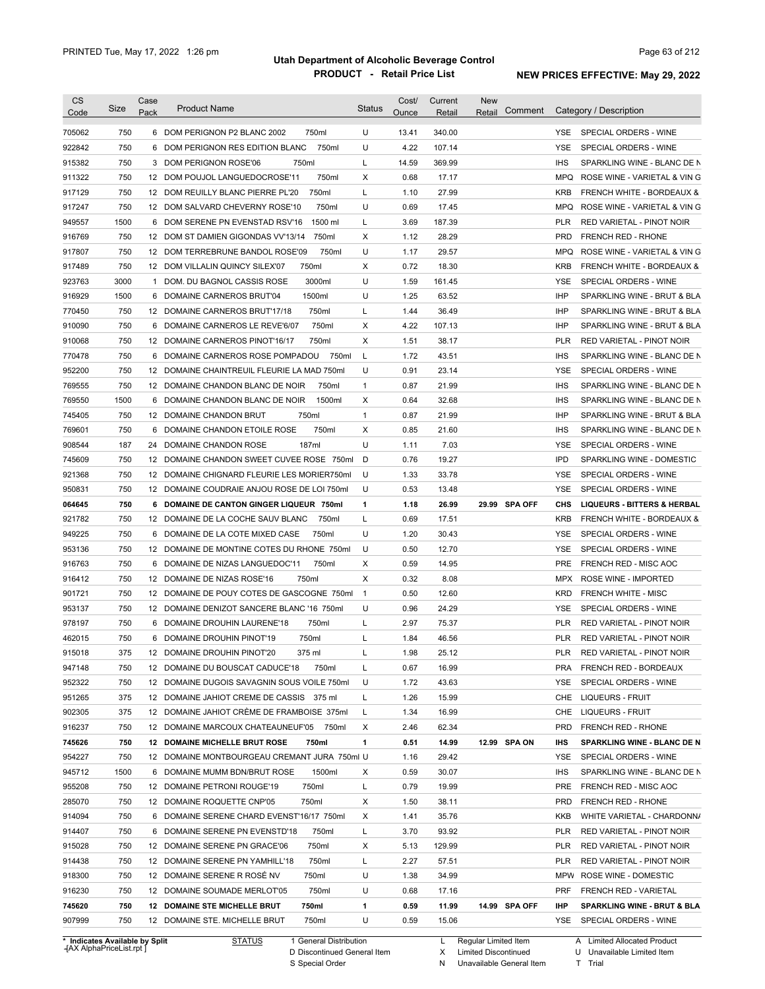| <b>CS</b><br>Code | Size                           | Case<br>Pack | <b>Product Name</b>                           | <b>Status</b>  | Cost/<br>Ounce | Current<br>Retail | <b>New</b><br>Comment<br>Retail | Category / Description                             |
|-------------------|--------------------------------|--------------|-----------------------------------------------|----------------|----------------|-------------------|---------------------------------|----------------------------------------------------|
| 705062            | 750                            |              | 6 DOM PERIGNON P2 BLANC 2002<br>750ml         | U              | 13.41          | 340.00            |                                 | SPECIAL ORDERS - WINE<br><b>YSE</b>                |
| 922842            | 750                            |              | 750ml<br>6 DOM PERIGNON RES EDITION BLANC     | U              | 4.22           | 107.14            |                                 | YSE<br>SPECIAL ORDERS - WINE                       |
| 915382            | 750                            |              | 750ml<br>3 DOM PERIGNON ROSE'06               | L              | 14.59          | 369.99            |                                 | <b>IHS</b><br>SPARKLING WINE - BLANC DE N          |
|                   | 750                            |              | 750ml<br>12 DOM POUJOL LANGUEDOCROSE'11       | Х              | 0.68           | 17.17             |                                 | <b>MPQ</b><br>ROSE WINE - VARIETAL & VIN G         |
| 911322            |                                |              |                                               |                |                |                   |                                 |                                                    |
| 917129            | 750                            |              | 750ml<br>12 DOM REUILLY BLANC PIERRE PL'20    | L              | 1.10           | 27.99             |                                 | FRENCH WHITE - BORDEAUX &<br><b>KRB</b>            |
| 917247            | 750                            |              | 750ml<br>12 DOM SALVARD CHEVERNY ROSE'10      | U              | 0.69           | 17.45             |                                 | ROSE WINE - VARIETAL & VIN G<br><b>MPQ</b>         |
| 949557            | 1500                           |              | 1500 ml<br>6 DOM SERENE PN EVENSTAD RSV'16    | L              | 3.69           | 187.39            |                                 | <b>PLR</b><br>RED VARIETAL - PINOT NOIR            |
| 916769            | 750                            |              | 12 DOM ST DAMIEN GIGONDAS VV'13/14<br>750ml   | Х              | 1.12           | 28.29             |                                 | <b>PRD</b><br><b>FRENCH RED - RHONE</b>            |
| 917807            | 750                            |              | 12 DOM TERREBRUNE BANDOL ROSE'09<br>750ml     | U              | 1.17           | 29.57             |                                 | <b>MPQ</b><br>ROSE WINE - VARIETAL & VIN G         |
| 917489            | 750                            |              | 750ml<br>12 DOM VILLALIN QUINCY SILEX'07      | Х              | 0.72           | 18.30             |                                 | <b>KRB</b><br><b>FRENCH WHITE - BORDEAUX &amp;</b> |
| 923763            | 3000                           | 1            | 3000ml<br>DOM. DU BAGNOL CASSIS ROSE          | U              | 1.59           | 161.45            |                                 | <b>YSE</b><br>SPECIAL ORDERS - WINE                |
| 916929            | 1500                           | 6            | 1500ml<br>DOMAINE CARNEROS BRUT'04            | U              | 1.25           | 63.52             |                                 | <b>IHP</b><br>SPARKLING WINE - BRUT & BLA          |
| 770450            | 750                            |              | 750ml<br>12 DOMAINE CARNEROS BRUT'17/18       | L              | 1.44           | 36.49             |                                 | <b>IHP</b><br>SPARKLING WINE - BRUT & BLA          |
| 910090            | 750                            |              | 750ml<br>6 DOMAINE CARNEROS LE REVE'6/07      | Χ              | 4.22           | 107.13            |                                 | <b>IHP</b><br>SPARKLING WINE - BRUT & BLA          |
| 910068            | 750                            |              | 750ml<br>12 DOMAINE CARNEROS PINOT'16/17      | Х              | 1.51           | 38.17             |                                 | <b>PLR</b><br>RED VARIETAL - PINOT NOIR            |
| 770478            | 750                            |              | 750ml<br>6 DOMAINE CARNEROS ROSE POMPADOU     | L              | 1.72           | 43.51             |                                 | <b>IHS</b><br>SPARKLING WINE - BLANC DE N          |
| 952200            | 750                            |              | 12 DOMAINE CHAINTREUIL FLEURIE LA MAD 750ml   | U              | 0.91           | 23.14             |                                 | <b>YSE</b><br>SPECIAL ORDERS - WINE                |
| 769555            | 750                            |              | 12 DOMAINE CHANDON BLANC DE NOIR<br>750ml     | $\mathbf{1}$   | 0.87           | 21.99             |                                 | <b>IHS</b><br>SPARKLING WINE - BLANC DE N          |
| 769550            | 1500                           | 6            | 1500ml<br>DOMAINE CHANDON BLANC DE NOIR       | Х              | 0.64           | 32.68             |                                 | <b>IHS</b><br>SPARKLING WINE - BLANC DE N          |
| 745405            | 750                            |              | 750ml<br>12 DOMAINE CHANDON BRUT              | $\mathbf{1}$   | 0.87           | 21.99             |                                 | <b>IHP</b><br>SPARKLING WINE - BRUT & BLA          |
| 769601            | 750                            | 6            | DOMAINE CHANDON ETOILE ROSE<br>750ml          | Χ              | 0.85           | 21.60             |                                 | <b>IHS</b><br>SPARKLING WINE - BLANC DE N          |
| 908544            | 187                            | 24           | 187ml<br>DOMAINE CHANDON ROSE                 | U              | 1.11           | 7.03              |                                 | YSE<br>SPECIAL ORDERS - WINE                       |
| 745609            | 750                            |              | 12 DOMAINE CHANDON SWEET CUVEE ROSE 750ml     | D              | 0.76           | 19.27             |                                 | <b>IPD</b><br>SPARKLING WINE - DOMESTIC            |
| 921368            | 750                            |              | 12 DOMAINE CHIGNARD FLEURIE LES MORIER750ml   | U              | 1.33           | 33.78             |                                 | <b>YSE</b><br>SPECIAL ORDERS - WINE                |
| 950831            | 750                            |              | 12 DOMAINE COUDRAIE ANJOU ROSE DE LOI 750ml   | U              | 0.53           | 13.48             |                                 | <b>YSE</b><br>SPECIAL ORDERS - WINE                |
| 064645            | 750                            | 6            | DOMAINE DE CANTON GINGER LIQUEUR 750ml        | 1              | 1.18           | 26.99             | 29.99 SPA OFF                   | CHS<br><b>LIQUEURS - BITTERS &amp; HERBAL</b>      |
| 921782            | 750                            |              | 12 DOMAINE DE LA COCHE SAUV BLANC<br>750ml    | L              | 0.69           | 17.51             |                                 | <b>KRB</b><br><b>FRENCH WHITE - BORDEAUX &amp;</b> |
| 949225            | 750                            | 6            | DOMAINE DE LA COTE MIXED CASE<br>750ml        | U              | 1.20           | 30.43             |                                 | SPECIAL ORDERS - WINE<br>YSE                       |
| 953136            | 750                            |              | 12 DOMAINE DE MONTINE COTES DU RHONE 750ml    | U              | 0.50           | 12.70             |                                 | YSE<br>SPECIAL ORDERS - WINE                       |
| 916763            | 750                            |              | 750ml<br>6 DOMAINE DE NIZAS LANGUEDOC'11      | Χ              | 0.59           | 14.95             |                                 | <b>PRE</b><br>FRENCH RED - MISC AOC                |
| 916412            | 750                            |              | 750ml<br>12 DOMAINE DE NIZAS ROSE'16          | Χ              | 0.32           | 8.08              |                                 | <b>MPX</b><br>ROSE WINE - IMPORTED                 |
|                   |                                |              | 12 DOMAINE DE POUY COTES DE GASCOGNE 750ml    |                |                |                   |                                 |                                                    |
| 901721            | 750                            |              |                                               | $\overline{1}$ | 0.50           | 12.60             |                                 | <b>KRD</b><br><b>FRENCH WHITE - MISC</b>           |
| 953137            | 750                            |              | 12 DOMAINE DENIZOT SANCERE BLANC '16 750ml    | U              | 0.96           | 24.29             |                                 | YSE<br>SPECIAL ORDERS - WINE                       |
| 978197            | 750                            |              | 750ml<br>6 DOMAINE DROUHIN LAURENE'18         | L              | 2.97           | 75.37             |                                 | <b>RED VARIETAL - PINOT NOIR</b><br><b>PLR</b>     |
| 462015            | 750                            |              | 6 DOMAINE DROUHIN PINOT'19<br>750ml           | L              | 1.84           | 46.56             |                                 | <b>PLR</b><br>RED VARIETAL - PINOT NOIR            |
| 915018            | 375                            |              | 375 ml<br>12 DOMAINE DROUHIN PINOT'20         |                | 1.98           | 25.12             |                                 | PLR<br>RED VARIETAL - PINOT NOIR                   |
| 947148            | 750                            |              | 12 DOMAINE DU BOUSCAT CADUCE'18<br>750ml      | L              | 0.67           | 16.99             |                                 | <b>PRA</b><br>FRENCH RED - BORDEAUX                |
| 952322            | 750                            |              | 12 DOMAINE DUGOIS SAVAGNIN SOUS VOILE 750ml   | U              | 1.72           | 43.63             |                                 | YSE<br>SPECIAL ORDERS - WINE                       |
| 951265            | 375                            |              | 12 DOMAINE JAHIOT CREME DE CASSIS 375 ml      | L              | 1.26           | 15.99             |                                 | CHE<br>LIQUEURS - FRUIT                            |
| 902305            | 375                            |              | 12 DOMAINE JAHIOT CRÈME DE FRAMBOISE 375ml    | L              | 1.34           | 16.99             |                                 | LIQUEURS - FRUIT<br>CHE                            |
| 916237            | 750                            |              | 12 DOMAINE MARCOUX CHATEAUNEUF'05<br>750ml    | Х              | 2.46           | 62.34             |                                 | <b>PRD</b><br>FRENCH RED - RHONE                   |
| 745626            | 750                            |              | <b>12 DOMAINE MICHELLE BRUT ROSE</b><br>750ml | 1              | 0.51           | 14.99             | 12.99 SPA ON                    | IHS<br>SPARKLING WINE - BLANC DE N                 |
| 954227            | 750                            |              | 12 DOMAINE MONTBOURGEAU CREMANT JURA 750ml U  |                | 1.16           | 29.42             |                                 | YSE<br>SPECIAL ORDERS - WINE                       |
| 945712            | 1500                           |              | 6 DOMAINE MUMM BDN/BRUT ROSE<br>1500ml        | Х              | 0.59           | 30.07             |                                 | <b>IHS</b><br>SPARKLING WINE - BLANC DE N          |
| 955208            | 750                            |              | 750ml<br>12 DOMAINE PETRONI ROUGE'19          | L              | 0.79           | 19.99             |                                 | PRE<br>FRENCH RED - MISC AOC                       |
| 285070            | 750                            |              | 750ml<br>12 DOMAINE ROQUETTE CNP'05           | Х              | 1.50           | 38.11             |                                 | <b>PRD</b><br>FRENCH RED - RHONE                   |
| 914094            | 750                            |              | 6 DOMAINE SERENE CHARD EVENST'16/17 750ml     | Х              | 1.41           | 35.76             |                                 | KKB<br>WHITE VARIETAL - CHARDONN/                  |
| 914407            | 750                            |              | 6 DOMAINE SERENE PN EVENSTD'18<br>750ml       | L              | 3.70           | 93.92             |                                 | <b>PLR</b><br>RED VARIETAL - PINOT NOIR            |
| 915028            | 750                            |              | 12 DOMAINE SERENE PN GRACE'06<br>750ml        | Х              | 5.13           | 129.99            |                                 | <b>PLR</b><br>RED VARIETAL - PINOT NOIR            |
| 914438            | 750                            |              | 750ml<br>12 DOMAINE SERENE PN YAMHILL'18      | L              | 2.27           | 57.51             |                                 | <b>PLR</b><br>RED VARIETAL - PINOT NOIR            |
| 918300            | 750                            |              | 12 DOMAINE SERENE R ROSE NV<br>750ml          | U              | 1.38           | 34.99             |                                 | MPW<br>ROSE WINE - DOMESTIC                        |
| 916230            | 750                            |              | 12 DOMAINE SOUMADE MERLOT'05<br>750ml         | U              | 0.68           | 17.16             |                                 | PRF<br>FRENCH RED - VARIETAL                       |
|                   |                                |              |                                               |                |                |                   |                                 |                                                    |
| 745620            | 750                            |              | 12 DOMAINE STE MICHELLE BRUT<br>750ml         | 1              | 0.59           | 11.99             | 14.99 SPA OFF                   | IHP<br>SPARKLING WINE - BRUT & BLA                 |
| 907999            | 750                            |              | 12 DOMAINE STE. MICHELLE BRUT<br>750ml        | U              | 0.59           | 15.06             |                                 | YSE<br>SPECIAL ORDERS - WINE                       |
|                   | * Indicates Available by Split |              | 1 General Distribution<br><b>STATUS</b>       |                |                | L                 | Regular Limited Item            | A Limited Allocated Product                        |

**Case** [AX AlphaPriceList.rpt ]

D Discontinued General Item

S Special Order

X Limited Discontinued

N Unavailable General Item

U Unavailable Limited Item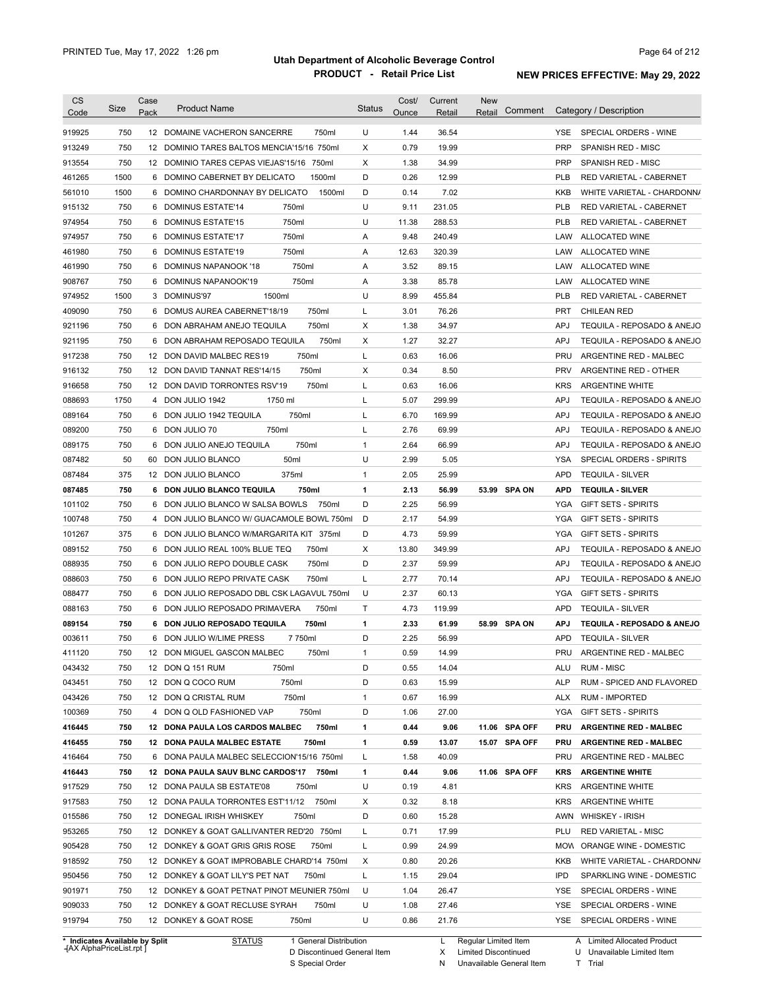| <b>CS</b><br>Code                                           | Size | Case<br>Pack | <b>Product Name</b>                                                    | Status       | Cost/<br>Ounce | Current<br>Retail | <b>New</b><br>Comment<br>Retail                     |            | Category / Description                                              |
|-------------------------------------------------------------|------|--------------|------------------------------------------------------------------------|--------------|----------------|-------------------|-----------------------------------------------------|------------|---------------------------------------------------------------------|
| 919925                                                      | 750  |              | 12 DOMAINE VACHERON SANCERRE<br>750ml                                  | U            | 1.44           | 36.54             |                                                     | YSE.       | SPECIAL ORDERS - WINE                                               |
| 913249                                                      | 750  | 12           | DOMINIO TARES BALTOS MENCIA'15/16 750ml                                | X            | 0.79           | 19.99             |                                                     | PRP        | SPANISH RED - MISC                                                  |
| 913554                                                      | 750  |              | 12 DOMINIO TARES CEPAS VIEJAS'15/16 750ml                              | X            | 1.38           | 34.99             |                                                     | PRP        | SPANISH RED - MISC                                                  |
| 461265                                                      | 1500 | 6            | 1500ml<br>DOMINO CABERNET BY DELICATO                                  | D            | 0.26           | 12.99             |                                                     | <b>PLB</b> | RED VARIETAL - CABERNET                                             |
| 561010                                                      | 1500 | 6            | 1500ml<br>DOMINO CHARDONNAY BY DELICATO                                | D            | 0.14           | 7.02              |                                                     | <b>KKB</b> | WHITE VARIETAL - CHARDONN/                                          |
| 915132                                                      | 750  | 6            | 750ml<br>DOMINUS ESTATE'14                                             | U            | 9.11           | 231.05            |                                                     | <b>PLB</b> | RED VARIETAL - CABERNET                                             |
| 974954                                                      | 750  | 6            | 750ml<br><b>DOMINUS ESTATE'15</b>                                      | U            | 11.38          | 288.53            |                                                     | <b>PLB</b> | RED VARIETAL - CABERNET                                             |
| 974957                                                      | 750  | 6            | 750ml<br><b>DOMINUS ESTATE'17</b>                                      | Α            | 9.48           | 240.49            |                                                     | LAW        | ALLOCATED WINE                                                      |
| 461980                                                      | 750  | 6            | 750ml<br>DOMINUS ESTATE'19                                             | Α            | 12.63          | 320.39            |                                                     | LAW        | ALLOCATED WINE                                                      |
| 461990                                                      | 750  | 6            | 750ml<br>DOMINUS NAPANOOK '18                                          | Α            | 3.52           | 89.15             |                                                     | LAW        | ALLOCATED WINE                                                      |
| 908767                                                      | 750  | 6            | 750ml<br>DOMINUS NAPANOOK'19                                           | Α            | 3.38           | 85.78             |                                                     | LAW        | ALLOCATED WINE                                                      |
| 974952                                                      | 1500 |              | 1500ml<br>3 DOMINUS'97                                                 | U            | 8.99           | 455.84            |                                                     | <b>PLB</b> | RED VARIETAL - CABERNET                                             |
| 409090                                                      | 750  | 6            | DOMUS AUREA CABERNET'18/19<br>750ml                                    | Г            | 3.01           | 76.26             |                                                     | <b>PRT</b> | <b>CHILEAN RED</b>                                                  |
| 921196                                                      | 750  | 6            | DON ABRAHAM ANEJO TEQUILA<br>750ml                                     | X            | 1.38           | 34.97             |                                                     | <b>APJ</b> | TEQUILA - REPOSADO & ANEJO                                          |
| 921195                                                      | 750  | 6            | 750ml<br>DON ABRAHAM REPOSADO TEQUILA                                  | X            | 1.27           | 32.27             |                                                     | <b>APJ</b> | TEQUILA - REPOSADO & ANEJO                                          |
| 917238                                                      | 750  | 12           | 750ml<br>DON DAVID MALBEC RES19                                        | Г            | 0.63           | 16.06             |                                                     | PRU        | ARGENTINE RED - MALBEC                                              |
| 916132                                                      | 750  | 12           | 750ml<br>DON DAVID TANNAT RES'14/15                                    | X            | 0.34           | 8.50              |                                                     | <b>PRV</b> | ARGENTINE RED - OTHER                                               |
| 916658                                                      | 750  | 12           | DON DAVID TORRONTES RSV'19<br>750ml                                    | Г            | 0.63           | 16.06             |                                                     | <b>KRS</b> | <b>ARGENTINE WHITE</b>                                              |
| 088693                                                      | 1750 | 4            | DON JULIO 1942<br>1750 ml                                              | Г            | 5.07           | 299.99            |                                                     | <b>APJ</b> | TEQUILA - REPOSADO & ANEJO                                          |
| 089164                                                      | 750  | 6            | 750ml<br>DON JULIO 1942 TEQUILA                                        | Г            | 6.70           | 169.99            |                                                     | <b>APJ</b> | TEQUILA - REPOSADO & ANEJO                                          |
| 089200                                                      | 750  | 6            | 750ml<br>DON JULIO 70                                                  | Г            | 2.76           | 69.99             |                                                     | <b>APJ</b> | TEQUILA - REPOSADO & ANEJO                                          |
| 089175                                                      | 750  | 6            | DON JULIO ANEJO TEQUILA<br>750ml                                       | 1            | 2.64           | 66.99             |                                                     | <b>APJ</b> | TEQUILA - REPOSADO & ANEJO                                          |
| 087482                                                      | 50   | 60           | DON JULIO BLANCO<br>50ml                                               | U            | 2.99           | 5.05              |                                                     | <b>YSA</b> | SPECIAL ORDERS - SPIRITS                                            |
| 087484                                                      | 375  | 12           | 375ml<br>DON JULIO BLANCO                                              | $\mathbf{1}$ | 2.05           | 25.99             |                                                     | <b>APD</b> | <b>TEQUILA - SILVER</b>                                             |
| 087485                                                      | 750  |              | 750ml<br>6 DON JULIO BLANCO TEQUILA                                    | 1            | 2.13           | 56.99             | 53.99 SPA ON                                        | <b>APD</b> | <b>TEQUILA - SILVER</b>                                             |
| 101102                                                      | 750  | 6            | DON JULIO BLANCO W SALSA BOWLS<br>750ml                                | D            | 2.25           | 56.99             |                                                     | YGA        | GIFT SETS - SPIRITS                                                 |
| 100748                                                      | 750  |              | 4 DON JULIO BLANCO W/ GUACAMOLE BOWL 750ml                             | D            | 2.17           | 54.99             |                                                     | <b>YGA</b> | <b>GIFT SETS - SPIRITS</b>                                          |
| 101267                                                      | 375  | 6            | DON JULIO BLANCO W/MARGARITA KIT 375ml                                 | D            | 4.73           | 59.99             |                                                     | <b>YGA</b> | <b>GIFT SETS - SPIRITS</b>                                          |
| 089152                                                      | 750  | 6            | DON JULIO REAL 100% BLUE TEQ<br>750ml                                  | Х            | 13.80          | 349.99            |                                                     | <b>APJ</b> | TEQUILA - REPOSADO & ANEJO                                          |
| 088935                                                      | 750  | 6            | DON JULIO REPO DOUBLE CASK<br>750ml                                    | D            | 2.37           | 59.99             |                                                     | <b>APJ</b> | TEQUILA - REPOSADO & ANEJO                                          |
| 088603                                                      | 750  | 6            | DON JULIO REPO PRIVATE CASK<br>750ml                                   | L            | 2.77           | 70.14             |                                                     | <b>APJ</b> | TEQUILA - REPOSADO & ANEJO                                          |
| 088477                                                      | 750  | 6            | DON JULIO REPOSADO DBL CSK LAGAVUL 750ml                               | U            | 2.37           | 60.13             |                                                     | <b>YGA</b> | <b>GIFT SETS - SPIRITS</b>                                          |
| 088163                                                      | 750  | 6            | 750ml<br>DON JULIO REPOSADO PRIMAVERA                                  | T.           | 4.73           | 119.99            |                                                     | <b>APD</b> | <b>TEQUILA - SILVER</b>                                             |
| 089154                                                      | 750  |              | 750ml<br>6 DON JULIO REPOSADO TEQUILA                                  | 1            | 2.33           | 61.99             | 58.99 SPA ON                                        | <b>APJ</b> | TEQUILA - REPOSADO & ANEJO                                          |
| 003611                                                      | 750  |              | 6 DON JULIO W/LIME PRESS<br>7 750ml                                    | D            | 2.25           | 56.99             |                                                     | <b>APD</b> | <b>TEQUILA - SILVER</b>                                             |
| 411120                                                      | 750  |              | 12 DON MIGUEL GASCON MALBEC<br>750ml                                   | 1            | 0.59           | 14.99             |                                                     | PRU        | ARGENTINE RED - MALBEC                                              |
| 043432                                                      | 750  |              | 750ml<br>12 DON Q 151 RUM                                              | D            | 0.55           | 14.04             |                                                     | ALU        | <b>RUM - MISC</b>                                                   |
| 043451                                                      | 750  |              | 12 DON Q COCO RUM<br>750ml                                             | D            | 0.63           | 15.99             |                                                     | <b>ALP</b> | RUM - SPICED AND FLAVORED                                           |
| 043426                                                      | 750  |              | 12 DON Q CRISTAL RUM<br>750ml                                          | 1            | 0.67           | 16.99             |                                                     | <b>ALX</b> | RUM - IMPORTED                                                      |
| 100369                                                      | 750  |              | 750ml<br>4 DON Q OLD FASHIONED VAP                                     | D            | 1.06           | 27.00             |                                                     | <b>YGA</b> | <b>GIFT SETS - SPIRITS</b>                                          |
| 416445                                                      | 750  |              | 12 DONA PAULA LOS CARDOS MALBEC<br>750ml                               | 1            | 0.44           | 9.06              | 11.06 SPA OFF                                       | <b>PRU</b> | <b>ARGENTINE RED - MALBEC</b>                                       |
| 416455                                                      | 750  |              | 750ml<br>12 DONA PAULA MALBEC ESTATE                                   | 1            | 0.59           | 13.07             | 15.07 SPA OFF                                       | <b>PRU</b> | <b>ARGENTINE RED - MALBEC</b>                                       |
| 416464                                                      | 750  | 6            | DONA PAULA MALBEC SELECCION'15/16 750ml                                | Г            | 1.58           | 40.09             |                                                     | PRU        | ARGENTINE RED - MALBEC                                              |
| 416443                                                      | 750  |              | 12 DONA PAULA SAUV BLNC CARDOS'17 750ml                                | 1            | 0.44           | 9.06              | 11.06 SPA OFF                                       | <b>KRS</b> | <b>ARGENTINE WHITE</b>                                              |
| 917529                                                      | 750  |              | 12 DONA PAULA SB ESTATE'08<br>750ml                                    | U            | 0.19           | 4.81              |                                                     | <b>KRS</b> | ARGENTINE WHITE                                                     |
| 917583                                                      | 750  |              | 750ml<br>12 DONA PAULA TORRONTES EST'11/12                             | Х            | 0.32           | 8.18              |                                                     | <b>KRS</b> | ARGENTINE WHITE                                                     |
| 015586                                                      | 750  |              | 12 DONEGAL IRISH WHISKEY<br>750ml                                      | D            | 0.60           | 15.28             |                                                     | AWN        | <b>WHISKEY - IRISH</b>                                              |
| 953265                                                      | 750  |              | 12 DONKEY & GOAT GALLIVANTER RED'20 750ml                              | L            | 0.71           | 17.99             |                                                     | PLU        | <b>RED VARIETAL - MISC</b>                                          |
| 905428                                                      | 750  |              | 12 DONKEY & GOAT GRIS GRIS ROSE<br>750ml                               | L            | 0.99           | 24.99             |                                                     | <b>MOW</b> | ORANGE WINE - DOMESTIC                                              |
| 918592                                                      | 750  |              | 12 DONKEY & GOAT IMPROBABLE CHARD'14 750ml                             | Х            | 0.80           | 20.26             |                                                     | KKB        | WHITE VARIETAL - CHARDONN/                                          |
| 950456                                                      | 750  |              | 12 DONKEY & GOAT LILY'S PET NAT<br>750ml                               | L            | 1.15           | 29.04             |                                                     | <b>IPD</b> | SPARKLING WINE - DOMESTIC                                           |
| 901971                                                      | 750  |              | 12 DONKEY & GOAT PETNAT PINOT MEUNIER 750ml                            | U            | 1.04           | 26.47             |                                                     | YSE        | SPECIAL ORDERS - WINE                                               |
| 909033                                                      | 750  |              | 750ml<br>12 DONKEY & GOAT RECLUSE SYRAH                                | U            | 1.08           | 27.46             |                                                     | YSE        | SPECIAL ORDERS - WINE                                               |
| 919794                                                      | 750  |              | 12 DONKEY & GOAT ROSE<br>750ml                                         | U            | 0.86           | 21.76             |                                                     | YSE        | SPECIAL ORDERS - WINE                                               |
| * Indicates Available by Split<br>-{AX AlphaPriceList.rpt ] |      |              | <b>STATUS</b><br>1 General Distribution<br>D Discontinued General Item |              |                | L<br>X            | Regular Limited Item<br><b>Limited Discontinued</b> |            | <b>Limited Allocated Product</b><br>A<br>U Unavailable Limited Item |

S Special Order

Limited Discontinued

N

Unavailable General Item

U Unavailable Limited Item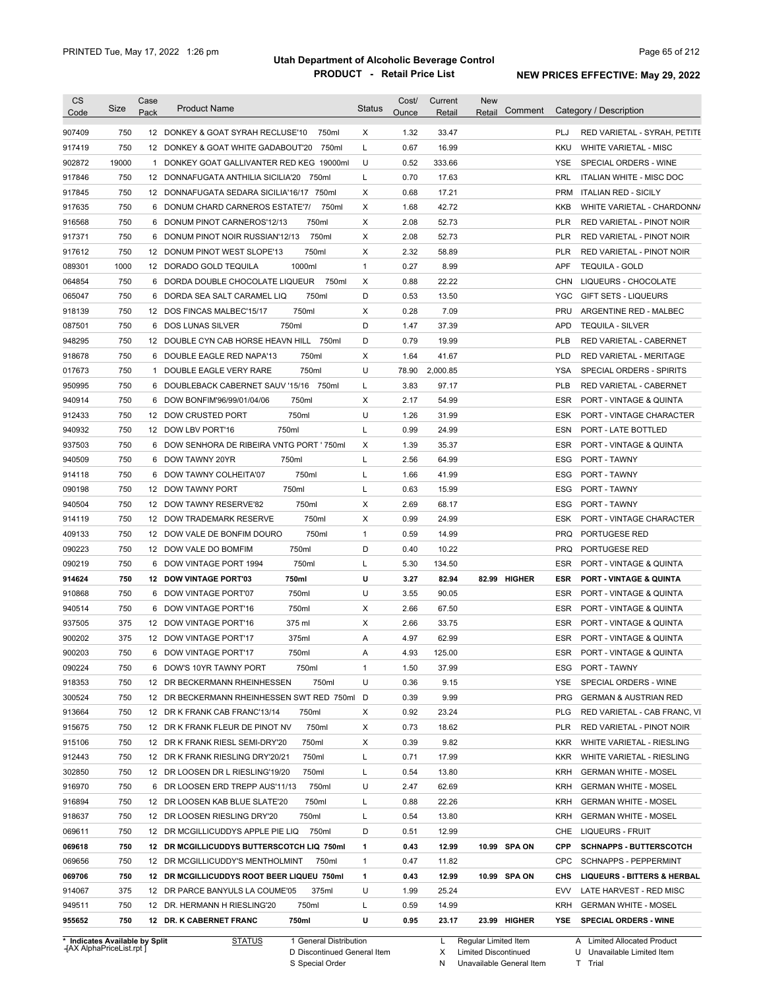| <b>CS</b><br>Code              | Size  | Case<br>Pack | <b>Product Name</b>                          | <b>Status</b> | Cost/<br>Ounce | Current<br>Retail | <b>New</b><br>Comment<br>Retail |            | Category / Description                 |
|--------------------------------|-------|--------------|----------------------------------------------|---------------|----------------|-------------------|---------------------------------|------------|----------------------------------------|
| 907409                         | 750   |              | 12 DONKEY & GOAT SYRAH RECLUSE'10<br>750ml   | Χ             | 1.32           | 33.47             |                                 | <b>PLJ</b> | RED VARIETAL - SYRAH, PETITE           |
| 917419                         | 750   |              | 750ml<br>12 DONKEY & GOAT WHITE GADABOUT'20  | L             | 0.67           | 16.99             |                                 | KKU        | WHITE VARIETAL - MISC                  |
| 902872                         | 19000 |              | 1 DONKEY GOAT GALLIVANTER RED KEG 19000ml    | U             | 0.52           | 333.66            |                                 | <b>YSE</b> | SPECIAL ORDERS - WINE                  |
| 917846                         | 750   |              | 12 DONNAFUGATA ANTHILIA SICILIA'20<br>750ml  | L             | 0.70           | 17.63             |                                 | <b>KRL</b> | ITALIAN WHITE - MISC DOC               |
| 917845                         | 750   |              | 12 DONNAFUGATA SEDARA SICILIA'16/17 750ml    | X             | 0.68           | 17.21             |                                 | <b>PRM</b> | <b>ITALIAN RED - SICILY</b>            |
| 917635                         | 750   | 6            | 750ml<br>DONUM CHARD CARNEROS ESTATE'7/      | Х             | 1.68           | 42.72             |                                 | KKB        | WHITE VARIETAL - CHARDONN/             |
| 916568                         | 750   |              | 750ml<br>6 DONUM PINOT CARNEROS'12/13        | X             | 2.08           | 52.73             |                                 | <b>PLR</b> | RED VARIETAL - PINOT NOIR              |
| 917371                         | 750   | 6            | 750ml<br>DONUM PINOT NOIR RUSSIAN'12/13      | X             | 2.08           | 52.73             |                                 | PLR        | RED VARIETAL - PINOT NOIR              |
| 917612                         | 750   |              | 750ml<br>12 DONUM PINOT WEST SLOPE'13        | X             | 2.32           | 58.89             |                                 | <b>PLR</b> | <b>RED VARIETAL - PINOT NOIR</b>       |
| 089301                         | 1000  |              | 1000ml<br>12 DORADO GOLD TEQUILA             | $\mathbf{1}$  | 0.27           | 8.99              |                                 | <b>APF</b> | <b>TEQUILA - GOLD</b>                  |
| 064854                         | 750   |              | 6 DORDA DOUBLE CHOCOLATE LIQUEUR<br>750ml    | Χ             | 0.88           | 22.22             |                                 | CHN        | LIQUEURS - CHOCOLATE                   |
| 065047                         | 750   |              | 750ml<br>6 DORDA SEA SALT CARAMEL LIQ        | D             | 0.53           | 13.50             |                                 | <b>YGC</b> | <b>GIFT SETS - LIQUEURS</b>            |
| 918139                         | 750   |              | 750ml<br>12 DOS FINCAS MALBEC'15/17          | Х             | 0.28           | 7.09              |                                 | PRU        | ARGENTINE RED - MALBEC                 |
| 087501                         | 750   |              | 750ml<br>6 DOS LUNAS SILVER                  | D             | 1.47           | 37.39             |                                 | <b>APD</b> | <b>TEQUILA - SILVER</b>                |
| 948295                         | 750   |              | 12 DOUBLE CYN CAB HORSE HEAVN HILL 750ml     | D             | 0.79           | 19.99             |                                 | <b>PLB</b> | RED VARIETAL - CABERNET                |
| 918678                         | 750   |              | 6 DOUBLE EAGLE RED NAPA'13<br>750ml          | Х             | 1.64           | 41.67             |                                 | <b>PLD</b> | RED VARIETAL - MERITAGE                |
| 017673                         | 750   |              | 1 DOUBLE EAGLE VERY RARE<br>750ml            | U             | 78.90          | 2,000.85          |                                 | <b>YSA</b> | SPECIAL ORDERS - SPIRITS               |
| 950995                         | 750   |              | 6 DOUBLEBACK CABERNET SAUV '15/16<br>750ml   | L             | 3.83           | 97.17             |                                 | <b>PLB</b> | RED VARIETAL - CABERNET                |
| 940914                         | 750   | 6            | DOW BONFIM'96/99/01/04/06<br>750ml           | Х             | 2.17           | 54.99             |                                 | ESR        | <b>PORT - VINTAGE &amp; QUINTA</b>     |
| 912433                         | 750   |              | 12 DOW CRUSTED PORT<br>750ml                 | U             | 1.26           | 31.99             |                                 | <b>ESK</b> | PORT - VINTAGE CHARACTER               |
| 940932                         | 750   |              | 750ml<br>12 DOW LBV PORT'16                  | L             | 0.99           | 24.99             |                                 | ESN        | PORT - LATE BOTTLED                    |
| 937503                         | 750   |              | 6 DOW SENHORA DE RIBEIRA VNTG PORT ' 750ml   | Х             | 1.39           | 35.37             |                                 | ESR        | PORT - VINTAGE & QUINTA                |
| 940509                         | 750   | 6            | DOW TAWNY 20YR<br>750ml                      | L             | 2.56           | 64.99             |                                 | <b>ESG</b> | PORT - TAWNY                           |
| 914118                         | 750   | 6            | 750ml<br>DOW TAWNY COLHEITA'07               | L             | 1.66           | 41.99             |                                 | ESG        | PORT - TAWNY                           |
| 090198                         | 750   |              | 750ml<br>12 DOW TAWNY PORT                   | L             | 0.63           | 15.99             |                                 | ESG        | PORT - TAWNY                           |
| 940504                         | 750   |              | 750ml<br>12 DOW TAWNY RESERVE'82             | Х             | 2.69           | 68.17             |                                 | ESG        | PORT - TAWNY                           |
| 914119                         | 750   |              | 750ml<br>12 DOW TRADEMARK RESERVE            | Х             | 0.99           | 24.99             |                                 | <b>ESK</b> | PORT - VINTAGE CHARACTER               |
| 409133                         | 750   |              | 12 DOW VALE DE BONFIM DOURO<br>750ml         | $\mathbf{1}$  | 0.59           | 14.99             |                                 | <b>PRQ</b> | PORTUGESE RED                          |
| 090223                         | 750   |              | 750ml<br>12 DOW VALE DO BOMFIM               | D             | 0.40           | 10.22             |                                 | <b>PRQ</b> | PORTUGESE RED                          |
| 090219                         | 750   | 6            | 750ml<br>DOW VINTAGE PORT 1994               | L             | 5.30           | 134.50            |                                 | ESR        | PORT - VINTAGE & QUINTA                |
| 914624                         | 750   |              | 12 DOW VINTAGE PORT'03<br>750ml              | U             | 3.27           | 82.94             | 82.99 HIGHER                    | <b>ESR</b> | <b>PORT - VINTAGE &amp; QUINTA</b>     |
| 910868                         | 750   |              | 750ml<br>6 DOW VINTAGE PORT'07               | U             | 3.55           | 90.05             |                                 | <b>ESR</b> | PORT - VINTAGE & QUINTA                |
| 940514                         | 750   | 6            | 750ml<br><b>DOW VINTAGE PORT'16</b>          | Х             | 2.66           | 67.50             |                                 | ESR        | <b>PORT - VINTAGE &amp; QUINTA</b>     |
| 937505                         | 375   |              | 12 DOW VINTAGE PORT'16<br>375 ml             | Х             | 2.66           | 33.75             |                                 | <b>ESR</b> | <b>PORT - VINTAGE &amp; QUINTA</b>     |
| 900202                         | 375   |              | 375ml<br>12 DOW VINTAGE PORT'17              | Α             | 4.97           | 62.99             |                                 | ESR        | PORT - VINTAGE & QUINTA                |
| 900203                         | 750   |              | 750ml<br>6 DOW VINTAGE PORT'17               | Α             | 4.93           | 125.00            |                                 | ESR        | PORT - VINTAGE & QUINTA                |
| 090224                         | 750   |              | 6 DOW'S 10YR TAWNY PORT<br>750ml             | $\mathbf{1}$  | 1.50           | 37.99             |                                 | ESG        | PORT - TAWNY                           |
| 918353                         | 750   |              | 750ml<br>12 DR BECKERMANN RHEINHESSEN        | U             | 0.36           | 9.15              |                                 | <b>YSE</b> | SPECIAL ORDERS - WINE                  |
| 300524                         | 750   |              | 12 DR BECKERMANN RHEINHESSEN SWT RED 750ml D |               | 0.39           | 9.99              |                                 | <b>PRG</b> | <b>GERMAN &amp; AUSTRIAN RED</b>       |
| 913664                         | 750   |              | 750ml<br>12 DR K FRANK CAB FRANC'13/14       | Х             | 0.92           | 23.24             |                                 | <b>PLG</b> | RED VARIETAL - CAB FRANC, VI           |
| 915675                         | 750   |              | 750ml<br>12 DR K FRANK FLEUR DE PINOT NV     | Х             | 0.73           | 18.62             |                                 | <b>PLR</b> | RED VARIETAL - PINOT NOIR              |
| 915106                         | 750   |              | 750ml<br>12 DR K FRANK RIESL SEMI-DRY'20     | Х             | 0.39           | 9.82              |                                 | KKR        | WHITE VARIETAL - RIESLING              |
| 912443                         | 750   |              | 750ml<br>12 DR K FRANK RIESLING DRY'20/21    | L             | 0.71           | 17.99             |                                 | KKR        | WHITE VARIETAL - RIESLING              |
| 302850                         | 750   |              | 750ml<br>12 DR LOOSEN DR L RIESLING'19/20    | L             | 0.54           | 13.80             |                                 | <b>KRH</b> | <b>GERMAN WHITE - MOSEL</b>            |
| 916970                         | 750   |              | 750ml<br>6 DR LOOSEN ERD TREPP AUS'11/13     | U             | 2.47           | 62.69             |                                 | KRH        | <b>GERMAN WHITE - MOSEL</b>            |
| 916894                         | 750   |              | 750ml<br>12 DR LOOSEN KAB BLUE SLATE'20      | L             | 0.88           | 22.26             |                                 | KRH        | <b>GERMAN WHITE - MOSEL</b>            |
| 918637                         | 750   |              | 750ml<br>12 DR LOOSEN RIESLING DRY'20        | L             | 0.54           | 13.80             |                                 | KRH        | <b>GERMAN WHITE - MOSEL</b>            |
| 069611                         | 750   |              | 12 DR MCGILLICUDDYS APPLE PIE LIQ 750ml      | D             | 0.51           | 12.99             |                                 | CHE        | LIQUEURS - FRUIT                       |
| 069618                         | 750   |              | 12 DR MCGILLICUDDYS BUTTERSCOTCH LIQ 750ml   | 1             | 0.43           | 12.99             | 10.99 SPA ON                    | CPP        | <b>SCHNAPPS - BUTTERSCOTCH</b>         |
| 069656                         | 750   |              | 12 DR MCGILLICUDDY'S MENTHOLMINT<br>750ml    | $\mathbf{1}$  | 0.47           | 11.82             |                                 | <b>CPC</b> | SCHNAPPS - PEPPERMINT                  |
| 069706                         | 750   |              | 12 DR MCGILLICUDDYS ROOT BEER LIQUEU 750ml   | 1             | 0.43           | 12.99             | 10.99 SPA ON                    | CHS        | <b>LIQUEURS - BITTERS &amp; HERBAL</b> |
| 914067                         | 375   |              | 12 DR PARCE BANYULS LA COUME'05<br>375ml     | U             | 1.99           | 25.24             |                                 | EVV        | LATE HARVEST - RED MISC                |
| 949511                         | 750   |              | 12 DR. HERMANN H RIESLING'20<br>750ml        | L             | 0.59           | 14.99             |                                 | KRH        | <b>GERMAN WHITE - MOSEL</b>            |
| 955652                         | 750   |              | 12 DR. K CABERNET FRANC<br>750ml             | U             | 0.95           | 23.17             | 23.99 HIGHER                    | YSE        | SPECIAL ORDERS - WINE                  |
| * Indicates Available by Split |       |              | <b>STATUS</b><br>1 General Distribution      |               |                | L                 | Regular Limited Item            |            | A Limited Allocated Product            |

**Case** [AX AlphaPriceList.rpt ]

D Discontinued General Item

S Special Order

X Limited Discontinued

N Unavailable General Item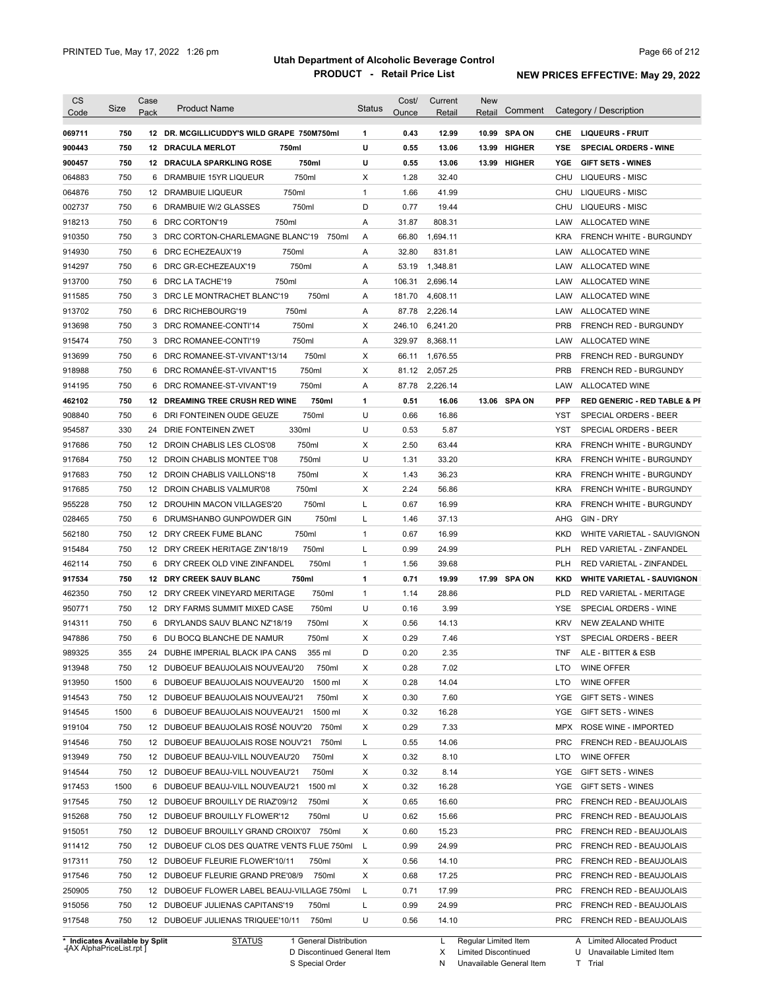| <b>CS</b>                      |      | Case |                                              |               | Cost/  | Current  | <b>New</b>             |              |            |                                         |
|--------------------------------|------|------|----------------------------------------------|---------------|--------|----------|------------------------|--------------|------------|-----------------------------------------|
| Code                           | Size | Pack | <b>Product Name</b>                          | <b>Status</b> | Ounce  | Retail   | Retail                 | Comment      |            | Category / Description                  |
| 069711                         | 750  |      | 12 DR. MCGILLICUDDY'S WILD GRAPE 750M750ml   | 1             | 0.43   | 12.99    |                        | 10.99 SPA ON |            | CHE LIQUEURS - FRUIT                    |
| 900443                         | 750  |      | 12 DRACULA MERLOT<br>750ml                   | U             | 0.55   | 13.06    |                        | 13.99 HIGHER | YSE        | <b>SPECIAL ORDERS - WINE</b>            |
| 900457                         | 750  |      | 750ml<br><b>12 DRACULA SPARKLING ROSE</b>    | U             | 0.55   | 13.06    |                        | 13.99 HIGHER | <b>YGE</b> | <b>GIFT SETS - WINES</b>                |
| 064883                         | 750  | 6    | 750ml<br>DRAMBUIE 15YR LIQUEUR               | X             | 1.28   | 32.40    |                        |              | CHU        | <b>LIQUEURS - MISC</b>                  |
|                                |      |      |                                              |               |        |          |                        |              |            |                                         |
| 064876                         | 750  |      | 750ml<br>12 DRAMBUIE LIQUEUR                 | $\mathbf{1}$  | 1.66   | 41.99    |                        |              | CHU        | LIQUEURS - MISC                         |
| 002737                         | 750  |      | 750ml<br>6 DRAMBUIE W/2 GLASSES              | D             | 0.77   | 19.44    |                        |              | CHU        | <b>LIQUEURS - MISC</b>                  |
| 918213                         | 750  |      | 750ml<br>6 DRC CORTON'19                     | Α             | 31.87  | 808.31   |                        |              | LAW        | ALLOCATED WINE                          |
| 910350                         | 750  |      | 3 DRC CORTON-CHARLEMAGNE BLANC'19<br>750ml   | Α             | 66.80  | 1,694.11 |                        |              | KRA        | <b>FRENCH WHITE - BURGUNDY</b>          |
| 914930                         | 750  |      | 750ml<br>6 DRC ECHEZEAUX'19                  | Α             | 32.80  | 831.81   |                        |              | LAW        | ALLOCATED WINE                          |
| 914297                         | 750  |      | 750ml<br>6 DRC GR-ECHEZEAUX'19               | Α             | 53.19  | 1,348.81 |                        |              | LAW        | ALLOCATED WINE                          |
| 913700                         | 750  |      | 750ml<br>6 DRC LA TACHE'19                   | Α             | 106.31 | 2,696.14 |                        |              | LAW        | ALLOCATED WINE                          |
| 911585                         | 750  |      | 3 DRC LE MONTRACHET BLANC'19<br>750ml        | Α             | 181.70 | 4,608.11 |                        |              | LAW        | ALLOCATED WINE                          |
| 913702                         | 750  |      | 750ml<br>6 DRC RICHEBOURG'19                 | Α             | 87.78  | 2,226.14 |                        |              | LAW        | <b>ALLOCATED WINE</b>                   |
| 913698                         | 750  |      | 750ml<br>3 DRC ROMANEE-CONTI'14              | X             | 246.10 | 6,241.20 |                        |              | <b>PRB</b> | FRENCH RED - BURGUNDY                   |
| 915474                         | 750  |      | 750ml<br>3 DRC ROMANEE-CONTI'19              | Α             | 329.97 | 8,368.11 |                        |              | LAW        | ALLOCATED WINE                          |
| 913699                         | 750  | 6    | 750ml<br>DRC ROMANEE-ST-VIVANT'13/14         | X             | 66.11  | 1,676.55 |                        |              | <b>PRB</b> | FRENCH RED - BURGUNDY                   |
| 918988                         | 750  | 6    | DRC ROMANÉE-ST-VIVANT'15<br>750ml            | X             | 81.12  | 2,057.25 |                        |              | <b>PRB</b> | FRENCH RED - BURGUNDY                   |
| 914195                         | 750  | 6    | 750ml<br>DRC ROMANEE-ST-VIVANT'19            | Α             | 87.78  | 2,226.14 |                        |              | LAW        | <b>ALLOCATED WINE</b>                   |
| 462102                         | 750  | 12   | <b>DREAMING TREE CRUSH RED WINE</b><br>750ml | 1             | 0.51   | 16.06    |                        | 13.06 SPA ON | <b>PFP</b> | <b>RED GENERIC - RED TABLE &amp; PI</b> |
| 908840                         | 750  | 6    | 750ml<br>DRI FONTEINEN OUDE GEUZE            | U             | 0.66   | 16.86    |                        |              | YST        | <b>SPECIAL ORDERS - BEER</b>            |
| 954587                         | 330  | 24   | 330ml<br>DRIE FONTEINEN ZWET                 | U             | 0.53   | 5.87     |                        |              | <b>YST</b> | SPECIAL ORDERS - BEER                   |
| 917686                         | 750  |      | 750ml<br>12 DROIN CHABLIS LES CLOS'08        | х             | 2.50   | 63.44    |                        |              | <b>KRA</b> | FRENCH WHITE - BURGUNDY                 |
| 917684                         | 750  |      | 750ml<br>12 DROIN CHABLIS MONTEE T'08        | U             | 1.31   | 33.20    |                        |              | <b>KRA</b> | FRENCH WHITE - BURGUNDY                 |
| 917683                         | 750  |      | 750ml<br>12 DROIN CHABLIS VAILLONS'18        | х             | 1.43   | 36.23    |                        |              | <b>KRA</b> | FRENCH WHITE - BURGUNDY                 |
| 917685                         | 750  |      | 750ml<br>12 DROIN CHABLIS VALMUR'08          | х             | 2.24   | 56.86    |                        |              | <b>KRA</b> | FRENCH WHITE - BURGUNDY                 |
| 955228                         | 750  |      | 750ml                                        | L             | 0.67   | 16.99    |                        |              | KRA        |                                         |
|                                |      |      | 12 DROUHIN MACON VILLAGES'20                 |               |        |          |                        |              |            | FRENCH WHITE - BURGUNDY                 |
| 028465                         | 750  | 6    | 750ml<br>DRUMSHANBO GUNPOWDER GIN            | L             | 1.46   | 37.13    |                        |              | AHG        | GIN - DRY                               |
| 562180                         | 750  |      | 750ml<br>12 DRY CREEK FUME BLANC             | $\mathbf{1}$  | 0.67   | 16.99    |                        |              | KKD        | WHITE VARIETAL - SAUVIGNON              |
| 915484                         | 750  |      | 750ml<br>12 DRY CREEK HERITAGE ZIN'18/19     | Г             | 0.99   | 24.99    |                        |              | <b>PLH</b> | RED VARIETAL - ZINFANDEL                |
| 462114                         | 750  | 6    | DRY CREEK OLD VINE ZINFANDEL<br>750ml        | 1             | 1.56   | 39.68    |                        |              | <b>PLH</b> | RED VARIETAL - ZINFANDEL                |
| 917534                         | 750  |      | 750ml<br>12 DRY CREEK SAUV BLANC             | 1             | 0.71   | 19.99    |                        | 17.99 SPA ON | <b>KKD</b> | <b>WHITE VARIETAL - SAUVIGNON</b>       |
| 462350                         | 750  |      | 12 DRY CREEK VINEYARD MERITAGE<br>750ml      | 1             | 1.14   | 28.86    |                        |              | <b>PLD</b> | RED VARIETAL - MERITAGE                 |
| 950771                         | 750  |      | 750ml<br>12 DRY FARMS SUMMIT MIXED CASE      | U             | 0.16   | 3.99     |                        |              | <b>YSE</b> | SPECIAL ORDERS - WINE                   |
| 914311                         | 750  |      | 750ml<br>6 DRYLANDS SAUV BLANC NZ'18/19      | X             | 0.56   | 14.13    |                        |              | <b>KRV</b> | <b>NEW ZEALAND WHITE</b>                |
| 947886                         | 750  |      | 6 DU BOCQ BLANCHE DE NAMUR<br>750ml          | X             | 0.29   | 7.46     |                        |              | <b>YST</b> | SPECIAL ORDERS - BEER                   |
| 989325                         | 355  |      | 24 DUBHE IMPERIAL BLACK IPA CANS<br>355 ml   | D             | 0.20   | 2.35     |                        |              |            | TNF ALE - BITTER & ESB                  |
| 913948                         | 750  |      | 12 DUBOEUF BEAUJOLAIS NOUVEAU'20<br>750ml    | Х             | 0.28   | 7.02     |                        |              | LTO        | WINE OFFER                              |
| 913950                         | 1500 |      | 6 DUBOEUF BEAUJOLAIS NOUVEAU'20<br>1500 ml   | х             | 0.28   | 14.04    |                        |              | LTO        | WINE OFFER                              |
| 914543                         | 750  |      | 12 DUBOEUF BEAUJOLAIS NOUVEAU'21<br>750ml    | х             | 0.30   | 7.60     |                        |              |            | YGE GIFT SETS - WINES                   |
| 914545                         | 1500 |      | 6 DUBOEUF BEAUJOLAIS NOUVEAU'21<br>1500 ml   | х             | 0.32   | 16.28    |                        |              |            | YGE GIFT SETS - WINES                   |
| 919104                         | 750  |      | 12 DUBOEUF BEAUJOLAIS ROSÉ NOUV'20 750ml     | Х             | 0.29   | 7.33     |                        |              |            | MPX ROSE WINE - IMPORTED                |
| 914546                         | 750  |      | 12 DUBOEUF BEAUJOLAIS ROSE NOUV'21<br>750ml  | Г             | 0.55   | 14.06    |                        |              | <b>PRC</b> | FRENCH RED - BEAUJOLAIS                 |
| 913949                         | 750  |      | 12 DUBOEUF BEAUJ-VILL NOUVEAU'20<br>750ml    | Х             | 0.32   | 8.10     |                        |              | LTO        | WINE OFFER                              |
| 914544                         | 750  |      | 12 DUBOEUF BEAUJ-VILL NOUVEAU'21<br>750ml    | Х             | 0.32   | 8.14     |                        |              |            | YGE GIFT SETS - WINES                   |
| 917453                         | 1500 |      | 6 DUBOEUF BEAUJ-VILL NOUVEAU'21<br>1500 ml   | Х             | 0.32   | 16.28    |                        |              |            | YGE GIFT SETS - WINES                   |
| 917545                         | 750  |      | 12 DUBOEUF BROUILLY DE RIAZ'09/12<br>750ml   | Х             | 0.65   | 16.60    |                        |              | <b>PRC</b> | <b>FRENCH RED - BEAUJOLAIS</b>          |
| 915268                         | 750  |      | 12 DUBOEUF BROUILLY FLOWER'12<br>750ml       | U             | 0.62   | 15.66    |                        |              | <b>PRC</b> | FRENCH RED - BEAUJOLAIS                 |
| 915051                         | 750  |      | 12 DUBOEUF BROUILLY GRAND CROIX'07 750ml     | Х             | 0.60   | 15.23    |                        |              | <b>PRC</b> | <b>FRENCH RED - BEAUJOLAIS</b>          |
|                                | 750  |      |                                              |               | 0.99   | 24.99    |                        |              | <b>PRC</b> |                                         |
| 911412                         |      |      | 12 DUBOEUF CLOS DES QUATRE VENTS FLUE 750ml  | - L           |        |          |                        |              |            | <b>FRENCH RED - BEAUJOLAIS</b>          |
| 917311                         | 750  |      | 12 DUBOEUF FLEURIE FLOWER'10/11<br>750ml     | Х             | 0.56   | 14.10    |                        |              | PRC        | <b>FRENCH RED - BEAUJOLAIS</b>          |
| 917546                         | 750  |      | 12 DUBOEUF FLEURIE GRAND PRE'08/9<br>750ml   | Х             | 0.68   | 17.25    |                        |              | <b>PRC</b> | FRENCH RED - BEAUJOLAIS                 |
| 250905                         | 750  |      | 12 DUBOEUF FLOWER LABEL BEAUJ-VILLAGE 750ml  | L             | 0.71   | 17.99    |                        |              |            | PRC FRENCH RED - BEAUJOLAIS             |
| 915056                         | 750  |      | 12 DUBOEUF JULIENAS CAPITANS'19<br>750ml     | L             | 0.99   | 24.99    |                        |              |            | PRC FRENCH RED - BEAUJOLAIS             |
| 917548                         | 750  |      | 750ml<br>12 DUBOEUF JULIENAS TRIQUEE'10/11   | U             | 0.56   | 14.10    |                        |              |            | PRC FRENCH RED - BEAUJOLAIS             |
| * Indicates Available by Split |      |      | <b>STATUS</b><br>1 General Distribution      |               |        |          | L Regular Limited Item |              |            | A Limited Allocated Product             |

**Case** [AX AlphaPriceList.rpt ]

D Discontinued General Item S Special Order

Regular Limited Item

X

Limited Discontinued

N Unavailable General Item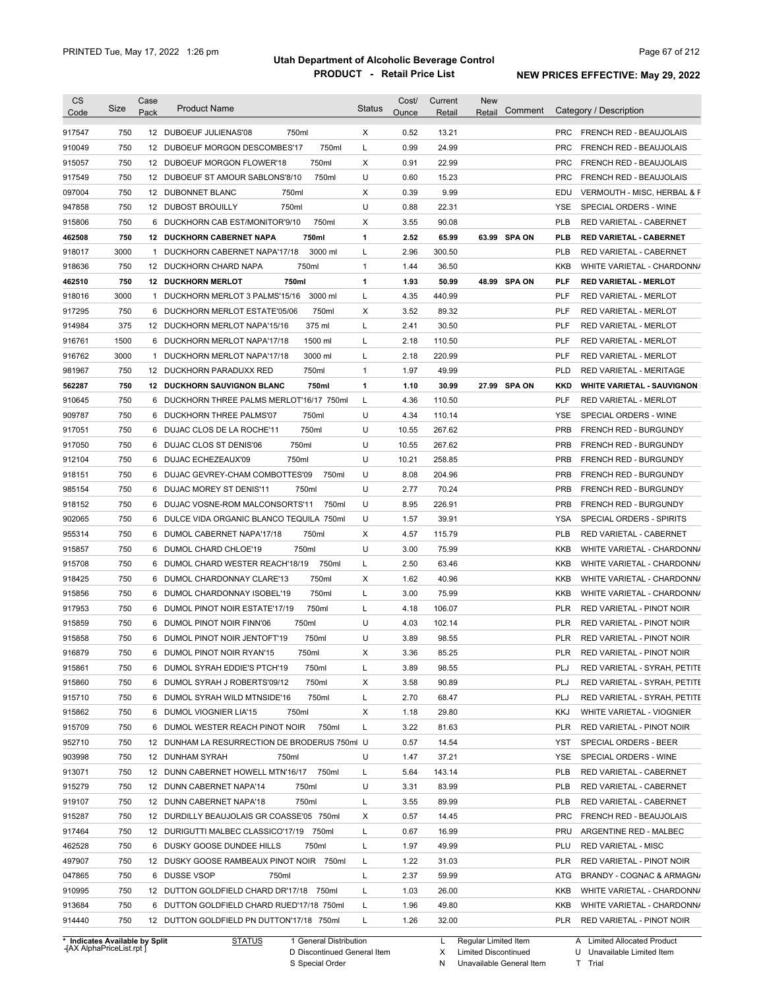| <b>CS</b><br>Code          | Size       | Case<br>Pack | <b>Product Name</b>                                                                    | <b>Status</b> | Cost/<br>Ounce | Current<br>Retail | New<br>Retail | Comment      |            | Category / Description                                  |
|----------------------------|------------|--------------|----------------------------------------------------------------------------------------|---------------|----------------|-------------------|---------------|--------------|------------|---------------------------------------------------------|
| 917547                     | 750        |              | 12 DUBOEUF JULIENAS'08<br>750ml                                                        | X             | 0.52           | 13.21             |               |              |            | PRC FRENCH RED - BEAUJOLAIS                             |
| 910049                     | 750        |              | 750ml<br>12 DUBOEUF MORGON DESCOMBES'17                                                | Г             | 0.99           | 24.99             |               |              | <b>PRC</b> | <b>FRENCH RED - BEAUJOLAIS</b>                          |
| 915057                     | 750        |              | 750ml<br>12 DUBOEUF MORGON FLOWER'18                                                   | Χ             | 0.91           | 22.99             |               |              | <b>PRC</b> | FRENCH RED - BEAUJOLAIS                                 |
| 917549                     | 750        |              | 750ml<br>12 DUBOEUF ST AMOUR SABLONS'8/10                                              | U             | 0.60           | 15.23             |               |              | <b>PRC</b> | <b>FRENCH RED - BEAUJOLAIS</b>                          |
| 097004                     | 750        |              | 12 DUBONNET BLANC<br>750ml                                                             | Χ             | 0.39           | 9.99              |               |              | EDU        | VERMOUTH - MISC, HERBAL & F                             |
| 947858                     | 750        |              | 12 DUBOST BROUILLY<br>750ml                                                            | U             | 0.88           | 22.31             |               |              | YSE        | SPECIAL ORDERS - WINE                                   |
| 915806                     | 750        |              | 6 DUCKHORN CAB EST/MONITOR'9/10<br>750ml                                               | х             | 3.55           | 90.08             |               |              | <b>PLB</b> | <b>RED VARIETAL - CABERNET</b>                          |
| 462508                     | 750        |              | 750ml<br><b>12 DUCKHORN CABERNET NAPA</b>                                              | 1             | 2.52           | 65.99             |               | 63.99 SPA ON | <b>PLB</b> | <b>RED VARIETAL - CABERNET</b>                          |
| 918017                     | 3000       |              | 1 DUCKHORN CABERNET NAPA'17/18<br>3000 ml                                              | L             | 2.96           | 300.50            |               |              | <b>PLB</b> | <b>RED VARIETAL - CABERNET</b>                          |
| 918636                     | 750        |              | 750ml<br>12 DUCKHORN CHARD NAPA                                                        | 1             | 1.44           | 36.50             |               |              | KKB        | WHITE VARIETAL - CHARDONN/                              |
| 462510                     | 750        |              | 750ml<br><b>12 DUCKHORN MERLOT</b>                                                     | 1             | 1.93           | 50.99             |               | 48.99 SPA ON | <b>PLF</b> | <b>RED VARIETAL - MERLOT</b>                            |
| 918016                     | 3000       |              | 3000 ml<br>1 DUCKHORN MERLOT 3 PALMS'15/16                                             | L             | 4.35           | 440.99            |               |              | <b>PLF</b> | RED VARIETAL - MERLOT                                   |
| 917295                     | 750        |              | 750ml<br>6 DUCKHORN MERLOT ESTATE'05/06                                                | X             | 3.52           | 89.32             |               |              | <b>PLF</b> | <b>RED VARIETAL - MERLOT</b>                            |
| 914984                     | 375        |              | 375 ml<br>12 DUCKHORN MERLOT NAPA'15/16                                                | L             | 2.41           | 30.50             |               |              | <b>PLF</b> | <b>RED VARIETAL - MERLOT</b>                            |
| 916761                     | 1500       |              | 6 DUCKHORN MERLOT NAPA'17/18<br>1500 ml                                                | Г             | 2.18           | 110.50            |               |              | <b>PLF</b> | RED VARIETAL - MERLOT                                   |
| 916762                     | 3000       | 1            | 3000 ml<br>DUCKHORN MERLOT NAPA'17/18                                                  | L             | 2.18           | 220.99            |               |              | <b>PLF</b> | RED VARIETAL - MERLOT                                   |
| 981967                     | 750        |              | 750ml<br>12 DUCKHORN PARADUXX RED                                                      | $\mathbf{1}$  | 1.97           | 49.99             |               |              | <b>PLD</b> | RED VARIETAL - MERITAGE                                 |
| 562287                     | 750        |              | 750ml<br><b>12 DUCKHORN SAUVIGNON BLANC</b>                                            | 1             | 1.10           | 30.99             |               | 27.99 SPA ON | <b>KKD</b> | <b>WHITE VARIETAL - SAUVIGNON</b>                       |
| 910645                     | 750        | 6            | DUCKHORN THREE PALMS MERLOT'16/17 750ml                                                | L             | 4.36           | 110.50            |               |              | <b>PLF</b> | RED VARIETAL - MERLOT                                   |
| 909787                     | 750        |              | 750ml<br>6 DUCKHORN THREE PALMS'07                                                     | U             | 4.34           | 110.14            |               |              | YSE        | SPECIAL ORDERS - WINE                                   |
| 917051                     | 750        |              | 750ml<br>6 DUJAC CLOS DE LA ROCHE'11                                                   | U             | 10.55          | 267.62            |               |              | <b>PRB</b> | <b>FRENCH RED - BURGUNDY</b>                            |
| 917050                     | 750        | 6            | 750ml<br>DUJAC CLOS ST DENIS'06                                                        | U             | 10.55          | 267.62            |               |              | <b>PRB</b> | FRENCH RED - BURGUNDY                                   |
| 912104                     | 750        | 6            | DUJAC ECHEZEAUX'09<br>750ml                                                            | U             | 10.21          | 258.85            |               |              | <b>PRB</b> | FRENCH RED - BURGUNDY                                   |
| 918151                     | 750        | 6            | DUJAC GEVREY-CHAM COMBOTTES'09<br>750ml                                                | U             | 8.08           | 204.96            |               |              | <b>PRB</b> | FRENCH RED - BURGUNDY                                   |
| 985154                     | 750        | 6            | DUJAC MOREY ST DENIS'11<br>750ml                                                       | U             | 2.77           | 70.24             |               |              | <b>PRB</b> | FRENCH RED - BURGUNDY                                   |
| 918152                     | 750        |              | 6 DUJAC VOSNE-ROM MALCONSORTS'11<br>750ml                                              | U             | 8.95           | 226.91            |               |              | <b>PRB</b> | FRENCH RED - BURGUNDY                                   |
| 902065                     | 750        |              | 6 DULCE VIDA ORGANIC BLANCO TEQUILA 750ml                                              | U             | 1.57           | 39.91             |               |              | <b>YSA</b> | SPECIAL ORDERS - SPIRITS                                |
| 955314                     | 750        |              | 750ml<br>6 DUMOL CABERNET NAPA'17/18                                                   | X             | 4.57           | 115.79            |               |              | <b>PLB</b> | RED VARIETAL - CABERNET                                 |
| 915857                     | 750        |              | 750ml<br>6 DUMOL CHARD CHLOE'19                                                        | U             | 3.00           | 75.99             |               |              | KKB        | WHITE VARIETAL - CHARDONN/                              |
| 915708                     | 750        |              | 750ml<br>6 DUMOL CHARD WESTER REACH'18/19                                              | Г             | 2.50           | 63.46             |               |              | <b>KKB</b> | WHITE VARIETAL - CHARDONN/                              |
| 918425                     | 750        |              | 750ml<br>6 DUMOL CHARDONNAY CLARE'13                                                   | X             | 1.62           | 40.96             |               |              | <b>KKB</b> | WHITE VARIETAL - CHARDONN/                              |
| 915856                     | 750        |              | 6 DUMOL CHARDONNAY ISOBEL'19<br>750ml                                                  | Г             | 3.00           | 75.99             |               |              | <b>KKB</b> | WHITE VARIETAL - CHARDONN/                              |
| 917953                     | 750        |              | 750ml<br>6 DUMOL PINOT NOIR ESTATE'17/19                                               | L             | 4.18           | 106.07            |               |              | <b>PLR</b> | RED VARIETAL - PINOT NOIR                               |
| 915859                     | 750        |              | 750ml<br>6 DUMOL PINOT NOIR FINN'06                                                    | U             | 4.03           | 102.14            |               |              | <b>PLR</b> | <b>RED VARIETAL - PINOT NOIR</b>                        |
|                            | 750        |              | 6 DUMOL PINOT NOIR JENTOFT'19<br>750ml                                                 | U             | 3.89           | 98.55             |               |              | <b>PLR</b> | RED VARIETAL - PINOT NOIR                               |
| 915858                     |            |              |                                                                                        |               |                |                   |               |              |            |                                                         |
| 916879                     | 750        |              | 6 DUMOL PINOT NOIR RYAN'15<br>750ml                                                    | х             | 3.36           | 85.25             |               |              | <b>PLR</b> | RED VARIETAL - PINOT NOIR                               |
| 915861                     | 750        |              | 6 DUMOL SYRAH EDDIE'S PTCH'19<br>750ml                                                 | L             | 3.89           | 98.55             |               |              | PLJ        | RED VARIETAL - SYRAH, PETITE                            |
| 915860                     | 750        |              | 750ml<br>6 DUMOL SYRAH J ROBERTS'09/12                                                 | X             | 3.58           | 90.89             |               |              | PLJ        | RED VARIETAL - SYRAH, PETITE                            |
| 915710                     | 750        |              | 750ml<br>6 DUMOL SYRAH WILD MTNSIDE'16                                                 | L             | 2.70           | 68.47             |               |              | PLJ        | RED VARIETAL - SYRAH, PETITE                            |
| 915862                     | 750        |              | 6 DUMOL VIOGNIER LIA'15<br>750ml                                                       | Х             | 1.18           | 29.80             |               |              | KKJ        | WHITE VARIETAL - VIOGNIER                               |
| 915709                     | 750        |              | 6 DUMOL WESTER REACH PINOT NOIR<br>750ml                                               | L             | 3.22           | 81.63             |               |              | <b>PLR</b> | RED VARIETAL - PINOT NOIR                               |
| 952710                     | 750        |              | 12 DUNHAM LA RESURRECTION DE BRODERUS 750ml U                                          |               | 0.57           | 14.54             |               |              | YST        | SPECIAL ORDERS - BEER                                   |
| 903998                     | 750        |              | 12 DUNHAM SYRAH<br>750ml                                                               | U             | 1.47           | 37.21             |               |              | YSE        | SPECIAL ORDERS - WINE                                   |
| 913071                     | 750        |              | 750ml<br>12 DUNN CABERNET HOWELL MTN'16/17                                             | L             | 5.64           | 143.14            |               |              | <b>PLB</b> | RED VARIETAL - CABERNET                                 |
| 915279                     | 750        |              | 12 DUNN CABERNET NAPA'14<br>750ml                                                      | U             | 3.31           | 83.99             |               |              | <b>PLB</b> | RED VARIETAL - CABERNET                                 |
| 919107                     | 750        |              | 750ml<br>12 DUNN CABERNET NAPA'18                                                      | L             | 3.55           | 89.99             |               |              | <b>PLB</b> | RED VARIETAL - CABERNET                                 |
| 915287                     | 750        |              | 12 DURDILLY BEAUJOLAIS GR COASSE'05 750ml                                              | Х             | 0.57           | 14.45             |               |              | <b>PRC</b> | <b>FRENCH RED - BEAUJOLAIS</b>                          |
| 917464                     | 750        |              | 12 DURIGUTTI MALBEC CLASSICO'17/19 750ml                                               | L             | 0.67           | 16.99             |               |              | PRU        | ARGENTINE RED - MALBEC                                  |
| 462528                     | 750        |              | 6 DUSKY GOOSE DUNDEE HILLS<br>750ml                                                    | L             | 1.97           | 49.99             |               |              | PLU        | RED VARIETAL - MISC                                     |
| 497907                     | 750        |              | 12 DUSKY GOOSE RAMBEAUX PINOT NOIR 750ml                                               | L             | 1.22           | 31.03             |               |              | PLR        | RED VARIETAL - PINOT NOIR                               |
| 047865                     | 750        |              | 6 DUSSE VSOP<br>750ml                                                                  | L             | 2.37           | 59.99             |               |              | ATG        | BRANDY - COGNAC & ARMAGN/                               |
|                            | 750        |              | 12 DUTTON GOLDFIELD CHARD DR'17/18 750ml                                               | L             | 1.03           | 26.00             |               |              | KKB        | WHITE VARIETAL - CHARDONN/                              |
|                            |            |              |                                                                                        |               |                |                   |               |              |            |                                                         |
| 910995<br>913684<br>914440 | 750<br>750 |              | 6 DUTTON GOLDFIELD CHARD RUED'17/18 750ml<br>12 DUTTON GOLDFIELD PN DUTTON'17/18 750ml | L<br>L        | 1.96<br>1.26   | 49.80<br>32.00    |               |              | KKB<br>PLR | WHITE VARIETAL - CHARDONN/<br>RED VARIETAL - PINOT NOIR |

**Case** [AX AlphaPriceList.rpt ]

D Discontinued General Item

S Special Order

X

Limited Discontinued

N Unavailable General Item

U Unavailable Limited Item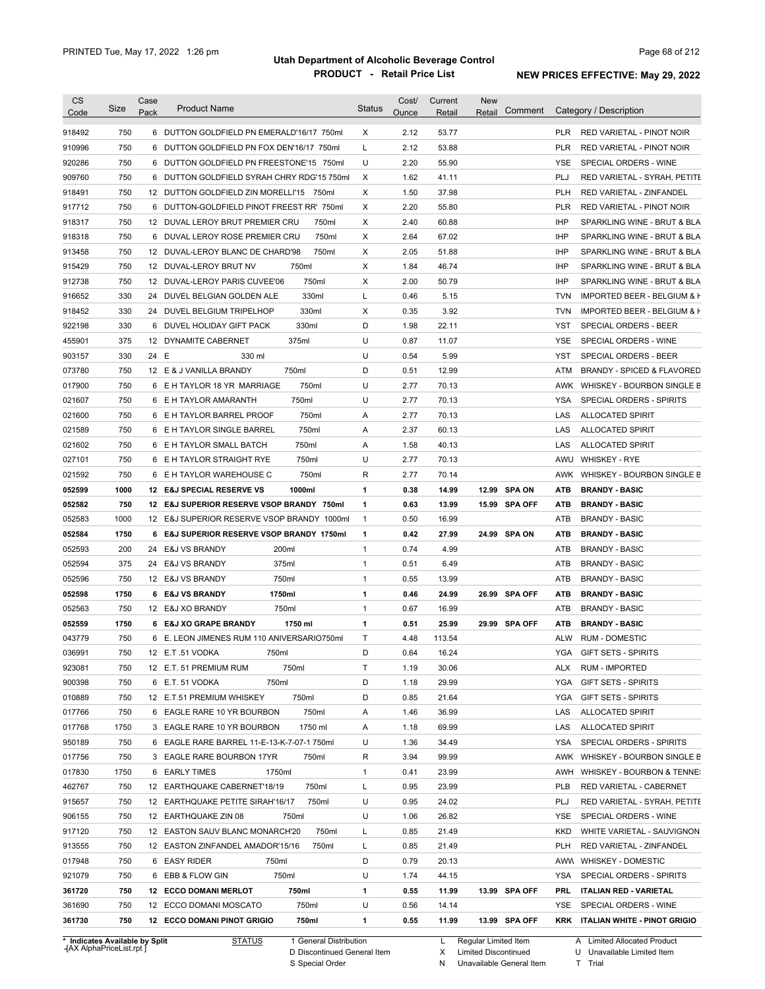| Code                                                                                                                                                                                                                               | Size        | Case<br>Pack | <b>Product Name</b>                                                                     | <b>Status</b> | Cost/<br>Ounce | Current<br>Retail | <b>New</b><br>Retail | Comment       |            | Category / Description                         |
|------------------------------------------------------------------------------------------------------------------------------------------------------------------------------------------------------------------------------------|-------------|--------------|-----------------------------------------------------------------------------------------|---------------|----------------|-------------------|----------------------|---------------|------------|------------------------------------------------|
| 918492                                                                                                                                                                                                                             | 750         |              | 6 DUTTON GOLDFIELD PN EMERALD'16/17 750ml                                               | X             | 2.12           | 53.77             |                      |               | <b>PLR</b> | <b>RED VARIETAL - PINOT NOIR</b>               |
| 910996                                                                                                                                                                                                                             | 750         |              | 6 DUTTON GOLDFIELD PN FOX DEN'16/17 750ml                                               | L             | 2.12           | 53.88             |                      |               | <b>PLR</b> | RED VARIETAL - PINOT NOIR                      |
| 920286                                                                                                                                                                                                                             | 750         |              | 6 DUTTON GOLDFIELD PN FREESTONE'15 750ml                                                | U             | 2.20           | 55.90             |                      |               | YSE        | SPECIAL ORDERS - WINE                          |
| 909760                                                                                                                                                                                                                             | 750         |              | 6 DUTTON GOLDFIELD SYRAH CHRY RDG'15 750ml                                              | X             | 1.62           | 41.11             |                      |               | PLJ        | RED VARIETAL - SYRAH, PETITE                   |
| 918491                                                                                                                                                                                                                             | 750         |              | 12 DUTTON GOLDFIELD ZIN MORELLI'15 750ml                                                | Χ             | 1.50           | 37.98             |                      |               | <b>PLH</b> | RED VARIETAL - ZINFANDEL                       |
| 917712                                                                                                                                                                                                                             | 750         |              | 6 DUTTON-GOLDFIELD PINOT FREEST RR' 750ml                                               | Χ             | 2.20           | 55.80             |                      |               | <b>PLR</b> | RED VARIETAL - PINOT NOIR                      |
| 918317                                                                                                                                                                                                                             | 750         |              | 12 DUVAL LEROY BRUT PREMIER CRU<br>750ml                                                | Χ             | 2.40           | 60.88             |                      |               | <b>IHP</b> | SPARKLING WINE - BRUT & BLA                    |
| 918318                                                                                                                                                                                                                             | 750         |              | 6 DUVAL LEROY ROSE PREMIER CRU<br>750ml                                                 | Χ             | 2.64           | 67.02             |                      |               | <b>IHP</b> | SPARKLING WINE - BRUT & BLA                    |
| 913458                                                                                                                                                                                                                             | 750         |              | 12 DUVAL-LEROY BLANC DE CHARD'98<br>750ml                                               | Χ             | 2.05           | 51.88             |                      |               | <b>IHP</b> | SPARKLING WINE - BRUT & BLA                    |
| 915429                                                                                                                                                                                                                             | 750         |              | 12 DUVAL-LEROY BRUT NV<br>750ml                                                         | Χ             | 1.84           | 46.74             |                      |               | <b>IHP</b> | SPARKLING WINE - BRUT & BLA                    |
| 912738                                                                                                                                                                                                                             | 750         |              | 750ml<br>12 DUVAL-LEROY PARIS CUVEE'06                                                  | Χ             | 2.00           | 50.79             |                      |               | <b>IHP</b> | SPARKLING WINE - BRUT & BLA                    |
| 916652                                                                                                                                                                                                                             | 330         | 24           | 330ml<br>DUVEL BELGIAN GOLDEN ALE                                                       | L             | 0.46           | 5.15              |                      |               | <b>TVN</b> | IMPORTED BEER - BELGIUM & F                    |
| 918452                                                                                                                                                                                                                             | 330         |              | 330ml<br>24 DUVEL BELGIUM TRIPELHOP                                                     | Χ             | 0.35           | 3.92              |                      |               | <b>TVN</b> | IMPORTED BEER - BELGIUM & F                    |
| 922198                                                                                                                                                                                                                             | 330         |              | 330ml<br>6 DUVEL HOLIDAY GIFT PACK                                                      | D             | 1.98           | 22.11             |                      |               | <b>YST</b> | <b>SPECIAL ORDERS - BEER</b>                   |
| 455901                                                                                                                                                                                                                             | 375         |              | 12 DYNAMITE CABERNET<br>375ml                                                           | U             | 0.87           | 11.07             |                      |               | <b>YSE</b> | SPECIAL ORDERS - WINE                          |
| 903157                                                                                                                                                                                                                             | 330         | 24 E         | 330 ml                                                                                  | U             | 0.54           | 5.99              |                      |               | YST        | SPECIAL ORDERS - BEER                          |
| 073780                                                                                                                                                                                                                             | 750         |              | 12 E & J VANILLA BRANDY<br>750ml                                                        | D             | 0.51           | 12.99             |                      |               | ATM        | BRANDY - SPICED & FLAVORED                     |
| 017900                                                                                                                                                                                                                             | 750         |              | 750ml<br>6 E H TAYLOR 18 YR MARRIAGE                                                    | U             | 2.77           | 70.13             |                      |               | AWK        | WHISKEY - BOURBON SINGLE B                     |
| 021607                                                                                                                                                                                                                             | 750         |              | 750ml<br>6 E H TAYLOR AMARANTH                                                          | U             | 2.77           | 70.13             |                      |               | YSA        | SPECIAL ORDERS - SPIRITS                       |
| 021600                                                                                                                                                                                                                             | 750         |              | 750ml<br>6 E H TAYLOR BARREL PROOF                                                      | Α             | 2.77           | 70.13             |                      |               | LAS        | <b>ALLOCATED SPIRIT</b>                        |
| 021589                                                                                                                                                                                                                             | 750         |              | 750ml<br>6 E H TAYLOR SINGLE BARREL                                                     | Α             | 2.37           | 60.13             |                      |               | LAS        | <b>ALLOCATED SPIRIT</b>                        |
| 021602                                                                                                                                                                                                                             | 750         |              | 750ml<br>6 E H TAYLOR SMALL BATCH                                                       | Α             | 1.58           | 40.13             |                      |               | LAS        | <b>ALLOCATED SPIRIT</b>                        |
| 027101                                                                                                                                                                                                                             | 750         |              | 750ml<br>6 E H TAYLOR STRAIGHT RYE                                                      | U             | 2.77           | 70.13             |                      |               | AWU        | <b>WHISKEY - RYE</b>                           |
| 021592                                                                                                                                                                                                                             | 750         |              | 750ml<br>6 E H TAYLOR WAREHOUSE C                                                       | R             | 2.77           | 70.14             |                      |               | AWK        | WHISKEY - BOURBON SINGLE B                     |
| 052599                                                                                                                                                                                                                             | 1000        |              | 12 E&J SPECIAL RESERVE VS<br>1000ml                                                     | 1             | 0.38           | 14.99             |                      | 12.99 SPA ON  | <b>ATB</b> | <b>BRANDY - BASIC</b>                          |
|                                                                                                                                                                                                                                    |             |              |                                                                                         | $\mathbf{1}$  | 0.63           |                   |                      |               | <b>ATB</b> |                                                |
| 052582<br>052583                                                                                                                                                                                                                   | 750<br>1000 |              | 12 E&J SUPERIOR RESERVE VSOP BRANDY 750ml<br>12 E&J SUPERIOR RESERVE VSOP BRANDY 1000ml | $\mathbf{1}$  | 0.50           | 13.99<br>16.99    |                      | 15.99 SPA OFF | ATB        | <b>BRANDY - BASIC</b><br><b>BRANDY - BASIC</b> |
|                                                                                                                                                                                                                                    | 1750        | 6            | <b>E&amp;J SUPERIOR RESERVE VSOP BRANDY 1750ml</b>                                      | 1             | 0.42           | 27.99             |                      | 24.99 SPA ON  | ATB        | <b>BRANDY - BASIC</b>                          |
| 052584                                                                                                                                                                                                                             | 200         |              | 200ml                                                                                   | $\mathbf{1}$  | 0.74           |                   |                      |               |            | <b>BRANDY - BASIC</b>                          |
| 052593<br>052594                                                                                                                                                                                                                   | 375         | 24           | <b>E&amp;J VS BRANDY</b>                                                                | $\mathbf{1}$  | 0.51           | 4.99<br>6.49      |                      |               | ATB<br>ATB | <b>BRANDY - BASIC</b>                          |
|                                                                                                                                                                                                                                    |             |              |                                                                                         |               |                |                   |                      |               |            | <b>BRANDY - BASIC</b>                          |
|                                                                                                                                                                                                                                    |             |              | 375ml<br>24 E&J VS BRANDY                                                               |               |                |                   |                      |               |            |                                                |
|                                                                                                                                                                                                                                    | 750         |              | 750ml<br>12 E&J VS BRANDY                                                               | $\mathbf{1}$  | 0.55           | 13.99             |                      |               | ATB        |                                                |
|                                                                                                                                                                                                                                    | 1750        |              | 1750ml<br>6 E&J VS BRANDY                                                               | 1             | 0.46           | 24.99             |                      | 26.99 SPA OFF | ATB        | <b>BRANDY - BASIC</b>                          |
|                                                                                                                                                                                                                                    | 750         |              | 750ml<br>12 E&J XO BRANDY                                                               | $\mathbf{1}$  | 0.67           | 16.99             |                      |               | ATB        | <b>BRANDY - BASIC</b>                          |
|                                                                                                                                                                                                                                    | 1750        |              | 1750 ml<br>6 E&J XO GRAPE BRANDY                                                        | 1             | 0.51           | 25.99             |                      | 29.99 SPA OFF | ATB        | <b>BRANDY - BASIC</b>                          |
|                                                                                                                                                                                                                                    | 750         |              | 6 E. LEON JIMENES RUM 110 ANIVERSARIO750ml                                              | T             | 4.48           | 113.54            |                      |               | ALW        | <b>RUM - DOMESTIC</b>                          |
|                                                                                                                                                                                                                                    | 750         |              | 12 E.T.51 VODKA<br>750ml                                                                | D             | 0.64           | 16.24             |                      |               | YGA        | <b>GIFT SETS - SPIRITS</b>                     |
|                                                                                                                                                                                                                                    | 750         |              | 12 E.T. 51 PREMIUM RUM<br>750ml                                                         | Τ             | 1.19           | 30.06             |                      |               | ALX        | <b>RUM - IMPORTED</b>                          |
|                                                                                                                                                                                                                                    | 750         |              | 750ml<br>6 E.T. 51 VODKA                                                                | D             | 1.18           | 29.99             |                      |               | YGA        | <b>GIFT SETS - SPIRITS</b>                     |
|                                                                                                                                                                                                                                    | 750         |              | 750ml<br>12 E.T.51 PREMIUM WHISKEY                                                      | D             | 0.85           | 21.64             |                      |               | YGA        | <b>GIFT SETS - SPIRITS</b>                     |
|                                                                                                                                                                                                                                    | 750         |              | 750ml<br>6 EAGLE RARE 10 YR BOURBON                                                     | Α             | 1.46           | 36.99             |                      |               | LAS        | <b>ALLOCATED SPIRIT</b>                        |
|                                                                                                                                                                                                                                    | 1750        |              | 3 EAGLE RARE 10 YR BOURBON<br>1750 ml                                                   | A             | 1.18           | 69.99             |                      |               | LAS        | <b>ALLOCATED SPIRIT</b>                        |
|                                                                                                                                                                                                                                    | 750         |              | 6 EAGLE RARE BARREL 11-E-13-K-7-07-1 750ml                                              | U             | 1.36           | 34.49             |                      |               | YSA        | SPECIAL ORDERS - SPIRITS                       |
|                                                                                                                                                                                                                                    | 750         |              | 3 EAGLE RARE BOURBON 17YR<br>750ml                                                      | R             | 3.94           | 99.99             |                      |               | AWK        | WHISKEY - BOURBON SINGLE B                     |
|                                                                                                                                                                                                                                    | 1750        |              | 6 EARLY TIMES<br>1750ml                                                                 | $\mathbf{1}$  | 0.41           | 23.99             |                      |               | AWH        | WHISKEY - BOURBON & TENNE:                     |
|                                                                                                                                                                                                                                    | 750         |              | 750ml<br>12 EARTHQUAKE CABERNET'18/19                                                   | Г             | 0.95           | 23.99             |                      |               | PLB        | RED VARIETAL - CABERNET                        |
|                                                                                                                                                                                                                                    | 750         |              | 750ml<br>12 EARTHQUAKE PETITE SIRAH'16/17                                               | U             | 0.95           | 24.02             |                      |               | PLJ        | RED VARIETAL - SYRAH, PETITE                   |
|                                                                                                                                                                                                                                    | 750         |              | 12 EARTHQUAKE ZIN 08<br>750ml                                                           | U             | 1.06           | 26.82             |                      |               | YSE        | SPECIAL ORDERS - WINE                          |
|                                                                                                                                                                                                                                    | 750         |              | 12 EASTON SAUV BLANC MONARCH'20<br>750ml                                                | L             | 0.85           | 21.49             |                      |               | KKD        | WHITE VARIETAL - SAUVIGNON                     |
|                                                                                                                                                                                                                                    | 750         |              | 12 EASTON ZINFANDEL AMADOR'15/16<br>750ml                                               | L             | 0.85           | 21.49             |                      |               | PLH        | RED VARIETAL - ZINFANDEL                       |
|                                                                                                                                                                                                                                    | 750         |              | 6 EASY RIDER<br>750ml                                                                   | D             | 0.79           | 20.13             |                      |               | AWW        | <b>WHISKEY - DOMESTIC</b>                      |
|                                                                                                                                                                                                                                    | 750         |              | 750ml<br>6 EBB & FLOW GIN                                                               | U             | 1.74           | 44.15             |                      |               | YSA        | SPECIAL ORDERS - SPIRITS                       |
|                                                                                                                                                                                                                                    | 750         |              | <b>12 ECCO DOMANI MERLOT</b><br>750ml                                                   | 1             | 0.55           | 11.99             |                      | 13.99 SPA OFF | PRL        | <b>ITALIAN RED - VARIETAL</b>                  |
| 052596<br>052598<br>052563<br>052559<br>043779<br>036991<br>923081<br>900398<br>010889<br>017766<br>017768<br>950189<br>017756<br>017830<br>462767<br>915657<br>906155<br>917120<br>913555<br>017948<br>921079<br>361720<br>361690 | 750         |              | 750ml<br>12 ECCO DOMANI MOSCATO                                                         | U             | 0.56           | 14.14             |                      |               | YSE.       | SPECIAL ORDERS - WINE                          |

**Case** [AX AlphaPriceList.rpt ]

D Discontinued General Item S Special Order

X N Limited Discontinued

Unavailable General Item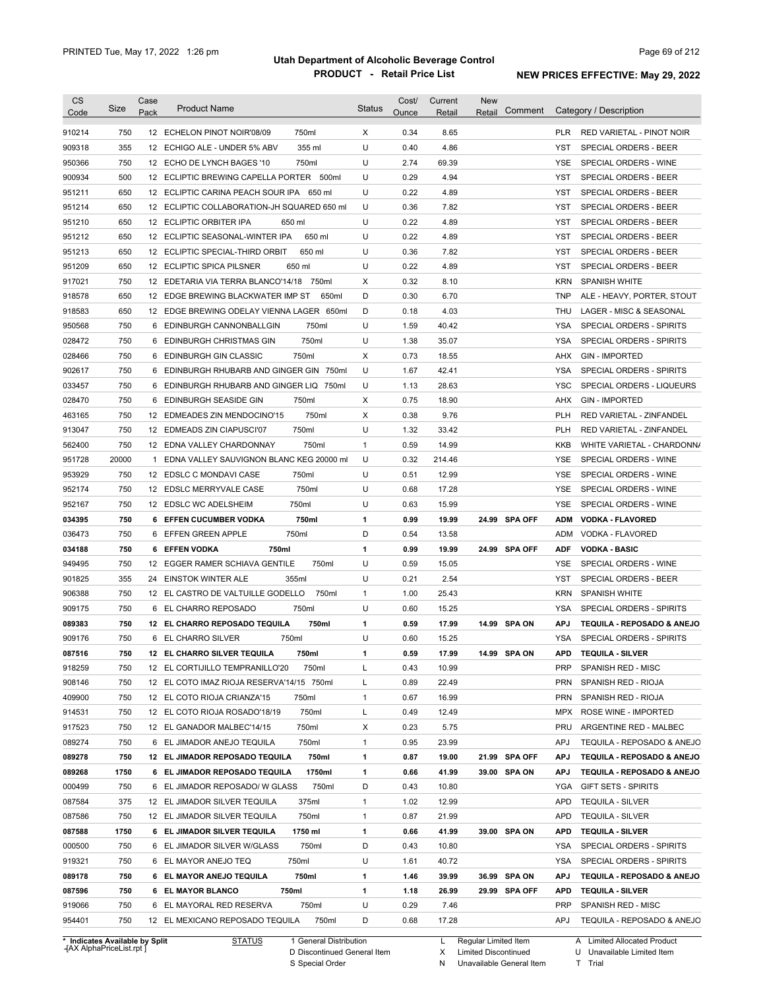| CS<br>Code                     | Size  | Case<br>Pack | <b>Product Name</b>                         | Status       | Cost/<br>Ounce | Current<br>Retail | <b>New</b><br>Comment<br>Retail | Category / Description                     |
|--------------------------------|-------|--------------|---------------------------------------------|--------------|----------------|-------------------|---------------------------------|--------------------------------------------|
| 910214                         | 750   |              | 750ml<br>12 ECHELON PINOT NOIR'08/09        | X            | 0.34           | 8.65              |                                 | PLR<br>RED VARIETAL - PINOT NOIR           |
| 909318                         | 355   | 12           | 355 ml<br>ECHIGO ALE - UNDER 5% ABV         | U            | 0.40           | 4.86              |                                 | YST<br>SPECIAL ORDERS - BEER               |
| 950366                         | 750   |              | 750ml<br>12 ECHO DE LYNCH BAGES '10         | U            | 2.74           | 69.39             |                                 | <b>YSE</b><br>SPECIAL ORDERS - WINE        |
| 900934                         | 500   |              | 12 ECLIPTIC BREWING CAPELLA PORTER 500ml    | U            | 0.29           | 4.94              |                                 | YST<br>SPECIAL ORDERS - BEER               |
| 951211                         | 650   |              | 12 ECLIPTIC CARINA PEACH SOUR IPA 650 ml    | U            | 0.22           | 4.89              |                                 | YST<br>SPECIAL ORDERS - BEER               |
| 951214                         | 650   |              | 12 ECLIPTIC COLLABORATION-JH SQUARED 650 ml | U            | 0.36           | 7.82              |                                 | YST<br>SPECIAL ORDERS - BEER               |
| 951210                         | 650   |              | 12 ECLIPTIC ORBITER IPA<br>650 ml           | U            | 0.22           | 4.89              |                                 | <b>YST</b><br><b>SPECIAL ORDERS - BEER</b> |
| 951212                         | 650   | 12           | 650 ml<br>ECLIPTIC SEASONAL-WINTER IPA      | U            | 0.22           | 4.89              |                                 | <b>YST</b><br>SPECIAL ORDERS - BEER        |
| 951213                         | 650   | 12           | 650 ml<br>ECLIPTIC SPECIAL-THIRD ORBIT      | U            | 0.36           | 7.82              |                                 | <b>YST</b><br>SPECIAL ORDERS - BEER        |
| 951209                         | 650   | 12           | <b>ECLIPTIC SPICA PILSNER</b><br>650 ml     | U            | 0.22           | 4.89              |                                 | <b>YST</b><br>SPECIAL ORDERS - BEER        |
| 917021                         | 750   | 12           | EDETARIA VIA TERRA BLANCO'14/18<br>750ml    | X            | 0.32           | 8.10              |                                 | <b>KRN</b><br><b>SPANISH WHITE</b>         |
| 918578                         | 650   | 12           | EDGE BREWING BLACKWATER IMP ST<br>650ml     | D            | 0.30           | 6.70              |                                 | <b>TNP</b><br>ALE - HEAVY, PORTER, STOUT   |
| 918583                         | 650   | 12           | EDGE BREWING ODELAY VIENNA LAGER 650ml      | D            | 0.18           | 4.03              |                                 | <b>THU</b><br>LAGER - MISC & SEASONAL      |
| 950568                         | 750   | 6            | 750ml<br>EDINBURGH CANNONBALLGIN            | U            | 1.59           | 40.42             |                                 | <b>YSA</b><br>SPECIAL ORDERS - SPIRITS     |
| 028472                         | 750   | 6            | 750ml<br>EDINBURGH CHRISTMAS GIN            | U            | 1.38           | 35.07             |                                 | <b>YSA</b><br>SPECIAL ORDERS - SPIRITS     |
| 028466                         | 750   | 6            | 750ml<br>EDINBURGH GIN CLASSIC              | X            | 0.73           | 18.55             |                                 | <b>AHX</b><br><b>GIN - IMPORTED</b>        |
| 902617                         | 750   | 6            | EDINBURGH RHUBARB AND GINGER GIN<br>750ml   | U            | 1.67           | 42.41             |                                 | <b>YSA</b><br>SPECIAL ORDERS - SPIRITS     |
| 033457                         | 750   | 6            | EDINBURGH RHUBARB AND GINGER LIQ 750ml      | U            | 1.13           | 28.63             |                                 | <b>YSC</b><br>SPECIAL ORDERS - LIQUEURS    |
| 028470                         | 750   | 6            | 750ml<br>EDINBURGH SEASIDE GIN              | X            | 0.75           | 18.90             |                                 | AHX<br><b>GIN - IMPORTED</b>               |
| 463165                         | 750   | 12           | 750ml<br>EDMEADES ZIN MENDOCINO'15          | X            | 0.38           | 9.76              |                                 | <b>PLH</b><br>RED VARIETAL - ZINFANDEL     |
| 913047                         | 750   | 12           | 750ml<br>EDMEADS ZIN CIAPUSCI'07            | U            | 1.32           | 33.42             |                                 | <b>PLH</b><br>RED VARIETAL - ZINFANDEL     |
| 562400                         | 750   | 12           | EDNA VALLEY CHARDONNAY<br>750ml             | $\mathbf{1}$ | 0.59           | 14.99             |                                 | <b>KKB</b><br>WHITE VARIETAL - CHARDONN/   |
| 951728                         | 20000 | $\mathbf{1}$ | EDNA VALLEY SAUVIGNON BLANC KEG 20000 ml    | U            | 0.32           | 214.46            |                                 | YSE<br>SPECIAL ORDERS - WINE               |
| 953929                         | 750   | 12           | EDSLC C MONDAVI CASE<br>750ml               | U            | 0.51           | 12.99             |                                 | <b>YSE</b><br>SPECIAL ORDERS - WINE        |
| 952174                         | 750   | 12           | 750ml<br>EDSLC MERRYVALE CASE               | U            | 0.68           | 17.28             |                                 | YSE<br>SPECIAL ORDERS - WINE               |
| 952167                         | 750   |              | 750ml<br>12 EDSLC WC ADELSHEIM              | U            | 0.63           | 15.99             |                                 | <b>YSE</b><br>SPECIAL ORDERS - WINE        |
| 034395                         | 750   |              | 750ml<br>6 EFFEN CUCUMBER VODKA             | 1            | 0.99           | 19.99             | 24.99 SPA OFF                   | <b>ADM</b><br><b>VODKA - FLAVORED</b>      |
| 036473                         | 750   | 6            | 750ml<br>EFFEN GREEN APPLE                  | D            | 0.54           | 13.58             |                                 | ADM<br>VODKA - FLAVORED                    |
| 034188                         | 750   | 6            | <b>EFFEN VODKA</b><br>750ml                 | 1            | 0.99           | 19.99             | 24.99 SPA OFF                   | <b>ADF</b><br><b>VODKA - BASIC</b>         |
| 949495                         | 750   |              | 750ml<br>12 EGGER RAMER SCHIAVA GENTILE     | U            | 0.59           | 15.05             |                                 | YSE<br>SPECIAL ORDERS - WINE               |
| 901825                         | 355   | 24           | EINSTOK WINTER ALE<br>355ml                 | U            | 0.21           | 2.54              |                                 | <b>YST</b><br><b>SPECIAL ORDERS - BEER</b> |
| 906388                         | 750   |              | 12 EL CASTRO DE VALTUILLE GODELLO<br>750ml  | $\mathbf{1}$ | 1.00           | 25.43             |                                 | <b>KRN</b><br><b>SPANISH WHITE</b>         |
| 909175                         | 750   | 6            | 750ml<br>EL CHARRO REPOSADO                 | U            | 0.60           | 15.25             |                                 | <b>YSA</b><br>SPECIAL ORDERS - SPIRITS     |
| 089383                         | 750   |              | 12 EL CHARRO REPOSADO TEQUILA<br>750ml      | 1            | 0.59           | 17.99             | 14.99 SPA ON                    | <b>APJ</b><br>TEQUILA - REPOSADO & ANEJO   |
| 909176                         | 750   |              | 6 EL CHARRO SILVER<br>750ml                 | U            | 0.60           | 15.25             |                                 | <b>YSA</b><br>SPECIAL ORDERS - SPIRITS     |
| 087516                         | 750   |              | 12 EL CHARRO SILVER TEQUILA<br>750ml        | 1            | 0.59           | 17.99             | 14.99 SPA ON                    | APD<br><b>TEQUILA - SILVER</b>             |
| 918259                         | 750   |              | 12 EL CORTIJILLO TEMPRANILLO'20<br>750ml    | L            | 0.43           | 10.99             |                                 | PRP<br>SPANISH RED - MISC                  |
| 908146                         | 750   |              | 12 EL COTO IMAZ RIOJA RESERVA'14/15 750ml   | L            | 0.89           | 22.49             |                                 | <b>PRN</b><br>SPANISH RED - RIOJA          |
| 409900                         | 750   |              | 12 EL COTO RIOJA CRIANZA'15<br>750ml        | $\mathbf{1}$ | 0.67           | 16.99             |                                 | <b>PRN</b><br>SPANISH RED - RIOJA          |
| 914531                         | 750   |              | 750ml<br>12 EL COTO RIOJA ROSADO'18/19      | L            | 0.49           | 12.49             |                                 | MPX<br>ROSE WINE - IMPORTED                |
| 917523                         | 750   |              | 750ml<br>12 EL GANADOR MALBEC'14/15         | х            | 0.23           | 5.75              |                                 | PRU<br>ARGENTINE RED - MALBEC              |
| 089274                         | 750   |              | 6 EL JIMADOR ANEJO TEQUILA<br>750ml         | 1            | 0.95           | 23.99             |                                 | APJ<br>TEQUILA - REPOSADO & ANEJO          |
| 089278                         | 750   |              | 12 EL JIMADOR REPOSADO TEQUILA<br>750ml     | 1            | 0.87           | 19.00             | 21.99 SPA OFF                   | APJ<br>TEQUILA - REPOSADO & ANEJO          |
| 089268                         | 1750  |              | 6 EL JIMADOR REPOSADO TEQUILA<br>1750ml     | 1            | 0.66           | 41.99             | 39.00 SPA ON                    | APJ<br>TEQUILA - REPOSADO & ANEJO          |
| 000499                         | 750   |              | 750ml<br>6 EL JIMADOR REPOSADO/ W GLASS     | D            | 0.43           | 10.80             |                                 | YGA<br><b>GIFT SETS - SPIRITS</b>          |
| 087584                         | 375   |              | 12 EL JIMADOR SILVER TEQUILA<br>375ml       | 1            | 1.02           | 12.99             |                                 | APD<br><b>TEQUILA - SILVER</b>             |
| 087586                         | 750   |              | 12 EL JIMADOR SILVER TEQUILA<br>750ml       | 1            | 0.87           | 21.99             |                                 | <b>APD</b><br><b>TEQUILA - SILVER</b>      |
| 087588                         | 1750  |              | 1750 ml<br>6 EL JIMADOR SILVER TEQUILA      | 1            | 0.66           | 41.99             | 39.00 SPA ON                    | APD<br><b>TEQUILA - SILVER</b>             |
| 000500                         | 750   |              | 750ml<br>6 EL JIMADOR SILVER W/GLASS        | D            | 0.43           | 10.80             |                                 | YSA<br>SPECIAL ORDERS - SPIRITS            |
| 919321                         | 750   |              | 6 EL MAYOR ANEJO TEQ<br>750ml               | U            | 1.61           | 40.72             |                                 | YSA<br>SPECIAL ORDERS - SPIRITS            |
| 089178                         | 750   |              | 750ml<br>6 EL MAYOR ANEJO TEQUILA           | 1            | 1.46           | 39.99             | 36.99 SPA ON                    | APJ<br>TEQUILA - REPOSADO & ANEJO          |
| 087596                         | 750   |              | 750ml<br>6 EL MAYOR BLANCO                  | 1            | 1.18           | 26.99             | 29.99 SPA OFF                   | APD<br><b>TEQUILA - SILVER</b>             |
| 919066                         | 750   |              | 750ml<br>6 EL MAYORAL RED RESERVA           | U            | 0.29           | 7.46              |                                 | PRP<br>SPANISH RED - MISC                  |
| 954401                         | 750   |              | 750ml<br>12 EL MEXICANO REPOSADO TEQUILA    | D            | 0.68           | 17.28             |                                 | APJ<br>TEQUILA - REPOSADO & ANEJO          |
| * Indicates Available by Split |       |              | <b>STATUS</b><br>1 General Distribution     |              |                |                   | L Regular Limited Item          | A Limited Allocated Product                |

**Case** [AX AlphaPriceList.rpt ]

D Discontinued General Item

S Special Order

L Regular Limited Item

X N Limited Discontinued

Unavailable General Item

U Unavailable Limited Item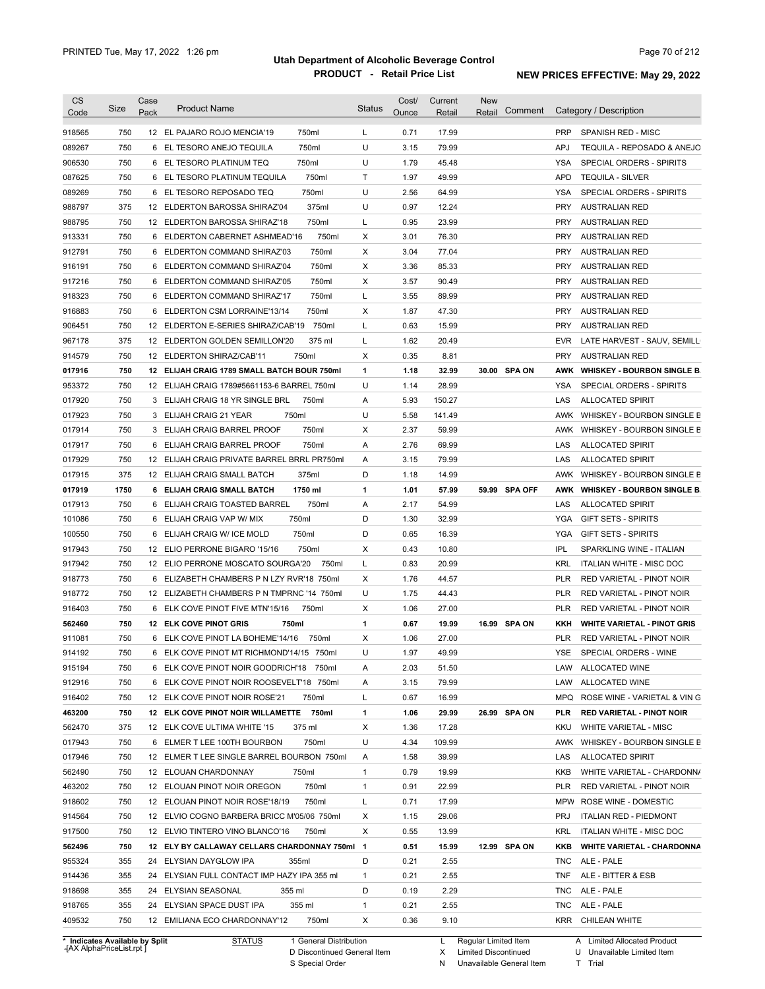| <b>CS</b><br>Code | Size       | Case<br>Pack | <b>Product Name</b>                                   |                | <b>Status</b> | Cost/<br>Ounce | Current<br>Retail | <b>New</b><br>Retail | Comment       |                   | Category / Description                                        |
|-------------------|------------|--------------|-------------------------------------------------------|----------------|---------------|----------------|-------------------|----------------------|---------------|-------------------|---------------------------------------------------------------|
| 918565            | 750        |              | 12 EL PAJARO ROJO MENCIA'19                           | 750ml          | L             | 0.71           | 17.99             |                      |               | <b>PRP</b>        | SPANISH RED - MISC                                            |
|                   |            |              |                                                       |                |               |                |                   |                      |               |                   |                                                               |
| 089267<br>906530  | 750<br>750 |              | 6 EL TESORO ANEJO TEQUILA<br>6 EL TESORO PLATINUM TEQ | 750ml<br>750ml | U<br>U        | 3.15<br>1.79   | 79.99<br>45.48    |                      |               | <b>APJ</b><br>YSA | TEQUILA - REPOSADO & ANEJO<br><b>SPECIAL ORDERS - SPIRITS</b> |
| 087625            | 750        |              | 6 EL TESORO PLATINUM TEQUILA                          | 750ml          | Τ             | 1.97           | 49.99             |                      |               | <b>APD</b>        | <b>TEQUILA - SILVER</b>                                       |
|                   | 750        |              | 6 EL TESORO REPOSADO TEQ                              | 750ml          | U             | 2.56           | 64.99             |                      |               | YSA               | SPECIAL ORDERS - SPIRITS                                      |
| 089269            | 375        |              | 12 ELDERTON BAROSSA SHIRAZ'04                         | 375ml          | U             | 0.97           | 12.24             |                      |               | <b>PRY</b>        | <b>AUSTRALIAN RED</b>                                         |
| 988797<br>988795  | 750        |              | 12 ELDERTON BAROSSA SHIRAZ'18                         | 750ml          | L             | 0.95           | 23.99             |                      |               | <b>PRY</b>        | <b>AUSTRALIAN RED</b>                                         |
| 913331            | 750        |              | 6 ELDERTON CABERNET ASHMEAD'16                        | 750ml          | Χ             | 3.01           | 76.30             |                      |               | <b>PRY</b>        | <b>AUSTRALIAN RED</b>                                         |
|                   | 750        |              | 6 ELDERTON COMMAND SHIRAZ'03                          | 750ml          | Χ             | 3.04           | 77.04             |                      |               | <b>PRY</b>        | <b>AUSTRALIAN RED</b>                                         |
| 912791<br>916191  | 750        |              | 6 ELDERTON COMMAND SHIRAZ'04                          | 750ml          | Χ             | 3.36           | 85.33             |                      |               | <b>PRY</b>        | <b>AUSTRALIAN RED</b>                                         |
| 917216            | 750        |              | 6 ELDERTON COMMAND SHIRAZ'05                          | 750ml          | Χ             | 3.57           | 90.49             |                      |               | <b>PRY</b>        | <b>AUSTRALIAN RED</b>                                         |
| 918323            | 750        |              | 6 ELDERTON COMMAND SHIRAZ'17                          | 750ml          | L             | 3.55           | 89.99             |                      |               | <b>PRY</b>        | <b>AUSTRALIAN RED</b>                                         |
| 916883            | 750        |              |                                                       | 750ml          | Χ             | 1.87           | 47.30             |                      |               | <b>PRY</b>        |                                                               |
|                   |            |              | 6 ELDERTON CSM LORRAINE'13/14                         |                |               |                |                   |                      |               |                   | <b>AUSTRALIAN RED</b>                                         |
| 906451            | 750        |              | 12 ELDERTON E-SERIES SHIRAZ/CAB'19                    | 750ml          | L             | 0.63           | 15.99             |                      |               | <b>PRY</b>        | <b>AUSTRALIAN RED</b>                                         |
| 967178            | 375        |              | 12 ELDERTON GOLDEN SEMILLON'20                        | 375 ml         | L             | 1.62           | 20.49             |                      |               | EVR               | LATE HARVEST - SAUV, SEMILL                                   |
| 914579            | 750        |              | 12 ELDERTON SHIRAZ/CAB'11                             | 750ml          | Х             | 0.35           | 8.81              |                      |               | <b>PRY</b>        | <b>AUSTRALIAN RED</b>                                         |
| 017916            | 750        |              | 12 ELIJAH CRAIG 1789 SMALL BATCH BOUR 750ml           |                | 1             | 1.18           | 32.99             |                      | 30.00 SPA ON  |                   | AWK WHISKEY - BOURBON SINGLE B.                               |
| 953372            | 750        |              | 12 ELIJAH CRAIG 1789#5661153-6 BARREL 750ml           |                | U             | 1.14           | 28.99             |                      |               | <b>YSA</b>        | SPECIAL ORDERS - SPIRITS                                      |
| 017920            | 750        |              | 3 ELIJAH CRAIG 18 YR SINGLE BRL                       | 750ml          | Α             | 5.93           | 150.27            |                      |               | LAS               | <b>ALLOCATED SPIRIT</b>                                       |
| 017923            | 750        |              | 3 ELIJAH CRAIG 21 YEAR<br>750ml                       |                | U             | 5.58           | 141.49            |                      |               | AWK               | WHISKEY - BOURBON SINGLE B                                    |
| 017914            | 750        |              | 3 ELIJAH CRAIG BARREL PROOF                           | 750ml          | Х             | 2.37           | 59.99             |                      |               | AWK               | WHISKEY - BOURBON SINGLE B                                    |
| 017917            | 750        | 6            | ELIJAH CRAIG BARREL PROOF                             | 750ml          | A             | 2.76           | 69.99             |                      |               | LAS               | <b>ALLOCATED SPIRIT</b>                                       |
| 017929            | 750        |              | 12 ELIJAH CRAIG PRIVATE BARREL BRRL PR750ml           |                | Α             | 3.15           | 79.99             |                      |               | LAS               | <b>ALLOCATED SPIRIT</b>                                       |
| 017915            | 375        |              | 12 ELIJAH CRAIG SMALL BATCH                           | 375ml          | D             | 1.18           | 14.99             |                      |               | AWK               | WHISKEY - BOURBON SINGLE B                                    |
| 017919            | 1750       |              | 6 ELIJAH CRAIG SMALL BATCH                            | 1750 ml        | 1             | 1.01           | 57.99             |                      | 59.99 SPA OFF | AWK               | <b>WHISKEY - BOURBON SINGLE B.</b>                            |
| 017913            | 750        | 6            | ELIJAH CRAIG TOASTED BARREL                           | 750ml          | Α             | 2.17           | 54.99             |                      |               | LAS               | <b>ALLOCATED SPIRIT</b>                                       |
| 101086            | 750        | 6            | ELIJAH CRAIG VAP W/ MIX                               | 750ml          | D             | 1.30           | 32.99             |                      |               | <b>YGA</b>        | <b>GIFT SETS - SPIRITS</b>                                    |
| 100550            | 750        |              | 6 ELIJAH CRAIG W/ ICE MOLD                            | 750ml          | D             | 0.65           | 16.39             |                      |               | YGA               | <b>GIFT SETS - SPIRITS</b>                                    |
| 917943            | 750        |              | 12 ELIO PERRONE BIGARO '15/16                         | 750ml          | Χ             | 0.43           | 10.80             |                      |               | <b>IPL</b>        | SPARKLING WINE - ITALIAN                                      |
| 917942            | 750        |              | 12 ELIO PERRONE MOSCATO SOURGA'20                     | 750ml          | Г             | 0.83           | 20.99             |                      |               | <b>KRL</b>        | ITALIAN WHITE - MISC DOC                                      |
| 918773            | 750        |              | 6 ELIZABETH CHAMBERS P N LZY RVR'18 750ml             |                | Х             | 1.76           | 44.57             |                      |               | <b>PLR</b>        | RED VARIETAL - PINOT NOIR                                     |
| 918772            | 750        |              | 12 ELIZABETH CHAMBERS P N TMPRNC '14 750ml            |                | U             | 1.75           | 44.43             |                      |               | <b>PLR</b>        | RED VARIETAL - PINOT NOIR                                     |
| 916403            | 750        |              | 6 ELK COVE PINOT FIVE MTN'15/16                       | 750ml          | Χ             | 1.06           | 27.00             |                      |               | <b>PLR</b>        | RED VARIETAL - PINOT NOIR                                     |
| 562460            | 750        |              | <b>12 ELK COVE PINOT GRIS</b><br>750ml                |                | $\mathbf{1}$  | 0.67           | 19.99             |                      | 16.99 SPA ON  | KKH               | <b>WHITE VARIETAL - PINOT GRIS</b>                            |
| 911081            | 750        |              | 6 ELK COVE PINOT LA BOHEME'14/16                      | 750ml          | Χ             | 1.06           | 27.00             |                      |               | <b>PLR</b>        | <b>RED VARIETAL - PINOT NOIR</b>                              |
| 914192            | 750        |              | 6 ELK COVE PINOT MT RICHMOND'14/15 750ml              |                | U             | 1.97           | 49.99             |                      |               | YSE               | SPECIAL ORDERS - WINE                                         |
| 915194            | 750        |              | 6 ELK COVE PINOT NOIR GOODRICH'18 750ml               |                | A             | 2.03           | 51.50             |                      |               | LAW               | ALLOCATED WINE                                                |
| 912916            | 750        |              | 6 ELK COVE PINOT NOIR ROOSEVELT'18 750ml              |                | Α             | 3.15           | 79.99             |                      |               | LAW               | ALLOCATED WINE                                                |
| 916402            | 750        |              | 12 ELK COVE PINOT NOIR ROSE'21                        | 750ml          | L             | 0.67           | 16.99             |                      |               | <b>MPQ</b>        | ROSE WINE - VARIETAL & VIN G                                  |
| 463200            | 750        |              | 12 ELK COVE PINOT NOIR WILLAMETTE 750ml               |                | 1             | 1.06           | 29.99             |                      | 26.99 SPA ON  | PLR               | <b>RED VARIETAL - PINOT NOIR</b>                              |
| 562470            | 375        |              | 12 ELK COVE ULTIMA WHITE '15                          | 375 ml         | Х             | 1.36           | 17.28             |                      |               | KKU               | WHITE VARIETAL - MISC                                         |
| 017943            | 750        |              | 6 ELMER T LEE 100TH BOURBON                           | 750ml          | U             | 4.34           | 109.99            |                      |               | AWK               | WHISKEY - BOURBON SINGLE B                                    |
| 017946            | 750        |              | 12 ELMER T LEE SINGLE BARREL BOURBON 750ml            |                | Α             | 1.58           | 39.99             |                      |               | LAS               | ALLOCATED SPIRIT                                              |
| 562490            | 750        |              | 12 ELOUAN CHARDONNAY                                  | 750ml          | $\mathbf{1}$  | 0.79           | 19.99             |                      |               | KKB               | WHITE VARIETAL - CHARDONN/                                    |
| 463202            | 750        |              | 12 ELOUAN PINOT NOIR OREGON                           | 750ml          | $\mathbf{1}$  | 0.91           | 22.99             |                      |               | <b>PLR</b>        | RED VARIETAL - PINOT NOIR                                     |
| 918602            | 750        |              | 12 ELOUAN PINOT NOIR ROSE'18/19                       | 750ml          | L             | 0.71           | 17.99             |                      |               | MPW               | ROSE WINE - DOMESTIC                                          |
| 914564            | 750        |              | 12 ELVIO COGNO BARBERA BRICC M'05/06 750ml            |                | Х             | 1.15           | 29.06             |                      |               | <b>PRJ</b>        | <b>ITALIAN RED - PIEDMONT</b>                                 |
| 917500            | 750        |              | 12 ELVIO TINTERO VINO BLANCO'16                       | 750ml          | X             | 0.55           | 13.99             |                      |               | KRL               | ITALIAN WHITE - MISC DOC                                      |
| 562496            | 750        |              | 12 ELY BY CALLAWAY CELLARS CHARDONNAY 750ml 1         |                |               | 0.51           | 15.99             |                      | 12.99 SPA ON  | KKB               | <b>WHITE VARIETAL - CHARDONNA</b>                             |
| 955324            | 355        |              | 24 ELYSIAN DAYGLOW IPA                                | 355ml          | D             | 0.21           | 2.55              |                      |               | <b>TNC</b>        | ALE - PALE                                                    |
|                   |            |              | 24 ELYSIAN FULL CONTACT IMP HAZY IPA 355 ml           |                | $\mathbf{1}$  | 0.21           | 2.55              |                      |               | TNF               | ALE - BITTER & ESB                                            |
|                   | 355        |              |                                                       |                |               |                |                   |                      |               |                   |                                                               |
| 914436<br>918698  | 355        |              | 24 ELYSIAN SEASONAL<br>355 ml                         |                | D             | 0.19           | 2.29              |                      |               | TNC               | ALE - PALE                                                    |
| 918765            | 355        |              | 24 ELYSIAN SPACE DUST IPA                             | 355 ml         | $\mathbf{1}$  | 0.21           | 2.55              |                      |               | TNC               | ALE - PALE                                                    |
| 409532            | 750        |              | 12 EMILIANA ECO CHARDONNAY'12                         | 750ml          | х             | 0.36           | 9.10              |                      |               |                   | KRR CHILEAN WHITE                                             |

**Case** [AX AlphaPriceList.rpt ]

D Discontinued General Item S Special Order

X Limited Discontinued

N Unavailable General Item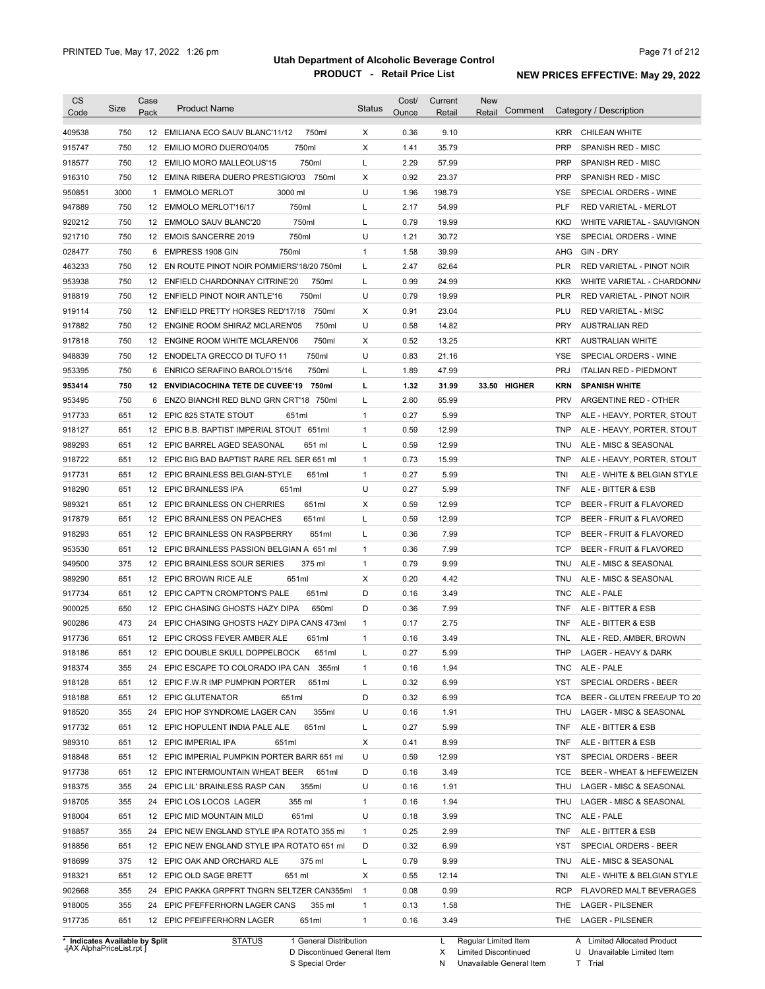| <b>CS</b><br>Code | Size                                                     | Case<br>Pack | <b>Product Name</b>                         | <b>Status</b>  | Cost/<br>Ounce | Current<br>Retail | New<br>Comment<br>Retail |            | Category / Description        |
|-------------------|----------------------------------------------------------|--------------|---------------------------------------------|----------------|----------------|-------------------|--------------------------|------------|-------------------------------|
| 409538            | 750                                                      |              | 12 EMILIANA ECO SAUV BLANC'11/12<br>750ml   | X              | 0.36           | 9.10              |                          | <b>KRR</b> | CHILEAN WHITE                 |
| 915747            | 750                                                      |              | 750ml<br>12 EMILIO MORO DUERO'04/05         | Χ              | 1.41           | 35.79             |                          | <b>PRP</b> | <b>SPANISH RED - MISC</b>     |
| 918577            | 750                                                      |              | 750ml<br>12 EMILIO MORO MALLEOLUS'15        | L              | 2.29           | 57.99             |                          | <b>PRP</b> | SPANISH RED - MISC            |
| 916310            | 750                                                      |              | 12 EMINA RIBERA DUERO PRESTIGIO'03 750ml    | Χ              | 0.92           | 23.37             |                          | <b>PRP</b> | SPANISH RED - MISC            |
|                   | 3000                                                     |              | 3000 ml                                     | U              |                |                   |                          | <b>YSE</b> |                               |
| 950851            |                                                          |              | 1 EMMOLO MERLOT                             |                | 1.96           | 198.79            |                          |            | SPECIAL ORDERS - WINE         |
| 947889            | 750                                                      |              | 750ml<br>12 EMMOLO MERLOT'16/17             | L              | 2.17           | 54.99             |                          | <b>PLF</b> | RED VARIETAL - MERLOT         |
| 920212            | 750                                                      |              | 750ml<br>12 EMMOLO SAUV BLANC'20            | L              | 0.79           | 19.99             |                          | KKD        | WHITE VARIETAL - SAUVIGNON    |
| 921710            | 750                                                      |              | 750ml<br>12 EMOIS SANCERRE 2019             | U              | 1.21           | 30.72             |                          | YSE        | SPECIAL ORDERS - WINE         |
| 028477            | 750                                                      |              | 750ml<br>6 EMPRESS 1908 GIN                 | 1              | 1.58           | 39.99             |                          | AHG        | GIN - DRY                     |
| 463233            | 750                                                      |              | 12 EN ROUTE PINOT NOIR POMMIERS'18/20 750ml | L              | 2.47           | 62.64             |                          | PLR        | RED VARIETAL - PINOT NOIR     |
| 953938            | 750                                                      |              | 12 ENFIELD CHARDONNAY CITRINE'20<br>750ml   | L              | 0.99           | 24.99             |                          | KKB        | WHITE VARIETAL - CHARDONN/    |
| 918819            | 750                                                      |              | 750ml<br>12 ENFIELD PINOT NOIR ANTLE'16     | U              | 0.79           | 19.99             |                          | PLR        | RED VARIETAL - PINOT NOIR     |
| 919114            | 750                                                      |              | 12 ENFIELD PRETTY HORSES RED'17/18<br>750ml | Х              | 0.91           | 23.04             |                          | PLU        | <b>RED VARIETAL - MISC</b>    |
| 917882            | 750                                                      |              | 12 ENGINE ROOM SHIRAZ MCLAREN'05<br>750ml   | U              | 0.58           | 14.82             |                          | PRY        | AUSTRALIAN RED                |
| 917818            | 750                                                      |              | 12 ENGINE ROOM WHITE MCLAREN'06<br>750ml    | X              | 0.52           | 13.25             |                          | KRT        | <b>AUSTRALIAN WHITE</b>       |
| 948839            | 750                                                      |              | 750ml<br>12 ENODELTA GRECCO DI TUFO 11      | U              | 0.83           | 21.16             |                          | YSE        | SPECIAL ORDERS - WINE         |
| 953395            | 750                                                      |              | 750ml<br>6 ENRICO SERAFINO BAROLO'15/16     | L              | 1.89           | 47.99             |                          | <b>PRJ</b> | <b>ITALIAN RED - PIEDMONT</b> |
| 953414            | 750                                                      |              | 12 ENVIDIACOCHINA TETE DE CUVEE'19<br>750ml | L              | 1.32           | 31.99             | 33.50 HIGHER             | <b>KRN</b> | <b>SPANISH WHITE</b>          |
| 953495            | 750                                                      |              | 6 ENZO BIANCHI RED BLND GRN CRT'18 750ml    | L              | 2.60           | 65.99             |                          | <b>PRV</b> | ARGENTINE RED - OTHER         |
| 917733            | 651                                                      |              | 12 EPIC 825 STATE STOUT<br>651ml            | $\mathbf{1}$   | 0.27           | 5.99              |                          | <b>TNP</b> | ALE - HEAVY, PORTER, STOUT    |
| 918127            | 651                                                      |              | 12 EPIC B.B. BAPTIST IMPERIAL STOUT 651ml   | $\mathbf{1}$   | 0.59           | 12.99             |                          | <b>TNP</b> | ALE - HEAVY, PORTER, STOUT    |
| 989293            | 651                                                      |              | 12 EPIC BARREL AGED SEASONAL<br>651 ml      | L              | 0.59           | 12.99             |                          | <b>TNU</b> | ALE - MISC & SEASONAL         |
| 918722            | 651                                                      |              | 12 EPIC BIG BAD BAPTIST RARE REL SER 651 ml | 1              | 0.73           | 15.99             |                          | <b>TNP</b> | ALE - HEAVY, PORTER, STOUT    |
| 917731            | 651                                                      |              | 12 EPIC BRAINLESS BELGIAN-STYLE<br>651ml    | $\mathbf{1}$   | 0.27           | 5.99              |                          | TNI        | ALE - WHITE & BELGIAN STYLE   |
| 918290            | 651                                                      |              | 12 EPIC BRAINLESS IPA<br>651ml              | U              | 0.27           | 5.99              |                          | <b>TNF</b> | ALE - BITTER & ESB            |
| 989321            | 651                                                      |              | 651ml<br>12 EPIC BRAINLESS ON CHERRIES      | Х              | 0.59           | 12.99             |                          | <b>TCP</b> | BEER - FRUIT & FLAVORED       |
| 917879            | 651                                                      |              | 651ml<br>12 EPIC BRAINLESS ON PEACHES       | L              | 0.59           | 12.99             |                          | <b>TCP</b> | BEER - FRUIT & FLAVORED       |
| 918293            | 651                                                      |              | 12 EPIC BRAINLESS ON RASPBERRY<br>651ml     | L              | 0.36           | 7.99              |                          | <b>TCP</b> | BEER - FRUIT & FLAVORED       |
| 953530            | 651                                                      |              | 12 EPIC BRAINLESS PASSION BELGIAN A 651 ml  | 1              | 0.36           | 7.99              |                          | <b>TCP</b> | BEER - FRUIT & FLAVORED       |
| 949500            | 375                                                      |              | 12 EPIC BRAINLESS SOUR SERIES<br>375 ml     | 1              | 0.79           | 9.99              |                          | TNU        | ALE - MISC & SEASONAL         |
| 989290            | 651                                                      |              | 651ml<br>12 EPIC BROWN RICE ALE             | Х              | 0.20           | 4.42              |                          | TNU        | ALE - MISC & SEASONAL         |
| 917734            | 651                                                      |              | 651ml<br>12 EPIC CAPT'N CROMPTON'S PALE     | D              | 0.16           | 3.49              |                          | <b>TNC</b> | ALE - PALE                    |
| 900025            | 650                                                      |              | 12 EPIC CHASING GHOSTS HAZY DIPA<br>650ml   | D              | 0.36           | 7.99              |                          | TNF        | ALE - BITTER & ESB            |
| 900286            | 473                                                      |              | 24 EPIC CHASING GHOSTS HAZY DIPA CANS 473ml | $\mathbf{1}$   | 0.17           | 2.75              |                          | TNF        | ALE - BITTER & ESB            |
| 917736            | 651                                                      |              | 12 EPIC CROSS FEVER AMBER ALE<br>651ml      | 1              | 0.16           | 3.49              |                          | TNL        | ALE - RED. AMBER. BROWN       |
|                   |                                                          |              | 12 EPIC DOUBLE SKULL DOPPELBOCK<br>651ml    |                | 0.27           | 5.99              |                          |            | THP LAGER - HEAVY & DARK      |
| 918186<br>918374  | 651                                                      |              |                                             |                |                |                   |                          |            |                               |
|                   | 355                                                      |              | 24 EPIC ESCAPE TO COLORADO IPA CAN 355ml    | 1              | 0.16           | 1.94              |                          | TNC.       | ALE - PALE                    |
| 918128            | 651                                                      |              | 12 EPIC F.W.R IMP PUMPKIN PORTER<br>651ml   | L              | 0.32           | 6.99              |                          | <b>YST</b> | SPECIAL ORDERS - BEER         |
| 918188            | 651                                                      |              | 12 EPIC GLUTENATOR<br>651ml                 | D              | 0.32           | 6.99              |                          | <b>TCA</b> | BEER - GLUTEN FREE/UP TO 20   |
| 918520            | 355                                                      |              | 24 EPIC HOP SYNDROME LAGER CAN<br>355ml     | U              | 0.16           | 1.91              |                          | THU        | LAGER - MISC & SEASONAL       |
| 917732            | 651                                                      |              | 12 EPIC HOPULENT INDIA PALE ALE<br>651ml    | Г              | 0.27           | 5.99              |                          | TNF        | ALE - BITTER & ESB            |
| 989310            | 651                                                      |              | 12 EPIC IMPERIAL IPA<br>651ml               | Χ              | 0.41           | 8.99              |                          | TNF        | ALE - BITTER & ESB            |
| 918848            | 651                                                      |              | 12 EPIC IMPERIAL PUMPKIN PORTER BARR 651 ml | U              | 0.59           | 12.99             |                          | YST        | SPECIAL ORDERS - BEER         |
| 917738            | 651                                                      |              | 12 EPIC INTERMOUNTAIN WHEAT BEER<br>651ml   | D              | 0.16           | 3.49              |                          | <b>TCE</b> | BEER - WHEAT & HEFEWEIZEN     |
| 918375            | 355                                                      |              | 24 EPIC LIL' BRAINLESS RASP CAN<br>355ml    | U              | 0.16           | 1.91              |                          | THU        | LAGER - MISC & SEASONAL       |
| 918705            | 355                                                      |              | 24 EPIC LOS LOCOS LAGER<br>355 ml           | 1              | 0.16           | 1.94              |                          | THU        | LAGER - MISC & SEASONAL       |
| 918004            | 651                                                      |              | 12 EPIC MID MOUNTAIN MILD<br>651ml          | U              | 0.18           | 3.99              |                          | <b>TNC</b> | ALE - PALE                    |
| 918857            | 355                                                      |              | 24 EPIC NEW ENGLAND STYLE IPA ROTATO 355 ml | $\mathbf{1}$   | 0.25           | 2.99              |                          | TNF        | ALE - BITTER & ESB            |
| 918856            | 651                                                      |              | 12 EPIC NEW ENGLAND STYLE IPA ROTATO 651 ml | D              | 0.32           | 6.99              |                          | YST        | SPECIAL ORDERS - BEER         |
| 918699            | 375                                                      |              | 12 EPIC OAK AND ORCHARD ALE<br>375 ml       | L              | 0.79           | 9.99              |                          | <b>TNU</b> | ALE - MISC & SEASONAL         |
| 918321            | 651                                                      |              | 12 EPIC OLD SAGE BRETT<br>651 ml            | Χ              | 0.55           | 12.14             |                          | TNI        | ALE - WHITE & BELGIAN STYLE   |
| 902668            | 355                                                      |              | 24 EPIC PAKKA GRPFRT TNGRN SELTZER CAN355ml | $\overline{1}$ | 0.08           | 0.99              |                          | RCP        | FLAVORED MALT BEVERAGES       |
| 918005            | 355                                                      |              | 24 EPIC PFEFFERHORN LAGER CANS<br>355 ml    | 1              | 0.13           | 1.58              |                          | THE        | <b>LAGER - PILSENER</b>       |
| 917735            | 651                                                      |              | 12 EPIC PFEIFFERHORN LAGER<br>651ml         | 1              | 0.16           | 3.49              |                          |            | THE LAGER - PILSENER          |
|                   |                                                          |              |                                             |                |                |                   |                          |            |                               |
|                   | * Indicates Available by Split<br>AY AlphaDrical ist rnt |              | <b>STATUS</b><br>1 General Distribution     |                |                | L.                | Regular Limited Item     |            | A Limited Allocated Product   |

**Case** [AX AlphaPriceList.rpt ]

D Discontinued General Item

S Special Order

X Limited Discontinued N Unavailable General Item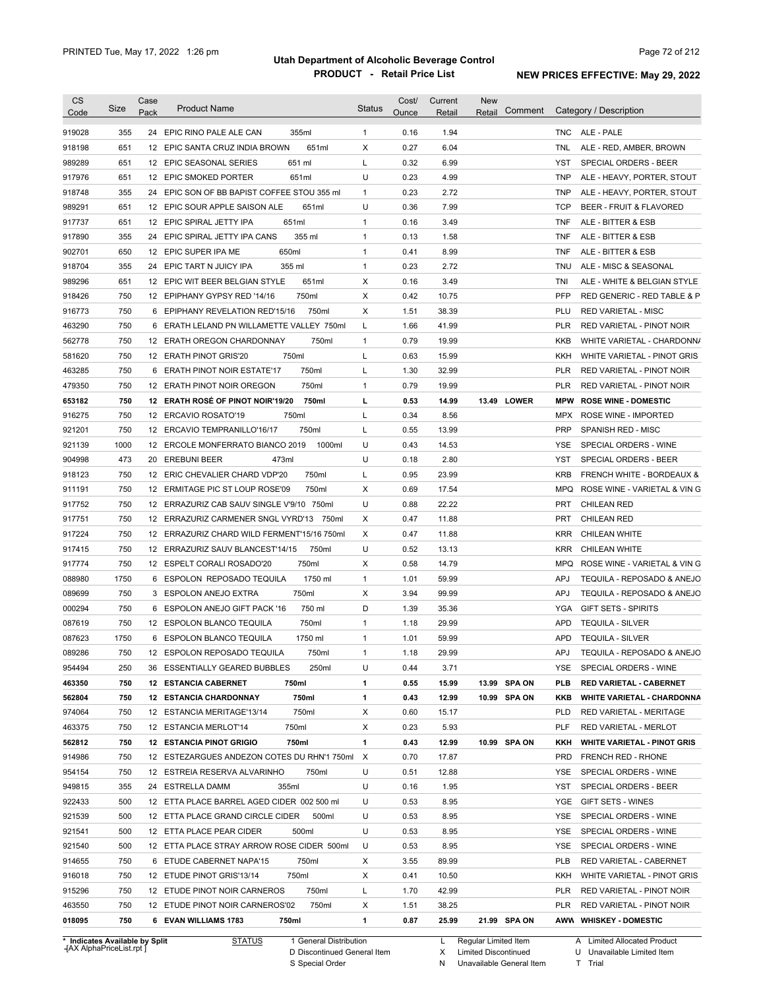| <b>CS</b>        | Size       | Case | <b>Product Name</b>                                                       | <b>Status</b>             | Cost/        | Current        | <b>New</b><br>Comment | Category / Description                                            |
|------------------|------------|------|---------------------------------------------------------------------------|---------------------------|--------------|----------------|-----------------------|-------------------------------------------------------------------|
| Code             |            | Pack |                                                                           |                           | Ounce        | Retail         | Retail                |                                                                   |
| 919028           | 355        |      | 24 EPIC RINO PALE ALE CAN<br>355ml                                        | $\mathbf{1}$              | 0.16         | 1.94           |                       | ALE - PALE<br>TNC                                                 |
| 918198           | 651        | 12   | 651ml<br>EPIC SANTA CRUZ INDIA BROWN                                      | Х                         | 0.27         | 6.04           |                       | <b>TNL</b><br>ALE - RED, AMBER, BROWN                             |
| 989289           | 651        |      | 651 ml<br>12 EPIC SEASONAL SERIES                                         | L                         | 0.32         | 6.99           |                       | <b>YST</b><br>SPECIAL ORDERS - BEER                               |
| 917976           | 651        |      | 651ml<br>12 EPIC SMOKED PORTER                                            | U                         | 0.23         | 4.99           |                       | <b>TNP</b><br>ALE - HEAVY, PORTER, STOUT                          |
| 918748           | 355        |      | 24 EPIC SON OF BB BAPIST COFFEE STOU 355 ml                               | $\mathbf{1}$              | 0.23         | 2.72           |                       | <b>TNP</b><br>ALE - HEAVY, PORTER, STOUT                          |
| 989291           | 651        |      | 651ml<br>12 EPIC SOUR APPLE SAISON ALE                                    | U                         | 0.36         | 7.99           |                       | <b>TCP</b><br>BEER - FRUIT & FLAVORED                             |
| 917737           | 651        |      | 651ml<br>12 EPIC SPIRAL JETTY IPA                                         | $\mathbf{1}$              | 0.16         | 3.49           |                       | <b>TNF</b><br>ALE - BITTER & ESB                                  |
| 917890           | 355        |      | 355 ml<br>24 EPIC SPIRAL JETTY IPA CANS                                   | $\mathbf{1}$              | 0.13         | 1.58           |                       | <b>TNF</b><br>ALE - BITTER & ESB                                  |
| 902701           | 650        |      | 12 EPIC SUPER IPA ME<br>650ml                                             | $\mathbf{1}$              | 0.41         | 8.99           |                       | <b>TNF</b><br>ALE - BITTER & ESB                                  |
| 918704           | 355        |      | 355 ml<br>24 EPIC TART N JUICY IPA                                        | $\mathbf{1}$              | 0.23         | 2.72           |                       | <b>TNU</b><br>ALE - MISC & SEASONAL                               |
| 989296           | 651        |      | 651ml<br>12 EPIC WIT BEER BELGIAN STYLE                                   | Х                         | 0.16         | 3.49           |                       | TNI<br>ALE - WHITE & BELGIAN STYLE                                |
| 918426           | 750        |      | 750ml<br>12 EPIPHANY GYPSY RED '14/16                                     | Х                         | 0.42         | 10.75          |                       | <b>PFP</b><br>RED GENERIC - RED TABLE & P                         |
| 916773           | 750        |      | 750ml<br>6 EPIPHANY REVELATION RED'15/16                                  | Χ                         | 1.51         | 38.39          |                       | PLU<br><b>RED VARIETAL - MISC</b>                                 |
| 463290           | 750        | 6    | ERATH LELAND PN WILLAMETTE VALLEY 750ml                                   | L                         | 1.66         | 41.99          |                       | <b>PLR</b><br>RED VARIETAL - PINOT NOIR                           |
| 562778           | 750        |      | 750ml<br>12 ERATH OREGON CHARDONNAY                                       | $\mathbf{1}$              | 0.79         | 19.99          |                       | KKB<br>WHITE VARIETAL - CHARDONN/                                 |
| 581620           | 750        |      | 750ml<br>12 ERATH PINOT GRIS'20                                           | L                         | 0.63         | 15.99          |                       | KKH<br>WHITE VARIETAL - PINOT GRIS                                |
| 463285           | 750        | 6    | 750ml<br><b>ERATH PINOT NOIR ESTATE'17</b>                                | L                         | 1.30         | 32.99          |                       | <b>PLR</b><br><b>RED VARIETAL - PINOT NOIR</b>                    |
| 479350           | 750        |      | 750ml<br>12 ERATH PINOT NOIR OREGON                                       | $\mathbf{1}$              | 0.79         | 19.99          |                       | <b>PLR</b><br>RED VARIETAL - PINOT NOIR                           |
| 653182           | 750        |      | 12 ERATH ROSÉ OF PINOT NOIR'19/20<br>750ml                                | L                         | 0.53         | 14.99          | 13.49 LOWER           | <b>MPW</b><br><b>ROSE WINE - DOMESTIC</b>                         |
| 916275           | 750        |      | 12 ERCAVIO ROSATO'19<br>750ml                                             | L                         | 0.34         | 8.56           |                       | ROSE WINE - IMPORTED<br><b>MPX</b>                                |
| 921201           | 750        |      | 12 ERCAVIO TEMPRANILLO'16/17<br>750ml                                     | L                         | 0.55         | 13.99          |                       | PRP<br>SPANISH RED - MISC                                         |
| 921139           | 1000       |      | 12 ERCOLE MONFERRATO BIANCO 2019<br>1000ml                                | U                         | 0.43         | 14.53          |                       | YSE<br>SPECIAL ORDERS - WINE                                      |
| 904998           | 473        |      | 20 EREBUNI BEER<br>473ml                                                  | U                         | 0.18         | 2.80           |                       | <b>YST</b><br>SPECIAL ORDERS - BEER                               |
| 918123           | 750        |      | 12 ERIC CHEVALIER CHARD VDP'20<br>750ml                                   | L                         | 0.95         | 23.99          |                       | <b>KRB</b><br>FRENCH WHITE - BORDEAUX &                           |
|                  |            |      |                                                                           |                           |              |                |                       |                                                                   |
| 911191           | 750        |      | 750ml<br>12 ERMITAGE PIC ST LOUP ROSE'09                                  | Χ                         | 0.69         | 17.54          |                       | <b>MPQ</b><br>ROSE WINE - VARIETAL & VIN G                        |
| 917752           | 750        |      | 12 ERRAZURIZ CAB SAUV SINGLE V'9/10 750ml                                 | U                         | 0.88         | 22.22          |                       | <b>CHILEAN RED</b><br>PRT                                         |
| 917751           | 750        |      | 12 ERRAZURIZ CARMENER SNGL VYRD'13 750ml                                  | Х                         | 0.47         | 11.88          |                       | <b>PRT</b><br><b>CHILEAN RED</b>                                  |
| 917224           | 750        |      | 12 ERRAZURIZ CHARD WILD FERMENT'15/16 750ml                               | Х                         | 0.47         | 11.88          |                       | <b>CHILEAN WHITE</b><br><b>KRR</b>                                |
| 917415           | 750        |      | 12 ERRAZURIZ SAUV BLANCEST'14/15<br>750ml                                 | U                         | 0.52         | 13.13          |                       | <b>CHILEAN WHITE</b><br><b>KRR</b>                                |
| 917774           | 750        |      | 750ml<br>12 ESPELT CORALI ROSADO'20                                       | Х                         | 0.58         | 14.79          |                       | ROSE WINE - VARIETAL & VIN G<br><b>MPQ</b>                        |
| 088980           | 1750       |      | 6 ESPOLON REPOSADO TEQUILA<br>1750 ml                                     | $\mathbf{1}$              | 1.01         | 59.99          |                       | TEQUILA - REPOSADO & ANEJO<br><b>APJ</b>                          |
| 089699           | 750        |      | 750ml<br>3 ESPOLON ANEJO EXTRA                                            | X                         | 3.94         | 99.99          |                       | TEQUILA - REPOSADO & ANEJO<br><b>APJ</b>                          |
| 000294           | 750        |      | 750 ml<br>6 ESPOLON ANEJO GIFT PACK '16                                   | D                         | 1.39         | 35.36          |                       | <b>GIFT SETS - SPIRITS</b><br>YGA                                 |
| 087619           | 750        |      | 750ml<br>12 ESPOLON BLANCO TEQUILA                                        | $\mathbf{1}$              | 1.18         | 29.99          |                       | <b>APD</b><br><b>TEQUILA - SILVER</b>                             |
| 087623           | 1750       |      | 1750 ml<br>6 ESPOLON BLANCO TEQUILA                                       | $\mathbf{1}$              | 1.01         | 59.99          |                       | <b>APD</b><br><b>TEQUILA - SILVER</b>                             |
| 089286           | 750        |      | 12 ESPOLON REPOSADO TEQUILA<br>750ml                                      | 1                         | 1.18         | 29.99          |                       | APJ<br>TEQUILA - REPOSADO & ANEJO                                 |
| 954494           | 250        |      | 36 ESSENTIALLY GEARED BUBBLES<br>250ml                                    | U                         | 0.44         | 3.71           |                       | YSE<br>SPECIAL ORDERS - WINE                                      |
| 463350           | 750        |      | <b>12 ESTANCIA CABERNET</b><br>750ml                                      | 1                         | 0.55         | 15.99          | 13.99 SPA ON          | <b>PLB</b><br><b>RED VARIETAL - CABERNET</b>                      |
| 562804           | 750        |      | 750ml<br><b>12 ESTANCIA CHARDONNAY</b>                                    | 1                         | 0.43         | 12.99          | 10.99 SPA ON          | KKB<br><b>WHITE VARIETAL - CHARDONNA</b>                          |
| 974064           | 750        |      | 750ml<br>12 ESTANCIA MERITAGE'13/14                                       | Х                         | 0.60         | 15.17          |                       | <b>PLD</b><br>RED VARIETAL - MERITAGE                             |
| 463375           | 750        |      | 750ml<br>12 ESTANCIA MERLOT'14                                            | Х                         | 0.23         | 5.93           |                       | PLF<br>RED VARIETAL - MERLOT                                      |
| 562812           | 750        |      | <b>12 ESTANCIA PINOT GRIGIO</b><br>750ml                                  | 1                         | 0.43         | 12.99          | 10.99 SPA ON          | KKH<br><b>WHITE VARIETAL - PINOT GRIS</b>                         |
| 914986           | 750        |      | 12 ESTEZARGUES ANDEZON COTES DU RHN'1 750ml                               | $\boldsymbol{\mathsf{X}}$ | 0.70         | 17.87          |                       | <b>PRD</b><br>FRENCH RED - RHONE                                  |
| 954154           | 750        |      | 12 ESTREIA RESERVA ALVARINHO<br>750ml                                     | U                         | 0.51         | 12.88          |                       | YSE<br>SPECIAL ORDERS - WINE                                      |
| 949815           | 355        |      | 24 ESTRELLA DAMM<br>355ml                                                 | U                         | 0.16         | 1.95           |                       | YST<br>SPECIAL ORDERS - BEER                                      |
| 922433           | 500        |      | 12 ETTA PLACE BARREL AGED CIDER 002 500 ml                                | U                         | 0.53         | 8.95           |                       | YGE<br><b>GIFT SETS - WINES</b>                                   |
| 921539           | 500        |      | 12 ETTA PLACE GRAND CIRCLE CIDER<br>500ml                                 | U                         | 0.53         | 8.95           |                       | YSE<br>SPECIAL ORDERS - WINE                                      |
| 921541           | 500        |      | 500ml<br>12 ETTA PLACE PEAR CIDER                                         | U                         | 0.53         | 8.95           |                       | YSE<br>SPECIAL ORDERS - WINE                                      |
| 921540           | 500        |      | 12 ETTA PLACE STRAY ARROW ROSE CIDER 500ml                                | U                         | 0.53         | 8.95           |                       | YSE<br>SPECIAL ORDERS - WINE                                      |
| 914655           | 750        |      | 6 ETUDE CABERNET NAPA'15<br>750ml                                         | Х                         | 3.55         | 89.99          |                       | <b>PLB</b><br>RED VARIETAL - CABERNET                             |
| 916018           | 750        |      | 12 ETUDE PINOT GRIS'13/14<br>750ml                                        | Х                         | 0.41         | 10.50          |                       | KKH<br>WHITE VARIETAL - PINOT GRIS                                |
|                  | 750        |      |                                                                           | Г                         |              | 42.99          |                       | <b>PLR</b>                                                        |
|                  |            |      | 12 ETUDE PINOT NOIR CARNEROS<br>750ml                                     |                           | 1.70         |                |                       | RED VARIETAL - PINOT NOIR                                         |
| 915296           |            |      |                                                                           |                           |              |                |                       |                                                                   |
| 463550<br>018095 | 750<br>750 |      | 12 ETUDE PINOT NOIR CARNEROS'02<br>750ml<br>750ml<br>6 EVAN WILLIAMS 1783 | Х<br>$\mathbf{1}$         | 1.51<br>0.87 | 38.25<br>25.99 | 21.99 SPA ON          | <b>PLR</b><br>RED VARIETAL - PINOT NOIR<br>AWW WHISKEY - DOMESTIC |

**Case** [AX AlphaPriceList.rpt ]

D Discontinued General Item

S Special Order

X Limited Discontinued

N Unavailable General Item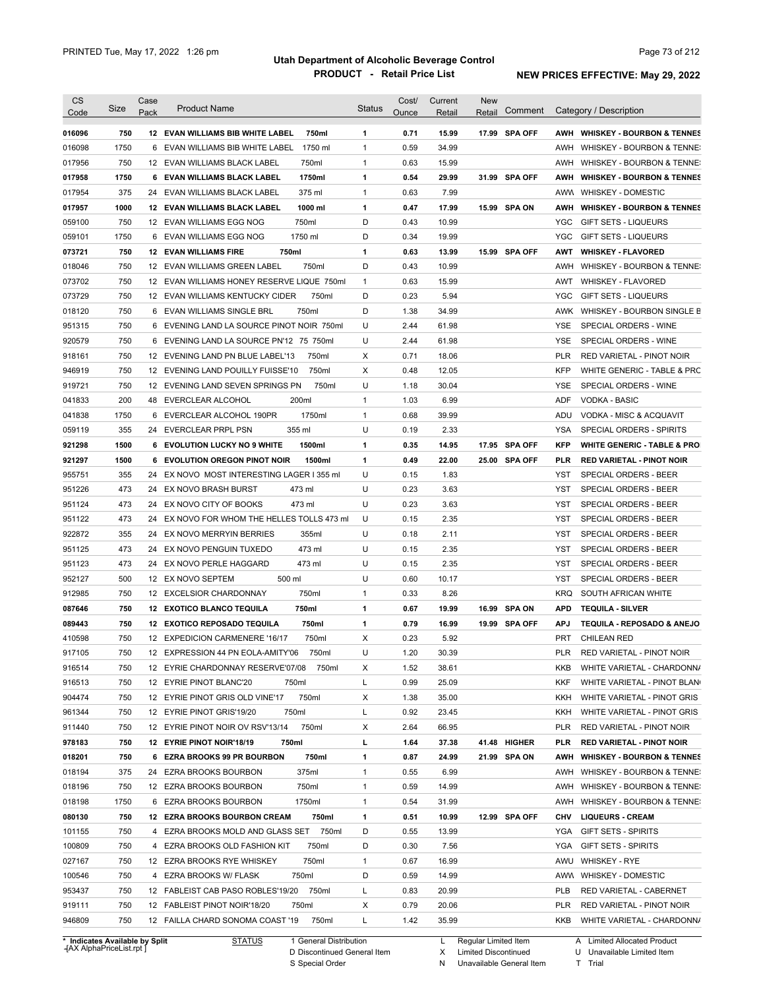| Code                                                                                                                                                                                                           | Size | Case | <b>Product Name</b>                            | <b>Status</b> | Cost/ | Current | <b>New</b> | Comment       |            | Category / Description                 |
|----------------------------------------------------------------------------------------------------------------------------------------------------------------------------------------------------------------|------|------|------------------------------------------------|---------------|-------|---------|------------|---------------|------------|----------------------------------------|
|                                                                                                                                                                                                                |      | Pack |                                                |               | Ounce | Retail  | Retail     |               |            |                                        |
| 016096                                                                                                                                                                                                         | 750  |      | 12 EVAN WILLIAMS BIB WHITE LABEL<br>750ml      | 1             | 0.71  | 15.99   |            | 17.99 SPA OFF |            | AWH WHISKEY - BOURBON & TENNES         |
| 016098                                                                                                                                                                                                         | 1750 | 6    | 1750 ml<br>EVAN WILLIAMS BIB WHITE LABEL       | $\mathbf{1}$  | 0.59  | 34.99   |            |               | AWH        | WHISKEY - BOURBON & TENNE:             |
| 017956                                                                                                                                                                                                         | 750  |      | 750ml<br>12 EVAN WILLIAMS BLACK LABEL          | 1             | 0.63  | 15.99   |            |               | AWH        | WHISKEY - BOURBON & TENNE:             |
| 017958                                                                                                                                                                                                         | 1750 |      | 6 EVAN WILLIAMS BLACK LABEL<br>1750ml          | 1             | 0.54  | 29.99   |            | 31.99 SPA OFF | AWH        | <b>WHISKEY - BOURBON &amp; TENNES</b>  |
| 017954                                                                                                                                                                                                         | 375  |      | 375 ml<br>24 EVAN WILLIAMS BLACK LABEL         | $\mathbf{1}$  | 0.63  | 7.99    |            |               |            | AWW WHISKEY - DOMESTIC                 |
| 017957                                                                                                                                                                                                         | 1000 |      | 1000 ml<br><b>12 EVAN WILLIAMS BLACK LABEL</b> | 1             | 0.47  | 17.99   |            | 15.99 SPA ON  | AWH        | <b>WHISKEY - BOURBON &amp; TENNES</b>  |
| 059100                                                                                                                                                                                                         | 750  |      | 750ml<br>12 EVAN WILLIAMS EGG NOG              | D             | 0.43  | 10.99   |            |               | YGC        | <b>GIFT SETS - LIQUEURS</b>            |
| 059101                                                                                                                                                                                                         | 1750 |      | 1750 ml<br>6 EVAN WILLIAMS EGG NOG             | D             | 0.34  | 19.99   |            |               | <b>YGC</b> | <b>GIFT SETS - LIQUEURS</b>            |
| 073721                                                                                                                                                                                                         | 750  |      | 750ml<br><b>12 EVAN WILLIAMS FIRE</b>          | 1             | 0.63  | 13.99   |            | 15.99 SPA OFF | AWT        | <b>WHISKEY - FLAVORED</b>              |
| 018046                                                                                                                                                                                                         | 750  |      | 750ml<br>12 EVAN WILLIAMS GREEN LABEL          | D             | 0.43  | 10.99   |            |               |            | AWH WHISKEY - BOURBON & TENNE:         |
| 073702                                                                                                                                                                                                         | 750  |      | 12 EVAN WILLIAMS HONEY RESERVE LIQUE 750ml     | $\mathbf{1}$  | 0.63  | 15.99   |            |               | AWT        | <b>WHISKEY - FLAVORED</b>              |
| 073729                                                                                                                                                                                                         | 750  |      | 12 EVAN WILLIAMS KENTUCKY CIDER<br>750ml       | D             | 0.23  | 5.94    |            |               | YGC        | <b>GIFT SETS - LIQUEURS</b>            |
| 018120                                                                                                                                                                                                         | 750  |      | 750ml<br>6 EVAN WILLIAMS SINGLE BRL            | D             | 1.38  | 34.99   |            |               | AWK        | WHISKEY - BOURBON SINGLE B             |
| 951315                                                                                                                                                                                                         | 750  |      | 6 EVENING LAND LA SOURCE PINOT NOIR 750ml      | U             | 2.44  | 61.98   |            |               | YSE        | SPECIAL ORDERS - WINE                  |
| 920579                                                                                                                                                                                                         | 750  |      | 6 EVENING LAND LA SOURCE PN'12 75 750ml        | U             | 2.44  | 61.98   |            |               | <b>YSE</b> | SPECIAL ORDERS - WINE                  |
| 918161                                                                                                                                                                                                         | 750  |      | 12 EVENING LAND PN BLUE LABEL'13<br>750ml      | X             | 0.71  | 18.06   |            |               | <b>PLR</b> | <b>RED VARIETAL - PINOT NOIR</b>       |
| 946919                                                                                                                                                                                                         | 750  |      | 750ml<br>12 EVENING LAND POUILLY FUISSE'10     | Χ             | 0.48  | 12.05   |            |               | <b>KFP</b> | WHITE GENERIC - TABLE & PRC            |
| 919721                                                                                                                                                                                                         | 750  |      | 12 EVENING LAND SEVEN SPRINGS PN<br>750ml      | U             | 1.18  | 30.04   |            |               | <b>YSE</b> | SPECIAL ORDERS - WINE                  |
| 041833                                                                                                                                                                                                         | 200  | 48   | EVERCLEAR ALCOHOL<br>200ml                     | $\mathbf{1}$  | 1.03  | 6.99    |            |               | <b>ADF</b> | <b>VODKA - BASIC</b>                   |
| 041838                                                                                                                                                                                                         | 1750 | 6    | 1750ml<br>EVERCLEAR ALCOHOL 190PR              | $\mathbf{1}$  | 0.68  | 39.99   |            |               | ADU        | <b>VODKA - MISC &amp; ACQUAVIT</b>     |
| 059119                                                                                                                                                                                                         | 355  | 24   | EVERCLEAR PRPL PSN<br>355 ml                   | U             | 0.19  | 2.33    |            |               | <b>YSA</b> | SPECIAL ORDERS - SPIRITS               |
| 921298                                                                                                                                                                                                         | 1500 |      | 1500ml<br>6 EVOLUTION LUCKY NO 9 WHITE         | 1             | 0.35  | 14.95   |            | 17.95 SPA OFF | <b>KFP</b> | <b>WHITE GENERIC - TABLE &amp; PRO</b> |
| 921297                                                                                                                                                                                                         | 1500 | 6    | <b>EVOLUTION OREGON PINOT NOIR</b><br>1500ml   | 1             | 0.49  | 22.00   |            | 25.00 SPA OFF | <b>PLR</b> | <b>RED VARIETAL - PINOT NOIR</b>       |
| 955751                                                                                                                                                                                                         | 355  | 24   | EX NOVO MOST INTERESTING LAGER I 355 ml        | U             | 0.15  | 1.83    |            |               | YST        | SPECIAL ORDERS - BEER                  |
| 951226                                                                                                                                                                                                         | 473  | 24   | EX NOVO BRASH BURST<br>473 ml                  | U             | 0.23  | 3.63    |            |               | YST        | SPECIAL ORDERS - BEER                  |
| 951124                                                                                                                                                                                                         | 473  | 24   | EX NOVO CITY OF BOOKS<br>473 ml                | U             | 0.23  | 3.63    |            |               | YST        | SPECIAL ORDERS - BEER                  |
| 951122                                                                                                                                                                                                         | 473  | 24   | EX NOVO FOR WHOM THE HELLES TOLLS 473 ml       | U             | 0.15  | 2.35    |            |               | YST        | SPECIAL ORDERS - BEER                  |
| 922872                                                                                                                                                                                                         | 355  | 24   | 355ml<br>EX NOVO MERRYIN BERRIES               | U             | 0.18  | 2.11    |            |               | YST        | SPECIAL ORDERS - BEER                  |
| 951125                                                                                                                                                                                                         | 473  | 24   | 473 ml<br>EX NOVO PENGUIN TUXEDO               | U             | 0.15  | 2.35    |            |               | YST        | SPECIAL ORDERS - BEER                  |
| 951123                                                                                                                                                                                                         | 473  | 24   | EX NOVO PERLE HAGGARD<br>473 ml                | U             | 0.15  | 2.35    |            |               | YST        | SPECIAL ORDERS - BEER                  |
| 952127                                                                                                                                                                                                         | 500  |      | 12 EX NOVO SEPTEM<br>500 ml                    | U             | 0.60  | 10.17   |            |               | YST        | <b>SPECIAL ORDERS - BEER</b>           |
| 912985                                                                                                                                                                                                         | 750  |      | 12 EXCELSIOR CHARDONNAY<br>750ml               | $\mathbf{1}$  | 0.33  | 8.26    |            |               | <b>KRQ</b> | SOUTH AFRICAN WHITE                    |
| 087646                                                                                                                                                                                                         |      |      |                                                | $\mathbf{1}$  | 0.67  | 19.99   |            | 16.99 SPA ON  | <b>APD</b> | <b>TEQUILA - SILVER</b>                |
|                                                                                                                                                                                                                |      |      |                                                |               |       |         |            |               |            | TEQUILA - REPOSADO & ANEJO             |
|                                                                                                                                                                                                                | 750  |      | <b>12 EXOTICO BLANCO TEQUILA</b><br>750ml      |               |       |         |            |               |            |                                        |
|                                                                                                                                                                                                                | 750  |      | 750ml<br>12 EXOTICO REPOSADO TEQUILA           | 1             | 0.79  | 16.99   |            | 19.99 SPA OFF | <b>APJ</b> |                                        |
|                                                                                                                                                                                                                | 750  |      | 12 EXPEDICION CARMENERE '16/17<br>750ml        | X             | 0.23  | 5.92    |            |               | <b>PRT</b> | <b>CHILEAN RED</b>                     |
|                                                                                                                                                                                                                | 750  |      | 750ml<br>12 EXPRESSION 44 PN EOLA-AMITY'06     | U             | 1.20  | 30.39   |            |               | <b>PLR</b> | RED VARIETAL - PINOT NOIR              |
|                                                                                                                                                                                                                | 750  |      | 12 EYRIE CHARDONNAY RESERVE'07/08<br>750ml     | X             | 1.52  | 38.61   |            |               | KKB        | WHITE VARIETAL - CHARDONN/             |
|                                                                                                                                                                                                                | 750  |      | 12 EYRIE PINOT BLANC'20<br>750ml               | Г             | 0.99  | 25.09   |            |               | KKF        | WHITE VARIETAL - PINOT BLAN            |
|                                                                                                                                                                                                                | 750  |      | 750ml<br>12 EYRIE PINOT GRIS OLD VINE'17       | Х             | 1.38  | 35.00   |            |               | KKH        | WHITE VARIETAL - PINOT GRIS            |
|                                                                                                                                                                                                                | 750  |      | 750ml<br>12 EYRIE PINOT GRIS'19/20             | Г             | 0.92  | 23.45   |            |               | KKH        | WHITE VARIETAL - PINOT GRIS            |
|                                                                                                                                                                                                                | 750  |      | 750ml<br>12 EYRIE PINOT NOIR OV RSV'13/14      | Х             | 2.64  | 66.95   |            |               | PLR        | RED VARIETAL - PINOT NOIR              |
|                                                                                                                                                                                                                | 750  |      | 12 EYRIE PINOT NOIR'18/19<br>750ml             | г             | 1.64  | 37.38   |            | 41.48 HIGHER  | PLR        | <b>RED VARIETAL - PINOT NOIR</b>       |
|                                                                                                                                                                                                                | 750  |      | 750ml<br>6 EZRA BROOKS 99 PR BOURBON           | 1             | 0.87  | 24.99   |            | 21.99 SPA ON  | AWH        | <b>WHISKEY - BOURBON &amp; TENNES</b>  |
|                                                                                                                                                                                                                | 375  |      | 375ml<br>24 EZRA BROOKS BOURBON                | $\mathbf{1}$  | 0.55  | 6.99    |            |               | AWH        | WHISKEY - BOURBON & TENNE:             |
|                                                                                                                                                                                                                | 750  |      | 12 EZRA BROOKS BOURBON<br>750ml                | $\mathbf{1}$  | 0.59  | 14.99   |            |               | AWH        | WHISKEY - BOURBON & TENNE:             |
|                                                                                                                                                                                                                | 1750 |      | 6 EZRA BROOKS BOURBON<br>1750ml                | $\mathbf{1}$  | 0.54  | 31.99   |            |               | AWH        | WHISKEY - BOURBON & TENNE:             |
|                                                                                                                                                                                                                | 750  |      | 12 EZRA BROOKS BOURBON CREAM<br>750ml          | 1             | 0.51  | 10.99   |            | 12.99 SPA OFF | CHV        | <b>LIQUEURS - CREAM</b>                |
|                                                                                                                                                                                                                | 750  |      | 4 EZRA BROOKS MOLD AND GLASS SET 750ml         | D             | 0.55  | 13.99   |            |               | YGA        | <b>GIFT SETS - SPIRITS</b>             |
|                                                                                                                                                                                                                | 750  |      | 4 EZRA BROOKS OLD FASHION KIT<br>750ml         | D             | 0.30  | 7.56    |            |               | YGA        | <b>GIFT SETS - SPIRITS</b>             |
|                                                                                                                                                                                                                | 750  |      | 750ml<br>12 EZRA BROOKS RYE WHISKEY            | $\mathbf{1}$  | 0.67  | 16.99   |            |               | AWU        | <b>WHISKEY - RYE</b>                   |
|                                                                                                                                                                                                                | 750  |      | 4 EZRA BROOKS W/ FLASK<br>750ml                | D             | 0.59  | 14.99   |            |               | AWW        | WHISKEY - DOMESTIC                     |
|                                                                                                                                                                                                                | 750  |      | 12 FABLEIST CAB PASO ROBLES'19/20 750ml        | L             | 0.83  | 20.99   |            |               | <b>PLB</b> | RED VARIETAL - CABERNET                |
| 089443<br>410598<br>917105<br>916514<br>916513<br>904474<br>961344<br>911440<br>978183<br>018201<br>018194<br>018196<br>018198<br>080130<br>101155<br>100809<br>027167<br>100546<br>953437<br>919111<br>946809 | 750  |      | 12 FABLEIST PINOT NOIR'18/20<br>750ml          | Х             | 0.79  | 20.06   |            |               | PLR        | RED VARIETAL - PINOT NOIR              |

**Case** [AX AlphaPriceList.rpt ]

D Discontinued General Item S Special Order

X

Limited Discontinued

N Unavailable General Item

U Unavailable Limited Item

T Trial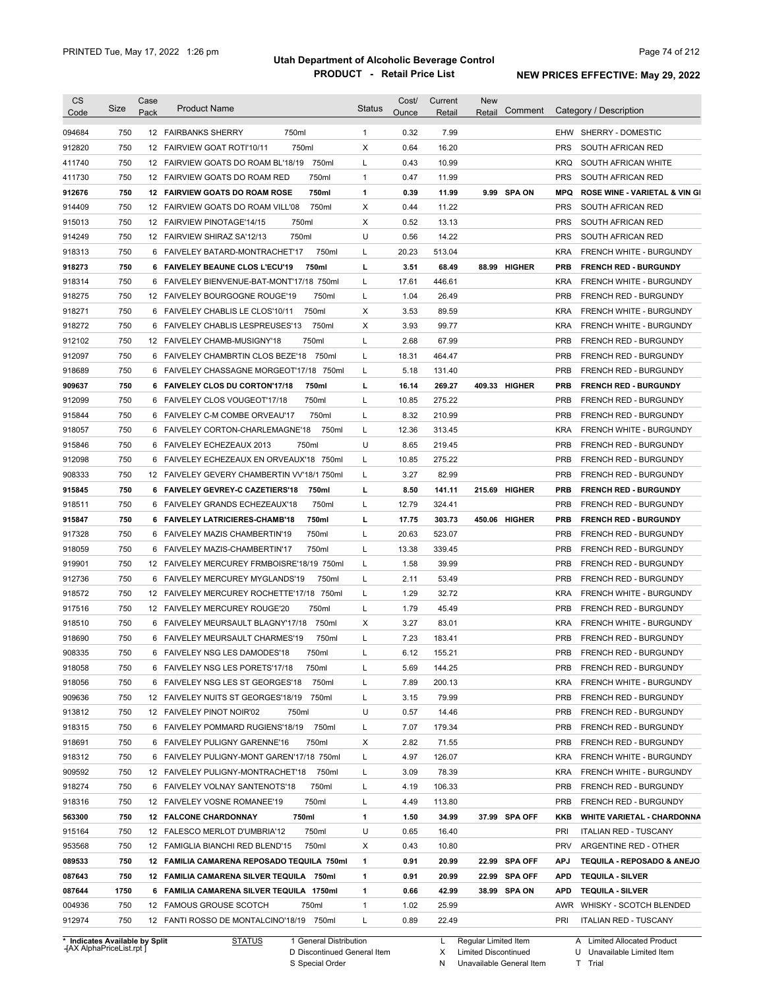| <b>CS</b><br>Code              | Size | Case<br>Pack | <b>Product Name</b>                            | <b>Status</b> | Cost/<br>Ounce | Current<br>Retail | <b>New</b><br>Retail | Comment       |            | Category / Description                   |
|--------------------------------|------|--------------|------------------------------------------------|---------------|----------------|-------------------|----------------------|---------------|------------|------------------------------------------|
| 094684                         | 750  |              | 750ml<br>12 FAIRBANKS SHERRY                   | 1             | 0.32           | 7.99              |                      |               |            | EHW SHERRY - DOMESTIC                    |
| 912820                         | 750  |              | 750ml<br>12 FAIRVIEW GOAT ROTI'10/11           | X             | 0.64           | 16.20             |                      |               | <b>PRS</b> | SOUTH AFRICAN RED                        |
| 411740                         | 750  |              | 750ml<br>12 FAIRVIEW GOATS DO ROAM BL'18/19    | L             | 0.43           | 10.99             |                      |               | <b>KRQ</b> | SOUTH AFRICAN WHITE                      |
| 411730                         | 750  |              | 750ml<br>12 FAIRVIEW GOATS DO ROAM RED         | $\mathbf{1}$  | 0.47           | 11.99             |                      |               | <b>PRS</b> | SOUTH AFRICAN RED                        |
| 912676                         | 750  |              | 12 FAIRVIEW GOATS DO ROAM ROSE<br>750ml        | 1             | 0.39           | 11.99             |                      | 9.99 SPA ON   | <b>MPQ</b> | <b>ROSE WINE - VARIETAL &amp; VIN GI</b> |
| 914409                         | 750  |              | 750ml<br>12 FAIRVIEW GOATS DO ROAM VILL'08     | X             | 0.44           | 11.22             |                      |               | <b>PRS</b> | SOUTH AFRICAN RED                        |
| 915013                         | 750  | 12           | <b>FAIRVIEW PINOTAGE'14/15</b><br>750ml        | X             | 0.52           | 13.13             |                      |               | <b>PRS</b> | SOUTH AFRICAN RED                        |
| 914249                         | 750  | 12           | <b>FAIRVIEW SHIRAZ SA'12/13</b><br>750ml       | U             | 0.56           | 14.22             |                      |               | <b>PRS</b> | SOUTH AFRICAN RED                        |
| 918313                         | 750  | 6            | FAIVELEY BATARD-MONTRACHET'17<br>750ml         | L             | 20.23          | 513.04            |                      |               | <b>KRA</b> | FRENCH WHITE - BURGUNDY                  |
| 918273                         | 750  |              | 750ml<br>6 FAIVELEY BEAUNE CLOS L'ECU'19       | Ц             | 3.51           | 68.49             |                      | 88.99 HIGHER  | <b>PRB</b> | <b>FRENCH RED - BURGUNDY</b>             |
| 918314                         | 750  | 6            | FAIVELEY BIENVENUE-BAT-MONT'17/18 750ml        | Г             | 17.61          | 446.61            |                      |               | <b>KRA</b> | FRENCH WHITE - BURGUNDY                  |
| 918275                         | 750  | 12           | 750ml<br><b>FAIVELEY BOURGOGNE ROUGE'19</b>    | Г             | 1.04           | 26.49             |                      |               | <b>PRB</b> | FRENCH RED - BURGUNDY                    |
| 918271                         | 750  | 6            | 750ml<br>FAIVELEY CHABLIS LE CLOS'10/11        | X             | 3.53           | 89.59             |                      |               | <b>KRA</b> | FRENCH WHITE - BURGUNDY                  |
| 918272                         | 750  | 6            | 750ml<br><b>FAIVELEY CHABLIS LESPREUSES'13</b> | X             | 3.93           | 99.77             |                      |               | <b>KRA</b> | FRENCH WHITE - BURGUNDY                  |
| 912102                         | 750  |              | 750ml<br>12 FAIVELEY CHAMB-MUSIGNY'18          | Г             | 2.68           | 67.99             |                      |               | <b>PRB</b> | FRENCH RED - BURGUNDY                    |
| 912097                         | 750  |              | 750ml<br>6 FAIVELEY CHAMBRTIN CLOS BEZE'18     | Г             | 18.31          | 464.47            |                      |               | <b>PRB</b> | FRENCH RED - BURGUNDY                    |
| 918689                         | 750  |              | 6 FAIVELEY CHASSAGNE MORGEOT'17/18 750ml       | L             | 5.18           | 131.40            |                      |               | <b>PRB</b> | FRENCH RED - BURGUNDY                    |
| 909637                         | 750  |              | 750ml<br>6 FAIVELEY CLOS DU CORTON'17/18       | г             | 16.14          | 269.27            |                      | 409.33 HIGHER | <b>PRB</b> | <b>FRENCH RED - BURGUNDY</b>             |
| 912099                         | 750  |              | 6 FAIVELEY CLOS VOUGEOT'17/18<br>750ml         | Г             | 10.85          | 275.22            |                      |               | <b>PRB</b> | FRENCH RED - BURGUNDY                    |
| 915844                         | 750  |              | 6 FAIVELEY C-M COMBE ORVEAU'17<br>750ml        | L             | 8.32           | 210.99            |                      |               | <b>PRB</b> | FRENCH RED - BURGUNDY                    |
| 918057                         | 750  |              | 750ml<br>6 FAIVELEY CORTON-CHARLEMAGNE'18      | L             | 12.36          | 313.45            |                      |               | <b>KRA</b> | FRENCH WHITE - BURGUNDY                  |
| 915846                         | 750  |              | 6 FAIVELEY ECHEZEAUX 2013<br>750ml             | U             | 8.65           | 219.45            |                      |               | PRB        | <b>FRENCH RED - BURGUNDY</b>             |
| 912098                         | 750  |              | 6 FAIVELEY ECHEZEAUX EN ORVEAUX'18 750ml       | L             | 10.85          | 275.22            |                      |               | PRB        | FRENCH RED - BURGUNDY                    |
| 908333                         | 750  |              | 12 FAIVELEY GEVERY CHAMBERTIN VV'18/1 750ml    | L             | 3.27           | 82.99             |                      |               | PRB        | FRENCH RED - BURGUNDY                    |
| 915845                         | 750  |              | 6 FAIVELEY GEVREY-C CAZETIERS'18<br>750ml      | L             | 8.50           | 141.11            |                      | 215.69 HIGHER | <b>PRB</b> | <b>FRENCH RED - BURGUNDY</b>             |
| 918511                         | 750  |              | 6 FAIVELEY GRANDS ECHEZEAUX'18<br>750ml        | L             | 12.79          | 324.41            |                      |               | <b>PRB</b> | FRENCH RED - BURGUNDY                    |
| 915847                         | 750  |              | 6 FAIVELEY LATRICIERES-CHAMB'18<br>750ml       | Ц             | 17.75          | 303.73            |                      | 450.06 HIGHER | <b>PRB</b> | <b>FRENCH RED - BURGUNDY</b>             |
| 917328                         | 750  |              | 6 FAIVELEY MAZIS CHAMBERTIN'19<br>750ml        | L             | 20.63          | 523.07            |                      |               | <b>PRB</b> | FRENCH RED - BURGUNDY                    |
| 918059                         | 750  |              | 6 FAIVELEY MAZIS-CHAMBERTIN'17<br>750ml        | L             | 13.38          | 339.45            |                      |               | <b>PRB</b> | FRENCH RED - BURGUNDY                    |
| 919901                         | 750  |              | 12 FAIVELEY MERCUREY FRMBOISRE'18/19 750ml     | L             | 1.58           | 39.99             |                      |               | <b>PRB</b> | FRENCH RED - BURGUNDY                    |
| 912736                         | 750  |              | 6 FAIVELEY MERCUREY MYGLANDS'19<br>750ml       | L             | 2.11           | 53.49             |                      |               | <b>PRB</b> | FRENCH RED - BURGUNDY                    |
| 918572                         | 750  |              | 12 FAIVELEY MERCUREY ROCHETTE'17/18 750ml      | L             | 1.29           | 32.72             |                      |               | <b>KRA</b> | FRENCH WHITE - BURGUNDY                  |
| 917516                         | 750  |              | 750ml<br>12 FAIVELEY MERCUREY ROUGE'20         | L             | 1.79           | 45.49             |                      |               | <b>PRB</b> | <b>FRENCH RED - BURGUNDY</b>             |
| 918510                         | 750  |              | 750ml<br>6 FAIVELEY MEURSAULT BLAGNY'17/18     | Х             | 3.27           | 83.01             |                      |               | <b>KRA</b> | FRENCH WHITE - BURGUNDY                  |
| 918690                         | 750  |              | 6 FAIVELEY MEURSAULT CHARMES'19<br>750ml       | L             | 7.23           | 183.41            |                      |               | PRB        | FRENCH RED - BURGUNDY                    |
| 908335                         | 750  |              | 6 FAIVELEY NSG LES DAMODES'18<br>750ml         | L             | 6.12           | 155.21            |                      |               | PRB        | FRENCH RED - BURGUNDY                    |
| 918058                         | 750  |              | 6 FAIVELEY NSG LES PORETS'17/18<br>750ml       | L             | 5.69           | 144.25            |                      |               | <b>PRB</b> | FRENCH RED - BURGUNDY                    |
| 918056                         | 750  |              | 6 FAIVELEY NSG LES ST GEORGES'18<br>750ml      | L             | 7.89           | 200.13            |                      |               | <b>KRA</b> | FRENCH WHITE - BURGUNDY                  |
| 909636                         | 750  |              | 12 FAIVELEY NUITS ST GEORGES'18/19<br>750ml    | L             | 3.15           | 79.99             |                      |               | <b>PRB</b> | FRENCH RED - BURGUNDY                    |
| 913812                         | 750  |              | 12 FAIVELEY PINOT NOIR'02<br>750ml             | U             | 0.57           | 14.46             |                      |               | <b>PRB</b> | FRENCH RED - BURGUNDY                    |
| 918315                         | 750  |              | 750ml<br>6 FAIVELEY POMMARD RUGIENS'18/19      | L             | 7.07           | 179.34            |                      |               | <b>PRB</b> | FRENCH RED - BURGUNDY                    |
| 918691                         | 750  |              | 6 FAIVELEY PULIGNY GARENNE'16<br>750ml         | х             | 2.82           | 71.55             |                      |               | <b>PRB</b> | FRENCH RED - BURGUNDY                    |
| 918312                         | 750  |              | 6 FAIVELEY PULIGNY-MONT GAREN'17/18 750ml      | L             | 4.97           | 126.07            |                      |               | <b>KRA</b> | FRENCH WHITE - BURGUNDY                  |
| 909592                         | 750  |              | 12 FAIVELEY PULIGNY-MONTRACHET'18<br>750ml     | L             | 3.09           | 78.39             |                      |               | <b>KRA</b> | FRENCH WHITE - BURGUNDY                  |
| 918274                         | 750  |              | 6 FAIVELEY VOLNAY SANTENOTS'18<br>750ml        | L             | 4.19           | 106.33            |                      |               | <b>PRB</b> | FRENCH RED - BURGUNDY                    |
| 918316                         | 750  |              | 12 FAIVELEY VOSNE ROMANEE'19<br>750ml          | Г             | 4.49           | 113.80            |                      |               | <b>PRB</b> | FRENCH RED - BURGUNDY                    |
| 563300                         | 750  |              | 12 FALCONE CHARDONNAY<br>750ml                 | 1             | 1.50           | 34.99             |                      | 37.99 SPA OFF | KKB        | <b>WHITE VARIETAL - CHARDONNA</b>        |
| 915164                         | 750  |              | 12 FALESCO MERLOT D'UMBRIA'12<br>750ml         | U             | 0.65           | 16.40             |                      |               | PRI        | <b>ITALIAN RED - TUSCANY</b>             |
| 953568                         | 750  |              | 12 FAMIGLIA BIANCHI RED BLEND'15<br>750ml      | х             | 0.43           | 10.80             |                      |               | <b>PRV</b> | ARGENTINE RED - OTHER                    |
| 089533                         | 750  |              | 12 FAMILIA CAMARENA REPOSADO TEQUILA 750ml     | 1             | 0.91           | 20.99             |                      | 22.99 SPA OFF | <b>APJ</b> | TEQUILA - REPOSADO & ANEJO               |
| 087643                         | 750  |              | 12 FAMILIA CAMARENA SILVER TEQUILA 750ml       | 1             | 0.91           | 20.99             |                      | 22.99 SPA OFF | <b>APD</b> | <b>TEQUILA - SILVER</b>                  |
| 087644                         | 1750 |              | 6 FAMILIA CAMARENA SILVER TEQUILA 1750ml       | 1             | 0.66           | 42.99             |                      | 38.99 SPA ON  | <b>APD</b> | <b>TEQUILA - SILVER</b>                  |
| 004936                         | 750  |              | 12 FAMOUS GROUSE SCOTCH<br>750ml               | 1             | 1.02           | 25.99             |                      |               | AWR        | <b>WHISKY - SCOTCH BLENDED</b>           |
| 912974                         | 750  |              | 12 FANTI ROSSO DE MONTALCINO'18/19 750ml       | L             | 0.89           | 22.49             |                      |               | PRI        | <b>ITALIAN RED - TUSCANY</b>             |
| * Indicates Available by Split |      |              | <b>STATUS</b><br>1 General Distribution        |               |                | L                 | Regular Limited Item |               |            | A Limited Allocated Product              |

**Case** [AX AlphaPriceList.rpt ]

General Distribution 

Discontinued General Item S Special Order D

Regular Limited Item

X N Limited Discontinued

Unavailable General Item

Unavailable Limited Item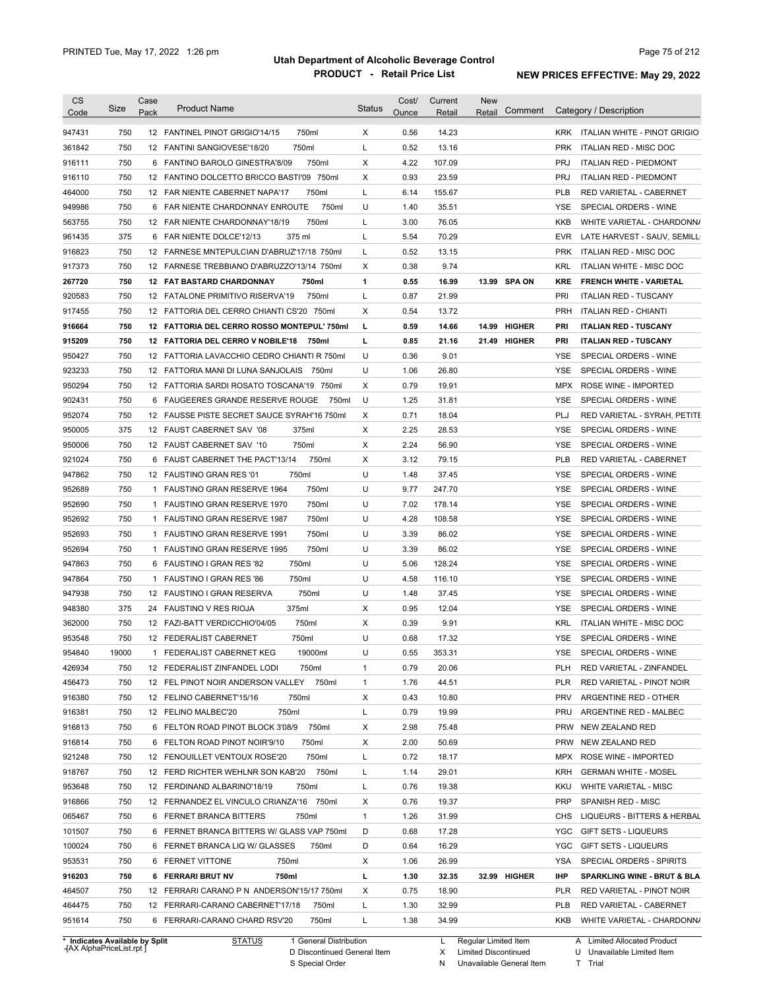| <b>CS</b><br>Code              | Size       | Case<br>Pack | <b>Product Name</b>                                                                    | <b>Status</b> | Cost/<br>Ounce | Current<br>Retail | <b>New</b><br>Comment<br>Retail |                    | Category / Description                               |
|--------------------------------|------------|--------------|----------------------------------------------------------------------------------------|---------------|----------------|-------------------|---------------------------------|--------------------|------------------------------------------------------|
| 947431                         | 750        |              | 12 FANTINEL PINOT GRIGIO'14/15<br>750ml                                                | X             | 0.56           | 14.23             |                                 |                    | KRK ITALIAN WHITE - PINOT GRIGIO                     |
| 361842                         | 750        |              | 750ml<br>12 FANTINI SANGIOVESE'18/20                                                   | L             | 0.52           | 13.16             |                                 | <b>PRK</b>         | ITALIAN RED - MISC DOC                               |
| 916111                         | 750        |              | 750ml<br>6 FANTINO BAROLO GINESTRA'8/09                                                | $\times$      | 4.22           | 107.09            |                                 | <b>PRJ</b>         | <b>ITALIAN RED - PIEDMONT</b>                        |
| 916110                         | 750        |              | 12 FANTINO DOLCETTO BRICCO BASTI'09 750ml                                              | X             | 0.93           | 23.59             |                                 | <b>PRJ</b>         | <b>ITALIAN RED - PIEDMONT</b>                        |
| 464000                         | 750        |              | 12 FAR NIENTE CABERNET NAPA'17<br>750ml                                                | L             | 6.14           | 155.67            |                                 | <b>PLB</b>         | RED VARIETAL - CABERNET                              |
| 949986                         | 750        |              | 750ml<br>6 FAR NIENTE CHARDONNAY ENROUTE                                               | U             | 1.40           | 35.51             |                                 | <b>YSE</b>         | SPECIAL ORDERS - WINE                                |
| 563755                         | 750        |              | 750ml<br>12 FAR NIENTE CHARDONNAY'18/19                                                | L             | 3.00           | 76.05             |                                 | KKB                | WHITE VARIETAL - CHARDONN/                           |
| 961435                         | 375        |              | 375 ml<br>6 FAR NIENTE DOLCE'12/13                                                     | L             | 5.54           | 70.29             |                                 | <b>EVR</b>         | LATE HARVEST - SAUV, SEMILL                          |
| 916823                         | 750        |              | 12 FARNESE MNTEPULCIAN D'ABRUZ'17/18 750ml                                             | L             | 0.52           | 13.15             |                                 | <b>PRK</b>         | ITALIAN RED - MISC DOC                               |
| 917373                         | 750        |              | 12 FARNESE TREBBIANO D'ABRUZZO'13/14 750ml                                             | X             | 0.38           | 9.74              |                                 | KRL                | ITALIAN WHITE - MISC DOC                             |
| 267720                         | 750        |              | <b>12 FAT BASTARD CHARDONNAY</b><br>750ml                                              | $\mathbf{1}$  | 0.55           | 16.99             | 13.99 SPA ON                    | KRE                | <b>FRENCH WHITE - VARIETAL</b>                       |
| 920583                         | 750        |              | 750ml<br>12 FATALONE PRIMITIVO RISERVA'19                                              | L             | 0.87           | 21.99             |                                 | PRI                | <b>ITALIAN RED - TUSCANY</b>                         |
| 917455                         | 750        |              | 12 FATTORIA DEL CERRO CHIANTI CS'20 750ml                                              | X             | 0.54           | 13.72             |                                 | <b>PRH</b>         | ITALIAN RED - CHIANTI                                |
| 916664                         | 750        |              | 12 FATTORIA DEL CERRO ROSSO MONTEPUL' 750ml                                            | L             | 0.59           | 14.66             | 14.99 HIGHER                    | PRI                | <b>ITALIAN RED - TUSCANY</b>                         |
|                                | 750        |              | 12 FATTORIA DEL CERRO V NOBILE'18 750ml                                                | L             | 0.85           | 21.16             | 21.49 HIGHER                    | PRI                | <b>ITALIAN RED - TUSCANY</b>                         |
| 915209                         |            |              | 12 FATTORIA LAVACCHIO CEDRO CHIANTI R 750ml                                            | U             |                |                   |                                 |                    |                                                      |
| 950427                         | 750        |              | 12 FATTORIA MANI DI LUNA SANJOLAIS 750ml                                               | U             | 0.36           | 9.01              |                                 | YSE.               | SPECIAL ORDERS - WINE                                |
| 923233                         | 750<br>750 |              |                                                                                        | X             | 1.06<br>0.79   | 26.80<br>19.91    |                                 | YSE.<br><b>MPX</b> | SPECIAL ORDERS - WINE<br><b>ROSE WINE - IMPORTED</b> |
| 950294                         | 750        |              | 12 FATTORIA SARDI ROSATO TOSCANA'19 750ml<br>6 FAUGEERES GRANDE RESERVE ROUGE<br>750ml | U             | 1.25           | 31.81             |                                 | <b>YSE</b>         | SPECIAL ORDERS - WINE                                |
| 902431                         |            |              |                                                                                        |               |                |                   |                                 |                    |                                                      |
| 952074                         | 750        |              | 12 FAUSSE PISTE SECRET SAUCE SYRAH'16 750ml                                            | X             | 0.71           | 18.04             |                                 | <b>PLJ</b>         | RED VARIETAL - SYRAH, PETITE                         |
| 950005                         | 375        |              | 12 FAUST CABERNET SAV '08<br>375ml                                                     | X             | 2.25           | 28.53             |                                 | <b>YSE</b>         | SPECIAL ORDERS - WINE                                |
| 950006                         | 750        |              | 750ml<br>12 FAUST CABERNET SAV '10                                                     | X             | 2.24           | 56.90             |                                 | <b>YSE</b>         | SPECIAL ORDERS - WINE                                |
| 921024                         | 750        |              | 750ml<br>6 FAUST CABERNET THE PACT'13/14                                               | X             | 3.12           | 79.15             |                                 | <b>PLB</b>         | RED VARIETAL - CABERNET                              |
| 947862                         | 750        |              | 750ml<br>12 FAUSTINO GRAN RES '01                                                      | U             | 1.48           | 37.45             |                                 | <b>YSE</b>         | SPECIAL ORDERS - WINE                                |
| 952689                         | 750        |              | 750ml<br>1 FAUSTINO GRAN RESERVE 1964                                                  | U             | 9.77           | 247.70            |                                 | <b>YSE</b>         | SPECIAL ORDERS - WINE                                |
| 952690                         | 750        |              | 750ml<br>1 FAUSTINO GRAN RESERVE 1970                                                  | U             | 7.02           | 178.14            |                                 | <b>YSE</b>         | SPECIAL ORDERS - WINE                                |
| 952692                         | 750        |              | 750ml<br>1 FAUSTINO GRAN RESERVE 1987                                                  | U             | 4.28           | 108.58            |                                 | <b>YSE</b>         | SPECIAL ORDERS - WINE                                |
| 952693                         | 750        |              | 750ml<br>1 FAUSTINO GRAN RESERVE 1991                                                  | U             | 3.39           | 86.02             |                                 | <b>YSE</b>         | SPECIAL ORDERS - WINE                                |
| 952694                         | 750        |              | 750ml<br>1 FAUSTINO GRAN RESERVE 1995                                                  | U             | 3.39           | 86.02             |                                 | <b>YSE</b>         | SPECIAL ORDERS - WINE                                |
| 947863                         | 750        |              | 750ml<br>6 FAUSTINO I GRAN RES '82                                                     | U             | 5.06           | 128.24            |                                 | <b>YSE</b>         | SPECIAL ORDERS - WINE                                |
| 947864                         | 750        |              | 750ml<br>1 FAUSTINO I GRAN RES '86                                                     | U             | 4.58           | 116.10            |                                 | <b>YSE</b>         | SPECIAL ORDERS - WINE                                |
| 947938                         | 750        |              | 750ml<br>12 FAUSTINO I GRAN RESERVA                                                    | U             | 1.48           | 37.45             |                                 | <b>YSE</b>         | SPECIAL ORDERS - WINE                                |
| 948380                         | 375        |              | 375ml<br>24 FAUSTINO V RES RIOJA                                                       | X             | 0.95           | 12.04             |                                 | <b>YSE</b>         | SPECIAL ORDERS - WINE                                |
| 362000                         | 750        |              | 12 FAZI-BATT VERDICCHIO'04/05<br>750ml                                                 | X             | 0.39           | 9.91              |                                 | <b>KRL</b>         | ITALIAN WHITE - MISC DOC                             |
| 953548                         | 750        |              | 750ml<br>12 FEDERALIST CABERNET                                                        | U             | 0.68           | 17.32             |                                 | <b>YSE</b>         | SPECIAL ORDERS - WINE                                |
| 954840                         | 19000      |              | 1 FEDERALIST CABERNET KEG<br>19000ml                                                   | U             | 0.55           | 353.31            |                                 | YSE                | SPECIAL ORDERS - WINE                                |
| 426934                         | 750        |              | 12 FEDERALIST ZINFANDEL LODI<br>750ml                                                  | $\mathbf{1}$  | 0.79           | 20.06             |                                 | <b>PLH</b>         | RED VARIETAL - ZINFANDEL                             |
| 456473                         | 750        |              | 12 FEL PINOT NOIR ANDERSON VALLEY<br>750ml                                             | $\mathbf{1}$  | 1.76           | 44.51             |                                 | <b>PLR</b>         | RED VARIETAL - PINOT NOIR                            |
| 916380                         | 750        |              | 12 FELINO CABERNET'15/16<br>750ml                                                      | X             | 0.43           | 10.80             |                                 | <b>PRV</b>         | ARGENTINE RED - OTHER                                |
| 916381                         | 750        |              | 12 FELINO MALBEC'20<br>750ml                                                           | L             | 0.79           | 19.99             |                                 | PRU                | ARGENTINE RED - MALBEC                               |
| 916813                         | 750        |              | 750ml<br>6 FELTON ROAD PINOT BLOCK 3'08/9                                              | Х             | 2.98           | 75.48             |                                 |                    | PRW NEW ZEALAND RED                                  |
| 916814                         | 750        |              | 750ml<br>6 FELTON ROAD PINOT NOIR'9/10                                                 | Х             | 2.00           | 50.69             |                                 |                    | PRW NEW ZEALAND RED                                  |
| 921248                         | 750        |              | 750ml<br>12 FENOUILLET VENTOUX ROSE'20                                                 | L             | 0.72           | 18.17             |                                 | MPX                | ROSE WINE - IMPORTED                                 |
| 918767                         | 750        |              | 12 FERD RICHTER WEHLNR SON KAB'20<br>750ml                                             | L             | 1.14           | 29.01             |                                 | KRH                | <b>GERMAN WHITE - MOSEL</b>                          |
| 953648                         | 750        |              | 750ml<br>12 FERDINAND ALBARINO'18/19                                                   | L             | 0.76           | 19.38             |                                 | KKU                | WHITE VARIETAL - MISC                                |
| 916866                         | 750        |              | 12 FERNANDEZ EL VINCULO CRIANZA'16 750ml                                               | X             | 0.76           | 19.37             |                                 | <b>PRP</b>         | SPANISH RED - MISC                                   |
| 065467                         | 750        |              | 6 FERNET BRANCA BITTERS<br>750ml                                                       | $\mathbf{1}$  | 1.26           | 31.99             |                                 | <b>CHS</b>         | LIQUEURS - BITTERS & HERBAL                          |
| 101507                         | 750        |              | 6 FERNET BRANCA BITTERS W/ GLASS VAP 750ml                                             | D             | 0.68           | 17.28             |                                 | YGC                | <b>GIFT SETS - LIQUEURS</b>                          |
| 100024                         | 750        |              | 6 FERNET BRANCA LIQ W/ GLASSES<br>750ml                                                | D             | 0.64           | 16.29             |                                 | YGC                | GIFT SETS - LIQUEURS                                 |
| 953531                         | 750        |              | 6 FERNET VITTONE<br>750ml                                                              | X             | 1.06           | 26.99             |                                 | YSA                | SPECIAL ORDERS - SPIRITS                             |
| 916203                         | 750        |              | 6 FERRARI BRUT NV<br>750ml                                                             | L             | 1.30           | 32.35             | 32.99 HIGHER                    | <b>IHP</b>         | <b>SPARKLING WINE - BRUT &amp; BLA</b>               |
| 464507                         | 750        |              | 12 FERRARI CARANO P N ANDERSON'15/17 750ml                                             | X             | 0.75           | 18.90             |                                 | <b>PLR</b>         | RED VARIETAL - PINOT NOIR                            |
| 464475                         | 750        |              | 12 FERRARI-CARANO CABERNET'17/18<br>750ml                                              | L             | 1.30           | 32.99             |                                 | <b>PLB</b>         | RED VARIETAL - CABERNET                              |
| 951614                         | 750        |              | 750ml<br>6 FERRARI-CARANO CHARD RSV'20                                                 | L             | 1.38           | 34.99             |                                 | KKB                | WHITE VARIETAL - CHARDONN/                           |
| * Indicates Available by Split |            |              | <b>STATUS</b><br>1 General Distribution                                                |               |                | L.                | Regular Limited Item            |                    | A Limited Allocated Product                          |

**Case** [AX AlphaPriceList.rpt ]

D Discontinued General Item S Special Order

Regular Limited Item

X

Limited Discontinued

N Unavailable General Item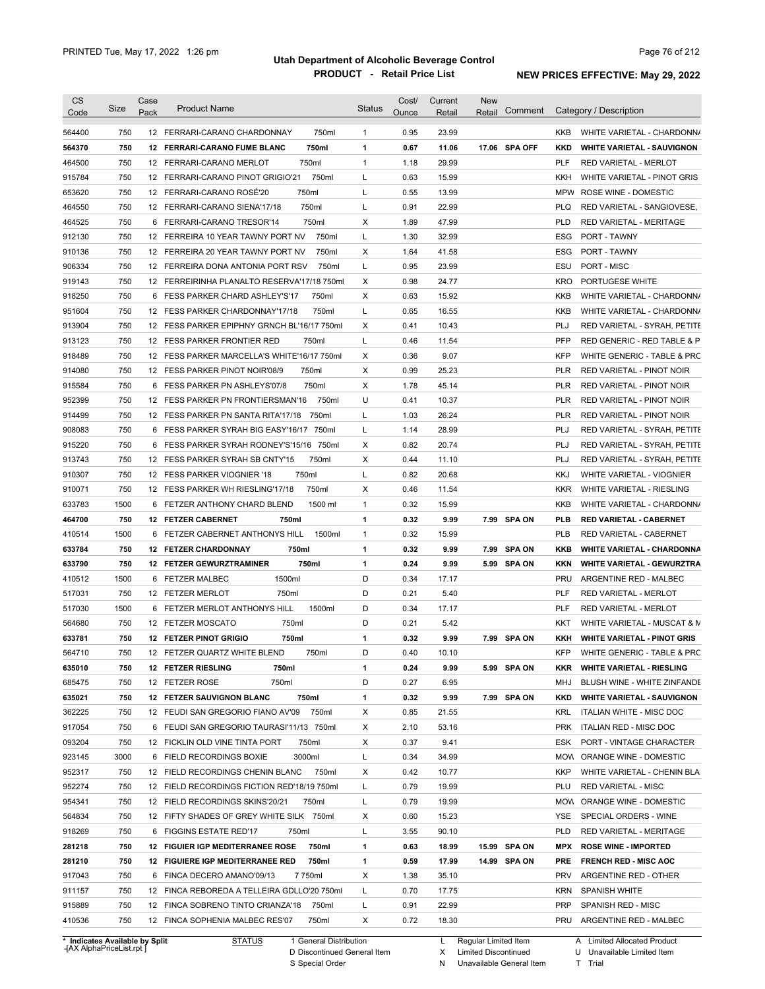| <b>CS</b>                      | Size | Case            | <b>Product Name</b>                         |                        | <b>Status</b> | Cost/ | Current | <b>New</b>            |            |                                    |
|--------------------------------|------|-----------------|---------------------------------------------|------------------------|---------------|-------|---------|-----------------------|------------|------------------------------------|
| Code                           |      | Pack            |                                             |                        |               | Ounce | Retail  | Comment<br>Retail     |            | Category / Description             |
| 564400                         | 750  |                 | 12 FERRARI-CARANO CHARDONNAY                | 750ml                  | $\mathbf{1}$  | 0.95  | 23.99   |                       | KKB        | WHITE VARIETAL - CHARDONNA         |
| 564370                         | 750  |                 | 12 FERRARI-CARANO FUME BLANC                | 750ml                  | $\mathbf{1}$  | 0.67  | 11.06   | 17.06 SPA OFF         | <b>KKD</b> | <b>WHITE VARIETAL - SAUVIGNON</b>  |
| 464500                         | 750  |                 | 12 FERRARI-CARANO MERLOT                    | 750ml                  | $\mathbf{1}$  | 1.18  | 29.99   |                       | <b>PLF</b> | <b>RED VARIETAL - MERLOT</b>       |
| 915784                         | 750  |                 | 12 FERRARI-CARANO PINOT GRIGIO'21           | 750ml                  | L             | 0.63  | 15.99   |                       | KKH        | WHITE VARIETAL - PINOT GRIS        |
| 653620                         | 750  |                 | 12 FERRARI-CARANO ROSE'20                   | 750ml                  | L             | 0.55  | 13.99   |                       | <b>MPW</b> | ROSE WINE - DOMESTIC               |
| 464550                         | 750  |                 | 12 FERRARI-CARANO SIENA'17/18               | 750ml                  | L             | 0.91  | 22.99   |                       | <b>PLQ</b> | RED VARIETAL - SANGIOVESE,         |
| 464525                         | 750  |                 | 6 FERRARI-CARANO TRESOR'14                  | 750ml                  | Х             | 1.89  | 47.99   |                       | <b>PLD</b> | RED VARIETAL - MERITAGE            |
| 912130                         | 750  |                 | 12 FERREIRA 10 YEAR TAWNY PORT NV           | 750ml                  | L             | 1.30  | 32.99   |                       | ESG        | PORT - TAWNY                       |
| 910136                         | 750  |                 | 12 FERREIRA 20 YEAR TAWNY PORT NV           | 750ml                  | Х             | 1.64  | 41.58   |                       | ESG        | PORT - TAWNY                       |
| 906334                         | 750  |                 | 12 FERREIRA DONA ANTONIA PORT RSV           | 750ml                  | L             | 0.95  | 23.99   |                       | ESU        | PORT - MISC                        |
| 919143                         | 750  |                 | 12 FERREIRINHA PLANALTO RESERVA'17/18 750ml |                        | Х             | 0.98  | 24.77   |                       | <b>KRO</b> | PORTUGESE WHITE                    |
| 918250                         | 750  |                 | 6 FESS PARKER CHARD ASHLEY'S'17             | 750ml                  | Х             | 0.63  | 15.92   |                       | KKB        | WHITE VARIETAL - CHARDONN/         |
| 951604                         | 750  |                 | 12 FESS PARKER CHARDONNAY'17/18             | 750ml                  | L             | 0.65  | 16.55   |                       | KKB        | WHITE VARIETAL - CHARDONN/         |
| 913904                         | 750  |                 | 12 FESS PARKER EPIPHNY GRNCH BL'16/17 750ml |                        | х             | 0.41  | 10.43   |                       | <b>PLJ</b> | RED VARIETAL - SYRAH, PETITE       |
| 913123                         | 750  |                 | 12 FESS PARKER FRONTIER RED                 | 750ml                  | L             | 0.46  | 11.54   |                       | PFP        | RED GENERIC - RED TABLE & P        |
|                                | 750  |                 |                                             |                        |               | 0.36  | 9.07    |                       | <b>KFP</b> |                                    |
| 918489                         |      |                 | 12 FESS PARKER MARCELLA'S WHITE'16/17 750ml |                        | Х             |       |         |                       |            | WHITE GENERIC - TABLE & PRC        |
| 914080                         | 750  |                 | 12 FESS PARKER PINOT NOIR'08/9              | 750ml                  | Х             | 0.99  | 25.23   |                       | <b>PLR</b> | RED VARIETAL - PINOT NOIR          |
| 915584                         | 750  | 6               | FESS PARKER PN ASHLEYS'07/8                 | 750ml                  | X             | 1.78  | 45.14   |                       | <b>PLR</b> | RED VARIETAL - PINOT NOIR          |
| 952399                         | 750  | 12 <sup>2</sup> | FESS PARKER PN FRONTIERSMAN'16              | 750ml                  | U             | 0.41  | 10.37   |                       | <b>PLR</b> | RED VARIETAL - PINOT NOIR          |
| 914499                         | 750  |                 | 12 FESS PARKER PN SANTA RITA'17/18          | 750ml                  | L             | 1.03  | 26.24   |                       | <b>PLR</b> | RED VARIETAL - PINOT NOIR          |
| 908083                         | 750  | 6               | FESS PARKER SYRAH BIG EASY'16/17            | 750ml                  | L             | 1.14  | 28.99   |                       | PLJ        | RED VARIETAL - SYRAH, PETITE       |
| 915220                         | 750  | 6               | FESS PARKER SYRAH RODNEY'S'15/16 750ml      |                        | X             | 0.82  | 20.74   |                       | PLJ        | RED VARIETAL - SYRAH, PETITE       |
| 913743                         | 750  |                 | 12 FESS PARKER SYRAH SB CNTY'15             | 750ml                  | X             | 0.44  | 11.10   |                       | PLJ        | RED VARIETAL - SYRAH, PETITE       |
| 910307                         | 750  |                 | 12 FESS PARKER VIOGNIER '18                 | 750ml                  | L             | 0.82  | 20.68   |                       | <b>KKJ</b> | WHITE VARIETAL - VIOGNIER          |
| 910071                         | 750  |                 | 12 FESS PARKER WH RIESLING'17/18            | 750ml                  | X             | 0.46  | 11.54   |                       | <b>KKR</b> | WHITE VARIETAL - RIESLING          |
| 633783                         | 1500 |                 | 6 FETZER ANTHONY CHARD BLEND                | 1500 ml                | $\mathbf{1}$  | 0.32  | 15.99   |                       | KKB        | WHITE VARIETAL - CHARDONN/         |
| 464700                         | 750  |                 | 750ml<br>12 FETZER CABERNET                 |                        | 1             | 0.32  | 9.99    | 7.99 SPA ON           | <b>PLB</b> | <b>RED VARIETAL - CABERNET</b>     |
| 410514                         | 1500 | 6               | FETZER CABERNET ANTHONYS HILL               | 1500ml                 | $\mathbf{1}$  | 0.32  | 15.99   |                       | <b>PLB</b> | RED VARIETAL - CABERNET            |
| 633784                         | 750  |                 | <b>12 FETZER CHARDONNAY</b><br>750ml        |                        | 1             | 0.32  | 9.99    | <b>SPA ON</b><br>7.99 | KKB        | <b>WHITE VARIETAL - CHARDONNA</b>  |
| 633790                         | 750  |                 | 12 FETZER GEWURZTRAMINER                    | 750ml                  | $\mathbf{1}$  | 0.24  | 9.99    | 5.99 SPA ON           | <b>KKN</b> | <b>WHITE VARIETAL - GEWURZTRA</b>  |
| 410512                         | 1500 | 6               | 1500ml<br><b>FETZER MALBEC</b>              |                        | D             | 0.34  | 17.17   |                       | PRU        | ARGENTINE RED - MALBEC             |
| 517031                         | 750  |                 | 750ml<br>12 FETZER MERLOT                   |                        | D             | 0.21  | 5.40    |                       | PLF        | <b>RED VARIETAL - MERLOT</b>       |
| 517030                         | 1500 |                 | 6 FETZER MERLOT ANTHONYS HILL               | 1500ml                 | D             | 0.34  | 17.17   |                       | PLF        | <b>RED VARIETAL - MERLOT</b>       |
| 564680                         | 750  |                 | 12 FETZER MOSCATO<br>750ml                  |                        | D             | 0.21  | 5.42    |                       | KKT        | WHITE VARIETAL - MUSCAT & M        |
| 633781                         | 750  |                 | 750ml<br><b>12 FETZER PINOT GRIGIO</b>      |                        | 1             | 0.32  | 9.99    | 7.99 SPA ON           | KKH        | <b>WHITE VARIETAL - PINOT GRIS</b> |
| 564710                         | 750  |                 | 12 FETZER QUARTZ WHITE BLEND                | 750ml                  | D             | 0.40  | 10.10   |                       | <b>KFP</b> | WHITE GENERIC - TABLE & PRC        |
| 635010                         | 750  |                 | 12 FETZER RIESLING<br>750ml                 |                        | 1             | 0.24  | 9.99    | 5.99 SPA ON           | <b>KKR</b> | <b>WHITE VARIETAL - RIESLING</b>   |
| 685475                         | 750  |                 | 750ml<br>12 FETZER ROSE                     |                        | D             | 0.27  | 6.95    |                       | MHJ        | BLUSH WINE - WHITE ZINFANDE        |
| 635021                         | 750  |                 | <b>12 FETZER SAUVIGNON BLANC</b>            | 750ml                  | 1             | 0.32  | 9.99    | 7.99 SPA ON           | KKD        | <b>WHITE VARIETAL - SAUVIGNON</b>  |
| 362225                         | 750  |                 | 12 FEUDI SAN GREGORIO FIANO AV'09 750ml     |                        | х             | 0.85  | 21.55   |                       | KRL        | ITALIAN WHITE - MISC DOC           |
| 917054                         | 750  |                 | 6 FEUDI SAN GREGORIO TAURASI'11/13 750ml    |                        | Х             | 2.10  | 53.16   |                       | <b>PRK</b> | ITALIAN RED - MISC DOC             |
| 093204                         | 750  |                 | 12 FICKLIN OLD VINE TINTA PORT              | 750ml                  | Х             | 0.37  | 9.41    |                       | ESK        | PORT - VINTAGE CHARACTER           |
| 923145                         | 3000 |                 | 6 FIELD RECORDINGS BOXIE                    | 3000ml                 | L             | 0.34  | 34.99   |                       |            | MOW ORANGE WINE - DOMESTIC         |
| 952317                         | 750  |                 | 12 FIELD RECORDINGS CHENIN BLANC            | 750ml                  | х             | 0.42  | 10.77   |                       | <b>KKP</b> | WHITE VARIETAL - CHENIN BLA        |
| 952274                         | 750  |                 | 12 FIELD RECORDINGS FICTION RED'18/19 750ml |                        | L             | 0.79  | 19.99   |                       | PLU        | <b>RED VARIETAL - MISC</b>         |
| 954341                         | 750  |                 | 12 FIELD RECORDINGS SKINS'20/21             | 750ml                  | L             | 0.79  | 19.99   |                       |            | MOW ORANGE WINE - DOMESTIC         |
| 564834                         | 750  |                 | 12 FIFTY SHADES OF GREY WHITE SILK 750ml    |                        | Х             | 0.60  | 15.23   |                       | YSE        | SPECIAL ORDERS - WINE              |
| 918269                         | 750  |                 | 6 FIGGINS ESTATE RED'17<br>750ml            |                        | Г             | 3.55  | 90.10   |                       | <b>PLD</b> | RED VARIETAL - MERITAGE            |
| 281218                         | 750  |                 | 12 FIGUIER IGP MEDITERRANEE ROSE            | 750ml                  | 1             | 0.63  | 18.99   | 15.99 SPA ON          | <b>MPX</b> | <b>ROSE WINE - IMPORTED</b>        |
| 281210                         | 750  |                 | 12 FIGUIERE IGP MEDITERRANEE RED            | 750ml                  | $\mathbf{1}$  | 0.59  | 17.99   | 14.99 SPA ON          | <b>PRE</b> | <b>FRENCH RED - MISC AOC</b>       |
| 917043                         | 750  |                 |                                             | 7 750ml                |               | 1.38  | 35.10   |                       | <b>PRV</b> |                                    |
|                                |      |                 | 6 FINCA DECERO AMANO'09/13                  |                        | Х             |       |         |                       |            | ARGENTINE RED - OTHER              |
| 911157                         | 750  |                 | 12 FINCA REBOREDA A TELLEIRA GDLLO'20 750ml |                        | L             | 0.70  | 17.75   |                       | <b>KRN</b> | <b>SPANISH WHITE</b>               |
| 915889                         | 750  |                 | 12 FINCA SOBRENO TINTO CRIANZA'18 750ml     |                        | L             | 0.91  | 22.99   |                       | PRP        | SPANISH RED - MISC                 |
| 410536                         | 750  |                 | 12 FINCA SOPHENIA MALBEC RES'07             | 750ml                  | Х             | 0.72  | 18.30   |                       |            | PRU ARGENTINE RED - MALBEC         |
| * Indicates Available by Split |      |                 | <b>STATUS</b>                               | 1 General Distribution |               |       | L.      | Regular Limited Item  |            | A Limited Allocated Product        |

**Case** [AX AlphaPriceList.rpt ]

D Discontinued General Item S Special Order

Regular Limited Item

X

Limited Discontinued

N Unavailable General Item

U Unavailable Limited Item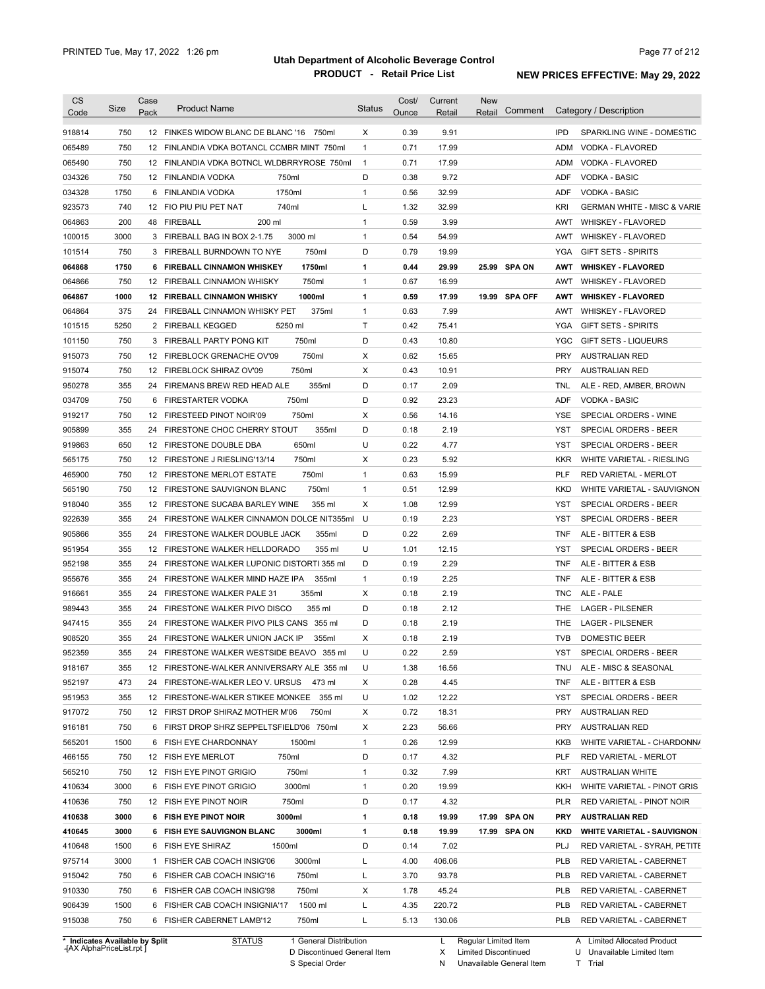| <b>CS</b><br>Code              | Size | Case<br>Pack | <b>Product Name</b>                          | <b>Status</b>  | Cost/<br>Ounce | Current<br>Retail | <b>New</b><br>Comment<br>Retail |            | Category / Description                 |
|--------------------------------|------|--------------|----------------------------------------------|----------------|----------------|-------------------|---------------------------------|------------|----------------------------------------|
| 918814                         | 750  |              | 12 FINKES WIDOW BLANC DE BLANC '16 750ml     | Χ              | 0.39           | 9.91              |                                 | <b>IPD</b> | SPARKLING WINE - DOMESTIC              |
| 065489                         | 750  |              | 12 FINLANDIA VDKA BOTANCL CCMBR MINT 750ml   | $\mathbf{1}$   | 0.71           | 17.99             |                                 | ADM        | VODKA - FLAVORED                       |
| 065490                         | 750  |              | 12 FINLANDIA VDKA BOTNCL WLDBRRYROSE 750ml   | $\overline{1}$ | 0.71           | 17.99             |                                 | ADM        | VODKA - FLAVORED                       |
| 034326                         | 750  |              | 12 FINLANDIA VODKA<br>750ml                  | D              | 0.38           | 9.72              |                                 | ADF        | <b>VODKA - BASIC</b>                   |
| 034328                         | 1750 |              | 6 FINLANDIA VODKA<br>1750ml                  | $\mathbf{1}$   | 0.56           | 32.99             |                                 | ADF        | <b>VODKA - BASIC</b>                   |
| 923573                         | 740  |              | 12 FIO PIU PIU PET NAT<br>740ml              | L              | 1.32           | 32.99             |                                 | <b>KRI</b> | <b>GERMAN WHITE - MISC &amp; VARIE</b> |
| 064863                         | 200  |              | 200 ml<br>48 FIREBALL                        | $\mathbf{1}$   | 0.59           | 3.99              |                                 | AWT        | <b>WHISKEY - FLAVORED</b>              |
| 100015                         | 3000 |              | 3000 ml<br>3 FIREBALL BAG IN BOX 2-1.75      | $\mathbf{1}$   | 0.54           | 54.99             |                                 | AWT        | <b>WHISKEY - FLAVORED</b>              |
| 101514                         | 750  |              | 3 FIREBALL BURNDOWN TO NYE<br>750ml          | D              | 0.79           | 19.99             |                                 | YGA        | <b>GIFT SETS - SPIRITS</b>             |
| 064868                         | 1750 |              | 1750ml<br>6 FIREBALL CINNAMON WHISKEY        | 1              | 0.44           | 29.99             | 25.99 SPA ON                    | <b>AWT</b> | <b>WHISKEY - FLAVORED</b>              |
| 064866                         | 750  |              | 750ml<br>12 FIREBALL CINNAMON WHISKY         | $\mathbf{1}$   | 0.67           | 16.99             |                                 | AWT        | <b>WHISKEY - FLAVORED</b>              |
| 064867                         | 1000 |              | 1000ml<br><b>12 FIREBALL CINNAMON WHISKY</b> | 1              | 0.59           | 17.99             | 19.99 SPA OFF                   | <b>AWT</b> | <b>WHISKEY - FLAVORED</b>              |
| 064864                         | 375  | 24           | 375ml<br>FIREBALL CINNAMON WHISKY PET        | $\mathbf{1}$   | 0.63           | 7.99              |                                 | AWT        | <b>WHISKEY - FLAVORED</b>              |
| 101515                         | 5250 |              | 5250 ml<br>2 FIREBALL KEGGED                 | T              | 0.42           | 75.41             |                                 | YGA        | <b>GIFT SETS - SPIRITS</b>             |
| 101150                         | 750  |              | 750ml<br>3 FIREBALL PARTY PONG KIT           | D              | 0.43           | 10.80             |                                 | <b>YGC</b> | <b>GIFT SETS - LIQUEURS</b>            |
| 915073                         | 750  |              | 750ml<br>12 FIREBLOCK GRENACHE OV'09         | Х              | 0.62           | 15.65             |                                 | <b>PRY</b> | AUSTRALIAN RED                         |
| 915074                         | 750  |              | 750ml<br>12 FIREBLOCK SHIRAZ OV'09           | Х              | 0.43           | 10.91             |                                 | <b>PRY</b> | <b>AUSTRALIAN RED</b>                  |
| 950278                         | 355  |              | 24 FIREMANS BREW RED HEAD ALE<br>355ml       | D              | 0.17           | 2.09              |                                 | TNL        | ALE - RED, AMBER, BROWN                |
| 034709                         | 750  |              | 750ml<br>6 FIRESTARTER VODKA                 | D              | 0.92           | 23.23             |                                 | ADF        | VODKA - BASIC                          |
| 919217                         | 750  |              | 12 FIRESTEED PINOT NOIR'09<br>750ml          | Х              | 0.56           | 14.16             |                                 | YSE        | SPECIAL ORDERS - WINE                  |
| 905899                         | 355  |              | 355ml<br>24 FIRESTONE CHOC CHERRY STOUT      | D              | 0.18           | 2.19              |                                 | YST        | SPECIAL ORDERS - BEER                  |
| 919863                         | 650  |              | 650ml<br>12 FIRESTONE DOUBLE DBA             | U              | 0.22           | 4.77              |                                 | YST        | SPECIAL ORDERS - BEER                  |
| 565175                         | 750  |              | 750ml<br>12 FIRESTONE J RIESLING'13/14       | Х              | 0.23           | 5.92              |                                 | <b>KKR</b> | WHITE VARIETAL - RIESLING              |
| 465900                         | 750  |              | 750ml<br>12 FIRESTONE MERLOT ESTATE          | 1              | 0.63           | 15.99             |                                 | PLF        | RED VARIETAL - MERLOT                  |
| 565190                         | 750  |              | 750ml<br>12 FIRESTONE SAUVIGNON BLANC        | $\mathbf{1}$   | 0.51           | 12.99             |                                 | <b>KKD</b> | WHITE VARIETAL - SAUVIGNON             |
| 918040                         | 355  |              | 12 FIRESTONE SUCABA BARLEY WINE<br>355 ml    | Х              | 1.08           | 12.99             |                                 | YST        | SPECIAL ORDERS - BEER                  |
| 922639                         | 355  | 24           | FIRESTONE WALKER CINNAMON DOLCE NIT355ml     | U              | 0.19           | 2.23              |                                 | <b>YST</b> | SPECIAL ORDERS - BEER                  |
|                                | 355  | 24           | 355ml                                        | D              | 0.22           | 2.69              |                                 |            |                                        |
| 905866                         |      |              | FIRESTONE WALKER DOUBLE JACK                 |                |                |                   |                                 | <b>TNF</b> | ALE - BITTER & ESB                     |
| 951954                         | 355  | 12           | 355 ml<br>FIRESTONE WALKER HELLDORADO        | U              | 1.01           | 12.15             |                                 | <b>YST</b> | SPECIAL ORDERS - BEER                  |
| 952198                         | 355  |              | 24 FIRESTONE WALKER LUPONIC DISTORTI 355 ml  | D              | 0.19           | 2.29              |                                 | <b>TNF</b> | ALE - BITTER & ESB                     |
| 955676                         | 355  | 24           | 355ml<br>FIRESTONE WALKER MIND HAZE IPA      | $\mathbf{1}$   | 0.19           | 2.25              |                                 | <b>TNF</b> | ALE - BITTER & ESB                     |
| 916661                         | 355  |              | 355ml<br>24 FIRESTONE WALKER PALE 31         | Х              | 0.18           | 2.19              |                                 | <b>TNC</b> | ALE - PALE                             |
| 989443                         | 355  | 24           | 355 ml<br>FIRESTONE WALKER PIVO DISCO        | D              | 0.18           | 2.12              |                                 | THE        | <b>LAGER - PILSENER</b>                |
| 947415                         | 355  | 24           | FIRESTONE WALKER PIVO PILS CANS 355 ml       | D              | 0.18           | 2.19              |                                 | <b>THE</b> | <b>LAGER - PILSENER</b>                |
| 908520                         | 355  |              | 355ml<br>24 FIRESTONE WALKER UNION JACK IP   | Χ              | 0.18           | 2.19              |                                 | <b>TVB</b> | DOMESTIC BEER                          |
| 952359                         | 355  |              | 24 FIRESTONE WALKER WESTSIDE BEAVO 355 ml    | U              | 0.22           | 2.59              |                                 | YST        | SPECIAL ORDERS - BEER                  |
| 918167                         | 355  |              | 12 FIRESTONE-WALKER ANNIVERSARY ALE 355 ml   | U              | 1.38           | 16.56             |                                 | <b>TNU</b> | ALE - MISC & SEASONAL                  |
| 952197                         | 473  |              | 24 FIRESTONE-WALKER LEO V. URSUS<br>473 ml   | х              | 0.28           | 4.45              |                                 | <b>TNF</b> | ALE - BITTER & ESB                     |
| 951953                         | 355  |              | 12 FIRESTONE-WALKER STIKEE MONKEE 355 ml     | U              | 1.02           | 12.22             |                                 | YST        | SPECIAL ORDERS - BEER                  |
| 917072                         | 750  |              | 12 FIRST DROP SHIRAZ MOTHER M'06<br>750ml    | х              | 0.72           | 18.31             |                                 | PRY        | <b>AUSTRALIAN RED</b>                  |
| 916181                         | 750  |              | 6 FIRST DROP SHRZ SEPPELTSFIELD'06 750ml     | х              | 2.23           | 56.66             |                                 | <b>PRY</b> | <b>AUSTRALIAN RED</b>                  |
| 565201                         | 1500 |              | 6 FISH EYE CHARDONNAY<br>1500ml              | $\mathbf{1}$   | 0.26           | 12.99             |                                 | KKB        | WHITE VARIETAL - CHARDONN/             |
| 466155                         | 750  |              | 12 FISH EYE MERLOT<br>750ml                  | D              | 0.17           | 4.32              |                                 | <b>PLF</b> | RED VARIETAL - MERLOT                  |
| 565210                         | 750  |              | 12 FISH EYE PINOT GRIGIO<br>750ml            | $\mathbf{1}$   | 0.32           | 7.99              |                                 | KRT        | <b>AUSTRALIAN WHITE</b>                |
| 410634                         | 3000 |              | 3000ml<br>6 FISH EYE PINOT GRIGIO            | $\mathbf{1}$   | 0.20           | 19.99             |                                 | KKH        | WHITE VARIETAL - PINOT GRIS            |
| 410636                         | 750  |              | 750ml<br>12 FISH EYE PINOT NOIR              | D              | 0.17           | 4.32              |                                 | <b>PLR</b> | RED VARIETAL - PINOT NOIR              |
| 410638                         | 3000 |              | 3000ml<br>6 FISH EYE PINOT NOIR              | 1              | 0.18           | 19.99             | 17.99 SPA ON                    | <b>PRY</b> | <b>AUSTRALIAN RED</b>                  |
| 410645                         | 3000 |              | 3000ml<br>6 FISH EYE SAUVIGNON BLANC         | 1              | 0.18           | 19.99             | 17.99 SPA ON                    | <b>KKD</b> | <b>WHITE VARIETAL - SAUVIGNON</b>      |
| 410648                         | 1500 |              | 1500ml<br>6 FISH EYE SHIRAZ                  | D              | 0.14           | 7.02              |                                 | PLJ        | RED VARIETAL - SYRAH, PETITE           |
| 975714                         | 3000 |              | 3000ml<br>1 FISHER CAB COACH INSIG'06        | L              | 4.00           | 406.06            |                                 | <b>PLB</b> | RED VARIETAL - CABERNET                |
| 915042                         | 750  |              | 750ml<br>6 FISHER CAB COACH INSIG'16         | L              | 3.70           | 93.78             |                                 | <b>PLB</b> | RED VARIETAL - CABERNET                |
| 910330                         | 750  |              | 750ml<br>6 FISHER CAB COACH INSIG'98         | х              | 1.78           | 45.24             |                                 | <b>PLB</b> | RED VARIETAL - CABERNET                |
| 906439                         | 1500 |              | 1500 ml<br>6 FISHER CAB COACH INSIGNIA'17    | L              | 4.35           | 220.72            |                                 | <b>PLB</b> | RED VARIETAL - CABERNET                |
| 915038                         | 750  |              | 6 FISHER CABERNET LAMB'12<br>750ml           | L              | 5.13           | 130.06            |                                 | PLB        | RED VARIETAL - CABERNET                |
| * Indicates Available by Split |      |              | <b>STATUS</b><br>1 General Distribution      |                |                | L.                | Regular Limited Item            |            | A Limited Allocated Product            |

**Case** [AX AlphaPriceList.rpt ]

D Discontinued General Item S Special Order

X

N

Unavailable General Item

Limited Discontinued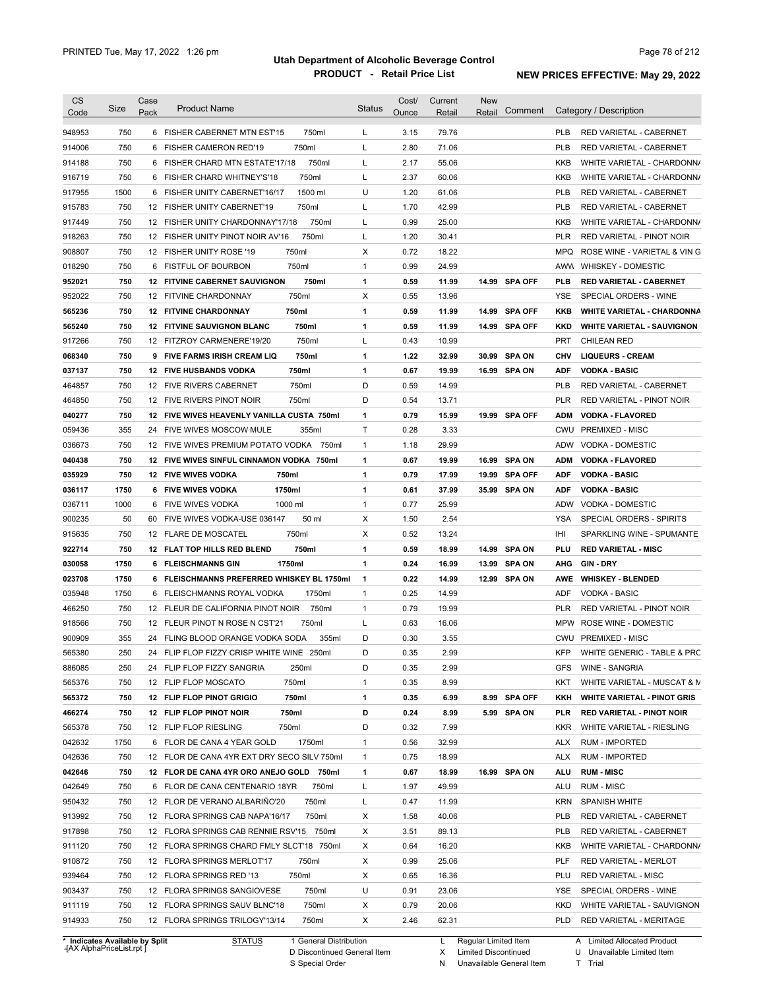| 750<br>750ml<br>3.15<br>79.76<br>6 FISHER CABERNET MTN EST'15<br>L<br><b>PLB</b><br><b>RED VARIETAL - CABERNET</b><br>914006<br>750<br>750ml<br>L<br>2.80<br>71.06<br><b>PLB</b><br>6 FISHER CAMERON RED'19<br>RED VARIETAL - CABERNET<br>750<br>750ml<br>2.17<br>55.06<br>914188<br>FISHER CHARD MTN ESTATE'17/18<br>L<br>KKB<br>WHITE VARIETAL - CHARDONN/<br>6<br>750<br>750ml<br>2.37<br>60.06<br>6 FISHER CHARD WHITNEY'S'18<br>L<br>KKB<br>WHITE VARIETAL - CHARDONN/<br>1500<br>1500 ml<br>U<br>1.20<br>61.06<br><b>PLB</b><br>FISHER UNITY CABERNET'16/17<br>RED VARIETAL - CABERNET<br>6<br>750<br>750ml<br>1.70<br>42.99<br><b>PLB</b><br>12 FISHER UNITY CABERNET'19<br>L<br>RED VARIETAL - CABERNET<br>750<br>750ml<br>0.99<br>25.00<br>12 FISHER UNITY CHARDONNAY'17/18<br>L<br>KKB<br>WHITE VARIETAL - CHARDONN/<br>750<br>750ml<br>L<br>1.20<br>12 FISHER UNITY PINOT NOIR AV'16<br>30.41<br><b>PLR</b><br><b>RED VARIETAL - PINOT NOIR</b><br>750<br>750ml<br>0.72<br>18.22<br>12 FISHER UNITY ROSE '19<br>Х<br><b>MPQ</b><br>750<br>0.99<br>6 FISTFUL OF BOURBON<br>750ml<br>$\mathbf{1}$<br>24.99<br>AWW WHISKEY - DOMESTIC<br>750<br>750ml<br>0.59<br><b>12 FITVINE CABERNET SAUVIGNON</b><br>1<br>11.99<br>14.99 SPA OFF<br><b>PLB</b><br><b>RED VARIETAL - CABERNET</b><br>750<br>750ml<br>Х<br>0.55<br>13.96<br>12 FITVINE CHARDONNAY<br>YSE<br>SPECIAL ORDERS - WINE<br>750<br>$\mathbf{1}$<br>0.59<br><b>SPA OFF</b><br><b>12 FITVINE CHARDONNAY</b><br>750ml<br>11.99<br>14.99<br><b>WHITE VARIETAL - CHARDONNA</b><br>KKB<br>750<br>$\mathbf{1}$<br>0.59<br><b>12 FITVINE SAUVIGNON BLANC</b><br>750ml<br>11.99<br>14.99 SPA OFF<br><b>WHITE VARIETAL - SAUVIGNON</b><br><b>KKD</b><br>750<br>750ml<br>L<br>0.43<br>10.99<br><b>PRT</b><br>12 FITZROY CARMENERE'19/20<br><b>CHILEAN RED</b><br>750<br>$\mathbf{1}$<br>1.22<br><b>SPA ON</b><br>9 FIVE FARMS IRISH CREAM LIQ<br>750ml<br>32.99<br>30.99<br><b>LIQUEURS - CREAM</b><br>CHV<br>750<br>750ml<br>$\mathbf{1}$<br>0.67<br>19.99<br><b>12 FIVE HUSBANDS VODKA</b><br>16.99 SPA ON<br><b>VODKA - BASIC</b><br>ADF<br>750<br>750ml<br>D<br>0.59<br>14.99<br>12 FIVE RIVERS CABERNET<br><b>PLB</b><br><b>RED VARIETAL - CABERNET</b><br>750<br>750ml<br>D<br>0.54<br><b>PLR</b><br>464850<br>12 FIVE RIVERS PINOT NOIR<br>13.71<br>RED VARIETAL - PINOT NOIR<br>750<br>0.79<br>12 FIVE WIVES HEAVENLY VANILLA CUSTA 750ml<br>1<br>15.99<br>19.99 SPA OFF<br><b>ADM</b><br><b>VODKA - FLAVORED</b><br>355<br>355ml<br>Τ<br>0.28<br>3.33<br>059436<br>24 FIVE WIVES MOSCOW MULE<br>CWU PREMIXED - MISC<br>036673<br>750<br>12 FIVE WIVES PREMIUM POTATO VODKA 750ml<br>$\mathbf{1}$<br>1.18<br>29.99<br>ADW<br>VODKA - DOMESTIC<br>750<br>0.67<br><b>SPA ON</b><br>040438<br>12 FIVE WIVES SINFUL CINNAMON VODKA 750ml<br>1<br>19.99<br>16.99<br><b>ADM</b><br><b>VODKA - FLAVORED</b><br>035929<br>750<br><b>12 FIVE WIVES VODKA</b><br>750ml<br>1<br>0.79<br>17.99<br>19.99<br><b>SPA OFF</b><br><b>ADF</b><br><b>VODKA - BASIC</b><br>1750ml<br>036117<br>1750<br><b>6 FIVE WIVES VODKA</b><br>$\mathbf{1}$<br>0.61<br>37.99<br>35.99 SPA ON<br><b>ADF</b><br><b>VODKA - BASIC</b><br>1000<br>$\mathbf{1}$<br>25.99<br>036711<br>6 FIVE WIVES VODKA<br>1000 ml<br>0.77<br><b>ADW</b><br><b>VODKA - DOMESTIC</b><br>900235<br>50 ml<br>Χ<br>2.54<br>50<br>FIVE WIVES VODKA-USE 036147<br>1.50<br>YSA<br>SPECIAL ORDERS - SPIRITS<br>60<br>750<br>750ml<br>Χ<br>0.52<br>13.24<br>IHI<br>915635<br>12 FLARE DE MOSCATEL<br>SPARKLING WINE - SPUMANTE<br>922714<br>750<br><b>SPA ON</b><br>12 FLAT TOP HILLS RED BLEND<br>750ml<br>1<br>0.59<br>18.99<br>14.99<br>PLU<br><b>RED VARIETAL - MISC</b><br>030058<br>1750<br>1750ml<br>1<br>0.24<br><b>SPA ON</b><br><b>GIN-DRY</b><br>6 FLEISCHMANNS GIN<br>16.99<br>13.99<br>AHG<br>1750<br>6 FLEISCHMANNS PREFERRED WHISKEY BL 1750ml<br>0.22<br><b>SPA ON</b><br><b>WHISKEY - BLENDED</b><br>1<br>14.99<br>12.99<br>AWE<br>1750<br>1750ml<br>$\mathbf{1}$<br>0.25<br>14.99<br><b>VODKA - BASIC</b><br>6 FLEISCHMANNS ROYAL VODKA<br><b>ADF</b><br>750<br>750ml<br>0.79<br>19.99<br>12 FLEUR DE CALIFORNIA PINOT NOIR<br>$\mathbf{1}$<br><b>PLR</b><br>RED VARIETAL - PINOT NOIR<br>750<br>750ml<br>0.63<br>16.06<br>ROSE WINE - DOMESTIC<br>12 FLEUR PINOT N ROSE N CST'21<br>L<br><b>MPW</b><br>355<br>24 FLING BLOOD ORANGE VODKA SODA<br>355ml<br>D<br>0.30<br>3.55<br>CWU PREMIXED - MISC<br>250<br>24 FLIP FLOP FIZZY CRISP WHITE WINE 250ml<br>0.35<br>2.99<br>KFP<br>D<br>D<br>2.99<br>250<br>24 FLIP FLOP FIZZY SANGRIA<br>250ml<br>0.35<br><b>GFS</b><br><b>WINE - SANGRIA</b><br>8.99<br>750<br>12 FLIP FLOP MOSCATO<br>750ml<br>$\mathbf{1}$<br>0.35<br>WHITE VARIETAL - MUSCAT & M<br>KKT<br>750<br>12 FLIP FLOP PINOT GRIGIO<br>750ml<br>$\mathbf{1}$<br>0.35<br>6.99<br>8.99 SPA OFF<br><b>WHITE VARIETAL - PINOT GRIS</b><br>KKH<br>D<br>750<br>12 FLIP FLOP PINOT NOIR<br>750ml<br>0.24<br>8.99<br>5.99 SPA ON<br><b>PLR</b><br><b>RED VARIETAL - PINOT NOIR</b><br>12 FLIP FLOP RIESLING<br>0.32<br>7.99<br>750<br>750ml<br>D<br><b>KKR</b><br>WHITE VARIETAL - RIESLING<br>1750ml<br>32.99<br>1750<br>6 FLOR DE CANA 4 YEAR GOLD<br>$\mathbf{1}$<br>0.56<br><b>RUM - IMPORTED</b><br>ALX<br>750<br>12 FLOR DE CANA 4YR EXT DRY SECO SILV 750ml<br>$\mathbf{1}$<br>0.75<br>18.99<br><b>RUM - IMPORTED</b><br>ALX<br>16.99 SPA ON<br>042646<br>750<br>12 FLOR DE CANA 4YR ORO ANEJO GOLD 750ml<br>$\mathbf{1}$<br>0.67<br>18.99<br><b>RUM - MISC</b><br><b>ALU</b><br>750<br>750ml<br>L<br>49.99<br>042649<br>6 FLOR DE CANA CENTENARIO 18YR<br>1.97<br>ALU<br><b>RUM - MISC</b><br>L<br>950432<br>750<br>12 FLOR DE VERANO ALBARINO'20<br>750ml<br>0.47<br>11.99<br><b>KRN</b><br><b>SPANISH WHITE</b><br>913992<br>Х<br>40.06<br>750<br>12 FLORA SPRINGS CAB NAPA'16/17<br>750ml<br>1.58<br><b>PLB</b><br>RED VARIETAL - CABERNET<br>Х<br>917898<br>750<br>12 FLORA SPRINGS CAB RENNIE RSV'15 750ml<br>3.51<br>89.13<br><b>PLB</b><br>RED VARIETAL - CABERNET<br>Х<br>911120<br>750<br>12 FLORA SPRINGS CHARD FMLY SLCT'18 750ml<br>0.64<br>16.20<br>KKB<br>WHITE VARIETAL - CHARDONN/<br>Х<br>750<br>12 FLORA SPRINGS MERLOT'17<br>750ml<br>0.99<br>25.06<br><b>PLF</b><br>RED VARIETAL - MERLOT<br>Х<br>750<br>12 FLORA SPRINGS RED '13<br>750ml<br>0.65<br>16.36<br>PLU<br><b>RED VARIETAL - MISC</b><br>U<br>750<br>12 FLORA SPRINGS SANGIOVESE<br>750ml<br>0.91<br>23.06<br>YSE<br>SPECIAL ORDERS - WINE<br>750<br>12 FLORA SPRINGS SAUV BLNC'18<br>750ml<br>Х<br>0.79<br>20.06<br><b>KKD</b><br>WHITE VARIETAL - SAUVIGNON<br>750<br>12 FLORA SPRINGS TRILOGY'13/14<br>750ml<br>X<br>2.46<br>62.31<br><b>PLD</b><br>RED VARIETAL - MERITAGE<br>1 General Distribution<br>Regular Limited Item<br>* Indicates Available by Split<br><b>STATUS</b><br>L<br>A Limited Allocated Product<br>AY AlphaDrical jet rnt | <b>CS</b><br>Code | Size | Case<br>Pack | <b>Product Name</b> | <b>Status</b> | Cost/<br>Ounce | Current<br>Retail | <b>New</b><br>Retail | Comment | Category / Description       |
|---------------------------------------------------------------------------------------------------------------------------------------------------------------------------------------------------------------------------------------------------------------------------------------------------------------------------------------------------------------------------------------------------------------------------------------------------------------------------------------------------------------------------------------------------------------------------------------------------------------------------------------------------------------------------------------------------------------------------------------------------------------------------------------------------------------------------------------------------------------------------------------------------------------------------------------------------------------------------------------------------------------------------------------------------------------------------------------------------------------------------------------------------------------------------------------------------------------------------------------------------------------------------------------------------------------------------------------------------------------------------------------------------------------------------------------------------------------------------------------------------------------------------------------------------------------------------------------------------------------------------------------------------------------------------------------------------------------------------------------------------------------------------------------------------------------------------------------------------------------------------------------------------------------------------------------------------------------------------------------------------------------------------------------------------------------------------------------------------------------------------------------------------------------------------------------------------------------------------------------------------------------------------------------------------------------------------------------------------------------------------------------------------------------------------------------------------------------------------------------------------------------------------------------------------------------------------------------------------------------------------------------------------------------------------------------------------------------------------------------------------------------------------------------------------------------------------------------------------------------------------------------------------------------------------------------------------------------------------------------------------------------------------------------------------------------------------------------------------------------------------------------------------------------------------------------------------------------------------------------------------------------------------------------------------------------------------------------------------------------------------------------------------------------------------------------------------------------------------------------------------------------------------------------------------------------------------------------------------------------------------------------------------------------------------------------------------------------------------------------------------------------------------------------------------------------------------------------------------------------------------------------------------------------------------------------------------------------------------------------------------------------------------------------------------------------------------------------------------------------------------------------------------------------------------------------------------------------------------------------------------------------------------------------------------------------------------------------------------------------------------------------------------------------------------------------------------------------------------------------------------------------------------------------------------------------------------------------------------------------------------------------------------------------------------------------------------------------------------------------------------------------------------------------------------------------------------------------------------------------------------------------------------------------------------------------------------------------------------------------------------------------------------------------------------------------------------------------------------------------------------------------------------------------------------------------------------------------------------------------------------------------------------------------------------------------------------------------------------------------------------------------------------------------------------------------------------------------------------------------------------------------------------------------------------------------------------------------------------------------------------------------------------------------------------------------------------------------------------------------------------------------------------------------------------------------------------------------------------------------------------------------------------------------------------------------------------------------------------------------------------------------------------------------------------------------------------------------------------------------------------------------------------------------------------------------------------------------------------------------------------------------------------------------------------------------------------------------------------------------------------------------------------------------------------------------------------------------------------------------------------------------------------------------------------------------------------------------------------------------------------------------------------------------------------------------------------------------------------------------------------------------------------------------------------------------------------------------------------------------------|-------------------|------|--------------|---------------------|---------------|----------------|-------------------|----------------------|---------|------------------------------|
|                                                                                                                                                                                                                                                                                                                                                                                                                                                                                                                                                                                                                                                                                                                                                                                                                                                                                                                                                                                                                                                                                                                                                                                                                                                                                                                                                                                                                                                                                                                                                                                                                                                                                                                                                                                                                                                                                                                                                                                                                                                                                                                                                                                                                                                                                                                                                                                                                                                                                                                                                                                                                                                                                                                                                                                                                                                                                                                                                                                                                                                                                                                                                                                                                                                                                                                                                                                                                                                                                                                                                                                                                                                                                                                                                                                                                                                                                                                                                                                                                                                                                                                                                                                                                                                                                                                                                                                                                                                                                                                                                                                                                                                                                                                                                                                                                                                                                                                                                                                                                                                                                                                                                                                                                                                                                                                                                                                                                                                                                                                                                                                                                                                                                                                                                                                                                                                                                                                                                                                                                                                                                                                                                                                                                                                                                                                                                                                                                                                                                                                                                                                                                                                                                                                                                                                                                                                                     |                   |      |              |                     |               |                |                   |                      |         |                              |
|                                                                                                                                                                                                                                                                                                                                                                                                                                                                                                                                                                                                                                                                                                                                                                                                                                                                                                                                                                                                                                                                                                                                                                                                                                                                                                                                                                                                                                                                                                                                                                                                                                                                                                                                                                                                                                                                                                                                                                                                                                                                                                                                                                                                                                                                                                                                                                                                                                                                                                                                                                                                                                                                                                                                                                                                                                                                                                                                                                                                                                                                                                                                                                                                                                                                                                                                                                                                                                                                                                                                                                                                                                                                                                                                                                                                                                                                                                                                                                                                                                                                                                                                                                                                                                                                                                                                                                                                                                                                                                                                                                                                                                                                                                                                                                                                                                                                                                                                                                                                                                                                                                                                                                                                                                                                                                                                                                                                                                                                                                                                                                                                                                                                                                                                                                                                                                                                                                                                                                                                                                                                                                                                                                                                                                                                                                                                                                                                                                                                                                                                                                                                                                                                                                                                                                                                                                                                     | 948953            |      |              |                     |               |                |                   |                      |         |                              |
|                                                                                                                                                                                                                                                                                                                                                                                                                                                                                                                                                                                                                                                                                                                                                                                                                                                                                                                                                                                                                                                                                                                                                                                                                                                                                                                                                                                                                                                                                                                                                                                                                                                                                                                                                                                                                                                                                                                                                                                                                                                                                                                                                                                                                                                                                                                                                                                                                                                                                                                                                                                                                                                                                                                                                                                                                                                                                                                                                                                                                                                                                                                                                                                                                                                                                                                                                                                                                                                                                                                                                                                                                                                                                                                                                                                                                                                                                                                                                                                                                                                                                                                                                                                                                                                                                                                                                                                                                                                                                                                                                                                                                                                                                                                                                                                                                                                                                                                                                                                                                                                                                                                                                                                                                                                                                                                                                                                                                                                                                                                                                                                                                                                                                                                                                                                                                                                                                                                                                                                                                                                                                                                                                                                                                                                                                                                                                                                                                                                                                                                                                                                                                                                                                                                                                                                                                                                                     |                   |      |              |                     |               |                |                   |                      |         |                              |
|                                                                                                                                                                                                                                                                                                                                                                                                                                                                                                                                                                                                                                                                                                                                                                                                                                                                                                                                                                                                                                                                                                                                                                                                                                                                                                                                                                                                                                                                                                                                                                                                                                                                                                                                                                                                                                                                                                                                                                                                                                                                                                                                                                                                                                                                                                                                                                                                                                                                                                                                                                                                                                                                                                                                                                                                                                                                                                                                                                                                                                                                                                                                                                                                                                                                                                                                                                                                                                                                                                                                                                                                                                                                                                                                                                                                                                                                                                                                                                                                                                                                                                                                                                                                                                                                                                                                                                                                                                                                                                                                                                                                                                                                                                                                                                                                                                                                                                                                                                                                                                                                                                                                                                                                                                                                                                                                                                                                                                                                                                                                                                                                                                                                                                                                                                                                                                                                                                                                                                                                                                                                                                                                                                                                                                                                                                                                                                                                                                                                                                                                                                                                                                                                                                                                                                                                                                                                     |                   |      |              |                     |               |                |                   |                      |         |                              |
|                                                                                                                                                                                                                                                                                                                                                                                                                                                                                                                                                                                                                                                                                                                                                                                                                                                                                                                                                                                                                                                                                                                                                                                                                                                                                                                                                                                                                                                                                                                                                                                                                                                                                                                                                                                                                                                                                                                                                                                                                                                                                                                                                                                                                                                                                                                                                                                                                                                                                                                                                                                                                                                                                                                                                                                                                                                                                                                                                                                                                                                                                                                                                                                                                                                                                                                                                                                                                                                                                                                                                                                                                                                                                                                                                                                                                                                                                                                                                                                                                                                                                                                                                                                                                                                                                                                                                                                                                                                                                                                                                                                                                                                                                                                                                                                                                                                                                                                                                                                                                                                                                                                                                                                                                                                                                                                                                                                                                                                                                                                                                                                                                                                                                                                                                                                                                                                                                                                                                                                                                                                                                                                                                                                                                                                                                                                                                                                                                                                                                                                                                                                                                                                                                                                                                                                                                                                                     | 916719            |      |              |                     |               |                |                   |                      |         |                              |
|                                                                                                                                                                                                                                                                                                                                                                                                                                                                                                                                                                                                                                                                                                                                                                                                                                                                                                                                                                                                                                                                                                                                                                                                                                                                                                                                                                                                                                                                                                                                                                                                                                                                                                                                                                                                                                                                                                                                                                                                                                                                                                                                                                                                                                                                                                                                                                                                                                                                                                                                                                                                                                                                                                                                                                                                                                                                                                                                                                                                                                                                                                                                                                                                                                                                                                                                                                                                                                                                                                                                                                                                                                                                                                                                                                                                                                                                                                                                                                                                                                                                                                                                                                                                                                                                                                                                                                                                                                                                                                                                                                                                                                                                                                                                                                                                                                                                                                                                                                                                                                                                                                                                                                                                                                                                                                                                                                                                                                                                                                                                                                                                                                                                                                                                                                                                                                                                                                                                                                                                                                                                                                                                                                                                                                                                                                                                                                                                                                                                                                                                                                                                                                                                                                                                                                                                                                                                     | 917955            |      |              |                     |               |                |                   |                      |         |                              |
|                                                                                                                                                                                                                                                                                                                                                                                                                                                                                                                                                                                                                                                                                                                                                                                                                                                                                                                                                                                                                                                                                                                                                                                                                                                                                                                                                                                                                                                                                                                                                                                                                                                                                                                                                                                                                                                                                                                                                                                                                                                                                                                                                                                                                                                                                                                                                                                                                                                                                                                                                                                                                                                                                                                                                                                                                                                                                                                                                                                                                                                                                                                                                                                                                                                                                                                                                                                                                                                                                                                                                                                                                                                                                                                                                                                                                                                                                                                                                                                                                                                                                                                                                                                                                                                                                                                                                                                                                                                                                                                                                                                                                                                                                                                                                                                                                                                                                                                                                                                                                                                                                                                                                                                                                                                                                                                                                                                                                                                                                                                                                                                                                                                                                                                                                                                                                                                                                                                                                                                                                                                                                                                                                                                                                                                                                                                                                                                                                                                                                                                                                                                                                                                                                                                                                                                                                                                                     | 915783            |      |              |                     |               |                |                   |                      |         |                              |
|                                                                                                                                                                                                                                                                                                                                                                                                                                                                                                                                                                                                                                                                                                                                                                                                                                                                                                                                                                                                                                                                                                                                                                                                                                                                                                                                                                                                                                                                                                                                                                                                                                                                                                                                                                                                                                                                                                                                                                                                                                                                                                                                                                                                                                                                                                                                                                                                                                                                                                                                                                                                                                                                                                                                                                                                                                                                                                                                                                                                                                                                                                                                                                                                                                                                                                                                                                                                                                                                                                                                                                                                                                                                                                                                                                                                                                                                                                                                                                                                                                                                                                                                                                                                                                                                                                                                                                                                                                                                                                                                                                                                                                                                                                                                                                                                                                                                                                                                                                                                                                                                                                                                                                                                                                                                                                                                                                                                                                                                                                                                                                                                                                                                                                                                                                                                                                                                                                                                                                                                                                                                                                                                                                                                                                                                                                                                                                                                                                                                                                                                                                                                                                                                                                                                                                                                                                                                     | 917449            |      |              |                     |               |                |                   |                      |         |                              |
|                                                                                                                                                                                                                                                                                                                                                                                                                                                                                                                                                                                                                                                                                                                                                                                                                                                                                                                                                                                                                                                                                                                                                                                                                                                                                                                                                                                                                                                                                                                                                                                                                                                                                                                                                                                                                                                                                                                                                                                                                                                                                                                                                                                                                                                                                                                                                                                                                                                                                                                                                                                                                                                                                                                                                                                                                                                                                                                                                                                                                                                                                                                                                                                                                                                                                                                                                                                                                                                                                                                                                                                                                                                                                                                                                                                                                                                                                                                                                                                                                                                                                                                                                                                                                                                                                                                                                                                                                                                                                                                                                                                                                                                                                                                                                                                                                                                                                                                                                                                                                                                                                                                                                                                                                                                                                                                                                                                                                                                                                                                                                                                                                                                                                                                                                                                                                                                                                                                                                                                                                                                                                                                                                                                                                                                                                                                                                                                                                                                                                                                                                                                                                                                                                                                                                                                                                                                                     | 918263            |      |              |                     |               |                |                   |                      |         |                              |
|                                                                                                                                                                                                                                                                                                                                                                                                                                                                                                                                                                                                                                                                                                                                                                                                                                                                                                                                                                                                                                                                                                                                                                                                                                                                                                                                                                                                                                                                                                                                                                                                                                                                                                                                                                                                                                                                                                                                                                                                                                                                                                                                                                                                                                                                                                                                                                                                                                                                                                                                                                                                                                                                                                                                                                                                                                                                                                                                                                                                                                                                                                                                                                                                                                                                                                                                                                                                                                                                                                                                                                                                                                                                                                                                                                                                                                                                                                                                                                                                                                                                                                                                                                                                                                                                                                                                                                                                                                                                                                                                                                                                                                                                                                                                                                                                                                                                                                                                                                                                                                                                                                                                                                                                                                                                                                                                                                                                                                                                                                                                                                                                                                                                                                                                                                                                                                                                                                                                                                                                                                                                                                                                                                                                                                                                                                                                                                                                                                                                                                                                                                                                                                                                                                                                                                                                                                                                     | 908807            |      |              |                     |               |                |                   |                      |         | ROSE WINE - VARIETAL & VIN G |
|                                                                                                                                                                                                                                                                                                                                                                                                                                                                                                                                                                                                                                                                                                                                                                                                                                                                                                                                                                                                                                                                                                                                                                                                                                                                                                                                                                                                                                                                                                                                                                                                                                                                                                                                                                                                                                                                                                                                                                                                                                                                                                                                                                                                                                                                                                                                                                                                                                                                                                                                                                                                                                                                                                                                                                                                                                                                                                                                                                                                                                                                                                                                                                                                                                                                                                                                                                                                                                                                                                                                                                                                                                                                                                                                                                                                                                                                                                                                                                                                                                                                                                                                                                                                                                                                                                                                                                                                                                                                                                                                                                                                                                                                                                                                                                                                                                                                                                                                                                                                                                                                                                                                                                                                                                                                                                                                                                                                                                                                                                                                                                                                                                                                                                                                                                                                                                                                                                                                                                                                                                                                                                                                                                                                                                                                                                                                                                                                                                                                                                                                                                                                                                                                                                                                                                                                                                                                     | 018290            |      |              |                     |               |                |                   |                      |         |                              |
|                                                                                                                                                                                                                                                                                                                                                                                                                                                                                                                                                                                                                                                                                                                                                                                                                                                                                                                                                                                                                                                                                                                                                                                                                                                                                                                                                                                                                                                                                                                                                                                                                                                                                                                                                                                                                                                                                                                                                                                                                                                                                                                                                                                                                                                                                                                                                                                                                                                                                                                                                                                                                                                                                                                                                                                                                                                                                                                                                                                                                                                                                                                                                                                                                                                                                                                                                                                                                                                                                                                                                                                                                                                                                                                                                                                                                                                                                                                                                                                                                                                                                                                                                                                                                                                                                                                                                                                                                                                                                                                                                                                                                                                                                                                                                                                                                                                                                                                                                                                                                                                                                                                                                                                                                                                                                                                                                                                                                                                                                                                                                                                                                                                                                                                                                                                                                                                                                                                                                                                                                                                                                                                                                                                                                                                                                                                                                                                                                                                                                                                                                                                                                                                                                                                                                                                                                                                                     | 952021            |      |              |                     |               |                |                   |                      |         |                              |
|                                                                                                                                                                                                                                                                                                                                                                                                                                                                                                                                                                                                                                                                                                                                                                                                                                                                                                                                                                                                                                                                                                                                                                                                                                                                                                                                                                                                                                                                                                                                                                                                                                                                                                                                                                                                                                                                                                                                                                                                                                                                                                                                                                                                                                                                                                                                                                                                                                                                                                                                                                                                                                                                                                                                                                                                                                                                                                                                                                                                                                                                                                                                                                                                                                                                                                                                                                                                                                                                                                                                                                                                                                                                                                                                                                                                                                                                                                                                                                                                                                                                                                                                                                                                                                                                                                                                                                                                                                                                                                                                                                                                                                                                                                                                                                                                                                                                                                                                                                                                                                                                                                                                                                                                                                                                                                                                                                                                                                                                                                                                                                                                                                                                                                                                                                                                                                                                                                                                                                                                                                                                                                                                                                                                                                                                                                                                                                                                                                                                                                                                                                                                                                                                                                                                                                                                                                                                     | 952022            |      |              |                     |               |                |                   |                      |         |                              |
|                                                                                                                                                                                                                                                                                                                                                                                                                                                                                                                                                                                                                                                                                                                                                                                                                                                                                                                                                                                                                                                                                                                                                                                                                                                                                                                                                                                                                                                                                                                                                                                                                                                                                                                                                                                                                                                                                                                                                                                                                                                                                                                                                                                                                                                                                                                                                                                                                                                                                                                                                                                                                                                                                                                                                                                                                                                                                                                                                                                                                                                                                                                                                                                                                                                                                                                                                                                                                                                                                                                                                                                                                                                                                                                                                                                                                                                                                                                                                                                                                                                                                                                                                                                                                                                                                                                                                                                                                                                                                                                                                                                                                                                                                                                                                                                                                                                                                                                                                                                                                                                                                                                                                                                                                                                                                                                                                                                                                                                                                                                                                                                                                                                                                                                                                                                                                                                                                                                                                                                                                                                                                                                                                                                                                                                                                                                                                                                                                                                                                                                                                                                                                                                                                                                                                                                                                                                                     | 565236            |      |              |                     |               |                |                   |                      |         |                              |
|                                                                                                                                                                                                                                                                                                                                                                                                                                                                                                                                                                                                                                                                                                                                                                                                                                                                                                                                                                                                                                                                                                                                                                                                                                                                                                                                                                                                                                                                                                                                                                                                                                                                                                                                                                                                                                                                                                                                                                                                                                                                                                                                                                                                                                                                                                                                                                                                                                                                                                                                                                                                                                                                                                                                                                                                                                                                                                                                                                                                                                                                                                                                                                                                                                                                                                                                                                                                                                                                                                                                                                                                                                                                                                                                                                                                                                                                                                                                                                                                                                                                                                                                                                                                                                                                                                                                                                                                                                                                                                                                                                                                                                                                                                                                                                                                                                                                                                                                                                                                                                                                                                                                                                                                                                                                                                                                                                                                                                                                                                                                                                                                                                                                                                                                                                                                                                                                                                                                                                                                                                                                                                                                                                                                                                                                                                                                                                                                                                                                                                                                                                                                                                                                                                                                                                                                                                                                     | 565240            |      |              |                     |               |                |                   |                      |         |                              |
|                                                                                                                                                                                                                                                                                                                                                                                                                                                                                                                                                                                                                                                                                                                                                                                                                                                                                                                                                                                                                                                                                                                                                                                                                                                                                                                                                                                                                                                                                                                                                                                                                                                                                                                                                                                                                                                                                                                                                                                                                                                                                                                                                                                                                                                                                                                                                                                                                                                                                                                                                                                                                                                                                                                                                                                                                                                                                                                                                                                                                                                                                                                                                                                                                                                                                                                                                                                                                                                                                                                                                                                                                                                                                                                                                                                                                                                                                                                                                                                                                                                                                                                                                                                                                                                                                                                                                                                                                                                                                                                                                                                                                                                                                                                                                                                                                                                                                                                                                                                                                                                                                                                                                                                                                                                                                                                                                                                                                                                                                                                                                                                                                                                                                                                                                                                                                                                                                                                                                                                                                                                                                                                                                                                                                                                                                                                                                                                                                                                                                                                                                                                                                                                                                                                                                                                                                                                                     | 917266            |      |              |                     |               |                |                   |                      |         |                              |
|                                                                                                                                                                                                                                                                                                                                                                                                                                                                                                                                                                                                                                                                                                                                                                                                                                                                                                                                                                                                                                                                                                                                                                                                                                                                                                                                                                                                                                                                                                                                                                                                                                                                                                                                                                                                                                                                                                                                                                                                                                                                                                                                                                                                                                                                                                                                                                                                                                                                                                                                                                                                                                                                                                                                                                                                                                                                                                                                                                                                                                                                                                                                                                                                                                                                                                                                                                                                                                                                                                                                                                                                                                                                                                                                                                                                                                                                                                                                                                                                                                                                                                                                                                                                                                                                                                                                                                                                                                                                                                                                                                                                                                                                                                                                                                                                                                                                                                                                                                                                                                                                                                                                                                                                                                                                                                                                                                                                                                                                                                                                                                                                                                                                                                                                                                                                                                                                                                                                                                                                                                                                                                                                                                                                                                                                                                                                                                                                                                                                                                                                                                                                                                                                                                                                                                                                                                                                     | 068340            |      |              |                     |               |                |                   |                      |         |                              |
|                                                                                                                                                                                                                                                                                                                                                                                                                                                                                                                                                                                                                                                                                                                                                                                                                                                                                                                                                                                                                                                                                                                                                                                                                                                                                                                                                                                                                                                                                                                                                                                                                                                                                                                                                                                                                                                                                                                                                                                                                                                                                                                                                                                                                                                                                                                                                                                                                                                                                                                                                                                                                                                                                                                                                                                                                                                                                                                                                                                                                                                                                                                                                                                                                                                                                                                                                                                                                                                                                                                                                                                                                                                                                                                                                                                                                                                                                                                                                                                                                                                                                                                                                                                                                                                                                                                                                                                                                                                                                                                                                                                                                                                                                                                                                                                                                                                                                                                                                                                                                                                                                                                                                                                                                                                                                                                                                                                                                                                                                                                                                                                                                                                                                                                                                                                                                                                                                                                                                                                                                                                                                                                                                                                                                                                                                                                                                                                                                                                                                                                                                                                                                                                                                                                                                                                                                                                                     | 037137            |      |              |                     |               |                |                   |                      |         |                              |
|                                                                                                                                                                                                                                                                                                                                                                                                                                                                                                                                                                                                                                                                                                                                                                                                                                                                                                                                                                                                                                                                                                                                                                                                                                                                                                                                                                                                                                                                                                                                                                                                                                                                                                                                                                                                                                                                                                                                                                                                                                                                                                                                                                                                                                                                                                                                                                                                                                                                                                                                                                                                                                                                                                                                                                                                                                                                                                                                                                                                                                                                                                                                                                                                                                                                                                                                                                                                                                                                                                                                                                                                                                                                                                                                                                                                                                                                                                                                                                                                                                                                                                                                                                                                                                                                                                                                                                                                                                                                                                                                                                                                                                                                                                                                                                                                                                                                                                                                                                                                                                                                                                                                                                                                                                                                                                                                                                                                                                                                                                                                                                                                                                                                                                                                                                                                                                                                                                                                                                                                                                                                                                                                                                                                                                                                                                                                                                                                                                                                                                                                                                                                                                                                                                                                                                                                                                                                     | 464857            |      |              |                     |               |                |                   |                      |         |                              |
|                                                                                                                                                                                                                                                                                                                                                                                                                                                                                                                                                                                                                                                                                                                                                                                                                                                                                                                                                                                                                                                                                                                                                                                                                                                                                                                                                                                                                                                                                                                                                                                                                                                                                                                                                                                                                                                                                                                                                                                                                                                                                                                                                                                                                                                                                                                                                                                                                                                                                                                                                                                                                                                                                                                                                                                                                                                                                                                                                                                                                                                                                                                                                                                                                                                                                                                                                                                                                                                                                                                                                                                                                                                                                                                                                                                                                                                                                                                                                                                                                                                                                                                                                                                                                                                                                                                                                                                                                                                                                                                                                                                                                                                                                                                                                                                                                                                                                                                                                                                                                                                                                                                                                                                                                                                                                                                                                                                                                                                                                                                                                                                                                                                                                                                                                                                                                                                                                                                                                                                                                                                                                                                                                                                                                                                                                                                                                                                                                                                                                                                                                                                                                                                                                                                                                                                                                                                                     |                   |      |              |                     |               |                |                   |                      |         |                              |
|                                                                                                                                                                                                                                                                                                                                                                                                                                                                                                                                                                                                                                                                                                                                                                                                                                                                                                                                                                                                                                                                                                                                                                                                                                                                                                                                                                                                                                                                                                                                                                                                                                                                                                                                                                                                                                                                                                                                                                                                                                                                                                                                                                                                                                                                                                                                                                                                                                                                                                                                                                                                                                                                                                                                                                                                                                                                                                                                                                                                                                                                                                                                                                                                                                                                                                                                                                                                                                                                                                                                                                                                                                                                                                                                                                                                                                                                                                                                                                                                                                                                                                                                                                                                                                                                                                                                                                                                                                                                                                                                                                                                                                                                                                                                                                                                                                                                                                                                                                                                                                                                                                                                                                                                                                                                                                                                                                                                                                                                                                                                                                                                                                                                                                                                                                                                                                                                                                                                                                                                                                                                                                                                                                                                                                                                                                                                                                                                                                                                                                                                                                                                                                                                                                                                                                                                                                                                     | 040277            |      |              |                     |               |                |                   |                      |         |                              |
|                                                                                                                                                                                                                                                                                                                                                                                                                                                                                                                                                                                                                                                                                                                                                                                                                                                                                                                                                                                                                                                                                                                                                                                                                                                                                                                                                                                                                                                                                                                                                                                                                                                                                                                                                                                                                                                                                                                                                                                                                                                                                                                                                                                                                                                                                                                                                                                                                                                                                                                                                                                                                                                                                                                                                                                                                                                                                                                                                                                                                                                                                                                                                                                                                                                                                                                                                                                                                                                                                                                                                                                                                                                                                                                                                                                                                                                                                                                                                                                                                                                                                                                                                                                                                                                                                                                                                                                                                                                                                                                                                                                                                                                                                                                                                                                                                                                                                                                                                                                                                                                                                                                                                                                                                                                                                                                                                                                                                                                                                                                                                                                                                                                                                                                                                                                                                                                                                                                                                                                                                                                                                                                                                                                                                                                                                                                                                                                                                                                                                                                                                                                                                                                                                                                                                                                                                                                                     |                   |      |              |                     |               |                |                   |                      |         |                              |
|                                                                                                                                                                                                                                                                                                                                                                                                                                                                                                                                                                                                                                                                                                                                                                                                                                                                                                                                                                                                                                                                                                                                                                                                                                                                                                                                                                                                                                                                                                                                                                                                                                                                                                                                                                                                                                                                                                                                                                                                                                                                                                                                                                                                                                                                                                                                                                                                                                                                                                                                                                                                                                                                                                                                                                                                                                                                                                                                                                                                                                                                                                                                                                                                                                                                                                                                                                                                                                                                                                                                                                                                                                                                                                                                                                                                                                                                                                                                                                                                                                                                                                                                                                                                                                                                                                                                                                                                                                                                                                                                                                                                                                                                                                                                                                                                                                                                                                                                                                                                                                                                                                                                                                                                                                                                                                                                                                                                                                                                                                                                                                                                                                                                                                                                                                                                                                                                                                                                                                                                                                                                                                                                                                                                                                                                                                                                                                                                                                                                                                                                                                                                                                                                                                                                                                                                                                                                     |                   |      |              |                     |               |                |                   |                      |         |                              |
|                                                                                                                                                                                                                                                                                                                                                                                                                                                                                                                                                                                                                                                                                                                                                                                                                                                                                                                                                                                                                                                                                                                                                                                                                                                                                                                                                                                                                                                                                                                                                                                                                                                                                                                                                                                                                                                                                                                                                                                                                                                                                                                                                                                                                                                                                                                                                                                                                                                                                                                                                                                                                                                                                                                                                                                                                                                                                                                                                                                                                                                                                                                                                                                                                                                                                                                                                                                                                                                                                                                                                                                                                                                                                                                                                                                                                                                                                                                                                                                                                                                                                                                                                                                                                                                                                                                                                                                                                                                                                                                                                                                                                                                                                                                                                                                                                                                                                                                                                                                                                                                                                                                                                                                                                                                                                                                                                                                                                                                                                                                                                                                                                                                                                                                                                                                                                                                                                                                                                                                                                                                                                                                                                                                                                                                                                                                                                                                                                                                                                                                                                                                                                                                                                                                                                                                                                                                                     |                   |      |              |                     |               |                |                   |                      |         |                              |
|                                                                                                                                                                                                                                                                                                                                                                                                                                                                                                                                                                                                                                                                                                                                                                                                                                                                                                                                                                                                                                                                                                                                                                                                                                                                                                                                                                                                                                                                                                                                                                                                                                                                                                                                                                                                                                                                                                                                                                                                                                                                                                                                                                                                                                                                                                                                                                                                                                                                                                                                                                                                                                                                                                                                                                                                                                                                                                                                                                                                                                                                                                                                                                                                                                                                                                                                                                                                                                                                                                                                                                                                                                                                                                                                                                                                                                                                                                                                                                                                                                                                                                                                                                                                                                                                                                                                                                                                                                                                                                                                                                                                                                                                                                                                                                                                                                                                                                                                                                                                                                                                                                                                                                                                                                                                                                                                                                                                                                                                                                                                                                                                                                                                                                                                                                                                                                                                                                                                                                                                                                                                                                                                                                                                                                                                                                                                                                                                                                                                                                                                                                                                                                                                                                                                                                                                                                                                     |                   |      |              |                     |               |                |                   |                      |         |                              |
|                                                                                                                                                                                                                                                                                                                                                                                                                                                                                                                                                                                                                                                                                                                                                                                                                                                                                                                                                                                                                                                                                                                                                                                                                                                                                                                                                                                                                                                                                                                                                                                                                                                                                                                                                                                                                                                                                                                                                                                                                                                                                                                                                                                                                                                                                                                                                                                                                                                                                                                                                                                                                                                                                                                                                                                                                                                                                                                                                                                                                                                                                                                                                                                                                                                                                                                                                                                                                                                                                                                                                                                                                                                                                                                                                                                                                                                                                                                                                                                                                                                                                                                                                                                                                                                                                                                                                                                                                                                                                                                                                                                                                                                                                                                                                                                                                                                                                                                                                                                                                                                                                                                                                                                                                                                                                                                                                                                                                                                                                                                                                                                                                                                                                                                                                                                                                                                                                                                                                                                                                                                                                                                                                                                                                                                                                                                                                                                                                                                                                                                                                                                                                                                                                                                                                                                                                                                                     |                   |      |              |                     |               |                |                   |                      |         |                              |
|                                                                                                                                                                                                                                                                                                                                                                                                                                                                                                                                                                                                                                                                                                                                                                                                                                                                                                                                                                                                                                                                                                                                                                                                                                                                                                                                                                                                                                                                                                                                                                                                                                                                                                                                                                                                                                                                                                                                                                                                                                                                                                                                                                                                                                                                                                                                                                                                                                                                                                                                                                                                                                                                                                                                                                                                                                                                                                                                                                                                                                                                                                                                                                                                                                                                                                                                                                                                                                                                                                                                                                                                                                                                                                                                                                                                                                                                                                                                                                                                                                                                                                                                                                                                                                                                                                                                                                                                                                                                                                                                                                                                                                                                                                                                                                                                                                                                                                                                                                                                                                                                                                                                                                                                                                                                                                                                                                                                                                                                                                                                                                                                                                                                                                                                                                                                                                                                                                                                                                                                                                                                                                                                                                                                                                                                                                                                                                                                                                                                                                                                                                                                                                                                                                                                                                                                                                                                     |                   |      |              |                     |               |                |                   |                      |         |                              |
|                                                                                                                                                                                                                                                                                                                                                                                                                                                                                                                                                                                                                                                                                                                                                                                                                                                                                                                                                                                                                                                                                                                                                                                                                                                                                                                                                                                                                                                                                                                                                                                                                                                                                                                                                                                                                                                                                                                                                                                                                                                                                                                                                                                                                                                                                                                                                                                                                                                                                                                                                                                                                                                                                                                                                                                                                                                                                                                                                                                                                                                                                                                                                                                                                                                                                                                                                                                                                                                                                                                                                                                                                                                                                                                                                                                                                                                                                                                                                                                                                                                                                                                                                                                                                                                                                                                                                                                                                                                                                                                                                                                                                                                                                                                                                                                                                                                                                                                                                                                                                                                                                                                                                                                                                                                                                                                                                                                                                                                                                                                                                                                                                                                                                                                                                                                                                                                                                                                                                                                                                                                                                                                                                                                                                                                                                                                                                                                                                                                                                                                                                                                                                                                                                                                                                                                                                                                                     |                   |      |              |                     |               |                |                   |                      |         |                              |
|                                                                                                                                                                                                                                                                                                                                                                                                                                                                                                                                                                                                                                                                                                                                                                                                                                                                                                                                                                                                                                                                                                                                                                                                                                                                                                                                                                                                                                                                                                                                                                                                                                                                                                                                                                                                                                                                                                                                                                                                                                                                                                                                                                                                                                                                                                                                                                                                                                                                                                                                                                                                                                                                                                                                                                                                                                                                                                                                                                                                                                                                                                                                                                                                                                                                                                                                                                                                                                                                                                                                                                                                                                                                                                                                                                                                                                                                                                                                                                                                                                                                                                                                                                                                                                                                                                                                                                                                                                                                                                                                                                                                                                                                                                                                                                                                                                                                                                                                                                                                                                                                                                                                                                                                                                                                                                                                                                                                                                                                                                                                                                                                                                                                                                                                                                                                                                                                                                                                                                                                                                                                                                                                                                                                                                                                                                                                                                                                                                                                                                                                                                                                                                                                                                                                                                                                                                                                     |                   |      |              |                     |               |                |                   |                      |         |                              |
|                                                                                                                                                                                                                                                                                                                                                                                                                                                                                                                                                                                                                                                                                                                                                                                                                                                                                                                                                                                                                                                                                                                                                                                                                                                                                                                                                                                                                                                                                                                                                                                                                                                                                                                                                                                                                                                                                                                                                                                                                                                                                                                                                                                                                                                                                                                                                                                                                                                                                                                                                                                                                                                                                                                                                                                                                                                                                                                                                                                                                                                                                                                                                                                                                                                                                                                                                                                                                                                                                                                                                                                                                                                                                                                                                                                                                                                                                                                                                                                                                                                                                                                                                                                                                                                                                                                                                                                                                                                                                                                                                                                                                                                                                                                                                                                                                                                                                                                                                                                                                                                                                                                                                                                                                                                                                                                                                                                                                                                                                                                                                                                                                                                                                                                                                                                                                                                                                                                                                                                                                                                                                                                                                                                                                                                                                                                                                                                                                                                                                                                                                                                                                                                                                                                                                                                                                                                                     |                   |      |              |                     |               |                |                   |                      |         |                              |
|                                                                                                                                                                                                                                                                                                                                                                                                                                                                                                                                                                                                                                                                                                                                                                                                                                                                                                                                                                                                                                                                                                                                                                                                                                                                                                                                                                                                                                                                                                                                                                                                                                                                                                                                                                                                                                                                                                                                                                                                                                                                                                                                                                                                                                                                                                                                                                                                                                                                                                                                                                                                                                                                                                                                                                                                                                                                                                                                                                                                                                                                                                                                                                                                                                                                                                                                                                                                                                                                                                                                                                                                                                                                                                                                                                                                                                                                                                                                                                                                                                                                                                                                                                                                                                                                                                                                                                                                                                                                                                                                                                                                                                                                                                                                                                                                                                                                                                                                                                                                                                                                                                                                                                                                                                                                                                                                                                                                                                                                                                                                                                                                                                                                                                                                                                                                                                                                                                                                                                                                                                                                                                                                                                                                                                                                                                                                                                                                                                                                                                                                                                                                                                                                                                                                                                                                                                                                     |                   |      |              |                     |               |                |                   |                      |         |                              |
|                                                                                                                                                                                                                                                                                                                                                                                                                                                                                                                                                                                                                                                                                                                                                                                                                                                                                                                                                                                                                                                                                                                                                                                                                                                                                                                                                                                                                                                                                                                                                                                                                                                                                                                                                                                                                                                                                                                                                                                                                                                                                                                                                                                                                                                                                                                                                                                                                                                                                                                                                                                                                                                                                                                                                                                                                                                                                                                                                                                                                                                                                                                                                                                                                                                                                                                                                                                                                                                                                                                                                                                                                                                                                                                                                                                                                                                                                                                                                                                                                                                                                                                                                                                                                                                                                                                                                                                                                                                                                                                                                                                                                                                                                                                                                                                                                                                                                                                                                                                                                                                                                                                                                                                                                                                                                                                                                                                                                                                                                                                                                                                                                                                                                                                                                                                                                                                                                                                                                                                                                                                                                                                                                                                                                                                                                                                                                                                                                                                                                                                                                                                                                                                                                                                                                                                                                                                                     |                   |      |              |                     |               |                |                   |                      |         |                              |
|                                                                                                                                                                                                                                                                                                                                                                                                                                                                                                                                                                                                                                                                                                                                                                                                                                                                                                                                                                                                                                                                                                                                                                                                                                                                                                                                                                                                                                                                                                                                                                                                                                                                                                                                                                                                                                                                                                                                                                                                                                                                                                                                                                                                                                                                                                                                                                                                                                                                                                                                                                                                                                                                                                                                                                                                                                                                                                                                                                                                                                                                                                                                                                                                                                                                                                                                                                                                                                                                                                                                                                                                                                                                                                                                                                                                                                                                                                                                                                                                                                                                                                                                                                                                                                                                                                                                                                                                                                                                                                                                                                                                                                                                                                                                                                                                                                                                                                                                                                                                                                                                                                                                                                                                                                                                                                                                                                                                                                                                                                                                                                                                                                                                                                                                                                                                                                                                                                                                                                                                                                                                                                                                                                                                                                                                                                                                                                                                                                                                                                                                                                                                                                                                                                                                                                                                                                                                     | 023708            |      |              |                     |               |                |                   |                      |         |                              |
|                                                                                                                                                                                                                                                                                                                                                                                                                                                                                                                                                                                                                                                                                                                                                                                                                                                                                                                                                                                                                                                                                                                                                                                                                                                                                                                                                                                                                                                                                                                                                                                                                                                                                                                                                                                                                                                                                                                                                                                                                                                                                                                                                                                                                                                                                                                                                                                                                                                                                                                                                                                                                                                                                                                                                                                                                                                                                                                                                                                                                                                                                                                                                                                                                                                                                                                                                                                                                                                                                                                                                                                                                                                                                                                                                                                                                                                                                                                                                                                                                                                                                                                                                                                                                                                                                                                                                                                                                                                                                                                                                                                                                                                                                                                                                                                                                                                                                                                                                                                                                                                                                                                                                                                                                                                                                                                                                                                                                                                                                                                                                                                                                                                                                                                                                                                                                                                                                                                                                                                                                                                                                                                                                                                                                                                                                                                                                                                                                                                                                                                                                                                                                                                                                                                                                                                                                                                                     | 035948            |      |              |                     |               |                |                   |                      |         |                              |
|                                                                                                                                                                                                                                                                                                                                                                                                                                                                                                                                                                                                                                                                                                                                                                                                                                                                                                                                                                                                                                                                                                                                                                                                                                                                                                                                                                                                                                                                                                                                                                                                                                                                                                                                                                                                                                                                                                                                                                                                                                                                                                                                                                                                                                                                                                                                                                                                                                                                                                                                                                                                                                                                                                                                                                                                                                                                                                                                                                                                                                                                                                                                                                                                                                                                                                                                                                                                                                                                                                                                                                                                                                                                                                                                                                                                                                                                                                                                                                                                                                                                                                                                                                                                                                                                                                                                                                                                                                                                                                                                                                                                                                                                                                                                                                                                                                                                                                                                                                                                                                                                                                                                                                                                                                                                                                                                                                                                                                                                                                                                                                                                                                                                                                                                                                                                                                                                                                                                                                                                                                                                                                                                                                                                                                                                                                                                                                                                                                                                                                                                                                                                                                                                                                                                                                                                                                                                     | 466250            |      |              |                     |               |                |                   |                      |         |                              |
|                                                                                                                                                                                                                                                                                                                                                                                                                                                                                                                                                                                                                                                                                                                                                                                                                                                                                                                                                                                                                                                                                                                                                                                                                                                                                                                                                                                                                                                                                                                                                                                                                                                                                                                                                                                                                                                                                                                                                                                                                                                                                                                                                                                                                                                                                                                                                                                                                                                                                                                                                                                                                                                                                                                                                                                                                                                                                                                                                                                                                                                                                                                                                                                                                                                                                                                                                                                                                                                                                                                                                                                                                                                                                                                                                                                                                                                                                                                                                                                                                                                                                                                                                                                                                                                                                                                                                                                                                                                                                                                                                                                                                                                                                                                                                                                                                                                                                                                                                                                                                                                                                                                                                                                                                                                                                                                                                                                                                                                                                                                                                                                                                                                                                                                                                                                                                                                                                                                                                                                                                                                                                                                                                                                                                                                                                                                                                                                                                                                                                                                                                                                                                                                                                                                                                                                                                                                                     | 918566            |      |              |                     |               |                |                   |                      |         |                              |
|                                                                                                                                                                                                                                                                                                                                                                                                                                                                                                                                                                                                                                                                                                                                                                                                                                                                                                                                                                                                                                                                                                                                                                                                                                                                                                                                                                                                                                                                                                                                                                                                                                                                                                                                                                                                                                                                                                                                                                                                                                                                                                                                                                                                                                                                                                                                                                                                                                                                                                                                                                                                                                                                                                                                                                                                                                                                                                                                                                                                                                                                                                                                                                                                                                                                                                                                                                                                                                                                                                                                                                                                                                                                                                                                                                                                                                                                                                                                                                                                                                                                                                                                                                                                                                                                                                                                                                                                                                                                                                                                                                                                                                                                                                                                                                                                                                                                                                                                                                                                                                                                                                                                                                                                                                                                                                                                                                                                                                                                                                                                                                                                                                                                                                                                                                                                                                                                                                                                                                                                                                                                                                                                                                                                                                                                                                                                                                                                                                                                                                                                                                                                                                                                                                                                                                                                                                                                     | 900909            |      |              |                     |               |                |                   |                      |         |                              |
|                                                                                                                                                                                                                                                                                                                                                                                                                                                                                                                                                                                                                                                                                                                                                                                                                                                                                                                                                                                                                                                                                                                                                                                                                                                                                                                                                                                                                                                                                                                                                                                                                                                                                                                                                                                                                                                                                                                                                                                                                                                                                                                                                                                                                                                                                                                                                                                                                                                                                                                                                                                                                                                                                                                                                                                                                                                                                                                                                                                                                                                                                                                                                                                                                                                                                                                                                                                                                                                                                                                                                                                                                                                                                                                                                                                                                                                                                                                                                                                                                                                                                                                                                                                                                                                                                                                                                                                                                                                                                                                                                                                                                                                                                                                                                                                                                                                                                                                                                                                                                                                                                                                                                                                                                                                                                                                                                                                                                                                                                                                                                                                                                                                                                                                                                                                                                                                                                                                                                                                                                                                                                                                                                                                                                                                                                                                                                                                                                                                                                                                                                                                                                                                                                                                                                                                                                                                                     | 565380            |      |              |                     |               |                |                   |                      |         | WHITE GENERIC - TABLE & PRC  |
|                                                                                                                                                                                                                                                                                                                                                                                                                                                                                                                                                                                                                                                                                                                                                                                                                                                                                                                                                                                                                                                                                                                                                                                                                                                                                                                                                                                                                                                                                                                                                                                                                                                                                                                                                                                                                                                                                                                                                                                                                                                                                                                                                                                                                                                                                                                                                                                                                                                                                                                                                                                                                                                                                                                                                                                                                                                                                                                                                                                                                                                                                                                                                                                                                                                                                                                                                                                                                                                                                                                                                                                                                                                                                                                                                                                                                                                                                                                                                                                                                                                                                                                                                                                                                                                                                                                                                                                                                                                                                                                                                                                                                                                                                                                                                                                                                                                                                                                                                                                                                                                                                                                                                                                                                                                                                                                                                                                                                                                                                                                                                                                                                                                                                                                                                                                                                                                                                                                                                                                                                                                                                                                                                                                                                                                                                                                                                                                                                                                                                                                                                                                                                                                                                                                                                                                                                                                                     | 886085            |      |              |                     |               |                |                   |                      |         |                              |
|                                                                                                                                                                                                                                                                                                                                                                                                                                                                                                                                                                                                                                                                                                                                                                                                                                                                                                                                                                                                                                                                                                                                                                                                                                                                                                                                                                                                                                                                                                                                                                                                                                                                                                                                                                                                                                                                                                                                                                                                                                                                                                                                                                                                                                                                                                                                                                                                                                                                                                                                                                                                                                                                                                                                                                                                                                                                                                                                                                                                                                                                                                                                                                                                                                                                                                                                                                                                                                                                                                                                                                                                                                                                                                                                                                                                                                                                                                                                                                                                                                                                                                                                                                                                                                                                                                                                                                                                                                                                                                                                                                                                                                                                                                                                                                                                                                                                                                                                                                                                                                                                                                                                                                                                                                                                                                                                                                                                                                                                                                                                                                                                                                                                                                                                                                                                                                                                                                                                                                                                                                                                                                                                                                                                                                                                                                                                                                                                                                                                                                                                                                                                                                                                                                                                                                                                                                                                     | 565376            |      |              |                     |               |                |                   |                      |         |                              |
|                                                                                                                                                                                                                                                                                                                                                                                                                                                                                                                                                                                                                                                                                                                                                                                                                                                                                                                                                                                                                                                                                                                                                                                                                                                                                                                                                                                                                                                                                                                                                                                                                                                                                                                                                                                                                                                                                                                                                                                                                                                                                                                                                                                                                                                                                                                                                                                                                                                                                                                                                                                                                                                                                                                                                                                                                                                                                                                                                                                                                                                                                                                                                                                                                                                                                                                                                                                                                                                                                                                                                                                                                                                                                                                                                                                                                                                                                                                                                                                                                                                                                                                                                                                                                                                                                                                                                                                                                                                                                                                                                                                                                                                                                                                                                                                                                                                                                                                                                                                                                                                                                                                                                                                                                                                                                                                                                                                                                                                                                                                                                                                                                                                                                                                                                                                                                                                                                                                                                                                                                                                                                                                                                                                                                                                                                                                                                                                                                                                                                                                                                                                                                                                                                                                                                                                                                                                                     | 565372            |      |              |                     |               |                |                   |                      |         |                              |
|                                                                                                                                                                                                                                                                                                                                                                                                                                                                                                                                                                                                                                                                                                                                                                                                                                                                                                                                                                                                                                                                                                                                                                                                                                                                                                                                                                                                                                                                                                                                                                                                                                                                                                                                                                                                                                                                                                                                                                                                                                                                                                                                                                                                                                                                                                                                                                                                                                                                                                                                                                                                                                                                                                                                                                                                                                                                                                                                                                                                                                                                                                                                                                                                                                                                                                                                                                                                                                                                                                                                                                                                                                                                                                                                                                                                                                                                                                                                                                                                                                                                                                                                                                                                                                                                                                                                                                                                                                                                                                                                                                                                                                                                                                                                                                                                                                                                                                                                                                                                                                                                                                                                                                                                                                                                                                                                                                                                                                                                                                                                                                                                                                                                                                                                                                                                                                                                                                                                                                                                                                                                                                                                                                                                                                                                                                                                                                                                                                                                                                                                                                                                                                                                                                                                                                                                                                                                     | 466274            |      |              |                     |               |                |                   |                      |         |                              |
|                                                                                                                                                                                                                                                                                                                                                                                                                                                                                                                                                                                                                                                                                                                                                                                                                                                                                                                                                                                                                                                                                                                                                                                                                                                                                                                                                                                                                                                                                                                                                                                                                                                                                                                                                                                                                                                                                                                                                                                                                                                                                                                                                                                                                                                                                                                                                                                                                                                                                                                                                                                                                                                                                                                                                                                                                                                                                                                                                                                                                                                                                                                                                                                                                                                                                                                                                                                                                                                                                                                                                                                                                                                                                                                                                                                                                                                                                                                                                                                                                                                                                                                                                                                                                                                                                                                                                                                                                                                                                                                                                                                                                                                                                                                                                                                                                                                                                                                                                                                                                                                                                                                                                                                                                                                                                                                                                                                                                                                                                                                                                                                                                                                                                                                                                                                                                                                                                                                                                                                                                                                                                                                                                                                                                                                                                                                                                                                                                                                                                                                                                                                                                                                                                                                                                                                                                                                                     | 565378            |      |              |                     |               |                |                   |                      |         |                              |
|                                                                                                                                                                                                                                                                                                                                                                                                                                                                                                                                                                                                                                                                                                                                                                                                                                                                                                                                                                                                                                                                                                                                                                                                                                                                                                                                                                                                                                                                                                                                                                                                                                                                                                                                                                                                                                                                                                                                                                                                                                                                                                                                                                                                                                                                                                                                                                                                                                                                                                                                                                                                                                                                                                                                                                                                                                                                                                                                                                                                                                                                                                                                                                                                                                                                                                                                                                                                                                                                                                                                                                                                                                                                                                                                                                                                                                                                                                                                                                                                                                                                                                                                                                                                                                                                                                                                                                                                                                                                                                                                                                                                                                                                                                                                                                                                                                                                                                                                                                                                                                                                                                                                                                                                                                                                                                                                                                                                                                                                                                                                                                                                                                                                                                                                                                                                                                                                                                                                                                                                                                                                                                                                                                                                                                                                                                                                                                                                                                                                                                                                                                                                                                                                                                                                                                                                                                                                     | 042632            |      |              |                     |               |                |                   |                      |         |                              |
|                                                                                                                                                                                                                                                                                                                                                                                                                                                                                                                                                                                                                                                                                                                                                                                                                                                                                                                                                                                                                                                                                                                                                                                                                                                                                                                                                                                                                                                                                                                                                                                                                                                                                                                                                                                                                                                                                                                                                                                                                                                                                                                                                                                                                                                                                                                                                                                                                                                                                                                                                                                                                                                                                                                                                                                                                                                                                                                                                                                                                                                                                                                                                                                                                                                                                                                                                                                                                                                                                                                                                                                                                                                                                                                                                                                                                                                                                                                                                                                                                                                                                                                                                                                                                                                                                                                                                                                                                                                                                                                                                                                                                                                                                                                                                                                                                                                                                                                                                                                                                                                                                                                                                                                                                                                                                                                                                                                                                                                                                                                                                                                                                                                                                                                                                                                                                                                                                                                                                                                                                                                                                                                                                                                                                                                                                                                                                                                                                                                                                                                                                                                                                                                                                                                                                                                                                                                                     | 042636            |      |              |                     |               |                |                   |                      |         |                              |
|                                                                                                                                                                                                                                                                                                                                                                                                                                                                                                                                                                                                                                                                                                                                                                                                                                                                                                                                                                                                                                                                                                                                                                                                                                                                                                                                                                                                                                                                                                                                                                                                                                                                                                                                                                                                                                                                                                                                                                                                                                                                                                                                                                                                                                                                                                                                                                                                                                                                                                                                                                                                                                                                                                                                                                                                                                                                                                                                                                                                                                                                                                                                                                                                                                                                                                                                                                                                                                                                                                                                                                                                                                                                                                                                                                                                                                                                                                                                                                                                                                                                                                                                                                                                                                                                                                                                                                                                                                                                                                                                                                                                                                                                                                                                                                                                                                                                                                                                                                                                                                                                                                                                                                                                                                                                                                                                                                                                                                                                                                                                                                                                                                                                                                                                                                                                                                                                                                                                                                                                                                                                                                                                                                                                                                                                                                                                                                                                                                                                                                                                                                                                                                                                                                                                                                                                                                                                     |                   |      |              |                     |               |                |                   |                      |         |                              |
|                                                                                                                                                                                                                                                                                                                                                                                                                                                                                                                                                                                                                                                                                                                                                                                                                                                                                                                                                                                                                                                                                                                                                                                                                                                                                                                                                                                                                                                                                                                                                                                                                                                                                                                                                                                                                                                                                                                                                                                                                                                                                                                                                                                                                                                                                                                                                                                                                                                                                                                                                                                                                                                                                                                                                                                                                                                                                                                                                                                                                                                                                                                                                                                                                                                                                                                                                                                                                                                                                                                                                                                                                                                                                                                                                                                                                                                                                                                                                                                                                                                                                                                                                                                                                                                                                                                                                                                                                                                                                                                                                                                                                                                                                                                                                                                                                                                                                                                                                                                                                                                                                                                                                                                                                                                                                                                                                                                                                                                                                                                                                                                                                                                                                                                                                                                                                                                                                                                                                                                                                                                                                                                                                                                                                                                                                                                                                                                                                                                                                                                                                                                                                                                                                                                                                                                                                                                                     |                   |      |              |                     |               |                |                   |                      |         |                              |
|                                                                                                                                                                                                                                                                                                                                                                                                                                                                                                                                                                                                                                                                                                                                                                                                                                                                                                                                                                                                                                                                                                                                                                                                                                                                                                                                                                                                                                                                                                                                                                                                                                                                                                                                                                                                                                                                                                                                                                                                                                                                                                                                                                                                                                                                                                                                                                                                                                                                                                                                                                                                                                                                                                                                                                                                                                                                                                                                                                                                                                                                                                                                                                                                                                                                                                                                                                                                                                                                                                                                                                                                                                                                                                                                                                                                                                                                                                                                                                                                                                                                                                                                                                                                                                                                                                                                                                                                                                                                                                                                                                                                                                                                                                                                                                                                                                                                                                                                                                                                                                                                                                                                                                                                                                                                                                                                                                                                                                                                                                                                                                                                                                                                                                                                                                                                                                                                                                                                                                                                                                                                                                                                                                                                                                                                                                                                                                                                                                                                                                                                                                                                                                                                                                                                                                                                                                                                     |                   |      |              |                     |               |                |                   |                      |         |                              |
|                                                                                                                                                                                                                                                                                                                                                                                                                                                                                                                                                                                                                                                                                                                                                                                                                                                                                                                                                                                                                                                                                                                                                                                                                                                                                                                                                                                                                                                                                                                                                                                                                                                                                                                                                                                                                                                                                                                                                                                                                                                                                                                                                                                                                                                                                                                                                                                                                                                                                                                                                                                                                                                                                                                                                                                                                                                                                                                                                                                                                                                                                                                                                                                                                                                                                                                                                                                                                                                                                                                                                                                                                                                                                                                                                                                                                                                                                                                                                                                                                                                                                                                                                                                                                                                                                                                                                                                                                                                                                                                                                                                                                                                                                                                                                                                                                                                                                                                                                                                                                                                                                                                                                                                                                                                                                                                                                                                                                                                                                                                                                                                                                                                                                                                                                                                                                                                                                                                                                                                                                                                                                                                                                                                                                                                                                                                                                                                                                                                                                                                                                                                                                                                                                                                                                                                                                                                                     |                   |      |              |                     |               |                |                   |                      |         |                              |
|                                                                                                                                                                                                                                                                                                                                                                                                                                                                                                                                                                                                                                                                                                                                                                                                                                                                                                                                                                                                                                                                                                                                                                                                                                                                                                                                                                                                                                                                                                                                                                                                                                                                                                                                                                                                                                                                                                                                                                                                                                                                                                                                                                                                                                                                                                                                                                                                                                                                                                                                                                                                                                                                                                                                                                                                                                                                                                                                                                                                                                                                                                                                                                                                                                                                                                                                                                                                                                                                                                                                                                                                                                                                                                                                                                                                                                                                                                                                                                                                                                                                                                                                                                                                                                                                                                                                                                                                                                                                                                                                                                                                                                                                                                                                                                                                                                                                                                                                                                                                                                                                                                                                                                                                                                                                                                                                                                                                                                                                                                                                                                                                                                                                                                                                                                                                                                                                                                                                                                                                                                                                                                                                                                                                                                                                                                                                                                                                                                                                                                                                                                                                                                                                                                                                                                                                                                                                     |                   |      |              |                     |               |                |                   |                      |         |                              |
|                                                                                                                                                                                                                                                                                                                                                                                                                                                                                                                                                                                                                                                                                                                                                                                                                                                                                                                                                                                                                                                                                                                                                                                                                                                                                                                                                                                                                                                                                                                                                                                                                                                                                                                                                                                                                                                                                                                                                                                                                                                                                                                                                                                                                                                                                                                                                                                                                                                                                                                                                                                                                                                                                                                                                                                                                                                                                                                                                                                                                                                                                                                                                                                                                                                                                                                                                                                                                                                                                                                                                                                                                                                                                                                                                                                                                                                                                                                                                                                                                                                                                                                                                                                                                                                                                                                                                                                                                                                                                                                                                                                                                                                                                                                                                                                                                                                                                                                                                                                                                                                                                                                                                                                                                                                                                                                                                                                                                                                                                                                                                                                                                                                                                                                                                                                                                                                                                                                                                                                                                                                                                                                                                                                                                                                                                                                                                                                                                                                                                                                                                                                                                                                                                                                                                                                                                                                                     |                   |      |              |                     |               |                |                   |                      |         |                              |
|                                                                                                                                                                                                                                                                                                                                                                                                                                                                                                                                                                                                                                                                                                                                                                                                                                                                                                                                                                                                                                                                                                                                                                                                                                                                                                                                                                                                                                                                                                                                                                                                                                                                                                                                                                                                                                                                                                                                                                                                                                                                                                                                                                                                                                                                                                                                                                                                                                                                                                                                                                                                                                                                                                                                                                                                                                                                                                                                                                                                                                                                                                                                                                                                                                                                                                                                                                                                                                                                                                                                                                                                                                                                                                                                                                                                                                                                                                                                                                                                                                                                                                                                                                                                                                                                                                                                                                                                                                                                                                                                                                                                                                                                                                                                                                                                                                                                                                                                                                                                                                                                                                                                                                                                                                                                                                                                                                                                                                                                                                                                                                                                                                                                                                                                                                                                                                                                                                                                                                                                                                                                                                                                                                                                                                                                                                                                                                                                                                                                                                                                                                                                                                                                                                                                                                                                                                                                     |                   |      |              |                     |               |                |                   |                      |         |                              |
|                                                                                                                                                                                                                                                                                                                                                                                                                                                                                                                                                                                                                                                                                                                                                                                                                                                                                                                                                                                                                                                                                                                                                                                                                                                                                                                                                                                                                                                                                                                                                                                                                                                                                                                                                                                                                                                                                                                                                                                                                                                                                                                                                                                                                                                                                                                                                                                                                                                                                                                                                                                                                                                                                                                                                                                                                                                                                                                                                                                                                                                                                                                                                                                                                                                                                                                                                                                                                                                                                                                                                                                                                                                                                                                                                                                                                                                                                                                                                                                                                                                                                                                                                                                                                                                                                                                                                                                                                                                                                                                                                                                                                                                                                                                                                                                                                                                                                                                                                                                                                                                                                                                                                                                                                                                                                                                                                                                                                                                                                                                                                                                                                                                                                                                                                                                                                                                                                                                                                                                                                                                                                                                                                                                                                                                                                                                                                                                                                                                                                                                                                                                                                                                                                                                                                                                                                                                                     | 910872            |      |              |                     |               |                |                   |                      |         |                              |
|                                                                                                                                                                                                                                                                                                                                                                                                                                                                                                                                                                                                                                                                                                                                                                                                                                                                                                                                                                                                                                                                                                                                                                                                                                                                                                                                                                                                                                                                                                                                                                                                                                                                                                                                                                                                                                                                                                                                                                                                                                                                                                                                                                                                                                                                                                                                                                                                                                                                                                                                                                                                                                                                                                                                                                                                                                                                                                                                                                                                                                                                                                                                                                                                                                                                                                                                                                                                                                                                                                                                                                                                                                                                                                                                                                                                                                                                                                                                                                                                                                                                                                                                                                                                                                                                                                                                                                                                                                                                                                                                                                                                                                                                                                                                                                                                                                                                                                                                                                                                                                                                                                                                                                                                                                                                                                                                                                                                                                                                                                                                                                                                                                                                                                                                                                                                                                                                                                                                                                                                                                                                                                                                                                                                                                                                                                                                                                                                                                                                                                                                                                                                                                                                                                                                                                                                                                                                     | 939464            |      |              |                     |               |                |                   |                      |         |                              |
|                                                                                                                                                                                                                                                                                                                                                                                                                                                                                                                                                                                                                                                                                                                                                                                                                                                                                                                                                                                                                                                                                                                                                                                                                                                                                                                                                                                                                                                                                                                                                                                                                                                                                                                                                                                                                                                                                                                                                                                                                                                                                                                                                                                                                                                                                                                                                                                                                                                                                                                                                                                                                                                                                                                                                                                                                                                                                                                                                                                                                                                                                                                                                                                                                                                                                                                                                                                                                                                                                                                                                                                                                                                                                                                                                                                                                                                                                                                                                                                                                                                                                                                                                                                                                                                                                                                                                                                                                                                                                                                                                                                                                                                                                                                                                                                                                                                                                                                                                                                                                                                                                                                                                                                                                                                                                                                                                                                                                                                                                                                                                                                                                                                                                                                                                                                                                                                                                                                                                                                                                                                                                                                                                                                                                                                                                                                                                                                                                                                                                                                                                                                                                                                                                                                                                                                                                                                                     | 903437            |      |              |                     |               |                |                   |                      |         |                              |
|                                                                                                                                                                                                                                                                                                                                                                                                                                                                                                                                                                                                                                                                                                                                                                                                                                                                                                                                                                                                                                                                                                                                                                                                                                                                                                                                                                                                                                                                                                                                                                                                                                                                                                                                                                                                                                                                                                                                                                                                                                                                                                                                                                                                                                                                                                                                                                                                                                                                                                                                                                                                                                                                                                                                                                                                                                                                                                                                                                                                                                                                                                                                                                                                                                                                                                                                                                                                                                                                                                                                                                                                                                                                                                                                                                                                                                                                                                                                                                                                                                                                                                                                                                                                                                                                                                                                                                                                                                                                                                                                                                                                                                                                                                                                                                                                                                                                                                                                                                                                                                                                                                                                                                                                                                                                                                                                                                                                                                                                                                                                                                                                                                                                                                                                                                                                                                                                                                                                                                                                                                                                                                                                                                                                                                                                                                                                                                                                                                                                                                                                                                                                                                                                                                                                                                                                                                                                     | 911119            |      |              |                     |               |                |                   |                      |         |                              |
|                                                                                                                                                                                                                                                                                                                                                                                                                                                                                                                                                                                                                                                                                                                                                                                                                                                                                                                                                                                                                                                                                                                                                                                                                                                                                                                                                                                                                                                                                                                                                                                                                                                                                                                                                                                                                                                                                                                                                                                                                                                                                                                                                                                                                                                                                                                                                                                                                                                                                                                                                                                                                                                                                                                                                                                                                                                                                                                                                                                                                                                                                                                                                                                                                                                                                                                                                                                                                                                                                                                                                                                                                                                                                                                                                                                                                                                                                                                                                                                                                                                                                                                                                                                                                                                                                                                                                                                                                                                                                                                                                                                                                                                                                                                                                                                                                                                                                                                                                                                                                                                                                                                                                                                                                                                                                                                                                                                                                                                                                                                                                                                                                                                                                                                                                                                                                                                                                                                                                                                                                                                                                                                                                                                                                                                                                                                                                                                                                                                                                                                                                                                                                                                                                                                                                                                                                                                                     | 914933            |      |              |                     |               |                |                   |                      |         |                              |
|                                                                                                                                                                                                                                                                                                                                                                                                                                                                                                                                                                                                                                                                                                                                                                                                                                                                                                                                                                                                                                                                                                                                                                                                                                                                                                                                                                                                                                                                                                                                                                                                                                                                                                                                                                                                                                                                                                                                                                                                                                                                                                                                                                                                                                                                                                                                                                                                                                                                                                                                                                                                                                                                                                                                                                                                                                                                                                                                                                                                                                                                                                                                                                                                                                                                                                                                                                                                                                                                                                                                                                                                                                                                                                                                                                                                                                                                                                                                                                                                                                                                                                                                                                                                                                                                                                                                                                                                                                                                                                                                                                                                                                                                                                                                                                                                                                                                                                                                                                                                                                                                                                                                                                                                                                                                                                                                                                                                                                                                                                                                                                                                                                                                                                                                                                                                                                                                                                                                                                                                                                                                                                                                                                                                                                                                                                                                                                                                                                                                                                                                                                                                                                                                                                                                                                                                                                                                     |                   |      |              |                     |               |                |                   |                      |         |                              |

**Case** [AX AlphaPriceList.rpt ]

D Discontinued General Item S Special Order

X Limited Discontinued

N Unavailable General Item

U Unavailable Limited Item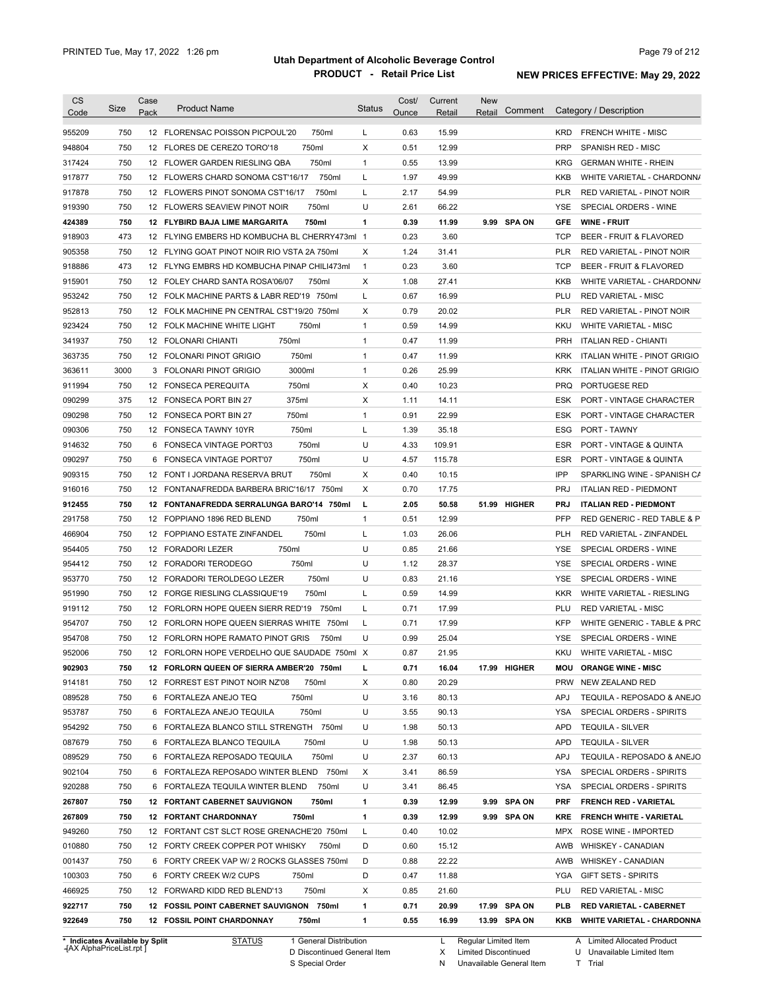| Code   |      |      | <b>Product Name</b>                           | <b>Status</b> | Ounce | Retail | Retail | Comment      |            | Category / Description             |
|--------|------|------|-----------------------------------------------|---------------|-------|--------|--------|--------------|------------|------------------------------------|
|        |      | Pack |                                               |               |       |        |        |              |            |                                    |
| 955209 | 750  |      | 12 FLORENSAC POISSON PICPOUL'20<br>750ml      | L             | 0.63  | 15.99  |        |              | <b>KRD</b> | <b>FRENCH WHITE - MISC</b>         |
| 948804 | 750  |      | 750ml<br>12 FLORES DE CEREZO TORO'18          | X             | 0.51  | 12.99  |        |              | <b>PRP</b> | SPANISH RED - MISC                 |
| 317424 | 750  |      | 750ml<br>12 FLOWER GARDEN RIESLING QBA        | 1             | 0.55  | 13.99  |        |              | <b>KRG</b> | <b>GERMAN WHITE - RHEIN</b>        |
| 917877 | 750  |      | 750ml<br>12 FLOWERS CHARD SONOMA CST16/17     | Г             | 1.97  | 49.99  |        |              | KKB        | WHITE VARIETAL - CHARDONN/         |
| 917878 | 750  |      | 750ml<br>12 FLOWERS PINOT SONOMA CST'16/17    | L             | 2.17  | 54.99  |        |              | <b>PLR</b> | RED VARIETAL - PINOT NOIR          |
| 919390 | 750  |      | 750ml<br>12 FLOWERS SEAVIEW PINOT NOIR        | U             | 2.61  | 66.22  |        |              | YSE        | SPECIAL ORDERS - WINE              |
| 424389 | 750  |      | 750ml<br>12 FLYBIRD BAJA LIME MARGARITA       | 1             | 0.39  | 11.99  |        | 9.99 SPA ON  | <b>GFE</b> | <b>WINE FRUIT</b>                  |
| 918903 | 473  |      | 12 FLYING EMBERS HD KOMBUCHA BL CHERRY473ml 1 |               | 0.23  | 3.60   |        |              | <b>TCP</b> | <b>BEER - FRUIT &amp; FLAVORED</b> |
| 905358 | 750  |      | 12 FLYING GOAT PINOT NOIR RIO VSTA 2A 750ml   | х             | 1.24  | 31.41  |        |              | <b>PLR</b> | RED VARIETAL - PINOT NOIR          |
| 918886 | 473  |      | 12 FLYNG EMBRS HD KOMBUCHA PINAP CHILI473ml   | $\mathbf{1}$  | 0.23  | 3.60   |        |              | <b>TCP</b> | <b>BEER - FRUIT &amp; FLAVORED</b> |
| 915901 | 750  |      | 12 FOLEY CHARD SANTA ROSA'06/07<br>750ml      | Х             | 1.08  | 27.41  |        |              | KKB        | WHITE VARIETAL - CHARDONN/         |
| 953242 | 750  |      | 12 FOLK MACHINE PARTS & LABR RED'19 750ml     | Г             | 0.67  | 16.99  |        |              | PLU        | <b>RED VARIETAL - MISC</b>         |
| 952813 | 750  |      | 12 FOLK MACHINE PN CENTRAL CST'19/20 750ml    | X             | 0.79  | 20.02  |        |              | <b>PLR</b> | RED VARIETAL - PINOT NOIR          |
| 923424 | 750  |      | 750ml<br>12 FOLK MACHINE WHITE LIGHT          | 1             | 0.59  | 14.99  |        |              | KKU        | <b>WHITE VARIETAL - MISC</b>       |
| 341937 | 750  |      | 750ml<br>12 FOLONARI CHIANTI                  | $\mathbf{1}$  | 0.47  | 11.99  |        |              | <b>PRH</b> | <b>ITALIAN RED - CHIANTI</b>       |
| 363735 | 750  |      | 750ml<br>12 FOLONARI PINOT GRIGIO             | $\mathbf{1}$  | 0.47  | 11.99  |        |              | <b>KRK</b> | ITALIAN WHITE - PINOT GRIGIO       |
| 363611 | 3000 |      | 3000ml<br>3 FOLONARI PINOT GRIGIO             | $\mathbf{1}$  | 0.26  | 25.99  |        |              | <b>KRK</b> | ITALIAN WHITE - PINOT GRIGIO       |
| 911994 | 750  |      | 750ml<br>12 FONSECA PEREQUITA                 | X             | 0.40  | 10.23  |        |              | <b>PRQ</b> | PORTUGESE RED                      |
| 090299 | 375  |      | 375ml<br>12 FONSECA PORT BIN 27               | х             | 1.11  | 14.11  |        |              | ESK        | PORT - VINTAGE CHARACTER           |
| 090298 | 750  |      | 750ml<br>12 FONSECA PORT BIN 27               | 1             | 0.91  | 22.99  |        |              | ESK        | PORT - VINTAGE CHARACTER           |
| 090306 | 750  |      | 750ml<br>12 FONSECA TAWNY 10YR                | Г             | 1.39  | 35.18  |        |              | ESG        | PORT - TAWNY                       |
| 914632 | 750  |      | 750ml<br>6 FONSECA VINTAGE PORT'03            | U             | 4.33  | 109.91 |        |              | <b>ESR</b> | <b>PORT - VINTAGE &amp; QUINTA</b> |
| 090297 | 750  |      | 750ml<br>6 FONSECA VINTAGE PORT'07            | U             | 4.57  | 115.78 |        |              | <b>ESR</b> | <b>PORT - VINTAGE &amp; QUINTA</b> |
| 909315 | 750  |      | 750ml<br>12 FONT I JORDANA RESERVA BRUT       | X             | 0.40  | 10.15  |        |              | IPP        | SPARKLING WINE - SPANISH CA        |
| 916016 | 750  |      | 12 FONTANAFREDDA BARBERA BRIC'16/17 750ml     | X             | 0.70  | 17.75  |        |              | <b>PRJ</b> | <b>ITALIAN RED - PIEDMONT</b>      |
| 912455 | 750  |      | 12 FONTANAFREDDA SERRALUNGA BARO'14 750ml     | L             | 2.05  | 50.58  |        | 51.99 HIGHER | <b>PRJ</b> | <b>ITALIAN RED - PIEDMONT</b>      |
| 291758 | 750  |      | 750ml<br>12 FOPPIANO 1896 RED BLEND           | $\mathbf{1}$  | 0.51  | 12.99  |        |              | PFP        | RED GENERIC - RED TABLE & P        |
| 466904 | 750  |      | 750ml<br>12 FOPPIANO ESTATE ZINFANDEL         | Г             | 1.03  | 26.06  |        |              | <b>PLH</b> | RED VARIETAL - ZINFANDEL           |
| 954405 | 750  |      | 750ml<br>12 FORADORI LEZER                    | U             | 0.85  | 21.66  |        |              | <b>YSE</b> | SPECIAL ORDERS - WINE              |
| 954412 | 750  |      | 12 FORADORI TERODEGO<br>750ml                 | U             | 1.12  | 28.37  |        |              | <b>YSE</b> | SPECIAL ORDERS - WINE              |
| 953770 | 750  |      | 12 FORADORI TEROLDEGO LEZER<br>750ml          | U             | 0.83  | 21.16  |        |              | <b>YSE</b> | SPECIAL ORDERS - WINE              |
| 951990 | 750  |      | 12 FORGE RIESLING CLASSIQUE'19<br>750ml       | Г             | 0.59  | 14.99  |        |              | <b>KKR</b> | <b>WHITE VARIETAL - RIESLING</b>   |
| 919112 | 750  |      | 12 FORLORN HOPE QUEEN SIERR RED'19 750ml      | Г             | 0.71  | 17.99  |        |              | PLU        | <b>RED VARIETAL - MISC</b>         |
|        | 750  |      |                                               | Г             | 0.71  |        |        |              | <b>KFP</b> | WHITE GENERIC - TABLE & PRC        |
| 954707 |      |      | 12 FORLORN HOPE QUEEN SIERRAS WHITE 750ml     |               |       | 17.99  |        |              |            |                                    |
| 954708 | 750  |      | 12 FORLORN HOPE RAMATO PINOT GRIS<br>750ml    | U             | 0.99  | 25.04  |        |              | <b>YSE</b> | SPECIAL ORDERS - WINE              |
| 952006 | 750  |      | 12 FORLORN HOPE VERDELHO QUE SAUDADE 750ml X  |               | 0.87  | 21.95  |        |              | <b>KKU</b> | <b>WHITE VARIETAL - MISC</b>       |
| 902903 | 750  |      | 12 FORLORN QUEEN OF SIERRA AMBER'20 750ml     | г             | 0.71  | 16.04  |        | 17.99 HIGHER |            | <b>MOU ORANGE WINE - MISC</b>      |
| 914181 | 750  |      | 12 FORREST EST PINOT NOIR NZ'08<br>750ml      | X             | 0.80  | 20.29  |        |              | <b>PRW</b> | NEW ZEALAND RED                    |
| 089528 | 750  |      | 6 FORTALEZA ANEJO TEQ<br>750ml                | U             | 3.16  | 80.13  |        |              | <b>APJ</b> | TEQUILA - REPOSADO & ANEJO         |
| 953787 | 750  |      | 750ml<br>6 FORTALEZA ANEJO TEQUILA            | U             | 3.55  | 90.13  |        |              | YSA        | SPECIAL ORDERS - SPIRITS           |
| 954292 | 750  |      | 6 FORTALEZA BLANCO STILL STRENGTH 750ml       | U             | 1.98  | 50.13  |        |              | APD        | <b>TEQUILA - SILVER</b>            |
| 087679 | 750  |      | 6 FORTALEZA BLANCO TEQUILA<br>750ml           | U             | 1.98  | 50.13  |        |              | <b>APD</b> | <b>TEQUILA - SILVER</b>            |
| 089529 | 750  |      | 750ml<br>6 FORTALEZA REPOSADO TEQUILA         | U             | 2.37  | 60.13  |        |              | <b>APJ</b> | TEQUILA - REPOSADO & ANEJO         |
| 902104 | 750  |      | 6 FORTALEZA REPOSADO WINTER BLEND 750ml       | Х             | 3.41  | 86.59  |        |              | YSA        | SPECIAL ORDERS - SPIRITS           |
| 920288 | 750  |      | 6 FORTALEZA TEQUILA WINTER BLEND<br>750ml     | U             | 3.41  | 86.45  |        |              | YSA        | SPECIAL ORDERS - SPIRITS           |
| 267807 | 750  |      | <b>12 FORTANT CABERNET SAUVIGNON</b><br>750ml | 1             | 0.39  | 12.99  |        | 9.99 SPA ON  | <b>PRF</b> | <b>FRENCH RED - VARIETAL</b>       |
| 267809 | 750  |      | <b>12 FORTANT CHARDONNAY</b><br>750ml         | 1             | 0.39  | 12.99  |        | 9.99 SPA ON  | <b>KRE</b> | <b>FRENCH WHITE - VARIETAL</b>     |
| 949260 | 750  |      | 12 FORTANT CST SLCT ROSE GRENACHE'20 750ml    | L             | 0.40  | 10.02  |        |              | MPX        | ROSE WINE - IMPORTED               |
| 010880 | 750  |      | 12 FORTY CREEK COPPER POT WHISKY<br>750ml     | D             | 0.60  | 15.12  |        |              | AWB        | <b>WHISKEY - CANADIAN</b>          |
| 001437 | 750  |      | 6 FORTY CREEK VAP W/ 2 ROCKS GLASSES 750ml    | D             | 0.88  | 22.22  |        |              | AWB        | <b>WHISKEY - CANADIAN</b>          |
| 100303 | 750  |      | 6 FORTY CREEK W/2 CUPS<br>750ml               | D             | 0.47  | 11.88  |        |              | YGA        | <b>GIFT SETS - SPIRITS</b>         |
|        | 750  |      | 12 FORWARD KIDD RED BLEND'13<br>750ml         | Х             | 0.85  | 21.60  |        |              | PLU        | <b>RED VARIETAL - MISC</b>         |
| 466925 |      |      |                                               |               |       |        |        |              |            |                                    |
| 922717 | 750  |      | 12 FOSSIL POINT CABERNET SAUVIGNON 750ml      | 1             | 0.71  | 20.99  |        | 17.99 SPA ON | <b>PLB</b> | <b>RED VARIETAL - CABERNET</b>     |

**Case** [AX AlphaPriceList.rpt ]

D Discontinued General Item

S Special Order

X N Limited Discontinued

Unavailable General Item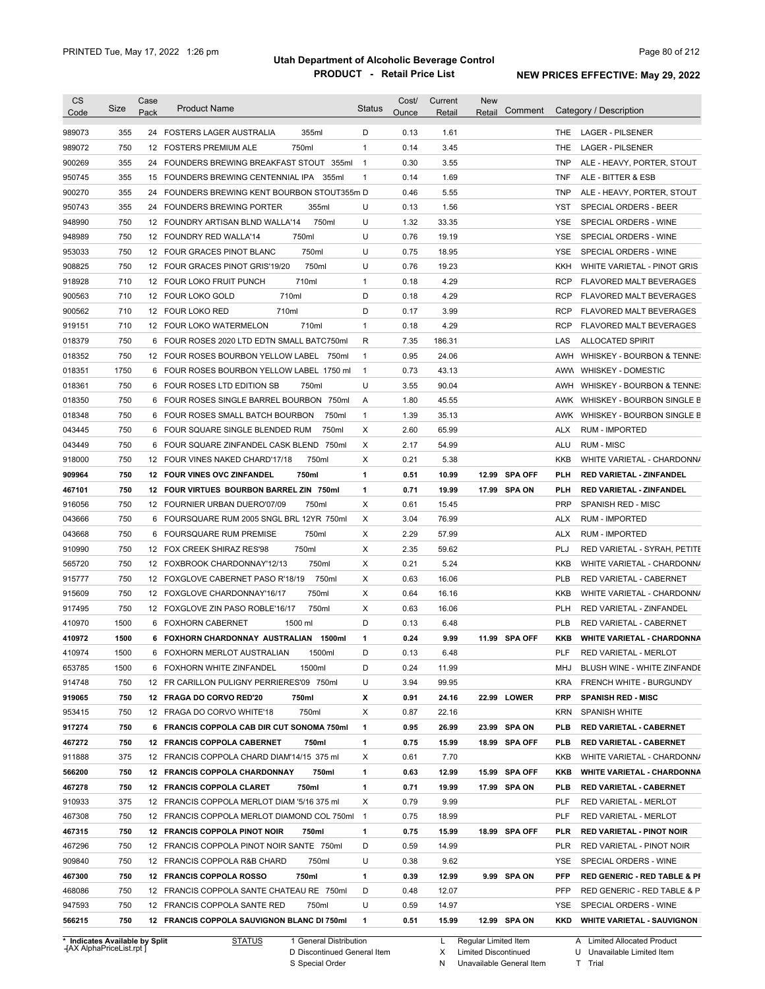| <b>CS</b><br>Code | Size       | Case<br>Pack | <b>Product Name</b>                          | <b>Status</b>  | Cost/<br>Ounce | Current<br>Retail | <b>New</b><br>Retail | Comment       |            | Category / Description                  |
|-------------------|------------|--------------|----------------------------------------------|----------------|----------------|-------------------|----------------------|---------------|------------|-----------------------------------------|
| 989073            | 355        |              | 355ml<br>24 FOSTERS LAGER AUSTRALIA          | D              | 0.13           | 1.61              |                      |               | THE.       | <b>LAGER - PILSENER</b>                 |
| 989072            | 750        |              | 12 FOSTERS PREMIUM ALE<br>750ml              | $\mathbf{1}$   | 0.14           | 3.45              |                      |               | <b>THE</b> | <b>LAGER - PILSENER</b>                 |
| 900269            | 355        |              | 24 FOUNDERS BREWING BREAKFAST STOUT 355ml    | $\overline{1}$ | 0.30           | 3.55              |                      |               | <b>TNP</b> | ALE - HEAVY, PORTER, STOUT              |
| 950745            | 355        |              | 15 FOUNDERS BREWING CENTENNIAL IPA 355ml     | $\mathbf{1}$   | 0.14           | 1.69              |                      |               | <b>TNF</b> | ALE - BITTER & ESB                      |
| 900270            | 355        |              | 24 FOUNDERS BREWING KENT BOURBON STOUT355m D |                | 0.46           | 5.55              |                      |               | <b>TNP</b> | ALE - HEAVY, PORTER, STOUT              |
| 950743            | 355        |              | 24 FOUNDERS BREWING PORTER<br>355ml          | U              | 0.13           | 1.56              |                      |               | YST        | SPECIAL ORDERS - BEER                   |
| 948990            | 750        |              | 750ml<br>12 FOUNDRY ARTISAN BLND WALLA'14    | U              | 1.32           | 33.35             |                      |               | <b>YSE</b> | SPECIAL ORDERS - WINE                   |
| 948989            | 750        |              | 750ml<br>12 FOUNDRY RED WALLA'14             | U              | 0.76           | 19.19             |                      |               | <b>YSE</b> | SPECIAL ORDERS - WINE                   |
| 953033            | 750        |              | 750ml<br>12 FOUR GRACES PINOT BLANC          | U              | 0.75           | 18.95             |                      |               | <b>YSE</b> | SPECIAL ORDERS - WINE                   |
| 908825            | 750        |              | 750ml<br>12 FOUR GRACES PINOT GRIS'19/20     | U              | 0.76           | 19.23             |                      |               | KKH        | WHITE VARIETAL - PINOT GRIS             |
| 918928            | 710        |              | 710ml<br>12 FOUR LOKO FRUIT PUNCH            | $\mathbf{1}$   | 0.18           | 4.29              |                      |               | <b>RCP</b> | <b>FLAVORED MALT BEVERAGES</b>          |
| 900563            | 710        |              | 710ml<br>12 FOUR LOKO GOLD                   | D              | 0.18           | 4.29              |                      |               | <b>RCP</b> | <b>FLAVORED MALT BEVERAGES</b>          |
| 900562            | 710        |              | 710ml<br>12 FOUR LOKO RED                    | D              | 0.17           | 3.99              |                      |               | <b>RCP</b> | <b>FLAVORED MALT BEVERAGES</b>          |
| 919151            | 710        |              | 710ml<br>12 FOUR LOKO WATERMELON             | $\mathbf{1}$   | 0.18           | 4.29              |                      |               | <b>RCP</b> | <b>FLAVORED MALT BEVERAGES</b>          |
| 018379            | 750        |              | 6 FOUR ROSES 2020 LTD EDTN SMALL BATC750ml   | R              | 7.35           | 186.31            |                      |               | LAS        | <b>ALLOCATED SPIRIT</b>                 |
| 018352            | 750        |              | 12 FOUR ROSES BOURBON YELLOW LABEL 750ml     | $\mathbf{1}$   | 0.95           | 24.06             |                      |               | AWH        | WHISKEY - BOURBON & TENNE:              |
| 018351            | 1750       |              | 6 FOUR ROSES BOURBON YELLOW LABEL 1750 ml    | $\mathbf{1}$   | 0.73           | 43.13             |                      |               | AWW        | <b>WHISKEY - DOMESTIC</b>               |
| 018361            | 750        |              | 750ml<br>6 FOUR ROSES LTD EDITION SB         | U              | 3.55           | 90.04             |                      |               | AWH        | WHISKEY - BOURBON & TENNE:              |
| 018350            | 750        |              | 6 FOUR ROSES SINGLE BARREL BOURBON 750ml     | Α              | 1.80           | 45.55             |                      |               | AWK        | WHISKEY - BOURBON SINGLE B              |
| 018348            | 750        |              | 6 FOUR ROSES SMALL BATCH BOURBON<br>750ml    | $\mathbf{1}$   | 1.39           | 35.13             |                      |               | AWK        | WHISKEY - BOURBON SINGLE B              |
| 043445            | 750        | 6            | 750ml<br>FOUR SQUARE SINGLE BLENDED RUM      | Χ              | 2.60           | 65.99             |                      |               | <b>ALX</b> | <b>RUM - IMPORTED</b>                   |
| 043449            | 750        | 6            | FOUR SQUARE ZINFANDEL CASK BLEND 750ml       | Χ              | 2.17           | 54.99             |                      |               | ALU        | <b>RUM - MISC</b>                       |
| 918000            | 750        |              | 12 FOUR VINES NAKED CHARD'17/18<br>750ml     | Χ              | 0.21           | 5.38              |                      |               | <b>KKB</b> | WHITE VARIETAL - CHARDONN/              |
| 909964            | 750        |              | 12 FOUR VINES OVC ZINFANDEL<br>750ml         | 1              | 0.51           | 10.99             |                      | 12.99 SPA OFF | PLH        | <b>RED VARIETAL - ZINFANDEL</b>         |
| 467101            | 750        |              | 12 FOUR VIRTUES BOURBON BARREL ZIN 750ml     | 1              | 0.71           | 19.99             |                      | 17.99 SPA ON  | PLH        | <b>RED VARIETAL - ZINFANDEL</b>         |
| 916056            | 750        |              | 750ml<br>12 FOURNIER URBAN DUERO'07/09       | Χ              | 0.61           | 15.45             |                      |               | <b>PRP</b> | SPANISH RED - MISC                      |
| 043666            | 750        | 6            | FOURSQUARE RUM 2005 SNGL BRL 12YR 750ml      | Χ              | 3.04           | 76.99             |                      |               | <b>ALX</b> | <b>RUM - IMPORTED</b>                   |
| 043668            | 750        | 6            | 750ml<br><b>FOURSQUARE RUM PREMISE</b>       | Χ              | 2.29           | 57.99             |                      |               | <b>ALX</b> | <b>RUM - IMPORTED</b>                   |
| 910990            | 750        |              | 750ml<br>12 FOX CREEK SHIRAZ RES'98          | Χ              | 2.35           | 59.62             |                      |               | PLJ        | RED VARIETAL - SYRAH, PETITE            |
| 565720            | 750        |              | 750ml<br>12 FOXBROOK CHARDONNAY'12/13        | Χ              | 0.21           | 5.24              |                      |               | <b>KKB</b> | WHITE VARIETAL - CHARDONN/              |
| 915777            | 750        |              | 750ml<br>12 FOXGLOVE CABERNET PASO R'18/19   | Χ              | 0.63           | 16.06             |                      |               | <b>PLB</b> | RED VARIETAL - CABERNET                 |
| 915609            | 750        |              | 12 FOXGLOVE CHARDONNAY'16/17<br>750ml        | Χ              | 0.64           | 16.16             |                      |               | <b>KKB</b> | WHITE VARIETAL - CHARDONN/              |
| 917495            | 750        |              | 750ml<br>12 FOXGLOVE ZIN PASO ROBLE'16/17    | Χ              | 0.63           | 16.06             |                      |               | <b>PLH</b> | RED VARIETAL - ZINFANDEL                |
| 410970            | 1500       |              | 1500 ml<br>6 FOXHORN CABERNET                | D              | 0.13           | 6.48              |                      |               | <b>PLB</b> | RED VARIETAL - CABERNET                 |
| 410972            | 1500       |              | 6 FOXHORN CHARDONNAY AUSTRALIAN 1500ml       | 1              | 0.24           | 9.99              |                      | 11.99 SPA OFF | KKB        | <b>WHITE VARIETAL - CHARDONNA</b>       |
| 410974            | 1500       | 6            | FOXHORN MERLOT AUSTRALIAN<br>1500ml          | D              | 0.13           | 6.48              |                      |               | PLF        | RED VARIETAL - MERLOT                   |
| 653785            | 1500       |              | 6 FOXHORN WHITE ZINFANDEL<br>1500ml          | D              | 0.24           | 11.99             |                      |               | MHJ        | BLUSH WINE - WHITE ZINFANDE             |
| 914748            | 750        |              | 12 FR CARILLON PULIGNY PERRIERES'09 750ml    | U              | 3.94           | 99.95             |                      |               | KRA        | FRENCH WHITE - BURGUNDY                 |
| 919065            | 750        |              | 12 FRAGA DO CORVO RED'20<br>750ml            | х              | 0.91           | 24.16             |                      | 22.99 LOWER   | <b>PRP</b> | <b>SPANISH RED - MISC</b>               |
| 953415            | 750        |              | 12 FRAGA DO CORVO WHITE'18<br>750ml          | Х              | 0.87           | 22.16             |                      |               | KRN        | <b>SPANISH WHITE</b>                    |
| 917274            | 750        |              | 6 FRANCIS COPPOLA CAB DIR CUT SONOMA 750ml   | 1              | 0.95           | 26.99             |                      | 23.99 SPA ON  | PLB        | <b>RED VARIETAL - CABERNET</b>          |
| 467272            | 750        |              | 12 FRANCIS COPPOLA CABERNET<br>750ml         | 1              | 0.75           | 15.99             |                      | 18.99 SPA OFF | PLB        | <b>RED VARIETAL - CABERNET</b>          |
| 911888            | 375        |              | 12 FRANCIS COPPOLA CHARD DIAM'14/15 375 ml   | Х              | 0.61           | 7.70              |                      |               | KKB        | WHITE VARIETAL - CHARDONN/              |
| 566200            | 750        |              | 12 FRANCIS COPPOLA CHARDONNAY<br>750ml       | 1              | 0.63           | 12.99             |                      | 15.99 SPA OFF | KKB        | <b>WHITE VARIETAL - CHARDONNA</b>       |
| 467278            | 750        |              | 12 FRANCIS COPPOLA CLARET<br>750ml           | 1              | 0.71           | 19.99             |                      | 17.99 SPA ON  | PLB        | <b>RED VARIETAL - CABERNET</b>          |
| 910933            | 375        |              | 12 FRANCIS COPPOLA MERLOT DIAM '5/16 375 ml  | Х              | 0.79           | 9.99              |                      |               | PLF        | RED VARIETAL - MERLOT                   |
| 467308            | 750        |              | 12 FRANCIS COPPOLA MERLOT DIAMOND COL 750ml  | $\overline{1}$ | 0.75           | 18.99             |                      |               | PLF        | RED VARIETAL - MERLOT                   |
|                   |            |              | 750ml                                        | 1              |                |                   |                      |               | PLR        |                                         |
| 467315            | 750        |              | 12 FRANCIS COPPOLA PINOT NOIR                | D              | 0.75           | 15.99             |                      | 18.99 SPA OFF |            | <b>RED VARIETAL - PINOT NOIR</b>        |
| 467296            | 750        |              | 12 FRANCIS COPPOLA PINOT NOIR SANTE 750ml    |                | 0.59           | 14.99             |                      |               | PLR        | RED VARIETAL - PINOT NOIR               |
| 909840            | 750        |              | 12 FRANCIS COPPOLA R&B CHARD<br>750ml        | U              | 0.38           | 9.62              |                      |               | YSE        | SPECIAL ORDERS - WINE                   |
| 467300            | 750        |              | 12 FRANCIS COPPOLA ROSSO<br>750ml            | 1              | 0.39           | 12.99             |                      | 9.99 SPA ON   | PFP        | <b>RED GENERIC - RED TABLE &amp; PI</b> |
| 468086            | 750        |              | 12 FRANCIS COPPOLA SANTE CHATEAU RE 750ml    | D              | 0.48           | 12.07             |                      |               | PFP        | RED GENERIC - RED TABLE & P             |
|                   |            |              | 12 FRANCIS COPPOLA SANTE RED<br>750ml        | U              | 0.59           | 14.97             |                      |               | YSE        | SPECIAL ORDERS - WINE                   |
| 947593<br>566215  | 750<br>750 |              | 12 FRANCIS COPPOLA SAUVIGNON BLANC DI 750ml  | 1              | 0.51           | 15.99             |                      | 12.99 SPA ON  | KKD        | <b>WHITE VARIETAL - SAUVIGNON</b>       |

**Case** [AX AlphaPriceList.rpt ]

D Discontinued General Item S Special Order

L Regular Limited Item

X N Limited Discontinued

Unavailable General Item

A Limited Allocated Product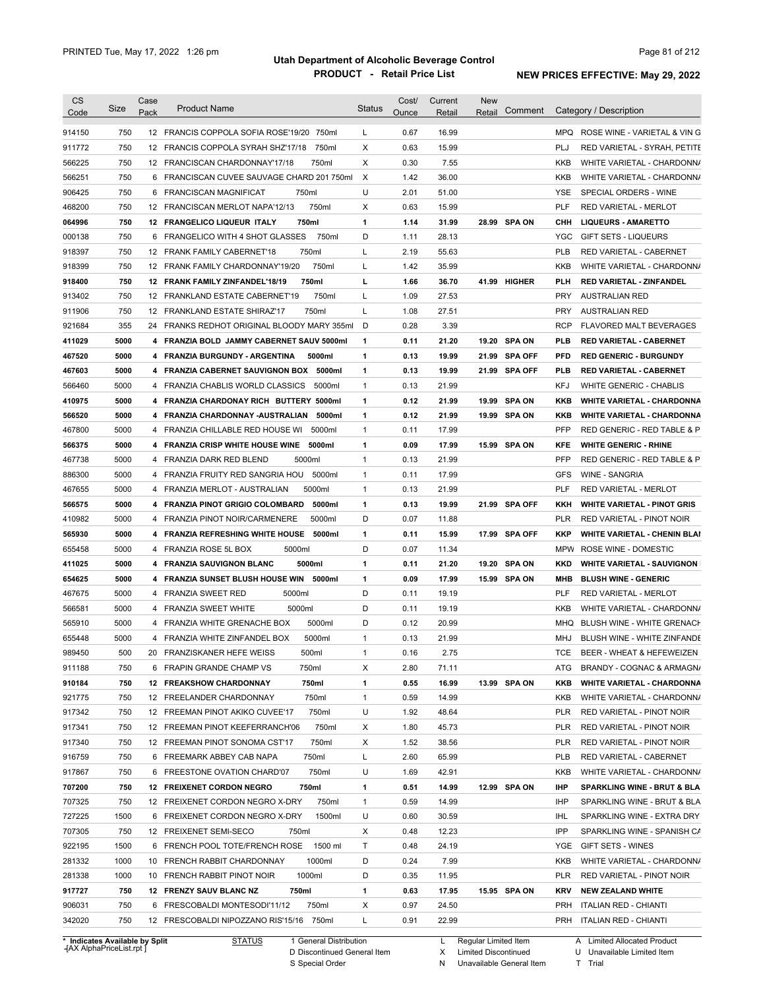| <b>CS</b>        |      | Case |                                             |               | Cost/ | Current | New                     |            |                                        |
|------------------|------|------|---------------------------------------------|---------------|-------|---------|-------------------------|------------|----------------------------------------|
| Code             | Size | Pack | <b>Product Name</b>                         | <b>Status</b> | Ounce | Retail  | Comment<br>Retail       |            | Category / Description                 |
| 914150           | 750  |      | 12 FRANCIS COPPOLA SOFIA ROSE'19/20 750ml   | L             | 0.67  | 16.99   |                         |            | MPQ ROSE WINE - VARIETAL & VING        |
| 911772           | 750  |      | 750ml<br>12 FRANCIS COPPOLA SYRAH SHZ'17/18 | Х             | 0.63  | 15.99   |                         | PLJ        | RED VARIETAL - SYRAH, PETITE           |
| 566225           | 750  |      | 750ml<br>12 FRANCISCAN CHARDONNAY'17/18     | X             | 0.30  | 7.55    |                         | KKB        | WHITE VARIETAL - CHARDONN/             |
| 566251           | 750  |      | 6 FRANCISCAN CUVEE SAUVAGE CHARD 201 750ml  | $\times$      | 1.42  | 36.00   |                         | KKB        | WHITE VARIETAL - CHARDONN/             |
| 906425           | 750  |      | 6 FRANCISCAN MAGNIFICAT<br>750ml            | U             | 2.01  | 51.00   |                         | YSE        | SPECIAL ORDERS - WINE                  |
| 468200           | 750  |      | 750ml<br>12 FRANCISCAN MERLOT NAPA'12/13    | Х             | 0.63  | 15.99   |                         | PLF        | RED VARIETAL - MERLOT                  |
|                  |      |      | 12 FRANGELICO LIQUEUR ITALY                 |               |       |         |                         |            |                                        |
| 064996           | 750  |      | 750ml                                       | 1             | 1.14  | 31.99   | 28.99 SPA ON            | снн        | <b>LIQUEURS - AMARETTO</b>             |
| 000138           | 750  |      | 6 FRANGELICO WITH 4 SHOT GLASSES<br>750ml   | D             | 1.11  | 28.13   |                         | YGC        | <b>GIFT SETS - LIQUEURS</b>            |
| 918397           | 750  |      | 750ml<br>12 FRANK FAMILY CABERNET'18        | Г             | 2.19  | 55.63   |                         | <b>PLB</b> | RED VARIETAL - CABERNET                |
| 918399           | 750  |      | 750ml<br>12 FRANK FAMILY CHARDONNAY'19/20   | Г             | 1.42  | 35.99   |                         | KKB        | WHITE VARIETAL - CHARDONN/             |
| 918400           | 750  |      | 750ml<br>12 FRANK FAMILY ZINFANDEL'18/19    | г             | 1.66  | 36.70   | 41.99 HIGHER            | PLH        | <b>RED VARIETAL - ZINFANDEL</b>        |
| 913402           | 750  |      | 750ml<br>12 FRANKLAND ESTATE CABERNET'19    | L             | 1.09  | 27.53   |                         | <b>PRY</b> | <b>AUSTRALIAN RED</b>                  |
| 911906           | 750  |      | 750ml<br>12 FRANKLAND ESTATE SHIRAZ'17      | Г             | 1.08  | 27.51   |                         | <b>PRY</b> | AUSTRALIAN RED                         |
| 921684           | 355  |      | 24 FRANKS REDHOT ORIGINAL BLOODY MARY 355ml | D             | 0.28  | 3.39    |                         | <b>RCP</b> | <b>FLAVORED MALT BEVERAGES</b>         |
| 411029           | 5000 |      | 4 FRANZIA BOLD JAMMY CABERNET SAUV 5000ml   | $\mathbf{1}$  | 0.11  | 21.20   | <b>SPA ON</b><br>19.20  | <b>PLB</b> | <b>RED VARIETAL - CABERNET</b>         |
| 467520           | 5000 |      | 4 FRANZIA BURGUNDY - ARGENTINA<br>5000ml    | 1             | 0.13  | 19.99   | <b>SPA OFF</b><br>21.99 | <b>PFD</b> | <b>RED GENERIC - BURGUNDY</b>          |
| 467603           | 5000 |      | 4 FRANZIA CABERNET SAUVIGNON BOX 5000ml     | 1             | 0.13  | 19.99   | 21.99 SPA OFF           | <b>PLB</b> | <b>RED VARIETAL - CABERNET</b>         |
| 566460           | 5000 |      | 4 FRANZIA CHABLIS WORLD CLASSICS<br>5000ml  | $\mathbf{1}$  | 0.13  | 21.99   |                         | KFJ        | <b>WHITE GENERIC - CHABLIS</b>         |
| 410975           | 5000 |      | 4 FRANZIA CHARDONAY RICH BUTTERY 5000ml     | 1             | 0.12  | 21.99   | 19.99<br><b>SPA ON</b>  | KKB        | <b>WHITE VARIETAL - CHARDONNA</b>      |
| 566520           | 5000 |      | 4 FRANZIA CHARDONNAY - AUSTRALIAN<br>5000ml | 1             | 0.12  | 21.99   | 19.99<br><b>SPA ON</b>  | KKB        | <b>WHITE VARIETAL CHARDONNA</b>        |
| 467800           | 5000 |      | 5000ml<br>4 FRANZIA CHILLABLE RED HOUSE WI  | $\mathbf{1}$  | 0.11  | 17.99   |                         | <b>PFP</b> | RED GENERIC - RED TABLE & P            |
| 566375           | 5000 |      | 4 FRANZIA CRISP WHITE HOUSE WINE<br>5000ml  | 1             | 0.09  | 17.99   | <b>SPA ON</b><br>15.99  | KFE        | <b>WHITE GENERIC - RHINE</b>           |
| 467738           | 5000 |      | 5000ml<br>4 FRANZIA DARK RED BLEND          | $\mathbf{1}$  | 0.13  | 21.99   |                         | <b>PFP</b> | RED GENERIC - RED TABLE & P            |
| 886300           | 5000 |      | 5000ml<br>4 FRANZIA FRUITY RED SANGRIA HOU  | $\mathbf{1}$  | 0.11  | 17.99   |                         | <b>GFS</b> | <b>WINE - SANGRIA</b>                  |
| 467655           | 5000 |      | 5000ml<br>4 FRANZIA MERLOT - AUSTRALIAN     | $\mathbf{1}$  | 0.13  | 21.99   |                         | <b>PLF</b> | RED VARIETAL - MERLOT                  |
| 566575           | 5000 |      | 5000ml<br>4 FRANZIA PINOT GRIGIO COLOMBARD  | 1             | 0.13  | 19.99   | 21.99 SPA OFF           | KKH        | <b>WHITE VARIETAL - PINOT GRIS</b>     |
| 410982           | 5000 |      | 4 FRANZIA PINOT NOIR/CARMENERE<br>5000ml    | D             | 0.07  | 11.88   |                         | PLR        | RED VARIETAL - PINOT NOIR              |
| 565930           | 5000 |      | 4 FRANZIA REFRESHING WHITE HOUSE<br>5000ml  | 1             | 0.11  | 15.99   | 17.99<br><b>SPA OFF</b> | KKP        | <b>WHITE VARIETAL - CHENIN BLAI</b>    |
| 655458           | 5000 |      | 4 FRANZIA ROSE 5L BOX<br>5000ml             | D             | 0.07  | 11.34   |                         | <b>MPW</b> | ROSE WINE - DOMESTIC                   |
| 411025           | 5000 |      | 5000ml<br>4 FRANZIA SAUVIGNON BLANC         | 1             | 0.11  | 21.20   | 19.20<br><b>SPA ON</b>  | KKD        | <b>WHITE VARIETAL - SAUVIGNON</b>      |
|                  | 5000 |      | 4 FRANZIA SUNSET BLUSH HOUSE WIN<br>5000ml  | 1             | 0.09  | 17.99   |                         | MHB        | <b>BLUSH WINE - GENERIC</b>            |
| 654625<br>467675 | 5000 |      | 4 FRANZIA SWEET RED<br>5000ml               | D             | 0.11  | 19.19   | 15.99 SPA ON            | PLF        | <b>RED VARIETAL - MERLOT</b>           |
|                  | 5000 |      | 5000ml<br>4 FRANZIA SWEET WHITE             | D             | 0.11  |         |                         | KKB        |                                        |
| 566581           |      |      |                                             |               |       | 19.19   |                         |            | WHITE VARIETAL - CHARDONN/             |
| 565910           | 5000 |      | 5000ml<br>4 FRANZIA WHITE GRENACHE BOX      | D             | 0.12  | 20.99   |                         | MHQ        | <b>BLUSH WINE - WHITE GRENACH</b>      |
| 655448           | 5000 |      | 5000ml<br>4 FRANZIA WHITE ZINFANDEL BOX     | 1             | 0.13  | 21.99   |                         | MHJ        | BLUSH WINE - WHITE ZINFANDE            |
| 989450           | 500  | 20   | <b>FRANZISKANER HEFE WEISS</b><br>500ml     | 1             | 0.16  | 2.75    |                         | TCE        | BEER - WHEAT & HEFEWEIZEN              |
| 911188           | 750  |      | 6 FRAPIN GRANDE CHAMP VS<br>750ml           | Х             | 2.80  | 71.11   |                         |            | ATG BRANDY - COGNAC & ARMAGN/          |
| 910184           | 750  |      | 750ml<br><b>12 FREAKSHOW CHARDONNAY</b>     | 1             | 0.55  | 16.99   | 13.99 SPA ON            | KKB        | <b>WHITE VARIETAL - CHARDONNA</b>      |
| 921775           | 750  |      | 750ml<br>12 FREELANDER CHARDONNAY           | 1             | 0.59  | 14.99   |                         | KKB        | WHITE VARIETAL - CHARDONN/             |
| 917342           | 750  |      | 750ml<br>12 FREEMAN PINOT AKIKO CUVEE'17    | U             | 1.92  | 48.64   |                         | <b>PLR</b> | RED VARIETAL - PINOT NOIR              |
| 917341           | 750  |      | 750ml<br>12 FREEMAN PINOT KEEFERRANCH'06    | Х             | 1.80  | 45.73   |                         | <b>PLR</b> | RED VARIETAL - PINOT NOIR              |
| 917340           | 750  |      | 750ml<br>12 FREEMAN PINOT SONOMA CST'17     | Х             | 1.52  | 38.56   |                         | PLR        | RED VARIETAL - PINOT NOIR              |
| 916759           | 750  |      | 750ml<br>6 FREEMARK ABBEY CAB NAPA          | Г             | 2.60  | 65.99   |                         | PLB        | RED VARIETAL - CABERNET                |
| 917867           | 750  |      | 750ml<br>6 FREESTONE OVATION CHARD'07       | U             | 1.69  | 42.91   |                         | KKB        | WHITE VARIETAL - CHARDONN/             |
| 707200           | 750  |      | 750ml<br><b>12 FREIXENET CORDON NEGRO</b>   | 1             | 0.51  | 14.99   | 12.99 SPA ON            | IHP        | <b>SPARKLING WINE - BRUT &amp; BLA</b> |
| 707325           | 750  |      | 750ml<br>12 FREIXENET CORDON NEGRO X-DRY    | 1             | 0.59  | 14.99   |                         | IHP        | SPARKLING WINE - BRUT & BLA            |
| 727225           | 1500 |      | 1500ml<br>6 FREIXENET CORDON NEGRO X-DRY    | U             | 0.60  | 30.59   |                         | IHL        | SPARKLING WINE - EXTRA DRY             |
| 707305           | 750  |      | 12 FREIXENET SEMI-SECO<br>750ml             | X             | 0.48  | 12.23   |                         | IPP        | SPARKLING WINE - SPANISH CA            |
| 922195           | 1500 |      | 6 FRENCH POOL TOTE/FRENCH ROSE 1500 ml      | Τ             | 0.48  | 24.19   |                         | YGE        | GIFT SETS - WINES                      |
| 281332           | 1000 |      | 10 FRENCH RABBIT CHARDONNAY<br>1000ml       | D             | 0.24  | 7.99    |                         | KKB        | WHITE VARIETAL - CHARDONN/             |
| 281338           | 1000 |      | 1000ml                                      | D             | 0.35  |         |                         | PLR        |                                        |
|                  |      |      | 10 FRENCH RABBIT PINOT NOIR                 |               |       | 11.95   |                         |            | RED VARIETAL - PINOT NOIR              |
| 917727           | 750  |      | 12 FRENZY SAUV BLANC NZ<br>750ml            | 1             | 0.63  | 17.95   | 15.95 SPA ON            | KRV        | <b>NEW ZEALAND WHITE</b>               |
| 906031           |      |      |                                             |               |       |         |                         |            |                                        |
|                  | 750  |      | 750ml<br>6 FRESCOBALDI MONTESODI'11/12      | Х             | 0.97  | 24.50   |                         |            | PRH ITALIAN RED - CHIANTI              |
| 342020           | 750  |      | 12 FRESCOBALDI NIPOZZANO RIS'15/16 750ml    | Г             | 0.91  | 22.99   |                         |            | PRH ITALIAN RED - CHIANTI              |

**Case** [AX AlphaPriceList.rpt ]

D Discontinued General Item S Special Order

Regular Limited Item

X

Limited Discontinued

N Unavailable General Item

A Limited Allocated Product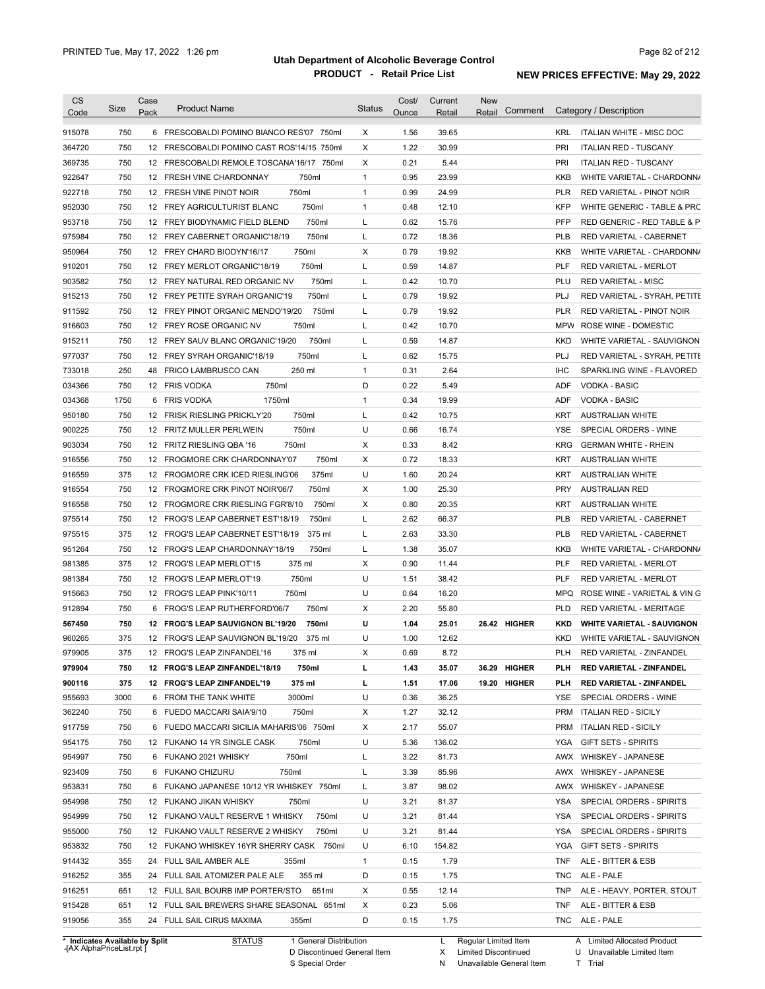| <b>Product Name</b>                         | <b>Status</b> | Cost/<br>Ounce         | Current<br>Retail | <b>New</b><br>Comment<br>Retail | Category / Description                     |
|---------------------------------------------|---------------|------------------------|-------------------|---------------------------------|--------------------------------------------|
| 6 FRESCOBALDI POMINO BIANCO RES'07 750ml    | X             | 1.56                   | 39.65             |                                 | KRL<br>ITALIAN WHITE - MISC DOC            |
| 12 FRESCOBALDI POMINO CAST ROS'14/15 750ml  | Х             | 1.22                   | 30.99             |                                 | <b>PRI</b><br><b>ITALIAN RED - TUSCANY</b> |
| 12 FRESCOBALDI REMOLE TOSCANA'16/17 750ml   | Χ             | 0.21                   | 5.44              |                                 | PRI<br><b>ITALIAN RED - TUSCANY</b>        |
| 750ml<br>12 FRESH VINE CHARDONNAY           | $\mathbf{1}$  | 0.95                   | 23.99             |                                 | KKB<br>WHITE VARIETAL - CHARDONN/          |
| 12 FRESH VINE PINOT NOIR<br>750ml           | $\mathbf{1}$  | 0.99                   | 24.99             |                                 | <b>PLR</b><br>RED VARIETAL - PINOT NOIR    |
| 750ml<br>12 FREY AGRICULTURIST BLANC        | $\mathbf{1}$  | 0.48                   | 12.10             |                                 | <b>KFP</b><br>WHITE GENERIC - TABLE & PRC  |
| 750ml<br>12 FREY BIODYNAMIC FIELD BLEND     | Г             | 0.62                   | 15.76             |                                 | <b>PFP</b><br>RED GENERIC - RED TABLE & P  |
| 750ml<br>12 FREY CABERNET ORGANIC'18/19     | Г             | 0.72                   | 18.36             |                                 | PLB<br>RED VARIETAL - CABERNET             |
| 750ml<br>12 FREY CHARD BIODYN'16/17         | Х             | 0.79                   | 19.92             |                                 | KKB<br>WHITE VARIETAL - CHARDONN/          |
| 750ml<br>12 FREY MERLOT ORGANIC'18/19       | Г             | 0.59                   | 14.87             |                                 | <b>PLF</b><br><b>RED VARIETAL - MERLOT</b> |
| 750ml<br>12 FREY NATURAL RED ORGANIC NV     | L             | 0.42                   | 10.70             |                                 | PLU<br><b>RED VARIETAL - MISC</b>          |
| 750ml<br>12 FREY PETITE SYRAH ORGANIC'19    | Г             | 0.79                   | 19.92             |                                 | PLJ<br>RED VARIETAL - SYRAH, PETITE        |
| 750ml<br>12 FREY PINOT ORGANIC MENDO'19/20  | L             | 0.79                   | 19.92             |                                 | <b>PLR</b><br>RED VARIETAL - PINOT NOIR    |
| 750ml<br>12 FREY ROSE ORGANIC NV            | Г             | 0.42                   | 10.70             |                                 | <b>MPW</b><br>ROSE WINE - DOMESTIC         |
| 750ml<br>12 FREY SAUV BLANC ORGANIC'19/20   | Г             | 0.59                   | 14.87             |                                 | KKD<br>WHITE VARIETAL - SAUVIGNON          |
| 750ml<br>12 FREY SYRAH ORGANIC'18/19        | Г             | 0.62                   | 15.75             |                                 | PLJ<br>RED VARIETAL - SYRAH, PETITE        |
| 250 ml<br><b>FRICO LAMBRUSCO CAN</b>        | $\mathbf{1}$  | 0.31                   | 2.64              |                                 | <b>IHC</b>                                 |
| 12 FRIS VODKA                               | D             | 0.22                   |                   |                                 | SPARKLING WINE - FLAVORED                  |
| 750ml                                       |               |                        | 5.49              |                                 | ADF<br><b>VODKA - BASIC</b>                |
| 1750ml<br><b>FRIS VODKA</b>                 | $\mathbf{1}$  | 0.34                   | 19.99             |                                 | <b>VODKA - BASIC</b><br>ADF                |
| 750ml<br>12 FRISK RIESLING PRICKLY'20       | Г             | 0.42                   | 10.75             |                                 | KRT<br><b>AUSTRALIAN WHITE</b>             |
| 750ml<br>12 FRITZ MULLER PERLWEIN           | U             | 0.66                   | 16.74             |                                 | SPECIAL ORDERS - WINE<br>YSE               |
| 12 FRITZ RIESLING QBA '16<br>750ml          | Χ             | 0.33                   | 8.42              |                                 | <b>KRG</b><br><b>GERMAN WHITE - RHEIN</b>  |
| 12 FROGMORE CRK CHARDONNAY'07<br>750ml      | Х             | 0.72                   | 18.33             |                                 | <b>KRT</b><br><b>AUSTRALIAN WHITE</b>      |
| 12 FROGMORE CRK ICED RIESLING'06<br>375ml   | U             | 1.60                   | 20.24             |                                 | KRT<br><b>AUSTRALIAN WHITE</b>             |
| 12 FROGMORE CRK PINOT NOIR'06/7<br>750ml    | Х             | 1.00                   | 25.30             |                                 | <b>PRY</b><br>AUSTRALIAN RED               |
| 12 FROGMORE CRK RIESLING FGR'8/10<br>750ml  | Х             | 0.80                   | 20.35             |                                 | KRT<br><b>AUSTRALIAN WHITE</b>             |
| 12 FROG'S LEAP CABERNET EST'18/19<br>750ml  | Г             | 2.62                   | 66.37             |                                 | <b>PLB</b><br>RED VARIETAL - CABERNET      |
| 12 FROG'S LEAP CABERNET EST'18/19<br>375 ml | Г             | 2.63                   | 33.30             |                                 | <b>PLB</b><br>RED VARIETAL - CABERNET      |
| 12 FROG'S LEAP CHARDONNAY'18/19<br>750ml    | Г             | 1.38                   | 35.07             |                                 | KKB<br>WHITE VARIETAL - CHARDONN/          |
| 12 FROG'S LEAP MERLOT'15<br>375 ml          | Х             | 0.90                   | 11.44             |                                 | PLF<br>RED VARIETAL - MERLOT               |
| 12 FROG'S LEAP MERLOT'19<br>750ml           | U             | 1.51                   | 38.42             |                                 | PLF<br><b>RED VARIETAL - MERLOT</b>        |
| 12 FROG'S LEAP PINK'10/11<br>750ml          | U             | 0.64                   | 16.20             |                                 | <b>MPQ</b><br>ROSE WINE - VARIETAL & VIN G |
| 750ml<br>6 FROG'S LEAP RUTHERFORD'06/7      | Х             | 2.20                   | 55.80             |                                 | <b>PLD</b><br>RED VARIETAL - MERITAGE      |
| 12 FROG'S LEAP SAUVIGNON BL'19/20<br>750ml  | U             | 1.04                   | 25.01             | 26.42 HIGHER                    | KKD<br><b>WHITE VARIETAL - SAUVIGNON</b>   |
| 12 FROG'S LEAP SAUVIGNON BL'19/20<br>375 ml | U             | 1.00                   | 12.62             |                                 | <b>KKD</b><br>WHITE VARIETAL - SAUVIGNON   |
| 12 FROG'S LEAP ZINFANDEL'16<br>375 ml       | х             | 0.69                   | 8.72              |                                 | PLH<br>RED VARIETAL - ZINFANDEL            |
| 12 FROG'S LEAP ZINFANDEL'18/19<br>750ml     | г             | 1.43                   | 35.07             | 36.29 HIGHER                    | <b>RED VARIETAL - ZINFANDEL</b><br>PLH     |
| 375 ml<br>12 FROG'S LEAP ZINFANDEL'19       | г             | 1.51                   | 17.06             | 19.20 HIGHER                    | PLH<br>RED VARIETAL - ZINFANDEL            |
| 3000ml<br>6 FROM THE TANK WHITE             | U             | 0.36                   | 36.25             |                                 | YSE<br>SPECIAL ORDERS - WINE               |
| 750ml<br>6 FUEDO MACCARI SAIA'9/10          | х             | 1.27                   | 32.12             |                                 | PRM<br><b>ITALIAN RED - SICILY</b>         |
| 6 FUEDO MACCARI SICILIA MAHARIS'06 750ml    | х             | 2.17                   | 55.07             |                                 | <b>PRM</b><br><b>ITALIAN RED - SICILY</b>  |
|                                             |               |                        |                   |                                 |                                            |
| 12 FUKANO 14 YR SINGLE CASK<br>750ml        | U             | 5.36                   | 136.02            |                                 | <b>GIFT SETS - SPIRITS</b><br>YGA          |
| 750ml<br>6 FUKANO 2021 WHISKY               | Г             | 3.22                   | 81.73             |                                 | AWX WHISKEY - JAPANESE                     |
| 6 FUKANO CHIZURU<br>750ml                   | L             | 3.39                   | 85.96             |                                 | AWX WHISKEY - JAPANESE                     |
| 6 FUKANO JAPANESE 10/12 YR WHISKEY 750ml    | L             | 3.87                   | 98.02             |                                 | AWX WHISKEY - JAPANESE                     |
| 12 FUKANO JIKAN WHISKY<br>750ml             | U             | 3.21                   | 81.37             |                                 | YSA<br>SPECIAL ORDERS - SPIRITS            |
| 750ml<br>12 FUKANO VAULT RESERVE 1 WHISKY   | U             | 3.21                   | 81.44             |                                 | SPECIAL ORDERS - SPIRITS<br>YSA            |
| 12 FUKANO VAULT RESERVE 2 WHISKY<br>750ml   | U             | 3.21                   | 81.44             |                                 | YSA<br>SPECIAL ORDERS - SPIRITS            |
| 12 FUKANO WHISKEY 16YR SHERRY CASK 750ml    | U             | 6.10                   | 154.82            |                                 | YGA<br><b>GIFT SETS - SPIRITS</b>          |
| 24 FULL SAIL AMBER ALE<br>355ml             | 1             | 0.15                   | 1.79              |                                 | TNF<br>ALE - BITTER & ESB                  |
| 355 ml<br>24 FULL SAIL ATOMIZER PALE ALE    | D             | 0.15                   | 1.75              |                                 | ALE - PALE<br>TNC                          |
| 12 FULL SAIL BOURB IMP PORTER/STO<br>651ml  | Х             | 0.55                   | 12.14             |                                 | TNP<br>ALE - HEAVY, PORTER, STOUT          |
| 12 FULL SAIL BREWERS SHARE SEASONAL 651ml   | Х             | 0.23                   | 5.06              |                                 | TNF<br>ALE - BITTER & ESB                  |
| 24 FULL SAIL CIRUS MAXIMA<br>355ml          | D             | 0.15                   | 1.75              |                                 | TNC ALE - PALE                             |
|                                             | <b>STATUS</b> | 1 General Distribution |                   | L                               | Regular Limited Item                       |

**Case** [AX AlphaPriceList.rpt ]

D Discontinued General Item

S Special Order

X Limited Discontinued N Unavailable General Item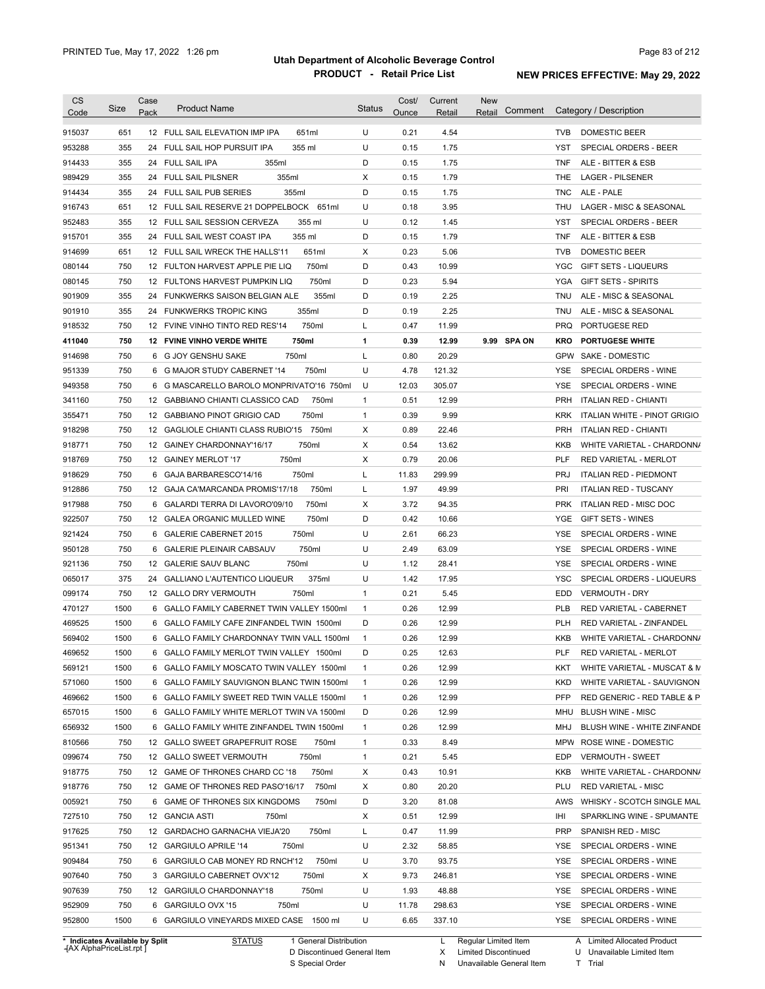| <b>CS</b>                      | Size | Case | <b>Product Name</b>                          | <b>Status</b> | Cost/ | Current | <b>New</b>             |            |                                 |
|--------------------------------|------|------|----------------------------------------------|---------------|-------|---------|------------------------|------------|---------------------------------|
| Code                           |      | Pack |                                              |               | Ounce | Retail  | Comment<br>Retail      |            | Category / Description          |
| 915037                         | 651  |      | 12 FULL SAIL ELEVATION IMP IPA<br>651ml      | U             | 0.21  | 4.54    |                        | <b>TVB</b> | DOMESTIC BEER                   |
| 953288                         | 355  |      | 24 FULL SAIL HOP PURSUIT IPA<br>355 ml       | U             | 0.15  | 1.75    |                        | YST        | SPECIAL ORDERS - BEER           |
| 914433                         | 355  |      | 355ml<br>24 FULL SAIL IPA                    | D             | 0.15  | 1.75    |                        | <b>TNF</b> | ALE - BITTER & ESB              |
| 989429                         | 355  |      | 355ml<br>24 FULL SAIL PILSNER                | Χ             | 0.15  | 1.79    |                        | THE        | <b>LAGER - PILSENER</b>         |
| 914434                         | 355  |      | 355ml<br>24 FULL SAIL PUB SERIES             | D             | 0.15  | 1.75    |                        | <b>TNC</b> | ALE - PALE                      |
| 916743                         | 651  |      | 12 FULL SAIL RESERVE 21 DOPPELBOCK 651ml     | U             | 0.18  | 3.95    |                        | THU        | LAGER - MISC & SEASONAL         |
| 952483                         | 355  |      | 12 FULL SAIL SESSION CERVEZA<br>355 ml       | U             | 0.12  | 1.45    |                        | YST        | SPECIAL ORDERS - BEER           |
| 915701                         | 355  |      | 355 ml<br>24 FULL SAIL WEST COAST IPA        | D             | 0.15  | 1.79    |                        | <b>TNF</b> | ALE - BITTER & ESB              |
| 914699                         | 651  |      | 12 FULL SAIL WRECK THE HALLS'11<br>651ml     | Х             | 0.23  | 5.06    |                        | <b>TVB</b> | DOMESTIC BEER                   |
| 080144                         | 750  |      | 750ml<br>12 FULTON HARVEST APPLE PIE LIQ     | D             | 0.43  | 10.99   |                        | <b>YGC</b> | <b>GIFT SETS - LIQUEURS</b>     |
| 080145                         | 750  |      | 750ml<br>12 FULTONS HARVEST PUMPKIN LIQ      | D             | 0.23  | 5.94    |                        | YGA        | <b>GIFT SETS - SPIRITS</b>      |
| 901909                         | 355  |      | 355ml<br>24 FUNKWERKS SAISON BELGIAN ALE     | D             | 0.19  | 2.25    |                        | TNU        | ALE - MISC & SEASONAL           |
| 901910                         | 355  |      | 355ml<br>24 FUNKWERKS TROPIC KING            | D             | 0.19  | 2.25    |                        | TNU        | ALE - MISC & SEASONAL           |
| 918532                         | 750  |      | 750ml<br>12 FVINE VINHO TINTO RED RES'14     | L             | 0.47  | 11.99   |                        | <b>PRQ</b> | PORTUGESE RED                   |
| 411040                         | 750  |      | 750ml<br><b>12 FVINE VINHO VERDE WHITE</b>   | $\mathbf{1}$  | 0.39  | 12.99   | 9.99 SPA ON            | <b>KRO</b> | <b>PORTUGESE WHITE</b>          |
| 914698                         | 750  | 6    | G JOY GENSHU SAKE<br>750ml                   | L             | 0.80  | 20.29   |                        |            | GPW SAKE - DOMESTIC             |
| 951339                         | 750  | 6    | 750ml<br>G MAJOR STUDY CABERNET '14          | U             | 4.78  | 121.32  |                        | YSE        | SPECIAL ORDERS - WINE           |
| 949358                         | 750  | 6    | G MASCARELLO BAROLO MONPRIVATO'16 750ml      | U             | 12.03 | 305.07  |                        | <b>YSE</b> | SPECIAL ORDERS - WINE           |
| 341160                         | 750  |      | 12 GABBIANO CHIANTI CLASSICO CAD<br>750ml    | $\mathbf{1}$  | 0.51  | 12.99   |                        | <b>PRH</b> | <b>ITALIAN RED - CHIANTI</b>    |
| 355471                         | 750  |      | 750ml<br>12 GABBIANO PINOT GRIGIO CAD        | $\mathbf{1}$  | 0.39  | 9.99    |                        | <b>KRK</b> | ITALIAN WHITE - PINOT GRIGIO    |
| 918298                         | 750  |      | 12 GAGLIOLE CHIANTI CLASS RUBIO'15 750ml     | Χ             | 0.89  | 22.46   |                        | <b>PRH</b> | <b>ITALIAN RED - CHIANTI</b>    |
| 918771                         | 750  |      | 750ml<br>12 GAINEY CHARDONNAY'16/17          | Χ             | 0.54  | 13.62   |                        | KKB        | WHITE VARIETAL - CHARDONN/      |
| 918769                         | 750  |      | 750ml<br>12 GAINEY MERLOT '17                | Х             | 0.79  | 20.06   |                        | PLF        | RED VARIETAL - MERLOT           |
| 918629                         | 750  |      | 750ml<br>6 GAJA BARBARESCO'14/16             | L             | 11.83 | 299.99  |                        | <b>PRJ</b> | <b>ITALIAN RED - PIEDMONT</b>   |
| 912886                         | 750  |      | 750ml<br>12 GAJA CA'MARCANDA PROMIS'17/18    | L             | 1.97  | 49.99   |                        | PRI        | <b>ITALIAN RED - TUSCANY</b>    |
| 917988                         | 750  | 6    | 750ml<br>GALARDI TERRA DI LAVORO'09/10       | Х             | 3.72  | 94.35   |                        | <b>PRK</b> | ITALIAN RED - MISC DOC          |
| 922507                         | 750  |      | 750ml<br>12 GALEA ORGANIC MULLED WINE        | D             | 0.42  | 10.66   |                        | YGE        | GIFT SETS - WINES               |
| 921424                         | 750  |      | 750ml<br>6 GALERIE CABERNET 2015             | U             | 2.61  | 66.23   |                        | YSE        | SPECIAL ORDERS - WINE           |
| 950128                         | 750  | 6    | 750ml<br><b>GALERIE PLEINAIR CABSAUV</b>     | U             | 2.49  | 63.09   |                        | YSE        | SPECIAL ORDERS - WINE           |
| 921136                         | 750  |      | 12 GALERIE SAUV BLANC<br>750ml               | U             | 1.12  | 28.41   |                        | YSE        | SPECIAL ORDERS - WINE           |
| 065017                         | 375  | 24   | 375ml<br><b>GALLIANO L'AUTENTICO LIQUEUR</b> | U             | 1.42  | 17.95   |                        | YSC        | SPECIAL ORDERS - LIQUEURS       |
|                                | 750  |      | 750ml<br>12 GALLO DRY VERMOUTH               | $\mathbf{1}$  | 0.21  | 5.45    |                        | EDD        | <b>VERMOUTH - DRY</b>           |
| 099174<br>470127               | 1500 |      | 6 GALLO FAMILY CABERNET TWIN VALLEY 1500ml   | $\mathbf{1}$  | 0.26  | 12.99   |                        | <b>PLB</b> | RED VARIETAL - CABERNET         |
| 469525                         | 1500 |      | 6 GALLO FAMILY CAFE ZINFANDEL TWIN 1500ml    | D             | 0.26  | 12.99   |                        | <b>PLH</b> | <b>RED VARIETAL - ZINFANDEL</b> |
| 569402                         |      |      | 6 GALLO FAMILY CHARDONNAY TWIN VALL 1500ml   |               | 0.26  |         |                        |            |                                 |
|                                | 1500 |      |                                              | $\mathbf{1}$  |       | 12.99   |                        | <b>KKB</b> | WHITE VARIETAL - CHARDONN/      |
| 469652                         | 1500 |      | 6 GALLO FAMILY MERLOT TWIN VALLEY 1500ml     | D             | 0.25  | 12.63   |                        | <b>PLF</b> | RED VARIETAL - MERLOT           |
| 569121                         | 1500 |      | 6 GALLO FAMILY MOSCATO TWIN VALLEY 1500ml    | $\mathbf{1}$  | 0.26  | 12.99   |                        | KKT        | WHITE VARIETAL - MUSCAT & M     |
| 571060                         | 1500 |      | 6 GALLO FAMILY SAUVIGNON BLANC TWIN 1500ml   | $\mathbf{1}$  | 0.26  | 12.99   |                        | <b>KKD</b> | WHITE VARIETAL - SAUVIGNON      |
| 469662                         | 1500 |      | 6 GALLO FAMILY SWEET RED TWIN VALLE 1500ml   | $\mathbf{1}$  | 0.26  | 12.99   |                        | <b>PFP</b> | RED GENERIC - RED TABLE & P     |
| 657015                         | 1500 |      | 6 GALLO FAMILY WHITE MERLOT TWIN VA 1500ml   | D             | 0.26  | 12.99   |                        | MHU        | <b>BLUSH WINE - MISC</b>        |
| 656932                         | 1500 |      | 6 GALLO FAMILY WHITE ZINFANDEL TWIN 1500ml   | $\mathbf{1}$  | 0.26  | 12.99   |                        | MHJ        | BLUSH WINE - WHITE ZINFANDE     |
| 810566                         | 750  |      | 12 GALLO SWEET GRAPEFRUIT ROSE<br>750ml      | $\mathbf{1}$  | 0.33  | 8.49    |                        |            | MPW ROSE WINE - DOMESTIC        |
| 099674                         | 750  |      | 12 GALLO SWEET VERMOUTH<br>750ml             | $\mathbf{1}$  | 0.21  | 5.45    |                        | EDP        | VERMOUTH - SWEET                |
| 918775                         | 750  |      | 12 GAME OF THRONES CHARD CC '18<br>750ml     | X             | 0.43  | 10.91   |                        | KKB        | WHITE VARIETAL - CHARDONN/      |
| 918776                         | 750  |      | 12 GAME OF THRONES RED PASO'16/17<br>750ml   | X             | 0.80  | 20.20   |                        | PLU        | <b>RED VARIETAL - MISC</b>      |
| 005921                         | 750  |      | 6 GAME OF THRONES SIX KINGDOMS<br>750ml      | D             | 3.20  | 81.08   |                        | AWS        | WHISKY - SCOTCH SINGLE MAL      |
| 727510                         | 750  |      | 12 GANCIA ASTI<br>750ml                      | X             | 0.51  | 12.99   |                        | IHI        | SPARKLING WINE - SPUMANTE       |
| 917625                         | 750  |      | 12 GARDACHO GARNACHA VIEJA'20<br>750ml       | L             | 0.47  | 11.99   |                        | PRP        | SPANISH RED - MISC              |
| 951341                         | 750  |      | 12 GARGIULO APRILE '14<br>750ml              | U             | 2.32  | 58.85   |                        | YSE        | SPECIAL ORDERS - WINE           |
| 909484                         | 750  |      | 750ml<br>6 GARGIULO CAB MONEY RD RNCH'12     | U             | 3.70  | 93.75   |                        | YSE        | SPECIAL ORDERS - WINE           |
| 907640                         | 750  |      | 3 GARGIULO CABERNET OVX'12<br>750ml          | X             | 9.73  | 246.81  |                        | YSE        | SPECIAL ORDERS - WINE           |
| 907639                         | 750  |      | 750ml<br>12 GARGIULO CHARDONNAY'18           | U             | 1.93  | 48.88   |                        | YSE        | SPECIAL ORDERS - WINE           |
| 952909                         | 750  |      | 6 GARGIULO OVX '15<br>750ml                  | U             | 11.78 | 298.63  |                        | YSE        | SPECIAL ORDERS - WINE           |
| 952800                         | 1500 |      | 6 GARGIULO VINEYARDS MIXED CASE 1500 ml      | U             | 6.65  | 337.10  |                        |            | YSE SPECIAL ORDERS - WINE       |
| * Indicates Available by Split |      |      | <u>STATUS</u><br>1 General Distribution      |               |       |         | L Regular Limited Item |            | A Limited Allocated Product     |

**Case** [AX AlphaPriceList.rpt ]

D Discontinued General Item

S Special Order

X

N

Limited Discontinued

Unavailable General Item

U Unavailable Limited Item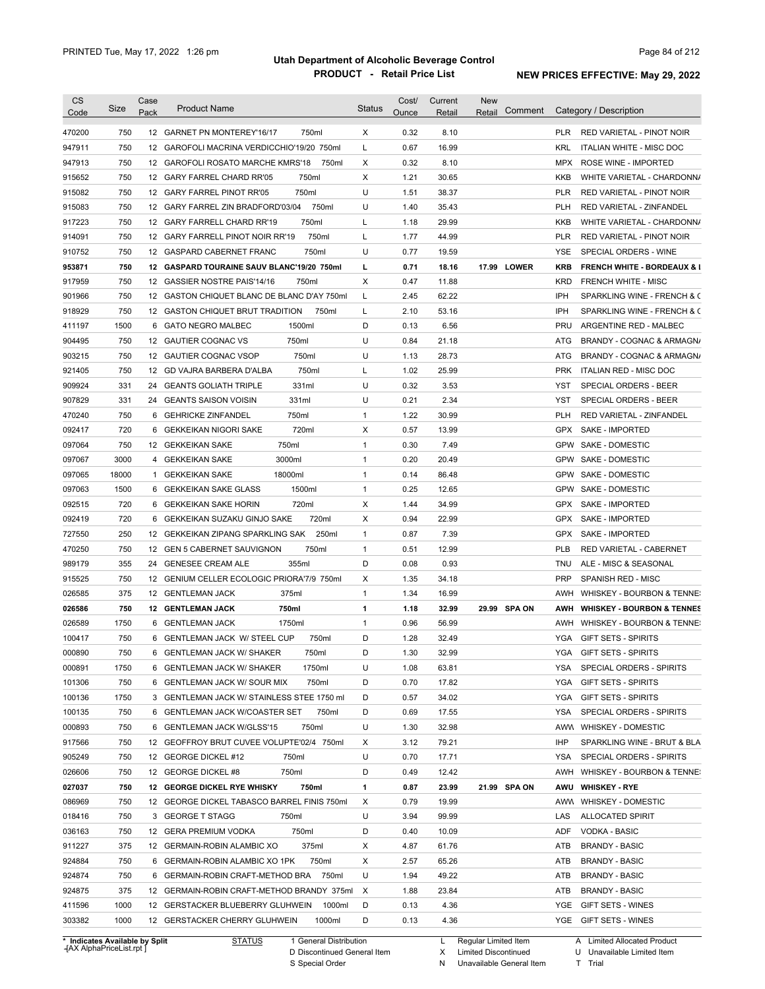| <b>CS</b><br>Code | Size         | Case<br>Pack | <b>Product Name</b>                         | <b>Status</b> | Cost/<br>Ounce | Current<br>Retail | <b>New</b><br>Comment<br>Retail | Category / Description                               |
|-------------------|--------------|--------------|---------------------------------------------|---------------|----------------|-------------------|---------------------------------|------------------------------------------------------|
| 470200            | 750          |              | 12 GARNET PN MONTEREY'16/17<br>750ml        | Χ             | 0.32           | 8.10              |                                 | <b>PLR</b><br>RED VARIETAL - PINOT NOIR              |
| 947911            | 750          |              | 12 GAROFOLI MACRINA VERDICCHIO'19/20 750ml  | L             | 0.67           | 16.99             |                                 | KRL<br>ITALIAN WHITE - MISC DOC                      |
| 947913            | 750          |              | 12 GAROFOLI ROSATO MARCHE KMRS'18<br>750ml  | х             | 0.32           | 8.10              |                                 | MPX<br>ROSE WINE - IMPORTED                          |
| 915652            | 750          |              | 12 GARY FARREL CHARD RR'05<br>750ml         | х             | 1.21           | 30.65             |                                 | KKB<br>WHITE VARIETAL - CHARDONN/                    |
| 915082            | 750          |              | 750ml<br>12 GARY FARREL PINOT RR'05         | U             | 1.51           | 38.37             |                                 | PLR<br>RED VARIETAL - PINOT NOIR                     |
| 915083            | 750          |              | 750ml<br>12 GARY FARREL ZIN BRADFORD'03/04  | U             | 1.40           | 35.43             |                                 | <b>PLH</b><br>RED VARIETAL - ZINFANDEL               |
| 917223            | 750          |              | 750ml<br>12 GARY FARRELL CHARD RR'19        | L             | 1.18           | 29.99             |                                 | KKB<br>WHITE VARIETAL - CHARDONN/                    |
| 914091            | 750          |              | 750ml<br>12 GARY FARRELL PINOT NOIR RR'19   | L             | 1.77           | 44.99             |                                 | <b>PLR</b><br><b>RED VARIETAL - PINOT NOIR</b>       |
| 910752            | 750          |              | 750ml<br>12 GASPARD CABERNET FRANC          | U             | 0.77           | 19.59             |                                 | YSE<br>SPECIAL ORDERS - WINE                         |
| 953871            | 750          |              | 12 GASPARD TOURAINE SAUV BLANC'19/20 750ml  | г             | 0.71           | 18.16             | 17.99 LOWER                     | <b>KRB</b><br><b>FRENCH WHITE - BORDEAUX &amp; I</b> |
| 917959            | 750          |              | 12 GASSIER NOSTRE PAIS'14/16<br>750ml       | X             | 0.47           | 11.88             |                                 | <b>KRD</b><br><b>FRENCH WHITE - MISC</b>             |
| 901966            | 750          |              | 12 GASTON CHIQUET BLANC DE BLANC D'AY 750ml | L             | 2.45           | 62.22             |                                 | IPH<br>SPARKLING WINE - FRENCH & C                   |
| 918929            | 750          |              | 12 GASTON CHIQUET BRUT TRADITION<br>750ml   | L             | 2.10           | 53.16             |                                 | IPH<br>SPARKLING WINE - FRENCH & C                   |
| 411197            | 1500         |              | 6 GATO NEGRO MALBEC<br>1500ml               | D             | 0.13           | 6.56              |                                 | PRU<br>ARGENTINE RED - MALBEC                        |
| 904495            | 750          |              | 12 GAUTIER COGNAC VS<br>750ml               | U             | 0.84           | 21.18             |                                 | ATG<br>BRANDY - COGNAC & ARMAGN/                     |
| 903215            | 750          |              | 750ml<br>12 GAUTIER COGNAC VSOP             | U             | 1.13           | 28.73             |                                 | ATG<br>BRANDY - COGNAC & ARMAGN/                     |
| 921405            | 750          |              | 750ml<br>12 GD VAJRA BARBERA D'ALBA         | Г             | 1.02           | 25.99             |                                 | <b>PRK</b><br><b>ITALIAN RED - MISC DOC</b>          |
| 909924            | 331          | 24           | 331ml<br><b>GEANTS GOLIATH TRIPLE</b>       | U             | 0.32           | 3.53              |                                 | YST<br>SPECIAL ORDERS - BEER                         |
| 907829            | 331          | 24           | 331ml<br><b>GEANTS SAISON VOISIN</b>        | U             | 0.21           | 2.34              |                                 | YST<br>SPECIAL ORDERS - BEER                         |
|                   | 750          |              | 750ml                                       | $\mathbf{1}$  | 1.22           |                   |                                 | RED VARIETAL - ZINFANDEL                             |
| 470240            |              | 6            | <b>GEHRICKE ZINFANDEL</b>                   |               |                | 30.99             |                                 | <b>PLH</b>                                           |
| 092417            | 720          | 6            | 720ml<br>GEKKEIKAN NIGORI SAKE              | х             | 0.57           | 13.99             |                                 | GPX<br><b>SAKE - IMPORTED</b>                        |
| 097064            | 750          |              | 12 GEKKEIKAN SAKE<br>750ml                  | $\mathbf{1}$  | 0.30           | 7.49              |                                 | GPW<br>SAKE - DOMESTIC                               |
| 097067            | 3000         | 4            | <b>GEKKEIKAN SAKE</b><br>3000ml             | 1             | 0.20           | 20.49             |                                 | GPW<br>SAKE - DOMESTIC                               |
| 097065            | 18000        | $\mathbf{1}$ | <b>GEKKEIKAN SAKE</b><br>18000ml            | $\mathbf{1}$  | 0.14           | 86.48             |                                 | GPW<br>SAKE - DOMESTIC                               |
| 097063            | 1500         |              | 6 GEKKEIKAN SAKE GLASS<br>1500ml            | $\mathbf{1}$  | 0.25           | 12.65             |                                 | GPW<br>SAKE - DOMESTIC                               |
| 092515            | 720          |              | 720ml<br>6 GEKKEIKAN SAKE HORIN             | X             | 1.44           | 34.99             |                                 | <b>GPX</b><br>SAKE - IMPORTED                        |
| 092419            | 720          | 6            | 720ml<br>GEKKEIKAN SUZAKU GINJO SAKE        | X             | 0.94           | 22.99             |                                 | <b>GPX</b><br>SAKE - IMPORTED                        |
| 727550            | 250          |              | 250ml<br>12 GEKKEIKAN ZIPANG SPARKLING SAK  | $\mathbf{1}$  | 0.87           | 7.39              |                                 | <b>GPX</b><br>SAKE - IMPORTED                        |
| 470250            | 750          |              | 750ml<br>12 GEN 5 CABERNET SAUVIGNON        | $\mathbf{1}$  | 0.51           | 12.99             |                                 | PLB<br>RED VARIETAL - CABERNET                       |
| 989179            | 355          |              | 355ml<br>24 GENESEE CREAM ALE               | D             | 0.08           | 0.93              |                                 | TNU<br>ALE - MISC & SEASONAL                         |
| 915525            | 750          |              | 12 GENIUM CELLER ECOLOGIC PRIORA'7/9 750ml  | х             | 1.35           | 34.18             |                                 | <b>PRP</b><br>SPANISH RED - MISC                     |
| 026585            | 375          |              | 375ml<br>12 GENTLEMAN JACK                  | $\mathbf{1}$  | 1.34           | 16.99             |                                 | AWH<br>WHISKEY - BOURBON & TENNE:                    |
| 026586            | 750          |              | 750ml<br><b>12 GENTLEMAN JACK</b>           | 1             | 1.18           | 32.99             | 29.99 SPA ON                    | AWH<br><b>WHISKEY - BOURBON &amp; TENNES</b>         |
| 026589            | 1750         |              | 6 GENTLEMAN JACK<br>1750ml                  | 1             | 0.96           | 56.99             |                                 | AWH<br>WHISKEY - BOURBON & TENNE:                    |
| 100417            | 750          |              | 6 GENTLEMAN JACK W/ STEEL CUP<br>750ml      | D             | 1.28           | 32.49             |                                 | <b>GIFT SETS - SPIRITS</b><br>YGA                    |
| 000890            | 750          |              | 6 GENTLEMAN JACK W/ SHAKER<br>750ml         | D             | 1.30           | 32.99             |                                 | YGA<br><b>GIFT SETS - SPIRITS</b>                    |
| 000891            | 1750         |              | 6 GENTLEMAN JACK W/ SHAKER<br>1750ml        | U             | 1.08           | 63.81             |                                 | SPECIAL ORDERS - SPIRITS<br>YSA                      |
| 101306            | 750          |              | 750ml<br>6 GENTLEMAN JACK W/ SOUR MIX       | D             | 0.70           | 17.82             |                                 | <b>GIFT SETS - SPIRITS</b><br>YGA                    |
| 100136            | 1750         |              | 3 GENTLEMAN JACK W/ STAINLESS STEE 1750 ml  | D             | 0.57           | 34.02             |                                 | YGA<br><b>GIFT SETS - SPIRITS</b>                    |
| 100135            | 750          |              | 6 GENTLEMAN JACK W/COASTER SET<br>750ml     | D             | 0.69           | 17.55             |                                 | SPECIAL ORDERS - SPIRITS<br>YSA                      |
| 000893            | 750          |              | 6 GENTLEMAN JACK W/GLSS'15<br>750ml         | U             | 1.30           | 32.98             |                                 | AWW<br>WHISKEY - DOMESTIC                            |
| 917566            | 750          |              | 12 GEOFFROY BRUT CUVEE VOLUPTE'02/4 750ml   | х             | 3.12           | 79.21             |                                 | <b>IHP</b><br>SPARKLING WINE - BRUT & BLA            |
| 905249            | 750          |              | 12 GEORGE DICKEL #12<br>750ml               | U             | 0.70           | 17.71             |                                 | SPECIAL ORDERS - SPIRITS<br>YSA                      |
| 026606            | 750          |              | 12 GEORGE DICKEL #8<br>750ml                | D             | 0.49           | 12.42             |                                 | AWH<br>WHISKEY - BOURBON & TENNE                     |
| 027037            | 750          |              | 750ml<br>12 GEORGE DICKEL RYE WHISKY        | 1             | 0.87           | 23.99             | 21.99 SPA ON                    | AWU<br><b>WHISKEY - RYE</b>                          |
| 086969            | 750          |              | 12 GEORGE DICKEL TABASCO BARREL FINIS 750ml | х             | 0.79           | 19.99             |                                 | AWW WHISKEY - DOMESTIC                               |
| 018416            | 750          |              | 3 GEORGE T STAGG<br>750ml                   | U             | 3.94           | 99.99             |                                 | LAS<br><b>ALLOCATED SPIRIT</b>                       |
| 036163            | 750          |              | 750ml<br>12 GERA PREMIUM VODKA              | D             | 0.40           | 10.09             |                                 | ADF<br>VODKA - BASIC                                 |
| 911227            | 375          |              | 375ml<br>12 GERMAIN-ROBIN ALAMBIC XO        | х             | 4.87           | 61.76             |                                 | ATB<br><b>BRANDY - BASIC</b>                         |
| 924884            | 750          |              | 750ml<br>6 GERMAIN-ROBIN ALAMBIC XO 1PK     | х             | 2.57           | 65.26             |                                 | ATB<br><b>BRANDY - BASIC</b>                         |
| 924874            | 750          |              | 6 GERMAIN-ROBIN CRAFT-METHOD BRA<br>750ml   | U             | 1.94           | 49.22             |                                 | ATB<br><b>BRANDY - BASIC</b>                         |
|                   | 375          |              |                                             | X             | 1.88           |                   |                                 | ATB                                                  |
| 924875            |              |              | 12 GERMAIN-ROBIN CRAFT-METHOD BRANDY 375ml  |               |                | 23.84             |                                 | <b>BRANDY - BASIC</b>                                |
|                   |              |              | 12 GERSTACKER BLUEBERRY GLUHWEIN<br>1000ml  | D             | 0.13           | 4.36              |                                 | YGE<br>GIFT SETS - WINES                             |
| 411596<br>303382  | 1000<br>1000 |              | 12 GERSTACKER CHERRY GLUHWEIN<br>1000ml     | D             | 0.13           | 4.36              |                                 | YGE<br>GIFT SETS - WINES                             |

**Case** [AX AlphaPriceList.rpt ]

D Discontinued General Item S Special Order

X Limited Discontinued T Trial

N Unavailable General Item

U Unavailable Limited Item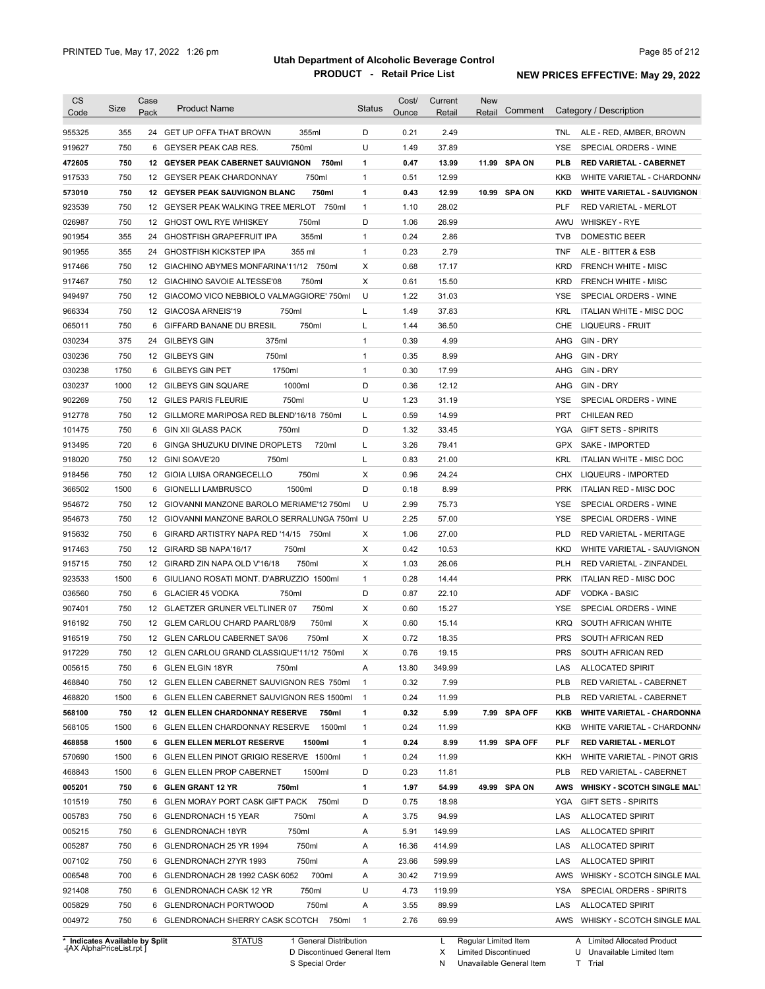| CS               | Size       | Case | <b>Product Name</b>                                                       | <b>Status</b>     | Cost/        | Current        | <b>New</b><br>Comment |            | Category / Description                                    |
|------------------|------------|------|---------------------------------------------------------------------------|-------------------|--------------|----------------|-----------------------|------------|-----------------------------------------------------------|
| Code             |            | Pack |                                                                           |                   | Ounce        | Retail         | Retail                |            |                                                           |
| 955325           | 355        | 24   | 355ml<br><b>GET UP OFFA THAT BROWN</b>                                    | D                 | 0.21         | 2.49           |                       | TNL.       | ALE - RED, AMBER, BROWN                                   |
| 919627           | 750        | 6    | GEYSER PEAK CAB RES.<br>750ml                                             | U                 | 1.49         | 37.89          |                       | YSE        | SPECIAL ORDERS - WINE                                     |
| 472605           | 750        |      | 12 GEYSER PEAK CABERNET SAUVIGNON<br>750ml                                | 1                 | 0.47         | 13.99          | 11.99 SPA ON          | <b>PLB</b> | <b>RED VARIETAL - CABERNET</b>                            |
| 917533           | 750        | 12   | 750ml<br>GEYSER PEAK CHARDONNAY                                           | $\mathbf{1}$      | 0.51         | 12.99          |                       | <b>KKB</b> | WHITE VARIETAL - CHARDONN/                                |
| 573010           | 750        | 12   | <b>GEYSER PEAK SAUVIGNON BLANC</b><br>750ml                               | 1                 | 0.43         | 12.99          | 10.99 SPA ON          | <b>KKD</b> | <b>WHITE VARIETAL - SAUVIGNON</b>                         |
| 923539           | 750        | 12   | GEYSER PEAK WALKING TREE MERLOT<br>750ml                                  | $\mathbf{1}$      | 1.10         | 28.02          |                       | <b>PLF</b> | <b>RED VARIETAL - MERLOT</b>                              |
| 026987           | 750        |      | 750ml<br>12 GHOST OWL RYE WHISKEY                                         | D                 | 1.06         | 26.99          |                       | AWU        | <b>WHISKEY - RYE</b>                                      |
| 901954           | 355        | 24   | 355ml<br><b>GHOSTFISH GRAPEFRUIT IPA</b>                                  | $\mathbf{1}$      | 0.24         | 2.86           |                       | <b>TVB</b> | DOMESTIC BEER                                             |
| 901955           | 355        | 24   | <b>GHOSTFISH KICKSTEP IPA</b><br>355 ml                                   | $\mathbf{1}$      | 0.23         | 2.79           |                       | <b>TNF</b> | ALE - BITTER & ESB                                        |
| 917466           | 750        | 12   | GIACHINO ABYMES MONFARINA'11/12 750ml                                     | Х                 | 0.68         | 17.17          |                       | <b>KRD</b> | <b>FRENCH WHITE - MISC</b>                                |
| 917467           | 750        |      | 12 GIACHINO SAVOIE ALTESSE'08<br>750ml                                    | Х                 | 0.61         | 15.50          |                       | <b>KRD</b> | <b>FRENCH WHITE - MISC</b>                                |
| 949497           | 750        |      | 12 GIACOMO VICO NEBBIOLO VALMAGGIORE' 750ml                               | U                 | 1.22         | 31.03          |                       | YSE        | SPECIAL ORDERS - WINE                                     |
| 966334           | 750        |      | 750ml<br>12 GIACOSA ARNEIS'19                                             | Г                 | 1.49         | 37.83          |                       | <b>KRL</b> | ITALIAN WHITE - MISC DOC                                  |
| 065011           | 750        | 6    | 750ml<br>GIFFARD BANANE DU BRESIL                                         | L                 | 1.44         | 36.50          |                       | CHE        | <b>LIQUEURS - FRUIT</b>                                   |
| 030234           | 375        | 24   | <b>GILBEYS GIN</b><br>375ml                                               | $\mathbf{1}$      | 0.39         | 4.99           |                       | AHG        | GIN - DRY                                                 |
| 030236           | 750        |      | 12 GILBEYS GIN<br>750ml                                                   | $\mathbf{1}$      | 0.35         | 8.99           |                       | AHG        | <b>GIN - DRY</b>                                          |
| 030238           | 1750       |      | 6 GILBEYS GIN PET<br>1750ml                                               | 1                 | 0.30         | 17.99          |                       | AHG        | <b>GIN - DRY</b>                                          |
| 030237           | 1000       |      | 1000ml<br>12 GILBEYS GIN SQUARE                                           | D                 | 0.36         | 12.12          |                       | AHG        | GIN - DRY                                                 |
| 902269           | 750        |      | 12 GILES PARIS FLEURIE<br>750ml                                           | U                 | 1.23         | 31.19          |                       | <b>YSE</b> | SPECIAL ORDERS - WINE                                     |
|                  | 750        |      | 12 GILLMORE MARIPOSA RED BLEND'16/18 750ml                                |                   | 0.59         | 14.99          |                       | <b>PRT</b> |                                                           |
| 912778           |            |      |                                                                           | L                 |              |                |                       |            | <b>CHILEAN RED</b>                                        |
| 101475           | 750        | 6    | GIN XII GLASS PACK<br>750ml                                               | D                 | 1.32         | 33.45          |                       | YGA        | <b>GIFT SETS - SPIRITS</b>                                |
| 913495           | 720        | 6    | GINGA SHUZUKU DIVINE DROPLETS<br>720ml                                    | L                 | 3.26         | 79.41          |                       | <b>GPX</b> | <b>SAKE - IMPORTED</b>                                    |
| 918020           | 750        |      | 12 GINI SOAVE'20<br>750ml                                                 | Г                 | 0.83         | 21.00          |                       | <b>KRL</b> | ITALIAN WHITE - MISC DOC                                  |
| 918456           | 750        |      | 12 GIOIA LUISA ORANGECELLO<br>750ml                                       | Х                 | 0.96         | 24.24          |                       | <b>CHX</b> | LIQUEURS - IMPORTED                                       |
| 366502           | 1500       | 6    | 1500ml<br><b>GIONELLI LAMBRUSCO</b>                                       | D                 | 0.18         | 8.99           |                       | <b>PRK</b> | ITALIAN RED - MISC DOC                                    |
| 954672           | 750        |      | 12 GIOVANNI MANZONE BAROLO MERIAME'12 750ml                               | U                 | 2.99         | 75.73          |                       | <b>YSE</b> | SPECIAL ORDERS - WINE                                     |
| 954673           | 750        |      | 12 GIOVANNI MANZONE BAROLO SERRALUNGA 750ml U                             |                   | 2.25         | 57.00          |                       | <b>YSE</b> | SPECIAL ORDERS - WINE                                     |
| 915632           | 750        |      | 6 GIRARD ARTISTRY NAPA RED '14/15 750ml                                   | X                 | 1.06         | 27.00          |                       | <b>PLD</b> | RED VARIETAL - MERITAGE                                   |
| 917463           | 750        |      | 750ml<br>12 GIRARD SB NAPA'16/17                                          | Χ                 | 0.42         | 10.53          |                       | <b>KKD</b> | WHITE VARIETAL - SAUVIGNON                                |
| 915715           | 750        |      | 12 GIRARD ZIN NAPA OLD V'16/18<br>750ml                                   | Х                 | 1.03         | 26.06          |                       | <b>PLH</b> | RED VARIETAL - ZINFANDEL                                  |
| 923533           | 1500       |      | 6 GIULIANO ROSATI MONT. D'ABRUZZIO 1500ml                                 | 1                 | 0.28         | 14.44          |                       | <b>PRK</b> | <b>ITALIAN RED - MISC DOC</b>                             |
| 036560           | 750        |      | 6 GLACIER 45 VODKA<br>750ml                                               | D                 | 0.87         | 22.10          |                       | <b>ADF</b> | <b>VODKA - BASIC</b>                                      |
| 907401           | 750        |      | 12 GLAETZER GRUNER VELTLINER 07<br>750ml                                  | Х                 | 0.60         | 15.27          |                       | YSE        | SPECIAL ORDERS - WINE                                     |
| 916192           | 750        |      | 12 GLEM CARLOU CHARD PAARL'08/9<br>750ml                                  | Х                 | 0.60         | 15.14          |                       | <b>KRQ</b> | SOUTH AFRICAN WHITE                                       |
| 916519           | 750        |      | 12 GLEN CARLOU CABERNET SA'06<br>750ml                                    | Х                 | 0.72         | 18.35          |                       | <b>PRS</b> | SOUTH AFRICAN RED                                         |
| 917229           | 750        |      | 12 GLEN CARLOU GRAND CLASSIQUE'11/12 750ml                                | X                 | 0.76         | 19.15          |                       | <b>PRS</b> | SOUTH AFRICAN RED                                         |
| 005615           | 750        |      | 6 GLEN ELGIN 18YR<br>750ml                                                | A                 | 13.80        | 349.99         |                       | LAS        | ALLOCATED SPIRIT                                          |
| 468840           | 750        |      | 12 GLEN ELLEN CABERNET SAUVIGNON RES 750ml                                | $\mathbf{1}$      | 0.32         | 7.99           |                       | <b>PLB</b> | RED VARIETAL - CABERNET                                   |
| 468820           | 1500       |      | 6 GLEN ELLEN CABERNET SAUVIGNON RES 1500ml                                | $\overline{1}$    | 0.24         | 11.99          |                       | <b>PLB</b> | RED VARIETAL - CABERNET                                   |
| 568100           | 750        |      | 12 GLEN ELLEN CHARDONNAY RESERVE<br>750ml                                 | 1                 | 0.32         | 5.99           | 7.99 SPA OFF          | KKB        | <b>WHITE VARIETAL - CHARDONNA</b>                         |
| 568105           | 1500       |      | 1500ml<br>6 GLEN ELLEN CHARDONNAY RESERVE                                 | 1                 | 0.24         | 11.99          |                       | KKB        | WHITE VARIETAL - CHARDONN/                                |
| 468858           | 1500       |      | 6 GLEN ELLEN MERLOT RESERVE<br>1500ml                                     | 1                 | 0.24         | 8.99           | 11.99 SPA OFF         | PLF        | <b>RED VARIETAL - MERLOT</b>                              |
| 570690           | 1500       |      | 6 GLEN ELLEN PINOT GRIGIO RESERVE 1500ml                                  | $\mathbf{1}$      | 0.24         | 11.99          |                       | KKH        | WHITE VARIETAL - PINOT GRIS                               |
| 468843           | 1500       |      | 6 GLEN ELLEN PROP CABERNET<br>1500ml                                      | D                 | 0.23         | 11.81          |                       | <b>PLB</b> | RED VARIETAL - CABERNET                                   |
| 005201           | 750        |      | 6 GLEN GRANT 12 YR<br>750ml                                               | 1                 | 1.97         | 54.99          | 49.99 SPA ON          | AWS        | <b>WHISKY - SCOTCH SINGLE MALT</b>                        |
| 101519           | 750        |      | 750ml<br>6 GLEN MORAY PORT CASK GIFT PACK                                 | D                 | 0.75         | 18.98          |                       | YGA        | <b>GIFT SETS - SPIRITS</b>                                |
| 005783           | 750        |      | 6 GLENDRONACH 15 YEAR<br>750ml                                            | Α                 | 3.75         | 94.99          |                       | LAS        | ALLOCATED SPIRIT                                          |
| 005215           | 750        |      | 6 GLENDRONACH 18YR<br>750ml                                               | Α                 | 5.91         | 149.99         |                       | LAS        | ALLOCATED SPIRIT                                          |
|                  | 750        |      | 6 GLENDRONACH 25 YR 1994<br>750ml                                         | Α                 | 16.36        | 414.99         |                       | LAS        | ALLOCATED SPIRIT                                          |
| 005287           |            |      |                                                                           |                   |              |                |                       |            |                                                           |
| 007102           | 750        |      | 6 GLENDRONACH 27YR 1993<br>750ml                                          | Α                 | 23.66        | 599.99         |                       | LAS        | ALLOCATED SPIRIT                                          |
|                  | 700        |      | 700ml<br>6 GLENDRONACH 28 1992 CASK 6052                                  | Α                 | 30.42        | 719.99         |                       | AWS        | WHISKY - SCOTCH SINGLE MAL                                |
|                  |            |      |                                                                           | U                 | 4.73         | 119.99         |                       | YSA        | SPECIAL ORDERS - SPIRITS                                  |
| 006548<br>921408 | 750        |      | 750ml<br>6 GLENDRONACH CASK 12 YR                                         |                   |              |                |                       |            |                                                           |
| 005829<br>004972 | 750<br>750 |      | 750ml<br>6 GLENDRONACH PORTWOOD<br>6 GLENDRONACH SHERRY CASK SCOTCH 750ml | Α<br>$\mathbf{1}$ | 3.55<br>2.76 | 89.99<br>69.99 |                       | LAS        | <b>ALLOCATED SPIRIT</b><br>AWS WHISKY - SCOTCH SINGLE MAL |

**Case** [AX AlphaPriceList.rpt ]

D Discontinued General Item S Special Order

X

N

Limited Discontinued

Unavailable General Item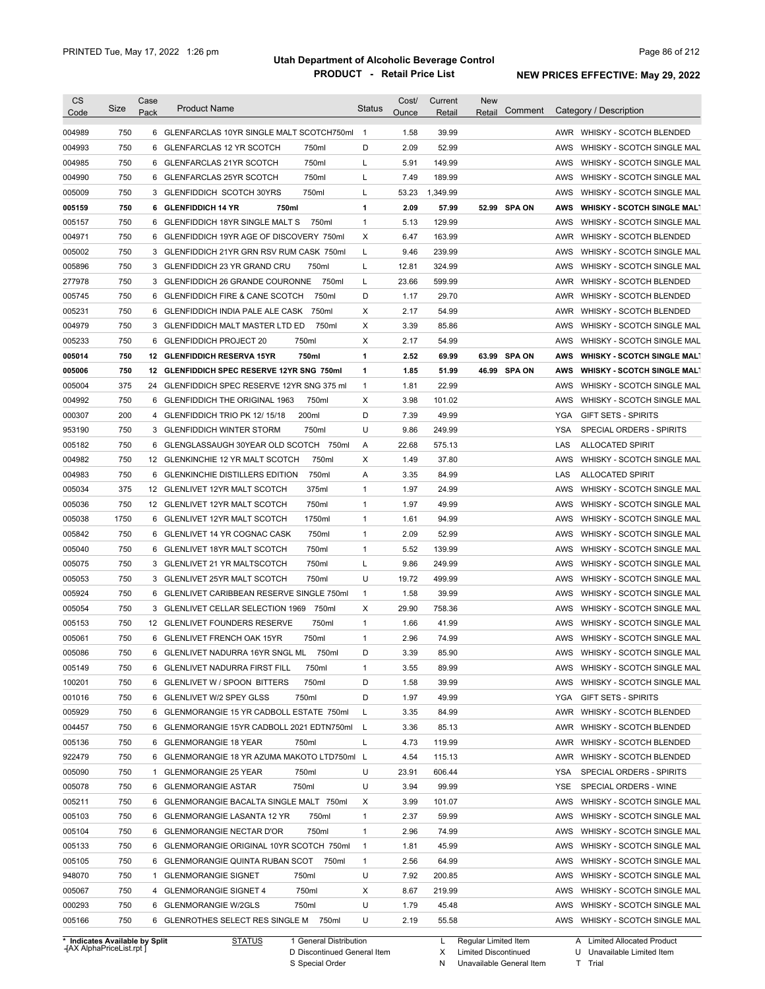| CS                             | Size | Case           | <b>Product Name</b>                                                                 | <b>Status</b>     | Cost/        | Current  | <b>New</b><br>Comment  |            | Category / Description                                   |
|--------------------------------|------|----------------|-------------------------------------------------------------------------------------|-------------------|--------------|----------|------------------------|------------|----------------------------------------------------------|
| Code                           |      | Pack           |                                                                                     |                   | Ounce        | Retail   | Retail                 |            |                                                          |
| 004989                         | 750  | 6              | GLENFARCLAS 10YR SINGLE MALT SCOTCH750ml                                            | -1                | 1.58         | 39.99    |                        |            | AWR WHISKY - SCOTCH BLENDED                              |
| 004993                         | 750  | 6              | <b>GLENFARCLAS 12 YR SCOTCH</b><br>750ml                                            | D                 | 2.09         | 52.99    |                        | AWS        | WHISKY - SCOTCH SINGLE MAL                               |
| 004985                         | 750  | 6              | 750ml<br><b>GLENFARCLAS 21YR SCOTCH</b>                                             | L                 | 5.91         | 149.99   |                        | AWS        | WHISKY - SCOTCH SINGLE MAL                               |
| 004990                         | 750  | 6              | 750ml<br><b>GLENFARCLAS 25YR SCOTCH</b>                                             | L                 | 7.49         | 189.99   |                        | AWS        | WHISKY - SCOTCH SINGLE MAL                               |
| 005009                         | 750  | 3              | 750ml<br>GLENFIDDICH SCOTCH 30YRS                                                   | L                 | 53.23        | 1,349.99 |                        | AWS        | WHISKY - SCOTCH SINGLE MAL                               |
| 005159                         | 750  | 6              | <b>GLENFIDDICH 14 YR</b><br>750ml                                                   | $\mathbf{1}$      | 2.09         | 57.99    | 52.99 SPA ON           | AWS        | <b>WHISKY - SCOTCH SINGLE MALT</b>                       |
| 005157                         | 750  | 6              | GLENFIDDICH 18YR SINGLE MALT S<br>750ml                                             | $\mathbf{1}$      | 5.13         | 129.99   |                        | AWS        | WHISKY - SCOTCH SINGLE MAL                               |
| 004971                         | 750  | 6              | GLENFIDDICH 19YR AGE OF DISCOVERY 750ml                                             | Х                 | 6.47         | 163.99   |                        | AWR        | WHISKY - SCOTCH BLENDED                                  |
| 005002                         | 750  | 3              | GLENFIDDICH 21YR GRN RSV RUM CASK 750ml                                             | L                 | 9.46         | 239.99   |                        | AWS        | WHISKY - SCOTCH SINGLE MAL                               |
| 005896                         | 750  | 3              | <b>GLENFIDDICH 23 YR GRAND CRU</b><br>750ml                                         | L                 | 12.81        | 324.99   |                        | AWS        | WHISKY - SCOTCH SINGLE MAL                               |
| 277978                         | 750  |                | 3 GLENFIDDICH 26 GRANDE COURONNE<br>750ml                                           | L                 | 23.66        | 599.99   |                        | AWR        | WHISKY - SCOTCH BLENDED                                  |
| 005745                         | 750  | 6              | <b>GLENFIDDICH FIRE &amp; CANE SCOTCH</b><br>750ml                                  | D                 | 1.17         | 29.70    |                        | AWR        | WHISKY - SCOTCH BLENDED                                  |
| 005231                         | 750  | 6              | 750ml<br>GLENFIDDICH INDIA PALE ALE CASK                                            | Х                 | 2.17         | 54.99    |                        | AWR        | WHISKY - SCOTCH BLENDED                                  |
| 004979                         | 750  | 3              | 750ml<br><b>GLENFIDDICH MALT MASTER LTD ED</b>                                      | Х                 | 3.39         | 85.86    |                        | AWS        | WHISKY - SCOTCH SINGLE MAL                               |
| 005233                         | 750  | 6              | 750ml<br><b>GLENFIDDICH PROJECT 20</b>                                              | Х                 | 2.17         | 54.99    |                        | AWS        | WHISKY - SCOTCH SINGLE MAL                               |
| 005014                         | 750  | 12             | 750ml<br><b>GLENFIDDICH RESERVA 15YR</b>                                            | $\mathbf{1}$      | 2.52         | 69.99    | <b>SPA ON</b><br>63.99 | AWS        | <b>WHISKY - SCOTCH SINGLE MALT</b>                       |
| 005006                         | 750  | 12             | GLENFIDDICH SPEC RESERVE 12YR SNG 750ml                                             | $\mathbf{1}$      | 1.85         | 51.99    | 46.99<br><b>SPA ON</b> | AWS        | <b>WHISKY - SCOTCH SINGLE MALT</b>                       |
| 005004                         | 375  | 24             | GLENFIDDICH SPEC RESERVE 12YR SNG 375 ml                                            | $\mathbf{1}$      | 1.81         | 22.99    |                        | AWS        | WHISKY - SCOTCH SINGLE MAL                               |
| 004992                         | 750  | 6              | <b>GLENFIDDICH THE ORIGINAL 1963</b><br>750ml                                       | X                 | 3.98         | 101.02   |                        | <b>AWS</b> | WHISKY - SCOTCH SINGLE MAL                               |
| 000307                         | 200  | $\overline{4}$ | 200ml<br>GLENFIDDICH TRIO PK 12/15/18                                               | D                 | 7.39         | 49.99    |                        | <b>YGA</b> | <b>GIFT SETS - SPIRITS</b>                               |
| 953190                         | 750  | 3              | 750ml<br><b>GLENFIDDICH WINTER STORM</b>                                            | U                 | 9.86         | 249.99   |                        | <b>YSA</b> | SPECIAL ORDERS - SPIRITS                                 |
| 005182                         | 750  | 6              | GLENGLASSAUGH 30YEAR OLD SCOTCH 750ml                                               | Α                 | 22.68        | 575.13   |                        | LAS        | <b>ALLOCATED SPIRIT</b>                                  |
| 004982                         | 750  |                | 750ml<br>12 GLENKINCHIE 12 YR MALT SCOTCH                                           | Χ                 | 1.49         | 37.80    |                        | AWS        | WHISKY - SCOTCH SINGLE MAL                               |
| 004983                         | 750  | 6              | 750ml<br><b>GLENKINCHIE DISTILLERS EDITION</b>                                      | Α                 | 3.35         | 84.99    |                        | LAS        | <b>ALLOCATED SPIRIT</b>                                  |
| 005034                         | 375  | 12             | 375ml<br><b>GLENLIVET 12YR MALT SCOTCH</b>                                          | $\mathbf{1}$      | 1.97         | 24.99    |                        | AWS        | WHISKY - SCOTCH SINGLE MAL                               |
| 005036                         | 750  |                | 750ml<br>12 GLENLIVET 12YR MALT SCOTCH                                              | $\mathbf{1}$      | 1.97         | 49.99    |                        | AWS        | WHISKY - SCOTCH SINGLE MAL                               |
| 005038                         | 1750 |                | 1750ml<br>6 GLENLIVET 12YR MALT SCOTCH                                              | $\mathbf{1}$      | 1.61         | 94.99    |                        | AWS        | WHISKY - SCOTCH SINGLE MAL                               |
| 005842                         | 750  |                | 750ml<br>6 GLENLIVET 14 YR COGNAC CASK                                              | $\mathbf{1}$      | 2.09         | 52.99    |                        | AWS        | WHISKY - SCOTCH SINGLE MAL                               |
|                                | 750  |                | 750ml                                                                               | $\mathbf{1}$      |              | 139.99   |                        | AWS        | WHISKY - SCOTCH SINGLE MAL                               |
| 005040                         | 750  |                | 6 GLENLIVET 18YR MALT SCOTCH<br>750ml                                               | L                 | 5.52<br>9.86 |          |                        |            |                                                          |
| 005075                         |      |                | 3 GLENLIVET 21 YR MALTSCOTCH                                                        | U                 |              | 249.99   |                        | AWS        | WHISKY - SCOTCH SINGLE MAL                               |
| 005053                         | 750  |                | 3 GLENLIVET 25YR MALT SCOTCH<br>750ml<br>6 GLENLIVET CARIBBEAN RESERVE SINGLE 750ml |                   | 19.72        | 499.99   |                        | AWS        | WHISKY - SCOTCH SINGLE MAL                               |
| 005924                         | 750  |                |                                                                                     | 1                 | 1.58         | 39.99    |                        | AWS        | WHISKY - SCOTCH SINGLE MAL                               |
| 005054                         | 750  |                | 3 GLENLIVET CELLAR SELECTION 1969<br>750ml<br>12 GLENLIVET FOUNDERS RESERVE         | Х<br>$\mathbf{1}$ | 29.90        | 758.36   |                        | AWS        | WHISKY - SCOTCH SINGLE MAL<br>WHISKY - SCOTCH SINGLE MAL |
| 005153                         | 750  |                | 750ml                                                                               |                   | 1.66         | 41.99    |                        | AWS        |                                                          |
| 005061                         | 750  |                | 6 GLENLIVET FRENCH OAK 15YR<br>750ml                                                | $\mathbf{1}$      | 2.96         | 74.99    |                        | AWS        | WHISKY - SCOTCH SINGLE MAL                               |
| 005086                         | 750  | 6              | GLENLIVET NADURRA 16YR SNGL ML<br>750ml                                             | D                 | 3.39         | 85.90    |                        | AWS        | WHISKY - SCOTCH SINGLE MAL                               |
| 005149                         | 750  |                | 6 GLENLIVET NADURRA FIRST FILL<br>750ml                                             | 1                 | 3.55         | 89.99    |                        | AWS        | WHISKY - SCOTCH SINGLE MAL                               |
| 100201                         | 750  |                | 6 GLENLIVET W / SPOON BITTERS<br>750ml                                              | D                 | 1.58         | 39.99    |                        | AWS        | WHISKY - SCOTCH SINGLE MAL                               |
| 001016                         | 750  |                | 6 GLENLIVET W/2 SPEY GLSS<br>750ml                                                  | D                 | 1.97         | 49.99    |                        | YGA        | <b>GIFT SETS - SPIRITS</b>                               |
| 005929                         | 750  |                | 6 GLENMORANGIE 15 YR CADBOLL ESTATE 750ml                                           | L                 | 3.35         | 84.99    |                        | AWR        | <b>WHISKY - SCOTCH BLENDED</b>                           |
| 004457                         | 750  |                | 6 GLENMORANGIE 15YR CADBOLL 2021 EDTN750ml                                          | L                 | 3.36         | 85.13    |                        | AWR        | WHISKY - SCOTCH BLENDED                                  |
| 005136                         | 750  |                | 6 GLENMORANGIE 18 YEAR<br>750ml                                                     | L                 | 4.73         | 119.99   |                        | AWR        | WHISKY - SCOTCH BLENDED                                  |
| 922479                         | 750  |                | 6 GLENMORANGIE 18 YR AZUMA MAKOTO LTD750ml L                                        |                   | 4.54         | 115.13   |                        | AWR        | WHISKY - SCOTCH BLENDED                                  |
| 005090                         | 750  |                | 1 GLENMORANGIE 25 YEAR<br>750ml                                                     | U                 | 23.91        | 606.44   |                        | YSA        | SPECIAL ORDERS - SPIRITS                                 |
| 005078                         | 750  |                | 6 GLENMORANGIE ASTAR<br>750ml                                                       | U                 | 3.94         | 99.99    |                        | YSE        | SPECIAL ORDERS - WINE                                    |
| 005211                         | 750  |                | 6 GLENMORANGIE BACALTA SINGLE MALT 750ml                                            | х                 | 3.99         | 101.07   |                        | AWS        | WHISKY - SCOTCH SINGLE MAL                               |
| 005103                         | 750  |                | 6 GLENMORANGIE LASANTA 12 YR<br>750ml                                               | $\mathbf{1}$      | 2.37         | 59.99    |                        | AWS        | WHISKY - SCOTCH SINGLE MAL                               |
| 005104                         | 750  |                | 6 GLENMORANGIE NECTAR D'OR<br>750ml                                                 | $\mathbf{1}$      | 2.96         | 74.99    |                        | AWS        | WHISKY - SCOTCH SINGLE MAL                               |
| 005133                         | 750  |                | 6 GLENMORANGIE ORIGINAL 10YR SCOTCH 750ml                                           | $\mathbf{1}$      | 1.81         | 45.99    |                        | AWS        | WHISKY - SCOTCH SINGLE MAL                               |
| 005105                         | 750  |                | 6 GLENMORANGIE QUINTA RUBAN SCOT<br>750ml                                           | $\mathbf{1}$      | 2.56         | 64.99    |                        | AWS        | WHISKY - SCOTCH SINGLE MAL                               |
| 948070                         | 750  |                | 1 GLENMORANGIE SIGNET<br>750ml                                                      | U                 | 7.92         | 200.85   |                        | AWS        | WHISKY - SCOTCH SINGLE MAL                               |
| 005067                         | 750  |                | 750ml<br>4 GLENMORANGIE SIGNET 4                                                    | х                 | 8.67         | 219.99   |                        | AWS        | WHISKY - SCOTCH SINGLE MAL                               |
| 000293                         | 750  | 6              | 750ml<br><b>GLENMORANGIE W/2GLS</b>                                                 | U                 | 1.79         | 45.48    |                        | AWS        | WHISKY - SCOTCH SINGLE MAL                               |
| 005166                         | 750  |                | 6 GLENROTHES SELECT RES SINGLE M<br>750ml                                           | U                 | 2.19         | 55.58    |                        | AWS        | WHISKY - SCOTCH SINGLE MAL                               |
| * Indicates Available by Split |      |                | <b>STATUS</b><br>1 General Distribution                                             |                   |              | L        | Regular Limited Item   |            | A Limited Allocated Product                              |

**Case** [AX AlphaPriceList.rpt ]

D Discontinued General Item S Special Order

X

Limited Discontinued

N Unavailable General Item

U Unavailable Limited Item

Limited Allocated Product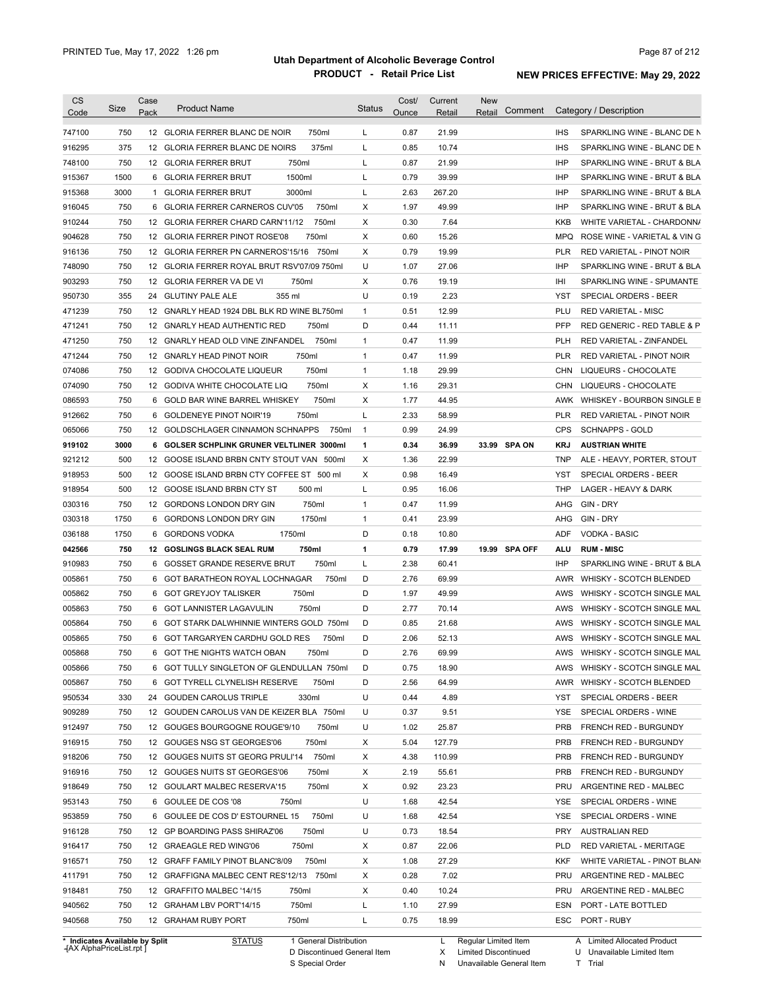| <b>CS</b><br>Code | Size | Case<br>Pack | <b>Product Name</b>                         | <b>Status</b> | Cost/<br>Ounce | Current<br>Retail | <b>New</b><br>Retail | Comment       |            | Category / Description                                   |
|-------------------|------|--------------|---------------------------------------------|---------------|----------------|-------------------|----------------------|---------------|------------|----------------------------------------------------------|
| 747100            | 750  |              | 750ml<br>12 GLORIA FERRER BLANC DE NOIR     | L             | 0.87           | 21.99             |                      |               | <b>IHS</b> | SPARKLING WINE - BLANC DE N                              |
| 916295            | 375  |              | 375ml<br>12 GLORIA FERRER BLANC DE NOIRS    | Г             | 0.85           | 10.74             |                      |               | <b>IHS</b> | SPARKLING WINE - BLANC DE N                              |
| 748100            | 750  |              | 750ml<br>12 GLORIA FERRER BRUT              | L             | 0.87           | 21.99             |                      |               | <b>IHP</b> | SPARKLING WINE - BRUT & BLA                              |
| 915367            | 1500 |              | 1500ml<br>6 GLORIA FERRER BRUT              | L             | 0.79           | 39.99             |                      |               | <b>IHP</b> | SPARKLING WINE - BRUT & BLA                              |
| 915368            | 3000 | $\mathbf{1}$ | <b>GLORIA FERRER BRUT</b><br>3000ml         | L             | 2.63           | 267.20            |                      |               | <b>IHP</b> | SPARKLING WINE - BRUT & BLA                              |
| 916045            | 750  |              | 6 GLORIA FERRER CARNEROS CUV'05<br>750ml    | Χ             | 1.97           | 49.99             |                      |               | <b>IHP</b> | SPARKLING WINE - BRUT & BLA                              |
| 910244            | 750  |              | 750ml<br>12 GLORIA FERRER CHARD CARN'11/12  | X             | 0.30           | 7.64              |                      |               | KKB        | WHITE VARIETAL - CHARDONN/                               |
| 904628            | 750  |              | 12 GLORIA FERRER PINOT ROSE'08<br>750ml     | Χ             | 0.60           | 15.26             |                      |               | <b>MPQ</b> | ROSE WINE - VARIETAL & VIN G                             |
| 916136            | 750  |              | 12 GLORIA FERRER PN CARNEROS'15/16<br>750ml | X             | 0.79           | 19.99             |                      |               | <b>PLR</b> | RED VARIETAL - PINOT NOIR                                |
| 748090            | 750  |              | 12 GLORIA FERRER ROYAL BRUT RSV'07/09 750ml | U             | 1.07           | 27.06             |                      |               | <b>IHP</b> | SPARKLING WINE - BRUT & BLA                              |
| 903293            | 750  |              | 750ml<br>12 GLORIA FERRER VA DE VI          | X             | 0.76           | 19.19             |                      |               | IHI        | SPARKLING WINE - SPUMANTE                                |
| 950730            | 355  | 24           | 355 ml<br><b>GLUTINY PALE ALE</b>           | U             | 0.19           | 2.23              |                      |               | <b>YST</b> | SPECIAL ORDERS - BEER                                    |
| 471239            | 750  |              | 12 GNARLY HEAD 1924 DBL BLK RD WINE BL750ml | $\mathbf{1}$  | 0.51           | 12.99             |                      |               | PLU        | <b>RED VARIETAL - MISC</b>                               |
| 471241            | 750  |              | 750ml<br>12 GNARLY HEAD AUTHENTIC RED       | D             | 0.44           | 11.11             |                      |               | PFP        | RED GENERIC - RED TABLE & P                              |
| 471250            | 750  |              | 750ml<br>12 GNARLY HEAD OLD VINE ZINFANDEL  | $\mathbf{1}$  | 0.47           | 11.99             |                      |               | <b>PLH</b> | RED VARIETAL - ZINFANDEL                                 |
| 471244            | 750  |              | 750ml<br>12 GNARLY HEAD PINOT NOIR          | $\mathbf{1}$  | 0.47           | 11.99             |                      |               | <b>PLR</b> | RED VARIETAL - PINOT NOIR                                |
| 074086            | 750  | 12           | 750ml<br><b>GODIVA CHOCOLATE LIQUEUR</b>    | $\mathbf{1}$  | 1.18           | 29.99             |                      |               | <b>CHN</b> | LIQUEURS - CHOCOLATE                                     |
| 074090            | 750  |              | 750ml<br>12 GODIVA WHITE CHOCOLATE LIQ      | Χ             | 1.16           | 29.31             |                      |               | CHN        | LIQUEURS - CHOCOLATE                                     |
| 086593            | 750  | 6            | 750ml<br>GOLD BAR WINE BARREL WHISKEY       | Χ             | 1.77           | 44.95             |                      |               | AWK        | WHISKEY - BOURBON SINGLE B                               |
| 912662            | 750  | 6            | 750ml<br><b>GOLDENEYE PINOT NOIR'19</b>     | Г             | 2.33           | 58.99             |                      |               | <b>PLR</b> | RED VARIETAL - PINOT NOIR                                |
| 065066            | 750  |              | 750ml<br>12 GOLDSCHLAGER CINNAMON SCHNAPPS  | $\mathbf{1}$  | 0.99           | 24.99             |                      |               | <b>CPS</b> | <b>SCHNAPPS - GOLD</b>                                   |
| 919102            | 3000 | 6            | GOLSER SCHPLINK GRUNER VELTLINER 3000ml     | 1             | 0.34           | 36.99             |                      | 33.99 SPA ON  | <b>KRJ</b> | <b>AUSTRIAN WHITE</b>                                    |
| 921212            | 500  |              | 12 GOOSE ISLAND BRBN CNTY STOUT VAN 500ml   | Χ             | 1.36           | 22.99             |                      |               | TNP        | ALE - HEAVY, PORTER, STOUT                               |
| 918953            | 500  |              | 12 GOOSE ISLAND BRBN CTY COFFEE ST 500 ml   | Χ             | 0.98           | 16.49             |                      |               | YST        | SPECIAL ORDERS - BEER                                    |
| 918954            | 500  |              | 12 GOOSE ISLAND BRBN CTY ST<br>500 ml       | L             | 0.95           | 16.06             |                      |               | THP        | LAGER - HEAVY & DARK                                     |
| 030316            | 750  |              | 750ml<br>12 GORDONS LONDON DRY GIN          | $\mathbf{1}$  | 0.47           | 11.99             |                      |               | AHG        | GIN - DRY                                                |
| 030318            | 1750 | 6            | 1750ml<br>GORDONS LONDON DRY GIN            | $\mathbf{1}$  | 0.41           | 23.99             |                      |               | AHG        | GIN - DRY                                                |
| 036188            | 1750 | 6            | 1750ml<br><b>GORDONS VODKA</b>              | D             | 0.18           | 10.80             |                      |               | <b>ADF</b> | <b>VODKA - BASIC</b>                                     |
| 042566            | 750  |              | <b>12 GOSLINGS BLACK SEAL RUM</b><br>750ml  | 1             | 0.79           | 17.99             |                      | 19.99 SPA OFF | ALU        | <b>RUM - MISC</b>                                        |
| 910983            | 750  |              | 750ml<br>6 GOSSET GRANDE RESERVE BRUT       | Г             | 2.38           | 60.41             |                      |               | <b>IHP</b> | SPARKLING WINE - BRUT & BLA                              |
|                   | 750  |              | 6 GOT BARATHEON ROYAL LOCHNAGAR<br>750ml    | D             | 2.76           | 69.99             |                      |               | AWR        | WHISKY - SCOTCH BLENDED                                  |
| 005861            |      |              | 6 GOT GREYJOY TALISKER                      |               |                |                   |                      |               |            |                                                          |
| 005862            | 750  |              | 750ml<br>750ml                              | D<br>D        | 1.97           | 49.99             |                      |               | AWS        | WHISKY - SCOTCH SINGLE MAL<br>WHISKY - SCOTCH SINGLE MAL |
| 005863            | 750  |              | 6 GOT LANNISTER LAGAVULIN                   |               | 2.77           | 70.14             |                      |               | AWS        |                                                          |
| 005864            | 750  |              | 6 GOT STARK DALWHINNIE WINTERS GOLD 750ml   | D             | 0.85           | 21.68             |                      |               | AWS        | WHISKY - SCOTCH SINGLE MAL                               |
| 005865            | 750  |              | 6 GOT TARGARYEN CARDHU GOLD RES<br>750ml    | D             | 2.06           | 52.13             |                      |               | AWS        | WHISKY - SCOTCH SINGLE MAL                               |
| 005868            | 750  | 6            | GOT THE NIGHTS WATCH OBAN<br>750ml          | D             | 2.76           | 69.99             |                      |               |            | AWS WHISKY - SCOTCH SINGLE MAL                           |
| 005866            | 750  |              | 6 GOT TULLY SINGLETON OF GLENDULLAN 750ml   | D             | 0.75           | 18.90             |                      |               | AWS        | WHISKY - SCOTCH SINGLE MAL                               |
| 005867            | 750  |              | 6 GOT TYRELL CLYNELISH RESERVE<br>750ml     | D             | 2.56           | 64.99             |                      |               | AWR        | WHISKY - SCOTCH BLENDED                                  |
| 950534            | 330  |              | 24 GOUDEN CAROLUS TRIPLE<br>330ml           | U             | 0.44           | 4.89              |                      |               | YST        | SPECIAL ORDERS - BEER                                    |
| 909289            | 750  |              | 12 GOUDEN CAROLUS VAN DE KEIZER BLA 750ml   | U             | 0.37           | 9.51              |                      |               | YSE        | SPECIAL ORDERS - WINE                                    |
| 912497            | 750  |              | 12 GOUGES BOURGOGNE ROUGE'9/10<br>750ml     | U             | 1.02           | 25.87             |                      |               | <b>PRB</b> | FRENCH RED - BURGUNDY                                    |
| 916915            | 750  |              | 750ml<br>12 GOUGES NSG ST GEORGES'06        | Х             | 5.04           | 127.79            |                      |               | <b>PRB</b> | FRENCH RED - BURGUNDY                                    |
| 918206            | 750  |              | 750ml<br>12 GOUGES NUITS ST GEORG PRULI'14  | Х             | 4.38           | 110.99            |                      |               | <b>PRB</b> | FRENCH RED - BURGUNDY                                    |
| 916916            | 750  |              | 12 GOUGES NUITS ST GEORGES'06<br>750ml      | X             | 2.19           | 55.61             |                      |               | <b>PRB</b> | FRENCH RED - BURGUNDY                                    |
| 918649            | 750  |              | 750ml<br>12 GOULART MALBEC RESERVA'15       | Х             | 0.92           | 23.23             |                      |               | PRU        | ARGENTINE RED - MALBEC                                   |
| 953143            | 750  |              | 6 GOULEE DE COS '08<br>750ml                | U             | 1.68           | 42.54             |                      |               | YSE        | SPECIAL ORDERS - WINE                                    |
| 953859            | 750  |              | 750ml<br>6 GOULEE DE COS D'ESTOURNEL 15     | U             | 1.68           | 42.54             |                      |               | YSE        | SPECIAL ORDERS - WINE                                    |
| 916128            | 750  |              | 750ml<br>12 GP BOARDING PASS SHIRAZ'06      | U             | 0.73           | 18.54             |                      |               | PRY        | <b>AUSTRALIAN RED</b>                                    |
| 916417            | 750  |              | 750ml<br>12 GRAEAGLE RED WING'06            | Х             | 0.87           | 22.06             |                      |               | PLD        | RED VARIETAL - MERITAGE                                  |
| 916571            | 750  |              | 750ml<br>12 GRAFF FAMILY PINOT BLANC'8/09   | Х             | 1.08           | 27.29             |                      |               | KKF        | WHITE VARIETAL - PINOT BLAN                              |
| 411791            | 750  |              | 12 GRAFFIGNA MALBEC CENT RES'12/13 750ml    | Х             | 0.28           | 7.02              |                      |               | PRU        | ARGENTINE RED - MALBEC                                   |
| 918481            | 750  |              | 12 GRAFFITO MALBEC '14/15<br>750ml          | Х             | 0.40           | 10.24             |                      |               | PRU        | ARGENTINE RED - MALBEC                                   |
| 940562            | 750  |              | 750ml<br>12 GRAHAM LBV PORT'14/15           | L             | 1.10           | 27.99             |                      |               | ESN        | PORT - LATE BOTTLED                                      |
|                   |      |              |                                             |               |                |                   |                      |               |            |                                                          |

**Case** [AX AlphaPriceList.rpt ]

D Discontinued General Item S Special Order

X Limited Discontinued

N Unavailable General Item

U Unavailable Limited Item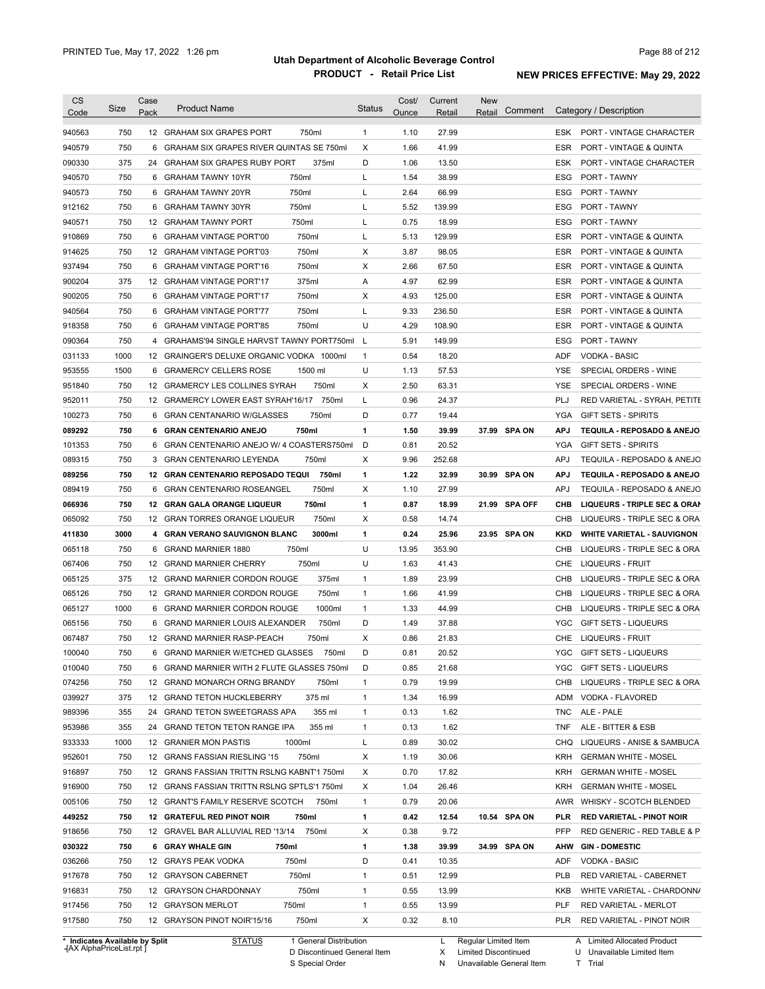| <b>CS</b><br>Code | Size                                                     | Case<br>Pack | <b>Product Name</b>                             | <b>Status</b> | Cost/<br>Ounce | Current<br>Retail | <b>New</b><br>Comment<br>Retail |            | Category / Description             |
|-------------------|----------------------------------------------------------|--------------|-------------------------------------------------|---------------|----------------|-------------------|---------------------------------|------------|------------------------------------|
|                   |                                                          |              |                                                 |               |                |                   |                                 |            |                                    |
| 940563            | 750                                                      |              | 12 GRAHAM SIX GRAPES PORT<br>750ml              | $\mathbf{1}$  | 1.10           | 27.99             |                                 |            | ESK PORT - VINTAGE CHARACTER       |
| 940579            | 750                                                      | 6            | <b>GRAHAM SIX GRAPES RIVER QUINTAS SE 750ml</b> | Χ             | 1.66           | 41.99             |                                 | ESR        | <b>PORT - VINTAGE &amp; QUINTA</b> |
| 090330            | 375                                                      |              | 24 GRAHAM SIX GRAPES RUBY PORT<br>375ml         | D             | 1.06           | 13.50             |                                 | ESK        | PORT - VINTAGE CHARACTER           |
| 940570            | 750                                                      | 6            | <b>GRAHAM TAWNY 10YR</b><br>750ml               | L             | 1.54           | 38.99             |                                 | ESG        | <b>PORT - TAWNY</b>                |
| 940573            | 750                                                      | 6            | 750ml<br><b>GRAHAM TAWNY 20YR</b>               | L             | 2.64           | 66.99             |                                 | ESG        | <b>PORT - TAWNY</b>                |
| 912162            | 750                                                      | 6            | 750ml<br><b>GRAHAM TAWNY 30YR</b>               | L             | 5.52           | 139.99            |                                 | ESG        | PORT - TAWNY                       |
| 940571            | 750                                                      | 12           | 750ml<br><b>GRAHAM TAWNY PORT</b>               | Г             | 0.75           | 18.99             |                                 | ESG        | PORT - TAWNY                       |
| 910869            | 750                                                      | 6            | 750ml<br><b>GRAHAM VINTAGE PORT'00</b>          | Г             | 5.13           | 129.99            |                                 | <b>ESR</b> | <b>PORT - VINTAGE &amp; QUINTA</b> |
| 914625            | 750                                                      | 12           | 750ml<br><b>GRAHAM VINTAGE PORT'03</b>          | Х             | 3.87           | 98.05             |                                 | <b>ESR</b> | <b>PORT - VINTAGE &amp; QUINTA</b> |
| 937494            | 750                                                      | 6            | 750ml<br><b>GRAHAM VINTAGE PORT'16</b>          | Х             | 2.66           | 67.50             |                                 | <b>ESR</b> | <b>PORT - VINTAGE &amp; QUINTA</b> |
| 900204            | 375                                                      | 12           | 375ml<br><b>GRAHAM VINTAGE PORT'17</b>          | Α             | 4.97           | 62.99             |                                 | ESR        | <b>PORT - VINTAGE &amp; QUINTA</b> |
| 900205            | 750                                                      | 6            | 750ml<br><b>GRAHAM VINTAGE PORT'17</b>          | Х             | 4.93           | 125.00            |                                 | ESR        | <b>PORT - VINTAGE &amp; QUINTA</b> |
| 940564            | 750                                                      | 6            | 750ml<br><b>GRAHAM VINTAGE PORT'77</b>          | L             | 9.33           | 236.50            |                                 | ESR        | <b>PORT - VINTAGE &amp; QUINTA</b> |
| 918358            | 750                                                      | 6            | 750ml<br><b>GRAHAM VINTAGE PORT'85</b>          | U             | 4.29           | 108.90            |                                 | ESR        | <b>PORT - VINTAGE &amp; QUINTA</b> |
| 090364            | 750                                                      | 4            | GRAHAMS'94 SINGLE HARVST TAWNY PORT750ml        | L             | 5.91           | 149.99            |                                 | ESG        | PORT - TAWNY                       |
| 031133            | 1000                                                     |              | 12 GRAINGER'S DELUXE ORGANIC VODKA 1000ml       | $\mathbf{1}$  | 0.54           | 18.20             |                                 | ADF        | <b>VODKA - BASIC</b>               |
| 953555            | 1500                                                     | 6            | <b>GRAMERCY CELLERS ROSE</b><br>1500 ml         | U             | 1.13           | 57.53             |                                 | YSE        | SPECIAL ORDERS - WINE              |
| 951840            | 750                                                      |              | 12 GRAMERCY LES COLLINES SYRAH<br>750ml         | Х             | 2.50           | 63.31             |                                 | YSE        | SPECIAL ORDERS - WINE              |
| 952011            | 750                                                      |              | 12 GRAMERCY LOWER EAST SYRAH'16/17<br>750ml     | Г             | 0.96           | 24.37             |                                 | PLJ        | RED VARIETAL - SYRAH, PETITE       |
| 100273            | 750                                                      | 6            | <b>GRAN CENTANARIO W/GLASSES</b><br>750ml       | D             | 0.77           | 19.44             |                                 | YGA        | <b>GIFT SETS - SPIRITS</b>         |
| 089292            | 750                                                      | 6            | <b>GRAN CENTENARIO ANEJO</b><br>750ml           | 1             | 1.50           | 39.99             | 37.99 SPA ON                    | <b>APJ</b> | TEQUILA - REPOSADO & ANEJO         |
| 101353            | 750                                                      | 6            | GRAN CENTENARIO ANEJO W/ 4 COASTERS750ml        | D             | 0.81           | 20.52             |                                 | YGA        | <b>GIFT SETS - SPIRITS</b>         |
| 089315            | 750                                                      | 3            | GRAN CENTENARIO LEYENDA<br>750ml                | Χ             | 9.96           | 252.68            |                                 | <b>APJ</b> | TEQUILA - REPOSADO & ANEJO         |
| 089256            | 750                                                      |              | 12 GRAN CENTENARIO REPOSADO TEQUI<br>750ml      | 1             | 1.22           | 32.99             | 30.99 SPA ON                    | <b>APJ</b> | TEQUILA - REPOSADO & ANEJO         |
| 089419            | 750                                                      | 6            | <b>GRAN CENTENARIO ROSEANGEL</b><br>750ml       | Х             | 1.10           | 27.99             |                                 | APJ        | TEQUILA - REPOSADO & ANEJO         |
| 066936            | 750                                                      | 12           | <b>GRAN GALA ORANGE LIQUEUR</b><br>750ml        | 1             | 0.87           | 18.99             | 21.99<br>SPA OFF                | CHB        | LIQUEURS - TRIPLE SEC & ORAN       |
| 065092            | 750                                                      |              | 12 GRAN TORRES ORANGE LIQUEUR<br>750ml          | X             | 0.58           | 14.74             |                                 | CHB        | LIQUEURS - TRIPLE SEC & ORA        |
| 411830            | 3000                                                     |              | 4 GRAN VERANO SAUVIGNON BLANC<br>3000ml         | 1             | 0.24           | 25.96             | 23.95 SPA ON                    | KKD        | <b>WHITE VARIETAL - SAUVIGNON</b>  |
| 065118            | 750                                                      | 6            | <b>GRAND MARNIER 1880</b><br>750ml              | U             | 13.95          | 353.90            |                                 | CHB        | LIQUEURS - TRIPLE SEC & ORA        |
| 067406            | 750                                                      |              | 750ml<br>12 GRAND MARNIER CHERRY                | U             | 1.63           | 41.43             |                                 | CHE        | LIQUEURS - FRUIT                   |
| 065125            | 375                                                      |              | 375ml<br>12 GRAND MARNIER CORDON ROUGE          | $\mathbf{1}$  | 1.89           | 23.99             |                                 | CHB        | LIQUEURS - TRIPLE SEC & ORA        |
| 065126            | 750                                                      |              | 12 GRAND MARNIER CORDON ROUGE<br>750ml          | $\mathbf{1}$  | 1.66           | 41.99             |                                 | CHB        | LIQUEURS - TRIPLE SEC & ORA        |
| 065127            | 1000                                                     |              | 1000ml<br>6 GRAND MARNIER CORDON ROUGE          | $\mathbf{1}$  | 1.33           | 44.99             |                                 | CHB        | LIQUEURS - TRIPLE SEC & ORA        |
| 065156            | 750                                                      |              | 750ml<br>6 GRAND MARNIER LOUIS ALEXANDER        | D             | 1.49           | 37.88             |                                 | YGC        | GIFT SETS - LIQUEURS               |
|                   |                                                          |              |                                                 |               |                |                   |                                 |            | <b>LIQUEURS - FRUIT</b>            |
| 067487            | 750                                                      |              | 12 GRAND MARNIER RASP-PEACH<br>750ml            | X             | 0.86           | 21.83             |                                 | <b>CHE</b> |                                    |
| 100040            | 750                                                      |              | 6 GRAND MARNIER W/ETCHED GLASSES<br>750ml       | D             | 0.81           | 20.52             |                                 |            | YGC GIFT SETS - LIQUEURS           |
| 010040            | 750                                                      |              | 6 GRAND MARNIER WITH 2 FLUTE GLASSES 750ml      | D             | 0.85           | 21.68             |                                 | YGC.       | <b>GIFT SETS - LIQUEURS</b>        |
| 074256            | 750                                                      |              | 12 GRAND MONARCH ORNG BRANDY<br>750ml           | $\mathbf{1}$  | 0.79           | 19.99             |                                 | CHB        | LIQUEURS - TRIPLE SEC & ORA        |
| 039927            | 375                                                      |              | 12 GRAND TETON HUCKLEBERRY<br>375 ml            | $\mathbf{1}$  | 1.34           | 16.99             |                                 | ADM        | VODKA - FLAVORED                   |
| 989396            | 355                                                      | 24           | <b>GRAND TETON SWEETGRASS APA</b><br>355 ml     | $\mathbf{1}$  | 0.13           | 1.62              |                                 | TNC        | ALE - PALE                         |
| 953986            | 355                                                      |              | 24 GRAND TETON TETON RANGE IPA<br>355 ml        | $\mathbf{1}$  | 0.13           | 1.62              |                                 | TNF        | ALE - BITTER & ESB                 |
| 933333            | 1000                                                     |              | 12 GRANIER MON PASTIS<br>1000ml                 | Г             | 0.89           | 30.02             |                                 | CHQ        | LIQUEURS - ANISE & SAMBUCA         |
| 952601            | 750                                                      |              | 750ml<br>12 GRANS FASSIAN RIESLING '15          | X             | 1.19           | 30.06             |                                 | KRH        | <b>GERMAN WHITE - MOSEL</b>        |
| 916897            | 750                                                      |              | 12 GRANS FASSIAN TRITTN RSLNG KABNT'1 750ml     | х             | 0.70           | 17.82             |                                 | KRH        | <b>GERMAN WHITE - MOSEL</b>        |
| 916900            | 750                                                      |              | 12 GRANS FASSIAN TRITTN RSLNG SPTLS'1 750ml     | Х             | 1.04           | 26.46             |                                 | KRH        | <b>GERMAN WHITE - MOSEL</b>        |
| 005106            | 750                                                      |              | 12 GRANT'S FAMILY RESERVE SCOTCH<br>750ml       | $\mathbf{1}$  | 0.79           | 20.06             |                                 | AWR        | WHISKY - SCOTCH BLENDED            |
| 449252            | 750                                                      |              | 12 GRATEFUL RED PINOT NOIR<br>750ml             | 1             | 0.42           | 12.54             | 10.54 SPA ON                    | PLR        | <b>RED VARIETAL - PINOT NOIR</b>   |
| 918656            | 750                                                      |              | 12 GRAVEL BAR ALLUVIAL RED '13/14<br>750ml      | Х             | 0.38           | 9.72              |                                 | PFP        | RED GENERIC - RED TABLE & P        |
| 030322            | 750                                                      |              | 6 GRAY WHALE GIN<br>750ml                       | 1             | 1.38           | 39.99             | 34.99 SPA ON                    | AHW        | <b>GIN - DOMESTIC</b>              |
| 036266            | 750                                                      |              | 750ml<br>12 GRAYS PEAK VODKA                    | D             | 0.41           | 10.35             |                                 | ADF        | <b>VODKA - BASIC</b>               |
| 917678            | 750                                                      |              | 750ml<br>12 GRAYSON CABERNET                    | $\mathbf{1}$  | 0.51           | 12.99             |                                 | PLB        | RED VARIETAL - CABERNET            |
| 916831            | 750                                                      |              | 12 GRAYSON CHARDONNAY<br>750ml                  | $\mathbf{1}$  | 0.55           | 13.99             |                                 | KKB        | WHITE VARIETAL - CHARDONN/         |
| 917456            | 750                                                      |              | 12 GRAYSON MERLOT<br>750ml                      | $\mathbf{1}$  | 0.55           | 13.99             |                                 | PLF        | RED VARIETAL - MERLOT              |
| 917580            | 750                                                      |              | 12 GRAYSON PINOT NOIR'15/16<br>750ml            | Х             | 0.32           | 8.10              |                                 | PLR        | RED VARIETAL - PINOT NOIR          |
|                   |                                                          |              |                                                 |               |                |                   |                                 |            |                                    |
|                   | * Indicates Available by Split<br>AY AlphaDrical jet rnt |              | 1 General Distribution<br><b>STATUS</b>         |               |                | L                 | Regular Limited Item            |            | A Limited Allocated Product        |

**Case** [AX AlphaPriceList.rpt ]

D Discontinued General Item S Special Order

X Limited Discontinued

N Unavailable General Item

U Unavailable Limited Item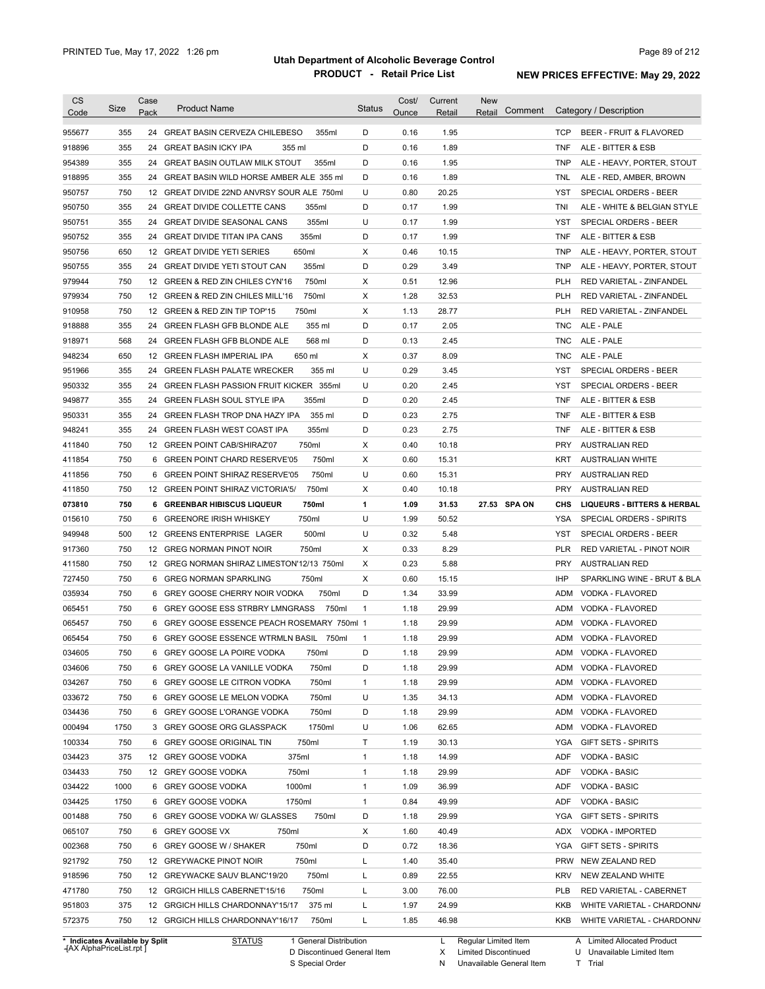| <b>CS</b><br>Code              | <b>Size</b> | Case<br>Pack | <b>Product Name</b>                                | <b>Status</b> | Cost/<br>Ounce | Current<br>Retail | <b>New</b><br>Comment<br>Retail | Category / Description                           |
|--------------------------------|-------------|--------------|----------------------------------------------------|---------------|----------------|-------------------|---------------------------------|--------------------------------------------------|
| 955677                         | 355         | 24           | <b>GREAT BASIN CERVEZA CHILEBESO</b><br>355ml      | D             | 0.16           | 1.95              |                                 | <b>TCP</b><br><b>BEER - FRUIT &amp; FLAVORED</b> |
| 918896                         | 355         | 24           | <b>GREAT BASIN ICKY IPA</b><br>355 ml              | D             | 0.16           | 1.89              |                                 | <b>TNF</b><br>ALE - BITTER & ESB                 |
| 954389                         | 355         | 24           | <b>GREAT BASIN OUTLAW MILK STOUT</b><br>355ml      | D             | 0.16           | 1.95              |                                 | <b>TNP</b><br>ALE - HEAVY, PORTER, STOUT         |
| 918895                         | 355         | 24           | GREAT BASIN WILD HORSE AMBER ALE 355 ml            | D             | 0.16           | 1.89              |                                 | <b>TNL</b><br>ALE - RED, AMBER, BROWN            |
| 950757                         | 750         | 12           | GREAT DIVIDE 22ND ANVRSY SOUR ALE 750ml            | U             | 0.80           | 20.25             |                                 | <b>YST</b><br>SPECIAL ORDERS - BEER              |
| 950750                         | 355         | 24           | 355ml<br><b>GREAT DIVIDE COLLETTE CANS</b>         | D             | 0.17           | 1.99              |                                 | TNI<br>ALE - WHITE & BELGIAN STYLE               |
| 950751                         | 355         | 24           | 355ml<br><b>GREAT DIVIDE SEASONAL CANS</b>         | U             | 0.17           | 1.99              |                                 | YST<br>SPECIAL ORDERS - BEER                     |
| 950752                         | 355         | 24           | 355ml<br><b>GREAT DIVIDE TITAN IPA CANS</b>        | D             | 0.17           | 1.99              |                                 | <b>TNF</b><br>ALE - BITTER & ESB                 |
| 950756                         | 650         | 12           | <b>GREAT DIVIDE YETI SERIES</b><br>650ml           | X             | 0.46           | 10.15             |                                 | <b>TNP</b><br>ALE - HEAVY, PORTER, STOUT         |
| 950755                         | 355         | 24           | 355ml<br><b>GREAT DIVIDE YETI STOUT CAN</b>        | D             | 0.29           | 3.49              |                                 | <b>TNP</b><br>ALE - HEAVY, PORTER, STOUT         |
| 979944                         | 750         | 12           | 750ml<br>GREEN & RED ZIN CHILES CYN'16             | X             | 0.51           | 12.96             |                                 | <b>PLH</b><br>RED VARIETAL - ZINFANDEL           |
| 979934                         | 750         | 12           | 750ml<br><b>GREEN &amp; RED ZIN CHILES MILL'16</b> | X             | 1.28           | 32.53             |                                 | <b>PLH</b><br>RED VARIETAL - ZINFANDEL           |
| 910958                         | 750         | 12           | 750ml<br>GREEN & RED ZIN TIP TOP'15                | X             | 1.13           | 28.77             |                                 | <b>PLH</b><br>RED VARIETAL - ZINFANDEL           |
| 918888                         | 355         | 24           | 355 ml<br><b>GREEN FLASH GFB BLONDE ALE</b>        | D             | 0.17           | 2.05              |                                 | <b>TNC</b><br>ALE - PALE                         |
| 918971                         | 568         | 24           | 568 ml<br><b>GREEN FLASH GFB BLONDE ALE</b>        | D             | 0.13           | 2.45              |                                 | <b>TNC</b><br>ALE - PALE                         |
| 948234                         | 650         | 12           | 650 ml<br><b>GREEN FLASH IMPERIAL IPA</b>          | X             | 0.37           | 8.09              |                                 | <b>TNC</b><br>ALE - PALE                         |
| 951966                         | 355         | 24           | 355 ml<br><b>GREEN FLASH PALATE WRECKER</b>        | U             | 0.29           | 3.45              |                                 | <b>YST</b><br>SPECIAL ORDERS - BEER              |
| 950332                         | 355         | 24           | GREEN FLASH PASSION FRUIT KICKER 355ml             | U             | 0.20           | 2.45              |                                 | <b>YST</b><br>SPECIAL ORDERS - BEER              |
| 949877                         | 355         | 24           | 355ml<br><b>GREEN FLASH SOUL STYLE IPA</b>         | D             | 0.20           | 2.45              |                                 | <b>TNF</b><br>ALE - BITTER & ESB                 |
| 950331                         | 355         | 24           | 355 ml<br><b>GREEN FLASH TROP DNA HAZY IPA</b>     | D             | 0.23           | 2.75              |                                 | <b>TNF</b><br>ALE - BITTER & ESB                 |
| 948241                         | 355         | 24           | 355ml<br><b>GREEN FLASH WEST COAST IPA</b>         | D             | 0.23           | 2.75              |                                 | <b>TNF</b><br>ALE - BITTER & ESB                 |
| 411840                         | 750         | 12           | 750ml<br><b>GREEN POINT CAB/SHIRAZ'07</b>          | X             | 0.40           | 10.18             |                                 | <b>PRY</b><br><b>AUSTRALIAN RED</b>              |
| 411854                         | 750         | 6            | 750ml<br><b>GREEN POINT CHARD RESERVE'05</b>       | X             | 0.60           | 15.31             |                                 | <b>KRT</b><br><b>AUSTRALIAN WHITE</b>            |
| 411856                         | 750         | 6            | 750ml<br><b>GREEN POINT SHIRAZ RESERVE'05</b>      | U             | 0.60           | 15.31             |                                 | <b>PRY</b><br><b>AUSTRALIAN RED</b>              |
| 411850                         | 750         | 12           | 750ml<br><b>GREEN POINT SHIRAZ VICTORIA'5/</b>     | X             | 0.40           | 10.18             |                                 | <b>PRY</b><br><b>AUSTRALIAN RED</b>              |
| 073810                         | 750         | 6            | 750ml<br><b>GREENBAR HIBISCUS LIQUEUR</b>          | 1             | 1.09           | 31.53             | 27.53 SPA ON                    | CHS<br><b>LIQUEURS - BITTERS &amp; HERBAL</b>    |
| 015610                         | 750         | 6            | <b>GREENORE IRISH WHISKEY</b><br>750ml             | U             | 1.99           | 50.52             |                                 | YSA<br>SPECIAL ORDERS - SPIRITS                  |
| 949948                         | 500         |              | 12 GREENS ENTERPRISE LAGER<br>500ml                | U             | 0.32           | 5.48              |                                 | <b>YST</b><br>SPECIAL ORDERS - BEER              |
|                                | 750         | 12           | 750ml<br><b>GREG NORMAN PINOT NOIR</b>             | X             | 0.33           | 8.29              |                                 | <b>PLR</b><br>RED VARIETAL - PINOT NOIR          |
| 917360                         | 750         |              | 12 GREG NORMAN SHIRAZ LIMESTON'12/13 750ml         | X             | 0.23           | 5.88              |                                 | <b>PRY</b><br><b>AUSTRALIAN RED</b>              |
| 411580                         |             |              |                                                    | X             |                |                   |                                 | <b>IHP</b>                                       |
| 727450                         | 750         | 6            | 750ml<br><b>GREG NORMAN SPARKLING</b>              |               | 0.60           | 15.15             |                                 | SPARKLING WINE - BRUT & BLA                      |
| 035934                         | 750         | 6            | 750ml<br>GREY GOOSE CHERRY NOIR VODKA              | D             | 1.34           | 33.99             |                                 | <b>ADM</b><br>VODKA - FLAVORED                   |
| 065451                         | 750         |              | 750ml<br>6 GREY GOOSE ESS STRBRY LMNGRASS          | $\mathbf{1}$  | 1.18           | 29.99             |                                 | <b>ADM</b><br>VODKA - FLAVORED                   |
| 065457                         | 750         |              | 6 GREY GOOSE ESSENCE PEACH ROSEMARY 750ml 1        |               | 1.18           | 29.99             |                                 | <b>ADM</b><br>VODKA - FLAVORED                   |
| 065454                         | 750         |              | 6 GREY GOOSE ESSENCE WTRMLN BASIL 750ml            | $\mathbf{1}$  | 1.18           | 29.99             |                                 | ADM VODKA - FLAVORED                             |
| 034605                         | 750         | 6            | <b>GREY GOOSE LA POIRE VODKA</b><br>750ml          | D             | 1.18           | 29.99             |                                 | ADM VODKA - FLAVORED                             |
| 034606                         | 750         |              | 6 GREY GOOSE LA VANILLE VODKA<br>750ml             | D             | 1.18           | 29.99             |                                 | ADM VODKA - FLAVORED                             |
| 034267                         | 750         |              | 750ml<br>6 GREY GOOSE LE CITRON VODKA              | 1             | 1.18           | 29.99             |                                 | VODKA - FLAVORED<br>ADM                          |
| 033672                         | 750         |              | 750ml<br>6 GREY GOOSE LE MELON VODKA               | U             | 1.35           | 34.13             |                                 | VODKA - FLAVORED<br>ADM                          |
| 034436                         | 750         |              | 6 GREY GOOSE L'ORANGE VODKA<br>750ml               | D             | 1.18           | 29.99             |                                 | VODKA - FLAVORED<br>ADM                          |
| 000494                         | 1750        |              | 1750ml<br>3 GREY GOOSE ORG GLASSPACK               | U             | 1.06           | 62.65             |                                 | ADM<br>VODKA - FLAVORED                          |
| 100334                         | 750         |              | 750ml<br>6 GREY GOOSE ORIGINAL TIN                 | т             | 1.19           | 30.13             |                                 | YGA<br><b>GIFT SETS - SPIRITS</b>                |
| 034423                         | 375         |              | 375ml<br>12 GREY GOOSE VODKA                       | 1             | 1.18           | 14.99             |                                 | VODKA - BASIC<br>ADF                             |
| 034433                         | 750         |              | 750ml<br>12 GREY GOOSE VODKA                       | 1             | 1.18           | 29.99             |                                 | <b>VODKA - BASIC</b><br>ADF                      |
| 034422                         | 1000        |              | 1000ml<br>6 GREY GOOSE VODKA                       | 1             | 1.09           | 36.99             |                                 | <b>ADF</b><br><b>VODKA - BASIC</b>               |
| 034425                         | 1750        |              | 1750ml<br>6 GREY GOOSE VODKA                       | 1             | 0.84           | 49.99             |                                 | VODKA - BASIC<br>ADF                             |
| 001488                         | 750         |              | 6 GREY GOOSE VODKA W/ GLASSES<br>750ml             | D             | 1.18           | 29.99             |                                 | YGA<br><b>GIFT SETS - SPIRITS</b>                |
| 065107                         | 750         |              | 750ml<br>6 GREY GOOSE VX                           | х             | 1.60           | 40.49             |                                 | VODKA - IMPORTED<br>ADX                          |
| 002368                         | 750         |              | 750ml<br>6 GREY GOOSE W / SHAKER                   | D             | 0.72           | 18.36             |                                 | YGA<br><b>GIFT SETS - SPIRITS</b>                |
| 921792                         | 750         | 12           | 750ml<br><b>GREYWACKE PINOT NOIR</b>               | L             | 1.40           | 35.40             |                                 | PRW<br>NEW ZEALAND RED                           |
| 918596                         | 750         | 12           | 750ml<br>GREYWACKE SAUV BLANC'19/20                | Г             | 0.89           | 22.55             |                                 | KRV<br>NEW ZEALAND WHITE                         |
| 471780                         | 750         |              | 750ml<br>12 GRGICH HILLS CABERNET'15/16            | Г             | 3.00           | 76.00             |                                 | <b>PLB</b><br>RED VARIETAL - CABERNET            |
| 951803                         | 375         |              | 375 ml<br>12 GRGICH HILLS CHARDONNAY'15/17         | Г             | 1.97           | 24.99             |                                 | KKB<br>WHITE VARIETAL - CHARDONN/                |
| 572375                         | 750         |              | 12 GRGICH HILLS CHARDONNAY'16/17<br>750ml          | L             | 1.85           | 46.98             |                                 | KKB<br>WHITE VARIETAL - CHARDONN/                |
| * Indicates Available by Split |             |              | <b>STATUS</b><br>1 General Distribution            |               |                | L.                | Regular Limited Item            | A Limited Allocated Product                      |

**Case** [AX AlphaPriceList.rpt ]

D Discontinued General Item

S Special Order

X Limited Discontinued T Trial

N Unavailable General Item

U Unavailable Limited Item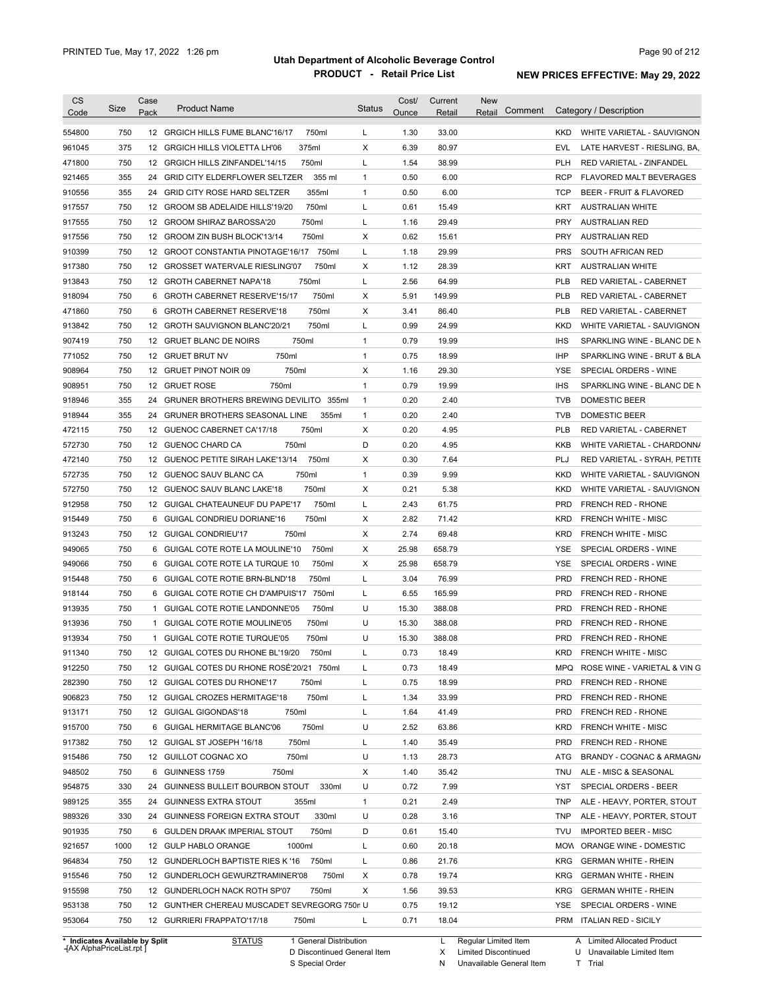| <b>CS</b><br>Code              | Size                   | Case<br>Pack    | <b>Product Name</b>                              | <b>Status</b> | Cost/<br>Ounce | Current<br>Retail | New<br>Comment<br>Retail |            | Category / Description           |
|--------------------------------|------------------------|-----------------|--------------------------------------------------|---------------|----------------|-------------------|--------------------------|------------|----------------------------------|
| 554800                         | 750                    |                 | 750ml<br>12 GRGICH HILLS FUME BLANC'16/17        | L             | 1.30           | 33.00             |                          | <b>KKD</b> | WHITE VARIETAL - SAUVIGNON       |
| 961045                         | 375                    |                 | 375ml<br>12 GRGICH HILLS VIOLETTA LH'06          | X             | 6.39           | 80.97             |                          | <b>EVL</b> | LATE HARVEST - RIESLING, BA,     |
| 471800                         | 750                    |                 | 750ml<br>12 GRGICH HILLS ZINFANDEL'14/15         | Г             | 1.54           | 38.99             |                          | PLH        | RED VARIETAL - ZINFANDEL         |
| 921465                         | 355                    |                 | 355 ml<br>24 GRID CITY ELDERFLOWER SELTZER       | $\mathbf{1}$  | 0.50           | 6.00              |                          | <b>RCP</b> | FLAVORED MALT BEVERAGES          |
| 910556                         | 355                    |                 | 24 GRID CITY ROSE HARD SELTZER<br>355ml          | $\mathbf{1}$  | 0.50           | 6.00              |                          | <b>TCP</b> | BEER - FRUIT & FLAVORED          |
| 917557                         | 750                    |                 | 750ml<br>12 GROOM SB ADELAIDE HILLS'19/20        | Г             | 0.61           | 15.49             |                          | KRT        | <b>AUSTRALIAN WHITE</b>          |
| 917555                         | 750                    |                 | 750ml<br>12 GROOM SHIRAZ BAROSSA'20              | Г             | 1.16           | 29.49             |                          | <b>PRY</b> | AUSTRALIAN RED                   |
| 917556                         | 750                    |                 | 750ml<br>12 GROOM ZIN BUSH BLOCK'13/14           | Х             | 0.62           | 15.61             |                          | <b>PRY</b> | <b>AUSTRALIAN RED</b>            |
| 910399                         | 750                    |                 | 12 GROOT CONSTANTIA PINOTAGE'16/17<br>750ml      | Г             | 1.18           | 29.99             |                          | <b>PRS</b> | SOUTH AFRICAN RED                |
| 917380                         | 750                    |                 | 750ml<br>12 GROSSET WATERVALE RIESLING'07        | Х             | 1.12           | 28.39             |                          | KRT        | <b>AUSTRALIAN WHITE</b>          |
| 913843                         | 750                    |                 | 12 GROTH CABERNET NAPA'18<br>750ml               | Г             | 2.56           | 64.99             |                          | <b>PLB</b> | RED VARIETAL - CABERNET          |
| 918094                         | 750                    | 6               | <b>GROTH CABERNET RESERVE'15/17</b><br>750ml     | х             | 5.91           | 149.99            |                          | <b>PLB</b> | RED VARIETAL - CABERNET          |
| 471860                         | 750                    | 6               | 750ml<br><b>GROTH CABERNET RESERVE'18</b>        | X             | 3.41           | 86.40             |                          | <b>PLB</b> | RED VARIETAL - CABERNET          |
| 913842                         | 750                    | 12 <sup>2</sup> | 750ml<br><b>GROTH SAUVIGNON BLANC'20/21</b>      | Г             | 0.99           | 24.99             |                          | <b>KKD</b> | WHITE VARIETAL - SAUVIGNON       |
| 907419                         | 750                    |                 | 750ml<br>12 GRUET BLANC DE NOIRS                 | $\mathbf{1}$  | 0.79           | 19.99             |                          | <b>IHS</b> | SPARKLING WINE - BLANC DE N      |
| 771052                         | 750                    |                 | 750ml<br>12 GRUET BRUT NV                        | $\mathbf{1}$  | 0.75           | 18.99             |                          | <b>IHP</b> | SPARKLING WINE - BRUT & BLA      |
| 908964                         | 750                    |                 | 12 GRUET PINOT NOIR 09<br>750ml                  | X             | 1.16           | 29.30             |                          | YSE        | SPECIAL ORDERS - WINE            |
| 908951                         | 750                    |                 | 12 GRUET ROSE<br>750ml                           | $\mathbf{1}$  | 0.79           | 19.99             |                          | <b>IHS</b> | SPARKLING WINE - BLANC DE N      |
| 918946                         | 355                    | 24              | <b>GRUNER BROTHERS BREWING DEVILITO</b><br>355ml | $\mathbf{1}$  | 0.20           | 2.40              |                          | <b>TVB</b> | DOMESTIC BEER                    |
|                                | 355                    | 24              | <b>GRUNER BROTHERS SEASONAL LINE</b><br>355ml    | $\mathbf{1}$  | 0.20           | 2.40              |                          | <b>TVB</b> | DOMESTIC BEER                    |
| 918944                         |                        |                 |                                                  |               |                |                   |                          |            |                                  |
| 472115                         | 750                    |                 | 750ml<br>12 GUENOC CABERNET CA'17/18             | Х             | 0.20           | 4.95              |                          | <b>PLB</b> | RED VARIETAL - CABERNET          |
| 572730                         | 750                    |                 | 750ml<br>12 GUENOC CHARD CA                      | D             | 0.20           | 4.95              |                          | KKB        | WHITE VARIETAL - CHARDONN/       |
| 472140                         | 750                    |                 | 750ml<br>12 GUENOC PETITE SIRAH LAKE'13/14       | Х             | 0.30           | 7.64              |                          | PLJ        | RED VARIETAL - SYRAH, PETITE     |
| 572735                         | 750                    |                 | 750ml<br>12 GUENOC SAUV BLANC CA                 | $\mathbf{1}$  | 0.39           | 9.99              |                          | KKD        | WHITE VARIETAL - SAUVIGNON       |
| 572750                         | 750                    |                 | 750ml<br>12 GUENOC SAUV BLANC LAKE'18            | Х             | 0.21           | 5.38              |                          | KKD        | WHITE VARIETAL - SAUVIGNON       |
| 912958                         | 750                    |                 | 12 GUIGAL CHATEAUNEUF DU PAPE'17<br>750ml        | L             | 2.43           | 61.75             |                          | <b>PRD</b> | <b>FRENCH RED - RHONE</b>        |
| 915449                         | 750                    | 6               | 750ml<br>GUIGAL CONDRIEU DORIANE'16              | X             | 2.82           | 71.42             |                          | <b>KRD</b> | <b>FRENCH WHITE - MISC</b>       |
| 913243                         | 750                    |                 | 12 GUIGAL CONDRIEU'17<br>750ml                   | X             | 2.74           | 69.48             |                          | <b>KRD</b> | <b>FRENCH WHITE - MISC</b>       |
| 949065                         | 750                    | 6               | GUIGAL COTE ROTE LA MOULINE'10<br>750ml          | X             | 25.98          | 658.79            |                          | <b>YSE</b> | SPECIAL ORDERS - WINE            |
| 949066                         | 750                    |                 | 6 GUIGAL COTE ROTE LA TURQUE 10<br>750ml         | X             | 25.98          | 658.79            |                          | <b>YSE</b> | SPECIAL ORDERS - WINE            |
| 915448                         | 750                    |                 | 6 GUIGAL COTE ROTIE BRN-BLND'18<br>750ml         | Г             | 3.04           | 76.99             |                          | <b>PRD</b> | <b>FRENCH RED - RHONE</b>        |
| 918144                         | 750                    |                 | 6 GUIGAL COTE ROTIE CH D'AMPUIS'17 750ml         | Г             | 6.55           | 165.99            |                          | <b>PRD</b> | FRENCH RED - RHONE               |
| 913935                         | 750                    |                 | 1 GUIGAL COTE ROTIE LANDONNE'05<br>750ml         | U             | 15.30          | 388.08            |                          | <b>PRD</b> | FRENCH RED - RHONE               |
| 913936                         | 750                    |                 | 750ml<br>1 GUIGAL COTE ROTIE MOULINE'05          | U             | 15.30          | 388.08            |                          | <b>PRD</b> | FRENCH RED - RHONE               |
| 913934                         | 750                    |                 | 1 GUIGAL COTE ROTIE TURQUE'05<br>750ml           | U             | 15.30          | 388.08            |                          | <b>PRD</b> | FRENCH RED - RHONE               |
| 911340                         | 750                    |                 | 12 GUIGAL COTES DU RHONE BL'19/20<br>750ml       |               | 0.73           | 18.49             |                          | KRD        | <b>FRENCH WHITE - MISC</b>       |
| 912250                         | 750                    |                 | 12 GUIGAL COTES DU RHONE ROSÉ'20/21 750ml        | L             | 0.73           | 18.49             |                          |            | MPQ ROSE WINE - VARIETAL & VIN G |
| 282390                         | 750                    |                 | 12 GUIGAL COTES DU RHONE'17<br>750ml             | L             | 0.75           | 18.99             |                          | <b>PRD</b> | FRENCH RED - RHONE               |
| 906823                         | 750                    |                 | 750ml<br>12 GUIGAL CROZES HERMITAGE'18           | Г             | 1.34           | 33.99             |                          | <b>PRD</b> | FRENCH RED - RHONE               |
| 913171                         | 750                    |                 | 12 GUIGAL GIGONDAS'18<br>750ml                   | L             | 1.64           | 41.49             |                          | <b>PRD</b> | FRENCH RED - RHONE               |
| 915700                         | 750                    |                 | 750ml<br>6 GUIGAL HERMITAGE BLANC'06             | U             | 2.52           | 63.86             |                          | <b>KRD</b> | FRENCH WHITE - MISC              |
| 917382                         | 750                    |                 | 750ml<br>12 GUIGAL ST JOSEPH '16/18              | L             | 1.40           | 35.49             |                          | <b>PRD</b> | FRENCH RED - RHONE               |
| 915486                         | 750                    |                 | 12 GUILLOT COGNAC XO<br>750ml                    | U             | 1.13           | 28.73             |                          | ATG        | BRANDY - COGNAC & ARMAGN/        |
| 948502                         | 750                    |                 | 6 GUINNESS 1759<br>750ml                         | х             | 1.40           | 35.42             |                          | <b>TNU</b> | ALE - MISC & SEASONAL            |
| 954875                         | 330                    |                 | 24 GUINNESS BULLEIT BOURBON STOUT<br>330ml       | U             | 0.72           | 7.99              |                          | YST        | SPECIAL ORDERS - BEER            |
| 989125                         | 355                    |                 | 24 GUINNESS EXTRA STOUT<br>355ml                 | 1             | 0.21           | 2.49              |                          | <b>TNP</b> | ALE - HEAVY, PORTER, STOUT       |
| 989326                         | 330                    |                 | 24 GUINNESS FOREIGN EXTRA STOUT<br>330ml         | U             | 0.28           | 3.16              |                          | <b>TNP</b> | ALE - HEAVY, PORTER, STOUT       |
| 901935                         | 750                    |                 | 750ml<br>6 GULDEN DRAAK IMPERIAL STOUT           | D             | 0.61           | 15.40             |                          | <b>TVU</b> | <b>IMPORTED BEER - MISC</b>      |
| 921657                         | 1000                   |                 | 12 GULP HABLO ORANGE<br>1000ml                   | L             | 0.60           | 20.18             |                          |            | MOW ORANGE WINE - DOMESTIC       |
| 964834                         | 750                    |                 | 12 GUNDERLOCH BAPTISTE RIES K '16<br>750ml       | L             | 0.86           | 21.76             |                          | <b>KRG</b> | <b>GERMAN WHITE - RHEIN</b>      |
|                                |                        |                 |                                                  |               |                |                   |                          |            |                                  |
| 915546                         | 750                    |                 | 12 GUNDERLOCH GEWURZTRAMINER'08<br>750ml         | х             | 0.78           | 19.74             |                          | <b>KRG</b> | <b>GERMAN WHITE - RHEIN</b>      |
| 915598                         | 750                    |                 | 12 GUNDERLOCH NACK ROTH SP'07<br>750ml           | Х             | 1.56           | 39.53             |                          | <b>KRG</b> | <b>GERMAN WHITE - RHEIN</b>      |
| 953138                         | 750                    |                 | 12 GUNTHER CHEREAU MUSCADET SEVREGORG 750n U     |               | 0.75           | 19.12             |                          | YSE        | SPECIAL ORDERS - WINE            |
| 953064                         | 750                    |                 | 12 GURRIERI FRAPPATO'17/18<br>750ml              | L             | 0.71           | 18.04             |                          |            | PRM ITALIAN RED - SICILY         |
| * Indicates Available by Split | AY AlphaDrical ist rnt |                 | 1 General Distribution<br><b>STATUS</b>          |               |                | L.                | Regular Limited Item     |            | A Limited Allocated Product      |

**Case** [AX AlphaPriceList.rpt ]

D Discontinued General Item

S Special Order

X Limited Discontinued

N Unavailable General Item

U Unavailable Limited Item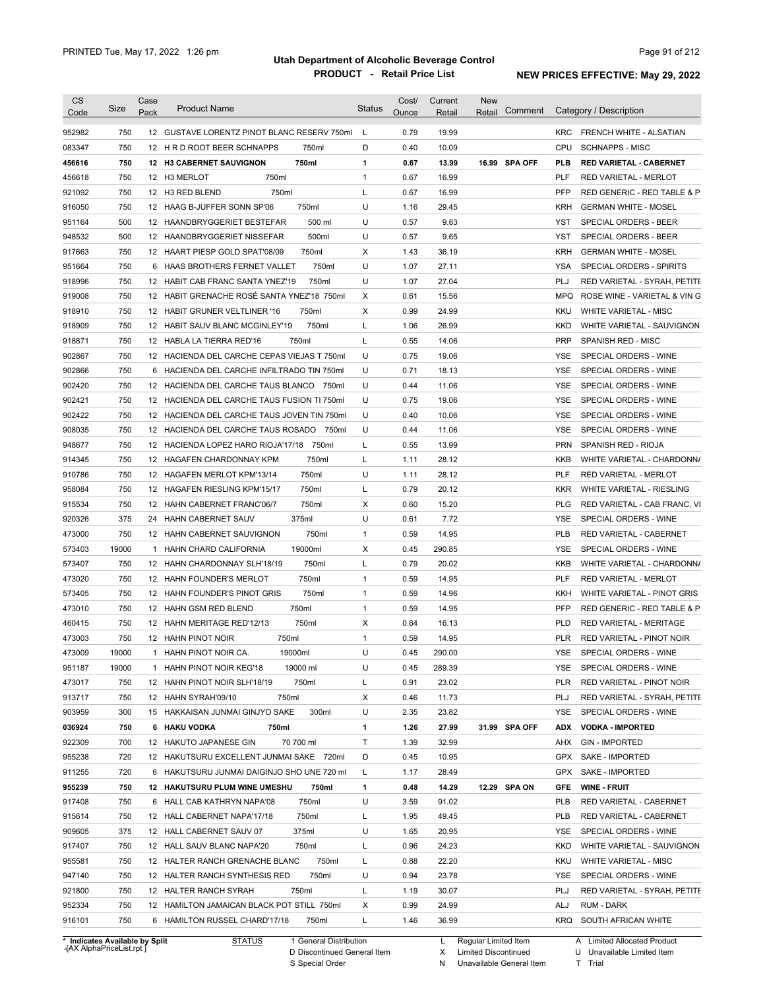| <b>CS</b><br>Code | Size       | Case<br>Pack | <b>Product Name</b>                                                                  | <b>Status</b> | Cost/<br>Ounce | Current<br>Retail | New<br>Comment<br>Retail |            | Category / Description                |
|-------------------|------------|--------------|--------------------------------------------------------------------------------------|---------------|----------------|-------------------|--------------------------|------------|---------------------------------------|
| 952982            | 750        |              | 12 GUSTAVE LORENTZ PINOT BLANC RESERV 750ml                                          | L             | 0.79           | 19.99             |                          |            | KRC FRENCH WHITE - ALSATIAN           |
| 083347            | 750        |              | 750ml<br>12 H R D ROOT BEER SCHNAPPS                                                 | D             | 0.40           | 10.09             |                          | CPU        | <b>SCHNAPPS - MISC</b>                |
| 456616            | 750        |              | 750ml<br>12 H3 CABERNET SAUVIGNON                                                    | $\mathbf{1}$  | 0.67           | 13.99             | 16.99 SPA OFF            | PLB        | <b>RED VARIETAL - CABERNET</b>        |
| 456618            | 750        |              | 750ml<br>12 H3 MERLOT                                                                | 1             | 0.67           | 16.99             |                          | <b>PLF</b> | RED VARIETAL - MERLOT                 |
| 921092            | 750        |              | 750ml<br>12 H3 RED BLEND                                                             | L             | 0.67           | 16.99             |                          | <b>PFP</b> | RED GENERIC - RED TABLE & P           |
| 916050            | 750        |              | 750ml<br>12 HAAG B-JUFFER SONN SP'06                                                 | U             | 1.16           | 29.45             |                          | <b>KRH</b> | <b>GERMAN WHITE - MOSEL</b>           |
| 951164            | 500        |              | 500 ml<br>12 HAANDBRYGGERIET BESTEFAR                                                | U             | 0.57           | 9.63              |                          | YST        | SPECIAL ORDERS - BEER                 |
| 948532            | 500        |              | 500ml<br>12 HAANDBRYGGERIET NISSEFAR                                                 | U             | 0.57           | 9.65              |                          | YST        | SPECIAL ORDERS - BEER                 |
| 917663            | 750        |              | 12 HAART PIESP GOLD SPAT'08/09<br>750ml                                              | Χ             | 1.43           | 36.19             |                          | <b>KRH</b> | <b>GERMAN WHITE - MOSEL</b>           |
| 951664            | 750        |              | 750ml<br>6 HAAS BROTHERS FERNET VALLET                                               | U             | 1.07           | 27.11             |                          | YSA        | SPECIAL ORDERS - SPIRITS              |
| 918996            | 750        |              | 12 HABIT CAB FRANC SANTA YNEZ'19<br>750ml                                            | U             | 1.07           | 27.04             |                          | PLJ        | RED VARIETAL - SYRAH, PETITE          |
| 919008            | 750        |              | 12 HABIT GRENACHE ROSÉ SANTA YNEZ'18 750ml                                           | Χ             | 0.61           | 15.56             |                          | MPQ        | ROSE WINE - VARIETAL & VIN G          |
| 918910            | 750        |              | 750ml<br>12 HABIT GRUNER VELTLINER '16                                               | Χ             | 0.99           | 24.99             |                          | KKU        | <b>WHITE VARIETAL - MISC</b>          |
| 918909            | 750        |              | 750ml<br>12 HABIT SAUV BLANC MCGINLEY'19                                             | L             | 1.06           | 26.99             |                          | <b>KKD</b> | WHITE VARIETAL - SAUVIGNON            |
| 918871            | 750        |              | 750ml<br>12 HABLA LA TIERRA RED'16                                                   | L             | 0.55           | 14.06             |                          | <b>PRP</b> | <b>SPANISH RED - MISC</b>             |
| 902867            | 750        |              | 12 HACIENDA DEL CARCHE CEPAS VIEJAS T 750ml                                          | U             | 0.75           | 19.06             |                          | YSE        | SPECIAL ORDERS - WINE                 |
| 902866            | 750        |              | 6 HACIENDA DEL CARCHE INFILTRADO TIN 750ml                                           | U             | 0.71           | 18.13             |                          | YSE        | SPECIAL ORDERS - WINE                 |
| 902420            | 750        |              | 12 HACIENDA DEL CARCHE TAUS BLANCO 750ml                                             | U             | 0.44           | 11.06             |                          | YSE        | SPECIAL ORDERS - WINE                 |
| 902421            | 750        |              | 12 HACIENDA DEL CARCHE TAUS FUSION TI 750ml                                          | U             | 0.75           | 19.06             |                          | YSE        | SPECIAL ORDERS - WINE                 |
| 902422            | 750        |              | 12 HACIENDA DEL CARCHE TAUS JOVEN TIN 750ml                                          | U             | 0.40           | 10.06             |                          | YSE        | SPECIAL ORDERS - WINE                 |
| 908035            | 750        |              | 12 HACIENDA DEL CARCHE TAUS ROSADO<br>750ml                                          | U             | 0.44           | 11.06             |                          | YSE        | SPECIAL ORDERS - WINE                 |
| 948677            | 750        |              | 12 HACIENDA LOPEZ HARO RIOJA'17/18<br>750ml                                          | L             | 0.55           | 13.99             |                          | PRN        | SPANISH RED - RIOJA                   |
| 914345            | 750        |              | 750ml<br>12 HAGAFEN CHARDONNAY KPM                                                   | L             | 1.11           | 28.12             |                          | KKB        | WHITE VARIETAL - CHARDONN/            |
| 910786            | 750        |              | 750ml<br>12 HAGAFEN MERLOT KPM'13/14                                                 | U             | 1.11           | 28.12             |                          | <b>PLF</b> | RED VARIETAL - MERLOT                 |
| 958084            | 750        |              | 750ml<br>12 HAGAFEN RIESLING KPM'15/17                                               | L             | 0.79           | 20.12             |                          | KKR        | WHITE VARIETAL - RIESLING             |
| 915534            | 750        |              | 750ml<br>12 HAHN CABERNET FRANC'06/7                                                 | Χ             | 0.60           | 15.20             |                          | PLG        | RED VARIETAL - CAB FRANC, VI          |
| 920326            | 375        |              | 375ml<br>24 HAHN CABERNET SAUV                                                       | U             | 0.61           | 7.72              |                          | YSE        | SPECIAL ORDERS - WINE                 |
| 473000            | 750        |              | 12 HAHN CABERNET SAUVIGNON<br>750ml                                                  | 1             | 0.59           | 14.95             |                          | <b>PLB</b> | RED VARIETAL - CABERNET               |
| 573403            | 19000      | 1            | 19000ml<br>HAHN CHARD CALIFORNIA                                                     | Χ             | 0.45           | 290.85            |                          | YSE        | SPECIAL ORDERS - WINE                 |
| 573407            | 750        |              | 750ml<br>12 HAHN CHARDONNAY SLH'18/19                                                | L             | 0.79           | 20.02             |                          | KKB        | WHITE VARIETAL - CHARDONN/            |
| 473020            | 750        |              | 750ml<br>12 HAHN FOUNDER'S MERLOT                                                    | 1             | 0.59           | 14.95             |                          | <b>PLF</b> | RED VARIETAL - MERLOT                 |
| 573405            | 750        |              | 750ml<br>12 HAHN FOUNDER'S PINOT GRIS                                                | 1             | 0.59           | 14.96             |                          | KKH        | WHITE VARIETAL - PINOT GRIS           |
| 473010            | 750        |              | 750ml<br>12 HAHN GSM RED BLEND                                                       | 1             | 0.59           | 14.95             |                          | <b>PFP</b> | RED GENERIC - RED TABLE & P           |
| 460415            | 750        |              | 750ml<br>12 HAHN MERITAGE RED'12/13                                                  | Χ             | 0.64           | 16.13             |                          | <b>PLD</b> | <b>RED VARIETAL - MERITAGE</b>        |
| 473003            | 750        |              | 12 HAHN PINOT NOIR<br>750ml                                                          | 1             | 0.59           | 14.95             |                          | <b>PLR</b> | RED VARIETAL - PINOT NOIR             |
| 473009            | 19000      |              | 19000ml<br>1 HAHN PINOT NOIR CA.                                                     | U             | 0.45           | 290.00            |                          | YSE        | SPECIAL ORDERS - WINE                 |
| 951187            | 19000      |              | 19000 ml<br>1 HAHN PINOT NOIR KEG'18                                                 | U             | 0.45           | 289.39            |                          | YSE        | SPECIAL ORDERS - WINE                 |
| 473017            | 750        |              | 750ml<br>12 HAHN PINOT NOIR SLH'18/19                                                | L             | 0.91           | 23.02             |                          | PLR        | RED VARIETAL - PINOT NOIR             |
| 913717            | 750        |              | 12 HAHN SYRAH'09/10<br>750ml                                                         | Х             | 0.46           | 11.73             |                          | PLJ        | RED VARIETAL - SYRAH, PETITE          |
| 903959            | 300        |              | 15 HAKKAISAN JUNMAI GINJYO SAKE<br>300ml                                             | U             | 2.35           | 23.82             |                          | YSE        | SPECIAL ORDERS - WINE                 |
| 036924            | 750        |              | 6 HAKU VODKA<br>750ml                                                                | 1             | 1.26           | 27.99             | 31.99 SPA OFF            | ADX        | <b>VODKA - IMPORTED</b>               |
| 922309            | 700        |              | 70 700 ml<br>12 HAKUTO JAPANESE GIN                                                  | Т             | 1.39           | 32.99             |                          | AHX        | <b>GIN - IMPORTED</b>                 |
| 955238            | 720        |              | 12 HAKUTSURU EXCELLENT JUNMAI SAKE 720ml                                             | D             | 0.45           | 10.95             |                          | GPX        | <b>SAKE - IMPORTED</b>                |
| 911255            | 720        |              | 6 HAKUTSURU JUNMAI DAIGINJO SHO UNE 720 ml                                           | L             | 1.17           | 28.49             |                          | GPX        | SAKE - IMPORTED                       |
| 955239            | 750        |              | 12 HAKUTSURU PLUM WINE UMESHU<br>750ml                                               | 1             | 0.48           | 14.29             | 12.29 SPA ON             | GFE        | <b>WINE FRUIT</b>                     |
| 917408            | 750        |              | 6 HALL CAB KATHRYN NAPA'08<br>750ml                                                  | U             | 3.59           | 91.02             |                          | PLB        | RED VARIETAL - CABERNET               |
| 915614            | 750        |              | 750ml<br>12 HALL CABERNET NAPA'17/18                                                 | L             | 1.95           | 49.45             |                          | PLB        | RED VARIETAL - CABERNET               |
| 909605            | 375        |              | 12 HALL CABERNET SAUV 07<br>375ml                                                    | U             | 1.65           | 20.95             |                          | YSE        | SPECIAL ORDERS - WINE                 |
| 917407            | 750        |              | 12 HALL SAUV BLANC NAPA'20<br>750ml                                                  | L             | 0.96           | 24.23             |                          | KKD        | WHITE VARIETAL - SAUVIGNON            |
| 955581            | 750        |              | 12 HALTER RANCH GRENACHE BLANC<br>750ml                                              | L             | 0.88           | 22.20             |                          | KKU        | <b>WHITE VARIETAL - MISC</b>          |
| 947140            | 750        |              | 750ml                                                                                | U             |                | 23.78             |                          | YSE        |                                       |
|                   |            |              | 12 HALTER RANCH SYNTHESIS RED<br>750ml                                               |               | 0.94           | 30.07             |                          |            | SPECIAL ORDERS - WINE                 |
|                   | 750        |              | 12 HALTER RANCH SYRAH                                                                | L             | 1.19           |                   |                          | PLJ        | RED VARIETAL - SYRAH, PETITE          |
| 921800            |            |              |                                                                                      |               |                |                   |                          |            |                                       |
| 952334<br>916101  | 750<br>750 |              | 12 HAMILTON JAMAICAN BLACK POT STILL 750ml<br>6 HAMILTON RUSSEL CHARD'17/18<br>750ml | Х<br>L        | 0.99<br>1.46   | 24.99<br>36.99    |                          | ALJ        | RUM - DARK<br>KRQ SOUTH AFRICAN WHITE |

**Case** [AX AlphaPriceList.rpt ]

D Discontinued General Item S Special Order

X Limited Discontinued

N Unavailable General Item

U Unavailable Limited Item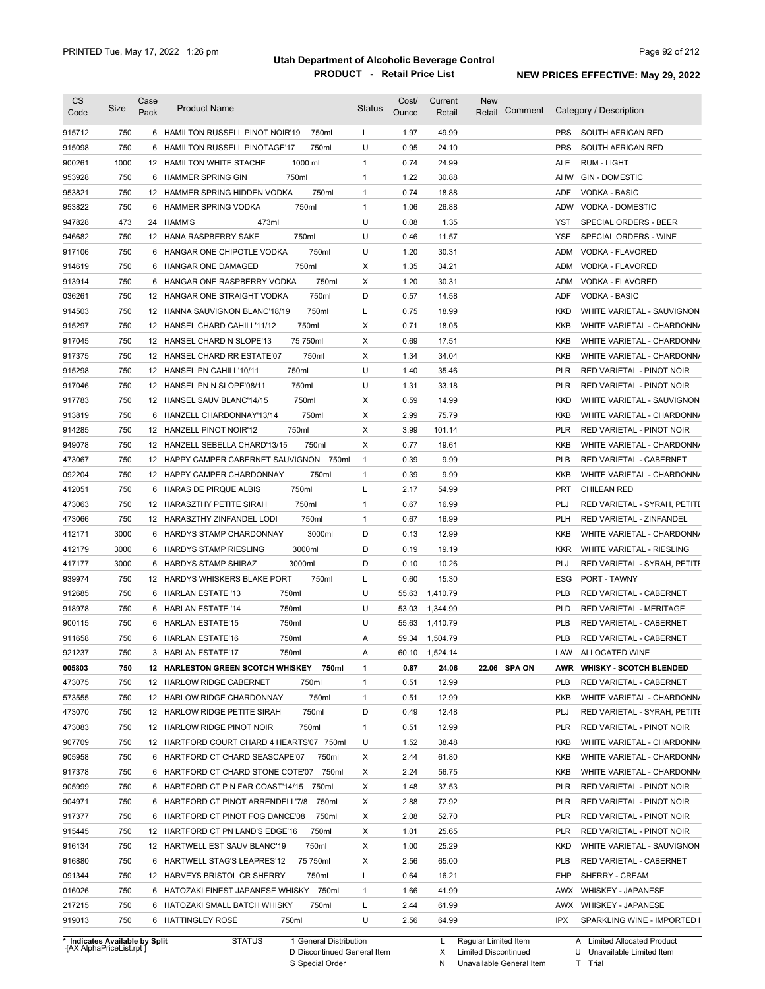| <b>CS</b><br>Code              | Size       | Case<br>Pack | <b>Product Name</b>                                                          | <b>Status</b>  | Cost/<br>Ounce | Current<br>Retail | New<br>Comment<br>Retail |                   | Category / Description                                  |
|--------------------------------|------------|--------------|------------------------------------------------------------------------------|----------------|----------------|-------------------|--------------------------|-------------------|---------------------------------------------------------|
| 915712                         | 750        |              | 6 HAMILTON RUSSELL PINOT NOIR'19<br>750ml                                    | L              | 1.97           | 49.99             |                          | <b>PRS</b>        | SOUTH AFRICAN RED                                       |
| 915098                         | 750        |              | 6 HAMILTON RUSSELL PINOTAGE'17<br>750ml                                      | U              | 0.95           | 24.10             |                          | <b>PRS</b>        | SOUTH AFRICAN RED                                       |
| 900261                         | 1000       |              | 1000 ml<br>12 HAMILTON WHITE STACHE                                          | 1              | 0.74           | 24.99             |                          | ALE               | <b>RUM - LIGHT</b>                                      |
| 953928                         | 750        |              | 6 HAMMER SPRING GIN<br>750ml                                                 | $\mathbf{1}$   | 1.22           | 30.88             |                          | AHW               | <b>GIN - DOMESTIC</b>                                   |
| 953821                         | 750        |              | 12 HAMMER SPRING HIDDEN VODKA<br>750ml                                       | $\mathbf{1}$   | 0.74           | 18.88             |                          | ADF               | VODKA - BASIC                                           |
| 953822                         | 750        |              | 750ml<br>6 HAMMER SPRING VODKA                                               | $\mathbf{1}$   | 1.06           | 26.88             |                          | ADW               | VODKA - DOMESTIC                                        |
| 947828                         | 473        |              | 473ml<br>24 HAMM'S                                                           | U              | 0.08           | 1.35              |                          | YST               | SPECIAL ORDERS - BEER                                   |
| 946682                         | 750        |              | 12 HANA RASPBERRY SAKE<br>750ml                                              | U              | 0.46           | 11.57             |                          | YSE               | SPECIAL ORDERS - WINE                                   |
| 917106                         | 750        |              | 750ml<br>6 HANGAR ONE CHIPOTLE VODKA                                         | U              | 1.20           | 30.31             |                          | ADM               | VODKA - FLAVORED                                        |
| 914619                         | 750        |              | 750ml<br>6 HANGAR ONE DAMAGED                                                | X              | 1.35           | 34.21             |                          | ADM               | VODKA - FLAVORED                                        |
| 913914                         | 750        |              | 750ml<br>6 HANGAR ONE RASPBERRY VODKA                                        | Х              | 1.20           | 30.31             |                          | ADM               | VODKA - FLAVORED                                        |
| 036261                         | 750        |              | 12 HANGAR ONE STRAIGHT VODKA<br>750ml                                        | D              | 0.57           | 14.58             |                          | <b>ADF</b>        | <b>VODKA - BASIC</b>                                    |
| 914503                         | 750        |              | 750ml<br>12 HANNA SAUVIGNON BLANC'18/19                                      | L              | 0.75           | 18.99             |                          | <b>KKD</b>        | WHITE VARIETAL - SAUVIGNON                              |
| 915297                         | 750        |              | 750ml<br>12 HANSEL CHARD CAHILL'11/12                                        | Х              | 0.71           | 18.05             |                          | <b>KKB</b>        | WHITE VARIETAL - CHARDONN/                              |
| 917045                         | 750        |              | 75 750ml<br>12 HANSEL CHARD N SLOPE'13                                       | Χ              | 0.69           | 17.51             |                          | KKB               | WHITE VARIETAL - CHARDONN/                              |
| 917375                         | 750        |              | 750ml<br>12 HANSEL CHARD RR ESTATE'07                                        | Χ              | 1.34           | 34.04             |                          | KKB               | WHITE VARIETAL - CHARDONN/                              |
| 915298                         | 750        |              | 750ml<br>12 HANSEL PN CAHILL'10/11                                           | U              | 1.40           | 35.46             |                          | PLR               | RED VARIETAL - PINOT NOIR                               |
| 917046                         | 750        |              | 750ml<br>12 HANSEL PN N SLOPE'08/11                                          | U              | 1.31           | 33.18             |                          | <b>PLR</b>        | RED VARIETAL - PINOT NOIR                               |
| 917783                         | 750        |              | 750ml<br>12 HANSEL SAUV BLANC'14/15                                          | х              | 0.59           | 14.99             |                          | <b>KKD</b>        | WHITE VARIETAL - SAUVIGNON                              |
|                                | 750        |              | 750ml<br>6 HANZELL CHARDONNAY'13/14                                          | X              | 2.99           | 75.79             |                          | KKB               |                                                         |
| 913819                         |            |              |                                                                              |                |                |                   |                          |                   | WHITE VARIETAL - CHARDONN/                              |
| 914285<br>949078               | 750<br>750 |              | 750ml<br>12 HANZELL PINOT NOIR'12<br>750ml<br>12 HANZELL SEBELLA CHARD'13/15 | Χ<br>Χ         | 3.99<br>0.77   | 101.14<br>19.61   |                          | <b>PLR</b><br>KKB | RED VARIETAL - PINOT NOIR<br>WHITE VARIETAL - CHARDONN/ |
|                                |            |              |                                                                              |                |                |                   |                          |                   |                                                         |
| 473067                         | 750        |              | 12 HAPPY CAMPER CABERNET SAUVIGNON 750ml                                     | $\overline{1}$ | 0.39           | 9.99              |                          | <b>PLB</b>        | RED VARIETAL - CABERNET                                 |
| 092204                         | 750        |              | 750ml<br>12 HAPPY CAMPER CHARDONNAY                                          | 1              | 0.39           | 9.99              |                          | KKB               | WHITE VARIETAL - CHARDONN/                              |
| 412051                         | 750        |              | 6 HARAS DE PIRQUE ALBIS<br>750ml                                             | L              | 2.17           | 54.99             |                          | <b>PRT</b>        | <b>CHILEAN RED</b>                                      |
| 473063                         | 750        |              | 750ml<br>12 HARASZTHY PETITE SIRAH                                           | 1              | 0.67           | 16.99             |                          | PLJ               | RED VARIETAL - SYRAH, PETITE                            |
| 473066                         | 750        |              | 750ml<br>12 HARASZTHY ZINFANDEL LODI                                         | $\mathbf{1}$   | 0.67           | 16.99             |                          | <b>PLH</b>        | RED VARIETAL - ZINFANDEL                                |
| 412171                         | 3000       |              | 3000ml<br>6 HARDYS STAMP CHARDONNAY                                          | D              | 0.13           | 12.99             |                          | KKB               | WHITE VARIETAL - CHARDONN/                              |
| 412179                         | 3000       |              | 3000ml<br>6 HARDYS STAMP RIESLING                                            | D              | 0.19           | 19.19             |                          | <b>KKR</b>        | WHITE VARIETAL - RIESLING                               |
| 417177                         | 3000       |              | 6 HARDYS STAMP SHIRAZ<br>3000ml                                              | D              | 0.10           | 10.26             |                          | PLJ               | RED VARIETAL - SYRAH, PETITE                            |
| 939974                         | 750        |              | 12 HARDYS WHISKERS BLAKE PORT<br>750ml                                       | L              | 0.60           | 15.30             |                          | ESG               | PORT - TAWNY                                            |
| 912685                         | 750        |              | 6 HARLAN ESTATE '13<br>750ml                                                 | U              | 55.63          | 1,410.79          |                          | <b>PLB</b>        | RED VARIETAL - CABERNET                                 |
| 918978                         | 750        |              | 750ml<br>6 HARLAN ESTATE '14                                                 | U              | 53.03          | 1,344.99          |                          | <b>PLD</b>        | RED VARIETAL - MERITAGE                                 |
| 900115                         | 750        |              | 750ml<br>6 HARLAN ESTATE'15                                                  | U              | 55.63          | 1,410.79          |                          | <b>PLB</b>        | RED VARIETAL - CABERNET                                 |
| 911658                         | 750        |              | 750ml<br>6 HARLAN ESTATE'16                                                  | Α              | 59.34          | 1,504.79          |                          | <b>PLB</b>        | RED VARIETAL - CABERNET                                 |
| 921237                         | 750        |              | 750ml<br>3 HARLAN ESTATE'17                                                  | Α              |                | 60.10 1,524.14    |                          |                   | LAW ALLOCATED WINE                                      |
| 005803                         | 750        |              | 750ml<br><b>12 HARLESTON GREEN SCOTCH WHISKEY</b>                            | 1              | 0.87           | 24.06             | 22.06 SPA ON             |                   | AWR WHISKY - SCOTCH BLENDED                             |
| 473075                         | 750        |              | 12 HARLOW RIDGE CABERNET<br>750ml                                            | 1              | 0.51           | 12.99             |                          | <b>PLB</b>        | RED VARIETAL - CABERNET                                 |
| 573555                         | 750        |              | 12 HARLOW RIDGE CHARDONNAY<br>750ml                                          | 1              | 0.51           | 12.99             |                          | KKB               | WHITE VARIETAL - CHARDONN/                              |
| 473070                         | 750        |              | 12 HARLOW RIDGE PETITE SIRAH<br>750ml                                        | D              | 0.49           | 12.48             |                          | PLJ               | RED VARIETAL - SYRAH, PETITE                            |
| 473083                         | 750        |              | 12 HARLOW RIDGE PINOT NOIR<br>750ml                                          | $\mathbf{1}$   | 0.51           | 12.99             |                          | <b>PLR</b>        | RED VARIETAL - PINOT NOIR                               |
| 907709                         | 750        |              | 12 HARTFORD COURT CHARD 4 HEARTS'07 750ml                                    | U              | 1.52           | 38.48             |                          | KKB               | WHITE VARIETAL - CHARDONN/                              |
| 905958                         | 750        |              | 6 HARTFORD CT CHARD SEASCAPE'07<br>750ml                                     | Х              | 2.44           | 61.80             |                          | KKB               | WHITE VARIETAL - CHARDONN/                              |
| 917378                         | 750        |              | 6 HARTFORD CT CHARD STONE COTE'07 750ml                                      | Х              | 2.24           | 56.75             |                          | KKB               | WHITE VARIETAL - CHARDONN/                              |
| 905999                         | 750        |              | 750ml<br>6 HARTFORD CT P N FAR COAST'14/15                                   | X              | 1.48           | 37.53             |                          | <b>PLR</b>        | RED VARIETAL - PINOT NOIR                               |
| 904971                         | 750        |              | 6 HARTFORD CT PINOT ARRENDELL'7/8<br>750ml                                   | Х              | 2.88           | 72.92             |                          | PLR               | RED VARIETAL - PINOT NOIR                               |
| 917377                         | 750        |              | 6 HARTFORD CT PINOT FOG DANCE'08<br>750ml                                    | Х              | 2.08           | 52.70             |                          | PLR               | RED VARIETAL - PINOT NOIR                               |
| 915445                         | 750        |              | 12 HARTFORD CT PN LAND'S EDGE'16<br>750ml                                    | Х              | 1.01           | 25.65             |                          | PLR               | RED VARIETAL - PINOT NOIR                               |
| 916134                         | 750        |              | 12 HARTWELL EST SAUV BLANC'19<br>750ml                                       | Х              | 1.00           | 25.29             |                          | KKD               | WHITE VARIETAL - SAUVIGNON                              |
| 916880                         | 750        |              | 75 750ml<br>6 HARTWELL STAG'S LEAPRES'12                                     | Х              | 2.56           | 65.00             |                          | <b>PLB</b>        | RED VARIETAL - CABERNET                                 |
| 091344                         | 750        |              | 750ml<br>12 HARVEYS BRISTOL CR SHERRY                                        | L              | 0.64           | 16.21             |                          | EHP               | SHERRY - CREAM                                          |
| 016026                         | 750        |              | 6 HATOZAKI FINEST JAPANESE WHISKY 750ml                                      | 1              | 1.66           | 41.99             |                          |                   | AWX WHISKEY - JAPANESE                                  |
| 217215                         | 750        |              | 750ml<br>6 HATOZAKI SMALL BATCH WHISKY                                       | L              | 2.44           | 61.99             |                          |                   | AWX WHISKEY - JAPANESE                                  |
| 919013                         | 750        |              | 6 HATTINGLEY ROSE<br>750ml                                                   | U              | 2.56           | 64.99             |                          | IPX               | SPARKLING WINE - IMPORTED I                             |
| * Indicates Available by Split |            |              | <b>STATUS</b><br>1 General Distribution                                      |                |                | L.                | Regular Limited Item     |                   | A Limited Allocated Product                             |

**Case** [AX AlphaPriceList.rpt ]

D Discontinued General Item S Special Order

X N Limited Discontinued

Unavailable General Item

U Unavailable Limited Item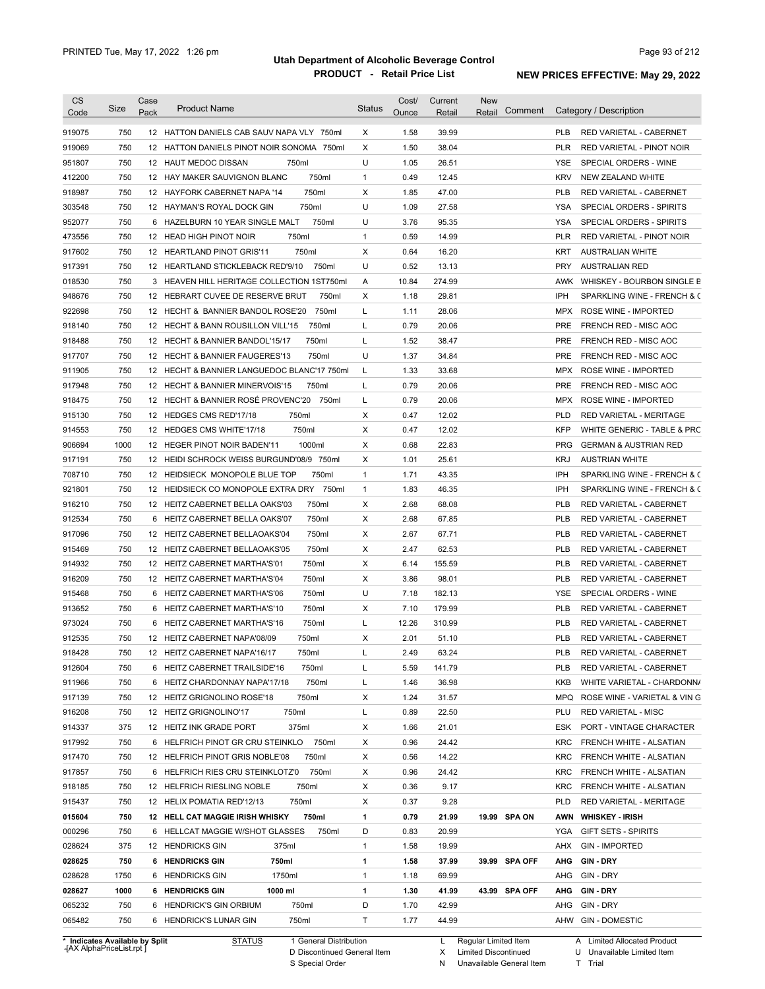| <b>CS</b><br>Code              | Size | Case<br>Pack | <b>Product Name</b>                         | <b>Status</b> | Cost/<br>Ounce | Current<br>Retail | New<br>Comment<br>Retail | Category / Description                         |
|--------------------------------|------|--------------|---------------------------------------------|---------------|----------------|-------------------|--------------------------|------------------------------------------------|
| 919075                         | 750  |              | 12 HATTON DANIELS CAB SAUV NAPA VLY 750ml   | X             | 1.58           | 39.99             |                          | RED VARIETAL - CABERNET<br><b>PLB</b>          |
| 919069                         | 750  |              | 12 HATTON DANIELS PINOT NOIR SONOMA 750ml   | X             | 1.50           | 38.04             |                          | <b>PLR</b><br>RED VARIETAL - PINOT NOIR        |
| 951807                         | 750  |              | 750ml<br>12 HAUT MEDOC DISSAN               | U             | 1.05           | 26.51             |                          | YSE<br>SPECIAL ORDERS - WINE                   |
| 412200                         | 750  |              | 750ml<br>12 HAY MAKER SAUVIGNON BLANC       | $\mathbf{1}$  | 0.49           | 12.45             |                          | <b>KRV</b><br>NEW ZEALAND WHITE                |
| 918987                         | 750  |              | 750ml<br>12 HAYFORK CABERNET NAPA '14       | X             | 1.85           | 47.00             |                          | <b>PLB</b><br>RED VARIETAL - CABERNET          |
| 303548                         | 750  |              | 750ml<br>12 HAYMAN'S ROYAL DOCK GIN         | U             | 1.09           | 27.58             |                          | YSA<br>SPECIAL ORDERS - SPIRITS                |
| 952077                         | 750  |              | 750ml<br>6 HAZELBURN 10 YEAR SINGLE MALT    | U             | 3.76           | 95.35             |                          | YSA<br>SPECIAL ORDERS - SPIRITS                |
| 473556                         | 750  |              | 750ml<br>12 HEAD HIGH PINOT NOIR            | $\mathbf{1}$  | 0.59           | 14.99             |                          | <b>PLR</b><br>RED VARIETAL - PINOT NOIR        |
| 917602                         | 750  |              | 750ml<br>12 HEARTLAND PINOT GRIS'11         | Χ             | 0.64           | 16.20             |                          | KRT<br><b>AUSTRALIAN WHITE</b>                 |
| 917391                         | 750  |              | 750ml<br>12 HEARTLAND STICKLEBACK RED'9/10  | U             | 0.52           | 13.13             |                          | <b>PRY</b><br><b>AUSTRALIAN RED</b>            |
| 018530                         | 750  |              | 3 HEAVEN HILL HERITAGE COLLECTION 1ST750ml  | A             | 10.84          | 274.99            |                          | AWK<br>WHISKEY - BOURBON SINGLE B              |
| 948676                         | 750  |              | 12 HEBRART CUVEE DE RESERVE BRUT<br>750ml   | Χ             | 1.18           | 29.81             |                          | IPH<br>SPARKLING WINE - FRENCH & C             |
| 922698                         | 750  |              | 750ml<br>12 HECHT & BANNIER BANDOL ROSE'20  | L             | 1.11           | 28.06             |                          | MPX<br>ROSE WINE - IMPORTED                    |
| 918140                         | 750  |              | 750ml<br>12 HECHT & BANN ROUSILLON VILL'15  | Г             | 0.79           | 20.06             |                          | <b>PRE</b><br>FRENCH RED - MISC AOC            |
| 918488                         | 750  |              | 750ml<br>12 HECHT & BANNIER BANDOL'15/17    | Г             | 1.52           | 38.47             |                          | <b>PRE</b><br>FRENCH RED - MISC AOC            |
| 917707                         | 750  |              | 750ml<br>12 HECHT & BANNIER FAUGERES'13     | U             | 1.37           | 34.84             |                          | <b>PRE</b><br>FRENCH RED - MISC AOC            |
| 911905                         | 750  |              | 12 HECHT & BANNIER LANGUEDOC BLANC'17 750ml | L             | 1.33           | 33.68             |                          | MPX<br>ROSE WINE - IMPORTED                    |
| 917948                         | 750  |              | 12 HECHT & BANNIER MINERVOIS'15<br>750ml    | L             | 0.79           | 20.06             |                          | <b>PRE</b><br>FRENCH RED - MISC AOC            |
| 918475                         | 750  |              | 12 HECHT & BANNIER ROSÉ PROVENC'20<br>750ml | L             | 0.79           | 20.06             |                          | MPX<br>ROSE WINE - IMPORTED                    |
| 915130                         | 750  |              | 12 HEDGES CMS RED'17/18<br>750ml            | Х             | 0.47           | 12.02             |                          | <b>PLD</b><br>RED VARIETAL - MERITAGE          |
| 914553                         | 750  |              | 12 HEDGES CMS WHITE'17/18<br>750ml          | Х             | 0.47           | 12.02             |                          | <b>KFP</b><br>WHITE GENERIC - TABLE & PRC      |
| 906694                         | 1000 |              | 1000ml<br>12 HEGER PINOT NOIR BADEN'11      | Χ             | 0.68           | 22.83             |                          | <b>PRG</b><br><b>GERMAN &amp; AUSTRIAN RED</b> |
| 917191                         | 750  |              | 12 HEIDI SCHROCK WEISS BURGUND'08/9 750ml   | Χ             | 1.01           | 25.61             |                          | <b>KRJ</b><br><b>AUSTRIAN WHITE</b>            |
| 708710                         | 750  |              | 750ml<br>12 HEIDSIECK MONOPOLE BLUE TOP     | 1             | 1.71           | 43.35             |                          | IPH<br>SPARKLING WINE - FRENCH & C             |
| 921801                         | 750  |              | 750ml<br>12 HEIDSIECK CO MONOPOLE EXTRA DRY | 1             | 1.83           | 46.35             |                          | IPH<br>SPARKLING WINE - FRENCH & C             |
| 916210                         | 750  |              | 750ml<br>12 HEITZ CABERNET BELLA OAKS'03    | Χ             | 2.68           | 68.08             |                          | <b>PLB</b><br>RED VARIETAL - CABERNET          |
| 912534                         | 750  |              | 750ml<br>6 HEITZ CABERNET BELLA OAKS'07     | X             | 2.68           | 67.85             |                          | <b>PLB</b><br>RED VARIETAL - CABERNET          |
| 917096                         | 750  |              | 750ml<br>12 HEITZ CABERNET BELLAOAKS'04     | X             | 2.67           | 67.71             |                          | PLB<br>RED VARIETAL - CABERNET                 |
| 915469                         | 750  |              | 12 HEITZ CABERNET BELLAOAKS'05<br>750ml     | X             | 2.47           | 62.53             |                          | PLB<br>RED VARIETAL - CABERNET                 |
| 914932                         | 750  |              | 750ml<br>12 HEITZ CABERNET MARTHA'S'01      | Χ             | 6.14           | 155.59            |                          | <b>PLB</b><br>RED VARIETAL - CABERNET          |
| 916209                         | 750  |              | 750ml<br>12 HEITZ CABERNET MARTHA'S'04      | Χ             | 3.86           | 98.01             |                          | <b>PLB</b><br>RED VARIETAL - CABERNET          |
| 915468                         | 750  |              | 750ml<br>6 HEITZ CABERNET MARTHA'S'06       | U             | 7.18           | 182.13            |                          | <b>YSE</b><br>SPECIAL ORDERS - WINE            |
| 913652                         | 750  | 6            | 750ml<br>HEITZ CABERNET MARTHA'S'10         | X             | 7.10           | 179.99            |                          | <b>PLB</b><br>RED VARIETAL - CABERNET          |
| 973024                         | 750  | 6            | 750ml<br>HEITZ CABERNET MARTHA'S'16         | Г             | 12.26          | 310.99            |                          | <b>PLB</b><br>RED VARIETAL - CABERNET          |
| 912535                         | 750  |              | 750ml<br>12 HEITZ CABERNET NAPA'08/09       | Х             | 2.01           | 51.10             |                          | <b>PLB</b><br>RED VARIETAL - CABERNET          |
| 918428                         | 750  |              | 12 HEITZ CABERNET NAPA'16/17<br>750ml       |               | 2.49           | 63.24             |                          | PLB<br>RED VARIETAL - CABERNET                 |
| 912604                         | 750  |              | 6 HEITZ CABERNET TRAILSIDE'16<br>750ml      | L             | 5.59           | 141.79            |                          | PLB<br>RED VARIETAL - CABERNET                 |
| 911966                         | 750  |              | 750ml<br>6 HEITZ CHARDONNAY NAPA'17/18      | L             | 1.46           | 36.98             |                          | KKB<br>WHITE VARIETAL - CHARDONN/              |
| 917139                         | 750  |              | 12 HEITZ GRIGNOLINO ROSE'18<br>750ml        | X             | 1.24           | 31.57             |                          | MPQ<br>ROSE WINE - VARIETAL & VIN G            |
| 916208                         | 750  |              | 750ml<br>12 HEITZ GRIGNOLINO'17             | Г             | 0.89           | 22.50             |                          | PLU<br><b>RED VARIETAL - MISC</b>              |
| 914337                         | 375  |              | 375ml<br>12 HEITZ INK GRADE PORT            | х             | 1.66           | 21.01             |                          | PORT - VINTAGE CHARACTER<br>ESK                |
| 917992                         | 750  |              | 6 HELFRICH PINOT GR CRU STEINKLO<br>750ml   | X             | 0.96           | 24.42             |                          | <b>KRC</b><br>FRENCH WHITE - ALSATIAN          |
| 917470                         | 750  |              | 750ml<br>12 HELFRICH PINOT GRIS NOBLE'08    | X             | 0.56           | 14.22             |                          | <b>KRC</b><br>FRENCH WHITE - ALSATIAN          |
| 917857                         | 750  |              | 750ml<br>6 HELFRICH RIES CRU STEINKLOTZ'0   | X             | 0.96           | 24.42             |                          | <b>KRC</b><br>FRENCH WHITE - ALSATIAN          |
| 918185                         | 750  |              | 750ml<br>12 HELFRICH RIESLING NOBLE         | X             | 0.36           | 9.17              |                          | <b>KRC</b><br>FRENCH WHITE - ALSATIAN          |
| 915437                         | 750  |              | 750ml<br>12 HELIX POMATIA RED'12/13         | X             | 0.37           | 9.28              |                          | <b>PLD</b><br>RED VARIETAL - MERITAGE          |
| 015604                         | 750  |              | 750ml<br>12 HELL CAT MAGGIE IRISH WHISKY    | 1             | 0.79           | 21.99             | 19.99 SPA ON             | AWN<br><b>WHISKEY - IRISH</b>                  |
| 000296                         | 750  |              | 750ml<br>6 HELLCAT MAGGIE W/SHOT GLASSES    | D             | 0.83           | 20.99             |                          | YGA<br><b>GIFT SETS - SPIRITS</b>              |
| 028624                         | 375  |              | 12 HENDRICKS GIN<br>375ml                   | $\mathbf{1}$  | 1.58           | 19.99             |                          | AHX<br><b>GIN - IMPORTED</b>                   |
| 028625                         | 750  |              | 6 HENDRICKS GIN<br>750ml                    | 1             | 1.58           | 37.99             | 39.99 SPA OFF            | <b>GIN - DRY</b><br>AHG                        |
| 028628                         | 1750 |              | 6 HENDRICKS GIN<br>1750ml                   | $\mathbf{1}$  | 1.18           | 69.99             |                          | GIN - DRY<br>AHG                               |
| 028627                         | 1000 |              | 6 HENDRICKS GIN<br>1000 ml                  | 1             | 1.30           | 41.99             | 43.99 SPA OFF            | <b>GIN - DRY</b><br>AHG                        |
| 065232                         | 750  |              | 6 HENDRICK'S GIN ORBIUM<br>750ml            | D             | 1.70           | 42.99             |                          | GIN - DRY<br>AHG                               |
| 065482                         | 750  |              | 750ml<br>6 HENDRICK'S LUNAR GIN             | Т             | 1.77           | 44.99             |                          | AHW GIN - DOMESTIC                             |
| * Indicates Available by Split |      |              | 1 General Distribution<br><b>STATUS</b>     |               |                | L.                | Regular Limited Item     | A Limited Allocated Product                    |

**Case** [AX AlphaPriceList.rpt ]

D

Discontinued General Item S Special Order

X Regular Limited Item

N

Limited Discontinued

Unavailable General Item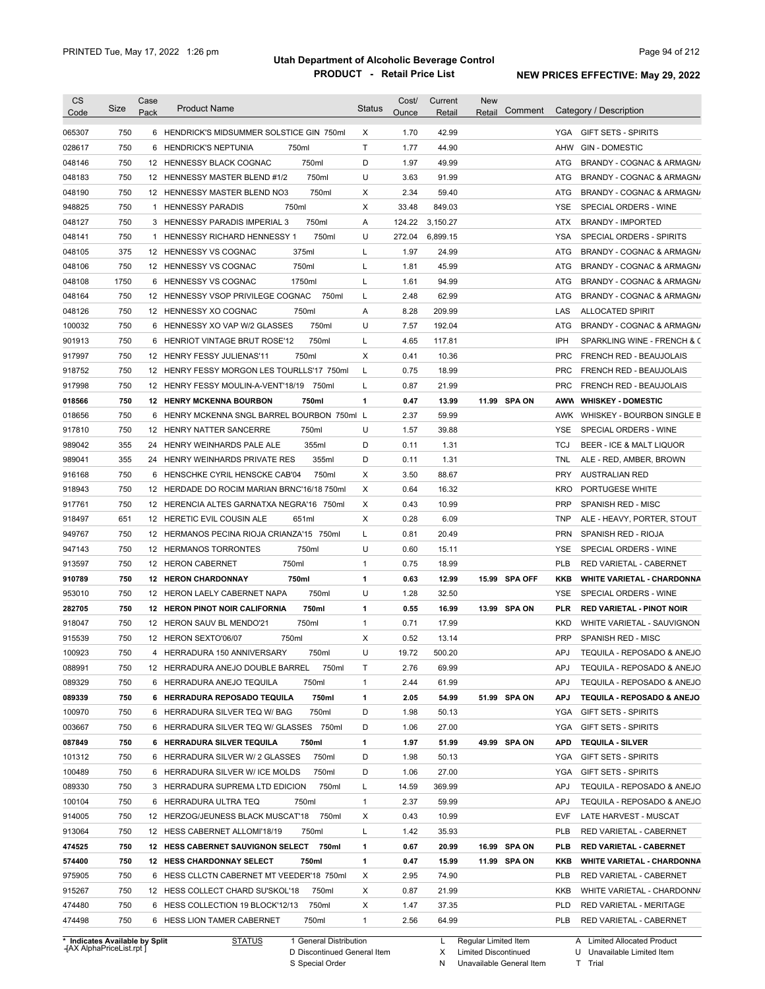| <b>CS</b>                  | Size       | Case | <b>Product Name</b>                                                              | <b>Status</b> | Cost/        | Current        | <b>New</b> |               |                          |                                                    |
|----------------------------|------------|------|----------------------------------------------------------------------------------|---------------|--------------|----------------|------------|---------------|--------------------------|----------------------------------------------------|
| Code                       |            | Pack |                                                                                  |               | Ounce        | Retail         | Retail     | Comment       |                          | Category / Description                             |
| 065307                     | 750        |      | 6 HENDRICK'S MIDSUMMER SOLSTICE GIN 750ml                                        | X             | 1.70         | 42.99          |            |               | YGA                      | <b>GIFT SETS - SPIRITS</b>                         |
| 028617                     | 750        | 6    | <b>HENDRICK'S NEPTUNIA</b><br>750ml                                              | T.            | 1.77         | 44.90          |            |               | AHW                      | <b>GIN - DOMESTIC</b>                              |
| 048146                     | 750        |      | 750ml<br>12 HENNESSY BLACK COGNAC                                                | D             | 1.97         | 49.99          |            |               | ATG                      | BRANDY - COGNAC & ARMAGN/                          |
| 048183                     | 750        |      | 750ml<br>12 HENNESSY MASTER BLEND #1/2                                           | U             | 3.63         | 91.99          |            |               | ATG                      | BRANDY - COGNAC & ARMAGN/                          |
| 048190                     | 750        |      | 750ml<br>12 HENNESSY MASTER BLEND NO3                                            | Χ             | 2.34         | 59.40          |            |               | ATG                      | BRANDY - COGNAC & ARMAGN/                          |
| 948825                     | 750        |      | 1 HENNESSY PARADIS<br>750ml                                                      | Χ             | 33.48        | 849.03         |            |               | <b>YSE</b>               | SPECIAL ORDERS - WINE                              |
| 048127                     | 750        |      | 3 HENNESSY PARADIS IMPERIAL 3<br>750ml                                           | Α             | 124.22       | 3,150.27       |            |               | ATX                      | <b>BRANDY - IMPORTED</b>                           |
| 048141                     | 750        |      | 750ml<br>1 HENNESSY RICHARD HENNESSY 1                                           | U             | 272.04       | 6,899.15       |            |               | <b>YSA</b>               | SPECIAL ORDERS - SPIRITS                           |
| 048105                     | 375        |      | 375ml<br>12 HENNESSY VS COGNAC                                                   | Г             | 1.97         | 24.99          |            |               | ATG                      | BRANDY - COGNAC & ARMAGN/                          |
| 048106                     | 750        |      | 750ml<br>12 HENNESSY VS COGNAC                                                   | L             | 1.81         | 45.99          |            |               | ATG                      | BRANDY - COGNAC & ARMAGN/                          |
| 048108                     | 1750       |      | 1750ml<br>6 HENNESSY VS COGNAC                                                   | L             | 1.61         | 94.99          |            |               | ATG                      | BRANDY - COGNAC & ARMAGN/                          |
| 048164                     | 750        |      | 12 HENNESSY VSOP PRIVILEGE COGNAC<br>750ml                                       | L             | 2.48         | 62.99          |            |               | ATG                      | BRANDY - COGNAC & ARMAGN/                          |
| 048126                     | 750        |      | 750ml<br>12 HENNESSY XO COGNAC                                                   | Α             | 8.28         | 209.99         |            |               | LAS                      | <b>ALLOCATED SPIRIT</b>                            |
| 100032                     | 750        | 6    | 750ml<br>HENNESSY XO VAP W/2 GLASSES                                             | U             | 7.57         | 192.04         |            |               | ATG                      | BRANDY - COGNAC & ARMAGN/                          |
| 901913                     | 750        | 6    | 750ml<br>HENRIOT VINTAGE BRUT ROSE'12                                            | L             | 4.65         | 117.81         |            |               | IPH                      | SPARKLING WINE - FRENCH & C                        |
| 917997                     | 750        |      | 750ml<br>12 HENRY FESSY JULIENAS'11                                              | X             | 0.41         | 10.36          |            |               | <b>PRC</b>               | <b>FRENCH RED - BEAUJOLAIS</b>                     |
| 918752                     | 750        |      | 12 HENRY FESSY MORGON LES TOURLLS'17 750ml                                       | L             | 0.75         | 18.99          |            |               | <b>PRC</b>               | <b>FRENCH RED - BEAUJOLAIS</b>                     |
| 917998                     | 750        |      | 12 HENRY FESSY MOULIN-A-VENT'18/19<br>750ml                                      | L             | 0.87         | 21.99          |            |               | <b>PRC</b>               | <b>FRENCH RED - BEAUJOLAIS</b>                     |
| 018566                     | 750        |      | <b>12 HENRY MCKENNA BOURBON</b><br>750ml                                         | 1             | 0.47         | 13.99          |            | 11.99 SPA ON  | AWW                      | <b>WHISKEY - DOMESTIC</b>                          |
| 018656                     | 750        | 6    | HENRY MCKENNA SNGL BARREL BOURBON 750ml L                                        |               | 2.37         | 59.99          |            |               | AWK                      | WHISKEY - BOURBON SINGLE B                         |
| 917810                     | 750        |      | 750ml<br>12 HENRY NATTER SANCERRE                                                | U             | 1.57         | 39.88          |            |               | <b>YSE</b>               | SPECIAL ORDERS - WINE                              |
| 989042                     | 355        | 24   | 355ml<br>HENRY WEINHARDS PALE ALE                                                | D             | 0.11         | 1.31           |            |               | <b>TCJ</b>               | BEER - ICE & MALT LIQUOR                           |
| 989041                     | 355        | 24   | HENRY WEINHARDS PRIVATE RES<br>355ml                                             | D             | 0.11         | 1.31           |            |               | TNL                      | ALE - RED, AMBER, BROWN                            |
| 916168                     | 750        | 6    | 750ml<br>HENSCHKE CYRIL HENSCKE CAB'04                                           | Χ             | 3.50         | 88.67          |            |               | <b>PRY</b>               | <b>AUSTRALIAN RED</b>                              |
| 918943                     | 750        |      | 12 HERDADE DO ROCIM MARIAN BRNC'16/18 750ml                                      | X             | 0.64         | 16.32          |            |               | <b>KRO</b>               | PORTUGESE WHITE                                    |
| 917761                     | 750        |      | 12 HERENCIA ALTES GARNATXA NEGRA'16 750ml                                        | Χ             | 0.43         | 10.99          |            |               | <b>PRP</b>               | SPANISH RED - MISC                                 |
| 918497                     | 651        |      | 12 HERETIC EVIL COUSIN ALE<br>651ml                                              | Χ             | 0.28         | 6.09           |            |               | <b>TNP</b>               | ALE - HEAVY, PORTER, STOUT                         |
| 949767                     | 750        |      | 12 HERMANOS PECINA RIOJA CRIANZA'15 750ml                                        | L             | 0.81         | 20.49          |            |               | <b>PRN</b>               | SPANISH RED - RIOJA                                |
| 947143                     | 750        |      | 750ml<br>12 HERMANOS TORRONTES                                                   | U             | 0.60         | 15.11          |            |               | YSE                      | SPECIAL ORDERS - WINE                              |
| 913597                     | 750        |      | 750ml<br>12 HERON CABERNET                                                       | $\mathbf{1}$  | 0.75         | 18.99          |            |               | <b>PLB</b>               | RED VARIETAL - CABERNET                            |
| 910789                     | 750        |      | 750ml<br><b>12 HERON CHARDONNAY</b>                                              | 1             | 0.63         | 12.99          |            | 15.99 SPA OFF | KKB                      | <b>WHITE VARIETAL - CHARDONNA</b>                  |
| 953010                     | 750        |      | 750ml<br>12 HERON LAELY CABERNET NAPA                                            | U             | 1.28         | 32.50          |            |               | YSE                      | SPECIAL ORDERS - WINE                              |
| 282705                     | 750        |      | 750ml<br><b>12 HERON PINOT NOIR CALIFORNIA</b>                                   | 1             | 0.55         | 16.99          |            | 13.99 SPA ON  | PLR                      | <b>RED VARIETAL - PINOT NOIR</b>                   |
| 918047                     | 750        |      | 750ml<br>12 HERON SAUV BL MENDO'21                                               | $\mathbf{1}$  | 0.71         | 17.99          |            |               | <b>KKD</b>               | WHITE VARIETAL - SAUVIGNON                         |
| 915539                     | 750        |      | 12 HERON SEXTO'06/07<br>750ml                                                    | X             | 0.52         | 13.14          |            |               | <b>PRP</b>               | SPANISH RED - MISC                                 |
| 100923                     | 750        |      | 4 HERRADURA 150 ANNIVERSARY<br>750ml                                             | U             | 19.72        | 500.20         |            |               | APJ                      | TEQUILA - REPOSADO & ANEJO                         |
| 088991                     | 750        |      | 750ml                                                                            | T             | 2.76         | 69.99          |            |               | APJ                      | TEQUILA - REPOSADO & ANEJO                         |
|                            |            |      | 12 HERRADURA ANEJO DOUBLE BARREL                                                 |               |              |                |            |               |                          |                                                    |
| 089329                     | 750        |      | 6 HERRADURA ANEJO TEQUILA<br>750ml                                               | 1             | 2.44         | 61.99          |            |               | <b>APJ</b>               | TEQUILA - REPOSADO & ANEJO                         |
| 089339                     | 750        |      | 6 HERRADURA REPOSADO TEQUILA<br>750ml                                            | 1             | 2.05         | 54.99          |            | 51.99 SPA ON  | APJ                      | TEQUILA - REPOSADO & ANEJO                         |
| 100970                     | 750        |      | 750ml<br>6 HERRADURA SILVER TEQ W/ BAG                                           | D             | 1.98         | 50.13          |            |               | YGA                      | <b>GIFT SETS - SPIRITS</b>                         |
| 003667                     | 750        |      | 6 HERRADURA SILVER TEQ W/ GLASSES 750ml                                          | D             | 1.06         | 27.00          |            |               | YGA                      | <b>GIFT SETS - SPIRITS</b>                         |
| 087849                     | 750        |      | 6 HERRADURA SILVER TEQUILA<br>750ml                                              | 1             | 1.97         | 51.99          |            | 49.99 SPA ON  | APD                      | <b>TEQUILA - SILVER</b>                            |
| 101312                     | 750        |      | 6 HERRADURA SILVER W/ 2 GLASSES<br>750ml                                         | D             | 1.98         | 50.13          |            |               | YGA                      | <b>GIFT SETS - SPIRITS</b>                         |
| 100489                     | 750        |      | 6 HERRADURA SILVER W/ ICE MOLDS<br>750ml                                         | D             | 1.06         | 27.00          |            |               | YGA                      | <b>GIFT SETS - SPIRITS</b>                         |
| 089330                     | 750        |      | 750ml<br>3 HERRADURA SUPREMA LTD EDICION                                         | L             | 14.59        | 369.99         |            |               | APJ                      | TEQUILA - REPOSADO & ANEJO                         |
| 100104                     | 750        |      | 6 HERRADURA ULTRA TEQ<br>750ml                                                   | $\mathbf{1}$  | 2.37         | 59.99          |            |               | APJ                      | TEQUILA - REPOSADO & ANEJO                         |
| 914005                     | 750        |      | 12 HERZOG/JEUNESS BLACK MUSCAT'18 750ml                                          | Х             | 0.43         | 10.99          |            |               | EVF                      | LATE HARVEST - MUSCAT                              |
| 913064                     | 750        |      | 12 HESS CABERNET ALLOMI'18/19<br>750ml                                           | L             | 1.42         | 35.93          |            |               | <b>PLB</b>               | RED VARIETAL - CABERNET                            |
| 474525                     | 750        |      | 12 HESS CABERNET SAUVIGNON SELECT 750ml                                          | 1             | 0.67         | 20.99          |            | 16.99 SPA ON  | PLB                      | <b>RED VARIETAL - CABERNET</b>                     |
| 574400                     | 750        |      | 12 HESS CHARDONNAY SELECT<br>750ml                                               | 1             | 0.47         | 15.99          |            | 11.99 SPA ON  | KKB                      | <b>WHITE VARIETAL - CHARDONNA</b>                  |
| 975905                     | 750        |      | 6 HESS CLLCTN CABERNET MT VEEDER'18 750ml                                        | х             | 2.95         | 74.90          |            |               | PLB                      | RED VARIETAL - CABERNET                            |
|                            | 750        |      | 12 HESS COLLECT CHARD SU'SKOL'18<br>750ml                                        | Х             | 0.87         | 21.99          |            |               | KKB                      | WHITE VARIETAL - CHARDONN/                         |
|                            |            |      |                                                                                  |               |              |                |            |               |                          |                                                    |
| 915267<br>474480<br>474498 | 750<br>750 |      | 6 HESS COLLECTION 19 BLOCK'12/13<br>750ml<br>750ml<br>6 HESS LION TAMER CABERNET | Х<br>1        | 1.47<br>2.56 | 37.35<br>64.99 |            |               | <b>PLD</b><br><b>PLB</b> | RED VARIETAL - MERITAGE<br>RED VARIETAL - CABERNET |

**Case** [AX AlphaPriceList.rpt ]

D Discontinued General Item S Special Order

Regular Limited Item

X

Limited Discontinued

N Unavailable General Item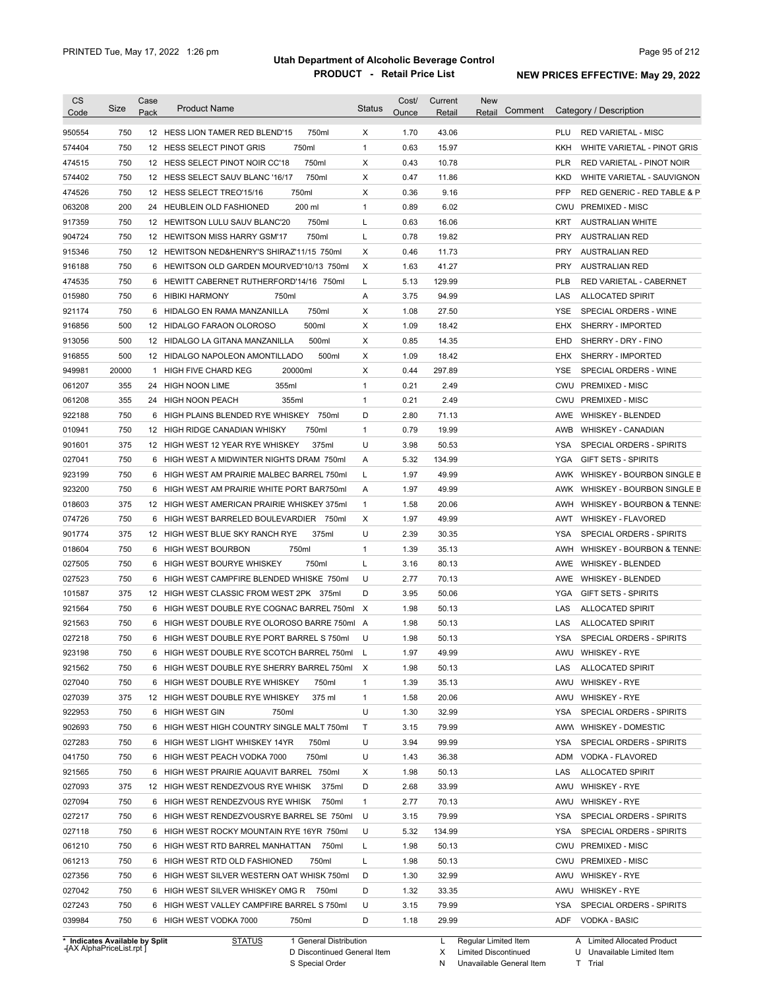| <b>CS</b><br>Code | Size  | Case<br>Pack | <b>Product Name</b>                          | <b>Status</b> | Cost/<br>Ounce | Current<br>Retail | <b>New</b><br>Comment<br>Retail | Category / Description                    |
|-------------------|-------|--------------|----------------------------------------------|---------------|----------------|-------------------|---------------------------------|-------------------------------------------|
| 950554            | 750   |              | 750ml<br>12 HESS LION TAMER RED BLEND'15     | X             | 1.70           | 43.06             |                                 | <b>PLU</b><br><b>RED VARIETAL - MISC</b>  |
| 574404            | 750   |              | 750ml<br>12 HESS SELECT PINOT GRIS           | $\mathbf{1}$  | 0.63           | 15.97             |                                 | WHITE VARIETAL - PINOT GRIS<br>KKH        |
| 474515            | 750   |              | 750ml<br>12 HESS SELECT PINOT NOIR CC'18     | Χ             | 0.43           | 10.78             |                                 | <b>PLR</b><br>RED VARIETAL - PINOT NOIR   |
| 574402            | 750   |              | 750ml<br>12 HESS SELECT SAUV BLANC '16/17    | Χ             | 0.47           | 11.86             |                                 | KKD<br>WHITE VARIETAL - SAUVIGNON         |
| 474526            | 750   |              | 750ml<br>12 HESS SELECT TREO'15/16           | Χ             | 0.36           | 9.16              |                                 | <b>PFP</b><br>RED GENERIC - RED TABLE & P |
| 063208            | 200   |              | 200 ml<br>24 HEUBLEIN OLD FASHIONED          | $\mathbf{1}$  | 0.89           | 6.02              |                                 | PREMIXED - MISC<br>CWU                    |
| 917359            | 750   |              | 750ml<br>12 HEWITSON LULU SAUV BLANC'20      | L             | 0.63           | 16.06             |                                 | <b>KRT</b><br><b>AUSTRALIAN WHITE</b>     |
| 904724            | 750   |              | 750ml<br>12 HEWITSON MISS HARRY GSM'17       | L             | 0.78           | 19.82             |                                 | <b>PRY</b><br><b>AUSTRALIAN RED</b>       |
| 915346            | 750   |              | 12 HEWITSON NED&HENRY'S SHIRAZ'11/15 750ml   | X             | 0.46           | 11.73             |                                 | <b>PRY</b><br><b>AUSTRALIAN RED</b>       |
| 916188            | 750   |              | 6 HEWITSON OLD GARDEN MOURVED'10/13 750ml    | X             | 1.63           | 41.27             |                                 | <b>PRY</b><br><b>AUSTRALIAN RED</b>       |
| 474535            | 750   | 6            | HEWITT CABERNET RUTHERFORD'14/16 750ml       | L             | 5.13           | 129.99            |                                 | <b>PLB</b><br>RED VARIETAL - CABERNET     |
| 015980            | 750   | 6            | HIBIKI HARMONY<br>750ml                      | Α             | 3.75           | 94.99             |                                 | LAS<br><b>ALLOCATED SPIRIT</b>            |
| 921174            | 750   | 6            | 750ml<br>HIDALGO EN RAMA MANZANILLA          | Χ             | 1.08           | 27.50             |                                 | <b>YSE</b><br>SPECIAL ORDERS - WINE       |
| 916856            | 500   |              | 500ml<br>12 HIDALGO FARAON OLOROSO           | Χ             | 1.09           | 18.42             |                                 | EHX<br>SHERRY - IMPORTED                  |
| 913056            | 500   |              | 500ml<br>12 HIDALGO LA GITANA MANZANILLA     | X             | 0.85           | 14.35             |                                 | EHD<br>SHERRY - DRY - FINO                |
| 916855            | 500   |              | 500ml<br>12 HIDALGO NAPOLEON AMONTILLADO     | Χ             | 1.09           | 18.42             |                                 | EHX<br>SHERRY - IMPORTED                  |
| 949981            | 20000 | 1            | 20000ml<br>HIGH FIVE CHARD KEG               | Χ             | 0.44           | 297.89            |                                 | <b>YSE</b><br>SPECIAL ORDERS - WINE       |
| 061207            | 355   |              | 355ml<br>24 HIGH NOON LIME                   | $\mathbf{1}$  | 0.21           | 2.49              |                                 | CWU<br><b>PREMIXED - MISC</b>             |
|                   | 355   |              | 355ml<br>24 HIGH NOON PEACH                  | $\mathbf{1}$  | 0.21           | 2.49              |                                 | CWU<br><b>PREMIXED - MISC</b>             |
| 061208            |       |              |                                              |               |                |                   |                                 |                                           |
| 922188            | 750   | 6            | HIGH PLAINS BLENDED RYE WHISKEY<br>750ml     | D             | 2.80           | 71.13             |                                 | AWE<br><b>WHISKEY - BLENDED</b>           |
| 010941            | 750   |              | 750ml<br>12 HIGH RIDGE CANADIAN WHISKY       | $\mathbf{1}$  | 0.79           | 19.99             |                                 | AWB<br><b>WHISKEY - CANADIAN</b>          |
| 901601            | 375   |              | 375ml<br>12 HIGH WEST 12 YEAR RYE WHISKEY    | U             | 3.98           | 50.53             |                                 | SPECIAL ORDERS - SPIRITS<br>YSA           |
| 027041            | 750   |              | 6 HIGH WEST A MIDWINTER NIGHTS DRAM 750ml    | Α             | 5.32           | 134.99            |                                 | <b>GIFT SETS - SPIRITS</b><br>YGA         |
| 923199            | 750   |              | 6 HIGH WEST AM PRAIRIE MALBEC BARREL 750ml   | L             | 1.97           | 49.99             |                                 | AWK WHISKEY - BOURBON SINGLE B            |
| 923200            | 750   |              | 6 HIGH WEST AM PRAIRIE WHITE PORT BAR750ml   | Α             | 1.97           | 49.99             |                                 | AWK<br>WHISKEY - BOURBON SINGLE B         |
| 018603            | 375   |              | 12 HIGH WEST AMERICAN PRAIRIE WHISKEY 375ml  | $\mathbf{1}$  | 1.58           | 20.06             |                                 | WHISKEY - BOURBON & TENNE:<br>AWH         |
| 074726            | 750   | 6            | HIGH WEST BARRELED BOULEVARDIER 750ml        | Χ             | 1.97           | 49.99             |                                 | AWT<br><b>WHISKEY - FLAVORED</b>          |
| 901774            | 375   |              | 375ml<br>12 HIGH WEST BLUE SKY RANCH RYE     | U             | 2.39           | 30.35             |                                 | <b>YSA</b><br>SPECIAL ORDERS - SPIRITS    |
| 018604            | 750   | 6            | HIGH WEST BOURBON<br>750ml                   | $\mathbf{1}$  | 1.39           | 35.13             |                                 | WHISKEY - BOURBON & TENNE:<br>AWH         |
| 027505            | 750   |              | 750ml<br>6 HIGH WEST BOURYE WHISKEY          | L             | 3.16           | 80.13             |                                 | AWE<br><b>WHISKEY - BLENDED</b>           |
| 027523            | 750   |              | 6 HIGH WEST CAMPFIRE BLENDED WHISKE 750ml    | U             | 2.77           | 70.13             |                                 | AWE<br><b>WHISKEY - BLENDED</b>           |
| 101587            | 375   |              | 12 HIGH WEST CLASSIC FROM WEST 2PK 375ml     | D             | 3.95           | 50.06             |                                 | <b>YGA</b><br><b>GIFT SETS - SPIRITS</b>  |
| 921564            | 750   |              | 6 HIGH WEST DOUBLE RYE COGNAC BARREL 750ml X |               | 1.98           | 50.13             |                                 | LAS<br><b>ALLOCATED SPIRIT</b>            |
| 921563            | 750   |              | 6 HIGH WEST DOUBLE RYE OLOROSO BARRE 750ml A |               | 1.98           | 50.13             |                                 | LAS<br><b>ALLOCATED SPIRIT</b>            |
| 027218            | 750   |              | 6 HIGH WEST DOUBLE RYE PORT BARREL S 750ml   | U             | 1.98           | 50.13             |                                 | SPECIAL ORDERS - SPIRITS<br>YSA           |
| 923198            | 750   |              | 6 HIGH WEST DOUBLE RYE SCOTCH BARREL 750ml   |               | 1.97           | 49.99             |                                 | AWU WHISKEY - RYE                         |
| 921562            | 750   |              | 6 HIGH WEST DOUBLE RYE SHERRY BARREL 750ml   | X             | 1.98           | 50.13             |                                 | ALLOCATED SPIRIT<br>LAS                   |
| 027040            | 750   |              | 6 HIGH WEST DOUBLE RYE WHISKEY<br>750ml      | $\mathbf{1}$  | 1.39           | 35.13             |                                 | WHISKEY - RYE<br>AWU                      |
| 027039            | 375   |              | 375 ml<br>12 HIGH WEST DOUBLE RYE WHISKEY    | $\mathbf{1}$  | 1.58           | 20.06             |                                 | WHISKEY - RYE<br>AWU                      |
| 922953            | 750   |              | 6 HIGH WEST GIN<br>750ml                     | U             | 1.30           | 32.99             |                                 | SPECIAL ORDERS - SPIRITS<br>YSA           |
| 902693            | 750   |              | 6 HIGH WEST HIGH COUNTRY SINGLE MALT 750ml   | Τ             | 3.15           | 79.99             |                                 | AWW<br>WHISKEY - DOMESTIC                 |
| 027283            | 750   |              | 6 HIGH WEST LIGHT WHISKEY 14YR<br>750ml      | U             | 3.94           | 99.99             |                                 | <b>YSA</b><br>SPECIAL ORDERS - SPIRITS    |
| 041750            | 750   |              | 750ml<br>6 HIGH WEST PEACH VODKA 7000        | U             | 1.43           | 36.38             |                                 | ADM<br>VODKA - FLAVORED                   |
| 921565            | 750   |              | 6 HIGH WEST PRAIRIE AQUAVIT BARREL 750ml     | Х             | 1.98           | 50.13             |                                 | LAS<br><b>ALLOCATED SPIRIT</b>            |
| 027093            | 375   |              | 12 HIGH WEST RENDEZVOUS RYE WHISK<br>375ml   | D             | 2.68           | 33.99             |                                 | <b>WHISKEY - RYE</b><br>AWU               |
| 027094            | 750   |              | 6 HIGH WEST RENDEZVOUS RYE WHISK 750ml       | $\mathbf{1}$  | 2.77           | 70.13             |                                 | AWU<br><b>WHISKEY - RYE</b>               |
| 027217            | 750   |              | 6 HIGH WEST RENDEZVOUSRYE BARREL SE 750ml    | U             | 3.15           | 79.99             |                                 | YSA<br>SPECIAL ORDERS - SPIRITS           |
| 027118            | 750   |              | 6 HIGH WEST ROCKY MOUNTAIN RYE 16YR 750ml    | U             | 5.32           | 134.99            |                                 | YSA<br>SPECIAL ORDERS - SPIRITS           |
| 061210            | 750   |              | 6 HIGH WEST RTD BARREL MANHATTAN<br>750ml    | Г             | 1.98           | 50.13             |                                 | CWU<br>PREMIXED - MISC                    |
| 061213            | 750   |              | 6 HIGH WEST RTD OLD FASHIONED<br>750ml       | Г             | 1.98           | 50.13             |                                 | CWU<br><b>PREMIXED - MISC</b>             |
| 027356            | 750   |              | 6 HIGH WEST SILVER WESTERN OAT WHISK 750ml   | D             | 1.30           | 32.99             |                                 | AWU<br><b>WHISKEY - RYE</b>               |
|                   | 750   |              |                                              | D             | 1.32           | 33.35             |                                 | AWU                                       |
| 027042            |       |              | 6 HIGH WEST SILVER WHISKEY OMG R 750ml       |               |                |                   |                                 | <b>WHISKEY - RYE</b>                      |
| 027243            | 750   |              | 6 HIGH WEST VALLEY CAMPFIRE BARREL S 750ml   | U             | 3.15           | 79.99             |                                 | YSA<br>SPECIAL ORDERS - SPIRITS           |
| 039984            | 750   |              | 6 HIGH WEST VODKA 7000<br>750ml              | D             | 1.18           | 29.99             |                                 | <b>ADF</b><br><b>VODKA - BASIC</b>        |

**Case** [AX AlphaPriceList.rpt ]

D Discontinued General Item

S Special Order

X Limited Discontinued N Unavailable General Item

U Unavailable Limited Item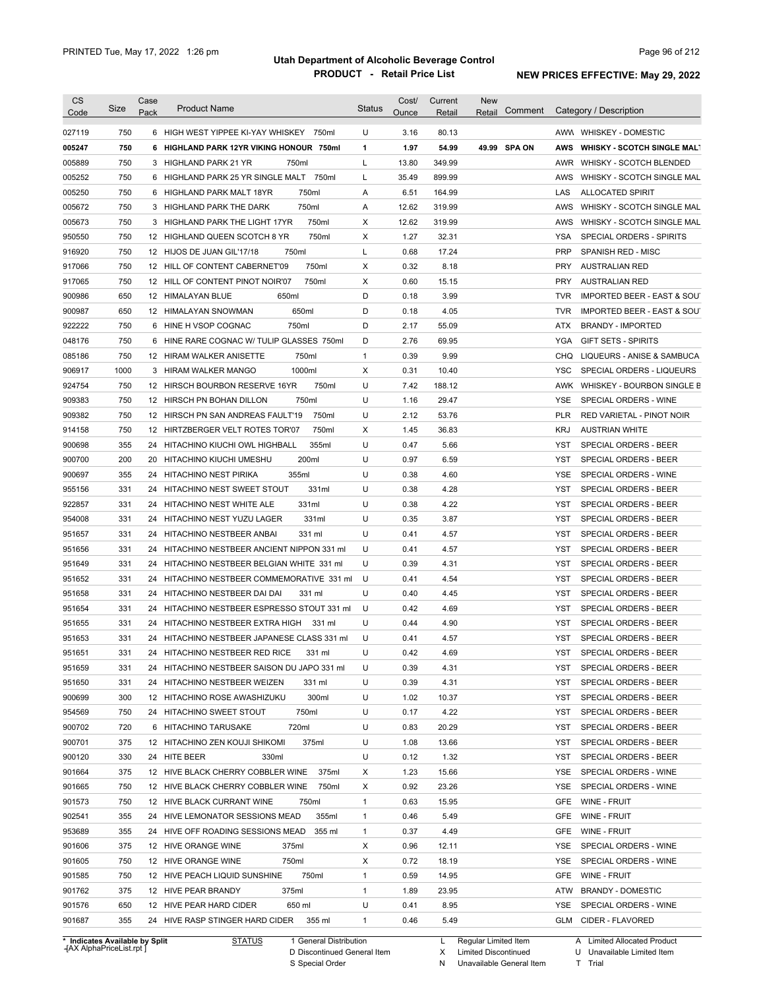| CS<br>Code | Size                           | Case<br>Pack | <b>Product Name</b>                         | <b>Status</b> | Cost/<br>Ounce | Current<br>Retail | <b>New</b><br>Comment<br>Retail | Category / Description                               |
|------------|--------------------------------|--------------|---------------------------------------------|---------------|----------------|-------------------|---------------------------------|------------------------------------------------------|
|            |                                |              |                                             |               |                |                   |                                 |                                                      |
| 027119     | 750                            |              | 6 HIGH WEST YIPPEE KI-YAY WHISKEY<br>750ml  | U             | 3.16           | 80.13             |                                 | AWW WHISKEY - DOMESTIC                               |
| 005247     | 750                            |              | 6 HIGHLAND PARK 12YR VIKING HONOUR 750ml    | 1             | 1.97           | 54.99             | 49.99 SPA ON                    | <b>WHISKY - SCOTCH SINGLE MALT</b><br>AWS            |
| 005889     | 750                            |              | 3 HIGHLAND PARK 21 YR<br>750ml              | L             | 13.80          | 349.99            |                                 | AWR<br><b>WHISKY - SCOTCH BLENDED</b>                |
| 005252     | 750                            |              | 6 HIGHLAND PARK 25 YR SINGLE MALT 750ml     | L             | 35.49          | 899.99            |                                 | AWS<br>WHISKY - SCOTCH SINGLE MAL                    |
| 005250     | 750                            |              | 6 HIGHLAND PARK MALT 18YR<br>750ml          | Α             | 6.51           | 164.99            |                                 | LAS<br><b>ALLOCATED SPIRIT</b>                       |
| 005672     | 750                            |              | 750ml<br>3 HIGHLAND PARK THE DARK           | Α             | 12.62          | 319.99            |                                 | AWS<br>WHISKY - SCOTCH SINGLE MAL                    |
| 005673     | 750                            |              | 3 HIGHLAND PARK THE LIGHT 17YR<br>750ml     | X             | 12.62          | 319.99            |                                 | AWS<br>WHISKY - SCOTCH SINGLE MAL                    |
| 950550     | 750                            |              | 750ml<br>12 HIGHLAND QUEEN SCOTCH 8 YR      | X             | 1.27           | 32.31             |                                 | <b>YSA</b><br>SPECIAL ORDERS - SPIRITS               |
| 916920     | 750                            |              | 12 HIJOS DE JUAN GIL'17/18<br>750ml         | L             | 0.68           | 17.24             |                                 | <b>PRP</b><br>SPANISH RED - MISC                     |
| 917066     | 750                            |              | 750ml<br>12 HILL OF CONTENT CABERNET'09     | X             | 0.32           | 8.18              |                                 | <b>PRY</b><br><b>AUSTRALIAN RED</b>                  |
| 917065     | 750                            |              | 12 HILL OF CONTENT PINOT NOIR'07<br>750ml   | Χ             | 0.60           | 15.15             |                                 | <b>PRY</b><br><b>AUSTRALIAN RED</b>                  |
| 900986     | 650                            |              | 650ml<br>12 HIMALAYAN BLUE                  | D             | 0.18           | 3.99              |                                 | <b>TVR</b><br><b>IMPORTED BEER - EAST &amp; SOUT</b> |
| 900987     | 650                            |              | 650ml<br>12 HIMALAYAN SNOWMAN               | D             | 0.18           | 4.05              |                                 | <b>TVR</b><br><b>IMPORTED BEER - EAST &amp; SOUT</b> |
| 922222     | 750                            |              | 6 HINE H VSOP COGNAC<br>750ml               | D             | 2.17           | 55.09             |                                 | ATX<br><b>BRANDY - IMPORTED</b>                      |
| 048176     | 750                            |              | 6 HINE RARE COGNAC W/ TULIP GLASSES 750ml   | D             | 2.76           | 69.95             |                                 | YGA<br><b>GIFT SETS - SPIRITS</b>                    |
| 085186     | 750                            |              | 750ml<br>12 HIRAM WALKER ANISETTE           | 1             | 0.39           | 9.99              |                                 | CHQ<br>LIQUEURS - ANISE & SAMBUCA                    |
| 906917     | 1000                           |              | 1000ml<br>3 HIRAM WALKER MANGO              | Χ             | 0.31           | 10.40             |                                 | YSC<br>SPECIAL ORDERS - LIQUEURS                     |
| 924754     | 750                            |              | 750ml<br>12 HIRSCH BOURBON RESERVE 16YR     | U             | 7.42           | 188.12            |                                 | AWK<br>WHISKEY - BOURBON SINGLE B                    |
| 909383     | 750                            |              | 750ml<br>12 HIRSCH PN BOHAN DILLON          | U             | 1.16           | 29.47             |                                 | YSE<br>SPECIAL ORDERS - WINE                         |
| 909382     | 750                            |              | 12 HIRSCH PN SAN ANDREAS FAULT'19<br>750ml  | U             | 2.12           | 53.76             |                                 | <b>PLR</b><br>RED VARIETAL - PINOT NOIR              |
| 914158     | 750                            |              | 12 HIRTZBERGER VELT ROTES TOR'07<br>750ml   | Χ             | 1.45           | 36.83             |                                 | <b>KRJ</b><br><b>AUSTRIAN WHITE</b>                  |
| 900698     | 355                            |              | 355ml<br>24 HITACHINO KIUCHI OWL HIGHBALL   | U             | 0.47           | 5.66              |                                 | <b>YST</b><br><b>SPECIAL ORDERS - BEER</b>           |
| 900700     | 200                            |              | 200ml<br>20 HITACHINO KIUCHI UMESHU         | U             | 0.97           | 6.59              |                                 | <b>YST</b><br>SPECIAL ORDERS - BEER                  |
| 900697     | 355                            | 24           | HITACHINO NEST PIRIKA<br>355ml              | U             | 0.38           | 4.60              |                                 | <b>YSE</b><br>SPECIAL ORDERS - WINE                  |
| 955156     | 331                            | 24           | 331ml<br>HITACHINO NEST SWEET STOUT         | U             | 0.38           | 4.28              |                                 | <b>YST</b><br>SPECIAL ORDERS - BEER                  |
| 922857     | 331                            |              | 331ml<br>24 HITACHINO NEST WHITE ALE        | U             | 0.38           | 4.22              |                                 | <b>YST</b><br>SPECIAL ORDERS - BEER                  |
| 954008     | 331                            |              | 331ml<br>24 HITACHINO NEST YUZU LAGER       | U             | 0.35           | 3.87              |                                 | <b>YST</b><br>SPECIAL ORDERS - BEER                  |
|            |                                |              |                                             |               |                |                   |                                 |                                                      |
| 951657     | 331                            |              | 24 HITACHINO NESTBEER ANBAI<br>331 ml       | U             | 0.41           | 4.57              |                                 | <b>YST</b><br>SPECIAL ORDERS - BEER                  |
| 951656     | 331                            |              | 24 HITACHINO NESTBEER ANCIENT NIPPON 331 ml | U             | 0.41           | 4.57              |                                 | <b>YST</b><br>SPECIAL ORDERS - BEER                  |
| 951649     | 331                            |              | 24 HITACHINO NESTBEER BELGIAN WHITE 331 ml  | U             | 0.39           | 4.31              |                                 | <b>YST</b><br>SPECIAL ORDERS - BEER                  |
| 951652     | 331                            |              | 24 HITACHINO NESTBEER COMMEMORATIVE 331 ml  | U             | 0.41           | 4.54              |                                 | <b>YST</b><br><b>SPECIAL ORDERS - BEER</b>           |
| 951658     | 331                            |              | 24 HITACHINO NESTBEER DAI DAI<br>331 ml     | U             | 0.40           | 4.45              |                                 | <b>YST</b><br><b>SPECIAL ORDERS - BEER</b>           |
| 951654     | 331                            |              | 24 HITACHINO NESTBEER ESPRESSO STOUT 331 ml | U             | 0.42           | 4.69              |                                 | SPECIAL ORDERS - BEER<br>YST                         |
| 951655     | 331                            |              | 24 HITACHINO NESTBEER EXTRA HIGH<br>331 ml  | U             | 0.44           | 4.90              |                                 | SPECIAL ORDERS - BEER<br>YST                         |
| 951653     | 331                            |              | 24 HITACHINO NESTBEER JAPANESE CLASS 331 ml | U             | 0.41           | 4.57              |                                 | <b>YST</b><br>SPECIAL ORDERS - BEER                  |
| 951651     | 331                            |              | 24 HITACHINO NESTBEER RED RICE<br>331 ml    | U             | 0.42           | 4.69              |                                 | <b>YST</b><br>SPECIAL ORDERS - BEER                  |
| 951659     | 331                            |              | 24 HITACHINO NESTBEER SAISON DU JAPO 331 mI | U             | 0.39           | 4.31              |                                 | SPECIAL ORDERS - BEER<br>YST                         |
| 951650     | 331                            |              | 24 HITACHINO NESTBEER WEIZEN<br>331 ml      | U             | 0.39           | 4.31              |                                 | YST<br>SPECIAL ORDERS - BEER                         |
| 900699     | 300                            |              | 300ml<br>12 HITACHINO ROSE AWASHIZUKU       | U             | 1.02           | 10.37             |                                 | YST<br>SPECIAL ORDERS - BEER                         |
| 954569     | 750                            |              | 24 HITACHINO SWEET STOUT<br>750ml           | U             | 0.17           | 4.22              |                                 | YST<br>SPECIAL ORDERS - BEER                         |
| 900702     | 720                            |              | 6 HITACHINO TARUSAKE<br>720ml               | U             | 0.83           | 20.29             |                                 | SPECIAL ORDERS - BEER<br>YST                         |
| 900701     | 375                            |              | 375ml<br>12 HITACHINO ZEN KOUJI SHIKOMI     | U             | 1.08           | 13.66             |                                 | SPECIAL ORDERS - BEER<br>YST                         |
| 900120     | 330                            |              | 24 HITE BEER<br>330ml                       | U             | 0.12           | 1.32              |                                 | SPECIAL ORDERS - BEER<br>YST                         |
| 901664     | 375                            |              | 12 HIVE BLACK CHERRY COBBLER WINE<br>375ml  | Χ             | 1.23           | 15.66             |                                 | SPECIAL ORDERS - WINE<br>YSE                         |
| 901665     | 750                            |              | 12 HIVE BLACK CHERRY COBBLER WINE<br>750ml  | Х             | 0.92           | 23.26             |                                 | YSE<br>SPECIAL ORDERS - WINE                         |
| 901573     | 750                            |              | 12 HIVE BLACK CURRANT WINE<br>750ml         | 1             | 0.63           | 15.95             |                                 | GFE<br>WINE - FRUIT                                  |
| 902541     | 355                            |              | 355ml<br>24 HIVE LEMONATOR SESSIONS MEAD    | $\mathbf{1}$  | 0.46           | 5.49              |                                 | GFE<br>WINE - FRUIT                                  |
| 953689     | 355                            |              | 24 HIVE OFF ROADING SESSIONS MEAD<br>355 ml | $\mathbf{1}$  | 0.37           | 4.49              |                                 | GFE<br>WINE - FRUIT                                  |
| 901606     | 375                            |              | 12 HIVE ORANGE WINE<br>375ml                | X             | 0.96           | 12.11             |                                 | YSE<br>SPECIAL ORDERS - WINE                         |
| 901605     | 750                            |              | 750ml<br>12 HIVE ORANGE WINE                | Х             | 0.72           | 18.19             |                                 | YSE<br>SPECIAL ORDERS - WINE                         |
| 901585     | 750                            |              | 750ml<br>12 HIVE PEACH LIQUID SUNSHINE      | $\mathbf{1}$  | 0.59           | 14.95             |                                 | WINE - FRUIT<br>GFE                                  |
| 901762     | 375                            |              | 375ml<br>12 HIVE PEAR BRANDY                | 1             | 1.89           | 23.95             |                                 | ATW<br><b>BRANDY - DOMESTIC</b>                      |
|            | 650                            |              | 650 ml                                      | U             |                | 8.95              |                                 |                                                      |
| 901576     |                                |              | 12 HIVE PEAR HARD CIDER                     |               | 0.41           |                   |                                 | YSE<br>SPECIAL ORDERS - WINE                         |
| 901687     | 355                            |              | 355 ml<br>24 HIVE RASP STINGER HARD CIDER   | 1             | 0.46           | 5.49              |                                 | GLM<br>CIDER - FLAVORED                              |
|            | * Indicates Available by Split |              | <b>STATUS</b><br>1 General Distribution     |               |                | L                 | Regular Limited Item            | A Limited Allocated Product                          |

**Case** [AX AlphaPriceList.rpt ]

D Discontinued General Item

S Special Order

X Limited Discontinued

N Unavailable General Item

U Unavailable Limited Item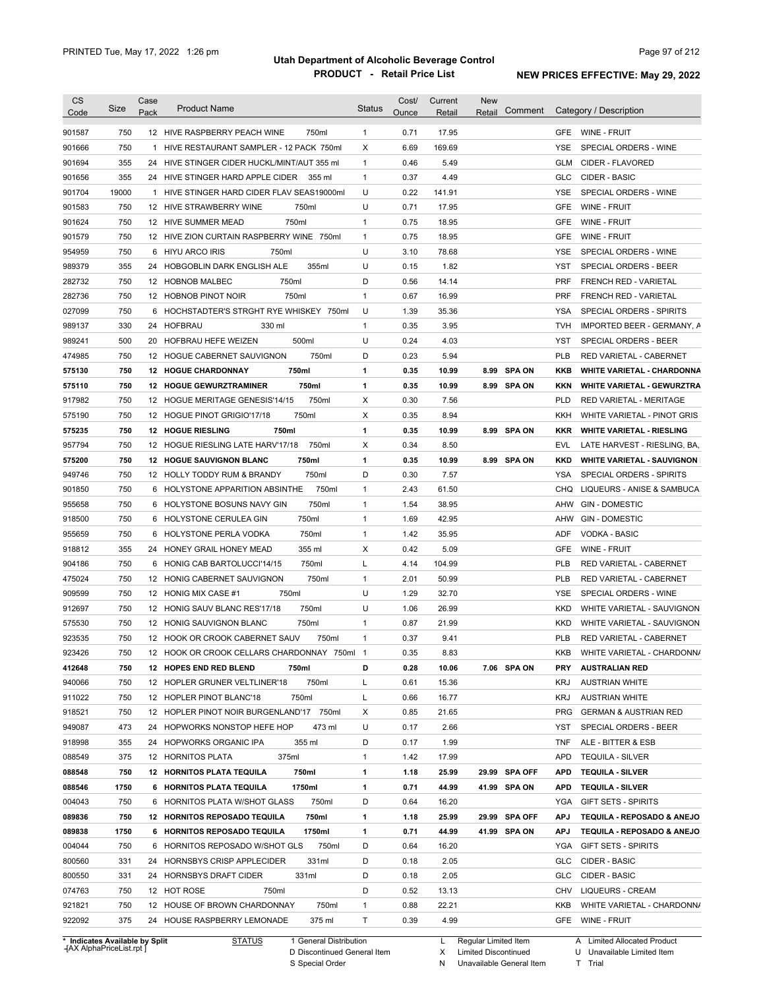| <b>CS</b><br>Code | Size  | Case<br>Pack | <b>Product Name</b>                          | <b>Status</b> | Cost/<br>Ounce | Current<br>Retail | <b>New</b><br>Retail | Comment       |            | Category / Description            |
|-------------------|-------|--------------|----------------------------------------------|---------------|----------------|-------------------|----------------------|---------------|------------|-----------------------------------|
| 901587            | 750   |              | 750ml<br>12 HIVE RASPBERRY PEACH WINE        | $\mathbf{1}$  | 0.71           | 17.95             |                      |               | <b>GFE</b> | WINE - FRUIT                      |
| 901666            | 750   |              | 1 HIVE RESTAURANT SAMPLER - 12 PACK 750ml    | Χ             | 6.69           | 169.69            |                      |               | <b>YSE</b> | SPECIAL ORDERS - WINE             |
| 901694            | 355   |              | 24 HIVE STINGER CIDER HUCKL/MINT/AUT 355 ml  | 1             | 0.46           | 5.49              |                      |               | <b>GLM</b> | CIDER - FLAVORED                  |
| 901656            | 355   |              | 24 HIVE STINGER HARD APPLE CIDER<br>355 ml   | $\mathbf{1}$  | 0.37           | 4.49              |                      |               | <b>GLC</b> | <b>CIDER - BASIC</b>              |
| 901704            | 19000 |              | 1 HIVE STINGER HARD CIDER FLAV SEAS19000ml   | U             | 0.22           | 141.91            |                      |               | <b>YSE</b> | SPECIAL ORDERS - WINE             |
| 901583            | 750   |              | 12 HIVE STRAWBERRY WINE<br>750ml             | U             | 0.71           | 17.95             |                      |               | <b>GFE</b> | WINE - FRUIT                      |
| 901624            | 750   |              | 750ml<br>12 HIVE SUMMER MEAD                 | 1             | 0.75           | 18.95             |                      |               | <b>GFE</b> | WINE - FRUIT                      |
| 901579            | 750   |              | 12 HIVE ZION CURTAIN RASPBERRY WINE 750ml    | 1             | 0.75           | 18.95             |                      |               | <b>GFE</b> | WINE - FRUIT                      |
| 954959            | 750   |              | 6 HIYU ARCO IRIS<br>750ml                    | U             | 3.10           | 78.68             |                      |               | YSE        | SPECIAL ORDERS - WINE             |
| 989379            | 355   |              | 24 HOBGOBLIN DARK ENGLISH ALE<br>355ml       | U             | 0.15           | 1.82              |                      |               | YST        | SPECIAL ORDERS - BEER             |
| 282732            | 750   |              | 750ml<br>12 HOBNOB MALBEC                    | D             | 0.56           | 14.14             |                      |               | <b>PRF</b> | FRENCH RED - VARIETAL             |
| 282736            | 750   |              | 750ml<br>12 HOBNOB PINOT NOIR                | $\mathbf{1}$  | 0.67           | 16.99             |                      |               | <b>PRF</b> | FRENCH RED - VARIETAL             |
| 027099            | 750   |              | 6 HOCHSTADTER'S STRGHT RYE WHISKEY 750ml     | U             | 1.39           | 35.36             |                      |               | <b>YSA</b> | SPECIAL ORDERS - SPIRITS          |
| 989137            | 330   |              | 24 HOFBRAU<br>330 ml                         | $\mathbf{1}$  | 0.35           | 3.95              |                      |               | <b>TVH</b> | IMPORTED BEER - GERMANY, A        |
| 989241            | 500   |              | 500ml<br>20 HOFBRAU HEFE WEIZEN              | U             | 0.24           | 4.03              |                      |               | <b>YST</b> | SPECIAL ORDERS - BEER             |
| 474985            | 750   |              | 750ml<br>12 HOGUE CABERNET SAUVIGNON         | D             | 0.23           | 5.94              |                      |               | PLB        | RED VARIETAL - CABERNET           |
| 575130            | 750   |              | 750ml<br><b>12 HOGUE CHARDONNAY</b>          | 1             | 0.35           | 10.99             |                      | 8.99 SPA ON   | <b>KKB</b> | <b>WHITE VARIETAL - CHARDONNA</b> |
| 575110            | 750   |              | 750ml<br>12 HOGUE GEWURZTRAMINER             | 1             | 0.35           | 10.99             |                      | 8.99 SPA ON   | <b>KKN</b> | <b>WHITE VARIETAL - GEWURZTRA</b> |
| 917982            | 750   |              | 750ml<br>12 HOGUE MERITAGE GENESIS'14/15     | Χ             | 0.30           | 7.56              |                      |               | <b>PLD</b> | RED VARIETAL - MERITAGE           |
| 575190            | 750   |              | 750ml<br>12 HOGUE PINOT GRIGIO'17/18         | Χ             | 0.35           | 8.94              |                      |               | <b>KKH</b> | WHITE VARIETAL - PINOT GRIS       |
| 575235            | 750   |              | 750ml<br><b>12 HOGUE RIESLING</b>            | 1             | 0.35           | 10.99             |                      | 8.99 SPA ON   | <b>KKR</b> | <b>WHITE VARIETAL - RIESLING</b>  |
| 957794            | 750   |              | 12 HOGUE RIESLING LATE HARV'17/18<br>750ml   | Χ             | 0.34           | 8.50              |                      |               | <b>EVL</b> | LATE HARVEST - RIESLING, BA,      |
| 575200            | 750   |              | 750ml<br><b>12 HOGUE SAUVIGNON BLANC</b>     | 1             | 0.35           | 10.99             |                      | 8.99 SPA ON   | <b>KKD</b> | <b>WHITE VARIETAL - SAUVIGNON</b> |
| 949746            | 750   |              | 750ml<br>12 HOLLY TODDY RUM & BRANDY         | D             | 0.30           | 7.57              |                      |               | YSA        | SPECIAL ORDERS - SPIRITS          |
| 901850            | 750   |              | 750ml<br>6 HOLYSTONE APPARITION ABSINTHE     | 1             | 2.43           | 61.50             |                      |               | <b>CHQ</b> | LIQUEURS - ANISE & SAMBUCA        |
| 955658            | 750   |              | 750ml<br>6 HOLYSTONE BOSUNS NAVY GIN         | 1             | 1.54           | 38.95             |                      |               | <b>AHW</b> | <b>GIN - DOMESTIC</b>             |
| 918500            | 750   |              | 750ml<br>6 HOLYSTONE CERULEA GIN             | 1             | 1.69           | 42.95             |                      |               | AHW        | <b>GIN - DOMESTIC</b>             |
| 955659            | 750   | 6            | 750ml<br>HOLYSTONE PERLA VODKA               | 1             | 1.42           | 35.95             |                      |               | ADF        | <b>VODKA - BASIC</b>              |
| 918812            | 355   |              | 355 ml<br>24 HONEY GRAIL HONEY MEAD          | X             | 0.42           | 5.09              |                      |               | GFE        | <b>WINE - FRUIT</b>               |
| 904186            | 750   |              | 6 HONIG CAB BARTOLUCCI'14/15<br>750ml        | L             | 4.14           | 104.99            |                      |               | <b>PLB</b> | RED VARIETAL - CABERNET           |
| 475024            | 750   |              | 750ml<br>12 HONIG CABERNET SAUVIGNON         | $\mathbf{1}$  | 2.01           | 50.99             |                      |               | <b>PLB</b> | RED VARIETAL - CABERNET           |
| 909599            | 750   |              | 750ml<br>12 HONIG MIX CASE #1                | U             | 1.29           | 32.70             |                      |               | <b>YSE</b> | SPECIAL ORDERS - WINE             |
| 912697            | 750   |              | 750ml<br>12 HONIG SAUV BLANC RES'17/18       | U             | 1.06           | 26.99             |                      |               | <b>KKD</b> | WHITE VARIETAL - SAUVIGNON        |
| 575530            | 750   |              | 750ml<br>12 HONIG SAUVIGNON BLANC            | 1             | 0.87           | 21.99             |                      |               | <b>KKD</b> | WHITE VARIETAL - SAUVIGNON        |
| 923535            | 750   |              | 12 HOOK OR CROOK CABERNET SAUV<br>750ml      | $\mathbf{1}$  | 0.37           | 9.41              |                      |               | <b>PLB</b> | RED VARIETAL - CABERNET           |
| 923426            | 750   |              | 12 HOOK OR CROOK CELLARS CHARDONNAY 750ml 1  |               | 0.35           | 8.83              |                      |               | KKB        | WHITE VARIETAL - CHARDONN/        |
|                   |       |              | 750ml                                        | D             |                |                   |                      |               |            |                                   |
| 412648            | 750   |              | 12 HOPES END RED BLEND                       |               | 0.28           | 10.06             |                      | 7.06 SPA ON   | <b>PRY</b> | <b>AUSTRALIAN RED</b>             |
| 940066            | 750   |              | 750ml<br>12 HOPLER GRUNER VELTLINER'18       | Г             | 0.61           | 15.36             |                      |               | <b>KRJ</b> | <b>AUSTRIAN WHITE</b>             |
| 911022            | 750   |              | 750ml<br>12 HOPLER PINOT BLANC'18            | L             | 0.66           | 16.77             |                      |               | <b>KRJ</b> | <b>AUSTRIAN WHITE</b>             |
| 918521            | 750   |              | 12 HOPLER PINOT NOIR BURGENLAND'17 750ml     | Х             | 0.85           | 21.65             |                      |               | <b>PRG</b> | <b>GERMAN &amp; AUSTRIAN RED</b>  |
| 949087            | 473   |              | 24 HOPWORKS NONSTOP HEFE HOP<br>473 ml       | U             | 0.17           | 2.66              |                      |               | YST        | SPECIAL ORDERS - BEER             |
| 918998            | 355   |              | 24 HOPWORKS ORGANIC IPA<br>355 ml            | D             | 0.17           | 1.99              |                      |               | <b>TNF</b> | ALE - BITTER & ESB                |
| 088549            | 375   |              | 375ml<br>12 HORNITOS PLATA                   | 1             | 1.42           | 17.99             |                      |               | <b>APD</b> | <b>TEQUILA - SILVER</b>           |
| 088548            | 750   |              | 12 HORNITOS PLATA TEQUILA<br>750ml           | 1             | 1.18           | 25.99             |                      | 29.99 SPA OFF | <b>APD</b> | <b>TEQUILA - SILVER</b>           |
| 088546            | 1750  |              | 1750ml<br>6 HORNITOS PLATA TEQUILA           | 1             | 0.71           | 44.99             |                      | 41.99 SPA ON  | <b>APD</b> | <b>TEQUILA - SILVER</b>           |
| 004043            | 750   |              | 750ml<br>6 HORNITOS PLATA W/SHOT GLASS       | D             | 0.64           | 16.20             |                      |               | YGA        | <b>GIFT SETS - SPIRITS</b>        |
| 089836            | 750   |              | <b>12 HORNITOS REPOSADO TEQUILA</b><br>750ml | 1             | 1.18           | 25.99             |                      | 29.99 SPA OFF | <b>APJ</b> | TEQUILA - REPOSADO & ANEJO        |
| 089838            | 1750  |              | 6 HORNITOS REPOSADO TEQUILA<br>1750ml        | 1             | 0.71           | 44.99             |                      | 41.99 SPA ON  | <b>APJ</b> | TEQUILA - REPOSADO & ANEJO        |
| 004044            | 750   |              | 750ml<br>6 HORNITOS REPOSADO W/SHOT GLS      | D             | 0.64           | 16.20             |                      |               | YGA        | <b>GIFT SETS - SPIRITS</b>        |
| 800560            | 331   |              | 331ml<br>24 HORNSBYS CRISP APPLECIDER        | D             | 0.18           | 2.05              |                      |               | GLC        | CIDER - BASIC                     |
| 800550            | 331   |              | 331ml<br>24 HORNSBYS DRAFT CIDER             | D             | 0.18           | 2.05              |                      |               | <b>GLC</b> | CIDER - BASIC                     |
| 074763            | 750   |              | 12 HOT ROSE<br>750ml                         | D             | 0.52           | 13.13             |                      |               | CHV        | <b>LIQUEURS - CREAM</b>           |
| 921821            | 750   |              | 750ml<br>12 HOUSE OF BROWN CHARDONNAY        | $\mathbf{1}$  | 0.88           | 22.21             |                      |               | KKB        | WHITE VARIETAL - CHARDONN/        |
| 922092            | 375   |              | 24 HOUSE RASPBERRY LEMONADE<br>375 ml        | Τ             | 0.39           | 4.99              |                      |               | GFE        | WINE - FRUIT                      |

**Case** [AX AlphaPriceList.rpt ]

D Discontinued General Item S Special Order

X Limited Discontinued

N Unavailable General Item

U Unavailable Limited Item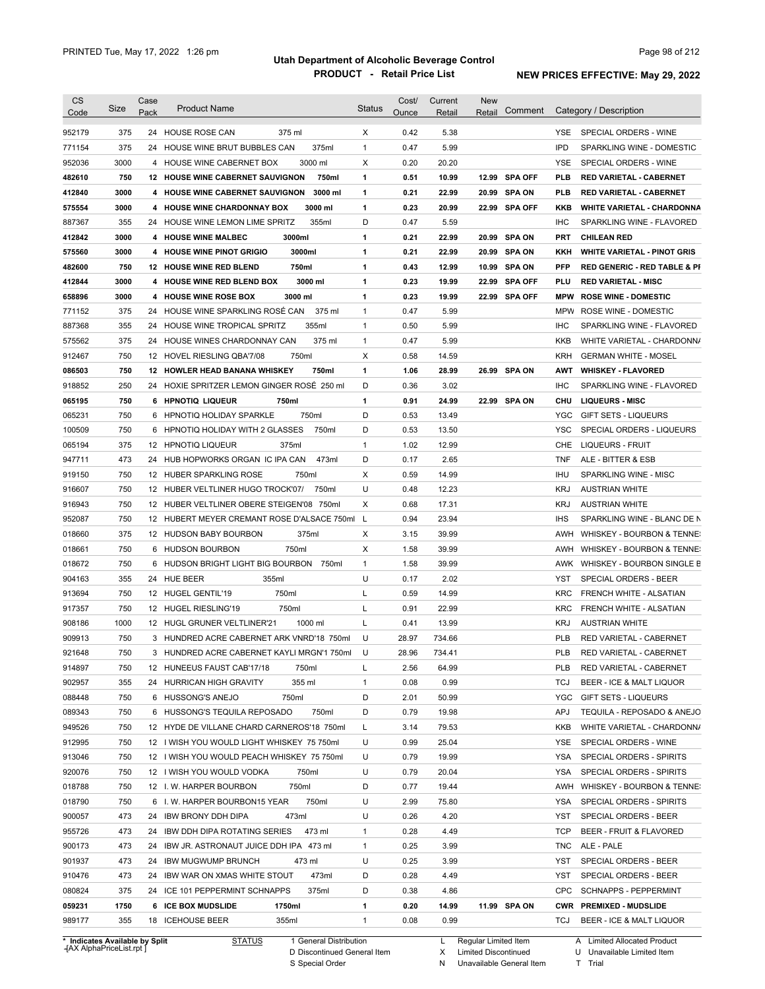|                                                                                                            |      | Case |                                                  |               | Cost/ | Current | <b>New</b>        |            |                                         |
|------------------------------------------------------------------------------------------------------------|------|------|--------------------------------------------------|---------------|-------|---------|-------------------|------------|-----------------------------------------|
| Code                                                                                                       | Size | Pack | <b>Product Name</b>                              | <b>Status</b> | Ounce | Retail  | Comment<br>Retail |            | Category / Description                  |
| 952179                                                                                                     | 375  |      | 24 HOUSE ROSE CAN<br>375 ml                      | X             | 0.42  | 5.38    |                   | YSE.       | SPECIAL ORDERS - WINE                   |
| 771154                                                                                                     | 375  |      | 24 HOUSE WINE BRUT BUBBLES CAN<br>375ml          | $\mathbf{1}$  | 0.47  | 5.99    |                   | <b>IPD</b> | SPARKLING WINE - DOMESTIC               |
| 952036                                                                                                     | 3000 |      | 3000 ml<br>4 HOUSE WINE CABERNET BOX             | X             | 0.20  | 20.20   |                   | <b>YSE</b> | SPECIAL ORDERS - WINE                   |
| 482610                                                                                                     | 750  |      | <b>12 HOUSE WINE CABERNET SAUVIGNON</b><br>750ml | 1             | 0.51  | 10.99   | 12.99 SPA OFF     | <b>PLB</b> | <b>RED VARIETAL - CABERNET</b>          |
| 412840                                                                                                     | 3000 |      | 4 HOUSE WINE CABERNET SAUVIGNON<br>3000 ml       | 1             | 0.21  | 22.99   | 20.99 SPA ON      | <b>PLB</b> | <b>RED VARIETAL - CABERNET</b>          |
| 575554                                                                                                     | 3000 |      | 4 HOUSE WINE CHARDONNAY BOX<br>3000 ml           | 1             | 0.23  | 20.99   | 22.99 SPA OFF     | KKB        | <b>WHITE VARIETAL - CHARDONNA</b>       |
| 887367                                                                                                     | 355  |      | 355ml<br>24 HOUSE WINE LEMON LIME SPRITZ         | D             | 0.47  | 5.59    |                   | <b>IHC</b> | SPARKLING WINE - FLAVORED               |
| 412842                                                                                                     | 3000 |      | 4 HOUSE WINE MALBEC<br>3000ml                    | 1             | 0.21  | 22.99   | 20.99 SPA ON      | <b>PRT</b> | <b>CHILEAN RED</b>                      |
| 575560                                                                                                     | 3000 |      | 3000ml<br>4 HOUSE WINE PINOT GRIGIO              | 1             | 0.21  | 22.99   | 20.99 SPA ON      | KKH        | <b>WHITE VARIETAL - PINOT GRIS</b>      |
| 482600                                                                                                     | 750  |      | 750ml<br>12 HOUSE WINE RED BLEND                 | 1             | 0.43  | 12.99   | 10.99 SPA ON      | <b>PFP</b> | <b>RED GENERIC - RED TABLE &amp; PI</b> |
| 412844                                                                                                     | 3000 |      | 3000 ml<br>4 HOUSE WINE RED BLEND BOX            | 1             | 0.23  | 19.99   | 22.99 SPA OFF     | PLU        | <b>RED VARIETAL MISC</b>                |
| 658896                                                                                                     | 3000 |      | 3000 ml<br>4 HOUSE WINE ROSE BOX                 | 1             | 0.23  | 19.99   | 22.99 SPA OFF     | <b>MPW</b> | <b>ROSE WINE - DOMESTIC</b>             |
| 771152                                                                                                     | 375  |      | 24 HOUSE WINE SPARKLING ROSÉ CAN<br>375 ml       | 1             | 0.47  | 5.99    |                   | <b>MPW</b> | ROSE WINE - DOMESTIC                    |
| 887368                                                                                                     | 355  |      | 355ml<br>24 HOUSE WINE TROPICAL SPRITZ           | 1             | 0.50  | 5.99    |                   | <b>IHC</b> | SPARKLING WINE - FLAVORED               |
| 575562                                                                                                     | 375  |      | 24 HOUSE WINES CHARDONNAY CAN<br>375 ml          | 1             | 0.47  | 5.99    |                   | <b>KKB</b> | WHITE VARIETAL - CHARDONN/              |
| 912467                                                                                                     | 750  |      | 750ml<br>12 HOVEL RIESLING QBA'7/08              | X             | 0.58  | 14.59   |                   | <b>KRH</b> | <b>GERMAN WHITE - MOSEL</b>             |
| 086503                                                                                                     | 750  |      | 12 HOWLER HEAD BANANA WHISKEY<br>750ml           | 1             | 1.06  | 28.99   | 26.99 SPA ON      | AWT        | <b>WHISKEY - FLAVORED</b>               |
| 918852                                                                                                     | 250  |      | 24 HOXIE SPRITZER LEMON GINGER ROSÉ 250 ml       | D             | 0.36  | 3.02    |                   | <b>IHC</b> | SPARKLING WINE - FLAVORED               |
| 065195                                                                                                     | 750  |      | 6 HPNOTIQ LIQUEUR<br>750ml                       | 1             | 0.91  | 24.99   | 22.99 SPA ON      | <b>CHU</b> | <b>LIQUEURS - MISC</b>                  |
| 065231                                                                                                     | 750  |      | 750ml<br>6 HPNOTIQ HOLIDAY SPARKLE               | D             | 0.53  | 13.49   |                   | YGC        | <b>GIFT SETS - LIQUEURS</b>             |
| 100509                                                                                                     | 750  |      | 6 HPNOTIQ HOLIDAY WITH 2 GLASSES<br>750ml        | D             | 0.53  | 13.50   |                   | <b>YSC</b> | SPECIAL ORDERS - LIQUEURS               |
| 065194                                                                                                     | 375  |      | 12 HPNOTIQ LIQUEUR<br>375ml                      | 1             | 1.02  | 12.99   |                   | CHE        | <b>LIQUEURS - FRUIT</b>                 |
|                                                                                                            | 473  |      | 24 HUB HOPWORKS ORGAN IC IPA CAN<br>473ml        | D             | 0.17  | 2.65    |                   | <b>TNF</b> |                                         |
| 947711                                                                                                     |      |      |                                                  |               |       |         |                   |            | ALE - BITTER & ESB                      |
| 919150                                                                                                     | 750  |      | 12 HUBER SPARKLING ROSE<br>750ml                 | Χ             | 0.59  | 14.99   |                   | <b>IHU</b> | SPARKLING WINE - MISC                   |
| 916607                                                                                                     | 750  |      | 12 HUBER VELTLINER HUGO TROCK'07/<br>750ml       | U             | 0.48  | 12.23   |                   | <b>KRJ</b> | <b>AUSTRIAN WHITE</b>                   |
| 916943                                                                                                     | 750  |      | 12 HUBER VELTLINER OBERE STEIGEN'08 750ml        | Χ             | 0.68  | 17.31   |                   | <b>KRJ</b> | <b>AUSTRIAN WHITE</b>                   |
| 952087                                                                                                     | 750  |      | 12 HUBERT MEYER CREMANT ROSE D'ALSACE 750ml      | - L           | 0.94  | 23.94   |                   | <b>IHS</b> | SPARKLING WINE - BLANC DE N             |
| 018660                                                                                                     | 375  |      | 12 HUDSON BABY BOURBON<br>375ml                  | X             | 3.15  | 39.99   |                   | AWH        | WHISKEY - BOURBON & TENNE:              |
| 018661                                                                                                     | 750  |      | 6 HUDSON BOURBON<br>750ml                        | Х             | 1.58  | 39.99   |                   | AWH        | WHISKEY - BOURBON & TENNE:              |
| 018672                                                                                                     | 750  |      | 6 HUDSON BRIGHT LIGHT BIG BOURBON<br>750ml       | 1             | 1.58  | 39.99   |                   | AWK        | WHISKEY - BOURBON SINGLE B              |
| 904163                                                                                                     | 355  |      | 24 HUE BEER<br>355ml                             | U             | 0.17  | 2.02    |                   | <b>YST</b> | SPECIAL ORDERS - BEER                   |
| 913694                                                                                                     | 750  |      | 750ml<br>12 HUGEL GENTIL'19                      | L             | 0.59  | 14.99   |                   | <b>KRC</b> | FRENCH WHITE - ALSATIAN                 |
| 917357                                                                                                     | 750  |      | 12 HUGEL RIESLING'19<br>750ml                    | L             | 0.91  | 22.99   |                   | <b>KRC</b> | FRENCH WHITE - ALSATIAN                 |
| 908186                                                                                                     | 1000 |      | 1000 ml<br>12 HUGL GRUNER VELTLINER'21           | L             | 0.41  | 13.99   |                   | <b>KRJ</b> | <b>AUSTRIAN WHITE</b>                   |
| 909913                                                                                                     | 750  |      | 3 HUNDRED ACRE CABERNET ARK VNRD'18 750ml        | U             | 28.97 | 734.66  |                   | <b>PLB</b> | RED VARIETAL - CABERNET                 |
| 921648                                                                                                     | 750  |      | 3 HUNDRED ACRE CABERNET KAYLI MRGN'1 750ml       | U             | 28.96 | 734.41  |                   | <b>PLB</b> | RED VARIETAL - CABERNET                 |
| 914897                                                                                                     | 750  |      | 12 HUNEEUS FAUST CAB'17/18<br>750ml              | L             | 2.56  | 64.99   |                   | PLB        | RED VARIETAL - CABERNET                 |
| 902957                                                                                                     | 355  |      | 24 HURRICAN HIGH GRAVITY<br>355 ml               | 1             | 0.08  | 0.99    |                   | TCJ        | BEER - ICE & MALT LIQUOR                |
| 088448                                                                                                     | 750  |      | 6 HUSSONG'S ANEJO<br>750ml                       | D             | 2.01  | 50.99   |                   | <b>YGC</b> | GIFT SETS - LIQUEURS                    |
| 089343                                                                                                     | 750  |      | 6 HUSSONG'S TEQUILA REPOSADO<br>750ml            | D             | 0.79  | 19.98   |                   | APJ        | TEQUILA - REPOSADO & ANEJO              |
| 949526                                                                                                     | 750  |      | 12 HYDE DE VILLANE CHARD CARNEROS'18 750ml       | L             | 3.14  | 79.53   |                   | KKB        | WHITE VARIETAL - CHARDONN/              |
| 912995                                                                                                     | 750  |      | 12 I WISH YOU WOULD LIGHT WHISKEY 75 750ml       | U             | 0.99  | 25.04   |                   | YSE        | SPECIAL ORDERS - WINE                   |
|                                                                                                            | 750  |      | 12 I WISH YOU WOULD PEACH WHISKEY 75 750ml       | U             | 0.79  | 19.99   |                   | YSA        | SPECIAL ORDERS - SPIRITS                |
|                                                                                                            |      |      |                                                  | U             | 0.79  | 20.04   |                   | YSA        | SPECIAL ORDERS - SPIRITS                |
|                                                                                                            | 750  |      | 12 I WISH YOU WOULD VODKA<br>750ml               |               |       |         |                   |            | WHISKEY - BOURBON & TENNE:              |
|                                                                                                            | 750  |      | 12 I.W. HARPER BOURBON<br>750ml                  | D             | 0.77  | 19.44   |                   | AWH        |                                         |
|                                                                                                            | 750  |      | 6 I.W. HARPER BOURBON15 YEAR<br>750ml            | U             | 2.99  | 75.80   |                   | YSA        | SPECIAL ORDERS - SPIRITS                |
|                                                                                                            | 473  |      | 24 IBW BRONY DDH DIPA<br>473ml                   | U             | 0.26  | 4.20    |                   | YST        | SPECIAL ORDERS - BEER                   |
|                                                                                                            | 473  |      | 24 IBW DDH DIPA ROTATING SERIES<br>473 ml        | 1             | 0.28  | 4.49    |                   | TCP        | BEER - FRUIT & FLAVORED                 |
|                                                                                                            | 473  | 24   | IBW JR. ASTRONAUT JUICE DDH IPA 473 ml           | 1             | 0.25  | 3.99    |                   | TNC        | ALE - PALE                              |
|                                                                                                            | 473  | 24   | IBW MUGWUMP BRUNCH<br>473 ml                     | U             | 0.25  | 3.99    |                   | YST        | SPECIAL ORDERS - BEER                   |
|                                                                                                            | 473  | 24   | 473ml<br>IBW WAR ON XMAS WHITE STOUT             | D             | 0.28  | 4.49    |                   | YST        | SPECIAL ORDERS - BEER                   |
|                                                                                                            | 375  |      | 24 ICE 101 PEPPERMINT SCHNAPPS<br>375ml          | D             | 0.38  | 4.86    |                   | <b>CPC</b> | <b>SCHNAPPS - PEPPERMINT</b>            |
| 913046<br>920076<br>018788<br>018790<br>900057<br>955726<br>900173<br>901937<br>910476<br>080824<br>059231 | 1750 |      | 6 ICE BOX MUDSLIDE<br>1750ml                     | 1             | 0.20  | 14.99   | 11.99 SPA ON      |            | CWR PREMIXED - MUDSLIDE                 |

**Case** [AX AlphaPriceList.rpt ]

D Discontinued General Item

S Special Order

X

N

Limited Discontinued

Unavailable General Item

U Unavailable Limited Item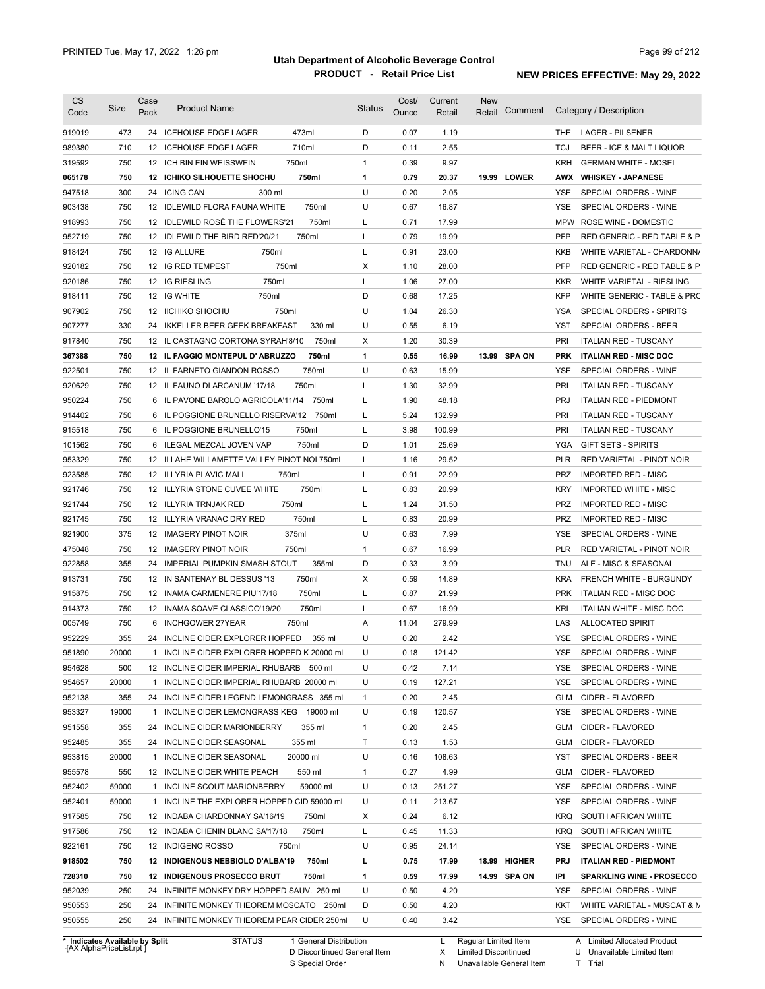| <b>CS</b><br>Code              | Size         | Case<br>Pack | <b>Product Name</b>                                                     |                        | <b>Status</b>     | Cost/<br>Ounce | Current<br>Retail | <b>New</b><br>Retail | Comment      |                          | Category / Description                             |
|--------------------------------|--------------|--------------|-------------------------------------------------------------------------|------------------------|-------------------|----------------|-------------------|----------------------|--------------|--------------------------|----------------------------------------------------|
| 919019                         | 473          |              | 24 ICEHOUSE EDGE LAGER                                                  | 473ml                  | D                 | 0.07           | 1.19              |                      |              | THE.                     | <b>LAGER - PILSENER</b>                            |
| 989380                         | 710          |              | 12 ICEHOUSE EDGE LAGER                                                  | 710ml                  | D                 | 0.11           | 2.55              |                      |              | TCJ                      | BEER - ICE & MALT LIQUOR                           |
| 319592                         | 750          |              | 12 ICH BIN EIN WEISSWEIN                                                | 750ml                  | $\mathbf{1}$      | 0.39           | 9.97              |                      |              | <b>KRH</b>               | <b>GERMAN WHITE - MOSEL</b>                        |
| 065178                         | 750          |              | 12 ICHIKO SILHOUETTE SHOCHU                                             | 750ml                  | $\mathbf{1}$      | 0.79           | 20.37             |                      | 19.99 LOWER  |                          | AWX WHISKEY - JAPANESE                             |
| 947518                         | 300          |              | 24 ICING CAN<br>300 ml                                                  |                        | U                 | 0.20           | 2.05              |                      |              | YSE                      | SPECIAL ORDERS - WINE                              |
| 903438                         | 750          |              | 12 IDLEWILD FLORA FAUNA WHITE                                           | 750ml                  | U                 | 0.67           | 16.87             |                      |              | <b>YSE</b>               | SPECIAL ORDERS - WINE                              |
| 918993                         | 750          |              | 12 IDLEWILD ROSÉ THE FLOWERS'21                                         | 750ml                  | L                 | 0.71           | 17.99             |                      |              |                          | MPW ROSE WINE - DOMESTIC                           |
| 952719                         | 750          |              | 12 IDLEWILD THE BIRD RED'20/21                                          | 750ml                  | L                 | 0.79           | 19.99             |                      |              | <b>PFP</b>               | RED GENERIC - RED TABLE & P                        |
| 918424                         | 750          |              | 12 IG ALLURE<br>750ml                                                   |                        | L                 | 0.91           | 23.00             |                      |              | KKB                      | WHITE VARIETAL - CHARDONN/                         |
| 920182                         | 750          |              | 12 IG RED TEMPEST<br>750ml                                              |                        | Х                 | 1.10           | 28.00             |                      |              | PFP                      | RED GENERIC - RED TABLE & P                        |
| 920186                         | 750          |              | 750ml<br>12 IG RIESLING                                                 |                        | L                 | 1.06           | 27.00             |                      |              | <b>KKR</b>               | WHITE VARIETAL - RIESLING                          |
| 918411                         | 750          |              | 12 IG WHITE<br>750ml                                                    |                        | D                 | 0.68           | 17.25             |                      |              | <b>KFP</b>               | WHITE GENERIC - TABLE & PRC                        |
| 907902                         | 750          |              | 12 IICHIKO SHOCHU<br>750ml                                              |                        | U                 | 1.04           | 26.30             |                      |              | YSA                      | SPECIAL ORDERS - SPIRITS                           |
| 907277                         | 330          |              | 24 IKKELLER BEER GEEK BREAKFAST                                         | 330 ml                 | U                 | 0.55           | 6.19              |                      |              | YST                      | SPECIAL ORDERS - BEER                              |
| 917840                         | 750          |              | 12 IL CASTAGNO CORTONA SYRAH'8/10                                       | 750ml                  | Х                 | 1.20           | 30.39             |                      |              | PRI                      | <b>ITALIAN RED - TUSCANY</b>                       |
| 367388                         | 750          |              | 12 IL FAGGIO MONTEPUL D' ABRUZZO                                        | 750ml                  | 1                 | 0.55           | 16.99             |                      | 13.99 SPA ON | <b>PRK</b>               | <b>ITALIAN RED - MISC DOC</b>                      |
| 922501                         | 750          |              | 12 IL FARNETO GIANDON ROSSO                                             | 750ml                  | U                 | 0.63           | 15.99             |                      |              | YSE                      | SPECIAL ORDERS - WINE                              |
| 920629                         | 750          |              | 12 IL FAUNO DI ARCANUM '17/18                                           | 750ml                  | L                 | 1.30           | 32.99             |                      |              | PRI                      | <b>ITALIAN RED - TUSCANY</b>                       |
| 950224                         | 750          |              | 6 IL PAVONE BAROLO AGRICOLA'11/14                                       | 750ml                  | L                 | 1.90           | 48.18             |                      |              | <b>PRJ</b>               | <b>ITALIAN RED - PIEDMONT</b>                      |
| 914402                         | 750          |              | 6 IL POGGIONE BRUNELLO RISERVA'12                                       | 750ml                  | L                 | 5.24           | 132.99            |                      |              | PRI                      | <b>ITALIAN RED - TUSCANY</b>                       |
| 915518                         | 750          |              | 6 IL POGGIONE BRUNELLO'15                                               | 750ml                  | L                 | 3.98           | 100.99            |                      |              | PRI                      | <b>ITALIAN RED - TUSCANY</b>                       |
| 101562                         | 750          |              | 6 ILEGAL MEZCAL JOVEN VAP                                               | 750ml                  | D                 | 1.01           | 25.69             |                      |              | YGA                      | <b>GIFT SETS - SPIRITS</b>                         |
| 953329                         | 750          |              | 12 ILLAHE WILLAMETTE VALLEY PINOT NOI 750ml                             |                        | L                 | 1.16           | 29.52             |                      |              | <b>PLR</b>               | RED VARIETAL - PINOT NOIR                          |
| 923585                         | 750          |              | 750ml<br>12 ILLYRIA PLAVIC MALI                                         |                        | L                 | 0.91           | 22.99             |                      |              | <b>PRZ</b>               | <b>IMPORTED RED - MISC</b>                         |
| 921746                         | 750          |              | 12 ILLYRIA STONE CUVEE WHITE                                            | 750ml                  | L                 | 0.83           | 20.99             |                      |              | <b>KRY</b>               | <b>IMPORTED WHITE - MISC</b>                       |
| 921744                         | 750          |              | 12 ILLYRIA TRNJAK RED                                                   | 750ml                  | L                 | 1.24           | 31.50             |                      |              | <b>PRZ</b>               | <b>IMPORTED RED - MISC</b>                         |
| 921745                         | 750          |              | 12 ILLYRIA VRANAC DRY RED                                               | 750ml                  | L                 | 0.83           | 20.99             |                      |              | PRZ                      | <b>IMPORTED RED - MISC</b>                         |
| 921900                         | 375          |              | 12 IMAGERY PINOT NOIR                                                   | 375ml                  | U                 | 0.63           | 7.99              |                      |              | YSE                      | SPECIAL ORDERS - WINE                              |
| 475048                         | 750          |              | 12 IMAGERY PINOT NOIR                                                   | 750ml                  | $\mathbf{1}$      | 0.67           | 16.99             |                      |              | <b>PLR</b>               | RED VARIETAL - PINOT NOIR                          |
| 922858                         | 355          | 24           | IMPERIAL PUMPKIN SMASH STOUT                                            | 355ml                  | D                 | 0.33           | 3.99              |                      |              | <b>TNU</b>               | ALE - MISC & SEASONAL                              |
| 913731                         | 750          |              | 12 IN SANTENAY BL DESSUS '13                                            | 750ml                  | X                 | 0.59           | 14.89             |                      |              | <b>KRA</b>               | <b>FRENCH WHITE - BURGUNDY</b>                     |
| 915875                         | 750          |              | 12 INAMA CARMENERE PIU'17/18                                            | 750ml                  | L                 | 0.87           | 21.99             |                      |              | <b>PRK</b>               | <b>ITALIAN RED - MISC DOC</b>                      |
| 914373                         | 750          |              | 12 INAMA SOAVE CLASSICO'19/20                                           | 750ml                  | L                 | 0.67           | 16.99             |                      |              | KRL                      | ITALIAN WHITE - MISC DOC                           |
| 005749                         | 750          |              | 6 INCHGOWER 27YEAR                                                      | 750ml                  | Α                 | 11.04          | 279.99            |                      |              | LAS                      | <b>ALLOCATED SPIRIT</b>                            |
| 952229                         | 355          |              | 24 INCLINE CIDER EXPLORER HOPPED                                        | 355 ml                 | U                 | 0.20           | 2.42              |                      |              | <b>YSE</b>               | SPECIAL ORDERS - WINE                              |
|                                |              |              | 1 INCLINE CIDER EXPLORER HOPPED K 20000 ml                              |                        | U                 |                |                   |                      |              |                          | YSE SPECIAL ORDERS - WINE                          |
| 951890                         | 20000        |              | 12 INCLINE CIDER IMPERIAL RHUBARB 500 ml                                |                        |                   | 0.18           | 121.42            |                      |              |                          |                                                    |
| 954628<br>954657               | 500<br>20000 |              |                                                                         |                        | U<br>U            | 0.42<br>0.19   | 7.14              |                      |              | YSE                      | YSE SPECIAL ORDERS - WINE<br>SPECIAL ORDERS - WINE |
|                                |              |              | 1 INCLINE CIDER IMPERIAL RHUBARB 20000 ml                               |                        |                   | 0.20           | 127.21            |                      |              |                          | CIDER - FLAVORED                                   |
| 952138                         | 355          |              | 24 INCLINE CIDER LEGEND LEMONGRASS 355 ml                               |                        | $\mathbf{1}$<br>U | 0.19           | 2.45              |                      |              | GLM                      | SPECIAL ORDERS - WINE                              |
| 953327<br>951558               | 19000<br>355 |              | 1 INCLINE CIDER LEMONGRASS KEG 19000 ml<br>24 INCLINE CIDER MARIONBERRY | 355 ml                 | $\mathbf{1}$      | 0.20           | 120.57<br>2.45    |                      |              | YSE<br>GLM               | CIDER - FLAVORED                                   |
| 952485                         |              |              |                                                                         |                        | Τ                 | 0.13           | 1.53              |                      |              | GLM                      |                                                    |
|                                | 355          |              | 24 INCLINE CIDER SEASONAL<br>1 INCLINE CIDER SEASONAL                   | 355 ml<br>20000 ml     | U                 |                |                   |                      |              |                          | CIDER - FLAVORED                                   |
| 953815                         | 20000        |              |                                                                         |                        |                   | 0.16           | 108.63            |                      |              | YST                      | SPECIAL ORDERS - BEER                              |
| 955578<br>952402               | 550<br>59000 |              | 12 INCLINE CIDER WHITE PEACH                                            | 550 ml<br>59000 ml     | $\mathbf{1}$<br>U | 0.27<br>0.13   | 4.99<br>251.27    |                      |              | <b>GLM</b><br>YSE        | CIDER - FLAVORED                                   |
|                                |              |              | 1 INCLINE SCOUT MARIONBERRY                                             |                        | U                 | 0.11           | 213.67            |                      |              | YSE                      | SPECIAL ORDERS - WINE                              |
| 952401                         | 59000        |              | 1 INCLINE THE EXPLORER HOPPED CID 59000 ml                              |                        |                   | 0.24           |                   |                      |              |                          | SPECIAL ORDERS - WINE                              |
| 917585<br>917586               | 750<br>750   |              | 12 INDABA CHARDONNAY SA'16/19<br>12 INDABA CHENIN BLANC SA'17/18        | 750ml<br>750ml         | Х<br>L            | 0.45           | 6.12<br>11.33     |                      |              | <b>KRQ</b><br><b>KRQ</b> | SOUTH AFRICAN WHITE<br>SOUTH AFRICAN WHITE         |
| 922161                         |              |              |                                                                         |                        | U                 | 0.95           |                   |                      |              |                          |                                                    |
|                                | 750          |              | 12 INDIGENO ROSSO<br>750ml                                              |                        |                   |                | 24.14             |                      |              | YSE                      | SPECIAL ORDERS - WINE                              |
| 918502                         | 750          |              | 12 INDIGENOUS NEBBIOLO D'ALBA'19                                        | 750ml                  | L                 | 0.75           | 17.99             |                      | 18.99 HIGHER | <b>PRJ</b>               | <b>ITALIAN RED - PIEDMONT</b>                      |
| 728310                         | 750          |              | 12 INDIGENOUS PROSECCO BRUT                                             | 750ml                  | 1                 | 0.59           | 17.99             |                      | 14.99 SPA ON | IPI                      | <b>SPARKLING WINE - PROSECCO</b>                   |
| 952039                         | 250          |              | 24 INFINITE MONKEY DRY HOPPED SAUV. 250 ml                              |                        | U                 | 0.50           | 4.20              |                      |              | YSE                      | SPECIAL ORDERS - WINE                              |
| 950553                         | 250          |              | 24 INFINITE MONKEY THEOREM MOSCATO 250ml                                |                        | D                 | 0.50           | 4.20              |                      |              | KKT                      | WHITE VARIETAL - MUSCAT & M                        |
| 950555                         | 250          |              | 24 INFINITE MONKEY THEOREM PEAR CIDER 250ml                             |                        | U                 | 0.40           | 3.42              |                      |              |                          | YSE SPECIAL ORDERS - WINE                          |
| * Indicates Available by Split |              |              | <b>STATUS</b>                                                           | 1 General Distribution |                   |                | L.                | Regular Limited Item |              |                          | A Limited Allocated Product                        |

**Case** [AX AlphaPriceList.rpt ]

D Discontinued General Item

S Special Order

X

N

Limited Discontinued

U Unavailable Limited Item

Unavailable General Item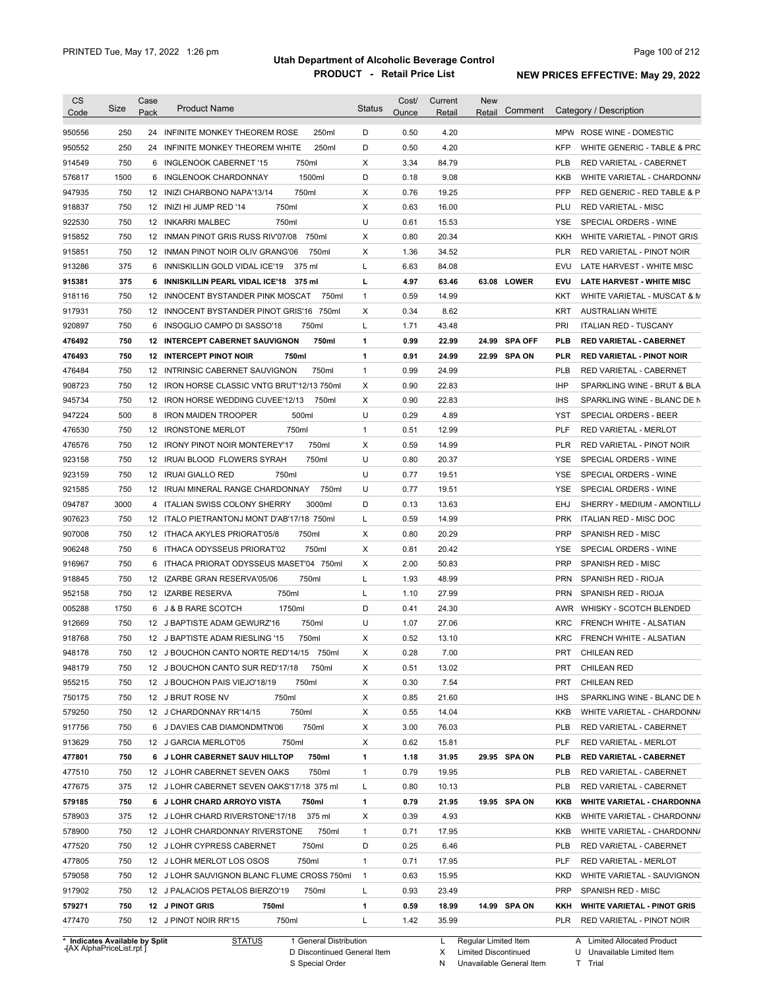| <b>CS</b><br>Code              | Size | Case<br>Pack     | <b>Product Name</b>                             | Status       | Cost/<br>Ounce | Current<br>Retail | <b>New</b><br>Comment<br>Retail | Category / Description                         |
|--------------------------------|------|------------------|-------------------------------------------------|--------------|----------------|-------------------|---------------------------------|------------------------------------------------|
| 950556                         | 250  | 24               | INFINITE MONKEY THEOREM ROSE<br>250ml           | D            | 0.50           | 4.20              |                                 | MPW ROSE WINE - DOMESTIC                       |
| 950552                         | 250  | 24               | 250ml<br>INFINITE MONKEY THEOREM WHITE          | D            | 0.50           | 4.20              |                                 | <b>KFP</b><br>WHITE GENERIC - TABLE & PRC      |
| 914549                         | 750  | 6                | 750ml<br>INGLENOOK CABERNET '15                 | X            | 3.34           | 84.79             |                                 | <b>PLB</b><br>RED VARIETAL - CABERNET          |
| 576817                         | 1500 | 6                | 1500ml<br>INGLENOOK CHARDONNAY                  | D            | 0.18           | 9.08              |                                 | KKB<br>WHITE VARIETAL - CHARDONN/              |
| 947935                         | 750  |                  | 750ml<br>12 INIZI CHARBONO NAPA'13/14           | Χ            | 0.76           | 19.25             |                                 | <b>PFP</b><br>RED GENERIC - RED TABLE & P      |
| 918837                         | 750  |                  | 12 INIZI HI JUMP RED '14<br>750ml               | Χ            | 0.63           | 16.00             |                                 | PLU<br><b>RED VARIETAL - MISC</b>              |
| 922530                         | 750  |                  | 750ml<br>12 INKARRI MALBEC                      | U            | 0.61           | 15.53             |                                 | YSE<br>SPECIAL ORDERS - WINE                   |
| 915852                         | 750  |                  | 12 INMAN PINOT GRIS RUSS RIV'07/08<br>750ml     | X            | 0.80           | 20.34             |                                 | KKH<br>WHITE VARIETAL - PINOT GRIS             |
| 915851                         | 750  |                  | 750ml<br>12 INMAN PINOT NOIR OLIV GRANG'06      | Х            | 1.36           | 34.52             |                                 | <b>RED VARIETAL - PINOT NOIR</b><br><b>PLR</b> |
| 913286                         | 375  | 6                | INNISKILLIN GOLD VIDAL ICE'19<br>375 ml         | L            | 6.63           | 84.08             |                                 | LATE HARVEST - WHITE MISC<br>EVU               |
| 915381                         | 375  |                  | 6 INNISKILLIN PEARL VIDAL ICE'18<br>375 ml      | L            | 4.97           | 63.46             | 63.08 LOWER                     | <b>EVU</b><br><b>LATE HARVEST - WHITE MISC</b> |
| 918116                         | 750  | 12               | INNOCENT BYSTANDER PINK MOSCAT<br>750ml         | $\mathbf{1}$ | 0.59           | 14.99             |                                 | KKT<br>WHITE VARIETAL - MUSCAT & M             |
| 917931                         | 750  | 12               | INNOCENT BYSTANDER PINOT GRIS'16<br>750ml       | Х            | 0.34           | 8.62              |                                 | KRT<br><b>AUSTRALIAN WHITE</b>                 |
| 920897                         | 750  | 6                | INSOGLIO CAMPO DI SASSO'18<br>750ml             | L            | 1.71           | 43.48             |                                 | PRI<br><b>ITALIAN RED - TUSCANY</b>            |
| 476492                         | 750  |                  | <b>12 INTERCEPT CABERNET SAUVIGNON</b><br>750ml | $\mathbf{1}$ | 0.99           | 22.99             | 24.99<br><b>SPA OFF</b>         | <b>PLB</b><br><b>RED VARIETAL - CABERNET</b>   |
| 476493                         | 750  |                  | <b>12 INTERCEPT PINOT NOIR</b><br>750ml         | 1            | 0.91           | 24.99             | 22.99 SPA ON                    | <b>PLR</b><br><b>RED VARIETAL - PINOT NOIR</b> |
| 476484                         | 750  | 12 <sup>2</sup>  | INTRINSIC CABERNET SAUVIGNON<br>750ml           | $\mathbf{1}$ | 0.99           | 24.99             |                                 | <b>PLB</b><br><b>RED VARIETAL - CABERNET</b>   |
| 908723                         | 750  | 12 <sup>12</sup> | IRON HORSE CLASSIC VNTG BRUT'12/13 750ml        | Χ            | 0.90           | 22.83             |                                 | <b>IHP</b><br>SPARKLING WINE - BRUT & BLA      |
| 945734                         | 750  | 12               | IRON HORSE WEDDING CUVEE'12/13<br>750ml         | Х            | 0.90           | 22.83             |                                 | <b>IHS</b><br>SPARKLING WINE - BLANC DE N      |
| 947224                         | 500  | 8                | 500ml<br><b>IRON MAIDEN TROOPER</b>             | U            | 0.29           | 4.89              |                                 | YST<br>SPECIAL ORDERS - BEER                   |
| 476530                         | 750  |                  | 750ml<br>12 IRONSTONE MERLOT                    | $\mathbf{1}$ | 0.51           | 12.99             |                                 | PLF<br><b>RED VARIETAL - MERLOT</b>            |
| 476576                         | 750  | 12               | <b>IRONY PINOT NOIR MONTEREY'17</b><br>750ml    | Х            | 0.59           | 14.99             |                                 | <b>PLR</b><br>RED VARIETAL - PINOT NOIR        |
| 923158                         | 750  |                  | 750ml<br>12 IRUAI BLOOD FLOWERS SYRAH           | U            | 0.80           | 20.37             |                                 | YSE<br>SPECIAL ORDERS - WINE                   |
| 923159                         | 750  |                  | 12 IRUAI GIALLO RED<br>750ml                    | U            | 0.77           | 19.51             |                                 | YSE<br>SPECIAL ORDERS - WINE                   |
| 921585                         | 750  | 12               | IRUAI MINERAL RANGE CHARDONNAY<br>750ml         | U            | 0.77           | 19.51             |                                 | YSE<br>SPECIAL ORDERS - WINE                   |
| 094787                         | 3000 | 4                | ITALIAN SWISS COLONY SHERRY<br>3000ml           | D            | 0.13           | 13.63             |                                 | EHJ<br>SHERRY - MEDIUM - AMONTILL/             |
| 907623                         | 750  |                  | 12 ITALO PIETRANTONJ MONT D'AB'17/18 750ml      | L            | 0.59           | 14.99             |                                 | <b>PRK</b><br>ITALIAN RED - MISC DOC           |
| 907008                         | 750  |                  | 12 ITHACA AKYLES PRIORAT'05/8<br>750ml          | Х            | 0.80           | 20.29             |                                 | <b>PRP</b><br>SPANISH RED - MISC               |
| 906248                         | 750  | 6                | ITHACA ODYSSEUS PRIORAT'02<br>750ml             | Х            | 0.81           | 20.42             |                                 | YSE<br>SPECIAL ORDERS - WINE                   |
| 916967                         | 750  |                  | 6 ITHACA PRIORAT ODYSSEUS MASET'04 750ml        | X            | 2.00           | 50.83             |                                 | <b>PRP</b><br>SPANISH RED - MISC               |
| 918845                         | 750  | 12               | IZARBE GRAN RESERVA'05/06<br>750ml              | L            | 1.93           | 48.99             |                                 | <b>PRN</b><br><b>SPANISH RED - RIOJA</b>       |
| 952158                         | 750  |                  | 750ml<br>12 IZARBE RESERVA                      | L            | 1.10           | 27.99             |                                 | <b>PRN</b><br><b>SPANISH RED - RIOJA</b>       |
| 005288                         | 1750 |                  | 1750ml<br>6 J & B RARE SCOTCH                   | D            | 0.41           | 24.30             |                                 | AWR WHISKY - SCOTCH BLENDED                    |
| 912669                         | 750  |                  | 750ml<br>12 J BAPTISTE ADAM GEWURZ'16           | U            | 1.07           | 27.06             |                                 | <b>KRC</b><br>FRENCH WHITE - ALSATIAN          |
| 918768                         | 750  |                  | 12 J BAPTISTE ADAM RIESLING '15<br>750ml        | Х            | 0.52           | 13.10             |                                 | <b>KRC</b><br>FRENCH WHITE - ALSATIAN          |
|                                |      |                  |                                                 |              |                |                   |                                 |                                                |
| 948178                         | 750  |                  | 12 J BOUCHON CANTO NORTE RED'14/15 750ml        | Χ            | 0.28           | 7.00              |                                 | PRT CHILEAN RED                                |
| 948179                         | 750  |                  | 12 J BOUCHON CANTO SUR RED'17/18<br>750ml       | Х            | 0.51           | 13.02             |                                 | PRT<br><b>CHILEAN RED</b>                      |
| 955215                         | 750  |                  | 750ml<br>12 J BOUCHON PAIS VIEJO'18/19          | Х            | 0.30           | 7.54              |                                 | PRT<br><b>CHILEAN RED</b>                      |
| 750175                         | 750  |                  | 750ml<br>12 J BRUT ROSE NV                      | Х            | 0.85           | 21.60             |                                 | <b>IHS</b><br>SPARKLING WINE - BLANC DE N      |
| 579250                         | 750  |                  | 750ml<br>12 J CHARDONNAY RR'14/15               | X            | 0.55           | 14.04             |                                 | KKB<br>WHITE VARIETAL - CHARDONN/              |
| 917756                         | 750  |                  | 750ml<br>6 J DAVIES CAB DIAMONDMTN'06           | Х            | 3.00           | 76.03             |                                 | <b>PLB</b><br>RED VARIETAL - CABERNET          |
| 913629                         | 750  |                  | 12 J GARCIA MERLOT'05<br>750ml                  | Х            | 0.62           | 15.81             |                                 | PLF<br>RED VARIETAL - MERLOT                   |
| 477801                         | 750  |                  | 6 J LOHR CABERNET SAUV HILLTOP<br>750ml         | 1            | 1.18           | 31.95             | 29.95 SPA ON                    | <b>PLB</b><br>RED VARIETAL - CABERNET          |
| 477510                         | 750  |                  | 750ml<br>12 J LOHR CABERNET SEVEN OAKS          | $\mathbf{1}$ | 0.79           | 19.95             |                                 | <b>PLB</b><br>RED VARIETAL - CABERNET          |
| 477675                         | 375  |                  | 12 J LOHR CABERNET SEVEN OAKS'17/18 375 ml      | L            | 0.80           | 10.13             |                                 | <b>PLB</b><br>RED VARIETAL - CABERNET          |
| 579185                         | 750  |                  | 6 J LOHR CHARD ARROYO VISTA<br>750ml            | $\mathbf{1}$ | 0.79           | 21.95             | 19.95 SPA ON                    | KKB<br><b>WHITE VARIETAL - CHARDONNA</b>       |
| 578903                         | 375  |                  | 375 ml<br>12 J LOHR CHARD RIVERSTONE'17/18      | Х            | 0.39           | 4.93              |                                 | KKB<br>WHITE VARIETAL - CHARDONN/              |
| 578900                         | 750  |                  | 750ml<br>12 J LOHR CHARDONNAY RIVERSTONE        | $\mathbf{1}$ | 0.71           | 17.95             |                                 | KKB<br>WHITE VARIETAL - CHARDONN/              |
| 477520                         | 750  |                  | 750ml<br>12 J LOHR CYPRESS CABERNET             | D            | 0.25           | 6.46              |                                 | <b>PLB</b><br>RED VARIETAL - CABERNET          |
| 477805                         | 750  |                  | 750ml<br>12 J LOHR MERLOT LOS OSOS              | $\mathbf{1}$ | 0.71           | 17.95             |                                 | PLF<br>RED VARIETAL - MERLOT                   |
| 579058                         | 750  |                  | 12 J LOHR SAUVIGNON BLANC FLUME CROSS 750ml     | $\mathbf{1}$ | 0.63           | 15.95             |                                 | <b>KKD</b><br>WHITE VARIETAL - SAUVIGNON       |
| 917902                         | 750  |                  | 12 J PALACIOS PETALOS BIERZO'19<br>750ml        | L            | 0.93           | 23.49             |                                 | <b>PRP</b><br>SPANISH RED - MISC               |
| 579271                         | 750  |                  | 12 J PINOT GRIS<br>750ml                        | 1            | 0.59           | 18.99             | 14.99 SPA ON                    | KKH<br><b>WHITE VARIETAL - PINOT GRIS</b>      |
| 477470                         | 750  |                  | 12 J PINOT NOIR RR'15<br>750ml                  | L            | 1.42           | 35.99             |                                 | PLR<br>RED VARIETAL - PINOT NOIR               |
| * Indicates Available by Split |      |                  | <b>STATUS</b><br>1 General Distribution         |              |                | L                 | Regular Limited Item            | A Limited Allocated Product                    |

**Case** [AX AlphaPriceList.rpt ]

D Discontinued General Item

S Special Order

X Limited Discontinued

N Unavailable General Item

U Unavailable Limited Item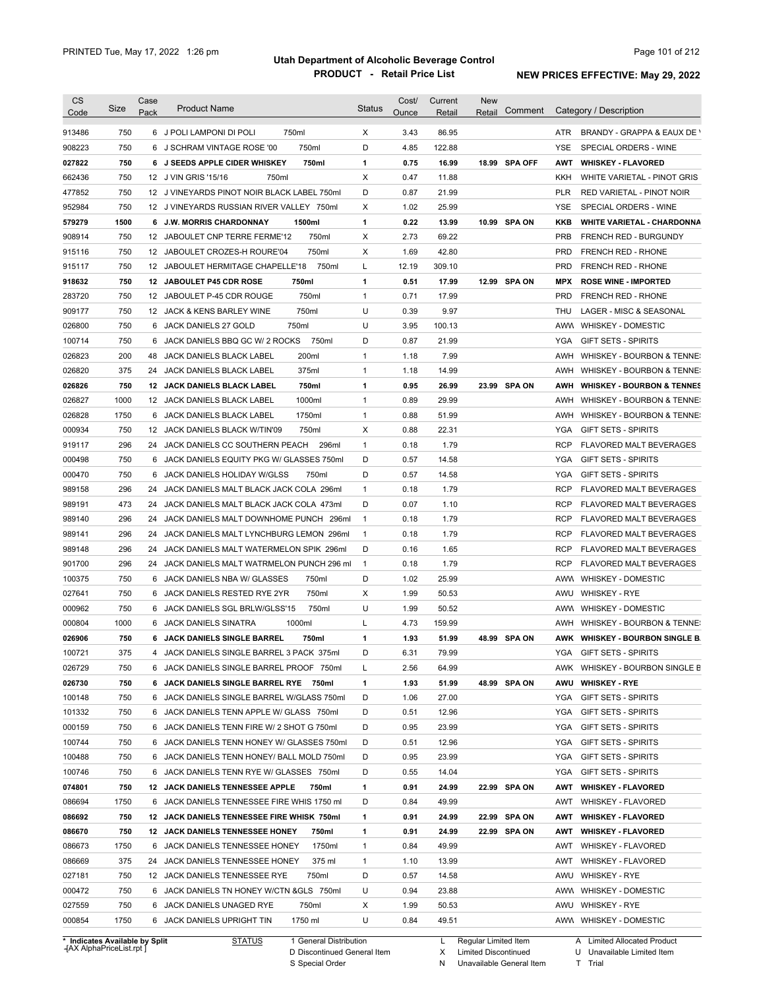| CS     | Size                                | Case | <b>Product Name</b>                         | <b>Status</b> | Cost/ | Current | <b>New</b>           |               |            |                                       |
|--------|-------------------------------------|------|---------------------------------------------|---------------|-------|---------|----------------------|---------------|------------|---------------------------------------|
| Code   |                                     | Pack |                                             |               | Ounce | Retail  | Retail               | Comment       |            | Category / Description                |
| 913486 | 750                                 |      | 750ml<br>6 J POLI LAMPONI DI POLI           | X             | 3.43  | 86.95   |                      |               | ATR        | BRANDY - GRAPPA & EAUX DE Y           |
| 908223 | 750                                 |      | 750ml<br>6 J SCHRAM VINTAGE ROSE '00        | D             | 4.85  | 122.88  |                      |               | YSE.       | SPECIAL ORDERS - WINE                 |
| 027822 | 750                                 |      | 750ml<br>6 J SEEDS APPLE CIDER WHISKEY      | 1             | 0.75  | 16.99   |                      | 18.99 SPA OFF | <b>AWT</b> | <b>WHISKEY - FLAVORED</b>             |
| 662436 | 750                                 |      | 12 J VIN GRIS '15/16<br>750ml               | X             | 0.47  | 11.88   |                      |               | KKH        | WHITE VARIETAL - PINOT GRIS           |
| 477852 | 750                                 |      | 12 J VINEYARDS PINOT NOIR BLACK LABEL 750ml | D             | 0.87  | 21.99   |                      |               | <b>PLR</b> | RED VARIETAL - PINOT NOIR             |
| 952984 | 750                                 |      | 12 J VINEYARDS RUSSIAN RIVER VALLEY 750ml   | Х             | 1.02  | 25.99   |                      |               | <b>YSE</b> | SPECIAL ORDERS - WINE                 |
| 579279 | 1500                                |      | 6 J.W. MORRIS CHARDONNAY<br>1500ml          | 1             | 0.22  | 13.99   |                      | 10.99 SPA ON  | KKB        | <b>WHITE VARIETAL - CHARDONNA</b>     |
| 908914 | 750                                 |      | 12 JABOULET CNP TERRE FERME'12<br>750ml     | Χ             | 2.73  | 69.22   |                      |               | <b>PRB</b> | <b>FRENCH RED - BURGUNDY</b>          |
| 915116 | 750                                 |      | 750ml<br>12 JABOULET CROZES-H ROURE'04      | Χ             | 1.69  | 42.80   |                      |               | <b>PRD</b> | <b>FRENCH RED - RHONE</b>             |
| 915117 | 750                                 | 12   | 750ml<br>JABOULET HERMITAGE CHAPELLE'18     | L             | 12.19 | 309.10  |                      |               | <b>PRD</b> | <b>FRENCH RED - RHONE</b>             |
| 918632 | 750                                 | 12   | <b>JABOULET P45 CDR ROSE</b><br>750ml       | 1             | 0.51  | 17.99   |                      | 12.99 SPA ON  | <b>MPX</b> | <b>ROSE WINE - IMPORTED</b>           |
| 283720 | 750                                 |      | 750ml<br>12 JABOULET P-45 CDR ROUGE         | $\mathbf{1}$  | 0.71  | 17.99   |                      |               | PRD        | <b>FRENCH RED - RHONE</b>             |
| 909177 | 750                                 |      | 750ml<br>12 JACK & KENS BARLEY WINE         | U             | 0.39  | 9.97    |                      |               | <b>THU</b> | LAGER - MISC & SEASONAL               |
| 026800 | 750                                 |      | 750ml<br>6 JACK DANIELS 27 GOLD             | U             | 3.95  | 100.13  |                      |               | <b>AWW</b> | <b>WHISKEY - DOMESTIC</b>             |
| 100714 | 750                                 | 6    | 750ml<br>JACK DANIELS BBQ GC W/ 2 ROCKS     | D             | 0.87  | 21.99   |                      |               | YGA        | <b>GIFT SETS - SPIRITS</b>            |
| 026823 | 200                                 | 48   | 200ml                                       | $\mathbf{1}$  | 1.18  | 7.99    |                      |               | AWH        |                                       |
|        |                                     |      | JACK DANIELS BLACK LABEL                    |               |       |         |                      |               |            | WHISKEY - BOURBON & TENNE:            |
| 026820 | 375                                 | 24   | 375ml<br>JACK DANIELS BLACK LABEL           | $\mathbf{1}$  | 1.18  | 14.99   |                      |               | AWH        | WHISKEY - BOURBON & TENNE:            |
| 026826 | 750                                 |      | 750ml<br><b>12 JACK DANIELS BLACK LABEL</b> | 1             | 0.95  | 26.99   |                      | 23.99 SPA ON  | AWH        | <b>WHISKEY - BOURBON &amp; TENNES</b> |
| 026827 | 1000                                |      | 1000ml<br>12 JACK DANIELS BLACK LABEL       | $\mathbf{1}$  | 0.89  | 29.99   |                      |               | AWH        | WHISKEY - BOURBON & TENNE:            |
| 026828 | 1750                                | 6    | JACK DANIELS BLACK LABEL<br>1750ml          | $\mathbf{1}$  | 0.88  | 51.99   |                      |               | AWH        | WHISKEY - BOURBON & TENNE:            |
| 000934 | 750                                 | 12   | JACK DANIELS BLACK W/TIN'09<br>750ml        | Χ             | 0.88  | 22.31   |                      |               | YGA        | <b>GIFT SETS - SPIRITS</b>            |
| 919117 | 296                                 | 24   | JACK DANIELS CC SOUTHERN PEACH<br>296ml     | $\mathbf{1}$  | 0.18  | 1.79    |                      |               | <b>RCP</b> | <b>FLAVORED MALT BEVERAGES</b>        |
| 000498 | 750                                 |      | 6 JACK DANIELS EQUITY PKG W/ GLASSES 750ml  | D             | 0.57  | 14.58   |                      |               | <b>YGA</b> | <b>GIFT SETS - SPIRITS</b>            |
| 000470 | 750                                 | 6    | JACK DANIELS HOLIDAY W/GLSS<br>750ml        | D             | 0.57  | 14.58   |                      |               | YGA        | <b>GIFT SETS - SPIRITS</b>            |
| 989158 | 296                                 | 24   | JACK DANIELS MALT BLACK JACK COLA 296ml     | $\mathbf{1}$  | 0.18  | 1.79    |                      |               | <b>RCP</b> | FLAVORED MALT BEVERAGES               |
| 989191 | 473                                 | 24   | JACK DANIELS MALT BLACK JACK COLA 473ml     | D             | 0.07  | 1.10    |                      |               | <b>RCP</b> | FLAVORED MALT BEVERAGES               |
| 989140 | 296                                 | 24   | JACK DANIELS MALT DOWNHOME PUNCH 296ml      | $\mathbf{1}$  | 0.18  | 1.79    |                      |               | <b>RCP</b> | FLAVORED MALT BEVERAGES               |
| 989141 | 296                                 |      | 24 JACK DANIELS MALT LYNCHBURG LEMON 296ml  | $\mathbf{1}$  | 0.18  | 1.79    |                      |               | <b>RCP</b> | FLAVORED MALT BEVERAGES               |
| 989148 | 296                                 |      | 24 JACK DANIELS MALT WATERMELON SPIK 296ml  | D             | 0.16  | 1.65    |                      |               | <b>RCP</b> | FLAVORED MALT BEVERAGES               |
| 901700 | 296                                 |      | 24 JACK DANIELS MALT WATRMELON PUNCH 296 ml | $\mathbf{1}$  | 0.18  | 1.79    |                      |               | RCP        | FLAVORED MALT BEVERAGES               |
| 100375 | 750                                 |      | 6 JACK DANIELS NBA W/ GLASSES<br>750ml      | D             | 1.02  | 25.99   |                      |               | AWW        | WHISKEY - DOMESTIC                    |
| 027641 | 750                                 |      | 750ml<br>6 JACK DANIELS RESTED RYE 2YR      | X             | 1.99  | 50.53   |                      |               | AWU        | <b>WHISKEY - RYE</b>                  |
| 000962 | 750                                 |      | 750ml<br>6 JACK DANIELS SGL BRLW/GLSS'15    | U             | 1.99  | 50.52   |                      |               | AWW        | <b>WHISKEY - DOMESTIC</b>             |
| 000804 | 1000                                |      | 6 JACK DANIELS SINATRA<br>1000ml            | L             | 4.73  | 159.99  |                      |               | AWH        | WHISKEY - BOURBON & TENNE:            |
| 026906 | 750                                 |      | 6 JACK DANIELS SINGLE BARREL<br>750ml       | 1             | 1.93  | 51.99   |                      | 48.99 SPA ON  |            | AWK WHISKEY - BOURBON SINGLE B.       |
| 100721 | 375                                 | 4    | JACK DANIELS SINGLE BARREL 3 PACK 375ml     | D             | 6.31  | 79.99   |                      |               |            | YGA GIFT SETS - SPIRITS               |
| 026729 | 750                                 |      | 6 JACK DANIELS SINGLE BARREL PROOF 750ml    | L             | 2.56  | 64.99   |                      |               |            | AWK WHISKEY - BOURBON SINGLE B        |
| 026730 | 750                                 |      | 6 JACK DANIELS SINGLE BARREL RYE 750ml      | 1             | 1.93  | 51.99   |                      | 48.99 SPA ON  | AWU        | <b>WHISKEY - RYE</b>                  |
| 100148 | 750                                 |      | 6 JACK DANIELS SINGLE BARREL W/GLASS 750ml  | D             | 1.06  | 27.00   |                      |               | YGA        | <b>GIFT SETS - SPIRITS</b>            |
| 101332 | 750                                 |      | 6 JACK DANIELS TENN APPLE W/ GLASS 750ml    | D             | 0.51  | 12.96   |                      |               | YGA        | <b>GIFT SETS - SPIRITS</b>            |
|        |                                     |      |                                             | D             |       |         |                      |               |            |                                       |
| 000159 | 750                                 |      | 6 JACK DANIELS TENN FIRE W/ 2 SHOT G 750ml  |               | 0.95  | 23.99   |                      |               | YGA        | <b>GIFT SETS - SPIRITS</b>            |
| 100744 | 750                                 |      | 6 JACK DANIELS TENN HONEY W/ GLASSES 750ml  | D             | 0.51  | 12.96   |                      |               | YGA        | <b>GIFT SETS - SPIRITS</b>            |
| 100488 | 750                                 |      | 6 JACK DANIELS TENN HONEY/ BALL MOLD 750ml  | D             | 0.95  | 23.99   |                      |               | <b>YGA</b> | <b>GIFT SETS - SPIRITS</b>            |
| 100746 | 750                                 |      | 6 JACK DANIELS TENN RYE W/ GLASSES 750ml    | D             | 0.55  | 14.04   |                      |               | YGA        | <b>GIFT SETS - SPIRITS</b>            |
| 074801 | 750                                 |      | 12 JACK DANIELS TENNESSEE APPLE<br>750ml    | 1             | 0.91  | 24.99   |                      | 22.99 SPA ON  | AWT        | <b>WHISKEY - FLAVORED</b>             |
| 086694 | 1750                                |      | 6 JACK DANIELS TENNESSEE FIRE WHIS 1750 ml  | D             | 0.84  | 49.99   |                      |               | AWT        | WHISKEY - FLAVORED                    |
| 086692 | 750                                 |      | 12 JACK DANIELS TENNESSEE FIRE WHISK 750ml  | 1             | 0.91  | 24.99   |                      | 22.99 SPA ON  | AWT        | <b>WHISKEY - FLAVORED</b>             |
| 086670 | 750                                 |      | 12 JACK DANIELS TENNESSEE HONEY<br>750ml    | 1             | 0.91  | 24.99   |                      | 22.99 SPA ON  | AWT        | <b>WHISKEY - FLAVORED</b>             |
| 086673 | 1750                                |      | 6 JACK DANIELS TENNESSEE HONEY<br>1750ml    | $\mathbf{1}$  | 0.84  | 49.99   |                      |               | AWT        | WHISKEY - FLAVORED                    |
| 086669 | 375                                 |      | 24 JACK DANIELS TENNESSEE HONEY<br>375 ml   | $\mathbf{1}$  | 1.10  | 13.99   |                      |               | AWT        | WHISKEY - FLAVORED                    |
| 027181 | 750                                 |      | 12 JACK DANIELS TENNESSEE RYE<br>750ml      | D             | 0.57  | 14.58   |                      |               | AWU        | <b>WHISKEY - RYE</b>                  |
| 000472 | 750                                 |      | 6 JACK DANIELS TN HONEY W/CTN & GLS 750ml   | U             | 0.94  | 23.88   |                      |               |            | AWW WHISKEY - DOMESTIC                |
| 027559 | 750                                 |      | 750ml<br>6 JACK DANIELS UNAGED RYE          | Х             | 1.99  | 50.53   |                      |               | AWU        | <b>WHISKEY - RYE</b>                  |
| 000854 | 1750                                |      | 1750 ml<br>6 JACK DANIELS UPRIGHT TIN       | U             | 0.84  | 49.51   |                      |               |            | AWW WHISKEY - DOMESTIC                |
|        |                                     |      |                                             |               |       |         |                      |               |            |                                       |
|        | <b>Indicates Available by Split</b> |      | <b>STATUS</b><br>1 General Distribution     |               |       | L       | Regular Limited Item |               |            | A Limited Allocated Product           |

**Case** [AX AlphaPriceList.rpt ]

D Discontinued General Item

S Special Order

X Limited Discontinued

N Unavailable General Item

U Unavailable Limited Item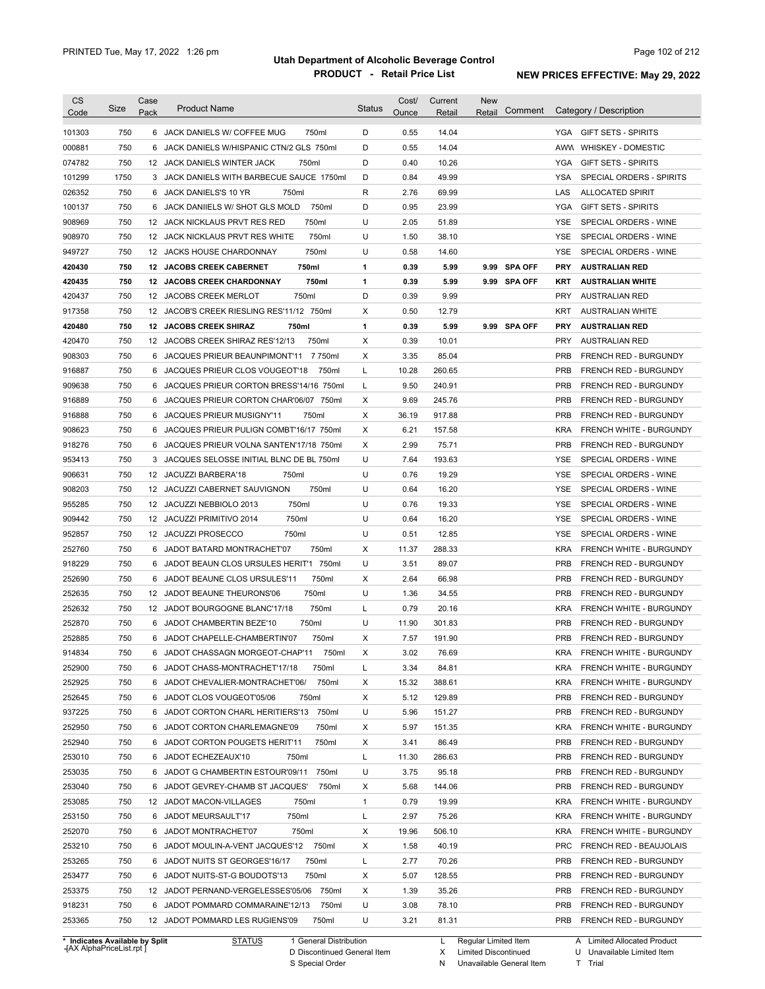| <b>CS</b><br>Code                        | Size | Case<br>Pack | <b>Product Name</b>                                                                 | <b>Status</b> | Cost/<br>Ounce | Current<br>Retail | New<br>Comment<br>Retail |            | Category / Description                               |
|------------------------------------------|------|--------------|-------------------------------------------------------------------------------------|---------------|----------------|-------------------|--------------------------|------------|------------------------------------------------------|
| 101303                                   | 750  |              | 750ml<br>6 JACK DANIELS W/ COFFEE MUG                                               | D             | 0.55           | 14.04             |                          | YGA        | <b>GIFT SETS - SPIRITS</b>                           |
| 000881                                   | 750  |              | 6 JACK DANIELS W/HISPANIC CTN/2 GLS 750ml                                           | D             | 0.55           | 14.04             |                          | AWW        | WHISKEY - DOMESTIC                                   |
| 074782                                   | 750  |              | 12 JACK DANIELS WINTER JACK<br>750ml                                                | D             | 0.40           | 10.26             |                          | YGA        | <b>GIFT SETS - SPIRITS</b>                           |
| 101299                                   | 1750 | 3            | JACK DANIELS WITH BARBECUE SAUCE 1750ml                                             | D             | 0.84           | 49.99             |                          | YSA        | SPECIAL ORDERS - SPIRITS                             |
| 026352                                   | 750  | 6            | JACK DANIELS'S 10 YR<br>750ml                                                       | R             | 2.76           | 69.99             |                          | LAS        | <b>ALLOCATED SPIRIT</b>                              |
| 100137                                   | 750  | 6            | 750ml<br>JACK DANIIELS W/ SHOT GLS MOLD                                             | D             | 0.95           | 23.99             |                          | <b>YGA</b> | <b>GIFT SETS - SPIRITS</b>                           |
| 908969                                   | 750  |              | 12 JACK NICKLAUS PRVT RES RED<br>750ml                                              | U             | 2.05           | 51.89             |                          | <b>YSE</b> | SPECIAL ORDERS - WINE                                |
| 908970                                   | 750  |              | 12 JACK NICKLAUS PRVT RES WHITE<br>750ml                                            | U             | 1.50           | 38.10             |                          | <b>YSE</b> | SPECIAL ORDERS - WINE                                |
| 949727                                   | 750  |              | 750ml<br>12 JACKS HOUSE CHARDONNAY                                                  | U             | 0.58           | 14.60             |                          | <b>YSE</b> | SPECIAL ORDERS - WINE                                |
| 420430                                   | 750  |              | 12 JACOBS CREEK CABERNET<br>750ml                                                   | 1             | 0.39           | 5.99              | 9.99 SPA OFF             | <b>PRY</b> | <b>AUSTRALIAN RED</b>                                |
| 420435                                   | 750  |              | 12 JACOBS CREEK CHARDONNAY<br>750ml                                                 | 1             | 0.39           | 5.99              | 9.99 SPA OFF             | <b>KRT</b> | <b>AUSTRALIAN WHITE</b>                              |
| 420437                                   | 750  |              | 750ml<br>12 JACOBS CREEK MERLOT                                                     | D             | 0.39           | 9.99              |                          | <b>PRY</b> | <b>AUSTRALIAN RED</b>                                |
| 917358                                   | 750  |              | 12 JACOB'S CREEK RIESLING RES'11/12 750ml                                           | Х             | 0.50           | 12.79             |                          | <b>KRT</b> | <b>AUSTRALIAN WHITE</b>                              |
| 420480                                   | 750  |              | 12 JACOBS CREEK SHIRAZ<br>750ml                                                     | 1             | 0.39           | 5.99              | 9.99 SPA OFF             | <b>PRY</b> | <b>AUSTRALIAN RED</b>                                |
| 420470                                   | 750  |              | 12 JACOBS CREEK SHIRAZ RES'12/13<br>750ml                                           | Х             | 0.39           | 10.01             |                          | <b>PRY</b> | <b>AUSTRALIAN RED</b>                                |
| 908303                                   | 750  | 6            | JACQUES PRIEUR BEAUNPIMONT'11<br>7750ml                                             | Х             | 3.35           | 85.04             |                          | <b>PRB</b> | FRENCH RED - BURGUNDY                                |
| 916887                                   | 750  | 6            | JACQUES PRIEUR CLOS VOUGEOT'18<br>750ml                                             | L             | 10.28          | 260.65            |                          | <b>PRB</b> | FRENCH RED - BURGUNDY                                |
| 909638                                   | 750  | 6            | JACQUES PRIEUR CORTON BRESS'14/16 750ml                                             | L             | 9.50           | 240.91            |                          | <b>PRB</b> | <b>FRENCH RED - BURGUNDY</b>                         |
| 916889                                   | 750  | 6            | JACQUES PRIEUR CORTON CHAR'06/07 750ml                                              | Х             | 9.69           | 245.76            |                          | <b>PRB</b> | <b>FRENCH RED - BURGUNDY</b>                         |
| 916888                                   | 750  | 6            | JACQUES PRIEUR MUSIGNY'11<br>750ml                                                  | X             | 36.19          | 917.88            |                          | <b>PRB</b> | FRENCH RED - BURGUNDY                                |
| 908623                                   | 750  | 6            | JACQUES PRIEUR PULIGN COMBT'16/17 750ml                                             | Х             | 6.21           | 157.58            |                          | <b>KRA</b> | FRENCH WHITE - BURGUNDY                              |
| 918276                                   | 750  | 6            | JACQUES PRIEUR VOLNA SANTEN'17/18 750ml                                             | X             | 2.99           | 75.71             |                          | PRB        | <b>FRENCH RED - BURGUNDY</b>                         |
| 953413                                   | 750  | 3            | JACQUES SELOSSE INITIAL BLNC DE BL 750ml                                            | U             | 7.64           | 193.63            |                          | <b>YSE</b> | SPECIAL ORDERS - WINE                                |
| 906631                                   | 750  | 12           | JACUZZI BARBERA'18<br>750ml                                                         | U             | 0.76           | 19.29             |                          | <b>YSE</b> | SPECIAL ORDERS - WINE                                |
| 908203                                   | 750  | 12           | 750ml<br>JACUZZI CABERNET SAUVIGNON                                                 | U             | 0.64           | 16.20             |                          | <b>YSE</b> | SPECIAL ORDERS - WINE                                |
| 955285                                   | 750  | 12           | 750ml<br>JACUZZI NEBBIOLO 2013                                                      | U             | 0.76           | 19.33             |                          | <b>YSE</b> | SPECIAL ORDERS - WINE                                |
| 909442                                   | 750  | 12           | JACUZZI PRIMITIVO 2014<br>750ml                                                     | U             | 0.64           | 16.20             |                          | <b>YSE</b> | SPECIAL ORDERS - WINE                                |
| 952857                                   | 750  | 12           | <b>JACUZZI PROSECCO</b><br>750ml                                                    | U             | 0.51           | 12.85             |                          | <b>YSE</b> | SPECIAL ORDERS - WINE                                |
| 252760                                   | 750  | 6            | 750ml<br>JADOT BATARD MONTRACHET'07                                                 | X             | 11.37          | 288.33            |                          | <b>KRA</b> | FRENCH WHITE - BURGUNDY                              |
| 918229                                   | 750  | 6            | JADOT BEAUN CLOS URSULES HERIT'1<br>750ml                                           | U             | 3.51           | 89.07             |                          | <b>PRB</b> | FRENCH RED - BURGUNDY                                |
| 252690                                   | 750  | 6            | 750ml<br>JADOT BEAUNE CLOS URSULES'11                                               | Х             | 2.64           | 66.98             |                          | <b>PRB</b> | <b>FRENCH RED - BURGUNDY</b>                         |
| 252635                                   | 750  | 12           | 750ml<br>JADOT BEAUNE THEURONS'06                                                   | U             | 1.36           | 34.55             |                          | <b>PRB</b> | <b>FRENCH RED - BURGUNDY</b>                         |
| 252632                                   | 750  | 12           | 750ml<br>JADOT BOURGOGNE BLANC'17/18                                                | L             | 0.79           | 20.16             |                          | <b>KRA</b> | FRENCH WHITE - BURGUNDY                              |
| 252870                                   | 750  | 6            | 750ml<br>JADOT CHAMBERTIN BEZE'10                                                   | U             | 11.90          | 301.83            |                          | <b>PRB</b> | <b>FRENCH RED - BURGUNDY</b>                         |
| 252885                                   | 750  |              | 6 JADOT CHAPELLE-CHAMBERTIN'07<br>750ml                                             | X             | 7.57           | 191.90            |                          | <b>PRB</b> | FRENCH RED - BURGUNDY                                |
| 914834                                   | 750  |              | JADOT CHASSAGN MORGEOT-CHAP'11<br>750ml                                             | X             | 3.02           | 76.69             |                          | <b>KRA</b> | FRENCH WHITE - BURGUNDY                              |
| 252900                                   | 750  |              | 6 JADOT CHASS-MONTRACHET'17/18<br>750ml                                             | L             | 3.34           | 84.81             |                          | <b>KRA</b> | FRENCH WHITE - BURGUNDY                              |
| 252925                                   | 750  |              | 6 JADOT CHEVALIER-MONTRACHET'06/<br>750ml                                           | Х             | 15.32          | 388.61            |                          | <b>KRA</b> | FRENCH WHITE - BURGUNDY                              |
| 252645                                   | 750  |              | 6 JADOT CLOS VOUGEOT'05/06<br>750ml                                                 | Х             | 5.12           | 129.89            |                          | <b>PRB</b> | FRENCH RED - BURGUNDY                                |
| 937225                                   | 750  |              | 6 JADOT CORTON CHARL HERITIERS'13<br>750ml                                          | U             | 5.96           | 151.27            |                          | <b>PRB</b> | FRENCH RED - BURGUNDY                                |
| 252950                                   | 750  | 6            | 750ml<br>JADOT CORTON CHARLEMAGNE'09                                                | Х             | 5.97           | 151.35            |                          | <b>KRA</b> | FRENCH WHITE - BURGUNDY                              |
| 252940                                   | 750  | 6            | 750ml<br>JADOT CORTON POUGETS HERIT'11                                              | Х             | 3.41           | 86.49             |                          | <b>PRB</b> | FRENCH RED - BURGUNDY                                |
| 253010                                   | 750  | 6            | JADOT ECHEZEAUX'10<br>750ml                                                         | L             | 11.30          | 286.63            |                          | <b>PRB</b> | FRENCH RED - BURGUNDY                                |
| 253035                                   | 750  | 6            | 750ml<br>JADOT G CHAMBERTIN ESTOUR'09/11                                            | U             | 3.75           | 95.18             |                          | <b>PRB</b> | FRENCH RED - BURGUNDY                                |
| 253040                                   | 750  | 6            | JADOT GEVREY-CHAMB ST JACQUES'<br>750ml                                             | х             | 5.68           | 144.06            |                          | <b>PRB</b> | FRENCH RED - BURGUNDY                                |
| 253085                                   | 750  |              | 12 JADOT MACON-VILLAGES<br>750ml                                                    | $\mathbf{1}$  | 0.79           | 19.99             |                          | <b>KRA</b> | FRENCH WHITE - BURGUNDY                              |
| 253150                                   | 750  | 6            | 750ml<br>JADOT MEURSAULT'17                                                         | L             | 2.97           | 75.26             |                          | <b>KRA</b> | FRENCH WHITE - BURGUNDY                              |
| 252070                                   | 750  | 6            | 750ml<br>JADOT MONTRACHET'07                                                        | Х             | 19.96          | 506.10            |                          | KRA        | FRENCH WHITE - BURGUNDY                              |
| 253210                                   | 750  | 6            | JADOT MOULIN-A-VENT JACQUES'12 750ml                                                | х             | 1.58           | 40.19             |                          | <b>PRC</b> | FRENCH RED - BEAUJOLAIS                              |
| 253265                                   | 750  | 6            | 750ml<br>JADOT NUITS ST GEORGES'16/17                                               | L             | 2.77           | 70.26             |                          | <b>PRB</b> | FRENCH RED - BURGUNDY                                |
| 253477                                   | 750  | 6            | JADOT NUITS-ST-G BOUDOTS'13<br>750ml                                                | Х             | 5.07           | 128.55            |                          | <b>PRB</b> | FRENCH RED - BURGUNDY                                |
| 253375                                   | 750  |              | 12 JADOT PERNAND-VERGELESSES'05/06 750ml                                            | Х             | 1.39           | 35.26             |                          | <b>PRB</b> | FRENCH RED - BURGUNDY                                |
| 918231                                   | 750  | 6            | JADOT POMMARD COMMARAINE'12/13<br>750ml                                             | U             | 3.08           | 78.10             |                          | <b>PRB</b> | <b>FRENCH RED - BURGUNDY</b>                         |
| 253365<br>* Indicates Available by Split | 750  |              | 12 JADOT POMMARD LES RUGIENS'09<br>750ml<br><b>STATUS</b><br>1 General Distribution | U             | 3.21           | 81.31<br>L.       | Regular Limited Item     | <b>PRB</b> | FRENCH RED - BURGUNDY<br>A Limited Allocated Product |

**Case** [AX AlphaPriceList.rpt ]

D Discontinued General Item S Special Order

Regular Limited Item

X

Limited Discontinued

N Unavailable General Item

Limited Allocated Product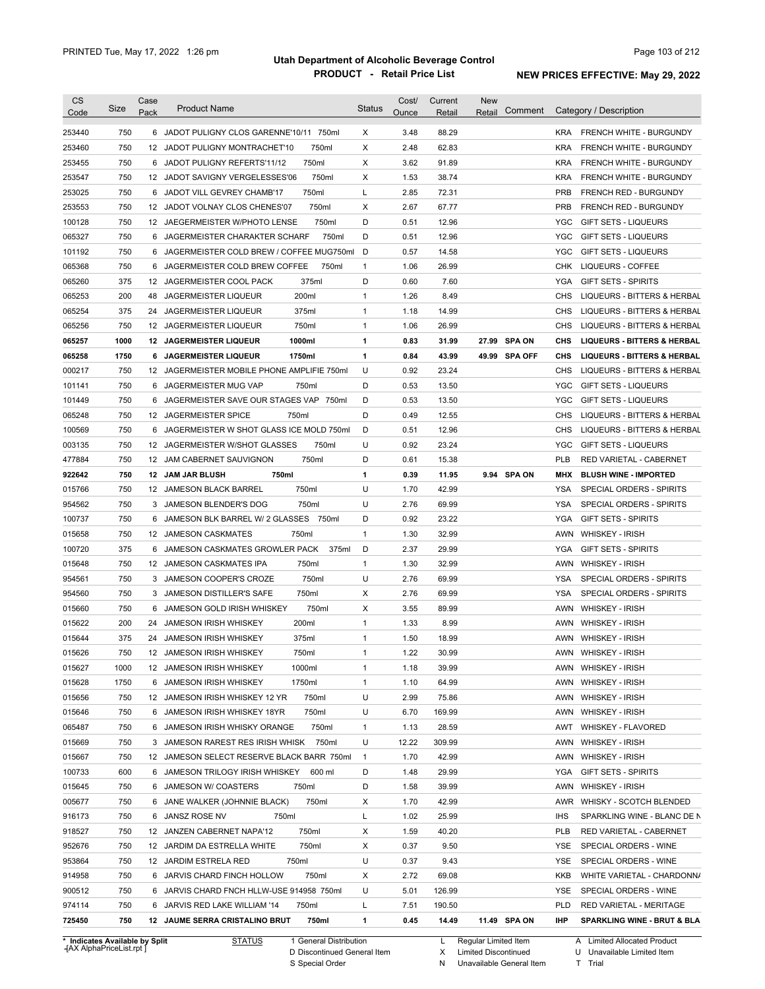| <b>CS</b><br>Code | Size       | Case<br>Pack | <b>Product Name</b>                                                               | Status            | Cost/<br>Ounce | Current<br>Retail | <b>New</b><br>Comment<br>Retail |            | Category / Description                                    |
|-------------------|------------|--------------|-----------------------------------------------------------------------------------|-------------------|----------------|-------------------|---------------------------------|------------|-----------------------------------------------------------|
|                   |            |              |                                                                                   |                   |                |                   |                                 |            |                                                           |
| 253440            | 750        |              | 6 JADOT PULIGNY CLOS GARENNE'10/11 750ml                                          | X                 | 3.48           | 88.29             |                                 | <b>KRA</b> | FRENCH WHITE - BURGUNDY                                   |
| 253460            | 750<br>750 |              | 750ml<br>12 JADOT PULIGNY MONTRACHET'10                                           | X<br>X            | 2.48           | 62.83             |                                 | <b>KRA</b> | FRENCH WHITE - BURGUNDY<br><b>FRENCH WHITE - BURGUNDY</b> |
| 253455            |            |              | 6 JADOT PULIGNY REFERTS'11/12<br>750ml                                            |                   | 3.62           | 91.89             |                                 | <b>KRA</b> |                                                           |
| 253547            | 750        |              | 750ml<br>12 JADOT SAVIGNY VERGELESSES'06                                          | X                 | 1.53           | 38.74             |                                 | <b>KRA</b> | FRENCH WHITE - BURGUNDY                                   |
| 253025            | 750        |              | 750ml<br>6 JADOT VILL GEVREY CHAMB'17                                             | L                 | 2.85           | 72.31             |                                 | <b>PRB</b> | FRENCH RED - BURGUNDY                                     |
| 253553            | 750        |              | 750ml<br>12 JADOT VOLNAY CLOS CHENES'07<br>12 JAEGERMEISTER W/PHOTO LENSE         | Х<br>D            | 2.67           | 67.77             |                                 | <b>PRB</b> | FRENCH RED - BURGUNDY                                     |
| 100128            | 750        |              | 750ml                                                                             |                   | 0.51           | 12.96             |                                 | <b>YGC</b> | <b>GIFT SETS - LIQUEURS</b>                               |
| 065327            | 750        | 6            | JAGERMEISTER CHARAKTER SCHARF<br>750ml                                            | D                 | 0.51           | 12.96             |                                 | <b>YGC</b> | GIFT SETS - LIQUEURS                                      |
| 101192            | 750        | 6            | JAGERMEISTER COLD BREW / COFFEE MUG750ml                                          | D                 | 0.57           | 14.58             |                                 | <b>YGC</b> | <b>GIFT SETS - LIQUEURS</b>                               |
| 065368            | 750        | 6            | JAGERMEISTER COLD BREW COFFEE<br>750ml                                            | $\mathbf{1}$<br>D | 1.06           | 26.99             |                                 | CHK        | LIQUEURS - COFFEE                                         |
| 065260            | 375        |              | 375ml<br>12 JAGERMEISTER COOL PACK                                                |                   | 0.60           | 7.60              |                                 | YGA        | <b>GIFT SETS - SPIRITS</b>                                |
| 065253            | 200        | 48           | 200ml<br><b>JAGERMEISTER LIQUEUR</b>                                              | $\mathbf{1}$      | 1.26           | 8.49              |                                 | CHS        | LIQUEURS - BITTERS & HERBAL                               |
| 065254            | 375        | 24           | 375ml<br>JAGERMEISTER LIQUEUR                                                     | 1                 | 1.18           | 14.99             |                                 | CHS        | LIQUEURS - BITTERS & HERBAL                               |
| 065256            | 750        |              | 750ml<br>12 JAGERMEISTER LIQUEUR                                                  | $\mathbf{1}$      | 1.06           | 26.99             |                                 | CHS        | LIQUEURS - BITTERS & HERBAL                               |
| 065257            | 1000       |              | 1000ml<br>12 JAGERMEISTER LIQUEUR                                                 | 1                 | 0.83           | 31.99             | 27.99 SPA ON                    | CHS        | <b>LIQUEURS - BITTERS &amp; HERBAL</b>                    |
| 065258            | 1750       |              | 1750ml<br><b>6 JAGERMEISTER LIQUEUR</b>                                           | 1                 | 0.84           | 43.99             | 49.99 SPA OFF                   | CHS        | <b>LIQUEURS - BITTERS &amp; HERBAL</b>                    |
| 000217            | 750        | 12           | JAGERMEISTER MOBILE PHONE AMPLIFIE 750ml                                          | U                 | 0.92           | 23.24             |                                 | CHS        | LIQUEURS - BITTERS & HERBAL                               |
| 101141            | 750        | 6            | JAGERMEISTER MUG VAP<br>750ml                                                     | D                 | 0.53           | 13.50             |                                 | <b>YGC</b> | <b>GIFT SETS - LIQUEURS</b>                               |
| 101449            | 750        | 6            | JAGERMEISTER SAVE OUR STAGES VAP<br>750ml                                         | D                 | 0.53           | 13.50             |                                 | <b>YGC</b> | <b>GIFT SETS - LIQUEURS</b>                               |
| 065248            | 750        | 12           | <b>JAGERMEISTER SPICE</b><br>750ml                                                | D                 | 0.49           | 12.55             |                                 | CHS        | LIQUEURS - BITTERS & HERBAL                               |
| 100569            | 750        | 6            | JAGERMEISTER W SHOT GLASS ICE MOLD 750ml                                          | D                 | 0.51           | 12.96             |                                 | CHS        | LIQUEURS - BITTERS & HERBAL                               |
| 003135            | 750        | 12           | 750ml<br>JAGERMEISTER W/SHOT GLASSES                                              | U                 | 0.92           | 23.24             |                                 | YGC        | <b>GIFT SETS - LIQUEURS</b>                               |
| 477884            | 750        | 12           | 750ml<br>JAM CABERNET SAUVIGNON                                                   | D                 | 0.61           | 15.38             |                                 | <b>PLB</b> | RED VARIETAL - CABERNET                                   |
| 922642            | 750        | 12           | 750ml<br><b>JAM JAR BLUSH</b>                                                     | 1                 | 0.39           | 11.95             | 9.94 SPA ON                     | MHX        | <b>BLUSH WINE - IMPORTED</b>                              |
| 015766            | 750        | 12           | 750ml<br><b>JAMESON BLACK BARREL</b>                                              | U                 | 1.70           | 42.99             |                                 | YSA        | SPECIAL ORDERS - SPIRITS                                  |
| 954562            | 750        |              | 750ml<br>3 JAMESON BLENDER'S DOG                                                  | U                 | 2.76           | 69.99             |                                 | YSA        | SPECIAL ORDERS - SPIRITS                                  |
| 100737            | 750        | 6            | JAMESON BLK BARREL W/ 2 GLASSES<br>750ml                                          | D                 | 0.92           | 23.22             |                                 | YGA        | <b>GIFT SETS - SPIRITS</b>                                |
| 015658            | 750        |              | 12 JAMESON CASKMATES<br>750ml                                                     | 1                 | 1.30           | 32.99             |                                 | AWN        | <b>WHISKEY - IRISH</b>                                    |
| 100720            | 375        | 6            | JAMESON CASKMATES GROWLER PACK<br>375ml                                           | D                 | 2.37           | 29.99             |                                 | YGA        | <b>GIFT SETS - SPIRITS</b>                                |
| 015648            | 750        |              | 12 JAMESON CASKMATES IPA<br>750ml                                                 | $\mathbf{1}$      | 1.30           | 32.99             |                                 | AWN        | <b>WHISKEY - IRISH</b>                                    |
| 954561            | 750        | 3            | 750ml<br>JAMESON COOPER'S CROZE                                                   | U                 | 2.76           | 69.99             |                                 | YSA        | SPECIAL ORDERS - SPIRITS                                  |
| 954560            | 750        | 3            | 750ml<br>JAMESON DISTILLER'S SAFE                                                 | X                 | 2.76           | 69.99             |                                 | YSA        | SPECIAL ORDERS - SPIRITS                                  |
| 015660            | 750        | 6            | 750ml<br>JAMESON GOLD IRISH WHISKEY                                               | X                 | 3.55           | 89.99             |                                 | AWN        | <b>WHISKEY - IRISH</b>                                    |
| 015622            | 200        | 24           | 200ml<br><b>JAMESON IRISH WHISKEY</b>                                             | $\mathbf{1}$      | 1.33           | 8.99              |                                 | AWN        | <b>WHISKEY - IRISH</b>                                    |
| 015644            | 375        |              | 375ml<br>24 JAMESON IRISH WHISKEY                                                 | 1                 | 1.50           | 18.99             |                                 |            | AWN WHISKEY - IRISH                                       |
| 015626            | 750        | 12           | 750ml<br>JAMESON IRISH WHISKEY                                                    | 1                 | 1.22           | 30.99             |                                 |            | AWN WHISKEY - IRISH                                       |
| 015627            | 1000       |              | 12 JAMESON IRISH WHISKEY<br>1000ml                                                | $\mathbf{1}$      | 1.18           | 39.99             |                                 |            | AWN WHISKEY - IRISH                                       |
| 015628            | 1750       | 6            | 1750ml<br>JAMESON IRISH WHISKEY                                                   | 1                 | 1.10           | 64.99             |                                 | AWN        | <b>WHISKEY - IRISH</b>                                    |
| 015656            | 750        |              | 12 JAMESON IRISH WHISKEY 12 YR<br>750ml                                           | U                 | 2.99           | 75.86             |                                 |            | AWN WHISKEY - IRISH                                       |
| 015646            | 750        | 6            | 750ml<br>JAMESON IRISH WHISKEY 18YR                                               | U                 | 6.70           | 169.99            |                                 |            | AWN WHISKEY - IRISH                                       |
| 065487            | 750        |              | 750ml<br>6 JAMESON IRISH WHISKY ORANGE                                            | 1                 | 1.13           | 28.59             |                                 | AWT        | <b>WHISKEY - FLAVORED</b>                                 |
| 015669            | 750        |              | 750ml<br>3 JAMESON RAREST RES IRISH WHISK                                         | U                 | 12.22          | 309.99            |                                 |            | AWN WHISKEY - IRISH                                       |
| 015667            | 750        |              | 12 JAMESON SELECT RESERVE BLACK BARR 750ml                                        | $\mathbf{1}$      | 1.70           | 42.99             |                                 |            | AWN WHISKEY - IRISH                                       |
| 100733            | 600        |              | 6 JAMESON TRILOGY IRISH WHISKEY<br>600 ml                                         | D                 | 1.48           | 29.99             |                                 | YGA        | <b>GIFT SETS - SPIRITS</b>                                |
| 015645            | 750        |              | 6 JAMESON W/ COASTERS<br>750ml                                                    | D                 | 1.58           | 39.99             |                                 |            | AWN WHISKEY - IRISH                                       |
| 005677            | 750        |              | 750ml<br>6 JANE WALKER (JOHNNIE BLACK)                                            | х                 | 1.70           | 42.99             |                                 |            | AWR WHISKY - SCOTCH BLENDED                               |
| 916173            | 750        |              | 6 JANSZ ROSE NV<br>750ml                                                          | L                 | 1.02           | 25.99             |                                 | IHS        | SPARKLING WINE - BLANC DE N                               |
| 918527            | 750        |              | 750ml<br>12 JANZEN CABERNET NAPA'12                                               | х                 | 1.59           | 40.20             |                                 | <b>PLB</b> | RED VARIETAL - CABERNET                                   |
| 952676            | 750        |              | 750ml<br>12 JARDIM DA ESTRELLA WHITE                                              | х                 | 0.37           | 9.50              |                                 | YSE        | SPECIAL ORDERS - WINE                                     |
| 953864            | 750        |              | 750ml<br>12 JARDIM ESTRELA RED                                                    | U                 | 0.37           | 9.43              |                                 | YSE        | SPECIAL ORDERS - WINE                                     |
| 914958            | 750        |              | 6 JARVIS CHARD FINCH HOLLOW<br>750ml                                              | х                 | 2.72           | 69.08             |                                 | KKB        | WHITE VARIETAL - CHARDONN/                                |
| 900512            | 750        |              | 6 JARVIS CHARD FNCH HLLW-USE 914958 750ml                                         | U                 | 5.01           | 126.99            |                                 | YSE        | SPECIAL ORDERS - WINE                                     |
|                   |            |              |                                                                                   | L                 |                |                   |                                 | PLD        |                                                           |
|                   |            |              |                                                                                   |                   |                |                   |                                 |            |                                                           |
| 974114<br>725450  | 750<br>750 |              | 6 JARVIS RED LAKE WILLIAM '14<br>750ml<br>12 JAUME SERRA CRISTALINO BRUT<br>750ml | 1                 | 7.51<br>0.45   | 190.50<br>14.49   | 11.49 SPA ON                    | IHP        | RED VARIETAL - MERITAGE<br>SPARKLING WINE - BRUT & BLA    |

**Case** [AX AlphaPriceList.rpt ]

D Discontinued General Item S Special Order

X Limited Discontinued

N Unavailable General Item

U Unavailable Limited Item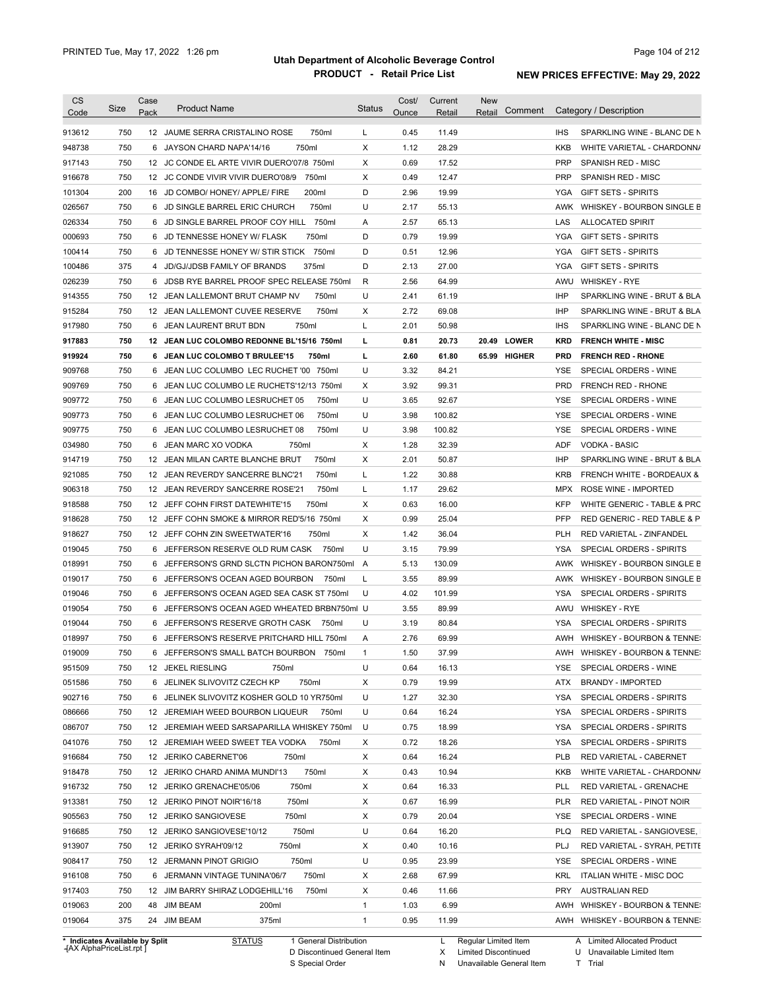| <b>CS</b><br>Code | Size | Case<br>Pack    | <b>Product Name</b>                          | <b>Status</b> | Cost/<br>Ounce | Current<br>Retail | <b>New</b><br>Retail | Comment      |            | Category / Description                |
|-------------------|------|-----------------|----------------------------------------------|---------------|----------------|-------------------|----------------------|--------------|------------|---------------------------------------|
|                   |      |                 |                                              |               |                |                   |                      |              |            |                                       |
| 913612            | 750  |                 | 750ml<br>12 JAUME SERRA CRISTALINO ROSE      | L             | 0.45           | 11.49             |                      |              | <b>IHS</b> | SPARKLING WINE - BLANC DE N           |
| 948738            | 750  |                 | 750ml<br>6 JAYSON CHARD NAPA'14/16           | X             | 1.12           | 28.29             |                      |              | <b>KKB</b> | WHITE VARIETAL - CHARDONN/            |
| 917143            | 750  |                 | 12 JC CONDE EL ARTE VIVIR DUERO'07/8 750ml   | Χ             | 0.69           | 17.52             |                      |              | <b>PRP</b> | SPANISH RED - MISC                    |
| 916678            | 750  |                 | 750ml<br>12 JC CONDE VIVIR VIVIR DUERO'08/9  | Χ             | 0.49           | 12.47             |                      |              | <b>PRP</b> | SPANISH RED - MISC                    |
| 101304            | 200  |                 | 200ml<br>16 JD COMBO/ HONEY/ APPLE/ FIRE     | D             | 2.96           | 19.99             |                      |              | <b>YGA</b> | <b>GIFT SETS - SPIRITS</b>            |
| 026567            | 750  |                 | 750ml<br>6 JD SINGLE BARREL ERIC CHURCH      | U             | 2.17           | 55.13             |                      |              |            | AWK WHISKEY - BOURBON SINGLE B        |
| 026334            | 750  | 6               | 750ml<br>JD SINGLE BARREL PROOF COY HILL     | Α             | 2.57           | 65.13             |                      |              | LAS        | <b>ALLOCATED SPIRIT</b>               |
| 000693            | 750  |                 | 750ml<br>6 JD TENNESSE HONEY W/ FLASK        | D             | 0.79           | 19.99             |                      |              | YGA        | <b>GIFT SETS - SPIRITS</b>            |
| 100414            | 750  | 6               | 750ml<br>JD TENNESSE HONEY W/ STIR STICK     | D             | 0.51           | 12.96             |                      |              | <b>YGA</b> | <b>GIFT SETS - SPIRITS</b>            |
| 100486            | 375  | $\overline{4}$  | JD/GJ/JDSB FAMILY OF BRANDS<br>375ml         | D             | 2.13           | 27.00             |                      |              | <b>YGA</b> | <b>GIFT SETS - SPIRITS</b>            |
| 026239            | 750  | 6               | JDSB RYE BARREL PROOF SPEC RELEASE 750ml     | R             | 2.56           | 64.99             |                      |              | AWU        | <b>WHISKEY - RYE</b>                  |
| 914355            | 750  |                 | 12 JEAN LALLEMONT BRUT CHAMP NV<br>750ml     | U             | 2.41           | 61.19             |                      |              | <b>IHP</b> | SPARKLING WINE - BRUT & BLA           |
| 915284            | 750  | 12 <sup>°</sup> | 750ml<br>JEAN LALLEMONT CUVEE RESERVE        | X             | 2.72           | 69.08             |                      |              | <b>IHP</b> | SPARKLING WINE - BRUT & BLA           |
| 917980            | 750  | 6               | 750ml<br>JEAN LAURENT BRUT BDN               | Г             | 2.01           | 50.98             |                      |              | <b>IHS</b> | SPARKLING WINE - BLANC DE N           |
| 917883            | 750  | 12              | JEAN LUC COLOMBO REDONNE BL'15/16 750ml      | г             | 0.81           | 20.73             |                      | 20.49 LOWER  | KRD        | <b>FRENCH WHITE - MISC</b>            |
| 919924            | 750  | 6               | JEAN LUC COLOMBO T BRULEE'15<br>750ml        | г             | 2.60           | 61.80             |                      | 65.99 HIGHER | <b>PRD</b> | <b>FRENCH RED - RHONE</b>             |
| 909768            | 750  | 6               | JEAN LUC COLUMBO LEC RUCHET '00 750ml        | U             | 3.32           | 84.21             |                      |              | <b>YSE</b> | SPECIAL ORDERS - WINE                 |
| 909769            | 750  |                 | 6 JEAN LUC COLUMBO LE RUCHETS'12/13 750ml    | Χ             | 3.92           | 99.31             |                      |              | <b>PRD</b> | <b>FRENCH RED - RHONE</b>             |
| 909772            | 750  | 6               | 750ml<br>JEAN LUC COLUMBO LESRUCHET 05       | U             | 3.65           | 92.67             |                      |              | <b>YSE</b> | SPECIAL ORDERS - WINE                 |
| 909773            | 750  | 6               | 750ml<br>JEAN LUC COLUMBO LESRUCHET 06       | U             | 3.98           | 100.82            |                      |              | <b>YSE</b> | SPECIAL ORDERS - WINE                 |
| 909775            | 750  | 6               | 750ml<br>JEAN LUC COLUMBO LESRUCHET 08       | U             | 3.98           | 100.82            |                      |              | <b>YSE</b> | SPECIAL ORDERS - WINE                 |
| 034980            | 750  | 6               | JEAN MARC XO VODKA<br>750ml                  | Χ             | 1.28           | 32.39             |                      |              | ADF        | <b>VODKA - BASIC</b>                  |
| 914719            | 750  |                 | 12 JEAN MILAN CARTE BLANCHE BRUT<br>750ml    | Χ             | 2.01           | 50.87             |                      |              | <b>IHP</b> | SPARKLING WINE - BRUT & BLA           |
| 921085            | 750  |                 | 12 JEAN REVERDY SANCERRE BLNC'21<br>750ml    | L             | 1.22           | 30.88             |                      |              | <b>KRB</b> | <b>FRENCH WHITE - BORDEAUX &amp;</b>  |
| 906318            | 750  |                 | 750ml<br>12 JEAN REVERDY SANCERRE ROSE'21    | L             | 1.17           | 29.62             |                      |              | MPX        | ROSE WINE - IMPORTED                  |
| 918588            | 750  |                 | 12 JEFF COHN FIRST DATEWHITE'15<br>750ml     | X             | 0.63           | 16.00             |                      |              | <b>KFP</b> | WHITE GENERIC - TABLE & PRC           |
| 918628            | 750  |                 | 12 JEFF COHN SMOKE & MIRROR RED'5/16 750ml   | X             | 0.99           | 25.04             |                      |              | <b>PFP</b> | RED GENERIC - RED TABLE & P           |
| 918627            | 750  |                 | 750ml<br>12 JEFF COHN ZIN SWEETWATER'16      | X             | 1.42           | 36.04             |                      |              | <b>PLH</b> | RED VARIETAL - ZINFANDEL              |
| 019045            | 750  | 6               | JEFFERSON RESERVE OLD RUM CASK<br>750ml      | U             | 3.15           | 79.99             |                      |              | <b>YSA</b> | SPECIAL ORDERS - SPIRITS              |
| 018991            | 750  |                 | 6 JEFFERSON'S GRND SLCTN PICHON BARON750ml   | Α             | 5.13           | 130.09            |                      |              | AWK        | WHISKEY - BOURBON SINGLE B            |
| 019017            | 750  |                 | 6 JEFFERSON'S OCEAN AGED BOURBON<br>750ml    | L             | 3.55           | 89.99             |                      |              | AWK        | WHISKEY - BOURBON SINGLE B            |
| 019046            | 750  |                 | 6 JEFFERSON'S OCEAN AGED SEA CASK ST 750ml   | U             | 4.02           | 101.99            |                      |              | YSA        | <b>SPECIAL ORDERS - SPIRITS</b>       |
| 019054            | 750  |                 | 6 JEFFERSON'S OCEAN AGED WHEATED BRBN750ml U |               | 3.55           | 89.99             |                      |              | AWU        | <b>WHISKEY - RYE</b>                  |
| 019044            | 750  |                 | 6 JEFFERSON'S RESERVE GROTH CASK<br>750ml    | U             | 3.19           | 80.84             |                      |              | YSA        | SPECIAL ORDERS - SPIRITS              |
| 018997            | 750  |                 | 6 JEFFERSON'S RESERVE PRITCHARD HILL 750ml   | Α             | 2.76           | 69.99             |                      |              | AWH        | <b>WHISKEY - BOURBON &amp; TENNE:</b> |
|                   |      |                 |                                              |               |                |                   |                      |              |            |                                       |
| 019009            | 750  |                 | 6 JEFFERSON'S SMALL BATCH BOURBON 750ml      | 1             | 1.50           | 37.99             |                      |              |            | AWH WHISKEY - BOURBON & TENNE:        |
| 951509            | 750  |                 | 12 JEKEL RIESLING<br>750ml                   | U             | 0.64           | 16.13             |                      |              | YSE        | SPECIAL ORDERS - WINE                 |
| 051586            | 750  |                 | 750ml<br>6 JELINEK SLIVOVITZ CZECH KP        | Х             | 0.79           | 19.99             |                      |              | ATX        | <b>BRANDY - IMPORTED</b>              |
| 902716            | 750  |                 | 6 JELINEK SLIVOVITZ KOSHER GOLD 10 YR750ml   | U             | 1.27           | 32.30             |                      |              | YSA        | SPECIAL ORDERS - SPIRITS              |
| 086666            | 750  |                 | 12 JEREMIAH WEED BOURBON LIQUEUR<br>750ml    | U             | 0.64           | 16.24             |                      |              | YSA        | SPECIAL ORDERS - SPIRITS              |
| 086707            | 750  |                 | 12 JEREMIAH WEED SARSAPARILLA WHISKEY 750ml  | U             | 0.75           | 18.99             |                      |              | YSA        | SPECIAL ORDERS - SPIRITS              |
| 041076            | 750  |                 | 12 JEREMIAH WEED SWEET TEA VODKA<br>750ml    | Х             | 0.72           | 18.26             |                      |              | YSA        | SPECIAL ORDERS - SPIRITS              |
| 916684            | 750  |                 | 12 JERIKO CABERNET'06<br>750ml               | Х             | 0.64           | 16.24             |                      |              | PLB        | RED VARIETAL - CABERNET               |
| 918478            | 750  |                 | 750ml<br>12 JERIKO CHARD ANIMA MUNDI'13      | Х             | 0.43           | 10.94             |                      |              | KKB        | WHITE VARIETAL - CHARDONN/            |
| 916732            | 750  |                 | 750ml<br>12 JERIKO GRENACHE'05/06            | х             | 0.64           | 16.33             |                      |              | PLL        | RED VARIETAL - GRENACHE               |
| 913381            | 750  |                 | 12 JERIKO PINOT NOIR'16/18<br>750ml          | х             | 0.67           | 16.99             |                      |              | PLR        | RED VARIETAL - PINOT NOIR             |
| 905563            | 750  |                 | 12 JERIKO SANGIOVESE<br>750ml                | х             | 0.79           | 20.04             |                      |              | YSE        | SPECIAL ORDERS - WINE                 |
| 916685            | 750  |                 | 750ml<br>12 JERIKO SANGIOVESE'10/12          | U             | 0.64           | 16.20             |                      |              | <b>PLQ</b> | RED VARIETAL - SANGIOVESE,            |
| 913907            | 750  |                 | 750ml<br>12 JERIKO SYRAH'09/12               | Х             | 0.40           | 10.16             |                      |              | PLJ        | RED VARIETAL - SYRAH, PETITE          |
| 908417            | 750  |                 | 750ml<br>12 JERMANN PINOT GRIGIO             | U             | 0.95           | 23.99             |                      |              | YSE        | SPECIAL ORDERS - WINE                 |
| 916108            | 750  |                 | 750ml<br>6 JERMANN VINTAGE TUNINA'06/7       | Х             | 2.68           | 67.99             |                      |              | <b>KRL</b> | <b>ITALIAN WHITE - MISC DOC</b>       |
| 917403            | 750  |                 | 750ml<br>12 JIM BARRY SHIRAZ LODGEHILL'16    | Х             | 0.46           | 11.66             |                      |              | PRY        | <b>AUSTRALIAN RED</b>                 |
|                   |      |                 | 48 JIM BEAM<br>200ml                         | 1             | 1.03           | 6.99              |                      |              | AWH        | WHISKEY - BOURBON & TENNE:            |
| 019063            | 200  |                 |                                              |               |                |                   |                      |              |            |                                       |

**Case** [AX AlphaPriceList.rpt ]

D Discontinued General Item S Special Order

X N Limited Discontinued

Unavailable General Item

A Limited Allocated Product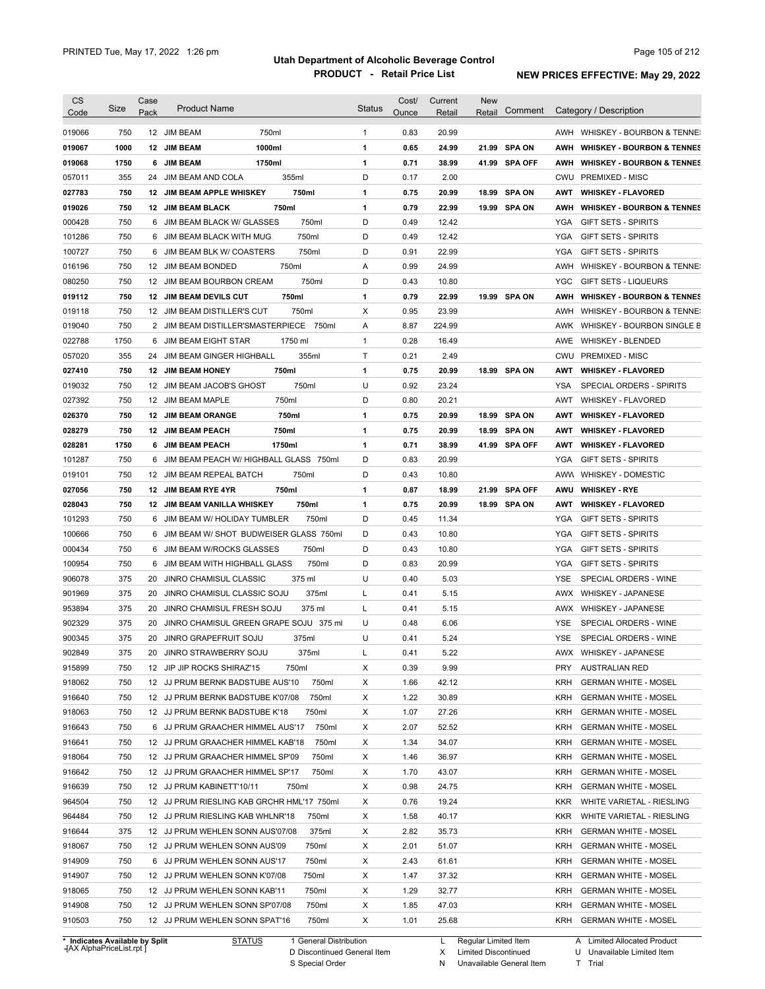|                  | Size       | Case    | <b>Product Name</b>                                           |         |                 | <b>Status</b> | Cost/        | Current        | <b>New</b> | Comment       |            | Category / Description                                     |
|------------------|------------|---------|---------------------------------------------------------------|---------|-----------------|---------------|--------------|----------------|------------|---------------|------------|------------------------------------------------------------|
| Code             |            | Pack    |                                                               |         |                 |               | Ounce        | Retail         | Retail     |               |            |                                                            |
| 019066           | 750        |         | 12 JIM BEAM                                                   | 750ml   |                 | $\mathbf{1}$  | 0.83         | 20.99          |            |               |            | AWH WHISKEY - BOURBON & TENNE:                             |
| 019067           | 1000       |         | 12 JIM BEAM                                                   | 1000ml  |                 | 1             | 0.65         | 24.99          |            | 21.99 SPA ON  | AWH        | <b>WHISKEY - BOURBON &amp; TENNES</b>                      |
| 019068           | 1750       | 6       | <b>JIM BEAM</b>                                               | 1750ml  |                 | 1             | 0.71         | 38.99          |            | 41.99 SPA OFF | AWH        | <b>WHISKEY - BOURBON &amp; TENNES</b>                      |
| 057011           | 355        | 24      | JIM BEAM AND COLA                                             | 355ml   |                 | D             | 0.17         | 2.00           |            |               | CWU        | <b>PREMIXED - MISC</b>                                     |
| 027783           | 750        |         | 12 JIM BEAM APPLE WHISKEY                                     |         | 750ml           | 1             | 0.75         | 20.99          | 18.99      | <b>SPA ON</b> | AWT        | <b>WHISKEY - FLAVORED</b>                                  |
| 019026           | 750        |         | 12 JIM BEAM BLACK                                             | 750ml   |                 | 1             | 0.79         | 22.99          |            | 19.99 SPA ON  | AWH        | <b>WHISKEY - BOURBON &amp; TENNES</b>                      |
| 000428           | 750        |         | 6 JIM BEAM BLACK W/ GLASSES                                   |         | 750ml           | D             | 0.49         | 12.42          |            |               | YGA        | <b>GIFT SETS - SPIRITS</b>                                 |
| 101286           | 750        |         | 6 JIM BEAM BLACK WITH MUG                                     |         | 750ml           | D             | 0.49         | 12.42          |            |               | <b>YGA</b> | <b>GIFT SETS - SPIRITS</b>                                 |
| 100727           | 750        |         | 6 JIM BEAM BLK W/ COASTERS                                    |         | 750ml           | D             | 0.91         | 22.99          |            |               | <b>YGA</b> | <b>GIFT SETS - SPIRITS</b>                                 |
| 016196           | 750        |         | 12 JIM BEAM BONDED                                            | 750ml   |                 | Α             | 0.99         | 24.99          |            |               | AWH        | WHISKEY - BOURBON & TENNE:                                 |
| 080250           | 750        |         | 12 JIM BEAM BOURBON CREAM                                     |         | 750ml           | D             | 0.43         | 10.80          |            |               | YGC        | <b>GIFT SETS - LIQUEURS</b>                                |
| 019112           | 750        |         | 12 JIM BEAM DEVILS CUT                                        | 750ml   |                 | 1             | 0.79         | 22.99          |            | 19.99 SPA ON  | AWH        | <b>WHISKEY - BOURBON &amp; TENNES</b>                      |
| 019118           | 750        |         | 12 JIM BEAM DISTILLER'S CUT                                   |         | 750ml           | Х             | 0.95         | 23.99          |            |               | AWH        | WHISKEY - BOURBON & TENNE:                                 |
| 019040           | 750        |         | 2 JIM BEAM DISTILLER'SMASTERPIECE                             |         | 750ml           | Α             | 8.87         | 224.99         |            |               |            | AWK WHISKEY - BOURBON SINGLE B                             |
| 022788           | 1750       | 6       | JIM BEAM EIGHT STAR                                           | 1750 ml |                 | $\mathbf{1}$  | 0.28         | 16.49          |            |               | AWE        | <b>WHISKEY - BLENDED</b>                                   |
| 057020           | 355        |         | 24 JIM BEAM GINGER HIGHBALL                                   |         | 355ml           | Т             | 0.21         | 2.49           |            |               | CWU        | PREMIXED - MISC                                            |
| 027410           | 750        |         | 12 JIM BEAM HONEY                                             | 750ml   |                 | 1             | 0.75         | 20.99          |            | 18.99 SPA ON  | AWT        | <b>WHISKEY FLAVORED</b>                                    |
| 019032           | 750        | 12      | <b>JIM BEAM JACOB'S GHOST</b>                                 |         | 750ml           | U             | 0.92         | 23.24          |            |               | <b>YSA</b> | SPECIAL ORDERS - SPIRITS                                   |
| 027392           | 750        | 12      | JIM BEAM MAPLE                                                | 750ml   |                 | D             | 0.80         | 20.21          |            |               | AWT        | <b>WHISKEY - FLAVORED</b>                                  |
| 026370           | 750        | 12      | <b>JIM BEAM ORANGE</b>                                        | 750ml   |                 | 1             | 0.75         | 20.99          | 18.99      | <b>SPA ON</b> | AWT        | <b>WHISKEY - FLAVORED</b>                                  |
| 028279           | 750        | 12      | <b>JIM BEAM PEACH</b>                                         | 750ml   |                 | 1             | 0.75         | 20.99          |            | 18.99 SPA ON  | AWT        | <b>WHISKEY FLAVORED</b>                                    |
| 028281           | 1750       | 6       | <b>JIM BEAM PEACH</b>                                         | 1750ml  |                 | 1             | 0.71         | 38.99          |            | 41.99 SPA OFF | AWT        | <b>WHISKEY - FLAVORED</b>                                  |
| 101287           | 750        | 6       | JIM BEAM PEACH W/ HIGHBALL GLASS 750ml                        |         |                 | D             | 0.83         | 20.99          |            |               | YGA        | <b>GIFT SETS - SPIRITS</b>                                 |
| 019101           | 750        | 12      | JIM BEAM REPEAL BATCH                                         |         | 750ml           | D             | 0.43         | 10.80          |            |               | AWW        | <b>WHISKEY - DOMESTIC</b>                                  |
| 027056           | 750        |         | 12 JIM BEAM RYE 4YR                                           | 750ml   |                 | 1             | 0.87         | 18.99          |            | 21.99 SPA OFF | AWU        | <b>WHISKEY - RYE</b>                                       |
| 028043           | 750        |         | 12 JIM BEAM VANILLA WHISKEY                                   |         | 750ml           | 1             | 0.75         | 20.99          |            | 18.99 SPA ON  | AWT        | <b>WHISKEY - FLAVORED</b>                                  |
| 101293           | 750        | 6       | JIM BEAM W/ HOLIDAY TUMBLER                                   |         | 750ml           | D             | 0.45         | 11.34          |            |               | YGA        | <b>GIFT SETS - SPIRITS</b>                                 |
| 100666           | 750<br>750 | 6       | JIM BEAM W/ SHOT BUDWEISER GLASS 750ml                        |         | 750ml           | D<br>D        | 0.43<br>0.43 | 10.80<br>10.80 |            |               | YGA        | <b>GIFT SETS - SPIRITS</b>                                 |
| 000434           |            | 6       | JIM BEAM W/ROCKS GLASSES                                      |         |                 | D             | 0.83         |                |            |               | YGA        | <b>GIFT SETS - SPIRITS</b>                                 |
| 100954           | 750<br>375 | 6<br>20 | JIM BEAM WITH HIGHBALL GLASS<br><b>JINRO CHAMISUL CLASSIC</b> |         | 750ml<br>375 ml | U             | 0.40         | 20.99<br>5.03  |            |               | YGA<br>YSE | <b>GIFT SETS - SPIRITS</b><br>SPECIAL ORDERS - WINE        |
| 906078<br>901969 |            | 20      |                                                               |         | 375ml           | L             | 0.41         | 5.15           |            |               | AWX        | <b>WHISKEY - JAPANESE</b>                                  |
|                  |            |         |                                                               |         | 375 ml          |               |              |                |            |               |            | <b>WHISKEY - JAPANESE</b>                                  |
|                  | 375        |         | JINRO CHAMISUL CLASSIC SOJU                                   |         |                 |               |              |                |            |               |            |                                                            |
| 953894           | 375        | 20      | JINRO CHAMISUL FRESH SOJU                                     |         |                 | Г             | 0.41         | 5.15           |            |               | AWX        |                                                            |
| 902329           | 375        | 20      | JINRO CHAMISUL GREEN GRAPE SOJU 375 ml                        |         |                 | U             | 0.48         | 6.06           |            |               | YSE        | SPECIAL ORDERS - WINE                                      |
| 900345           | 375        | 20      | JINRO GRAPEFRUIT SOJU                                         |         | 375ml           | U             | 0.41         | 5.24           |            |               | <b>YSE</b> | SPECIAL ORDERS - WINE                                      |
| 902849           | 375        |         | 20 JINRO STRAWBERRY SOJU                                      |         | 375ml           |               | 0.41         | 5.22           |            |               |            | AWX WHISKEY - JAPANESE                                     |
| 915899           | 750        |         | 12 JIP JIP ROCKS SHIRAZ'15                                    |         | 750ml           | X             | 0.39         | 9.99           |            |               | PRY        | <b>AUSTRALIAN RED</b>                                      |
| 918062           | 750        |         | 12 JJ PRUM BERNK BADSTUBE AUS'10                              |         | 750ml           | X             | 1.66         | 42.12          |            |               | KRH        | <b>GERMAN WHITE - MOSEL</b>                                |
| 916640           | 750        |         | 12 JJ PRUM BERNK BADSTUBE K'07/08                             |         | 750ml           | х             | 1.22         | 30.89          |            |               | <b>KRH</b> | <b>GERMAN WHITE - MOSEL</b>                                |
| 918063           | 750        |         | 12 JJ PRUM BERNK BADSTUBE K'18                                |         | 750ml           | х             | 1.07         | 27.26          |            |               | KRH        | <b>GERMAN WHITE - MOSEL</b>                                |
| 916643           | 750        |         | 6 JJ PRUM GRAACHER HIMMEL AUS'17                              |         | 750ml           | х             | 2.07         | 52.52          |            |               | KRH        | <b>GERMAN WHITE - MOSEL</b>                                |
| 916641           | 750        |         | 12 JJ PRUM GRAACHER HIMMEL KAB'18                             |         | 750ml           | X             | 1.34         | 34.07          |            |               | KRH        | <b>GERMAN WHITE - MOSEL</b>                                |
| 918064           | 750        |         | 12 JJ PRUM GRAACHER HIMMEL SP'09                              |         | 750ml           | X             | 1.46         | 36.97          |            |               | KRH        | <b>GERMAN WHITE - MOSEL</b>                                |
| 916642           | 750        |         | 12 JJ PRUM GRAACHER HIMMEL SP'17                              |         | 750ml           | X             | 1.70         | 43.07          |            |               | KRH        | <b>GERMAN WHITE - MOSEL</b>                                |
| 916639           | 750        |         | 12 JJ PRUM KABINETT'10/11                                     |         | 750ml           | X             | 0.98         | 24.75          |            |               | KRH        | <b>GERMAN WHITE - MOSEL</b>                                |
| 964504           | 750        |         | 12 JJ PRUM RIESLING KAB GRCHR HML'17 750ml                    |         |                 | X             | 0.76         | 19.24          |            |               | <b>KKR</b> | WHITE VARIETAL - RIESLING                                  |
| 964484           | 750        |         | 12 JJ PRUM RIESLING KAB WHLNR'18                              |         | 750ml           | X             | 1.58         | 40.17          |            |               | <b>KKR</b> | WHITE VARIETAL - RIESLING                                  |
| 916644           | 375        |         | 12 JJ PRUM WEHLEN SONN AUS'07/08                              |         | 375ml           | X             | 2.82         | 35.73          |            |               | KRH        | <b>GERMAN WHITE - MOSEL</b>                                |
| 918067           | 750        |         | 12 JJ PRUM WEHLEN SONN AUS'09                                 |         | 750ml           | X             | 2.01         | 51.07          |            |               | KRH        | <b>GERMAN WHITE - MOSEL</b>                                |
| 914909           | 750        |         | 6 JJ PRUM WEHLEN SONN AUS'17                                  |         | 750ml           | X             | 2.43         | 61.61          |            |               | KRH        | <b>GERMAN WHITE - MOSEL</b>                                |
| 914907           | 750        |         | 12 JJ PRUM WEHLEN SONN K'07/08                                |         | 750ml           | X             | 1.47         | 37.32          |            |               | KRH        | <b>GERMAN WHITE - MOSEL</b>                                |
| 918065           | 750        |         | 12 JJ PRUM WEHLEN SONN KAB'11                                 |         | 750ml           | X             | 1.29         | 32.77          |            |               | KRH        | <b>GERMAN WHITE - MOSEL</b>                                |
| 914908<br>910503 | 750<br>750 |         | 12 JJ PRUM WEHLEN SONN SP'07/08                               |         | 750ml<br>750ml  | X<br>X        | 1.85<br>1.01 | 47.03<br>25.68 |            |               | KRH<br>KRH | <b>GERMAN WHITE - MOSEL</b><br><b>GERMAN WHITE - MOSEL</b> |

**Case** [AX AlphaPriceList.rpt ]

D Discontinued General Item S Special Order

Regular Limited Item

X

Limited Discontinued

N Unavailable General Item

U Unavailable Limited Item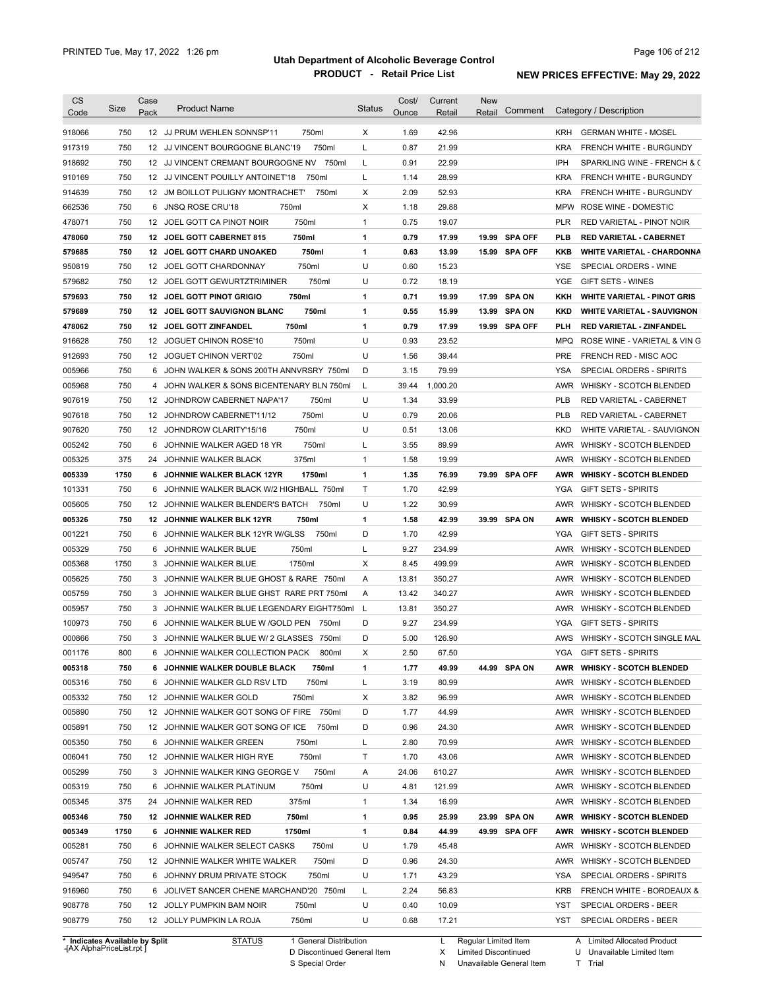| Code                                                                                                                                                                                                                               | Size       | Case             | <b>Product Name</b>                         | <b>Status</b> | Cost/ | Current  | New    |               |            |                                                       |
|------------------------------------------------------------------------------------------------------------------------------------------------------------------------------------------------------------------------------------|------------|------------------|---------------------------------------------|---------------|-------|----------|--------|---------------|------------|-------------------------------------------------------|
|                                                                                                                                                                                                                                    |            | Pack             |                                             |               | Ounce | Retail   | Retail | Comment       |            | Category / Description                                |
| 918066                                                                                                                                                                                                                             | 750        |                  | 12 JJ PRUM WEHLEN SONNSP'11<br>750ml        | Х             | 1.69  | 42.96    |        |               | <b>KRH</b> | <b>GERMAN WHITE - MOSEL</b>                           |
| 917319                                                                                                                                                                                                                             | 750        |                  | 750ml<br>12 JJ VINCENT BOURGOGNE BLANC'19   | L             | 0.87  | 21.99    |        |               | <b>KRA</b> | <b>FRENCH WHITE - BURGUNDY</b>                        |
| 918692                                                                                                                                                                                                                             | 750        |                  | 12 JJ VINCENT CREMANT BOURGOGNE NV<br>750ml | L             | 0.91  | 22.99    |        |               | IPH        | SPARKLING WINE - FRENCH & C                           |
| 910169                                                                                                                                                                                                                             | 750        |                  | 12 JJ VINCENT POUILLY ANTOINET'18<br>750ml  | L             | 1.14  | 28.99    |        |               | <b>KRA</b> | FRENCH WHITE - BURGUNDY                               |
| 914639                                                                                                                                                                                                                             | 750        |                  | 12 JM BOILLOT PULIGNY MONTRACHET<br>750ml   | Х             | 2.09  | 52.93    |        |               | <b>KRA</b> | FRENCH WHITE - BURGUNDY                               |
| 662536                                                                                                                                                                                                                             | 750        | 6                | 750ml<br><b>JNSQ ROSE CRU'18</b>            | Х             | 1.18  | 29.88    |        |               | <b>MPW</b> | ROSE WINE - DOMESTIC                                  |
| 478071                                                                                                                                                                                                                             | 750        | 12               | 750ml<br>JOEL GOTT CA PINOT NOIR            | $\mathbf{1}$  | 0.75  | 19.07    |        |               | PLR        | RED VARIETAL - PINOT NOIR                             |
| 478060                                                                                                                                                                                                                             | 750        | 12               | 750ml<br>JOEL GOTT CABERNET 815             | 1             | 0.79  | 17.99    | 19.99  | SPA OFF       | <b>PLB</b> | <b>RED VARIETAL - CABERNET</b>                        |
| 579685                                                                                                                                                                                                                             | 750        |                  | 750ml<br>12 JOEL GOTT CHARD UNOAKED         | 1             | 0.63  | 13.99    |        | 15.99 SPA OFF | KKB        | <b>WHITE VARIETAL - CHARDONNA</b>                     |
| 950819                                                                                                                                                                                                                             | 750        | 12 <sup>12</sup> | 750ml<br>JOEL GOTT CHARDONNAY               | U             | 0.60  | 15.23    |        |               | <b>YSE</b> | SPECIAL ORDERS - WINE                                 |
| 579682                                                                                                                                                                                                                             | 750        | 12               | 750ml<br>JOEL GOTT GEWURTZTRIMINER          | U             | 0.72  | 18.19    |        |               | <b>YGE</b> | GIFT SETS - WINES                                     |
| 579693                                                                                                                                                                                                                             | 750        | 12               | 750ml<br><b>JOEL GOTT PINOT GRIGIO</b>      | 1             | 0.71  | 19.99    | 17.99  | <b>SPA ON</b> | KKH        | <b>WHITE VARIETAL - PINOT GRIS</b>                    |
| 579689                                                                                                                                                                                                                             | 750        |                  | 750ml<br>12 JOEL GOTT SAUVIGNON BLANC       | 1             | 0.55  | 15.99    |        | 13.99 SPA ON  | <b>KKD</b> | <b>WHITE VARIETAL - SAUVIGNON</b>                     |
| 478062                                                                                                                                                                                                                             | 750        |                  | 750ml<br>12 JOEL GOTT ZINFANDEL             | 1             | 0.79  | 17.99    |        | 19.99 SPA OFF | PLH        | RED VARIETAL - ZINFANDEL                              |
| 916628                                                                                                                                                                                                                             | 750        | 12               | 750ml<br>JOGUET CHINON ROSE'10              | U             | 0.93  | 23.52    |        |               | MPQ        | ROSE WINE - VARIETAL & VIN G                          |
| 912693                                                                                                                                                                                                                             | 750        |                  | 750ml<br>12 JOGUET CHINON VERT'02           | U             | 1.56  | 39.44    |        |               | PRE        | FRENCH RED - MISC AOC                                 |
| 005966                                                                                                                                                                                                                             | 750        | 6                | JOHN WALKER & SONS 200TH ANNVRSRY 750ml     | D             | 3.15  | 79.99    |        |               | YSA        | <b>SPECIAL ORDERS - SPIRITS</b>                       |
| 005968                                                                                                                                                                                                                             | 750        | 4                | JOHN WALKER & SONS BICENTENARY BLN 750ml    | L             | 39.44 | 1,000.20 |        |               | AWR        | WHISKY - SCOTCH BLENDED                               |
| 907619                                                                                                                                                                                                                             | 750        |                  | 12 JOHNDROW CABERNET NAPA'17<br>750ml       | U             | 1.34  | 33.99    |        |               | <b>PLB</b> | <b>RED VARIETAL - CABERNET</b>                        |
| 907618                                                                                                                                                                                                                             | 750        |                  | 750ml<br>12 JOHNDROW CABERNET'11/12         | U             | 0.79  | 20.06    |        |               | <b>PLB</b> | RED VARIETAL - CABERNET                               |
| 907620                                                                                                                                                                                                                             | 750        |                  | 750ml<br>12 JOHNDROW CLARITY'15/16          | U             | 0.51  | 13.06    |        |               | <b>KKD</b> | WHITE VARIETAL - SAUVIGNON                            |
| 005242                                                                                                                                                                                                                             | 750        | 6                | 750ml<br>JOHNNIE WALKER AGED 18 YR          | L             | 3.55  | 89.99    |        |               | AWR        | WHISKY - SCOTCH BLENDED                               |
| 005325                                                                                                                                                                                                                             | 375        | 24               | 375ml<br>JOHNNIE WALKER BLACK               | $\mathbf{1}$  | 1.58  | 19.99    |        |               | AWR        | WHISKY - SCOTCH BLENDED                               |
| 005339                                                                                                                                                                                                                             | 1750       | 6                | JOHNNIE WALKER BLACK 12YR<br>1750ml         | 1             | 1.35  | 76.99    |        | 79.99 SPA OFF | AWR        | <b>WHISKY - SCOTCH BLENDED</b>                        |
| 101331                                                                                                                                                                                                                             | 750        | 6                | JOHNNIE WALKER BLACK W/2 HIGHBALL 750ml     | Τ             | 1.70  | 42.99    |        |               | YGA        | <b>GIFT SETS - SPIRITS</b>                            |
| 005605                                                                                                                                                                                                                             | 750        |                  | 12 JOHNNIE WALKER BLENDER'S BATCH<br>750ml  | U             | 1.22  | 30.99    |        |               | AWR        | WHISKY - SCOTCH BLENDED                               |
| 005326                                                                                                                                                                                                                             | 750        |                  | 12 JOHNNIE WALKER BLK 12YR<br>750ml         | 1             | 1.58  | 42.99    |        | 39.99 SPA ON  | AWR        | <b>WHISKY - SCOTCH BLENDED</b>                        |
| 001221                                                                                                                                                                                                                             | 750        |                  | 6 JOHNNIE WALKER BLK 12YR W/GLSS<br>750ml   | D             | 1.70  | 42.99    |        |               | YGA        | <b>GIFT SETS - SPIRITS</b>                            |
| 005329                                                                                                                                                                                                                             | 750        |                  | 750ml<br>6 JOHNNIE WALKER BLUE              | L             | 9.27  | 234.99   |        |               | AWR        | WHISKY - SCOTCH BLENDED                               |
| 005368                                                                                                                                                                                                                             | 1750       |                  | 1750ml<br>3 JOHNNIE WALKER BLUE             | Х             | 8.45  | 499.99   |        |               | AWR        | WHISKY - SCOTCH BLENDED                               |
|                                                                                                                                                                                                                                    |            |                  |                                             |               |       |          |        |               | AWR        | WHISKY - SCOTCH BLENDED                               |
|                                                                                                                                                                                                                                    |            |                  |                                             |               |       |          |        |               |            |                                                       |
|                                                                                                                                                                                                                                    | 750        |                  | 3 JOHNNIE WALKER BLUE GHOST & RARE 750ml    | Α             | 13.81 | 350.27   |        |               |            |                                                       |
|                                                                                                                                                                                                                                    | 750        |                  | 3 JOHNNIE WALKER BLUE GHST RARE PRT 750ml   | Α             | 13.42 | 340.27   |        |               | AWR        | WHISKY - SCOTCH BLENDED                               |
|                                                                                                                                                                                                                                    | 750        |                  | 3 JOHNNIE WALKER BLUE LEGENDARY EIGHT750ml  | L             | 13.81 | 350.27   |        |               | AWR        | <b>WHISKY - SCOTCH BLENDED</b>                        |
|                                                                                                                                                                                                                                    | 750        |                  | 6 JOHNNIE WALKER BLUE W / GOLD PEN<br>750ml | D             | 9.27  | 234.99   |        |               | YGA        | <b>GIFT SETS - SPIRITS</b>                            |
|                                                                                                                                                                                                                                    | 750        |                  | 3 JOHNNIE WALKER BLUE W/ 2 GLASSES 750ml    | D             | 5.00  | 126.90   |        |               | AWS        |                                                       |
|                                                                                                                                                                                                                                    | 800        | 6                | JOHNNIE WALKER COLLECTION PACK<br>800ml     | X             | 2.50  | 67.50    |        |               |            | WHISKY - SCOTCH SINGLE MAL<br>YGA GIFT SETS - SPIRITS |
|                                                                                                                                                                                                                                    | 750        |                  | 6 JOHNNIE WALKER DOUBLE BLACK<br>750ml      | 1             | 1.77  | 49.99    |        | 44.99 SPA ON  | AWR        | <b>WHISKY - SCOTCH BLENDED</b>                        |
|                                                                                                                                                                                                                                    | 750        |                  | 6 JOHNNIE WALKER GLD RSV LTD<br>750ml       | L             | 3.19  | 80.99    |        |               | AWR        | WHISKY - SCOTCH BLENDED                               |
|                                                                                                                                                                                                                                    | 750        |                  | 750ml<br>12 JOHNNIE WALKER GOLD             | Х             | 3.82  | 96.99    |        |               | AWR        | WHISKY - SCOTCH BLENDED                               |
|                                                                                                                                                                                                                                    | 750        |                  | 12 JOHNNIE WALKER GOT SONG OF FIRE 750ml    | D             | 1.77  | 44.99    |        |               | AWR        | WHISKY - SCOTCH BLENDED                               |
|                                                                                                                                                                                                                                    | 750        |                  | 750ml<br>12 JOHNNIE WALKER GOT SONG OF ICE  | D             | 0.96  | 24.30    |        |               | AWR        | WHISKY - SCOTCH BLENDED                               |
|                                                                                                                                                                                                                                    | 750        |                  | 6 JOHNNIE WALKER GREEN<br>750ml             | L             | 2.80  | 70.99    |        |               | AWR        | WHISKY - SCOTCH BLENDED                               |
|                                                                                                                                                                                                                                    | 750        |                  | 750ml<br>12 JOHNNIE WALKER HIGH RYE         | Τ             | 1.70  | 43.06    |        |               | AWR        | WHISKY - SCOTCH BLENDED                               |
|                                                                                                                                                                                                                                    | 750        |                  | 750ml<br>3 JOHNNIE WALKER KING GEORGE V     | Α             | 24.06 | 610.27   |        |               | AWR        | WHISKY - SCOTCH BLENDED                               |
|                                                                                                                                                                                                                                    | 750        |                  | 750ml<br>6 JOHNNIE WALKER PLATINUM          | U             | 4.81  | 121.99   |        |               | AWR        | WHISKY - SCOTCH BLENDED                               |
|                                                                                                                                                                                                                                    | 375        |                  | 375ml<br>24 JOHNNIE WALKER RED              | $\mathbf{1}$  | 1.34  | 16.99    |        |               |            | AWR WHISKY - SCOTCH BLENDED                           |
|                                                                                                                                                                                                                                    | 750        |                  | 750ml<br>12 JOHNNIE WALKER RED              | 1             | 0.95  | 25.99    |        | 23.99 SPA ON  |            | AWR WHISKY - SCOTCH BLENDED                           |
|                                                                                                                                                                                                                                    | 1750       |                  | 6 JOHNNIE WALKER RED<br>1750ml              | 1             | 0.84  | 44.99    |        | 49.99 SPA OFF | AWR        | <b>WHISKY - SCOTCH BLENDED</b>                        |
|                                                                                                                                                                                                                                    | 750        |                  | 6 JOHNNIE WALKER SELECT CASKS<br>750ml      | U             | 1.79  | 45.48    |        |               |            | AWR WHISKY - SCOTCH BLENDED                           |
|                                                                                                                                                                                                                                    | 750        |                  | 12 JOHNNIE WALKER WHITE WALKER<br>750ml     | D             | 0.96  | 24.30    |        |               |            | AWR WHISKY - SCOTCH BLENDED                           |
|                                                                                                                                                                                                                                    | 750        |                  | 6 JOHNNY DRUM PRIVATE STOCK<br>750ml        | U             | 1.71  | 43.29    |        |               | YSA        | SPECIAL ORDERS - SPIRITS                              |
|                                                                                                                                                                                                                                    | 750        |                  | 6 JOLIVET SANCER CHENE MARCHAND'20 750ml    | L             | 2.24  | 56.83    |        |               | <b>KRB</b> | FRENCH WHITE - BORDEAUX &                             |
| 005625<br>005759<br>005957<br>100973<br>000866<br>001176<br>005318<br>005316<br>005332<br>005890<br>005891<br>005350<br>006041<br>005299<br>005319<br>005345<br>005346<br>005349<br>005281<br>005747<br>949547<br>916960<br>908778 | 750<br>750 |                  | 12 JOLLY PUMPKIN BAM NOIR<br>750ml          | U<br>U        | 0.40  | 10.09    |        |               | YST        | SPECIAL ORDERS - BEER                                 |

**Case** [AX AlphaPriceList.rpt ]

D Discontinued General Item

S Special Order

X Limited Discontinued

N Unavailable General Item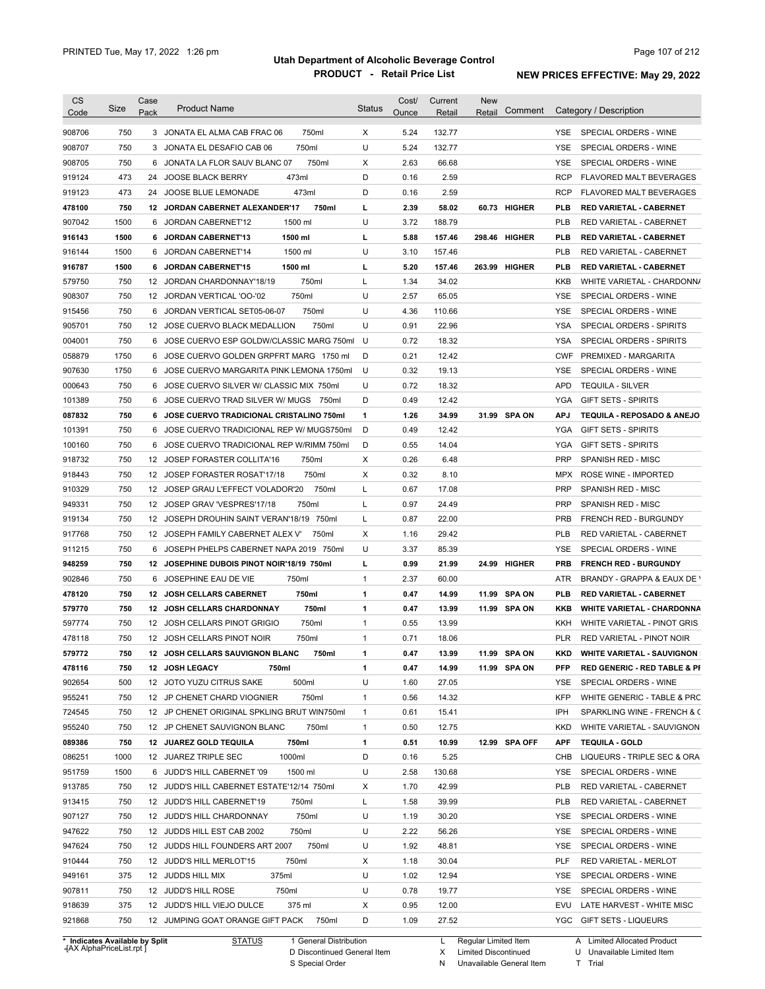| CS               |            | Case |                                                                          |                       | Cost/        | Current        | New    |               |            |                                                          |
|------------------|------------|------|--------------------------------------------------------------------------|-----------------------|--------------|----------------|--------|---------------|------------|----------------------------------------------------------|
| Code             | Size       | Pack | <b>Product Name</b>                                                      | <b>Status</b>         | Ounce        | Retail         | Retail | Comment       |            | Category / Description                                   |
| 908706           | 750        |      | 3 JONATA EL ALMA CAB FRAC 06<br>750ml                                    | Χ                     | 5.24         | 132.77         |        |               | YSE.       | SPECIAL ORDERS - WINE                                    |
| 908707           | 750        | 3    | 750ml<br>JONATA EL DESAFIO CAB 06                                        | U                     | 5.24         | 132.77         |        |               | YSE        | SPECIAL ORDERS - WINE                                    |
| 908705           | 750        | 6    | JONATA LA FLOR SAUV BLANC 07                                             | 750ml<br>х            | 2.63         | 66.68          |        |               | <b>YSE</b> | SPECIAL ORDERS - WINE                                    |
| 919124           | 473        | 24   | <b>JOOSE BLACK BERRY</b><br>473ml                                        | D                     | 0.16         | 2.59           |        |               | <b>RCP</b> | <b>FLAVORED MALT BEVERAGES</b>                           |
| 919123           | 473        | 24   | 473ml<br>JOOSE BLUE LEMONADE                                             | D                     | 0.16         | 2.59           |        |               | <b>RCP</b> | <b>FLAVORED MALT BEVERAGES</b>                           |
| 478100           | 750        | 12   | JORDAN CABERNET ALEXANDER'17                                             | 750ml<br>L            | 2.39         | 58.02          |        | 60.73 HIGHER  | <b>PLB</b> | <b>RED VARIETAL - CABERNET</b>                           |
| 907042           | 1500       | 6    | JORDAN CABERNET'12<br>1500 ml                                            | U                     | 3.72         | 188.79         |        |               | <b>PLB</b> | RED VARIETAL - CABERNET                                  |
| 916143           | 1500       | 6    | <b>JORDAN CABERNET'13</b><br>1500 ml                                     | L                     | 5.88         | 157.46         |        | 298.46 HIGHER | <b>PLB</b> | <b>RED VARIETAL - CABERNET</b>                           |
| 916144           | 1500       | 6    | JORDAN CABERNET'14<br>1500 ml                                            | U                     | 3.10         | 157.46         |        |               | PLB        | RED VARIETAL - CABERNET                                  |
| 916787           | 1500       | 6    | <b>JORDAN CABERNET'15</b><br>1500 ml                                     | г                     | 5.20         | 157.46         | 263.99 | HIGHER        | PLB        | <b>RED VARIETAL - CABERNET</b>                           |
| 579750           | 750        | 12   | 750ml<br>JORDAN CHARDONNAY'18/19                                         | L                     | 1.34         | 34.02          |        |               | <b>KKB</b> | WHITE VARIETAL - CHARDONN/                               |
| 908307           | 750        |      | 750ml<br>12 JORDAN VERTICAL '00-'02                                      | U                     | 2.57         | 65.05          |        |               | YSE        | SPECIAL ORDERS - WINE                                    |
| 915456           | 750        | 6    | 750ml<br>JORDAN VERTICAL SET05-06-07                                     | U                     | 4.36         | 110.66         |        |               | YSE        | SPECIAL ORDERS - WINE                                    |
| 905701           | 750        | 12   | JOSE CUERVO BLACK MEDALLION                                              | 750ml<br>U            | 0.91         | 22.96          |        |               | <b>YSA</b> | SPECIAL ORDERS - SPIRITS                                 |
| 004001           | 750        | 6    | JOSE CUERVO ESP GOLDW/CLASSIC MARG 750ml                                 | U                     | 0.72         | 18.32          |        |               | YSA        | SPECIAL ORDERS - SPIRITS                                 |
| 058879           | 1750       | 6    | JOSE CUERVO GOLDEN GRPFRT MARG 1750 ml                                   | D                     | 0.21         | 12.42          |        |               | <b>CWF</b> | PREMIXED - MARGARITA                                     |
| 907630           | 1750       | 6    | JOSE CUERVO MARGARITA PINK LEMONA 1750ml                                 | U                     | 0.32         | 19.13          |        |               | YSE        | SPECIAL ORDERS - WINE                                    |
|                  | 750        | 6    | JOSE CUERVO SILVER W/ CLASSIC MIX 750ml                                  | U                     | 0.72         | 18.32          |        |               | APD        | <b>TEQUILA - SILVER</b>                                  |
| 000643           | 750        |      |                                                                          |                       |              |                |        |               |            |                                                          |
| 101389           |            | 6    | JOSE CUERVO TRAD SILVER W/ MUGS 750ml                                    | D                     | 0.49         | 12.42          |        |               | YGA        | <b>GIFT SETS - SPIRITS</b>                               |
| 087832           | 750        | 6    | <b>JOSE CUERVO TRADICIONAL CRISTALINO 750ml</b>                          | 1                     | 1.26         | 34.99          |        | 31.99 SPA ON  | <b>APJ</b> | TEQUILA - REPOSADO & ANEJO                               |
| 101391           | 750        | 6    | JOSE CUERVO TRADICIONAL REP W/ MUGS750ml                                 | D                     | 0.49         | 12.42          |        |               | YGA        | <b>GIFT SETS - SPIRITS</b>                               |
| 100160           | 750        | 6    | JOSE CUERVO TRADICIONAL REP W/RIMM 750ml                                 | D                     | 0.55         | 14.04          |        |               | YGA        | <b>GIFT SETS - SPIRITS</b>                               |
| 918732           | 750        |      | 12 JOSEP FORASTER COLLITA'16<br>750ml                                    | Х                     | 0.26         | 6.48           |        |               | <b>PRP</b> | SPANISH RED - MISC                                       |
| 918443           | 750        |      | 12 JOSEP FORASTER ROSAT'17/18<br>750ml                                   | Х                     | 0.32         | 8.10           |        |               | <b>MPX</b> | ROSE WINE - IMPORTED                                     |
| 910329           | 750        | 12   | JOSEP GRAU L'EFFECT VOLADOR'20                                           | L<br>750ml            | 0.67         | 17.08          |        |               | <b>PRP</b> | SPANISH RED - MISC                                       |
| 949331           | 750        |      | 750ml<br>12 JOSEP GRAV 'VESPRES'17/18                                    | L                     | 0.97         | 24.49          |        |               | <b>PRP</b> | SPANISH RED - MISC                                       |
| 919134           | 750        |      | 12 JOSEPH DROUHIN SAINT VERAN'18/19 750ml                                | L                     | 0.87         | 22.00          |        |               | <b>PRB</b> | FRENCH RED - BURGUNDY                                    |
| 917768           | 750        |      | 12 JOSEPH FAMILY CABERNET ALEX V'                                        | Х<br>750ml            | 1.16         | 29.42          |        |               | <b>PLB</b> | RED VARIETAL - CABERNET                                  |
| 911215           | 750        |      | 6 JOSEPH PHELPS CABERNET NAPA 2019 750ml                                 | U                     | 3.37         | 85.39          |        |               | YSE        | SPECIAL ORDERS - WINE                                    |
| 948259           | 750        |      | 12 JOSEPHINE DUBOIS PINOT NOIR'18/19 750ml                               | L                     | 0.99         | 21.99          |        | 24.99 HIGHER  | <b>PRB</b> | <b>FRENCH RED - BURGUNDY</b>                             |
| 902846           | 750        |      | 750ml<br>6 JOSEPHINE EAU DE VIE                                          | 1                     | 2.37         | 60.00          |        |               | ATR        | BRANDY - GRAPPA & EAUX DE \                              |
| 478120           | 750        |      | 750ml<br>12 JOSH CELLARS CABERNET                                        | 1                     | 0.47         | 14.99          | 11.99  | <b>SPA ON</b> | <b>PLB</b> | <b>RED VARIETAL - CABERNET</b>                           |
| 579770           | 750        | 12   | 750ml<br><b>JOSH CELLARS CHARDONNAY</b>                                  | 1                     | 0.47         | 13.99          |        | 11.99 SPA ON  | KKB        | <b>WHITE VARIETAL - CHARDONNA</b>                        |
| 597774           | 750        |      | 750ml<br>12 JOSH CELLARS PINOT GRIGIO                                    | 1                     | 0.55         | 13.99          |        |               | KKH        | WHITE VARIETAL - PINOT GRIS                              |
| 478118           | 750        |      | 12 JOSH CELLARS PINOT NOIR<br>750ml                                      | $\mathbf{1}$          | 0.71         | 18.06          |        |               | <b>PLR</b> | RED VARIETAL - PINOT NOIR                                |
| 579772           | 750        |      | 12 JOSH CELLARS SAUVIGNON BLANC                                          | 750ml<br>1            | 0.47         | 13.99          | 11.99  | SPA ON        | <b>KKD</b> | <b>WHITE VARIETAL - SAUVIGNON</b>                        |
| 478116           | 750        |      | 12 JOSH LEGACY<br>750ml                                                  | 1                     | 0.47         | 14.99          |        | 11.99 SPA ON  | PFP        | <b>RED GENERIC - RED TABLE &amp; PI</b>                  |
| 902654           | 500        |      | 500ml<br>12 JOTO YUZU CITRUS SAKE                                        | U                     | 1.60         | 27.05          |        |               | YSE        | SPECIAL ORDERS - WINE                                    |
| 955241           | 750        |      | 750ml<br>12 JP CHENET CHARD VIOGNIER                                     | 1                     | 0.56         | 14.32          |        |               | KFP        | WHITE GENERIC - TABLE & PRC                              |
| 724545           | 750        |      | 12 JP CHENET ORIGINAL SPKLING BRUT WIN750ml                              | $\mathbf{1}$          | 0.61         | 15.41          |        |               | IPH        | SPARKLING WINE - FRENCH & C                              |
| 955240           | 750        |      | 12 JP CHENET SAUVIGNON BLANC                                             | $\mathbf{1}$<br>750ml | 0.50         | 12.75          |        |               | KKD        | WHITE VARIETAL - SAUVIGNON                               |
| 089386           | 750        |      | 750ml<br>12 JUAREZ GOLD TEQUILA                                          | 1                     | 0.51         | 10.99          |        | 12.99 SPA OFF | <b>APF</b> | <b>TEQUILA - GOLD</b>                                    |
| 086251           | 1000       |      | 1000ml<br>12 JUAREZ TRIPLE SEC                                           | D                     | 0.16         | 5.25           |        |               | CHB        | LIQUEURS - TRIPLE SEC & ORA                              |
| 951759           | 1500       |      | 1500 ml<br>6 JUDD'S HILL CABERNET '09                                    | U                     | 2.58         | 130.68         |        |               | YSE        | SPECIAL ORDERS - WINE                                    |
| 913785           | 750        |      | 12 JUDD'S HILL CABERNET ESTATE'12/14 750ml                               | Х                     | 1.70         | 42.99          |        |               | PLB        | RED VARIETAL - CABERNET                                  |
| 913415           | 750        |      | 12 JUDD'S HILL CABERNET'19<br>750ml                                      | L                     | 1.58         | 39.99          |        |               | PLB        | RED VARIETAL - CABERNET                                  |
| 907127           | 750        |      | 750ml<br>12 JUDD'S HILL CHARDONNAY                                       | U                     | 1.19         | 30.20          |        |               | YSE        | SPECIAL ORDERS - WINE                                    |
| 947622           | 750        |      | 12 JUDDS HILL EST CAB 2002<br>750ml                                      | U                     | 2.22         | 56.26          |        |               | YSE        | SPECIAL ORDERS - WINE                                    |
| 947624           | 750        |      | 12 JUDDS HILL FOUNDERS ART 2007                                          | 750ml<br>U            | 1.92         | 48.81          |        |               | YSE        | SPECIAL ORDERS - WINE                                    |
| 910444           | 750        |      | 12 JUDD'S HILL MERLOT'15<br>750ml                                        | Х                     | 1.18         | 30.04          |        |               | PLF        | RED VARIETAL - MERLOT                                    |
| 949161           | 375        |      | 375ml<br>12 JUDDS HILL MIX                                               | U                     | 1.02         | 12.94          |        |               | YSE        | SPECIAL ORDERS - WINE                                    |
|                  | 750        |      | 750ml<br>12 JUDD'S HILL ROSE                                             | U                     | 0.78         | 19.77          |        |               | YSE        | SPECIAL ORDERS - WINE                                    |
|                  |            |      |                                                                          |                       |              |                |        |               |            |                                                          |
| 907811           |            |      |                                                                          |                       |              |                |        |               |            |                                                          |
| 918639<br>921868 | 375<br>750 |      | 12 JUDD'S HILL VIEJO DULCE<br>375 ml<br>12 JUMPING GOAT ORANGE GIFT PACK | Х<br>D<br>750ml       | 0.95<br>1.09 | 12.00<br>27.52 |        |               | EVU<br>YGC | LATE HARVEST - WHITE MISC<br><b>GIFT SETS - LIQUEURS</b> |

**Case** [AX AlphaPriceList.rpt ]

D Discontinued General Item

S Special Order

X Limited Discontinued

U Unavailable Limited Item

N Unavailable General Item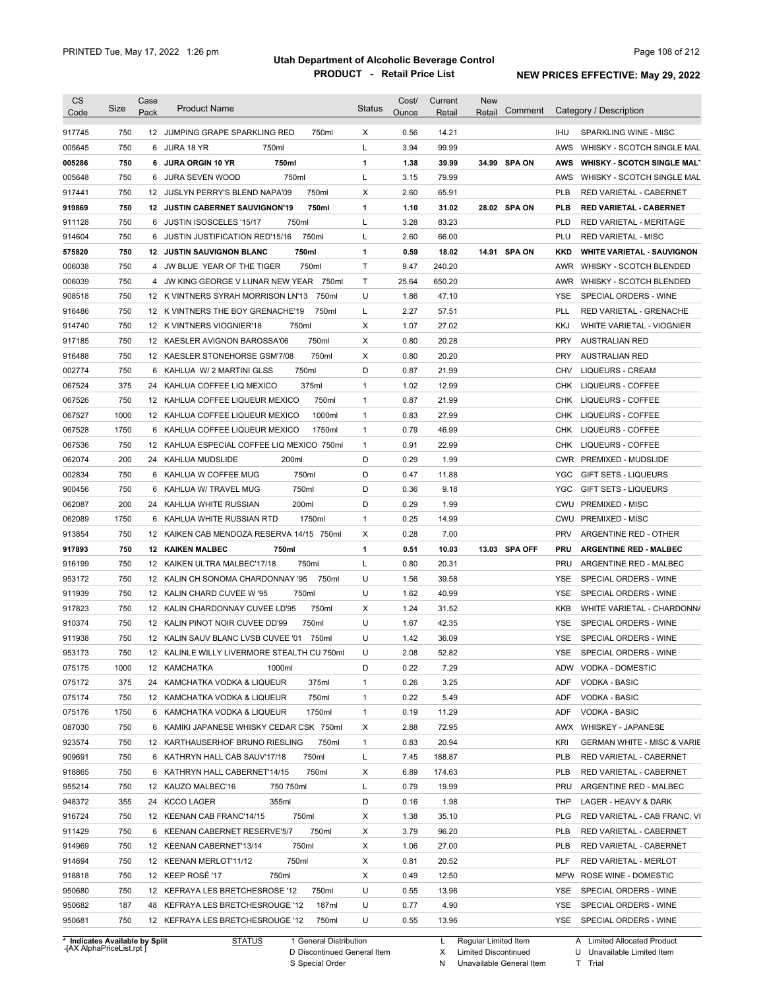| 750<br>12 JUMPING GRAPE SPARKLING RED<br>0.56<br>14.21<br>917745<br>750ml<br>Х<br><b>IHU</b><br>SPARKLING WINE - MISC<br>750<br>Г<br>3.94<br>99.99<br>005645<br>6 JURA 18 YR<br>750ml<br>AWS<br>WHISKY - SCOTCH SINGLE MAL<br>005286<br>750<br>750ml<br>1<br>1.38<br>39.99<br>34.99 SPA ON<br>6 JURA ORGIN 10 YR<br><b>AWS</b><br><b>WHISKY - SCOTCH SINGLE MALT</b><br>750<br>750ml<br>Г<br>3.15<br>79.99<br>005648<br>JURA SEVEN WOOD<br>AWS<br>WHISKY - SCOTCH SINGLE MAL<br>6<br>750<br>750ml<br>2.60<br>65.91<br>917441<br>12 JUSLYN PERRY'S BLEND NAPA'09<br>х<br><b>PLB</b><br>RED VARIETAL - CABERNET<br>750<br>750ml<br>1.10<br>31.02<br>28.02 SPA ON<br>919869<br><b>JUSTIN CABERNET SAUVIGNON'19</b><br>1<br><b>PLB</b><br><b>RED VARIETAL - CABERNET</b><br>12<br>750<br>750ml<br>L<br>3.28<br>911128<br><b>JUSTIN ISOSCELES '15/17</b><br>83.23<br><b>PLD</b><br><b>RED VARIETAL - MERITAGE</b><br>6<br>750<br>750ml<br>Г<br>2.60<br>914604<br>JUSTIN JUSTIFICATION RED'15/16<br>66.00<br>PLU<br><b>RED VARIETAL - MISC</b><br>6<br>750<br>750ml<br>0.59<br>14.91 SPA ON<br>575820<br><b>JUSTIN SAUVIGNON BLANC</b><br>1<br>18.02<br><b>KKD</b><br><b>WHITE VARIETAL - SAUVIGNON</b><br>12<br>750<br>750ml<br>Τ<br>9.47<br>240.20<br>006038<br>JW BLUE YEAR OF THE TIGER<br>AWR<br><b>WHISKY - SCOTCH BLENDED</b><br>4<br>750<br>T<br>25.64<br>650.20<br>006039<br>JW KING GEORGE V LUNAR NEW YEAR<br>750ml<br>AWR<br><b>WHISKY - SCOTCH BLENDED</b><br>4<br>750<br>750ml<br>U<br>47.10<br>908518<br>12 K VINTNERS SYRAH MORRISON LN'13<br>1.86<br>YSE<br>SPECIAL ORDERS - WINE<br>750<br>2.27<br>916486<br>750ml<br>L<br>57.51<br>PLL<br>12 K VINTNERS THE BOY GRENACHE'19<br>RED VARIETAL - GRENACHE<br>750<br>750ml<br>X<br>1.07<br>27.02<br>914740<br>12 K VINTNERS VIOGNIER'18<br><b>KKJ</b><br>WHITE VARIETAL - VIOGNIER<br>750<br>750ml<br>X<br>0.80<br>20.28<br><b>PRY</b><br><b>AUSTRALIAN RED</b><br>917185<br>12 KAESLER AVIGNON BAROSSA'06<br>750<br>750ml<br>X<br>0.80<br>20.20<br>916488<br>12 KAESLER STONEHORSE GSM'7/08<br><b>PRY</b><br><b>AUSTRALIAN RED</b><br>D<br>002774<br>750<br>750ml<br>0.87<br>21.99<br>KAHLUA W/ 2 MARTINI GLSS<br><b>CHV</b><br><b>LIQUEURS - CREAM</b><br>6<br>375<br>$\mathbf{1}$<br>1.02<br>12.99<br>067524<br>24<br>KAHLUA COFFEE LIQ MEXICO<br>375ml<br>CHK<br><b>LIQUEURS - COFFEE</b><br>750<br>750ml<br>0.87<br>21.99<br>067526<br>12<br>KAHLUA COFFEE LIQUEUR MEXICO<br>1<br>CHK<br>LIQUEURS - COFFEE<br>1000<br>1000ml<br>0.83<br>27.99<br>067527<br>12 KAHLUA COFFEE LIQUEUR MEXICO<br>1<br>CHK<br><b>LIQUEURS - COFFEE</b><br>067528<br>1750<br>1<br>0.79<br>46.99<br>KAHLUA COFFEE LIQUEUR MEXICO<br>1750ml<br>CHK<br>LIQUEURS - COFFEE<br>6<br>$\mathbf{1}$<br>067536<br>750<br>12 KAHLUA ESPECIAL COFFEE LIQ MEXICO 750ml<br>0.91<br>22.99<br>CHK<br><b>LIQUEURS - COFFEE</b><br>200<br>200ml<br>D<br>062074<br>24<br>KAHLUA MUDSLIDE<br>0.29<br>1.99<br>CWR PREMIXED - MUDSLIDE<br>002834<br>750<br>D<br>0.47<br>6<br>KAHLUA W COFFEE MUG<br>750ml<br>11.88<br><b>YGC</b><br><b>GIFT SETS - LIQUEURS</b><br>900456<br>750ml<br>D<br>750<br>KAHLUA W/ TRAVEL MUG<br>0.36<br>9.18<br>YGC<br><b>GIFT SETS - LIQUEURS</b><br>6<br>062087<br>200<br>200ml<br>D<br>0.29<br>1.99<br><b>CWU</b><br><b>PREMIXED - MISC</b><br>24<br>KAHLUA WHITE RUSSIAN<br>062089<br>1750<br>$\mathbf{1}$<br>0.25<br>14.99<br><b>PREMIXED - MISC</b><br>KAHLUA WHITE RUSSIAN RTD<br>1750ml<br>CWU<br>6<br>913854<br>750<br>12 KAIKEN CAB MENDOZA RESERVA 14/15 750ml<br>X<br>0.28<br>7.00<br><b>PRV</b><br>ARGENTINE RED - OTHER<br>917893<br>1<br>10.03<br>13.03 SPA OFF<br>750<br><b>12 KAIKEN MALBEC</b><br>750ml<br>0.51<br><b>PRU</b><br><b>ARGENTINE RED - MALBEC</b><br>916199<br>750<br>12 KAIKEN ULTRA MALBEC'17/18<br>750ml<br>Г<br>0.80<br>20.31<br><b>PRU</b><br>ARGENTINE RED - MALBEC<br>953172<br>750<br>750ml<br>U<br>39.58<br><b>YSE</b><br>SPECIAL ORDERS - WINE<br>12 KALIN CH SONOMA CHARDONNAY '95<br>1.56<br>911939<br>750<br>750ml<br>U<br>1.62<br>40.99<br><b>YSE</b><br>SPECIAL ORDERS - WINE<br>12 KALIN CHARD CUVEE W '95<br>917823<br>750<br>750ml<br>1.24<br>31.52<br>12 KALIN CHARDONNAY CUVEE LD'95<br>х<br>KKB<br>WHITE VARIETAL - CHARDONN/<br>910374<br>750<br>750ml<br>U<br>42.35<br>SPECIAL ORDERS - WINE<br>12 KALIN PINOT NOIR CUVEE DD'99<br>1.67<br>YSE<br>911938<br>750<br>12 KALIN SAUV BLANC LVSB CUVEE '01 750ml<br>U<br>1.42<br>36.09<br><b>YSE</b><br>SPECIAL ORDERS - WINE<br>953173<br>12 KALINLE WILLY LIVERMORE STEALTH CU 750ml<br>2.08<br>52.82<br>YSE SPECIAL ORDERS - WINE<br>750<br>U<br>D<br>075175<br>1000<br>12 KAMCHATKA<br>1000ml<br>0.22<br>7.29<br>ADW VODKA - DOMESTIC<br>075172<br>3.25<br>VODKA - BASIC<br>375<br>24 KAMCHATKA VODKA & LIQUEUR<br>375ml<br>1<br>0.26<br>ADF<br>075174<br>750<br>750ml<br>5.49<br>VODKA - BASIC<br>12 KAMCHATKA VODKA & LIQUEUR<br>1<br>0.22<br>ADF<br>075176<br>1750<br>1750ml<br>11.29<br>VODKA - BASIC<br>6 KAMCHATKA VODKA & LIQUEUR<br>$\mathbf{1}$<br>0.19<br>ADF<br>087030<br>750<br>6 KAMIKI JAPANESE WHISKY CEDAR CSK 750ml<br>72.95<br>WHISKEY - JAPANESE<br>х<br>2.88<br>AWX<br>923574<br>750<br>750ml<br>$\mathbf{1}$<br>20.94<br><b>KRI</b><br>12 KARTHAUSERHOF BRUNO RIESLING<br>0.83<br><b>GERMAN WHITE - MISC &amp; VARIE</b><br>909691<br>750<br>750ml<br>188.87<br>6 KATHRYN HALL CAB SAUV'17/18<br>L<br>7.45<br><b>PLB</b><br>RED VARIETAL - CABERNET<br>918865<br>750<br>750ml<br>174.63<br><b>PLB</b><br>6 KATHRYN HALL CABERNET'14/15<br>х<br>6.89<br>RED VARIETAL - CABERNET<br>955214<br>750<br>L<br>19.99<br>12 KAUZO MALBEC'16<br>750 750ml<br>0.79<br>PRU<br>ARGENTINE RED - MALBEC<br>D<br>355<br>24 KCCO LAGER<br>1.98<br>355ml<br>0.16<br>THP<br>LAGER - HEAVY & DARK<br>750<br>750ml<br>х<br>35.10<br>916724<br>12 KEENAN CAB FRANC'14/15<br>1.38<br><b>PLG</b><br>RED VARIETAL - CAB FRANC, VI<br>750<br>750ml<br>х<br>96.20<br>6 KEENAN CABERNET RESERVE'5/7<br>3.79<br><b>PLB</b><br>RED VARIETAL - CABERNET<br>750ml<br>х<br>27.00<br>914969<br>750<br>12 KEENAN CABERNET'13/14<br>1.06<br><b>PLB</b><br>RED VARIETAL - CABERNET<br>914694<br>750<br>750ml<br>х<br>20.52<br>12 KEENAN MERLOT'11/12<br>0.81<br>PLF<br>RED VARIETAL - MERLOT<br>750<br>12 KEEP ROSÉ '17<br>750ml<br>х<br>12.50<br>918818<br>0.49<br>MPW ROSE WINE - DOMESTIC<br>U<br>950680<br>750<br>12 KEFRAYA LES BRETCHESROSE '12<br>750ml<br>0.55<br>13.96<br>YSE<br>SPECIAL ORDERS - WINE<br>U<br>4.90<br>950682<br>187<br>48 KEFRAYA LES BRETCHESROUGE '12<br>187ml<br>0.77<br><b>YSE</b><br>SPECIAL ORDERS - WINE<br>750ml<br>U<br>950681<br>750<br>12 KEFRAYA LES BRETCHESROUGE '12<br>0.55<br>13.96<br>YSE SPECIAL ORDERS - WINE | <b>CS</b><br>Code | Size | Case<br>Pack | <b>Product Name</b> | <b>Status</b> | Cost/<br>Ounce | Current<br>Retail | <b>New</b><br>Comment<br>Retail | Category / Description |
|-----------------------------------------------------------------------------------------------------------------------------------------------------------------------------------------------------------------------------------------------------------------------------------------------------------------------------------------------------------------------------------------------------------------------------------------------------------------------------------------------------------------------------------------------------------------------------------------------------------------------------------------------------------------------------------------------------------------------------------------------------------------------------------------------------------------------------------------------------------------------------------------------------------------------------------------------------------------------------------------------------------------------------------------------------------------------------------------------------------------------------------------------------------------------------------------------------------------------------------------------------------------------------------------------------------------------------------------------------------------------------------------------------------------------------------------------------------------------------------------------------------------------------------------------------------------------------------------------------------------------------------------------------------------------------------------------------------------------------------------------------------------------------------------------------------------------------------------------------------------------------------------------------------------------------------------------------------------------------------------------------------------------------------------------------------------------------------------------------------------------------------------------------------------------------------------------------------------------------------------------------------------------------------------------------------------------------------------------------------------------------------------------------------------------------------------------------------------------------------------------------------------------------------------------------------------------------------------------------------------------------------------------------------------------------------------------------------------------------------------------------------------------------------------------------------------------------------------------------------------------------------------------------------------------------------------------------------------------------------------------------------------------------------------------------------------------------------------------------------------------------------------------------------------------------------------------------------------------------------------------------------------------------------------------------------------------------------------------------------------------------------------------------------------------------------------------------------------------------------------------------------------------------------------------------------------------------------------------------------------------------------------------------------------------------------------------------------------------------------------------------------------------------------------------------------------------------------------------------------------------------------------------------------------------------------------------------------------------------------------------------------------------------------------------------------------------------------------------------------------------------------------------------------------------------------------------------------------------------------------------------------------------------------------------------------------------------------------------------------------------------------------------------------------------------------------------------------------------------------------------------------------------------------------------------------------------------------------------------------------------------------------------------------------------------------------------------------------------------------------------------------------------------------------------------------------------------------------------------------------------------------------------------------------------------------------------------------------------------------------------------------------------------------------------------------------------------------------------------------------------------------------------------------------------------------------------------------------------------------------------------------------------------------------------------------------------------------------------------------------------------------------------------------------------------------------------------------------------------------------------------------------------------------------------------------------------------------------------------------------------------------------------------------------------------------------------------------------------------------------------------------------------------------------------------------------------------------------------------------------------------------------------------------------------------------------------------------------------------------------------------------------------------------------------------------------------------------------------------------------------------------------------------------------------------------------------------------------------------------------------------------------------------------------------------------------------------------------------------------------------------------------------------------------------------------------------------------------------------------------------------------------------------------------------------------------------------------------------------------------------------------------------------------------------------------------------|-------------------|------|--------------|---------------------|---------------|----------------|-------------------|---------------------------------|------------------------|
|                                                                                                                                                                                                                                                                                                                                                                                                                                                                                                                                                                                                                                                                                                                                                                                                                                                                                                                                                                                                                                                                                                                                                                                                                                                                                                                                                                                                                                                                                                                                                                                                                                                                                                                                                                                                                                                                                                                                                                                                                                                                                                                                                                                                                                                                                                                                                                                                                                                                                                                                                                                                                                                                                                                                                                                                                                                                                                                                                                                                                                                                                                                                                                                                                                                                                                                                                                                                                                                                                                                                                                                                                                                                                                                                                                                                                                                                                                                                                                                                                                                                                                                                                                                                                                                                                                                                                                                                                                                                                                                                                                                                                                                                                                                                                                                                                                                                                                                                                                                                                                                                                                                                                                                                                                                                                                                                                                                                                                                                                                                                                                                                                                                                                                                                                                                                                                                                                                                                                                                                                                                                                                                                                                                                                                                                                                                                                                                                                                                                                                                                                                                                                                                                                               |                   |      |              |                     |               |                |                   |                                 |                        |
|                                                                                                                                                                                                                                                                                                                                                                                                                                                                                                                                                                                                                                                                                                                                                                                                                                                                                                                                                                                                                                                                                                                                                                                                                                                                                                                                                                                                                                                                                                                                                                                                                                                                                                                                                                                                                                                                                                                                                                                                                                                                                                                                                                                                                                                                                                                                                                                                                                                                                                                                                                                                                                                                                                                                                                                                                                                                                                                                                                                                                                                                                                                                                                                                                                                                                                                                                                                                                                                                                                                                                                                                                                                                                                                                                                                                                                                                                                                                                                                                                                                                                                                                                                                                                                                                                                                                                                                                                                                                                                                                                                                                                                                                                                                                                                                                                                                                                                                                                                                                                                                                                                                                                                                                                                                                                                                                                                                                                                                                                                                                                                                                                                                                                                                                                                                                                                                                                                                                                                                                                                                                                                                                                                                                                                                                                                                                                                                                                                                                                                                                                                                                                                                                                               |                   |      |              |                     |               |                |                   |                                 |                        |
|                                                                                                                                                                                                                                                                                                                                                                                                                                                                                                                                                                                                                                                                                                                                                                                                                                                                                                                                                                                                                                                                                                                                                                                                                                                                                                                                                                                                                                                                                                                                                                                                                                                                                                                                                                                                                                                                                                                                                                                                                                                                                                                                                                                                                                                                                                                                                                                                                                                                                                                                                                                                                                                                                                                                                                                                                                                                                                                                                                                                                                                                                                                                                                                                                                                                                                                                                                                                                                                                                                                                                                                                                                                                                                                                                                                                                                                                                                                                                                                                                                                                                                                                                                                                                                                                                                                                                                                                                                                                                                                                                                                                                                                                                                                                                                                                                                                                                                                                                                                                                                                                                                                                                                                                                                                                                                                                                                                                                                                                                                                                                                                                                                                                                                                                                                                                                                                                                                                                                                                                                                                                                                                                                                                                                                                                                                                                                                                                                                                                                                                                                                                                                                                                                               |                   |      |              |                     |               |                |                   |                                 |                        |
|                                                                                                                                                                                                                                                                                                                                                                                                                                                                                                                                                                                                                                                                                                                                                                                                                                                                                                                                                                                                                                                                                                                                                                                                                                                                                                                                                                                                                                                                                                                                                                                                                                                                                                                                                                                                                                                                                                                                                                                                                                                                                                                                                                                                                                                                                                                                                                                                                                                                                                                                                                                                                                                                                                                                                                                                                                                                                                                                                                                                                                                                                                                                                                                                                                                                                                                                                                                                                                                                                                                                                                                                                                                                                                                                                                                                                                                                                                                                                                                                                                                                                                                                                                                                                                                                                                                                                                                                                                                                                                                                                                                                                                                                                                                                                                                                                                                                                                                                                                                                                                                                                                                                                                                                                                                                                                                                                                                                                                                                                                                                                                                                                                                                                                                                                                                                                                                                                                                                                                                                                                                                                                                                                                                                                                                                                                                                                                                                                                                                                                                                                                                                                                                                                               |                   |      |              |                     |               |                |                   |                                 |                        |
|                                                                                                                                                                                                                                                                                                                                                                                                                                                                                                                                                                                                                                                                                                                                                                                                                                                                                                                                                                                                                                                                                                                                                                                                                                                                                                                                                                                                                                                                                                                                                                                                                                                                                                                                                                                                                                                                                                                                                                                                                                                                                                                                                                                                                                                                                                                                                                                                                                                                                                                                                                                                                                                                                                                                                                                                                                                                                                                                                                                                                                                                                                                                                                                                                                                                                                                                                                                                                                                                                                                                                                                                                                                                                                                                                                                                                                                                                                                                                                                                                                                                                                                                                                                                                                                                                                                                                                                                                                                                                                                                                                                                                                                                                                                                                                                                                                                                                                                                                                                                                                                                                                                                                                                                                                                                                                                                                                                                                                                                                                                                                                                                                                                                                                                                                                                                                                                                                                                                                                                                                                                                                                                                                                                                                                                                                                                                                                                                                                                                                                                                                                                                                                                                                               |                   |      |              |                     |               |                |                   |                                 |                        |
|                                                                                                                                                                                                                                                                                                                                                                                                                                                                                                                                                                                                                                                                                                                                                                                                                                                                                                                                                                                                                                                                                                                                                                                                                                                                                                                                                                                                                                                                                                                                                                                                                                                                                                                                                                                                                                                                                                                                                                                                                                                                                                                                                                                                                                                                                                                                                                                                                                                                                                                                                                                                                                                                                                                                                                                                                                                                                                                                                                                                                                                                                                                                                                                                                                                                                                                                                                                                                                                                                                                                                                                                                                                                                                                                                                                                                                                                                                                                                                                                                                                                                                                                                                                                                                                                                                                                                                                                                                                                                                                                                                                                                                                                                                                                                                                                                                                                                                                                                                                                                                                                                                                                                                                                                                                                                                                                                                                                                                                                                                                                                                                                                                                                                                                                                                                                                                                                                                                                                                                                                                                                                                                                                                                                                                                                                                                                                                                                                                                                                                                                                                                                                                                                                               |                   |      |              |                     |               |                |                   |                                 |                        |
|                                                                                                                                                                                                                                                                                                                                                                                                                                                                                                                                                                                                                                                                                                                                                                                                                                                                                                                                                                                                                                                                                                                                                                                                                                                                                                                                                                                                                                                                                                                                                                                                                                                                                                                                                                                                                                                                                                                                                                                                                                                                                                                                                                                                                                                                                                                                                                                                                                                                                                                                                                                                                                                                                                                                                                                                                                                                                                                                                                                                                                                                                                                                                                                                                                                                                                                                                                                                                                                                                                                                                                                                                                                                                                                                                                                                                                                                                                                                                                                                                                                                                                                                                                                                                                                                                                                                                                                                                                                                                                                                                                                                                                                                                                                                                                                                                                                                                                                                                                                                                                                                                                                                                                                                                                                                                                                                                                                                                                                                                                                                                                                                                                                                                                                                                                                                                                                                                                                                                                                                                                                                                                                                                                                                                                                                                                                                                                                                                                                                                                                                                                                                                                                                                               |                   |      |              |                     |               |                |                   |                                 |                        |
|                                                                                                                                                                                                                                                                                                                                                                                                                                                                                                                                                                                                                                                                                                                                                                                                                                                                                                                                                                                                                                                                                                                                                                                                                                                                                                                                                                                                                                                                                                                                                                                                                                                                                                                                                                                                                                                                                                                                                                                                                                                                                                                                                                                                                                                                                                                                                                                                                                                                                                                                                                                                                                                                                                                                                                                                                                                                                                                                                                                                                                                                                                                                                                                                                                                                                                                                                                                                                                                                                                                                                                                                                                                                                                                                                                                                                                                                                                                                                                                                                                                                                                                                                                                                                                                                                                                                                                                                                                                                                                                                                                                                                                                                                                                                                                                                                                                                                                                                                                                                                                                                                                                                                                                                                                                                                                                                                                                                                                                                                                                                                                                                                                                                                                                                                                                                                                                                                                                                                                                                                                                                                                                                                                                                                                                                                                                                                                                                                                                                                                                                                                                                                                                                                               |                   |      |              |                     |               |                |                   |                                 |                        |
|                                                                                                                                                                                                                                                                                                                                                                                                                                                                                                                                                                                                                                                                                                                                                                                                                                                                                                                                                                                                                                                                                                                                                                                                                                                                                                                                                                                                                                                                                                                                                                                                                                                                                                                                                                                                                                                                                                                                                                                                                                                                                                                                                                                                                                                                                                                                                                                                                                                                                                                                                                                                                                                                                                                                                                                                                                                                                                                                                                                                                                                                                                                                                                                                                                                                                                                                                                                                                                                                                                                                                                                                                                                                                                                                                                                                                                                                                                                                                                                                                                                                                                                                                                                                                                                                                                                                                                                                                                                                                                                                                                                                                                                                                                                                                                                                                                                                                                                                                                                                                                                                                                                                                                                                                                                                                                                                                                                                                                                                                                                                                                                                                                                                                                                                                                                                                                                                                                                                                                                                                                                                                                                                                                                                                                                                                                                                                                                                                                                                                                                                                                                                                                                                                               |                   |      |              |                     |               |                |                   |                                 |                        |
|                                                                                                                                                                                                                                                                                                                                                                                                                                                                                                                                                                                                                                                                                                                                                                                                                                                                                                                                                                                                                                                                                                                                                                                                                                                                                                                                                                                                                                                                                                                                                                                                                                                                                                                                                                                                                                                                                                                                                                                                                                                                                                                                                                                                                                                                                                                                                                                                                                                                                                                                                                                                                                                                                                                                                                                                                                                                                                                                                                                                                                                                                                                                                                                                                                                                                                                                                                                                                                                                                                                                                                                                                                                                                                                                                                                                                                                                                                                                                                                                                                                                                                                                                                                                                                                                                                                                                                                                                                                                                                                                                                                                                                                                                                                                                                                                                                                                                                                                                                                                                                                                                                                                                                                                                                                                                                                                                                                                                                                                                                                                                                                                                                                                                                                                                                                                                                                                                                                                                                                                                                                                                                                                                                                                                                                                                                                                                                                                                                                                                                                                                                                                                                                                                               |                   |      |              |                     |               |                |                   |                                 |                        |
|                                                                                                                                                                                                                                                                                                                                                                                                                                                                                                                                                                                                                                                                                                                                                                                                                                                                                                                                                                                                                                                                                                                                                                                                                                                                                                                                                                                                                                                                                                                                                                                                                                                                                                                                                                                                                                                                                                                                                                                                                                                                                                                                                                                                                                                                                                                                                                                                                                                                                                                                                                                                                                                                                                                                                                                                                                                                                                                                                                                                                                                                                                                                                                                                                                                                                                                                                                                                                                                                                                                                                                                                                                                                                                                                                                                                                                                                                                                                                                                                                                                                                                                                                                                                                                                                                                                                                                                                                                                                                                                                                                                                                                                                                                                                                                                                                                                                                                                                                                                                                                                                                                                                                                                                                                                                                                                                                                                                                                                                                                                                                                                                                                                                                                                                                                                                                                                                                                                                                                                                                                                                                                                                                                                                                                                                                                                                                                                                                                                                                                                                                                                                                                                                                               |                   |      |              |                     |               |                |                   |                                 |                        |
|                                                                                                                                                                                                                                                                                                                                                                                                                                                                                                                                                                                                                                                                                                                                                                                                                                                                                                                                                                                                                                                                                                                                                                                                                                                                                                                                                                                                                                                                                                                                                                                                                                                                                                                                                                                                                                                                                                                                                                                                                                                                                                                                                                                                                                                                                                                                                                                                                                                                                                                                                                                                                                                                                                                                                                                                                                                                                                                                                                                                                                                                                                                                                                                                                                                                                                                                                                                                                                                                                                                                                                                                                                                                                                                                                                                                                                                                                                                                                                                                                                                                                                                                                                                                                                                                                                                                                                                                                                                                                                                                                                                                                                                                                                                                                                                                                                                                                                                                                                                                                                                                                                                                                                                                                                                                                                                                                                                                                                                                                                                                                                                                                                                                                                                                                                                                                                                                                                                                                                                                                                                                                                                                                                                                                                                                                                                                                                                                                                                                                                                                                                                                                                                                                               |                   |      |              |                     |               |                |                   |                                 |                        |
|                                                                                                                                                                                                                                                                                                                                                                                                                                                                                                                                                                                                                                                                                                                                                                                                                                                                                                                                                                                                                                                                                                                                                                                                                                                                                                                                                                                                                                                                                                                                                                                                                                                                                                                                                                                                                                                                                                                                                                                                                                                                                                                                                                                                                                                                                                                                                                                                                                                                                                                                                                                                                                                                                                                                                                                                                                                                                                                                                                                                                                                                                                                                                                                                                                                                                                                                                                                                                                                                                                                                                                                                                                                                                                                                                                                                                                                                                                                                                                                                                                                                                                                                                                                                                                                                                                                                                                                                                                                                                                                                                                                                                                                                                                                                                                                                                                                                                                                                                                                                                                                                                                                                                                                                                                                                                                                                                                                                                                                                                                                                                                                                                                                                                                                                                                                                                                                                                                                                                                                                                                                                                                                                                                                                                                                                                                                                                                                                                                                                                                                                                                                                                                                                                               |                   |      |              |                     |               |                |                   |                                 |                        |
|                                                                                                                                                                                                                                                                                                                                                                                                                                                                                                                                                                                                                                                                                                                                                                                                                                                                                                                                                                                                                                                                                                                                                                                                                                                                                                                                                                                                                                                                                                                                                                                                                                                                                                                                                                                                                                                                                                                                                                                                                                                                                                                                                                                                                                                                                                                                                                                                                                                                                                                                                                                                                                                                                                                                                                                                                                                                                                                                                                                                                                                                                                                                                                                                                                                                                                                                                                                                                                                                                                                                                                                                                                                                                                                                                                                                                                                                                                                                                                                                                                                                                                                                                                                                                                                                                                                                                                                                                                                                                                                                                                                                                                                                                                                                                                                                                                                                                                                                                                                                                                                                                                                                                                                                                                                                                                                                                                                                                                                                                                                                                                                                                                                                                                                                                                                                                                                                                                                                                                                                                                                                                                                                                                                                                                                                                                                                                                                                                                                                                                                                                                                                                                                                                               |                   |      |              |                     |               |                |                   |                                 |                        |
|                                                                                                                                                                                                                                                                                                                                                                                                                                                                                                                                                                                                                                                                                                                                                                                                                                                                                                                                                                                                                                                                                                                                                                                                                                                                                                                                                                                                                                                                                                                                                                                                                                                                                                                                                                                                                                                                                                                                                                                                                                                                                                                                                                                                                                                                                                                                                                                                                                                                                                                                                                                                                                                                                                                                                                                                                                                                                                                                                                                                                                                                                                                                                                                                                                                                                                                                                                                                                                                                                                                                                                                                                                                                                                                                                                                                                                                                                                                                                                                                                                                                                                                                                                                                                                                                                                                                                                                                                                                                                                                                                                                                                                                                                                                                                                                                                                                                                                                                                                                                                                                                                                                                                                                                                                                                                                                                                                                                                                                                                                                                                                                                                                                                                                                                                                                                                                                                                                                                                                                                                                                                                                                                                                                                                                                                                                                                                                                                                                                                                                                                                                                                                                                                                               |                   |      |              |                     |               |                |                   |                                 |                        |
|                                                                                                                                                                                                                                                                                                                                                                                                                                                                                                                                                                                                                                                                                                                                                                                                                                                                                                                                                                                                                                                                                                                                                                                                                                                                                                                                                                                                                                                                                                                                                                                                                                                                                                                                                                                                                                                                                                                                                                                                                                                                                                                                                                                                                                                                                                                                                                                                                                                                                                                                                                                                                                                                                                                                                                                                                                                                                                                                                                                                                                                                                                                                                                                                                                                                                                                                                                                                                                                                                                                                                                                                                                                                                                                                                                                                                                                                                                                                                                                                                                                                                                                                                                                                                                                                                                                                                                                                                                                                                                                                                                                                                                                                                                                                                                                                                                                                                                                                                                                                                                                                                                                                                                                                                                                                                                                                                                                                                                                                                                                                                                                                                                                                                                                                                                                                                                                                                                                                                                                                                                                                                                                                                                                                                                                                                                                                                                                                                                                                                                                                                                                                                                                                                               |                   |      |              |                     |               |                |                   |                                 |                        |
|                                                                                                                                                                                                                                                                                                                                                                                                                                                                                                                                                                                                                                                                                                                                                                                                                                                                                                                                                                                                                                                                                                                                                                                                                                                                                                                                                                                                                                                                                                                                                                                                                                                                                                                                                                                                                                                                                                                                                                                                                                                                                                                                                                                                                                                                                                                                                                                                                                                                                                                                                                                                                                                                                                                                                                                                                                                                                                                                                                                                                                                                                                                                                                                                                                                                                                                                                                                                                                                                                                                                                                                                                                                                                                                                                                                                                                                                                                                                                                                                                                                                                                                                                                                                                                                                                                                                                                                                                                                                                                                                                                                                                                                                                                                                                                                                                                                                                                                                                                                                                                                                                                                                                                                                                                                                                                                                                                                                                                                                                                                                                                                                                                                                                                                                                                                                                                                                                                                                                                                                                                                                                                                                                                                                                                                                                                                                                                                                                                                                                                                                                                                                                                                                                               |                   |      |              |                     |               |                |                   |                                 |                        |
|                                                                                                                                                                                                                                                                                                                                                                                                                                                                                                                                                                                                                                                                                                                                                                                                                                                                                                                                                                                                                                                                                                                                                                                                                                                                                                                                                                                                                                                                                                                                                                                                                                                                                                                                                                                                                                                                                                                                                                                                                                                                                                                                                                                                                                                                                                                                                                                                                                                                                                                                                                                                                                                                                                                                                                                                                                                                                                                                                                                                                                                                                                                                                                                                                                                                                                                                                                                                                                                                                                                                                                                                                                                                                                                                                                                                                                                                                                                                                                                                                                                                                                                                                                                                                                                                                                                                                                                                                                                                                                                                                                                                                                                                                                                                                                                                                                                                                                                                                                                                                                                                                                                                                                                                                                                                                                                                                                                                                                                                                                                                                                                                                                                                                                                                                                                                                                                                                                                                                                                                                                                                                                                                                                                                                                                                                                                                                                                                                                                                                                                                                                                                                                                                                               |                   |      |              |                     |               |                |                   |                                 |                        |
|                                                                                                                                                                                                                                                                                                                                                                                                                                                                                                                                                                                                                                                                                                                                                                                                                                                                                                                                                                                                                                                                                                                                                                                                                                                                                                                                                                                                                                                                                                                                                                                                                                                                                                                                                                                                                                                                                                                                                                                                                                                                                                                                                                                                                                                                                                                                                                                                                                                                                                                                                                                                                                                                                                                                                                                                                                                                                                                                                                                                                                                                                                                                                                                                                                                                                                                                                                                                                                                                                                                                                                                                                                                                                                                                                                                                                                                                                                                                                                                                                                                                                                                                                                                                                                                                                                                                                                                                                                                                                                                                                                                                                                                                                                                                                                                                                                                                                                                                                                                                                                                                                                                                                                                                                                                                                                                                                                                                                                                                                                                                                                                                                                                                                                                                                                                                                                                                                                                                                                                                                                                                                                                                                                                                                                                                                                                                                                                                                                                                                                                                                                                                                                                                                               |                   |      |              |                     |               |                |                   |                                 |                        |
|                                                                                                                                                                                                                                                                                                                                                                                                                                                                                                                                                                                                                                                                                                                                                                                                                                                                                                                                                                                                                                                                                                                                                                                                                                                                                                                                                                                                                                                                                                                                                                                                                                                                                                                                                                                                                                                                                                                                                                                                                                                                                                                                                                                                                                                                                                                                                                                                                                                                                                                                                                                                                                                                                                                                                                                                                                                                                                                                                                                                                                                                                                                                                                                                                                                                                                                                                                                                                                                                                                                                                                                                                                                                                                                                                                                                                                                                                                                                                                                                                                                                                                                                                                                                                                                                                                                                                                                                                                                                                                                                                                                                                                                                                                                                                                                                                                                                                                                                                                                                                                                                                                                                                                                                                                                                                                                                                                                                                                                                                                                                                                                                                                                                                                                                                                                                                                                                                                                                                                                                                                                                                                                                                                                                                                                                                                                                                                                                                                                                                                                                                                                                                                                                                               |                   |      |              |                     |               |                |                   |                                 |                        |
|                                                                                                                                                                                                                                                                                                                                                                                                                                                                                                                                                                                                                                                                                                                                                                                                                                                                                                                                                                                                                                                                                                                                                                                                                                                                                                                                                                                                                                                                                                                                                                                                                                                                                                                                                                                                                                                                                                                                                                                                                                                                                                                                                                                                                                                                                                                                                                                                                                                                                                                                                                                                                                                                                                                                                                                                                                                                                                                                                                                                                                                                                                                                                                                                                                                                                                                                                                                                                                                                                                                                                                                                                                                                                                                                                                                                                                                                                                                                                                                                                                                                                                                                                                                                                                                                                                                                                                                                                                                                                                                                                                                                                                                                                                                                                                                                                                                                                                                                                                                                                                                                                                                                                                                                                                                                                                                                                                                                                                                                                                                                                                                                                                                                                                                                                                                                                                                                                                                                                                                                                                                                                                                                                                                                                                                                                                                                                                                                                                                                                                                                                                                                                                                                                               |                   |      |              |                     |               |                |                   |                                 |                        |
|                                                                                                                                                                                                                                                                                                                                                                                                                                                                                                                                                                                                                                                                                                                                                                                                                                                                                                                                                                                                                                                                                                                                                                                                                                                                                                                                                                                                                                                                                                                                                                                                                                                                                                                                                                                                                                                                                                                                                                                                                                                                                                                                                                                                                                                                                                                                                                                                                                                                                                                                                                                                                                                                                                                                                                                                                                                                                                                                                                                                                                                                                                                                                                                                                                                                                                                                                                                                                                                                                                                                                                                                                                                                                                                                                                                                                                                                                                                                                                                                                                                                                                                                                                                                                                                                                                                                                                                                                                                                                                                                                                                                                                                                                                                                                                                                                                                                                                                                                                                                                                                                                                                                                                                                                                                                                                                                                                                                                                                                                                                                                                                                                                                                                                                                                                                                                                                                                                                                                                                                                                                                                                                                                                                                                                                                                                                                                                                                                                                                                                                                                                                                                                                                                               |                   |      |              |                     |               |                |                   |                                 |                        |
|                                                                                                                                                                                                                                                                                                                                                                                                                                                                                                                                                                                                                                                                                                                                                                                                                                                                                                                                                                                                                                                                                                                                                                                                                                                                                                                                                                                                                                                                                                                                                                                                                                                                                                                                                                                                                                                                                                                                                                                                                                                                                                                                                                                                                                                                                                                                                                                                                                                                                                                                                                                                                                                                                                                                                                                                                                                                                                                                                                                                                                                                                                                                                                                                                                                                                                                                                                                                                                                                                                                                                                                                                                                                                                                                                                                                                                                                                                                                                                                                                                                                                                                                                                                                                                                                                                                                                                                                                                                                                                                                                                                                                                                                                                                                                                                                                                                                                                                                                                                                                                                                                                                                                                                                                                                                                                                                                                                                                                                                                                                                                                                                                                                                                                                                                                                                                                                                                                                                                                                                                                                                                                                                                                                                                                                                                                                                                                                                                                                                                                                                                                                                                                                                                               |                   |      |              |                     |               |                |                   |                                 |                        |
|                                                                                                                                                                                                                                                                                                                                                                                                                                                                                                                                                                                                                                                                                                                                                                                                                                                                                                                                                                                                                                                                                                                                                                                                                                                                                                                                                                                                                                                                                                                                                                                                                                                                                                                                                                                                                                                                                                                                                                                                                                                                                                                                                                                                                                                                                                                                                                                                                                                                                                                                                                                                                                                                                                                                                                                                                                                                                                                                                                                                                                                                                                                                                                                                                                                                                                                                                                                                                                                                                                                                                                                                                                                                                                                                                                                                                                                                                                                                                                                                                                                                                                                                                                                                                                                                                                                                                                                                                                                                                                                                                                                                                                                                                                                                                                                                                                                                                                                                                                                                                                                                                                                                                                                                                                                                                                                                                                                                                                                                                                                                                                                                                                                                                                                                                                                                                                                                                                                                                                                                                                                                                                                                                                                                                                                                                                                                                                                                                                                                                                                                                                                                                                                                                               |                   |      |              |                     |               |                |                   |                                 |                        |
|                                                                                                                                                                                                                                                                                                                                                                                                                                                                                                                                                                                                                                                                                                                                                                                                                                                                                                                                                                                                                                                                                                                                                                                                                                                                                                                                                                                                                                                                                                                                                                                                                                                                                                                                                                                                                                                                                                                                                                                                                                                                                                                                                                                                                                                                                                                                                                                                                                                                                                                                                                                                                                                                                                                                                                                                                                                                                                                                                                                                                                                                                                                                                                                                                                                                                                                                                                                                                                                                                                                                                                                                                                                                                                                                                                                                                                                                                                                                                                                                                                                                                                                                                                                                                                                                                                                                                                                                                                                                                                                                                                                                                                                                                                                                                                                                                                                                                                                                                                                                                                                                                                                                                                                                                                                                                                                                                                                                                                                                                                                                                                                                                                                                                                                                                                                                                                                                                                                                                                                                                                                                                                                                                                                                                                                                                                                                                                                                                                                                                                                                                                                                                                                                                               |                   |      |              |                     |               |                |                   |                                 |                        |
|                                                                                                                                                                                                                                                                                                                                                                                                                                                                                                                                                                                                                                                                                                                                                                                                                                                                                                                                                                                                                                                                                                                                                                                                                                                                                                                                                                                                                                                                                                                                                                                                                                                                                                                                                                                                                                                                                                                                                                                                                                                                                                                                                                                                                                                                                                                                                                                                                                                                                                                                                                                                                                                                                                                                                                                                                                                                                                                                                                                                                                                                                                                                                                                                                                                                                                                                                                                                                                                                                                                                                                                                                                                                                                                                                                                                                                                                                                                                                                                                                                                                                                                                                                                                                                                                                                                                                                                                                                                                                                                                                                                                                                                                                                                                                                                                                                                                                                                                                                                                                                                                                                                                                                                                                                                                                                                                                                                                                                                                                                                                                                                                                                                                                                                                                                                                                                                                                                                                                                                                                                                                                                                                                                                                                                                                                                                                                                                                                                                                                                                                                                                                                                                                                               |                   |      |              |                     |               |                |                   |                                 |                        |
|                                                                                                                                                                                                                                                                                                                                                                                                                                                                                                                                                                                                                                                                                                                                                                                                                                                                                                                                                                                                                                                                                                                                                                                                                                                                                                                                                                                                                                                                                                                                                                                                                                                                                                                                                                                                                                                                                                                                                                                                                                                                                                                                                                                                                                                                                                                                                                                                                                                                                                                                                                                                                                                                                                                                                                                                                                                                                                                                                                                                                                                                                                                                                                                                                                                                                                                                                                                                                                                                                                                                                                                                                                                                                                                                                                                                                                                                                                                                                                                                                                                                                                                                                                                                                                                                                                                                                                                                                                                                                                                                                                                                                                                                                                                                                                                                                                                                                                                                                                                                                                                                                                                                                                                                                                                                                                                                                                                                                                                                                                                                                                                                                                                                                                                                                                                                                                                                                                                                                                                                                                                                                                                                                                                                                                                                                                                                                                                                                                                                                                                                                                                                                                                                                               |                   |      |              |                     |               |                |                   |                                 |                        |
|                                                                                                                                                                                                                                                                                                                                                                                                                                                                                                                                                                                                                                                                                                                                                                                                                                                                                                                                                                                                                                                                                                                                                                                                                                                                                                                                                                                                                                                                                                                                                                                                                                                                                                                                                                                                                                                                                                                                                                                                                                                                                                                                                                                                                                                                                                                                                                                                                                                                                                                                                                                                                                                                                                                                                                                                                                                                                                                                                                                                                                                                                                                                                                                                                                                                                                                                                                                                                                                                                                                                                                                                                                                                                                                                                                                                                                                                                                                                                                                                                                                                                                                                                                                                                                                                                                                                                                                                                                                                                                                                                                                                                                                                                                                                                                                                                                                                                                                                                                                                                                                                                                                                                                                                                                                                                                                                                                                                                                                                                                                                                                                                                                                                                                                                                                                                                                                                                                                                                                                                                                                                                                                                                                                                                                                                                                                                                                                                                                                                                                                                                                                                                                                                                               |                   |      |              |                     |               |                |                   |                                 |                        |
|                                                                                                                                                                                                                                                                                                                                                                                                                                                                                                                                                                                                                                                                                                                                                                                                                                                                                                                                                                                                                                                                                                                                                                                                                                                                                                                                                                                                                                                                                                                                                                                                                                                                                                                                                                                                                                                                                                                                                                                                                                                                                                                                                                                                                                                                                                                                                                                                                                                                                                                                                                                                                                                                                                                                                                                                                                                                                                                                                                                                                                                                                                                                                                                                                                                                                                                                                                                                                                                                                                                                                                                                                                                                                                                                                                                                                                                                                                                                                                                                                                                                                                                                                                                                                                                                                                                                                                                                                                                                                                                                                                                                                                                                                                                                                                                                                                                                                                                                                                                                                                                                                                                                                                                                                                                                                                                                                                                                                                                                                                                                                                                                                                                                                                                                                                                                                                                                                                                                                                                                                                                                                                                                                                                                                                                                                                                                                                                                                                                                                                                                                                                                                                                                                               |                   |      |              |                     |               |                |                   |                                 |                        |
|                                                                                                                                                                                                                                                                                                                                                                                                                                                                                                                                                                                                                                                                                                                                                                                                                                                                                                                                                                                                                                                                                                                                                                                                                                                                                                                                                                                                                                                                                                                                                                                                                                                                                                                                                                                                                                                                                                                                                                                                                                                                                                                                                                                                                                                                                                                                                                                                                                                                                                                                                                                                                                                                                                                                                                                                                                                                                                                                                                                                                                                                                                                                                                                                                                                                                                                                                                                                                                                                                                                                                                                                                                                                                                                                                                                                                                                                                                                                                                                                                                                                                                                                                                                                                                                                                                                                                                                                                                                                                                                                                                                                                                                                                                                                                                                                                                                                                                                                                                                                                                                                                                                                                                                                                                                                                                                                                                                                                                                                                                                                                                                                                                                                                                                                                                                                                                                                                                                                                                                                                                                                                                                                                                                                                                                                                                                                                                                                                                                                                                                                                                                                                                                                                               |                   |      |              |                     |               |                |                   |                                 |                        |
|                                                                                                                                                                                                                                                                                                                                                                                                                                                                                                                                                                                                                                                                                                                                                                                                                                                                                                                                                                                                                                                                                                                                                                                                                                                                                                                                                                                                                                                                                                                                                                                                                                                                                                                                                                                                                                                                                                                                                                                                                                                                                                                                                                                                                                                                                                                                                                                                                                                                                                                                                                                                                                                                                                                                                                                                                                                                                                                                                                                                                                                                                                                                                                                                                                                                                                                                                                                                                                                                                                                                                                                                                                                                                                                                                                                                                                                                                                                                                                                                                                                                                                                                                                                                                                                                                                                                                                                                                                                                                                                                                                                                                                                                                                                                                                                                                                                                                                                                                                                                                                                                                                                                                                                                                                                                                                                                                                                                                                                                                                                                                                                                                                                                                                                                                                                                                                                                                                                                                                                                                                                                                                                                                                                                                                                                                                                                                                                                                                                                                                                                                                                                                                                                                               |                   |      |              |                     |               |                |                   |                                 |                        |
|                                                                                                                                                                                                                                                                                                                                                                                                                                                                                                                                                                                                                                                                                                                                                                                                                                                                                                                                                                                                                                                                                                                                                                                                                                                                                                                                                                                                                                                                                                                                                                                                                                                                                                                                                                                                                                                                                                                                                                                                                                                                                                                                                                                                                                                                                                                                                                                                                                                                                                                                                                                                                                                                                                                                                                                                                                                                                                                                                                                                                                                                                                                                                                                                                                                                                                                                                                                                                                                                                                                                                                                                                                                                                                                                                                                                                                                                                                                                                                                                                                                                                                                                                                                                                                                                                                                                                                                                                                                                                                                                                                                                                                                                                                                                                                                                                                                                                                                                                                                                                                                                                                                                                                                                                                                                                                                                                                                                                                                                                                                                                                                                                                                                                                                                                                                                                                                                                                                                                                                                                                                                                                                                                                                                                                                                                                                                                                                                                                                                                                                                                                                                                                                                                               |                   |      |              |                     |               |                |                   |                                 |                        |
|                                                                                                                                                                                                                                                                                                                                                                                                                                                                                                                                                                                                                                                                                                                                                                                                                                                                                                                                                                                                                                                                                                                                                                                                                                                                                                                                                                                                                                                                                                                                                                                                                                                                                                                                                                                                                                                                                                                                                                                                                                                                                                                                                                                                                                                                                                                                                                                                                                                                                                                                                                                                                                                                                                                                                                                                                                                                                                                                                                                                                                                                                                                                                                                                                                                                                                                                                                                                                                                                                                                                                                                                                                                                                                                                                                                                                                                                                                                                                                                                                                                                                                                                                                                                                                                                                                                                                                                                                                                                                                                                                                                                                                                                                                                                                                                                                                                                                                                                                                                                                                                                                                                                                                                                                                                                                                                                                                                                                                                                                                                                                                                                                                                                                                                                                                                                                                                                                                                                                                                                                                                                                                                                                                                                                                                                                                                                                                                                                                                                                                                                                                                                                                                                                               |                   |      |              |                     |               |                |                   |                                 |                        |
|                                                                                                                                                                                                                                                                                                                                                                                                                                                                                                                                                                                                                                                                                                                                                                                                                                                                                                                                                                                                                                                                                                                                                                                                                                                                                                                                                                                                                                                                                                                                                                                                                                                                                                                                                                                                                                                                                                                                                                                                                                                                                                                                                                                                                                                                                                                                                                                                                                                                                                                                                                                                                                                                                                                                                                                                                                                                                                                                                                                                                                                                                                                                                                                                                                                                                                                                                                                                                                                                                                                                                                                                                                                                                                                                                                                                                                                                                                                                                                                                                                                                                                                                                                                                                                                                                                                                                                                                                                                                                                                                                                                                                                                                                                                                                                                                                                                                                                                                                                                                                                                                                                                                                                                                                                                                                                                                                                                                                                                                                                                                                                                                                                                                                                                                                                                                                                                                                                                                                                                                                                                                                                                                                                                                                                                                                                                                                                                                                                                                                                                                                                                                                                                                                               |                   |      |              |                     |               |                |                   |                                 |                        |
|                                                                                                                                                                                                                                                                                                                                                                                                                                                                                                                                                                                                                                                                                                                                                                                                                                                                                                                                                                                                                                                                                                                                                                                                                                                                                                                                                                                                                                                                                                                                                                                                                                                                                                                                                                                                                                                                                                                                                                                                                                                                                                                                                                                                                                                                                                                                                                                                                                                                                                                                                                                                                                                                                                                                                                                                                                                                                                                                                                                                                                                                                                                                                                                                                                                                                                                                                                                                                                                                                                                                                                                                                                                                                                                                                                                                                                                                                                                                                                                                                                                                                                                                                                                                                                                                                                                                                                                                                                                                                                                                                                                                                                                                                                                                                                                                                                                                                                                                                                                                                                                                                                                                                                                                                                                                                                                                                                                                                                                                                                                                                                                                                                                                                                                                                                                                                                                                                                                                                                                                                                                                                                                                                                                                                                                                                                                                                                                                                                                                                                                                                                                                                                                                                               |                   |      |              |                     |               |                |                   |                                 |                        |
|                                                                                                                                                                                                                                                                                                                                                                                                                                                                                                                                                                                                                                                                                                                                                                                                                                                                                                                                                                                                                                                                                                                                                                                                                                                                                                                                                                                                                                                                                                                                                                                                                                                                                                                                                                                                                                                                                                                                                                                                                                                                                                                                                                                                                                                                                                                                                                                                                                                                                                                                                                                                                                                                                                                                                                                                                                                                                                                                                                                                                                                                                                                                                                                                                                                                                                                                                                                                                                                                                                                                                                                                                                                                                                                                                                                                                                                                                                                                                                                                                                                                                                                                                                                                                                                                                                                                                                                                                                                                                                                                                                                                                                                                                                                                                                                                                                                                                                                                                                                                                                                                                                                                                                                                                                                                                                                                                                                                                                                                                                                                                                                                                                                                                                                                                                                                                                                                                                                                                                                                                                                                                                                                                                                                                                                                                                                                                                                                                                                                                                                                                                                                                                                                                               |                   |      |              |                     |               |                |                   |                                 |                        |
|                                                                                                                                                                                                                                                                                                                                                                                                                                                                                                                                                                                                                                                                                                                                                                                                                                                                                                                                                                                                                                                                                                                                                                                                                                                                                                                                                                                                                                                                                                                                                                                                                                                                                                                                                                                                                                                                                                                                                                                                                                                                                                                                                                                                                                                                                                                                                                                                                                                                                                                                                                                                                                                                                                                                                                                                                                                                                                                                                                                                                                                                                                                                                                                                                                                                                                                                                                                                                                                                                                                                                                                                                                                                                                                                                                                                                                                                                                                                                                                                                                                                                                                                                                                                                                                                                                                                                                                                                                                                                                                                                                                                                                                                                                                                                                                                                                                                                                                                                                                                                                                                                                                                                                                                                                                                                                                                                                                                                                                                                                                                                                                                                                                                                                                                                                                                                                                                                                                                                                                                                                                                                                                                                                                                                                                                                                                                                                                                                                                                                                                                                                                                                                                                                               |                   |      |              |                     |               |                |                   |                                 |                        |
|                                                                                                                                                                                                                                                                                                                                                                                                                                                                                                                                                                                                                                                                                                                                                                                                                                                                                                                                                                                                                                                                                                                                                                                                                                                                                                                                                                                                                                                                                                                                                                                                                                                                                                                                                                                                                                                                                                                                                                                                                                                                                                                                                                                                                                                                                                                                                                                                                                                                                                                                                                                                                                                                                                                                                                                                                                                                                                                                                                                                                                                                                                                                                                                                                                                                                                                                                                                                                                                                                                                                                                                                                                                                                                                                                                                                                                                                                                                                                                                                                                                                                                                                                                                                                                                                                                                                                                                                                                                                                                                                                                                                                                                                                                                                                                                                                                                                                                                                                                                                                                                                                                                                                                                                                                                                                                                                                                                                                                                                                                                                                                                                                                                                                                                                                                                                                                                                                                                                                                                                                                                                                                                                                                                                                                                                                                                                                                                                                                                                                                                                                                                                                                                                                               |                   |      |              |                     |               |                |                   |                                 |                        |
|                                                                                                                                                                                                                                                                                                                                                                                                                                                                                                                                                                                                                                                                                                                                                                                                                                                                                                                                                                                                                                                                                                                                                                                                                                                                                                                                                                                                                                                                                                                                                                                                                                                                                                                                                                                                                                                                                                                                                                                                                                                                                                                                                                                                                                                                                                                                                                                                                                                                                                                                                                                                                                                                                                                                                                                                                                                                                                                                                                                                                                                                                                                                                                                                                                                                                                                                                                                                                                                                                                                                                                                                                                                                                                                                                                                                                                                                                                                                                                                                                                                                                                                                                                                                                                                                                                                                                                                                                                                                                                                                                                                                                                                                                                                                                                                                                                                                                                                                                                                                                                                                                                                                                                                                                                                                                                                                                                                                                                                                                                                                                                                                                                                                                                                                                                                                                                                                                                                                                                                                                                                                                                                                                                                                                                                                                                                                                                                                                                                                                                                                                                                                                                                                                               |                   |      |              |                     |               |                |                   |                                 |                        |
|                                                                                                                                                                                                                                                                                                                                                                                                                                                                                                                                                                                                                                                                                                                                                                                                                                                                                                                                                                                                                                                                                                                                                                                                                                                                                                                                                                                                                                                                                                                                                                                                                                                                                                                                                                                                                                                                                                                                                                                                                                                                                                                                                                                                                                                                                                                                                                                                                                                                                                                                                                                                                                                                                                                                                                                                                                                                                                                                                                                                                                                                                                                                                                                                                                                                                                                                                                                                                                                                                                                                                                                                                                                                                                                                                                                                                                                                                                                                                                                                                                                                                                                                                                                                                                                                                                                                                                                                                                                                                                                                                                                                                                                                                                                                                                                                                                                                                                                                                                                                                                                                                                                                                                                                                                                                                                                                                                                                                                                                                                                                                                                                                                                                                                                                                                                                                                                                                                                                                                                                                                                                                                                                                                                                                                                                                                                                                                                                                                                                                                                                                                                                                                                                                               |                   |      |              |                     |               |                |                   |                                 |                        |
|                                                                                                                                                                                                                                                                                                                                                                                                                                                                                                                                                                                                                                                                                                                                                                                                                                                                                                                                                                                                                                                                                                                                                                                                                                                                                                                                                                                                                                                                                                                                                                                                                                                                                                                                                                                                                                                                                                                                                                                                                                                                                                                                                                                                                                                                                                                                                                                                                                                                                                                                                                                                                                                                                                                                                                                                                                                                                                                                                                                                                                                                                                                                                                                                                                                                                                                                                                                                                                                                                                                                                                                                                                                                                                                                                                                                                                                                                                                                                                                                                                                                                                                                                                                                                                                                                                                                                                                                                                                                                                                                                                                                                                                                                                                                                                                                                                                                                                                                                                                                                                                                                                                                                                                                                                                                                                                                                                                                                                                                                                                                                                                                                                                                                                                                                                                                                                                                                                                                                                                                                                                                                                                                                                                                                                                                                                                                                                                                                                                                                                                                                                                                                                                                                               |                   |      |              |                     |               |                |                   |                                 |                        |
|                                                                                                                                                                                                                                                                                                                                                                                                                                                                                                                                                                                                                                                                                                                                                                                                                                                                                                                                                                                                                                                                                                                                                                                                                                                                                                                                                                                                                                                                                                                                                                                                                                                                                                                                                                                                                                                                                                                                                                                                                                                                                                                                                                                                                                                                                                                                                                                                                                                                                                                                                                                                                                                                                                                                                                                                                                                                                                                                                                                                                                                                                                                                                                                                                                                                                                                                                                                                                                                                                                                                                                                                                                                                                                                                                                                                                                                                                                                                                                                                                                                                                                                                                                                                                                                                                                                                                                                                                                                                                                                                                                                                                                                                                                                                                                                                                                                                                                                                                                                                                                                                                                                                                                                                                                                                                                                                                                                                                                                                                                                                                                                                                                                                                                                                                                                                                                                                                                                                                                                                                                                                                                                                                                                                                                                                                                                                                                                                                                                                                                                                                                                                                                                                                               |                   |      |              |                     |               |                |                   |                                 |                        |
|                                                                                                                                                                                                                                                                                                                                                                                                                                                                                                                                                                                                                                                                                                                                                                                                                                                                                                                                                                                                                                                                                                                                                                                                                                                                                                                                                                                                                                                                                                                                                                                                                                                                                                                                                                                                                                                                                                                                                                                                                                                                                                                                                                                                                                                                                                                                                                                                                                                                                                                                                                                                                                                                                                                                                                                                                                                                                                                                                                                                                                                                                                                                                                                                                                                                                                                                                                                                                                                                                                                                                                                                                                                                                                                                                                                                                                                                                                                                                                                                                                                                                                                                                                                                                                                                                                                                                                                                                                                                                                                                                                                                                                                                                                                                                                                                                                                                                                                                                                                                                                                                                                                                                                                                                                                                                                                                                                                                                                                                                                                                                                                                                                                                                                                                                                                                                                                                                                                                                                                                                                                                                                                                                                                                                                                                                                                                                                                                                                                                                                                                                                                                                                                                                               |                   |      |              |                     |               |                |                   |                                 |                        |
|                                                                                                                                                                                                                                                                                                                                                                                                                                                                                                                                                                                                                                                                                                                                                                                                                                                                                                                                                                                                                                                                                                                                                                                                                                                                                                                                                                                                                                                                                                                                                                                                                                                                                                                                                                                                                                                                                                                                                                                                                                                                                                                                                                                                                                                                                                                                                                                                                                                                                                                                                                                                                                                                                                                                                                                                                                                                                                                                                                                                                                                                                                                                                                                                                                                                                                                                                                                                                                                                                                                                                                                                                                                                                                                                                                                                                                                                                                                                                                                                                                                                                                                                                                                                                                                                                                                                                                                                                                                                                                                                                                                                                                                                                                                                                                                                                                                                                                                                                                                                                                                                                                                                                                                                                                                                                                                                                                                                                                                                                                                                                                                                                                                                                                                                                                                                                                                                                                                                                                                                                                                                                                                                                                                                                                                                                                                                                                                                                                                                                                                                                                                                                                                                                               |                   |      |              |                     |               |                |                   |                                 |                        |
|                                                                                                                                                                                                                                                                                                                                                                                                                                                                                                                                                                                                                                                                                                                                                                                                                                                                                                                                                                                                                                                                                                                                                                                                                                                                                                                                                                                                                                                                                                                                                                                                                                                                                                                                                                                                                                                                                                                                                                                                                                                                                                                                                                                                                                                                                                                                                                                                                                                                                                                                                                                                                                                                                                                                                                                                                                                                                                                                                                                                                                                                                                                                                                                                                                                                                                                                                                                                                                                                                                                                                                                                                                                                                                                                                                                                                                                                                                                                                                                                                                                                                                                                                                                                                                                                                                                                                                                                                                                                                                                                                                                                                                                                                                                                                                                                                                                                                                                                                                                                                                                                                                                                                                                                                                                                                                                                                                                                                                                                                                                                                                                                                                                                                                                                                                                                                                                                                                                                                                                                                                                                                                                                                                                                                                                                                                                                                                                                                                                                                                                                                                                                                                                                                               |                   |      |              |                     |               |                |                   |                                 |                        |
|                                                                                                                                                                                                                                                                                                                                                                                                                                                                                                                                                                                                                                                                                                                                                                                                                                                                                                                                                                                                                                                                                                                                                                                                                                                                                                                                                                                                                                                                                                                                                                                                                                                                                                                                                                                                                                                                                                                                                                                                                                                                                                                                                                                                                                                                                                                                                                                                                                                                                                                                                                                                                                                                                                                                                                                                                                                                                                                                                                                                                                                                                                                                                                                                                                                                                                                                                                                                                                                                                                                                                                                                                                                                                                                                                                                                                                                                                                                                                                                                                                                                                                                                                                                                                                                                                                                                                                                                                                                                                                                                                                                                                                                                                                                                                                                                                                                                                                                                                                                                                                                                                                                                                                                                                                                                                                                                                                                                                                                                                                                                                                                                                                                                                                                                                                                                                                                                                                                                                                                                                                                                                                                                                                                                                                                                                                                                                                                                                                                                                                                                                                                                                                                                                               |                   |      |              |                     |               |                |                   |                                 |                        |
|                                                                                                                                                                                                                                                                                                                                                                                                                                                                                                                                                                                                                                                                                                                                                                                                                                                                                                                                                                                                                                                                                                                                                                                                                                                                                                                                                                                                                                                                                                                                                                                                                                                                                                                                                                                                                                                                                                                                                                                                                                                                                                                                                                                                                                                                                                                                                                                                                                                                                                                                                                                                                                                                                                                                                                                                                                                                                                                                                                                                                                                                                                                                                                                                                                                                                                                                                                                                                                                                                                                                                                                                                                                                                                                                                                                                                                                                                                                                                                                                                                                                                                                                                                                                                                                                                                                                                                                                                                                                                                                                                                                                                                                                                                                                                                                                                                                                                                                                                                                                                                                                                                                                                                                                                                                                                                                                                                                                                                                                                                                                                                                                                                                                                                                                                                                                                                                                                                                                                                                                                                                                                                                                                                                                                                                                                                                                                                                                                                                                                                                                                                                                                                                                                               | 948372            |      |              |                     |               |                |                   |                                 |                        |
|                                                                                                                                                                                                                                                                                                                                                                                                                                                                                                                                                                                                                                                                                                                                                                                                                                                                                                                                                                                                                                                                                                                                                                                                                                                                                                                                                                                                                                                                                                                                                                                                                                                                                                                                                                                                                                                                                                                                                                                                                                                                                                                                                                                                                                                                                                                                                                                                                                                                                                                                                                                                                                                                                                                                                                                                                                                                                                                                                                                                                                                                                                                                                                                                                                                                                                                                                                                                                                                                                                                                                                                                                                                                                                                                                                                                                                                                                                                                                                                                                                                                                                                                                                                                                                                                                                                                                                                                                                                                                                                                                                                                                                                                                                                                                                                                                                                                                                                                                                                                                                                                                                                                                                                                                                                                                                                                                                                                                                                                                                                                                                                                                                                                                                                                                                                                                                                                                                                                                                                                                                                                                                                                                                                                                                                                                                                                                                                                                                                                                                                                                                                                                                                                                               |                   |      |              |                     |               |                |                   |                                 |                        |
|                                                                                                                                                                                                                                                                                                                                                                                                                                                                                                                                                                                                                                                                                                                                                                                                                                                                                                                                                                                                                                                                                                                                                                                                                                                                                                                                                                                                                                                                                                                                                                                                                                                                                                                                                                                                                                                                                                                                                                                                                                                                                                                                                                                                                                                                                                                                                                                                                                                                                                                                                                                                                                                                                                                                                                                                                                                                                                                                                                                                                                                                                                                                                                                                                                                                                                                                                                                                                                                                                                                                                                                                                                                                                                                                                                                                                                                                                                                                                                                                                                                                                                                                                                                                                                                                                                                                                                                                                                                                                                                                                                                                                                                                                                                                                                                                                                                                                                                                                                                                                                                                                                                                                                                                                                                                                                                                                                                                                                                                                                                                                                                                                                                                                                                                                                                                                                                                                                                                                                                                                                                                                                                                                                                                                                                                                                                                                                                                                                                                                                                                                                                                                                                                                               | 911429            |      |              |                     |               |                |                   |                                 |                        |
|                                                                                                                                                                                                                                                                                                                                                                                                                                                                                                                                                                                                                                                                                                                                                                                                                                                                                                                                                                                                                                                                                                                                                                                                                                                                                                                                                                                                                                                                                                                                                                                                                                                                                                                                                                                                                                                                                                                                                                                                                                                                                                                                                                                                                                                                                                                                                                                                                                                                                                                                                                                                                                                                                                                                                                                                                                                                                                                                                                                                                                                                                                                                                                                                                                                                                                                                                                                                                                                                                                                                                                                                                                                                                                                                                                                                                                                                                                                                                                                                                                                                                                                                                                                                                                                                                                                                                                                                                                                                                                                                                                                                                                                                                                                                                                                                                                                                                                                                                                                                                                                                                                                                                                                                                                                                                                                                                                                                                                                                                                                                                                                                                                                                                                                                                                                                                                                                                                                                                                                                                                                                                                                                                                                                                                                                                                                                                                                                                                                                                                                                                                                                                                                                                               |                   |      |              |                     |               |                |                   |                                 |                        |
|                                                                                                                                                                                                                                                                                                                                                                                                                                                                                                                                                                                                                                                                                                                                                                                                                                                                                                                                                                                                                                                                                                                                                                                                                                                                                                                                                                                                                                                                                                                                                                                                                                                                                                                                                                                                                                                                                                                                                                                                                                                                                                                                                                                                                                                                                                                                                                                                                                                                                                                                                                                                                                                                                                                                                                                                                                                                                                                                                                                                                                                                                                                                                                                                                                                                                                                                                                                                                                                                                                                                                                                                                                                                                                                                                                                                                                                                                                                                                                                                                                                                                                                                                                                                                                                                                                                                                                                                                                                                                                                                                                                                                                                                                                                                                                                                                                                                                                                                                                                                                                                                                                                                                                                                                                                                                                                                                                                                                                                                                                                                                                                                                                                                                                                                                                                                                                                                                                                                                                                                                                                                                                                                                                                                                                                                                                                                                                                                                                                                                                                                                                                                                                                                                               |                   |      |              |                     |               |                |                   |                                 |                        |
|                                                                                                                                                                                                                                                                                                                                                                                                                                                                                                                                                                                                                                                                                                                                                                                                                                                                                                                                                                                                                                                                                                                                                                                                                                                                                                                                                                                                                                                                                                                                                                                                                                                                                                                                                                                                                                                                                                                                                                                                                                                                                                                                                                                                                                                                                                                                                                                                                                                                                                                                                                                                                                                                                                                                                                                                                                                                                                                                                                                                                                                                                                                                                                                                                                                                                                                                                                                                                                                                                                                                                                                                                                                                                                                                                                                                                                                                                                                                                                                                                                                                                                                                                                                                                                                                                                                                                                                                                                                                                                                                                                                                                                                                                                                                                                                                                                                                                                                                                                                                                                                                                                                                                                                                                                                                                                                                                                                                                                                                                                                                                                                                                                                                                                                                                                                                                                                                                                                                                                                                                                                                                                                                                                                                                                                                                                                                                                                                                                                                                                                                                                                                                                                                                               |                   |      |              |                     |               |                |                   |                                 |                        |
|                                                                                                                                                                                                                                                                                                                                                                                                                                                                                                                                                                                                                                                                                                                                                                                                                                                                                                                                                                                                                                                                                                                                                                                                                                                                                                                                                                                                                                                                                                                                                                                                                                                                                                                                                                                                                                                                                                                                                                                                                                                                                                                                                                                                                                                                                                                                                                                                                                                                                                                                                                                                                                                                                                                                                                                                                                                                                                                                                                                                                                                                                                                                                                                                                                                                                                                                                                                                                                                                                                                                                                                                                                                                                                                                                                                                                                                                                                                                                                                                                                                                                                                                                                                                                                                                                                                                                                                                                                                                                                                                                                                                                                                                                                                                                                                                                                                                                                                                                                                                                                                                                                                                                                                                                                                                                                                                                                                                                                                                                                                                                                                                                                                                                                                                                                                                                                                                                                                                                                                                                                                                                                                                                                                                                                                                                                                                                                                                                                                                                                                                                                                                                                                                                               |                   |      |              |                     |               |                |                   |                                 |                        |
|                                                                                                                                                                                                                                                                                                                                                                                                                                                                                                                                                                                                                                                                                                                                                                                                                                                                                                                                                                                                                                                                                                                                                                                                                                                                                                                                                                                                                                                                                                                                                                                                                                                                                                                                                                                                                                                                                                                                                                                                                                                                                                                                                                                                                                                                                                                                                                                                                                                                                                                                                                                                                                                                                                                                                                                                                                                                                                                                                                                                                                                                                                                                                                                                                                                                                                                                                                                                                                                                                                                                                                                                                                                                                                                                                                                                                                                                                                                                                                                                                                                                                                                                                                                                                                                                                                                                                                                                                                                                                                                                                                                                                                                                                                                                                                                                                                                                                                                                                                                                                                                                                                                                                                                                                                                                                                                                                                                                                                                                                                                                                                                                                                                                                                                                                                                                                                                                                                                                                                                                                                                                                                                                                                                                                                                                                                                                                                                                                                                                                                                                                                                                                                                                                               |                   |      |              |                     |               |                |                   |                                 |                        |
|                                                                                                                                                                                                                                                                                                                                                                                                                                                                                                                                                                                                                                                                                                                                                                                                                                                                                                                                                                                                                                                                                                                                                                                                                                                                                                                                                                                                                                                                                                                                                                                                                                                                                                                                                                                                                                                                                                                                                                                                                                                                                                                                                                                                                                                                                                                                                                                                                                                                                                                                                                                                                                                                                                                                                                                                                                                                                                                                                                                                                                                                                                                                                                                                                                                                                                                                                                                                                                                                                                                                                                                                                                                                                                                                                                                                                                                                                                                                                                                                                                                                                                                                                                                                                                                                                                                                                                                                                                                                                                                                                                                                                                                                                                                                                                                                                                                                                                                                                                                                                                                                                                                                                                                                                                                                                                                                                                                                                                                                                                                                                                                                                                                                                                                                                                                                                                                                                                                                                                                                                                                                                                                                                                                                                                                                                                                                                                                                                                                                                                                                                                                                                                                                                               |                   |      |              |                     |               |                |                   |                                 |                        |
|                                                                                                                                                                                                                                                                                                                                                                                                                                                                                                                                                                                                                                                                                                                                                                                                                                                                                                                                                                                                                                                                                                                                                                                                                                                                                                                                                                                                                                                                                                                                                                                                                                                                                                                                                                                                                                                                                                                                                                                                                                                                                                                                                                                                                                                                                                                                                                                                                                                                                                                                                                                                                                                                                                                                                                                                                                                                                                                                                                                                                                                                                                                                                                                                                                                                                                                                                                                                                                                                                                                                                                                                                                                                                                                                                                                                                                                                                                                                                                                                                                                                                                                                                                                                                                                                                                                                                                                                                                                                                                                                                                                                                                                                                                                                                                                                                                                                                                                                                                                                                                                                                                                                                                                                                                                                                                                                                                                                                                                                                                                                                                                                                                                                                                                                                                                                                                                                                                                                                                                                                                                                                                                                                                                                                                                                                                                                                                                                                                                                                                                                                                                                                                                                                               |                   |      |              |                     |               |                |                   |                                 |                        |

**Case** [AX AlphaPriceList.rpt ]

D Discontinued General Item

S Special Order

X Limited Discontinued

N Unavailable General Item

U Unavailable Limited Item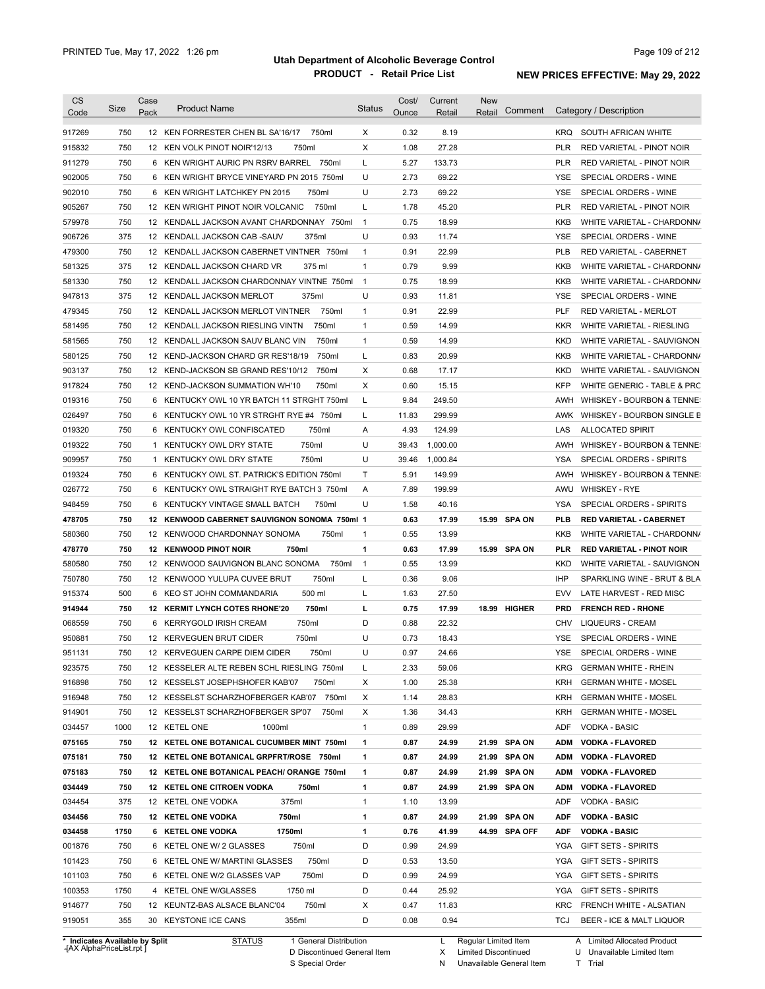| <b>CS</b><br>Code                                        | Size | Case<br>Pack | <b>Product Name</b>                            | <b>Status</b>  | Cost/<br>Ounce | Current<br>Retail | <b>New</b><br>Retail | Comment       |            | Category / Description                           |
|----------------------------------------------------------|------|--------------|------------------------------------------------|----------------|----------------|-------------------|----------------------|---------------|------------|--------------------------------------------------|
|                                                          | 750  |              | 12 KEN FORRESTER CHEN BL SA'16/17              | X              | 0.32           | 8.19              |                      |               | KRQ        |                                                  |
| 917269<br>915832                                         | 750  |              | 750ml<br>750ml<br>12 KEN VOLK PINOT NOIR'12/13 | X              | 1.08           | 27.28             |                      |               | <b>PLR</b> | SOUTH AFRICAN WHITE<br>RED VARIETAL - PINOT NOIR |
| 911279                                                   | 750  |              | 6 KEN WRIGHT AURIC PN RSRV BARREL 750ml        | L              | 5.27           | 133.73            |                      |               | <b>PLR</b> | RED VARIETAL - PINOT NOIR                        |
| 902005                                                   | 750  |              | 6 KEN WRIGHT BRYCE VINEYARD PN 2015 750ml      | U              | 2.73           | 69.22             |                      |               | <b>YSE</b> | SPECIAL ORDERS - WINE                            |
| 902010                                                   | 750  |              | 6 KEN WRIGHT LATCHKEY PN 2015<br>750ml         | U              | 2.73           | 69.22             |                      |               | <b>YSE</b> | SPECIAL ORDERS - WINE                            |
| 905267                                                   | 750  |              | 750ml<br>12 KEN WRIGHT PINOT NOIR VOLCANIC     | L              | 1.78           | 45.20             |                      |               | <b>PLR</b> | RED VARIETAL - PINOT NOIR                        |
| 579978                                                   | 750  |              | 12 KENDALL JACKSON AVANT CHARDONNAY 750ml      | $\overline{1}$ | 0.75           | 18.99             |                      |               | <b>KKB</b> | WHITE VARIETAL - CHARDONN/                       |
| 906726                                                   | 375  |              | 12 KENDALL JACKSON CAB-SAUV<br>375ml           | U              | 0.93           | 11.74             |                      |               | <b>YSE</b> | SPECIAL ORDERS - WINE                            |
| 479300                                                   | 750  |              | 12 KENDALL JACKSON CABERNET VINTNER 750ml      | 1              | 0.91           | 22.99             |                      |               | <b>PLB</b> | RED VARIETAL - CABERNET                          |
| 581325                                                   | 375  |              | 12 KENDALL JACKSON CHARD VR<br>375 ml          | 1              | 0.79           | 9.99              |                      |               | <b>KKB</b> | WHITE VARIETAL - CHARDONN/                       |
| 581330                                                   | 750  |              | 12 KENDALL JACKSON CHARDONNAY VINTNE 750ml     | $\mathbf{1}$   | 0.75           | 18.99             |                      |               | <b>KKB</b> | WHITE VARIETAL - CHARDONN/                       |
| 947813                                                   | 375  |              | 12 KENDALL JACKSON MERLOT<br>375ml             | U              | 0.93           | 11.81             |                      |               | <b>YSE</b> | SPECIAL ORDERS - WINE                            |
| 479345                                                   | 750  |              | 750ml<br>12 KENDALL JACKSON MERLOT VINTNER     | 1              | 0.91           | 22.99             |                      |               | PLF        | <b>RED VARIETAL - MERLOT</b>                     |
| 581495                                                   | 750  |              | 750ml<br>12 KENDALL JACKSON RIESLING VINTN     | 1              | 0.59           | 14.99             |                      |               | <b>KKR</b> | WHITE VARIETAL - RIESLING                        |
| 581565                                                   | 750  |              | 750ml<br>12 KENDALL JACKSON SAUV BLANC VIN     | 1              | 0.59           | 14.99             |                      |               | <b>KKD</b> | WHITE VARIETAL - SAUVIGNON                       |
| 580125                                                   | 750  |              | 750ml<br>12 KEND-JACKSON CHARD GR RES'18/19    | L              | 0.83           | 20.99             |                      |               | <b>KKB</b> | WHITE VARIETAL - CHARDONN/                       |
| 903137                                                   | 750  |              | 12 KEND-JACKSON SB GRAND RES'10/12<br>750ml    | Χ              | 0.68           | 17.17             |                      |               | <b>KKD</b> | WHITE VARIETAL - SAUVIGNON                       |
| 917824                                                   | 750  |              | 750ml<br>12 KEND-JACKSON SUMMATION WH'10       | Χ              | 0.60           | 15.15             |                      |               | <b>KFP</b> | WHITE GENERIC - TABLE & PRC                      |
| 019316                                                   | 750  | 6            | KENTUCKY OWL 10 YR BATCH 11 STRGHT 750ml       | L              | 9.84           | 249.50            |                      |               | AWH        | WHISKEY - BOURBON & TENNE:                       |
| 026497                                                   | 750  | 6            | KENTUCKY OWL 10 YR STRGHT RYE #4 750ml         | L              | 11.83          | 299.99            |                      |               | AWK        | WHISKEY - BOURBON SINGLE B                       |
| 019320                                                   | 750  | 6            | 750ml<br>KENTUCKY OWL CONFISCATED              | Α              | 4.93           | 124.99            |                      |               | LAS        | <b>ALLOCATED SPIRIT</b>                          |
| 019322                                                   | 750  | $\mathbf{1}$ | 750ml<br>KENTUCKY OWL DRY STATE                | U              | 39.43          | 1,000.00          |                      |               | AWH        | WHISKEY - BOURBON & TENNE:                       |
| 909957                                                   | 750  | $\mathbf{1}$ | 750ml<br>KENTUCKY OWL DRY STATE                | U              | 39.46          | 1,000.84          |                      |               | YSA        | SPECIAL ORDERS - SPIRITS                         |
| 019324                                                   | 750  | 6            | KENTUCKY OWL ST. PATRICK'S EDITION 750ml       | Τ              | 5.91           | 149.99            |                      |               | AWH        | WHISKEY - BOURBON & TENNE:                       |
| 026772                                                   | 750  | 6            | KENTUCKY OWL STRAIGHT RYE BATCH 3 750ml        | Α              | 7.89           | 199.99            |                      |               | AWU        | <b>WHISKEY - RYE</b>                             |
| 948459                                                   | 750  | 6            | KENTUCKY VINTAGE SMALL BATCH<br>750ml          | U              | 1.58           | 40.16             |                      |               | YSA        | SPECIAL ORDERS - SPIRITS                         |
| 478705                                                   | 750  |              | 12 KENWOOD CABERNET SAUVIGNON SONOMA 750ml 1   |                | 0.63           | 17.99             |                      | 15.99 SPA ON  | <b>PLB</b> | <b>RED VARIETAL - CABERNET</b>                   |
| 580360                                                   | 750  |              | 750ml<br>12 KENWOOD CHARDONNAY SONOMA          | 1              | 0.55           | 13.99             |                      |               | KKB        | WHITE VARIETAL - CHARDONN/                       |
| 478770                                                   | 750  |              | 750ml<br>12 KENWOOD PINOT NOIR                 | 1              | 0.63           | 17.99             |                      | 15.99 SPA ON  | PLR        | <b>RED VARIETAL - PINOT NOIR</b>                 |
| 580580                                                   | 750  |              | 750ml<br>12 KENWOOD SAUVIGNON BLANC SONOMA     | $\mathbf{1}$   | 0.55           | 13.99             |                      |               | KKD        | WHITE VARIETAL - SAUVIGNON                       |
| 750780                                                   | 750  |              | 750ml<br>12 KENWOOD YULUPA CUVEE BRUT          | L              | 0.36           | 9.06              |                      |               | IHP        | SPARKLING WINE - BRUT & BLA                      |
| 915374                                                   | 500  |              | 500 ml<br>6 KEO ST JOHN COMMANDARIA            | L              | 1.63           | 27.50             |                      |               | <b>EVV</b> | LATE HARVEST - RED MISC                          |
| 914944                                                   | 750  |              | 750ml<br>12 KERMIT LYNCH COTES RHONE'20        | г              | 0.75           | 17.99             |                      | 18.99 HIGHER  | <b>PRD</b> | <b>FRENCH RED - RHONE</b>                        |
| 068559                                                   | 750  |              | 6 KERRYGOLD IRISH CREAM<br>750ml               | D              | 0.88           | 22.32             |                      |               | CHV        | <b>LIQUEURS - CREAM</b>                          |
| 950881                                                   | 750  |              | 12 KERVEGUEN BRUT CIDER<br>750ml               | U              | 0.73           | 18.43             |                      |               | YSE        | SPECIAL ORDERS - WINE                            |
| 951131                                                   | 750  |              | 12 KERVEGUEN CARPE DIEM CIDER<br>750ml         | U              | 0.97           | 24.66             |                      |               | <b>YSE</b> | SPECIAL ORDERS - WINE                            |
| 923575                                                   | 750  |              | 12 KESSELER ALTE REBEN SCHL RIESLING 750ml     | L              | 2.33           | 59.06             |                      |               | KRG        | <b>GERMAN WHITE - RHEIN</b>                      |
| 916898                                                   | 750  |              | 12 KESSELST JOSEPHSHOFER KAB'07<br>750ml       | Х              | 1.00           | 25.38             |                      |               | KRH        | <b>GERMAN WHITE - MOSEL</b>                      |
| 916948                                                   | 750  |              | 12 KESSELST SCHARZHOFBERGER KAB'07 750ml       | Х              | 1.14           | 28.83             |                      |               | KRH        | <b>GERMAN WHITE - MOSEL</b>                      |
| 914901                                                   | 750  |              | 12 KESSELST SCHARZHOFBERGER SP'07<br>750ml     | Х              | 1.36           | 34.43             |                      |               | KRH        | <b>GERMAN WHITE - MOSEL</b>                      |
| 034457                                                   | 1000 |              | 12 KETEL ONE<br>1000ml                         | 1              | 0.89           | 29.99             |                      |               | ADF        | VODKA - BASIC                                    |
| 075165                                                   | 750  |              | 12 KETEL ONE BOTANICAL CUCUMBER MINT 750ml     | 1              | 0.87           | 24.99             |                      | 21.99 SPA ON  | ADM        | <b>VODKA - FLAVORED</b>                          |
| 075181                                                   | 750  |              | 12 KETEL ONE BOTANICAL GRPFRT/ROSE 750ml       | 1              | 0.87           | 24.99             |                      | 21.99 SPA ON  | ADM        | <b>VODKA - FLAVORED</b>                          |
| 075183                                                   | 750  |              | 12 KETEL ONE BOTANICAL PEACH/ ORANGE 750ml     | 1              | 0.87           | 24.99             |                      | 21.99 SPA ON  | ADM        | <b>VODKA - FLAVORED</b>                          |
| 034449                                                   | 750  |              | 12 KETEL ONE CITROEN VODKA<br>750ml            | 1              | 0.87           | 24.99             |                      | 21.99 SPA ON  | ADM        | <b>VODKA - FLAVORED</b>                          |
| 034454                                                   | 375  |              | 12 KETEL ONE VODKA<br>375ml                    | 1              | 1.10           | 13.99             |                      |               | ADF        | VODKA - BASIC                                    |
| 034456                                                   | 750  |              | 12 KETEL ONE VODKA<br>750ml                    | 1              | 0.87           | 24.99             |                      | 21.99 SPA ON  | ADF        | <b>VODKA - BASIC</b>                             |
|                                                          | 1750 |              | 6 KETEL ONE VODKA<br>1750ml                    | 1              | 0.76           | 41.99             |                      | 44.99 SPA OFF | ADF        | <b>VODKA - BASIC</b>                             |
|                                                          |      |              | 750ml<br>6 KETEL ONE W/ 2 GLASSES              | D              | 0.99           | 24.99             |                      |               | YGA        | <b>GIFT SETS - SPIRITS</b>                       |
|                                                          | 750  |              |                                                |                |                | 13.50             |                      |               | YGA        | <b>GIFT SETS - SPIRITS</b>                       |
|                                                          | 750  |              | 750ml<br>6 KETEL ONE W/ MARTINI GLASSES        | D              | 0.53           |                   |                      |               |            |                                                  |
|                                                          | 750  |              | 750ml<br>6 KETEL ONE W/2 GLASSES VAP           | D              | 0.99           | 24.99             |                      |               | YGA        | <b>GIFT SETS - SPIRITS</b>                       |
|                                                          | 1750 |              | 1750 ml<br>4 KETEL ONE W/GLASSES               | D              | 0.44           | 25.92             |                      |               | YGA        | GIFT SETS - SPIRITS                              |
| 034458<br>001876<br>101423<br>101103<br>100353<br>914677 | 750  |              | 750ml<br>12 KEUNTZ-BAS ALSACE BLANC'04         | Х              | 0.47           | 11.83             |                      |               | KRC        | FRENCH WHITE - ALSATIAN                          |

**Case** [AX AlphaPriceList.rpt ]

D Discontinued General Item

S Special Order

X Limited Discontinued

N Unavailable General Item

U Unavailable Limited Item T Trial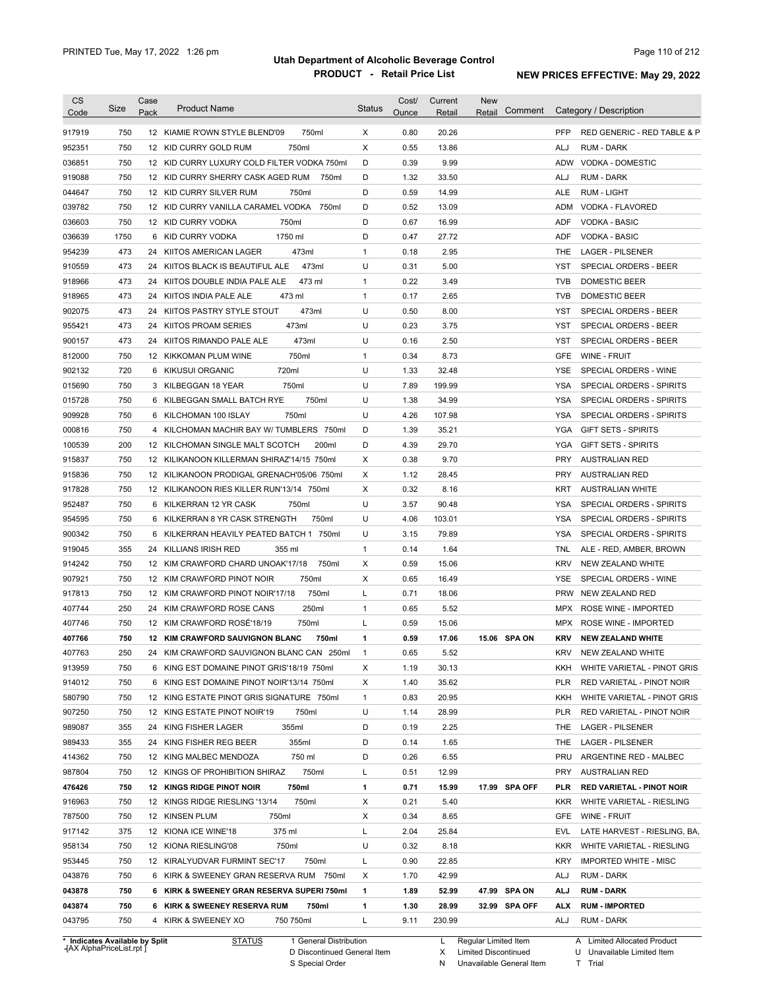| <b>CS</b><br>Code | Size       | Case<br>Pack | <b>Product Name</b>                                 | <b>Status</b> | Cost/<br>Ounce | Current<br>Retail | <b>New</b><br>Comment<br>Retail |                   | Category / Description                 |
|-------------------|------------|--------------|-----------------------------------------------------|---------------|----------------|-------------------|---------------------------------|-------------------|----------------------------------------|
|                   |            |              |                                                     |               |                |                   |                                 |                   |                                        |
| 917919            | 750        |              | 12 KIAMIE R'OWN STYLE BLEND'09<br>750ml             | X             | 0.80           | 20.26             |                                 | <b>PFP</b>        | RED GENERIC - RED TABLE & P            |
| 952351            | 750        |              | 12 KID CURRY GOLD RUM<br>750ml                      | X             | 0.55           | 13.86             |                                 | ALJ               | <b>RUM - DARK</b>                      |
| 036851            | 750        |              | 12 KID CURRY LUXURY COLD FILTER VODKA 750ml         | D             | 0.39           | 9.99              |                                 | ADW               | VODKA - DOMESTIC                       |
| 919088            | 750        |              | 12 KID CURRY SHERRY CASK AGED RUM<br>750ml          | D             | 1.32           | 33.50             |                                 | ALJ               | <b>RUM - DARK</b>                      |
| 044647            | 750        |              | 12 KID CURRY SILVER RUM<br>750ml                    | D             | 0.59           | 14.99             |                                 | ALE               | RUM - LIGHT                            |
| 039782            | 750        |              | 12 KID CURRY VANILLA CARAMEL VODKA<br>750ml         | D             | 0.52           | 13.09             |                                 | ADM               | VODKA - FLAVORED                       |
| 036603            | 750        |              | 12 KID CURRY VODKA<br>750ml                         | D             | 0.67           | 16.99             |                                 | ADF               | <b>VODKA - BASIC</b>                   |
| 036639            | 1750       |              | 1750 ml<br>6 KID CURRY VODKA                        | D             | 0.47           | 27.72             |                                 | ADF               | <b>VODKA - BASIC</b>                   |
| 954239            | 473        |              | 473ml<br>24 KIITOS AMERICAN LAGER                   | $\mathbf{1}$  | 0.18           | 2.95              |                                 | THE               | <b>LAGER - PILSENER</b>                |
| 910559            | 473<br>473 |              | 473ml<br>24 KIITOS BLACK IS BEAUTIFUL ALE<br>473 ml | U             | 0.31<br>0.22   | 5.00<br>3.49      |                                 | YST<br><b>TVB</b> | SPECIAL ORDERS - BEER<br>DOMESTIC BEER |
| 918966            |            |              | 24 KIITOS DOUBLE INDIA PALE ALE                     | 1             |                |                   |                                 |                   |                                        |
| 918965            | 473        |              | 24 KIITOS INDIA PALE ALE<br>473 ml                  | $\mathbf{1}$  | 0.17           | 2.65              |                                 | TVB               | DOMESTIC BEER                          |
| 902075            | 473        |              | 24 KIITOS PASTRY STYLE STOUT<br>473ml               | U             | 0.50           | 8.00              |                                 | YST               | SPECIAL ORDERS - BEER                  |
| 955421            | 473        |              | 24 KIITOS PROAM SERIES<br>473ml                     | U             | 0.23           | 3.75              |                                 | YST               | SPECIAL ORDERS - BEER                  |
| 900157            | 473        | 24           | 473ml<br>KIITOS RIMANDO PALE ALE                    | U             | 0.16           | 2.50              |                                 | YST               | SPECIAL ORDERS - BEER                  |
| 812000            | 750        |              | 750ml<br>12 KIKKOMAN PLUM WINE                      | $\mathbf{1}$  | 0.34           | 8.73              |                                 | GFE               | WINE - FRUIT                           |
| 902132            | 720        |              | 720ml<br>6 KIKUSUI ORGANIC                          | U             | 1.33           | 32.48             |                                 | YSE               | SPECIAL ORDERS - WINE                  |
| 015690            | 750        | 3            | 750ml<br>KILBEGGAN 18 YEAR                          | U             | 7.89           | 199.99            |                                 | YSA               | SPECIAL ORDERS - SPIRITS               |
| 015728            | 750        | 6            | 750ml<br>KILBEGGAN SMALL BATCH RYE                  | U             | 1.38           | 34.99             |                                 | <b>YSA</b>        | SPECIAL ORDERS - SPIRITS               |
| 909928            | 750        | 6            | 750ml<br>KILCHOMAN 100 ISLAY                        | U             | 4.26           | 107.98            |                                 | YSA               | <b>SPECIAL ORDERS - SPIRITS</b>        |
| 000816            | 750        | 4            | KILCHOMAN MACHIR BAY W/ TUMBLERS 750ml              | D             | 1.39           | 35.21             |                                 | YGA               | <b>GIFT SETS - SPIRITS</b>             |
| 100539            | 200        |              | 200ml<br>12 KILCHOMAN SINGLE MALT SCOTCH            | D             | 4.39           | 29.70             |                                 | YGA               | <b>GIFT SETS - SPIRITS</b>             |
| 915837            | 750        |              | 12 KILIKANOON KILLERMAN SHIRAZ'14/15 750ml          | Χ             | 0.38           | 9.70              |                                 | <b>PRY</b>        | <b>AUSTRALIAN RED</b>                  |
| 915836            | 750        |              | 12 KILIKANOON PRODIGAL GRENACH'05/06 750ml          | Χ             | 1.12           | 28.45             |                                 | <b>PRY</b>        | <b>AUSTRALIAN RED</b>                  |
| 917828            | 750        |              | 12 KILIKANOON RIES KILLER RUN'13/14 750ml           | Χ             | 0.32           | 8.16              |                                 | KRT               | <b>AUSTRALIAN WHITE</b>                |
| 952487            | 750        | 6            | KILKERRAN 12 YR CASK<br>750ml                       | U             | 3.57           | 90.48             |                                 | YSA               | SPECIAL ORDERS - SPIRITS               |
| 954595            | 750        | 6            | KILKERRAN 8 YR CASK STRENGTH<br>750ml               | U             | 4.06           | 103.01            |                                 | YSA               | SPECIAL ORDERS - SPIRITS               |
| 900342            | 750        | 6            | KILKERRAN HEAVILY PEATED BATCH 1 750ml              | U             | 3.15           | 79.89             |                                 | YSA               | SPECIAL ORDERS - SPIRITS               |
| 919045            | 355        | 24           | 355 ml<br>KILLIANS IRISH RED                        | $\mathbf{1}$  | 0.14           | 1.64              |                                 | TNL               | ALE - RED, AMBER, BROWN                |
| 914242            | 750        |              | 12 KIM CRAWFORD CHARD UNOAK'17/18<br>750ml          | X             | 0.59           | 15.06             |                                 | <b>KRV</b>        | NEW ZEALAND WHITE                      |
| 907921            | 750        |              | 750ml<br>12 KIM CRAWFORD PINOT NOIR                 | Χ             | 0.65           | 16.49             |                                 | YSE               | SPECIAL ORDERS - WINE                  |
| 917813            | 750        |              | 750ml<br>12 KIM CRAWFORD PINOT NOIR'17/18           | L             | 0.71           | 18.06             |                                 | <b>PRW</b>        | NEW ZEALAND RED                        |
| 407744            | 250        | 24           | 250ml<br>KIM CRAWFORD ROSE CANS                     | 1             | 0.65           | 5.52              |                                 | MPX               | ROSE WINE - IMPORTED                   |
| 407746            | 750        |              | 12 KIM CRAWFORD ROSÉ'18/19<br>750ml                 | L             | 0.59           | 15.06             |                                 | MPX               | ROSE WINE - IMPORTED                   |
| 407766            | 750        |              | 12 KIM CRAWFORD SAUVIGNON BLANC<br>750ml            | 1             | 0.59           | 17.06             | 15.06 SPA ON                    | <b>KRV</b>        | <b>NEW ZEALAND WHITE</b>               |
| 407763            | 250        |              | 24 KIM CRAWFORD SAUVIGNON BLANC CAN 250ml           | 1             | 0.65           | 5.52              |                                 | KRV               | NEW ZEALAND WHITE                      |
| 913959            | 750        |              | 6 KING EST DOMAINE PINOT GRIS'18/19 750ml           | X             | 1.19           | 30.13             |                                 |                   | KKH WHITE VARIETAL - PINOT GRIS        |
| 914012            | 750        |              | 6 KING EST DOMAINE PINOT NOIR'13/14 750ml           | X             | 1.40           | 35.62             |                                 | PLR               | RED VARIETAL - PINOT NOIR              |
| 580790            | 750        |              | 12 KING ESTATE PINOT GRIS SIGNATURE 750ml           | 1             | 0.83           | 20.95             |                                 | KKH               | WHITE VARIETAL - PINOT GRIS            |
| 907250            | 750        |              | 12 KING ESTATE PINOT NOIR'19<br>750ml               | U             | 1.14           | 28.99             |                                 | PLR               | RED VARIETAL - PINOT NOIR              |
| 989087            | 355        |              | 24 KING FISHER LAGER<br>355ml                       | D             | 0.19           | 2.25              |                                 | THE.              | LAGER - PILSENER                       |
| 989433            | 355        |              | 355ml<br>24 KING FISHER REG BEER                    | D             | 0.14           | 1.65              |                                 | THE.              | <b>LAGER - PILSENER</b>                |
| 414362            | 750        |              | 750 ml<br>12 KING MALBEC MENDOZA                    | D             | 0.26           | 6.55              |                                 | PRU               | ARGENTINE RED - MALBEC                 |
| 987804            | 750        |              | 750ml<br>12 KINGS OF PROHIBITION SHIRAZ             | L             | 0.51           | 12.99             |                                 | PRY               | <b>AUSTRALIAN RED</b>                  |
| 476426            | 750        |              | 12 KINGS RIDGE PINOT NOIR<br>750ml                  | 1             | 0.71           | 15.99             | 17.99 SPA OFF                   | PLR               | <b>RED VARIETAL - PINOT NOIR</b>       |
| 916963            | 750        |              | 12 KINGS RIDGE RIESLING '13/14<br>750ml             | Х             | 0.21           | 5.40              |                                 | KKR.              | WHITE VARIETAL - RIESLING              |
| 787500            | 750        |              | 12 KINSEN PLUM<br>750ml                             | X             | 0.34           | 8.65              |                                 | GFE               | WINE - FRUIT                           |
| 917142            | 375        |              | 375 ml<br>12 KIONA ICE WINE'18                      | Г             | 2.04           | 25.84             |                                 | EVL               | LATE HARVEST - RIESLING, BA,           |
| 958134            | 750        |              | 12 KIONA RIESLING'08<br>750ml                       | U             | 0.32           | 8.18              |                                 | KKR.              | WHITE VARIETAL - RIESLING              |
| 953445            | 750        |              | 12 KIRALYUDVAR FURMINT SEC'17<br>750ml              | L             | 0.90           | 22.85             |                                 | KRY               | <b>IMPORTED WHITE - MISC</b>           |
| 043876            | 750        |              | 6 KIRK & SWEENEY GRAN RESERVA RUM 750ml             | X             | 1.70           | 42.99             |                                 | ALJ               | RUM - DARK                             |
| 043878            | 750        |              | 6 KIRK & SWEENEY GRAN RESERVA SUPERI 750ml          | 1             | 1.89           | 52.99             | 47.99 SPA ON                    | ALJ               | <b>RUM - DARK</b>                      |
| 043874            | 750        |              | 6 KIRK & SWEENEY RESERVA RUM<br>750ml               | 1             | 1.30           | 28.99             | 32.99 SPA OFF                   | ALX.              | <b>RUM - IMPORTED</b>                  |
| 043795            | 750        |              | 4 KIRK & SWEENEY XO                                 | L             | 9.11           | 230.99            |                                 | ALJ               | RUM - DARK                             |

**\* Indicates Available by Split Case** [AX AlphaPriceList.rpt ]

STATUS 1 General Distribution

D Discontinued General Item S Special Order

L Regular Limited Item

X Limited Discontinued

N Unavailable General Item

A Limited Allocated Product U Unavailable Limited Item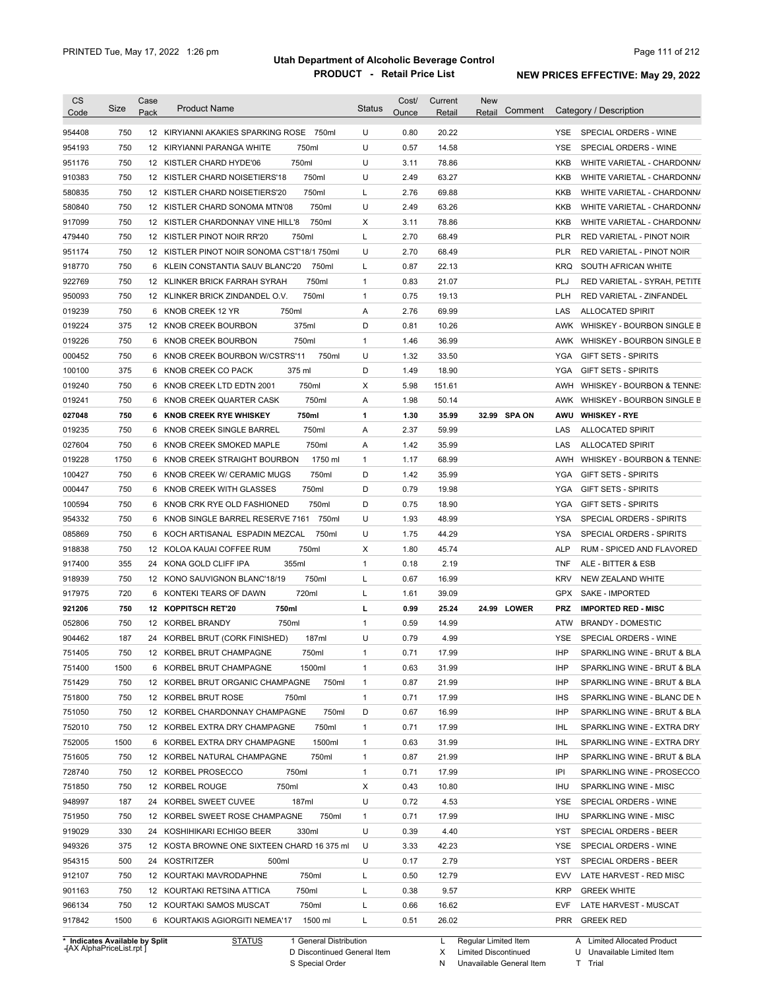| <b>CS</b><br>Code                                                                                | Size       | Case<br>Pack | <b>Product Name</b>                                             | <b>Status</b> | Cost/<br>Ounce | Current<br>Retail | <b>New</b><br>Comment<br>Retail | Category / Description                                          |
|--------------------------------------------------------------------------------------------------|------------|--------------|-----------------------------------------------------------------|---------------|----------------|-------------------|---------------------------------|-----------------------------------------------------------------|
| 954408                                                                                           | 750        |              | 12 KIRYIANNI AKAKIES SPARKING ROSE 750ml                        | U             | 0.80           | 20.22             |                                 | SPECIAL ORDERS - WINE<br>YSE.                                   |
| 954193                                                                                           | 750        |              | 750ml<br>12 KIRYIANNI PARANGA WHITE                             | U             | 0.57           | 14.58             |                                 | <b>YSE</b><br>SPECIAL ORDERS - WINE                             |
| 951176                                                                                           | 750        |              | 750ml<br>12 KISTLER CHARD HYDE'06                               | U             | 3.11           | 78.86             |                                 | <b>KKB</b><br>WHITE VARIETAL - CHARDONN/                        |
| 910383                                                                                           | 750        |              | 750ml<br>12 KISTLER CHARD NOISETIERS'18                         | U             | 2.49           | 63.27             |                                 | <b>KKB</b><br>WHITE VARIETAL - CHARDONN/                        |
| 580835                                                                                           | 750        |              | 750ml<br>12 KISTLER CHARD NOISETIERS'20                         | L             | 2.76           | 69.88             |                                 | <b>KKB</b><br>WHITE VARIETAL - CHARDONN/                        |
| 580840                                                                                           | 750        |              | 750ml<br>12 KISTLER CHARD SONOMA MTN'08                         | U             | 2.49           | 63.26             |                                 | <b>KKB</b><br>WHITE VARIETAL - CHARDONN/                        |
| 917099                                                                                           | 750        |              | 750ml<br>12 KISTLER CHARDONNAY VINE HILL'8                      | X             | 3.11           | 78.86             |                                 | <b>KKB</b><br>WHITE VARIETAL - CHARDONN/                        |
| 479440                                                                                           | 750        |              | 750ml<br>12 KISTLER PINOT NOIR RR'20                            | L             | 2.70           | 68.49             |                                 | <b>PLR</b><br><b>RED VARIETAL - PINOT NOIR</b>                  |
| 951174                                                                                           | 750        |              | 12 KISTLER PINOT NOIR SONOMA CST'18/1 750ml                     | U             | 2.70           | 68.49             |                                 | <b>PLR</b><br>RED VARIETAL - PINOT NOIR                         |
| 918770                                                                                           | 750        | 6            | KLEIN CONSTANTIA SAUV BLANC'20<br>750ml                         | L             | 0.87           | 22.13             |                                 | <b>KRQ</b><br>SOUTH AFRICAN WHITE                               |
| 922769                                                                                           | 750        | 12           | 750ml<br>KLINKER BRICK FARRAH SYRAH                             | $\mathbf{1}$  | 0.83           | 21.07             |                                 | PLJ<br>RED VARIETAL - SYRAH, PETITE                             |
| 950093                                                                                           | 750        |              | 750ml<br>12 KLINKER BRICK ZINDANDEL O.V.                        | $\mathbf{1}$  | 0.75           | 19.13             |                                 | <b>PLH</b><br>RED VARIETAL - ZINFANDEL                          |
| 019239                                                                                           | 750        | 6            | KNOB CREEK 12 YR<br>750ml                                       | Α             | 2.76           | 69.99             |                                 | LAS<br><b>ALLOCATED SPIRIT</b>                                  |
| 019224                                                                                           | 375        | 12           | 375ml<br>KNOB CREEK BOURBON                                     | D             | 0.81           | 10.26             |                                 | AWK<br>WHISKEY - BOURBON SINGLE B                               |
| 019226                                                                                           | 750        | 6            | 750ml<br>KNOB CREEK BOURBON                                     | $\mathbf{1}$  | 1.46           | 36.99             |                                 | WHISKEY - BOURBON SINGLE B<br>AWK                               |
| 000452                                                                                           | 750        | 6            | KNOB CREEK BOURBON W/CSTRS'11<br>750ml                          | U             | 1.32           | 33.50             |                                 | <b>YGA</b><br><b>GIFT SETS - SPIRITS</b>                        |
| 100100                                                                                           | 375        | 6            | 375 ml                                                          | D             | 1.49           | 18.90             |                                 | <b>YGA</b>                                                      |
|                                                                                                  | 750        | 6            | KNOB CREEK CO PACK<br>750ml<br>KNOB CREEK LTD EDTN 2001         | Χ             | 5.98           | 151.61            |                                 | <b>GIFT SETS - SPIRITS</b><br>AWH<br>WHISKEY - BOURBON & TENNE: |
| 019240                                                                                           |            |              |                                                                 |               |                |                   |                                 |                                                                 |
| 019241                                                                                           | 750        | 6            | 750ml<br>KNOB CREEK QUARTER CASK                                | Α             | 1.98           | 50.14             |                                 | AWK<br>WHISKEY - BOURBON SINGLE B                               |
| 027048                                                                                           | 750        | 6            | 750ml<br><b>KNOB CREEK RYE WHISKEY</b>                          | 1             | 1.30           | 35.99             | 32.99 SPA ON                    | AWU<br><b>WHISKEY - RYE</b>                                     |
| 019235                                                                                           | 750        | 6            | 750ml<br>KNOB CREEK SINGLE BARREL                               | Α             | 2.37           | 59.99             |                                 | LAS<br><b>ALLOCATED SPIRIT</b>                                  |
| 027604                                                                                           | 750        | 6            | 750ml<br>KNOB CREEK SMOKED MAPLE                                | Α             | 1.42           | 35.99             |                                 | LAS<br><b>ALLOCATED SPIRIT</b>                                  |
| 019228                                                                                           | 1750       | 6            | 1750 ml<br>KNOB CREEK STRAIGHT BOURBON                          | $\mathbf{1}$  | 1.17           | 68.99             |                                 | WHISKEY - BOURBON & TENNE:<br>AWH                               |
| 100427                                                                                           | 750        | 6            | 750ml<br>KNOB CREEK W/ CERAMIC MUGS                             | D             | 1.42           | 35.99             |                                 | YGA<br><b>GIFT SETS - SPIRITS</b>                               |
| 000447                                                                                           | 750        | 6            | 750ml<br>KNOB CREEK WITH GLASSES                                | D             | 0.79           | 19.98             |                                 | <b>YGA</b><br><b>GIFT SETS - SPIRITS</b>                        |
| 100594                                                                                           | 750        | 6            | 750ml<br>KNOB CRK RYE OLD FASHIONED                             | D             | 0.75           | 18.90             |                                 | <b>YGA</b><br><b>GIFT SETS - SPIRITS</b>                        |
| 954332                                                                                           | 750        | 6            | KNOB SINGLE BARREL RESERVE 7161<br>750ml                        | U             | 1.93           | 48.99             |                                 | <b>YSA</b><br>SPECIAL ORDERS - SPIRITS                          |
| 085869                                                                                           | 750        | 6            | KOCH ARTISANAL ESPADIN MEZCAL<br>750ml                          | U             | 1.75           | 44.29             |                                 | <b>YSA</b><br>SPECIAL ORDERS - SPIRITS                          |
| 918838                                                                                           | 750        | 12           | 750ml<br>KOLOA KAUAI COFFEE RUM                                 | Χ             | 1.80           | 45.74             |                                 | <b>ALP</b><br>RUM - SPICED AND FLAVORED                         |
| 917400                                                                                           | 355        |              | 355ml<br>24 KONA GOLD CLIFF IPA                                 | $\mathbf{1}$  | 0.18           | 2.19              |                                 | <b>TNF</b><br>ALE - BITTER & ESB                                |
| 918939                                                                                           | 750        |              | 12 KONO SAUVIGNON BLANC'18/19<br>750ml                          | Г             | 0.67           | 16.99             |                                 | <b>KRV</b><br><b>NEW ZEALAND WHITE</b>                          |
| 917975                                                                                           | 720        |              | 720ml<br>6 KONTEKI TEARS OF DAWN                                | Г             | 1.61           | 39.09             |                                 | <b>GPX</b><br>SAKE - IMPORTED                                   |
| 921206                                                                                           | 750        |              | 12 KOPPITSCH RET'20<br>750ml                                    | г             | 0.99           | 25.24             | 24.99 LOWER                     | <b>PRZ</b><br><b>IMPORTED RED - MISC</b>                        |
| 052806                                                                                           | 750        |              | 12 KORBEL BRANDY<br>750ml                                       | 1             | 0.59           | 14.99             |                                 | <b>BRANDY - DOMESTIC</b><br>ATW                                 |
| 904462                                                                                           | 187        |              | 187ml<br>24 KORBEL BRUT (CORK FINISHED)                         | U             | 0.79           | 4.99              |                                 | SPECIAL ORDERS - WINE<br>YSE                                    |
| 751405                                                                                           | 750        |              | 12 KORBEL BRUT CHAMPAGNE<br>750ml                               | 1             | 0.71           | 17.99             |                                 | <b>IHP</b><br>SPARKLING WINE - BRUT & BLA                       |
|                                                                                                  |            |              |                                                                 |               |                |                   |                                 |                                                                 |
| 751400                                                                                           | 1500       |              | 1500ml<br>6 KORBEL BRUT CHAMPAGNE                               | $\mathbf{1}$  | 0.63           | 31.99             |                                 | <b>IHP</b><br>SPARKLING WINE - BRUT & BLA                       |
| 751429                                                                                           | 750        |              | 12 KORBEL BRUT ORGANIC CHAMPAGNE<br>750ml                       | $\mathbf{1}$  | 0.87           | 21.99             |                                 | <b>IHP</b><br>SPARKLING WINE - BRUT & BLA                       |
| 751800                                                                                           | 750        |              | 12 KORBEL BRUT ROSE<br>750ml                                    | $\mathbf{1}$  | 0.71           | 17.99             |                                 | <b>IHS</b><br>SPARKLING WINE - BLANC DE N                       |
| 751050                                                                                           | 750        |              | 750ml<br>12 KORBEL CHARDONNAY CHAMPAGNE                         | D             | 0.67           | 16.99             |                                 | <b>IHP</b><br>SPARKLING WINE - BRUT & BLA                       |
| 752010                                                                                           | 750        |              | 750ml<br>12 KORBEL EXTRA DRY CHAMPAGNE                          | $\mathbf{1}$  | 0.71           | 17.99             |                                 | <b>IHL</b><br>SPARKLING WINE - EXTRA DRY                        |
|                                                                                                  | 1500       |              | 1500ml<br>6 KORBEL EXTRA DRY CHAMPAGNE                          | $\mathbf{1}$  | 0.63           | 31.99             |                                 | <b>IHL</b><br>SPARKLING WINE - EXTRA DRY                        |
|                                                                                                  |            |              | 750ml<br>12 KORBEL NATURAL CHAMPAGNE                            | $\mathbf{1}$  | 0.87           | 21.99             |                                 | <b>IHP</b><br>SPARKLING WINE - BRUT & BLA                       |
|                                                                                                  | 750        |              |                                                                 |               |                |                   |                                 | IPI<br>SPARKLING WINE - PROSECCO                                |
|                                                                                                  | 750        |              | 12 KORBEL PROSECCO<br>750ml                                     | $\mathbf{1}$  | 0.71           | 17.99             |                                 |                                                                 |
|                                                                                                  | 750        |              | 12 KORBEL ROUGE<br>750ml                                        | Х             | 0.43           | 10.80             |                                 | <b>IHU</b><br>SPARKLING WINE - MISC                             |
|                                                                                                  | 187        |              | 187ml<br>24 KORBEL SWEET CUVEE                                  | U             | 0.72           | 4.53              |                                 | YSE<br>SPECIAL ORDERS - WINE                                    |
|                                                                                                  | 750        |              | 750ml<br>12 KORBEL SWEET ROSE CHAMPAGNE                         | $\mathbf{1}$  | 0.71           | 17.99             |                                 | <b>IHU</b><br>SPARKLING WINE - MISC                             |
|                                                                                                  | 330        |              | 330ml<br>24 KOSHIHIKARI ECHIGO BEER                             | U             | 0.39           | 4.40              |                                 | YST<br>SPECIAL ORDERS - BEER                                    |
|                                                                                                  | 375        |              | 12 KOSTA BROWNE ONE SIXTEEN CHARD 16 375 ml                     | U             | 3.33           | 42.23             |                                 | YSE<br>SPECIAL ORDERS - WINE                                    |
|                                                                                                  | 500        |              | 24 KOSTRITZER<br>500ml                                          | U             | 0.17           | 2.79              |                                 | YST<br>SPECIAL ORDERS - BEER                                    |
|                                                                                                  |            |              |                                                                 |               |                |                   |                                 | EVV                                                             |
| 752005<br>751605<br>728740<br>751850<br>948997<br>751950<br>919029<br>949326<br>954315<br>912107 | 750<br>750 |              | 750ml<br>12 KOURTAKI MAVRODAPHNE<br>750ml                       | Г             | 0.50<br>0.38   | 12.79             |                                 | LATE HARVEST - RED MISC<br>KRP                                  |
| 901163<br>966134                                                                                 | 750        |              | 12 KOURTAKI RETSINA ATTICA<br>750ml<br>12 KOURTAKI SAMOS MUSCAT | Г<br>L        | 0.66           | 9.57<br>16.62     |                                 | <b>GREEK WHITE</b><br>EVF<br>LATE HARVEST - MUSCAT              |

**Case** [AX AlphaPriceList.rpt ]

D Discontinued General Item S Special Order

X Limited Discontinued

N Unavailable General Item

U Unavailable Limited Item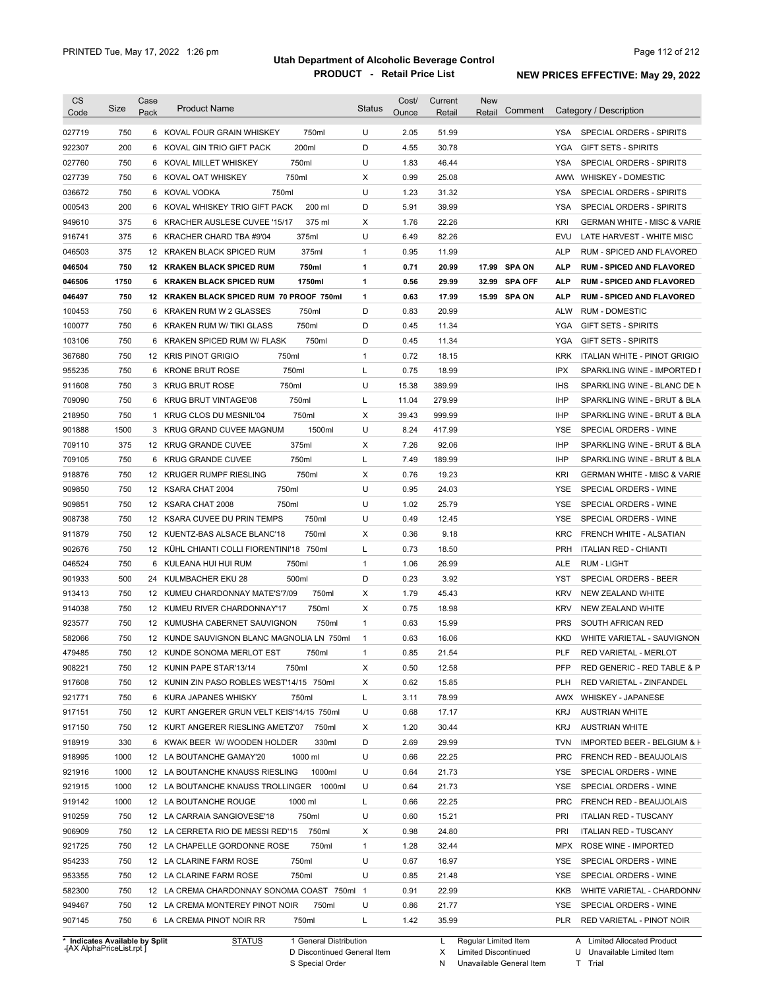| 750<br>750ml<br>U<br>51.99<br>027719<br>6 KOVAL FOUR GRAIN WHISKEY<br>2.05<br>YSA SPECIAL ORDERS - SPIRITS<br>200<br>200ml<br>D<br>4.55<br>30.78<br>922307<br>6 KOVAL GIN TRIO GIFT PACK<br>YGA<br><b>GIFT SETS - SPIRITS</b><br>750<br>750ml<br>U<br>1.83<br>46.44<br><b>YSA</b><br>027760<br>6 KOVAL MILLET WHISKEY<br>SPECIAL ORDERS - SPIRITS<br>750<br>750ml<br>$\times$<br>0.99<br>25.08<br>027739<br>6 KOVAL OAT WHISKEY<br>AWW WHISKEY - DOMESTIC<br>U<br>750<br>750ml<br>1.23<br>31.32<br><b>YSA</b><br>SPECIAL ORDERS - SPIRITS<br>036672<br>6 KOVAL VODKA<br>200<br>6 KOVAL WHISKEY TRIO GIFT PACK<br>200 ml<br>D<br>5.91<br>39.99<br><b>YSA</b><br>000543<br>SPECIAL ORDERS - SPIRITS<br>375<br>375 ml<br>1.76<br>22.26<br>KRI<br>949610<br>6 KRACHER AUSLESE CUVEE '15/17<br>Х<br>375<br>375ml<br>U<br>6.49<br>82.26<br>916741<br>6 KRACHER CHARD TBA #9'04<br>EVU<br>375<br>375ml<br>0.95<br>11.99<br>046503<br>12 KRAKEN BLACK SPICED RUM<br>1<br><b>ALP</b><br>750<br>750ml<br>0.71<br>20.99<br><b>SPA ON</b><br>046504<br>12 KRAKEN BLACK SPICED RUM<br>1<br>17.99<br>ALP<br>1750<br>0.56<br>29.99<br><b>SPA OFF</b><br>046506<br>6 KRAKEN BLACK SPICED RUM<br>1750ml<br>1<br>32.99<br><b>ALP</b><br>750<br>12 KRAKEN BLACK SPICED RUM 70 PROOF 750ml<br>0.63<br>17.99<br>15.99 SPA ON<br>046497<br>1<br><b>ALP</b><br>750<br>750ml<br>D<br>0.83<br>20.99<br>100453<br>6<br>KRAKEN RUM W 2 GLASSES<br><b>ALW</b><br><b>RUM - DOMESTIC</b><br>750<br>750ml<br>D<br>100077<br>6<br>KRAKEN RUM W/ TIKI GLASS<br>0.45<br>11.34<br>YGA<br><b>GIFT SETS - SPIRITS</b><br>750<br>750ml<br>D<br>0.45<br>11.34<br><b>YGA</b><br>103106<br><b>KRAKEN SPICED RUM W/ FLASK</b><br><b>GIFT SETS - SPIRITS</b><br>6<br>750<br>750ml<br>$\mathbf{1}$<br>0.72<br><b>KRK</b><br>367680<br>12 KRIS PINOT GRIGIO<br>18.15<br>750<br>955235<br>750ml<br>L<br>0.75<br>18.99<br><b>IPX</b><br>6<br><b>KRONE BRUT ROSE</b><br>SPARKLING WINE - IMPORTED I<br>750<br>750ml<br>U<br>15.38<br>389.99<br><b>IHS</b><br>911608<br>3 KRUG BRUT ROSE<br>709090<br>750<br>750ml<br>L<br>11.04<br>279.99<br><b>IHP</b><br>6<br><b>KRUG BRUT VINTAGE'08</b><br>SPARKLING WINE - BRUT & BLA<br>750<br>750ml<br>Х<br>39.43<br>999.99<br><b>IHP</b><br>218950<br>$\mathbf{1}$<br>KRUG CLOS DU MESNIL'04<br>SPARKLING WINE - BRUT & BLA<br>1500<br>1500ml<br>U<br>8.24<br>417.99<br><b>YSE</b><br>901888<br>3 KRUG GRAND CUVEE MAGNUM<br>SPECIAL ORDERS - WINE<br>375<br>375ml<br>Х<br>7.26<br>92.06<br><b>IHP</b><br>709110<br>12 KRUG GRANDE CUVEE<br>SPARKLING WINE - BRUT & BLA<br>750<br>750ml<br>L<br>7.49<br>189.99<br>709105<br>6<br>KRUG GRANDE CUVEE<br>IHP<br>SPARKLING WINE - BRUT & BLA<br>750<br>750ml<br>X<br>0.76<br>19.23<br>918876<br>12 KRUGER RUMPF RIESLING<br><b>KRI</b><br><b>GERMAN WHITE - MISC &amp; VARIE</b><br>U<br>909850<br>750<br>750ml<br>0.95<br>24.03<br>SPECIAL ORDERS - WINE<br>12 KSARA CHAT 2004<br>YSE<br>U<br>909851<br>750<br>12 KSARA CHAT 2008<br>750ml<br>1.02<br>25.79<br>YSE<br>SPECIAL ORDERS - WINE<br>908738<br>750<br>750ml<br>U<br>0.49<br>12 KSARA CUVEE DU PRIN TEMPS<br>12.45<br>YSE<br>SPECIAL ORDERS - WINE<br>750<br>750ml<br>9.18<br>911879<br>12 KUENTZ-BAS ALSACE BLANC'18<br>X<br>0.36<br>KRC<br>FRENCH WHITE - ALSATIAN<br>902676<br>750<br>12 KÜHL CHIANTI COLLI FIORENTINI'18 750ml<br>L<br>0.73<br>18.50<br><b>PRH</b><br><b>ITALIAN RED - CHIANTI</b><br>046524<br>750<br>750ml<br>26.99<br>6 KULEANA HUI HUI RUM<br>1<br>1.06<br>ALE<br><b>RUM - LIGHT</b><br>901933<br>500<br>D<br>0.23<br>3.92<br>SPECIAL ORDERS - BEER<br>24 KULMBACHER EKU 28<br>500ml<br>YST<br>750<br>Χ<br>1.79<br>45.43<br><b>KRV</b><br>913413<br>12 KUMEU CHARDONNAY MATE'S'7/09<br>750ml<br><b>NEW ZEALAND WHITE</b><br>914038<br>750<br>750ml<br>Χ<br>0.75<br>18.98<br><b>KRV</b><br>12 KUMEU RIVER CHARDONNAY'17<br>NEW ZEALAND WHITE<br>923577<br>750<br>750ml<br>$\mathbf{1}$<br>0.63<br>15.99<br><b>PRS</b><br>SOUTH AFRICAN RED<br>12 KUMUSHA CABERNET SAUVIGNON<br>582066<br>750<br>12 KUNDE SAUVIGNON BLANC MAGNOLIA LN 750ml<br>0.63<br>16.06<br><b>KKD</b><br>WHITE VARIETAL - SAUVIGNON<br>$\mathbf{1}$<br>479485<br>750<br>0.85<br>21.54<br>PLF<br>12 KUNDE SONOMA MERLOT EST<br>750ml<br>RED VARIETAL - MERLOT<br>1<br>908221<br>750<br>12 KUNIN PAPE STAR'13/14<br>750ml<br>Х<br>0.50<br>12.58<br>PFP<br>RED GENERIC - RED TABLE & P<br>917608<br>12 KUNIN ZIN PASO ROBLES WEST'14/15 750ml<br>15.85<br>750<br>Х<br>0.62<br><b>PLH</b><br>RED VARIETAL - ZINFANDEL<br>78.99<br>921771<br>750<br>6 KURA JAPANES WHISKY<br>750ml<br>L<br>3.11<br>AWX WHISKEY - JAPANESE<br>917151<br>U<br>17.17<br>750<br>12 KURT ANGERER GRUN VELT KEIS'14/15 750ml<br>0.68<br>KRJ<br><b>AUSTRIAN WHITE</b><br>917150<br>750<br>12 KURT ANGERER RIESLING AMETZ'07<br>750ml<br>X<br>1.20<br>30.44<br>KRJ<br><b>AUSTRIAN WHITE</b><br>918919<br>330<br>6 KWAK BEER W/WOODEN HOLDER<br>330ml<br>D<br>2.69<br>29.99<br><b>TVN</b><br>918995<br>U<br>22.25<br>1000<br>12 LA BOUTANCHE GAMAY'20<br>1000 ml<br>0.66<br><b>PRC</b><br>FRENCH RED - BEAUJOLAIS<br>21.73<br>921916<br>1000<br>12 LA BOUTANCHE KNAUSS RIESLING<br>1000ml<br>U<br>0.64<br>YSE<br>SPECIAL ORDERS - WINE<br>921915<br>U<br>21.73<br>1000<br>12 LA BOUTANCHE KNAUSS TROLLINGER 1000ml<br>0.64<br>YSE<br>SPECIAL ORDERS - WINE<br>919142<br>22.25<br>1000<br>12 LA BOUTANCHE ROUGE<br>1000 ml<br>L<br>0.66<br><b>PRC</b><br>FRENCH RED - BEAUJOLAIS<br>910259<br>U<br>15.21<br>750<br>12 LA CARRAIA SANGIOVESE'18<br>750ml<br>0.60<br>PRI<br><b>ITALIAN RED - TUSCANY</b><br>906909<br>750ml<br>Х<br>24.80<br>PRI<br>750<br>12 LA CERRETA RIO DE MESSI RED'15<br>0.98<br><b>ITALIAN RED - TUSCANY</b><br>750ml<br>32.44<br>921725<br>750<br>12 LA CHAPELLE GORDONNE ROSE<br>1<br>1.28<br>MPX ROSE WINE - IMPORTED<br>954233<br>750ml<br>U<br>16.97<br>750<br>12 LA CLARINE FARM ROSE<br>0.67<br>YSE<br>SPECIAL ORDERS - WINE<br>953355<br>750ml<br>U<br>21.48<br><b>YSE</b><br>750<br>12 LA CLARINE FARM ROSE<br>0.85<br>SPECIAL ORDERS - WINE<br>22.99<br>582300<br>750<br>12 LA CREMA CHARDONNAY SONOMA COAST 750ml 1<br>0.91<br>KKB<br>U<br>949467<br>750<br>12 LA CREMA MONTEREY PINOT NOIR<br>750ml<br>0.86<br>21.77<br>YSE<br>SPECIAL ORDERS - WINE<br>907145<br>750<br>6 LA CREMA PINOT NOIR RR<br>750ml<br>L<br>1.42<br>35.99 | <b>CS</b><br>Code | Size | Case<br>Pack | <b>Product Name</b> | <b>Status</b> | Cost/<br>Ounce | Current<br>Retail | New<br>Comment<br>Retail | Category / Description                 |
|------------------------------------------------------------------------------------------------------------------------------------------------------------------------------------------------------------------------------------------------------------------------------------------------------------------------------------------------------------------------------------------------------------------------------------------------------------------------------------------------------------------------------------------------------------------------------------------------------------------------------------------------------------------------------------------------------------------------------------------------------------------------------------------------------------------------------------------------------------------------------------------------------------------------------------------------------------------------------------------------------------------------------------------------------------------------------------------------------------------------------------------------------------------------------------------------------------------------------------------------------------------------------------------------------------------------------------------------------------------------------------------------------------------------------------------------------------------------------------------------------------------------------------------------------------------------------------------------------------------------------------------------------------------------------------------------------------------------------------------------------------------------------------------------------------------------------------------------------------------------------------------------------------------------------------------------------------------------------------------------------------------------------------------------------------------------------------------------------------------------------------------------------------------------------------------------------------------------------------------------------------------------------------------------------------------------------------------------------------------------------------------------------------------------------------------------------------------------------------------------------------------------------------------------------------------------------------------------------------------------------------------------------------------------------------------------------------------------------------------------------------------------------------------------------------------------------------------------------------------------------------------------------------------------------------------------------------------------------------------------------------------------------------------------------------------------------------------------------------------------------------------------------------------------------------------------------------------------------------------------------------------------------------------------------------------------------------------------------------------------------------------------------------------------------------------------------------------------------------------------------------------------------------------------------------------------------------------------------------------------------------------------------------------------------------------------------------------------------------------------------------------------------------------------------------------------------------------------------------------------------------------------------------------------------------------------------------------------------------------------------------------------------------------------------------------------------------------------------------------------------------------------------------------------------------------------------------------------------------------------------------------------------------------------------------------------------------------------------------------------------------------------------------------------------------------------------------------------------------------------------------------------------------------------------------------------------------------------------------------------------------------------------------------------------------------------------------------------------------------------------------------------------------------------------------------------------------------------------------------------------------------------------------------------------------------------------------------------------------------------------------------------------------------------------------------------------------------------------------------------------------------------------------------------------------------------------------------------------------------------------------------------------------------------------------------------------------------------------------------------------------------------------------------------------------------------------------------------------------------------------------------------------------------------------------------------------------------------------------------------------------------------------------------------------------------------------------------------------------------------------------------------------------------------------------------------------------------------------------------------------------------------------------------------------------------------------------------------------------------------------------------------------------------------------------------------------------------------------------------------------------------------------------------------------------------------------------------------------------------------------------------------------------------------------------------------------|-------------------|------|--------------|---------------------|---------------|----------------|-------------------|--------------------------|----------------------------------------|
|                                                                                                                                                                                                                                                                                                                                                                                                                                                                                                                                                                                                                                                                                                                                                                                                                                                                                                                                                                                                                                                                                                                                                                                                                                                                                                                                                                                                                                                                                                                                                                                                                                                                                                                                                                                                                                                                                                                                                                                                                                                                                                                                                                                                                                                                                                                                                                                                                                                                                                                                                                                                                                                                                                                                                                                                                                                                                                                                                                                                                                                                                                                                                                                                                                                                                                                                                                                                                                                                                                                                                                                                                                                                                                                                                                                                                                                                                                                                                                                                                                                                                                                                                                                                                                                                                                                                                                                                                                                                                                                                                                                                                                                                                                                                                                                                                                                                                                                                                                                                                                                                                                                                                                                                                                                                                                                                                                                                                                                                                                                                                                                                                                                                                                                                                                                                                                                                                                                                                                                                                                                                                                                                                                                                                                                                                                                              |                   |      |              |                     |               |                |                   |                          |                                        |
|                                                                                                                                                                                                                                                                                                                                                                                                                                                                                                                                                                                                                                                                                                                                                                                                                                                                                                                                                                                                                                                                                                                                                                                                                                                                                                                                                                                                                                                                                                                                                                                                                                                                                                                                                                                                                                                                                                                                                                                                                                                                                                                                                                                                                                                                                                                                                                                                                                                                                                                                                                                                                                                                                                                                                                                                                                                                                                                                                                                                                                                                                                                                                                                                                                                                                                                                                                                                                                                                                                                                                                                                                                                                                                                                                                                                                                                                                                                                                                                                                                                                                                                                                                                                                                                                                                                                                                                                                                                                                                                                                                                                                                                                                                                                                                                                                                                                                                                                                                                                                                                                                                                                                                                                                                                                                                                                                                                                                                                                                                                                                                                                                                                                                                                                                                                                                                                                                                                                                                                                                                                                                                                                                                                                                                                                                                                              |                   |      |              |                     |               |                |                   |                          |                                        |
|                                                                                                                                                                                                                                                                                                                                                                                                                                                                                                                                                                                                                                                                                                                                                                                                                                                                                                                                                                                                                                                                                                                                                                                                                                                                                                                                                                                                                                                                                                                                                                                                                                                                                                                                                                                                                                                                                                                                                                                                                                                                                                                                                                                                                                                                                                                                                                                                                                                                                                                                                                                                                                                                                                                                                                                                                                                                                                                                                                                                                                                                                                                                                                                                                                                                                                                                                                                                                                                                                                                                                                                                                                                                                                                                                                                                                                                                                                                                                                                                                                                                                                                                                                                                                                                                                                                                                                                                                                                                                                                                                                                                                                                                                                                                                                                                                                                                                                                                                                                                                                                                                                                                                                                                                                                                                                                                                                                                                                                                                                                                                                                                                                                                                                                                                                                                                                                                                                                                                                                                                                                                                                                                                                                                                                                                                                                              |                   |      |              |                     |               |                |                   |                          |                                        |
|                                                                                                                                                                                                                                                                                                                                                                                                                                                                                                                                                                                                                                                                                                                                                                                                                                                                                                                                                                                                                                                                                                                                                                                                                                                                                                                                                                                                                                                                                                                                                                                                                                                                                                                                                                                                                                                                                                                                                                                                                                                                                                                                                                                                                                                                                                                                                                                                                                                                                                                                                                                                                                                                                                                                                                                                                                                                                                                                                                                                                                                                                                                                                                                                                                                                                                                                                                                                                                                                                                                                                                                                                                                                                                                                                                                                                                                                                                                                                                                                                                                                                                                                                                                                                                                                                                                                                                                                                                                                                                                                                                                                                                                                                                                                                                                                                                                                                                                                                                                                                                                                                                                                                                                                                                                                                                                                                                                                                                                                                                                                                                                                                                                                                                                                                                                                                                                                                                                                                                                                                                                                                                                                                                                                                                                                                                                              |                   |      |              |                     |               |                |                   |                          |                                        |
|                                                                                                                                                                                                                                                                                                                                                                                                                                                                                                                                                                                                                                                                                                                                                                                                                                                                                                                                                                                                                                                                                                                                                                                                                                                                                                                                                                                                                                                                                                                                                                                                                                                                                                                                                                                                                                                                                                                                                                                                                                                                                                                                                                                                                                                                                                                                                                                                                                                                                                                                                                                                                                                                                                                                                                                                                                                                                                                                                                                                                                                                                                                                                                                                                                                                                                                                                                                                                                                                                                                                                                                                                                                                                                                                                                                                                                                                                                                                                                                                                                                                                                                                                                                                                                                                                                                                                                                                                                                                                                                                                                                                                                                                                                                                                                                                                                                                                                                                                                                                                                                                                                                                                                                                                                                                                                                                                                                                                                                                                                                                                                                                                                                                                                                                                                                                                                                                                                                                                                                                                                                                                                                                                                                                                                                                                                                              |                   |      |              |                     |               |                |                   |                          |                                        |
|                                                                                                                                                                                                                                                                                                                                                                                                                                                                                                                                                                                                                                                                                                                                                                                                                                                                                                                                                                                                                                                                                                                                                                                                                                                                                                                                                                                                                                                                                                                                                                                                                                                                                                                                                                                                                                                                                                                                                                                                                                                                                                                                                                                                                                                                                                                                                                                                                                                                                                                                                                                                                                                                                                                                                                                                                                                                                                                                                                                                                                                                                                                                                                                                                                                                                                                                                                                                                                                                                                                                                                                                                                                                                                                                                                                                                                                                                                                                                                                                                                                                                                                                                                                                                                                                                                                                                                                                                                                                                                                                                                                                                                                                                                                                                                                                                                                                                                                                                                                                                                                                                                                                                                                                                                                                                                                                                                                                                                                                                                                                                                                                                                                                                                                                                                                                                                                                                                                                                                                                                                                                                                                                                                                                                                                                                                                              |                   |      |              |                     |               |                |                   |                          |                                        |
|                                                                                                                                                                                                                                                                                                                                                                                                                                                                                                                                                                                                                                                                                                                                                                                                                                                                                                                                                                                                                                                                                                                                                                                                                                                                                                                                                                                                                                                                                                                                                                                                                                                                                                                                                                                                                                                                                                                                                                                                                                                                                                                                                                                                                                                                                                                                                                                                                                                                                                                                                                                                                                                                                                                                                                                                                                                                                                                                                                                                                                                                                                                                                                                                                                                                                                                                                                                                                                                                                                                                                                                                                                                                                                                                                                                                                                                                                                                                                                                                                                                                                                                                                                                                                                                                                                                                                                                                                                                                                                                                                                                                                                                                                                                                                                                                                                                                                                                                                                                                                                                                                                                                                                                                                                                                                                                                                                                                                                                                                                                                                                                                                                                                                                                                                                                                                                                                                                                                                                                                                                                                                                                                                                                                                                                                                                                              |                   |      |              |                     |               |                |                   |                          | <b>GERMAN WHITE - MISC &amp; VARIE</b> |
|                                                                                                                                                                                                                                                                                                                                                                                                                                                                                                                                                                                                                                                                                                                                                                                                                                                                                                                                                                                                                                                                                                                                                                                                                                                                                                                                                                                                                                                                                                                                                                                                                                                                                                                                                                                                                                                                                                                                                                                                                                                                                                                                                                                                                                                                                                                                                                                                                                                                                                                                                                                                                                                                                                                                                                                                                                                                                                                                                                                                                                                                                                                                                                                                                                                                                                                                                                                                                                                                                                                                                                                                                                                                                                                                                                                                                                                                                                                                                                                                                                                                                                                                                                                                                                                                                                                                                                                                                                                                                                                                                                                                                                                                                                                                                                                                                                                                                                                                                                                                                                                                                                                                                                                                                                                                                                                                                                                                                                                                                                                                                                                                                                                                                                                                                                                                                                                                                                                                                                                                                                                                                                                                                                                                                                                                                                                              |                   |      |              |                     |               |                |                   |                          | LATE HARVEST - WHITE MISC              |
|                                                                                                                                                                                                                                                                                                                                                                                                                                                                                                                                                                                                                                                                                                                                                                                                                                                                                                                                                                                                                                                                                                                                                                                                                                                                                                                                                                                                                                                                                                                                                                                                                                                                                                                                                                                                                                                                                                                                                                                                                                                                                                                                                                                                                                                                                                                                                                                                                                                                                                                                                                                                                                                                                                                                                                                                                                                                                                                                                                                                                                                                                                                                                                                                                                                                                                                                                                                                                                                                                                                                                                                                                                                                                                                                                                                                                                                                                                                                                                                                                                                                                                                                                                                                                                                                                                                                                                                                                                                                                                                                                                                                                                                                                                                                                                                                                                                                                                                                                                                                                                                                                                                                                                                                                                                                                                                                                                                                                                                                                                                                                                                                                                                                                                                                                                                                                                                                                                                                                                                                                                                                                                                                                                                                                                                                                                                              |                   |      |              |                     |               |                |                   |                          | RUM - SPICED AND FLAVORED              |
|                                                                                                                                                                                                                                                                                                                                                                                                                                                                                                                                                                                                                                                                                                                                                                                                                                                                                                                                                                                                                                                                                                                                                                                                                                                                                                                                                                                                                                                                                                                                                                                                                                                                                                                                                                                                                                                                                                                                                                                                                                                                                                                                                                                                                                                                                                                                                                                                                                                                                                                                                                                                                                                                                                                                                                                                                                                                                                                                                                                                                                                                                                                                                                                                                                                                                                                                                                                                                                                                                                                                                                                                                                                                                                                                                                                                                                                                                                                                                                                                                                                                                                                                                                                                                                                                                                                                                                                                                                                                                                                                                                                                                                                                                                                                                                                                                                                                                                                                                                                                                                                                                                                                                                                                                                                                                                                                                                                                                                                                                                                                                                                                                                                                                                                                                                                                                                                                                                                                                                                                                                                                                                                                                                                                                                                                                                                              |                   |      |              |                     |               |                |                   |                          | <b>RUM - SPICED AND FLAVORED</b>       |
|                                                                                                                                                                                                                                                                                                                                                                                                                                                                                                                                                                                                                                                                                                                                                                                                                                                                                                                                                                                                                                                                                                                                                                                                                                                                                                                                                                                                                                                                                                                                                                                                                                                                                                                                                                                                                                                                                                                                                                                                                                                                                                                                                                                                                                                                                                                                                                                                                                                                                                                                                                                                                                                                                                                                                                                                                                                                                                                                                                                                                                                                                                                                                                                                                                                                                                                                                                                                                                                                                                                                                                                                                                                                                                                                                                                                                                                                                                                                                                                                                                                                                                                                                                                                                                                                                                                                                                                                                                                                                                                                                                                                                                                                                                                                                                                                                                                                                                                                                                                                                                                                                                                                                                                                                                                                                                                                                                                                                                                                                                                                                                                                                                                                                                                                                                                                                                                                                                                                                                                                                                                                                                                                                                                                                                                                                                                              |                   |      |              |                     |               |                |                   |                          | <b>RUM - SPICED AND FLAVORED</b>       |
|                                                                                                                                                                                                                                                                                                                                                                                                                                                                                                                                                                                                                                                                                                                                                                                                                                                                                                                                                                                                                                                                                                                                                                                                                                                                                                                                                                                                                                                                                                                                                                                                                                                                                                                                                                                                                                                                                                                                                                                                                                                                                                                                                                                                                                                                                                                                                                                                                                                                                                                                                                                                                                                                                                                                                                                                                                                                                                                                                                                                                                                                                                                                                                                                                                                                                                                                                                                                                                                                                                                                                                                                                                                                                                                                                                                                                                                                                                                                                                                                                                                                                                                                                                                                                                                                                                                                                                                                                                                                                                                                                                                                                                                                                                                                                                                                                                                                                                                                                                                                                                                                                                                                                                                                                                                                                                                                                                                                                                                                                                                                                                                                                                                                                                                                                                                                                                                                                                                                                                                                                                                                                                                                                                                                                                                                                                                              |                   |      |              |                     |               |                |                   |                          | <b>RUM - SPICED AND FLAVORED</b>       |
|                                                                                                                                                                                                                                                                                                                                                                                                                                                                                                                                                                                                                                                                                                                                                                                                                                                                                                                                                                                                                                                                                                                                                                                                                                                                                                                                                                                                                                                                                                                                                                                                                                                                                                                                                                                                                                                                                                                                                                                                                                                                                                                                                                                                                                                                                                                                                                                                                                                                                                                                                                                                                                                                                                                                                                                                                                                                                                                                                                                                                                                                                                                                                                                                                                                                                                                                                                                                                                                                                                                                                                                                                                                                                                                                                                                                                                                                                                                                                                                                                                                                                                                                                                                                                                                                                                                                                                                                                                                                                                                                                                                                                                                                                                                                                                                                                                                                                                                                                                                                                                                                                                                                                                                                                                                                                                                                                                                                                                                                                                                                                                                                                                                                                                                                                                                                                                                                                                                                                                                                                                                                                                                                                                                                                                                                                                                              |                   |      |              |                     |               |                |                   |                          |                                        |
|                                                                                                                                                                                                                                                                                                                                                                                                                                                                                                                                                                                                                                                                                                                                                                                                                                                                                                                                                                                                                                                                                                                                                                                                                                                                                                                                                                                                                                                                                                                                                                                                                                                                                                                                                                                                                                                                                                                                                                                                                                                                                                                                                                                                                                                                                                                                                                                                                                                                                                                                                                                                                                                                                                                                                                                                                                                                                                                                                                                                                                                                                                                                                                                                                                                                                                                                                                                                                                                                                                                                                                                                                                                                                                                                                                                                                                                                                                                                                                                                                                                                                                                                                                                                                                                                                                                                                                                                                                                                                                                                                                                                                                                                                                                                                                                                                                                                                                                                                                                                                                                                                                                                                                                                                                                                                                                                                                                                                                                                                                                                                                                                                                                                                                                                                                                                                                                                                                                                                                                                                                                                                                                                                                                                                                                                                                                              |                   |      |              |                     |               |                |                   |                          |                                        |
|                                                                                                                                                                                                                                                                                                                                                                                                                                                                                                                                                                                                                                                                                                                                                                                                                                                                                                                                                                                                                                                                                                                                                                                                                                                                                                                                                                                                                                                                                                                                                                                                                                                                                                                                                                                                                                                                                                                                                                                                                                                                                                                                                                                                                                                                                                                                                                                                                                                                                                                                                                                                                                                                                                                                                                                                                                                                                                                                                                                                                                                                                                                                                                                                                                                                                                                                                                                                                                                                                                                                                                                                                                                                                                                                                                                                                                                                                                                                                                                                                                                                                                                                                                                                                                                                                                                                                                                                                                                                                                                                                                                                                                                                                                                                                                                                                                                                                                                                                                                                                                                                                                                                                                                                                                                                                                                                                                                                                                                                                                                                                                                                                                                                                                                                                                                                                                                                                                                                                                                                                                                                                                                                                                                                                                                                                                                              |                   |      |              |                     |               |                |                   |                          |                                        |
|                                                                                                                                                                                                                                                                                                                                                                                                                                                                                                                                                                                                                                                                                                                                                                                                                                                                                                                                                                                                                                                                                                                                                                                                                                                                                                                                                                                                                                                                                                                                                                                                                                                                                                                                                                                                                                                                                                                                                                                                                                                                                                                                                                                                                                                                                                                                                                                                                                                                                                                                                                                                                                                                                                                                                                                                                                                                                                                                                                                                                                                                                                                                                                                                                                                                                                                                                                                                                                                                                                                                                                                                                                                                                                                                                                                                                                                                                                                                                                                                                                                                                                                                                                                                                                                                                                                                                                                                                                                                                                                                                                                                                                                                                                                                                                                                                                                                                                                                                                                                                                                                                                                                                                                                                                                                                                                                                                                                                                                                                                                                                                                                                                                                                                                                                                                                                                                                                                                                                                                                                                                                                                                                                                                                                                                                                                                              |                   |      |              |                     |               |                |                   |                          | ITALIAN WHITE - PINOT GRIGIO           |
|                                                                                                                                                                                                                                                                                                                                                                                                                                                                                                                                                                                                                                                                                                                                                                                                                                                                                                                                                                                                                                                                                                                                                                                                                                                                                                                                                                                                                                                                                                                                                                                                                                                                                                                                                                                                                                                                                                                                                                                                                                                                                                                                                                                                                                                                                                                                                                                                                                                                                                                                                                                                                                                                                                                                                                                                                                                                                                                                                                                                                                                                                                                                                                                                                                                                                                                                                                                                                                                                                                                                                                                                                                                                                                                                                                                                                                                                                                                                                                                                                                                                                                                                                                                                                                                                                                                                                                                                                                                                                                                                                                                                                                                                                                                                                                                                                                                                                                                                                                                                                                                                                                                                                                                                                                                                                                                                                                                                                                                                                                                                                                                                                                                                                                                                                                                                                                                                                                                                                                                                                                                                                                                                                                                                                                                                                                                              |                   |      |              |                     |               |                |                   |                          |                                        |
|                                                                                                                                                                                                                                                                                                                                                                                                                                                                                                                                                                                                                                                                                                                                                                                                                                                                                                                                                                                                                                                                                                                                                                                                                                                                                                                                                                                                                                                                                                                                                                                                                                                                                                                                                                                                                                                                                                                                                                                                                                                                                                                                                                                                                                                                                                                                                                                                                                                                                                                                                                                                                                                                                                                                                                                                                                                                                                                                                                                                                                                                                                                                                                                                                                                                                                                                                                                                                                                                                                                                                                                                                                                                                                                                                                                                                                                                                                                                                                                                                                                                                                                                                                                                                                                                                                                                                                                                                                                                                                                                                                                                                                                                                                                                                                                                                                                                                                                                                                                                                                                                                                                                                                                                                                                                                                                                                                                                                                                                                                                                                                                                                                                                                                                                                                                                                                                                                                                                                                                                                                                                                                                                                                                                                                                                                                                              |                   |      |              |                     |               |                |                   |                          | SPARKLING WINE - BLANC DE N            |
|                                                                                                                                                                                                                                                                                                                                                                                                                                                                                                                                                                                                                                                                                                                                                                                                                                                                                                                                                                                                                                                                                                                                                                                                                                                                                                                                                                                                                                                                                                                                                                                                                                                                                                                                                                                                                                                                                                                                                                                                                                                                                                                                                                                                                                                                                                                                                                                                                                                                                                                                                                                                                                                                                                                                                                                                                                                                                                                                                                                                                                                                                                                                                                                                                                                                                                                                                                                                                                                                                                                                                                                                                                                                                                                                                                                                                                                                                                                                                                                                                                                                                                                                                                                                                                                                                                                                                                                                                                                                                                                                                                                                                                                                                                                                                                                                                                                                                                                                                                                                                                                                                                                                                                                                                                                                                                                                                                                                                                                                                                                                                                                                                                                                                                                                                                                                                                                                                                                                                                                                                                                                                                                                                                                                                                                                                                                              |                   |      |              |                     |               |                |                   |                          |                                        |
|                                                                                                                                                                                                                                                                                                                                                                                                                                                                                                                                                                                                                                                                                                                                                                                                                                                                                                                                                                                                                                                                                                                                                                                                                                                                                                                                                                                                                                                                                                                                                                                                                                                                                                                                                                                                                                                                                                                                                                                                                                                                                                                                                                                                                                                                                                                                                                                                                                                                                                                                                                                                                                                                                                                                                                                                                                                                                                                                                                                                                                                                                                                                                                                                                                                                                                                                                                                                                                                                                                                                                                                                                                                                                                                                                                                                                                                                                                                                                                                                                                                                                                                                                                                                                                                                                                                                                                                                                                                                                                                                                                                                                                                                                                                                                                                                                                                                                                                                                                                                                                                                                                                                                                                                                                                                                                                                                                                                                                                                                                                                                                                                                                                                                                                                                                                                                                                                                                                                                                                                                                                                                                                                                                                                                                                                                                                              |                   |      |              |                     |               |                |                   |                          |                                        |
|                                                                                                                                                                                                                                                                                                                                                                                                                                                                                                                                                                                                                                                                                                                                                                                                                                                                                                                                                                                                                                                                                                                                                                                                                                                                                                                                                                                                                                                                                                                                                                                                                                                                                                                                                                                                                                                                                                                                                                                                                                                                                                                                                                                                                                                                                                                                                                                                                                                                                                                                                                                                                                                                                                                                                                                                                                                                                                                                                                                                                                                                                                                                                                                                                                                                                                                                                                                                                                                                                                                                                                                                                                                                                                                                                                                                                                                                                                                                                                                                                                                                                                                                                                                                                                                                                                                                                                                                                                                                                                                                                                                                                                                                                                                                                                                                                                                                                                                                                                                                                                                                                                                                                                                                                                                                                                                                                                                                                                                                                                                                                                                                                                                                                                                                                                                                                                                                                                                                                                                                                                                                                                                                                                                                                                                                                                                              |                   |      |              |                     |               |                |                   |                          |                                        |
|                                                                                                                                                                                                                                                                                                                                                                                                                                                                                                                                                                                                                                                                                                                                                                                                                                                                                                                                                                                                                                                                                                                                                                                                                                                                                                                                                                                                                                                                                                                                                                                                                                                                                                                                                                                                                                                                                                                                                                                                                                                                                                                                                                                                                                                                                                                                                                                                                                                                                                                                                                                                                                                                                                                                                                                                                                                                                                                                                                                                                                                                                                                                                                                                                                                                                                                                                                                                                                                                                                                                                                                                                                                                                                                                                                                                                                                                                                                                                                                                                                                                                                                                                                                                                                                                                                                                                                                                                                                                                                                                                                                                                                                                                                                                                                                                                                                                                                                                                                                                                                                                                                                                                                                                                                                                                                                                                                                                                                                                                                                                                                                                                                                                                                                                                                                                                                                                                                                                                                                                                                                                                                                                                                                                                                                                                                                              |                   |      |              |                     |               |                |                   |                          |                                        |
|                                                                                                                                                                                                                                                                                                                                                                                                                                                                                                                                                                                                                                                                                                                                                                                                                                                                                                                                                                                                                                                                                                                                                                                                                                                                                                                                                                                                                                                                                                                                                                                                                                                                                                                                                                                                                                                                                                                                                                                                                                                                                                                                                                                                                                                                                                                                                                                                                                                                                                                                                                                                                                                                                                                                                                                                                                                                                                                                                                                                                                                                                                                                                                                                                                                                                                                                                                                                                                                                                                                                                                                                                                                                                                                                                                                                                                                                                                                                                                                                                                                                                                                                                                                                                                                                                                                                                                                                                                                                                                                                                                                                                                                                                                                                                                                                                                                                                                                                                                                                                                                                                                                                                                                                                                                                                                                                                                                                                                                                                                                                                                                                                                                                                                                                                                                                                                                                                                                                                                                                                                                                                                                                                                                                                                                                                                                              |                   |      |              |                     |               |                |                   |                          |                                        |
|                                                                                                                                                                                                                                                                                                                                                                                                                                                                                                                                                                                                                                                                                                                                                                                                                                                                                                                                                                                                                                                                                                                                                                                                                                                                                                                                                                                                                                                                                                                                                                                                                                                                                                                                                                                                                                                                                                                                                                                                                                                                                                                                                                                                                                                                                                                                                                                                                                                                                                                                                                                                                                                                                                                                                                                                                                                                                                                                                                                                                                                                                                                                                                                                                                                                                                                                                                                                                                                                                                                                                                                                                                                                                                                                                                                                                                                                                                                                                                                                                                                                                                                                                                                                                                                                                                                                                                                                                                                                                                                                                                                                                                                                                                                                                                                                                                                                                                                                                                                                                                                                                                                                                                                                                                                                                                                                                                                                                                                                                                                                                                                                                                                                                                                                                                                                                                                                                                                                                                                                                                                                                                                                                                                                                                                                                                                              |                   |      |              |                     |               |                |                   |                          |                                        |
|                                                                                                                                                                                                                                                                                                                                                                                                                                                                                                                                                                                                                                                                                                                                                                                                                                                                                                                                                                                                                                                                                                                                                                                                                                                                                                                                                                                                                                                                                                                                                                                                                                                                                                                                                                                                                                                                                                                                                                                                                                                                                                                                                                                                                                                                                                                                                                                                                                                                                                                                                                                                                                                                                                                                                                                                                                                                                                                                                                                                                                                                                                                                                                                                                                                                                                                                                                                                                                                                                                                                                                                                                                                                                                                                                                                                                                                                                                                                                                                                                                                                                                                                                                                                                                                                                                                                                                                                                                                                                                                                                                                                                                                                                                                                                                                                                                                                                                                                                                                                                                                                                                                                                                                                                                                                                                                                                                                                                                                                                                                                                                                                                                                                                                                                                                                                                                                                                                                                                                                                                                                                                                                                                                                                                                                                                                                              |                   |      |              |                     |               |                |                   |                          |                                        |
|                                                                                                                                                                                                                                                                                                                                                                                                                                                                                                                                                                                                                                                                                                                                                                                                                                                                                                                                                                                                                                                                                                                                                                                                                                                                                                                                                                                                                                                                                                                                                                                                                                                                                                                                                                                                                                                                                                                                                                                                                                                                                                                                                                                                                                                                                                                                                                                                                                                                                                                                                                                                                                                                                                                                                                                                                                                                                                                                                                                                                                                                                                                                                                                                                                                                                                                                                                                                                                                                                                                                                                                                                                                                                                                                                                                                                                                                                                                                                                                                                                                                                                                                                                                                                                                                                                                                                                                                                                                                                                                                                                                                                                                                                                                                                                                                                                                                                                                                                                                                                                                                                                                                                                                                                                                                                                                                                                                                                                                                                                                                                                                                                                                                                                                                                                                                                                                                                                                                                                                                                                                                                                                                                                                                                                                                                                                              |                   |      |              |                     |               |                |                   |                          |                                        |
|                                                                                                                                                                                                                                                                                                                                                                                                                                                                                                                                                                                                                                                                                                                                                                                                                                                                                                                                                                                                                                                                                                                                                                                                                                                                                                                                                                                                                                                                                                                                                                                                                                                                                                                                                                                                                                                                                                                                                                                                                                                                                                                                                                                                                                                                                                                                                                                                                                                                                                                                                                                                                                                                                                                                                                                                                                                                                                                                                                                                                                                                                                                                                                                                                                                                                                                                                                                                                                                                                                                                                                                                                                                                                                                                                                                                                                                                                                                                                                                                                                                                                                                                                                                                                                                                                                                                                                                                                                                                                                                                                                                                                                                                                                                                                                                                                                                                                                                                                                                                                                                                                                                                                                                                                                                                                                                                                                                                                                                                                                                                                                                                                                                                                                                                                                                                                                                                                                                                                                                                                                                                                                                                                                                                                                                                                                                              |                   |      |              |                     |               |                |                   |                          |                                        |
|                                                                                                                                                                                                                                                                                                                                                                                                                                                                                                                                                                                                                                                                                                                                                                                                                                                                                                                                                                                                                                                                                                                                                                                                                                                                                                                                                                                                                                                                                                                                                                                                                                                                                                                                                                                                                                                                                                                                                                                                                                                                                                                                                                                                                                                                                                                                                                                                                                                                                                                                                                                                                                                                                                                                                                                                                                                                                                                                                                                                                                                                                                                                                                                                                                                                                                                                                                                                                                                                                                                                                                                                                                                                                                                                                                                                                                                                                                                                                                                                                                                                                                                                                                                                                                                                                                                                                                                                                                                                                                                                                                                                                                                                                                                                                                                                                                                                                                                                                                                                                                                                                                                                                                                                                                                                                                                                                                                                                                                                                                                                                                                                                                                                                                                                                                                                                                                                                                                                                                                                                                                                                                                                                                                                                                                                                                                              |                   |      |              |                     |               |                |                   |                          |                                        |
|                                                                                                                                                                                                                                                                                                                                                                                                                                                                                                                                                                                                                                                                                                                                                                                                                                                                                                                                                                                                                                                                                                                                                                                                                                                                                                                                                                                                                                                                                                                                                                                                                                                                                                                                                                                                                                                                                                                                                                                                                                                                                                                                                                                                                                                                                                                                                                                                                                                                                                                                                                                                                                                                                                                                                                                                                                                                                                                                                                                                                                                                                                                                                                                                                                                                                                                                                                                                                                                                                                                                                                                                                                                                                                                                                                                                                                                                                                                                                                                                                                                                                                                                                                                                                                                                                                                                                                                                                                                                                                                                                                                                                                                                                                                                                                                                                                                                                                                                                                                                                                                                                                                                                                                                                                                                                                                                                                                                                                                                                                                                                                                                                                                                                                                                                                                                                                                                                                                                                                                                                                                                                                                                                                                                                                                                                                                              |                   |      |              |                     |               |                |                   |                          |                                        |
|                                                                                                                                                                                                                                                                                                                                                                                                                                                                                                                                                                                                                                                                                                                                                                                                                                                                                                                                                                                                                                                                                                                                                                                                                                                                                                                                                                                                                                                                                                                                                                                                                                                                                                                                                                                                                                                                                                                                                                                                                                                                                                                                                                                                                                                                                                                                                                                                                                                                                                                                                                                                                                                                                                                                                                                                                                                                                                                                                                                                                                                                                                                                                                                                                                                                                                                                                                                                                                                                                                                                                                                                                                                                                                                                                                                                                                                                                                                                                                                                                                                                                                                                                                                                                                                                                                                                                                                                                                                                                                                                                                                                                                                                                                                                                                                                                                                                                                                                                                                                                                                                                                                                                                                                                                                                                                                                                                                                                                                                                                                                                                                                                                                                                                                                                                                                                                                                                                                                                                                                                                                                                                                                                                                                                                                                                                                              |                   |      |              |                     |               |                |                   |                          |                                        |
|                                                                                                                                                                                                                                                                                                                                                                                                                                                                                                                                                                                                                                                                                                                                                                                                                                                                                                                                                                                                                                                                                                                                                                                                                                                                                                                                                                                                                                                                                                                                                                                                                                                                                                                                                                                                                                                                                                                                                                                                                                                                                                                                                                                                                                                                                                                                                                                                                                                                                                                                                                                                                                                                                                                                                                                                                                                                                                                                                                                                                                                                                                                                                                                                                                                                                                                                                                                                                                                                                                                                                                                                                                                                                                                                                                                                                                                                                                                                                                                                                                                                                                                                                                                                                                                                                                                                                                                                                                                                                                                                                                                                                                                                                                                                                                                                                                                                                                                                                                                                                                                                                                                                                                                                                                                                                                                                                                                                                                                                                                                                                                                                                                                                                                                                                                                                                                                                                                                                                                                                                                                                                                                                                                                                                                                                                                                              |                   |      |              |                     |               |                |                   |                          |                                        |
|                                                                                                                                                                                                                                                                                                                                                                                                                                                                                                                                                                                                                                                                                                                                                                                                                                                                                                                                                                                                                                                                                                                                                                                                                                                                                                                                                                                                                                                                                                                                                                                                                                                                                                                                                                                                                                                                                                                                                                                                                                                                                                                                                                                                                                                                                                                                                                                                                                                                                                                                                                                                                                                                                                                                                                                                                                                                                                                                                                                                                                                                                                                                                                                                                                                                                                                                                                                                                                                                                                                                                                                                                                                                                                                                                                                                                                                                                                                                                                                                                                                                                                                                                                                                                                                                                                                                                                                                                                                                                                                                                                                                                                                                                                                                                                                                                                                                                                                                                                                                                                                                                                                                                                                                                                                                                                                                                                                                                                                                                                                                                                                                                                                                                                                                                                                                                                                                                                                                                                                                                                                                                                                                                                                                                                                                                                                              |                   |      |              |                     |               |                |                   |                          |                                        |
|                                                                                                                                                                                                                                                                                                                                                                                                                                                                                                                                                                                                                                                                                                                                                                                                                                                                                                                                                                                                                                                                                                                                                                                                                                                                                                                                                                                                                                                                                                                                                                                                                                                                                                                                                                                                                                                                                                                                                                                                                                                                                                                                                                                                                                                                                                                                                                                                                                                                                                                                                                                                                                                                                                                                                                                                                                                                                                                                                                                                                                                                                                                                                                                                                                                                                                                                                                                                                                                                                                                                                                                                                                                                                                                                                                                                                                                                                                                                                                                                                                                                                                                                                                                                                                                                                                                                                                                                                                                                                                                                                                                                                                                                                                                                                                                                                                                                                                                                                                                                                                                                                                                                                                                                                                                                                                                                                                                                                                                                                                                                                                                                                                                                                                                                                                                                                                                                                                                                                                                                                                                                                                                                                                                                                                                                                                                              |                   |      |              |                     |               |                |                   |                          |                                        |
|                                                                                                                                                                                                                                                                                                                                                                                                                                                                                                                                                                                                                                                                                                                                                                                                                                                                                                                                                                                                                                                                                                                                                                                                                                                                                                                                                                                                                                                                                                                                                                                                                                                                                                                                                                                                                                                                                                                                                                                                                                                                                                                                                                                                                                                                                                                                                                                                                                                                                                                                                                                                                                                                                                                                                                                                                                                                                                                                                                                                                                                                                                                                                                                                                                                                                                                                                                                                                                                                                                                                                                                                                                                                                                                                                                                                                                                                                                                                                                                                                                                                                                                                                                                                                                                                                                                                                                                                                                                                                                                                                                                                                                                                                                                                                                                                                                                                                                                                                                                                                                                                                                                                                                                                                                                                                                                                                                                                                                                                                                                                                                                                                                                                                                                                                                                                                                                                                                                                                                                                                                                                                                                                                                                                                                                                                                                              |                   |      |              |                     |               |                |                   |                          |                                        |
|                                                                                                                                                                                                                                                                                                                                                                                                                                                                                                                                                                                                                                                                                                                                                                                                                                                                                                                                                                                                                                                                                                                                                                                                                                                                                                                                                                                                                                                                                                                                                                                                                                                                                                                                                                                                                                                                                                                                                                                                                                                                                                                                                                                                                                                                                                                                                                                                                                                                                                                                                                                                                                                                                                                                                                                                                                                                                                                                                                                                                                                                                                                                                                                                                                                                                                                                                                                                                                                                                                                                                                                                                                                                                                                                                                                                                                                                                                                                                                                                                                                                                                                                                                                                                                                                                                                                                                                                                                                                                                                                                                                                                                                                                                                                                                                                                                                                                                                                                                                                                                                                                                                                                                                                                                                                                                                                                                                                                                                                                                                                                                                                                                                                                                                                                                                                                                                                                                                                                                                                                                                                                                                                                                                                                                                                                                                              |                   |      |              |                     |               |                |                   |                          |                                        |
|                                                                                                                                                                                                                                                                                                                                                                                                                                                                                                                                                                                                                                                                                                                                                                                                                                                                                                                                                                                                                                                                                                                                                                                                                                                                                                                                                                                                                                                                                                                                                                                                                                                                                                                                                                                                                                                                                                                                                                                                                                                                                                                                                                                                                                                                                                                                                                                                                                                                                                                                                                                                                                                                                                                                                                                                                                                                                                                                                                                                                                                                                                                                                                                                                                                                                                                                                                                                                                                                                                                                                                                                                                                                                                                                                                                                                                                                                                                                                                                                                                                                                                                                                                                                                                                                                                                                                                                                                                                                                                                                                                                                                                                                                                                                                                                                                                                                                                                                                                                                                                                                                                                                                                                                                                                                                                                                                                                                                                                                                                                                                                                                                                                                                                                                                                                                                                                                                                                                                                                                                                                                                                                                                                                                                                                                                                                              |                   |      |              |                     |               |                |                   |                          |                                        |
|                                                                                                                                                                                                                                                                                                                                                                                                                                                                                                                                                                                                                                                                                                                                                                                                                                                                                                                                                                                                                                                                                                                                                                                                                                                                                                                                                                                                                                                                                                                                                                                                                                                                                                                                                                                                                                                                                                                                                                                                                                                                                                                                                                                                                                                                                                                                                                                                                                                                                                                                                                                                                                                                                                                                                                                                                                                                                                                                                                                                                                                                                                                                                                                                                                                                                                                                                                                                                                                                                                                                                                                                                                                                                                                                                                                                                                                                                                                                                                                                                                                                                                                                                                                                                                                                                                                                                                                                                                                                                                                                                                                                                                                                                                                                                                                                                                                                                                                                                                                                                                                                                                                                                                                                                                                                                                                                                                                                                                                                                                                                                                                                                                                                                                                                                                                                                                                                                                                                                                                                                                                                                                                                                                                                                                                                                                                              |                   |      |              |                     |               |                |                   |                          |                                        |
|                                                                                                                                                                                                                                                                                                                                                                                                                                                                                                                                                                                                                                                                                                                                                                                                                                                                                                                                                                                                                                                                                                                                                                                                                                                                                                                                                                                                                                                                                                                                                                                                                                                                                                                                                                                                                                                                                                                                                                                                                                                                                                                                                                                                                                                                                                                                                                                                                                                                                                                                                                                                                                                                                                                                                                                                                                                                                                                                                                                                                                                                                                                                                                                                                                                                                                                                                                                                                                                                                                                                                                                                                                                                                                                                                                                                                                                                                                                                                                                                                                                                                                                                                                                                                                                                                                                                                                                                                                                                                                                                                                                                                                                                                                                                                                                                                                                                                                                                                                                                                                                                                                                                                                                                                                                                                                                                                                                                                                                                                                                                                                                                                                                                                                                                                                                                                                                                                                                                                                                                                                                                                                                                                                                                                                                                                                                              |                   |      |              |                     |               |                |                   |                          |                                        |
|                                                                                                                                                                                                                                                                                                                                                                                                                                                                                                                                                                                                                                                                                                                                                                                                                                                                                                                                                                                                                                                                                                                                                                                                                                                                                                                                                                                                                                                                                                                                                                                                                                                                                                                                                                                                                                                                                                                                                                                                                                                                                                                                                                                                                                                                                                                                                                                                                                                                                                                                                                                                                                                                                                                                                                                                                                                                                                                                                                                                                                                                                                                                                                                                                                                                                                                                                                                                                                                                                                                                                                                                                                                                                                                                                                                                                                                                                                                                                                                                                                                                                                                                                                                                                                                                                                                                                                                                                                                                                                                                                                                                                                                                                                                                                                                                                                                                                                                                                                                                                                                                                                                                                                                                                                                                                                                                                                                                                                                                                                                                                                                                                                                                                                                                                                                                                                                                                                                                                                                                                                                                                                                                                                                                                                                                                                                              |                   |      |              |                     |               |                |                   |                          |                                        |
|                                                                                                                                                                                                                                                                                                                                                                                                                                                                                                                                                                                                                                                                                                                                                                                                                                                                                                                                                                                                                                                                                                                                                                                                                                                                                                                                                                                                                                                                                                                                                                                                                                                                                                                                                                                                                                                                                                                                                                                                                                                                                                                                                                                                                                                                                                                                                                                                                                                                                                                                                                                                                                                                                                                                                                                                                                                                                                                                                                                                                                                                                                                                                                                                                                                                                                                                                                                                                                                                                                                                                                                                                                                                                                                                                                                                                                                                                                                                                                                                                                                                                                                                                                                                                                                                                                                                                                                                                                                                                                                                                                                                                                                                                                                                                                                                                                                                                                                                                                                                                                                                                                                                                                                                                                                                                                                                                                                                                                                                                                                                                                                                                                                                                                                                                                                                                                                                                                                                                                                                                                                                                                                                                                                                                                                                                                                              |                   |      |              |                     |               |                |                   |                          |                                        |
|                                                                                                                                                                                                                                                                                                                                                                                                                                                                                                                                                                                                                                                                                                                                                                                                                                                                                                                                                                                                                                                                                                                                                                                                                                                                                                                                                                                                                                                                                                                                                                                                                                                                                                                                                                                                                                                                                                                                                                                                                                                                                                                                                                                                                                                                                                                                                                                                                                                                                                                                                                                                                                                                                                                                                                                                                                                                                                                                                                                                                                                                                                                                                                                                                                                                                                                                                                                                                                                                                                                                                                                                                                                                                                                                                                                                                                                                                                                                                                                                                                                                                                                                                                                                                                                                                                                                                                                                                                                                                                                                                                                                                                                                                                                                                                                                                                                                                                                                                                                                                                                                                                                                                                                                                                                                                                                                                                                                                                                                                                                                                                                                                                                                                                                                                                                                                                                                                                                                                                                                                                                                                                                                                                                                                                                                                                                              |                   |      |              |                     |               |                |                   |                          |                                        |
|                                                                                                                                                                                                                                                                                                                                                                                                                                                                                                                                                                                                                                                                                                                                                                                                                                                                                                                                                                                                                                                                                                                                                                                                                                                                                                                                                                                                                                                                                                                                                                                                                                                                                                                                                                                                                                                                                                                                                                                                                                                                                                                                                                                                                                                                                                                                                                                                                                                                                                                                                                                                                                                                                                                                                                                                                                                                                                                                                                                                                                                                                                                                                                                                                                                                                                                                                                                                                                                                                                                                                                                                                                                                                                                                                                                                                                                                                                                                                                                                                                                                                                                                                                                                                                                                                                                                                                                                                                                                                                                                                                                                                                                                                                                                                                                                                                                                                                                                                                                                                                                                                                                                                                                                                                                                                                                                                                                                                                                                                                                                                                                                                                                                                                                                                                                                                                                                                                                                                                                                                                                                                                                                                                                                                                                                                                                              |                   |      |              |                     |               |                |                   |                          |                                        |
|                                                                                                                                                                                                                                                                                                                                                                                                                                                                                                                                                                                                                                                                                                                                                                                                                                                                                                                                                                                                                                                                                                                                                                                                                                                                                                                                                                                                                                                                                                                                                                                                                                                                                                                                                                                                                                                                                                                                                                                                                                                                                                                                                                                                                                                                                                                                                                                                                                                                                                                                                                                                                                                                                                                                                                                                                                                                                                                                                                                                                                                                                                                                                                                                                                                                                                                                                                                                                                                                                                                                                                                                                                                                                                                                                                                                                                                                                                                                                                                                                                                                                                                                                                                                                                                                                                                                                                                                                                                                                                                                                                                                                                                                                                                                                                                                                                                                                                                                                                                                                                                                                                                                                                                                                                                                                                                                                                                                                                                                                                                                                                                                                                                                                                                                                                                                                                                                                                                                                                                                                                                                                                                                                                                                                                                                                                                              |                   |      |              |                     |               |                |                   |                          | IMPORTED BEER - BELGIUM & H            |
|                                                                                                                                                                                                                                                                                                                                                                                                                                                                                                                                                                                                                                                                                                                                                                                                                                                                                                                                                                                                                                                                                                                                                                                                                                                                                                                                                                                                                                                                                                                                                                                                                                                                                                                                                                                                                                                                                                                                                                                                                                                                                                                                                                                                                                                                                                                                                                                                                                                                                                                                                                                                                                                                                                                                                                                                                                                                                                                                                                                                                                                                                                                                                                                                                                                                                                                                                                                                                                                                                                                                                                                                                                                                                                                                                                                                                                                                                                                                                                                                                                                                                                                                                                                                                                                                                                                                                                                                                                                                                                                                                                                                                                                                                                                                                                                                                                                                                                                                                                                                                                                                                                                                                                                                                                                                                                                                                                                                                                                                                                                                                                                                                                                                                                                                                                                                                                                                                                                                                                                                                                                                                                                                                                                                                                                                                                                              |                   |      |              |                     |               |                |                   |                          |                                        |
|                                                                                                                                                                                                                                                                                                                                                                                                                                                                                                                                                                                                                                                                                                                                                                                                                                                                                                                                                                                                                                                                                                                                                                                                                                                                                                                                                                                                                                                                                                                                                                                                                                                                                                                                                                                                                                                                                                                                                                                                                                                                                                                                                                                                                                                                                                                                                                                                                                                                                                                                                                                                                                                                                                                                                                                                                                                                                                                                                                                                                                                                                                                                                                                                                                                                                                                                                                                                                                                                                                                                                                                                                                                                                                                                                                                                                                                                                                                                                                                                                                                                                                                                                                                                                                                                                                                                                                                                                                                                                                                                                                                                                                                                                                                                                                                                                                                                                                                                                                                                                                                                                                                                                                                                                                                                                                                                                                                                                                                                                                                                                                                                                                                                                                                                                                                                                                                                                                                                                                                                                                                                                                                                                                                                                                                                                                                              |                   |      |              |                     |               |                |                   |                          |                                        |
|                                                                                                                                                                                                                                                                                                                                                                                                                                                                                                                                                                                                                                                                                                                                                                                                                                                                                                                                                                                                                                                                                                                                                                                                                                                                                                                                                                                                                                                                                                                                                                                                                                                                                                                                                                                                                                                                                                                                                                                                                                                                                                                                                                                                                                                                                                                                                                                                                                                                                                                                                                                                                                                                                                                                                                                                                                                                                                                                                                                                                                                                                                                                                                                                                                                                                                                                                                                                                                                                                                                                                                                                                                                                                                                                                                                                                                                                                                                                                                                                                                                                                                                                                                                                                                                                                                                                                                                                                                                                                                                                                                                                                                                                                                                                                                                                                                                                                                                                                                                                                                                                                                                                                                                                                                                                                                                                                                                                                                                                                                                                                                                                                                                                                                                                                                                                                                                                                                                                                                                                                                                                                                                                                                                                                                                                                                                              |                   |      |              |                     |               |                |                   |                          |                                        |
|                                                                                                                                                                                                                                                                                                                                                                                                                                                                                                                                                                                                                                                                                                                                                                                                                                                                                                                                                                                                                                                                                                                                                                                                                                                                                                                                                                                                                                                                                                                                                                                                                                                                                                                                                                                                                                                                                                                                                                                                                                                                                                                                                                                                                                                                                                                                                                                                                                                                                                                                                                                                                                                                                                                                                                                                                                                                                                                                                                                                                                                                                                                                                                                                                                                                                                                                                                                                                                                                                                                                                                                                                                                                                                                                                                                                                                                                                                                                                                                                                                                                                                                                                                                                                                                                                                                                                                                                                                                                                                                                                                                                                                                                                                                                                                                                                                                                                                                                                                                                                                                                                                                                                                                                                                                                                                                                                                                                                                                                                                                                                                                                                                                                                                                                                                                                                                                                                                                                                                                                                                                                                                                                                                                                                                                                                                                              |                   |      |              |                     |               |                |                   |                          |                                        |
|                                                                                                                                                                                                                                                                                                                                                                                                                                                                                                                                                                                                                                                                                                                                                                                                                                                                                                                                                                                                                                                                                                                                                                                                                                                                                                                                                                                                                                                                                                                                                                                                                                                                                                                                                                                                                                                                                                                                                                                                                                                                                                                                                                                                                                                                                                                                                                                                                                                                                                                                                                                                                                                                                                                                                                                                                                                                                                                                                                                                                                                                                                                                                                                                                                                                                                                                                                                                                                                                                                                                                                                                                                                                                                                                                                                                                                                                                                                                                                                                                                                                                                                                                                                                                                                                                                                                                                                                                                                                                                                                                                                                                                                                                                                                                                                                                                                                                                                                                                                                                                                                                                                                                                                                                                                                                                                                                                                                                                                                                                                                                                                                                                                                                                                                                                                                                                                                                                                                                                                                                                                                                                                                                                                                                                                                                                                              |                   |      |              |                     |               |                |                   |                          |                                        |
|                                                                                                                                                                                                                                                                                                                                                                                                                                                                                                                                                                                                                                                                                                                                                                                                                                                                                                                                                                                                                                                                                                                                                                                                                                                                                                                                                                                                                                                                                                                                                                                                                                                                                                                                                                                                                                                                                                                                                                                                                                                                                                                                                                                                                                                                                                                                                                                                                                                                                                                                                                                                                                                                                                                                                                                                                                                                                                                                                                                                                                                                                                                                                                                                                                                                                                                                                                                                                                                                                                                                                                                                                                                                                                                                                                                                                                                                                                                                                                                                                                                                                                                                                                                                                                                                                                                                                                                                                                                                                                                                                                                                                                                                                                                                                                                                                                                                                                                                                                                                                                                                                                                                                                                                                                                                                                                                                                                                                                                                                                                                                                                                                                                                                                                                                                                                                                                                                                                                                                                                                                                                                                                                                                                                                                                                                                                              |                   |      |              |                     |               |                |                   |                          |                                        |
|                                                                                                                                                                                                                                                                                                                                                                                                                                                                                                                                                                                                                                                                                                                                                                                                                                                                                                                                                                                                                                                                                                                                                                                                                                                                                                                                                                                                                                                                                                                                                                                                                                                                                                                                                                                                                                                                                                                                                                                                                                                                                                                                                                                                                                                                                                                                                                                                                                                                                                                                                                                                                                                                                                                                                                                                                                                                                                                                                                                                                                                                                                                                                                                                                                                                                                                                                                                                                                                                                                                                                                                                                                                                                                                                                                                                                                                                                                                                                                                                                                                                                                                                                                                                                                                                                                                                                                                                                                                                                                                                                                                                                                                                                                                                                                                                                                                                                                                                                                                                                                                                                                                                                                                                                                                                                                                                                                                                                                                                                                                                                                                                                                                                                                                                                                                                                                                                                                                                                                                                                                                                                                                                                                                                                                                                                                                              |                   |      |              |                     |               |                |                   |                          |                                        |
|                                                                                                                                                                                                                                                                                                                                                                                                                                                                                                                                                                                                                                                                                                                                                                                                                                                                                                                                                                                                                                                                                                                                                                                                                                                                                                                                                                                                                                                                                                                                                                                                                                                                                                                                                                                                                                                                                                                                                                                                                                                                                                                                                                                                                                                                                                                                                                                                                                                                                                                                                                                                                                                                                                                                                                                                                                                                                                                                                                                                                                                                                                                                                                                                                                                                                                                                                                                                                                                                                                                                                                                                                                                                                                                                                                                                                                                                                                                                                                                                                                                                                                                                                                                                                                                                                                                                                                                                                                                                                                                                                                                                                                                                                                                                                                                                                                                                                                                                                                                                                                                                                                                                                                                                                                                                                                                                                                                                                                                                                                                                                                                                                                                                                                                                                                                                                                                                                                                                                                                                                                                                                                                                                                                                                                                                                                                              |                   |      |              |                     |               |                |                   |                          |                                        |
|                                                                                                                                                                                                                                                                                                                                                                                                                                                                                                                                                                                                                                                                                                                                                                                                                                                                                                                                                                                                                                                                                                                                                                                                                                                                                                                                                                                                                                                                                                                                                                                                                                                                                                                                                                                                                                                                                                                                                                                                                                                                                                                                                                                                                                                                                                                                                                                                                                                                                                                                                                                                                                                                                                                                                                                                                                                                                                                                                                                                                                                                                                                                                                                                                                                                                                                                                                                                                                                                                                                                                                                                                                                                                                                                                                                                                                                                                                                                                                                                                                                                                                                                                                                                                                                                                                                                                                                                                                                                                                                                                                                                                                                                                                                                                                                                                                                                                                                                                                                                                                                                                                                                                                                                                                                                                                                                                                                                                                                                                                                                                                                                                                                                                                                                                                                                                                                                                                                                                                                                                                                                                                                                                                                                                                                                                                                              |                   |      |              |                     |               |                |                   |                          |                                        |
|                                                                                                                                                                                                                                                                                                                                                                                                                                                                                                                                                                                                                                                                                                                                                                                                                                                                                                                                                                                                                                                                                                                                                                                                                                                                                                                                                                                                                                                                                                                                                                                                                                                                                                                                                                                                                                                                                                                                                                                                                                                                                                                                                                                                                                                                                                                                                                                                                                                                                                                                                                                                                                                                                                                                                                                                                                                                                                                                                                                                                                                                                                                                                                                                                                                                                                                                                                                                                                                                                                                                                                                                                                                                                                                                                                                                                                                                                                                                                                                                                                                                                                                                                                                                                                                                                                                                                                                                                                                                                                                                                                                                                                                                                                                                                                                                                                                                                                                                                                                                                                                                                                                                                                                                                                                                                                                                                                                                                                                                                                                                                                                                                                                                                                                                                                                                                                                                                                                                                                                                                                                                                                                                                                                                                                                                                                                              |                   |      |              |                     |               |                |                   |                          | WHITE VARIETAL - CHARDONN/             |
|                                                                                                                                                                                                                                                                                                                                                                                                                                                                                                                                                                                                                                                                                                                                                                                                                                                                                                                                                                                                                                                                                                                                                                                                                                                                                                                                                                                                                                                                                                                                                                                                                                                                                                                                                                                                                                                                                                                                                                                                                                                                                                                                                                                                                                                                                                                                                                                                                                                                                                                                                                                                                                                                                                                                                                                                                                                                                                                                                                                                                                                                                                                                                                                                                                                                                                                                                                                                                                                                                                                                                                                                                                                                                                                                                                                                                                                                                                                                                                                                                                                                                                                                                                                                                                                                                                                                                                                                                                                                                                                                                                                                                                                                                                                                                                                                                                                                                                                                                                                                                                                                                                                                                                                                                                                                                                                                                                                                                                                                                                                                                                                                                                                                                                                                                                                                                                                                                                                                                                                                                                                                                                                                                                                                                                                                                                                              |                   |      |              |                     |               |                |                   |                          |                                        |
|                                                                                                                                                                                                                                                                                                                                                                                                                                                                                                                                                                                                                                                                                                                                                                                                                                                                                                                                                                                                                                                                                                                                                                                                                                                                                                                                                                                                                                                                                                                                                                                                                                                                                                                                                                                                                                                                                                                                                                                                                                                                                                                                                                                                                                                                                                                                                                                                                                                                                                                                                                                                                                                                                                                                                                                                                                                                                                                                                                                                                                                                                                                                                                                                                                                                                                                                                                                                                                                                                                                                                                                                                                                                                                                                                                                                                                                                                                                                                                                                                                                                                                                                                                                                                                                                                                                                                                                                                                                                                                                                                                                                                                                                                                                                                                                                                                                                                                                                                                                                                                                                                                                                                                                                                                                                                                                                                                                                                                                                                                                                                                                                                                                                                                                                                                                                                                                                                                                                                                                                                                                                                                                                                                                                                                                                                                                              |                   |      |              |                     |               |                |                   |                          | PLR RED VARIETAL - PINOT NOIR          |

**Case** [AX AlphaPriceList.rpt ]

D Discontinued General Item S Special Order

X Limited Discontinued

N Unavailable General Item

U Unavailable Limited Item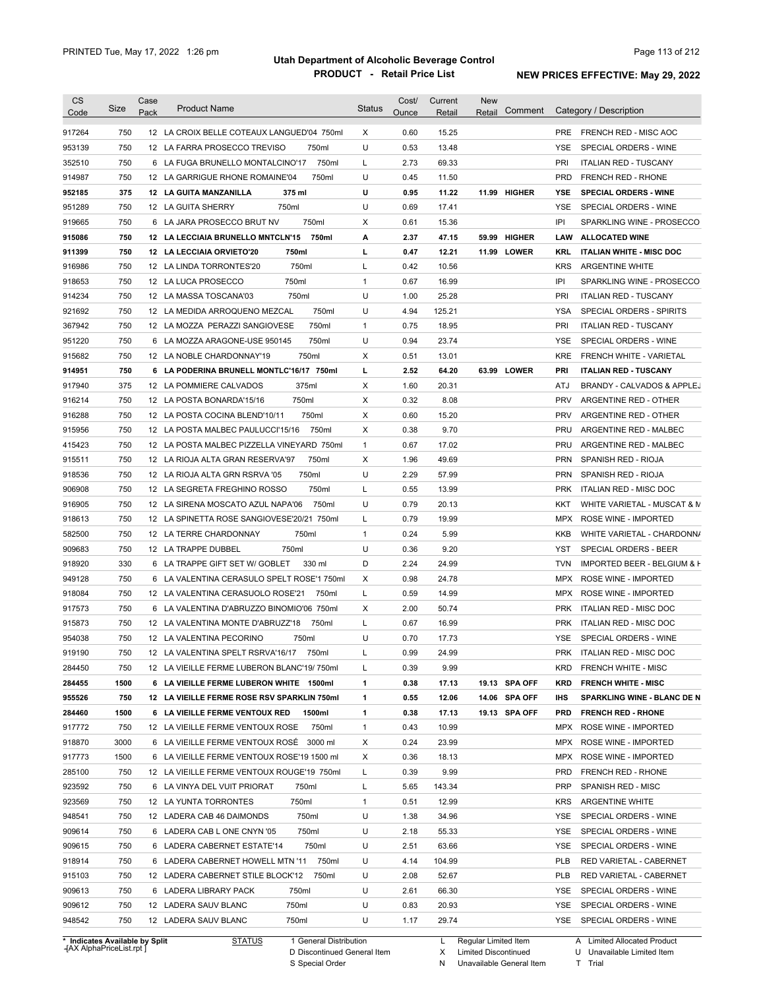| <b>CS</b>                      | Size | Case<br>Pack | <b>Product Name</b>                         |                        | <b>Status</b> | Cost/        | Current        | <b>New</b><br>Retail | Comment       |            | Category / Description                                |
|--------------------------------|------|--------------|---------------------------------------------|------------------------|---------------|--------------|----------------|----------------------|---------------|------------|-------------------------------------------------------|
| Code                           |      |              |                                             |                        |               | Ounce        | Retail         |                      |               |            |                                                       |
| 917264                         | 750  |              | 12 LA CROIX BELLE COTEAUX LANGUED'04 750ml  |                        | X             | 0.60         | 15.25          |                      |               | <b>PRE</b> | FRENCH RED - MISC AOC                                 |
| 953139                         | 750  |              | 12 LA FARRA PROSECCO TREVISO                | 750ml                  | U             | 0.53         | 13.48          |                      |               | <b>YSE</b> | SPECIAL ORDERS - WINE                                 |
| 352510                         | 750  |              | 6 LA FUGA BRUNELLO MONTALCINO'17            | 750ml                  | L             | 2.73         | 69.33          |                      |               | PRI        | <b>ITALIAN RED - TUSCANY</b>                          |
| 914987                         | 750  |              | 12 LA GARRIGUE RHONE ROMAINE'04             | 750ml                  | U             | 0.45         | 11.50          |                      |               | <b>PRD</b> | FRENCH RED - RHONE                                    |
| 952185                         | 375  |              | 375 ml<br>12 LA GUITA MANZANILLA            |                        | U             | 0.95         | 11.22          |                      | 11.99 HIGHER  | YSE        | <b>SPECIAL ORDERS - WINE</b>                          |
| 951289                         | 750  |              | 750ml<br>12 LA GUITA SHERRY                 |                        | U             | 0.69         | 17.41          |                      |               | YSE        | SPECIAL ORDERS - WINE                                 |
| 919665                         | 750  |              | 6 LA JARA PROSECCO BRUT NV<br>750ml         |                        | Χ             | 0.61         | 15.36          |                      |               | IPI        | SPARKLING WINE - PROSECCO                             |
| 915086                         | 750  |              | 12 LA LECCIAIA BRUNELLO MNTCLN'15           | 750ml                  | А             | 2.37         | 47.15          | 59.99                | <b>HIGHER</b> | LAW        | <b>ALLOCATED WINE</b>                                 |
| 911399                         | 750  |              | 750ml<br>12 LA LECCIAIA ORVIETO'20          |                        | г             | 0.47         | 12.21          |                      | 11.99 LOWER   | <b>KRL</b> | <b>ITALIAN WHITE - MISC DOC</b>                       |
| 916986                         | 750  |              | 12 LA LINDA TORRONTES'20<br>750ml           |                        | L             | 0.42         | 10.56          |                      |               | <b>KRS</b> | <b>ARGENTINE WHITE</b>                                |
| 918653                         | 750  |              | 12 LA LUCA PROSECCO<br>750ml                |                        | $\mathbf{1}$  | 0.67         | 16.99          |                      |               | IPI        | SPARKLING WINE - PROSECCO                             |
| 914234                         | 750  |              | 750ml<br>12 LA MASSA TOSCANA'03             |                        | U             | 1.00         | 25.28          |                      |               | PRI        | <b>ITALIAN RED - TUSCANY</b>                          |
| 921692                         | 750  |              | 12 LA MEDIDA ARROQUENO MEZCAL               | 750ml                  | U             | 4.94         | 125.21         |                      |               | YSA        | SPECIAL ORDERS - SPIRITS                              |
| 367942                         | 750  |              | 12 LA MOZZA PERAZZI SANGIOVESE              | 750ml                  | $\mathbf{1}$  | 0.75         | 18.95          |                      |               | PRI        | <b>ITALIAN RED - TUSCANY</b>                          |
| 951220                         | 750  |              | 6 LA MOZZA ARAGONE-USE 950145               | 750ml                  | U             | 0.94         | 23.74          |                      |               | YSE        | SPECIAL ORDERS - WINE                                 |
| 915682                         | 750  |              | 750ml<br>12 LA NOBLE CHARDONNAY'19          |                        | Х             | 0.51         | 13.01          |                      |               | <b>KRE</b> | <b>FRENCH WHITE - VARIETAL</b>                        |
| 914951                         | 750  |              | 6 LA PODERINA BRUNELL MONTLC'16/17 750ml    |                        | L             | 2.52         | 64.20          |                      | 63.99 LOWER   | PRI        | <b>ITALIAN RED - TUSCANY</b>                          |
| 917940                         | 375  |              | 375ml<br>12 LA POMMIERE CALVADOS            |                        | X             | 1.60         | 20.31          |                      |               | ATJ        | BRANDY - CALVADOS & APPLEJ                            |
| 916214                         | 750  |              | 750ml<br>12 LA POSTA BONARDA'15/16          |                        | Χ             | 0.32         | 8.08           |                      |               | <b>PRV</b> | ARGENTINE RED - OTHER                                 |
| 916288                         | 750  |              | 750ml<br>12 LA POSTA COCINA BLEND'10/11     |                        | Χ             | 0.60         | 15.20          |                      |               | <b>PRV</b> | ARGENTINE RED - OTHER                                 |
| 915956                         | 750  |              | 12 LA POSTA MALBEC PAULUCCI'15/16           | 750ml                  | Χ             | 0.38         | 9.70           |                      |               | <b>PRU</b> | ARGENTINE RED - MALBEC                                |
| 415423                         | 750  |              | 12 LA POSTA MALBEC PIZZELLA VINEYARD 750ml  |                        | $\mathbf{1}$  | 0.67         | 17.02          |                      |               | PRU        | ARGENTINE RED - MALBEC                                |
| 915511                         | 750  |              | 12 LA RIOJA ALTA GRAN RESERVA'97            | 750ml                  | Χ             | 1.96         | 49.69          |                      |               | <b>PRN</b> | SPANISH RED - RIOJA                                   |
| 918536                         | 750  |              | 750ml<br>12 LA RIOJA ALTA GRN RSRVA '05     |                        | U             | 2.29         | 57.99          |                      |               | <b>PRN</b> | SPANISH RED - RIOJA                                   |
| 906908                         | 750  |              | 12 LA SEGRETA FREGHINO ROSSO                | 750ml                  | L             | 0.55         | 13.99          |                      |               | <b>PRK</b> | ITALIAN RED - MISC DOC                                |
| 916905                         | 750  |              | 12 LA SIRENA MOSCATO AZUL NAPA'06           | 750ml                  | U             | 0.79         | 20.13          |                      |               | KKT        | WHITE VARIETAL - MUSCAT & M                           |
| 918613                         | 750  |              | 12 LA SPINETTA ROSE SANGIOVESE'20/21 750ml  |                        | L             | 0.79         | 19.99          |                      |               | MPX        | ROSE WINE - IMPORTED                                  |
| 582500                         | 750  |              | 750ml<br>12 LA TERRE CHARDONNAY             |                        | $\mathbf{1}$  | 0.24         | 5.99           |                      |               | KKB        | WHITE VARIETAL - CHARDONN/                            |
| 909683                         | 750  |              | 12 LA TRAPPE DUBBEL<br>750ml                |                        | U             | 0.36         | 9.20           |                      |               | YST        | SPECIAL ORDERS - BEER                                 |
| 918920                         | 330  |              | 6 LA TRAPPE GIFT SET W/ GOBLET              | 330 ml                 | D             | 2.24         | 24.99          |                      |               | <b>TVN</b> | IMPORTED BEER - BELGIUM & F                           |
| 949128                         | 750  |              | 6 LA VALENTINA CERASULO SPELT ROSE'1 750ml  |                        | X             | 0.98         | 24.78          |                      |               | <b>MPX</b> | ROSE WINE - IMPORTED                                  |
| 918084                         | 750  |              | 12 LA VALENTINA CERASUOLO ROSE'21           | 750ml                  | L             | 0.59         | 14.99          |                      |               | <b>MPX</b> | ROSE WINE - IMPORTED                                  |
| 917573                         | 750  |              | 6 LA VALENTINA D'ABRUZZO BINOMIO'06 750ml   |                        | X             | 2.00         | 50.74          |                      |               | <b>PRK</b> | ITALIAN RED - MISC DOC                                |
| 915873                         | 750  |              | 12 LA VALENTINA MONTE D'ABRUZZ'18           | 750ml                  | L             | 0.67         | 16.99          |                      |               | <b>PRK</b> | ITALIAN RED - MISC DOC                                |
| 954038                         | 750  |              | 12 LA VALENTINA PECORINO<br>750ml           |                        | U             | 0.70         | 17.73          |                      |               | <b>YSE</b> | SPECIAL ORDERS - WINE                                 |
| 919190                         | 750  |              | 12 LA VALENTINA SPELT RSRVA'16/17           | 750ml                  |               | 0.99         | 24.99          |                      |               |            | PRK ITALIAN RED - MISC DOC                            |
| 284450                         | 750  |              | 12 LA VIEILLE FERME LUBERON BLANC'19/750ml  |                        | L             | 0.39         | 9.99           |                      |               | <b>KRD</b> | <b>FRENCH WHITE - MISC</b>                            |
| 284455                         | 1500 |              | 6 LA VIEILLE FERME LUBERON WHITE 1500ml     |                        | 1             | 0.38         |                |                      | 19.13 SPA OFF |            | <b>FRENCH WHITE - MISC</b>                            |
| 955526                         | 750  |              | 12 LA VIEILLE FERME ROSE RSV SPARKLIN 750ml |                        | 1             | 0.55         | 17.13<br>12.06 |                      | 14.06 SPA OFF | KRD<br>IHS | SPARKLING WINE - BLANC DE N                           |
|                                |      |              |                                             |                        |               |              |                |                      |               |            |                                                       |
| 284460<br>917772               | 1500 |              | 6 LA VIEILLE FERME VENTOUX RED              | 1500ml<br>750ml        | 1             | 0.38         | 17.13<br>10.99 |                      | 19.13 SPA OFF | <b>PRD</b> | <b>FRENCH RED - RHONE</b><br>MPX ROSE WINE - IMPORTED |
|                                | 750  |              | 12 LA VIEILLE FERME VENTOUX ROSE            |                        | 1             | 0.43<br>0.24 |                |                      |               |            |                                                       |
| 918870                         | 3000 |              | 6 LA VIEILLE FERME VENTOUX ROSE 3000 ml     |                        | Х             |              | 23.99          |                      |               |            | MPX ROSE WINE - IMPORTED                              |
| 917773                         | 1500 |              | 6 LA VIEILLE FERME VENTOUX ROSE'19 1500 ml  |                        | Х             | 0.36         | 18.13          |                      |               | MPX        | ROSE WINE - IMPORTED                                  |
| 285100                         | 750  |              | 12 LA VIEILLE FERME VENTOUX ROUGE'19 750ml  |                        | L             | 0.39         | 9.99           |                      |               | <b>PRD</b> | FRENCH RED - RHONE                                    |
| 923592                         | 750  |              | 6 LA VINYA DEL VUIT PRIORAT<br>750ml        |                        | L             | 5.65         | 143.34         |                      |               | <b>PRP</b> | SPANISH RED - MISC                                    |
| 923569                         | 750  |              | 12 LA YUNTA TORRONTES<br>750ml              |                        | $\mathbf{1}$  | 0.51         | 12.99          |                      |               | <b>KRS</b> | ARGENTINE WHITE                                       |
| 948541                         | 750  |              | 750ml<br>12 LADERA CAB 46 DAIMONDS          |                        | U             | 1.38         | 34.96          |                      |               | YSE        | SPECIAL ORDERS - WINE                                 |
| 909614                         | 750  |              | 750ml<br>6 LADERA CAB L ONE CNYN '05        |                        | U             | 2.18         | 55.33          |                      |               | YSE        | SPECIAL ORDERS - WINE                                 |
| 909615                         | 750  |              | 6 LADERA CABERNET ESTATE'14                 | 750ml                  | U             | 2.51         | 63.66          |                      |               | YSE        | SPECIAL ORDERS - WINE                                 |
| 918914                         | 750  |              | 6 LADERA CABERNET HOWELL MTN '11            | 750ml                  | U             | 4.14         | 104.99         |                      |               | <b>PLB</b> | RED VARIETAL - CABERNET                               |
| 915103                         | 750  |              | 12 LADERA CABERNET STILE BLOCK'12           | 750ml                  | U             | 2.08         | 52.67          |                      |               | <b>PLB</b> | RED VARIETAL - CABERNET                               |
| 909613                         | 750  |              | 6 LADERA LIBRARY PACK<br>750ml              |                        | U             | 2.61         | 66.30          |                      |               | YSE        | SPECIAL ORDERS - WINE                                 |
| 909612                         | 750  |              | 750ml<br>12 LADERA SAUV BLANC               |                        | U             | 0.83         | 20.93          |                      |               | YSE        | SPECIAL ORDERS - WINE                                 |
| 948542                         | 750  |              | 12 LADERA SAUV BLANC<br>750ml               |                        | U             | 1.17         | 29.74          |                      |               |            | YSE SPECIAL ORDERS - WINE                             |
| * Indicates Available by Split |      |              | <b>STATUS</b>                               | 1 General Distribution |               |              | L.             | Regular Limited Item |               |            | A Limited Allocated Product                           |

**Case** [AX AlphaPriceList.rpt ]

D Discontinued General Item

S Special Order

X Limited Discontinued

N Unavailable General Item

U Unavailable Limited Item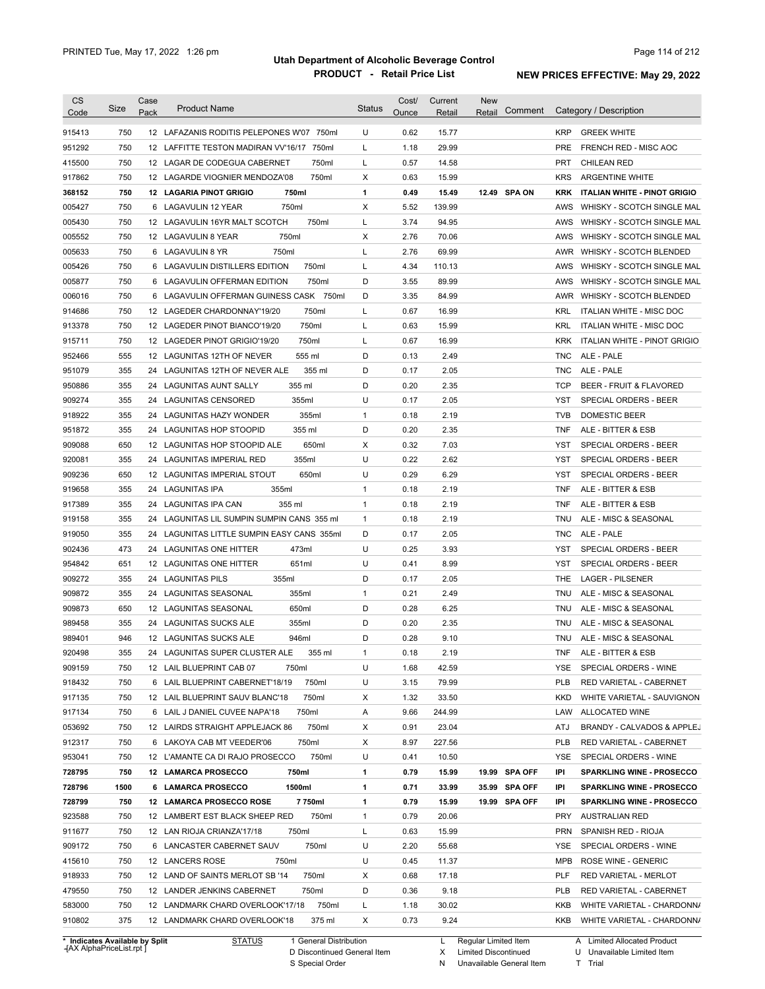| 750<br>12 LAFAZANIS RODITIS PELEPONES W'07 750ml<br>U<br>0.62<br>15.77<br><b>KRP</b><br><b>GREEK WHITE</b><br>915413<br>951292<br>750<br>Г<br>1.18<br>29.99<br>12 LAFFITTE TESTON MADIRAN VV'16/17 750ml<br><b>PRE</b><br>FRENCH RED - MISC AOC<br>750<br>750ml<br>Г<br>0.57<br>14.58<br><b>PRT</b><br>415500<br>12 LAGAR DE CODEGUA CABERNET<br><b>CHILEAN RED</b><br>Χ<br>917862<br>750<br>12 LAGARDE VIOGNIER MENDOZA'08<br>750ml<br>0.63<br>15.99<br><b>KRS</b><br><b>ARGENTINE WHITE</b><br>1<br>0.49<br>368152<br>750<br>12 LAGARIA PINOT GRIGIO<br>750ml<br>15.49<br>12.49 SPA ON<br><b>KRK</b><br><b>ITALIAN WHITE - PINOT GRIGIO</b><br>X<br>750<br>5.52<br>139.99<br>005427<br>6 LAGAVULIN 12 YEAR<br>750ml<br>AWS<br>WHISKY - SCOTCH SINGLE MAL<br>750<br>750ml<br>Г<br>94.95<br>005430<br>12 LAGAVULIN 16YR MALT SCOTCH<br>3.74<br>AWS<br>WHISKY - SCOTCH SINGLE MAL<br>X<br>005552<br>750<br>750ml<br>2.76<br>70.06<br>12 LAGAVULIN 8 YEAR<br>AWS<br>WHISKY - SCOTCH SINGLE MAL<br>750<br>Г<br>2.76<br>69.99<br>005633<br>6 LAGAVULIN 8 YR<br>750ml<br>AWR WHISKY - SCOTCH BLENDED<br>750<br>750ml<br>Г<br>4.34<br>110.13<br>005426<br>6 LAGAVULIN DISTILLERS EDITION<br>AWS<br>WHISKY - SCOTCH SINGLE MAL<br>750<br>750ml<br>D<br>3.55<br>89.99<br>005877<br>6 LAGAVULIN OFFERMAN EDITION<br>AWS<br>WHISKY - SCOTCH SINGLE MAL<br>750<br>6 LAGAVULIN OFFERMAN GUINESS CASK 750ml<br>D<br>3.35<br>84.99<br>006016<br>AWR WHISKY - SCOTCH BLENDED<br>750<br>750ml<br>Г<br>0.67<br>16.99<br><b>KRL</b><br>914686<br>12 LAGEDER CHARDONNAY'19/20<br>ITALIAN WHITE - MISC DOC<br>750<br>750ml<br>Г<br>0.63<br>15.99<br>913378<br>12 LAGEDER PINOT BIANCO'19/20<br>KRL<br>ITALIAN WHITE - MISC DOC<br>750<br>750ml<br>0.67<br>16.99<br>915711<br>12 LAGEDER PINOT GRIGIO'19/20<br>L<br><b>KRK</b><br>ITALIAN WHITE - PINOT GRIGIO<br>555<br>D<br>0.13<br>2.49<br>ALE - PALE<br>952466<br>12 LAGUNITAS 12TH OF NEVER<br>555 ml<br>TNC.<br>355<br>355 ml<br>D<br>0.17<br>2.05<br>ALE - PALE<br>951079<br>24 LAGUNITAS 12TH OF NEVER ALE<br>TNC.<br>D<br>355<br>355 ml<br>0.20<br>2.35<br><b>TCP</b><br>BEER - FRUIT & FLAVORED<br>950886<br>24<br>LAGUNITAS AUNT SALLY<br>U<br>355<br>24 LAGUNITAS CENSORED<br>355ml<br>0.17<br>2.05<br>SPECIAL ORDERS - BEER<br>909274<br>YST<br>355<br>355ml<br>0.18<br>2.19<br>918922<br>24<br>LAGUNITAS HAZY WONDER<br>$\mathbf{1}$<br><b>TVB</b><br><b>DOMESTIC BEER</b><br>D<br>355<br><b>LAGUNITAS HOP STOOPID</b><br>355 ml<br>0.20<br>2.35<br>ALE - BITTER & ESB<br>951872<br>24<br>TNF<br>650<br>650ml<br>Х<br>0.32<br>7.03<br>909088<br>12 LAGUNITAS HOP STOOPID ALE<br>YST<br>SPECIAL ORDERS - BEER<br>U<br>0.22<br>355<br>355ml<br>2.62<br>SPECIAL ORDERS - BEER<br>920081<br>24<br>LAGUNITAS IMPERIAL RED<br>YST<br>U<br>909236<br>650<br>12 LAGUNITAS IMPERIAL STOUT<br>650ml<br>0.29<br>6.29<br>YST<br>SPECIAL ORDERS - BEER<br>355<br><b>LAGUNITAS IPA</b><br>355ml<br>$\mathbf{1}$<br>0.18<br>2.19<br>919658<br>24<br>TNF<br>ALE - BITTER & ESB<br>355<br>355 ml<br>$\mathbf{1}$<br>0.18<br>2.19<br><b>TNF</b><br>917389<br>24<br>LAGUNITAS IPA CAN<br>ALE - BITTER & ESB<br>355<br>LAGUNITAS LIL SUMPIN SUMPIN CANS 355 ml<br>$\mathbf{1}$<br>0.18<br>2.19<br>919158<br>24<br><b>TNU</b><br>ALE - MISC & SEASONAL<br>919050<br>355<br>LAGUNITAS LITTLE SUMPIN EASY CANS 355ml<br>D<br>0.17<br>2.05<br><b>TNC</b><br>24<br>ALE - PALE<br>902436<br>473<br>473ml<br>U<br>0.25<br>3.93<br>SPECIAL ORDERS - BEER<br>24 LAGUNITAS ONE HITTER<br>YST<br>954842<br>651<br>651ml<br>U<br>0.41<br>8.99<br>12<br>LAGUNITAS ONE HITTER<br>YST<br>SPECIAL ORDERS - BEER<br>355<br>355ml<br>D<br>0.17<br>2.05<br><b>LAGER - PILSENER</b><br>24<br><b>LAGUNITAS PILS</b><br>THE<br>355<br>355ml<br>$\mathbf{1}$<br>0.21<br>2.49<br>24<br>LAGUNITAS SEASONAL<br>TNU<br>ALE - MISC & SEASONAL<br>D<br>650ml<br>0.28<br>6.25<br>650<br>12<br>LAGUNITAS SEASONAL<br>TNU<br>ALE - MISC & SEASONAL<br>355ml<br>D<br>0.20<br>2.35<br>355<br>24 LAGUNITAS SUCKS ALE<br>TNU<br>ALE - MISC & SEASONAL<br>946<br>946ml<br>D<br>0.28<br>9.10<br>12 LAGUNITAS SUCKS ALE<br>TNU<br>ALE - MISC & SEASONAL<br>355<br>24 LAGUNITAS SUPER CLUSTER ALE<br>2.19<br>355 ml<br>0.18<br><b>TNF</b><br>ALE - BITTER & ESB<br>1<br>750<br>12 LAIL BLUEPRINT CAB 07<br>750ml<br>U<br>42.59<br>SPECIAL ORDERS - WINE<br>1.68<br>YSE.<br>79.99<br>750ml<br>U<br>750<br>6 LAIL BLUEPRINT CABERNET'18/19<br>3.15<br>PLB<br>RED VARIETAL - CABERNET<br>33.50<br>750<br>12 LAIL BLUEPRINT SAUV BLANC'18<br>750ml<br>х<br>1.32<br>KKD<br>WHITE VARIETAL - SAUVIGNON<br>750ml<br>244.99<br>750<br>6 LAIL J DANIEL CUVEE NAPA'18<br>Α<br>9.66<br>LAW<br>ALLOCATED WINE<br>750<br>750ml<br>0.91<br>23.04<br>BRANDY - CALVADOS & APPLEJ<br>12 LAIRDS STRAIGHT APPLEJACK 86<br>х<br>ATJ<br>750<br>750ml<br>227.56<br>6 LAKOYA CAB MT VEEDER'06<br>Х<br>8.97<br>PLB<br>RED VARIETAL - CABERNET<br>750<br>750ml<br>U<br>10.50<br>12 L'AMANTE CA DI RAJO PROSECCO<br>0.41<br>YSE<br>SPECIAL ORDERS - WINE<br>750ml<br>15.99<br>19.99 SPA OFF<br>750<br>12 LAMARCA PROSECCO<br>1<br>0.79<br>IPI<br><b>SPARKLING WINE - PROSECCO</b><br>1500<br>1500ml<br>33.99<br>35.99 SPA OFF<br>6 LAMARCA PROSECCO<br>1<br>0.71<br><b>SPARKLING WINE - PROSECCO</b><br>IPI<br>7750ml<br>15.99<br>19.99 SPA OFF<br>750<br>12 LAMARCA PROSECCO ROSE<br>1<br>0.79<br>IPI<br><b>SPARKLING WINE - PROSECCO</b><br>750ml<br>20.06<br>750<br>12 LAMBERT EST BLACK SHEEP RED<br>1<br>0.79<br><b>PRY</b><br><b>AUSTRALIAN RED</b><br>L<br>15.99<br>750<br>12 LAN RIOJA CRIANZA'17/18<br>750ml<br>0.63<br>PRN<br>SPANISH RED - RIOJA<br>U<br>55.68<br>750<br>6 LANCASTER CABERNET SAUV<br>750ml<br>2.20<br>YSE<br>SPECIAL ORDERS - WINE<br>U<br>11.37<br>750<br>12 LANCERS ROSE<br>750ml<br>0.45<br>MPB<br>ROSE WINE - GENERIC<br>17.18<br>RED VARIETAL - MERLOT<br>750<br>12 LAND OF SAINTS MERLOT SB '14<br>750ml<br>х<br>0.68<br>PLF<br>750ml<br>D<br>9.18<br>750<br>12 LANDER JENKINS CABERNET<br>0.36<br><b>PLB</b><br>RED VARIETAL - CABERNET<br>750<br>750ml<br>30.02<br>12 LANDMARK CHARD OVERLOOK'17/18<br>L<br>1.18<br>KKB<br>WHITE VARIETAL - CHARDONN/<br>375<br>375 ml<br>0.73<br>9.24<br>12 LANDMARK CHARD OVERLOOK'18<br>Х<br>WHITE VARIETAL - CHARDONN/<br>KKB<br>* Indicates Available by Split<br><b>STATUS</b><br>1 General Distribution<br>Regular Limited Item<br>A Limited Allocated Product<br>L. | <b>CS</b><br>Code | Size | Case<br>Pack | <b>Product Name</b> | <b>Status</b> | Cost/<br>Ounce | Current<br>Retail | New<br>Comment<br>Retail | Category / Description |
|----------------------------------------------------------------------------------------------------------------------------------------------------------------------------------------------------------------------------------------------------------------------------------------------------------------------------------------------------------------------------------------------------------------------------------------------------------------------------------------------------------------------------------------------------------------------------------------------------------------------------------------------------------------------------------------------------------------------------------------------------------------------------------------------------------------------------------------------------------------------------------------------------------------------------------------------------------------------------------------------------------------------------------------------------------------------------------------------------------------------------------------------------------------------------------------------------------------------------------------------------------------------------------------------------------------------------------------------------------------------------------------------------------------------------------------------------------------------------------------------------------------------------------------------------------------------------------------------------------------------------------------------------------------------------------------------------------------------------------------------------------------------------------------------------------------------------------------------------------------------------------------------------------------------------------------------------------------------------------------------------------------------------------------------------------------------------------------------------------------------------------------------------------------------------------------------------------------------------------------------------------------------------------------------------------------------------------------------------------------------------------------------------------------------------------------------------------------------------------------------------------------------------------------------------------------------------------------------------------------------------------------------------------------------------------------------------------------------------------------------------------------------------------------------------------------------------------------------------------------------------------------------------------------------------------------------------------------------------------------------------------------------------------------------------------------------------------------------------------------------------------------------------------------------------------------------------------------------------------------------------------------------------------------------------------------------------------------------------------------------------------------------------------------------------------------------------------------------------------------------------------------------------------------------------------------------------------------------------------------------------------------------------------------------------------------------------------------------------------------------------------------------------------------------------------------------------------------------------------------------------------------------------------------------------------------------------------------------------------------------------------------------------------------------------------------------------------------------------------------------------------------------------------------------------------------------------------------------------------------------------------------------------------------------------------------------------------------------------------------------------------------------------------------------------------------------------------------------------------------------------------------------------------------------------------------------------------------------------------------------------------------------------------------------------------------------------------------------------------------------------------------------------------------------------------------------------------------------------------------------------------------------------------------------------------------------------------------------------------------------------------------------------------------------------------------------------------------------------------------------------------------------------------------------------------------------------------------------------------------------------------------------------------------------------------------------------------------------------------------------------------------------------------------------------------------------------------------------------------------------------------------------------------------------------------------------------------------------------------------------------------------------------------------------------------------------------------------------------------------------------------------------------------------------------------------------------------------------------------------------------------------------------------------------------------------------------------------------------------------------------------------------------------------------------------------------------------------------------------------------------------------------------------------------------------------------------------------------------------------------------------------------------------------------------------------------------------------------------------------------------------------------------|-------------------|------|--------------|---------------------|---------------|----------------|-------------------|--------------------------|------------------------|
|                                                                                                                                                                                                                                                                                                                                                                                                                                                                                                                                                                                                                                                                                                                                                                                                                                                                                                                                                                                                                                                                                                                                                                                                                                                                                                                                                                                                                                                                                                                                                                                                                                                                                                                                                                                                                                                                                                                                                                                                                                                                                                                                                                                                                                                                                                                                                                                                                                                                                                                                                                                                                                                                                                                                                                                                                                                                                                                                                                                                                                                                                                                                                                                                                                                                                                                                                                                                                                                                                                                                                                                                                                                                                                                                                                                                                                                                                                                                                                                                                                                                                                                                                                                                                                                                                                                                                                                                                                                                                                                                                                                                                                                                                                                                                                                                                                                                                                                                                                                                                                                                                                                                                                                                                                                                                                                                                                                                                                                                                                                                                                                                                                                                                                                                                                                                                                                                                                                                                                                                                                                                                                                                                                                                                                                                                                                                                                                                    |                   |      |              |                     |               |                |                   |                          |                        |
|                                                                                                                                                                                                                                                                                                                                                                                                                                                                                                                                                                                                                                                                                                                                                                                                                                                                                                                                                                                                                                                                                                                                                                                                                                                                                                                                                                                                                                                                                                                                                                                                                                                                                                                                                                                                                                                                                                                                                                                                                                                                                                                                                                                                                                                                                                                                                                                                                                                                                                                                                                                                                                                                                                                                                                                                                                                                                                                                                                                                                                                                                                                                                                                                                                                                                                                                                                                                                                                                                                                                                                                                                                                                                                                                                                                                                                                                                                                                                                                                                                                                                                                                                                                                                                                                                                                                                                                                                                                                                                                                                                                                                                                                                                                                                                                                                                                                                                                                                                                                                                                                                                                                                                                                                                                                                                                                                                                                                                                                                                                                                                                                                                                                                                                                                                                                                                                                                                                                                                                                                                                                                                                                                                                                                                                                                                                                                                                                    |                   |      |              |                     |               |                |                   |                          |                        |
|                                                                                                                                                                                                                                                                                                                                                                                                                                                                                                                                                                                                                                                                                                                                                                                                                                                                                                                                                                                                                                                                                                                                                                                                                                                                                                                                                                                                                                                                                                                                                                                                                                                                                                                                                                                                                                                                                                                                                                                                                                                                                                                                                                                                                                                                                                                                                                                                                                                                                                                                                                                                                                                                                                                                                                                                                                                                                                                                                                                                                                                                                                                                                                                                                                                                                                                                                                                                                                                                                                                                                                                                                                                                                                                                                                                                                                                                                                                                                                                                                                                                                                                                                                                                                                                                                                                                                                                                                                                                                                                                                                                                                                                                                                                                                                                                                                                                                                                                                                                                                                                                                                                                                                                                                                                                                                                                                                                                                                                                                                                                                                                                                                                                                                                                                                                                                                                                                                                                                                                                                                                                                                                                                                                                                                                                                                                                                                                                    |                   |      |              |                     |               |                |                   |                          |                        |
|                                                                                                                                                                                                                                                                                                                                                                                                                                                                                                                                                                                                                                                                                                                                                                                                                                                                                                                                                                                                                                                                                                                                                                                                                                                                                                                                                                                                                                                                                                                                                                                                                                                                                                                                                                                                                                                                                                                                                                                                                                                                                                                                                                                                                                                                                                                                                                                                                                                                                                                                                                                                                                                                                                                                                                                                                                                                                                                                                                                                                                                                                                                                                                                                                                                                                                                                                                                                                                                                                                                                                                                                                                                                                                                                                                                                                                                                                                                                                                                                                                                                                                                                                                                                                                                                                                                                                                                                                                                                                                                                                                                                                                                                                                                                                                                                                                                                                                                                                                                                                                                                                                                                                                                                                                                                                                                                                                                                                                                                                                                                                                                                                                                                                                                                                                                                                                                                                                                                                                                                                                                                                                                                                                                                                                                                                                                                                                                                    |                   |      |              |                     |               |                |                   |                          |                        |
|                                                                                                                                                                                                                                                                                                                                                                                                                                                                                                                                                                                                                                                                                                                                                                                                                                                                                                                                                                                                                                                                                                                                                                                                                                                                                                                                                                                                                                                                                                                                                                                                                                                                                                                                                                                                                                                                                                                                                                                                                                                                                                                                                                                                                                                                                                                                                                                                                                                                                                                                                                                                                                                                                                                                                                                                                                                                                                                                                                                                                                                                                                                                                                                                                                                                                                                                                                                                                                                                                                                                                                                                                                                                                                                                                                                                                                                                                                                                                                                                                                                                                                                                                                                                                                                                                                                                                                                                                                                                                                                                                                                                                                                                                                                                                                                                                                                                                                                                                                                                                                                                                                                                                                                                                                                                                                                                                                                                                                                                                                                                                                                                                                                                                                                                                                                                                                                                                                                                                                                                                                                                                                                                                                                                                                                                                                                                                                                                    |                   |      |              |                     |               |                |                   |                          |                        |
|                                                                                                                                                                                                                                                                                                                                                                                                                                                                                                                                                                                                                                                                                                                                                                                                                                                                                                                                                                                                                                                                                                                                                                                                                                                                                                                                                                                                                                                                                                                                                                                                                                                                                                                                                                                                                                                                                                                                                                                                                                                                                                                                                                                                                                                                                                                                                                                                                                                                                                                                                                                                                                                                                                                                                                                                                                                                                                                                                                                                                                                                                                                                                                                                                                                                                                                                                                                                                                                                                                                                                                                                                                                                                                                                                                                                                                                                                                                                                                                                                                                                                                                                                                                                                                                                                                                                                                                                                                                                                                                                                                                                                                                                                                                                                                                                                                                                                                                                                                                                                                                                                                                                                                                                                                                                                                                                                                                                                                                                                                                                                                                                                                                                                                                                                                                                                                                                                                                                                                                                                                                                                                                                                                                                                                                                                                                                                                                                    |                   |      |              |                     |               |                |                   |                          |                        |
|                                                                                                                                                                                                                                                                                                                                                                                                                                                                                                                                                                                                                                                                                                                                                                                                                                                                                                                                                                                                                                                                                                                                                                                                                                                                                                                                                                                                                                                                                                                                                                                                                                                                                                                                                                                                                                                                                                                                                                                                                                                                                                                                                                                                                                                                                                                                                                                                                                                                                                                                                                                                                                                                                                                                                                                                                                                                                                                                                                                                                                                                                                                                                                                                                                                                                                                                                                                                                                                                                                                                                                                                                                                                                                                                                                                                                                                                                                                                                                                                                                                                                                                                                                                                                                                                                                                                                                                                                                                                                                                                                                                                                                                                                                                                                                                                                                                                                                                                                                                                                                                                                                                                                                                                                                                                                                                                                                                                                                                                                                                                                                                                                                                                                                                                                                                                                                                                                                                                                                                                                                                                                                                                                                                                                                                                                                                                                                                                    |                   |      |              |                     |               |                |                   |                          |                        |
|                                                                                                                                                                                                                                                                                                                                                                                                                                                                                                                                                                                                                                                                                                                                                                                                                                                                                                                                                                                                                                                                                                                                                                                                                                                                                                                                                                                                                                                                                                                                                                                                                                                                                                                                                                                                                                                                                                                                                                                                                                                                                                                                                                                                                                                                                                                                                                                                                                                                                                                                                                                                                                                                                                                                                                                                                                                                                                                                                                                                                                                                                                                                                                                                                                                                                                                                                                                                                                                                                                                                                                                                                                                                                                                                                                                                                                                                                                                                                                                                                                                                                                                                                                                                                                                                                                                                                                                                                                                                                                                                                                                                                                                                                                                                                                                                                                                                                                                                                                                                                                                                                                                                                                                                                                                                                                                                                                                                                                                                                                                                                                                                                                                                                                                                                                                                                                                                                                                                                                                                                                                                                                                                                                                                                                                                                                                                                                                                    |                   |      |              |                     |               |                |                   |                          |                        |
|                                                                                                                                                                                                                                                                                                                                                                                                                                                                                                                                                                                                                                                                                                                                                                                                                                                                                                                                                                                                                                                                                                                                                                                                                                                                                                                                                                                                                                                                                                                                                                                                                                                                                                                                                                                                                                                                                                                                                                                                                                                                                                                                                                                                                                                                                                                                                                                                                                                                                                                                                                                                                                                                                                                                                                                                                                                                                                                                                                                                                                                                                                                                                                                                                                                                                                                                                                                                                                                                                                                                                                                                                                                                                                                                                                                                                                                                                                                                                                                                                                                                                                                                                                                                                                                                                                                                                                                                                                                                                                                                                                                                                                                                                                                                                                                                                                                                                                                                                                                                                                                                                                                                                                                                                                                                                                                                                                                                                                                                                                                                                                                                                                                                                                                                                                                                                                                                                                                                                                                                                                                                                                                                                                                                                                                                                                                                                                                                    |                   |      |              |                     |               |                |                   |                          |                        |
|                                                                                                                                                                                                                                                                                                                                                                                                                                                                                                                                                                                                                                                                                                                                                                                                                                                                                                                                                                                                                                                                                                                                                                                                                                                                                                                                                                                                                                                                                                                                                                                                                                                                                                                                                                                                                                                                                                                                                                                                                                                                                                                                                                                                                                                                                                                                                                                                                                                                                                                                                                                                                                                                                                                                                                                                                                                                                                                                                                                                                                                                                                                                                                                                                                                                                                                                                                                                                                                                                                                                                                                                                                                                                                                                                                                                                                                                                                                                                                                                                                                                                                                                                                                                                                                                                                                                                                                                                                                                                                                                                                                                                                                                                                                                                                                                                                                                                                                                                                                                                                                                                                                                                                                                                                                                                                                                                                                                                                                                                                                                                                                                                                                                                                                                                                                                                                                                                                                                                                                                                                                                                                                                                                                                                                                                                                                                                                                                    |                   |      |              |                     |               |                |                   |                          |                        |
|                                                                                                                                                                                                                                                                                                                                                                                                                                                                                                                                                                                                                                                                                                                                                                                                                                                                                                                                                                                                                                                                                                                                                                                                                                                                                                                                                                                                                                                                                                                                                                                                                                                                                                                                                                                                                                                                                                                                                                                                                                                                                                                                                                                                                                                                                                                                                                                                                                                                                                                                                                                                                                                                                                                                                                                                                                                                                                                                                                                                                                                                                                                                                                                                                                                                                                                                                                                                                                                                                                                                                                                                                                                                                                                                                                                                                                                                                                                                                                                                                                                                                                                                                                                                                                                                                                                                                                                                                                                                                                                                                                                                                                                                                                                                                                                                                                                                                                                                                                                                                                                                                                                                                                                                                                                                                                                                                                                                                                                                                                                                                                                                                                                                                                                                                                                                                                                                                                                                                                                                                                                                                                                                                                                                                                                                                                                                                                                                    |                   |      |              |                     |               |                |                   |                          |                        |
|                                                                                                                                                                                                                                                                                                                                                                                                                                                                                                                                                                                                                                                                                                                                                                                                                                                                                                                                                                                                                                                                                                                                                                                                                                                                                                                                                                                                                                                                                                                                                                                                                                                                                                                                                                                                                                                                                                                                                                                                                                                                                                                                                                                                                                                                                                                                                                                                                                                                                                                                                                                                                                                                                                                                                                                                                                                                                                                                                                                                                                                                                                                                                                                                                                                                                                                                                                                                                                                                                                                                                                                                                                                                                                                                                                                                                                                                                                                                                                                                                                                                                                                                                                                                                                                                                                                                                                                                                                                                                                                                                                                                                                                                                                                                                                                                                                                                                                                                                                                                                                                                                                                                                                                                                                                                                                                                                                                                                                                                                                                                                                                                                                                                                                                                                                                                                                                                                                                                                                                                                                                                                                                                                                                                                                                                                                                                                                                                    |                   |      |              |                     |               |                |                   |                          |                        |
|                                                                                                                                                                                                                                                                                                                                                                                                                                                                                                                                                                                                                                                                                                                                                                                                                                                                                                                                                                                                                                                                                                                                                                                                                                                                                                                                                                                                                                                                                                                                                                                                                                                                                                                                                                                                                                                                                                                                                                                                                                                                                                                                                                                                                                                                                                                                                                                                                                                                                                                                                                                                                                                                                                                                                                                                                                                                                                                                                                                                                                                                                                                                                                                                                                                                                                                                                                                                                                                                                                                                                                                                                                                                                                                                                                                                                                                                                                                                                                                                                                                                                                                                                                                                                                                                                                                                                                                                                                                                                                                                                                                                                                                                                                                                                                                                                                                                                                                                                                                                                                                                                                                                                                                                                                                                                                                                                                                                                                                                                                                                                                                                                                                                                                                                                                                                                                                                                                                                                                                                                                                                                                                                                                                                                                                                                                                                                                                                    |                   |      |              |                     |               |                |                   |                          |                        |
|                                                                                                                                                                                                                                                                                                                                                                                                                                                                                                                                                                                                                                                                                                                                                                                                                                                                                                                                                                                                                                                                                                                                                                                                                                                                                                                                                                                                                                                                                                                                                                                                                                                                                                                                                                                                                                                                                                                                                                                                                                                                                                                                                                                                                                                                                                                                                                                                                                                                                                                                                                                                                                                                                                                                                                                                                                                                                                                                                                                                                                                                                                                                                                                                                                                                                                                                                                                                                                                                                                                                                                                                                                                                                                                                                                                                                                                                                                                                                                                                                                                                                                                                                                                                                                                                                                                                                                                                                                                                                                                                                                                                                                                                                                                                                                                                                                                                                                                                                                                                                                                                                                                                                                                                                                                                                                                                                                                                                                                                                                                                                                                                                                                                                                                                                                                                                                                                                                                                                                                                                                                                                                                                                                                                                                                                                                                                                                                                    |                   |      |              |                     |               |                |                   |                          |                        |
|                                                                                                                                                                                                                                                                                                                                                                                                                                                                                                                                                                                                                                                                                                                                                                                                                                                                                                                                                                                                                                                                                                                                                                                                                                                                                                                                                                                                                                                                                                                                                                                                                                                                                                                                                                                                                                                                                                                                                                                                                                                                                                                                                                                                                                                                                                                                                                                                                                                                                                                                                                                                                                                                                                                                                                                                                                                                                                                                                                                                                                                                                                                                                                                                                                                                                                                                                                                                                                                                                                                                                                                                                                                                                                                                                                                                                                                                                                                                                                                                                                                                                                                                                                                                                                                                                                                                                                                                                                                                                                                                                                                                                                                                                                                                                                                                                                                                                                                                                                                                                                                                                                                                                                                                                                                                                                                                                                                                                                                                                                                                                                                                                                                                                                                                                                                                                                                                                                                                                                                                                                                                                                                                                                                                                                                                                                                                                                                                    |                   |      |              |                     |               |                |                   |                          |                        |
|                                                                                                                                                                                                                                                                                                                                                                                                                                                                                                                                                                                                                                                                                                                                                                                                                                                                                                                                                                                                                                                                                                                                                                                                                                                                                                                                                                                                                                                                                                                                                                                                                                                                                                                                                                                                                                                                                                                                                                                                                                                                                                                                                                                                                                                                                                                                                                                                                                                                                                                                                                                                                                                                                                                                                                                                                                                                                                                                                                                                                                                                                                                                                                                                                                                                                                                                                                                                                                                                                                                                                                                                                                                                                                                                                                                                                                                                                                                                                                                                                                                                                                                                                                                                                                                                                                                                                                                                                                                                                                                                                                                                                                                                                                                                                                                                                                                                                                                                                                                                                                                                                                                                                                                                                                                                                                                                                                                                                                                                                                                                                                                                                                                                                                                                                                                                                                                                                                                                                                                                                                                                                                                                                                                                                                                                                                                                                                                                    |                   |      |              |                     |               |                |                   |                          |                        |
|                                                                                                                                                                                                                                                                                                                                                                                                                                                                                                                                                                                                                                                                                                                                                                                                                                                                                                                                                                                                                                                                                                                                                                                                                                                                                                                                                                                                                                                                                                                                                                                                                                                                                                                                                                                                                                                                                                                                                                                                                                                                                                                                                                                                                                                                                                                                                                                                                                                                                                                                                                                                                                                                                                                                                                                                                                                                                                                                                                                                                                                                                                                                                                                                                                                                                                                                                                                                                                                                                                                                                                                                                                                                                                                                                                                                                                                                                                                                                                                                                                                                                                                                                                                                                                                                                                                                                                                                                                                                                                                                                                                                                                                                                                                                                                                                                                                                                                                                                                                                                                                                                                                                                                                                                                                                                                                                                                                                                                                                                                                                                                                                                                                                                                                                                                                                                                                                                                                                                                                                                                                                                                                                                                                                                                                                                                                                                                                                    |                   |      |              |                     |               |                |                   |                          |                        |
|                                                                                                                                                                                                                                                                                                                                                                                                                                                                                                                                                                                                                                                                                                                                                                                                                                                                                                                                                                                                                                                                                                                                                                                                                                                                                                                                                                                                                                                                                                                                                                                                                                                                                                                                                                                                                                                                                                                                                                                                                                                                                                                                                                                                                                                                                                                                                                                                                                                                                                                                                                                                                                                                                                                                                                                                                                                                                                                                                                                                                                                                                                                                                                                                                                                                                                                                                                                                                                                                                                                                                                                                                                                                                                                                                                                                                                                                                                                                                                                                                                                                                                                                                                                                                                                                                                                                                                                                                                                                                                                                                                                                                                                                                                                                                                                                                                                                                                                                                                                                                                                                                                                                                                                                                                                                                                                                                                                                                                                                                                                                                                                                                                                                                                                                                                                                                                                                                                                                                                                                                                                                                                                                                                                                                                                                                                                                                                                                    |                   |      |              |                     |               |                |                   |                          |                        |
|                                                                                                                                                                                                                                                                                                                                                                                                                                                                                                                                                                                                                                                                                                                                                                                                                                                                                                                                                                                                                                                                                                                                                                                                                                                                                                                                                                                                                                                                                                                                                                                                                                                                                                                                                                                                                                                                                                                                                                                                                                                                                                                                                                                                                                                                                                                                                                                                                                                                                                                                                                                                                                                                                                                                                                                                                                                                                                                                                                                                                                                                                                                                                                                                                                                                                                                                                                                                                                                                                                                                                                                                                                                                                                                                                                                                                                                                                                                                                                                                                                                                                                                                                                                                                                                                                                                                                                                                                                                                                                                                                                                                                                                                                                                                                                                                                                                                                                                                                                                                                                                                                                                                                                                                                                                                                                                                                                                                                                                                                                                                                                                                                                                                                                                                                                                                                                                                                                                                                                                                                                                                                                                                                                                                                                                                                                                                                                                                    |                   |      |              |                     |               |                |                   |                          |                        |
|                                                                                                                                                                                                                                                                                                                                                                                                                                                                                                                                                                                                                                                                                                                                                                                                                                                                                                                                                                                                                                                                                                                                                                                                                                                                                                                                                                                                                                                                                                                                                                                                                                                                                                                                                                                                                                                                                                                                                                                                                                                                                                                                                                                                                                                                                                                                                                                                                                                                                                                                                                                                                                                                                                                                                                                                                                                                                                                                                                                                                                                                                                                                                                                                                                                                                                                                                                                                                                                                                                                                                                                                                                                                                                                                                                                                                                                                                                                                                                                                                                                                                                                                                                                                                                                                                                                                                                                                                                                                                                                                                                                                                                                                                                                                                                                                                                                                                                                                                                                                                                                                                                                                                                                                                                                                                                                                                                                                                                                                                                                                                                                                                                                                                                                                                                                                                                                                                                                                                                                                                                                                                                                                                                                                                                                                                                                                                                                                    |                   |      |              |                     |               |                |                   |                          |                        |
|                                                                                                                                                                                                                                                                                                                                                                                                                                                                                                                                                                                                                                                                                                                                                                                                                                                                                                                                                                                                                                                                                                                                                                                                                                                                                                                                                                                                                                                                                                                                                                                                                                                                                                                                                                                                                                                                                                                                                                                                                                                                                                                                                                                                                                                                                                                                                                                                                                                                                                                                                                                                                                                                                                                                                                                                                                                                                                                                                                                                                                                                                                                                                                                                                                                                                                                                                                                                                                                                                                                                                                                                                                                                                                                                                                                                                                                                                                                                                                                                                                                                                                                                                                                                                                                                                                                                                                                                                                                                                                                                                                                                                                                                                                                                                                                                                                                                                                                                                                                                                                                                                                                                                                                                                                                                                                                                                                                                                                                                                                                                                                                                                                                                                                                                                                                                                                                                                                                                                                                                                                                                                                                                                                                                                                                                                                                                                                                                    |                   |      |              |                     |               |                |                   |                          |                        |
|                                                                                                                                                                                                                                                                                                                                                                                                                                                                                                                                                                                                                                                                                                                                                                                                                                                                                                                                                                                                                                                                                                                                                                                                                                                                                                                                                                                                                                                                                                                                                                                                                                                                                                                                                                                                                                                                                                                                                                                                                                                                                                                                                                                                                                                                                                                                                                                                                                                                                                                                                                                                                                                                                                                                                                                                                                                                                                                                                                                                                                                                                                                                                                                                                                                                                                                                                                                                                                                                                                                                                                                                                                                                                                                                                                                                                                                                                                                                                                                                                                                                                                                                                                                                                                                                                                                                                                                                                                                                                                                                                                                                                                                                                                                                                                                                                                                                                                                                                                                                                                                                                                                                                                                                                                                                                                                                                                                                                                                                                                                                                                                                                                                                                                                                                                                                                                                                                                                                                                                                                                                                                                                                                                                                                                                                                                                                                                                                    |                   |      |              |                     |               |                |                   |                          |                        |
|                                                                                                                                                                                                                                                                                                                                                                                                                                                                                                                                                                                                                                                                                                                                                                                                                                                                                                                                                                                                                                                                                                                                                                                                                                                                                                                                                                                                                                                                                                                                                                                                                                                                                                                                                                                                                                                                                                                                                                                                                                                                                                                                                                                                                                                                                                                                                                                                                                                                                                                                                                                                                                                                                                                                                                                                                                                                                                                                                                                                                                                                                                                                                                                                                                                                                                                                                                                                                                                                                                                                                                                                                                                                                                                                                                                                                                                                                                                                                                                                                                                                                                                                                                                                                                                                                                                                                                                                                                                                                                                                                                                                                                                                                                                                                                                                                                                                                                                                                                                                                                                                                                                                                                                                                                                                                                                                                                                                                                                                                                                                                                                                                                                                                                                                                                                                                                                                                                                                                                                                                                                                                                                                                                                                                                                                                                                                                                                                    |                   |      |              |                     |               |                |                   |                          |                        |
|                                                                                                                                                                                                                                                                                                                                                                                                                                                                                                                                                                                                                                                                                                                                                                                                                                                                                                                                                                                                                                                                                                                                                                                                                                                                                                                                                                                                                                                                                                                                                                                                                                                                                                                                                                                                                                                                                                                                                                                                                                                                                                                                                                                                                                                                                                                                                                                                                                                                                                                                                                                                                                                                                                                                                                                                                                                                                                                                                                                                                                                                                                                                                                                                                                                                                                                                                                                                                                                                                                                                                                                                                                                                                                                                                                                                                                                                                                                                                                                                                                                                                                                                                                                                                                                                                                                                                                                                                                                                                                                                                                                                                                                                                                                                                                                                                                                                                                                                                                                                                                                                                                                                                                                                                                                                                                                                                                                                                                                                                                                                                                                                                                                                                                                                                                                                                                                                                                                                                                                                                                                                                                                                                                                                                                                                                                                                                                                                    |                   |      |              |                     |               |                |                   |                          |                        |
|                                                                                                                                                                                                                                                                                                                                                                                                                                                                                                                                                                                                                                                                                                                                                                                                                                                                                                                                                                                                                                                                                                                                                                                                                                                                                                                                                                                                                                                                                                                                                                                                                                                                                                                                                                                                                                                                                                                                                                                                                                                                                                                                                                                                                                                                                                                                                                                                                                                                                                                                                                                                                                                                                                                                                                                                                                                                                                                                                                                                                                                                                                                                                                                                                                                                                                                                                                                                                                                                                                                                                                                                                                                                                                                                                                                                                                                                                                                                                                                                                                                                                                                                                                                                                                                                                                                                                                                                                                                                                                                                                                                                                                                                                                                                                                                                                                                                                                                                                                                                                                                                                                                                                                                                                                                                                                                                                                                                                                                                                                                                                                                                                                                                                                                                                                                                                                                                                                                                                                                                                                                                                                                                                                                                                                                                                                                                                                                                    |                   |      |              |                     |               |                |                   |                          |                        |
|                                                                                                                                                                                                                                                                                                                                                                                                                                                                                                                                                                                                                                                                                                                                                                                                                                                                                                                                                                                                                                                                                                                                                                                                                                                                                                                                                                                                                                                                                                                                                                                                                                                                                                                                                                                                                                                                                                                                                                                                                                                                                                                                                                                                                                                                                                                                                                                                                                                                                                                                                                                                                                                                                                                                                                                                                                                                                                                                                                                                                                                                                                                                                                                                                                                                                                                                                                                                                                                                                                                                                                                                                                                                                                                                                                                                                                                                                                                                                                                                                                                                                                                                                                                                                                                                                                                                                                                                                                                                                                                                                                                                                                                                                                                                                                                                                                                                                                                                                                                                                                                                                                                                                                                                                                                                                                                                                                                                                                                                                                                                                                                                                                                                                                                                                                                                                                                                                                                                                                                                                                                                                                                                                                                                                                                                                                                                                                                                    |                   |      |              |                     |               |                |                   |                          |                        |
|                                                                                                                                                                                                                                                                                                                                                                                                                                                                                                                                                                                                                                                                                                                                                                                                                                                                                                                                                                                                                                                                                                                                                                                                                                                                                                                                                                                                                                                                                                                                                                                                                                                                                                                                                                                                                                                                                                                                                                                                                                                                                                                                                                                                                                                                                                                                                                                                                                                                                                                                                                                                                                                                                                                                                                                                                                                                                                                                                                                                                                                                                                                                                                                                                                                                                                                                                                                                                                                                                                                                                                                                                                                                                                                                                                                                                                                                                                                                                                                                                                                                                                                                                                                                                                                                                                                                                                                                                                                                                                                                                                                                                                                                                                                                                                                                                                                                                                                                                                                                                                                                                                                                                                                                                                                                                                                                                                                                                                                                                                                                                                                                                                                                                                                                                                                                                                                                                                                                                                                                                                                                                                                                                                                                                                                                                                                                                                                                    |                   |      |              |                     |               |                |                   |                          |                        |
|                                                                                                                                                                                                                                                                                                                                                                                                                                                                                                                                                                                                                                                                                                                                                                                                                                                                                                                                                                                                                                                                                                                                                                                                                                                                                                                                                                                                                                                                                                                                                                                                                                                                                                                                                                                                                                                                                                                                                                                                                                                                                                                                                                                                                                                                                                                                                                                                                                                                                                                                                                                                                                                                                                                                                                                                                                                                                                                                                                                                                                                                                                                                                                                                                                                                                                                                                                                                                                                                                                                                                                                                                                                                                                                                                                                                                                                                                                                                                                                                                                                                                                                                                                                                                                                                                                                                                                                                                                                                                                                                                                                                                                                                                                                                                                                                                                                                                                                                                                                                                                                                                                                                                                                                                                                                                                                                                                                                                                                                                                                                                                                                                                                                                                                                                                                                                                                                                                                                                                                                                                                                                                                                                                                                                                                                                                                                                                                                    |                   |      |              |                     |               |                |                   |                          |                        |
|                                                                                                                                                                                                                                                                                                                                                                                                                                                                                                                                                                                                                                                                                                                                                                                                                                                                                                                                                                                                                                                                                                                                                                                                                                                                                                                                                                                                                                                                                                                                                                                                                                                                                                                                                                                                                                                                                                                                                                                                                                                                                                                                                                                                                                                                                                                                                                                                                                                                                                                                                                                                                                                                                                                                                                                                                                                                                                                                                                                                                                                                                                                                                                                                                                                                                                                                                                                                                                                                                                                                                                                                                                                                                                                                                                                                                                                                                                                                                                                                                                                                                                                                                                                                                                                                                                                                                                                                                                                                                                                                                                                                                                                                                                                                                                                                                                                                                                                                                                                                                                                                                                                                                                                                                                                                                                                                                                                                                                                                                                                                                                                                                                                                                                                                                                                                                                                                                                                                                                                                                                                                                                                                                                                                                                                                                                                                                                                                    |                   |      |              |                     |               |                |                   |                          |                        |
|                                                                                                                                                                                                                                                                                                                                                                                                                                                                                                                                                                                                                                                                                                                                                                                                                                                                                                                                                                                                                                                                                                                                                                                                                                                                                                                                                                                                                                                                                                                                                                                                                                                                                                                                                                                                                                                                                                                                                                                                                                                                                                                                                                                                                                                                                                                                                                                                                                                                                                                                                                                                                                                                                                                                                                                                                                                                                                                                                                                                                                                                                                                                                                                                                                                                                                                                                                                                                                                                                                                                                                                                                                                                                                                                                                                                                                                                                                                                                                                                                                                                                                                                                                                                                                                                                                                                                                                                                                                                                                                                                                                                                                                                                                                                                                                                                                                                                                                                                                                                                                                                                                                                                                                                                                                                                                                                                                                                                                                                                                                                                                                                                                                                                                                                                                                                                                                                                                                                                                                                                                                                                                                                                                                                                                                                                                                                                                                                    |                   |      |              |                     |               |                |                   |                          |                        |
|                                                                                                                                                                                                                                                                                                                                                                                                                                                                                                                                                                                                                                                                                                                                                                                                                                                                                                                                                                                                                                                                                                                                                                                                                                                                                                                                                                                                                                                                                                                                                                                                                                                                                                                                                                                                                                                                                                                                                                                                                                                                                                                                                                                                                                                                                                                                                                                                                                                                                                                                                                                                                                                                                                                                                                                                                                                                                                                                                                                                                                                                                                                                                                                                                                                                                                                                                                                                                                                                                                                                                                                                                                                                                                                                                                                                                                                                                                                                                                                                                                                                                                                                                                                                                                                                                                                                                                                                                                                                                                                                                                                                                                                                                                                                                                                                                                                                                                                                                                                                                                                                                                                                                                                                                                                                                                                                                                                                                                                                                                                                                                                                                                                                                                                                                                                                                                                                                                                                                                                                                                                                                                                                                                                                                                                                                                                                                                                                    |                   |      |              |                     |               |                |                   |                          |                        |
|                                                                                                                                                                                                                                                                                                                                                                                                                                                                                                                                                                                                                                                                                                                                                                                                                                                                                                                                                                                                                                                                                                                                                                                                                                                                                                                                                                                                                                                                                                                                                                                                                                                                                                                                                                                                                                                                                                                                                                                                                                                                                                                                                                                                                                                                                                                                                                                                                                                                                                                                                                                                                                                                                                                                                                                                                                                                                                                                                                                                                                                                                                                                                                                                                                                                                                                                                                                                                                                                                                                                                                                                                                                                                                                                                                                                                                                                                                                                                                                                                                                                                                                                                                                                                                                                                                                                                                                                                                                                                                                                                                                                                                                                                                                                                                                                                                                                                                                                                                                                                                                                                                                                                                                                                                                                                                                                                                                                                                                                                                                                                                                                                                                                                                                                                                                                                                                                                                                                                                                                                                                                                                                                                                                                                                                                                                                                                                                                    | 909272            |      |              |                     |               |                |                   |                          |                        |
|                                                                                                                                                                                                                                                                                                                                                                                                                                                                                                                                                                                                                                                                                                                                                                                                                                                                                                                                                                                                                                                                                                                                                                                                                                                                                                                                                                                                                                                                                                                                                                                                                                                                                                                                                                                                                                                                                                                                                                                                                                                                                                                                                                                                                                                                                                                                                                                                                                                                                                                                                                                                                                                                                                                                                                                                                                                                                                                                                                                                                                                                                                                                                                                                                                                                                                                                                                                                                                                                                                                                                                                                                                                                                                                                                                                                                                                                                                                                                                                                                                                                                                                                                                                                                                                                                                                                                                                                                                                                                                                                                                                                                                                                                                                                                                                                                                                                                                                                                                                                                                                                                                                                                                                                                                                                                                                                                                                                                                                                                                                                                                                                                                                                                                                                                                                                                                                                                                                                                                                                                                                                                                                                                                                                                                                                                                                                                                                                    | 909872            |      |              |                     |               |                |                   |                          |                        |
|                                                                                                                                                                                                                                                                                                                                                                                                                                                                                                                                                                                                                                                                                                                                                                                                                                                                                                                                                                                                                                                                                                                                                                                                                                                                                                                                                                                                                                                                                                                                                                                                                                                                                                                                                                                                                                                                                                                                                                                                                                                                                                                                                                                                                                                                                                                                                                                                                                                                                                                                                                                                                                                                                                                                                                                                                                                                                                                                                                                                                                                                                                                                                                                                                                                                                                                                                                                                                                                                                                                                                                                                                                                                                                                                                                                                                                                                                                                                                                                                                                                                                                                                                                                                                                                                                                                                                                                                                                                                                                                                                                                                                                                                                                                                                                                                                                                                                                                                                                                                                                                                                                                                                                                                                                                                                                                                                                                                                                                                                                                                                                                                                                                                                                                                                                                                                                                                                                                                                                                                                                                                                                                                                                                                                                                                                                                                                                                                    | 909873            |      |              |                     |               |                |                   |                          |                        |
|                                                                                                                                                                                                                                                                                                                                                                                                                                                                                                                                                                                                                                                                                                                                                                                                                                                                                                                                                                                                                                                                                                                                                                                                                                                                                                                                                                                                                                                                                                                                                                                                                                                                                                                                                                                                                                                                                                                                                                                                                                                                                                                                                                                                                                                                                                                                                                                                                                                                                                                                                                                                                                                                                                                                                                                                                                                                                                                                                                                                                                                                                                                                                                                                                                                                                                                                                                                                                                                                                                                                                                                                                                                                                                                                                                                                                                                                                                                                                                                                                                                                                                                                                                                                                                                                                                                                                                                                                                                                                                                                                                                                                                                                                                                                                                                                                                                                                                                                                                                                                                                                                                                                                                                                                                                                                                                                                                                                                                                                                                                                                                                                                                                                                                                                                                                                                                                                                                                                                                                                                                                                                                                                                                                                                                                                                                                                                                                                    | 989458            |      |              |                     |               |                |                   |                          |                        |
|                                                                                                                                                                                                                                                                                                                                                                                                                                                                                                                                                                                                                                                                                                                                                                                                                                                                                                                                                                                                                                                                                                                                                                                                                                                                                                                                                                                                                                                                                                                                                                                                                                                                                                                                                                                                                                                                                                                                                                                                                                                                                                                                                                                                                                                                                                                                                                                                                                                                                                                                                                                                                                                                                                                                                                                                                                                                                                                                                                                                                                                                                                                                                                                                                                                                                                                                                                                                                                                                                                                                                                                                                                                                                                                                                                                                                                                                                                                                                                                                                                                                                                                                                                                                                                                                                                                                                                                                                                                                                                                                                                                                                                                                                                                                                                                                                                                                                                                                                                                                                                                                                                                                                                                                                                                                                                                                                                                                                                                                                                                                                                                                                                                                                                                                                                                                                                                                                                                                                                                                                                                                                                                                                                                                                                                                                                                                                                                                    | 989401            |      |              |                     |               |                |                   |                          |                        |
|                                                                                                                                                                                                                                                                                                                                                                                                                                                                                                                                                                                                                                                                                                                                                                                                                                                                                                                                                                                                                                                                                                                                                                                                                                                                                                                                                                                                                                                                                                                                                                                                                                                                                                                                                                                                                                                                                                                                                                                                                                                                                                                                                                                                                                                                                                                                                                                                                                                                                                                                                                                                                                                                                                                                                                                                                                                                                                                                                                                                                                                                                                                                                                                                                                                                                                                                                                                                                                                                                                                                                                                                                                                                                                                                                                                                                                                                                                                                                                                                                                                                                                                                                                                                                                                                                                                                                                                                                                                                                                                                                                                                                                                                                                                                                                                                                                                                                                                                                                                                                                                                                                                                                                                                                                                                                                                                                                                                                                                                                                                                                                                                                                                                                                                                                                                                                                                                                                                                                                                                                                                                                                                                                                                                                                                                                                                                                                                                    | 920498            |      |              |                     |               |                |                   |                          |                        |
|                                                                                                                                                                                                                                                                                                                                                                                                                                                                                                                                                                                                                                                                                                                                                                                                                                                                                                                                                                                                                                                                                                                                                                                                                                                                                                                                                                                                                                                                                                                                                                                                                                                                                                                                                                                                                                                                                                                                                                                                                                                                                                                                                                                                                                                                                                                                                                                                                                                                                                                                                                                                                                                                                                                                                                                                                                                                                                                                                                                                                                                                                                                                                                                                                                                                                                                                                                                                                                                                                                                                                                                                                                                                                                                                                                                                                                                                                                                                                                                                                                                                                                                                                                                                                                                                                                                                                                                                                                                                                                                                                                                                                                                                                                                                                                                                                                                                                                                                                                                                                                                                                                                                                                                                                                                                                                                                                                                                                                                                                                                                                                                                                                                                                                                                                                                                                                                                                                                                                                                                                                                                                                                                                                                                                                                                                                                                                                                                    | 909159            |      |              |                     |               |                |                   |                          |                        |
|                                                                                                                                                                                                                                                                                                                                                                                                                                                                                                                                                                                                                                                                                                                                                                                                                                                                                                                                                                                                                                                                                                                                                                                                                                                                                                                                                                                                                                                                                                                                                                                                                                                                                                                                                                                                                                                                                                                                                                                                                                                                                                                                                                                                                                                                                                                                                                                                                                                                                                                                                                                                                                                                                                                                                                                                                                                                                                                                                                                                                                                                                                                                                                                                                                                                                                                                                                                                                                                                                                                                                                                                                                                                                                                                                                                                                                                                                                                                                                                                                                                                                                                                                                                                                                                                                                                                                                                                                                                                                                                                                                                                                                                                                                                                                                                                                                                                                                                                                                                                                                                                                                                                                                                                                                                                                                                                                                                                                                                                                                                                                                                                                                                                                                                                                                                                                                                                                                                                                                                                                                                                                                                                                                                                                                                                                                                                                                                                    | 918432            |      |              |                     |               |                |                   |                          |                        |
|                                                                                                                                                                                                                                                                                                                                                                                                                                                                                                                                                                                                                                                                                                                                                                                                                                                                                                                                                                                                                                                                                                                                                                                                                                                                                                                                                                                                                                                                                                                                                                                                                                                                                                                                                                                                                                                                                                                                                                                                                                                                                                                                                                                                                                                                                                                                                                                                                                                                                                                                                                                                                                                                                                                                                                                                                                                                                                                                                                                                                                                                                                                                                                                                                                                                                                                                                                                                                                                                                                                                                                                                                                                                                                                                                                                                                                                                                                                                                                                                                                                                                                                                                                                                                                                                                                                                                                                                                                                                                                                                                                                                                                                                                                                                                                                                                                                                                                                                                                                                                                                                                                                                                                                                                                                                                                                                                                                                                                                                                                                                                                                                                                                                                                                                                                                                                                                                                                                                                                                                                                                                                                                                                                                                                                                                                                                                                                                                    | 917135            |      |              |                     |               |                |                   |                          |                        |
|                                                                                                                                                                                                                                                                                                                                                                                                                                                                                                                                                                                                                                                                                                                                                                                                                                                                                                                                                                                                                                                                                                                                                                                                                                                                                                                                                                                                                                                                                                                                                                                                                                                                                                                                                                                                                                                                                                                                                                                                                                                                                                                                                                                                                                                                                                                                                                                                                                                                                                                                                                                                                                                                                                                                                                                                                                                                                                                                                                                                                                                                                                                                                                                                                                                                                                                                                                                                                                                                                                                                                                                                                                                                                                                                                                                                                                                                                                                                                                                                                                                                                                                                                                                                                                                                                                                                                                                                                                                                                                                                                                                                                                                                                                                                                                                                                                                                                                                                                                                                                                                                                                                                                                                                                                                                                                                                                                                                                                                                                                                                                                                                                                                                                                                                                                                                                                                                                                                                                                                                                                                                                                                                                                                                                                                                                                                                                                                                    | 917134            |      |              |                     |               |                |                   |                          |                        |
|                                                                                                                                                                                                                                                                                                                                                                                                                                                                                                                                                                                                                                                                                                                                                                                                                                                                                                                                                                                                                                                                                                                                                                                                                                                                                                                                                                                                                                                                                                                                                                                                                                                                                                                                                                                                                                                                                                                                                                                                                                                                                                                                                                                                                                                                                                                                                                                                                                                                                                                                                                                                                                                                                                                                                                                                                                                                                                                                                                                                                                                                                                                                                                                                                                                                                                                                                                                                                                                                                                                                                                                                                                                                                                                                                                                                                                                                                                                                                                                                                                                                                                                                                                                                                                                                                                                                                                                                                                                                                                                                                                                                                                                                                                                                                                                                                                                                                                                                                                                                                                                                                                                                                                                                                                                                                                                                                                                                                                                                                                                                                                                                                                                                                                                                                                                                                                                                                                                                                                                                                                                                                                                                                                                                                                                                                                                                                                                                    | 053692            |      |              |                     |               |                |                   |                          |                        |
|                                                                                                                                                                                                                                                                                                                                                                                                                                                                                                                                                                                                                                                                                                                                                                                                                                                                                                                                                                                                                                                                                                                                                                                                                                                                                                                                                                                                                                                                                                                                                                                                                                                                                                                                                                                                                                                                                                                                                                                                                                                                                                                                                                                                                                                                                                                                                                                                                                                                                                                                                                                                                                                                                                                                                                                                                                                                                                                                                                                                                                                                                                                                                                                                                                                                                                                                                                                                                                                                                                                                                                                                                                                                                                                                                                                                                                                                                                                                                                                                                                                                                                                                                                                                                                                                                                                                                                                                                                                                                                                                                                                                                                                                                                                                                                                                                                                                                                                                                                                                                                                                                                                                                                                                                                                                                                                                                                                                                                                                                                                                                                                                                                                                                                                                                                                                                                                                                                                                                                                                                                                                                                                                                                                                                                                                                                                                                                                                    | 912317            |      |              |                     |               |                |                   |                          |                        |
|                                                                                                                                                                                                                                                                                                                                                                                                                                                                                                                                                                                                                                                                                                                                                                                                                                                                                                                                                                                                                                                                                                                                                                                                                                                                                                                                                                                                                                                                                                                                                                                                                                                                                                                                                                                                                                                                                                                                                                                                                                                                                                                                                                                                                                                                                                                                                                                                                                                                                                                                                                                                                                                                                                                                                                                                                                                                                                                                                                                                                                                                                                                                                                                                                                                                                                                                                                                                                                                                                                                                                                                                                                                                                                                                                                                                                                                                                                                                                                                                                                                                                                                                                                                                                                                                                                                                                                                                                                                                                                                                                                                                                                                                                                                                                                                                                                                                                                                                                                                                                                                                                                                                                                                                                                                                                                                                                                                                                                                                                                                                                                                                                                                                                                                                                                                                                                                                                                                                                                                                                                                                                                                                                                                                                                                                                                                                                                                                    | 953041            |      |              |                     |               |                |                   |                          |                        |
|                                                                                                                                                                                                                                                                                                                                                                                                                                                                                                                                                                                                                                                                                                                                                                                                                                                                                                                                                                                                                                                                                                                                                                                                                                                                                                                                                                                                                                                                                                                                                                                                                                                                                                                                                                                                                                                                                                                                                                                                                                                                                                                                                                                                                                                                                                                                                                                                                                                                                                                                                                                                                                                                                                                                                                                                                                                                                                                                                                                                                                                                                                                                                                                                                                                                                                                                                                                                                                                                                                                                                                                                                                                                                                                                                                                                                                                                                                                                                                                                                                                                                                                                                                                                                                                                                                                                                                                                                                                                                                                                                                                                                                                                                                                                                                                                                                                                                                                                                                                                                                                                                                                                                                                                                                                                                                                                                                                                                                                                                                                                                                                                                                                                                                                                                                                                                                                                                                                                                                                                                                                                                                                                                                                                                                                                                                                                                                                                    | 728795            |      |              |                     |               |                |                   |                          |                        |
|                                                                                                                                                                                                                                                                                                                                                                                                                                                                                                                                                                                                                                                                                                                                                                                                                                                                                                                                                                                                                                                                                                                                                                                                                                                                                                                                                                                                                                                                                                                                                                                                                                                                                                                                                                                                                                                                                                                                                                                                                                                                                                                                                                                                                                                                                                                                                                                                                                                                                                                                                                                                                                                                                                                                                                                                                                                                                                                                                                                                                                                                                                                                                                                                                                                                                                                                                                                                                                                                                                                                                                                                                                                                                                                                                                                                                                                                                                                                                                                                                                                                                                                                                                                                                                                                                                                                                                                                                                                                                                                                                                                                                                                                                                                                                                                                                                                                                                                                                                                                                                                                                                                                                                                                                                                                                                                                                                                                                                                                                                                                                                                                                                                                                                                                                                                                                                                                                                                                                                                                                                                                                                                                                                                                                                                                                                                                                                                                    | 728796            |      |              |                     |               |                |                   |                          |                        |
|                                                                                                                                                                                                                                                                                                                                                                                                                                                                                                                                                                                                                                                                                                                                                                                                                                                                                                                                                                                                                                                                                                                                                                                                                                                                                                                                                                                                                                                                                                                                                                                                                                                                                                                                                                                                                                                                                                                                                                                                                                                                                                                                                                                                                                                                                                                                                                                                                                                                                                                                                                                                                                                                                                                                                                                                                                                                                                                                                                                                                                                                                                                                                                                                                                                                                                                                                                                                                                                                                                                                                                                                                                                                                                                                                                                                                                                                                                                                                                                                                                                                                                                                                                                                                                                                                                                                                                                                                                                                                                                                                                                                                                                                                                                                                                                                                                                                                                                                                                                                                                                                                                                                                                                                                                                                                                                                                                                                                                                                                                                                                                                                                                                                                                                                                                                                                                                                                                                                                                                                                                                                                                                                                                                                                                                                                                                                                                                                    | 728799            |      |              |                     |               |                |                   |                          |                        |
|                                                                                                                                                                                                                                                                                                                                                                                                                                                                                                                                                                                                                                                                                                                                                                                                                                                                                                                                                                                                                                                                                                                                                                                                                                                                                                                                                                                                                                                                                                                                                                                                                                                                                                                                                                                                                                                                                                                                                                                                                                                                                                                                                                                                                                                                                                                                                                                                                                                                                                                                                                                                                                                                                                                                                                                                                                                                                                                                                                                                                                                                                                                                                                                                                                                                                                                                                                                                                                                                                                                                                                                                                                                                                                                                                                                                                                                                                                                                                                                                                                                                                                                                                                                                                                                                                                                                                                                                                                                                                                                                                                                                                                                                                                                                                                                                                                                                                                                                                                                                                                                                                                                                                                                                                                                                                                                                                                                                                                                                                                                                                                                                                                                                                                                                                                                                                                                                                                                                                                                                                                                                                                                                                                                                                                                                                                                                                                                                    | 923588            |      |              |                     |               |                |                   |                          |                        |
|                                                                                                                                                                                                                                                                                                                                                                                                                                                                                                                                                                                                                                                                                                                                                                                                                                                                                                                                                                                                                                                                                                                                                                                                                                                                                                                                                                                                                                                                                                                                                                                                                                                                                                                                                                                                                                                                                                                                                                                                                                                                                                                                                                                                                                                                                                                                                                                                                                                                                                                                                                                                                                                                                                                                                                                                                                                                                                                                                                                                                                                                                                                                                                                                                                                                                                                                                                                                                                                                                                                                                                                                                                                                                                                                                                                                                                                                                                                                                                                                                                                                                                                                                                                                                                                                                                                                                                                                                                                                                                                                                                                                                                                                                                                                                                                                                                                                                                                                                                                                                                                                                                                                                                                                                                                                                                                                                                                                                                                                                                                                                                                                                                                                                                                                                                                                                                                                                                                                                                                                                                                                                                                                                                                                                                                                                                                                                                                                    | 911677            |      |              |                     |               |                |                   |                          |                        |
|                                                                                                                                                                                                                                                                                                                                                                                                                                                                                                                                                                                                                                                                                                                                                                                                                                                                                                                                                                                                                                                                                                                                                                                                                                                                                                                                                                                                                                                                                                                                                                                                                                                                                                                                                                                                                                                                                                                                                                                                                                                                                                                                                                                                                                                                                                                                                                                                                                                                                                                                                                                                                                                                                                                                                                                                                                                                                                                                                                                                                                                                                                                                                                                                                                                                                                                                                                                                                                                                                                                                                                                                                                                                                                                                                                                                                                                                                                                                                                                                                                                                                                                                                                                                                                                                                                                                                                                                                                                                                                                                                                                                                                                                                                                                                                                                                                                                                                                                                                                                                                                                                                                                                                                                                                                                                                                                                                                                                                                                                                                                                                                                                                                                                                                                                                                                                                                                                                                                                                                                                                                                                                                                                                                                                                                                                                                                                                                                    | 909172            |      |              |                     |               |                |                   |                          |                        |
|                                                                                                                                                                                                                                                                                                                                                                                                                                                                                                                                                                                                                                                                                                                                                                                                                                                                                                                                                                                                                                                                                                                                                                                                                                                                                                                                                                                                                                                                                                                                                                                                                                                                                                                                                                                                                                                                                                                                                                                                                                                                                                                                                                                                                                                                                                                                                                                                                                                                                                                                                                                                                                                                                                                                                                                                                                                                                                                                                                                                                                                                                                                                                                                                                                                                                                                                                                                                                                                                                                                                                                                                                                                                                                                                                                                                                                                                                                                                                                                                                                                                                                                                                                                                                                                                                                                                                                                                                                                                                                                                                                                                                                                                                                                                                                                                                                                                                                                                                                                                                                                                                                                                                                                                                                                                                                                                                                                                                                                                                                                                                                                                                                                                                                                                                                                                                                                                                                                                                                                                                                                                                                                                                                                                                                                                                                                                                                                                    | 415610            |      |              |                     |               |                |                   |                          |                        |
|                                                                                                                                                                                                                                                                                                                                                                                                                                                                                                                                                                                                                                                                                                                                                                                                                                                                                                                                                                                                                                                                                                                                                                                                                                                                                                                                                                                                                                                                                                                                                                                                                                                                                                                                                                                                                                                                                                                                                                                                                                                                                                                                                                                                                                                                                                                                                                                                                                                                                                                                                                                                                                                                                                                                                                                                                                                                                                                                                                                                                                                                                                                                                                                                                                                                                                                                                                                                                                                                                                                                                                                                                                                                                                                                                                                                                                                                                                                                                                                                                                                                                                                                                                                                                                                                                                                                                                                                                                                                                                                                                                                                                                                                                                                                                                                                                                                                                                                                                                                                                                                                                                                                                                                                                                                                                                                                                                                                                                                                                                                                                                                                                                                                                                                                                                                                                                                                                                                                                                                                                                                                                                                                                                                                                                                                                                                                                                                                    | 918933            |      |              |                     |               |                |                   |                          |                        |
|                                                                                                                                                                                                                                                                                                                                                                                                                                                                                                                                                                                                                                                                                                                                                                                                                                                                                                                                                                                                                                                                                                                                                                                                                                                                                                                                                                                                                                                                                                                                                                                                                                                                                                                                                                                                                                                                                                                                                                                                                                                                                                                                                                                                                                                                                                                                                                                                                                                                                                                                                                                                                                                                                                                                                                                                                                                                                                                                                                                                                                                                                                                                                                                                                                                                                                                                                                                                                                                                                                                                                                                                                                                                                                                                                                                                                                                                                                                                                                                                                                                                                                                                                                                                                                                                                                                                                                                                                                                                                                                                                                                                                                                                                                                                                                                                                                                                                                                                                                                                                                                                                                                                                                                                                                                                                                                                                                                                                                                                                                                                                                                                                                                                                                                                                                                                                                                                                                                                                                                                                                                                                                                                                                                                                                                                                                                                                                                                    | 479550            |      |              |                     |               |                |                   |                          |                        |
|                                                                                                                                                                                                                                                                                                                                                                                                                                                                                                                                                                                                                                                                                                                                                                                                                                                                                                                                                                                                                                                                                                                                                                                                                                                                                                                                                                                                                                                                                                                                                                                                                                                                                                                                                                                                                                                                                                                                                                                                                                                                                                                                                                                                                                                                                                                                                                                                                                                                                                                                                                                                                                                                                                                                                                                                                                                                                                                                                                                                                                                                                                                                                                                                                                                                                                                                                                                                                                                                                                                                                                                                                                                                                                                                                                                                                                                                                                                                                                                                                                                                                                                                                                                                                                                                                                                                                                                                                                                                                                                                                                                                                                                                                                                                                                                                                                                                                                                                                                                                                                                                                                                                                                                                                                                                                                                                                                                                                                                                                                                                                                                                                                                                                                                                                                                                                                                                                                                                                                                                                                                                                                                                                                                                                                                                                                                                                                                                    | 583000            |      |              |                     |               |                |                   |                          |                        |
|                                                                                                                                                                                                                                                                                                                                                                                                                                                                                                                                                                                                                                                                                                                                                                                                                                                                                                                                                                                                                                                                                                                                                                                                                                                                                                                                                                                                                                                                                                                                                                                                                                                                                                                                                                                                                                                                                                                                                                                                                                                                                                                                                                                                                                                                                                                                                                                                                                                                                                                                                                                                                                                                                                                                                                                                                                                                                                                                                                                                                                                                                                                                                                                                                                                                                                                                                                                                                                                                                                                                                                                                                                                                                                                                                                                                                                                                                                                                                                                                                                                                                                                                                                                                                                                                                                                                                                                                                                                                                                                                                                                                                                                                                                                                                                                                                                                                                                                                                                                                                                                                                                                                                                                                                                                                                                                                                                                                                                                                                                                                                                                                                                                                                                                                                                                                                                                                                                                                                                                                                                                                                                                                                                                                                                                                                                                                                                                                    | 910802            |      |              |                     |               |                |                   |                          |                        |
|                                                                                                                                                                                                                                                                                                                                                                                                                                                                                                                                                                                                                                                                                                                                                                                                                                                                                                                                                                                                                                                                                                                                                                                                                                                                                                                                                                                                                                                                                                                                                                                                                                                                                                                                                                                                                                                                                                                                                                                                                                                                                                                                                                                                                                                                                                                                                                                                                                                                                                                                                                                                                                                                                                                                                                                                                                                                                                                                                                                                                                                                                                                                                                                                                                                                                                                                                                                                                                                                                                                                                                                                                                                                                                                                                                                                                                                                                                                                                                                                                                                                                                                                                                                                                                                                                                                                                                                                                                                                                                                                                                                                                                                                                                                                                                                                                                                                                                                                                                                                                                                                                                                                                                                                                                                                                                                                                                                                                                                                                                                                                                                                                                                                                                                                                                                                                                                                                                                                                                                                                                                                                                                                                                                                                                                                                                                                                                                                    |                   |      |              |                     |               |                |                   |                          |                        |

**Case** [AX AlphaPriceList.rpt ]

D Discontinued General Item S Special Order

X

Limited Discontinued

N Unavailable General Item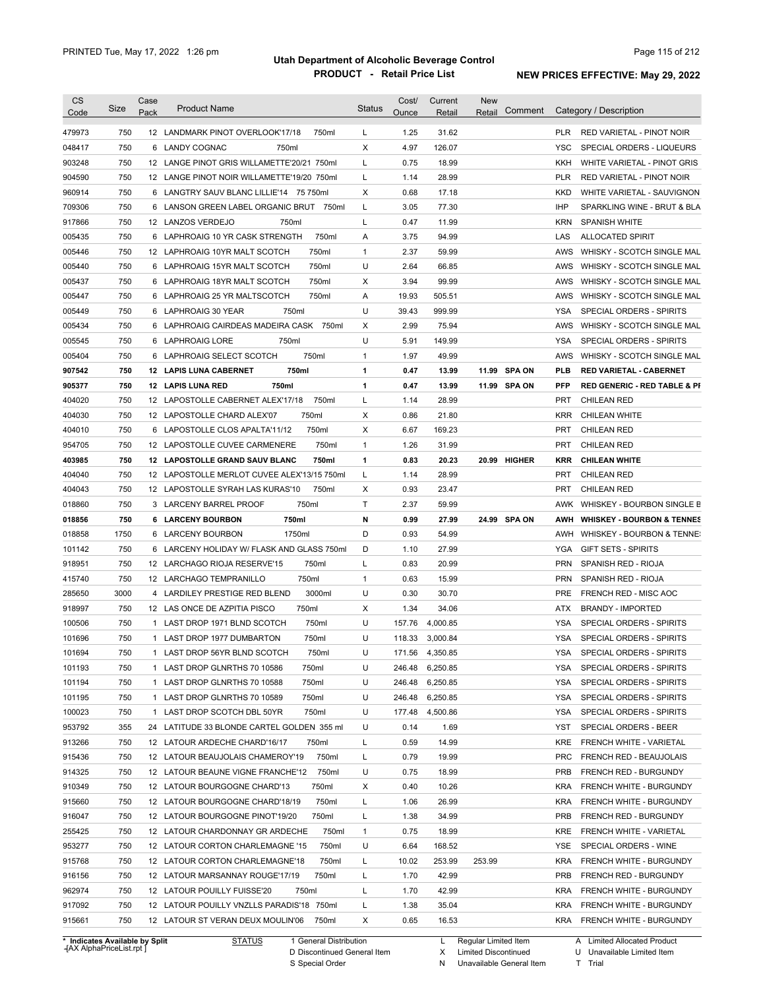| <b>CS</b>        | Size       | Case<br>Pack | <b>Product Name</b>                                                                     | <b>Status</b> | Cost/<br>Ounce | Current<br>Retail | <b>New</b><br>Comment<br>Retail |            | Category / Description                             |
|------------------|------------|--------------|-----------------------------------------------------------------------------------------|---------------|----------------|-------------------|---------------------------------|------------|----------------------------------------------------|
| Code             |            |              |                                                                                         |               |                |                   |                                 |            |                                                    |
| 479973           | 750        |              | 12 LANDMARK PINOT OVERLOOK'17/18<br>750ml                                               | L             | 1.25           | 31.62             |                                 | <b>PLR</b> | RED VARIETAL - PINOT NOIR                          |
| 048417           | 750        |              | 6 LANDY COGNAC<br>750ml                                                                 | Χ             | 4.97           | 126.07            |                                 | <b>YSC</b> | SPECIAL ORDERS - LIQUEURS                          |
| 903248           | 750        |              | 12 LANGE PINOT GRIS WILLAMETTE'20/21 750ml                                              | L             | 0.75           | 18.99             |                                 | KKH        | WHITE VARIETAL - PINOT GRIS                        |
| 904590           | 750        |              | 12 LANGE PINOT NOIR WILLAMETTE'19/20 750ml                                              | L             | 1.14           | 28.99             |                                 | <b>PLR</b> | RED VARIETAL - PINOT NOIR                          |
| 960914           | 750        |              | 6 LANGTRY SAUV BLANC LILLIE'14 75 750ml                                                 | X             | 0.68           | 17.18             |                                 | KKD        | WHITE VARIETAL - SAUVIGNON                         |
| 709306           | 750        |              | 6 LANSON GREEN LABEL ORGANIC BRUT<br>750ml                                              | L             | 3.05           | 77.30             |                                 | <b>IHP</b> | SPARKLING WINE - BRUT & BLA                        |
| 917866           | 750        |              | 12 LANZOS VERDEJO<br>750ml                                                              | L             | 0.47           | 11.99             |                                 | <b>KRN</b> | SPANISH WHITE                                      |
| 005435           | 750        |              | 6 LAPHROAIG 10 YR CASK STRENGTH<br>750ml                                                | Α             | 3.75           | 94.99             |                                 | LAS        | ALLOCATED SPIRIT                                   |
| 005446           | 750        |              | 750ml<br>12 LAPHROAIG 10YR MALT SCOTCH                                                  | $\mathbf{1}$  | 2.37           | 59.99             |                                 | AWS        | WHISKY - SCOTCH SINGLE MAL                         |
| 005440           | 750        |              | 750ml<br>6 LAPHROAIG 15YR MALT SCOTCH                                                   | U             | 2.64           | 66.85             |                                 | AWS        | WHISKY - SCOTCH SINGLE MAL                         |
| 005437           | 750        |              | 750ml<br>6 LAPHROAIG 18YR MALT SCOTCH                                                   | Χ             | 3.94           | 99.99             |                                 | AWS        | WHISKY - SCOTCH SINGLE MAL                         |
| 005447           | 750        |              | 750ml<br>6 LAPHROAIG 25 YR MALTSCOTCH                                                   | Α             | 19.93          | 505.51            |                                 | AWS        | WHISKY - SCOTCH SINGLE MAL                         |
| 005449           | 750        |              | 6 LAPHROAIG 30 YEAR<br>750ml                                                            | U             | 39.43          | 999.99            |                                 | <b>YSA</b> | SPECIAL ORDERS - SPIRITS                           |
| 005434           | 750        |              | 6 LAPHROAIG CAIRDEAS MADEIRA CASK<br>750ml                                              | Х             | 2.99           | 75.94             |                                 | AWS        | WHISKY - SCOTCH SINGLE MAL                         |
| 005545           | 750        |              | 750ml<br>6 LAPHROAIG LORE                                                               | U             | 5.91           | 149.99            |                                 | <b>YSA</b> | SPECIAL ORDERS - SPIRITS                           |
| 005404           | 750        |              | 750ml<br>6 LAPHROAIG SELECT SCOTCH                                                      | $\mathbf{1}$  | 1.97           | 49.99             |                                 | AWS        | WHISKY - SCOTCH SINGLE MAL                         |
| 907542           | 750        |              | 750ml<br>12 LAPIS LUNA CABERNET                                                         | 1             | 0.47           | 13.99             | 11.99 SPA ON                    | <b>PLB</b> | <b>RED VARIETAL - CABERNET</b>                     |
| 905377           | 750        |              | 750ml<br><b>12 LAPIS LUNA RED</b>                                                       | 1             | 0.47           | 13.99             | 11.99 SPA ON                    | <b>PFP</b> | <b>RED GENERIC - RED TABLE &amp; PI</b>            |
| 404020           | 750        |              | 12 LAPOSTOLLE CABERNET ALEX'17/18<br>750ml                                              | Г             | 1.14           | 28.99             |                                 | <b>PRT</b> | <b>CHILEAN RED</b>                                 |
| 404030           | 750        |              | 750ml<br>12 LAPOSTOLLE CHARD ALEX'07                                                    | Χ             | 0.86           | 21.80             |                                 | <b>KRR</b> | <b>CHILEAN WHITE</b>                               |
| 404010           | 750        |              | 750ml<br>6 LAPOSTOLLE CLOS APALTA'11/12                                                 | Χ             | 6.67           | 169.23            |                                 | <b>PRT</b> | CHILEAN RED                                        |
| 954705           | 750        |              | 750ml<br>12 LAPOSTOLLE CUVEE CARMENERE                                                  | $\mathbf{1}$  | 1.26           | 31.99             |                                 | <b>PRT</b> | <b>CHILEAN RED</b>                                 |
| 403985           | 750        |              | 12 LAPOSTOLLE GRAND SAUV BLANC<br>750ml                                                 | 1             | 0.83           | 20.23             | 20.99 HIGHER                    | <b>KRR</b> | <b>CHILEAN WHITE</b>                               |
| 404040           | 750        |              | 12 LAPOSTOLLE MERLOT CUVEE ALEX'13/15 750ml                                             | L             | 1.14           | 28.99             |                                 | <b>PRT</b> | <b>CHILEAN RED</b>                                 |
|                  |            |              |                                                                                         |               |                |                   |                                 |            |                                                    |
| 404043           | 750        |              | 750ml<br>12 LAPOSTOLLE SYRAH LAS KURAS'10                                               | X             | 0.93           | 23.47             |                                 | <b>PRT</b> | <b>CHILEAN RED</b>                                 |
| 018860           | 750        |              | 750ml<br>3 LARCENY BARREL PROOF                                                         | Τ             | 2.37           | 59.99             |                                 | AWK        | WHISKEY - BOURBON SINGLE B                         |
| 018856           | 750        |              | 6 LARCENY BOURBON<br>750ml                                                              | N             | 0.99           | 27.99             | 24.99 SPA ON                    | AWH        | <b>WHISKEY - BOURBON &amp; TENNES</b>              |
| 018858           | 1750       | 6            | 1750ml<br><b>LARCENY BOURBON</b>                                                        | D             | 0.93           | 54.99             |                                 | AWH        | WHISKEY - BOURBON & TENNE:                         |
| 101142           | 750        | 6            | LARCENY HOLIDAY W/ FLASK AND GLASS 750ml                                                | D             | 1.10           | 27.99             |                                 | YGA        | <b>GIFT SETS - SPIRITS</b>                         |
| 918951           | 750        |              | 750ml<br>12 LARCHAGO RIOJA RESERVE'15                                                   | Г             | 0.83           | 20.99             |                                 | <b>PRN</b> | SPANISH RED - RIOJA                                |
| 415740           | 750        |              | 750ml<br>12 LARCHAGO TEMPRANILLO                                                        | $\mathbf{1}$  | 0.63           | 15.99             |                                 | <b>PRN</b> | SPANISH RED - RIOJA                                |
| 285650           | 3000       | 4            | 3000ml<br>LARDILEY PRESTIGE RED BLEND                                                   | U             | 0.30           | 30.70             |                                 | <b>PRE</b> | FRENCH RED - MISC AOC                              |
| 918997           | 750        |              | 750ml<br>12 LAS ONCE DE AZPITIA PISCO                                                   | Χ             | 1.34           | 34.06             |                                 | ATX        | <b>BRANDY - IMPORTED</b>                           |
| 100506           | 750        | 1            | LAST DROP 1971 BLND SCOTCH<br>750ml                                                     | U             | 157.76         | 4,000.85          |                                 | <b>YSA</b> | SPECIAL ORDERS - SPIRITS                           |
| 101696           | 750        |              | 1 LAST DROP 1977 DUMBARTON<br>750ml                                                     | U             | 118.33         | 3,000.84          |                                 | <b>YSA</b> | SPECIAL ORDERS - SPIRITS                           |
| 101694           | 750        |              | 1 LAST DROP 56YR BLND SCOTCH<br>750ml                                                   | U             |                | 171.56 4,350.85   |                                 | <b>YSA</b> | SPECIAL ORDERS - SPIRITS                           |
| 101193           | 750        |              | 1 LAST DROP GLNRTHS 70 10586<br>750ml                                                   | U             |                | 246.48 6,250.85   |                                 | YSA        | SPECIAL ORDERS - SPIRITS                           |
| 101194           | 750        |              | 750ml<br>1 LAST DROP GLNRTHS 70 10588                                                   | U             | 246.48         | 6,250.85          |                                 | YSA        | SPECIAL ORDERS - SPIRITS                           |
| 101195           | 750        |              | 1 LAST DROP GLNRTHS 70 10589<br>750ml                                                   | U             | 246.48         | 6,250.85          |                                 | <b>YSA</b> | SPECIAL ORDERS - SPIRITS                           |
| 100023           | 750        |              | 1 LAST DROP SCOTCH DBL 50YR<br>750ml                                                    | U             |                | 177.48 4,500.86   |                                 | YSA        | SPECIAL ORDERS - SPIRITS                           |
| 953792           | 355        |              | 24 LATITUDE 33 BLONDE CARTEL GOLDEN 355 ml                                              | U             | 0.14           | 1.69              |                                 | YST        | SPECIAL ORDERS - BEER                              |
| 913266           | 750        |              | 12 LATOUR ARDECHE CHARD'16/17<br>750ml                                                  | Г             | 0.59           | 14.99             |                                 | KRE        | FRENCH WHITE - VARIETAL                            |
| 915436           | 750        |              | 750ml<br>12 LATOUR BEAUJOLAIS CHAMEROY'19                                               | L             | 0.79           | 19.99             |                                 | <b>PRC</b> | FRENCH RED - BEAUJOLAIS                            |
| 914325           | 750        |              | 750ml<br>12 LATOUR BEAUNE VIGNE FRANCHE'12                                              | U             | 0.75           | 18.99             |                                 | PRB        | FRENCH RED - BURGUNDY                              |
| 910349           | 750        |              | 12 LATOUR BOURGOGNE CHARD'13<br>750ml                                                   | Х             | 0.40           | 10.26             |                                 | KRA        | FRENCH WHITE - BURGUNDY                            |
| 915660           | 750        |              | 12 LATOUR BOURGOGNE CHARD'18/19<br>750ml                                                | Г             | 1.06           | 26.99             |                                 | KRA        | FRENCH WHITE - BURGUNDY                            |
| 916047           | 750        |              | 12 LATOUR BOURGOGNE PINOT'19/20<br>750ml                                                | L             | 1.38           | 34.99             |                                 | <b>PRB</b> | FRENCH RED - BURGUNDY                              |
| 255425           | 750        |              | 750ml<br>12 LATOUR CHARDONNAY GR ARDECHE                                                | $\mathbf{1}$  | 0.75           | 18.99             |                                 | KRE        | FRENCH WHITE - VARIETAL                            |
| 953277           | 750        |              | 750ml<br>12 LATOUR CORTON CHARLEMAGNE '15                                               | U             | 6.64           | 168.52            |                                 | YSE        | SPECIAL ORDERS - WINE                              |
| 915768           | 750        |              | 750ml                                                                                   |               | 10.02          | 253.99            | 253.99                          | KRA        |                                                    |
|                  | 750        |              | 12 LATOUR CORTON CHARLEMAGNE'18                                                         | L             |                |                   |                                 |            | FRENCH WHITE - BURGUNDY                            |
|                  |            |              | 12 LATOUR MARSANNAY ROUGE'17/19<br>750ml                                                | Г             | 1.70           | 42.99             |                                 | <b>PRB</b> | FRENCH RED - BURGUNDY                              |
|                  |            |              |                                                                                         |               |                |                   |                                 |            |                                                    |
| 916156<br>962974 | 750        |              | 12 LATOUR POUILLY FUISSE'20<br>750ml                                                    | L             | 1.70           | 42.99             |                                 | KRA        | FRENCH WHITE - BURGUNDY                            |
| 917092<br>915661 | 750<br>750 |              | 12 LATOUR POUILLY VNZLLS PARADIS'18 750ml<br>12 LATOUR ST VERAN DEUX MOULIN'06<br>750ml | L<br>X        | 1.38<br>0.65   | 35.04<br>16.53    |                                 | KRA<br>KRA | FRENCH WHITE - BURGUNDY<br>FRENCH WHITE - BURGUNDY |

**Case** [AX AlphaPriceList.rpt ]

D Discontinued General Item S Special Order

X

Limited Discontinued

N Unavailable General Item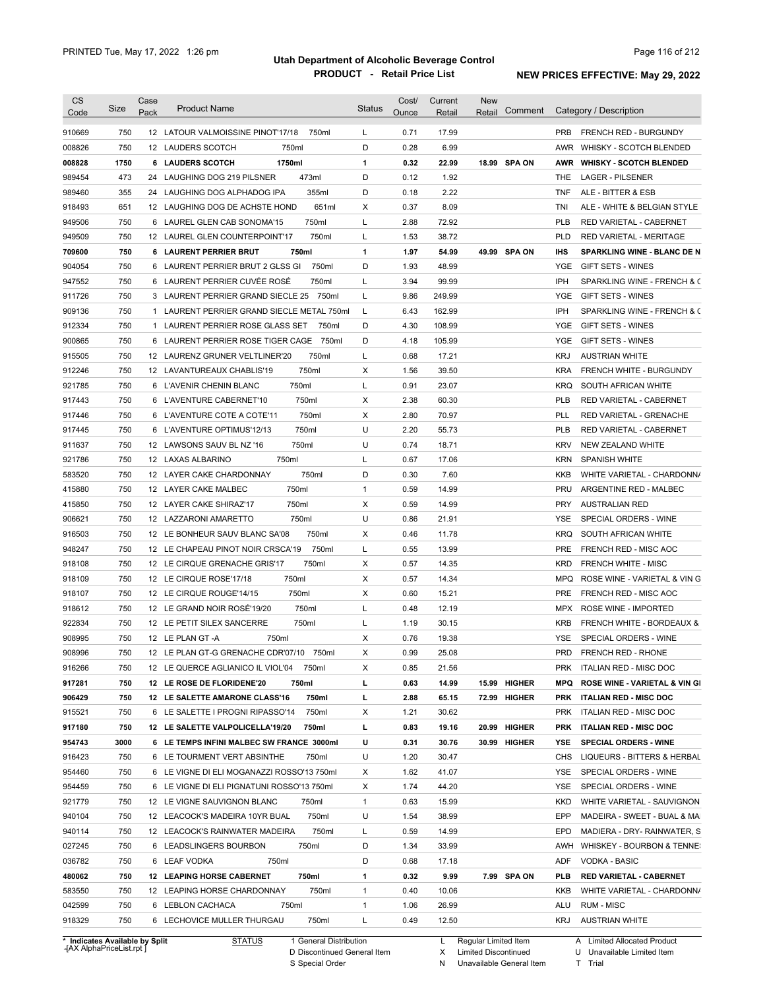| <b>CS</b><br>Code | <b>Size</b> | Case<br>Pack | <b>Product Name</b>                             | <b>Status</b> | Cost/<br>Ounce | Current<br>Retail | <b>New</b><br>Retail | Comment      |            | Category / Description                                    |
|-------------------|-------------|--------------|-------------------------------------------------|---------------|----------------|-------------------|----------------------|--------------|------------|-----------------------------------------------------------|
|                   | 750         |              | 12 LATOUR VALMOISSINE PINOT'17/18<br>750ml      | L             | 0.71           | 17.99             |                      |              | <b>PRB</b> | FRENCH RED - BURGUNDY                                     |
| 910669            | 750         |              | 750ml                                           | D             | 0.28           | 6.99              |                      |              | AWR        |                                                           |
| 008826            | 1750        |              | 12 LAUDERS SCOTCH<br>1750ml<br>6 LAUDERS SCOTCH | 1             | 0.32           | 22.99             |                      | 18.99 SPA ON |            | WHISKY - SCOTCH BLENDED<br><b>WHISKY - SCOTCH BLENDED</b> |
| 008828            | 473         |              | 473ml                                           | D             | 0.12           | 1.92              |                      |              | AWR        | <b>LAGER - PILSENER</b>                                   |
| 989454            |             |              | 24 LAUGHING DOG 219 PILSNER                     |               |                |                   |                      |              | THE        |                                                           |
| 989460            | 355         |              | 355ml<br>24 LAUGHING DOG ALPHADOG IPA           | D             | 0.18           | 2.22              |                      |              | <b>TNF</b> | ALE - BITTER & ESB                                        |
| 918493            | 651         |              | 12 LAUGHING DOG DE ACHSTE HOND<br>651ml         | Х             | 0.37           | 8.09              |                      |              | TNI        | ALE - WHITE & BELGIAN STYLE                               |
| 949506            | 750         |              | 750ml<br>6 LAUREL GLEN CAB SONOMA'15            | L             | 2.88           | 72.92             |                      |              | <b>PLB</b> | RED VARIETAL - CABERNET                                   |
| 949509            | 750         |              | 750ml<br>12 LAUREL GLEN COUNTERPOINT'17         | L             | 1.53           | 38.72             |                      |              | <b>PLD</b> | <b>RED VARIETAL - MERITAGE</b>                            |
| 709600            | 750         |              | 750ml<br>6 LAURENT PERRIER BRUT                 | 1             | 1.97           | 54.99             |                      | 49.99 SPA ON | <b>IHS</b> | <b>SPARKLING WINE - BLANC DE N</b>                        |
| 904054            | 750         | 6            | LAURENT PERRIER BRUT 2 GLSS GI<br>750ml         | D             | 1.93           | 48.99             |                      |              | YGE        | <b>GIFT SETS - WINES</b>                                  |
| 947552            | 750         |              | 6 LAURENT PERRIER CUVÉE ROSÉ<br>750ml           | L             | 3.94           | 99.99             |                      |              | IPH        | SPARKLING WINE - FRENCH & C                               |
| 911726            | 750         |              | 3 LAURENT PERRIER GRAND SIECLE 25<br>750ml      | L             | 9.86           | 249.99            |                      |              | <b>YGE</b> | GIFT SETS - WINES                                         |
| 909136            | 750         |              | 1 LAURENT PERRIER GRAND SIECLE METAL 750ml      | L             | 6.43           | 162.99            |                      |              | IPH        | SPARKLING WINE - FRENCH & C                               |
| 912334            | 750         |              | 1 LAURENT PERRIER ROSE GLASS SET<br>750ml       | D             | 4.30           | 108.99            |                      |              | <b>YGE</b> | GIFT SETS - WINES                                         |
| 900865            | 750         |              | 6 LAURENT PERRIER ROSE TIGER CAGE<br>750ml      | D             | 4.18           | 105.99            |                      |              | <b>YGE</b> | GIFT SETS - WINES                                         |
| 915505            | 750         |              | 750ml<br>12 LAURENZ GRUNER VELTLINER'20         | L             | 0.68           | 17.21             |                      |              | <b>KRJ</b> | <b>AUSTRIAN WHITE</b>                                     |
| 912246            | 750         |              | 12 LAVANTUREAUX CHABLIS'19<br>750ml             | Х             | 1.56           | 39.50             |                      |              | <b>KRA</b> | <b>FRENCH WHITE - BURGUNDY</b>                            |
| 921785            | 750         |              | 750ml<br>6 L'AVENIR CHENIN BLANC                | L             | 0.91           | 23.07             |                      |              | <b>KRQ</b> | SOUTH AFRICAN WHITE                                       |
| 917443            | 750         |              | 750ml<br>6 L'AVENTURE CABERNET'10               | х             | 2.38           | 60.30             |                      |              | PLB        | RED VARIETAL - CABERNET                                   |
| 917446            | 750         |              | 750ml<br>6 L'AVENTURE COTE A COTE'11            | Х             | 2.80           | 70.97             |                      |              | <b>PLL</b> | RED VARIETAL - GRENACHE                                   |
| 917445            | 750         |              | 750ml<br>6 L'AVENTURE OPTIMUS'12/13             | U             | 2.20           | 55.73             |                      |              | <b>PLB</b> | RED VARIETAL - CABERNET                                   |
| 911637            | 750         |              | 750ml<br>12 LAWSONS SAUV BL NZ '16              | U             | 0.74           | 18.71             |                      |              | <b>KRV</b> | NEW ZEALAND WHITE                                         |
| 921786            | 750         |              | 750ml<br>12 LAXAS ALBARINO                      | L             | 0.67           | 17.06             |                      |              | <b>KRN</b> | <b>SPANISH WHITE</b>                                      |
| 583520            | 750         |              | 750ml<br>12 LAYER CAKE CHARDONNAY               | D             | 0.30           | 7.60              |                      |              | <b>KKB</b> | WHITE VARIETAL - CHARDONN/                                |
| 415880            | 750         |              | 750ml<br>12 LAYER CAKE MALBEC                   | $\mathbf{1}$  | 0.59           | 14.99             |                      |              | <b>PRU</b> | ARGENTINE RED - MALBEC                                    |
| 415850            | 750         |              | 750ml<br>12 LAYER CAKE SHIRAZ'17                | Х             | 0.59           | 14.99             |                      |              | <b>PRY</b> | <b>AUSTRALIAN RED</b>                                     |
| 906621            | 750         |              | 750ml<br>12 LAZZARONI AMARETTO                  | U             | 0.86           | 21.91             |                      |              | YSE        | SPECIAL ORDERS - WINE                                     |
| 916503            | 750         |              | 750ml<br>12 LE BONHEUR SAUV BLANC SA'08         | Х             | 0.46           | 11.78             |                      |              | <b>KRQ</b> | SOUTH AFRICAN WHITE                                       |
|                   |             |              |                                                 |               |                |                   |                      |              |            |                                                           |
| 948247            | 750         |              | 750ml<br>12 LE CHAPEAU PINOT NOIR CRSCA'19      | L             | 0.55           | 13.99             |                      |              | <b>PRE</b> | FRENCH RED - MISC AOC                                     |
| 918108            | 750         |              | 750ml<br>12 LE CIRQUE GRENACHE GRIS'17          | Х             | 0.57           | 14.35             |                      |              | <b>KRD</b> | <b>FRENCH WHITE - MISC</b>                                |
| 918109            | 750         |              | 750ml<br>12 LE CIRQUE ROSE'17/18                | Х             | 0.57           | 14.34             |                      |              | <b>MPQ</b> | ROSE WINE - VARIETAL & VIN G                              |
| 918107            | 750         |              | 750ml<br>12 LE CIRQUE ROUGE'14/15               | Х             | 0.60           | 15.21             |                      |              | <b>PRE</b> | FRENCH RED - MISC AOC                                     |
| 918612            | 750         |              | 12 LE GRAND NOIR ROSÉ'19/20<br>750ml            | L             | 0.48           | 12.19             |                      |              | MPX        | ROSE WINE - IMPORTED                                      |
| 922834            | 750         |              | 750ml<br>12 LE PETIT SILEX SANCERRE             | L             | 1.19           | 30.15             |                      |              | <b>KRB</b> | FRENCH WHITE - BORDEAUX &                                 |
| 908995            | 750         |              | 12 LE PLAN GT-A<br>750ml                        | Х             | 0.76           | 19.38             |                      |              | YSE        | SPECIAL ORDERS - WINE                                     |
| 908996            | 750         |              | 12 LE PLAN GT-G GRENACHE CDR'07/10<br>750ml     | х             | 0.99           | 25.08             |                      |              | PRD        | FRENCH RED - RHONE                                        |
| 916266            | 750         |              | 12 LE QUERCE AGLIANICO IL VIOL'04<br>750ml      | х             | 0.85           | 21.56             |                      |              | <b>PRK</b> | ITALIAN RED - MISC DOC                                    |
| 917281            | 750         |              | 750ml<br>12 LE ROSE DE FLORIDENE'20             | L             | 0.63           | 14.99             |                      | 15.99 HIGHER | <b>MPQ</b> | ROSE WINE - VARIETAL & VIN GI                             |
| 906429            | 750         |              | 12 LE SALETTE AMARONE CLASS'16<br>750ml         | L             | 2.88           | 65.15             |                      | 72.99 HIGHER | <b>PRK</b> | <b>ITALIAN RED - MISC DOC</b>                             |
| 915521            | 750         |              | 6 LE SALETTE I PROGNI RIPASSO'14<br>750ml       | х             | 1.21           | 30.62             |                      |              | <b>PRK</b> | ITALIAN RED - MISC DOC                                    |
| 917180            | 750         |              | 12 LE SALETTE VALPOLICELLA'19/20<br>750ml       | L             | 0.83           | 19.16             |                      | 20.99 HIGHER | <b>PRK</b> | <b>ITALIAN RED - MISC DOC</b>                             |
| 954743            | 3000        |              | 6 LE TEMPS INFINI MALBEC SW FRANCE 3000ml       | U             | 0.31           | 30.76             |                      | 30.99 HIGHER | YSE        | <b>SPECIAL ORDERS - WINE</b>                              |
| 916423            | 750         |              | 6 LE TOURMENT VERT ABSINTHE<br>750ml            | U             | 1.20           | 30.47             |                      |              | CHS        | LIQUEURS - BITTERS & HERBAL                               |
| 954460            | 750         |              | 6 LE VIGNE DI ELI MOGANAZZI ROSSO'13 750ml      | х             | 1.62           | 41.07             |                      |              | YSE        | SPECIAL ORDERS - WINE                                     |
| 954459            | 750         |              | 6 LE VIGNE DI ELI PIGNATUNI ROSSO'13 750ml      | х             | 1.74           | 44.20             |                      |              | YSE        | SPECIAL ORDERS - WINE                                     |
| 921779            | 750         |              | 12 LE VIGNE SAUVIGNON BLANC<br>750ml            | $\mathbf{1}$  | 0.63           | 15.99             |                      |              | <b>KKD</b> | WHITE VARIETAL - SAUVIGNON                                |
| 940104            | 750         |              | 750ml<br>12 LEACOCK'S MADEIRA 10YR BUAL         | U             | 1.54           | 38.99             |                      |              | EPP        | MADEIRA - SWEET - BUAL & MA                               |
| 940114            | 750         |              | 750ml<br>12 LEACOCK'S RAINWATER MADEIRA         | L             | 0.59           | 14.99             |                      |              | EPD        | MADIERA - DRY- RAINWATER, S                               |
| 027245            | 750         |              | 750ml<br>6 LEADSLINGERS BOURBON                 | D             | 1.34           | 33.99             |                      |              | AWH        | WHISKEY - BOURBON & TENNE:                                |
|                   |             |              |                                                 |               |                |                   |                      |              |            |                                                           |
| 036782            | 750         |              | 750ml<br>6 LEAF VODKA                           | D             | 0.68           | 17.18             |                      |              | ADF        | VODKA - BASIC                                             |
| 480062            | 750         |              | <b>12 LEAPING HORSE CABERNET</b><br>750ml       | 1             | 0.32           | 9.99              |                      | 7.99 SPA ON  | PLB        | <b>RED VARIETAL - CABERNET</b>                            |
| 583550            | 750         |              | 12 LEAPING HORSE CHARDONNAY<br>750ml            | $\mathbf{1}$  | 0.40           | 10.06             |                      |              | KKB        | WHITE VARIETAL - CHARDONN/                                |
| 042599            | 750         |              | 6 LEBLON CACHACA<br>750ml                       | $\mathbf{1}$  | 1.06           | 26.99             |                      |              | ALU        | RUM - MISC                                                |
| 918329            | 750         |              | 6 LECHOVICE MULLER THURGAU<br>750ml             | L             | 0.49           | 12.50             |                      |              | KRJ        | <b>AUSTRIAN WHITE</b>                                     |

**Case** [AX AlphaPriceList.rpt ]

D Discontinued General Item

S Special Order

X Limited Discontinued

N Unavailable General Item

U Unavailable Limited Item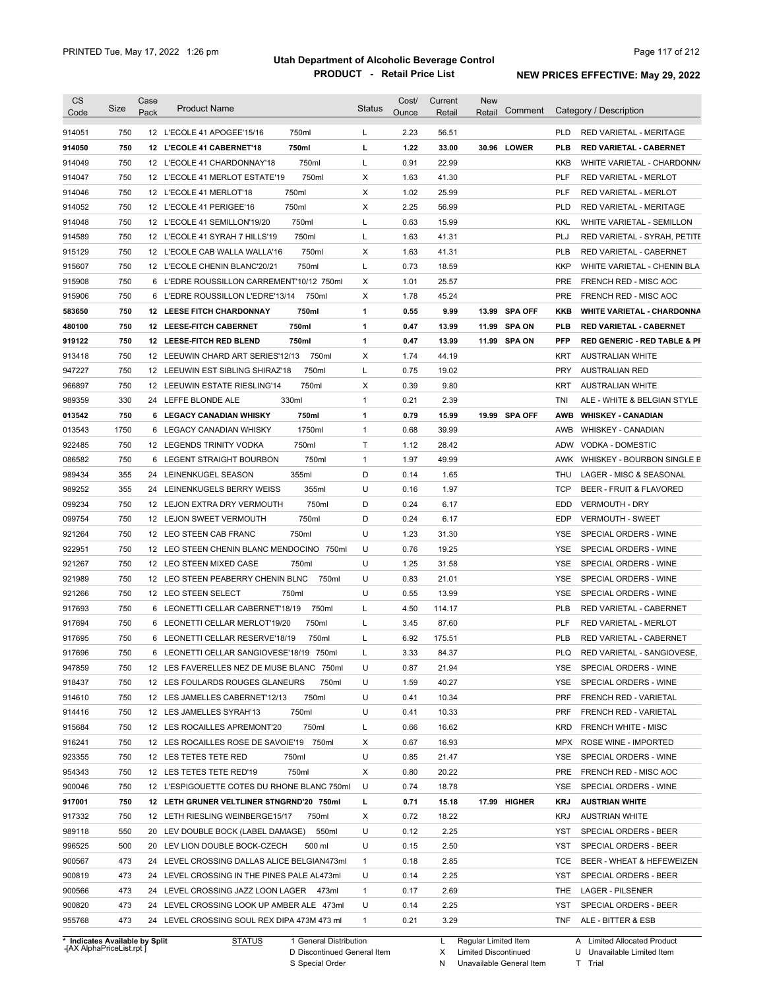| <b>CS</b><br>Code                                                     | <b>Size</b> | Case<br>Pack | <b>Product Name</b>                                                                                                   | <b>Status</b> | Cost/<br>Ounce | Current<br>Retail | <b>New</b><br>Retail                                | Comment       |            | Category / Description                                                          |
|-----------------------------------------------------------------------|-------------|--------------|-----------------------------------------------------------------------------------------------------------------------|---------------|----------------|-------------------|-----------------------------------------------------|---------------|------------|---------------------------------------------------------------------------------|
| 914051                                                                | 750         |              | 750ml<br>12 L'ECOLE 41 APOGEE'15/16                                                                                   | L             | 2.23           | 56.51             |                                                     |               | <b>PLD</b> | RED VARIETAL - MERITAGE                                                         |
| 914050                                                                | 750         |              | 12 L'ECOLE 41 CABERNET'18<br>750ml                                                                                    | г             | 1.22           | 33.00             |                                                     | 30.96 LOWER   | PLB        | <b>RED VARIETAL - CABERNET</b>                                                  |
| 914049                                                                | 750         |              | 750ml<br>12 L'ECOLE 41 CHARDONNAY'18                                                                                  | Г             | 0.91           | 22.99             |                                                     |               | KKB        | WHITE VARIETAL - CHARDONN/                                                      |
| 914047                                                                | 750         |              | 750ml<br>12 L'ECOLE 41 MERLOT ESTATE'19                                                                               | Χ             | 1.63           | 41.30             |                                                     |               | <b>PLF</b> | <b>RED VARIETAL - MERLOT</b>                                                    |
| 914046                                                                | 750         |              | 750ml<br>12 L'ECOLE 41 MERLOT'18                                                                                      | Χ             | 1.02           | 25.99             |                                                     |               | <b>PLF</b> | <b>RED VARIETAL - MERLOT</b>                                                    |
| 914052                                                                | 750         |              | 750ml<br>12 L'ECOLE 41 PERIGEE'16                                                                                     | Χ             | 2.25           | 56.99             |                                                     |               | <b>PLD</b> | RED VARIETAL - MERITAGE                                                         |
| 914048                                                                | 750         |              | 750ml<br>12 L'ECOLE 41 SEMILLON'19/20                                                                                 | L             | 0.63           | 15.99             |                                                     |               | <b>KKL</b> | WHITE VARIETAL - SEMILLON                                                       |
| 914589                                                                | 750         |              | 750ml<br>12 L'ECOLE 41 SYRAH 7 HILLS'19                                                                               | L             | 1.63           | 41.31             |                                                     |               | PLJ        | RED VARIETAL - SYRAH, PETITE                                                    |
| 915129                                                                | 750         |              | 750ml<br>12 L'ECOLE CAB WALLA WALLA'16                                                                                | Χ             | 1.63           | 41.31             |                                                     |               | <b>PLB</b> | <b>RED VARIETAL - CABERNET</b>                                                  |
| 915607                                                                | 750         |              | 750ml<br>12 L'ECOLE CHENIN BLANC'20/21                                                                                | Г             | 0.73           | 18.59             |                                                     |               | <b>KKP</b> | WHITE VARIETAL - CHENIN BLA                                                     |
| 915908                                                                | 750         |              | 6 L'EDRE ROUSSILLON CARREMENT'10/12 750ml                                                                             | Χ             | 1.01           | 25.57             |                                                     |               | <b>PRE</b> | FRENCH RED - MISC AOC                                                           |
| 915906                                                                | 750         |              | 6 L'EDRE ROUSSILLON L'EDRE'13/14<br>750ml                                                                             | Х             | 1.78           | 45.24             |                                                     |               | <b>PRE</b> | FRENCH RED - MISC AOC                                                           |
| 583650                                                                | 750         |              | <b>12 LEESE FITCH CHARDONNAY</b><br>750ml                                                                             | 1             | 0.55           | 9.99              |                                                     | 13.99 SPA OFF | KKB        | <b>WHITE VARIETAL - CHARDONNA</b>                                               |
| 480100                                                                | 750         |              | 750ml<br>12 LEESE-FITCH CABERNET                                                                                      | 1             | 0.47           | 13.99             |                                                     | 11.99 SPA ON  | PLB        | <b>RED VARIETAL - CABERNET</b>                                                  |
| 919122                                                                | 750         |              | 12 LEESE-FITCH RED BLEND<br>750ml                                                                                     | 1             | 0.47           | 13.99             |                                                     | 11.99 SPA ON  | <b>PFP</b> | <b>RED GENERIC - RED TABLE &amp; PI</b>                                         |
| 913418                                                                | 750         |              | 750ml<br>12 LEEUWIN CHARD ART SERIES'12/13                                                                            | Χ             | 1.74           | 44.19             |                                                     |               | <b>KRT</b> | <b>AUSTRALIAN WHITE</b>                                                         |
|                                                                       | 750         |              | 750ml                                                                                                                 | Г             | 0.75           | 19.02             |                                                     |               | <b>PRY</b> | <b>AUSTRALIAN RED</b>                                                           |
| 947227                                                                | 750         |              | 12 LEEUWIN EST SIBLING SHIRAZ'18<br>750ml<br>12 LEEUWIN ESTATE RIESLING'14                                            | Χ             | 0.39           | 9.80              |                                                     |               | <b>KRT</b> | <b>AUSTRALIAN WHITE</b>                                                         |
| 966897                                                                |             |              | 24 LEFFE BLONDE ALE                                                                                                   |               |                |                   |                                                     |               |            |                                                                                 |
| 989359                                                                | 330         |              | 330ml                                                                                                                 | $\mathbf{1}$  | 0.21           | 2.39              |                                                     |               | TNI        | ALE - WHITE & BELGIAN STYLE                                                     |
| 013542                                                                | 750         |              | 750ml<br>6 LEGACY CANADIAN WHISKY                                                                                     | 1             | 0.79           | 15.99             |                                                     | 19.99 SPA OFF | AWB        | <b>WHISKEY - CANADIAN</b>                                                       |
| 013543                                                                | 1750        |              | 1750ml<br>6 LEGACY CANADIAN WHISKY                                                                                    | $\mathbf{1}$  | 0.68           | 39.99             |                                                     |               | AWB        | <b>WHISKEY - CANADIAN</b>                                                       |
| 922485                                                                | 750         |              | 750ml<br>12 LEGENDS TRINITY VODKA                                                                                     | Т             | 1.12           | 28.42             |                                                     |               | ADW        | <b>VODKA - DOMESTIC</b>                                                         |
| 086582                                                                | 750         | 6            | 750ml<br>LEGENT STRAIGHT BOURBON                                                                                      | $\mathbf{1}$  | 1.97           | 49.99             |                                                     |               | AWK        | WHISKEY - BOURBON SINGLE B                                                      |
| 989434                                                                | 355         | 24           | 355ml<br>LEINENKUGEL SEASON                                                                                           | D             | 0.14           | 1.65              |                                                     |               | <b>THU</b> | LAGER - MISC & SEASONAL                                                         |
| 989252                                                                | 355         |              | 355ml<br>24 LEINENKUGELS BERRY WEISS                                                                                  | U             | 0.16           | 1.97              |                                                     |               | <b>TCP</b> | <b>BEER - FRUIT &amp; FLAVORED</b>                                              |
| 099234                                                                | 750         |              | 750ml<br>12 LEJON EXTRA DRY VERMOUTH                                                                                  | D             | 0.24           | 6.17              |                                                     |               | EDD        | <b>VERMOUTH - DRY</b>                                                           |
| 099754                                                                | 750         |              | 750ml<br>12 LEJON SWEET VERMOUTH                                                                                      | D             | 0.24           | 6.17              |                                                     |               | EDP        | <b>VERMOUTH - SWEET</b>                                                         |
| 921264                                                                | 750         |              | 750ml<br>12 LEO STEEN CAB FRANC                                                                                       | U             | 1.23           | 31.30             |                                                     |               | <b>YSE</b> | SPECIAL ORDERS - WINE                                                           |
| 922951                                                                | 750         |              | 12 LEO STEEN CHENIN BLANC MENDOCINO 750ml                                                                             | U             | 0.76           | 19.25             |                                                     |               | <b>YSE</b> | SPECIAL ORDERS - WINE                                                           |
| 921267                                                                | 750         |              | 12 LEO STEEN MIXED CASE<br>750ml                                                                                      | U             | 1.25           | 31.58             |                                                     |               | <b>YSE</b> | SPECIAL ORDERS - WINE                                                           |
| 921989                                                                | 750         |              | 12 LEO STEEN PEABERRY CHENIN BLNC<br>750ml                                                                            | U             | 0.83           | 21.01             |                                                     |               | <b>YSE</b> | SPECIAL ORDERS - WINE                                                           |
| 921266                                                                | 750         |              | 750ml<br>12 LEO STEEN SELECT                                                                                          | U             | 0.55           | 13.99             |                                                     |               | <b>YSE</b> | SPECIAL ORDERS - WINE                                                           |
| 917693                                                                | 750         |              | 6 LEONETTI CELLAR CABERNET'18/19<br>750ml                                                                             | Г             | 4.50           | 114.17            |                                                     |               | <b>PLB</b> | RED VARIETAL - CABERNET                                                         |
| 917694                                                                | 750         |              | 750ml<br>6 LEONETTI CELLAR MERLOT'19/20                                                                               | Г             | 3.45           | 87.60             |                                                     |               | <b>PLF</b> | <b>RED VARIETAL - MERLOT</b>                                                    |
| 917695                                                                | 750         |              | 6 LEONETTI CELLAR RESERVE'18/19<br>750ml                                                                              | Г             | 6.92           | 175.51            |                                                     |               | <b>PLB</b> | RED VARIETAL - CABERNET                                                         |
| 917696                                                                | 750         |              | 6 LEONETTI CELLAR SANGIOVESE'18/19 750ml                                                                              |               | 3.33           | 84.37             |                                                     |               | <b>PLQ</b> | RED VARIETAL - SANGIOVESE.                                                      |
| 947859                                                                | 750         |              | 12 LES FAVERELLES NEZ DE MUSE BLANC 750ml                                                                             | U             | 0.87           | 21.94             |                                                     |               | YSE        | SPECIAL ORDERS - WINE                                                           |
| 918437                                                                | 750         |              | 12 LES FOULARDS ROUGES GLANEURS<br>750ml                                                                              | U             | 1.59           | 40.27             |                                                     |               | YSE        | SPECIAL ORDERS - WINE                                                           |
| 914610                                                                | 750         |              | 12 LES JAMELLES CABERNET'12/13<br>750ml                                                                               | U             | 0.41           | 10.34             |                                                     |               | <b>PRF</b> | FRENCH RED - VARIETAL                                                           |
| 914416                                                                | 750         |              | 12 LES JAMELLES SYRAH'13<br>750ml                                                                                     | U             | 0.41           | 10.33             |                                                     |               | <b>PRF</b> | FRENCH RED - VARIETAL                                                           |
| 915684                                                                | 750         |              | 750ml<br>12 LES ROCAILLES APREMONT'20                                                                                 | L             | 0.66           | 16.62             |                                                     |               | KRD        | FRENCH WHITE - MISC                                                             |
| 916241                                                                | 750         |              | 12 LES ROCAILLES ROSE DE SAVOIE'19 750ml                                                                              | Х             | 0.67           | 16.93             |                                                     |               | MPX        | ROSE WINE - IMPORTED                                                            |
| 923355                                                                | 750         |              | 12 LES TETES TETE RED<br>750ml                                                                                        | U             | 0.85           | 21.47             |                                                     |               | YSE        | SPECIAL ORDERS - WINE                                                           |
| 954343                                                                | 750         |              | 12 LES TETES TETE RED'19<br>750ml                                                                                     | X             | 0.80           | 20.22             |                                                     |               | PRE        | FRENCH RED - MISC AOC                                                           |
| 900046                                                                | 750         |              | 12 L'ESPIGOUETTE COTES DU RHONE BLANC 750ml                                                                           | U             | 0.74           | 18.78             |                                                     |               | YSE        | SPECIAL ORDERS - WINE                                                           |
| 917001                                                                | 750         |              | 12 LETH GRUNER VELTLINER STNGRND'20 750ml                                                                             | L             | 0.71           | 15.18             |                                                     | 17.99 HIGHER  | KRJ        | <b>AUSTRIAN WHITE</b>                                                           |
| 917332                                                                | 750         |              | 12 LETH RIESLING WEINBERGE15/17<br>750ml                                                                              | X             | 0.72           | 18.22             |                                                     |               | <b>KRJ</b> | <b>AUSTRIAN WHITE</b>                                                           |
| 989118                                                                | 550         |              | 550ml<br>20 LEV DOUBLE BOCK (LABEL DAMAGE)                                                                            | U             | 0.12           | 2.25              |                                                     |               | YST        | SPECIAL ORDERS - BEER                                                           |
|                                                                       |             |              |                                                                                                                       |               |                |                   |                                                     |               |            |                                                                                 |
| 996525                                                                | 500         |              | 20 LEV LION DOUBLE BOCK-CZECH<br>500 ml                                                                               | U             | 0.15           | 2.50              |                                                     |               | YST        | SPECIAL ORDERS - BEER                                                           |
| 900567                                                                | 473         |              | 24 LEVEL CROSSING DALLAS ALICE BELGIAN473ml                                                                           | $\mathbf{1}$  | 0.18           | 2.85              |                                                     |               | <b>TCE</b> | BEER - WHEAT & HEFEWEIZEN                                                       |
| 900819                                                                | 473         |              | 24 LEVEL CROSSING IN THE PINES PALE AL473ml                                                                           | U             | 0.14           | 2.25              |                                                     |               | YST        | SPECIAL ORDERS - BEER                                                           |
| 900566                                                                | 473         |              | 24 LEVEL CROSSING JAZZ LOON LAGER 473ml                                                                               | $\mathbf{1}$  | 0.17           | 2.69              |                                                     |               | THE        | <b>LAGER - PILSENER</b>                                                         |
| 900820                                                                | 473         |              | 24 LEVEL CROSSING LOOK UP AMBER ALE 473ml                                                                             | U             | 0.14           | 2.25              |                                                     |               | YST        | SPECIAL ORDERS - BEER                                                           |
| 955768<br>* Indicates Available by Split<br>-{AX AlphaPriceList.rpt ] | 473         |              | 24 LEVEL CROSSING SOUL REX DIPA 473M 473 ml<br><b>STATUS</b><br>1 General Distribution<br>D Discontinued General Item | $\mathbf{1}$  | 0.21           | 3.29<br>L<br>X    | Regular Limited Item<br><b>Limited Discontinued</b> |               | <b>TNF</b> | ALE - BITTER & ESB<br>A Limited Allocated Product<br>U Unavailable Limited Item |

S Special Order

X Limited Discontinued N Unavailable General Item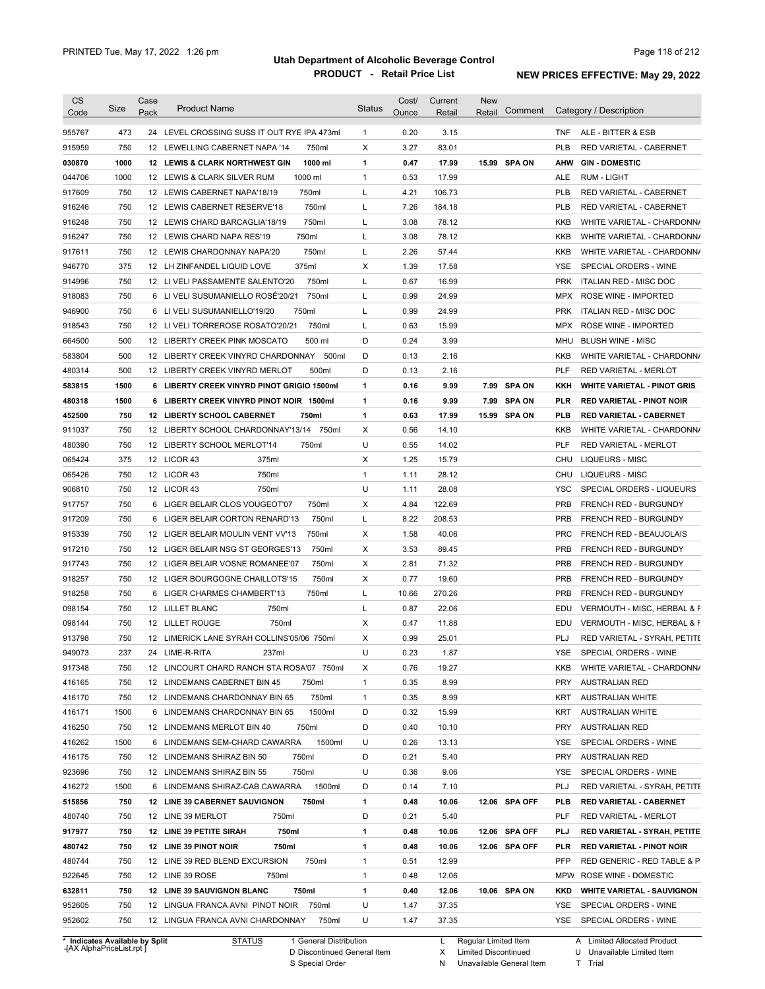| 473<br>24 LEVEL CROSSING SUSS IT OUT RYE IPA 473ml<br>0.20<br>3.15<br>ALE - BITTER & ESB<br>$\mathbf{1}$<br>TNF<br>750<br>Χ<br>3.27<br>83.01<br><b>PLB</b><br>12 LEWELLING CABERNET NAPA '14<br>750ml<br>RED VARIETAL - CABERNET<br>1000<br>1000 ml<br>0.47<br>17.99<br>15.99 SPA ON<br><b>GIN - DOMESTIC</b><br><b>12 LEWIS &amp; CLARK NORTHWEST GIN</b><br>1<br>AHW<br>1000<br>$\mathbf{1}$<br>0.53<br>12 LEWIS & CLARK SILVER RUM<br>1000 ml<br>17.99<br>ALE<br>RUM - LIGHT<br>750<br>750ml<br>Г<br>12 LEWIS CABERNET NAPA'18/19<br>4.21<br>106.73<br><b>PLB</b><br>RED VARIETAL - CABERNET<br>750<br>Г<br>7.26<br><b>PLB</b><br>12 LEWIS CABERNET RESERVE'18<br>750ml<br>184.18<br>RED VARIETAL - CABERNET<br>750<br>750ml<br>Г<br>3.08<br>78.12<br>12 LEWIS CHARD BARCAGLIA'18/19<br>KKB<br>750<br>750ml<br>Г<br>3.08<br>78.12<br>12 LEWIS CHARD NAPA RES'19<br>KKB<br>2.26<br>750<br>750ml<br>Г<br>57.44<br>12 LEWIS CHARDONNAY NAPA'20<br>KKB<br>375<br>375ml<br>Х<br>1.39<br>17.58<br>12 LH ZINFANDEL LIQUID LOVE<br>YSE<br>SPECIAL ORDERS - WINE<br>750<br>750ml<br>L<br>0.67<br>16.99<br><b>PRK</b><br>12 LI VELI PASSAMENTE SALENTO'20<br>ITALIAN RED - MISC DOC<br>750<br>6 LI VELI SUSUMANIELLO ROSÉ'20/21<br>750ml<br>Г<br>0.99<br>24.99<br>MPX<br>ROSE WINE - IMPORTED<br>750<br>750ml<br>Г<br>0.99<br>24.99<br><b>PRK</b><br>6 LI VELI SUSUMANIELLO'19/20<br>ITALIAN RED - MISC DOC<br>750<br>750ml<br>Г<br>0.63<br>15.99<br>12 LIVELI TORREROSE ROSATO'20/21<br>MPX<br>ROSE WINE - IMPORTED<br>500<br>500 ml<br>D<br>0.24<br>3.99<br>12 LIBERTY CREEK PINK MOSCATO<br>MHU<br><b>BLUSH WINE - MISC</b><br>500<br>D<br>0.13<br>2.16<br>12 LIBERTY CREEK VINYRD CHARDONNAY<br>500ml<br>KKB<br>500<br>D<br>12 LIBERTY CREEK VINYRD MERLOT<br>500ml<br>0.13<br>2.16<br>PLF<br>RED VARIETAL - MERLOT<br>1500<br>6 LIBERTY CREEK VINYRD PINOT GRIGIO 1500ml<br>1<br>0.16<br>9.99<br>7.99<br><b>SPA ON</b><br>KKH<br>1500<br>6 LIBERTY CREEK VINYRD PINOT NOIR 1500ml<br>1<br>0.16<br>9.99<br>7.99<br><b>SPA ON</b><br>PLR<br><b>RED VARIETAL - PINOT NOIR</b><br>750<br>12 LIBERTY SCHOOL CABERNET<br>750ml<br>1<br>0.63<br>17.99<br>15.99<br><b>SPA ON</b><br>PLB<br><b>RED VARIETAL - CABERNET</b><br>Х<br>750<br>12 LIBERTY SCHOOL CHARDONNAY'13/14<br>750ml<br>0.56<br>14.10<br>KKB<br>U<br>750<br>750ml<br>0.55<br>14.02<br>PLF<br>12 LIBERTY SCHOOL MERLOT'14<br><b>RED VARIETAL - MERLOT</b><br>375<br>12 LICOR 43<br>Х<br>1.25<br><b>LIQUEURS - MISC</b><br>375ml<br>15.79<br>CHU<br>750<br>12 LICOR 43<br>750ml<br>$\mathbf{1}$<br><b>LIQUEURS - MISC</b><br>1.11<br>28.12<br>CHU<br>U<br>750<br>28.08<br><b>YSC</b><br>12 LICOR 43<br>750ml<br>1.11<br>750<br>6 LIGER BELAIR CLOS VOUGEOT'07<br>750ml<br>Х<br>4.84<br>122.69<br><b>PRB</b><br>FRENCH RED - BURGUNDY<br>750<br>6 LIGER BELAIR CORTON RENARD'13<br>750ml<br>Г<br>8.22<br>208.53<br><b>PRB</b><br>FRENCH RED - BURGUNDY<br>750<br>750ml<br>Х<br>1.58<br>40.06<br><b>PRC</b><br>FRENCH RED - BEAUJOLAIS<br>12 LIGER BELAIR MOULIN VENT VV'13<br>750<br>Х<br>3.53<br>89.45<br><b>PRB</b><br>FRENCH RED - BURGUNDY<br>12 LIGER BELAIR NSG ST GEORGES'13<br>750ml<br>750<br>Х<br>2.81<br>71.32<br><b>PRB</b><br>12 LIGER BELAIR VOSNE ROMANEE'07<br>750ml<br>FRENCH RED - BURGUNDY<br>19.60<br>750<br>12 LIGER BOURGOGNE CHAILLOTS'15<br>750ml<br>х<br>0.77<br><b>PRB</b><br>FRENCH RED - BURGUNDY<br>750<br>6 LIGER CHARMES CHAMBERT'13<br>750ml<br>Г<br>10.66<br>270.26<br><b>PRB</b><br>FRENCH RED - BURGUNDY<br>750<br>22.06<br>12 LILLET BLANC<br>750ml<br>L<br>0.87<br>EDU<br>750<br>X<br>12 LILLET ROUGE<br>750ml<br>0.47<br>11.88<br>EDU<br>750<br>12 LIMERICK LANE SYRAH COLLINS'05/06 750ml<br>X<br>0.99<br>25.01<br>PLJ<br>U<br>237<br>0.23<br>1.87<br>YSE<br>SPECIAL ORDERS - WINE<br>24 LIME-R-RITA<br>237ml<br>917348<br>750<br>12 LINCOURT CHARD RANCH STA ROSA'07 750ml<br>х<br>0.76<br>19.27<br>KKB<br>8.99<br>416165<br>750<br>750ml<br>1<br>0.35<br><b>PRY</b><br><b>AUSTRALIAN RED</b><br>12 LINDEMANS CABERNET BIN 45<br>8.99<br>416170<br>750<br>750ml<br>0.35<br>12 LINDEMANS CHARDONNAY BIN 65<br>1<br>KRT<br><b>AUSTRALIAN WHITE</b><br>1500<br>1500ml<br>15.99<br>416171<br>6 LINDEMANS CHARDONNAY BIN 65<br>D<br>0.32<br>KRT<br><b>AUSTRALIAN WHITE</b><br>416250<br>750<br>D<br>0.40<br>10.10<br>12 LINDEMANS MERLOT BIN 40<br>750ml<br>PRY<br><b>AUSTRALIAN RED</b><br>416262<br>1500<br>1500ml<br>U<br>6 LINDEMANS SEM-CHARD CAWARRA<br>0.26<br>13.13<br>YSE<br>SPECIAL ORDERS - WINE<br>D<br>5.40<br>416175<br>750<br>12 LINDEMANS SHIRAZ BIN 50<br>750ml<br>0.21<br>PRY<br><b>AUSTRALIAN RED</b><br>923696<br>750<br>750ml<br>U<br>0.36<br>9.06<br>12 LINDEMANS SHIRAZ BIN 55<br>YSE<br>SPECIAL ORDERS - WINE<br>416272<br>1500<br>6 LINDEMANS SHIRAZ-CAB CAWARRA<br>1500ml<br>D<br>0.14<br>7.10<br>PLJ<br>RED VARIETAL - SYRAH, PETITE<br>1<br>515856<br>750<br>12 LINE 39 CABERNET SAUVIGNON<br>750ml<br>0.48<br>10.06<br>12.06 SPA OFF<br>PLB<br><b>RED VARIETAL - CABERNET</b><br>D<br>5.40<br>480740<br>750<br>12 LINE 39 MERLOT<br>750ml<br>0.21<br>PLF<br>RED VARIETAL - MERLOT<br>1<br>12.06 SPA OFF<br>917977<br>750<br>12 LINE 39 PETITE SIRAH<br>750ml<br>0.48<br>10.06<br>PLJ<br>RED VARIETAL - SYRAH, PETITE<br>1<br>480742<br>750<br>12 LINE 39 PINOT NOIR<br>750ml<br>0.48<br>10.06<br>12.06 SPA OFF<br>PLR<br><b>RED VARIETAL - PINOT NOIR</b><br>480744<br>750<br>12 LINE 39 RED BLEND EXCURSION<br>750ml<br>1<br>0.51<br>12.99<br>PFP<br>RED GENERIC - RED TABLE & P<br>922645<br>750<br>12 LINE 39 ROSE<br>750ml<br>1<br>0.48<br>12.06<br>MPW ROSE WINE - DOMESTIC<br>632811<br>750<br>12 LINE 39 SAUVIGNON BLANC<br>750ml<br>1<br>0.40<br>12.06<br>10.06 SPA ON<br><b>WHITE VARIETAL - SAUVIGNON</b><br>KKD<br>U<br>37.35<br>952605<br>750<br>12 LINGUA FRANCA AVNI PINOT NOIR<br>750ml<br>1.47<br>YSE<br>SPECIAL ORDERS - WINE<br>952602<br>U<br>750<br>750ml<br>1.47<br>37.35<br>YSE SPECIAL ORDERS - WINE<br>12 LINGUA FRANCA AVNI CHARDONNAY | CS     | Size | Case | <b>Product Name</b> | <b>Status</b> | Cost/ | Current | <b>New</b> | Comment | Category / Description                 |
|------------------------------------------------------------------------------------------------------------------------------------------------------------------------------------------------------------------------------------------------------------------------------------------------------------------------------------------------------------------------------------------------------------------------------------------------------------------------------------------------------------------------------------------------------------------------------------------------------------------------------------------------------------------------------------------------------------------------------------------------------------------------------------------------------------------------------------------------------------------------------------------------------------------------------------------------------------------------------------------------------------------------------------------------------------------------------------------------------------------------------------------------------------------------------------------------------------------------------------------------------------------------------------------------------------------------------------------------------------------------------------------------------------------------------------------------------------------------------------------------------------------------------------------------------------------------------------------------------------------------------------------------------------------------------------------------------------------------------------------------------------------------------------------------------------------------------------------------------------------------------------------------------------------------------------------------------------------------------------------------------------------------------------------------------------------------------------------------------------------------------------------------------------------------------------------------------------------------------------------------------------------------------------------------------------------------------------------------------------------------------------------------------------------------------------------------------------------------------------------------------------------------------------------------------------------------------------------------------------------------------------------------------------------------------------------------------------------------------------------------------------------------------------------------------------------------------------------------------------------------------------------------------------------------------------------------------------------------------------------------------------------------------------------------------------------------------------------------------------------------------------------------------------------------------------------------------------------------------------------------------------------------------------------------------------------------------------------------------------------------------------------------------------------------------------------------------------------------------------------------------------------------------------------------------------------------------------------------------------------------------------------------------------------------------------------------------------------------------------------------------------------------------------------------------------------------------------------------------------------------------------------------------------------------------------------------------------------------------------------------------------------------------------------------------------------------------------------------------------------------------------------------------------------------------------------------------------------------------------------------------------------------------------------------------------------------------------------------------------------------------------------------------------------------------------------------------------------------------------------------------------------------------------------------------------------------------------------------------------------------------------------------------------------------------------------------------------------------------------------------------------------------------------------------------------------------------------------------------------------------------------------------------------------------------------------------------------------------------------------------------------------------------------------------------------------------------------------------------------------------------------------------------------------------------------------------------------------------------------------------------------------------------------------------------------------------------------------------------------------------------------------------------------------------------------------------------------------------------------------------------------------------------------------------------------------------------------------------------------------------------------------------------------------------------------------------------------------------------------------------------------------------------------------------------------------------------------------------------------------------------------------------------------------------------------------------------------------------------------|--------|------|------|---------------------|---------------|-------|---------|------------|---------|----------------------------------------|
|                                                                                                                                                                                                                                                                                                                                                                                                                                                                                                                                                                                                                                                                                                                                                                                                                                                                                                                                                                                                                                                                                                                                                                                                                                                                                                                                                                                                                                                                                                                                                                                                                                                                                                                                                                                                                                                                                                                                                                                                                                                                                                                                                                                                                                                                                                                                                                                                                                                                                                                                                                                                                                                                                                                                                                                                                                                                                                                                                                                                                                                                                                                                                                                                                                                                                                                                                                                                                                                                                                                                                                                                                                                                                                                                                                                                                                                                                                                                                                                                                                                                                                                                                                                                                                                                                                                                                                                                                                                                                                                                                                                                                                                                                                                                                                                                                                                                                                                                                                                                                                                                                                                                                                                                                                                                                                                                                                                                                                                                                                                                                                                                                                                                                                                                                                                                                                                                                                                                                                                    | Code   |      | Pack |                     |               | Ounce | Retail  | Retail     |         |                                        |
|                                                                                                                                                                                                                                                                                                                                                                                                                                                                                                                                                                                                                                                                                                                                                                                                                                                                                                                                                                                                                                                                                                                                                                                                                                                                                                                                                                                                                                                                                                                                                                                                                                                                                                                                                                                                                                                                                                                                                                                                                                                                                                                                                                                                                                                                                                                                                                                                                                                                                                                                                                                                                                                                                                                                                                                                                                                                                                                                                                                                                                                                                                                                                                                                                                                                                                                                                                                                                                                                                                                                                                                                                                                                                                                                                                                                                                                                                                                                                                                                                                                                                                                                                                                                                                                                                                                                                                                                                                                                                                                                                                                                                                                                                                                                                                                                                                                                                                                                                                                                                                                                                                                                                                                                                                                                                                                                                                                                                                                                                                                                                                                                                                                                                                                                                                                                                                                                                                                                                                                    | 955767 |      |      |                     |               |       |         |            |         |                                        |
|                                                                                                                                                                                                                                                                                                                                                                                                                                                                                                                                                                                                                                                                                                                                                                                                                                                                                                                                                                                                                                                                                                                                                                                                                                                                                                                                                                                                                                                                                                                                                                                                                                                                                                                                                                                                                                                                                                                                                                                                                                                                                                                                                                                                                                                                                                                                                                                                                                                                                                                                                                                                                                                                                                                                                                                                                                                                                                                                                                                                                                                                                                                                                                                                                                                                                                                                                                                                                                                                                                                                                                                                                                                                                                                                                                                                                                                                                                                                                                                                                                                                                                                                                                                                                                                                                                                                                                                                                                                                                                                                                                                                                                                                                                                                                                                                                                                                                                                                                                                                                                                                                                                                                                                                                                                                                                                                                                                                                                                                                                                                                                                                                                                                                                                                                                                                                                                                                                                                                                                    | 915959 |      |      |                     |               |       |         |            |         |                                        |
|                                                                                                                                                                                                                                                                                                                                                                                                                                                                                                                                                                                                                                                                                                                                                                                                                                                                                                                                                                                                                                                                                                                                                                                                                                                                                                                                                                                                                                                                                                                                                                                                                                                                                                                                                                                                                                                                                                                                                                                                                                                                                                                                                                                                                                                                                                                                                                                                                                                                                                                                                                                                                                                                                                                                                                                                                                                                                                                                                                                                                                                                                                                                                                                                                                                                                                                                                                                                                                                                                                                                                                                                                                                                                                                                                                                                                                                                                                                                                                                                                                                                                                                                                                                                                                                                                                                                                                                                                                                                                                                                                                                                                                                                                                                                                                                                                                                                                                                                                                                                                                                                                                                                                                                                                                                                                                                                                                                                                                                                                                                                                                                                                                                                                                                                                                                                                                                                                                                                                                                    | 030870 |      |      |                     |               |       |         |            |         |                                        |
|                                                                                                                                                                                                                                                                                                                                                                                                                                                                                                                                                                                                                                                                                                                                                                                                                                                                                                                                                                                                                                                                                                                                                                                                                                                                                                                                                                                                                                                                                                                                                                                                                                                                                                                                                                                                                                                                                                                                                                                                                                                                                                                                                                                                                                                                                                                                                                                                                                                                                                                                                                                                                                                                                                                                                                                                                                                                                                                                                                                                                                                                                                                                                                                                                                                                                                                                                                                                                                                                                                                                                                                                                                                                                                                                                                                                                                                                                                                                                                                                                                                                                                                                                                                                                                                                                                                                                                                                                                                                                                                                                                                                                                                                                                                                                                                                                                                                                                                                                                                                                                                                                                                                                                                                                                                                                                                                                                                                                                                                                                                                                                                                                                                                                                                                                                                                                                                                                                                                                                                    | 044706 |      |      |                     |               |       |         |            |         |                                        |
|                                                                                                                                                                                                                                                                                                                                                                                                                                                                                                                                                                                                                                                                                                                                                                                                                                                                                                                                                                                                                                                                                                                                                                                                                                                                                                                                                                                                                                                                                                                                                                                                                                                                                                                                                                                                                                                                                                                                                                                                                                                                                                                                                                                                                                                                                                                                                                                                                                                                                                                                                                                                                                                                                                                                                                                                                                                                                                                                                                                                                                                                                                                                                                                                                                                                                                                                                                                                                                                                                                                                                                                                                                                                                                                                                                                                                                                                                                                                                                                                                                                                                                                                                                                                                                                                                                                                                                                                                                                                                                                                                                                                                                                                                                                                                                                                                                                                                                                                                                                                                                                                                                                                                                                                                                                                                                                                                                                                                                                                                                                                                                                                                                                                                                                                                                                                                                                                                                                                                                                    | 917609 |      |      |                     |               |       |         |            |         |                                        |
|                                                                                                                                                                                                                                                                                                                                                                                                                                                                                                                                                                                                                                                                                                                                                                                                                                                                                                                                                                                                                                                                                                                                                                                                                                                                                                                                                                                                                                                                                                                                                                                                                                                                                                                                                                                                                                                                                                                                                                                                                                                                                                                                                                                                                                                                                                                                                                                                                                                                                                                                                                                                                                                                                                                                                                                                                                                                                                                                                                                                                                                                                                                                                                                                                                                                                                                                                                                                                                                                                                                                                                                                                                                                                                                                                                                                                                                                                                                                                                                                                                                                                                                                                                                                                                                                                                                                                                                                                                                                                                                                                                                                                                                                                                                                                                                                                                                                                                                                                                                                                                                                                                                                                                                                                                                                                                                                                                                                                                                                                                                                                                                                                                                                                                                                                                                                                                                                                                                                                                                    | 916246 |      |      |                     |               |       |         |            |         |                                        |
|                                                                                                                                                                                                                                                                                                                                                                                                                                                                                                                                                                                                                                                                                                                                                                                                                                                                                                                                                                                                                                                                                                                                                                                                                                                                                                                                                                                                                                                                                                                                                                                                                                                                                                                                                                                                                                                                                                                                                                                                                                                                                                                                                                                                                                                                                                                                                                                                                                                                                                                                                                                                                                                                                                                                                                                                                                                                                                                                                                                                                                                                                                                                                                                                                                                                                                                                                                                                                                                                                                                                                                                                                                                                                                                                                                                                                                                                                                                                                                                                                                                                                                                                                                                                                                                                                                                                                                                                                                                                                                                                                                                                                                                                                                                                                                                                                                                                                                                                                                                                                                                                                                                                                                                                                                                                                                                                                                                                                                                                                                                                                                                                                                                                                                                                                                                                                                                                                                                                                                                    | 916248 |      |      |                     |               |       |         |            |         | WHITE VARIETAL - CHARDONN/             |
|                                                                                                                                                                                                                                                                                                                                                                                                                                                                                                                                                                                                                                                                                                                                                                                                                                                                                                                                                                                                                                                                                                                                                                                                                                                                                                                                                                                                                                                                                                                                                                                                                                                                                                                                                                                                                                                                                                                                                                                                                                                                                                                                                                                                                                                                                                                                                                                                                                                                                                                                                                                                                                                                                                                                                                                                                                                                                                                                                                                                                                                                                                                                                                                                                                                                                                                                                                                                                                                                                                                                                                                                                                                                                                                                                                                                                                                                                                                                                                                                                                                                                                                                                                                                                                                                                                                                                                                                                                                                                                                                                                                                                                                                                                                                                                                                                                                                                                                                                                                                                                                                                                                                                                                                                                                                                                                                                                                                                                                                                                                                                                                                                                                                                                                                                                                                                                                                                                                                                                                    | 916247 |      |      |                     |               |       |         |            |         | WHITE VARIETAL - CHARDONN/             |
|                                                                                                                                                                                                                                                                                                                                                                                                                                                                                                                                                                                                                                                                                                                                                                                                                                                                                                                                                                                                                                                                                                                                                                                                                                                                                                                                                                                                                                                                                                                                                                                                                                                                                                                                                                                                                                                                                                                                                                                                                                                                                                                                                                                                                                                                                                                                                                                                                                                                                                                                                                                                                                                                                                                                                                                                                                                                                                                                                                                                                                                                                                                                                                                                                                                                                                                                                                                                                                                                                                                                                                                                                                                                                                                                                                                                                                                                                                                                                                                                                                                                                                                                                                                                                                                                                                                                                                                                                                                                                                                                                                                                                                                                                                                                                                                                                                                                                                                                                                                                                                                                                                                                                                                                                                                                                                                                                                                                                                                                                                                                                                                                                                                                                                                                                                                                                                                                                                                                                                                    | 917611 |      |      |                     |               |       |         |            |         | WHITE VARIETAL - CHARDONN/             |
|                                                                                                                                                                                                                                                                                                                                                                                                                                                                                                                                                                                                                                                                                                                                                                                                                                                                                                                                                                                                                                                                                                                                                                                                                                                                                                                                                                                                                                                                                                                                                                                                                                                                                                                                                                                                                                                                                                                                                                                                                                                                                                                                                                                                                                                                                                                                                                                                                                                                                                                                                                                                                                                                                                                                                                                                                                                                                                                                                                                                                                                                                                                                                                                                                                                                                                                                                                                                                                                                                                                                                                                                                                                                                                                                                                                                                                                                                                                                                                                                                                                                                                                                                                                                                                                                                                                                                                                                                                                                                                                                                                                                                                                                                                                                                                                                                                                                                                                                                                                                                                                                                                                                                                                                                                                                                                                                                                                                                                                                                                                                                                                                                                                                                                                                                                                                                                                                                                                                                                                    | 946770 |      |      |                     |               |       |         |            |         |                                        |
|                                                                                                                                                                                                                                                                                                                                                                                                                                                                                                                                                                                                                                                                                                                                                                                                                                                                                                                                                                                                                                                                                                                                                                                                                                                                                                                                                                                                                                                                                                                                                                                                                                                                                                                                                                                                                                                                                                                                                                                                                                                                                                                                                                                                                                                                                                                                                                                                                                                                                                                                                                                                                                                                                                                                                                                                                                                                                                                                                                                                                                                                                                                                                                                                                                                                                                                                                                                                                                                                                                                                                                                                                                                                                                                                                                                                                                                                                                                                                                                                                                                                                                                                                                                                                                                                                                                                                                                                                                                                                                                                                                                                                                                                                                                                                                                                                                                                                                                                                                                                                                                                                                                                                                                                                                                                                                                                                                                                                                                                                                                                                                                                                                                                                                                                                                                                                                                                                                                                                                                    | 914996 |      |      |                     |               |       |         |            |         |                                        |
|                                                                                                                                                                                                                                                                                                                                                                                                                                                                                                                                                                                                                                                                                                                                                                                                                                                                                                                                                                                                                                                                                                                                                                                                                                                                                                                                                                                                                                                                                                                                                                                                                                                                                                                                                                                                                                                                                                                                                                                                                                                                                                                                                                                                                                                                                                                                                                                                                                                                                                                                                                                                                                                                                                                                                                                                                                                                                                                                                                                                                                                                                                                                                                                                                                                                                                                                                                                                                                                                                                                                                                                                                                                                                                                                                                                                                                                                                                                                                                                                                                                                                                                                                                                                                                                                                                                                                                                                                                                                                                                                                                                                                                                                                                                                                                                                                                                                                                                                                                                                                                                                                                                                                                                                                                                                                                                                                                                                                                                                                                                                                                                                                                                                                                                                                                                                                                                                                                                                                                                    | 918083 |      |      |                     |               |       |         |            |         |                                        |
|                                                                                                                                                                                                                                                                                                                                                                                                                                                                                                                                                                                                                                                                                                                                                                                                                                                                                                                                                                                                                                                                                                                                                                                                                                                                                                                                                                                                                                                                                                                                                                                                                                                                                                                                                                                                                                                                                                                                                                                                                                                                                                                                                                                                                                                                                                                                                                                                                                                                                                                                                                                                                                                                                                                                                                                                                                                                                                                                                                                                                                                                                                                                                                                                                                                                                                                                                                                                                                                                                                                                                                                                                                                                                                                                                                                                                                                                                                                                                                                                                                                                                                                                                                                                                                                                                                                                                                                                                                                                                                                                                                                                                                                                                                                                                                                                                                                                                                                                                                                                                                                                                                                                                                                                                                                                                                                                                                                                                                                                                                                                                                                                                                                                                                                                                                                                                                                                                                                                                                                    | 946900 |      |      |                     |               |       |         |            |         |                                        |
|                                                                                                                                                                                                                                                                                                                                                                                                                                                                                                                                                                                                                                                                                                                                                                                                                                                                                                                                                                                                                                                                                                                                                                                                                                                                                                                                                                                                                                                                                                                                                                                                                                                                                                                                                                                                                                                                                                                                                                                                                                                                                                                                                                                                                                                                                                                                                                                                                                                                                                                                                                                                                                                                                                                                                                                                                                                                                                                                                                                                                                                                                                                                                                                                                                                                                                                                                                                                                                                                                                                                                                                                                                                                                                                                                                                                                                                                                                                                                                                                                                                                                                                                                                                                                                                                                                                                                                                                                                                                                                                                                                                                                                                                                                                                                                                                                                                                                                                                                                                                                                                                                                                                                                                                                                                                                                                                                                                                                                                                                                                                                                                                                                                                                                                                                                                                                                                                                                                                                                                    | 918543 |      |      |                     |               |       |         |            |         |                                        |
|                                                                                                                                                                                                                                                                                                                                                                                                                                                                                                                                                                                                                                                                                                                                                                                                                                                                                                                                                                                                                                                                                                                                                                                                                                                                                                                                                                                                                                                                                                                                                                                                                                                                                                                                                                                                                                                                                                                                                                                                                                                                                                                                                                                                                                                                                                                                                                                                                                                                                                                                                                                                                                                                                                                                                                                                                                                                                                                                                                                                                                                                                                                                                                                                                                                                                                                                                                                                                                                                                                                                                                                                                                                                                                                                                                                                                                                                                                                                                                                                                                                                                                                                                                                                                                                                                                                                                                                                                                                                                                                                                                                                                                                                                                                                                                                                                                                                                                                                                                                                                                                                                                                                                                                                                                                                                                                                                                                                                                                                                                                                                                                                                                                                                                                                                                                                                                                                                                                                                                                    | 664500 |      |      |                     |               |       |         |            |         |                                        |
|                                                                                                                                                                                                                                                                                                                                                                                                                                                                                                                                                                                                                                                                                                                                                                                                                                                                                                                                                                                                                                                                                                                                                                                                                                                                                                                                                                                                                                                                                                                                                                                                                                                                                                                                                                                                                                                                                                                                                                                                                                                                                                                                                                                                                                                                                                                                                                                                                                                                                                                                                                                                                                                                                                                                                                                                                                                                                                                                                                                                                                                                                                                                                                                                                                                                                                                                                                                                                                                                                                                                                                                                                                                                                                                                                                                                                                                                                                                                                                                                                                                                                                                                                                                                                                                                                                                                                                                                                                                                                                                                                                                                                                                                                                                                                                                                                                                                                                                                                                                                                                                                                                                                                                                                                                                                                                                                                                                                                                                                                                                                                                                                                                                                                                                                                                                                                                                                                                                                                                                    | 583804 |      |      |                     |               |       |         |            |         | WHITE VARIETAL - CHARDONN/             |
|                                                                                                                                                                                                                                                                                                                                                                                                                                                                                                                                                                                                                                                                                                                                                                                                                                                                                                                                                                                                                                                                                                                                                                                                                                                                                                                                                                                                                                                                                                                                                                                                                                                                                                                                                                                                                                                                                                                                                                                                                                                                                                                                                                                                                                                                                                                                                                                                                                                                                                                                                                                                                                                                                                                                                                                                                                                                                                                                                                                                                                                                                                                                                                                                                                                                                                                                                                                                                                                                                                                                                                                                                                                                                                                                                                                                                                                                                                                                                                                                                                                                                                                                                                                                                                                                                                                                                                                                                                                                                                                                                                                                                                                                                                                                                                                                                                                                                                                                                                                                                                                                                                                                                                                                                                                                                                                                                                                                                                                                                                                                                                                                                                                                                                                                                                                                                                                                                                                                                                                    | 480314 |      |      |                     |               |       |         |            |         |                                        |
|                                                                                                                                                                                                                                                                                                                                                                                                                                                                                                                                                                                                                                                                                                                                                                                                                                                                                                                                                                                                                                                                                                                                                                                                                                                                                                                                                                                                                                                                                                                                                                                                                                                                                                                                                                                                                                                                                                                                                                                                                                                                                                                                                                                                                                                                                                                                                                                                                                                                                                                                                                                                                                                                                                                                                                                                                                                                                                                                                                                                                                                                                                                                                                                                                                                                                                                                                                                                                                                                                                                                                                                                                                                                                                                                                                                                                                                                                                                                                                                                                                                                                                                                                                                                                                                                                                                                                                                                                                                                                                                                                                                                                                                                                                                                                                                                                                                                                                                                                                                                                                                                                                                                                                                                                                                                                                                                                                                                                                                                                                                                                                                                                                                                                                                                                                                                                                                                                                                                                                                    | 583815 |      |      |                     |               |       |         |            |         | <b>WHITE VARIETAL - PINOT GRIS</b>     |
|                                                                                                                                                                                                                                                                                                                                                                                                                                                                                                                                                                                                                                                                                                                                                                                                                                                                                                                                                                                                                                                                                                                                                                                                                                                                                                                                                                                                                                                                                                                                                                                                                                                                                                                                                                                                                                                                                                                                                                                                                                                                                                                                                                                                                                                                                                                                                                                                                                                                                                                                                                                                                                                                                                                                                                                                                                                                                                                                                                                                                                                                                                                                                                                                                                                                                                                                                                                                                                                                                                                                                                                                                                                                                                                                                                                                                                                                                                                                                                                                                                                                                                                                                                                                                                                                                                                                                                                                                                                                                                                                                                                                                                                                                                                                                                                                                                                                                                                                                                                                                                                                                                                                                                                                                                                                                                                                                                                                                                                                                                                                                                                                                                                                                                                                                                                                                                                                                                                                                                                    | 480318 |      |      |                     |               |       |         |            |         |                                        |
|                                                                                                                                                                                                                                                                                                                                                                                                                                                                                                                                                                                                                                                                                                                                                                                                                                                                                                                                                                                                                                                                                                                                                                                                                                                                                                                                                                                                                                                                                                                                                                                                                                                                                                                                                                                                                                                                                                                                                                                                                                                                                                                                                                                                                                                                                                                                                                                                                                                                                                                                                                                                                                                                                                                                                                                                                                                                                                                                                                                                                                                                                                                                                                                                                                                                                                                                                                                                                                                                                                                                                                                                                                                                                                                                                                                                                                                                                                                                                                                                                                                                                                                                                                                                                                                                                                                                                                                                                                                                                                                                                                                                                                                                                                                                                                                                                                                                                                                                                                                                                                                                                                                                                                                                                                                                                                                                                                                                                                                                                                                                                                                                                                                                                                                                                                                                                                                                                                                                                                                    | 452500 |      |      |                     |               |       |         |            |         |                                        |
|                                                                                                                                                                                                                                                                                                                                                                                                                                                                                                                                                                                                                                                                                                                                                                                                                                                                                                                                                                                                                                                                                                                                                                                                                                                                                                                                                                                                                                                                                                                                                                                                                                                                                                                                                                                                                                                                                                                                                                                                                                                                                                                                                                                                                                                                                                                                                                                                                                                                                                                                                                                                                                                                                                                                                                                                                                                                                                                                                                                                                                                                                                                                                                                                                                                                                                                                                                                                                                                                                                                                                                                                                                                                                                                                                                                                                                                                                                                                                                                                                                                                                                                                                                                                                                                                                                                                                                                                                                                                                                                                                                                                                                                                                                                                                                                                                                                                                                                                                                                                                                                                                                                                                                                                                                                                                                                                                                                                                                                                                                                                                                                                                                                                                                                                                                                                                                                                                                                                                                                    | 911037 |      |      |                     |               |       |         |            |         | WHITE VARIETAL - CHARDONN/             |
|                                                                                                                                                                                                                                                                                                                                                                                                                                                                                                                                                                                                                                                                                                                                                                                                                                                                                                                                                                                                                                                                                                                                                                                                                                                                                                                                                                                                                                                                                                                                                                                                                                                                                                                                                                                                                                                                                                                                                                                                                                                                                                                                                                                                                                                                                                                                                                                                                                                                                                                                                                                                                                                                                                                                                                                                                                                                                                                                                                                                                                                                                                                                                                                                                                                                                                                                                                                                                                                                                                                                                                                                                                                                                                                                                                                                                                                                                                                                                                                                                                                                                                                                                                                                                                                                                                                                                                                                                                                                                                                                                                                                                                                                                                                                                                                                                                                                                                                                                                                                                                                                                                                                                                                                                                                                                                                                                                                                                                                                                                                                                                                                                                                                                                                                                                                                                                                                                                                                                                                    | 480390 |      |      |                     |               |       |         |            |         |                                        |
|                                                                                                                                                                                                                                                                                                                                                                                                                                                                                                                                                                                                                                                                                                                                                                                                                                                                                                                                                                                                                                                                                                                                                                                                                                                                                                                                                                                                                                                                                                                                                                                                                                                                                                                                                                                                                                                                                                                                                                                                                                                                                                                                                                                                                                                                                                                                                                                                                                                                                                                                                                                                                                                                                                                                                                                                                                                                                                                                                                                                                                                                                                                                                                                                                                                                                                                                                                                                                                                                                                                                                                                                                                                                                                                                                                                                                                                                                                                                                                                                                                                                                                                                                                                                                                                                                                                                                                                                                                                                                                                                                                                                                                                                                                                                                                                                                                                                                                                                                                                                                                                                                                                                                                                                                                                                                                                                                                                                                                                                                                                                                                                                                                                                                                                                                                                                                                                                                                                                                                                    | 065424 |      |      |                     |               |       |         |            |         |                                        |
|                                                                                                                                                                                                                                                                                                                                                                                                                                                                                                                                                                                                                                                                                                                                                                                                                                                                                                                                                                                                                                                                                                                                                                                                                                                                                                                                                                                                                                                                                                                                                                                                                                                                                                                                                                                                                                                                                                                                                                                                                                                                                                                                                                                                                                                                                                                                                                                                                                                                                                                                                                                                                                                                                                                                                                                                                                                                                                                                                                                                                                                                                                                                                                                                                                                                                                                                                                                                                                                                                                                                                                                                                                                                                                                                                                                                                                                                                                                                                                                                                                                                                                                                                                                                                                                                                                                                                                                                                                                                                                                                                                                                                                                                                                                                                                                                                                                                                                                                                                                                                                                                                                                                                                                                                                                                                                                                                                                                                                                                                                                                                                                                                                                                                                                                                                                                                                                                                                                                                                                    | 065426 |      |      |                     |               |       |         |            |         |                                        |
|                                                                                                                                                                                                                                                                                                                                                                                                                                                                                                                                                                                                                                                                                                                                                                                                                                                                                                                                                                                                                                                                                                                                                                                                                                                                                                                                                                                                                                                                                                                                                                                                                                                                                                                                                                                                                                                                                                                                                                                                                                                                                                                                                                                                                                                                                                                                                                                                                                                                                                                                                                                                                                                                                                                                                                                                                                                                                                                                                                                                                                                                                                                                                                                                                                                                                                                                                                                                                                                                                                                                                                                                                                                                                                                                                                                                                                                                                                                                                                                                                                                                                                                                                                                                                                                                                                                                                                                                                                                                                                                                                                                                                                                                                                                                                                                                                                                                                                                                                                                                                                                                                                                                                                                                                                                                                                                                                                                                                                                                                                                                                                                                                                                                                                                                                                                                                                                                                                                                                                                    | 906810 |      |      |                     |               |       |         |            |         | SPECIAL ORDERS - LIQUEURS              |
|                                                                                                                                                                                                                                                                                                                                                                                                                                                                                                                                                                                                                                                                                                                                                                                                                                                                                                                                                                                                                                                                                                                                                                                                                                                                                                                                                                                                                                                                                                                                                                                                                                                                                                                                                                                                                                                                                                                                                                                                                                                                                                                                                                                                                                                                                                                                                                                                                                                                                                                                                                                                                                                                                                                                                                                                                                                                                                                                                                                                                                                                                                                                                                                                                                                                                                                                                                                                                                                                                                                                                                                                                                                                                                                                                                                                                                                                                                                                                                                                                                                                                                                                                                                                                                                                                                                                                                                                                                                                                                                                                                                                                                                                                                                                                                                                                                                                                                                                                                                                                                                                                                                                                                                                                                                                                                                                                                                                                                                                                                                                                                                                                                                                                                                                                                                                                                                                                                                                                                                    | 917757 |      |      |                     |               |       |         |            |         |                                        |
|                                                                                                                                                                                                                                                                                                                                                                                                                                                                                                                                                                                                                                                                                                                                                                                                                                                                                                                                                                                                                                                                                                                                                                                                                                                                                                                                                                                                                                                                                                                                                                                                                                                                                                                                                                                                                                                                                                                                                                                                                                                                                                                                                                                                                                                                                                                                                                                                                                                                                                                                                                                                                                                                                                                                                                                                                                                                                                                                                                                                                                                                                                                                                                                                                                                                                                                                                                                                                                                                                                                                                                                                                                                                                                                                                                                                                                                                                                                                                                                                                                                                                                                                                                                                                                                                                                                                                                                                                                                                                                                                                                                                                                                                                                                                                                                                                                                                                                                                                                                                                                                                                                                                                                                                                                                                                                                                                                                                                                                                                                                                                                                                                                                                                                                                                                                                                                                                                                                                                                                    | 917209 |      |      |                     |               |       |         |            |         |                                        |
|                                                                                                                                                                                                                                                                                                                                                                                                                                                                                                                                                                                                                                                                                                                                                                                                                                                                                                                                                                                                                                                                                                                                                                                                                                                                                                                                                                                                                                                                                                                                                                                                                                                                                                                                                                                                                                                                                                                                                                                                                                                                                                                                                                                                                                                                                                                                                                                                                                                                                                                                                                                                                                                                                                                                                                                                                                                                                                                                                                                                                                                                                                                                                                                                                                                                                                                                                                                                                                                                                                                                                                                                                                                                                                                                                                                                                                                                                                                                                                                                                                                                                                                                                                                                                                                                                                                                                                                                                                                                                                                                                                                                                                                                                                                                                                                                                                                                                                                                                                                                                                                                                                                                                                                                                                                                                                                                                                                                                                                                                                                                                                                                                                                                                                                                                                                                                                                                                                                                                                                    | 915339 |      |      |                     |               |       |         |            |         |                                        |
|                                                                                                                                                                                                                                                                                                                                                                                                                                                                                                                                                                                                                                                                                                                                                                                                                                                                                                                                                                                                                                                                                                                                                                                                                                                                                                                                                                                                                                                                                                                                                                                                                                                                                                                                                                                                                                                                                                                                                                                                                                                                                                                                                                                                                                                                                                                                                                                                                                                                                                                                                                                                                                                                                                                                                                                                                                                                                                                                                                                                                                                                                                                                                                                                                                                                                                                                                                                                                                                                                                                                                                                                                                                                                                                                                                                                                                                                                                                                                                                                                                                                                                                                                                                                                                                                                                                                                                                                                                                                                                                                                                                                                                                                                                                                                                                                                                                                                                                                                                                                                                                                                                                                                                                                                                                                                                                                                                                                                                                                                                                                                                                                                                                                                                                                                                                                                                                                                                                                                                                    | 917210 |      |      |                     |               |       |         |            |         |                                        |
|                                                                                                                                                                                                                                                                                                                                                                                                                                                                                                                                                                                                                                                                                                                                                                                                                                                                                                                                                                                                                                                                                                                                                                                                                                                                                                                                                                                                                                                                                                                                                                                                                                                                                                                                                                                                                                                                                                                                                                                                                                                                                                                                                                                                                                                                                                                                                                                                                                                                                                                                                                                                                                                                                                                                                                                                                                                                                                                                                                                                                                                                                                                                                                                                                                                                                                                                                                                                                                                                                                                                                                                                                                                                                                                                                                                                                                                                                                                                                                                                                                                                                                                                                                                                                                                                                                                                                                                                                                                                                                                                                                                                                                                                                                                                                                                                                                                                                                                                                                                                                                                                                                                                                                                                                                                                                                                                                                                                                                                                                                                                                                                                                                                                                                                                                                                                                                                                                                                                                                                    | 917743 |      |      |                     |               |       |         |            |         |                                        |
|                                                                                                                                                                                                                                                                                                                                                                                                                                                                                                                                                                                                                                                                                                                                                                                                                                                                                                                                                                                                                                                                                                                                                                                                                                                                                                                                                                                                                                                                                                                                                                                                                                                                                                                                                                                                                                                                                                                                                                                                                                                                                                                                                                                                                                                                                                                                                                                                                                                                                                                                                                                                                                                                                                                                                                                                                                                                                                                                                                                                                                                                                                                                                                                                                                                                                                                                                                                                                                                                                                                                                                                                                                                                                                                                                                                                                                                                                                                                                                                                                                                                                                                                                                                                                                                                                                                                                                                                                                                                                                                                                                                                                                                                                                                                                                                                                                                                                                                                                                                                                                                                                                                                                                                                                                                                                                                                                                                                                                                                                                                                                                                                                                                                                                                                                                                                                                                                                                                                                                                    | 918257 |      |      |                     |               |       |         |            |         |                                        |
|                                                                                                                                                                                                                                                                                                                                                                                                                                                                                                                                                                                                                                                                                                                                                                                                                                                                                                                                                                                                                                                                                                                                                                                                                                                                                                                                                                                                                                                                                                                                                                                                                                                                                                                                                                                                                                                                                                                                                                                                                                                                                                                                                                                                                                                                                                                                                                                                                                                                                                                                                                                                                                                                                                                                                                                                                                                                                                                                                                                                                                                                                                                                                                                                                                                                                                                                                                                                                                                                                                                                                                                                                                                                                                                                                                                                                                                                                                                                                                                                                                                                                                                                                                                                                                                                                                                                                                                                                                                                                                                                                                                                                                                                                                                                                                                                                                                                                                                                                                                                                                                                                                                                                                                                                                                                                                                                                                                                                                                                                                                                                                                                                                                                                                                                                                                                                                                                                                                                                                                    | 918258 |      |      |                     |               |       |         |            |         |                                        |
|                                                                                                                                                                                                                                                                                                                                                                                                                                                                                                                                                                                                                                                                                                                                                                                                                                                                                                                                                                                                                                                                                                                                                                                                                                                                                                                                                                                                                                                                                                                                                                                                                                                                                                                                                                                                                                                                                                                                                                                                                                                                                                                                                                                                                                                                                                                                                                                                                                                                                                                                                                                                                                                                                                                                                                                                                                                                                                                                                                                                                                                                                                                                                                                                                                                                                                                                                                                                                                                                                                                                                                                                                                                                                                                                                                                                                                                                                                                                                                                                                                                                                                                                                                                                                                                                                                                                                                                                                                                                                                                                                                                                                                                                                                                                                                                                                                                                                                                                                                                                                                                                                                                                                                                                                                                                                                                                                                                                                                                                                                                                                                                                                                                                                                                                                                                                                                                                                                                                                                                    | 098154 |      |      |                     |               |       |         |            |         | <b>VERMOUTH - MISC. HERBAL &amp; F</b> |
|                                                                                                                                                                                                                                                                                                                                                                                                                                                                                                                                                                                                                                                                                                                                                                                                                                                                                                                                                                                                                                                                                                                                                                                                                                                                                                                                                                                                                                                                                                                                                                                                                                                                                                                                                                                                                                                                                                                                                                                                                                                                                                                                                                                                                                                                                                                                                                                                                                                                                                                                                                                                                                                                                                                                                                                                                                                                                                                                                                                                                                                                                                                                                                                                                                                                                                                                                                                                                                                                                                                                                                                                                                                                                                                                                                                                                                                                                                                                                                                                                                                                                                                                                                                                                                                                                                                                                                                                                                                                                                                                                                                                                                                                                                                                                                                                                                                                                                                                                                                                                                                                                                                                                                                                                                                                                                                                                                                                                                                                                                                                                                                                                                                                                                                                                                                                                                                                                                                                                                                    | 098144 |      |      |                     |               |       |         |            |         | <b>VERMOUTH - MISC. HERBAL &amp; F</b> |
|                                                                                                                                                                                                                                                                                                                                                                                                                                                                                                                                                                                                                                                                                                                                                                                                                                                                                                                                                                                                                                                                                                                                                                                                                                                                                                                                                                                                                                                                                                                                                                                                                                                                                                                                                                                                                                                                                                                                                                                                                                                                                                                                                                                                                                                                                                                                                                                                                                                                                                                                                                                                                                                                                                                                                                                                                                                                                                                                                                                                                                                                                                                                                                                                                                                                                                                                                                                                                                                                                                                                                                                                                                                                                                                                                                                                                                                                                                                                                                                                                                                                                                                                                                                                                                                                                                                                                                                                                                                                                                                                                                                                                                                                                                                                                                                                                                                                                                                                                                                                                                                                                                                                                                                                                                                                                                                                                                                                                                                                                                                                                                                                                                                                                                                                                                                                                                                                                                                                                                                    | 913798 |      |      |                     |               |       |         |            |         | RED VARIETAL - SYRAH, PETITE           |
|                                                                                                                                                                                                                                                                                                                                                                                                                                                                                                                                                                                                                                                                                                                                                                                                                                                                                                                                                                                                                                                                                                                                                                                                                                                                                                                                                                                                                                                                                                                                                                                                                                                                                                                                                                                                                                                                                                                                                                                                                                                                                                                                                                                                                                                                                                                                                                                                                                                                                                                                                                                                                                                                                                                                                                                                                                                                                                                                                                                                                                                                                                                                                                                                                                                                                                                                                                                                                                                                                                                                                                                                                                                                                                                                                                                                                                                                                                                                                                                                                                                                                                                                                                                                                                                                                                                                                                                                                                                                                                                                                                                                                                                                                                                                                                                                                                                                                                                                                                                                                                                                                                                                                                                                                                                                                                                                                                                                                                                                                                                                                                                                                                                                                                                                                                                                                                                                                                                                                                                    | 949073 |      |      |                     |               |       |         |            |         |                                        |
|                                                                                                                                                                                                                                                                                                                                                                                                                                                                                                                                                                                                                                                                                                                                                                                                                                                                                                                                                                                                                                                                                                                                                                                                                                                                                                                                                                                                                                                                                                                                                                                                                                                                                                                                                                                                                                                                                                                                                                                                                                                                                                                                                                                                                                                                                                                                                                                                                                                                                                                                                                                                                                                                                                                                                                                                                                                                                                                                                                                                                                                                                                                                                                                                                                                                                                                                                                                                                                                                                                                                                                                                                                                                                                                                                                                                                                                                                                                                                                                                                                                                                                                                                                                                                                                                                                                                                                                                                                                                                                                                                                                                                                                                                                                                                                                                                                                                                                                                                                                                                                                                                                                                                                                                                                                                                                                                                                                                                                                                                                                                                                                                                                                                                                                                                                                                                                                                                                                                                                                    |        |      |      |                     |               |       |         |            |         | WHITE VARIETAL - CHARDONN/             |
|                                                                                                                                                                                                                                                                                                                                                                                                                                                                                                                                                                                                                                                                                                                                                                                                                                                                                                                                                                                                                                                                                                                                                                                                                                                                                                                                                                                                                                                                                                                                                                                                                                                                                                                                                                                                                                                                                                                                                                                                                                                                                                                                                                                                                                                                                                                                                                                                                                                                                                                                                                                                                                                                                                                                                                                                                                                                                                                                                                                                                                                                                                                                                                                                                                                                                                                                                                                                                                                                                                                                                                                                                                                                                                                                                                                                                                                                                                                                                                                                                                                                                                                                                                                                                                                                                                                                                                                                                                                                                                                                                                                                                                                                                                                                                                                                                                                                                                                                                                                                                                                                                                                                                                                                                                                                                                                                                                                                                                                                                                                                                                                                                                                                                                                                                                                                                                                                                                                                                                                    |        |      |      |                     |               |       |         |            |         |                                        |
|                                                                                                                                                                                                                                                                                                                                                                                                                                                                                                                                                                                                                                                                                                                                                                                                                                                                                                                                                                                                                                                                                                                                                                                                                                                                                                                                                                                                                                                                                                                                                                                                                                                                                                                                                                                                                                                                                                                                                                                                                                                                                                                                                                                                                                                                                                                                                                                                                                                                                                                                                                                                                                                                                                                                                                                                                                                                                                                                                                                                                                                                                                                                                                                                                                                                                                                                                                                                                                                                                                                                                                                                                                                                                                                                                                                                                                                                                                                                                                                                                                                                                                                                                                                                                                                                                                                                                                                                                                                                                                                                                                                                                                                                                                                                                                                                                                                                                                                                                                                                                                                                                                                                                                                                                                                                                                                                                                                                                                                                                                                                                                                                                                                                                                                                                                                                                                                                                                                                                                                    |        |      |      |                     |               |       |         |            |         |                                        |
|                                                                                                                                                                                                                                                                                                                                                                                                                                                                                                                                                                                                                                                                                                                                                                                                                                                                                                                                                                                                                                                                                                                                                                                                                                                                                                                                                                                                                                                                                                                                                                                                                                                                                                                                                                                                                                                                                                                                                                                                                                                                                                                                                                                                                                                                                                                                                                                                                                                                                                                                                                                                                                                                                                                                                                                                                                                                                                                                                                                                                                                                                                                                                                                                                                                                                                                                                                                                                                                                                                                                                                                                                                                                                                                                                                                                                                                                                                                                                                                                                                                                                                                                                                                                                                                                                                                                                                                                                                                                                                                                                                                                                                                                                                                                                                                                                                                                                                                                                                                                                                                                                                                                                                                                                                                                                                                                                                                                                                                                                                                                                                                                                                                                                                                                                                                                                                                                                                                                                                                    |        |      |      |                     |               |       |         |            |         |                                        |
|                                                                                                                                                                                                                                                                                                                                                                                                                                                                                                                                                                                                                                                                                                                                                                                                                                                                                                                                                                                                                                                                                                                                                                                                                                                                                                                                                                                                                                                                                                                                                                                                                                                                                                                                                                                                                                                                                                                                                                                                                                                                                                                                                                                                                                                                                                                                                                                                                                                                                                                                                                                                                                                                                                                                                                                                                                                                                                                                                                                                                                                                                                                                                                                                                                                                                                                                                                                                                                                                                                                                                                                                                                                                                                                                                                                                                                                                                                                                                                                                                                                                                                                                                                                                                                                                                                                                                                                                                                                                                                                                                                                                                                                                                                                                                                                                                                                                                                                                                                                                                                                                                                                                                                                                                                                                                                                                                                                                                                                                                                                                                                                                                                                                                                                                                                                                                                                                                                                                                                                    |        |      |      |                     |               |       |         |            |         |                                        |
|                                                                                                                                                                                                                                                                                                                                                                                                                                                                                                                                                                                                                                                                                                                                                                                                                                                                                                                                                                                                                                                                                                                                                                                                                                                                                                                                                                                                                                                                                                                                                                                                                                                                                                                                                                                                                                                                                                                                                                                                                                                                                                                                                                                                                                                                                                                                                                                                                                                                                                                                                                                                                                                                                                                                                                                                                                                                                                                                                                                                                                                                                                                                                                                                                                                                                                                                                                                                                                                                                                                                                                                                                                                                                                                                                                                                                                                                                                                                                                                                                                                                                                                                                                                                                                                                                                                                                                                                                                                                                                                                                                                                                                                                                                                                                                                                                                                                                                                                                                                                                                                                                                                                                                                                                                                                                                                                                                                                                                                                                                                                                                                                                                                                                                                                                                                                                                                                                                                                                                                    |        |      |      |                     |               |       |         |            |         |                                        |
|                                                                                                                                                                                                                                                                                                                                                                                                                                                                                                                                                                                                                                                                                                                                                                                                                                                                                                                                                                                                                                                                                                                                                                                                                                                                                                                                                                                                                                                                                                                                                                                                                                                                                                                                                                                                                                                                                                                                                                                                                                                                                                                                                                                                                                                                                                                                                                                                                                                                                                                                                                                                                                                                                                                                                                                                                                                                                                                                                                                                                                                                                                                                                                                                                                                                                                                                                                                                                                                                                                                                                                                                                                                                                                                                                                                                                                                                                                                                                                                                                                                                                                                                                                                                                                                                                                                                                                                                                                                                                                                                                                                                                                                                                                                                                                                                                                                                                                                                                                                                                                                                                                                                                                                                                                                                                                                                                                                                                                                                                                                                                                                                                                                                                                                                                                                                                                                                                                                                                                                    |        |      |      |                     |               |       |         |            |         |                                        |
|                                                                                                                                                                                                                                                                                                                                                                                                                                                                                                                                                                                                                                                                                                                                                                                                                                                                                                                                                                                                                                                                                                                                                                                                                                                                                                                                                                                                                                                                                                                                                                                                                                                                                                                                                                                                                                                                                                                                                                                                                                                                                                                                                                                                                                                                                                                                                                                                                                                                                                                                                                                                                                                                                                                                                                                                                                                                                                                                                                                                                                                                                                                                                                                                                                                                                                                                                                                                                                                                                                                                                                                                                                                                                                                                                                                                                                                                                                                                                                                                                                                                                                                                                                                                                                                                                                                                                                                                                                                                                                                                                                                                                                                                                                                                                                                                                                                                                                                                                                                                                                                                                                                                                                                                                                                                                                                                                                                                                                                                                                                                                                                                                                                                                                                                                                                                                                                                                                                                                                                    |        |      |      |                     |               |       |         |            |         |                                        |
|                                                                                                                                                                                                                                                                                                                                                                                                                                                                                                                                                                                                                                                                                                                                                                                                                                                                                                                                                                                                                                                                                                                                                                                                                                                                                                                                                                                                                                                                                                                                                                                                                                                                                                                                                                                                                                                                                                                                                                                                                                                                                                                                                                                                                                                                                                                                                                                                                                                                                                                                                                                                                                                                                                                                                                                                                                                                                                                                                                                                                                                                                                                                                                                                                                                                                                                                                                                                                                                                                                                                                                                                                                                                                                                                                                                                                                                                                                                                                                                                                                                                                                                                                                                                                                                                                                                                                                                                                                                                                                                                                                                                                                                                                                                                                                                                                                                                                                                                                                                                                                                                                                                                                                                                                                                                                                                                                                                                                                                                                                                                                                                                                                                                                                                                                                                                                                                                                                                                                                                    |        |      |      |                     |               |       |         |            |         |                                        |
|                                                                                                                                                                                                                                                                                                                                                                                                                                                                                                                                                                                                                                                                                                                                                                                                                                                                                                                                                                                                                                                                                                                                                                                                                                                                                                                                                                                                                                                                                                                                                                                                                                                                                                                                                                                                                                                                                                                                                                                                                                                                                                                                                                                                                                                                                                                                                                                                                                                                                                                                                                                                                                                                                                                                                                                                                                                                                                                                                                                                                                                                                                                                                                                                                                                                                                                                                                                                                                                                                                                                                                                                                                                                                                                                                                                                                                                                                                                                                                                                                                                                                                                                                                                                                                                                                                                                                                                                                                                                                                                                                                                                                                                                                                                                                                                                                                                                                                                                                                                                                                                                                                                                                                                                                                                                                                                                                                                                                                                                                                                                                                                                                                                                                                                                                                                                                                                                                                                                                                                    |        |      |      |                     |               |       |         |            |         |                                        |
|                                                                                                                                                                                                                                                                                                                                                                                                                                                                                                                                                                                                                                                                                                                                                                                                                                                                                                                                                                                                                                                                                                                                                                                                                                                                                                                                                                                                                                                                                                                                                                                                                                                                                                                                                                                                                                                                                                                                                                                                                                                                                                                                                                                                                                                                                                                                                                                                                                                                                                                                                                                                                                                                                                                                                                                                                                                                                                                                                                                                                                                                                                                                                                                                                                                                                                                                                                                                                                                                                                                                                                                                                                                                                                                                                                                                                                                                                                                                                                                                                                                                                                                                                                                                                                                                                                                                                                                                                                                                                                                                                                                                                                                                                                                                                                                                                                                                                                                                                                                                                                                                                                                                                                                                                                                                                                                                                                                                                                                                                                                                                                                                                                                                                                                                                                                                                                                                                                                                                                                    |        |      |      |                     |               |       |         |            |         |                                        |
|                                                                                                                                                                                                                                                                                                                                                                                                                                                                                                                                                                                                                                                                                                                                                                                                                                                                                                                                                                                                                                                                                                                                                                                                                                                                                                                                                                                                                                                                                                                                                                                                                                                                                                                                                                                                                                                                                                                                                                                                                                                                                                                                                                                                                                                                                                                                                                                                                                                                                                                                                                                                                                                                                                                                                                                                                                                                                                                                                                                                                                                                                                                                                                                                                                                                                                                                                                                                                                                                                                                                                                                                                                                                                                                                                                                                                                                                                                                                                                                                                                                                                                                                                                                                                                                                                                                                                                                                                                                                                                                                                                                                                                                                                                                                                                                                                                                                                                                                                                                                                                                                                                                                                                                                                                                                                                                                                                                                                                                                                                                                                                                                                                                                                                                                                                                                                                                                                                                                                                                    |        |      |      |                     |               |       |         |            |         |                                        |
|                                                                                                                                                                                                                                                                                                                                                                                                                                                                                                                                                                                                                                                                                                                                                                                                                                                                                                                                                                                                                                                                                                                                                                                                                                                                                                                                                                                                                                                                                                                                                                                                                                                                                                                                                                                                                                                                                                                                                                                                                                                                                                                                                                                                                                                                                                                                                                                                                                                                                                                                                                                                                                                                                                                                                                                                                                                                                                                                                                                                                                                                                                                                                                                                                                                                                                                                                                                                                                                                                                                                                                                                                                                                                                                                                                                                                                                                                                                                                                                                                                                                                                                                                                                                                                                                                                                                                                                                                                                                                                                                                                                                                                                                                                                                                                                                                                                                                                                                                                                                                                                                                                                                                                                                                                                                                                                                                                                                                                                                                                                                                                                                                                                                                                                                                                                                                                                                                                                                                                                    |        |      |      |                     |               |       |         |            |         |                                        |
|                                                                                                                                                                                                                                                                                                                                                                                                                                                                                                                                                                                                                                                                                                                                                                                                                                                                                                                                                                                                                                                                                                                                                                                                                                                                                                                                                                                                                                                                                                                                                                                                                                                                                                                                                                                                                                                                                                                                                                                                                                                                                                                                                                                                                                                                                                                                                                                                                                                                                                                                                                                                                                                                                                                                                                                                                                                                                                                                                                                                                                                                                                                                                                                                                                                                                                                                                                                                                                                                                                                                                                                                                                                                                                                                                                                                                                                                                                                                                                                                                                                                                                                                                                                                                                                                                                                                                                                                                                                                                                                                                                                                                                                                                                                                                                                                                                                                                                                                                                                                                                                                                                                                                                                                                                                                                                                                                                                                                                                                                                                                                                                                                                                                                                                                                                                                                                                                                                                                                                                    |        |      |      |                     |               |       |         |            |         |                                        |
|                                                                                                                                                                                                                                                                                                                                                                                                                                                                                                                                                                                                                                                                                                                                                                                                                                                                                                                                                                                                                                                                                                                                                                                                                                                                                                                                                                                                                                                                                                                                                                                                                                                                                                                                                                                                                                                                                                                                                                                                                                                                                                                                                                                                                                                                                                                                                                                                                                                                                                                                                                                                                                                                                                                                                                                                                                                                                                                                                                                                                                                                                                                                                                                                                                                                                                                                                                                                                                                                                                                                                                                                                                                                                                                                                                                                                                                                                                                                                                                                                                                                                                                                                                                                                                                                                                                                                                                                                                                                                                                                                                                                                                                                                                                                                                                                                                                                                                                                                                                                                                                                                                                                                                                                                                                                                                                                                                                                                                                                                                                                                                                                                                                                                                                                                                                                                                                                                                                                                                                    |        |      |      |                     |               |       |         |            |         |                                        |
|                                                                                                                                                                                                                                                                                                                                                                                                                                                                                                                                                                                                                                                                                                                                                                                                                                                                                                                                                                                                                                                                                                                                                                                                                                                                                                                                                                                                                                                                                                                                                                                                                                                                                                                                                                                                                                                                                                                                                                                                                                                                                                                                                                                                                                                                                                                                                                                                                                                                                                                                                                                                                                                                                                                                                                                                                                                                                                                                                                                                                                                                                                                                                                                                                                                                                                                                                                                                                                                                                                                                                                                                                                                                                                                                                                                                                                                                                                                                                                                                                                                                                                                                                                                                                                                                                                                                                                                                                                                                                                                                                                                                                                                                                                                                                                                                                                                                                                                                                                                                                                                                                                                                                                                                                                                                                                                                                                                                                                                                                                                                                                                                                                                                                                                                                                                                                                                                                                                                                                                    |        |      |      |                     |               |       |         |            |         |                                        |
|                                                                                                                                                                                                                                                                                                                                                                                                                                                                                                                                                                                                                                                                                                                                                                                                                                                                                                                                                                                                                                                                                                                                                                                                                                                                                                                                                                                                                                                                                                                                                                                                                                                                                                                                                                                                                                                                                                                                                                                                                                                                                                                                                                                                                                                                                                                                                                                                                                                                                                                                                                                                                                                                                                                                                                                                                                                                                                                                                                                                                                                                                                                                                                                                                                                                                                                                                                                                                                                                                                                                                                                                                                                                                                                                                                                                                                                                                                                                                                                                                                                                                                                                                                                                                                                                                                                                                                                                                                                                                                                                                                                                                                                                                                                                                                                                                                                                                                                                                                                                                                                                                                                                                                                                                                                                                                                                                                                                                                                                                                                                                                                                                                                                                                                                                                                                                                                                                                                                                                                    |        |      |      |                     |               |       |         |            |         |                                        |
|                                                                                                                                                                                                                                                                                                                                                                                                                                                                                                                                                                                                                                                                                                                                                                                                                                                                                                                                                                                                                                                                                                                                                                                                                                                                                                                                                                                                                                                                                                                                                                                                                                                                                                                                                                                                                                                                                                                                                                                                                                                                                                                                                                                                                                                                                                                                                                                                                                                                                                                                                                                                                                                                                                                                                                                                                                                                                                                                                                                                                                                                                                                                                                                                                                                                                                                                                                                                                                                                                                                                                                                                                                                                                                                                                                                                                                                                                                                                                                                                                                                                                                                                                                                                                                                                                                                                                                                                                                                                                                                                                                                                                                                                                                                                                                                                                                                                                                                                                                                                                                                                                                                                                                                                                                                                                                                                                                                                                                                                                                                                                                                                                                                                                                                                                                                                                                                                                                                                                                                    |        |      |      |                     |               |       |         |            |         |                                        |
|                                                                                                                                                                                                                                                                                                                                                                                                                                                                                                                                                                                                                                                                                                                                                                                                                                                                                                                                                                                                                                                                                                                                                                                                                                                                                                                                                                                                                                                                                                                                                                                                                                                                                                                                                                                                                                                                                                                                                                                                                                                                                                                                                                                                                                                                                                                                                                                                                                                                                                                                                                                                                                                                                                                                                                                                                                                                                                                                                                                                                                                                                                                                                                                                                                                                                                                                                                                                                                                                                                                                                                                                                                                                                                                                                                                                                                                                                                                                                                                                                                                                                                                                                                                                                                                                                                                                                                                                                                                                                                                                                                                                                                                                                                                                                                                                                                                                                                                                                                                                                                                                                                                                                                                                                                                                                                                                                                                                                                                                                                                                                                                                                                                                                                                                                                                                                                                                                                                                                                                    |        |      |      |                     |               |       |         |            |         |                                        |

**Case** [AX AlphaPriceList.rpt ]

General Distribution 

Discontinued General Item S Special Order D

X Regular Limited Item

N

Unavailable General Item

U Unavailable Limited Item

T

Limited Discontinued

A Limited Allocated Product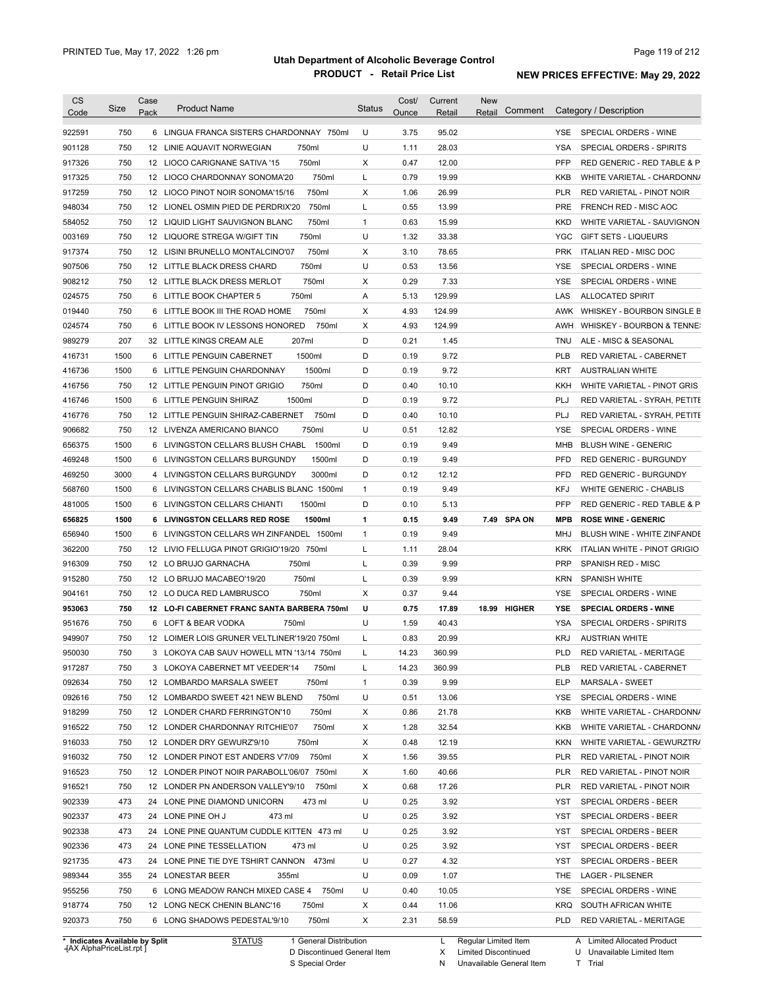| <b>CS</b><br>Code | <b>Size</b> | Case<br>Pack | <b>Product Name</b>                         | <b>Status</b> | Cost/<br>Ounce | Current<br>Retail | <b>New</b><br>Comment<br>Retail | Category / Description                       |
|-------------------|-------------|--------------|---------------------------------------------|---------------|----------------|-------------------|---------------------------------|----------------------------------------------|
| 922591            | 750         |              | 6 LINGUA FRANCA SISTERS CHARDONNAY 750ml    | U             | 3.75           | 95.02             |                                 | SPECIAL ORDERS - WINE<br>YSE.                |
| 901128            | 750         |              | 750ml<br>12 LINIE AQUAVIT NORWEGIAN         | U             | 1.11           | 28.03             |                                 | <b>YSA</b><br>SPECIAL ORDERS - SPIRITS       |
| 917326            | 750         |              | 750ml<br>12 LIOCO CARIGNANE SATIVA '15      | Χ             | 0.47           | 12.00             |                                 | <b>PFP</b><br>RED GENERIC - RED TABLE & P    |
| 917325            | 750         |              | 750ml<br>12 LIOCO CHARDONNAY SONOMA'20      | L             | 0.79           | 19.99             |                                 | <b>KKB</b><br>WHITE VARIETAL - CHARDONN/     |
| 917259            | 750         |              | 750ml<br>12 LIOCO PINOT NOIR SONOMA'15/16   | Χ             | 1.06           | 26.99             |                                 | <b>PLR</b><br>RED VARIETAL - PINOT NOIR      |
| 948034            | 750         |              | 12 LIONEL OSMIN PIED DE PERDRIX'20<br>750ml | L             | 0.55           | 13.99             |                                 | <b>PRE</b><br>FRENCH RED - MISC AOC          |
| 584052            | 750         |              | 750ml<br>12 LIQUID LIGHT SAUVIGNON BLANC    | 1             | 0.63           | 15.99             |                                 | <b>KKD</b><br>WHITE VARIETAL - SAUVIGNON     |
| 003169            | 750         |              | 750ml<br>12 LIQUORE STREGA W/GIFT TIN       | U             | 1.32           | 33.38             |                                 | YGC<br><b>GIFT SETS - LIQUEURS</b>           |
| 917374            | 750         |              | 750ml<br>12 LISINI BRUNELLO MONTALCINO'07   | X             | 3.10           | 78.65             |                                 | <b>PRK</b><br>ITALIAN RED - MISC DOC         |
| 907506            | 750         |              | 750ml<br>12 LITTLE BLACK DRESS CHARD        | U             | 0.53           | 13.56             |                                 | <b>YSE</b><br>SPECIAL ORDERS - WINE          |
| 908212            | 750         |              | 750ml<br>12 LITTLE BLACK DRESS MERLOT       | X             | 0.29           | 7.33              |                                 | <b>YSE</b><br>SPECIAL ORDERS - WINE          |
| 024575            | 750         |              | 750ml<br>6 LITTLE BOOK CHAPTER 5            | Α             | 5.13           | 129.99            |                                 | LAS<br><b>ALLOCATED SPIRIT</b>               |
| 019440            | 750         |              | 750ml<br>6 LITTLE BOOK III THE ROAD HOME    | X             | 4.93           | 124.99            |                                 | WHISKEY - BOURBON SINGLE B<br>AWK            |
| 024574            | 750         |              | 6 LITTLE BOOK IV LESSONS HONORED<br>750ml   | X             | 4.93           | 124.99            |                                 | WHISKEY - BOURBON & TENNE:<br>AWH            |
| 989279            | 207         |              | 207ml<br>32 LITTLE KINGS CREAM ALE          | D             | 0.21           | 1.45              |                                 | <b>TNU</b><br>ALE - MISC & SEASONAL          |
| 416731            | 1500        |              | 1500ml<br>6 LITTLE PENGUIN CABERNET         | D             | 0.19           | 9.72              |                                 | <b>PLB</b><br>RED VARIETAL - CABERNET        |
| 416736            | 1500        |              | 1500ml<br>6 LITTLE PENGUIN CHARDONNAY       | D             | 0.19           | 9.72              |                                 | <b>KRT</b><br>AUSTRALIAN WHITE               |
| 416756            | 750         |              | 750ml<br>12 LITTLE PENGUIN PINOT GRIGIO     | D             | 0.40           | 10.10             |                                 | KKH<br>WHITE VARIETAL - PINOT GRIS           |
| 416746            | 1500        |              | 1500ml<br>6 LITTLE PENGUIN SHIRAZ           | D             | 0.19           | 9.72              |                                 | PLJ<br>RED VARIETAL - SYRAH, PETITE          |
| 416776            | 750         |              | 12 LITTLE PENGUIN SHIRAZ-CABERNET<br>750ml  | D             | 0.40           | 10.10             |                                 | PLJ<br>RED VARIETAL - SYRAH, PETITE          |
| 906682            | 750         |              | 12 LIVENZA AMERICANO BIANCO<br>750ml        | U             | 0.51           | 12.82             |                                 | <b>YSE</b><br>SPECIAL ORDERS - WINE          |
| 656375            | 1500        |              | 6 LIVINGSTON CELLARS BLUSH CHABL<br>1500ml  | D             | 0.19           | 9.49              |                                 | MHB<br><b>BLUSH WINE - GENERIC</b>           |
| 469248            | 1500        |              | 6 LIVINGSTON CELLARS BURGUNDY<br>1500ml     | D             | 0.19           | 9.49              |                                 | <b>PFD</b><br><b>RED GENERIC - BURGUNDY</b>  |
| 469250            | 3000        |              | 4 LIVINGSTON CELLARS BURGUNDY<br>3000ml     | D             | 0.12           | 12.12             |                                 | <b>PFD</b><br><b>RED GENERIC - BURGUNDY</b>  |
| 568760            | 1500        |              | 6 LIVINGSTON CELLARS CHABLIS BLANC 1500ml   | 1             | 0.19           | 9.49              |                                 | <b>KFJ</b><br><b>WHITE GENERIC - CHABLIS</b> |
| 481005            | 1500        |              | 1500ml<br>6 LIVINGSTON CELLARS CHIANTI      | D             | 0.10           | 5.13              |                                 | PFP<br>RED GENERIC - RED TABLE & P           |
| 656825            | 1500        |              | 6 LIVINGSTON CELLARS RED ROSE<br>1500ml     | 1             | 0.15           | 9.49              | 7.49 SPA ON                     | <b>ROSE WINE - GENERIC</b><br><b>MPB</b>     |
| 656940            | 1500        |              | 6 LIVINGSTON CELLARS WH ZINFANDEL 1500ml    | 1             | 0.19           | 9.49              |                                 | MHJ<br>BLUSH WINE - WHITE ZINFANDE           |
| 362200            | 750         |              | 12 LIVIO FELLUGA PINOT GRIGIO'19/20 750ml   | L             | 1.11           | 28.04             |                                 | KRK<br>ITALIAN WHITE - PINOT GRIGIO          |
| 916309            | 750         |              | 750ml<br>12 LO BRUJO GARNACHA               | L             | 0.39           | 9.99              |                                 | <b>PRP</b><br>SPANISH RED - MISC             |
| 915280            | 750         |              | 750ml<br>12 LO BRUJO MACABEO'19/20          | L             | 0.39           | 9.99              |                                 | <b>KRN</b><br><b>SPANISH WHITE</b>           |
| 904161            | 750         |              | 750ml<br>12 LO DUCA RED LAMBRUSCO           | Χ             | 0.37           | 9.44              |                                 | SPECIAL ORDERS - WINE<br>YSE                 |
| 953063            | 750         |              | 12 LO-FI CABERNET FRANC SANTA BARBERA 750ml | U             | 0.75           | 17.89             | 18.99 HIGHER                    | <b>YSE</b><br><b>SPECIAL ORDERS - WINE</b>   |
| 951676            | 750         |              | 6 LOFT & BEAR VODKA<br>750ml                | U             | 1.59           | 40.43             |                                 | SPECIAL ORDERS - SPIRITS<br>YSA              |
| 949907            | 750         |              | 12 LOIMER LOIS GRUNER VELTLINER'19/20 750ml |               | 0.83           | 20.99             |                                 | <b>KRJ</b><br><b>AUSTRIAN WHITE</b>          |
|                   |             |              |                                             | L             |                |                   |                                 |                                              |
| 950030            | 750         |              | 3 LOKOYA CAB SAUV HOWELL MTN '13/14 750ml   | L             | 14.23          | 360.99            |                                 | PLD<br>RED VARIETAL - MERITAGE               |
| 917287            | 750         |              | 3 LOKOYA CABERNET MT VEEDER'14<br>750ml     | L             | 14.23          | 360.99            |                                 | PLB<br>RED VARIETAL - CABERNET               |
| 092634            | 750         |              | 12 LOMBARDO MARSALA SWEET<br>750ml          | 1             | 0.39           | 9.99              |                                 | <b>ELP</b><br>MARSALA - SWEET                |
| 092616            | 750         |              | 750ml<br>12 LOMBARDO SWEET 421 NEW BLEND    | U             | 0.51           | 13.06             |                                 | YSE<br>SPECIAL ORDERS - WINE                 |
| 918299            | 750         |              | 12 LONDER CHARD FERRINGTON'10<br>750ml      | Х             | 0.86           | 21.78             |                                 | KKB<br>WHITE VARIETAL - CHARDONN/            |
| 916522            | 750         |              | 750ml<br>12 LONDER CHARDONNAY RITCHIE'07    | Χ             | 1.28           | 32.54             |                                 | KKB<br>WHITE VARIETAL - CHARDONN/            |
| 916033            | 750         |              | 750ml<br>12 LONDER DRY GEWURZ'9/10          | X             | 0.48           | 12.19             |                                 | KKN<br>WHITE VARIETAL - GEWURZTR/            |
| 916032            | 750         |              | 750ml<br>12 LONDER PINOT EST ANDERS V'7/09  | Χ             | 1.56           | 39.55             |                                 | PLR<br>RED VARIETAL - PINOT NOIR             |
| 916523            | 750         |              | 12 LONDER PINOT NOIR PARABOLL'06/07 750ml   | Х             | 1.60           | 40.66             |                                 | PLR<br>RED VARIETAL - PINOT NOIR             |
| 916521            | 750         |              | 12 LONDER PN ANDERSON VALLEY'9/10<br>750ml  | Х             | 0.68           | 17.26             |                                 | PLR<br>RED VARIETAL - PINOT NOIR             |
| 902339            | 473         |              | 24 LONE PINE DIAMOND UNICORN<br>473 ml      | U             | 0.25           | 3.92              |                                 | YST<br>SPECIAL ORDERS - BEER                 |
| 902337            | 473         |              | 24 LONE PINE OH J<br>473 ml                 | U             | 0.25           | 3.92              |                                 | YST<br>SPECIAL ORDERS - BEER                 |
| 902338            | 473         |              | 24 LONE PINE QUANTUM CUDDLE KITTEN 473 ml   | U             | 0.25           | 3.92              |                                 | YST<br>SPECIAL ORDERS - BEER                 |
| 902336            | 473         |              | 24 LONE PINE TESSELLATION<br>473 ml         | U             | 0.25           | 3.92              |                                 | YST<br>SPECIAL ORDERS - BEER                 |
| 921735            | 473         |              | 24 LONE PINE TIE DYE TSHIRT CANNON 473ml    | U             | 0.27           | 4.32              |                                 | YST<br>SPECIAL ORDERS - BEER                 |
| 989344            | 355         |              | 24 LONESTAR BEER<br>355ml                   | U             | 0.09           | 1.07              |                                 | THE<br><b>LAGER - PILSENER</b>               |
|                   |             |              | 750ml                                       | U             | 0.40           | 10.05             |                                 | YSE<br>SPECIAL ORDERS - WINE                 |
|                   | 750         |              | 6 LONG MEADOW RANCH MIXED CASE 4            |               |                |                   |                                 |                                              |
| 955256<br>918774  | 750         |              | 12 LONG NECK CHENIN BLANC'16<br>750ml       | Χ             | 0.44           | 11.06             |                                 | KRQ<br>SOUTH AFRICAN WHITE                   |

**Case** [AX AlphaPriceList.rpt ]

D Discontinued General Item S Special Order

X

Limited Discontinued

N Unavailable General Item

U Unavailable Limited Item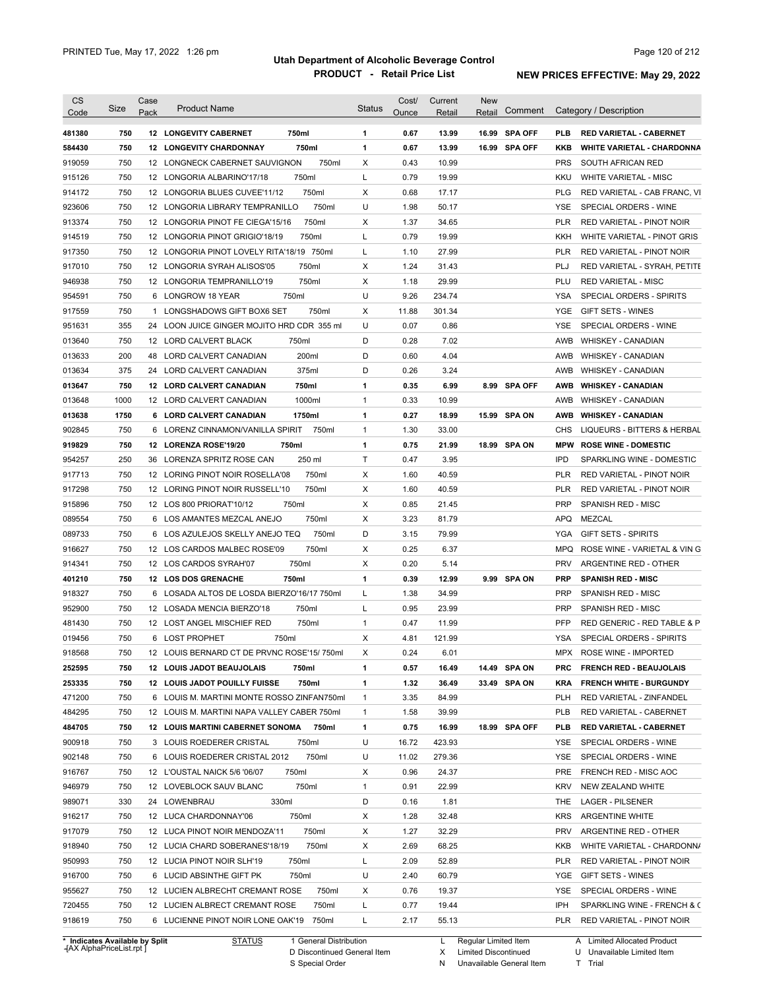| CS<br>Code                                               | Size       | Case<br>Pack | <b>Product Name</b>                                                 |                | <b>Status</b> | Cost/<br>Ounce | Current<br>Retail | <b>New</b><br>Retail | Comment        |            | Category / Description                                   |
|----------------------------------------------------------|------------|--------------|---------------------------------------------------------------------|----------------|---------------|----------------|-------------------|----------------------|----------------|------------|----------------------------------------------------------|
|                                                          |            |              |                                                                     |                |               |                |                   |                      |                |            |                                                          |
| 481380                                                   | 750        |              | <b>12 LONGEVITY CABERNET</b>                                        | 750ml          | 1             | 0.67           | 13.99             |                      | 16.99 SPA OFF  | <b>PLB</b> | <b>RED VARIETAL - CABERNET</b>                           |
| 584430                                                   | 750        |              | <b>12 LONGEVITY CHARDONNAY</b>                                      | 750ml          | 1             | 0.67           | 13.99             |                      | 16.99 SPA OFF  | KKB        | <b>WHITE VARIETAL - CHARDONNA</b>                        |
| 919059                                                   | 750        |              | 12 LONGNECK CABERNET SAUVIGNON                                      | 750ml          | X             | 0.43           | 10.99             |                      |                | <b>PRS</b> | SOUTH AFRICAN RED                                        |
| 915126                                                   | 750        |              | 12 LONGORIA ALBARINO'17/18                                          | 750ml          | L             | 0.79           | 19.99             |                      |                | KKU        | <b>WHITE VARIETAL - MISC</b>                             |
| 914172                                                   | 750        |              | 12 LONGORIA BLUES CUVEE'11/12                                       | 750ml          | Х             | 0.68           | 17.17             |                      |                | <b>PLG</b> | RED VARIETAL - CAB FRANC, VI                             |
| 923606                                                   | 750        |              | 12 LONGORIA LIBRARY TEMPRANILLO                                     | 750ml          | U             | 1.98           | 50.17             |                      |                | <b>YSE</b> | SPECIAL ORDERS - WINE                                    |
| 913374                                                   | 750        |              | 12 LONGORIA PINOT FE CIEGA'15/16                                    | 750ml          | X             | 1.37           | 34.65             |                      |                | <b>PLR</b> | <b>RED VARIETAL - PINOT NOIR</b>                         |
| 914519                                                   | 750        |              | 12 LONGORIA PINOT GRIGIO'18/19                                      | 750ml          | L             | 0.79           | 19.99             |                      |                | KKH        | WHITE VARIETAL - PINOT GRIS                              |
| 917350                                                   | 750        |              | 12 LONGORIA PINOT LOVELY RITA'18/19 750ml                           |                | L             | 1.10           | 27.99             |                      |                | <b>PLR</b> | RED VARIETAL - PINOT NOIR                                |
| 917010                                                   | 750        |              | 12 LONGORIA SYRAH ALISOS'05                                         | 750ml          | X             | 1.24           | 31.43             |                      |                | PLJ        | RED VARIETAL - SYRAH, PETITE                             |
| 946938                                                   | 750        |              | 12 LONGORIA TEMPRANILLO'19                                          | 750ml          | Х             | 1.18           | 29.99             |                      |                | PLU        | <b>RED VARIETAL - MISC</b>                               |
| 954591                                                   | 750        | 6            | LONGROW 18 YEAR                                                     | 750ml          | U             | 9.26           | 234.74            |                      |                | YSA        | SPECIAL ORDERS - SPIRITS                                 |
| 917559                                                   | 750        | $\mathbf{1}$ | LONGSHADOWS GIFT BOX6 SET                                           | 750ml          | Х             | 11.88          | 301.34            |                      |                | <b>YGE</b> | GIFT SETS - WINES                                        |
| 951631                                                   | 355        | 24           | LOON JUICE GINGER MOJITO HRD CDR 355 ml                             |                | U             | 0.07           | 0.86              |                      |                | YSE        | SPECIAL ORDERS - WINE                                    |
| 013640                                                   | 750        |              | 12 LORD CALVERT BLACK                                               | 750ml          | D             | 0.28           | 7.02              |                      |                | AWB        | WHISKEY - CANADIAN                                       |
| 013633                                                   | 200        | 48           | LORD CALVERT CANADIAN                                               | 200ml          | D             | 0.60           | 4.04              |                      |                | AWB        | <b>WHISKEY - CANADIAN</b>                                |
| 013634                                                   | 375        |              | 24 LORD CALVERT CANADIAN                                            | 375ml          | D             | 0.26           | 3.24              |                      |                | AWB        | <b>WHISKEY - CANADIAN</b>                                |
| 013647                                                   | 750        |              | 12 LORD CALVERT CANADIAN                                            | 750ml          | 1             | 0.35           | 6.99              | 8.99                 | <b>SPA OFF</b> | AWB        | <b>WHISKEY - CANADIAN</b>                                |
| 013648                                                   | 1000       |              | 12 LORD CALVERT CANADIAN                                            | 1000ml         | $\mathbf{1}$  | 0.33           | 10.99             |                      |                | AWB        | <b>WHISKEY - CANADIAN</b>                                |
| 013638                                                   | 1750       |              | 6 LORD CALVERT CANADIAN                                             | 1750ml         | 1             | 0.27           | 18.99             | 15.99                | <b>SPA ON</b>  | AWB        | <b>WHISKEY - CANADIAN</b>                                |
| 902845                                                   | 750        | 6            | LORENZ CINNAMON/VANILLA SPIRIT                                      | 750ml          | $\mathbf{1}$  | 1.30           | 33.00             |                      |                | CHS        | LIQUEURS - BITTERS & HERBAL                              |
| 919829                                                   | 750        |              | 12 LORENZA ROSE'19/20                                               | 750ml          | 1             | 0.75           | 21.99             | 18.99                | SPA ON         | <b>MPW</b> | <b>ROSE WINE - DOMESTIC</b>                              |
| 954257                                                   | 250        | 36           | LORENZA SPRITZ ROSE CAN                                             | 250 ml         | Τ             | 0.47           | 3.95              |                      |                | IPD        | SPARKLING WINE - DOMESTIC                                |
| 917713                                                   | 750        |              | 12 LORING PINOT NOIR ROSELLA'08                                     | 750ml          | X             | 1.60           | 40.59             |                      |                | <b>PLR</b> | RED VARIETAL - PINOT NOIR                                |
| 917298                                                   | 750        |              | 12 LORING PINOT NOIR RUSSELL'10                                     | 750ml          | X             | 1.60           | 40.59             |                      |                | PLR        | RED VARIETAL - PINOT NOIR                                |
| 915896                                                   | 750        |              | 12 LOS 800 PRIORAT'10/12                                            | 750ml          | Х             | 0.85           | 21.45             |                      |                | <b>PRP</b> | SPANISH RED - MISC                                       |
| 089554                                                   | 750        |              | 6 LOS AMANTES MEZCAL ANEJO                                          | 750ml          | х             | 3.23           | 81.79             |                      |                | <b>APQ</b> | <b>MEZCAL</b>                                            |
| 089733                                                   | 750        |              | 6 LOS AZULEJOS SKELLY ANEJO TEQ                                     | 750ml          | D             | 3.15           | 79.99             |                      |                | <b>YGA</b> | <b>GIFT SETS - SPIRITS</b>                               |
|                                                          |            |              |                                                                     |                |               |                |                   |                      |                |            |                                                          |
| 916627                                                   | 750        |              | 12 LOS CARDOS MALBEC ROSE'09                                        | 750ml          | Х             | 0.25           | 6.37              |                      |                | <b>MPQ</b> | ROSE WINE - VARIETAL & VIN G                             |
| 914341                                                   | 750        |              | 12 LOS CARDOS SYRAH'07                                              | 750ml          | х             | 0.20           | 5.14              |                      |                | <b>PRV</b> | ARGENTINE RED - OTHER                                    |
| 401210                                                   | 750        |              | 12 LOS DOS GRENACHE                                                 | 750ml          | 1             | 0.39           | 12.99             |                      | 9.99 SPA ON    | <b>PRP</b> | <b>SPANISH RED - MISC</b>                                |
| 918327                                                   | 750        |              | 6 LOSADA ALTOS DE LOSDA BIERZO'16/17 750ml                          |                | L             | 1.38           | 34.99             |                      |                | <b>PRP</b> | <b>SPANISH RED - MISC</b>                                |
| 952900                                                   | 750        |              | 12 LOSADA MENCIA BIERZO'18                                          | 750ml          | L             | 0.95           | 23.99             |                      |                | <b>PRP</b> | <b>SPANISH RED - MISC</b>                                |
| 481430                                                   | 750        |              | 12 LOST ANGEL MISCHIEF RED                                          | 750ml          | $\mathbf{1}$  | 0.47           | 11.99             |                      |                | <b>PFP</b> | RED GENERIC - RED TABLE & P                              |
| 019456                                                   | 750        |              | 6 LOST PROPHET<br>750ml                                             |                | X             | 4.81           | 121.99            |                      |                | <b>YSA</b> | SPECIAL ORDERS - SPIRITS                                 |
| 918568                                                   | 750        |              | 12 LOUIS BERNARD CT DE PRVNC ROSE'15/750ml                          |                | X             | 0.24           | 6.01              |                      |                | MPX        | ROSE WINE - IMPORTED                                     |
| 252595                                                   | 750        |              | 12 LOUIS JADOT BEAUJOLAIS                                           | 750ml          | 1             | 0.57           | 16.49             |                      | 14.49 SPA ON   | PRC        | <b>FRENCH RED - BEAUJOLAIS</b>                           |
| 253335                                                   | 750        |              | 12 LOUIS JADOT POUILLY FUISSE                                       | 750ml          | 1             | 1.32           | 36.49             |                      | 33.49 SPA ON   | <b>KRA</b> | <b>FRENCH WHITE - BURGUNDY</b>                           |
| 471200                                                   | 750        |              | 6 LOUIS M. MARTINI MONTE ROSSO ZINFAN750ml                          |                | $\mathbf{1}$  | 3.35           | 84.99             |                      |                | <b>PLH</b> | RED VARIETAL - ZINFANDEL                                 |
| 484295                                                   | 750        |              | 12 LOUIS M. MARTINI NAPA VALLEY CABER 750ml                         |                | $\mathbf{1}$  | 1.58           | 39.99             |                      |                | <b>PLB</b> | RED VARIETAL - CABERNET                                  |
| 484705                                                   | 750        |              | <b>12 LOUIS MARTINI CABERNET SONOMA</b>                             | 750ml          | 1             | 0.75           | 16.99             |                      | 18.99 SPA OFF  | <b>PLB</b> | <b>RED VARIETAL - CABERNET</b>                           |
| 900918                                                   | 750        |              | 3 LOUIS ROEDERER CRISTAL                                            | 750ml          | U             | 16.72          | 423.93            |                      |                | YSE        | SPECIAL ORDERS - WINE                                    |
| 902148                                                   | 750        |              | 6 LOUIS ROEDERER CRISTAL 2012                                       | 750ml          | U             | 11.02          | 279.36            |                      |                | YSE        | SPECIAL ORDERS - WINE                                    |
| 916767                                                   | 750        |              | 12 L'OUSTAL NAICK 5/6 '06/07                                        | 750ml          | Х             | 0.96           | 24.37             |                      |                | PRE        | FRENCH RED - MISC AOC                                    |
| 946979                                                   | 750        |              | 12 LOVEBLOCK SAUV BLANC                                             | 750ml          | $\mathbf{1}$  | 0.91           | 22.99             |                      |                | <b>KRV</b> | NEW ZEALAND WHITE                                        |
| 989071                                                   | 330        |              | 330ml<br>24 LOWENBRAU                                               |                | D             | 0.16           | 1.81              |                      |                | THE        | LAGER - PILSENER                                         |
|                                                          | 750        |              | 12 LUCA CHARDONNAY'06                                               | 750ml          | Х             | 1.28           | 32.48             |                      |                | <b>KRS</b> | ARGENTINE WHITE                                          |
|                                                          |            |              | 12 LUCA PINOT NOIR MENDOZA'11                                       | 750ml          | х             | 1.27           | 32.29             |                      |                | <b>PRV</b> | ARGENTINE RED - OTHER                                    |
|                                                          | 750        |              |                                                                     |                | х             | 2.69           | 68.25             |                      |                | KKB        | WHITE VARIETAL - CHARDONN/                               |
|                                                          | 750        |              | 12 LUCIA CHARD SOBERANES'18/19                                      | 750ml          |               |                |                   |                      |                |            |                                                          |
|                                                          | 750        |              | 12 LUCIA PINOT NOIR SLH'19                                          | 750ml          | L             | 2.09           | 52.89             |                      |                | PLR        | RED VARIETAL - PINOT NOIR                                |
|                                                          |            |              |                                                                     |                |               |                |                   |                      |                |            |                                                          |
|                                                          | 750        |              | 6 LUCID ABSINTHE GIFT PK                                            | 750ml          | U             | 2.40           | 60.79             |                      |                | YGE        | GIFT SETS - WINES                                        |
| 916217<br>917079<br>918940<br>950993<br>916700<br>955627 | 750        |              | 12 LUCIEN ALBRECHT CREMANT ROSE                                     | 750ml          | х             | 0.76           | 19.37             |                      |                | YSE        | SPECIAL ORDERS - WINE                                    |
| 720455<br>918619                                         | 750<br>750 |              | 12 LUCIEN ALBRECT CREMANT ROSE<br>6 LUCIENNE PINOT NOIR LONE OAK'19 | 750ml<br>750ml | L<br>L        | 0.77<br>2.17   | 19.44<br>55.13    |                      |                | IPH<br>PLR | SPARKLING WINE - FRENCH & C<br>RED VARIETAL - PINOT NOIR |

**Case** [AX AlphaPriceList.rpt ]

D Discontinued General Item S Special Order

X Limited Discontinued

N Unavailable General Item

U Unavailable Limited Item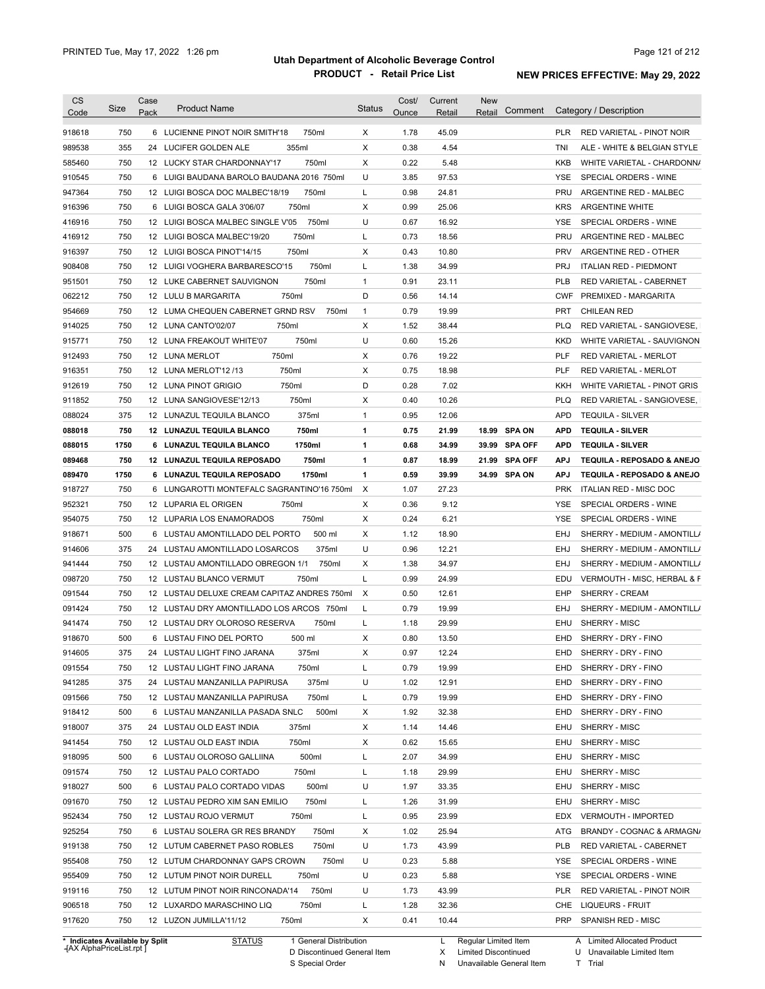| CS     | Size                           | Case | <b>Product Name</b>                         | Status       | Cost/ | Current | New                  | Comment       |            | Category / Description        |
|--------|--------------------------------|------|---------------------------------------------|--------------|-------|---------|----------------------|---------------|------------|-------------------------------|
| Code   |                                | Pack |                                             |              | Ounce | Retail  | Retail               |               |            |                               |
| 918618 | 750                            |      | 6 LUCIENNE PINOT NOIR SMITH'18<br>750ml     | X            | 1.78  | 45.09   |                      |               | <b>PLR</b> | RED VARIETAL - PINOT NOIR     |
| 989538 | 355                            |      | 355ml<br>24 LUCIFER GOLDEN ALE              | X            | 0.38  | 4.54    |                      |               | TNI        | ALE - WHITE & BELGIAN STYLE   |
| 585460 | 750                            |      | 750ml<br>12 LUCKY STAR CHARDONNAY'17        | X            | 0.22  | 5.48    |                      |               | <b>KKB</b> | WHITE VARIETAL - CHARDONN/    |
| 910545 | 750                            |      | 6 LUIGI BAUDANA BAROLO BAUDANA 2016 750ml   | U            | 3.85  | 97.53   |                      |               | <b>YSE</b> | SPECIAL ORDERS - WINE         |
| 947364 | 750                            |      | 12 LUIGI BOSCA DOC MALBEC'18/19<br>750ml    | L            | 0.98  | 24.81   |                      |               | <b>PRU</b> | ARGENTINE RED - MALBEC        |
| 916396 | 750                            |      | 750ml<br>6 LUIGI BOSCA GALA 3'06/07         | X            | 0.99  | 25.06   |                      |               | <b>KRS</b> | <b>ARGENTINE WHITE</b>        |
| 416916 | 750                            |      | 750ml<br>12 LUIGI BOSCA MALBEC SINGLE V'05  | U            | 0.67  | 16.92   |                      |               | YSE        | SPECIAL ORDERS - WINE         |
| 416912 | 750                            |      | 12 LUIGI BOSCA MALBEC'19/20<br>750ml        | Г            | 0.73  | 18.56   |                      |               | PRU        | ARGENTINE RED - MALBEC        |
| 916397 | 750                            |      | 12 LUIGI BOSCA PINOT'14/15<br>750ml         | Х            | 0.43  | 10.80   |                      |               | <b>PRV</b> | ARGENTINE RED - OTHER         |
| 908408 | 750                            |      | 750ml<br>12 LUIGI VOGHERA BARBARESCO'15     | Г            | 1.38  | 34.99   |                      |               | <b>PRJ</b> | <b>ITALIAN RED - PIEDMONT</b> |
| 951501 | 750                            |      | 750ml<br>12 LUKE CABERNET SAUVIGNON         | $\mathbf{1}$ | 0.91  | 23.11   |                      |               | <b>PLB</b> | RED VARIETAL - CABERNET       |
| 062212 | 750                            |      | 750ml<br>12 LULU B MARGARITA                | D            | 0.56  | 14.14   |                      |               | <b>CWF</b> | PREMIXED - MARGARITA          |
| 954669 | 750                            |      | 12 LUMA CHEQUEN CABERNET GRND RSV<br>750ml  | $\mathbf{1}$ | 0.79  | 19.99   |                      |               | <b>PRT</b> | <b>CHILEAN RED</b>            |
| 914025 | 750                            |      | 12 LUNA CANTO'02/07<br>750ml                | Х            | 1.52  | 38.44   |                      |               | <b>PLQ</b> | RED VARIETAL - SANGIOVESE,    |
| 915771 | 750                            |      | 750ml<br>12 LUNA FREAKOUT WHITE'07          | U            | 0.60  | 15.26   |                      |               | KKD        | WHITE VARIETAL - SAUVIGNON    |
| 912493 | 750                            |      | 750ml<br>12 LUNA MERLOT                     | Х            | 0.76  | 19.22   |                      |               | PLF        | RED VARIETAL - MERLOT         |
|        | 750                            |      | 750ml<br>12 LUNA MERLOT'12 /13              |              | 0.75  |         |                      |               | <b>PLF</b> |                               |
| 916351 |                                |      |                                             | х<br>D       |       | 18.98   |                      |               |            | RED VARIETAL - MERLOT         |
| 912619 | 750                            |      | 12 LUNA PINOT GRIGIO<br>750ml               |              | 0.28  | 7.02    |                      |               | KKH        | WHITE VARIETAL - PINOT GRIS   |
| 911852 | 750                            |      | 12 LUNA SANGIOVESE'12/13<br>750ml           | X            | 0.40  | 10.26   |                      |               | <b>PLQ</b> | RED VARIETAL - SANGIOVESE,    |
| 088024 | 375                            |      | 375ml<br>12 LUNAZUL TEQUILA BLANCO          | 1            | 0.95  | 12.06   |                      |               | <b>APD</b> | <b>TEQUILA - SILVER</b>       |
| 088018 | 750                            |      | 750ml<br>12 LUNAZUL TEQUILA BLANCO          | 1            | 0.75  | 21.99   |                      | 18.99 SPA ON  | <b>APD</b> | <b>TEQUILA - SILVER</b>       |
| 088015 | 1750                           |      | 6 LUNAZUL TEQUILA BLANCO<br>1750ml          | 1            | 0.68  | 34.99   |                      | 39.99 SPA OFF | <b>APD</b> | <b>TEQUILA - SILVER</b>       |
| 089468 | 750                            |      | 12 LUNAZUL TEQUILA REPOSADO<br>750ml        | 1            | 0.87  | 18.99   | 21.99                | SPA OFF       | <b>APJ</b> | TEQUILA - REPOSADO & ANEJO    |
| 089470 | 1750                           |      | 6 LUNAZUL TEQUILA REPOSADO<br>1750ml        | 1            | 0.59  | 39.99   |                      | 34.99 SPA ON  | <b>APJ</b> | TEQUILA - REPOSADO & ANEJO    |
| 918727 | 750                            |      | 6 LUNGAROTTI MONTEFALC SAGRANTINO'16 750ml  | X            | 1.07  | 27.23   |                      |               | <b>PRK</b> | ITALIAN RED - MISC DOC        |
| 952321 | 750                            |      | 750ml<br>12 LUPARIA EL ORIGEN               | Χ            | 0.36  | 9.12    |                      |               | <b>YSE</b> | SPECIAL ORDERS - WINE         |
| 954075 | 750                            |      | 750ml<br>12 LUPARIA LOS ENAMORADOS          | X            | 0.24  | 6.21    |                      |               | <b>YSE</b> | SPECIAL ORDERS - WINE         |
| 918671 | 500                            |      | 6 LUSTAU AMONTILLADO DEL PORTO<br>500 ml    | X            | 1.12  | 18.90   |                      |               | <b>EHJ</b> | SHERRY - MEDIUM - AMONTILL/   |
| 914606 | 375                            |      | 375ml<br>24 LUSTAU AMONTILLADO LOSARCOS     | U            | 0.96  | 12.21   |                      |               | EHJ        | SHERRY - MEDIUM - AMONTILL/   |
| 941444 | 750                            |      | 750ml<br>12 LUSTAU AMONTILLADO OBREGON 1/1  | X            | 1.38  | 34.97   |                      |               | EHJ        | SHERRY - MEDIUM - AMONTILL/   |
| 098720 | 750                            |      | 750ml<br>12 LUSTAU BLANCO VERMUT            | L            | 0.99  | 24.99   |                      |               | EDU        | VERMOUTH - MISC, HERBAL & F   |
| 091544 | 750                            |      | 12 LUSTAU DELUXE CREAM CAPITAZ ANDRES 750ml | X            | 0.50  | 12.61   |                      |               | EHP        | SHERRY - CREAM                |
| 091424 | 750                            |      | 12 LUSTAU DRY AMONTILLADO LOS ARCOS 750ml   | L            | 0.79  | 19.99   |                      |               | EHJ        | SHERRY - MEDIUM - AMONTILL/   |
| 941474 | 750                            |      | 12 LUSTAU DRY OLOROSO RESERVA<br>750ml      | L            | 1.18  | 29.99   |                      |               | EHU        | SHERRY - MISC                 |
| 918670 | 500                            |      | 6 LUSTAU FINO DEL PORTO<br>500 ml           | Х            | 0.80  | 13.50   |                      |               | EHD        | SHERRY - DRY - FINO           |
| 914605 | 375                            |      | 24 LUSTAU LIGHT FINO JARANA<br>375ml        | х            | 0.97  | 12.24   |                      |               | EHD        | SHERRY - DRY - FINO           |
| 091554 | 750                            |      | 750ml<br>12 LUSTAU LIGHT FINO JARANA        | L            | 0.79  | 19.99   |                      |               | EHD        | SHERRY - DRY - FINO           |
| 941285 | 375                            |      | 375ml<br>24 LUSTAU MANZANILLA PAPIRUSA      | U            | 1.02  | 12.91   |                      |               | EHD        | SHERRY - DRY - FINO           |
| 091566 | 750                            |      | 12 LUSTAU MANZANILLA PAPIRUSA<br>750ml      | L            | 0.79  | 19.99   |                      |               | EHD        | SHERRY - DRY - FINO           |
|        |                                |      |                                             |              |       |         |                      |               |            |                               |
| 918412 | 500                            |      | 500ml<br>6 LUSTAU MANZANILLA PASADA SNLC    | Х            | 1.92  | 32.38   |                      |               | EHD        | SHERRY - DRY - FINO           |
| 918007 | 375                            |      | 24 LUSTAU OLD EAST INDIA<br>375ml           | Х            | 1.14  | 14.46   |                      |               | EHU        | SHERRY - MISC                 |
| 941454 | 750                            |      | 12 LUSTAU OLD EAST INDIA<br>750ml           | Х            | 0.62  | 15.65   |                      |               | EHU        | SHERRY - MISC                 |
| 918095 | 500                            |      | 500ml<br>6 LUSTAU OLOROSO GALLIINA          | L            | 2.07  | 34.99   |                      |               | EHU        | SHERRY - MISC                 |
| 091574 | 750                            |      | 12 LUSTAU PALO CORTADO<br>750ml             | L            | 1.18  | 29.99   |                      |               | EHU        | SHERRY - MISC                 |
| 918027 | 500                            |      | 500ml<br>6 LUSTAU PALO CORTADO VIDAS        | U            | 1.97  | 33.35   |                      |               | EHU        | SHERRY - MISC                 |
| 091670 | 750                            |      | 750ml<br>12 LUSTAU PEDRO XIM SAN EMILIO     | L            | 1.26  | 31.99   |                      |               | EHU        | SHERRY - MISC                 |
| 952434 | 750                            |      | 750ml<br>12 LUSTAU ROJO VERMUT              | L            | 0.95  | 23.99   |                      |               | EDX        | <b>VERMOUTH - IMPORTED</b>    |
| 925254 | 750                            |      | 6 LUSTAU SOLERA GR RES BRANDY<br>750ml      | Х            | 1.02  | 25.94   |                      |               | ATG        | BRANDY - COGNAC & ARMAGN/     |
| 919138 | 750                            |      | 12 LUTUM CABERNET PASO ROBLES<br>750ml      | U            | 1.73  | 43.99   |                      |               | <b>PLB</b> | RED VARIETAL - CABERNET       |
| 955408 | 750                            |      | 750ml<br>12 LUTUM CHARDONNAY GAPS CROWN     | U            | 0.23  | 5.88    |                      |               | YSE        | SPECIAL ORDERS - WINE         |
| 955409 | 750                            |      | 12 LUTUM PINOT NOIR DURELL<br>750ml         | U            | 0.23  | 5.88    |                      |               | YSE        | SPECIAL ORDERS - WINE         |
| 919116 | 750                            |      | 12 LUTUM PINOT NOIR RINCONADA'14<br>750ml   | U            | 1.73  | 43.99   |                      |               | <b>PLR</b> | RED VARIETAL - PINOT NOIR     |
| 906518 | 750                            |      | 750ml<br>12 LUXARDO MARASCHINO LIQ          | L            | 1.28  | 32.36   |                      |               | CHE        | LIQUEURS - FRUIT              |
| 917620 | 750                            |      | 750ml<br>12 LUZON JUMILLA'11/12             | X            | 0.41  | 10.44   |                      |               | <b>PRP</b> | SPANISH RED - MISC            |
|        |                                |      |                                             |              |       |         |                      |               |            |                               |
|        | * Indicates Available by Split |      | <b>STATUS</b><br>1 General Distribution     |              |       | L       | Regular Limited Item |               |            | A Limited Allocated Product   |

**Case** [AX AlphaPriceList.rpt ]

D Discontinued General Item S Special Order

X Limited Discontinued

N Unavailable General Item

U Unavailable Limited Item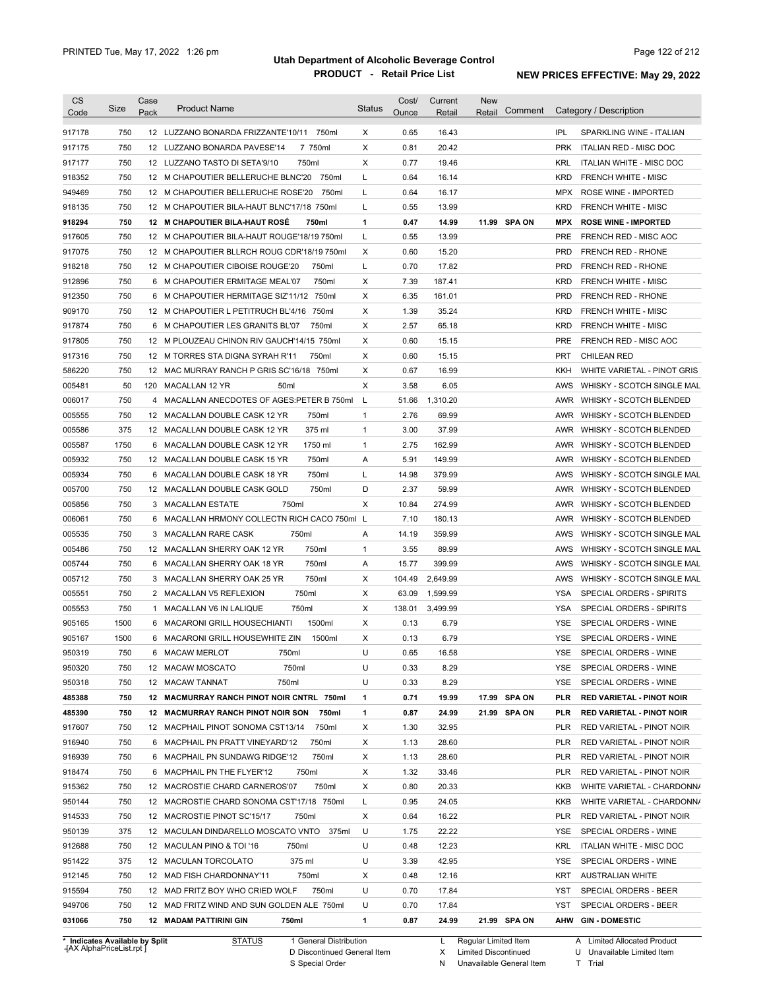| <b>CS</b><br>Code                                          | Size | Case<br>Pack | <b>Product Name</b>                               | <b>Status</b> | Cost/<br>Ounce | Current<br>Retail | <b>New</b><br>Comment<br>Retail |            | Category / Description           |
|------------------------------------------------------------|------|--------------|---------------------------------------------------|---------------|----------------|-------------------|---------------------------------|------------|----------------------------------|
| 917178                                                     | 750  |              | 12 LUZZANO BONARDA FRIZZANTE'10/11<br>750ml       | Х             | 0.65           | 16.43             |                                 | IPL        | SPARKLING WINE - ITALIAN         |
| 917175                                                     | 750  |              | 7 750ml<br>12 LUZZANO BONARDA PAVESE'14           | X             | 0.81           | 20.42             |                                 | <b>PRK</b> | <b>ITALIAN RED - MISC DOC</b>    |
| 917177                                                     | 750  |              | 12 LUZZANO TASTO DI SETA'9/10<br>750ml            | X             | 0.77           | 19.46             |                                 | KRL        | <b>ITALIAN WHITE - MISC DOC</b>  |
| 918352                                                     | 750  |              | 750ml<br>12 M CHAPOUTIER BELLERUCHE BLNC'20       | L             | 0.64           | 16.14             |                                 | <b>KRD</b> | <b>FRENCH WHITE - MISC</b>       |
| 949469                                                     | 750  |              | 12 M CHAPOUTIER BELLERUCHE ROSE'20<br>750ml       | L             | 0.64           | 16.17             |                                 | <b>MPX</b> | ROSE WINE - IMPORTED             |
| 918135                                                     | 750  |              | 12 M CHAPOUTIER BILA-HAUT BLNC'17/18 750ml        | L             | 0.55           | 13.99             |                                 | <b>KRD</b> | <b>FRENCH WHITE - MISC</b>       |
| 918294                                                     | 750  |              | 12 M CHAPOUTIER BILA-HAUT ROSÉ<br>750ml           | 1             | 0.47           | 14.99             | 11.99 SPA ON                    | <b>MPX</b> | <b>ROSE WINE - IMPORTED</b>      |
| 917605                                                     | 750  |              | 12 M CHAPOUTIER BILA-HAUT ROUGE'18/19 750ml       | L             | 0.55           | 13.99             |                                 | PRE        | FRENCH RED - MISC AOC            |
| 917075                                                     | 750  |              | 12 M CHAPOUTIER BLLRCH ROUG CDR'18/19 750ml       | Х             | 0.60           | 15.20             |                                 | <b>PRD</b> | <b>FRENCH RED - RHONE</b>        |
| 918218                                                     | 750  |              | 750ml<br>12 M CHAPOUTIER CIBOISE ROUGE'20         | L             | 0.70           | 17.82             |                                 | <b>PRD</b> | <b>FRENCH RED - RHONE</b>        |
| 912896                                                     | 750  | 6            | 750ml<br>M CHAPOUTIER ERMITAGE MEAL'07            | Х             | 7.39           | 187.41            |                                 | <b>KRD</b> | FRENCH WHITE - MISC              |
| 912350                                                     | 750  | 6            | M CHAPOUTIER HERMITAGE SIZ'11/12 750ml            | Х             | 6.35           | 161.01            |                                 | <b>PRD</b> | FRENCH RED - RHONE               |
| 909170                                                     | 750  |              | 750ml<br>12 M CHAPOUTIER L PETITRUCH BL'4/16      | X             | 1.39           | 35.24             |                                 | <b>KRD</b> | <b>FRENCH WHITE - MISC</b>       |
|                                                            | 750  |              | 750ml                                             | X             | 2.57           | 65.18             |                                 | <b>KRD</b> | <b>FRENCH WHITE - MISC</b>       |
| 917874                                                     | 750  |              | 6 M CHAPOUTIER LES GRANITS BL'07                  | Х             | 0.60           | 15.15             |                                 | <b>PRE</b> |                                  |
| 917805                                                     |      |              | 12 M PLOUZEAU CHINON RIV GAUCH'14/15 750ml        |               |                |                   |                                 |            | FRENCH RED - MISC AOC            |
| 917316                                                     | 750  |              | 750ml<br>12 M TORRES STA DIGNA SYRAH R'11         | Х             | 0.60           | 15.15             |                                 | <b>PRT</b> | <b>CHILEAN RED</b>               |
| 586220                                                     | 750  |              | 12 MAC MURRAY RANCH P GRIS SC'16/18 750ml         | Х             | 0.67           | 16.99             |                                 | <b>KKH</b> | WHITE VARIETAL - PINOT GRIS      |
| 005481                                                     | 50   | 120          | MACALLAN 12 YR<br>50 <sub>ml</sub>                | X             | 3.58           | 6.05              |                                 | AWS        | WHISKY - SCOTCH SINGLE MAL       |
| 006017                                                     | 750  | 4            | MACALLAN ANECDOTES OF AGES: PETER B 750ml         | L             | 51.66          | 1,310.20          |                                 | AWR        | <b>WHISKY - SCOTCH BLENDED</b>   |
| 005555                                                     | 750  | 12           | MACALLAN DOUBLE CASK 12 YR<br>750ml               | $\mathbf{1}$  | 2.76           | 69.99             |                                 | AWR        | <b>WHISKY - SCOTCH BLENDED</b>   |
| 005586                                                     | 375  | 12           | 375 ml<br>MACALLAN DOUBLE CASK 12 YR              | $\mathbf{1}$  | 3.00           | 37.99             |                                 | AWR        | <b>WHISKY - SCOTCH BLENDED</b>   |
| 005587                                                     | 1750 | 6            | MACALLAN DOUBLE CASK 12 YR<br>1750 ml             | $\mathbf{1}$  | 2.75           | 162.99            |                                 | AWR        | <b>WHISKY - SCOTCH BLENDED</b>   |
| 005932                                                     | 750  | 12           | 750ml<br>MACALLAN DOUBLE CASK 15 YR               | Α             | 5.91           | 149.99            |                                 | AWR        | WHISKY - SCOTCH BLENDED          |
| 005934                                                     | 750  | 6            | 750ml<br>MACALLAN DOUBLE CASK 18 YR               | L             | 14.98          | 379.99            |                                 | AWS        | WHISKY - SCOTCH SINGLE MAL       |
| 005700                                                     | 750  | 12           | 750ml<br>MACALLAN DOUBLE CASK GOLD                | D             | 2.37           | 59.99             |                                 | AWR        | WHISKY - SCOTCH BLENDED          |
| 005856                                                     | 750  |              | 750ml<br>3 MACALLAN ESTATE                        | X             | 10.84          | 274.99            |                                 | AWR        | WHISKY - SCOTCH BLENDED          |
| 006061                                                     | 750  | 6            | MACALLAN HRMONY COLLECTN RICH CACO 750ml L        |               | 7.10           | 180.13            |                                 | AWR        | WHISKY - SCOTCH BLENDED          |
| 005535                                                     | 750  |              | 750ml<br>3 MACALLAN RARE CASK                     | Α             | 14.19          | 359.99            |                                 | AWS        | WHISKY - SCOTCH SINGLE MAL       |
| 005486                                                     | 750  |              | 750ml<br>12 MACALLAN SHERRY OAK 12 YR             | 1             | 3.55           | 89.99             |                                 | AWS        | WHISKY - SCOTCH SINGLE MAL       |
| 005744                                                     | 750  |              | 750ml<br>6 MACALLAN SHERRY OAK 18 YR              | Α             | 15.77          | 399.99            |                                 | AWS        | WHISKY - SCOTCH SINGLE MAL       |
| 005712                                                     | 750  |              | 750ml<br>3 MACALLAN SHERRY OAK 25 YR              | X             | 104.49         | 2,649.99          |                                 | AWS        | WHISKY - SCOTCH SINGLE MAL       |
| 005551                                                     | 750  |              | 750ml<br>2 MACALLAN V5 REFLEXION                  | Х             | 63.09          | 1,599.99          |                                 | YSA        | SPECIAL ORDERS - SPIRITS         |
| 005553                                                     | 750  | $\mathbf{1}$ | MACALLAN V6 IN LALIQUE<br>750ml                   | X             | 138.01         | 3,499.99          |                                 | YSA        | SPECIAL ORDERS - SPIRITS         |
| 905165                                                     | 1500 | 6            | 1500ml<br>MACARONI GRILL HOUSECHIANTI             | X             | 0.13           | 6.79              |                                 | <b>YSE</b> | SPECIAL ORDERS - WINE            |
| 905167                                                     | 1500 |              | 6 MACARONI GRILL HOUSEWHITE ZIN<br>1500ml         | X             | 0.13           | 6.79              |                                 | <b>YSE</b> | SPECIAL ORDERS - WINE            |
| 950319                                                     | 750  |              | MACAW MERLOT<br>750ml                             | U             | 0.65           | 16.58             |                                 | YSE        | SPECIAL ORDERS - WINE            |
| 950320                                                     | 750  |              | 12 MACAW MOSCATO<br>750ml                         | U             | 0.33           | 8.29              |                                 | YSE        | SPECIAL ORDERS - WINE            |
| 950318                                                     | 750  |              | 750ml<br>12 MACAW TANNAT                          | U             | 0.33           | 8.29              |                                 | YSE        | SPECIAL ORDERS - WINE            |
| 485388                                                     | 750  |              | 12 MACMURRAY RANCH PINOT NOIR CNTRL 750ml         | 1             | 0.71           | 19.99             | 17.99 SPA ON                    | PLR        | <b>RED VARIETAL - PINOT NOIR</b> |
| 485390                                                     | 750  |              | <b>12 MACMURRAY RANCH PINOT NOIR SON</b><br>750ml | 1             | 0.87           | 24.99             | 21.99 SPA ON                    | PLR        | <b>RED VARIETAL - PINOT NOIR</b> |
| 917607                                                     | 750  |              | 750ml<br>12 MACPHAIL PINOT SONOMA CST13/14        | Х             | 1.30           | 32.95             |                                 | PLR        | RED VARIETAL - PINOT NOIR        |
| 916940                                                     | 750  |              | 6 MACPHAIL PN PRATT VINEYARD'12<br>750ml          | Х             | 1.13           | 28.60             |                                 | PLR        | RED VARIETAL - PINOT NOIR        |
| 916939                                                     | 750  |              | 750ml<br>6 MACPHAIL PN SUNDAWG RIDGE'12           | Х             | 1.13           | 28.60             |                                 | PLR        | RED VARIETAL - PINOT NOIR        |
| 918474                                                     | 750  |              | 6 MACPHAIL PN THE FLYER'12<br>750ml               | Х             | 1.32           | 33.46             |                                 | <b>PLR</b> | RED VARIETAL - PINOT NOIR        |
| 915362                                                     | 750  |              | 750ml<br>12 MACROSTIE CHARD CARNEROS'07           | Х             | 0.80           | 20.33             |                                 | KKB        | WHITE VARIETAL - CHARDONNA       |
| 950144                                                     | 750  |              | 12 MACROSTIE CHARD SONOMA CST'17/18 750ml         | Г             | 0.95           | 24.05             |                                 | KKB        | WHITE VARIETAL - CHARDONN/       |
| 914533                                                     | 750  |              | 12 MACROSTIE PINOT SC'15/17<br>750ml              | Х             | 0.64           | 16.22             |                                 | PLR        | RED VARIETAL - PINOT NOIR        |
| 950139                                                     | 375  |              | 12 MACULAN DINDARELLO MOSCATO VNTO<br>375ml       | U             | 1.75           | 22.22             |                                 | YSE        | SPECIAL ORDERS - WINE            |
| 912688                                                     | 750  |              | 12 MACULAN PINO & TOI '16<br>750ml                | U             | 0.48           | 12.23             |                                 | KRL        | <b>ITALIAN WHITE - MISC DOC</b>  |
| 951422                                                     | 375  |              | 375 ml<br>12 MACULAN TORCOLATO                    | U             | 3.39           | 42.95             |                                 | YSE        | SPECIAL ORDERS - WINE            |
| 912145                                                     | 750  |              | 750ml<br>12 MAD FISH CHARDONNAY'11                | Х             | 0.48           | 12.16             |                                 | KRT        | <b>AUSTRALIAN WHITE</b>          |
| 915594                                                     | 750  |              | 750ml<br>12 MAD FRITZ BOY WHO CRIED WOLF          | U             | 0.70           | 17.84             |                                 | <b>YST</b> | SPECIAL ORDERS - BEER            |
| 949706                                                     | 750  |              | 12 MAD FRITZ WIND AND SUN GOLDEN ALE 750ml        | U             | 0.70           | 17.84             |                                 | YST        | SPECIAL ORDERS - BEER            |
| 031066                                                     | 750  |              | <b>12 MADAM PATTIRINI GIN</b><br>750ml            | 1             | 0.87           | 24.99             | 21.99 SPA ON                    |            | AHW GIN-DOMESTIC                 |
|                                                            |      |              | <b>STATUS</b><br>1 General Distribution           |               |                | L                 | Regular Limited Item            |            | A Limited Allocated Product      |
| * Indicates Available by Split<br>HAX AlphaPriceList.rpt I |      |              |                                                   |               |                |                   |                                 |            |                                  |

**Case** [AX AlphaPriceList.rpt ]

D Discontinued General Item

S Special Order

X Limited Discontinued

N Unavailable General Item

U Unavailable Limited Item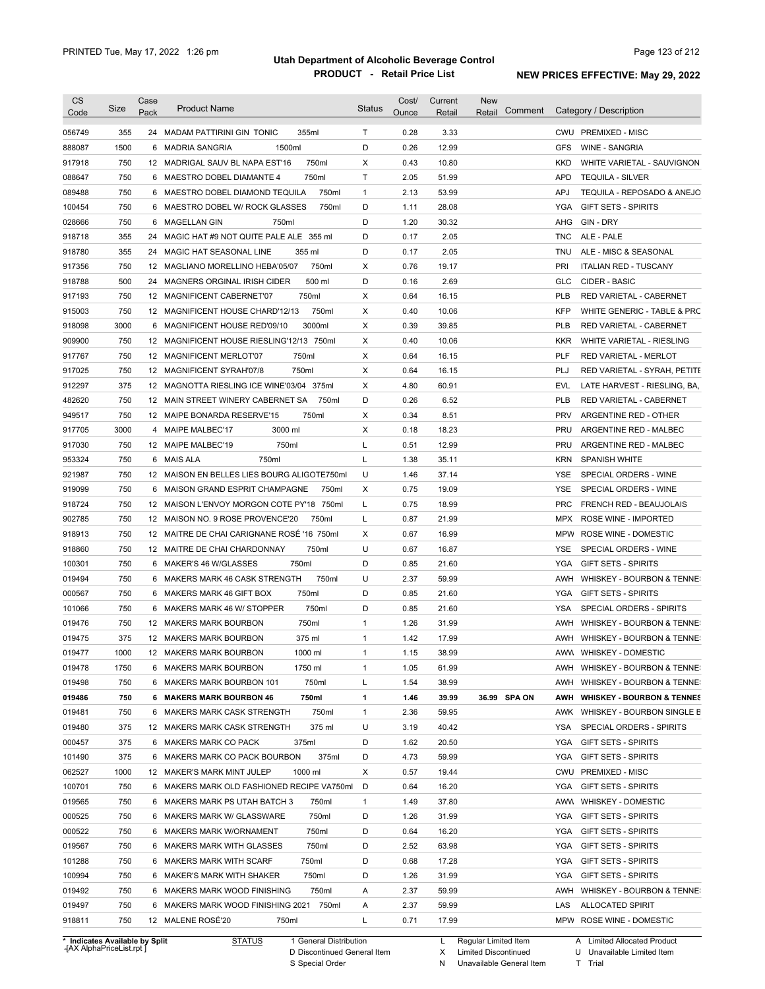| <b>CS</b><br>Code              | Size         | Case<br>Pack | <b>Product Name</b>                         | <b>Status</b> | Cost/<br>Ounce | Current<br>Retail | <b>New</b><br>Comment<br>Retail | Category / Description                       |
|--------------------------------|--------------|--------------|---------------------------------------------|---------------|----------------|-------------------|---------------------------------|----------------------------------------------|
| 056749                         | 355          |              | 24 MADAM PATTIRINI GIN TONIC<br>355ml       | $\mathsf{T}$  | 0.28           | 3.33              |                                 | CWU PREMIXED - MISC                          |
| 888087                         | 1500         |              | 6 MADRIA SANGRIA<br>1500ml                  | D             | 0.26           | 12.99             |                                 | <b>WINE - SANGRIA</b><br><b>GFS</b>          |
| 917918                         | 750          |              | 750ml<br>12 MADRIGAL SAUV BL NAPA EST'16    | Χ             | 0.43           | 10.80             |                                 | KKD<br>WHITE VARIETAL - SAUVIGNON            |
| 088647                         | 750          |              | 750ml<br>6 MAESTRO DOBEL DIAMANTE 4         | Τ             | 2.05           | 51.99             |                                 | APD<br><b>TEQUILA - SILVER</b>               |
| 089488                         | 750          |              | 750ml<br>6 MAESTRO DOBEL DIAMOND TEQUILA    | 1             | 2.13           | 53.99             |                                 | APJ<br>TEQUILA - REPOSADO & ANEJO            |
| 100454                         | 750          |              | 750ml<br>6 MAESTRO DOBEL W/ ROCK GLASSES    | D             | 1.11           | 28.08             |                                 | <b>YGA</b><br><b>GIFT SETS - SPIRITS</b>     |
| 028666                         | 750          |              | 750ml<br>6 MAGELLAN GIN                     | D             | 1.20           | 30.32             |                                 | AHG<br>GIN - DRY                             |
| 918718                         | 355          |              | 24 MAGIC HAT #9 NOT QUITE PALE ALE 355 ml   | D             | 0.17           | 2.05              |                                 | <b>TNC</b><br>ALE - PALE                     |
| 918780                         | 355          |              | 24 MAGIC HAT SEASONAL LINE<br>355 ml        | D             | 0.17           | 2.05              |                                 | TNU<br>ALE - MISC & SEASONAL                 |
| 917356                         | 750          |              | 12 MAGLIANO MORELLINO HEBA'05/07<br>750ml   | Χ             | 0.76           | 19.17             |                                 | PRI<br><b>ITALIAN RED - TUSCANY</b>          |
| 918788                         | 500          |              | 500 ml<br>24 MAGNERS ORGINAL IRISH CIDER    | D             | 0.16           | 2.69              |                                 | <b>GLC</b><br><b>CIDER - BASIC</b>           |
| 917193                         | 750          |              | 12 MAGNIFICENT CABERNET'07<br>750ml         | Χ             | 0.64           | 16.15             |                                 | <b>PLB</b><br>RED VARIETAL - CABERNET        |
| 915003                         | 750          |              | 750ml<br>12 MAGNIFICENT HOUSE CHARD'12/13   | X             | 0.40           | 10.06             |                                 | <b>KFP</b><br>WHITE GENERIC - TABLE & PRC    |
| 918098                         | 3000         |              | 6 MAGNIFICENT HOUSE RED'09/10<br>3000ml     | X             | 0.39           | 39.85             |                                 | <b>PLB</b><br>RED VARIETAL - CABERNET        |
| 909900                         | 750          |              | 12 MAGNIFICENT HOUSE RIESLING'12/13 750ml   | X             | 0.40           | 10.06             |                                 | <b>KKR</b><br>WHITE VARIETAL - RIESLING      |
| 917767                         | 750          |              | 750ml<br>12 MAGNIFICENT MERLOT'07           | X             | 0.64           | 16.15             |                                 | PLF<br>RED VARIETAL - MERLOT                 |
| 917025                         | 750          |              | 750ml<br>12 MAGNIFICENT SYRAH'07/8          | X             | 0.64           | 16.15             |                                 | PLJ<br>RED VARIETAL - SYRAH, PETITE          |
| 912297                         | 375          |              | 12 MAGNOTTA RIESLING ICE WINE'03/04 375ml   | Χ             | 4.80           | 60.91             |                                 | <b>EVL</b><br>LATE HARVEST - RIESLING, BA,   |
| 482620                         | 750          |              | 12 MAIN STREET WINERY CABERNET SA<br>750ml  | D             | 0.26           | 6.52              |                                 | PLB<br>RED VARIETAL - CABERNET               |
| 949517                         | 750          |              | 12 MAIPE BONARDA RESERVE'15<br>750ml        | X             | 0.34           | 8.51              |                                 | <b>PRV</b><br>ARGENTINE RED - OTHER          |
| 917705                         | 3000         | 4            | <b>MAIPE MALBEC'17</b><br>3000 ml           | X             | 0.18           | 18.23             |                                 | PRU<br>ARGENTINE RED - MALBEC                |
| 917030                         | 750          |              | 750ml<br>12 MAIPE MALBEC'19                 | Г             | 0.51           | 12.99             |                                 | PRU<br>ARGENTINE RED - MALBEC                |
| 953324                         | 750          | 6            | <b>MAIS ALA</b><br>750ml                    | L             | 1.38           | 35.11             |                                 | <b>KRN</b><br><b>SPANISH WHITE</b>           |
| 921987                         | 750          |              | 12 MAISON EN BELLES LIES BOURG ALIGOTE750ml | U             | 1.46           | 37.14             |                                 | <b>YSE</b><br>SPECIAL ORDERS - WINE          |
| 919099                         | 750          | 6            | 750ml<br>MAISON GRAND ESPRIT CHAMPAGNE      | Χ             | 0.75           | 19.09             |                                 | <b>YSE</b><br>SPECIAL ORDERS - WINE          |
| 918724                         | 750          |              | 12 MAISON L'ENVOY MORGON COTE PY'18 750ml   | L             | 0.75           | 18.99             |                                 | <b>PRC</b><br>FRENCH RED - BEAUJOLAIS        |
| 902785                         | 750          |              | 12 MAISON NO. 9 ROSE PROVENCE'20<br>750ml   | L             | 0.87           | 21.99             |                                 | ROSE WINE - IMPORTED<br>MPX                  |
| 918913                         | 750          |              | 12 MAITRE DE CHAI CARIGNANE ROSÉ '16 750ml  | Χ             | 0.67           | 16.99             |                                 | <b>MPW</b><br>ROSE WINE - DOMESTIC           |
| 918860                         | 750          |              | 750ml<br>12 MAITRE DE CHAI CHARDONNAY       | U             | 0.67           | 16.87             |                                 | SPECIAL ORDERS - WINE<br>YSE                 |
| 100301                         | 750          |              | 750ml<br>6 MAKER'S 46 W/GLASSES             | D             | 0.85           | 21.60             |                                 | YGA<br><b>GIFT SETS - SPIRITS</b>            |
| 019494                         | 750          |              | 750ml<br>6 MAKERS MARK 46 CASK STRENGTH     | U             | 2.37           | 59.99             |                                 | WHISKEY - BOURBON & TENNE:<br>AWH            |
| 000567                         | 750          |              | 750ml<br>6 MAKERS MARK 46 GIFT BOX          | D             | 0.85           | 21.60             |                                 | YGA<br><b>GIFT SETS - SPIRITS</b>            |
| 101066                         | 750          |              | 6 MAKERS MARK 46 W/ STOPPER<br>750ml        | D             | 0.85           | 21.60             |                                 | <b>YSA</b><br>SPECIAL ORDERS - SPIRITS       |
| 019476                         | 750          |              | 12 MAKERS MARK BOURBON<br>750ml             | 1             | 1.26           | 31.99             |                                 | AWH<br>WHISKEY - BOURBON & TENNE:            |
| 019475                         | 375          |              | 12 MAKERS MARK BOURBON<br>375 ml            | 1             | 1.42           | 17.99             |                                 | AWH<br><b>WHISKEY - BOURBON &amp; TENNE:</b> |
|                                |              |              | 12 MAKERS MARK BOURBON                      | 1             |                | 38.99             |                                 | AWW WHISKEY - DOMESTIC                       |
| 019477<br>019478               | 1000<br>1750 |              | 1000 ml<br>6 MAKERS MARK BOURBON<br>1750 ml | 1             | 1.15<br>1.05   | 61.99             |                                 | AWH WHISKEY - BOURBON & TENNE:               |
| 019498                         |              |              | 750ml                                       |               | 1.54           |                   |                                 |                                              |
|                                | 750          |              | 6 MAKERS MARK BOURBON 101                   | L             |                | 38.99             |                                 | AWH<br>WHISKEY - BOURBON & TENNE:            |
| 019486                         | 750          |              | 750ml<br>6 MAKERS MARK BOURBON 46           | 1             | 1.46           | 39.99             | 36.99 SPA ON                    | AWH WHISKEY - BOURBON & TENNES               |
| 019481                         | 750          |              | 750ml<br>6 MAKERS MARK CASK STRENGTH        | 1             | 2.36           | 59.95             |                                 | AWK WHISKEY - BOURBON SINGLE B               |
| 019480                         | 375          |              | 375 ml<br>12 MAKERS MARK CASK STRENGTH      | U             | 3.19           | 40.42             |                                 | YSA<br>SPECIAL ORDERS - SPIRITS              |
| 000457                         | 375          |              | 375ml<br>6 MAKERS MARK CO PACK              | D             | 1.62           | 20.50             |                                 | YGA<br><b>GIFT SETS - SPIRITS</b>            |
| 101490                         | 375          |              | 375ml<br>6 MAKERS MARK CO PACK BOURBON      | D             | 4.73           | 59.99             |                                 | <b>GIFT SETS - SPIRITS</b><br>YGA            |
| 062527                         | 1000         |              | 1000 ml<br>12 MAKER'S MARK MINT JULEP       | Х             | 0.57           | 19.44             |                                 | <b>PREMIXED - MISC</b><br>CWU                |
| 100701                         | 750          |              | 6 MAKERS MARK OLD FASHIONED RECIPE VA750ml  | D             | 0.64           | 16.20             |                                 | YGA<br><b>GIFT SETS - SPIRITS</b>            |
| 019565                         | 750          |              | 6 MAKERS MARK PS UTAH BATCH 3<br>750ml      | 1             | 1.49           | 37.80             |                                 | AWW<br><b>WHISKEY - DOMESTIC</b>             |
| 000525                         | 750          |              | 750ml<br>6 MAKERS MARK W/ GLASSWARE         | D             | 1.26           | 31.99             |                                 | YGA<br><b>GIFT SETS - SPIRITS</b>            |
| 000522                         | 750          |              | 750ml<br>6 MAKERS MARK W/ORNAMENT           | D             | 0.64           | 16.20             |                                 | YGA<br><b>GIFT SETS - SPIRITS</b>            |
| 019567                         | 750          |              | 750ml<br>6 MAKERS MARK WITH GLASSES         | D             | 2.52           | 63.98             |                                 | YGA<br><b>GIFT SETS - SPIRITS</b>            |
| 101288                         | 750          |              | 750ml<br>6 MAKERS MARK WITH SCARF           | D             | 0.68           | 17.28             |                                 | YGA<br><b>GIFT SETS - SPIRITS</b>            |
| 100994                         | 750          |              | 750ml<br>6 MAKER'S MARK WITH SHAKER         | D             | 1.26           | 31.99             |                                 | YGA<br><b>GIFT SETS - SPIRITS</b>            |
| 019492                         | 750          |              | 750ml<br>6 MAKERS MARK WOOD FINISHING       | Α             | 2.37           | 59.99             |                                 | AWH<br>WHISKEY - BOURBON & TENNE:            |
| 019497                         | 750          |              | 6 MAKERS MARK WOOD FINISHING 2021 750ml     | Α             | 2.37           | 59.99             |                                 | LAS<br><b>ALLOCATED SPIRIT</b>               |
| 918811                         | 750          |              | 12 MALENE ROSÉ'20<br>750ml                  | L             | 0.71           | 17.99             |                                 | MPW ROSE WINE - DOMESTIC                     |
| * Indicates Available by Split |              |              | <b>STATUS</b><br>1 General Distribution     |               |                | L.                | Regular Limited Item            | A Limited Allocated Product                  |

**Case** [AX AlphaPriceList.rpt ]

D Discontinued General Item

S Special Order

X Limited Discontinued N Unavailable General Item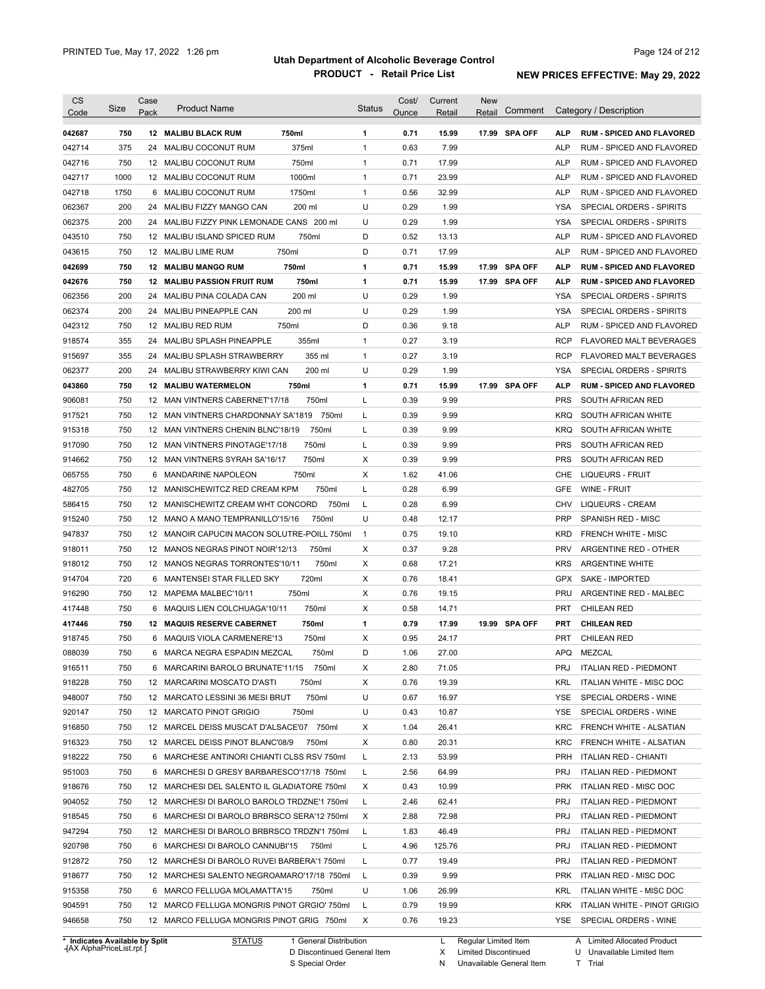| CS                             | Size | Case            | <b>Product Name</b>                         |                        | <b>Status</b> | Cost/ | Current | <b>New</b><br>Retail | Comment        |            | Category / Description           |
|--------------------------------|------|-----------------|---------------------------------------------|------------------------|---------------|-------|---------|----------------------|----------------|------------|----------------------------------|
| Code                           |      | Pack            |                                             |                        |               | Ounce | Retail  |                      |                |            |                                  |
| 042687                         | 750  |                 | <b>12 MALIBU BLACK RUM</b>                  | 750ml                  | 1             | 0.71  | 15.99   |                      | 17.99 SPA OFF  | <b>ALP</b> | <b>RUM - SPICED AND FLAVORED</b> |
| 042714                         | 375  | 24              | MALIBU COCONUT RUM                          | 375ml                  | 1             | 0.63  | 7.99    |                      |                | <b>ALP</b> | RUM - SPICED AND FLAVORED        |
| 042716                         | 750  |                 | 12 MALIBU COCONUT RUM                       | 750ml                  | 1             | 0.71  | 17.99   |                      |                | <b>ALP</b> | RUM - SPICED AND FLAVORED        |
| 042717                         | 1000 | 12 <sup>2</sup> | MALIBU COCONUT RUM                          | 1000ml                 | 1             | 0.71  | 23.99   |                      |                | <b>ALP</b> | <b>RUM - SPICED AND FLAVORED</b> |
| 042718                         | 1750 | 6               | MALIBU COCONUT RUM                          | 1750ml                 | 1             | 0.56  | 32.99   |                      |                | <b>ALP</b> | <b>RUM - SPICED AND FLAVORED</b> |
| 062367                         | 200  | 24              | MALIBU FIZZY MANGO CAN                      | 200 ml                 | U             | 0.29  | 1.99    |                      |                | <b>YSA</b> | SPECIAL ORDERS - SPIRITS         |
| 062375                         | 200  | 24              | MALIBU FIZZY PINK LEMONADE CANS 200 ml      |                        | U             | 0.29  | 1.99    |                      |                | <b>YSA</b> | SPECIAL ORDERS - SPIRITS         |
| 043510                         | 750  | 12              | MALIBU ISLAND SPICED RUM                    | 750ml                  | D             | 0.52  | 13.13   |                      |                | <b>ALP</b> | RUM - SPICED AND FLAVORED        |
| 043615                         | 750  | 12              | MALIBU LIME RUM                             | 750ml                  | D             | 0.71  | 17.99   |                      |                | <b>ALP</b> | RUM - SPICED AND FLAVORED        |
| 042699                         | 750  | 12              | <b>MALIBU MANGO RUM</b>                     | 750ml                  | 1             | 0.71  | 15.99   | 17.99                | <b>SPA OFF</b> | <b>ALP</b> | <b>RUM - SPICED AND FLAVORED</b> |
| 042676                         | 750  | 12              | <b>MALIBU PASSION FRUIT RUM</b>             | 750ml                  | 1             | 0.71  | 15.99   | 17.99                | <b>SPA OFF</b> | <b>ALP</b> | <b>RUM - SPICED AND FLAVORED</b> |
| 062356                         | 200  | 24              | MALIBU PINA COLADA CAN                      | 200 ml                 | U             | 0.29  | 1.99    |                      |                | <b>YSA</b> | SPECIAL ORDERS - SPIRITS         |
| 062374                         | 200  | 24              | MALIBU PINEAPPLE CAN                        | 200 ml                 | U             | 0.29  | 1.99    |                      |                | <b>YSA</b> | SPECIAL ORDERS - SPIRITS         |
| 042312                         | 750  | 12              | MALIBU RED RUM                              | 750ml                  | D             | 0.36  | 9.18    |                      |                | <b>ALP</b> | RUM - SPICED AND FLAVORED        |
| 918574                         | 355  | 24              | <b>MALIBU SPLASH PINEAPPLE</b>              | 355ml                  | $\mathbf{1}$  | 0.27  | 3.19    |                      |                | <b>RCP</b> | <b>FLAVORED MALT BEVERAGES</b>   |
| 915697                         | 355  | 24              | MALIBU SPLASH STRAWBERRY                    | 355 ml                 | 1             | 0.27  | 3.19    |                      |                | <b>RCP</b> | <b>FLAVORED MALT BEVERAGES</b>   |
| 062377                         | 200  | 24              | MALIBU STRAWBERRY KIWI CAN                  | 200 ml                 | U             | 0.29  | 1.99    |                      |                | YSA        | SPECIAL ORDERS - SPIRITS         |
| 043860                         | 750  | 12              | <b>MALIBU WATERMELON</b>                    | 750ml                  | 1             | 0.71  | 15.99   |                      | 17.99 SPA OFF  | <b>ALP</b> | <b>RUM - SPICED AND FLAVORED</b> |
| 906081                         | 750  | 12              | MAN VINTNERS CABERNET'17/18                 | 750ml                  | L             | 0.39  | 9.99    |                      |                | <b>PRS</b> | SOUTH AFRICAN RED                |
| 917521                         | 750  | 12 <sup>2</sup> | MAN VINTNERS CHARDONNAY SA'1819             | 750ml                  | L             | 0.39  | 9.99    |                      |                | <b>KRQ</b> | SOUTH AFRICAN WHITE              |
| 915318                         | 750  | 12 <sup>2</sup> | MAN VINTNERS CHENIN BLNC'18/19              | 750ml                  | L             | 0.39  | 9.99    |                      |                | <b>KRQ</b> | SOUTH AFRICAN WHITE              |
| 917090                         | 750  |                 | 12 MAN VINTNERS PINOTAGE'17/18              | 750ml                  | L             | 0.39  | 9.99    |                      |                | <b>PRS</b> | SOUTH AFRICAN RED                |
| 914662                         | 750  |                 | 12 MAN VINTNERS SYRAH SA'16/17              | 750ml                  | Х             | 0.39  | 9.99    |                      |                | <b>PRS</b> | SOUTH AFRICAN RED                |
| 065755                         | 750  | 6               | <b>MANDARINE NAPOLEON</b>                   | 750ml                  | X             | 1.62  | 41.06   |                      |                | CHE        | LIQUEURS - FRUIT                 |
| 482705                         | 750  |                 | 12 MANISCHEWITCZ RED CREAM KPM              | 750ml                  | L             | 0.28  | 6.99    |                      |                | GFE        | <b>WINE - FRUIT</b>              |
| 586415                         | 750  |                 | 12 MANISCHEWITZ CREAM WHT CONCORD           | 750ml                  | L             | 0.28  | 6.99    |                      |                | <b>CHV</b> | <b>LIQUEURS - CREAM</b>          |
| 915240                         | 750  |                 | 12 MANO A MANO TEMPRANILLO'15/16            | 750ml                  | U             | 0.48  | 12.17   |                      |                | <b>PRP</b> | SPANISH RED - MISC               |
| 947837                         | 750  |                 | 12 MANOIR CAPUCIN MACON SOLUTRE-POILL 750ml |                        | $\mathbf{1}$  | 0.75  | 19.10   |                      |                | <b>KRD</b> | <b>FRENCH WHITE - MISC</b>       |
| 918011                         | 750  |                 | 12 MANOS NEGRAS PINOT NOIR'12/13            | 750ml                  | Х             | 0.37  | 9.28    |                      |                | <b>PRV</b> | ARGENTINE RED - OTHER            |
| 918012                         | 750  |                 | 12 MANOS NEGRAS TORRONTES'10/11             | 750ml                  | Х             | 0.68  | 17.21   |                      |                | <b>KRS</b> | <b>ARGENTINE WHITE</b>           |
| 914704                         | 720  | 6               | MANTENSEI STAR FILLED SKY                   | 720ml                  | Х             | 0.76  | 18.41   |                      |                | <b>GPX</b> | SAKE - IMPORTED                  |
| 916290                         | 750  |                 | 12 MAPEMA MALBEC'10/11                      | 750ml                  | Х             | 0.76  | 19.15   |                      |                | <b>PRU</b> | ARGENTINE RED - MALBEC           |
| 417448                         | 750  | 6               | MAQUIS LIEN COLCHUAGA'10/11                 | 750ml                  | X             | 0.58  | 14.71   |                      |                | <b>PRT</b> | <b>CHILEAN RED</b>               |
|                                |      |                 |                                             |                        |               |       |         |                      |                |            |                                  |
| 417446                         | 750  |                 | <b>12 MAQUIS RESERVE CABERNET</b>           | 750ml                  | 1             | 0.79  | 17.99   |                      | 19.99 SPA OFF  | <b>PRT</b> | <b>CHILEAN RED</b>               |
| 918745                         | 750  |                 | 6 MAQUIS VIOLA CARMENERE'13                 | 750ml                  | X             | 0.95  | 24.17   |                      |                | <b>PRT</b> | <b>CHILEAN RED</b>               |
| 088039                         | 750  | 6               | MARCA NEGRA ESPADIN MEZCAL                  | 750ml                  | D             | 1.06  | 27.00   |                      |                | APQ.       | MEZCAL                           |
| 916511                         | 750  |                 | 6 MARCARINI BAROLO BRUNATE'11/15 750ml      |                        | х             | 2.80  | 71.05   |                      |                | <b>PRJ</b> | <b>ITALIAN RED - PIEDMONT</b>    |
| 918228                         | 750  |                 | 12 MARCARINI MOSCATO D'ASTI                 | 750ml                  | Х             | 0.76  | 19.39   |                      |                | <b>KRL</b> | ITALIAN WHITE - MISC DOC         |
| 948007                         | 750  |                 | 12 MARCATO LESSINI 36 MESI BRUT             | 750ml                  | U             | 0.67  | 16.97   |                      |                | YSE        | SPECIAL ORDERS - WINE            |
| 920147                         | 750  |                 | 12 MARCATO PINOT GRIGIO                     | 750ml                  | U             | 0.43  | 10.87   |                      |                | YSE        | SPECIAL ORDERS - WINE            |
| 916850                         | 750  |                 | 12 MARCEL DEISS MUSCAT D'ALSACE'07 750ml    |                        | Х             | 1.04  | 26.41   |                      |                | <b>KRC</b> | FRENCH WHITE - ALSATIAN          |
| 916323                         | 750  |                 | 12 MARCEL DEISS PINOT BLANC'08/9            | 750ml                  | Х             | 0.80  | 20.31   |                      |                | KRC        | FRENCH WHITE - ALSATIAN          |
| 918222                         | 750  |                 | 6 MARCHESE ANTINORI CHIANTI CLSS RSV 750ml  |                        | L             | 2.13  | 53.99   |                      |                | <b>PRH</b> | <b>ITALIAN RED - CHIANTI</b>     |
| 951003                         | 750  |                 | 6 MARCHESI D GRESY BARBARESCO'17/18 750ml   |                        | L             | 2.56  | 64.99   |                      |                | <b>PRJ</b> | <b>ITALIAN RED - PIEDMONT</b>    |
| 918676                         | 750  |                 | 12 MARCHESI DEL SALENTO IL GLADIATORE 750ml |                        | Х             | 0.43  | 10.99   |                      |                | <b>PRK</b> | ITALIAN RED - MISC DOC           |
| 904052                         | 750  |                 | 12 MARCHESI DI BAROLO BAROLO TRDZNE'1 750ml |                        | Г             | 2.46  | 62.41   |                      |                | PRJ        | <b>ITALIAN RED - PIEDMONT</b>    |
| 918545                         | 750  |                 | 6 MARCHESI DI BAROLO BRBRSCO SERA'12 750ml  |                        | Х             | 2.88  | 72.98   |                      |                | PRJ        | <b>ITALIAN RED - PIEDMONT</b>    |
| 947294                         | 750  |                 | 12 MARCHESI DI BAROLO BRBRSCO TRDZN'1 750ml |                        | L             | 1.83  | 46.49   |                      |                | <b>PRJ</b> | <b>ITALIAN RED - PIEDMONT</b>    |
| 920798                         | 750  |                 | 6 MARCHESI DI BAROLO CANNUBI'15             | 750ml                  | L             | 4.96  | 125.76  |                      |                | <b>PRJ</b> | <b>ITALIAN RED - PIEDMONT</b>    |
| 912872                         | 750  |                 | 12 MARCHESI DI BAROLO RUVEI BARBERA'1 750ml |                        | L             | 0.77  | 19.49   |                      |                | <b>PRJ</b> | <b>ITALIAN RED - PIEDMONT</b>    |
| 918677                         | 750  |                 | 12 MARCHESI SALENTO NEGROAMARO'17/18 750ml  |                        | L             | 0.39  | 9.99    |                      |                | <b>PRK</b> | <b>ITALIAN RED - MISC DOC</b>    |
| 915358                         | 750  |                 | 6 MARCO FELLUGA MOLAMATTA'15                | 750ml                  | U             | 1.06  | 26.99   |                      |                | KRL        | ITALIAN WHITE - MISC DOC         |
| 904591                         | 750  |                 | 12 MARCO FELLUGA MONGRIS PINOT GRGIO' 750ml |                        | L             | 0.79  | 19.99   |                      |                | KRK        | ITALIAN WHITE - PINOT GRIGIO     |
| 946658                         | 750  |                 | 12 MARCO FELLUGA MONGRIS PINOT GRIG 750ml   |                        | X             | 0.76  | 19.23   |                      |                | YSE        | SPECIAL ORDERS - WINE            |
| * Indicates Available by Split |      |                 | <b>STATUS</b>                               | 1 General Distribution |               |       | L       | Regular Limited Item |                |            | A Limited Allocated Product      |

**Case** [AX AlphaPriceList.rpt ]

D Discontinued General Item S Special Order

X Limited Discontinued

N Unavailable General Item

U Unavailable Limited Item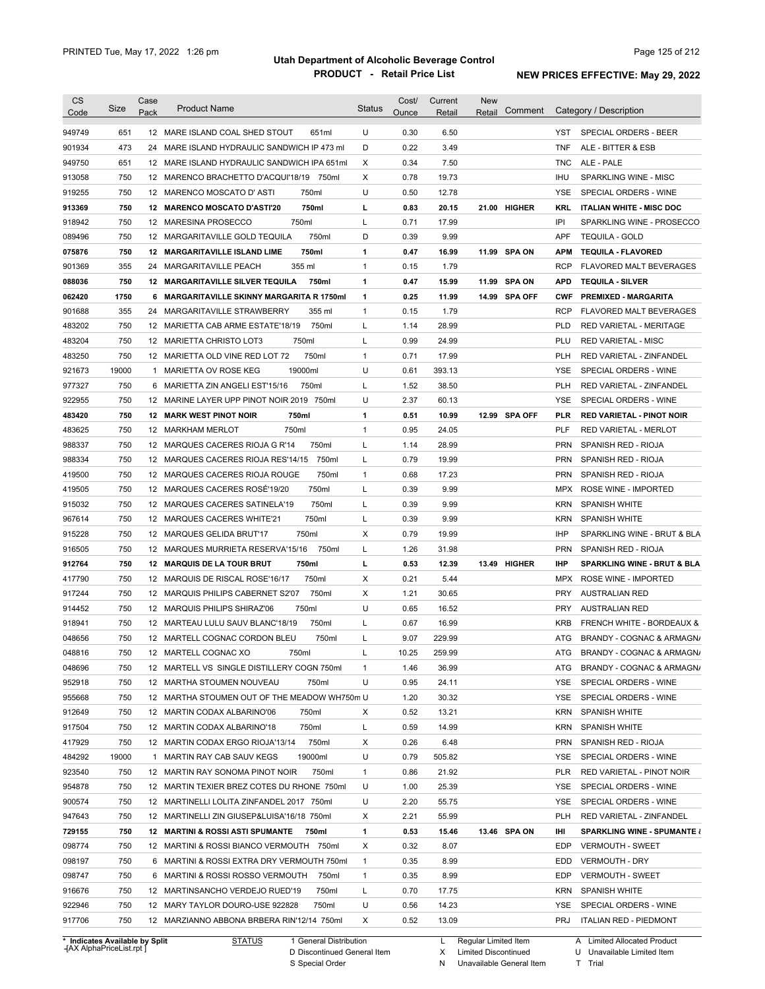| <b>CS</b>        |            | Case |                                                                                        |               | Cost/        | Current        | <b>New</b>        |            |                                                 |
|------------------|------------|------|----------------------------------------------------------------------------------------|---------------|--------------|----------------|-------------------|------------|-------------------------------------------------|
| Code             | Size       | Pack | <b>Product Name</b>                                                                    | <b>Status</b> | Ounce        | Retail         | Comment<br>Retail |            | Category / Description                          |
| 949749           | 651        |      | 12 MARE ISLAND COAL SHED STOUT<br>651ml                                                | U             | 0.30         | 6.50           |                   | YST        | SPECIAL ORDERS - BEER                           |
| 901934           | 473        | 24   | MARE ISLAND HYDRAULIC SANDWICH IP 473 ml                                               | D             | 0.22         | 3.49           |                   | <b>TNF</b> | ALE - BITTER & ESB                              |
| 949750           | 651        |      | 12 MARE ISLAND HYDRAULIC SANDWICH IPA 651mL                                            | Χ             | 0.34         | 7.50           |                   | <b>TNC</b> | ALE - PALE                                      |
| 913058           | 750        |      | 12 MARENCO BRACHETTO D'ACQUI'18/19 750ml                                               | X             | 0.78         | 19.73          |                   | IHU        | SPARKLING WINE - MISC                           |
| 919255           | 750        |      | 750ml<br>12 MARENCO MOSCATO D'ASTI                                                     | U             | 0.50         | 12.78          |                   | YSE        | SPECIAL ORDERS - WINE                           |
| 913369           | 750        |      | 750ml<br>12 MARENCO MOSCATO D'ASTI'20                                                  | L             | 0.83         | 20.15          | 21.00 HIGHER      | KRL        | <b>ITALIAN WHITE - MISC DOC</b>                 |
| 918942           | 750        |      | 750ml<br>12 MARESINA PROSECCO                                                          | L             | 0.71         | 17.99          |                   | IPI        | SPARKLING WINE - PROSECCO                       |
| 089496           | 750        |      | 750ml<br>12 MARGARITAVILLE GOLD TEQUILA                                                | D             | 0.39         | 9.99           |                   | <b>APF</b> | <b>TEQUILA - GOLD</b>                           |
| 075876           | 750        |      | 750ml<br>12 MARGARITAVILLE ISLAND LIME                                                 | $\mathbf{1}$  | 0.47         | 16.99          | 11.99 SPA ON      | <b>APM</b> | <b>TEQUILA - FLAVORED</b>                       |
| 901369           | 355        |      | 24 MARGARITAVILLE PEACH<br>355 ml                                                      | $\mathbf{1}$  | 0.15         | 1.79           |                   | <b>RCP</b> | <b>FLAVORED MALT BEVERAGES</b>                  |
| 088036           | 750        |      | 750ml<br>12 MARGARITAVILLE SILVER TEQUILA                                              | $\mathbf{1}$  | 0.47         | 15.99          | 11.99 SPA ON      | APD        | <b>TEQUILA - SILVER</b>                         |
| 062420           | 1750       |      | 6 MARGARITAVILLE SKINNY MARGARITA R 1750ml                                             | $\mathbf{1}$  | 0.25         | 11.99          | 14.99 SPA OFF     | <b>CWF</b> | <b>PREMIXED - MARGARITA</b>                     |
| 901688           | 355        |      | 24 MARGARITAVILLE STRAWBERRY<br>355 ml                                                 | $\mathbf{1}$  | 0.15         | 1.79           |                   | <b>RCP</b> | FLAVORED MALT BEVERAGES                         |
|                  |            |      |                                                                                        |               |              |                |                   | <b>PLD</b> |                                                 |
| 483202           | 750<br>750 |      | 750ml<br>12 MARIETTA CAB ARME ESTATE'18/19<br>750ml                                    | L             | 1.14<br>0.99 | 28.99          |                   |            | RED VARIETAL - MERITAGE                         |
| 483204           |            |      | 12 MARIETTA CHRISTO LOT3                                                               | L             |              | 24.99          |                   | PLU        | <b>RED VARIETAL - MISC</b>                      |
| 483250           | 750        |      | 750ml<br>12 MARIETTA OLD VINE RED LOT 72                                               | $\mathbf{1}$  | 0.71         | 17.99          |                   | <b>PLH</b> | RED VARIETAL - ZINFANDEL                        |
| 921673           | 19000      | 1    | 19000ml<br>MARIETTA OV ROSE KEG                                                        | U             | 0.61         | 393.13         |                   | <b>YSE</b> | SPECIAL ORDERS - WINE                           |
| 977327           | 750        | 6    | 750ml<br>MARIETTA ZIN ANGELI EST'15/16                                                 | L             | 1.52         | 38.50          |                   | <b>PLH</b> | RED VARIETAL - ZINFANDEL                        |
| 922955           | 750        |      | 12 MARINE LAYER UPP PINOT NOIR 2019<br>750ml                                           | U             | 2.37         | 60.13          |                   | <b>YSE</b> | SPECIAL ORDERS - WINE                           |
| 483420           | 750        |      | 750ml<br><b>12 MARK WEST PINOT NOIR</b>                                                | $\mathbf{1}$  | 0.51         | 10.99          | 12.99 SPA OFF     | <b>PLR</b> | <b>RED VARIETAL - PINOT NOIR</b>                |
| 483625           | 750        |      | 750ml<br>12 MARKHAM MERLOT                                                             | $\mathbf{1}$  | 0.95         | 24.05          |                   | <b>PLF</b> | <b>RED VARIETAL - MERLOT</b>                    |
| 988337           | 750        |      | 12 MARQUES CACERES RIOJA G R'14<br>750ml                                               | L             | 1.14         | 28.99          |                   | <b>PRN</b> | SPANISH RED - RIOJA                             |
| 988334           | 750        |      | 750ml<br>12 MARQUES CACERES RIOJA RES'14/15                                            | L             | 0.79         | 19.99          |                   | <b>PRN</b> | SPANISH RED - RIOJA                             |
| 419500           | 750        |      | 12 MARQUES CACERES RIOJA ROUGE<br>750ml                                                | $\mathbf{1}$  | 0.68         | 17.23          |                   | <b>PRN</b> | SPANISH RED - RIOJA                             |
| 419505           | 750        |      | 12 MARQUES CACERES ROSÉ'19/20<br>750ml                                                 | L             | 0.39         | 9.99           |                   | <b>MPX</b> | ROSE WINE - IMPORTED                            |
| 915032           | 750        |      | 750ml<br>12 MARQUES CACERES SATINELA'19                                                | L             | 0.39         | 9.99           |                   | <b>KRN</b> | <b>SPANISH WHITE</b>                            |
| 967614           | 750        |      | 750ml<br>12 MARQUES CACERES WHITE'21                                                   | L             | 0.39         | 9.99           |                   | <b>KRN</b> | <b>SPANISH WHITE</b>                            |
| 915228           | 750        |      | 750ml<br>12 MARQUES GELIDA BRUT'17                                                     | Χ             | 0.79         | 19.99          |                   | <b>IHP</b> | SPARKLING WINE - BRUT & BLA                     |
| 916505           | 750        |      | 750ml<br>12 MARQUES MURRIETA RESERVA'15/16                                             | L             | 1.26         | 31.98          |                   | <b>PRN</b> | SPANISH RED - RIOJA                             |
| 912764           | 750        |      | 12 MARQUIS DE LA TOUR BRUT<br>750ml                                                    | L             | 0.53         | 12.39          | 13.49 HIGHER      | IHP        | <b>SPARKLING WINE - BRUT &amp; BLA</b>          |
| 417790           | 750        |      | 12 MARQUIS DE RISCAL ROSE'16/17<br>750ml                                               | Χ             | 0.21         | 5.44           |                   | <b>MPX</b> | ROSE WINE - IMPORTED                            |
| 917244           | 750        |      | 750ml<br>12 MARQUIS PHILIPS CABERNET S2'07                                             | Х             | 1.21         | 30.65          |                   | <b>PRY</b> | <b>AUSTRALIAN RED</b>                           |
| 914452           | 750        |      | 750ml<br>12 MARQUIS PHILIPS SHIRAZ'06                                                  | U             | 0.65         | 16.52          |                   | <b>PRY</b> | <b>AUSTRALIAN RED</b>                           |
| 918941           | 750        |      | 750ml<br>12 MARTEAU LULU SAUV BLANC'18/19                                              | L             | 0.67         | 16.99          |                   | <b>KRB</b> | <b>FRENCH WHITE - BORDEAUX &amp;</b>            |
| 048656           | 750        |      | 12 MARTELL COGNAC CORDON BLEU<br>750ml                                                 | Г             | 9.07         | 229.99         |                   | ATG        | BRANDY - COGNAC & ARMAGN/                       |
| 048816           | 750        |      | 750ml<br>12 MARTELL COGNAC XO                                                          |               | 10.25        | 259.99         |                   |            | ATG BRANDY - COGNAC & ARMAGN/                   |
| 048696           | 750        |      | 12 MARTELL VS SINGLE DISTILLERY COGN 750ml                                             | $\mathbf{1}$  | 1.46         | 36.99          |                   |            | ATG BRANDY - COGNAC & ARMAGN/                   |
| 952918           | 750        |      | 12 MARTHA STOUMEN NOUVEAU<br>750ml                                                     | U             | 0.95         | 24.11          |                   | YSE        | SPECIAL ORDERS - WINE                           |
| 955668           | 750        |      | 12 MARTHA STOUMEN OUT OF THE MEADOW WH750m U                                           |               | 1.20         | 30.32          |                   | YSE        | SPECIAL ORDERS - WINE                           |
| 912649           | 750        |      | 750ml<br>12 MARTIN CODAX ALBARINO'06                                                   | X             | 0.52         | 13.21          |                   |            | KRN SPANISH WHITE                               |
| 917504           | 750        |      | 750ml<br>12 MARTIN CODAX ALBARINO'18                                                   | L             | 0.59         | 14.99          |                   | KRN        | SPANISH WHITE                                   |
| 417929           | 750        |      | 750ml<br>12 MARTIN CODAX ERGO RIOJA'13/14                                              | X             | 0.26         | 6.48           |                   |            | PRN SPANISH RED - RIOJA                         |
| 484292           | 19000      |      | 19000ml<br>1 MARTIN RAY CAB SAUV KEGS                                                  | U             | 0.79         | 505.82         |                   | YSE        | SPECIAL ORDERS - WINE                           |
| 923540           | 750        |      | 12 MARTIN RAY SONOMA PINOT NOIR<br>750ml                                               | $\mathbf{1}$  | 0.86         | 21.92          |                   | <b>PLR</b> | RED VARIETAL - PINOT NOIR                       |
| 954878           | 750        |      | 12 MARTIN TEXIER BREZ COTES DU RHONE 750ml                                             | U             | 1.00         | 25.39          |                   | YSE        | SPECIAL ORDERS - WINE                           |
| 900574           | 750        |      | 12 MARTINELLI LOLITA ZINFANDEL 2017 750ml                                              | U             | 2.20         | 55.75          |                   | YSE        | SPECIAL ORDERS - WINE                           |
| 947643           | 750        |      | 12 MARTINELLI ZIN GIUSEP&LUISA'16/18 750ml                                             | X             | 2.21         | 55.99          |                   | <b>PLH</b> | RED VARIETAL - ZINFANDEL                        |
| 729155           | 750        |      | 12 MARTINI & ROSSI ASTI SPUMANTE 750ml                                                 | 1             | 0.53         | 15.46          | 13.46 SPA ON      | IHI        | <b>SPARKLING WINE - SPUMANTE {</b>              |
| 098774           | 750        |      | 12 MARTINI & ROSSI BIANCO VERMOUTH 750ml                                               | X             | 0.32         | 8.07           |                   | EDP        | <b>VERMOUTH - SWEET</b>                         |
|                  |            |      | 6 MARTINI & ROSSI EXTRA DRY VERMOUTH 750ml                                             | $\mathbf{1}$  | 0.35         | 8.99           |                   | EDD        | <b>VERMOUTH - DRY</b>                           |
|                  |            |      |                                                                                        |               | 0.35         | 8.99           |                   | EDP        |                                                 |
|                  | 750        |      |                                                                                        |               |              |                |                   |            |                                                 |
| 098197<br>098747 | 750        |      | 6 MARTINI & ROSSI ROSSO VERMOUTH 750ml                                                 | $\mathbf{1}$  |              |                |                   |            | <b>VERMOUTH - SWEET</b>                         |
| 916676           | 750        |      | 12 MARTINSANCHO VERDEJO RUED'19<br>750ml                                               | L             | 0.70         | 17.75          |                   | KRN        | <b>SPANISH WHITE</b>                            |
| 922946<br>917706 | 750<br>750 |      | 12 MARY TAYLOR DOURO-USE 922828<br>750ml<br>12 MARZIANNO ABBONA BRBERA RIN'12/14 750ml | U<br>X        | 0.56<br>0.52 | 14.23<br>13.09 |                   | YSE<br>PRJ | SPECIAL ORDERS - WINE<br>ITALIAN RED - PIEDMONT |

**Case** [AX AlphaPriceList.rpt ]

D Discontinued General Item

S Special Order

X Limited Discontinued

N Unavailable General Item

U Unavailable Limited Item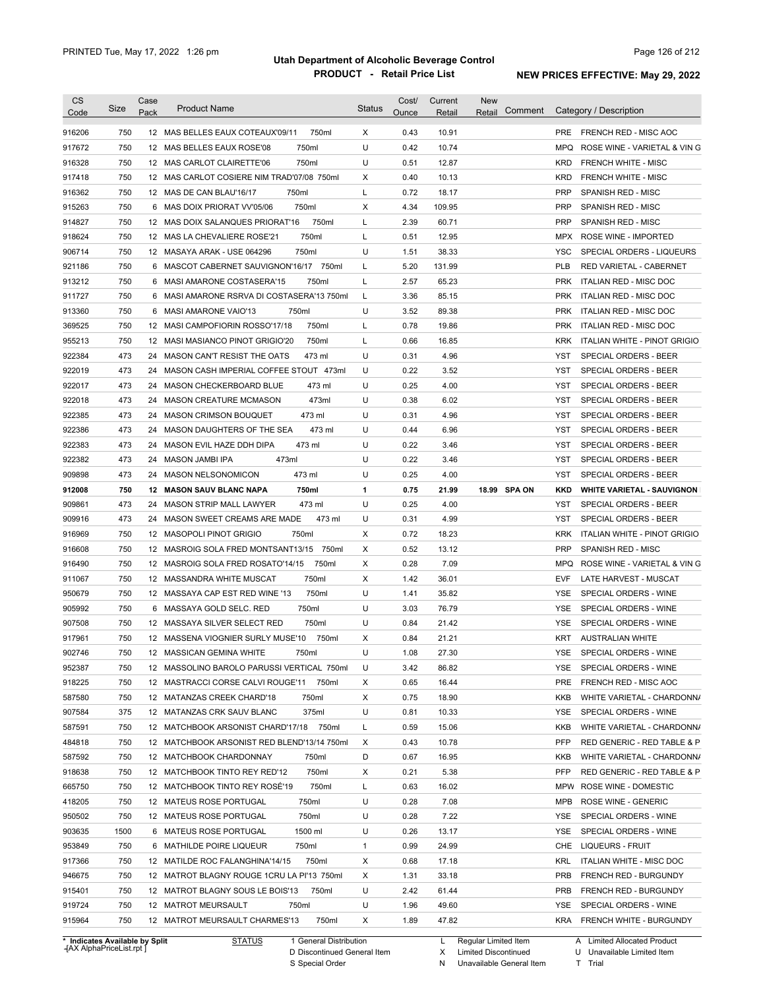| <b>CS</b><br>Code              | Size       | Case<br>Pack | <b>Product Name</b>                                | <b>Status</b> | Cost/<br>Ounce | Current<br>Retail | New<br>Comment<br>Retail |            | Category / Description                         |
|--------------------------------|------------|--------------|----------------------------------------------------|---------------|----------------|-------------------|--------------------------|------------|------------------------------------------------|
| 916206                         | 750        |              | 12 MAS BELLES EAUX COTEAUX'09/11<br>750ml          | $\times$      | 0.43           | 10.91             |                          | <b>PRE</b> | <b>FRENCH RED - MISC AOC</b>                   |
| 917672                         | 750        |              | 750ml<br>12 MAS BELLES EAUX ROSE'08                | U             | 0.42           | 10.74             |                          | MPQ        | ROSE WINE - VARIETAL & VIN G                   |
| 916328                         | 750        |              | 12 MAS CARLOT CLAIRETTE'06<br>750ml                | U             | 0.51           | 12.87             |                          | <b>KRD</b> | <b>FRENCH WHITE - MISC</b>                     |
| 917418                         | 750        |              | 12 MAS CARLOT COSIERE NIM TRAD'07/08 750ml         | X             | 0.40           | 10.13             |                          | <b>KRD</b> | <b>FRENCH WHITE - MISC</b>                     |
| 916362                         | 750        |              | 12 MAS DE CAN BLAU'16/17<br>750ml                  | L             | 0.72           | 18.17             |                          | <b>PRP</b> | <b>SPANISH RED - MISC</b>                      |
| 915263                         | 750        |              | 750ml<br>6 MAS DOIX PRIORAT VV'05/06               | Χ             | 4.34           | 109.95            |                          | <b>PRP</b> | <b>SPANISH RED - MISC</b>                      |
| 914827                         | 750        |              | 750ml<br>12 MAS DOIX SALANQUES PRIORAT'16          | Г             | 2.39           | 60.71             |                          | <b>PRP</b> | SPANISH RED - MISC                             |
| 918624                         | 750        |              | 750ml<br>12 MAS LA CHEVALIERE ROSE'21              | Г             | 0.51           | 12.95             |                          | MPX        | ROSE WINE - IMPORTED                           |
| 906714                         | 750        |              | 12 MASAYA ARAK - USE 064296<br>750ml               | U             | 1.51           | 38.33             |                          | YSC        | SPECIAL ORDERS - LIQUEURS                      |
| 921186                         | 750        |              | 6 MASCOT CABERNET SAUVIGNON'16/17 750ml            | Г             | 5.20           | 131.99            |                          | <b>PLB</b> | RED VARIETAL - CABERNET                        |
| 913212                         | 750        |              | 6 MASI AMARONE COSTASERA'15<br>750ml               | Г             | 2.57           | 65.23             |                          | <b>PRK</b> | ITALIAN RED - MISC DOC                         |
| 911727                         | 750        |              | 6 MASI AMARONE RSRVA DI COSTASERA'13 750ml         | L             | 3.36           | 85.15             |                          | <b>PRK</b> | ITALIAN RED - MISC DOC                         |
| 913360                         | 750        |              | 6 MASI AMARONE VAIO'13<br>750ml                    | U             | 3.52           | 89.38             |                          | <b>PRK</b> | ITALIAN RED - MISC DOC                         |
| 369525                         | 750        |              | 750ml<br>12 MASI CAMPOFIORIN ROSSO'17/18           | Г             | 0.78           | 19.86             |                          | <b>PRK</b> | ITALIAN RED - MISC DOC                         |
| 955213                         | 750        |              | 750ml<br>12 MASI MASIANCO PINOT GRIGIO'20          | L             | 0.66           | 16.85             |                          | KRK        | ITALIAN WHITE - PINOT GRIGIO                   |
| 922384                         | 473        |              | 24 MASON CAN'T RESIST THE OATS<br>473 ml           | U             | 0.31           | 4.96              |                          | YST        | SPECIAL ORDERS - BEER                          |
| 922019                         | 473        |              | 24 MASON CASH IMPERIAL COFFEE STOUT 473ml          | U             | 0.22           | 3.52              |                          | YST        | SPECIAL ORDERS - BEER                          |
| 922017                         | 473        |              | 24 MASON CHECKERBOARD BLUE<br>473 ml               | U             | 0.25           | 4.00              |                          | YST        | <b>SPECIAL ORDERS - BEER</b>                   |
| 922018                         | 473        |              | 473ml<br>24 MASON CREATURE MCMASON                 | U             | 0.38           | 6.02              |                          | YST        | <b>SPECIAL ORDERS - BEER</b>                   |
| 922385                         | 473        |              | 473 ml<br>24 MASON CRIMSON BOUQUET                 | U             | 0.31           | 4.96              |                          | YST        | SPECIAL ORDERS - BEER                          |
| 922386                         | 473        |              | 473 ml<br>24 MASON DAUGHTERS OF THE SEA            | U             | 0.44           | 6.96              |                          | YST        | <b>SPECIAL ORDERS - BEER</b>                   |
| 922383                         | 473        |              | 473 ml<br>24 MASON EVIL HAZE DDH DIPA              | U             | 0.22           | 3.46              |                          | YST        | SPECIAL ORDERS - BEER                          |
|                                | 473        |              | 473ml<br>24 MASON JAMBI IPA                        | U             | 0.22           | 3.46              |                          | YST        | SPECIAL ORDERS - BEER                          |
| 922382                         | 473        | 24           | 473 ml                                             | U             | 0.25           | 4.00              |                          | <b>YST</b> | SPECIAL ORDERS - BEER                          |
| 909898                         |            |              | MASON NELSONOMICON                                 |               |                |                   |                          |            |                                                |
| 912008                         | 750<br>473 |              | <b>12 MASON SAUV BLANC NAPA</b><br>750ml<br>473 ml | 1<br>U        | 0.75<br>0.25   | 21.99<br>4.00     | 18.99 SPA ON             | KKD<br>YST | <b>WHITE VARIETAL - SAUVIGNON</b>              |
| 909861                         | 473        |              | 24 MASON STRIP MALL LAWYER<br>473 ml               | U             | 0.31           | 4.99              |                          | YST        | SPECIAL ORDERS - BEER<br>SPECIAL ORDERS - BEER |
| 909916                         | 750        |              | 24 MASON SWEET CREAMS ARE MADE<br>750ml            | Χ             | 0.72           |                   |                          |            |                                                |
| 916969                         |            |              | 12 MASOPOLI PINOT GRIGIO                           |               |                | 18.23             |                          | <b>KRK</b> | ITALIAN WHITE - PINOT GRIGIO                   |
| 916608                         | 750        |              | 750ml<br>12 MASROIG SOLA FRED MONTSANT13/15        | Х             | 0.52           | 13.12             |                          | <b>PRP</b> | SPANISH RED - MISC                             |
| 916490                         | 750        |              | 12 MASROIG SOLA FRED ROSATO'14/15<br>750ml         | Х             | 0.28           | 7.09              |                          | MPQ        | ROSE WINE - VARIETAL & VIN G                   |
| 911067                         | 750        |              | 750ml<br>12 MASSANDRA WHITE MUSCAT                 | Х             | 1.42           | 36.01             |                          | EVF        | LATE HARVEST - MUSCAT                          |
| 950679                         | 750        |              | 750ml<br>12 MASSAYA CAP EST RED WINE '13           | U             | 1.41           | 35.82             |                          | YSE        | SPECIAL ORDERS - WINE                          |
| 905992                         | 750        | 6            | MASSAYA GOLD SELC. RED<br>750ml                    | U             | 3.03           | 76.79             |                          | YSE        | SPECIAL ORDERS - WINE                          |
| 907508                         | 750        |              | 12 MASSAYA SILVER SELECT RED<br>750ml              | U             | 0.84           | 21.42             |                          | <b>YSE</b> | SPECIAL ORDERS - WINE                          |
| 917961                         | 750        |              | 12 MASSENA VIOGNIER SURLY MUSE'10<br>750ml         | Х             | 0.84           | 21.21             |                          | KRT        | <b>AUSTRALIAN WHITE</b>                        |
| 902746                         | 750        |              | 12 MASSICAN GEMINA WHITE<br>750ml                  | U             | 1.08           | 27.30             |                          | YSE        | SPECIAL ORDERS - WINE                          |
| 952387                         | 750        |              | 12 MASSOLINO BAROLO PARUSSI VERTICAL 750ml         | U             | 3.42           | 86.82             |                          | YSE.       | SPECIAL ORDERS - WINE                          |
| 918225                         | 750        |              | 12 MASTRACCI CORSE CALVI ROUGE'11 750ml            | х             | 0.65           | 16.44             |                          | <b>PRE</b> | FRENCH RED - MISC AOC                          |
| 587580                         | 750        |              | 12 MATANZAS CREEK CHARD'18<br>750ml                | Х             | 0.75           | 18.90             |                          | KKB        | WHITE VARIETAL - CHARDONN/                     |
| 907584                         | 375        |              | 375ml<br>12 MATANZAS CRK SAUV BLANC                | U             | 0.81           | 10.33             |                          | YSE        | SPECIAL ORDERS - WINE                          |
| 587591                         | 750        |              | 12 MATCHBOOK ARSONIST CHARD'17/18 750ml            | L             | 0.59           | 15.06             |                          | KKB        | WHITE VARIETAL - CHARDONN/                     |
| 484818                         | 750        |              | 12 MATCHBOOK ARSONIST RED BLEND'13/14 750ml        | Х             | 0.43           | 10.78             |                          | <b>PFP</b> | RED GENERIC - RED TABLE & P                    |
| 587592                         | 750        |              | 12 MATCHBOOK CHARDONNAY<br>750ml                   | D             | 0.67           | 16.95             |                          | KKB        | WHITE VARIETAL - CHARDONN/                     |
| 918638                         | 750        |              | 750ml<br>12 MATCHBOOK TINTO REY RED'12             | х             | 0.21           | 5.38              |                          | <b>PFP</b> | RED GENERIC - RED TABLE & P                    |
| 665750                         | 750        |              | 750ml<br>12 MATCHBOOK TINTO REY ROSÉ'19            | L             | 0.63           | 16.02             |                          | MPW        | ROSE WINE - DOMESTIC                           |
| 418205                         | 750        |              | 750ml<br>12 MATEUS ROSE PORTUGAL                   | U             | 0.28           | 7.08              |                          | MPB        | ROSE WINE - GENERIC                            |
| 950502                         | 750        |              | 12 MATEUS ROSE PORTUGAL<br>750ml                   | U             | 0.28           | 7.22              |                          | YSE        | SPECIAL ORDERS - WINE                          |
| 903635                         | 1500       |              | 1500 ml<br>6 MATEUS ROSE PORTUGAL                  | U             | 0.26           | 13.17             |                          | YSE        | SPECIAL ORDERS - WINE                          |
| 953849                         | 750        |              | 6 MATHILDE POIRE LIQUEUR<br>750ml                  | 1             | 0.99           | 24.99             |                          | CHE        | LIQUEURS - FRUIT                               |
| 917366                         | 750        |              | 750ml<br>12 MATILDE ROC FALANGHINA'14/15           | х             | 0.68           | 17.18             |                          | <b>KRL</b> | <b>ITALIAN WHITE - MISC DOC</b>                |
| 946675                         | 750        |              | 12 MATROT BLAGNY ROUGE 1CRU LA PI'13 750ml         | х             | 1.31           | 33.18             |                          | <b>PRB</b> | FRENCH RED - BURGUNDY                          |
| 915401                         | 750        |              | 750ml<br>12 MATROT BLAGNY SOUS LE BOIS'13          | U             | 2.42           | 61.44             |                          | <b>PRB</b> | FRENCH RED - BURGUNDY                          |
| 919724                         | 750        |              | 12 MATROT MEURSAULT<br>750ml                       | U             | 1.96           | 49.60             |                          | YSE        | SPECIAL ORDERS - WINE                          |
| 915964                         | 750        |              | 750ml<br>12 MATROT MEURSAULT CHARMES'13            | Х             | 1.89           | 47.82             |                          |            | KRA FRENCH WHITE - BURGUNDY                    |
| * Indicates Available by Split |            |              | <b>STATUS</b><br>1 General Distribution            |               |                | L                 | Regular Limited Item     |            | A Limited Allocated Product                    |

**Case** [AX AlphaPriceList.rpt ]

D Discontinued General Item S Special Order

X

Limited Discontinued

N Unavailable General Item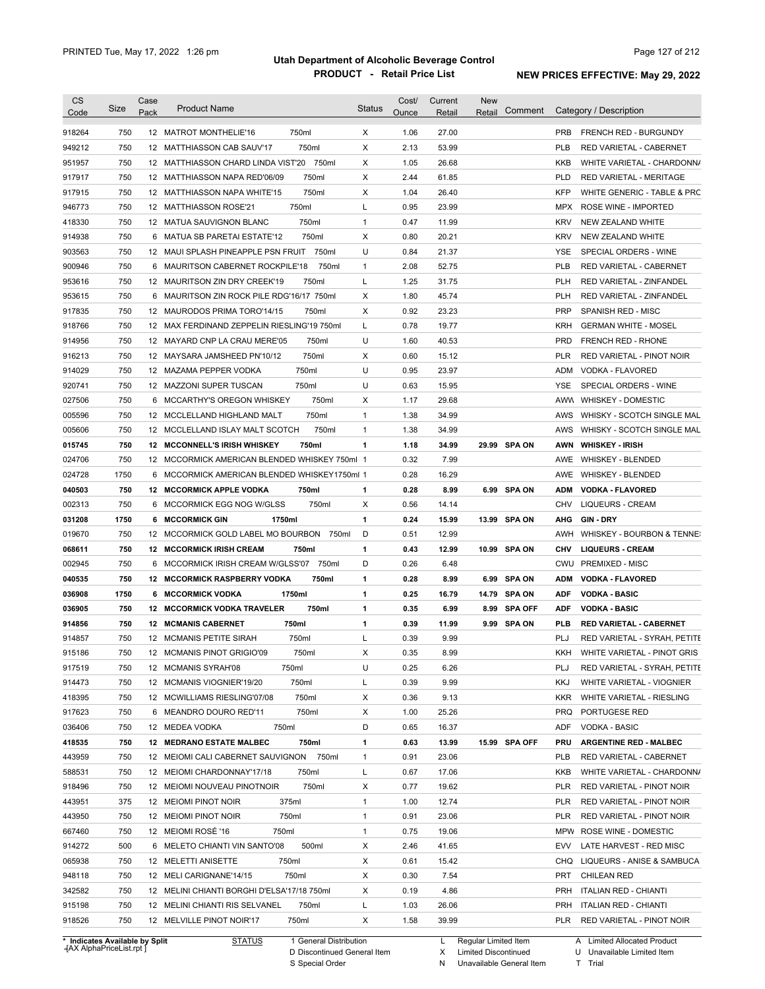| X<br>750<br>750ml<br>27.00<br>918264<br>12 MATROT MONTHELIE'16<br>1.06<br><b>PRB</b><br><b>FRENCH RED - BURGUNDY</b><br>750<br>750ml<br>X<br>2.13<br>53.99<br>949212<br>12 MATTHIASSON CAB SAUV'17<br><b>PLB</b><br>RED VARIETAL - CABERNET<br>750<br>750ml<br>X<br>1.05<br>26.68<br>951957<br>12 MATTHIASSON CHARD LINDA VIST'20<br>KKB<br>WHITE VARIETAL - CHARDONN/<br>X<br>750<br>750ml<br>2.44<br>61.85<br>917917<br>12 MATTHIASSON NAPA RED'06/09<br><b>PLD</b><br><b>RED VARIETAL - MERITAGE</b><br>750<br>750ml<br>X<br>1.04<br><b>KFP</b><br>917915<br>12 MATTHIASSON NAPA WHITE'15<br>26.40<br>WHITE GENERIC - TABLE & PRC<br>750ml<br>750<br>L<br>0.95<br>23.99<br>946773<br>12 MATTHIASSON ROSE'21<br><b>MPX</b><br>ROSE WINE - IMPORTED<br>418330<br>750<br>750ml<br>$\mathbf{1}$<br>0.47<br>11.99<br><b>KRV</b><br>12 MATUA SAUVIGNON BLANC<br>NEW ZEALAND WHITE<br>914938<br>750<br>750ml<br>X<br>0.80<br>20.21<br><b>KRV</b><br>6 MATUA SB PARETAI ESTATE'12<br>NEW ZEALAND WHITE<br>750<br>12 MAUI SPLASH PINEAPPLE PSN FRUIT<br>U<br>0.84<br>21.37<br>903563<br>750ml<br>YSE<br>SPECIAL ORDERS - WINE<br>900946<br>750<br>750ml<br>2.08<br>52.75<br><b>PLB</b><br>6 MAURITSON CABERNET ROCKPILE'18<br>$\mathbf{1}$<br>RED VARIETAL - CABERNET<br>750<br>750ml<br>L<br>1.25<br>31.75<br><b>PLH</b><br>953616<br>12 MAURITSON ZIN DRY CREEK'19<br>RED VARIETAL - ZINFANDEL<br>750<br>X<br>1.80<br>45.74<br>953615<br>6 MAURITSON ZIN ROCK PILE RDG'16/17 750ml<br><b>PLH</b><br>RED VARIETAL - ZINFANDEL<br>750<br>750ml<br>X<br>0.92<br>23.23<br><b>PRP</b><br>SPANISH RED - MISC<br>917835<br>12 MAURODOS PRIMA TORO'14/15<br>750<br>12 MAX FERDINAND ZEPPELIN RIESLING'19 750ml<br>L<br>0.78<br>19.77<br><b>KRH</b><br>918766<br><b>GERMAN WHITE - MOSEL</b><br>U<br>750<br>1.60<br>40.53<br><b>PRD</b><br>914956<br>12 MAYARD CNP LA CRAU MERE'05<br>750ml<br><b>FRENCH RED - RHONE</b><br>750<br>750ml<br>X<br>0.60<br>916213<br>12 MAYSARA JAMSHEED PN'10/12<br>15.12<br><b>PLR</b><br>RED VARIETAL - PINOT NOIR<br>U<br>750<br>750ml<br>0.95<br>914029<br>12 MAZAMA PEPPER VODKA<br>23.97<br>ADM<br>VODKA - FLAVORED<br>750<br>U<br>0.63<br>750ml<br>15.95<br><b>YSE</b><br>920741<br>12 MAZZONI SUPER TUSCAN<br>SPECIAL ORDERS - WINE<br>750<br>750ml<br>X<br>1.17<br>29.68<br>027506<br>6 MCCARTHY'S OREGON WHISKEY<br>AWW<br><b>WHISKEY - DOMESTIC</b><br>750<br>750ml<br>$\mathbf{1}$<br>1.38<br>34.99<br>005596<br>12 MCCLELLAND HIGHLAND MALT<br>AWS<br>WHISKY - SCOTCH SINGLE MAL<br>750<br>750ml<br>1.38<br>34.99<br>WHISKY - SCOTCH SINGLE MAL<br>005606<br>12 MCCLELLAND ISLAY MALT SCOTCH<br>$\mathbf{1}$<br>AWS<br>750<br>750ml<br>1<br>1.18<br>34.99<br>29.99 SPA ON<br>015745<br>12 MCCONNELL'S IRISH WHISKEY<br>AWN<br><b>WHISKEY - IRISH</b><br>750<br>0.32<br>7.99<br>024706<br>12 MCCORMICK AMERICAN BLENDED WHISKEY 750ml 1<br>AWE<br>WHISKEY - BLENDED<br>1750<br>0.28<br>16.29<br>024728<br>MCCORMICK AMERICAN BLENDED WHISKEY1750ml 1<br>AWE<br><b>WHISKEY - BLENDED</b><br>6<br>040503<br>750<br>750ml<br>1<br>0.28<br>8.99<br>6.99 SPA ON<br>12 MCCORMICK APPLE VODKA<br><b>ADM</b><br><b>VODKA - FLAVORED</b><br>750<br>750ml<br>X<br>0.56<br>002313<br>6 MCCORMICK EGG NOG W/GLSS<br>14.14<br>CHV<br><b>LIQUEURS - CREAM</b><br>1750<br><b>MCCORMICK GIN</b><br>1750ml<br>1<br>0.24<br>15.99<br><b>SPA ON</b><br><b>GIN-DRY</b><br>13.99<br>AHG<br>6<br>019670<br>750<br>12 MCCORMICK GOLD LABEL MO BOURBON<br>D<br>0.51<br>WHISKEY - BOURBON & TENNE:<br>750ml<br>12.99<br>AWH<br>750<br>1<br>0.43<br><b>SPA ON</b><br><b>12 MCCORMICK IRISH CREAM</b><br>750ml<br>12.99<br>10.99<br>CHV<br><b>LIQUEURS - CREAM</b><br>0.26<br>750<br>6 MCCORMICK IRISH CREAM W/GLSS'07 750ml<br>D<br>6.48<br>CWU<br><b>PREMIXED - MISC</b><br>750<br>750ml<br>0.28<br><b>SPA ON</b><br><b>12 MCCORMICK RASPBERRY VODKA</b><br>1<br>8.99<br>6.99<br><b>ADM</b><br><b>VODKA - FLAVORED</b><br>1750ml<br>0.25<br>1750<br><b>MCCORMICK VODKA</b><br>1<br>16.79<br>14.79<br><b>SPA ON</b><br><b>ADF</b><br><b>VODKA - BASIC</b><br>6<br>750ml<br>0.35<br>750<br><b>12 MCCORMICK VODKA TRAVELER</b><br>1<br>6.99<br>8.99<br><b>SPA OFF</b><br><b>ADF</b><br><b>VODKA - BASIC</b><br>750ml<br>0.39<br>750<br><b>12 MCMANIS CABERNET</b><br>1<br>11.99<br>9.99<br><b>SPA ON</b><br><b>PLB</b><br><b>RED VARIETAL - CABERNET</b><br>750<br>750ml<br>Г<br>0.39<br>9.99<br>PLJ<br>RED VARIETAL - SYRAH, PETITE<br>12 MCMANIS PETITE SIRAH<br>750<br>750ml<br>X<br>0.35<br>8.99<br>KKH<br>WHITE VARIETAL - PINOT GRIS<br>12 MCMANIS PINOT GRIGIO'09<br>U<br>0.25<br>750<br>12 MCMANIS SYRAH'08<br>750ml<br>6.26<br>PLJ<br>12 MCMANIS VIOGNIER'19/20<br>750ml<br>Г<br>0.39<br>9.99<br><b>KKJ</b><br>WHITE VARIETAL - VIOGNIER<br>750<br>750ml<br>х<br>0.36<br>750<br>12 MCWILLIAMS RIESLING'07/08<br>9.13<br>KKR<br>WHITE VARIETAL - RIESLING<br>750<br>750ml<br>х<br>6 MEANDRO DOURO RED'11<br>1.00<br>25.26<br><b>PRQ</b><br>PORTUGESE RED<br>750<br>750ml<br>D<br>0.65<br>VODKA - BASIC<br>12 MEDEA VODKA<br>16.37<br>ADF<br>750ml<br>15.99 SPA OFF<br>750<br>12 MEDRANO ESTATE MALBEC<br>1<br>0.63<br>13.99<br>PRU<br><b>ARGENTINE RED - MALBEC</b><br>750<br>12 MEIOMI CALI CABERNET SAUVIGNON 750ml<br>0.91<br>1<br>23.06<br>PLB<br>RED VARIETAL - CABERNET<br>0.67<br>17.06<br>750<br>12 MEIOMI CHARDONNAY'17/18<br>750ml<br>L<br>KKB<br>750ml<br>19.62<br>750<br>12 MEIOMI NOUVEAU PINOTNOIR<br>х<br>0.77<br>PLR<br>RED VARIETAL - PINOT NOIR<br>375<br>12 MEIOMI PINOT NOIR<br>375ml<br>$\mathbf{1}$<br>1.00<br>12.74<br>PLR<br>RED VARIETAL - PINOT NOIR<br>750<br>12 MEIOMI PINOT NOIR<br>750ml<br>$\mathbf{1}$<br>0.91<br>23.06<br>PLR<br>RED VARIETAL - PINOT NOIR<br>750<br>12 MEIOMI ROSÉ '16<br>0.75<br>19.06<br>750ml<br>1<br>MPW<br>ROSE WINE - DOMESTIC<br>500<br>500ml<br>41.65<br>6 MELETO CHIANTI VIN SANTO'08<br>х<br>2.46<br>EVV<br>LATE HARVEST - RED MISC<br>X<br>750<br>12 MELETTI ANISETTE<br>750ml<br>0.61<br>15.42<br>CHQ<br>750<br>750ml<br>X<br>7.54<br><b>PRT</b><br>12 MELI CARIGNANE'14/15<br>0.30<br><b>CHILEAN RED</b><br>750<br>х<br>0.19<br>4.86<br>12 MELINI CHIANTI BORGHI D'ELSA'17/18 750ml<br>PRH<br><b>ITALIAN RED - CHIANTI</b><br>L<br>1.03<br>26.06<br>750<br>12 MELINI CHIANTI RIS SELVANEL<br>750ml<br>PRH<br>ITALIAN RED - CHIANTI<br>X<br>1.58<br>39.99<br>750<br>12 MELVILLE PINOT NOIR'17<br>750ml<br>PLR<br>RED VARIETAL - PINOT NOIR<br><b>STATUS</b><br>1 General Distribution<br>Regular Limited Item<br>A Limited Allocated Product<br>* Indicates Available by Split<br>L | <b>CS</b><br>Code | Size | Case<br>Pack | <b>Product Name</b> | <b>Status</b> | Cost/<br>Ounce | Current<br>Retail | <b>New</b><br>Retail | Comment | Category / Description       |
|-------------------------------------------------------------------------------------------------------------------------------------------------------------------------------------------------------------------------------------------------------------------------------------------------------------------------------------------------------------------------------------------------------------------------------------------------------------------------------------------------------------------------------------------------------------------------------------------------------------------------------------------------------------------------------------------------------------------------------------------------------------------------------------------------------------------------------------------------------------------------------------------------------------------------------------------------------------------------------------------------------------------------------------------------------------------------------------------------------------------------------------------------------------------------------------------------------------------------------------------------------------------------------------------------------------------------------------------------------------------------------------------------------------------------------------------------------------------------------------------------------------------------------------------------------------------------------------------------------------------------------------------------------------------------------------------------------------------------------------------------------------------------------------------------------------------------------------------------------------------------------------------------------------------------------------------------------------------------------------------------------------------------------------------------------------------------------------------------------------------------------------------------------------------------------------------------------------------------------------------------------------------------------------------------------------------------------------------------------------------------------------------------------------------------------------------------------------------------------------------------------------------------------------------------------------------------------------------------------------------------------------------------------------------------------------------------------------------------------------------------------------------------------------------------------------------------------------------------------------------------------------------------------------------------------------------------------------------------------------------------------------------------------------------------------------------------------------------------------------------------------------------------------------------------------------------------------------------------------------------------------------------------------------------------------------------------------------------------------------------------------------------------------------------------------------------------------------------------------------------------------------------------------------------------------------------------------------------------------------------------------------------------------------------------------------------------------------------------------------------------------------------------------------------------------------------------------------------------------------------------------------------------------------------------------------------------------------------------------------------------------------------------------------------------------------------------------------------------------------------------------------------------------------------------------------------------------------------------------------------------------------------------------------------------------------------------------------------------------------------------------------------------------------------------------------------------------------------------------------------------------------------------------------------------------------------------------------------------------------------------------------------------------------------------------------------------------------------------------------------------------------------------------------------------------------------------------------------------------------------------------------------------------------------------------------------------------------------------------------------------------------------------------------------------------------------------------------------------------------------------------------------------------------------------------------------------------------------------------------------------------------------------------------------------------------------------------------------------------------------------------------------------------------------------------------------------------------------------------------------------------------------------------------------------------------------------------------------------------------------------------------------------------------------------------------------------------------------------------------------------------------------------------------------------------------------------------------------------------------------------------------------------------------------------------------------------------------------------------------------------------------------------------------------------------------------------------------------------------------------------------------------------------------------------------------------------------------------------------------------------------------------------------------------------------------------------------------------------------------------------------------------------------------------------------------------------------------------------------------------------------------------------------------------------------------|-------------------|------|--------------|---------------------|---------------|----------------|-------------------|----------------------|---------|------------------------------|
|                                                                                                                                                                                                                                                                                                                                                                                                                                                                                                                                                                                                                                                                                                                                                                                                                                                                                                                                                                                                                                                                                                                                                                                                                                                                                                                                                                                                                                                                                                                                                                                                                                                                                                                                                                                                                                                                                                                                                                                                                                                                                                                                                                                                                                                                                                                                                                                                                                                                                                                                                                                                                                                                                                                                                                                                                                                                                                                                                                                                                                                                                                                                                                                                                                                                                                                                                                                                                                                                                                                                                                                                                                                                                                                                                                                                                                                                                                                                                                                                                                                                                                                                                                                                                                                                                                                                                                                                                                                                                                                                                                                                                                                                                                                                                                                                                                                                                                                                                                                                                                                                                                                                                                                                                                                                                                                                                                                                                                                                                                                                                                                                                                                                                                                                                                                                                                                                                                                                                                                                                                                                                                                                                                                                                                                                                                                                                                                                                                                                                                                                                             |                   |      |              |                     |               |                |                   |                      |         |                              |
|                                                                                                                                                                                                                                                                                                                                                                                                                                                                                                                                                                                                                                                                                                                                                                                                                                                                                                                                                                                                                                                                                                                                                                                                                                                                                                                                                                                                                                                                                                                                                                                                                                                                                                                                                                                                                                                                                                                                                                                                                                                                                                                                                                                                                                                                                                                                                                                                                                                                                                                                                                                                                                                                                                                                                                                                                                                                                                                                                                                                                                                                                                                                                                                                                                                                                                                                                                                                                                                                                                                                                                                                                                                                                                                                                                                                                                                                                                                                                                                                                                                                                                                                                                                                                                                                                                                                                                                                                                                                                                                                                                                                                                                                                                                                                                                                                                                                                                                                                                                                                                                                                                                                                                                                                                                                                                                                                                                                                                                                                                                                                                                                                                                                                                                                                                                                                                                                                                                                                                                                                                                                                                                                                                                                                                                                                                                                                                                                                                                                                                                                                             |                   |      |              |                     |               |                |                   |                      |         |                              |
|                                                                                                                                                                                                                                                                                                                                                                                                                                                                                                                                                                                                                                                                                                                                                                                                                                                                                                                                                                                                                                                                                                                                                                                                                                                                                                                                                                                                                                                                                                                                                                                                                                                                                                                                                                                                                                                                                                                                                                                                                                                                                                                                                                                                                                                                                                                                                                                                                                                                                                                                                                                                                                                                                                                                                                                                                                                                                                                                                                                                                                                                                                                                                                                                                                                                                                                                                                                                                                                                                                                                                                                                                                                                                                                                                                                                                                                                                                                                                                                                                                                                                                                                                                                                                                                                                                                                                                                                                                                                                                                                                                                                                                                                                                                                                                                                                                                                                                                                                                                                                                                                                                                                                                                                                                                                                                                                                                                                                                                                                                                                                                                                                                                                                                                                                                                                                                                                                                                                                                                                                                                                                                                                                                                                                                                                                                                                                                                                                                                                                                                                                             |                   |      |              |                     |               |                |                   |                      |         |                              |
|                                                                                                                                                                                                                                                                                                                                                                                                                                                                                                                                                                                                                                                                                                                                                                                                                                                                                                                                                                                                                                                                                                                                                                                                                                                                                                                                                                                                                                                                                                                                                                                                                                                                                                                                                                                                                                                                                                                                                                                                                                                                                                                                                                                                                                                                                                                                                                                                                                                                                                                                                                                                                                                                                                                                                                                                                                                                                                                                                                                                                                                                                                                                                                                                                                                                                                                                                                                                                                                                                                                                                                                                                                                                                                                                                                                                                                                                                                                                                                                                                                                                                                                                                                                                                                                                                                                                                                                                                                                                                                                                                                                                                                                                                                                                                                                                                                                                                                                                                                                                                                                                                                                                                                                                                                                                                                                                                                                                                                                                                                                                                                                                                                                                                                                                                                                                                                                                                                                                                                                                                                                                                                                                                                                                                                                                                                                                                                                                                                                                                                                                                             |                   |      |              |                     |               |                |                   |                      |         |                              |
|                                                                                                                                                                                                                                                                                                                                                                                                                                                                                                                                                                                                                                                                                                                                                                                                                                                                                                                                                                                                                                                                                                                                                                                                                                                                                                                                                                                                                                                                                                                                                                                                                                                                                                                                                                                                                                                                                                                                                                                                                                                                                                                                                                                                                                                                                                                                                                                                                                                                                                                                                                                                                                                                                                                                                                                                                                                                                                                                                                                                                                                                                                                                                                                                                                                                                                                                                                                                                                                                                                                                                                                                                                                                                                                                                                                                                                                                                                                                                                                                                                                                                                                                                                                                                                                                                                                                                                                                                                                                                                                                                                                                                                                                                                                                                                                                                                                                                                                                                                                                                                                                                                                                                                                                                                                                                                                                                                                                                                                                                                                                                                                                                                                                                                                                                                                                                                                                                                                                                                                                                                                                                                                                                                                                                                                                                                                                                                                                                                                                                                                                                             |                   |      |              |                     |               |                |                   |                      |         |                              |
|                                                                                                                                                                                                                                                                                                                                                                                                                                                                                                                                                                                                                                                                                                                                                                                                                                                                                                                                                                                                                                                                                                                                                                                                                                                                                                                                                                                                                                                                                                                                                                                                                                                                                                                                                                                                                                                                                                                                                                                                                                                                                                                                                                                                                                                                                                                                                                                                                                                                                                                                                                                                                                                                                                                                                                                                                                                                                                                                                                                                                                                                                                                                                                                                                                                                                                                                                                                                                                                                                                                                                                                                                                                                                                                                                                                                                                                                                                                                                                                                                                                                                                                                                                                                                                                                                                                                                                                                                                                                                                                                                                                                                                                                                                                                                                                                                                                                                                                                                                                                                                                                                                                                                                                                                                                                                                                                                                                                                                                                                                                                                                                                                                                                                                                                                                                                                                                                                                                                                                                                                                                                                                                                                                                                                                                                                                                                                                                                                                                                                                                                                             |                   |      |              |                     |               |                |                   |                      |         |                              |
|                                                                                                                                                                                                                                                                                                                                                                                                                                                                                                                                                                                                                                                                                                                                                                                                                                                                                                                                                                                                                                                                                                                                                                                                                                                                                                                                                                                                                                                                                                                                                                                                                                                                                                                                                                                                                                                                                                                                                                                                                                                                                                                                                                                                                                                                                                                                                                                                                                                                                                                                                                                                                                                                                                                                                                                                                                                                                                                                                                                                                                                                                                                                                                                                                                                                                                                                                                                                                                                                                                                                                                                                                                                                                                                                                                                                                                                                                                                                                                                                                                                                                                                                                                                                                                                                                                                                                                                                                                                                                                                                                                                                                                                                                                                                                                                                                                                                                                                                                                                                                                                                                                                                                                                                                                                                                                                                                                                                                                                                                                                                                                                                                                                                                                                                                                                                                                                                                                                                                                                                                                                                                                                                                                                                                                                                                                                                                                                                                                                                                                                                                             |                   |      |              |                     |               |                |                   |                      |         |                              |
|                                                                                                                                                                                                                                                                                                                                                                                                                                                                                                                                                                                                                                                                                                                                                                                                                                                                                                                                                                                                                                                                                                                                                                                                                                                                                                                                                                                                                                                                                                                                                                                                                                                                                                                                                                                                                                                                                                                                                                                                                                                                                                                                                                                                                                                                                                                                                                                                                                                                                                                                                                                                                                                                                                                                                                                                                                                                                                                                                                                                                                                                                                                                                                                                                                                                                                                                                                                                                                                                                                                                                                                                                                                                                                                                                                                                                                                                                                                                                                                                                                                                                                                                                                                                                                                                                                                                                                                                                                                                                                                                                                                                                                                                                                                                                                                                                                                                                                                                                                                                                                                                                                                                                                                                                                                                                                                                                                                                                                                                                                                                                                                                                                                                                                                                                                                                                                                                                                                                                                                                                                                                                                                                                                                                                                                                                                                                                                                                                                                                                                                                                             |                   |      |              |                     |               |                |                   |                      |         |                              |
|                                                                                                                                                                                                                                                                                                                                                                                                                                                                                                                                                                                                                                                                                                                                                                                                                                                                                                                                                                                                                                                                                                                                                                                                                                                                                                                                                                                                                                                                                                                                                                                                                                                                                                                                                                                                                                                                                                                                                                                                                                                                                                                                                                                                                                                                                                                                                                                                                                                                                                                                                                                                                                                                                                                                                                                                                                                                                                                                                                                                                                                                                                                                                                                                                                                                                                                                                                                                                                                                                                                                                                                                                                                                                                                                                                                                                                                                                                                                                                                                                                                                                                                                                                                                                                                                                                                                                                                                                                                                                                                                                                                                                                                                                                                                                                                                                                                                                                                                                                                                                                                                                                                                                                                                                                                                                                                                                                                                                                                                                                                                                                                                                                                                                                                                                                                                                                                                                                                                                                                                                                                                                                                                                                                                                                                                                                                                                                                                                                                                                                                                                             |                   |      |              |                     |               |                |                   |                      |         |                              |
|                                                                                                                                                                                                                                                                                                                                                                                                                                                                                                                                                                                                                                                                                                                                                                                                                                                                                                                                                                                                                                                                                                                                                                                                                                                                                                                                                                                                                                                                                                                                                                                                                                                                                                                                                                                                                                                                                                                                                                                                                                                                                                                                                                                                                                                                                                                                                                                                                                                                                                                                                                                                                                                                                                                                                                                                                                                                                                                                                                                                                                                                                                                                                                                                                                                                                                                                                                                                                                                                                                                                                                                                                                                                                                                                                                                                                                                                                                                                                                                                                                                                                                                                                                                                                                                                                                                                                                                                                                                                                                                                                                                                                                                                                                                                                                                                                                                                                                                                                                                                                                                                                                                                                                                                                                                                                                                                                                                                                                                                                                                                                                                                                                                                                                                                                                                                                                                                                                                                                                                                                                                                                                                                                                                                                                                                                                                                                                                                                                                                                                                                                             |                   |      |              |                     |               |                |                   |                      |         |                              |
|                                                                                                                                                                                                                                                                                                                                                                                                                                                                                                                                                                                                                                                                                                                                                                                                                                                                                                                                                                                                                                                                                                                                                                                                                                                                                                                                                                                                                                                                                                                                                                                                                                                                                                                                                                                                                                                                                                                                                                                                                                                                                                                                                                                                                                                                                                                                                                                                                                                                                                                                                                                                                                                                                                                                                                                                                                                                                                                                                                                                                                                                                                                                                                                                                                                                                                                                                                                                                                                                                                                                                                                                                                                                                                                                                                                                                                                                                                                                                                                                                                                                                                                                                                                                                                                                                                                                                                                                                                                                                                                                                                                                                                                                                                                                                                                                                                                                                                                                                                                                                                                                                                                                                                                                                                                                                                                                                                                                                                                                                                                                                                                                                                                                                                                                                                                                                                                                                                                                                                                                                                                                                                                                                                                                                                                                                                                                                                                                                                                                                                                                                             |                   |      |              |                     |               |                |                   |                      |         |                              |
|                                                                                                                                                                                                                                                                                                                                                                                                                                                                                                                                                                                                                                                                                                                                                                                                                                                                                                                                                                                                                                                                                                                                                                                                                                                                                                                                                                                                                                                                                                                                                                                                                                                                                                                                                                                                                                                                                                                                                                                                                                                                                                                                                                                                                                                                                                                                                                                                                                                                                                                                                                                                                                                                                                                                                                                                                                                                                                                                                                                                                                                                                                                                                                                                                                                                                                                                                                                                                                                                                                                                                                                                                                                                                                                                                                                                                                                                                                                                                                                                                                                                                                                                                                                                                                                                                                                                                                                                                                                                                                                                                                                                                                                                                                                                                                                                                                                                                                                                                                                                                                                                                                                                                                                                                                                                                                                                                                                                                                                                                                                                                                                                                                                                                                                                                                                                                                                                                                                                                                                                                                                                                                                                                                                                                                                                                                                                                                                                                                                                                                                                                             |                   |      |              |                     |               |                |                   |                      |         |                              |
|                                                                                                                                                                                                                                                                                                                                                                                                                                                                                                                                                                                                                                                                                                                                                                                                                                                                                                                                                                                                                                                                                                                                                                                                                                                                                                                                                                                                                                                                                                                                                                                                                                                                                                                                                                                                                                                                                                                                                                                                                                                                                                                                                                                                                                                                                                                                                                                                                                                                                                                                                                                                                                                                                                                                                                                                                                                                                                                                                                                                                                                                                                                                                                                                                                                                                                                                                                                                                                                                                                                                                                                                                                                                                                                                                                                                                                                                                                                                                                                                                                                                                                                                                                                                                                                                                                                                                                                                                                                                                                                                                                                                                                                                                                                                                                                                                                                                                                                                                                                                                                                                                                                                                                                                                                                                                                                                                                                                                                                                                                                                                                                                                                                                                                                                                                                                                                                                                                                                                                                                                                                                                                                                                                                                                                                                                                                                                                                                                                                                                                                                                             |                   |      |              |                     |               |                |                   |                      |         |                              |
|                                                                                                                                                                                                                                                                                                                                                                                                                                                                                                                                                                                                                                                                                                                                                                                                                                                                                                                                                                                                                                                                                                                                                                                                                                                                                                                                                                                                                                                                                                                                                                                                                                                                                                                                                                                                                                                                                                                                                                                                                                                                                                                                                                                                                                                                                                                                                                                                                                                                                                                                                                                                                                                                                                                                                                                                                                                                                                                                                                                                                                                                                                                                                                                                                                                                                                                                                                                                                                                                                                                                                                                                                                                                                                                                                                                                                                                                                                                                                                                                                                                                                                                                                                                                                                                                                                                                                                                                                                                                                                                                                                                                                                                                                                                                                                                                                                                                                                                                                                                                                                                                                                                                                                                                                                                                                                                                                                                                                                                                                                                                                                                                                                                                                                                                                                                                                                                                                                                                                                                                                                                                                                                                                                                                                                                                                                                                                                                                                                                                                                                                                             |                   |      |              |                     |               |                |                   |                      |         |                              |
|                                                                                                                                                                                                                                                                                                                                                                                                                                                                                                                                                                                                                                                                                                                                                                                                                                                                                                                                                                                                                                                                                                                                                                                                                                                                                                                                                                                                                                                                                                                                                                                                                                                                                                                                                                                                                                                                                                                                                                                                                                                                                                                                                                                                                                                                                                                                                                                                                                                                                                                                                                                                                                                                                                                                                                                                                                                                                                                                                                                                                                                                                                                                                                                                                                                                                                                                                                                                                                                                                                                                                                                                                                                                                                                                                                                                                                                                                                                                                                                                                                                                                                                                                                                                                                                                                                                                                                                                                                                                                                                                                                                                                                                                                                                                                                                                                                                                                                                                                                                                                                                                                                                                                                                                                                                                                                                                                                                                                                                                                                                                                                                                                                                                                                                                                                                                                                                                                                                                                                                                                                                                                                                                                                                                                                                                                                                                                                                                                                                                                                                                                             |                   |      |              |                     |               |                |                   |                      |         |                              |
|                                                                                                                                                                                                                                                                                                                                                                                                                                                                                                                                                                                                                                                                                                                                                                                                                                                                                                                                                                                                                                                                                                                                                                                                                                                                                                                                                                                                                                                                                                                                                                                                                                                                                                                                                                                                                                                                                                                                                                                                                                                                                                                                                                                                                                                                                                                                                                                                                                                                                                                                                                                                                                                                                                                                                                                                                                                                                                                                                                                                                                                                                                                                                                                                                                                                                                                                                                                                                                                                                                                                                                                                                                                                                                                                                                                                                                                                                                                                                                                                                                                                                                                                                                                                                                                                                                                                                                                                                                                                                                                                                                                                                                                                                                                                                                                                                                                                                                                                                                                                                                                                                                                                                                                                                                                                                                                                                                                                                                                                                                                                                                                                                                                                                                                                                                                                                                                                                                                                                                                                                                                                                                                                                                                                                                                                                                                                                                                                                                                                                                                                                             |                   |      |              |                     |               |                |                   |                      |         |                              |
|                                                                                                                                                                                                                                                                                                                                                                                                                                                                                                                                                                                                                                                                                                                                                                                                                                                                                                                                                                                                                                                                                                                                                                                                                                                                                                                                                                                                                                                                                                                                                                                                                                                                                                                                                                                                                                                                                                                                                                                                                                                                                                                                                                                                                                                                                                                                                                                                                                                                                                                                                                                                                                                                                                                                                                                                                                                                                                                                                                                                                                                                                                                                                                                                                                                                                                                                                                                                                                                                                                                                                                                                                                                                                                                                                                                                                                                                                                                                                                                                                                                                                                                                                                                                                                                                                                                                                                                                                                                                                                                                                                                                                                                                                                                                                                                                                                                                                                                                                                                                                                                                                                                                                                                                                                                                                                                                                                                                                                                                                                                                                                                                                                                                                                                                                                                                                                                                                                                                                                                                                                                                                                                                                                                                                                                                                                                                                                                                                                                                                                                                                             |                   |      |              |                     |               |                |                   |                      |         |                              |
|                                                                                                                                                                                                                                                                                                                                                                                                                                                                                                                                                                                                                                                                                                                                                                                                                                                                                                                                                                                                                                                                                                                                                                                                                                                                                                                                                                                                                                                                                                                                                                                                                                                                                                                                                                                                                                                                                                                                                                                                                                                                                                                                                                                                                                                                                                                                                                                                                                                                                                                                                                                                                                                                                                                                                                                                                                                                                                                                                                                                                                                                                                                                                                                                                                                                                                                                                                                                                                                                                                                                                                                                                                                                                                                                                                                                                                                                                                                                                                                                                                                                                                                                                                                                                                                                                                                                                                                                                                                                                                                                                                                                                                                                                                                                                                                                                                                                                                                                                                                                                                                                                                                                                                                                                                                                                                                                                                                                                                                                                                                                                                                                                                                                                                                                                                                                                                                                                                                                                                                                                                                                                                                                                                                                                                                                                                                                                                                                                                                                                                                                                             |                   |      |              |                     |               |                |                   |                      |         |                              |
|                                                                                                                                                                                                                                                                                                                                                                                                                                                                                                                                                                                                                                                                                                                                                                                                                                                                                                                                                                                                                                                                                                                                                                                                                                                                                                                                                                                                                                                                                                                                                                                                                                                                                                                                                                                                                                                                                                                                                                                                                                                                                                                                                                                                                                                                                                                                                                                                                                                                                                                                                                                                                                                                                                                                                                                                                                                                                                                                                                                                                                                                                                                                                                                                                                                                                                                                                                                                                                                                                                                                                                                                                                                                                                                                                                                                                                                                                                                                                                                                                                                                                                                                                                                                                                                                                                                                                                                                                                                                                                                                                                                                                                                                                                                                                                                                                                                                                                                                                                                                                                                                                                                                                                                                                                                                                                                                                                                                                                                                                                                                                                                                                                                                                                                                                                                                                                                                                                                                                                                                                                                                                                                                                                                                                                                                                                                                                                                                                                                                                                                                                             |                   |      |              |                     |               |                |                   |                      |         |                              |
|                                                                                                                                                                                                                                                                                                                                                                                                                                                                                                                                                                                                                                                                                                                                                                                                                                                                                                                                                                                                                                                                                                                                                                                                                                                                                                                                                                                                                                                                                                                                                                                                                                                                                                                                                                                                                                                                                                                                                                                                                                                                                                                                                                                                                                                                                                                                                                                                                                                                                                                                                                                                                                                                                                                                                                                                                                                                                                                                                                                                                                                                                                                                                                                                                                                                                                                                                                                                                                                                                                                                                                                                                                                                                                                                                                                                                                                                                                                                                                                                                                                                                                                                                                                                                                                                                                                                                                                                                                                                                                                                                                                                                                                                                                                                                                                                                                                                                                                                                                                                                                                                                                                                                                                                                                                                                                                                                                                                                                                                                                                                                                                                                                                                                                                                                                                                                                                                                                                                                                                                                                                                                                                                                                                                                                                                                                                                                                                                                                                                                                                                                             |                   |      |              |                     |               |                |                   |                      |         |                              |
|                                                                                                                                                                                                                                                                                                                                                                                                                                                                                                                                                                                                                                                                                                                                                                                                                                                                                                                                                                                                                                                                                                                                                                                                                                                                                                                                                                                                                                                                                                                                                                                                                                                                                                                                                                                                                                                                                                                                                                                                                                                                                                                                                                                                                                                                                                                                                                                                                                                                                                                                                                                                                                                                                                                                                                                                                                                                                                                                                                                                                                                                                                                                                                                                                                                                                                                                                                                                                                                                                                                                                                                                                                                                                                                                                                                                                                                                                                                                                                                                                                                                                                                                                                                                                                                                                                                                                                                                                                                                                                                                                                                                                                                                                                                                                                                                                                                                                                                                                                                                                                                                                                                                                                                                                                                                                                                                                                                                                                                                                                                                                                                                                                                                                                                                                                                                                                                                                                                                                                                                                                                                                                                                                                                                                                                                                                                                                                                                                                                                                                                                                             |                   |      |              |                     |               |                |                   |                      |         |                              |
|                                                                                                                                                                                                                                                                                                                                                                                                                                                                                                                                                                                                                                                                                                                                                                                                                                                                                                                                                                                                                                                                                                                                                                                                                                                                                                                                                                                                                                                                                                                                                                                                                                                                                                                                                                                                                                                                                                                                                                                                                                                                                                                                                                                                                                                                                                                                                                                                                                                                                                                                                                                                                                                                                                                                                                                                                                                                                                                                                                                                                                                                                                                                                                                                                                                                                                                                                                                                                                                                                                                                                                                                                                                                                                                                                                                                                                                                                                                                                                                                                                                                                                                                                                                                                                                                                                                                                                                                                                                                                                                                                                                                                                                                                                                                                                                                                                                                                                                                                                                                                                                                                                                                                                                                                                                                                                                                                                                                                                                                                                                                                                                                                                                                                                                                                                                                                                                                                                                                                                                                                                                                                                                                                                                                                                                                                                                                                                                                                                                                                                                                                             |                   |      |              |                     |               |                |                   |                      |         |                              |
|                                                                                                                                                                                                                                                                                                                                                                                                                                                                                                                                                                                                                                                                                                                                                                                                                                                                                                                                                                                                                                                                                                                                                                                                                                                                                                                                                                                                                                                                                                                                                                                                                                                                                                                                                                                                                                                                                                                                                                                                                                                                                                                                                                                                                                                                                                                                                                                                                                                                                                                                                                                                                                                                                                                                                                                                                                                                                                                                                                                                                                                                                                                                                                                                                                                                                                                                                                                                                                                                                                                                                                                                                                                                                                                                                                                                                                                                                                                                                                                                                                                                                                                                                                                                                                                                                                                                                                                                                                                                                                                                                                                                                                                                                                                                                                                                                                                                                                                                                                                                                                                                                                                                                                                                                                                                                                                                                                                                                                                                                                                                                                                                                                                                                                                                                                                                                                                                                                                                                                                                                                                                                                                                                                                                                                                                                                                                                                                                                                                                                                                                                             |                   |      |              |                     |               |                |                   |                      |         |                              |
|                                                                                                                                                                                                                                                                                                                                                                                                                                                                                                                                                                                                                                                                                                                                                                                                                                                                                                                                                                                                                                                                                                                                                                                                                                                                                                                                                                                                                                                                                                                                                                                                                                                                                                                                                                                                                                                                                                                                                                                                                                                                                                                                                                                                                                                                                                                                                                                                                                                                                                                                                                                                                                                                                                                                                                                                                                                                                                                                                                                                                                                                                                                                                                                                                                                                                                                                                                                                                                                                                                                                                                                                                                                                                                                                                                                                                                                                                                                                                                                                                                                                                                                                                                                                                                                                                                                                                                                                                                                                                                                                                                                                                                                                                                                                                                                                                                                                                                                                                                                                                                                                                                                                                                                                                                                                                                                                                                                                                                                                                                                                                                                                                                                                                                                                                                                                                                                                                                                                                                                                                                                                                                                                                                                                                                                                                                                                                                                                                                                                                                                                                             |                   |      |              |                     |               |                |                   |                      |         |                              |
|                                                                                                                                                                                                                                                                                                                                                                                                                                                                                                                                                                                                                                                                                                                                                                                                                                                                                                                                                                                                                                                                                                                                                                                                                                                                                                                                                                                                                                                                                                                                                                                                                                                                                                                                                                                                                                                                                                                                                                                                                                                                                                                                                                                                                                                                                                                                                                                                                                                                                                                                                                                                                                                                                                                                                                                                                                                                                                                                                                                                                                                                                                                                                                                                                                                                                                                                                                                                                                                                                                                                                                                                                                                                                                                                                                                                                                                                                                                                                                                                                                                                                                                                                                                                                                                                                                                                                                                                                                                                                                                                                                                                                                                                                                                                                                                                                                                                                                                                                                                                                                                                                                                                                                                                                                                                                                                                                                                                                                                                                                                                                                                                                                                                                                                                                                                                                                                                                                                                                                                                                                                                                                                                                                                                                                                                                                                                                                                                                                                                                                                                                             |                   |      |              |                     |               |                |                   |                      |         |                              |
|                                                                                                                                                                                                                                                                                                                                                                                                                                                                                                                                                                                                                                                                                                                                                                                                                                                                                                                                                                                                                                                                                                                                                                                                                                                                                                                                                                                                                                                                                                                                                                                                                                                                                                                                                                                                                                                                                                                                                                                                                                                                                                                                                                                                                                                                                                                                                                                                                                                                                                                                                                                                                                                                                                                                                                                                                                                                                                                                                                                                                                                                                                                                                                                                                                                                                                                                                                                                                                                                                                                                                                                                                                                                                                                                                                                                                                                                                                                                                                                                                                                                                                                                                                                                                                                                                                                                                                                                                                                                                                                                                                                                                                                                                                                                                                                                                                                                                                                                                                                                                                                                                                                                                                                                                                                                                                                                                                                                                                                                                                                                                                                                                                                                                                                                                                                                                                                                                                                                                                                                                                                                                                                                                                                                                                                                                                                                                                                                                                                                                                                                                             |                   |      |              |                     |               |                |                   |                      |         |                              |
|                                                                                                                                                                                                                                                                                                                                                                                                                                                                                                                                                                                                                                                                                                                                                                                                                                                                                                                                                                                                                                                                                                                                                                                                                                                                                                                                                                                                                                                                                                                                                                                                                                                                                                                                                                                                                                                                                                                                                                                                                                                                                                                                                                                                                                                                                                                                                                                                                                                                                                                                                                                                                                                                                                                                                                                                                                                                                                                                                                                                                                                                                                                                                                                                                                                                                                                                                                                                                                                                                                                                                                                                                                                                                                                                                                                                                                                                                                                                                                                                                                                                                                                                                                                                                                                                                                                                                                                                                                                                                                                                                                                                                                                                                                                                                                                                                                                                                                                                                                                                                                                                                                                                                                                                                                                                                                                                                                                                                                                                                                                                                                                                                                                                                                                                                                                                                                                                                                                                                                                                                                                                                                                                                                                                                                                                                                                                                                                                                                                                                                                                                             |                   |      |              |                     |               |                |                   |                      |         |                              |
|                                                                                                                                                                                                                                                                                                                                                                                                                                                                                                                                                                                                                                                                                                                                                                                                                                                                                                                                                                                                                                                                                                                                                                                                                                                                                                                                                                                                                                                                                                                                                                                                                                                                                                                                                                                                                                                                                                                                                                                                                                                                                                                                                                                                                                                                                                                                                                                                                                                                                                                                                                                                                                                                                                                                                                                                                                                                                                                                                                                                                                                                                                                                                                                                                                                                                                                                                                                                                                                                                                                                                                                                                                                                                                                                                                                                                                                                                                                                                                                                                                                                                                                                                                                                                                                                                                                                                                                                                                                                                                                                                                                                                                                                                                                                                                                                                                                                                                                                                                                                                                                                                                                                                                                                                                                                                                                                                                                                                                                                                                                                                                                                                                                                                                                                                                                                                                                                                                                                                                                                                                                                                                                                                                                                                                                                                                                                                                                                                                                                                                                                                             | 031208            |      |              |                     |               |                |                   |                      |         |                              |
|                                                                                                                                                                                                                                                                                                                                                                                                                                                                                                                                                                                                                                                                                                                                                                                                                                                                                                                                                                                                                                                                                                                                                                                                                                                                                                                                                                                                                                                                                                                                                                                                                                                                                                                                                                                                                                                                                                                                                                                                                                                                                                                                                                                                                                                                                                                                                                                                                                                                                                                                                                                                                                                                                                                                                                                                                                                                                                                                                                                                                                                                                                                                                                                                                                                                                                                                                                                                                                                                                                                                                                                                                                                                                                                                                                                                                                                                                                                                                                                                                                                                                                                                                                                                                                                                                                                                                                                                                                                                                                                                                                                                                                                                                                                                                                                                                                                                                                                                                                                                                                                                                                                                                                                                                                                                                                                                                                                                                                                                                                                                                                                                                                                                                                                                                                                                                                                                                                                                                                                                                                                                                                                                                                                                                                                                                                                                                                                                                                                                                                                                                             |                   |      |              |                     |               |                |                   |                      |         |                              |
|                                                                                                                                                                                                                                                                                                                                                                                                                                                                                                                                                                                                                                                                                                                                                                                                                                                                                                                                                                                                                                                                                                                                                                                                                                                                                                                                                                                                                                                                                                                                                                                                                                                                                                                                                                                                                                                                                                                                                                                                                                                                                                                                                                                                                                                                                                                                                                                                                                                                                                                                                                                                                                                                                                                                                                                                                                                                                                                                                                                                                                                                                                                                                                                                                                                                                                                                                                                                                                                                                                                                                                                                                                                                                                                                                                                                                                                                                                                                                                                                                                                                                                                                                                                                                                                                                                                                                                                                                                                                                                                                                                                                                                                                                                                                                                                                                                                                                                                                                                                                                                                                                                                                                                                                                                                                                                                                                                                                                                                                                                                                                                                                                                                                                                                                                                                                                                                                                                                                                                                                                                                                                                                                                                                                                                                                                                                                                                                                                                                                                                                                                             | 068611            |      |              |                     |               |                |                   |                      |         |                              |
|                                                                                                                                                                                                                                                                                                                                                                                                                                                                                                                                                                                                                                                                                                                                                                                                                                                                                                                                                                                                                                                                                                                                                                                                                                                                                                                                                                                                                                                                                                                                                                                                                                                                                                                                                                                                                                                                                                                                                                                                                                                                                                                                                                                                                                                                                                                                                                                                                                                                                                                                                                                                                                                                                                                                                                                                                                                                                                                                                                                                                                                                                                                                                                                                                                                                                                                                                                                                                                                                                                                                                                                                                                                                                                                                                                                                                                                                                                                                                                                                                                                                                                                                                                                                                                                                                                                                                                                                                                                                                                                                                                                                                                                                                                                                                                                                                                                                                                                                                                                                                                                                                                                                                                                                                                                                                                                                                                                                                                                                                                                                                                                                                                                                                                                                                                                                                                                                                                                                                                                                                                                                                                                                                                                                                                                                                                                                                                                                                                                                                                                                                             | 002945            |      |              |                     |               |                |                   |                      |         |                              |
|                                                                                                                                                                                                                                                                                                                                                                                                                                                                                                                                                                                                                                                                                                                                                                                                                                                                                                                                                                                                                                                                                                                                                                                                                                                                                                                                                                                                                                                                                                                                                                                                                                                                                                                                                                                                                                                                                                                                                                                                                                                                                                                                                                                                                                                                                                                                                                                                                                                                                                                                                                                                                                                                                                                                                                                                                                                                                                                                                                                                                                                                                                                                                                                                                                                                                                                                                                                                                                                                                                                                                                                                                                                                                                                                                                                                                                                                                                                                                                                                                                                                                                                                                                                                                                                                                                                                                                                                                                                                                                                                                                                                                                                                                                                                                                                                                                                                                                                                                                                                                                                                                                                                                                                                                                                                                                                                                                                                                                                                                                                                                                                                                                                                                                                                                                                                                                                                                                                                                                                                                                                                                                                                                                                                                                                                                                                                                                                                                                                                                                                                                             | 040535            |      |              |                     |               |                |                   |                      |         |                              |
|                                                                                                                                                                                                                                                                                                                                                                                                                                                                                                                                                                                                                                                                                                                                                                                                                                                                                                                                                                                                                                                                                                                                                                                                                                                                                                                                                                                                                                                                                                                                                                                                                                                                                                                                                                                                                                                                                                                                                                                                                                                                                                                                                                                                                                                                                                                                                                                                                                                                                                                                                                                                                                                                                                                                                                                                                                                                                                                                                                                                                                                                                                                                                                                                                                                                                                                                                                                                                                                                                                                                                                                                                                                                                                                                                                                                                                                                                                                                                                                                                                                                                                                                                                                                                                                                                                                                                                                                                                                                                                                                                                                                                                                                                                                                                                                                                                                                                                                                                                                                                                                                                                                                                                                                                                                                                                                                                                                                                                                                                                                                                                                                                                                                                                                                                                                                                                                                                                                                                                                                                                                                                                                                                                                                                                                                                                                                                                                                                                                                                                                                                             | 036908            |      |              |                     |               |                |                   |                      |         |                              |
|                                                                                                                                                                                                                                                                                                                                                                                                                                                                                                                                                                                                                                                                                                                                                                                                                                                                                                                                                                                                                                                                                                                                                                                                                                                                                                                                                                                                                                                                                                                                                                                                                                                                                                                                                                                                                                                                                                                                                                                                                                                                                                                                                                                                                                                                                                                                                                                                                                                                                                                                                                                                                                                                                                                                                                                                                                                                                                                                                                                                                                                                                                                                                                                                                                                                                                                                                                                                                                                                                                                                                                                                                                                                                                                                                                                                                                                                                                                                                                                                                                                                                                                                                                                                                                                                                                                                                                                                                                                                                                                                                                                                                                                                                                                                                                                                                                                                                                                                                                                                                                                                                                                                                                                                                                                                                                                                                                                                                                                                                                                                                                                                                                                                                                                                                                                                                                                                                                                                                                                                                                                                                                                                                                                                                                                                                                                                                                                                                                                                                                                                                             | 036905            |      |              |                     |               |                |                   |                      |         |                              |
|                                                                                                                                                                                                                                                                                                                                                                                                                                                                                                                                                                                                                                                                                                                                                                                                                                                                                                                                                                                                                                                                                                                                                                                                                                                                                                                                                                                                                                                                                                                                                                                                                                                                                                                                                                                                                                                                                                                                                                                                                                                                                                                                                                                                                                                                                                                                                                                                                                                                                                                                                                                                                                                                                                                                                                                                                                                                                                                                                                                                                                                                                                                                                                                                                                                                                                                                                                                                                                                                                                                                                                                                                                                                                                                                                                                                                                                                                                                                                                                                                                                                                                                                                                                                                                                                                                                                                                                                                                                                                                                                                                                                                                                                                                                                                                                                                                                                                                                                                                                                                                                                                                                                                                                                                                                                                                                                                                                                                                                                                                                                                                                                                                                                                                                                                                                                                                                                                                                                                                                                                                                                                                                                                                                                                                                                                                                                                                                                                                                                                                                                                             | 914856            |      |              |                     |               |                |                   |                      |         |                              |
|                                                                                                                                                                                                                                                                                                                                                                                                                                                                                                                                                                                                                                                                                                                                                                                                                                                                                                                                                                                                                                                                                                                                                                                                                                                                                                                                                                                                                                                                                                                                                                                                                                                                                                                                                                                                                                                                                                                                                                                                                                                                                                                                                                                                                                                                                                                                                                                                                                                                                                                                                                                                                                                                                                                                                                                                                                                                                                                                                                                                                                                                                                                                                                                                                                                                                                                                                                                                                                                                                                                                                                                                                                                                                                                                                                                                                                                                                                                                                                                                                                                                                                                                                                                                                                                                                                                                                                                                                                                                                                                                                                                                                                                                                                                                                                                                                                                                                                                                                                                                                                                                                                                                                                                                                                                                                                                                                                                                                                                                                                                                                                                                                                                                                                                                                                                                                                                                                                                                                                                                                                                                                                                                                                                                                                                                                                                                                                                                                                                                                                                                                             | 914857            |      |              |                     |               |                |                   |                      |         |                              |
|                                                                                                                                                                                                                                                                                                                                                                                                                                                                                                                                                                                                                                                                                                                                                                                                                                                                                                                                                                                                                                                                                                                                                                                                                                                                                                                                                                                                                                                                                                                                                                                                                                                                                                                                                                                                                                                                                                                                                                                                                                                                                                                                                                                                                                                                                                                                                                                                                                                                                                                                                                                                                                                                                                                                                                                                                                                                                                                                                                                                                                                                                                                                                                                                                                                                                                                                                                                                                                                                                                                                                                                                                                                                                                                                                                                                                                                                                                                                                                                                                                                                                                                                                                                                                                                                                                                                                                                                                                                                                                                                                                                                                                                                                                                                                                                                                                                                                                                                                                                                                                                                                                                                                                                                                                                                                                                                                                                                                                                                                                                                                                                                                                                                                                                                                                                                                                                                                                                                                                                                                                                                                                                                                                                                                                                                                                                                                                                                                                                                                                                                                             | 915186            |      |              |                     |               |                |                   |                      |         |                              |
|                                                                                                                                                                                                                                                                                                                                                                                                                                                                                                                                                                                                                                                                                                                                                                                                                                                                                                                                                                                                                                                                                                                                                                                                                                                                                                                                                                                                                                                                                                                                                                                                                                                                                                                                                                                                                                                                                                                                                                                                                                                                                                                                                                                                                                                                                                                                                                                                                                                                                                                                                                                                                                                                                                                                                                                                                                                                                                                                                                                                                                                                                                                                                                                                                                                                                                                                                                                                                                                                                                                                                                                                                                                                                                                                                                                                                                                                                                                                                                                                                                                                                                                                                                                                                                                                                                                                                                                                                                                                                                                                                                                                                                                                                                                                                                                                                                                                                                                                                                                                                                                                                                                                                                                                                                                                                                                                                                                                                                                                                                                                                                                                                                                                                                                                                                                                                                                                                                                                                                                                                                                                                                                                                                                                                                                                                                                                                                                                                                                                                                                                                             | 917519            |      |              |                     |               |                |                   |                      |         | RED VARIETAL - SYRAH, PETITE |
|                                                                                                                                                                                                                                                                                                                                                                                                                                                                                                                                                                                                                                                                                                                                                                                                                                                                                                                                                                                                                                                                                                                                                                                                                                                                                                                                                                                                                                                                                                                                                                                                                                                                                                                                                                                                                                                                                                                                                                                                                                                                                                                                                                                                                                                                                                                                                                                                                                                                                                                                                                                                                                                                                                                                                                                                                                                                                                                                                                                                                                                                                                                                                                                                                                                                                                                                                                                                                                                                                                                                                                                                                                                                                                                                                                                                                                                                                                                                                                                                                                                                                                                                                                                                                                                                                                                                                                                                                                                                                                                                                                                                                                                                                                                                                                                                                                                                                                                                                                                                                                                                                                                                                                                                                                                                                                                                                                                                                                                                                                                                                                                                                                                                                                                                                                                                                                                                                                                                                                                                                                                                                                                                                                                                                                                                                                                                                                                                                                                                                                                                                             | 914473            |      |              |                     |               |                |                   |                      |         |                              |
|                                                                                                                                                                                                                                                                                                                                                                                                                                                                                                                                                                                                                                                                                                                                                                                                                                                                                                                                                                                                                                                                                                                                                                                                                                                                                                                                                                                                                                                                                                                                                                                                                                                                                                                                                                                                                                                                                                                                                                                                                                                                                                                                                                                                                                                                                                                                                                                                                                                                                                                                                                                                                                                                                                                                                                                                                                                                                                                                                                                                                                                                                                                                                                                                                                                                                                                                                                                                                                                                                                                                                                                                                                                                                                                                                                                                                                                                                                                                                                                                                                                                                                                                                                                                                                                                                                                                                                                                                                                                                                                                                                                                                                                                                                                                                                                                                                                                                                                                                                                                                                                                                                                                                                                                                                                                                                                                                                                                                                                                                                                                                                                                                                                                                                                                                                                                                                                                                                                                                                                                                                                                                                                                                                                                                                                                                                                                                                                                                                                                                                                                                             | 418395            |      |              |                     |               |                |                   |                      |         |                              |
|                                                                                                                                                                                                                                                                                                                                                                                                                                                                                                                                                                                                                                                                                                                                                                                                                                                                                                                                                                                                                                                                                                                                                                                                                                                                                                                                                                                                                                                                                                                                                                                                                                                                                                                                                                                                                                                                                                                                                                                                                                                                                                                                                                                                                                                                                                                                                                                                                                                                                                                                                                                                                                                                                                                                                                                                                                                                                                                                                                                                                                                                                                                                                                                                                                                                                                                                                                                                                                                                                                                                                                                                                                                                                                                                                                                                                                                                                                                                                                                                                                                                                                                                                                                                                                                                                                                                                                                                                                                                                                                                                                                                                                                                                                                                                                                                                                                                                                                                                                                                                                                                                                                                                                                                                                                                                                                                                                                                                                                                                                                                                                                                                                                                                                                                                                                                                                                                                                                                                                                                                                                                                                                                                                                                                                                                                                                                                                                                                                                                                                                                                             | 917623            |      |              |                     |               |                |                   |                      |         |                              |
|                                                                                                                                                                                                                                                                                                                                                                                                                                                                                                                                                                                                                                                                                                                                                                                                                                                                                                                                                                                                                                                                                                                                                                                                                                                                                                                                                                                                                                                                                                                                                                                                                                                                                                                                                                                                                                                                                                                                                                                                                                                                                                                                                                                                                                                                                                                                                                                                                                                                                                                                                                                                                                                                                                                                                                                                                                                                                                                                                                                                                                                                                                                                                                                                                                                                                                                                                                                                                                                                                                                                                                                                                                                                                                                                                                                                                                                                                                                                                                                                                                                                                                                                                                                                                                                                                                                                                                                                                                                                                                                                                                                                                                                                                                                                                                                                                                                                                                                                                                                                                                                                                                                                                                                                                                                                                                                                                                                                                                                                                                                                                                                                                                                                                                                                                                                                                                                                                                                                                                                                                                                                                                                                                                                                                                                                                                                                                                                                                                                                                                                                                             | 036406            |      |              |                     |               |                |                   |                      |         |                              |
|                                                                                                                                                                                                                                                                                                                                                                                                                                                                                                                                                                                                                                                                                                                                                                                                                                                                                                                                                                                                                                                                                                                                                                                                                                                                                                                                                                                                                                                                                                                                                                                                                                                                                                                                                                                                                                                                                                                                                                                                                                                                                                                                                                                                                                                                                                                                                                                                                                                                                                                                                                                                                                                                                                                                                                                                                                                                                                                                                                                                                                                                                                                                                                                                                                                                                                                                                                                                                                                                                                                                                                                                                                                                                                                                                                                                                                                                                                                                                                                                                                                                                                                                                                                                                                                                                                                                                                                                                                                                                                                                                                                                                                                                                                                                                                                                                                                                                                                                                                                                                                                                                                                                                                                                                                                                                                                                                                                                                                                                                                                                                                                                                                                                                                                                                                                                                                                                                                                                                                                                                                                                                                                                                                                                                                                                                                                                                                                                                                                                                                                                                             | 418535            |      |              |                     |               |                |                   |                      |         |                              |
|                                                                                                                                                                                                                                                                                                                                                                                                                                                                                                                                                                                                                                                                                                                                                                                                                                                                                                                                                                                                                                                                                                                                                                                                                                                                                                                                                                                                                                                                                                                                                                                                                                                                                                                                                                                                                                                                                                                                                                                                                                                                                                                                                                                                                                                                                                                                                                                                                                                                                                                                                                                                                                                                                                                                                                                                                                                                                                                                                                                                                                                                                                                                                                                                                                                                                                                                                                                                                                                                                                                                                                                                                                                                                                                                                                                                                                                                                                                                                                                                                                                                                                                                                                                                                                                                                                                                                                                                                                                                                                                                                                                                                                                                                                                                                                                                                                                                                                                                                                                                                                                                                                                                                                                                                                                                                                                                                                                                                                                                                                                                                                                                                                                                                                                                                                                                                                                                                                                                                                                                                                                                                                                                                                                                                                                                                                                                                                                                                                                                                                                                                             | 443959            |      |              |                     |               |                |                   |                      |         |                              |
|                                                                                                                                                                                                                                                                                                                                                                                                                                                                                                                                                                                                                                                                                                                                                                                                                                                                                                                                                                                                                                                                                                                                                                                                                                                                                                                                                                                                                                                                                                                                                                                                                                                                                                                                                                                                                                                                                                                                                                                                                                                                                                                                                                                                                                                                                                                                                                                                                                                                                                                                                                                                                                                                                                                                                                                                                                                                                                                                                                                                                                                                                                                                                                                                                                                                                                                                                                                                                                                                                                                                                                                                                                                                                                                                                                                                                                                                                                                                                                                                                                                                                                                                                                                                                                                                                                                                                                                                                                                                                                                                                                                                                                                                                                                                                                                                                                                                                                                                                                                                                                                                                                                                                                                                                                                                                                                                                                                                                                                                                                                                                                                                                                                                                                                                                                                                                                                                                                                                                                                                                                                                                                                                                                                                                                                                                                                                                                                                                                                                                                                                                             | 588531            |      |              |                     |               |                |                   |                      |         | WHITE VARIETAL - CHARDONN/   |
|                                                                                                                                                                                                                                                                                                                                                                                                                                                                                                                                                                                                                                                                                                                                                                                                                                                                                                                                                                                                                                                                                                                                                                                                                                                                                                                                                                                                                                                                                                                                                                                                                                                                                                                                                                                                                                                                                                                                                                                                                                                                                                                                                                                                                                                                                                                                                                                                                                                                                                                                                                                                                                                                                                                                                                                                                                                                                                                                                                                                                                                                                                                                                                                                                                                                                                                                                                                                                                                                                                                                                                                                                                                                                                                                                                                                                                                                                                                                                                                                                                                                                                                                                                                                                                                                                                                                                                                                                                                                                                                                                                                                                                                                                                                                                                                                                                                                                                                                                                                                                                                                                                                                                                                                                                                                                                                                                                                                                                                                                                                                                                                                                                                                                                                                                                                                                                                                                                                                                                                                                                                                                                                                                                                                                                                                                                                                                                                                                                                                                                                                                             | 918496            |      |              |                     |               |                |                   |                      |         |                              |
|                                                                                                                                                                                                                                                                                                                                                                                                                                                                                                                                                                                                                                                                                                                                                                                                                                                                                                                                                                                                                                                                                                                                                                                                                                                                                                                                                                                                                                                                                                                                                                                                                                                                                                                                                                                                                                                                                                                                                                                                                                                                                                                                                                                                                                                                                                                                                                                                                                                                                                                                                                                                                                                                                                                                                                                                                                                                                                                                                                                                                                                                                                                                                                                                                                                                                                                                                                                                                                                                                                                                                                                                                                                                                                                                                                                                                                                                                                                                                                                                                                                                                                                                                                                                                                                                                                                                                                                                                                                                                                                                                                                                                                                                                                                                                                                                                                                                                                                                                                                                                                                                                                                                                                                                                                                                                                                                                                                                                                                                                                                                                                                                                                                                                                                                                                                                                                                                                                                                                                                                                                                                                                                                                                                                                                                                                                                                                                                                                                                                                                                                                             | 443951            |      |              |                     |               |                |                   |                      |         |                              |
|                                                                                                                                                                                                                                                                                                                                                                                                                                                                                                                                                                                                                                                                                                                                                                                                                                                                                                                                                                                                                                                                                                                                                                                                                                                                                                                                                                                                                                                                                                                                                                                                                                                                                                                                                                                                                                                                                                                                                                                                                                                                                                                                                                                                                                                                                                                                                                                                                                                                                                                                                                                                                                                                                                                                                                                                                                                                                                                                                                                                                                                                                                                                                                                                                                                                                                                                                                                                                                                                                                                                                                                                                                                                                                                                                                                                                                                                                                                                                                                                                                                                                                                                                                                                                                                                                                                                                                                                                                                                                                                                                                                                                                                                                                                                                                                                                                                                                                                                                                                                                                                                                                                                                                                                                                                                                                                                                                                                                                                                                                                                                                                                                                                                                                                                                                                                                                                                                                                                                                                                                                                                                                                                                                                                                                                                                                                                                                                                                                                                                                                                                             | 443950            |      |              |                     |               |                |                   |                      |         |                              |
|                                                                                                                                                                                                                                                                                                                                                                                                                                                                                                                                                                                                                                                                                                                                                                                                                                                                                                                                                                                                                                                                                                                                                                                                                                                                                                                                                                                                                                                                                                                                                                                                                                                                                                                                                                                                                                                                                                                                                                                                                                                                                                                                                                                                                                                                                                                                                                                                                                                                                                                                                                                                                                                                                                                                                                                                                                                                                                                                                                                                                                                                                                                                                                                                                                                                                                                                                                                                                                                                                                                                                                                                                                                                                                                                                                                                                                                                                                                                                                                                                                                                                                                                                                                                                                                                                                                                                                                                                                                                                                                                                                                                                                                                                                                                                                                                                                                                                                                                                                                                                                                                                                                                                                                                                                                                                                                                                                                                                                                                                                                                                                                                                                                                                                                                                                                                                                                                                                                                                                                                                                                                                                                                                                                                                                                                                                                                                                                                                                                                                                                                                             | 667460            |      |              |                     |               |                |                   |                      |         |                              |
|                                                                                                                                                                                                                                                                                                                                                                                                                                                                                                                                                                                                                                                                                                                                                                                                                                                                                                                                                                                                                                                                                                                                                                                                                                                                                                                                                                                                                                                                                                                                                                                                                                                                                                                                                                                                                                                                                                                                                                                                                                                                                                                                                                                                                                                                                                                                                                                                                                                                                                                                                                                                                                                                                                                                                                                                                                                                                                                                                                                                                                                                                                                                                                                                                                                                                                                                                                                                                                                                                                                                                                                                                                                                                                                                                                                                                                                                                                                                                                                                                                                                                                                                                                                                                                                                                                                                                                                                                                                                                                                                                                                                                                                                                                                                                                                                                                                                                                                                                                                                                                                                                                                                                                                                                                                                                                                                                                                                                                                                                                                                                                                                                                                                                                                                                                                                                                                                                                                                                                                                                                                                                                                                                                                                                                                                                                                                                                                                                                                                                                                                                             | 914272            |      |              |                     |               |                |                   |                      |         |                              |
|                                                                                                                                                                                                                                                                                                                                                                                                                                                                                                                                                                                                                                                                                                                                                                                                                                                                                                                                                                                                                                                                                                                                                                                                                                                                                                                                                                                                                                                                                                                                                                                                                                                                                                                                                                                                                                                                                                                                                                                                                                                                                                                                                                                                                                                                                                                                                                                                                                                                                                                                                                                                                                                                                                                                                                                                                                                                                                                                                                                                                                                                                                                                                                                                                                                                                                                                                                                                                                                                                                                                                                                                                                                                                                                                                                                                                                                                                                                                                                                                                                                                                                                                                                                                                                                                                                                                                                                                                                                                                                                                                                                                                                                                                                                                                                                                                                                                                                                                                                                                                                                                                                                                                                                                                                                                                                                                                                                                                                                                                                                                                                                                                                                                                                                                                                                                                                                                                                                                                                                                                                                                                                                                                                                                                                                                                                                                                                                                                                                                                                                                                             | 065938            |      |              |                     |               |                |                   |                      |         | LIQUEURS - ANISE & SAMBUCA   |
|                                                                                                                                                                                                                                                                                                                                                                                                                                                                                                                                                                                                                                                                                                                                                                                                                                                                                                                                                                                                                                                                                                                                                                                                                                                                                                                                                                                                                                                                                                                                                                                                                                                                                                                                                                                                                                                                                                                                                                                                                                                                                                                                                                                                                                                                                                                                                                                                                                                                                                                                                                                                                                                                                                                                                                                                                                                                                                                                                                                                                                                                                                                                                                                                                                                                                                                                                                                                                                                                                                                                                                                                                                                                                                                                                                                                                                                                                                                                                                                                                                                                                                                                                                                                                                                                                                                                                                                                                                                                                                                                                                                                                                                                                                                                                                                                                                                                                                                                                                                                                                                                                                                                                                                                                                                                                                                                                                                                                                                                                                                                                                                                                                                                                                                                                                                                                                                                                                                                                                                                                                                                                                                                                                                                                                                                                                                                                                                                                                                                                                                                                             | 948118            |      |              |                     |               |                |                   |                      |         |                              |
|                                                                                                                                                                                                                                                                                                                                                                                                                                                                                                                                                                                                                                                                                                                                                                                                                                                                                                                                                                                                                                                                                                                                                                                                                                                                                                                                                                                                                                                                                                                                                                                                                                                                                                                                                                                                                                                                                                                                                                                                                                                                                                                                                                                                                                                                                                                                                                                                                                                                                                                                                                                                                                                                                                                                                                                                                                                                                                                                                                                                                                                                                                                                                                                                                                                                                                                                                                                                                                                                                                                                                                                                                                                                                                                                                                                                                                                                                                                                                                                                                                                                                                                                                                                                                                                                                                                                                                                                                                                                                                                                                                                                                                                                                                                                                                                                                                                                                                                                                                                                                                                                                                                                                                                                                                                                                                                                                                                                                                                                                                                                                                                                                                                                                                                                                                                                                                                                                                                                                                                                                                                                                                                                                                                                                                                                                                                                                                                                                                                                                                                                                             | 342582            |      |              |                     |               |                |                   |                      |         |                              |
|                                                                                                                                                                                                                                                                                                                                                                                                                                                                                                                                                                                                                                                                                                                                                                                                                                                                                                                                                                                                                                                                                                                                                                                                                                                                                                                                                                                                                                                                                                                                                                                                                                                                                                                                                                                                                                                                                                                                                                                                                                                                                                                                                                                                                                                                                                                                                                                                                                                                                                                                                                                                                                                                                                                                                                                                                                                                                                                                                                                                                                                                                                                                                                                                                                                                                                                                                                                                                                                                                                                                                                                                                                                                                                                                                                                                                                                                                                                                                                                                                                                                                                                                                                                                                                                                                                                                                                                                                                                                                                                                                                                                                                                                                                                                                                                                                                                                                                                                                                                                                                                                                                                                                                                                                                                                                                                                                                                                                                                                                                                                                                                                                                                                                                                                                                                                                                                                                                                                                                                                                                                                                                                                                                                                                                                                                                                                                                                                                                                                                                                                                             | 915198            |      |              |                     |               |                |                   |                      |         |                              |
|                                                                                                                                                                                                                                                                                                                                                                                                                                                                                                                                                                                                                                                                                                                                                                                                                                                                                                                                                                                                                                                                                                                                                                                                                                                                                                                                                                                                                                                                                                                                                                                                                                                                                                                                                                                                                                                                                                                                                                                                                                                                                                                                                                                                                                                                                                                                                                                                                                                                                                                                                                                                                                                                                                                                                                                                                                                                                                                                                                                                                                                                                                                                                                                                                                                                                                                                                                                                                                                                                                                                                                                                                                                                                                                                                                                                                                                                                                                                                                                                                                                                                                                                                                                                                                                                                                                                                                                                                                                                                                                                                                                                                                                                                                                                                                                                                                                                                                                                                                                                                                                                                                                                                                                                                                                                                                                                                                                                                                                                                                                                                                                                                                                                                                                                                                                                                                                                                                                                                                                                                                                                                                                                                                                                                                                                                                                                                                                                                                                                                                                                                             | 918526            |      |              |                     |               |                |                   |                      |         |                              |
| IAY AlnhaDrical ist rnt                                                                                                                                                                                                                                                                                                                                                                                                                                                                                                                                                                                                                                                                                                                                                                                                                                                                                                                                                                                                                                                                                                                                                                                                                                                                                                                                                                                                                                                                                                                                                                                                                                                                                                                                                                                                                                                                                                                                                                                                                                                                                                                                                                                                                                                                                                                                                                                                                                                                                                                                                                                                                                                                                                                                                                                                                                                                                                                                                                                                                                                                                                                                                                                                                                                                                                                                                                                                                                                                                                                                                                                                                                                                                                                                                                                                                                                                                                                                                                                                                                                                                                                                                                                                                                                                                                                                                                                                                                                                                                                                                                                                                                                                                                                                                                                                                                                                                                                                                                                                                                                                                                                                                                                                                                                                                                                                                                                                                                                                                                                                                                                                                                                                                                                                                                                                                                                                                                                                                                                                                                                                                                                                                                                                                                                                                                                                                                                                                                                                                                                                     |                   |      |              |                     |               |                |                   |                      |         |                              |

**Case** [AX AlphaPriceList.rpt ]

D Discontinued General Item

S Special Order

X Limited Discontinued

N Unavailable General Item

U Unavailable Limited Item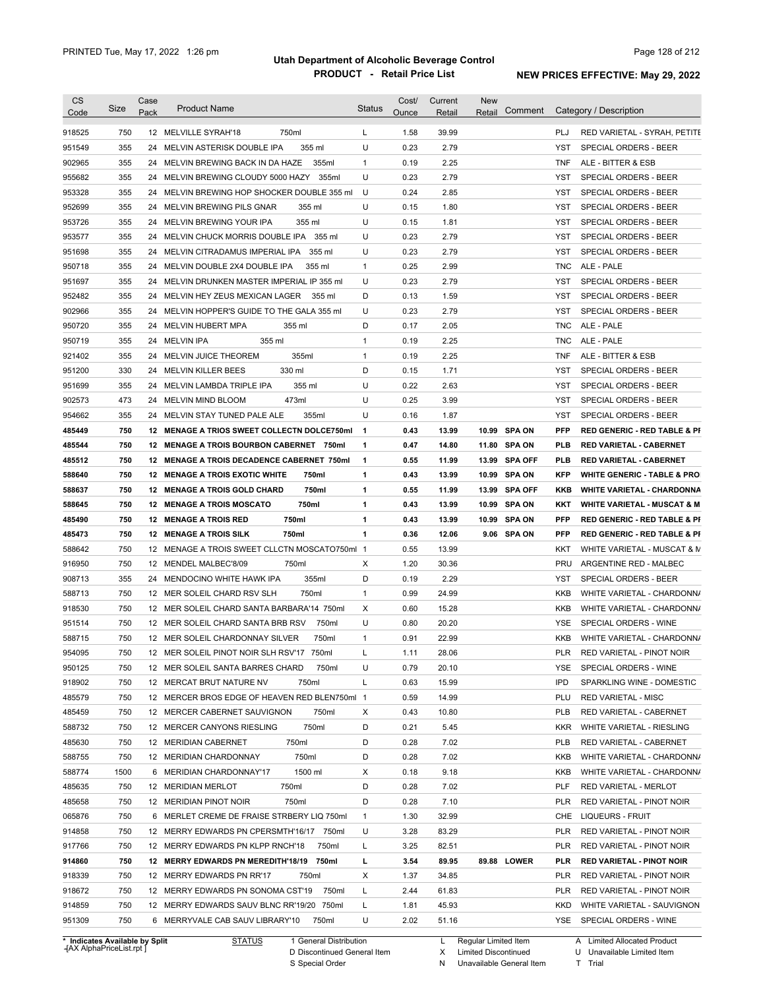| 750<br>1.58<br>39.99<br>918525<br>12 MELVILLE SYRAH'18<br>750ml<br>L<br>PLJ<br>355<br>355 ml<br>U<br>0.23<br>2.79<br><b>YST</b><br>24 MELVIN ASTERISK DOUBLE IPA<br>SPECIAL ORDERS - BEER<br>355<br>0.19<br>2.25<br>24 MELVIN BREWING BACK IN DA HAZE<br>355ml<br>$\mathbf{1}$<br><b>TNF</b><br>ALE - BITTER & ESB<br>355<br>U<br>0.23<br>2.79<br>24 MELVIN BREWING CLOUDY 5000 HAZY<br>355ml<br>YST<br>355<br>U<br>0.24<br>2.85<br>24 MELVIN BREWING HOP SHOCKER DOUBLE 355 ml<br>YST<br>SPECIAL ORDERS - BEER<br>355<br>U<br>0.15<br>1.80<br>SPECIAL ORDERS - BEER<br>24 MELVIN BREWING PILS GNAR<br>355 ml<br>YST<br>355<br>U<br>24 MELVIN BREWING YOUR IPA<br>355 ml<br>0.15<br>1.81<br>YST<br>355<br>U<br>0.23<br>2.79<br>24 MELVIN CHUCK MORRIS DOUBLE IPA<br>355 ml<br>YST<br>SPECIAL ORDERS - BEER<br>355<br>U<br>0.23<br>2.79<br><b>YST</b><br>24 MELVIN CITRADAMUS IMPERIAL IPA<br>355 ml<br>SPECIAL ORDERS - BEER<br>355<br>0.25<br>2.99<br>24 MELVIN DOUBLE 2X4 DOUBLE IPA<br>355 ml<br>$\mathbf{1}$<br><b>TNC</b><br>ALE - PALE<br>0.23<br>355<br>U<br>2.79<br><b>YST</b><br>SPECIAL ORDERS - BEER<br>24 MELVIN DRUNKEN MASTER IMPERIAL IP 355 ml<br>355<br>D<br>0.13<br>24 MELVIN HEY ZEUS MEXICAN LAGER<br>1.59<br>YST<br>SPECIAL ORDERS - BEER<br>355 ml<br>355<br>U<br>0.23<br>2.79<br>902966<br>24 MELVIN HOPPER'S GUIDE TO THE GALA 355 ml<br>YST<br>SPECIAL ORDERS - BEER<br>355<br>24 MELVIN HUBERT MPA<br>D<br>0.17<br>2.05<br>950720<br>355 ml<br><b>TNC</b><br>ALE - PALE<br>355<br>$\mathbf{1}$<br>0.19<br>2.25<br>24 MELVIN IPA<br>355 ml<br><b>TNC</b><br>ALE - PALE<br>355<br>355ml<br>$\mathbf{1}$<br>0.19<br>2.25<br>24 MELVIN JUICE THEOREM<br><b>TNF</b><br>ALE - BITTER & ESB<br>330<br>330 ml<br>D<br>0.15<br>1.71<br>24 MELVIN KILLER BEES<br>YST<br>SPECIAL ORDERS - BEER<br>U<br>0.22<br>2.63<br>355<br>24 MELVIN LAMBDA TRIPLE IPA<br>355 ml<br>YST<br>SPECIAL ORDERS - BEER<br>473<br>473ml<br>U<br>0.25<br>3.99<br>24 MELVIN MIND BLOOM<br>YST<br>SPECIAL ORDERS - BEER<br>355<br>355ml<br>U<br>0.16<br>1.87<br>24 MELVIN STAY TUNED PALE ALE<br>YST<br>SPECIAL ORDERS - BEER<br>750<br>0.43<br><b>SPA ON</b><br>12 MENAGE A TRIOS SWEET COLLECTN DOLCE750ml<br>$\mathbf{1}$<br>13.99<br>10.99<br><b>PFP</b><br><b>RED GENERIC - RED TABLE &amp; PI</b><br>750<br>0.47<br>11.80 SPA ON<br>12 MENAGE A TROIS BOURBON CABERNET 750ml<br>1<br>14.80<br><b>PLB</b><br>RED VARIETAL - CABERNET<br>750<br>12 MENAGE A TROIS DECADENCE CABERNET 750ml<br>$\mathbf{1}$<br>0.55<br>11.99<br>13.99<br><b>SPA OFF</b><br><b>PLB</b><br>RED VARIETAL - CABERNET<br>588640<br>750<br>12 MENAGE A TROIS EXOTIC WHITE<br>750ml<br>$\mathbf{1}$<br>0.43<br>13.99<br>10.99<br><b>SPA ON</b><br><b>KFP</b><br><b>WHITE GENERIC - TABLE &amp; PRO</b><br>750ml<br>750<br>12 MENAGE A TROIS GOLD CHARD<br>$\mathbf{1}$<br>0.55<br>11.99<br>13.99<br><b>SPA OFF</b><br>KKB<br><b>WHITE VARIETAL - CHARDONNA</b><br>750<br><b>12 MENAGE A TROIS MOSCATO</b><br>750ml<br>$\mathbf{1}$<br>0.43<br>13.99<br>10.99<br><b>SPA ON</b><br>KKT<br>750<br>12 MENAGE A TROIS RED<br>750ml<br>1<br>0.43<br>13.99<br>10.99<br><b>SPA ON</b><br><b>PFP</b><br>750<br>1<br>12 MENAGE A TROIS SILK<br>750ml<br>0.36<br>12.06<br>9.06 SPA ON<br><b>PFP</b><br>750<br>12 MENAGE A TROIS SWEET CLLCTN MOSCATO750ml 1<br>13.99<br>0.55<br>KKT<br>750<br>1.20<br>30.36<br>12 MENDEL MALBEC'8/09<br>750ml<br>X<br>PRU<br>ARGENTINE RED - MALBEC<br>355<br>355ml<br>D<br>0.19<br>2.29<br>SPECIAL ORDERS - BEER<br>24 MENDOCINO WHITE HAWK IPA<br>YST<br>750<br>$\mathbf{1}$<br>0.99<br>24.99<br>12 MER SOLEIL CHARD RSV SLH<br>750ml<br>KKB<br>750<br>0.60<br>12 MER SOLEIL CHARD SANTA BARBARA'14 750ml<br>X<br>15.28<br>KKB<br>U<br>750<br>0.80<br>20.20<br>SPECIAL ORDERS - WINE<br>12 MER SOLEIL CHARD SANTA BRB RSV<br>750ml<br>YSE<br>750<br>12 MER SOLEIL CHARDONNAY SILVER<br>0.91<br>22.99<br>750ml<br>1<br>KKB<br>28.06<br><b>PLR</b><br>750<br>12 MER SOLEIL PINOT NOIR SLH RSV'17 750ml<br>1.11<br>U<br>750<br>12 MER SOLEIL SANTA BARRES CHARD<br>750ml<br>0.79<br>20.10<br>YSE<br>15.99<br><b>IPD</b><br>750<br>12 MERCAT BRUT NATURE NV<br>750ml<br>L<br>0.63<br>14.99<br>750<br>12 MERCER BROS EDGE OF HEAVEN RED BLEN750ml 1<br>0.59<br>PLU<br><b>RED VARIETAL - MISC</b><br>750<br>12 MERCER CABERNET SAUVIGNON<br>750ml<br>Х<br>0.43<br>10.80<br><b>PLB</b><br>D<br>5.45<br>750<br>12 MERCER CANYONS RIESLING<br>750ml<br>0.21<br><b>KKR</b><br>750ml<br>0.28<br>7.02<br>750<br>12 MERIDIAN CABERNET<br>D<br><b>PLB</b><br>750<br>750ml<br>D<br>0.28<br>7.02<br>12 MERIDIAN CHARDONNAY<br>KKB<br>1500<br>1500 ml<br>9.18<br>6 MERIDIAN CHARDONNAY'17<br>Х<br>0.18<br>KKB<br>750<br>750ml<br>D<br>0.28<br>7.02<br>12 MERIDIAN MERLOT<br>PLF<br>750<br>750ml<br>D<br>0.28<br>7.10<br>12 MERIDIAN PINOT NOIR<br><b>PLR</b><br>32.99<br>750<br>6 MERLET CREME DE FRAISE STRBERY LIQ 750ml<br>$\mathbf{1}$<br>1.30<br>CHE<br>LIQUEURS - FRUIT<br>U<br>750<br>12 MERRY EDWARDS PN CPERSMTH'16/17 750ml<br>3.28<br>83.29<br><b>PLR</b><br>750<br>12 MERRY EDWARDS PN KLPP RNCH'18<br>750ml<br>L<br>3.25<br>82.51<br><b>PLR</b><br>750<br>12 MERRY EDWARDS PN MEREDITH'18/19<br>750ml<br>L<br>3.54<br>89.95<br>89.88 LOWER<br><b>PLR</b><br>Х<br>750<br>12 MERRY EDWARDS PN RR'17<br>750ml<br>1.37<br>34.85<br><b>PLR</b><br>750<br>12 MERRY EDWARDS PN SONOMA CST'19<br>750ml<br>L<br>2.44<br>61.83<br><b>PLR</b><br>750<br>12 MERRY EDWARDS SAUV BLNC RR'19/20 750ml<br>L<br>1.81<br><b>KKD</b> | <b>CS</b><br>Code | Size | Case<br>Pack | <b>Product Name</b> | <b>Status</b> | Cost/<br>Ounce | Current<br>Retail | <b>New</b><br>Retail | Comment | Category / Description                  |
|----------------------------------------------------------------------------------------------------------------------------------------------------------------------------------------------------------------------------------------------------------------------------------------------------------------------------------------------------------------------------------------------------------------------------------------------------------------------------------------------------------------------------------------------------------------------------------------------------------------------------------------------------------------------------------------------------------------------------------------------------------------------------------------------------------------------------------------------------------------------------------------------------------------------------------------------------------------------------------------------------------------------------------------------------------------------------------------------------------------------------------------------------------------------------------------------------------------------------------------------------------------------------------------------------------------------------------------------------------------------------------------------------------------------------------------------------------------------------------------------------------------------------------------------------------------------------------------------------------------------------------------------------------------------------------------------------------------------------------------------------------------------------------------------------------------------------------------------------------------------------------------------------------------------------------------------------------------------------------------------------------------------------------------------------------------------------------------------------------------------------------------------------------------------------------------------------------------------------------------------------------------------------------------------------------------------------------------------------------------------------------------------------------------------------------------------------------------------------------------------------------------------------------------------------------------------------------------------------------------------------------------------------------------------------------------------------------------------------------------------------------------------------------------------------------------------------------------------------------------------------------------------------------------------------------------------------------------------------------------------------------------------------------------------------------------------------------------------------------------------------------------------------------------------------------------------------------------------------------------------------------------------------------------------------------------------------------------------------------------------------------------------------------------------------------------------------------------------------------------------------------------------------------------------------------------------------------------------------------------------------------------------------------------------------------------------------------------------------------------------------------------------------------------------------------------------------------------------------------------------------------------------------------------------------------------------------------------------------------------------------------------------------------------------------------------------------------------------------------------------------------------------------------------------------------------------------------------------------------------------------------------------------------------------------------------------------------------------------------------------------------------------------------------------------------------------------------------------------------------------------------------------------------------------------------------------------------------------------------------------------------------------------------------------------------------------------------------------------------------------------------------------------------------------------------------------------------------------------------------------------------------------------------------------------------------------------------------------------------------------------------------------------------------------------------------------------------------------------------------------------------------------------------------------------------------------------------------------------------------------------------------------------------------------------------------------------------------------------------------------------------------------------------------------------------------------------------------------------------------------------------|-------------------|------|--------------|---------------------|---------------|----------------|-------------------|----------------------|---------|-----------------------------------------|
| 951549<br>902965<br>955682<br>953328<br>952699<br>953726<br>953577<br>951698<br>950718<br>951697<br>952482<br>950719<br>921402<br>951200<br>951699<br>902573<br>954662<br>485449<br>485544<br>485512<br>588637<br>588645<br>485490<br>485473<br>588642<br>916950<br>908713<br>588713<br>918530<br>951514<br>588715<br>954095<br>950125<br>918902<br>485579<br>485459<br>588732<br>485630<br>588755<br>588774<br>485635<br>485658<br>065876<br>914858<br>917766<br>914860<br>918339<br>918672<br>914859                                                                                                                                                                                                                                                                                                                                                                                                                                                                                                                                                                                                                                                                                                                                                                                                                                                                                                                                                                                                                                                                                                                                                                                                                                                                                                                                                                                                                                                                                                                                                                                                                                                                                                                                                                                                                                                                                                                                                                                                                                                                                                                                                                                                                                                                                                                                                                                                                                                                                                                                                                                                                                                                                                                                                                                                                                                                                                                                                                                                                                                                                                                                                                                                                                                                                                                                                                                                                                                                                                                                                                                                                                                                                                                                                                                                                                                                                                                                                                                                                                                                                                                                                                                                                                                                                                                                                                                                                                                                                                                                                                                                                                                                                                                                                                                                                                                                                                                                                                                                   |                   |      |              |                     |               |                |                   |                      |         | RED VARIETAL - SYRAH, PETITE            |
|                                                                                                                                                                                                                                                                                                                                                                                                                                                                                                                                                                                                                                                                                                                                                                                                                                                                                                                                                                                                                                                                                                                                                                                                                                                                                                                                                                                                                                                                                                                                                                                                                                                                                                                                                                                                                                                                                                                                                                                                                                                                                                                                                                                                                                                                                                                                                                                                                                                                                                                                                                                                                                                                                                                                                                                                                                                                                                                                                                                                                                                                                                                                                                                                                                                                                                                                                                                                                                                                                                                                                                                                                                                                                                                                                                                                                                                                                                                                                                                                                                                                                                                                                                                                                                                                                                                                                                                                                                                                                                                                                                                                                                                                                                                                                                                                                                                                                                                                                                                                                                                                                                                                                                                                                                                                                                                                                                                                                                                                                                          |                   |      |              |                     |               |                |                   |                      |         |                                         |
|                                                                                                                                                                                                                                                                                                                                                                                                                                                                                                                                                                                                                                                                                                                                                                                                                                                                                                                                                                                                                                                                                                                                                                                                                                                                                                                                                                                                                                                                                                                                                                                                                                                                                                                                                                                                                                                                                                                                                                                                                                                                                                                                                                                                                                                                                                                                                                                                                                                                                                                                                                                                                                                                                                                                                                                                                                                                                                                                                                                                                                                                                                                                                                                                                                                                                                                                                                                                                                                                                                                                                                                                                                                                                                                                                                                                                                                                                                                                                                                                                                                                                                                                                                                                                                                                                                                                                                                                                                                                                                                                                                                                                                                                                                                                                                                                                                                                                                                                                                                                                                                                                                                                                                                                                                                                                                                                                                                                                                                                                                          |                   |      |              |                     |               |                |                   |                      |         |                                         |
|                                                                                                                                                                                                                                                                                                                                                                                                                                                                                                                                                                                                                                                                                                                                                                                                                                                                                                                                                                                                                                                                                                                                                                                                                                                                                                                                                                                                                                                                                                                                                                                                                                                                                                                                                                                                                                                                                                                                                                                                                                                                                                                                                                                                                                                                                                                                                                                                                                                                                                                                                                                                                                                                                                                                                                                                                                                                                                                                                                                                                                                                                                                                                                                                                                                                                                                                                                                                                                                                                                                                                                                                                                                                                                                                                                                                                                                                                                                                                                                                                                                                                                                                                                                                                                                                                                                                                                                                                                                                                                                                                                                                                                                                                                                                                                                                                                                                                                                                                                                                                                                                                                                                                                                                                                                                                                                                                                                                                                                                                                          |                   |      |              |                     |               |                |                   |                      |         | <b>SPECIAL ORDERS - BEER</b>            |
|                                                                                                                                                                                                                                                                                                                                                                                                                                                                                                                                                                                                                                                                                                                                                                                                                                                                                                                                                                                                                                                                                                                                                                                                                                                                                                                                                                                                                                                                                                                                                                                                                                                                                                                                                                                                                                                                                                                                                                                                                                                                                                                                                                                                                                                                                                                                                                                                                                                                                                                                                                                                                                                                                                                                                                                                                                                                                                                                                                                                                                                                                                                                                                                                                                                                                                                                                                                                                                                                                                                                                                                                                                                                                                                                                                                                                                                                                                                                                                                                                                                                                                                                                                                                                                                                                                                                                                                                                                                                                                                                                                                                                                                                                                                                                                                                                                                                                                                                                                                                                                                                                                                                                                                                                                                                                                                                                                                                                                                                                                          |                   |      |              |                     |               |                |                   |                      |         |                                         |
|                                                                                                                                                                                                                                                                                                                                                                                                                                                                                                                                                                                                                                                                                                                                                                                                                                                                                                                                                                                                                                                                                                                                                                                                                                                                                                                                                                                                                                                                                                                                                                                                                                                                                                                                                                                                                                                                                                                                                                                                                                                                                                                                                                                                                                                                                                                                                                                                                                                                                                                                                                                                                                                                                                                                                                                                                                                                                                                                                                                                                                                                                                                                                                                                                                                                                                                                                                                                                                                                                                                                                                                                                                                                                                                                                                                                                                                                                                                                                                                                                                                                                                                                                                                                                                                                                                                                                                                                                                                                                                                                                                                                                                                                                                                                                                                                                                                                                                                                                                                                                                                                                                                                                                                                                                                                                                                                                                                                                                                                                                          |                   |      |              |                     |               |                |                   |                      |         |                                         |
|                                                                                                                                                                                                                                                                                                                                                                                                                                                                                                                                                                                                                                                                                                                                                                                                                                                                                                                                                                                                                                                                                                                                                                                                                                                                                                                                                                                                                                                                                                                                                                                                                                                                                                                                                                                                                                                                                                                                                                                                                                                                                                                                                                                                                                                                                                                                                                                                                                                                                                                                                                                                                                                                                                                                                                                                                                                                                                                                                                                                                                                                                                                                                                                                                                                                                                                                                                                                                                                                                                                                                                                                                                                                                                                                                                                                                                                                                                                                                                                                                                                                                                                                                                                                                                                                                                                                                                                                                                                                                                                                                                                                                                                                                                                                                                                                                                                                                                                                                                                                                                                                                                                                                                                                                                                                                                                                                                                                                                                                                                          |                   |      |              |                     |               |                |                   |                      |         | SPECIAL ORDERS - BEER                   |
|                                                                                                                                                                                                                                                                                                                                                                                                                                                                                                                                                                                                                                                                                                                                                                                                                                                                                                                                                                                                                                                                                                                                                                                                                                                                                                                                                                                                                                                                                                                                                                                                                                                                                                                                                                                                                                                                                                                                                                                                                                                                                                                                                                                                                                                                                                                                                                                                                                                                                                                                                                                                                                                                                                                                                                                                                                                                                                                                                                                                                                                                                                                                                                                                                                                                                                                                                                                                                                                                                                                                                                                                                                                                                                                                                                                                                                                                                                                                                                                                                                                                                                                                                                                                                                                                                                                                                                                                                                                                                                                                                                                                                                                                                                                                                                                                                                                                                                                                                                                                                                                                                                                                                                                                                                                                                                                                                                                                                                                                                                          |                   |      |              |                     |               |                |                   |                      |         |                                         |
|                                                                                                                                                                                                                                                                                                                                                                                                                                                                                                                                                                                                                                                                                                                                                                                                                                                                                                                                                                                                                                                                                                                                                                                                                                                                                                                                                                                                                                                                                                                                                                                                                                                                                                                                                                                                                                                                                                                                                                                                                                                                                                                                                                                                                                                                                                                                                                                                                                                                                                                                                                                                                                                                                                                                                                                                                                                                                                                                                                                                                                                                                                                                                                                                                                                                                                                                                                                                                                                                                                                                                                                                                                                                                                                                                                                                                                                                                                                                                                                                                                                                                                                                                                                                                                                                                                                                                                                                                                                                                                                                                                                                                                                                                                                                                                                                                                                                                                                                                                                                                                                                                                                                                                                                                                                                                                                                                                                                                                                                                                          |                   |      |              |                     |               |                |                   |                      |         |                                         |
|                                                                                                                                                                                                                                                                                                                                                                                                                                                                                                                                                                                                                                                                                                                                                                                                                                                                                                                                                                                                                                                                                                                                                                                                                                                                                                                                                                                                                                                                                                                                                                                                                                                                                                                                                                                                                                                                                                                                                                                                                                                                                                                                                                                                                                                                                                                                                                                                                                                                                                                                                                                                                                                                                                                                                                                                                                                                                                                                                                                                                                                                                                                                                                                                                                                                                                                                                                                                                                                                                                                                                                                                                                                                                                                                                                                                                                                                                                                                                                                                                                                                                                                                                                                                                                                                                                                                                                                                                                                                                                                                                                                                                                                                                                                                                                                                                                                                                                                                                                                                                                                                                                                                                                                                                                                                                                                                                                                                                                                                                                          |                   |      |              |                     |               |                |                   |                      |         |                                         |
|                                                                                                                                                                                                                                                                                                                                                                                                                                                                                                                                                                                                                                                                                                                                                                                                                                                                                                                                                                                                                                                                                                                                                                                                                                                                                                                                                                                                                                                                                                                                                                                                                                                                                                                                                                                                                                                                                                                                                                                                                                                                                                                                                                                                                                                                                                                                                                                                                                                                                                                                                                                                                                                                                                                                                                                                                                                                                                                                                                                                                                                                                                                                                                                                                                                                                                                                                                                                                                                                                                                                                                                                                                                                                                                                                                                                                                                                                                                                                                                                                                                                                                                                                                                                                                                                                                                                                                                                                                                                                                                                                                                                                                                                                                                                                                                                                                                                                                                                                                                                                                                                                                                                                                                                                                                                                                                                                                                                                                                                                                          |                   |      |              |                     |               |                |                   |                      |         |                                         |
|                                                                                                                                                                                                                                                                                                                                                                                                                                                                                                                                                                                                                                                                                                                                                                                                                                                                                                                                                                                                                                                                                                                                                                                                                                                                                                                                                                                                                                                                                                                                                                                                                                                                                                                                                                                                                                                                                                                                                                                                                                                                                                                                                                                                                                                                                                                                                                                                                                                                                                                                                                                                                                                                                                                                                                                                                                                                                                                                                                                                                                                                                                                                                                                                                                                                                                                                                                                                                                                                                                                                                                                                                                                                                                                                                                                                                                                                                                                                                                                                                                                                                                                                                                                                                                                                                                                                                                                                                                                                                                                                                                                                                                                                                                                                                                                                                                                                                                                                                                                                                                                                                                                                                                                                                                                                                                                                                                                                                                                                                                          |                   |      |              |                     |               |                |                   |                      |         |                                         |
|                                                                                                                                                                                                                                                                                                                                                                                                                                                                                                                                                                                                                                                                                                                                                                                                                                                                                                                                                                                                                                                                                                                                                                                                                                                                                                                                                                                                                                                                                                                                                                                                                                                                                                                                                                                                                                                                                                                                                                                                                                                                                                                                                                                                                                                                                                                                                                                                                                                                                                                                                                                                                                                                                                                                                                                                                                                                                                                                                                                                                                                                                                                                                                                                                                                                                                                                                                                                                                                                                                                                                                                                                                                                                                                                                                                                                                                                                                                                                                                                                                                                                                                                                                                                                                                                                                                                                                                                                                                                                                                                                                                                                                                                                                                                                                                                                                                                                                                                                                                                                                                                                                                                                                                                                                                                                                                                                                                                                                                                                                          |                   |      |              |                     |               |                |                   |                      |         |                                         |
|                                                                                                                                                                                                                                                                                                                                                                                                                                                                                                                                                                                                                                                                                                                                                                                                                                                                                                                                                                                                                                                                                                                                                                                                                                                                                                                                                                                                                                                                                                                                                                                                                                                                                                                                                                                                                                                                                                                                                                                                                                                                                                                                                                                                                                                                                                                                                                                                                                                                                                                                                                                                                                                                                                                                                                                                                                                                                                                                                                                                                                                                                                                                                                                                                                                                                                                                                                                                                                                                                                                                                                                                                                                                                                                                                                                                                                                                                                                                                                                                                                                                                                                                                                                                                                                                                                                                                                                                                                                                                                                                                                                                                                                                                                                                                                                                                                                                                                                                                                                                                                                                                                                                                                                                                                                                                                                                                                                                                                                                                                          |                   |      |              |                     |               |                |                   |                      |         |                                         |
|                                                                                                                                                                                                                                                                                                                                                                                                                                                                                                                                                                                                                                                                                                                                                                                                                                                                                                                                                                                                                                                                                                                                                                                                                                                                                                                                                                                                                                                                                                                                                                                                                                                                                                                                                                                                                                                                                                                                                                                                                                                                                                                                                                                                                                                                                                                                                                                                                                                                                                                                                                                                                                                                                                                                                                                                                                                                                                                                                                                                                                                                                                                                                                                                                                                                                                                                                                                                                                                                                                                                                                                                                                                                                                                                                                                                                                                                                                                                                                                                                                                                                                                                                                                                                                                                                                                                                                                                                                                                                                                                                                                                                                                                                                                                                                                                                                                                                                                                                                                                                                                                                                                                                                                                                                                                                                                                                                                                                                                                                                          |                   |      |              |                     |               |                |                   |                      |         |                                         |
|                                                                                                                                                                                                                                                                                                                                                                                                                                                                                                                                                                                                                                                                                                                                                                                                                                                                                                                                                                                                                                                                                                                                                                                                                                                                                                                                                                                                                                                                                                                                                                                                                                                                                                                                                                                                                                                                                                                                                                                                                                                                                                                                                                                                                                                                                                                                                                                                                                                                                                                                                                                                                                                                                                                                                                                                                                                                                                                                                                                                                                                                                                                                                                                                                                                                                                                                                                                                                                                                                                                                                                                                                                                                                                                                                                                                                                                                                                                                                                                                                                                                                                                                                                                                                                                                                                                                                                                                                                                                                                                                                                                                                                                                                                                                                                                                                                                                                                                                                                                                                                                                                                                                                                                                                                                                                                                                                                                                                                                                                                          |                   |      |              |                     |               |                |                   |                      |         |                                         |
|                                                                                                                                                                                                                                                                                                                                                                                                                                                                                                                                                                                                                                                                                                                                                                                                                                                                                                                                                                                                                                                                                                                                                                                                                                                                                                                                                                                                                                                                                                                                                                                                                                                                                                                                                                                                                                                                                                                                                                                                                                                                                                                                                                                                                                                                                                                                                                                                                                                                                                                                                                                                                                                                                                                                                                                                                                                                                                                                                                                                                                                                                                                                                                                                                                                                                                                                                                                                                                                                                                                                                                                                                                                                                                                                                                                                                                                                                                                                                                                                                                                                                                                                                                                                                                                                                                                                                                                                                                                                                                                                                                                                                                                                                                                                                                                                                                                                                                                                                                                                                                                                                                                                                                                                                                                                                                                                                                                                                                                                                                          |                   |      |              |                     |               |                |                   |                      |         |                                         |
|                                                                                                                                                                                                                                                                                                                                                                                                                                                                                                                                                                                                                                                                                                                                                                                                                                                                                                                                                                                                                                                                                                                                                                                                                                                                                                                                                                                                                                                                                                                                                                                                                                                                                                                                                                                                                                                                                                                                                                                                                                                                                                                                                                                                                                                                                                                                                                                                                                                                                                                                                                                                                                                                                                                                                                                                                                                                                                                                                                                                                                                                                                                                                                                                                                                                                                                                                                                                                                                                                                                                                                                                                                                                                                                                                                                                                                                                                                                                                                                                                                                                                                                                                                                                                                                                                                                                                                                                                                                                                                                                                                                                                                                                                                                                                                                                                                                                                                                                                                                                                                                                                                                                                                                                                                                                                                                                                                                                                                                                                                          |                   |      |              |                     |               |                |                   |                      |         |                                         |
|                                                                                                                                                                                                                                                                                                                                                                                                                                                                                                                                                                                                                                                                                                                                                                                                                                                                                                                                                                                                                                                                                                                                                                                                                                                                                                                                                                                                                                                                                                                                                                                                                                                                                                                                                                                                                                                                                                                                                                                                                                                                                                                                                                                                                                                                                                                                                                                                                                                                                                                                                                                                                                                                                                                                                                                                                                                                                                                                                                                                                                                                                                                                                                                                                                                                                                                                                                                                                                                                                                                                                                                                                                                                                                                                                                                                                                                                                                                                                                                                                                                                                                                                                                                                                                                                                                                                                                                                                                                                                                                                                                                                                                                                                                                                                                                                                                                                                                                                                                                                                                                                                                                                                                                                                                                                                                                                                                                                                                                                                                          |                   |      |              |                     |               |                |                   |                      |         |                                         |
|                                                                                                                                                                                                                                                                                                                                                                                                                                                                                                                                                                                                                                                                                                                                                                                                                                                                                                                                                                                                                                                                                                                                                                                                                                                                                                                                                                                                                                                                                                                                                                                                                                                                                                                                                                                                                                                                                                                                                                                                                                                                                                                                                                                                                                                                                                                                                                                                                                                                                                                                                                                                                                                                                                                                                                                                                                                                                                                                                                                                                                                                                                                                                                                                                                                                                                                                                                                                                                                                                                                                                                                                                                                                                                                                                                                                                                                                                                                                                                                                                                                                                                                                                                                                                                                                                                                                                                                                                                                                                                                                                                                                                                                                                                                                                                                                                                                                                                                                                                                                                                                                                                                                                                                                                                                                                                                                                                                                                                                                                                          |                   |      |              |                     |               |                |                   |                      |         |                                         |
|                                                                                                                                                                                                                                                                                                                                                                                                                                                                                                                                                                                                                                                                                                                                                                                                                                                                                                                                                                                                                                                                                                                                                                                                                                                                                                                                                                                                                                                                                                                                                                                                                                                                                                                                                                                                                                                                                                                                                                                                                                                                                                                                                                                                                                                                                                                                                                                                                                                                                                                                                                                                                                                                                                                                                                                                                                                                                                                                                                                                                                                                                                                                                                                                                                                                                                                                                                                                                                                                                                                                                                                                                                                                                                                                                                                                                                                                                                                                                                                                                                                                                                                                                                                                                                                                                                                                                                                                                                                                                                                                                                                                                                                                                                                                                                                                                                                                                                                                                                                                                                                                                                                                                                                                                                                                                                                                                                                                                                                                                                          |                   |      |              |                     |               |                |                   |                      |         |                                         |
|                                                                                                                                                                                                                                                                                                                                                                                                                                                                                                                                                                                                                                                                                                                                                                                                                                                                                                                                                                                                                                                                                                                                                                                                                                                                                                                                                                                                                                                                                                                                                                                                                                                                                                                                                                                                                                                                                                                                                                                                                                                                                                                                                                                                                                                                                                                                                                                                                                                                                                                                                                                                                                                                                                                                                                                                                                                                                                                                                                                                                                                                                                                                                                                                                                                                                                                                                                                                                                                                                                                                                                                                                                                                                                                                                                                                                                                                                                                                                                                                                                                                                                                                                                                                                                                                                                                                                                                                                                                                                                                                                                                                                                                                                                                                                                                                                                                                                                                                                                                                                                                                                                                                                                                                                                                                                                                                                                                                                                                                                                          |                   |      |              |                     |               |                |                   |                      |         |                                         |
|                                                                                                                                                                                                                                                                                                                                                                                                                                                                                                                                                                                                                                                                                                                                                                                                                                                                                                                                                                                                                                                                                                                                                                                                                                                                                                                                                                                                                                                                                                                                                                                                                                                                                                                                                                                                                                                                                                                                                                                                                                                                                                                                                                                                                                                                                                                                                                                                                                                                                                                                                                                                                                                                                                                                                                                                                                                                                                                                                                                                                                                                                                                                                                                                                                                                                                                                                                                                                                                                                                                                                                                                                                                                                                                                                                                                                                                                                                                                                                                                                                                                                                                                                                                                                                                                                                                                                                                                                                                                                                                                                                                                                                                                                                                                                                                                                                                                                                                                                                                                                                                                                                                                                                                                                                                                                                                                                                                                                                                                                                          |                   |      |              |                     |               |                |                   |                      |         |                                         |
|                                                                                                                                                                                                                                                                                                                                                                                                                                                                                                                                                                                                                                                                                                                                                                                                                                                                                                                                                                                                                                                                                                                                                                                                                                                                                                                                                                                                                                                                                                                                                                                                                                                                                                                                                                                                                                                                                                                                                                                                                                                                                                                                                                                                                                                                                                                                                                                                                                                                                                                                                                                                                                                                                                                                                                                                                                                                                                                                                                                                                                                                                                                                                                                                                                                                                                                                                                                                                                                                                                                                                                                                                                                                                                                                                                                                                                                                                                                                                                                                                                                                                                                                                                                                                                                                                                                                                                                                                                                                                                                                                                                                                                                                                                                                                                                                                                                                                                                                                                                                                                                                                                                                                                                                                                                                                                                                                                                                                                                                                                          |                   |      |              |                     |               |                |                   |                      |         |                                         |
|                                                                                                                                                                                                                                                                                                                                                                                                                                                                                                                                                                                                                                                                                                                                                                                                                                                                                                                                                                                                                                                                                                                                                                                                                                                                                                                                                                                                                                                                                                                                                                                                                                                                                                                                                                                                                                                                                                                                                                                                                                                                                                                                                                                                                                                                                                                                                                                                                                                                                                                                                                                                                                                                                                                                                                                                                                                                                                                                                                                                                                                                                                                                                                                                                                                                                                                                                                                                                                                                                                                                                                                                                                                                                                                                                                                                                                                                                                                                                                                                                                                                                                                                                                                                                                                                                                                                                                                                                                                                                                                                                                                                                                                                                                                                                                                                                                                                                                                                                                                                                                                                                                                                                                                                                                                                                                                                                                                                                                                                                                          |                   |      |              |                     |               |                |                   |                      |         |                                         |
|                                                                                                                                                                                                                                                                                                                                                                                                                                                                                                                                                                                                                                                                                                                                                                                                                                                                                                                                                                                                                                                                                                                                                                                                                                                                                                                                                                                                                                                                                                                                                                                                                                                                                                                                                                                                                                                                                                                                                                                                                                                                                                                                                                                                                                                                                                                                                                                                                                                                                                                                                                                                                                                                                                                                                                                                                                                                                                                                                                                                                                                                                                                                                                                                                                                                                                                                                                                                                                                                                                                                                                                                                                                                                                                                                                                                                                                                                                                                                                                                                                                                                                                                                                                                                                                                                                                                                                                                                                                                                                                                                                                                                                                                                                                                                                                                                                                                                                                                                                                                                                                                                                                                                                                                                                                                                                                                                                                                                                                                                                          |                   |      |              |                     |               |                |                   |                      |         |                                         |
|                                                                                                                                                                                                                                                                                                                                                                                                                                                                                                                                                                                                                                                                                                                                                                                                                                                                                                                                                                                                                                                                                                                                                                                                                                                                                                                                                                                                                                                                                                                                                                                                                                                                                                                                                                                                                                                                                                                                                                                                                                                                                                                                                                                                                                                                                                                                                                                                                                                                                                                                                                                                                                                                                                                                                                                                                                                                                                                                                                                                                                                                                                                                                                                                                                                                                                                                                                                                                                                                                                                                                                                                                                                                                                                                                                                                                                                                                                                                                                                                                                                                                                                                                                                                                                                                                                                                                                                                                                                                                                                                                                                                                                                                                                                                                                                                                                                                                                                                                                                                                                                                                                                                                                                                                                                                                                                                                                                                                                                                                                          |                   |      |              |                     |               |                |                   |                      |         | <b>WHITE VARIETAL - MUSCAT &amp; M</b>  |
|                                                                                                                                                                                                                                                                                                                                                                                                                                                                                                                                                                                                                                                                                                                                                                                                                                                                                                                                                                                                                                                                                                                                                                                                                                                                                                                                                                                                                                                                                                                                                                                                                                                                                                                                                                                                                                                                                                                                                                                                                                                                                                                                                                                                                                                                                                                                                                                                                                                                                                                                                                                                                                                                                                                                                                                                                                                                                                                                                                                                                                                                                                                                                                                                                                                                                                                                                                                                                                                                                                                                                                                                                                                                                                                                                                                                                                                                                                                                                                                                                                                                                                                                                                                                                                                                                                                                                                                                                                                                                                                                                                                                                                                                                                                                                                                                                                                                                                                                                                                                                                                                                                                                                                                                                                                                                                                                                                                                                                                                                                          |                   |      |              |                     |               |                |                   |                      |         | <b>RED GENERIC - RED TABLE &amp; PI</b> |
|                                                                                                                                                                                                                                                                                                                                                                                                                                                                                                                                                                                                                                                                                                                                                                                                                                                                                                                                                                                                                                                                                                                                                                                                                                                                                                                                                                                                                                                                                                                                                                                                                                                                                                                                                                                                                                                                                                                                                                                                                                                                                                                                                                                                                                                                                                                                                                                                                                                                                                                                                                                                                                                                                                                                                                                                                                                                                                                                                                                                                                                                                                                                                                                                                                                                                                                                                                                                                                                                                                                                                                                                                                                                                                                                                                                                                                                                                                                                                                                                                                                                                                                                                                                                                                                                                                                                                                                                                                                                                                                                                                                                                                                                                                                                                                                                                                                                                                                                                                                                                                                                                                                                                                                                                                                                                                                                                                                                                                                                                                          |                   |      |              |                     |               |                |                   |                      |         | <b>RED GENERIC - RED TABLE &amp; PI</b> |
|                                                                                                                                                                                                                                                                                                                                                                                                                                                                                                                                                                                                                                                                                                                                                                                                                                                                                                                                                                                                                                                                                                                                                                                                                                                                                                                                                                                                                                                                                                                                                                                                                                                                                                                                                                                                                                                                                                                                                                                                                                                                                                                                                                                                                                                                                                                                                                                                                                                                                                                                                                                                                                                                                                                                                                                                                                                                                                                                                                                                                                                                                                                                                                                                                                                                                                                                                                                                                                                                                                                                                                                                                                                                                                                                                                                                                                                                                                                                                                                                                                                                                                                                                                                                                                                                                                                                                                                                                                                                                                                                                                                                                                                                                                                                                                                                                                                                                                                                                                                                                                                                                                                                                                                                                                                                                                                                                                                                                                                                                                          |                   |      |              |                     |               |                |                   |                      |         | WHITE VARIETAL - MUSCAT & M             |
|                                                                                                                                                                                                                                                                                                                                                                                                                                                                                                                                                                                                                                                                                                                                                                                                                                                                                                                                                                                                                                                                                                                                                                                                                                                                                                                                                                                                                                                                                                                                                                                                                                                                                                                                                                                                                                                                                                                                                                                                                                                                                                                                                                                                                                                                                                                                                                                                                                                                                                                                                                                                                                                                                                                                                                                                                                                                                                                                                                                                                                                                                                                                                                                                                                                                                                                                                                                                                                                                                                                                                                                                                                                                                                                                                                                                                                                                                                                                                                                                                                                                                                                                                                                                                                                                                                                                                                                                                                                                                                                                                                                                                                                                                                                                                                                                                                                                                                                                                                                                                                                                                                                                                                                                                                                                                                                                                                                                                                                                                                          |                   |      |              |                     |               |                |                   |                      |         |                                         |
|                                                                                                                                                                                                                                                                                                                                                                                                                                                                                                                                                                                                                                                                                                                                                                                                                                                                                                                                                                                                                                                                                                                                                                                                                                                                                                                                                                                                                                                                                                                                                                                                                                                                                                                                                                                                                                                                                                                                                                                                                                                                                                                                                                                                                                                                                                                                                                                                                                                                                                                                                                                                                                                                                                                                                                                                                                                                                                                                                                                                                                                                                                                                                                                                                                                                                                                                                                                                                                                                                                                                                                                                                                                                                                                                                                                                                                                                                                                                                                                                                                                                                                                                                                                                                                                                                                                                                                                                                                                                                                                                                                                                                                                                                                                                                                                                                                                                                                                                                                                                                                                                                                                                                                                                                                                                                                                                                                                                                                                                                                          |                   |      |              |                     |               |                |                   |                      |         |                                         |
|                                                                                                                                                                                                                                                                                                                                                                                                                                                                                                                                                                                                                                                                                                                                                                                                                                                                                                                                                                                                                                                                                                                                                                                                                                                                                                                                                                                                                                                                                                                                                                                                                                                                                                                                                                                                                                                                                                                                                                                                                                                                                                                                                                                                                                                                                                                                                                                                                                                                                                                                                                                                                                                                                                                                                                                                                                                                                                                                                                                                                                                                                                                                                                                                                                                                                                                                                                                                                                                                                                                                                                                                                                                                                                                                                                                                                                                                                                                                                                                                                                                                                                                                                                                                                                                                                                                                                                                                                                                                                                                                                                                                                                                                                                                                                                                                                                                                                                                                                                                                                                                                                                                                                                                                                                                                                                                                                                                                                                                                                                          |                   |      |              |                     |               |                |                   |                      |         | WHITE VARIETAL - CHARDONN/              |
|                                                                                                                                                                                                                                                                                                                                                                                                                                                                                                                                                                                                                                                                                                                                                                                                                                                                                                                                                                                                                                                                                                                                                                                                                                                                                                                                                                                                                                                                                                                                                                                                                                                                                                                                                                                                                                                                                                                                                                                                                                                                                                                                                                                                                                                                                                                                                                                                                                                                                                                                                                                                                                                                                                                                                                                                                                                                                                                                                                                                                                                                                                                                                                                                                                                                                                                                                                                                                                                                                                                                                                                                                                                                                                                                                                                                                                                                                                                                                                                                                                                                                                                                                                                                                                                                                                                                                                                                                                                                                                                                                                                                                                                                                                                                                                                                                                                                                                                                                                                                                                                                                                                                                                                                                                                                                                                                                                                                                                                                                                          |                   |      |              |                     |               |                |                   |                      |         | WHITE VARIETAL - CHARDONN/              |
|                                                                                                                                                                                                                                                                                                                                                                                                                                                                                                                                                                                                                                                                                                                                                                                                                                                                                                                                                                                                                                                                                                                                                                                                                                                                                                                                                                                                                                                                                                                                                                                                                                                                                                                                                                                                                                                                                                                                                                                                                                                                                                                                                                                                                                                                                                                                                                                                                                                                                                                                                                                                                                                                                                                                                                                                                                                                                                                                                                                                                                                                                                                                                                                                                                                                                                                                                                                                                                                                                                                                                                                                                                                                                                                                                                                                                                                                                                                                                                                                                                                                                                                                                                                                                                                                                                                                                                                                                                                                                                                                                                                                                                                                                                                                                                                                                                                                                                                                                                                                                                                                                                                                                                                                                                                                                                                                                                                                                                                                                                          |                   |      |              |                     |               |                |                   |                      |         |                                         |
|                                                                                                                                                                                                                                                                                                                                                                                                                                                                                                                                                                                                                                                                                                                                                                                                                                                                                                                                                                                                                                                                                                                                                                                                                                                                                                                                                                                                                                                                                                                                                                                                                                                                                                                                                                                                                                                                                                                                                                                                                                                                                                                                                                                                                                                                                                                                                                                                                                                                                                                                                                                                                                                                                                                                                                                                                                                                                                                                                                                                                                                                                                                                                                                                                                                                                                                                                                                                                                                                                                                                                                                                                                                                                                                                                                                                                                                                                                                                                                                                                                                                                                                                                                                                                                                                                                                                                                                                                                                                                                                                                                                                                                                                                                                                                                                                                                                                                                                                                                                                                                                                                                                                                                                                                                                                                                                                                                                                                                                                                                          |                   |      |              |                     |               |                |                   |                      |         | WHITE VARIETAL - CHARDONN/              |
|                                                                                                                                                                                                                                                                                                                                                                                                                                                                                                                                                                                                                                                                                                                                                                                                                                                                                                                                                                                                                                                                                                                                                                                                                                                                                                                                                                                                                                                                                                                                                                                                                                                                                                                                                                                                                                                                                                                                                                                                                                                                                                                                                                                                                                                                                                                                                                                                                                                                                                                                                                                                                                                                                                                                                                                                                                                                                                                                                                                                                                                                                                                                                                                                                                                                                                                                                                                                                                                                                                                                                                                                                                                                                                                                                                                                                                                                                                                                                                                                                                                                                                                                                                                                                                                                                                                                                                                                                                                                                                                                                                                                                                                                                                                                                                                                                                                                                                                                                                                                                                                                                                                                                                                                                                                                                                                                                                                                                                                                                                          |                   |      |              |                     |               |                |                   |                      |         | RED VARIETAL - PINOT NOIR               |
|                                                                                                                                                                                                                                                                                                                                                                                                                                                                                                                                                                                                                                                                                                                                                                                                                                                                                                                                                                                                                                                                                                                                                                                                                                                                                                                                                                                                                                                                                                                                                                                                                                                                                                                                                                                                                                                                                                                                                                                                                                                                                                                                                                                                                                                                                                                                                                                                                                                                                                                                                                                                                                                                                                                                                                                                                                                                                                                                                                                                                                                                                                                                                                                                                                                                                                                                                                                                                                                                                                                                                                                                                                                                                                                                                                                                                                                                                                                                                                                                                                                                                                                                                                                                                                                                                                                                                                                                                                                                                                                                                                                                                                                                                                                                                                                                                                                                                                                                                                                                                                                                                                                                                                                                                                                                                                                                                                                                                                                                                                          |                   |      |              |                     |               |                |                   |                      |         | SPECIAL ORDERS - WINE                   |
|                                                                                                                                                                                                                                                                                                                                                                                                                                                                                                                                                                                                                                                                                                                                                                                                                                                                                                                                                                                                                                                                                                                                                                                                                                                                                                                                                                                                                                                                                                                                                                                                                                                                                                                                                                                                                                                                                                                                                                                                                                                                                                                                                                                                                                                                                                                                                                                                                                                                                                                                                                                                                                                                                                                                                                                                                                                                                                                                                                                                                                                                                                                                                                                                                                                                                                                                                                                                                                                                                                                                                                                                                                                                                                                                                                                                                                                                                                                                                                                                                                                                                                                                                                                                                                                                                                                                                                                                                                                                                                                                                                                                                                                                                                                                                                                                                                                                                                                                                                                                                                                                                                                                                                                                                                                                                                                                                                                                                                                                                                          |                   |      |              |                     |               |                |                   |                      |         | SPARKLING WINE - DOMESTIC               |
|                                                                                                                                                                                                                                                                                                                                                                                                                                                                                                                                                                                                                                                                                                                                                                                                                                                                                                                                                                                                                                                                                                                                                                                                                                                                                                                                                                                                                                                                                                                                                                                                                                                                                                                                                                                                                                                                                                                                                                                                                                                                                                                                                                                                                                                                                                                                                                                                                                                                                                                                                                                                                                                                                                                                                                                                                                                                                                                                                                                                                                                                                                                                                                                                                                                                                                                                                                                                                                                                                                                                                                                                                                                                                                                                                                                                                                                                                                                                                                                                                                                                                                                                                                                                                                                                                                                                                                                                                                                                                                                                                                                                                                                                                                                                                                                                                                                                                                                                                                                                                                                                                                                                                                                                                                                                                                                                                                                                                                                                                                          |                   |      |              |                     |               |                |                   |                      |         |                                         |
|                                                                                                                                                                                                                                                                                                                                                                                                                                                                                                                                                                                                                                                                                                                                                                                                                                                                                                                                                                                                                                                                                                                                                                                                                                                                                                                                                                                                                                                                                                                                                                                                                                                                                                                                                                                                                                                                                                                                                                                                                                                                                                                                                                                                                                                                                                                                                                                                                                                                                                                                                                                                                                                                                                                                                                                                                                                                                                                                                                                                                                                                                                                                                                                                                                                                                                                                                                                                                                                                                                                                                                                                                                                                                                                                                                                                                                                                                                                                                                                                                                                                                                                                                                                                                                                                                                                                                                                                                                                                                                                                                                                                                                                                                                                                                                                                                                                                                                                                                                                                                                                                                                                                                                                                                                                                                                                                                                                                                                                                                                          |                   |      |              |                     |               |                |                   |                      |         | RED VARIETAL - CABERNET                 |
|                                                                                                                                                                                                                                                                                                                                                                                                                                                                                                                                                                                                                                                                                                                                                                                                                                                                                                                                                                                                                                                                                                                                                                                                                                                                                                                                                                                                                                                                                                                                                                                                                                                                                                                                                                                                                                                                                                                                                                                                                                                                                                                                                                                                                                                                                                                                                                                                                                                                                                                                                                                                                                                                                                                                                                                                                                                                                                                                                                                                                                                                                                                                                                                                                                                                                                                                                                                                                                                                                                                                                                                                                                                                                                                                                                                                                                                                                                                                                                                                                                                                                                                                                                                                                                                                                                                                                                                                                                                                                                                                                                                                                                                                                                                                                                                                                                                                                                                                                                                                                                                                                                                                                                                                                                                                                                                                                                                                                                                                                                          |                   |      |              |                     |               |                |                   |                      |         | WHITE VARIETAL - RIESLING               |
|                                                                                                                                                                                                                                                                                                                                                                                                                                                                                                                                                                                                                                                                                                                                                                                                                                                                                                                                                                                                                                                                                                                                                                                                                                                                                                                                                                                                                                                                                                                                                                                                                                                                                                                                                                                                                                                                                                                                                                                                                                                                                                                                                                                                                                                                                                                                                                                                                                                                                                                                                                                                                                                                                                                                                                                                                                                                                                                                                                                                                                                                                                                                                                                                                                                                                                                                                                                                                                                                                                                                                                                                                                                                                                                                                                                                                                                                                                                                                                                                                                                                                                                                                                                                                                                                                                                                                                                                                                                                                                                                                                                                                                                                                                                                                                                                                                                                                                                                                                                                                                                                                                                                                                                                                                                                                                                                                                                                                                                                                                          |                   |      |              |                     |               |                |                   |                      |         | RED VARIETAL - CABERNET                 |
|                                                                                                                                                                                                                                                                                                                                                                                                                                                                                                                                                                                                                                                                                                                                                                                                                                                                                                                                                                                                                                                                                                                                                                                                                                                                                                                                                                                                                                                                                                                                                                                                                                                                                                                                                                                                                                                                                                                                                                                                                                                                                                                                                                                                                                                                                                                                                                                                                                                                                                                                                                                                                                                                                                                                                                                                                                                                                                                                                                                                                                                                                                                                                                                                                                                                                                                                                                                                                                                                                                                                                                                                                                                                                                                                                                                                                                                                                                                                                                                                                                                                                                                                                                                                                                                                                                                                                                                                                                                                                                                                                                                                                                                                                                                                                                                                                                                                                                                                                                                                                                                                                                                                                                                                                                                                                                                                                                                                                                                                                                          |                   |      |              |                     |               |                |                   |                      |         | WHITE VARIETAL - CHARDONN/              |
|                                                                                                                                                                                                                                                                                                                                                                                                                                                                                                                                                                                                                                                                                                                                                                                                                                                                                                                                                                                                                                                                                                                                                                                                                                                                                                                                                                                                                                                                                                                                                                                                                                                                                                                                                                                                                                                                                                                                                                                                                                                                                                                                                                                                                                                                                                                                                                                                                                                                                                                                                                                                                                                                                                                                                                                                                                                                                                                                                                                                                                                                                                                                                                                                                                                                                                                                                                                                                                                                                                                                                                                                                                                                                                                                                                                                                                                                                                                                                                                                                                                                                                                                                                                                                                                                                                                                                                                                                                                                                                                                                                                                                                                                                                                                                                                                                                                                                                                                                                                                                                                                                                                                                                                                                                                                                                                                                                                                                                                                                                          |                   |      |              |                     |               |                |                   |                      |         | WHITE VARIETAL - CHARDONN/              |
|                                                                                                                                                                                                                                                                                                                                                                                                                                                                                                                                                                                                                                                                                                                                                                                                                                                                                                                                                                                                                                                                                                                                                                                                                                                                                                                                                                                                                                                                                                                                                                                                                                                                                                                                                                                                                                                                                                                                                                                                                                                                                                                                                                                                                                                                                                                                                                                                                                                                                                                                                                                                                                                                                                                                                                                                                                                                                                                                                                                                                                                                                                                                                                                                                                                                                                                                                                                                                                                                                                                                                                                                                                                                                                                                                                                                                                                                                                                                                                                                                                                                                                                                                                                                                                                                                                                                                                                                                                                                                                                                                                                                                                                                                                                                                                                                                                                                                                                                                                                                                                                                                                                                                                                                                                                                                                                                                                                                                                                                                                          |                   |      |              |                     |               |                |                   |                      |         | RED VARIETAL - MERLOT                   |
|                                                                                                                                                                                                                                                                                                                                                                                                                                                                                                                                                                                                                                                                                                                                                                                                                                                                                                                                                                                                                                                                                                                                                                                                                                                                                                                                                                                                                                                                                                                                                                                                                                                                                                                                                                                                                                                                                                                                                                                                                                                                                                                                                                                                                                                                                                                                                                                                                                                                                                                                                                                                                                                                                                                                                                                                                                                                                                                                                                                                                                                                                                                                                                                                                                                                                                                                                                                                                                                                                                                                                                                                                                                                                                                                                                                                                                                                                                                                                                                                                                                                                                                                                                                                                                                                                                                                                                                                                                                                                                                                                                                                                                                                                                                                                                                                                                                                                                                                                                                                                                                                                                                                                                                                                                                                                                                                                                                                                                                                                                          |                   |      |              |                     |               |                |                   |                      |         | RED VARIETAL - PINOT NOIR               |
|                                                                                                                                                                                                                                                                                                                                                                                                                                                                                                                                                                                                                                                                                                                                                                                                                                                                                                                                                                                                                                                                                                                                                                                                                                                                                                                                                                                                                                                                                                                                                                                                                                                                                                                                                                                                                                                                                                                                                                                                                                                                                                                                                                                                                                                                                                                                                                                                                                                                                                                                                                                                                                                                                                                                                                                                                                                                                                                                                                                                                                                                                                                                                                                                                                                                                                                                                                                                                                                                                                                                                                                                                                                                                                                                                                                                                                                                                                                                                                                                                                                                                                                                                                                                                                                                                                                                                                                                                                                                                                                                                                                                                                                                                                                                                                                                                                                                                                                                                                                                                                                                                                                                                                                                                                                                                                                                                                                                                                                                                                          |                   |      |              |                     |               |                |                   |                      |         |                                         |
|                                                                                                                                                                                                                                                                                                                                                                                                                                                                                                                                                                                                                                                                                                                                                                                                                                                                                                                                                                                                                                                                                                                                                                                                                                                                                                                                                                                                                                                                                                                                                                                                                                                                                                                                                                                                                                                                                                                                                                                                                                                                                                                                                                                                                                                                                                                                                                                                                                                                                                                                                                                                                                                                                                                                                                                                                                                                                                                                                                                                                                                                                                                                                                                                                                                                                                                                                                                                                                                                                                                                                                                                                                                                                                                                                                                                                                                                                                                                                                                                                                                                                                                                                                                                                                                                                                                                                                                                                                                                                                                                                                                                                                                                                                                                                                                                                                                                                                                                                                                                                                                                                                                                                                                                                                                                                                                                                                                                                                                                                                          |                   |      |              |                     |               |                |                   |                      |         | RED VARIETAL - PINOT NOIR               |
|                                                                                                                                                                                                                                                                                                                                                                                                                                                                                                                                                                                                                                                                                                                                                                                                                                                                                                                                                                                                                                                                                                                                                                                                                                                                                                                                                                                                                                                                                                                                                                                                                                                                                                                                                                                                                                                                                                                                                                                                                                                                                                                                                                                                                                                                                                                                                                                                                                                                                                                                                                                                                                                                                                                                                                                                                                                                                                                                                                                                                                                                                                                                                                                                                                                                                                                                                                                                                                                                                                                                                                                                                                                                                                                                                                                                                                                                                                                                                                                                                                                                                                                                                                                                                                                                                                                                                                                                                                                                                                                                                                                                                                                                                                                                                                                                                                                                                                                                                                                                                                                                                                                                                                                                                                                                                                                                                                                                                                                                                                          |                   |      |              |                     |               |                |                   |                      |         | RED VARIETAL - PINOT NOIR               |
|                                                                                                                                                                                                                                                                                                                                                                                                                                                                                                                                                                                                                                                                                                                                                                                                                                                                                                                                                                                                                                                                                                                                                                                                                                                                                                                                                                                                                                                                                                                                                                                                                                                                                                                                                                                                                                                                                                                                                                                                                                                                                                                                                                                                                                                                                                                                                                                                                                                                                                                                                                                                                                                                                                                                                                                                                                                                                                                                                                                                                                                                                                                                                                                                                                                                                                                                                                                                                                                                                                                                                                                                                                                                                                                                                                                                                                                                                                                                                                                                                                                                                                                                                                                                                                                                                                                                                                                                                                                                                                                                                                                                                                                                                                                                                                                                                                                                                                                                                                                                                                                                                                                                                                                                                                                                                                                                                                                                                                                                                                          |                   |      |              |                     |               |                |                   |                      |         | <b>RED VARIETAL - PINOT NOIR</b>        |
|                                                                                                                                                                                                                                                                                                                                                                                                                                                                                                                                                                                                                                                                                                                                                                                                                                                                                                                                                                                                                                                                                                                                                                                                                                                                                                                                                                                                                                                                                                                                                                                                                                                                                                                                                                                                                                                                                                                                                                                                                                                                                                                                                                                                                                                                                                                                                                                                                                                                                                                                                                                                                                                                                                                                                                                                                                                                                                                                                                                                                                                                                                                                                                                                                                                                                                                                                                                                                                                                                                                                                                                                                                                                                                                                                                                                                                                                                                                                                                                                                                                                                                                                                                                                                                                                                                                                                                                                                                                                                                                                                                                                                                                                                                                                                                                                                                                                                                                                                                                                                                                                                                                                                                                                                                                                                                                                                                                                                                                                                                          |                   |      |              |                     |               |                |                   |                      |         | RED VARIETAL - PINOT NOIR               |
|                                                                                                                                                                                                                                                                                                                                                                                                                                                                                                                                                                                                                                                                                                                                                                                                                                                                                                                                                                                                                                                                                                                                                                                                                                                                                                                                                                                                                                                                                                                                                                                                                                                                                                                                                                                                                                                                                                                                                                                                                                                                                                                                                                                                                                                                                                                                                                                                                                                                                                                                                                                                                                                                                                                                                                                                                                                                                                                                                                                                                                                                                                                                                                                                                                                                                                                                                                                                                                                                                                                                                                                                                                                                                                                                                                                                                                                                                                                                                                                                                                                                                                                                                                                                                                                                                                                                                                                                                                                                                                                                                                                                                                                                                                                                                                                                                                                                                                                                                                                                                                                                                                                                                                                                                                                                                                                                                                                                                                                                                                          |                   |      |              |                     |               |                |                   |                      |         | RED VARIETAL - PINOT NOIR               |
|                                                                                                                                                                                                                                                                                                                                                                                                                                                                                                                                                                                                                                                                                                                                                                                                                                                                                                                                                                                                                                                                                                                                                                                                                                                                                                                                                                                                                                                                                                                                                                                                                                                                                                                                                                                                                                                                                                                                                                                                                                                                                                                                                                                                                                                                                                                                                                                                                                                                                                                                                                                                                                                                                                                                                                                                                                                                                                                                                                                                                                                                                                                                                                                                                                                                                                                                                                                                                                                                                                                                                                                                                                                                                                                                                                                                                                                                                                                                                                                                                                                                                                                                                                                                                                                                                                                                                                                                                                                                                                                                                                                                                                                                                                                                                                                                                                                                                                                                                                                                                                                                                                                                                                                                                                                                                                                                                                                                                                                                                                          |                   |      |              |                     |               |                | 45.93             |                      |         | WHITE VARIETAL - SAUVIGNON              |
| U<br>951309<br>750<br>6 MERRYVALE CAB SAUV LIBRARY'10<br>750ml<br>2.02<br>51.16<br>YSE                                                                                                                                                                                                                                                                                                                                                                                                                                                                                                                                                                                                                                                                                                                                                                                                                                                                                                                                                                                                                                                                                                                                                                                                                                                                                                                                                                                                                                                                                                                                                                                                                                                                                                                                                                                                                                                                                                                                                                                                                                                                                                                                                                                                                                                                                                                                                                                                                                                                                                                                                                                                                                                                                                                                                                                                                                                                                                                                                                                                                                                                                                                                                                                                                                                                                                                                                                                                                                                                                                                                                                                                                                                                                                                                                                                                                                                                                                                                                                                                                                                                                                                                                                                                                                                                                                                                                                                                                                                                                                                                                                                                                                                                                                                                                                                                                                                                                                                                                                                                                                                                                                                                                                                                                                                                                                                                                                                                                   |                   |      |              |                     |               |                |                   |                      |         | SPECIAL ORDERS - WINE                   |

**Case** [AX AlphaPriceList.rpt ]

D Discontinued General Item S Special Order

X Limited Discontinued N Unavailable General Item

U Unavailable Limited Item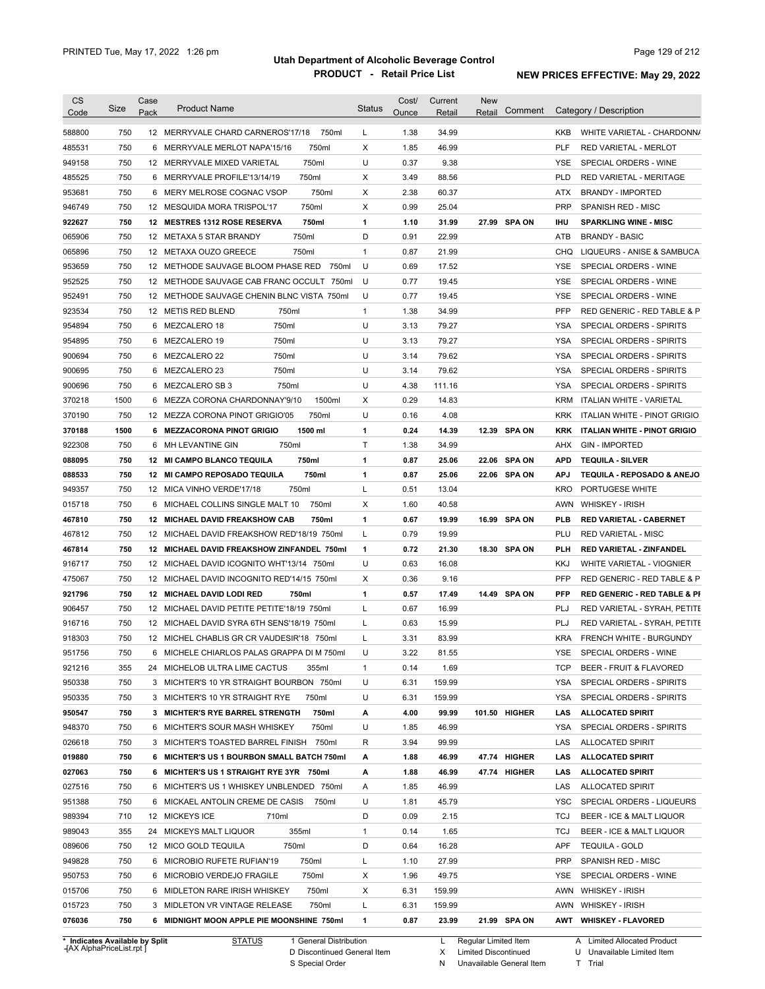| <b>CS</b><br>Code              | Size | Case<br>Pack | <b>Product Name</b>                          | <b>Status</b> | Cost/<br>Ounce | Current<br>Retail | New<br>Retail        | Comment       |            | Category / Description                  |
|--------------------------------|------|--------------|----------------------------------------------|---------------|----------------|-------------------|----------------------|---------------|------------|-----------------------------------------|
|                                |      |              |                                              |               |                |                   |                      |               |            |                                         |
| 588800                         | 750  |              | 12 MERRYVALE CHARD CARNEROS'17/18<br>750ml   | L             | 1.38           | 34.99             |                      |               | <b>KKB</b> | WHITE VARIETAL - CHARDONN/              |
| 485531                         | 750  |              | 6 MERRYVALE MERLOT NAPA'15/16<br>750ml       | X             | 1.85           | 46.99             |                      |               | <b>PLF</b> | <b>RED VARIETAL - MERLOT</b>            |
| 949158                         | 750  |              | 750ml<br>12 MERRYVALE MIXED VARIETAL         | U             | 0.37           | 9.38              |                      |               | YSE        | SPECIAL ORDERS - WINE                   |
| 485525                         | 750  |              | 6 MERRYVALE PROFILE'13/14/19<br>750ml        | Х             | 3.49           | 88.56             |                      |               | PLD        | RED VARIETAL - MERITAGE                 |
| 953681                         | 750  |              | 750ml<br>6 MERY MELROSE COGNAC VSOP          | Χ             | 2.38           | 60.37             |                      |               | ATX        | <b>BRANDY - IMPORTED</b>                |
| 946749                         | 750  |              | 750ml<br>12 MESQUIDA MORA TRISPOL'17         | Χ             | 0.99           | 25.04             |                      |               | <b>PRP</b> | SPANISH RED - MISC                      |
| 922627                         | 750  |              | 750ml<br>12 MESTRES 1312 ROSE RESERVA        | 1             | 1.10           | 31.99             |                      | 27.99 SPA ON  | ihu        | <b>SPARKLING WINE - MISC</b>            |
| 065906                         | 750  |              | 750ml<br>12 METAXA 5 STAR BRANDY             | D             | 0.91           | 22.99             |                      |               | ATB        | <b>BRANDY - BASIC</b>                   |
| 065896                         | 750  |              | 750ml<br>12 METAXA OUZO GREECE               | $\mathbf{1}$  | 0.87           | 21.99             |                      |               |            | CHQ LIQUEURS - ANISE & SAMBUCA          |
| 953659                         | 750  |              | 12 METHODE SAUVAGE BLOOM PHASE RED<br>750ml  | U             | 0.69           | 17.52             |                      |               | <b>YSE</b> | SPECIAL ORDERS - WINE                   |
| 952525                         | 750  |              | 12 METHODE SAUVAGE CAB FRANC OCCULT<br>750ml | U             | 0.77           | 19.45             |                      |               | <b>YSE</b> | SPECIAL ORDERS - WINE                   |
| 952491                         | 750  |              | 12 METHODE SAUVAGE CHENIN BLNC VISTA 750ml   | U             | 0.77           | 19.45             |                      |               | YSE        | SPECIAL ORDERS - WINE                   |
| 923534                         | 750  |              | 12 METIS RED BLEND<br>750ml                  | $\mathbf{1}$  | 1.38           | 34.99             |                      |               | <b>PFP</b> | RED GENERIC - RED TABLE & P             |
| 954894                         | 750  |              | 750ml<br>6 MEZCALERO 18                      | U             | 3.13           | 79.27             |                      |               | YSA        | SPECIAL ORDERS - SPIRITS                |
| 954895                         | 750  |              | 750ml<br>6 MEZCALERO 19                      | U             | 3.13           | 79.27             |                      |               | <b>YSA</b> | SPECIAL ORDERS - SPIRITS                |
| 900694                         | 750  |              | 750ml<br>6 MEZCALERO 22                      | U             | 3.14           | 79.62             |                      |               | <b>YSA</b> | SPECIAL ORDERS - SPIRITS                |
| 900695                         | 750  |              | 750ml<br>6 MEZCALERO 23                      | U             | 3.14           | 79.62             |                      |               | <b>YSA</b> | <b>SPECIAL ORDERS - SPIRITS</b>         |
| 900696                         | 750  |              | 750ml<br>6 MEZCALERO SB 3                    | U             | 4.38           | 111.16            |                      |               | YSA        | SPECIAL ORDERS - SPIRITS                |
| 370218                         | 1500 |              | 6 MEZZA CORONA CHARDONNAY'9/10<br>1500ml     | Х             | 0.29           | 14.83             |                      |               | KRM        | ITALIAN WHITE - VARIETAL                |
| 370190                         | 750  |              | 750ml<br>12 MEZZA CORONA PINOT GRIGIO'05     | U             | 0.16           | 4.08              |                      |               | <b>KRK</b> | ITALIAN WHITE - PINOT GRIGIO            |
| 370188                         | 1500 |              | 1500 ml<br>6 MEZZACORONA PINOT GRIGIO        | 1             | 0.24           | 14.39             |                      | 12.39 SPA ON  | KRK        | ITALIAN WHITE - PINOT GRIGIO            |
| 922308                         | 750  | 6            | 750ml<br>MH LEVANTINE GIN                    | Τ             | 1.38           | 34.99             |                      |               | AHX        | <b>GIN - IMPORTED</b>                   |
| 088095                         | 750  |              | 750ml<br>12 MI CAMPO BLANCO TEQUILA          | 1             | 0.87           | 25.06             | 22.06                | <b>SPA ON</b> | APD        | <b>TEQUILA - SILVER</b>                 |
| 088533                         | 750  |              | 750ml<br>12 MI CAMPO REPOSADO TEQUILA        | 1             | 0.87           | 25.06             |                      | 22.06 SPA ON  | <b>APJ</b> | TEQUILA - REPOSADO & ANEJO              |
| 949357                         | 750  |              | 750ml<br>12 MICA VINHO VERDE'17/18           | L             | 0.51           | 13.04             |                      |               | KRO        | PORTUGESE WHITE                         |
| 015718                         | 750  |              | 6 MICHAEL COLLINS SINGLE MALT 10<br>750ml    | X             | 1.60           | 40.58             |                      |               | AWN        | <b>WHISKEY - IRISH</b>                  |
| 467810                         | 750  |              | 12 MICHAEL DAVID FREAKSHOW CAB<br>750ml      | 1             | 0.67           | 19.99             |                      | 16.99 SPA ON  | PLB        | <b>RED VARIETAL - CABERNET</b>          |
| 467812                         | 750  |              | 12 MICHAEL DAVID FREAKSHOW RED'18/19 750ml   | L             | 0.79           | 19.99             |                      |               | PLU        | <b>RED VARIETAL - MISC</b>              |
| 467814                         | 750  |              | 12 MICHAEL DAVID FREAKSHOW ZINFANDEL 750ml   | 1             | 0.72           | 21.30             |                      | 18.30 SPA ON  | PLH        | <b>RED VARIETAL - ZINFANDEL</b>         |
| 916717                         | 750  |              | 12 MICHAEL DAVID ICOGNITO WHT'13/14 750ml    | U             | 0.63           | 16.08             |                      |               | KKJ        | WHITE VARIETAL - VIOGNIER               |
| 475067                         | 750  |              | 12 MICHAEL DAVID INCOGNITO RED'14/15 750ml   | Х             | 0.36           | 9.16              |                      |               | <b>PFP</b> | RED GENERIC - RED TABLE & P             |
| 921796                         | 750  |              | 12 MICHAEL DAVID LODI RED<br>750ml           | 1             | 0.57           | 17.49             |                      | 14.49 SPA ON  | <b>PFP</b> | <b>RED GENERIC - RED TABLE &amp; PI</b> |
| 906457                         | 750  |              | 12 MICHAEL DAVID PETITE PETITE'18/19 750ml   | L             | 0.67           | 16.99             |                      |               | PLJ        | RED VARIETAL - SYRAH, PETITE            |
| 916716                         | 750  |              | 12 MICHAEL DAVID SYRA 6TH SENS'18/19 750ml   | L             | 0.63           | 15.99             |                      |               | PLJ        | RED VARIETAL - SYRAH, PETITE            |
| 918303                         | 750  |              | 12 MICHEL CHABLIS GR CR VAUDESIR'18 750ml    | Г             | 3.31           | 83.99             |                      |               | <b>KRA</b> | FRENCH WHITE - BURGUNDY                 |
| 951756                         | 750  |              | 6 MICHELE CHIARLOS PALAS GRAPPA DI M 750ml   | U             | 3.22           | 81.55             |                      |               | YSE        | SPECIAL ORDERS - WINE                   |
| 921216                         | 355  |              | 24 MICHELOB ULTRA LIME CACTUS<br>355ml       | 1             | 0.14           | 1.69              |                      |               | TCP        | <b>BEER - FRUIT &amp; FLAVORED</b>      |
| 950338                         | 750  |              | 3 MICHTER'S 10 YR STRAIGHT BOURBON 750ml     | U             | 6.31           | 159.99            |                      |               | YSA        | SPECIAL ORDERS - SPIRITS                |
| 950335                         | 750  |              | 3 MICHTER'S 10 YR STRAIGHT RYE<br>750ml      | U             | 6.31           | 159.99            |                      |               | YSA        | SPECIAL ORDERS - SPIRITS                |
| 950547                         | 750  |              | 3 MICHTER'S RYE BARREL STRENGTH<br>750ml     | А             | 4.00           | 99.99             |                      | 101.50 HIGHER | LAS        | <b>ALLOCATED SPIRIT</b>                 |
| 948370                         | 750  |              | 6 MICHTER'S SOUR MASH WHISKEY<br>750ml       | U             | 1.85           | 46.99             |                      |               | YSA        | SPECIAL ORDERS - SPIRITS                |
| 026618                         | 750  |              | 3 MICHTER'S TOASTED BARREL FINISH 750ml      | R             | 3.94           | 99.99             |                      |               | LAS        | <b>ALLOCATED SPIRIT</b>                 |
| 019880                         | 750  |              | 6 MICHTER'S US 1 BOURBON SMALL BATCH 750ml   | А             | 1.88           | 46.99             |                      | 47.74 HIGHER  | LAS        | <b>ALLOCATED SPIRIT</b>                 |
| 027063                         | 750  |              | 6 MICHTER'S US 1 STRAIGHT RYE 3YR 750ml      | А             | 1.88           | 46.99             |                      | 47.74 HIGHER  | LAS        | <b>ALLOCATED SPIRIT</b>                 |
| 027516                         | 750  |              | 6 MICHTER'S US 1 WHISKEY UNBLENDED 750ml     | A             | 1.85           | 46.99             |                      |               | LAS        | <b>ALLOCATED SPIRIT</b>                 |
| 951388                         | 750  |              | 6 MICKAEL ANTOLIN CREME DE CASIS<br>750ml    | U             | 1.81           | 45.79             |                      |               | YSC        | SPECIAL ORDERS - LIQUEURS               |
| 989394                         | 710  |              | 12 MICKEYS ICE<br>710ml                      | D             | 0.09           | 2.15              |                      |               | TCJ        | BEER - ICE & MALT LIQUOR                |
| 989043                         | 355  |              | 355ml<br>24 MICKEYS MALT LIQUOR              | 1             | 0.14           | 1.65              |                      |               | TCJ        | BEER - ICE & MALT LIQUOR                |
| 089606                         | 750  |              | 12 MICO GOLD TEQUILA<br>750ml                | D             | 0.64           | 16.28             |                      |               | APF        | <b>TEQUILA - GOLD</b>                   |
| 949828                         | 750  |              | 750ml<br>6 MICROBIO RUFETE RUFIAN'19         | L             | 1.10           | 27.99             |                      |               | PRP        | SPANISH RED - MISC                      |
| 950753                         | 750  |              | 750ml<br>6 MICROBIO VERDEJO FRAGILE          | Х             | 1.96           | 49.75             |                      |               | YSE        | SPECIAL ORDERS - WINE                   |
| 015706                         | 750  |              | 750ml<br>6 MIDLETON RARE IRISH WHISKEY       | Х             | 6.31           | 159.99            |                      |               |            | AWN WHISKEY - IRISH                     |
| 015723                         | 750  |              | 750ml<br>3 MIDLETON VR VINTAGE RELEASE       | Г             | 6.31           | 159.99            |                      |               |            | AWN WHISKEY - IRISH                     |
| 076036                         | 750  |              | 6 MIDNIGHT MOON APPLE PIE MOONSHINE 750ml    | 1             | 0.87           | 23.99             |                      | 21.99 SPA ON  |            | AWT WHISKEY - FLAVORED                  |
| * Indicates Available by Split |      |              | <b>STATUS</b><br>1 General Distribution      |               |                | L.                | Regular Limited Item |               |            | A Limited Allocated Product             |

**Case** [AX AlphaPriceList.rpt ]

D Discontinued General Item

S Special Order

X Limited Discontinued

N Unavailable General Item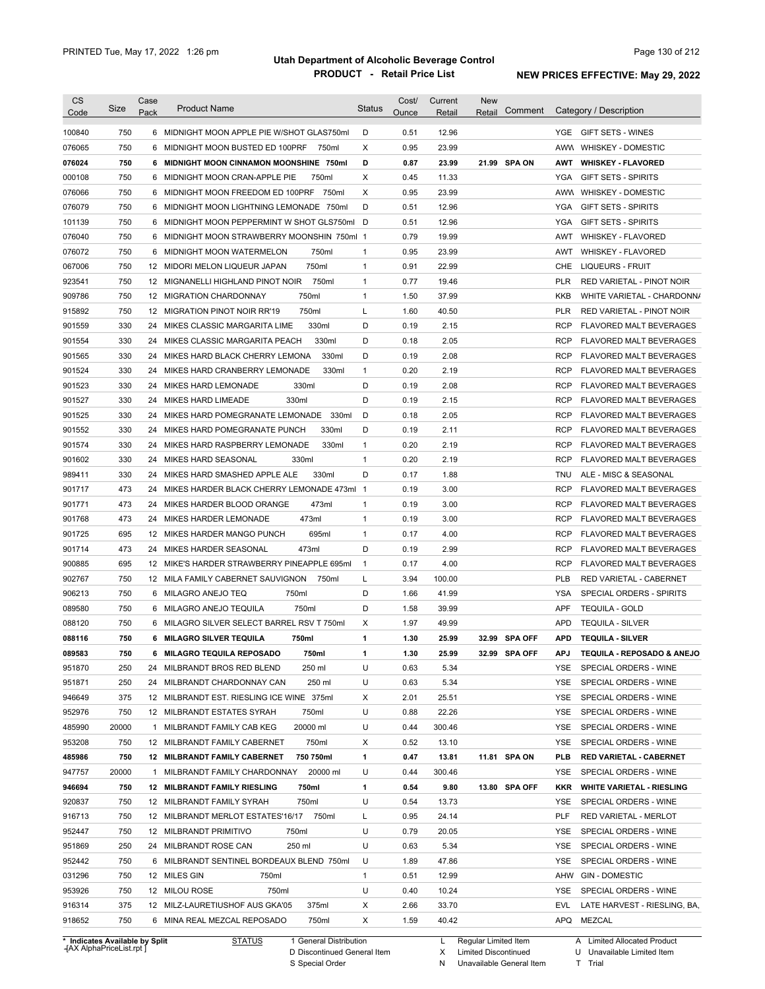| <b>CS</b><br>Code              | Size  | Case<br>Pack | <b>Product Name</b>                          | <b>Status</b> | Cost/<br><b>Ounce</b> | Current<br><b>Retail</b> | <b>New</b><br>Comment<br>Retail | Category / Description                       |
|--------------------------------|-------|--------------|----------------------------------------------|---------------|-----------------------|--------------------------|---------------------------------|----------------------------------------------|
| 100840                         | 750   |              | 6 MIDNIGHT MOON APPLE PIE W/SHOT GLAS750ml   | D             | 0.51                  | 12.96                    |                                 | <b>GIFT SETS - WINES</b><br>YGE              |
| 076065                         | 750   | 6            | 750ml<br>MIDNIGHT MOON BUSTED ED 100PRF      | X             | 0.95                  | 23.99                    |                                 | AWW<br><b>WHISKEY - DOMESTIC</b>             |
| 076024                         | 750   |              | 6 MIDNIGHT MOON CINNAMON MOONSHINE 750ml     | D             | 0.87                  | 23.99                    | 21.99 SPA ON                    | AWT<br><b>WHISKEY FLAVORED</b>               |
| 000108                         | 750   |              | 6 MIDNIGHT MOON CRAN-APPLE PIE<br>750ml      | Χ             | 0.45                  | 11.33                    |                                 | <b>YGA</b><br><b>GIFT SETS - SPIRITS</b>     |
| 076066                         | 750   |              | 6 MIDNIGHT MOON FREEDOM ED 100PRF 750ml      | Χ             | 0.95                  | 23.99                    |                                 | AWW<br><b>WHISKEY - DOMESTIC</b>             |
| 076079                         | 750   |              | 6 MIDNIGHT MOON LIGHTNING LEMONADE 750ml     | D             | 0.51                  | 12.96                    |                                 | <b>YGA</b><br><b>GIFT SETS - SPIRITS</b>     |
| 101139                         | 750   |              | 6 MIDNIGHT MOON PEPPERMINT W SHOT GLS750ml D |               | 0.51                  | 12.96                    |                                 | YGA<br><b>GIFT SETS - SPIRITS</b>            |
| 076040                         | 750   |              | 6 MIDNIGHT MOON STRAWBERRY MOONSHIN 750ml 1  |               | 0.79                  | 19.99                    |                                 | AWT<br><b>WHISKEY - FLAVORED</b>             |
| 076072                         | 750   |              | 750ml<br>6 MIDNIGHT MOON WATERMELON          | 1             | 0.95                  | 23.99                    |                                 | AWT<br><b>WHISKEY - FLAVORED</b>             |
| 067006                         | 750   |              | 750ml<br>12 MIDORI MELON LIQUEUR JAPAN       | 1             | 0.91                  | 22.99                    |                                 | CHE<br>LIQUEURS - FRUIT                      |
| 923541                         | 750   |              | 12 MIGNANELLI HIGHLAND PINOT NOIR<br>750ml   | 1             | 0.77                  | 19.46                    |                                 | <b>PLR</b><br>RED VARIETAL - PINOT NOIR      |
| 909786                         | 750   |              | 750ml<br>12 MIGRATION CHARDONNAY             | 1             | 1.50                  | 37.99                    |                                 | <b>KKB</b><br>WHITE VARIETAL - CHARDONN/     |
| 915892                         | 750   |              | 750ml<br>12 MIGRATION PINOT NOIR RR'19       | L             | 1.60                  | 40.50                    |                                 | <b>PLR</b><br>RED VARIETAL - PINOT NOIR      |
| 901559                         | 330   | 24           | 330ml<br>MIKES CLASSIC MARGARITA LIME        | D             | 0.19                  | 2.15                     |                                 | <b>RCP</b><br><b>FLAVORED MALT BEVERAGES</b> |
| 901554                         | 330   | 24           | 330ml<br>MIKES CLASSIC MARGARITA PEACH       | D             | 0.18                  | 2.05                     |                                 | <b>RCP</b><br><b>FLAVORED MALT BEVERAGES</b> |
| 901565                         | 330   | 24           | 330ml<br>MIKES HARD BLACK CHERRY LEMONA      | D             | 0.19                  | 2.08                     |                                 | <b>RCP</b><br><b>FLAVORED MALT BEVERAGES</b> |
| 901524                         | 330   | 24           | 330ml<br>MIKES HARD CRANBERRY LEMONADE       | 1             | 0.20                  | 2.19                     |                                 | <b>RCP</b><br><b>FLAVORED MALT BEVERAGES</b> |
| 901523                         | 330   | 24           | 330ml<br>MIKES HARD LEMONADE                 | D             | 0.19                  | 2.08                     |                                 | <b>RCP</b><br><b>FLAVORED MALT BEVERAGES</b> |
| 901527                         | 330   | 24           | 330ml<br>MIKES HARD LIMEADE                  | D             | 0.19                  | 2.15                     |                                 | <b>RCP</b><br>FLAVORED MALT BEVERAGES        |
| 901525                         | 330   | 24           | MIKES HARD POMEGRANATE LEMONADE<br>330ml     | D             | 0.18                  | 2.05                     |                                 | <b>RCP</b><br>FLAVORED MALT BEVERAGES        |
| 901552                         | 330   | 24           | MIKES HARD POMEGRANATE PUNCH<br>330ml        | D             | 0.19                  | 2.11                     |                                 | <b>RCP</b><br><b>FLAVORED MALT BEVERAGES</b> |
| 901574                         | 330   | 24           | MIKES HARD RASPBERRY LEMONADE<br>330ml       | 1             | 0.20                  | 2.19                     |                                 | <b>RCP</b><br><b>FLAVORED MALT BEVERAGES</b> |
| 901602                         | 330   | 24           | MIKES HARD SEASONAL<br>330ml                 | 1             | 0.20                  | 2.19                     |                                 | <b>RCP</b><br><b>FLAVORED MALT BEVERAGES</b> |
| 989411                         | 330   | 24           | MIKES HARD SMASHED APPLE ALE<br>330ml        | D             | 0.17                  | 1.88                     |                                 | <b>TNU</b><br>ALE - MISC & SEASONAL          |
| 901717                         | 473   | 24           | MIKES HARDER BLACK CHERRY LEMONADE 473ml 1   |               | 0.19                  | 3.00                     |                                 | <b>RCP</b><br><b>FLAVORED MALT BEVERAGES</b> |
| 901771                         | 473   | 24           | MIKES HARDER BLOOD ORANGE<br>473ml           | 1             | 0.19                  | 3.00                     |                                 | <b>RCP</b><br><b>FLAVORED MALT BEVERAGES</b> |
| 901768                         | 473   | 24           | 473ml<br>MIKES HARDER LEMONADE               | 1             | 0.19                  | 3.00                     |                                 | <b>RCP</b><br><b>FLAVORED MALT BEVERAGES</b> |
| 901725                         | 695   | 12           | MIKES HARDER MANGO PUNCH<br>695ml            | 1             | 0.17                  | 4.00                     |                                 | <b>RCP</b><br><b>FLAVORED MALT BEVERAGES</b> |
| 901714                         | 473   | 24           | MIKES HARDER SEASONAL<br>473ml               | D             | 0.19                  | 2.99                     |                                 | <b>RCP</b><br><b>FLAVORED MALT BEVERAGES</b> |
| 900885                         | 695   | 12           | MIKE'S HARDER STRAWBERRY PINEAPPLE 695ml     | 1             | 0.17                  | 4.00                     |                                 | <b>RCP</b><br><b>FLAVORED MALT BEVERAGES</b> |
| 902767                         | 750   | 12           | MILA FAMILY CABERNET SAUVIGNON<br>750ml      | Г             | 3.94                  | 100.00                   |                                 | <b>PLB</b><br>RED VARIETAL - CABERNET        |
| 906213                         | 750   | 6            | MILAGRO ANEJO TEQ<br>750ml                   | D             | 1.66                  | 41.99                    |                                 | <b>YSA</b><br>SPECIAL ORDERS - SPIRITS       |
| 089580                         | 750   |              | 750ml<br>6 MILAGRO ANEJO TEQUILA             | D             | 1.58                  | 39.99                    |                                 | <b>APF</b><br><b>TEQUILA - GOLD</b>          |
| 088120                         | 750   |              | 6 MILAGRO SILVER SELECT BARREL RSV T 750ml   | Х             | 1.97                  | 49.99                    |                                 | <b>APD</b><br><b>TEQUILA - SILVER</b>        |
| 088116                         | 750   |              | 750ml<br>6 MILAGRO SILVER TEQUILA            | 1             | 1.30                  | 25.99                    | 32.99 SPA OFF                   | APD<br><b>TEQUILA - SILVER</b>               |
| 089583                         | 750   |              | 6 MILAGRO TEQUILA REPOSADO<br>750ml          | 1             | 1.30                  | 25.99                    | 32.99 SPA OFF                   | APJ<br>TEQUILA - REPOSADO & ANEJO            |
| 951870                         | 250   |              | 24 MILBRANDT BROS RED BLEND<br>250 ml        | U             | 0.63                  | 5.34                     |                                 | SPECIAL ORDERS - WINE<br>YSE.                |
| 951871                         | 250   |              | 250 ml<br>24 MILBRANDT CHARDONNAY CAN        | U             | 0.63                  | 5.34                     |                                 | YSE<br>SPECIAL ORDERS - WINE                 |
| 946649                         | 375   |              | 12 MILBRANDT EST. RIESLING ICE WINE 375ml    | Х             | 2.01                  | 25.51                    |                                 | YSE<br>SPECIAL ORDERS - WINE                 |
| 952976                         | 750   |              | 12 MILBRANDT ESTATES SYRAH<br>750ml          | U             | 0.88                  | 22.26                    |                                 | YSE<br>SPECIAL ORDERS - WINE                 |
| 485990                         | 20000 |              | 1 MILBRANDT FAMILY CAB KEG<br>20000 ml       | U             | 0.44                  | 300.46                   |                                 | YSE<br>SPECIAL ORDERS - WINE                 |
| 953208                         | 750   |              | 12 MILBRANDT FAMILY CABERNET<br>750ml        | Х             | 0.52                  | 13.10                    |                                 | YSE<br>SPECIAL ORDERS - WINE                 |
| 485986                         | 750   |              | 12 MILBRANDT FAMILY CABERNET<br>750 750ml    | 1             | 0.47                  | 13.81                    | 11.81 SPA ON                    | PLB<br>RED VARIETAL - CABERNET               |
| 947757                         | 20000 |              | 20000 ml<br>1 MILBRANDT FAMILY CHARDONNAY    | U             | 0.44                  | 300.46                   |                                 | YSE<br>SPECIAL ORDERS - WINE                 |
| 946694                         | 750   |              | 12 MILBRANDT FAMILY RIESLING<br>750ml        | 1             | 0.54                  | 9.80                     | 13.80 SPA OFF                   | KKR<br><b>WHITE VARIETAL - RIESLING</b>      |
| 920837                         | 750   |              | 750ml<br>12 MILBRANDT FAMILY SYRAH           | U             | 0.54                  | 13.73                    |                                 | YSE<br>SPECIAL ORDERS - WINE                 |
| 916713                         | 750   |              | 750ml<br>12 MILBRANDT MERLOT ESTATES'16/17   | L             | 0.95                  | 24.14                    |                                 | <b>PLF</b><br>RED VARIETAL - MERLOT          |
| 952447                         | 750   |              | 750ml<br>12 MILBRANDT PRIMITIVO              | U             | 0.79                  | 20.05                    |                                 | YSE<br>SPECIAL ORDERS - WINE                 |
| 951869                         | 250   |              | 250 ml<br>24 MILBRANDT ROSE CAN              | U             | 0.63                  | 5.34                     |                                 | YSE<br>SPECIAL ORDERS - WINE                 |
| 952442                         | 750   |              | 6 MILBRANDT SENTINEL BORDEAUX BLEND 750ml    | U             | 1.89                  | 47.86                    |                                 | YSE<br>SPECIAL ORDERS - WINE                 |
| 031296                         | 750   |              | 12 MILES GIN<br>750ml                        | 1             | 0.51                  | 12.99                    |                                 | <b>GIN - DOMESTIC</b><br>AHW                 |
| 953926                         | 750   |              | 12 MILOU ROSE<br>750ml                       | U             | 0.40                  | 10.24                    |                                 | SPECIAL ORDERS - WINE<br>YSE                 |
| 916314                         | 375   |              | 375ml<br>12 MILZ-LAURETIUSHOF AUS GKA'05     | Х             | 2.66                  | 33.70                    |                                 | LATE HARVEST - RIESLING, BA,<br>EVL          |
| 918652                         | 750   |              | 750ml<br>6 MINA REAL MEZCAL REPOSADO         | Χ             | 1.59                  | 40.42                    |                                 | APQ MEZCAL                                   |
| * Indicates Available by Split |       |              | <b>STATUS</b><br>1 General Distribution      |               |                       | L                        | Regular Limited Item            | A Limited Allocated Product                  |

**Case** [AX AlphaPriceList.rpt ]

D Discontinued General Item

S Special Order

Regular Limited Item

X

Limited Discontinued T Trial

N Unavailable General Item

U Unavailable Limited Item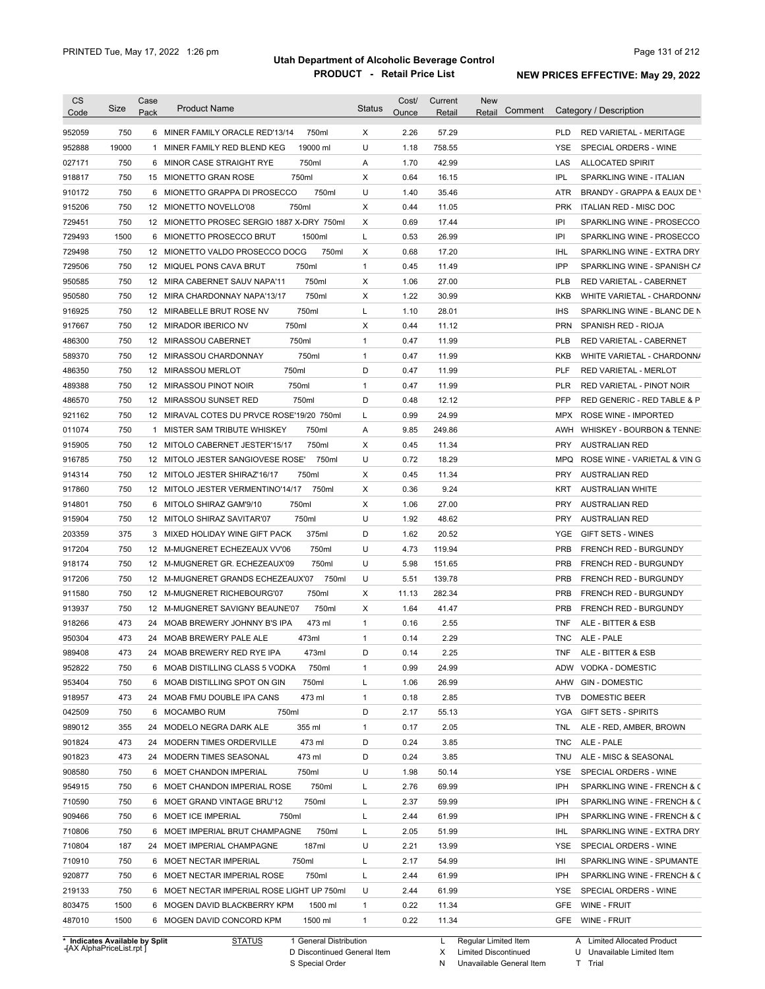| <b>CS</b><br>Code                                        | Size  | Case<br>Pack | <b>Product Name</b>                        | <b>Status</b> | Cost/<br>Ounce | Current<br>Retail | New<br>Comment<br>Retail |            | Category / Description                      |
|----------------------------------------------------------|-------|--------------|--------------------------------------------|---------------|----------------|-------------------|--------------------------|------------|---------------------------------------------|
| 952059                                                   | 750   |              | 750ml<br>6 MINER FAMILY ORACLE RED'13/14   | Χ             | 2.26           | 57.29             |                          | <b>PLD</b> | <b>RED VARIETAL - MERITAGE</b>              |
| 952888                                                   | 19000 | 1            | 19000 ml<br>MINER FAMILY RED BLEND KEG     | U             | 1.18           | 758.55            |                          | <b>YSE</b> | SPECIAL ORDERS - WINE                       |
| 027171                                                   | 750   |              | 750ml<br>6 MINOR CASE STRAIGHT RYE         | Α             | 1.70           | 42.99             |                          | LAS        | <b>ALLOCATED SPIRIT</b>                     |
| 918817                                                   | 750   |              | 750ml<br>15 MIONETTO GRAN ROSE             | Х             | 0.64           | 16.15             |                          | <b>IPL</b> | SPARKLING WINE - ITALIAN                    |
| 910172                                                   | 750   |              | 6 MIONETTO GRAPPA DI PROSECCO<br>750ml     | U             | 1.40           | 35.46             |                          | ATR        | BRANDY - GRAPPA & EAUX DE Y                 |
| 915206                                                   | 750   |              | 750ml<br>12 MIONETTO NOVELLO'08            | Х             | 0.44           | 11.05             |                          | <b>PRK</b> | ITALIAN RED - MISC DOC                      |
| 729451                                                   | 750   |              | 12 MIONETTO PROSEC SERGIO 1887 X-DRY 750ml | х             | 0.69           | 17.44             |                          | IPI        | SPARKLING WINE - PROSECCO                   |
| 729493                                                   | 1500  | 6            | MIONETTO PROSECCO BRUT<br>1500ml           | L             | 0.53           | 26.99             |                          | IPI        | SPARKLING WINE - PROSECCO                   |
| 729498                                                   | 750   |              | 12 MIONETTO VALDO PROSECCO DOCG<br>750ml   | х             | 0.68           | 17.20             |                          | <b>IHL</b> | SPARKLING WINE - EXTRA DRY                  |
| 729506                                                   | 750   |              | 750ml<br>12 MIQUEL PONS CAVA BRUT          | $\mathbf{1}$  | 0.45           | 11.49             |                          | IPP        | SPARKLING WINE - SPANISH CA                 |
| 950585                                                   | 750   |              | 750ml<br>12 MIRA CABERNET SAUV NAPA'11     | Х             | 1.06           | 27.00             |                          | <b>PLB</b> | RED VARIETAL - CABERNET                     |
| 950580                                                   | 750   |              | 750ml<br>12 MIRA CHARDONNAY NAPA'13/17     | х             | 1.22           | 30.99             |                          | KKB        | WHITE VARIETAL - CHARDONN/                  |
| 916925                                                   | 750   |              | 750ml<br>12 MIRABELLE BRUT ROSE NV         | L             | 1.10           | 28.01             |                          | <b>IHS</b> | SPARKLING WINE - BLANC DE N                 |
| 917667                                                   | 750   |              | 750ml<br>12 MIRADOR IBERICO NV             | Х             | 0.44           | 11.12             |                          | <b>PRN</b> | SPANISH RED - RIOJA                         |
| 486300                                                   | 750   |              | 750ml<br>12 MIRASSOU CABERNET              | $\mathbf{1}$  | 0.47           | 11.99             |                          | <b>PLB</b> | <b>RED VARIETAL - CABERNET</b>              |
| 589370                                                   | 750   |              | 750ml<br>12 MIRASSOU CHARDONNAY            | $\mathbf{1}$  | 0.47           | 11.99             |                          | <b>KKB</b> | WHITE VARIETAL - CHARDONN/                  |
| 486350                                                   | 750   |              | 750ml<br>12 MIRASSOU MERLOT                | D             | 0.47           | 11.99             |                          | <b>PLF</b> | <b>RED VARIETAL - MERLOT</b>                |
| 489388                                                   | 750   |              | 750ml<br>12 MIRASSOU PINOT NOIR            | $\mathbf{1}$  | 0.47           | 11.99             |                          | <b>PLR</b> | RED VARIETAL - PINOT NOIR                   |
| 486570                                                   | 750   |              | 750ml<br>12 MIRASSOU SUNSET RED            | D             | 0.48           | 12.12             |                          | <b>PFP</b> | RED GENERIC - RED TABLE & P                 |
| 921162                                                   | 750   |              | 12 MIRAVAL COTES DU PRVCE ROSE'19/20 750ml | L             | 0.99           | 24.99             |                          | <b>MPX</b> | ROSE WINE - IMPORTED                        |
| 011074                                                   | 750   | $\mathbf{1}$ | MISTER SAM TRIBUTE WHISKEY<br>750ml        | Α             | 9.85           | 249.86            |                          | AWH        | WHISKEY - BOURBON & TENNE:                  |
| 915905                                                   | 750   |              | 750ml<br>12 MITOLO CABERNET JESTER'15/17   | х             | 0.45           | 11.34             |                          | <b>PRY</b> | <b>AUSTRALIAN RED</b>                       |
| 916785                                                   | 750   |              | 750ml<br>12 MITOLO JESTER SANGIOVESE ROSE' | U             | 0.72           | 18.29             |                          | MPQ        | ROSE WINE - VARIETAL & VIN G                |
| 914314                                                   | 750   |              | 750ml<br>12 MITOLO JESTER SHIRAZ'16/17     | Х             | 0.45           | 11.34             |                          | <b>PRY</b> | <b>AUSTRALIAN RED</b>                       |
| 917860                                                   | 750   |              | 750ml<br>12 MITOLO JESTER VERMENTINO'14/17 | Х             | 0.36           | 9.24              |                          | KRT        | <b>AUSTRALIAN WHITE</b>                     |
| 914801                                                   | 750   | 6            | 750ml<br>MITOLO SHIRAZ GAM'9/10            | Х             | 1.06           | 27.00             |                          | <b>PRY</b> | <b>AUSTRALIAN RED</b>                       |
| 915904                                                   | 750   |              | 750ml<br>12 MITOLO SHIRAZ SAVITAR'07       | U             | 1.92           | 48.62             |                          | <b>PRY</b> | <b>AUSTRALIAN RED</b>                       |
| 203359                                                   | 375   |              | 3 MIXED HOLIDAY WINE GIFT PACK<br>375ml    | D             | 1.62           | 20.52             |                          | YGE        | GIFT SETS - WINES                           |
| 917204                                                   | 750   |              | 12 M-MUGNERET ECHEZEAUX VV'06<br>750ml     | U             | 4.73           | 119.94            |                          | <b>PRB</b> | <b>FRENCH RED - BURGUNDY</b>                |
| 918174                                                   | 750   |              | 750ml<br>12 M-MUGNERET GR. ECHEZEAUX'09    | U             | 5.98           | 151.65            |                          | <b>PRB</b> | <b>FRENCH RED - BURGUNDY</b>                |
| 917206                                                   | 750   |              | 750ml<br>12 M-MUGNERET GRANDS ECHEZEAUX'07 | U             | 5.51           | 139.78            |                          | <b>PRB</b> | <b>FRENCH RED - BURGUNDY</b>                |
|                                                          |       |              |                                            |               |                |                   |                          |            |                                             |
| 911580                                                   | 750   |              | 750ml<br>12 M-MUGNERET RICHEBOURG'07       | Х             | 11.13          | 282.34            |                          | <b>PRB</b> | <b>FRENCH RED - BURGUNDY</b>                |
| 913937                                                   | 750   |              | 750ml<br>12 M-MUGNERET SAVIGNY BEAUNE'07   | Х             | 1.64           | 41.47             |                          | <b>PRB</b> | FRENCH RED - BURGUNDY<br>ALE - BITTER & ESB |
| 918266                                                   | 473   |              | 24 MOAB BREWERY JOHNNY B'S IPA<br>473 ml   | $\mathbf{1}$  | 0.16           | 2.55              |                          | TNF        |                                             |
| 950304                                                   | 473   |              | 24 MOAB BREWERY PALE ALE<br>473ml          | 1             | 0.14           | 2.29              |                          | <b>TNC</b> | ALE - PALE                                  |
| 989408                                                   | 473   |              | 473ml<br>24 MOAB BREWERY RED RYE IPA       | D             | 0.14           | 2.25              |                          | <b>TNF</b> | ALE - BITTER & ESB                          |
| 952822                                                   | 750   |              | 6 MOAB DISTILLING CLASS 5 VODKA<br>750ml   | $\mathbf{1}$  | 0.99           | 24.99             |                          |            | ADW VODKA - DOMESTIC                        |
| 953404                                                   | 750   |              | 750ml<br>6 MOAB DISTILLING SPOT ON GIN     | L             | 1.06           | 26.99             |                          | AHW        | <b>GIN - DOMESTIC</b>                       |
| 918957                                                   | 473   |              | 473 ml<br>24 MOAB FMU DOUBLE IPA CANS      | $\mathbf{1}$  | 0.18           | 2.85              |                          | TVB        | DOMESTIC BEER                               |
| 042509                                                   | 750   |              | 750ml<br>6 MOCAMBO RUM                     | D             | 2.17           | 55.13             |                          | YGA        | <b>GIFT SETS - SPIRITS</b>                  |
| 989012                                                   | 355   |              | 24 MODELO NEGRA DARK ALE<br>355 ml         | 1             | 0.17           | 2.05              |                          | TNL        | ALE - RED, AMBER, BROWN                     |
| 901824                                                   | 473   |              | 24 MODERN TIMES ORDERVILLE<br>473 ml       | D             | 0.24           | 3.85              |                          | TNC        | ALE - PALE                                  |
| 901823                                                   | 473   |              | 24 MODERN TIMES SEASONAL<br>473 ml         | D             | 0.24           | 3.85              |                          | TNU        | ALE - MISC & SEASONAL                       |
| 908580                                                   | 750   |              | 6 MOET CHANDON IMPERIAL<br>750ml           | U             | 1.98           | 50.14             |                          | YSE        | SPECIAL ORDERS - WINE                       |
| 954915                                                   | 750   |              | 6 MOET CHANDON IMPERIAL ROSE<br>750ml      | L             | 2.76           | 69.99             |                          | IPH        | SPARKLING WINE - FRENCH & C                 |
| 710590                                                   | 750   |              | 6 MOET GRAND VINTAGE BRU'12<br>750ml       | L             | 2.37           | 59.99             |                          | IPH        | SPARKLING WINE - FRENCH & C                 |
| 909466                                                   | 750   |              | 6 MOET ICE IMPERIAL<br>750ml               | L             | 2.44           | 61.99             |                          | IPH        | SPARKLING WINE - FRENCH & C                 |
| 710806                                                   | 750   |              | 6 MOET IMPERIAL BRUT CHAMPAGNE<br>750ml    | L             | 2.05           | 51.99             |                          | <b>IHL</b> | SPARKLING WINE - EXTRA DRY                  |
| 710804                                                   | 187   |              | 24 MOET IMPERIAL CHAMPAGNE<br>187ml        | U             | 2.21           | 13.99             |                          | YSE        | SPECIAL ORDERS - WINE                       |
| 710910                                                   | 750   |              | 6 MOET NECTAR IMPERIAL<br>750ml            | L             | 2.17           | 54.99             |                          | IHI        | SPARKLING WINE - SPUMANTE                   |
| 920877                                                   | 750   |              | 6 MOET NECTAR IMPERIAL ROSE<br>750ml       | L             | 2.44           | 61.99             |                          | IPH        | SPARKLING WINE - FRENCH & C                 |
| 219133                                                   | 750   |              | 6 MOET NECTAR IMPERIAL ROSE LIGHT UP 750ml | U             | 2.44           | 61.99             |                          | YSE        | SPECIAL ORDERS - WINE                       |
| 803475                                                   | 1500  |              | 6 MOGEN DAVID BLACKBERRY KPM<br>1500 ml    | $\mathbf{1}$  | 0.22           | 11.34             |                          | GFE        | WINE - FRUIT                                |
| 487010                                                   | 1500  |              | 6 MOGEN DAVID CONCORD KPM<br>1500 ml       | $\mathbf{1}$  | 0.22           | 11.34             |                          | GFE        | WINE - FRUIT                                |
| * Indicates Available by Split<br>AV AlphaDricol int rnt |       |              | 1 General Distribution<br><b>STATUS</b>    |               |                | L                 | Regular Limited Item     |            | A Limited Allocated Product                 |

**Case** [AX AlphaPriceList.rpt ]

D Discontinued General Item

S Special Order

X Limited Discontinued

N Unavailable General Item

U Unavailable Limited Item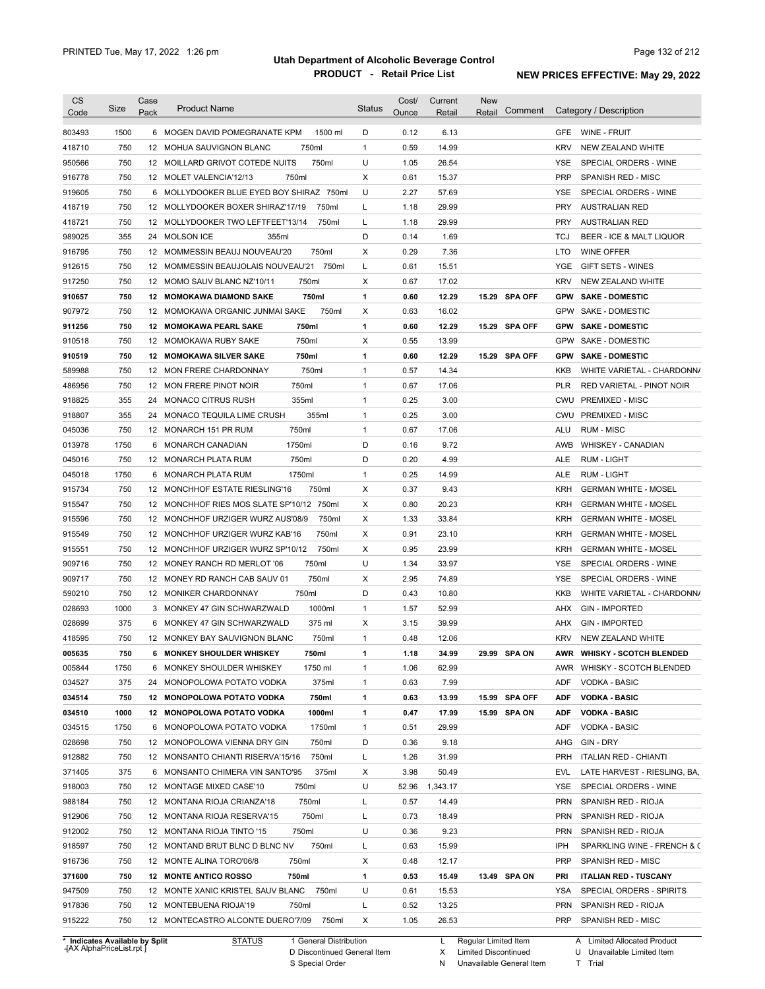| <b>CS</b><br>Code              | Size | Case<br>Pack | <b>Product Name</b>                                            | <b>Status</b> | Cost/<br>Ounce | Current<br>Retail | New<br>Retail        | Comment       |            | Category / Description       |
|--------------------------------|------|--------------|----------------------------------------------------------------|---------------|----------------|-------------------|----------------------|---------------|------------|------------------------------|
| 803493                         | 1500 |              | 6 MOGEN DAVID POMEGRANATE KPM<br>1500 ml                       | D             | 0.12           | 6.13              |                      |               | GFE        | WINE - FRUIT                 |
| 418710                         | 750  |              | 12 MOHUA SAUVIGNON BLANC<br>750ml                              | $\mathbf{1}$  | 0.59           | 14.99             |                      |               | <b>KRV</b> | NEW ZEALAND WHITE            |
| 950566                         | 750  |              | 750ml<br>12 MOILLARD GRIVOT COTEDE NUITS                       | U             | 1.05           | 26.54             |                      |               | YSE        | SPECIAL ORDERS - WINE        |
| 916778                         | 750  |              | 750ml<br>12 MOLET VALENCIA'12/13                               | Х             | 0.61           | 15.37             |                      |               | <b>PRP</b> | SPANISH RED - MISC           |
| 919605                         | 750  |              | 6 MOLLYDOOKER BLUE EYED BOY SHIRAZ 750ml                       | U             | 2.27           | 57.69             |                      |               | YSE        | SPECIAL ORDERS - WINE        |
| 418719                         | 750  |              | 750ml<br>12 MOLLYDOOKER BOXER SHIRAZ'17/19                     | L             | 1.18           | 29.99             |                      |               | <b>PRY</b> | <b>AUSTRALIAN RED</b>        |
| 418721                         | 750  |              | 750ml<br>12 MOLLYDOOKER TWO LEFTFEET'13/14                     | L             | 1.18           | 29.99             |                      |               | <b>PRY</b> | <b>AUSTRALIAN RED</b>        |
| 989025                         | 355  |              | 24 MOLSON ICE<br>355ml                                         | D             | 0.14           | 1.69              |                      |               | <b>TCJ</b> | BEER - ICE & MALT LIQUOR     |
| 916795                         | 750  |              | 12 MOMMESSIN BEAUJ NOUVEAU'20<br>750ml                         | х             | 0.29           | 7.36              |                      |               | LTO        | <b>WINE OFFER</b>            |
| 912615                         | 750  |              | 12 MOMMESSIN BEAUJOLAIS NOUVEAU'21<br>750ml                    | L             | 0.61           | 15.51             |                      |               | YGE        | GIFT SETS - WINES            |
| 917250                         | 750  |              | 750ml<br>12 MOMO SAUV BLANC NZ'10/11                           | Х             | 0.67           | 17.02             |                      |               | <b>KRV</b> | NEW ZEALAND WHITE            |
| 910657                         | 750  |              | 750ml<br><b>12 MOMOKAWA DIAMOND SAKE</b>                       | 1             | 0.60           | 12.29             |                      | 15.29 SPA OFF | <b>GPW</b> | <b>SAKE - DOMESTIC</b>       |
| 907972                         | 750  |              | 750ml<br>12 MOMOKAWA ORGANIC JUNMAI SAKE                       | Х             | 0.63           | 16.02             |                      |               | GPW        | <b>SAKE - DOMESTIC</b>       |
| 911256                         | 750  |              | 750ml<br>12 MOMOKAWA PEARL SAKE                                | 1             | 0.60           | 12.29             |                      | 15.29 SPA OFF | <b>GPW</b> | <b>SAKE - DOMESTIC</b>       |
| 910518                         | 750  |              | 750ml<br>12 MOMOKAWA RUBY SAKE                                 | X             | 0.55           | 13.99             |                      |               | <b>GPW</b> | SAKE - DOMESTIC              |
| 910519                         | 750  |              | 750ml<br><b>12 MOMOKAWA SILVER SAKE</b>                        | 1             | 0.60           | 12.29             |                      | 15.29 SPA OFF | <b>GPW</b> | <b>SAKE - DOMESTIC</b>       |
| 589988                         | 750  |              | 750ml<br>12 MON FRERE CHARDONNAY                               | $\mathbf{1}$  | 0.57           | 14.34             |                      |               | KKB        | WHITE VARIETAL - CHARDONN/   |
| 486956                         | 750  |              | 750ml<br>12 MON FRERE PINOT NOIR                               | $\mathbf{1}$  | 0.67           | 17.06             |                      |               | <b>PLR</b> | RED VARIETAL - PINOT NOIR    |
| 918825                         | 355  | 24           | 355ml<br><b>MONACO CITRUS RUSH</b>                             | $\mathbf{1}$  | 0.25           | 3.00              |                      |               | CWU        | <b>PREMIXED - MISC</b>       |
| 918807                         | 355  | 24           | 355ml<br>MONACO TEQUILA LIME CRUSH                             | $\mathbf{1}$  | 0.25           | 3.00              |                      |               | CWU        | <b>PREMIXED - MISC</b>       |
| 045036                         | 750  |              | 750ml<br>12 MONARCH 151 PR RUM                                 | $\mathbf{1}$  | 0.67           | 17.06             |                      |               | <b>ALU</b> | <b>RUM - MISC</b>            |
| 013978                         | 1750 | 6            | 1750ml<br><b>MONARCH CANADIAN</b>                              | D             | 0.16           | 9.72              |                      |               | AWB        | WHISKEY - CANADIAN           |
| 045016                         | 750  |              | 750ml<br>12 MONARCH PLATA RUM                                  | D             | 0.20           | 4.99              |                      |               | ALE        | <b>RUM - LIGHT</b>           |
| 045018                         | 1750 | 6            | 1750ml<br>MONARCH PLATA RUM                                    | $\mathbf{1}$  | 0.25           | 14.99             |                      |               | ALE        | <b>RUM - LIGHT</b>           |
| 915734                         | 750  |              | 750ml<br>12 MONCHHOF ESTATE RIESLING'16                        | Х             | 0.37           | 9.43              |                      |               | <b>KRH</b> | <b>GERMAN WHITE - MOSEL</b>  |
| 915547                         | 750  | 12           | MONCHHOF RIES MOS SLATE SP'10/12 750ml                         | Х             | 0.80           | 20.23             |                      |               | KRH        | <b>GERMAN WHITE - MOSEL</b>  |
| 915596                         | 750  |              | 12 MONCHHOF URZIGER WURZ AUS'08/9<br>750ml                     | Х             | 1.33           | 33.84             |                      |               | <b>KRH</b> | <b>GERMAN WHITE - MOSEL</b>  |
| 915549                         | 750  |              | 750ml<br>12 MONCHHOF URZIGER WURZ KAB'16                       | Х             | 0.91           | 23.10             |                      |               | KRH        | <b>GERMAN WHITE - MOSEL</b>  |
| 915551                         | 750  |              | 12 MONCHHOF URZIGER WURZ SP'10/12<br>750ml                     | Х             | 0.95           | 23.99             |                      |               | <b>KRH</b> | <b>GERMAN WHITE - MOSEL</b>  |
| 909716                         | 750  |              | 750ml<br>12 MONEY RANCH RD MERLOT '06                          | U             | 1.34           | 33.97             |                      |               | YSE        | SPECIAL ORDERS - WINE        |
| 909717                         | 750  |              | 750ml<br>12 MONEY RD RANCH CAB SAUV 01                         | Х             | 2.95           | 74.89             |                      |               | <b>YSE</b> | SPECIAL ORDERS - WINE        |
|                                | 750  |              | 750ml                                                          | D             | 0.43           | 10.80             |                      |               | <b>KKB</b> | WHITE VARIETAL - CHARDONN/   |
| 590210                         | 1000 |              | 12 MONIKER CHARDONNAY<br>1000ml<br>3 MONKEY 47 GIN SCHWARZWALD | $\mathbf{1}$  | 1.57           | 52.99             |                      |               |            | <b>GIN - IMPORTED</b>        |
| 028693                         |      |              |                                                                |               |                |                   |                      |               | AHX        |                              |
| 028699                         | 375  |              | 375 ml<br>6 MONKEY 47 GIN SCHWARZWALD                          | х             | 3.15           | 39.99             |                      |               | AHX        | <b>GIN - IMPORTED</b>        |
| 418595                         | 750  |              | 12 MONKEY BAY SAUVIGNON BLANC<br>750ml                         | $\mathbf{1}$  | 0.48           | 12.06             |                      |               | <b>KRV</b> | NEW ZEALAND WHITE            |
| 005635                         | 750  |              | 750ml<br>6 MONKEY SHOULDER WHISKEY                             | 1             | 1.18           | 34.99             | 29.99                | <b>SPA ON</b> |            | AWR WHISKY - SCOTCH BLENDED  |
| 005844                         | 1750 |              | 6 MONKEY SHOULDER WHISKEY<br>1750 ml                           | $\mathbf{1}$  | 1.06           | 62.99             |                      |               | AWR        | WHISKY - SCOTCH BLENDED      |
| 034527                         | 375  |              | 24 MONOPOLOWA POTATO VODKA<br>375ml                            | $\mathbf{1}$  | 0.63           | 7.99              |                      |               | ADF        | VODKA - BASIC                |
| 034514                         | 750  |              | 12 MONOPOLOWA POTATO VODKA<br>750ml                            | 1             | 0.63           | 13.99             |                      | 15.99 SPA OFF | <b>ADF</b> | <b>VODKA - BASIC</b>         |
| 034510                         | 1000 |              | 1000ml<br>12 MONOPOLOWA POTATO VODKA                           | 1             | 0.47           | 17.99             |                      | 15.99 SPA ON  | <b>ADF</b> | <b>VODKA - BASIC</b>         |
| 034515                         | 1750 |              | 1750ml<br>6 MONOPOLOWA POTATO VODKA                            | $\mathbf{1}$  | 0.51           | 29.99             |                      |               | ADF        | VODKA - BASIC                |
| 028698                         | 750  |              | 12 MONOPOLOWA VIENNA DRY GIN<br>750ml                          | D             | 0.36           | 9.18              |                      |               | AHG        | GIN - DRY                    |
| 912882                         | 750  |              | 12 MONSANTO CHIANTI RISERVA'15/16<br>750ml                     | L             | 1.26           | 31.99             |                      |               | <b>PRH</b> | <b>ITALIAN RED - CHIANTI</b> |
| 371405                         | 375  |              | 6 MONSANTO CHIMERA VIN SANTO'95<br>375ml                       | х             | 3.98           | 50.49             |                      |               | EVL        | LATE HARVEST - RIESLING, BA, |
| 918003                         | 750  |              | 12 MONTAGE MIXED CASE'10<br>750ml                              | U             | 52.96          | 1,343.17          |                      |               | YSE        | SPECIAL ORDERS - WINE        |
| 988184                         | 750  |              | 750ml<br>12 MONTANA RIOJA CRIANZA'18                           | L             | 0.57           | 14.49             |                      |               | <b>PRN</b> | SPANISH RED - RIOJA          |
| 912906                         | 750  |              | 750ml<br>12 MONTANA RIOJA RESERVA'15                           | L             | 0.73           | 18.49             |                      |               | <b>PRN</b> | SPANISH RED - RIOJA          |
| 912002                         | 750  |              | 12 MONTANA RIOJA TINTO '15<br>750ml                            | U             | 0.36           | 9.23              |                      |               | <b>PRN</b> | SPANISH RED - RIOJA          |
| 918597                         | 750  |              | 750ml<br>12 MONTAND BRUT BLNC D BLNC NV                        | L             | 0.63           | 15.99             |                      |               | IPH        | SPARKLING WINE - FRENCH & C  |
| 916736                         | 750  |              | 750ml<br>12 MONTE ALINA TORO'06/8                              | х             | 0.48           | 12.17             |                      |               | <b>PRP</b> | SPANISH RED - MISC           |
| 371600                         | 750  |              | 12 MONTE ANTICO ROSSO<br>750ml                                 | 1             | 0.53           | 15.49             |                      | 13.49 SPA ON  | PRI        | <b>ITALIAN RED - TUSCANY</b> |
| 947509                         | 750  |              | 750ml<br>12 MONTE XANIC KRISTEL SAUV BLANC                     | U             | 0.61           | 15.53             |                      |               | YSA        | SPECIAL ORDERS - SPIRITS     |
| 917836                         | 750  |              | 12 MONTEBUENA RIOJA'19<br>750ml                                | L             | 0.52           | 13.25             |                      |               | PRN        | SPANISH RED - RIOJA          |
| 915222                         | 750  |              | 750ml<br>12 MONTECASTRO ALCONTE DUERO'7/09                     | Х             | 1.05           | 26.53             |                      |               | <b>PRP</b> | SPANISH RED - MISC           |
| * Indicates Available by Split |      |              | <b>STATUS</b><br>1 General Distribution                        |               |                | L                 | Regular Limited Item |               |            | A Limited Allocated Product  |

**Case** [AX AlphaPriceList.rpt ]

D Discontinued General Item

S Special Order

X Limited Discontinued

N Unavailable General Item

U Unavailable Limited Item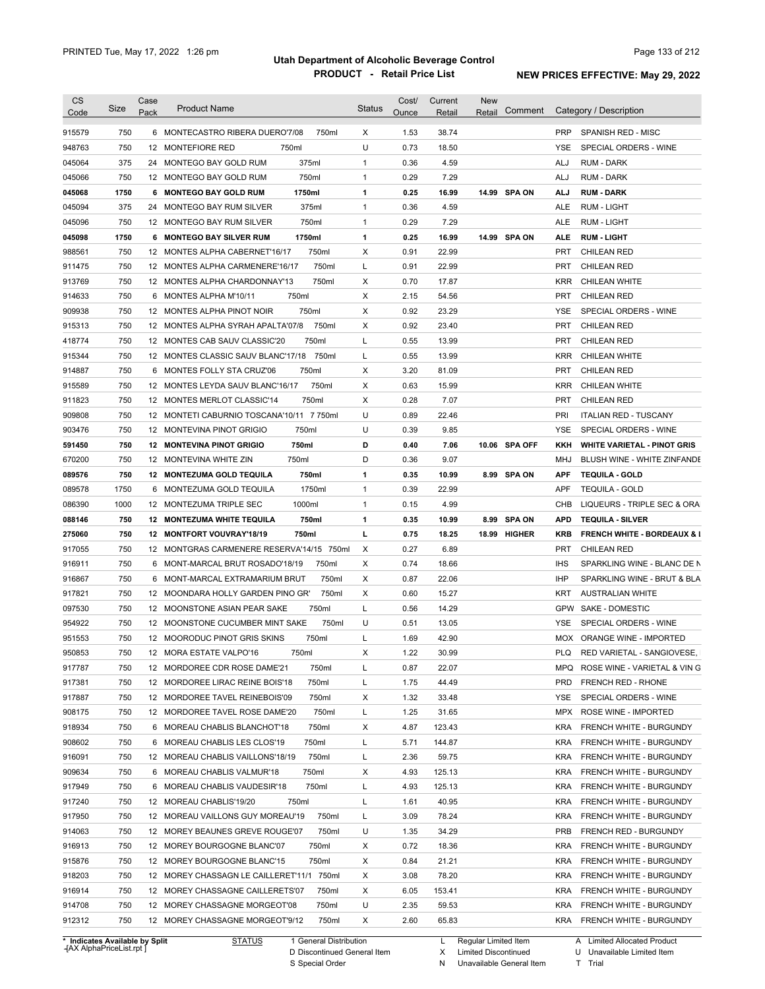| Code                                                                                                                                                                                       | Size | Case | <b>Product Name</b>                         | <b>Status</b> | Cost/ | Current | <b>New</b> | Comment       |            | Category / Description                 |
|--------------------------------------------------------------------------------------------------------------------------------------------------------------------------------------------|------|------|---------------------------------------------|---------------|-------|---------|------------|---------------|------------|----------------------------------------|
|                                                                                                                                                                                            |      | Pack |                                             |               | Ounce | Retail  | Retail     |               |            |                                        |
| 915579                                                                                                                                                                                     | 750  |      | 6 MONTECASTRO RIBERA DUERO'7/08<br>750ml    | Х             | 1.53  | 38.74   |            |               | <b>PRP</b> | SPANISH RED - MISC                     |
| 948763                                                                                                                                                                                     | 750  |      | 12 MONTEFIORE RED<br>750ml                  | U             | 0.73  | 18.50   |            |               | YSE        | SPECIAL ORDERS - WINE                  |
| 045064                                                                                                                                                                                     | 375  |      | 375ml<br>24 MONTEGO BAY GOLD RUM            | $\mathbf{1}$  | 0.36  | 4.59    |            |               | ALJ        | <b>RUM - DARK</b>                      |
| 045066                                                                                                                                                                                     | 750  |      | 750ml<br>12 MONTEGO BAY GOLD RUM            | $\mathbf{1}$  | 0.29  | 7.29    |            |               | ALJ        | <b>RUM - DARK</b>                      |
| 045068                                                                                                                                                                                     | 1750 |      | 1750ml<br>6 MONTEGO BAY GOLD RUM            | 1             | 0.25  | 16.99   |            | 14.99 SPA ON  | <b>ALJ</b> | <b>RUM DARK</b>                        |
| 045094                                                                                                                                                                                     | 375  |      | 375ml<br>24 MONTEGO BAY RUM SILVER          | $\mathbf{1}$  | 0.36  | 4.59    |            |               | ALE        | <b>RUM - LIGHT</b>                     |
| 045096                                                                                                                                                                                     | 750  |      | 750ml<br>12 MONTEGO BAY RUM SILVER          | $\mathbf{1}$  | 0.29  | 7.29    |            |               | ALE        | <b>RUM - LIGHT</b>                     |
| 045098                                                                                                                                                                                     | 1750 |      | 1750ml<br>6 MONTEGO BAY SILVER RUM          | 1             | 0.25  | 16.99   |            | 14.99 SPA ON  | <b>ALE</b> | <b>RUM - LIGHT</b>                     |
| 988561                                                                                                                                                                                     | 750  |      | 12 MONTES ALPHA CABERNET'16/17<br>750ml     | Х             | 0.91  | 22.99   |            |               | <b>PRT</b> | <b>CHILEAN RED</b>                     |
| 911475                                                                                                                                                                                     | 750  |      | 12 MONTES ALPHA CARMENERE'16/17<br>750ml    | L             | 0.91  | 22.99   |            |               | <b>PRT</b> | <b>CHILEAN RED</b>                     |
| 913769                                                                                                                                                                                     | 750  |      | 12 MONTES ALPHA CHARDONNAY'13<br>750ml      | Х             | 0.70  | 17.87   |            |               | <b>KRR</b> | CHILEAN WHITE                          |
| 914633                                                                                                                                                                                     | 750  |      | 750ml<br>6 MONTES ALPHA M'10/11             | Х             | 2.15  | 54.56   |            |               | <b>PRT</b> | <b>CHILEAN RED</b>                     |
| 909938                                                                                                                                                                                     | 750  |      | 750ml<br>12 MONTES ALPHA PINOT NOIR         | Х             | 0.92  | 23.29   |            |               | YSE        | SPECIAL ORDERS - WINE                  |
| 915313                                                                                                                                                                                     | 750  |      | 750ml<br>12 MONTES ALPHA SYRAH APALTA'07/8  | Х             | 0.92  | 23.40   |            |               | <b>PRT</b> | <b>CHILEAN RED</b>                     |
| 418774                                                                                                                                                                                     | 750  |      | 750ml<br>12 MONTES CAB SAUV CLASSIC'20      | L             | 0.55  | 13.99   |            |               | PRT        | <b>CHILEAN RED</b>                     |
| 915344                                                                                                                                                                                     | 750  |      | 12 MONTES CLASSIC SAUV BLANC'17/18<br>750ml | L             | 0.55  | 13.99   |            |               | <b>KRR</b> | <b>CHILEAN WHITE</b>                   |
| 914887                                                                                                                                                                                     | 750  |      | 750ml<br>6 MONTES FOLLY STA CRUZ'06         | Х             | 3.20  | 81.09   |            |               | PRT        | <b>CHILEAN RED</b>                     |
| 915589                                                                                                                                                                                     | 750  |      | 12 MONTES LEYDA SAUV BLANC'16/17<br>750ml   | Х             | 0.63  | 15.99   |            |               | <b>KRR</b> | <b>CHILEAN WHITE</b>                   |
| 911823                                                                                                                                                                                     | 750  |      | 750ml<br>12 MONTES MERLOT CLASSIC'14        | Х             | 0.28  | 7.07    |            |               | <b>PRT</b> | <b>CHILEAN RED</b>                     |
| 909808                                                                                                                                                                                     | 750  |      | 12 MONTETI CABURNIO TOSCANA'10/11 7 750ml   | U             | 0.89  | 22.46   |            |               | PRI        | <b>ITALIAN RED - TUSCANY</b>           |
| 903476                                                                                                                                                                                     | 750  |      | 12 MONTEVINA PINOT GRIGIO<br>750ml          | U             | 0.39  | 9.85    |            |               | <b>YSE</b> | SPECIAL ORDERS - WINE                  |
| 591450                                                                                                                                                                                     | 750  |      | 750ml<br><b>12 MONTEVINA PINOT GRIGIO</b>   | D             | 0.40  | 7.06    |            | 10.06 SPA OFF | KKH        | <b>WHITE VARIETAL - PINOT GRIS</b>     |
| 670200                                                                                                                                                                                     | 750  |      | 750ml<br>12 MONTEVINA WHITE ZIN             | D             | 0.36  | 9.07    |            |               | MHJ        | BLUSH WINE - WHITE ZINFANDE            |
| 089576                                                                                                                                                                                     | 750  |      | 750ml<br>12 MONTEZUMA GOLD TEQUILA          | 1             | 0.35  | 10.99   |            | 8.99 SPA ON   | <b>APF</b> | <b>TEQUILA - GOLD</b>                  |
| 089578                                                                                                                                                                                     | 1750 | 6    | 1750ml<br>MONTEZUMA GOLD TEQUILA            | $\mathbf{1}$  | 0.39  | 22.99   |            |               | <b>APF</b> | <b>TEQUILA - GOLD</b>                  |
| 086390                                                                                                                                                                                     | 1000 |      | 1000ml<br>12 MONTEZUMA TRIPLE SEC           | $\mathbf{1}$  | 0.15  | 4.99    |            |               | CHB        | LIQUEURS - TRIPLE SEC & ORA            |
| 088146                                                                                                                                                                                     | 750  |      | 750ml<br>12 MONTEZUMA WHITE TEQUILA         | 1             | 0.35  | 10.99   |            | 8.99 SPA ON   | <b>APD</b> | <b>TEQUILA - SILVER</b>                |
| 275060                                                                                                                                                                                     | 750  |      | 750ml<br>12 MONTFORT VOUVRAY'18/19          | г             | 0.75  | 18.25   |            | 18.99 HIGHER  | <b>KRB</b> | <b>FRENCH WHITE - BORDEAUX &amp; I</b> |
| 917055                                                                                                                                                                                     | 750  |      | 12 MONTGRAS CARMENERE RESERVA'14/15 750ml   | Χ             | 0.27  | 6.89    |            |               | <b>PRT</b> | <b>CHILEAN RED</b>                     |
| 916911                                                                                                                                                                                     | 750  |      | 750ml<br>6 MONT-MARCAL BRUT ROSADO'18/19    | Х             | 0.74  | 18.66   |            |               | <b>IHS</b> | SPARKLING WINE - BLANC DE N            |
| 916867                                                                                                                                                                                     | 750  |      | 6 MONT-MARCAL EXTRAMARIUM BRUT<br>750ml     | X             | 0.87  | 22.06   |            |               | IHP        | SPARKLING WINE - BRUT & BLA            |
| 917821                                                                                                                                                                                     | 750  |      | 750ml<br>12 MOONDARA HOLLY GARDEN PINO GR'  | х             | 0.60  | 15.27   |            |               | KRT        | <b>AUSTRALIAN WHITE</b>                |
|                                                                                                                                                                                            | 750  |      | 12 MOONSTONE ASIAN PEAR SAKE<br>750ml       | Г             | 0.56  | 14.29   |            |               | GPW        | <b>SAKE - DOMESTIC</b>                 |
| 097530                                                                                                                                                                                     |      |      |                                             | U             | 0.51  | 13.05   |            |               | YSE        | SPECIAL ORDERS - WINE                  |
| 954922                                                                                                                                                                                     |      |      |                                             |               |       |         |            |               |            |                                        |
|                                                                                                                                                                                            | 750  |      | 750ml<br>12 MOONSTONE CUCUMBER MINT SAKE    |               |       |         |            |               |            |                                        |
|                                                                                                                                                                                            | 750  |      | 12 MOORODUC PINOT GRIS SKINS<br>750ml       | L             | 1.69  | 42.90   |            |               | <b>MOX</b> | <b>ORANGE WINE - IMPORTED</b>          |
|                                                                                                                                                                                            | 750  |      | 750ml<br>12 MORA ESTATE VALPO'16            | х             | 1.22  | 30.99   |            |               | PLQ        | RED VARIETAL - SANGIOVESE,             |
|                                                                                                                                                                                            | 750  |      | 12 MORDOREE CDR ROSE DAME'21<br>750ml       | L             | 0.87  | 22.07   |            |               | MPQ        | ROSE WINE - VARIETAL & VIN G           |
|                                                                                                                                                                                            | 750  |      | 12 MORDOREE LIRAC REINE BOIS'18<br>750ml    | L             | 1.75  | 44.49   |            |               | <b>PRD</b> | FRENCH RED - RHONE                     |
|                                                                                                                                                                                            | 750  |      | 750ml<br>12 MORDOREE TAVEL REINEBOIS'09     | Х             | 1.32  | 33.48   |            |               | YSE        | SPECIAL ORDERS - WINE                  |
|                                                                                                                                                                                            | 750  |      | 750ml<br>12 MORDOREE TAVEL ROSE DAME'20     | Г             | 1.25  | 31.65   |            |               | MPX        | ROSE WINE - IMPORTED                   |
|                                                                                                                                                                                            | 750  |      | 6 MOREAU CHABLIS BLANCHOT'18<br>750ml       | Х             | 4.87  | 123.43  |            |               | <b>KRA</b> | FRENCH WHITE - BURGUNDY                |
|                                                                                                                                                                                            | 750  |      | 6 MOREAU CHABLIS LES CLOS'19<br>750ml       | L             | 5.71  | 144.87  |            |               | <b>KRA</b> | FRENCH WHITE - BURGUNDY                |
|                                                                                                                                                                                            | 750  |      | 750ml<br>12 MOREAU CHABLIS VAILLONS'18/19   | L             | 2.36  | 59.75   |            |               | <b>KRA</b> | FRENCH WHITE - BURGUNDY                |
|                                                                                                                                                                                            | 750  |      | 750ml<br>6 MOREAU CHABLIS VALMUR'18         | Х             | 4.93  | 125.13  |            |               | <b>KRA</b> | FRENCH WHITE - BURGUNDY                |
|                                                                                                                                                                                            | 750  |      | 750ml<br>6 MOREAU CHABLIS VAUDESIR'18       | L             | 4.93  | 125.13  |            |               | <b>KRA</b> | FRENCH WHITE - BURGUNDY                |
|                                                                                                                                                                                            | 750  |      | 12 MOREAU CHABLIS'19/20<br>750ml            | L             | 1.61  | 40.95   |            |               | <b>KRA</b> | FRENCH WHITE - BURGUNDY                |
|                                                                                                                                                                                            | 750  |      | 750ml<br>12 MOREAU VAILLONS GUY MOREAU'19   | L             | 3.09  | 78.24   |            |               | <b>KRA</b> | <b>FRENCH WHITE - BURGUNDY</b>         |
|                                                                                                                                                                                            | 750  |      | 750ml<br>12 MOREY BEAUNES GREVE ROUGE'07    | U             | 1.35  | 34.29   |            |               | <b>PRB</b> | FRENCH RED - BURGUNDY                  |
|                                                                                                                                                                                            | 750  |      | 12 MOREY BOURGOGNE BLANC'07<br>750ml        | Х             | 0.72  | 18.36   |            |               | <b>KRA</b> | <b>FRENCH WHITE - BURGUNDY</b>         |
|                                                                                                                                                                                            | 750  |      | 12 MOREY BOURGOGNE BLANC'15<br>750ml        | Х             | 0.84  | 21.21   |            |               | <b>KRA</b> | FRENCH WHITE - BURGUNDY                |
|                                                                                                                                                                                            | 750  |      | 12 MOREY CHASSAGN LE CAILLERET'11/1 750ml   | Х             | 3.08  | 78.20   |            |               | <b>KRA</b> | FRENCH WHITE - BURGUNDY                |
|                                                                                                                                                                                            | 750  |      | 12 MOREY CHASSAGNE CAILLERETS'07<br>750ml   | Х             | 6.05  | 153.41  |            |               | <b>KRA</b> | FRENCH WHITE - BURGUNDY                |
| 951553<br>950853<br>917787<br>917381<br>917887<br>908175<br>918934<br>908602<br>916091<br>909634<br>917949<br>917240<br>917950<br>914063<br>916913<br>915876<br>918203<br>916914<br>914708 | 750  |      | 750ml<br>12 MOREY CHASSAGNE MORGEOT'08      | U             | 2.35  | 59.53   |            |               | <b>KRA</b> | <b>FRENCH WHITE - BURGUNDY</b>         |

**Case** [AX AlphaPriceList.rpt ]

D Discontinued General Item

S Special Order

X Limited Discontinued

N Unavailable General Item

U Unavailable Limited Item

T Trial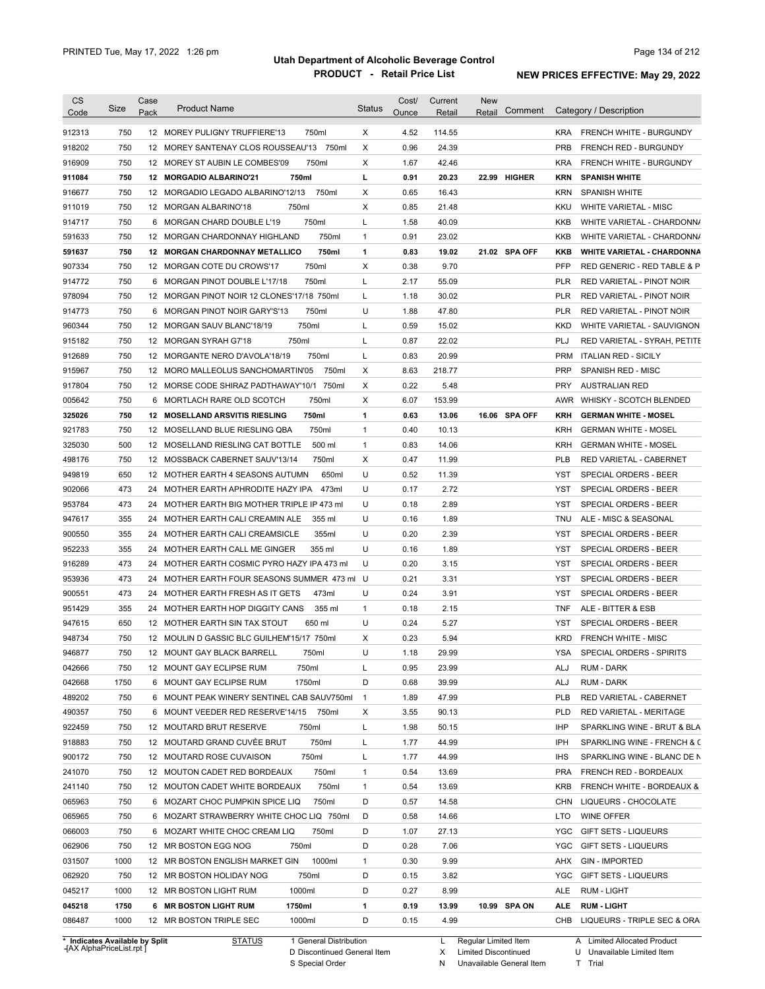| CS               | Size         | Case | <b>Product Name</b>                            | <b>Status</b> | Cost/ | Current | <b>New</b>        |            |                                   |
|------------------|--------------|------|------------------------------------------------|---------------|-------|---------|-------------------|------------|-----------------------------------|
| Code             |              | Pack |                                                |               | Ounce | Retail  | Comment<br>Retail |            | Category / Description            |
| 912313           | 750          |      | 12 MOREY PULIGNY TRUFFIERE'13<br>750ml         | Х             | 4.52  | 114.55  |                   | <b>KRA</b> | FRENCH WHITE - BURGUNDY           |
| 918202           | 750          |      | 12 MOREY SANTENAY CLOS ROUSSEAU'13 750ml       | X             | 0.96  | 24.39   |                   | <b>PRB</b> | FRENCH RED - BURGUNDY             |
| 916909           | 750          |      | 750ml<br>12 MOREY ST AUBIN LE COMBES'09        | х             | 1.67  | 42.46   |                   | KRA        | FRENCH WHITE - BURGUNDY           |
| 911084           | 750          |      | 750ml<br>12 MORGADIO ALBARINO'21               | г             | 0.91  | 20.23   | 22.99 HIGHER      | <b>KRN</b> | <b>SPANISH WHITE</b>              |
| 916677           | 750          |      | 12 MORGADIO LEGADO ALBARINO'12/13<br>750ml     | х             | 0.65  | 16.43   |                   | KRN        | <b>SPANISH WHITE</b>              |
| 911019           | 750          |      | 12 MORGAN ALBARINO'18<br>750ml                 | X             | 0.85  | 21.48   |                   | KKU        | WHITE VARIETAL - MISC             |
| 914717           | 750          |      | 6 MORGAN CHARD DOUBLE L'19<br>750ml            | L             | 1.58  | 40.09   |                   | KKB        | WHITE VARIETAL - CHARDONN/        |
| 591633           | 750          |      | 12 MORGAN CHARDONNAY HIGHLAND<br>750ml         | $\mathbf{1}$  | 0.91  | 23.02   |                   | KKB        | WHITE VARIETAL - CHARDONN/        |
| 591637           | 750          |      | <b>12 MORGAN CHARDONNAY METALLICO</b><br>750ml | 1             | 0.83  | 19.02   | 21.02 SPA OFF     | KKB        | <b>WHITE VARIETAL - CHARDONNA</b> |
| 907334           | 750          |      | 750ml<br>12 MORGAN COTE DU CROWS'17            | Χ             | 0.38  | 9.70    |                   | <b>PFP</b> | RED GENERIC - RED TABLE & P       |
| 914772           | 750          |      | 6 MORGAN PINOT DOUBLE L'17/18<br>750ml         | Г             | 2.17  | 55.09   |                   | PLR        | RED VARIETAL - PINOT NOIR         |
| 978094           | 750          |      | 12 MORGAN PINOT NOIR 12 CLONES'17/18 750ml     | Г             | 1.18  | 30.02   |                   | PLR        | RED VARIETAL - PINOT NOIR         |
|                  | 750          |      |                                                | U             | 1.88  |         |                   |            |                                   |
| 914773           |              |      | 6 MORGAN PINOT NOIR GARY'S'13<br>750ml         |               |       | 47.80   |                   | PLR        | RED VARIETAL - PINOT NOIR         |
| 960344           | 750          |      | 750ml<br>12 MORGAN SAUV BLANC'18/19            | L             | 0.59  | 15.02   |                   | <b>KKD</b> | WHITE VARIETAL - SAUVIGNON        |
| 915182           | 750          |      | 750ml<br>12 MORGAN SYRAH G7'18                 | Г             | 0.87  | 22.02   |                   | PLJ        | RED VARIETAL - SYRAH, PETITE      |
| 912689           | 750          |      | 750ml<br>12 MORGANTE NERO D'AVOLA'18/19        | L             | 0.83  | 20.99   |                   | <b>PRM</b> | <b>ITALIAN RED - SICILY</b>       |
| 915967           | 750          |      | 12 MORO MALLEOLUS SANCHOMARTIN'05<br>750ml     | Х             | 8.63  | 218.77  |                   | <b>PRP</b> | SPANISH RED - MISC                |
| 917804           | 750          |      | 12 MORSE CODE SHIRAZ PADTHAWAY'10/1 750ml      | х             | 0.22  | 5.48    |                   | <b>PRY</b> | <b>AUSTRALIAN RED</b>             |
| 005642           | 750          |      | 750ml<br>6 MORTLACH RARE OLD SCOTCH            | х             | 6.07  | 153.99  |                   | AWR        | WHISKY - SCOTCH BLENDED           |
| 325026           | 750          |      | <b>12 MOSELLAND ARSVITIS RIESLING</b><br>750ml | 1             | 0.63  | 13.06   | 16.06 SPA OFF     | KRH        | <b>GERMAN WHITE - MOSEL</b>       |
| 921783           | 750          |      | 12 MOSELLAND BLUE RIESLING QBA<br>750ml        | 1             | 0.40  | 10.13   |                   | KRH        | <b>GERMAN WHITE - MOSEL</b>       |
| 325030           | 500          |      | 12 MOSELLAND RIESLING CAT BOTTLE<br>500 ml     | 1             | 0.83  | 14.06   |                   | KRH        | <b>GERMAN WHITE - MOSEL</b>       |
| 498176           | 750          |      | 12 MOSSBACK CABERNET SAUV'13/14<br>750ml       | х             | 0.47  | 11.99   |                   | <b>PLB</b> | RED VARIETAL - CABERNET           |
| 949819           | 650          |      | 12 MOTHER EARTH 4 SEASONS AUTUMN<br>650ml      | U             | 0.52  | 11.39   |                   | YST        | SPECIAL ORDERS - BEER             |
| 902066           | 473          |      | 24 MOTHER EARTH APHRODITE HAZY IPA<br>473ml    | U             | 0.17  | 2.72    |                   | <b>YST</b> | SPECIAL ORDERS - BEER             |
| 953784           | 473          |      | 24 MOTHER EARTH BIG MOTHER TRIPLE IP 473 ml    | U             | 0.18  | 2.89    |                   | <b>YST</b> | SPECIAL ORDERS - BEER             |
| 947617           | 355          |      | 24 MOTHER EARTH CALI CREAMIN ALE<br>355 ml     | U             | 0.16  | 1.89    |                   | TNU        | ALE - MISC & SEASONAL             |
| 900550           | 355          |      | 24 MOTHER EARTH CALI CREAMSICLE<br>355ml       | U             | 0.20  | 2.39    |                   | <b>YST</b> | SPECIAL ORDERS - BEER             |
| 952233           | 355          |      | 24 MOTHER EARTH CALL ME GINGER<br>355 ml       | U             | 0.16  | 1.89    |                   | <b>YST</b> | SPECIAL ORDERS - BEER             |
| 916289           | 473          |      | 24 MOTHER EARTH COSMIC PYRO HAZY IPA 473 ml    | U             | 0.20  | 3.15    |                   | YST        | SPECIAL ORDERS - BEER             |
| 953936           | 473          |      | 24 MOTHER EARTH FOUR SEASONS SUMMER 473 ml U   |               | 0.21  | 3.31    |                   | YST        | SPECIAL ORDERS - BEER             |
| 900551           | 473          |      | 24 MOTHER EARTH FRESH AS IT GETS<br>473ml      | U             | 0.24  | 3.91    |                   | <b>YST</b> | SPECIAL ORDERS - BEER             |
| 951429           | 355          |      | 24 MOTHER EARTH HOP DIGGITY CANS<br>355 ml     | $\mathbf{1}$  | 0.18  | 2.15    |                   | <b>TNF</b> | ALE - BITTER & ESB                |
|                  |              |      |                                                |               |       |         |                   |            |                                   |
| 947615           | 650          |      | 12 MOTHER EARTH SIN TAX STOUT<br>650 ml        | U             | 0.24  | 5.27    |                   | YST        | SPECIAL ORDERS - BEER             |
| 948734           | 750          |      | 12 MOULIN D GASSIC BLC GUILHEM'15/17 750ml     | х             | 0.23  | 5.94    |                   | <b>KRD</b> | FRENCH WHITE - MISC               |
| 946877           | 750          |      | 750ml<br>12 MOUNT GAY BLACK BARRELL            | U             | 1.18  | 29.99   |                   | <b>YSA</b> | <b>SPECIAL ORDERS - SPIRITS</b>   |
| 042666           | 750          |      | 12 MOUNT GAY ECLIPSE RUM<br>750ml              | L             | 0.95  | 23.99   |                   | ALJ        | RUM - DARK                        |
| 042668           | 1750         |      | 6 MOUNT GAY ECLIPSE RUM<br>1750ml              | D             | 0.68  | 39.99   |                   | ALJ        | RUM - DARK                        |
| 489202           | 750          |      | 6 MOUNT PEAK WINERY SENTINEL CAB SAUV750ml     | $\mathbf{1}$  | 1.89  | 47.99   |                   | <b>PLB</b> | RED VARIETAL - CABERNET           |
| 490357           | 750          |      | 6 MOUNT VEEDER RED RESERVE'14/15<br>750ml      | х             | 3.55  | 90.13   |                   | <b>PLD</b> | RED VARIETAL - MERITAGE           |
| 922459           | 750          |      | 12 MOUTARD BRUT RESERVE<br>750ml               | L             | 1.98  | 50.15   |                   | <b>IHP</b> | SPARKLING WINE - BRUT & BLA       |
| 918883           | 750          |      | 750ml<br>12 MOUTARD GRAND CUVEE BRUT           | L             | 1.77  | 44.99   |                   | IPH        | SPARKLING WINE - FRENCH & C       |
| 900172           | 750          |      | 12 MOUTARD ROSE CUVAISON<br>750ml              | Г             | 1.77  | 44.99   |                   | <b>IHS</b> | SPARKLING WINE - BLANC DE N       |
| 241070           | 750          |      | 750ml<br>12 MOUTON CADET RED BORDEAUX          | $\mathbf{1}$  | 0.54  | 13.69   |                   | <b>PRA</b> | FRENCH RED - BORDEAUX             |
| 241140           | 750          |      | 750ml<br>12 MOUTON CADET WHITE BORDEAUX        | $\mathbf{1}$  | 0.54  | 13.69   |                   | <b>KRB</b> | FRENCH WHITE - BORDEAUX &         |
| 065963           | 750          |      | 750ml<br>6 MOZART CHOC PUMPKIN SPICE LIQ       | D             | 0.57  | 14.58   |                   | <b>CHN</b> | LIQUEURS - CHOCOLATE              |
| 065965           | 750          |      | 6 MOZART STRAWBERRY WHITE CHOC LIQ 750ml       | D             | 0.58  | 14.66   |                   | LTO        | <b>WINE OFFER</b>                 |
| 066003           | 750          |      | 6 MOZART WHITE CHOC CREAM LIQ<br>750ml         | D             | 1.07  | 27.13   |                   | <b>YGC</b> | <b>GIFT SETS - LIQUEURS</b>       |
| 062906           | 750          |      | 750ml<br>12 MR BOSTON EGG NOG                  | D             | 0.28  | 7.06    |                   | YGC        | <b>GIFT SETS - LIQUEURS</b>       |
| 031507           | 1000         |      | 1000ml<br>12 MR BOSTON ENGLISH MARKET GIN      | 1             | 0.30  | 9.99    |                   | AHX        | <b>GIN - IMPORTED</b>             |
| 062920           | 750          |      | 12 MR BOSTON HOLIDAY NOG<br>750ml              | D             | 0.15  | 3.82    |                   | YGC        | <b>GIFT SETS - LIQUEURS</b>       |
|                  | 1000         |      | 1000ml                                         | D             | 0.27  | 8.99    |                   | ALE        |                                   |
| 045217           |              |      | 12 MR BOSTON LIGHT RUM                         |               |       |         |                   |            | <b>RUM - LIGHT</b>                |
|                  |              |      | 6 MR BOSTON LIGHT RUM<br>1750ml                | 1             | 0.19  | 13.99   | 10.99 SPA ON      | ALE        | <b>RUM - LIGHT</b>                |
| 045218<br>086487 | 1750<br>1000 |      | 12 MR BOSTON TRIPLE SEC<br>1000ml              | D             | 0.15  | 4.99    |                   | CHB        | LIQUEURS - TRIPLE SEC & ORA       |

**Case** [AX AlphaPriceList.rpt ]

D Discontinued General Item

S Special Order

X Limited Discontinued N Unavailable General Item U Unavailable Limited Item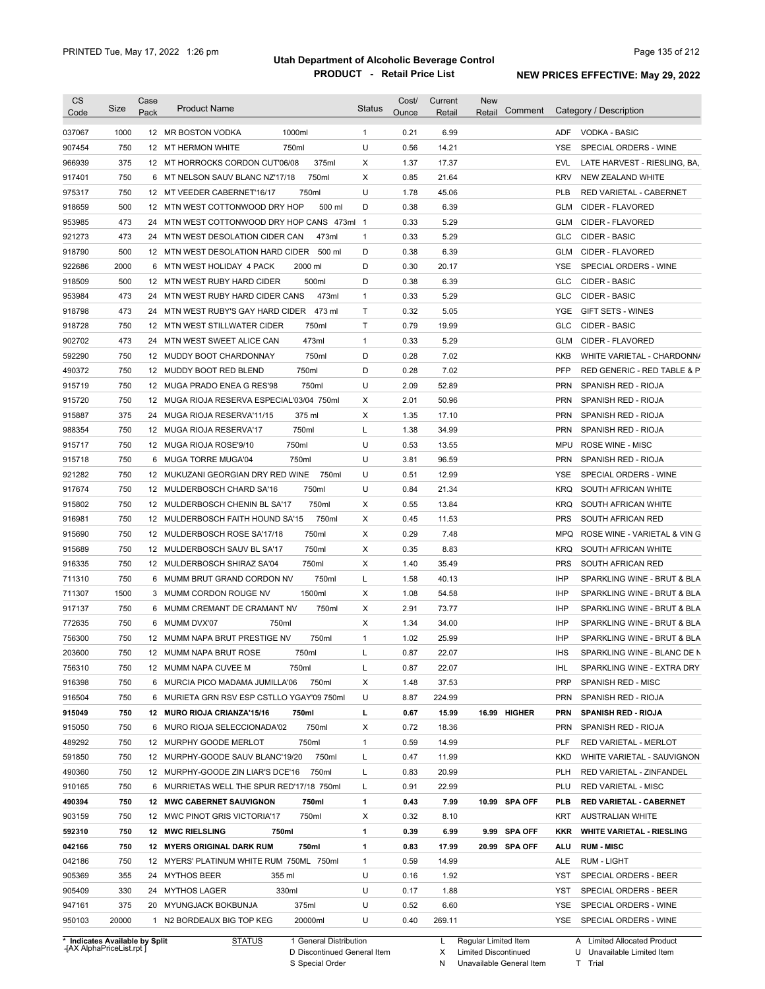| <b>CS</b><br>Code              | Size  | Case<br>Pack | <b>Product Name</b>                         |                        | <b>Status</b> | Cost/<br>Ounce | Current<br>Retail | <b>New</b><br>Comment<br>Retail |            | Category / Description           |
|--------------------------------|-------|--------------|---------------------------------------------|------------------------|---------------|----------------|-------------------|---------------------------------|------------|----------------------------------|
| 037067                         | 1000  |              | 1000ml<br>12 MR BOSTON VODKA                |                        | $\mathbf{1}$  | 0.21           | 6.99              |                                 | ADF        | VODKA - BASIC                    |
| 907454                         | 750   |              | 12 MT HERMON WHITE<br>750ml                 |                        | U             | 0.56           | 14.21             |                                 | <b>YSE</b> | SPECIAL ORDERS - WINE            |
| 966939                         | 375   |              | 12 MT HORROCKS CORDON CUT'06/08             | 375ml                  | Х             | 1.37           | 17.37             |                                 | EVL        | LATE HARVEST - RIESLING, BA,     |
| 917401                         | 750   |              | 6 MT NELSON SAUV BLANC NZ'17/18             | 750ml                  | Х             | 0.85           | 21.64             |                                 | KRV        | NEW ZEALAND WHITE                |
| 975317                         | 750   |              | 12 MT VEEDER CABERNET'16/17                 | 750ml                  | U             | 1.78           | 45.06             |                                 | <b>PLB</b> | RED VARIETAL - CABERNET          |
| 918659                         | 500   |              | 12 MTN WEST COTTONWOOD DRY HOP              | 500 ml                 | D             | 0.38           | 6.39              |                                 | GLM        | CIDER - FLAVORED                 |
| 953985                         | 473   |              | 24 MTN WEST COTTONWOOD DRY HOP CANS 473ml 1 |                        |               | 0.33           | 5.29              |                                 | GLM        | CIDER - FLAVORED                 |
| 921273                         | 473   |              | 24 MTN WEST DESOLATION CIDER CAN            | 473ml                  | $\mathbf{1}$  | 0.33           | 5.29              |                                 | <b>GLC</b> | CIDER - BASIC                    |
| 918790                         | 500   |              | 12 MTN WEST DESOLATION HARD CIDER           | 500 ml                 | D             | 0.38           | 6.39              |                                 | GLM        | CIDER - FLAVORED                 |
| 922686                         | 2000  |              | 6 MTN WEST HOLIDAY 4 PACK                   | 2000 ml                | D             | 0.30           | 20.17             |                                 | YSE        | SPECIAL ORDERS - WINE            |
| 918509                         | 500   |              | 12 MTN WEST RUBY HARD CIDER                 | 500ml                  | D             | 0.38           | 6.39              |                                 | GLC        | CIDER - BASIC                    |
| 953984                         | 473   |              | 24 MTN WEST RUBY HARD CIDER CANS            | 473ml                  | $\mathbf{1}$  | 0.33           | 5.29              |                                 | GLC        | CIDER - BASIC                    |
| 918798                         | 473   |              | 24 MTN WEST RUBY'S GAY HARD CIDER           | 473 ml                 | T             | 0.32           | 5.05              |                                 | YGE        | <b>GIFT SETS - WINES</b>         |
| 918728                         | 750   |              | 12 MTN WEST STILLWATER CIDER                | 750ml                  | T             | 0.79           | 19.99             |                                 | <b>GLC</b> | CIDER - BASIC                    |
| 902702                         | 473   |              | 24 MTN WEST SWEET ALICE CAN                 | 473ml                  | $\mathbf{1}$  | 0.33           | 5.29              |                                 | GLM        | CIDER - FLAVORED                 |
| 592290                         | 750   |              | 12 MUDDY BOOT CHARDONNAY                    | 750ml                  | D             | 0.28           | 7.02              |                                 | <b>KKB</b> | WHITE VARIETAL - CHARDONN/       |
| 490372                         | 750   |              | 12 MUDDY BOOT RED BLEND                     | 750ml                  | D             | 0.28           | 7.02              |                                 | <b>PFP</b> | RED GENERIC - RED TABLE & P      |
| 915719                         | 750   |              | 12 MUGA PRADO ENEA G RES'98                 | 750ml                  | U             | 2.09           | 52.89             |                                 | <b>PRN</b> | SPANISH RED - RIOJA              |
| 915720                         | 750   |              | 12 MUGA RIOJA RESERVA ESPECIAL'03/04 750ml  |                        | Χ             | 2.01           | 50.96             |                                 | <b>PRN</b> | SPANISH RED - RIOJA              |
| 915887                         | 375   |              | 24 MUGA RIOJA RESERVA'11/15                 | 375 ml                 | Χ             | 1.35           | 17.10             |                                 | PRN        | SPANISH RED - RIOJA              |
| 988354                         | 750   |              | 12 MUGA RIOJA RESERVA'17                    | 750ml                  | Г             | 1.38           | 34.99             |                                 | <b>PRN</b> | SPANISH RED - RIOJA              |
| 915717                         | 750   |              | 750ml<br>12 MUGA RIOJA ROSE'9/10            |                        | U             | 0.53           | 13.55             |                                 | MPU        | <b>ROSE WINE - MISC</b>          |
| 915718                         | 750   |              | 6 MUGA TORRE MUGA'04                        | 750ml                  | U             | 3.81           | 96.59             |                                 | <b>PRN</b> | SPANISH RED - RIOJA              |
| 921282                         | 750   |              | 12 MUKUZANI GEORGIAN DRY RED WINE           | 750ml                  | U             | 0.51           | 12.99             |                                 | YSE        | SPECIAL ORDERS - WINE            |
| 917674                         | 750   |              | 12 MULDERBOSCH CHARD SA'16                  | 750ml                  | U             | 0.84           | 21.34             |                                 | KRQ        | SOUTH AFRICAN WHITE              |
| 915802                         | 750   |              | 12 MULDERBOSCH CHENIN BL SA'17              | 750ml                  | Х             | 0.55           | 13.84             |                                 | KRQ        | SOUTH AFRICAN WHITE              |
| 916981                         | 750   |              | 12 MULDERBOSCH FAITH HOUND SA'15            | 750ml                  | Х             | 0.45           | 11.53             |                                 | <b>PRS</b> | SOUTH AFRICAN RED                |
| 915690                         | 750   |              | 12 MULDERBOSCH ROSE SA'17/18                | 750ml                  | Х             | 0.29           | 7.48              |                                 | MPQ        | ROSE WINE - VARIETAL & VIN G     |
| 915689                         | 750   |              | 12 MULDERBOSCH SAUV BL SA'17                | 750ml                  | Х             | 0.35           | 8.83              |                                 | <b>KRQ</b> | SOUTH AFRICAN WHITE              |
| 916335                         | 750   |              | 12 MULDERBOSCH SHIRAZ SA'04                 | 750ml                  | Х             | 1.40           | 35.49             |                                 | <b>PRS</b> | SOUTH AFRICAN RED                |
| 711310                         | 750   |              | 6 MUMM BRUT GRAND CORDON NV                 | 750ml                  | Г             | 1.58           | 40.13             |                                 | IHP        | SPARKLING WINE - BRUT & BLA      |
| 711307                         | 1500  |              | 3 MUMM CORDON ROUGE NV                      | 1500ml                 | Х             | 1.08           | 54.58             |                                 | <b>IHP</b> | SPARKLING WINE - BRUT & BLA      |
| 917137                         | 750   |              | 6 MUMM CREMANT DE CRAMANT NV                | 750ml                  | Х             | 2.91           | 73.77             |                                 | <b>IHP</b> | SPARKLING WINE - BRUT & BLA      |
| 772635                         | 750   |              | 6 MUMM DVX'07<br>750ml                      |                        | Χ             | 1.34           | 34.00             |                                 | <b>IHP</b> | SPARKLING WINE - BRUT & BLA      |
| 756300                         | 750   |              | 12 MUMM NAPA BRUT PRESTIGE NV               | 750ml                  | 1             | 1.02           | 25.99             |                                 | IHP        | SPARKLING WINE - BRUT & BLA      |
| 203600                         | 750   |              | 12 MUMM NAPA BRUT ROSE                      | 750ml                  |               | 0.87           | 22.07             |                                 | <b>IHS</b> | SPARKLING WINE - BLANC DE N      |
| 756310                         | 750   |              | 12 MUMM NAPA CUVEE M                        | 750ml                  | L             | 0.87           | 22.07             |                                 | IHL        | SPARKLING WINE - EXTRA DRY       |
| 916398                         | 750   |              | 6 MURCIA PICO MADAMA JUMILLA'06             | 750ml                  | Х             | 1.48           | 37.53             |                                 | <b>PRP</b> | SPANISH RED - MISC               |
| 916504                         | 750   |              | 6 MURIETA GRN RSV ESP CSTLLO YGAY'09 750ml  |                        | U             | 8.87           | 224.99            |                                 | <b>PRN</b> | SPANISH RED - RIOJA              |
| 915049                         | 750   |              | 12 MURO RIOJA CRIANZA'15/16                 | 750ml                  | г             | 0.67           | 15.99             | 16.99 HIGHER                    | <b>PRN</b> | <b>SPANISH RED - RIOJA</b>       |
| 915050                         | 750   |              | 6 MURO RIOJA SELECCIONADA'02                | 750ml                  | х             | 0.72           | 18.36             |                                 | <b>PRN</b> | SPANISH RED - RIOJA              |
| 489292                         | 750   |              | 12 MURPHY GOODE MERLOT                      | 750ml                  | 1             | 0.59           | 14.99             |                                 | PLF        | RED VARIETAL - MERLOT            |
| 591850                         | 750   |              | 12 MURPHY-GOODE SAUV BLANC'19/20            | 750ml                  | L             | 0.47           | 11.99             |                                 | KKD        | WHITE VARIETAL - SAUVIGNON       |
| 490360                         | 750   |              | 12 MURPHY-GOODE ZIN LIAR'S DCE'16           | 750ml                  | L             | 0.83           | 20.99             |                                 | PLH        | RED VARIETAL - ZINFANDEL         |
| 910165                         | 750   |              | 6 MURRIETAS WELL THE SPUR RED'17/18 750ml   |                        | Г             | 0.91           | 22.99             |                                 | PLU        | <b>RED VARIETAL - MISC</b>       |
| 490394                         | 750   |              | 12 MWC CABERNET SAUVIGNON                   | 750ml                  | 1             | 0.43           | 7.99              | 10.99 SPA OFF                   | PLB        | <b>RED VARIETAL - CABERNET</b>   |
| 903159                         | 750   |              | 12 MWC PINOT GRIS VICTORIA'17               | 750ml                  | Х             | 0.32           | 8.10              |                                 | KRT        | <b>AUSTRALIAN WHITE</b>          |
| 592310                         | 750   |              | 12 MWC RIELSLING<br>750ml                   |                        | 1             | 0.39           | 6.99              | 9.99 SPA OFF                    | KKR        | <b>WHITE VARIETAL - RIESLING</b> |
| 042166                         | 750   |              | 12 MYERS ORIGINAL DARK RUM                  | 750ml                  | 1             | 0.83           | 17.99             | 20.99 SPA OFF                   | ALU        | <b>RUM - MISC</b>                |
| 042186                         | 750   |              | 12 MYERS' PLATINUM WHITE RUM 750ML 750ml    |                        | $\mathbf{1}$  | 0.59           | 14.99             |                                 | ALE        | RUM - LIGHT                      |
| 905369                         | 355   |              | 24 MYTHOS BEER<br>355 ml                    |                        | U             | 0.16           | 1.92              |                                 | YST        | SPECIAL ORDERS - BEER            |
| 905409                         | 330   |              | 330ml<br>24 MYTHOS LAGER                    |                        | U             | 0.17           | 1.88              |                                 | YST        | SPECIAL ORDERS - BEER            |
| 947161                         | 375   |              | 20 MYUNGJACK BOKBUNJA                       | 375ml                  | U             | 0.52           | 6.60              |                                 | YSE        | SPECIAL ORDERS - WINE            |
| 950103                         | 20000 |              | 1 N2 BORDEAUX BIG TOP KEG                   | 20000ml                | U             | 0.40           | 269.11            |                                 |            | YSE SPECIAL ORDERS - WINE        |
| * Indicates Available by Split |       |              | <b>STATUS</b>                               | 1 General Distribution |               |                | L.                | Regular Limited Item            |            | A Limited Allocated Product      |

**Case** [AX AlphaPriceList.rpt ]

D Discontinued General Item S Special Order

X Limited Discontinued

N Unavailable General Item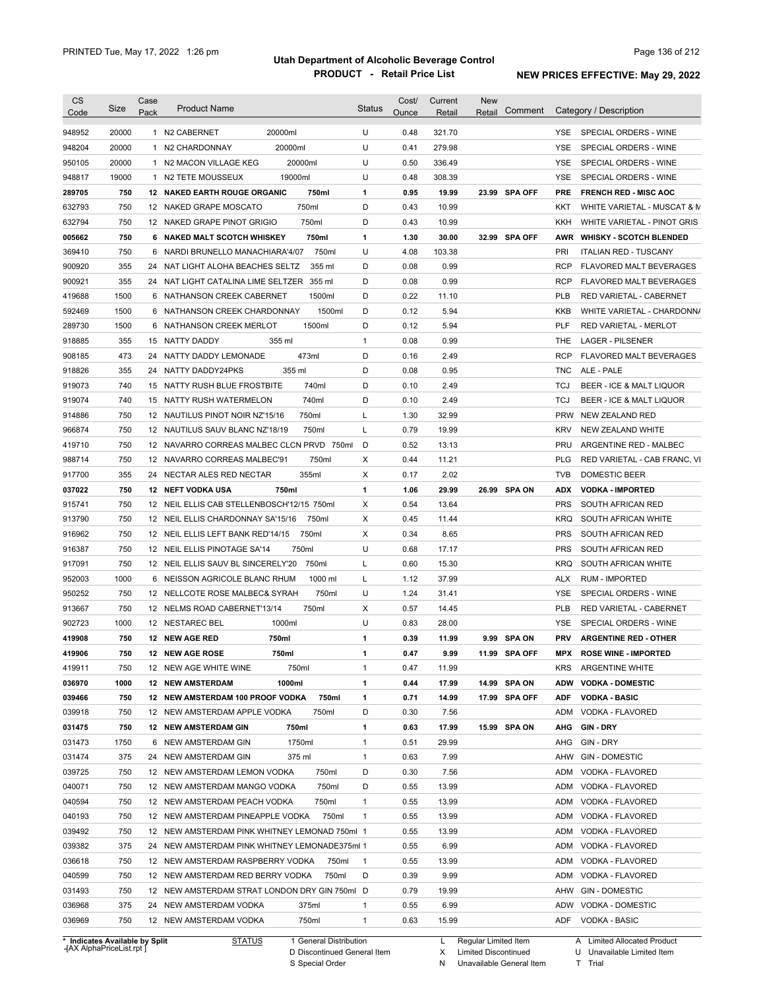| <b>CS</b><br>Code              | Size  | Case<br>Pack | <b>Product Name</b>                           | Status         | Cost/<br>Ounce | Current<br>Retail | <b>New</b><br>Comment<br>Retail |            | Category / Description         |
|--------------------------------|-------|--------------|-----------------------------------------------|----------------|----------------|-------------------|---------------------------------|------------|--------------------------------|
| 948952                         | 20000 |              | 20000ml<br>1 N2 CABERNET                      | U              | 0.48           | 321.70            |                                 | <b>YSE</b> | SPECIAL ORDERS - WINE          |
| 948204                         | 20000 |              | 20000ml<br>1 N2 CHARDONNAY                    | U              | 0.41           | 279.98            |                                 | YSE        | SPECIAL ORDERS - WINE          |
| 950105                         | 20000 |              | 20000ml<br>1 N2 MACON VILLAGE KEG             | U              | 0.50           | 336.49            |                                 | YSE        | SPECIAL ORDERS - WINE          |
| 948817                         | 19000 |              | 19000ml<br>1 N2 TETE MOUSSEUX                 | U              | 0.48           | 308.39            |                                 | YSE        | SPECIAL ORDERS - WINE          |
| 289705                         | 750   |              | 12 NAKED EARTH ROUGE ORGANIC<br>750ml         | 1              | 0.95           | 19.99             | 23.99 SPA OFF                   | <b>PRE</b> | <b>FRENCH RED - MISC AOC</b>   |
| 632793                         | 750   |              | 750ml<br>12 NAKED GRAPE MOSCATO               | D              | 0.43           | 10.99             |                                 | KKT        | WHITE VARIETAL - MUSCAT & M    |
| 632794                         | 750   |              | 750ml<br>12 NAKED GRAPE PINOT GRIGIO          | D              | 0.43           | 10.99             |                                 | KKH        | WHITE VARIETAL - PINOT GRIS    |
| 005662                         | 750   |              | 750ml<br>6 NAKED MALT SCOTCH WHISKEY          | 1              | 1.30           | 30.00             | 32.99 SPA OFF                   |            | AWR WHISKY - SCOTCH BLENDED    |
| 369410                         | 750   | 6            | NARDI BRUNELLO MANACHIARA'4/07<br>750ml       | U              | 4.08           | 103.38            |                                 | PRI        | <b>ITALIAN RED - TUSCANY</b>   |
| 900920                         | 355   |              | 355 ml<br>24 NAT LIGHT ALOHA BEACHES SELTZ    | D              | 0.08           | 0.99              |                                 | <b>RCP</b> | <b>FLAVORED MALT BEVERAGES</b> |
| 900921                         | 355   | 24           | NAT LIGHT CATALINA LIME SELTZER<br>355 ml     | D              | 0.08           | 0.99              |                                 | <b>RCP</b> | <b>FLAVORED MALT BEVERAGES</b> |
| 419688                         | 1500  | 6            | NATHANSON CREEK CABERNET<br>1500ml            | D              | 0.22           | 11.10             |                                 | <b>PLB</b> | RED VARIETAL - CABERNET        |
| 592469                         | 1500  | 6            | NATHANSON CREEK CHARDONNAY<br>1500ml          | D              | 0.12           | 5.94              |                                 | KKB        | WHITE VARIETAL - CHARDONN/     |
| 289730                         | 1500  | 6            | 1500ml<br>NATHANSON CREEK MERLOT              | D              | 0.12           | 5.94              |                                 | <b>PLF</b> | <b>RED VARIETAL - MERLOT</b>   |
| 918885                         | 355   | 15           | 355 ml<br><b>NATTY DADDY</b>                  | $\mathbf{1}$   | 0.08           | 0.99              |                                 | THE        | <b>LAGER - PILSENER</b>        |
| 908185                         | 473   | 24           | 473ml<br>NATTY DADDY LEMONADE                 | D              | 0.16           | 2.49              |                                 | <b>RCP</b> | <b>FLAVORED MALT BEVERAGES</b> |
| 918826                         | 355   | 24           | 355 ml<br>NATTY DADDY24PKS                    | D              | 0.08           | 0.95              |                                 | <b>TNC</b> | ALE - PALE                     |
| 919073                         | 740   | 15           | 740ml<br>NATTY RUSH BLUE FROSTBITE            | D              | 0.10           | 2.49              |                                 | <b>TCJ</b> | BEER - ICE & MALT LIQUOR       |
| 919074                         | 740   | 15           | 740ml<br>NATTY RUSH WATERMELON                | D              | 0.10           | 2.49              |                                 | <b>TCJ</b> | BEER - ICE & MALT LIQUOR       |
| 914886                         | 750   |              | 750ml<br>12 NAUTILUS PINOT NOIR NZ'15/16      | L              | 1.30           | 32.99             |                                 | <b>PRW</b> | NEW ZEALAND RED                |
| 966874                         | 750   |              | 750ml<br>12 NAUTILUS SAUV BLANC NZ'18/19      | L              | 0.79           | 19.99             |                                 | <b>KRV</b> | NEW ZEALAND WHITE              |
| 419710                         | 750   |              | 12 NAVARRO CORREAS MALBEC CLCN PRVD 750ml     | D              | 0.52           | 13.13             |                                 | PRU        | ARGENTINE RED - MALBEC         |
| 988714                         | 750   |              | 12 NAVARRO CORREAS MALBEC'91<br>750ml         | X              | 0.44           | 11.21             |                                 | <b>PLG</b> | RED VARIETAL - CAB FRANC, VI   |
| 917700                         | 355   | 24           | 355ml<br>NECTAR ALES RED NECTAR               | X              | 0.17           | 2.02              |                                 | <b>TVB</b> | DOMESTIC BEER                  |
| 037022                         | 750   |              | 750ml<br>12 NEFT VODKA USA                    | 1              | 1.06           | 29.99             | 26.99 SPA ON                    | <b>ADX</b> | <b>VODKA - IMPORTED</b>        |
| 915741                         | 750   |              | 12 NEIL ELLIS CAB STELLENBOSCH'12/15 750ml    | Х              | 0.54           | 13.64             |                                 | <b>PRS</b> | SOUTH AFRICAN RED              |
| 913790                         | 750   |              | 12 NEIL ELLIS CHARDONNAY SA'15/16<br>750ml    | Х              | 0.45           | 11.44             |                                 | <b>KRQ</b> | SOUTH AFRICAN WHITE            |
| 916962                         | 750   |              | 12 NEIL ELLIS LEFT BANK RED'14/15<br>750ml    | Х              | 0.34           | 8.65              |                                 | <b>PRS</b> | SOUTH AFRICAN RED              |
| 916387                         | 750   |              | 750ml<br>12 NEIL ELLIS PINOTAGE SA'14         | U              | 0.68           | 17.17             |                                 | <b>PRS</b> | SOUTH AFRICAN RED              |
| 917091                         | 750   |              | 12 NEIL ELLIS SAUV BL SINCERELY'20<br>750ml   | L              | 0.60           | 15.30             |                                 | <b>KRQ</b> | SOUTH AFRICAN WHITE            |
| 952003                         | 1000  | 6            | 1000 ml<br>NEISSON AGRICOLE BLANC RHUM        | L              | 1.12           | 37.99             |                                 | <b>ALX</b> | <b>RUM - IMPORTED</b>          |
| 950252                         | 750   |              | 750ml<br>12 NELLCOTE ROSE MALBEC& SYRAH       | U              | 1.24           | 31.41             |                                 | YSE        | SPECIAL ORDERS - WINE          |
| 913667                         | 750   |              | 750ml<br>12 NELMS ROAD CABERNET'13/14         | Χ              | 0.57           | 14.45             |                                 | <b>PLB</b> | <b>RED VARIETAL - CABERNET</b> |
| 902723                         | 1000  |              | 1000ml<br>12 NESTAREC BEL                     | U              | 0.83           | 28.00             |                                 | YSE        | SPECIAL ORDERS - WINE          |
| 419908                         | 750   |              | 12 NEW AGE RED<br>750ml                       | 1              | 0.39           | 11.99             | 9.99 SPA ON                     | <b>PRV</b> | <b>ARGENTINE RED - OTHER</b>   |
| 419906                         | 750   |              | 750ml<br>12 NEW AGE ROSE                      | 1              | 0.47           | 9.99              | 11.99 SPA OFF                   | <b>MPX</b> | <b>ROSE WINE - IMPORTED</b>    |
| 419911                         | 750   |              | 12 NEW AGE WHITE WINE<br>750ml                | $\mathbf{1}$   | 0.47           | 11.99             |                                 | <b>KRS</b> | <b>ARGENTINE WHITE</b>         |
| 036970                         | 1000  |              | 1000ml<br><b>12 NEW AMSTERDAM</b>             | 1              | 0.44           | 17.99             | 14.99 SPA ON                    | <b>ADW</b> | <b>VODKA - DOMESTIC</b>        |
| 039466                         | 750   |              | 12 NEW AMSTERDAM 100 PROOF VODKA<br>750ml     | 1              | 0.71           | 14.99             | 17.99 SPA OFF                   | <b>ADF</b> | <b>VODKA - BASIC</b>           |
| 039918                         | 750   |              | 12 NEW AMSTERDAM APPLE VODKA<br>750ml         | D              | 0.30           | 7.56              |                                 | ADM        | VODKA - FLAVORED               |
| 031475                         | 750   |              | <b>12 NEW AMSTERDAM GIN</b><br>750ml          | 1              | 0.63           | 17.99             | 15.99 SPA ON                    | AHG        | <b>GIN-DRY</b>                 |
| 031473                         | 1750  |              | 6 NEW AMSTERDAM GIN<br>1750ml                 | $\mathbf{1}$   | 0.51           | 29.99             |                                 | AHG        | GIN - DRY                      |
| 031474                         | 375   |              | 24 NEW AMSTERDAM GIN<br>375 ml                | $\mathbf{1}$   | 0.63           | 7.99              |                                 | AHW        | <b>GIN - DOMESTIC</b>          |
| 039725                         | 750   |              | 12 NEW AMSTERDAM LEMON VODKA<br>750ml         | D              | 0.30           | 7.56              |                                 | ADM        | VODKA - FLAVORED               |
| 040071                         | 750   |              | 750ml<br>12 NEW AMSTERDAM MANGO VODKA         | D              | 0.55           | 13.99             |                                 | ADM        | VODKA - FLAVORED               |
| 040594                         | 750   |              | 12 NEW AMSTERDAM PEACH VODKA<br>750ml         | $\mathbf{1}$   | 0.55           | 13.99             |                                 | ADM        | VODKA - FLAVORED               |
| 040193                         | 750   |              | 750ml<br>12 NEW AMSTERDAM PINEAPPLE VODKA     | $\mathbf{1}$   | 0.55           | 13.99             |                                 | ADM        | VODKA - FLAVORED               |
| 039492                         | 750   |              | 12 NEW AMSTERDAM PINK WHITNEY LEMONAD 750ml 1 |                | 0.55           | 13.99             |                                 | ADM        | VODKA - FLAVORED               |
| 039382                         | 375   |              | 24 NEW AMSTERDAM PINK WHITNEY LEMONADE375ml 1 |                | 0.55           | 6.99              |                                 | ADM        | VODKA - FLAVORED               |
| 036618                         | 750   |              | 12 NEW AMSTERDAM RASPBERRY VODKA<br>750ml     | $\overline{1}$ | 0.55           | 13.99             |                                 | ADM        | VODKA - FLAVORED               |
| 040599                         | 750   |              | 12 NEW AMSTERDAM RED BERRY VODKA<br>750ml     | D              | 0.39           | 9.99              |                                 | ADM        | VODKA - FLAVORED               |
| 031493                         | 750   |              | 12 NEW AMSTERDAM STRAT LONDON DRY GIN 750ml D |                | 0.79           | 19.99             |                                 |            | AHW GIN - DOMESTIC             |
| 036968                         | 375   |              | 24 NEW AMSTERDAM VODKA<br>375ml               | 1              | 0.55           | 6.99              |                                 |            | ADW VODKA - DOMESTIC           |
| 036969                         | 750   |              | 12 NEW AMSTERDAM VODKA<br>750ml               | $\mathbf{1}$   | 0.63           | 15.99             |                                 | ADF        | VODKA - BASIC                  |
|                                |       |              |                                               |                |                |                   |                                 |            |                                |
| * Indicates Available by Split |       |              | 1 General Distribution<br><b>STATUS</b>       |                |                | L.                | Regular Limited Item            |            | A Limited Allocated Product    |

**Case** [AX AlphaPriceList.rpt ]

D Discontinued General Item S Special Order

X Limited Discontinued

N Unavailable General Item

U Unavailable Limited Item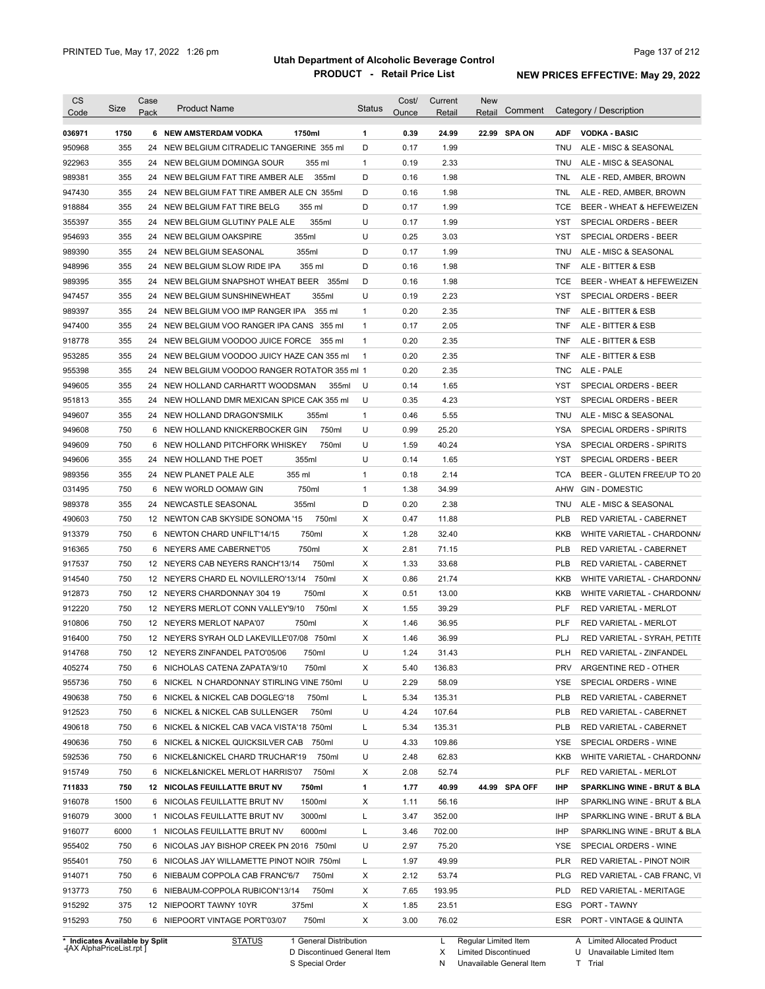| <b>CS</b>                      |            | Case |                                               |                        | <b>Status</b> | Cost/ | Current        | <b>New</b>             |               |                   |                              |
|--------------------------------|------------|------|-----------------------------------------------|------------------------|---------------|-------|----------------|------------------------|---------------|-------------------|------------------------------|
| Code                           | Size       | Pack | <b>Product Name</b>                           |                        |               | Ounce | Retail         | Retail                 | Comment       |                   | Category / Description       |
| 036971                         | 1750       |      | 6 NEW AMSTERDAM VODKA<br>1750ml               |                        | $\mathbf{1}$  | 0.39  | 24.99          |                        | 22.99 SPA ON  | <b>ADF</b>        | <b>VODKA - BASIC</b>         |
| 950968                         | 355        |      | 24 NEW BELGIUM CITRADELIC TANGERINE 355 ml    |                        | D             | 0.17  | 1.99           |                        |               | TNU               | ALE - MISC & SEASONAL        |
| 922963                         | 355        |      | 24 NEW BELGIUM DOMINGA SOUR                   | 355 ml                 | $\mathbf{1}$  | 0.19  | 2.33           |                        |               | TNU               | ALE - MISC & SEASONAL        |
| 989381                         | 355        |      | 24 NEW BELGIUM FAT TIRE AMBER ALE             | 355ml                  | D             | 0.16  | 1.98           |                        |               | TNL               | ALE - RED, AMBER, BROWN      |
| 947430                         | 355        |      | 24 NEW BELGIUM FAT TIRE AMBER ALE CN 355ml    |                        | D             | 0.16  | 1.98           |                        |               | TNL               | ALE - RED, AMBER, BROWN      |
| 918884                         | 355        |      | 24 NEW BELGIUM FAT TIRE BELG                  | 355 ml                 | D             | 0.17  | 1.99           |                        |               | TCE               | BEER - WHEAT & HEFEWEIZEN    |
| 355397                         | 355        |      | 24 NEW BELGIUM GLUTINY PALE ALE               | 355ml                  | U             | 0.17  | 1.99           |                        |               | YST               | SPECIAL ORDERS - BEER        |
| 954693                         | 355        |      | 355ml<br>24 NEW BELGIUM OAKSPIRE              |                        | U             | 0.25  | 3.03           |                        |               | YST               | SPECIAL ORDERS - BEER        |
| 989390                         | 355        |      | 355ml<br>24 NEW BELGIUM SEASONAL              |                        | D             | 0.17  | 1.99           |                        |               | <b>TNU</b>        | ALE - MISC & SEASONAL        |
| 948996                         | 355        |      | 24 NEW BELGIUM SLOW RIDE IPA                  | 355 ml                 | D             | 0.16  | 1.98           |                        |               | TNF               | ALE - BITTER & ESB           |
| 989395                         | 355        |      | 24 NEW BELGIUM SNAPSHOT WHEAT BEER 355ml      |                        | D             | 0.16  | 1.98           |                        |               | TCE               | BEER - WHEAT & HEFEWEIZEN    |
| 947457                         | 355        |      | 24 NEW BELGIUM SUNSHINEWHEAT                  | 355ml                  | U             | 0.19  | 2.23           |                        |               | YST               | SPECIAL ORDERS - BEER        |
| 989397                         | 355        |      | 24 NEW BELGIUM VOO IMP RANGER IPA             | 355 ml                 | 1             | 0.20  | 2.35           |                        |               | TNF               | ALE - BITTER & ESB           |
| 947400                         | 355        |      | 24 NEW BELGIUM VOO RANGER IPA CANS 355 ml     |                        | $\mathbf{1}$  | 0.17  | 2.05           |                        |               | TNF               | ALE - BITTER & ESB           |
| 918778                         | 355        |      | 24 NEW BELGIUM VOODOO JUICE FORCE 355 ml      |                        | 1             | 0.20  | 2.35           |                        |               | TNF               | ALE - BITTER & ESB           |
| 953285                         | 355        |      | 24 NEW BELGIUM VOODOO JUICY HAZE CAN 355 ml   |                        | $\mathbf{1}$  | 0.20  | 2.35           |                        |               | TNF               | ALE - BITTER & ESB           |
| 955398                         | 355        |      | 24 NEW BELGIUM VOODOO RANGER ROTATOR 355 ml 1 |                        |               | 0.20  | 2.35           |                        |               | TNC               | ALE - PALE                   |
| 949605                         | 355        |      | 24 NEW HOLLAND CARHARTT WOODSMAN              | 355ml                  | U             | 0.14  | 1.65           |                        |               | <b>YST</b>        | SPECIAL ORDERS - BEER        |
| 951813                         | 355        |      | 24 NEW HOLLAND DMR MEXICAN SPICE CAK 355 ml   |                        | U             | 0.35  | 4.23           |                        |               | YST               | <b>SPECIAL ORDERS - BEER</b> |
| 949607                         | 355        |      | 24 NEW HOLLAND DRAGON'SMILK                   | 355ml                  | $\mathbf{1}$  | 0.46  | 5.55           |                        |               | TNU               | ALE - MISC & SEASONAL        |
| 949608                         | 750        |      | 6 NEW HOLLAND KNICKERBOCKER GIN               | 750ml                  | U             | 0.99  | 25.20          |                        |               | <b>YSA</b>        | SPECIAL ORDERS - SPIRITS     |
| 949609                         | 750        | 6    | NEW HOLLAND PITCHFORK WHISKEY                 | 750ml                  | U             | 1.59  | 40.24          |                        |               | YSA               | SPECIAL ORDERS - SPIRITS     |
| 949606                         | 355        |      | 355ml<br>24 NEW HOLLAND THE POET              |                        | U             | 0.14  | 1.65           |                        |               | <b>YST</b>        | SPECIAL ORDERS - BEER        |
| 989356                         | 355        |      | 355 ml<br>24 NEW PLANET PALE ALE              |                        | 1             | 0.18  | 2.14           |                        |               | <b>TCA</b>        | BEER - GLUTEN FREE/UP TO 20  |
| 031495                         | 750        |      | 750ml<br>6 NEW WORLD OOMAW GIN                |                        | 1             | 1.38  | 34.99          |                        |               | AHW               | <b>GIN - DOMESTIC</b>        |
| 989378                         | 355        |      | 355ml<br>24 NEWCASTLE SEASONAL                |                        | D             | 0.20  | 2.38           |                        |               | TNU               | ALE - MISC & SEASONAL        |
| 490603                         | 750        |      | 12 NEWTON CAB SKYSIDE SONOMA '15              | 750ml                  | Χ             | 0.47  | 11.88          |                        |               | PLB               | RED VARIETAL - CABERNET      |
| 913379                         | 750        |      |                                               | 750ml                  | Х             | 1.28  | 32.40          |                        |               | KKB               |                              |
|                                |            |      | 6 NEWTON CHARD UNFILT'14/15<br>750ml          |                        |               |       |                |                        |               |                   | WHITE VARIETAL - CHARDONN/   |
| 916365                         | 750<br>750 |      | 6 NEYERS AME CABERNET'05                      | 750ml                  | Χ<br>Χ        | 2.81  | 71.15<br>33.68 |                        |               | PLB<br><b>PLB</b> | RED VARIETAL - CABERNET      |
| 917537                         |            |      | 12 NEYERS CAB NEYERS RANCH'13/14              |                        |               | 1.33  |                |                        |               |                   | RED VARIETAL - CABERNET      |
| 914540                         | 750        |      | 12 NEYERS CHARD EL NOVILLERO'13/14            | 750ml                  | Χ             | 0.86  | 21.74          |                        |               | KKB               | WHITE VARIETAL - CHARDONN/   |
| 912873                         | 750        |      | 12 NEYERS CHARDONNAY 304 19                   | 750ml                  | Χ             | 0.51  | 13.00          |                        |               | KKB               | WHITE VARIETAL - CHARDONN/   |
| 912220                         | 750        |      | 12 NEYERS MERLOT CONN VALLEY'9/10             | 750ml                  | Х             | 1.55  | 39.29          |                        |               | <b>PLF</b>        | <b>RED VARIETAL - MERLOT</b> |
| 910806                         | 750        |      | 750ml<br>12 NEYERS MERLOT NAPA'07             |                        | Χ             | 1.46  | 36.95          |                        |               | <b>PLF</b>        | <b>RED VARIETAL - MERLOT</b> |
| 916400                         | 750        |      | 12 NEYERS SYRAH OLD LAKEVILLE'07/08 750ml     |                        | X             | 1.46  | 36.99          |                        |               | PLJ               | RED VARIETAL - SYRAH, PETITE |
| 914768                         | 750        |      | 12 NEYERS ZINFANDEL PATO'05/06                | 750ml                  | U             | 1.24  | 31.43          |                        |               | <b>PLH</b>        | RED VARIETAL - ZINFANDEL     |
| 405274                         | 750        |      | 6 NICHOLAS CATENA ZAPATA'9/10                 | 750ml                  | X             | 5.40  | 136.83         |                        |               |                   | PRV ARGENTINE RED - OTHER    |
| 955736                         | 750        |      | 6 NICKEL N CHARDONNAY STIRLING VINE 750ml     |                        | U             | 2.29  | 58.09          |                        |               | YSE               | SPECIAL ORDERS - WINE        |
| 490638                         | 750        |      | 6 NICKEL & NICKEL CAB DOGLEG'18               | 750ml                  | L             | 5.34  | 135.31         |                        |               | <b>PLB</b>        | RED VARIETAL - CABERNET      |
| 912523                         | 750        |      | 6 NICKEL & NICKEL CAB SULLENGER               | 750ml                  | U             | 4.24  | 107.64         |                        |               | PLB               | RED VARIETAL - CABERNET      |
| 490618                         | 750        |      | 6 NICKEL & NICKEL CAB VACA VISTA'18 750ml     |                        | L             | 5.34  | 135.31         |                        |               | PLB               | RED VARIETAL - CABERNET      |
| 490636                         | 750        |      | 6 NICKEL & NICKEL QUICKSILVER CAB 750ml       |                        | U             | 4.33  | 109.86         |                        |               | YSE               | SPECIAL ORDERS - WINE        |
| 592536                         | 750        |      | 6 NICKEL&NICKEL CHARD TRUCHAR'19              | 750ml                  | U             | 2.48  | 62.83          |                        |               | KKB               | WHITE VARIETAL - CHARDONN/   |
| 915749                         | 750        |      | 6 NICKEL&NICKEL MERLOT HARRIS'07              | 750ml                  | X             | 2.08  | 52.74          |                        |               | PLF               | RED VARIETAL - MERLOT        |
| 711833                         | 750        |      | 12 NICOLAS FEUILLATTE BRUT NV                 | 750ml                  | 1             | 1.77  | 40.99          |                        | 44.99 SPA OFF | IHP               | SPARKLING WINE - BRUT & BLA  |
| 916078                         | 1500       |      | 6 NICOLAS FEUILLATTE BRUT NV                  | 1500ml                 | Х             | 1.11  | 56.16          |                        |               | <b>IHP</b>        | SPARKLING WINE - BRUT & BLA  |
| 916079                         | 3000       |      | 1 NICOLAS FEUILLATTE BRUT NV                  | 3000ml                 | L             | 3.47  | 352.00         |                        |               | IHP               | SPARKLING WINE - BRUT & BLA  |
| 916077                         | 6000       |      | 1 NICOLAS FEUILLATTE BRUT NV                  | 6000ml                 | L             | 3.46  | 702.00         |                        |               | IHP               | SPARKLING WINE - BRUT & BLA  |
| 955402                         | 750        |      | 6 NICOLAS JAY BISHOP CREEK PN 2016 750ml      |                        | U             | 2.97  | 75.20          |                        |               | YSE               | SPECIAL ORDERS - WINE        |
| 955401                         | 750        |      | 6 NICOLAS JAY WILLAMETTE PINOT NOIR 750ml     |                        | L             | 1.97  | 49.99          |                        |               | PLR               | RED VARIETAL - PINOT NOIR    |
| 914071                         | 750        |      | 6 NIEBAUM COPPOLA CAB FRANC'6/7               | 750ml                  | Х             | 2.12  | 53.74          |                        |               | PLG               | RED VARIETAL - CAB FRANC, VI |
| 913773                         | 750        |      | 6 NIEBAUM-COPPOLA RUBICON'13/14               | 750ml                  | Χ             | 7.65  | 193.95         |                        |               | PLD               | RED VARIETAL - MERITAGE      |
| 915292                         | 375        |      | 12 NIEPOORT TAWNY 10YR<br>375ml               |                        | Х             | 1.85  | 23.51          |                        |               | ESG               | PORT - TAWNY                 |
| 915293                         | 750        |      | 6 NIEPOORT VINTAGE PORT'03/07                 | 750ml                  | Χ             | 3.00  | 76.02          |                        |               |                   | ESR PORT - VINTAGE & QUINTA  |
| * Indicates Available by Split |            |      | <u>STATUS</u>                                 | 1 General Distribution |               |       |                | L Regular Limited Item |               |                   | A Limited Allocated Product  |

**Case** [AX AlphaPriceList.rpt ]

D Discontinued General Item

S Special Order

X Limited Discontinued

N Unavailable General Item

U Unavailable Limited Item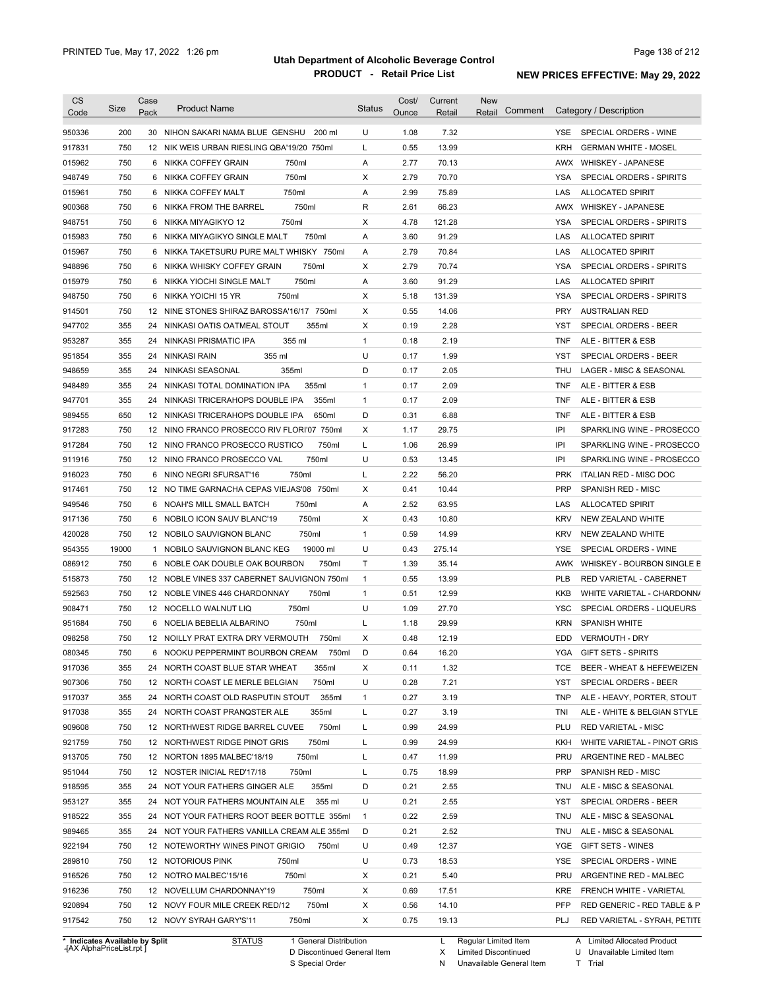| <b>CS</b><br>Code                    | <b>Size</b> | Case<br>Pack | <b>Product Name</b>                          | <b>Status</b>  | Cost/<br>Ounce | Current<br>Retail | <b>New</b><br>Comment<br>Retail |            | Category / Description      |
|--------------------------------------|-------------|--------------|----------------------------------------------|----------------|----------------|-------------------|---------------------------------|------------|-----------------------------|
| 950336                               | 200         |              | 30 NIHON SAKARI NAMA BLUE GENSHU<br>200 ml   | U              | 1.08           | 7.32              |                                 | YSE.       | SPECIAL ORDERS - WINE       |
| 917831                               | 750         |              | 12 NIK WEIS URBAN RIESLING QBA'19/20 750ml   | L              | 0.55           | 13.99             |                                 | <b>KRH</b> | <b>GERMAN WHITE - MOSEL</b> |
| 015962                               | 750         |              | 750ml<br>6 NIKKA COFFEY GRAIN                | Α              | 2.77           | 70.13             |                                 | AWX        | <b>WHISKEY - JAPANESE</b>   |
| 948749                               | 750         |              | 750ml<br>6 NIKKA COFFEY GRAIN                | Χ              | 2.79           | 70.70             |                                 | YSA        | SPECIAL ORDERS - SPIRITS    |
|                                      | 750         |              | 750ml<br>6 NIKKA COFFEY MALT                 | Α              | 2.99           | 75.89             |                                 | LAS        | <b>ALLOCATED SPIRIT</b>     |
| 015961                               |             |              |                                              |                |                |                   |                                 |            |                             |
| 900368                               | 750<br>750  |              | 6 NIKKA FROM THE BARREL<br>750ml             | R              | 2.61           | 66.23             |                                 | AWX        | <b>WHISKEY - JAPANESE</b>   |
| 948751                               |             | 6            | 750ml<br>NIKKA MIYAGIKYO 12                  | X              | 4.78           | 121.28            |                                 | <b>YSA</b> | SPECIAL ORDERS - SPIRITS    |
| 015983                               | 750         |              | 750ml<br>6 NIKKA MIYAGIKYO SINGLE MALT       | Α              | 3.60           | 91.29             |                                 | LAS        | <b>ALLOCATED SPIRIT</b>     |
| 015967                               | 750         |              | 6 NIKKA TAKETSURU PURE MALT WHISKY 750ml     | Α              | 2.79           | 70.84             |                                 | LAS        | <b>ALLOCATED SPIRIT</b>     |
| 948896                               | 750         |              | 750ml<br>6 NIKKA WHISKY COFFEY GRAIN         | Χ              | 2.79           | 70.74             |                                 | <b>YSA</b> | SPECIAL ORDERS - SPIRITS    |
| 015979                               | 750         |              | 750ml<br>6 NIKKA YIOCHI SINGLE MALT          | Α              | 3.60           | 91.29             |                                 | LAS        | <b>ALLOCATED SPIRIT</b>     |
| 948750                               | 750         | 6            | 750ml<br>NIKKA YOICHI 15 YR                  | X              | 5.18           | 131.39            |                                 | <b>YSA</b> | SPECIAL ORDERS - SPIRITS    |
| 914501                               | 750         |              | 12 NINE STONES SHIRAZ BAROSSA'16/17<br>750ml | X              | 0.55           | 14.06             |                                 | <b>PRY</b> | <b>AUSTRALIAN RED</b>       |
| 947702                               | 355         | 24           | 355ml<br>NINKASI OATIS OATMEAL STOUT         | X              | 0.19           | 2.28              |                                 | <b>YST</b> | SPECIAL ORDERS - BEER       |
| 953287                               | 355         |              | 24 NINKASI PRISMATIC IPA<br>355 ml           | 1              | 0.18           | 2.19              |                                 | <b>TNF</b> | ALE - BITTER & ESB          |
| 951854                               | 355         |              | 24 NINKASI RAIN<br>355 ml                    | U              | 0.17           | 1.99              |                                 | YST        | SPECIAL ORDERS - BEER       |
| 948659                               | 355         | 24           | NINKASI SEASONAL<br>355ml                    | D              | 0.17           | 2.05              |                                 | THU        | LAGER - MISC & SEASONAL     |
| 948489                               | 355         | 24           | 355ml<br>NINKASI TOTAL DOMINATION IPA        | 1              | 0.17           | 2.09              |                                 | <b>TNF</b> | ALE - BITTER & ESB          |
| 947701                               | 355         | 24           | 355ml<br>NINKASI TRICERAHOPS DOUBLE IPA      | 1              | 0.17           | 2.09              |                                 | <b>TNF</b> | ALE - BITTER & ESB          |
| 989455                               | 650         |              | 650ml<br>12 NINKASI TRICERAHOPS DOUBLE IPA   | D              | 0.31           | 6.88              |                                 | <b>TNF</b> | ALE - BITTER & ESB          |
| 917283                               | 750         |              | 12 NINO FRANCO PROSECCO RIV FLORI'07 750ml   | Χ              | 1.17           | 29.75             |                                 | IPI        | SPARKLING WINE - PROSECCO   |
| 917284                               | 750         |              | 750ml<br>12 NINO FRANCO PROSECCO RUSTICO     | L              | 1.06           | 26.99             |                                 | IPI        | SPARKLING WINE - PROSECCO   |
| 911916                               | 750         |              | 750ml<br>12 NINO FRANCO PROSECCO VAL         | U              | 0.53           | 13.45             |                                 | IPI        | SPARKLING WINE - PROSECCO   |
| 916023                               | 750         | 6            | NINO NEGRI SFURSAT'16<br>750ml               | L              | 2.22           | 56.20             |                                 | <b>PRK</b> | ITALIAN RED - MISC DOC      |
| 917461                               | 750         |              | 12 NO TIME GARNACHA CEPAS VIEJAS'08 750ml    | Χ              | 0.41           | 10.44             |                                 | <b>PRP</b> | SPANISH RED - MISC          |
| 949546                               | 750         |              | 750ml<br>6 NOAH'S MILL SMALL BATCH           | Α              | 2.52           | 63.95             |                                 | LAS        | <b>ALLOCATED SPIRIT</b>     |
| 917136                               | 750         |              | 750ml<br>6 NOBILO ICON SAUV BLANC'19         | X              | 0.43           | 10.80             |                                 | <b>KRV</b> | NEW ZEALAND WHITE           |
| 420028                               | 750         |              | 750ml<br>12 NOBILO SAUVIGNON BLANC           | $\mathbf{1}$   | 0.59           | 14.99             |                                 | <b>KRV</b> | NEW ZEALAND WHITE           |
| 954355                               | 19000       |              | 19000 ml<br>1 NOBILO SAUVIGNON BLANC KEG     | U              | 0.43           | 275.14            |                                 | <b>YSE</b> | SPECIAL ORDERS - WINE       |
| 086912                               | 750         |              | 750ml<br>6 NOBLE OAK DOUBLE OAK BOURBON      | Τ              | 1.39           | 35.14             |                                 | AWK        | WHISKEY - BOURBON SINGLE B  |
| 515873                               | 750         |              | 12 NOBLE VINES 337 CABERNET SAUVIGNON 750ml  | $\mathbf{1}$   | 0.55           | 13.99             |                                 | <b>PLB</b> | RED VARIETAL - CABERNET     |
| 592563                               | 750         |              | 12 NOBLE VINES 446 CHARDONNAY<br>750ml       | 1              | 0.51           | 12.99             |                                 | <b>KKB</b> | WHITE VARIETAL - CHARDONN/  |
| 908471                               | 750         |              | 750ml<br>12 NOCELLO WALNUT LIQ               | U              | 1.09           | 27.70             |                                 | <b>YSC</b> | SPECIAL ORDERS - LIQUEURS   |
| 951684                               | 750         |              | 750ml<br>6 NOELIA BEBELIA ALBARINO           | L              | 1.18           | 29.99             |                                 | <b>KRN</b> | <b>SPANISH WHITE</b>        |
| 098258                               | 750         |              | 12 NOILLY PRAT EXTRA DRY VERMOUTH<br>750ml   | X              | 0.48           | 12.19             |                                 | <b>EDD</b> | <b>VERMOUTH - DRY</b>       |
|                                      |             |              | 750ml                                        | D              | 0.64           |                   |                                 |            |                             |
| 080345                               | 750         |              | 6 NOOKU PEPPERMINT BOURBON CREAM             |                |                | 16.20             |                                 | YGA        | <b>GIFT SETS - SPIRITS</b>  |
| 917036                               | 355         |              | 24 NORTH COAST BLUE STAR WHEAT<br>355ml      | Х              | 0.11           | 1.32              |                                 | TCE        | BEER - WHEAT & HEFEWEIZEN   |
| 907306                               | 750         |              | 12 NORTH COAST LE MERLE BELGIAN<br>750ml     | U              | 0.28           | 7.21              |                                 | <b>YST</b> | SPECIAL ORDERS - BEER       |
| 917037                               | 355         |              | 355ml<br>24 NORTH COAST OLD RASPUTIN STOUT   | 1              | 0.27           | 3.19              |                                 | <b>TNP</b> | ALE - HEAVY, PORTER, STOUT  |
| 917038                               | 355         |              | 355ml<br>24 NORTH COAST PRANQSTER ALE        | L              | 0.27           | 3.19              |                                 | TNI        | ALE - WHITE & BELGIAN STYLE |
| 909608                               | 750         |              | 750ml<br>12 NORTHWEST RIDGE BARREL CUVEE     | L              | 0.99           | 24.99             |                                 | PLU        | <b>RED VARIETAL - MISC</b>  |
| 921759                               | 750         |              | 750ml<br>12 NORTHWEST RIDGE PINOT GRIS       | L              | 0.99           | 24.99             |                                 | KKH        | WHITE VARIETAL - PINOT GRIS |
| 913705                               | 750         |              | 750ml<br>12 NORTON 1895 MALBEC'18/19         | L              | 0.47           | 11.99             |                                 | PRU        | ARGENTINE RED - MALBEC      |
| 951044                               | 750         |              | 750ml<br>12 NOSTER INICIAL RED'17/18         | L              | 0.75           | 18.99             |                                 | <b>PRP</b> | SPANISH RED - MISC          |
| 918595                               | 355         |              | 355ml<br>24 NOT YOUR FATHERS GINGER ALE      | D              | 0.21           | 2.55              |                                 | TNU        | ALE - MISC & SEASONAL       |
| 953127                               | 355         |              | 24 NOT YOUR FATHERS MOUNTAIN ALE<br>355 ml   | U              | 0.21           | 2.55              |                                 | YST        | SPECIAL ORDERS - BEER       |
| 918522                               | 355         |              | 24 NOT YOUR FATHERS ROOT BEER BOTTLE 355ml   | $\overline{1}$ | 0.22           | 2.59              |                                 | TNU        | ALE - MISC & SEASONAL       |
| 989465                               | 355         |              | 24 NOT YOUR FATHERS VANILLA CREAM ALE 355ml  | D              | 0.21           | 2.52              |                                 | TNU        | ALE - MISC & SEASONAL       |
| 922194                               | 750         |              | 12 NOTEWORTHY WINES PINOT GRIGIO<br>750ml    | U              | 0.49           | 12.37             |                                 | YGE        | GIFT SETS - WINES           |
|                                      | 750         |              | 12 NOTORIOUS PINK<br>750ml                   | U              | 0.73           | 18.53             |                                 | YSE        | SPECIAL ORDERS - WINE       |
|                                      |             |              | 750ml<br>12 NOTRO MALBEC'15/16               | Х              | 0.21           | 5.40              |                                 | PRU        | ARGENTINE RED - MALBEC      |
|                                      | 750         |              |                                              |                |                |                   |                                 |            |                             |
|                                      | 750         |              | 750ml<br>12 NOVELLUM CHARDONNAY'19           | Х              | 0.69           | 17.51             |                                 | KRE        | FRENCH WHITE - VARIETAL     |
| 289810<br>916526<br>916236<br>920894 | 750         |              | 12 NOVY FOUR MILE CREEK RED/12<br>750ml      | Х              | 0.56           | 14.10             |                                 | PFP        | RED GENERIC - RED TABLE & P |

**Case** [AX AlphaPriceList.rpt ]

D Discontinued General Item

S Special Order

X Limited Discontinued

N Unavailable General Item

U Unavailable Limited Item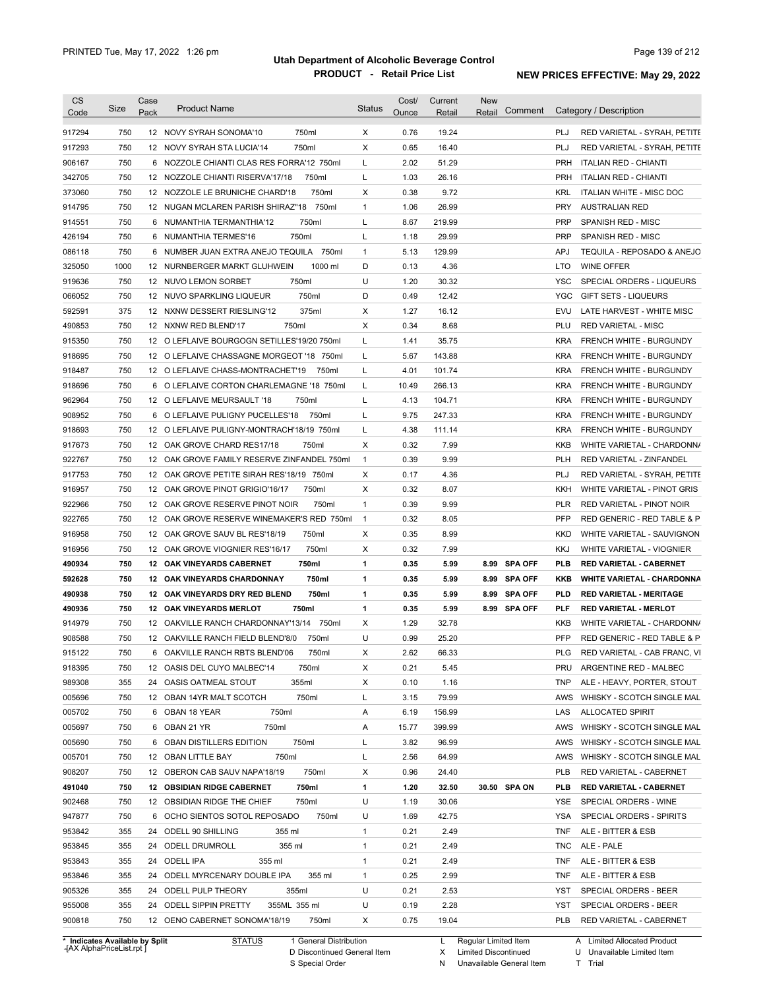|                                                                                                                                                                                                                | Size | Case<br>Pack     | <b>Product Name</b>                         | <b>Status</b>  | Cost/<br>Ounce | Current<br>Retail | <b>New</b><br>Comment<br>Retail |            | Category / Description            |
|----------------------------------------------------------------------------------------------------------------------------------------------------------------------------------------------------------------|------|------------------|---------------------------------------------|----------------|----------------|-------------------|---------------------------------|------------|-----------------------------------|
| 917294                                                                                                                                                                                                         | 750  |                  | 750ml<br>12 NOVY SYRAH SONOMA'10            | X              | 0.76           | 19.24             |                                 | PLJ        | RED VARIETAL - SYRAH, PETITE      |
| 917293                                                                                                                                                                                                         | 750  |                  | 750ml<br>12 NOVY SYRAH STA LUCIA'14         | Х              | 0.65           | 16.40             |                                 | PLJ        | RED VARIETAL - SYRAH, PETITE      |
| 906167                                                                                                                                                                                                         | 750  |                  | 6 NOZZOLE CHIANTI CLAS RES FORRA'12 750ml   | Г              | 2.02           | 51.29             |                                 | PRH        | <b>ITALIAN RED - CHIANTI</b>      |
| 342705                                                                                                                                                                                                         | 750  |                  | 12 NOZZOLE CHIANTI RISERVA'17/18<br>750ml   | Г              | 1.03           | 26.16             |                                 | <b>PRH</b> | <b>ITALIAN RED - CHIANTI</b>      |
| 373060                                                                                                                                                                                                         | 750  |                  | 750ml<br>12 NOZZOLE LE BRUNICHE CHARD'18    | Х              | 0.38           | 9.72              |                                 | <b>KRL</b> | <b>ITALIAN WHITE - MISC DOC</b>   |
| 914795                                                                                                                                                                                                         | 750  |                  | 750ml<br>12 NUGAN MCLAREN PARISH SHIRAZ"18  | $\mathbf{1}$   | 1.06           | 26.99             |                                 | <b>PRY</b> | <b>AUSTRALIAN RED</b>             |
| 914551                                                                                                                                                                                                         | 750  | 6                | 750ml<br>NUMANTHIA TERMANTHIA'12            | L              | 8.67           | 219.99            |                                 | <b>PRP</b> | <b>SPANISH RED - MISC</b>         |
| 426194                                                                                                                                                                                                         | 750  | 6                | 750ml<br>NUMANTHIA TERMES'16                | Г              | 1.18           | 29.99             |                                 | <b>PRP</b> | <b>SPANISH RED - MISC</b>         |
| 086118                                                                                                                                                                                                         | 750  | 6                | NUMBER JUAN EXTRA ANEJO TEQUILA<br>750ml    | $\mathbf{1}$   | 5.13           | 129.99            |                                 | <b>APJ</b> | TEQUILA - REPOSADO & ANEJO        |
| 325050                                                                                                                                                                                                         | 1000 |                  | 1000 ml<br>12 NURNBERGER MARKT GLUHWEIN     | D              | 0.13           | 4.36              |                                 | <b>LTO</b> | <b>WINE OFFER</b>                 |
| 919636                                                                                                                                                                                                         | 750  |                  | 750ml<br>12 NUVO LEMON SORBET               | U              | 1.20           | 30.32             |                                 | <b>YSC</b> | SPECIAL ORDERS - LIQUEURS         |
| 066052                                                                                                                                                                                                         | 750  |                  | 750ml<br>12 NUVO SPARKLING LIQUEUR          | D              | 0.49           | 12.42             |                                 | <b>YGC</b> | <b>GIFT SETS - LIQUEURS</b>       |
| 592591                                                                                                                                                                                                         | 375  |                  | 375ml<br>12 NXNW DESSERT RIESLING'12        | Х              | 1.27           | 16.12             |                                 | <b>EVU</b> | LATE HARVEST - WHITE MISC         |
| 490853                                                                                                                                                                                                         | 750  |                  | 12 NXNW RED BLEND'17<br>750ml               | X              | 0.34           | 8.68              |                                 | PLU        | <b>RED VARIETAL - MISC</b>        |
| 915350                                                                                                                                                                                                         | 750  |                  | 12 O LEFLAIVE BOURGOGN SETILLES'19/20 750ml | Г              | 1.41           | 35.75             |                                 | <b>KRA</b> | FRENCH WHITE - BURGUNDY           |
| 918695                                                                                                                                                                                                         | 750  |                  | 12 O LEFLAIVE CHASSAGNE MORGEOT '18 750ml   | Г              | 5.67           | 143.88            |                                 | <b>KRA</b> | FRENCH WHITE - BURGUNDY           |
| 918487                                                                                                                                                                                                         | 750  |                  | 12 O LEFLAIVE CHASS-MONTRACHET'19<br>750ml  | Г              | 4.01           | 101.74            |                                 | <b>KRA</b> | FRENCH WHITE - BURGUNDY           |
| 918696                                                                                                                                                                                                         | 750  |                  | 6 O LEFLAIVE CORTON CHARLEMAGNE '18 750ml   | Г              | 10.49          | 266.13            |                                 | KRA        | FRENCH WHITE - BURGUNDY           |
| 962964                                                                                                                                                                                                         | 750  |                  | 750ml<br>12 O LEFLAIVE MEURSAULT '18        | L              | 4.13           | 104.71            |                                 | KRA        | FRENCH WHITE - BURGUNDY           |
| 908952                                                                                                                                                                                                         | 750  |                  | 750ml<br>6 O LEFLAIVE PULIGNY PUCELLES'18   | Г              | 9.75           | 247.33            |                                 | KRA        | FRENCH WHITE - BURGUNDY           |
| 918693                                                                                                                                                                                                         | 750  |                  | 12 O LEFLAIVE PULIGNY-MONTRACH'18/19 750ml  | Г              | 4.38           | 111.14            |                                 | KRA        | FRENCH WHITE - BURGUNDY           |
| 917673                                                                                                                                                                                                         | 750  |                  | 12 OAK GROVE CHARD RES17/18<br>750ml        | Χ              | 0.32           | 7.99              |                                 | <b>KKB</b> | WHITE VARIETAL - CHARDONN/        |
| 922767                                                                                                                                                                                                         | 750  |                  | 12 OAK GROVE FAMILY RESERVE ZINFANDEL 750ml | $\mathbf{1}$   | 0.39           | 9.99              |                                 | PLH        | RED VARIETAL - ZINFANDEL          |
| 917753                                                                                                                                                                                                         | 750  |                  | 12 OAK GROVE PETITE SIRAH RES'18/19 750ml   | Χ              | 0.17           | 4.36              |                                 | PLJ        | RED VARIETAL - SYRAH, PETITE      |
| 916957                                                                                                                                                                                                         | 750  | 12 <sup>12</sup> | OAK GROVE PINOT GRIGIO'16/17<br>750ml       | Х              | 0.32           | 8.07              |                                 | KKH        | WHITE VARIETAL - PINOT GRIS       |
| 922966                                                                                                                                                                                                         | 750  |                  | 12 OAK GROVE RESERVE PINOT NOIR<br>750ml    | $\mathbf{1}$   | 0.39           | 9.99              |                                 | PLR        | RED VARIETAL - PINOT NOIR         |
|                                                                                                                                                                                                                | 750  |                  | 12 OAK GROVE RESERVE WINEMAKER'S RED 750ml  |                | 0.32           | 8.05              |                                 | PFP        |                                   |
| 922765                                                                                                                                                                                                         |      |                  |                                             | $\overline{1}$ |                |                   |                                 |            | RED GENERIC - RED TABLE & P       |
| 916958                                                                                                                                                                                                         | 750  |                  | 750ml<br>12 OAK GROVE SAUV BL RES'18/19     | Х              | 0.35           | 8.99              |                                 | <b>KKD</b> | WHITE VARIETAL - SAUVIGNON        |
| 916956                                                                                                                                                                                                         | 750  |                  | 750ml<br>12 OAK GROVE VIOGNIER RES'16/17    | Х              | 0.32           | 7.99              |                                 | KKJ        | WHITE VARIETAL - VIOGNIER         |
| 490934                                                                                                                                                                                                         |      |                  | 750ml<br><b>12 OAK VINEYARDS CABERNET</b>   | 1              | 0.35           | 5.99              | 8.99<br><b>SPA OFF</b>          | PLB<br>KKB | <b>RED VARIETAL - CABERNET</b>    |
|                                                                                                                                                                                                                | 750  |                  |                                             |                |                |                   |                                 |            | <b>WHITE VARIETAL - CHARDONNA</b> |
|                                                                                                                                                                                                                | 750  |                  | <b>12 OAK VINEYARDS CHARDONNAY</b><br>750ml | 1              | 0.35           | 5.99              | <b>SPA OFF</b><br>8.99          |            |                                   |
|                                                                                                                                                                                                                | 750  |                  | 750ml<br>12 OAK VINEYARDS DRY RED BLEND     | 1              | 0.35           | 5.99              | <b>SPA OFF</b><br>8.99          | PLD        | <b>RED VARIETAL - MERITAGE</b>    |
|                                                                                                                                                                                                                | 750  |                  | 750ml<br><b>12 OAK VINEYARDS MERLOT</b>     | 1              | 0.35           | 5.99              | 8.99 SPA OFF                    | PLF        | <b>RED VARIETAL - MERLOT</b>      |
|                                                                                                                                                                                                                | 750  |                  | 12 OAKVILLE RANCH CHARDONNAY'13/14<br>750ml | Х              | 1.29           | 32.78             |                                 | KKB        | WHITE VARIETAL - CHARDONN/        |
|                                                                                                                                                                                                                | 750  |                  | 12 OAKVILLE RANCH FIELD BLEND'8/0<br>750ml  | U              | 0.99           | 25.20             |                                 | <b>PFP</b> | RED GENERIC - RED TABLE & P       |
|                                                                                                                                                                                                                | 750  |                  | 6 OAKVILLE RANCH RBTS BLEND'06<br>750ml     | х              | 2.62           | 66.33             |                                 | <b>PLG</b> | RED VARIETAL - CAB FRANC, VI      |
|                                                                                                                                                                                                                | 750  |                  | 12 OASIS DEL CUYO MALBEC'14<br>750ml        | х              | 0.21           | 5.45              |                                 | PRU        | ARGENTINE RED - MALBEC            |
|                                                                                                                                                                                                                | 355  |                  | 355ml<br>24 OASIS OATMEAL STOUT             | Х              | 0.10           | 1.16              |                                 | TNP        | ALE - HEAVY, PORTER, STOUT        |
|                                                                                                                                                                                                                | 750  |                  | 750ml<br>12 OBAN 14YR MALT SCOTCH           | L              | 3.15           | 79.99             |                                 | AWS        | WHISKY - SCOTCH SINGLE MAL        |
|                                                                                                                                                                                                                | 750  |                  | 750ml<br>6 OBAN 18 YEAR                     | Α              | 6.19           | 156.99            |                                 | LAS        | <b>ALLOCATED SPIRIT</b>           |
|                                                                                                                                                                                                                | 750  |                  | 750ml<br>6 OBAN 21 YR                       | Α              | 15.77          | 399.99            |                                 | AWS        | WHISKY - SCOTCH SINGLE MAL        |
|                                                                                                                                                                                                                | 750  |                  | 750ml<br>6 OBAN DISTILLERS EDITION          | L              | 3.82           | 96.99             |                                 | AWS        | WHISKY - SCOTCH SINGLE MAL        |
|                                                                                                                                                                                                                | 750  |                  | 750ml<br>12 OBAN LITTLE BAY                 | Г              | 2.56           | 64.99             |                                 | AWS        | WHISKY - SCOTCH SINGLE MAL        |
|                                                                                                                                                                                                                | 750  |                  | 750ml<br>12 OBERON CAB SAUV NAPA'18/19      | х              | 0.96           | 24.40             |                                 | PLB        | RED VARIETAL - CABERNET           |
|                                                                                                                                                                                                                | 750  |                  | <b>12 OBSIDIAN RIDGE CABERNET</b><br>750ml  | 1              | 1.20           | 32.50             | 30.50 SPA ON                    | PLB        | <b>RED VARIETAL - CABERNET</b>    |
|                                                                                                                                                                                                                | 750  |                  | 12 OBSIDIAN RIDGE THE CHIEF<br>750ml        | U              | 1.19           | 30.06             |                                 | YSE        | SPECIAL ORDERS - WINE             |
|                                                                                                                                                                                                                | 750  |                  | 6 OCHO SIENTOS SOTOL REPOSADO<br>750ml      | U              | 1.69           | 42.75             |                                 | YSA        | SPECIAL ORDERS - SPIRITS          |
|                                                                                                                                                                                                                | 355  |                  | 24 ODELL 90 SHILLING<br>355 ml              | $\mathbf{1}$   | 0.21           | 2.49              |                                 | TNF        | ALE - BITTER & ESB                |
|                                                                                                                                                                                                                | 355  |                  | 24 ODELL DRUMROLL<br>355 ml                 | 1              | 0.21           | 2.49              |                                 | TNC        | ALE - PALE                        |
|                                                                                                                                                                                                                | 355  |                  | 24 ODELL IPA<br>355 ml                      | $\mathbf{1}$   | 0.21           | 2.49              |                                 | TNF        | ALE - BITTER & ESB                |
| 592628<br>490938<br>490936<br>914979<br>908588<br>915122<br>918395<br>989308<br>005696<br>005702<br>005697<br>005690<br>005701<br>908207<br>491040<br>902468<br>947877<br>953842<br>953845<br>953843<br>953846 | 355  |                  | 24 ODELL MYRCENARY DOUBLE IPA<br>355 ml     | $\mathbf{1}$   | 0.25           | 2.99              |                                 | TNF        | ALE - BITTER & ESB                |
|                                                                                                                                                                                                                | 355  |                  | 24 ODELL PULP THEORY<br>355ml               | U              | 0.21           | 2.53              |                                 | YST        | SPECIAL ORDERS - BEER             |
| 905326<br>955008                                                                                                                                                                                               | 355  |                  | 24 ODELL SIPPIN PRETTY<br>355ML 355 ml      | U              | 0.19           | 2.28              |                                 | YST        | SPECIAL ORDERS - BEER             |

**Case** [AX AlphaPriceList.rpt ]

D Discontinued General Item

S Special Order

Regular Limited Item

X

Limited Discontinued

N Unavailable General Item

U Unavailable Limited Item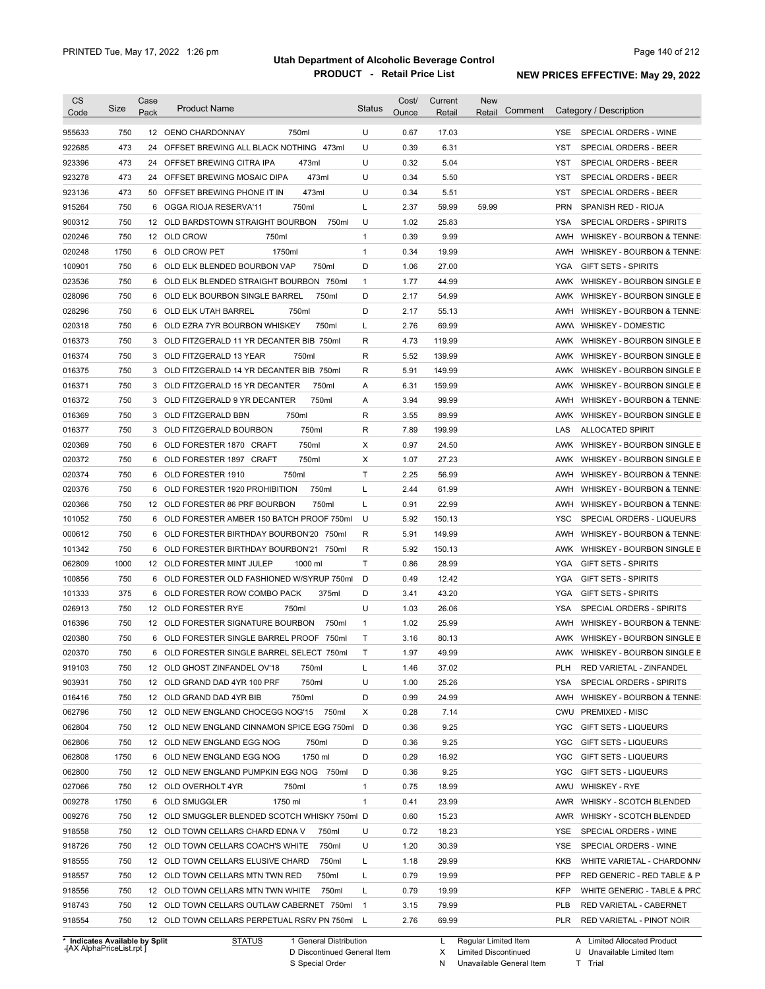| <b>CS</b><br>Code | Size       | Case<br>Pack | <b>Product Name</b>                                                                        | <b>Status</b>  | Cost/<br>Ounce | Current<br><b>Retail</b> | <b>New</b><br>Comment<br>Retail | Category / Description                                             |
|-------------------|------------|--------------|--------------------------------------------------------------------------------------------|----------------|----------------|--------------------------|---------------------------------|--------------------------------------------------------------------|
| 955633            | 750        |              | 12 OENO CHARDONNAY<br>750ml                                                                | U              | 0.67           | 17.03                    |                                 | SPECIAL ORDERS - WINE<br>YSE.                                      |
| 922685            | 473        | 24           | OFFSET BREWING ALL BLACK NOTHING 473ml                                                     | U              | 0.39           | 6.31                     |                                 | <b>YST</b><br>SPECIAL ORDERS - BEER                                |
| 923396            | 473        |              | 24 OFFSET BREWING CITRA IPA<br>473ml                                                       | U              | 0.32           | 5.04                     |                                 | SPECIAL ORDERS - BEER<br>YST                                       |
| 923278            | 473        |              | 24 OFFSET BREWING MOSAIC DIPA<br>473ml                                                     | U              | 0.34           | 5.50                     |                                 | SPECIAL ORDERS - BEER<br>YST                                       |
| 923136            | 473        |              | 50 OFFSET BREWING PHONE IT IN<br>473ml                                                     | U              | 0.34           | 5.51                     |                                 | <b>YST</b><br>SPECIAL ORDERS - BEER                                |
| 915264            | 750        |              | 6 OGGA RIOJA RESERVA'11<br>750ml                                                           | L              | 2.37           | 59.99                    | 59.99                           | <b>PRN</b><br>SPANISH RED - RIOJA                                  |
| 900312            | 750        |              | 12 OLD BARDSTOWN STRAIGHT BOURBON<br>750ml                                                 | U              | 1.02           | 25.83                    |                                 | SPECIAL ORDERS - SPIRITS<br>YSA                                    |
| 020246            | 750        |              | 12 OLD CROW<br>750ml                                                                       | 1              | 0.39           | 9.99                     |                                 | AWH<br>WHISKEY - BOURBON & TENNE:                                  |
| 020248            | 1750       |              | 6 OLD CROW PET<br>1750ml                                                                   | 1              | 0.34           | 19.99                    |                                 | AWH<br>WHISKEY - BOURBON & TENNE:                                  |
| 100901            | 750        |              | 6 OLD ELK BLENDED BOURBON VAP<br>750ml                                                     | D              | 1.06           | 27.00                    |                                 | YGA<br><b>GIFT SETS - SPIRITS</b>                                  |
| 023536            | 750        |              | 6 OLD ELK BLENDED STRAIGHT BOURBON 750ml                                                   | $\mathbf{1}$   | 1.77           | 44.99                    |                                 | AWK<br>WHISKEY - BOURBON SINGLE B                                  |
| 028096            | 750        |              | 6 OLD ELK BOURBON SINGLE BARREL<br>750ml                                                   | D              | 2.17           | 54.99                    |                                 | AWK<br>WHISKEY - BOURBON SINGLE B                                  |
| 028296            | 750        |              | 6 OLD ELK UTAH BARREL<br>750ml                                                             | D              | 2.17           | 55.13                    |                                 | AWH<br>WHISKEY - BOURBON & TENNE:                                  |
| 020318            | 750        |              | 750ml<br>6 OLD EZRA 7YR BOURBON WHISKEY                                                    | L              | 2.76           | 69.99                    |                                 | AWW WHISKEY - DOMESTIC                                             |
| 016373            | 750        |              | 3 OLD FITZGERALD 11 YR DECANTER BIB 750ml                                                  | R              | 4.73           | 119.99                   |                                 | AWK WHISKEY - BOURBON SINGLE B                                     |
| 016374            | 750        |              | 3 OLD FITZGERALD 13 YEAR<br>750ml                                                          | R              | 5.52           | 139.99                   |                                 | AWK WHISKEY - BOURBON SINGLE B                                     |
| 016375            | 750        |              | 3 OLD FITZGERALD 14 YR DECANTER BIB 750ml                                                  | R              | 5.91           | 149.99                   |                                 | AWK WHISKEY - BOURBON SINGLE B                                     |
| 016371            | 750        |              | 750ml<br>3 OLD FITZGERALD 15 YR DECANTER                                                   | Α              | 6.31           | 159.99                   |                                 | AWK WHISKEY - BOURBON SINGLE B                                     |
| 016372            | 750        |              | 3 OLD FITZGERALD 9 YR DECANTER<br>750ml                                                    | Α              | 3.94           | 99.99                    |                                 | AWH<br><b>WHISKEY - BOURBON &amp; TENNE:</b>                       |
| 016369            | 750        |              | 750ml<br>3 OLD FITZGERALD BBN                                                              | R              | 3.55           | 89.99                    |                                 | AWK WHISKEY - BOURBON SINGLE B                                     |
| 016377            | 750        |              | 750ml<br>3 OLD FITZGERALD BOURBON                                                          | R              | 7.89           | 199.99                   |                                 | LAS<br><b>ALLOCATED SPIRIT</b>                                     |
| 020369            | 750        |              | 750ml<br>6 OLD FORESTER 1870 CRAFT                                                         | Χ              | 0.97           | 24.50                    |                                 | AWK<br>WHISKEY - BOURBON SINGLE B                                  |
| 020372            | 750        |              | 6 OLD FORESTER 1897 CRAFT<br>750ml                                                         | Χ              | 1.07           | 27.23                    |                                 | WHISKEY - BOURBON SINGLE B<br>AWK                                  |
| 020374            | 750        |              | 6 OLD FORESTER 1910<br>750ml                                                               | T              | 2.25           | 56.99                    |                                 | WHISKEY - BOURBON & TENNE:<br>AWH                                  |
| 020376            | 750        |              | 6 OLD FORESTER 1920 PROHIBITION<br>750ml                                                   | L              | 2.44           | 61.99                    |                                 | WHISKEY - BOURBON & TENNE:<br>AWH                                  |
| 020366            | 750        |              | 12 OLD FORESTER 86 PRF BOURBON<br>750ml                                                    | L              | 0.91           | 22.99                    |                                 | AWH<br>WHISKEY - BOURBON & TENNE:                                  |
| 101052            | 750        |              | 6 OLD FORESTER AMBER 150 BATCH PROOF 750ml                                                 | U              | 5.92           | 150.13                   |                                 | SPECIAL ORDERS - LIQUEURS<br>YSC                                   |
| 000612            | 750        | 6            | OLD FORESTER BIRTHDAY BOURBON'20 750ml                                                     | R              | 5.91           | 149.99                   |                                 | AWH<br>WHISKEY - BOURBON & TENNE:                                  |
| 101342            | 750        |              | 6 OLD FORESTER BIRTHDAY BOURBON'21<br>750ml                                                | R              | 5.92           | 150.13                   |                                 | AWK<br>WHISKEY - BOURBON SINGLE B                                  |
| 062809            | 1000       |              | 12 OLD FORESTER MINT JULEP<br>1000 ml                                                      | $\mathsf T$    | 0.86           | 28.99                    |                                 | <b>YGA</b><br><b>GIFT SETS - SPIRITS</b>                           |
| 100856            | 750        |              | 6 OLD FORESTER OLD FASHIONED W/SYRUP 750ml                                                 | D              | 0.49           | 12.42                    |                                 | <b>YGA</b><br><b>GIFT SETS - SPIRITS</b>                           |
| 101333            | 375        | 6            | OLD FORESTER ROW COMBO PACK<br>375ml                                                       | D              | 3.41           | 43.20                    |                                 | <b>YGA</b><br><b>GIFT SETS - SPIRITS</b>                           |
| 026913            | 750        |              | 12 OLD FORESTER RYE<br>750ml                                                               | U              | 1.03           | 26.06                    |                                 | <b>YSA</b><br>SPECIAL ORDERS - SPIRITS                             |
| 016396            | 750        |              | 12 OLD FORESTER SIGNATURE BOURBON<br>750ml                                                 | 1              | 1.02           | 25.99                    |                                 | WHISKEY - BOURBON & TENNE:<br>AWH                                  |
| 020380            | 750        |              | 6 OLD FORESTER SINGLE BARREL PROOF 750ml                                                   | Τ              | 3.16           | 80.13                    |                                 | AWK<br>WHISKEY - BOURBON SINGLE B                                  |
| 020370            | 750        |              | OLD FORESTER SINGLE BARREL SELECT 750ml                                                    | т              | 1.97           | 49.99                    |                                 | AWK<br>WHISKEY - BOURBON SINGLE B                                  |
| 919103            | 750        |              | 12 OLD GHOST ZINFANDEL OV'18<br>750ml                                                      | L              | 1.46           | 37.02                    |                                 | PLH<br>RED VARIETAL - ZINFANDEL                                    |
| 903931            | 750        |              | 750ml<br>12 OLD GRAND DAD 4YR 100 PRF                                                      | U              | 1.00           | 25.26                    |                                 | YSA<br>SPECIAL ORDERS - SPIRITS                                    |
| 016416            | 750        |              | 12 OLD GRAND DAD 4YR BIB<br>750ml                                                          | D              | 0.99           | 24.99                    |                                 | AWH<br>WHISKEY - BOURBON & TENNE:                                  |
| 062796            | 750        |              | 12 OLD NEW ENGLAND CHOCEGG NOG'15<br>750ml                                                 | Χ              | 0.28           | 7.14                     |                                 | CWU<br><b>PREMIXED - MISC</b>                                      |
| 062804            | 750        |              | 12 OLD NEW ENGLAND CINNAMON SPICE EGG 750ml                                                | D              | 0.36           | 9.25                     |                                 | YGC<br><b>GIFT SETS - LIQUEURS</b>                                 |
| 062806            | 750        |              | 12 OLD NEW ENGLAND EGG NOG<br>750ml                                                        | D              | 0.36           | 9.25                     |                                 | YGC<br><b>GIFT SETS - LIQUEURS</b>                                 |
| 062808            | 1750       |              | 6 OLD NEW ENGLAND EGG NOG<br>1750 ml                                                       | D              | 0.29           | 16.92                    |                                 | YGC<br><b>GIFT SETS - LIQUEURS</b>                                 |
| 062800            | 750        |              |                                                                                            | D              | 0.36           |                          |                                 | YGC                                                                |
| 027066            | 750        |              | 12 OLD NEW ENGLAND PUMPKIN EGG NOG 750ml<br>12 OLD OVERHOLT 4YR<br>750ml                   | 1              | 0.75           | 9.25<br>18.99            |                                 | GIFT SETS - LIQUEURS<br>AWU<br><b>WHISKEY - RYE</b>                |
| 009278            | 1750       |              | 1750 ml                                                                                    | 1              | 0.41           | 23.99                    |                                 | AWR<br>WHISKY - SCOTCH BLENDED                                     |
|                   |            |              | 6 OLD SMUGGLER                                                                             |                |                |                          |                                 |                                                                    |
| 009276<br>918558  | 750<br>750 |              | 12 OLD SMUGGLER BLENDED SCOTCH WHISKY 750ml D<br>750ml                                     | U              | 0.60<br>0.72   | 15.23<br>18.23           |                                 | AWR<br>WHISKY - SCOTCH BLENDED<br>SPECIAL ORDERS - WINE<br>YSE     |
|                   | 750        |              | 12 OLD TOWN CELLARS CHARD EDNA V                                                           | U              |                |                          |                                 |                                                                    |
| 918726            |            |              | 12 OLD TOWN CELLARS COACH'S WHITE<br>750ml                                                 |                | 1.20           | 30.39                    |                                 | YSE<br>SPECIAL ORDERS - WINE                                       |
| 918555            | 750        |              | 12 OLD TOWN CELLARS ELUSIVE CHARD<br>750ml                                                 | L              | 1.18           | 29.99                    |                                 | <b>KKB</b><br>WHITE VARIETAL - CHARDONN/                           |
| 918557            | 750        |              | 12 OLD TOWN CELLARS MTN TWN RED<br>750ml                                                   | L              | 0.79           | 19.99                    |                                 | <b>PFP</b><br>RED GENERIC - RED TABLE & P                          |
|                   | 750        |              | 12 OLD TOWN CELLARS MTN TWN WHITE<br>750ml                                                 | L              | 0.79           | 19.99                    |                                 | KFP<br>WHITE GENERIC - TABLE & PRC                                 |
| 918556            |            |              |                                                                                            |                |                |                          |                                 |                                                                    |
| 918743<br>918554  | 750<br>750 |              | 12 OLD TOWN CELLARS OUTLAW CABERNET 750ml<br>12 OLD TOWN CELLARS PERPETUAL RSRV PN 750ml L | $\overline{1}$ | 3.15<br>2.76   | 79.99<br>69.99           |                                 | PLB<br>RED VARIETAL - CABERNET<br>PLR<br>RED VARIETAL - PINOT NOIR |

**Case** [AX AlphaPriceList.rpt ]

D Discontinued General Item S Special Order

N Unavailable General Item

X Limited Discontinued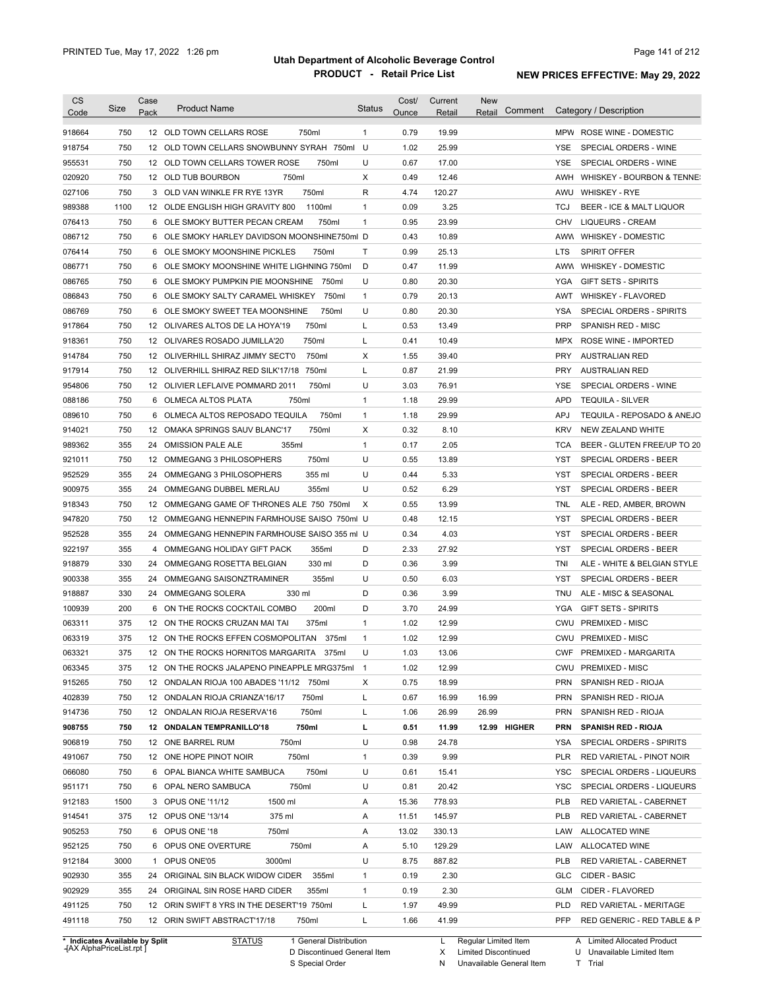| <b>CS</b><br>Code | Size | Case<br>Pack | <b>Product Name</b>                              | Status       | Cost/<br>Ounce | Current<br>Retail | <b>New</b><br>Comment<br>Retail | Category / Description                   |
|-------------------|------|--------------|--------------------------------------------------|--------------|----------------|-------------------|---------------------------------|------------------------------------------|
| 918664            | 750  |              | 12 OLD TOWN CELLARS ROSE<br>750ml                | $\mathbf{1}$ | 0.79           | 19.99             |                                 | MPW ROSE WINE - DOMESTIC                 |
| 918754            | 750  |              | 12 OLD TOWN CELLARS SNOWBUNNY SYRAH 750ml U      |              | 1.02           | 25.99             |                                 | YSE.<br>SPECIAL ORDERS - WINE            |
| 955531            | 750  |              | 12 OLD TOWN CELLARS TOWER ROSE<br>750ml          | U            | 0.67           | 17.00             |                                 | YSE.<br>SPECIAL ORDERS - WINE            |
| 020920            | 750  |              | 750ml<br>12 OLD TUB BOURBON                      | х            | 0.49           | 12.46             |                                 | AWH WHISKEY - BOURBON & TENNE:           |
| 027106            | 750  |              | 750ml<br>3 OLD VAN WINKLE FR RYE 13YR            | R            | 4.74           | 120.27            |                                 | AWU WHISKEY - RYE                        |
| 989388            | 1100 |              | 1100ml<br>12 OLDE ENGLISH HIGH GRAVITY 800       | $\mathbf{1}$ | 0.09           | 3.25              |                                 | BEER - ICE & MALT LIQUOR<br>TCJ          |
| 076413            | 750  | 6            | OLE SMOKY BUTTER PECAN CREAM<br>750ml            | $\mathbf{1}$ | 0.95           | 23.99             |                                 | CHV<br><b>LIQUEURS - CREAM</b>           |
| 086712            | 750  | 6            | OLE SMOKY HARLEY DAVIDSON MOONSHINE750ml D       |              | 0.43           | 10.89             |                                 | AWW WHISKEY - DOMESTIC                   |
| 076414            | 750  | 6            | OLE SMOKY MOONSHINE PICKLES<br>750ml             | Τ            | 0.99           | 25.13             |                                 | <b>SPIRIT OFFER</b><br>LTS               |
| 086771            | 750  | 6            | OLE SMOKY MOONSHINE WHITE LIGHNING 750ml         | D            | 0.47           | 11.99             |                                 | AWW WHISKEY - DOMESTIC                   |
| 086765            | 750  |              | 6 OLE SMOKY PUMPKIN PIE MOONSHINE 750ml          | U            | 0.80           | 20.30             |                                 | <b>YGA</b><br><b>GIFT SETS - SPIRITS</b> |
| 086843            | 750  |              | 6 OLE SMOKY SALTY CARAMEL WHISKEY<br>750ml       | $\mathbf{1}$ | 0.79           | 20.13             |                                 | AWT<br><b>WHISKEY - FLAVORED</b>         |
| 086769            | 750  | 6.           | 750ml<br>OLE SMOKY SWEET TEA MOONSHINE           | U            | 0.80           | 20.30             |                                 | YSA<br>SPECIAL ORDERS - SPIRITS          |
| 917864            | 750  |              | 750ml<br>12 OLIVARES ALTOS DE LA HOYA'19         | L            | 0.53           | 13.49             |                                 | <b>PRP</b><br>SPANISH RED - MISC         |
| 918361            | 750  |              | 750ml<br>12 OLIVARES ROSADO JUMILLA'20           | L            | 0.41           | 10.49             |                                 | <b>MPX</b><br>ROSE WINE - IMPORTED       |
| 914784            | 750  |              | 750ml<br>12 OLIVERHILL SHIRAZ JIMMY SECT'0       | Х            | 1.55           | 39.40             |                                 | <b>PRY</b><br><b>AUSTRALIAN RED</b>      |
| 917914            | 750  |              | 750ml<br>12 OLIVERHILL SHIRAZ RED SILK'17/18     | L            | 0.87           | 21.99             |                                 | <b>PRY</b><br><b>AUSTRALIAN RED</b>      |
| 954806            | 750  |              | 750ml<br>12 OLIVIER LEFLAIVE POMMARD 2011        | U            | 3.03           | 76.91             |                                 | YSE<br>SPECIAL ORDERS - WINE             |
| 088186            | 750  | 6            | 750ml<br>OLMECA ALTOS PLATA                      | $\mathbf{1}$ | 1.18           | 29.99             |                                 | <b>APD</b><br><b>TEQUILA - SILVER</b>    |
|                   |      |              |                                                  |              |                |                   |                                 |                                          |
| 089610            | 750  | 6            | 750ml<br>OLMECA ALTOS REPOSADO TEQUILA           | $\mathbf{1}$ | 1.18           | 29.99             |                                 | TEQUILA - REPOSADO & ANEJO<br>APJ        |
| 914021            | 750  |              | 750ml<br>12 OMAKA SPRINGS SAUV BLANC'17<br>355ml | Х            | 0.32           | 8.10              |                                 | <b>KRV</b><br>NEW ZEALAND WHITE          |
| 989362            | 355  | 24           | <b>OMISSION PALE ALE</b>                         | $\mathbf{1}$ | 0.17           | 2.05              |                                 | TCA<br>BEER - GLUTEN FREE/UP TO 20       |
| 921011            | 750  | 12           | 750ml<br>OMMEGANG 3 PHILOSOPHERS                 | U            | 0.55           | 13.89             |                                 | YST<br>SPECIAL ORDERS - BEER             |
| 952529            | 355  | 24           | OMMEGANG 3 PHILOSOPHERS<br>355 ml                | U            | 0.44           | 5.33              |                                 | YST<br>SPECIAL ORDERS - BEER             |
| 900975            | 355  | 24           | 355ml<br>OMMEGANG DUBBEL MERLAU                  | U            | 0.52           | 6.29              |                                 | YST<br>SPECIAL ORDERS - BEER             |
| 918343            | 750  |              | 12 OMMEGANG GAME OF THRONES ALE 750 750ml        | Х            | 0.55           | 13.99             |                                 | TNL<br>ALE - RED, AMBER, BROWN           |
| 947820            | 750  |              | 12 OMMEGANG HENNEPIN FARMHOUSE SAISO 750ml U     |              | 0.48           | 12.15             |                                 | <b>YST</b><br>SPECIAL ORDERS - BEER      |
| 952528            | 355  |              | 24 OMMEGANG HENNEPIN FARMHOUSE SAISO 355 ml U    |              | 0.34           | 4.03              |                                 | YST<br>SPECIAL ORDERS - BEER             |
| 922197            | 355  | 4            | OMMEGANG HOLIDAY GIFT PACK<br>355ml              | D            | 2.33           | 27.92             |                                 | SPECIAL ORDERS - BEER<br>YST             |
| 918879            | 330  |              | 330 ml<br>24 OMMEGANG ROSETTA BELGIAN            | D            | 0.36           | 3.99              |                                 | TNI<br>ALE - WHITE & BELGIAN STYLE       |
| 900338            | 355  |              | 24 OMMEGANG SAISONZTRAMINER<br>355ml             | U            | 0.50           | 6.03              |                                 | SPECIAL ORDERS - BEER<br>YST             |
| 918887            | 330  |              | 330 ml<br>24 OMMEGANG SOLERA                     | D            | 0.36           | 3.99              |                                 | ALE - MISC & SEASONAL<br>TNU             |
| 100939            | 200  |              | 6 ON THE ROCKS COCKTAIL COMBO<br>200ml           | D            | 3.70           | 24.99             |                                 | <b>GIFT SETS - SPIRITS</b><br>YGA        |
| 063311            | 375  |              | 12 ON THE ROCKS CRUZAN MAI TAI<br>375ml          | 1            | 1.02           | 12.99             |                                 | <b>PREMIXED - MISC</b><br>CWU            |
| 063319            | 375  |              | 12 ON THE ROCKS EFFEN COSMOPOLITAN 375ml         | 1            | 1.02           | 12.99             |                                 | CWU PREMIXED - MISC                      |
| 063321            | 375  |              | 12 ON THE ROCKS HORNITOS MARGARITA 375ml         | U            | 1.03           | 13.06             |                                 | CWF PREMIXED - MARGARITA                 |
| 063345            | 375  |              | 12 ON THE ROCKS JALAPENO PINEAPPLE MRG375ml 1    |              | 1.02           | 12.99             |                                 | CWU PREMIXED - MISC                      |
| 915265            | 750  |              | 12 ONDALAN RIOJA 100 ABADES '11/12 750ml         | х            | 0.75           | 18.99             |                                 | <b>PRN</b><br>SPANISH RED - RIOJA        |
| 402839            | 750  |              | 12 ONDALAN RIOJA CRIANZA'16/17<br>750ml          | L            | 0.67           | 16.99             | 16.99                           | <b>PRN</b><br>SPANISH RED - RIOJA        |
| 914736            | 750  |              | 12 ONDALAN RIOJA RESERVA'16<br>750ml             | L            | 1.06           | 26.99             | 26.99                           | <b>PRN</b><br>SPANISH RED - RIOJA        |
| 908755            | 750  |              | 12 ONDALAN TEMPRANILLO'18<br>750ml               | ш            | 0.51           | 11.99             | 12.99 HIGHER                    | <b>PRN</b><br><b>SPANISH RED - RIOJA</b> |
| 906819            | 750  |              | 12 ONE BARREL RUM<br>750ml                       | U            | 0.98           | 24.78             |                                 | YSA<br>SPECIAL ORDERS - SPIRITS          |
| 491067            | 750  |              | 12 ONE HOPE PINOT NOIR<br>750ml                  | $\mathbf{1}$ | 0.39           | 9.99              |                                 | PLR<br>RED VARIETAL - PINOT NOIR         |
| 066080            | 750  |              | 750ml<br>6 OPAL BIANCA WHITE SAMBUCA             | U            | 0.61           | 15.41             |                                 | YSC<br>SPECIAL ORDERS - LIQUEURS         |
| 951171            | 750  |              | 750ml<br>6 OPAL NERO SAMBUCA                     | U            | 0.81           | 20.42             |                                 | YSC<br>SPECIAL ORDERS - LIQUEURS         |
| 912183            | 1500 |              | 1500 ml<br>3 OPUS ONE '11/12                     | Α            | 15.36          | 778.93            |                                 | PLB<br>RED VARIETAL - CABERNET           |
| 914541            | 375  |              | 12 OPUS ONE '13/14<br>375 ml                     | Α            | 11.51          | 145.97            |                                 | PLB<br>RED VARIETAL - CABERNET           |
| 905253            | 750  |              | 6 OPUS ONE '18<br>750ml                          | Α            | 13.02          | 330.13            |                                 | LAW<br>ALLOCATED WINE                    |
| 952125            | 750  |              | 750ml<br>6 OPUS ONE OVERTURE                     | Α            | 5.10           | 129.29            |                                 | LAW<br>ALLOCATED WINE                    |
| 912184            | 3000 |              | 1 OPUS ONE'05<br>3000ml                          | U            | 8.75           | 887.82            |                                 | PLB<br>RED VARIETAL - CABERNET           |
|                   | 355  |              | 24 ORIGINAL SIN BLACK WIDOW CIDER<br>355ml       | $\mathbf{1}$ | 0.19           | 2.30              |                                 | GLC<br>CIDER - BASIC                     |
|                   |      |              |                                                  |              |                |                   |                                 |                                          |
| 902930<br>902929  | 355  |              | 24 ORIGINAL SIN ROSE HARD CIDER<br>355ml         | $\mathbf{1}$ | 0.19           | 2.30              |                                 | GLM<br>CIDER - FLAVORED                  |
| 491125            | 750  |              | 12 ORIN SWIFT 8 YRS IN THE DESERT'19 750ml       | L            | 1.97           | 49.99             |                                 | <b>PLD</b><br>RED VARIETAL - MERITAGE    |

**Case** [AX AlphaPriceList.rpt ]

D Discontinued General Item

S Special Order

X Limited Discontinued

N Unavailable General Item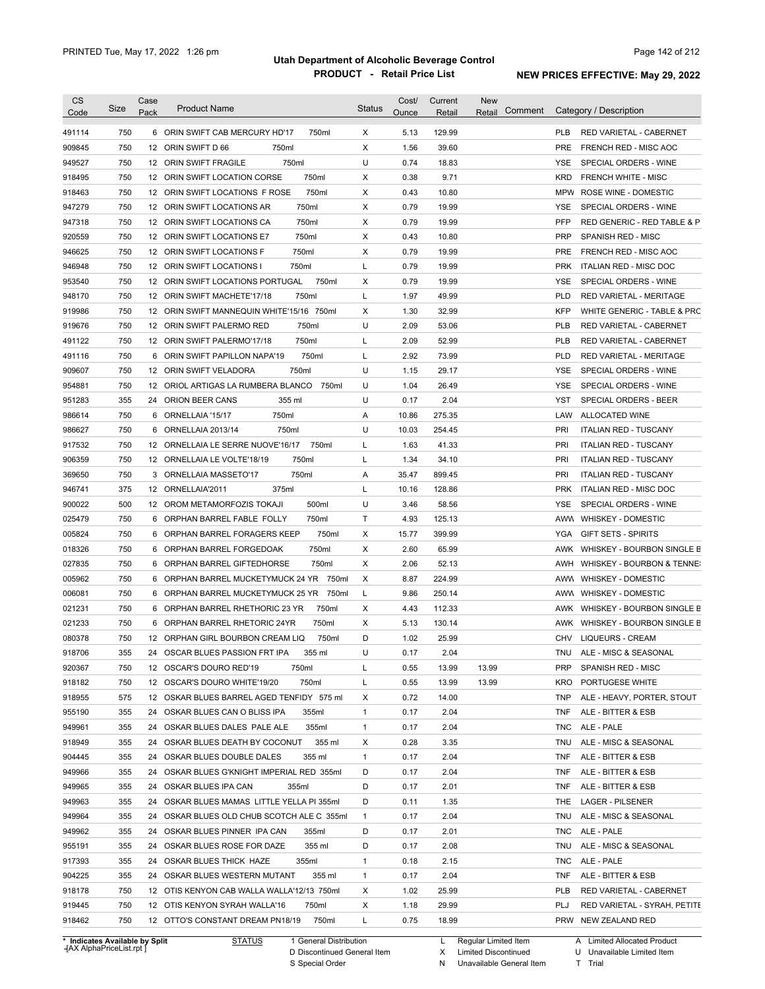| CS               | <b>Size</b> | Case            | <b>Product Name</b>                        | <b>Status</b> | Cost/ | Current | <b>New</b><br>Comment | Category / Description                      |
|------------------|-------------|-----------------|--------------------------------------------|---------------|-------|---------|-----------------------|---------------------------------------------|
| Code             |             | Pack            |                                            |               | Ounce | Retail  | Retail                |                                             |
| 491114           | 750         |                 | 6 ORIN SWIFT CAB MERCURY HD'17<br>750ml    | X             | 5.13  | 129.99  |                       | <b>PLB</b><br>RED VARIETAL - CABERNET       |
| 909845           | 750         |                 | 750ml<br>12 ORIN SWIFT D 66                | Χ             | 1.56  | 39.60   |                       | <b>PRE</b><br>FRENCH RED - MISC AOC         |
| 949527           | 750         |                 | 750ml<br>12 ORIN SWIFT FRAGILE             | U             | 0.74  | 18.83   |                       | <b>YSE</b><br>SPECIAL ORDERS - WINE         |
| 918495           | 750         |                 | 12 ORIN SWIFT LOCATION CORSE<br>750ml      | X             | 0.38  | 9.71    |                       | <b>KRD</b><br><b>FRENCH WHITE - MISC</b>    |
| 918463           | 750         |                 | 750ml<br>12 ORIN SWIFT LOCATIONS F ROSE    | X             | 0.43  | 10.80   |                       | <b>MPW</b><br>ROSE WINE - DOMESTIC          |
| 947279           | 750         |                 | 750ml<br>12 ORIN SWIFT LOCATIONS AR        | X             | 0.79  | 19.99   |                       | <b>YSE</b><br>SPECIAL ORDERS - WINE         |
| 947318           | 750         |                 | 750ml<br>12 ORIN SWIFT LOCATIONS CA        | X             | 0.79  | 19.99   |                       | PFP<br>RED GENERIC - RED TABLE & P          |
| 920559           | 750         |                 | 750ml<br>12 ORIN SWIFT LOCATIONS E7        | X             | 0.43  | 10.80   |                       | <b>PRP</b><br>SPANISH RED - MISC            |
| 946625           | 750         |                 | 750ml<br>12 ORIN SWIFT LOCATIONS F         | X             | 0.79  | 19.99   |                       | <b>PRE</b><br>FRENCH RED - MISC AOC         |
| 946948           | 750         |                 | 12 ORIN SWIFT LOCATIONS I<br>750ml         | L             | 0.79  | 19.99   |                       | <b>PRK</b><br><b>ITALIAN RED - MISC DOC</b> |
| 953540           | 750         |                 | 12 ORIN SWIFT LOCATIONS PORTUGAL<br>750ml  | Χ             | 0.79  | 19.99   |                       | <b>YSE</b><br>SPECIAL ORDERS - WINE         |
| 948170           | 750         |                 | 750ml<br>12 ORIN SWIFT MACHETE'17/18       | L             | 1.97  | 49.99   |                       | <b>PLD</b><br>RED VARIETAL - MERITAGE       |
| 919986           | 750         | 12              | ORIN SWIFT MANNEQUIN WHITE'15/16 750ml     | Χ             | 1.30  | 32.99   |                       | <b>KFP</b><br>WHITE GENERIC - TABLE & PRC   |
| 919676           | 750         |                 | 750ml<br>12 ORIN SWIFT PALERMO RED         | U             | 2.09  | 53.06   |                       | <b>PLB</b><br>RED VARIETAL - CABERNET       |
| 491122           | 750         |                 | 750ml<br>12 ORIN SWIFT PALERMO'17/18       | L             | 2.09  | 52.99   |                       | <b>PLB</b><br>RED VARIETAL - CABERNET       |
| 491116           | 750         | 6               | 750ml<br>ORIN SWIFT PAPILLON NAPA'19       | L             | 2.92  | 73.99   |                       | <b>PLD</b><br>RED VARIETAL - MERITAGE       |
| 909607           | 750         |                 | 750ml<br>12 ORIN SWIFT VELADORA            | U             | 1.15  | 29.17   |                       | <b>YSE</b><br>SPECIAL ORDERS - WINE         |
| 954881           | 750         | 12 <sup>°</sup> | ORIOL ARTIGAS LA RUMBERA BLANCO<br>750ml   | U             | 1.04  | 26.49   |                       | <b>YSE</b><br>SPECIAL ORDERS - WINE         |
| 951283           | 355         | 24              | ORION BEER CANS<br>355 ml                  | U             | 0.17  | 2.04    |                       | <b>YST</b><br>SPECIAL ORDERS - BEER         |
| 986614           | 750         | 6               | 750ml<br>ORNELLAIA '15/17                  | Α             | 10.86 | 275.35  |                       | ALLOCATED WINE<br>LAW                       |
|                  | 750         | 6               | 750ml<br>ORNELLAIA 2013/14                 | U             | 10.03 | 254.45  |                       | <b>PRI</b><br><b>ITALIAN RED - TUSCANY</b>  |
| 986627<br>917532 | 750         |                 | 12 ORNELLAIA LE SERRE NUOVE'16/17<br>750ml | L             | 1.63  | 41.33   |                       | <b>PRI</b><br><b>ITALIAN RED - TUSCANY</b>  |
|                  |             |                 |                                            |               |       |         |                       |                                             |
| 906359           | 750         |                 | 750ml<br>12 ORNELLAIA LE VOLTE'18/19       | Г             | 1.34  | 34.10   |                       | <b>PRI</b><br><b>ITALIAN RED - TUSCANY</b>  |
| 369650           | 750         | 3               | 750ml<br>ORNELLAIA MASSETO'17              | Α             | 35.47 | 899.45  |                       | PRI<br><b>ITALIAN RED - TUSCANY</b>         |
| 946741           | 375         |                 | 12 ORNELLAIA'2011<br>375ml                 | L             | 10.16 | 128.86  |                       | <b>PRK</b><br><b>ITALIAN RED - MISC DOC</b> |
| 900022           | 500         |                 | 12 OROM METAMORFOZIS TOKAJI<br>500ml       | U             | 3.46  | 58.56   |                       | SPECIAL ORDERS - WINE<br>YSE                |
| 025479           | 750         |                 | 6 ORPHAN BARREL FABLE FOLLY<br>750ml       | Τ             | 4.93  | 125.13  |                       | AWW<br>WHISKEY - DOMESTIC                   |
| 005824           | 750         |                 | 750ml<br>6 ORPHAN BARREL FORAGERS KEEP     | Χ             | 15.77 | 399.99  |                       | <b>YGA</b><br><b>GIFT SETS - SPIRITS</b>    |
| 018326           | 750         |                 | 6 ORPHAN BARREL FORGEDOAK<br>750ml         | Χ             | 2.60  | 65.99   |                       | AWK<br>WHISKEY - BOURBON SINGLE B           |
| 027835           | 750         |                 | 750ml<br>6 ORPHAN BARREL GIFTEDHORSE       | Χ             | 2.06  | 52.13   |                       | WHISKEY - BOURBON & TENNE:<br>AWH           |
| 005962           | 750         |                 | 6 ORPHAN BARREL MUCKETYMUCK 24 YR<br>750ml | Χ             | 8.87  | 224.99  |                       | WHISKEY - DOMESTIC<br>AWW                   |
| 006081           | 750         |                 | 6 ORPHAN BARREL MUCKETYMUCK 25 YR<br>750ml | L             | 9.86  | 250.14  |                       | WHISKEY - DOMESTIC<br>AWW                   |
| 021231           | 750         |                 | 750ml<br>6 ORPHAN BARREL RHETHORIC 23 YR   | Χ             | 4.43  | 112.33  |                       | WHISKEY - BOURBON SINGLE B<br>AWK           |
| 021233           | 750         |                 | 750ml<br>6 ORPHAN BARREL RHETORIC 24YR     | Χ             | 5.13  | 130.14  |                       | WHISKEY - BOURBON SINGLE B<br>AWK           |
| 080378           | 750         |                 | 12 ORPHAN GIRL BOURBON CREAM LIQ<br>750ml  | D             | 1.02  | 25.99   |                       | <b>LIQUEURS - CREAM</b><br><b>CHV</b>       |
| 918706           | 355         |                 | 24 OSCAR BLUES PASSION FRT IPA<br>355 ml   | U             | 0.17  | 2.04    |                       | TNU<br>ALE - MISC & SEASONAL                |
| 920367           | 750         |                 | 750ml<br>12 OSCAR'S DOURO RED'19           | L             | 0.55  | 13.99   | 13.99                 | <b>PRP</b><br>SPANISH RED - MISC            |
| 918182           | 750         |                 | 750ml<br>12 OSCAR'S DOURO WHITE'19/20      | L             | 0.55  | 13.99   | 13.99                 | <b>KRO</b><br>PORTUGESE WHITE               |
| 918955           | 575         |                 | 12 OSKAR BLUES BARREL AGED TENFIDY 575 ml  | Х             | 0.72  | 14.00   |                       | <b>TNP</b><br>ALE - HEAVY, PORTER, STOUT    |
| 955190           | 355         |                 | 24 OSKAR BLUES CAN O BLISS IPA<br>355ml    | 1             | 0.17  | 2.04    |                       | <b>TNF</b><br>ALE - BITTER & ESB            |
| 949961           | 355         |                 | 355ml<br>24 OSKAR BLUES DALES PALE ALE     | $\mathbf{1}$  | 0.17  | 2.04    |                       | TNC<br>ALE - PALE                           |
| 918949           | 355         |                 | 355 ml<br>24 OSKAR BLUES DEATH BY COCONUT  | Х             | 0.28  | 3.35    |                       | TNU<br>ALE - MISC & SEASONAL                |
| 904445           | 355         |                 | 24 OSKAR BLUES DOUBLE DALES<br>355 ml      | $\mathbf{1}$  | 0.17  | 2.04    |                       | <b>TNF</b><br>ALE - BITTER & ESB            |
| 949966           | 355         |                 | 24 OSKAR BLUES G'KNIGHT IMPERIAL RED 355ml | D             | 0.17  | 2.04    |                       | <b>TNF</b><br>ALE - BITTER & ESB            |
| 949965           | 355         |                 | 24 OSKAR BLUES IPA CAN<br>355ml            | D             | 0.17  | 2.01    |                       | TNF<br>ALE - BITTER & ESB                   |
| 949963           | 355         |                 | 24 OSKAR BLUES MAMAS LITTLE YELLA PI 355ml | D             | 0.11  | 1.35    |                       | THE<br><b>LAGER - PILSENER</b>              |
| 949964           | 355         |                 | 24 OSKAR BLUES OLD CHUB SCOTCH ALE C 355ml | $\mathbf{1}$  | 0.17  | 2.04    |                       | TNU<br>ALE - MISC & SEASONAL                |
| 949962           | 355         |                 | 24 OSKAR BLUES PINNER IPA CAN<br>355ml     | D             | 0.17  | 2.01    |                       | TNC<br>ALE - PALE                           |
| 955191           | 355         |                 | 355 ml<br>24 OSKAR BLUES ROSE FOR DAZE     | D             | 0.17  | 2.08    |                       | TNU<br>ALE - MISC & SEASONAL                |
| 917393           | 355         |                 | 355ml<br>24 OSKAR BLUES THICK HAZE         | 1             | 0.18  | 2.15    |                       | TNC<br>ALE - PALE                           |
| 904225           | 355         |                 | 355 ml<br>24 OSKAR BLUES WESTERN MUTANT    | 1             | 0.17  | 2.04    |                       | <b>TNF</b><br>ALE - BITTER & ESB            |
| 918178           | 750         |                 | 12 OTIS KENYON CAB WALLA WALLA'12/13 750ml | Χ             | 1.02  | 25.99   |                       | PLB<br>RED VARIETAL - CABERNET              |
|                  | 750         |                 |                                            | Х             | 1.18  | 29.99   |                       | PLJ                                         |
| 919445           |             |                 | 12 OTIS KENYON SYRAH WALLA'16<br>750ml     |               |       |         |                       | RED VARIETAL - SYRAH, PETITE                |
| 918462           | 750         |                 | 750ml<br>12 OTTO'S CONSTANT DREAM PN18/19  | L             | 0.75  | 18.99   |                       | PRW<br>NEW ZEALAND RED                      |

**Case** [AX AlphaPriceList.rpt ]

Discontinued General Item S Special Order D

L Regular Limited Item

X N Limited Discontinued

Unavailable General Item

U Unavailable Limited Item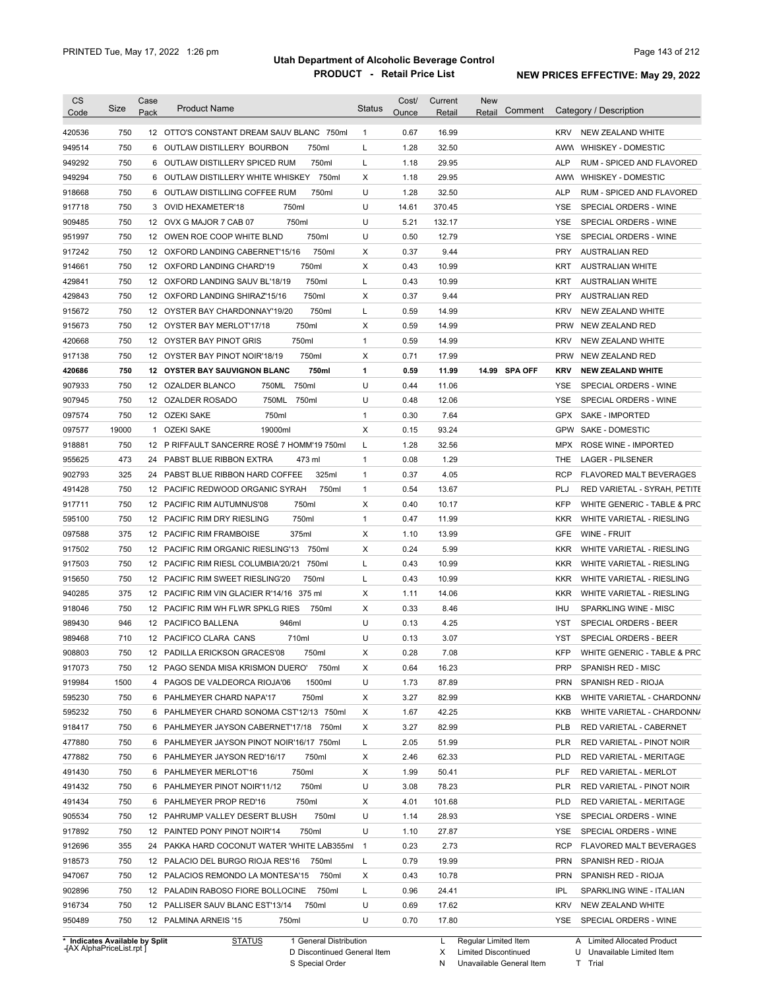| <b>CS</b><br>Code              | <b>Size</b> | Case<br>Pack | <b>Product Name</b>                         | <b>Status</b>            | Cost/<br>Ounce | Current<br>Retail | <b>New</b><br>Comment<br>Retail |            | Category / Description           |
|--------------------------------|-------------|--------------|---------------------------------------------|--------------------------|----------------|-------------------|---------------------------------|------------|----------------------------------|
| 420536                         | 750         |              | 12 OTTO'S CONSTANT DREAM SAUV BLANC 750ml   | $\mathbf{1}$             | 0.67           | 16.99             |                                 | <b>KRV</b> | NEW ZEALAND WHITE                |
| 949514                         | 750         | 6            | 750ml<br>OUTLAW DISTILLERY BOURBON          | L                        | 1.28           | 32.50             |                                 |            | AWW WHISKEY - DOMESTIC           |
| 949292                         | 750         | 6            | 750ml<br>OUTLAW DISTILLERY SPICED RUM       | L                        | 1.18           | 29.95             |                                 | <b>ALP</b> | RUM - SPICED AND FLAVORED        |
| 949294                         | 750         | 6            | OUTLAW DISTILLERY WHITE WHISKEY 750ml       | Χ                        | 1.18           | 29.95             |                                 |            | AWW WHISKEY - DOMESTIC           |
| 918668                         | 750         | 6            | 750ml<br>OUTLAW DISTILLING COFFEE RUM       | U                        | 1.28           | 32.50             |                                 | <b>ALP</b> | RUM - SPICED AND FLAVORED        |
| 917718                         | 750         |              | 750ml<br>3 OVID HEXAMETER'18                | U                        | 14.61          | 370.45            |                                 | <b>YSE</b> | SPECIAL ORDERS - WINE            |
| 909485                         | 750         | 12           | 750ml<br>OVX G MAJOR 7 CAB 07               | U                        | 5.21           | 132.17            |                                 | <b>YSE</b> | SPECIAL ORDERS - WINE            |
| 951997                         | 750         | 12           | 750ml<br>OWEN ROE COOP WHITE BLND           | U                        | 0.50           | 12.79             |                                 | <b>YSE</b> | SPECIAL ORDERS - WINE            |
| 917242                         | 750         | 12           | 750ml<br>OXFORD LANDING CABERNET'15/16      | X                        | 0.37           | 9.44              |                                 | <b>PRY</b> | AUSTRALIAN RED                   |
| 914661                         | 750         | 12           | 750ml<br>OXFORD LANDING CHARD'19            | X                        | 0.43           | 10.99             |                                 | <b>KRT</b> | <b>AUSTRALIAN WHITE</b>          |
| 429841                         | 750         | 12           | 750ml<br>OXFORD LANDING SAUV BL'18/19       | L                        | 0.43           | 10.99             |                                 | <b>KRT</b> | <b>AUSTRALIAN WHITE</b>          |
| 429843                         | 750         | 12           | 750ml<br>OXFORD LANDING SHIRAZ'15/16        | X                        | 0.37           | 9.44              |                                 | <b>PRY</b> | <b>AUSTRALIAN RED</b>            |
| 915672                         | 750         | 12           | 750ml<br>OYSTER BAY CHARDONNAY'19/20        | L                        | 0.59           | 14.99             |                                 | <b>KRV</b> | NEW ZEALAND WHITE                |
| 915673                         | 750         | 12           | 750ml<br>OYSTER BAY MERLOT'17/18            | X                        | 0.59           | 14.99             |                                 | <b>PRW</b> | NEW ZEALAND RED                  |
| 420668                         | 750         | 12           | 750ml<br>OYSTER BAY PINOT GRIS              | $\mathbf{1}$             | 0.59           | 14.99             |                                 | <b>KRV</b> | NEW ZEALAND WHITE                |
| 917138                         | 750         | 12           | 750ml<br>OYSTER BAY PINOT NOIR'18/19        | Χ                        | 0.71           | 17.99             |                                 | <b>PRW</b> | NEW ZEALAND RED                  |
| 420686                         | 750         |              | 750ml<br>12 OYSTER BAY SAUVIGNON BLANC      | $\mathbf{1}$             | 0.59           | 11.99             | 14.99 SPA OFF                   | <b>KRV</b> | <b>NEW ZEALAND WHITE</b>         |
| 907933                         | 750         | 12           | 750ml<br>OZALDER BLANCO<br>750ML            | U                        | 0.44           | 11.06             |                                 | YSE        | SPECIAL ORDERS - WINE            |
| 907945                         | 750         | 12           | 750ML<br>750ml<br>OZALDER ROSADO            | U                        | 0.48           | 12.06             |                                 | YSE        | SPECIAL ORDERS - WINE            |
| 097574                         | 750         |              | 12 OZEKI SAKE<br>750ml                      | $\mathbf{1}$             | 0.30           | 7.64              |                                 | <b>GPX</b> | <b>SAKE - IMPORTED</b>           |
| 097577                         | 19000       | 1            | <b>OZEKI SAKE</b><br>19000ml                | Χ                        | 0.15           | 93.24             |                                 | <b>GPW</b> | SAKE - DOMESTIC                  |
| 918881                         | 750         |              | 12 P RIFFAULT SANCERRE ROSÉ 7 HOMM'19 750ml | L                        | 1.28           | 32.56             |                                 | MPX.       | ROSE WINE - IMPORTED             |
| 955625                         | 473         | 24           | PABST BLUE RIBBON EXTRA<br>473 ml           | $\mathbf{1}$             | 0.08           | 1.29              |                                 | THE        | <b>LAGER - PILSENER</b>          |
| 902793                         | 325         | 24           | 325ml<br>PABST BLUE RIBBON HARD COFFEE      | $\mathbf{1}$             | 0.37           | 4.05              |                                 | <b>RCP</b> | FLAVORED MALT BEVERAGES          |
| 491428                         | 750         | 12           | PACIFIC REDWOOD ORGANIC SYRAH<br>750ml      | $\mathbf{1}$             | 0.54           | 13.67             |                                 | PLJ        | RED VARIETAL - SYRAH, PETITE     |
| 917711                         | 750         |              | 750ml<br>12 PACIFIC RIM AUTUMNUS'08         | X                        | 0.40           | 10.17             |                                 | <b>KFP</b> | WHITE GENERIC - TABLE & PRC      |
| 595100                         | 750         | 12           | 750ml<br>PACIFIC RIM DRY RIESLING           | $\mathbf{1}$             | 0.47           | 11.99             |                                 | <b>KKR</b> | WHITE VARIETAL - RIESLING        |
| 097588                         | 375         | 12           | 375ml<br>PACIFIC RIM FRAMBOISE              | X                        | 1.10           | 13.99             |                                 | <b>GFE</b> | WINE - FRUIT                     |
| 917502                         | 750         | 12           | PACIFIC RIM ORGANIC RIESLING'13 750ml       | X                        | 0.24           | 5.99              |                                 | <b>KKR</b> | WHITE VARIETAL - RIESLING        |
| 917503                         | 750         |              | 12 PACIFIC RIM RIESL COLUMBIA'20/21 750ml   | L                        | 0.43           | 10.99             |                                 | <b>KKR</b> | WHITE VARIETAL - RIESLING        |
| 915650                         | 750         |              | 12 PACIFIC RIM SWEET RIESLING'20<br>750ml   | L                        | 0.43           | 10.99             |                                 | <b>KKR</b> | <b>WHITE VARIETAL - RIESLING</b> |
| 940285                         | 375         |              | 12 PACIFIC RIM VIN GLACIER R'14/16 375 ml   | X                        | 1.11           | 14.06             |                                 | <b>KKR</b> | WHITE VARIETAL - RIESLING        |
| 918046                         | 750         |              | 12 PACIFIC RIM WH FLWR SPKLG RIES<br>750ml  | Χ                        | 0.33           | 8.46              |                                 | <b>IHU</b> | SPARKLING WINE - MISC            |
| 989430                         | 946         |              | 946ml<br>12 PACIFICO BALLENA                | U                        | 0.13           | 4.25              |                                 | YST        | <b>SPECIAL ORDERS - BEER</b>     |
| 989468                         | 710         |              | 12 PACIFICO CLARA CANS<br>710ml             | U                        | 0.13           | 3.07              |                                 | YST        | SPECIAL ORDERS - BEER            |
| 908803                         | 750         |              | 12 PADILLA ERICKSON GRACES'08<br>750ml      | х                        | 0.28           | 7.08              |                                 | KFP        | WHITE GENERIC - TABLE & PRC      |
| 917073                         | 750         |              | 12 PAGO SENDA MISA KRISMON DUERO'<br>750ml  | X                        | 0.64           | 16.23             |                                 | <b>PRP</b> | SPANISH RED - MISC               |
| 919984                         | 1500        |              | 4 PAGOS DE VALDEORCA RIOJA'06<br>1500ml     | U                        | 1.73           | 87.89             |                                 | <b>PRN</b> | SPANISH RED - RIOJA              |
| 595230                         | 750         |              | 750ml<br>6 PAHLMEYER CHARD NAPA'17          | X                        | 3.27           | 82.99             |                                 | KKB        | WHITE VARIETAL - CHARDONN/       |
| 595232                         | 750         |              | 6 PAHLMEYER CHARD SONOMA CST'12/13 750ml    | X                        | 1.67           | 42.25             |                                 | KKB        | WHITE VARIETAL - CHARDONN/       |
| 918417                         | 750         |              | 6 PAHLMEYER JAYSON CABERNET'17/18 750ml     | X                        | 3.27           | 82.99             |                                 | PLB        | RED VARIETAL - CABERNET          |
| 477880                         | 750         |              | 6 PAHLMEYER JAYSON PINOT NOIR'16/17 750ml   | L                        | 2.05           | 51.99             |                                 | PLR        | RED VARIETAL - PINOT NOIR        |
| 477882                         | 750         |              | 6 PAHLMEYER JAYSON RED'16/17<br>750ml       | Х                        | 2.46           | 62.33             |                                 | <b>PLD</b> | RED VARIETAL - MERITAGE          |
| 491430                         | 750         |              | 750ml<br>6 PAHLMEYER MERLOT'16              | X                        | 1.99           | 50.41             |                                 | PLF        | RED VARIETAL - MERLOT            |
| 491432                         | 750         |              | 750ml<br>6 PAHLMEYER PINOT NOIR'11/12       | U                        | 3.08           | 78.23             |                                 | PLR        | RED VARIETAL - PINOT NOIR        |
| 491434                         | 750         |              | 750ml<br>6 PAHLMEYER PROP RED'16            | Х                        | 4.01           | 101.68            |                                 | PLD        | RED VARIETAL - MERITAGE          |
| 905534                         | 750         |              | 750ml<br>12 PAHRUMP VALLEY DESERT BLUSH     | U                        | 1.14           | 28.93             |                                 | <b>YSE</b> | SPECIAL ORDERS - WINE            |
| 917892                         | 750         |              | 750ml<br>12 PAINTED PONY PINOT NOIR'14      | U                        | 1.10           | 27.87             |                                 | YSE        | SPECIAL ORDERS - WINE            |
| 912696                         | 355         |              | 24 PAKKA HARD COCONUT WATER 'WHITE LAB355ml | $\overline{\phantom{0}}$ | 0.23           | 2.73              |                                 | <b>RCP</b> | FLAVORED MALT BEVERAGES          |
| 918573                         | 750         |              | 12 PALACIO DEL BURGO RIOJA RES'16<br>750ml  | L                        | 0.79           | 19.99             |                                 | PRN        | SPANISH RED - RIOJA              |
| 947067                         | 750         |              | 750ml<br>12 PALACIOS REMONDO LA MONTESA'15  | Х                        | 0.43           | 10.78             |                                 | PRN        | SPANISH RED - RIOJA              |
| 902896                         | 750         |              | 12 PALADIN RABOSO FIORE BOLLOCINE<br>750ml  | L                        | 0.96           | 24.41             |                                 | IPL        | SPARKLING WINE - ITALIAN         |
| 916734                         | 750         |              | 12 PALLISER SAUV BLANC EST'13/14<br>750ml   | U                        | 0.69           | 17.62             |                                 | <b>KRV</b> | NEW ZEALAND WHITE                |
| 950489                         | 750         |              | 12 PALMINA ARNEIS '15<br>750ml              | U                        | 0.70           | 17.80             |                                 | YSE        | SPECIAL ORDERS - WINE            |
| * Indicates Available by Split |             |              | 1 General Distribution<br><b>STATUS</b>     |                          |                | L                 | Regular Limited Item            |            | A Limited Allocated Product      |

**Case** [AX AlphaPriceList.rpt ]

D Discontinued General Item S Special Order

X

Limited Discontinued

N Unavailable General Item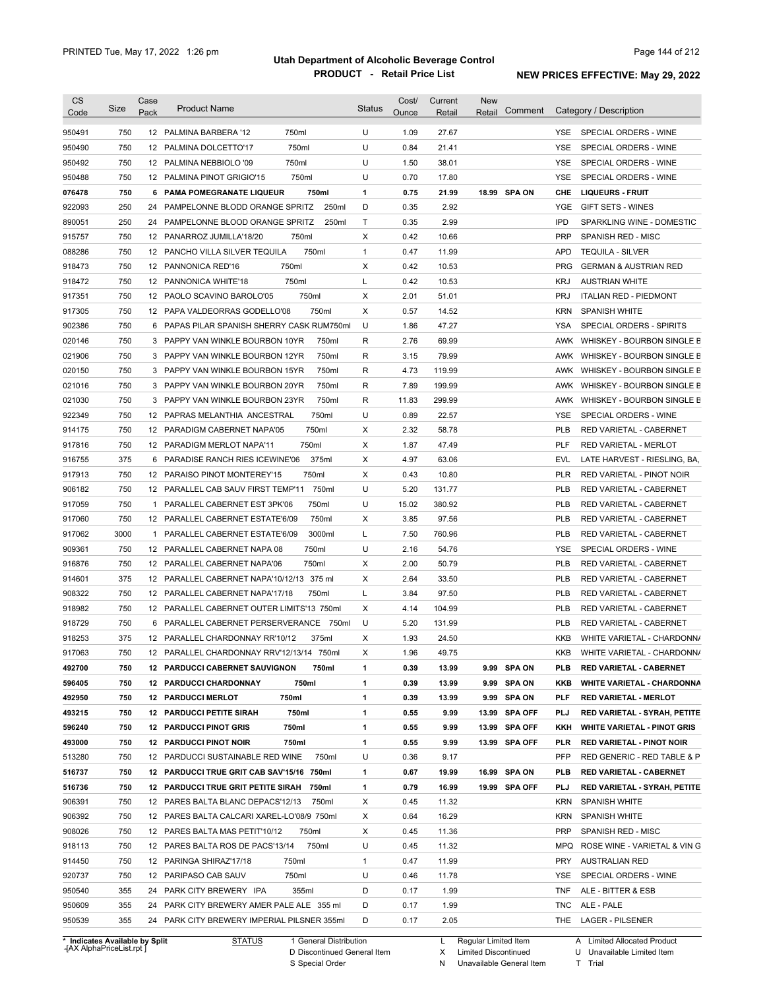| <b>CS</b>        | Size       | Case         | <b>Product Name</b>                                                                      |        | <b>Status</b> | Cost/        | Current      | <b>New</b> |               |            |                                    |
|------------------|------------|--------------|------------------------------------------------------------------------------------------|--------|---------------|--------------|--------------|------------|---------------|------------|------------------------------------|
| Code             |            | Pack         |                                                                                          |        |               | Ounce        | Retail       | Retail     | Comment       |            | Category / Description             |
| 950491           | 750        |              | 12 PALMINA BARBERA '12                                                                   | 750ml  | U             | 1.09         | 27.67        |            |               | YSE.       | SPECIAL ORDERS - WINE              |
| 950490           | 750        |              | 12 PALMINA DOLCETTO'17                                                                   | 750ml  | U             | 0.84         | 21.41        |            |               | <b>YSE</b> | SPECIAL ORDERS - WINE              |
| 950492           | 750        |              | 12 PALMINA NEBBIOLO '09                                                                  | 750ml  | U             | 1.50         | 38.01        |            |               | <b>YSE</b> | SPECIAL ORDERS - WINE              |
| 950488           | 750        |              | 12 PALMINA PINOT GRIGIO'15                                                               | 750ml  | U             | 0.70         | 17.80        |            |               | <b>YSE</b> | SPECIAL ORDERS - WINE              |
| 076478           | 750        |              | 6 PAMA POMEGRANATE LIQUEUR                                                               | 750ml  | 1             | 0.75         | 21.99        |            | 18.99 SPA ON  | CHE        | <b>LIQUEURS - FRUIT</b>            |
| 922093           | 250        |              | 24 PAMPELONNE BLODD ORANGE SPRITZ                                                        | 250ml  | D             | 0.35         | 2.92         |            |               | YGE        | <b>GIFT SETS - WINES</b>           |
| 890051           | 250        |              | 24 PAMPELONNE BLOOD ORANGE SPRITZ                                                        | 250ml  | Т             | 0.35         | 2.99         |            |               | <b>IPD</b> | SPARKLING WINE - DOMESTIC          |
| 915757           | 750        |              | 12 PANARROZ JUMILLA'18/20                                                                | 750ml  | X             | 0.42         | 10.66        |            |               | <b>PRP</b> | SPANISH RED - MISC                 |
| 088286           | 750        |              | 12 PANCHO VILLA SILVER TEQUILA                                                           | 750ml  | $\mathbf{1}$  | 0.47         | 11.99        |            |               | <b>APD</b> | <b>TEQUILA - SILVER</b>            |
| 918473           | 750        |              | 12 PANNONICA RED'16<br>750ml                                                             |        | X             | 0.42         | 10.53        |            |               | <b>PRG</b> | <b>GERMAN &amp; AUSTRIAN RED</b>   |
| 918472           | 750        |              | 12 PANNONICA WHITE'18                                                                    | 750ml  | Г             | 0.42         | 10.53        |            |               | <b>KRJ</b> | <b>AUSTRIAN WHITE</b>              |
| 917351           | 750        |              | 12 PAOLO SCAVINO BAROLO'05                                                               | 750ml  | Χ             | 2.01         | 51.01        |            |               | <b>PRJ</b> | <b>ITALIAN RED - PIEDMONT</b>      |
| 917305           | 750        |              | 12 PAPA VALDEORRAS GODELLO'08                                                            | 750ml  | Χ             | 0.57         | 14.52        |            |               | <b>KRN</b> | <b>SPANISH WHITE</b>               |
| 902386           | 750        |              | 6 PAPAS PILAR SPANISH SHERRY CASK RUM750ml                                               |        | U             | 1.86         | 47.27        |            |               | <b>YSA</b> | SPECIAL ORDERS - SPIRITS           |
| 020146           | 750        | 3            | PAPPY VAN WINKLE BOURBON 10YR                                                            | 750ml  | R             | 2.76         | 69.99        |            |               | AWK        | WHISKEY - BOURBON SINGLE B         |
| 021906           | 750        |              | 3 PAPPY VAN WINKLE BOURBON 12YR                                                          | 750ml  | R             | 3.15         | 79.99        |            |               | AWK        | WHISKEY - BOURBON SINGLE B         |
| 020150           | 750        | 3            | PAPPY VAN WINKLE BOURBON 15YR                                                            | 750ml  | R             | 4.73         | 119.99       |            |               | AWK        | WHISKEY - BOURBON SINGLE B         |
| 021016           | 750        |              | 3 PAPPY VAN WINKLE BOURBON 20YR                                                          | 750ml  | R             | 7.89         | 199.99       |            |               | AWK        | WHISKEY - BOURBON SINGLE B         |
| 021030           | 750        |              | 3 PAPPY VAN WINKLE BOURBON 23YR                                                          | 750ml  | R             | 11.83        | 299.99       |            |               | AWK        | WHISKEY - BOURBON SINGLE B         |
| 922349           | 750        |              | 12 PAPRAS MELANTHIA ANCESTRAL                                                            | 750ml  | U             | 0.89         | 22.57        |            |               | <b>YSE</b> | SPECIAL ORDERS - WINE              |
| 914175           | 750        |              | 12 PARADIGM CABERNET NAPA'05                                                             | 750ml  | Χ             | 2.32         | 58.78        |            |               | <b>PLB</b> | RED VARIETAL - CABERNET            |
| 917816           | 750        |              | 12 PARADIGM MERLOT NAPA'11                                                               | 750ml  | Χ             | 1.87         | 47.49        |            |               | <b>PLF</b> | RED VARIETAL - MERLOT              |
| 916755           | 375        | 6            | PARADISE RANCH RIES ICEWINE'06                                                           | 375ml  | Χ             | 4.97         | 63.06        |            |               | <b>EVL</b> | LATE HARVEST - RIESLING, BA,       |
| 917913           | 750        |              | 12 PARAISO PINOT MONTEREY'15                                                             | 750ml  | Χ             | 0.43         | 10.80        |            |               | <b>PLR</b> | RED VARIETAL - PINOT NOIR          |
| 906182           | 750        |              | 12 PARALLEL CAB SAUV FIRST TEMP'11                                                       | 750ml  | U             | 5.20         | 131.77       |            |               | <b>PLB</b> | RED VARIETAL - CABERNET            |
| 917059           | 750        | $\mathbf{1}$ | PARALLEL CABERNET EST 3PK'06                                                             | 750ml  | U             | 15.02        | 380.92       |            |               | <b>PLB</b> | RED VARIETAL - CABERNET            |
| 917060           | 750        |              | 12 PARALLEL CABERNET ESTATE'6/09                                                         | 750ml  | Χ             | 3.85         | 97.56        |            |               | <b>PLB</b> | RED VARIETAL - CABERNET            |
| 917062           | 3000       | $\mathbf{1}$ | PARALLEL CABERNET ESTATE'6/09                                                            | 3000ml | L             | 7.50         | 760.96       |            |               | <b>PLB</b> | RED VARIETAL - CABERNET            |
| 909361           | 750        |              | 12 PARALLEL CABERNET NAPA 08                                                             | 750ml  | U             | 2.16         | 54.76        |            |               | <b>YSE</b> | SPECIAL ORDERS - WINE              |
| 916876           | 750        |              | 12 PARALLEL CABERNET NAPA'06                                                             | 750ml  | Χ             | 2.00         | 50.79        |            |               | <b>PLB</b> | RED VARIETAL - CABERNET            |
| 914601           | 375        |              | 12 PARALLEL CABERNET NAPA'10/12/13 375 ml                                                |        | X             | 2.64         | 33.50        |            |               | <b>PLB</b> | RED VARIETAL - CABERNET            |
| 908322           | 750        |              | 12 PARALLEL CABERNET NAPA'17/18                                                          | 750ml  | L             | 3.84         | 97.50        |            |               | <b>PLB</b> | RED VARIETAL - CABERNET            |
| 918982           | 750        |              | 12 PARALLEL CABERNET OUTER LIMITS'13 750ml                                               |        | Χ             | 4.14         | 104.99       |            |               | <b>PLB</b> | RED VARIETAL - CABERNET            |
| 918729           | 750        |              | 6 PARALLEL CABERNET PERSERVERANCE 750ml                                                  |        | U             | 5.20         | 131.99       |            |               | <b>PLB</b> | RED VARIETAL - CABERNET            |
| 918253           | 375        |              | 12 PARALLEL CHARDONNAY RR'10/12                                                          | 375ml  | X             | 1.93         | 24.50        |            |               | <b>KKB</b> | WHITE VARIETAL - CHARDONN/         |
| 917063           | 750        |              | 12 PARALLEL CHARDONNAY RRV'12/13/14 750ml                                                |        | X             | 1.96         | 49.75        |            |               | KKB        | WHITE VARIETAL - CHARDONN/         |
| 492700           | 750        |              | <b>12 PARDUCCI CABERNET SAUVIGNON</b>                                                    | 750ml  | 1             | 0.39         | 13.99        |            | 9.99 SPA ON   | PLB        | <b>RED VARIETAL CABERNET</b>       |
| 596405           | 750        |              | <b>12 PARDUCCI CHARDONNAY</b>                                                            | 750ml  | 1             | 0.39         | 13.99        |            | 9.99 SPA ON   | KKB        | <b>WHITE VARIETAL - CHARDONNA</b>  |
| 492950           | 750        |              | 750ml<br><b>12 PARDUCCI MERLOT</b>                                                       |        | 1             | 0.39         | 13.99        |            | 9.99 SPA ON   | PLF        | <b>RED VARIETAL - MERLOT</b>       |
|                  | 750        |              |                                                                                          | 750ml  | 1             | 0.55         | 9.99         |            | 13.99 SPA OFF | PLJ        | RED VARIETAL - SYRAH, PETITE       |
| 493215<br>596240 | 750        |              | <b>12 PARDUCCI PETITE SIRAH</b><br>750ml<br><b>12 PARDUCCI PINOT GRIS</b>                |        | 1             | 0.55         | 9.99         |            | 13.99 SPA OFF | KKH        | <b>WHITE VARIETAL - PINOT GRIS</b> |
|                  |            |              |                                                                                          | 750ml  | 1             |              |              |            |               |            | <b>RED VARIETAL - PINOT NOIR</b>   |
| 493000           | 750<br>750 |              | <b>12 PARDUCCI PINOT NOIR</b>                                                            |        | U             | 0.55         | 9.99         |            | 13.99 SPA OFF | PLR        | RED GENERIC - RED TABLE & P        |
| 513280           |            |              | 12 PARDUCCI SUSTAINABLE RED WINE                                                         | 750ml  |               | 0.36         | 9.17         |            |               | PFP        |                                    |
| 516737           | 750        |              | 12 PARDUCCI TRUE GRIT CAB SAV'15/16 750ml                                                |        | 1             | 0.67         | 19.99        |            | 16.99 SPA ON  | PLB        | <b>RED VARIETAL - CABERNET</b>     |
| 516736           | 750        |              | 12 PARDUCCI TRUE GRIT PETITE SIRAH 750ml                                                 |        | 1             | 0.79         | 16.99        |            | 19.99 SPA OFF | PLJ        | RED VARIETAL - SYRAH, PETITE       |
| 906391           | 750        |              | 12 PARES BALTA BLANC DEPACS'12/13                                                        | 750ml  | Х             | 0.45         | 11.32        |            |               | KRN        | <b>SPANISH WHITE</b>               |
| 906392           | 750        |              | 12 PARES BALTA CALCARI XAREL-LO'08/9 750ml                                               |        | Х             | 0.64         | 16.29        |            |               | KRN        | <b>SPANISH WHITE</b>               |
| 908026           | 750        |              | 12 PARES BALTA MAS PETIT'10/12                                                           | 750ml  | X             | 0.45         | 11.36        |            |               | <b>PRP</b> | SPANISH RED - MISC                 |
| 918113           | 750        |              | 12 PARES BALTA ROS DE PACS'13/14                                                         | 750ml  | U             | 0.45         | 11.32        |            |               | MPQ        | ROSE WINE - VARIETAL & VIN G       |
| 914450           | 750        |              | 12 PARINGA SHIRAZ'17/18<br>750ml                                                         |        | $\mathbf{1}$  | 0.47         | 11.99        |            |               | <b>PRY</b> | <b>AUSTRALIAN RED</b>              |
| 920737           | 750        |              | 12 PARIPASO CAB SAUV                                                                     | 750ml  | U             | 0.46         | 11.78        |            |               | YSE        | SPECIAL ORDERS - WINE              |
|                  |            |              | 24 PARK CITY BREWERY IPA                                                                 | 355ml  | D             | 0.17         | 1.99         |            |               | <b>TNF</b> | ALE - BITTER & ESB                 |
| 950540           | 355        |              |                                                                                          |        |               |              |              |            |               |            |                                    |
| 950609<br>950539 | 355<br>355 |              | 24 PARK CITY BREWERY AMER PALE ALE 355 ml<br>24 PARK CITY BREWERY IMPERIAL PILSNER 355ml |        | D<br>D        | 0.17<br>0.17 | 1.99<br>2.05 |            |               | TNC        | ALE - PALE<br>THE LAGER - PILSENER |

**Case** [AX AlphaPriceList.rpt ]

D Discontinued General Item

S Special Order

X Limited Discontinued

N Unavailable General Item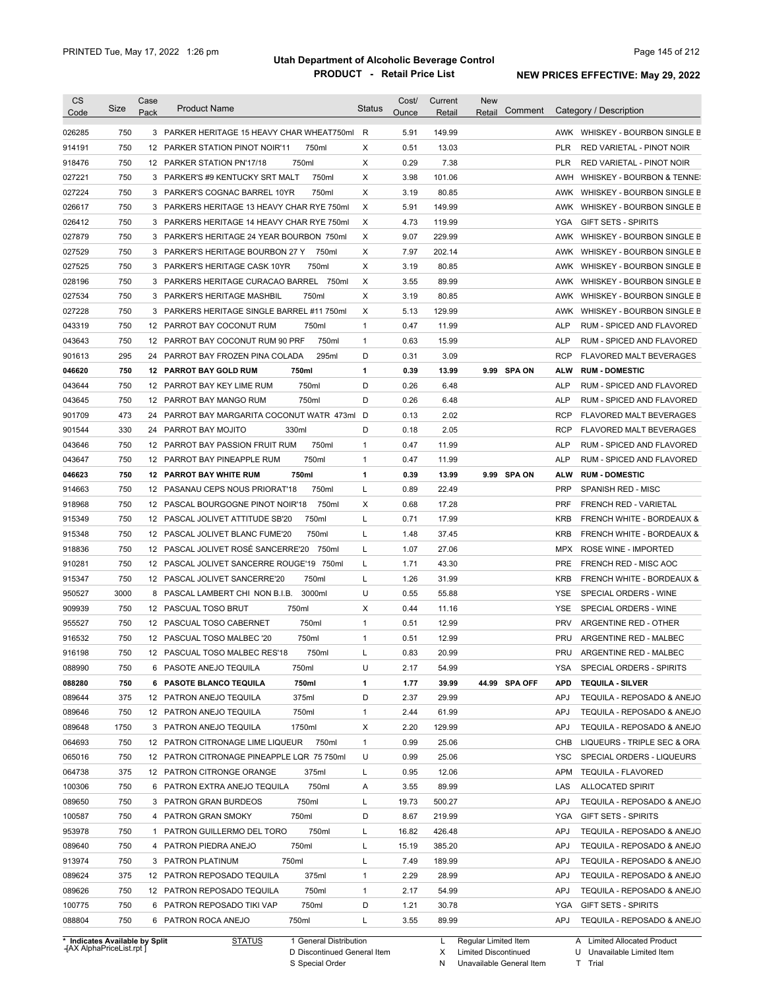| <b>CS</b>                      | Size | Case | <b>Product Name</b>                        |                        | <b>Status</b> | Cost/ | Current | <b>New</b>           | Comment       |            | Category / Description               |
|--------------------------------|------|------|--------------------------------------------|------------------------|---------------|-------|---------|----------------------|---------------|------------|--------------------------------------|
| Code                           |      | Pack |                                            |                        |               | Ounce | Retail  | Retail               |               |            |                                      |
| 026285                         | 750  |      | 3 PARKER HERITAGE 15 HEAVY CHAR WHEAT750ml |                        | R             | 5.91  | 149.99  |                      |               |            | AWK WHISKEY - BOURBON SINGLE B       |
| 914191                         | 750  |      | 12 PARKER STATION PINOT NOIR'11            | 750ml                  | X             | 0.51  | 13.03   |                      |               | <b>PLR</b> | RED VARIETAL - PINOT NOIR            |
| 918476                         | 750  |      | 12 PARKER STATION PN'17/18                 | 750ml                  | Χ             | 0.29  | 7.38    |                      |               | <b>PLR</b> | RED VARIETAL - PINOT NOIR            |
| 027221                         | 750  |      | 3 PARKER'S #9 KENTUCKY SRT MALT            | 750ml                  | Χ             | 3.98  | 101.06  |                      |               | AWH        | WHISKEY - BOURBON & TENNE:           |
| 027224                         | 750  |      | 3 PARKER'S COGNAC BARREL 10YR              | 750ml                  | X             | 3.19  | 80.85   |                      |               |            | AWK WHISKEY - BOURBON SINGLE B       |
| 026617                         | 750  |      | 3 PARKERS HERITAGE 13 HEAVY CHAR RYE 750ml |                        | X             | 5.91  | 149.99  |                      |               |            | AWK WHISKEY - BOURBON SINGLE B       |
| 026412                         | 750  |      | 3 PARKERS HERITAGE 14 HEAVY CHAR RYE 750ml |                        | X             | 4.73  | 119.99  |                      |               | YGA        | <b>GIFT SETS - SPIRITS</b>           |
| 027879                         | 750  |      | 3 PARKER'S HERITAGE 24 YEAR BOURBON 750ml  |                        | X             | 9.07  | 229.99  |                      |               |            | AWK WHISKEY - BOURBON SINGLE B       |
| 027529                         | 750  |      | 3 PARKER'S HERITAGE BOURBON 27 Y           | 750ml                  | Χ             | 7.97  | 202.14  |                      |               |            | AWK WHISKEY - BOURBON SINGLE B       |
| 027525                         | 750  |      | 3 PARKER'S HERITAGE CASK 10YR              | 750ml                  | Χ             | 3.19  | 80.85   |                      |               |            | AWK WHISKEY - BOURBON SINGLE B       |
| 028196                         | 750  |      | 3 PARKERS HERITAGE CURACAO BARREL 750ml    |                        | Χ             | 3.55  | 89.99   |                      |               |            | AWK WHISKEY - BOURBON SINGLE B       |
| 027534                         | 750  |      | 3 PARKER'S HERITAGE MASHBIL                | 750ml                  | Χ             | 3.19  | 80.85   |                      |               |            | AWK WHISKEY - BOURBON SINGLE B       |
| 027228                         | 750  |      | 3 PARKERS HERITAGE SINGLE BARREL #11 750ml |                        | Χ             | 5.13  | 129.99  |                      |               | AWK        | WHISKEY - BOURBON SINGLE B           |
| 043319                         | 750  |      | 12 PARROT BAY COCONUT RUM                  | 750ml                  | 1             | 0.47  | 11.99   |                      |               | <b>ALP</b> | RUM - SPICED AND FLAVORED            |
| 043643                         | 750  |      | 12 PARROT BAY COCONUT RUM 90 PRF           | 750ml                  | 1             | 0.63  | 15.99   |                      |               | <b>ALP</b> | RUM - SPICED AND FLAVORED            |
| 901613                         | 295  | 24   | PARROT BAY FROZEN PINA COLADA              | 295ml                  | D             | 0.31  | 3.09    |                      |               | <b>RCP</b> | <b>FLAVORED MALT BEVERAGES</b>       |
| 046620                         | 750  |      | <b>12 PARROT BAY GOLD RUM</b>              | 750ml                  | 1             | 0.39  | 13.99   |                      | 9.99 SPA ON   | ALW        | <b>RUM - DOMESTIC</b>                |
| 043644                         | 750  |      | 12 PARROT BAY KEY LIME RUM                 | 750ml                  | D             | 0.26  | 6.48    |                      |               | <b>ALP</b> | RUM - SPICED AND FLAVORED            |
| 043645                         | 750  |      | 12 PARROT BAY MANGO RUM                    | 750ml                  | D             | 0.26  | 6.48    |                      |               | <b>ALP</b> | RUM - SPICED AND FLAVORED            |
| 901709                         | 473  | 24   | PARROT BAY MARGARITA COCONUT WATR 473ml    |                        | D             | 0.13  | 2.02    |                      |               | <b>RCP</b> | FLAVORED MALT BEVERAGES              |
| 901544                         | 330  | 24   | 330ml<br>PARROT BAY MOJITO                 |                        | D             | 0.18  | 2.05    |                      |               | <b>RCP</b> | <b>FLAVORED MALT BEVERAGES</b>       |
| 043646                         | 750  |      | 12 PARROT BAY PASSION FRUIT RUM            | 750ml                  | 1             | 0.47  | 11.99   |                      |               | <b>ALP</b> | RUM - SPICED AND FLAVORED            |
| 043647                         | 750  |      | 12 PARROT BAY PINEAPPLE RUM                | 750ml                  | 1             | 0.47  | 11.99   |                      |               | <b>ALP</b> | RUM - SPICED AND FLAVORED            |
| 046623                         | 750  |      | <b>12 PARROT BAY WHITE RUM</b>             | 750ml                  | 1             | 0.39  | 13.99   |                      | 9.99 SPA ON   | ALW        | <b>RUM - DOMESTIC</b>                |
|                                |      |      |                                            |                        |               |       |         |                      |               |            |                                      |
| 914663                         | 750  |      | 12 PASANAU CEPS NOUS PRIORAT'18            | 750ml                  | L             | 0.89  | 22.49   |                      |               | <b>PRP</b> | SPANISH RED - MISC                   |
| 918968                         | 750  |      | 12 PASCAL BOURGOGNE PINOT NOIR'18          | 750ml                  | X             | 0.68  | 17.28   |                      |               | <b>PRF</b> | <b>FRENCH RED - VARIETAL</b>         |
| 915349                         | 750  |      | 12 PASCAL JOLIVET ATTITUDE SB'20           | 750ml                  | Г             | 0.71  | 17.99   |                      |               | <b>KRB</b> | <b>FRENCH WHITE - BORDEAUX &amp;</b> |
| 915348                         | 750  |      | 12 PASCAL JOLIVET BLANC FUME'20            | 750ml                  | Г             | 1.48  | 37.45   |                      |               | <b>KRB</b> | <b>FRENCH WHITE - BORDEAUX &amp;</b> |
| 918836                         | 750  |      | 12 PASCAL JOLIVET ROSÉ SANCERRE'20         | 750ml                  | L             | 1.07  | 27.06   |                      |               | MPX        | ROSE WINE - IMPORTED                 |
| 910281                         | 750  |      | 12 PASCAL JOLIVET SANCERRE ROUGE'19 750ml  |                        | L             | 1.71  | 43.30   |                      |               | <b>PRE</b> | FRENCH RED - MISC AOC                |
| 915347                         | 750  |      | 12 PASCAL JOLIVET SANCERRE'20              | 750ml                  | L             | 1.26  | 31.99   |                      |               | <b>KRB</b> | <b>FRENCH WHITE - BORDEAUX &amp;</b> |
| 950527                         | 3000 | 8    | PASCAL LAMBERT CHI NON B.I.B.              | 3000ml                 | U             | 0.55  | 55.88   |                      |               | YSE        | SPECIAL ORDERS - WINE                |
| 909939                         | 750  |      | 750ml<br>12 PASCUAL TOSO BRUT              |                        | X             | 0.44  | 11.16   |                      |               | <b>YSE</b> | SPECIAL ORDERS - WINE                |
| 955527                         | 750  |      | 12 PASCUAL TOSO CABERNET                   | 750ml                  | 1             | 0.51  | 12.99   |                      |               | <b>PRV</b> | ARGENTINE RED - OTHER                |
| 916532                         | 750  |      | 12 PASCUAL TOSO MALBEC '20                 | 750ml                  | 1             | 0.51  | 12.99   |                      |               | <b>PRU</b> | ARGENTINE RED - MALBEC               |
| 916198                         | 750  |      | 12 PASCUAL TOSO MALBEC RES'18              | 750ml                  |               | 0.83  | 20.99   |                      |               | PRU        | ARGENTINE RED - MALBEC               |
| 088990                         | 750  |      | 6 PASOTE ANEJO TEQUILA                     | 750ml                  | U             | 2.17  | 54.99   |                      |               | YSA        | SPECIAL ORDERS - SPIRITS             |
| 088280                         | 750  |      | 6 PASOTE BLANCO TEQUILA                    | 750ml                  | 1             | 1.77  | 39.99   |                      | 44.99 SPA OFF | <b>APD</b> | <b>TEQUILA - SILVER</b>              |
| 089644                         | 375  |      | 12 PATRON ANEJO TEQUILA                    | 375ml                  | D             | 2.37  | 29.99   |                      |               | APJ        | TEQUILA - REPOSADO & ANEJO           |
| 089646                         | 750  |      | 12 PATRON ANEJO TEQUILA                    | 750ml                  | 1             | 2.44  | 61.99   |                      |               | APJ        | TEQUILA - REPOSADO & ANEJO           |
| 089648                         | 1750 |      | 3 PATRON ANEJO TEQUILA                     | 1750ml                 | Х             | 2.20  | 129.99  |                      |               | APJ        | TEQUILA - REPOSADO & ANEJO           |
| 064693                         | 750  |      | 12 PATRON CITRONAGE LIME LIQUEUR           | 750ml                  | $\mathbf{1}$  | 0.99  | 25.06   |                      |               | CHB        | LIQUEURS - TRIPLE SEC & ORA          |
| 065016                         | 750  |      | 12 PATRON CITRONAGE PINEAPPLE LQR 75 750ml |                        | U             | 0.99  | 25.06   |                      |               | YSC        | SPECIAL ORDERS - LIQUEURS            |
| 064738                         | 375  |      | 12 PATRON CITRONGE ORANGE                  | 375ml                  | L             | 0.95  | 12.06   |                      |               | APM        | TEQUILA - FLAVORED                   |
| 100306                         | 750  |      | 6 PATRON EXTRA ANEJO TEQUILA               | 750ml                  | Α             | 3.55  | 89.99   |                      |               | LAS        | <b>ALLOCATED SPIRIT</b>              |
| 089650                         | 750  |      | 3 PATRON GRAN BURDEOS                      | 750ml                  | Г             | 19.73 | 500.27  |                      |               | <b>APJ</b> | TEQUILA - REPOSADO & ANEJO           |
|                                |      |      |                                            |                        | D             |       |         |                      |               |            |                                      |
| 100587                         | 750  |      | 4 PATRON GRAN SMOKY                        | 750ml                  |               | 8.67  | 219.99  |                      |               | YGA        | GIFT SETS - SPIRITS                  |
| 953978                         | 750  |      | 1 PATRON GUILLERMO DEL TORO                | 750ml                  | L             | 16.82 | 426.48  |                      |               | <b>APJ</b> | TEQUILA - REPOSADO & ANEJO           |
| 089640                         | 750  |      | 4 PATRON PIEDRA ANEJO                      | 750ml                  | L             | 15.19 | 385.20  |                      |               | <b>APJ</b> | TEQUILA - REPOSADO & ANEJO           |
| 913974                         | 750  |      | 750ml<br>3 PATRON PLATINUM                 |                        | L             | 7.49  | 189.99  |                      |               | <b>APJ</b> | TEQUILA - REPOSADO & ANEJO           |
| 089624                         | 375  |      | 12 PATRON REPOSADO TEQUILA                 | 375ml                  | 1             | 2.29  | 28.99   |                      |               | <b>APJ</b> | TEQUILA - REPOSADO & ANEJO           |
| 089626                         | 750  |      | 12 PATRON REPOSADO TEQUILA                 | 750ml                  | 1             | 2.17  | 54.99   |                      |               | APJ        | TEQUILA - REPOSADO & ANEJO           |
| 100775                         | 750  |      | 6 PATRON REPOSADO TIKI VAP                 | 750ml                  | D             | 1.21  | 30.78   |                      |               | YGA        | <b>GIFT SETS - SPIRITS</b>           |
| 088804                         | 750  |      | 6 PATRON ROCA ANEJO<br>750ml               |                        | L             | 3.55  | 89.99   |                      |               | APJ        | TEQUILA - REPOSADO & ANEJO           |
| * Indicates Available by Split |      |      | <b>STATUS</b>                              | 1 General Distribution |               |       | L.      | Regular Limited Item |               |            | A Limited Allocated Product          |

**Case** [AX AlphaPriceList.rpt ]

D Discontinued General Item

S Special Order

X Limited Discontinued

N Unavailable General Item

U Unavailable Limited Item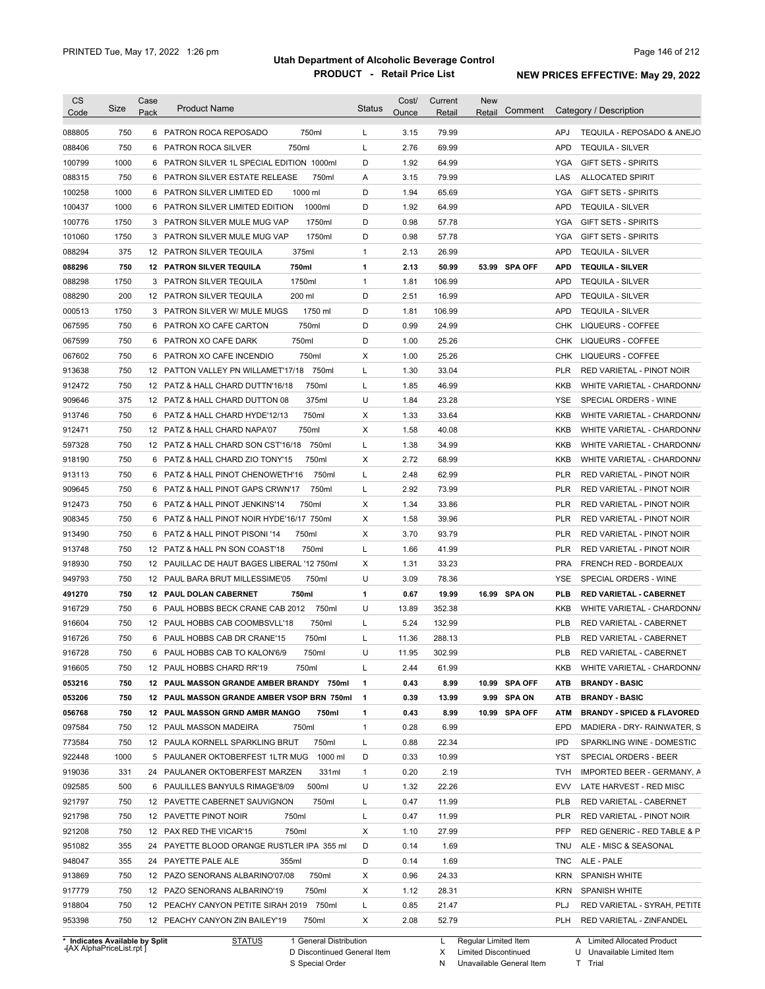| <b>CS</b>                      | Size | Case | <b>Product Name</b>                                        |                        | Status       | Cost/ | Current | <b>New</b>           |               |            |                                                    |
|--------------------------------|------|------|------------------------------------------------------------|------------------------|--------------|-------|---------|----------------------|---------------|------------|----------------------------------------------------|
| Code                           |      | Pack |                                                            |                        |              | Ounce | Retail  | Retail               | Comment       |            | Category / Description                             |
| 088805                         | 750  |      | 6 PATRON ROCA REPOSADO                                     | 750ml                  | L            | 3.15  | 79.99   |                      |               | <b>APJ</b> | TEQUILA - REPOSADO & ANEJO                         |
| 088406                         | 750  |      | 750ml<br>6 PATRON ROCA SILVER                              |                        | L            | 2.76  | 69.99   |                      |               | <b>APD</b> | <b>TEQUILA - SILVER</b>                            |
| 100799                         | 1000 |      | 6 PATRON SILVER 1L SPECIAL EDITION 1000ml                  |                        | D            | 1.92  | 64.99   |                      |               | YGA        | <b>GIFT SETS - SPIRITS</b>                         |
| 088315                         | 750  |      | 6 PATRON SILVER ESTATE RELEASE                             | 750ml                  | Α            | 3.15  | 79.99   |                      |               | LAS        | <b>ALLOCATED SPIRIT</b>                            |
| 100258                         | 1000 |      | 6 PATRON SILVER LIMITED ED                                 | 1000 ml                | D            | 1.94  | 65.69   |                      |               | <b>YGA</b> | <b>GIFT SETS - SPIRITS</b>                         |
| 100437                         | 1000 |      | 6 PATRON SILVER LIMITED EDITION                            | 1000ml                 | D            | 1.92  | 64.99   |                      |               | <b>APD</b> | <b>TEQUILA - SILVER</b>                            |
| 100776                         | 1750 |      | 3 PATRON SILVER MULE MUG VAP                               | 1750ml                 | D            | 0.98  | 57.78   |                      |               | <b>YGA</b> | <b>GIFT SETS - SPIRITS</b>                         |
| 101060                         | 1750 |      | 3 PATRON SILVER MULE MUG VAP                               | 1750ml                 | D            | 0.98  | 57.78   |                      |               | <b>YGA</b> | <b>GIFT SETS - SPIRITS</b>                         |
| 088294                         | 375  |      | 375ml<br>12 PATRON SILVER TEQUILA                          |                        | $\mathbf{1}$ | 2.13  | 26.99   |                      |               | <b>APD</b> | <b>TEQUILA - SILVER</b>                            |
| 088296                         | 750  |      | 750ml<br><b>12 PATRON SILVER TEQUILA</b>                   |                        | 1            | 2.13  | 50.99   |                      | 53.99 SPA OFF | <b>APD</b> | <b>TEQUILA - SILVER</b>                            |
| 088298                         | 1750 |      | 1750ml<br>3 PATRON SILVER TEQUILA                          |                        | $\mathbf{1}$ | 1.81  | 106.99  |                      |               | <b>APD</b> | <b>TEQUILA - SILVER</b>                            |
| 088290                         | 200  |      | 200 ml<br>12 PATRON SILVER TEQUILA                         |                        | D            | 2.51  | 16.99   |                      |               | <b>APD</b> | <b>TEQUILA - SILVER</b>                            |
| 000513                         | 1750 |      | 3 PATRON SILVER W/ MULE MUGS                               | 1750 ml                | D            | 1.81  | 106.99  |                      |               | <b>APD</b> | <b>TEQUILA - SILVER</b>                            |
| 067595                         | 750  | 6    | PATRON XO CAFE CARTON                                      | 750ml                  | D            | 0.99  | 24.99   |                      |               | <b>CHK</b> | <b>LIQUEURS - COFFEE</b>                           |
| 067599                         | 750  | 6    | 750ml<br>PATRON XO CAFE DARK                               |                        | D            | 1.00  | 25.26   |                      |               | <b>CHK</b> | LIQUEURS - COFFEE                                  |
| 067602                         | 750  |      | 6 PATRON XO CAFE INCENDIO                                  | 750ml                  | X            | 1.00  | 25.26   |                      |               | <b>CHK</b> | LIQUEURS - COFFEE                                  |
| 913638                         | 750  |      | 12 PATTON VALLEY PN WILLAMET'17/18                         | 750ml                  | L            | 1.30  | 33.04   |                      |               | <b>PLR</b> | RED VARIETAL - PINOT NOIR                          |
| 912472                         | 750  |      | 12 PATZ & HALL CHARD DUTTN'16/18                           | 750ml                  | Г            | 1.85  | 46.99   |                      |               | <b>KKB</b> | WHITE VARIETAL - CHARDONN/                         |
| 909646                         | 375  |      | 12 PATZ & HALL CHARD DUTTON 08                             | 375ml                  | U            | 1.84  | 23.28   |                      |               | <b>YSE</b> | SPECIAL ORDERS - WINE                              |
| 913746                         | 750  | 6    | PATZ & HALL CHARD HYDE'12/13                               | 750ml                  | X            | 1.33  | 33.64   |                      |               | <b>KKB</b> | WHITE VARIETAL - CHARDONN/                         |
| 912471                         | 750  |      | 12 PATZ & HALL CHARD NAPA'07                               | 750ml                  | X            | 1.58  | 40.08   |                      |               | <b>KKB</b> | WHITE VARIETAL - CHARDONN/                         |
| 597328                         | 750  |      | 12 PATZ & HALL CHARD SON CST'16/18                         | 750ml                  | Г            | 1.38  | 34.99   |                      |               | <b>KKB</b> | WHITE VARIETAL - CHARDONN/                         |
| 918190                         | 750  |      | 6 PATZ & HALL CHARD ZIO TONY'15                            | 750ml                  | Х            | 2.72  | 68.99   |                      |               | <b>KKB</b> | WHITE VARIETAL - CHARDONN/                         |
| 913113                         | 750  |      | 6 PATZ & HALL PINOT CHENOWETH'16                           | 750ml                  | Г            | 2.48  | 62.99   |                      |               | <b>PLR</b> | RED VARIETAL - PINOT NOIR                          |
| 909645                         | 750  |      | 6 PATZ & HALL PINOT GAPS CRWN'17                           | 750ml                  | Г            | 2.92  | 73.99   |                      |               | <b>PLR</b> | RED VARIETAL - PINOT NOIR                          |
| 912473                         | 750  |      | 6 PATZ & HALL PINOT JENKINS'14                             | 750ml                  | Х            | 1.34  | 33.86   |                      |               | <b>PLR</b> | RED VARIETAL - PINOT NOIR                          |
| 908345                         | 750  | 6    | PATZ & HALL PINOT NOIR HYDE'16/17 750ml                    |                        | Х            | 1.58  | 39.96   |                      |               | <b>PLR</b> | RED VARIETAL - PINOT NOIR                          |
| 913490                         | 750  | 6    | PATZ & HALL PINOT PISONI '14                               | 750ml                  | Х            | 3.70  | 93.79   |                      |               | <b>PLR</b> | RED VARIETAL - PINOT NOIR                          |
| 913748                         | 750  |      | 12 PATZ & HALL PN SON COAST'18                             | 750ml                  | Г            | 1.66  | 41.99   |                      |               | <b>PLR</b> |                                                    |
|                                | 750  |      | 12 PAUILLAC DE HAUT BAGES LIBERAL '12 750ml                |                        | Х            | 1.31  | 33.23   |                      |               | <b>PRA</b> | RED VARIETAL - PINOT NOIR<br>FRENCH RED - BORDEAUX |
| 918930                         | 750  |      | 12 PAUL BARA BRUT MILLESSIME'05                            | 750ml                  | U            | 3.09  | 78.36   |                      |               |            |                                                    |
| 949793                         | 750  |      | 750ml                                                      |                        |              |       | 19.99   |                      |               | YSE        | SPECIAL ORDERS - WINE                              |
| 491270                         |      |      | 12 PAUL DOLAN CABERNET<br>6 PAUL HOBBS BECK CRANE CAB 2012 |                        | 1            | 0.67  |         |                      | 16.99 SPA ON  | <b>PLB</b> | <b>RED VARIETAL - CABERNET</b>                     |
| 916729                         | 750  |      |                                                            | 750ml                  | U            | 13.89 | 352.38  |                      |               | KKB        | WHITE VARIETAL - CHARDONN/                         |
| 916604                         | 750  |      | 12 PAUL HOBBS CAB COOMBSVLL'18                             | 750ml                  | Г            | 5.24  | 132.99  |                      |               | <b>PLB</b> | RED VARIETAL - CABERNET                            |
| 916726                         | 750  |      | 6 PAUL HOBBS CAB DR CRANE'15                               | 750ml                  | Г            | 11.36 | 288.13  |                      |               | <b>PLB</b> | <b>RED VARIETAL - CABERNET</b>                     |
| 916728                         | 750  |      | 6 PAUL HOBBS CAB TO KALON'6/9                              | 750ml                  | U            | 11.95 | 302.99  |                      |               | <b>PLB</b> | RED VARIETAL - CABERNET                            |
| 916605                         | 750  |      | 12 PAUL HOBBS CHARD RR'19                                  | 750ml                  | L            | 2.44  | 61.99   |                      |               | KKB        | WHITE VARIETAL - CHARDONN/                         |
| 053216                         | 750  |      | 12 PAUL MASSON GRANDE AMBER BRANDY 750ml                   |                        | $\mathbf{1}$ | 0.43  | 8.99    |                      | 10.99 SPA OFF | ATB        | <b>BRANDY - BASIC</b>                              |
| 053206                         | 750  |      | 12 PAUL MASSON GRANDE AMBER VSOP BRN 750ml                 |                        | $\mathbf{1}$ | 0.39  | 13.99   |                      | 9.99 SPA ON   | ATB        | <b>BRANDY - BASIC</b>                              |
| 056768                         | 750  |      | <b>12 PAUL MASSON GRND AMBR MANGO</b>                      | 750ml                  | 1            | 0.43  | 8.99    |                      | 10.99 SPA OFF | ATM        | <b>BRANDY - SPICED &amp; FLAVORED</b>              |
| 097584                         | 750  |      | 12 PAUL MASSON MADEIRA<br>750ml                            |                        | $\mathbf{1}$ | 0.28  | 6.99    |                      |               | EPD        | MADIERA - DRY- RAINWATER, S                        |
| 773584                         | 750  |      | 12 PAULA KORNELL SPARKLING BRUT                            | 750ml                  | L            | 0.88  | 22.34   |                      |               | IPD        | SPARKLING WINE - DOMESTIC                          |
| 922448                         | 1000 |      | 5 PAULANER OKTOBERFEST 1LTR MUG                            | 1000 ml                | D            | 0.33  | 10.99   |                      |               | YST        | SPECIAL ORDERS - BEER                              |
| 919036                         | 331  |      | 24 PAULANER OKTOBERFEST MARZEN                             | 331ml                  | $\mathbf{1}$ | 0.20  | 2.19    |                      |               | <b>TVH</b> | IMPORTED BEER - GERMANY, A                         |
| 092585                         | 500  |      | 6 PAULILLES BANYULS RIMAGE'8/09                            | 500ml                  | U            | 1.32  | 22.26   |                      |               | <b>EVV</b> | LATE HARVEST - RED MISC                            |
| 921797                         | 750  |      | 12 PAVETTE CABERNET SAUVIGNON                              | 750ml                  | L            | 0.47  | 11.99   |                      |               | <b>PLB</b> | RED VARIETAL - CABERNET                            |
| 921798                         | 750  |      | 12 PAVETTE PINOT NOIR<br>750ml                             |                        | L            | 0.47  | 11.99   |                      |               | PLR        | RED VARIETAL - PINOT NOIR                          |
| 921208                         | 750  |      | 12 PAX RED THE VICAR'15<br>750ml                           |                        | Х            | 1.10  | 27.99   |                      |               | <b>PFP</b> | RED GENERIC - RED TABLE & P                        |
| 951082                         | 355  |      | 24 PAYETTE BLOOD ORANGE RUSTLER IPA 355 ml                 |                        | D            | 0.14  | 1.69    |                      |               | <b>TNU</b> | ALE - MISC & SEASONAL                              |
| 948047                         | 355  |      | 24 PAYETTE PALE ALE<br>355ml                               |                        | D            | 0.14  | 1.69    |                      |               | <b>TNC</b> | ALE - PALE                                         |
| 913869                         | 750  |      | 12 PAZO SENORANS ALBARINO'07/08                            | 750ml                  | Х            | 0.96  | 24.33   |                      |               | KRN        | <b>SPANISH WHITE</b>                               |
| 917779                         | 750  |      | 12 PAZO SENORANS ALBARINO'19                               | 750ml                  | Х            | 1.12  | 28.31   |                      |               | <b>KRN</b> | <b>SPANISH WHITE</b>                               |
| 918804                         | 750  |      | 12 PEACHY CANYON PETITE SIRAH 2019 750ml                   |                        | L            | 0.85  | 21.47   |                      |               | PLJ        | RED VARIETAL - SYRAH, PETITE                       |
| 953398                         | 750  |      | 12 PEACHY CANYON ZIN BAILEY'19                             | 750ml                  | Х            | 2.08  | 52.79   |                      |               | PLH        | RED VARIETAL - ZINFANDEL                           |
| * Indicates Available by Split |      |      | <b>STATUS</b>                                              | 1 General Distribution |              |       | L.      | Regular Limited Item |               |            | A Limited Allocated Product                        |

**Case** [AX AlphaPriceList.rpt ]

D Discontinued General Item

S Special Order

X Limited Discontinued N Unavailable General Item

U Unavailable Limited Item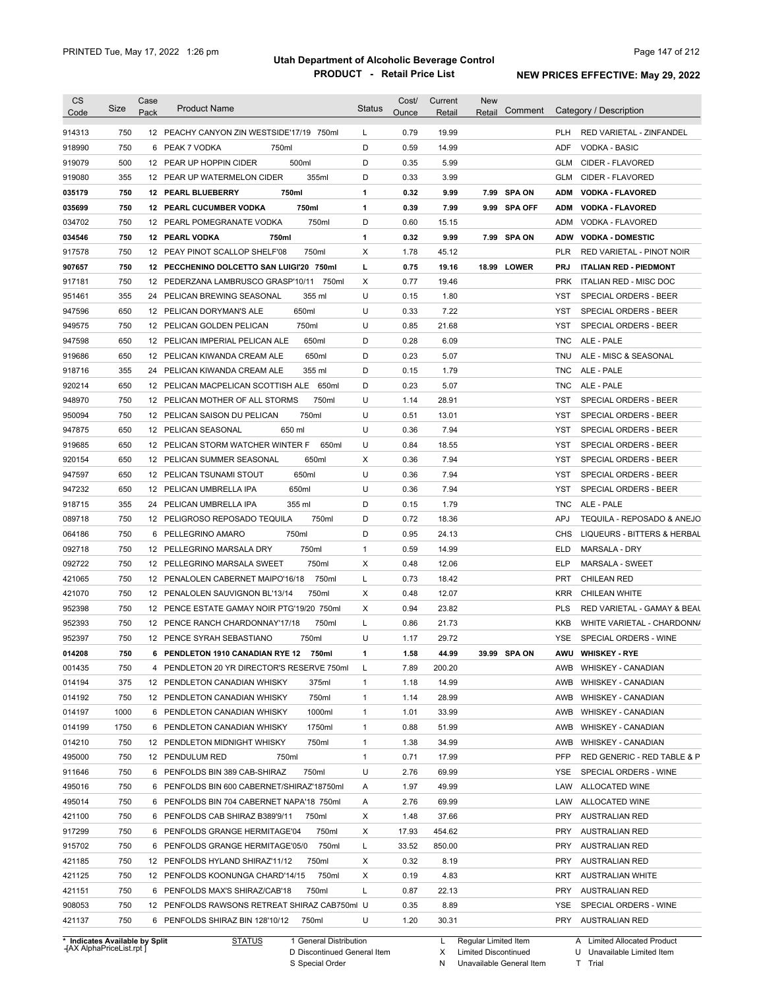| <b>CS</b><br>Code | Size       | Case<br>Pack | <b>Product Name</b>                                                                       | <b>Status</b> | Cost/<br>Ounce | Current<br>Retail | New<br>Retail | Comment      |            | Category / Description                      |
|-------------------|------------|--------------|-------------------------------------------------------------------------------------------|---------------|----------------|-------------------|---------------|--------------|------------|---------------------------------------------|
|                   |            |              |                                                                                           |               |                |                   |               |              |            |                                             |
| 914313            | 750        |              | 12 PEACHY CANYON ZIN WESTSIDE'17/19 750ml                                                 | L             | 0.79           | 19.99             |               |              | <b>PLH</b> | <b>RED VARIETAL - ZINFANDEL</b>             |
| 918990            | 750        |              | 750ml<br>6 PEAK 7 VODKA                                                                   | D             | 0.59           | 14.99             |               |              | ADF        | <b>VODKA - BASIC</b>                        |
| 919079            | 500        |              | 500ml<br>12 PEAR UP HOPPIN CIDER                                                          | D             | 0.35           | 5.99              |               |              | GLM        | CIDER - FLAVORED                            |
| 919080            | 355        |              | 355ml<br>12 PEAR UP WATERMELON CIDER                                                      | D             | 0.33           | 3.99              |               |              | GLM        | CIDER - FLAVORED                            |
| 035179            | 750        |              | 750ml<br>12 PEARL BLUEBERRY                                                               | 1             | 0.32           | 9.99              |               | 7.99 SPA ON  | ADM        | <b>VODKA - FLAVORED</b>                     |
| 035699            | 750        |              | 750ml<br><b>12 PEARL CUCUMBER VODKA</b>                                                   | 1             | 0.39           | 7.99              |               | 9.99 SPA OFF |            | ADM VODKA - FLAVORED                        |
| 034702            | 750        |              | 750ml<br>12 PEARL POMEGRANATE VODKA                                                       | D             | 0.60           | 15.15             |               |              |            | ADM VODKA - FLAVORED                        |
| 034546            | 750        |              | 12 PEARL VODKA<br>750ml                                                                   | 1             | 0.32           | 9.99              |               | 7.99 SPA ON  |            | ADW VODKA - DOMESTIC                        |
| 917578            | 750        |              | 12 PEAY PINOT SCALLOP SHELF'08<br>750ml                                                   | Χ             | 1.78           | 45.12             |               |              | <b>PLR</b> | <b>RED VARIETAL - PINOT NOIR</b>            |
| 907657            | 750        |              | 12 PECCHENINO DOLCETTO SAN LUIGI'20 750ml                                                 | г             | 0.75           | 19.16             |               | 18.99 LOWER  | <b>PRJ</b> | <b>ITALIAN RED - PIEDMONT</b>               |
| 917181            | 750        |              | 12 PEDERZANA LAMBRUSCO GRASP'10/11<br>750ml                                               | Χ             | 0.77           | 19.46             |               |              | <b>PRK</b> | ITALIAN RED - MISC DOC                      |
| 951461            | 355        |              | 24 PELICAN BREWING SEASONAL<br>355 ml                                                     | U             | 0.15           | 1.80              |               |              | YST        | <b>SPECIAL ORDERS - BEER</b>                |
| 947596            | 650        |              | 12 PELICAN DORYMAN'S ALE<br>650ml                                                         | U             | 0.33           | 7.22              |               |              | YST        | <b>SPECIAL ORDERS - BEER</b>                |
| 949575            | 750        |              | 750ml<br>12 PELICAN GOLDEN PELICAN                                                        | U             | 0.85           | 21.68             |               |              | YST        | <b>SPECIAL ORDERS - BEER</b>                |
| 947598            | 650        |              | 650ml<br>12 PELICAN IMPERIAL PELICAN ALE                                                  | D             | 0.28           | 6.09              |               |              | <b>TNC</b> | ALE - PALE                                  |
| 919686            | 650        |              | 650ml<br>12 PELICAN KIWANDA CREAM ALE                                                     | D             | 0.23           | 5.07              |               |              | TNU        | ALE - MISC & SEASONAL                       |
| 918716            | 355        |              | 355 ml<br>24 PELICAN KIWANDA CREAM ALE                                                    | D             | 0.15           | 1.79              |               |              | <b>TNC</b> | ALE - PALE                                  |
| 920214            | 650        |              | 12 PELICAN MACPELICAN SCOTTISH ALE 650ml                                                  | D             | 0.23           | 5.07              |               |              | <b>TNC</b> | ALE - PALE                                  |
| 948970            | 750        |              | 750ml<br>12 PELICAN MOTHER OF ALL STORMS                                                  | U             | 1.14           | 28.91             |               |              | YST        | SPECIAL ORDERS - BEER                       |
| 950094            | 750        |              | 750ml<br>12 PELICAN SAISON DU PELICAN                                                     | U             | 0.51           | 13.01             |               |              | YST        | SPECIAL ORDERS - BEER                       |
| 947875            | 650        |              | 650 ml<br>12 PELICAN SEASONAL                                                             | U             | 0.36           | 7.94              |               |              | YST        | SPECIAL ORDERS - BEER                       |
| 919685            | 650        |              | 12 PELICAN STORM WATCHER WINTER F<br>650ml                                                | U             | 0.84           | 18.55             |               |              | YST        | SPECIAL ORDERS - BEER                       |
| 920154            | 650        |              | 12 PELICAN SUMMER SEASONAL<br>650ml                                                       | Χ             | 0.36           | 7.94              |               |              | YST        | SPECIAL ORDERS - BEER                       |
| 947597            | 650        |              | 650ml<br>12 PELICAN TSUNAMI STOUT                                                         | U             | 0.36           | 7.94              |               |              | YST        | SPECIAL ORDERS - BEER                       |
| 947232            | 650        |              | 650ml<br>12 PELICAN UMBRELLA IPA                                                          | U             | 0.36           | 7.94              |               |              | YST        | SPECIAL ORDERS - BEER                       |
| 918715            | 355        |              | 24 PELICAN UMBRELLA IPA<br>355 ml                                                         | D             | 0.15           | 1.79              |               |              | TNC        | ALE - PALE                                  |
| 089718            | 750        |              | 750ml<br>12 PELIGROSO REPOSADO TEQUILA                                                    | D             | 0.72           | 18.36             |               |              | <b>APJ</b> | TEQUILA - REPOSADO & ANEJO                  |
| 064186            | 750        | 6            | 750ml<br>PELLEGRINO AMARO                                                                 | D             | 0.95           | 24.13             |               |              | CHS        | LIQUEURS - BITTERS & HERBAL                 |
| 092718            | 750        |              | 12 PELLEGRINO MARSALA DRY<br>750ml                                                        | 1             | 0.59           | 14.99             |               |              | ELD        | <b>MARSALA - DRY</b>                        |
| 092722            | 750        |              | 750ml<br>12 PELLEGRINO MARSALA SWEET                                                      | Х             | 0.48           | 12.06             |               |              | ELP        | <b>MARSALA - SWEET</b>                      |
| 421065            | 750        |              | 750ml<br>12 PENALOLEN CABERNET MAIPO'16/18                                                | L             | 0.73           | 18.42             |               |              | <b>PRT</b> | <b>CHILEAN RED</b>                          |
|                   |            |              |                                                                                           |               |                |                   |               |              |            |                                             |
| 421070            | 750        |              | 750ml<br>12 PENALOLEN SAUVIGNON BL'13/14                                                  | Χ             | 0.48           | 12.07             |               |              | <b>KRR</b> | <b>CHILEAN WHITE</b>                        |
| 952398            | 750        |              | 12 PENCE ESTATE GAMAY NOIR PTG'19/20 750ml                                                | Χ             | 0.94           | 23.82             |               |              | <b>PLS</b> | RED VARIETAL - GAMAY & BEAL                 |
| 952393            | 750        |              | 750ml<br>12 PENCE RANCH CHARDONNAY'17/18                                                  | Г             | 0.86           | 21.73             |               |              | KKB        | WHITE VARIETAL - CHARDONN/                  |
| 952397            | 750        |              | 12 PENCE SYRAH SEBASTIANO<br>750ml                                                        | U             | 1.17           | 29.72             |               |              | YSE        | SPECIAL ORDERS - WINE                       |
| 014208            | 750        |              | 6 PENDLETON 1910 CANADIAN RYE 12<br>750ml                                                 | 1             | 1.58           | 44.99             |               | 39.99 SPA ON |            | AWU WHISKEY - RYE                           |
| 001435            | 750        |              | 4 PENDLETON 20 YR DIRECTOR'S RESERVE 750ml                                                | L             | 7.89           | 200.20            |               |              |            | AWB WHISKEY - CANADIAN                      |
| 014194            | 375        |              | 12 PENDLETON CANADIAN WHISKY<br>375ml                                                     | 1             | 1.18           | 14.99             |               |              | AWB        | WHISKEY - CANADIAN                          |
| 014192            | 750        |              | 12 PENDLETON CANADIAN WHISKY<br>750ml                                                     | 1             | 1.14           | 28.99             |               |              | AWB        | WHISKEY - CANADIAN                          |
| 014197            | 1000       |              | 6 PENDLETON CANADIAN WHISKY<br>1000ml                                                     | 1             | 1.01           | 33.99             |               |              | AWB        | WHISKEY - CANADIAN                          |
| 014199            | 1750       |              | 6 PENDLETON CANADIAN WHISKY<br>1750ml                                                     | 1             | 0.88           | 51.99             |               |              | AWB        | <b>WHISKEY - CANADIAN</b>                   |
| 014210            | 750        |              | 12 PENDLETON MIDNIGHT WHISKY<br>750ml                                                     | 1             | 1.38           | 34.99             |               |              | AWB        | <b>WHISKEY - CANADIAN</b>                   |
| 495000            | 750        |              | 12 PENDULUM RED<br>750ml                                                                  | 1             | 0.71           | 17.99             |               |              | <b>PFP</b> | RED GENERIC - RED TABLE & P                 |
| 911646            | 750        |              | 6 PENFOLDS BIN 389 CAB-SHIRAZ<br>750ml                                                    | U             | 2.76           | 69.99             |               |              | YSE        | SPECIAL ORDERS - WINE                       |
| 495016            | 750        |              | 6 PENFOLDS BIN 600 CABERNET/SHIRAZ'18750ml                                                | A             | 1.97           | 49.99             |               |              | LAW        | ALLOCATED WINE                              |
| 495014            | 750        |              | 6 PENFOLDS BIN 704 CABERNET NAPA'18 750ml                                                 | A             | 2.76           | 69.99             |               |              | LAW        | ALLOCATED WINE                              |
| 421100            | 750        |              | 6 PENFOLDS CAB SHIRAZ B389'9/11<br>750ml                                                  | Х             | 1.48           | 37.66             |               |              | PRY        | <b>AUSTRALIAN RED</b>                       |
|                   | 750        |              | 750ml<br>6 PENFOLDS GRANGE HERMITAGE'04                                                   | Х             | 17.93          | 454.62            |               |              | PRY        | <b>AUSTRALIAN RED</b>                       |
| 917299            |            |              | 750ml<br>6 PENFOLDS GRANGE HERMITAGE'05/0                                                 | L             | 33.52          | 850.00            |               |              | PRY        | <b>AUSTRALIAN RED</b>                       |
| 915702            | 750        |              |                                                                                           |               |                | 8.19              |               |              | PRY        | <b>AUSTRALIAN RED</b>                       |
|                   |            |              |                                                                                           |               |                |                   |               |              |            |                                             |
| 421185            | 750        |              | 12 PENFOLDS HYLAND SHIRAZ'11/12<br>750ml                                                  | Х             | 0.32           |                   |               |              |            |                                             |
| 421125            | 750        |              | 750ml<br>12 PENFOLDS KOONUNGA CHARD'14/15                                                 | Х             | 0.19           | 4.83              |               |              | KRT        | <b>AUSTRALIAN WHITE</b>                     |
| 421151            | 750        |              | 750ml<br>6 PENFOLDS MAX'S SHIRAZ/CAB'18                                                   | L             | 0.87           | 22.13             |               |              | PRY        | <b>AUSTRALIAN RED</b>                       |
| 908053<br>421137  | 750<br>750 |              | 12 PENFOLDS RAWSONS RETREAT SHIRAZ CAB750ml U<br>6 PENFOLDS SHIRAZ BIN 128'10/12<br>750ml | U             | 0.35<br>1.20   | 8.89<br>30.31     |               |              | YSE        | SPECIAL ORDERS - WINE<br>PRY AUSTRALIAN RED |

**Case** [AX AlphaPriceList.rpt ]

D Discontinued General Item S Special Order

X Limited Discontinued

N Unavailable General Item

U Unavailable Limited Item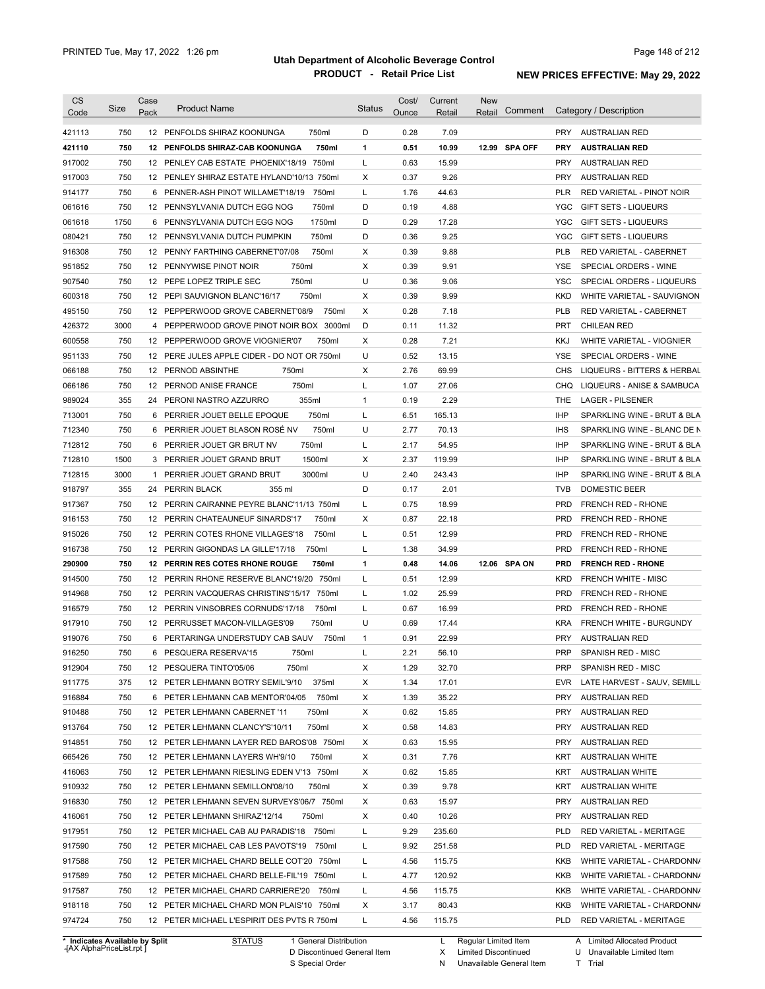| <b>CS</b><br>Code              | Size | Case<br>Pack | <b>Product Name</b>                         | Status | Cost/<br>Ounce | Current<br>Retail | New<br>Comment<br>Retail |            | Category / Description         |
|--------------------------------|------|--------------|---------------------------------------------|--------|----------------|-------------------|--------------------------|------------|--------------------------------|
| 421113                         | 750  |              | 12 PENFOLDS SHIRAZ KOONUNGA<br>750ml        | D      | 0.28           | 7.09              |                          |            | PRY AUSTRALIAN RED             |
| 421110                         | 750  |              | 750ml<br>12 PENFOLDS SHIRAZ-CAB KOONUNGA    | 1      | 0.51           | 10.99             | 12.99 SPA OFF            | <b>PRY</b> | <b>AUSTRALIAN RED</b>          |
| 917002                         | 750  |              | 12 PENLEY CAB ESTATE PHOENIX'18/19 750ml    | L      | 0.63           | 15.99             |                          | <b>PRY</b> | AUSTRALIAN RED                 |
| 917003                         | 750  |              | 12 PENLEY SHIRAZ ESTATE HYLAND'10/13 750ml  | Х      | 0.37           | 9.26              |                          | <b>PRY</b> | AUSTRALIAN RED                 |
| 914177                         | 750  |              | 6 PENNER-ASH PINOT WILLAMET'18/19<br>750ml  | L      | 1.76           | 44.63             |                          | <b>PLR</b> | RED VARIETAL - PINOT NOIR      |
| 061616                         | 750  |              | 12 PENNSYLVANIA DUTCH EGG NOG<br>750ml      | D      | 0.19           | 4.88              |                          | YGC        | <b>GIFT SETS - LIQUEURS</b>    |
| 061618                         | 1750 |              | 1750ml<br>6 PENNSYLVANIA DUTCH EGG NOG      | D      | 0.29           | 17.28             |                          | <b>YGC</b> | <b>GIFT SETS - LIQUEURS</b>    |
| 080421                         | 750  |              | 750ml<br>12 PENNSYLVANIA DUTCH PUMPKIN      | D      | 0.36           | 9.25              |                          | YGC        | <b>GIFT SETS - LIQUEURS</b>    |
| 916308                         | 750  |              | 750ml<br>12 PENNY FARTHING CABERNET'07/08   | X      | 0.39           | 9.88              |                          | <b>PLB</b> | RED VARIETAL - CABERNET        |
| 951852                         | 750  |              | 750ml<br>12 PENNYWISE PINOT NOIR            | X      | 0.39           | 9.91              |                          | <b>YSE</b> | SPECIAL ORDERS - WINE          |
| 907540                         | 750  |              | 750ml<br>12 PEPE LOPEZ TRIPLE SEC           | U      | 0.36           | 9.06              |                          | <b>YSC</b> | SPECIAL ORDERS - LIQUEURS      |
| 600318                         | 750  |              | 750ml<br>12 PEPI SAUVIGNON BLANC'16/17      | X      | 0.39           | 9.99              |                          | KKD        | WHITE VARIETAL - SAUVIGNON     |
| 495150                         | 750  |              | 750ml<br>12 PEPPERWOOD GROVE CABERNET'08/9  | Χ      | 0.28           | 7.18              |                          | <b>PLB</b> | RED VARIETAL - CABERNET        |
| 426372                         | 3000 |              | 4 PEPPERWOOD GROVE PINOT NOIR BOX 3000ml    | D      | 0.11           | 11.32             |                          | <b>PRT</b> | <b>CHILEAN RED</b>             |
| 600558                         | 750  |              | 12 PEPPERWOOD GROVE VIOGNIER'07<br>750ml    | X      | 0.28           | 7.21              |                          | KKJ        | WHITE VARIETAL - VIOGNIER      |
| 951133                         | 750  |              | 12 PERE JULES APPLE CIDER - DO NOT OR 750ml | U      | 0.52           | 13.15             |                          | YSE        | SPECIAL ORDERS - WINE          |
| 066188                         | 750  |              | 750ml<br>12 PERNOD ABSINTHE                 | Χ      | 2.76           | 69.99             |                          | <b>CHS</b> | LIQUEURS - BITTERS & HERBAL    |
| 066186                         | 750  |              | 750ml<br>12 PERNOD ANISE FRANCE             | Г      | 1.07           | 27.06             |                          | <b>CHQ</b> | LIQUEURS - ANISE & SAMBUCA     |
| 989024                         | 355  |              | 355ml<br>24 PERONI NASTRO AZZURRO           | 1      | 0.19           | 2.29              |                          | <b>THE</b> | <b>LAGER - PILSENER</b>        |
| 713001                         | 750  | 6            | 750ml<br>PERRIER JOUET BELLE EPOQUE         | L      | 6.51           | 165.13            |                          | <b>IHP</b> | SPARKLING WINE - BRUT & BLA    |
| 712340                         | 750  | 6            | PERRIER JOUET BLASON ROSÉ NV<br>750ml       | U      | 2.77           | 70.13             |                          | <b>IHS</b> | SPARKLING WINE - BLANC DE N    |
| 712812                         | 750  | 6            | 750ml<br>PERRIER JOUET GR BRUT NV           | L      | 2.17           | 54.95             |                          | <b>IHP</b> | SPARKLING WINE - BRUT & BLA    |
| 712810                         | 1500 |              | 1500ml<br>3 PERRIER JOUET GRAND BRUT        | Х      | 2.37           | 119.99            |                          | <b>IHP</b> | SPARKLING WINE - BRUT & BLA    |
| 712815                         | 3000 | 1            | 3000ml<br>PERRIER JOUET GRAND BRUT          | U      | 2.40           | 243.43            |                          | <b>IHP</b> | SPARKLING WINE - BRUT & BLA    |
| 918797                         | 355  |              | 24 PERRIN BLACK<br>355 ml                   | D      | 0.17           | 2.01              |                          | <b>TVB</b> | DOMESTIC BEER                  |
| 917367                         | 750  |              | 12 PERRIN CAIRANNE PEYRE BLANC'11/13 750ml  | L      | 0.75           | 18.99             |                          | <b>PRD</b> | FRENCH RED - RHONE             |
| 916153                         | 750  |              | 12 PERRIN CHATEAUNEUF SINARDS'17<br>750ml   | Х      | 0.87           | 22.18             |                          | <b>PRD</b> | FRENCH RED - RHONE             |
| 915026                         | 750  |              | 750ml<br>12 PERRIN COTES RHONE VILLAGES'18  | L      | 0.51           | 12.99             |                          | <b>PRD</b> | FRENCH RED - RHONE             |
| 916738                         | 750  |              | 750ml<br>12 PERRIN GIGONDAS LA GILLE'17/18  | Г      | 1.38           | 34.99             |                          | <b>PRD</b> | FRENCH RED - RHONE             |
| 290900                         | 750  |              | 12 PERRIN RES COTES RHONE ROUGE<br>750ml    | 1      | 0.48           | 14.06             | 12.06 SPA ON             | <b>PRD</b> | <b>FRENCH RED - RHONE</b>      |
| 914500                         | 750  |              | 12 PERRIN RHONE RESERVE BLANC'19/20 750ml   | L      | 0.51           | 12.99             |                          | KRD        | <b>FRENCH WHITE - MISC</b>     |
| 914968                         | 750  |              | 12 PERRIN VACQUERAS CHRISTINS'15/17 750ml   | L      | 1.02           | 25.99             |                          | <b>PRD</b> | FRENCH RED - RHONE             |
| 916579                         | 750  |              | 12 PERRIN VINSOBRES CORNUDS'17/18<br>750ml  | L      | 0.67           | 16.99             |                          | <b>PRD</b> | <b>FRENCH RED - RHONE</b>      |
| 917910                         | 750  |              | 12 PERRUSSET MACON-VILLAGES'09<br>750ml     | U      | 0.69           | 17.44             |                          | <b>KRA</b> | <b>FRENCH WHITE - BURGUNDY</b> |
| 919076                         | 750  |              | 6 PERTARINGA UNDERSTUDY CAB SAUV<br>750ml   | 1      | 0.91           | 22.99             |                          | <b>PRY</b> | AUSTRALIAN RED                 |
| 916250                         | 750  |              | 6 PESQUERA RESERVA'15<br>750ml              |        | 2.21           | 56.10             |                          | PRP        | SPANISH RED - MISC             |
| 912904                         | 750  |              | 12 PESQUERA TINTO'05/06<br>750ml            | Х      | 1.29           | 32.70             |                          | PRP        | SPANISH RED - MISC             |
| 911775                         | 375  |              | 12 PETER LEHMANN BOTRY SEMIL'9/10<br>375ml  | х      | 1.34           | 17.01             |                          | <b>EVR</b> | LATE HARVEST - SAUV, SEMILL    |
| 916884                         | 750  |              | 750ml<br>6 PETER LEHMANN CAB MENTOR'04/05   | х      | 1.39           | 35.22             |                          | <b>PRY</b> | <b>AUSTRALIAN RED</b>          |
| 910488                         | 750  |              | 750ml<br>12 PETER LEHMANN CABERNET '11      | х      | 0.62           | 15.85             |                          | <b>PRY</b> | <b>AUSTRALIAN RED</b>          |
| 913764                         | 750  |              | 750ml<br>12 PETER LEHMANN CLANCY'S'10/11    | Х      | 0.58           | 14.83             |                          | PRY        | <b>AUSTRALIAN RED</b>          |
| 914851                         | 750  |              | 12 PETER LEHMANN LAYER RED BAROS'08 750ml   | х      | 0.63           | 15.95             |                          | <b>PRY</b> | <b>AUSTRALIAN RED</b>          |
| 665426                         | 750  |              | 750ml<br>12 PETER LEHMANN LAYERS WH'9/10    | х      | 0.31           | 7.76              |                          | KRT        | <b>AUSTRALIAN WHITE</b>        |
| 416063                         | 750  |              | 12 PETER LEHMANN RIESLING EDEN V'13 750ml   | х      | 0.62           | 15.85             |                          | KRT        | <b>AUSTRALIAN WHITE</b>        |
| 910932                         | 750  |              | 12 PETER LEHMANN SEMILLON'08/10<br>750ml    | х      | 0.39           | 9.78              |                          | KRT        | <b>AUSTRALIAN WHITE</b>        |
| 916830                         | 750  |              | 12 PETER LEHMANN SEVEN SURVEYS'06/7 750ml   | х      | 0.63           | 15.97             |                          | PRY        | <b>AUSTRALIAN RED</b>          |
| 416061                         | 750  |              | 12 PETER LEHMANN SHIRAZ'12/14<br>750ml      | х      | 0.40           | 10.26             |                          | <b>PRY</b> | <b>AUSTRALIAN RED</b>          |
| 917951                         | 750  |              | 12 PETER MICHAEL CAB AU PARADIS'18 750ml    | Г      | 9.29           | 235.60            |                          | <b>PLD</b> | RED VARIETAL - MERITAGE        |
| 917590                         | 750  |              | 12 PETER MICHAEL CAB LES PAVOTS'19<br>750ml | L      | 9.92           | 251.58            |                          | <b>PLD</b> | RED VARIETAL - MERITAGE        |
| 917588                         | 750  |              | 12 PETER MICHAEL CHARD BELLE COT'20 750ml   | L      | 4.56           | 115.75            |                          | KKB        | WHITE VARIETAL - CHARDONN/     |
| 917589                         | 750  |              |                                             | L      | 4.77           | 120.92            |                          | KKB        |                                |
|                                | 750  |              | 12 PETER MICHAEL CHARD BELLE-FIL'19 750ml   | L      | 4.56           | 115.75            |                          | KKB        | WHITE VARIETAL - CHARDONN/     |
| 917587                         | 750  |              | 12 PETER MICHAEL CHARD CARRIERE'20 750ml    |        |                |                   |                          |            | WHITE VARIETAL - CHARDONN/     |
| 918118                         | 750  |              | 12 PETER MICHAEL CHARD MON PLAIS'10 750ml   | х<br>Г | 3.17           | 80.43             |                          | KKB        | WHITE VARIETAL - CHARDONN/     |
| 974724                         |      |              | 12 PETER MICHAEL L'ESPIRIT DES PVTS R 750ml |        | 4.56           | 115.75            |                          | PLD        | RED VARIETAL - MERITAGE        |
| * Indicates Available by Split |      |              | <b>STATUS</b><br>1 General Distribution     |        |                | L                 | Regular Limited Item     |            | A Limited Allocated Product    |

**Case** [AX AlphaPriceList.rpt ]

D Discontinued General Item S Special Order

X

Limited Discontinued

N Unavailable General Item

U Unavailable Limited Item

A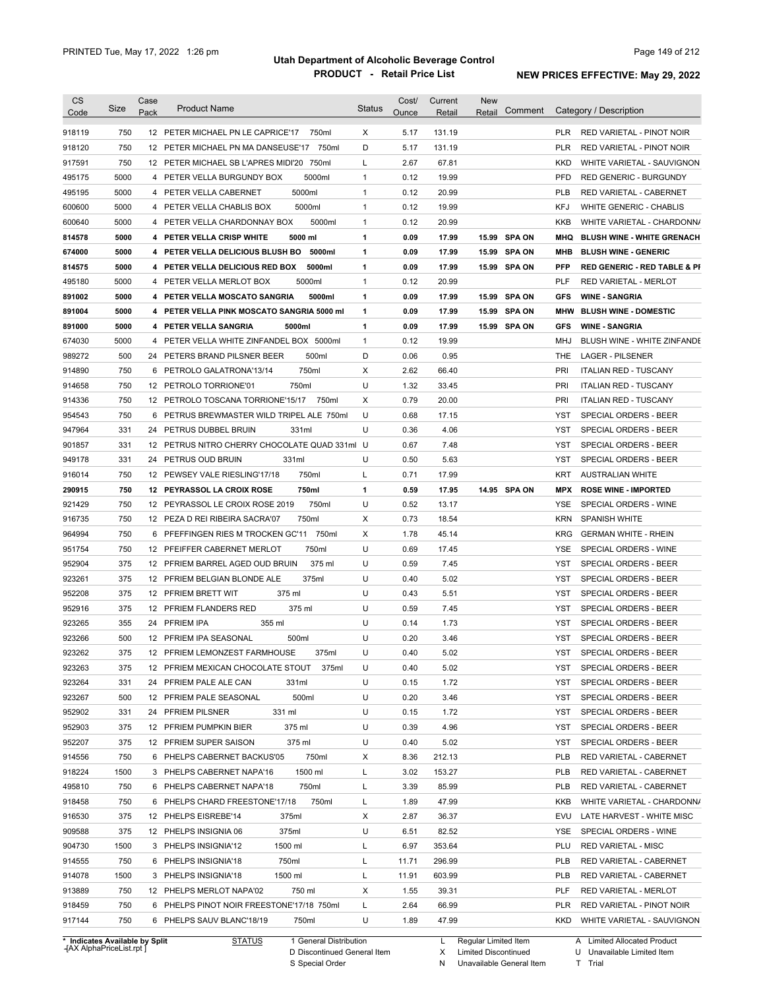| <b>CS</b><br>Code | <b>Size</b> | Case<br>Pack | <b>Product Name</b>                           | <b>Status</b> | Cost/<br>Ounce | Current<br>Retail | <b>New</b><br>Retail | Comment       |            | Category / Description                  |
|-------------------|-------------|--------------|-----------------------------------------------|---------------|----------------|-------------------|----------------------|---------------|------------|-----------------------------------------|
| 918119            | 750         |              | 12 PETER MICHAEL PN LE CAPRICE'17<br>750ml    | Х             | 5.17           | 131.19            |                      |               | <b>PLR</b> | RED VARIETAL - PINOT NOIR               |
| 918120            | 750         |              | 12 PETER MICHAEL PN MA DANSEUSE'17<br>750ml   | D             | 5.17           | 131.19            |                      |               | <b>PLR</b> | RED VARIETAL - PINOT NOIR               |
| 917591            | 750         |              | 12 PETER MICHAEL SB L'APRES MIDI'20 750ml     | L             | 2.67           | 67.81             |                      |               | KKD        | WHITE VARIETAL - SAUVIGNON              |
| 495175            | 5000        |              | 5000ml<br>4 PETER VELLA BURGUNDY BOX          | $\mathbf{1}$  | 0.12           | 19.99             |                      |               | <b>PFD</b> | <b>RED GENERIC - BURGUNDY</b>           |
| 495195            | 5000        |              | 5000ml<br>4 PETER VELLA CABERNET              | $\mathbf{1}$  | 0.12           | 20.99             |                      |               | <b>PLB</b> | RED VARIETAL - CABERNET                 |
| 600600            | 5000        |              | 5000ml<br>4 PETER VELLA CHABLIS BOX           | $\mathbf{1}$  | 0.12           | 19.99             |                      |               | <b>KFJ</b> | WHITE GENERIC - CHABLIS                 |
| 600640            | 5000        |              | 5000ml<br>4 PETER VELLA CHARDONNAY BOX        | $\mathbf{1}$  | 0.12           | 20.99             |                      |               | KKB        | WHITE VARIETAL - CHARDONN/              |
| 814578            | 5000        |              | 5000 ml<br>4 PETER VELLA CRISP WHITE          | 1             | 0.09           | 17.99             |                      | 15.99 SPA ON  | MHQ        | <b>BLUSH WINE - WHITE GRENACH</b>       |
| 674000            | 5000        |              | 4 PETER VELLA DELICIOUS BLUSH BO<br>5000ml    | 1             | 0.09           | 17.99             |                      | 15.99 SPA ON  | MHB        | <b>BLUSH WINE - GENERIC</b>             |
| 814575            | 5000        |              | 4 PETER VELLA DELICIOUS RED BOX<br>5000ml     | 1             | 0.09           | 17.99             |                      | 15.99 SPA ON  | <b>PFP</b> | <b>RED GENERIC - RED TABLE &amp; PI</b> |
| 495180            | 5000        | 4            | PETER VELLA MERLOT BOX<br>5000ml              | 1             | 0.12           | 20.99             |                      |               | PLF        | <b>RED VARIETAL - MERLOT</b>            |
| 891002            | 5000        |              | 5000ml<br>4 PETER VELLA MOSCATO SANGRIA       | 1             | 0.09           | 17.99             | 15.99                | <b>SPA ON</b> | <b>GFS</b> | <b>WINE - SANGRIA</b>                   |
| 891004            | 5000        |              | 4 PETER VELLA PINK MOSCATO SANGRIA 5000 ml    | 1             | 0.09           | 17.99             | 15.99                | <b>SPA ON</b> | <b>MHW</b> | <b>BLUSH WINE - DOMESTIC</b>            |
| 891000            | 5000        |              | 4 PETER VELLA SANGRIA<br>5000ml               | 1             | 0.09           | 17.99             |                      | 15.99 SPA ON  | <b>GFS</b> | <b>WINE - SANGRIA</b>                   |
| 674030            | 5000        | 4            | PETER VELLA WHITE ZINFANDEL BOX 5000ml        | $\mathbf{1}$  | 0.12           | 19.99             |                      |               | MHJ        | BLUSH WINE - WHITE ZINFANDE             |
| 989272            | 500         | 24           | 500ml<br>PETERS BRAND PILSNER BEER            | D             | 0.06           | 0.95              |                      |               | THE        | <b>LAGER - PILSENER</b>                 |
| 914890            | 750         |              | 750ml<br>6 PETROLO GALATRONA'13/14            | Х             | 2.62           | 66.40             |                      |               | PRI        | <b>ITALIAN RED - TUSCANY</b>            |
| 914658            | 750         |              | 750ml<br>12 PETROLO TORRIONE'01               | U             | 1.32           | 33.45             |                      |               | <b>PRI</b> | <b>ITALIAN RED - TUSCANY</b>            |
| 914336            | 750         |              | 12 PETROLO TOSCANA TORRIONE'15/17<br>750ml    | Х             | 0.79           | 20.00             |                      |               | <b>PRI</b> | <b>ITALIAN RED - TUSCANY</b>            |
| 954543            | 750         |              | 6 PETRUS BREWMASTER WILD TRIPEL ALE 750ml     | U             | 0.68           | 17.15             |                      |               | YST        | SPECIAL ORDERS - BEER                   |
| 947964            | 331         |              | 331ml<br>24 PETRUS DUBBEL BRUIN               | U             | 0.36           | 4.06              |                      |               | <b>YST</b> | SPECIAL ORDERS - BEER                   |
| 901857            | 331         |              | 12 PETRUS NITRO CHERRY CHOCOLATE QUAD 331ml U |               | 0.67           | 7.48              |                      |               | YST        | SPECIAL ORDERS - BEER                   |
| 949178            | 331         | 24           | 331ml<br>PETRUS OUD BRUIN                     | U             | 0.50           | 5.63              |                      |               | YST        | SPECIAL ORDERS - BEER                   |
| 916014            | 750         |              | 750ml<br>12 PEWSEY VALE RIESLING'17/18        | L             | 0.71           | 17.99             |                      |               | <b>KRT</b> | <b>AUSTRALIAN WHITE</b>                 |
| 290915            | 750         |              | 750ml<br>12 PEYRASSOL LA CROIX ROSE           | 1             | 0.59           | 17.95             |                      | 14.95 SPA ON  | <b>MPX</b> | <b>ROSE WINE - IMPORTED</b>             |
| 921429            | 750         |              | 12 PEYRASSOL LE CROIX ROSE 2019<br>750ml      | U             | 0.52           | 13.17             |                      |               | <b>YSE</b> | SPECIAL ORDERS - WINE                   |
| 916735            | 750         |              | 750ml<br>12 PEZA D REI RIBEIRA SACRA'07       | Х             | 0.73           | 18.54             |                      |               | <b>KRN</b> | <b>SPANISH WHITE</b>                    |
| 964994            | 750         |              |                                               | Х             |                |                   |                      |               | <b>KRG</b> |                                         |
|                   |             | 6            | PFEFFINGEN RIES M TROCKEN GC'11<br>750ml      |               | 1.78           | 45.14             |                      |               |            | <b>GERMAN WHITE - RHEIN</b>             |
| 951754            | 750         |              | 750ml<br>12 PFEIFFER CABERNET MERLOT          | U<br>U        | 0.69           | 17.45             |                      |               | <b>YSE</b> | SPECIAL ORDERS - WINE                   |
| 952904            | 375         |              | 375 ml<br>12 PFRIEM BARREL AGED OUD BRUIN     |               | 0.59           | 7.45              |                      |               | <b>YST</b> | SPECIAL ORDERS - BEER                   |
| 923261            | 375         |              | 375ml<br>12 PFRIEM BELGIAN BLONDE ALE         | U             | 0.40           | 5.02              |                      |               | <b>YST</b> | SPECIAL ORDERS - BEER                   |
| 952208            | 375         |              | 375 ml<br>12 PFRIEM BRETT WIT                 | U             | 0.43           | 5.51              |                      |               | <b>YST</b> | SPECIAL ORDERS - BEER                   |
| 952916            | 375         |              | 375 ml<br>12 PFRIEM FLANDERS RED              | U             | 0.59           | 7.45              |                      |               | <b>YST</b> | SPECIAL ORDERS - BEER                   |
| 923265            | 355         |              | 24 PFRIEM IPA<br>355 ml                       | U             | 0.14           | 1.73              |                      |               | <b>YST</b> | SPECIAL ORDERS - BEER                   |
| 923266            | 500         |              | 12 PFRIEM IPA SEASONAL<br>500ml               | U             | 0.20           | 3.46              |                      |               | <b>YST</b> | <b>SPECIAL ORDERS - BEER</b>            |
| 923262            | 375         |              | 12 PFRIEM LEMONZEST FARMHOUSE<br>375ml        | U             | 0.40           | 5.02              |                      |               | YST        | SPECIAL ORDERS - BEER                   |
| 923263            | 375         |              | 12 PFRIEM MEXICAN CHOCOLATE STOUT<br>375ml    | U             | 0.40           | 5.02              |                      |               | YST        | SPECIAL ORDERS - BEER                   |
| 923264            | 331         |              | 24 PFRIEM PALE ALE CAN<br>331ml               | U             | 0.15           | 1.72              |                      |               | <b>YST</b> | SPECIAL ORDERS - BEER                   |
| 923267            | 500         |              | 500ml<br>12 PFRIEM PALE SEASONAL              | U             | 0.20           | 3.46              |                      |               | YST        | SPECIAL ORDERS - BEER                   |
| 952902            | 331         |              | 24 PFRIEM PILSNER<br>331 ml                   | U             | 0.15           | 1.72              |                      |               | <b>YST</b> | SPECIAL ORDERS - BEER                   |
| 952903            | 375         |              | 375 ml<br>12 PFRIEM PUMPKIN BIER              | U             | 0.39           | 4.96              |                      |               | <b>YST</b> | SPECIAL ORDERS - BEER                   |
| 952207            | 375         |              | 12 PFRIEM SUPER SAISON<br>375 ml              | U             | 0.40           | 5.02              |                      |               | <b>YST</b> | SPECIAL ORDERS - BEER                   |
| 914556            | 750         |              | 6 PHELPS CABERNET BACKUS'05<br>750ml          | Х             | 8.36           | 212.13            |                      |               | <b>PLB</b> | RED VARIETAL - CABERNET                 |
| 918224            | 1500        |              | 3 PHELPS CABERNET NAPA'16<br>1500 ml          | L             | 3.02           | 153.27            |                      |               | <b>PLB</b> | RED VARIETAL - CABERNET                 |
| 495810            | 750         |              | 6 PHELPS CABERNET NAPA'18<br>750ml            | Г             | 3.39           | 85.99             |                      |               | <b>PLB</b> | RED VARIETAL - CABERNET                 |
| 918458            | 750         |              | 6 PHELPS CHARD FREESTONE'17/18<br>750ml       | L             | 1.89           | 47.99             |                      |               | KKB        | WHITE VARIETAL - CHARDONN/              |
| 916530            | 375         |              | 12 PHELPS EISREBE'14<br>375ml                 | х             | 2.87           | 36.37             |                      |               | <b>EVU</b> | LATE HARVEST - WHITE MISC               |
| 909588            | 375         |              | 12 PHELPS INSIGNIA 06<br>375ml                | U             | 6.51           | 82.52             |                      |               | YSE        | SPECIAL ORDERS - WINE                   |
| 904730            | 1500        |              | 3 PHELPS INSIGNIA'12<br>1500 ml               | L             | 6.97           | 353.64            |                      |               | PLU        | <b>RED VARIETAL - MISC</b>              |
| 914555            | 750         |              | 6 PHELPS INSIGNIA'18<br>750ml                 | Г             | 11.71          | 296.99            |                      |               | <b>PLB</b> | RED VARIETAL - CABERNET                 |
| 914078            | 1500        |              | 3 PHELPS INSIGNIA'18<br>1500 ml               | Г             | 11.91          | 603.99            |                      |               | <b>PLB</b> | RED VARIETAL - CABERNET                 |
| 913889            | 750         |              | 750 ml<br>12 PHELPS MERLOT NAPA'02            | Х             | 1.55           | 39.31             |                      |               | PLF        | RED VARIETAL - MERLOT                   |
|                   |             |              |                                               |               |                |                   |                      |               | <b>PLR</b> | RED VARIETAL - PINOT NOIR               |
| 918459            | 750         |              | 6 PHELPS PINOT NOIR FREESTONE'17/18 750ml     | L             | 2.64           | 66.99             |                      |               |            |                                         |

D Discontinued General Item

S Special Order

X Limited Discontinued

N Unavailable General Item

U Unavailable Limited Item T Trial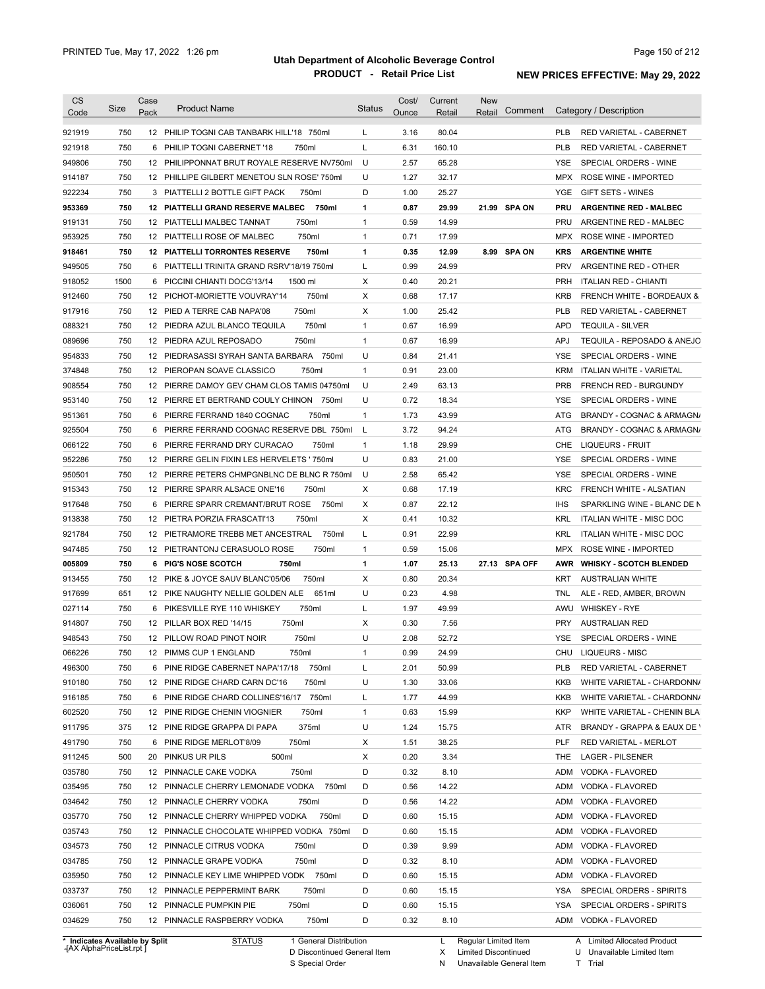| 750<br>12 PHILIP TOGNI CAB TANBARK HILL'18 750ml<br>3.16<br>80.04<br>L<br><b>PLB</b><br>RED VARIETAL - CABERNET<br>921918<br>750<br>750ml<br>L<br>6.31<br>160.10<br><b>PLB</b><br>6 PHILIP TOGNI CABERNET '18<br>RED VARIETAL - CABERNET<br>949806<br>750<br>12 PHILIPPONNAT BRUT ROYALE RESERVE NV750ml<br>U<br>2.57<br>65.28<br>YSE<br>SPECIAL ORDERS - WINE<br>750<br>U<br>1.27<br>32.17<br>12 PHILLIPE GILBERT MENETOU SLN ROSE' 750ml<br>MPX<br>ROSE WINE - IMPORTED<br>922234<br>750<br>3 PIATTELLI 2 BOTTLE GIFT PACK<br>D<br>1.00<br>25.27<br>GIFT SETS - WINES<br>750ml<br>YGE<br>750<br>750ml<br>0.87<br>29.99<br>21.99 SPA ON<br><b>ARGENTINE RED - MALBEC</b><br>12 PIATTELLI GRAND RESERVE MALBEC<br>1<br><b>PRU</b><br>750<br>750ml<br>$\mathbf{1}$<br>0.59<br>14.99<br>12 PIATTELLI MALBEC TANNAT<br><b>PRU</b><br>ARGENTINE RED - MALBEC<br>750<br>750ml<br>$\mathbf{1}$<br>0.71<br>12 PIATTELLI ROSE OF MALBEC<br>17.99<br><b>MPX</b><br>ROSE WINE - IMPORTED<br>750<br>0.35<br>8.99 SPA ON<br><b>PIATTELLI TORRONTES RESERVE</b><br>750ml<br>1<br>12.99<br><b>KRS</b><br><b>ARGENTINE WHITE</b><br>12<br>750<br>L<br>0.99<br>24.99<br><b>PRV</b><br>ARGENTINE RED - OTHER<br>PIATTELLI TRINITA GRAND RSRV'18/19 750ml<br>6<br>1500<br>Χ<br>0.40<br>20.21<br><b>PRH</b><br>PICCINI CHIANTI DOCG'13/14<br>1500 ml<br><b>ITALIAN RED - CHIANTI</b><br>6<br>750<br>750ml<br>X<br>0.68<br><b>KRB</b><br>912460<br>12 PICHOT-MORIETTE VOUVRAY'14<br>17.17<br>750<br>12 PIED A TERRE CAB NAPA'08<br>750ml<br>Χ<br>1.00<br>25.42<br><b>PLB</b><br>RED VARIETAL - CABERNET<br>750<br>750ml<br>$\mathbf{1}$<br>0.67<br>16.99<br><b>APD</b><br>12 PIEDRA AZUL BLANCO TEQUILA<br><b>TEQUILA - SILVER</b><br>750<br>750ml<br>$\mathbf{1}$<br>0.67<br>16.99<br><b>APJ</b><br>12 PIEDRA AZUL REPOSADO<br>750<br>750ml<br>U<br>0.84<br>21.41<br>12 PIEDRASASSI SYRAH SANTA BARBARA<br>YSE<br>SPECIAL ORDERS - WINE<br>750<br>750ml<br>$\mathbf{1}$<br>0.91<br>23.00<br><b>KRM</b><br>12 PIEROPAN SOAVE CLASSICO<br>ITALIAN WHITE - VARIETAL<br>750<br>U<br>2.49<br>63.13<br><b>PRB</b><br>12 PIERRE DAMOY GEV CHAM CLOS TAMIS 04750ml<br>FRENCH RED - BURGUNDY<br>750<br>U<br>0.72<br>18.34<br>12 PIERRE ET BERTRAND COULY CHINON 750ml<br>YSE<br>SPECIAL ORDERS - WINE<br>750<br>750ml<br>$\mathbf{1}$<br>1.73<br>43.99<br>6 PIERRE FERRAND 1840 COGNAC<br>ATG<br>925504<br>750<br>3.72<br>94.24<br>6 PIERRE FERRAND COGNAC RESERVE DBL 750ml<br>L<br>ATG<br>750<br>066122<br>6 PIERRE FERRAND DRY CURACAO<br>750ml<br>$\mathbf{1}$<br>1.18<br>29.99<br><b>CHE</b><br><b>LIQUEURS - FRUIT</b><br>952286<br>750<br>U<br>0.83<br>12 PIERRE GELIN FIXIN LES HERVELETS ' 750ml<br>21.00<br>YSE<br>SPECIAL ORDERS - WINE<br>950501<br>750<br>U<br>2.58<br>12 PIERRE PETERS CHMPGNBLNC DE BLNC R 750ml<br>65.42<br>YSE<br>SPECIAL ORDERS - WINE<br>750<br>X<br>915343<br>12 PIERRE SPARR ALSACE ONE'16<br>750ml<br>0.68<br>17.19<br><b>KRC</b><br>FRENCH WHITE - ALSATIAN<br>917648<br>750<br>6 PIERRE SPARR CREMANT/BRUT ROSE<br>750ml<br>X<br>0.87<br>22.12<br>IHS<br>SPARKLING WINE - BLANC DE N<br>913838<br>750<br>X<br>10.32<br><b>KRL</b><br>12 PIETRA PORZIA FRASCATI'13<br>750ml<br>0.41<br>ITALIAN WHITE - MISC DOC<br>921784<br>750<br>750ml<br>L<br>0.91<br>22.99<br><b>KRL</b><br>12 PIETRAMORE TREBB MET ANCESTRAL<br>ITALIAN WHITE - MISC DOC<br>947485<br>750<br>0.59<br>15.06<br>12 PIETRANTONJ CERASUOLO ROSE<br>750ml<br>1<br><b>MPX</b><br>ROSE WINE - IMPORTED<br>005809<br>750<br>6 PIG'S NOSE SCOTCH<br>1<br>1.07<br>27.13 SPA OFF<br>750ml<br>25.13<br><b>AWR</b><br><b>WHISKY - SCOTCH BLENDED</b><br>913455<br>750<br>12 PIKE & JOYCE SAUV BLANC'05/06<br>750ml<br>Χ<br>0.80<br>20.34<br><b>AUSTRALIAN WHITE</b><br>KRT<br>917699<br>651<br>651ml<br>U<br>0.23<br>4.98<br>ALE - RED, AMBER, BROWN<br>12 PIKE NAUGHTY NELLIE GOLDEN ALE<br>TNL<br>750<br>750ml<br>1.97<br>49.99<br><b>WHISKEY - RYE</b><br>027114<br>6 PIKESVILLE RYE 110 WHISKEY<br>L<br>AWU<br>914807<br>750<br>750ml<br>0.30<br>7.56<br><b>AUSTRALIAN RED</b><br>12 PILLAR BOX RED '14/15<br>Х<br><b>PRY</b><br>948543<br>750<br>12 PILLOW ROAD PINOT NOIR<br>750ml<br>U<br>2.08<br>52.72<br>SPECIAL ORDERS - WINE<br>YSE<br>066226<br>750<br>12 PIMMS CUP 1 ENGLAND<br>0.99<br>24.99<br>CHU LIQUEURS - MISC<br>750ml<br>1<br>496300<br>50.99<br>750<br>6 PINE RIDGE CABERNET NAPA'17/18<br>750ml<br>L<br>2.01<br><b>PLB</b><br>RED VARIETAL - CABERNET<br>U<br>33.06<br>750<br>12 PINE RIDGE CHARD CARN DC'16<br>750ml<br>1.30<br>KKB<br>6 PINE RIDGE CHARD COLLINES'16/17 750ml<br>1.77<br>44.99<br>750<br>L<br>KKB<br>750ml<br>15.99<br>750<br>12 PINE RIDGE CHENIN VIOGNIER<br>$\mathbf{1}$<br>0.63<br>KKP<br>375<br>375ml<br>U<br>15.75<br>12 PINE RIDGE GRAPPA DI PAPA<br>1.24<br>ATR<br>750ml<br>38.25<br>750<br>6 PINE RIDGE MERLOT'8/09<br>X<br>1.51<br>PLF<br>RED VARIETAL - MERLOT<br>500<br>20 PINKUS UR PILS<br>500ml<br>0.20<br>3.34<br>X<br><b>LAGER - PILSENER</b><br>THE<br>D<br>750<br>12 PINNACLE CAKE VODKA<br>750ml<br>0.32<br>8.10<br>VODKA - FLAVORED<br><b>ADM</b><br>750<br>12 PINNACLE CHERRY LEMONADE VODKA<br>750ml<br>D<br>0.56<br>14.22<br>ADM<br>VODKA - FLAVORED<br>034642<br>750<br>D<br>14.22<br>12 PINNACLE CHERRY VODKA<br>750ml<br>0.56<br>ADM<br>VODKA - FLAVORED<br>035770<br>750<br>750ml<br>D<br>0.60<br>15.15<br>12 PINNACLE CHERRY WHIPPED VODKA<br>ADM<br>VODKA - FLAVORED<br>750<br>D<br>035743<br>12 PINNACLE CHOCOLATE WHIPPED VODKA 750ml<br>0.60<br>15.15<br>ADM<br>VODKA - FLAVORED<br>D<br>9.99<br>034573<br>750<br>12 PINNACLE CITRUS VODKA<br>750ml<br>0.39<br>ADM<br>VODKA - FLAVORED<br>750<br>D<br>8.10<br>12 PINNACLE GRAPE VODKA<br>750ml<br>0.32<br>ADM<br>VODKA - FLAVORED<br>750<br>12 PINNACLE KEY LIME WHIPPED VODK 750ml<br>D<br>0.60<br>15.15<br>ADM<br>VODKA - FLAVORED<br>D<br>750<br>12 PINNACLE PEPPERMINT BARK<br>750ml<br>0.60<br>15.15<br>YSA<br>SPECIAL ORDERS - SPIRITS<br>750ml<br>D<br>750<br>12 PINNACLE PUMPKIN PIE<br>0.60<br>15.15<br>YSA<br>SPECIAL ORDERS - SPIRITS<br>034629<br>750<br>D<br>8.10<br>12 PINNACLE RASPBERRY VODKA<br>750ml<br>0.32<br>ADM VODKA - FLAVORED<br>* Indicates Available by Split<br>1 General Distribution<br>Regular Limited Item | <b>CS</b> | <b>Size</b> | Case<br>Pack | <b>Product Name</b> | <b>Status</b> | Cost/<br>Ounce | Current<br>Retail | <b>New</b><br>Retail | Comment | Category / Description               |
|------------------------------------------------------------------------------------------------------------------------------------------------------------------------------------------------------------------------------------------------------------------------------------------------------------------------------------------------------------------------------------------------------------------------------------------------------------------------------------------------------------------------------------------------------------------------------------------------------------------------------------------------------------------------------------------------------------------------------------------------------------------------------------------------------------------------------------------------------------------------------------------------------------------------------------------------------------------------------------------------------------------------------------------------------------------------------------------------------------------------------------------------------------------------------------------------------------------------------------------------------------------------------------------------------------------------------------------------------------------------------------------------------------------------------------------------------------------------------------------------------------------------------------------------------------------------------------------------------------------------------------------------------------------------------------------------------------------------------------------------------------------------------------------------------------------------------------------------------------------------------------------------------------------------------------------------------------------------------------------------------------------------------------------------------------------------------------------------------------------------------------------------------------------------------------------------------------------------------------------------------------------------------------------------------------------------------------------------------------------------------------------------------------------------------------------------------------------------------------------------------------------------------------------------------------------------------------------------------------------------------------------------------------------------------------------------------------------------------------------------------------------------------------------------------------------------------------------------------------------------------------------------------------------------------------------------------------------------------------------------------------------------------------------------------------------------------------------------------------------------------------------------------------------------------------------------------------------------------------------------------------------------------------------------------------------------------------------------------------------------------------------------------------------------------------------------------------------------------------------------------------------------------------------------------------------------------------------------------------------------------------------------------------------------------------------------------------------------------------------------------------------------------------------------------------------------------------------------------------------------------------------------------------------------------------------------------------------------------------------------------------------------------------------------------------------------------------------------------------------------------------------------------------------------------------------------------------------------------------------------------------------------------------------------------------------------------------------------------------------------------------------------------------------------------------------------------------------------------------------------------------------------------------------------------------------------------------------------------------------------------------------------------------------------------------------------------------------------------------------------------------------------------------------------------------------------------------------------------------------------------------------------------------------------------------------------------------------------------------------------------------------------------------------------------------------------------------------------------------------------------------------------------------------------------------------------------------------------------------------------------------------------------------------------------------------------------------------------------------------------------------------------------------------------------------------------------------------------------------------------------------------------------------------------------------------------------------------------------------------------------------------------------------------------------------------------------------------------------------------------------------------------------------------------------------------------------------------------------------------------------------------------------------------------------------------------------------------------------------------------------------------------------------------------------------------------------------------------------------------------------------------------------------------------------------------------------------------------------------------|-----------|-------------|--------------|---------------------|---------------|----------------|-------------------|----------------------|---------|--------------------------------------|
|                                                                                                                                                                                                                                                                                                                                                                                                                                                                                                                                                                                                                                                                                                                                                                                                                                                                                                                                                                                                                                                                                                                                                                                                                                                                                                                                                                                                                                                                                                                                                                                                                                                                                                                                                                                                                                                                                                                                                                                                                                                                                                                                                                                                                                                                                                                                                                                                                                                                                                                                                                                                                                                                                                                                                                                                                                                                                                                                                                                                                                                                                                                                                                                                                                                                                                                                                                                                                                                                                                                                                                                                                                                                                                                                                                                                                                                                                                                                                                                                                                                                                                                                                                                                                                                                                                                                                                                                                                                                                                                                                                                                                                                                                                                                                                                                                                                                                                                                                                                                                                                                                                                                                                                                                                                                                                                                                                                                                                                                                                                                                                                                                                                                                                                                                                                                                                                                                                                                                                                                                                                                                                                                                                                                                                          | Code      |             |              |                     |               |                |                   |                      |         |                                      |
|                                                                                                                                                                                                                                                                                                                                                                                                                                                                                                                                                                                                                                                                                                                                                                                                                                                                                                                                                                                                                                                                                                                                                                                                                                                                                                                                                                                                                                                                                                                                                                                                                                                                                                                                                                                                                                                                                                                                                                                                                                                                                                                                                                                                                                                                                                                                                                                                                                                                                                                                                                                                                                                                                                                                                                                                                                                                                                                                                                                                                                                                                                                                                                                                                                                                                                                                                                                                                                                                                                                                                                                                                                                                                                                                                                                                                                                                                                                                                                                                                                                                                                                                                                                                                                                                                                                                                                                                                                                                                                                                                                                                                                                                                                                                                                                                                                                                                                                                                                                                                                                                                                                                                                                                                                                                                                                                                                                                                                                                                                                                                                                                                                                                                                                                                                                                                                                                                                                                                                                                                                                                                                                                                                                                                                          | 921919    |             |              |                     |               |                |                   |                      |         |                                      |
|                                                                                                                                                                                                                                                                                                                                                                                                                                                                                                                                                                                                                                                                                                                                                                                                                                                                                                                                                                                                                                                                                                                                                                                                                                                                                                                                                                                                                                                                                                                                                                                                                                                                                                                                                                                                                                                                                                                                                                                                                                                                                                                                                                                                                                                                                                                                                                                                                                                                                                                                                                                                                                                                                                                                                                                                                                                                                                                                                                                                                                                                                                                                                                                                                                                                                                                                                                                                                                                                                                                                                                                                                                                                                                                                                                                                                                                                                                                                                                                                                                                                                                                                                                                                                                                                                                                                                                                                                                                                                                                                                                                                                                                                                                                                                                                                                                                                                                                                                                                                                                                                                                                                                                                                                                                                                                                                                                                                                                                                                                                                                                                                                                                                                                                                                                                                                                                                                                                                                                                                                                                                                                                                                                                                                                          |           |             |              |                     |               |                |                   |                      |         |                                      |
|                                                                                                                                                                                                                                                                                                                                                                                                                                                                                                                                                                                                                                                                                                                                                                                                                                                                                                                                                                                                                                                                                                                                                                                                                                                                                                                                                                                                                                                                                                                                                                                                                                                                                                                                                                                                                                                                                                                                                                                                                                                                                                                                                                                                                                                                                                                                                                                                                                                                                                                                                                                                                                                                                                                                                                                                                                                                                                                                                                                                                                                                                                                                                                                                                                                                                                                                                                                                                                                                                                                                                                                                                                                                                                                                                                                                                                                                                                                                                                                                                                                                                                                                                                                                                                                                                                                                                                                                                                                                                                                                                                                                                                                                                                                                                                                                                                                                                                                                                                                                                                                                                                                                                                                                                                                                                                                                                                                                                                                                                                                                                                                                                                                                                                                                                                                                                                                                                                                                                                                                                                                                                                                                                                                                                                          |           |             |              |                     |               |                |                   |                      |         |                                      |
|                                                                                                                                                                                                                                                                                                                                                                                                                                                                                                                                                                                                                                                                                                                                                                                                                                                                                                                                                                                                                                                                                                                                                                                                                                                                                                                                                                                                                                                                                                                                                                                                                                                                                                                                                                                                                                                                                                                                                                                                                                                                                                                                                                                                                                                                                                                                                                                                                                                                                                                                                                                                                                                                                                                                                                                                                                                                                                                                                                                                                                                                                                                                                                                                                                                                                                                                                                                                                                                                                                                                                                                                                                                                                                                                                                                                                                                                                                                                                                                                                                                                                                                                                                                                                                                                                                                                                                                                                                                                                                                                                                                                                                                                                                                                                                                                                                                                                                                                                                                                                                                                                                                                                                                                                                                                                                                                                                                                                                                                                                                                                                                                                                                                                                                                                                                                                                                                                                                                                                                                                                                                                                                                                                                                                                          | 914187    |             |              |                     |               |                |                   |                      |         |                                      |
|                                                                                                                                                                                                                                                                                                                                                                                                                                                                                                                                                                                                                                                                                                                                                                                                                                                                                                                                                                                                                                                                                                                                                                                                                                                                                                                                                                                                                                                                                                                                                                                                                                                                                                                                                                                                                                                                                                                                                                                                                                                                                                                                                                                                                                                                                                                                                                                                                                                                                                                                                                                                                                                                                                                                                                                                                                                                                                                                                                                                                                                                                                                                                                                                                                                                                                                                                                                                                                                                                                                                                                                                                                                                                                                                                                                                                                                                                                                                                                                                                                                                                                                                                                                                                                                                                                                                                                                                                                                                                                                                                                                                                                                                                                                                                                                                                                                                                                                                                                                                                                                                                                                                                                                                                                                                                                                                                                                                                                                                                                                                                                                                                                                                                                                                                                                                                                                                                                                                                                                                                                                                                                                                                                                                                                          |           |             |              |                     |               |                |                   |                      |         |                                      |
|                                                                                                                                                                                                                                                                                                                                                                                                                                                                                                                                                                                                                                                                                                                                                                                                                                                                                                                                                                                                                                                                                                                                                                                                                                                                                                                                                                                                                                                                                                                                                                                                                                                                                                                                                                                                                                                                                                                                                                                                                                                                                                                                                                                                                                                                                                                                                                                                                                                                                                                                                                                                                                                                                                                                                                                                                                                                                                                                                                                                                                                                                                                                                                                                                                                                                                                                                                                                                                                                                                                                                                                                                                                                                                                                                                                                                                                                                                                                                                                                                                                                                                                                                                                                                                                                                                                                                                                                                                                                                                                                                                                                                                                                                                                                                                                                                                                                                                                                                                                                                                                                                                                                                                                                                                                                                                                                                                                                                                                                                                                                                                                                                                                                                                                                                                                                                                                                                                                                                                                                                                                                                                                                                                                                                                          | 953369    |             |              |                     |               |                |                   |                      |         |                                      |
|                                                                                                                                                                                                                                                                                                                                                                                                                                                                                                                                                                                                                                                                                                                                                                                                                                                                                                                                                                                                                                                                                                                                                                                                                                                                                                                                                                                                                                                                                                                                                                                                                                                                                                                                                                                                                                                                                                                                                                                                                                                                                                                                                                                                                                                                                                                                                                                                                                                                                                                                                                                                                                                                                                                                                                                                                                                                                                                                                                                                                                                                                                                                                                                                                                                                                                                                                                                                                                                                                                                                                                                                                                                                                                                                                                                                                                                                                                                                                                                                                                                                                                                                                                                                                                                                                                                                                                                                                                                                                                                                                                                                                                                                                                                                                                                                                                                                                                                                                                                                                                                                                                                                                                                                                                                                                                                                                                                                                                                                                                                                                                                                                                                                                                                                                                                                                                                                                                                                                                                                                                                                                                                                                                                                                                          | 919131    |             |              |                     |               |                |                   |                      |         |                                      |
|                                                                                                                                                                                                                                                                                                                                                                                                                                                                                                                                                                                                                                                                                                                                                                                                                                                                                                                                                                                                                                                                                                                                                                                                                                                                                                                                                                                                                                                                                                                                                                                                                                                                                                                                                                                                                                                                                                                                                                                                                                                                                                                                                                                                                                                                                                                                                                                                                                                                                                                                                                                                                                                                                                                                                                                                                                                                                                                                                                                                                                                                                                                                                                                                                                                                                                                                                                                                                                                                                                                                                                                                                                                                                                                                                                                                                                                                                                                                                                                                                                                                                                                                                                                                                                                                                                                                                                                                                                                                                                                                                                                                                                                                                                                                                                                                                                                                                                                                                                                                                                                                                                                                                                                                                                                                                                                                                                                                                                                                                                                                                                                                                                                                                                                                                                                                                                                                                                                                                                                                                                                                                                                                                                                                                                          | 953925    |             |              |                     |               |                |                   |                      |         |                                      |
|                                                                                                                                                                                                                                                                                                                                                                                                                                                                                                                                                                                                                                                                                                                                                                                                                                                                                                                                                                                                                                                                                                                                                                                                                                                                                                                                                                                                                                                                                                                                                                                                                                                                                                                                                                                                                                                                                                                                                                                                                                                                                                                                                                                                                                                                                                                                                                                                                                                                                                                                                                                                                                                                                                                                                                                                                                                                                                                                                                                                                                                                                                                                                                                                                                                                                                                                                                                                                                                                                                                                                                                                                                                                                                                                                                                                                                                                                                                                                                                                                                                                                                                                                                                                                                                                                                                                                                                                                                                                                                                                                                                                                                                                                                                                                                                                                                                                                                                                                                                                                                                                                                                                                                                                                                                                                                                                                                                                                                                                                                                                                                                                                                                                                                                                                                                                                                                                                                                                                                                                                                                                                                                                                                                                                                          | 918461    |             |              |                     |               |                |                   |                      |         |                                      |
|                                                                                                                                                                                                                                                                                                                                                                                                                                                                                                                                                                                                                                                                                                                                                                                                                                                                                                                                                                                                                                                                                                                                                                                                                                                                                                                                                                                                                                                                                                                                                                                                                                                                                                                                                                                                                                                                                                                                                                                                                                                                                                                                                                                                                                                                                                                                                                                                                                                                                                                                                                                                                                                                                                                                                                                                                                                                                                                                                                                                                                                                                                                                                                                                                                                                                                                                                                                                                                                                                                                                                                                                                                                                                                                                                                                                                                                                                                                                                                                                                                                                                                                                                                                                                                                                                                                                                                                                                                                                                                                                                                                                                                                                                                                                                                                                                                                                                                                                                                                                                                                                                                                                                                                                                                                                                                                                                                                                                                                                                                                                                                                                                                                                                                                                                                                                                                                                                                                                                                                                                                                                                                                                                                                                                                          | 949505    |             |              |                     |               |                |                   |                      |         |                                      |
|                                                                                                                                                                                                                                                                                                                                                                                                                                                                                                                                                                                                                                                                                                                                                                                                                                                                                                                                                                                                                                                                                                                                                                                                                                                                                                                                                                                                                                                                                                                                                                                                                                                                                                                                                                                                                                                                                                                                                                                                                                                                                                                                                                                                                                                                                                                                                                                                                                                                                                                                                                                                                                                                                                                                                                                                                                                                                                                                                                                                                                                                                                                                                                                                                                                                                                                                                                                                                                                                                                                                                                                                                                                                                                                                                                                                                                                                                                                                                                                                                                                                                                                                                                                                                                                                                                                                                                                                                                                                                                                                                                                                                                                                                                                                                                                                                                                                                                                                                                                                                                                                                                                                                                                                                                                                                                                                                                                                                                                                                                                                                                                                                                                                                                                                                                                                                                                                                                                                                                                                                                                                                                                                                                                                                                          | 918052    |             |              |                     |               |                |                   |                      |         |                                      |
|                                                                                                                                                                                                                                                                                                                                                                                                                                                                                                                                                                                                                                                                                                                                                                                                                                                                                                                                                                                                                                                                                                                                                                                                                                                                                                                                                                                                                                                                                                                                                                                                                                                                                                                                                                                                                                                                                                                                                                                                                                                                                                                                                                                                                                                                                                                                                                                                                                                                                                                                                                                                                                                                                                                                                                                                                                                                                                                                                                                                                                                                                                                                                                                                                                                                                                                                                                                                                                                                                                                                                                                                                                                                                                                                                                                                                                                                                                                                                                                                                                                                                                                                                                                                                                                                                                                                                                                                                                                                                                                                                                                                                                                                                                                                                                                                                                                                                                                                                                                                                                                                                                                                                                                                                                                                                                                                                                                                                                                                                                                                                                                                                                                                                                                                                                                                                                                                                                                                                                                                                                                                                                                                                                                                                                          |           |             |              |                     |               |                |                   |                      |         | <b>FRENCH WHITE - BORDEAUX &amp;</b> |
|                                                                                                                                                                                                                                                                                                                                                                                                                                                                                                                                                                                                                                                                                                                                                                                                                                                                                                                                                                                                                                                                                                                                                                                                                                                                                                                                                                                                                                                                                                                                                                                                                                                                                                                                                                                                                                                                                                                                                                                                                                                                                                                                                                                                                                                                                                                                                                                                                                                                                                                                                                                                                                                                                                                                                                                                                                                                                                                                                                                                                                                                                                                                                                                                                                                                                                                                                                                                                                                                                                                                                                                                                                                                                                                                                                                                                                                                                                                                                                                                                                                                                                                                                                                                                                                                                                                                                                                                                                                                                                                                                                                                                                                                                                                                                                                                                                                                                                                                                                                                                                                                                                                                                                                                                                                                                                                                                                                                                                                                                                                                                                                                                                                                                                                                                                                                                                                                                                                                                                                                                                                                                                                                                                                                                                          | 917916    |             |              |                     |               |                |                   |                      |         |                                      |
|                                                                                                                                                                                                                                                                                                                                                                                                                                                                                                                                                                                                                                                                                                                                                                                                                                                                                                                                                                                                                                                                                                                                                                                                                                                                                                                                                                                                                                                                                                                                                                                                                                                                                                                                                                                                                                                                                                                                                                                                                                                                                                                                                                                                                                                                                                                                                                                                                                                                                                                                                                                                                                                                                                                                                                                                                                                                                                                                                                                                                                                                                                                                                                                                                                                                                                                                                                                                                                                                                                                                                                                                                                                                                                                                                                                                                                                                                                                                                                                                                                                                                                                                                                                                                                                                                                                                                                                                                                                                                                                                                                                                                                                                                                                                                                                                                                                                                                                                                                                                                                                                                                                                                                                                                                                                                                                                                                                                                                                                                                                                                                                                                                                                                                                                                                                                                                                                                                                                                                                                                                                                                                                                                                                                                                          | 088321    |             |              |                     |               |                |                   |                      |         |                                      |
|                                                                                                                                                                                                                                                                                                                                                                                                                                                                                                                                                                                                                                                                                                                                                                                                                                                                                                                                                                                                                                                                                                                                                                                                                                                                                                                                                                                                                                                                                                                                                                                                                                                                                                                                                                                                                                                                                                                                                                                                                                                                                                                                                                                                                                                                                                                                                                                                                                                                                                                                                                                                                                                                                                                                                                                                                                                                                                                                                                                                                                                                                                                                                                                                                                                                                                                                                                                                                                                                                                                                                                                                                                                                                                                                                                                                                                                                                                                                                                                                                                                                                                                                                                                                                                                                                                                                                                                                                                                                                                                                                                                                                                                                                                                                                                                                                                                                                                                                                                                                                                                                                                                                                                                                                                                                                                                                                                                                                                                                                                                                                                                                                                                                                                                                                                                                                                                                                                                                                                                                                                                                                                                                                                                                                                          | 089696    |             |              |                     |               |                |                   |                      |         | TEQUILA - REPOSADO & ANEJO           |
|                                                                                                                                                                                                                                                                                                                                                                                                                                                                                                                                                                                                                                                                                                                                                                                                                                                                                                                                                                                                                                                                                                                                                                                                                                                                                                                                                                                                                                                                                                                                                                                                                                                                                                                                                                                                                                                                                                                                                                                                                                                                                                                                                                                                                                                                                                                                                                                                                                                                                                                                                                                                                                                                                                                                                                                                                                                                                                                                                                                                                                                                                                                                                                                                                                                                                                                                                                                                                                                                                                                                                                                                                                                                                                                                                                                                                                                                                                                                                                                                                                                                                                                                                                                                                                                                                                                                                                                                                                                                                                                                                                                                                                                                                                                                                                                                                                                                                                                                                                                                                                                                                                                                                                                                                                                                                                                                                                                                                                                                                                                                                                                                                                                                                                                                                                                                                                                                                                                                                                                                                                                                                                                                                                                                                                          | 954833    |             |              |                     |               |                |                   |                      |         |                                      |
|                                                                                                                                                                                                                                                                                                                                                                                                                                                                                                                                                                                                                                                                                                                                                                                                                                                                                                                                                                                                                                                                                                                                                                                                                                                                                                                                                                                                                                                                                                                                                                                                                                                                                                                                                                                                                                                                                                                                                                                                                                                                                                                                                                                                                                                                                                                                                                                                                                                                                                                                                                                                                                                                                                                                                                                                                                                                                                                                                                                                                                                                                                                                                                                                                                                                                                                                                                                                                                                                                                                                                                                                                                                                                                                                                                                                                                                                                                                                                                                                                                                                                                                                                                                                                                                                                                                                                                                                                                                                                                                                                                                                                                                                                                                                                                                                                                                                                                                                                                                                                                                                                                                                                                                                                                                                                                                                                                                                                                                                                                                                                                                                                                                                                                                                                                                                                                                                                                                                                                                                                                                                                                                                                                                                                                          | 374848    |             |              |                     |               |                |                   |                      |         |                                      |
|                                                                                                                                                                                                                                                                                                                                                                                                                                                                                                                                                                                                                                                                                                                                                                                                                                                                                                                                                                                                                                                                                                                                                                                                                                                                                                                                                                                                                                                                                                                                                                                                                                                                                                                                                                                                                                                                                                                                                                                                                                                                                                                                                                                                                                                                                                                                                                                                                                                                                                                                                                                                                                                                                                                                                                                                                                                                                                                                                                                                                                                                                                                                                                                                                                                                                                                                                                                                                                                                                                                                                                                                                                                                                                                                                                                                                                                                                                                                                                                                                                                                                                                                                                                                                                                                                                                                                                                                                                                                                                                                                                                                                                                                                                                                                                                                                                                                                                                                                                                                                                                                                                                                                                                                                                                                                                                                                                                                                                                                                                                                                                                                                                                                                                                                                                                                                                                                                                                                                                                                                                                                                                                                                                                                                                          | 908554    |             |              |                     |               |                |                   |                      |         |                                      |
|                                                                                                                                                                                                                                                                                                                                                                                                                                                                                                                                                                                                                                                                                                                                                                                                                                                                                                                                                                                                                                                                                                                                                                                                                                                                                                                                                                                                                                                                                                                                                                                                                                                                                                                                                                                                                                                                                                                                                                                                                                                                                                                                                                                                                                                                                                                                                                                                                                                                                                                                                                                                                                                                                                                                                                                                                                                                                                                                                                                                                                                                                                                                                                                                                                                                                                                                                                                                                                                                                                                                                                                                                                                                                                                                                                                                                                                                                                                                                                                                                                                                                                                                                                                                                                                                                                                                                                                                                                                                                                                                                                                                                                                                                                                                                                                                                                                                                                                                                                                                                                                                                                                                                                                                                                                                                                                                                                                                                                                                                                                                                                                                                                                                                                                                                                                                                                                                                                                                                                                                                                                                                                                                                                                                                                          | 953140    |             |              |                     |               |                |                   |                      |         |                                      |
|                                                                                                                                                                                                                                                                                                                                                                                                                                                                                                                                                                                                                                                                                                                                                                                                                                                                                                                                                                                                                                                                                                                                                                                                                                                                                                                                                                                                                                                                                                                                                                                                                                                                                                                                                                                                                                                                                                                                                                                                                                                                                                                                                                                                                                                                                                                                                                                                                                                                                                                                                                                                                                                                                                                                                                                                                                                                                                                                                                                                                                                                                                                                                                                                                                                                                                                                                                                                                                                                                                                                                                                                                                                                                                                                                                                                                                                                                                                                                                                                                                                                                                                                                                                                                                                                                                                                                                                                                                                                                                                                                                                                                                                                                                                                                                                                                                                                                                                                                                                                                                                                                                                                                                                                                                                                                                                                                                                                                                                                                                                                                                                                                                                                                                                                                                                                                                                                                                                                                                                                                                                                                                                                                                                                                                          | 951361    |             |              |                     |               |                |                   |                      |         | BRANDY - COGNAC & ARMAGN/            |
|                                                                                                                                                                                                                                                                                                                                                                                                                                                                                                                                                                                                                                                                                                                                                                                                                                                                                                                                                                                                                                                                                                                                                                                                                                                                                                                                                                                                                                                                                                                                                                                                                                                                                                                                                                                                                                                                                                                                                                                                                                                                                                                                                                                                                                                                                                                                                                                                                                                                                                                                                                                                                                                                                                                                                                                                                                                                                                                                                                                                                                                                                                                                                                                                                                                                                                                                                                                                                                                                                                                                                                                                                                                                                                                                                                                                                                                                                                                                                                                                                                                                                                                                                                                                                                                                                                                                                                                                                                                                                                                                                                                                                                                                                                                                                                                                                                                                                                                                                                                                                                                                                                                                                                                                                                                                                                                                                                                                                                                                                                                                                                                                                                                                                                                                                                                                                                                                                                                                                                                                                                                                                                                                                                                                                                          |           |             |              |                     |               |                |                   |                      |         | BRANDY - COGNAC & ARMAGN/            |
|                                                                                                                                                                                                                                                                                                                                                                                                                                                                                                                                                                                                                                                                                                                                                                                                                                                                                                                                                                                                                                                                                                                                                                                                                                                                                                                                                                                                                                                                                                                                                                                                                                                                                                                                                                                                                                                                                                                                                                                                                                                                                                                                                                                                                                                                                                                                                                                                                                                                                                                                                                                                                                                                                                                                                                                                                                                                                                                                                                                                                                                                                                                                                                                                                                                                                                                                                                                                                                                                                                                                                                                                                                                                                                                                                                                                                                                                                                                                                                                                                                                                                                                                                                                                                                                                                                                                                                                                                                                                                                                                                                                                                                                                                                                                                                                                                                                                                                                                                                                                                                                                                                                                                                                                                                                                                                                                                                                                                                                                                                                                                                                                                                                                                                                                                                                                                                                                                                                                                                                                                                                                                                                                                                                                                                          |           |             |              |                     |               |                |                   |                      |         |                                      |
|                                                                                                                                                                                                                                                                                                                                                                                                                                                                                                                                                                                                                                                                                                                                                                                                                                                                                                                                                                                                                                                                                                                                                                                                                                                                                                                                                                                                                                                                                                                                                                                                                                                                                                                                                                                                                                                                                                                                                                                                                                                                                                                                                                                                                                                                                                                                                                                                                                                                                                                                                                                                                                                                                                                                                                                                                                                                                                                                                                                                                                                                                                                                                                                                                                                                                                                                                                                                                                                                                                                                                                                                                                                                                                                                                                                                                                                                                                                                                                                                                                                                                                                                                                                                                                                                                                                                                                                                                                                                                                                                                                                                                                                                                                                                                                                                                                                                                                                                                                                                                                                                                                                                                                                                                                                                                                                                                                                                                                                                                                                                                                                                                                                                                                                                                                                                                                                                                                                                                                                                                                                                                                                                                                                                                                          |           |             |              |                     |               |                |                   |                      |         |                                      |
|                                                                                                                                                                                                                                                                                                                                                                                                                                                                                                                                                                                                                                                                                                                                                                                                                                                                                                                                                                                                                                                                                                                                                                                                                                                                                                                                                                                                                                                                                                                                                                                                                                                                                                                                                                                                                                                                                                                                                                                                                                                                                                                                                                                                                                                                                                                                                                                                                                                                                                                                                                                                                                                                                                                                                                                                                                                                                                                                                                                                                                                                                                                                                                                                                                                                                                                                                                                                                                                                                                                                                                                                                                                                                                                                                                                                                                                                                                                                                                                                                                                                                                                                                                                                                                                                                                                                                                                                                                                                                                                                                                                                                                                                                                                                                                                                                                                                                                                                                                                                                                                                                                                                                                                                                                                                                                                                                                                                                                                                                                                                                                                                                                                                                                                                                                                                                                                                                                                                                                                                                                                                                                                                                                                                                                          |           |             |              |                     |               |                |                   |                      |         |                                      |
|                                                                                                                                                                                                                                                                                                                                                                                                                                                                                                                                                                                                                                                                                                                                                                                                                                                                                                                                                                                                                                                                                                                                                                                                                                                                                                                                                                                                                                                                                                                                                                                                                                                                                                                                                                                                                                                                                                                                                                                                                                                                                                                                                                                                                                                                                                                                                                                                                                                                                                                                                                                                                                                                                                                                                                                                                                                                                                                                                                                                                                                                                                                                                                                                                                                                                                                                                                                                                                                                                                                                                                                                                                                                                                                                                                                                                                                                                                                                                                                                                                                                                                                                                                                                                                                                                                                                                                                                                                                                                                                                                                                                                                                                                                                                                                                                                                                                                                                                                                                                                                                                                                                                                                                                                                                                                                                                                                                                                                                                                                                                                                                                                                                                                                                                                                                                                                                                                                                                                                                                                                                                                                                                                                                                                                          |           |             |              |                     |               |                |                   |                      |         |                                      |
|                                                                                                                                                                                                                                                                                                                                                                                                                                                                                                                                                                                                                                                                                                                                                                                                                                                                                                                                                                                                                                                                                                                                                                                                                                                                                                                                                                                                                                                                                                                                                                                                                                                                                                                                                                                                                                                                                                                                                                                                                                                                                                                                                                                                                                                                                                                                                                                                                                                                                                                                                                                                                                                                                                                                                                                                                                                                                                                                                                                                                                                                                                                                                                                                                                                                                                                                                                                                                                                                                                                                                                                                                                                                                                                                                                                                                                                                                                                                                                                                                                                                                                                                                                                                                                                                                                                                                                                                                                                                                                                                                                                                                                                                                                                                                                                                                                                                                                                                                                                                                                                                                                                                                                                                                                                                                                                                                                                                                                                                                                                                                                                                                                                                                                                                                                                                                                                                                                                                                                                                                                                                                                                                                                                                                                          |           |             |              |                     |               |                |                   |                      |         |                                      |
|                                                                                                                                                                                                                                                                                                                                                                                                                                                                                                                                                                                                                                                                                                                                                                                                                                                                                                                                                                                                                                                                                                                                                                                                                                                                                                                                                                                                                                                                                                                                                                                                                                                                                                                                                                                                                                                                                                                                                                                                                                                                                                                                                                                                                                                                                                                                                                                                                                                                                                                                                                                                                                                                                                                                                                                                                                                                                                                                                                                                                                                                                                                                                                                                                                                                                                                                                                                                                                                                                                                                                                                                                                                                                                                                                                                                                                                                                                                                                                                                                                                                                                                                                                                                                                                                                                                                                                                                                                                                                                                                                                                                                                                                                                                                                                                                                                                                                                                                                                                                                                                                                                                                                                                                                                                                                                                                                                                                                                                                                                                                                                                                                                                                                                                                                                                                                                                                                                                                                                                                                                                                                                                                                                                                                                          |           |             |              |                     |               |                |                   |                      |         |                                      |
|                                                                                                                                                                                                                                                                                                                                                                                                                                                                                                                                                                                                                                                                                                                                                                                                                                                                                                                                                                                                                                                                                                                                                                                                                                                                                                                                                                                                                                                                                                                                                                                                                                                                                                                                                                                                                                                                                                                                                                                                                                                                                                                                                                                                                                                                                                                                                                                                                                                                                                                                                                                                                                                                                                                                                                                                                                                                                                                                                                                                                                                                                                                                                                                                                                                                                                                                                                                                                                                                                                                                                                                                                                                                                                                                                                                                                                                                                                                                                                                                                                                                                                                                                                                                                                                                                                                                                                                                                                                                                                                                                                                                                                                                                                                                                                                                                                                                                                                                                                                                                                                                                                                                                                                                                                                                                                                                                                                                                                                                                                                                                                                                                                                                                                                                                                                                                                                                                                                                                                                                                                                                                                                                                                                                                                          |           |             |              |                     |               |                |                   |                      |         |                                      |
|                                                                                                                                                                                                                                                                                                                                                                                                                                                                                                                                                                                                                                                                                                                                                                                                                                                                                                                                                                                                                                                                                                                                                                                                                                                                                                                                                                                                                                                                                                                                                                                                                                                                                                                                                                                                                                                                                                                                                                                                                                                                                                                                                                                                                                                                                                                                                                                                                                                                                                                                                                                                                                                                                                                                                                                                                                                                                                                                                                                                                                                                                                                                                                                                                                                                                                                                                                                                                                                                                                                                                                                                                                                                                                                                                                                                                                                                                                                                                                                                                                                                                                                                                                                                                                                                                                                                                                                                                                                                                                                                                                                                                                                                                                                                                                                                                                                                                                                                                                                                                                                                                                                                                                                                                                                                                                                                                                                                                                                                                                                                                                                                                                                                                                                                                                                                                                                                                                                                                                                                                                                                                                                                                                                                                                          |           |             |              |                     |               |                |                   |                      |         |                                      |
|                                                                                                                                                                                                                                                                                                                                                                                                                                                                                                                                                                                                                                                                                                                                                                                                                                                                                                                                                                                                                                                                                                                                                                                                                                                                                                                                                                                                                                                                                                                                                                                                                                                                                                                                                                                                                                                                                                                                                                                                                                                                                                                                                                                                                                                                                                                                                                                                                                                                                                                                                                                                                                                                                                                                                                                                                                                                                                                                                                                                                                                                                                                                                                                                                                                                                                                                                                                                                                                                                                                                                                                                                                                                                                                                                                                                                                                                                                                                                                                                                                                                                                                                                                                                                                                                                                                                                                                                                                                                                                                                                                                                                                                                                                                                                                                                                                                                                                                                                                                                                                                                                                                                                                                                                                                                                                                                                                                                                                                                                                                                                                                                                                                                                                                                                                                                                                                                                                                                                                                                                                                                                                                                                                                                                                          |           |             |              |                     |               |                |                   |                      |         |                                      |
|                                                                                                                                                                                                                                                                                                                                                                                                                                                                                                                                                                                                                                                                                                                                                                                                                                                                                                                                                                                                                                                                                                                                                                                                                                                                                                                                                                                                                                                                                                                                                                                                                                                                                                                                                                                                                                                                                                                                                                                                                                                                                                                                                                                                                                                                                                                                                                                                                                                                                                                                                                                                                                                                                                                                                                                                                                                                                                                                                                                                                                                                                                                                                                                                                                                                                                                                                                                                                                                                                                                                                                                                                                                                                                                                                                                                                                                                                                                                                                                                                                                                                                                                                                                                                                                                                                                                                                                                                                                                                                                                                                                                                                                                                                                                                                                                                                                                                                                                                                                                                                                                                                                                                                                                                                                                                                                                                                                                                                                                                                                                                                                                                                                                                                                                                                                                                                                                                                                                                                                                                                                                                                                                                                                                                                          |           |             |              |                     |               |                |                   |                      |         |                                      |
|                                                                                                                                                                                                                                                                                                                                                                                                                                                                                                                                                                                                                                                                                                                                                                                                                                                                                                                                                                                                                                                                                                                                                                                                                                                                                                                                                                                                                                                                                                                                                                                                                                                                                                                                                                                                                                                                                                                                                                                                                                                                                                                                                                                                                                                                                                                                                                                                                                                                                                                                                                                                                                                                                                                                                                                                                                                                                                                                                                                                                                                                                                                                                                                                                                                                                                                                                                                                                                                                                                                                                                                                                                                                                                                                                                                                                                                                                                                                                                                                                                                                                                                                                                                                                                                                                                                                                                                                                                                                                                                                                                                                                                                                                                                                                                                                                                                                                                                                                                                                                                                                                                                                                                                                                                                                                                                                                                                                                                                                                                                                                                                                                                                                                                                                                                                                                                                                                                                                                                                                                                                                                                                                                                                                                                          |           |             |              |                     |               |                |                   |                      |         |                                      |
|                                                                                                                                                                                                                                                                                                                                                                                                                                                                                                                                                                                                                                                                                                                                                                                                                                                                                                                                                                                                                                                                                                                                                                                                                                                                                                                                                                                                                                                                                                                                                                                                                                                                                                                                                                                                                                                                                                                                                                                                                                                                                                                                                                                                                                                                                                                                                                                                                                                                                                                                                                                                                                                                                                                                                                                                                                                                                                                                                                                                                                                                                                                                                                                                                                                                                                                                                                                                                                                                                                                                                                                                                                                                                                                                                                                                                                                                                                                                                                                                                                                                                                                                                                                                                                                                                                                                                                                                                                                                                                                                                                                                                                                                                                                                                                                                                                                                                                                                                                                                                                                                                                                                                                                                                                                                                                                                                                                                                                                                                                                                                                                                                                                                                                                                                                                                                                                                                                                                                                                                                                                                                                                                                                                                                                          |           |             |              |                     |               |                |                   |                      |         |                                      |
|                                                                                                                                                                                                                                                                                                                                                                                                                                                                                                                                                                                                                                                                                                                                                                                                                                                                                                                                                                                                                                                                                                                                                                                                                                                                                                                                                                                                                                                                                                                                                                                                                                                                                                                                                                                                                                                                                                                                                                                                                                                                                                                                                                                                                                                                                                                                                                                                                                                                                                                                                                                                                                                                                                                                                                                                                                                                                                                                                                                                                                                                                                                                                                                                                                                                                                                                                                                                                                                                                                                                                                                                                                                                                                                                                                                                                                                                                                                                                                                                                                                                                                                                                                                                                                                                                                                                                                                                                                                                                                                                                                                                                                                                                                                                                                                                                                                                                                                                                                                                                                                                                                                                                                                                                                                                                                                                                                                                                                                                                                                                                                                                                                                                                                                                                                                                                                                                                                                                                                                                                                                                                                                                                                                                                                          |           |             |              |                     |               |                |                   |                      |         |                                      |
|                                                                                                                                                                                                                                                                                                                                                                                                                                                                                                                                                                                                                                                                                                                                                                                                                                                                                                                                                                                                                                                                                                                                                                                                                                                                                                                                                                                                                                                                                                                                                                                                                                                                                                                                                                                                                                                                                                                                                                                                                                                                                                                                                                                                                                                                                                                                                                                                                                                                                                                                                                                                                                                                                                                                                                                                                                                                                                                                                                                                                                                                                                                                                                                                                                                                                                                                                                                                                                                                                                                                                                                                                                                                                                                                                                                                                                                                                                                                                                                                                                                                                                                                                                                                                                                                                                                                                                                                                                                                                                                                                                                                                                                                                                                                                                                                                                                                                                                                                                                                                                                                                                                                                                                                                                                                                                                                                                                                                                                                                                                                                                                                                                                                                                                                                                                                                                                                                                                                                                                                                                                                                                                                                                                                                                          |           |             |              |                     |               |                |                   |                      |         |                                      |
|                                                                                                                                                                                                                                                                                                                                                                                                                                                                                                                                                                                                                                                                                                                                                                                                                                                                                                                                                                                                                                                                                                                                                                                                                                                                                                                                                                                                                                                                                                                                                                                                                                                                                                                                                                                                                                                                                                                                                                                                                                                                                                                                                                                                                                                                                                                                                                                                                                                                                                                                                                                                                                                                                                                                                                                                                                                                                                                                                                                                                                                                                                                                                                                                                                                                                                                                                                                                                                                                                                                                                                                                                                                                                                                                                                                                                                                                                                                                                                                                                                                                                                                                                                                                                                                                                                                                                                                                                                                                                                                                                                                                                                                                                                                                                                                                                                                                                                                                                                                                                                                                                                                                                                                                                                                                                                                                                                                                                                                                                                                                                                                                                                                                                                                                                                                                                                                                                                                                                                                                                                                                                                                                                                                                                                          |           |             |              |                     |               |                |                   |                      |         |                                      |
|                                                                                                                                                                                                                                                                                                                                                                                                                                                                                                                                                                                                                                                                                                                                                                                                                                                                                                                                                                                                                                                                                                                                                                                                                                                                                                                                                                                                                                                                                                                                                                                                                                                                                                                                                                                                                                                                                                                                                                                                                                                                                                                                                                                                                                                                                                                                                                                                                                                                                                                                                                                                                                                                                                                                                                                                                                                                                                                                                                                                                                                                                                                                                                                                                                                                                                                                                                                                                                                                                                                                                                                                                                                                                                                                                                                                                                                                                                                                                                                                                                                                                                                                                                                                                                                                                                                                                                                                                                                                                                                                                                                                                                                                                                                                                                                                                                                                                                                                                                                                                                                                                                                                                                                                                                                                                                                                                                                                                                                                                                                                                                                                                                                                                                                                                                                                                                                                                                                                                                                                                                                                                                                                                                                                                                          |           |             |              |                     |               |                |                   |                      |         |                                      |
|                                                                                                                                                                                                                                                                                                                                                                                                                                                                                                                                                                                                                                                                                                                                                                                                                                                                                                                                                                                                                                                                                                                                                                                                                                                                                                                                                                                                                                                                                                                                                                                                                                                                                                                                                                                                                                                                                                                                                                                                                                                                                                                                                                                                                                                                                                                                                                                                                                                                                                                                                                                                                                                                                                                                                                                                                                                                                                                                                                                                                                                                                                                                                                                                                                                                                                                                                                                                                                                                                                                                                                                                                                                                                                                                                                                                                                                                                                                                                                                                                                                                                                                                                                                                                                                                                                                                                                                                                                                                                                                                                                                                                                                                                                                                                                                                                                                                                                                                                                                                                                                                                                                                                                                                                                                                                                                                                                                                                                                                                                                                                                                                                                                                                                                                                                                                                                                                                                                                                                                                                                                                                                                                                                                                                                          |           |             |              |                     |               |                |                   |                      |         |                                      |
|                                                                                                                                                                                                                                                                                                                                                                                                                                                                                                                                                                                                                                                                                                                                                                                                                                                                                                                                                                                                                                                                                                                                                                                                                                                                                                                                                                                                                                                                                                                                                                                                                                                                                                                                                                                                                                                                                                                                                                                                                                                                                                                                                                                                                                                                                                                                                                                                                                                                                                                                                                                                                                                                                                                                                                                                                                                                                                                                                                                                                                                                                                                                                                                                                                                                                                                                                                                                                                                                                                                                                                                                                                                                                                                                                                                                                                                                                                                                                                                                                                                                                                                                                                                                                                                                                                                                                                                                                                                                                                                                                                                                                                                                                                                                                                                                                                                                                                                                                                                                                                                                                                                                                                                                                                                                                                                                                                                                                                                                                                                                                                                                                                                                                                                                                                                                                                                                                                                                                                                                                                                                                                                                                                                                                                          | 910180    |             |              |                     |               |                |                   |                      |         | WHITE VARIETAL - CHARDONN/           |
|                                                                                                                                                                                                                                                                                                                                                                                                                                                                                                                                                                                                                                                                                                                                                                                                                                                                                                                                                                                                                                                                                                                                                                                                                                                                                                                                                                                                                                                                                                                                                                                                                                                                                                                                                                                                                                                                                                                                                                                                                                                                                                                                                                                                                                                                                                                                                                                                                                                                                                                                                                                                                                                                                                                                                                                                                                                                                                                                                                                                                                                                                                                                                                                                                                                                                                                                                                                                                                                                                                                                                                                                                                                                                                                                                                                                                                                                                                                                                                                                                                                                                                                                                                                                                                                                                                                                                                                                                                                                                                                                                                                                                                                                                                                                                                                                                                                                                                                                                                                                                                                                                                                                                                                                                                                                                                                                                                                                                                                                                                                                                                                                                                                                                                                                                                                                                                                                                                                                                                                                                                                                                                                                                                                                                                          | 916185    |             |              |                     |               |                |                   |                      |         | WHITE VARIETAL - CHARDONN/           |
|                                                                                                                                                                                                                                                                                                                                                                                                                                                                                                                                                                                                                                                                                                                                                                                                                                                                                                                                                                                                                                                                                                                                                                                                                                                                                                                                                                                                                                                                                                                                                                                                                                                                                                                                                                                                                                                                                                                                                                                                                                                                                                                                                                                                                                                                                                                                                                                                                                                                                                                                                                                                                                                                                                                                                                                                                                                                                                                                                                                                                                                                                                                                                                                                                                                                                                                                                                                                                                                                                                                                                                                                                                                                                                                                                                                                                                                                                                                                                                                                                                                                                                                                                                                                                                                                                                                                                                                                                                                                                                                                                                                                                                                                                                                                                                                                                                                                                                                                                                                                                                                                                                                                                                                                                                                                                                                                                                                                                                                                                                                                                                                                                                                                                                                                                                                                                                                                                                                                                                                                                                                                                                                                                                                                                                          | 602520    |             |              |                     |               |                |                   |                      |         | WHITE VARIETAL - CHENIN BLA          |
|                                                                                                                                                                                                                                                                                                                                                                                                                                                                                                                                                                                                                                                                                                                                                                                                                                                                                                                                                                                                                                                                                                                                                                                                                                                                                                                                                                                                                                                                                                                                                                                                                                                                                                                                                                                                                                                                                                                                                                                                                                                                                                                                                                                                                                                                                                                                                                                                                                                                                                                                                                                                                                                                                                                                                                                                                                                                                                                                                                                                                                                                                                                                                                                                                                                                                                                                                                                                                                                                                                                                                                                                                                                                                                                                                                                                                                                                                                                                                                                                                                                                                                                                                                                                                                                                                                                                                                                                                                                                                                                                                                                                                                                                                                                                                                                                                                                                                                                                                                                                                                                                                                                                                                                                                                                                                                                                                                                                                                                                                                                                                                                                                                                                                                                                                                                                                                                                                                                                                                                                                                                                                                                                                                                                                                          | 911795    |             |              |                     |               |                |                   |                      |         | BRANDY - GRAPPA & EAUX DE \          |
|                                                                                                                                                                                                                                                                                                                                                                                                                                                                                                                                                                                                                                                                                                                                                                                                                                                                                                                                                                                                                                                                                                                                                                                                                                                                                                                                                                                                                                                                                                                                                                                                                                                                                                                                                                                                                                                                                                                                                                                                                                                                                                                                                                                                                                                                                                                                                                                                                                                                                                                                                                                                                                                                                                                                                                                                                                                                                                                                                                                                                                                                                                                                                                                                                                                                                                                                                                                                                                                                                                                                                                                                                                                                                                                                                                                                                                                                                                                                                                                                                                                                                                                                                                                                                                                                                                                                                                                                                                                                                                                                                                                                                                                                                                                                                                                                                                                                                                                                                                                                                                                                                                                                                                                                                                                                                                                                                                                                                                                                                                                                                                                                                                                                                                                                                                                                                                                                                                                                                                                                                                                                                                                                                                                                                                          | 491790    |             |              |                     |               |                |                   |                      |         |                                      |
|                                                                                                                                                                                                                                                                                                                                                                                                                                                                                                                                                                                                                                                                                                                                                                                                                                                                                                                                                                                                                                                                                                                                                                                                                                                                                                                                                                                                                                                                                                                                                                                                                                                                                                                                                                                                                                                                                                                                                                                                                                                                                                                                                                                                                                                                                                                                                                                                                                                                                                                                                                                                                                                                                                                                                                                                                                                                                                                                                                                                                                                                                                                                                                                                                                                                                                                                                                                                                                                                                                                                                                                                                                                                                                                                                                                                                                                                                                                                                                                                                                                                                                                                                                                                                                                                                                                                                                                                                                                                                                                                                                                                                                                                                                                                                                                                                                                                                                                                                                                                                                                                                                                                                                                                                                                                                                                                                                                                                                                                                                                                                                                                                                                                                                                                                                                                                                                                                                                                                                                                                                                                                                                                                                                                                                          | 911245    |             |              |                     |               |                |                   |                      |         |                                      |
|                                                                                                                                                                                                                                                                                                                                                                                                                                                                                                                                                                                                                                                                                                                                                                                                                                                                                                                                                                                                                                                                                                                                                                                                                                                                                                                                                                                                                                                                                                                                                                                                                                                                                                                                                                                                                                                                                                                                                                                                                                                                                                                                                                                                                                                                                                                                                                                                                                                                                                                                                                                                                                                                                                                                                                                                                                                                                                                                                                                                                                                                                                                                                                                                                                                                                                                                                                                                                                                                                                                                                                                                                                                                                                                                                                                                                                                                                                                                                                                                                                                                                                                                                                                                                                                                                                                                                                                                                                                                                                                                                                                                                                                                                                                                                                                                                                                                                                                                                                                                                                                                                                                                                                                                                                                                                                                                                                                                                                                                                                                                                                                                                                                                                                                                                                                                                                                                                                                                                                                                                                                                                                                                                                                                                                          | 035780    |             |              |                     |               |                |                   |                      |         |                                      |
|                                                                                                                                                                                                                                                                                                                                                                                                                                                                                                                                                                                                                                                                                                                                                                                                                                                                                                                                                                                                                                                                                                                                                                                                                                                                                                                                                                                                                                                                                                                                                                                                                                                                                                                                                                                                                                                                                                                                                                                                                                                                                                                                                                                                                                                                                                                                                                                                                                                                                                                                                                                                                                                                                                                                                                                                                                                                                                                                                                                                                                                                                                                                                                                                                                                                                                                                                                                                                                                                                                                                                                                                                                                                                                                                                                                                                                                                                                                                                                                                                                                                                                                                                                                                                                                                                                                                                                                                                                                                                                                                                                                                                                                                                                                                                                                                                                                                                                                                                                                                                                                                                                                                                                                                                                                                                                                                                                                                                                                                                                                                                                                                                                                                                                                                                                                                                                                                                                                                                                                                                                                                                                                                                                                                                                          | 035495    |             |              |                     |               |                |                   |                      |         |                                      |
|                                                                                                                                                                                                                                                                                                                                                                                                                                                                                                                                                                                                                                                                                                                                                                                                                                                                                                                                                                                                                                                                                                                                                                                                                                                                                                                                                                                                                                                                                                                                                                                                                                                                                                                                                                                                                                                                                                                                                                                                                                                                                                                                                                                                                                                                                                                                                                                                                                                                                                                                                                                                                                                                                                                                                                                                                                                                                                                                                                                                                                                                                                                                                                                                                                                                                                                                                                                                                                                                                                                                                                                                                                                                                                                                                                                                                                                                                                                                                                                                                                                                                                                                                                                                                                                                                                                                                                                                                                                                                                                                                                                                                                                                                                                                                                                                                                                                                                                                                                                                                                                                                                                                                                                                                                                                                                                                                                                                                                                                                                                                                                                                                                                                                                                                                                                                                                                                                                                                                                                                                                                                                                                                                                                                                                          |           |             |              |                     |               |                |                   |                      |         |                                      |
|                                                                                                                                                                                                                                                                                                                                                                                                                                                                                                                                                                                                                                                                                                                                                                                                                                                                                                                                                                                                                                                                                                                                                                                                                                                                                                                                                                                                                                                                                                                                                                                                                                                                                                                                                                                                                                                                                                                                                                                                                                                                                                                                                                                                                                                                                                                                                                                                                                                                                                                                                                                                                                                                                                                                                                                                                                                                                                                                                                                                                                                                                                                                                                                                                                                                                                                                                                                                                                                                                                                                                                                                                                                                                                                                                                                                                                                                                                                                                                                                                                                                                                                                                                                                                                                                                                                                                                                                                                                                                                                                                                                                                                                                                                                                                                                                                                                                                                                                                                                                                                                                                                                                                                                                                                                                                                                                                                                                                                                                                                                                                                                                                                                                                                                                                                                                                                                                                                                                                                                                                                                                                                                                                                                                                                          |           |             |              |                     |               |                |                   |                      |         |                                      |
|                                                                                                                                                                                                                                                                                                                                                                                                                                                                                                                                                                                                                                                                                                                                                                                                                                                                                                                                                                                                                                                                                                                                                                                                                                                                                                                                                                                                                                                                                                                                                                                                                                                                                                                                                                                                                                                                                                                                                                                                                                                                                                                                                                                                                                                                                                                                                                                                                                                                                                                                                                                                                                                                                                                                                                                                                                                                                                                                                                                                                                                                                                                                                                                                                                                                                                                                                                                                                                                                                                                                                                                                                                                                                                                                                                                                                                                                                                                                                                                                                                                                                                                                                                                                                                                                                                                                                                                                                                                                                                                                                                                                                                                                                                                                                                                                                                                                                                                                                                                                                                                                                                                                                                                                                                                                                                                                                                                                                                                                                                                                                                                                                                                                                                                                                                                                                                                                                                                                                                                                                                                                                                                                                                                                                                          |           |             |              |                     |               |                |                   |                      |         |                                      |
|                                                                                                                                                                                                                                                                                                                                                                                                                                                                                                                                                                                                                                                                                                                                                                                                                                                                                                                                                                                                                                                                                                                                                                                                                                                                                                                                                                                                                                                                                                                                                                                                                                                                                                                                                                                                                                                                                                                                                                                                                                                                                                                                                                                                                                                                                                                                                                                                                                                                                                                                                                                                                                                                                                                                                                                                                                                                                                                                                                                                                                                                                                                                                                                                                                                                                                                                                                                                                                                                                                                                                                                                                                                                                                                                                                                                                                                                                                                                                                                                                                                                                                                                                                                                                                                                                                                                                                                                                                                                                                                                                                                                                                                                                                                                                                                                                                                                                                                                                                                                                                                                                                                                                                                                                                                                                                                                                                                                                                                                                                                                                                                                                                                                                                                                                                                                                                                                                                                                                                                                                                                                                                                                                                                                                                          |           |             |              |                     |               |                |                   |                      |         |                                      |
|                                                                                                                                                                                                                                                                                                                                                                                                                                                                                                                                                                                                                                                                                                                                                                                                                                                                                                                                                                                                                                                                                                                                                                                                                                                                                                                                                                                                                                                                                                                                                                                                                                                                                                                                                                                                                                                                                                                                                                                                                                                                                                                                                                                                                                                                                                                                                                                                                                                                                                                                                                                                                                                                                                                                                                                                                                                                                                                                                                                                                                                                                                                                                                                                                                                                                                                                                                                                                                                                                                                                                                                                                                                                                                                                                                                                                                                                                                                                                                                                                                                                                                                                                                                                                                                                                                                                                                                                                                                                                                                                                                                                                                                                                                                                                                                                                                                                                                                                                                                                                                                                                                                                                                                                                                                                                                                                                                                                                                                                                                                                                                                                                                                                                                                                                                                                                                                                                                                                                                                                                                                                                                                                                                                                                                          | 034785    |             |              |                     |               |                |                   |                      |         |                                      |
|                                                                                                                                                                                                                                                                                                                                                                                                                                                                                                                                                                                                                                                                                                                                                                                                                                                                                                                                                                                                                                                                                                                                                                                                                                                                                                                                                                                                                                                                                                                                                                                                                                                                                                                                                                                                                                                                                                                                                                                                                                                                                                                                                                                                                                                                                                                                                                                                                                                                                                                                                                                                                                                                                                                                                                                                                                                                                                                                                                                                                                                                                                                                                                                                                                                                                                                                                                                                                                                                                                                                                                                                                                                                                                                                                                                                                                                                                                                                                                                                                                                                                                                                                                                                                                                                                                                                                                                                                                                                                                                                                                                                                                                                                                                                                                                                                                                                                                                                                                                                                                                                                                                                                                                                                                                                                                                                                                                                                                                                                                                                                                                                                                                                                                                                                                                                                                                                                                                                                                                                                                                                                                                                                                                                                                          | 035950    |             |              |                     |               |                |                   |                      |         |                                      |
|                                                                                                                                                                                                                                                                                                                                                                                                                                                                                                                                                                                                                                                                                                                                                                                                                                                                                                                                                                                                                                                                                                                                                                                                                                                                                                                                                                                                                                                                                                                                                                                                                                                                                                                                                                                                                                                                                                                                                                                                                                                                                                                                                                                                                                                                                                                                                                                                                                                                                                                                                                                                                                                                                                                                                                                                                                                                                                                                                                                                                                                                                                                                                                                                                                                                                                                                                                                                                                                                                                                                                                                                                                                                                                                                                                                                                                                                                                                                                                                                                                                                                                                                                                                                                                                                                                                                                                                                                                                                                                                                                                                                                                                                                                                                                                                                                                                                                                                                                                                                                                                                                                                                                                                                                                                                                                                                                                                                                                                                                                                                                                                                                                                                                                                                                                                                                                                                                                                                                                                                                                                                                                                                                                                                                                          | 033737    |             |              |                     |               |                |                   |                      |         |                                      |
|                                                                                                                                                                                                                                                                                                                                                                                                                                                                                                                                                                                                                                                                                                                                                                                                                                                                                                                                                                                                                                                                                                                                                                                                                                                                                                                                                                                                                                                                                                                                                                                                                                                                                                                                                                                                                                                                                                                                                                                                                                                                                                                                                                                                                                                                                                                                                                                                                                                                                                                                                                                                                                                                                                                                                                                                                                                                                                                                                                                                                                                                                                                                                                                                                                                                                                                                                                                                                                                                                                                                                                                                                                                                                                                                                                                                                                                                                                                                                                                                                                                                                                                                                                                                                                                                                                                                                                                                                                                                                                                                                                                                                                                                                                                                                                                                                                                                                                                                                                                                                                                                                                                                                                                                                                                                                                                                                                                                                                                                                                                                                                                                                                                                                                                                                                                                                                                                                                                                                                                                                                                                                                                                                                                                                                          | 036061    |             |              |                     |               |                |                   |                      |         |                                      |
|                                                                                                                                                                                                                                                                                                                                                                                                                                                                                                                                                                                                                                                                                                                                                                                                                                                                                                                                                                                                                                                                                                                                                                                                                                                                                                                                                                                                                                                                                                                                                                                                                                                                                                                                                                                                                                                                                                                                                                                                                                                                                                                                                                                                                                                                                                                                                                                                                                                                                                                                                                                                                                                                                                                                                                                                                                                                                                                                                                                                                                                                                                                                                                                                                                                                                                                                                                                                                                                                                                                                                                                                                                                                                                                                                                                                                                                                                                                                                                                                                                                                                                                                                                                                                                                                                                                                                                                                                                                                                                                                                                                                                                                                                                                                                                                                                                                                                                                                                                                                                                                                                                                                                                                                                                                                                                                                                                                                                                                                                                                                                                                                                                                                                                                                                                                                                                                                                                                                                                                                                                                                                                                                                                                                                                          |           |             |              |                     |               |                |                   |                      |         |                                      |
|                                                                                                                                                                                                                                                                                                                                                                                                                                                                                                                                                                                                                                                                                                                                                                                                                                                                                                                                                                                                                                                                                                                                                                                                                                                                                                                                                                                                                                                                                                                                                                                                                                                                                                                                                                                                                                                                                                                                                                                                                                                                                                                                                                                                                                                                                                                                                                                                                                                                                                                                                                                                                                                                                                                                                                                                                                                                                                                                                                                                                                                                                                                                                                                                                                                                                                                                                                                                                                                                                                                                                                                                                                                                                                                                                                                                                                                                                                                                                                                                                                                                                                                                                                                                                                                                                                                                                                                                                                                                                                                                                                                                                                                                                                                                                                                                                                                                                                                                                                                                                                                                                                                                                                                                                                                                                                                                                                                                                                                                                                                                                                                                                                                                                                                                                                                                                                                                                                                                                                                                                                                                                                                                                                                                                                          |           |             |              | <b>STATUS</b>       |               |                | L.                |                      |         | A Limited Allocated Product          |

**Case** [AX AlphaPriceList.rpt ]

D Discontinued General Item

S Special Order

X Limited Discontinued N Unavailable General Item

U Unavailable Limited Item

T Trial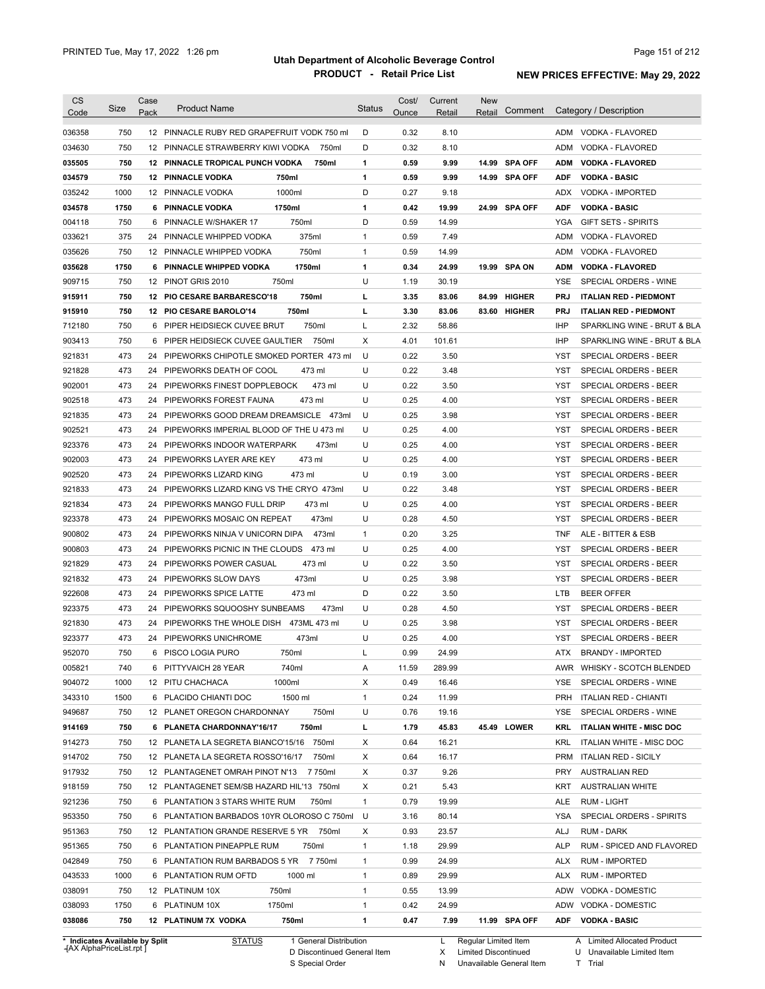| <b>CS</b><br>Code              | Size | Case<br>Pack | <b>Product Name</b>                                                                       | <b>Status</b> | Cost/<br>Ounce | Current<br>Retail | <b>New</b><br>Comment<br>Retail |            | Category / Description                         |
|--------------------------------|------|--------------|-------------------------------------------------------------------------------------------|---------------|----------------|-------------------|---------------------------------|------------|------------------------------------------------|
|                                | 750  |              |                                                                                           | D             | 0.32           |                   |                                 | ADM        |                                                |
| 036358                         | 750  |              | 12 PINNACLE RUBY RED GRAPEFRUIT VODK 750 ml<br>12 PINNACLE STRAWBERRY KIWI VODKA<br>750ml | D             | 0.32           | 8.10<br>8.10      |                                 | ADM        | VODKA - FLAVORED<br>VODKA - FLAVORED           |
| 034630<br>035505               | 750  |              | 12 PINNACLE TROPICAL PUNCH VODKA<br>750ml                                                 | 1             | 0.59           | 9.99              | <b>SPA OFF</b><br>14.99         | <b>ADM</b> | <b>VODKA - FLAVORED</b>                        |
| 034579                         | 750  |              | <b>12 PINNACLE VODKA</b><br>750ml                                                         | 1             | 0.59           | 9.99              | 14.99 SPA OFF                   | <b>ADF</b> | <b>VODKA - BASIC</b>                           |
| 035242                         | 1000 |              | 1000ml<br>12 PINNACLE VODKA                                                               | D             | 0.27           | 9.18              |                                 | ADX        | <b>VODKA - IMPORTED</b>                        |
| 034578                         | 1750 | 6            | <b>PINNACLE VODKA</b><br>1750ml                                                           | 1             | 0.42           | 19.99             | <b>SPA OFF</b><br>24.99         | <b>ADF</b> | <b>VODKA - BASIC</b>                           |
|                                | 750  | 6            | 750ml                                                                                     | D             | 0.59           | 14.99             |                                 | <b>YGA</b> |                                                |
| 004118                         | 375  | 24           | PINNACLE W/SHAKER 17<br>PINNACLE WHIPPED VODKA<br>375ml                                   | $\mathbf{1}$  | 0.59           | 7.49              |                                 | <b>ADM</b> | <b>GIFT SETS - SPIRITS</b><br>VODKA - FLAVORED |
| 033621                         | 750  |              | 750ml                                                                                     | $\mathbf{1}$  | 0.59           | 14.99             |                                 | <b>ADM</b> |                                                |
| 035626                         | 1750 | 6            | 12 PINNACLE WHIPPED VODKA<br>PINNACLE WHIPPED VODKA<br>1750ml                             | 1             | 0.34           | 24.99             | 19.99 SPA ON                    | <b>ADM</b> | VODKA - FLAVORED<br><b>VODKA - FLAVORED</b>    |
| 035628<br>909715               | 750  |              | 750ml<br>12 PINOT GRIS 2010                                                               | U             | 1.19           | 30.19             |                                 | <b>YSE</b> | SPECIAL ORDERS - WINE                          |
|                                | 750  |              | 750ml                                                                                     | г             | 3.35           |                   | <b>HIGHER</b>                   | <b>PRJ</b> |                                                |
| 915911                         | 750  |              | 12 PIO CESARE BARBARESCO'18                                                               |               |                | 83.06             | 84.99                           |            | <b>ITALIAN RED - PIEDMONT</b>                  |
| 915910                         |      |              | 750ml<br>12 PIO CESARE BAROLO'14                                                          | L             | 3.30           | 83.06             | 83.60 HIGHER                    | <b>PRJ</b> | <b>ITALIAN RED - PIEDMONT</b>                  |
| 712180                         | 750  | 6            | 750ml<br>PIPER HEIDSIECK CUVEE BRUT                                                       | L             | 2.32           | 58.86             |                                 | <b>IHP</b> | SPARKLING WINE - BRUT & BLA                    |
| 903413                         | 750  | 6            | PIPER HEIDSIECK CUVEE GAULTIER<br>750ml                                                   | X             | 4.01           | 101.61            |                                 | <b>IHP</b> | SPARKLING WINE - BRUT & BLA                    |
| 921831                         | 473  | 24           | PIPEWORKS CHIPOTLE SMOKED PORTER 473 ml                                                   | U             | 0.22           | 3.50              |                                 | <b>YST</b> | SPECIAL ORDERS - BEER                          |
| 921828                         | 473  | 24           | PIPEWORKS DEATH OF COOL<br>473 ml                                                         | U             | 0.22           | 3.48              |                                 | <b>YST</b> | SPECIAL ORDERS - BEER                          |
| 902001                         | 473  | 24           | 473 ml<br>PIPEWORKS FINEST DOPPLEBOCK                                                     | U             | 0.22           | 3.50              |                                 | <b>YST</b> | <b>SPECIAL ORDERS - BEER</b>                   |
| 902518                         | 473  | 24           | 473 ml<br>PIPEWORKS FOREST FAUNA                                                          | U             | 0.25           | 4.00              |                                 | <b>YST</b> | <b>SPECIAL ORDERS - BEER</b>                   |
| 921835                         | 473  | 24           | PIPEWORKS GOOD DREAM DREAMSICLE<br>473ml                                                  | U             | 0.25           | 3.98              |                                 | <b>YST</b> | SPECIAL ORDERS - BEER                          |
| 902521                         | 473  | 24           | PIPEWORKS IMPERIAL BLOOD OF THE U 473 ml                                                  | U             | 0.25           | 4.00              |                                 | <b>YST</b> | SPECIAL ORDERS - BEER                          |
| 923376                         | 473  | 24           | PIPEWORKS INDOOR WATERPARK<br>473ml                                                       | U             | 0.25           | 4.00              |                                 | <b>YST</b> | SPECIAL ORDERS - BEER                          |
| 902003                         | 473  | 24           | 473 ml<br>PIPEWORKS LAYER ARE KEY                                                         | U             | 0.25           | 4.00              |                                 | YST        | SPECIAL ORDERS - BEER                          |
| 902520                         | 473  | 24           | 473 ml<br>PIPEWORKS LIZARD KING                                                           | U             | 0.19           | 3.00              |                                 | <b>YST</b> | SPECIAL ORDERS - BEER                          |
| 921833                         | 473  | 24           | PIPEWORKS LIZARD KING VS THE CRYO 473ml                                                   | U             | 0.22           | 3.48              |                                 | <b>YST</b> | SPECIAL ORDERS - BEER                          |
| 921834                         | 473  | 24           | PIPEWORKS MANGO FULL DRIP<br>473 ml                                                       | U             | 0.25           | 4.00              |                                 | YST        | SPECIAL ORDERS - BEER                          |
| 923378                         | 473  | 24           | 473ml<br>PIPEWORKS MOSAIC ON REPEAT                                                       | U             | 0.28           | 4.50              |                                 | YST        | SPECIAL ORDERS - BEER                          |
| 900802                         | 473  | 24           | 473ml<br>PIPEWORKS NINJA V UNICORN DIPA                                                   | $\mathbf{1}$  | 0.20           | 3.25              |                                 | <b>TNF</b> | ALE - BITTER & ESB                             |
| 900803                         | 473  | 24           | 473 ml<br>PIPEWORKS PICNIC IN THE CLOUDS                                                  | U             | 0.25           | 4.00              |                                 | <b>YST</b> | SPECIAL ORDERS - BEER                          |
| 921829                         | 473  | 24           | PIPEWORKS POWER CASUAL<br>473 ml                                                          | U             | 0.22           | 3.50              |                                 | YST        | SPECIAL ORDERS - BEER                          |
| 921832                         | 473  | 24           | 473ml<br>PIPEWORKS SLOW DAYS                                                              | U             | 0.25           | 3.98              |                                 | <b>YST</b> | <b>SPECIAL ORDERS - BEER</b>                   |
| 922608                         | 473  | 24           | PIPEWORKS SPICE LATTE<br>473 ml                                                           | D             | 0.22           | 3.50              |                                 | <b>LTB</b> | <b>BEER OFFER</b>                              |
| 923375                         | 473  | 24           | PIPEWORKS SQUOOSHY SUNBEAMS<br>473ml                                                      | U             | 0.28           | 4.50              |                                 | <b>YST</b> | SPECIAL ORDERS - BEER                          |
| 921830                         | 473  | 24           | 473ML 473 ml<br>PIPEWORKS THE WHOLE DISH                                                  | U             | 0.25           | 3.98              |                                 | <b>YST</b> | SPECIAL ORDERS - BEER                          |
| 923377                         | 473  |              | 473ml<br>24 PIPEWORKS UNICHROME                                                           | U             | 0.25           | 4.00              |                                 | <b>YST</b> | SPECIAL ORDERS - BEER                          |
| 952070                         | 750  | 6            | 750ml<br>PISCO LOGIA PURO                                                                 |               | 0.99           | 24.99             |                                 | ATX        | <b>BRANDY - IMPORTED</b>                       |
| 005821                         | 740  |              | 6 PITTYVAICH 28 YEAR<br>740ml                                                             | A             | 11.59          | 289.99            |                                 |            | AWR WHISKY - SCOTCH BLENDED                    |
| 904072                         | 1000 |              | 1000ml<br>12 PITU CHACHACA                                                                | X             | 0.49           | 16.46             |                                 |            | YSE SPECIAL ORDERS - WINE                      |
| 343310                         | 1500 |              | 6 PLACIDO CHIANTI DOC<br>1500 ml                                                          | $\mathbf{1}$  | 0.24           | 11.99             |                                 |            | PRH ITALIAN RED - CHIANTI                      |
| 949687                         | 750  |              | 750ml<br>12 PLANET OREGON CHARDONNAY                                                      | U             | 0.76           | 19.16             |                                 |            | YSE SPECIAL ORDERS - WINE                      |
| 914169                         | 750  |              | 750ml<br>6 PLANETA CHARDONNAY'16/17                                                       | L             | 1.79           | 45.83             | 45.49 LOWER                     | KRL        | <b>ITALIAN WHITE - MISC DOC</b>                |
| 914273                         | 750  |              | 12 PLANETA LA SEGRETA BIANCO'15/16 750ml                                                  | X             | 0.64           | 16.21             |                                 | KRL        | ITALIAN WHITE - MISC DOC                       |
| 914702                         | 750  |              | 12 PLANETA LA SEGRETA ROSSO'16/17<br>750ml                                                | X             | 0.64           | 16.17             |                                 |            | PRM ITALIAN RED - SICILY                       |
| 917932                         | 750  |              | 12 PLANTAGENET OMRAH PINOT N'13 7750ml                                                    | X             | 0.37           | 9.26              |                                 | PRY        | <b>AUSTRALIAN RED</b>                          |
| 918159                         | 750  |              | 12 PLANTAGENET SEM/SB HAZARD HIL'13 750ml                                                 | Χ             | 0.21           | 5.43              |                                 | KRT        | <b>AUSTRALIAN WHITE</b>                        |
| 921236                         | 750  |              | 6 PLANTATION 3 STARS WHITE RUM<br>750ml                                                   | $\mathbf{1}$  | 0.79           | 19.99             |                                 | ALE        | RUM - LIGHT                                    |
| 953350                         | 750  |              | 6 PLANTATION BARBADOS 10YR OLOROSO C 750ml                                                | U             | 3.16           | 80.14             |                                 | YSA        | SPECIAL ORDERS - SPIRITS                       |
| 951363                         | 750  |              | 12 PLANTATION GRANDE RESERVE 5 YR 750ml                                                   | Χ             | 0.93           | 23.57             |                                 | ALJ        | RUM - DARK                                     |
| 951365                         | 750  |              | 6 PLANTATION PINEAPPLE RUM<br>750ml                                                       | $\mathbf{1}$  | 1.18           | 29.99             |                                 | <b>ALP</b> | RUM - SPICED AND FLAVORED                      |
| 042849                         | 750  |              | 6 PLANTATION RUM BARBADOS 5 YR 7750ml                                                     | 1             | 0.99           | 24.99             |                                 | ALX        | <b>RUM - IMPORTED</b>                          |
| 043533                         | 1000 |              | 6 PLANTATION RUM OFTD<br>1000 ml                                                          | $\mathbf{1}$  | 0.89           | 29.99             |                                 | ALX        | <b>RUM - IMPORTED</b>                          |
| 038091                         | 750  |              | 750ml<br>12 PLATINUM 10X                                                                  | $\mathbf{1}$  | 0.55           | 13.99             |                                 |            | ADW VODKA - DOMESTIC                           |
| 038093                         | 1750 |              | 1750ml<br>6 PLATINUM 10X                                                                  | 1             | 0.42           | 24.99             |                                 |            | ADW VODKA - DOMESTIC                           |
| 038086                         | 750  |              | 750ml<br>12 PLATINUM 7X VODKA                                                             | 1             | 0.47           | 7.99              | 11.99 SPA OFF                   |            | ADF VODKA - BASIC                              |
| * Indicates Available by Split |      |              | STATUS<br>1 General Distribution                                                          |               |                |                   | L Regular Limited Item          |            | A Limited Allocated Product                    |

**Case** [AX AlphaPriceList.rpt ]

D Discontinued General Item S Special Order

X Limited Discontinued

N Unavailable General Item

A Limited Allocated Product

U Unavailable Limited Item T Trial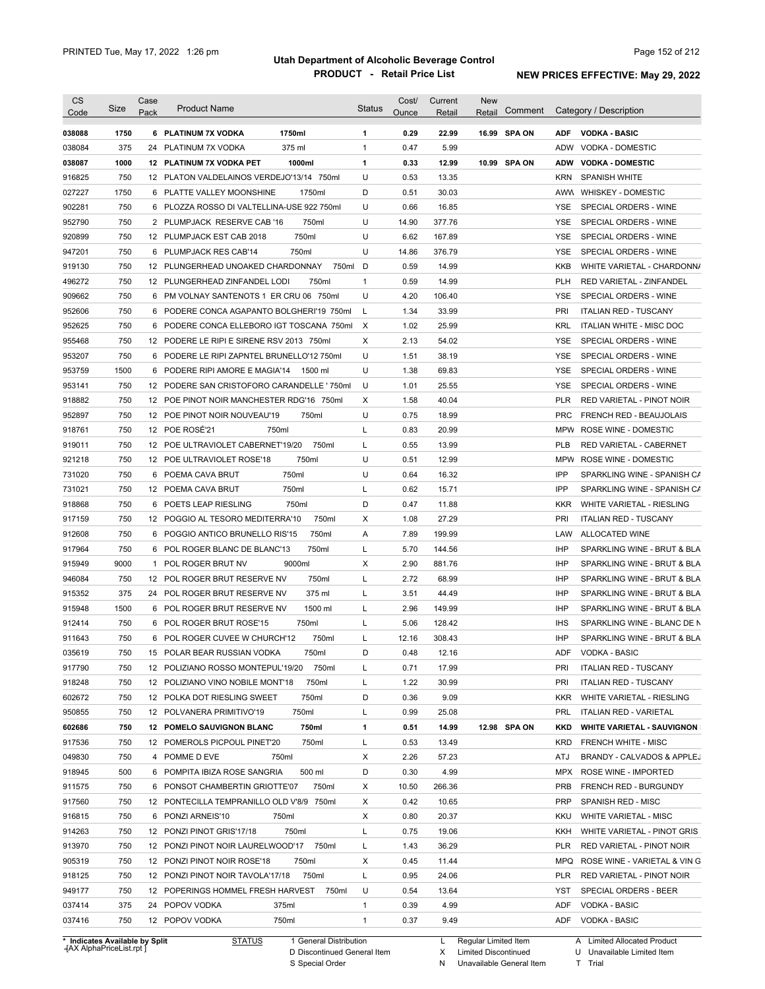| <b>CS</b><br>Code              | Size | Case<br>Pack | <b>Product Name</b>                        | Status       | Cost/<br>Ounce | Current<br><u>Retail</u> | <b>New</b><br>Retail |              |            | Comment Category / Description    |
|--------------------------------|------|--------------|--------------------------------------------|--------------|----------------|--------------------------|----------------------|--------------|------------|-----------------------------------|
| 038088                         | 1750 |              | 1750ml<br>6 PLATINUM 7X VODKA              | 1            | 0.29           | 22.99                    |                      | 16.99 SPA ON | <b>ADF</b> | <b>VODKA - BASIC</b>              |
| 038084                         | 375  |              | 375 ml<br>24 PLATINUM 7X VODKA             | $\mathbf{1}$ | 0.47           | 5.99                     |                      |              | ADW        | VODKA - DOMESTIC                  |
| 038087                         | 1000 |              | 12 PLATINUM 7X VODKA PET<br>1000ml         | 1            | 0.33           | 12.99                    |                      | 10.99 SPA ON | <b>ADW</b> | <b>VODKA - DOMESTIC</b>           |
| 916825                         | 750  |              | 12 PLATON VALDELAINOS VERDEJO'13/14 750ml  | U            | 0.53           | 13.35                    |                      |              | <b>KRN</b> | <b>SPANISH WHITE</b>              |
| 027227                         | 1750 |              | 6 PLATTE VALLEY MOONSHINE<br>1750ml        | D            | 0.51           | 30.03                    |                      |              | AWW        | <b>WHISKEY - DOMESTIC</b>         |
| 902281                         | 750  |              | 6 PLOZZA ROSSO DI VALTELLINA-USE 922 750ml | U            | 0.66           | 16.85                    |                      |              | YSE        | SPECIAL ORDERS - WINE             |
| 952790                         | 750  |              | 2 PLUMPJACK RESERVE CAB '16<br>750ml       | U            | 14.90          | 377.76                   |                      |              | YSE        | SPECIAL ORDERS - WINE             |
| 920899                         | 750  |              | 750ml<br>12 PLUMPJACK EST CAB 2018         | U            | 6.62           | 167.89                   |                      |              | YSE        | SPECIAL ORDERS - WINE             |
| 947201                         | 750  |              | 6 PLUMPJACK RES CAB'14<br>750ml            | U            | 14.86          | 376.79                   |                      |              | YSE        | SPECIAL ORDERS - WINE             |
| 919130                         | 750  |              | 12 PLUNGERHEAD UNOAKED CHARDONNAY          | 750ml D      | 0.59           | 14.99                    |                      |              | KKB        | WHITE VARIETAL - CHARDONN/        |
| 496272                         | 750  |              | 12 PLUNGERHEAD ZINFANDEL LODI<br>750ml     | $\mathbf{1}$ | 0.59           | 14.99                    |                      |              | <b>PLH</b> | RED VARIETAL - ZINFANDEL          |
| 909662                         | 750  |              | 6 PM VOLNAY SANTENOTS 1 ER CRU 06 750ml    | U            | 4.20           | 106.40                   |                      |              | YSE        | SPECIAL ORDERS - WINE             |
| 952606                         | 750  |              | 6 PODERE CONCA AGAPANTO BOLGHERI'19 750ml  | L            | 1.34           | 33.99                    |                      |              | <b>PRI</b> | <b>ITALIAN RED - TUSCANY</b>      |
| 952625                         | 750  |              | 6 PODERE CONCA ELLEBORO IGT TOSCANA 750ml  | $\mathsf{X}$ | 1.02           | 25.99                    |                      |              | KRL        | ITALIAN WHITE - MISC DOC          |
| 955468                         | 750  |              | 12 PODERE LE RIPI E SIRENE RSV 2013 750ml  | Χ            | 2.13           | 54.02                    |                      |              | YSE        | SPECIAL ORDERS - WINE             |
| 953207                         | 750  |              | 6 PODERE LE RIPI ZAPNTEL BRUNELLO'12 750ml | U            | 1.51           | 38.19                    |                      |              | YSE        | SPECIAL ORDERS - WINE             |
| 953759                         | 1500 |              | 6 PODERE RIPI AMORE E MAGIA'14<br>1500 ml  | U            | 1.38           | 69.83                    |                      |              | YSE        | SPECIAL ORDERS - WINE             |
| 953141                         | 750  |              | 12 PODERE SAN CRISTOFORO CARANDELLE '750ml | U            | 1.01           | 25.55                    |                      |              | YSE        | SPECIAL ORDERS - WINE             |
| 918882                         | 750  |              | 12 POE PINOT NOIR MANCHESTER RDG'16 750ml  | Х            | 1.58           | 40.04                    |                      |              | PLR        | <b>RED VARIETAL - PINOT NOIR</b>  |
| 952897                         | 750  |              | 12 POE PINOT NOIR NOUVEAU'19<br>750ml      | U            | 0.75           | 18.99                    |                      |              | <b>PRC</b> | <b>FRENCH RED - BEAUJOLAIS</b>    |
| 918761                         | 750  |              | 12 POE ROSÉ'21<br>750ml                    | Г            | 0.83           | 20.99                    |                      |              | MPW        | ROSE WINE - DOMESTIC              |
| 919011                         | 750  |              | 12 POE ULTRAVIOLET CABERNET'19/20<br>750ml | Г            | 0.55           | 13.99                    |                      |              | PLB        | RED VARIETAL - CABERNET           |
| 921218                         | 750  |              | 12 POE ULTRAVIOLET ROSE'18<br>750ml        | U            | 0.51           | 12.99                    |                      |              |            | MPW ROSE WINE - DOMESTIC          |
| 731020                         | 750  |              | 750ml<br>6 POEMA CAVA BRUT                 | U            | 0.64           | 16.32                    |                      |              | IPP        | SPARKLING WINE - SPANISH CA       |
| 731021                         | 750  |              | 750ml<br>12 POEMA CAVA BRUT                | Г            | 0.62           | 15.71                    |                      |              | IPP        | SPARKLING WINE - SPANISH CA       |
| 918868                         | 750  |              | 6 POETS LEAP RIESLING<br>750ml             | D            | 0.47           | 11.88                    |                      |              | KKR        | WHITE VARIETAL - RIESLING         |
| 917159                         | 750  |              | 750ml<br>12 POGGIO AL TESORO MEDITERRA'10  | Х            | 1.08           | 27.29                    |                      |              | PRI        | <b>ITALIAN RED - TUSCANY</b>      |
| 912608                         | 750  |              | 750ml<br>6 POGGIO ANTICO BRUNELLO RIS'15   | Α            | 7.89           | 199.99                   |                      |              | LAW        | <b>ALLOCATED WINE</b>             |
| 917964                         | 750  |              | 750ml<br>6 POL ROGER BLANC DE BLANC'13     | Г            | 5.70           | 144.56                   |                      |              | <b>IHP</b> | SPARKLING WINE - BRUT & BLA       |
| 915949                         | 9000 |              | 9000ml<br>1 POL ROGER BRUT NV              | Х            | 2.90           | 881.76                   |                      |              | <b>IHP</b> | SPARKLING WINE - BRUT & BLA       |
| 946084                         | 750  |              | 750ml<br>12 POL ROGER BRUT RESERVE NV      | Г            | 2.72           | 68.99                    |                      |              | <b>IHP</b> | SPARKLING WINE - BRUT & BLA       |
|                                | 375  |              | 24 POL ROGER BRUT RESERVE NV<br>375 ml     | Г            | 3.51           | 44.49                    |                      |              | <b>IHP</b> | SPARKLING WINE - BRUT & BLA       |
| 915352                         | 1500 |              | 1500 ml<br>6 POL ROGER BRUT RESERVE NV     | L            | 2.96           | 149.99                   |                      |              | IHP        | SPARKLING WINE - BRUT & BLA       |
| 915948                         | 750  |              |                                            | Г            | 5.06           | 128.42                   |                      |              | <b>IHS</b> | SPARKLING WINE - BLANC DE N       |
| 912414                         |      |              | 6 POL ROGER BRUT ROSE'15<br>750ml          |              |                |                          |                      |              |            |                                   |
| 911643                         | 750  |              | 6 POL ROGER CUVEE W CHURCH'12<br>750ml     | Г            | 12.16          | 308.43                   |                      |              | IHP        | SPARKLING WINE - BRUT & BLA       |
| 035619                         | 750  |              | 15 POLAR BEAR RUSSIAN VODKA<br>750ml       | D            | 0.48           | 12.16                    |                      |              |            | ADF VODKA - BASIC                 |
| 917790                         | 750  |              | 12 POLIZIANO ROSSO MONTEPUL'19/20<br>750ml | L            | 0.71           | 17.99                    |                      |              | <b>PRI</b> | <b>ITALIAN RED - TUSCANY</b>      |
| 918248                         | 750  |              | 750ml<br>12 POLIZIANO VINO NOBILE MONT'18  | Г            | 1.22           | 30.99                    |                      |              | <b>PRI</b> | <b>ITALIAN RED - TUSCANY</b>      |
| 602672                         | 750  |              | 12 POLKA DOT RIESLING SWEET<br>750ml       | D            | 0.36           | 9.09                     |                      |              | <b>KKR</b> | WHITE VARIETAL - RIESLING         |
| 950855                         | 750  |              | 750ml<br>12 POLVANERA PRIMITIVO'19         | Г            | 0.99           | 25.08                    |                      |              | PRL        | <b>ITALIAN RED - VARIETAL</b>     |
| 602686                         | 750  |              | 750ml<br>12 POMELO SAUVIGNON BLANC         | 1            | 0.51           | 14.99                    |                      | 12.98 SPA ON | KKD        | <b>WHITE VARIETAL - SAUVIGNON</b> |
| 917536                         | 750  |              | 750ml<br>12 POMEROLS PICPOUL PINET'20      | L            | 0.53           | 13.49                    |                      |              | KRD        | FRENCH WHITE - MISC               |
| 049830                         | 750  |              | 4 POMME D EVE<br>750ml                     | Х            | 2.26           | 57.23                    |                      |              | ATJ        | BRANDY - CALVADOS & APPLEJ        |
| 918945                         | 500  |              | 500 ml<br>6 POMPITA IBIZA ROSE SANGRIA     | D            | 0.30           | 4.99                     |                      |              | MPX        | ROSE WINE - IMPORTED              |
| 911575                         | 750  |              | 6 PONSOT CHAMBERTIN GRIOTTE'07<br>750ml    | Х            | 10.50          | 266.36                   |                      |              | <b>PRB</b> | FRENCH RED - BURGUNDY             |
| 917560                         | 750  |              | 12 PONTECILLA TEMPRANILLO OLD V'8/9 750ml  | Х            | 0.42           | 10.65                    |                      |              | PRP        | SPANISH RED - MISC                |
| 916815                         | 750  |              | 6 PONZI ARNEIS'10<br>750ml                 | Х            | 0.80           | 20.37                    |                      |              | KKU        | WHITE VARIETAL - MISC             |
| 914263                         | 750  |              | 12 PONZI PINOT GRIS'17/18<br>750ml         | Г            | 0.75           | 19.06                    |                      |              | KKH        | WHITE VARIETAL - PINOT GRIS       |
| 913970                         | 750  |              | 12 PONZI PINOT NOIR LAURELWOOD'17<br>750ml | Г            | 1.43           | 36.29                    |                      |              | PLR        | RED VARIETAL - PINOT NOIR         |
| 905319                         | 750  |              | 750ml<br>12 PONZI PINOT NOIR ROSE'18       | Х            | 0.45           | 11.44                    |                      |              | MPQ        | ROSE WINE - VARIETAL & VIN G      |
| 918125                         | 750  |              | 12 PONZI PINOT NOIR TAVOLA'17/18<br>750ml  | L            | 0.95           | 24.06                    |                      |              | PLR        | RED VARIETAL - PINOT NOIR         |
| 949177                         | 750  |              | 12 POPERINGS HOMMEL FRESH HARVEST<br>750ml | U            | 0.54           | 13.64                    |                      |              | YST        | SPECIAL ORDERS - BEER             |
| 037414                         | 375  |              | 375ml<br>24 POPOV VODKA                    | 1            | 0.39           | 4.99                     |                      |              | ADF        | <b>VODKA - BASIC</b>              |
| 037416                         | 750  |              | 12 POPOV VODKA<br>750ml                    | 1            | 0.37           | 9.49                     |                      |              | ADF        | <b>VODKA - BASIC</b>              |
| * Indicates Available by Split |      |              | <b>STATUS</b><br>1 General Distribution    |              |                | L                        | Regular Limited Item |              |            | A Limited Allocated Product       |

**Case** [AX AlphaPriceList.rpt ]

D Discontinued General Item

S Special Order

N Unavailable General Item

X Limited Discontinued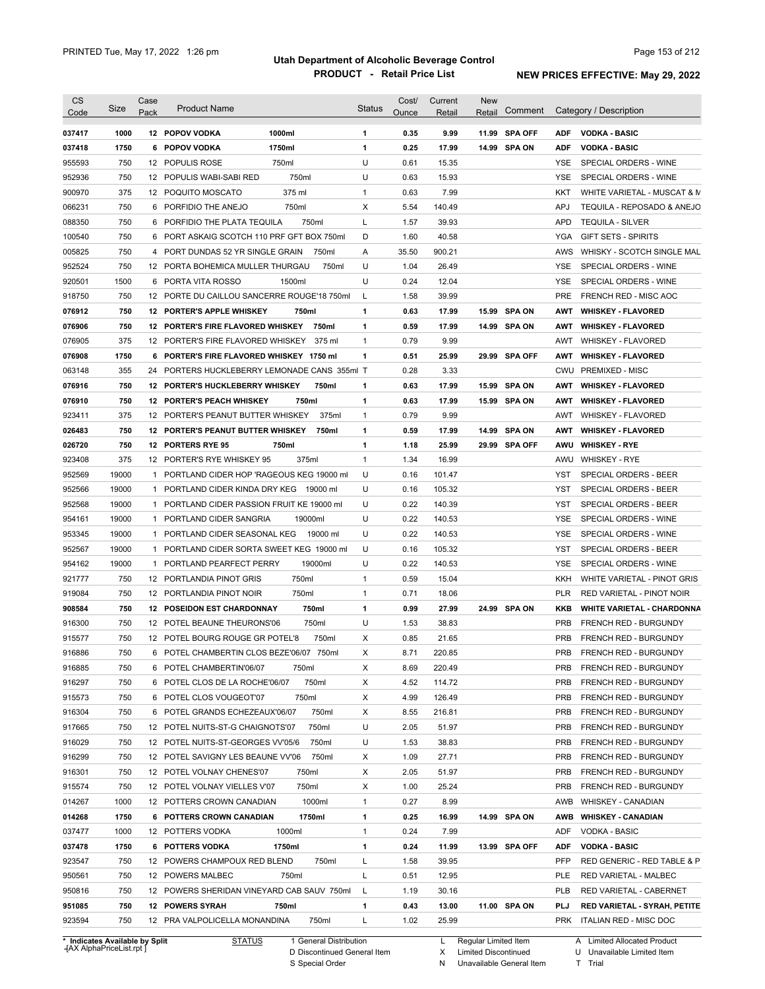| <b>CS</b><br>Code              | Size  | Case<br>Pack | <b>Product Name</b>                                  |                        | <b>Status</b> | Cost/<br>Ounce | Current<br>Retail | <b>New</b><br>Retail | Comment       |            | Category / Description            |
|--------------------------------|-------|--------------|------------------------------------------------------|------------------------|---------------|----------------|-------------------|----------------------|---------------|------------|-----------------------------------|
| 037417                         | 1000  |              | 12 POPOV VODKA                                       | 1000ml                 | 1             | 0.35           | 9.99              |                      | 11.99 SPA OFF | <b>ADF</b> | <b>VODKA - BASIC</b>              |
| 037418                         | 1750  |              | 6 POPOV VODKA                                        | 1750ml                 | 1             | 0.25           | 17.99             |                      | 14.99 SPA ON  | <b>ADF</b> | <b>VODKA - BASIC</b>              |
| 955593                         | 750   |              | 12 POPULIS ROSE                                      | 750ml                  | U             | 0.61           | 15.35             |                      |               | YSE        | SPECIAL ORDERS - WINE             |
| 952936                         | 750   |              | 12 POPULIS WABI-SABI RED                             | 750ml                  | U             | 0.63           | 15.93             |                      |               | YSE        | SPECIAL ORDERS - WINE             |
| 900970                         | 375   |              | 12 POQUITO MOSCATO                                   | 375 ml                 | $\mathbf{1}$  | 0.63           | 7.99              |                      |               | KKT        | WHITE VARIETAL - MUSCAT & M       |
| 066231                         | 750   |              | 6 PORFIDIO THE ANEJO                                 | 750ml                  | Χ             | 5.54           | 140.49            |                      |               | <b>APJ</b> | TEQUILA - REPOSADO & ANEJO        |
| 088350                         | 750   |              | 6 PORFIDIO THE PLATA TEQUILA                         | 750ml                  | L             | 1.57           | 39.93             |                      |               | <b>APD</b> | <b>TEQUILA - SILVER</b>           |
| 100540                         | 750   |              | 6 PORT ASKAIG SCOTCH 110 PRF GFT BOX 750ml           |                        | D             | 1.60           | 40.58             |                      |               | YGA        | <b>GIFT SETS - SPIRITS</b>        |
| 005825                         | 750   |              | 4 PORT DUNDAS 52 YR SINGLE GRAIN                     | 750ml                  | A             | 35.50          | 900.21            |                      |               | AWS        | WHISKY - SCOTCH SINGLE MAL        |
| 952524                         | 750   |              | 12 PORTA BOHEMICA MULLER THURGAU                     | 750ml                  | U             | 1.04           | 26.49             |                      |               | YSE        | SPECIAL ORDERS - WINE             |
| 920501                         | 1500  |              | 6 PORTA VITA ROSSO                                   | 1500ml                 | U             | 0.24           | 12.04             |                      |               | YSE        | SPECIAL ORDERS - WINE             |
| 918750                         | 750   |              | 12 PORTE DU CAILLOU SANCERRE ROUGE'18 750ml          |                        | L             | 1.58           | 39.99             |                      |               | PRE        | FRENCH RED - MISC AOC             |
| 076912                         | 750   |              | 12 PORTER'S APPLE WHISKEY                            | 750ml                  | 1             | 0.63           | 17.99             |                      | 15.99 SPA ON  | AWT        | <b>WHISKEY - FLAVORED</b>         |
| 076906                         | 750   |              | 12 PORTER'S FIRE FLAVORED WHISKEY 750ml              |                        | 1             | 0.59           | 17.99             |                      | 14.99 SPA ON  | AWT        | <b>WHISKEY - FLAVORED</b>         |
| 076905                         | 375   |              | 12 PORTER'S FIRE FLAVORED WHISKEY                    | 375 ml                 | $\mathbf{1}$  | 0.79           | 9.99              |                      |               | AWT        | <b>WHISKEY - FLAVORED</b>         |
| 076908                         | 1750  |              | 6 PORTER'S FIRE FLAVORED WHISKEY 1750 ml             |                        | 1             | 0.51           | 25.99             |                      | 29.99 SPA OFF | AWT        | <b>WHISKEY - FLAVORED</b>         |
| 063148                         | 355   |              | 24 PORTERS HUCKLEBERRY LEMONADE CANS 355ml T         |                        |               | 0.28           | 3.33              |                      |               |            | CWU PREMIXED - MISC               |
| 076916                         | 750   |              | 12 PORTER'S HUCKLEBERRY WHISKEY                      | 750ml                  | 1             | 0.63           | 17.99             | 15.99                | <b>SPA ON</b> | AWT        | <b>WHISKEY - FLAVORED</b>         |
| 076910                         | 750   |              | <b>12 PORTER'S PEACH WHISKEY</b>                     | 750ml                  | 1             | 0.63           | 17.99             |                      | 15.99 SPA ON  | AWT        | <b>WHISKEY - FLAVORED</b>         |
| 923411                         | 375   |              | 12 PORTER'S PEANUT BUTTER WHISKEY                    | 375ml                  | $\mathbf{1}$  | 0.79           | 9.99              |                      |               | AWT        | <b>WHISKEY - FLAVORED</b>         |
| 026483                         | 750   |              | <b>12 PORTER'S PEANUT BUTTER WHISKEY</b>             | 750ml                  | 1             | 0.59           | 17.99             | 14.99                | <b>SPA ON</b> | AWT        | <b>WHISKEY - FLAVORED</b>         |
| 026720                         | 750   |              | 12 PORTERS RYE 95                                    | 750ml                  | 1             | 1.18           | 25.99             |                      | 29.99 SPA OFF |            | AWU WHISKEY - RYE                 |
| 923408                         | 375   |              | 12 PORTER'S RYE WHISKEY 95                           | 375ml                  | $\mathbf{1}$  | 1.34           | 16.99             |                      |               |            | AWU WHISKEY - RYE                 |
| 952569                         | 19000 |              | 1 PORTLAND CIDER HOP 'RAGEOUS KEG 19000 ml           |                        | U             | 0.16           | 101.47            |                      |               | YST        | SPECIAL ORDERS - BEER             |
| 952566                         | 19000 |              | 1 PORTLAND CIDER KINDA DRY KEG 19000 ml              |                        | U             | 0.16           | 105.32            |                      |               | YST        | SPECIAL ORDERS - BEER             |
| 952568                         | 19000 |              | 1 PORTLAND CIDER PASSION FRUIT KE 19000 ml           |                        | U             | 0.22           | 140.39            |                      |               | YST        | SPECIAL ORDERS - BEER             |
|                                | 19000 |              | 1 PORTLAND CIDER SANGRIA                             | 19000ml                | U             | 0.22           | 140.53            |                      |               | YSE        | SPECIAL ORDERS - WINE             |
| 954161                         | 19000 |              | 1 PORTLAND CIDER SEASONAL KEG                        | 19000 ml               | U             | 0.22           | 140.53            |                      |               | YSE        | SPECIAL ORDERS - WINE             |
| 953345                         | 19000 |              | 1 PORTLAND CIDER SORTA SWEET KEG 19000 ml            |                        | U             | 0.16           | 105.32            |                      |               | YST        | SPECIAL ORDERS - BEER             |
| 952567                         | 19000 |              | 1 PORTLAND PEARFECT PERRY                            | 19000ml                | U             | 0.22           | 140.53            |                      |               | <b>YSE</b> | SPECIAL ORDERS - WINE             |
| 954162                         | 750   |              |                                                      | 750ml                  |               | 0.59           | 15.04             |                      |               |            |                                   |
| 921777                         |       |              | 12 PORTLANDIA PINOT GRIS<br>12 PORTLANDIA PINOT NOIR |                        | $\mathbf{1}$  |                |                   |                      |               | KKH        | WHITE VARIETAL - PINOT GRIS       |
| 919084                         | 750   |              |                                                      | 750ml                  | $\mathbf{1}$  | 0.71           | 18.06             |                      |               | <b>PLR</b> | RED VARIETAL - PINOT NOIR         |
| 908584                         | 750   |              | <b>12 POSEIDON EST CHARDONNAY</b>                    | 750ml                  | 1             | 0.99           | 27.99             |                      | 24.99 SPA ON  | KKB        | <b>WHITE VARIETAL - CHARDONNA</b> |
| 916300                         | 750   |              | 12 POTEL BEAUNE THEURONS'06                          | 750ml                  | U             | 1.53           | 38.83             |                      |               | <b>PRB</b> | <b>FRENCH RED - BURGUNDY</b>      |
| 915577                         | 750   |              | 12 POTEL BOURG ROUGE GR POTEL'8                      | 750ml                  | Х             | 0.85           | 21.65             |                      |               | <b>PRB</b> | <b>FRENCH RED - BURGUNDY</b>      |
| 916886                         | 750   |              | 6 POTEL CHAMBERTIN CLOS BEZE'06/07 750ml             |                        | X             | 8.71           | 220.85            |                      |               | PRB        | FRENCH RED - BURGUNDY             |
| 916885                         | 750   |              | 6 POTEL CHAMBERTIN'06/07                             | 750ml                  | Х             | 8.69           | 220.49            |                      |               | <b>PRB</b> | FRENCH RED - BURGUNDY             |
| 916297                         | 750   |              | 6 POTEL CLOS DE LA ROCHE'06/07                       | 750ml                  | Х             | 4.52           | 114.72            |                      |               | <b>PRB</b> | FRENCH RED - BURGUNDY             |
| 915573                         | 750   |              | 6 POTEL CLOS VOUGEOT'07                              | 750ml                  | Х             | 4.99           | 126.49            |                      |               | <b>PRB</b> | FRENCH RED - BURGUNDY             |
| 916304                         | 750   |              | 6 POTEL GRANDS ECHEZEAUX'06/07                       | 750ml                  | Х             | 8.55           | 216.81            |                      |               | <b>PRB</b> | FRENCH RED - BURGUNDY             |
| 917665                         | 750   |              | 12 POTEL NUITS-ST-G CHAIGNOTS'07                     | 750ml                  | U             | 2.05           | 51.97             |                      |               | <b>PRB</b> | FRENCH RED - BURGUNDY             |
| 916029                         | 750   |              | 12 POTEL NUITS-ST-GEORGES VV'05/6                    | 750ml                  | U             | 1.53           | 38.83             |                      |               | <b>PRB</b> | FRENCH RED - BURGUNDY             |
| 916299                         | 750   |              | 12 POTEL SAVIGNY LES BEAUNE VV'06                    | 750ml                  | Х             | 1.09           | 27.71             |                      |               | <b>PRB</b> | FRENCH RED - BURGUNDY             |
| 916301                         | 750   |              | 12 POTEL VOLNAY CHENES'07                            | 750ml                  | Х             | 2.05           | 51.97             |                      |               | <b>PRB</b> | FRENCH RED - BURGUNDY             |
| 915574                         | 750   |              | 12 POTEL VOLNAY VIELLES V'07                         | 750ml                  | X             | 1.00           | 25.24             |                      |               | <b>PRB</b> | FRENCH RED - BURGUNDY             |
| 014267                         | 1000  |              | 12 POTTERS CROWN CANADIAN                            | 1000ml                 | $\mathbf{1}$  | 0.27           | 8.99              |                      |               | AWB        | <b>WHISKEY - CANADIAN</b>         |
| 014268                         | 1750  |              | 6 POTTERS CROWN CANADIAN                             | 1750ml                 | 1             | 0.25           | 16.99             |                      | 14.99 SPA ON  | AWB        | <b>WHISKEY - CANADIAN</b>         |
| 037477                         | 1000  |              | 12 POTTERS VODKA                                     | 1000ml                 | $\mathbf{1}$  | 0.24           | 7.99              |                      |               | ADF        | VODKA - BASIC                     |
| 037478                         | 1750  |              | 6 POTTERS VODKA                                      | 1750ml                 | 1             | 0.24           | 11.99             |                      | 13.99 SPA OFF | <b>ADF</b> | <b>VODKA - BASIC</b>              |
| 923547                         | 750   |              | 12 POWERS CHAMPOUX RED BLEND                         | 750ml                  | L             | 1.58           | 39.95             |                      |               | <b>PFP</b> | RED GENERIC - RED TABLE & P       |
| 950561                         | 750   |              | 12 POWERS MALBEC                                     | 750ml                  | L             | 0.51           | 12.95             |                      |               | <b>PLE</b> | RED VARIETAL - MALBEC             |
| 950816                         | 750   |              | 12 POWERS SHERIDAN VINEYARD CAB SAUV 750ml           |                        | L             | 1.19           | 30.16             |                      |               | <b>PLB</b> | RED VARIETAL - CABERNET           |
| 951085                         | 750   |              | <b>12 POWERS SYRAH</b>                               | 750ml                  | 1             | 0.43           | 13.00             |                      | 11.00 SPA ON  | PLJ        | RED VARIETAL - SYRAH, PETITE      |
| 923594                         | 750   |              | 12 PRA VALPOLICELLA MONANDINA                        | 750ml                  | L             | 1.02           | 25.99             |                      |               |            | PRK ITALIAN RED - MISC DOC        |
| * Indicates Available by Split |       |              | <b>STATUS</b>                                        | 1 General Distribution |               |                |                   | Regular Limited Item |               |            | A Limited Allocated Product       |

**Case** [AX AlphaPriceList.rpt ]

D Discontinued General Item S Special Order

X

Limited Discontinued

N Unavailable General Item

U Unavailable Limited Item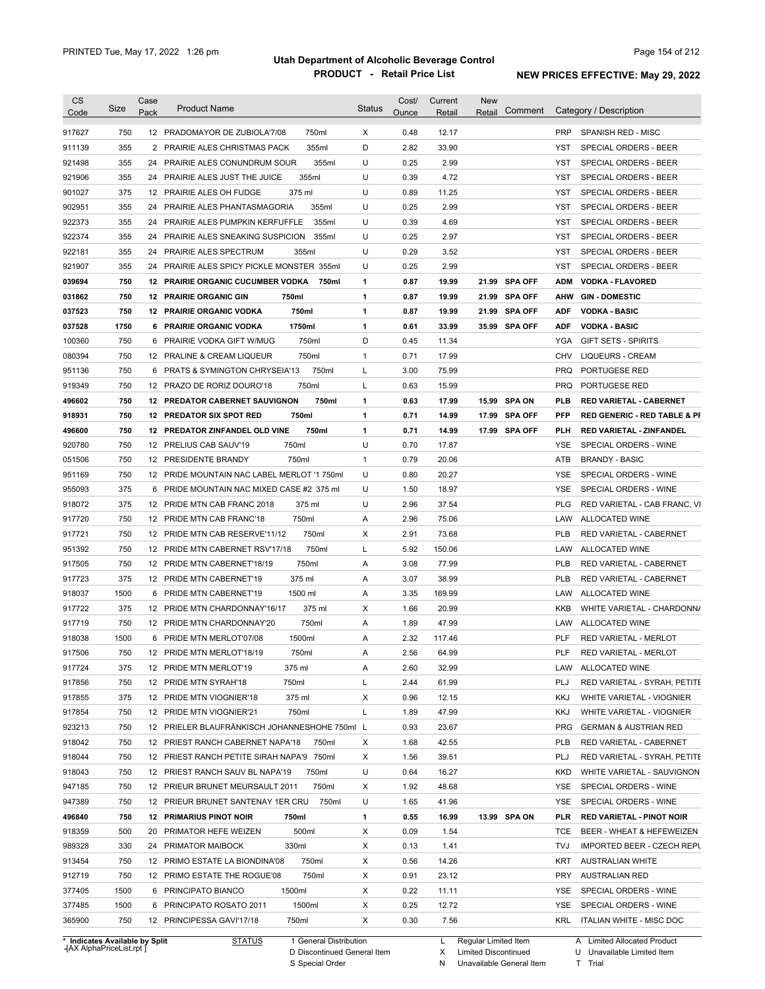| <b>CS</b><br>Code              | Size       | Case<br>Pack | <b>Product Name</b>                               | <b>Status</b> | Cost/<br>Ounce | Current<br>Retail | <b>New</b><br>Retail | Comment       |            | Category / Description                  |
|--------------------------------|------------|--------------|---------------------------------------------------|---------------|----------------|-------------------|----------------------|---------------|------------|-----------------------------------------|
|                                |            |              |                                                   |               |                |                   |                      |               |            |                                         |
| 917627                         | 750        |              | 750ml<br>12 PRADOMAYOR DE ZUBIOLA'7/08            | X             | 0.48           | 12.17             |                      |               | <b>PRP</b> | SPANISH RED - MISC                      |
| 911139                         | 355        |              | 355ml<br>2 PRAIRIE ALES CHRISTMAS PACK            | D             | 2.82           | 33.90             |                      |               | YST        | SPECIAL ORDERS - BEER                   |
| 921498                         | 355        |              | 24 PRAIRIE ALES CONUNDRUM SOUR<br>355ml           | U             | 0.25           | 2.99              |                      |               | YST        | SPECIAL ORDERS - BEER                   |
| 921906                         | 355        |              | 355ml<br>24 PRAIRIE ALES JUST THE JUICE           | U             | 0.39           | 4.72              |                      |               | YST        | SPECIAL ORDERS - BEER                   |
| 901027                         | 375        |              | 12 PRAIRIE ALES OH FUDGE<br>375 ml                | U             | 0.89           | 11.25             |                      |               | YST        | SPECIAL ORDERS - BEER                   |
| 902951                         | 355        |              | 24 PRAIRIE ALES PHANTASMAGORIA<br>355ml           | U             | 0.25           | 2.99              |                      |               | YST        | SPECIAL ORDERS - BEER                   |
| 922373                         | 355        |              | 24 PRAIRIE ALES PUMPKIN KERFUFFLE<br>355ml        | U             | 0.39           | 4.69              |                      |               | YST        | <b>SPECIAL ORDERS - BEER</b>            |
| 922374                         | 355        |              | 24 PRAIRIE ALES SNEAKING SUSPICION<br>355ml       | U             | 0.25           | 2.97              |                      |               | YST        | SPECIAL ORDERS - BEER                   |
| 922181                         | 355        |              | 24 PRAIRIE ALES SPECTRUM<br>355ml                 | U             | 0.29           | 3.52              |                      |               | <b>YST</b> | SPECIAL ORDERS - BEER                   |
| 921907                         | 355        |              | 24 PRAIRIE ALES SPICY PICKLE MONSTER 355ml        | U             | 0.25           | 2.99              |                      |               | YST        | SPECIAL ORDERS - BEER                   |
| 039694                         | 750        |              | <b>12 PRAIRIE ORGANIC CUCUMBER VODKA</b><br>750ml | 1             | 0.87           | 19.99             |                      | 21.99 SPA OFF | <b>ADM</b> | <b>VODKA - FLAVORED</b>                 |
| 031862                         | 750        |              | <b>12 PRAIRIE ORGANIC GIN</b><br>750ml            | 1             | 0.87           | 19.99             |                      | 21.99 SPA OFF | AHW        | <b>GIN-DOMESTIC</b>                     |
| 037523                         | 750        |              | 750ml<br><b>12 PRAIRIE ORGANIC VODKA</b>          | 1             | 0.87           | 19.99             |                      | 21.99 SPA OFF | ADF        | <b>VODKA - BASIC</b>                    |
| 037528                         | 1750       |              | 1750ml<br>6 PRAIRIE ORGANIC VODKA                 | 1             | 0.61           | 33.99             |                      | 35.99 SPA OFF | <b>ADF</b> | <b>VODKA - BASIC</b>                    |
| 100360                         | 750        |              | 750ml<br>6 PRAIRIE VODKA GIFT W/MUG               | D             | 0.45           | 11.34             |                      |               | YGA        | <b>GIFT SETS - SPIRITS</b>              |
| 080394                         | 750        |              | 12 PRALINE & CREAM LIQUEUR<br>750ml               | 1             | 0.71           | 17.99             |                      |               | CHV        | <b>LIQUEURS - CREAM</b>                 |
| 951136                         | 750        |              | 6 PRATS & SYMINGTON CHRYSEIA'13<br>750ml          | Г             | 3.00           | 75.99             |                      |               | <b>PRQ</b> | PORTUGESE RED                           |
| 919349                         | 750        |              | 12 PRAZO DE RORIZ DOURO'18<br>750ml               | Г             | 0.63           | 15.99             |                      |               | <b>PRQ</b> | PORTUGESE RED                           |
| 496602                         | 750        |              | <b>12 PREDATOR CABERNET SAUVIGNON</b><br>750ml    | 1             | 0.63           | 17.99             |                      | 15.99 SPA ON  | <b>PLB</b> | <b>RED VARIETAL - CABERNET</b>          |
| 918931                         | 750        |              | <b>12 PREDATOR SIX SPOT RED</b><br>750ml          | 1             | 0.71           | 14.99             |                      | 17.99 SPA OFF | <b>PFP</b> | <b>RED GENERIC - RED TABLE &amp; PI</b> |
| 496600                         | 750<br>750 |              | 12 PREDATOR ZINFANDEL OLD VINE<br>750ml           | 1<br>U        | 0.71<br>0.70   | 14.99             |                      | 17.99 SPA OFF | PLH        | <b>RED VARIETAL - ZINFANDEL</b>         |
| 920780                         |            |              | 12 PRELIUS CAB SAUV'19<br>750ml                   |               |                | 17.87             |                      |               | YSE        | SPECIAL ORDERS - WINE                   |
| 051506                         | 750        |              | 12 PRESIDENTE BRANDY<br>750ml                     | $\mathbf{1}$  | 0.79           | 20.06             |                      |               | ATB        | <b>BRANDY - BASIC</b>                   |
| 951169                         | 750        |              | 12 PRIDE MOUNTAIN NAC LABEL MERLOT '1 750ml       | U             | 0.80           | 20.27             |                      |               | <b>YSE</b> | SPECIAL ORDERS - WINE                   |
| 955093                         | 375        | 6            | PRIDE MOUNTAIN NAC MIXED CASE #2 375 ml           | U             | 1.50           | 18.97             |                      |               | <b>YSE</b> | SPECIAL ORDERS - WINE                   |
| 918072                         | 375        |              | 12 PRIDE MTN CAB FRANC 2018<br>375 ml             | U             | 2.96           | 37.54             |                      |               | PLG        | RED VARIETAL - CAB FRANC, VI            |
| 917720                         | 750        |              | 750ml<br>12 PRIDE MTN CAB FRANC'18                | Α             | 2.96           | 75.06             |                      |               | LAW        | ALLOCATED WINE                          |
| 917721                         | 750        |              | 750ml<br>12 PRIDE MTN CAB RESERVE'11/12           | х             | 2.91           | 73.68             |                      |               | <b>PLB</b> | RED VARIETAL - CABERNET                 |
| 951392                         | 750        |              | 750ml<br>12 PRIDE MTN CABERNET RSV'17/18          | Г             | 5.92           | 150.06            |                      |               | LAW        | ALLOCATED WINE                          |
| 917505                         | 750        |              | 750ml<br>12 PRIDE MTN CABERNET'18/19              | Α             | 3.08           | 77.99             |                      |               | PLB        | RED VARIETAL - CABERNET                 |
| 917723                         | 375        |              | 12 PRIDE MTN CABERNET'19<br>375 ml                | Α             | 3.07           | 38.99             |                      |               | PLB        | RED VARIETAL - CABERNET                 |
| 918037                         | 1500       | 6            | PRIDE MTN CABERNET'19<br>1500 ml                  | Α             | 3.35           | 169.99            |                      |               | LAW        | ALLOCATED WINE                          |
| 917722                         | 375        |              | 12 PRIDE MTN CHARDONNAY'16/17<br>375 ml           | х             | 1.66           | 20.99             |                      |               | <b>KKB</b> | WHITE VARIETAL - CHARDONN/              |
| 917719                         | 750        |              | 750ml<br>12 PRIDE MTN CHARDONNAY'20               | Α             | 1.89           | 47.99             |                      |               | LAW        | <b>ALLOCATED WINE</b>                   |
| 918038                         | 1500       |              | 6 PRIDE MTN MERLOT'07/08<br>1500ml                | Α             | 2.32           | 117.46            |                      |               | <b>PLF</b> | RED VARIETAL - MERLOT                   |
| 917506                         | 750        |              | 12 PRIDE MTN MERLOT'18/19<br>750ml                | Α             | 2.56           | 64.99             |                      |               | PLF        | RED VARIETAL - MERLOT                   |
| 917724                         | 375        |              | 12 PRIDE MTN MERLOT'19<br>375 ml                  | A             | 2.60           | 32.99             |                      |               | LAW        | ALLOCATED WINE                          |
| 917856                         | 750        |              | 750ml<br>12 PRIDE MTN SYRAH'18                    | L             | 2.44           | 61.99             |                      |               | PLJ        | RED VARIETAL - SYRAH, PETITE            |
| 917855                         | 375        |              | 375 ml<br>12 PRIDE MTN VIOGNIER'18                | X             | 0.96           | 12.15             |                      |               | <b>KKJ</b> | WHITE VARIETAL - VIOGNIER               |
| 917854                         | 750        |              | 750ml<br>12 PRIDE MTN VIOGNIER'21                 | Г             | 1.89           | 47.99             |                      |               | KKJ        | WHITE VARIETAL - VIOGNIER               |
| 923213                         | 750        |              | 12 PRIELER BLAUFRÄNKISCH JOHANNESHOHE 750ml L     |               | 0.93           | 23.67             |                      |               | <b>PRG</b> | <b>GERMAN &amp; AUSTRIAN RED</b>        |
| 918042                         | 750        |              | 12 PRIEST RANCH CABERNET NAPA'18<br>750ml         | х             | 1.68           | 42.55             |                      |               | <b>PLB</b> | RED VARIETAL - CABERNET                 |
| 918044                         | 750        |              | 12 PRIEST RANCH PETITE SIRAH NAPA'9 750ml         | х             | 1.56           | 39.51             |                      |               | PLJ        | RED VARIETAL - SYRAH, PETITE            |
| 918043                         | 750        |              | 12 PRIEST RANCH SAUV BL NAPA'19<br>750ml          | U             | 0.64           | 16.27             |                      |               | KKD        | WHITE VARIETAL - SAUVIGNON              |
| 947185                         | 750        |              | 12 PRIEUR BRUNET MEURSAULT 2011<br>750ml          | х             | 1.92           | 48.68             |                      |               | YSE        | SPECIAL ORDERS - WINE                   |
| 947389                         | 750        |              | 750ml<br>12 PRIEUR BRUNET SANTENAY 1ER CRU        | U             | 1.65           | 41.96             |                      |               | YSE        | SPECIAL ORDERS - WINE                   |
| 496840                         | 750        |              | <b>12 PRIMARIUS PINOT NOIR</b><br>750ml           | 1             | 0.55           | 16.99             |                      | 13.99 SPA ON  | PLR        | <b>RED VARIETAL - PINOT NOIR</b>        |
| 918359                         | 500        |              | 500ml<br>20 PRIMATOR HEFE WEIZEN                  | х             | 0.09           | 1.54              |                      |               | TCE        | BEER - WHEAT & HEFEWEIZEN               |
| 989328                         | 330        |              | 330ml<br>24 PRIMATOR MAIBOCK                      | х             | 0.13           | 1.41              |                      |               | TVJ        | <b>IMPORTED BEER - CZECH REPL</b>       |
| 913454                         | 750        |              | 750ml<br>12 PRIMO ESTATE LA BIONDINA'08           | X             | 0.56           | 14.26             |                      |               | <b>KRT</b> | <b>AUSTRALIAN WHITE</b>                 |
| 912719                         | 750        |              | 750ml<br>12 PRIMO ESTATE THE ROGUE'08             | X             | 0.91           | 23.12             |                      |               | PRY        | <b>AUSTRALIAN RED</b>                   |
| 377405                         | 1500       |              | 1500ml<br>6 PRINCIPATO BIANCO                     | X             | 0.22           | 11.11             |                      |               | YSE        | SPECIAL ORDERS - WINE                   |
| 377485                         | 1500       |              | 6 PRINCIPATO ROSATO 2011<br>1500ml                | х             | 0.25           | 12.72             |                      |               | YSE        | SPECIAL ORDERS - WINE                   |
| 365900                         | 750        |              | 750ml<br>12 PRINCIPESSA GAVI'17/18                | Χ             | 0.30           | 7.56              |                      |               | KRL        | ITALIAN WHITE - MISC DOC                |
| * Indicates Available by Split |            |              | 1 General Distribution<br><b>STATUS</b>           |               |                | L                 | Regular Limited Item |               |            | A Limited Allocated Product             |

**Case** [AX AlphaPriceList.rpt ]

D Discontinued General Item S Special Order

X Limited Discontinued

N Unavailable General Item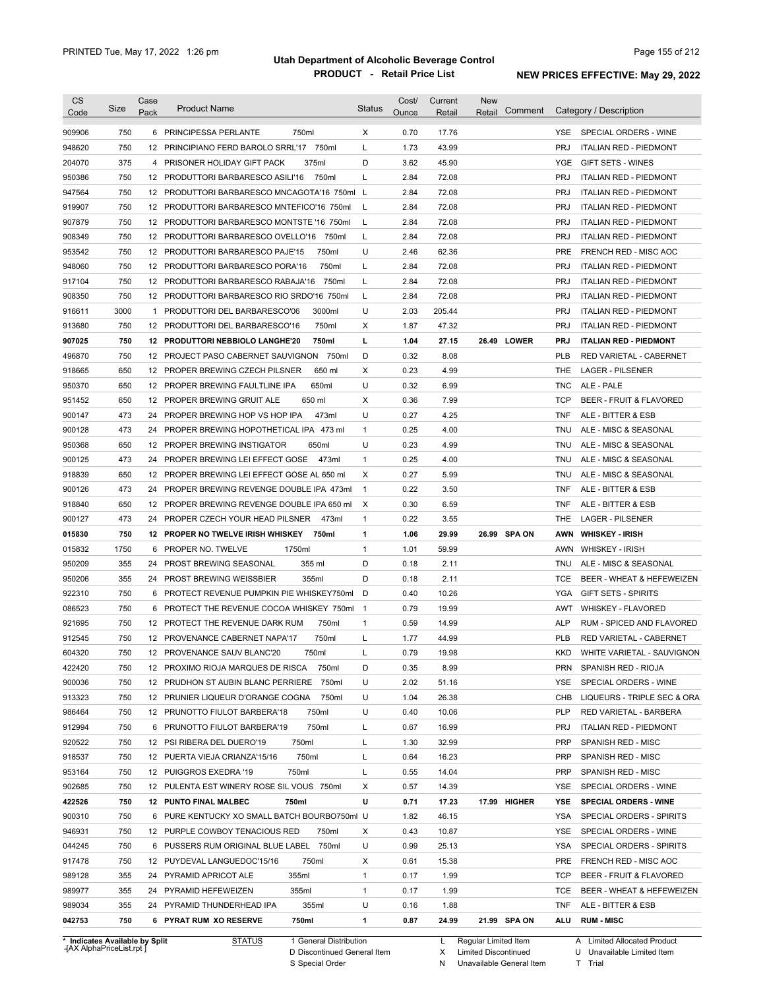| <b>CS</b><br>Code                                                 | Size | Case<br>Pack | <b>Product Name</b>                                                   |                                                       | <b>Status</b>  | Cost/<br>Ounce | Current<br>Retail | New<br>Retail                                       | Comment      |                   | Category / Description                                    |
|-------------------------------------------------------------------|------|--------------|-----------------------------------------------------------------------|-------------------------------------------------------|----------------|----------------|-------------------|-----------------------------------------------------|--------------|-------------------|-----------------------------------------------------------|
| 909906                                                            | 750  |              | 6 PRINCIPESSA PERLANTE                                                | 750ml                                                 | X              | 0.70           | 17.76             |                                                     |              | YSE.              | SPECIAL ORDERS - WINE                                     |
| 948620                                                            | 750  |              | 12 PRINCIPIANO FERD BAROLO SRRL'17 750ml                              |                                                       | Г              | 1.73           | 43.99             |                                                     |              | <b>PRJ</b>        | <b>ITALIAN RED - PIEDMONT</b>                             |
| 204070                                                            | 375  |              | 4 PRISONER HOLIDAY GIFT PACK                                          | 375ml                                                 | D              | 3.62           | 45.90             |                                                     |              | YGE               | <b>GIFT SETS - WINES</b>                                  |
| 950386                                                            | 750  |              | 12 PRODUTTORI BARBARESCO ASILI'16                                     | 750ml                                                 | L              | 2.84           | 72.08             |                                                     |              | <b>PRJ</b>        | <b>ITALIAN RED - PIEDMONT</b>                             |
| 947564                                                            | 750  |              | 12 PRODUTTORI BARBARESCO MNCAGOTA'16 750ml L                          |                                                       |                | 2.84           | 72.08             |                                                     |              | <b>PRJ</b>        | <b>ITALIAN RED - PIEDMONT</b>                             |
| 919907                                                            | 750  |              | 12 PRODUTTORI BARBARESCO MNTEFICO'16 750ml                            |                                                       | L              | 2.84           | 72.08             |                                                     |              | <b>PRJ</b>        | <b>ITALIAN RED - PIEDMONT</b>                             |
| 907879                                                            | 750  |              | 12 PRODUTTORI BARBARESCO MONTSTE '16 750ml                            |                                                       | L              | 2.84           | 72.08             |                                                     |              | <b>PRJ</b>        | <b>ITALIAN RED - PIEDMONT</b>                             |
| 908349                                                            | 750  |              | 12 PRODUTTORI BARBARESCO OVELLO'16                                    | 750ml                                                 | L              | 2.84           | 72.08             |                                                     |              | <b>PRJ</b>        | <b>ITALIAN RED - PIEDMONT</b>                             |
| 953542                                                            | 750  |              | 12 PRODUTTORI BARBARESCO PAJE'15                                      | 750ml                                                 | U              | 2.46           | 62.36             |                                                     |              | <b>PRE</b>        | FRENCH RED - MISC AOC                                     |
| 948060                                                            | 750  |              | 12 PRODUTTORI BARBARESCO PORA'16                                      | 750ml                                                 | Г              | 2.84           | 72.08             |                                                     |              | <b>PRJ</b>        | <b>ITALIAN RED - PIEDMONT</b>                             |
| 917104                                                            | 750  |              | 12 PRODUTTORI BARBARESCO RABAJA'16                                    | 750ml                                                 | Г              | 2.84           | 72.08             |                                                     |              | <b>PRJ</b>        | <b>ITALIAN RED - PIEDMONT</b>                             |
| 908350                                                            | 750  |              | 12 PRODUTTORI BARBARESCO RIO SRDO'16 750ml                            |                                                       | L              | 2.84           | 72.08             |                                                     |              | <b>PRJ</b>        | <b>ITALIAN RED - PIEDMONT</b>                             |
| 916611                                                            | 3000 |              | 1 PRODUTTORI DEL BARBARESCO'06                                        | 3000ml                                                | U              | 2.03           | 205.44            |                                                     |              | <b>PRJ</b>        | <b>ITALIAN RED - PIEDMONT</b>                             |
| 913680                                                            | 750  |              | 12 PRODUTTORI DEL BARBARESCO'16                                       | 750ml                                                 | X              | 1.87           | 47.32             |                                                     |              | <b>PRJ</b>        | <b>ITALIAN RED - PIEDMONT</b>                             |
| 907025                                                            | 750  |              | 12 PRODUTTORI NEBBIOLO LANGHE'20                                      | 750ml                                                 | L              | 1.04           | 27.15             | 26.49 LOWER                                         |              | <b>PRJ</b>        | <b>ITALIAN RED - PIEDMONT</b>                             |
| 496870                                                            | 750  |              | 12 PROJECT PASO CABERNET SAUVIGNON 750ml                              |                                                       | D              | 0.32           | 8.08              |                                                     |              | <b>PLB</b>        | RED VARIETAL - CABERNET                                   |
| 918665                                                            | 650  |              | 12 PROPER BREWING CZECH PILSNER                                       | 650 ml                                                | Х              | 0.23           | 4.99              |                                                     |              | THE               | <b>LAGER - PILSENER</b>                                   |
| 950370                                                            | 650  |              | 12 PROPER BREWING FAULTLINE IPA                                       | 650ml                                                 | U              | 0.32           | 6.99              |                                                     |              | <b>TNC</b>        | ALE - PALE                                                |
| 951452                                                            | 650  |              | 12 PROPER BREWING GRUIT ALE                                           | 650 ml                                                | Χ              | 0.36           | 7.99              |                                                     |              | <b>TCP</b>        | <b>BEER - FRUIT &amp; FLAVORED</b>                        |
| 900147                                                            | 473  | 24           | PROPER BREWING HOP VS HOP IPA                                         | 473ml                                                 | U              | 0.27           | 4.25              |                                                     |              | <b>TNF</b>        | ALE - BITTER & ESB                                        |
| 900128                                                            | 473  | 24           | PROPER BREWING HOPOTHETICAL IPA 473 ml                                |                                                       | $\mathbf{1}$   | 0.25           | 4.00              |                                                     |              | <b>TNU</b>        | ALE - MISC & SEASONAL                                     |
| 950368                                                            | 650  |              | 12 PROPER BREWING INSTIGATOR                                          | 650ml                                                 | U              | 0.23           | 4.99              |                                                     |              | TNU               | ALE - MISC & SEASONAL                                     |
| 900125                                                            | 473  | 24           | PROPER BREWING LEI EFFECT GOSE                                        | 473ml                                                 | $\mathbf{1}$   | 0.25           | 4.00              |                                                     |              | TNU               | ALE - MISC & SEASONAL                                     |
| 918839                                                            | 650  |              | 12 PROPER BREWING LEI EFFECT GOSE AL 650 ml                           |                                                       | Χ              | 0.27           | 5.99              |                                                     |              | TNU               | ALE - MISC & SEASONAL                                     |
| 900126                                                            | 473  | 24           | PROPER BREWING REVENGE DOUBLE IPA 473ml                               |                                                       | $\overline{1}$ | 0.22           | 3.50              |                                                     |              | TNF               | ALE - BITTER & ESB                                        |
| 918840                                                            | 650  |              | 12 PROPER BREWING REVENGE DOUBLE IPA 650 ml                           |                                                       | $\times$       | 0.30           | 6.59              |                                                     |              | TNF               | ALE - BITTER & ESB                                        |
| 900127                                                            | 473  | 24           | PROPER CZECH YOUR HEAD PILSNER                                        | 473ml                                                 | $\mathbf{1}$   | 0.22           | 3.55              |                                                     |              | THE               | <b>LAGER - PILSENER</b>                                   |
| 015830                                                            | 750  |              | 12 PROPER NO TWELVE IRISH WHISKEY                                     | 750ml                                                 | 1              | 1.06           | 29.99             | 26.99 SPA ON                                        |              | AWN               | <b>WHISKEY - IRISH</b>                                    |
| 015832                                                            | 1750 | 6            | 1750ml<br>PROPER NO. TWELVE                                           |                                                       | $\mathbf{1}$   | 1.01           | 59.99             |                                                     |              | AWN               | <b>WHISKEY - IRISH</b>                                    |
| 950209                                                            | 355  | 24           | PROST BREWING SEASONAL                                                | 355 ml                                                | D              | 0.18           | 2.11              |                                                     |              | TNU               | ALE - MISC & SEASONAL                                     |
| 950206                                                            | 355  |              | 24 PROST BREWING WEISSBIER                                            | 355ml                                                 | D              | 0.18           | 2.11              |                                                     |              | <b>TCE</b>        | BEER - WHEAT & HEFEWEIZEN                                 |
| 922310                                                            | 750  | 6            | PROTECT REVENUE PUMPKIN PIE WHISKEY750ml                              |                                                       | D              | 0.40           | 10.26             |                                                     |              | YGA               | <b>GIFT SETS - SPIRITS</b>                                |
| 086523                                                            | 750  |              | 6 PROTECT THE REVENUE COCOA WHISKEY 750ml                             |                                                       | $\overline{1}$ | 0.79           | 19.99             |                                                     |              | AWT               | <b>WHISKEY - FLAVORED</b>                                 |
| 921695                                                            | 750  |              | 12 PROTECT THE REVENUE DARK RUM                                       | 750ml                                                 | $\mathbf{1}$   | 0.59           | 14.99             |                                                     |              | <b>ALP</b>        | RUM - SPICED AND FLAVORED                                 |
| 912545                                                            | 750  |              | 12 PROVENANCE CABERNET NAPA'17                                        | 750ml                                                 | Г              | 1.77           | 44.99             |                                                     |              | <b>PLB</b>        | RED VARIETAL - CABERNET                                   |
| 604320                                                            | 750  |              | 12 PROVENANCE SAUV BLANC'20                                           | 750ml                                                 |                | 0.79           | 19.98             |                                                     |              | KKD               | WHITE VARIETAL - SAUVIGNON                                |
| 422420                                                            | 750  |              | 12 PROXIMO RIOJA MARQUES DE RISCA                                     | 750ml                                                 | D              | 0.35           | 8.99              |                                                     |              | <b>PRN</b>        | SPANISH RED - RIOJA                                       |
| 900036                                                            | 750  | 12           | PRUDHON ST AUBIN BLANC PERRIERE                                       | 750ml                                                 | U              | 2.02           | 51.16             |                                                     |              | <b>YSE</b>        | SPECIAL ORDERS - WINE                                     |
| 913323                                                            | 750  |              | 12 PRUNIER LIQUEUR D'ORANGE COGNA                                     | 750ml                                                 | U              | 1.04           | 26.38             |                                                     |              | CHB               | LIQUEURS - TRIPLE SEC & ORA                               |
| 986464                                                            | 750  |              | 12 PRUNOTTO FIULOT BARBERA'18                                         | 750ml                                                 | U              | 0.40           | 10.06             |                                                     |              | <b>PLP</b>        | RED VARIETAL - BARBERA                                    |
| 912994                                                            | 750  |              | 6 PRUNOTTO FIULOT BARBERA'19                                          | 750ml                                                 | Г              | 0.67           | 16.99             |                                                     |              | <b>PRJ</b>        | <b>ITALIAN RED - PIEDMONT</b>                             |
| 920522                                                            | 750  |              | 12 PSI RIBERA DEL DUERO'19                                            | 750ml                                                 | Г              | 1.30           | 32.99             |                                                     |              | <b>PRP</b>        | SPANISH RED - MISC                                        |
| 918537                                                            | 750  |              | 12 PUERTA VIEJA CRIANZA'15/16                                         | 750ml                                                 | Г              | 0.64           | 16.23             |                                                     |              | <b>PRP</b>        | SPANISH RED - MISC                                        |
| 953164                                                            | 750  |              | 12 PUIGGROS EXEDRA '19<br>750ml                                       |                                                       | Г              | 0.55           | 14.04             |                                                     |              | <b>PRP</b>        | SPANISH RED - MISC                                        |
| 902685                                                            | 750  |              | 12 PULENTA EST WINERY ROSE SIL VOUS 750ml                             |                                                       | Х              | 0.57           | 14.39             |                                                     |              | YSE               | SPECIAL ORDERS - WINE                                     |
| 422526                                                            | 750  |              | 750ml                                                                 |                                                       | U              |                | 17.23             |                                                     |              |                   |                                                           |
| 900310                                                            | 750  |              | 12 PUNTO FINAL MALBEC<br>6 PURE KENTUCKY XO SMALL BATCH BOURBO750ml U |                                                       |                | 0.71<br>1.82   | 46.15             |                                                     | 17.99 HIGHER | YSE<br><b>YSA</b> | <b>SPECIAL ORDERS - WINE</b><br>SPECIAL ORDERS - SPIRITS  |
| 946931                                                            | 750  |              | 12 PURPLE COWBOY TENACIOUS RED                                        | 750ml                                                 | Х              | 0.43           | 10.87             |                                                     |              | <b>YSE</b>        | SPECIAL ORDERS - WINE                                     |
| 044245                                                            | 750  |              | 6 PUSSERS RUM ORIGINAL BLUE LABEL 750ml                               |                                                       | U              | 0.99           | 25.13             |                                                     |              | <b>YSA</b>        | SPECIAL ORDERS - SPIRITS                                  |
| 917478                                                            | 750  |              | 12 PUYDEVAL LANGUEDOC'15/16                                           | 750ml                                                 | Х              | 0.61           | 15.38             |                                                     |              | <b>PRE</b>        | FRENCH RED - MISC AOC                                     |
| 989128                                                            | 355  |              | 355ml                                                                 |                                                       | 1              |                | 1.99              |                                                     |              | <b>TCP</b>        |                                                           |
| 989977                                                            | 355  |              | 24 PYRAMID APRICOT ALE<br>PYRAMID HEFEWEIZEN<br>355ml                 |                                                       | $\mathbf{1}$   | 0.17<br>0.17   | 1.99              |                                                     |              | TCE               | BEER - FRUIT & FLAVORED<br>BEER - WHEAT & HEFEWEIZEN      |
|                                                                   |      | 24           |                                                                       |                                                       | U              |                |                   |                                                     |              |                   |                                                           |
| 989034                                                            | 355  |              | 24 PYRAMID THUNDERHEAD IPA                                            | 355ml                                                 |                | 0.16           | 1.88              |                                                     |              | TNF               | ALE - BITTER & ESB                                        |
| 042753                                                            | 750  |              | 6 PYRAT RUM XO RESERVE                                                | 750ml                                                 | 1              | 0.87           | 24.99             | 21.99 SPA ON                                        |              | ALU               | <b>RUM - MISC</b>                                         |
| * Indicates Available by Split<br><b>HAX AlphaPriceList.rpt</b> ] |      |              | STATUS                                                                | 1 General Distribution<br>D Discontinued General Item |                |                | L<br>X            | Regular Limited Item<br><b>Limited Discontinued</b> |              |                   | A Limited Allocated Product<br>U Unavailable Limited Item |

D Discontinued General Item

S Special Order

X Limited Discontinued

N Unavailable General Item

U Unavailable Limited Item T Trial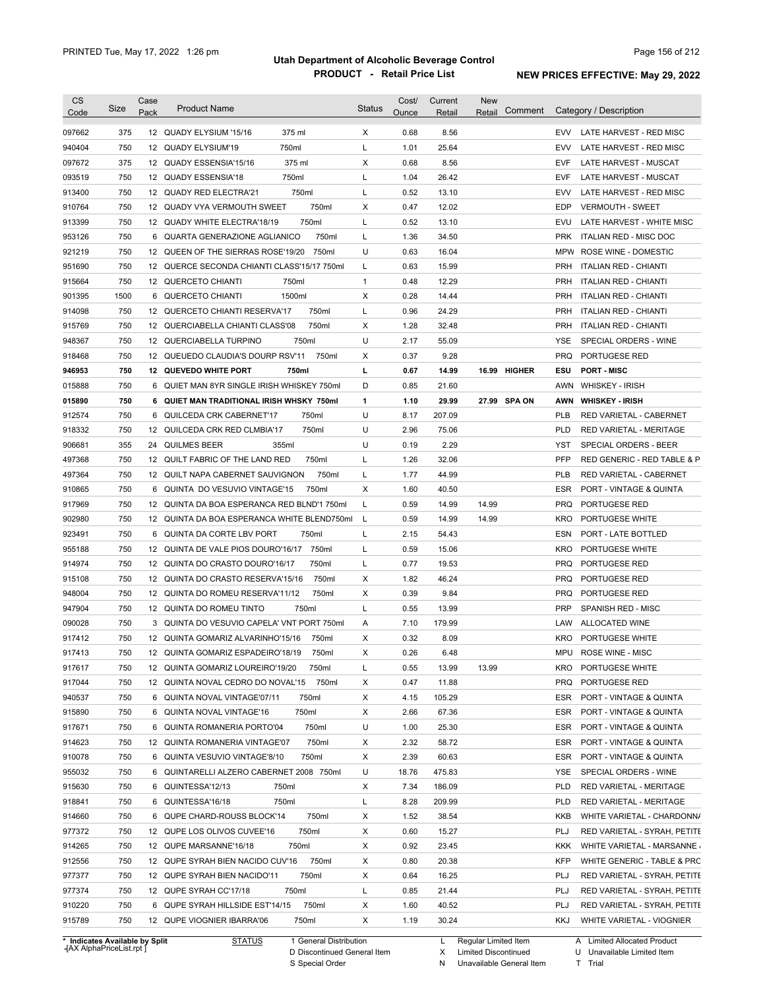| <b>CS</b><br>Code              | Size | Case<br>Pack | <b>Product Name</b>                         |                        | <b>Status</b> | Cost/<br>Ounce | Current<br>Retail | <b>New</b><br>Retail | Comment    | Category / Description       |
|--------------------------------|------|--------------|---------------------------------------------|------------------------|---------------|----------------|-------------------|----------------------|------------|------------------------------|
| 097662                         | 375  |              | 12 QUADY ELYSIUM '15/16                     | 375 ml                 | X             | 0.68           | 8.56              |                      | <b>EVV</b> | LATE HARVEST - RED MISC      |
| 940404                         | 750  |              | 12 QUADY ELYSIUM'19                         | 750ml                  | L             | 1.01           | 25.64             |                      | <b>EVV</b> | LATE HARVEST - RED MISC      |
| 097672                         | 375  |              | 12 QUADY ESSENSIA'15/16                     | 375 ml                 | X             | 0.68           | 8.56              |                      | <b>EVF</b> | LATE HARVEST - MUSCAT        |
| 093519                         | 750  |              | 12 QUADY ESSENSIA'18                        | 750ml                  | L             | 1.04           | 26.42             |                      | <b>EVF</b> | LATE HARVEST - MUSCAT        |
| 913400                         | 750  |              | 12 QUADY RED ELECTRA'21                     | 750ml                  | L             | 0.52           | 13.10             |                      | <b>EVV</b> | LATE HARVEST - RED MISC      |
| 910764                         | 750  |              | 12 QUADY VYA VERMOUTH SWEET                 | 750ml                  | Х             | 0.47           | 12.02             |                      | EDP        | <b>VERMOUTH - SWEET</b>      |
| 913399                         | 750  |              | 12 QUADY WHITE ELECTRA'18/19                | 750ml                  | L             | 0.52           | 13.10             |                      | EVU        | LATE HARVEST - WHITE MISC    |
| 953126                         | 750  |              | 6 QUARTA GENERAZIONE AGLIANICO              | 750ml                  | L             | 1.36           | 34.50             |                      | <b>PRK</b> | ITALIAN RED - MISC DOC       |
| 921219                         | 750  |              | 12 QUEEN OF THE SIERRAS ROSE'19/20          | 750ml                  | U             | 0.63           | 16.04             |                      | <b>MPW</b> | ROSE WINE - DOMESTIC         |
| 951690                         | 750  |              | 12 QUERCE SECONDA CHIANTI CLASS'15/17 750ml |                        | L             | 0.63           | 15.99             |                      | <b>PRH</b> | <b>ITALIAN RED - CHIANTI</b> |
| 915664                         | 750  |              | 12 QUERCETO CHIANTI                         | 750ml                  | $\mathbf{1}$  | 0.48           | 12.29             |                      | <b>PRH</b> | <b>ITALIAN RED - CHIANTI</b> |
| 901395                         | 1500 |              | 6 QUERCETO CHIANTI                          | 1500ml                 | X             | 0.28           | 14.44             |                      | <b>PRH</b> | ITALIAN RED - CHIANTI        |
| 914098                         | 750  |              | 12 QUERCETO CHIANTI RESERVA'17              | 750ml                  | L             | 0.96           | 24.29             |                      | <b>PRH</b> | ITALIAN RED - CHIANTI        |
| 915769                         | 750  |              | 12 QUERCIABELLA CHIANTI CLASS'08            | 750ml                  | Х             | 1.28           | 32.48             |                      | <b>PRH</b> | <b>ITALIAN RED - CHIANTI</b> |
| 948367                         | 750  |              | 12 QUERCIABELLA TURPINO                     | 750ml                  | U             | 2.17           | 55.09             |                      | YSE        | SPECIAL ORDERS - WINE        |
| 918468                         | 750  |              | 12 QUEUEDO CLAUDIA'S DOURP RSV'11           | 750ml                  | X             | 0.37           | 9.28              |                      | <b>PRQ</b> | PORTUGESE RED                |
| 946953                         | 750  |              | 12 QUEVEDO WHITE PORT                       | 750ml                  | г             | 0.67           | 14.99             | 16.99 HIGHER         | ESU        | <b>PORT - MISC</b>           |
| 015888                         | 750  |              | 6 QUIET MAN 8YR SINGLE IRISH WHISKEY 750ml  |                        | D             | 0.85           | 21.60             |                      | AWN        | WHISKEY - IRISH              |
| 015890                         | 750  |              | 6 QUIET MAN TRADITIONAL IRISH WHSKY 750ml   |                        | 1             | 1.10           | 29.99             | 27.99 SPA ON         |            | AWN WHISKEY-IRISH            |
| 912574                         | 750  | 6            | QUILCEDA CRK CABERNET'17                    | 750ml                  | U             | 8.17           | 207.09            |                      | <b>PLB</b> | RED VARIETAL - CABERNET      |
| 918332                         | 750  |              | 12 QUILCEDA CRK RED CLMBIA'17               | 750ml                  | U             | 2.96           | 75.06             |                      | <b>PLD</b> | RED VARIETAL - MERITAGE      |
| 906681                         | 355  |              | 24 QUILMES BEER<br>355ml                    |                        | U             | 0.19           | 2.29              |                      | YST        | SPECIAL ORDERS - BEER        |
| 497368                         | 750  |              | 12 QUILT FABRIC OF THE LAND RED             | 750ml                  | L             | 1.26           | 32.06             |                      | <b>PFP</b> | RED GENERIC - RED TABLE & P  |
| 497364                         | 750  |              | 12 QUILT NAPA CABERNET SAUVIGNON            | 750ml                  | L             | 1.77           | 44.99             |                      | <b>PLB</b> | RED VARIETAL - CABERNET      |
| 910865                         | 750  |              | 6 QUINTA DO VESUVIO VINTAGE'15              | 750ml                  | Χ             | 1.60           | 40.50             |                      | <b>ESR</b> | PORT - VINTAGE & QUINTA      |
| 917969                         | 750  |              | 12 QUINTA DA BOA ESPERANCA RED BLND'1 750ml |                        | L             | 0.59           | 14.99             | 14.99                | <b>PRQ</b> | PORTUGESE RED                |
| 902980                         | 750  |              | 12 QUINTA DA BOA ESPERANCA WHITE BLEND750ml |                        | L             | 0.59           | 14.99             | 14.99                | <b>KRO</b> | PORTUGESE WHITE              |
| 923491                         | 750  |              | 6 QUINTA DA CORTE LBV PORT                  | 750ml                  | L             | 2.15           | 54.43             |                      | <b>ESN</b> | PORT - LATE BOTTLED          |
| 955188                         | 750  |              | 12 QUINTA DE VALE PIOS DOURO'16/17 750ml    |                        | L             | 0.59           | 15.06             |                      | <b>KRO</b> | PORTUGESE WHITE              |
| 914974                         | 750  |              | 12 QUINTA DO CRASTO DOURO'16/17             | 750ml                  | L             | 0.77           | 19.53             |                      | <b>PRQ</b> | PORTUGESE RED                |
| 915108                         | 750  |              | 12 QUINTA DO CRASTO RESERVA'15/16           | 750ml                  | X             | 1.82           | 46.24             |                      | <b>PRQ</b> | PORTUGESE RED                |
| 948004                         | 750  |              | 12 QUINTA DO ROMEU RESERVA'11/12            | 750ml                  | X             | 0.39           | 9.84              |                      | PRQ        | PORTUGESE RED                |
| 947904                         | 750  |              | 12 QUINTA DO ROMEU TINTO                    | 750ml                  | L             | 0.55           | 13.99             |                      | <b>PRP</b> | SPANISH RED - MISC           |
|                                | 750  |              |                                             |                        |               |                | 179.99            |                      | LAW        |                              |
| 090028<br>917412               |      |              | 3 QUINTA DO VESUVIO CAPELA' VNT PORT 750ml  |                        | Α             | 7.10           |                   |                      |            | ALLOCATED WINE               |
|                                | 750  |              | 12 QUINTA GOMARIZ ALVARINHO'15/16           | 750ml                  | Х             | 0.32           | 8.09              |                      | KRO        | PORTUGESE WHITE              |
| 917413                         | 750  |              | 12 QUINTA GOMARIZ ESPADEIRO'18/19           | 750ml                  | Χ             | 0.26           | 6.48              |                      |            | MPU ROSE WINE - MISC         |
| 917617                         | 750  |              | 12 QUINTA GOMARIZ LOUREIRO'19/20            | 750ml                  | L             | 0.55           | 13.99             | 13.99                | <b>KRO</b> | PORTUGESE WHITE              |
| 917044                         | 750  |              | 12 QUINTA NOVAL CEDRO DO NOVAL'15           | 750ml                  | х             | 0.47           | 11.88             |                      | <b>PRQ</b> | PORTUGESE RED                |
| 940537                         | 750  |              | 6 QUINTA NOVAL VINTAGE'07/11                | 750ml                  | Х             | 4.15           | 105.29            |                      | ESR        | PORT - VINTAGE & QUINTA      |
| 915890                         | 750  |              | 6 QUINTA NOVAL VINTAGE'16                   | 750ml                  | X             | 2.66           | 67.36             |                      | ESR        | PORT - VINTAGE & QUINTA      |
| 917671                         | 750  |              | 6 QUINTA ROMANERIA PORTO'04                 | 750ml                  | U             | 1.00           | 25.30             |                      | <b>ESR</b> | PORT - VINTAGE & QUINTA      |
| 914623                         | 750  |              | 12 QUINTA ROMANERIA VINTAGE'07              | 750ml                  | X             | 2.32           | 58.72             |                      | <b>ESR</b> | PORT - VINTAGE & QUINTA      |
| 910078                         | 750  |              | 6 QUINTA VESUVIO VINTAGE'8/10               | 750ml                  | Х             | 2.39           | 60.63             |                      | ESR        | PORT - VINTAGE & QUINTA      |
| 955032                         | 750  |              | 6 QUINTARELLI ALZERO CABERNET 2008 750ml    |                        | U             | 18.76          | 475.83            |                      | YSE        | SPECIAL ORDERS - WINE        |
| 915630                         | 750  |              | 6 QUINTESSA'12/13<br>750ml                  |                        | X             | 7.34           | 186.09            |                      | PLD        | RED VARIETAL - MERITAGE      |
| 918841                         | 750  |              | 750ml<br>6 QUINTESSA'16/18                  |                        | L             | 8.28           | 209.99            |                      | <b>PLD</b> | RED VARIETAL - MERITAGE      |
| 914660                         | 750  |              | 6 QUPE CHARD-ROUSS BLOCK'14                 | 750ml                  | X             | 1.52           | 38.54             |                      | KKB        | WHITE VARIETAL - CHARDONN/   |
| 977372                         | 750  |              | 12 QUPE LOS OLIVOS CUVEE'16                 | 750ml                  | Х             | 0.60           | 15.27             |                      | PLJ        | RED VARIETAL - SYRAH, PETITE |
| 914265                         | 750  |              | 12 QUPE MARSANNE'16/18                      | 750ml                  | Х             | 0.92           | 23.45             |                      | KKK        | WHITE VARIETAL - MARSANNE    |
| 912556                         | 750  |              | 12 QUPE SYRAH BIEN NACIDO CUV'16            | 750ml                  | Х             | 0.80           | 20.38             |                      | <b>KFP</b> | WHITE GENERIC - TABLE & PRC  |
| 977377                         | 750  |              | 12 QUPE SYRAH BIEN NACIDO'11                | 750ml                  | X             | 0.64           | 16.25             |                      | PLJ        | RED VARIETAL - SYRAH, PETITE |
| 977374                         | 750  |              | 12 QUPE SYRAH CC'17/18                      | 750ml                  | L             | 0.85           | 21.44             |                      | <b>PLJ</b> | RED VARIETAL - SYRAH, PETITE |
| 910220                         | 750  |              | 6 QUPE SYRAH HILLSIDE EST'14/15             | 750ml                  | X             | 1.60           | 40.52             |                      | PLJ        | RED VARIETAL - SYRAH, PETITE |
| 915789                         | 750  |              | 12 QUPE VIOGNIER IBARRA'06                  | 750ml                  | X             | 1.19           | 30.24             |                      | KKJ        | WHITE VARIETAL - VIOGNIER    |
| * Indicates Available by Split |      |              | <b>STATUS</b>                               | 1 General Distribution |               |                | L.                | Regular Limited Item |            | A Limited Allocated Product  |

**Case** [AX AlphaPriceList.rpt ]

D Discontinued General Item S Special Order

Regular Limited Item

X

Limited Discontinued

N Unavailable General Item

U Unavailable Limited Item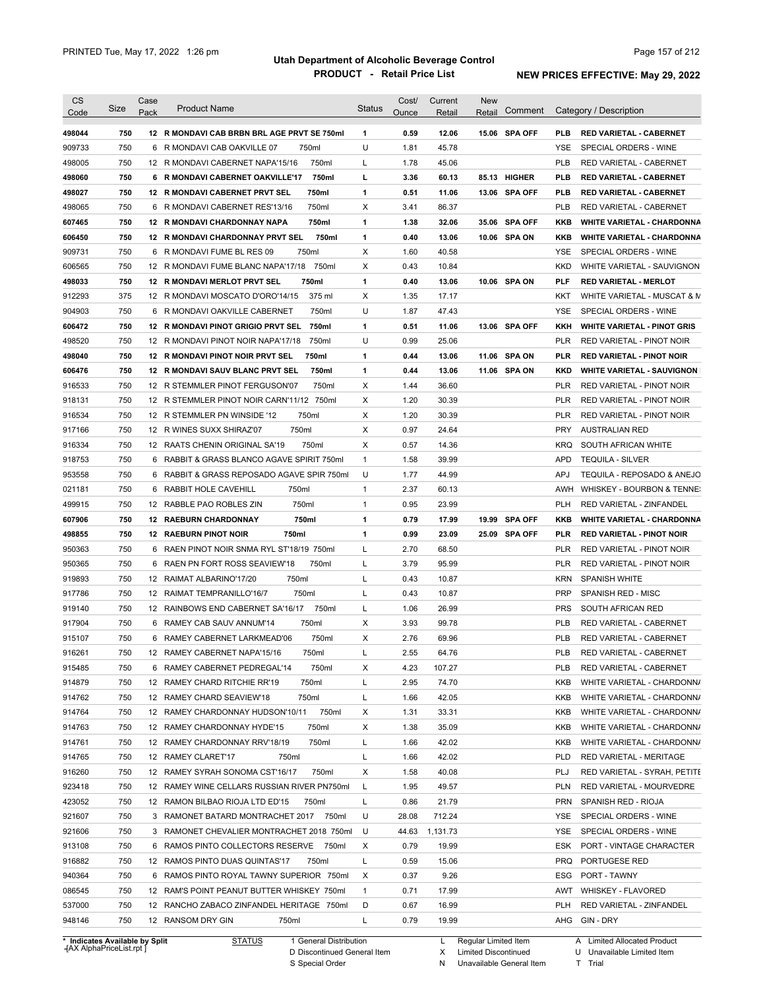| Code                                                                                                                                                                                                                                                   | Size | Case<br>Pack | <b>Product Name</b>                          | <b>Status</b> | Cost/ | Current  | <b>New</b><br>Retail | Comment        |            | Category / Description             |
|--------------------------------------------------------------------------------------------------------------------------------------------------------------------------------------------------------------------------------------------------------|------|--------------|----------------------------------------------|---------------|-------|----------|----------------------|----------------|------------|------------------------------------|
|                                                                                                                                                                                                                                                        |      |              |                                              |               | Ounce | Retail   |                      |                |            |                                    |
| 498044                                                                                                                                                                                                                                                 | 750  |              | 12 R MONDAVI CAB BRBN BRL AGE PRVT SE 750ml  | 1             | 0.59  | 12.06    |                      | 15.06 SPA OFF  | <b>PLB</b> | <b>RED VARIETAL - CABERNET</b>     |
| 909733                                                                                                                                                                                                                                                 | 750  |              | 6 R MONDAVI CAB OAKVILLE 07<br>750ml         | U             | 1.81  | 45.78    |                      |                | YSE        | SPECIAL ORDERS - WINE              |
| 498005                                                                                                                                                                                                                                                 | 750  |              | 12 R MONDAVI CABERNET NAPA'15/16<br>750ml    | L             | 1.78  | 45.06    |                      |                | <b>PLB</b> | <b>RED VARIETAL - CABERNET</b>     |
| 498060                                                                                                                                                                                                                                                 | 750  |              | 6 R MONDAVI CABERNET OAKVILLE'17<br>750ml    | г             | 3.36  | 60.13    |                      | 85.13 HIGHER   | PLB        | <b>RED VARIETAL - CABERNET</b>     |
| 498027                                                                                                                                                                                                                                                 | 750  |              | 12 R MONDAVI CABERNET PRVT SEL<br>750ml      | 1             | 0.51  | 11.06    |                      | 13.06 SPA OFF  | <b>PLB</b> | <b>RED VARIETAL - CABERNET</b>     |
| 498065                                                                                                                                                                                                                                                 | 750  |              | 750ml<br>6 R MONDAVI CABERNET RES'13/16      | X             | 3.41  | 86.37    |                      |                | <b>PLB</b> | RED VARIETAL - CABERNET            |
| 607465                                                                                                                                                                                                                                                 | 750  |              | 12 R MONDAVI CHARDONNAY NAPA<br>750ml        | 1             | 1.38  | 32.06    |                      | 35.06 SPA OFF  | KKB        | <b>WHITE VARIETAL - CHARDONNA</b>  |
| 606450                                                                                                                                                                                                                                                 | 750  |              | 12 R MONDAVI CHARDONNAY PRVT SEL<br>750ml    | 1             | 0.40  | 13.06    |                      | 10.06 SPA ON   | <b>KKB</b> | <b>WHITE VARIETAL - CHARDONNA</b>  |
| 909731                                                                                                                                                                                                                                                 | 750  |              | 750ml<br>6 R MONDAVI FUME BL RES 09          | X             | 1.60  | 40.58    |                      |                | YSE        | SPECIAL ORDERS - WINE              |
| 606565                                                                                                                                                                                                                                                 | 750  |              | 12 R MONDAVI FUME BLANC NAPA'17/18 750ml     | X             | 0.43  | 10.84    |                      |                | <b>KKD</b> | WHITE VARIETAL - SAUVIGNON         |
| 498033                                                                                                                                                                                                                                                 | 750  |              | 12 R MONDAVI MERLOT PRVT SEL<br>750ml        | 1             | 0.40  | 13.06    |                      | 10.06 SPA ON   | <b>PLF</b> | <b>RED VARIETAL - MERLOT</b>       |
| 912293                                                                                                                                                                                                                                                 | 375  |              | 375 ml<br>12 R MONDAVI MOSCATO D'ORO'14/15   | X             | 1.35  | 17.17    |                      |                | KKT        | WHITE VARIETAL - MUSCAT & M        |
| 904903                                                                                                                                                                                                                                                 | 750  |              | 6 R MONDAVI OAKVILLE CABERNET<br>750ml       | U             | 1.87  | 47.43    |                      |                | YSE        | SPECIAL ORDERS - WINE              |
| 606472                                                                                                                                                                                                                                                 | 750  |              | 750ml<br>12 R MONDAVI PINOT GRIGIO PRVT SEL  | 1             | 0.51  | 11.06    |                      | 13.06 SPA OFF  | KKH        | <b>WHITE VARIETAL - PINOT GRIS</b> |
| 498520                                                                                                                                                                                                                                                 | 750  |              | 750ml<br>12 R MONDAVI PINOT NOIR NAPA'17/18  | U             | 0.99  | 25.06    |                      |                | <b>PLR</b> | RED VARIETAL - PINOT NOIR          |
| 498040                                                                                                                                                                                                                                                 | 750  |              | 750ml<br>12 R MONDAVI PINOT NOIR PRVT SEL    | 1             | 0.44  | 13.06    |                      | 11.06 SPA ON   | PLR        | <b>RED VARIETAL - PINOT NOIR</b>   |
| 606476                                                                                                                                                                                                                                                 | 750  |              | 12 R MONDAVI SAUV BLANC PRVT SEL<br>750ml    | 1             | 0.44  | 13.06    |                      | 11.06 SPA ON   | KKD        | <b>WHITE VARIETAL - SAUVIGNON</b>  |
| 916533                                                                                                                                                                                                                                                 | 750  |              | 12 R STEMMLER PINOT FERGUSON'07<br>750ml     | X             | 1.44  | 36.60    |                      |                | <b>PLR</b> | RED VARIETAL - PINOT NOIR          |
| 918131                                                                                                                                                                                                                                                 | 750  |              | 12 R STEMMLER PINOT NOIR CARN'11/12<br>750ml | X             | 1.20  | 30.39    |                      |                | <b>PLR</b> | <b>RED VARIETAL - PINOT NOIR</b>   |
| 916534                                                                                                                                                                                                                                                 | 750  |              | 12 R STEMMLER PN WINSIDE '12<br>750ml        | X             | 1.20  | 30.39    |                      |                | <b>PLR</b> | RED VARIETAL - PINOT NOIR          |
| 917166                                                                                                                                                                                                                                                 | 750  |              | 750ml<br>12 R WINES SUXX SHIRAZ'07           | X             | 0.97  | 24.64    |                      |                | <b>PRY</b> | <b>AUSTRALIAN RED</b>              |
| 916334                                                                                                                                                                                                                                                 | 750  |              | 750ml<br>12 RAATS CHENIN ORIGINAL SA'19      | X             | 0.57  | 14.36    |                      |                | <b>KRQ</b> | SOUTH AFRICAN WHITE                |
| 918753                                                                                                                                                                                                                                                 | 750  |              | 6 RABBIT & GRASS BLANCO AGAVE SPIRIT 750ml   | $\mathbf{1}$  | 1.58  | 39.99    |                      |                | <b>APD</b> | <b>TEQUILA - SILVER</b>            |
| 953558                                                                                                                                                                                                                                                 | 750  |              | 6 RABBIT & GRASS REPOSADO AGAVE SPIR 750ml   | U             | 1.77  | 44.99    |                      |                | <b>APJ</b> | TEQUILA - REPOSADO & ANEJO         |
| 021181                                                                                                                                                                                                                                                 | 750  | 6            | RABBIT HOLE CAVEHILL<br>750ml                | $\mathbf{1}$  | 2.37  | 60.13    |                      |                | AWH        | WHISKEY - BOURBON & TENNE:         |
| 499915                                                                                                                                                                                                                                                 | 750  |              | 750ml<br>12 RABBLE PAO ROBLES ZIN            | $\mathbf{1}$  | 0.95  | 23.99    |                      |                | <b>PLH</b> | RED VARIETAL - ZINFANDEL           |
| 607906                                                                                                                                                                                                                                                 | 750  |              | 750ml<br><b>12 RAEBURN CHARDONNAY</b>        | 1             | 0.79  | 17.99    | 19.99                | <b>SPA OFF</b> | KKB        | <b>WHITE VARIETAL - CHARDONNA</b>  |
| 498855                                                                                                                                                                                                                                                 | 750  |              | 750ml<br><b>12 RAEBURN PINOT NOIR</b>        | 1             | 0.99  | 23.09    |                      | 25.09 SPA OFF  | PLR        | <b>RED VARIETAL - PINOT NOIR</b>   |
|                                                                                                                                                                                                                                                        |      |              |                                              |               |       |          |                      |                |            | RED VARIETAL - PINOT NOIR          |
|                                                                                                                                                                                                                                                        |      |              |                                              |               |       |          |                      |                |            |                                    |
|                                                                                                                                                                                                                                                        | 750  |              | 6 RAEN PINOT NOIR SNMA RYL ST'18/19 750ml    | Г             | 2.70  | 68.50    |                      |                | PLR        |                                    |
|                                                                                                                                                                                                                                                        | 750  | 6            | 750ml<br>RAEN PN FORT ROSS SEAVIEW'18        | L             | 3.79  | 95.99    |                      |                | PLR        | RED VARIETAL - PINOT NOIR          |
|                                                                                                                                                                                                                                                        | 750  |              | 750ml<br>12 RAIMAT ALBARINO'17/20            | Г             | 0.43  | 10.87    |                      |                | <b>KRN</b> | <b>SPANISH WHITE</b>               |
|                                                                                                                                                                                                                                                        | 750  |              | 750ml<br>12 RAIMAT TEMPRANILLO'16/7          | Г             | 0.43  | 10.87    |                      |                | <b>PRP</b> | SPANISH RED - MISC                 |
|                                                                                                                                                                                                                                                        | 750  |              | 12 RAINBOWS END CABERNET SA'16/17<br>750ml   | Г             | 1.06  | 26.99    |                      |                | <b>PRS</b> | SOUTH AFRICAN RED                  |
|                                                                                                                                                                                                                                                        | 750  |              | 6 RAMEY CAB SAUV ANNUM'14<br>750ml           | X             | 3.93  | 99.78    |                      |                | <b>PLB</b> | RED VARIETAL - CABERNET            |
|                                                                                                                                                                                                                                                        | 750  |              | 6 RAMEY CABERNET LARKMEAD'06<br>750ml        | X             | 2.76  | 69.96    |                      |                | <b>PLB</b> | RED VARIETAL - CABERNET            |
|                                                                                                                                                                                                                                                        | 750  |              | 12 RAMEY CABERNET NAPA'15/16<br>750ml        | ı             | 2.55  | 64.76    |                      |                | PLB        | RED VARIETAL - CABERNET            |
|                                                                                                                                                                                                                                                        | 750  |              | 6 RAMEY CABERNET PEDREGAL'14<br>750ml        | x             | 4.23  | 107.27   |                      |                | PLB        | RED VARIETAL - CABERNET            |
|                                                                                                                                                                                                                                                        | 750  |              | 750ml<br>12 RAMEY CHARD RITCHIE RR'19        | L             | 2.95  | 74.70    |                      |                | KKB        | WHITE VARIETAL - CHARDONN/         |
|                                                                                                                                                                                                                                                        | 750  |              | 750ml<br>12 RAMEY CHARD SEAVIEW'18           | Г             | 1.66  | 42.05    |                      |                | <b>KKB</b> | WHITE VARIETAL - CHARDONN/         |
|                                                                                                                                                                                                                                                        | 750  |              | 750ml<br>12 RAMEY CHARDONNAY HUDSON'10/11    | х             | 1.31  | 33.31    |                      |                | KKB        | WHITE VARIETAL - CHARDONN/         |
|                                                                                                                                                                                                                                                        | 750  |              | 750ml<br>12 RAMEY CHARDONNAY HYDE'15         | х             | 1.38  | 35.09    |                      |                | KKB        | WHITE VARIETAL - CHARDONN/         |
|                                                                                                                                                                                                                                                        | 750  |              | 750ml<br>12 RAMEY CHARDONNAY RRV'18/19       | Г             | 1.66  | 42.02    |                      |                | KKB        | WHITE VARIETAL - CHARDONN/         |
|                                                                                                                                                                                                                                                        | 750  |              | 12 RAMEY CLARET'17<br>750ml                  | Г             | 1.66  | 42.02    |                      |                | <b>PLD</b> | RED VARIETAL - MERITAGE            |
|                                                                                                                                                                                                                                                        | 750  |              | 12 RAMEY SYRAH SONOMA CST'16/17<br>750ml     | X             | 1.58  | 40.08    |                      |                | PLJ        | RED VARIETAL - SYRAH, PETITE       |
|                                                                                                                                                                                                                                                        | 750  |              | 12 RAMEY WINE CELLARS RUSSIAN RIVER PN750ml  | L             | 1.95  | 49.57    |                      |                | <b>PLN</b> | RED VARIETAL - MOURVEDRE           |
|                                                                                                                                                                                                                                                        | 750  |              | 12 RAMON BILBAO RIOJA LTD ED'15<br>750ml     | L             | 0.86  | 21.79    |                      |                | <b>PRN</b> | SPANISH RED - RIOJA                |
|                                                                                                                                                                                                                                                        | 750  |              | 3 RAMONET BATARD MONTRACHET 2017 750ml       | U             | 28.08 | 712.24   |                      |                | YSE        | SPECIAL ORDERS - WINE              |
|                                                                                                                                                                                                                                                        | 750  |              | 3 RAMONET CHEVALIER MONTRACHET 2018 750ml    | U             | 44.63 | 1,131.73 |                      |                | YSE        | SPECIAL ORDERS - WINE              |
|                                                                                                                                                                                                                                                        | 750  |              | 6 RAMOS PINTO COLLECTORS RESERVE 750ml       | х             | 0.79  | 19.99    |                      |                | ESK        | PORT - VINTAGE CHARACTER           |
|                                                                                                                                                                                                                                                        | 750  |              | 12 RAMOS PINTO DUAS QUINTAS'17<br>750ml      | Г             | 0.59  | 15.06    |                      |                | <b>PRQ</b> | PORTUGESE RED                      |
|                                                                                                                                                                                                                                                        | 750  |              | 6 RAMOS PINTO ROYAL TAWNY SUPERIOR 750ml     | X             | 0.37  | 9.26     |                      |                | ESG        | PORT - TAWNY                       |
|                                                                                                                                                                                                                                                        | 750  |              | 12 RAM'S POINT PEANUT BUTTER WHISKEY 750ml   | $\mathbf{1}$  | 0.71  | 17.99    |                      |                | AWT        | WHISKEY - FLAVORED                 |
| 950363<br>950365<br>919893<br>917786<br>919140<br>917904<br>915107<br>916261<br>915485<br>914879<br>914762<br>914764<br>914763<br>914761<br>914765<br>916260<br>923418<br>423052<br>921607<br>921606<br>913108<br>916882<br>940364<br>086545<br>537000 | 750  |              | 12 RANCHO ZABACO ZINFANDEL HERITAGE 750ml    | D             | 0.67  | 16.99    |                      |                | PLH        | RED VARIETAL - ZINFANDEL           |

**Case** [AX AlphaPriceList.rpt ]

D Discontinued General Item

S Special Order

X Limited Discontinued

N Unavailable General Item

U Unavailable Limited Item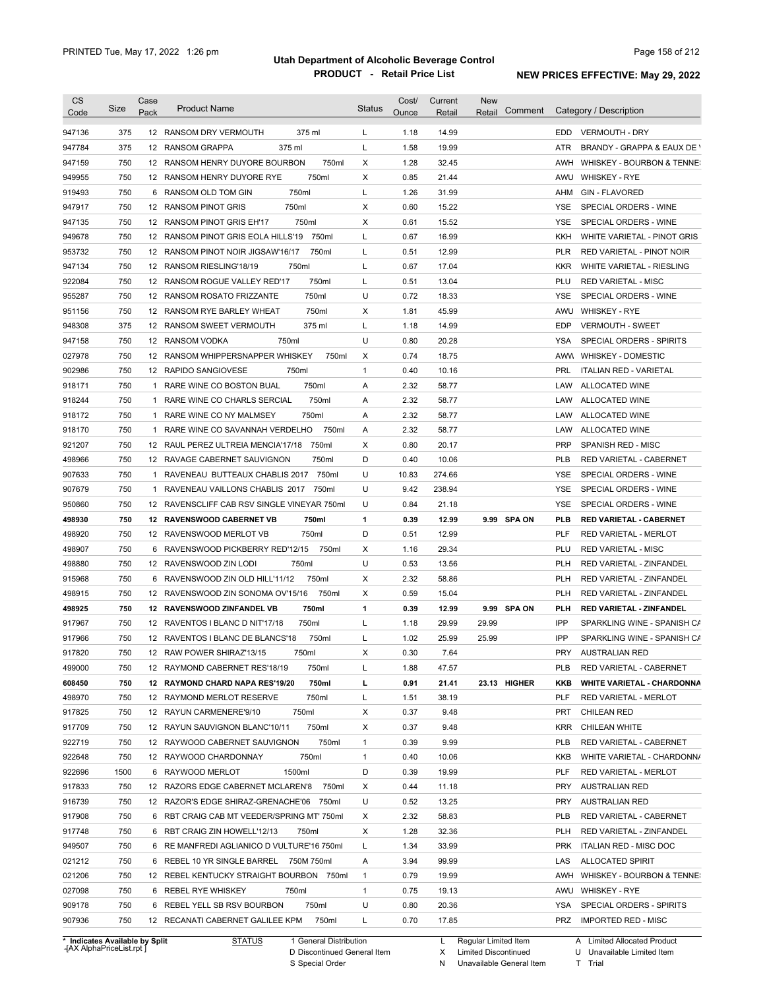| <b>CS</b>                                                                              | Size       | Case         | <b>Product Name</b>                                                               | <b>Status</b> | Cost/        | Current        | <b>New</b><br>Comment |                   | Category / Description                                     |
|----------------------------------------------------------------------------------------|------------|--------------|-----------------------------------------------------------------------------------|---------------|--------------|----------------|-----------------------|-------------------|------------------------------------------------------------|
| Code                                                                                   |            | Pack         |                                                                                   |               | Ounce        | Retail         | Retail                |                   |                                                            |
| 947136                                                                                 | 375        |              | 375 ml<br>12 RANSOM DRY VERMOUTH                                                  | L             | 1.18         | 14.99          |                       | EDD.              | <b>VERMOUTH - DRY</b>                                      |
| 947784                                                                                 | 375        |              | 12 RANSOM GRAPPA<br>375 ml                                                        | L             | 1.58         | 19.99          |                       | <b>ATR</b>        | BRANDY - GRAPPA & EAUX DE Y                                |
| 947159                                                                                 | 750        |              | 12 RANSOM HENRY DUYORE BOURBON<br>750ml                                           | х             | 1.28         | 32.45          |                       | AWH               | WHISKEY - BOURBON & TENNE:                                 |
| 949955                                                                                 | 750        |              | 750ml<br>12 RANSOM HENRY DUYORE RYE                                               | X             | 0.85         | 21.44          |                       | AWU               | <b>WHISKEY - RYE</b>                                       |
| 919493                                                                                 | 750        |              | 750ml<br>6 RANSOM OLD TOM GIN                                                     | Г             | 1.26         | 31.99          |                       | AHM               | <b>GIN - FLAVORED</b>                                      |
| 947917                                                                                 | 750        |              | 750ml<br>12 RANSOM PINOT GRIS                                                     | х             | 0.60         | 15.22          |                       | YSE               | SPECIAL ORDERS - WINE                                      |
| 947135                                                                                 | 750        |              | 750ml<br>12 RANSOM PINOT GRIS EH'17                                               | X             | 0.61         | 15.52          |                       | <b>YSE</b>        | SPECIAL ORDERS - WINE                                      |
| 949678                                                                                 | 750        |              | 12 RANSOM PINOT GRIS EOLA HILLS'19<br>750ml                                       | L             | 0.67         | 16.99          |                       | KKH               | WHITE VARIETAL - PINOT GRIS                                |
| 953732                                                                                 | 750        |              | 750ml<br>12 RANSOM PINOT NOIR JIGSAW'16/17                                        | Г             | 0.51         | 12.99          |                       | <b>PLR</b>        | RED VARIETAL - PINOT NOIR                                  |
| 947134                                                                                 | 750        |              | 12 RANSOM RIESLING'18/19<br>750ml                                                 | Г             | 0.67         | 17.04          |                       | <b>KKR</b>        | WHITE VARIETAL - RIESLING                                  |
| 922084                                                                                 | 750        |              | 750ml<br>12 RANSOM ROGUE VALLEY RED'17                                            | L             | 0.51         | 13.04          |                       | PLU               | <b>RED VARIETAL - MISC</b>                                 |
| 955287                                                                                 | 750        |              | 750ml<br>12 RANSOM ROSATO FRIZZANTE                                               | U             | 0.72         | 18.33          |                       | YSE               | SPECIAL ORDERS - WINE                                      |
| 951156                                                                                 | 750        |              | 750ml<br>12 RANSOM RYE BARLEY WHEAT                                               | х             | 1.81         | 45.99          |                       | AWU               | <b>WHISKEY - RYE</b>                                       |
| 948308                                                                                 | 375        |              | 375 ml<br>12 RANSOM SWEET VERMOUTH                                                | Г             | 1.18         | 14.99          |                       | <b>EDP</b>        | <b>VERMOUTH - SWEET</b>                                    |
| 947158                                                                                 | 750        |              | 750ml<br>12 RANSOM VODKA                                                          | U             | 0.80         | 20.28          |                       | YSA               | SPECIAL ORDERS - SPIRITS                                   |
| 027978                                                                                 | 750        |              | 12 RANSOM WHIPPERSNAPPER WHISKEY<br>750ml                                         | х             | 0.74         | 18.75          |                       | AWW               | <b>WHISKEY - DOMESTIC</b>                                  |
| 902986                                                                                 | 750        |              | 750ml<br>12 RAPIDO SANGIOVESE                                                     | $\mathbf{1}$  | 0.40         | 10.16          |                       | PRL               | <b>ITALIAN RED - VARIETAL</b>                              |
| 918171                                                                                 | 750        | $\mathbf{1}$ | RARE WINE CO BOSTON BUAL<br>750ml                                                 | Α             | 2.32         | 58.77          |                       | LAW               | ALLOCATED WINE                                             |
| 918244                                                                                 | 750        | $\mathbf{1}$ | 750ml<br>RARE WINE CO CHARLS SERCIAL                                              | Α             | 2.32         | 58.77          |                       | LAW               | ALLOCATED WINE                                             |
| 918172                                                                                 | 750        | $\mathbf{1}$ | RARE WINE CO NY MALMSEY<br>750ml                                                  | Α             | 2.32         | 58.77          |                       | LAW               | ALLOCATED WINE                                             |
| 918170                                                                                 | 750        | $\mathbf{1}$ | RARE WINE CO SAVANNAH VERDELHO<br>750ml                                           | Α             | 2.32         | 58.77          |                       | LAW               | ALLOCATED WINE                                             |
| 921207                                                                                 | 750        |              | 750ml<br>12 RAUL PEREZ ULTREIA MENCIA'17/18                                       | Χ             | 0.80         | 20.17          |                       | <b>PRP</b>        | SPANISH RED - MISC                                         |
| 498966                                                                                 | 750        |              | 12 RAVAGE CABERNET SAUVIGNON<br>750ml                                             | D             | 0.40         | 10.06          |                       | <b>PLB</b>        | RED VARIETAL - CABERNET                                    |
| 907633                                                                                 | 750        | 1            | RAVENEAU BUTTEAUX CHABLIS 2017 750ml                                              | U             | 10.83        | 274.66         |                       | <b>YSE</b>        | SPECIAL ORDERS - WINE                                      |
| 907679                                                                                 | 750        | 1            | RAVENEAU VAILLONS CHABLIS 2017 750ml                                              | U             | 9.42         | 238.94         |                       | <b>YSE</b>        | SPECIAL ORDERS - WINE                                      |
| 950860                                                                                 | 750        |              | 12 RAVENSCLIFF CAB RSV SINGLE VINEYAR 750ml                                       | U             | 0.84         | 21.18          |                       | YSE               | SPECIAL ORDERS - WINE                                      |
| 498930                                                                                 | 750        |              | 750ml<br>12 RAVENSWOOD CABERNET VB                                                | 1             | 0.39         | 12.99          | 9.99 SPA ON           | PLB               | <b>RED VARIETAL - CABERNET</b>                             |
| 498920                                                                                 | 750        |              | 750ml<br>12 RAVENSWOOD MERLOT VB                                                  | D             | 0.51         | 12.99          |                       | PLF               | <b>RED VARIETAL - MERLOT</b>                               |
| 498907                                                                                 | 750        |              | 6 RAVENSWOOD PICKBERRY RED'12/15<br>750ml                                         | X             | 1.16         | 29.34          |                       | PLU               | <b>RED VARIETAL - MISC</b>                                 |
| 498880                                                                                 | 750        |              | 750ml<br>12 RAVENSWOOD ZIN LODI                                                   | U             | 0.53         | 13.56          |                       | <b>PLH</b>        | RED VARIETAL - ZINFANDEL                                   |
| 915968                                                                                 | 750        |              | 750ml<br>6 RAVENSWOOD ZIN OLD HILL'11/12                                          | Χ             | 2.32         | 58.86          |                       | <b>PLH</b>        | RED VARIETAL - ZINFANDEL                                   |
| 498915                                                                                 | 750        |              | 750ml<br>12 RAVENSWOOD ZIN SONOMA OV'15/16                                        | Χ             | 0.59         | 15.04          |                       | <b>PLH</b>        | <b>RED VARIETAL - ZINFANDEL</b>                            |
| 498925                                                                                 | 750        |              | 750ml<br>12 RAVENSWOOD ZINFANDEL VB                                               | 1             | 0.39         | 12.99          | 9.99 SPA ON           | PLH               | RED VARIETAL - ZINFANDEL                                   |
| 917967                                                                                 | 750        |              | 750ml<br>12 RAVENTOS I BLANC D NIT'17/18                                          | L             | 1.18         | 29.99          | 29.99                 | IPP               | SPARKLING WINE - SPANISH CA                                |
| 917966                                                                                 | 750        |              | 750ml<br>12 RAVENTOS I BLANC DE BLANCS'18                                         | L             | 1.02         | 25.99          | 25.99                 | IPP               | SPARKLING WINE - SPANISH CA                                |
| 917820                                                                                 | 750        |              | 750ml<br>12 RAW POWER SHIRAZ'13/15                                                | х             | 0.30         | 7.64           |                       | <b>PRY</b>        | <b>AUSTRALIAN RED</b>                                      |
| 499000                                                                                 | 750        |              | 12 RAYMOND CABERNET RES'18/19<br>750ml                                            | Г             | 1.88         | 47.57          |                       | PLB               | RED VARIETAL - CABERNET                                    |
| 608450                                                                                 | 750        |              |                                                                                   |               | 0.91         | 21.41          |                       | KKB               |                                                            |
| 498970                                                                                 | 750        |              | 12 RAYMOND CHARD NAPA RES'19/20<br>750ml<br>750ml<br>12 RAYMOND MERLOT RESERVE    | L<br>L        | 1.51         | 38.19          | 23.13 HIGHER          | PLF               | <b>WHITE VARIETAL - CHARDONNA</b><br>RED VARIETAL - MERLOT |
|                                                                                        | 750        |              |                                                                                   |               | 0.37         |                |                       | <b>PRT</b>        |                                                            |
| 917825<br>917709                                                                       | 750        |              | 750ml<br>12 RAYUN CARMENERE'9/10                                                  | х<br>х        | 0.37         | 9.48<br>9.48   |                       |                   | <b>CHILEAN RED</b>                                         |
|                                                                                        |            |              | 12 RAYUN SAUVIGNON BLANC'10/11<br>750ml                                           |               |              |                |                       | KRR               | CHILEAN WHITE                                              |
| 922719                                                                                 | 750        |              | 750ml<br>12 RAYWOOD CABERNET SAUVIGNON                                            | $\mathbf{1}$  | 0.39         | 9.99           |                       | PLB               | RED VARIETAL - CABERNET                                    |
| 922648                                                                                 | 750        |              | 750ml<br>12 RAYWOOD CHARDONNAY                                                    | $\mathbf{1}$  | 0.40         | 10.06          |                       | KKB               | WHITE VARIETAL - CHARDONN/                                 |
| 922696                                                                                 | 1500       |              | 1500ml<br>6 RAYWOOD MERLOT                                                        | D             | 0.39         | 19.99          |                       | PLF               | RED VARIETAL - MERLOT                                      |
| 917833                                                                                 | 750        |              | 12 RAZORS EDGE CABERNET MCLAREN'8<br>750ml                                        | х             | 0.44         | 11.18          |                       | PRY               | <b>AUSTRALIAN RED</b>                                      |
|                                                                                        | 750        |              | 12 RAZOR'S EDGE SHIRAZ-GRENACHE'06 750ml                                          | U             | 0.52         | 13.25          |                       | PRY               | <b>AUSTRALIAN RED</b>                                      |
|                                                                                        |            |              |                                                                                   | х             | 2.32         | 58.83          |                       | PLB               | RED VARIETAL - CABERNET                                    |
|                                                                                        | 750        |              | 6 RBT CRAIG CAB MT VEEDER/SPRING MT' 750ml                                        |               |              |                |                       |                   |                                                            |
|                                                                                        | 750        |              | 6 RBT CRAIG ZIN HOWELL'12/13<br>750ml                                             | х             | 1.28         | 32.36          |                       | PLH               | RED VARIETAL - ZINFANDEL                                   |
|                                                                                        | 750        |              | 6 RE MANFREDI AGLIANICO D VULTURE'16 750ml                                        | L             | 1.34         | 33.99          |                       | <b>PRK</b>        | ITALIAN RED - MISC DOC                                     |
|                                                                                        | 750        |              | 6 REBEL 10 YR SINGLE BARREL 750M 750ml                                            | Α             | 3.94         | 99.99          |                       | LAS               | <b>ALLOCATED SPIRIT</b>                                    |
|                                                                                        | 750        |              | 12 REBEL KENTUCKY STRAIGHT BOURBON 750ml                                          | $\mathbf{1}$  | 0.79         | 19.99          |                       | AWH               | WHISKEY - BOURBON & TENNE:                                 |
|                                                                                        | 750        |              | 6 REBEL RYE WHISKEY<br>750ml                                                      | $\mathbf{1}$  | 0.75         | 19.13          |                       | AWU               | WHISKEY - RYE                                              |
| 916739<br>917908<br>917748<br>949507<br>021212<br>021206<br>027098<br>909178<br>907936 | 750<br>750 |              | 6 REBEL YELL SB RSV BOURBON<br>750ml<br>12 RECANATI CABERNET GALILEE KPM<br>750ml | U<br>L        | 0.80<br>0.70 | 20.36<br>17.85 |                       | YSA<br><b>PRZ</b> | SPECIAL ORDERS - SPIRITS<br><b>IMPORTED RED - MISC</b>     |

**Case** [AX AlphaPriceList.rpt ]

D Discontinued General Item S Special Order

X Limited Discontinued

N Unavailable General Item

U Unavailable Limited Item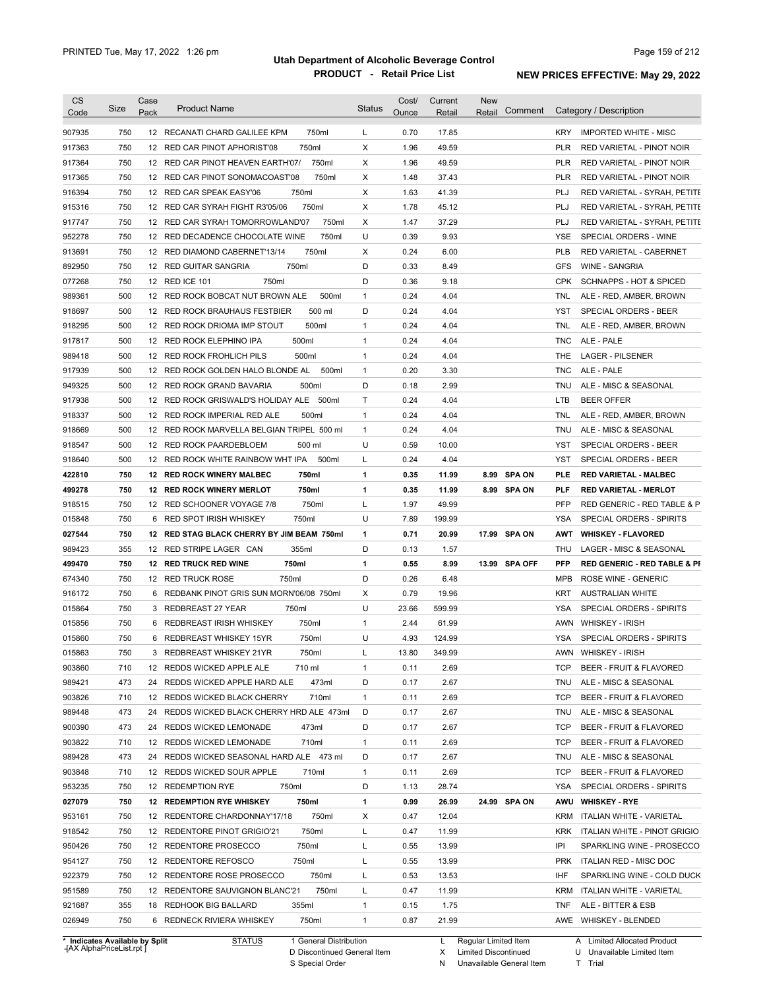| 750<br>750ml<br>0.70<br>17.85<br>907935<br>12 RECANATI CHARD GALILEE KPM<br>L<br><b>KRY</b><br><b>IMPORTED WHITE - MISC</b><br>X<br>49.59<br>750<br>750ml<br>1.96<br><b>PLR</b><br>917363<br>12 RED CAR PINOT APHORIST'08<br>RED VARIETAL - PINOT NOIR<br>750<br>750ml<br>Х<br>1.96<br>49.59<br>917364<br>12 RED CAR PINOT HEAVEN EARTH'07/<br>PLR<br>RED VARIETAL - PINOT NOIR<br>750<br>Х<br>1.48<br>37.43<br><b>PLR</b><br>917365<br>12 RED CAR PINOT SONOMACOAST'08<br>750ml<br>916394<br>750<br>750ml<br>Х<br>1.63<br>41.39<br>PLJ<br>12 RED CAR SPEAK EASY'06<br>750<br>750ml<br>Χ<br>1.78<br>45.12<br>PLJ<br>915316<br>12 RED CAR SYRAH FIGHT R3'05/06<br>750<br>750ml<br>Х<br>1.47<br>37.29<br>PLJ<br>917747<br>12 RED CAR SYRAH TOMORROWLAND'07<br>750<br>750ml<br>U<br>0.39<br>9.93<br>952278<br>12 RED DECADENCE CHOCOLATE WINE<br>YSE<br>SPECIAL ORDERS - WINE<br>750<br>750ml<br>Х<br>0.24<br>6.00<br><b>PLB</b><br>913691<br>12 RED DIAMOND CABERNET'13/14<br>RED VARIETAL - CABERNET<br>750<br>750ml<br>D<br>0.33<br>8.49<br><b>GFS</b><br><b>WINE - SANGRIA</b><br>892950<br>12 RED GUITAR SANGRIA<br>750<br>750ml<br>D<br>0.36<br>9.18<br><b>SCHNAPPS - HOT &amp; SPICED</b><br>077268<br>12 RED ICE 101<br><b>CPK</b><br>500<br>0.24<br>4.04<br>989361<br>12 RED ROCK BOBCAT NUT BROWN ALE<br>500ml<br>$\mathbf{1}$<br>TNL<br>ALE - RED, AMBER, BROWN<br>500<br>D<br>918697<br>12 RED ROCK BRAUHAUS FESTBIER<br>500 ml<br>0.24<br>4.04<br>YST<br>SPECIAL ORDERS - BEER<br>500<br>500ml<br>0.24<br>4.04<br>918295<br>12 RED ROCK DRIOMA IMP STOUT<br>$\mathbf{1}$<br>TNL<br>ALE - RED, AMBER, BROWN<br>500<br>500ml<br>$\mathbf{1}$<br>0.24<br>4.04<br>917817<br>12 RED ROCK ELEPHINO IPA<br>TNC<br>ALE - PALE<br>500<br>500ml<br>$\mathbf{1}$<br>0.24<br>4.04<br><b>LAGER - PILSENER</b><br>989418<br>12 RED ROCK FROHLICH PILS<br>THE<br>500<br>500ml<br>$\mathbf{1}$<br>0.20<br>3.30<br><b>TNC</b><br>917939<br>12 RED ROCK GOLDEN HALO BLONDE AL<br>ALE - PALE<br>949325<br>500<br>500ml<br>D<br>0.18<br>2.99<br>ALE - MISC & SEASONAL<br>12 RED ROCK GRAND BAVARIA<br>TNU<br>917938<br>500<br>12 RED ROCK GRISWALD'S HOLIDAY ALE 500ml<br>Т<br>0.24<br>4.04<br><b>LTB</b><br><b>BEER OFFER</b><br>500<br>500ml<br>$\mathbf{1}$<br>0.24<br>4.04<br>918337<br>12 RED ROCK IMPERIAL RED ALE<br>TNL<br>ALE - RED, AMBER, BROWN<br>500<br>$\mathbf{1}$<br>0.24<br>4.04<br><b>TNU</b><br>918669<br>12 RED ROCK MARVELLA BELGIAN TRIPEL 500 ml<br>ALE - MISC & SEASONAL<br>500<br>500 ml<br>U<br>0.59<br>10.00<br>918547<br>12 RED ROCK PAARDEBLOEM<br>YST<br>SPECIAL ORDERS - BEER<br>500<br>Г<br>0.24<br>4.04<br>918640<br>12 RED ROCK WHITE RAINBOW WHT IPA<br>500ml<br>YST<br>SPECIAL ORDERS - BEER<br>750<br>1<br>0.35<br><b>SPA ON</b><br>422810<br>12 RED ROCK WINERY MALBEC<br>750ml<br>11.99<br>8.99<br>PLE<br><b>RED VARIETAL - MALBEC</b><br>750<br>750ml<br>1<br>0.35<br>499278<br>12 RED ROCK WINERY MERLOT<br>11.99<br>8.99 SPA ON<br>PLF<br><b>RED VARIETAL - MERLOT</b><br>750ml<br>Г<br>49.99<br><b>PFP</b><br>918515<br>750<br>12 RED SCHOONER VOYAGE 7/8<br>1.97<br>750<br>U<br>015848<br>RED SPOT IRISH WHISKEY<br>750ml<br>7.89<br>199.99<br>YSA<br>SPECIAL ORDERS - SPIRITS<br>6<br>027544<br>750<br>12 RED STAG BLACK CHERRY BY JIM BEAM 750ml<br>1<br>0.71<br>20.99<br>17.99 SPA ON<br><b>AWT</b><br><b>WHISKEY FLAVORED</b><br>989423<br>355ml<br>D<br>355<br>12 RED STRIPE LAGER CAN<br>0.13<br>1.57<br>THU<br>LAGER - MISC & SEASONAL<br>499470<br>750ml<br>750<br><b>12 RED TRUCK RED WINE</b><br>1<br>0.55<br>8.99<br>13.99 SPA OFF<br>PFP<br><b>RED GENERIC - RED TABLE &amp; PI</b><br>674340<br>750<br>12 RED TRUCK ROSE<br>750ml<br>D<br>0.26<br>6.48<br>ROSE WINE - GENERIC<br>MPB<br>750<br>6 REDBANK PINOT GRIS SUN MORN'06/08 750ml<br>Х<br>0.79<br>19.96<br>916172<br>KRT<br><b>AUSTRALIAN WHITE</b><br>U<br>750<br>3 REDBREAST 27 YEAR<br>750ml<br>23.66<br>599.99<br><b>YSA</b><br><b>SPECIAL ORDERS - SPIRITS</b><br>015864<br>015856<br>750<br>750ml<br>$\mathbf{1}$<br>2.44<br>61.99<br>AWN WHISKEY - IRISH<br>6 REDBREAST IRISH WHISKEY<br>015860<br>750<br>6 REDBREAST WHISKEY 15YR<br>750ml<br>U<br>4.93<br>124.99<br>YSA<br>SPECIAL ORDERS - SPIRITS<br>015863<br>750<br>13.80<br>349.99<br>AWN WHISKEY - IRISH<br>3 REDBREAST WHISKEY 21YR<br>750ml<br>903860<br>2.69<br>710<br>12 REDDS WICKED APPLE ALE<br>710 ml<br>$\mathbf{1}$<br>0.11<br>TCP<br>BEER - FRUIT & FLAVORED<br>989421<br>473<br>473ml<br>D<br>2.67<br>ALE - MISC & SEASONAL<br>24 REDDS WICKED APPLE HARD ALE<br>0.17<br>TNU<br>903826<br>710ml<br>2.69<br>BEER - FRUIT & FLAVORED<br>710<br>12 REDDS WICKED BLACK CHERRY<br>1<br>0.11<br>TCP<br>989448<br>473<br>24 REDDS WICKED BLACK CHERRY HRD ALE 473ml<br>D<br>2.67<br>ALE - MISC & SEASONAL<br>0.17<br>TNU<br>900390<br>2.67<br>473<br>24 REDDS WICKED LEMONADE<br>473ml<br>D<br>0.17<br>TCP<br>BEER - FRUIT & FLAVORED<br>903822<br>2.69<br>710<br>12 REDDS WICKED LEMONADE<br>710ml<br>1<br>0.11<br>TCP<br>BEER - FRUIT & FLAVORED<br>989428<br>2.67<br>473<br>24 REDDS WICKED SEASONAL HARD ALE 473 ml<br>D<br>0.17<br>TNU<br>ALE - MISC & SEASONAL<br>903848<br>2.69<br>BEER - FRUIT & FLAVORED<br>710<br>12 REDDS WICKED SOUR APPLE<br>710ml<br>$\mathbf{1}$<br>0.11<br>TCP<br>953235<br>750<br>12 REDEMPTION RYE<br>D<br>28.74<br>SPECIAL ORDERS - SPIRITS<br>750ml<br>1.13<br>YSA<br>027079<br>24.99 SPA ON<br>750<br><b>12 REDEMPTION RYE WHISKEY</b><br>750ml<br>1<br>0.99<br>26.99<br>AWU<br><b>WHISKEY - RYE</b><br>953161<br>750<br>750ml<br>12.04<br><b>KRM</b><br>12 REDENTORE CHARDONNAY'17/18<br>х<br>0.47<br>ITALIAN WHITE - VARIETAL<br>750ml<br>Г<br>11.99<br>918542<br>750<br>12 REDENTORE PINOT GRIGIO'21<br>0.47<br>KRK<br>ITALIAN WHITE - PINOT GRIGIO<br>950426<br>750ml<br>L<br>13.99<br>IPI<br>750<br>12 REDENTORE PROSECCO<br>0.55<br>954127<br>750ml<br>Г<br>13.99<br>750<br>12 REDENTORE REFOSCO<br>0.55<br><b>PRK</b><br>ITALIAN RED - MISC DOC<br>922379<br>750ml<br>0.53<br>13.53<br>750<br>12 REDENTORE ROSE PROSECCO<br>L<br>IHF<br>750ml<br>11.99<br>951589<br>750<br>12 REDENTORE SAUVIGNON BLANC'21<br>L<br>0.47<br>KRM<br>ITALIAN WHITE - VARIETAL<br>1.75<br>921687<br>355<br>18 REDHOOK BIG BALLARD<br>355ml<br>$\mathbf{1}$<br>0.15<br>TNF<br>ALE - BITTER & ESB<br>026949<br>750<br>750ml<br>21.99<br>6 REDNECK RIVIERA WHISKEY<br>$\mathbf{1}$<br>0.87<br>AWE WHISKEY - BLENDED | <b>CS</b><br>Code | Size | Case<br>Pack | <b>Product Name</b> | <b>Status</b> | Cost/<br>Ounce | Current<br>Retail | <b>New</b><br>Comment<br>Retail | Category / Description       |
|--------------------------------------------------------------------------------------------------------------------------------------------------------------------------------------------------------------------------------------------------------------------------------------------------------------------------------------------------------------------------------------------------------------------------------------------------------------------------------------------------------------------------------------------------------------------------------------------------------------------------------------------------------------------------------------------------------------------------------------------------------------------------------------------------------------------------------------------------------------------------------------------------------------------------------------------------------------------------------------------------------------------------------------------------------------------------------------------------------------------------------------------------------------------------------------------------------------------------------------------------------------------------------------------------------------------------------------------------------------------------------------------------------------------------------------------------------------------------------------------------------------------------------------------------------------------------------------------------------------------------------------------------------------------------------------------------------------------------------------------------------------------------------------------------------------------------------------------------------------------------------------------------------------------------------------------------------------------------------------------------------------------------------------------------------------------------------------------------------------------------------------------------------------------------------------------------------------------------------------------------------------------------------------------------------------------------------------------------------------------------------------------------------------------------------------------------------------------------------------------------------------------------------------------------------------------------------------------------------------------------------------------------------------------------------------------------------------------------------------------------------------------------------------------------------------------------------------------------------------------------------------------------------------------------------------------------------------------------------------------------------------------------------------------------------------------------------------------------------------------------------------------------------------------------------------------------------------------------------------------------------------------------------------------------------------------------------------------------------------------------------------------------------------------------------------------------------------------------------------------------------------------------------------------------------------------------------------------------------------------------------------------------------------------------------------------------------------------------------------------------------------------------------------------------------------------------------------------------------------------------------------------------------------------------------------------------------------------------------------------------------------------------------------------------------------------------------------------------------------------------------------------------------------------------------------------------------------------------------------------------------------------------------------------------------------------------------------------------------------------------------------------------------------------------------------------------------------------------------------------------------------------------------------------------------------------------------------------------------------------------------------------------------------------------------------------------------------------------------------------------------------------------------------------------------------------------------------------------------------------------------------------------------------------------------------------------------------------------------------------------------------------------------------------------------------------------------------------------------------------------------------------------------------------------------------------------------------------------------------------------------------------------------------------------------------------------------------------------------------------------------------------------------------------------------------------------------------------------------------------------------------------------------------------------------------------------------------------------------------------------------------------------------------------------------------------------------------------------------------------------------------------------------------------------------------------------------------------------------------------------------------------------------------------------------------------------------------------------------------------------------------------------------------------------------------------------------------------------------------------------------------------------------------------------------------------------------------------------------------------------------------------------------------------------------------------------------------------------------------------------------------------------------------------|-------------------|------|--------------|---------------------|---------------|----------------|-------------------|---------------------------------|------------------------------|
|                                                                                                                                                                                                                                                                                                                                                                                                                                                                                                                                                                                                                                                                                                                                                                                                                                                                                                                                                                                                                                                                                                                                                                                                                                                                                                                                                                                                                                                                                                                                                                                                                                                                                                                                                                                                                                                                                                                                                                                                                                                                                                                                                                                                                                                                                                                                                                                                                                                                                                                                                                                                                                                                                                                                                                                                                                                                                                                                                                                                                                                                                                                                                                                                                                                                                                                                                                                                                                                                                                                                                                                                                                                                                                                                                                                                                                                                                                                                                                                                                                                                                                                                                                                                                                                                                                                                                                                                                                                                                                                                                                                                                                                                                                                                                                                                                                                                                                                                                                                                                                                                                                                                                                                                                                                                                                                                                                                                                                                                                                                                                                                                                                                                                                                                                                                                                                                                                                                                                                                                                                                                                                                                                                                                                                                                                                                                                                                                                    |                   |      |              |                     |               |                |                   |                                 |                              |
|                                                                                                                                                                                                                                                                                                                                                                                                                                                                                                                                                                                                                                                                                                                                                                                                                                                                                                                                                                                                                                                                                                                                                                                                                                                                                                                                                                                                                                                                                                                                                                                                                                                                                                                                                                                                                                                                                                                                                                                                                                                                                                                                                                                                                                                                                                                                                                                                                                                                                                                                                                                                                                                                                                                                                                                                                                                                                                                                                                                                                                                                                                                                                                                                                                                                                                                                                                                                                                                                                                                                                                                                                                                                                                                                                                                                                                                                                                                                                                                                                                                                                                                                                                                                                                                                                                                                                                                                                                                                                                                                                                                                                                                                                                                                                                                                                                                                                                                                                                                                                                                                                                                                                                                                                                                                                                                                                                                                                                                                                                                                                                                                                                                                                                                                                                                                                                                                                                                                                                                                                                                                                                                                                                                                                                                                                                                                                                                                                    |                   |      |              |                     |               |                |                   |                                 |                              |
|                                                                                                                                                                                                                                                                                                                                                                                                                                                                                                                                                                                                                                                                                                                                                                                                                                                                                                                                                                                                                                                                                                                                                                                                                                                                                                                                                                                                                                                                                                                                                                                                                                                                                                                                                                                                                                                                                                                                                                                                                                                                                                                                                                                                                                                                                                                                                                                                                                                                                                                                                                                                                                                                                                                                                                                                                                                                                                                                                                                                                                                                                                                                                                                                                                                                                                                                                                                                                                                                                                                                                                                                                                                                                                                                                                                                                                                                                                                                                                                                                                                                                                                                                                                                                                                                                                                                                                                                                                                                                                                                                                                                                                                                                                                                                                                                                                                                                                                                                                                                                                                                                                                                                                                                                                                                                                                                                                                                                                                                                                                                                                                                                                                                                                                                                                                                                                                                                                                                                                                                                                                                                                                                                                                                                                                                                                                                                                                                                    |                   |      |              |                     |               |                |                   |                                 |                              |
|                                                                                                                                                                                                                                                                                                                                                                                                                                                                                                                                                                                                                                                                                                                                                                                                                                                                                                                                                                                                                                                                                                                                                                                                                                                                                                                                                                                                                                                                                                                                                                                                                                                                                                                                                                                                                                                                                                                                                                                                                                                                                                                                                                                                                                                                                                                                                                                                                                                                                                                                                                                                                                                                                                                                                                                                                                                                                                                                                                                                                                                                                                                                                                                                                                                                                                                                                                                                                                                                                                                                                                                                                                                                                                                                                                                                                                                                                                                                                                                                                                                                                                                                                                                                                                                                                                                                                                                                                                                                                                                                                                                                                                                                                                                                                                                                                                                                                                                                                                                                                                                                                                                                                                                                                                                                                                                                                                                                                                                                                                                                                                                                                                                                                                                                                                                                                                                                                                                                                                                                                                                                                                                                                                                                                                                                                                                                                                                                                    |                   |      |              |                     |               |                |                   |                                 | RED VARIETAL - PINOT NOIR    |
|                                                                                                                                                                                                                                                                                                                                                                                                                                                                                                                                                                                                                                                                                                                                                                                                                                                                                                                                                                                                                                                                                                                                                                                                                                                                                                                                                                                                                                                                                                                                                                                                                                                                                                                                                                                                                                                                                                                                                                                                                                                                                                                                                                                                                                                                                                                                                                                                                                                                                                                                                                                                                                                                                                                                                                                                                                                                                                                                                                                                                                                                                                                                                                                                                                                                                                                                                                                                                                                                                                                                                                                                                                                                                                                                                                                                                                                                                                                                                                                                                                                                                                                                                                                                                                                                                                                                                                                                                                                                                                                                                                                                                                                                                                                                                                                                                                                                                                                                                                                                                                                                                                                                                                                                                                                                                                                                                                                                                                                                                                                                                                                                                                                                                                                                                                                                                                                                                                                                                                                                                                                                                                                                                                                                                                                                                                                                                                                                                    |                   |      |              |                     |               |                |                   |                                 | RED VARIETAL - SYRAH, PETITE |
|                                                                                                                                                                                                                                                                                                                                                                                                                                                                                                                                                                                                                                                                                                                                                                                                                                                                                                                                                                                                                                                                                                                                                                                                                                                                                                                                                                                                                                                                                                                                                                                                                                                                                                                                                                                                                                                                                                                                                                                                                                                                                                                                                                                                                                                                                                                                                                                                                                                                                                                                                                                                                                                                                                                                                                                                                                                                                                                                                                                                                                                                                                                                                                                                                                                                                                                                                                                                                                                                                                                                                                                                                                                                                                                                                                                                                                                                                                                                                                                                                                                                                                                                                                                                                                                                                                                                                                                                                                                                                                                                                                                                                                                                                                                                                                                                                                                                                                                                                                                                                                                                                                                                                                                                                                                                                                                                                                                                                                                                                                                                                                                                                                                                                                                                                                                                                                                                                                                                                                                                                                                                                                                                                                                                                                                                                                                                                                                                                    |                   |      |              |                     |               |                |                   |                                 | RED VARIETAL - SYRAH, PETITE |
|                                                                                                                                                                                                                                                                                                                                                                                                                                                                                                                                                                                                                                                                                                                                                                                                                                                                                                                                                                                                                                                                                                                                                                                                                                                                                                                                                                                                                                                                                                                                                                                                                                                                                                                                                                                                                                                                                                                                                                                                                                                                                                                                                                                                                                                                                                                                                                                                                                                                                                                                                                                                                                                                                                                                                                                                                                                                                                                                                                                                                                                                                                                                                                                                                                                                                                                                                                                                                                                                                                                                                                                                                                                                                                                                                                                                                                                                                                                                                                                                                                                                                                                                                                                                                                                                                                                                                                                                                                                                                                                                                                                                                                                                                                                                                                                                                                                                                                                                                                                                                                                                                                                                                                                                                                                                                                                                                                                                                                                                                                                                                                                                                                                                                                                                                                                                                                                                                                                                                                                                                                                                                                                                                                                                                                                                                                                                                                                                                    |                   |      |              |                     |               |                |                   |                                 | RED VARIETAL - SYRAH, PETITE |
|                                                                                                                                                                                                                                                                                                                                                                                                                                                                                                                                                                                                                                                                                                                                                                                                                                                                                                                                                                                                                                                                                                                                                                                                                                                                                                                                                                                                                                                                                                                                                                                                                                                                                                                                                                                                                                                                                                                                                                                                                                                                                                                                                                                                                                                                                                                                                                                                                                                                                                                                                                                                                                                                                                                                                                                                                                                                                                                                                                                                                                                                                                                                                                                                                                                                                                                                                                                                                                                                                                                                                                                                                                                                                                                                                                                                                                                                                                                                                                                                                                                                                                                                                                                                                                                                                                                                                                                                                                                                                                                                                                                                                                                                                                                                                                                                                                                                                                                                                                                                                                                                                                                                                                                                                                                                                                                                                                                                                                                                                                                                                                                                                                                                                                                                                                                                                                                                                                                                                                                                                                                                                                                                                                                                                                                                                                                                                                                                                    |                   |      |              |                     |               |                |                   |                                 |                              |
|                                                                                                                                                                                                                                                                                                                                                                                                                                                                                                                                                                                                                                                                                                                                                                                                                                                                                                                                                                                                                                                                                                                                                                                                                                                                                                                                                                                                                                                                                                                                                                                                                                                                                                                                                                                                                                                                                                                                                                                                                                                                                                                                                                                                                                                                                                                                                                                                                                                                                                                                                                                                                                                                                                                                                                                                                                                                                                                                                                                                                                                                                                                                                                                                                                                                                                                                                                                                                                                                                                                                                                                                                                                                                                                                                                                                                                                                                                                                                                                                                                                                                                                                                                                                                                                                                                                                                                                                                                                                                                                                                                                                                                                                                                                                                                                                                                                                                                                                                                                                                                                                                                                                                                                                                                                                                                                                                                                                                                                                                                                                                                                                                                                                                                                                                                                                                                                                                                                                                                                                                                                                                                                                                                                                                                                                                                                                                                                                                    |                   |      |              |                     |               |                |                   |                                 |                              |
|                                                                                                                                                                                                                                                                                                                                                                                                                                                                                                                                                                                                                                                                                                                                                                                                                                                                                                                                                                                                                                                                                                                                                                                                                                                                                                                                                                                                                                                                                                                                                                                                                                                                                                                                                                                                                                                                                                                                                                                                                                                                                                                                                                                                                                                                                                                                                                                                                                                                                                                                                                                                                                                                                                                                                                                                                                                                                                                                                                                                                                                                                                                                                                                                                                                                                                                                                                                                                                                                                                                                                                                                                                                                                                                                                                                                                                                                                                                                                                                                                                                                                                                                                                                                                                                                                                                                                                                                                                                                                                                                                                                                                                                                                                                                                                                                                                                                                                                                                                                                                                                                                                                                                                                                                                                                                                                                                                                                                                                                                                                                                                                                                                                                                                                                                                                                                                                                                                                                                                                                                                                                                                                                                                                                                                                                                                                                                                                                                    |                   |      |              |                     |               |                |                   |                                 |                              |
|                                                                                                                                                                                                                                                                                                                                                                                                                                                                                                                                                                                                                                                                                                                                                                                                                                                                                                                                                                                                                                                                                                                                                                                                                                                                                                                                                                                                                                                                                                                                                                                                                                                                                                                                                                                                                                                                                                                                                                                                                                                                                                                                                                                                                                                                                                                                                                                                                                                                                                                                                                                                                                                                                                                                                                                                                                                                                                                                                                                                                                                                                                                                                                                                                                                                                                                                                                                                                                                                                                                                                                                                                                                                                                                                                                                                                                                                                                                                                                                                                                                                                                                                                                                                                                                                                                                                                                                                                                                                                                                                                                                                                                                                                                                                                                                                                                                                                                                                                                                                                                                                                                                                                                                                                                                                                                                                                                                                                                                                                                                                                                                                                                                                                                                                                                                                                                                                                                                                                                                                                                                                                                                                                                                                                                                                                                                                                                                                                    |                   |      |              |                     |               |                |                   |                                 |                              |
|                                                                                                                                                                                                                                                                                                                                                                                                                                                                                                                                                                                                                                                                                                                                                                                                                                                                                                                                                                                                                                                                                                                                                                                                                                                                                                                                                                                                                                                                                                                                                                                                                                                                                                                                                                                                                                                                                                                                                                                                                                                                                                                                                                                                                                                                                                                                                                                                                                                                                                                                                                                                                                                                                                                                                                                                                                                                                                                                                                                                                                                                                                                                                                                                                                                                                                                                                                                                                                                                                                                                                                                                                                                                                                                                                                                                                                                                                                                                                                                                                                                                                                                                                                                                                                                                                                                                                                                                                                                                                                                                                                                                                                                                                                                                                                                                                                                                                                                                                                                                                                                                                                                                                                                                                                                                                                                                                                                                                                                                                                                                                                                                                                                                                                                                                                                                                                                                                                                                                                                                                                                                                                                                                                                                                                                                                                                                                                                                                    |                   |      |              |                     |               |                |                   |                                 |                              |
|                                                                                                                                                                                                                                                                                                                                                                                                                                                                                                                                                                                                                                                                                                                                                                                                                                                                                                                                                                                                                                                                                                                                                                                                                                                                                                                                                                                                                                                                                                                                                                                                                                                                                                                                                                                                                                                                                                                                                                                                                                                                                                                                                                                                                                                                                                                                                                                                                                                                                                                                                                                                                                                                                                                                                                                                                                                                                                                                                                                                                                                                                                                                                                                                                                                                                                                                                                                                                                                                                                                                                                                                                                                                                                                                                                                                                                                                                                                                                                                                                                                                                                                                                                                                                                                                                                                                                                                                                                                                                                                                                                                                                                                                                                                                                                                                                                                                                                                                                                                                                                                                                                                                                                                                                                                                                                                                                                                                                                                                                                                                                                                                                                                                                                                                                                                                                                                                                                                                                                                                                                                                                                                                                                                                                                                                                                                                                                                                                    |                   |      |              |                     |               |                |                   |                                 |                              |
|                                                                                                                                                                                                                                                                                                                                                                                                                                                                                                                                                                                                                                                                                                                                                                                                                                                                                                                                                                                                                                                                                                                                                                                                                                                                                                                                                                                                                                                                                                                                                                                                                                                                                                                                                                                                                                                                                                                                                                                                                                                                                                                                                                                                                                                                                                                                                                                                                                                                                                                                                                                                                                                                                                                                                                                                                                                                                                                                                                                                                                                                                                                                                                                                                                                                                                                                                                                                                                                                                                                                                                                                                                                                                                                                                                                                                                                                                                                                                                                                                                                                                                                                                                                                                                                                                                                                                                                                                                                                                                                                                                                                                                                                                                                                                                                                                                                                                                                                                                                                                                                                                                                                                                                                                                                                                                                                                                                                                                                                                                                                                                                                                                                                                                                                                                                                                                                                                                                                                                                                                                                                                                                                                                                                                                                                                                                                                                                                                    |                   |      |              |                     |               |                |                   |                                 |                              |
|                                                                                                                                                                                                                                                                                                                                                                                                                                                                                                                                                                                                                                                                                                                                                                                                                                                                                                                                                                                                                                                                                                                                                                                                                                                                                                                                                                                                                                                                                                                                                                                                                                                                                                                                                                                                                                                                                                                                                                                                                                                                                                                                                                                                                                                                                                                                                                                                                                                                                                                                                                                                                                                                                                                                                                                                                                                                                                                                                                                                                                                                                                                                                                                                                                                                                                                                                                                                                                                                                                                                                                                                                                                                                                                                                                                                                                                                                                                                                                                                                                                                                                                                                                                                                                                                                                                                                                                                                                                                                                                                                                                                                                                                                                                                                                                                                                                                                                                                                                                                                                                                                                                                                                                                                                                                                                                                                                                                                                                                                                                                                                                                                                                                                                                                                                                                                                                                                                                                                                                                                                                                                                                                                                                                                                                                                                                                                                                                                    |                   |      |              |                     |               |                |                   |                                 |                              |
|                                                                                                                                                                                                                                                                                                                                                                                                                                                                                                                                                                                                                                                                                                                                                                                                                                                                                                                                                                                                                                                                                                                                                                                                                                                                                                                                                                                                                                                                                                                                                                                                                                                                                                                                                                                                                                                                                                                                                                                                                                                                                                                                                                                                                                                                                                                                                                                                                                                                                                                                                                                                                                                                                                                                                                                                                                                                                                                                                                                                                                                                                                                                                                                                                                                                                                                                                                                                                                                                                                                                                                                                                                                                                                                                                                                                                                                                                                                                                                                                                                                                                                                                                                                                                                                                                                                                                                                                                                                                                                                                                                                                                                                                                                                                                                                                                                                                                                                                                                                                                                                                                                                                                                                                                                                                                                                                                                                                                                                                                                                                                                                                                                                                                                                                                                                                                                                                                                                                                                                                                                                                                                                                                                                                                                                                                                                                                                                                                    |                   |      |              |                     |               |                |                   |                                 |                              |
|                                                                                                                                                                                                                                                                                                                                                                                                                                                                                                                                                                                                                                                                                                                                                                                                                                                                                                                                                                                                                                                                                                                                                                                                                                                                                                                                                                                                                                                                                                                                                                                                                                                                                                                                                                                                                                                                                                                                                                                                                                                                                                                                                                                                                                                                                                                                                                                                                                                                                                                                                                                                                                                                                                                                                                                                                                                                                                                                                                                                                                                                                                                                                                                                                                                                                                                                                                                                                                                                                                                                                                                                                                                                                                                                                                                                                                                                                                                                                                                                                                                                                                                                                                                                                                                                                                                                                                                                                                                                                                                                                                                                                                                                                                                                                                                                                                                                                                                                                                                                                                                                                                                                                                                                                                                                                                                                                                                                                                                                                                                                                                                                                                                                                                                                                                                                                                                                                                                                                                                                                                                                                                                                                                                                                                                                                                                                                                                                                    |                   |      |              |                     |               |                |                   |                                 |                              |
|                                                                                                                                                                                                                                                                                                                                                                                                                                                                                                                                                                                                                                                                                                                                                                                                                                                                                                                                                                                                                                                                                                                                                                                                                                                                                                                                                                                                                                                                                                                                                                                                                                                                                                                                                                                                                                                                                                                                                                                                                                                                                                                                                                                                                                                                                                                                                                                                                                                                                                                                                                                                                                                                                                                                                                                                                                                                                                                                                                                                                                                                                                                                                                                                                                                                                                                                                                                                                                                                                                                                                                                                                                                                                                                                                                                                                                                                                                                                                                                                                                                                                                                                                                                                                                                                                                                                                                                                                                                                                                                                                                                                                                                                                                                                                                                                                                                                                                                                                                                                                                                                                                                                                                                                                                                                                                                                                                                                                                                                                                                                                                                                                                                                                                                                                                                                                                                                                                                                                                                                                                                                                                                                                                                                                                                                                                                                                                                                                    |                   |      |              |                     |               |                |                   |                                 |                              |
|                                                                                                                                                                                                                                                                                                                                                                                                                                                                                                                                                                                                                                                                                                                                                                                                                                                                                                                                                                                                                                                                                                                                                                                                                                                                                                                                                                                                                                                                                                                                                                                                                                                                                                                                                                                                                                                                                                                                                                                                                                                                                                                                                                                                                                                                                                                                                                                                                                                                                                                                                                                                                                                                                                                                                                                                                                                                                                                                                                                                                                                                                                                                                                                                                                                                                                                                                                                                                                                                                                                                                                                                                                                                                                                                                                                                                                                                                                                                                                                                                                                                                                                                                                                                                                                                                                                                                                                                                                                                                                                                                                                                                                                                                                                                                                                                                                                                                                                                                                                                                                                                                                                                                                                                                                                                                                                                                                                                                                                                                                                                                                                                                                                                                                                                                                                                                                                                                                                                                                                                                                                                                                                                                                                                                                                                                                                                                                                                                    |                   |      |              |                     |               |                |                   |                                 |                              |
|                                                                                                                                                                                                                                                                                                                                                                                                                                                                                                                                                                                                                                                                                                                                                                                                                                                                                                                                                                                                                                                                                                                                                                                                                                                                                                                                                                                                                                                                                                                                                                                                                                                                                                                                                                                                                                                                                                                                                                                                                                                                                                                                                                                                                                                                                                                                                                                                                                                                                                                                                                                                                                                                                                                                                                                                                                                                                                                                                                                                                                                                                                                                                                                                                                                                                                                                                                                                                                                                                                                                                                                                                                                                                                                                                                                                                                                                                                                                                                                                                                                                                                                                                                                                                                                                                                                                                                                                                                                                                                                                                                                                                                                                                                                                                                                                                                                                                                                                                                                                                                                                                                                                                                                                                                                                                                                                                                                                                                                                                                                                                                                                                                                                                                                                                                                                                                                                                                                                                                                                                                                                                                                                                                                                                                                                                                                                                                                                                    |                   |      |              |                     |               |                |                   |                                 |                              |
|                                                                                                                                                                                                                                                                                                                                                                                                                                                                                                                                                                                                                                                                                                                                                                                                                                                                                                                                                                                                                                                                                                                                                                                                                                                                                                                                                                                                                                                                                                                                                                                                                                                                                                                                                                                                                                                                                                                                                                                                                                                                                                                                                                                                                                                                                                                                                                                                                                                                                                                                                                                                                                                                                                                                                                                                                                                                                                                                                                                                                                                                                                                                                                                                                                                                                                                                                                                                                                                                                                                                                                                                                                                                                                                                                                                                                                                                                                                                                                                                                                                                                                                                                                                                                                                                                                                                                                                                                                                                                                                                                                                                                                                                                                                                                                                                                                                                                                                                                                                                                                                                                                                                                                                                                                                                                                                                                                                                                                                                                                                                                                                                                                                                                                                                                                                                                                                                                                                                                                                                                                                                                                                                                                                                                                                                                                                                                                                                                    |                   |      |              |                     |               |                |                   |                                 |                              |
|                                                                                                                                                                                                                                                                                                                                                                                                                                                                                                                                                                                                                                                                                                                                                                                                                                                                                                                                                                                                                                                                                                                                                                                                                                                                                                                                                                                                                                                                                                                                                                                                                                                                                                                                                                                                                                                                                                                                                                                                                                                                                                                                                                                                                                                                                                                                                                                                                                                                                                                                                                                                                                                                                                                                                                                                                                                                                                                                                                                                                                                                                                                                                                                                                                                                                                                                                                                                                                                                                                                                                                                                                                                                                                                                                                                                                                                                                                                                                                                                                                                                                                                                                                                                                                                                                                                                                                                                                                                                                                                                                                                                                                                                                                                                                                                                                                                                                                                                                                                                                                                                                                                                                                                                                                                                                                                                                                                                                                                                                                                                                                                                                                                                                                                                                                                                                                                                                                                                                                                                                                                                                                                                                                                                                                                                                                                                                                                                                    |                   |      |              |                     |               |                |                   |                                 |                              |
|                                                                                                                                                                                                                                                                                                                                                                                                                                                                                                                                                                                                                                                                                                                                                                                                                                                                                                                                                                                                                                                                                                                                                                                                                                                                                                                                                                                                                                                                                                                                                                                                                                                                                                                                                                                                                                                                                                                                                                                                                                                                                                                                                                                                                                                                                                                                                                                                                                                                                                                                                                                                                                                                                                                                                                                                                                                                                                                                                                                                                                                                                                                                                                                                                                                                                                                                                                                                                                                                                                                                                                                                                                                                                                                                                                                                                                                                                                                                                                                                                                                                                                                                                                                                                                                                                                                                                                                                                                                                                                                                                                                                                                                                                                                                                                                                                                                                                                                                                                                                                                                                                                                                                                                                                                                                                                                                                                                                                                                                                                                                                                                                                                                                                                                                                                                                                                                                                                                                                                                                                                                                                                                                                                                                                                                                                                                                                                                                                    |                   |      |              |                     |               |                |                   |                                 |                              |
|                                                                                                                                                                                                                                                                                                                                                                                                                                                                                                                                                                                                                                                                                                                                                                                                                                                                                                                                                                                                                                                                                                                                                                                                                                                                                                                                                                                                                                                                                                                                                                                                                                                                                                                                                                                                                                                                                                                                                                                                                                                                                                                                                                                                                                                                                                                                                                                                                                                                                                                                                                                                                                                                                                                                                                                                                                                                                                                                                                                                                                                                                                                                                                                                                                                                                                                                                                                                                                                                                                                                                                                                                                                                                                                                                                                                                                                                                                                                                                                                                                                                                                                                                                                                                                                                                                                                                                                                                                                                                                                                                                                                                                                                                                                                                                                                                                                                                                                                                                                                                                                                                                                                                                                                                                                                                                                                                                                                                                                                                                                                                                                                                                                                                                                                                                                                                                                                                                                                                                                                                                                                                                                                                                                                                                                                                                                                                                                                                    |                   |      |              |                     |               |                |                   |                                 |                              |
|                                                                                                                                                                                                                                                                                                                                                                                                                                                                                                                                                                                                                                                                                                                                                                                                                                                                                                                                                                                                                                                                                                                                                                                                                                                                                                                                                                                                                                                                                                                                                                                                                                                                                                                                                                                                                                                                                                                                                                                                                                                                                                                                                                                                                                                                                                                                                                                                                                                                                                                                                                                                                                                                                                                                                                                                                                                                                                                                                                                                                                                                                                                                                                                                                                                                                                                                                                                                                                                                                                                                                                                                                                                                                                                                                                                                                                                                                                                                                                                                                                                                                                                                                                                                                                                                                                                                                                                                                                                                                                                                                                                                                                                                                                                                                                                                                                                                                                                                                                                                                                                                                                                                                                                                                                                                                                                                                                                                                                                                                                                                                                                                                                                                                                                                                                                                                                                                                                                                                                                                                                                                                                                                                                                                                                                                                                                                                                                                                    |                   |      |              |                     |               |                |                   |                                 |                              |
|                                                                                                                                                                                                                                                                                                                                                                                                                                                                                                                                                                                                                                                                                                                                                                                                                                                                                                                                                                                                                                                                                                                                                                                                                                                                                                                                                                                                                                                                                                                                                                                                                                                                                                                                                                                                                                                                                                                                                                                                                                                                                                                                                                                                                                                                                                                                                                                                                                                                                                                                                                                                                                                                                                                                                                                                                                                                                                                                                                                                                                                                                                                                                                                                                                                                                                                                                                                                                                                                                                                                                                                                                                                                                                                                                                                                                                                                                                                                                                                                                                                                                                                                                                                                                                                                                                                                                                                                                                                                                                                                                                                                                                                                                                                                                                                                                                                                                                                                                                                                                                                                                                                                                                                                                                                                                                                                                                                                                                                                                                                                                                                                                                                                                                                                                                                                                                                                                                                                                                                                                                                                                                                                                                                                                                                                                                                                                                                                                    |                   |      |              |                     |               |                |                   |                                 | RED GENERIC - RED TABLE & P  |
|                                                                                                                                                                                                                                                                                                                                                                                                                                                                                                                                                                                                                                                                                                                                                                                                                                                                                                                                                                                                                                                                                                                                                                                                                                                                                                                                                                                                                                                                                                                                                                                                                                                                                                                                                                                                                                                                                                                                                                                                                                                                                                                                                                                                                                                                                                                                                                                                                                                                                                                                                                                                                                                                                                                                                                                                                                                                                                                                                                                                                                                                                                                                                                                                                                                                                                                                                                                                                                                                                                                                                                                                                                                                                                                                                                                                                                                                                                                                                                                                                                                                                                                                                                                                                                                                                                                                                                                                                                                                                                                                                                                                                                                                                                                                                                                                                                                                                                                                                                                                                                                                                                                                                                                                                                                                                                                                                                                                                                                                                                                                                                                                                                                                                                                                                                                                                                                                                                                                                                                                                                                                                                                                                                                                                                                                                                                                                                                                                    |                   |      |              |                     |               |                |                   |                                 |                              |
|                                                                                                                                                                                                                                                                                                                                                                                                                                                                                                                                                                                                                                                                                                                                                                                                                                                                                                                                                                                                                                                                                                                                                                                                                                                                                                                                                                                                                                                                                                                                                                                                                                                                                                                                                                                                                                                                                                                                                                                                                                                                                                                                                                                                                                                                                                                                                                                                                                                                                                                                                                                                                                                                                                                                                                                                                                                                                                                                                                                                                                                                                                                                                                                                                                                                                                                                                                                                                                                                                                                                                                                                                                                                                                                                                                                                                                                                                                                                                                                                                                                                                                                                                                                                                                                                                                                                                                                                                                                                                                                                                                                                                                                                                                                                                                                                                                                                                                                                                                                                                                                                                                                                                                                                                                                                                                                                                                                                                                                                                                                                                                                                                                                                                                                                                                                                                                                                                                                                                                                                                                                                                                                                                                                                                                                                                                                                                                                                                    |                   |      |              |                     |               |                |                   |                                 |                              |
|                                                                                                                                                                                                                                                                                                                                                                                                                                                                                                                                                                                                                                                                                                                                                                                                                                                                                                                                                                                                                                                                                                                                                                                                                                                                                                                                                                                                                                                                                                                                                                                                                                                                                                                                                                                                                                                                                                                                                                                                                                                                                                                                                                                                                                                                                                                                                                                                                                                                                                                                                                                                                                                                                                                                                                                                                                                                                                                                                                                                                                                                                                                                                                                                                                                                                                                                                                                                                                                                                                                                                                                                                                                                                                                                                                                                                                                                                                                                                                                                                                                                                                                                                                                                                                                                                                                                                                                                                                                                                                                                                                                                                                                                                                                                                                                                                                                                                                                                                                                                                                                                                                                                                                                                                                                                                                                                                                                                                                                                                                                                                                                                                                                                                                                                                                                                                                                                                                                                                                                                                                                                                                                                                                                                                                                                                                                                                                                                                    |                   |      |              |                     |               |                |                   |                                 |                              |
|                                                                                                                                                                                                                                                                                                                                                                                                                                                                                                                                                                                                                                                                                                                                                                                                                                                                                                                                                                                                                                                                                                                                                                                                                                                                                                                                                                                                                                                                                                                                                                                                                                                                                                                                                                                                                                                                                                                                                                                                                                                                                                                                                                                                                                                                                                                                                                                                                                                                                                                                                                                                                                                                                                                                                                                                                                                                                                                                                                                                                                                                                                                                                                                                                                                                                                                                                                                                                                                                                                                                                                                                                                                                                                                                                                                                                                                                                                                                                                                                                                                                                                                                                                                                                                                                                                                                                                                                                                                                                                                                                                                                                                                                                                                                                                                                                                                                                                                                                                                                                                                                                                                                                                                                                                                                                                                                                                                                                                                                                                                                                                                                                                                                                                                                                                                                                                                                                                                                                                                                                                                                                                                                                                                                                                                                                                                                                                                                                    |                   |      |              |                     |               |                |                   |                                 |                              |
|                                                                                                                                                                                                                                                                                                                                                                                                                                                                                                                                                                                                                                                                                                                                                                                                                                                                                                                                                                                                                                                                                                                                                                                                                                                                                                                                                                                                                                                                                                                                                                                                                                                                                                                                                                                                                                                                                                                                                                                                                                                                                                                                                                                                                                                                                                                                                                                                                                                                                                                                                                                                                                                                                                                                                                                                                                                                                                                                                                                                                                                                                                                                                                                                                                                                                                                                                                                                                                                                                                                                                                                                                                                                                                                                                                                                                                                                                                                                                                                                                                                                                                                                                                                                                                                                                                                                                                                                                                                                                                                                                                                                                                                                                                                                                                                                                                                                                                                                                                                                                                                                                                                                                                                                                                                                                                                                                                                                                                                                                                                                                                                                                                                                                                                                                                                                                                                                                                                                                                                                                                                                                                                                                                                                                                                                                                                                                                                                                    |                   |      |              |                     |               |                |                   |                                 |                              |
|                                                                                                                                                                                                                                                                                                                                                                                                                                                                                                                                                                                                                                                                                                                                                                                                                                                                                                                                                                                                                                                                                                                                                                                                                                                                                                                                                                                                                                                                                                                                                                                                                                                                                                                                                                                                                                                                                                                                                                                                                                                                                                                                                                                                                                                                                                                                                                                                                                                                                                                                                                                                                                                                                                                                                                                                                                                                                                                                                                                                                                                                                                                                                                                                                                                                                                                                                                                                                                                                                                                                                                                                                                                                                                                                                                                                                                                                                                                                                                                                                                                                                                                                                                                                                                                                                                                                                                                                                                                                                                                                                                                                                                                                                                                                                                                                                                                                                                                                                                                                                                                                                                                                                                                                                                                                                                                                                                                                                                                                                                                                                                                                                                                                                                                                                                                                                                                                                                                                                                                                                                                                                                                                                                                                                                                                                                                                                                                                                    |                   |      |              |                     |               |                |                   |                                 |                              |
|                                                                                                                                                                                                                                                                                                                                                                                                                                                                                                                                                                                                                                                                                                                                                                                                                                                                                                                                                                                                                                                                                                                                                                                                                                                                                                                                                                                                                                                                                                                                                                                                                                                                                                                                                                                                                                                                                                                                                                                                                                                                                                                                                                                                                                                                                                                                                                                                                                                                                                                                                                                                                                                                                                                                                                                                                                                                                                                                                                                                                                                                                                                                                                                                                                                                                                                                                                                                                                                                                                                                                                                                                                                                                                                                                                                                                                                                                                                                                                                                                                                                                                                                                                                                                                                                                                                                                                                                                                                                                                                                                                                                                                                                                                                                                                                                                                                                                                                                                                                                                                                                                                                                                                                                                                                                                                                                                                                                                                                                                                                                                                                                                                                                                                                                                                                                                                                                                                                                                                                                                                                                                                                                                                                                                                                                                                                                                                                                                    |                   |      |              |                     |               |                |                   |                                 |                              |
|                                                                                                                                                                                                                                                                                                                                                                                                                                                                                                                                                                                                                                                                                                                                                                                                                                                                                                                                                                                                                                                                                                                                                                                                                                                                                                                                                                                                                                                                                                                                                                                                                                                                                                                                                                                                                                                                                                                                                                                                                                                                                                                                                                                                                                                                                                                                                                                                                                                                                                                                                                                                                                                                                                                                                                                                                                                                                                                                                                                                                                                                                                                                                                                                                                                                                                                                                                                                                                                                                                                                                                                                                                                                                                                                                                                                                                                                                                                                                                                                                                                                                                                                                                                                                                                                                                                                                                                                                                                                                                                                                                                                                                                                                                                                                                                                                                                                                                                                                                                                                                                                                                                                                                                                                                                                                                                                                                                                                                                                                                                                                                                                                                                                                                                                                                                                                                                                                                                                                                                                                                                                                                                                                                                                                                                                                                                                                                                                                    |                   |      |              |                     |               |                |                   |                                 |                              |
|                                                                                                                                                                                                                                                                                                                                                                                                                                                                                                                                                                                                                                                                                                                                                                                                                                                                                                                                                                                                                                                                                                                                                                                                                                                                                                                                                                                                                                                                                                                                                                                                                                                                                                                                                                                                                                                                                                                                                                                                                                                                                                                                                                                                                                                                                                                                                                                                                                                                                                                                                                                                                                                                                                                                                                                                                                                                                                                                                                                                                                                                                                                                                                                                                                                                                                                                                                                                                                                                                                                                                                                                                                                                                                                                                                                                                                                                                                                                                                                                                                                                                                                                                                                                                                                                                                                                                                                                                                                                                                                                                                                                                                                                                                                                                                                                                                                                                                                                                                                                                                                                                                                                                                                                                                                                                                                                                                                                                                                                                                                                                                                                                                                                                                                                                                                                                                                                                                                                                                                                                                                                                                                                                                                                                                                                                                                                                                                                                    |                   |      |              |                     |               |                |                   |                                 |                              |
|                                                                                                                                                                                                                                                                                                                                                                                                                                                                                                                                                                                                                                                                                                                                                                                                                                                                                                                                                                                                                                                                                                                                                                                                                                                                                                                                                                                                                                                                                                                                                                                                                                                                                                                                                                                                                                                                                                                                                                                                                                                                                                                                                                                                                                                                                                                                                                                                                                                                                                                                                                                                                                                                                                                                                                                                                                                                                                                                                                                                                                                                                                                                                                                                                                                                                                                                                                                                                                                                                                                                                                                                                                                                                                                                                                                                                                                                                                                                                                                                                                                                                                                                                                                                                                                                                                                                                                                                                                                                                                                                                                                                                                                                                                                                                                                                                                                                                                                                                                                                                                                                                                                                                                                                                                                                                                                                                                                                                                                                                                                                                                                                                                                                                                                                                                                                                                                                                                                                                                                                                                                                                                                                                                                                                                                                                                                                                                                                                    |                   |      |              |                     |               |                |                   |                                 |                              |
|                                                                                                                                                                                                                                                                                                                                                                                                                                                                                                                                                                                                                                                                                                                                                                                                                                                                                                                                                                                                                                                                                                                                                                                                                                                                                                                                                                                                                                                                                                                                                                                                                                                                                                                                                                                                                                                                                                                                                                                                                                                                                                                                                                                                                                                                                                                                                                                                                                                                                                                                                                                                                                                                                                                                                                                                                                                                                                                                                                                                                                                                                                                                                                                                                                                                                                                                                                                                                                                                                                                                                                                                                                                                                                                                                                                                                                                                                                                                                                                                                                                                                                                                                                                                                                                                                                                                                                                                                                                                                                                                                                                                                                                                                                                                                                                                                                                                                                                                                                                                                                                                                                                                                                                                                                                                                                                                                                                                                                                                                                                                                                                                                                                                                                                                                                                                                                                                                                                                                                                                                                                                                                                                                                                                                                                                                                                                                                                                                    |                   |      |              |                     |               |                |                   |                                 |                              |
|                                                                                                                                                                                                                                                                                                                                                                                                                                                                                                                                                                                                                                                                                                                                                                                                                                                                                                                                                                                                                                                                                                                                                                                                                                                                                                                                                                                                                                                                                                                                                                                                                                                                                                                                                                                                                                                                                                                                                                                                                                                                                                                                                                                                                                                                                                                                                                                                                                                                                                                                                                                                                                                                                                                                                                                                                                                                                                                                                                                                                                                                                                                                                                                                                                                                                                                                                                                                                                                                                                                                                                                                                                                                                                                                                                                                                                                                                                                                                                                                                                                                                                                                                                                                                                                                                                                                                                                                                                                                                                                                                                                                                                                                                                                                                                                                                                                                                                                                                                                                                                                                                                                                                                                                                                                                                                                                                                                                                                                                                                                                                                                                                                                                                                                                                                                                                                                                                                                                                                                                                                                                                                                                                                                                                                                                                                                                                                                                                    |                   |      |              |                     |               |                |                   |                                 |                              |
|                                                                                                                                                                                                                                                                                                                                                                                                                                                                                                                                                                                                                                                                                                                                                                                                                                                                                                                                                                                                                                                                                                                                                                                                                                                                                                                                                                                                                                                                                                                                                                                                                                                                                                                                                                                                                                                                                                                                                                                                                                                                                                                                                                                                                                                                                                                                                                                                                                                                                                                                                                                                                                                                                                                                                                                                                                                                                                                                                                                                                                                                                                                                                                                                                                                                                                                                                                                                                                                                                                                                                                                                                                                                                                                                                                                                                                                                                                                                                                                                                                                                                                                                                                                                                                                                                                                                                                                                                                                                                                                                                                                                                                                                                                                                                                                                                                                                                                                                                                                                                                                                                                                                                                                                                                                                                                                                                                                                                                                                                                                                                                                                                                                                                                                                                                                                                                                                                                                                                                                                                                                                                                                                                                                                                                                                                                                                                                                                                    |                   |      |              |                     |               |                |                   |                                 |                              |
|                                                                                                                                                                                                                                                                                                                                                                                                                                                                                                                                                                                                                                                                                                                                                                                                                                                                                                                                                                                                                                                                                                                                                                                                                                                                                                                                                                                                                                                                                                                                                                                                                                                                                                                                                                                                                                                                                                                                                                                                                                                                                                                                                                                                                                                                                                                                                                                                                                                                                                                                                                                                                                                                                                                                                                                                                                                                                                                                                                                                                                                                                                                                                                                                                                                                                                                                                                                                                                                                                                                                                                                                                                                                                                                                                                                                                                                                                                                                                                                                                                                                                                                                                                                                                                                                                                                                                                                                                                                                                                                                                                                                                                                                                                                                                                                                                                                                                                                                                                                                                                                                                                                                                                                                                                                                                                                                                                                                                                                                                                                                                                                                                                                                                                                                                                                                                                                                                                                                                                                                                                                                                                                                                                                                                                                                                                                                                                                                                    |                   |      |              |                     |               |                |                   |                                 |                              |
|                                                                                                                                                                                                                                                                                                                                                                                                                                                                                                                                                                                                                                                                                                                                                                                                                                                                                                                                                                                                                                                                                                                                                                                                                                                                                                                                                                                                                                                                                                                                                                                                                                                                                                                                                                                                                                                                                                                                                                                                                                                                                                                                                                                                                                                                                                                                                                                                                                                                                                                                                                                                                                                                                                                                                                                                                                                                                                                                                                                                                                                                                                                                                                                                                                                                                                                                                                                                                                                                                                                                                                                                                                                                                                                                                                                                                                                                                                                                                                                                                                                                                                                                                                                                                                                                                                                                                                                                                                                                                                                                                                                                                                                                                                                                                                                                                                                                                                                                                                                                                                                                                                                                                                                                                                                                                                                                                                                                                                                                                                                                                                                                                                                                                                                                                                                                                                                                                                                                                                                                                                                                                                                                                                                                                                                                                                                                                                                                                    |                   |      |              |                     |               |                |                   |                                 |                              |
|                                                                                                                                                                                                                                                                                                                                                                                                                                                                                                                                                                                                                                                                                                                                                                                                                                                                                                                                                                                                                                                                                                                                                                                                                                                                                                                                                                                                                                                                                                                                                                                                                                                                                                                                                                                                                                                                                                                                                                                                                                                                                                                                                                                                                                                                                                                                                                                                                                                                                                                                                                                                                                                                                                                                                                                                                                                                                                                                                                                                                                                                                                                                                                                                                                                                                                                                                                                                                                                                                                                                                                                                                                                                                                                                                                                                                                                                                                                                                                                                                                                                                                                                                                                                                                                                                                                                                                                                                                                                                                                                                                                                                                                                                                                                                                                                                                                                                                                                                                                                                                                                                                                                                                                                                                                                                                                                                                                                                                                                                                                                                                                                                                                                                                                                                                                                                                                                                                                                                                                                                                                                                                                                                                                                                                                                                                                                                                                                                    |                   |      |              |                     |               |                |                   |                                 |                              |
|                                                                                                                                                                                                                                                                                                                                                                                                                                                                                                                                                                                                                                                                                                                                                                                                                                                                                                                                                                                                                                                                                                                                                                                                                                                                                                                                                                                                                                                                                                                                                                                                                                                                                                                                                                                                                                                                                                                                                                                                                                                                                                                                                                                                                                                                                                                                                                                                                                                                                                                                                                                                                                                                                                                                                                                                                                                                                                                                                                                                                                                                                                                                                                                                                                                                                                                                                                                                                                                                                                                                                                                                                                                                                                                                                                                                                                                                                                                                                                                                                                                                                                                                                                                                                                                                                                                                                                                                                                                                                                                                                                                                                                                                                                                                                                                                                                                                                                                                                                                                                                                                                                                                                                                                                                                                                                                                                                                                                                                                                                                                                                                                                                                                                                                                                                                                                                                                                                                                                                                                                                                                                                                                                                                                                                                                                                                                                                                                                    |                   |      |              |                     |               |                |                   |                                 |                              |
|                                                                                                                                                                                                                                                                                                                                                                                                                                                                                                                                                                                                                                                                                                                                                                                                                                                                                                                                                                                                                                                                                                                                                                                                                                                                                                                                                                                                                                                                                                                                                                                                                                                                                                                                                                                                                                                                                                                                                                                                                                                                                                                                                                                                                                                                                                                                                                                                                                                                                                                                                                                                                                                                                                                                                                                                                                                                                                                                                                                                                                                                                                                                                                                                                                                                                                                                                                                                                                                                                                                                                                                                                                                                                                                                                                                                                                                                                                                                                                                                                                                                                                                                                                                                                                                                                                                                                                                                                                                                                                                                                                                                                                                                                                                                                                                                                                                                                                                                                                                                                                                                                                                                                                                                                                                                                                                                                                                                                                                                                                                                                                                                                                                                                                                                                                                                                                                                                                                                                                                                                                                                                                                                                                                                                                                                                                                                                                                                                    |                   |      |              |                     |               |                |                   |                                 |                              |
|                                                                                                                                                                                                                                                                                                                                                                                                                                                                                                                                                                                                                                                                                                                                                                                                                                                                                                                                                                                                                                                                                                                                                                                                                                                                                                                                                                                                                                                                                                                                                                                                                                                                                                                                                                                                                                                                                                                                                                                                                                                                                                                                                                                                                                                                                                                                                                                                                                                                                                                                                                                                                                                                                                                                                                                                                                                                                                                                                                                                                                                                                                                                                                                                                                                                                                                                                                                                                                                                                                                                                                                                                                                                                                                                                                                                                                                                                                                                                                                                                                                                                                                                                                                                                                                                                                                                                                                                                                                                                                                                                                                                                                                                                                                                                                                                                                                                                                                                                                                                                                                                                                                                                                                                                                                                                                                                                                                                                                                                                                                                                                                                                                                                                                                                                                                                                                                                                                                                                                                                                                                                                                                                                                                                                                                                                                                                                                                                                    |                   |      |              |                     |               |                |                   |                                 |                              |
|                                                                                                                                                                                                                                                                                                                                                                                                                                                                                                                                                                                                                                                                                                                                                                                                                                                                                                                                                                                                                                                                                                                                                                                                                                                                                                                                                                                                                                                                                                                                                                                                                                                                                                                                                                                                                                                                                                                                                                                                                                                                                                                                                                                                                                                                                                                                                                                                                                                                                                                                                                                                                                                                                                                                                                                                                                                                                                                                                                                                                                                                                                                                                                                                                                                                                                                                                                                                                                                                                                                                                                                                                                                                                                                                                                                                                                                                                                                                                                                                                                                                                                                                                                                                                                                                                                                                                                                                                                                                                                                                                                                                                                                                                                                                                                                                                                                                                                                                                                                                                                                                                                                                                                                                                                                                                                                                                                                                                                                                                                                                                                                                                                                                                                                                                                                                                                                                                                                                                                                                                                                                                                                                                                                                                                                                                                                                                                                                                    |                   |      |              |                     |               |                |                   |                                 |                              |
|                                                                                                                                                                                                                                                                                                                                                                                                                                                                                                                                                                                                                                                                                                                                                                                                                                                                                                                                                                                                                                                                                                                                                                                                                                                                                                                                                                                                                                                                                                                                                                                                                                                                                                                                                                                                                                                                                                                                                                                                                                                                                                                                                                                                                                                                                                                                                                                                                                                                                                                                                                                                                                                                                                                                                                                                                                                                                                                                                                                                                                                                                                                                                                                                                                                                                                                                                                                                                                                                                                                                                                                                                                                                                                                                                                                                                                                                                                                                                                                                                                                                                                                                                                                                                                                                                                                                                                                                                                                                                                                                                                                                                                                                                                                                                                                                                                                                                                                                                                                                                                                                                                                                                                                                                                                                                                                                                                                                                                                                                                                                                                                                                                                                                                                                                                                                                                                                                                                                                                                                                                                                                                                                                                                                                                                                                                                                                                                                                    |                   |      |              |                     |               |                |                   |                                 |                              |
|                                                                                                                                                                                                                                                                                                                                                                                                                                                                                                                                                                                                                                                                                                                                                                                                                                                                                                                                                                                                                                                                                                                                                                                                                                                                                                                                                                                                                                                                                                                                                                                                                                                                                                                                                                                                                                                                                                                                                                                                                                                                                                                                                                                                                                                                                                                                                                                                                                                                                                                                                                                                                                                                                                                                                                                                                                                                                                                                                                                                                                                                                                                                                                                                                                                                                                                                                                                                                                                                                                                                                                                                                                                                                                                                                                                                                                                                                                                                                                                                                                                                                                                                                                                                                                                                                                                                                                                                                                                                                                                                                                                                                                                                                                                                                                                                                                                                                                                                                                                                                                                                                                                                                                                                                                                                                                                                                                                                                                                                                                                                                                                                                                                                                                                                                                                                                                                                                                                                                                                                                                                                                                                                                                                                                                                                                                                                                                                                                    |                   |      |              |                     |               |                |                   |                                 |                              |
|                                                                                                                                                                                                                                                                                                                                                                                                                                                                                                                                                                                                                                                                                                                                                                                                                                                                                                                                                                                                                                                                                                                                                                                                                                                                                                                                                                                                                                                                                                                                                                                                                                                                                                                                                                                                                                                                                                                                                                                                                                                                                                                                                                                                                                                                                                                                                                                                                                                                                                                                                                                                                                                                                                                                                                                                                                                                                                                                                                                                                                                                                                                                                                                                                                                                                                                                                                                                                                                                                                                                                                                                                                                                                                                                                                                                                                                                                                                                                                                                                                                                                                                                                                                                                                                                                                                                                                                                                                                                                                                                                                                                                                                                                                                                                                                                                                                                                                                                                                                                                                                                                                                                                                                                                                                                                                                                                                                                                                                                                                                                                                                                                                                                                                                                                                                                                                                                                                                                                                                                                                                                                                                                                                                                                                                                                                                                                                                                                    |                   |      |              |                     |               |                |                   |                                 |                              |
|                                                                                                                                                                                                                                                                                                                                                                                                                                                                                                                                                                                                                                                                                                                                                                                                                                                                                                                                                                                                                                                                                                                                                                                                                                                                                                                                                                                                                                                                                                                                                                                                                                                                                                                                                                                                                                                                                                                                                                                                                                                                                                                                                                                                                                                                                                                                                                                                                                                                                                                                                                                                                                                                                                                                                                                                                                                                                                                                                                                                                                                                                                                                                                                                                                                                                                                                                                                                                                                                                                                                                                                                                                                                                                                                                                                                                                                                                                                                                                                                                                                                                                                                                                                                                                                                                                                                                                                                                                                                                                                                                                                                                                                                                                                                                                                                                                                                                                                                                                                                                                                                                                                                                                                                                                                                                                                                                                                                                                                                                                                                                                                                                                                                                                                                                                                                                                                                                                                                                                                                                                                                                                                                                                                                                                                                                                                                                                                                                    |                   |      |              |                     |               |                |                   |                                 | SPARKLING WINE - PROSECCO    |
|                                                                                                                                                                                                                                                                                                                                                                                                                                                                                                                                                                                                                                                                                                                                                                                                                                                                                                                                                                                                                                                                                                                                                                                                                                                                                                                                                                                                                                                                                                                                                                                                                                                                                                                                                                                                                                                                                                                                                                                                                                                                                                                                                                                                                                                                                                                                                                                                                                                                                                                                                                                                                                                                                                                                                                                                                                                                                                                                                                                                                                                                                                                                                                                                                                                                                                                                                                                                                                                                                                                                                                                                                                                                                                                                                                                                                                                                                                                                                                                                                                                                                                                                                                                                                                                                                                                                                                                                                                                                                                                                                                                                                                                                                                                                                                                                                                                                                                                                                                                                                                                                                                                                                                                                                                                                                                                                                                                                                                                                                                                                                                                                                                                                                                                                                                                                                                                                                                                                                                                                                                                                                                                                                                                                                                                                                                                                                                                                                    |                   |      |              |                     |               |                |                   |                                 |                              |
|                                                                                                                                                                                                                                                                                                                                                                                                                                                                                                                                                                                                                                                                                                                                                                                                                                                                                                                                                                                                                                                                                                                                                                                                                                                                                                                                                                                                                                                                                                                                                                                                                                                                                                                                                                                                                                                                                                                                                                                                                                                                                                                                                                                                                                                                                                                                                                                                                                                                                                                                                                                                                                                                                                                                                                                                                                                                                                                                                                                                                                                                                                                                                                                                                                                                                                                                                                                                                                                                                                                                                                                                                                                                                                                                                                                                                                                                                                                                                                                                                                                                                                                                                                                                                                                                                                                                                                                                                                                                                                                                                                                                                                                                                                                                                                                                                                                                                                                                                                                                                                                                                                                                                                                                                                                                                                                                                                                                                                                                                                                                                                                                                                                                                                                                                                                                                                                                                                                                                                                                                                                                                                                                                                                                                                                                                                                                                                                                                    |                   |      |              |                     |               |                |                   |                                 | SPARKLING WINE - COLD DUCK   |
|                                                                                                                                                                                                                                                                                                                                                                                                                                                                                                                                                                                                                                                                                                                                                                                                                                                                                                                                                                                                                                                                                                                                                                                                                                                                                                                                                                                                                                                                                                                                                                                                                                                                                                                                                                                                                                                                                                                                                                                                                                                                                                                                                                                                                                                                                                                                                                                                                                                                                                                                                                                                                                                                                                                                                                                                                                                                                                                                                                                                                                                                                                                                                                                                                                                                                                                                                                                                                                                                                                                                                                                                                                                                                                                                                                                                                                                                                                                                                                                                                                                                                                                                                                                                                                                                                                                                                                                                                                                                                                                                                                                                                                                                                                                                                                                                                                                                                                                                                                                                                                                                                                                                                                                                                                                                                                                                                                                                                                                                                                                                                                                                                                                                                                                                                                                                                                                                                                                                                                                                                                                                                                                                                                                                                                                                                                                                                                                                                    |                   |      |              |                     |               |                |                   |                                 |                              |
|                                                                                                                                                                                                                                                                                                                                                                                                                                                                                                                                                                                                                                                                                                                                                                                                                                                                                                                                                                                                                                                                                                                                                                                                                                                                                                                                                                                                                                                                                                                                                                                                                                                                                                                                                                                                                                                                                                                                                                                                                                                                                                                                                                                                                                                                                                                                                                                                                                                                                                                                                                                                                                                                                                                                                                                                                                                                                                                                                                                                                                                                                                                                                                                                                                                                                                                                                                                                                                                                                                                                                                                                                                                                                                                                                                                                                                                                                                                                                                                                                                                                                                                                                                                                                                                                                                                                                                                                                                                                                                                                                                                                                                                                                                                                                                                                                                                                                                                                                                                                                                                                                                                                                                                                                                                                                                                                                                                                                                                                                                                                                                                                                                                                                                                                                                                                                                                                                                                                                                                                                                                                                                                                                                                                                                                                                                                                                                                                                    |                   |      |              |                     |               |                |                   |                                 |                              |
|                                                                                                                                                                                                                                                                                                                                                                                                                                                                                                                                                                                                                                                                                                                                                                                                                                                                                                                                                                                                                                                                                                                                                                                                                                                                                                                                                                                                                                                                                                                                                                                                                                                                                                                                                                                                                                                                                                                                                                                                                                                                                                                                                                                                                                                                                                                                                                                                                                                                                                                                                                                                                                                                                                                                                                                                                                                                                                                                                                                                                                                                                                                                                                                                                                                                                                                                                                                                                                                                                                                                                                                                                                                                                                                                                                                                                                                                                                                                                                                                                                                                                                                                                                                                                                                                                                                                                                                                                                                                                                                                                                                                                                                                                                                                                                                                                                                                                                                                                                                                                                                                                                                                                                                                                                                                                                                                                                                                                                                                                                                                                                                                                                                                                                                                                                                                                                                                                                                                                                                                                                                                                                                                                                                                                                                                                                                                                                                                                    |                   |      |              |                     |               |                |                   |                                 |                              |

**Case** [AX AlphaPriceList.rpt ]

D Discontinued General Item S Special Order

X Limited Discontinued

N Unavailable General Item

U Unavailable Limited Item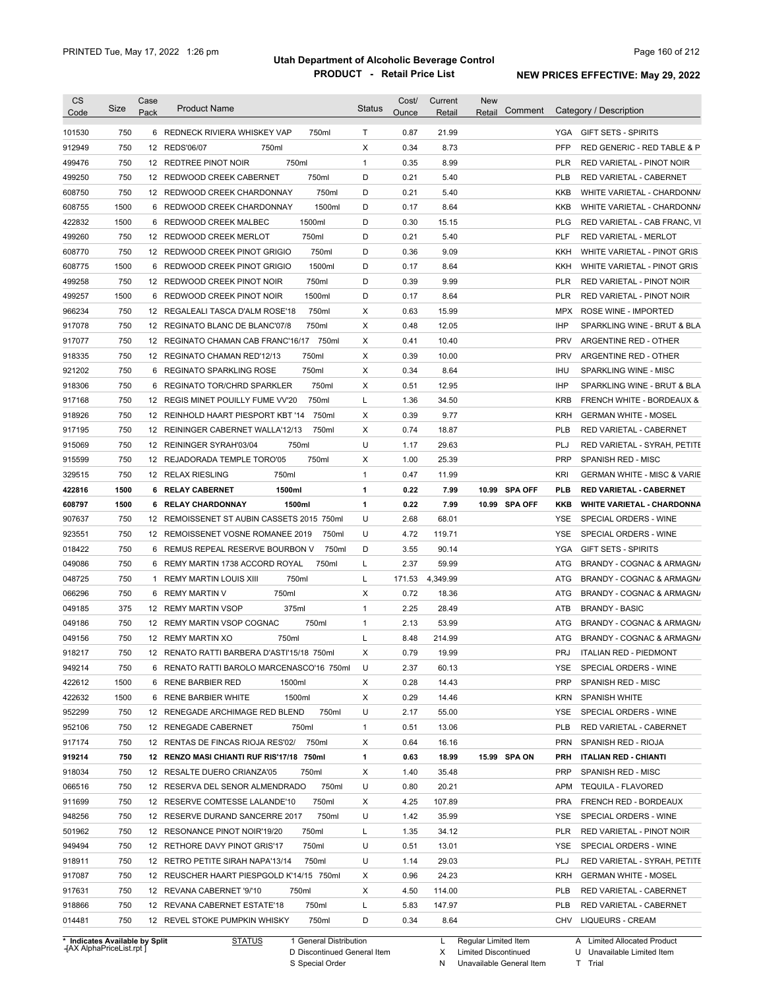| Code                                                                                                                                                                                       | Size | Case<br>Pack | <b>Product Name</b>                         | <b>Status</b> | Cost/<br>Ounce | Current<br>Retail | <b>New</b><br>Comment<br>Retail | Category / Description                       |
|--------------------------------------------------------------------------------------------------------------------------------------------------------------------------------------------|------|--------------|---------------------------------------------|---------------|----------------|-------------------|---------------------------------|----------------------------------------------|
| 101530                                                                                                                                                                                     | 750  |              | 6 REDNECK RIVIERA WHISKEY VAP<br>750ml      | Т             | 0.87           | 21.99             |                                 | YGA GIFT SETS - SPIRITS                      |
| 912949                                                                                                                                                                                     | 750  |              | 12 REDS'06/07<br>750ml                      | X             | 0.34           | 8.73              |                                 | PFP<br>RED GENERIC - RED TABLE & P           |
| 499476                                                                                                                                                                                     | 750  |              | 750ml<br>12 REDTREE PINOT NOIR              | $\mathbf{1}$  | 0.35           | 8.99              |                                 | <b>PLR</b><br>RED VARIETAL - PINOT NOIR      |
| 499250                                                                                                                                                                                     | 750  |              | 750ml<br>12 REDWOOD CREEK CABERNET          | D             | 0.21           | 5.40              |                                 | <b>PLB</b><br>RED VARIETAL - CABERNET        |
| 608750                                                                                                                                                                                     | 750  |              | 750ml<br>12 REDWOOD CREEK CHARDONNAY        | D             | 0.21           | 5.40              |                                 | KKB<br>WHITE VARIETAL - CHARDONN/            |
| 608755                                                                                                                                                                                     | 1500 |              | 1500ml<br>6 REDWOOD CREEK CHARDONNAY        | D             | 0.17           | 8.64              |                                 | KKB<br>WHITE VARIETAL - CHARDONN/            |
| 422832                                                                                                                                                                                     | 1500 |              | 1500ml<br>6 REDWOOD CREEK MALBEC            | D             | 0.30           | 15.15             |                                 | <b>PLG</b><br>RED VARIETAL - CAB FRANC, VI   |
| 499260                                                                                                                                                                                     | 750  |              | 750ml<br>12 REDWOOD CREEK MERLOT            | D             | 0.21           | 5.40              |                                 | <b>PLF</b><br><b>RED VARIETAL - MERLOT</b>   |
| 608770                                                                                                                                                                                     | 750  |              | 12 REDWOOD CREEK PINOT GRIGIO<br>750ml      | D             | 0.36           | 9.09              |                                 | KKH<br>WHITE VARIETAL - PINOT GRIS           |
| 608775                                                                                                                                                                                     | 1500 | 6            | REDWOOD CREEK PINOT GRIGIO<br>1500ml        | D             | 0.17           | 8.64              |                                 | KKH<br>WHITE VARIETAL - PINOT GRIS           |
| 499258                                                                                                                                                                                     | 750  |              | 750ml<br>12 REDWOOD CREEK PINOT NOIR        | D             | 0.39           | 9.99              |                                 | <b>PLR</b><br>RED VARIETAL - PINOT NOIR      |
| 499257                                                                                                                                                                                     | 1500 |              | 1500ml<br>6 REDWOOD CREEK PINOT NOIR        | D             | 0.17           | 8.64              |                                 | <b>PLR</b><br>RED VARIETAL - PINOT NOIR      |
| 966234                                                                                                                                                                                     | 750  |              | 750ml<br>12 REGALEALI TASCA D'ALM ROSE'18   | Х             | 0.63           | 15.99             |                                 | <b>MPX</b><br>ROSE WINE - IMPORTED           |
| 917078                                                                                                                                                                                     | 750  |              | 750ml<br>12 REGINATO BLANC DE BLANC'07/8    | Х             | 0.48           | 12.05             |                                 | <b>IHP</b><br>SPARKLING WINE - BRUT & BLA    |
| 917077                                                                                                                                                                                     | 750  |              | 750ml<br>12 REGINATO CHAMAN CAB FRANC'16/17 | Х             | 0.41           | 10.40             |                                 | <b>PRV</b><br>ARGENTINE RED - OTHER          |
| 918335                                                                                                                                                                                     | 750  |              | 750ml<br>12 REGINATO CHAMAN RED'12/13       | X             | 0.39           | 10.00             |                                 | <b>PRV</b><br>ARGENTINE RED - OTHER          |
| 921202                                                                                                                                                                                     | 750  | 6            | 750ml<br>REGINATO SPARKLING ROSE            | X             | 0.34           | 8.64              |                                 | <b>IHU</b><br>SPARKLING WINE - MISC          |
| 918306                                                                                                                                                                                     | 750  | 6            | 750ml<br>REGINATO TOR/CHRD SPARKLER         | Х             | 0.51           | 12.95             |                                 | IHP<br>SPARKLING WINE - BRUT & BLA           |
| 917168                                                                                                                                                                                     | 750  |              | 750ml<br>12 REGIS MINET POUILLY FUME VV'20  | L             | 1.36           | 34.50             |                                 | <b>KRB</b><br>FRENCH WHITE - BORDEAUX &      |
| 918926                                                                                                                                                                                     | 750  |              | 750ml<br>12 REINHOLD HAART PIESPORT KBT '14 | Х             | 0.39           | 9.77              |                                 | <b>KRH</b><br><b>GERMAN WHITE - MOSEL</b>    |
| 917195                                                                                                                                                                                     | 750  |              | 750ml<br>12 REININGER CABERNET WALLA'12/13  | Х             | 0.74           | 18.87             |                                 | <b>PLB</b><br>RED VARIETAL - CABERNET        |
| 915069                                                                                                                                                                                     | 750  |              | 750ml<br>12 REININGER SYRAH'03/04           | U             | 1.17           | 29.63             |                                 | PLJ<br>RED VARIETAL - SYRAH, PETITE          |
| 915599                                                                                                                                                                                     | 750  |              | 750ml<br>12 REJADORADA TEMPLE TORO'05       | Х             | 1.00           | 25.39             |                                 | <b>PRP</b><br>SPANISH RED - MISC             |
|                                                                                                                                                                                            | 750  |              |                                             | $\mathbf{1}$  | 0.47           |                   |                                 | <b>KRI</b>                                   |
| 329515                                                                                                                                                                                     |      |              | 12 RELAX RIESLING<br>750ml                  |               |                | 11.99             |                                 | <b>GERMAN WHITE - MISC &amp; VARIE</b>       |
| 422816                                                                                                                                                                                     | 1500 |              | 1500ml<br>6 RELAY CABERNET                  | 1             | 0.22           | 7.99              | 10.99 SPA OFF                   | <b>PLB</b><br><b>RED VARIETAL - CABERNET</b> |
| 608797                                                                                                                                                                                     | 1500 |              | 1500ml<br>6 RELAY CHARDONNAY                | $\mathbf{1}$  | 0.22           | 7.99              | 10.99 SPA OFF                   | KKB<br><b>WHITE VARIETAL - CHARDONNA</b>     |
| 907637                                                                                                                                                                                     | 750  |              | 12 REMOISSENET ST AUBIN CASSETS 2015 750ml  | U             | 2.68           | 68.01             |                                 | YSE<br>SPECIAL ORDERS - WINE                 |
| 923551                                                                                                                                                                                     | 750  |              | 12 REMOISSENET VOSNE ROMANEE 2019<br>750ml  | U             | 4.72           | 119.71            |                                 | YSE<br>SPECIAL ORDERS - WINE                 |
| 018422                                                                                                                                                                                     | 750  |              | 6 REMUS REPEAL RESERVE BOURBON V<br>750ml   | D             | 3.55           | 90.14             |                                 | YGA<br><b>GIFT SETS - SPIRITS</b>            |
| 049086                                                                                                                                                                                     | 750  |              | 750ml<br>6 REMY MARTIN 1738 ACCORD ROYAL    | L             | 2.37           | 59.99             |                                 | ATG<br>BRANDY - COGNAC & ARMAGN/             |
| 048725                                                                                                                                                                                     |      | 1            | 750ml<br><b>REMY MARTIN LOUIS XIII</b>      | L             | 171.53         | 4,349.99          |                                 | ATG<br>BRANDY - COGNAC & ARMAGN/             |
|                                                                                                                                                                                            | 750  |              |                                             | Х             | 0.72           |                   |                                 |                                              |
|                                                                                                                                                                                            | 750  |              | 750ml<br>6 REMY MARTIN V                    |               |                | 18.36             |                                 | ATG<br>BRANDY - COGNAC & ARMAGN/             |
|                                                                                                                                                                                            | 375  |              | 375ml<br>12 REMY MARTIN VSOP                | $\mathbf{1}$  | 2.25           | 28.49             |                                 | <b>BRANDY - BASIC</b><br>ATB                 |
|                                                                                                                                                                                            | 750  |              | 12 REMY MARTIN VSOP COGNAC<br>750ml         | $\mathbf{1}$  | 2.13           | 53.99             |                                 | BRANDY - COGNAC & ARMAGN/<br>ATG             |
|                                                                                                                                                                                            | 750  |              | 12 REMY MARTIN XO<br>750ml                  | Г             | 8.48           | 214.99            |                                 | ATG<br>BRANDY - COGNAC & ARMAGN/             |
|                                                                                                                                                                                            | 750  |              | 12 RENATO RATTI BARBERA D'ASTI'15/18 750ml  | х             | 0.79           | 19.99             |                                 | PRJ<br>ITALIAN RED - PIEDMONT                |
|                                                                                                                                                                                            | 750  |              | 6 RENATO RATTI BAROLO MARCENASCO'16 750ml   | U             | 2.37           | 60.13             |                                 | YSE<br>SPECIAL ORDERS - WINE                 |
|                                                                                                                                                                                            | 1500 |              | 6 RENE BARBIER RED<br>1500ml                | Х             | 0.28           | 14.43             |                                 | <b>PRP</b><br>SPANISH RED - MISC             |
|                                                                                                                                                                                            | 1500 |              | 6 RENE BARBIER WHITE<br>1500ml              | Х             | 0.29           | 14.46             |                                 | SPANISH WHITE<br>KRN                         |
|                                                                                                                                                                                            | 750  |              | 750ml<br>12 RENEGADE ARCHIMAGE RED BLEND    | U             | 2.17           | 55.00             |                                 | SPECIAL ORDERS - WINE<br>YSE                 |
|                                                                                                                                                                                            | 750  |              | 12 RENEGADE CABERNET<br>750ml               | $\mathbf{1}$  | 0.51           | 13.06             |                                 | <b>PLB</b><br>RED VARIETAL - CABERNET        |
|                                                                                                                                                                                            | 750  |              | 12 RENTAS DE FINCAS RIOJA RES'02/<br>750ml  | Х             | 0.64           | 16.16             |                                 | <b>PRN</b><br>SPANISH RED - RIOJA            |
|                                                                                                                                                                                            | 750  |              | 12 RENZO MASI CHIANTI RUF RIS'17/18 750ml   | 1             | 0.63           | 18.99             | 15.99 SPA ON                    | <b>PRH</b><br><b>ITALIAN RED - CHIANTI</b>   |
|                                                                                                                                                                                            | 750  |              | 12 RESALTE DUERO CRIANZA'05<br>750ml        | Х             | 1.40           | 35.48             |                                 | <b>PRP</b><br>SPANISH RED - MISC             |
|                                                                                                                                                                                            | 750  |              | 750ml<br>12 RESERVA DEL SENOR ALMENDRADO    | U             | 0.80           | 20.21             |                                 | <b>APM</b><br><b>TEQUILA - FLAVORED</b>      |
|                                                                                                                                                                                            | 750  |              | 12 RESERVE COMTESSE LALANDE'10<br>750ml     | Х             | 4.25           | 107.89            |                                 | <b>PRA</b><br>FRENCH RED - BORDEAUX          |
|                                                                                                                                                                                            | 750  |              | 750ml<br>12 RESERVE DURAND SANCERRE 2017    | U             | 1.42           | 35.99             |                                 | SPECIAL ORDERS - WINE<br>YSE                 |
|                                                                                                                                                                                            | 750  |              | 750ml<br>12 RESONANCE PINOT NOIR'19/20      | Г             | 1.35           | 34.12             |                                 | <b>PLR</b><br>RED VARIETAL - PINOT NOIR      |
|                                                                                                                                                                                            | 750  |              | 750ml<br>12 RETHORE DAVY PINOT GRIS'17      | U             | 0.51           | 13.01             |                                 | YSE<br>SPECIAL ORDERS - WINE                 |
| 066296<br>049185<br>049186<br>049156<br>918217<br>949214<br>422612<br>422632<br>952299<br>952106<br>917174<br>919214<br>918034<br>066516<br>911699<br>948256<br>501962<br>949494<br>918911 | 750  |              | 750ml<br>12 RETRO PETITE SIRAH NAPA'13/14   | U             | 1.14           | 29.03             |                                 | PLJ<br>RED VARIETAL - SYRAH, PETITE          |
| 917087                                                                                                                                                                                     | 750  |              | 12 REUSCHER HAART PIESPGOLD K'14/15 750ml   | Х             | 0.96           | 24.23             |                                 | <b>KRH</b><br><b>GERMAN WHITE - MOSEL</b>    |
| 917631                                                                                                                                                                                     | 750  |              | 12 REVANA CABERNET '9/'10<br>750ml          | Х             | 4.50           | 114.00            |                                 | <b>PLB</b><br>RED VARIETAL - CABERNET        |
| 918866                                                                                                                                                                                     | 750  |              | 750ml<br>12 REVANA CABERNET ESTATE'18       | Г             | 5.83           | 147.97            |                                 | <b>PLB</b><br>RED VARIETAL - CABERNET        |

**Case** [AX AlphaPriceList.rpt ]

D Discontinued General Item

S Special Order

X Limited Discontinued

N Unavailable General Item

U Unavailable Limited Item

T Trial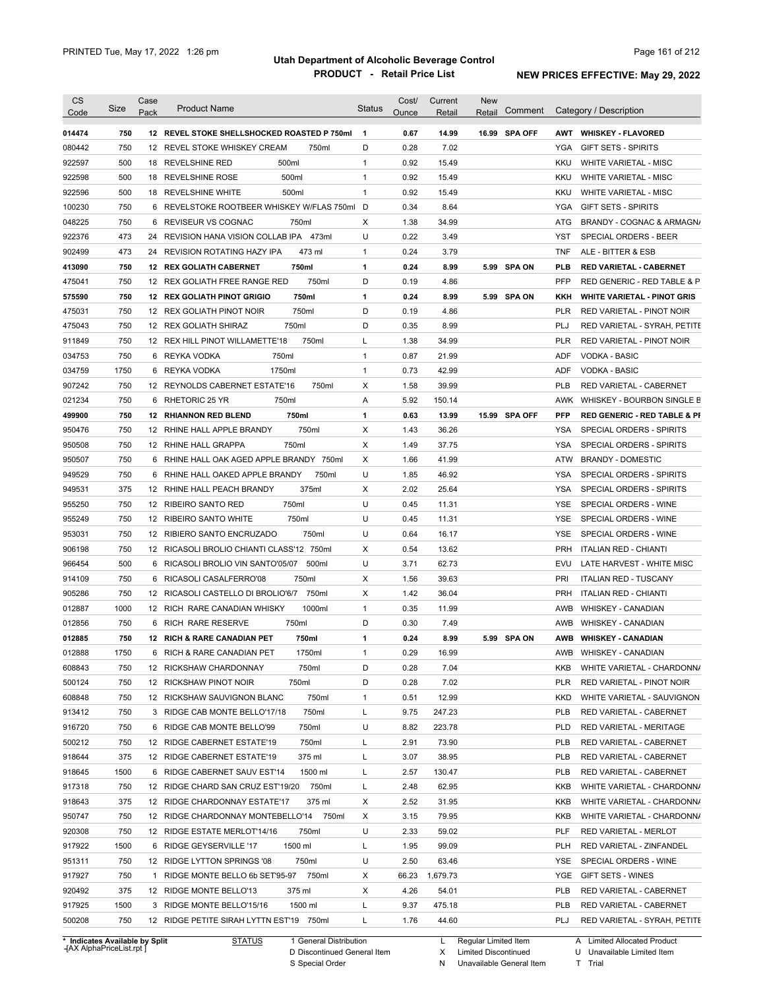| <b>CS</b><br>Code | Size | Case<br>Pack | <b>Product Name</b>                         | <b>Status</b> | Cost/<br>Ounce | Current<br>Retail | <b>New</b><br>Retail | Comment       |            | Category / Description                  |
|-------------------|------|--------------|---------------------------------------------|---------------|----------------|-------------------|----------------------|---------------|------------|-----------------------------------------|
|                   |      |              |                                             |               |                |                   |                      |               |            |                                         |
| 014474            | 750  |              | 12 REVEL STOKE SHELLSHOCKED ROASTED P 750ml | $\mathbf{1}$  | 0.67           | 14.99             |                      | 16.99 SPA OFF | AWT        | <b>WHISKEY FLAVORED</b>                 |
| 080442            | 750  |              | 12 REVEL STOKE WHISKEY CREAM<br>750ml       | D             | 0.28           | 7.02              |                      |               | YGA        | <b>GIFT SETS - SPIRITS</b>              |
| 922597            | 500  |              | 500ml<br>18 REVELSHINE RED                  | $\mathbf{1}$  | 0.92           | 15.49             |                      |               | KKU        | WHITE VARIETAL - MISC                   |
| 922598            | 500  |              | 500ml<br>18 REVELSHINE ROSE                 | $\mathbf{1}$  | 0.92           | 15.49             |                      |               | KKU        | <b>WHITE VARIETAL - MISC</b>            |
| 922596            | 500  |              | 500ml<br>18 REVELSHINE WHITE                | $\mathbf{1}$  | 0.92           | 15.49             |                      |               | KKU        | <b>WHITE VARIETAL - MISC</b>            |
| 100230            | 750  |              | 6 REVELSTOKE ROOTBEER WHISKEY W/FLAS 750ml  | D             | 0.34           | 8.64              |                      |               | <b>YGA</b> | <b>GIFT SETS - SPIRITS</b>              |
| 048225            | 750  | 6            | REVISEUR VS COGNAC<br>750ml                 | Х             | 1.38           | 34.99             |                      |               | ATG        | BRANDY - COGNAC & ARMAGN/               |
| 922376            | 473  |              | 24 REVISION HANA VISION COLLAB IPA 473ml    | U             | 0.22           | 3.49              |                      |               | YST        | SPECIAL ORDERS - BEER                   |
| 902499            | 473  |              | 473 ml<br>24 REVISION ROTATING HAZY IPA     | 1             | 0.24           | 3.79              |                      |               | <b>TNF</b> | ALE - BITTER & ESB                      |
| 413090            | 750  |              | 750ml<br><b>12 REX GOLIATH CABERNET</b>     | 1             | 0.24           | 8.99              |                      | 5.99 SPA ON   | <b>PLB</b> | <b>RED VARIETAL - CABERNET</b>          |
| 475041            | 750  |              | 12 REX GOLIATH FREE RANGE RED<br>750ml      | D             | 0.19           | 4.86              |                      |               | PFP        | RED GENERIC - RED TABLE & P             |
| 575590            | 750  |              | 750ml<br><b>12 REX GOLIATH PINOT GRIGIO</b> | 1             | 0.24           | 8.99              |                      | 5.99 SPA ON   | KKH        | <b>WHITE VARIETAL - PINOT GRIS</b>      |
| 475031            | 750  |              | 750ml<br>12 REX GOLIATH PINOT NOIR          | D             | 0.19           | 4.86              |                      |               | <b>PLR</b> | RED VARIETAL - PINOT NOIR               |
| 475043            | 750  |              | 750ml<br>12 REX GOLIATH SHIRAZ              | D             | 0.35           | 8.99              |                      |               | PLJ        | RED VARIETAL - SYRAH, PETITE            |
| 911849            | 750  |              | 750ml<br>12 REX HILL PINOT WILLAMETTE'18    | L             | 1.38           | 34.99             |                      |               | <b>PLR</b> | RED VARIETAL - PINOT NOIR               |
| 034753            | 750  | 6            | 750ml<br>REYKA VODKA                        | $\mathbf{1}$  | 0.87           | 21.99             |                      |               | <b>ADF</b> | <b>VODKA - BASIC</b>                    |
| 034759            | 1750 | 6            | 1750ml<br>REYKA VODKA                       | 1             | 0.73           | 42.99             |                      |               | ADF        | <b>VODKA - BASIC</b>                    |
| 907242            | 750  |              | 12 REYNOLDS CABERNET ESTATE'16<br>750ml     | Х             | 1.58           | 39.99             |                      |               | <b>PLB</b> | RED VARIETAL - CABERNET                 |
| 021234            | 750  | 6            | 750ml<br>RHETORIC 25 YR                     | Α             | 5.92           | 150.14            |                      |               | AWK        | WHISKEY - BOURBON SINGLE B              |
| 499900            | 750  |              | 750ml<br><b>12 RHIANNON RED BLEND</b>       | 1             | 0.63           | 13.99             |                      | 15.99 SPA OFF | <b>PFP</b> | <b>RED GENERIC - RED TABLE &amp; PI</b> |
| 950476            | 750  |              | 750ml<br>12 RHINE HALL APPLE BRANDY         | X             | 1.43           | 36.26             |                      |               | <b>YSA</b> | SPECIAL ORDERS - SPIRITS                |
| 950508            | 750  |              | 750ml<br>12 RHINE HALL GRAPPA               | Χ             | 1.49           | 37.75             |                      |               | YSA        | SPECIAL ORDERS - SPIRITS                |
| 950507            | 750  | 6            | RHINE HALL OAK AGED APPLE BRANDY 750ml      | Х             | 1.66           | 41.99             |                      |               | ATW        | <b>BRANDY - DOMESTIC</b>                |
| 949529            | 750  | 6            | 750ml<br>RHINE HALL OAKED APPLE BRANDY      | U             | 1.85           | 46.92             |                      |               | YSA        | SPECIAL ORDERS - SPIRITS                |
| 949531            | 375  |              | 375ml<br>12 RHINE HALL PEACH BRANDY         | Χ             | 2.02           | 25.64             |                      |               | YSA        | SPECIAL ORDERS - SPIRITS                |
| 955250            | 750  |              | 750ml<br>12 RIBEIRO SANTO RED               | U             | 0.45           | 11.31             |                      |               | YSE        | SPECIAL ORDERS - WINE                   |
| 955249            | 750  |              | 12 RIBEIRO SANTO WHITE<br>750ml             | U             | 0.45           | 11.31             |                      |               | <b>YSE</b> | SPECIAL ORDERS - WINE                   |
| 953031            | 750  | 12           | 750ml<br>RIBIERO SANTO ENCRUZADO            | U             | 0.64           | 16.17             |                      |               | <b>YSE</b> | SPECIAL ORDERS - WINE                   |
| 906198            | 750  |              | 12 RICASOLI BROLIO CHIANTI CLASS'12 750ml   | Χ             | 0.54           | 13.62             |                      |               | <b>PRH</b> | <b>ITALIAN RED - CHIANTI</b>            |
| 966454            | 500  |              | 6 RICASOLI BROLIO VIN SANTO'05/07<br>500ml  | U             | 3.71           | 62.73             |                      |               | EVU        | LATE HARVEST - WHITE MISC               |
| 914109            | 750  | 6            | 750ml<br>RICASOLI CASALFERRO'08             | Χ             | 1.56           | 39.63             |                      |               | PRI        | <b>ITALIAN RED - TUSCANY</b>            |
| 905286            | 750  |              | 12 RICASOLI CASTELLO DI BROLIO'6/7<br>750ml | Χ             | 1.42           | 36.04             |                      |               | <b>PRH</b> | <b>ITALIAN RED - CHIANTI</b>            |
| 012887            | 1000 |              | 1000ml<br>12 RICH RARE CANADIAN WHISKY      | $\mathbf{1}$  | 0.35           | 11.99             |                      |               | AWB        | <b>WHISKEY - CANADIAN</b>               |
| 012856            | 750  |              | 750ml<br>6 RICH RARE RESERVE                | D             | 0.30           | 7.49              |                      |               | AWB        | <b>WHISKEY - CANADIAN</b>               |
| 012885            | 750  |              | 12 RICH & RARE CANADIAN PET<br>750ml        | 1             | 0.24           | 8.99              |                      | 5.99 SPA ON   | <b>AWB</b> | <b>WHISKEY - CANADIAN</b>               |
| 012888            | 1750 |              | 6 RICH & RARE CANADIAN PET<br>1750ml        | 1             | 0.29           | 16.99             |                      |               |            | AWB WHISKEY - CANADIAN                  |
|                   |      |              |                                             |               |                |                   |                      |               |            | WHITE VARIETAL - CHARDONN/              |
| 608843            | 750  |              | 12 RICKSHAW CHARDONNAY<br>750ml             | D             | 0.28           | 7.04              |                      |               | KKB        |                                         |
| 500124            | 750  |              | 750ml<br>12 RICKSHAW PINOT NOIR             | D             | 0.28           | 7.02              |                      |               | PLR        | RED VARIETAL - PINOT NOIR               |
| 608848            | 750  |              | 750ml<br>12 RICKSHAW SAUVIGNON BLANC        | $\mathbf{1}$  | 0.51           | 12.99             |                      |               | KKD        | WHITE VARIETAL - SAUVIGNON              |
| 913412            | 750  |              | 750ml<br>3 RIDGE CAB MONTE BELLO'17/18      | Г             | 9.75           | 247.23            |                      |               | PLB        | RED VARIETAL - CABERNET                 |
| 916720            | 750  |              | 6 RIDGE CAB MONTE BELLO'99<br>750ml         | U             | 8.82           | 223.78            |                      |               | PLD        | RED VARIETAL - MERITAGE                 |
| 500212            | 750  |              | 12 RIDGE CABERNET ESTATE'19<br>750ml        | L             | 2.91           | 73.90             |                      |               | <b>PLB</b> | RED VARIETAL - CABERNET                 |
| 918644            | 375  |              | 375 ml<br>12 RIDGE CABERNET ESTATE'19       | L             | 3.07           | 38.95             |                      |               | PLB        | RED VARIETAL - CABERNET                 |
| 918645            | 1500 |              | 6 RIDGE CABERNET SAUV EST'14<br>1500 ml     | L             | 2.57           | 130.47            |                      |               | PLB        | RED VARIETAL - CABERNET                 |
| 917318            | 750  |              | 12 RIDGE CHARD SAN CRUZ EST'19/20<br>750ml  | Г             | 2.48           | 62.95             |                      |               | KKB        | WHITE VARIETAL - CHARDONN/              |
| 918643            | 375  |              | 12 RIDGE CHARDONNAY ESTATE'17<br>375 ml     | Х             | 2.52           | 31.95             |                      |               | KKB        | WHITE VARIETAL - CHARDONN/              |
| 950747            | 750  |              | 12 RIDGE CHARDONNAY MONTEBELLO'14 750ml     | Х             | 3.15           | 79.95             |                      |               | KKB        | WHITE VARIETAL - CHARDONN/              |
| 920308            | 750  |              | 12 RIDGE ESTATE MERLOT'14/16<br>750ml       | U             | 2.33           | 59.02             |                      |               | PLF        | RED VARIETAL - MERLOT                   |
| 917922            | 1500 |              | 1500 ml<br>6 RIDGE GEYSERVILLE '17          | L             | 1.95           | 99.09             |                      |               | PLH        | RED VARIETAL - ZINFANDEL                |
| 951311            | 750  |              | 750ml<br>12 RIDGE LYTTON SPRINGS '08        | U             | 2.50           | 63.46             |                      |               | YSE        | SPECIAL ORDERS - WINE                   |
| 917927            | 750  |              | 750ml<br>1 RIDGE MONTE BELLO 6b SET'95-97   | Х             | 66.23          | 1,679.73          |                      |               | YGE        | GIFT SETS - WINES                       |
| 920492            | 375  |              | 12 RIDGE MONTE BELLO'13<br>375 ml           | Х             | 4.26           | 54.01             |                      |               | <b>PLB</b> | RED VARIETAL - CABERNET                 |
| 917925            | 1500 |              | 3 RIDGE MONTE BELLO'15/16<br>1500 ml        | Г             | 9.37           | 475.18            |                      |               | PLB        | RED VARIETAL - CABERNET                 |
|                   |      |              |                                             |               |                |                   |                      |               |            |                                         |

**Case** [AX AlphaPriceList.rpt ]

D Discontinued General Item S Special Order

Regular Limited Item

X

Limited Discontinued

N Unavailable General Item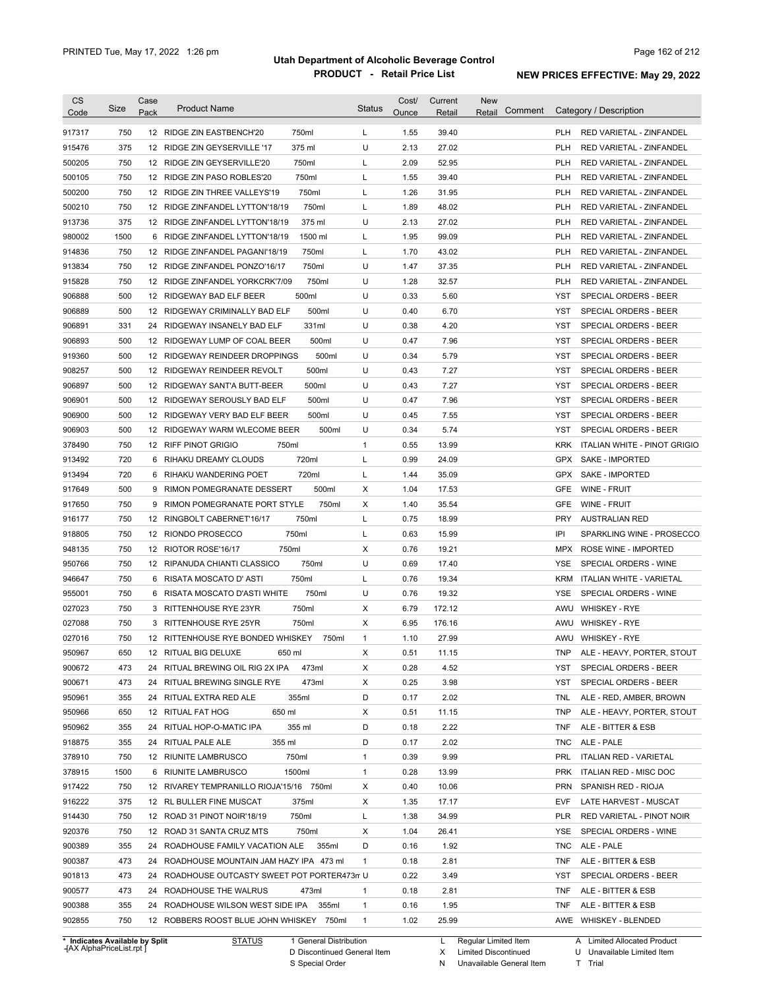| CS<br>Code                     | Size | Case<br>Pack    | <b>Product Name</b>                          | <b>Status</b> | Cost/<br>Ounce | Current<br>Retail | <b>New</b><br>Comment<br>Retail |            | Category / Description          |
|--------------------------------|------|-----------------|----------------------------------------------|---------------|----------------|-------------------|---------------------------------|------------|---------------------------------|
| 917317                         | 750  |                 | 750ml<br>12 RIDGE ZIN EASTBENCH'20           | L             | 1.55           | 39.40             |                                 | <b>PLH</b> | RED VARIETAL - ZINFANDEL        |
| 915476                         | 375  |                 | 375 ml<br>12 RIDGE ZIN GEYSERVILLE '17       | U             | 2.13           | 27.02             |                                 | <b>PLH</b> | RED VARIETAL - ZINFANDEL        |
| 500205                         | 750  |                 | 750ml<br>12 RIDGE ZIN GEYSERVILLE'20         | Г             | 2.09           | 52.95             |                                 | <b>PLH</b> | RED VARIETAL - ZINFANDEL        |
| 500105                         | 750  |                 | 750ml<br>12 RIDGE ZIN PASO ROBLES'20         | Г             | 1.55           | 39.40             |                                 | <b>PLH</b> | RED VARIETAL - ZINFANDEL        |
| 500200                         | 750  |                 | 750ml<br>12 RIDGE ZIN THREE VALLEYS'19       | Г             | 1.26           | 31.95             |                                 | <b>PLH</b> | RED VARIETAL - ZINFANDEL        |
| 500210                         | 750  |                 | 750ml<br>12 RIDGE ZINFANDEL LYTTON'18/19     | L             | 1.89           | 48.02             |                                 | <b>PLH</b> | RED VARIETAL - ZINFANDEL        |
| 913736                         | 375  |                 | 375 ml<br>12 RIDGE ZINFANDEL LYTTON'18/19    | U             | 2.13           | 27.02             |                                 | <b>PLH</b> | RED VARIETAL - ZINFANDEL        |
| 980002                         | 1500 | 6               | 1500 ml<br>RIDGE ZINFANDEL LYTTON'18/19      | Г             | 1.95           | 99.09             |                                 | <b>PLH</b> | RED VARIETAL - ZINFANDEL        |
| 914836                         | 750  |                 | 750ml<br>12 RIDGE ZINFANDEL PAGANI'18/19     | Г             | 1.70           | 43.02             |                                 | <b>PLH</b> | RED VARIETAL - ZINFANDEL        |
| 913834                         | 750  |                 | 750ml<br>12 RIDGE ZINFANDEL PONZO'16/17      | U             | 1.47           | 37.35             |                                 | <b>PLH</b> | RED VARIETAL - ZINFANDEL        |
| 915828                         | 750  |                 | 750ml<br>12 RIDGE ZINFANDEL YORKCRK'7/09     | U             | 1.28           | 32.57             |                                 | <b>PLH</b> | RED VARIETAL - ZINFANDEL        |
| 906888                         | 500  |                 | 500ml<br>12 RIDGEWAY BAD ELF BEER            | U             | 0.33           | 5.60              |                                 | YST        | SPECIAL ORDERS - BEER           |
| 906889                         | 500  |                 | 500ml<br>12 RIDGEWAY CRIMINALLY BAD ELF      | U             | 0.40           | 6.70              |                                 | <b>YST</b> | SPECIAL ORDERS - BEER           |
| 906891                         | 331  | 24              | 331ml<br>RIDGEWAY INSANELY BAD ELF           | U             | 0.38           | 4.20              |                                 | <b>YST</b> | SPECIAL ORDERS - BEER           |
| 906893                         | 500  | 12              | RIDGEWAY LUMP OF COAL BEER<br>500ml          | U             | 0.47           | 7.96              |                                 | <b>YST</b> | SPECIAL ORDERS - BEER           |
| 919360                         | 500  | 12              | 500ml<br>RIDGEWAY REINDEER DROPPINGS         | U             | 0.34           | 5.79              |                                 | <b>YST</b> | SPECIAL ORDERS - BEER           |
| 908257                         | 500  | 12              | 500ml<br>RIDGEWAY REINDEER REVOLT            | U             | 0.43           | 7.27              |                                 | <b>YST</b> | SPECIAL ORDERS - BEER           |
| 906897                         | 500  | 12              | 500ml<br>RIDGEWAY SANT'A BUTT-BEER           | U             | 0.43           | 7.27              |                                 | <b>YST</b> | SPECIAL ORDERS - BEER           |
| 906901                         | 500  | 12              | 500ml<br>RIDGEWAY SEROUSLY BAD ELF           | U             | 0.47           | 7.96              |                                 | <b>YST</b> | SPECIAL ORDERS - BEER           |
| 906900                         | 500  | 12              | 500ml<br>RIDGEWAY VERY BAD ELF BEER          | U             | 0.45           | 7.55              |                                 | <b>YST</b> | SPECIAL ORDERS - BEER           |
| 906903                         | 500  | 12              | 500ml<br>RIDGEWAY WARM WLECOME BEER          | U             | 0.34           | 5.74              |                                 | <b>YST</b> | SPECIAL ORDERS - BEER           |
| 378490                         | 750  |                 | 750ml<br>12 RIFF PINOT GRIGIO                | 1             | 0.55           | 13.99             |                                 | <b>KRK</b> | ITALIAN WHITE - PINOT GRIGIO    |
| 913492                         | 720  | 6               | 720ml<br>RIHAKU DREAMY CLOUDS                | Г             | 0.99           | 24.09             |                                 | <b>GPX</b> | SAKE - IMPORTED                 |
| 913494                         | 720  | 6               | 720ml<br>RIHAKU WANDERING POET               | Г             | 1.44           | 35.09             |                                 | <b>GPX</b> | SAKE - IMPORTED                 |
| 917649                         | 500  | 9               | 500ml<br>RIMON POMEGRANATE DESSERT           | X             | 1.04           | 17.53             |                                 | <b>GFE</b> | WINE - FRUIT                    |
| 917650                         | 750  | 9               | RIMON POMEGRANATE PORT STYLE<br>750ml        | X             | 1.40           | 35.54             |                                 | <b>GFE</b> | WINE - FRUIT                    |
| 916177                         | 750  |                 | 750ml<br>12 RINGBOLT CABERNET'16/17          | Г             | 0.75           | 18.99             |                                 | <b>PRY</b> | <b>AUSTRALIAN RED</b>           |
| 918805                         | 750  | 12 <sup>2</sup> | RIONDO PROSECCO<br>750ml                     | L             | 0.63           | 15.99             |                                 | IPI        | SPARKLING WINE - PROSECCO       |
| 948135                         | 750  |                 | 12 RIOTOR ROSE'16/17<br>750ml                | X             | 0.76           | 19.21             |                                 | <b>MPX</b> | ROSE WINE - IMPORTED            |
| 950766                         | 750  |                 | 750ml<br>12 RIPANUDA CHIANTI CLASSICO        | U             | 0.69           | 17.40             |                                 | <b>YSE</b> | SPECIAL ORDERS - WINE           |
| 946647                         | 750  |                 | 750ml<br>6 RISATA MOSCATO D'ASTI             | L             | 0.76           | 19.34             |                                 | <b>KRM</b> | <b>ITALIAN WHITE - VARIETAL</b> |
| 955001                         | 750  |                 | 6 RISATA MOSCATO D'ASTI WHITE<br>750ml       | U             | 0.76           | 19.32             |                                 | <b>YSE</b> | SPECIAL ORDERS - WINE           |
| 027023                         | 750  |                 | 750ml<br>3 RITTENHOUSE RYE 23YR              | X             | 6.79           | 172.12            |                                 | AWU        | <b>WHISKEY - RYE</b>            |
| 027088                         | 750  |                 | 3 RITTENHOUSE RYE 25YR<br>750ml              | X             | 6.95           | 176.16            |                                 | AWU        | <b>WHISKEY - RYE</b>            |
| 027016                         | 750  |                 | 12 RITTENHOUSE RYE BONDED WHISKEY<br>750ml   | $\mathbf{1}$  | 1.10           | 27.99             |                                 | AWU        | <b>WHISKEY - RYE</b>            |
| 950967                         | 650  |                 | 12 RITUAL BIG DELUXE<br>650 ml               | X             | 0.51           | 11.15             |                                 | TNP        | ALE - HEAVY, PORTER, STOUT      |
| 900672                         | 473  |                 | 24 RITUAL BREWING OIL RIG 2X IPA<br>473ml    | Х             | 0.28           | 4.52              |                                 | YST        | SPECIAL ORDERS - BEER           |
| 900671                         | 473  |                 | 473ml<br>24 RITUAL BREWING SINGLE RYE        | X             | 0.25           | 3.98              |                                 | YST        | SPECIAL ORDERS - BEER           |
| 950961                         | 355  |                 | 355ml<br>24 RITUAL EXTRA RED ALE             | D             | 0.17           | 2.02              |                                 | <b>TNL</b> | ALE - RED, AMBER, BROWN         |
| 950966                         | 650  |                 | 12 RITUAL FAT HOG<br>650 ml                  | Х             | 0.51           | 11.15             |                                 | <b>TNP</b> | ALE - HEAVY, PORTER, STOUT      |
| 950962                         | 355  |                 | 355 ml<br>24 RITUAL HOP-O-MATIC IPA          | D             | 0.18           | 2.22              |                                 | TNF        | ALE - BITTER & ESB              |
| 918875                         | 355  |                 | 355 ml<br>24 RITUAL PALE ALE                 | D             | 0.17           | 2.02              |                                 | TNC        | ALE - PALE                      |
| 378910                         | 750  |                 | 750ml<br>12 RIUNITE LAMBRUSCO                | $\mathbf{1}$  | 0.39           | 9.99              |                                 | PRL        | <b>ITALIAN RED - VARIETAL</b>   |
| 378915                         | 1500 |                 | 1500ml<br>6 RIUNITE LAMBRUSCO                | $\mathbf{1}$  | 0.28           | 13.99             |                                 |            | PRK ITALIAN RED - MISC DOC      |
| 917422                         | 750  |                 | 12 RIVAREY TEMPRANILLO RIOJA'15/16 750ml     | Х             | 0.40           | 10.06             |                                 | PRN        | SPANISH RED - RIOJA             |
| 916222                         | 375  |                 | 12 RL BULLER FINE MUSCAT<br>375ml            | х             | 1.35           | 17.17             |                                 | EVF        | LATE HARVEST - MUSCAT           |
| 914430                         | 750  |                 | 12 ROAD 31 PINOT NOIR'18/19<br>750ml         | L             | 1.38           | 34.99             |                                 | PLR        | RED VARIETAL - PINOT NOIR       |
| 920376                         | 750  |                 | 750ml<br>12 ROAD 31 SANTA CRUZ MTS           | х             | 1.04           | 26.41             |                                 | YSE        | SPECIAL ORDERS - WINE           |
| 900389                         | 355  |                 | 24 ROADHOUSE FAMILY VACATION ALE<br>355ml    | D             | 0.16           | 1.92              |                                 | <b>TNC</b> | ALE - PALE                      |
| 900387                         | 473  |                 | 24 ROADHOUSE MOUNTAIN JAM HAZY IPA 473 ml    | 1             | 0.18           | 2.81              |                                 | TNF        | ALE - BITTER & ESB              |
| 901813                         | 473  |                 | 24 ROADHOUSE OUTCASTY SWEET POT PORTER473n U |               | 0.22           | 3.49              |                                 | YST        | SPECIAL ORDERS - BEER           |
| 900577                         | 473  |                 | 24 ROADHOUSE THE WALRUS<br>473ml             | $\mathbf{1}$  | 0.18           | 2.81              |                                 | <b>TNF</b> | ALE - BITTER & ESB              |
| 900388                         | 355  |                 | 24 ROADHOUSE WILSON WEST SIDE IPA 355ml      | 1             | 0.16           | 1.95              |                                 | TNF        | ALE - BITTER & ESB              |
| 902855                         | 750  |                 | 12 ROBBERS ROOST BLUE JOHN WHISKEY 750ml     | 1             | 1.02           | 25.99             |                                 |            | AWE WHISKEY - BLENDED           |
| * Indicates Available by Split |      |                 | <b>STATUS</b><br>1 General Distribution      |               |                | L.                | Regular Limited Item            |            | A Limited Allocated Product     |

**Case** [AX AlphaPriceList.rpt ]

Discontinued General Item S Special Order D

Regular Limited Item Limited Discontinued

Unavailable General Item

X N U Unavailable Limited Item

T Trial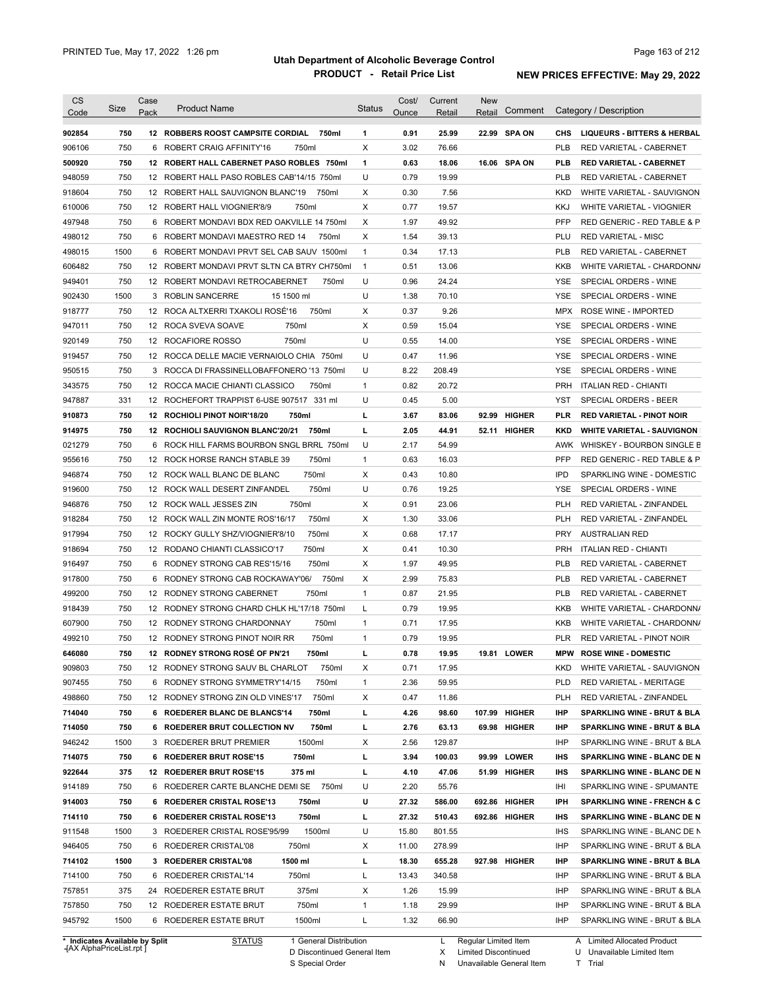| <b>CS</b><br>Code          | <b>Size</b> | Case<br>Pack | <b>Product Name</b>                                                          | <b>Status</b>     | Cost/<br>Ounce | Current<br>Retail | <b>New</b><br>Retail | Comment                       |            | Category / Description                                     |
|----------------------------|-------------|--------------|------------------------------------------------------------------------------|-------------------|----------------|-------------------|----------------------|-------------------------------|------------|------------------------------------------------------------|
| 902854                     | 750         |              | <b>12 ROBBERS ROOST CAMPSITE CORDIAL</b><br>750ml                            | 1                 | 0.91           | 25.99             |                      | 22.99 SPA ON                  | CHS        | <b>LIQUEURS - BITTERS &amp; HERBAL</b>                     |
| 906106                     | 750         | 6            | ROBERT CRAIG AFFINITY'16<br>750ml                                            | X                 | 3.02           | 76.66             |                      |                               | <b>PLB</b> | RED VARIETAL - CABERNET                                    |
| 500920                     | 750         |              | 12 ROBERT HALL CABERNET PASO ROBLES 750ml                                    | $\mathbf{1}$      | 0.63           | 18.06             |                      | 16.06 SPA ON                  | PLB        | <b>RED VARIETAL - CABERNET</b>                             |
| 948059                     | 750         |              | 12 ROBERT HALL PASO ROBLES CAB'14/15 750ml                                   | U                 | 0.79           | 19.99             |                      |                               | <b>PLB</b> | <b>RED VARIETAL - CABERNET</b>                             |
| 918604                     | 750         |              | 12 ROBERT HALL SAUVIGNON BLANC'19<br>750ml                                   | X                 | 0.30           | 7.56              |                      |                               | <b>KKD</b> | WHITE VARIETAL - SAUVIGNON                                 |
| 610006                     | 750         |              | 750ml<br>12 ROBERT HALL VIOGNIER'8/9                                         | X                 | 0.77           | 19.57             |                      |                               | <b>KKJ</b> | WHITE VARIETAL - VIOGNIER                                  |
| 497948                     | 750         | 6            | ROBERT MONDAVI BDX RED OAKVILLE 14 750ml                                     | X                 | 1.97           | 49.92             |                      |                               | <b>PFP</b> | RED GENERIC - RED TABLE & P                                |
| 498012                     | 750         | 6            | ROBERT MONDAVI MAESTRO RED 14<br>750ml                                       | Χ                 | 1.54           | 39.13             |                      |                               | PLU        | <b>RED VARIETAL - MISC</b>                                 |
| 498015                     | 1500        | 6            | ROBERT MONDAVI PRVT SEL CAB SAUV 1500ml                                      | $\mathbf{1}$      | 0.34           | 17.13             |                      |                               | <b>PLB</b> | RED VARIETAL - CABERNET                                    |
| 606482                     | 750         |              | 12 ROBERT MONDAVI PRVT SLTN CA BTRY CH750ml                                  | $\mathbf{1}$      | 0.51           | 13.06             |                      |                               | <b>KKB</b> | WHITE VARIETAL - CHARDONN/                                 |
| 949401                     | 750         |              | 12 ROBERT MONDAVI RETROCABERNET<br>750ml                                     | U                 | 0.96           | 24.24             |                      |                               | <b>YSE</b> | SPECIAL ORDERS - WINE                                      |
| 902430                     | 1500        | 3            | <b>ROBLIN SANCERRE</b><br>15 1500 ml                                         | U                 | 1.38           | 70.10             |                      |                               | <b>YSE</b> | SPECIAL ORDERS - WINE                                      |
| 918777                     | 750         |              | 12 ROCA ALTXERRI TXAKOLI ROSÉ'16<br>750ml                                    | Χ                 | 0.37           | 9.26              |                      |                               | <b>MPX</b> | ROSE WINE - IMPORTED                                       |
| 947011                     | 750         |              | 750ml<br>12 ROCA SVEVA SOAVE                                                 | Χ                 | 0.59           | 15.04             |                      |                               | <b>YSE</b> | SPECIAL ORDERS - WINE                                      |
| 920149                     | 750         |              | 750ml<br>12 ROCAFIORE ROSSO                                                  | U                 | 0.55           | 14.00             |                      |                               | <b>YSE</b> | SPECIAL ORDERS - WINE                                      |
| 919457                     | 750         |              | 12 ROCCA DELLE MACIE VERNAIOLO CHIA 750ml                                    | U                 | 0.47           | 11.96             |                      |                               | <b>YSE</b> | SPECIAL ORDERS - WINE                                      |
| 950515                     | 750         | 3            | ROCCA DI FRASSINELLOBAFFONERO '13 750ml                                      | U                 | 8.22           | 208.49            |                      |                               | <b>YSE</b> | SPECIAL ORDERS - WINE                                      |
| 343575                     | 750         |              | 750ml<br>12 ROCCA MACIE CHIANTI CLASSICO                                     | $\mathbf{1}$      | 0.82           | 20.72             |                      |                               | <b>PRH</b> | <b>ITALIAN RED - CHIANTI</b>                               |
| 947887                     | 331         |              | 12 ROCHEFORT TRAPPIST 6-USE 907517 331 ml                                    | U                 | 0.45           | 5.00              |                      |                               | <b>YST</b> | SPECIAL ORDERS - BEER                                      |
| 910873                     | 750         |              | 12 ROCHIOLI PINOT NOIR'18/20<br>750ml                                        | г                 | 3.67           | 83.06             |                      | 92.99 HIGHER                  | <b>PLR</b> | <b>RED VARIETAL - PINOT NOIR</b>                           |
| 914975                     | 750         |              | 12 ROCHIOLI SAUVIGNON BLANC'20/21<br>750ml                                   | г                 | 2.05           | 44.91             |                      | 52.11 HIGHER                  | KKD        | <b>WHITE VARIETAL - SAUVIGNON</b>                          |
| 021279                     | 750         | 6            | ROCK HILL FARMS BOURBON SNGL BRRL 750ml                                      | U                 | 2.17           | 54.99             |                      |                               | AWK        | WHISKEY - BOURBON SINGLE B                                 |
| 955616                     | 750         |              | 750ml<br>12 ROCK HORSE RANCH STABLE 39                                       | $\mathbf{1}$      | 0.63           | 16.03             |                      |                               | <b>PFP</b> | RED GENERIC - RED TABLE & P                                |
| 946874                     | 750         |              | 750ml<br>12 ROCK WALL BLANC DE BLANC                                         | Χ                 | 0.43           | 10.80             |                      |                               | <b>IPD</b> | SPARKLING WINE - DOMESTIC                                  |
| 919600                     | 750         |              | 750ml<br>12 ROCK WALL DESERT ZINFANDEL                                       | U                 | 0.76           | 19.25             |                      |                               | <b>YSE</b> | SPECIAL ORDERS - WINE                                      |
| 946876                     | 750         |              | 12 ROCK WALL JESSES ZIN<br>750ml                                             | Χ                 | 0.91           | 23.06             |                      |                               | <b>PLH</b> | RED VARIETAL - ZINFANDEL                                   |
| 918284                     | 750         |              | 750ml<br>12 ROCK WALL ZIN MONTE ROS'16/17                                    | Χ                 | 1.30           | 33.06             |                      |                               | <b>PLH</b> | RED VARIETAL - ZINFANDEL                                   |
| 917994                     | 750         | 12           | 750ml<br>ROCKY GULLY SHZ/VIOGNIER'8/10                                       | Χ                 | 0.68           | 17.17             |                      |                               | <b>PRY</b> | <b>AUSTRALIAN RED</b>                                      |
| 918694                     | 750         |              | 750ml<br>12 RODANO CHIANTI CLASSICO'17                                       | Χ                 | 0.41           | 10.30             |                      |                               | <b>PRH</b> | <b>ITALIAN RED - CHIANTI</b>                               |
| 916497                     | 750         |              | 6 RODNEY STRONG CAB RES'15/16<br>750ml                                       | Χ                 | 1.97           | 49.95             |                      |                               | <b>PLB</b> | RED VARIETAL - CABERNET                                    |
| 917800                     | 750         |              | 750ml<br>6 RODNEY STRONG CAB ROCKAWAY'06/                                    | Χ                 | 2.99           | 75.83             |                      |                               | <b>PLB</b> | RED VARIETAL - CABERNET                                    |
| 499200                     | 750         |              | 750ml<br>12 RODNEY STRONG CABERNET                                           | $\mathbf{1}$      | 0.87           | 21.95             |                      |                               | <b>PLB</b> | RED VARIETAL - CABERNET                                    |
| 918439                     | 750         |              | 12 RODNEY STRONG CHARD CHLK HL'17/18 750ml                                   | Г                 | 0.79           | 19.95             |                      |                               | <b>KKB</b> | WHITE VARIETAL - CHARDONN/                                 |
| 607900                     | 750         |              | 750ml<br>12 RODNEY STRONG CHARDONNAY                                         | $\mathbf{1}$      | 0.71           | 17.95             |                      |                               | <b>KKB</b> | WHITE VARIETAL - CHARDONN/                                 |
| 499210                     | 750         |              | 12 RODNEY STRONG PINOT NOIR RR<br>750ml                                      | $\mathbf{1}$      | 0.79           | 19.95             |                      |                               | <b>PLR</b> | RED VARIETAL - PINOT NOIR                                  |
| 646080                     | 750         |              | 12 RODNEY STRONG ROSÉ OF PN'21<br>750ml                                      |                   | 0.78           | 19.95             |                      | 19.81 LOWER                   | <b>MPW</b> | <b>ROSE WINE - DOMESTIC</b>                                |
| 909803                     | 750         |              | 12 RODNEY STRONG SAUV BL CHARLOT<br>750ml                                    | Х                 | 0.71           | 17.95             |                      |                               | <b>KKD</b> | WHITE VARIETAL - SAUVIGNON                                 |
| 907455                     | 750         |              | 6 RODNEY STRONG SYMMETRY'14/15<br>750ml                                      |                   | 2.36           | 59.95             |                      |                               | <b>PLD</b> | RED VARIETAL - MERITAGE                                    |
| 498860                     | 750         |              | 750ml                                                                        | $\mathbf{1}$      | 0.47           |                   |                      |                               | PLH        |                                                            |
|                            |             |              | 12 RODNEY STRONG ZIN OLD VINES'17<br>6 ROEDERER BLANC DE BLANCS'14           | Х                 |                | 11.86             |                      |                               |            | RED VARIETAL - ZINFANDEL                                   |
| 714040<br>714050           | 750<br>750  |              | 750ml<br>6 ROEDERER BRUT COLLECTION NV<br>750ml                              | L<br>L            | 4.26<br>2.76   | 98.60<br>63.13    |                      | 107.99 HIGHER<br>69.98 HIGHER | IHP<br>IHP | SPARKLING WINE - BRUT & BLA<br>SPARKLING WINE - BRUT & BLA |
|                            |             |              | 1500ml                                                                       |                   |                |                   |                      |                               |            |                                                            |
| 946242                     | 1500        |              | 3 ROEDERER BRUT PREMIER                                                      | Х                 | 2.56           | 129.87            |                      |                               | <b>IHP</b> | SPARKLING WINE - BRUT & BLA                                |
| 714075                     | 750         |              | 6 ROEDERER BRUT ROSE'15<br>750ml                                             | L                 | 3.94           | 100.03            |                      | 99.99 LOWER                   | <b>IHS</b> | SPARKLING WINE - BLANC DE N                                |
| 922644                     | 375         |              | 12 ROEDERER BRUT ROSE'15<br>375 ml<br>6 ROEDERER CARTE BLANCHE DEMI SE 750ml | L                 | 4.10           | 47.06             |                      | 51.99 HIGHER                  | IHS        | SPARKLING WINE - BLANC DE N                                |
| 914189                     | 750         |              |                                                                              | U                 | 2.20           | 55.76             |                      |                               | IHI        | SPARKLING WINE - SPUMANTE                                  |
| 914003                     | 750         |              | 6 ROEDERER CRISTAL ROSE'13<br>750ml                                          | U                 | 27.32          | 586.00            |                      | 692.86 HIGHER                 | IPH        | <b>SPARKLING WINE - FRENCH &amp; C</b>                     |
| 714110                     | 750         |              | 6 ROEDERER CRISTAL ROSE'13<br>750ml                                          | L                 | 27.32          | 510.43            |                      | 692.86 HIGHER                 | IHS        | SPARKLING WINE - BLANC DE N                                |
| 911548                     | 1500        |              | 1500ml<br>3 ROEDERER CRISTAL ROSE'95/99                                      | U                 | 15.80          | 801.55            |                      |                               | <b>IHS</b> | SPARKLING WINE - BLANC DE N                                |
| 946405                     | 750         |              | 750ml<br>6 ROEDERER CRISTAL'08                                               | Х                 | 11.00          | 278.99            |                      |                               | <b>IHP</b> | SPARKLING WINE - BRUT & BLA                                |
| 714102                     | 1500        |              | 1500 ml<br>3 ROEDERER CRISTAL'08                                             | L                 | 18.30          | 655.28            |                      | 927.98 HIGHER                 | IHP        | SPARKLING WINE - BRUT & BLA                                |
| 714100                     | 750         |              | 750ml<br>6 ROEDERER CRISTAL'14                                               | L                 | 13.43          | 340.58            |                      |                               | <b>IHP</b> | SPARKLING WINE - BRUT & BLA                                |
|                            |             |              | 24 ROEDERER ESTATE BRUT<br>375ml                                             | X                 | 1.26           | 15.99             |                      |                               | IHP        | SPARKLING WINE - BRUT & BLA                                |
|                            | 375         |              |                                                                              |                   |                |                   |                      |                               |            |                                                            |
| 757851<br>757850<br>945792 | 750<br>1500 |              | 12 ROEDERER ESTATE BRUT<br>750ml<br>6 ROEDERER ESTATE BRUT<br>1500ml         | $\mathbf{1}$<br>L | 1.18<br>1.32   | 29.99<br>66.90    |                      |                               | IHP<br>IHP | SPARKLING WINE - BRUT & BLA<br>SPARKLING WINE - BRUT & BLA |

**Case** [AX AlphaPriceList.rpt ]

D Discontinued General Item S Special Order

X

N Unavailable General Item Limited Discontinued

Limited Allocated Product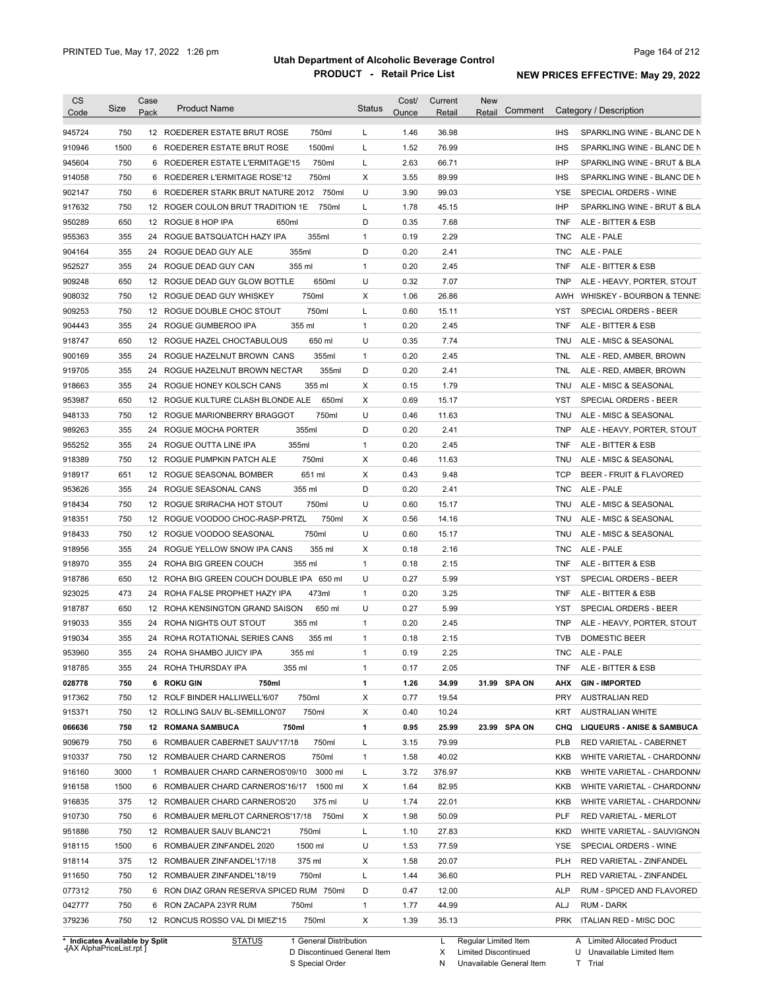| 750<br>12 ROEDERER ESTATE BRUT ROSE<br>750ml<br>1.46<br>36.98<br><b>IHS</b><br>SPARKLING WINE - BLANC DE N<br>945724<br>L<br>1500<br>1500ml<br>L<br>1.52<br>76.99<br><b>IHS</b><br>910946<br>6 ROEDERER ESTATE BRUT ROSE<br>SPARKLING WINE - BLANC DE N<br>750<br>945604<br>6 ROEDERER ESTATE L'ERMITAGE'15<br>750ml<br>L<br>2.63<br>66.71<br><b>IHP</b><br>SPARKLING WINE - BRUT & BLA<br>750<br>X<br>3.55<br>914058<br>6 ROEDERER L'ERMITAGE ROSE'12<br>750ml<br>89.99<br><b>IHS</b><br>SPARKLING WINE - BLANC DE N<br>750<br>6 ROEDERER STARK BRUT NATURE 2012 750ml<br>U<br>3.90<br>902147<br>99.03<br>YSE<br>SPECIAL ORDERS - WINE<br>L<br><b>IHP</b><br>917632<br>750<br>12 ROGER COULON BRUT TRADITION 1E<br>750ml<br>1.78<br>45.15<br>SPARKLING WINE - BRUT & BLA<br>650<br>D<br>0.35<br>7.68<br>950289<br>12 ROGUE 8 HOP IPA<br>650ml<br><b>TNF</b><br>ALE - BITTER & ESB<br>355<br>355ml<br>$\mathbf{1}$<br>0.19<br>2.29<br>955363<br>24 ROGUE BATSQUATCH HAZY IPA<br><b>TNC</b><br>ALE - PALE<br>355<br>355ml<br>D<br>0.20<br>ALE - PALE<br>904164<br>24 ROGUE DEAD GUY ALE<br>2.41<br><b>TNC</b><br>355<br>355 ml<br>$\mathbf{1}$<br>0.20<br>952527<br>24 ROGUE DEAD GUY CAN<br>2.45<br><b>TNF</b><br>ALE - BITTER & ESB<br>909248<br>650<br>650ml<br>U<br>0.32<br>7.07<br><b>TNP</b><br>12 ROGUE DEAD GUY GLOW BOTTLE<br>ALE - HEAVY, PORTER, STOUT<br>908032<br>750<br>750ml<br>х<br>1.06<br>26.86<br>12 ROGUE DEAD GUY WHISKEY<br>AWH<br>WHISKEY - BOURBON & TENNE:<br>909253<br>750<br>750ml<br>L<br>0.60<br>12 ROGUE DOUBLE CHOC STOUT<br>15.11<br>YST<br>SPECIAL ORDERS - BEER<br>355<br>355 ml<br>0.20<br>2.45<br>904443<br>24 ROGUE GUMBEROO IPA<br>$\mathbf{1}$<br><b>TNF</b><br>ALE - BITTER & ESB<br>650<br>650 ml<br>U<br>0.35<br>7.74<br>ALE - MISC & SEASONAL<br>918747<br>12 ROGUE HAZEL CHOCTABULOUS<br>TNU<br>355<br>0.20<br>2.45<br>900169<br>24 ROGUE HAZELNUT BROWN CANS<br>355ml<br>1<br>TNL<br>ALE - RED, AMBER, BROWN<br>355<br>355ml<br>D<br>0.20<br>2.41<br>919705<br>24 ROGUE HAZELNUT BROWN NECTAR<br>TNL<br>ALE - RED, AMBER, BROWN<br>355<br>х<br>0.15<br>1.79<br>24 ROGUE HONEY KOLSCH CANS<br>355 ml<br>TNU<br>ALE - MISC & SEASONAL<br>650<br>X<br>0.69<br><b>YST</b><br>12 ROGUE KULTURE CLASH BLONDE ALE<br>650ml<br>15.17<br>SPECIAL ORDERS - BEER<br>750<br>U<br>0.46<br>12 ROGUE MARIONBERRY BRAGGOT<br>750ml<br>11.63<br>TNU<br>ALE - MISC & SEASONAL<br>355<br>355ml<br>D<br>0.20<br>2.41<br>24 ROGUE MOCHA PORTER<br><b>TNP</b><br>ALE - HEAVY, PORTER, STOUT<br>355<br>0.20<br>355ml<br>$\mathbf{1}$<br><b>TNF</b><br>24<br>ROGUE OUTTA LINE IPA<br>2.45<br>ALE - BITTER & ESB<br>750<br>750ml<br>X<br>0.46<br>11.63<br>12 ROGUE PUMPKIN PATCH ALE<br>TNU<br>ALE - MISC & SEASONAL<br>651<br>651 ml<br>X<br>0.43<br>9.48<br><b>TCP</b><br>BEER - FRUIT & FLAVORED<br>12 ROGUE SEASONAL BOMBER<br>355<br>D<br>0.20<br>355 ml<br>2.41<br><b>TNC</b><br>24<br>ROGUE SEASONAL CANS<br>ALE - PALE<br>U<br>750<br>750ml<br>0.60<br>ALE - MISC & SEASONAL<br>12 ROGUE SRIRACHA HOT STOUT<br>15.17<br>TNU<br>750<br>750ml<br>х<br>0.56<br>14.16<br>12 ROGUE VOODOO CHOC-RASP-PRTZL<br>TNU<br>ALE - MISC & SEASONAL<br>U<br>750<br>750ml<br>0.60<br>12 ROGUE VOODOO SEASONAL<br>15.17<br>TNU<br>ALE - MISC & SEASONAL<br>355<br>355 ml<br>х<br>0.18<br>2.16<br>ALE - PALE<br>24 ROGUE YELLOW SNOW IPA CANS<br><b>TNC</b><br>355<br>355 ml<br>$\mathbf{1}$<br>0.18<br>24 ROHA BIG GREEN COUCH<br>2.15<br><b>TNF</b><br>ALE - BITTER & ESB<br>650<br>U<br>0.27<br>5.99<br>12 ROHA BIG GREEN COUCH DOUBLE IPA 650 ml<br>YST<br>SPECIAL ORDERS - BEER<br>473<br>473ml<br>$\mathbf{1}$<br>0.20<br>3.25<br>ALE - BITTER & ESB<br>24<br>ROHA FALSE PROPHET HAZY IPA<br>TNF<br>U<br>650<br>12 ROHA KENSINGTON GRAND SAISON<br>650 ml<br>0.27<br>5.99<br>YST<br>SPECIAL ORDERS - BEER<br>$\mathbf{1}$<br>0.20<br>355<br>24 ROHA NIGHTS OUT STOUT<br>355 ml<br>2.45<br><b>TNP</b><br>ALE - HEAVY, PORTER, STOUT<br>355<br>0.18<br><b>TVB</b><br><b>DOMESTIC BEER</b><br>24 ROHA ROTATIONAL SERIES CANS<br>355 ml<br>1<br>2.15<br>355<br>2.25<br>24 ROHA SHAMBO JUICY IPA<br>355 ml<br>0.19<br>TNC ALE-PALE<br>1<br>355<br>24 ROHA THURSDAY IPA<br>355 ml<br>2.05<br>1<br>0.17<br>TNF<br>ALE - BITTER & ESB<br>750<br>6 ROKU GIN<br>750ml<br>1<br>1.26<br>34.99<br>31.99 SPA ON<br>AHX<br><b>GIN IMPORTED</b><br>12 ROLF BINDER HALLIWELL'6/07<br>750ml<br>х<br>0.77<br><b>PRY</b><br>750<br>19.54<br><b>AUSTRALIAN RED</b><br>750ml<br>750<br>12 ROLLING SAUV BL-SEMILLON'07<br>х<br>0.40<br>10.24<br>KRT<br><b>AUSTRALIAN WHITE</b><br>1<br>25.99<br>23.99 SPA ON<br>750<br><b>12 ROMANA SAMBUCA</b><br>750ml<br>0.95<br>CHQ<br><b>LIQUEURS - ANISE &amp; SAMBUCA</b><br>750<br>6 ROMBAUER CABERNET SAUV'17/18<br>750ml<br>79.99<br>L<br>3.15<br>PLB<br>RED VARIETAL - CABERNET<br>750<br>750ml<br>1.58<br>40.02<br>12 ROMBAUER CHARD CARNEROS<br>1<br>KKB<br>WHITE VARIETAL - CHARDONN/<br>3000<br>3000 ml<br>376.97<br>1 ROMBAUER CHARD CARNEROS'09/10<br>L<br>3.72<br>KKB<br>WHITE VARIETAL - CHARDONN/<br>1500<br>1500 ml<br>1.64<br>82.95<br>6 ROMBAUER CHARD CARNEROS'16/17<br>х<br>KKB<br>WHITE VARIETAL - CHARDONN/<br>375<br>U<br>1.74<br>22.01<br>12 ROMBAUER CHARD CARNEROS'20<br>375 ml<br>KKB<br>WHITE VARIETAL - CHARDONN/<br>750<br>750ml<br>1.98<br>50.09<br><b>PLF</b><br>6 ROMBAUER MERLOT CARNEROS'17/18<br>х<br>RED VARIETAL - MERLOT<br>750<br>27.83<br>12 ROMBAUER SAUV BLANC'21<br>750ml<br>L<br>1.10<br><b>KKD</b><br>WHITE VARIETAL - SAUVIGNON<br>1500 ml<br>U<br>1.53<br>77.59<br>1500<br>6 ROMBAUER ZINFANDEL 2020<br>YSE<br>SPECIAL ORDERS - WINE<br>375<br>375 ml<br>20.07<br>12 ROMBAUER ZINFANDEL'17/18<br>х<br>1.58<br><b>PLH</b><br>RED VARIETAL - ZINFANDEL<br>750ml<br>36.60<br>750<br>12 ROMBAUER ZINFANDEL'18/19<br>L<br>1.44<br><b>PLH</b><br>RED VARIETAL - ZINFANDEL<br>750<br>6 RON DIAZ GRAN RESERVA SPICED RUM 750ml<br>D<br>12.00<br>RUM - SPICED AND FLAVORED<br>0.47<br>ALP<br>750<br>$\mathbf{1}$<br>44.99<br>6 RON ZACAPA 23YR RUM<br>750ml<br>1.77<br>ALJ<br>RUM - DARK<br>750<br>750ml<br>ITALIAN RED - MISC DOC<br>12 RONCUS ROSSO VAL DI MIEZ'15<br>Χ<br>1.39<br>35.13<br><b>PRK</b> | <b>CS</b><br>Code | Size | Case<br>Pack | <b>Product Name</b> | <b>Status</b> | Cost/<br>Ounce | Current<br>Retail | <b>New</b><br>Comment<br>Retail | Category / Description |
|------------------------------------------------------------------------------------------------------------------------------------------------------------------------------------------------------------------------------------------------------------------------------------------------------------------------------------------------------------------------------------------------------------------------------------------------------------------------------------------------------------------------------------------------------------------------------------------------------------------------------------------------------------------------------------------------------------------------------------------------------------------------------------------------------------------------------------------------------------------------------------------------------------------------------------------------------------------------------------------------------------------------------------------------------------------------------------------------------------------------------------------------------------------------------------------------------------------------------------------------------------------------------------------------------------------------------------------------------------------------------------------------------------------------------------------------------------------------------------------------------------------------------------------------------------------------------------------------------------------------------------------------------------------------------------------------------------------------------------------------------------------------------------------------------------------------------------------------------------------------------------------------------------------------------------------------------------------------------------------------------------------------------------------------------------------------------------------------------------------------------------------------------------------------------------------------------------------------------------------------------------------------------------------------------------------------------------------------------------------------------------------------------------------------------------------------------------------------------------------------------------------------------------------------------------------------------------------------------------------------------------------------------------------------------------------------------------------------------------------------------------------------------------------------------------------------------------------------------------------------------------------------------------------------------------------------------------------------------------------------------------------------------------------------------------------------------------------------------------------------------------------------------------------------------------------------------------------------------------------------------------------------------------------------------------------------------------------------------------------------------------------------------------------------------------------------------------------------------------------------------------------------------------------------------------------------------------------------------------------------------------------------------------------------------------------------------------------------------------------------------------------------------------------------------------------------------------------------------------------------------------------------------------------------------------------------------------------------------------------------------------------------------------------------------------------------------------------------------------------------------------------------------------------------------------------------------------------------------------------------------------------------------------------------------------------------------------------------------------------------------------------------------------------------------------------------------------------------------------------------------------------------------------------------------------------------------------------------------------------------------------------------------------------------------------------------------------------------------------------------------------------------------------------------------------------------------------------------------------------------------------------------------------------------------------------------------------------------------------------------------------------------------------------------------------------------------------------------------------------------------------------------------------------------------------------------------------------------------------------------------------------------------------------------------------------------------------------------------------------------------------------------------------------------------------------------------------------------------------------------------------------------------------------------------------------------------------------------------------------------------------------------------------------------------------------------------------------------------------------------------------------------------------------------------------------------------------------------------------------------------------------------------------------------------------------------------------------------------------------------------------------------------------------------------------------------------------------------------------------------------------------------------------------------------|-------------------|------|--------------|---------------------|---------------|----------------|-------------------|---------------------------------|------------------------|
|                                                                                                                                                                                                                                                                                                                                                                                                                                                                                                                                                                                                                                                                                                                                                                                                                                                                                                                                                                                                                                                                                                                                                                                                                                                                                                                                                                                                                                                                                                                                                                                                                                                                                                                                                                                                                                                                                                                                                                                                                                                                                                                                                                                                                                                                                                                                                                                                                                                                                                                                                                                                                                                                                                                                                                                                                                                                                                                                                                                                                                                                                                                                                                                                                                                                                                                                                                                                                                                                                                                                                                                                                                                                                                                                                                                                                                                                                                                                                                                                                                                                                                                                                                                                                                                                                                                                                                                                                                                                                                                                                                                                                                                                                                                                                                                                                                                                                                                                                                                                                                                                                                                                                                                                                                                                                                                                                                                                                                                                                                                                                                                                                                                                                                                                                                                                                                                                                                                                                                                                                                                                                                                                                                              |                   |      |              |                     |               |                |                   |                                 |                        |
|                                                                                                                                                                                                                                                                                                                                                                                                                                                                                                                                                                                                                                                                                                                                                                                                                                                                                                                                                                                                                                                                                                                                                                                                                                                                                                                                                                                                                                                                                                                                                                                                                                                                                                                                                                                                                                                                                                                                                                                                                                                                                                                                                                                                                                                                                                                                                                                                                                                                                                                                                                                                                                                                                                                                                                                                                                                                                                                                                                                                                                                                                                                                                                                                                                                                                                                                                                                                                                                                                                                                                                                                                                                                                                                                                                                                                                                                                                                                                                                                                                                                                                                                                                                                                                                                                                                                                                                                                                                                                                                                                                                                                                                                                                                                                                                                                                                                                                                                                                                                                                                                                                                                                                                                                                                                                                                                                                                                                                                                                                                                                                                                                                                                                                                                                                                                                                                                                                                                                                                                                                                                                                                                                                              |                   |      |              |                     |               |                |                   |                                 |                        |
|                                                                                                                                                                                                                                                                                                                                                                                                                                                                                                                                                                                                                                                                                                                                                                                                                                                                                                                                                                                                                                                                                                                                                                                                                                                                                                                                                                                                                                                                                                                                                                                                                                                                                                                                                                                                                                                                                                                                                                                                                                                                                                                                                                                                                                                                                                                                                                                                                                                                                                                                                                                                                                                                                                                                                                                                                                                                                                                                                                                                                                                                                                                                                                                                                                                                                                                                                                                                                                                                                                                                                                                                                                                                                                                                                                                                                                                                                                                                                                                                                                                                                                                                                                                                                                                                                                                                                                                                                                                                                                                                                                                                                                                                                                                                                                                                                                                                                                                                                                                                                                                                                                                                                                                                                                                                                                                                                                                                                                                                                                                                                                                                                                                                                                                                                                                                                                                                                                                                                                                                                                                                                                                                                                              |                   |      |              |                     |               |                |                   |                                 |                        |
|                                                                                                                                                                                                                                                                                                                                                                                                                                                                                                                                                                                                                                                                                                                                                                                                                                                                                                                                                                                                                                                                                                                                                                                                                                                                                                                                                                                                                                                                                                                                                                                                                                                                                                                                                                                                                                                                                                                                                                                                                                                                                                                                                                                                                                                                                                                                                                                                                                                                                                                                                                                                                                                                                                                                                                                                                                                                                                                                                                                                                                                                                                                                                                                                                                                                                                                                                                                                                                                                                                                                                                                                                                                                                                                                                                                                                                                                                                                                                                                                                                                                                                                                                                                                                                                                                                                                                                                                                                                                                                                                                                                                                                                                                                                                                                                                                                                                                                                                                                                                                                                                                                                                                                                                                                                                                                                                                                                                                                                                                                                                                                                                                                                                                                                                                                                                                                                                                                                                                                                                                                                                                                                                                                              |                   |      |              |                     |               |                |                   |                                 |                        |
|                                                                                                                                                                                                                                                                                                                                                                                                                                                                                                                                                                                                                                                                                                                                                                                                                                                                                                                                                                                                                                                                                                                                                                                                                                                                                                                                                                                                                                                                                                                                                                                                                                                                                                                                                                                                                                                                                                                                                                                                                                                                                                                                                                                                                                                                                                                                                                                                                                                                                                                                                                                                                                                                                                                                                                                                                                                                                                                                                                                                                                                                                                                                                                                                                                                                                                                                                                                                                                                                                                                                                                                                                                                                                                                                                                                                                                                                                                                                                                                                                                                                                                                                                                                                                                                                                                                                                                                                                                                                                                                                                                                                                                                                                                                                                                                                                                                                                                                                                                                                                                                                                                                                                                                                                                                                                                                                                                                                                                                                                                                                                                                                                                                                                                                                                                                                                                                                                                                                                                                                                                                                                                                                                                              |                   |      |              |                     |               |                |                   |                                 |                        |
|                                                                                                                                                                                                                                                                                                                                                                                                                                                                                                                                                                                                                                                                                                                                                                                                                                                                                                                                                                                                                                                                                                                                                                                                                                                                                                                                                                                                                                                                                                                                                                                                                                                                                                                                                                                                                                                                                                                                                                                                                                                                                                                                                                                                                                                                                                                                                                                                                                                                                                                                                                                                                                                                                                                                                                                                                                                                                                                                                                                                                                                                                                                                                                                                                                                                                                                                                                                                                                                                                                                                                                                                                                                                                                                                                                                                                                                                                                                                                                                                                                                                                                                                                                                                                                                                                                                                                                                                                                                                                                                                                                                                                                                                                                                                                                                                                                                                                                                                                                                                                                                                                                                                                                                                                                                                                                                                                                                                                                                                                                                                                                                                                                                                                                                                                                                                                                                                                                                                                                                                                                                                                                                                                                              |                   |      |              |                     |               |                |                   |                                 |                        |
|                                                                                                                                                                                                                                                                                                                                                                                                                                                                                                                                                                                                                                                                                                                                                                                                                                                                                                                                                                                                                                                                                                                                                                                                                                                                                                                                                                                                                                                                                                                                                                                                                                                                                                                                                                                                                                                                                                                                                                                                                                                                                                                                                                                                                                                                                                                                                                                                                                                                                                                                                                                                                                                                                                                                                                                                                                                                                                                                                                                                                                                                                                                                                                                                                                                                                                                                                                                                                                                                                                                                                                                                                                                                                                                                                                                                                                                                                                                                                                                                                                                                                                                                                                                                                                                                                                                                                                                                                                                                                                                                                                                                                                                                                                                                                                                                                                                                                                                                                                                                                                                                                                                                                                                                                                                                                                                                                                                                                                                                                                                                                                                                                                                                                                                                                                                                                                                                                                                                                                                                                                                                                                                                                                              |                   |      |              |                     |               |                |                   |                                 |                        |
|                                                                                                                                                                                                                                                                                                                                                                                                                                                                                                                                                                                                                                                                                                                                                                                                                                                                                                                                                                                                                                                                                                                                                                                                                                                                                                                                                                                                                                                                                                                                                                                                                                                                                                                                                                                                                                                                                                                                                                                                                                                                                                                                                                                                                                                                                                                                                                                                                                                                                                                                                                                                                                                                                                                                                                                                                                                                                                                                                                                                                                                                                                                                                                                                                                                                                                                                                                                                                                                                                                                                                                                                                                                                                                                                                                                                                                                                                                                                                                                                                                                                                                                                                                                                                                                                                                                                                                                                                                                                                                                                                                                                                                                                                                                                                                                                                                                                                                                                                                                                                                                                                                                                                                                                                                                                                                                                                                                                                                                                                                                                                                                                                                                                                                                                                                                                                                                                                                                                                                                                                                                                                                                                                                              |                   |      |              |                     |               |                |                   |                                 |                        |
|                                                                                                                                                                                                                                                                                                                                                                                                                                                                                                                                                                                                                                                                                                                                                                                                                                                                                                                                                                                                                                                                                                                                                                                                                                                                                                                                                                                                                                                                                                                                                                                                                                                                                                                                                                                                                                                                                                                                                                                                                                                                                                                                                                                                                                                                                                                                                                                                                                                                                                                                                                                                                                                                                                                                                                                                                                                                                                                                                                                                                                                                                                                                                                                                                                                                                                                                                                                                                                                                                                                                                                                                                                                                                                                                                                                                                                                                                                                                                                                                                                                                                                                                                                                                                                                                                                                                                                                                                                                                                                                                                                                                                                                                                                                                                                                                                                                                                                                                                                                                                                                                                                                                                                                                                                                                                                                                                                                                                                                                                                                                                                                                                                                                                                                                                                                                                                                                                                                                                                                                                                                                                                                                                                              |                   |      |              |                     |               |                |                   |                                 |                        |
|                                                                                                                                                                                                                                                                                                                                                                                                                                                                                                                                                                                                                                                                                                                                                                                                                                                                                                                                                                                                                                                                                                                                                                                                                                                                                                                                                                                                                                                                                                                                                                                                                                                                                                                                                                                                                                                                                                                                                                                                                                                                                                                                                                                                                                                                                                                                                                                                                                                                                                                                                                                                                                                                                                                                                                                                                                                                                                                                                                                                                                                                                                                                                                                                                                                                                                                                                                                                                                                                                                                                                                                                                                                                                                                                                                                                                                                                                                                                                                                                                                                                                                                                                                                                                                                                                                                                                                                                                                                                                                                                                                                                                                                                                                                                                                                                                                                                                                                                                                                                                                                                                                                                                                                                                                                                                                                                                                                                                                                                                                                                                                                                                                                                                                                                                                                                                                                                                                                                                                                                                                                                                                                                                                              |                   |      |              |                     |               |                |                   |                                 |                        |
|                                                                                                                                                                                                                                                                                                                                                                                                                                                                                                                                                                                                                                                                                                                                                                                                                                                                                                                                                                                                                                                                                                                                                                                                                                                                                                                                                                                                                                                                                                                                                                                                                                                                                                                                                                                                                                                                                                                                                                                                                                                                                                                                                                                                                                                                                                                                                                                                                                                                                                                                                                                                                                                                                                                                                                                                                                                                                                                                                                                                                                                                                                                                                                                                                                                                                                                                                                                                                                                                                                                                                                                                                                                                                                                                                                                                                                                                                                                                                                                                                                                                                                                                                                                                                                                                                                                                                                                                                                                                                                                                                                                                                                                                                                                                                                                                                                                                                                                                                                                                                                                                                                                                                                                                                                                                                                                                                                                                                                                                                                                                                                                                                                                                                                                                                                                                                                                                                                                                                                                                                                                                                                                                                                              |                   |      |              |                     |               |                |                   |                                 |                        |
|                                                                                                                                                                                                                                                                                                                                                                                                                                                                                                                                                                                                                                                                                                                                                                                                                                                                                                                                                                                                                                                                                                                                                                                                                                                                                                                                                                                                                                                                                                                                                                                                                                                                                                                                                                                                                                                                                                                                                                                                                                                                                                                                                                                                                                                                                                                                                                                                                                                                                                                                                                                                                                                                                                                                                                                                                                                                                                                                                                                                                                                                                                                                                                                                                                                                                                                                                                                                                                                                                                                                                                                                                                                                                                                                                                                                                                                                                                                                                                                                                                                                                                                                                                                                                                                                                                                                                                                                                                                                                                                                                                                                                                                                                                                                                                                                                                                                                                                                                                                                                                                                                                                                                                                                                                                                                                                                                                                                                                                                                                                                                                                                                                                                                                                                                                                                                                                                                                                                                                                                                                                                                                                                                                              |                   |      |              |                     |               |                |                   |                                 |                        |
|                                                                                                                                                                                                                                                                                                                                                                                                                                                                                                                                                                                                                                                                                                                                                                                                                                                                                                                                                                                                                                                                                                                                                                                                                                                                                                                                                                                                                                                                                                                                                                                                                                                                                                                                                                                                                                                                                                                                                                                                                                                                                                                                                                                                                                                                                                                                                                                                                                                                                                                                                                                                                                                                                                                                                                                                                                                                                                                                                                                                                                                                                                                                                                                                                                                                                                                                                                                                                                                                                                                                                                                                                                                                                                                                                                                                                                                                                                                                                                                                                                                                                                                                                                                                                                                                                                                                                                                                                                                                                                                                                                                                                                                                                                                                                                                                                                                                                                                                                                                                                                                                                                                                                                                                                                                                                                                                                                                                                                                                                                                                                                                                                                                                                                                                                                                                                                                                                                                                                                                                                                                                                                                                                                              |                   |      |              |                     |               |                |                   |                                 |                        |
|                                                                                                                                                                                                                                                                                                                                                                                                                                                                                                                                                                                                                                                                                                                                                                                                                                                                                                                                                                                                                                                                                                                                                                                                                                                                                                                                                                                                                                                                                                                                                                                                                                                                                                                                                                                                                                                                                                                                                                                                                                                                                                                                                                                                                                                                                                                                                                                                                                                                                                                                                                                                                                                                                                                                                                                                                                                                                                                                                                                                                                                                                                                                                                                                                                                                                                                                                                                                                                                                                                                                                                                                                                                                                                                                                                                                                                                                                                                                                                                                                                                                                                                                                                                                                                                                                                                                                                                                                                                                                                                                                                                                                                                                                                                                                                                                                                                                                                                                                                                                                                                                                                                                                                                                                                                                                                                                                                                                                                                                                                                                                                                                                                                                                                                                                                                                                                                                                                                                                                                                                                                                                                                                                                              |                   |      |              |                     |               |                |                   |                                 |                        |
|                                                                                                                                                                                                                                                                                                                                                                                                                                                                                                                                                                                                                                                                                                                                                                                                                                                                                                                                                                                                                                                                                                                                                                                                                                                                                                                                                                                                                                                                                                                                                                                                                                                                                                                                                                                                                                                                                                                                                                                                                                                                                                                                                                                                                                                                                                                                                                                                                                                                                                                                                                                                                                                                                                                                                                                                                                                                                                                                                                                                                                                                                                                                                                                                                                                                                                                                                                                                                                                                                                                                                                                                                                                                                                                                                                                                                                                                                                                                                                                                                                                                                                                                                                                                                                                                                                                                                                                                                                                                                                                                                                                                                                                                                                                                                                                                                                                                                                                                                                                                                                                                                                                                                                                                                                                                                                                                                                                                                                                                                                                                                                                                                                                                                                                                                                                                                                                                                                                                                                                                                                                                                                                                                                              |                   |      |              |                     |               |                |                   |                                 |                        |
|                                                                                                                                                                                                                                                                                                                                                                                                                                                                                                                                                                                                                                                                                                                                                                                                                                                                                                                                                                                                                                                                                                                                                                                                                                                                                                                                                                                                                                                                                                                                                                                                                                                                                                                                                                                                                                                                                                                                                                                                                                                                                                                                                                                                                                                                                                                                                                                                                                                                                                                                                                                                                                                                                                                                                                                                                                                                                                                                                                                                                                                                                                                                                                                                                                                                                                                                                                                                                                                                                                                                                                                                                                                                                                                                                                                                                                                                                                                                                                                                                                                                                                                                                                                                                                                                                                                                                                                                                                                                                                                                                                                                                                                                                                                                                                                                                                                                                                                                                                                                                                                                                                                                                                                                                                                                                                                                                                                                                                                                                                                                                                                                                                                                                                                                                                                                                                                                                                                                                                                                                                                                                                                                                                              |                   |      |              |                     |               |                |                   |                                 |                        |
|                                                                                                                                                                                                                                                                                                                                                                                                                                                                                                                                                                                                                                                                                                                                                                                                                                                                                                                                                                                                                                                                                                                                                                                                                                                                                                                                                                                                                                                                                                                                                                                                                                                                                                                                                                                                                                                                                                                                                                                                                                                                                                                                                                                                                                                                                                                                                                                                                                                                                                                                                                                                                                                                                                                                                                                                                                                                                                                                                                                                                                                                                                                                                                                                                                                                                                                                                                                                                                                                                                                                                                                                                                                                                                                                                                                                                                                                                                                                                                                                                                                                                                                                                                                                                                                                                                                                                                                                                                                                                                                                                                                                                                                                                                                                                                                                                                                                                                                                                                                                                                                                                                                                                                                                                                                                                                                                                                                                                                                                                                                                                                                                                                                                                                                                                                                                                                                                                                                                                                                                                                                                                                                                                                              |                   |      |              |                     |               |                |                   |                                 |                        |
|                                                                                                                                                                                                                                                                                                                                                                                                                                                                                                                                                                                                                                                                                                                                                                                                                                                                                                                                                                                                                                                                                                                                                                                                                                                                                                                                                                                                                                                                                                                                                                                                                                                                                                                                                                                                                                                                                                                                                                                                                                                                                                                                                                                                                                                                                                                                                                                                                                                                                                                                                                                                                                                                                                                                                                                                                                                                                                                                                                                                                                                                                                                                                                                                                                                                                                                                                                                                                                                                                                                                                                                                                                                                                                                                                                                                                                                                                                                                                                                                                                                                                                                                                                                                                                                                                                                                                                                                                                                                                                                                                                                                                                                                                                                                                                                                                                                                                                                                                                                                                                                                                                                                                                                                                                                                                                                                                                                                                                                                                                                                                                                                                                                                                                                                                                                                                                                                                                                                                                                                                                                                                                                                                                              |                   |      |              |                     |               |                |                   |                                 |                        |
|                                                                                                                                                                                                                                                                                                                                                                                                                                                                                                                                                                                                                                                                                                                                                                                                                                                                                                                                                                                                                                                                                                                                                                                                                                                                                                                                                                                                                                                                                                                                                                                                                                                                                                                                                                                                                                                                                                                                                                                                                                                                                                                                                                                                                                                                                                                                                                                                                                                                                                                                                                                                                                                                                                                                                                                                                                                                                                                                                                                                                                                                                                                                                                                                                                                                                                                                                                                                                                                                                                                                                                                                                                                                                                                                                                                                                                                                                                                                                                                                                                                                                                                                                                                                                                                                                                                                                                                                                                                                                                                                                                                                                                                                                                                                                                                                                                                                                                                                                                                                                                                                                                                                                                                                                                                                                                                                                                                                                                                                                                                                                                                                                                                                                                                                                                                                                                                                                                                                                                                                                                                                                                                                                                              | 918663            |      |              |                     |               |                |                   |                                 |                        |
|                                                                                                                                                                                                                                                                                                                                                                                                                                                                                                                                                                                                                                                                                                                                                                                                                                                                                                                                                                                                                                                                                                                                                                                                                                                                                                                                                                                                                                                                                                                                                                                                                                                                                                                                                                                                                                                                                                                                                                                                                                                                                                                                                                                                                                                                                                                                                                                                                                                                                                                                                                                                                                                                                                                                                                                                                                                                                                                                                                                                                                                                                                                                                                                                                                                                                                                                                                                                                                                                                                                                                                                                                                                                                                                                                                                                                                                                                                                                                                                                                                                                                                                                                                                                                                                                                                                                                                                                                                                                                                                                                                                                                                                                                                                                                                                                                                                                                                                                                                                                                                                                                                                                                                                                                                                                                                                                                                                                                                                                                                                                                                                                                                                                                                                                                                                                                                                                                                                                                                                                                                                                                                                                                                              | 953987            |      |              |                     |               |                |                   |                                 |                        |
|                                                                                                                                                                                                                                                                                                                                                                                                                                                                                                                                                                                                                                                                                                                                                                                                                                                                                                                                                                                                                                                                                                                                                                                                                                                                                                                                                                                                                                                                                                                                                                                                                                                                                                                                                                                                                                                                                                                                                                                                                                                                                                                                                                                                                                                                                                                                                                                                                                                                                                                                                                                                                                                                                                                                                                                                                                                                                                                                                                                                                                                                                                                                                                                                                                                                                                                                                                                                                                                                                                                                                                                                                                                                                                                                                                                                                                                                                                                                                                                                                                                                                                                                                                                                                                                                                                                                                                                                                                                                                                                                                                                                                                                                                                                                                                                                                                                                                                                                                                                                                                                                                                                                                                                                                                                                                                                                                                                                                                                                                                                                                                                                                                                                                                                                                                                                                                                                                                                                                                                                                                                                                                                                                                              | 948133            |      |              |                     |               |                |                   |                                 |                        |
|                                                                                                                                                                                                                                                                                                                                                                                                                                                                                                                                                                                                                                                                                                                                                                                                                                                                                                                                                                                                                                                                                                                                                                                                                                                                                                                                                                                                                                                                                                                                                                                                                                                                                                                                                                                                                                                                                                                                                                                                                                                                                                                                                                                                                                                                                                                                                                                                                                                                                                                                                                                                                                                                                                                                                                                                                                                                                                                                                                                                                                                                                                                                                                                                                                                                                                                                                                                                                                                                                                                                                                                                                                                                                                                                                                                                                                                                                                                                                                                                                                                                                                                                                                                                                                                                                                                                                                                                                                                                                                                                                                                                                                                                                                                                                                                                                                                                                                                                                                                                                                                                                                                                                                                                                                                                                                                                                                                                                                                                                                                                                                                                                                                                                                                                                                                                                                                                                                                                                                                                                                                                                                                                                                              | 989263            |      |              |                     |               |                |                   |                                 |                        |
|                                                                                                                                                                                                                                                                                                                                                                                                                                                                                                                                                                                                                                                                                                                                                                                                                                                                                                                                                                                                                                                                                                                                                                                                                                                                                                                                                                                                                                                                                                                                                                                                                                                                                                                                                                                                                                                                                                                                                                                                                                                                                                                                                                                                                                                                                                                                                                                                                                                                                                                                                                                                                                                                                                                                                                                                                                                                                                                                                                                                                                                                                                                                                                                                                                                                                                                                                                                                                                                                                                                                                                                                                                                                                                                                                                                                                                                                                                                                                                                                                                                                                                                                                                                                                                                                                                                                                                                                                                                                                                                                                                                                                                                                                                                                                                                                                                                                                                                                                                                                                                                                                                                                                                                                                                                                                                                                                                                                                                                                                                                                                                                                                                                                                                                                                                                                                                                                                                                                                                                                                                                                                                                                                                              | 955252            |      |              |                     |               |                |                   |                                 |                        |
|                                                                                                                                                                                                                                                                                                                                                                                                                                                                                                                                                                                                                                                                                                                                                                                                                                                                                                                                                                                                                                                                                                                                                                                                                                                                                                                                                                                                                                                                                                                                                                                                                                                                                                                                                                                                                                                                                                                                                                                                                                                                                                                                                                                                                                                                                                                                                                                                                                                                                                                                                                                                                                                                                                                                                                                                                                                                                                                                                                                                                                                                                                                                                                                                                                                                                                                                                                                                                                                                                                                                                                                                                                                                                                                                                                                                                                                                                                                                                                                                                                                                                                                                                                                                                                                                                                                                                                                                                                                                                                                                                                                                                                                                                                                                                                                                                                                                                                                                                                                                                                                                                                                                                                                                                                                                                                                                                                                                                                                                                                                                                                                                                                                                                                                                                                                                                                                                                                                                                                                                                                                                                                                                                                              | 918389            |      |              |                     |               |                |                   |                                 |                        |
|                                                                                                                                                                                                                                                                                                                                                                                                                                                                                                                                                                                                                                                                                                                                                                                                                                                                                                                                                                                                                                                                                                                                                                                                                                                                                                                                                                                                                                                                                                                                                                                                                                                                                                                                                                                                                                                                                                                                                                                                                                                                                                                                                                                                                                                                                                                                                                                                                                                                                                                                                                                                                                                                                                                                                                                                                                                                                                                                                                                                                                                                                                                                                                                                                                                                                                                                                                                                                                                                                                                                                                                                                                                                                                                                                                                                                                                                                                                                                                                                                                                                                                                                                                                                                                                                                                                                                                                                                                                                                                                                                                                                                                                                                                                                                                                                                                                                                                                                                                                                                                                                                                                                                                                                                                                                                                                                                                                                                                                                                                                                                                                                                                                                                                                                                                                                                                                                                                                                                                                                                                                                                                                                                                              | 918917            |      |              |                     |               |                |                   |                                 |                        |
|                                                                                                                                                                                                                                                                                                                                                                                                                                                                                                                                                                                                                                                                                                                                                                                                                                                                                                                                                                                                                                                                                                                                                                                                                                                                                                                                                                                                                                                                                                                                                                                                                                                                                                                                                                                                                                                                                                                                                                                                                                                                                                                                                                                                                                                                                                                                                                                                                                                                                                                                                                                                                                                                                                                                                                                                                                                                                                                                                                                                                                                                                                                                                                                                                                                                                                                                                                                                                                                                                                                                                                                                                                                                                                                                                                                                                                                                                                                                                                                                                                                                                                                                                                                                                                                                                                                                                                                                                                                                                                                                                                                                                                                                                                                                                                                                                                                                                                                                                                                                                                                                                                                                                                                                                                                                                                                                                                                                                                                                                                                                                                                                                                                                                                                                                                                                                                                                                                                                                                                                                                                                                                                                                                              | 953626            |      |              |                     |               |                |                   |                                 |                        |
|                                                                                                                                                                                                                                                                                                                                                                                                                                                                                                                                                                                                                                                                                                                                                                                                                                                                                                                                                                                                                                                                                                                                                                                                                                                                                                                                                                                                                                                                                                                                                                                                                                                                                                                                                                                                                                                                                                                                                                                                                                                                                                                                                                                                                                                                                                                                                                                                                                                                                                                                                                                                                                                                                                                                                                                                                                                                                                                                                                                                                                                                                                                                                                                                                                                                                                                                                                                                                                                                                                                                                                                                                                                                                                                                                                                                                                                                                                                                                                                                                                                                                                                                                                                                                                                                                                                                                                                                                                                                                                                                                                                                                                                                                                                                                                                                                                                                                                                                                                                                                                                                                                                                                                                                                                                                                                                                                                                                                                                                                                                                                                                                                                                                                                                                                                                                                                                                                                                                                                                                                                                                                                                                                                              | 918434            |      |              |                     |               |                |                   |                                 |                        |
|                                                                                                                                                                                                                                                                                                                                                                                                                                                                                                                                                                                                                                                                                                                                                                                                                                                                                                                                                                                                                                                                                                                                                                                                                                                                                                                                                                                                                                                                                                                                                                                                                                                                                                                                                                                                                                                                                                                                                                                                                                                                                                                                                                                                                                                                                                                                                                                                                                                                                                                                                                                                                                                                                                                                                                                                                                                                                                                                                                                                                                                                                                                                                                                                                                                                                                                                                                                                                                                                                                                                                                                                                                                                                                                                                                                                                                                                                                                                                                                                                                                                                                                                                                                                                                                                                                                                                                                                                                                                                                                                                                                                                                                                                                                                                                                                                                                                                                                                                                                                                                                                                                                                                                                                                                                                                                                                                                                                                                                                                                                                                                                                                                                                                                                                                                                                                                                                                                                                                                                                                                                                                                                                                                              | 918351            |      |              |                     |               |                |                   |                                 |                        |
|                                                                                                                                                                                                                                                                                                                                                                                                                                                                                                                                                                                                                                                                                                                                                                                                                                                                                                                                                                                                                                                                                                                                                                                                                                                                                                                                                                                                                                                                                                                                                                                                                                                                                                                                                                                                                                                                                                                                                                                                                                                                                                                                                                                                                                                                                                                                                                                                                                                                                                                                                                                                                                                                                                                                                                                                                                                                                                                                                                                                                                                                                                                                                                                                                                                                                                                                                                                                                                                                                                                                                                                                                                                                                                                                                                                                                                                                                                                                                                                                                                                                                                                                                                                                                                                                                                                                                                                                                                                                                                                                                                                                                                                                                                                                                                                                                                                                                                                                                                                                                                                                                                                                                                                                                                                                                                                                                                                                                                                                                                                                                                                                                                                                                                                                                                                                                                                                                                                                                                                                                                                                                                                                                                              | 918433            |      |              |                     |               |                |                   |                                 |                        |
|                                                                                                                                                                                                                                                                                                                                                                                                                                                                                                                                                                                                                                                                                                                                                                                                                                                                                                                                                                                                                                                                                                                                                                                                                                                                                                                                                                                                                                                                                                                                                                                                                                                                                                                                                                                                                                                                                                                                                                                                                                                                                                                                                                                                                                                                                                                                                                                                                                                                                                                                                                                                                                                                                                                                                                                                                                                                                                                                                                                                                                                                                                                                                                                                                                                                                                                                                                                                                                                                                                                                                                                                                                                                                                                                                                                                                                                                                                                                                                                                                                                                                                                                                                                                                                                                                                                                                                                                                                                                                                                                                                                                                                                                                                                                                                                                                                                                                                                                                                                                                                                                                                                                                                                                                                                                                                                                                                                                                                                                                                                                                                                                                                                                                                                                                                                                                                                                                                                                                                                                                                                                                                                                                                              | 918956            |      |              |                     |               |                |                   |                                 |                        |
|                                                                                                                                                                                                                                                                                                                                                                                                                                                                                                                                                                                                                                                                                                                                                                                                                                                                                                                                                                                                                                                                                                                                                                                                                                                                                                                                                                                                                                                                                                                                                                                                                                                                                                                                                                                                                                                                                                                                                                                                                                                                                                                                                                                                                                                                                                                                                                                                                                                                                                                                                                                                                                                                                                                                                                                                                                                                                                                                                                                                                                                                                                                                                                                                                                                                                                                                                                                                                                                                                                                                                                                                                                                                                                                                                                                                                                                                                                                                                                                                                                                                                                                                                                                                                                                                                                                                                                                                                                                                                                                                                                                                                                                                                                                                                                                                                                                                                                                                                                                                                                                                                                                                                                                                                                                                                                                                                                                                                                                                                                                                                                                                                                                                                                                                                                                                                                                                                                                                                                                                                                                                                                                                                                              | 918970            |      |              |                     |               |                |                   |                                 |                        |
|                                                                                                                                                                                                                                                                                                                                                                                                                                                                                                                                                                                                                                                                                                                                                                                                                                                                                                                                                                                                                                                                                                                                                                                                                                                                                                                                                                                                                                                                                                                                                                                                                                                                                                                                                                                                                                                                                                                                                                                                                                                                                                                                                                                                                                                                                                                                                                                                                                                                                                                                                                                                                                                                                                                                                                                                                                                                                                                                                                                                                                                                                                                                                                                                                                                                                                                                                                                                                                                                                                                                                                                                                                                                                                                                                                                                                                                                                                                                                                                                                                                                                                                                                                                                                                                                                                                                                                                                                                                                                                                                                                                                                                                                                                                                                                                                                                                                                                                                                                                                                                                                                                                                                                                                                                                                                                                                                                                                                                                                                                                                                                                                                                                                                                                                                                                                                                                                                                                                                                                                                                                                                                                                                                              | 918786            |      |              |                     |               |                |                   |                                 |                        |
|                                                                                                                                                                                                                                                                                                                                                                                                                                                                                                                                                                                                                                                                                                                                                                                                                                                                                                                                                                                                                                                                                                                                                                                                                                                                                                                                                                                                                                                                                                                                                                                                                                                                                                                                                                                                                                                                                                                                                                                                                                                                                                                                                                                                                                                                                                                                                                                                                                                                                                                                                                                                                                                                                                                                                                                                                                                                                                                                                                                                                                                                                                                                                                                                                                                                                                                                                                                                                                                                                                                                                                                                                                                                                                                                                                                                                                                                                                                                                                                                                                                                                                                                                                                                                                                                                                                                                                                                                                                                                                                                                                                                                                                                                                                                                                                                                                                                                                                                                                                                                                                                                                                                                                                                                                                                                                                                                                                                                                                                                                                                                                                                                                                                                                                                                                                                                                                                                                                                                                                                                                                                                                                                                                              | 923025            |      |              |                     |               |                |                   |                                 |                        |
|                                                                                                                                                                                                                                                                                                                                                                                                                                                                                                                                                                                                                                                                                                                                                                                                                                                                                                                                                                                                                                                                                                                                                                                                                                                                                                                                                                                                                                                                                                                                                                                                                                                                                                                                                                                                                                                                                                                                                                                                                                                                                                                                                                                                                                                                                                                                                                                                                                                                                                                                                                                                                                                                                                                                                                                                                                                                                                                                                                                                                                                                                                                                                                                                                                                                                                                                                                                                                                                                                                                                                                                                                                                                                                                                                                                                                                                                                                                                                                                                                                                                                                                                                                                                                                                                                                                                                                                                                                                                                                                                                                                                                                                                                                                                                                                                                                                                                                                                                                                                                                                                                                                                                                                                                                                                                                                                                                                                                                                                                                                                                                                                                                                                                                                                                                                                                                                                                                                                                                                                                                                                                                                                                                              | 918787            |      |              |                     |               |                |                   |                                 |                        |
|                                                                                                                                                                                                                                                                                                                                                                                                                                                                                                                                                                                                                                                                                                                                                                                                                                                                                                                                                                                                                                                                                                                                                                                                                                                                                                                                                                                                                                                                                                                                                                                                                                                                                                                                                                                                                                                                                                                                                                                                                                                                                                                                                                                                                                                                                                                                                                                                                                                                                                                                                                                                                                                                                                                                                                                                                                                                                                                                                                                                                                                                                                                                                                                                                                                                                                                                                                                                                                                                                                                                                                                                                                                                                                                                                                                                                                                                                                                                                                                                                                                                                                                                                                                                                                                                                                                                                                                                                                                                                                                                                                                                                                                                                                                                                                                                                                                                                                                                                                                                                                                                                                                                                                                                                                                                                                                                                                                                                                                                                                                                                                                                                                                                                                                                                                                                                                                                                                                                                                                                                                                                                                                                                                              | 919033            |      |              |                     |               |                |                   |                                 |                        |
|                                                                                                                                                                                                                                                                                                                                                                                                                                                                                                                                                                                                                                                                                                                                                                                                                                                                                                                                                                                                                                                                                                                                                                                                                                                                                                                                                                                                                                                                                                                                                                                                                                                                                                                                                                                                                                                                                                                                                                                                                                                                                                                                                                                                                                                                                                                                                                                                                                                                                                                                                                                                                                                                                                                                                                                                                                                                                                                                                                                                                                                                                                                                                                                                                                                                                                                                                                                                                                                                                                                                                                                                                                                                                                                                                                                                                                                                                                                                                                                                                                                                                                                                                                                                                                                                                                                                                                                                                                                                                                                                                                                                                                                                                                                                                                                                                                                                                                                                                                                                                                                                                                                                                                                                                                                                                                                                                                                                                                                                                                                                                                                                                                                                                                                                                                                                                                                                                                                                                                                                                                                                                                                                                                              | 919034            |      |              |                     |               |                |                   |                                 |                        |
|                                                                                                                                                                                                                                                                                                                                                                                                                                                                                                                                                                                                                                                                                                                                                                                                                                                                                                                                                                                                                                                                                                                                                                                                                                                                                                                                                                                                                                                                                                                                                                                                                                                                                                                                                                                                                                                                                                                                                                                                                                                                                                                                                                                                                                                                                                                                                                                                                                                                                                                                                                                                                                                                                                                                                                                                                                                                                                                                                                                                                                                                                                                                                                                                                                                                                                                                                                                                                                                                                                                                                                                                                                                                                                                                                                                                                                                                                                                                                                                                                                                                                                                                                                                                                                                                                                                                                                                                                                                                                                                                                                                                                                                                                                                                                                                                                                                                                                                                                                                                                                                                                                                                                                                                                                                                                                                                                                                                                                                                                                                                                                                                                                                                                                                                                                                                                                                                                                                                                                                                                                                                                                                                                                              | 953960            |      |              |                     |               |                |                   |                                 |                        |
|                                                                                                                                                                                                                                                                                                                                                                                                                                                                                                                                                                                                                                                                                                                                                                                                                                                                                                                                                                                                                                                                                                                                                                                                                                                                                                                                                                                                                                                                                                                                                                                                                                                                                                                                                                                                                                                                                                                                                                                                                                                                                                                                                                                                                                                                                                                                                                                                                                                                                                                                                                                                                                                                                                                                                                                                                                                                                                                                                                                                                                                                                                                                                                                                                                                                                                                                                                                                                                                                                                                                                                                                                                                                                                                                                                                                                                                                                                                                                                                                                                                                                                                                                                                                                                                                                                                                                                                                                                                                                                                                                                                                                                                                                                                                                                                                                                                                                                                                                                                                                                                                                                                                                                                                                                                                                                                                                                                                                                                                                                                                                                                                                                                                                                                                                                                                                                                                                                                                                                                                                                                                                                                                                                              | 918785            |      |              |                     |               |                |                   |                                 |                        |
|                                                                                                                                                                                                                                                                                                                                                                                                                                                                                                                                                                                                                                                                                                                                                                                                                                                                                                                                                                                                                                                                                                                                                                                                                                                                                                                                                                                                                                                                                                                                                                                                                                                                                                                                                                                                                                                                                                                                                                                                                                                                                                                                                                                                                                                                                                                                                                                                                                                                                                                                                                                                                                                                                                                                                                                                                                                                                                                                                                                                                                                                                                                                                                                                                                                                                                                                                                                                                                                                                                                                                                                                                                                                                                                                                                                                                                                                                                                                                                                                                                                                                                                                                                                                                                                                                                                                                                                                                                                                                                                                                                                                                                                                                                                                                                                                                                                                                                                                                                                                                                                                                                                                                                                                                                                                                                                                                                                                                                                                                                                                                                                                                                                                                                                                                                                                                                                                                                                                                                                                                                                                                                                                                                              | 028778            |      |              |                     |               |                |                   |                                 |                        |
|                                                                                                                                                                                                                                                                                                                                                                                                                                                                                                                                                                                                                                                                                                                                                                                                                                                                                                                                                                                                                                                                                                                                                                                                                                                                                                                                                                                                                                                                                                                                                                                                                                                                                                                                                                                                                                                                                                                                                                                                                                                                                                                                                                                                                                                                                                                                                                                                                                                                                                                                                                                                                                                                                                                                                                                                                                                                                                                                                                                                                                                                                                                                                                                                                                                                                                                                                                                                                                                                                                                                                                                                                                                                                                                                                                                                                                                                                                                                                                                                                                                                                                                                                                                                                                                                                                                                                                                                                                                                                                                                                                                                                                                                                                                                                                                                                                                                                                                                                                                                                                                                                                                                                                                                                                                                                                                                                                                                                                                                                                                                                                                                                                                                                                                                                                                                                                                                                                                                                                                                                                                                                                                                                                              | 917362            |      |              |                     |               |                |                   |                                 |                        |
|                                                                                                                                                                                                                                                                                                                                                                                                                                                                                                                                                                                                                                                                                                                                                                                                                                                                                                                                                                                                                                                                                                                                                                                                                                                                                                                                                                                                                                                                                                                                                                                                                                                                                                                                                                                                                                                                                                                                                                                                                                                                                                                                                                                                                                                                                                                                                                                                                                                                                                                                                                                                                                                                                                                                                                                                                                                                                                                                                                                                                                                                                                                                                                                                                                                                                                                                                                                                                                                                                                                                                                                                                                                                                                                                                                                                                                                                                                                                                                                                                                                                                                                                                                                                                                                                                                                                                                                                                                                                                                                                                                                                                                                                                                                                                                                                                                                                                                                                                                                                                                                                                                                                                                                                                                                                                                                                                                                                                                                                                                                                                                                                                                                                                                                                                                                                                                                                                                                                                                                                                                                                                                                                                                              | 915371            |      |              |                     |               |                |                   |                                 |                        |
|                                                                                                                                                                                                                                                                                                                                                                                                                                                                                                                                                                                                                                                                                                                                                                                                                                                                                                                                                                                                                                                                                                                                                                                                                                                                                                                                                                                                                                                                                                                                                                                                                                                                                                                                                                                                                                                                                                                                                                                                                                                                                                                                                                                                                                                                                                                                                                                                                                                                                                                                                                                                                                                                                                                                                                                                                                                                                                                                                                                                                                                                                                                                                                                                                                                                                                                                                                                                                                                                                                                                                                                                                                                                                                                                                                                                                                                                                                                                                                                                                                                                                                                                                                                                                                                                                                                                                                                                                                                                                                                                                                                                                                                                                                                                                                                                                                                                                                                                                                                                                                                                                                                                                                                                                                                                                                                                                                                                                                                                                                                                                                                                                                                                                                                                                                                                                                                                                                                                                                                                                                                                                                                                                                              | 066636            |      |              |                     |               |                |                   |                                 |                        |
|                                                                                                                                                                                                                                                                                                                                                                                                                                                                                                                                                                                                                                                                                                                                                                                                                                                                                                                                                                                                                                                                                                                                                                                                                                                                                                                                                                                                                                                                                                                                                                                                                                                                                                                                                                                                                                                                                                                                                                                                                                                                                                                                                                                                                                                                                                                                                                                                                                                                                                                                                                                                                                                                                                                                                                                                                                                                                                                                                                                                                                                                                                                                                                                                                                                                                                                                                                                                                                                                                                                                                                                                                                                                                                                                                                                                                                                                                                                                                                                                                                                                                                                                                                                                                                                                                                                                                                                                                                                                                                                                                                                                                                                                                                                                                                                                                                                                                                                                                                                                                                                                                                                                                                                                                                                                                                                                                                                                                                                                                                                                                                                                                                                                                                                                                                                                                                                                                                                                                                                                                                                                                                                                                                              | 909679            |      |              |                     |               |                |                   |                                 |                        |
|                                                                                                                                                                                                                                                                                                                                                                                                                                                                                                                                                                                                                                                                                                                                                                                                                                                                                                                                                                                                                                                                                                                                                                                                                                                                                                                                                                                                                                                                                                                                                                                                                                                                                                                                                                                                                                                                                                                                                                                                                                                                                                                                                                                                                                                                                                                                                                                                                                                                                                                                                                                                                                                                                                                                                                                                                                                                                                                                                                                                                                                                                                                                                                                                                                                                                                                                                                                                                                                                                                                                                                                                                                                                                                                                                                                                                                                                                                                                                                                                                                                                                                                                                                                                                                                                                                                                                                                                                                                                                                                                                                                                                                                                                                                                                                                                                                                                                                                                                                                                                                                                                                                                                                                                                                                                                                                                                                                                                                                                                                                                                                                                                                                                                                                                                                                                                                                                                                                                                                                                                                                                                                                                                                              | 910337            |      |              |                     |               |                |                   |                                 |                        |
|                                                                                                                                                                                                                                                                                                                                                                                                                                                                                                                                                                                                                                                                                                                                                                                                                                                                                                                                                                                                                                                                                                                                                                                                                                                                                                                                                                                                                                                                                                                                                                                                                                                                                                                                                                                                                                                                                                                                                                                                                                                                                                                                                                                                                                                                                                                                                                                                                                                                                                                                                                                                                                                                                                                                                                                                                                                                                                                                                                                                                                                                                                                                                                                                                                                                                                                                                                                                                                                                                                                                                                                                                                                                                                                                                                                                                                                                                                                                                                                                                                                                                                                                                                                                                                                                                                                                                                                                                                                                                                                                                                                                                                                                                                                                                                                                                                                                                                                                                                                                                                                                                                                                                                                                                                                                                                                                                                                                                                                                                                                                                                                                                                                                                                                                                                                                                                                                                                                                                                                                                                                                                                                                                                              | 916160            |      |              |                     |               |                |                   |                                 |                        |
|                                                                                                                                                                                                                                                                                                                                                                                                                                                                                                                                                                                                                                                                                                                                                                                                                                                                                                                                                                                                                                                                                                                                                                                                                                                                                                                                                                                                                                                                                                                                                                                                                                                                                                                                                                                                                                                                                                                                                                                                                                                                                                                                                                                                                                                                                                                                                                                                                                                                                                                                                                                                                                                                                                                                                                                                                                                                                                                                                                                                                                                                                                                                                                                                                                                                                                                                                                                                                                                                                                                                                                                                                                                                                                                                                                                                                                                                                                                                                                                                                                                                                                                                                                                                                                                                                                                                                                                                                                                                                                                                                                                                                                                                                                                                                                                                                                                                                                                                                                                                                                                                                                                                                                                                                                                                                                                                                                                                                                                                                                                                                                                                                                                                                                                                                                                                                                                                                                                                                                                                                                                                                                                                                                              | 916158            |      |              |                     |               |                |                   |                                 |                        |
|                                                                                                                                                                                                                                                                                                                                                                                                                                                                                                                                                                                                                                                                                                                                                                                                                                                                                                                                                                                                                                                                                                                                                                                                                                                                                                                                                                                                                                                                                                                                                                                                                                                                                                                                                                                                                                                                                                                                                                                                                                                                                                                                                                                                                                                                                                                                                                                                                                                                                                                                                                                                                                                                                                                                                                                                                                                                                                                                                                                                                                                                                                                                                                                                                                                                                                                                                                                                                                                                                                                                                                                                                                                                                                                                                                                                                                                                                                                                                                                                                                                                                                                                                                                                                                                                                                                                                                                                                                                                                                                                                                                                                                                                                                                                                                                                                                                                                                                                                                                                                                                                                                                                                                                                                                                                                                                                                                                                                                                                                                                                                                                                                                                                                                                                                                                                                                                                                                                                                                                                                                                                                                                                                                              | 916835            |      |              |                     |               |                |                   |                                 |                        |
|                                                                                                                                                                                                                                                                                                                                                                                                                                                                                                                                                                                                                                                                                                                                                                                                                                                                                                                                                                                                                                                                                                                                                                                                                                                                                                                                                                                                                                                                                                                                                                                                                                                                                                                                                                                                                                                                                                                                                                                                                                                                                                                                                                                                                                                                                                                                                                                                                                                                                                                                                                                                                                                                                                                                                                                                                                                                                                                                                                                                                                                                                                                                                                                                                                                                                                                                                                                                                                                                                                                                                                                                                                                                                                                                                                                                                                                                                                                                                                                                                                                                                                                                                                                                                                                                                                                                                                                                                                                                                                                                                                                                                                                                                                                                                                                                                                                                                                                                                                                                                                                                                                                                                                                                                                                                                                                                                                                                                                                                                                                                                                                                                                                                                                                                                                                                                                                                                                                                                                                                                                                                                                                                                                              | 910730            |      |              |                     |               |                |                   |                                 |                        |
|                                                                                                                                                                                                                                                                                                                                                                                                                                                                                                                                                                                                                                                                                                                                                                                                                                                                                                                                                                                                                                                                                                                                                                                                                                                                                                                                                                                                                                                                                                                                                                                                                                                                                                                                                                                                                                                                                                                                                                                                                                                                                                                                                                                                                                                                                                                                                                                                                                                                                                                                                                                                                                                                                                                                                                                                                                                                                                                                                                                                                                                                                                                                                                                                                                                                                                                                                                                                                                                                                                                                                                                                                                                                                                                                                                                                                                                                                                                                                                                                                                                                                                                                                                                                                                                                                                                                                                                                                                                                                                                                                                                                                                                                                                                                                                                                                                                                                                                                                                                                                                                                                                                                                                                                                                                                                                                                                                                                                                                                                                                                                                                                                                                                                                                                                                                                                                                                                                                                                                                                                                                                                                                                                                              | 951886            |      |              |                     |               |                |                   |                                 |                        |
|                                                                                                                                                                                                                                                                                                                                                                                                                                                                                                                                                                                                                                                                                                                                                                                                                                                                                                                                                                                                                                                                                                                                                                                                                                                                                                                                                                                                                                                                                                                                                                                                                                                                                                                                                                                                                                                                                                                                                                                                                                                                                                                                                                                                                                                                                                                                                                                                                                                                                                                                                                                                                                                                                                                                                                                                                                                                                                                                                                                                                                                                                                                                                                                                                                                                                                                                                                                                                                                                                                                                                                                                                                                                                                                                                                                                                                                                                                                                                                                                                                                                                                                                                                                                                                                                                                                                                                                                                                                                                                                                                                                                                                                                                                                                                                                                                                                                                                                                                                                                                                                                                                                                                                                                                                                                                                                                                                                                                                                                                                                                                                                                                                                                                                                                                                                                                                                                                                                                                                                                                                                                                                                                                                              | 918115            |      |              |                     |               |                |                   |                                 |                        |
|                                                                                                                                                                                                                                                                                                                                                                                                                                                                                                                                                                                                                                                                                                                                                                                                                                                                                                                                                                                                                                                                                                                                                                                                                                                                                                                                                                                                                                                                                                                                                                                                                                                                                                                                                                                                                                                                                                                                                                                                                                                                                                                                                                                                                                                                                                                                                                                                                                                                                                                                                                                                                                                                                                                                                                                                                                                                                                                                                                                                                                                                                                                                                                                                                                                                                                                                                                                                                                                                                                                                                                                                                                                                                                                                                                                                                                                                                                                                                                                                                                                                                                                                                                                                                                                                                                                                                                                                                                                                                                                                                                                                                                                                                                                                                                                                                                                                                                                                                                                                                                                                                                                                                                                                                                                                                                                                                                                                                                                                                                                                                                                                                                                                                                                                                                                                                                                                                                                                                                                                                                                                                                                                                                              | 918114            |      |              |                     |               |                |                   |                                 |                        |
|                                                                                                                                                                                                                                                                                                                                                                                                                                                                                                                                                                                                                                                                                                                                                                                                                                                                                                                                                                                                                                                                                                                                                                                                                                                                                                                                                                                                                                                                                                                                                                                                                                                                                                                                                                                                                                                                                                                                                                                                                                                                                                                                                                                                                                                                                                                                                                                                                                                                                                                                                                                                                                                                                                                                                                                                                                                                                                                                                                                                                                                                                                                                                                                                                                                                                                                                                                                                                                                                                                                                                                                                                                                                                                                                                                                                                                                                                                                                                                                                                                                                                                                                                                                                                                                                                                                                                                                                                                                                                                                                                                                                                                                                                                                                                                                                                                                                                                                                                                                                                                                                                                                                                                                                                                                                                                                                                                                                                                                                                                                                                                                                                                                                                                                                                                                                                                                                                                                                                                                                                                                                                                                                                                              | 911650            |      |              |                     |               |                |                   |                                 |                        |
|                                                                                                                                                                                                                                                                                                                                                                                                                                                                                                                                                                                                                                                                                                                                                                                                                                                                                                                                                                                                                                                                                                                                                                                                                                                                                                                                                                                                                                                                                                                                                                                                                                                                                                                                                                                                                                                                                                                                                                                                                                                                                                                                                                                                                                                                                                                                                                                                                                                                                                                                                                                                                                                                                                                                                                                                                                                                                                                                                                                                                                                                                                                                                                                                                                                                                                                                                                                                                                                                                                                                                                                                                                                                                                                                                                                                                                                                                                                                                                                                                                                                                                                                                                                                                                                                                                                                                                                                                                                                                                                                                                                                                                                                                                                                                                                                                                                                                                                                                                                                                                                                                                                                                                                                                                                                                                                                                                                                                                                                                                                                                                                                                                                                                                                                                                                                                                                                                                                                                                                                                                                                                                                                                                              | 077312            |      |              |                     |               |                |                   |                                 |                        |
|                                                                                                                                                                                                                                                                                                                                                                                                                                                                                                                                                                                                                                                                                                                                                                                                                                                                                                                                                                                                                                                                                                                                                                                                                                                                                                                                                                                                                                                                                                                                                                                                                                                                                                                                                                                                                                                                                                                                                                                                                                                                                                                                                                                                                                                                                                                                                                                                                                                                                                                                                                                                                                                                                                                                                                                                                                                                                                                                                                                                                                                                                                                                                                                                                                                                                                                                                                                                                                                                                                                                                                                                                                                                                                                                                                                                                                                                                                                                                                                                                                                                                                                                                                                                                                                                                                                                                                                                                                                                                                                                                                                                                                                                                                                                                                                                                                                                                                                                                                                                                                                                                                                                                                                                                                                                                                                                                                                                                                                                                                                                                                                                                                                                                                                                                                                                                                                                                                                                                                                                                                                                                                                                                                              | 042777            |      |              |                     |               |                |                   |                                 |                        |
|                                                                                                                                                                                                                                                                                                                                                                                                                                                                                                                                                                                                                                                                                                                                                                                                                                                                                                                                                                                                                                                                                                                                                                                                                                                                                                                                                                                                                                                                                                                                                                                                                                                                                                                                                                                                                                                                                                                                                                                                                                                                                                                                                                                                                                                                                                                                                                                                                                                                                                                                                                                                                                                                                                                                                                                                                                                                                                                                                                                                                                                                                                                                                                                                                                                                                                                                                                                                                                                                                                                                                                                                                                                                                                                                                                                                                                                                                                                                                                                                                                                                                                                                                                                                                                                                                                                                                                                                                                                                                                                                                                                                                                                                                                                                                                                                                                                                                                                                                                                                                                                                                                                                                                                                                                                                                                                                                                                                                                                                                                                                                                                                                                                                                                                                                                                                                                                                                                                                                                                                                                                                                                                                                                              | 379236            |      |              |                     |               |                |                   |                                 |                        |
| * Indicates Available by Split<br><b>STATUS</b><br>1 General Distribution<br>Regular Limited Item<br>A Limited Allocated Product<br>L                                                                                                                                                                                                                                                                                                                                                                                                                                                                                                                                                                                                                                                                                                                                                                                                                                                                                                                                                                                                                                                                                                                                                                                                                                                                                                                                                                                                                                                                                                                                                                                                                                                                                                                                                                                                                                                                                                                                                                                                                                                                                                                                                                                                                                                                                                                                                                                                                                                                                                                                                                                                                                                                                                                                                                                                                                                                                                                                                                                                                                                                                                                                                                                                                                                                                                                                                                                                                                                                                                                                                                                                                                                                                                                                                                                                                                                                                                                                                                                                                                                                                                                                                                                                                                                                                                                                                                                                                                                                                                                                                                                                                                                                                                                                                                                                                                                                                                                                                                                                                                                                                                                                                                                                                                                                                                                                                                                                                                                                                                                                                                                                                                                                                                                                                                                                                                                                                                                                                                                                                                        |                   |      |              |                     |               |                |                   |                                 |                        |

**Case** [AX AlphaPriceList.rpt ]

D Discontinued General Item

S Special Order

X Limited Discontinued

N Unavailable General Item

U Unavailable Limited Item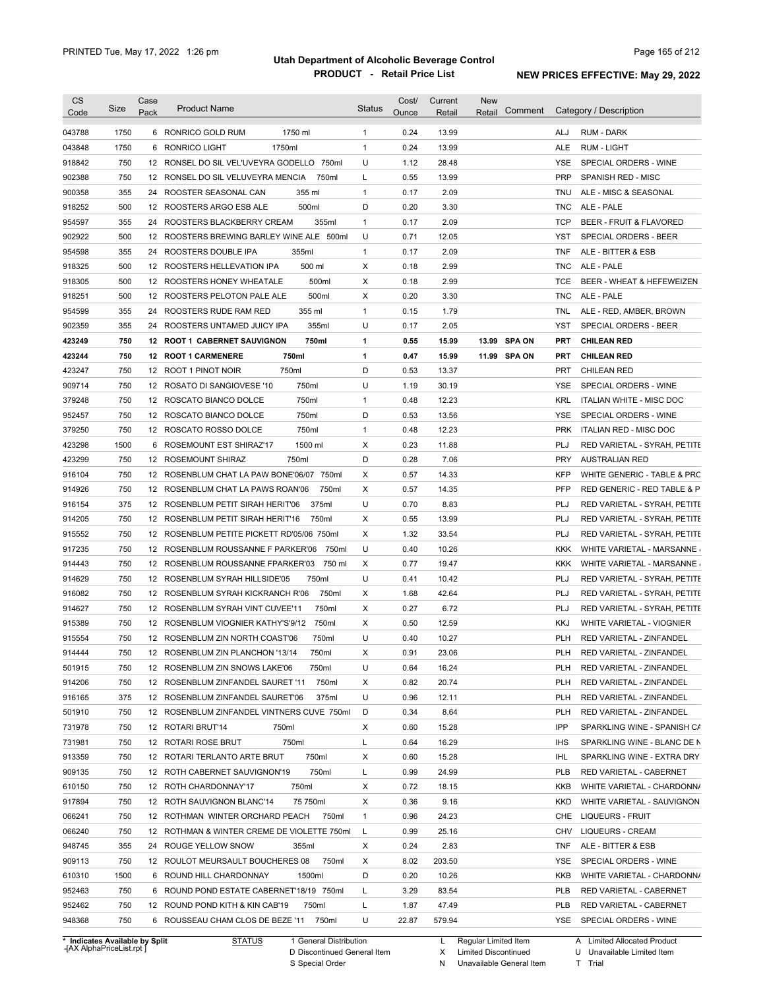| <b>CS</b><br>Code              | Size | Case<br>Pack    | <b>Product Name</b>                         | <b>Status</b>          | Cost/<br>Ounce | Current<br>Retail | <b>New</b><br>Retail | Comment      |            | Category / Description        |
|--------------------------------|------|-----------------|---------------------------------------------|------------------------|----------------|-------------------|----------------------|--------------|------------|-------------------------------|
| 043788                         | 1750 |                 | 6 RONRICO GOLD RUM<br>1750 ml               | $\mathbf{1}$           | 0.24           | 13.99             |                      |              | ALJ        | RUM - DARK                    |
| 043848                         | 1750 |                 | 1750ml<br>6 RONRICO LIGHT                   | $\mathbf{1}$           | 0.24           | 13.99             |                      |              | <b>ALE</b> | RUM - LIGHT                   |
| 918842                         | 750  |                 | 12 RONSEL DO SIL VEL'UVEYRA GODELLO 750ml   | U                      | 1.12           | 28.48             |                      |              | YSE        | SPECIAL ORDERS - WINE         |
| 902388                         | 750  |                 | 12 RONSEL DO SIL VELUVEYRA MENCIA           | 750ml<br>L             | 0.55           | 13.99             |                      |              | <b>PRP</b> | SPANISH RED - MISC            |
| 900358                         | 355  |                 | 24 ROOSTER SEASONAL CAN<br>355 ml           | $\mathbf{1}$           | 0.17           | 2.09              |                      |              | <b>TNU</b> | ALE - MISC & SEASONAL         |
| 918252                         | 500  |                 | 12 ROOSTERS ARGO ESB ALE<br>500ml           | D                      | 0.20           | 3.30              |                      |              | <b>TNC</b> | ALE - PALE                    |
| 954597                         | 355  | 24              | ROOSTERS BLACKBERRY CREAM                   | 355ml<br>1             | 0.17           | 2.09              |                      |              | <b>TCP</b> | BEER - FRUIT & FLAVORED       |
| 902922                         | 500  |                 | 12 ROOSTERS BREWING BARLEY WINE ALE 500ml   | U                      | 0.71           | 12.05             |                      |              | YST        | SPECIAL ORDERS - BEER         |
| 954598                         | 355  | 24              | ROOSTERS DOUBLE IPA<br>355ml                | $\mathbf{1}$           | 0.17           | 2.09              |                      |              | <b>TNF</b> | ALE - BITTER & ESB            |
| 918325                         | 500  |                 | 500 ml<br>12 ROOSTERS HELLEVATION IPA       | Х                      | 0.18           | 2.99              |                      |              | <b>TNC</b> | ALE - PALE                    |
| 918305                         | 500  |                 | 500ml<br>12 ROOSTERS HONEY WHEATALE         | Х                      | 0.18           | 2.99              |                      |              | <b>TCE</b> | BEER - WHEAT & HEFEWEIZEN     |
| 918251                         | 500  |                 | 500ml<br>12 ROOSTERS PELOTON PALE ALE       | Х                      | 0.20           | 3.30              |                      |              | <b>TNC</b> | ALE - PALE                    |
| 954599                         | 355  |                 | 355 ml<br>24 ROOSTERS RUDE RAM RED          | $\mathbf{1}$           | 0.15           | 1.79              |                      |              | TNL        | ALE - RED, AMBER, BROWN       |
| 902359                         | 355  |                 | 355ml<br>24 ROOSTERS UNTAMED JUICY IPA      | U                      | 0.17           | 2.05              |                      |              | YST        | SPECIAL ORDERS - BEER         |
| 423249                         | 750  |                 | 750ml<br>12 ROOT 1 CABERNET SAUVIGNON       | 1                      | 0.55           | 15.99             |                      | 13.99 SPA ON | <b>PRT</b> | <b>CHILEAN RED</b>            |
| 423244                         | 750  |                 | 750ml<br>12 ROOT 1 CARMENERE                | $\mathbf{1}$           | 0.47           | 15.99             |                      | 11.99 SPA ON | <b>PRT</b> | <b>CHILEAN RED</b>            |
| 423247                         | 750  |                 | 750ml<br>12 ROOT 1 PINOT NOIR               | D                      | 0.53           | 13.37             |                      |              | <b>PRT</b> | <b>CHILEAN RED</b>            |
| 909714                         | 750  |                 | 750ml<br>12 ROSATO DI SANGIOVESE '10        | U                      | 1.19           | 30.19             |                      |              | <b>YSE</b> | SPECIAL ORDERS - WINE         |
| 379248                         | 750  |                 | 12 ROSCATO BIANCO DOLCE<br>750ml            | 1                      | 0.48           | 12.23             |                      |              | KRL        | ITALIAN WHITE - MISC DOC      |
| 952457                         | 750  |                 | 750ml<br>12 ROSCATO BIANCO DOLCE            | D                      | 0.53           | 13.56             |                      |              | <b>YSE</b> | SPECIAL ORDERS - WINE         |
| 379250                         | 750  |                 | 12 ROSCATO ROSSO DOLCE<br>750ml             | 1                      | 0.48           | 12.23             |                      |              | <b>PRK</b> | <b>ITALIAN RED - MISC DOC</b> |
| 423298                         | 1500 | 6               | 1500 ml<br>ROSEMOUNT EST SHIRAZ'17          | Χ                      | 0.23           | 11.88             |                      |              | <b>PLJ</b> | RED VARIETAL - SYRAH, PETITE  |
| 423299                         | 750  | 12              | <b>ROSEMOUNT SHIRAZ</b><br>750ml            | D                      | 0.28           | 7.06              |                      |              | <b>PRY</b> | <b>AUSTRALIAN RED</b>         |
| 916104                         | 750  | 12              | ROSENBLUM CHAT LA PAW BONE'06/07            | Χ<br>750ml             | 0.57           | 14.33             |                      |              | <b>KFP</b> | WHITE GENERIC - TABLE & PRC   |
| 914926                         | 750  | 12 <sup>2</sup> | ROSENBLUM CHAT LA PAWS ROAN'06              | Х<br>750ml             | 0.57           | 14.35             |                      |              | <b>PFP</b> | RED GENERIC - RED TABLE & P   |
| 916154                         | 375  |                 | 12 ROSENBLUM PETIT SIRAH HERIT'06           | 375ml<br>U             | 0.70           | 8.83              |                      |              | <b>PLJ</b> | RED VARIETAL - SYRAH, PETITE  |
| 914205                         | 750  |                 | 12 ROSENBLUM PETIT SIRAH HERIT'16           | Χ<br>750ml             | 0.55           | 13.99             |                      |              | <b>PLJ</b> | RED VARIETAL - SYRAH, PETITE  |
| 915552                         | 750  |                 | 12 ROSENBLUM PETITE PICKETT RD'05/06 750ml  | Χ                      | 1.32           | 33.54             |                      |              | <b>PLJ</b> | RED VARIETAL - SYRAH, PETITE  |
| 917235                         | 750  |                 | 12 ROSENBLUM ROUSSANNE F PARKER'06          | U<br>750ml             | 0.40           | 10.26             |                      |              | KKK        | WHITE VARIETAL - MARSANNE     |
| 914443                         | 750  |                 | 12 ROSENBLUM ROUSSANNE FPARKER'03           | Χ<br>750 ml            | 0.77           | 19.47             |                      |              | <b>KKK</b> | WHITE VARIETAL - MARSANNE     |
| 914629                         | 750  |                 | 12 ROSENBLUM SYRAH HILLSIDE'05<br>750ml     | U                      | 0.41           | 10.42             |                      |              | <b>PLJ</b> | RED VARIETAL - SYRAH, PETITE  |
| 916082                         | 750  |                 | 12 ROSENBLUM SYRAH KICKRANCH R'06           | 750ml<br>Χ             | 1.68           | 42.64             |                      |              | <b>PLJ</b> | RED VARIETAL - SYRAH, PETITE  |
| 914627                         | 750  |                 | 12 ROSENBLUM SYRAH VINT CUVEE'11            | Х<br>750ml             | 0.27           | 6.72              |                      |              | PLJ        | RED VARIETAL - SYRAH, PETITE  |
| 915389                         | 750  |                 | 12 ROSENBLUM VIOGNIER KATHY'S'9/12          | Х<br>750ml             | 0.50           | 12.59             |                      |              | <b>KKJ</b> | WHITE VARIETAL - VIOGNIER     |
| 915554                         | 750  |                 | 12 ROSENBLUM ZIN NORTH COAST'06             | U<br>750ml             | 0.40           | 10.27             |                      |              | <b>PLH</b> | RED VARIETAL - ZINFANDEL      |
| 914444                         | 750  |                 | 12 ROSENBLUM ZIN PLANCHON '13/14            | Χ<br>750ml             | 0.91           | 23.06             |                      |              | PLH        | RED VARIETAL - ZINFANDEL      |
| 501915                         | 750  |                 | 12 ROSENBLUM ZIN SNOWS LAKE'06              | U<br>750ml             | 0.64           | 16.24             |                      |              | <b>PLH</b> | RED VARIETAL - ZINFANDEL      |
| 914206                         | 750  |                 | 12 ROSENBLUM ZINFANDEL SAURET '11           | 750ml<br>х             | 0.82           | 20.74             |                      |              | <b>PLH</b> | RED VARIETAL - ZINFANDEL      |
| 916165                         | 375  |                 | 12 ROSENBLUM ZINFANDEL SAURET'06            | U<br>375ml             | 0.96           | 12.11             |                      |              | <b>PLH</b> | RED VARIETAL - ZINFANDEL      |
| 501910                         | 750  |                 | 12 ROSENBLUM ZINFANDEL VINTNERS CUVE 750ml  | D                      | 0.34           | 8.64              |                      |              | <b>PLH</b> | RED VARIETAL - ZINFANDEL      |
| 731978                         | 750  |                 | 12 ROTARI BRUT'14<br>750ml                  | Х                      | 0.60           | 15.28             |                      |              | IPP        | SPARKLING WINE - SPANISH CA   |
| 731981                         | 750  |                 | 750ml<br>12 ROTARI ROSE BRUT                | L                      | 0.64           | 16.29             |                      |              | IHS        | SPARKLING WINE - BLANC DE N   |
| 913359                         | 750  |                 | 750ml<br>12 ROTARI TERLANTO ARTE BRUT       | Х                      | 0.60           | 15.28             |                      |              | IHL        | SPARKLING WINE - EXTRA DRY    |
| 909135                         | 750  |                 | 750ml<br>12 ROTH CABERNET SAUVIGNON'19      | L                      | 0.99           | 24.99             |                      |              | <b>PLB</b> | RED VARIETAL - CABERNET       |
| 610150                         | 750  |                 | 750ml<br>12 ROTH CHARDONNAY'17              | Х                      | 0.72           | 18.15             |                      |              | KKB        | WHITE VARIETAL - CHARDONN/    |
| 917894                         | 750  |                 | 75 750ml<br>12 ROTH SAUVIGNON BLANC'14      | Х                      | 0.36           | 9.16              |                      |              | <b>KKD</b> | WHITE VARIETAL - SAUVIGNON    |
| 066241                         | 750  |                 | 12 ROTHMAN WINTER ORCHARD PEACH             | 750ml<br>1             | 0.96           | 24.23             |                      |              | CHE        | <b>LIQUEURS - FRUIT</b>       |
| 066240                         | 750  |                 | 12 ROTHMAN & WINTER CREME DE VIOLETTE 750ml | L                      | 0.99           | 25.16             |                      |              | <b>CHV</b> | <b>LIQUEURS - CREAM</b>       |
| 948745                         | 355  |                 | 24 ROUGE YELLOW SNOW<br>355ml               | х                      | 0.24           | 2.83              |                      |              | <b>TNF</b> | ALE - BITTER & ESB            |
| 909113                         | 750  |                 | 12 ROULOT MEURSAULT BOUCHERES 08            | 750ml<br>х             | 8.02           | 203.50            |                      |              | YSE        | SPECIAL ORDERS - WINE         |
| 610310                         | 1500 |                 | 6 ROUND HILL CHARDONNAY<br>1500ml           | D                      | 0.20           | 10.26             |                      |              | KKB        | WHITE VARIETAL - CHARDONN/    |
| 952463                         | 750  |                 | 6 ROUND POND ESTATE CABERNET'18/19 750ml    | L                      | 3.29           | 83.54             |                      |              | <b>PLB</b> | RED VARIETAL - CABERNET       |
| 952462                         | 750  |                 | 12 ROUND POND KITH & KIN CAB'19<br>750ml    | L                      | 1.87           | 47.49             |                      |              | <b>PLB</b> | RED VARIETAL - CABERNET       |
| 948368                         | 750  |                 | 6 ROUSSEAU CHAM CLOS DE BEZE '11 750ml      | U                      | 22.87          | 579.94            |                      |              |            | YSE SPECIAL ORDERS - WINE     |
| * Indicates Available by Split |      |                 | <b>STATUS</b>                               | 1 General Distribution |                | L                 | Regular Limited Item |              |            | A Limited Allocated Product   |

**Case** [AX AlphaPriceList.rpt ]

D Discontinued General Item

S Special Order

X Limited Discontinued

U Unavailable Limited Item

N Unavailable General Item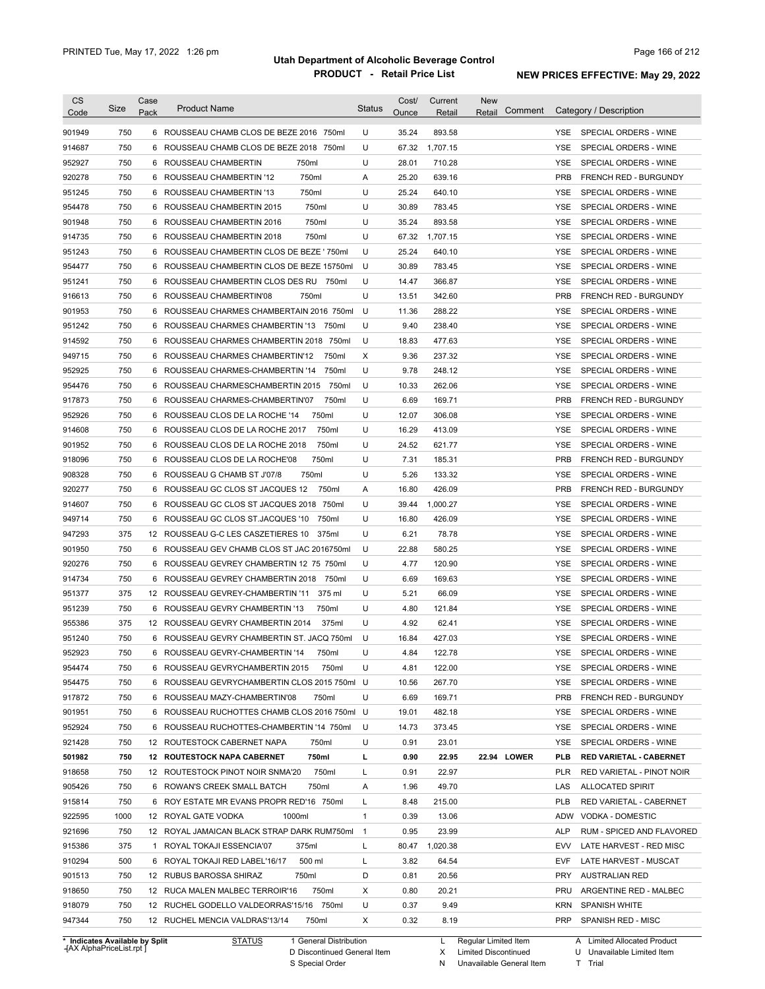| <b>CS</b><br>Code                                           | Size        | Case<br>Pack    | <b>Product Name</b>                                                     | <b>Status</b>     | Cost/<br>Ounce | Current<br>Retail | <b>New</b><br>Comment<br>Retail                     |                   | Category / Description                                              |
|-------------------------------------------------------------|-------------|-----------------|-------------------------------------------------------------------------|-------------------|----------------|-------------------|-----------------------------------------------------|-------------------|---------------------------------------------------------------------|
| 901949                                                      | 750         |                 | 6 ROUSSEAU CHAMB CLOS DE BEZE 2016 750ml                                | U                 | 35.24          | 893.58            |                                                     | YSE.              | SPECIAL ORDERS - WINE                                               |
| 914687                                                      | 750         | 6               | ROUSSEAU CHAMB CLOS DE BEZE 2018 750ml                                  | U                 | 67.32          | 1,707.15          |                                                     | <b>YSE</b>        | SPECIAL ORDERS - WINE                                               |
| 952927                                                      | 750         |                 | 750ml<br>6 ROUSSEAU CHAMBERTIN                                          | U                 | 28.01          | 710.28            |                                                     | <b>YSE</b>        | SPECIAL ORDERS - WINE                                               |
| 920278                                                      | 750         |                 | 750ml<br>6 ROUSSEAU CHAMBERTIN '12                                      | Α                 | 25.20          | 639.16            |                                                     | <b>PRB</b>        | FRENCH RED - BURGUNDY                                               |
| 951245                                                      | 750         |                 | 750ml<br>6 ROUSSEAU CHAMBERTIN '13                                      | U                 | 25.24          | 640.10            |                                                     | <b>YSE</b>        | SPECIAL ORDERS - WINE                                               |
| 954478                                                      | 750         |                 | 750ml<br>6 ROUSSEAU CHAMBERTIN 2015                                     | U                 | 30.89          | 783.45            |                                                     | <b>YSE</b>        | SPECIAL ORDERS - WINE                                               |
| 901948                                                      | 750         | 6               | 750ml<br>ROUSSEAU CHAMBERTIN 2016                                       | U                 | 35.24          | 893.58            |                                                     | YSE               | SPECIAL ORDERS - WINE                                               |
| 914735                                                      | 750         |                 | 750ml<br>6 ROUSSEAU CHAMBERTIN 2018                                     | U                 | 67.32          | 1,707.15          |                                                     | YSE               | SPECIAL ORDERS - WINE                                               |
| 951243                                                      | 750         | 6               | ROUSSEAU CHAMBERTIN CLOS DE BEZE ' 750ml                                | U                 | 25.24          | 640.10            |                                                     | YSE               | SPECIAL ORDERS - WINE                                               |
| 954477                                                      | 750         | 6               | ROUSSEAU CHAMBERTIN CLOS DE BEZE 15750ml                                | U                 | 30.89          | 783.45            |                                                     | YSE               | SPECIAL ORDERS - WINE                                               |
| 951241                                                      | 750         | 6               | ROUSSEAU CHAMBERTIN CLOS DES RU 750ml                                   | U                 | 14.47          | 366.87            |                                                     | <b>YSE</b>        | SPECIAL ORDERS - WINE                                               |
| 916613                                                      | 750         | 6               | ROUSSEAU CHAMBERTIN'08<br>750ml                                         | U                 | 13.51          | 342.60            |                                                     | <b>PRB</b>        | FRENCH RED - BURGUNDY                                               |
| 901953                                                      | 750         | 6               | ROUSSEAU CHARMES CHAMBERTAIN 2016 750ml                                 | U                 | 11.36          | 288.22            |                                                     | <b>YSE</b>        | SPECIAL ORDERS - WINE                                               |
| 951242                                                      | 750         | 6               | ROUSSEAU CHARMES CHAMBERTIN '13<br>750ml                                | U                 | 9.40           | 238.40            |                                                     | <b>YSE</b>        | SPECIAL ORDERS - WINE                                               |
| 914592                                                      | 750         | 6               | ROUSSEAU CHARMES CHAMBERTIN 2018 750ml                                  | U                 | 18.83          | 477.63            |                                                     | YSE               | SPECIAL ORDERS - WINE                                               |
| 949715                                                      | 750         | 6               | 750ml<br>ROUSSEAU CHARMES CHAMBERTIN'12                                 | X                 | 9.36           | 237.32            |                                                     | YSE               | SPECIAL ORDERS - WINE                                               |
| 952925                                                      | 750         | 6               | 750ml<br>ROUSSEAU CHARMES-CHAMBERTIN '14                                | U                 | 9.78           | 248.12            |                                                     | YSE               | SPECIAL ORDERS - WINE                                               |
| 954476                                                      | 750         | 6               | 750ml<br>ROUSSEAU CHARMESCHAMBERTIN 2015                                | U                 | 10.33          | 262.06            |                                                     | YSE               | SPECIAL ORDERS - WINE                                               |
| 917873                                                      | 750         | 6               | 750ml<br>ROUSSEAU CHARMES-CHAMBERTIN'07                                 | U                 | 6.69           | 169.71            |                                                     | <b>PRB</b>        | <b>FRENCH RED - BURGUNDY</b>                                        |
| 952926                                                      | 750         | 6               | 750ml<br>ROUSSEAU CLOS DE LA ROCHE '14                                  | U                 | 12.07          | 306.08            |                                                     | YSE               | SPECIAL ORDERS - WINE                                               |
| 914608                                                      | 750         | 6               | 750ml<br>ROUSSEAU CLOS DE LA ROCHE 2017                                 | U                 | 16.29          | 413.09            |                                                     | YSE               | SPECIAL ORDERS - WINE                                               |
| 901952                                                      | 750         | 6               | 750ml<br>ROUSSEAU CLOS DE LA ROCHE 2018                                 | U                 | 24.52          | 621.77            |                                                     | <b>YSE</b>        | SPECIAL ORDERS - WINE                                               |
| 918096                                                      | 750         | 6               | 750ml<br>ROUSSEAU CLOS DE LA ROCHE'08                                   | U                 | 7.31           | 185.31            |                                                     | <b>PRB</b>        | FRENCH RED - BURGUNDY                                               |
| 908328                                                      | 750         | 6               | 750ml<br>ROUSSEAU G CHAMB ST J'07/8                                     | U                 | 5.26           | 133.32            |                                                     | <b>YSE</b>        | SPECIAL ORDERS - WINE                                               |
| 920277                                                      | 750         | 6               | ROUSSEAU GC CLOS ST JACQUES 12<br>750ml                                 | Α                 | 16.80          | 426.09            |                                                     | <b>PRB</b>        | FRENCH RED - BURGUNDY                                               |
| 914607                                                      | 750         | 6               | ROUSSEAU GC CLOS ST JACQUES 2018<br>750ml                               | U                 | 39.44          | 1,000.27          |                                                     | <b>YSE</b>        | SPECIAL ORDERS - WINE                                               |
| 949714                                                      | 750         | 6               | ROUSSEAU GC CLOS ST.JACQUES '10<br>750ml                                | U                 | 16.80          | 426.09            |                                                     | <b>YSE</b>        | SPECIAL ORDERS - WINE                                               |
| 947293                                                      | 375         | 12              | ROUSSEAU G-C LES CASZETIERES 10<br>375ml                                | U                 | 6.21           | 78.78             |                                                     | <b>YSE</b>        | SPECIAL ORDERS - WINE                                               |
| 901950                                                      | 750         | 6               | ROUSSEAU GEV CHAMB CLOS ST JAC 2016750ml                                | U                 | 22.88          | 580.25            |                                                     | <b>YSE</b>        | SPECIAL ORDERS - WINE                                               |
| 920276                                                      | 750         | 6               | ROUSSEAU GEVREY CHAMBERTIN 12 75 750ml                                  | U                 | 4.77           | 120.90            |                                                     | <b>YSE</b>        | SPECIAL ORDERS - WINE                                               |
| 914734                                                      | 750         | 6               | ROUSSEAU GEVREY CHAMBERTIN 2018<br>750ml                                | U                 | 6.69           | 169.63            |                                                     | YSE               | SPECIAL ORDERS - WINE                                               |
| 951377                                                      | 375         | 12 <sup>2</sup> | ROUSSEAU GEVREY-CHAMBERTIN '11<br>375 ml                                | U                 | 5.21           | 66.09             |                                                     | YSE               | SPECIAL ORDERS - WINE                                               |
| 951239                                                      | 750         | 6               | ROUSSEAU GEVRY CHAMBERTIN '13<br>750ml                                  | U                 | 4.80           | 121.84            |                                                     | <b>YSE</b>        | SPECIAL ORDERS - WINE                                               |
| 955386                                                      | 375         |                 | 12 ROUSSEAU GEVRY CHAMBERTIN 2014<br>375ml                              | U                 | 4.92           | 62.41             |                                                     | <b>YSE</b>        | SPECIAL ORDERS - WINE                                               |
| 951240                                                      | 750         |                 | 6 ROUSSEAU GEVRY CHAMBERTIN ST. JACQ 750ml                              | U                 | 16.84          | 427.03            |                                                     | YSE               | SPECIAL ORDERS - WINE                                               |
| 952923                                                      | 750         |                 | ROUSSEAU GEVRY-CHAMBERTIN '14<br>750ml                                  | U                 | 4.84           | 122.78            |                                                     | YSE               | SPECIAL ORDERS - WINE                                               |
| 954474                                                      | 750         |                 | 6 ROUSSEAU GEVRYCHAMBERTIN 2015<br>750ml                                | U                 | 4.81           | 122.00            |                                                     | YSE               | SPECIAL ORDERS - WINE                                               |
| 954475                                                      | 750         | 6               | ROUSSEAU GEVRYCHAMBERTIN CLOS 2015 750ml                                | U                 | 10.56          | 267.70            |                                                     | YSE               | SPECIAL ORDERS - WINE                                               |
| 917872                                                      | 750         |                 | 6 ROUSSEAU MAZY-CHAMBERTIN'08<br>750ml                                  | U                 | 6.69           | 169.71            |                                                     | <b>PRB</b>        | FRENCH RED - BURGUNDY                                               |
| 901951                                                      | 750         | 6               | ROUSSEAU RUCHOTTES CHAMB CLOS 2016 750ml                                | U                 | 19.01          | 482.18            |                                                     | YSE               | SPECIAL ORDERS - WINE                                               |
| 952924                                                      | 750         | 6               | ROUSSEAU RUCHOTTES-CHAMBERTIN '14 750ml                                 | U                 | 14.73          | 373.45            |                                                     | YSE               | SPECIAL ORDERS - WINE                                               |
| 921428                                                      | 750         |                 | 12 ROUTESTOCK CABERNET NAPA<br>750ml                                    | U                 | 0.91           | 23.01             |                                                     | YSE               | SPECIAL ORDERS - WINE                                               |
| 501982                                                      | 750         |                 | 12 ROUTESTOCK NAPA CABERNET<br>750ml                                    | L                 | 0.90           | 22.95             | 22.94 LOWER                                         | PLB               | RED VARIETAL - CABERNET                                             |
| 918658                                                      | 750         |                 | 12 ROUTESTOCK PINOT NOIR SNMA'20<br>750ml                               | Г                 | 0.91           | 22.97             |                                                     | <b>PLR</b>        | RED VARIETAL - PINOT NOIR                                           |
| 905426                                                      | 750         | 6               | 750ml<br>ROWAN'S CREEK SMALL BATCH                                      | Α                 | 1.96           | 49.70             |                                                     | LAS               | <b>ALLOCATED SPIRIT</b>                                             |
| 915814<br>922595                                            | 750<br>1000 | 6               | ROY ESTATE MR EVANS PROPR RED'16 750ml<br>12 ROYAL GATE VODKA<br>1000ml | Г<br>$\mathbf{1}$ | 8.48           | 215.00<br>13.06   |                                                     | <b>PLB</b><br>ADW | RED VARIETAL - CABERNET                                             |
| 921696                                                      | 750         |                 | 12 ROYAL JAMAICAN BLACK STRAP DARK RUM750ml                             | $\overline{1}$    | 0.39<br>0.95   | 23.99             |                                                     | <b>ALP</b>        | VODKA - DOMESTIC<br>RUM - SPICED AND FLAVORED                       |
| 915386                                                      | 375         | 1               | 375ml<br>ROYAL TOKAJI ESSENCIA'07                                       | Г                 | 80.47          | 1,020.38          |                                                     | EVV               | LATE HARVEST - RED MISC                                             |
| 910294                                                      | 500         | 6               | ROYAL TOKAJI RED LABEL'16/17<br>500 ml                                  | Г                 | 3.82           | 64.54             |                                                     | <b>EVF</b>        | LATE HARVEST - MUSCAT                                               |
| 901513                                                      | 750         |                 | 12 RUBUS BAROSSA SHIRAZ<br>750ml                                        | D                 | 0.81           | 20.56             |                                                     | <b>PRY</b>        | <b>AUSTRALIAN RED</b>                                               |
| 918650                                                      | 750         |                 | 750ml<br>12 RUCA MALEN MALBEC TERROIR'16                                | X                 | 0.80           | 20.21             |                                                     | PRU               | ARGENTINE RED - MALBEC                                              |
| 918079                                                      | 750         |                 | 12 RUCHEL GODELLO VALDEORRAS'15/16 750ml                                | U                 | 0.37           | 9.49              |                                                     | <b>KRN</b>        | SPANISH WHITE                                                       |
| 947344                                                      | 750         |                 | 12 RUCHEL MENCIA VALDRAS'13/14<br>750ml                                 | Х                 | 0.32           | 8.19              |                                                     | <b>PRP</b>        | SPANISH RED - MISC                                                  |
|                                                             |             |                 |                                                                         |                   |                |                   |                                                     |                   |                                                                     |
| * Indicates Available by Split<br>-{AX AlphaPriceList.rpt ] |             |                 | <b>STATUS</b><br>1 General Distribution<br>D Discontinued General Item  |                   |                | L<br>X            | Regular Limited Item<br><b>Limited Discontinued</b> |                   | <b>Limited Allocated Product</b><br>A<br>U Unavailable Limited Item |

S Special Order

N Unavailable General Item

U Unavailable Limited Item T Trial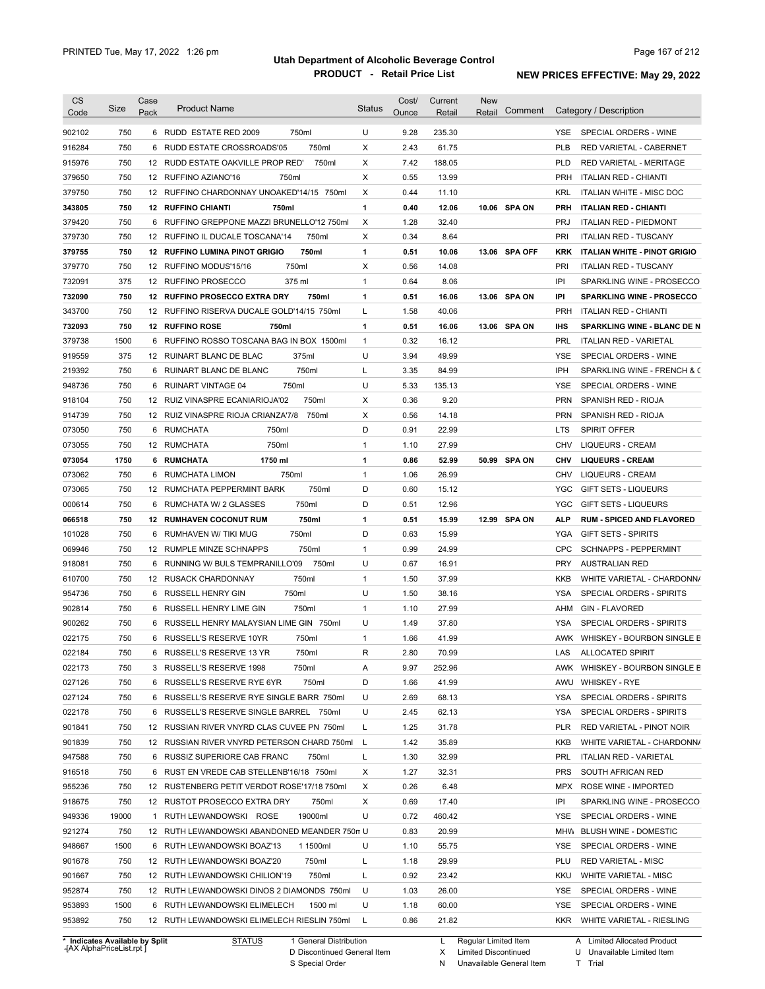| CS               | Size  | Case   | <b>Product Name</b>                            | <b>Status</b> | Cost/        | Current | <b>New</b> |               |            |                                                      |
|------------------|-------|--------|------------------------------------------------|---------------|--------------|---------|------------|---------------|------------|------------------------------------------------------|
| Code             |       | Pack   |                                                |               | Ounce        | Retail  | Retail     | Comment       |            | Category / Description                               |
| 902102           | 750   |        | 750ml<br>6 RUDD ESTATE RED 2009                | U             | 9.28         | 235.30  |            |               | YSE.       | SPECIAL ORDERS - WINE                                |
| 916284           | 750   | 6      | RUDD ESTATE CROSSROADS'05<br>750ml             | Χ             | 2.43         | 61.75   |            |               | <b>PLB</b> | RED VARIETAL - CABERNET                              |
| 915976           | 750   |        | 12 RUDD ESTATE OAKVILLE PROP RED'<br>750ml     | X             | 7.42         | 188.05  |            |               | <b>PLD</b> | <b>RED VARIETAL - MERITAGE</b>                       |
| 379650           | 750   |        | 12 RUFFINO AZIANO'16<br>750ml                  | X             | 0.55         | 13.99   |            |               | <b>PRH</b> | <b>ITALIAN RED - CHIANTI</b>                         |
| 379750           | 750   |        | 12 RUFFINO CHARDONNAY UNOAKED'14/15 750ml      | Χ             | 0.44         | 11.10   |            |               | <b>KRL</b> | <b>ITALIAN WHITE - MISC DOC</b>                      |
| 343805           | 750   |        | <b>12 RUFFINO CHIANTI</b><br>750ml             | 1             | 0.40         | 12.06   |            | 10.06 SPA ON  | <b>PRH</b> | <b>ITALIAN RED - CHIANTI</b>                         |
| 379420           | 750   |        | 6 RUFFINO GREPPONE MAZZI BRUNELLO'12 750ml     | X             | 1.28         | 32.40   |            |               | <b>PRJ</b> | <b>ITALIAN RED - PIEDMONT</b>                        |
| 379730           | 750   |        | 12 RUFFINO IL DUCALE TOSCANA'14<br>750ml       | X             | 0.34         | 8.64    |            |               | PRI        | <b>ITALIAN RED - TUSCANY</b>                         |
| 379755           | 750   |        | 750ml<br><b>12 RUFFINO LUMINA PINOT GRIGIO</b> | 1             | 0.51         | 10.06   |            | 13.06 SPA OFF | <b>KRK</b> | <b>ITALIAN WHITE - PINOT GRIGIO</b>                  |
| 379770           | 750   |        | 750ml<br>12 RUFFINO MODUS'15/16                | X             | 0.56         | 14.08   |            |               | PRI        | <b>ITALIAN RED - TUSCANY</b>                         |
| 732091           | 375   |        | 12 RUFFINO PROSECCO<br>375 ml                  | 1             | 0.64         | 8.06    |            |               | IPI        | SPARKLING WINE - PROSECCO                            |
| 732090           | 750   |        | 12 RUFFINO PROSECCO EXTRA DRY<br>750ml         | 1             | 0.51         | 16.06   |            | 13.06 SPA ON  | IPI        | <b>SPARKLING WINE - PROSECCO</b>                     |
| 343700           | 750   |        | 12 RUFFINO RISERVA DUCALE GOLD'14/15 750ml     | L             | 1.58         | 40.06   |            |               | <b>PRH</b> | <b>ITALIAN RED - CHIANTI</b>                         |
| 732093           | 750   |        | 12 RUFFINO ROSE<br>750ml                       | 1             | 0.51         | 16.06   |            | 13.06 SPA ON  | <b>IHS</b> | SPARKLING WINE - BLANC DE N                          |
| 379738           | 1500  | 6      | RUFFINO ROSSO TOSCANA BAG IN BOX 1500ml        | 1             | 0.32         | 16.12   |            |               | <b>PRL</b> | <b>ITALIAN RED - VARIETAL</b>                        |
| 919559           | 375   |        | 375ml<br>12 RUINART BLANC DE BLAC              | U             | 3.94         | 49.99   |            |               | YSE        | SPECIAL ORDERS - WINE                                |
|                  | 750   |        | 750ml<br>RUINART BLANC DE BLANC                | L             |              | 84.99   |            |               | IPH        |                                                      |
| 219392<br>948736 | 750   | 6<br>6 | RUINART VINTAGE 04<br>750ml                    | U             | 3.35<br>5.33 | 135.13  |            |               | YSE        | SPARKLING WINE - FRENCH & C<br>SPECIAL ORDERS - WINE |
|                  |       |        |                                                |               |              |         |            |               |            |                                                      |
| 918104           | 750   |        | 750ml<br>12 RUIZ VINASPRE ECANIARIOJA'02       | X             | 0.36         | 9.20    |            |               | <b>PRN</b> | SPANISH RED - RIOJA                                  |
| 914739           | 750   |        | 12 RUIZ VINASPRE RIOJA CRIANZA'7/8<br>750ml    | X             | 0.56         | 14.18   |            |               | <b>PRN</b> | SPANISH RED - RIOJA                                  |
| 073050           | 750   |        | 750ml<br>6 RUMCHATA                            | D             | 0.91         | 22.99   |            |               | LTS        | <b>SPIRIT OFFER</b>                                  |
| 073055           | 750   |        | 750ml<br>12 RUMCHATA                           | 1             | 1.10         | 27.99   |            |               | CHV        | <b>LIQUEURS - CREAM</b>                              |
| 073054           | 1750  |        | 6 RUMCHATA<br>1750 ml                          | 1             | 0.86         | 52.99   |            | 50.99 SPA ON  | <b>CHV</b> | <b>LIQUEURS - CREAM</b>                              |
| 073062           | 750   |        | 6 RUMCHATA LIMON<br>750ml                      | 1             | 1.06         | 26.99   |            |               | CHV        | <b>LIQUEURS - CREAM</b>                              |
| 073065           | 750   |        | 12 RUMCHATA PEPPERMINT BARK<br>750ml           | D             | 0.60         | 15.12   |            |               | <b>YGC</b> | <b>GIFT SETS - LIQUEURS</b>                          |
| 000614           | 750   |        | 750ml<br>6 RUMCHATA W/ 2 GLASSES               | D             | 0.51         | 12.96   |            |               | <b>YGC</b> | <b>GIFT SETS - LIQUEURS</b>                          |
| 066518           | 750   |        | 750ml<br><b>12 RUMHAVEN COCONUT RUM</b>        | 1             | 0.51         | 15.99   |            | 12.99 SPA ON  | <b>ALP</b> | <b>RUM - SPICED AND FLAVORED</b>                     |
| 101028           | 750   |        | 750ml<br>6 RUMHAVEN W/ TIKI MUG                | D             | 0.63         | 15.99   |            |               | <b>YGA</b> | <b>GIFT SETS - SPIRITS</b>                           |
| 069946           | 750   |        | 750ml<br>12 RUMPLE MINZE SCHNAPPS              | 1             | 0.99         | 24.99   |            |               | <b>CPC</b> | <b>SCHNAPPS - PEPPERMINT</b>                         |
| 918081           | 750   |        | 6 RUNNING W/ BULS TEMPRANILLO'09<br>750ml      | U             | 0.67         | 16.91   |            |               | <b>PRY</b> | <b>AUSTRALIAN RED</b>                                |
| 610700           | 750   |        | 12 RUSACK CHARDONNAY<br>750ml                  | 1             | 1.50         | 37.99   |            |               | <b>KKB</b> | WHITE VARIETAL - CHARDONN/                           |
| 954736           | 750   |        | 750ml<br>6 RUSSELL HENRY GIN                   | U             | 1.50         | 38.16   |            |               | YSA        | SPECIAL ORDERS - SPIRITS                             |
| 902814           | 750   |        | 6 RUSSELL HENRY LIME GIN<br>750ml              | 1             | 1.10         | 27.99   |            |               | AHM        | <b>GIN - FLAVORED</b>                                |
| 900262           | 750   |        | 6 RUSSELL HENRY MALAYSIAN LIME GIN 750ml       | U             | 1.49         | 37.80   |            |               | YSA        | SPECIAL ORDERS - SPIRITS                             |
| 022175           | 750   |        | 6 RUSSELL'S RESERVE 10YR<br>750ml              | 1             | 1.66         | 41.99   |            |               | AWK        | WHISKEY - BOURBON SINGLE B                           |
| 022184           | 750   |        | 6 RUSSELL'S RESERVE 13 YR<br>750ml             | R             | 2.80         | 70.99   |            |               | LAS        | ALLOCATED SPIRIT                                     |
| 022173           | 750   |        | 750ml<br>3 RUSSELL'S RESERVE 1998              | Α             | 9.97         | 252.96  |            |               |            | AWK WHISKEY - BOURBON SINGLE B                       |
| 027126           | 750   |        | 750ml<br>6 RUSSELL'S RESERVE RYE 6YR           | D             | 1.66         | 41.99   |            |               | AWU        | <b>WHISKEY - RYE</b>                                 |
| 027124           | 750   |        | 6 RUSSELL'S RESERVE RYE SINGLE BARR 750ml      | U             | 2.69         | 68.13   |            |               | <b>YSA</b> | SPECIAL ORDERS - SPIRITS                             |
| 022178           | 750   |        | 6 RUSSELL'S RESERVE SINGLE BARREL 750ml        | U             | 2.45         | 62.13   |            |               | <b>YSA</b> | SPECIAL ORDERS - SPIRITS                             |
| 901841           | 750   |        | 12 RUSSIAN RIVER VNYRD CLAS CUVEE PN 750ml     | L             | 1.25         | 31.78   |            |               | <b>PLR</b> | RED VARIETAL - PINOT NOIR                            |
|                  |       |        |                                                |               |              |         |            |               |            |                                                      |
| 901839           | 750   |        | 12 RUSSIAN RIVER VNYRD PETERSON CHARD 750ml    | L             | 1.42         | 35.89   |            |               | KKB        | WHITE VARIETAL - CHARDONN/                           |
| 947588           | 750   |        | 6 RUSSIZ SUPERIORE CAB FRANC<br>750ml          | L             | 1.30         | 32.99   |            |               | <b>PRL</b> | <b>ITALIAN RED - VARIETAL</b>                        |
| 916518           | 750   |        | 6 RUST EN VREDE CAB STELLENB'16/18 750ml       | Χ             | 1.27         | 32.31   |            |               | <b>PRS</b> | SOUTH AFRICAN RED                                    |
| 955236           | 750   |        | 12 RUSTENBERG PETIT VERDOT ROSE'17/18 750ml    | Х             | 0.26         | 6.48    |            |               | MPX        | ROSE WINE - IMPORTED                                 |
| 918675           | 750   |        | 12 RUSTOT PROSECCO EXTRA DRY<br>750ml          | Χ             | 0.69         | 17.40   |            |               | IPI        | SPARKLING WINE - PROSECCO                            |
| 949336           | 19000 |        | 19000ml<br>1 RUTH LEWANDOWSKI ROSE             | U             | 0.72         | 460.42  |            |               | YSE        | SPECIAL ORDERS - WINE                                |
| 921274           | 750   |        | 12 RUTH LEWANDOWSKI ABANDONED MEANDER 750m U   |               | 0.83         | 20.99   |            |               | MHW        | <b>BLUSH WINE - DOMESTIC</b>                         |
| 948667           | 1500  |        | 6 RUTH LEWANDOWSKI BOAZ'13<br>1 1500ml         | U             | 1.10         | 55.75   |            |               | YSE        | SPECIAL ORDERS - WINE                                |
| 901678           | 750   |        | 750ml<br>12 RUTH LEWANDOWSKI BOAZ'20           | L             | 1.18         | 29.99   |            |               | PLU        | <b>RED VARIETAL - MISC</b>                           |
| 901667           | 750   |        | 750ml<br>12 RUTH LEWANDOWSKI CHILION'19        | L             | 0.92         | 23.42   |            |               | KKU        | WHITE VARIETAL - MISC                                |
|                  | 750   |        | 12 RUTH LEWANDOWSKI DINOS 2 DIAMONDS 750ml     | U             | 1.03         | 26.00   |            |               | YSE        | SPECIAL ORDERS - WINE                                |
|                  |       |        |                                                |               |              |         |            |               |            |                                                      |
| 952874<br>953893 | 1500  |        | 6 RUTH LEWANDOWSKI ELIMELECH<br>1500 ml        | U             | 1.18         | 60.00   |            |               | <b>YSE</b> | SPECIAL ORDERS - WINE                                |

**Case** [AX AlphaPriceList.rpt ]

D Discontinued General Item

S Special Order

X Limited Discontinued N Unavailable General Item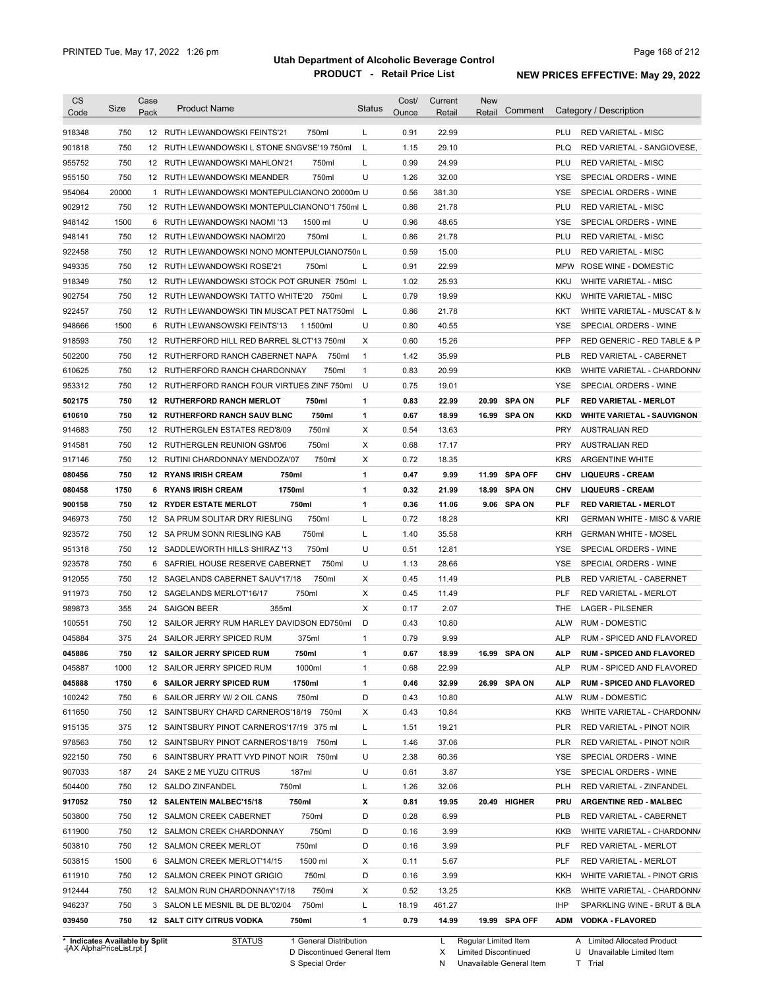| Code             | Size       | Case | <b>Product Name</b>                           |                | <b>Status</b> | Cost/         | Current         | <b>New</b> | Comment        |            | Category / Description                                   |
|------------------|------------|------|-----------------------------------------------|----------------|---------------|---------------|-----------------|------------|----------------|------------|----------------------------------------------------------|
|                  |            | Pack |                                               |                |               | Ounce         | Retail          | Retail     |                |            |                                                          |
| 918348           | 750        |      | 12 RUTH LEWANDOWSKI FEINTS'21                 | 750ml          | L             | 0.91          | 22.99           |            |                | PLU        | <b>RED VARIETAL - MISC</b>                               |
| 901818           | 750        |      | 12 RUTH LEWANDOWSKI L STONE SNGVSE'19 750ml   |                | L             | 1.15          | 29.10           |            |                | <b>PLQ</b> | RED VARIETAL - SANGIOVESE,                               |
| 955752           | 750        |      | 12 RUTH LEWANDOWSKI MAHLON'21                 | 750ml          | L             | 0.99          | 24.99           |            |                | PLU        | <b>RED VARIETAL - MISC</b>                               |
| 955150           | 750        |      | 12 RUTH LEWANDOWSKI MEANDER                   | 750ml          | U             | 1.26          | 32.00           |            |                | YSE        | SPECIAL ORDERS - WINE                                    |
| 954064           | 20000      |      | 1 RUTH LEWANDOWSKI MONTEPULCIANONO 20000m U   |                |               | 0.56          | 381.30          |            |                | YSE        | SPECIAL ORDERS - WINE                                    |
| 902912           | 750        |      | 12 RUTH LEWANDOWSKI MONTEPULCIANONO'1 750ml L |                |               | 0.86          | 21.78           |            |                | PLU        | <b>RED VARIETAL - MISC</b>                               |
| 948142           | 1500       |      | 6 RUTH LEWANDOWSKI NAOMI '13                  | 1500 ml        | U             | 0.96          | 48.65           |            |                | YSE        | SPECIAL ORDERS - WINE                                    |
| 948141           | 750        |      | 12 RUTH LEWANDOWSKI NAOMI'20                  | 750ml          | L             | 0.86          | 21.78           |            |                | PLU        | <b>RED VARIETAL - MISC</b>                               |
| 922458           | 750        |      | 12 RUTH LEWANDOWSKI NONO MONTEPULCIANO750n L  |                |               | 0.59          | 15.00           |            |                | PLU        | <b>RED VARIETAL - MISC</b>                               |
| 949335           | 750        |      | 12 RUTH LEWANDOWSKI ROSE'21                   | 750ml          | L             | 0.91          | 22.99           |            |                |            | MPW ROSE WINE - DOMESTIC                                 |
| 918349           | 750        |      | 12 RUTH LEWANDOWSKI STOCK POT GRUNER 750ml L  |                |               | 1.02          | 25.93           |            |                | <b>KKU</b> | <b>WHITE VARIETAL - MISC</b>                             |
| 902754           | 750        |      | 12 RUTH LEWANDOWSKI TATTO WHITE'20 750ml      |                | L             | 0.79          | 19.99           |            |                | <b>KKU</b> | WHITE VARIETAL - MISC                                    |
| 922457           | 750        |      | 12 RUTH LEWANDOWSKI TIN MUSCAT PET NAT750ml   |                | - L           | 0.86          | 21.78           |            |                | KKT        | WHITE VARIETAL - MUSCAT & M                              |
| 948666           | 1500       |      | 6 RUTH LEWANSOWSKI FEINTS'13                  | 1 1500ml       | U             | 0.80          | 40.55           |            |                | YSE        | SPECIAL ORDERS - WINE                                    |
| 918593           | 750        |      | 12 RUTHERFORD HILL RED BARREL SLCT'13 750ml   |                | Х             | 0.60          | 15.26           |            |                | PFP        | RED GENERIC - RED TABLE & P                              |
| 502200           | 750        |      | 12 RUTHERFORD RANCH CABERNET NAPA             | 750ml          | $\mathbf{1}$  | 1.42          | 35.99           |            |                | <b>PLB</b> | RED VARIETAL - CABERNET                                  |
| 610625           | 750        |      | 12 RUTHERFORD RANCH CHARDONNAY                | 750ml          | $\mathbf{1}$  | 0.83          | 20.99           |            |                | <b>KKB</b> | WHITE VARIETAL - CHARDONN/                               |
| 953312           | 750        |      | 12 RUTHERFORD RANCH FOUR VIRTUES ZINF 750ml   |                | U             | 0.75          | 19.01           |            |                | <b>YSE</b> | SPECIAL ORDERS - WINE                                    |
| 502175           | 750        |      | <b>12 RUTHERFORD RANCH MERLOT</b>             | 750ml          | 1             | 0.83          | 22.99           | 20.99      | <b>SPA ON</b>  | <b>PLF</b> | <b>RED VARIETAL - MERLOT</b>                             |
| 610610           | 750        |      | 12 RUTHERFORD RANCH SAUV BLNC                 | 750ml          | 1             | 0.67          | 18.99           |            | 16.99 SPA ON   | <b>KKD</b> | <b>WHITE VARIETAL - SAUVIGNON</b>                        |
| 914683           | 750        |      | 12 RUTHERGLEN ESTATES RED'8/09                | 750ml          | Χ             | 0.54          | 13.63           |            |                | <b>PRY</b> | <b>AUSTRALIAN RED</b>                                    |
| 914581           | 750        |      | 12 RUTHERGLEN REUNION GSM'06                  | 750ml          | Х             | 0.68          | 17.17           |            |                | <b>PRY</b> | <b>AUSTRALIAN RED</b>                                    |
| 917146           | 750        |      | 12 RUTINI CHARDONNAY MENDOZA'07               | 750ml          | Х             | 0.72          | 18.35           |            |                | <b>KRS</b> | <b>ARGENTINE WHITE</b>                                   |
| 080456           | 750        |      | <b>12 RYANS IRISH CREAM</b><br>750ml          |                | 1             | 0.47          | 9.99            | 11.99      | <b>SPA OFF</b> | <b>CHV</b> | <b>LIQUEURS - CREAM</b>                                  |
| 080458           | 1750       |      | 1750ml<br>6 RYANS IRISH CREAM                 |                | 1             | 0.32          | 21.99           | 18.99      | <b>SPA ON</b>  | <b>CHV</b> | <b>LIQUEURS - CREAM</b>                                  |
| 900158           | 750        |      | <b>12 RYDER ESTATE MERLOT</b>                 | 750ml          | 1             | 0.36          | 11.06           |            | 9.06 SPA ON    | <b>PLF</b> | <b>RED VARIETAL - MERLOT</b>                             |
| 946973           | 750        |      | 12 SA PRUM SOLITAR DRY RIESLING               | 750ml          | L             | 0.72          | 18.28           |            |                | KRI        | <b>GERMAN WHITE - MISC &amp; VARIE</b>                   |
| 923572           | 750        |      | 12 SA PRUM SONN RIESLING KAB                  | 750ml          | L             | 1.40          | 35.58           |            |                | <b>KRH</b> | <b>GERMAN WHITE - MOSEL</b>                              |
| 951318           | 750        |      | 12 SADDLEWORTH HILLS SHIRAZ '13               | 750ml          | U             | 0.51          | 12.81           |            |                | YSE        | SPECIAL ORDERS - WINE                                    |
|                  |            |      | 6 SAFRIEL HOUSE RESERVE CABERNET              | 750ml          | U             | 1.13          | 28.66           |            |                | YSE        | SPECIAL ORDERS - WINE                                    |
| 923578           | 750        |      |                                               |                |               |               |                 |            |                |            | RED VARIETAL - CABERNET                                  |
| 912055           | 750        |      | 12 SAGELANDS CABERNET SAUV'17/18              | 750ml          | X             | 0.45          | 11.49           |            |                | <b>PLB</b> |                                                          |
| 911973           | 750        |      | 12 SAGELANDS MERLOT'16/17                     | 750ml          | Χ             | 0.45          | 11.49           |            |                | <b>PLF</b> | <b>RED VARIETAL - MERLOT</b>                             |
| 989873           | 355        |      | 355ml<br>24 SAIGON BEER                       |                | X             | 0.17          | 2.07            |            |                | THE        | <b>LAGER - PILSENER</b>                                  |
| 100551           | 750        |      | 12 SAILOR JERRY RUM HARLEY DAVIDSON ED750ml   |                | D             | 0.43          | 10.80           |            |                | <b>ALW</b> | <b>RUM - DOMESTIC</b>                                    |
| 045884           | 375        |      | 24 SAILOR JERRY SPICED RUM                    | 375ml          | 1             | 0.79          | 9.99            |            |                | <b>ALP</b> | RUM - SPICED AND FLAVORED                                |
|                  | 750        |      | 12 SAILOR JERRY SPICED RUM                    | 750ml          | 1             | 0.67          | 18.99           |            | 16.99 SPA ON   | <b>ALP</b> | <b>RUM - SPICED AND FLAVORED</b>                         |
| 045887           | 1000       |      | 12 SAILOR JERRY SPICED RUM                    | 1000ml         | 1             | 0.68          | 22.99           |            |                | <b>ALP</b> | RUM - SPICED AND FLAVORED                                |
| 045888           | 1750       |      | <b>6 SAILOR JERRY SPICED RUM</b>              | 1750ml         | 1             | 0.46          | 32.99           |            | 26.99 SPA ON   | <b>ALP</b> | <b>RUM - SPICED AND FLAVORED</b>                         |
| 045886<br>100242 | 750        |      | 6 SAILOR JERRY W/ 2 OIL CANS                  | 750ml          | D             | 0.43          | 10.80           |            |                | <b>ALW</b> | <b>RUM - DOMESTIC</b>                                    |
| 611650           | 750        |      | 12 SAINTSBURY CHARD CARNEROS'18/19 750ml      |                | X             | 0.43          | 10.84           |            |                | KKB        | WHITE VARIETAL - CHARDONN/                               |
| 915135           | 375        |      | 12 SAINTSBURY PINOT CARNEROS'17/19 375 ml     |                | Г             | 1.51          | 19.21           |            |                | <b>PLR</b> | RED VARIETAL - PINOT NOIR                                |
| 978563           | 750        |      | 12 SAINTSBURY PINOT CARNEROS'18/19 750ml      |                | L             | 1.46          | 37.06           |            |                | <b>PLR</b> | RED VARIETAL - PINOT NOIR                                |
| 922150           | 750        |      | 6 SAINTSBURY PRATT VYD PINOT NOIR 750ml       |                | U             | 2.38          | 60.36           |            |                | YSE        | SPECIAL ORDERS - WINE                                    |
| 907033           | 187        |      | 24 SAKE 2 ME YUZU CITRUS                      | 187ml          | U             | 0.61          | 3.87            |            |                | YSE        | SPECIAL ORDERS - WINE                                    |
| 504400           | 750        |      | 12 SALDO ZINFANDEL<br>750ml                   |                | L             | 1.26          | 32.06           |            |                | <b>PLH</b> | RED VARIETAL - ZINFANDEL                                 |
| 917052           | 750        |      | 12 SALENTEIN MALBEC'15/18                     | 750ml          | х             | 0.81          | 19.95           |            | 20.49 HIGHER   | PRU        | <b>ARGENTINE RED - MALBEC</b>                            |
| 503800           | 750        |      | 12 SALMON CREEK CABERNET                      | 750ml          | D             | 0.28          | 6.99            |            |                | <b>PLB</b> | RED VARIETAL - CABERNET                                  |
| 611900           | 750        |      | 12 SALMON CREEK CHARDONNAY                    | 750ml          | D             | 0.16          | 3.99            |            |                | KKB        |                                                          |
| 503810           | 750        |      | 12 SALMON CREEK MERLOT                        | 750ml          | D             | 0.16          | 3.99            |            |                | PLF        | RED VARIETAL - MERLOT                                    |
| 503815           | 1500       |      | 6 SALMON CREEK MERLOT'14/15                   | 1500 ml        | Х             | 0.11          | 5.67            |            |                | PLF        | RED VARIETAL - MERLOT                                    |
| 611910           | 750        |      | 12 SALMON CREEK PINOT GRIGIO                  | 750ml          | D             | 0.16          | 3.99            |            |                | KKH        | WHITE VARIETAL - PINOT GRIS                              |
| 912444           | 750        |      | 12 SALMON RUN CHARDONNAY'17/18                | 750ml          | Х             | 0.52          | 13.25           |            |                | KKB        | WHITE VARIETAL - CHARDONN/<br>WHITE VARIETAL - CHARDONN/ |
| 946237<br>039450 | 750<br>750 |      | 3 SALON LE MESNIL BL DE BL'02/04              | 750ml<br>750ml | L<br>1        | 18.19<br>0.79 | 461.27<br>14.99 |            | 19.99 SPA OFF  | IHP        | SPARKLING WINE - BRUT & BLA<br>ADM VODKA - FLAVORED      |

**Case** [AX AlphaPriceList.rpt ]

D Discontinued General Item S Special Order

X Limited Discontinued N Unavailable General Item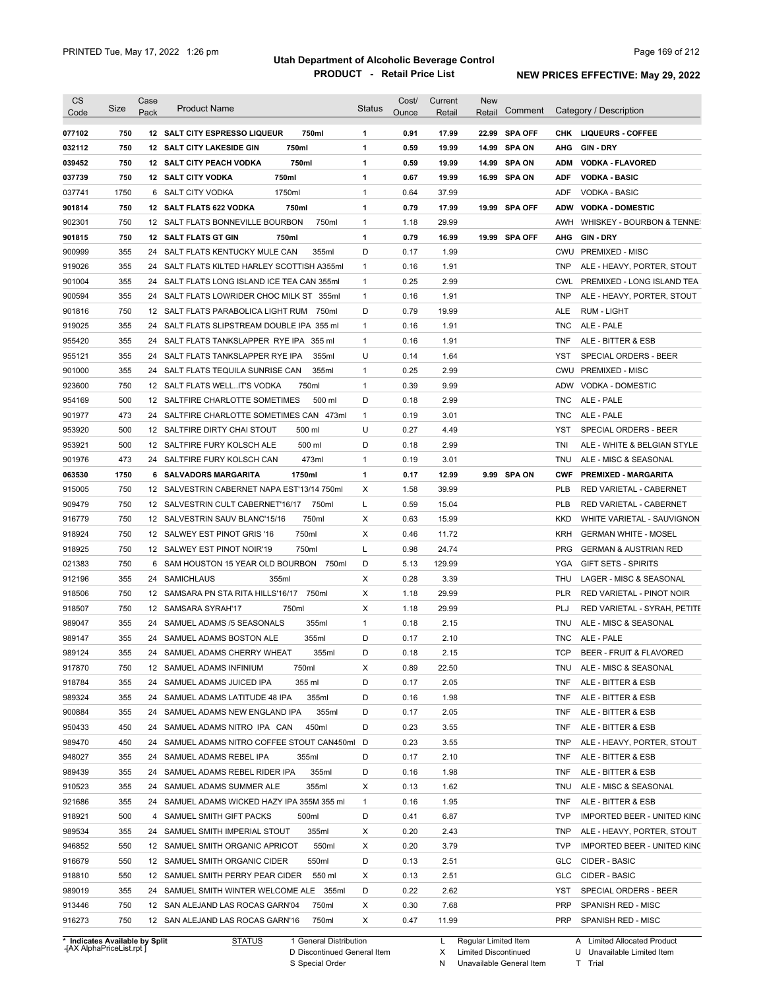| <b>CS</b><br>Code              | Size       | Case<br>Pack | <b>Product Name</b>                             | <b>Status</b> | Cost/<br>Ounce | Current<br>Retail | New<br>Retail        |               |                   | Comment Category / Description             |
|--------------------------------|------------|--------------|-------------------------------------------------|---------------|----------------|-------------------|----------------------|---------------|-------------------|--------------------------------------------|
| 077102                         | 750        |              | 750ml<br>12 SALT CITY ESPRESSO LIQUEUR          | 1             | 0.91           | 17.99             |                      | 22.99 SPA OFF |                   | CHK LIQUEURS COFFEE                        |
| 032112                         | 750        |              | 750ml<br><b>12 SALT CITY LAKESIDE GIN</b>       | 1             | 0.59           | 19.99             | 14.99                | <b>SPA ON</b> | AHG               | <b>GIN DRY</b>                             |
| 039452                         | 750        |              | <b>12 SALT CITY PEACH VODKA</b><br>750ml        | 1             | 0.59           | 19.99             |                      | 14.99 SPA ON  | <b>ADM</b>        | <b>VODKA - FLAVORED</b>                    |
| 037739                         | 750        |              | 750ml<br><b>12 SALT CITY VODKA</b>              | 1             | 0.67           | 19.99             |                      | 16.99 SPA ON  | <b>ADF</b>        | <b>VODKA - BASIC</b>                       |
| 037741                         | 1750       |              | 1750ml<br>6 SALT CITY VODKA                     | $\mathbf{1}$  | 0.64           | 37.99             |                      |               | ADF               | <b>VODKA - BASIC</b>                       |
| 901814                         | 750        |              | 750ml<br>12 SALT FLATS 622 VODKA                | 1             | 0.79           | 17.99             |                      | 19.99 SPA OFF | <b>ADW</b>        | <b>VODKA - DOMESTIC</b>                    |
| 902301                         | 750        |              | 12 SALT FLATS BONNEVILLE BOURBON<br>750ml       | $\mathbf{1}$  | 1.18           | 29.99             |                      |               | AWH               | WHISKEY - BOURBON & TENNE:                 |
| 901815                         | 750        |              | 12 SALT FLATS GT GIN<br>750ml                   | 1             | 0.79           | 16.99             |                      | 19.99 SPA OFF | AHG               | <b>GIN-DRY</b>                             |
| 900999                         | 355        |              | 24 SALT FLATS KENTUCKY MULE CAN<br>355ml        | D             | 0.17           | 1.99              |                      |               | CWU               | <b>PREMIXED - MISC</b>                     |
| 919026                         | 355        |              | 24 SALT FLATS KILTED HARLEY SCOTTISH A355ml     | $\mathbf{1}$  | 0.16           | 1.91              |                      |               | TNP               | ALE - HEAVY, PORTER, STOUT                 |
| 901004                         | 355        |              | 24 SALT FLATS LONG ISLAND ICE TEA CAN 355ml     | $\mathbf{1}$  | 0.25           | 2.99              |                      |               | <b>CWL</b>        | PREMIXED - LONG ISLAND TEA                 |
| 900594                         | 355        |              | 24 SALT FLATS LOWRIDER CHOC MILK ST 355ml       | $\mathbf{1}$  | 0.16           | 1.91              |                      |               | <b>TNP</b>        | ALE - HEAVY, PORTER, STOUT                 |
| 901816                         | 750        |              | 12 SALT FLATS PARABOLICA LIGHT RUM 750ml        | D             | 0.79           | 19.99             |                      |               | ALE               | RUM - LIGHT                                |
| 919025                         | 355        |              | 24 SALT FLATS SLIPSTREAM DOUBLE IPA 355 ml      | $\mathbf{1}$  | 0.16           | 1.91              |                      |               | <b>TNC</b>        | ALE - PALE                                 |
| 955420                         | 355        |              | 24 SALT FLATS TANKSLAPPER RYE IPA 355 ml        | $\mathbf{1}$  | 0.16           | 1.91              |                      |               | <b>TNF</b>        | ALE - BITTER & ESB                         |
| 955121                         | 355        |              | 24 SALT FLATS TANKSLAPPER RYE IPA<br>355ml      | U             | 0.14           | 1.64              |                      |               | YST               | SPECIAL ORDERS - BEER                      |
| 901000                         | 355        |              | 24 SALT FLATS TEQUILA SUNRISE CAN<br>355ml      | $\mathbf{1}$  | 0.25           | 2.99              |                      |               | CWU               | <b>PREMIXED - MISC</b>                     |
| 923600                         | 750        |              | 12 SALT FLATS WELLIT'S VODKA<br>750ml           | $\mathbf{1}$  | 0.39           | 9.99              |                      |               | ADW               | VODKA - DOMESTIC                           |
| 954169                         | 500        |              | 500 ml<br>12 SALTFIRE CHARLOTTE SOMETIMES       | D             | 0.18           | 2.99              |                      |               | <b>TNC</b>        | ALE - PALE                                 |
|                                | 473        |              | 24 SALTFIRE CHARLOTTE SOMETIMES CAN 473ml       | $\mathbf{1}$  |                | 3.01              |                      |               |                   |                                            |
| 901977                         |            |              | 12 SALTFIRE DIRTY CHAI STOUT                    | U             | 0.19           |                   |                      |               | <b>TNC</b>        | ALE - PALE<br><b>SPECIAL ORDERS - BEER</b> |
| 953920                         | 500<br>500 |              | 500 ml<br>500 ml<br>12 SALTFIRE FURY KOLSCH ALE | D             | 0.27<br>0.18   | 4.49<br>2.99      |                      |               | <b>YST</b><br>TNI |                                            |
| 953921                         |            |              |                                                 |               |                |                   |                      |               |                   | ALE - WHITE & BELGIAN STYLE                |
| 901976                         | 473        |              | 473ml<br>24 SALTFIRE FURY KOLSCH CAN            | $\mathbf{1}$  | 0.19           | 3.01              |                      |               | TNU               | ALE - MISC & SEASONAL                      |
| 063530                         | 1750       |              | 1750ml<br>6 SALVADORS MARGARITA                 | 1             | 0.17           | 12.99             |                      | 9.99 SPA ON   | <b>CWF</b>        | <b>PREMIXED - MARGARITA</b>                |
| 915005                         | 750        |              | 12 SALVESTRIN CABERNET NAPA EST'13/14 750ml     | Х             | 1.58           | 39.99             |                      |               | <b>PLB</b>        | RED VARIETAL - CABERNET                    |
| 909479                         | 750        |              | 12 SALVESTRIN CULT CABERNET'16/17<br>750ml      | L             | 0.59           | 15.04             |                      |               | <b>PLB</b>        | RED VARIETAL - CABERNET                    |
| 916779                         | 750        |              | 750ml<br>12 SALVESTRIN SAUV BLANC'15/16         | Х             | 0.63           | 15.99             |                      |               | <b>KKD</b>        | WHITE VARIETAL - SAUVIGNON                 |
| 918924                         | 750        |              | 12 SALWEY EST PINOT GRIS '16<br>750ml           | Х             | 0.46           | 11.72             |                      |               | KRH               | <b>GERMAN WHITE - MOSEL</b>                |
| 918925                         | 750        |              | 12 SALWEY EST PINOT NOIR'19<br>750ml            | Г             | 0.98           | 24.74             |                      |               | <b>PRG</b>        | <b>GERMAN &amp; AUSTRIAN RED</b>           |
| 021383                         | 750        |              | 6 SAM HOUSTON 15 YEAR OLD BOURBON<br>750ml      | D             | 5.13           | 129.99            |                      |               | YGA               | <b>GIFT SETS - SPIRITS</b>                 |
| 912196                         | 355        |              | 24 SAMICHLAUS<br>355ml                          | X             | 0.28           | 3.39              |                      |               | THU               | LAGER - MISC & SEASONAL                    |
| 918506                         | 750        |              | 750ml<br>12 SAMSARA PN STA RITA HILLS'16/17     | X             | 1.18           | 29.99             |                      |               | <b>PLR</b>        | RED VARIETAL - PINOT NOIR                  |
| 918507                         | 750        |              | 12 SAMSARA SYRAH'17<br>750ml                    | X             | 1.18           | 29.99             |                      |               | PLJ               | RED VARIETAL - SYRAH, PETITE               |
| 989047                         | 355        |              | 355ml<br>24 SAMUEL ADAMS /5 SEASONALS           | $\mathbf{1}$  | 0.18           | 2.15              |                      |               | <b>TNU</b>        | ALE - MISC & SEASONAL                      |
| 989147                         | 355        |              | 355ml<br>24 SAMUEL ADAMS BOSTON ALE             | D             | 0.17           | 2.10              |                      |               | TNC               | ALE - PALE                                 |
| 989124                         | 355        |              | 24 SAMUEL ADAMS CHERRY WHEAT<br>355ml           | D             | 0.18           | 2.15              |                      |               |                   | TCP BEER - FRUIT & FLAVORED                |
| 917870                         | 750        |              | 12 SAMUEL ADAMS INFINIUM<br>750ml               | х             | 0.89           | 22.50             |                      |               | TNU               | ALE - MISC & SEASONAL                      |
| 918784                         | 355        |              | 24 SAMUEL ADAMS JUICED IPA<br>355 ml            | D             | 0.17           | 2.05              |                      |               | TNF               | ALE - BITTER & ESB                         |
| 989324                         | 355        |              | 24 SAMUEL ADAMS LATITUDE 48 IPA<br>355ml        | D             | 0.16           | 1.98              |                      |               | TNF               | ALE - BITTER & ESB                         |
| 900884                         | 355        |              | 24 SAMUEL ADAMS NEW ENGLAND IPA<br>355ml        | D             | 0.17           | 2.05              |                      |               | TNF               | ALE - BITTER & ESB                         |
| 950433                         | 450        |              | 450ml<br>24 SAMUEL ADAMS NITRO IPA CAN          | D             | 0.23           | 3.55              |                      |               | TNF               | ALE - BITTER & ESB                         |
| 989470                         | 450        |              | 24 SAMUEL ADAMS NITRO COFFEE STOUT CAN450ml D   |               | 0.23           | 3.55              |                      |               | TNP               | ALE - HEAVY, PORTER, STOUT                 |
| 948027                         | 355        |              | 24 SAMUEL ADAMS REBEL IPA<br>355ml              | D             | 0.17           | 2.10              |                      |               | TNF               | ALE - BITTER & ESB                         |
| 989439                         | 355        |              | 24 SAMUEL ADAMS REBEL RIDER IPA<br>355ml        | D             | 0.16           | 1.98              |                      |               | TNF               | ALE - BITTER & ESB                         |
| 910523                         | 355        |              | 24 SAMUEL ADAMS SUMMER ALE<br>355ml             | х             | 0.13           | 1.62              |                      |               | TNU               | ALE - MISC & SEASONAL                      |
| 921686                         | 355        |              | 24 SAMUEL ADAMS WICKED HAZY IPA 355M 355 ml     | $\mathbf{1}$  | 0.16           | 1.95              |                      |               | TNF               | ALE - BITTER & ESB                         |
| 918921                         | 500        |              | 4 SAMUEL SMITH GIFT PACKS<br>500ml              | D             | 0.41           | 6.87              |                      |               | <b>TVP</b>        | <b>IMPORTED BEER - UNITED KING</b>         |
| 989534                         | 355        |              | 24 SAMUEL SMITH IMPERIAL STOUT<br>355ml         | х             | 0.20           | 2.43              |                      |               | <b>TNP</b>        | ALE - HEAVY, PORTER, STOUT                 |
| 946852                         | 550        |              | 12 SAMUEL SMITH ORGANIC APRICOT<br>550ml        | х             | 0.20           | 3.79              |                      |               | <b>TVP</b>        | <b>IMPORTED BEER - UNITED KING</b>         |
| 916679                         | 550        |              | 550ml<br>12 SAMUEL SMITH ORGANIC CIDER          | D             | 0.13           | 2.51              |                      |               | <b>GLC</b>        | CIDER - BASIC                              |
| 918810                         | 550        |              | 12 SAMUEL SMITH PERRY PEAR CIDER<br>550 ml      | х             | 0.13           | 2.51              |                      |               | <b>GLC</b>        | CIDER - BASIC                              |
| 989019                         | 355        |              | 24 SAMUEL SMITH WINTER WELCOME ALE 355ml        | D             | 0.22           | 2.62              |                      |               | <b>YST</b>        | SPECIAL ORDERS - BEER                      |
| 913446                         | 750        |              | 12 SAN ALEJAND LAS ROCAS GARN'04<br>750ml       | х             | 0.30           | 7.68              |                      |               | <b>PRP</b>        | SPANISH RED - MISC                         |
| 916273                         | 750        |              | 12 SAN ALEJAND LAS ROCAS GARN'16<br>750ml       | X             | 0.47           | 11.99             |                      |               | <b>PRP</b>        | SPANISH RED - MISC                         |
| * Indicates Available by Split |            |              | <b>STATUS</b><br>1 General Distribution         |               |                | L                 | Regular Limited Item |               |                   | A Limited Allocated Product                |

**Case** [AX AlphaPriceList.rpt ]

D Discontinued General Item S Special Order

X Regular Limited Item

Limited Discontinued

N Unavailable General Item

U Unavailable Limited Item

T Trial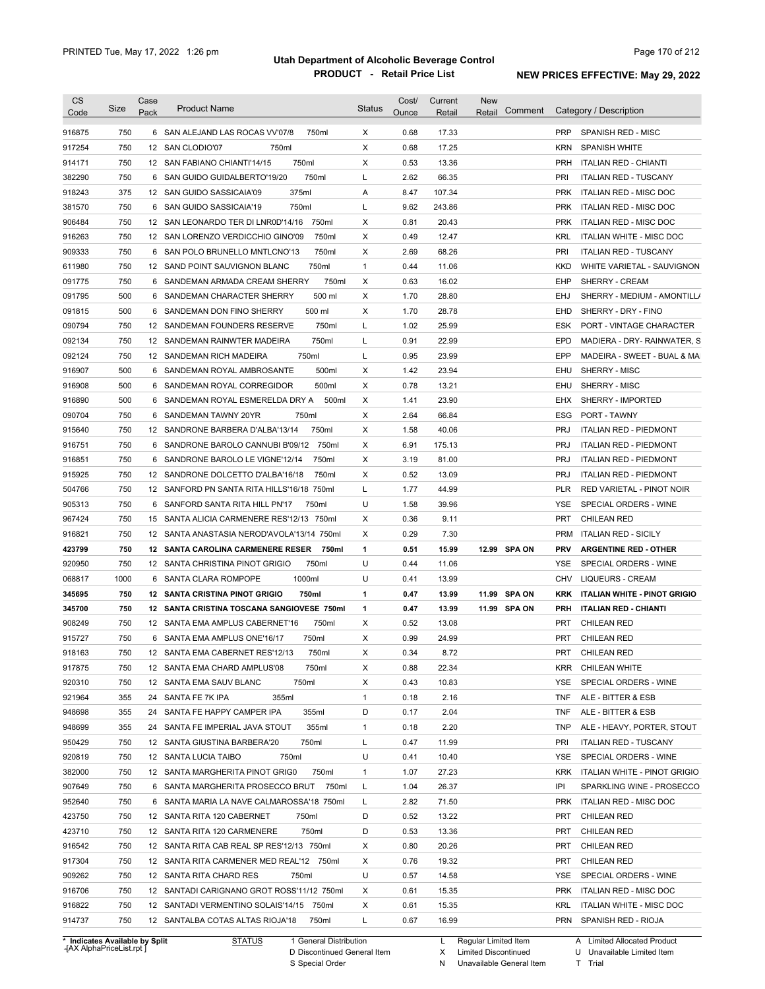| <b>CS</b>                      | Size | Case | <b>Product Name</b>                            | <b>Status</b> | Cost/ | Current       | <b>New</b>             |            | Category / Description              |
|--------------------------------|------|------|------------------------------------------------|---------------|-------|---------------|------------------------|------------|-------------------------------------|
| Code                           |      | Pack |                                                |               | Ounce | Retail        | Comment<br>Retail      |            |                                     |
| 916875                         | 750  |      | 6 SAN ALEJAND LAS ROCAS VV'07/8<br>750ml       | X             | 0.68  | 17.33         |                        | <b>PRP</b> | SPANISH RED - MISC                  |
| 917254                         | 750  |      | 12 SAN CLODIO'07<br>750ml                      | X             | 0.68  | 17.25         |                        | <b>KRN</b> | <b>SPANISH WHITE</b>                |
| 914171                         | 750  |      | 750ml<br>12 SAN FABIANO CHIANTI'14/15          | Χ             | 0.53  | 13.36         |                        | PRH        | <b>ITALIAN RED - CHIANTI</b>        |
| 382290                         | 750  |      | 750ml<br>6 SAN GUIDO GUIDALBERTO'19/20         | L             | 2.62  | 66.35         |                        | PRI        | <b>ITALIAN RED - TUSCANY</b>        |
| 918243                         | 375  |      | 375ml<br>12 SAN GUIDO SASSICAIA'09             | Α             | 8.47  | 107.34        |                        | <b>PRK</b> | ITALIAN RED - MISC DOC              |
| 381570                         | 750  |      | 750ml<br>6 SAN GUIDO SASSICAIA'19              | L             | 9.62  | 243.86        |                        | <b>PRK</b> | ITALIAN RED - MISC DOC              |
| 906484                         | 750  |      | 750ml<br>12 SAN LEONARDO TER DI LNR0D'14/16    | Х             | 0.81  | 20.43         |                        | <b>PRK</b> | ITALIAN RED - MISC DOC              |
| 916263                         | 750  |      | 12 SAN LORENZO VERDICCHIO GINO'09<br>750ml     | Χ             | 0.49  | 12.47         |                        | KRL        | <b>ITALIAN WHITE - MISC DOC</b>     |
| 909333                         | 750  |      | 750ml<br>6 SAN POLO BRUNELLO MNTLCNO'13        | Χ             | 2.69  | 68.26         |                        | PRI        | <b>ITALIAN RED - TUSCANY</b>        |
| 611980                         | 750  |      | 750ml<br>12 SAND POINT SAUVIGNON BLANC         | 1             | 0.44  | 11.06         |                        | KKD        | WHITE VARIETAL - SAUVIGNON          |
| 091775                         | 750  |      | 750ml<br>6 SANDEMAN ARMADA CREAM SHERRY        | Χ             | 0.63  | 16.02         |                        | EHP        | SHERRY - CREAM                      |
| 091795                         | 500  | 6    | SANDEMAN CHARACTER SHERRY<br>500 ml            | Χ             | 1.70  | 28.80         |                        | EHJ        | SHERRY - MEDIUM - AMONTILL/         |
| 091815                         | 500  | 6    | SANDEMAN DON FINO SHERRY<br>500 ml             | Χ             | 1.70  | 28.78         |                        | EHD        | SHERRY - DRY - FINO                 |
| 090794                         | 750  |      | 12 SANDEMAN FOUNDERS RESERVE<br>750ml          | L             | 1.02  | 25.99         |                        | ESK        | PORT - VINTAGE CHARACTER            |
| 092134                         | 750  |      | 750ml<br>12 SANDEMAN RAINWTER MADEIRA          | L             | 0.91  | 22.99         |                        | <b>EPD</b> | MADIERA - DRY- RAINWATER, S         |
| 092124                         | 750  |      | 750ml<br>12 SANDEMAN RICH MADEIRA              | L             | 0.95  | 23.99         |                        | EPP        | MADEIRA - SWEET - BUAL & MA         |
| 916907                         | 500  | 6    | SANDEMAN ROYAL AMBROSANTE<br>500ml             | Χ             | 1.42  | 23.94         |                        | EHU        | SHERRY - MISC                       |
| 916908                         | 500  | 6    | SANDEMAN ROYAL CORREGIDOR<br>500ml             | Х             | 0.78  | 13.21         |                        | EHU        | SHERRY - MISC                       |
| 916890                         | 500  | 6    | 500ml<br>SANDEMAN ROYAL ESMERELDA DRY A        | Χ             | 1.41  | 23.90         |                        | EHX        | <b>SHERRY - IMPORTED</b>            |
| 090704                         | 750  | 6    | 750ml<br>SANDEMAN TAWNY 20YR                   | Χ             | 2.64  | 66.84         |                        | ESG        | PORT - TAWNY                        |
| 915640                         | 750  |      | 750ml<br>12 SANDRONE BARBERA D'ALBA'13/14      | Х             | 1.58  | 40.06         |                        | <b>PRJ</b> | <b>ITALIAN RED - PIEDMONT</b>       |
| 916751                         | 750  |      | 750ml<br>6 SANDRONE BAROLO CANNUBI B'09/12     | Х             | 6.91  | 175.13        |                        | <b>PRJ</b> | <b>ITALIAN RED - PIEDMONT</b>       |
| 916851                         | 750  | 6    | 750ml<br>SANDRONE BAROLO LE VIGNE'12/14        | Х             | 3.19  | 81.00         |                        | <b>PRJ</b> | <b>ITALIAN RED - PIEDMONT</b>       |
|                                | 750  |      | 12 SANDRONE DOLCETTO D'ALBA'16/18<br>750ml     | Х             | 0.52  | 13.09         |                        | <b>PRJ</b> |                                     |
| 915925                         | 750  |      |                                                | L             | 1.77  |               |                        | <b>PLR</b> | <b>ITALIAN RED - PIEDMONT</b>       |
| 504766                         | 750  |      | 12 SANFORD PN SANTA RITA HILLS'16/18 750ml     | U             | 1.58  | 44.99         |                        |            | RED VARIETAL - PINOT NOIR           |
| 905313                         | 750  |      | 6 SANFORD SANTA RITA HILL PN'17<br>750ml       | Χ             | 0.36  | 39.96<br>9.11 |                        | YSE        | SPECIAL ORDERS - WINE               |
| 967424                         |      |      | 15 SANTA ALICIA CARMENERE RES'12/13 750ml      |               |       |               |                        | PRT        | <b>CHILEAN RED</b>                  |
| 916821                         | 750  |      | 12 SANTA ANASTASIA NEROD'AVOLA'13/14 750ml     | Х             | 0.29  | 7.30          |                        | PRM        | <b>ITALIAN RED - SICILY</b>         |
| 423799                         | 750  |      | 12 SANTA CAROLINA CARMENERE RESER<br>750ml     | 1             | 0.51  | 15.99         | 12.99 SPA ON           | <b>PRV</b> | <b>ARGENTINE RED - OTHER</b>        |
| 920950                         | 750  |      | 12 SANTA CHRISTINA PINOT GRIGIO<br>750ml       | U             | 0.44  | 11.06         |                        | YSE        | SPECIAL ORDERS - WINE               |
| 068817                         | 1000 |      | 1000ml<br>6 SANTA CLARA ROMPOPE                | U             | 0.41  | 13.99         |                        | <b>CHV</b> | <b>LIQUEURS - CREAM</b>             |
| 345695                         | 750  |      | <b>12 SANTA CRISTINA PINOT GRIGIO</b><br>750ml | 1             | 0.47  | 13.99         | 11.99<br><b>SPA ON</b> | <b>KRK</b> | <b>ITALIAN WHITE - PINOT GRIGIO</b> |
| 345700                         | 750  |      | 12 SANTA CRISTINA TOSCANA SANGIOVESE 750ml     | 1             | 0.47  | 13.99         | 11.99 SPA ON           | PRH        | <b>ITALIAN RED - CHIANTI</b>        |
| 908249                         | 750  |      | 12 SANTA EMA AMPLUS CABERNET'16<br>750ml       | Х             | 0.52  | 13.08         |                        | PRT        | <b>CHILEAN RED</b>                  |
| 915727                         | 750  |      | 6 SANTA EMA AMPLUS ONE'16/17<br>750ml          | X             | 0.99  | 24.99         |                        | <b>PRT</b> | <b>CHILEAN RED</b>                  |
| 918163                         | 750  |      | 12 SANTA EMA CABERNET RES'12/13<br>750ml       | X             | 0.34  | 8.72          |                        | PRT        | CHILEAN RED                         |
| 917875                         | 750  |      | 12 SANTA EMA CHARD AMPLUS'08<br>750ml          | X             | 0.88  | 22.34         |                        |            | KRR CHILEAN WHITE                   |
| 920310                         | 750  |      | 750ml<br>12 SANTA EMA SAUV BLANC               | Х             | 0.43  | 10.83         |                        | YSE        | SPECIAL ORDERS - WINE               |
| 921964                         | 355  |      | 24 SANTA FE 7K IPA<br>355ml                    | 1             | 0.18  | 2.16          |                        | <b>TNF</b> | ALE - BITTER & ESB                  |
| 948698                         | 355  |      | 24 SANTA FE HAPPY CAMPER IPA<br>355ml          | D             | 0.17  | 2.04          |                        | <b>TNF</b> | ALE - BITTER & ESB                  |
| 948699                         | 355  |      | 355ml<br>24 SANTA FE IMPERIAL JAVA STOUT       | 1             | 0.18  | 2.20          |                        | <b>TNP</b> | ALE - HEAVY, PORTER, STOUT          |
| 950429                         | 750  |      | 750ml<br>12 SANTA GIUSTINA BARBERA'20          | L             | 0.47  | 11.99         |                        | PRI        | <b>ITALIAN RED - TUSCANY</b>        |
| 920819                         | 750  |      | 12 SANTA LUCIA TAIBO<br>750ml                  | U             | 0.41  | 10.40         |                        | YSE        | SPECIAL ORDERS - WINE               |
| 382000                         | 750  |      | 12 SANTA MARGHERITA PINOT GRIGO<br>750ml       | $\mathbf{1}$  | 1.07  | 27.23         |                        |            | KRK ITALIAN WHITE - PINOT GRIGIO    |
| 907649                         | 750  |      | 6 SANTA MARGHERITA PROSECCO BRUT 750ml         | L             | 1.04  | 26.37         |                        | IPI        | SPARKLING WINE - PROSECCO           |
| 952640                         | 750  |      | 6 SANTA MARIA LA NAVE CALMAROSSA'18 750ml      | L             | 2.82  | 71.50         |                        |            | PRK ITALIAN RED - MISC DOC          |
| 423750                         | 750  |      | 12 SANTA RITA 120 CABERNET<br>750ml            | D             | 0.52  | 13.22         |                        | PRT        | <b>CHILEAN RED</b>                  |
| 423710                         | 750  |      | 12 SANTA RITA 120 CARMENERE<br>750ml           | D             | 0.53  | 13.36         |                        | PRT        | <b>CHILEAN RED</b>                  |
| 916542                         | 750  |      | 12 SANTA RITA CAB REAL SP RES'12/13 750ml      | Х             | 0.80  | 20.26         |                        | PRT        | <b>CHILEAN RED</b>                  |
| 917304                         | 750  |      | 12 SANTA RITA CARMENER MED REAL'12 750ml       | Х             | 0.76  | 19.32         |                        | PRT        | <b>CHILEAN RED</b>                  |
| 909262                         | 750  |      | 12 SANTA RITA CHARD RES<br>750ml               | U             | 0.57  | 14.58         |                        | YSE        | SPECIAL ORDERS - WINE               |
| 916706                         | 750  |      | 12 SANTADI CARIGNANO GROT ROSS'11/12 750ml     | Х             | 0.61  | 15.35         |                        |            | PRK ITALIAN RED - MISC DOC          |
| 916822                         | 750  |      | 12 SANTADI VERMENTINO SOLAIS'14/15 750ml       | Х             | 0.61  | 15.35         |                        | KRL        | ITALIAN WHITE - MISC DOC            |
| 914737                         | 750  |      | 12 SANTALBA COTAS ALTAS RIOJA'18<br>750ml      | L             | 0.67  | 16.99         |                        |            | PRN SPANISH RED - RIOJA             |
| * Indicates Available by Split |      |      | <u>STATUS</u><br>1 General Distribution        |               |       |               | L Regular Limited Item |            | A Limited Allocated Product         |

**Case** [AX AlphaPriceList.rpt ]

D Discontinued General Item

S Special Order

X Limited Discontinued

N Unavailable General Item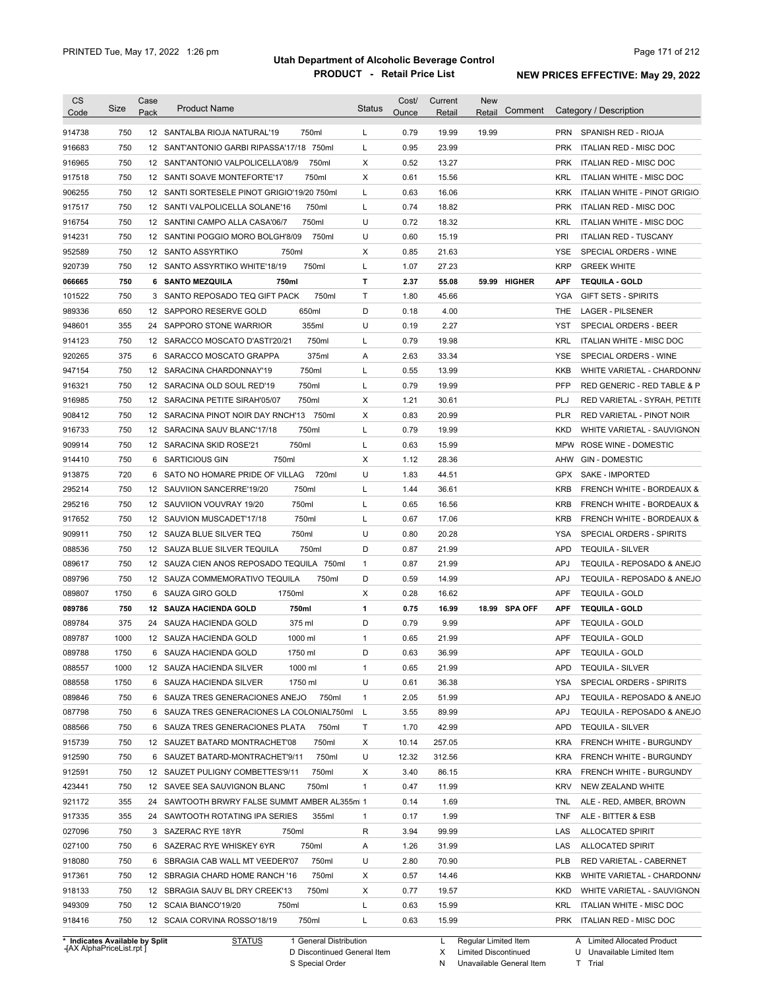| <b>CS</b><br>Code                              | Size | Case<br>Pack    | <b>Product Name</b>                                                       | <b>Status</b> | Cost/<br>Ounce | Current<br>Retail | <b>New</b><br>Comment<br>Retail | Category / Description                                                            |
|------------------------------------------------|------|-----------------|---------------------------------------------------------------------------|---------------|----------------|-------------------|---------------------------------|-----------------------------------------------------------------------------------|
| 914738                                         | 750  |                 | 12 SANTALBA RIOJA NATURAL'19<br>750ml                                     | L             | 0.79           | 19.99             | 19.99                           | PRN<br>SPANISH RED - RIOJA                                                        |
| 916683                                         | 750  |                 | 12 SANT'ANTONIO GARBI RIPASSA'17/18 750ml                                 | L             | 0.95           | 23.99             |                                 | <b>PRK</b><br>ITALIAN RED - MISC DOC                                              |
| 916965                                         | 750  |                 | 750ml<br>12 SANT'ANTONIO VALPOLICELLA'08/9                                | Χ             | 0.52           | 13.27             |                                 | <b>PRK</b><br>ITALIAN RED - MISC DOC                                              |
| 917518                                         | 750  |                 | 750ml<br>12 SANTI SOAVE MONTEFORTE'17                                     | Χ             | 0.61           | 15.56             |                                 | KRL<br>ITALIAN WHITE - MISC DOC                                                   |
| 906255                                         | 750  |                 | 12 SANTI SORTESELE PINOT GRIGIO'19/20 750ml                               | L             | 0.63           | 16.06             |                                 | <b>KRK</b><br>ITALIAN WHITE - PINOT GRIGIO                                        |
| 917517                                         | 750  |                 | 750ml<br>12 SANTI VALPOLICELLA SOLANE'16                                  | L             | 0.74           | 18.82             |                                 | <b>PRK</b><br>ITALIAN RED - MISC DOC                                              |
| 916754                                         | 750  |                 | 750ml<br>12 SANTINI CAMPO ALLA CASA'06/7                                  | U             | 0.72           | 18.32             |                                 | KRL<br>ITALIAN WHITE - MISC DOC                                                   |
| 914231                                         | 750  |                 | 750ml<br>12 SANTINI POGGIO MORO BOLGH'8/09                                | U             | 0.60           | 15.19             |                                 | PRI<br><b>ITALIAN RED - TUSCANY</b>                                               |
| 952589                                         | 750  |                 | 12 SANTO ASSYRTIKO<br>750ml                                               | Х             | 0.85           | 21.63             |                                 | SPECIAL ORDERS - WINE<br>YSE                                                      |
| 920739                                         | 750  |                 | 12 SANTO ASSYRTIKO WHITE'18/19<br>750ml                                   | L             | 1.07           | 27.23             |                                 | <b>KRP</b><br><b>GREEK WHITE</b>                                                  |
| 066665                                         | 750  |                 | 6 SANTO MEZQUILA<br>750ml                                                 | т             | 2.37           | 55.08             | 59.99 HIGHER                    | <b>APF</b><br><b>TEQUILA - GOLD</b>                                               |
| 101522                                         | 750  |                 | 750ml<br>3 SANTO REPOSADO TEQ GIFT PACK                                   | Τ             | 1.80           | 45.66             |                                 | YGA<br><b>GIFT SETS - SPIRITS</b>                                                 |
| 989336                                         | 650  | 12 <sup>2</sup> | 650ml<br>SAPPORO RESERVE GOLD                                             | D             | 0.18           | 4.00              |                                 | <b>THE</b><br><b>LAGER - PILSENER</b>                                             |
| 948601                                         | 355  |                 | 355ml<br>24 SAPPORO STONE WARRIOR                                         | U             | 0.19           | 2.27              |                                 | <b>YST</b><br>SPECIAL ORDERS - BEER                                               |
| 914123                                         | 750  |                 | 750ml<br>12 SARACCO MOSCATO D'ASTI'20/21                                  | L             | 0.79           | 19.98             |                                 | <b>KRL</b><br><b>ITALIAN WHITE - MISC DOC</b>                                     |
| 920265                                         | 375  |                 | 375ml<br>6 SARACCO MOSCATO GRAPPA                                         | Α             | 2.63           | 33.34             |                                 | <b>YSE</b><br>SPECIAL ORDERS - WINE                                               |
| 947154                                         | 750  |                 | 750ml<br>12 SARACINA CHARDONNAY'19                                        | L             | 0.55           | 13.99             |                                 | <b>KKB</b><br>WHITE VARIETAL - CHARDONN/                                          |
| 916321                                         | 750  |                 | 750ml<br>12 SARACINA OLD SOUL RED'19                                      | L             | 0.79           | 19.99             |                                 | <b>PFP</b><br>RED GENERIC - RED TABLE & P                                         |
| 916985                                         | 750  |                 | 750ml<br>12 SARACINA PETITE SIRAH'05/07                                   | Х             | 1.21           | 30.61             |                                 | PLJ<br>RED VARIETAL - SYRAH, PETITE                                               |
| 908412                                         | 750  |                 | 12 SARACINA PINOT NOIR DAY RNCH'13 750ml                                  | Х             | 0.83           | 20.99             |                                 | <b>PLR</b><br>RED VARIETAL - PINOT NOIR                                           |
| 916733                                         | 750  |                 | 750ml<br>12 SARACINA SAUV BLANC'17/18                                     | L             | 0.79           | 19.99             |                                 | <b>KKD</b><br>WHITE VARIETAL - SAUVIGNON                                          |
| 909914                                         | 750  |                 | 750ml<br>12 SARACINA SKID ROSE'21                                         | L             | 0.63           | 15.99             |                                 | <b>MPW</b><br>ROSE WINE - DOMESTIC                                                |
| 914410                                         | 750  |                 | 750ml<br>6 SARTICIOUS GIN                                                 | Х             | 1.12           | 28.36             |                                 | <b>GIN - DOMESTIC</b><br>AHW                                                      |
| 913875                                         | 720  | 6               | 720ml<br>SATO NO HOMARE PRIDE OF VILLAG                                   | U             | 1.83           | 44.51             |                                 | GPX<br>SAKE - IMPORTED                                                            |
| 295214                                         | 750  |                 | 12 SAUVIION SANCERRE'19/20<br>750ml                                       | L             | 1.44           | 36.61             |                                 | <b>KRB</b><br>FRENCH WHITE - BORDEAUX &                                           |
| 295216                                         | 750  |                 | 750ml<br>12 SAUVIION VOUVRAY 19/20                                        | L             | 0.65           | 16.56             |                                 | <b>KRB</b><br><b>FRENCH WHITE - BORDEAUX &amp;</b>                                |
| 917652                                         | 750  |                 | 750ml<br>12 SAUVION MUSCADET'17/18                                        | L             | 0.67           | 17.06             |                                 | <b>KRB</b><br><b>FRENCH WHITE - BORDEAUX &amp;</b>                                |
| 909911                                         | 750  |                 | 750ml<br>12 SAUZA BLUE SILVER TEQ                                         | U             | 0.80           | 20.28             |                                 | YSA<br>SPECIAL ORDERS - SPIRITS                                                   |
|                                                | 750  |                 | 750ml                                                                     | D             |                | 21.99             |                                 |                                                                                   |
| 088536<br>089617                               | 750  |                 | 12 SAUZA BLUE SILVER TEQUILA<br>12 SAUZA CIEN ANOS REPOSADO TEQUILA 750ml | $\mathbf{1}$  | 0.87<br>0.87   | 21.99             |                                 | <b>APD</b><br><b>TEQUILA - SILVER</b><br><b>APJ</b><br>TEQUILA - REPOSADO & ANEJO |
|                                                | 750  |                 | 750ml                                                                     | D             | 0.59           | 14.99             |                                 | <b>APJ</b><br>TEQUILA - REPOSADO & ANEJO                                          |
| 089796                                         |      |                 | 12 SAUZA COMMEMORATIVO TEQUILA                                            |               |                |                   |                                 | <b>TEQUILA - GOLD</b>                                                             |
| 089807                                         | 1750 |                 | 6 SAUZA GIRO GOLD<br>1750ml                                               | Χ             | 0.28           | 16.62             |                                 | <b>APF</b>                                                                        |
| 089786                                         | 750  |                 | 12 SAUZA HACIENDA GOLD<br>750ml                                           | $\mathbf{1}$  | 0.75           | 16.99             | 18.99 SPA OFF                   | <b>APF</b><br><b>TEQUILA - GOLD</b>                                               |
| 089784                                         | 375  |                 | 375 ml<br>24 SAUZA HACIENDA GOLD                                          | D             | 0.79           | 9.99              |                                 | <b>APF</b><br><b>TEQUILA - GOLD</b>                                               |
| 089787                                         | 1000 |                 | 12 SAUZA HACIENDA GOLD<br>1000 ml                                         | 1             | 0.65           | 21.99             |                                 | <b>APF</b><br><b>TEQUILA - GOLD</b>                                               |
| 089788                                         | 1750 |                 | 1750 ml<br>6 SAUZA HACIENDA GOLD                                          | D             | 0.63           | 36.99             |                                 | APF<br><b>TEQUILA - GOLD</b>                                                      |
| 088557                                         | 1000 |                 | 12 SAUZA HACIENDA SILVER<br>1000 ml                                       | $\mathbf{1}$  | 0.65           | 21.99             |                                 | <b>APD</b><br><b>TEQUILA - SILVER</b>                                             |
| 088558                                         | 1750 |                 | 1750 ml<br>6 SAUZA HACIENDA SILVER                                        | U             | 0.61           | 36.38             |                                 | SPECIAL ORDERS - SPIRITS<br>YSA                                                   |
| 089846                                         | 750  |                 | 6 SAUZA TRES GENERACIONES ANEJO<br>750ml                                  | $\mathbf{1}$  | 2.05           | 51.99             |                                 | <b>APJ</b><br>TEQUILA - REPOSADO & ANEJO                                          |
| 087798                                         | 750  |                 | 6 SAUZA TRES GENERACIONES LA COLONIAL750ml                                | L             | 3.55           | 89.99             |                                 | <b>APJ</b><br>TEQUILA - REPOSADO & ANEJO                                          |
| 088566                                         | 750  |                 | 6 SAUZA TRES GENERACIONES PLATA<br>750ml                                  | Т             | 1.70           | 42.99             |                                 | <b>APD</b><br><b>TEQUILA - SILVER</b>                                             |
| 915739                                         | 750  |                 | 12 SAUZET BATARD MONTRACHET'08<br>750ml                                   | Х             | 10.14          | 257.05            |                                 | <b>KRA</b><br>FRENCH WHITE - BURGUNDY                                             |
| 912590                                         | 750  |                 | 6 SAUZET BATARD-MONTRACHET'9/11<br>750ml                                  | U             | 12.32          | 312.56            |                                 | <b>KRA</b><br>FRENCH WHITE - BURGUNDY                                             |
| 912591                                         | 750  |                 | 12 SAUZET PULIGNY COMBETTES'9/11<br>750ml                                 | Х             | 3.40           | 86.15             |                                 | <b>KRA</b><br>FRENCH WHITE - BURGUNDY                                             |
| 423441                                         | 750  |                 | 12 SAVEE SEA SAUVIGNON BLANC<br>750ml                                     | $\mathbf{1}$  | 0.47           | 11.99             |                                 | <b>KRV</b><br>NEW ZEALAND WHITE                                                   |
| 921172                                         | 355  |                 | 24 SAWTOOTH BRWRY FALSE SUMMT AMBER AL355ml 1                             |               | 0.14           | 1.69              |                                 | ALE - RED, AMBER, BROWN<br><b>TNL</b>                                             |
| 917335                                         | 355  |                 | 24 SAWTOOTH ROTATING IPA SERIES<br>355ml                                  | $\mathbf{1}$  | 0.17           | 1.99              |                                 | <b>TNF</b><br>ALE - BITTER & ESB                                                  |
| 027096                                         | 750  |                 | 3 SAZERAC RYE 18YR<br>750ml                                               | R             | 3.94           | 99.99             |                                 | LAS<br><b>ALLOCATED SPIRIT</b>                                                    |
|                                                | 750  |                 | 750ml<br>6 SAZERAC RYE WHISKEY 6YR                                        | Α             | 1.26           | 31.99             |                                 | LAS<br><b>ALLOCATED SPIRIT</b>                                                    |
|                                                |      |                 | 750ml<br>6 SBRAGIA CAB WALL MT VEEDER'07                                  | U             | 2.80           | 70.90             |                                 | <b>PLB</b><br>RED VARIETAL - CABERNET                                             |
|                                                | 750  |                 | 12 SBRAGIA CHARD HOME RANCH '16<br>750ml                                  | Х             | 0.57           | 14.46             |                                 | KKB<br>WHITE VARIETAL - CHARDONN/                                                 |
|                                                | 750  |                 |                                                                           |               |                |                   |                                 |                                                                                   |
|                                                | 750  |                 | 750ml<br>12 SBRAGIA SAUV BL DRY CREEK'13                                  | Х             | 0.77           | 19.57             |                                 | <b>KKD</b><br>WHITE VARIETAL - SAUVIGNON                                          |
| 027100<br>918080<br>917361<br>918133<br>949309 | 750  |                 | 12 SCAIA BIANCO'19/20<br>750ml                                            | L             | 0.63           | 15.99             |                                 | KRL<br>ITALIAN WHITE - MISC DOC                                                   |

**Case** [AX AlphaPriceList.rpt ]

D Discontinued General Item

S Special Order

X Limited Discontinued

N Unavailable General Item

U Unavailable Limited Item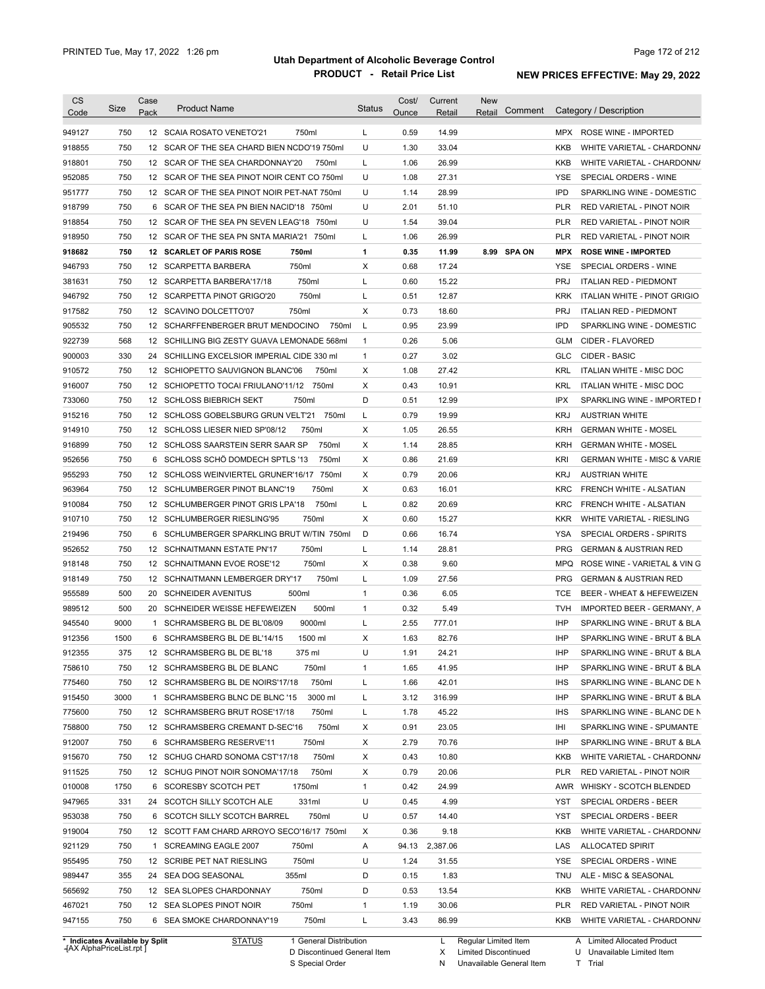| <b>CS</b><br>Code | Size                           | Case<br>Pack | <b>Product Name</b>                                  | <b>Status</b> | Cost/<br>Ounce | Current<br>Retail | <b>New</b><br>Comment<br>Retail | Category / Description                         |
|-------------------|--------------------------------|--------------|------------------------------------------------------|---------------|----------------|-------------------|---------------------------------|------------------------------------------------|
|                   |                                |              |                                                      |               |                |                   |                                 |                                                |
| 949127            | 750                            |              | 12 SCAIA ROSATO VENETO'21<br>750ml                   | L             | 0.59           | 14.99             |                                 | ROSE WINE - IMPORTED<br>MPX                    |
| 918855            | 750<br>750                     |              | 12 SCAR OF THE SEA CHARD BIEN NCDO'19 750ml<br>750ml | U             | 1.30<br>1.06   | 33.04<br>26.99    |                                 | <b>KKB</b><br>WHITE VARIETAL - CHARDONN/       |
| 918801            |                                |              | 12 SCAR OF THE SEA CHARDONNAY'20                     | L             |                |                   |                                 | KKB<br>WHITE VARIETAL - CHARDONN/              |
| 952085            | 750                            |              | 12 SCAR OF THE SEA PINOT NOIR CENT CO 750ml          | U             | 1.08           | 27.31             |                                 | SPECIAL ORDERS - WINE<br>YSE                   |
| 951777            | 750                            |              | 12 SCAR OF THE SEA PINOT NOIR PET-NAT 750ml          | U             | 1.14           | 28.99             |                                 | <b>IPD</b><br>SPARKLING WINE - DOMESTIC        |
| 918799            | 750                            |              | 6 SCAR OF THE SEA PN BIEN NACID'18 750ml             | U             | 2.01           | 51.10             |                                 | <b>PLR</b><br>RED VARIETAL - PINOT NOIR        |
| 918854            | 750                            |              | 12 SCAR OF THE SEA PN SEVEN LEAG'18<br>750ml         | U             | 1.54           | 39.04             |                                 | <b>PLR</b><br>RED VARIETAL - PINOT NOIR        |
| 918950            | 750                            |              | 12 SCAR OF THE SEA PN SNTA MARIA'21<br>750ml         | L             | 1.06           | 26.99             |                                 | <b>PLR</b><br>RED VARIETAL - PINOT NOIR        |
| 918682            | 750                            |              | 12 SCARLET OF PARIS ROSE<br>750ml                    | 1             | 0.35           | 11.99             | 8.99 SPA ON                     | <b>MPX</b><br><b>ROSE WINE - IMPORTED</b>      |
| 946793            | 750                            |              | 750ml<br>12 SCARPETTA BARBERA                        | Х             | 0.68           | 17.24             |                                 | <b>YSE</b><br>SPECIAL ORDERS - WINE            |
| 381631            | 750                            |              | 750ml<br>12 SCARPETTA BARBERA'17/18                  | L             | 0.60           | 15.22             |                                 | <b>PRJ</b><br><b>ITALIAN RED - PIEDMONT</b>    |
| 946792            | 750                            |              | 750ml<br>12 SCARPETTA PINOT GRIGO'20                 | Г             | 0.51           | 12.87             |                                 | <b>KRK</b><br>ITALIAN WHITE - PINOT GRIGIO     |
| 917582            | 750                            |              | 750ml<br>12 SCAVINO DOLCETTO'07                      | X             | 0.73           | 18.60             |                                 | <b>PRJ</b><br><b>ITALIAN RED - PIEDMONT</b>    |
| 905532            | 750                            |              | 12 SCHARFFENBERGER BRUT MENDOCINO<br>750ml           | L             | 0.95           | 23.99             |                                 | <b>IPD</b><br>SPARKLING WINE - DOMESTIC        |
| 922739            | 568                            |              | 12 SCHILLING BIG ZESTY GUAVA LEMONADE 568ml          | $\mathbf{1}$  | 0.26           | 5.06              |                                 | <b>GLM</b><br>CIDER - FLAVORED                 |
| 900003            | 330                            | 24           | SCHILLING EXCELSIOR IMPERIAL CIDE 330 ml             | $\mathbf{1}$  | 0.27           | 3.02              |                                 | <b>GLC</b><br>CIDER - BASIC                    |
| 910572            | 750                            |              | 12 SCHIOPETTO SAUVIGNON BLANC'06<br>750ml            | Х             | 1.08           | 27.42             |                                 | <b>KRL</b><br><b>ITALIAN WHITE - MISC DOC</b>  |
| 916007            | 750                            |              | 750ml<br>12 SCHIOPETTO TOCAI FRIULANO'11/12          | Х             | 0.43           | 10.91             |                                 | KRL<br>ITALIAN WHITE - MISC DOC                |
| 733060            | 750                            |              | 750ml<br>12 SCHLOSS BIEBRICH SEKT                    | D             | 0.51           | 12.99             |                                 | IPX<br>SPARKLING WINE - IMPORTED I             |
| 915216            | 750                            |              | 750ml<br>12 SCHLOSS GOBELSBURG GRUN VELT'21          | L             | 0.79           | 19.99             |                                 | <b>KRJ</b><br><b>AUSTRIAN WHITE</b>            |
| 914910            | 750                            |              | 12 SCHLOSS LIESER NIED SP'08/12<br>750ml             | Х             | 1.05           | 26.55             |                                 | <b>KRH</b><br><b>GERMAN WHITE - MOSEL</b>      |
| 916899            | 750                            |              | 12 SCHLOSS SAARSTEIN SERR SAAR SP<br>750ml           | X             | 1.14           | 28.85             |                                 | <b>KRH</b><br><b>GERMAN WHITE - MOSEL</b>      |
| 952656            | 750                            | 6            | SCHLOSS SCHO DOMDECH SPTLS '13<br>750ml              | X             | 0.86           | 21.69             |                                 | KRI<br><b>GERMAN WHITE - MISC &amp; VARIE</b>  |
| 955293            | 750                            |              | 12 SCHLOSS WEINVIERTEL GRUNER'16/17<br>750ml         | Х             | 0.79           | 20.06             |                                 | <b>KRJ</b><br><b>AUSTRIAN WHITE</b>            |
| 963964            | 750                            |              | 12 SCHLUMBERGER PINOT BLANC'19<br>750ml              | X             | 0.63           | 16.01             |                                 | <b>KRC</b><br>FRENCH WHITE - ALSATIAN          |
| 910084            | 750                            |              | 750ml<br>12 SCHLUMBERGER PINOT GRIS LPA'18           | L             | 0.82           | 20.69             |                                 | <b>KRC</b><br>FRENCH WHITE - ALSATIAN          |
| 910710            | 750                            |              | 750ml<br>12 SCHLUMBERGER RIESLING'95                 | X             | 0.60           | 15.27             |                                 | <b>KKR</b><br>WHITE VARIETAL - RIESLING        |
| 219496            | 750                            |              | 6 SCHLUMBERGER SPARKLING BRUT W/TIN 750ml            | D             | 0.66           | 16.74             |                                 | <b>YSA</b><br>SPECIAL ORDERS - SPIRITS         |
| 952652            | 750                            |              | 750ml<br>12 SCHNAITMANN ESTATE PN'17                 | L             | 1.14           | 28.81             |                                 | <b>PRG</b><br><b>GERMAN &amp; AUSTRIAN RED</b> |
| 918148            | 750                            |              | 750ml<br>12 SCHNAITMANN EVOE ROSE'12                 | Х             | 0.38           | 9.60              |                                 | <b>MPQ</b><br>ROSE WINE - VARIETAL & VIN G     |
| 918149            | 750                            |              | 750ml<br>12 SCHNAITMANN LEMBERGER DRY'17             | Г             | 1.09           | 27.56             |                                 | <b>PRG</b><br><b>GERMAN &amp; AUSTRIAN RED</b> |
|                   |                                |              | 500ml<br>20 SCHNEIDER AVENITUS                       |               |                |                   |                                 |                                                |
| 955589            | 500                            |              |                                                      | $\mathbf{1}$  | 0.36           | 6.05              |                                 | <b>TCE</b><br>BEER - WHEAT & HEFEWEIZEN        |
| 989512            | 500                            |              | 500ml<br>20 SCHNEIDER WEISSE HEFEWEIZEN              | $\mathbf{1}$  | 0.32           | 5.49              |                                 | <b>TVH</b><br>IMPORTED BEER - GERMANY, A       |
| 945540            | 9000                           |              | 9000ml<br>1 SCHRAMSBERG BL DE BL'08/09               | L             | 2.55           | 777.01            |                                 | IHP<br>SPARKLING WINE - BRUT & BLA             |
| 912356            | 1500                           |              | 6 SCHRAMSBERG BL DE BL'14/15<br>1500 ml              | X             | 1.63           | 82.76             |                                 | IHP<br>SPARKLING WINE - BRUT & BLA             |
| 912355            | 375                            |              | 12 SCHRAMSBERG BL DE BL'18<br>375 ml                 | U             | 1.91           | 24.21             |                                 | <b>IHP</b><br>SPARKLING WINE - BRUT & BLA      |
| 758610            | 750                            |              | 750ml<br>12 SCHRAMSBERG BL DE BLANC                  | $\mathbf{1}$  | 1.65           | 41.95             |                                 | IHP<br>SPARKLING WINE - BRUT & BLA             |
| 775460            | 750                            |              | 750ml<br>12 SCHRAMSBERG BL DE NOIRS'17/18            | L             | 1.66           | 42.01             |                                 | <b>IHS</b><br>SPARKLING WINE - BLANC DE N      |
| 915450            | 3000                           |              | 3000 ml<br>1 SCHRAMSBERG BLNC DE BLNC '15            | L             | 3.12           | 316.99            |                                 | IHP<br>SPARKLING WINE - BRUT & BLA             |
| 775600            | 750                            |              | 12 SCHRAMSBERG BRUT ROSE'17/18<br>750ml              | L             | 1.78           | 45.22             |                                 | <b>IHS</b><br>SPARKLING WINE - BLANC DE N      |
| 758800            | 750                            |              | 750ml<br>12 SCHRAMSBERG CREMANT D-SEC'16             | Χ             | 0.91           | 23.05             |                                 | IHI<br>SPARKLING WINE - SPUMANTE               |
| 912007            | 750                            |              | 750ml<br>6 SCHRAMSBERG RESERVE'11                    | Х             | 2.79           | 70.76             |                                 | IHP<br>SPARKLING WINE - BRUT & BLA             |
| 915670            | 750                            |              | 750ml<br>12 SCHUG CHARD SONOMA CST'17/18             | Х             | 0.43           | 10.80             |                                 | KKB<br>WHITE VARIETAL - CHARDONN/              |
| 911525            | 750                            |              | 750ml<br>12 SCHUG PINOT NOIR SONOMA'17/18            | Х             | 0.79           | 20.06             |                                 | <b>PLR</b><br>RED VARIETAL - PINOT NOIR        |
| 010008            | 1750                           |              | 1750ml<br>6 SCORESBY SCOTCH PET                      | $\mathbf{1}$  | 0.42           | 24.99             |                                 | AWR<br>WHISKY - SCOTCH BLENDED                 |
| 947965            | 331                            |              | 331ml<br>24 SCOTCH SILLY SCOTCH ALE                  | U             | 0.45           | 4.99              |                                 | YST<br>SPECIAL ORDERS - BEER                   |
| 953038            | 750                            |              | 750ml<br>6 SCOTCH SILLY SCOTCH BARREL                | U             | 0.57           | 14.40             |                                 | YST<br>SPECIAL ORDERS - BEER                   |
| 919004            | 750                            |              | 12 SCOTT FAM CHARD ARROYO SECO'16/17 750ml           | Х             | 0.36           | 9.18              |                                 | KKB<br>WHITE VARIETAL - CHARDONN/              |
| 921129            | 750                            |              | 1 SCREAMING EAGLE 2007<br>750ml                      | Α             | 94.13          | 2,387.06          |                                 | LAS<br><b>ALLOCATED SPIRIT</b>                 |
| 955495            | 750                            |              | 750ml<br>12 SCRIBE PET NAT RIESLING                  | U             | 1.24           | 31.55             |                                 | YSE<br>SPECIAL ORDERS - WINE                   |
| 989447            | 355                            |              | 24 SEA DOG SEASONAL<br>355ml                         | D             | 0.15           | 1.83              |                                 | TNU<br>ALE - MISC & SEASONAL                   |
| 565692            | 750                            |              | 750ml<br>12 SEA SLOPES CHARDONNAY                    | D             | 0.53           | 13.54             |                                 | KKB<br>WHITE VARIETAL - CHARDONN/              |
|                   | 750                            |              | 750ml                                                | $\mathbf{1}$  | 1.19           |                   |                                 | PLR                                            |
| 467021            |                                |              | 12 SEA SLOPES PINOT NOIR                             |               |                | 30.06             |                                 | RED VARIETAL - PINOT NOIR                      |
| 947155            | 750                            |              | 750ml<br>6 SEA SMOKE CHARDONNAY'19                   | L             | 3.43           | 86.99             |                                 | KKB<br>WHITE VARIETAL - CHARDONN/              |
|                   | * Indicates Available by Split |              | 1 General Distribution<br><b>STATUS</b>              |               |                | L                 | Regular Limited Item            | A Limited Allocated Product                    |

**Case** [AX AlphaPriceList.rpt ]

D Discontinued General Item S Special Order

X Limited Discontinued

N Unavailable General Item

U Unavailable Limited Item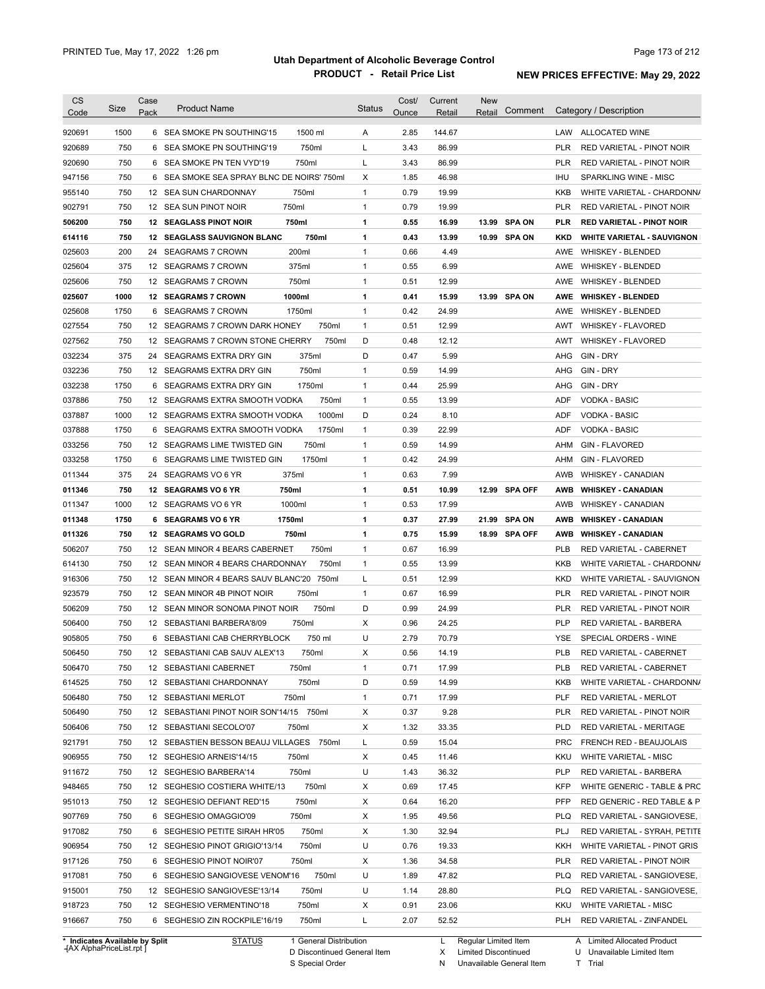| <b>CS</b><br>Code              | Size | Case<br>Pack | <b>Product Name</b>                        |                        | <b>Status</b> | Cost/<br>Ounce | Current<br>Retail | <b>New</b><br>Retail | Comment       |            | Category / Description            |
|--------------------------------|------|--------------|--------------------------------------------|------------------------|---------------|----------------|-------------------|----------------------|---------------|------------|-----------------------------------|
| 920691                         | 1500 |              | 6 SEA SMOKE PN SOUTHING'15                 | 1500 ml                | Α             | 2.85           | 144.67            |                      |               |            | LAW ALLOCATED WINE                |
| 920689                         | 750  | 6            | SEA SMOKE PN SOUTHING'19                   | 750ml                  | Г             | 3.43           | 86.99             |                      |               | <b>PLR</b> | RED VARIETAL - PINOT NOIR         |
| 920690                         | 750  |              | 6 SEA SMOKE PN TEN VYD'19                  | 750ml                  | Г             | 3.43           | 86.99             |                      |               | PLR        | RED VARIETAL - PINOT NOIR         |
| 947156                         | 750  |              | 6 SEA SMOKE SEA SPRAY BLNC DE NOIRS' 750ml |                        | X             | 1.85           | 46.98             |                      |               | IHU        | SPARKLING WINE - MISC             |
| 955140                         | 750  |              | 12 SEA SUN CHARDONNAY                      | 750ml                  | $\mathbf{1}$  | 0.79           | 19.99             |                      |               | KKB        | WHITE VARIETAL - CHARDONN/        |
| 902791                         | 750  |              | 12 SEA SUN PINOT NOIR                      | 750ml                  | $\mathbf{1}$  | 0.79           | 19.99             |                      |               | PLR        | RED VARIETAL - PINOT NOIR         |
| 506200                         | 750  |              | <b>12 SEAGLASS PINOT NOIR</b>              | 750ml                  | 1             | 0.55           | 16.99             |                      | 13.99 SPA ON  | <b>PLR</b> | <b>RED VARIETAL - PINOT NOIR</b>  |
| 614116                         | 750  |              | 12 SEAGLASS SAUVIGNON BLANC                | 750ml                  | 1             | 0.43           | 13.99             |                      | 10.99 SPA ON  | KKD        | <b>WHITE VARIETAL - SAUVIGNON</b> |
| 025603                         | 200  | 24           | <b>SEAGRAMS 7 CROWN</b>                    | 200ml                  | $\mathbf{1}$  | 0.66           | 4.49              |                      |               | AWE        | <b>WHISKEY - BLENDED</b>          |
| 025604                         | 375  |              | 12 SEAGRAMS 7 CROWN                        | 375ml                  | $\mathbf{1}$  | 0.55           | 6.99              |                      |               | AWE        | WHISKEY - BLENDED                 |
| 025606                         | 750  | 12           | SEAGRAMS 7 CROWN                           | 750ml                  | 1             | 0.51           | 12.99             |                      |               | AWE        | <b>WHISKEY - BLENDED</b>          |
| 025607                         | 1000 |              | <b>12 SEAGRAMS 7 CROWN</b>                 | 1000ml                 | 1             | 0.41           | 15.99             |                      | 13.99 SPA ON  | AWE        | <b>WHISKEY - BLENDED</b>          |
| 025608                         | 1750 | 6            | SEAGRAMS 7 CROWN                           | 1750ml                 | 1             | 0.42           | 24.99             |                      |               | AWE        | <b>WHISKEY - BLENDED</b>          |
| 027554                         | 750  | 12           | SEAGRAMS 7 CROWN DARK HONEY                | 750ml                  | 1             | 0.51           | 12.99             |                      |               | AWT        | <b>WHISKEY - FLAVORED</b>         |
| 027562                         | 750  | 12           | SEAGRAMS 7 CROWN STONE CHERRY              | 750ml                  | D             | 0.48           | 12.12             |                      |               | AWT        | WHISKEY - FLAVORED                |
| 032234                         | 375  | 24           | SEAGRAMS EXTRA DRY GIN                     | 375ml                  | D             | 0.47           | 5.99              |                      |               | AHG        | GIN - DRY                         |
| 032236                         | 750  | 12           | SEAGRAMS EXTRA DRY GIN                     | 750ml                  | 1             | 0.59           | 14.99             |                      |               | AHG        | GIN - DRY                         |
| 032238                         | 1750 |              | 6 SEAGRAMS EXTRA DRY GIN                   | 1750ml                 | $\mathbf{1}$  | 0.44           | 25.99             |                      |               | AHG        | GIN - DRY                         |
| 037886                         | 750  |              | 12 SEAGRAMS EXTRA SMOOTH VODKA             | 750ml                  | $\mathbf{1}$  | 0.55           | 13.99             |                      |               | ADF        | <b>VODKA - BASIC</b>              |
| 037887                         | 1000 |              | 12 SEAGRAMS EXTRA SMOOTH VODKA             | 1000ml                 | D             | 0.24           | 8.10              |                      |               | ADF        | <b>VODKA - BASIC</b>              |
| 037888                         | 1750 |              | 6 SEAGRAMS EXTRA SMOOTH VODKA              | 1750ml                 | $\mathbf{1}$  | 0.39           | 22.99             |                      |               | ADF        | <b>VODKA - BASIC</b>              |
| 033256                         | 750  |              | 12 SEAGRAMS LIME TWISTED GIN               | 750ml                  | $\mathbf{1}$  | 0.59           | 14.99             |                      |               | AHM        | <b>GIN - FLAVORED</b>             |
| 033258                         | 1750 | 6            | SEAGRAMS LIME TWISTED GIN                  | 1750ml                 | 1             | 0.42           | 24.99             |                      |               | AHM        | <b>GIN - FLAVORED</b>             |
| 011344                         | 375  | 24           | SEAGRAMS VO 6 YR                           | 375ml                  | 1             | 0.63           | 7.99              |                      |               | AWB        | <b>WHISKEY - CANADIAN</b>         |
| 011346                         | 750  | 12           | <b>SEAGRAMS VO 6 YR</b>                    | 750ml                  | 1             | 0.51           | 10.99             |                      | 12.99 SPA OFF | AWB        | <b>WHISKEY - CANADIAN</b>         |
| 011347                         | 1000 |              | 12 SEAGRAMS VO 6 YR                        | 1000ml                 | 1             | 0.53           | 17.99             |                      |               | AWB        | <b>WHISKEY - CANADIAN</b>         |
| 011348                         | 1750 | 6            | <b>SEAGRAMS VO 6 YR</b>                    | 1750ml                 | 1             | 0.37           | 27.99             | 21.99                | <b>SPA ON</b> | AWB        | <b>WHISKEY - CANADIAN</b>         |
| 011326                         | 750  |              | 12 SEAGRAMS VO GOLD                        | 750ml                  | 1             | 0.75           | 15.99             |                      | 18.99 SPA OFF | <b>AWB</b> | <b>WHISKEY - CANADIAN</b>         |
| 506207                         | 750  |              | 12 SEAN MINOR 4 BEARS CABERNET             | 750ml                  | 1             | 0.67           | 16.99             |                      |               | <b>PLB</b> | RED VARIETAL - CABERNET           |
| 614130                         | 750  | 12           | SEAN MINOR 4 BEARS CHARDONNAY              | 750ml                  | 1             | 0.55           | 13.99             |                      |               | KKB        | WHITE VARIETAL - CHARDONN/        |
| 916306                         | 750  |              | 12 SEAN MINOR 4 BEARS SAUV BLANC'20        | 750ml                  | L             | 0.51           | 12.99             |                      |               | <b>KKD</b> | WHITE VARIETAL - SAUVIGNON        |
| 923579                         | 750  |              | 12 SEAN MINOR 4B PINOT NOIR                | 750ml                  | $\mathbf{1}$  | 0.67           | 16.99             |                      |               | <b>PLR</b> | RED VARIETAL - PINOT NOIR         |
| 506209                         | 750  |              | 12 SEAN MINOR SONOMA PINOT NOIR            | 750ml                  | D             | 0.99           | 24.99             |                      |               | <b>PLR</b> | RED VARIETAL - PINOT NOIR         |
| 506400                         | 750  |              | 12 SEBASTIANI BARBERA'8/09                 | 750ml                  | Х             | 0.96           | 24.25             |                      |               | <b>PLP</b> | RED VARIETAL - BARBERA            |
| 905805                         | 750  |              | 6 SEBASTIANI CAB CHERRYBLOCK               | 750 ml                 | U             | 2.79           | 70.79             |                      |               | <b>YSE</b> | SPECIAL ORDERS - WINE             |
| 506450                         | 750  |              | 12 SEBASTIANI CAB SAUV ALEX'13             | 750ml                  | х             | 0.56           | 14.19             |                      |               | <b>PLB</b> | RED VARIETAL - CABERNET           |
| 506470                         | 750  |              | 12 SEBASTIANI CABERNET                     | 750ml                  | 1             | 0.71           | 17.99             |                      |               | <b>PLB</b> | RED VARIETAL - CABERNET           |
| 614525                         | 750  |              | 12 SEBASTIANI CHARDONNAY                   | 750ml                  | D             | 0.59           | 14.99             |                      |               | KKB        | WHITE VARIETAL - CHARDONN/        |
| 506480                         | 750  |              | 12 SEBASTIANI MERLOT                       | 750ml                  | $\mathbf{1}$  | 0.71           | 17.99             |                      |               | PLF        | RED VARIETAL - MERLOT             |
| 506490                         | 750  |              | 12 SEBASTIANI PINOT NOIR SON'14/15 750ml   |                        | х             | 0.37           | 9.28              |                      |               | <b>PLR</b> | RED VARIETAL - PINOT NOIR         |
| 506406                         | 750  |              | 12 SEBASTIANI SECOLO'07                    | 750ml                  | х             | 1.32           | 33.35             |                      |               | <b>PLD</b> | RED VARIETAL - MERITAGE           |
| 921791                         | 750  |              | 12 SEBASTIEN BESSON BEAUJ VILLAGES 750ml   |                        | Г             | 0.59           | 15.04             |                      |               | <b>PRC</b> | FRENCH RED - BEAUJOLAIS           |
| 906955                         | 750  |              | 12 SEGHESIO ARNEIS'14/15                   | 750ml                  | Х             | 0.45           | 11.46             |                      |               | KKU        | WHITE VARIETAL - MISC             |
| 911672                         | 750  |              | 12 SEGHESIO BARBERA'14                     | 750ml                  | U             | 1.43           | 36.32             |                      |               | <b>PLP</b> | RED VARIETAL - BARBERA            |
| 948465                         | 750  |              | 12 SEGHESIO COSTIERA WHITE/13              | 750ml                  | х             | 0.69           | 17.45             |                      |               | <b>KFP</b> | WHITE GENERIC - TABLE & PRC       |
| 951013                         | 750  |              | 12 SEGHESIO DEFIANT RED'15                 | 750ml                  | х             | 0.64           | 16.20             |                      |               | <b>PFP</b> | RED GENERIC - RED TABLE & P       |
| 907769                         | 750  |              | 6 SEGHESIO OMAGGIO'09                      | 750ml                  | х             | 1.95           | 49.56             |                      |               | <b>PLQ</b> | RED VARIETAL - SANGIOVESE,        |
| 917082                         | 750  |              | 6 SEGHESIO PETITE SIRAH HR'05              | 750ml                  | Х             | 1.30           | 32.94             |                      |               | PLJ        | RED VARIETAL - SYRAH, PETITE      |
| 906954                         | 750  |              | 12 SEGHESIO PINOT GRIGIO'13/14             | 750ml                  | U             | 0.76           | 19.33             |                      |               | KKH        | WHITE VARIETAL - PINOT GRIS       |
| 917126                         | 750  |              | 6 SEGHESIO PINOT NOIR'07                   | 750ml                  | х             | 1.36           | 34.58             |                      |               | <b>PLR</b> | RED VARIETAL - PINOT NOIR         |
| 917081                         | 750  |              | 6 SEGHESIO SANGIOVESE VENOM'16             | 750ml                  | U             | 1.89           | 47.82             |                      |               | <b>PLQ</b> | RED VARIETAL - SANGIOVESE,        |
| 915001                         | 750  |              | 12 SEGHESIO SANGIOVESE'13/14               | 750ml                  | U             | 1.14           | 28.80             |                      |               | <b>PLQ</b> | RED VARIETAL - SANGIOVESE,        |
| 918723                         | 750  |              | 12 SEGHESIO VERMENTINO'18                  | 750ml                  | Х             | 0.91           | 23.06             |                      |               | <b>KKU</b> | WHITE VARIETAL - MISC             |
| 916667                         | 750  |              | 6 SEGHESIO ZIN ROCKPILE'16/19              | 750ml                  | L             | 2.07           | 52.52             |                      |               | PLH        | RED VARIETAL - ZINFANDEL          |
| * Indicates Available by Split |      |              | <b>STATUS</b>                              | 1 General Distribution |               |                | L.                | Regular Limited Item |               |            | A Limited Allocated Product       |

**Case** [AX AlphaPriceList.rpt ]

D Discontinued General Item

S Special Order

X Limited Discontinued

N Unavailable General Item

U Unavailable Limited Item

T Trial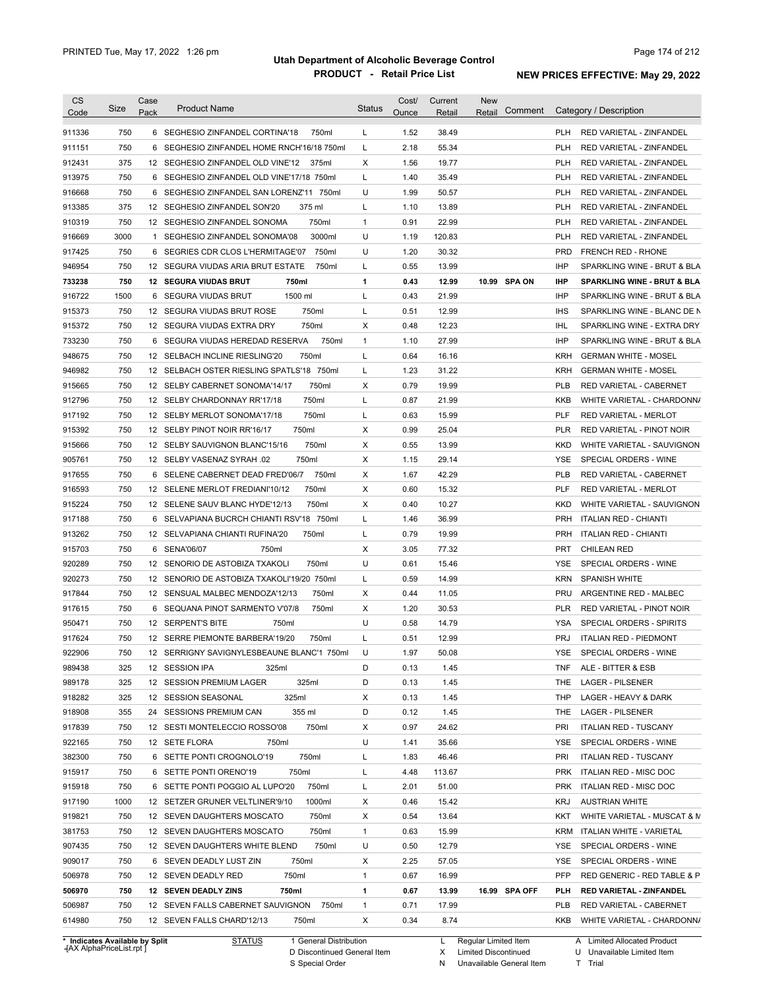| 750<br>1.52<br>38.49<br>6 SEGHESIO ZINFANDEL CORTINA'18<br>750ml<br>L<br><b>PLH</b><br>RED VARIETAL - ZINFANDEL<br>750<br>L<br>2.18<br>55.34<br>6<br>SEGHESIO ZINFANDEL HOME RNCH'16/18 750ml<br><b>PLH</b><br>RED VARIETAL - ZINFANDEL<br>375<br>X<br>1.56<br>19.77<br>12 SEGHESIO ZINFANDEL OLD VINE'12<br>375ml<br><b>PLH</b><br>RED VARIETAL - ZINFANDEL<br>L<br>750<br>1.40<br>6 SEGHESIO ZINFANDEL OLD VINE'17/18 750ml<br>35.49<br><b>PLH</b><br>RED VARIETAL - ZINFANDEL<br>U<br>750<br>1.99<br>6 SEGHESIO ZINFANDEL SAN LORENZ'11 750ml<br>50.57<br><b>PLH</b><br>RED VARIETAL - ZINFANDEL<br>375<br>L<br>375 ml<br>13.89<br><b>PLH</b><br>12 SEGHESIO ZINFANDEL SON'20<br>1.10<br>RED VARIETAL - ZINFANDEL<br>750<br>22.99<br>750ml<br>$\mathbf{1}$<br>0.91<br><b>PLH</b><br>12 SEGHESIO ZINFANDEL SONOMA<br>RED VARIETAL - ZINFANDEL<br>3000<br>3000ml<br>U<br>1.19<br>120.83<br><b>PLH</b><br>1 SEGHESIO ZINFANDEL SONOMA'08<br>RED VARIETAL - ZINFANDEL<br>750<br>750ml<br>U<br>1.20<br>30.32<br><b>PRD</b><br>6 SEGRIES CDR CLOS L'HERMITAGE'07<br><b>FRENCH RED - RHONE</b><br>750<br>L<br>0.55<br>13.99<br><b>IHP</b><br>12 SEGURA VIUDAS ARIA BRUT ESTATE<br>750ml<br>SPARKLING WINE - BRUT & BLA<br>750<br>750ml<br>1<br>0.43<br>12.99<br>10.99 SPA ON<br><b>IHP</b><br><b>12 SEGURA VIUDAS BRUT</b><br><b>SPARKLING WINE - BRUT &amp; BLA</b><br>1500<br>1500 ml<br>Г<br>0.43<br>21.99<br>6 SEGURA VIUDAS BRUT<br><b>IHP</b><br>SPARKLING WINE - BRUT & BLA<br>750<br>750ml<br>L<br>0.51<br>12.99<br><b>IHS</b><br>12 SEGURA VIUDAS BRUT ROSE<br>SPARKLING WINE - BLANC DE N<br>750<br>750ml<br>Х<br>0.48<br>12.23<br><b>IHL</b><br>12 SEGURA VIUDAS EXTRA DRY<br>SPARKLING WINE - EXTRA DRY<br>750<br>750ml<br>$\mathbf{1}$<br>1.10<br>27.99<br><b>IHP</b><br>SEGURA VIUDAS HEREDAD RESERVA<br>SPARKLING WINE - BRUT & BLA<br>6<br>750<br>750ml<br>L<br>0.64<br>16.16<br>12<br>SELBACH INCLINE RIESLING'20<br><b>KRH</b><br><b>GERMAN WHITE - MOSEL</b><br>750<br>12 SELBACH OSTER RIESLING SPATLS'18 750ml<br>1.23<br>31.22<br>L<br><b>KRH</b><br><b>GERMAN WHITE - MOSEL</b><br>750<br>0.79<br>750ml<br>Χ<br>19.99<br><b>PLB</b><br>12 SELBY CABERNET SONOMA'14/17<br>RED VARIETAL - CABERNET<br>750<br>750ml<br>L<br>0.87<br>21.99<br><b>KKB</b><br>12<br>SELBY CHARDONNAY RR'17/18<br>WHITE VARIETAL - CHARDONN/<br>750<br>750ml<br>L<br>0.63<br>15.99<br>PLF<br>RED VARIETAL - MERLOT<br>12 SELBY MERLOT SONOMA'17/18<br>750<br>0.99<br>750ml<br>Χ<br>25.04<br><b>PLR</b><br>12 SELBY PINOT NOIR RR'16/17<br>RED VARIETAL - PINOT NOIR<br>750<br>750ml<br>Χ<br>0.55<br>13.99<br><b>KKD</b><br>12 SELBY SAUVIGNON BLANC'15/16<br>WHITE VARIETAL - SAUVIGNON<br>750<br>750ml<br>Χ<br>1.15<br>29.14<br><b>YSE</b><br>SPECIAL ORDERS - WINE<br>12 SELBY VASENAZ SYRAH .02<br>750<br>750ml<br>Χ<br>1.67<br>42.29<br><b>PLB</b><br>6 SELENE CABERNET DEAD FRED'06/7<br>RED VARIETAL - CABERNET<br>750<br>750ml<br>Χ<br>0.60<br>15.32<br>PLF<br>12 SELENE MERLOT FREDIANI'10/12<br>RED VARIETAL - MERLOT<br>750<br>750ml<br>Х<br>0.40<br>10.27<br>12 SELENE SAUV BLANC HYDE'12/13<br><b>KKD</b><br>WHITE VARIETAL - SAUVIGNON<br>750<br>SELVAPIANA BUCRCH CHIANTI RSV'18 750ml<br>L<br>1.46<br>36.99<br><b>PRH</b><br><b>ITALIAN RED - CHIANTI</b><br>6<br>750<br>750ml<br>L<br>0.79<br>19.99<br>12 SELVAPIANA CHIANTI RUFINA'20<br><b>PRH</b><br><b>ITALIAN RED - CHIANTI</b><br>750<br>SENA'06/07<br>750ml<br>Х<br>3.05<br>77.32<br><b>PRT</b><br><b>CHILEAN RED</b><br>6<br>750<br>750ml<br>U<br>0.61<br>12 SENORIO DE ASTOBIZA TXAKOLI<br>15.46<br>YSE<br>SPECIAL ORDERS - WINE<br>750<br>L<br>0.59<br>14.99<br><b>SPANISH WHITE</b><br>12 SENORIO DE ASTOBIZA TXAKOLI'19/20 750ml<br><b>KRN</b><br>750<br>Х<br>0.44<br><b>PRU</b><br>ARGENTINE RED - MALBEC<br>12 SENSUAL MALBEC MENDOZA'12/13<br>750ml<br>11.05<br>750<br>X<br>1.20<br>30.53<br>6 SEQUANA PINOT SARMENTO V'07/8<br>750ml<br><b>PLR</b><br><b>RED VARIETAL - PINOT NOIR</b><br>U<br>750<br>12 SERPENT'S BITE<br>0.58<br>14.79<br>750ml<br>YSA<br><b>SPECIAL ORDERS - SPIRITS</b><br><b>PRJ</b><br>750<br>12 SERRE PIEMONTE BARBERA'19/20<br>750ml<br>Г<br>0.51<br>12.99<br><b>ITALIAN RED - PIEDMONT</b><br>750<br>YSE<br>12 SERRIGNY SAVIGNYLESBEAUNE BLANC'1 750ml<br>U<br>1.97<br>50.08<br>SPECIAL ORDERS - WINE<br>325<br>12 SESSION IPA<br>325ml<br>D<br>0.13<br>1.45<br>ALE - BITTER & ESB<br><b>TNF</b><br>325<br>12 SESSION PREMIUM LAGER<br>325ml<br>D<br>0.13<br>1.45<br>THE<br><b>LAGER - PILSENER</b><br>325<br>325ml<br>1.45<br>LAGER - HEAVY & DARK<br>12 SESSION SEASONAL<br>X<br>0.13<br>THP<br>24 SESSIONS PREMIUM CAN<br>355 ml<br>D<br>1.45<br>LAGER - PILSENER<br>355<br>0.12<br>THE<br>750ml<br>0.97<br>24.62<br><b>ITALIAN RED - TUSCANY</b><br>750<br>12 SESTI MONTELECCIO ROSSO'08<br>X<br><b>PRI</b><br>U<br>35.66<br>SPECIAL ORDERS - WINE<br>750<br>12 SETE FLORA<br>750ml<br>1.41<br>YSE<br>750ml<br>46.46<br>750<br>6 SETTE PONTI CROGNOLO'19<br>L<br>1.83<br>PRI<br><b>ITALIAN RED - TUSCANY</b><br>750ml<br>4.48<br>113.67<br><b>ITALIAN RED - MISC DOC</b><br>750<br>6 SETTE PONTI ORENO'19<br>L<br><b>PRK</b><br>51.00<br>750<br>6 SETTE PONTI POGGIO AL LUPO'20<br>750ml<br>L<br>2.01<br><b>PRK</b><br>ITALIAN RED - MISC DOC<br>1000<br>12 SETZER GRUNER VELTLINER'9/10<br>1000ml<br>Х<br>0.46<br>15.42<br><b>KRJ</b><br><b>AUSTRIAN WHITE</b><br>750ml<br>750<br>12 SEVEN DAUGHTERS MOSCATO<br>Х<br>0.54<br>13.64<br>KKT<br>WHITE VARIETAL - MUSCAT & M<br>750<br>750ml<br>$\mathbf{1}$<br>15.99<br>12 SEVEN DAUGHTERS MOSCATO<br>0.63<br><b>KRM</b><br>ITALIAN WHITE - VARIETAL<br>750ml<br>U<br>12.79<br>750<br>12 SEVEN DAUGHTERS WHITE BLEND<br>0.50<br>YSE<br>SPECIAL ORDERS - WINE<br>750<br>2.25<br>57.05<br>6 SEVEN DEADLY LUST ZIN<br>750ml<br>X<br>YSE<br>SPECIAL ORDERS - WINE<br>506978<br>750<br>750ml<br>16.99<br><b>PFP</b><br>12 SEVEN DEADLY RED<br>1<br>0.67<br>RED GENERIC - RED TABLE & P<br>506970<br>1<br>16.99 SPA OFF<br>750<br>12 SEVEN DEADLY ZINS<br>750ml<br>0.67<br>13.99<br>PLH<br>RED VARIETAL - ZINFANDEL<br>506987<br>750<br>$\mathbf{1}$<br>0.71<br>17.99<br>12 SEVEN FALLS CABERNET SAUVIGNON<br>750ml<br><b>PLB</b><br>RED VARIETAL - CABERNET<br>614980<br>750<br>Х<br>0.34<br>8.74<br>12 SEVEN FALLS CHARD'12/13<br>750ml<br>KKB<br>WHITE VARIETAL - CHARDONN/ | <b>CS</b><br>Code | Size | Case<br>Pack | <b>Product Name</b> | <b>Status</b> | Cost/<br>Ounce | Current<br>Retail | <b>New</b><br>Comment<br>Retail | Category / Description      |
|---------------------------------------------------------------------------------------------------------------------------------------------------------------------------------------------------------------------------------------------------------------------------------------------------------------------------------------------------------------------------------------------------------------------------------------------------------------------------------------------------------------------------------------------------------------------------------------------------------------------------------------------------------------------------------------------------------------------------------------------------------------------------------------------------------------------------------------------------------------------------------------------------------------------------------------------------------------------------------------------------------------------------------------------------------------------------------------------------------------------------------------------------------------------------------------------------------------------------------------------------------------------------------------------------------------------------------------------------------------------------------------------------------------------------------------------------------------------------------------------------------------------------------------------------------------------------------------------------------------------------------------------------------------------------------------------------------------------------------------------------------------------------------------------------------------------------------------------------------------------------------------------------------------------------------------------------------------------------------------------------------------------------------------------------------------------------------------------------------------------------------------------------------------------------------------------------------------------------------------------------------------------------------------------------------------------------------------------------------------------------------------------------------------------------------------------------------------------------------------------------------------------------------------------------------------------------------------------------------------------------------------------------------------------------------------------------------------------------------------------------------------------------------------------------------------------------------------------------------------------------------------------------------------------------------------------------------------------------------------------------------------------------------------------------------------------------------------------------------------------------------------------------------------------------------------------------------------------------------------------------------------------------------------------------------------------------------------------------------------------------------------------------------------------------------------------------------------------------------------------------------------------------------------------------------------------------------------------------------------------------------------------------------------------------------------------------------------------------------------------------------------------------------------------------------------------------------------------------------------------------------------------------------------------------------------------------------------------------------------------------------------------------------------------------------------------------------------------------------------------------------------------------------------------------------------------------------------------------------------------------------------------------------------------------------------------------------------------------------------------------------------------------------------------------------------------------------------------------------------------------------------------------------------------------------------------------------------------------------------------------------------------------------------------------------------------------------------------------------------------------------------------------------------------------------------------------------------------------------------------------------------------------------------------------------------------------------------------------------------------------------------------------------------------------------------------------------------------------------------------------------------------------------------------------------------------------------------------------------------------------------------------------------------------------------------------------------------------------------------------------------------------------------------------------------------------------------------------------------------------------------------------------------------------------------------------------------------------------------------------------------------------------------------------------------------------------------------------------------------------------------------------------------------------------------------------------------------------------------------------------------------------------------------------------------------------------------------------------------------------------------------------------------------------------------------------------------------------------------------------------------------------------------------------------------------------------------------------------------------------------------------------------------------------------------------------------------|-------------------|------|--------------|---------------------|---------------|----------------|-------------------|---------------------------------|-----------------------------|
|                                                                                                                                                                                                                                                                                                                                                                                                                                                                                                                                                                                                                                                                                                                                                                                                                                                                                                                                                                                                                                                                                                                                                                                                                                                                                                                                                                                                                                                                                                                                                                                                                                                                                                                                                                                                                                                                                                                                                                                                                                                                                                                                                                                                                                                                                                                                                                                                                                                                                                                                                                                                                                                                                                                                                                                                                                                                                                                                                                                                                                                                                                                                                                                                                                                                                                                                                                                                                                                                                                                                                                                                                                                                                                                                                                                                                                                                                                                                                                                                                                                                                                                                                                                                                                                                                                                                                                                                                                                                                                                                                                                                                                                                                                                                                                                                                                                                                                                                                                                                                                                                                                                                                                                                                                                                                                                                                                                                                                                                                                                                                                                                                                                                                                                                                                                                                                                                                                                                                                                                                                                                                                                                                                                                                                                                                                                                 |                   |      |              |                     |               |                |                   |                                 |                             |
|                                                                                                                                                                                                                                                                                                                                                                                                                                                                                                                                                                                                                                                                                                                                                                                                                                                                                                                                                                                                                                                                                                                                                                                                                                                                                                                                                                                                                                                                                                                                                                                                                                                                                                                                                                                                                                                                                                                                                                                                                                                                                                                                                                                                                                                                                                                                                                                                                                                                                                                                                                                                                                                                                                                                                                                                                                                                                                                                                                                                                                                                                                                                                                                                                                                                                                                                                                                                                                                                                                                                                                                                                                                                                                                                                                                                                                                                                                                                                                                                                                                                                                                                                                                                                                                                                                                                                                                                                                                                                                                                                                                                                                                                                                                                                                                                                                                                                                                                                                                                                                                                                                                                                                                                                                                                                                                                                                                                                                                                                                                                                                                                                                                                                                                                                                                                                                                                                                                                                                                                                                                                                                                                                                                                                                                                                                                                 | 911336            |      |              |                     |               |                |                   |                                 |                             |
|                                                                                                                                                                                                                                                                                                                                                                                                                                                                                                                                                                                                                                                                                                                                                                                                                                                                                                                                                                                                                                                                                                                                                                                                                                                                                                                                                                                                                                                                                                                                                                                                                                                                                                                                                                                                                                                                                                                                                                                                                                                                                                                                                                                                                                                                                                                                                                                                                                                                                                                                                                                                                                                                                                                                                                                                                                                                                                                                                                                                                                                                                                                                                                                                                                                                                                                                                                                                                                                                                                                                                                                                                                                                                                                                                                                                                                                                                                                                                                                                                                                                                                                                                                                                                                                                                                                                                                                                                                                                                                                                                                                                                                                                                                                                                                                                                                                                                                                                                                                                                                                                                                                                                                                                                                                                                                                                                                                                                                                                                                                                                                                                                                                                                                                                                                                                                                                                                                                                                                                                                                                                                                                                                                                                                                                                                                                                 | 911151            |      |              |                     |               |                |                   |                                 |                             |
|                                                                                                                                                                                                                                                                                                                                                                                                                                                                                                                                                                                                                                                                                                                                                                                                                                                                                                                                                                                                                                                                                                                                                                                                                                                                                                                                                                                                                                                                                                                                                                                                                                                                                                                                                                                                                                                                                                                                                                                                                                                                                                                                                                                                                                                                                                                                                                                                                                                                                                                                                                                                                                                                                                                                                                                                                                                                                                                                                                                                                                                                                                                                                                                                                                                                                                                                                                                                                                                                                                                                                                                                                                                                                                                                                                                                                                                                                                                                                                                                                                                                                                                                                                                                                                                                                                                                                                                                                                                                                                                                                                                                                                                                                                                                                                                                                                                                                                                                                                                                                                                                                                                                                                                                                                                                                                                                                                                                                                                                                                                                                                                                                                                                                                                                                                                                                                                                                                                                                                                                                                                                                                                                                                                                                                                                                                                                 | 912431            |      |              |                     |               |                |                   |                                 |                             |
|                                                                                                                                                                                                                                                                                                                                                                                                                                                                                                                                                                                                                                                                                                                                                                                                                                                                                                                                                                                                                                                                                                                                                                                                                                                                                                                                                                                                                                                                                                                                                                                                                                                                                                                                                                                                                                                                                                                                                                                                                                                                                                                                                                                                                                                                                                                                                                                                                                                                                                                                                                                                                                                                                                                                                                                                                                                                                                                                                                                                                                                                                                                                                                                                                                                                                                                                                                                                                                                                                                                                                                                                                                                                                                                                                                                                                                                                                                                                                                                                                                                                                                                                                                                                                                                                                                                                                                                                                                                                                                                                                                                                                                                                                                                                                                                                                                                                                                                                                                                                                                                                                                                                                                                                                                                                                                                                                                                                                                                                                                                                                                                                                                                                                                                                                                                                                                                                                                                                                                                                                                                                                                                                                                                                                                                                                                                                 | 913975            |      |              |                     |               |                |                   |                                 |                             |
|                                                                                                                                                                                                                                                                                                                                                                                                                                                                                                                                                                                                                                                                                                                                                                                                                                                                                                                                                                                                                                                                                                                                                                                                                                                                                                                                                                                                                                                                                                                                                                                                                                                                                                                                                                                                                                                                                                                                                                                                                                                                                                                                                                                                                                                                                                                                                                                                                                                                                                                                                                                                                                                                                                                                                                                                                                                                                                                                                                                                                                                                                                                                                                                                                                                                                                                                                                                                                                                                                                                                                                                                                                                                                                                                                                                                                                                                                                                                                                                                                                                                                                                                                                                                                                                                                                                                                                                                                                                                                                                                                                                                                                                                                                                                                                                                                                                                                                                                                                                                                                                                                                                                                                                                                                                                                                                                                                                                                                                                                                                                                                                                                                                                                                                                                                                                                                                                                                                                                                                                                                                                                                                                                                                                                                                                                                                                 | 916668            |      |              |                     |               |                |                   |                                 |                             |
|                                                                                                                                                                                                                                                                                                                                                                                                                                                                                                                                                                                                                                                                                                                                                                                                                                                                                                                                                                                                                                                                                                                                                                                                                                                                                                                                                                                                                                                                                                                                                                                                                                                                                                                                                                                                                                                                                                                                                                                                                                                                                                                                                                                                                                                                                                                                                                                                                                                                                                                                                                                                                                                                                                                                                                                                                                                                                                                                                                                                                                                                                                                                                                                                                                                                                                                                                                                                                                                                                                                                                                                                                                                                                                                                                                                                                                                                                                                                                                                                                                                                                                                                                                                                                                                                                                                                                                                                                                                                                                                                                                                                                                                                                                                                                                                                                                                                                                                                                                                                                                                                                                                                                                                                                                                                                                                                                                                                                                                                                                                                                                                                                                                                                                                                                                                                                                                                                                                                                                                                                                                                                                                                                                                                                                                                                                                                 | 913385            |      |              |                     |               |                |                   |                                 |                             |
|                                                                                                                                                                                                                                                                                                                                                                                                                                                                                                                                                                                                                                                                                                                                                                                                                                                                                                                                                                                                                                                                                                                                                                                                                                                                                                                                                                                                                                                                                                                                                                                                                                                                                                                                                                                                                                                                                                                                                                                                                                                                                                                                                                                                                                                                                                                                                                                                                                                                                                                                                                                                                                                                                                                                                                                                                                                                                                                                                                                                                                                                                                                                                                                                                                                                                                                                                                                                                                                                                                                                                                                                                                                                                                                                                                                                                                                                                                                                                                                                                                                                                                                                                                                                                                                                                                                                                                                                                                                                                                                                                                                                                                                                                                                                                                                                                                                                                                                                                                                                                                                                                                                                                                                                                                                                                                                                                                                                                                                                                                                                                                                                                                                                                                                                                                                                                                                                                                                                                                                                                                                                                                                                                                                                                                                                                                                                 | 910319            |      |              |                     |               |                |                   |                                 |                             |
|                                                                                                                                                                                                                                                                                                                                                                                                                                                                                                                                                                                                                                                                                                                                                                                                                                                                                                                                                                                                                                                                                                                                                                                                                                                                                                                                                                                                                                                                                                                                                                                                                                                                                                                                                                                                                                                                                                                                                                                                                                                                                                                                                                                                                                                                                                                                                                                                                                                                                                                                                                                                                                                                                                                                                                                                                                                                                                                                                                                                                                                                                                                                                                                                                                                                                                                                                                                                                                                                                                                                                                                                                                                                                                                                                                                                                                                                                                                                                                                                                                                                                                                                                                                                                                                                                                                                                                                                                                                                                                                                                                                                                                                                                                                                                                                                                                                                                                                                                                                                                                                                                                                                                                                                                                                                                                                                                                                                                                                                                                                                                                                                                                                                                                                                                                                                                                                                                                                                                                                                                                                                                                                                                                                                                                                                                                                                 | 916669            |      |              |                     |               |                |                   |                                 |                             |
|                                                                                                                                                                                                                                                                                                                                                                                                                                                                                                                                                                                                                                                                                                                                                                                                                                                                                                                                                                                                                                                                                                                                                                                                                                                                                                                                                                                                                                                                                                                                                                                                                                                                                                                                                                                                                                                                                                                                                                                                                                                                                                                                                                                                                                                                                                                                                                                                                                                                                                                                                                                                                                                                                                                                                                                                                                                                                                                                                                                                                                                                                                                                                                                                                                                                                                                                                                                                                                                                                                                                                                                                                                                                                                                                                                                                                                                                                                                                                                                                                                                                                                                                                                                                                                                                                                                                                                                                                                                                                                                                                                                                                                                                                                                                                                                                                                                                                                                                                                                                                                                                                                                                                                                                                                                                                                                                                                                                                                                                                                                                                                                                                                                                                                                                                                                                                                                                                                                                                                                                                                                                                                                                                                                                                                                                                                                                 | 917425            |      |              |                     |               |                |                   |                                 |                             |
|                                                                                                                                                                                                                                                                                                                                                                                                                                                                                                                                                                                                                                                                                                                                                                                                                                                                                                                                                                                                                                                                                                                                                                                                                                                                                                                                                                                                                                                                                                                                                                                                                                                                                                                                                                                                                                                                                                                                                                                                                                                                                                                                                                                                                                                                                                                                                                                                                                                                                                                                                                                                                                                                                                                                                                                                                                                                                                                                                                                                                                                                                                                                                                                                                                                                                                                                                                                                                                                                                                                                                                                                                                                                                                                                                                                                                                                                                                                                                                                                                                                                                                                                                                                                                                                                                                                                                                                                                                                                                                                                                                                                                                                                                                                                                                                                                                                                                                                                                                                                                                                                                                                                                                                                                                                                                                                                                                                                                                                                                                                                                                                                                                                                                                                                                                                                                                                                                                                                                                                                                                                                                                                                                                                                                                                                                                                                 | 946954            |      |              |                     |               |                |                   |                                 |                             |
|                                                                                                                                                                                                                                                                                                                                                                                                                                                                                                                                                                                                                                                                                                                                                                                                                                                                                                                                                                                                                                                                                                                                                                                                                                                                                                                                                                                                                                                                                                                                                                                                                                                                                                                                                                                                                                                                                                                                                                                                                                                                                                                                                                                                                                                                                                                                                                                                                                                                                                                                                                                                                                                                                                                                                                                                                                                                                                                                                                                                                                                                                                                                                                                                                                                                                                                                                                                                                                                                                                                                                                                                                                                                                                                                                                                                                                                                                                                                                                                                                                                                                                                                                                                                                                                                                                                                                                                                                                                                                                                                                                                                                                                                                                                                                                                                                                                                                                                                                                                                                                                                                                                                                                                                                                                                                                                                                                                                                                                                                                                                                                                                                                                                                                                                                                                                                                                                                                                                                                                                                                                                                                                                                                                                                                                                                                                                 | 733238            |      |              |                     |               |                |                   |                                 |                             |
|                                                                                                                                                                                                                                                                                                                                                                                                                                                                                                                                                                                                                                                                                                                                                                                                                                                                                                                                                                                                                                                                                                                                                                                                                                                                                                                                                                                                                                                                                                                                                                                                                                                                                                                                                                                                                                                                                                                                                                                                                                                                                                                                                                                                                                                                                                                                                                                                                                                                                                                                                                                                                                                                                                                                                                                                                                                                                                                                                                                                                                                                                                                                                                                                                                                                                                                                                                                                                                                                                                                                                                                                                                                                                                                                                                                                                                                                                                                                                                                                                                                                                                                                                                                                                                                                                                                                                                                                                                                                                                                                                                                                                                                                                                                                                                                                                                                                                                                                                                                                                                                                                                                                                                                                                                                                                                                                                                                                                                                                                                                                                                                                                                                                                                                                                                                                                                                                                                                                                                                                                                                                                                                                                                                                                                                                                                                                 | 916722            |      |              |                     |               |                |                   |                                 |                             |
|                                                                                                                                                                                                                                                                                                                                                                                                                                                                                                                                                                                                                                                                                                                                                                                                                                                                                                                                                                                                                                                                                                                                                                                                                                                                                                                                                                                                                                                                                                                                                                                                                                                                                                                                                                                                                                                                                                                                                                                                                                                                                                                                                                                                                                                                                                                                                                                                                                                                                                                                                                                                                                                                                                                                                                                                                                                                                                                                                                                                                                                                                                                                                                                                                                                                                                                                                                                                                                                                                                                                                                                                                                                                                                                                                                                                                                                                                                                                                                                                                                                                                                                                                                                                                                                                                                                                                                                                                                                                                                                                                                                                                                                                                                                                                                                                                                                                                                                                                                                                                                                                                                                                                                                                                                                                                                                                                                                                                                                                                                                                                                                                                                                                                                                                                                                                                                                                                                                                                                                                                                                                                                                                                                                                                                                                                                                                 | 915373            |      |              |                     |               |                |                   |                                 |                             |
|                                                                                                                                                                                                                                                                                                                                                                                                                                                                                                                                                                                                                                                                                                                                                                                                                                                                                                                                                                                                                                                                                                                                                                                                                                                                                                                                                                                                                                                                                                                                                                                                                                                                                                                                                                                                                                                                                                                                                                                                                                                                                                                                                                                                                                                                                                                                                                                                                                                                                                                                                                                                                                                                                                                                                                                                                                                                                                                                                                                                                                                                                                                                                                                                                                                                                                                                                                                                                                                                                                                                                                                                                                                                                                                                                                                                                                                                                                                                                                                                                                                                                                                                                                                                                                                                                                                                                                                                                                                                                                                                                                                                                                                                                                                                                                                                                                                                                                                                                                                                                                                                                                                                                                                                                                                                                                                                                                                                                                                                                                                                                                                                                                                                                                                                                                                                                                                                                                                                                                                                                                                                                                                                                                                                                                                                                                                                 | 915372            |      |              |                     |               |                |                   |                                 |                             |
|                                                                                                                                                                                                                                                                                                                                                                                                                                                                                                                                                                                                                                                                                                                                                                                                                                                                                                                                                                                                                                                                                                                                                                                                                                                                                                                                                                                                                                                                                                                                                                                                                                                                                                                                                                                                                                                                                                                                                                                                                                                                                                                                                                                                                                                                                                                                                                                                                                                                                                                                                                                                                                                                                                                                                                                                                                                                                                                                                                                                                                                                                                                                                                                                                                                                                                                                                                                                                                                                                                                                                                                                                                                                                                                                                                                                                                                                                                                                                                                                                                                                                                                                                                                                                                                                                                                                                                                                                                                                                                                                                                                                                                                                                                                                                                                                                                                                                                                                                                                                                                                                                                                                                                                                                                                                                                                                                                                                                                                                                                                                                                                                                                                                                                                                                                                                                                                                                                                                                                                                                                                                                                                                                                                                                                                                                                                                 | 733230            |      |              |                     |               |                |                   |                                 |                             |
|                                                                                                                                                                                                                                                                                                                                                                                                                                                                                                                                                                                                                                                                                                                                                                                                                                                                                                                                                                                                                                                                                                                                                                                                                                                                                                                                                                                                                                                                                                                                                                                                                                                                                                                                                                                                                                                                                                                                                                                                                                                                                                                                                                                                                                                                                                                                                                                                                                                                                                                                                                                                                                                                                                                                                                                                                                                                                                                                                                                                                                                                                                                                                                                                                                                                                                                                                                                                                                                                                                                                                                                                                                                                                                                                                                                                                                                                                                                                                                                                                                                                                                                                                                                                                                                                                                                                                                                                                                                                                                                                                                                                                                                                                                                                                                                                                                                                                                                                                                                                                                                                                                                                                                                                                                                                                                                                                                                                                                                                                                                                                                                                                                                                                                                                                                                                                                                                                                                                                                                                                                                                                                                                                                                                                                                                                                                                 | 948675            |      |              |                     |               |                |                   |                                 |                             |
|                                                                                                                                                                                                                                                                                                                                                                                                                                                                                                                                                                                                                                                                                                                                                                                                                                                                                                                                                                                                                                                                                                                                                                                                                                                                                                                                                                                                                                                                                                                                                                                                                                                                                                                                                                                                                                                                                                                                                                                                                                                                                                                                                                                                                                                                                                                                                                                                                                                                                                                                                                                                                                                                                                                                                                                                                                                                                                                                                                                                                                                                                                                                                                                                                                                                                                                                                                                                                                                                                                                                                                                                                                                                                                                                                                                                                                                                                                                                                                                                                                                                                                                                                                                                                                                                                                                                                                                                                                                                                                                                                                                                                                                                                                                                                                                                                                                                                                                                                                                                                                                                                                                                                                                                                                                                                                                                                                                                                                                                                                                                                                                                                                                                                                                                                                                                                                                                                                                                                                                                                                                                                                                                                                                                                                                                                                                                 | 946982            |      |              |                     |               |                |                   |                                 |                             |
|                                                                                                                                                                                                                                                                                                                                                                                                                                                                                                                                                                                                                                                                                                                                                                                                                                                                                                                                                                                                                                                                                                                                                                                                                                                                                                                                                                                                                                                                                                                                                                                                                                                                                                                                                                                                                                                                                                                                                                                                                                                                                                                                                                                                                                                                                                                                                                                                                                                                                                                                                                                                                                                                                                                                                                                                                                                                                                                                                                                                                                                                                                                                                                                                                                                                                                                                                                                                                                                                                                                                                                                                                                                                                                                                                                                                                                                                                                                                                                                                                                                                                                                                                                                                                                                                                                                                                                                                                                                                                                                                                                                                                                                                                                                                                                                                                                                                                                                                                                                                                                                                                                                                                                                                                                                                                                                                                                                                                                                                                                                                                                                                                                                                                                                                                                                                                                                                                                                                                                                                                                                                                                                                                                                                                                                                                                                                 | 915665            |      |              |                     |               |                |                   |                                 |                             |
|                                                                                                                                                                                                                                                                                                                                                                                                                                                                                                                                                                                                                                                                                                                                                                                                                                                                                                                                                                                                                                                                                                                                                                                                                                                                                                                                                                                                                                                                                                                                                                                                                                                                                                                                                                                                                                                                                                                                                                                                                                                                                                                                                                                                                                                                                                                                                                                                                                                                                                                                                                                                                                                                                                                                                                                                                                                                                                                                                                                                                                                                                                                                                                                                                                                                                                                                                                                                                                                                                                                                                                                                                                                                                                                                                                                                                                                                                                                                                                                                                                                                                                                                                                                                                                                                                                                                                                                                                                                                                                                                                                                                                                                                                                                                                                                                                                                                                                                                                                                                                                                                                                                                                                                                                                                                                                                                                                                                                                                                                                                                                                                                                                                                                                                                                                                                                                                                                                                                                                                                                                                                                                                                                                                                                                                                                                                                 | 912796            |      |              |                     |               |                |                   |                                 |                             |
|                                                                                                                                                                                                                                                                                                                                                                                                                                                                                                                                                                                                                                                                                                                                                                                                                                                                                                                                                                                                                                                                                                                                                                                                                                                                                                                                                                                                                                                                                                                                                                                                                                                                                                                                                                                                                                                                                                                                                                                                                                                                                                                                                                                                                                                                                                                                                                                                                                                                                                                                                                                                                                                                                                                                                                                                                                                                                                                                                                                                                                                                                                                                                                                                                                                                                                                                                                                                                                                                                                                                                                                                                                                                                                                                                                                                                                                                                                                                                                                                                                                                                                                                                                                                                                                                                                                                                                                                                                                                                                                                                                                                                                                                                                                                                                                                                                                                                                                                                                                                                                                                                                                                                                                                                                                                                                                                                                                                                                                                                                                                                                                                                                                                                                                                                                                                                                                                                                                                                                                                                                                                                                                                                                                                                                                                                                                                 | 917192            |      |              |                     |               |                |                   |                                 |                             |
|                                                                                                                                                                                                                                                                                                                                                                                                                                                                                                                                                                                                                                                                                                                                                                                                                                                                                                                                                                                                                                                                                                                                                                                                                                                                                                                                                                                                                                                                                                                                                                                                                                                                                                                                                                                                                                                                                                                                                                                                                                                                                                                                                                                                                                                                                                                                                                                                                                                                                                                                                                                                                                                                                                                                                                                                                                                                                                                                                                                                                                                                                                                                                                                                                                                                                                                                                                                                                                                                                                                                                                                                                                                                                                                                                                                                                                                                                                                                                                                                                                                                                                                                                                                                                                                                                                                                                                                                                                                                                                                                                                                                                                                                                                                                                                                                                                                                                                                                                                                                                                                                                                                                                                                                                                                                                                                                                                                                                                                                                                                                                                                                                                                                                                                                                                                                                                                                                                                                                                                                                                                                                                                                                                                                                                                                                                                                 | 915392            |      |              |                     |               |                |                   |                                 |                             |
|                                                                                                                                                                                                                                                                                                                                                                                                                                                                                                                                                                                                                                                                                                                                                                                                                                                                                                                                                                                                                                                                                                                                                                                                                                                                                                                                                                                                                                                                                                                                                                                                                                                                                                                                                                                                                                                                                                                                                                                                                                                                                                                                                                                                                                                                                                                                                                                                                                                                                                                                                                                                                                                                                                                                                                                                                                                                                                                                                                                                                                                                                                                                                                                                                                                                                                                                                                                                                                                                                                                                                                                                                                                                                                                                                                                                                                                                                                                                                                                                                                                                                                                                                                                                                                                                                                                                                                                                                                                                                                                                                                                                                                                                                                                                                                                                                                                                                                                                                                                                                                                                                                                                                                                                                                                                                                                                                                                                                                                                                                                                                                                                                                                                                                                                                                                                                                                                                                                                                                                                                                                                                                                                                                                                                                                                                                                                 | 915666            |      |              |                     |               |                |                   |                                 |                             |
|                                                                                                                                                                                                                                                                                                                                                                                                                                                                                                                                                                                                                                                                                                                                                                                                                                                                                                                                                                                                                                                                                                                                                                                                                                                                                                                                                                                                                                                                                                                                                                                                                                                                                                                                                                                                                                                                                                                                                                                                                                                                                                                                                                                                                                                                                                                                                                                                                                                                                                                                                                                                                                                                                                                                                                                                                                                                                                                                                                                                                                                                                                                                                                                                                                                                                                                                                                                                                                                                                                                                                                                                                                                                                                                                                                                                                                                                                                                                                                                                                                                                                                                                                                                                                                                                                                                                                                                                                                                                                                                                                                                                                                                                                                                                                                                                                                                                                                                                                                                                                                                                                                                                                                                                                                                                                                                                                                                                                                                                                                                                                                                                                                                                                                                                                                                                                                                                                                                                                                                                                                                                                                                                                                                                                                                                                                                                 | 905761            |      |              |                     |               |                |                   |                                 |                             |
|                                                                                                                                                                                                                                                                                                                                                                                                                                                                                                                                                                                                                                                                                                                                                                                                                                                                                                                                                                                                                                                                                                                                                                                                                                                                                                                                                                                                                                                                                                                                                                                                                                                                                                                                                                                                                                                                                                                                                                                                                                                                                                                                                                                                                                                                                                                                                                                                                                                                                                                                                                                                                                                                                                                                                                                                                                                                                                                                                                                                                                                                                                                                                                                                                                                                                                                                                                                                                                                                                                                                                                                                                                                                                                                                                                                                                                                                                                                                                                                                                                                                                                                                                                                                                                                                                                                                                                                                                                                                                                                                                                                                                                                                                                                                                                                                                                                                                                                                                                                                                                                                                                                                                                                                                                                                                                                                                                                                                                                                                                                                                                                                                                                                                                                                                                                                                                                                                                                                                                                                                                                                                                                                                                                                                                                                                                                                 | 917655            |      |              |                     |               |                |                   |                                 |                             |
|                                                                                                                                                                                                                                                                                                                                                                                                                                                                                                                                                                                                                                                                                                                                                                                                                                                                                                                                                                                                                                                                                                                                                                                                                                                                                                                                                                                                                                                                                                                                                                                                                                                                                                                                                                                                                                                                                                                                                                                                                                                                                                                                                                                                                                                                                                                                                                                                                                                                                                                                                                                                                                                                                                                                                                                                                                                                                                                                                                                                                                                                                                                                                                                                                                                                                                                                                                                                                                                                                                                                                                                                                                                                                                                                                                                                                                                                                                                                                                                                                                                                                                                                                                                                                                                                                                                                                                                                                                                                                                                                                                                                                                                                                                                                                                                                                                                                                                                                                                                                                                                                                                                                                                                                                                                                                                                                                                                                                                                                                                                                                                                                                                                                                                                                                                                                                                                                                                                                                                                                                                                                                                                                                                                                                                                                                                                                 | 916593            |      |              |                     |               |                |                   |                                 |                             |
|                                                                                                                                                                                                                                                                                                                                                                                                                                                                                                                                                                                                                                                                                                                                                                                                                                                                                                                                                                                                                                                                                                                                                                                                                                                                                                                                                                                                                                                                                                                                                                                                                                                                                                                                                                                                                                                                                                                                                                                                                                                                                                                                                                                                                                                                                                                                                                                                                                                                                                                                                                                                                                                                                                                                                                                                                                                                                                                                                                                                                                                                                                                                                                                                                                                                                                                                                                                                                                                                                                                                                                                                                                                                                                                                                                                                                                                                                                                                                                                                                                                                                                                                                                                                                                                                                                                                                                                                                                                                                                                                                                                                                                                                                                                                                                                                                                                                                                                                                                                                                                                                                                                                                                                                                                                                                                                                                                                                                                                                                                                                                                                                                                                                                                                                                                                                                                                                                                                                                                                                                                                                                                                                                                                                                                                                                                                                 | 915224            |      |              |                     |               |                |                   |                                 |                             |
|                                                                                                                                                                                                                                                                                                                                                                                                                                                                                                                                                                                                                                                                                                                                                                                                                                                                                                                                                                                                                                                                                                                                                                                                                                                                                                                                                                                                                                                                                                                                                                                                                                                                                                                                                                                                                                                                                                                                                                                                                                                                                                                                                                                                                                                                                                                                                                                                                                                                                                                                                                                                                                                                                                                                                                                                                                                                                                                                                                                                                                                                                                                                                                                                                                                                                                                                                                                                                                                                                                                                                                                                                                                                                                                                                                                                                                                                                                                                                                                                                                                                                                                                                                                                                                                                                                                                                                                                                                                                                                                                                                                                                                                                                                                                                                                                                                                                                                                                                                                                                                                                                                                                                                                                                                                                                                                                                                                                                                                                                                                                                                                                                                                                                                                                                                                                                                                                                                                                                                                                                                                                                                                                                                                                                                                                                                                                 | 917188            |      |              |                     |               |                |                   |                                 |                             |
|                                                                                                                                                                                                                                                                                                                                                                                                                                                                                                                                                                                                                                                                                                                                                                                                                                                                                                                                                                                                                                                                                                                                                                                                                                                                                                                                                                                                                                                                                                                                                                                                                                                                                                                                                                                                                                                                                                                                                                                                                                                                                                                                                                                                                                                                                                                                                                                                                                                                                                                                                                                                                                                                                                                                                                                                                                                                                                                                                                                                                                                                                                                                                                                                                                                                                                                                                                                                                                                                                                                                                                                                                                                                                                                                                                                                                                                                                                                                                                                                                                                                                                                                                                                                                                                                                                                                                                                                                                                                                                                                                                                                                                                                                                                                                                                                                                                                                                                                                                                                                                                                                                                                                                                                                                                                                                                                                                                                                                                                                                                                                                                                                                                                                                                                                                                                                                                                                                                                                                                                                                                                                                                                                                                                                                                                                                                                 | 913262            |      |              |                     |               |                |                   |                                 |                             |
|                                                                                                                                                                                                                                                                                                                                                                                                                                                                                                                                                                                                                                                                                                                                                                                                                                                                                                                                                                                                                                                                                                                                                                                                                                                                                                                                                                                                                                                                                                                                                                                                                                                                                                                                                                                                                                                                                                                                                                                                                                                                                                                                                                                                                                                                                                                                                                                                                                                                                                                                                                                                                                                                                                                                                                                                                                                                                                                                                                                                                                                                                                                                                                                                                                                                                                                                                                                                                                                                                                                                                                                                                                                                                                                                                                                                                                                                                                                                                                                                                                                                                                                                                                                                                                                                                                                                                                                                                                                                                                                                                                                                                                                                                                                                                                                                                                                                                                                                                                                                                                                                                                                                                                                                                                                                                                                                                                                                                                                                                                                                                                                                                                                                                                                                                                                                                                                                                                                                                                                                                                                                                                                                                                                                                                                                                                                                 | 915703            |      |              |                     |               |                |                   |                                 |                             |
|                                                                                                                                                                                                                                                                                                                                                                                                                                                                                                                                                                                                                                                                                                                                                                                                                                                                                                                                                                                                                                                                                                                                                                                                                                                                                                                                                                                                                                                                                                                                                                                                                                                                                                                                                                                                                                                                                                                                                                                                                                                                                                                                                                                                                                                                                                                                                                                                                                                                                                                                                                                                                                                                                                                                                                                                                                                                                                                                                                                                                                                                                                                                                                                                                                                                                                                                                                                                                                                                                                                                                                                                                                                                                                                                                                                                                                                                                                                                                                                                                                                                                                                                                                                                                                                                                                                                                                                                                                                                                                                                                                                                                                                                                                                                                                                                                                                                                                                                                                                                                                                                                                                                                                                                                                                                                                                                                                                                                                                                                                                                                                                                                                                                                                                                                                                                                                                                                                                                                                                                                                                                                                                                                                                                                                                                                                                                 | 920289            |      |              |                     |               |                |                   |                                 |                             |
|                                                                                                                                                                                                                                                                                                                                                                                                                                                                                                                                                                                                                                                                                                                                                                                                                                                                                                                                                                                                                                                                                                                                                                                                                                                                                                                                                                                                                                                                                                                                                                                                                                                                                                                                                                                                                                                                                                                                                                                                                                                                                                                                                                                                                                                                                                                                                                                                                                                                                                                                                                                                                                                                                                                                                                                                                                                                                                                                                                                                                                                                                                                                                                                                                                                                                                                                                                                                                                                                                                                                                                                                                                                                                                                                                                                                                                                                                                                                                                                                                                                                                                                                                                                                                                                                                                                                                                                                                                                                                                                                                                                                                                                                                                                                                                                                                                                                                                                                                                                                                                                                                                                                                                                                                                                                                                                                                                                                                                                                                                                                                                                                                                                                                                                                                                                                                                                                                                                                                                                                                                                                                                                                                                                                                                                                                                                                 | 920273            |      |              |                     |               |                |                   |                                 |                             |
|                                                                                                                                                                                                                                                                                                                                                                                                                                                                                                                                                                                                                                                                                                                                                                                                                                                                                                                                                                                                                                                                                                                                                                                                                                                                                                                                                                                                                                                                                                                                                                                                                                                                                                                                                                                                                                                                                                                                                                                                                                                                                                                                                                                                                                                                                                                                                                                                                                                                                                                                                                                                                                                                                                                                                                                                                                                                                                                                                                                                                                                                                                                                                                                                                                                                                                                                                                                                                                                                                                                                                                                                                                                                                                                                                                                                                                                                                                                                                                                                                                                                                                                                                                                                                                                                                                                                                                                                                                                                                                                                                                                                                                                                                                                                                                                                                                                                                                                                                                                                                                                                                                                                                                                                                                                                                                                                                                                                                                                                                                                                                                                                                                                                                                                                                                                                                                                                                                                                                                                                                                                                                                                                                                                                                                                                                                                                 | 917844            |      |              |                     |               |                |                   |                                 |                             |
|                                                                                                                                                                                                                                                                                                                                                                                                                                                                                                                                                                                                                                                                                                                                                                                                                                                                                                                                                                                                                                                                                                                                                                                                                                                                                                                                                                                                                                                                                                                                                                                                                                                                                                                                                                                                                                                                                                                                                                                                                                                                                                                                                                                                                                                                                                                                                                                                                                                                                                                                                                                                                                                                                                                                                                                                                                                                                                                                                                                                                                                                                                                                                                                                                                                                                                                                                                                                                                                                                                                                                                                                                                                                                                                                                                                                                                                                                                                                                                                                                                                                                                                                                                                                                                                                                                                                                                                                                                                                                                                                                                                                                                                                                                                                                                                                                                                                                                                                                                                                                                                                                                                                                                                                                                                                                                                                                                                                                                                                                                                                                                                                                                                                                                                                                                                                                                                                                                                                                                                                                                                                                                                                                                                                                                                                                                                                 | 917615            |      |              |                     |               |                |                   |                                 |                             |
|                                                                                                                                                                                                                                                                                                                                                                                                                                                                                                                                                                                                                                                                                                                                                                                                                                                                                                                                                                                                                                                                                                                                                                                                                                                                                                                                                                                                                                                                                                                                                                                                                                                                                                                                                                                                                                                                                                                                                                                                                                                                                                                                                                                                                                                                                                                                                                                                                                                                                                                                                                                                                                                                                                                                                                                                                                                                                                                                                                                                                                                                                                                                                                                                                                                                                                                                                                                                                                                                                                                                                                                                                                                                                                                                                                                                                                                                                                                                                                                                                                                                                                                                                                                                                                                                                                                                                                                                                                                                                                                                                                                                                                                                                                                                                                                                                                                                                                                                                                                                                                                                                                                                                                                                                                                                                                                                                                                                                                                                                                                                                                                                                                                                                                                                                                                                                                                                                                                                                                                                                                                                                                                                                                                                                                                                                                                                 | 950471            |      |              |                     |               |                |                   |                                 |                             |
|                                                                                                                                                                                                                                                                                                                                                                                                                                                                                                                                                                                                                                                                                                                                                                                                                                                                                                                                                                                                                                                                                                                                                                                                                                                                                                                                                                                                                                                                                                                                                                                                                                                                                                                                                                                                                                                                                                                                                                                                                                                                                                                                                                                                                                                                                                                                                                                                                                                                                                                                                                                                                                                                                                                                                                                                                                                                                                                                                                                                                                                                                                                                                                                                                                                                                                                                                                                                                                                                                                                                                                                                                                                                                                                                                                                                                                                                                                                                                                                                                                                                                                                                                                                                                                                                                                                                                                                                                                                                                                                                                                                                                                                                                                                                                                                                                                                                                                                                                                                                                                                                                                                                                                                                                                                                                                                                                                                                                                                                                                                                                                                                                                                                                                                                                                                                                                                                                                                                                                                                                                                                                                                                                                                                                                                                                                                                 | 917624            |      |              |                     |               |                |                   |                                 |                             |
|                                                                                                                                                                                                                                                                                                                                                                                                                                                                                                                                                                                                                                                                                                                                                                                                                                                                                                                                                                                                                                                                                                                                                                                                                                                                                                                                                                                                                                                                                                                                                                                                                                                                                                                                                                                                                                                                                                                                                                                                                                                                                                                                                                                                                                                                                                                                                                                                                                                                                                                                                                                                                                                                                                                                                                                                                                                                                                                                                                                                                                                                                                                                                                                                                                                                                                                                                                                                                                                                                                                                                                                                                                                                                                                                                                                                                                                                                                                                                                                                                                                                                                                                                                                                                                                                                                                                                                                                                                                                                                                                                                                                                                                                                                                                                                                                                                                                                                                                                                                                                                                                                                                                                                                                                                                                                                                                                                                                                                                                                                                                                                                                                                                                                                                                                                                                                                                                                                                                                                                                                                                                                                                                                                                                                                                                                                                                 | 922906            |      |              |                     |               |                |                   |                                 |                             |
|                                                                                                                                                                                                                                                                                                                                                                                                                                                                                                                                                                                                                                                                                                                                                                                                                                                                                                                                                                                                                                                                                                                                                                                                                                                                                                                                                                                                                                                                                                                                                                                                                                                                                                                                                                                                                                                                                                                                                                                                                                                                                                                                                                                                                                                                                                                                                                                                                                                                                                                                                                                                                                                                                                                                                                                                                                                                                                                                                                                                                                                                                                                                                                                                                                                                                                                                                                                                                                                                                                                                                                                                                                                                                                                                                                                                                                                                                                                                                                                                                                                                                                                                                                                                                                                                                                                                                                                                                                                                                                                                                                                                                                                                                                                                                                                                                                                                                                                                                                                                                                                                                                                                                                                                                                                                                                                                                                                                                                                                                                                                                                                                                                                                                                                                                                                                                                                                                                                                                                                                                                                                                                                                                                                                                                                                                                                                 | 989438            |      |              |                     |               |                |                   |                                 |                             |
|                                                                                                                                                                                                                                                                                                                                                                                                                                                                                                                                                                                                                                                                                                                                                                                                                                                                                                                                                                                                                                                                                                                                                                                                                                                                                                                                                                                                                                                                                                                                                                                                                                                                                                                                                                                                                                                                                                                                                                                                                                                                                                                                                                                                                                                                                                                                                                                                                                                                                                                                                                                                                                                                                                                                                                                                                                                                                                                                                                                                                                                                                                                                                                                                                                                                                                                                                                                                                                                                                                                                                                                                                                                                                                                                                                                                                                                                                                                                                                                                                                                                                                                                                                                                                                                                                                                                                                                                                                                                                                                                                                                                                                                                                                                                                                                                                                                                                                                                                                                                                                                                                                                                                                                                                                                                                                                                                                                                                                                                                                                                                                                                                                                                                                                                                                                                                                                                                                                                                                                                                                                                                                                                                                                                                                                                                                                                 | 989178            |      |              |                     |               |                |                   |                                 |                             |
|                                                                                                                                                                                                                                                                                                                                                                                                                                                                                                                                                                                                                                                                                                                                                                                                                                                                                                                                                                                                                                                                                                                                                                                                                                                                                                                                                                                                                                                                                                                                                                                                                                                                                                                                                                                                                                                                                                                                                                                                                                                                                                                                                                                                                                                                                                                                                                                                                                                                                                                                                                                                                                                                                                                                                                                                                                                                                                                                                                                                                                                                                                                                                                                                                                                                                                                                                                                                                                                                                                                                                                                                                                                                                                                                                                                                                                                                                                                                                                                                                                                                                                                                                                                                                                                                                                                                                                                                                                                                                                                                                                                                                                                                                                                                                                                                                                                                                                                                                                                                                                                                                                                                                                                                                                                                                                                                                                                                                                                                                                                                                                                                                                                                                                                                                                                                                                                                                                                                                                                                                                                                                                                                                                                                                                                                                                                                 | 918282            |      |              |                     |               |                |                   |                                 |                             |
|                                                                                                                                                                                                                                                                                                                                                                                                                                                                                                                                                                                                                                                                                                                                                                                                                                                                                                                                                                                                                                                                                                                                                                                                                                                                                                                                                                                                                                                                                                                                                                                                                                                                                                                                                                                                                                                                                                                                                                                                                                                                                                                                                                                                                                                                                                                                                                                                                                                                                                                                                                                                                                                                                                                                                                                                                                                                                                                                                                                                                                                                                                                                                                                                                                                                                                                                                                                                                                                                                                                                                                                                                                                                                                                                                                                                                                                                                                                                                                                                                                                                                                                                                                                                                                                                                                                                                                                                                                                                                                                                                                                                                                                                                                                                                                                                                                                                                                                                                                                                                                                                                                                                                                                                                                                                                                                                                                                                                                                                                                                                                                                                                                                                                                                                                                                                                                                                                                                                                                                                                                                                                                                                                                                                                                                                                                                                 | 918908            |      |              |                     |               |                |                   |                                 |                             |
|                                                                                                                                                                                                                                                                                                                                                                                                                                                                                                                                                                                                                                                                                                                                                                                                                                                                                                                                                                                                                                                                                                                                                                                                                                                                                                                                                                                                                                                                                                                                                                                                                                                                                                                                                                                                                                                                                                                                                                                                                                                                                                                                                                                                                                                                                                                                                                                                                                                                                                                                                                                                                                                                                                                                                                                                                                                                                                                                                                                                                                                                                                                                                                                                                                                                                                                                                                                                                                                                                                                                                                                                                                                                                                                                                                                                                                                                                                                                                                                                                                                                                                                                                                                                                                                                                                                                                                                                                                                                                                                                                                                                                                                                                                                                                                                                                                                                                                                                                                                                                                                                                                                                                                                                                                                                                                                                                                                                                                                                                                                                                                                                                                                                                                                                                                                                                                                                                                                                                                                                                                                                                                                                                                                                                                                                                                                                 | 917839            |      |              |                     |               |                |                   |                                 |                             |
|                                                                                                                                                                                                                                                                                                                                                                                                                                                                                                                                                                                                                                                                                                                                                                                                                                                                                                                                                                                                                                                                                                                                                                                                                                                                                                                                                                                                                                                                                                                                                                                                                                                                                                                                                                                                                                                                                                                                                                                                                                                                                                                                                                                                                                                                                                                                                                                                                                                                                                                                                                                                                                                                                                                                                                                                                                                                                                                                                                                                                                                                                                                                                                                                                                                                                                                                                                                                                                                                                                                                                                                                                                                                                                                                                                                                                                                                                                                                                                                                                                                                                                                                                                                                                                                                                                                                                                                                                                                                                                                                                                                                                                                                                                                                                                                                                                                                                                                                                                                                                                                                                                                                                                                                                                                                                                                                                                                                                                                                                                                                                                                                                                                                                                                                                                                                                                                                                                                                                                                                                                                                                                                                                                                                                                                                                                                                 | 922165            |      |              |                     |               |                |                   |                                 |                             |
|                                                                                                                                                                                                                                                                                                                                                                                                                                                                                                                                                                                                                                                                                                                                                                                                                                                                                                                                                                                                                                                                                                                                                                                                                                                                                                                                                                                                                                                                                                                                                                                                                                                                                                                                                                                                                                                                                                                                                                                                                                                                                                                                                                                                                                                                                                                                                                                                                                                                                                                                                                                                                                                                                                                                                                                                                                                                                                                                                                                                                                                                                                                                                                                                                                                                                                                                                                                                                                                                                                                                                                                                                                                                                                                                                                                                                                                                                                                                                                                                                                                                                                                                                                                                                                                                                                                                                                                                                                                                                                                                                                                                                                                                                                                                                                                                                                                                                                                                                                                                                                                                                                                                                                                                                                                                                                                                                                                                                                                                                                                                                                                                                                                                                                                                                                                                                                                                                                                                                                                                                                                                                                                                                                                                                                                                                                                                 | 382300            |      |              |                     |               |                |                   |                                 |                             |
|                                                                                                                                                                                                                                                                                                                                                                                                                                                                                                                                                                                                                                                                                                                                                                                                                                                                                                                                                                                                                                                                                                                                                                                                                                                                                                                                                                                                                                                                                                                                                                                                                                                                                                                                                                                                                                                                                                                                                                                                                                                                                                                                                                                                                                                                                                                                                                                                                                                                                                                                                                                                                                                                                                                                                                                                                                                                                                                                                                                                                                                                                                                                                                                                                                                                                                                                                                                                                                                                                                                                                                                                                                                                                                                                                                                                                                                                                                                                                                                                                                                                                                                                                                                                                                                                                                                                                                                                                                                                                                                                                                                                                                                                                                                                                                                                                                                                                                                                                                                                                                                                                                                                                                                                                                                                                                                                                                                                                                                                                                                                                                                                                                                                                                                                                                                                                                                                                                                                                                                                                                                                                                                                                                                                                                                                                                                                 | 915917            |      |              |                     |               |                |                   |                                 |                             |
|                                                                                                                                                                                                                                                                                                                                                                                                                                                                                                                                                                                                                                                                                                                                                                                                                                                                                                                                                                                                                                                                                                                                                                                                                                                                                                                                                                                                                                                                                                                                                                                                                                                                                                                                                                                                                                                                                                                                                                                                                                                                                                                                                                                                                                                                                                                                                                                                                                                                                                                                                                                                                                                                                                                                                                                                                                                                                                                                                                                                                                                                                                                                                                                                                                                                                                                                                                                                                                                                                                                                                                                                                                                                                                                                                                                                                                                                                                                                                                                                                                                                                                                                                                                                                                                                                                                                                                                                                                                                                                                                                                                                                                                                                                                                                                                                                                                                                                                                                                                                                                                                                                                                                                                                                                                                                                                                                                                                                                                                                                                                                                                                                                                                                                                                                                                                                                                                                                                                                                                                                                                                                                                                                                                                                                                                                                                                 | 915918            |      |              |                     |               |                |                   |                                 |                             |
|                                                                                                                                                                                                                                                                                                                                                                                                                                                                                                                                                                                                                                                                                                                                                                                                                                                                                                                                                                                                                                                                                                                                                                                                                                                                                                                                                                                                                                                                                                                                                                                                                                                                                                                                                                                                                                                                                                                                                                                                                                                                                                                                                                                                                                                                                                                                                                                                                                                                                                                                                                                                                                                                                                                                                                                                                                                                                                                                                                                                                                                                                                                                                                                                                                                                                                                                                                                                                                                                                                                                                                                                                                                                                                                                                                                                                                                                                                                                                                                                                                                                                                                                                                                                                                                                                                                                                                                                                                                                                                                                                                                                                                                                                                                                                                                                                                                                                                                                                                                                                                                                                                                                                                                                                                                                                                                                                                                                                                                                                                                                                                                                                                                                                                                                                                                                                                                                                                                                                                                                                                                                                                                                                                                                                                                                                                                                 | 917190            |      |              |                     |               |                |                   |                                 |                             |
|                                                                                                                                                                                                                                                                                                                                                                                                                                                                                                                                                                                                                                                                                                                                                                                                                                                                                                                                                                                                                                                                                                                                                                                                                                                                                                                                                                                                                                                                                                                                                                                                                                                                                                                                                                                                                                                                                                                                                                                                                                                                                                                                                                                                                                                                                                                                                                                                                                                                                                                                                                                                                                                                                                                                                                                                                                                                                                                                                                                                                                                                                                                                                                                                                                                                                                                                                                                                                                                                                                                                                                                                                                                                                                                                                                                                                                                                                                                                                                                                                                                                                                                                                                                                                                                                                                                                                                                                                                                                                                                                                                                                                                                                                                                                                                                                                                                                                                                                                                                                                                                                                                                                                                                                                                                                                                                                                                                                                                                                                                                                                                                                                                                                                                                                                                                                                                                                                                                                                                                                                                                                                                                                                                                                                                                                                                                                 | 919821            |      |              |                     |               |                |                   |                                 |                             |
|                                                                                                                                                                                                                                                                                                                                                                                                                                                                                                                                                                                                                                                                                                                                                                                                                                                                                                                                                                                                                                                                                                                                                                                                                                                                                                                                                                                                                                                                                                                                                                                                                                                                                                                                                                                                                                                                                                                                                                                                                                                                                                                                                                                                                                                                                                                                                                                                                                                                                                                                                                                                                                                                                                                                                                                                                                                                                                                                                                                                                                                                                                                                                                                                                                                                                                                                                                                                                                                                                                                                                                                                                                                                                                                                                                                                                                                                                                                                                                                                                                                                                                                                                                                                                                                                                                                                                                                                                                                                                                                                                                                                                                                                                                                                                                                                                                                                                                                                                                                                                                                                                                                                                                                                                                                                                                                                                                                                                                                                                                                                                                                                                                                                                                                                                                                                                                                                                                                                                                                                                                                                                                                                                                                                                                                                                                                                 | 381753            |      |              |                     |               |                |                   |                                 |                             |
|                                                                                                                                                                                                                                                                                                                                                                                                                                                                                                                                                                                                                                                                                                                                                                                                                                                                                                                                                                                                                                                                                                                                                                                                                                                                                                                                                                                                                                                                                                                                                                                                                                                                                                                                                                                                                                                                                                                                                                                                                                                                                                                                                                                                                                                                                                                                                                                                                                                                                                                                                                                                                                                                                                                                                                                                                                                                                                                                                                                                                                                                                                                                                                                                                                                                                                                                                                                                                                                                                                                                                                                                                                                                                                                                                                                                                                                                                                                                                                                                                                                                                                                                                                                                                                                                                                                                                                                                                                                                                                                                                                                                                                                                                                                                                                                                                                                                                                                                                                                                                                                                                                                                                                                                                                                                                                                                                                                                                                                                                                                                                                                                                                                                                                                                                                                                                                                                                                                                                                                                                                                                                                                                                                                                                                                                                                                                 | 907435            |      |              |                     |               |                |                   |                                 |                             |
|                                                                                                                                                                                                                                                                                                                                                                                                                                                                                                                                                                                                                                                                                                                                                                                                                                                                                                                                                                                                                                                                                                                                                                                                                                                                                                                                                                                                                                                                                                                                                                                                                                                                                                                                                                                                                                                                                                                                                                                                                                                                                                                                                                                                                                                                                                                                                                                                                                                                                                                                                                                                                                                                                                                                                                                                                                                                                                                                                                                                                                                                                                                                                                                                                                                                                                                                                                                                                                                                                                                                                                                                                                                                                                                                                                                                                                                                                                                                                                                                                                                                                                                                                                                                                                                                                                                                                                                                                                                                                                                                                                                                                                                                                                                                                                                                                                                                                                                                                                                                                                                                                                                                                                                                                                                                                                                                                                                                                                                                                                                                                                                                                                                                                                                                                                                                                                                                                                                                                                                                                                                                                                                                                                                                                                                                                                                                 | 909017            |      |              |                     |               |                |                   |                                 |                             |
|                                                                                                                                                                                                                                                                                                                                                                                                                                                                                                                                                                                                                                                                                                                                                                                                                                                                                                                                                                                                                                                                                                                                                                                                                                                                                                                                                                                                                                                                                                                                                                                                                                                                                                                                                                                                                                                                                                                                                                                                                                                                                                                                                                                                                                                                                                                                                                                                                                                                                                                                                                                                                                                                                                                                                                                                                                                                                                                                                                                                                                                                                                                                                                                                                                                                                                                                                                                                                                                                                                                                                                                                                                                                                                                                                                                                                                                                                                                                                                                                                                                                                                                                                                                                                                                                                                                                                                                                                                                                                                                                                                                                                                                                                                                                                                                                                                                                                                                                                                                                                                                                                                                                                                                                                                                                                                                                                                                                                                                                                                                                                                                                                                                                                                                                                                                                                                                                                                                                                                                                                                                                                                                                                                                                                                                                                                                                 |                   |      |              |                     |               |                |                   |                                 |                             |
|                                                                                                                                                                                                                                                                                                                                                                                                                                                                                                                                                                                                                                                                                                                                                                                                                                                                                                                                                                                                                                                                                                                                                                                                                                                                                                                                                                                                                                                                                                                                                                                                                                                                                                                                                                                                                                                                                                                                                                                                                                                                                                                                                                                                                                                                                                                                                                                                                                                                                                                                                                                                                                                                                                                                                                                                                                                                                                                                                                                                                                                                                                                                                                                                                                                                                                                                                                                                                                                                                                                                                                                                                                                                                                                                                                                                                                                                                                                                                                                                                                                                                                                                                                                                                                                                                                                                                                                                                                                                                                                                                                                                                                                                                                                                                                                                                                                                                                                                                                                                                                                                                                                                                                                                                                                                                                                                                                                                                                                                                                                                                                                                                                                                                                                                                                                                                                                                                                                                                                                                                                                                                                                                                                                                                                                                                                                                 |                   |      |              |                     |               |                |                   |                                 |                             |
|                                                                                                                                                                                                                                                                                                                                                                                                                                                                                                                                                                                                                                                                                                                                                                                                                                                                                                                                                                                                                                                                                                                                                                                                                                                                                                                                                                                                                                                                                                                                                                                                                                                                                                                                                                                                                                                                                                                                                                                                                                                                                                                                                                                                                                                                                                                                                                                                                                                                                                                                                                                                                                                                                                                                                                                                                                                                                                                                                                                                                                                                                                                                                                                                                                                                                                                                                                                                                                                                                                                                                                                                                                                                                                                                                                                                                                                                                                                                                                                                                                                                                                                                                                                                                                                                                                                                                                                                                                                                                                                                                                                                                                                                                                                                                                                                                                                                                                                                                                                                                                                                                                                                                                                                                                                                                                                                                                                                                                                                                                                                                                                                                                                                                                                                                                                                                                                                                                                                                                                                                                                                                                                                                                                                                                                                                                                                 |                   |      |              |                     |               |                |                   |                                 |                             |
|                                                                                                                                                                                                                                                                                                                                                                                                                                                                                                                                                                                                                                                                                                                                                                                                                                                                                                                                                                                                                                                                                                                                                                                                                                                                                                                                                                                                                                                                                                                                                                                                                                                                                                                                                                                                                                                                                                                                                                                                                                                                                                                                                                                                                                                                                                                                                                                                                                                                                                                                                                                                                                                                                                                                                                                                                                                                                                                                                                                                                                                                                                                                                                                                                                                                                                                                                                                                                                                                                                                                                                                                                                                                                                                                                                                                                                                                                                                                                                                                                                                                                                                                                                                                                                                                                                                                                                                                                                                                                                                                                                                                                                                                                                                                                                                                                                                                                                                                                                                                                                                                                                                                                                                                                                                                                                                                                                                                                                                                                                                                                                                                                                                                                                                                                                                                                                                                                                                                                                                                                                                                                                                                                                                                                                                                                                                                 |                   |      |              |                     |               |                |                   |                                 |                             |
| * Indicates Available by Split<br><b>STATUS</b><br>1 General Distribution<br>Regular Limited Item<br>L.                                                                                                                                                                                                                                                                                                                                                                                                                                                                                                                                                                                                                                                                                                                                                                                                                                                                                                                                                                                                                                                                                                                                                                                                                                                                                                                                                                                                                                                                                                                                                                                                                                                                                                                                                                                                                                                                                                                                                                                                                                                                                                                                                                                                                                                                                                                                                                                                                                                                                                                                                                                                                                                                                                                                                                                                                                                                                                                                                                                                                                                                                                                                                                                                                                                                                                                                                                                                                                                                                                                                                                                                                                                                                                                                                                                                                                                                                                                                                                                                                                                                                                                                                                                                                                                                                                                                                                                                                                                                                                                                                                                                                                                                                                                                                                                                                                                                                                                                                                                                                                                                                                                                                                                                                                                                                                                                                                                                                                                                                                                                                                                                                                                                                                                                                                                                                                                                                                                                                                                                                                                                                                                                                                                                                         |                   |      |              |                     |               |                |                   |                                 | A Limited Allocated Product |

**Case** [AX AlphaPriceList.rpt ]

D Discontinued General Item S Special Order

X

Limited Discontinued

N Unavailable General Item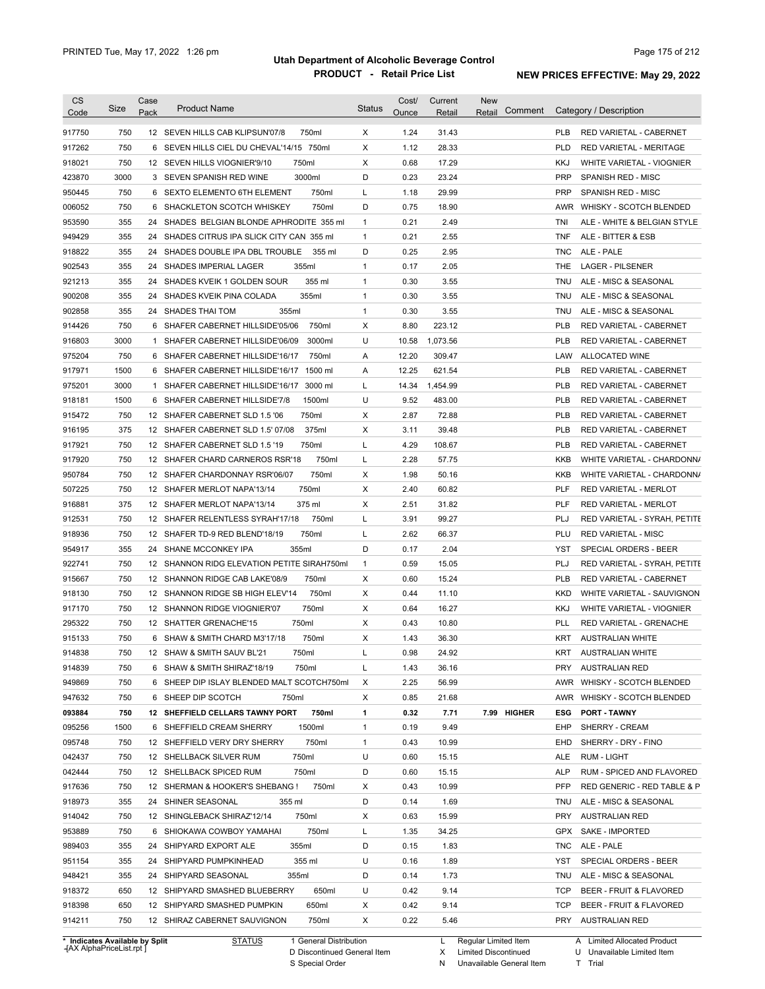| <b>CS</b><br>Code              | Size       | Case<br>Pack | <b>Product Name</b>                                                             | Status            | Cost/<br>Ounce | Current<br>Retail | New<br>Comment<br>Retail |            | Category / Description                |
|--------------------------------|------------|--------------|---------------------------------------------------------------------------------|-------------------|----------------|-------------------|--------------------------|------------|---------------------------------------|
| 917750                         | 750        |              | 12 SEVEN HILLS CAB KLIPSUN'07/8<br>750ml                                        | X                 | 1.24           | 31.43             |                          | <b>PLB</b> | RED VARIETAL - CABERNET               |
| 917262                         | 750        |              | 6 SEVEN HILLS CIEL DU CHEVAL'14/15 750ml                                        | X                 | 1.12           | 28.33             |                          | <b>PLD</b> | <b>RED VARIETAL - MERITAGE</b>        |
| 918021                         | 750        |              | 12 SEVEN HILLS VIOGNIER'9/10<br>750ml                                           | X                 | 0.68           | 17.29             |                          | KKJ        | WHITE VARIETAL - VIOGNIER             |
|                                | 3000       |              | 3000ml<br>3 SEVEN SPANISH RED WINE                                              | D                 | 0.23           | 23.24             |                          | <b>PRP</b> | <b>SPANISH RED - MISC</b>             |
| 423870                         | 750        |              | 6 SEXTO ELEMENTO 6TH ELEMENT<br>750ml                                           | Г                 | 1.18           | 29.99             |                          | <b>PRP</b> | <b>SPANISH RED - MISC</b>             |
| 950445                         | 750        |              | 750ml                                                                           | D                 | 0.75           | 18.90             |                          |            |                                       |
| 006052                         | 355        |              | 6 SHACKLETON SCOTCH WHISKEY                                                     | $\mathbf{1}$      | 0.21           | 2.49              |                          |            | AWR WHISKY - SCOTCH BLENDED           |
| 953590                         |            |              | 24 SHADES BELGIAN BLONDE APHRODITE 355 ml                                       |                   |                |                   |                          | TNI        | ALE - WHITE & BELGIAN STYLE           |
| 949429                         | 355<br>355 |              | 24 SHADES CITRUS IPA SLICK CITY CAN 355 ml                                      | $\mathbf{1}$<br>D | 0.21<br>0.25   | 2.55<br>2.95      |                          | TNF        | ALE - BITTER & ESB                    |
| 918822                         | 355        |              | 24 SHADES DOUBLE IPA DBL TROUBLE<br>355 ml<br>24 SHADES IMPERIAL LAGER<br>355ml | $\mathbf{1}$      | 0.17           | 2.05              |                          | TNC<br>THE | ALE - PALE<br><b>LAGER - PILSENER</b> |
| 902543<br>921213               | 355        |              | 355 ml<br>24 SHADES KVEIK 1 GOLDEN SOUR                                         | $\mathbf{1}$      | 0.30           | 3.55              |                          | TNU        | ALE - MISC & SEASONAL                 |
| 900208                         | 355        |              | 24 SHADES KVEIK PINA COLADA<br>355ml                                            | $\mathbf{1}$      | 0.30           | 3.55              |                          | TNU        |                                       |
|                                |            |              |                                                                                 |                   |                |                   |                          |            | ALE - MISC & SEASONAL                 |
| 902858                         | 355        |              | 355ml<br>24 SHADES THAI TOM                                                     | $\mathbf{1}$      | 0.30           | 3.55              |                          | TNU        | ALE - MISC & SEASONAL                 |
| 914426                         | 750        |              | 6 SHAFER CABERNET HILLSIDE'05/06<br>750ml                                       | Х                 | 8.80           | 223.12            |                          | <b>PLB</b> | RED VARIETAL - CABERNET               |
| 916803                         | 3000       |              | 3000ml<br>1 SHAFER CABERNET HILLSIDE'06/09                                      | U                 | 10.58          | 1,073.56          |                          | <b>PLB</b> | RED VARIETAL - CABERNET               |
| 975204                         | 750        |              | 6 SHAFER CABERNET HILLSIDE'16/17<br>750ml                                       | Α                 | 12.20          | 309.47            |                          | LAW        | ALLOCATED WINE                        |
| 917971                         | 1500       |              | 1500 ml<br>6 SHAFER CABERNET HILLSIDE'16/17                                     | Α                 | 12.25          | 621.54            |                          | <b>PLB</b> | RED VARIETAL - CABERNET               |
| 975201                         | 3000       |              | 1 SHAFER CABERNET HILLSIDE'16/17<br>3000 ml                                     | Г                 | 14.34          | 1,454.99          |                          | <b>PLB</b> | RED VARIETAL - CABERNET               |
| 918181                         | 1500       |              | 6 SHAFER CABERNET HILLSIDE'7/8<br>1500ml                                        | U                 | 9.52           | 483.00            |                          | <b>PLB</b> | <b>RED VARIETAL - CABERNET</b>        |
| 915472                         | 750        |              | 750ml<br>12 SHAFER CABERNET SLD 1.5 '06                                         | Х                 | 2.87           | 72.88             |                          | <b>PLB</b> | RED VARIETAL - CABERNET               |
| 916195                         | 375        |              | 375ml<br>12 SHAFER CABERNET SLD 1.5' 07/08                                      | Х                 | 3.11           | 39.48             |                          | <b>PLB</b> | RED VARIETAL - CABERNET               |
| 917921                         | 750        |              | 750ml<br>12 SHAFER CABERNET SLD 1.5 '19                                         | Г                 | 4.29           | 108.67            |                          | <b>PLB</b> | RED VARIETAL - CABERNET               |
| 917920                         | 750        |              | 750ml<br>12 SHAFER CHARD CARNEROS RSR'18                                        | Г                 | 2.28           | 57.75             |                          | KKB        | WHITE VARIETAL - CHARDONN/            |
| 950784                         | 750        |              | 750ml<br>12 SHAFER CHARDONNAY RSR'06/07                                         | Х                 | 1.98           | 50.16             |                          | <b>KKB</b> | WHITE VARIETAL - CHARDONN/            |
| 507225                         | 750        |              | 750ml<br>12 SHAFER MERLOT NAPA'13/14                                            | X                 | 2.40           | 60.82             |                          | PLF        | <b>RED VARIETAL - MERLOT</b>          |
| 916881                         | 375        |              | 12 SHAFER MERLOT NAPA'13/14<br>375 ml                                           | Х                 | 2.51           | 31.82             |                          | PLF        | RED VARIETAL - MERLOT                 |
| 912531                         | 750        |              | 750ml<br>12 SHAFER RELENTLESS SYRAH'17/18                                       | Г                 | 3.91           | 99.27             |                          | PLJ        | RED VARIETAL - SYRAH, PETITE          |
| 918936                         | 750        |              | 750ml<br>12 SHAFER TD-9 RED BLEND'18/19                                         | Г                 | 2.62           | 66.37             |                          | PLU        | <b>RED VARIETAL - MISC</b>            |
| 954917                         | 355        |              | 355ml<br>24 SHANE MCCONKEY IPA                                                  | D                 | 0.17           | 2.04              |                          | YST        | SPECIAL ORDERS - BEER                 |
| 922741                         | 750        |              | 12 SHANNON RIDG ELEVATION PETITE SIRAH750ml                                     | $\mathbf{1}$      | 0.59           | 15.05             |                          | PLJ        | RED VARIETAL - SYRAH, PETITE          |
| 915667                         | 750        |              | 12 SHANNON RIDGE CAB LAKE'08/9<br>750ml                                         | Х                 | 0.60           | 15.24             |                          | PLB        | RED VARIETAL - CABERNET               |
| 918130                         | 750        |              | 750ml<br>12 SHANNON RIDGE SB HIGH ELEV'14                                       | Χ                 | 0.44           | 11.10             |                          | KKD        | WHITE VARIETAL - SAUVIGNON            |
| 917170                         | 750        |              | 12 SHANNON RIDGE VIOGNIER'07<br>750ml                                           | Х                 | 0.64           | 16.27             |                          | KKJ        | WHITE VARIETAL - VIOGNIER             |
| 295322                         | 750        |              | 750ml<br>12 SHATTER GRENACHE'15                                                 | Х                 | 0.43           | 10.80             |                          | PLL        | RED VARIETAL - GRENACHE               |
| 915133                         | 750        |              | 6 SHAW & SMITH CHARD M3'17/18<br>750ml                                          | X                 | 1.43           | 36.30             |                          | KRT        | <b>AUSTRALIAN WHITE</b>               |
| 914838                         | 750        |              | 750ml<br>12 SHAW & SMITH SAUV BL'21                                             |                   | 0.98           | 24.92             |                          | KRT        | <b>AUSTRALIAN WHITE</b>               |
| 914839                         | 750        |              | 750ml<br>6 SHAW & SMITH SHIRAZ'18/19                                            | L                 | 1.43           | 36.16             |                          | PRY        | <b>AUSTRALIAN RED</b>                 |
| 949869                         | 750        |              | 6 SHEEP DIP ISLAY BLENDED MALT SCOTCH750ml                                      | Х                 | 2.25           | 56.99             |                          | AWR        | WHISKY - SCOTCH BLENDED               |
| 947632                         | 750        |              | 6 SHEEP DIP SCOTCH<br>750ml                                                     | Х                 | 0.85           | 21.68             |                          | AWR        | WHISKY - SCOTCH BLENDED               |
| 093884                         | 750        |              | 750ml<br>12 SHEFFIELD CELLARS TAWNY PORT                                        | 1                 | 0.32           | 7.71              | 7.99 HIGHER              | ESG        | <b>PORT - TAWNY</b>                   |
| 095256                         | 1500       |              | 1500ml<br>6 SHEFFIELD CREAM SHERRY                                              | $\mathbf{1}$      | 0.19           | 9.49              |                          | EHP        | SHERRY - CREAM                        |
| 095748                         | 750        |              | 750ml<br>12 SHEFFIELD VERY DRY SHERRY                                           | 1                 | 0.43           | 10.99             |                          | EHD        | SHERRY - DRY - FINO                   |
| 042437                         | 750        |              | 750ml<br>12 SHELLBACK SILVER RUM                                                | U                 | 0.60           | 15.15             |                          | <b>ALE</b> | RUM - LIGHT                           |
| 042444                         | 750        |              | 750ml<br>12 SHELLBACK SPICED RUM                                                | D                 | 0.60           | 15.15             |                          | ALP        | RUM - SPICED AND FLAVORED             |
| 917636                         | 750        |              | 750ml<br>12 SHERMAN & HOOKER'S SHEBANG !                                        | х                 | 0.43           | 10.99             |                          | <b>PFP</b> | RED GENERIC - RED TABLE & P           |
| 918973                         | 355        |              | 24 SHINER SEASONAL<br>355 ml                                                    | D                 | 0.14           | 1.69              |                          | TNU        | ALE - MISC & SEASONAL                 |
| 914042                         | 750        |              | 750ml<br>12 SHINGLEBACK SHIRAZ'12/14                                            | Х                 | 0.63           | 15.99             |                          | PRY        | <b>AUSTRALIAN RED</b>                 |
| 953889                         | 750        |              | 750ml<br>6 SHIOKAWA COWBOY YAMAHAI                                              | Г                 | 1.35           | 34.25             |                          | GPX        | SAKE - IMPORTED                       |
| 989403                         | 355        |              | 24 SHIPYARD EXPORT ALE<br>355ml                                                 | D                 | 0.15           | 1.83              |                          | TNC        | ALE - PALE                            |
| 951154                         | 355        |              | 24 SHIPYARD PUMPKINHEAD<br>355 ml                                               | U                 | 0.16           | 1.89              |                          | YST        | SPECIAL ORDERS - BEER                 |
|                                |            |              |                                                                                 |                   |                | 1.73              |                          |            |                                       |
| 948421                         | 355        |              | 24 SHIPYARD SEASONAL<br>355ml                                                   | D                 | 0.14           |                   |                          | TNU        | ALE - MISC & SEASONAL                 |
| 918372                         | 650        |              | 650ml<br>12 SHIPYARD SMASHED BLUEBERRY                                          | U                 | 0.42           | 9.14              |                          | TCP        | BEER - FRUIT & FLAVORED               |
| 918398                         | 650        |              | 650ml<br>12 SHIPYARD SMASHED PUMPKIN                                            | Х                 | 0.42           | 9.14              |                          | TCP        | BEER - FRUIT & FLAVORED               |
| 914211                         | 750        |              | 750ml<br>12 SHIRAZ CABERNET SAUVIGNON                                           | Х                 | 0.22           | 5.46              |                          |            | PRY AUSTRALIAN RED                    |
| * Indicates Available by Split |            |              | <b>STATUS</b><br>1 General Distribution                                         |                   |                | L                 | Regular Limited Item     |            | A Limited Allocated Product           |

**Case** [AX AlphaPriceList.rpt ]

D Discontinued General Item S Special Order

X Limited Discontinued N Unavailable General Item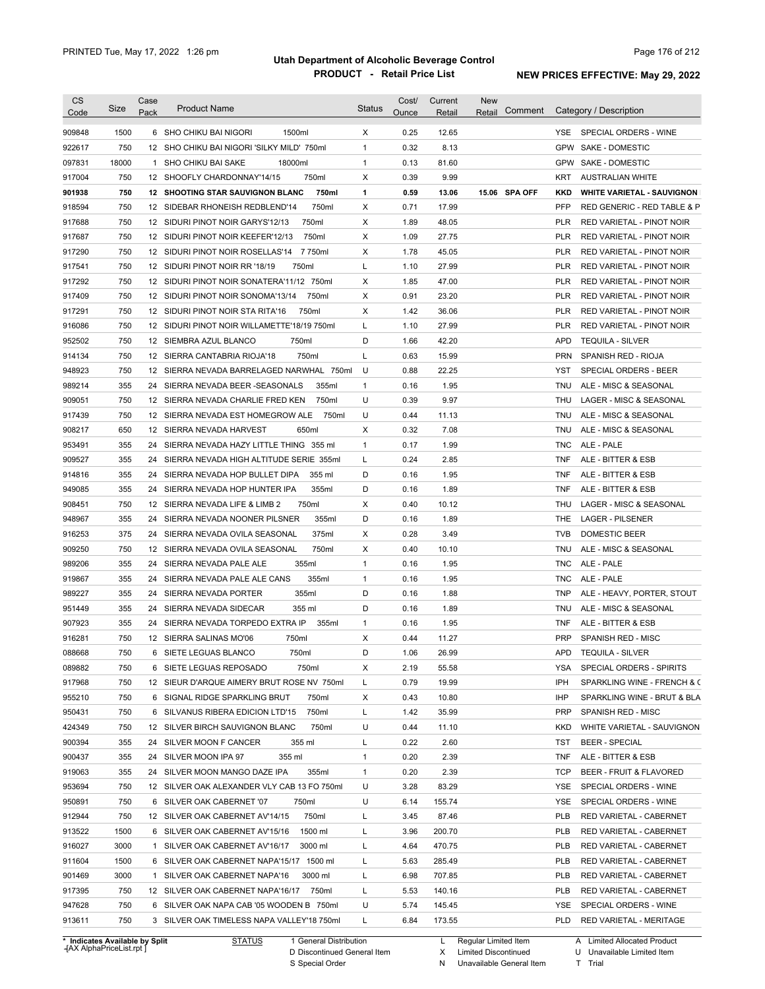| <b>CS</b><br>Code              | Size  | Case<br>Pack | <b>Product Name</b>                         | <b>Status</b> | Cost/<br>Ounce | Current<br>Retail | New<br>Comment<br>Retail |            | Category / Description            |
|--------------------------------|-------|--------------|---------------------------------------------|---------------|----------------|-------------------|--------------------------|------------|-----------------------------------|
| 909848                         | 1500  |              | 1500ml<br>6 SHO CHIKU BAI NIGORI            | Χ             | 0.25           | 12.65             |                          | YSE.       | SPECIAL ORDERS - WINE             |
| 922617                         | 750   |              | 12 SHO CHIKU BAI NIGORI 'SILKY MILD' 750ml  | $\mathbf{1}$  | 0.32           | 8.13              |                          | <b>GPW</b> | SAKE - DOMESTIC                   |
| 097831                         | 18000 |              | 1 SHO CHIKU BAI SAKE<br>18000ml             | $\mathbf{1}$  | 0.13           | 81.60             |                          | GPW        | <b>SAKE - DOMESTIC</b>            |
| 917004                         | 750   |              | 750ml<br>12 SHOOFLY CHARDONNAY'14/15        | Х             | 0.39           | 9.99              |                          | KRT        | <b>AUSTRALIAN WHITE</b>           |
| 901938                         | 750   |              | 750ml<br>12 SHOOTING STAR SAUVIGNON BLANC   | 1             | 0.59           | 13.06             | 15.06 SPA OFF            | <b>KKD</b> | <b>WHITE VARIETAL - SAUVIGNON</b> |
| 918594                         | 750   |              | 750ml<br>12 SIDEBAR RHONEISH REDBLEND'14    | X             | 0.71           | 17.99             |                          | <b>PFP</b> | RED GENERIC - RED TABLE & P       |
| 917688                         | 750   |              | 750ml<br>12 SIDURI PINOT NOIR GARYS'12/13   | Х             | 1.89           | 48.05             |                          | PLR        | RED VARIETAL - PINOT NOIR         |
| 917687                         | 750   |              | 750ml<br>12 SIDURI PINOT NOIR KEEFER'12/13  | Х             | 1.09           | 27.75             |                          | PLR        | RED VARIETAL - PINOT NOIR         |
| 917290                         | 750   |              | 7 750ml<br>12 SIDURI PINOT NOIR ROSELLAS'14 | Х             | 1.78           | 45.05             |                          | PLR        | RED VARIETAL - PINOT NOIR         |
| 917541                         | 750   |              | 12 SIDURI PINOT NOIR RR '18/19<br>750ml     | L             | 1.10           | 27.99             |                          | PLR        | RED VARIETAL - PINOT NOIR         |
| 917292                         | 750   |              | 12 SIDURI PINOT NOIR SONATERA'11/12 750ml   | Х             | 1.85           | 47.00             |                          | PLR        | RED VARIETAL - PINOT NOIR         |
| 917409                         | 750   |              | 750ml<br>12 SIDURI PINOT NOIR SONOMA'13/14  | Х             | 0.91           | 23.20             |                          | PLR        | RED VARIETAL - PINOT NOIR         |
| 917291                         | 750   |              | 750ml<br>12 SIDURI PINOT NOIR STA RITA'16   | х             | 1.42           | 36.06             |                          | <b>PLR</b> | RED VARIETAL - PINOT NOIR         |
| 916086                         | 750   |              | 12 SIDURI PINOT NOIR WILLAMETTE'18/19 750ml | L             | 1.10           | 27.99             |                          | PLR        | RED VARIETAL - PINOT NOIR         |
| 952502                         | 750   |              | 12 SIEMBRA AZUL BLANCO<br>750ml             | D             | 1.66           | 42.20             |                          | <b>APD</b> | <b>TEQUILA - SILVER</b>           |
| 914134                         | 750   |              | 12 SIERRA CANTABRIA RIOJA'18<br>750ml       | L             | 0.63           | 15.99             |                          | <b>PRN</b> | SPANISH RED - RIOJA               |
| 948923                         | 750   |              | 12 SIERRA NEVADA BARRELAGED NARWHAL 750ml   | U             | 0.88           | 22.25             |                          | YST        | SPECIAL ORDERS - BEER             |
| 989214                         | 355   |              | 24 SIERRA NEVADA BEER-SEASONALS<br>355ml    | 1             | 0.16           | 1.95              |                          | TNU        | ALE - MISC & SEASONAL             |
| 909051                         | 750   |              | 12 SIERRA NEVADA CHARLIE FRED KEN<br>750ml  | U             | 0.39           | 9.97              |                          | THU        | LAGER - MISC & SEASONAL           |
| 917439                         | 750   |              | 12 SIERRA NEVADA EST HOMEGROW ALE<br>750ml  | U             | 0.44           | 11.13             |                          | TNU        | ALE - MISC & SEASONAL             |
|                                | 650   |              | 12 SIERRA NEVADA HARVEST<br>650ml           | х             | 0.32           | 7.08              |                          | <b>TNU</b> | ALE - MISC & SEASONAL             |
| 908217<br>953491               | 355   |              | 24 SIERRA NEVADA HAZY LITTLE THING 355 ml   | $\mathbf{1}$  | 0.17           | 1.99              |                          | TNC        | ALE - PALE                        |
|                                | 355   | 24           |                                             |               | 0.24           | 2.85              |                          | <b>TNF</b> | ALE - BITTER & ESB                |
| 909527                         |       |              | SIERRA NEVADA HIGH ALTITUDE SERIE 355ml     | L             |                |                   |                          |            |                                   |
| 914816                         | 355   | 24           | SIERRA NEVADA HOP BULLET DIPA<br>355 ml     | D             | 0.16           | 1.95              |                          | <b>TNF</b> | ALE - BITTER & ESB                |
| 949085                         | 355   | 24           | 355ml<br>SIERRA NEVADA HOP HUNTER IPA       | D             | 0.16           | 1.89              |                          | <b>TNF</b> | ALE - BITTER & ESB                |
| 908451                         | 750   |              | 750ml<br>12 SIERRA NEVADA LIFE & LIMB 2     | Х             | 0.40           | 10.12             |                          | THU        | LAGER - MISC & SEASONAL           |
| 948967                         | 355   |              | 24 SIERRA NEVADA NOONER PILSNER<br>355ml    | D             | 0.16           | 1.89              |                          | THE        | <b>LAGER - PILSENER</b>           |
| 916253                         | 375   |              | 24 SIERRA NEVADA OVILA SEASONAL<br>375ml    | х             | 0.28           | 3.49              |                          | <b>TVB</b> | DOMESTIC BEER                     |
| 909250                         | 750   |              | 750ml<br>12 SIERRA NEVADA OVILA SEASONAL    | х             | 0.40           | 10.10             |                          | <b>TNU</b> | ALE - MISC & SEASONAL             |
| 989206                         | 355   |              | 355ml<br>24 SIERRA NEVADA PALE ALE          | $\mathbf{1}$  | 0.16           | 1.95              |                          | TNC        | ALE - PALE                        |
| 919867                         | 355   |              | 355ml<br>24 SIERRA NEVADA PALE ALE CANS     | $\mathbf{1}$  | 0.16           | 1.95              |                          | TNC        | ALE - PALE                        |
| 989227                         | 355   |              | 355ml<br>24 SIERRA NEVADA PORTER            | D             | 0.16           | 1.88              |                          | TNP        | ALE - HEAVY, PORTER, STOUT        |
| 951449                         | 355   |              | 24 SIERRA NEVADA SIDECAR<br>355 ml          | D             | 0.16           | 1.89              |                          | TNU        | ALE - MISC & SEASONAL             |
| 907923                         | 355   |              | 24 SIERRA NEVADA TORPEDO EXTRA IP<br>355ml  | $\mathbf{1}$  | 0.16           | 1.95              |                          | TNF        | ALE - BITTER & ESB                |
| 916281                         | 750   |              | 12 SIERRA SALINAS MO'06<br>750ml            | Х             | 0.44           | 11.27             |                          | PRP        | <b>SPANISH RED - MISC</b>         |
| 088668                         | 750   |              | 750ml<br>6 SIETE LEGUAS BLANCO              | D             | 1.06           | 26.99             |                          |            | APD TEQUILA - SILVER              |
| 089882                         | 750   |              | 6 SIETE LEGUAS REPOSADO<br>750ml            | X             | 2.19           | 55.58             |                          | YSA        | SPECIAL ORDERS - SPIRITS          |
| 917968                         | 750   |              | 12 SIEUR D'ARQUE AIMERY BRUT ROSE NV 750ml  | L             | 0.79           | 19.99             |                          | IPH        | SPARKLING WINE - FRENCH & C       |
| 955210                         | 750   |              | 6 SIGNAL RIDGE SPARKLING BRUT<br>750ml      | х             | 0.43           | 10.80             |                          | IHP        | SPARKLING WINE - BRUT & BLA       |
| 950431                         | 750   |              | 6 SILVANUS RIBERA EDICION LTD'15<br>750ml   | L             | 1.42           | 35.99             |                          | <b>PRP</b> | SPANISH RED - MISC                |
| 424349                         | 750   |              | 750ml<br>12 SILVER BIRCH SAUVIGNON BLANC    | U             | 0.44           | 11.10             |                          | KKD        | WHITE VARIETAL - SAUVIGNON        |
| 900394                         | 355   |              | 24 SILVER MOON F CANCER<br>355 ml           | L             | 0.22           | 2.60              |                          | TST        | <b>BEER - SPECIAL</b>             |
| 900437                         | 355   |              | 24 SILVER MOON IPA 97<br>355 ml             | 1             | 0.20           | 2.39              |                          | <b>TNF</b> | ALE - BITTER & ESB                |
| 919063                         | 355   |              | 355ml<br>24 SILVER MOON MANGO DAZE IPA      | 1             | 0.20           | 2.39              |                          | <b>TCP</b> | BEER - FRUIT & FLAVORED           |
| 953694                         | 750   |              | 12 SILVER OAK ALEXANDER VLY CAB 13 FO 750ml | U             | 3.28           | 83.29             |                          | YSE        | SPECIAL ORDERS - WINE             |
| 950891                         | 750   |              | 6 SILVER OAK CABERNET '07<br>750ml          | U             | 6.14           | 155.74            |                          | YSE        | SPECIAL ORDERS - WINE             |
| 912944                         | 750   |              | 12 SILVER OAK CABERNET AV'14/15<br>750ml    | L             | 3.45           | 87.46             |                          | PLB        | RED VARIETAL - CABERNET           |
| 913522                         | 1500  |              | 6 SILVER OAK CABERNET AV'15/16<br>1500 ml   | L             | 3.96           | 200.70            |                          | <b>PLB</b> | RED VARIETAL - CABERNET           |
| 916027                         | 3000  |              | 1 SILVER OAK CABERNET AV'16/17<br>3000 ml   | L             | 4.64           | 470.75            |                          | <b>PLB</b> | RED VARIETAL - CABERNET           |
| 911604                         | 1500  |              | 6 SILVER OAK CABERNET NAPA'15/17 1500 ml    | L             | 5.63           | 285.49            |                          | PLB        | RED VARIETAL - CABERNET           |
| 901469                         | 3000  |              | 1 SILVER OAK CABERNET NAPA'16<br>3000 ml    | L             | 6.98           | 707.85            |                          | <b>PLB</b> | RED VARIETAL - CABERNET           |
| 917395                         | 750   |              | 12 SILVER OAK CABERNET NAPA'16/17 750ml     | L             | 5.53           | 140.16            |                          | <b>PLB</b> | RED VARIETAL - CABERNET           |
| 947628                         | 750   |              | 6 SILVER OAK NAPA CAB '05 WOODEN B 750ml    | U             | 5.74           | 145.45            |                          | YSE        | SPECIAL ORDERS - WINE             |
| 913611                         | 750   |              | 3 SILVER OAK TIMELESS NAPA VALLEY'18 750ml  | L             | 6.84           | 173.55            |                          | PLD        | RED VARIETAL - MERITAGE           |
| * Indicates Available by Split |       |              | <b>STATUS</b><br>1 General Distribution     |               |                | L.                | Regular Limited Item     |            | A Limited Allocated Product       |

**Case** [AX AlphaPriceList.rpt ]

D Discontinued General Item

S Special Order

X Limited Discontinued

N Unavailable General Item

U Unavailable Limited Item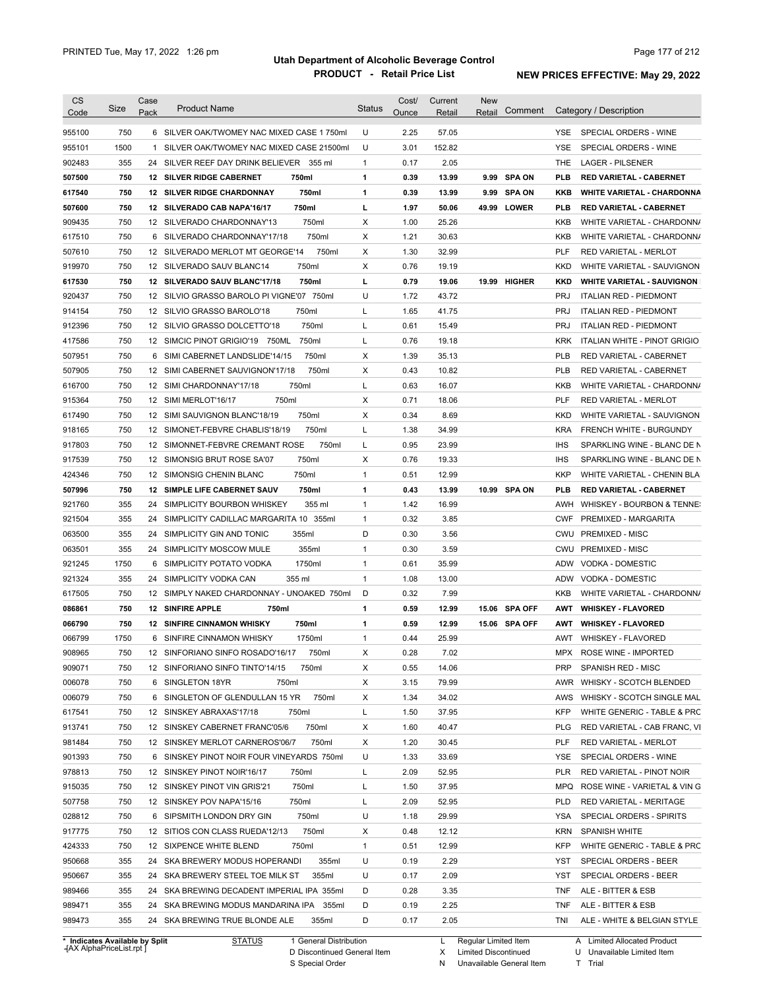| <b>CS</b><br>Code                                                                                                                                  | Size       | Case<br>Pack | <b>Product Name</b>                                                                 | <b>Status</b> | Cost/<br>Ounce | Current<br>Retail | <b>New</b><br>Retail | Comment       |            | Category / Description                                                                                            |
|----------------------------------------------------------------------------------------------------------------------------------------------------|------------|--------------|-------------------------------------------------------------------------------------|---------------|----------------|-------------------|----------------------|---------------|------------|-------------------------------------------------------------------------------------------------------------------|
| 955100                                                                                                                                             | 750        |              | 6 SILVER OAK/TWOMEY NAC MIXED CASE 1750ml                                           | U             | 2.25           | 57.05             |                      |               | YSE.       | SPECIAL ORDERS - WINE                                                                                             |
| 955101                                                                                                                                             | 1500       |              | 1 SILVER OAK/TWOMEY NAC MIXED CASE 21500ml                                          | U             | 3.01           | 152.82            |                      |               | YSE        | SPECIAL ORDERS - WINE                                                                                             |
| 902483                                                                                                                                             | 355        |              | 24 SILVER REEF DAY DRINK BELIEVER 355 ml                                            | 1             | 0.17           | 2.05              |                      |               | THE        | <b>LAGER - PILSENER</b>                                                                                           |
| 507500                                                                                                                                             | 750        |              | <b>12 SILVER RIDGE CABERNET</b><br>750ml                                            | 1             | 0.39           | 13.99             |                      | 9.99 SPA ON   | <b>PLB</b> | <b>RED VARIETAL - CABERNET</b>                                                                                    |
| 617540                                                                                                                                             | 750        |              | 750ml<br><b>12 SILVER RIDGE CHARDONNAY</b>                                          | 1             | 0.39           | 13.99             | 9.99                 | <b>SPA ON</b> | KKB        | <b>WHITE VARIETAL - CHARDONNA</b>                                                                                 |
| 507600                                                                                                                                             | 750        |              | 750ml<br>12 SILVERADO CAB NAPA'16/17                                                | L             | 1.97           | 50.06             |                      | 49.99 LOWER   | <b>PLB</b> | <b>RED VARIETAL - CABERNET</b>                                                                                    |
| 909435                                                                                                                                             | 750        |              | 750ml<br>12 SILVERADO CHARDONNAY'13                                                 | Х             | 1.00           | 25.26             |                      |               | KKB        | WHITE VARIETAL - CHARDONN/                                                                                        |
| 617510                                                                                                                                             | 750        | 6            | 750ml<br>SILVERADO CHARDONNAY'17/18                                                 | Х             | 1.21           | 30.63             |                      |               | KKB        | WHITE VARIETAL - CHARDONN/                                                                                        |
| 507610                                                                                                                                             | 750        |              | 750ml<br>12 SILVERADO MERLOT MT GEORGE'14                                           | Х             | 1.30           | 32.99             |                      |               | <b>PLF</b> | <b>RED VARIETAL - MERLOT</b>                                                                                      |
| 919970                                                                                                                                             | 750        |              | 750ml<br>12 SILVERADO SAUV BLANC14                                                  | Х             | 0.76           | 19.19             |                      |               | <b>KKD</b> | WHITE VARIETAL - SAUVIGNON                                                                                        |
| 617530                                                                                                                                             | 750        |              | 12 SILVERADO SAUV BLANC'17/18<br>750ml                                              | L             | 0.79           | 19.06             |                      | 19.99 HIGHER  | <b>KKD</b> | <b>WHITE VARIETAL - SAUVIGNON</b>                                                                                 |
| 920437                                                                                                                                             | 750        |              | 12 SILVIO GRASSO BAROLO PI VIGNE'07<br>750ml                                        | U             | 1.72           | 43.72             |                      |               | <b>PRJ</b> | <b>ITALIAN RED - PIEDMONT</b>                                                                                     |
| 914154                                                                                                                                             | 750        |              | 750ml<br>12 SILVIO GRASSO BAROLO'18                                                 | L             | 1.65           | 41.75             |                      |               | <b>PRJ</b> | <b>ITALIAN RED - PIEDMONT</b>                                                                                     |
|                                                                                                                                                    | 750        |              | 750ml                                                                               | L             | 0.61           |                   |                      |               | <b>PRJ</b> |                                                                                                                   |
| 912396                                                                                                                                             |            |              | 12 SILVIO GRASSO DOLCETTO'18                                                        |               |                | 15.49             |                      |               |            | <b>ITALIAN RED - PIEDMONT</b>                                                                                     |
| 417586                                                                                                                                             | 750        |              | 750ml<br>12 SIMCIC PINOT GRIGIO'19 750ML                                            | L             | 0.76           | 19.18             |                      |               | <b>KRK</b> | ITALIAN WHITE - PINOT GRIGIO                                                                                      |
| 507951                                                                                                                                             | 750        | 6            | 750ml<br>SIMI CABERNET LANDSLIDE'14/15                                              | Х             | 1.39           | 35.13             |                      |               | <b>PLB</b> | RED VARIETAL - CABERNET                                                                                           |
| 507905                                                                                                                                             | 750        |              | 750ml<br>12 SIMI CABERNET SAUVIGNON'17/18                                           | Х             | 0.43           | 10.82             |                      |               | <b>PLB</b> | RED VARIETAL - CABERNET                                                                                           |
| 616700                                                                                                                                             | 750        |              | 750ml<br>12 SIMI CHARDONNAY'17/18                                                   | L             | 0.63           | 16.07             |                      |               | <b>KKB</b> | WHITE VARIETAL - CHARDONN/                                                                                        |
| 915364                                                                                                                                             | 750        |              | 750ml<br>12 SIMI MERLOT'16/17                                                       | х             | 0.71           | 18.06             |                      |               | PLF        | RED VARIETAL - MERLOT                                                                                             |
| 617490                                                                                                                                             | 750        |              | 750ml<br>12 SIMI SAUVIGNON BLANC'18/19                                              | Х             | 0.34           | 8.69              |                      |               | <b>KKD</b> | WHITE VARIETAL - SAUVIGNON                                                                                        |
| 918165                                                                                                                                             | 750        |              | 750ml<br>12 SIMONET-FEBVRE CHABLIS'18/19                                            | L             | 1.38           | 34.99             |                      |               | <b>KRA</b> | FRENCH WHITE - BURGUNDY                                                                                           |
| 917803                                                                                                                                             | 750        | 12           | SIMONNET-FEBVRE CREMANT ROSE<br>750ml                                               | L             | 0.95           | 23.99             |                      |               | <b>IHS</b> | SPARKLING WINE - BLANC DE N                                                                                       |
| 917539                                                                                                                                             | 750        |              | 750ml<br>12 SIMONSIG BRUT ROSE SA'07                                                | Х             | 0.76           | 19.33             |                      |               | <b>IHS</b> | SPARKLING WINE - BLANC DE N                                                                                       |
| 424346                                                                                                                                             | 750        |              | 750ml<br>12 SIMONSIG CHENIN BLANC                                                   | $\mathbf{1}$  | 0.51           | 12.99             |                      |               | <b>KKP</b> | WHITE VARIETAL - CHENIN BLA                                                                                       |
| 507996                                                                                                                                             | 750        |              | 12 SIMPLE LIFE CABERNET SAUV<br>750ml                                               | 1             | 0.43           | 13.99             |                      | 10.99 SPA ON  | <b>PLB</b> | <b>RED VARIETAL - CABERNET</b>                                                                                    |
| 921760                                                                                                                                             | 355        | 24           | SIMPLICITY BOURBON WHISKEY<br>355 ml                                                | $\mathbf{1}$  | 1.42           | 16.99             |                      |               | AWH        | WHISKEY - BOURBON & TENNE:                                                                                        |
| 921504                                                                                                                                             | 355        | 24           | SIMPLICITY CADILLAC MARGARITA 10<br>355ml                                           | $\mathbf{1}$  | 0.32           | 3.85              |                      |               | <b>CWF</b> | PREMIXED - MARGARITA                                                                                              |
| 063500                                                                                                                                             | 355        | 24           | 355ml<br>SIMPLICITY GIN AND TONIC                                                   | D             | 0.30           | 3.56              |                      |               | CWU        | <b>PREMIXED - MISC</b>                                                                                            |
| 063501                                                                                                                                             | 355        |              | 355ml<br>24 SIMPLICITY MOSCOW MULE                                                  | $\mathbf{1}$  | 0.30           | 3.59              |                      |               | CWU        | <b>PREMIXED - MISC</b>                                                                                            |
| 921245                                                                                                                                             | 1750       |              | 1750ml<br>6 SIMPLICITY POTATO VODKA                                                 | 1             | 0.61           | 35.99             |                      |               | ADW        | VODKA - DOMESTIC                                                                                                  |
| 921324                                                                                                                                             | 355        |              | 355 ml<br>24 SIMPLICITY VODKA CAN                                                   | $\mathbf{1}$  | 1.08           | 13.00             |                      |               | ADW        | <b>VODKA - DOMESTIC</b>                                                                                           |
| 617505                                                                                                                                             | 750        |              | 12 SIMPLY NAKED CHARDONNAY - UNOAKED 750ml                                          | D             | 0.32           | 7.99              |                      |               | KKB        | WHITE VARIETAL - CHARDONN/                                                                                        |
| 086861                                                                                                                                             | 750        |              | 12 SINFIRE APPLE<br>750ml                                                           | 1             | 0.59           | 12.99             |                      | 15.06 SPA OFF | AWT        | <b>WHISKEY - FLAVORED</b>                                                                                         |
| 066790                                                                                                                                             | 750        |              | <b>12 SINFIRE CINNAMON WHISKY</b><br>750ml                                          | 1             | 0.59           | 12.99             |                      | 15.06 SPA OFF | AWT        | <b>WHISKEY - FLAVORED</b>                                                                                         |
| 066799                                                                                                                                             | 1750       |              | 1750ml<br>6 SINFIRE CINNAMON WHISKY                                                 | $\mathbf{1}$  | 0.44           | 25.99             |                      |               | AWT        | WHISKEY - FLAVORED                                                                                                |
| 908965                                                                                                                                             | 750        |              | 12 SINFORIANO SINFO ROSADO'16/17<br>750ml                                           | х             | 0.28           | 7.02              |                      |               | MPX        | ROSE WINE - IMPORTED                                                                                              |
| 909071                                                                                                                                             | 750        |              | 12 SINFORIANO SINFO TINTO'14/15<br>750ml                                            | Х             | 0.55           | 14.06             |                      |               | <b>PRP</b> | SPANISH RED - MISC                                                                                                |
| 006078                                                                                                                                             | 750        |              | 6 SINGLETON 18YR<br>750ml                                                           | Х             | 3.15           | 79.99             |                      |               | AWR        | WHISKY - SCOTCH BLENDED                                                                                           |
| 006079                                                                                                                                             | 750        |              | 750ml<br>6 SINGLETON OF GLENDULLAN 15 YR                                            | х             | 1.34           | 34.02             |                      |               | AWS        | WHISKY - SCOTCH SINGLE MAL                                                                                        |
|                                                                                                                                                    |            |              |                                                                                     |               |                |                   |                      |               | KFP        | WHITE GENERIC - TABLE & PRC                                                                                       |
|                                                                                                                                                    |            |              |                                                                                     |               |                |                   |                      |               |            |                                                                                                                   |
|                                                                                                                                                    | 750        |              | 12 SINSKEY ABRAXAS'17/18<br>750ml                                                   | L             | 1.50           | 37.95             |                      |               |            |                                                                                                                   |
|                                                                                                                                                    | 750        |              | 750ml<br>12 SINSKEY CABERNET FRANC'05/6                                             | Х             | 1.60           | 40.47             |                      |               | PLG        |                                                                                                                   |
|                                                                                                                                                    | 750        |              | 750ml<br>12 SINSKEY MERLOT CARNEROS'06/7                                            | Х             | 1.20           | 30.45             |                      |               | PLF        | RED VARIETAL - MERLOT                                                                                             |
|                                                                                                                                                    | 750        |              | 6 SINSKEY PINOT NOIR FOUR VINEYARDS 750ml                                           | U             | 1.33           | 33.69             |                      |               | YSE        | SPECIAL ORDERS - WINE                                                                                             |
|                                                                                                                                                    | 750        |              | 12 SINSKEY PINOT NOIR'16/17<br>750ml                                                | L             | 2.09           | 52.95             |                      |               | PLR        | RED VARIETAL - PINOT NOIR                                                                                         |
|                                                                                                                                                    | 750        |              | 750ml<br>12 SINSKEY PINOT VIN GRIS'21                                               | L             | 1.50           | 37.95             |                      |               | MPQ        |                                                                                                                   |
|                                                                                                                                                    | 750        |              | 750ml<br>12 SINSKEY POV NAPA'15/16                                                  | L             | 2.09           | 52.95             |                      |               | PLD        | RED VARIETAL - MERITAGE                                                                                           |
|                                                                                                                                                    | 750        |              | 750ml<br>6 SIPSMITH LONDON DRY GIN                                                  | U             | 1.18           | 29.99             |                      |               | YSA        | SPECIAL ORDERS - SPIRITS                                                                                          |
|                                                                                                                                                    | 750        |              | 750ml<br>12 SITIOS CON CLASS RUEDA'12/13                                            | Х             | 0.48           | 12.12             |                      |               | KRN        | <b>SPANISH WHITE</b>                                                                                              |
|                                                                                                                                                    | 750        |              | 750ml<br>12 SIXPENCE WHITE BLEND                                                    | $\mathbf{1}$  | 0.51           | 12.99             |                      |               | KFP        |                                                                                                                   |
|                                                                                                                                                    | 355        |              | 24 SKA BREWERY MODUS HOPERANDI<br>355ml                                             | U             | 0.19           | 2.29              |                      |               | YST        | SPECIAL ORDERS - BEER                                                                                             |
|                                                                                                                                                    | 355        |              | 24 SKA BREWERY STEEL TOE MILK ST<br>355ml                                           | U             | 0.17           | 2.09              |                      |               | YST        | SPECIAL ORDERS - BEER                                                                                             |
|                                                                                                                                                    | 355        |              | 24 SKA BREWING DECADENT IMPERIAL IPA 355ml                                          | D             | 0.28           | 3.35              |                      |               | TNF        | RED VARIETAL - CAB FRANC, VI<br>ROSE WINE - VARIETAL & VIN G<br>WHITE GENERIC - TABLE & PRC<br>ALE - BITTER & ESB |
| 617541<br>913741<br>981484<br>901393<br>978813<br>915035<br>507758<br>028812<br>917775<br>424333<br>950668<br>950667<br>989466<br>989471<br>989473 | 355<br>355 |              | 24 SKA BREWING MODUS MANDARINA IPA 355ml<br>24 SKA BREWING TRUE BLONDE ALE<br>355ml | D<br>D        | 0.19<br>0.17   | 2.25<br>2.05      |                      |               | TNF<br>TNI | ALE - BITTER & ESB<br>ALE - WHITE & BELGIAN STYLE                                                                 |

**Case** [AX AlphaPriceList.rpt ]

D Discontinued General Item S Special Order

Regular Limited Item

X

Limited Discontinued

N Unavailable General Item

U Unavailable Limited Item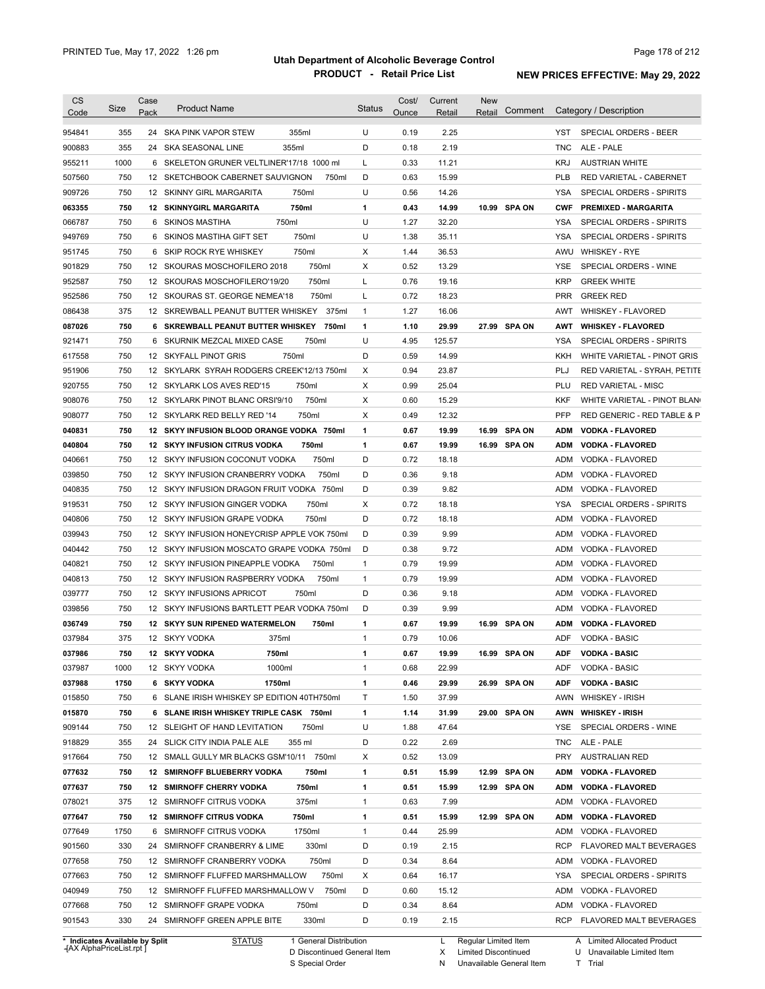| <b>CS</b><br>Code | Size                           | Case<br>Pack | <b>Product Name</b>                                                      |                        | <b>Status</b>                | Cost/<br>Ounce | Current<br>Retail | <b>New</b><br>Retail | Comment       |            | Category / Description               |
|-------------------|--------------------------------|--------------|--------------------------------------------------------------------------|------------------------|------------------------------|----------------|-------------------|----------------------|---------------|------------|--------------------------------------|
| 954841            | 355                            |              | 24 SKA PINK VAPOR STEW                                                   | 355ml                  | U                            | 0.19           | 2.25              |                      |               | YST        | SPECIAL ORDERS - BEER                |
| 900883            | 355                            |              | 355ml<br>24 SKA SEASONAL LINE                                            |                        | D                            | 0.18           | 2.19              |                      |               | TNC        | ALE - PALE                           |
| 955211            | 1000                           |              | 6 SKELETON GRUNER VELTLINER'17/18 1000 ml                                |                        | Г                            | 0.33           | 11.21             |                      |               | KRJ        | <b>AUSTRIAN WHITE</b>                |
| 507560            | 750                            |              | 12 SKETCHBOOK CABERNET SAUVIGNON                                         | 750ml                  | D                            | 0.63           | 15.99             |                      |               | <b>PLB</b> | RED VARIETAL - CABERNET              |
| 909726            | 750                            |              | 12 SKINNY GIRL MARGARITA                                                 | 750ml                  | U                            | 0.56           | 14.26             |                      |               | YSA        | SPECIAL ORDERS - SPIRITS             |
| 063355            | 750                            |              | <b>12 SKINNYGIRL MARGARITA</b>                                           | 750ml                  | 1                            | 0.43           | 14.99             |                      | 10.99 SPA ON  | <b>CWF</b> | <b>PREMIXED - MARGARITA</b>          |
| 066787            | 750                            |              | 750ml<br>6 SKINOS MASTIHA                                                |                        | U                            | 1.27           | 32.20             |                      |               | YSA        | SPECIAL ORDERS - SPIRITS             |
| 949769            | 750                            |              | 6 SKINOS MASTIHA GIFT SET                                                | 750ml                  | U                            | 1.38           | 35.11             |                      |               | <b>YSA</b> | SPECIAL ORDERS - SPIRITS             |
| 951745            | 750                            |              | 6 SKIP ROCK RYE WHISKEY                                                  | 750ml                  | Х                            | 1.44           | 36.53             |                      |               |            | AWU WHISKEY - RYE                    |
| 901829            | 750                            |              | 12 SKOURAS MOSCHOFILERO 2018                                             | 750ml                  | X                            | 0.52           | 13.29             |                      |               | <b>YSE</b> | SPECIAL ORDERS - WINE                |
| 952587            | 750                            |              | 12 SKOURAS MOSCHOFILERO'19/20                                            | 750ml                  | Г                            | 0.76           | 19.16             |                      |               | <b>KRP</b> | <b>GREEK WHITE</b>                   |
| 952586            | 750                            |              | 12 SKOURAS ST. GEORGE NEMEA'18                                           | 750ml                  | Г                            | 0.72           | 18.23             |                      |               | <b>PRR</b> | <b>GREEK RED</b>                     |
| 086438            | 375                            |              | 12 SKREWBALL PEANUT BUTTER WHISKEY                                       | 375ml                  | $\mathbf{1}$                 | 1.27           | 16.06             |                      |               | AWT        | WHISKEY - FLAVORED                   |
| 087026            | 750                            |              | 6 SKREWBALL PEANUT BUTTER WHISKEY                                        | 750ml                  | 1                            | 1.10           | 29.99             |                      | 27.99 SPA ON  | AWT        | <b>WHISKEY FLAVORED</b>              |
| 921471            | 750                            |              | 6 SKURNIK MEZCAL MIXED CASE                                              | 750ml                  | U                            | 4.95           | 125.57            |                      |               | YSA        | SPECIAL ORDERS - SPIRITS             |
| 617558            | 750                            |              | 750ml<br>12 SKYFALL PINOT GRIS                                           |                        | D                            | 0.59           | 14.99             |                      |               | KKH        | WHITE VARIETAL - PINOT GRIS          |
| 951906            | 750                            |              | 12 SKYLARK SYRAH RODGERS CREEK'12/13 750ml                               |                        | Х                            | 0.94           | 23.87             |                      |               | PLJ        | RED VARIETAL - SYRAH, PETITE         |
| 920755            | 750                            |              | 12 SKYLARK LOS AVES RED'15                                               | 750ml                  | Х                            | 0.99           | 25.04             |                      |               | PLU        | <b>RED VARIETAL - MISC</b>           |
| 908076            | 750                            |              | 12 SKYLARK PINOT BLANC ORSI'9/10                                         | 750ml                  | Х                            | 0.60           | 15.29             |                      |               | KKF        | WHITE VARIETAL - PINOT BLAN          |
|                   | 750                            |              | 12 SKYLARK RED BELLY RED '14                                             | 750ml                  | Х                            | 0.49           | 12.32             |                      |               | <b>PFP</b> | RED GENERIC - RED TABLE & P          |
| 908077            | 750                            |              | 12 SKYY INFUSION BLOOD ORANGE VODKA 750ml                                |                        |                              |                |                   |                      |               |            |                                      |
| 040831            |                                |              |                                                                          |                        | 1                            | 0.67           | 19.99             | 16.99                | <b>SPA ON</b> | <b>ADM</b> | <b>VODKA - FLAVORED</b>              |
| 040804            | 750<br>750                     |              | <b>12 SKYY INFUSION CITRUS VODKA</b>                                     | 750ml<br>750ml         | 1<br>D                       | 0.67<br>0.72   | 19.99<br>18.18    |                      | 16.99 SPA ON  | ADM        | <b>VODKA - FLAVORED</b>              |
| 040661            | 750                            |              | 12 SKYY INFUSION COCONUT VODKA                                           |                        |                              |                |                   |                      |               | ADM        | VODKA - FLAVORED                     |
| 039850            |                                |              | 12 SKYY INFUSION CRANBERRY VODKA                                         | 750ml                  | D                            | 0.36           | 9.18              |                      |               | ADM        | VODKA - FLAVORED                     |
| 040835            | 750                            |              | 12 SKYY INFUSION DRAGON FRUIT VODKA 750ml                                |                        | D                            | 0.39           | 9.82              |                      |               | ADM        | VODKA - FLAVORED                     |
| 919531            | 750                            |              | 12 SKYY INFUSION GINGER VODKA                                            | 750ml                  | Х<br>D                       | 0.72           | 18.18             |                      |               | YSA        | SPECIAL ORDERS - SPIRITS             |
| 040806            | 750                            |              | 12 SKYY INFUSION GRAPE VODKA                                             | 750ml                  |                              | 0.72           | 18.18             |                      |               | ADM        | VODKA - FLAVORED                     |
| 039943            | 750                            |              | 12 SKYY INFUSION HONEYCRISP APPLE VOK 750ml                              |                        | D                            | 0.39           | 9.99              |                      |               | ADM        | VODKA - FLAVORED                     |
| 040442            | 750<br>750                     |              | 12 SKYY INFUSION MOSCATO GRAPE VODKA 750ml                               |                        | D                            | 0.38<br>0.79   | 9.72              |                      |               | ADM        | VODKA - FLAVORED                     |
| 040821            | 750                            |              | 12 SKYY INFUSION PINEAPPLE VODKA<br>12 SKYY INFUSION RASPBERRY VODKA     | 750ml                  | $\mathbf{1}$<br>$\mathbf{1}$ | 0.79           | 19.99             |                      |               | ADM        | VODKA - FLAVORED                     |
| 040813            | 750                            |              |                                                                          | 750ml<br>750ml         | D                            | 0.36           | 19.99             |                      |               | ADM        | VODKA - FLAVORED                     |
| 039777            | 750                            |              | 12 SKYY INFUSIONS APRICOT<br>12 SKYY INFUSIONS BARTLETT PEAR VODKA 750ml |                        | D                            | 0.39           | 9.18<br>9.99      |                      |               | ADM<br>ADM | VODKA - FLAVORED<br>VODKA - FLAVORED |
| 039856            |                                |              |                                                                          |                        |                              |                |                   |                      |               |            |                                      |
| 036749            | 750                            |              | 12 SKYY SUN RIPENED WATERMELON                                           | 750ml                  | 1                            | 0.67           | 19.99             |                      | 16.99 SPA ON  | ADM        | <b>VODKA - FLAVORED</b>              |
| 037984            | 375                            |              | 375ml<br>12 SKYY VODKA                                                   |                        | 1                            | 0.79           | 10.06             |                      |               | ADF        | <b>VODKA - BASIC</b>                 |
| 037986            | 750                            |              | 12 SKYY VODKA<br>750ml                                                   |                        | 1                            | 0.67           | 19.99             |                      | 16.99 SPA ON  |            | ADF VODKA - BASIC                    |
| 037987            | 1000                           |              | 12 SKYY VODKA<br>1000ml                                                  |                        | 1                            | 0.68           | 22.99             |                      |               | ADF        | <b>VODKA - BASIC</b>                 |
| 037988            | 1750                           |              | 1750ml<br>6 SKYY VODKA                                                   |                        | 1                            | 0.46           | 29.99             |                      | 26.99 SPA ON  | <b>ADF</b> | <b>VODKA - BASIC</b>                 |
| 015850            | 750                            |              | 6 SLANE IRISH WHISKEY SP EDITION 40TH750ml                               |                        | Т                            | 1.50           | 37.99             |                      |               | AWN        | <b>WHISKEY - IRISH</b>               |
| 015870            | 750                            |              | 6 SLANE IRISH WHISKEY TRIPLE CASK 750ml                                  |                        | 1                            | 1.14           | 31.99             |                      | 29.00 SPA ON  | AWN        | <b>WHISKEY - IRISH</b>               |
| 909144            | 750                            |              | 12 SLEIGHT OF HAND LEVITATION                                            | 750ml                  | U                            | 1.88           | 47.64             |                      |               | YSE        | SPECIAL ORDERS - WINE                |
| 918829            | 355                            |              | 24 SLICK CITY INDIA PALE ALE                                             | 355 ml                 | D                            | 0.22           | 2.69              |                      |               | TNC        | ALE - PALE                           |
| 917664            | 750                            |              | 12 SMALL GULLY MR BLACKS GSM'10/11 750ml                                 |                        | х                            | 0.52           | 13.09             |                      |               | <b>PRY</b> | <b>AUSTRALIAN RED</b>                |
| 077632            | 750                            |              | 12 SMIRNOFF BLUEBERRY VODKA                                              | 750ml                  | 1                            | 0.51           | 15.99             |                      | 12.99 SPA ON  | ADM        | <b>VODKA - FLAVORED</b>              |
| 077637            | 750                            |              | 12 SMIRNOFF CHERRY VODKA                                                 | 750ml                  | 1                            | 0.51           | 15.99             |                      | 12.99 SPA ON  | ADM        | <b>VODKA - FLAVORED</b>              |
| 078021            | 375                            |              | 12 SMIRNOFF CITRUS VODKA                                                 | 375ml                  | $\mathbf{1}$                 | 0.63           | 7.99              |                      |               | ADM        | VODKA - FLAVORED                     |
| 077647            | 750                            |              | <b>12 SMIRNOFF CITRUS VODKA</b>                                          | 750ml                  | 1                            | 0.51           | 15.99             |                      | 12.99 SPA ON  | ADM        | <b>VODKA - FLAVORED</b>              |
| 077649            | 1750                           |              | 6 SMIRNOFF CITRUS VODKA                                                  | 1750ml                 | $\mathbf{1}$                 | 0.44           | 25.99             |                      |               | ADM        | VODKA - FLAVORED                     |
| 901560            | 330                            |              | 24 SMIRNOFF CRANBERRY & LIME                                             | 330ml                  | D                            | 0.19           | 2.15              |                      |               | RCP        | FLAVORED MALT BEVERAGES              |
| 077658            | 750                            |              | 12 SMIRNOFF CRANBERRY VODKA                                              | 750ml                  | D                            | 0.34           | 8.64              |                      |               | ADM        | VODKA - FLAVORED                     |
| 077663            | 750                            |              | 12 SMIRNOFF FLUFFED MARSHMALLOW                                          | 750ml                  | х                            | 0.64           | 16.17             |                      |               | YSA        | SPECIAL ORDERS - SPIRITS             |
| 040949            | 750                            |              | 12 SMIRNOFF FLUFFED MARSHMALLOW V                                        | 750ml                  | D                            | 0.60           | 15.12             |                      |               | ADM        | VODKA - FLAVORED                     |
| 077668            | 750                            |              | 12 SMIRNOFF GRAPE VODKA                                                  | 750ml                  | D                            | 0.34           | 8.64              |                      |               | ADM        | VODKA - FLAVORED                     |
| 901543            | 330                            |              | 24 SMIRNOFF GREEN APPLE BITE                                             | 330ml                  | D                            | 0.19           | 2.15              |                      |               | RCP        | FLAVORED MALT BEVERAGES              |
|                   | * Indicates Available by Split |              | <b>STATUS</b>                                                            | 1 General Distribution |                              |                | L                 | Regular Limited Item |               |            | A Limited Allocated Product          |

**Case** [AX AlphaPriceList.rpt ]

D Discontinued General Item

S Special Order

X Limited Discontinued

N Unavailable General Item

U Unavailable Limited Item

T Trial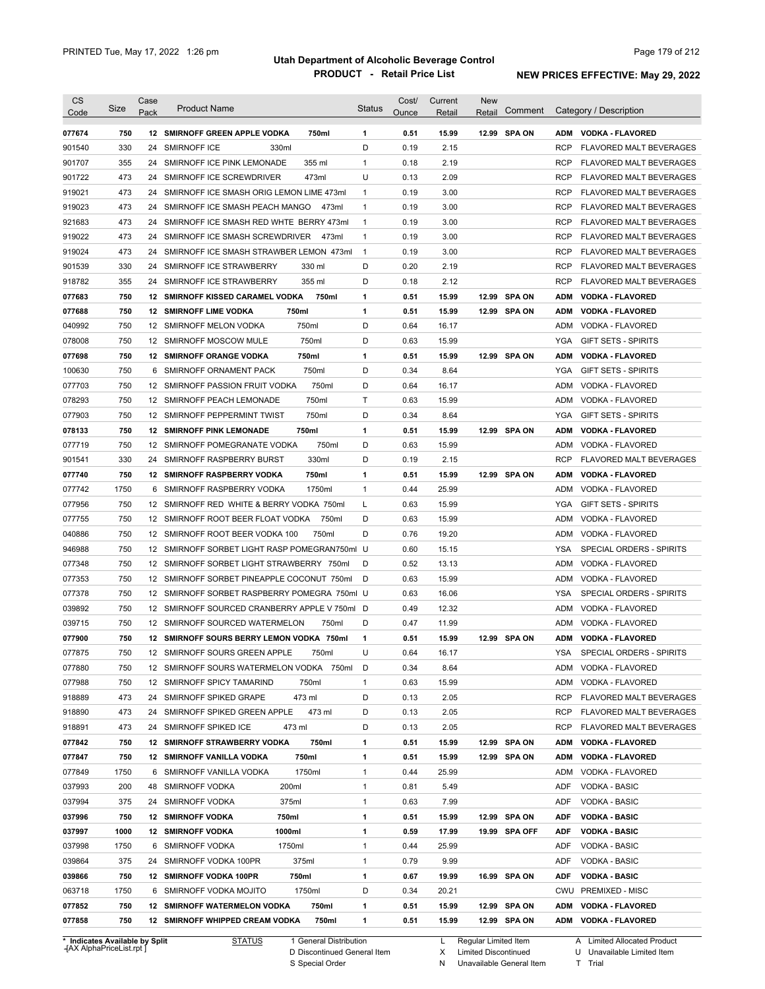| <b>CS</b><br>Code              | Size | Case<br>Pack | <b>Product Name</b>                             | <b>Status</b> | Cost/<br>Ounce | Current<br>Retail | <b>New</b><br>Retail | Comment       |            | Category / Description         |
|--------------------------------|------|--------------|-------------------------------------------------|---------------|----------------|-------------------|----------------------|---------------|------------|--------------------------------|
|                                |      |              |                                                 |               |                |                   |                      |               |            |                                |
| 077674                         | 750  |              | 12 SMIRNOFF GREEN APPLE VODKA<br>750ml          | 1             | 0.51           | 15.99             |                      | 12.99 SPA ON  |            | ADM VODKA - FLAVORED           |
| 901540                         | 330  | 24           | SMIRNOFF ICE<br>330ml                           | D             | 0.19           | 2.15              |                      |               | <b>RCP</b> | FLAVORED MALT BEVERAGES        |
| 901707                         | 355  | 24           | 355 ml<br>SMIRNOFF ICE PINK LEMONADE            | 1             | 0.18           | 2.19              |                      |               | <b>RCP</b> | FLAVORED MALT BEVERAGES        |
| 901722                         | 473  | 24           | SMIRNOFF ICE SCREWDRIVER<br>473ml               | U             | 0.13           | 2.09              |                      |               | <b>RCP</b> | FLAVORED MALT BEVERAGES        |
| 919021                         | 473  | 24           | SMIRNOFF ICE SMASH ORIG LEMON LIME 473ml        | 1             | 0.19           | 3.00              |                      |               | <b>RCP</b> | FLAVORED MALT BEVERAGES        |
| 919023                         | 473  | 24           | SMIRNOFF ICE SMASH PEACH MANGO<br>473ml         | 1             | 0.19           | 3.00              |                      |               | <b>RCP</b> | FLAVORED MALT BEVERAGES        |
| 921683                         | 473  | 24           | SMIRNOFF ICE SMASH RED WHTE BERRY 473ml         | 1             | 0.19           | 3.00              |                      |               | <b>RCP</b> | <b>FLAVORED MALT BEVERAGES</b> |
| 919022                         | 473  | 24           | SMIRNOFF ICE SMASH SCREWDRIVER<br>473ml         | 1             | 0.19           | 3.00              |                      |               | <b>RCP</b> | <b>FLAVORED MALT BEVERAGES</b> |
| 919024                         | 473  | 24           | SMIRNOFF ICE SMASH STRAWBER LEMON 473ml         | $\mathbf{1}$  | 0.19           | 3.00              |                      |               | <b>RCP</b> | <b>FLAVORED MALT BEVERAGES</b> |
| 901539                         | 330  | 24           | SMIRNOFF ICE STRAWBERRY<br>330 ml               | D             | 0.20           | 2.19              |                      |               | <b>RCP</b> | <b>FLAVORED MALT BEVERAGES</b> |
| 918782                         | 355  | 24           | SMIRNOFF ICE STRAWBERRY<br>355 ml               | D             | 0.18           | 2.12              |                      |               | <b>RCP</b> | <b>FLAVORED MALT BEVERAGES</b> |
| 077683                         | 750  | 12           | 750ml<br><b>SMIRNOFF KISSED CARAMEL VODKA</b>   | 1             | 0.51           | 15.99             | 12.99                | <b>SPA ON</b> | <b>ADM</b> | <b>VODKA - FLAVORED</b>        |
| 077688                         | 750  |              | 750ml<br><b>12 SMIRNOFF LIME VODKA</b>          | 1             | 0.51           | 15.99             |                      | 12.99 SPA ON  | ADM        | <b>VODKA - FLAVORED</b>        |
| 040992                         | 750  |              | 750ml<br>12 SMIRNOFF MELON VODKA                | D             | 0.64           | 16.17             |                      |               | ADM        | VODKA - FLAVORED               |
| 078008                         | 750  |              | 750ml<br>12 SMIRNOFF MOSCOW MULE                | D             | 0.63           | 15.99             |                      |               | YGA        | GIFT SETS - SPIRITS            |
| 077698                         | 750  |              | 750ml<br><b>12 SMIRNOFF ORANGE VODKA</b>        | 1             | 0.51           | 15.99             |                      | 12.99 SPA ON  | <b>ADM</b> | <b>VODKA - FLAVORED</b>        |
| 100630                         | 750  | 6            | 750ml<br>SMIRNOFF ORNAMENT PACK                 | D             | 0.34           | 8.64              |                      |               | YGA        | <b>GIFT SETS - SPIRITS</b>     |
| 077703                         | 750  |              | 750ml<br>12 SMIRNOFF PASSION FRUIT VODKA        | D             | 0.64           | 16.17             |                      |               | ADM        | VODKA - FLAVORED               |
| 078293                         | 750  |              | 750ml<br>12 SMIRNOFF PEACH LEMONADE             | T.            | 0.63           | 15.99             |                      |               | ADM        | VODKA - FLAVORED               |
| 077903                         | 750  |              | 750ml<br>12 SMIRNOFF PEPPERMINT TWIST           | D             | 0.34           | 8.64              |                      |               | <b>YGA</b> | <b>GIFT SETS - SPIRITS</b>     |
| 078133                         | 750  |              | <b>12 SMIRNOFF PINK LEMONADE</b><br>750ml       | 1             | 0.51           | 15.99             |                      | 12.99 SPA ON  | ADM        | <b>VODKA - FLAVORED</b>        |
| 077719                         | 750  |              | 750ml<br>12 SMIRNOFF POMEGRANATE VODKA          | D             | 0.63           | 15.99             |                      |               | ADM        | VODKA - FLAVORED               |
| 901541                         | 330  | 24           | 330ml<br>SMIRNOFF RASPBERRY BURST               | D             | 0.19           | 2.15              |                      |               | <b>RCP</b> | <b>FLAVORED MALT BEVERAGES</b> |
| 077740                         | 750  |              | 750ml<br><b>12 SMIRNOFF RASPBERRY VODKA</b>     | 1             | 0.51           | 15.99             |                      | 12.99 SPA ON  | ADM        | <b>VODKA - FLAVORED</b>        |
| 077742                         | 1750 | 6            | SMIRNOFF RASPBERRY VODKA<br>1750ml              | $\mathbf{1}$  | 0.44           | 25.99             |                      |               | ADM        | VODKA - FLAVORED               |
| 077956                         | 750  |              | 12 SMIRNOFF RED WHITE & BERRY VODKA 750ml       | L             | 0.63           | 15.99             |                      |               | <b>YGA</b> | <b>GIFT SETS - SPIRITS</b>     |
| 077755                         | 750  |              | 12 SMIRNOFF ROOT BEER FLOAT VODKA<br>750ml      | D             | 0.63           | 15.99             |                      |               | ADM        | VODKA - FLAVORED               |
| 040886                         | 750  |              | 12 SMIRNOFF ROOT BEER VODKA 100<br>750ml        | D             | 0.76           | 19.20             |                      |               | ADM        | VODKA - FLAVORED               |
| 946988                         | 750  |              | 12 SMIRNOFF SORBET LIGHT RASP POMEGRAN750ml U   |               | 0.60           | 15.15             |                      |               | <b>YSA</b> | SPECIAL ORDERS - SPIRITS       |
| 077348                         | 750  |              | 12 SMIRNOFF SORBET LIGHT STRAWBERRY 750ml       | D             | 0.52           | 13.13             |                      |               | ADM        | VODKA - FLAVORED               |
| 077353                         | 750  |              | 12 SMIRNOFF SORBET PINEAPPLE COCONUT 750ml      | D             | 0.63           | 15.99             |                      |               | ADM        | VODKA - FLAVORED               |
| 077378                         | 750  |              | 12 SMIRNOFF SORBET RASPBERRY POMEGRA 750ml U    |               | 0.63           | 16.06             |                      |               | <b>YSA</b> | SPECIAL ORDERS - SPIRITS       |
| 039892                         | 750  |              | 12 SMIRNOFF SOURCED CRANBERRY APPLE V 750ml D   |               | 0.49           | 12.32             |                      |               | ADM        | VODKA - FLAVORED               |
| 039715                         | 750  |              | 12 SMIRNOFF SOURCED WATERMELON<br>750ml         | D             | 0.47           | 11.99             |                      |               | ADM        | VODKA - FLAVORED               |
| 077900                         | 750  |              | 12 SMIRNOFF SOURS BERRY LEMON VODKA 750ml       | 1             | 0.51           | 15.99             |                      | 12.99 SPA ON  | ADM        | <b>VODKA - FLAVORED</b>        |
| 077875                         | 750  |              | 12 SMIRNOFF SOURS GREEN APPLE<br>750ml          | U             | 0.64           | 16.17             |                      |               | YSA        | SPECIAL ORDERS - SPIRITS       |
| 077880                         | 750  |              | 12 SMIRNOFF SOURS WATERMELON VODKA 750ml        | D             | 0.34           | 8.64              |                      |               | ADM        | VODKA - FLAVORED               |
| 077988                         | 750  |              | 12 SMIRNOFF SPICY TAMARIND<br>750ml             | 1             | 0.63           | 15.99             |                      |               | ADM        | VODKA - FLAVORED               |
| 918889                         | 473  | 24           | SMIRNOFF SPIKED GRAPE<br>473 ml                 | D             | 0.13           | 2.05              |                      |               | <b>RCP</b> | FLAVORED MALT BEVERAGES        |
| 918890                         | 473  | 24           | 473 ml<br>SMIRNOFF SPIKED GREEN APPLE           | D             | 0.13           | 2.05              |                      |               | <b>RCP</b> | FLAVORED MALT BEVERAGES        |
| 918891                         | 473  |              | 24 SMIRNOFF SPIKED ICE<br>473 ml                | D             | 0.13           | 2.05              |                      |               | <b>RCP</b> | FLAVORED MALT BEVERAGES        |
| 077842                         | 750  |              | <b>12 SMIRNOFF STRAWBERRY VODKA</b><br>750ml    | 1             | 0.51           | 15.99             |                      | 12.99 SPA ON  | ADM        | <b>VODKA - FLAVORED</b>        |
| 077847                         | 750  |              | 750ml<br><b>12 SMIRNOFF VANILLA VODKA</b>       | 1             | 0.51           | 15.99             |                      | 12.99 SPA ON  | <b>ADM</b> | <b>VODKA - FLAVORED</b>        |
| 077849                         | 1750 |              | 1750ml<br>6 SMIRNOFF VANILLA VODKA              | 1             | 0.44           | 25.99             |                      |               | ADM        | VODKA - FLAVORED               |
| 037993                         | 200  | 48           | <b>SMIRNOFF VODKA</b><br>200ml                  | 1             | 0.81           | 5.49              |                      |               | ADF        | VODKA - BASIC                  |
| 037994                         | 375  |              | 24 SMIRNOFF VODKA<br>375ml                      | 1             | 0.63           | 7.99              |                      |               | ADF        | <b>VODKA - BASIC</b>           |
| 037996                         | 750  |              | <b>12 SMIRNOFF VODKA</b><br>750ml               | 1             | 0.51           | 15.99             |                      | 12.99 SPA ON  | ADF        | <b>VODKA - BASIC</b>           |
| 037997                         | 1000 |              | <b>12 SMIRNOFF VODKA</b><br>1000ml              | 1             | 0.59           | 17.99             |                      | 19.99 SPA OFF | ADF        | <b>VODKA - BASIC</b>           |
| 037998                         | 1750 |              | 6 SMIRNOFF VODKA<br>1750ml                      | 1             | 0.44           | 25.99             |                      |               | ADF        | VODKA - BASIC                  |
| 039864                         | 375  | 24           | SMIRNOFF VODKA 100PR<br>375ml                   | 1             | 0.79           | 9.99              |                      |               | ADF        | VODKA - BASIC                  |
| 039866                         | 750  |              | 12 SMIRNOFF VODKA 100PR<br>750ml                | 1             | 0.67           | 19.99             |                      | 16.99 SPA ON  | ADF        | <b>VODKA - BASIC</b>           |
| 063718                         | 1750 | 6            | 1750ml<br>SMIRNOFF VODKA MOJITO                 | D             | 0.34           | 20.21             |                      |               | CWU        | <b>PREMIXED - MISC</b>         |
| 077852                         | 750  |              | <b>12 SMIRNOFF WATERMELON VODKA</b><br>750ml    | 1             | 0.51           | 15.99             |                      | 12.99 SPA ON  | ADM        | <b>VODKA - FLAVORED</b>        |
| 077858                         | 750  |              | <b>12 SMIRNOFF WHIPPED CREAM VODKA</b><br>750ml | 1             | 0.51           | 15.99             |                      | 12.99 SPA ON  | ADM        | VODKA - FLAVORED               |
|                                |      |              |                                                 |               |                |                   |                      |               |            |                                |
| * Indicates Available by Split |      |              | <b>STATUS</b><br>1 General Distribution         |               |                | L                 | Regular Limited Item |               |            | A Limited Allocated Product    |

**Case** [AX AlphaPriceList.rpt ]

STATUS 1 General Distribution

D Discontinued General Item

S Special Order

L Regular Limited Item

X Limited Discontinued

N Unavailable General Item

U Unavailable Limited Item

A Limited Allocated Product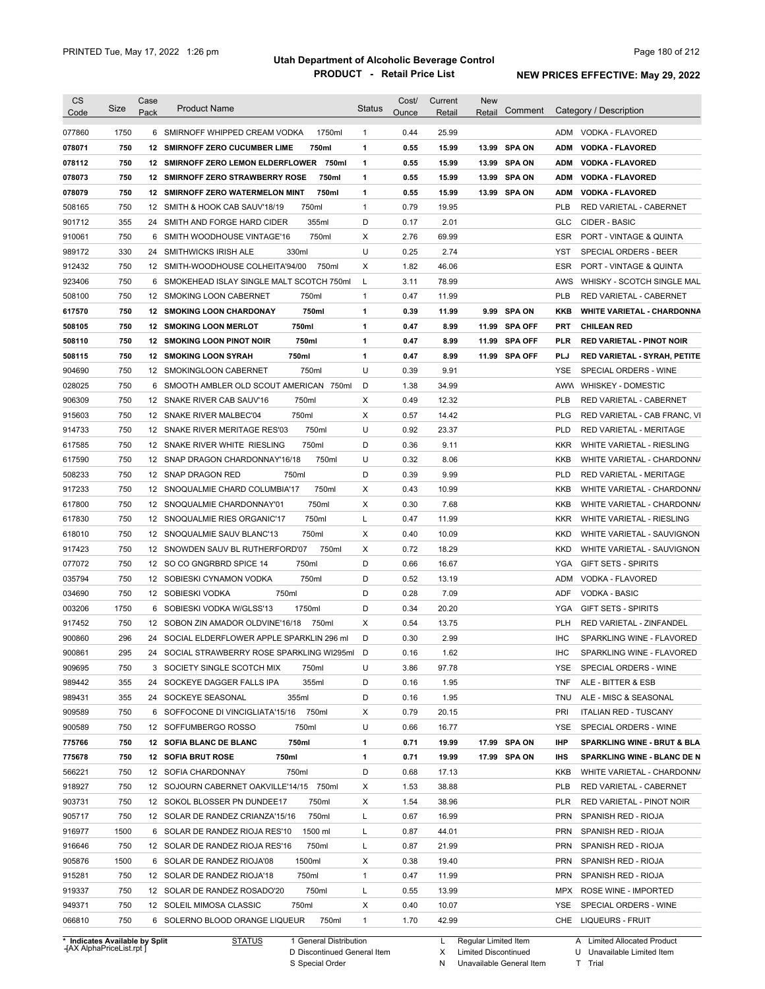| <b>CS</b> | Size                           | Case | <b>Product Name</b>                         | Status       | Cost/ | Current | <b>New</b>           | Comment       |            | Category / Description                 |
|-----------|--------------------------------|------|---------------------------------------------|--------------|-------|---------|----------------------|---------------|------------|----------------------------------------|
| Code      |                                | Pack |                                             |              | Ounce | Retail  | Retail               |               |            |                                        |
| 077860    | 1750                           |      | 6 SMIRNOFF WHIPPED CREAM VODKA<br>1750ml    | $\mathbf{1}$ | 0.44  | 25.99   |                      |               |            | ADM VODKA - FLAVORED                   |
| 078071    | 750                            |      | 12 SMIRNOFF ZERO CUCUMBER LIME<br>750ml     | 1            | 0.55  | 15.99   |                      | 13.99 SPA ON  | <b>ADM</b> | <b>VODKA - FLAVORED</b>                |
| 078112    | 750                            |      | 12 SMIRNOFF ZERO LEMON ELDERFLOWER 750ml    | 1            | 0.55  | 15.99   |                      | 13.99 SPA ON  | <b>ADM</b> | <b>VODKA - FLAVORED</b>                |
| 078073    | 750                            |      | 750ml<br>12 SMIRNOFF ZERO STRAWBERRY ROSE   | 1            | 0.55  | 15.99   |                      | 13.99 SPA ON  | <b>ADM</b> | <b>VODKA FLAVORED</b>                  |
| 078079    | 750                            |      | 12 SMIRNOFF ZERO WATERMELON MINT<br>750ml   | 1            | 0.55  | 15.99   |                      | 13.99 SPA ON  | <b>ADM</b> | <b>VODKA - FLAVORED</b>                |
| 508165    | 750                            |      | 12 SMITH & HOOK CAB SAUV'18/19<br>750ml     | $\mathbf{1}$ | 0.79  | 19.95   |                      |               | <b>PLB</b> | RED VARIETAL - CABERNET                |
| 901712    | 355                            | 24   | 355ml<br>SMITH AND FORGE HARD CIDER         | D            | 0.17  | 2.01    |                      |               | <b>GLC</b> | CIDER - BASIC                          |
| 910061    | 750                            | 6    | 750ml<br>SMITH WOODHOUSE VINTAGE'16         | Х            | 2.76  | 69.99   |                      |               | ESR        | <b>PORT - VINTAGE &amp; QUINTA</b>     |
| 989172    | 330                            | 24   | SMITHWICKS IRISH ALE<br>330ml               | U            | 0.25  | 2.74    |                      |               | <b>YST</b> | <b>SPECIAL ORDERS - BEER</b>           |
| 912432    | 750                            |      | 12 SMITH-WOODHOUSE COLHEITA'94/00<br>750ml  | Х            | 1.82  | 46.06   |                      |               | <b>ESR</b> | <b>PORT - VINTAGE &amp; QUINTA</b>     |
| 923406    | 750                            |      | 6 SMOKEHEAD ISLAY SINGLE MALT SCOTCH 750ml  | L            | 3.11  | 78.99   |                      |               | AWS        | WHISKY - SCOTCH SINGLE MAL             |
| 508100    | 750                            |      | 750ml<br>12 SMOKING LOON CABERNET           | $\mathbf{1}$ | 0.47  | 11.99   |                      |               | <b>PLB</b> | RED VARIETAL - CABERNET                |
| 617570    | 750                            |      | 750ml<br>12 SMOKING LOON CHARDONAY          | 1            | 0.39  | 11.99   |                      | 9.99 SPA ON   | KKB        | <b>WHITE VARIETAL - CHARDONNA</b>      |
| 508105    | 750                            |      | 750ml<br><b>12 SMOKING LOON MERLOT</b>      | 1            | 0.47  | 8.99    |                      | 11.99 SPA OFF | <b>PRT</b> | <b>CHILEAN RED</b>                     |
| 508110    | 750                            |      | 750ml<br>12 SMOKING LOON PINOT NOIR         | 1            | 0.47  | 8.99    |                      | 11.99 SPA OFF | <b>PLR</b> | <b>RED VARIETAL - PINOT NOIR</b>       |
| 508115    | 750                            |      | 750ml<br><b>12 SMOKING LOON SYRAH</b>       | 1            | 0.47  | 8.99    |                      | 11.99 SPA OFF | <b>PLJ</b> | RED VARIETAL - SYRAH, PETITE           |
| 904690    | 750                            |      | 750ml<br>12 SMOKINGLOON CABERNET            | U            | 0.39  | 9.91    |                      |               | YSE        | SPECIAL ORDERS - WINE                  |
| 028025    | 750                            | 6    | SMOOTH AMBLER OLD SCOUT AMERICAN<br>750ml   | D            | 1.38  | 34.99   |                      |               |            | AWW WHISKEY - DOMESTIC                 |
| 906309    | 750                            | 12   | SNAKE RIVER CAB SAUV'16<br>750ml            | х            | 0.49  | 12.32   |                      |               | <b>PLB</b> | RED VARIETAL - CABERNET                |
| 915603    | 750                            | 12   | 750ml<br>SNAKE RIVER MALBEC'04              | Х            | 0.57  | 14.42   |                      |               | PLG        | RED VARIETAL - CAB FRANC, VI           |
| 914733    | 750                            | 12   | SNAKE RIVER MERITAGE RES'03<br>750ml        | U            | 0.92  | 23.37   |                      |               | <b>PLD</b> | <b>RED VARIETAL - MERITAGE</b>         |
| 617585    | 750                            |      | 750ml<br>12 SNAKE RIVER WHITE RIESLING      | D            | 0.36  | 9.11    |                      |               | <b>KKR</b> | WHITE VARIETAL - RIESLING              |
| 617590    | 750                            |      | 750ml<br>12 SNAP DRAGON CHARDONNAY'16/18    | U            | 0.32  | 8.06    |                      |               | KKB        | WHITE VARIETAL - CHARDONN/             |
| 508233    | 750                            |      | 12 SNAP DRAGON RED<br>750ml                 | D            | 0.39  | 9.99    |                      |               | <b>PLD</b> | <b>RED VARIETAL - MERITAGE</b>         |
| 917233    | 750                            |      | 750ml<br>12 SNOQUALMIE CHARD COLUMBIA'17    | Х            | 0.43  | 10.99   |                      |               | KKB        | WHITE VARIETAL - CHARDONN/             |
| 617800    | 750                            |      | 750ml<br>12 SNOQUALMIE CHARDONNAY'01        | Х            | 0.30  | 7.68    |                      |               | <b>KKB</b> | WHITE VARIETAL - CHARDONN/             |
| 617830    | 750                            |      | 750ml<br>12 SNOQUALMIE RIES ORGANIC'17      | Г            | 0.47  | 11.99   |                      |               | <b>KKR</b> | WHITE VARIETAL - RIESLING              |
| 618010    | 750                            |      | 750ml<br>12 SNOQUALMIE SAUV BLANC'13        | Х            | 0.40  | 10.09   |                      |               | <b>KKD</b> | WHITE VARIETAL - SAUVIGNON             |
| 917423    | 750                            |      | 12 SNOWDEN SAUV BL RUTHERFORD'07<br>750ml   | Х            | 0.72  | 18.29   |                      |               | <b>KKD</b> | WHITE VARIETAL - SAUVIGNON             |
| 077072    | 750                            |      | 750ml<br>12 SO CO GNGRBRD SPICE 14          | D            | 0.66  | 16.67   |                      |               | YGA        | <b>GIFT SETS - SPIRITS</b>             |
|           |                                |      |                                             |              |       |         |                      |               |            |                                        |
| 035794    | 750                            |      | 750ml<br>12 SOBIESKI CYNAMON VODKA          | D            | 0.52  | 13.19   |                      |               | ADM        | VODKA - FLAVORED                       |
| 034690    | 750                            |      | 750ml<br>12 SOBIESKI VODKA                  | D            | 0.28  | 7.09    |                      |               | ADF        | <b>VODKA - BASIC</b>                   |
| 003206    | 1750                           | 6    | 1750ml<br>SOBIESKI VODKA W/GLSS'13          | D            | 0.34  | 20.20   |                      |               | YGA        | <b>GIFT SETS - SPIRITS</b>             |
| 917452    | 750                            |      | 12 SOBON ZIN AMADOR OLDVINE'16/18<br>750ml  | X            | 0.54  | 13.75   |                      |               | <b>PLH</b> | RED VARIETAL - ZINFANDEL               |
| 900860    | 296                            |      | 24 SOCIAL ELDERFLOWER APPLE SPARKLIN 296 ml | D            | 0.30  | 2.99    |                      |               | <b>IHC</b> | SPARKLING WINE - FLAVORED              |
| 900861    | 295                            |      | 24 SOCIAL STRAWBERRY ROSE SPARKLING WI295ml | D            | 0.16  | 1.62    |                      |               | <b>IHC</b> | SPARKLING WINE - FLAVORED              |
| 909695    | 750                            |      | 3 SOCIETY SINGLE SCOTCH MIX<br>750ml        | U            | 3.86  | 97.78   |                      |               | YSE        | SPECIAL ORDERS - WINE                  |
| 989442    | 355                            | 24   | 355ml<br>SOCKEYE DAGGER FALLS IPA           | D            | 0.16  | 1.95    |                      |               | <b>TNF</b> | ALE - BITTER & ESB                     |
| 989431    | 355                            |      | 355ml<br>24 SOCKEYE SEASONAL                | D            | 0.16  | 1.95    |                      |               | TNU        | ALE - MISC & SEASONAL                  |
| 909589    | 750                            |      | 750ml<br>6 SOFFOCONE DI VINCIGLIATA'15/16   | Х            | 0.79  | 20.15   |                      |               | <b>PRI</b> | <b>ITALIAN RED - TUSCANY</b>           |
| 900589    | 750                            |      | 750ml<br>12 SOFFUMBERGO ROSSO               | U            | 0.66  | 16.77   |                      |               | <b>YSE</b> | SPECIAL ORDERS - WINE                  |
| 775766    | 750                            |      | 750ml<br>12 SOFIA BLANC DE BLANC            | 1            | 0.71  | 19.99   |                      | 17.99 SPA ON  | IHP        | <b>SPARKLING WINE - BRUT &amp; BLA</b> |
| 775678    | 750                            |      | 12 SOFIA BRUT ROSE<br>750ml                 | 1            | 0.71  | 19.99   |                      | 17.99 SPA ON  | IHS        | SPARKLING WINE - BLANC DE N            |
| 566221    | 750                            |      | 12 SOFIA CHARDONNAY<br>750ml                | D            | 0.68  | 17.13   |                      |               | KKB        | WHITE VARIETAL - CHARDONN/             |
| 918927    | 750                            |      | 12 SOJOURN CABERNET OAKVILLE'14/15 750ml    | х            | 1.53  | 38.88   |                      |               | <b>PLB</b> | RED VARIETAL - CABERNET                |
| 903731    | 750                            |      | 12 SOKOL BLOSSER PN DUNDEE17<br>750ml       | х            | 1.54  | 38.96   |                      |               | <b>PLR</b> | RED VARIETAL - PINOT NOIR              |
| 905717    | 750                            |      | 12 SOLAR DE RANDEZ CRIANZA'15/16<br>750ml   | L            | 0.67  | 16.99   |                      |               | <b>PRN</b> | SPANISH RED - RIOJA                    |
| 916977    | 1500                           |      | 6 SOLAR DE RANDEZ RIOJA RES'10<br>1500 ml   | L            | 0.87  | 44.01   |                      |               | <b>PRN</b> | SPANISH RED - RIOJA                    |
| 916646    | 750                            |      | 12 SOLAR DE RANDEZ RIOJA RES'16<br>750ml    | L            | 0.87  | 21.99   |                      |               | <b>PRN</b> | SPANISH RED - RIOJA                    |
| 905876    | 1500                           |      | 1500ml<br>6 SOLAR DE RANDEZ RIOJA'08        | х            | 0.38  | 19.40   |                      |               | <b>PRN</b> | SPANISH RED - RIOJA                    |
| 915281    | 750                            |      | 750ml<br>12 SOLAR DE RANDEZ RIOJA'18        | $\mathbf{1}$ | 0.47  | 11.99   |                      |               | <b>PRN</b> | SPANISH RED - RIOJA                    |
| 919337    | 750                            |      | 750ml<br>12 SOLAR DE RANDEZ ROSADO'20       | L            | 0.55  | 13.99   |                      |               | MPX        | ROSE WINE - IMPORTED                   |
| 949371    | 750                            |      | 12 SOLEIL MIMOSA CLASSIC<br>750ml           | Х            | 0.40  | 10.07   |                      |               | YSE        | SPECIAL ORDERS - WINE                  |
| 066810    | 750                            |      | 6 SOLERNO BLOOD ORANGE LIQUEUR<br>750ml     | 1            | 1.70  | 42.99   |                      |               |            | CHE LIQUEURS - FRUIT                   |
|           |                                |      |                                             |              |       |         |                      |               |            |                                        |
|           | * Indicates Available by Split |      | <b>STATUS</b><br>1 General Distribution     |              |       | L       | Regular Limited Item |               |            | A Limited Allocated Product            |

**Case** [AX AlphaPriceList.rpt ]

D Discontinued General Item

S Special Order

X Limited Discontinued N Unavailable General Item

U Unavailable Limited Item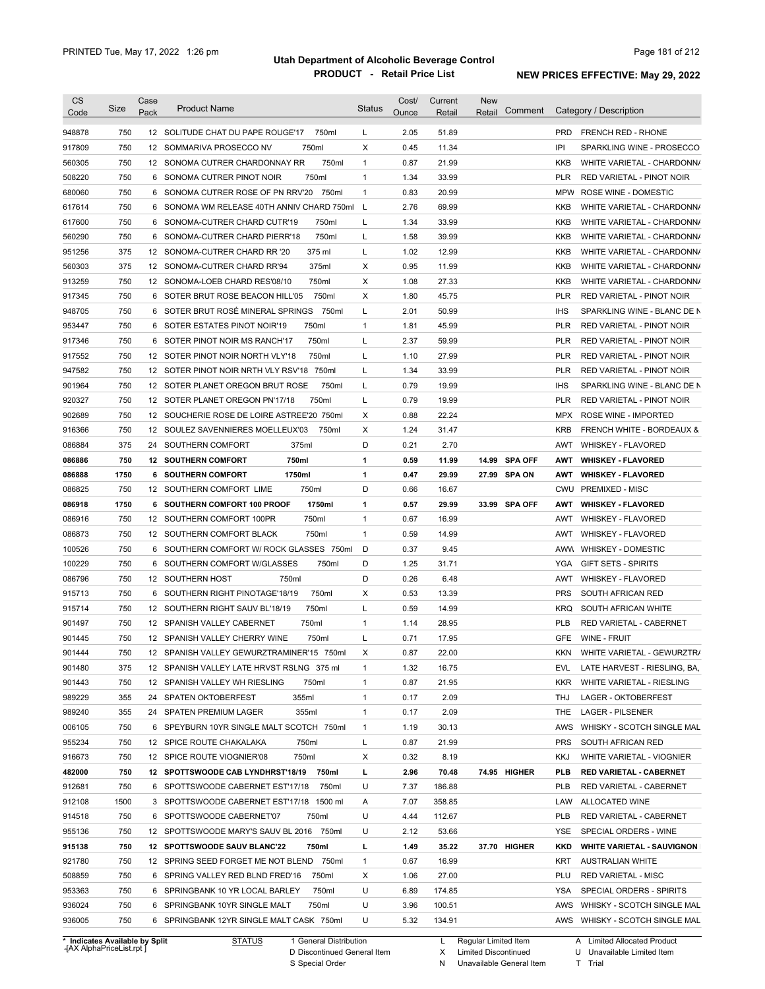| <b>CS</b><br>Code                                                                                                                                  | Size | Case<br>Pack | <b>Product Name</b>                        | <b>Status</b> | Cost/<br>Ounce | Current<br>Retail | <b>New</b><br>Comment<br>Retail |            | Category / Description               |
|----------------------------------------------------------------------------------------------------------------------------------------------------|------|--------------|--------------------------------------------|---------------|----------------|-------------------|---------------------------------|------------|--------------------------------------|
| 948878                                                                                                                                             | 750  |              | 750ml<br>12 SOLITUDE CHAT DU PAPE ROUGE'17 | L             | 2.05           | 51.89             |                                 | <b>PRD</b> | <b>FRENCH RED - RHONE</b>            |
| 917809                                                                                                                                             | 750  |              | 12 SOMMARIVA PROSECCO NV<br>750ml          | X             | 0.45           | 11.34             |                                 | IPI        | SPARKLING WINE - PROSECCO            |
| 560305                                                                                                                                             | 750  |              | 750ml<br>12 SONOMA CUTRER CHARDONNAY RR    | $\mathbf{1}$  | 0.87           | 21.99             |                                 | <b>KKB</b> | WHITE VARIETAL - CHARDONN/           |
| 508220                                                                                                                                             | 750  |              | 750ml<br>6 SONOMA CUTRER PINOT NOIR        | $\mathbf{1}$  | 1.34           | 33.99             |                                 | <b>PLR</b> | RED VARIETAL - PINOT NOIR            |
| 680060                                                                                                                                             | 750  |              | 6 SONOMA CUTRER ROSE OF PN RRV'20<br>750ml | $\mathbf{1}$  | 0.83           | 20.99             |                                 | <b>MPW</b> | ROSE WINE - DOMESTIC                 |
| 617614                                                                                                                                             | 750  |              | 6 SONOMA WM RELEASE 40TH ANNIV CHARD 750ml | L             | 2.76           | 69.99             |                                 | <b>KKB</b> | WHITE VARIETAL - CHARDONN/           |
| 617600                                                                                                                                             | 750  |              | 750ml<br>6 SONOMA-CUTRER CHARD CUTR'19     | L             | 1.34           | 33.99             |                                 | <b>KKB</b> | WHITE VARIETAL - CHARDONN/           |
| 560290                                                                                                                                             | 750  | 6            | 750ml<br>SONOMA-CUTRER CHARD PIERR'18      | L             | 1.58           | 39.99             |                                 | <b>KKB</b> | WHITE VARIETAL - CHARDONN/           |
| 951256                                                                                                                                             | 375  |              | 375 ml<br>12 SONOMA-CUTRER CHARD RR '20    | L             | 1.02           | 12.99             |                                 | <b>KKB</b> | WHITE VARIETAL - CHARDONN/           |
| 560303                                                                                                                                             | 375  |              | 375ml<br>12 SONOMA-CUTRER CHARD RR'94      | Χ             | 0.95           | 11.99             |                                 | <b>KKB</b> | WHITE VARIETAL - CHARDONN/           |
| 913259                                                                                                                                             | 750  |              | 750ml<br>12 SONOMA-LOEB CHARD RES'08/10    | X             | 1.08           | 27.33             |                                 | <b>KKB</b> | WHITE VARIETAL - CHARDONN/           |
| 917345                                                                                                                                             | 750  | 6            | 750ml<br>SOTER BRUT ROSE BEACON HILL'05    | X             | 1.80           | 45.75             |                                 | <b>PLR</b> | RED VARIETAL - PINOT NOIR            |
| 948705                                                                                                                                             | 750  | 6            | SOTER BRUT ROSÉ MINERAL SPRINGS<br>750ml   | L             | 2.01           | 50.99             |                                 | <b>IHS</b> | SPARKLING WINE - BLANC DE N          |
| 953447                                                                                                                                             | 750  |              | 750ml<br>6 SOTER ESTATES PINOT NOIR'19     | 1             | 1.81           | 45.99             |                                 | <b>PLR</b> | RED VARIETAL - PINOT NOIR            |
| 917346                                                                                                                                             | 750  | 6            | 750ml<br>SOTER PINOT NOIR MS RANCH'17      | L             | 2.37           | 59.99             |                                 | <b>PLR</b> | RED VARIETAL - PINOT NOIR            |
| 917552                                                                                                                                             | 750  |              | 750ml<br>12 SOTER PINOT NOIR NORTH VLY'18  | L             | 1.10           | 27.99             |                                 | <b>PLR</b> | RED VARIETAL - PINOT NOIR            |
| 947582                                                                                                                                             | 750  |              | 12 SOTER PINOT NOIR NRTH VLY RSV'18 750ml  | L             | 1.34           | 33.99             |                                 | <b>PLR</b> | RED VARIETAL - PINOT NOIR            |
| 901964                                                                                                                                             | 750  |              | 750ml<br>12 SOTER PLANET OREGON BRUT ROSE  | L             | 0.79           | 19.99             |                                 | <b>IHS</b> | SPARKLING WINE - BLANC DE N          |
| 920327                                                                                                                                             | 750  |              | 750ml<br>12 SOTER PLANET OREGON PN'17/18   | L             | 0.79           | 19.99             |                                 | <b>PLR</b> | RED VARIETAL - PINOT NOIR            |
| 902689                                                                                                                                             | 750  |              | 12 SOUCHERIE ROSE DE LOIRE ASTREE'20 750ml | X             | 0.88           | 22.24             |                                 | <b>MPX</b> | ROSE WINE - IMPORTED                 |
| 916366                                                                                                                                             | 750  |              | 12 SOULEZ SAVENNIERES MOELLEUX'03<br>750ml | Χ             | 1.24           | 31.47             |                                 | <b>KRB</b> | <b>FRENCH WHITE - BORDEAUX &amp;</b> |
| 086884                                                                                                                                             | 375  | 24           | 375ml<br>SOUTHERN COMFORT                  | D             | 0.21           | 2.70              |                                 | AWT        | <b>WHISKEY - FLAVORED</b>            |
| 086886                                                                                                                                             | 750  |              | 750ml<br><b>12 SOUTHERN COMFORT</b>        | 1             | 0.59           | 11.99             | 14.99 SPA OFF                   | <b>AWT</b> | <b>WHISKEY - FLAVORED</b>            |
| 086888                                                                                                                                             | 1750 | 6            | 1750ml<br><b>SOUTHERN COMFORT</b>          | 1             | 0.47           | 29.99             | 27.99 SPA ON                    | AWT        | <b>WHISKEY - FLAVORED</b>            |
| 086825                                                                                                                                             | 750  |              | 750ml<br>12 SOUTHERN COMFORT LIME          | D             | 0.66           | 16.67             |                                 | <b>CWU</b> | <b>PREMIXED - MISC</b>               |
| 086918                                                                                                                                             | 1750 | 6            | 1750ml<br>SOUTHERN COMFORT 100 PROOF       | 1             | 0.57           | 29.99             | 33.99 SPA OFF                   | AWT        | <b>WHISKEY - FLAVORED</b>            |
| 086916                                                                                                                                             | 750  |              | 750ml<br>12 SOUTHERN COMFORT 100PR         | 1             | 0.67           | 16.99             |                                 | AWT        | <b>WHISKEY - FLAVORED</b>            |
| 086873                                                                                                                                             | 750  |              | 750ml<br>12 SOUTHERN COMFORT BLACK         | $\mathbf{1}$  | 0.59           | 14.99             |                                 | AWT        | <b>WHISKEY - FLAVORED</b>            |
| 100526                                                                                                                                             | 750  | 6            | SOUTHERN COMFORT W/ ROCK GLASSES 750ml     | D             | 0.37           | 9.45              |                                 | AWW        | <b>WHISKEY - DOMESTIC</b>            |
| 100229                                                                                                                                             | 750  |              | 750ml<br>6 SOUTHERN COMFORT W/GLASSES      | D             | 1.25           | 31.71             |                                 | YGA        | <b>GIFT SETS - SPIRITS</b>           |
| 086796                                                                                                                                             | 750  |              | 12 SOUTHERN HOST<br>750ml                  | D             | 0.26           | 6.48              |                                 | AWT        | <b>WHISKEY - FLAVORED</b>            |
| 915713                                                                                                                                             | 750  | 6            | SOUTHERN RIGHT PINOTAGE'18/19<br>750ml     | X             | 0.53           | 13.39             |                                 | <b>PRS</b> | SOUTH AFRICAN RED                    |
| 915714                                                                                                                                             | 750  |              | 750ml<br>12 SOUTHERN RIGHT SAUV BL'18/19   | Г             | 0.59           | 14.99             |                                 | <b>KRQ</b> | SOUTH AFRICAN WHITE                  |
|                                                                                                                                                    | 750  |              | 750ml<br>12 SPANISH VALLEY CABERNET        |               | 1.14           |                   |                                 | <b>PLB</b> | RED VARIETAL - CABERNET              |
| 901497                                                                                                                                             |      |              |                                            | 1             |                | 28.95             |                                 |            |                                      |
| 901445                                                                                                                                             | 750  |              | 12 SPANISH VALLEY CHERRY WINE<br>750ml     | Г             | 0.71           | 17.95             |                                 | <b>GFE</b> | WINE - FRUIT                         |
| 901444                                                                                                                                             | 750  |              | 12 SPANISH VALLEY GEWURZTRAMINER'15 750ml  | х             | 0.87           | 22.00             |                                 | <b>KKN</b> | WHITE VARIETAL - GEWURZTR/           |
|                                                                                                                                                    |      |              |                                            |               |                |                   |                                 |            |                                      |
|                                                                                                                                                    | 375  |              | 12 SPANISH VALLEY LATE HRVST RSLNG 375 ml  | $\mathbf{1}$  | 1.32           | 16.75             |                                 | EVL        | LATE HARVEST - RIESLING, BA,         |
|                                                                                                                                                    | 750  |              | 12 SPANISH VALLEY WH RIESLING<br>750ml     | $\mathbf{1}$  | 0.87           | 21.95             |                                 | <b>KKR</b> | WHITE VARIETAL - RIESLING            |
|                                                                                                                                                    | 355  |              | 355ml<br>24 SPATEN OKTOBERFEST             | $\mathbf{1}$  | 0.17           | 2.09              |                                 | THJ        | LAGER - OKTOBERFEST                  |
|                                                                                                                                                    | 355  |              | 355ml<br>24 SPATEN PREMIUM LAGER           | 1             | 0.17           | 2.09              |                                 | THE        | <b>LAGER - PILSENER</b>              |
|                                                                                                                                                    | 750  |              | 6 SPEYBURN 10YR SINGLE MALT SCOTCH 750ml   | $\mathbf{1}$  | 1.19           | 30.13             |                                 | AWS        | WHISKY - SCOTCH SINGLE MAL           |
|                                                                                                                                                    | 750  |              | 12 SPICE ROUTE CHAKALAKA<br>750ml          | L             | 0.87           | 21.99             |                                 | <b>PRS</b> | SOUTH AFRICAN RED                    |
|                                                                                                                                                    | 750  |              | 12 SPICE ROUTE VIOGNIER'08<br>750ml        | Х             | 0.32           | 8.19              |                                 | KKJ        | WHITE VARIETAL - VIOGNIER            |
|                                                                                                                                                    | 750  |              | 12 SPOTTSWOODE CAB LYNDHRST'18/19 750ml    | г             | 2.96           | 70.48             | 74.95 HIGHER                    | <b>PLB</b> | <b>RED VARIETAL - CABERNET</b>       |
|                                                                                                                                                    | 750  |              | 6 SPOTTSWOODE CABERNET EST'17/18<br>750ml  | U             | 7.37           | 186.88            |                                 | <b>PLB</b> | RED VARIETAL - CABERNET              |
|                                                                                                                                                    | 1500 |              | 3 SPOTTSWOODE CABERNET EST'17/18 1500 ml   | Α             | 7.07           | 358.85            |                                 | LAW        | ALLOCATED WINE                       |
|                                                                                                                                                    | 750  |              | 6 SPOTTSWOODE CABERNET'07<br>750ml         | U             | 4.44           | 112.67            |                                 | <b>PLB</b> | RED VARIETAL - CABERNET              |
|                                                                                                                                                    | 750  |              | 12 SPOTTSWOODE MARY'S SAUV BL 2016 750ml   | U             | 2.12           | 53.66             |                                 | YSE        | SPECIAL ORDERS - WINE                |
|                                                                                                                                                    | 750  |              | 12 SPOTTSWOODE SAUV BLANC'22<br>750ml      | L             | 1.49           | 35.22             | 37.70 HIGHER                    | <b>KKD</b> | <b>WHITE VARIETAL - SAUVIGNON</b>    |
|                                                                                                                                                    | 750  |              | 12 SPRING SEED FORGET ME NOT BLEND 750ml   | $\mathbf{1}$  | 0.67           | 16.99             |                                 | KRT        | <b>AUSTRALIAN WHITE</b>              |
| 901480<br>901443<br>989229<br>989240<br>006105<br>955234<br>916673<br>482000<br>912681<br>912108<br>914518<br>955136<br>915138<br>921780<br>508859 | 750  |              | 6 SPRING VALLEY RED BLND FRED'16<br>750ml  | Х             | 1.06           | 27.00             |                                 | PLU        | <b>RED VARIETAL - MISC</b>           |
|                                                                                                                                                    | 750  |              | 6 SPRINGBANK 10 YR LOCAL BARLEY<br>750ml   | U             | 6.89           | 174.85            |                                 | YSA        | SPECIAL ORDERS - SPIRITS             |
| 953363<br>936024                                                                                                                                   | 750  |              | 6 SPRINGBANK 10YR SINGLE MALT<br>750ml     | U             | 3.96           | 100.51            |                                 | AWS        | WHISKY - SCOTCH SINGLE MAL           |

**Case** [AX AlphaPriceList.rpt ]

D Discontinued General Item S Special Order

X Limited Discontinued

N Unavailable General Item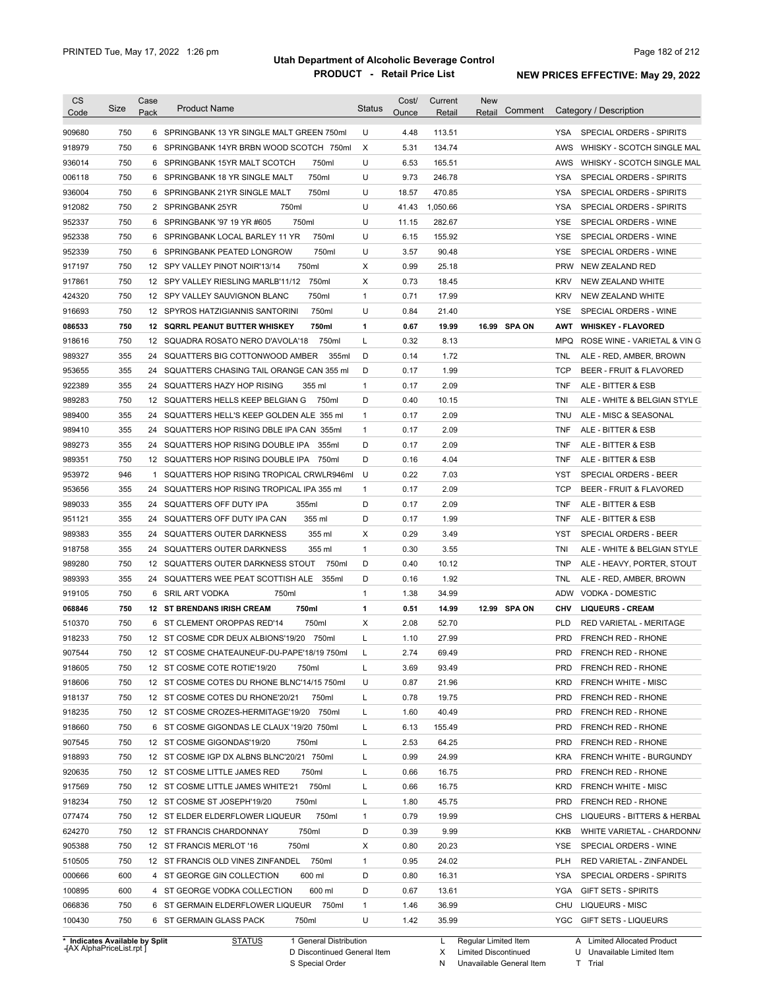| <b>CS</b><br>Code              | Size | Case<br>Pack | <b>Product Name</b>                         | <b>Status</b> | Cost/<br><b>Ounce</b> | Current<br>Retail | <b>New</b><br>Retail | Comment      |            | Category / Description             |
|--------------------------------|------|--------------|---------------------------------------------|---------------|-----------------------|-------------------|----------------------|--------------|------------|------------------------------------|
| 909680                         | 750  |              | 6 SPRINGBANK 13 YR SINGLE MALT GREEN 750ml  | U             | 4.48                  | 113.51            |                      |              | YSA        | SPECIAL ORDERS - SPIRITS           |
| 918979                         | 750  | 6            | SPRINGBANK 14YR BRBN WOOD SCOTCH 750ml      | Χ             | 5.31                  | 134.74            |                      |              | AWS        | WHISKY - SCOTCH SINGLE MAL         |
| 936014                         | 750  |              | 750ml<br>6 SPRINGBANK 15YR MALT SCOTCH      | U             | 6.53                  | 165.51            |                      |              | AWS        | WHISKY - SCOTCH SINGLE MAL         |
| 006118                         | 750  |              | 750ml<br>6 SPRINGBANK 18 YR SINGLE MALT     | U             | 9.73                  | 246.78            |                      |              | <b>YSA</b> | SPECIAL ORDERS - SPIRITS           |
| 936004                         | 750  |              | 6 SPRINGBANK 21YR SINGLE MALT<br>750ml      | U             | 18.57                 | 470.85            |                      |              | <b>YSA</b> | SPECIAL ORDERS - SPIRITS           |
| 912082                         | 750  |              | 2 SPRINGBANK 25YR<br>750ml                  | U             | 41.43                 | 1,050.66          |                      |              | <b>YSA</b> | SPECIAL ORDERS - SPIRITS           |
| 952337                         | 750  |              | 750ml<br>6 SPRINGBANK '97 19 YR #605        | U             | 11.15                 | 282.67            |                      |              | YSE        | SPECIAL ORDERS - WINE              |
| 952338                         | 750  |              | 750ml<br>6 SPRINGBANK LOCAL BARLEY 11 YR    | U             | 6.15                  | 155.92            |                      |              | YSE        | SPECIAL ORDERS - WINE              |
| 952339                         | 750  |              | 750ml<br>6 SPRINGBANK PEATED LONGROW        | U             | 3.57                  | 90.48             |                      |              | <b>YSE</b> | SPECIAL ORDERS - WINE              |
| 917197                         | 750  |              | 750ml<br>12 SPY VALLEY PINOT NOIR'13/14     | Х             | 0.99                  | 25.18             |                      |              | <b>PRW</b> | NEW ZEALAND RED                    |
| 917861                         | 750  |              | 12 SPY VALLEY RIESLING MARLB'11/12<br>750ml | X             | 0.73                  | 18.45             |                      |              | <b>KRV</b> | NEW ZEALAND WHITE                  |
| 424320                         | 750  |              | 12 SPY VALLEY SAUVIGNON BLANC<br>750ml      | $\mathbf{1}$  | 0.71                  | 17.99             |                      |              | <b>KRV</b> | NEW ZEALAND WHITE                  |
| 916693                         | 750  |              | 750ml<br>12 SPYROS HATZIGIANNIS SANTORINI   | U             | 0.84                  | 21.40             |                      |              | <b>YSE</b> | SPECIAL ORDERS - WINE              |
| 086533                         | 750  |              | 12 SQRRL PEANUT BUTTER WHISKEY<br>750ml     | 1             | 0.67                  | 19.99             |                      | 16.99 SPA ON | <b>AWT</b> | <b>WHISKEY - FLAVORED</b>          |
| 918616                         | 750  |              | 12 SQUADRA ROSATO NERO D'AVOLA'18<br>750ml  | L             | 0.32                  | 8.13              |                      |              | MPQ        | ROSE WINE - VARIETAL & VIN G       |
| 989327                         | 355  | 24           | SQUATTERS BIG COTTONWOOD AMBER<br>355ml     | D             | 0.14                  | 1.72              |                      |              | TNL        | ALE - RED, AMBER, BROWN            |
| 953655                         | 355  | 24           | SQUATTERS CHASING TAIL ORANGE CAN 355 ml    | D             | 0.17                  | 1.99              |                      |              | <b>TCP</b> | <b>BEER - FRUIT &amp; FLAVORED</b> |
| 922389                         | 355  |              | 24 SQUATTERS HAZY HOP RISING<br>355 ml      | $\mathbf{1}$  | 0.17                  | 2.09              |                      |              | <b>TNF</b> | ALE - BITTER & ESB                 |
| 989283                         | 750  |              | 750ml<br>12 SQUATTERS HELLS KEEP BELGIAN G  | D             | 0.40                  | 10.15             |                      |              | TNI        | ALE - WHITE & BELGIAN STYLE        |
| 989400                         | 355  |              | 24 SQUATTERS HELL'S KEEP GOLDEN ALE 355 ml  | $\mathbf{1}$  | 0.17                  | 2.09              |                      |              | <b>TNU</b> | ALE - MISC & SEASONAL              |
| 989410                         | 355  |              | 24 SQUATTERS HOP RISING DBLE IPA CAN 355ml  | $\mathbf{1}$  | 0.17                  | 2.09              |                      |              | <b>TNF</b> | ALE - BITTER & ESB                 |
| 989273                         | 355  |              | 24 SQUATTERS HOP RISING DOUBLE IPA 355ml    | D             | 0.17                  | 2.09              |                      |              | <b>TNF</b> | ALE - BITTER & ESB                 |
| 989351                         | 750  |              | 12 SQUATTERS HOP RISING DOUBLE IPA 750ml    | D             | 0.16                  | 4.04              |                      |              | <b>TNF</b> | ALE - BITTER & ESB                 |
| 953972                         | 946  | -1           | SQUATTERS HOP RISING TROPICAL CRWLR946ml    | U             | 0.22                  | 7.03              |                      |              | <b>YST</b> | SPECIAL ORDERS - BEER              |
| 953656                         | 355  | 24           | SQUATTERS HOP RISING TROPICAL IPA 355 ml    | 1             | 0.17                  | 2.09              |                      |              | <b>TCP</b> | BEER - FRUIT & FLAVORED            |
| 989033                         | 355  | 24           | SQUATTERS OFF DUTY IPA<br>355ml             | D             | 0.17                  | 2.09              |                      |              | <b>TNF</b> | ALE - BITTER & ESB                 |
| 951121                         | 355  | 24           | SQUATTERS OFF DUTY IPA CAN<br>355 ml        | D             | 0.17                  | 1.99              |                      |              | <b>TNF</b> | ALE - BITTER & ESB                 |
| 989383                         | 355  | 24           | SQUATTERS OUTER DARKNESS<br>355 ml          | X             | 0.29                  | 3.49              |                      |              | <b>YST</b> | SPECIAL ORDERS - BEER              |
| 918758                         | 355  | 24           | SQUATTERS OUTER DARKNESS<br>355 ml          | $\mathbf{1}$  | 0.30                  | 3.55              |                      |              | TNI        | ALE - WHITE & BELGIAN STYLE        |
| 989280                         | 750  | 12           | 750ml<br>SQUATTERS OUTER DARKNESS STOUT     | D             | 0.40                  | 10.12             |                      |              | <b>TNP</b> | ALE - HEAVY, PORTER, STOUT         |
| 989393                         | 355  | 24           | SQUATTERS WEE PEAT SCOTTISH ALE<br>355ml    | D             | 0.16                  | 1.92              |                      |              | TNL        | ALE - RED, AMBER, BROWN            |
| 919105                         | 750  | 6            | SRIL ART VODKA<br>750ml                     | 1             | 1.38                  | 34.99             |                      |              | ADW        | <b>VODKA - DOMESTIC</b>            |
| 068846                         | 750  | 12           | <b>ST BRENDANS IRISH CREAM</b><br>750ml     | 1             | 0.51                  | 14.99             |                      | 12.99 SPA ON | CHV        | <b>LIQUEURS - CREAM</b>            |
| 510370                         | 750  | 6            | ST CLEMENT OROPPAS RED'14<br>750ml          | X             | 2.08                  | 52.70             |                      |              | <b>PLD</b> | RED VARIETAL - MERITAGE            |
| 918233                         | 750  |              | 12 ST COSME CDR DEUX ALBIONS'19/20 750ml    | L             | 1.10                  | 27.99             |                      |              | <b>PRD</b> | <b>FRENCH RED - RHONE</b>          |
| 907544                         | 750  |              | 12 ST COSME CHATEAUNEUF-DU-PAPE'18/19 750ml |               | 2.74                  | 69.49             |                      |              | PRD        | FRENCH RED - RHONE                 |
| 918605                         | 750  |              | 12 ST COSME COTE ROTIE'19/20<br>750ml       | L             | 3.69                  | 93.49             |                      |              | PRD        | FRENCH RED - RHONE                 |
| 918606                         | 750  |              | 12 ST COSME COTES DU RHONE BLNC'14/15 750ml | U             | 0.87                  | 21.96             |                      |              | KRD        | FRENCH WHITE - MISC                |
| 918137                         | 750  |              | 12 ST COSME COTES DU RHONE'20/21<br>750ml   | L             | 0.78                  | 19.75             |                      |              | <b>PRD</b> | FRENCH RED - RHONE                 |
| 918235                         | 750  |              | 750ml<br>12 ST COSME CROZES-HERMITAGE'19/20 | L             | 1.60                  | 40.49             |                      |              | PRD        | FRENCH RED - RHONE                 |
| 918660                         | 750  | 6            | ST COSME GIGONDAS LE CLAUX '19/20 750ml     | L             | 6.13                  | 155.49            |                      |              | PRD        | FRENCH RED - RHONE                 |
| 907545                         | 750  |              | 12 ST COSME GIGONDAS'19/20<br>750ml         | L             | 2.53                  | 64.25             |                      |              | PRD        | FRENCH RED - RHONE                 |
| 918893                         | 750  |              | 12 ST COSME IGP DX ALBNS BLNC'20/21 750ml   | L             | 0.99                  | 24.99             |                      |              | KRA        | FRENCH WHITE - BURGUNDY            |
| 920635                         | 750  |              | 12 ST COSME LITTLE JAMES RED<br>750ml       | L             | 0.66                  | 16.75             |                      |              | <b>PRD</b> | FRENCH RED - RHONE                 |
| 917569                         | 750  |              | 750ml<br>12 ST COSME LITTLE JAMES WHITE'21  | Г             | 0.66                  | 16.75             |                      |              | KRD        | FRENCH WHITE - MISC                |
| 918234                         | 750  |              | 750ml<br>12 ST COSME ST JOSEPH'19/20        | Г             | 1.80                  | 45.75             |                      |              | <b>PRD</b> | FRENCH RED - RHONE                 |
| 077474                         | 750  |              | 12 ST ELDER ELDERFLOWER LIQUEUR<br>750ml    | 1             | 0.79                  | 19.99             |                      |              | <b>CHS</b> | LIQUEURS - BITTERS & HERBAL        |
| 624270                         | 750  |              | 12 ST FRANCIS CHARDONNAY<br>750ml           | D             | 0.39                  | 9.99              |                      |              | <b>KKB</b> | WHITE VARIETAL - CHARDONN/         |
| 905388                         | 750  |              | 12 ST FRANCIS MERLOT '16<br>750ml           | X             | 0.80                  | 20.23             |                      |              | YSE        | SPECIAL ORDERS - WINE              |
| 510505                         | 750  |              | 12 ST FRANCIS OLD VINES ZINFANDEL<br>750ml  | $\mathbf{1}$  | 0.95                  | 24.02             |                      |              | <b>PLH</b> | RED VARIETAL - ZINFANDEL           |
| 000666                         | 600  |              | 600 ml<br>4 ST GEORGE GIN COLLECTION        | D             | 0.80                  | 16.31             |                      |              | <b>YSA</b> | SPECIAL ORDERS - SPIRITS           |
| 100895                         | 600  |              | 600 ml<br>4 ST GEORGE VODKA COLLECTION      | D             | 0.67                  | 13.61             |                      |              | <b>YGA</b> | <b>GIFT SETS - SPIRITS</b>         |
| 066836                         | 750  |              | 750ml<br>6 ST GERMAIN ELDERFLOWER LIQUEUR   | 1             | 1.46                  | 36.99             |                      |              | <b>CHU</b> | LIQUEURS - MISC                    |
| 100430                         | 750  |              | 6 ST GERMAIN GLASS PACK<br>750ml            | U             | 1.42                  | 35.99             |                      |              | YGC        | <b>GIFT SETS - LIQUEURS</b>        |
|                                |      |              |                                             |               |                       |                   |                      |              |            |                                    |
| * Indicates Available by Split |      |              | <b>STATUS</b><br>1 General Distribution     |               |                       | L                 | Regular Limited Item |              |            | A Limited Allocated Product        |

**Case** [AX AlphaPriceList.rpt ]

S Special Order

X Limited Discontinued

N Unavailable General Item

D Discontinued General Item

U Unavailable Limited Item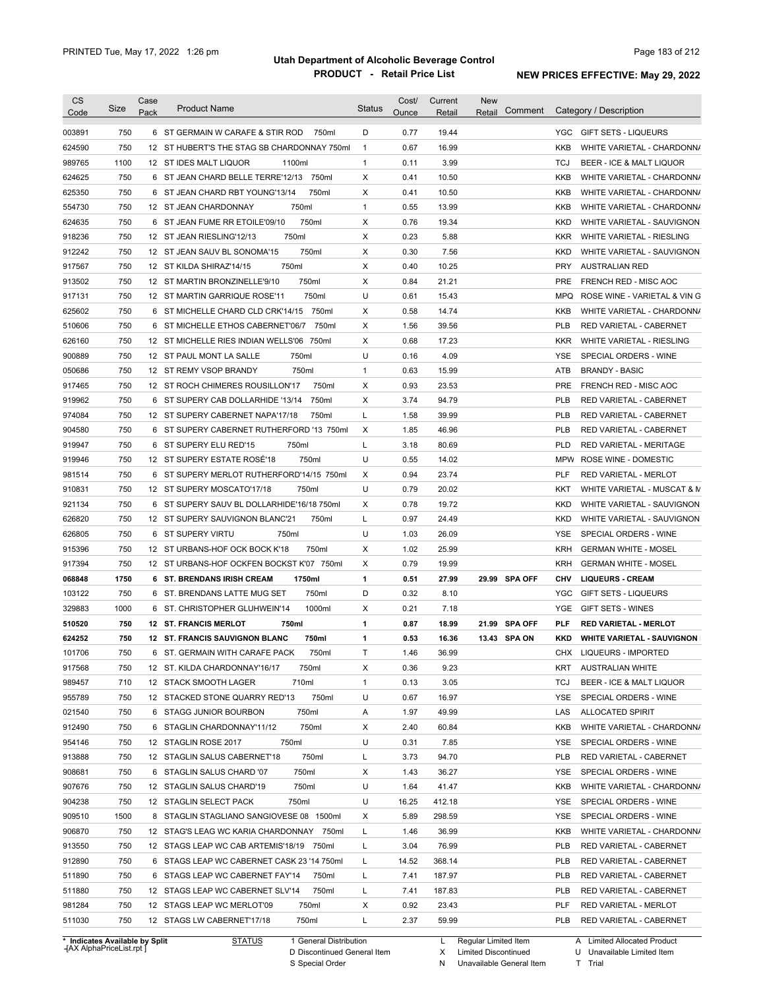| <b>CS</b><br>Code              | Size        | Case<br>Pack | <b>Product Name</b>                                                       | <b>Status</b> | Cost/<br>Ounce | Current<br>Retail | <b>New</b><br>Comment<br>Retail | Category / Description                                               |
|--------------------------------|-------------|--------------|---------------------------------------------------------------------------|---------------|----------------|-------------------|---------------------------------|----------------------------------------------------------------------|
| 003891                         | 750         |              | 6 ST GERMAIN W CARAFE & STIR ROD<br>750ml                                 | D             | 0.77           | 19.44             |                                 | YGC GIFT SETS - LIQUEURS                                             |
| 624590                         | 750         |              | 12 ST HUBERT'S THE STAG SB CHARDONNAY 750ml                               | $\mathbf{1}$  | 0.67           | 16.99             |                                 | KKB<br>WHITE VARIETAL - CHARDONN/                                    |
| 989765                         | 1100        |              | 1100ml<br>12 ST IDES MALT LIQUOR                                          | $\mathbf{1}$  | 0.11           | 3.99              |                                 | <b>TCJ</b><br>BEER - ICE & MALT LIQUOR                               |
| 624625                         | 750         |              | 6 ST JEAN CHARD BELLE TERRE'12/13 750ml                                   | Χ             | 0.41           | 10.50             |                                 | KKB<br>WHITE VARIETAL - CHARDONN/                                    |
| 625350                         | 750         |              | 750ml<br>6 ST JEAN CHARD RBT YOUNG'13/14                                  | Χ             | 0.41           | 10.50             |                                 | KKB<br>WHITE VARIETAL - CHARDONN/                                    |
| 554730                         | 750         |              | 750ml<br>12 ST JEAN CHARDONNAY                                            | $\mathbf{1}$  | 0.55           | 13.99             |                                 | <b>KKB</b><br>WHITE VARIETAL - CHARDONN/                             |
| 624635                         | 750         |              | 6 ST JEAN FUME RR ETOILE'09/10<br>750ml                                   | Х             | 0.76           | 19.34             |                                 | <b>KKD</b><br>WHITE VARIETAL - SAUVIGNON                             |
| 918236                         | 750         |              | 750ml<br>12 ST JEAN RIESLING'12/13                                        | Х             | 0.23           | 5.88              |                                 | <b>KKR</b><br>WHITE VARIETAL - RIESLING                              |
| 912242                         | 750         |              | 750ml<br>12 ST JEAN SAUV BL SONOMA'15                                     | Х             | 0.30           | 7.56              |                                 | WHITE VARIETAL - SAUVIGNON<br><b>KKD</b>                             |
| 917567                         | 750         |              | 750ml<br>12 ST KILDA SHIRAZ'14/15                                         | Χ             | 0.40           | 10.25             |                                 | <b>AUSTRALIAN RED</b><br><b>PRY</b>                                  |
| 913502                         | 750         |              | 750ml<br>12 ST MARTIN BRONZINELLE'9/10                                    | Х             | 0.84           | 21.21             |                                 | <b>PRE</b><br>FRENCH RED - MISC AOC                                  |
| 917131                         | 750         |              | 750ml<br>12 ST MARTIN GARRIQUE ROSE'11                                    | U             | 0.61           | 15.43             |                                 | <b>MPQ</b><br>ROSE WINE - VARIETAL & VIN G                           |
| 625602                         | 750         |              | 6 ST MICHELLE CHARD CLD CRK'14/15<br>750ml                                | X             | 0.58           | 14.74             |                                 | KKB<br>WHITE VARIETAL - CHARDONN/                                    |
| 510606                         | 750         |              | 6 ST MICHELLE ETHOS CABERNET'06/7<br>750ml                                | X             | 1.56           | 39.56             |                                 | <b>PLB</b><br>RED VARIETAL - CABERNET                                |
| 626160                         | 750         |              | 12 ST MICHELLE RIES INDIAN WELLS'06 750ml                                 | Χ             | 0.68           | 17.23             |                                 | <b>KKR</b><br>WHITE VARIETAL - RIESLING                              |
| 900889                         | 750         |              | 750ml<br>12 ST PAUL MONT LA SALLE                                         | U             | 0.16           | 4.09              |                                 | YSE<br>SPECIAL ORDERS - WINE                                         |
| 050686                         | 750         |              | 12 ST REMY VSOP BRANDY<br>750ml                                           | $\mathbf{1}$  | 0.63           | 15.99             |                                 | ATB<br><b>BRANDY - BASIC</b>                                         |
| 917465                         | 750         |              | 750ml<br>12 ST ROCH CHIMERES ROUSILLON'17                                 | Х             | 0.93           | 23.53             |                                 | <b>PRE</b><br>FRENCH RED - MISC AOC                                  |
| 919962                         | 750         |              | 750ml<br>6 ST SUPERY CAB DOLLARHIDE '13/14                                | Х             | 3.74           | 94.79             |                                 | <b>PLB</b><br>RED VARIETAL - CABERNET                                |
| 974084                         | 750         |              | 12 ST SUPERY CABERNET NAPA'17/18<br>750ml                                 | L             | 1.58           | 39.99             |                                 | <b>PLB</b><br>RED VARIETAL - CABERNET                                |
| 904580                         | 750         |              | 6 ST SUPERY CABERNET RUTHERFORD '13 750ml                                 | Х             | 1.85           | 46.96             |                                 | <b>PLB</b><br>RED VARIETAL - CABERNET                                |
| 919947                         | 750         | 6            | 750ml<br>ST SUPERY ELU RED'15                                             | L             | 3.18           | 80.69             |                                 | <b>PLD</b><br>RED VARIETAL - MERITAGE                                |
| 919946                         | 750         |              | 12 ST SUPERY ESTATE ROSÉ'18<br>750ml                                      | U             | 0.55           | 14.02             |                                 | MPW<br>ROSE WINE - DOMESTIC                                          |
| 981514                         | 750         |              | 6 ST SUPERY MERLOT RUTHERFORD'14/15 750ml                                 | Х             | 0.94           | 23.74             |                                 | <b>PLF</b><br>RED VARIETAL - MERLOT                                  |
| 910831                         | 750         |              | 750ml<br>12 ST SUPERY MOSCATO'17/18                                       | U             | 0.79           | 20.02             |                                 | KKT<br>WHITE VARIETAL - MUSCAT & M                                   |
| 921134                         | 750         |              | 6 ST SUPERY SAUV BL DOLLARHIDE'16/18 750ml                                | Χ             | 0.78           | 19.72             |                                 | <b>KKD</b><br>WHITE VARIETAL - SAUVIGNON                             |
| 626820                         | 750         |              | 12 ST SUPERY SAUVIGNON BLANC'21<br>750ml                                  | L             | 0.97           | 24.49             |                                 | <b>KKD</b><br>WHITE VARIETAL - SAUVIGNON                             |
| 626805                         | 750         |              | 6 ST SUPERY VIRTU<br>750ml                                                | U             | 1.03           | 26.09             |                                 | YSE<br>SPECIAL ORDERS - WINE                                         |
| 915396                         | 750         |              | 750ml<br>12 ST URBANS-HOF OCK BOCK K'18                                   | Χ             | 1.02           | 25.99             |                                 | <b>KRH</b><br><b>GERMAN WHITE - MOSEL</b>                            |
| 917394                         | 750         |              | 12 ST URBANS-HOF OCKFEN BOCKST K'07 750ml                                 | Χ             | 0.79           | 19.99             |                                 | <b>KRH</b><br><b>GERMAN WHITE - MOSEL</b>                            |
|                                |             |              | 1750ml                                                                    | $\mathbf{1}$  | 0.51           |                   | 29.99 SPA OFF                   | <b>CHV</b>                                                           |
| 068848<br>103122               | 1750<br>750 |              | 6 ST. BRENDANS IRISH CREAM<br>6 ST. BRENDANS LATTE MUG SET<br>750ml       | D             | 0.32           | 27.99<br>8.10     |                                 | <b>LIQUEURS - CREAM</b><br><b>GIFT SETS - LIQUEURS</b><br><b>YGC</b> |
| 329883                         | 1000        |              | 1000ml<br>6 ST. CHRISTOPHER GLUHWEIN'14                                   | Χ             | 0.21           | 7.18              |                                 | YGE<br>GIFT SETS - WINES                                             |
| 510520                         |             |              |                                                                           |               |                |                   |                                 | <b>RED VARIETAL MERLOT</b>                                           |
| 624252                         | 750<br>750  |              | 12 ST. FRANCIS MERLOT<br>750ml<br>12 ST. FRANCIS SAUVIGNON BLANC<br>750ml | 1             | 0.87<br>0.53   | 18.99<br>16.36    | 21.99 SPA OFF<br>13.43 SPA ON   | <b>PLF</b><br><b>KKD</b><br><b>WHITE VARIETAL - SAUVIGNON</b>        |
|                                |             |              |                                                                           | 1             |                |                   |                                 |                                                                      |
| 101706                         | 750         |              | 6 ST. GERMAIN WITH CARAFE PACK<br>750ml                                   | т             | 1.46           | 36.99             |                                 | CHX LIQUEURS - IMPORTED                                              |
| 917568                         | 750         |              | 12 ST. KILDA CHARDONNAY'16/17<br>750ml                                    | X             | 0.36           | 9.23              |                                 | KRT<br><b>AUSTRALIAN WHITE</b>                                       |
| 989457                         | 710         |              | 12 STACK SMOOTH LAGER<br>710ml                                            | $\mathbf{1}$  | 0.13           | 3.05              |                                 | TCJ<br>BEER - ICE & MALT LIQUOR                                      |
| 955789                         | 750         |              | 750ml<br>12 STACKED STONE QUARRY RED'13                                   | U             | 0.67           | 16.97             |                                 | YSE<br>SPECIAL ORDERS - WINE                                         |
| 021540                         | 750         |              | 750ml<br>6 STAGG JUNIOR BOURBON                                           | Α             | 1.97           | 49.99             |                                 | LAS<br><b>ALLOCATED SPIRIT</b>                                       |
| 912490                         | 750         |              | 750ml<br>6 STAGLIN CHARDONNAY'11/12                                       | Х             | 2.40           | 60.84             |                                 | KKB<br>WHITE VARIETAL - CHARDONN/                                    |
| 954146                         | 750         |              | 12 STAGLIN ROSE 2017<br>750ml                                             | U             | 0.31           | 7.85              |                                 | YSE<br>SPECIAL ORDERS - WINE                                         |
| 913888                         | 750         |              | 12 STAGLIN SALUS CABERNET'18<br>750ml                                     | L             | 3.73           | 94.70             |                                 | <b>PLB</b><br>RED VARIETAL - CABERNET                                |
| 908681                         | 750         |              | 6 STAGLIN SALUS CHARD '07<br>750ml                                        | Х             | 1.43           | 36.27             |                                 | YSE<br>SPECIAL ORDERS - WINE                                         |
| 907676                         | 750         |              | 750ml<br>12 STAGLIN SALUS CHARD'19                                        | U             | 1.64           | 41.47             |                                 | KKB<br>WHITE VARIETAL - CHARDONN/                                    |
| 904238                         | 750         |              | 12 STAGLIN SELECT PACK<br>750ml                                           | U             | 16.25          | 412.18            |                                 | YSE<br>SPECIAL ORDERS - WINE                                         |
| 909510                         | 1500        |              | 8 STAGLIN STAGLIANO SANGIOVESE 08 1500ml                                  | Х             | 5.89           | 298.59            |                                 | YSE<br>SPECIAL ORDERS - WINE                                         |
| 906870                         | 750         |              | 12 STAG'S LEAG WC KARIA CHARDONNAY 750ml                                  | L             | 1.46           | 36.99             |                                 | KKB<br>WHITE VARIETAL - CHARDONN/                                    |
| 913550                         | 750         |              | 12 STAGS LEAP WC CAB ARTEMIS'18/19 750ml                                  | L             | 3.04           | 76.99             |                                 | <b>PLB</b><br>RED VARIETAL - CABERNET                                |
| 912890                         | 750         |              | 6 STAGS LEAP WC CABERNET CASK 23 '14 750ml                                | L             | 14.52          | 368.14            |                                 | <b>PLB</b><br>RED VARIETAL - CABERNET                                |
| 511890                         | 750         |              | 6 STAGS LEAP WC CABERNET FAY'14<br>750ml                                  | L             | 7.41           | 187.97            |                                 | <b>PLB</b><br>RED VARIETAL - CABERNET                                |
| 511880                         | 750         |              | 12 STAGS LEAP WC CABERNET SLV'14<br>750ml                                 | L             | 7.41           | 187.83            |                                 | <b>PLB</b><br>RED VARIETAL - CABERNET                                |
| 981284                         | 750         |              | 12 STAGS LEAP WC MERLOT'09<br>750ml                                       | Х             | 0.92           | 23.43             |                                 | PLF<br>RED VARIETAL - MERLOT                                         |
| 511030                         | 750         |              | 12 STAGS LW CABERNET'17/18<br>750ml                                       | L             | 2.37           | 59.99             |                                 | <b>PLB</b><br>RED VARIETAL - CABERNET                                |
| * Indicates Available by Split |             |              | 1 General Distribution<br><b>STATUS</b>                                   |               |                | $\mathsf{L}$      | Regular Limited Item            | A Limited Allocated Product                                          |

**Case** [AX AlphaPriceList.rpt ]

D Discontinued General Item S Special Order

X Limited Discontinued

N Unavailable General Item

U Unavailable Limited Item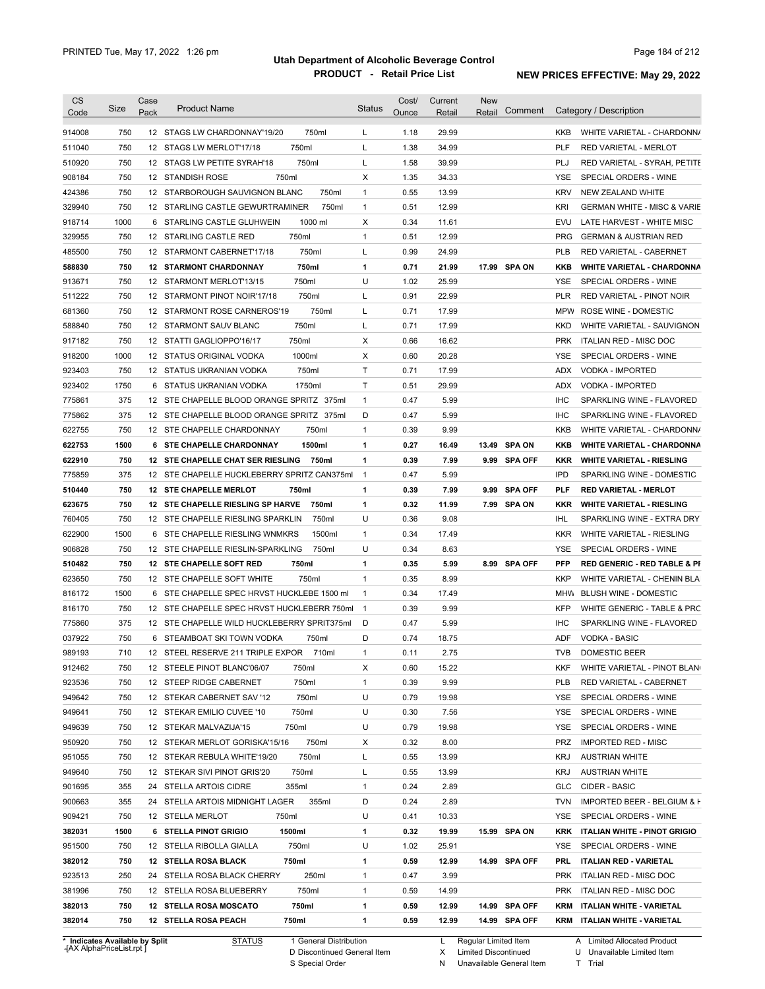| Code                                                                                                                                                                                                                                                   | Size       | Case<br>Pack | <b>Product Name</b>                                                       | <b>Status</b>  | Cost/<br>Ounce | Current<br>Retail | New<br>Retail                  | Comment        | Category / Description                                       |
|--------------------------------------------------------------------------------------------------------------------------------------------------------------------------------------------------------------------------------------------------------|------------|--------------|---------------------------------------------------------------------------|----------------|----------------|-------------------|--------------------------------|----------------|--------------------------------------------------------------|
|                                                                                                                                                                                                                                                        |            |              |                                                                           |                |                |                   |                                |                |                                                              |
| 914008                                                                                                                                                                                                                                                 | 750        |              | 12 STAGS LW CHARDONNAY'19/20<br>750ml                                     | L              | 1.18           | 29.99             |                                |                | WHITE VARIETAL - CHARDONN/<br><b>KKB</b>                     |
| 511040                                                                                                                                                                                                                                                 | 750        |              | 750ml<br>12 STAGS LW MERLOT'17/18                                         | L              | 1.38           | 34.99             |                                |                | <b>PLF</b><br><b>RED VARIETAL - MERLOT</b>                   |
| 510920                                                                                                                                                                                                                                                 | 750        |              | 750ml<br>12 STAGS LW PETITE SYRAH'18                                      | L              | 1.58           | 39.99             |                                |                | PLJ<br>RED VARIETAL - SYRAH, PETITE                          |
| 908184                                                                                                                                                                                                                                                 | 750        |              | 750ml<br>12 STANDISH ROSE                                                 | Х              | 1.35           | 34.33             |                                |                | YSE<br>SPECIAL ORDERS - WINE                                 |
| 424386                                                                                                                                                                                                                                                 | 750        |              | 12 STARBOROUGH SAUVIGNON BLANC<br>750ml                                   | $\mathbf{1}$   | 0.55           | 13.99             |                                |                | <b>KRV</b><br>NEW ZEALAND WHITE                              |
| 329940                                                                                                                                                                                                                                                 | 750        |              | 750ml<br>12 STARLING CASTLE GEWURTRAMINER                                 | 1              | 0.51           | 12.99             |                                |                | KRI<br><b>GERMAN WHITE - MISC &amp; VARIE</b>                |
| 918714                                                                                                                                                                                                                                                 | 1000       |              | 1000 ml<br>6 STARLING CASTLE GLUHWEIN                                     | X              | 0.34           | 11.61             |                                |                | EVU<br>LATE HARVEST - WHITE MISC                             |
| 329955                                                                                                                                                                                                                                                 | 750        |              | 750ml<br>12 STARLING CASTLE RED                                           | $\mathbf{1}$   | 0.51           | 12.99             |                                |                | <b>PRG</b><br><b>GERMAN &amp; AUSTRIAN RED</b>               |
| 485500                                                                                                                                                                                                                                                 | 750        |              | 750ml<br>12 STARMONT CABERNET'17/18                                       | L              | 0.99           | 24.99             |                                |                | <b>PLB</b><br>RED VARIETAL - CABERNET                        |
| 588830                                                                                                                                                                                                                                                 | 750        |              | 750ml<br><b>12 STARMONT CHARDONNAY</b>                                    | $\mathbf{1}$   | 0.71           | 21.99             | 17.99 SPA ON                   |                | KKB<br><b>WHITE VARIETAL - CHARDONNA</b>                     |
| 913671                                                                                                                                                                                                                                                 | 750        |              | 750ml<br>12 STARMONT MERLOT'13/15                                         | U              | 1.02           | 25.99             |                                |                | YSE<br>SPECIAL ORDERS - WINE                                 |
| 511222                                                                                                                                                                                                                                                 | 750        |              | 12 STARMONT PINOT NOIR'17/18<br>750ml                                     | L              | 0.91           | 22.99             |                                |                | <b>PLR</b><br>RED VARIETAL - PINOT NOIR                      |
| 681360                                                                                                                                                                                                                                                 | 750        |              | 750ml<br>12 STARMONT ROSE CARNEROS'19                                     | L              | 0.71           | 17.99             |                                |                | MPW<br>ROSE WINE - DOMESTIC                                  |
| 588840                                                                                                                                                                                                                                                 | 750        |              | 750ml<br>12 STARMONT SAUV BLANC                                           | L              | 0.71           | 17.99             |                                |                | <b>KKD</b><br>WHITE VARIETAL - SAUVIGNON                     |
| 917182                                                                                                                                                                                                                                                 | 750        |              | 750ml<br>12 STATTI GAGLIOPPO'16/17                                        | Χ              | 0.66           | 16.62             |                                |                | <b>PRK</b><br><b>ITALIAN RED - MISC DOC</b>                  |
| 918200                                                                                                                                                                                                                                                 | 1000       |              | 1000ml<br>12 STATUS ORIGINAL VODKA                                        | Χ              | 0.60           | 20.28             |                                |                | <b>YSE</b><br>SPECIAL ORDERS - WINE                          |
| 923403                                                                                                                                                                                                                                                 | 750        |              | 750ml<br>12 STATUS UKRANIAN VODKA                                         | T              | 0.71           | 17.99             |                                |                | <b>ADX</b><br><b>VODKA - IMPORTED</b>                        |
| 923402                                                                                                                                                                                                                                                 | 1750       |              | 1750ml<br>6 STATUS UKRANIAN VODKA                                         | Τ              | 0.51           | 29.99             |                                |                | ADX<br><b>VODKA - IMPORTED</b>                               |
| 775861                                                                                                                                                                                                                                                 | 375        |              | 12 STE CHAPELLE BLOOD ORANGE SPRITZ 375ml                                 | $\mathbf{1}$   | 0.47           | 5.99              |                                |                | <b>IHC</b><br>SPARKLING WINE - FLAVORED                      |
| 775862                                                                                                                                                                                                                                                 | 375        |              | 12 STE CHAPELLE BLOOD ORANGE SPRITZ 375ml                                 | D              | 0.47           | 5.99              |                                |                | <b>IHC</b><br>SPARKLING WINE - FLAVORED                      |
| 622755                                                                                                                                                                                                                                                 | 750        |              | 750ml<br>12 STE CHAPELLE CHARDONNAY                                       | 1              | 0.39           | 9.99              |                                |                | KKB<br>WHITE VARIETAL - CHARDONN/                            |
| 622753                                                                                                                                                                                                                                                 | 1500       |              | 6 STE CHAPELLE CHARDONNAY<br>1500ml                                       | 1              | 0.27           | 16.49             | 13.49                          | <b>SPA ON</b>  | KKB<br><b>WHITE VARIETAL - CHARDONNA</b>                     |
| 622910                                                                                                                                                                                                                                                 | 750        |              | 12 STE CHAPELLE CHAT SER RIESLING<br>750ml                                | 1              | 0.39           | 7.99              | 9.99                           | <b>SPA OFF</b> | KKR<br><b>WHITE VARIETAL - RIESLING</b>                      |
| 775859                                                                                                                                                                                                                                                 | 375        |              | 12 STE CHAPELLE HUCKLEBERRY SPRITZ CAN375ml                               | $\overline{1}$ | 0.47           | 5.99              |                                |                | <b>IPD</b><br>SPARKLING WINE - DOMESTIC                      |
| 510440                                                                                                                                                                                                                                                 | 750        |              | 750ml<br>12 STE CHAPELLE MERLOT                                           | 1              | 0.39           | 7.99              | 9.99                           | <b>SPA OFF</b> | PLF<br><b>RED VARIETAL - MERLOT</b>                          |
| 623675                                                                                                                                                                                                                                                 | 750        |              | 12 STE CHAPELLE RIESLING SP HARVE<br>750ml                                | 1              | 0.32           | 11.99             | 7.99 SPA ON                    |                | KKR<br><b>WHITE VARIETAL - RIESLING</b>                      |
| 760405                                                                                                                                                                                                                                                 | 750        |              | 12 STE CHAPELLE RIESLING SPARKLIN<br>750ml                                | U              | 0.36           | 9.08              |                                |                | IHL<br>SPARKLING WINE - EXTRA DRY                            |
| 622900                                                                                                                                                                                                                                                 | 1500       |              | 6 STE CHAPELLE RIESLING WNMKRS<br>1500ml                                  | 1              | 0.34           | 17.49             |                                |                | <b>KKR</b><br>WHITE VARIETAL - RIESLING                      |
| 906828                                                                                                                                                                                                                                                 |            |              |                                                                           | U              | 0.34           | 8.63              |                                |                | SPECIAL ORDERS - WINE<br>YSE                                 |
|                                                                                                                                                                                                                                                        | 750        |              | 750ml<br>12 STE CHAPELLE RIESLIN-SPARKLING                                |                |                |                   |                                |                |                                                              |
|                                                                                                                                                                                                                                                        | 750        |              | 12 STE CHAPELLE SOFT RED<br>750ml                                         | 1              | 0.35           | 5.99              | 8.99 SPA OFF                   |                | PFP<br><b>RED GENERIC - RED TABLE &amp; PI</b>               |
|                                                                                                                                                                                                                                                        | 750        |              | 12 STE CHAPELLE SOFT WHITE<br>750ml                                       | 1              | 0.35           | 8.99              |                                |                | <b>KKP</b><br>WHITE VARIETAL - CHENIN BLA                    |
|                                                                                                                                                                                                                                                        | 1500       |              | 6 STE CHAPELLE SPEC HRVST HUCKLEBE 1500 ml                                | $\mathbf{1}$   | 0.34           | 17.49             |                                |                | <b>BLUSH WINE - DOMESTIC</b><br>MHW                          |
|                                                                                                                                                                                                                                                        | 750        |              | 12 STE CHAPELLE SPEC HRVST HUCKLEBERR 750ml                               | $\overline{1}$ | 0.39           | 9.99              |                                |                | <b>KFP</b><br>WHITE GENERIC - TABLE & PRC                    |
|                                                                                                                                                                                                                                                        | 375        |              | 12 STE CHAPELLE WILD HUCKLEBERRY SPRIT375ml                               | D              | 0.47           | 5.99              |                                |                | <b>IHC</b><br>SPARKLING WINE - FLAVORED                      |
|                                                                                                                                                                                                                                                        | 750        |              | 6 STEAMBOAT SKI TOWN VODKA<br>750ml                                       | D              | 0.74           | 18.75             |                                |                | <b>VODKA - BASIC</b><br>ADF                                  |
|                                                                                                                                                                                                                                                        | 710        |              | 710ml                                                                     | 1              | 0.11           | 2.75              |                                |                | <b>TVB</b><br><b>DOMESTIC BEER</b>                           |
|                                                                                                                                                                                                                                                        | 750        |              | 12 STEEL RESERVE 211 TRIPLE EXPOR<br>12 STEELE PINOT BLANC'06/07<br>750ml | Х              | 0.60           | 15.22             |                                |                | WHITE VARIETAL - PINOT BLAN<br><b>KKF</b>                    |
|                                                                                                                                                                                                                                                        |            |              | 12 STEEP RIDGE CABERNET                                                   | 1              |                | 9.99              |                                |                | <b>PLB</b>                                                   |
|                                                                                                                                                                                                                                                        | 750        |              | 750ml                                                                     |                | 0.39           |                   |                                |                | RED VARIETAL - CABERNET                                      |
|                                                                                                                                                                                                                                                        | 750        |              | 750ml<br>12 STEKAR CABERNET SAV '12                                       | U              | 0.79           | 19.98             |                                |                | YSE<br>SPECIAL ORDERS - WINE                                 |
|                                                                                                                                                                                                                                                        | 750        |              | 750ml<br>12 STEKAR EMILIO CUVEE '10                                       | U              | 0.30           | 7.56              |                                |                | YSE<br>SPECIAL ORDERS - WINE                                 |
|                                                                                                                                                                                                                                                        | 750        |              | 12 STEKAR MALVAZIJA'15<br>750ml                                           | U              | 0.79           | 19.98             |                                |                | YSE<br>SPECIAL ORDERS - WINE                                 |
|                                                                                                                                                                                                                                                        | 750        |              | 12 STEKAR MERLOT GORISKA'15/16<br>750ml                                   | Х              | 0.32           | 8.00              |                                |                | PRZ<br><b>IMPORTED RED - MISC</b>                            |
|                                                                                                                                                                                                                                                        | 750        |              | 750ml<br>12 STEKAR REBULA WHITE'19/20                                     | L              | 0.55           | 13.99             |                                |                | <b>KRJ</b><br><b>AUSTRIAN WHITE</b>                          |
|                                                                                                                                                                                                                                                        | 750        |              | 12 STEKAR SIVI PINOT GRIS'20<br>750ml                                     | L              | 0.55           | 13.99             |                                |                | <b>KRJ</b><br><b>AUSTRIAN WHITE</b>                          |
|                                                                                                                                                                                                                                                        | 355        |              | 24 STELLA ARTOIS CIDRE<br>355ml                                           | $\mathbf{1}$   | 0.24           | 2.89              |                                |                | CIDER - BASIC<br>GLC                                         |
|                                                                                                                                                                                                                                                        | 355        |              | 24 STELLA ARTOIS MIDNIGHT LAGER<br>355ml                                  | D              | 0.24           | 2.89              |                                |                | <b>TVN</b><br>IMPORTED BEER - BELGIUM & F                    |
|                                                                                                                                                                                                                                                        | 750        |              | 12 STELLA MERLOT<br>750ml                                                 | U              | 0.41           | 10.33             |                                |                | YSE<br>SPECIAL ORDERS - WINE                                 |
|                                                                                                                                                                                                                                                        | 1500       |              | 6 STELLA PINOT GRIGIO<br>1500ml                                           | 1              | 0.32           | 19.99             | 15.99 SPA ON                   |                | KRK ITALIAN WHITE - PINOT GRIGIO                             |
|                                                                                                                                                                                                                                                        | 750        |              | 750ml<br>12 STELLA RIBOLLA GIALLA                                         | U              | 1.02           | 25.91             |                                |                | YSE.<br>SPECIAL ORDERS - WINE                                |
|                                                                                                                                                                                                                                                        | 750        |              | 750ml<br>12 STELLA ROSA BLACK                                             | 1              | 0.59           | 12.99             | 14.99 SPA OFF                  |                | PRL<br><b>ITALIAN RED - VARIETAL</b>                         |
|                                                                                                                                                                                                                                                        | 250        |              | 24 STELLA ROSA BLACK CHERRY<br>250ml                                      | 1              | 0.47           | 3.99              |                                |                | PRK<br>ITALIAN RED - MISC DOC                                |
|                                                                                                                                                                                                                                                        | 750        |              | 750ml<br>12 STELLA ROSA BLUEBERRY                                         | 1              | 0.59           | 14.99             |                                |                | PRK ITALIAN RED - MISC DOC                                   |
| 510482<br>623650<br>816172<br>816170<br>775860<br>037922<br>989193<br>912462<br>923536<br>949642<br>949641<br>949639<br>950920<br>951055<br>949640<br>901695<br>900663<br>909421<br>382031<br>951500<br>382012<br>923513<br>381996<br>382013<br>382014 | 750<br>750 |              | 12 STELLA ROSA MOSCATO<br>750ml<br>12 STELLA ROSA PEACH<br>750ml          | 1<br>1         | 0.59<br>0.59   | 12.99<br>12.99    | 14.99 SPA OFF<br>14.99 SPA OFF |                | KRM ITALIAN WHITE - VARIETAL<br>KRM ITALIAN WHITE - VARIETAL |

**Case** [AX AlphaPriceList.rpt ]

D Discontinued General Item S Special Order

X

N Unavailable General Item Limited Discontinued

A Limited Allocated Product

U Unavailable Limited Item T Trial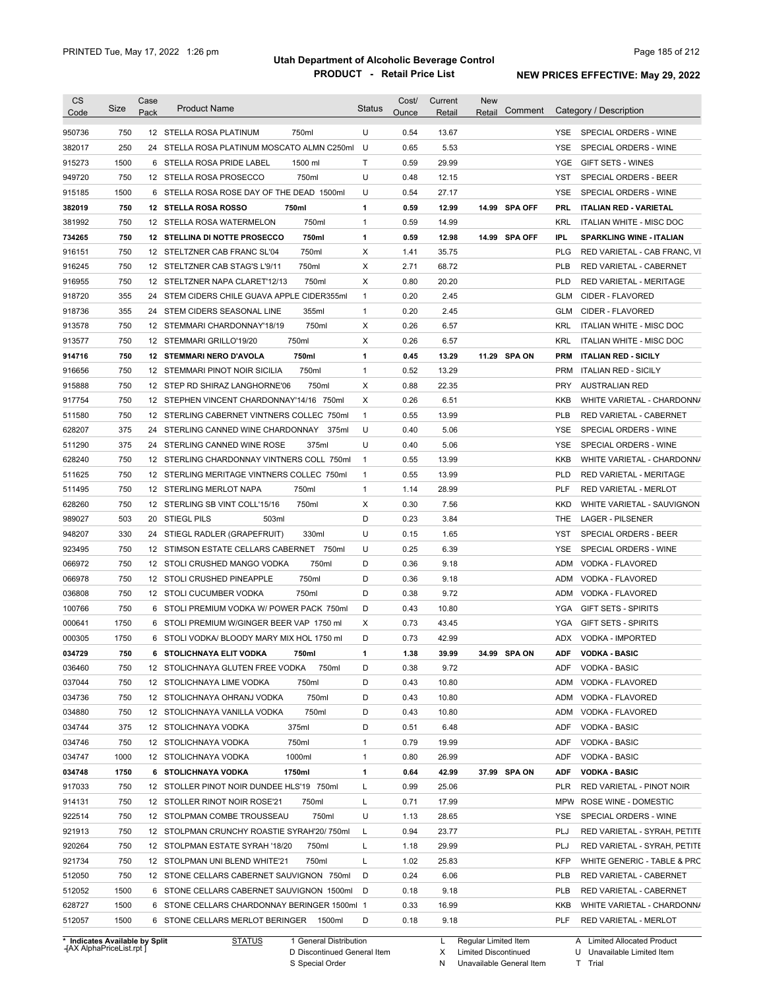| <b>CS</b><br>Code | Size                           | Case<br>Pack | <b>Product Name</b>                               | <b>Status</b> | Cost/<br>Ounce | Current<br>Retail | <b>New</b><br>Retail | Comment       |            | Category / Description          |
|-------------------|--------------------------------|--------------|---------------------------------------------------|---------------|----------------|-------------------|----------------------|---------------|------------|---------------------------------|
| 950736            | 750                            |              | 750ml<br>12 STELLA ROSA PLATINUM                  | U             | 0.54           | 13.67             |                      |               | <b>YSE</b> | SPECIAL ORDERS - WINE           |
| 382017            | 250                            |              | 24 STELLA ROSA PLATINUM MOSCATO ALMN C250ml       | U             | 0.65           | 5.53              |                      |               | <b>YSE</b> | SPECIAL ORDERS - WINE           |
| 915273            | 1500                           |              | 6 STELLA ROSA PRIDE LABEL<br>1500 ml              | Τ             | 0.59           | 29.99             |                      |               | YGE        | GIFT SETS - WINES               |
| 949720            | 750                            |              | 12 STELLA ROSA PROSECCO<br>750ml                  | U             | 0.48           | 12.15             |                      |               | YST        | SPECIAL ORDERS - BEER           |
| 915185            | 1500                           |              | 6 STELLA ROSA ROSE DAY OF THE DEAD 1500ml         | U             | 0.54           | 27.17             |                      |               | YSE        | SPECIAL ORDERS - WINE           |
| 382019            | 750                            |              | 12 STELLA ROSA ROSSO<br>750ml                     | 1             | 0.59           | 12.99             |                      | 14.99 SPA OFF | <b>PRL</b> | <b>ITALIAN RED - VARIETAL</b>   |
| 381992            | 750                            |              | 750ml<br>12 STELLA ROSA WATERMELON                | $\mathbf{1}$  | 0.59           | 14.99             |                      |               | <b>KRL</b> | <b>ITALIAN WHITE - MISC DOC</b> |
| 734265            | 750                            |              | 12 STELLINA DI NOTTE PROSECCO<br>750ml            | 1             | 0.59           | 12.98             |                      | 14.99 SPA OFF | IPL        | <b>SPARKLING WINE - ITALIAN</b> |
| 916151            | 750                            |              | 750ml<br>12 STELTZNER CAB FRANC SL'04             | X             | 1.41           | 35.75             |                      |               | <b>PLG</b> | RED VARIETAL - CAB FRANC, VI    |
| 916245            | 750                            |              | 750ml<br>12 STELTZNER CAB STAG'S L'9/11           | Х             | 2.71           | 68.72             |                      |               | <b>PLB</b> | RED VARIETAL - CABERNET         |
| 916955            | 750                            |              | 12 STELTZNER NAPA CLARET'12/13<br>750ml           | Х             | 0.80           | 20.20             |                      |               | <b>PLD</b> | RED VARIETAL - MERITAGE         |
| 918720            | 355                            |              | 24 STEM CIDERS CHILE GUAVA APPLE CIDER355ml       | $\mathbf{1}$  | 0.20           | 2.45              |                      |               | <b>GLM</b> | CIDER - FLAVORED                |
| 918736            | 355                            | 24           | 355ml<br>STEM CIDERS SEASONAL LINE                | $\mathbf{1}$  | 0.20           | 2.45              |                      |               | <b>GLM</b> | CIDER - FLAVORED                |
| 913578            | 750                            |              | 750ml<br>12 STEMMARI CHARDONNAY'18/19             | Х             | 0.26           | 6.57              |                      |               | <b>KRL</b> | ITALIAN WHITE - MISC DOC        |
| 913577            | 750                            |              | 750ml<br>12 STEMMARI GRILLO'19/20                 | Х             | 0.26           | 6.57              |                      |               | <b>KRL</b> | ITALIAN WHITE - MISC DOC        |
| 914716            | 750                            |              | 750ml<br>12 STEMMARI NERO D'AVOLA                 | 1             | 0.45           | 13.29             |                      | 11.29 SPA ON  | <b>PRM</b> | <b>ITALIAN RED - SICILY</b>     |
| 916656            | 750                            |              | 750ml<br>12 STEMMARI PINOT NOIR SICILIA           | $\mathbf{1}$  | 0.52           | 13.29             |                      |               | <b>PRM</b> | <b>ITALIAN RED - SICILY</b>     |
| 915888            | 750                            |              | 750ml<br>12 STEP RD SHIRAZ LANGHORNE'06           | Х             | 0.88           | 22.35             |                      |               | <b>PRY</b> | <b>AUSTRALIAN RED</b>           |
| 917754            | 750                            |              | 12 STEPHEN VINCENT CHARDONNAY'14/16 750ml         | Χ             | 0.26           | 6.51              |                      |               | KKB        | WHITE VARIETAL - CHARDONN/      |
| 511580            | 750                            |              | 12 STERLING CABERNET VINTNERS COLLEC 750ml        | $\mathbf{1}$  | 0.55           | 13.99             |                      |               | <b>PLB</b> | RED VARIETAL - CABERNET         |
| 628207            | 375                            | 24           | STERLING CANNED WINE CHARDONNAY<br>375ml          | U             | 0.40           | 5.06              |                      |               | YSE        | SPECIAL ORDERS - WINE           |
| 511290            | 375                            | 24           | STERLING CANNED WINE ROSE<br>375ml                | U             | 0.40           | 5.06              |                      |               | YSE        | SPECIAL ORDERS - WINE           |
| 628240            | 750                            |              | 12 STERLING CHARDONNAY VINTNERS COLL 750ml        | $\mathbf{1}$  | 0.55           | 13.99             |                      |               | KKB        | WHITE VARIETAL - CHARDONN/      |
| 511625            | 750                            |              | 12 STERLING MERITAGE VINTNERS COLLEC 750ml        | $\mathbf{1}$  | 0.55           | 13.99             |                      |               | <b>PLD</b> | RED VARIETAL - MERITAGE         |
| 511495            | 750                            |              | 750ml<br>12 STERLING MERLOT NAPA                  | $\mathbf{1}$  | 1.14           | 28.99             |                      |               | <b>PLF</b> | RED VARIETAL - MERLOT           |
| 628260            | 750                            |              | 750ml<br>12 STERLING SB VINT COLL'15/16           | Х             | 0.30           | 7.56              |                      |               | KKD        | WHITE VARIETAL - SAUVIGNON      |
| 989027            | 503                            |              | 20 STIEGL PILS<br>503ml                           | D             | 0.23           | 3.84              |                      |               | THE        | <b>LAGER - PILSENER</b>         |
| 948207            | 330                            | 24           | STIEGL RADLER (GRAPEFRUIT)<br>330ml               | U             | 0.15           | 1.65              |                      |               | <b>YST</b> | SPECIAL ORDERS - BEER           |
|                   | 750                            |              |                                                   | U             | 0.25           | 6.39              |                      |               | <b>YSE</b> | SPECIAL ORDERS - WINE           |
| 923495            | 750                            |              | 12 STIMSON ESTATE CELLARS CABERNET 750ml<br>750ml | D             | 0.36           |                   |                      |               | ADM        | VODKA - FLAVORED                |
| 066972            |                                |              | 12 STOLI CRUSHED MANGO VODKA                      | D             |                | 9.18              |                      |               |            |                                 |
| 066978            | 750                            |              | 12 STOLI CRUSHED PINEAPPLE<br>750ml               |               | 0.36           | 9.18              |                      |               | ADM        | VODKA - FLAVORED                |
| 036808            | 750                            |              | 12 STOLI CUCUMBER VODKA<br>750ml                  | D             | 0.38           | 9.72              |                      |               | ADM        | VODKA - FLAVORED                |
| 100766            | 750                            |              | 6 STOLI PREMIUM VODKA W/ POWER PACK 750ml         | D             | 0.43           | 10.80             |                      |               | YGA        | <b>GIFT SETS - SPIRITS</b>      |
| 000641            | 1750                           |              | 6 STOLI PREMIUM W/GINGER BEER VAP 1750 ml         | Χ             | 0.73           | 43.45             |                      |               | YGA        | <b>GIFT SETS - SPIRITS</b>      |
| 000305            | 1750                           |              | 6 STOLI VODKA/ BLOODY MARY MIX HOL 1750 ml        | D             | 0.73           | 42.99             |                      |               |            | ADX VODKA - IMPORTED            |
| 034729            | 750                            |              | 6 STOLICHNAYA ELIT VODKA<br>750ml                 | 1             | 1.38           | 39.99             |                      | 34.99 SPA ON  |            | ADF VODKA - BASIC               |
| 036460            | 750                            |              | 12 STOLICHNAYA GLUTEN FREE VODKA<br>750ml         | D             | 0.38           | 9.72              |                      |               | ADF        | <b>VODKA - BASIC</b>            |
| 037044            | 750                            |              | 12 STOLICHNAYA LIME VODKA<br>750ml                | D             | 0.43           | 10.80             |                      |               | <b>ADM</b> | VODKA - FLAVORED                |
| 034736            | 750                            |              | 750ml<br>12 STOLICHNAYA OHRANJ VODKA              | D             | 0.43           | 10.80             |                      |               | ADM        | VODKA - FLAVORED                |
| 034880            | 750                            |              | 750ml<br>12 STOLICHNAYA VANILLA VODKA             | D             | 0.43           | 10.80             |                      |               | ADM        | VODKA - FLAVORED                |
| 034744            | 375                            |              | 375ml<br>12 STOLICHNAYA VODKA                     | D             | 0.51           | 6.48              |                      |               | <b>ADF</b> | <b>VODKA - BASIC</b>            |
| 034746            | 750                            |              | 750ml<br>12 STOLICHNAYA VODKA                     | 1             | 0.79           | 19.99             |                      |               | ADF        | <b>VODKA - BASIC</b>            |
| 034747            | 1000                           |              | 1000ml<br>12 STOLICHNAYA VODKA                    | 1             | 0.80           | 26.99             |                      |               | ADF        | <b>VODKA - BASIC</b>            |
| 034748            | 1750                           |              | 1750ml<br>6 STOLICHNAYA VODKA                     | 1             | 0.64           | 42.99             |                      | 37.99 SPA ON  | <b>ADF</b> | <b>VODKA - BASIC</b>            |
| 917033            | 750                            |              | 12 STOLLER PINOT NOIR DUNDEE HLS'19 750ml         | L             | 0.99           | 25.06             |                      |               | <b>PLR</b> | RED VARIETAL - PINOT NOIR       |
| 914131            | 750                            |              | 12 STOLLER RINOT NOIR ROSE'21<br>750ml            | L             | 0.71           | 17.99             |                      |               | <b>MPW</b> | ROSE WINE - DOMESTIC            |
| 922514            | 750                            |              | 12 STOLPMAN COMBE TROUSSEAU<br>750ml              | U             | 1.13           | 28.65             |                      |               | YSE        | SPECIAL ORDERS - WINE           |
| 921913            | 750                            |              | 12 STOLPMAN CRUNCHY ROASTIE SYRAH'20/750ml        | L             | 0.94           | 23.77             |                      |               | <b>PLJ</b> | RED VARIETAL - SYRAH, PETITE    |
| 920264            | 750                            |              | 12 STOLPMAN ESTATE SYRAH '18/20<br>750ml          | L             | 1.18           | 29.99             |                      |               | <b>PLJ</b> | RED VARIETAL - SYRAH, PETITE    |
| 921734            | 750                            |              | 750ml<br>12 STOLPMAN UNI BLEND WHITE'21           | L             | 1.02           | 25.83             |                      |               | <b>KFP</b> | WHITE GENERIC - TABLE & PRC     |
| 512050            | 750                            |              | 12 STONE CELLARS CABERNET SAUVIGNON 750ml         | D             | 0.24           | 6.06              |                      |               | <b>PLB</b> | RED VARIETAL - CABERNET         |
| 512052            | 1500                           |              | 6 STONE CELLARS CABERNET SAUVIGNON 1500ml         | D             | 0.18           | 9.18              |                      |               | <b>PLB</b> | RED VARIETAL - CABERNET         |
| 628727            | 1500                           |              | 6 STONE CELLARS CHARDONNAY BERINGER 1500ml 1      |               | 0.33           | 16.99             |                      |               | KKB        | WHITE VARIETAL - CHARDONN/      |
| 512057            | 1500                           |              | 6 STONE CELLARS MERLOT BERINGER<br>1500ml         | D             | 0.18           | 9.18              |                      |               | PLF        | RED VARIETAL - MERLOT           |
|                   | * Indicates Available by Split |              | <b>STATUS</b><br>1 General Distribution           |               |                | L                 | Regular Limited Item |               |            | A Limited Allocated Product     |
|                   |                                |              |                                                   |               |                |                   |                      |               |            |                                 |

**Case** [AX AlphaPriceList.rpt ]

D Discontinued General Item

S Special Order

X Limited Discontinued N Unavailable General Item U Unavailable Limited Item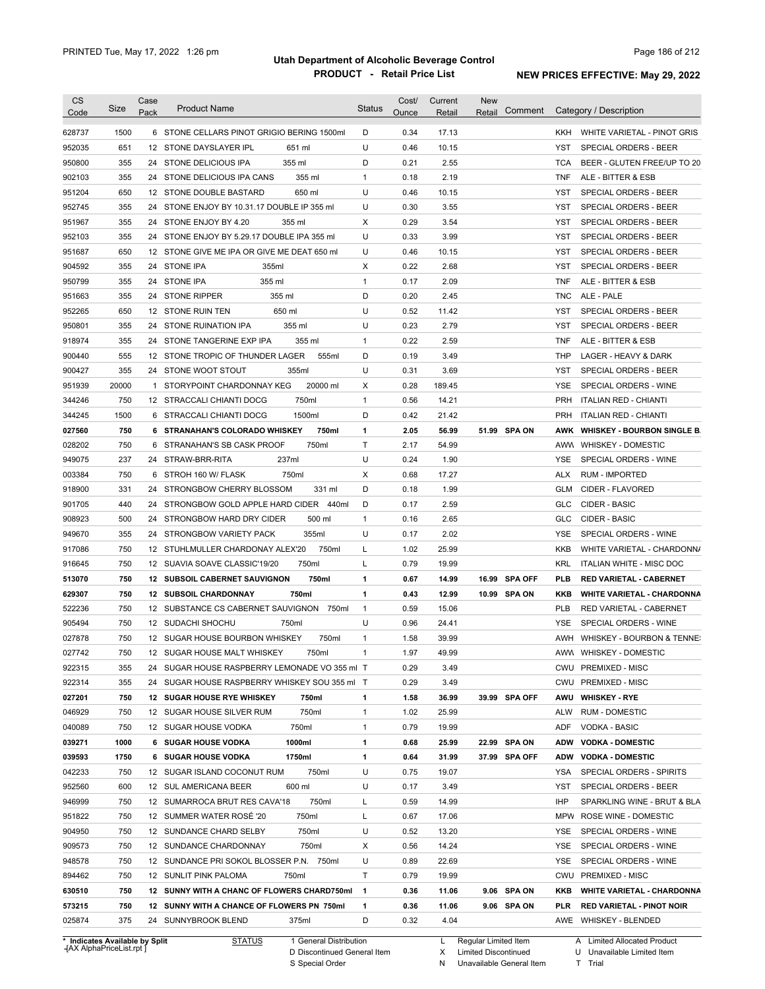|                                                                                                                                                                                                                                    | Size       | Case<br>Pack | <b>Product Name</b>                                                        | <b>Status</b>  | Cost/<br>Ounce | Current<br>Retail | <b>New</b><br>Retail | Comment |            | Category / Description                                    |
|------------------------------------------------------------------------------------------------------------------------------------------------------------------------------------------------------------------------------------|------------|--------------|----------------------------------------------------------------------------|----------------|----------------|-------------------|----------------------|---------|------------|-----------------------------------------------------------|
| 628737                                                                                                                                                                                                                             | 1500       |              | 6 STONE CELLARS PINOT GRIGIO BERING 1500ml                                 | D              | 0.34           | 17.13             |                      |         | KKH        | WHITE VARIETAL - PINOT GRIS                               |
| 952035                                                                                                                                                                                                                             | 651        |              | 12 STONE DAYSLAYER IPL<br>651 ml                                           | U              | 0.46           | 10.15             |                      |         | YST        | SPECIAL ORDERS - BEER                                     |
| 950800                                                                                                                                                                                                                             | 355        |              | 355 ml<br>24 STONE DELICIOUS IPA                                           | D              | 0.21           | 2.55              |                      |         | <b>TCA</b> | BEER - GLUTEN FREE/UP TO 20                               |
| 902103                                                                                                                                                                                                                             | 355        |              | 355 ml<br>24 STONE DELICIOUS IPA CANS                                      | 1              | 0.18           | 2.19              |                      |         | <b>TNF</b> | ALE - BITTER & ESB                                        |
| 951204                                                                                                                                                                                                                             | 650        |              | 650 ml<br>12 STONE DOUBLE BASTARD                                          | U              | 0.46           | 10.15             |                      |         | YST        | SPECIAL ORDERS - BEER                                     |
| 952745                                                                                                                                                                                                                             | 355        |              | 24 STONE ENJOY BY 10.31.17 DOUBLE IP 355 ml                                | U              | 0.30           | 3.55              |                      |         | YST        | SPECIAL ORDERS - BEER                                     |
| 951967                                                                                                                                                                                                                             | 355        |              | 24 STONE ENJOY BY 4.20<br>355 ml                                           | X              | 0.29           | 3.54              |                      |         | <b>YST</b> | SPECIAL ORDERS - BEER                                     |
| 952103                                                                                                                                                                                                                             | 355        |              | 24 STONE ENJOY BY 5.29.17 DOUBLE IPA 355 ml                                | U              | 0.33           | 3.99              |                      |         | YST        | SPECIAL ORDERS - BEER                                     |
| 951687                                                                                                                                                                                                                             | 650        |              | 12 STONE GIVE ME IPA OR GIVE ME DEAT 650 ml                                | U              | 0.46           | 10.15             |                      |         | YST        | <b>SPECIAL ORDERS - BEER</b>                              |
| 904592                                                                                                                                                                                                                             | 355        |              | 24 STONE IPA<br>355ml                                                      | X              | 0.22           | 2.68              |                      |         | YST        | SPECIAL ORDERS - BEER                                     |
| 950799                                                                                                                                                                                                                             | 355        |              | 355 ml<br>24 STONE IPA                                                     | 1              | 0.17           | 2.09              |                      |         | <b>TNF</b> | ALE - BITTER & ESB                                        |
| 951663                                                                                                                                                                                                                             | 355        |              | 24 STONE RIPPER<br>355 ml                                                  | D              | 0.20           | 2.45              |                      |         | <b>TNC</b> | ALE - PALE                                                |
| 952265                                                                                                                                                                                                                             | 650        |              | 650 ml<br>12 STONE RUIN TEN                                                | U              | 0.52           | 11.42             |                      |         | <b>YST</b> | SPECIAL ORDERS - BEER                                     |
| 950801                                                                                                                                                                                                                             | 355        |              | 355 ml<br>24 STONE RUINATION IPA                                           | U              | 0.23           | 2.79              |                      |         | <b>YST</b> | <b>SPECIAL ORDERS - BEER</b>                              |
| 918974                                                                                                                                                                                                                             | 355        |              | 24 STONE TANGERINE EXP IPA<br>355 ml                                       | 1              | 0.22           | 2.59              |                      |         | <b>TNF</b> | ALE - BITTER & ESB                                        |
| 900440                                                                                                                                                                                                                             | 555        |              | 555ml<br>12 STONE TROPIC OF THUNDER LAGER                                  | D              | 0.19           | 3.49              |                      |         | <b>THP</b> | LAGER - HEAVY & DARK                                      |
| 900427                                                                                                                                                                                                                             | 355        |              | 24 STONE WOOT STOUT<br>355ml                                               | U              | 0.31           | 3.69              |                      |         | <b>YST</b> | SPECIAL ORDERS - BEER                                     |
| 951939                                                                                                                                                                                                                             | 20000      |              | 20000 ml<br>1 STORYPOINT CHARDONNAY KEG                                    | х              | 0.28           | 189.45            |                      |         | YSE        | SPECIAL ORDERS - WINE                                     |
| 344246                                                                                                                                                                                                                             | 750        |              | 750ml<br>12 STRACCALI CHIANTI DOCG                                         | 1              | 0.56           | 14.21             |                      |         | <b>PRH</b> | <b>ITALIAN RED - CHIANTI</b>                              |
| 344245                                                                                                                                                                                                                             | 1500       |              | 6 STRACCALI CHIANTI DOCG<br>1500ml                                         | D              | 0.42           | 21.42             |                      |         | <b>PRH</b> | ITALIAN RED - CHIANTI                                     |
| 027560                                                                                                                                                                                                                             | 750        |              | 6 STRANAHAN'S COLORADO WHISKEY<br>750ml                                    | 1              | 2.05           | 56.99             | 51.99 SPA ON         |         | AWK        | <b>WHISKEY - BOURBON SINGLE B.</b>                        |
| 028202                                                                                                                                                                                                                             | 750        | 6.           | 750ml<br>STRANAHAN'S SB CASK PROOF                                         | Τ              | 2.17           | 54.99             |                      |         |            | AWW WHISKEY - DOMESTIC                                    |
| 949075                                                                                                                                                                                                                             | 237        |              | 237ml<br>24 STRAW-BRR-RITA                                                 | U              | 0.24           | 1.90              |                      |         | YSE        | SPECIAL ORDERS - WINE                                     |
| 003384                                                                                                                                                                                                                             | 750        |              | 6 STROH 160 W/ FLASK<br>750ml                                              | Х              | 0.68           | 17.27             |                      |         | <b>ALX</b> | <b>RUM - IMPORTED</b>                                     |
| 918900                                                                                                                                                                                                                             | 331        |              | 24 STRONGBOW CHERRY BLOSSOM<br>331 ml                                      | D              | 0.18           | 1.99              |                      |         | <b>GLM</b> | CIDER - FLAVORED                                          |
| 901705                                                                                                                                                                                                                             | 440        |              | 24 STRONGBOW GOLD APPLE HARD CIDER 440ml                                   | D              | 0.17           | 2.59              |                      |         | <b>GLC</b> | <b>CIDER - BASIC</b>                                      |
| 908923                                                                                                                                                                                                                             | 500        |              | 24 STRONGBOW HARD DRY CIDER<br>500 ml                                      | 1              | 0.16           | 2.65              |                      |         | <b>GLC</b> | CIDER - BASIC                                             |
| 949670                                                                                                                                                                                                                             | 355        |              | 24 STRONGBOW VARIETY PACK<br>355ml                                         | U              | 0.17           | 2.02              |                      |         | YSE        | SPECIAL ORDERS - WINE                                     |
| 917086                                                                                                                                                                                                                             | 750        |              | 750ml<br>12 STUHLMULLER CHARDONAY ALEX'20                                  | L              | 1.02           | 25.99             |                      |         | KKB        | WHITE VARIETAL - CHARDONN/                                |
| 916645                                                                                                                                                                                                                             | 750        |              | 750ml<br>12 SUAVIA SOAVE CLASSIC'19/20                                     | L              | 0.79           | 19.99             |                      |         | <b>KRL</b> | ITALIAN WHITE - MISC DOC                                  |
| 513070                                                                                                                                                                                                                             |            |              | 750ml<br>12 SUBSOIL CABERNET SAUVIGNON                                     | 1              | 0.67           | 14.99             | 16.99 SPA OFF        |         | <b>PLB</b> | <b>RED VARIETAL - CABERNET</b>                            |
|                                                                                                                                                                                                                                    |            |              |                                                                            | 1              |                |                   |                      |         |            | <b>WHITE VARIETAL - CHARDONNA</b>                         |
|                                                                                                                                                                                                                                    | 750        |              |                                                                            |                |                |                   |                      |         |            |                                                           |
|                                                                                                                                                                                                                                    | 750        |              | 750ml<br><b>12 SUBSOIL CHARDONNAY</b>                                      |                | 0.43           | 12.99             | 10.99 SPA ON         |         | KKB        |                                                           |
|                                                                                                                                                                                                                                    | 750        |              | 12 SUBSTANCE CS CABERNET SAUVIGNON<br>750ml                                | $\mathbf{1}$   | 0.59           | 15.06             |                      |         | <b>PLB</b> | RED VARIETAL - CABERNET                                   |
|                                                                                                                                                                                                                                    | 750        |              | 12 SUDACHI SHOCHU<br>750ml                                                 | U              | 0.96           | 24.41             |                      |         | YSE        | SPECIAL ORDERS - WINE                                     |
|                                                                                                                                                                                                                                    | 750        |              | 12 SUGAR HOUSE BOURBON WHISKEY<br>750ml                                    | 1              | 1.58           | 39.99             |                      |         |            | AWH WHISKEY - BOURBON & TENNE:                            |
|                                                                                                                                                                                                                                    | 750        |              | 12 SUGAR HOUSE MALT WHISKEY<br>750ml                                       | 1              | 1.97           | 49.99             |                      |         |            | AWW WHISKEY - DOMESTIC                                    |
|                                                                                                                                                                                                                                    | 355        |              | 24 SUGAR HOUSE RASPBERRY LEMONADE VO 355 ml T                              |                | 0.29           | 3.49              |                      |         |            | CWU PREMIXED - MISC                                       |
|                                                                                                                                                                                                                                    | 355        |              | 24 SUGAR HOUSE RASPBERRY WHISKEY SOU 355 ml T                              |                | 0.29           | 3.49              |                      |         | <b>CWU</b> | <b>PREMIXED - MISC</b>                                    |
|                                                                                                                                                                                                                                    | 750        |              | 12 SUGAR HOUSE RYE WHISKEY<br>750ml                                        | 1              | 1.58           | 36.99             | 39.99 SPA OFF        |         | AWU        | <b>WHISKEY - RYE</b>                                      |
|                                                                                                                                                                                                                                    | 750        |              | 750ml<br>12 SUGAR HOUSE SILVER RUM                                         | 1              | 1.02           | 25.99             |                      |         | <b>ALW</b> | RUM - DOMESTIC                                            |
|                                                                                                                                                                                                                                    | 750        |              | 12 SUGAR HOUSE VODKA<br>750ml                                              | 1              | 0.79           | 19.99             |                      |         | ADF        | VODKA - BASIC                                             |
|                                                                                                                                                                                                                                    | 1000       |              | <b>6 SUGAR HOUSE VODKA</b><br>1000ml                                       | 1              | 0.68           | 25.99             | 22.99 SPA ON         |         | <b>ADW</b> | <b>VODKA - DOMESTIC</b>                                   |
|                                                                                                                                                                                                                                    | 1750       |              | <b>6 SUGAR HOUSE VODKA</b><br>1750ml                                       | 1              | 0.64           | 31.99             | 37.99 SPA OFF        |         | <b>ADW</b> | <b>VODKA - DOMESTIC</b>                                   |
|                                                                                                                                                                                                                                    | 750        |              | 750ml<br>12 SUGAR ISLAND COCONUT RUM                                       | U              | 0.75           | 19.07             |                      |         | YSA        | SPECIAL ORDERS - SPIRITS                                  |
|                                                                                                                                                                                                                                    | 600        |              | 600 ml<br>12 SUL AMERICANA BEER                                            | U              | 0.17           | 3.49              |                      |         | YST        | SPECIAL ORDERS - BEER                                     |
|                                                                                                                                                                                                                                    | 750        |              | 750ml<br>12 SUMARROCA BRUT RES CAVA'18                                     | L              | 0.59           | 14.99             |                      |         | IHP        | SPARKLING WINE - BRUT & BLA                               |
|                                                                                                                                                                                                                                    | 750        |              | 12 SUMMER WATER ROSÉ '20<br>750ml                                          | L              | 0.67           | 17.06             |                      |         | <b>MPW</b> | ROSE WINE - DOMESTIC                                      |
|                                                                                                                                                                                                                                    | 750        |              | 750ml<br>12 SUNDANCE CHARD SELBY                                           | U              | 0.52           | 13.20             |                      |         | YSE        | SPECIAL ORDERS - WINE                                     |
|                                                                                                                                                                                                                                    | 750        |              | 750ml<br>12 SUNDANCE CHARDONNAY                                            | х              | 0.56           | 14.24             |                      |         | YSE        | SPECIAL ORDERS - WINE                                     |
|                                                                                                                                                                                                                                    | 750        |              | 12 SUNDANCE PRI SOKOL BLOSSER P.N. 750ml                                   | U              | 0.89           | 22.69             |                      |         | YSE        | SPECIAL ORDERS - WINE                                     |
|                                                                                                                                                                                                                                    | 750        |              | 12 SUNLIT PINK PALOMA<br>750ml                                             | Т              | 0.79           | 19.99             |                      |         | CWU        | <b>PREMIXED - MISC</b>                                    |
|                                                                                                                                                                                                                                    | 750        |              | 12 SUNNY WITH A CHANC OF FLOWERS CHARD750ml                                | $\overline{1}$ | 0.36           | 11.06             | 9.06 SPA ON          |         | KKB        | <b>WHITE VARIETAL - CHARDONNA</b>                         |
| 629307<br>522236<br>905494<br>027878<br>027742<br>922315<br>922314<br>027201<br>046929<br>040089<br>039271<br>039593<br>042233<br>952560<br>946999<br>951822<br>904950<br>909573<br>948578<br>894462<br>630510<br>573215<br>025874 | 750<br>375 |              | 12 SUNNY WITH A CHANCE OF FLOWERS PN 750ml<br>24 SUNNYBROOK BLEND<br>375ml | 1<br>D         | 0.36<br>0.32   | 11.06<br>4.04     | 9.06 SPA ON          |         | <b>PLR</b> | <b>RED VARIETAL - PINOT NOIR</b><br>AWE WHISKEY - BLENDED |

**Case** [AX AlphaPriceList.rpt ]

D Discontinued General Item S Special Order

Regular Limited Item

X

Limited Discontinued

N Unavailable General Item

A Limited Allocated Product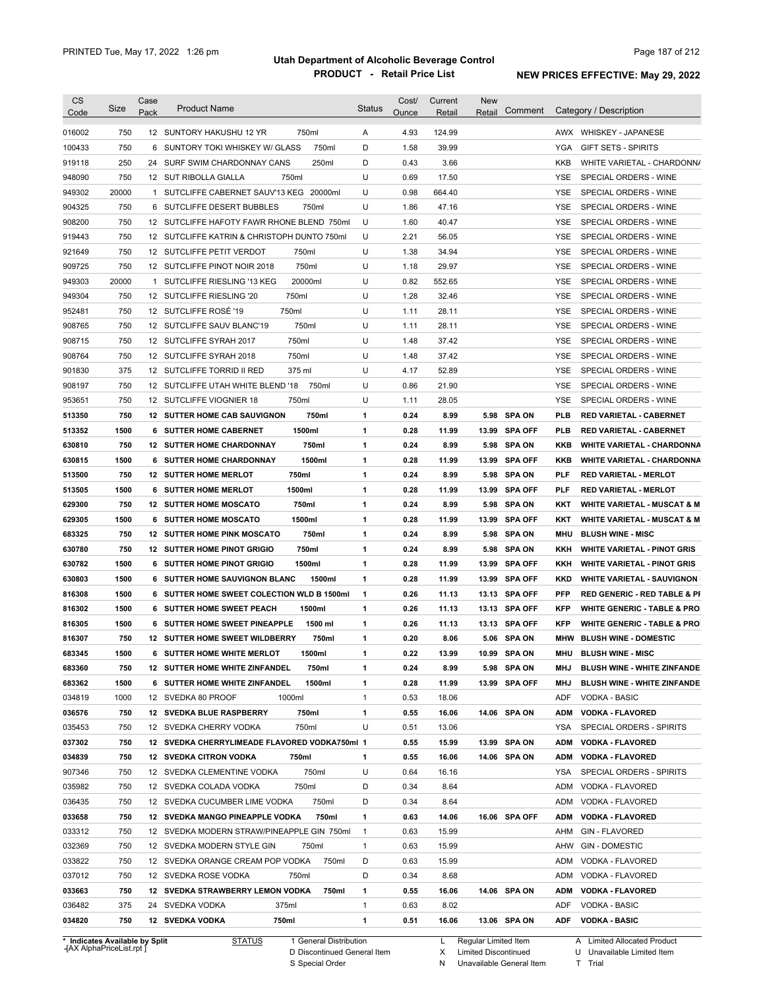| <b>CS</b><br>Code              | <b>Size</b> | Case<br>Pack | <b>Product Name</b>                           | <b>Status</b> | Cost/<br>Ounce | Current<br>Retail | <b>New</b><br>Retail | Comment        |            | Category / Description                  |
|--------------------------------|-------------|--------------|-----------------------------------------------|---------------|----------------|-------------------|----------------------|----------------|------------|-----------------------------------------|
| 016002                         | 750         |              | 12 SUNTORY HAKUSHU 12 YR<br>750ml             | Α             | 4.93           | 124.99            |                      |                |            | AWX WHISKEY - JAPANESE                  |
| 100433                         | 750         | 6            | 750ml<br>SUNTORY TOKI WHISKEY W/ GLASS        | D             | 1.58           | 39.99             |                      |                | YGA        | <b>GIFT SETS - SPIRITS</b>              |
| 919118                         | 250         |              | 24 SURF SWIM CHARDONNAY CANS<br>250ml         | D             | 0.43           | 3.66              |                      |                | KKB        | WHITE VARIETAL - CHARDONN/              |
| 948090                         | 750         |              | 750ml<br>12 SUT RIBOLLA GIALLA                | U             | 0.69           | 17.50             |                      |                | <b>YSE</b> | SPECIAL ORDERS - WINE                   |
| 949302                         | 20000       |              | 1 SUTCLIFFE CABERNET SAUV'13 KEG 20000ml      | U             | 0.98           | 664.40            |                      |                | <b>YSE</b> | SPECIAL ORDERS - WINE                   |
| 904325                         | 750         |              | 750ml<br>6 SUTCLIFFE DESERT BUBBLES           | U             | 1.86           | 47.16             |                      |                | <b>YSE</b> | SPECIAL ORDERS - WINE                   |
| 908200                         | 750         |              | 12 SUTCLIFFE HAFOTY FAWR RHONE BLEND 750ml    | U             | 1.60           | 40.47             |                      |                | YSE        | SPECIAL ORDERS - WINE                   |
| 919443                         | 750         |              | 12 SUTCLIFFE KATRIN & CHRISTOPH DUNTO 750ml   | U             | 2.21           | 56.05             |                      |                | YSE        | SPECIAL ORDERS - WINE                   |
| 921649                         | 750         |              | 750ml<br>12 SUTCLIFFE PETIT VERDOT            | U             | 1.38           | 34.94             |                      |                | YSE        | SPECIAL ORDERS - WINE                   |
| 909725                         | 750         |              | 750ml<br>12 SUTCLIFFE PINOT NOIR 2018         | U             | 1.18           | 29.97             |                      |                | YSE        | SPECIAL ORDERS - WINE                   |
| 949303                         | 20000       | 1            | SUTCLIFFE RIESLING '13 KEG<br>20000ml         | U             | 0.82           | 552.65            |                      |                | <b>YSE</b> | SPECIAL ORDERS - WINE                   |
| 949304                         | 750         |              | 750ml<br>12 SUTCLIFFE RIESLING '20            | U             | 1.28           | 32.46             |                      |                | <b>YSE</b> | SPECIAL ORDERS - WINE                   |
| 952481                         | 750         |              | 12 SUTCLIFFE ROSÉ '19<br>750ml                | U             | 1.11           | 28.11             |                      |                | <b>YSE</b> | SPECIAL ORDERS - WINE                   |
| 908765                         | 750         | 12           | SUTCLIFFE SAUV BLANC'19<br>750ml              | U             | 1.11           | 28.11             |                      |                | <b>YSE</b> | SPECIAL ORDERS - WINE                   |
| 908715                         | 750         |              | 750ml<br>12 SUTCLIFFE SYRAH 2017              | U             | 1.48           | 37.42             |                      |                | <b>YSE</b> | SPECIAL ORDERS - WINE                   |
| 908764                         | 750         |              | 750ml<br>12 SUTCLIFFE SYRAH 2018              | U             | 1.48           | 37.42             |                      |                | <b>YSE</b> | SPECIAL ORDERS - WINE                   |
| 901830                         | 375         |              | 12 SUTCLIFFE TORRID II RED<br>375 ml          | U             | 4.17           | 52.89             |                      |                | <b>YSE</b> | SPECIAL ORDERS - WINE                   |
| 908197                         | 750         |              | 750ml<br>12 SUTCLIFFE UTAH WHITE BLEND '18    | U             | 0.86           | 21.90             |                      |                | <b>YSE</b> | SPECIAL ORDERS - WINE                   |
| 953651                         | 750         |              | 750ml<br>12 SUTCLIFFE VIOGNIER 18             | U             | 1.11           | 28.05             |                      |                | <b>YSE</b> | SPECIAL ORDERS - WINE                   |
| 513350                         | 750         |              | 750ml<br><b>12 SUTTER HOME CAB SAUVIGNON</b>  | 1             | 0.24           | 8.99              |                      | 5.98 SPA ON    | <b>PLB</b> | <b>RED VARIETAL - CABERNET</b>          |
| 513352                         | 1500        |              | 1500ml<br><b>6 SUTTER HOME CABERNET</b>       | 1             | 0.28           | 11.99             | 13.99                | <b>SPA OFF</b> | <b>PLB</b> | <b>RED VARIETAL - CABERNET</b>          |
| 630810                         | 750         |              | 750ml<br><b>12 SUTTER HOME CHARDONNAY</b>     | 1             | 0.24           | 8.99              | 5.98                 | <b>SPA ON</b>  | KKB        | <b>WHITE VARIETAL - CHARDONNA</b>       |
| 630815                         | 1500        |              | 1500ml<br>6 SUTTER HOME CHARDONNAY            | 1             | 0.28           | 11.99             | 13.99                | <b>SPA OFF</b> | KKB        | <b>WHITE VARIETAL - CHARDONNA</b>       |
| 513500                         | 750         |              | 750ml<br><b>12 SUTTER HOME MERLOT</b>         | 1             | 0.24           | 8.99              | 5.98                 | <b>SPA ON</b>  | <b>PLF</b> | <b>RED VARIETAL - MERLOT</b>            |
| 513505                         | 1500        |              | 1500ml<br>6 SUTTER HOME MERLOT                | 1             | 0.28           | 11.99             | 13.99                | <b>SPA OFF</b> | <b>PLF</b> | <b>RED VARIETAL - MERLOT</b>            |
| 629300                         | 750         |              | <b>12 SUTTER HOME MOSCATO</b><br>750ml        | 1             | 0.24           | 8.99              | 5.98                 | <b>SPA ON</b>  | KKT        | <b>WHITE VARIETAL - MUSCAT &amp; M</b>  |
| 629305                         | 1500        |              | 1500ml<br><b>6 SUTTER HOME MOSCATO</b>        | 1             | 0.28           | 11.99             | 13.99                | <b>SPA OFF</b> | KKT        | <b>WHITE VARIETAL - MUSCAT &amp; M</b>  |
| 683325                         | 750         |              | <b>12 SUTTER HOME PINK MOSCATO</b><br>750ml   | 1             | 0.24           | 8.99              | 5.98                 | <b>SPA ON</b>  | <b>MHU</b> | <b>BLUSH WINE - MISC</b>                |
| 630780                         | 750         |              | 12 SUTTER HOME PINOT GRIGIO<br>750ml          | 1             | 0.24           | 8.99              | 5.98                 | <b>SPA ON</b>  | KKH        | <b>WHITE VARIETAL - PINOT GRIS</b>      |
| 630782                         | 1500        |              | <b>6 SUTTER HOME PINOT GRIGIO</b><br>1500ml   | 1             | 0.28           | 11.99             | 13.99                | <b>SPA OFF</b> | KKH        | <b>WHITE VARIETAL - PINOT GRIS</b>      |
| 630803                         | 1500        |              | 6 SUTTER HOME SAUVIGNON BLANC<br>1500ml       | 1             | 0.28           | 11.99             | 13.99                | <b>SPA OFF</b> | <b>KKD</b> | <b>WHITE VARIETAL - SAUVIGNON</b>       |
| 816308                         | 1500        |              | 6 SUTTER HOME SWEET COLECTION WLD B 1500ml    | 1             | 0.26           | 11.13             | 13.13                | <b>SPA OFF</b> | <b>PFP</b> | <b>RED GENERIC - RED TABLE &amp; PI</b> |
| 816302                         | 1500        |              | <b>6 SUTTER HOME SWEET PEACH</b><br>1500ml    | 1             | 0.26           | 11.13             |                      | 13.13 SPA OFF  | <b>KFP</b> | <b>WHITE GENERIC - TABLE &amp; PRO</b>  |
| 816305                         | 1500        |              | 6 SUTTER HOME SWEET PINEAPPLE<br>1500 ml      | 1             | 0.26           | 11.13             |                      | 13.13 SPA OFF  | <b>KFP</b> | <b>WHITE GENERIC - TABLE &amp; PRO</b>  |
| 816307                         | 750         |              | 12 SUTTER HOME SWEET WILDBERRY<br>750ml       | 1             | 0.20           | 8.06              |                      | 5.06 SPA ON    | MHW        | <b>BLUSH WINE - DOMESTIC</b>            |
| 683345                         | 1500        |              | 1500ml<br><b>6 SUTTER HOME WHITE MERLOT</b>   | 1             | 0.22           | 13.99             |                      | 10.99 SPA ON   | MHU        | <b>BLUSH WINE - MISC</b>                |
| 683360                         | 750         |              | 12 SUTTER HOME WHITE ZINFANDEL<br>750ml       | 1             | 0.24           | 8.99              |                      | 5.98 SPA ON    | MHJ        | BLUSH WINE - WHITE ZINFANDE             |
| 683362                         | 1500        |              | 1500ml<br>6 SUTTER HOME WHITE ZINFANDEL       | 1             | 0.28           | 11.99             |                      | 13.99 SPA OFF  | MHJ        | <b>BLUSH WINE - WHITE ZINFANDE</b>      |
| 034819                         | 1000        |              | 12 SVEDKA 80 PROOF<br>1000ml                  | $\mathbf{1}$  | 0.53           | 18.06             |                      |                | ADF        | VODKA - BASIC                           |
| 036576                         | 750         |              | 750ml<br>12 SVEDKA BLUE RASPBERRY             | 1             | 0.55           | 16.06             |                      | 14.06 SPA ON   | <b>ADM</b> | <b>VODKA - FLAVORED</b>                 |
| 035453                         | 750         |              | 12 SVEDKA CHERRY VODKA<br>750ml               | U             | 0.51           | 13.06             |                      |                | YSA        | SPECIAL ORDERS - SPIRITS                |
| 037302                         | 750         |              | 12 SVEDKA CHERRYLIMEADE FLAVORED VODKA750ml 1 |               | 0.55           | 15.99             |                      | 13.99 SPA ON   | <b>ADM</b> | <b>VODKA - FLAVORED</b>                 |
| 034839                         | 750         |              | <b>12 SVEDKA CITRON VODKA</b><br>750ml        | 1             | 0.55           | 16.06             |                      | 14.06 SPA ON   | <b>ADM</b> | <b>VODKA - FLAVORED</b>                 |
| 907346                         | 750         |              | 750ml<br>12 SVEDKA CLEMENTINE VODKA           | U             | 0.64           | 16.16             |                      |                | YSA        | SPECIAL ORDERS - SPIRITS                |
| 035982                         | 750         |              | 750ml<br>12 SVEDKA COLADA VODKA               | D             | 0.34           | 8.64              |                      |                | ADM        | VODKA - FLAVORED                        |
| 036435                         | 750         |              | 12 SVEDKA CUCUMBER LIME VODKA<br>750ml        | D             | 0.34           | 8.64              |                      |                | ADM        | VODKA - FLAVORED                        |
| 033658                         | 750         |              | 12 SVEDKA MANGO PINEAPPLE VODKA<br>750ml      | 1             | 0.63           | 14.06             |                      | 16.06 SPA OFF  | <b>ADM</b> | <b>VODKA - FLAVORED</b>                 |
| 033312                         | 750         |              | 12 SVEDKA MODERN STRAW/PINEAPPLE GIN 750ml    | $\mathbf{1}$  | 0.63           | 15.99             |                      |                | AHM        | <b>GIN - FLAVORED</b>                   |
| 032369                         | 750         |              | 12 SVEDKA MODERN STYLE GIN<br>750ml           | $\mathbf{1}$  | 0.63           | 15.99             |                      |                | AHW        | <b>GIN - DOMESTIC</b>                   |
| 033822                         | 750         |              | 750ml<br>12 SVEDKA ORANGE CREAM POP VODKA     | D             | 0.63           | 15.99             |                      |                | ADM        | VODKA - FLAVORED                        |
| 037012                         | 750         |              | 12 SVEDKA ROSE VODKA<br>750ml                 | D             | 0.34           | 8.68              |                      |                | ADM        | VODKA - FLAVORED                        |
| 033663                         | 750         |              | 12 SVEDKA STRAWBERRY LEMON VODKA<br>750ml     | 1             | 0.55           | 16.06             |                      | 14.06 SPA ON   | <b>ADM</b> | <b>VODKA - FLAVORED</b>                 |
| 036482                         | 375         |              | 24 SVEDKA VODKA<br>375ml                      | 1             | 0.63           | 8.02              |                      |                | ADF        | <b>VODKA - BASIC</b>                    |
| 034820                         | 750         |              | 12 SVEDKA VODKA<br>750ml                      | 1             | 0.51           | 16.06             |                      | 13.06 SPA ON   | <b>ADF</b> | <b>VODKA - BASIC</b>                    |
| * Indicates Available by Split |             |              | <b>STATUS</b><br>1 General Distribution       |               |                | L                 | Regular Limited Item |                |            | A Limited Allocated Product             |

**Case** [AX AlphaPriceList.rpt ]

D Discontinued General Item S Special Order

X

Limited Discontinued

N Unavailable General Item

A Limited Allocated Product

U Unavailable Limited Item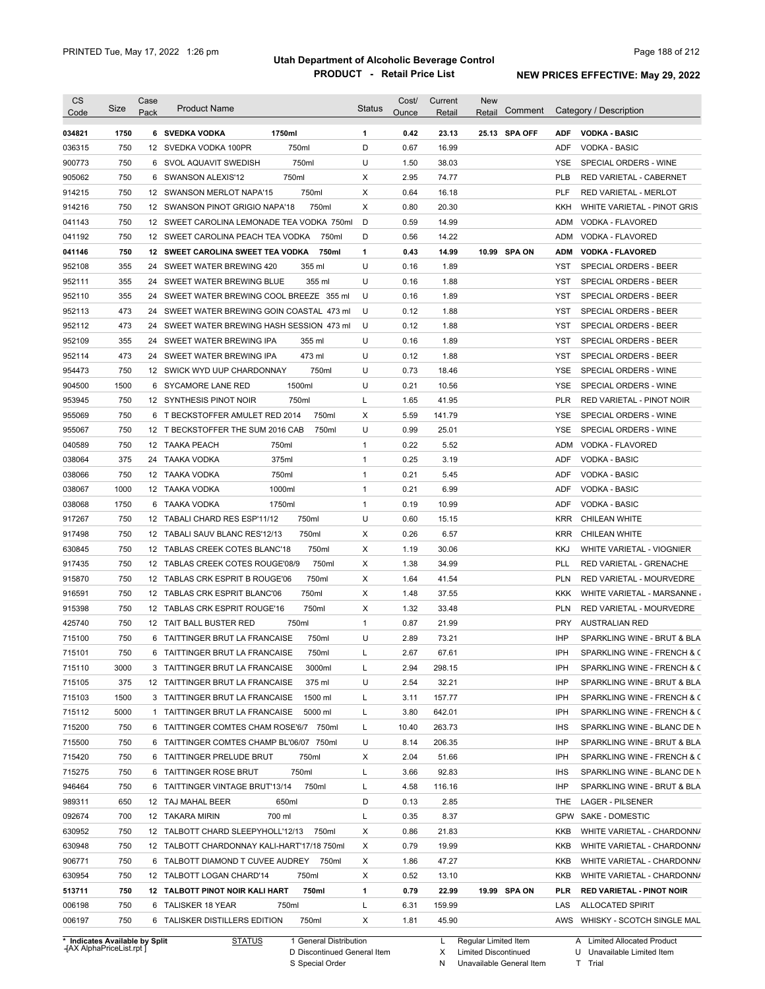| <b>CS</b><br>Code | Size        | Case<br>Pack | <b>Product Name</b>                                                                  | <b>Status</b> | Cost/<br>Ounce | Current<br>Retail | New<br>Comment<br>Retail |                   | Category / Description                                    |
|-------------------|-------------|--------------|--------------------------------------------------------------------------------------|---------------|----------------|-------------------|--------------------------|-------------------|-----------------------------------------------------------|
| 034821            | 1750        |              | 6 SVEDKA VODKA<br>1750ml                                                             | 1             | 0.42           | 23.13             | 25.13 SPA OFF            | ADF               | <b>VODKA - BASIC</b>                                      |
| 036315            | 750         |              | 750ml<br>12 SVEDKA VODKA 100PR                                                       | D             | 0.67           | 16.99             |                          | ADF               | VODKA - BASIC                                             |
| 900773            | 750         |              | 750ml<br>6 SVOL AQUAVIT SWEDISH                                                      | U             | 1.50           | 38.03             |                          | YSE               | SPECIAL ORDERS - WINE                                     |
| 905062            | 750         |              | 750ml<br>6 SWANSON ALEXIS'12                                                         | Х             | 2.95           | 74.77             |                          | PLB               | RED VARIETAL - CABERNET                                   |
| 914215            | 750         |              | 750ml<br>12 SWANSON MERLOT NAPA'15                                                   | Х             | 0.64           | 16.18             |                          | PLF               | RED VARIETAL - MERLOT                                     |
| 914216            | 750         |              | 750ml<br>12 SWANSON PINOT GRIGIO NAPA'18                                             | X             | 0.80           | 20.30             |                          | KKH               | WHITE VARIETAL - PINOT GRIS                               |
| 041143            | 750         |              | 12 SWEET CAROLINA LEMONADE TEA VODKA 750ml                                           | D             | 0.59           | 14.99             |                          | ADM               | VODKA - FLAVORED                                          |
| 041192            | 750         |              | 12 SWEET CAROLINA PEACH TEA VODKA<br>750ml                                           | D             | 0.56           | 14.22             |                          | ADM               | VODKA - FLAVORED                                          |
| 041146            | 750         |              | 12 SWEET CAROLINA SWEET TEA VODKA<br>750ml                                           | 1             | 0.43           | 14.99             | 10.99 SPA ON             | <b>ADM</b>        | <b>VODKA - FLAVORED</b>                                   |
| 952108            | 355         |              | 24 SWEET WATER BREWING 420<br>355 ml                                                 | U             | 0.16           | 1.89              |                          | YST               | SPECIAL ORDERS - BEER                                     |
| 952111            | 355         |              | 24 SWEET WATER BREWING BLUE<br>355 ml                                                | U             | 0.16           | 1.88              |                          | YST               | SPECIAL ORDERS - BEER                                     |
| 952110            | 355         |              | 24 SWEET WATER BREWING COOL BREEZE 355 ml                                            | U             | 0.16           | 1.89              |                          | YST               | SPECIAL ORDERS - BEER                                     |
| 952113            | 473         |              | 24 SWEET WATER BREWING GOIN COASTAL 473 ml                                           | U             | 0.12           | 1.88              |                          | <b>YST</b>        | SPECIAL ORDERS - BEER                                     |
| 952112            | 473         |              | 24 SWEET WATER BREWING HASH SESSION 473 ml                                           | U             | 0.12           | 1.88              |                          | <b>YST</b>        | SPECIAL ORDERS - BEER                                     |
| 952109            | 355         |              | 24 SWEET WATER BREWING IPA<br>355 ml                                                 | U             | 0.16           | 1.89              |                          | YST               | SPECIAL ORDERS - BEER                                     |
| 952114            | 473         |              | 473 ml<br>24 SWEET WATER BREWING IPA                                                 | U             | 0.12           | 1.88              |                          | <b>YST</b>        | SPECIAL ORDERS - BEER                                     |
| 954473            | 750         |              | 12 SWICK WYD UUP CHARDONNAY<br>750ml                                                 | U             | 0.73           | 18.46             |                          | <b>YSE</b>        | SPECIAL ORDERS - WINE                                     |
| 904500            | 1500        |              | 1500ml<br>6 SYCAMORE LANE RED                                                        | U             | 0.21           | 10.56             |                          | YSE               | SPECIAL ORDERS - WINE                                     |
| 953945            | 750         |              | 750ml<br>12 SYNTHESIS PINOT NOIR                                                     | L             | 1.65           | 41.95             |                          | <b>PLR</b>        | RED VARIETAL - PINOT NOIR                                 |
| 955069            | 750         |              | 750ml<br>6 T BECKSTOFFER AMULET RED 2014                                             | х             | 5.59           | 141.79            |                          | YSE               | SPECIAL ORDERS - WINE                                     |
| 955067            | 750         |              | 750ml<br>12 T BECKSTOFFER THE SUM 2016 CAB                                           | U             | 0.99           | 25.01             |                          | YSE               | SPECIAL ORDERS - WINE                                     |
| 040589            | 750         |              | 12 TAAKA PEACH<br>750ml                                                              | $\mathbf{1}$  | 0.22           | 5.52              |                          | ADM               | VODKA - FLAVORED                                          |
| 038064            | 375         | 24           | 375ml<br>TAAKA VODKA                                                                 | $\mathbf{1}$  | 0.25           | 3.19              |                          | ADF               | <b>VODKA - BASIC</b>                                      |
| 038066            | 750         |              | 750ml<br>12 TAAKA VODKA                                                              | $\mathbf{1}$  | 0.21           | 5.45              |                          | ADF               | <b>VODKA - BASIC</b>                                      |
| 038067            | 1000        |              | 1000ml<br>12 TAAKA VODKA                                                             | $\mathbf{1}$  | 0.21           | 6.99              |                          | ADF               | <b>VODKA - BASIC</b>                                      |
| 038068            | 1750        | 6            | 1750ml<br>TAAKA VODKA                                                                | $\mathbf{1}$  | 0.19           | 10.99             |                          | ADF               | <b>VODKA - BASIC</b>                                      |
| 917267            | 750         | 12           | 750ml<br>TABALI CHARD RES ESP'11/12                                                  | U             | 0.60           | 15.15             |                          | <b>KRR</b>        | CHILEAN WHITE                                             |
| 917498            | 750         | 12           | 750ml<br>TABALI SAUV BLANC RES'12/13                                                 | Х             | 0.26           | 6.57              |                          | <b>KRR</b>        | CHILEAN WHITE                                             |
| 630845            | 750         | 12           | 750ml<br>TABLAS CREEK COTES BLANC'18                                                 | Х             | 1.19           | 30.06             |                          | <b>KKJ</b>        | WHITE VARIETAL - VIOGNIER                                 |
| 917435            | 750         |              | 750ml<br>12 TABLAS CREEK COTES ROUGE'08/9                                            | Х             | 1.38           | 34.99             |                          | <b>PLL</b>        | RED VARIETAL - GRENACHE                                   |
| 915870            | 750         |              | 12 TABLAS CRK ESPRIT B ROUGE'06<br>750ml                                             | Х             | 1.64           | 41.54             |                          | <b>PLN</b>        | RED VARIETAL - MOURVEDRE                                  |
| 916591            | 750         |              | 12 TABLAS CRK ESPRIT BLANC'06<br>750ml                                               | х             | 1.48           | 37.55             |                          | KKK               | WHITE VARIETAL - MARSANNE                                 |
| 915398            | 750         |              | 750ml<br>12 TABLAS CRK ESPRIT ROUGE'16                                               | Х             | 1.32           | 33.48             |                          | <b>PLN</b>        | RED VARIETAL - MOURVEDRE                                  |
| 425740            | 750         |              | 750ml<br>12 TAIT BALL BUSTER RED                                                     | $\mathbf{1}$  | 0.87           | 21.99             |                          | <b>PRY</b>        | <b>AUSTRALIAN RED</b>                                     |
| 715100            | 750         |              | 750ml<br>6 TAITTINGER BRUT LA FRANCAISE                                              | U             | 2.89           | 73.21             |                          | <b>IHP</b>        | SPARKLING WINE - BRUT & BLA                               |
| 715101            | 750         |              | 6 TAITTINGER BRUT LA FRANCAISE<br>750ml                                              |               | 2.67           | 67.61             |                          | IPH               | SPARKLING WINE - FRENCH & C                               |
| 715110            | 3000        |              | 3 TAITTINGER BRUT LA FRANCAISE<br>3000ml                                             | L             | 2.94           | 298.15            |                          | IPH               | SPARKLING WINE - FRENCH & C                               |
|                   |             |              |                                                                                      |               |                |                   |                          | IHP               | SPARKLING WINE - BRUT & BLA                               |
| 715105<br>715103  | 375<br>1500 |              | 12 TAITTINGER BRUT LA FRANCAISE<br>375 ml<br>1500 ml                                 | U<br>L        | 2.54           | 32.21             |                          | IPH               |                                                           |
|                   |             |              | 3 TAITTINGER BRUT LA FRANCAISE                                                       |               | 3.11           | 157.77            |                          |                   | SPARKLING WINE - FRENCH & C                               |
| 715112<br>715200  | 5000<br>750 |              | 1 TAITTINGER BRUT LA FRANCAISE<br>5000 ml<br>6 TAITTINGER COMTES CHAM ROSE'6/7 750ml | L<br>L        | 3.80<br>10.40  | 642.01            |                          | IPH<br><b>IHS</b> | SPARKLING WINE - FRENCH & C                               |
|                   |             |              |                                                                                      | U             |                | 263.73            |                          | IHP               | SPARKLING WINE - BLANC DE N                               |
| 715500            | 750         |              | 6 TAITTINGER COMTES CHAMP BL'06/07 750ml                                             |               | 8.14           | 206.35            |                          |                   | SPARKLING WINE - BRUT & BLA                               |
| 715420            | 750         |              | 6 TAITTINGER PRELUDE BRUT<br>750ml                                                   | Х             | 2.04           | 51.66             |                          | IPH               | SPARKLING WINE - FRENCH & C                               |
| 715275            | 750         |              | 750ml<br>6 TAITTINGER ROSE BRUT                                                      | L             | 3.66           | 92.83             |                          | <b>IHS</b>        | SPARKLING WINE - BLANC DE N                               |
| 946464            | 750         |              | 750ml<br>6 TAITTINGER VINTAGE BRUT'13/14                                             | L             | 4.58           | 116.16            |                          | IHP               | SPARKLING WINE - BRUT & BLA                               |
| 989311            | 650         |              | 12 TAJ MAHAL BEER<br>650ml                                                           | D             | 0.13           | 2.85              |                          | THE               | LAGER - PILSENER                                          |
| 092674            | 700         |              | 12 TAKARA MIRIN<br>700 ml                                                            | L             | 0.35           | 8.37              |                          | <b>GPW</b>        | SAKE - DOMESTIC                                           |
| 630952            | 750         |              | 12 TALBOTT CHARD SLEEPYHOLL'12/13 750ml                                              | х             | 0.86           | 21.83             |                          | KKB               | WHITE VARIETAL - CHARDONN/                                |
| 630948            | 750         |              | 12 TALBOTT CHARDONNAY KALI-HART'17/18 750ml                                          | х             | 0.79           | 19.99             |                          | KKB               | WHITE VARIETAL - CHARDONN/                                |
| 906771            | 750         |              | 6 TALBOTT DIAMOND T CUVEE AUDREY 750ml                                               | Х             | 1.86           | 47.27             |                          | KKB               | WHITE VARIETAL - CHARDONN/                                |
| 630954            | 750         |              | 12 TALBOTT LOGAN CHARD'14<br>750ml                                                   | Х             | 0.52           | 13.10             |                          | KKB               | WHITE VARIETAL - CHARDONN/                                |
| 513711            | 750         |              | 750ml<br>12 TALBOTT PINOT NOIR KALI HART                                             | 1             | 0.79           | 22.99             | 19.99 SPA ON             | PLR               | <b>RED VARIETAL - PINOT NOIR</b>                          |
|                   |             |              |                                                                                      |               |                |                   |                          |                   |                                                           |
| 006198<br>006197  | 750<br>750  |              | 6 TALISKER 18 YEAR<br>750ml<br>750ml<br>6 TALISKER DISTILLERS EDITION                | L<br>X        | 6.31<br>1.81   | 159.99<br>45.90   |                          | LAS               | <b>ALLOCATED SPIRIT</b><br>AWS WHISKY - SCOTCH SINGLE MAL |

**Case** [AX AlphaPriceList.rpt ]

D Discontinued General Item S Special Order

X

N Unavailable General Item Limited Discontinued

U Unavailable Limited Item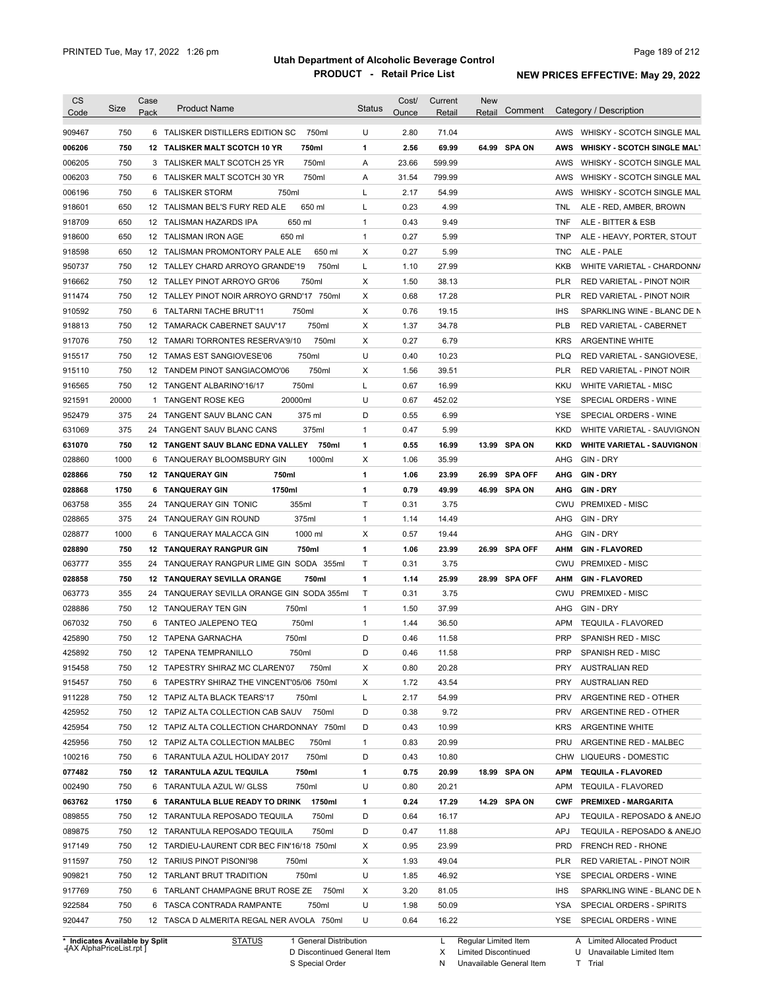| <b>CS</b><br>Code | Size                                                        | Case<br>Pack | <b>Product Name</b>                                                    | Status       | Cost/<br>Ounce | Current<br>Retail | New<br>Comment<br>Retail                            |            | Category / Description                                    |
|-------------------|-------------------------------------------------------------|--------------|------------------------------------------------------------------------|--------------|----------------|-------------------|-----------------------------------------------------|------------|-----------------------------------------------------------|
| 909467            | 750                                                         |              | 6 TALISKER DISTILLERS EDITION SC<br>750ml                              | U            | 2.80           | 71.04             |                                                     | AWS        | WHISKY - SCOTCH SINGLE MAL                                |
| 006206            | 750                                                         |              | 12 TALISKER MALT SCOTCH 10 YR<br>750ml                                 | 1            | 2.56           | 69.99             | 64.99 SPA ON                                        | <b>AWS</b> | <b>WHISKY - SCOTCH SINGLE MALT</b>                        |
| 006205            | 750                                                         |              | 750ml<br>3 TALISKER MALT SCOTCH 25 YR                                  | Α            | 23.66          | 599.99            |                                                     | AWS        | WHISKY - SCOTCH SINGLE MAL                                |
| 006203            | 750                                                         |              | 750ml<br>6 TALISKER MALT SCOTCH 30 YR                                  | Α            | 31.54          | 799.99            |                                                     | AWS        | WHISKY - SCOTCH SINGLE MAL                                |
| 006196            | 750                                                         |              | 6 TALISKER STORM<br>750ml                                              | L            | 2.17           | 54.99             |                                                     | AWS        | WHISKY - SCOTCH SINGLE MAL                                |
| 918601            | 650                                                         |              | 650 ml<br>12 TALISMAN BEL'S FURY RED ALE                               | L            | 0.23           | 4.99              |                                                     | <b>TNL</b> | ALE - RED, AMBER, BROWN                                   |
| 918709            | 650                                                         |              | 650 ml<br>12 TALISMAN HAZARDS IPA                                      | $\mathbf{1}$ | 0.43           | 9.49              |                                                     | <b>TNF</b> | ALE - BITTER & ESB                                        |
| 918600            | 650                                                         |              | 12 TALISMAN IRON AGE<br>650 ml                                         | $\mathbf{1}$ | 0.27           | 5.99              |                                                     | <b>TNP</b> | ALE - HEAVY, PORTER, STOUT                                |
| 918598            | 650                                                         |              | 12 TALISMAN PROMONTORY PALE ALE<br>650 ml                              | X            | 0.27           | 5.99              |                                                     | <b>TNC</b> | ALE - PALE                                                |
| 950737            | 750                                                         |              | 12 TALLEY CHARD ARROYO GRANDE'19<br>750ml                              | Г            | 1.10           | 27.99             |                                                     | <b>KKB</b> | WHITE VARIETAL - CHARDONN/                                |
| 916662            | 750                                                         |              | 12 TALLEY PINOT ARROYO GR'06<br>750ml                                  | Χ            | 1.50           | 38.13             |                                                     | <b>PLR</b> | RED VARIETAL - PINOT NOIR                                 |
| 911474            | 750                                                         |              | 12 TALLEY PINOT NOIR ARROYO GRND'17 750ml                              | Χ            | 0.68           | 17.28             |                                                     | <b>PLR</b> | RED VARIETAL - PINOT NOIR                                 |
| 910592            | 750                                                         |              | 750ml<br>6 TALTARNI TACHE BRUT'11                                      | Χ            | 0.76           | 19.15             |                                                     | <b>IHS</b> | SPARKLING WINE - BLANC DE N                               |
| 918813            | 750                                                         |              | 750ml<br>12 TAMARACK CABERNET SAUV'17                                  | X            | 1.37           | 34.78             |                                                     | <b>PLB</b> | RED VARIETAL - CABERNET                                   |
| 917076            | 750                                                         |              | 750ml<br>12 TAMARI TORRONTES RESERVA'9/10                              | X            | 0.27           | 6.79              |                                                     | <b>KRS</b> | <b>ARGENTINE WHITE</b>                                    |
| 915517            | 750                                                         |              | 750ml<br>12 TAMAS EST SANGIOVESE'06                                    | U            | 0.40           | 10.23             |                                                     | <b>PLQ</b> | RED VARIETAL - SANGIOVESE,                                |
| 915110            | 750                                                         |              | 750ml<br>12 TANDEM PINOT SANGIACOMO'06                                 | X            | 1.56           | 39.51             |                                                     | <b>PLR</b> | <b>RED VARIETAL - PINOT NOIR</b>                          |
| 916565            | 750                                                         |              | 750ml<br>12 TANGENT ALBARINO'16/17                                     | Г            | 0.67           | 16.99             |                                                     | <b>KKU</b> | <b>WHITE VARIETAL - MISC</b>                              |
| 921591            | 20000                                                       | 1            | 20000ml<br><b>TANGENT ROSE KEG</b>                                     | U            | 0.67           | 452.02            |                                                     | <b>YSE</b> | SPECIAL ORDERS - WINE                                     |
| 952479            | 375                                                         | 24           | <b>TANGENT SAUV BLANC CAN</b><br>375 ml                                | D            | 0.55           | 6.99              |                                                     | <b>YSE</b> | SPECIAL ORDERS - WINE                                     |
| 631069            | 375                                                         | 24           | TANGENT SAUV BLANC CANS<br>375ml                                       | 1            | 0.47           | 5.99              |                                                     | <b>KKD</b> | WHITE VARIETAL - SAUVIGNON                                |
| 631070            | 750                                                         |              | 12 TANGENT SAUV BLANC EDNA VALLEY<br>750ml                             | 1            | 0.55           | 16.99             | 13.99 SPA ON                                        | <b>KKD</b> | <b>WHITE VARIETAL - SAUVIGNON</b>                         |
| 028860            | 1000                                                        | 6            | 1000ml<br>TANQUERAY BLOOMSBURY GIN                                     | X            | 1.06           | 35.99             |                                                     | AHG        | GIN - DRY                                                 |
| 028866            | 750                                                         |              | <b>12 TANQUERAY GIN</b><br>750ml                                       | 1            | 1.06           | 23.99             | <b>SPA OFF</b><br>26.99                             | AHG        | GIN DRY                                                   |
| 028868            | 1750                                                        | 6            | <b>TANQUERAY GIN</b><br>1750ml                                         | 1            | 0.79           | 49.99             | 46.99 SPA ON                                        | AHG        | GIN DRY                                                   |
| 063758            | 355                                                         |              | 24 TANQUERAY GIN TONIC<br>355ml                                        | Т            | 0.31           | 3.75              |                                                     | CWU        | <b>PREMIXED - MISC</b>                                    |
| 028865            | 375                                                         |              | 375ml<br>24 TANQUERAY GIN ROUND                                        | $\mathbf{1}$ | 1.14           | 14.49             |                                                     | AHG        | GIN - DRY                                                 |
| 028877            | 1000                                                        |              | 1000 ml<br>6 TANQUERAY MALACCA GIN                                     | Χ            | 0.57           | 19.44             |                                                     | AHG        | GIN - DRY                                                 |
| 028890            | 750                                                         |              | 750ml<br>12 TANQUERAY RANGPUR GIN                                      | 1            | 1.06           | 23.99             | 26.99 SPA OFF                                       | AHM        | <b>GIN-FLAVORED</b>                                       |
| 063777            | 355                                                         |              | 24 TANQUERAY RANGPUR LIME GIN SODA 355ml                               | Τ            | 0.31           | 3.75              |                                                     | CWU        | <b>PREMIXED - MISC</b>                                    |
| 028858            | 750                                                         |              | 12 TANQUERAY SEVILLA ORANGE<br>750ml                                   | 1            | 1.14           | 25.99             | 28.99 SPA OFF                                       | AHM        | <b>GIN-FLAVORED</b>                                       |
| 063773            | 355                                                         | 24           | TANQUERAY SEVILLA ORANGE GIN SODA 355ml                                | Τ            | 0.31           | 3.75              |                                                     | <b>CWU</b> | <b>PREMIXED - MISC</b>                                    |
| 028886            | 750                                                         |              | 12 TANQUERAY TEN GIN<br>750ml                                          | 1            | 1.50           | 37.99             |                                                     | AHG        | GIN - DRY                                                 |
| 067032            | 750                                                         | 6            | 750ml<br>TANTEO JALEPENO TEQ                                           | 1            | 1.44           | 36.50             |                                                     | <b>APM</b> | <b>TEQUILA - FLAVORED</b>                                 |
| 425890            | 750                                                         |              | 12 TAPENA GARNACHA<br>750ml                                            | D            | 0.46           | 11.58             |                                                     | <b>PRP</b> | <b>SPANISH RED - MISC</b>                                 |
| 425892            | 750                                                         |              | 750ml<br>12 TAPENA TEMPRANILLO                                         | D            | 0.46           | 11.58             |                                                     | <b>PRP</b> | SPANISH RED - MISC                                        |
| 915458            | 750                                                         |              | 12 TAPESTRY SHIRAZ MC CLAREN'07<br>750ml                               | х            | 0.80           | 20.28             |                                                     | <b>PRY</b> | <b>AUSTRALIAN RED</b>                                     |
| 915457            | 750                                                         | 6            | TAPESTRY SHIRAZ THE VINCENT'05/06 750ml                                | х            | 1.72           | 43.54             |                                                     | <b>PRY</b> | <b>AUSTRALIAN RED</b>                                     |
| 911228            | 750                                                         |              | 750ml<br>12 TAPIZ ALTA BLACK TEARS'17                                  | Г            | 2.17           | 54.99             |                                                     | <b>PRV</b> | ARGENTINE RED - OTHER                                     |
| 425952            | 750                                                         |              | 12 TAPIZ ALTA COLLECTION CAB SAUV<br>750ml                             | D            | 0.38           | 9.72              |                                                     | <b>PRV</b> | ARGENTINE RED - OTHER                                     |
| 425954            | 750                                                         |              | 12 TAPIZ ALTA COLLECTION CHARDONNAY 750ml                              | D            | 0.43           | 10.99             |                                                     | <b>KRS</b> | <b>ARGENTINE WHITE</b>                                    |
| 425956            | 750                                                         |              | 12 TAPIZ ALTA COLLECTION MALBEC<br>750ml                               | 1            | 0.83           | 20.99             |                                                     | PRU        | ARGENTINE RED - MALBEC                                    |
| 100216            | 750                                                         |              | 6 TARANTULA AZUL HOLIDAY 2017<br>750ml                                 | D            | 0.43           | 10.80             |                                                     |            | CHW LIQUEURS - DOMESTIC                                   |
| 077482            | 750                                                         |              | 12 TARANTULA AZUL TEQUILA<br>750ml                                     | 1            | 0.75           | 20.99             | 18.99 SPA ON                                        | <b>APM</b> | <b>TEQUILA - FLAVORED</b>                                 |
| 002490            | 750                                                         |              | 6 TARANTULA AZUL W/ GLSS<br>750ml                                      | U            | 0.80           | 20.21             |                                                     | <b>APM</b> | TEQUILA - FLAVORED                                        |
| 063762            | 1750                                                        |              | 6 TARANTULA BLUE READY TO DRINK<br>1750ml                              | 1            | 0.24           | 17.29             | 14.29 SPA ON                                        | <b>CWF</b> | <b>PREMIXED - MARGARITA</b>                               |
| 089855            | 750                                                         |              | 12 TARANTULA REPOSADO TEQUILA<br>750ml                                 | D            | 0.64           | 16.17             |                                                     | <b>APJ</b> | TEQUILA - REPOSADO & ANEJO                                |
| 089875            | 750                                                         |              | 750ml<br>12 TARANTULA REPOSADO TEQUILA                                 | D            | 0.47           | 11.88             |                                                     | <b>APJ</b> | TEQUILA - REPOSADO & ANEJO                                |
| 917149            | 750                                                         |              | 12 TARDIEU-LAURENT CDR BEC FIN'16/18 750ml                             | х            | 0.95           | 23.99             |                                                     | <b>PRD</b> | FRENCH RED - RHONE                                        |
| 911597            | 750                                                         |              | 12 TARIUS PINOT PISONI'98<br>750ml                                     | х            | 1.93           | 49.04             |                                                     | PLR        | RED VARIETAL - PINOT NOIR                                 |
| 909821            | 750                                                         |              | 12 TARLANT BRUT TRADITION<br>750ml                                     | U            | 1.85           | 46.92             |                                                     | <b>YSE</b> | SPECIAL ORDERS - WINE                                     |
| 917769            | 750                                                         |              | 6 TARLANT CHAMPAGNE BRUT ROSE ZE<br>750ml                              | х            | 3.20           | 81.05             |                                                     | <b>IHS</b> | SPARKLING WINE - BLANC DE N                               |
| 922584            | 750                                                         |              | 6 TASCA CONTRADA RAMPANTE<br>750ml                                     | U            | 1.98           | 50.09             |                                                     | <b>YSA</b> | SPECIAL ORDERS - SPIRITS                                  |
| 920447            | 750                                                         |              | 12 TASCA D ALMERITA REGAL NER AVOLA 750ml                              | U            | 0.64           | 16.22             |                                                     | YSE        | SPECIAL ORDERS - WINE                                     |
|                   |                                                             |              |                                                                        |              |                |                   |                                                     |            |                                                           |
|                   | * Indicates Available by Split<br>-{AX AlphaPriceList.rpt ] |              | <b>STATUS</b><br>1 General Distribution<br>D Discontinued General Item |              |                | L<br>Х            | Regular Limited Item<br><b>Limited Discontinued</b> |            | A Limited Allocated Product<br>U Unavailable Limited Item |

S Special Order

N Unavailable General Item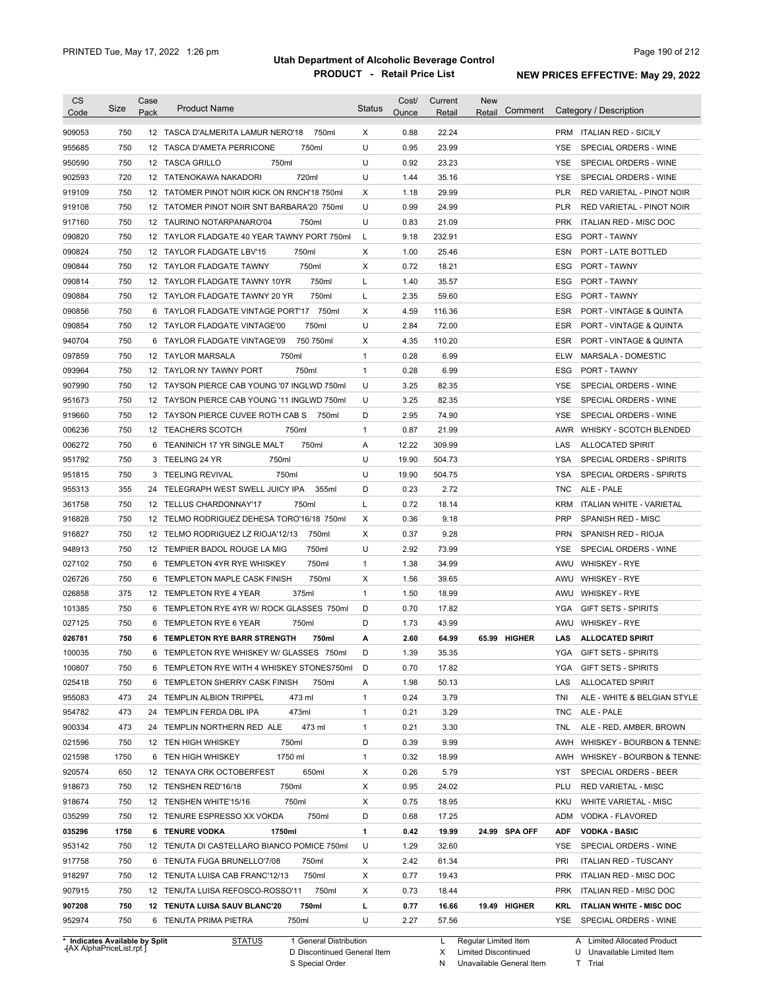| <b>CS</b><br>Code                                                                                                    | Size | Case<br>Pack | <b>Product Name</b>                         | <b>Status</b> | Cost/<br>Ounce | Current<br>Retail | <b>New</b><br>Comment<br>Retail | Category / Description                                              |
|----------------------------------------------------------------------------------------------------------------------|------|--------------|---------------------------------------------|---------------|----------------|-------------------|---------------------------------|---------------------------------------------------------------------|
| 909053                                                                                                               | 750  |              | 12 TASCA D'ALMERITA LAMUR NERO'18<br>750ml  | Х             | 0.88           | 22.24             |                                 | PRM ITALIAN RED - SICILY                                            |
| 955685                                                                                                               | 750  |              | 12 TASCA D'AMETA PERRICONE<br>750ml         | U             | 0.95           | 23.99             |                                 | YSE<br>SPECIAL ORDERS - WINE                                        |
| 950590                                                                                                               | 750  |              | 12 TASCA GRILLO<br>750ml                    | U             | 0.92           | 23.23             |                                 | YSE<br>SPECIAL ORDERS - WINE                                        |
| 902593                                                                                                               | 720  |              | 720ml<br>12 TATENOKAWA NAKADORI             | U             | 1.44           | 35.16             |                                 | SPECIAL ORDERS - WINE<br>YSE                                        |
| 919109                                                                                                               | 750  |              | 12 TATOMER PINOT NOIR KICK ON RNCH'18 750ml | Х             | 1.18           | 29.99             |                                 | <b>PLR</b><br>RED VARIETAL - PINOT NOIR                             |
| 919108                                                                                                               | 750  |              | 12 TATOMER PINOT NOIR SNT BARBARA'20 750ml  | U             | 0.99           | 24.99             |                                 | RED VARIETAL - PINOT NOIR<br><b>PLR</b>                             |
| 917160                                                                                                               | 750  |              | 12 TAURINO NOTARPANARO'04<br>750ml          | U             | 0.83           | 21.09             |                                 | <b>PRK</b><br><b>ITALIAN RED - MISC DOC</b>                         |
| 090820                                                                                                               | 750  |              | 12 TAYLOR FLADGATE 40 YEAR TAWNY PORT 750ml | L             | 9.18           | 232.91            |                                 | PORT - TAWNY<br>ESG                                                 |
| 090824                                                                                                               | 750  |              | 12 TAYLOR FLADGATE LBV'15<br>750ml          | Х             | 1.00           | 25.46             |                                 | ESN<br><b>PORT - LATE BOTTLED</b>                                   |
| 090844                                                                                                               | 750  | 12           | 750ml<br>TAYLOR FLADGATE TAWNY              | Х             | 0.72           | 18.21             |                                 | ESG<br><b>PORT - TAWNY</b>                                          |
| 090814                                                                                                               | 750  | 12           | 750ml<br>TAYLOR FLADGATE TAWNY 10YR         | L             | 1.40           | 35.57             |                                 | <b>ESG</b><br>PORT - TAWNY                                          |
| 090884                                                                                                               | 750  |              | 750ml<br>12 TAYLOR FLADGATE TAWNY 20 YR     | L             | 2.35           | 59.60             |                                 | <b>ESG</b><br>PORT - TAWNY                                          |
| 090856                                                                                                               | 750  | 6            | 750ml<br>TAYLOR FLADGATE VINTAGE PORT'17    | Х             | 4.59           | 116.36            |                                 | <b>ESR</b><br>PORT - VINTAGE & QUINTA                               |
| 090854                                                                                                               | 750  |              | 750ml<br>12 TAYLOR FLADGATE VINTAGE'00      | U             | 2.84           | 72.00             |                                 | <b>ESR</b><br>PORT - VINTAGE & QUINTA                               |
| 940704                                                                                                               | 750  | 6            | TAYLOR FLADGATE VINTAGE'09<br>750 750ml     | х             | 4.35           | 110.20            |                                 | <b>ESR</b><br>PORT - VINTAGE & QUINTA                               |
| 097859                                                                                                               | 750  |              | 750ml<br>12 TAYLOR MARSALA                  | $\mathbf{1}$  | 0.28           | 6.99              |                                 | <b>ELW</b><br>MARSALA - DOMESTIC                                    |
| 093964                                                                                                               | 750  |              | 750ml<br>12 TAYLOR NY TAWNY PORT            | $\mathbf{1}$  | 0.28           | 6.99              |                                 | PORT - TAWNY<br>ESG                                                 |
| 907990                                                                                                               | 750  |              | 12 TAYSON PIERCE CAB YOUNG '07 INGLWD 750ml | U             | 3.25           | 82.35             |                                 | YSE<br>SPECIAL ORDERS - WINE                                        |
|                                                                                                                      |      |              |                                             |               |                |                   |                                 |                                                                     |
| 951673                                                                                                               | 750  |              | 12 TAYSON PIERCE CAB YOUNG '11 INGLWD 750ml | U             | 3.25           | 82.35             |                                 | YSE<br>SPECIAL ORDERS - WINE                                        |
| 919660                                                                                                               | 750  |              | 12 TAYSON PIERCE CUVEE ROTH CAB S<br>750ml  | D             | 2.95           | 74.90             |                                 | YSE<br>SPECIAL ORDERS - WINE                                        |
| 006236                                                                                                               | 750  |              | 750ml<br>12 TEACHERS SCOTCH                 | $\mathbf{1}$  | 0.87           | 21.99             |                                 | WHISKY - SCOTCH BLENDED<br>AWR                                      |
| 006272                                                                                                               | 750  | 6            | TEANINICH 17 YR SINGLE MALT<br>750ml        | Α             | 12.22          | 309.99            |                                 | LAS<br><b>ALLOCATED SPIRIT</b>                                      |
| 951792                                                                                                               | 750  |              | 3 TEELING 24 YR<br>750ml                    | U             | 19.90          | 504.73            |                                 | YSA<br>SPECIAL ORDERS - SPIRITS                                     |
| 951815                                                                                                               | 750  | 3            | 750ml<br><b>TEELING REVIVAL</b>             | U             | 19.90          | 504.75            |                                 | YSA<br>SPECIAL ORDERS - SPIRITS                                     |
| 955313                                                                                                               | 355  | 24           | TELEGRAPH WEST SWELL JUICY IPA<br>355ml     | D             | 0.23           | 2.72              |                                 | ALE - PALE<br>TNC                                                   |
| 361758                                                                                                               | 750  |              | 750ml<br>12 TELLUS CHARDONNAY'17            | L             | 0.72           | 18.14             |                                 | <b>KRM</b><br><b>ITALIAN WHITE - VARIETAL</b>                       |
| 916828                                                                                                               | 750  |              | 12 TELMO RODRIGUEZ DEHESA TORO'16/18 750ml  | Х             | 0.36           | 9.18              |                                 | <b>PRP</b><br>SPANISH RED - MISC                                    |
| 916827                                                                                                               | 750  |              | 12 TELMO RODRIGUEZ LZ RIOJA'12/13<br>750ml  | Х             | 0.37           | 9.28              |                                 | <b>PRN</b><br>SPANISH RED - RIOJA                                   |
| 948913                                                                                                               | 750  |              | 750ml<br>12 TEMPIER BADOL ROUGE LA MIG      | U             | 2.92           | 73.99             |                                 | SPECIAL ORDERS - WINE<br>YSE                                        |
| 027102                                                                                                               | 750  | 6            | 750ml<br>TEMPLETON 4YR RYE WHISKEY          | $\mathbf{1}$  | 1.38           | 34.99             |                                 | AWU<br><b>WHISKEY - RYE</b>                                         |
| 026726                                                                                                               | 750  |              | 750ml<br>6 TEMPLETON MAPLE CASK FINISH      | Х             | 1.56           | 39.65             |                                 | <b>WHISKEY - RYE</b><br>AWU                                         |
| 026858                                                                                                               | 375  |              | 375ml<br>12 TEMPLETON RYE 4 YEAR            | $\mathbf{1}$  | 1.50           | 18.99             |                                 | <b>WHISKEY - RYE</b><br>AWU                                         |
| 101385                                                                                                               | 750  |              | 6 TEMPLETON RYE 4YR W/ ROCK GLASSES 750ml   | D             | 0.70           | 17.82             |                                 | <b>GIFT SETS - SPIRITS</b><br>YGA                                   |
| 027125                                                                                                               | 750  |              | 750ml<br>6 TEMPLETON RYE 6 YEAR             | D             | 1.73           | 43.99             |                                 | <b>WHISKEY - RYE</b><br>AWU                                         |
| 026781                                                                                                               | 750  |              | 6 TEMPLETON RYE BARR STRENGTH<br>750ml      | А             | 2.60           | 64.99             | 65.99 HIGHER                    | <b>ALLOCATED SPIRIT</b><br>LAS                                      |
| 100035                                                                                                               | 750  |              | 6 TEMPLETON RYE WHISKEY W/ GLASSES 750ml    | D             | 1.39           | 35.35             |                                 | YGA<br><b>GIFT SETS - SPIRITS</b>                                   |
| 100807                                                                                                               | 750  |              | 6 TEMPLETON RYE WITH 4 WHISKEY STONES750ml  | D             | 0.70           | 17.82             |                                 | YGA<br><b>GIFT SETS - SPIRITS</b>                                   |
| 025418                                                                                                               | 750  |              | 6 TEMPLETON SHERRY CASK FINISH<br>750ml     | Α             | 1.98           | 50.13             |                                 | LAS<br><b>ALLOCATED SPIRIT</b>                                      |
| 955083                                                                                                               | 473  |              | 473 ml<br>24 TEMPLIN ALBION TRIPPEL         | $\mathbf{1}$  | 0.24           | 3.79              |                                 | TNI<br>ALE - WHITE & BELGIAN STYLE                                  |
| 954782                                                                                                               | 473  |              | 473ml<br>24 TEMPLIN FERDA DBL IPA           | 1             | 0.21           | 3.29              |                                 | ALE - PALE<br>TNC                                                   |
| 900334                                                                                                               | 473  |              | 473 ml<br>24 TEMPLIN NORTHERN RED ALE       | $\mathbf{1}$  | 0.21           | 3.30              |                                 | ALE - RED, AMBER, BROWN<br>TNL                                      |
|                                                                                                                      |      |              | 12 TEN HIGH WHISKEY<br>750ml                | D             | 0.39           | 9.99              |                                 | AWH<br>WHISKEY - BOURBON & TENNE                                    |
|                                                                                                                      | 750  |              |                                             |               |                |                   |                                 |                                                                     |
|                                                                                                                      | 1750 |              | 1750 ml<br>6 TEN HIGH WHISKEY               | $\mathbf{1}$  | 0.32           | 18.99             |                                 | AWH                                                                 |
|                                                                                                                      | 650  |              | 650ml<br>12 TENAYA CRK OCTOBERFEST          | Х             | 0.26           | 5.79              |                                 | YST<br>SPECIAL ORDERS - BEER                                        |
|                                                                                                                      | 750  |              | 750ml<br>12 TENSHEN RED'16/18               | Х             | 0.95           | 24.02             |                                 | PLU<br><b>RED VARIETAL - MISC</b>                                   |
|                                                                                                                      | 750  |              | 750ml<br>12 TENSHEN WHITE'15/16             | Х             | 0.75           | 18.95             |                                 | KKU<br>WHITE VARIETAL - MISC                                        |
|                                                                                                                      | 750  |              | 750ml<br>12 TENURE ESPRESSO XX VOKDA        | D             | 0.68           | 17.25             |                                 | ADM<br>VODKA - FLAVORED                                             |
|                                                                                                                      | 1750 |              | 6 TENURE VODKA<br>1750ml                    | 1             | 0.42           | 19.99             | 24.99 SPA OFF                   | ADF<br><b>VODKA - BASIC</b>                                         |
|                                                                                                                      | 750  |              | 12 TENUTA DI CASTELLARO BIANCO POMICE 750ml | U             | 1.29           | 32.60             |                                 | YSE<br>SPECIAL ORDERS - WINE                                        |
|                                                                                                                      | 750  |              | 6 TENUTA FUGA BRUNELLO'7/08<br>750ml        | Х             | 2.42           | 61.34             |                                 | PRI<br><b>ITALIAN RED - TUSCANY</b>                                 |
|                                                                                                                      | 750  |              | 750ml<br>12 TENUTA LUISA CAB FRANC'12/13    | Х             | 0.77           | 19.43             |                                 | <b>PRK</b><br>ITALIAN RED - MISC DOC                                |
|                                                                                                                      | 750  |              | 750ml<br>12 TENUTA LUISA REFOSCO-ROSSO'11   | Х             | 0.73           | 18.44             |                                 | <b>PRK</b><br>ITALIAN RED - MISC DOC                                |
| 021596<br>021598<br>920574<br>918673<br>918674<br>035299<br>035296<br>953142<br>917758<br>918297<br>907915<br>907208 | 750  |              | 12 TENUTA LUISA SAUV BLANC'20<br>750ml      | г             | 0.77           | 16.66             | 19.49 HIGHER                    | WHISKEY - BOURBON & TENNE<br>KRL<br><b>ITALIAN WHITE - MISC DOC</b> |

**Case** [AX AlphaPriceList.rpt ]

D Discontinued General Item

S Special Order

X Limited Discontinued N Unavailable General Item

U Unavailable Limited Item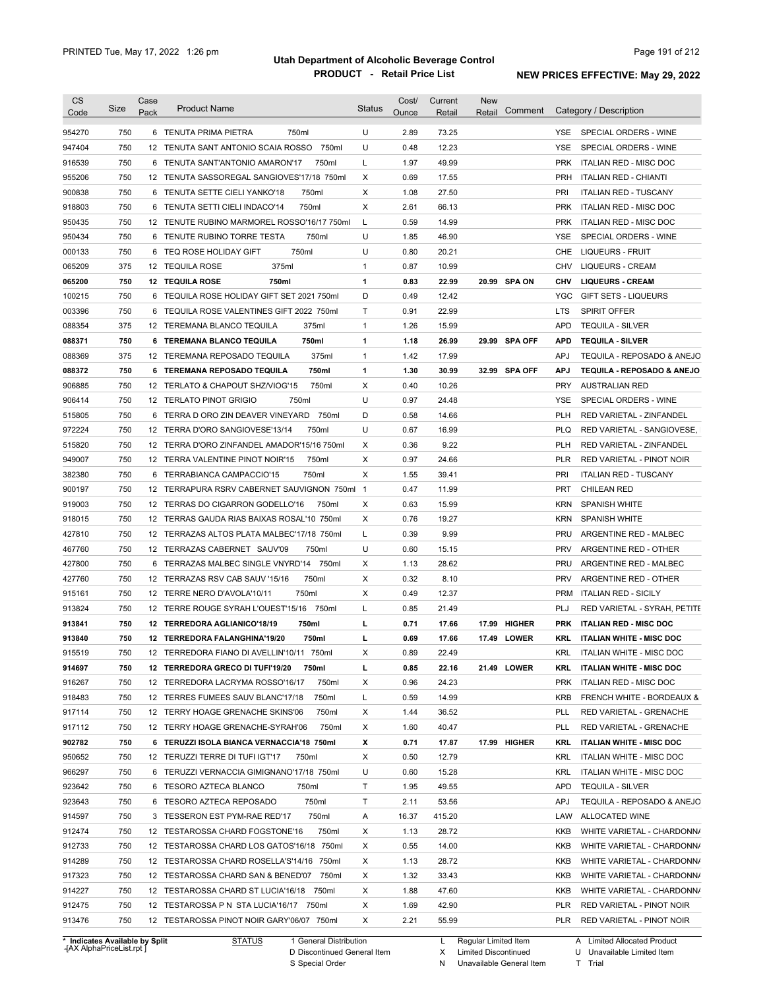| <b>CS</b><br>Code              | Size | Case<br>Pack    | <b>Product Name</b>                                                                     | <b>Status</b>       | Cost/<br>Ounce | Current<br>Retail | <b>New</b><br>Comment<br>Retail | Category / Description                            |
|--------------------------------|------|-----------------|-----------------------------------------------------------------------------------------|---------------------|----------------|-------------------|---------------------------------|---------------------------------------------------|
| 954270                         | 750  |                 | 6 TENUTA PRIMA PIETRA<br>750ml                                                          | U                   | 2.89           | 73.25             |                                 | <b>YSE</b><br>SPECIAL ORDERS - WINE               |
| 947404                         | 750  |                 | 750ml<br>12 TENUTA SANT ANTONIO SCAIA ROSSO                                             | U                   | 0.48           | 12.23             |                                 | YSE<br>SPECIAL ORDERS - WINE                      |
| 916539                         | 750  | 6               | TENUTA SANT'ANTONIO AMARON'17<br>750ml                                                  | L                   | 1.97           | 49.99             |                                 | <b>PRK</b><br><b>ITALIAN RED - MISC DOC</b>       |
| 955206                         | 750  |                 | 12 TENUTA SASSOREGAL SANGIOVES'17/18 750ml                                              | Χ                   | 0.69           | 17.55             |                                 | <b>PRH</b><br>ITALIAN RED - CHIANTI               |
| 900838                         | 750  |                 | 6 TENUTA SETTE CIELI YANKO'18<br>750ml                                                  | Χ                   | 1.08           | 27.50             |                                 | PRI<br><b>ITALIAN RED - TUSCANY</b>               |
| 918803                         | 750  |                 | 6 TENUTA SETTI CIELI INDACO'14<br>750ml                                                 | Χ                   | 2.61           | 66.13             |                                 | <b>PRK</b><br>ITALIAN RED - MISC DOC              |
| 950435                         | 750  |                 | 12 TENUTE RUBINO MARMOREL ROSSO'16/17 750ml                                             | L                   | 0.59           | 14.99             |                                 | <b>PRK</b><br>ITALIAN RED - MISC DOC              |
| 950434                         | 750  | 6               | TENUTE RUBINO TORRE TESTA<br>750ml                                                      | U                   | 1.85           | 46.90             |                                 | YSE<br>SPECIAL ORDERS - WINE                      |
| 000133                         | 750  | 6               | TEQ ROSE HOLIDAY GIFT<br>750ml                                                          | U                   | 0.80           | 20.21             |                                 | <b>LIQUEURS - FRUIT</b><br>CHE                    |
| 065209                         | 375  |                 | 375ml<br>12 TEQUILA ROSE                                                                | $\mathbf{1}$        | 0.87           | 10.99             |                                 | <b>CHV</b><br>LIQUEURS - CREAM                    |
| 065200                         | 750  |                 | <b>12 TEQUILA ROSE</b><br>750ml                                                         | 1                   | 0.83           | 22.99             | 20.99 SPA ON                    | <b>LIQUEURS - CREAM</b><br><b>CHV</b>             |
| 100215                         | 750  | 6               | TEQUILA ROSE HOLIDAY GIFT SET 2021 750ml                                                | D                   | 0.49           | 12.42             |                                 | <b>YGC</b><br><b>GIFT SETS - LIQUEURS</b>         |
| 003396                         | 750  | 6               | TEQUILA ROSE VALENTINES GIFT 2022 750ml                                                 | Τ                   | 0.91           | 22.99             |                                 | <b>SPIRIT OFFER</b><br><b>LTS</b>                 |
| 088354                         | 375  |                 | 375ml<br>12 TEREMANA BLANCO TEQUILA                                                     | $\mathbf{1}$        | 1.26           | 15.99             |                                 | <b>APD</b><br><b>TEQUILA - SILVER</b>             |
| 088371                         | 750  | 6               | <b>TEREMANA BLANCO TEQUILA</b><br>750ml                                                 | 1                   | 1.18           | 26.99             | 29.99 SPA OFF                   | <b>APD</b><br><b>TEQUILA - SILVER</b>             |
| 088369                         | 375  |                 | 375ml<br>12 TEREMANA REPOSADO TEQUILA                                                   | $\mathbf{1}$        | 1.42           | 17.99             |                                 | <b>APJ</b><br>TEQUILA - REPOSADO & ANEJO          |
| 088372                         | 750  |                 | 6 TEREMANA REPOSADO TEQUILA<br>750ml                                                    | $\mathbf{1}$        | 1.30           | 30.99             | 32.99 SPA OFF                   | <b>APJ</b><br>TEQUILA - REPOSADO & ANEJO          |
| 906885                         | 750  |                 | 750ml<br>12 TERLATO & CHAPOUT SHZ/VIOG'15                                               | Х                   | 0.40           | 10.26             |                                 | <b>PRY</b><br><b>AUSTRALIAN RED</b>               |
| 906414                         | 750  |                 | 12 TERLATO PINOT GRIGIO<br>750ml                                                        | U                   | 0.97           | 24.48             |                                 | YSE<br>SPECIAL ORDERS - WINE                      |
| 515805                         | 750  | 6               | TERRA D ORO ZIN DEAVER VINEYARD<br>750ml                                                | D                   | 0.58           | 14.66             |                                 | <b>PLH</b><br>RED VARIETAL - ZINFANDEL            |
| 972224                         | 750  |                 | 12 TERRA D'ORO SANGIOVESE'13/14<br>750ml                                                | U                   | 0.67           | 16.99             |                                 | <b>PLQ</b><br>RED VARIETAL - SANGIOVESE,          |
| 515820                         | 750  |                 | 12 TERRA D'ORO ZINFANDEL AMADOR'15/16 750ml                                             | Х                   | 0.36           | 9.22              |                                 | <b>PLH</b><br>RED VARIETAL - ZINFANDEL            |
| 949007                         | 750  |                 | 12 TERRA VALENTINE PINOT NOIR'15<br>750ml                                               | Χ                   | 0.97           | 24.66             |                                 | <b>PLR</b><br>RED VARIETAL - PINOT NOIR           |
| 382380                         | 750  | 6               | 750ml<br>TERRABIANCA CAMPACCIO'15                                                       | Χ                   | 1.55           | 39.41             |                                 | <b>PRI</b><br><b>ITALIAN RED - TUSCANY</b>        |
|                                | 750  |                 |                                                                                         |                     | 0.47           | 11.99             |                                 | <b>PRT</b>                                        |
| 900197                         | 750  |                 | 12 TERRAPURA RSRV CABERNET SAUVIGNON 750ml<br>12 TERRAS DO CIGARRON GODELLO'16<br>750ml | $\overline{1}$<br>X | 0.63           | 15.99             |                                 | CHILEAN RED<br><b>KRN</b><br><b>SPANISH WHITE</b> |
| 919003                         |      |                 |                                                                                         |                     |                |                   |                                 |                                                   |
| 918015                         | 750  |                 | 12 TERRAS GAUDA RIAS BAIXAS ROSAL'10 750ml                                              | X                   | 0.76           | 19.27             |                                 | <b>KRN</b><br><b>SPANISH WHITE</b><br><b>PRU</b>  |
| 427810                         | 750  | 12 <sup>2</sup> | TERRAZAS ALTOS PLATA MALBEC'17/18 750ml                                                 | L                   | 0.39           | 9.99              |                                 | ARGENTINE RED - MALBEC                            |
| 467760                         | 750  |                 | 12 TERRAZAS CABERNET SAUV'09<br>750ml                                                   | U                   | 0.60           | 15.15             |                                 | <b>PRV</b><br>ARGENTINE RED - OTHER               |
| 427800                         | 750  |                 | 6 TERRAZAS MALBEC SINGLE VNYRD'14 750ml                                                 | Χ                   | 1.13           | 28.62             |                                 | <b>PRU</b><br>ARGENTINE RED - MALBEC              |
| 427760                         | 750  |                 | 750ml<br>12 TERRAZAS RSV CAB SAUV '15/16                                                | Χ                   | 0.32           | 8.10              |                                 | <b>PRV</b><br>ARGENTINE RED - OTHER               |
| 915161                         | 750  |                 | 750ml<br>12 TERRE NERO D'AVOLA'10/11                                                    | Χ                   | 0.49           | 12.37             |                                 | <b>PRM</b><br><b>ITALIAN RED - SICILY</b>         |
| 913824                         | 750  |                 | 12 TERRE ROUGE SYRAH L'OUEST'15/16 750ml                                                | L                   | 0.85           | 21.49             |                                 | PLJ<br>RED VARIETAL - SYRAH, PETITE               |
| 913841                         | 750  |                 | 12 TERREDORA AGLIANICO'18/19<br>750ml                                                   | L                   | 0.71           | 17.66             | 17.99 HIGHER                    | <b>ITALIAN RED - MISC DOC</b><br><b>PRK</b>       |
| 913840                         | 750  |                 | 12 TERREDORA FALANGHINA'19/20<br>750ml                                                  | г                   | 0.69           | 17.66             | 17.49 LOWER                     | <b>ITALIAN WHITE - MISC DOC</b><br>KRL            |
| 915519                         | 750  |                 | 12 TERREDORA FIANO DI AVELLIN'10/11 750ml                                               | х                   | 0.89           | 22.49             |                                 | <b>KRL</b><br>ITALIAN WHITE - MISC DOC            |
| 914697                         | 750  |                 | 12 TERREDORA GRECO DI TUFI'19/20<br>750ml                                               | L                   | 0.85           | 22.16             | 21.49 LOWER                     | KRL<br><b>ITALIAN WHITE - MISC DOC</b>            |
| 916267                         | 750  |                 | 12 TERREDORA LACRYMA ROSSO'16/17<br>750ml                                               | Х                   | 0.96           | 24.23             |                                 | <b>PRK</b><br>ITALIAN RED - MISC DOC              |
| 918483                         | 750  |                 | 12 TERRES FUMEES SAUV BLANC'17/18<br>750ml                                              | L                   | 0.59           | 14.99             |                                 | KRB<br>FRENCH WHITE - BORDEAUX &                  |
| 917114                         | 750  |                 | 12 TERRY HOAGE GRENACHE SKINS'06<br>750ml                                               | Х                   | 1.44           | 36.52             |                                 | PLL<br>RED VARIETAL - GRENACHE                    |
| 917112                         | 750  |                 | 12 TERRY HOAGE GRENACHE-SYRAH'06<br>750ml                                               | Х                   | 1.60           | 40.47             |                                 | <b>PLL</b><br>RED VARIETAL - GRENACHE             |
| 902782                         | 750  |                 | 6 TERUZZI ISOLA BIANCA VERNACCIA'18 750ml                                               | х                   | 0.71           | 17.87             | 17.99 HIGHER                    | KRL<br><b>ITALIAN WHITE - MISC DOC</b>            |
| 950652                         | 750  |                 | 12 TERUZZI TERRE DI TUFI IGT'17<br>750ml                                                | Х                   | 0.50           | 12.79             |                                 | KRL<br><b>ITALIAN WHITE - MISC DOC</b>            |
| 966297                         | 750  |                 | 6 TERUZZI VERNACCIA GIMIGNANO'17/18 750ml                                               | U                   | 0.60           | 15.28             |                                 | KRL<br><b>ITALIAN WHITE - MISC DOC</b>            |
| 923642                         | 750  |                 | 6 TESORO AZTECA BLANCO<br>750ml                                                         | Τ                   | 1.95           | 49.55             |                                 | <b>APD</b><br><b>TEQUILA - SILVER</b>             |
| 923643                         | 750  |                 | 6 TESORO AZTECA REPOSADO<br>750ml                                                       | Τ                   | 2.11           | 53.56             |                                 | <b>APJ</b><br>TEQUILA - REPOSADO & ANEJO          |
| 914597                         | 750  |                 | 750ml<br>3 TESSERON EST PYM-RAE RED'17                                                  | Α                   | 16.37          | 415.20            |                                 | LAW<br>ALLOCATED WINE                             |
| 912474                         | 750  |                 | 750ml<br>12 TESTAROSSA CHARD FOGSTONE'16                                                | Х                   | 1.13           | 28.72             |                                 | KKB<br>WHITE VARIETAL - CHARDONN/                 |
| 912733                         | 750  |                 | 12 TESTAROSSA CHARD LOS GATOS'16/18 750ml                                               | Х                   | 0.55           | 14.00             |                                 | KKB<br>WHITE VARIETAL - CHARDONN/                 |
| 914289                         | 750  |                 | 12 TESTAROSSA CHARD ROSELLA'S'14/16 750ml                                               | Х                   | 1.13           | 28.72             |                                 | KKB<br>WHITE VARIETAL - CHARDONN/                 |
| 917323                         | 750  |                 | 12 TESTAROSSA CHARD SAN & BENED'07 750ml                                                | Х                   | 1.32           | 33.43             |                                 | KKB<br>WHITE VARIETAL - CHARDONN/                 |
| 914227                         | 750  |                 | 12 TESTAROSSA CHARD ST LUCIA'16/18 750ml                                                | Х                   | 1.88           | 47.60             |                                 | KKB<br>WHITE VARIETAL - CHARDONN/                 |
| 912475                         | 750  |                 | 12 TESTAROSSA P N STA LUCIA'16/17 750ml                                                 | Х                   | 1.69           | 42.90             |                                 | PLR<br>RED VARIETAL - PINOT NOIR                  |
| 913476                         | 750  |                 | 12 TESTAROSSA PINOT NOIR GARY'06/07 750ml                                               | Χ                   | 2.21           | 55.99             |                                 | <b>PLR</b><br>RED VARIETAL - PINOT NOIR           |
| * Indicates Available by Split |      |                 | <b>STATUS</b><br>1 General Distribution                                                 |                     |                | L.                | Regular Limited Item            | A Limited Allocated Product                       |

**Case** [AX AlphaPriceList.rpt ]

D Discontinued General Item

S Special Order

X

Limited Discontinued

N Unavailable General Item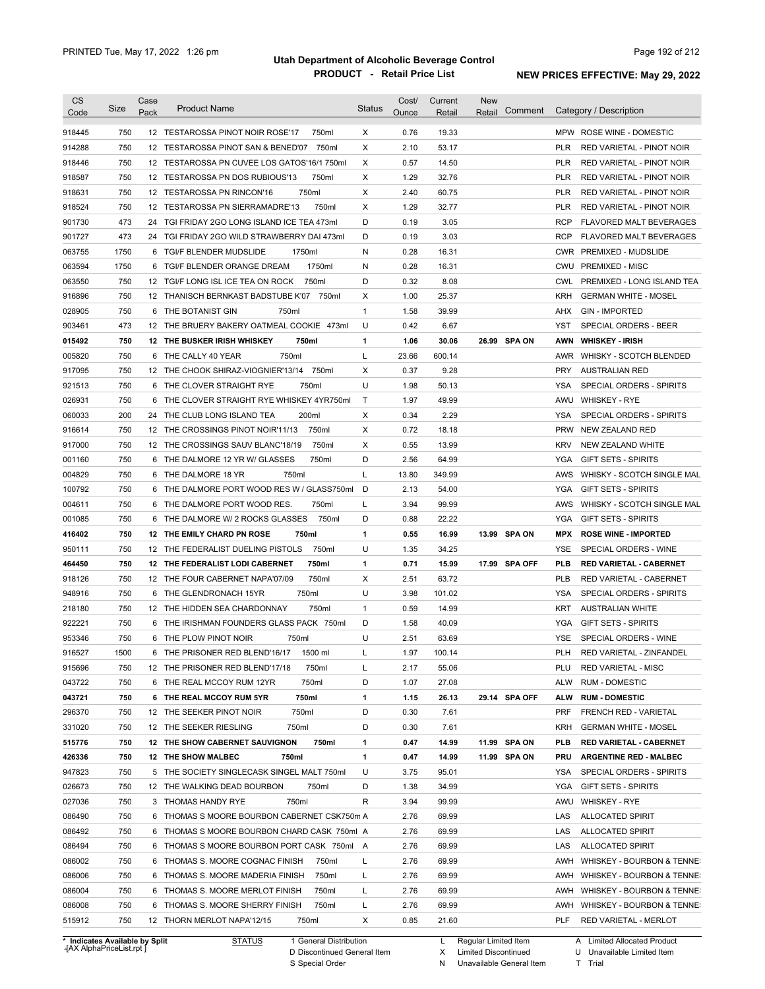| Code<br>918445<br>914288<br>918446<br>918587<br>918631<br>918524<br>901730<br>901727   | 750<br>750<br>750<br>750<br>750 | Pack | 12 TESTAROSSA PINOT NOIR ROSE'17<br>750ml<br>12 TESTAROSSA PINOT SAN & BENED'07<br>750ml<br>12 TESTAROSSA PN CUVEE LOS GATOS'16/1 750ml | Χ<br>Х       | Ounce<br>0.76 | Retail<br>19.33 | Retail |               |            | Category / Description                                     |
|----------------------------------------------------------------------------------------|---------------------------------|------|-----------------------------------------------------------------------------------------------------------------------------------------|--------------|---------------|-----------------|--------|---------------|------------|------------------------------------------------------------|
|                                                                                        |                                 |      |                                                                                                                                         |              |               |                 |        |               |            |                                                            |
|                                                                                        |                                 |      |                                                                                                                                         |              |               |                 |        |               |            | MPW ROSE WINE - DOMESTIC                                   |
|                                                                                        |                                 |      |                                                                                                                                         |              | 2.10          | 53.17           |        |               | <b>PLR</b> | RED VARIETAL - PINOT NOIR                                  |
|                                                                                        |                                 |      |                                                                                                                                         | х            | 0.57          | 14.50           |        |               | <b>PLR</b> | RED VARIETAL - PINOT NOIR                                  |
|                                                                                        |                                 |      | 12 TESTAROSSA PN DOS RUBIOUS'13<br>750ml                                                                                                | х            | 1.29          | 32.76           |        |               | <b>PLR</b> | <b>RED VARIETAL - PINOT NOIR</b>                           |
|                                                                                        |                                 |      | 750ml<br>12 TESTAROSSA PN RINCON'16                                                                                                     | Х            | 2.40          | 60.75           |        |               | <b>PLR</b> | RED VARIETAL - PINOT NOIR                                  |
|                                                                                        | 750                             |      | 12 TESTAROSSA PN SIERRAMADRE'13<br>750ml                                                                                                | Х            | 1.29          | 32.77           |        |               | <b>PLR</b> | RED VARIETAL - PINOT NOIR                                  |
|                                                                                        | 473                             | 24   | TGI FRIDAY 2GO LONG ISLAND ICE TEA 473ml                                                                                                | D            | 0.19          | 3.05            |        |               | <b>RCP</b> | <b>FLAVORED MALT BEVERAGES</b>                             |
|                                                                                        | 473                             | 24   | TGI FRIDAY 2GO WILD STRAWBERRY DAI 473ml                                                                                                | D            | 0.19          | 3.03            |        |               | <b>RCP</b> | <b>FLAVORED MALT BEVERAGES</b>                             |
| 063755                                                                                 | 1750                            | 6    | TGI/F BLENDER MUDSLIDE<br>1750ml                                                                                                        | N            | 0.28          | 16.31           |        |               | <b>CWR</b> | PREMIXED - MUDSLIDE                                        |
| 063594                                                                                 | 1750                            | 6    | 1750ml<br>TGI/F BLENDER ORANGE DREAM                                                                                                    | N            | 0.28          | 16.31           |        |               | CWU        | PREMIXED - MISC                                            |
| 063550                                                                                 | 750                             |      | 750ml<br>12 TGI/F LONG ISL ICE TEA ON ROCK                                                                                              | D            | 0.32          | 8.08            |        |               | <b>CWL</b> | PREMIXED - LONG ISLAND TEA                                 |
| 916896                                                                                 | 750                             |      | 12 THANISCH BERNKAST BADSTUBE K'07<br>750ml                                                                                             | Х            | 1.00          | 25.37           |        |               | KRH        | <b>GERMAN WHITE - MOSEL</b>                                |
| 028905                                                                                 | 750                             |      | 750ml<br>6 THE BOTANIST GIN                                                                                                             | $\mathbf{1}$ | 1.58          | 39.99           |        |               | AHX        | <b>GIN - IMPORTED</b>                                      |
| 903461                                                                                 | 473                             |      | 12 THE BRUERY BAKERY OATMEAL COOKIE<br>473ml                                                                                            | U            | 0.42          | 6.67            |        |               | <b>YST</b> | <b>SPECIAL ORDERS - BEER</b>                               |
| 015492                                                                                 | 750                             |      | 750ml<br>12 THE BUSKER IRISH WHISKEY                                                                                                    | $\mathbf{1}$ | 1.06          | 30.06           |        | 26.99 SPA ON  | AWN        | <b>WHISKEY - IRISH</b>                                     |
| 005820                                                                                 | 750                             |      | 750ml<br>6 THE CALLY 40 YEAR                                                                                                            | L            | 23.66         | 600.14          |        |               | AWR        | WHISKY - SCOTCH BLENDED                                    |
| 917095                                                                                 | 750                             |      | 12 THE CHOOK SHIRAZ-VIOGNIER'13/14<br>750ml                                                                                             | X            | 0.37          | 9.28            |        |               | <b>PRY</b> | AUSTRALIAN RED                                             |
| 921513                                                                                 | 750                             |      | 750ml<br>6 THE CLOVER STRAIGHT RYE                                                                                                      | U            | 1.98          | 50.13           |        |               | YSA        | SPECIAL ORDERS - SPIRITS                                   |
| 026931                                                                                 | 750                             | 6    | THE CLOVER STRAIGHT RYE WHISKEY 4YR750ml                                                                                                | $\mathsf T$  | 1.97          | 49.99           |        |               | AWU        | <b>WHISKEY - RYE</b>                                       |
| 060033                                                                                 | 200                             |      | 200ml<br>24 THE CLUB LONG ISLAND TEA                                                                                                    | Χ            | 0.34          | 2.29            |        |               | YSA        | SPECIAL ORDERS - SPIRITS                                   |
| 916614                                                                                 | 750                             |      | 750ml<br>12 THE CROSSINGS PINOT NOIR'11/13                                                                                              | Х            | 0.72          | 18.18           |        |               | <b>PRW</b> | NEW ZEALAND RED                                            |
| 917000                                                                                 | 750                             |      | 12 THE CROSSINGS SAUV BLANC'18/19<br>750ml                                                                                              | Х            | 0.55          | 13.99           |        |               | <b>KRV</b> | NEW ZEALAND WHITE                                          |
| 001160                                                                                 | 750                             |      | 6 THE DALMORE 12 YR W/ GLASSES<br>750ml                                                                                                 | D            | 2.56          | 64.99           |        |               | YGA        | <b>GIFT SETS - SPIRITS</b>                                 |
| 004829                                                                                 | 750                             |      | 750ml<br>6 THE DALMORE 18 YR                                                                                                            | L            | 13.80         | 349.99          |        |               | AWS        | WHISKY - SCOTCH SINGLE MAL                                 |
| 100792                                                                                 | 750                             |      | 6 THE DALMORE PORT WOOD RES W / GLASS750ml                                                                                              | D            | 2.13          | 54.00           |        |               | YGA        | <b>GIFT SETS - SPIRITS</b>                                 |
| 004611                                                                                 | 750                             |      | 750ml<br>6 THE DALMORE PORT WOOD RES.                                                                                                   | L            | 3.94          | 99.99           |        |               | AWS        | WHISKY - SCOTCH SINGLE MAL                                 |
| 001085                                                                                 | 750                             |      | 6 THE DALMORE W/ 2 ROCKS GLASSES<br>750ml                                                                                               | D            | 0.88          | 22.22           |        |               | YGA        | <b>GIFT SETS - SPIRITS</b>                                 |
| 416402                                                                                 | 750                             |      | 750ml<br>12 THE EMILY CHARD PN ROSE                                                                                                     | $\mathbf{1}$ | 0.55          | 16.99           |        | 13.99 SPA ON  | <b>MPX</b> | <b>ROSE WINE - IMPORTED</b>                                |
| 950111                                                                                 | 750                             |      | 750ml<br>12 THE FEDERALIST DUELING PISTOLS                                                                                              | U            | 1.35          | 34.25           |        |               | YSE        | SPECIAL ORDERS - WINE                                      |
|                                                                                        |                                 |      | 750ml                                                                                                                                   |              | 0.71          | 15.99           |        | 17.99 SPA OFF | <b>PLB</b> |                                                            |
| 464450<br>918126                                                                       | 750<br>750                      |      | 12 THE FEDERALIST LODI CABERNET<br>750ml<br>12 THE FOUR CABERNET NAPA'07/09                                                             | 1<br>Х       | 2.51          | 63.72           |        |               | <b>PLB</b> | <b>RED VARIETAL - CABERNET</b><br>RED VARIETAL - CABERNET  |
|                                                                                        |                                 |      |                                                                                                                                         |              |               |                 |        |               |            |                                                            |
| 948916                                                                                 | 750                             |      | 6 THE GLENDRONACH 15YR<br>750ml<br>12 THE HIDDEN SEA CHARDONNAY                                                                         | U            | 3.98          | 101.02          |        |               | YSA        | SPECIAL ORDERS - SPIRITS                                   |
| 218180                                                                                 | 750                             |      | 750ml                                                                                                                                   | $\mathbf{1}$ | 0.59          | 14.99           |        |               | KRT        | <b>AUSTRALIAN WHITE</b>                                    |
| 922221                                                                                 | 750                             |      | 6 THE IRISHMAN FOUNDERS GLASS PACK 750ml                                                                                                | D            | 1.58          | 40.09           |        |               | YGA        | <b>GIFT SETS - SPIRITS</b>                                 |
| 953346                                                                                 | 750                             |      | 6 THE PLOW PINOT NOIR<br>750ml                                                                                                          | U            | 2.51          | 63.69           |        |               | YSE        | SPECIAL ORDERS - WINE                                      |
| 916527                                                                                 | 1500                            |      | 6 THE PRISONER RED BLEND'16/17<br>1500 ml                                                                                               |              | 1.97          | 100.14          |        |               | PLH        | RED VARIETAL - ZINFANDEL                                   |
| 915696                                                                                 | 750                             |      | 12 THE PRISONER RED BLEND'17/18<br>750ml                                                                                                | L            | 2.17          | 55.06           |        |               | PLU        | <b>RED VARIETAL - MISC</b>                                 |
| 043722                                                                                 | 750                             |      | 6 THE REAL MCCOY RUM 12YR<br>750ml                                                                                                      | D            | 1.07          | 27.08           |        |               | ALW        | <b>RUM - DOMESTIC</b>                                      |
| 043721                                                                                 | 750                             |      | 6 THE REAL MCCOY RUM 5YR<br>750ml                                                                                                       | 1            | 1.15          | 26.13           |        | 29.14 SPA OFF | ALW        | <b>RUM - DOMESTIC</b>                                      |
| 296370                                                                                 | 750                             |      | 750ml<br>12 THE SEEKER PINOT NOIR                                                                                                       | D            | 0.30          | 7.61            |        |               | <b>PRF</b> | FRENCH RED - VARIETAL                                      |
| 331020                                                                                 | 750                             |      | 12 THE SEEKER RIESLING<br>750ml                                                                                                         | D            | 0.30          | 7.61            |        |               | KRH        | <b>GERMAN WHITE - MOSEL</b>                                |
| 515776                                                                                 | 750                             |      | 12 THE SHOW CABERNET SAUVIGNON<br>750ml                                                                                                 | 1            | 0.47          | 14.99           |        | 11.99 SPA ON  | PLB        | <b>RED VARIETAL - CABERNET</b>                             |
| 426336                                                                                 | 750                             |      | 12 THE SHOW MALBEC<br>750ml                                                                                                             | $\mathbf{1}$ | 0.47          | 14.99           |        | 11.99 SPA ON  | PRU        | <b>ARGENTINE RED - MALBEC</b>                              |
| 947823                                                                                 | 750                             |      | 5 THE SOCIETY SINGLECASK SINGEL MALT 750ml                                                                                              | U            | 3.75          | 95.01           |        |               | YSA        | SPECIAL ORDERS - SPIRITS                                   |
| 026673                                                                                 | 750                             |      | 12 THE WALKING DEAD BOURBON<br>750ml                                                                                                    | D            | 1.38          | 34.99           |        |               | YGA        | <b>GIFT SETS - SPIRITS</b>                                 |
|                                                                                        | 750                             |      | 750ml<br>3 THOMAS HANDY RYE                                                                                                             | R            | 3.94          | 99.99           |        |               | AWU        | WHISKEY - RYE                                              |
|                                                                                        | 750                             |      | 6 THOMAS S MOORE BOURBON CABERNET CSK750m A                                                                                             |              | 2.76          | 69.99           |        |               | LAS        | <b>ALLOCATED SPIRIT</b>                                    |
|                                                                                        |                                 |      | 6 THOMAS S MOORE BOURBON CHARD CASK 750ml A                                                                                             |              | 2.76          | 69.99           |        |               | LAS        | <b>ALLOCATED SPIRIT</b>                                    |
|                                                                                        | 750                             |      |                                                                                                                                         |              | 2.76          | 69.99           |        |               | LAS        | <b>ALLOCATED SPIRIT</b>                                    |
|                                                                                        |                                 |      |                                                                                                                                         |              |               |                 |        |               |            |                                                            |
|                                                                                        | 750                             |      | 6 THOMAS S MOORE BOURBON PORT CASK 750ml A                                                                                              |              |               |                 |        |               |            |                                                            |
|                                                                                        | 750                             |      | 6 THOMAS S. MOORE COGNAC FINISH<br>750ml                                                                                                | L            | 2.76          | 69.99           |        |               | AWH        | WHISKEY - BOURBON & TENNE                                  |
|                                                                                        | 750                             |      | 6 THOMAS S. MOORE MADERIA FINISH<br>750ml                                                                                               | L            | 2.76          | 69.99           |        |               | AWH        | WHISKEY - BOURBON & TENNE:                                 |
|                                                                                        | 750                             |      | 6 THOMAS S. MOORE MERLOT FINISH<br>750ml                                                                                                | L            | 2.76          | 69.99           |        |               | AWH        | WHISKEY - BOURBON & TENNE:                                 |
| 027036<br>086490<br>086492<br>086494<br>086002<br>086006<br>086004<br>086008<br>515912 | 750<br>750                      |      | 6 THOMAS S. MOORE SHERRY FINISH<br>750ml<br>12 THORN MERLOT NAPA'12/15<br>750ml                                                         | L<br>Х       | 2.76<br>0.85  | 69.99<br>21.60  |        |               | AWH<br>PLF | WHISKEY - BOURBON & TENNE:<br><b>RED VARIETAL - MERLOT</b> |

**Case** [AX AlphaPriceList.rpt ]

S Special Order

X Limited Discontinued N Unavailable General Item

U Unavailable Limited Item

D Discontinued General Item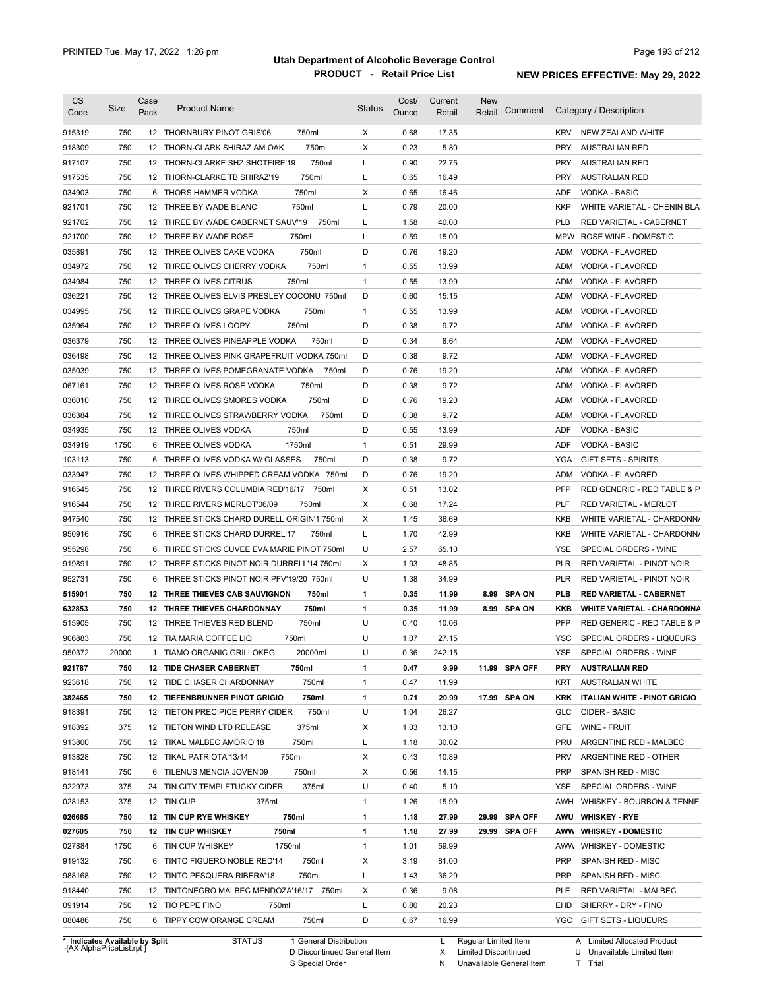| <b>CS</b><br>Code              | Size  | Case<br>Pack | <b>Product Name</b>                         | <b>Status</b>          | Cost/<br>Ounce | Current<br>Retail | New<br>Comment<br>Retail | Category / Description                                                                |
|--------------------------------|-------|--------------|---------------------------------------------|------------------------|----------------|-------------------|--------------------------|---------------------------------------------------------------------------------------|
| 915319                         | 750   |              | 12 THORNBURY PINOT GRIS'06<br>750ml         | Χ                      | 0.68           | 17.35             |                          | NEW ZEALAND WHITE<br><b>KRV</b>                                                       |
| 918309                         | 750   |              | 750ml<br>12 THORN-CLARK SHIRAZ AM OAK       | X                      | 0.23           | 5.80              |                          | <b>PRY</b><br><b>AUSTRALIAN RED</b>                                                   |
| 917107                         | 750   |              | 750ml<br>12 THORN-CLARKE SHZ SHOTFIRE'19    | L                      | 0.90           | 22.75             |                          | <b>PRY</b><br><b>AUSTRALIAN RED</b>                                                   |
| 917535                         | 750   |              | 750ml<br>12 THORN-CLARKE TB SHIRAZ'19       | L                      | 0.65           | 16.49             |                          | <b>PRY</b><br><b>AUSTRALIAN RED</b>                                                   |
| 034903                         | 750   |              | 750ml<br>6 THORS HAMMER VODKA               | Х                      | 0.65           | 16.46             |                          | <b>VODKA - BASIC</b><br>ADF                                                           |
| 921701                         | 750   |              | 750ml<br>12 THREE BY WADE BLANC             | L                      | 0.79           | 20.00             |                          | KKP<br>WHITE VARIETAL - CHENIN BLA                                                    |
| 921702                         | 750   |              | 12 THREE BY WADE CABERNET SAUV'19           | 750ml<br>L             | 1.58           | 40.00             |                          | PLB<br>RED VARIETAL - CABERNET                                                        |
| 921700                         | 750   |              | 750ml<br>12 THREE BY WADE ROSE              | L                      | 0.59           | 15.00             |                          | MPW<br>ROSE WINE - DOMESTIC                                                           |
| 035891                         | 750   |              | 750ml<br>12 THREE OLIVES CAKE VODKA         | D                      | 0.76           | 19.20             |                          | ADM<br><b>VODKA - FLAVORED</b>                                                        |
| 034972                         | 750   |              | 750ml<br>12 THREE OLIVES CHERRY VODKA       | $\mathbf{1}$           | 0.55           | 13.99             |                          | ADM<br><b>VODKA - FLAVORED</b>                                                        |
| 034984                         | 750   |              | 750ml<br>12 THREE OLIVES CITRUS             | $\mathbf{1}$           | 0.55           | 13.99             |                          | ADM<br>VODKA - FLAVORED                                                               |
| 036221                         | 750   |              | 12 THREE OLIVES ELVIS PRESLEY COCONU 750ml  | D                      | 0.60           | 15.15             |                          | ADM<br>VODKA - FLAVORED                                                               |
| 034995                         | 750   |              | 12 THREE OLIVES GRAPE VODKA<br>750ml        | $\mathbf{1}$           | 0.55           | 13.99             |                          | ADM<br>VODKA - FLAVORED                                                               |
| 035964                         | 750   |              | 12 THREE OLIVES LOOPY<br>750ml              | D                      | 0.38           | 9.72              |                          | ADM<br>VODKA - FLAVORED                                                               |
| 036379                         | 750   |              | 12 THREE OLIVES PINEAPPLE VODKA<br>750ml    | D                      | 0.34           | 8.64              |                          | ADM<br>VODKA - FLAVORED                                                               |
| 036498                         | 750   |              | 12 THREE OLIVES PINK GRAPEFRUIT VODKA 750ml | D                      | 0.38           | 9.72              |                          | ADM<br>VODKA - FLAVORED                                                               |
| 035039                         | 750   |              | 12 THREE OLIVES POMEGRANATE VODKA           | D<br>750ml             | 0.76           | 19.20             |                          | <b>ADM</b><br>VODKA - FLAVORED                                                        |
| 067161                         | 750   |              | 750ml<br>12 THREE OLIVES ROSE VODKA         | D                      | 0.38           | 9.72              |                          | ADM<br>VODKA - FLAVORED                                                               |
| 036010                         | 750   |              | 750ml<br>12 THREE OLIVES SMORES VODKA       | D                      | 0.76           | 19.20             |                          | ADM<br>VODKA - FLAVORED                                                               |
| 036384                         | 750   | 12           | THREE OLIVES STRAWBERRY VODKA               | D<br>750ml             | 0.38           | 9.72              |                          | <b>ADM</b><br>VODKA - FLAVORED                                                        |
| 034935                         | 750   |              | 12 THREE OLIVES VODKA<br>750ml              | D                      | 0.55           | 13.99             |                          | <b>ADF</b><br><b>VODKA - BASIC</b>                                                    |
| 034919                         | 1750  | 6            | 1750ml<br>THREE OLIVES VODKA                | $\mathbf{1}$           | 0.51           | 29.99             |                          | <b>ADF</b><br><b>VODKA - BASIC</b>                                                    |
| 103113                         | 750   | 6            | THREE OLIVES VODKA W/ GLASSES               | 750ml<br>D             | 0.38           | 9.72              |                          | <b>YGA</b><br><b>GIFT SETS - SPIRITS</b>                                              |
| 033947                         | 750   |              | 12 THREE OLIVES WHIPPED CREAM VODKA 750ml   | D                      | 0.76           | 19.20             |                          | ADM<br>VODKA - FLAVORED                                                               |
| 916545                         | 750   |              | 12 THREE RIVERS COLUMBIA RED'16/17 750ml    | X                      | 0.51           | 13.02             |                          | <b>PFP</b><br>RED GENERIC - RED TABLE & P                                             |
| 916544                         | 750   |              | 750ml<br>12 THREE RIVERS MERLOT'06/09       | Х                      | 0.68           | 17.24             |                          | <b>PLF</b><br>RED VARIETAL - MERLOT                                                   |
| 947540                         | 750   |              | 12 THREE STICKS CHARD DURELL ORIGIN'1 750ml | х                      | 1.45           | 36.69             |                          | <b>KKB</b><br>WHITE VARIETAL - CHARDONN/                                              |
| 950916                         | 750   | 6            | THREE STICKS CHARD DURREL'17<br>750ml       | L                      | 1.70           | 42.99             |                          | <b>KKB</b><br>WHITE VARIETAL - CHARDONN/                                              |
| 955298                         | 750   | 6            | THREE STICKS CUVEE EVA MARIE PINOT 750ml    | U                      | 2.57           | 65.10             |                          | <b>YSE</b><br>SPECIAL ORDERS - WINE                                                   |
| 919891                         | 750   |              | 12 THREE STICKS PINOT NOIR DURRELL'14 750ml | х                      | 1.93           | 48.85             |                          | PLR<br>RED VARIETAL - PINOT NOIR                                                      |
| 952731                         | 750   | 6            | THREE STICKS PINOT NOIR PFV'19/20 750ml     | U                      | 1.38           | 34.99             |                          | PLR<br>RED VARIETAL - PINOT NOIR                                                      |
|                                | 750   |              | 750ml<br>12 THREE THIEVES CAB SAUVIGNON     | 1                      | 0.35           | 11.99             | <b>SPA ON</b><br>8.99    | PLB                                                                                   |
| 515901                         |       |              |                                             |                        |                |                   |                          | RED VARIETAL - CABERNET                                                               |
| 632853                         | 750   |              | 750ml<br><b>12 THREE THIEVES CHARDONNAY</b> | 1<br>U                 | 0.35           | 11.99             | 8.99 SPA ON              | KKB<br><b>WHITE VARIETAL - CHARDONNA</b><br><b>PFP</b><br>RED GENERIC - RED TABLE & P |
| 515905                         | 750   |              | 750ml<br>12 THREE THIEVES RED BLEND         |                        | 0.40           | 10.06             |                          |                                                                                       |
| 906883                         | 750   |              | 750ml<br>12 TIA MARIA COFFEE LIQ            | U                      | 1.07           | 27.15             |                          | <b>YSC</b><br>SPECIAL ORDERS - LIQUEURS                                               |
| 950372                         | 20000 |              | 1 TIAMO ORGANIC GRILLOKEG<br>20000ml        | U                      | 0.36           | 242.15            |                          | YSE<br>SPECIAL ORDERS - WINE                                                          |
| 921787                         | 750   |              | <b>12 TIDE CHASER CABERNET</b><br>750ml     | 1                      | 0.47           | 9.99              | 11.99 SPA OFF            | <b>AUSTRALIAN RED</b><br>PRY                                                          |
| 923618                         | 750   |              | 750ml<br>12 TIDE CHASER CHARDONNAY          | 1                      | 0.47           | 11.99             |                          | KRT<br><b>AUSTRALIAN WHITE</b>                                                        |
| 382465                         | 750   |              | 750ml<br>12 TIEFENBRUNNER PINOT GRIGIO      | 1                      | 0.71           | 20.99             | 17.99 SPA ON             | <b>KRK</b><br><b>ITALIAN WHITE - PINOT GRIGIO</b>                                     |
| 918391                         | 750   |              | 750ml<br>12 TIETON PRECIPICE PERRY CIDER    | U                      | 1.04           | 26.27             |                          | CIDER - BASIC<br>GLC                                                                  |
| 918392                         | 375   |              | 375ml<br>12 TIETON WIND LTD RELEASE         | Х                      | 1.03           | 13.10             |                          | GFE<br>WINE - FRUIT                                                                   |
| 913800                         | 750   |              | 750ml<br>12 TIKAL MALBEC AMORIO'18          | L                      | 1.18           | 30.02             |                          | PRU<br>ARGENTINE RED - MALBEC                                                         |
| 913828                         | 750   |              | 12 TIKAL PATRIOTA'13/14<br>750ml            | Х                      | 0.43           | 10.89             |                          | <b>PRV</b><br>ARGENTINE RED - OTHER                                                   |
| 918141                         | 750   |              | 750ml<br>6 TILENUS MENCIA JOVEN'09          | Х                      | 0.56           | 14.15             |                          | <b>PRP</b><br>SPANISH RED - MISC                                                      |
| 922973                         | 375   |              | 375ml<br>24 TIN CITY TEMPLETUCKY CIDER      | U                      | 0.40           | 5.10              |                          | YSE<br>SPECIAL ORDERS - WINE                                                          |
| 028153                         | 375   |              | 12 TIN CUP<br>375ml                         | $\mathbf{1}$           | 1.26           | 15.99             |                          | AWH<br>WHISKEY - BOURBON & TENNE:                                                     |
| 026665                         | 750   |              | 750ml<br>12 TIN CUP RYE WHISKEY             | 1                      | 1.18           | 27.99             | 29.99 SPA OFF            | AWU<br><b>WHISKEY - RYE</b>                                                           |
| 027605                         | 750   |              | 750ml<br>12 TIN CUP WHISKEY                 | 1                      | 1.18           | 27.99             | 29.99 SPA OFF            | AWW WHISKEY - DOMESTIC                                                                |
| 027884                         | 1750  |              | 1750ml<br>6 TIN CUP WHISKEY                 | $\mathbf{1}$           | 1.01           | 59.99             |                          | AWW WHISKEY - DOMESTIC                                                                |
| 919132                         | 750   |              | 750ml<br>6 TINTO FIGUERO NOBLE RED'14       | х                      | 3.19           | 81.00             |                          | <b>PRP</b><br>SPANISH RED - MISC                                                      |
| 988168                         | 750   |              | 750ml<br>12 TINTO PESQUERA RIBERA'18        | L                      | 1.43           | 36.29             |                          | <b>PRP</b><br>SPANISH RED - MISC                                                      |
| 918440                         | 750   |              | 12 TINTONEGRO MALBEC MENDOZA'16/17 750ml    | Х                      | 0.36           | 9.08              |                          | PLE<br>RED VARIETAL - MALBEC                                                          |
| 091914                         | 750   |              | 12 TIO PEPE FINO<br>750ml                   | L                      | 0.80           | 20.23             |                          | EHD<br>SHERRY - DRY - FINO                                                            |
| 080486                         | 750   |              | 6 TIPPY COW ORANGE CREAM<br>750ml           | D                      | 0.67           | 16.99             |                          | YGC GIFT SETS - LIQUEURS                                                              |
| * Indicates Available by Split |       |              | <b>STATUS</b>                               | 1 General Distribution |                | L                 | Regular Limited Item     | A Limited Allocated Product                                                           |

**Case** [AX AlphaPriceList.rpt ]

D Discontinued General Item S Special Order

X Limited Discontinued N Unavailable General Item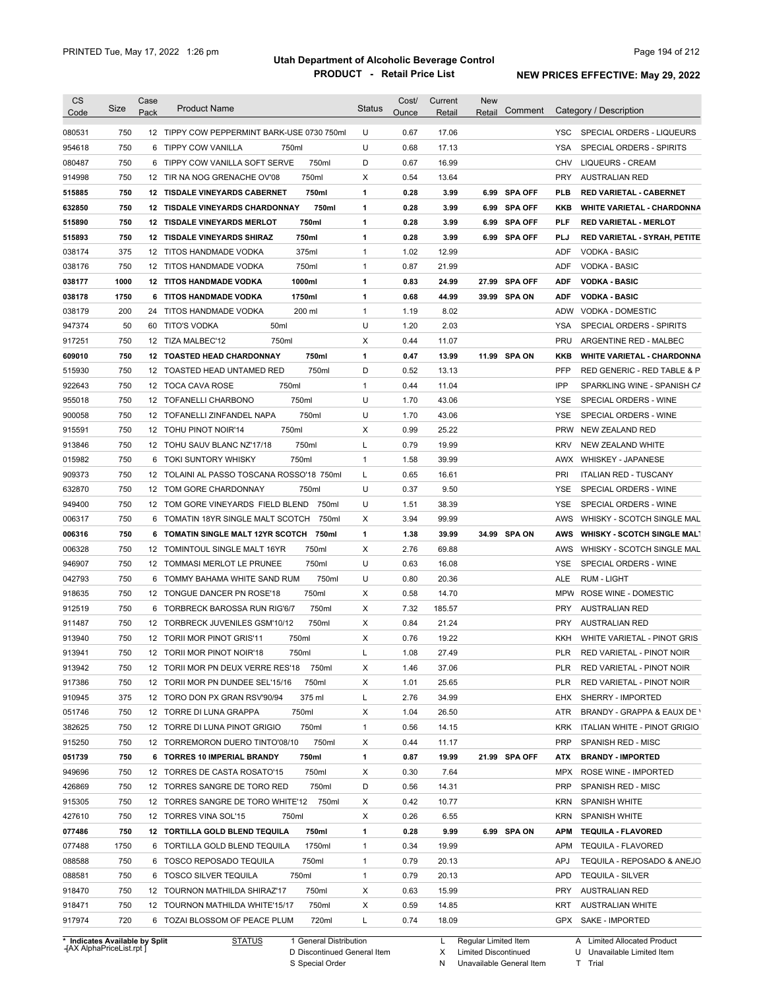| CS     | Size | Case            | <b>Product Name</b>                                         | Status       | Cost/ | Current | New    |                |            |                                                |
|--------|------|-----------------|-------------------------------------------------------------|--------------|-------|---------|--------|----------------|------------|------------------------------------------------|
| Code   |      | Pack            |                                                             |              | Ounce | Retail  | Retail | Comment        |            | Category / Description                         |
| 080531 | 750  |                 | 12 TIPPY COW PEPPERMINT BARK-USE 0730 750ml                 | U            | 0.67  | 17.06   |        |                | YSC.       | SPECIAL ORDERS - LIQUEURS                      |
| 954618 | 750  | 6               | <b>TIPPY COW VANILLA</b><br>750ml                           | U            | 0.68  | 17.13   |        |                | <b>YSA</b> | SPECIAL ORDERS - SPIRITS                       |
| 080487 | 750  | 6               | 750ml<br>TIPPY COW VANILLA SOFT SERVE                       | D            | 0.67  | 16.99   |        |                | <b>CHV</b> | <b>LIQUEURS - CREAM</b>                        |
| 914998 | 750  | 12 <sup>°</sup> | 750ml<br>TIR NA NOG GRENACHE OV'08                          | X            | 0.54  | 13.64   |        |                | <b>PRY</b> | <b>AUSTRALIAN RED</b>                          |
| 515885 | 750  | 12              | <b>TISDALE VINEYARDS CABERNET</b><br>750ml                  | 1            | 0.28  | 3.99    | 6.99   | <b>SPA OFF</b> | <b>PLB</b> | <b>RED VARIETAL - CABERNET</b>                 |
| 632850 | 750  | 12              | TISDALE VINEYARDS CHARDONNAY<br>750ml                       | 1            | 0.28  | 3.99    | 6.99   | <b>SPA OFF</b> | <b>KKB</b> | <b>WHITE VARIETAL - CHARDONNA</b>              |
| 515890 | 750  | 12              | 750ml<br><b>TISDALE VINEYARDS MERLOT</b>                    | 1            | 0.28  | 3.99    | 6.99   | <b>SPA OFF</b> | <b>PLF</b> | <b>RED VARIETAL - MERLOT</b>                   |
| 515893 | 750  | 12              | <b>TISDALE VINEYARDS SHIRAZ</b><br>750ml                    | 1            | 0.28  | 3.99    |        | 6.99 SPA OFF   | <b>PLJ</b> | RED VARIETAL - SYRAH, PETITE                   |
| 038174 | 375  |                 | 375ml<br>12 TITOS HANDMADE VODKA                            | 1            | 1.02  | 12.99   |        |                | ADF        | <b>VODKA - BASIC</b>                           |
| 038176 | 750  |                 | 750ml<br>12 TITOS HANDMADE VODKA                            | $\mathbf{1}$ | 0.87  | 21.99   |        |                | ADF        | <b>VODKA - BASIC</b>                           |
| 038177 | 1000 |                 | <b>12 TITOS HANDMADE VODKA</b><br>1000ml                    | 1            | 0.83  | 24.99   | 27.99  | <b>SPA OFF</b> | <b>ADF</b> | <b>VODKA - BASIC</b>                           |
| 038178 | 1750 |                 | 6 TITOS HANDMADE VODKA<br>1750ml                            | 1            | 0.68  | 44.99   |        | 39.99 SPA ON   | <b>ADF</b> | <b>VODKA - BASIC</b>                           |
| 038179 | 200  |                 | 200 ml<br>24 TITOS HANDMADE VODKA                           | $\mathbf{1}$ | 1.19  | 8.02    |        |                | ADW        | <b>VODKA - DOMESTIC</b>                        |
| 947374 | 50   | 60              | 50ml<br>TITO'S VODKA                                        | U            | 1.20  | 2.03    |        |                | YSA        | SPECIAL ORDERS - SPIRITS                       |
| 917251 | 750  |                 | 750ml<br>12 TIZA MALBEC'12                                  | X            | 0.44  | 11.07   |        |                | PRU        | ARGENTINE RED - MALBEC                         |
| 609010 | 750  |                 | 750ml<br><b>12 TOASTED HEAD CHARDONNAY</b>                  | 1            | 0.47  | 13.99   |        | 11.99 SPA ON   | KKB        | <b>WHITE VARIETAL - CHARDONNA</b>              |
| 515930 | 750  | 12              | 750ml<br>TOASTED HEAD UNTAMED RED                           | D            | 0.52  | 13.13   |        |                | PFP        | RED GENERIC - RED TABLE & P                    |
| 922643 | 750  |                 | 12 TOCA CAVA ROSE<br>750ml                                  | 1            | 0.44  | 11.04   |        |                | IPP        | SPARKLING WINE - SPANISH CA                    |
| 955018 | 750  |                 | 12 TOFANELLI CHARBONO<br>750ml                              | U            | 1.70  | 43.06   |        |                | YSE        | SPECIAL ORDERS - WINE                          |
| 900058 | 750  |                 | 750ml<br>12 TOFANELLI ZINFANDEL NAPA                        | U            | 1.70  | 43.06   |        |                | <b>YSE</b> | SPECIAL ORDERS - WINE                          |
| 915591 | 750  |                 | 750ml<br>12 TOHU PINOT NOIR'14                              | х            | 0.99  | 25.22   |        |                | <b>PRW</b> | NEW ZEALAND RED                                |
| 913846 | 750  |                 | 12 TOHU SAUV BLANC NZ'17/18<br>750ml                        | Г            | 0.79  | 19.99   |        |                | <b>KRV</b> | <b>NEW ZEALAND WHITE</b>                       |
| 015982 | 750  |                 | 750ml<br>6 TOKI SUNTORY WHISKY                              | $\mathbf{1}$ | 1.58  | 39.99   |        |                | AWX        | <b>WHISKEY - JAPANESE</b>                      |
| 909373 | 750  |                 | 12 TOLAINI AL PASSO TOSCANA ROSSO'18 750ml                  | Г            | 0.65  | 16.61   |        |                | PRI        | <b>ITALIAN RED - TUSCANY</b>                   |
|        | 750  |                 | 750ml                                                       | U            | 0.37  | 9.50    |        |                | <b>YSE</b> |                                                |
| 632870 | 750  |                 | 12 TOM GORE CHARDONNAY<br>12 TOM GORE VINEYARDS FIELD BLEND | U            | 1.51  |         |        |                | <b>YSE</b> | SPECIAL ORDERS - WINE<br>SPECIAL ORDERS - WINE |
| 949400 |      |                 | 750ml                                                       |              |       | 38.39   |        |                |            |                                                |
| 006317 | 750  |                 | 6 TOMATIN 18YR SINGLE MALT SCOTCH<br>750ml                  | X            | 3.94  | 99.99   |        |                | AWS        | WHISKY - SCOTCH SINGLE MAL                     |
| 006316 | 750  |                 | 750ml<br>6 TOMATIN SINGLE MALT 12YR SCOTCH                  | 1            | 1.38  | 39.99   |        | 34.99 SPA ON   | <b>AWS</b> | <b>WHISKY - SCOTCH SINGLE MALT</b>             |
| 006328 | 750  |                 | 750ml<br>12 TOMINTOUL SINGLE MALT 16YR                      | X            | 2.76  | 69.88   |        |                | AWS        | WHISKY - SCOTCH SINGLE MAL                     |
| 946907 | 750  |                 | 750ml<br>12 TOMMASI MERLOT LE PRUNEE                        | U            | 0.63  | 16.08   |        |                | YSE        | SPECIAL ORDERS - WINE                          |
| 042793 | 750  |                 | 750ml<br>6 TOMMY BAHAMA WHITE SAND RUM                      | U            | 0.80  | 20.36   |        |                | ALE        | <b>RUM - LIGHT</b>                             |
| 918635 | 750  |                 | 12 TONGUE DANCER PN ROSE'18<br>750ml                        | X            | 0.58  | 14.70   |        |                | <b>MPW</b> | ROSE WINE - DOMESTIC                           |
| 912519 | 750  |                 | 750ml<br>6 TORBRECK BAROSSA RUN RIG'6/7                     | х            | 7.32  | 185.57  |        |                | <b>PRY</b> | <b>AUSTRALIAN RED</b>                          |
| 911487 | 750  |                 | 750ml<br>12 TORBRECK JUVENILES GSM'10/12                    | X            | 0.84  | 21.24   |        |                | PRY        | AUSTRALIAN RED                                 |
| 913940 | 750  |                 | 12 TORII MOR PINOT GRIS'11<br>750ml                         | X            | 0.76  | 19.22   |        |                | KKH        | WHITE VARIETAL - PINOT GRIS                    |
| 913941 | 750  |                 | 750ml<br>12 TORII MOR PINOT NOIR'18                         | L            | 1.08  | 27.49   |        |                | <b>PLR</b> | RED VARIETAL - PINOT NOIR                      |
| 913942 | 750  |                 | 12 TORII MOR PN DEUX VERRE RES'18<br>750ml                  | х            | 1.46  | 37.06   |        |                | PLR        | RED VARIETAL - PINOT NOIR                      |
| 917386 | 750  |                 | 750ml<br>12 TORII MOR PN DUNDEE SEL'15/16                   | х            | 1.01  | 25.65   |        |                | PLR        | RED VARIETAL - PINOT NOIR                      |
| 910945 | 375  |                 | 375 ml<br>12 TORO DON PX GRAN RSV'90/94                     | L            | 2.76  | 34.99   |        |                | EHX        | SHERRY - IMPORTED                              |
| 051746 | 750  |                 | 750ml<br>12 TORRE DI LUNA GRAPPA                            | Х            | 1.04  | 26.50   |        |                | ATR        | BRANDY - GRAPPA & EAUX DE \                    |
| 382625 | 750  |                 | 750ml<br>12 TORRE DI LUNA PINOT GRIGIO                      | 1            | 0.56  | 14.15   |        |                | <b>KRK</b> | ITALIAN WHITE - PINOT GRIGIO                   |
| 915250 | 750  |                 | 750ml<br>12 TORREMORON DUERO TINTO'08/10                    | х            | 0.44  | 11.17   |        |                | <b>PRP</b> | SPANISH RED - MISC                             |
| 051739 | 750  |                 | 750ml<br>6 TORRES 10 IMPERIAL BRANDY                        | 1            | 0.87  | 19.99   |        | 21.99 SPA OFF  | ATX        | <b>BRANDY - IMPORTED</b>                       |
| 949696 | 750  |                 | 750ml<br>12 TORRES DE CASTA ROSATO'15                       | X            | 0.30  | 7.64    |        |                | MPX        | ROSE WINE - IMPORTED                           |
| 426869 | 750  |                 | 750ml<br>12 TORRES SANGRE DE TORO RED                       | D            | 0.56  | 14.31   |        |                | PRP        | SPANISH RED - MISC                             |
| 915305 | 750  |                 | 750ml<br>12 TORRES SANGRE DE TORO WHITE'12                  | х            | 0.42  | 10.77   |        |                | <b>KRN</b> | <b>SPANISH WHITE</b>                           |
| 427610 | 750  |                 | 12 TORRES VINA SOL'15<br>750ml                              | Х            | 0.26  | 6.55    |        |                | <b>KRN</b> | <b>SPANISH WHITE</b>                           |
| 077486 | 750  |                 | 750ml<br>12 TORTILLA GOLD BLEND TEQUILA                     | 1            | 0.28  | 9.99    |        | 6.99 SPA ON    | APM        | <b>TEQUILA - FLAVORED</b>                      |
| 077488 | 1750 |                 | 1750ml<br>6 TORTILLA GOLD BLEND TEQUILA                     | 1            | 0.34  | 19.99   |        |                | APM        | <b>TEQUILA - FLAVORED</b>                      |
| 088588 | 750  |                 | 6 TOSCO REPOSADO TEQUILA<br>750ml                           | 1            | 0.79  | 20.13   |        |                | APJ        | TEQUILA - REPOSADO & ANEJO                     |
| 088581 | 750  |                 | 6 TOSCO SILVER TEQUILA<br>750ml                             | 1            | 0.79  | 20.13   |        |                | APD        | <b>TEQUILA - SILVER</b>                        |
| 918470 | 750  |                 | 12 TOURNON MATHILDA SHIRAZ'17<br>750ml                      | х            | 0.63  | 15.99   |        |                | <b>PRY</b> | <b>AUSTRALIAN RED</b>                          |
|        |      |                 |                                                             |              |       |         |        |                |            |                                                |
| 918471 | 750  |                 | 750ml<br>12 TOURNON MATHILDA WHITE'15/17                    | х            | 0.59  | 14.85   |        |                | KRT        | <b>AUSTRALIAN WHITE</b>                        |

**Case** [AX AlphaPriceList.rpt ]

D Discontinued General Item S Special Order

X Limited Discontinued

N Unavailable General Item

U Unavailable Limited Item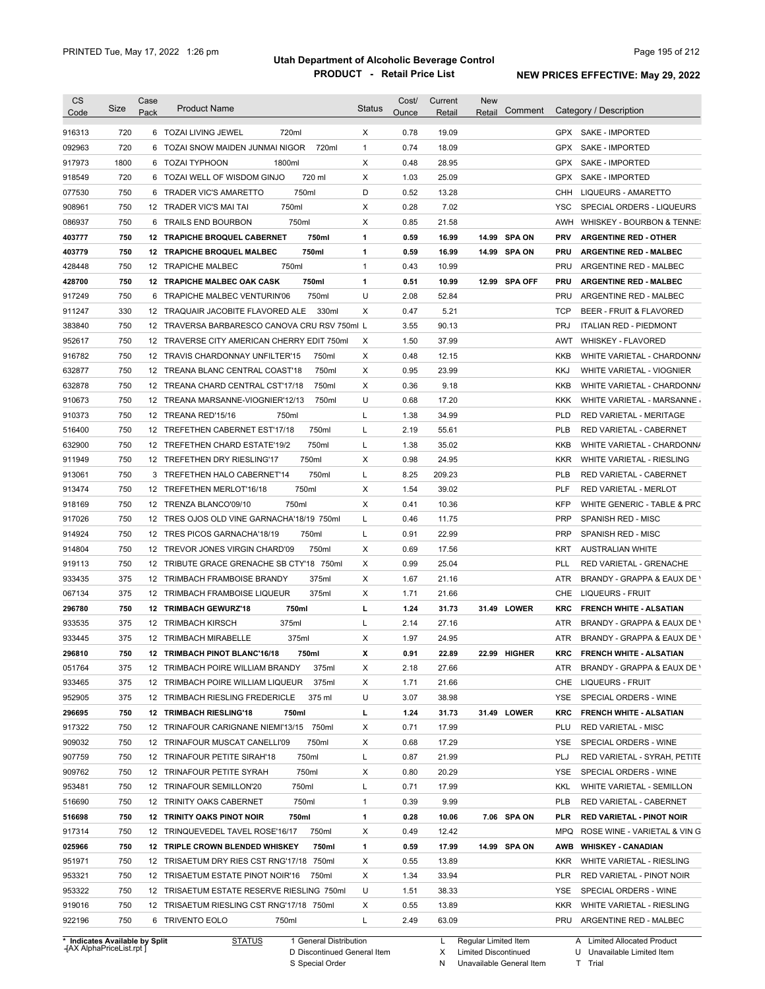| <b>CS</b>                      | Size | Case | <b>Product Name</b>                           | <b>Status</b> | Cost/ | Current | <b>New</b><br>Comment | Category / Description                       |
|--------------------------------|------|------|-----------------------------------------------|---------------|-------|---------|-----------------------|----------------------------------------------|
| Code                           |      | Pack |                                               |               | Ounce | Retail  | Retail                |                                              |
| 916313                         | 720  |      | 6 TOZAI LIVING JEWEL<br>720ml                 | X             | 0.78  | 19.09   |                       | <b>GPX</b><br>SAKE - IMPORTED                |
| 092963                         | 720  |      | 720ml<br>6 TOZAI SNOW MAIDEN JUNMAI NIGOR     | $\mathbf{1}$  | 0.74  | 18.09   |                       | <b>GPX</b><br>SAKE - IMPORTED                |
| 917973                         | 1800 |      | 6 TOZAI TYPHOON<br>1800ml                     | X             | 0.48  | 28.95   |                       | <b>GPX</b><br><b>SAKE - IMPORTED</b>         |
| 918549                         | 720  |      | 720 ml<br>6 TOZAI WELL OF WISDOM GINJO        | X             | 1.03  | 25.09   |                       | <b>GPX</b><br>SAKE - IMPORTED                |
| 077530                         | 750  |      | 750ml<br>6 TRADER VIC'S AMARETTO              | D             | 0.52  | 13.28   |                       | <b>CHH</b><br>LIQUEURS - AMARETTO            |
| 908961                         | 750  |      | 750ml<br>12 TRADER VIC'S MAI TAI              | X             | 0.28  | 7.02    |                       | <b>YSC</b><br>SPECIAL ORDERS - LIQUEURS      |
| 086937                         | 750  |      | 750ml<br>6 TRAILS END BOURBON                 | X             | 0.85  | 21.58   |                       | AWH<br>WHISKEY - BOURBON & TENNE:            |
| 403777                         | 750  |      | 750ml<br>12 TRAPICHE BROQUEL CABERNET         | 1             | 0.59  | 16.99   | 14.99 SPA ON          | <b>PRV</b><br><b>ARGENTINE RED - OTHER</b>   |
| 403779                         | 750  |      | 750ml<br>12 TRAPICHE BROQUEL MALBEC           | 1             | 0.59  | 16.99   | 14.99 SPA ON          | PRU<br><b>ARGENTINE RED - MALBEC</b>         |
| 428448                         | 750  |      | 750ml<br>12 TRAPICHE MALBEC                   | $\mathbf{1}$  | 0.43  | 10.99   |                       | PRU<br>ARGENTINE RED - MALBEC                |
| 428700                         | 750  |      | 750ml<br>12 TRAPICHE MALBEC OAK CASK          | 1             | 0.51  | 10.99   | 12.99 SPA OFF         | PRU<br><b>ARGENTINE RED - MALBEC</b>         |
| 917249                         | 750  |      | 750ml<br>6 TRAPICHE MALBEC VENTURIN'06        | U             | 2.08  | 52.84   |                       | <b>PRU</b><br>ARGENTINE RED - MALBEC         |
| 911247                         | 330  |      | 12 TRAQUAIR JACOBITE FLAVORED ALE<br>330ml    | X             | 0.47  | 5.21    |                       | <b>TCP</b><br>BEER - FRUIT & FLAVORED        |
| 383840                         | 750  |      | 12 TRAVERSA BARBARESCO CANOVA CRU RSV 750ml L |               | 3.55  | 90.13   |                       | <b>PRJ</b><br><b>ITALIAN RED - PIEDMONT</b>  |
| 952617                         | 750  |      | 12 TRAVERSE CITY AMERICAN CHERRY EDIT 750ml   | х             | 1.50  | 37.99   |                       | AWT<br><b>WHISKEY - FLAVORED</b>             |
| 916782                         | 750  |      | 12 TRAVIS CHARDONNAY UNFILTER'15<br>750ml     | X             | 0.48  | 12.15   |                       | KKB<br>WHITE VARIETAL - CHARDONN/            |
| 632877                         | 750  |      | 750ml<br>12 TREANA BLANC CENTRAL COAST'18     | X             | 0.95  | 23.99   |                       | <b>KKJ</b><br>WHITE VARIETAL - VIOGNIER      |
| 632878                         | 750  |      | 12 TREANA CHARD CENTRAL CST'17/18<br>750ml    | X             | 0.36  | 9.18    |                       | KKB<br>WHITE VARIETAL - CHARDONN/            |
| 910673                         | 750  |      | 12 TREANA MARSANNE-VIOGNIER'12/13<br>750ml    | U             | 0.68  | 17.20   |                       | KKK<br>WHITE VARIETAL - MARSANNE             |
| 910373                         | 750  |      | 12 TREANA RED'15/16<br>750ml                  | Г             | 1.38  | 34.99   |                       | <b>PLD</b><br><b>RED VARIETAL - MERITAGE</b> |
| 516400                         | 750  |      | 750ml<br>12 TREFETHEN CABERNET EST'17/18      | L             | 2.19  | 55.61   |                       | <b>PLB</b><br>RED VARIETAL - CABERNET        |
| 632900                         | 750  |      | 750ml<br>12 TREFETHEN CHARD ESTATE'19/2       | Г             | 1.38  | 35.02   |                       | <b>KKB</b><br>WHITE VARIETAL - CHARDONN/     |
| 911949                         | 750  |      | 750ml<br>12 TREFETHEN DRY RIESLING'17         | X             | 0.98  | 24.95   |                       | <b>KKR</b><br>WHITE VARIETAL - RIESLING      |
| 913061                         | 750  | 3    | 750ml<br>TREFETHEN HALO CABERNET'14           | Г             | 8.25  | 209.23  |                       | <b>PLB</b><br>RED VARIETAL - CABERNET        |
| 913474                         | 750  |      | 750ml<br>12 TREFETHEN MERLOT'16/18            | X             | 1.54  | 39.02   |                       | <b>PLF</b><br><b>RED VARIETAL - MERLOT</b>   |
| 918169                         | 750  |      | 750ml<br>12 TRENZA BLANCO'09/10               | X             | 0.41  | 10.36   |                       | <b>KFP</b><br>WHITE GENERIC - TABLE & PRC    |
| 917026                         | 750  |      | 12 TRES OJOS OLD VINE GARNACHA'18/19 750ml    | L             | 0.46  | 11.75   |                       | <b>PRP</b><br>SPANISH RED - MISC             |
| 914924                         | 750  |      | 750ml<br>12 TRES PICOS GARNACHA'18/19         | Г             | 0.91  | 22.99   |                       | <b>PRP</b><br>SPANISH RED - MISC             |
| 914804                         | 750  |      | 750ml<br>12 TREVOR JONES VIRGIN CHARD'09      | х             | 0.69  | 17.56   |                       | <b>KRT</b><br><b>AUSTRALIAN WHITE</b>        |
| 919113                         | 750  |      | 12 TRIBUTE GRACE GRENACHE SB CTY'18 750ml     | X             | 0.99  | 25.04   |                       | <b>PLL</b><br>RED VARIETAL - GRENACHE        |
| 933435                         | 375  |      | 375ml<br>12 TRIMBACH FRAMBOISE BRANDY         | х             | 1.67  | 21.16   |                       | ATR<br>BRANDY - GRAPPA & EAUX DE \           |
| 067134                         | 375  |      | 375ml<br>12 TRIMBACH FRAMBOISE LIQUEUR        | х             | 1.71  | 21.66   |                       | CHE<br>LIQUEURS - FRUIT                      |
| 296780                         | 750  |      | 12 TRIMBACH GEWURZ'18<br>750ml                | г             | 1.24  | 31.73   | 31.49 LOWER           | KRC<br><b>FRENCH WHITE - ALSATIAN</b>        |
| 933535                         | 375  |      | 375ml<br>12 TRIMBACH KIRSCH                   | L             | 2.14  | 27.16   |                       | ATR<br>BRANDY - GRAPPA & EAUX DE \           |
| 933445                         | 375  |      | 12 TRIMBACH MIRABELLE<br>375ml                | X             | 1.97  | 24.95   |                       | ATR<br>BRANDY - GRAPPA & EAUX DE Y           |
|                                |      |      |                                               |               |       |         |                       |                                              |
| 296810                         | 750  |      | 12 TRIMBACH PINOT BLANC'16/18<br>750ml        | χ             | 0.91  | 22.89   | 22.99 HIGHER          | KRC<br><b>FRENCH WHITE - ALSATIAN</b>        |
| 051764                         | 375  |      | 12 TRIMBACH POIRE WILLIAM BRANDY<br>375ml     | x             | 2.18  | 27.66   |                       | BRANDY - GRAPPA & EAUX DE \<br>ATR           |
| 933465                         | 375  |      | 12 TRIMBACH POIRE WILLIAM LIQUEUR<br>375ml    | х             | 1.71  | 21.66   |                       | LIQUEURS - FRUIT<br>CHE                      |
| 952905                         | 375  |      | 375 ml<br>12 TRIMBACH RIESLING FREDERICLE     | U             | 3.07  | 38.98   |                       | SPECIAL ORDERS - WINE<br>YSE                 |
| 296695                         | 750  |      | <b>12 TRIMBACH RIESLING'18</b><br>750ml       | г             | 1.24  | 31.73   | 31.49 LOWER           | KRC<br><b>FRENCH WHITE - ALSATIAN</b>        |
| 917322                         | 750  |      | 12 TRINAFOUR CARIGNANE NIEMI'13/15 750ml      | х             | 0.71  | 17.99   |                       | PLU<br><b>RED VARIETAL - MISC</b>            |
| 909032                         | 750  |      | 750ml<br>12 TRINAFOUR MUSCAT CANELLI'09       | х             | 0.68  | 17.29   |                       | SPECIAL ORDERS - WINE<br>YSE                 |
| 907759                         | 750  |      | 12 TRINAFOUR PETITE SIRAH'18<br>750ml         | L             | 0.87  | 21.99   |                       | PLJ<br>RED VARIETAL - SYRAH, PETITE          |
| 909762                         | 750  |      | 750ml<br>12 TRINAFOUR PETITE SYRAH            | х             | 0.80  | 20.29   |                       | SPECIAL ORDERS - WINE<br>YSE                 |
| 953481                         | 750  |      | 750ml<br>12 TRINAFOUR SEMILLON'20             | Г             | 0.71  | 17.99   |                       | KKL<br>WHITE VARIETAL - SEMILLON             |
| 516690                         | 750  |      | 750ml<br>12 TRINITY OAKS CABERNET             | 1             | 0.39  | 9.99    |                       | <b>PLB</b><br>RED VARIETAL - CABERNET        |
| 516698                         | 750  |      | <b>12 TRINITY OAKS PINOT NOIR</b><br>750ml    | 1             | 0.28  | 10.06   | 7.06 SPA ON           | PLR<br><b>RED VARIETAL - PINOT NOIR</b>      |
| 917314                         | 750  |      | 12 TRINQUEVEDEL TAVEL ROSE'16/17<br>750ml     | х             | 0.49  | 12.42   |                       | MPQ<br>ROSE WINE - VARIETAL & VIN G          |
| 025966                         | 750  |      | 12 TRIPLE CROWN BLENDED WHISKEY<br>750ml      | 1             | 0.59  | 17.99   | 14.99 SPA ON          | <b>WHISKEY - CANADIAN</b><br>AWB             |
| 951971                         | 750  |      | 12 TRISAETUM DRY RIES CST RNG'17/18 750ml     | х             | 0.55  | 13.89   |                       | <b>KKR</b><br>WHITE VARIETAL - RIESLING      |
| 953321                         | 750  |      | 12 TRISAETUM ESTATE PINOT NOIR'16<br>750ml    | х             | 1.34  | 33.94   |                       | PLR<br>RED VARIETAL - PINOT NOIR             |
| 953322                         | 750  |      | 12 TRISAETUM ESTATE RESERVE RIESLING 750ml    | U             | 1.51  | 38.33   |                       | YSE<br>SPECIAL ORDERS - WINE                 |
| 919016                         | 750  |      | 12 TRISAETUM RIESLING CST RNG'17/18 750ml     | X             | 0.55  | 13.89   |                       | <b>KKR</b><br>WHITE VARIETAL - RIESLING      |
| 922196                         | 750  |      | 6 TRIVENTO EOLO<br>750ml                      | L             | 2.49  | 63.09   |                       | PRU<br>ARGENTINE RED - MALBEC                |
| * Indicates Available by Split |      |      | <b>STATUS</b><br>1 General Distribution       |               |       | L       | Regular Limited Item  | A Limited Allocated Product                  |

**Case** [AX AlphaPriceList.rpt ]

D Discontinued General Item S Special Order

X Limited Discontinued

N Unavailable General Item

U Unavailable Limited Item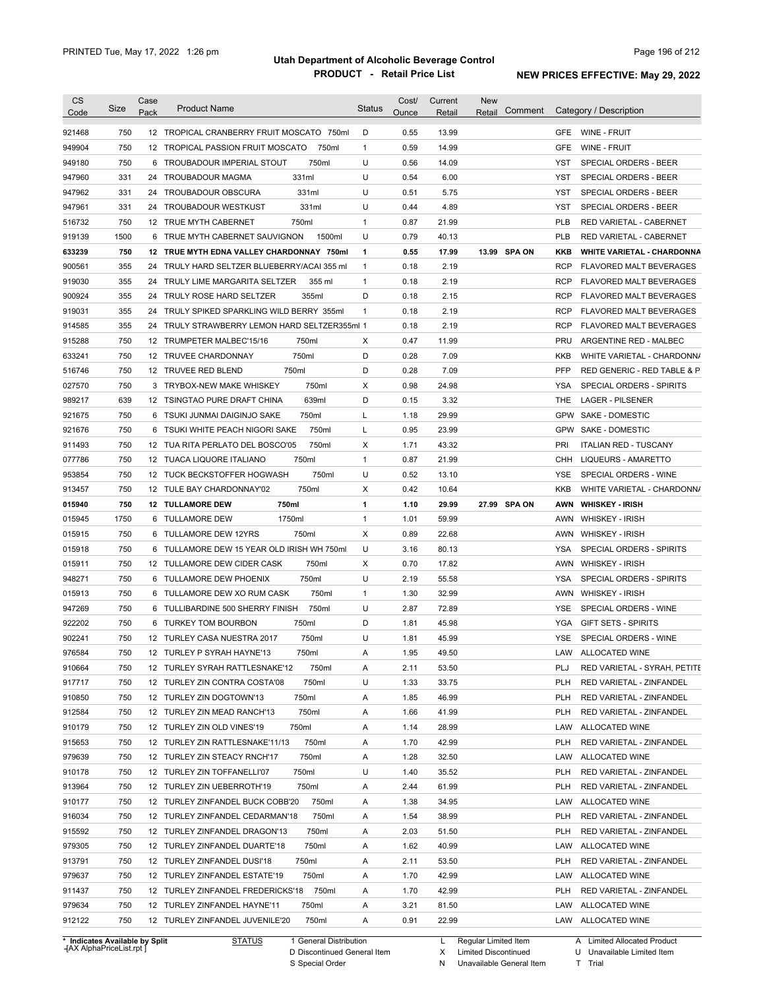| <b>CS</b><br>Code              | <b>Size</b> | Case<br>Pack | <b>Product Name</b>                        |                        | <b>Status</b> | Cost/<br>Ounce | Current<br>Retail | New<br>Retail        | Comment      |            | Category / Description            |
|--------------------------------|-------------|--------------|--------------------------------------------|------------------------|---------------|----------------|-------------------|----------------------|--------------|------------|-----------------------------------|
| 921468                         | 750         |              | 12 TROPICAL CRANBERRY FRUIT MOSCATO 750ml  |                        | D             | 0.55           | 13.99             |                      |              |            | GFE WINE - FRUIT                  |
| 949904                         | 750         | 12           | TROPICAL PASSION FRUIT MOSCATO             | 750ml                  | $\mathbf{1}$  | 0.59           | 14.99             |                      |              | <b>GFE</b> | WINE - FRUIT                      |
| 949180                         | 750         |              | 6 TROUBADOUR IMPERIAL STOUT                | 750ml                  | U             | 0.56           | 14.09             |                      |              | YST        | SPECIAL ORDERS - BEER             |
| 947960                         | 331         |              | 24 TROUBADOUR MAGMA                        | 331ml                  | U             | 0.54           | 6.00              |                      |              | YST        | SPECIAL ORDERS - BEER             |
| 947962                         | 331         | 24           | TROUBADOUR OBSCURA                         | 331ml                  | U             | 0.51           | 5.75              |                      |              | <b>YST</b> | SPECIAL ORDERS - BEER             |
| 947961                         | 331         |              | 24 TROUBADOUR WESTKUST                     | 331ml                  | U             | 0.44           | 4.89              |                      |              | YST        | SPECIAL ORDERS - BEER             |
| 516732                         | 750         |              | 12 TRUE MYTH CABERNET                      | 750ml                  | $\mathbf{1}$  | 0.87           | 21.99             |                      |              | <b>PLB</b> | RED VARIETAL - CABERNET           |
| 919139                         | 1500        | 6            | TRUE MYTH CABERNET SAUVIGNON               | 1500ml                 | U             | 0.79           | 40.13             |                      |              | <b>PLB</b> | RED VARIETAL - CABERNET           |
| 633239                         | 750         |              | 12 TRUE MYTH EDNA VALLEY CHARDONNAY 750ml  |                        | $\mathbf{1}$  | 0.55           | 17.99             |                      | 13.99 SPA ON | KKB        | <b>WHITE VARIETAL - CHARDONNA</b> |
| 900561                         | 355         | 24           | TRULY HARD SELTZER BLUEBERRY/ACAI 355 ml   |                        | $\mathbf{1}$  | 0.18           | 2.19              |                      |              | <b>RCP</b> | <b>FLAVORED MALT BEVERAGES</b>    |
| 919030                         | 355         | 24           | TRULY LIME MARGARITA SELTZER               | 355 ml                 | 1             | 0.18           | 2.19              |                      |              | <b>RCP</b> | <b>FLAVORED MALT BEVERAGES</b>    |
| 900924                         | 355         | 24           | TRULY ROSE HARD SELTZER                    | 355ml                  | D             | 0.18           | 2.15              |                      |              | <b>RCP</b> | <b>FLAVORED MALT BEVERAGES</b>    |
| 919031                         | 355         | 24           | TRULY SPIKED SPARKLING WILD BERRY 355ml    |                        | $\mathbf{1}$  | 0.18           | 2.19              |                      |              | <b>RCP</b> | <b>FLAVORED MALT BEVERAGES</b>    |
| 914585                         | 355         | 24           | TRULY STRAWBERRY LEMON HARD SELTZER355ml 1 |                        |               | 0.18           | 2.19              |                      |              | <b>RCP</b> | FLAVORED MALT BEVERAGES           |
| 915288                         | 750         | 12           | TRUMPETER MALBEC'15/16                     | 750ml                  | Х             | 0.47           | 11.99             |                      |              | <b>PRU</b> | ARGENTINE RED - MALBEC            |
| 633241                         | 750         |              | 12 TRUVEE CHARDONNAY                       | 750ml                  | D             | 0.28           | 7.09              |                      |              | KKB        | WHITE VARIETAL - CHARDONN/        |
| 516746                         | 750         |              | 12 TRUVEE RED BLEND                        | 750ml                  | D             | 0.28           | 7.09              |                      |              | PFP        | RED GENERIC - RED TABLE & P       |
| 027570                         | 750         |              | 3 TRYBOX-NEW MAKE WHISKEY                  | 750ml                  | Х             | 0.98           | 24.98             |                      |              | YSA        | SPECIAL ORDERS - SPIRITS          |
| 989217                         | 639         |              | 12 TSINGTAO PURE DRAFT CHINA               | 639ml                  | D             | 0.15           | 3.32              |                      |              | THE        | <b>LAGER - PILSENER</b>           |
| 921675                         | 750         | 6            | TSUKI JUNMAI DAIGINJO SAKE                 | 750ml                  | Г             | 1.18           | 29.99             |                      |              | <b>GPW</b> | SAKE - DOMESTIC                   |
| 921676                         | 750         | 6            | TSUKI WHITE PEACH NIGORI SAKE              | 750ml                  | Г             | 0.95           | 23.99             |                      |              | <b>GPW</b> | SAKE - DOMESTIC                   |
| 911493                         | 750         |              | 12 TUA RITA PERLATO DEL BOSCO'05           | 750ml                  | X             | 1.71           | 43.32             |                      |              | PRI        | <b>ITALIAN RED - TUSCANY</b>      |
| 077786                         | 750         |              | 12 TUACA LIQUORE ITALIANO                  | 750ml                  | $\mathbf{1}$  | 0.87           | 21.99             |                      |              | CHH        | LIQUEURS - AMARETTO               |
| 953854                         | 750         |              | 12 TUCK BECKSTOFFER HOGWASH                | 750ml                  | U             | 0.52           | 13.10             |                      |              | YSE        | SPECIAL ORDERS - WINE             |
| 913457                         | 750         |              | 12 TULE BAY CHARDONNAY'02                  | 750ml                  | X             | 0.42           | 10.64             |                      |              | KKB        | WHITE VARIETAL - CHARDONN/        |
| 015940                         | 750         |              | 750ml<br><b>12 TULLAMORE DEW</b>           |                        | 1             | 1.10           | 29.99             |                      | 27.99 SPA ON | AWN        | <b>WHISKEY - IRISH</b>            |
| 015945                         | 1750        | 6            | TULLAMORE DEW<br>1750ml                    |                        | 1             | 1.01           | 59.99             |                      |              | AWN        | <b>WHISKEY - IRISH</b>            |
| 015915                         | 750         | 6            | TULLAMORE DEW 12YRS                        | 750ml                  | Х             | 0.89           | 22.68             |                      |              | AWN        | <b>WHISKEY - IRISH</b>            |
| 015918                         | 750         | 6            | TULLAMORE DEW 15 YEAR OLD IRISH WH 750ml   |                        | U             | 3.16           | 80.13             |                      |              | <b>YSA</b> | SPECIAL ORDERS - SPIRITS          |
| 015911                         | 750         |              | 12 TULLAMORE DEW CIDER CASK                | 750ml                  | X             | 0.70           | 17.82             |                      |              | AWN        | <b>WHISKEY - IRISH</b>            |
| 948271                         | 750         |              | 6 TULLAMORE DEW PHOENIX                    | 750ml                  | U             | 2.19           | 55.58             |                      |              | <b>YSA</b> | <b>SPECIAL ORDERS - SPIRITS</b>   |
| 015913                         | 750         |              | 6 TULLAMORE DEW XO RUM CASK                | 750ml                  | 1             | 1.30           | 32.99             |                      |              | AWN        | <b>WHISKEY - IRISH</b>            |
| 947269                         | 750         |              | 6 TULLIBARDINE 500 SHERRY FINISH           | 750ml                  | U             | 2.87           | 72.89             |                      |              | <b>YSE</b> | SPECIAL ORDERS - WINE             |
| 922202                         | 750         |              | 6 TURKEY TOM BOURBON                       | 750ml                  | D             | 1.81           | 45.98             |                      |              | <b>YGA</b> | <b>GIFT SETS - SPIRITS</b>        |
| 902241                         | 750         |              | 12 TURLEY CASA NUESTRA 2017                | 750ml                  | U             | 1.81           | 45.99             |                      |              | <b>YSE</b> | SPECIAL ORDERS - WINE             |
|                                |             |              |                                            |                        |               |                |                   |                      |              |            | LAW ALLOCATED WINE                |
| 976584                         | 750         |              | 12 TURLEY P SYRAH HAYNE'13                 | 750ml                  | Α             | 1.95           | 49.50             |                      |              |            |                                   |
| 910664                         | 750         |              | 12 TURLEY SYRAH RATTLESNAKE'12             | 750ml                  | Α             | 2.11           | 53.50             |                      |              | PLJ        | RED VARIETAL - SYRAH, PETITE      |
| 917717                         | 750         |              | 12 TURLEY ZIN CONTRA COSTA'08              | 750ml                  | U             | 1.33           | 33.75             |                      |              | <b>PLH</b> | RED VARIETAL - ZINFANDEL          |
| 910850                         | 750         |              | 12 TURLEY ZIN DOGTOWN'13                   | 750ml                  | Α             | 1.85           | 46.99             |                      |              | <b>PLH</b> | RED VARIETAL - ZINFANDEL          |
| 912584                         | 750         |              | 12 TURLEY ZIN MEAD RANCH'13                | 750ml                  | Α             | 1.66           | 41.99             |                      |              | <b>PLH</b> | RED VARIETAL - ZINFANDEL          |
| 910179                         | 750         |              | 12 TURLEY ZIN OLD VINES'19                 | 750ml                  | Α             | 1.14           | 28.99             |                      |              | LAW        | ALLOCATED WINE                    |
| 915653                         | 750         |              | 12 TURLEY ZIN RATTLESNAKE'11/13            | 750ml                  | Α             | 1.70           | 42.99             |                      |              | <b>PLH</b> | RED VARIETAL - ZINFANDEL          |
| 979639                         | 750         |              | 12 TURLEY ZIN STEACY RNCH'17               | 750ml                  | Α             | 1.28           | 32.50             |                      |              | LAW        | ALLOCATED WINE                    |
| 910178                         | 750         |              | 12 TURLEY ZIN TOFFANELLI'07                | 750ml                  | U             | 1.40           | 35.52             |                      |              | <b>PLH</b> | RED VARIETAL - ZINFANDEL          |
| 913964                         | 750         |              | 12 TURLEY ZIN UEBERROTH'19                 | 750ml                  | Α             | 2.44           | 61.99             |                      |              | <b>PLH</b> | RED VARIETAL - ZINFANDEL          |
| 910177                         | 750         |              | 12 TURLEY ZINFANDEL BUCK COBB'20           | 750ml                  | Α             | 1.38           | 34.95             |                      |              | LAW        | ALLOCATED WINE                    |
| 916034                         | 750         |              | 12 TURLEY ZINFANDEL CEDARMAN'18            | 750ml                  | Α             | 1.54           | 38.99             |                      |              | <b>PLH</b> | RED VARIETAL - ZINFANDEL          |
| 915592                         | 750         |              | 12 TURLEY ZINFANDEL DRAGON'13              | 750ml                  | Α             | 2.03           | 51.50             |                      |              | <b>PLH</b> | RED VARIETAL - ZINFANDEL          |
| 979305                         | 750         |              | 12 TURLEY ZINFANDEL DUARTE'18              | 750ml                  | Α             | 1.62           | 40.99             |                      |              |            | LAW ALLOCATED WINE                |
| 913791                         | 750         |              | 12 TURLEY ZINFANDEL DUSI'18                | 750ml                  | Α             | 2.11           | 53.50             |                      |              | <b>PLH</b> | RED VARIETAL - ZINFANDEL          |
| 979637                         | 750         |              | 12 TURLEY ZINFANDEL ESTATE'19              | 750ml                  | Α             | 1.70           | 42.99             |                      |              |            | LAW ALLOCATED WINE                |
| 911437                         | 750         |              | 12 TURLEY ZINFANDEL FREDERICKS'18          | 750ml                  | Α             | 1.70           | 42.99             |                      |              | <b>PLH</b> | RED VARIETAL - ZINFANDEL          |
| 979634                         | 750         |              | 12 TURLEY ZINFANDEL HAYNE'11               | 750ml                  | Α             | 3.21           | 81.50             |                      |              |            | LAW ALLOCATED WINE                |
| 912122                         | 750         |              | 12 TURLEY ZINFANDEL JUVENILE'20            | 750ml                  | Α             | 0.91           | 22.99             |                      |              |            | LAW ALLOCATED WINE                |
| * Indicates Available by Split |             |              | <b>STATUS</b>                              | 1 General Distribution |               |                | L.                | Regular Limited Item |              |            | A Limited Allocated Product       |

**Case** [AX AlphaPriceList.rpt ]

D Discontinued General Item

S Special Order

X Limited Discontinued

N Unavailable General Item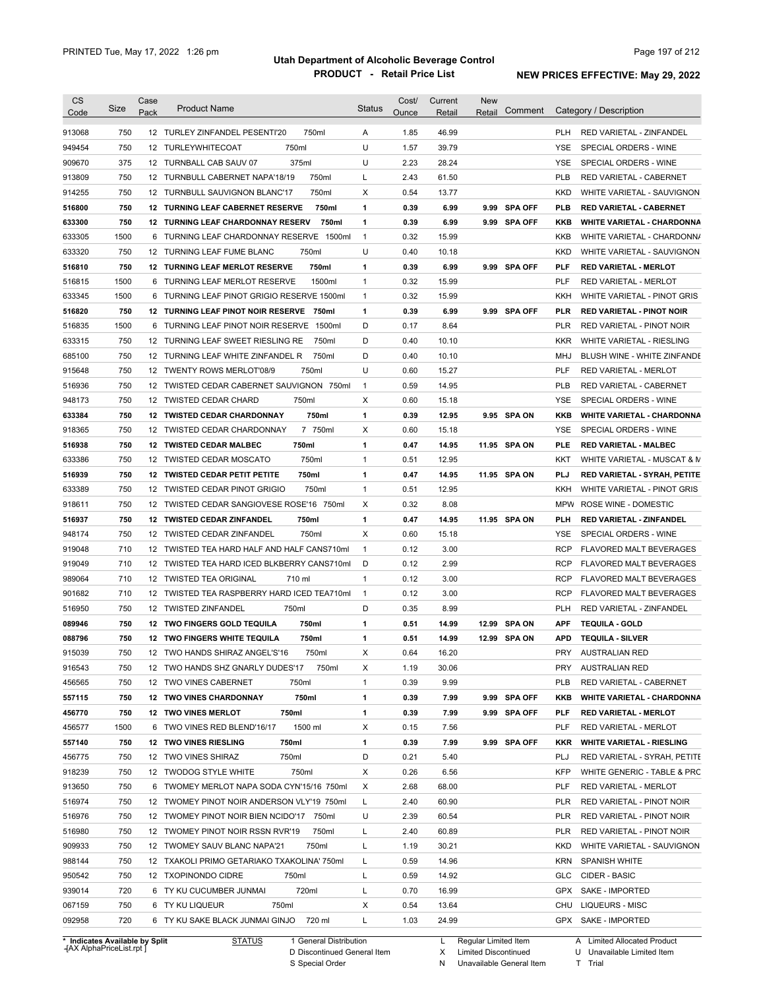| <b>CS</b><br>Code                                                                                                    | Size        | Case<br>Pack         | <b>Product Name</b>                                                             | Status         | Cost/<br>Ounce | Current<br>Retail | <b>New</b><br>Retail | Comment       |                          | Category / Description                                       |
|----------------------------------------------------------------------------------------------------------------------|-------------|----------------------|---------------------------------------------------------------------------------|----------------|----------------|-------------------|----------------------|---------------|--------------------------|--------------------------------------------------------------|
|                                                                                                                      |             |                      |                                                                                 |                |                |                   |                      |               |                          |                                                              |
| 913068                                                                                                               | 750         |                      | 12 TURLEY ZINFANDEL PESENTI'20<br>750ml                                         | A              | 1.85           | 46.99             |                      |               | <b>PLH</b>               | RED VARIETAL - ZINFANDEL                                     |
| 949454                                                                                                               | 750         |                      | 750ml<br>12 TURLEYWHITECOAT                                                     | U              | 1.57           | 39.79             |                      |               | YSE                      | SPECIAL ORDERS - WINE                                        |
| 909670                                                                                                               | 375         |                      | 375ml<br>12 TURNBALL CAB SAUV 07                                                | U              | 2.23           | 28.24             |                      |               | <b>YSE</b>               | SPECIAL ORDERS - WINE                                        |
| 913809                                                                                                               | 750         |                      | 750ml<br>12 TURNBULL CABERNET NAPA'18/19                                        | L              | 2.43           | 61.50             |                      |               | <b>PLB</b>               | RED VARIETAL - CABERNET                                      |
| 914255                                                                                                               | 750         |                      | 750ml<br>12 TURNBULL SAUVIGNON BLANC'17                                         | Χ              | 0.54           | 13.77             |                      |               | <b>KKD</b>               | WHITE VARIETAL - SAUVIGNON                                   |
| 516800                                                                                                               | 750         |                      | 12 TURNING LEAF CABERNET RESERVE<br>750ml                                       | 1              | 0.39           | 6.99              |                      | 9.99 SPA OFF  | <b>PLB</b>               | RED VARIETAL - CABERNET                                      |
| 633300                                                                                                               | 750         |                      | <b>12 TURNING LEAF CHARDONNAY RESERV</b><br>750ml                               | 1              | 0.39           | 6.99              |                      | 9.99 SPA OFF  | KKB                      | <b>WHITE VARIETAL - CHARDONNA</b>                            |
| 633305                                                                                                               | 1500        |                      | 6 TURNING LEAF CHARDONNAY RESERVE 1500ml<br>750ml<br>12 TURNING LEAF FUME BLANC | $\overline{1}$ | 0.32           | 15.99             |                      |               | KKB                      | WHITE VARIETAL - CHARDONN/                                   |
| 633320                                                                                                               | 750<br>750  |                      | <b>12 TURNING LEAF MERLOT RESERVE</b><br>750ml                                  | U<br>1         | 0.40<br>0.39   | 10.18<br>6.99     |                      | 9.99 SPA OFF  | <b>KKD</b><br>PLF        | WHITE VARIETAL - SAUVIGNON                                   |
| 516810<br>516815                                                                                                     | 1500        | 6                    | TURNING LEAF MERLOT RESERVE<br>1500ml                                           | $\mathbf{1}$   | 0.32           | 15.99             |                      |               | <b>PLF</b>               | <b>RED VARIETAL - MERLOT</b><br><b>RED VARIETAL - MERLOT</b> |
|                                                                                                                      | 1500        | 6                    | TURNING LEAF PINOT GRIGIO RESERVE 1500ml                                        | $\mathbf{1}$   | 0.32           | 15.99             |                      |               | KKH                      | WHITE VARIETAL - PINOT GRIS                                  |
| 633345                                                                                                               | 750         | 12                   | 750ml                                                                           |                | 0.39           |                   |                      |               | <b>PLR</b>               |                                                              |
| 516820                                                                                                               |             |                      | TURNING LEAF PINOT NOIR RESERVE                                                 | 1<br>D         |                | 6.99              |                      | 9.99 SPA OFF  |                          | <b>RED VARIETAL - PINOT NOIR</b>                             |
| 516835                                                                                                               | 1500<br>750 | 6<br>12 <sup>2</sup> | TURNING LEAF PINOT NOIR RESERVE<br>1500ml                                       | D              | 0.17<br>0.40   | 8.64              |                      |               | <b>PLR</b><br><b>KKR</b> | RED VARIETAL - PINOT NOIR<br>WHITE VARIETAL - RIESLING       |
| 633315                                                                                                               | 750         |                      | TURNING LEAF SWEET RIESLING RE<br>750ml                                         |                |                | 10.10             |                      |               |                          |                                                              |
| 685100                                                                                                               |             |                      | 750ml<br>12 TURNING LEAF WHITE ZINFANDEL R                                      | D<br>U         | 0.40           | 10.10             |                      |               | MHJ                      | BLUSH WINE - WHITE ZINFANDE                                  |
| 915648                                                                                                               | 750         |                      | 750ml<br>12 TWENTY ROWS MERLOT'08/9                                             |                | 0.60           | 15.27             |                      |               | PLF                      | <b>RED VARIETAL - MERLOT</b>                                 |
| 516936                                                                                                               | 750         |                      | 12 TWISTED CEDAR CABERNET SAUVIGNON<br>750ml                                    | $\overline{1}$ | 0.59           | 14.95             |                      |               | <b>PLB</b>               | RED VARIETAL - CABERNET                                      |
| 948173                                                                                                               | 750         |                      | 750ml<br>12 TWISTED CEDAR CHARD                                                 | Χ              | 0.60           | 15.18             |                      |               | <b>YSE</b>               | SPECIAL ORDERS - WINE                                        |
| 633384                                                                                                               | 750         |                      | 750ml<br>12 TWISTED CEDAR CHARDONNAY                                            | 1              | 0.39           | 12.95             |                      | 9.95 SPA ON   | KKB                      | <b>WHITE VARIETAL - CHARDONNA</b>                            |
| 918365                                                                                                               | 750         |                      | 12 TWISTED CEDAR CHARDONNAY<br>7 750ml                                          | Χ              | 0.60           | 15.18             |                      |               | <b>YSE</b>               | SPECIAL ORDERS - WINE                                        |
| 516938                                                                                                               | 750         |                      | 750ml<br><b>12 TWISTED CEDAR MALBEC</b>                                         | 1              | 0.47           | 14.95             |                      | 11.95 SPA ON  | PLE                      | <b>RED VARIETAL - MALBEC</b>                                 |
| 633386                                                                                                               | 750         |                      | 750ml<br>12 TWISTED CEDAR MOSCATO                                               | $\mathbf{1}$   | 0.51           | 12.95             |                      |               | KKT                      | WHITE VARIETAL - MUSCAT & M                                  |
| 516939                                                                                                               | 750         |                      | 750ml<br>12 TWISTED CEDAR PETIT PETITE                                          | 1              | 0.47           | 14.95             |                      | 11.95 SPA ON  | PLJ                      | RED VARIETAL - SYRAH, PETITE                                 |
| 633389                                                                                                               | 750         | 12                   | 750ml<br>TWISTED CEDAR PINOT GRIGIO                                             | $\mathbf{1}$   | 0.51           | 12.95             |                      |               | KKH                      | WHITE VARIETAL - PINOT GRIS                                  |
| 918611                                                                                                               | 750         |                      | 12 TWISTED CEDAR SANGIOVESE ROSE'16 750ml                                       | Χ              | 0.32           | 8.08              |                      |               | <b>MPW</b>               | ROSE WINE - DOMESTIC                                         |
| 516937                                                                                                               | 750         |                      | 750ml<br>12 TWISTED CEDAR ZINFANDEL                                             | 1              | 0.47           | 14.95             |                      | 11.95 SPA ON  | PLH                      | RED VARIETAL - ZINFANDEL                                     |
| 948174                                                                                                               | 750         |                      | 750ml<br>12 TWISTED CEDAR ZINFANDEL                                             | Х              | 0.60           | 15.18             |                      |               | YSE                      | SPECIAL ORDERS - WINE                                        |
| 919048                                                                                                               | 710         | 12 <sup>12</sup>     | TWISTED TEA HARD HALF AND HALF CANS710ml                                        | $\overline{1}$ | 0.12           | 3.00              |                      |               | <b>RCP</b>               | FLAVORED MALT BEVERAGES                                      |
| 919049                                                                                                               | 710         |                      | 12 TWISTED TEA HARD ICED BLKBERRY CANS710ml                                     | D              | 0.12           | 2.99              |                      |               | <b>RCP</b>               | FLAVORED MALT BEVERAGES                                      |
| 989064                                                                                                               | 710         |                      | 12 TWISTED TEA ORIGINAL<br>710 ml                                               | $\mathbf{1}$   | 0.12           | 3.00              |                      |               | <b>RCP</b>               | <b>FLAVORED MALT BEVERAGES</b>                               |
| 901682                                                                                                               | 710         |                      | 12 TWISTED TEA RASPBERRY HARD ICED TEA710ml                                     | $\overline{1}$ | 0.12           | 3.00              |                      |               | <b>RCP</b>               | FLAVORED MALT BEVERAGES                                      |
| 516950                                                                                                               | 750         |                      | 750ml<br>12 TWISTED ZINFANDEL                                                   | D              | 0.35           | 8.99              |                      |               | <b>PLH</b>               | RED VARIETAL - ZINFANDEL                                     |
| 089946                                                                                                               | 750         |                      | 750ml<br>12 TWO FINGERS GOLD TEQUILA                                            | 1              | 0.51           | 14.99             | 12.99                | <b>SPA ON</b> | APF                      | <b>TEQUILA - GOLD</b>                                        |
| 088796                                                                                                               | 750         |                      | 750ml<br><b>12 TWO FINGERS WHITE TEQUILA</b>                                    | 1              | 0.51           | 14.99             |                      | 12.99 SPA ON  | <b>APD</b>               | <b>TEQUILA - SILVER</b>                                      |
| 915039                                                                                                               | 750         |                      | 12 TWO HANDS SHIRAZ ANGEL'S'16<br>750ml                                         | Χ              | 0.64           | 16.20             |                      |               | <b>PRY</b>               | <b>AUSTRALIAN RED</b>                                        |
| 916543                                                                                                               | 750         |                      | 12 TWO HANDS SHZ GNARLY DUDES'17<br>750ml                                       | Х              | 1.19           | 30.06             |                      |               | <b>PRY</b>               | <b>AUSTRALIAN RED</b>                                        |
| 456565                                                                                                               | 750         |                      | 12 TWO VINES CABERNET<br>750ml                                                  | $\mathbf{1}$   | 0.39           | 9.99              |                      |               | <b>PLB</b>               | RED VARIETAL - CABERNET                                      |
| 557115                                                                                                               | 750         |                      | 750ml<br><b>12 TWO VINES CHARDONNAY</b>                                         | 1              | 0.39           | 7.99              |                      | 9.99 SPA OFF  | KKB                      | <b>WHITE VARIETAL - CHARDONNA</b>                            |
| 456770                                                                                                               | 750         |                      | 750ml<br><b>12 TWO VINES MERLOT</b>                                             | 1              | 0.39           | 7.99              |                      | 9.99 SPA OFF  | PLF                      | <b>RED VARIETAL - MERLOT</b>                                 |
|                                                                                                                      |             |                      |                                                                                 |                |                |                   |                      |               | PLF                      | RED VARIETAL - MERLOT                                        |
|                                                                                                                      | 1500        |                      | 1500 ml<br>6 TWO VINES RED BLEND'16/17                                          | Х              | 0.15           | 7.56              |                      |               |                          |                                                              |
|                                                                                                                      | 750         |                      | 750ml<br>12 TWO VINES RIESLING                                                  | 1              | 0.39           | 7.99              |                      | 9.99 SPA OFF  | KKR                      | <b>WHITE VARIETAL - RIESLING</b>                             |
|                                                                                                                      | 750         |                      | 750ml<br>12 TWO VINES SHIRAZ                                                    | D              | 0.21           | 5.40              |                      |               | PLJ                      | RED VARIETAL - SYRAH, PETITE                                 |
|                                                                                                                      | 750         |                      | 750ml<br>12 TWODOG STYLE WHITE                                                  | X              | 0.26           | 6.56              |                      |               | <b>KFP</b>               | WHITE GENERIC - TABLE & PRC                                  |
|                                                                                                                      | 750         |                      | 6 TWOMEY MERLOT NAPA SODA CYN'15/16 750ml                                       | X              | 2.68           | 68.00             |                      |               | PLF                      | RED VARIETAL - MERLOT                                        |
|                                                                                                                      | 750         |                      | 12 TWOMEY PINOT NOIR ANDERSON VLY'19 750ml                                      | L              | 2.40           | 60.90             |                      |               | <b>PLR</b>               | RED VARIETAL - PINOT NOIR                                    |
|                                                                                                                      | 750         |                      | 12 TWOMEY PINOT NOIR BIEN NCIDO'17 750ml                                        | U              | 2.39           | 60.54             |                      |               | <b>PLR</b>               | RED VARIETAL - PINOT NOIR                                    |
|                                                                                                                      | 750         |                      | 12 TWOMEY PINOT NOIR RSSN RVR'19<br>750ml                                       | L              | 2.40           | 60.89             |                      |               | <b>PLR</b>               | RED VARIETAL - PINOT NOIR                                    |
|                                                                                                                      | 750         |                      | 12 TWOMEY SAUV BLANC NAPA'21<br>750ml                                           | L              | 1.19           | 30.21             |                      |               | <b>KKD</b>               | WHITE VARIETAL - SAUVIGNON                                   |
|                                                                                                                      | 750         |                      | 12 TXAKOLI PRIMO GETARIAKO TXAKOLINA' 750ml                                     | L              | 0.59           | 14.96             |                      |               | <b>KRN</b>               | <b>SPANISH WHITE</b>                                         |
|                                                                                                                      | 750         |                      | 12 TXOPINONDO CIDRE<br>750ml                                                    | L              | 0.59           | 14.92             |                      |               | <b>GLC</b>               | CIDER - BASIC                                                |
| 456577<br>557140<br>456775<br>918239<br>913650<br>516974<br>516976<br>516980<br>909933<br>988144<br>950542<br>939014 | 720         |                      | 720ml<br>6 TY KU CUCUMBER JUNMAI                                                | L              | 0.70           | 16.99             |                      |               |                          | GPX SAKE - IMPORTED                                          |
| 067159<br>092958                                                                                                     | 750         |                      | 750ml<br>6 TY KU LIQUEUR                                                        | Х              | 0.54           | 13.64             |                      |               | CHU                      | <b>LIQUEURS - MISC</b>                                       |

**Case** [AX AlphaPriceList.rpt ]

D Discontinued General Item

S Special Order

X Limited Discontinued

N Unavailable General Item

U Unavailable Limited Item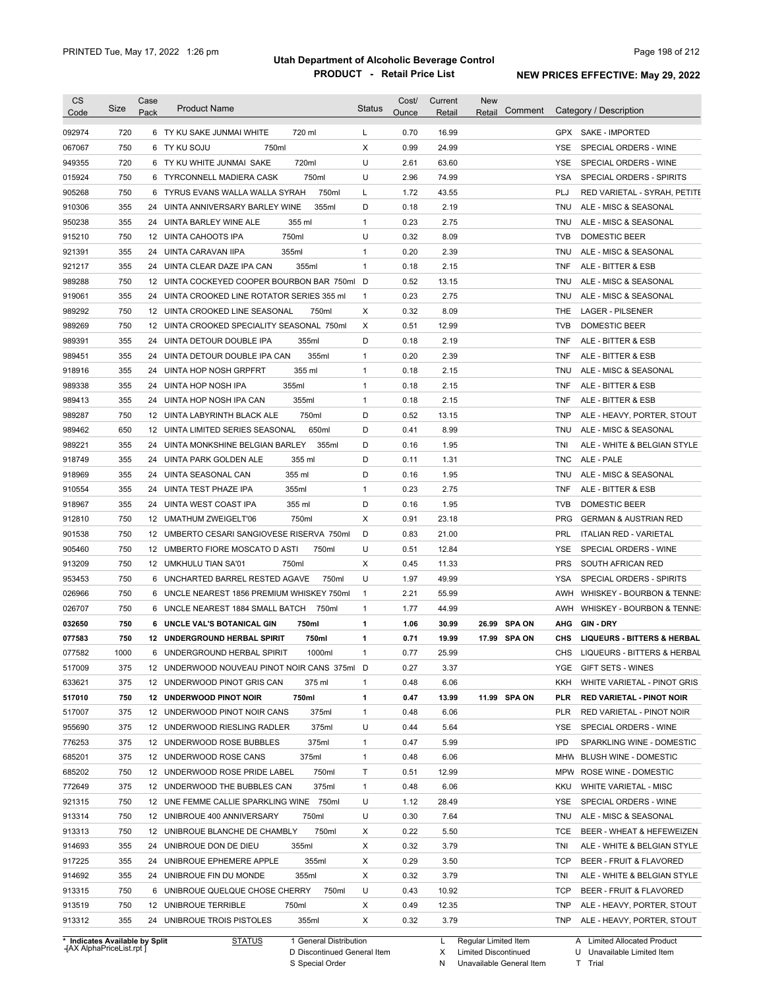| <b>CS</b><br>Code          | Size       | Case<br>Pack | <b>Product Name</b>                                                  | <b>Status</b>     | Cost/<br>Ounce | Current<br>Retail | <b>New</b><br>Comment<br>Retail | Category / Description                                                               |
|----------------------------|------------|--------------|----------------------------------------------------------------------|-------------------|----------------|-------------------|---------------------------------|--------------------------------------------------------------------------------------|
| 092974                     | 720        |              | 6 TY KU SAKE JUNMAI WHITE<br>720 ml                                  | L                 | 0.70           | 16.99             |                                 | GPX SAKE - IMPORTED                                                                  |
| 067067                     | 750        |              | 6 TY KU SOJU<br>750ml                                                | X                 | 0.99           | 24.99             |                                 | <b>YSE</b><br>SPECIAL ORDERS - WINE                                                  |
| 949355                     | 720        |              | 6 TY KU WHITE JUNMAI SAKE<br>720ml                                   | U                 | 2.61           | 63.60             |                                 | <b>YSE</b><br>SPECIAL ORDERS - WINE                                                  |
| 015924                     | 750        |              | 750ml<br>6 TYRCONNELL MADIERA CASK                                   | U                 | 2.96           | 74.99             |                                 | <b>YSA</b><br>SPECIAL ORDERS - SPIRITS                                               |
| 905268                     | 750        |              | 750ml<br>6 TYRUS EVANS WALLA WALLA SYRAH                             | L                 | 1.72           | 43.55             |                                 | PLJ<br>RED VARIETAL - SYRAH, PETITE                                                  |
| 910306                     | 355        |              | 355ml<br>24 UINTA ANNIVERSARY BARLEY WINE                            | D                 | 0.18           | 2.19              |                                 | ALE - MISC & SEASONAL<br>TNU                                                         |
| 950238                     | 355        |              | 24 UINTA BARLEY WINE ALE<br>355 ml                                   | 1                 | 0.23           | 2.75              |                                 | ALE - MISC & SEASONAL<br>TNU                                                         |
| 915210                     | 750        |              | 750ml<br>12 UINTA CAHOOTS IPA                                        | U                 | 0.32           | 8.09              |                                 | <b>TVB</b><br>DOMESTIC BEER                                                          |
| 921391                     | 355        |              | 24 UINTA CARAVAN IIPA<br>355ml                                       | 1                 | 0.20           | 2.39              |                                 | ALE - MISC & SEASONAL<br>TNU                                                         |
| 921217                     | 355        |              | 355ml<br>24 UINTA CLEAR DAZE IPA CAN                                 | $\mathbf{1}$      | 0.18           | 2.15              |                                 | <b>TNF</b><br>ALE - BITTER & ESB                                                     |
| 989288                     | 750        |              | 12 UINTA COCKEYED COOPER BOURBON BAR 750ml                           | D                 | 0.52           | 13.15             |                                 | TNU<br>ALE - MISC & SEASONAL                                                         |
| 919061                     | 355        |              | 24 UINTA CROOKED LINE ROTATOR SERIES 355 ml                          | $\mathbf{1}$      | 0.23           | 2.75              |                                 | TNU<br>ALE - MISC & SEASONAL                                                         |
| 989292                     | 750        |              | 12 UINTA CROOKED LINE SEASONAL<br>750ml                              | X                 | 0.32           | 8.09              |                                 | THE<br>LAGER - PILSENER                                                              |
| 989269                     | 750        |              | 12 UINTA CROOKED SPECIALITY SEASONAL 750ml                           | X                 | 0.51           | 12.99             |                                 | <b>TVB</b><br>DOMESTIC BEER                                                          |
| 989391                     | 355        |              | 24 UINTA DETOUR DOUBLE IPA<br>355ml                                  | D                 | 0.18           | 2.19              |                                 | <b>TNF</b><br>ALE - BITTER & ESB                                                     |
| 989451                     | 355        |              | 355ml<br>24 UINTA DETOUR DOUBLE IPA CAN                              | $\mathbf{1}$      | 0.20           | 2.39              |                                 | <b>TNF</b><br>ALE - BITTER & ESB                                                     |
| 918916                     | 355        |              | 355 ml<br>24 UINTA HOP NOSH GRPFRT                                   | $\mathbf{1}$      | 0.18           | 2.15              |                                 | TNU<br>ALE - MISC & SEASONAL                                                         |
| 989338                     | 355        |              | 24 UINTA HOP NOSH IPA<br>355ml                                       | $\mathbf{1}$      | 0.18           | 2.15              |                                 | <b>TNF</b><br>ALE - BITTER & ESB                                                     |
| 989413                     | 355        |              | 355ml<br>24 UINTA HOP NOSH IPA CAN                                   | $\mathbf{1}$      | 0.18           | 2.15              |                                 | <b>TNF</b><br>ALE - BITTER & ESB                                                     |
| 989287                     | 750        |              | 750ml<br>12 UINTA LABYRINTH BLACK ALE                                | D                 | 0.52           | 13.15             |                                 | <b>TNP</b><br>ALE - HEAVY, PORTER, STOUT                                             |
| 989462                     | 650        |              | 650ml<br>12 UINTA LIMITED SERIES SEASONAL                            | D                 | 0.41           | 8.99              |                                 | <b>TNU</b><br>ALE - MISC & SEASONAL                                                  |
| 989221                     | 355        |              | 24 UINTA MONKSHINE BELGIAN BARLEY<br>355ml                           | D                 | 0.16           | 1.95              |                                 | TNI<br>ALE - WHITE & BELGIAN STYLE                                                   |
| 918749                     | 355        |              | 355 ml<br>24 UINTA PARK GOLDEN ALE                                   | D                 | 0.11           | 1.31              |                                 | ALE - PALE<br>TNC                                                                    |
| 918969                     | 355        |              | 355 ml<br>24 UINTA SEASONAL CAN                                      | D                 | 0.16           | 1.95              |                                 | ALE - MISC & SEASONAL<br>TNU                                                         |
| 910554                     | 355        | 24           | 355ml<br>UINTA TEST PHAZE IPA                                        | $\mathbf{1}$      | 0.23           | 2.75              |                                 | ALE - BITTER & ESB<br>TNF                                                            |
| 918967                     | 355        |              | 24 UINTA WEST COAST IPA<br>355 ml                                    | D                 | 0.16           | 1.95              |                                 | <b>TVB</b><br>DOMESTIC BEER                                                          |
| 912810                     | 750        |              | 750ml<br>12 UMATHUM ZWEIGELT'06                                      | X                 | 0.91           | 23.18             |                                 | <b>PRG</b><br><b>GERMAN &amp; AUSTRIAN RED</b>                                       |
| 901538                     | 750        |              | 12 UMBERTO CESARI SANGIOVESE RISERVA 750ml                           | D                 | 0.83           | 21.00             |                                 | <b>PRL</b><br><b>ITALIAN RED - VARIETAL</b>                                          |
| 905460                     | 750        |              | 12 UMBERTO FIORE MOSCATO D ASTI<br>750ml                             | U                 | 0.51           | 12.84             |                                 | YSE<br>SPECIAL ORDERS - WINE                                                         |
| 913209                     | 750        |              | 750ml<br>12 UMKHULU TIAN SA'01                                       | X                 | 0.45           | 11.33             |                                 | <b>PRS</b><br>SOUTH AFRICAN RED                                                      |
| 953453                     | 750        |              | 6 UNCHARTED BARREL RESTED AGAVE<br>750ml                             | U                 | 1.97           | 49.99             |                                 | <b>YSA</b><br><b>SPECIAL ORDERS - SPIRITS</b>                                        |
| 026966                     | 750        |              | 6 UNCLE NEAREST 1856 PREMIUM WHISKEY 750ml                           | $\mathbf{1}$      | 2.21           | 55.99             |                                 | AWH<br>WHISKEY - BOURBON & TENNE:                                                    |
| 026707                     | 750        |              | 6 UNCLE NEAREST 1884 SMALL BATCH<br>750ml                            | $\mathbf{1}$      | 1.77           | 44.99             |                                 | AWH<br>WHISKEY - BOURBON & TENNE:                                                    |
| 032650                     | 750        |              | 6 UNCLE VAL'S BOTANICAL GIN<br>750ml                                 | 1                 | 1.06           | 30.99             | <b>SPA ON</b><br>26.99          | <b>GIN-DRY</b><br>AHG                                                                |
| 077583                     | 750        |              | 12 UNDERGROUND HERBAL SPIRIT<br>750ml                                | 1                 | 0.71           | 19.99             | 17.99 SPA ON                    | <b>LIQUEURS - BITTERS &amp; HERBAL</b><br>CHS                                        |
| 077582                     | 1000       |              | 6 UNDERGROUND HERBAL SPIRIT<br>1000ml                                |                   | 0.77           | 25.99             |                                 | CHS LIQUEURS - BITTERS & HERBAL                                                      |
| 517009                     |            |              | 12 UNDERWOOD NOUVEAU PINOT NOIR CANS 375ml D                         | 1                 | 0.27           |                   |                                 | YGE<br>GIFT SETS - WINES                                                             |
|                            | 375        |              |                                                                      |                   |                | 3.37              |                                 |                                                                                      |
| 633621                     | 375        |              | 12 UNDERWOOD PINOT GRIS CAN<br>375 ml                                | $\mathbf{1}$      | 0.48           | 6.06              |                                 | KKH<br>WHITE VARIETAL - PINOT GRIS                                                   |
| 517010                     | 750        |              | 12 UNDERWOOD PINOT NOIR<br>750ml                                     | 1                 | 0.47           | 13.99             | 11.99 SPA ON                    | PLR<br><b>RED VARIETAL - PINOT NOIR</b>                                              |
| 517007                     | 375        |              | 375ml<br>12 UNDERWOOD PINOT NOIR CANS                                | $\mathbf{1}$<br>U | 0.48           | 6.06<br>5.64      |                                 | PLR<br>RED VARIETAL - PINOT NOIR                                                     |
| 955690                     | 375        |              | 375ml<br>12 UNDERWOOD RIESLING RADLER                                |                   | 0.44           |                   |                                 | YSE<br>SPECIAL ORDERS - WINE                                                         |
| 776253                     | 375        |              | 12 UNDERWOOD ROSE BUBBLES<br>375ml                                   | $\mathbf{1}$      | 0.47           | 5.99              |                                 | IPD<br>SPARKLING WINE - DOMESTIC                                                     |
| 685201                     | 375        |              | 12 UNDERWOOD ROSE CANS<br>375ml                                      | $\mathbf{1}$      | 0.48           | 6.06              |                                 | MHW<br><b>BLUSH WINE - DOMESTIC</b>                                                  |
| 685202                     | 750        |              | 12 UNDERWOOD ROSE PRIDE LABEL<br>750ml                               | Т                 | 0.51           | 12.99             |                                 | MPW<br>ROSE WINE - DOMESTIC                                                          |
| 772649                     | 375        |              | 12 UNDERWOOD THE BUBBLES CAN<br>375ml                                | $\mathbf{1}$      | 0.48           | 6.06              |                                 | KKU<br>WHITE VARIETAL - MISC                                                         |
| 921315                     | 750        |              | 12 UNE FEMME CALLIE SPARKLING WINE 750ml                             | U                 | 1.12           | 28.49             |                                 | <b>YSE</b><br>SPECIAL ORDERS - WINE                                                  |
| 913314                     | 750        |              | 12 UNIBROUE 400 ANNIVERSARY<br>750ml                                 | U                 | 0.30           | 7.64              |                                 | TNU<br>ALE - MISC & SEASONAL                                                         |
| 913313                     | 750        |              | 750ml<br>12 UNIBROUE BLANCHE DE CHAMBLY                              | х                 | 0.22           | 5.50              |                                 | <b>TCE</b><br>BEER - WHEAT & HEFEWEIZEN                                              |
| 914693                     | 355        |              | 24 UNIBROUE DON DE DIEU<br>355ml                                     | х                 | 0.32           | 3.79              |                                 | TNI<br>ALE - WHITE & BELGIAN STYLE                                                   |
| 917225                     | 355        |              | 24 UNIBROUE EPHEMERE APPLE<br>355ml                                  | х                 | 0.29           | 3.50              |                                 | <b>TCP</b><br>BEER - FRUIT & FLAVORED                                                |
| 914692                     | 355        |              | 24 UNIBROUE FIN DU MONDE<br>355ml                                    | х                 | 0.32           | 3.79              |                                 | TNI<br>ALE - WHITE & BELGIAN STYLE                                                   |
|                            | 750        |              | 6 UNIBROUE QUELQUE CHOSE CHERRY<br>750ml                             | U                 | 0.43           | 10.92             |                                 | <b>TCP</b><br>BEER - FRUIT & FLAVORED                                                |
|                            |            |              |                                                                      |                   |                |                   |                                 |                                                                                      |
| 913315<br>913519<br>913312 | 750<br>355 |              | 12 UNIBROUE TERRIBLE<br>750ml<br>24 UNIBROUE TROIS PISTOLES<br>355ml | х<br>х            | 0.49<br>0.32   | 12.35<br>3.79     |                                 | <b>TNP</b><br>ALE - HEAVY, PORTER, STOUT<br><b>TNP</b><br>ALE - HEAVY, PORTER, STOUT |

**Case** [AX AlphaPriceList.rpt ]

D Discontinued General Item S Special Order

X Limited Discontinued N Unavailable General Item

U Unavailable Limited Item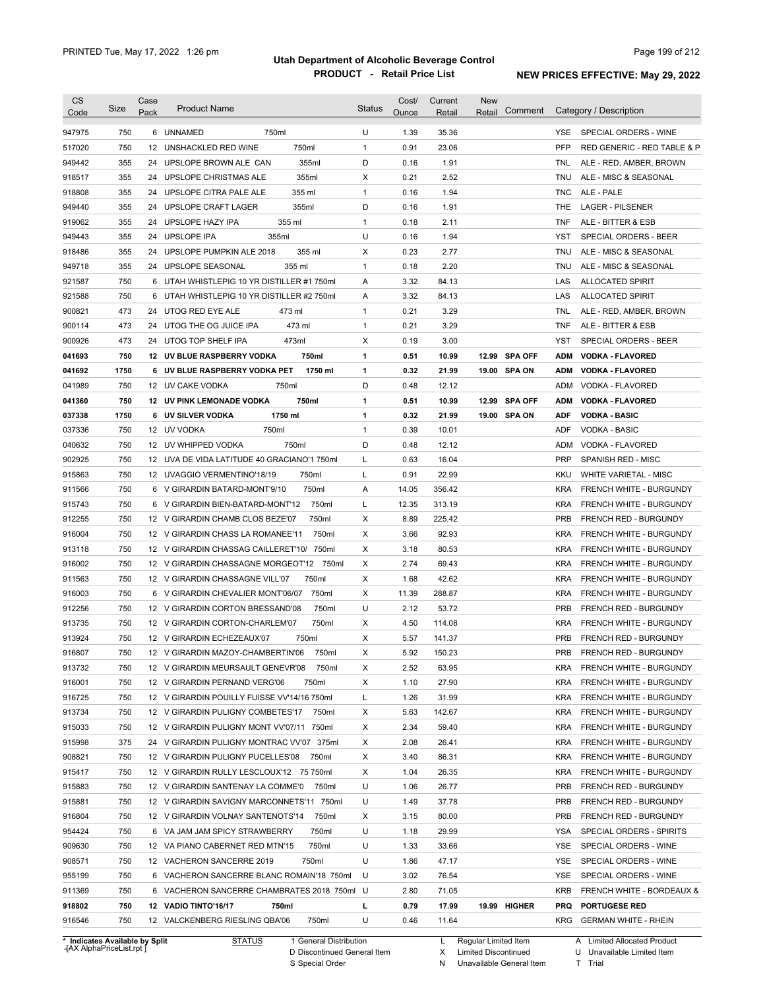| 750<br>6 UNNAMED<br>750ml<br>U<br>1.39<br>35.36<br>SPECIAL ORDERS - WINE<br>YSE.<br>750<br>12 UNSHACKLED RED WINE<br>750ml<br>0.91<br>23.06<br><b>PFP</b><br>$\mathbf{1}$<br>D<br>355<br>355ml<br>0.16<br>1.91<br>24 UPSLOPE BROWN ALE CAN<br><b>TNL</b><br>ALE - RED, AMBER, BROWN<br>355<br>355ml<br>0.21<br>2.52<br>24 UPSLOPE CHRISTMAS ALE<br>Χ<br><b>TNU</b><br>ALE - MISC & SEASONAL<br>355<br>355 ml<br>0.16<br>1.94<br>ALE - PALE<br>24 UPSLOPE CITRA PALE ALE<br>$\mathbf{1}$<br><b>TNC</b><br>D<br>355<br>355ml<br>0.16<br><b>LAGER - PILSENER</b><br>24 UPSLOPE CRAFT LAGER<br>1.91<br><b>THE</b><br>355<br>355 ml<br>$\mathbf{1}$<br>0.18<br>24 UPSLOPE HAZY IPA<br>2.11<br><b>TNF</b><br>ALE - BITTER & ESB<br>U<br>355<br>24 UPSLOPE IPA<br>355ml<br>0.16<br>1.94<br><b>YST</b><br>SPECIAL ORDERS - BEER<br>0.23<br>355<br>UPSLOPE PUMPKIN ALE 2018<br>355 ml<br>Х<br>2.77<br>24<br><b>TNU</b><br>ALE - MISC & SEASONAL<br>2.20<br>355<br>355 ml<br>$\mathbf{1}$<br>0.18<br>24 UPSLOPE SEASONAL<br><b>TNU</b><br>ALE - MISC & SEASONAL<br>750<br>6 UTAH WHISTLEPIG 10 YR DISTILLER #1 750ml<br>A<br>3.32<br>84.13<br>LAS<br><b>ALLOCATED SPIRIT</b><br>750<br>UTAH WHISTLEPIG 10 YR DISTILLER #2 750ml<br>A<br>3.32<br>84.13<br>LAS<br><b>ALLOCATED SPIRIT</b><br>6<br>473<br>$\mathbf{1}$<br>0.21<br>3.29<br>24 UTOG RED EYE ALE<br>473 ml<br>TNL<br>ALE - RED, AMBER, BROWN<br>473<br>473 ml<br>$\mathbf{1}$<br>0.21<br>3.29<br><b>TNF</b><br>24 UTOG THE OG JUICE IPA<br>ALE - BITTER & ESB<br>473<br>24 UTOG TOP SHELF IPA<br>473ml<br>Х<br>0.19<br>3.00<br>YST<br>SPECIAL ORDERS - BEER<br>750<br>750ml<br>$\mathbf{1}$<br>0.51<br>10.99<br><b>SPA OFF</b><br>12 UV BLUE RASPBERRY VODKA<br>12.99<br><b>ADM</b><br><b>VODKA - FLAVORED</b><br>1750<br>0.32<br>21.99<br>6 UV BLUE RASPBERRY VODKA PET<br>1750 ml<br>1<br>19.00 SPA ON<br><b>ADM</b><br><b>VODKA - FLAVORED</b><br>750ml<br>D<br>0.48<br>750<br>12 UV CAKE VODKA<br>12.12<br>ADM<br>VODKA - FLAVORED<br>750<br>750ml<br>0.51<br>10.99<br><b>SPA OFF</b><br><b>12 UV PINK LEMONADE VODKA</b><br>1<br>12.99<br><b>ADM</b><br><b>VODKA - FLAVORED</b><br>1750<br>6 UV SILVER VODKA<br>1750 ml<br>$\mathbf{1}$<br>0.32<br>21.99<br>19.00 SPA ON<br><b>ADF</b><br><b>VODKA - BASIC</b><br>750<br>750ml<br>0.39<br>12 UV VODKA<br>$\mathbf{1}$<br>10.01<br>ADF<br><b>VODKA - BASIC</b><br>750<br>12 UV WHIPPED VODKA<br>750ml<br>D<br>0.48<br>12.12<br>ADM<br>VODKA - FLAVORED<br>750<br>L<br>16.04<br><b>PRP</b><br>12 UVA DE VIDA LATITUDE 40 GRACIANO'1 750ml<br>0.63<br>SPANISH RED - MISC<br>750<br>750ml<br>L<br>0.91<br>22.99<br><b>KKU</b><br>WHITE VARIETAL - MISC<br>12 UVAGGIO VERMENTINO'18/19<br>750<br>750ml<br>14.05<br>356.42<br><b>KRA</b><br>6 V GIRARDIN BATARD-MONT'9/10<br>Α<br><b>FRENCH WHITE - BURGUNDY</b><br>750<br>L<br>12.35<br>313.19<br>6 V GIRARDIN BIEN-BATARD-MONT'12<br>750ml<br><b>KRA</b><br>FRENCH WHITE - BURGUNDY<br>750<br>Χ<br>8.89<br>225.42<br><b>PRB</b><br>12 V GIRARDIN CHAMB CLOS BEZE'07<br>750ml<br><b>FRENCH RED - BURGUNDY</b><br>750<br>Χ<br>3.66<br>92.93<br><b>KRA</b><br>12 V GIRARDIN CHASS LA ROMANEE'11<br>750ml<br><b>FRENCH WHITE - BURGUNDY</b><br>750<br>Χ<br>3.18<br>80.53<br>12 V GIRARDIN CHASSAG CAILLERET'10/ 750ml<br><b>KRA</b><br><b>FRENCH WHITE - BURGUNDY</b><br>750<br>Х<br>2.74<br>69.43<br>12 V GIRARDIN CHASSAGNE MORGEOT'12 750ml<br><b>KRA</b><br><b>FRENCH WHITE - BURGUNDY</b><br>750<br>750ml<br>Х<br>1.68<br>42.62<br>12 V GIRARDIN CHASSAGNE VILL'07<br><b>KRA</b><br><b>FRENCH WHITE - BURGUNDY</b><br>750<br>750ml<br>Χ<br>11.39<br>288.87<br>6 V GIRARDIN CHEVALIER MONT'06/07<br><b>KRA</b><br>FRENCH WHITE - BURGUNDY<br>U<br>750<br>2.12<br>53.72<br>12 V GIRARDIN CORTON BRESSAND'08<br>750ml<br><b>PRB</b><br><b>FRENCH RED - BURGUNDY</b><br>750<br>4.50<br>114.08<br>12 V GIRARDIN CORTON-CHARLEM'07<br>750ml<br>Χ<br><b>KRA</b><br>FRENCH WHITE - BURGUNDY<br>750<br>5.57<br>141.37<br><b>PRB</b><br>FRENCH RED - BURGUNDY<br>12 V GIRARDIN ECHEZEAUX'07<br>750ml<br>X<br>916807<br>750<br>12 V GIRARDIN MAZOY-CHAMBERTIN'06<br>750ml<br>5.92<br>150.23<br><b>PRB</b><br>FRENCH RED - BURGUNDY<br>х<br>913732<br>750<br>12 V GIRARDIN MEURSAULT GENEVR'08<br>750ml<br>Х<br>2.52<br>63.95<br><b>KRA</b><br>FRENCH WHITE - BURGUNDY<br>27.90<br>916001<br>750<br>12 V GIRARDIN PERNAND VERG'06<br>750ml<br>X<br>1.10<br><b>KRA</b><br>FRENCH WHITE - BURGUNDY<br>750<br>1.26<br>31.99<br>12 V GIRARDIN POUILLY FUISSE VV'14/16 750ml<br>L<br><b>KRA</b><br>FRENCH WHITE - BURGUNDY<br>750<br>142.67<br>12 V GIRARDIN PULIGNY COMBETES'17<br>750ml<br>Х<br>5.63<br><b>KRA</b><br>FRENCH WHITE - BURGUNDY<br>Х<br>2.34<br>750<br>12 V GIRARDIN PULIGNY MONT VV'07/11 750ml<br>59.40<br><b>KRA</b><br>FRENCH WHITE - BURGUNDY<br>Х<br>375<br>24 V GIRARDIN PULIGNY MONTRAC VV'07 375ml<br>2.08<br>26.41<br><b>KRA</b><br>FRENCH WHITE - BURGUNDY<br>750<br>Х<br>12 V GIRARDIN PULIGNY PUCELLES'08<br>750ml<br>3.40<br>86.31<br><b>KRA</b><br>FRENCH WHITE - BURGUNDY<br>Х<br>915417<br>750<br>12 V GIRARDIN RULLY LESCLOUX'12 75 750ml<br>1.04<br>26.35<br><b>KRA</b><br>FRENCH WHITE - BURGUNDY<br>U<br>750<br>750ml<br>1.06<br>26.77<br><b>PRB</b><br>FRENCH RED - BURGUNDY<br>12 V GIRARDIN SANTENAY LA COMME'0<br>U<br>750<br>12 V GIRARDIN SAVIGNY MARCONNETS'11 750ml<br>1.49<br>37.78<br><b>PRB</b><br>FRENCH RED - BURGUNDY<br>Х<br>916804<br>750<br>12 V GIRARDIN VOLNAY SANTENOTS'14<br>750ml<br>3.15<br>80.00<br><b>PRB</b><br>FRENCH RED - BURGUNDY<br>U<br>954424<br>750<br>6 VA JAM JAM SPICY STRAWBERRY<br>750ml<br>1.18<br>29.99<br>SPECIAL ORDERS - SPIRITS<br>YSA<br>U<br>909630<br>750<br>12 VA PIANO CABERNET RED MTN'15<br>750ml<br>1.33<br>33.66<br>YSE<br>SPECIAL ORDERS - WINE<br>U<br>908571<br>750<br>12 VACHERON SANCERRE 2019<br>750ml<br>1.86<br>47.17<br>YSE<br>SPECIAL ORDERS - WINE<br>955199<br>750<br>6 VACHERON SANCERRE BLANC ROMAIN'18 750ml<br>U<br>3.02<br>76.54<br>YSE<br>SPECIAL ORDERS - WINE<br>911369<br>750<br>6 VACHERON SANCERRE CHAMBRATES 2018 750ml U<br>2.80<br>71.05<br>KRB<br>FRENCH WHITE - BORDEAUX &<br>918802<br>750<br>12 VADIO TINTO'16/17<br>750ml<br>L<br>0.79<br>17.99<br>19.99 HIGHER<br><b>PRQ</b><br><b>PORTUGESE RED</b><br>750ml<br>U<br>916546<br>750<br>12 VALCKENBERG RIESLING QBA'06<br>0.46<br>11.64<br>GERMAN WHITE - RHEIN<br><b>KRG</b> | <b>CS</b> | Size | Case | <b>Product Name</b> | <b>Status</b> | Cost/ | Current | <b>New</b><br>Comment | Category / Description      |
|------------------------------------------------------------------------------------------------------------------------------------------------------------------------------------------------------------------------------------------------------------------------------------------------------------------------------------------------------------------------------------------------------------------------------------------------------------------------------------------------------------------------------------------------------------------------------------------------------------------------------------------------------------------------------------------------------------------------------------------------------------------------------------------------------------------------------------------------------------------------------------------------------------------------------------------------------------------------------------------------------------------------------------------------------------------------------------------------------------------------------------------------------------------------------------------------------------------------------------------------------------------------------------------------------------------------------------------------------------------------------------------------------------------------------------------------------------------------------------------------------------------------------------------------------------------------------------------------------------------------------------------------------------------------------------------------------------------------------------------------------------------------------------------------------------------------------------------------------------------------------------------------------------------------------------------------------------------------------------------------------------------------------------------------------------------------------------------------------------------------------------------------------------------------------------------------------------------------------------------------------------------------------------------------------------------------------------------------------------------------------------------------------------------------------------------------------------------------------------------------------------------------------------------------------------------------------------------------------------------------------------------------------------------------------------------------------------------------------------------------------------------------------------------------------------------------------------------------------------------------------------------------------------------------------------------------------------------------------------------------------------------------------------------------------------------------------------------------------------------------------------------------------------------------------------------------------------------------------------------------------------------------------------------------------------------------------------------------------------------------------------------------------------------------------------------------------------------------------------------------------------------------------------------------------------------------------------------------------------------------------------------------------------------------------------------------------------------------------------------------------------------------------------------------------------------------------------------------------------------------------------------------------------------------------------------------------------------------------------------------------------------------------------------------------------------------------------------------------------------------------------------------------------------------------------------------------------------------------------------------------------------------------------------------------------------------------------------------------------------------------------------------------------------------------------------------------------------------------------------------------------------------------------------------------------------------------------------------------------------------------------------------------------------------------------------------------------------------------------------------------------------------------------------------------------------------------------------------------------------------------------------------------------------------------------------------------------------------------------------------------------------------------------------------------------------------------------------------------------------------------------------------------------------------------------------------------------------------------------------------------------------------------------------------------------------------------------------------------------------------------------------------------------------------------------------------------------------------------------------------------------------------------------------------------------------------------------------------------------------------------------------------------------------------------------------------------------------------------------------------------------------------------------------------------------------------------------------------------------------------------------------------------------------------------------------------------------------------------------------------------------------------------------------------------------------------------------------------------------------------------------------------------------------------------------------------------------------------------------------------------------------------------------------------------------------------------------------------------------------------------------------|-----------|------|------|---------------------|---------------|-------|---------|-----------------------|-----------------------------|
|                                                                                                                                                                                                                                                                                                                                                                                                                                                                                                                                                                                                                                                                                                                                                                                                                                                                                                                                                                                                                                                                                                                                                                                                                                                                                                                                                                                                                                                                                                                                                                                                                                                                                                                                                                                                                                                                                                                                                                                                                                                                                                                                                                                                                                                                                                                                                                                                                                                                                                                                                                                                                                                                                                                                                                                                                                                                                                                                                                                                                                                                                                                                                                                                                                                                                                                                                                                                                                                                                                                                                                                                                                                                                                                                                                                                                                                                                                                                                                                                                                                                                                                                                                                                                                                                                                                                                                                                                                                                                                                                                                                                                                                                                                                                                                                                                                                                                                                                                                                                                                                                                                                                                                                                                                                                                                                                                                                                                                                                                                                                                                                                                                                                                                                                                                                                                                                                                                                                                                                                                                                                                                                                                                                                                                                                                                                                                                                          | Code      |      | Pack |                     |               | Ounce | Retail  | Retail                |                             |
|                                                                                                                                                                                                                                                                                                                                                                                                                                                                                                                                                                                                                                                                                                                                                                                                                                                                                                                                                                                                                                                                                                                                                                                                                                                                                                                                                                                                                                                                                                                                                                                                                                                                                                                                                                                                                                                                                                                                                                                                                                                                                                                                                                                                                                                                                                                                                                                                                                                                                                                                                                                                                                                                                                                                                                                                                                                                                                                                                                                                                                                                                                                                                                                                                                                                                                                                                                                                                                                                                                                                                                                                                                                                                                                                                                                                                                                                                                                                                                                                                                                                                                                                                                                                                                                                                                                                                                                                                                                                                                                                                                                                                                                                                                                                                                                                                                                                                                                                                                                                                                                                                                                                                                                                                                                                                                                                                                                                                                                                                                                                                                                                                                                                                                                                                                                                                                                                                                                                                                                                                                                                                                                                                                                                                                                                                                                                                                                          | 947975    |      |      |                     |               |       |         |                       |                             |
|                                                                                                                                                                                                                                                                                                                                                                                                                                                                                                                                                                                                                                                                                                                                                                                                                                                                                                                                                                                                                                                                                                                                                                                                                                                                                                                                                                                                                                                                                                                                                                                                                                                                                                                                                                                                                                                                                                                                                                                                                                                                                                                                                                                                                                                                                                                                                                                                                                                                                                                                                                                                                                                                                                                                                                                                                                                                                                                                                                                                                                                                                                                                                                                                                                                                                                                                                                                                                                                                                                                                                                                                                                                                                                                                                                                                                                                                                                                                                                                                                                                                                                                                                                                                                                                                                                                                                                                                                                                                                                                                                                                                                                                                                                                                                                                                                                                                                                                                                                                                                                                                                                                                                                                                                                                                                                                                                                                                                                                                                                                                                                                                                                                                                                                                                                                                                                                                                                                                                                                                                                                                                                                                                                                                                                                                                                                                                                                          | 517020    |      |      |                     |               |       |         |                       | RED GENERIC - RED TABLE & P |
|                                                                                                                                                                                                                                                                                                                                                                                                                                                                                                                                                                                                                                                                                                                                                                                                                                                                                                                                                                                                                                                                                                                                                                                                                                                                                                                                                                                                                                                                                                                                                                                                                                                                                                                                                                                                                                                                                                                                                                                                                                                                                                                                                                                                                                                                                                                                                                                                                                                                                                                                                                                                                                                                                                                                                                                                                                                                                                                                                                                                                                                                                                                                                                                                                                                                                                                                                                                                                                                                                                                                                                                                                                                                                                                                                                                                                                                                                                                                                                                                                                                                                                                                                                                                                                                                                                                                                                                                                                                                                                                                                                                                                                                                                                                                                                                                                                                                                                                                                                                                                                                                                                                                                                                                                                                                                                                                                                                                                                                                                                                                                                                                                                                                                                                                                                                                                                                                                                                                                                                                                                                                                                                                                                                                                                                                                                                                                                                          | 949442    |      |      |                     |               |       |         |                       |                             |
|                                                                                                                                                                                                                                                                                                                                                                                                                                                                                                                                                                                                                                                                                                                                                                                                                                                                                                                                                                                                                                                                                                                                                                                                                                                                                                                                                                                                                                                                                                                                                                                                                                                                                                                                                                                                                                                                                                                                                                                                                                                                                                                                                                                                                                                                                                                                                                                                                                                                                                                                                                                                                                                                                                                                                                                                                                                                                                                                                                                                                                                                                                                                                                                                                                                                                                                                                                                                                                                                                                                                                                                                                                                                                                                                                                                                                                                                                                                                                                                                                                                                                                                                                                                                                                                                                                                                                                                                                                                                                                                                                                                                                                                                                                                                                                                                                                                                                                                                                                                                                                                                                                                                                                                                                                                                                                                                                                                                                                                                                                                                                                                                                                                                                                                                                                                                                                                                                                                                                                                                                                                                                                                                                                                                                                                                                                                                                                                          | 918517    |      |      |                     |               |       |         |                       |                             |
|                                                                                                                                                                                                                                                                                                                                                                                                                                                                                                                                                                                                                                                                                                                                                                                                                                                                                                                                                                                                                                                                                                                                                                                                                                                                                                                                                                                                                                                                                                                                                                                                                                                                                                                                                                                                                                                                                                                                                                                                                                                                                                                                                                                                                                                                                                                                                                                                                                                                                                                                                                                                                                                                                                                                                                                                                                                                                                                                                                                                                                                                                                                                                                                                                                                                                                                                                                                                                                                                                                                                                                                                                                                                                                                                                                                                                                                                                                                                                                                                                                                                                                                                                                                                                                                                                                                                                                                                                                                                                                                                                                                                                                                                                                                                                                                                                                                                                                                                                                                                                                                                                                                                                                                                                                                                                                                                                                                                                                                                                                                                                                                                                                                                                                                                                                                                                                                                                                                                                                                                                                                                                                                                                                                                                                                                                                                                                                                          | 918808    |      |      |                     |               |       |         |                       |                             |
|                                                                                                                                                                                                                                                                                                                                                                                                                                                                                                                                                                                                                                                                                                                                                                                                                                                                                                                                                                                                                                                                                                                                                                                                                                                                                                                                                                                                                                                                                                                                                                                                                                                                                                                                                                                                                                                                                                                                                                                                                                                                                                                                                                                                                                                                                                                                                                                                                                                                                                                                                                                                                                                                                                                                                                                                                                                                                                                                                                                                                                                                                                                                                                                                                                                                                                                                                                                                                                                                                                                                                                                                                                                                                                                                                                                                                                                                                                                                                                                                                                                                                                                                                                                                                                                                                                                                                                                                                                                                                                                                                                                                                                                                                                                                                                                                                                                                                                                                                                                                                                                                                                                                                                                                                                                                                                                                                                                                                                                                                                                                                                                                                                                                                                                                                                                                                                                                                                                                                                                                                                                                                                                                                                                                                                                                                                                                                                                          | 949440    |      |      |                     |               |       |         |                       |                             |
|                                                                                                                                                                                                                                                                                                                                                                                                                                                                                                                                                                                                                                                                                                                                                                                                                                                                                                                                                                                                                                                                                                                                                                                                                                                                                                                                                                                                                                                                                                                                                                                                                                                                                                                                                                                                                                                                                                                                                                                                                                                                                                                                                                                                                                                                                                                                                                                                                                                                                                                                                                                                                                                                                                                                                                                                                                                                                                                                                                                                                                                                                                                                                                                                                                                                                                                                                                                                                                                                                                                                                                                                                                                                                                                                                                                                                                                                                                                                                                                                                                                                                                                                                                                                                                                                                                                                                                                                                                                                                                                                                                                                                                                                                                                                                                                                                                                                                                                                                                                                                                                                                                                                                                                                                                                                                                                                                                                                                                                                                                                                                                                                                                                                                                                                                                                                                                                                                                                                                                                                                                                                                                                                                                                                                                                                                                                                                                                          | 919062    |      |      |                     |               |       |         |                       |                             |
|                                                                                                                                                                                                                                                                                                                                                                                                                                                                                                                                                                                                                                                                                                                                                                                                                                                                                                                                                                                                                                                                                                                                                                                                                                                                                                                                                                                                                                                                                                                                                                                                                                                                                                                                                                                                                                                                                                                                                                                                                                                                                                                                                                                                                                                                                                                                                                                                                                                                                                                                                                                                                                                                                                                                                                                                                                                                                                                                                                                                                                                                                                                                                                                                                                                                                                                                                                                                                                                                                                                                                                                                                                                                                                                                                                                                                                                                                                                                                                                                                                                                                                                                                                                                                                                                                                                                                                                                                                                                                                                                                                                                                                                                                                                                                                                                                                                                                                                                                                                                                                                                                                                                                                                                                                                                                                                                                                                                                                                                                                                                                                                                                                                                                                                                                                                                                                                                                                                                                                                                                                                                                                                                                                                                                                                                                                                                                                                          | 949443    |      |      |                     |               |       |         |                       |                             |
|                                                                                                                                                                                                                                                                                                                                                                                                                                                                                                                                                                                                                                                                                                                                                                                                                                                                                                                                                                                                                                                                                                                                                                                                                                                                                                                                                                                                                                                                                                                                                                                                                                                                                                                                                                                                                                                                                                                                                                                                                                                                                                                                                                                                                                                                                                                                                                                                                                                                                                                                                                                                                                                                                                                                                                                                                                                                                                                                                                                                                                                                                                                                                                                                                                                                                                                                                                                                                                                                                                                                                                                                                                                                                                                                                                                                                                                                                                                                                                                                                                                                                                                                                                                                                                                                                                                                                                                                                                                                                                                                                                                                                                                                                                                                                                                                                                                                                                                                                                                                                                                                                                                                                                                                                                                                                                                                                                                                                                                                                                                                                                                                                                                                                                                                                                                                                                                                                                                                                                                                                                                                                                                                                                                                                                                                                                                                                                                          | 918486    |      |      |                     |               |       |         |                       |                             |
|                                                                                                                                                                                                                                                                                                                                                                                                                                                                                                                                                                                                                                                                                                                                                                                                                                                                                                                                                                                                                                                                                                                                                                                                                                                                                                                                                                                                                                                                                                                                                                                                                                                                                                                                                                                                                                                                                                                                                                                                                                                                                                                                                                                                                                                                                                                                                                                                                                                                                                                                                                                                                                                                                                                                                                                                                                                                                                                                                                                                                                                                                                                                                                                                                                                                                                                                                                                                                                                                                                                                                                                                                                                                                                                                                                                                                                                                                                                                                                                                                                                                                                                                                                                                                                                                                                                                                                                                                                                                                                                                                                                                                                                                                                                                                                                                                                                                                                                                                                                                                                                                                                                                                                                                                                                                                                                                                                                                                                                                                                                                                                                                                                                                                                                                                                                                                                                                                                                                                                                                                                                                                                                                                                                                                                                                                                                                                                                          | 949718    |      |      |                     |               |       |         |                       |                             |
|                                                                                                                                                                                                                                                                                                                                                                                                                                                                                                                                                                                                                                                                                                                                                                                                                                                                                                                                                                                                                                                                                                                                                                                                                                                                                                                                                                                                                                                                                                                                                                                                                                                                                                                                                                                                                                                                                                                                                                                                                                                                                                                                                                                                                                                                                                                                                                                                                                                                                                                                                                                                                                                                                                                                                                                                                                                                                                                                                                                                                                                                                                                                                                                                                                                                                                                                                                                                                                                                                                                                                                                                                                                                                                                                                                                                                                                                                                                                                                                                                                                                                                                                                                                                                                                                                                                                                                                                                                                                                                                                                                                                                                                                                                                                                                                                                                                                                                                                                                                                                                                                                                                                                                                                                                                                                                                                                                                                                                                                                                                                                                                                                                                                                                                                                                                                                                                                                                                                                                                                                                                                                                                                                                                                                                                                                                                                                                                          | 921587    |      |      |                     |               |       |         |                       |                             |
|                                                                                                                                                                                                                                                                                                                                                                                                                                                                                                                                                                                                                                                                                                                                                                                                                                                                                                                                                                                                                                                                                                                                                                                                                                                                                                                                                                                                                                                                                                                                                                                                                                                                                                                                                                                                                                                                                                                                                                                                                                                                                                                                                                                                                                                                                                                                                                                                                                                                                                                                                                                                                                                                                                                                                                                                                                                                                                                                                                                                                                                                                                                                                                                                                                                                                                                                                                                                                                                                                                                                                                                                                                                                                                                                                                                                                                                                                                                                                                                                                                                                                                                                                                                                                                                                                                                                                                                                                                                                                                                                                                                                                                                                                                                                                                                                                                                                                                                                                                                                                                                                                                                                                                                                                                                                                                                                                                                                                                                                                                                                                                                                                                                                                                                                                                                                                                                                                                                                                                                                                                                                                                                                                                                                                                                                                                                                                                                          | 921588    |      |      |                     |               |       |         |                       |                             |
|                                                                                                                                                                                                                                                                                                                                                                                                                                                                                                                                                                                                                                                                                                                                                                                                                                                                                                                                                                                                                                                                                                                                                                                                                                                                                                                                                                                                                                                                                                                                                                                                                                                                                                                                                                                                                                                                                                                                                                                                                                                                                                                                                                                                                                                                                                                                                                                                                                                                                                                                                                                                                                                                                                                                                                                                                                                                                                                                                                                                                                                                                                                                                                                                                                                                                                                                                                                                                                                                                                                                                                                                                                                                                                                                                                                                                                                                                                                                                                                                                                                                                                                                                                                                                                                                                                                                                                                                                                                                                                                                                                                                                                                                                                                                                                                                                                                                                                                                                                                                                                                                                                                                                                                                                                                                                                                                                                                                                                                                                                                                                                                                                                                                                                                                                                                                                                                                                                                                                                                                                                                                                                                                                                                                                                                                                                                                                                                          | 900821    |      |      |                     |               |       |         |                       |                             |
|                                                                                                                                                                                                                                                                                                                                                                                                                                                                                                                                                                                                                                                                                                                                                                                                                                                                                                                                                                                                                                                                                                                                                                                                                                                                                                                                                                                                                                                                                                                                                                                                                                                                                                                                                                                                                                                                                                                                                                                                                                                                                                                                                                                                                                                                                                                                                                                                                                                                                                                                                                                                                                                                                                                                                                                                                                                                                                                                                                                                                                                                                                                                                                                                                                                                                                                                                                                                                                                                                                                                                                                                                                                                                                                                                                                                                                                                                                                                                                                                                                                                                                                                                                                                                                                                                                                                                                                                                                                                                                                                                                                                                                                                                                                                                                                                                                                                                                                                                                                                                                                                                                                                                                                                                                                                                                                                                                                                                                                                                                                                                                                                                                                                                                                                                                                                                                                                                                                                                                                                                                                                                                                                                                                                                                                                                                                                                                                          | 900114    |      |      |                     |               |       |         |                       |                             |
|                                                                                                                                                                                                                                                                                                                                                                                                                                                                                                                                                                                                                                                                                                                                                                                                                                                                                                                                                                                                                                                                                                                                                                                                                                                                                                                                                                                                                                                                                                                                                                                                                                                                                                                                                                                                                                                                                                                                                                                                                                                                                                                                                                                                                                                                                                                                                                                                                                                                                                                                                                                                                                                                                                                                                                                                                                                                                                                                                                                                                                                                                                                                                                                                                                                                                                                                                                                                                                                                                                                                                                                                                                                                                                                                                                                                                                                                                                                                                                                                                                                                                                                                                                                                                                                                                                                                                                                                                                                                                                                                                                                                                                                                                                                                                                                                                                                                                                                                                                                                                                                                                                                                                                                                                                                                                                                                                                                                                                                                                                                                                                                                                                                                                                                                                                                                                                                                                                                                                                                                                                                                                                                                                                                                                                                                                                                                                                                          | 900926    |      |      |                     |               |       |         |                       |                             |
|                                                                                                                                                                                                                                                                                                                                                                                                                                                                                                                                                                                                                                                                                                                                                                                                                                                                                                                                                                                                                                                                                                                                                                                                                                                                                                                                                                                                                                                                                                                                                                                                                                                                                                                                                                                                                                                                                                                                                                                                                                                                                                                                                                                                                                                                                                                                                                                                                                                                                                                                                                                                                                                                                                                                                                                                                                                                                                                                                                                                                                                                                                                                                                                                                                                                                                                                                                                                                                                                                                                                                                                                                                                                                                                                                                                                                                                                                                                                                                                                                                                                                                                                                                                                                                                                                                                                                                                                                                                                                                                                                                                                                                                                                                                                                                                                                                                                                                                                                                                                                                                                                                                                                                                                                                                                                                                                                                                                                                                                                                                                                                                                                                                                                                                                                                                                                                                                                                                                                                                                                                                                                                                                                                                                                                                                                                                                                                                          | 041693    |      |      |                     |               |       |         |                       |                             |
|                                                                                                                                                                                                                                                                                                                                                                                                                                                                                                                                                                                                                                                                                                                                                                                                                                                                                                                                                                                                                                                                                                                                                                                                                                                                                                                                                                                                                                                                                                                                                                                                                                                                                                                                                                                                                                                                                                                                                                                                                                                                                                                                                                                                                                                                                                                                                                                                                                                                                                                                                                                                                                                                                                                                                                                                                                                                                                                                                                                                                                                                                                                                                                                                                                                                                                                                                                                                                                                                                                                                                                                                                                                                                                                                                                                                                                                                                                                                                                                                                                                                                                                                                                                                                                                                                                                                                                                                                                                                                                                                                                                                                                                                                                                                                                                                                                                                                                                                                                                                                                                                                                                                                                                                                                                                                                                                                                                                                                                                                                                                                                                                                                                                                                                                                                                                                                                                                                                                                                                                                                                                                                                                                                                                                                                                                                                                                                                          | 041692    |      |      |                     |               |       |         |                       |                             |
|                                                                                                                                                                                                                                                                                                                                                                                                                                                                                                                                                                                                                                                                                                                                                                                                                                                                                                                                                                                                                                                                                                                                                                                                                                                                                                                                                                                                                                                                                                                                                                                                                                                                                                                                                                                                                                                                                                                                                                                                                                                                                                                                                                                                                                                                                                                                                                                                                                                                                                                                                                                                                                                                                                                                                                                                                                                                                                                                                                                                                                                                                                                                                                                                                                                                                                                                                                                                                                                                                                                                                                                                                                                                                                                                                                                                                                                                                                                                                                                                                                                                                                                                                                                                                                                                                                                                                                                                                                                                                                                                                                                                                                                                                                                                                                                                                                                                                                                                                                                                                                                                                                                                                                                                                                                                                                                                                                                                                                                                                                                                                                                                                                                                                                                                                                                                                                                                                                                                                                                                                                                                                                                                                                                                                                                                                                                                                                                          | 041989    |      |      |                     |               |       |         |                       |                             |
|                                                                                                                                                                                                                                                                                                                                                                                                                                                                                                                                                                                                                                                                                                                                                                                                                                                                                                                                                                                                                                                                                                                                                                                                                                                                                                                                                                                                                                                                                                                                                                                                                                                                                                                                                                                                                                                                                                                                                                                                                                                                                                                                                                                                                                                                                                                                                                                                                                                                                                                                                                                                                                                                                                                                                                                                                                                                                                                                                                                                                                                                                                                                                                                                                                                                                                                                                                                                                                                                                                                                                                                                                                                                                                                                                                                                                                                                                                                                                                                                                                                                                                                                                                                                                                                                                                                                                                                                                                                                                                                                                                                                                                                                                                                                                                                                                                                                                                                                                                                                                                                                                                                                                                                                                                                                                                                                                                                                                                                                                                                                                                                                                                                                                                                                                                                                                                                                                                                                                                                                                                                                                                                                                                                                                                                                                                                                                                                          | 041360    |      |      |                     |               |       |         |                       |                             |
|                                                                                                                                                                                                                                                                                                                                                                                                                                                                                                                                                                                                                                                                                                                                                                                                                                                                                                                                                                                                                                                                                                                                                                                                                                                                                                                                                                                                                                                                                                                                                                                                                                                                                                                                                                                                                                                                                                                                                                                                                                                                                                                                                                                                                                                                                                                                                                                                                                                                                                                                                                                                                                                                                                                                                                                                                                                                                                                                                                                                                                                                                                                                                                                                                                                                                                                                                                                                                                                                                                                                                                                                                                                                                                                                                                                                                                                                                                                                                                                                                                                                                                                                                                                                                                                                                                                                                                                                                                                                                                                                                                                                                                                                                                                                                                                                                                                                                                                                                                                                                                                                                                                                                                                                                                                                                                                                                                                                                                                                                                                                                                                                                                                                                                                                                                                                                                                                                                                                                                                                                                                                                                                                                                                                                                                                                                                                                                                          | 037338    |      |      |                     |               |       |         |                       |                             |
|                                                                                                                                                                                                                                                                                                                                                                                                                                                                                                                                                                                                                                                                                                                                                                                                                                                                                                                                                                                                                                                                                                                                                                                                                                                                                                                                                                                                                                                                                                                                                                                                                                                                                                                                                                                                                                                                                                                                                                                                                                                                                                                                                                                                                                                                                                                                                                                                                                                                                                                                                                                                                                                                                                                                                                                                                                                                                                                                                                                                                                                                                                                                                                                                                                                                                                                                                                                                                                                                                                                                                                                                                                                                                                                                                                                                                                                                                                                                                                                                                                                                                                                                                                                                                                                                                                                                                                                                                                                                                                                                                                                                                                                                                                                                                                                                                                                                                                                                                                                                                                                                                                                                                                                                                                                                                                                                                                                                                                                                                                                                                                                                                                                                                                                                                                                                                                                                                                                                                                                                                                                                                                                                                                                                                                                                                                                                                                                          | 037336    |      |      |                     |               |       |         |                       |                             |
|                                                                                                                                                                                                                                                                                                                                                                                                                                                                                                                                                                                                                                                                                                                                                                                                                                                                                                                                                                                                                                                                                                                                                                                                                                                                                                                                                                                                                                                                                                                                                                                                                                                                                                                                                                                                                                                                                                                                                                                                                                                                                                                                                                                                                                                                                                                                                                                                                                                                                                                                                                                                                                                                                                                                                                                                                                                                                                                                                                                                                                                                                                                                                                                                                                                                                                                                                                                                                                                                                                                                                                                                                                                                                                                                                                                                                                                                                                                                                                                                                                                                                                                                                                                                                                                                                                                                                                                                                                                                                                                                                                                                                                                                                                                                                                                                                                                                                                                                                                                                                                                                                                                                                                                                                                                                                                                                                                                                                                                                                                                                                                                                                                                                                                                                                                                                                                                                                                                                                                                                                                                                                                                                                                                                                                                                                                                                                                                          | 040632    |      |      |                     |               |       |         |                       |                             |
|                                                                                                                                                                                                                                                                                                                                                                                                                                                                                                                                                                                                                                                                                                                                                                                                                                                                                                                                                                                                                                                                                                                                                                                                                                                                                                                                                                                                                                                                                                                                                                                                                                                                                                                                                                                                                                                                                                                                                                                                                                                                                                                                                                                                                                                                                                                                                                                                                                                                                                                                                                                                                                                                                                                                                                                                                                                                                                                                                                                                                                                                                                                                                                                                                                                                                                                                                                                                                                                                                                                                                                                                                                                                                                                                                                                                                                                                                                                                                                                                                                                                                                                                                                                                                                                                                                                                                                                                                                                                                                                                                                                                                                                                                                                                                                                                                                                                                                                                                                                                                                                                                                                                                                                                                                                                                                                                                                                                                                                                                                                                                                                                                                                                                                                                                                                                                                                                                                                                                                                                                                                                                                                                                                                                                                                                                                                                                                                          | 902925    |      |      |                     |               |       |         |                       |                             |
|                                                                                                                                                                                                                                                                                                                                                                                                                                                                                                                                                                                                                                                                                                                                                                                                                                                                                                                                                                                                                                                                                                                                                                                                                                                                                                                                                                                                                                                                                                                                                                                                                                                                                                                                                                                                                                                                                                                                                                                                                                                                                                                                                                                                                                                                                                                                                                                                                                                                                                                                                                                                                                                                                                                                                                                                                                                                                                                                                                                                                                                                                                                                                                                                                                                                                                                                                                                                                                                                                                                                                                                                                                                                                                                                                                                                                                                                                                                                                                                                                                                                                                                                                                                                                                                                                                                                                                                                                                                                                                                                                                                                                                                                                                                                                                                                                                                                                                                                                                                                                                                                                                                                                                                                                                                                                                                                                                                                                                                                                                                                                                                                                                                                                                                                                                                                                                                                                                                                                                                                                                                                                                                                                                                                                                                                                                                                                                                          | 915863    |      |      |                     |               |       |         |                       |                             |
|                                                                                                                                                                                                                                                                                                                                                                                                                                                                                                                                                                                                                                                                                                                                                                                                                                                                                                                                                                                                                                                                                                                                                                                                                                                                                                                                                                                                                                                                                                                                                                                                                                                                                                                                                                                                                                                                                                                                                                                                                                                                                                                                                                                                                                                                                                                                                                                                                                                                                                                                                                                                                                                                                                                                                                                                                                                                                                                                                                                                                                                                                                                                                                                                                                                                                                                                                                                                                                                                                                                                                                                                                                                                                                                                                                                                                                                                                                                                                                                                                                                                                                                                                                                                                                                                                                                                                                                                                                                                                                                                                                                                                                                                                                                                                                                                                                                                                                                                                                                                                                                                                                                                                                                                                                                                                                                                                                                                                                                                                                                                                                                                                                                                                                                                                                                                                                                                                                                                                                                                                                                                                                                                                                                                                                                                                                                                                                                          | 911566    |      |      |                     |               |       |         |                       |                             |
|                                                                                                                                                                                                                                                                                                                                                                                                                                                                                                                                                                                                                                                                                                                                                                                                                                                                                                                                                                                                                                                                                                                                                                                                                                                                                                                                                                                                                                                                                                                                                                                                                                                                                                                                                                                                                                                                                                                                                                                                                                                                                                                                                                                                                                                                                                                                                                                                                                                                                                                                                                                                                                                                                                                                                                                                                                                                                                                                                                                                                                                                                                                                                                                                                                                                                                                                                                                                                                                                                                                                                                                                                                                                                                                                                                                                                                                                                                                                                                                                                                                                                                                                                                                                                                                                                                                                                                                                                                                                                                                                                                                                                                                                                                                                                                                                                                                                                                                                                                                                                                                                                                                                                                                                                                                                                                                                                                                                                                                                                                                                                                                                                                                                                                                                                                                                                                                                                                                                                                                                                                                                                                                                                                                                                                                                                                                                                                                          | 915743    |      |      |                     |               |       |         |                       |                             |
|                                                                                                                                                                                                                                                                                                                                                                                                                                                                                                                                                                                                                                                                                                                                                                                                                                                                                                                                                                                                                                                                                                                                                                                                                                                                                                                                                                                                                                                                                                                                                                                                                                                                                                                                                                                                                                                                                                                                                                                                                                                                                                                                                                                                                                                                                                                                                                                                                                                                                                                                                                                                                                                                                                                                                                                                                                                                                                                                                                                                                                                                                                                                                                                                                                                                                                                                                                                                                                                                                                                                                                                                                                                                                                                                                                                                                                                                                                                                                                                                                                                                                                                                                                                                                                                                                                                                                                                                                                                                                                                                                                                                                                                                                                                                                                                                                                                                                                                                                                                                                                                                                                                                                                                                                                                                                                                                                                                                                                                                                                                                                                                                                                                                                                                                                                                                                                                                                                                                                                                                                                                                                                                                                                                                                                                                                                                                                                                          | 912255    |      |      |                     |               |       |         |                       |                             |
|                                                                                                                                                                                                                                                                                                                                                                                                                                                                                                                                                                                                                                                                                                                                                                                                                                                                                                                                                                                                                                                                                                                                                                                                                                                                                                                                                                                                                                                                                                                                                                                                                                                                                                                                                                                                                                                                                                                                                                                                                                                                                                                                                                                                                                                                                                                                                                                                                                                                                                                                                                                                                                                                                                                                                                                                                                                                                                                                                                                                                                                                                                                                                                                                                                                                                                                                                                                                                                                                                                                                                                                                                                                                                                                                                                                                                                                                                                                                                                                                                                                                                                                                                                                                                                                                                                                                                                                                                                                                                                                                                                                                                                                                                                                                                                                                                                                                                                                                                                                                                                                                                                                                                                                                                                                                                                                                                                                                                                                                                                                                                                                                                                                                                                                                                                                                                                                                                                                                                                                                                                                                                                                                                                                                                                                                                                                                                                                          | 916004    |      |      |                     |               |       |         |                       |                             |
|                                                                                                                                                                                                                                                                                                                                                                                                                                                                                                                                                                                                                                                                                                                                                                                                                                                                                                                                                                                                                                                                                                                                                                                                                                                                                                                                                                                                                                                                                                                                                                                                                                                                                                                                                                                                                                                                                                                                                                                                                                                                                                                                                                                                                                                                                                                                                                                                                                                                                                                                                                                                                                                                                                                                                                                                                                                                                                                                                                                                                                                                                                                                                                                                                                                                                                                                                                                                                                                                                                                                                                                                                                                                                                                                                                                                                                                                                                                                                                                                                                                                                                                                                                                                                                                                                                                                                                                                                                                                                                                                                                                                                                                                                                                                                                                                                                                                                                                                                                                                                                                                                                                                                                                                                                                                                                                                                                                                                                                                                                                                                                                                                                                                                                                                                                                                                                                                                                                                                                                                                                                                                                                                                                                                                                                                                                                                                                                          | 913118    |      |      |                     |               |       |         |                       |                             |
|                                                                                                                                                                                                                                                                                                                                                                                                                                                                                                                                                                                                                                                                                                                                                                                                                                                                                                                                                                                                                                                                                                                                                                                                                                                                                                                                                                                                                                                                                                                                                                                                                                                                                                                                                                                                                                                                                                                                                                                                                                                                                                                                                                                                                                                                                                                                                                                                                                                                                                                                                                                                                                                                                                                                                                                                                                                                                                                                                                                                                                                                                                                                                                                                                                                                                                                                                                                                                                                                                                                                                                                                                                                                                                                                                                                                                                                                                                                                                                                                                                                                                                                                                                                                                                                                                                                                                                                                                                                                                                                                                                                                                                                                                                                                                                                                                                                                                                                                                                                                                                                                                                                                                                                                                                                                                                                                                                                                                                                                                                                                                                                                                                                                                                                                                                                                                                                                                                                                                                                                                                                                                                                                                                                                                                                                                                                                                                                          | 916002    |      |      |                     |               |       |         |                       |                             |
|                                                                                                                                                                                                                                                                                                                                                                                                                                                                                                                                                                                                                                                                                                                                                                                                                                                                                                                                                                                                                                                                                                                                                                                                                                                                                                                                                                                                                                                                                                                                                                                                                                                                                                                                                                                                                                                                                                                                                                                                                                                                                                                                                                                                                                                                                                                                                                                                                                                                                                                                                                                                                                                                                                                                                                                                                                                                                                                                                                                                                                                                                                                                                                                                                                                                                                                                                                                                                                                                                                                                                                                                                                                                                                                                                                                                                                                                                                                                                                                                                                                                                                                                                                                                                                                                                                                                                                                                                                                                                                                                                                                                                                                                                                                                                                                                                                                                                                                                                                                                                                                                                                                                                                                                                                                                                                                                                                                                                                                                                                                                                                                                                                                                                                                                                                                                                                                                                                                                                                                                                                                                                                                                                                                                                                                                                                                                                                                          | 911563    |      |      |                     |               |       |         |                       |                             |
|                                                                                                                                                                                                                                                                                                                                                                                                                                                                                                                                                                                                                                                                                                                                                                                                                                                                                                                                                                                                                                                                                                                                                                                                                                                                                                                                                                                                                                                                                                                                                                                                                                                                                                                                                                                                                                                                                                                                                                                                                                                                                                                                                                                                                                                                                                                                                                                                                                                                                                                                                                                                                                                                                                                                                                                                                                                                                                                                                                                                                                                                                                                                                                                                                                                                                                                                                                                                                                                                                                                                                                                                                                                                                                                                                                                                                                                                                                                                                                                                                                                                                                                                                                                                                                                                                                                                                                                                                                                                                                                                                                                                                                                                                                                                                                                                                                                                                                                                                                                                                                                                                                                                                                                                                                                                                                                                                                                                                                                                                                                                                                                                                                                                                                                                                                                                                                                                                                                                                                                                                                                                                                                                                                                                                                                                                                                                                                                          | 916003    |      |      |                     |               |       |         |                       |                             |
|                                                                                                                                                                                                                                                                                                                                                                                                                                                                                                                                                                                                                                                                                                                                                                                                                                                                                                                                                                                                                                                                                                                                                                                                                                                                                                                                                                                                                                                                                                                                                                                                                                                                                                                                                                                                                                                                                                                                                                                                                                                                                                                                                                                                                                                                                                                                                                                                                                                                                                                                                                                                                                                                                                                                                                                                                                                                                                                                                                                                                                                                                                                                                                                                                                                                                                                                                                                                                                                                                                                                                                                                                                                                                                                                                                                                                                                                                                                                                                                                                                                                                                                                                                                                                                                                                                                                                                                                                                                                                                                                                                                                                                                                                                                                                                                                                                                                                                                                                                                                                                                                                                                                                                                                                                                                                                                                                                                                                                                                                                                                                                                                                                                                                                                                                                                                                                                                                                                                                                                                                                                                                                                                                                                                                                                                                                                                                                                          | 912256    |      |      |                     |               |       |         |                       |                             |
|                                                                                                                                                                                                                                                                                                                                                                                                                                                                                                                                                                                                                                                                                                                                                                                                                                                                                                                                                                                                                                                                                                                                                                                                                                                                                                                                                                                                                                                                                                                                                                                                                                                                                                                                                                                                                                                                                                                                                                                                                                                                                                                                                                                                                                                                                                                                                                                                                                                                                                                                                                                                                                                                                                                                                                                                                                                                                                                                                                                                                                                                                                                                                                                                                                                                                                                                                                                                                                                                                                                                                                                                                                                                                                                                                                                                                                                                                                                                                                                                                                                                                                                                                                                                                                                                                                                                                                                                                                                                                                                                                                                                                                                                                                                                                                                                                                                                                                                                                                                                                                                                                                                                                                                                                                                                                                                                                                                                                                                                                                                                                                                                                                                                                                                                                                                                                                                                                                                                                                                                                                                                                                                                                                                                                                                                                                                                                                                          | 913735    |      |      |                     |               |       |         |                       |                             |
|                                                                                                                                                                                                                                                                                                                                                                                                                                                                                                                                                                                                                                                                                                                                                                                                                                                                                                                                                                                                                                                                                                                                                                                                                                                                                                                                                                                                                                                                                                                                                                                                                                                                                                                                                                                                                                                                                                                                                                                                                                                                                                                                                                                                                                                                                                                                                                                                                                                                                                                                                                                                                                                                                                                                                                                                                                                                                                                                                                                                                                                                                                                                                                                                                                                                                                                                                                                                                                                                                                                                                                                                                                                                                                                                                                                                                                                                                                                                                                                                                                                                                                                                                                                                                                                                                                                                                                                                                                                                                                                                                                                                                                                                                                                                                                                                                                                                                                                                                                                                                                                                                                                                                                                                                                                                                                                                                                                                                                                                                                                                                                                                                                                                                                                                                                                                                                                                                                                                                                                                                                                                                                                                                                                                                                                                                                                                                                                          | 913924    |      |      |                     |               |       |         |                       |                             |
|                                                                                                                                                                                                                                                                                                                                                                                                                                                                                                                                                                                                                                                                                                                                                                                                                                                                                                                                                                                                                                                                                                                                                                                                                                                                                                                                                                                                                                                                                                                                                                                                                                                                                                                                                                                                                                                                                                                                                                                                                                                                                                                                                                                                                                                                                                                                                                                                                                                                                                                                                                                                                                                                                                                                                                                                                                                                                                                                                                                                                                                                                                                                                                                                                                                                                                                                                                                                                                                                                                                                                                                                                                                                                                                                                                                                                                                                                                                                                                                                                                                                                                                                                                                                                                                                                                                                                                                                                                                                                                                                                                                                                                                                                                                                                                                                                                                                                                                                                                                                                                                                                                                                                                                                                                                                                                                                                                                                                                                                                                                                                                                                                                                                                                                                                                                                                                                                                                                                                                                                                                                                                                                                                                                                                                                                                                                                                                                          |           |      |      |                     |               |       |         |                       |                             |
|                                                                                                                                                                                                                                                                                                                                                                                                                                                                                                                                                                                                                                                                                                                                                                                                                                                                                                                                                                                                                                                                                                                                                                                                                                                                                                                                                                                                                                                                                                                                                                                                                                                                                                                                                                                                                                                                                                                                                                                                                                                                                                                                                                                                                                                                                                                                                                                                                                                                                                                                                                                                                                                                                                                                                                                                                                                                                                                                                                                                                                                                                                                                                                                                                                                                                                                                                                                                                                                                                                                                                                                                                                                                                                                                                                                                                                                                                                                                                                                                                                                                                                                                                                                                                                                                                                                                                                                                                                                                                                                                                                                                                                                                                                                                                                                                                                                                                                                                                                                                                                                                                                                                                                                                                                                                                                                                                                                                                                                                                                                                                                                                                                                                                                                                                                                                                                                                                                                                                                                                                                                                                                                                                                                                                                                                                                                                                                                          |           |      |      |                     |               |       |         |                       |                             |
|                                                                                                                                                                                                                                                                                                                                                                                                                                                                                                                                                                                                                                                                                                                                                                                                                                                                                                                                                                                                                                                                                                                                                                                                                                                                                                                                                                                                                                                                                                                                                                                                                                                                                                                                                                                                                                                                                                                                                                                                                                                                                                                                                                                                                                                                                                                                                                                                                                                                                                                                                                                                                                                                                                                                                                                                                                                                                                                                                                                                                                                                                                                                                                                                                                                                                                                                                                                                                                                                                                                                                                                                                                                                                                                                                                                                                                                                                                                                                                                                                                                                                                                                                                                                                                                                                                                                                                                                                                                                                                                                                                                                                                                                                                                                                                                                                                                                                                                                                                                                                                                                                                                                                                                                                                                                                                                                                                                                                                                                                                                                                                                                                                                                                                                                                                                                                                                                                                                                                                                                                                                                                                                                                                                                                                                                                                                                                                                          |           |      |      |                     |               |       |         |                       |                             |
|                                                                                                                                                                                                                                                                                                                                                                                                                                                                                                                                                                                                                                                                                                                                                                                                                                                                                                                                                                                                                                                                                                                                                                                                                                                                                                                                                                                                                                                                                                                                                                                                                                                                                                                                                                                                                                                                                                                                                                                                                                                                                                                                                                                                                                                                                                                                                                                                                                                                                                                                                                                                                                                                                                                                                                                                                                                                                                                                                                                                                                                                                                                                                                                                                                                                                                                                                                                                                                                                                                                                                                                                                                                                                                                                                                                                                                                                                                                                                                                                                                                                                                                                                                                                                                                                                                                                                                                                                                                                                                                                                                                                                                                                                                                                                                                                                                                                                                                                                                                                                                                                                                                                                                                                                                                                                                                                                                                                                                                                                                                                                                                                                                                                                                                                                                                                                                                                                                                                                                                                                                                                                                                                                                                                                                                                                                                                                                                          | 916725    |      |      |                     |               |       |         |                       |                             |
|                                                                                                                                                                                                                                                                                                                                                                                                                                                                                                                                                                                                                                                                                                                                                                                                                                                                                                                                                                                                                                                                                                                                                                                                                                                                                                                                                                                                                                                                                                                                                                                                                                                                                                                                                                                                                                                                                                                                                                                                                                                                                                                                                                                                                                                                                                                                                                                                                                                                                                                                                                                                                                                                                                                                                                                                                                                                                                                                                                                                                                                                                                                                                                                                                                                                                                                                                                                                                                                                                                                                                                                                                                                                                                                                                                                                                                                                                                                                                                                                                                                                                                                                                                                                                                                                                                                                                                                                                                                                                                                                                                                                                                                                                                                                                                                                                                                                                                                                                                                                                                                                                                                                                                                                                                                                                                                                                                                                                                                                                                                                                                                                                                                                                                                                                                                                                                                                                                                                                                                                                                                                                                                                                                                                                                                                                                                                                                                          | 913734    |      |      |                     |               |       |         |                       |                             |
|                                                                                                                                                                                                                                                                                                                                                                                                                                                                                                                                                                                                                                                                                                                                                                                                                                                                                                                                                                                                                                                                                                                                                                                                                                                                                                                                                                                                                                                                                                                                                                                                                                                                                                                                                                                                                                                                                                                                                                                                                                                                                                                                                                                                                                                                                                                                                                                                                                                                                                                                                                                                                                                                                                                                                                                                                                                                                                                                                                                                                                                                                                                                                                                                                                                                                                                                                                                                                                                                                                                                                                                                                                                                                                                                                                                                                                                                                                                                                                                                                                                                                                                                                                                                                                                                                                                                                                                                                                                                                                                                                                                                                                                                                                                                                                                                                                                                                                                                                                                                                                                                                                                                                                                                                                                                                                                                                                                                                                                                                                                                                                                                                                                                                                                                                                                                                                                                                                                                                                                                                                                                                                                                                                                                                                                                                                                                                                                          | 915033    |      |      |                     |               |       |         |                       |                             |
|                                                                                                                                                                                                                                                                                                                                                                                                                                                                                                                                                                                                                                                                                                                                                                                                                                                                                                                                                                                                                                                                                                                                                                                                                                                                                                                                                                                                                                                                                                                                                                                                                                                                                                                                                                                                                                                                                                                                                                                                                                                                                                                                                                                                                                                                                                                                                                                                                                                                                                                                                                                                                                                                                                                                                                                                                                                                                                                                                                                                                                                                                                                                                                                                                                                                                                                                                                                                                                                                                                                                                                                                                                                                                                                                                                                                                                                                                                                                                                                                                                                                                                                                                                                                                                                                                                                                                                                                                                                                                                                                                                                                                                                                                                                                                                                                                                                                                                                                                                                                                                                                                                                                                                                                                                                                                                                                                                                                                                                                                                                                                                                                                                                                                                                                                                                                                                                                                                                                                                                                                                                                                                                                                                                                                                                                                                                                                                                          | 915998    |      |      |                     |               |       |         |                       |                             |
|                                                                                                                                                                                                                                                                                                                                                                                                                                                                                                                                                                                                                                                                                                                                                                                                                                                                                                                                                                                                                                                                                                                                                                                                                                                                                                                                                                                                                                                                                                                                                                                                                                                                                                                                                                                                                                                                                                                                                                                                                                                                                                                                                                                                                                                                                                                                                                                                                                                                                                                                                                                                                                                                                                                                                                                                                                                                                                                                                                                                                                                                                                                                                                                                                                                                                                                                                                                                                                                                                                                                                                                                                                                                                                                                                                                                                                                                                                                                                                                                                                                                                                                                                                                                                                                                                                                                                                                                                                                                                                                                                                                                                                                                                                                                                                                                                                                                                                                                                                                                                                                                                                                                                                                                                                                                                                                                                                                                                                                                                                                                                                                                                                                                                                                                                                                                                                                                                                                                                                                                                                                                                                                                                                                                                                                                                                                                                                                          | 908821    |      |      |                     |               |       |         |                       |                             |
|                                                                                                                                                                                                                                                                                                                                                                                                                                                                                                                                                                                                                                                                                                                                                                                                                                                                                                                                                                                                                                                                                                                                                                                                                                                                                                                                                                                                                                                                                                                                                                                                                                                                                                                                                                                                                                                                                                                                                                                                                                                                                                                                                                                                                                                                                                                                                                                                                                                                                                                                                                                                                                                                                                                                                                                                                                                                                                                                                                                                                                                                                                                                                                                                                                                                                                                                                                                                                                                                                                                                                                                                                                                                                                                                                                                                                                                                                                                                                                                                                                                                                                                                                                                                                                                                                                                                                                                                                                                                                                                                                                                                                                                                                                                                                                                                                                                                                                                                                                                                                                                                                                                                                                                                                                                                                                                                                                                                                                                                                                                                                                                                                                                                                                                                                                                                                                                                                                                                                                                                                                                                                                                                                                                                                                                                                                                                                                                          |           |      |      |                     |               |       |         |                       |                             |
|                                                                                                                                                                                                                                                                                                                                                                                                                                                                                                                                                                                                                                                                                                                                                                                                                                                                                                                                                                                                                                                                                                                                                                                                                                                                                                                                                                                                                                                                                                                                                                                                                                                                                                                                                                                                                                                                                                                                                                                                                                                                                                                                                                                                                                                                                                                                                                                                                                                                                                                                                                                                                                                                                                                                                                                                                                                                                                                                                                                                                                                                                                                                                                                                                                                                                                                                                                                                                                                                                                                                                                                                                                                                                                                                                                                                                                                                                                                                                                                                                                                                                                                                                                                                                                                                                                                                                                                                                                                                                                                                                                                                                                                                                                                                                                                                                                                                                                                                                                                                                                                                                                                                                                                                                                                                                                                                                                                                                                                                                                                                                                                                                                                                                                                                                                                                                                                                                                                                                                                                                                                                                                                                                                                                                                                                                                                                                                                          | 915883    |      |      |                     |               |       |         |                       |                             |
|                                                                                                                                                                                                                                                                                                                                                                                                                                                                                                                                                                                                                                                                                                                                                                                                                                                                                                                                                                                                                                                                                                                                                                                                                                                                                                                                                                                                                                                                                                                                                                                                                                                                                                                                                                                                                                                                                                                                                                                                                                                                                                                                                                                                                                                                                                                                                                                                                                                                                                                                                                                                                                                                                                                                                                                                                                                                                                                                                                                                                                                                                                                                                                                                                                                                                                                                                                                                                                                                                                                                                                                                                                                                                                                                                                                                                                                                                                                                                                                                                                                                                                                                                                                                                                                                                                                                                                                                                                                                                                                                                                                                                                                                                                                                                                                                                                                                                                                                                                                                                                                                                                                                                                                                                                                                                                                                                                                                                                                                                                                                                                                                                                                                                                                                                                                                                                                                                                                                                                                                                                                                                                                                                                                                                                                                                                                                                                                          | 915881    |      |      |                     |               |       |         |                       |                             |
|                                                                                                                                                                                                                                                                                                                                                                                                                                                                                                                                                                                                                                                                                                                                                                                                                                                                                                                                                                                                                                                                                                                                                                                                                                                                                                                                                                                                                                                                                                                                                                                                                                                                                                                                                                                                                                                                                                                                                                                                                                                                                                                                                                                                                                                                                                                                                                                                                                                                                                                                                                                                                                                                                                                                                                                                                                                                                                                                                                                                                                                                                                                                                                                                                                                                                                                                                                                                                                                                                                                                                                                                                                                                                                                                                                                                                                                                                                                                                                                                                                                                                                                                                                                                                                                                                                                                                                                                                                                                                                                                                                                                                                                                                                                                                                                                                                                                                                                                                                                                                                                                                                                                                                                                                                                                                                                                                                                                                                                                                                                                                                                                                                                                                                                                                                                                                                                                                                                                                                                                                                                                                                                                                                                                                                                                                                                                                                                          |           |      |      |                     |               |       |         |                       |                             |
|                                                                                                                                                                                                                                                                                                                                                                                                                                                                                                                                                                                                                                                                                                                                                                                                                                                                                                                                                                                                                                                                                                                                                                                                                                                                                                                                                                                                                                                                                                                                                                                                                                                                                                                                                                                                                                                                                                                                                                                                                                                                                                                                                                                                                                                                                                                                                                                                                                                                                                                                                                                                                                                                                                                                                                                                                                                                                                                                                                                                                                                                                                                                                                                                                                                                                                                                                                                                                                                                                                                                                                                                                                                                                                                                                                                                                                                                                                                                                                                                                                                                                                                                                                                                                                                                                                                                                                                                                                                                                                                                                                                                                                                                                                                                                                                                                                                                                                                                                                                                                                                                                                                                                                                                                                                                                                                                                                                                                                                                                                                                                                                                                                                                                                                                                                                                                                                                                                                                                                                                                                                                                                                                                                                                                                                                                                                                                                                          |           |      |      |                     |               |       |         |                       |                             |
|                                                                                                                                                                                                                                                                                                                                                                                                                                                                                                                                                                                                                                                                                                                                                                                                                                                                                                                                                                                                                                                                                                                                                                                                                                                                                                                                                                                                                                                                                                                                                                                                                                                                                                                                                                                                                                                                                                                                                                                                                                                                                                                                                                                                                                                                                                                                                                                                                                                                                                                                                                                                                                                                                                                                                                                                                                                                                                                                                                                                                                                                                                                                                                                                                                                                                                                                                                                                                                                                                                                                                                                                                                                                                                                                                                                                                                                                                                                                                                                                                                                                                                                                                                                                                                                                                                                                                                                                                                                                                                                                                                                                                                                                                                                                                                                                                                                                                                                                                                                                                                                                                                                                                                                                                                                                                                                                                                                                                                                                                                                                                                                                                                                                                                                                                                                                                                                                                                                                                                                                                                                                                                                                                                                                                                                                                                                                                                                          |           |      |      |                     |               |       |         |                       |                             |
|                                                                                                                                                                                                                                                                                                                                                                                                                                                                                                                                                                                                                                                                                                                                                                                                                                                                                                                                                                                                                                                                                                                                                                                                                                                                                                                                                                                                                                                                                                                                                                                                                                                                                                                                                                                                                                                                                                                                                                                                                                                                                                                                                                                                                                                                                                                                                                                                                                                                                                                                                                                                                                                                                                                                                                                                                                                                                                                                                                                                                                                                                                                                                                                                                                                                                                                                                                                                                                                                                                                                                                                                                                                                                                                                                                                                                                                                                                                                                                                                                                                                                                                                                                                                                                                                                                                                                                                                                                                                                                                                                                                                                                                                                                                                                                                                                                                                                                                                                                                                                                                                                                                                                                                                                                                                                                                                                                                                                                                                                                                                                                                                                                                                                                                                                                                                                                                                                                                                                                                                                                                                                                                                                                                                                                                                                                                                                                                          |           |      |      |                     |               |       |         |                       |                             |
|                                                                                                                                                                                                                                                                                                                                                                                                                                                                                                                                                                                                                                                                                                                                                                                                                                                                                                                                                                                                                                                                                                                                                                                                                                                                                                                                                                                                                                                                                                                                                                                                                                                                                                                                                                                                                                                                                                                                                                                                                                                                                                                                                                                                                                                                                                                                                                                                                                                                                                                                                                                                                                                                                                                                                                                                                                                                                                                                                                                                                                                                                                                                                                                                                                                                                                                                                                                                                                                                                                                                                                                                                                                                                                                                                                                                                                                                                                                                                                                                                                                                                                                                                                                                                                                                                                                                                                                                                                                                                                                                                                                                                                                                                                                                                                                                                                                                                                                                                                                                                                                                                                                                                                                                                                                                                                                                                                                                                                                                                                                                                                                                                                                                                                                                                                                                                                                                                                                                                                                                                                                                                                                                                                                                                                                                                                                                                                                          |           |      |      |                     |               |       |         |                       |                             |
|                                                                                                                                                                                                                                                                                                                                                                                                                                                                                                                                                                                                                                                                                                                                                                                                                                                                                                                                                                                                                                                                                                                                                                                                                                                                                                                                                                                                                                                                                                                                                                                                                                                                                                                                                                                                                                                                                                                                                                                                                                                                                                                                                                                                                                                                                                                                                                                                                                                                                                                                                                                                                                                                                                                                                                                                                                                                                                                                                                                                                                                                                                                                                                                                                                                                                                                                                                                                                                                                                                                                                                                                                                                                                                                                                                                                                                                                                                                                                                                                                                                                                                                                                                                                                                                                                                                                                                                                                                                                                                                                                                                                                                                                                                                                                                                                                                                                                                                                                                                                                                                                                                                                                                                                                                                                                                                                                                                                                                                                                                                                                                                                                                                                                                                                                                                                                                                                                                                                                                                                                                                                                                                                                                                                                                                                                                                                                                                          |           |      |      |                     |               |       |         |                       |                             |
|                                                                                                                                                                                                                                                                                                                                                                                                                                                                                                                                                                                                                                                                                                                                                                                                                                                                                                                                                                                                                                                                                                                                                                                                                                                                                                                                                                                                                                                                                                                                                                                                                                                                                                                                                                                                                                                                                                                                                                                                                                                                                                                                                                                                                                                                                                                                                                                                                                                                                                                                                                                                                                                                                                                                                                                                                                                                                                                                                                                                                                                                                                                                                                                                                                                                                                                                                                                                                                                                                                                                                                                                                                                                                                                                                                                                                                                                                                                                                                                                                                                                                                                                                                                                                                                                                                                                                                                                                                                                                                                                                                                                                                                                                                                                                                                                                                                                                                                                                                                                                                                                                                                                                                                                                                                                                                                                                                                                                                                                                                                                                                                                                                                                                                                                                                                                                                                                                                                                                                                                                                                                                                                                                                                                                                                                                                                                                                                          |           |      |      |                     |               |       |         |                       |                             |
|                                                                                                                                                                                                                                                                                                                                                                                                                                                                                                                                                                                                                                                                                                                                                                                                                                                                                                                                                                                                                                                                                                                                                                                                                                                                                                                                                                                                                                                                                                                                                                                                                                                                                                                                                                                                                                                                                                                                                                                                                                                                                                                                                                                                                                                                                                                                                                                                                                                                                                                                                                                                                                                                                                                                                                                                                                                                                                                                                                                                                                                                                                                                                                                                                                                                                                                                                                                                                                                                                                                                                                                                                                                                                                                                                                                                                                                                                                                                                                                                                                                                                                                                                                                                                                                                                                                                                                                                                                                                                                                                                                                                                                                                                                                                                                                                                                                                                                                                                                                                                                                                                                                                                                                                                                                                                                                                                                                                                                                                                                                                                                                                                                                                                                                                                                                                                                                                                                                                                                                                                                                                                                                                                                                                                                                                                                                                                                                          |           |      |      |                     |               |       |         |                       |                             |
|                                                                                                                                                                                                                                                                                                                                                                                                                                                                                                                                                                                                                                                                                                                                                                                                                                                                                                                                                                                                                                                                                                                                                                                                                                                                                                                                                                                                                                                                                                                                                                                                                                                                                                                                                                                                                                                                                                                                                                                                                                                                                                                                                                                                                                                                                                                                                                                                                                                                                                                                                                                                                                                                                                                                                                                                                                                                                                                                                                                                                                                                                                                                                                                                                                                                                                                                                                                                                                                                                                                                                                                                                                                                                                                                                                                                                                                                                                                                                                                                                                                                                                                                                                                                                                                                                                                                                                                                                                                                                                                                                                                                                                                                                                                                                                                                                                                                                                                                                                                                                                                                                                                                                                                                                                                                                                                                                                                                                                                                                                                                                                                                                                                                                                                                                                                                                                                                                                                                                                                                                                                                                                                                                                                                                                                                                                                                                                                          |           |      |      |                     |               |       |         |                       |                             |

**Case** [AX AlphaPriceList.rpt ]

D Discontinued General Item S Special Order

X Limited Discontinued

N Unavailable General Item

U Unavailable Limited Item

T Trial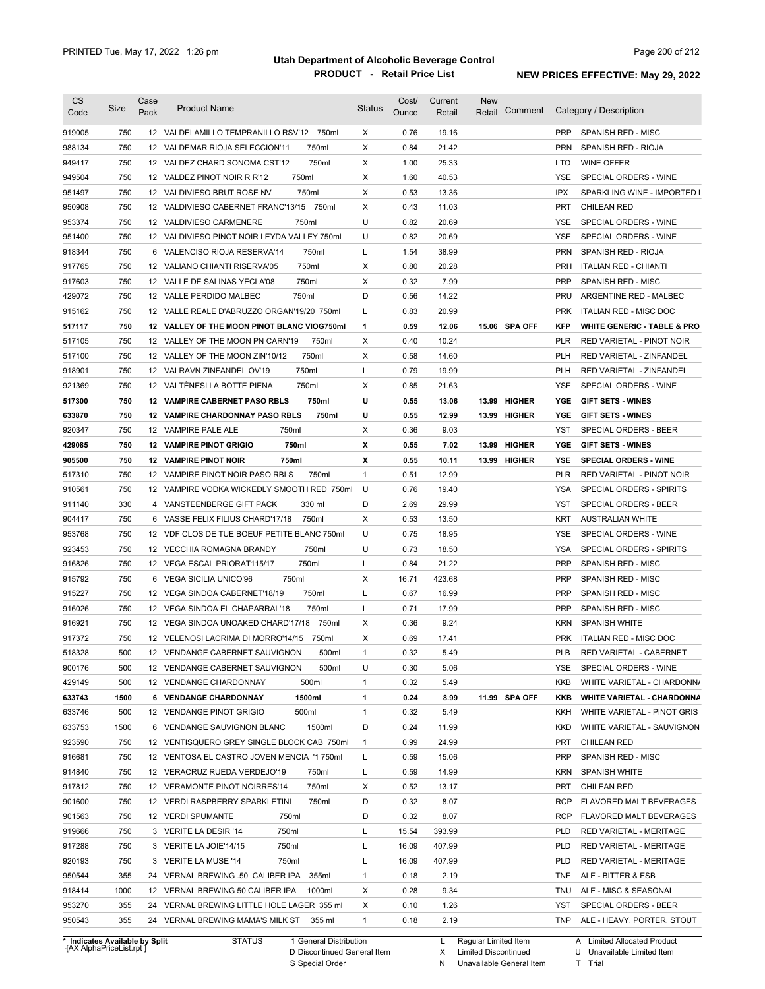| <b>CS</b>                      | Size       | Case | <b>Product Name</b>                             | <b>Status</b> | Cost/        | Current        | <b>New</b>             |                   |                                                  |
|--------------------------------|------------|------|-------------------------------------------------|---------------|--------------|----------------|------------------------|-------------------|--------------------------------------------------|
| Code                           |            | Pack |                                                 |               | Ounce        | Retail         | Comment<br>Retail      |                   | Category / Description                           |
| 919005                         | 750        |      | 12 VALDELAMILLO TEMPRANILLO RSV'12 750ml        | X             | 0.76         | 19.16          |                        | <b>PRP</b>        | SPANISH RED - MISC                               |
| 988134                         | 750        |      | 12 VALDEMAR RIOJA SELECCION'11<br>750ml         | Χ             | 0.84         | 21.42          |                        | <b>PRN</b>        | SPANISH RED - RIOJA                              |
| 949417                         | 750        |      | 750ml<br>12 VALDEZ CHARD SONOMA CST'12          | X             | 1.00         | 25.33          |                        | LTO               | <b>WINE OFFER</b>                                |
| 949504                         | 750        |      | 750ml<br>12 VALDEZ PINOT NOIR R R'12            | X             | 1.60         | 40.53          |                        | YSE               | SPECIAL ORDERS - WINE                            |
| 951497                         | 750        |      | 750ml<br>12 VALDIVIESO BRUT ROSE NV             | X             | 0.53         | 13.36          |                        | <b>IPX</b>        | SPARKLING WINE - IMPORTED I                      |
| 950908                         | 750        |      | 12 VALDIVIESO CABERNET FRANC'13/15 750ml        | X             | 0.43         | 11.03          |                        | <b>PRT</b>        | <b>CHILEAN RED</b>                               |
| 953374                         | 750        |      | 750ml<br>12 VALDIVIESO CARMENERE                | U             | 0.82         | 20.69          |                        | YSE               | SPECIAL ORDERS - WINE                            |
| 951400                         | 750        |      | 12 VALDIVIESO PINOT NOIR LEYDA VALLEY 750ml     | U             | 0.82         | 20.69          |                        | <b>YSE</b>        | SPECIAL ORDERS - WINE                            |
| 918344                         | 750        |      | 750ml<br>6 VALENCISO RIOJA RESERVA'14           | L             | 1.54         | 38.99          |                        | <b>PRN</b>        | <b>SPANISH RED - RIOJA</b>                       |
| 917765                         | 750        |      | 750ml<br>12 VALIANO CHIANTI RISERVA'05          | Χ             | 0.80         | 20.28          |                        | <b>PRH</b>        | <b>ITALIAN RED - CHIANTI</b>                     |
| 917603                         | 750        |      | 750ml<br>12 VALLE DE SALINAS YECLA'08           | X             | 0.32         | 7.99           |                        | <b>PRP</b>        | SPANISH RED - MISC                               |
| 429072                         | 750        |      | 12 VALLE PERDIDO MALBEC<br>750ml                | D             | 0.56         | 14.22          |                        | PRU               | ARGENTINE RED - MALBEC                           |
| 915162                         | 750        |      | 12 VALLE REALE D'ABRUZZO ORGAN'19/20 750ml      | L             | 0.83         | 20.99          |                        | <b>PRK</b>        | ITALIAN RED - MISC DOC                           |
| 517117                         | 750        |      | 12 VALLEY OF THE MOON PINOT BLANC VIOG750ml     | 1             | 0.59         | 12.06          | 15.06 SPA OFF          | <b>KFP</b>        | <b>WHITE GENERIC - TABLE &amp; PRO</b>           |
| 517105                         | 750        |      | 12 VALLEY OF THE MOON PN CARN'19<br>750ml       | Χ             | 0.40         | 10.24          |                        | PLR               | RED VARIETAL - PINOT NOIR                        |
| 517100                         | 750        |      | 750ml<br>12 VALLEY OF THE MOON ZIN'10/12        | Χ             | 0.58         | 14.60          |                        | <b>PLH</b>        | <b>RED VARIETAL - ZINFANDEL</b>                  |
| 918901                         | 750        |      | 750ml<br>12 VALRAVN ZINFANDEL OV'19             | L             | 0.79         | 19.99          |                        | <b>PLH</b>        | <b>RED VARIETAL - ZINFANDEL</b>                  |
| 921369                         | 750        |      | 750ml<br>12 VALTENESI LA BOTTE PIENA            | Χ             | 0.85         | 21.63          |                        | YSE               | SPECIAL ORDERS - WINE                            |
| 517300                         | 750        |      | 12 VAMPIRE CABERNET PASO RBLS<br>750ml          | U             | 0.55         | 13.06          | <b>HIGHER</b><br>13.99 | YGE               | <b>GIFT SETS - WINES</b>                         |
| 633870                         | 750        |      | <b>12 VAMPIRE CHARDONNAY PASO RBLS</b><br>750ml | U             | 0.55         | 12.99          | 13.99<br><b>HIGHER</b> | YGE               | <b>GIFT SETS - WINES</b>                         |
| 920347                         | 750        |      | 750ml<br>12 VAMPIRE PALE ALE                    | Χ             | 0.36         | 9.03           |                        | YST               | <b>SPECIAL ORDERS - BEER</b>                     |
| 429085                         | 750        |      | 750ml<br><b>12 VAMPIRE PINOT GRIGIO</b>         | х             | 0.55         | 7.02           | <b>HIGHER</b><br>13.99 | YGE               | <b>GIFT SETS - WINES</b>                         |
| 905500                         | 750        |      | <b>12 VAMPIRE PINOT NOIR</b><br>750ml           | х             | 0.55         | 10.11          | 13.99 HIGHER           | YSE               | <b>SPECIAL ORDERS - WINE</b>                     |
| 517310                         | 750        |      | 12 VAMPIRE PINOT NOIR PASO RBLS<br>750ml        | $\mathbf{1}$  | 0.51         | 12.99          |                        | <b>PLR</b>        | RED VARIETAL - PINOT NOIR                        |
| 910561                         | 750        |      | 12 VAMPIRE VODKA WICKEDLY SMOOTH RED 750ml      | U             | 0.76         | 19.40          |                        | <b>YSA</b>        | SPECIAL ORDERS - SPIRITS                         |
| 911140                         | 330        |      | 330 ml<br>4 VANSTEENBERGE GIFT PACK             | D             | 2.69         | 29.99          |                        | YST               | SPECIAL ORDERS - BEER                            |
|                                | 750        | 6    | 750ml                                           | Х             | 0.53         | 13.50          |                        | KRT               |                                                  |
| 904417                         |            |      | VASSE FELIX FILIUS CHARD'17/18                  |               |              |                |                        |                   | <b>AUSTRALIAN WHITE</b><br>SPECIAL ORDERS - WINE |
| 953768                         | 750        |      | 12 VDF CLOS DE TUE BOEUF PETITE BLANC 750ml     | U             | 0.75         | 18.95          |                        | YSE               |                                                  |
| 923453                         | 750<br>750 |      | 750ml<br>12 VECCHIA ROMAGNA BRANDY<br>750ml     | U<br>L        | 0.73<br>0.84 | 18.50<br>21.22 |                        | YSA<br><b>PRP</b> | SPECIAL ORDERS - SPIRITS                         |
| 916826                         |            |      | 12 VEGA ESCAL PRIORAT115/17<br>750ml            |               |              |                |                        | <b>PRP</b>        | SPANISH RED - MISC                               |
| 915792                         | 750        |      | 6 VEGA SICILIA UNICO'96                         | X             | 16.71        | 423.68         |                        |                   | SPANISH RED - MISC                               |
| 915227                         | 750        |      | 750ml<br>12 VEGA SINDOA CABERNET'18/19          | L             | 0.67         | 16.99          |                        | <b>PRP</b>        | SPANISH RED - MISC                               |
| 916026                         | 750        |      | 750ml<br>12 VEGA SINDOA EL CHAPARRAL'18         | L             | 0.71         | 17.99          |                        | <b>PRP</b>        | SPANISH RED - MISC                               |
| 916921                         | 750        |      | 12 VEGA SINDOA UNOAKED CHARD'17/18 750ml        | Χ             | 0.36         | 9.24           |                        | <b>KRN</b>        | <b>SPANISH WHITE</b>                             |
| 917372                         | 750        |      | 12 VELENOSI LACRIMA DI MORRO'14/15<br>750ml     | Χ             | 0.69         | 17.41          |                        | <b>PRK</b>        | <b>ITALIAN RED - MISC DOC</b>                    |
| 518328                         | 500        |      | 500ml<br>12 VENDANGE CABERNET SAUVIGNON         | 1             | 0.32         | 5.49           |                        | PLB               | RED VARIETAL - CABERNET                          |
| 900176                         | 500        |      | 500ml<br>12 VENDANGE CABERNET SAUVIGNON         | U             | 0.30         | 5.06           |                        | YSE               | SPECIAL ORDERS - WINE                            |
| 429149                         | 500        |      | 12 VENDANGE CHARDONNAY<br>500ml                 | $\mathbf{1}$  | 0.32         | 5.49           |                        | KKB               | WHITE VARIETAL - CHARDONN/                       |
| 633743                         | 1500       |      | 1500ml<br>6 VENDANGE CHARDONNAY                 | 1             | 0.24         | 8.99           | 11.99 SPA OFF          | KKB               | <b>WHITE VARIETAL - CHARDONNA</b>                |
| 633746                         | 500        |      | 500ml<br>12 VENDANGE PINOT GRIGIO               | $\mathbf{1}$  | 0.32         | 5.49           |                        | KKH               | WHITE VARIETAL - PINOT GRIS                      |
| 633753                         | 1500       |      | 1500ml<br>6 VENDANGE SAUVIGNON BLANC            | D             | 0.24         | 11.99          |                        | KKD               | WHITE VARIETAL - SAUVIGNON                       |
| 923590                         | 750        |      | 12 VENTISQUERO GREY SINGLE BLOCK CAB 750ml      | $\mathbf{1}$  | 0.99         | 24.99          |                        | PRT               | <b>CHILEAN RED</b>                               |
| 916681                         | 750        |      | 12 VENTOSA EL CASTRO JOVEN MENCIA '1750ml       | L             | 0.59         | 15.06          |                        | <b>PRP</b>        | SPANISH RED - MISC                               |
| 914840                         | 750        |      | 12 VERACRUZ RUEDA VERDEJO'19<br>750ml           | L             | 0.59         | 14.99          |                        | KRN               | <b>SPANISH WHITE</b>                             |
| 917812                         | 750        |      | 12 VERAMONTE PINOT NOIRRES'14<br>750ml          | X             | 0.52         | 13.17          |                        | PRT               | <b>CHILEAN RED</b>                               |
| 901600                         | 750        |      | 12 VERDI RASPBERRY SPARKLETINI<br>750ml         | D             | 0.32         | 8.07           |                        | <b>RCP</b>        | FLAVORED MALT BEVERAGES                          |
| 901563                         | 750        |      | 12 VERDI SPUMANTE<br>750ml                      | D             | 0.32         | 8.07           |                        | <b>RCP</b>        | FLAVORED MALT BEVERAGES                          |
| 919666                         | 750        |      | 3 VERITE LA DESIR '14<br>750ml                  | L             | 15.54        | 393.99         |                        | <b>PLD</b>        | RED VARIETAL - MERITAGE                          |
| 917288                         | 750        |      | 3 VERITE LA JOIE'14/15<br>750ml                 | L             | 16.09        | 407.99         |                        | <b>PLD</b>        | RED VARIETAL - MERITAGE                          |
| 920193                         | 750        |      | 3 VERITE LA MUSE '14<br>750ml                   | L             | 16.09        | 407.99         |                        | <b>PLD</b>        | RED VARIETAL - MERITAGE                          |
| 950544                         | 355        |      | 24 VERNAL BREWING .50 CALIBER IPA 355ml         | 1             | 0.18         | 2.19           |                        | <b>TNF</b>        | ALE - BITTER & ESB                               |
| 918414                         | 1000       |      | 12 VERNAL BREWING 50 CALIBER IPA 1000ml         | Х             | 0.28         | 9.34           |                        | <b>TNU</b>        | ALE - MISC & SEASONAL                            |
| 953270                         | 355        |      | 24 VERNAL BREWING LITTLE HOLE LAGER 355 ml      | Х             | 0.10         | 1.26           |                        | YST               | SPECIAL ORDERS - BEER                            |
| 950543                         | 355        |      | 24 VERNAL BREWING MAMA'S MILK ST 355 ml         | $\mathbf{1}$  | 0.18         | 2.19           |                        |                   | TNP ALE - HEAVY, PORTER, STOUT                   |
| * Indicates Available by Split |            |      | <b>STATUS</b><br>1 General Distribution         |               |              |                | L Regular Limited Item |                   | A Limited Allocated Product                      |

**Case** [AX AlphaPriceList.rpt ]

D Discontinued General Item

S Special Order

X Limited Discontinued

N Unavailable General Item

U Unavailable Limited Item

T Trial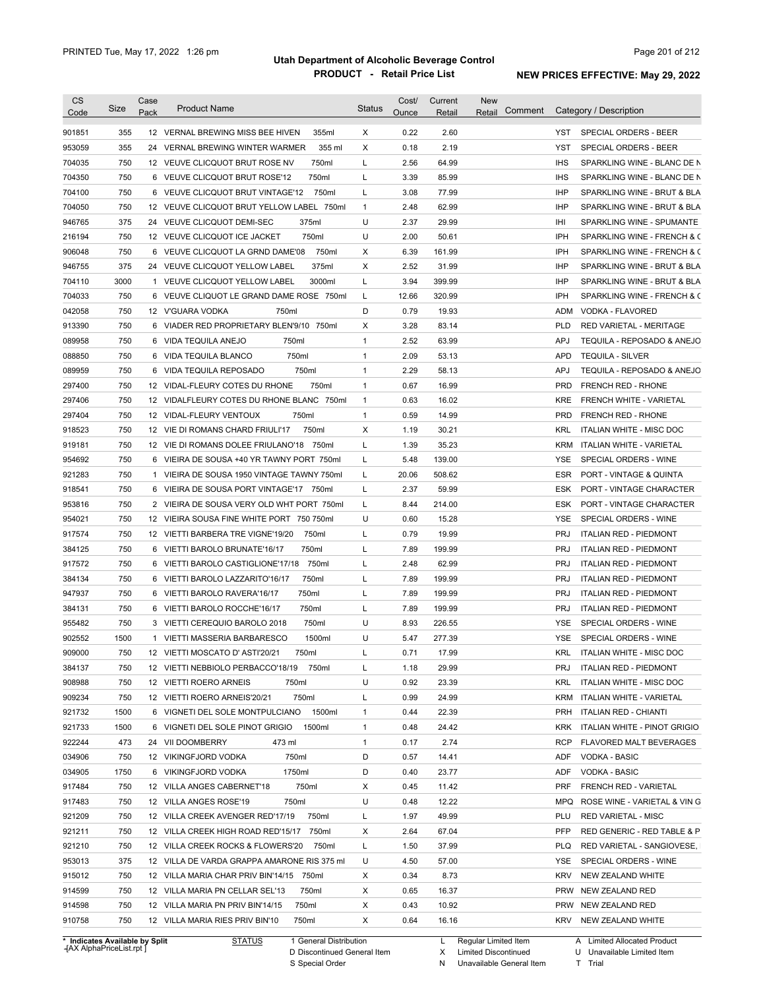| <b>CS</b><br>Code | Size | Case<br>Pack | <b>Product Name</b>                         | <b>Status</b> | Cost/<br>Ounce | Current<br>Retail | <b>New</b><br>Comment<br>Retail |            | Category / Description          |
|-------------------|------|--------------|---------------------------------------------|---------------|----------------|-------------------|---------------------------------|------------|---------------------------------|
| 901851            | 355  |              | 12 VERNAL BREWING MISS BEE HIVEN<br>355ml   | Χ             | 0.22           | 2.60              |                                 | YST        | SPECIAL ORDERS - BEER           |
| 953059            | 355  |              | 355 ml<br>24 VERNAL BREWING WINTER WARMER   | X             | 0.18           | 2.19              |                                 | <b>YST</b> | SPECIAL ORDERS - BEER           |
| 704035            | 750  |              | 750ml<br>12 VEUVE CLICQUOT BRUT ROSE NV     | L             | 2.56           | 64.99             |                                 | <b>IHS</b> | SPARKLING WINE - BLANC DE N     |
| 704350            | 750  |              | 750ml<br>6 VEUVE CLICQUOT BRUT ROSE'12      | L             | 3.39           | 85.99             |                                 | <b>IHS</b> | SPARKLING WINE - BLANC DE N     |
| 704100            | 750  |              | 750ml<br>6 VEUVE CLICQUOT BRUT VINTAGE'12   | L             | 3.08           | 77.99             |                                 | <b>IHP</b> | SPARKLING WINE - BRUT & BLA     |
| 704050            | 750  |              | 12 VEUVE CLICQUOT BRUT YELLOW LABEL 750ml   | 1             | 2.48           | 62.99             |                                 | <b>IHP</b> | SPARKLING WINE - BRUT & BLA     |
| 946765            | 375  |              | 375ml<br>24 VEUVE CLICQUOT DEMI-SEC         | U             | 2.37           | 29.99             |                                 | IHI        | SPARKLING WINE - SPUMANTE       |
| 216194            | 750  |              | 750ml<br>12 VEUVE CLICQUOT ICE JACKET       | U             | 2.00           | 50.61             |                                 | <b>IPH</b> | SPARKLING WINE - FRENCH & C     |
| 906048            | 750  |              | 6 VEUVE CLICQUOT LA GRND DAME'08<br>750ml   | х             | 6.39           | 161.99            |                                 | IPH        | SPARKLING WINE - FRENCH & C     |
| 946755            | 375  | 24           | 375ml<br>VEUVE CLICQUOT YELLOW LABEL        | X             | 2.52           | 31.99             |                                 | <b>IHP</b> | SPARKLING WINE - BRUT & BLA     |
| 704110            | 3000 |              | 3000ml<br>1 VEUVE CLICQUOT YELLOW LABEL     | Г             | 3.94           | 399.99            |                                 | <b>IHP</b> | SPARKLING WINE - BRUT & BLA     |
| 704033            | 750  | 6            | VEUVE CLIQUOT LE GRAND DAME ROSE 750ml      | L             | 12.66          | 320.99            |                                 | IPH        | SPARKLING WINE - FRENCH & C     |
| 042058            | 750  |              | 750ml<br>12 V'GUARA VODKA                   | D             | 0.79           | 19.93             |                                 | <b>ADM</b> | VODKA - FLAVORED                |
| 913390            | 750  |              | 6 VIADER RED PROPRIETARY BLEN'9/10<br>750ml | X             | 3.28           | 83.14             |                                 | <b>PLD</b> | RED VARIETAL - MERITAGE         |
| 089958            | 750  | 6            | 750ml<br>VIDA TEQUILA ANEJO                 | $\mathbf{1}$  | 2.52           | 63.99             |                                 | <b>APJ</b> | TEQUILA - REPOSADO & ANEJO      |
| 088850            | 750  | 6            | 750ml<br>VIDA TEQUILA BLANCO                | $\mathbf{1}$  | 2.09           | 53.13             |                                 | <b>APD</b> | <b>TEQUILA - SILVER</b>         |
| 089959            | 750  | 6            | 750ml<br>VIDA TEQUILA REPOSADO              | $\mathbf{1}$  | 2.29           | 58.13             |                                 | <b>APJ</b> | TEQUILA - REPOSADO & ANEJO      |
| 297400            | 750  |              | 750ml<br>12 VIDAL-FLEURY COTES DU RHONE     | $\mathbf{1}$  | 0.67           | 16.99             |                                 | <b>PRD</b> | FRENCH RED - RHONE              |
| 297406            | 750  |              | 12 VIDALFLEURY COTES DU RHONE BLANC 750ml   | $\mathbf{1}$  | 0.63           | 16.02             |                                 | KRE        | FRENCH WHITE - VARIETAL         |
| 297404            | 750  |              | 12 VIDAL-FLEURY VENTOUX<br>750ml            | $\mathbf{1}$  | 0.59           | 14.99             |                                 | <b>PRD</b> | FRENCH RED - RHONE              |
| 918523            | 750  |              | 750ml<br>12 VIE DI ROMANS CHARD FRIULI'17   | х             | 1.19           | 30.21             |                                 | <b>KRL</b> | <b>ITALIAN WHITE - MISC DOC</b> |
| 919181            | 750  |              | 12 VIE DI ROMANS DOLEE FRIULANO'18<br>750ml | L             | 1.39           | 35.23             |                                 | <b>KRM</b> | ITALIAN WHITE - VARIETAL        |
| 954692            | 750  |              | 6 VIEIRA DE SOUSA +40 YR TAWNY PORT 750ml   | L             | 5.48           | 139.00            |                                 | YSE        | SPECIAL ORDERS - WINE           |
| 921283            | 750  | $\mathbf{1}$ | VIEIRA DE SOUSA 1950 VINTAGE TAWNY 750ml    | Г             | 20.06          | 508.62            |                                 | <b>ESR</b> | PORT - VINTAGE & QUINTA         |
|                   | 750  |              |                                             | L             | 2.37           |                   |                                 |            |                                 |
| 918541            |      |              | 6 VIEIRA DE SOUSA PORT VINTAGE'17 750ml     |               |                | 59.99             |                                 | ESK        | PORT - VINTAGE CHARACTER        |
| 953816            | 750  |              | 2 VIEIRA DE SOUSA VERY OLD WHT PORT 750ml   | L             | 8.44           | 214.00            |                                 | ESK        | PORT - VINTAGE CHARACTER        |
| 954021            | 750  |              | 12 VIEIRA SOUSA FINE WHITE PORT 750 750ml   | U             | 0.60           | 15.28             |                                 | <b>YSE</b> | SPECIAL ORDERS - WINE           |
| 917574            | 750  |              | 750ml<br>12 VIETTI BARBERA TRE VIGNE'19/20  | Г             | 0.79           | 19.99             |                                 | <b>PRJ</b> | <b>ITALIAN RED - PIEDMONT</b>   |
| 384125            | 750  |              | 750ml<br>6 VIETTI BAROLO BRUNATE'16/17      | L             | 7.89           | 199.99            |                                 | <b>PRJ</b> | <b>ITALIAN RED - PIEDMONT</b>   |
| 917572            | 750  |              | 750ml<br>6 VIETTI BAROLO CASTIGLIONE'17/18  | Г             | 2.48           | 62.99             |                                 | <b>PRJ</b> | <b>ITALIAN RED - PIEDMONT</b>   |
| 384134            | 750  |              | 6 VIETTI BAROLO LAZZARITO'16/17<br>750ml    | Г             | 7.89           | 199.99            |                                 | <b>PRJ</b> | <b>ITALIAN RED - PIEDMONT</b>   |
| 947937            | 750  |              | 750ml<br>6 VIETTI BAROLO RAVERA'16/17       | L             | 7.89           | 199.99            |                                 | <b>PRJ</b> | <b>ITALIAN RED - PIEDMONT</b>   |
| 384131            | 750  |              | 750ml<br>6 VIETTI BAROLO ROCCHE'16/17       | L             | 7.89           | 199.99            |                                 | <b>PRJ</b> | <b>ITALIAN RED - PIEDMONT</b>   |
| 955482            | 750  |              | 750ml<br>3 VIETTI CEREQUIO BAROLO 2018      | U             | 8.93           | 226.55            |                                 | YSE        | SPECIAL ORDERS - WINE           |
| 902552            | 1500 |              | 1 VIETTI MASSERIA BARBARESCO<br>1500ml      | U             | 5.47           | 277.39            |                                 | YSE        | SPECIAL ORDERS - WINE           |
| 909000            | 750  |              | 12 VIETTI MOSCATO D' ASTI'20/21<br>750ml    | L             | 0.71           | 17.99             |                                 | KRL        | ITALIAN WHITE - MISC DOC        |
| 384137            | 750  |              | 12 VIETTI NEBBIOLO PERBACCO'18/19<br>750ml  | Г             | 1.18           | 29.99             |                                 | <b>PRJ</b> | <b>ITALIAN RED - PIEDMONT</b>   |
| 908988            | 750  |              | 12 VIETTI ROERO ARNEIS<br>750ml             | U             | 0.92           | 23.39             |                                 | KRL        | ITALIAN WHITE - MISC DOC        |
| 909234            | 750  |              | 750ml<br>12 VIETTI ROERO ARNEIS'20/21       | Г             | 0.99           | 24.99             |                                 | KRM        | ITALIAN WHITE - VARIETAL        |
| 921732            | 1500 |              | 1500ml<br>6 VIGNETI DEL SOLE MONTPULCIANO   | 1             | 0.44           | 22.39             |                                 | PRH        | <b>ITALIAN RED - CHIANTI</b>    |
| 921733            | 1500 |              | 6 VIGNETI DEL SOLE PINOT GRIGIO<br>1500ml   | $\mathbf{1}$  | 0.48           | 24.42             |                                 | <b>KRK</b> | ITALIAN WHITE - PINOT GRIGIO    |
| 922244            | 473  |              | 24 VII DOOMBERRY<br>473 ml                  | $\mathbf{1}$  | 0.17           | 2.74              |                                 | RCP        | FLAVORED MALT BEVERAGES         |
| 034906            | 750  |              | 12 VIKINGFJORD VODKA<br>750ml               | D             | 0.57           | 14.41             |                                 | ADF        | VODKA - BASIC                   |
| 034905            | 1750 |              | 1750ml<br>6 VIKINGFJORD VODKA               | D             | 0.40           | 23.77             |                                 | ADF        | VODKA - BASIC                   |
| 917484            | 750  |              | 750ml<br>12 VILLA ANGES CABERNET'18         | х             | 0.45           | 11.42             |                                 | PRF        | FRENCH RED - VARIETAL           |
| 917483            | 750  |              | 12 VILLA ANGES ROSE'19<br>750ml             | U             | 0.48           | 12.22             |                                 | MPQ        | ROSE WINE - VARIETAL & VIN G    |
| 921209            | 750  |              | 750ml<br>12 VILLA CREEK AVENGER RED'17/19   | L             | 1.97           | 49.99             |                                 | PLU        | <b>RED VARIETAL - MISC</b>      |
| 921211            | 750  |              | 12 VILLA CREEK HIGH ROAD RED'15/17 750ml    | х             | 2.64           | 67.04             |                                 | PFP        | RED GENERIC - RED TABLE & P     |
| 921210            | 750  |              | 12 VILLA CREEK ROCKS & FLOWERS'20<br>750ml  | L             | 1.50           | 37.99             |                                 | <b>PLQ</b> | RED VARIETAL - SANGIOVESE,      |
| 953013            | 375  |              | 12 VILLA DE VARDA GRAPPA AMARONE RIS 375 mI | U             | 4.50           | 57.00             |                                 | YSE        | SPECIAL ORDERS - WINE           |
| 915012            | 750  |              | 12 VILLA MARIA CHAR PRIV BIN'14/15 750ml    | х             | 0.34           | 8.73              |                                 | <b>KRV</b> | NEW ZEALAND WHITE               |
| 914599            | 750  |              | 12 VILLA MARIA PN CELLAR SEL'13<br>750ml    | х             | 0.65           | 16.37             |                                 | <b>PRW</b> | NEW ZEALAND RED                 |
|                   | 750  |              | 12 VILLA MARIA PN PRIV BIN'14/15<br>750ml   | х             | 0.43           | 10.92             |                                 | <b>PRW</b> | NEW ZEALAND RED                 |
| 914598            |      |              |                                             |               |                |                   |                                 |            |                                 |

**Case** [AX AlphaPriceList.rpt ]

D Discontinued General Item S Special Order

X Limited Discontinued

U Unavailable Limited Item

N Unavailable General Item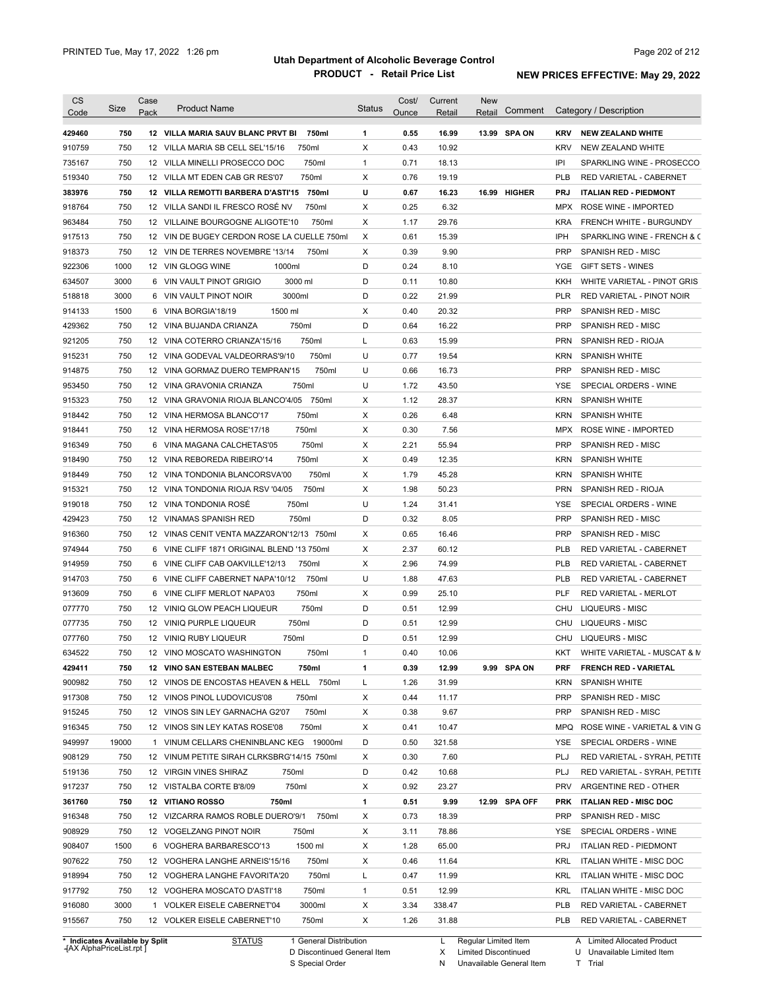| <b>CS</b><br>Code              | Size  | Case<br>Pack | <b>Product Name</b>                         | <b>Status</b> | Cost/<br>Ounce | Current<br>Retail | <b>New</b><br>Comment<br>Retail |            | Category / Description          |
|--------------------------------|-------|--------------|---------------------------------------------|---------------|----------------|-------------------|---------------------------------|------------|---------------------------------|
| 429460                         | 750   |              | 750ml<br>12 VILLA MARIA SAUV BLANC PRVT BI  | 1             | 0.55           | 16.99             | 13.99 SPA ON                    | <b>KRV</b> | <b>NEW ZEALAND WHITE</b>        |
| 910759                         | 750   |              | 750ml<br>12 VILLA MARIA SB CELL SEL'15/16   | X             | 0.43           | 10.92             |                                 | <b>KRV</b> | NEW ZEALAND WHITE               |
| 735167                         | 750   |              | 750ml<br>12 VILLA MINELLI PROSECCO DOC      | $\mathbf{1}$  | 0.71           | 18.13             |                                 | IPI        | SPARKLING WINE - PROSECCO       |
| 519340                         | 750   |              | 750ml<br>12 VILLA MT EDEN CAB GR RES'07     | X             | 0.76           | 19.19             |                                 | <b>PLB</b> | RED VARIETAL - CABERNET         |
| 383976                         | 750   |              | 12 VILLA REMOTTI BARBERA D'ASTI'15 750ml    | U             | 0.67           | 16.23             | 16.99 HIGHER                    | <b>PRJ</b> | <b>ITALIAN RED - PIEDMONT</b>   |
| 918764                         | 750   |              | 750ml<br>12 VILLA SANDI IL FRESCO ROSE NV   | X             | 0.25           | 6.32              |                                 | <b>MPX</b> | ROSE WINE - IMPORTED            |
| 963484                         | 750   |              | 750ml<br>12 VILLAINE BOURGOGNE ALIGOTE'10   | X             | 1.17           | 29.76             |                                 | <b>KRA</b> | FRENCH WHITE - BURGUNDY         |
| 917513                         | 750   |              | 12 VIN DE BUGEY CERDON ROSE LA CUELLE 750ml | Χ             | 0.61           | 15.39             |                                 | IPH        | SPARKLING WINE - FRENCH & C     |
| 918373                         | 750   |              | 12 VIN DE TERRES NOVEMBRE '13/14<br>750ml   | Χ             | 0.39           | 9.90              |                                 | <b>PRP</b> | SPANISH RED - MISC              |
| 922306                         | 1000  |              | 1000ml<br>12 VIN GLOGG WINE                 | D             | 0.24           | 8.10              |                                 | YGE        | GIFT SETS - WINES               |
| 634507                         | 3000  |              | 3000 ml<br>6 VIN VAULT PINOT GRIGIO         | D             | 0.11           | 10.80             |                                 | KKH        | WHITE VARIETAL - PINOT GRIS     |
| 518818                         | 3000  |              | 3000ml<br>6 VIN VAULT PINOT NOIR            | D             | 0.22           | 21.99             |                                 | PLR        | RED VARIETAL - PINOT NOIR       |
| 914133                         | 1500  |              | 1500 ml<br>6 VINA BORGIA'18/19              | Х             | 0.40           | 20.32             |                                 | <b>PRP</b> | SPANISH RED - MISC              |
| 429362                         | 750   |              | 750ml<br>12 VINA BUJANDA CRIANZA            | D             | 0.64           | 16.22             |                                 | <b>PRP</b> | SPANISH RED - MISC              |
| 921205                         | 750   |              | 750ml<br>12 VINA COTERRO CRIANZA'15/16      | L             | 0.63           | 15.99             |                                 | <b>PRN</b> | SPANISH RED - RIOJA             |
| 915231                         | 750   |              | 750ml<br>12 VINA GODEVAL VALDEORRAS'9/10    | U             | 0.77           | 19.54             |                                 | <b>KRN</b> | <b>SPANISH WHITE</b>            |
| 914875                         | 750   |              | 750ml<br>12 VINA GORMAZ DUERO TEMPRAN'15    | U             | 0.66           | 16.73             |                                 | <b>PRP</b> | SPANISH RED - MISC              |
| 953450                         | 750   |              | 750ml<br>12 VINA GRAVONIA CRIANZA           | U             | 1.72           | 43.50             |                                 | YSE        | SPECIAL ORDERS - WINE           |
| 915323                         | 750   |              | 750ml<br>12 VINA GRAVONIA RIOJA BLANCO'4/05 | Х             | 1.12           | 28.37             |                                 | <b>KRN</b> | <b>SPANISH WHITE</b>            |
| 918442                         | 750   |              | 750ml<br>12 VINA HERMOSA BLANCO'17          | X             | 0.26           | 6.48              |                                 | <b>KRN</b> | <b>SPANISH WHITE</b>            |
| 918441                         | 750   |              | 750ml<br>12 VINA HERMOSA ROSE'17/18         | X             | 0.30           | 7.56              |                                 | <b>MPX</b> | ROSE WINE - IMPORTED            |
| 916349                         | 750   | 6            | 750ml<br>VINA MAGANA CALCHETAS'05           | X             | 2.21           | 55.94             |                                 | <b>PRP</b> | SPANISH RED - MISC              |
| 918490                         | 750   |              | 750ml<br>12 VINA REBOREDA RIBEIRO'14        | X             | 0.49           | 12.35             |                                 | <b>KRN</b> | <b>SPANISH WHITE</b>            |
| 918449                         | 750   |              | 750ml<br>12 VINA TONDONIA BLANCORSVA'00     | X             | 1.79           | 45.28             |                                 | <b>KRN</b> | <b>SPANISH WHITE</b>            |
| 915321                         | 750   |              | 750ml<br>12 VINA TONDONIA RIOJA RSV '04/05  | X             | 1.98           | 50.23             |                                 | <b>PRN</b> | SPANISH RED - RIOJA             |
| 919018                         | 750   |              | 12 VINA TONDONIA ROSÉ<br>750ml              | U             | 1.24           | 31.41             |                                 | YSE        | SPECIAL ORDERS - WINE           |
| 429423                         | 750   |              | 12 VINAMAS SPANISH RED<br>750ml             | D             | 0.32           | 8.05              |                                 | <b>PRP</b> | SPANISH RED - MISC              |
| 916360                         | 750   |              | 12 VINAS CENIT VENTA MAZZARON'12/13 750ml   | Х             | 0.65           | 16.46             |                                 | <b>PRP</b> | SPANISH RED - MISC              |
| 974944                         | 750   | 6            | VINE CLIFF 1871 ORIGINAL BLEND '13 750ml    | Х             | 2.37           | 60.12             |                                 | <b>PLB</b> | RED VARIETAL - CABERNET         |
| 914959                         | 750   |              | 6 VINE CLIFF CAB OAKVILLE'12/13<br>750ml    | х             | 2.96           | 74.99             |                                 | PLB        | RED VARIETAL - CABERNET         |
| 914703                         | 750   |              | 750ml<br>6 VINE CLIFF CABERNET NAPA'10/12   | U             | 1.88           | 47.63             |                                 | PLB        | RED VARIETAL - CABERNET         |
| 913609                         | 750   | 6            | 750ml<br>VINE CLIFF MERLOT NAPA'03          | х             | 0.99           | 25.10             |                                 | <b>PLF</b> | RED VARIETAL - MERLOT           |
| 077770                         | 750   |              | 750ml<br>12 VINIQ GLOW PEACH LIQUEUR        | D             | 0.51           | 12.99             |                                 | CHU        | <b>LIQUEURS - MISC</b>          |
| 077735                         | 750   |              | 750ml<br>12 VINIQ PURPLE LIQUEUR            | D             | 0.51           | 12.99             |                                 | CHU        | <b>LIQUEURS - MISC</b>          |
| 077760                         | 750   |              | 750ml<br>12 VINIQ RUBY LIQUEUR              | D             | 0.51           | 12.99             |                                 | <b>CHU</b> | <b>LIQUEURS - MISC</b>          |
|                                |       |              |                                             | 1             |                |                   |                                 |            |                                 |
| 634522                         | 750   |              | 12 VINO MOSCATO WASHINGTON<br>750ml         |               | 0.40           | 10.06             |                                 |            | KKT WHITE VARIETAL - MUSCAT & M |
| 429411                         | 750   |              | 12 VINO SAN ESTEBAN MALBEC<br>750ml         | 1             | 0.39           | 12.99             | 9.99 SPA ON                     | PRF        | <b>FRENCH RED - VARIETAL</b>    |
| 900982                         | 750   |              | 12 VINOS DE ENCOSTAS HEAVEN & HELL 750ml    | L             | 1.26           | 31.99             |                                 | <b>KRN</b> | <b>SPANISH WHITE</b>            |
| 917308                         | 750   |              | 12 VINOS PINOL LUDOVICUS'08<br>750ml        | х             | 0.44           | 11.17             |                                 | <b>PRP</b> | SPANISH RED - MISC              |
| 915245                         | 750   |              | 12 VINOS SIN LEY GARNACHA G2'07<br>750ml    | Х             | 0.38           | 9.67              |                                 | <b>PRP</b> | SPANISH RED - MISC              |
| 916345                         | 750   |              | 750ml<br>12 VINOS SIN LEY KATAS ROSE'08     | х             | 0.41           | 10.47             |                                 | <b>MPQ</b> | ROSE WINE - VARIETAL & VIN G    |
| 949997                         | 19000 |              | 1 VINUM CELLARS CHENINBLANC KEG 19000ml     | D             | 0.50           | 321.58            |                                 | YSE        | SPECIAL ORDERS - WINE           |
| 908129                         | 750   |              | 12 VINUM PETITE SIRAH CLRKSBRG'14/15 750ml  | х             | 0.30           | 7.60              |                                 | PLJ        | RED VARIETAL - SYRAH, PETITE    |
| 519136                         | 750   |              | 12 VIRGIN VINES SHIRAZ<br>750ml             | D             | 0.42           | 10.68             |                                 | PLJ        | RED VARIETAL - SYRAH, PETITE    |
| 917237                         | 750   |              | 750ml<br>12 VISTALBA CORTE B'8/09           | х             | 0.92           | 23.27             |                                 | <b>PRV</b> | ARGENTINE RED - OTHER           |
| 361760                         | 750   |              | 12 VITIANO ROSSO<br>750ml                   | 1             | 0.51           | 9.99              | 12.99 SPA OFF                   | <b>PRK</b> | <b>ITALIAN RED - MISC DOC</b>   |
| 916348                         | 750   |              | 750ml<br>12 VIZCARRA RAMOS ROBLE DUERO'9/1  | х             | 0.73           | 18.39             |                                 | <b>PRP</b> | SPANISH RED - MISC              |
| 908929                         | 750   |              | 12 VOGELZANG PINOT NOIR<br>750ml            | Х             | 3.11           | 78.86             |                                 | YSE        | SPECIAL ORDERS - WINE           |
| 908407                         | 1500  |              | 6 VOGHERA BARBARESCO'13<br>1500 ml          | Х             | 1.28           | 65.00             |                                 | PRJ        | <b>ITALIAN RED - PIEDMONT</b>   |
| 907622                         | 750   |              | 12 VOGHERA LANGHE ARNEIS'15/16<br>750ml     | х             | 0.46           | 11.64             |                                 | KRL        | ITALIAN WHITE - MISC DOC        |
| 918994                         | 750   |              | 750ml<br>12 VOGHERA LANGHE FAVORITA'20      | L             | 0.47           | 11.99             |                                 | KRL        | ITALIAN WHITE - MISC DOC        |
| 917792                         | 750   |              | 750ml<br>12 VOGHERA MOSCATO D'ASTI'18       | $\mathbf{1}$  | 0.51           | 12.99             |                                 | KRL        | ITALIAN WHITE - MISC DOC        |
| 916080                         | 3000  |              | 3000ml<br>1 VOLKER EISELE CABERNET'04       | х             | 3.34           | 338.47            |                                 | <b>PLB</b> | RED VARIETAL - CABERNET         |
| 915567                         | 750   |              | 750ml<br>12 VOLKER EISELE CABERNET'10       | х             | 1.26           | 31.88             |                                 | PLB        | RED VARIETAL - CABERNET         |
| * Indicates Available by Split |       |              | <b>STATUS</b><br>1 General Distribution     |               |                | L                 | Regular Limited Item            |            | A Limited Allocated Product     |

**Case** [AX AlphaPriceList.rpt ]

D Discontinued General Item S Special Order

X

N Unavailable General Item

Limited Discontinued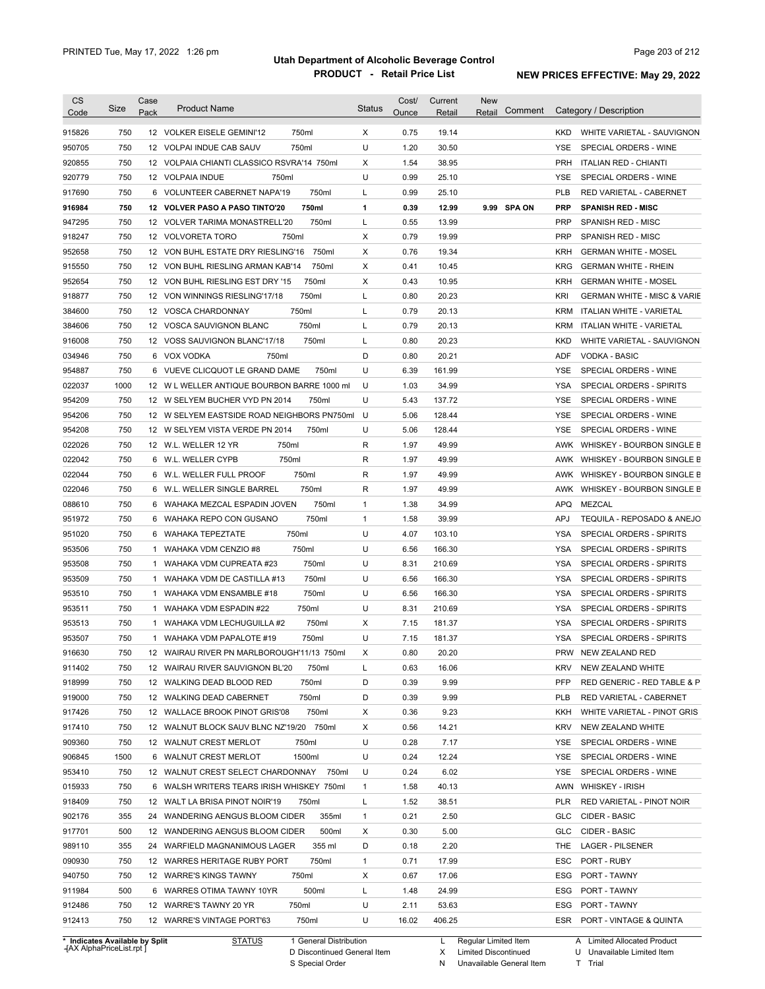| <b>CS</b><br>Code | <b>Size</b> | Case<br>Pack | <b>Product Name</b>                         | <b>Status</b> | Cost/<br>Ounce | Current<br>Retail | <b>New</b><br>Comment<br>Retail |                   | Category / Description                 |
|-------------------|-------------|--------------|---------------------------------------------|---------------|----------------|-------------------|---------------------------------|-------------------|----------------------------------------|
| 915826            | 750         |              | 12 VOLKER EISELE GEMINI'12<br>750ml         | Χ             | 0.75           | 19.14             |                                 | KKD.              | WHITE VARIETAL - SAUVIGNON             |
| 950705            | 750         |              | 750ml<br>12 VOLPAI INDUE CAB SAUV           | U             | 1.20           | 30.50             |                                 | <b>YSE</b>        | SPECIAL ORDERS - WINE                  |
| 920855            | 750         |              | 12 VOLPAIA CHIANTI CLASSICO RSVRA'14 750ml  | Χ             | 1.54           | 38.95             |                                 | <b>PRH</b>        | <b>ITALIAN RED - CHIANTI</b>           |
| 920779            | 750         |              | 12 VOLPAIA INDUE<br>750ml                   | U             | 0.99           | 25.10             |                                 | YSE.              | SPECIAL ORDERS - WINE                  |
|                   | 750         |              | 6 VOLUNTEER CABERNET NAPA'19<br>750ml       | L             | 0.99           | 25.10             |                                 | <b>PLB</b>        | RED VARIETAL - CABERNET                |
| 917690            |             |              |                                             |               |                |                   |                                 |                   |                                        |
| 916984            | 750         |              | 750ml<br>12 VOLVER PASO A PASO TINTO'20     | 1             | 0.39           | 12.99             | 9.99 SPA ON                     | <b>PRP</b><br>PRP | <b>SPANISH RED - MISC</b>              |
| 947295            | 750         |              | 750ml<br>12 VOLVER TARIMA MONASTRELL'20     | L             | 0.55           | 13.99             |                                 |                   | SPANISH RED - MISC                     |
| 918247            | 750         |              | 12 VOLVORETA TORO<br>750ml                  | X             | 0.79           | 19.99             |                                 | PRP               | SPANISH RED - MISC                     |
| 952658            | 750         |              | 12 VON BUHL ESTATE DRY RIESLING'16<br>750ml | X             | 0.76           | 19.34             |                                 | <b>KRH</b>        | <b>GERMAN WHITE - MOSEL</b>            |
| 915550            | 750         |              | 750ml<br>12 VON BUHL RIESLING ARMAN KAB'14  | X             | 0.41           | 10.45             |                                 | <b>KRG</b>        | <b>GERMAN WHITE - RHEIN</b>            |
| 952654            | 750         |              | 750ml<br>12 VON BUHL RIESLING EST DRY '15   | X             | 0.43           | 10.95             |                                 | <b>KRH</b>        | <b>GERMAN WHITE - MOSEL</b>            |
| 918877            | 750         |              | 750ml<br>12 VON WINNINGS RIESLING'17/18     | L             | 0.80           | 20.23             |                                 | <b>KRI</b>        | <b>GERMAN WHITE - MISC &amp; VARIE</b> |
| 384600            | 750         |              | 750ml<br>12 VOSCA CHARDONNAY                | Г             | 0.79           | 20.13             |                                 | <b>KRM</b>        | <b>ITALIAN WHITE - VARIETAL</b>        |
| 384606            | 750         |              | 750ml<br>12 VOSCA SAUVIGNON BLANC           | Г             | 0.79           | 20.13             |                                 | <b>KRM</b>        | <b>ITALIAN WHITE - VARIETAL</b>        |
| 916008            | 750         |              | 750ml<br>12 VOSS SAUVIGNON BLANC'17/18      | L             | 0.80           | 20.23             |                                 | <b>KKD</b>        | WHITE VARIETAL - SAUVIGNON             |
| 034946            | 750         |              | 6 VOX VODKA<br>750ml                        | D             | 0.80           | 20.21             |                                 | ADF               | <b>VODKA - BASIC</b>                   |
| 954887            | 750         | 6            | VUEVE CLICQUOT LE GRAND DAME<br>750ml       | U             | 6.39           | 161.99            |                                 | <b>YSE</b>        | SPECIAL ORDERS - WINE                  |
| 022037            | 1000        |              | 12 W L WELLER ANTIQUE BOURBON BARRE 1000 ml | U             | 1.03           | 34.99             |                                 | YSA               | SPECIAL ORDERS - SPIRITS               |
| 954209            | 750         |              | 750ml<br>12 W SELYEM BUCHER VYD PN 2014     | U             | 5.43           | 137.72            |                                 | <b>YSE</b>        | SPECIAL ORDERS - WINE                  |
| 954206            | 750         |              | 12 W SELYEM EASTSIDE ROAD NEIGHBORS PN750ml | U             | 5.06           | 128.44            |                                 | <b>YSE</b>        | SPECIAL ORDERS - WINE                  |
| 954208            | 750         |              | 750ml<br>12 W SELYEM VISTA VERDE PN 2014    | U             | 5.06           | 128.44            |                                 | <b>YSE</b>        | SPECIAL ORDERS - WINE                  |
| 022026            | 750         |              | 12 W.L. WELLER 12 YR<br>750ml               | R             | 1.97           | 49.99             |                                 | AWK               | WHISKEY - BOURBON SINGLE B             |
| 022042            | 750         |              | 750ml<br>6 W.L. WELLER CYPB                 | R             | 1.97           | 49.99             |                                 | AWK               | WHISKEY - BOURBON SINGLE B             |
| 022044            | 750         | 6            | 750ml<br>W.L. WELLER FULL PROOF             | R             | 1.97           | 49.99             |                                 | AWK               | WHISKEY - BOURBON SINGLE B             |
| 022046            | 750         | 6            | 750ml<br>W.L. WELLER SINGLE BARREL          | R             | 1.97           | 49.99             |                                 | AWK               | WHISKEY - BOURBON SINGLE B             |
| 088610            | 750         | 6            | 750ml<br>WAHAKA MEZCAL ESPADIN JOVEN        | 1             | 1.38           | 34.99             |                                 | <b>APQ</b>        | <b>MEZCAL</b>                          |
| 951972            | 750         |              | 750ml<br>6 WAHAKA REPO CON GUSANO           | 1             | 1.58           | 39.99             |                                 | <b>APJ</b>        | TEQUILA - REPOSADO & ANEJO             |
| 951020            | 750         |              | 750ml<br>6 WAHAKA TEPEZTATE                 | U             | 4.07           | 103.10            |                                 | <b>YSA</b>        | SPECIAL ORDERS - SPIRITS               |
| 953506            | 750         | 1            | 750ml<br>WAHAKA VDM CENZIO #8               | U             | 6.56           | 166.30            |                                 | <b>YSA</b>        | SPECIAL ORDERS - SPIRITS               |
|                   | 750         |              | 1 WAHAKA VDM CUPREATA #23<br>750ml          | U             | 8.31           | 210.69            |                                 | <b>YSA</b>        | SPECIAL ORDERS - SPIRITS               |
| 953508            |             |              |                                             |               |                |                   |                                 |                   |                                        |
| 953509            | 750         |              | 1 WAHAKA VDM DE CASTILLA #13<br>750ml       | U             | 6.56           | 166.30            |                                 | <b>YSA</b>        | SPECIAL ORDERS - SPIRITS               |
| 953510            | 750         |              | 750ml<br>1 WAHAKA VDM ENSAMBLE #18          | U             | 6.56           | 166.30            |                                 | <b>YSA</b>        | SPECIAL ORDERS - SPIRITS               |
| 953511            | 750         |              | 750ml<br>1 WAHAKA VDM ESPADIN #22           | U             | 8.31           | 210.69            |                                 | YSA               | SPECIAL ORDERS - SPIRITS               |
| 953513            | 750         |              | 750ml<br>1 WAHAKA VDM LECHUGUILLA #2        | X             | 7.15           | 181.37            |                                 | YSA               | <b>SPECIAL ORDERS - SPIRITS</b>        |
| 953507            | 750         |              | 1 WAHAKA VDM PAPALOTE #19<br>750ml          | U             | 7.15           | 181.37            |                                 | YSA               | SPECIAL ORDERS - SPIRITS               |
| 916630            | 750         |              | 12 WAIRAU RIVER PN MARLBOROUGH'11/13 750ml  | х             | 0.80           | 20.20             |                                 |                   | PRW NEW ZEALAND RED                    |
| 911402            | 750         |              | 12 WAIRAU RIVER SAUVIGNON BL'20<br>750ml    | L             | 0.63           | 16.06             |                                 | KRV               | NEW ZEALAND WHITE                      |
| 918999            | 750         |              | 750ml<br>12 WALKING DEAD BLOOD RED          | D             | 0.39           | 9.99              |                                 | <b>PFP</b>        | RED GENERIC - RED TABLE & P            |
| 919000            | 750         |              | 750ml<br>12 WALKING DEAD CABERNET           | D             | 0.39           | 9.99              |                                 | <b>PLB</b>        | RED VARIETAL - CABERNET                |
| 917426            | 750         |              | 750ml<br>12 WALLACE BROOK PINOT GRIS'08     | Х             | 0.36           | 9.23              |                                 | KKH               | WHITE VARIETAL - PINOT GRIS            |
| 917410            | 750         |              | 12 WALNUT BLOCK SAUV BLNC NZ'19/20 750ml    | Χ             | 0.56           | 14.21             |                                 | KRV               | NEW ZEALAND WHITE                      |
| 909360            | 750         |              | 12 WALNUT CREST MERLOT<br>750ml             | U             | 0.28           | 7.17              |                                 | YSE               | SPECIAL ORDERS - WINE                  |
| 906845            | 1500        |              | 6 WALNUT CREST MERLOT<br>1500ml             | U             | 0.24           | 12.24             |                                 | YSE               | SPECIAL ORDERS - WINE                  |
| 953410            | 750         |              | 12 WALNUT CREST SELECT CHARDONNAY<br>750ml  | U             | 0.24           | 6.02              |                                 | YSE               | SPECIAL ORDERS - WINE                  |
| 015933            | 750         |              | 6 WALSH WRITERS TEARS IRISH WHISKEY 750ml   | $\mathbf{1}$  | 1.58           | 40.13             |                                 | AWN               | <b>WHISKEY - IRISH</b>                 |
| 918409            | 750         |              | 12 WALT LA BRISA PINOT NOIR'19<br>750ml     | L             | 1.52           | 38.51             |                                 | PLR               | RED VARIETAL - PINOT NOIR              |
| 902176            | 355         |              | 355ml<br>24 WANDERING AENGUS BLOOM CIDER    | 1             | 0.21           | 2.50              |                                 | <b>GLC</b>        | CIDER - BASIC                          |
| 917701            | 500         |              | 12 WANDERING AENGUS BLOOM CIDER<br>500ml    | Χ             | 0.30           | 5.00              |                                 | <b>GLC</b>        | CIDER - BASIC                          |
| 989110            | 355         |              | 24 WARFIELD MAGNANIMOUS LAGER<br>355 ml     | D             | 0.18           | 2.20              |                                 | THE               | LAGER - PILSENER                       |
| 090930            | 750         |              | 750ml<br>12 WARRES HERITAGE RUBY PORT       | $\mathbf{1}$  | 0.71           | 17.99             |                                 | ESC               | PORT - RUBY                            |
|                   | 750         |              | 750ml                                       | Х             | 0.67           | 17.06             |                                 | ESG               |                                        |
| 940750            |             |              | 12 WARRE'S KINGS TAWNY                      |               |                |                   |                                 |                   | PORT - TAWNY                           |
| 911984            | 500         |              | 500ml<br>6 WARRES OTIMA TAWNY 10YR          | L             | 1.48           | 24.99             |                                 | ESG               | PORT - TAWNY                           |
| 912486            | 750         |              | 750ml<br>12 WARRE'S TAWNY 20 YR             | U             | 2.11           | 53.63             |                                 | ESG               | PORT - TAWNY                           |
| 912413            | 750         |              | 750ml<br>12 WARRE'S VINTAGE PORT'63         | U             | 16.02          | 406.25            |                                 | ESR               | PORT - VINTAGE & QUINTA                |

**Case** [AX AlphaPriceList.rpt ]

D Discontinued General Item

S Special Order

X Limited Discontinued

N Unavailable General Item

U Unavailable Limited Item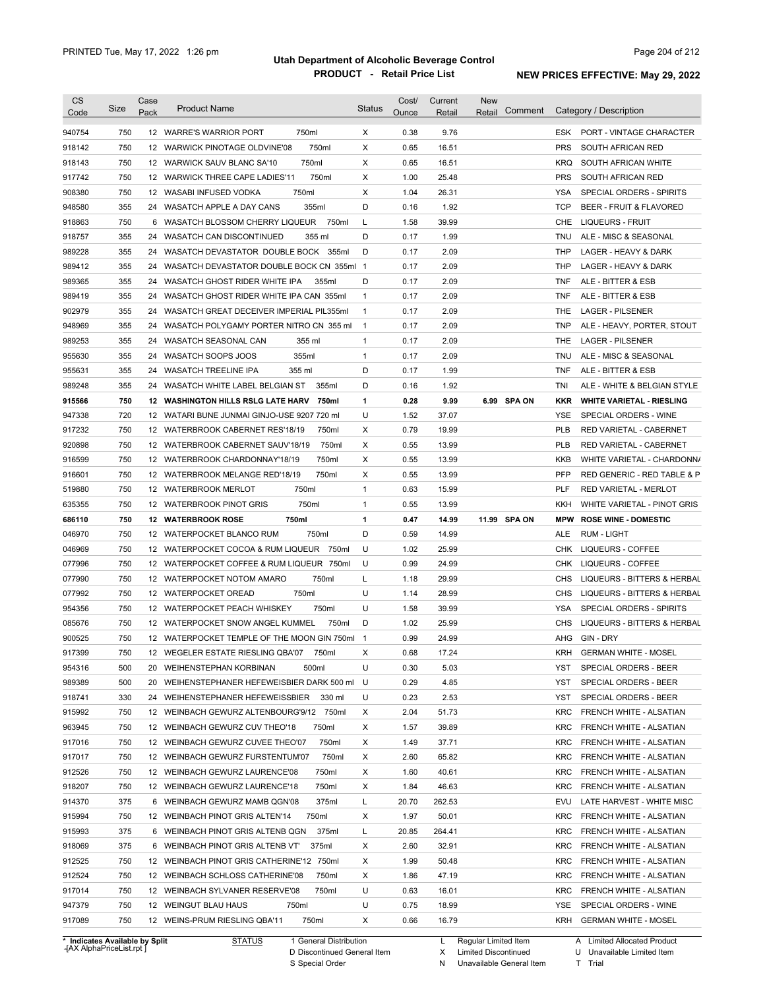| <b>CS</b><br>Code              | Size | Case<br>Pack | <b>Product Name</b>                           | <b>Status</b>  | Cost/<br>Ounce | Current<br>Retail | <b>New</b><br>Comment<br>Retail | Category / Description                    |  |
|--------------------------------|------|--------------|-----------------------------------------------|----------------|----------------|-------------------|---------------------------------|-------------------------------------------|--|
| 940754                         | 750  |              | 750ml<br>12 WARRE'S WARRIOR PORT              | Χ              | 0.38           | 9.76              |                                 | ESK PORT - VINTAGE CHARACTER              |  |
| 918142                         | 750  |              | 750ml<br>12 WARWICK PINOTAGE OLDVINE'08       | X              | 0.65           | 16.51             |                                 | <b>PRS</b><br>SOUTH AFRICAN RED           |  |
| 918143                         | 750  |              | 750ml<br>12 WARWICK SAUV BLANC SA'10          | Х              | 0.65           | 16.51             |                                 | KRQ<br>SOUTH AFRICAN WHITE                |  |
| 917742                         | 750  |              | 750ml<br>12 WARWICK THREE CAPE LADIES'11      | Х              | 1.00           | 25.48             |                                 | <b>PRS</b><br>SOUTH AFRICAN RED           |  |
| 908380                         | 750  |              | 750ml<br>12 WASABI INFUSED VODKA              | Х              | 1.04           | 26.31             |                                 | SPECIAL ORDERS - SPIRITS<br>YSA           |  |
| 948580                         | 355  |              | 355ml<br>24 WASATCH APPLE A DAY CANS          | D              | 0.16           | 1.92              |                                 | TCP<br>BEER - FRUIT & FLAVORED            |  |
| 918863                         | 750  |              | 750ml<br>6 WASATCH BLOSSOM CHERRY LIQUEUR     | Г              | 1.58           | 39.99             |                                 | CHE<br>LIQUEURS - FRUIT                   |  |
| 918757                         | 355  |              | 24 WASATCH CAN DISCONTINUED<br>355 ml         | D              | 0.17           | 1.99              |                                 | TNU<br>ALE - MISC & SEASONAL              |  |
| 989228                         | 355  |              | 24 WASATCH DEVASTATOR DOUBLE BOCK 355ml       | D              | 0.17           | 2.09              |                                 | <b>THP</b><br>LAGER - HEAVY & DARK        |  |
| 989412                         | 355  |              | 24 WASATCH DEVASTATOR DOUBLE BOCK CN 355ml 1  |                | 0.17           | 2.09              |                                 | <b>THP</b><br>LAGER - HEAVY & DARK        |  |
| 989365                         | 355  |              | 24 WASATCH GHOST RIDER WHITE IPA<br>355ml     | D              | 0.17           | 2.09              |                                 | TNF<br>ALE - BITTER & ESB                 |  |
| 989419                         | 355  |              | 24 WASATCH GHOST RIDER WHITE IPA CAN 355ml    | $\mathbf{1}$   | 0.17           | 2.09              |                                 | TNF<br>ALE - BITTER & ESB                 |  |
| 902979                         | 355  | 24           | WASATCH GREAT DECEIVER IMPERIAL PIL355ml      | $\mathbf{1}$   | 0.17           | 2.09              |                                 | THE<br><b>LAGER - PILSENER</b>            |  |
| 948969                         | 355  | 24           | WASATCH POLYGAMY PORTER NITRO CN 355 ml       | $\overline{1}$ | 0.17           | 2.09              |                                 | <b>TNP</b><br>ALE - HEAVY, PORTER, STOUT  |  |
| 989253                         | 355  |              | 24 WASATCH SEASONAL CAN<br>355 ml             | $\mathbf{1}$   | 0.17           | 2.09              |                                 | THE<br><b>LAGER - PILSENER</b>            |  |
| 955630                         | 355  | 24           | 355ml<br>WASATCH SOOPS JOOS                   | $\mathbf{1}$   | 0.17           | 2.09              |                                 | <b>TNU</b><br>ALE - MISC & SEASONAL       |  |
| 955631                         | 355  | 24           | 355 ml<br>WASATCH TREELINE IPA                | D              | 0.17           | 1.99              |                                 | TNF<br>ALE - BITTER & ESB                 |  |
| 989248                         | 355  |              | 24 WASATCH WHITE LABEL BELGIAN ST<br>355ml    | D              | 0.16           | 1.92              |                                 | TNI<br>ALE - WHITE & BELGIAN STYLE        |  |
| 915566                         | 750  |              | 12 WASHINGTON HILLS RSLG LATE HARV<br>750ml   | 1              | 0.28           | 9.99              | 6.99 SPA ON                     | <b>WHITE VARIETAL - RIESLING</b><br>KKR   |  |
| 947338                         | 720  |              | 12 WATARI BUNE JUNMAI GINJO-USE 9207 720 ml   | U              | 1.52           | 37.07             |                                 | YSE<br>SPECIAL ORDERS - WINE              |  |
| 917232                         | 750  |              | 12 WATERBROOK CABERNET RES'18/19<br>750ml     | Х              | 0.79           | 19.99             |                                 | <b>PLB</b><br>RED VARIETAL - CABERNET     |  |
| 920898                         | 750  |              | 750ml<br>12 WATERBROOK CABERNET SAUV'18/19    | Χ              | 0.55           | 13.99             |                                 | PLB<br>RED VARIETAL - CABERNET            |  |
| 916599                         | 750  |              | 750ml<br>12 WATERBROOK CHARDONNAY'18/19       | Х              | 0.55           | 13.99             |                                 | KKB<br>WHITE VARIETAL - CHARDONN/         |  |
| 916601                         | 750  |              | 750ml<br>12 WATERBROOK MELANGE RED'18/19      | Х              | 0.55           | 13.99             |                                 | <b>PFP</b><br>RED GENERIC - RED TABLE & P |  |
| 519880                         | 750  |              | 750ml<br>12 WATERBROOK MERLOT                 | $\mathbf{1}$   | 0.63           | 15.99             |                                 | PLF<br>RED VARIETAL - MERLOT              |  |
| 635355                         | 750  |              | 750ml<br>12 WATERBROOK PINOT GRIS             | $\mathbf{1}$   | 0.55           | 13.99             |                                 | KKH<br>WHITE VARIETAL - PINOT GRIS        |  |
| 686110                         | 750  |              | 12 WATERBROOK ROSE<br>750ml                   | 1              | 0.47           | 14.99             | 11.99 SPA ON                    | <b>ROSE WINE - DOMESTIC</b><br><b>MPW</b> |  |
| 046970                         | 750  |              | 750ml<br>12 WATERPOCKET BLANCO RUM            | D              | 0.59           | 14.99             |                                 | ALE<br><b>RUM - LIGHT</b>                 |  |
| 046969                         | 750  |              | 12 WATERPOCKET COCOA & RUM LIQUEUR<br>750ml   | U              | 1.02           | 25.99             |                                 | CHK<br>LIQUEURS - COFFEE                  |  |
| 077996                         | 750  |              | 12 WATERPOCKET COFFEE & RUM LIQUEUR 750ml     | U              | 0.99           | 24.99             |                                 | <b>CHK</b><br>LIQUEURS - COFFEE           |  |
| 077990                         | 750  |              | 750ml<br>12 WATERPOCKET NOTOM AMARO           | Г              | 1.18           | 29.99             |                                 | <b>CHS</b><br>LIQUEURS - BITTERS & HERBAL |  |
| 077992                         | 750  |              | 750ml<br>12 WATERPOCKET OREAD                 | U              | 1.14           | 28.99             |                                 | <b>CHS</b><br>LIQUEURS - BITTERS & HERBAL |  |
| 954356                         | 750  |              | 750ml<br>12 WATERPOCKET PEACH WHISKEY         | U              | 1.58           | 39.99             |                                 | <b>YSA</b><br>SPECIAL ORDERS - SPIRITS    |  |
| 085676                         | 750  |              | 750ml<br>12 WATERPOCKET SNOW ANGEL KUMMEL     | D              | 1.02           | 25.99             |                                 | <b>CHS</b><br>LIQUEURS - BITTERS & HERBAL |  |
| 900525                         | 750  |              | 12 WATERPOCKET TEMPLE OF THE MOON GIN 750ml 1 |                | 0.99           | 24.99             |                                 | AHG<br>GIN - DRY                          |  |
| 917399                         | 750  |              | 12 WEGELER ESTATE RIESLING QBA'07 750ml       | х              | 0.68           | 17.24             |                                 | KRH<br><b>GERMAN WHITE - MOSEL</b>        |  |
| 954316                         | 500  |              | 500ml<br>20 WEIHENSTEPHAN KORBINAN            | U              | 0.30           | 5.03              |                                 | YST<br>SPECIAL ORDERS - BEER              |  |
| 989389                         | 500  |              | 20 WEIHENSTEPHANER HEFEWEISBIER DARK 500 ml   | - U            | 0.29           | 4.85              |                                 | SPECIAL ORDERS - BEER<br>YST              |  |
| 918741                         | 330  |              | 24 WEIHENSTEPHANER HEFEWEISSBIER<br>330 ml    | U              | 0.23           | 2.53              |                                 | SPECIAL ORDERS - BEER<br>YST              |  |
| 915992                         | 750  |              | 12 WEINBACH GEWURZ ALTENBOURG'9/12 750ml      | Х              | 2.04           | 51.73             |                                 | FRENCH WHITE - ALSATIAN<br>KRC            |  |
| 963945                         | 750  |              | 12 WEINBACH GEWURZ CUV THEO'18<br>750ml       | Х              | 1.57           | 39.89             |                                 | KRC<br>FRENCH WHITE - ALSATIAN            |  |
| 917016                         | 750  |              | 750ml<br>12 WEINBACH GEWURZ CUVEE THEO'07     | Х              | 1.49           | 37.71             |                                 | <b>KRC</b><br>FRENCH WHITE - ALSATIAN     |  |
| 917017                         | 750  |              | 750ml<br>12 WEINBACH GEWURZ FURSTENTUM'07     | Х              | 2.60           | 65.82             |                                 | KRC<br>FRENCH WHITE - ALSATIAN            |  |
| 912526                         | 750  |              | 12 WEINBACH GEWURZ LAURENCE'08<br>750ml       | Х              | 1.60           | 40.61             |                                 | KRC<br>FRENCH WHITE - ALSATIAN            |  |
| 918207                         | 750  |              | 750ml<br>12 WEINBACH GEWURZ LAURENCE'18       | Х              | 1.84           | 46.63             |                                 | <b>KRC</b><br>FRENCH WHITE - ALSATIAN     |  |
| 914370                         | 375  |              | 375ml<br>6 WEINBACH GEWURZ MAMB QGN'08        | L              | 20.70          | 262.53            |                                 | EVU<br>LATE HARVEST - WHITE MISC          |  |
| 915994                         | 750  |              | 750ml<br>12 WEINBACH PINOT GRIS ALTEN'14      | Х              | 1.97           | 50.01             |                                 | <b>KRC</b><br>FRENCH WHITE - ALSATIAN     |  |
| 915993                         | 375  |              | 375ml<br>6 WEINBACH PINOT GRIS ALTENB QGN     | L              | 20.85          | 264.41            |                                 | KRC<br>FRENCH WHITE - ALSATIAN            |  |
| 918069                         | 375  |              | 375ml<br>6 WEINBACH PINOT GRIS ALTENB VT'     | Х              | 2.60           | 32.91             |                                 | <b>KRC</b><br>FRENCH WHITE - ALSATIAN     |  |
| 912525                         | 750  |              | 12 WEINBACH PINOT GRIS CATHERINE'12 750ml     | Χ              | 1.99           | 50.48             |                                 | KRC<br>FRENCH WHITE - ALSATIAN            |  |
| 912524                         | 750  |              | 750ml<br>12 WEINBACH SCHLOSS CATHERINE'08     | Х              | 1.86           | 47.19             |                                 | KRC<br>FRENCH WHITE - ALSATIAN            |  |
| 917014                         | 750  |              | 750ml<br>12 WEINBACH SYLVANER RESERVE'08      | U              | 0.63           | 16.01             |                                 | KRC<br>FRENCH WHITE - ALSATIAN            |  |
| 947379                         | 750  |              | 12 WEINGUT BLAU HAUS<br>750ml                 | U              | 0.75           | 18.99             |                                 | YSE<br>SPECIAL ORDERS - WINE              |  |
| 917089                         | 750  |              | 750ml<br>12 WEINS-PRUM RIESLING QBA'11        | Х              | 0.66           | 16.79             |                                 | KRH<br><b>GERMAN WHITE - MOSEL</b>        |  |
| * Indicates Available by Split |      |              | <b>STATUS</b><br>1 General Distribution       |                |                | L                 | Regular Limited Item            | A Limited Allocated Product               |  |

**Case** [AX AlphaPriceList.rpt ]

D Discontinued General Item

S Special Order

X Limited Discontinued

U Unavailable Limited Item

N Unavailable General Item

T Trial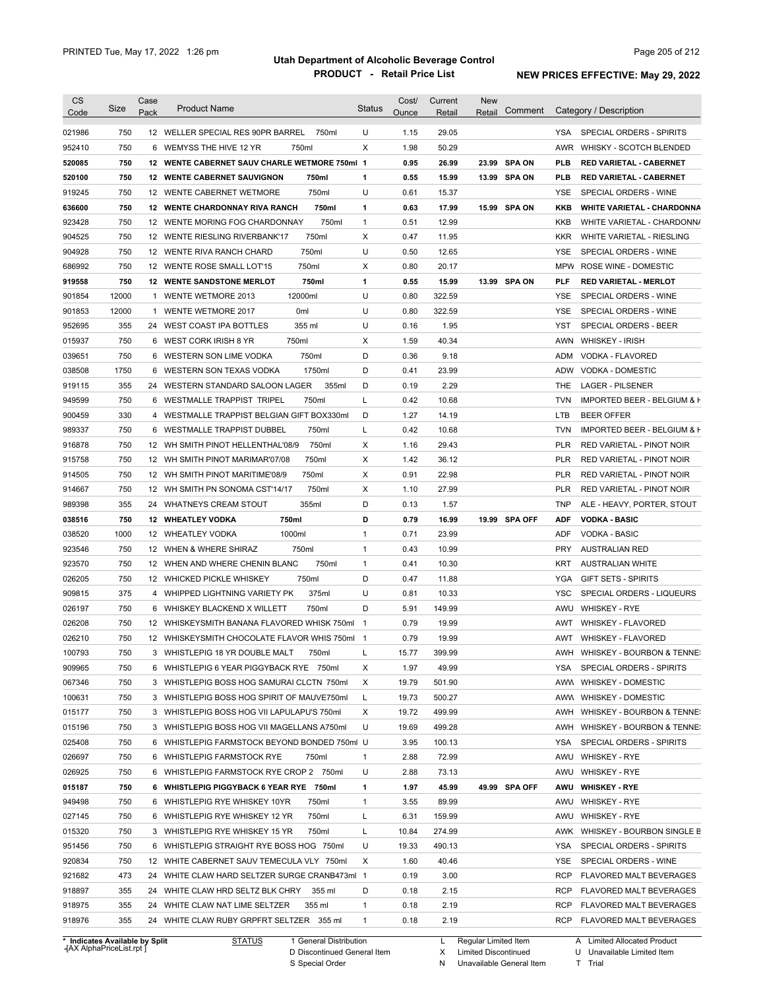| <b>CS</b><br>Code                    | Size       | Case<br>Pack | <b>Product Name</b>                                                                    | <b>Status</b>     | Cost/<br>Ounce | Current<br>Retail | <b>New</b><br>Retail | Comment       |                   | Category / Description                                    |
|--------------------------------------|------------|--------------|----------------------------------------------------------------------------------------|-------------------|----------------|-------------------|----------------------|---------------|-------------------|-----------------------------------------------------------|
|                                      |            |              |                                                                                        |                   |                |                   |                      |               |                   |                                                           |
| 021986                               | 750        |              | 12 WELLER SPECIAL RES 90PR BARREL<br>750ml                                             | U                 | 1.15           | 29.05             |                      |               | YSA               | SPECIAL ORDERS - SPIRITS                                  |
| 952410                               | 750        |              | 6 WEMYSS THE HIVE 12 YR<br>750ml                                                       | Χ                 | 1.98           | 50.29             |                      |               | AWR               | <b>WHISKY - SCOTCH BLENDED</b>                            |
| 520085                               | 750        |              | 12 WENTE CABERNET SAUV CHARLE WETMORE 750ml 1                                          |                   | 0.95           | 26.99             |                      | 23.99 SPA ON  | PLB               | <b>RED VARIETAL - CABERNET</b>                            |
| 520100                               | 750        |              | <b>12 WENTE CABERNET SAUVIGNON</b><br>750ml                                            | 1                 | 0.55           | 15.99             |                      | 13.99 SPA ON  | PLB               | <b>RED VARIETAL - CABERNET</b>                            |
| 919245                               | 750        |              | 750ml<br>12 WENTE CABERNET WETMORE                                                     | U                 | 0.61           | 15.37             |                      |               | YSE               | SPECIAL ORDERS - WINE                                     |
| 636600                               | 750        |              | 12 WENTE CHARDONNAY RIVA RANCH<br>750ml                                                | 1                 | 0.63           | 17.99             |                      | 15.99 SPA ON  | KKB               | <b>WHITE VARIETAL - CHARDONNA</b>                         |
| 923428                               | 750        |              | 750ml<br>12 WENTE MORING FOG CHARDONNAY                                                | $\mathbf{1}$      | 0.51           | 12.99             |                      |               | KKB               | WHITE VARIETAL - CHARDONN/                                |
| 904525                               | 750        |              | 750ml<br>12 WENTE RIESLING RIVERBANK'17                                                | Χ                 | 0.47           | 11.95             |                      |               | <b>KKR</b>        | WHITE VARIETAL - RIESLING                                 |
| 904928                               | 750        |              | 750ml<br>12 WENTE RIVA RANCH CHARD                                                     | U                 | 0.50           | 12.65             |                      |               | <b>YSE</b>        | SPECIAL ORDERS - WINE                                     |
| 686992                               | 750        |              | 750ml<br>12 WENTE ROSE SMALL LOT'15                                                    | Χ                 | 0.80           | 20.17             |                      |               | <b>MPW</b>        | ROSE WINE - DOMESTIC                                      |
| 919558                               | 750        |              | <b>12 WENTE SANDSTONE MERLOT</b><br>750ml                                              | 1                 | 0.55           | 15.99             |                      | 13.99 SPA ON  | <b>PLF</b>        | <b>RED VARIETAL - MERLOT</b>                              |
| 901854                               | 12000      | 1            | 12000ml<br>WENTE WETMORE 2013                                                          | U                 | 0.80           | 322.59            |                      |               | <b>YSE</b>        | SPECIAL ORDERS - WINE                                     |
| 901853                               | 12000      | 1            | <b>WENTE WETMORE 2017</b><br>0 <sub>ml</sub>                                           | U                 | 0.80           | 322.59            |                      |               | <b>YSE</b>        | SPECIAL ORDERS - WINE                                     |
| 952695                               | 355        | 24           | 355 ml<br>WEST COAST IPA BOTTLES                                                       | U                 | 0.16           | 1.95              |                      |               | <b>YST</b>        | <b>SPECIAL ORDERS - BEER</b>                              |
| 015937                               | 750        | 6            | 750ml<br>WEST CORK IRISH 8 YR                                                          | Χ                 | 1.59           | 40.34             |                      |               | <b>AWN</b>        | <b>WHISKEY - IRISH</b>                                    |
| 039651                               | 750        | 6            | 750ml<br>WESTERN SON LIME VODKA                                                        | D                 | 0.36           | 9.18              |                      |               | ADM               | VODKA - FLAVORED                                          |
| 038508                               | 1750       | 6            | 1750ml<br>WESTERN SON TEXAS VODKA                                                      | D                 | 0.41           | 23.99             |                      |               | <b>ADW</b>        | VODKA - DOMESTIC                                          |
| 919115                               | 355        |              | 24 WESTERN STANDARD SALOON LAGER<br>355ml                                              | D                 | 0.19           | 2.29              |                      |               | THE               | <b>LAGER - PILSENER</b>                                   |
| 949599                               | 750        | 6            | 750ml<br><b>WESTMALLE TRAPPIST TRIPEL</b>                                              | Г                 | 0.42           | 10.68             |                      |               | <b>TVN</b>        | IMPORTED BEER - BELGIUM & H                               |
| 900459                               | 330        | 4            | WESTMALLE TRAPPIST BELGIAN GIFT BOX330ml                                               | D                 | 1.27           | 14.19             |                      |               | LTB               | <b>BEER OFFER</b>                                         |
| 989337                               | 750        | 6            | 750ml<br><b>WESTMALLE TRAPPIST DUBBEL</b>                                              | Г                 | 0.42           | 10.68             |                      |               | <b>TVN</b>        | IMPORTED BEER - BELGIUM & F                               |
| 916878                               | 750        |              | 12 WH SMITH PINOT HELLENTHAL'08/9<br>750ml                                             | Χ                 | 1.16           | 29.43             |                      |               | <b>PLR</b>        | RED VARIETAL - PINOT NOIR                                 |
| 915758                               | 750        |              | 12 WH SMITH PINOT MARIMAR'07/08<br>750ml                                               | Χ                 | 1.42           | 36.12             |                      |               | <b>PLR</b>        | RED VARIETAL - PINOT NOIR                                 |
| 914505                               | 750        |              | 750ml<br>12 WH SMITH PINOT MARITIME'08/9                                               | Χ                 | 0.91           | 22.98             |                      |               | <b>PLR</b>        | RED VARIETAL - PINOT NOIR                                 |
| 914667                               | 750        |              | 12 WH SMITH PN SONOMA CST'14/17<br>750ml                                               | X                 | 1.10           | 27.99             |                      |               | <b>PLR</b>        | RED VARIETAL - PINOT NOIR                                 |
| 989398                               | 355        | 24           | 355ml<br><b>WHATNEYS CREAM STOUT</b>                                                   | D                 | 0.13           | 1.57              |                      |               | <b>TNP</b>        | ALE - HEAVY, PORTER, STOUT                                |
| 038516                               | 750        |              | 750ml<br><b>12 WHEATLEY VODKA</b>                                                      | D                 | 0.79           | 16.99             |                      | 19.99 SPA OFF | ADF               | <b>VODKA - BASIC</b>                                      |
| 038520                               | 1000       |              | 1000ml<br>12 WHEATLEY VODKA                                                            | 1                 | 0.71           | 23.99             |                      |               | ADF               | <b>VODKA - BASIC</b>                                      |
| 923546                               | 750        |              | 12 WHEN & WHERE SHIRAZ<br>750ml                                                        | $\mathbf{1}$      | 0.43           | 10.99             |                      |               | <b>PRY</b>        | <b>AUSTRALIAN RED</b>                                     |
| 923570                               | 750        |              | 750ml<br>12 WHEN AND WHERE CHENIN BLANC                                                | $\mathbf{1}$      | 0.41           | 10.30             |                      |               | KRT               | <b>AUSTRALIAN WHITE</b>                                   |
| 026205                               | 750        |              | 12 WHICKED PICKLE WHISKEY<br>750ml                                                     | D                 | 0.47           | 11.88             |                      |               | <b>YGA</b>        | <b>GIFT SETS - SPIRITS</b>                                |
| 909815                               | 375        |              | 375ml<br>4 WHIPPED LIGHTNING VARIETY PK                                                | U                 | 0.81           | 10.33             |                      |               | <b>YSC</b>        | SPECIAL ORDERS - LIQUEURS                                 |
| 026197                               | 750        |              | 750ml<br>6 WHISKEY BLACKEND X WILLETT                                                  | D                 | 5.91           | 149.99            |                      |               | AWU               | <b>WHISKEY - RYE</b>                                      |
|                                      | 750        |              |                                                                                        | $\overline{1}$    | 0.79           | 19.99             |                      |               |                   | WHISKEY - FLAVORED                                        |
| 026208                               |            |              | 12 WHISKEYSMITH BANANA FLAVORED WHISK 750ml                                            |                   |                |                   |                      |               | AWT               |                                                           |
| 026210                               | 750        |              | 12 WHISKEYSMITH CHOCOLATE FLAVOR WHIS 750ml 1                                          |                   | 0.79           | 19.99             |                      |               | AWT               | <b>WHISKEY - FLAVORED</b>                                 |
| 100793                               | 750        |              | 3 WHISTLEPIG 18 YR DOUBLE MALT<br>750ml                                                |                   | 15.77          | 399.99            |                      |               |                   | AWH WHISKEY - BOURBON & TENNE:                            |
| 909965                               | 750        |              | 6 WHISTLEPIG 6 YEAR PIGGYBACK RYE 750ml                                                | Х                 | 1.97           | 49.99             |                      |               | YSA               | SPECIAL ORDERS - SPIRITS                                  |
| 067346                               | 750        |              | 3 WHISTLEPIG BOSS HOG SAMURAI CLCTN 750ml                                              | Х                 | 19.79          | 501.90            |                      |               | AWW               | WHISKEY - DOMESTIC                                        |
| 100631                               | 750        |              | 3 WHISTLEPIG BOSS HOG SPIRIT OF MAUVE750ml                                             | L                 | 19.73          | 500.27            |                      |               | AWW               | <b>WHISKEY - DOMESTIC</b>                                 |
| 015177                               | 750        |              | 3 WHISTLEPIG BOSS HOG VII LAPULAPU'S 750ml                                             | X                 | 19.72          | 499.99            |                      |               | AWH               | WHISKEY - BOURBON & TENNE:                                |
| 015196                               | 750        |              | 3 WHISTLEPIG BOSS HOG VII MAGELLANS A750ml                                             | U                 | 19.69          | 499.28            |                      |               | AWH               | WHISKEY - BOURBON & TENNE:                                |
| 025408                               | 750        |              | 6 WHISTLEPIG FARMSTOCK BEYOND BONDED 750ml U                                           |                   | 3.95           | 100.13            |                      |               | YSA               | SPECIAL ORDERS - SPIRITS                                  |
| 026697                               | 750        |              | 6 WHISTLEPIG FARMSTOCK RYE<br>750ml                                                    | $\mathbf{1}$      | 2.88           | 72.99             |                      |               | AWU               | <b>WHISKEY - RYE</b>                                      |
| 026925                               | 750        |              | 6 WHISTLEPIG FARMSTOCK RYE CROP 2 750ml                                                | U                 | 2.88           | 73.13             |                      |               | AWU               | <b>WHISKEY - RYE</b>                                      |
| 015187                               | 750        |              | 6 WHISTLEPIG PIGGYBACK 6 YEAR RYE 750ml                                                | 1                 | 1.97           | 45.99             |                      | 49.99 SPA OFF | AWU               | <b>WHISKEY - RYE</b>                                      |
| 949498                               | 750        |              | 6 WHISTLEPIG RYE WHISKEY 10YR<br>750ml                                                 | $\mathbf{1}$      | 3.55           | 89.99             |                      |               | AWU               | <b>WHISKEY - RYE</b>                                      |
| 027145                               | 750        |              | 6 WHISTLEPIG RYE WHISKEY 12 YR<br>750ml                                                | L                 | 6.31           | 159.99            |                      |               | AWU               | <b>WHISKEY - RYE</b>                                      |
| 015320                               | 750        |              | 3 WHISTLEPIG RYE WHISKEY 15 YR<br>750ml                                                | L                 | 10.84          | 274.99            |                      |               |                   | AWK WHISKEY - BOURBON SINGLE B                            |
| 951456                               | 750        |              | 6 WHISTLEPIG STRAIGHT RYE BOSS HOG 750ml                                               | U                 | 19.33          | 490.13            |                      |               | YSA               | SPECIAL ORDERS - SPIRITS                                  |
|                                      | 750        |              | 12 WHITE CABERNET SAUV TEMECULA VLY 750ml                                              | Х                 | 1.60           | 40.46             |                      |               | YSE               | SPECIAL ORDERS - WINE                                     |
|                                      |            |              | 24 WHITE CLAW HARD SELTZER SURGE CRANB473ml 1                                          |                   | 0.19           | 3.00              |                      |               | <b>RCP</b>        | <b>FLAVORED MALT BEVERAGES</b>                            |
|                                      |            |              |                                                                                        |                   |                |                   |                      |               |                   |                                                           |
|                                      | 473        |              |                                                                                        |                   |                |                   |                      |               |                   |                                                           |
| 920834<br>921682<br>918897<br>918975 | 355<br>355 |              | 24 WHITE CLAW HRD SELTZ BLK CHRY<br>355 ml<br>24 WHITE CLAW NAT LIME SELTZER<br>355 ml | D<br>$\mathbf{1}$ | 0.18<br>0.18   | 2.15<br>2.19      |                      |               | <b>RCP</b><br>RCP | <b>FLAVORED MALT BEVERAGES</b><br>FLAVORED MALT BEVERAGES |

**Case** [AX AlphaPriceList.rpt ]

D Discontinued General Item S Special Order

X Limited Discontinued

N Unavailable General Item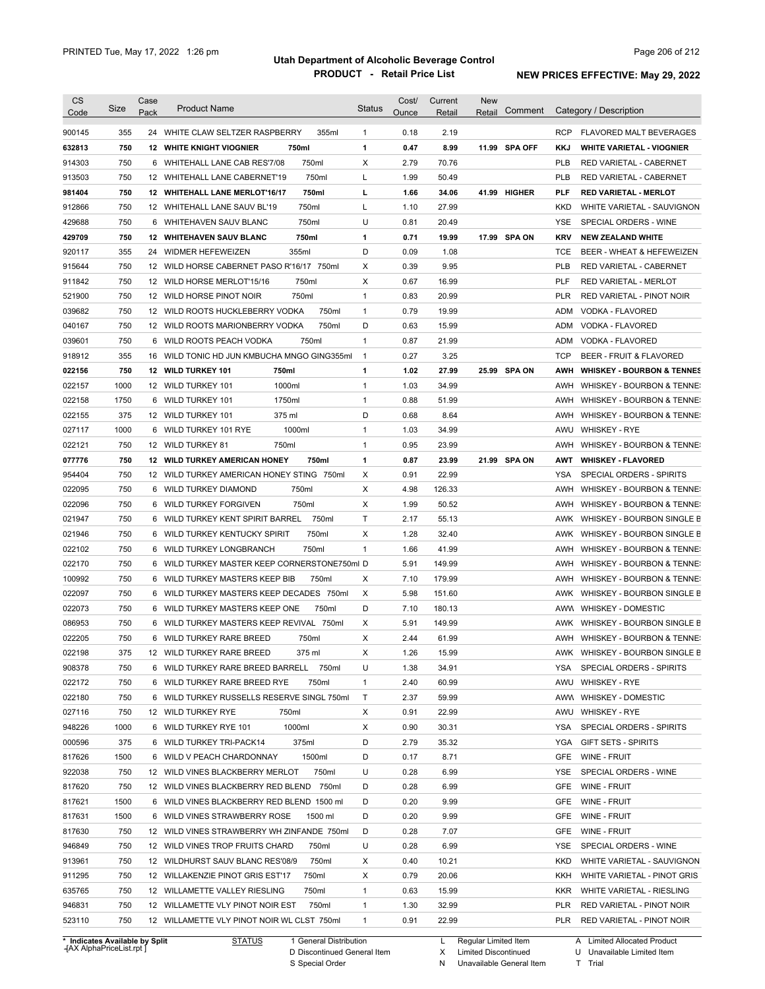| <b>CS</b><br>Code | Size       | Case<br>Pack | <b>Product Name</b>                          | <b>Status</b>  | Cost/<br>Ounce | Current<br>Retail | <b>New</b><br>Retail | Comment       |            | Category / Description                |
|-------------------|------------|--------------|----------------------------------------------|----------------|----------------|-------------------|----------------------|---------------|------------|---------------------------------------|
| 900145            | 355        |              | 24 WHITE CLAW SELTZER RASPBERRY<br>355ml     | $\mathbf{1}$   | 0.18           | 2.19              |                      |               | <b>RCP</b> | <b>FLAVORED MALT BEVERAGES</b>        |
| 632813            | 750        |              | <b>12 WHITE KNIGHT VIOGNIER</b><br>750ml     | 1              | 0.47           | 8.99              |                      | 11.99 SPA OFF | KKJ        | <b>WHITE VARIETAL - VIOGNIER</b>      |
| 914303            | 750        |              | 750ml<br>6 WHITEHALL LANE CAB RES'7/08       | X              | 2.79           | 70.76             |                      |               | <b>PLB</b> | RED VARIETAL - CABERNET               |
| 913503            | 750        |              | 750ml<br>12 WHITEHALL LANE CABERNET'19       | Г              | 1.99           | 50.49             |                      |               | <b>PLB</b> | RED VARIETAL - CABERNET               |
| 981404            | 750        |              | 750ml<br>12 WHITEHALL LANE MERLOT'16/17      | г              | 1.66           | 34.06             |                      | 41.99 HIGHER  | <b>PLF</b> | <b>RED VARIETAL - MERLOT</b>          |
| 912866            | 750        |              | 750ml<br>12 WHITEHALL LANE SAUV BL'19        | L              | 1.10           | 27.99             |                      |               | <b>KKD</b> | WHITE VARIETAL - SAUVIGNON            |
| 429688            | 750        | 6            | WHITEHAVEN SAUV BLANC<br>750ml               | U              | 0.81           | 20.49             |                      |               | <b>YSE</b> | SPECIAL ORDERS - WINE                 |
| 429709            | 750        |              | 750ml<br><b>12 WHITEHAVEN SAUV BLANC</b>     | 1              | 0.71           | 19.99             |                      | 17.99 SPA ON  | <b>KRV</b> | <b>NEW ZEALAND WHITE</b>              |
| 920117            | 355        |              | 24 WIDMER HEFEWEIZEN<br>355ml                | D              | 0.09           | 1.08              |                      |               | TCE        | BEER - WHEAT & HEFEWEIZEN             |
| 915644            | 750        |              | 12 WILD HORSE CABERNET PASO R'16/17 750ml    | Χ              | 0.39           | 9.95              |                      |               | <b>PLB</b> | RED VARIETAL - CABERNET               |
| 911842            | 750        |              | 12 WILD HORSE MERLOT'15/16<br>750ml          | X              | 0.67           | 16.99             |                      |               | PLF        | <b>RED VARIETAL - MERLOT</b>          |
| 521900            | 750        |              | 750ml<br>12 WILD HORSE PINOT NOIR            | $\mathbf{1}$   | 0.83           | 20.99             |                      |               | <b>PLR</b> | RED VARIETAL - PINOT NOIR             |
| 039682            | 750        |              | 750ml<br>12 WILD ROOTS HUCKLEBERRY VODKA     | $\mathbf{1}$   | 0.79           | 19.99             |                      |               | <b>ADM</b> | VODKA - FLAVORED                      |
| 040167            | 750        |              | 750ml<br>12 WILD ROOTS MARIONBERRY VODKA     | D              | 0.63           | 15.99             |                      |               | <b>ADM</b> | VODKA - FLAVORED                      |
| 039601            | 750        | 6            | 750ml<br>WILD ROOTS PEACH VODKA              | $\mathbf{1}$   | 0.87           | 21.99             |                      |               | <b>ADM</b> | VODKA - FLAVORED                      |
|                   |            |              |                                              |                |                |                   |                      |               |            |                                       |
| 918912            | 355        | 16           | WILD TONIC HD JUN KMBUCHA MNGO GING355ml     | $\overline{1}$ | 0.27           | 3.25              |                      |               | <b>TCP</b> | BEER - FRUIT & FLAVORED               |
| 022156            | 750        |              | 750ml<br>12 WILD TURKEY 101                  | 1              | 1.02           | 27.99             |                      | 25.99 SPA ON  | AWH        | <b>WHISKEY - BOURBON &amp; TENNES</b> |
| 022157            | 1000       |              | 1000ml<br>12 WILD TURKEY 101                 | $\mathbf{1}$   | 1.03           | 34.99             |                      |               | AWH        | WHISKEY - BOURBON & TENNE:            |
| 022158            | 1750       | 6            | WILD TURKEY 101<br>1750ml                    | $\mathbf{1}$   | 0.88           | 51.99             |                      |               | AWH        | WHISKEY - BOURBON & TENNE:            |
| 022155            | 375        |              | 12 WILD TURKEY 101<br>375 ml                 | D              | 0.68           | 8.64              |                      |               | AWH        | WHISKEY - BOURBON & TENNE:            |
| 027117            | 1000       | 6            | 1000ml<br>WILD TURKEY 101 RYE                | $\mathbf{1}$   | 1.03           | 34.99             |                      |               | AWU        | <b>WHISKEY - RYE</b>                  |
| 022121            | 750        |              | 12 WILD TURKEY 81<br>750ml                   | $\mathbf{1}$   | 0.95           | 23.99             |                      |               | AWH        | WHISKEY - BOURBON & TENNE:            |
| 077776            | 750        |              | 12 WILD TURKEY AMERICAN HONEY<br>750ml       | 1              | 0.87           | 23.99             |                      | 21.99 SPA ON  | AWT        | <b>WHISKEY - FLAVORED</b>             |
| 954404            | 750        |              | 12 WILD TURKEY AMERICAN HONEY STING 750ml    | X              | 0.91           | 22.99             |                      |               | YSA        | SPECIAL ORDERS - SPIRITS              |
| 022095            | 750        |              | 6 WILD TURKEY DIAMOND<br>750ml               | Χ              | 4.98           | 126.33            |                      |               | AWH        | WHISKEY - BOURBON & TENNE:            |
| 022096            | 750        | 6            | 750ml<br>WILD TURKEY FORGIVEN                | Χ              | 1.99           | 50.52             |                      |               | AWH        | WHISKEY - BOURBON & TENNE:            |
| 021947            | 750        | 6            | WILD TURKEY KENT SPIRIT BARREL<br>750ml      | $\mathsf{T}$   | 2.17           | 55.13             |                      |               | AWK        | WHISKEY - BOURBON SINGLE B            |
| 021946            | 750        | 6            | 750ml<br>WILD TURKEY KENTUCKY SPIRIT         | Х              | 1.28           | 32.40             |                      |               | AWK        | WHISKEY - BOURBON SINGLE B            |
| 022102            | 750        | 6            | WILD TURKEY LONGBRANCH<br>750ml              | $\mathbf{1}$   | 1.66           | 41.99             |                      |               | AWH        | WHISKEY - BOURBON & TENNE:            |
| 022170            | 750        |              | 6 WILD TURKEY MASTER KEEP CORNERSTONE750ml D |                | 5.91           | 149.99            |                      |               | AWH        | WHISKEY - BOURBON & TENNE:            |
| 100992            | 750        |              | 750ml<br>6 WILD TURKEY MASTERS KEEP BIB      | Χ              | 7.10           | 179.99            |                      |               | AWH        | <b>WHISKEY - BOURBON &amp; TENNE:</b> |
| 022097            | 750        |              | 6 WILD TURKEY MASTERS KEEP DECADES 750ml     | X              | 5.98           | 151.60            |                      |               |            | AWK WHISKEY - BOURBON SINGLE B        |
| 022073            | 750        |              | 750ml<br>6 WILD TURKEY MASTERS KEEP ONE      | D              | 7.10           | 180.13            |                      |               |            | AWW WHISKEY - DOMESTIC                |
| 086953            | 750        |              | 6 WILD TURKEY MASTERS KEEP REVIVAL 750ml     | X              | 5.91           | 149.99            |                      |               | AWK        | WHISKEY - BOURBON SINGLE B            |
| 022205            | 750        |              | 6 WILD TURKEY RARE BREED<br>750ml            | X              | 2.44           | 61.99             |                      |               |            | AWH WHISKEY - BOURBON & TENNE:        |
| 022198            | 375        |              | 12 WILD TURKEY RARE BREED<br>375 ml          | х              | 1.26           | 15.99             |                      |               |            | AWK WHISKEY - BOURBON SINGLE B        |
| 908378            | 750        |              | 6 WILD TURKEY RARE BREED BARRELL<br>750ml    | U              | 1.38           | 34.91             |                      |               | YSA        | SPECIAL ORDERS - SPIRITS              |
| 022172            | 750        |              | 6 WILD TURKEY RARE BREED RYE<br>750ml        | $\mathbf{1}$   | 2.40           | 60.99             |                      |               | AWU        | WHISKEY - RYE                         |
| 022180            | 750        |              | 6 WILD TURKEY RUSSELLS RESERVE SINGL 750ml   | Τ              | 2.37           | 59.99             |                      |               | AWW        | WHISKEY - DOMESTIC                    |
| 027116            | 750        |              | 12 WILD TURKEY RYE<br>750ml                  | Х              | 0.91           | 22.99             |                      |               | AWU        | WHISKEY - RYE                         |
| 948226            | 1000       |              | 1000ml<br>6 WILD TURKEY RYE 101              | Χ              | 0.90           | 30.31             |                      |               | YSA        | SPECIAL ORDERS - SPIRITS              |
| 000596            | 375        |              | 375ml<br>6 WILD TURKEY TRI-PACK14            | D              | 2.79           | 35.32             |                      |               | YGA        | <b>GIFT SETS - SPIRITS</b>            |
| 817626            | 1500       |              | 1500ml<br>6 WILD V PEACH CHARDONNAY          | D              | 0.17           | 8.71              |                      |               | <b>GFE</b> | WINE - FRUIT                          |
| 922038            | 750        |              | 750ml<br>12 WILD VINES BLACKBERRY MERLOT     | U              | 0.28           | 6.99              |                      |               | YSE        | SPECIAL ORDERS - WINE                 |
| 817620            | 750        |              | 12 WILD VINES BLACKBERRY RED BLEND 750ml     | D              | 0.28           | 6.99              |                      |               | GFE        | WINE - FRUIT                          |
| 817621            | 1500       |              | 6 WILD VINES BLACKBERRY RED BLEND 1500 ml    | D              | 0.20           | 9.99              |                      |               | GFE        | WINE - FRUIT                          |
| 817631            | 1500       |              | 6 WILD VINES STRAWBERRY ROSE<br>1500 ml      | D              | 0.20           | 9.99              |                      |               | GFE        | WINE - FRUIT                          |
| 817630            | 750        |              | 12 WILD VINES STRAWBERRY WH ZINFANDE 750ml   | D              | 0.28           | 7.07              |                      |               | GFE        | WINE - FRUIT                          |
| 946849            | 750        |              | 750ml<br>12 WILD VINES TROP FRUITS CHARD     | U              | 0.28           | 6.99              |                      |               | YSE        | SPECIAL ORDERS - WINE                 |
| 913961            | 750        |              | 750ml<br>12 WILDHURST SAUV BLANC RES'08/9    | Х              | 0.40           | 10.21             |                      |               | KKD        | WHITE VARIETAL - SAUVIGNON            |
| 911295            | 750        |              | 750ml<br>12 WILLAKENZIE PINOT GRIS EST'17    | Х              | 0.79           | 20.06             |                      |               | KKH        | WHITE VARIETAL - PINOT GRIS           |
| 635765            | 750        |              | 750ml<br>12 WILLAMETTE VALLEY RIESLING       | $\mathbf{1}$   | 0.63           | 15.99             |                      |               | <b>KKR</b> | WHITE VARIETAL - RIESLING             |
|                   |            |              | 750ml<br>12 WILLAMETTE VLY PINOT NOIR EST    | $\mathbf{1}$   | 1.30           | 32.99             |                      |               | PLR        | RED VARIETAL - PINOT NOIR             |
|                   |            |              |                                              |                |                |                   |                      |               |            |                                       |
| 946831<br>523110  | 750<br>750 |              | 12 WILLAMETTE VLY PINOT NOIR WL CLST 750ml   | $\mathbf{1}$   | 0.91           | 22.99             |                      |               | PLR        | RED VARIETAL - PINOT NOIR             |

**Case** [AX AlphaPriceList.rpt ]

Discontinued General Item S Special Order D

Regular Limited Item

X N Limited Discontinued

Unavailable General Item

A Limited Allocated Product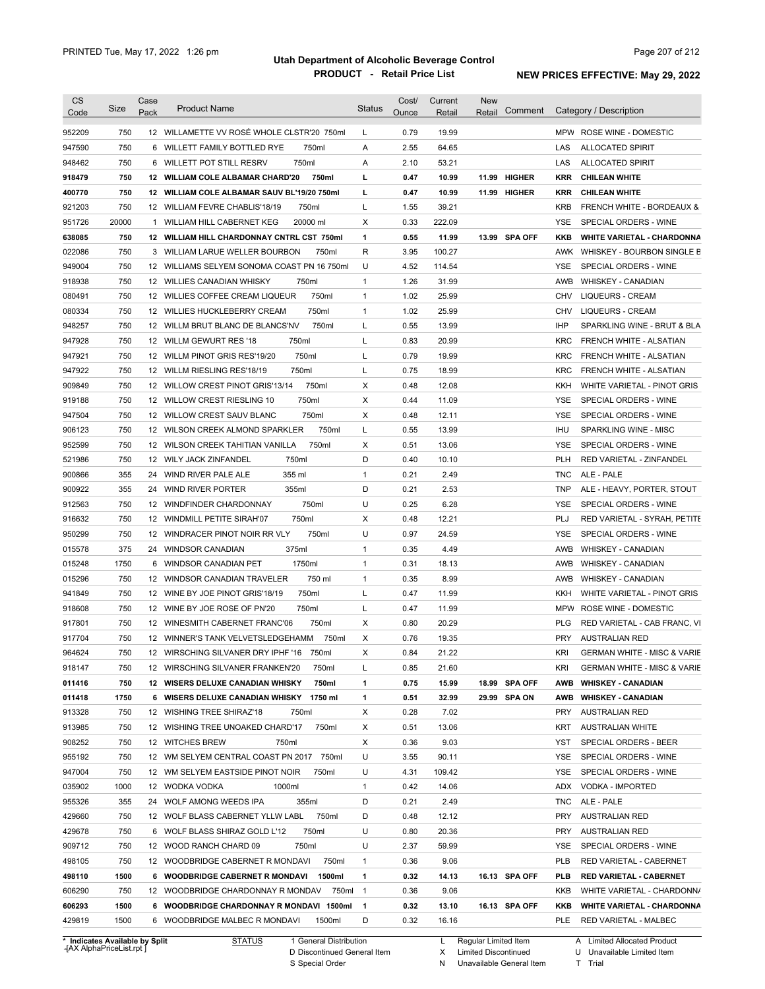| <b>CS</b><br>Code | Size       | Case<br>Pack | <b>Product Name</b>                                                           | <b>Status</b>  | Cost/<br>Ounce | Current<br>Retail | <b>New</b><br>Retail | Comment       |            | Category / Description                             |
|-------------------|------------|--------------|-------------------------------------------------------------------------------|----------------|----------------|-------------------|----------------------|---------------|------------|----------------------------------------------------|
| 952209            | 750        |              | 12 WILLAMETTE VV ROSÉ WHOLE CLSTR'20 750ml                                    | L              | 0.79           | 19.99             |                      |               |            | MPW ROSE WINE - DOMESTIC                           |
| 947590            | 750        |              | 750ml<br>6 WILLETT FAMILY BOTTLED RYE                                         | Α              | 2.55           | 64.65             |                      |               | LAS        | <b>ALLOCATED SPIRIT</b>                            |
| 948462            | 750        |              | 750ml<br>6 WILLETT POT STILL RESRV                                            | Α              | 2.10           | 53.21             |                      |               | LAS        | <b>ALLOCATED SPIRIT</b>                            |
|                   | 750        |              | 12 WILLIAM COLE ALBAMAR CHARD'20<br>750ml                                     | L              | 0.47           | 10.99             |                      | 11.99 HIGHER  | KRR        | <b>CHILEAN WHITE</b>                               |
| 918479<br>400770  | 750        |              | 12 WILLIAM COLE ALBAMAR SAUV BL'19/20 750ml                                   | г              | 0.47           | 10.99             |                      | 11.99 HIGHER  | <b>KRR</b> | <b>CHILEAN WHITE</b>                               |
|                   | 750        |              | 12 WILLIAM FEVRE CHABLIS'18/19<br>750ml                                       | L              | 1.55           | 39.21             |                      |               | <b>KRB</b> | FRENCH WHITE - BORDEAUX &                          |
| 921203<br>951726  | 20000      | 1            | WILLIAM HILL CABERNET KEG<br>20000 ml                                         | X              | 0.33           | 222.09            |                      |               | <b>YSE</b> | SPECIAL ORDERS - WINE                              |
|                   |            |              |                                                                               |                |                |                   |                      |               |            | <b>WHITE VARIETAL - CHARDONNA</b>                  |
| 638085            | 750<br>750 |              | 12 WILLIAM HILL CHARDONNAY CNTRL CST 750ml<br>750ml                           | 1<br>R         | 0.55<br>3.95   | 11.99<br>100.27   |                      | 13.99 SPA OFF | KKB<br>AWK |                                                    |
| 022086            | 750        |              | 3 WILLIAM LARUE WELLER BOURBON<br>12 WILLIAMS SELYEM SONOMA COAST PN 16 750ml | U              | 4.52           | 114.54            |                      |               |            | WHISKEY - BOURBON SINGLE B                         |
| 949004<br>918938  | 750        |              | 12 WILLIES CANADIAN WHISKY<br>750ml                                           | $\mathbf{1}$   | 1.26           | 31.99             |                      |               | YSE<br>AWB | SPECIAL ORDERS - WINE<br><b>WHISKEY - CANADIAN</b> |
|                   | 750        |              | 750ml<br>12 WILLIES COFFEE CREAM LIQUEUR                                      | 1              | 1.02           | 25.99             |                      |               | <b>CHV</b> | <b>LIQUEURS - CREAM</b>                            |
| 080491            |            |              |                                                                               |                | 1.02           |                   |                      |               |            |                                                    |
| 080334            | 750        |              | 750ml<br>12 WILLIES HUCKLEBERRY CREAM                                         | 1              |                | 25.99             |                      |               | <b>CHV</b> | <b>LIQUEURS - CREAM</b>                            |
| 948257            | 750        |              | 12 WILLM BRUT BLANC DE BLANCS'NV<br>750ml                                     | L              | 0.55           | 13.99             |                      |               | <b>IHP</b> | SPARKLING WINE - BRUT & BLA                        |
| 947928            | 750        |              | 750ml<br>12 WILLM GEWURT RES '18                                              | Г              | 0.83           | 20.99             |                      |               | <b>KRC</b> | FRENCH WHITE - ALSATIAN                            |
| 947921            | 750        |              | 750ml<br>12 WILLM PINOT GRIS RES'19/20                                        | Г              | 0.79           | 19.99             |                      |               | <b>KRC</b> | FRENCH WHITE - ALSATIAN                            |
| 947922            | 750        |              | 750ml<br>12 WILLM RIESLING RES'18/19                                          | Г              | 0.75           | 18.99             |                      |               | <b>KRC</b> | FRENCH WHITE - ALSATIAN                            |
| 909849            | 750        |              | 750ml<br>12 WILLOW CREST PINOT GRIS'13/14                                     | Χ              | 0.48           | 12.08             |                      |               | KKH        | WHITE VARIETAL - PINOT GRIS                        |
| 919188            | 750        |              | 750ml<br>12 WILLOW CREST RIESLING 10                                          | Χ              | 0.44           | 11.09             |                      |               | YSE        | SPECIAL ORDERS - WINE                              |
| 947504            | 750        |              | 750ml<br>12 WILLOW CREST SAUV BLANC                                           | Χ              | 0.48           | 12.11             |                      |               | YSE        | SPECIAL ORDERS - WINE                              |
| 906123            | 750        |              | 750ml<br>12 WILSON CREEK ALMOND SPARKLER                                      | L              | 0.55           | 13.99             |                      |               | <b>IHU</b> | SPARKLING WINE - MISC                              |
| 952599            | 750        |              | 750ml<br>12 WILSON CREEK TAHITIAN VANILLA                                     | Χ              | 0.51           | 13.06             |                      |               | YSE        | SPECIAL ORDERS - WINE                              |
| 521986            | 750        |              | 12 WILY JACK ZINFANDEL<br>750ml                                               | D              | 0.40           | 10.10             |                      |               | <b>PLH</b> | RED VARIETAL - ZINFANDEL                           |
| 900866            | 355        | 24           | 355 ml<br>WIND RIVER PALE ALE                                                 | $\mathbf{1}$   | 0.21           | 2.49              |                      |               | TNC        | ALE - PALE                                         |
| 900922            | 355        | 24           | WIND RIVER PORTER<br>355ml                                                    | D              | 0.21           | 2.53              |                      |               | TNP        | ALE - HEAVY, PORTER, STOUT                         |
| 912563            | 750        |              | 750ml<br>12 WINDFINDER CHARDONNAY                                             | U              | 0.25           | 6.28              |                      |               | <b>YSE</b> | SPECIAL ORDERS - WINE                              |
| 916632            | 750        |              | 750ml<br>12 WINDMILL PETITE SIRAH'07                                          | Χ              | 0.48           | 12.21             |                      |               | PLJ        | RED VARIETAL - SYRAH, PETITE                       |
| 950299            | 750        | 12           | 750ml<br>WINDRACER PINOT NOIR RR VLY                                          | U              | 0.97           | 24.59             |                      |               | <b>YSE</b> | SPECIAL ORDERS - WINE                              |
| 015578            | 375        | 24           | 375ml<br><b>WINDSOR CANADIAN</b>                                              | $\mathbf{1}$   | 0.35           | 4.49              |                      |               | AWB        | <b>WHISKEY - CANADIAN</b>                          |
| 015248            | 1750       |              | 1750ml<br>6 WINDSOR CANADIAN PET                                              | $\mathbf{1}$   | 0.31           | 18.13             |                      |               | AWB        | <b>WHISKEY - CANADIAN</b>                          |
| 015296            | 750        |              | 750 ml<br>12 WINDSOR CANADIAN TRAVELER                                        | $\mathbf{1}$   | 0.35           | 8.99              |                      |               | AWB        | <b>WHISKEY - CANADIAN</b>                          |
| 941849            | 750        |              | 12 WINE BY JOE PINOT GRIS'18/19<br>750ml                                      | Г              | 0.47           | 11.99             |                      |               | KKH        | WHITE VARIETAL - PINOT GRIS                        |
| 918608            | 750        |              | 750ml<br>12 WINE BY JOE ROSE OF PN'20                                         | L              | 0.47           | 11.99             |                      |               | MPW        | ROSE WINE - DOMESTIC                               |
| 917801            | 750        |              | 750ml<br>12 WINESMITH CABERNET FRANC'06                                       | Χ              | 0.80           | 20.29             |                      |               | <b>PLG</b> | RED VARIETAL - CAB FRANC, VI                       |
| 917704            | 750        |              | 750ml<br>12 WINNER'S TANK VELVETSLEDGEHAMM                                    | Χ              | 0.76           | 19.35             |                      |               | <b>PRY</b> | <b>AUSTRALIAN RED</b>                              |
| 964624            | 750        |              | 12 WIRSCHING SILVANER DRY IPHF '16 750ml                                      | х              | 0.84           | 21.22             |                      |               | KRI        | <b>GERMAN WHITE - MISC &amp; VARIE</b>             |
| 918147            | 750        |              | 12 WIRSCHING SILVANER FRANKEN'20<br>750ml                                     | L              | 0.85           | 21.60             |                      |               | KRI        | <b>GERMAN WHITE - MISC &amp; VARIE</b>             |
| 011416            | 750        |              | 12 WISERS DELUXE CANADIAN WHISKY<br>750ml                                     | 1              | 0.75           | 15.99             |                      | 18.99 SPA OFF | AWB        | <b>WHISKEY - CANADIAN</b>                          |
| 011418            | 1750       |              | 6 WISERS DELUXE CANADIAN WHISKY 1750 ml                                       | 1              | 0.51           | 32.99             |                      | 29.99 SPA ON  | AWB        | <b>WHISKEY - CANADIAN</b>                          |
| 913328            | 750        |              | 12 WISHING TREE SHIRAZ'18<br>750ml                                            | Х              | 0.28           | 7.02              |                      |               | PRY        | <b>AUSTRALIAN RED</b>                              |
| 913985            | 750        |              | 12 WISHING TREE UNOAKED CHARD'17<br>750ml                                     | Х              | 0.51           | 13.06             |                      |               | KRT        | <b>AUSTRALIAN WHITE</b>                            |
| 908252            | 750        |              | 12 WITCHES BREW<br>750ml                                                      | Х              | 0.36           | 9.03              |                      |               | YST        | SPECIAL ORDERS - BEER                              |
| 955192            | 750        |              | 12 WM SELYEM CENTRAL COAST PN 2017 750ml                                      | U              | 3.55           | 90.11             |                      |               | YSE        | SPECIAL ORDERS - WINE                              |
| 947004            | 750        |              | 12 WM SELYEM EASTSIDE PINOT NOIR<br>750ml                                     | U              | 4.31           | 109.42            |                      |               | YSE        | SPECIAL ORDERS - WINE                              |
| 035902            | 1000       |              | 12 WODKA VODKA<br>1000ml                                                      | $\mathbf{1}$   | 0.42           | 14.06             |                      |               | ADX        | VODKA - IMPORTED                                   |
|                   |            |              | 24 WOLF AMONG WEEDS IPA                                                       | D              |                |                   |                      |               |            |                                                    |
| 955326            | 355        |              | 355ml                                                                         |                | 0.21           | 2.49              |                      |               | TNC        | ALE - PALE                                         |
| 429660            | 750        |              | 750ml<br>12 WOLF BLASS CABERNET YLLW LABL                                     | D              | 0.48           | 12.12             |                      |               | PRY        | <b>AUSTRALIAN RED</b>                              |
| 429678            | 750        |              | 750ml<br>6 WOLF BLASS SHIRAZ GOLD L'12                                        | U              | 0.80           | 20.36             |                      |               | PRY        | <b>AUSTRALIAN RED</b>                              |
| 909712            | 750        |              | 12 WOOD RANCH CHARD 09<br>750ml                                               | U              | 2.37           | 59.99             |                      |               | YSE        | SPECIAL ORDERS - WINE                              |
| 498105            | 750        |              | 12 WOODBRIDGE CABERNET R MONDAVI<br>750ml                                     | $\mathbf{1}$   | 0.36           | 9.06              |                      |               | PLB        | RED VARIETAL - CABERNET                            |
| 498110            | 1500       |              | 6 WOODBRIDGE CABERNET R MONDAVI<br>1500ml                                     | 1              | 0.32           | 14.13             |                      | 16.13 SPA OFF | PL B       | <b>RED VARIETAL - CABERNET</b>                     |
| 606290            | 750        |              | 12 WOODBRIDGE CHARDONNAY R MONDAV<br>750ml                                    | $\overline{1}$ | 0.36           | 9.06              |                      |               | KKB        | WHITE VARIETAL - CHARDONN/                         |
| 606293            | 1500       |              | 6 WOODBRIDGE CHARDONNAY R MONDAVI 1500ml                                      | $\mathbf{1}$   | 0.32           | 13.10             |                      | 16.13 SPA OFF | KKB        | <b>WHITE VARIETAL - CHARDONNA</b>                  |
|                   |            |              |                                                                               |                |                |                   |                      |               |            |                                                    |

**Case** [AX AlphaPriceList.rpt ]

D Discontinued General Item

S Special Order

X Limited Discontinued

N Unavailable General Item

U Unavailable Limited Item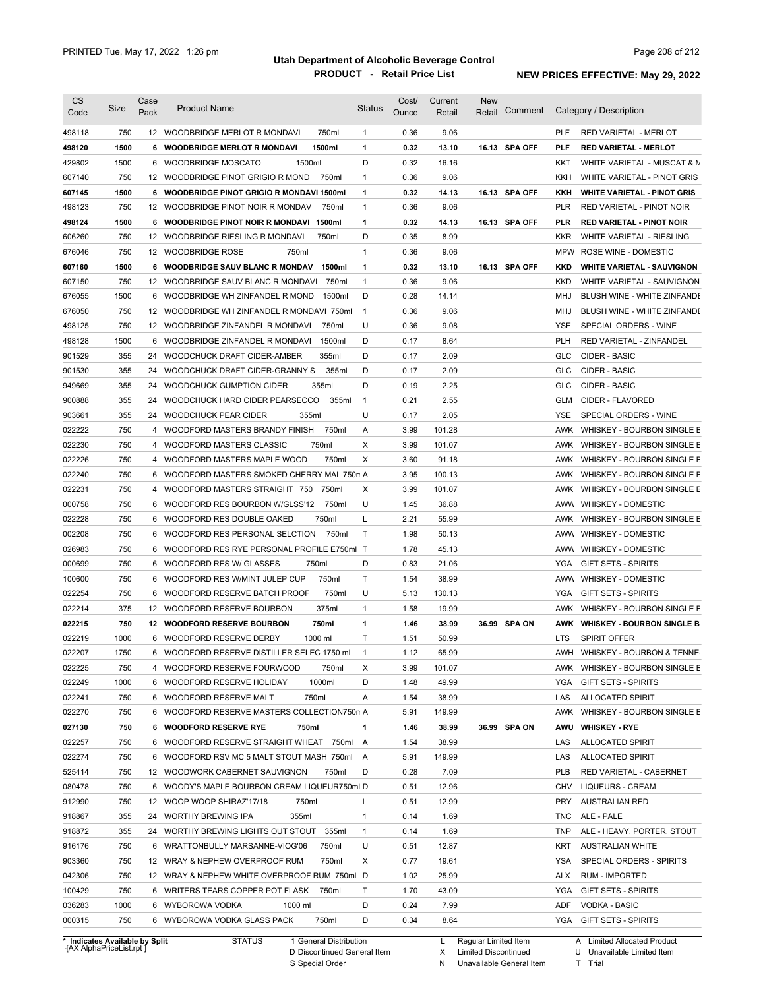| <b>CS</b><br>Code | Size        | Case<br>Pack | <b>Product Name</b>                                                 | <b>Status</b>  | Cost/<br>Ounce | Current<br>Retail | <b>New</b><br>Retail | Comment       |            | Category / Description                      |
|-------------------|-------------|--------------|---------------------------------------------------------------------|----------------|----------------|-------------------|----------------------|---------------|------------|---------------------------------------------|
| 498118            | 750         |              | 750ml<br>12 WOODBRIDGE MERLOT R MONDAVI                             | $\mathbf{1}$   | 0.36           | 9.06              |                      |               | <b>PLF</b> | <b>RED VARIETAL - MERLOT</b>                |
| 498120            | 1500        | 6            | <b>WOODBRIDGE MERLOT R MONDAVI</b><br>1500ml                        | 1              | 0.32           | 13.10             |                      | 16.13 SPA OFF | <b>PLF</b> | <b>RED VARIETAL - MERLOT</b>                |
| 429802            | 1500        |              | 1500ml<br>6 WOODBRIDGE MOSCATO                                      | D              | 0.32           | 16.16             |                      |               | KKT        | WHITE VARIETAL - MUSCAT & M                 |
| 607140            | 750         |              | 12 WOODBRIDGE PINOT GRIGIO R MOND<br>750ml                          | $\mathbf{1}$   | 0.36           | 9.06              |                      |               | KKH        | WHITE VARIETAL - PINOT GRIS                 |
| 607145            | 1500        |              | 6 WOODBRIDGE PINOT GRIGIO R MONDAVI 1500ml                          | 1              | 0.32           | 14.13             |                      | 16.13 SPA OFF | KKH        | <b>WHITE VARIETAL - PINOT GRIS</b>          |
| 498123            | 750         |              | 12 WOODBRIDGE PINOT NOIR R MONDAV<br>750ml                          | $\mathbf{1}$   | 0.36           | 9.06              |                      |               | <b>PLR</b> | RED VARIETAL - PINOT NOIR                   |
| 498124            | 1500        |              | 6 WOODBRIDGE PINOT NOIR R MONDAVI 1500ml                            | 1              | 0.32           | 14.13             |                      | 16.13 SPA OFF | PLR        | <b>RED VARIETAL - PINOT NOIR</b>            |
| 606260            | 750         |              | 12 WOODBRIDGE RIESLING R MONDAVI<br>750ml                           | D              | 0.35           | 8.99              |                      |               | <b>KKR</b> | WHITE VARIETAL - RIESLING                   |
| 676046            | 750         |              | 12 WOODBRIDGE ROSE<br>750ml                                         | $\mathbf{1}$   | 0.36           | 9.06              |                      |               | <b>MPW</b> | ROSE WINE - DOMESTIC                        |
| 607160            | 1500        |              | 1500ml<br>6 WOODBRIDGE SAUV BLANC R MONDAV                          | 1              | 0.32           | 13.10             |                      | 16.13 SPA OFF | KKD        | <b>WHITE VARIETAL - SAUVIGNON</b>           |
| 607150            | 750         |              | 12 WOODBRIDGE SAUV BLANC R MONDAVI<br>750ml                         | 1              | 0.36           | 9.06              |                      |               | <b>KKD</b> | WHITE VARIETAL - SAUVIGNON                  |
| 676055            | 1500        | 6            | WOODBRIDGE WH ZINFANDEL R MOND<br>1500ml                            | D              | 0.28           | 14.14             |                      |               | MHJ        | BLUSH WINE - WHITE ZINFANDE                 |
|                   | 750         |              |                                                                     |                |                |                   |                      |               |            |                                             |
| 676050            |             |              | 12 WOODBRIDGE WH ZINFANDEL R MONDAVI 750ml                          | $\mathbf{1}$   | 0.36           | 9.06              |                      |               | MHJ        | BLUSH WINE - WHITE ZINFANDE                 |
| 498125            | 750         |              | 12 WOODBRIDGE ZINFANDEL R MONDAVI<br>750ml                          | U              | 0.36           | 9.08              |                      |               | <b>YSE</b> | SPECIAL ORDERS - WINE                       |
| 498128            | 1500        | 6            | WOODBRIDGE ZINFANDEL R MONDAVI<br>1500ml                            | D              | 0.17           | 8.64              |                      |               | <b>PLH</b> | RED VARIETAL - ZINFANDEL                    |
| 901529            | 355         | 24           | 355ml<br>WOODCHUCK DRAFT CIDER-AMBER                                | D              | 0.17           | 2.09              |                      |               | <b>GLC</b> | CIDER - BASIC                               |
| 901530            | 355         | 24           | 355ml<br>WOODCHUCK DRAFT CIDER-GRANNY S                             | D              | 0.17           | 2.09              |                      |               | <b>GLC</b> | <b>CIDER - BASIC</b>                        |
| 949669            | 355         | 24           | WOODCHUCK GUMPTION CIDER<br>355ml                                   | D              | 0.19           | 2.25              |                      |               | <b>GLC</b> | CIDER - BASIC                               |
| 900888            | 355         | 24           | 355ml<br>WOODCHUCK HARD CIDER PEARSECCO                             | $\overline{1}$ | 0.21           | 2.55              |                      |               | <b>GLM</b> | CIDER - FLAVORED                            |
| 903661            | 355         | 24           | 355ml<br><b>WOODCHUCK PEAR CIDER</b>                                | U              | 0.17           | 2.05              |                      |               | <b>YSE</b> | SPECIAL ORDERS - WINE                       |
| 022222            | 750         | 4            | 750ml<br>WOODFORD MASTERS BRANDY FINISH                             | Α              | 3.99           | 101.28            |                      |               | AWK        | WHISKEY - BOURBON SINGLE B                  |
| 022230            | 750         | 4            | 750ml<br>WOODFORD MASTERS CLASSIC                                   | Χ              | 3.99           | 101.07            |                      |               | AWK        | WHISKEY - BOURBON SINGLE B                  |
| 022226            | 750         | 4            | WOODFORD MASTERS MAPLE WOOD<br>750ml                                | X              | 3.60           | 91.18             |                      |               | AWK        | WHISKEY - BOURBON SINGLE B                  |
| 022240            | 750         | 6            | WOODFORD MASTERS SMOKED CHERRY MAL 750n A                           |                | 3.95           | 100.13            |                      |               | AWK        | WHISKEY - BOURBON SINGLE B                  |
| 022231            | 750         | 4            | WOODFORD MASTERS STRAIGHT 750<br>750ml                              | Χ              | 3.99           | 101.07            |                      |               | AWK        | WHISKEY - BOURBON SINGLE B                  |
| 000758            | 750         | 6            | WOODFORD RES BOURBON W/GLSS'12<br>750ml                             | U              | 1.45           | 36.88             |                      |               |            | AWW WHISKEY - DOMESTIC                      |
| 022228            | 750         | 6            | WOODFORD RES DOUBLE OAKED<br>750ml                                  | L              | 2.21           | 55.99             |                      |               | AWK        | WHISKEY - BOURBON SINGLE B                  |
| 002208            | 750         | 6            | WOODFORD RES PERSONAL SELCTION<br>750ml                             | $\mathsf{T}$   | 1.98           | 50.13             |                      |               |            | AWW WHISKEY - DOMESTIC                      |
| 026983            | 750         | 6            | WOODFORD RES RYE PERSONAL PROFILE E750ml                            | $\top$         | 1.78           | 45.13             |                      |               | AWW        | <b>WHISKEY - DOMESTIC</b>                   |
| 000699            | 750         |              | 6 WOODFORD RES W/ GLASSES<br>750ml                                  | D              | 0.83           | 21.06             |                      |               | YGA        | <b>GIFT SETS - SPIRITS</b>                  |
| 100600            | 750         |              | 750ml<br>6 WOODFORD RES W/MINT JULEP CUP                            | Τ              | 1.54           | 38.99             |                      |               | AWW        | <b>WHISKEY - DOMESTIC</b>                   |
| 022254            | 750         | 6            | WOODFORD RESERVE BATCH PROOF<br>750ml                               | U              | 5.13           | 130.13            |                      |               | YGA        | <b>GIFT SETS - SPIRITS</b>                  |
| 022214            | 375         |              | 375ml<br>12 WOODFORD RESERVE BOURBON                                | $\mathbf{1}$   | 1.58           | 19.99             |                      |               |            | AWK WHISKEY - BOURBON SINGLE B              |
| 022215            | 750         |              | 12 WOODFORD RESERVE BOURBON<br>750ml                                | 1              | 1.46           | 38.99             |                      | 36.99 SPA ON  |            | AWK WHISKEY - BOURBON SINGLE B.             |
| 022219            | 1000        |              | 6 WOODFORD RESERVE DERBY<br>1000 ml                                 | $\mathsf{T}$   | 1.51           | 50.99             |                      |               | LTS        | <b>SPIRIT OFFER</b>                         |
| 022207            | 1750        | 6            | WOODFORD RESERVE DISTILLER SELEC 1750 ml                            | 1              | 1.12           | 65.99             |                      |               |            | AWH WHISKEY - BOURBON & TENNE:              |
| 022225            | 750         |              | 4 WOODFORD RESERVE FOURWOOD<br>750ml                                | Х              | 3.99           | 101.07            |                      |               |            | AWK WHISKEY - BOURBON SINGLE B              |
| 022249            | 1000        |              | 1000ml<br>6 WOODFORD RESERVE HOLIDAY                                | D              | 1.48           | 49.99             |                      |               | YGA        | <b>GIFT SETS - SPIRITS</b>                  |
| 022241            | 750         |              | 6 WOODFORD RESERVE MALT<br>750ml                                    | Α              | 1.54           | 38.99             |                      |               | LAS        | <b>ALLOCATED SPIRIT</b>                     |
| 022270            | 750         |              | 6 WOODFORD RESERVE MASTERS COLLECTION750n A                         |                | 5.91           | 149.99            |                      |               | AWK        | WHISKEY - BOURBON SINGLE B                  |
| 027130            | 750         |              | 6 WOODFORD RESERVE RYE<br>750ml                                     | 1              | 1.46           | 38.99             |                      | 36.99 SPA ON  | AWU        | <b>WHISKEY - RYE</b>                        |
| 022257            | 750         |              | 6 WOODFORD RESERVE STRAIGHT WHEAT 750ml                             | A              | 1.54           | 38.99             |                      |               | LAS        | <b>ALLOCATED SPIRIT</b>                     |
| 022274            | 750         |              | 6 WOODFORD RSV MC 5 MALT STOUT MASH 750ml                           | A              | 5.91           | 149.99            |                      |               | LAS        | <b>ALLOCATED SPIRIT</b>                     |
| 525414            | 750         |              | 12 WOODWORK CABERNET SAUVIGNON<br>750ml                             | D              | 0.28           | 7.09              |                      |               | PLB        | RED VARIETAL - CABERNET                     |
| 080478            | 750         |              | 6 WOODY'S MAPLE BOURBON CREAM LIQUEUR750ml D                        |                | 0.51           | 12.96             |                      |               | CHV        | LIQUEURS - CREAM                            |
| 912990            | 750         |              | 12 WOOP WOOP SHIRAZ'17/18<br>750ml                                  | L              | 0.51           | 12.99             |                      |               | PRY        | <b>AUSTRALIAN RED</b>                       |
| 918867            | 355         | 24           | WORTHY BREWING IPA<br>355ml                                         | 1              | 0.14           | 1.69              |                      |               | TNC        | ALE - PALE                                  |
| 918872            | 355         |              | 24 WORTHY BREWING LIGHTS OUT STOUT<br>355ml                         | $\mathbf{1}$   | 0.14           | 1.69              |                      |               | TNP        | ALE - HEAVY, PORTER, STOUT                  |
| 916176            | 750         |              | 6 WRATTONBULLY MARSANNE-VIOG'06<br>750ml                            | U              | 0.51           | 12.87             |                      |               | KRT        | <b>AUSTRALIAN WHITE</b>                     |
|                   |             |              | 750ml                                                               |                |                |                   |                      |               |            |                                             |
| 903360            | 750         |              | 12 WRAY & NEPHEW OVERPROOF RUM                                      | Х              | 0.77           | 19.61             |                      |               | YSA        | SPECIAL ORDERS - SPIRITS                    |
| 042306            | 750         |              | 12 WRAY & NEPHEW WHITE OVERPROOF RUM 750ml D                        |                | 1.02           | 25.99             |                      |               | ALX        | <b>RUM - IMPORTED</b>                       |
|                   | 750         |              | 6 WRITERS TEARS COPPER POT FLASK<br>750ml                           | Τ              | 1.70           | 43.09             |                      |               | YGA        | <b>GIFT SETS - SPIRITS</b>                  |
| 100429            |             |              |                                                                     |                |                |                   |                      |               |            |                                             |
| 036283<br>000315  | 1000<br>750 |              | 6 WYBOROWA VODKA<br>1000 ml<br>750ml<br>6 WYBOROWA VODKA GLASS PACK | D<br>D         | 0.24<br>0.34   | 7.99<br>8.64      |                      |               | ADF<br>YGA | VODKA - BASIC<br><b>GIFT SETS - SPIRITS</b> |

**Case** [AX AlphaPriceList.rpt ]

D Discontinued General Item S Special Order

X Limited Discontinued

N Unavailable General Item

U Unavailable Limited Item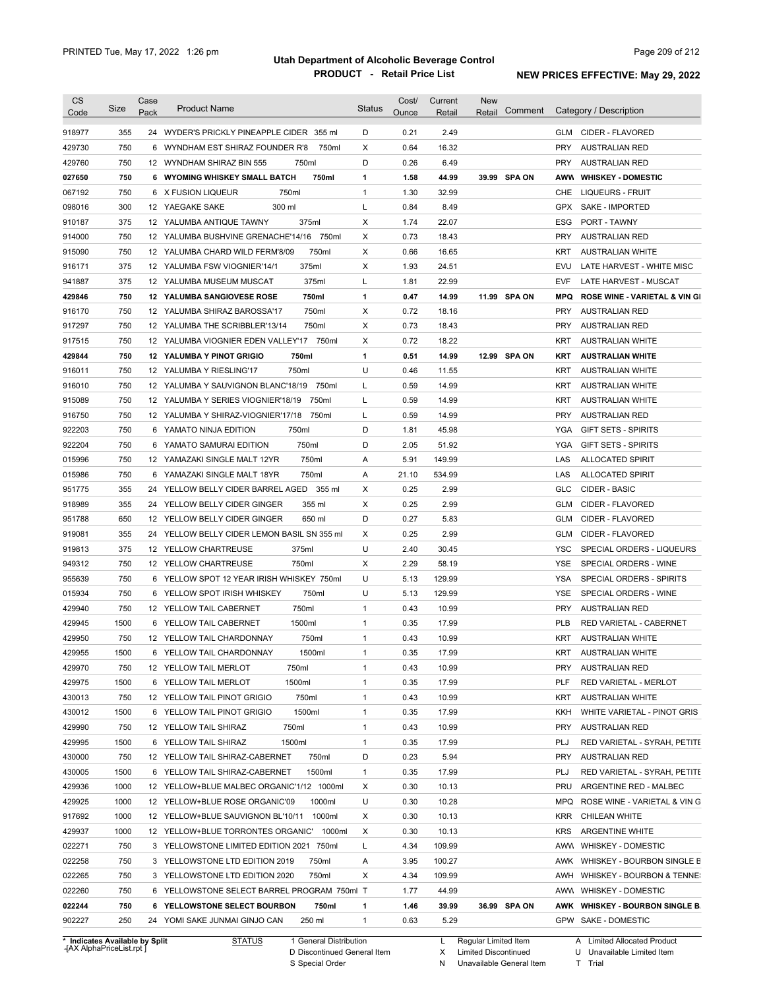| <b>CS</b><br>Code | Size | Case<br>Pack | <b>Product Name</b>                         | <b>Status</b> | Cost/<br>Ounce | Current<br>Retail | <b>New</b><br>Comment<br>Retail | Category / Description                          |
|-------------------|------|--------------|---------------------------------------------|---------------|----------------|-------------------|---------------------------------|-------------------------------------------------|
|                   |      |              |                                             |               |                |                   |                                 |                                                 |
| 918977            | 355  |              | 24 WYDER'S PRICKLY PINEAPPLE CIDER 355 ml   | D             | 0.21           | 2.49              |                                 | CIDER - FLAVORED<br>GLM                         |
| 429730            | 750  |              | 750ml<br>6 WYNDHAM EST SHIRAZ FOUNDER R'8   | Х             | 0.64           | 16.32             |                                 | <b>PRY</b><br><b>AUSTRALIAN RED</b>             |
| 429760            | 750  |              | 12 WYNDHAM SHIRAZ BIN 555<br>750ml          | D             | 0.26           | 6.49              |                                 | PRY<br><b>AUSTRALIAN RED</b>                    |
| 027650            | 750  |              | 750ml<br>6 WYOMING WHISKEY SMALL BATCH      | 1             | 1.58           | 44.99             | 39.99 SPA ON                    | AWW<br><b>WHISKEY - DOMESTIC</b>                |
| 067192            | 750  |              | 6 X FUSION LIQUEUR<br>750ml                 | $\mathbf{1}$  | 1.30           | 32.99             |                                 | CHE<br>LIQUEURS - FRUIT                         |
| 098016            | 300  |              | 12 YAEGAKE SAKE<br>300 ml                   | L             | 0.84           | 8.49              |                                 | GPX<br>SAKE - IMPORTED                          |
| 910187            | 375  |              | 12 YALUMBA ANTIQUE TAWNY<br>375ml           | Χ             | 1.74           | 22.07             |                                 | ESG<br><b>PORT - TAWNY</b>                      |
| 914000            | 750  |              | 12 YALUMBA BUSHVINE GRENACHE'14/16 750ml    | Χ             | 0.73           | 18.43             |                                 | <b>PRY</b><br><b>AUSTRALIAN RED</b>             |
| 915090            | 750  |              | 12 YALUMBA CHARD WILD FERM'8/09<br>750ml    | Χ             | 0.66           | 16.65             |                                 | <b>KRT</b><br><b>AUSTRALIAN WHITE</b>           |
| 916171            | 375  |              | 375ml<br>12 YALUMBA FSW VIOGNIER'14/1       | Х             | 1.93           | 24.51             |                                 | EVU<br>LATE HARVEST - WHITE MISC                |
| 941887            | 375  |              | 375ml<br>12 YALUMBA MUSEUM MUSCAT           | L             | 1.81           | 22.99             |                                 | EVF<br>LATE HARVEST - MUSCAT                    |
| 429846            | 750  |              | 750ml<br><b>12 YALUMBA SANGIOVESE ROSE</b>  | $\mathbf{1}$  | 0.47           | 14.99             | 11.99 SPA ON                    | MPQ<br><b>ROSE WINE - VARIETAL &amp; VIN GI</b> |
| 916170            | 750  |              | 750ml<br>12 YALUMBA SHIRAZ BAROSSA'17       | Χ             | 0.72           | 18.16             |                                 | <b>PRY</b><br><b>AUSTRALIAN RED</b>             |
| 917297            | 750  |              | 750ml<br>12 YALUMBA THE SCRIBBLER'13/14     | Χ             | 0.73           | 18.43             |                                 | <b>PRY</b><br><b>AUSTRALIAN RED</b>             |
| 917515            | 750  |              | 12 YALUMBA VIOGNIER EDEN VALLEY'17 750ml    | Х             | 0.72           | 18.22             |                                 | <b>KRT</b><br><b>AUSTRALIAN WHITE</b>           |
| 429844            | 750  |              | <b>12 YALUMBA Y PINOT GRIGIO</b><br>750ml   | 1             | 0.51           | 14.99             | 12.99 SPA ON                    | KRT<br><b>AUSTRALIAN WHITE</b>                  |
| 916011            | 750  |              | 750ml<br>12 YALUMBA Y RIESLING'17           | U             | 0.46           | 11.55             |                                 | KRT<br><b>AUSTRALIAN WHITE</b>                  |
| 916010            | 750  |              | 12 YALUMBA Y SAUVIGNON BLANC'18/19<br>750ml | L             | 0.59           | 14.99             |                                 | KRT<br><b>AUSTRALIAN WHITE</b>                  |
| 915089            | 750  |              | 12 YALUMBA Y SERIES VIOGNIER'18/19<br>750ml | Г             | 0.59           | 14.99             |                                 | <b>KRT</b><br><b>AUSTRALIAN WHITE</b>           |
| 916750            | 750  |              | 750ml<br>12 YALUMBA Y SHIRAZ-VIOGNIER'17/18 | Г             | 0.59           | 14.99             |                                 | <b>PRY</b><br><b>AUSTRALIAN RED</b>             |
| 922203            | 750  |              | 750ml<br>6 YAMATO NINJA EDITION             | D             | 1.81           | 45.98             |                                 | <b>YGA</b><br><b>GIFT SETS - SPIRITS</b>        |
| 922204            | 750  |              | 750ml<br>6 YAMATO SAMURAI EDITION           | D             | 2.05           | 51.92             |                                 | YGA<br><b>GIFT SETS - SPIRITS</b>               |
| 015996            | 750  |              | 750ml<br>12 YAMAZAKI SINGLE MALT 12YR       | Α             | 5.91           | 149.99            |                                 | LAS<br><b>ALLOCATED SPIRIT</b>                  |
| 015986            | 750  |              | 6 YAMAZAKI SINGLE MALT 18YR<br>750ml        | Α             | 21.10          | 534.99            |                                 | LAS<br><b>ALLOCATED SPIRIT</b>                  |
| 951775            | 355  | 24           | YELLOW BELLY CIDER BARREL AGED<br>355 ml    | Х             | 0.25           | 2.99              |                                 | <b>GLC</b><br><b>CIDER - BASIC</b>              |
| 918989            | 355  |              | 355 ml<br>24 YELLOW BELLY CIDER GINGER      | Χ             | 0.25           | 2.99              |                                 | <b>GLM</b><br>CIDER - FLAVORED                  |
| 951788            | 650  |              | 12 YELLOW BELLY CIDER GINGER<br>650 ml      | D             | 0.27           | 5.83              |                                 | <b>GLM</b><br>CIDER - FLAVORED                  |
| 919081            | 355  |              | 24 YELLOW BELLY CIDER LEMON BASIL SN 355 ml | Χ             | 0.25           | 2.99              |                                 | <b>GLM</b><br>CIDER - FLAVORED                  |
| 919813            | 375  |              | 375ml<br>12 YELLOW CHARTREUSE               | U             | 2.40           | 30.45             |                                 | <b>YSC</b><br>SPECIAL ORDERS - LIQUEURS         |
| 949312            | 750  |              | 750ml<br>12 YELLOW CHARTREUSE               | Х             | 2.29           | 58.19             |                                 | YSE<br>SPECIAL ORDERS - WINE                    |
| 955639            | 750  |              | 6 YELLOW SPOT 12 YEAR IRISH WHISKEY 750ml   | U             | 5.13           | 129.99            |                                 | <b>YSA</b><br>SPECIAL ORDERS - SPIRITS          |
| 015934            | 750  |              | 750ml<br>6 YELLOW SPOT IRISH WHISKEY        | U             | 5.13           | 129.99            |                                 | YSE<br>SPECIAL ORDERS - WINE                    |
| 429940            | 750  |              | 750ml<br>12 YELLOW TAIL CABERNET            | $\mathbf{1}$  | 0.43           | 10.99             |                                 | <b>PRY</b><br><b>AUSTRALIAN RED</b>             |
| 429945            | 1500 |              | 1500ml<br>6 YELLOW TAIL CABERNET            | $\mathbf{1}$  | 0.35           | 17.99             |                                 | <b>PLB</b><br>RED VARIETAL - CABERNET           |
| 429950            | 750  |              | 750ml<br>12 YELLOW TAIL CHARDONNAY          | 1             | 0.43           | 10.99             |                                 | KRT.<br><b>AUSTRALIAN WHITE</b>                 |
| 429955            | 1500 |              | 6 YELLOW TAIL CHARDONNAY<br>1500ml          | $\mathbf{1}$  | 0.35           | 17.99             |                                 | KRT<br><b>AUSTRALIAN WHITE</b>                  |
| 429970            | 750  |              | 12 YELLOW TAIL MERLOT<br>750ml              | $\mathbf{1}$  | 0.43           | 10.99             |                                 | PRY<br><b>AUSTRALIAN RED</b>                    |
| 429975            | 1500 |              | 6 YELLOW TAIL MERLOT<br>1500ml              | $\mathbf{1}$  | 0.35           | 17.99             |                                 | PLF<br>RED VARIETAL - MERLOT                    |
| 430013            | 750  |              | 12 YELLOW TAIL PINOT GRIGIO<br>750ml        | $\mathbf{1}$  | 0.43           | 10.99             |                                 | KRT<br><b>AUSTRALIAN WHITE</b>                  |
| 430012            | 1500 |              | 6 YELLOW TAIL PINOT GRIGIO<br>1500ml        | $\mathbf{1}$  | 0.35           | 17.99             |                                 | KKH<br>WHITE VARIETAL - PINOT GRIS              |
| 429990            | 750  |              | 750ml<br>12 YELLOW TAIL SHIRAZ              | $\mathbf{1}$  | 0.43           | 10.99             |                                 | <b>PRY</b><br><b>AUSTRALIAN RED</b>             |
| 429995            | 1500 |              | 1500ml<br>6 YELLOW TAIL SHIRAZ              | $\mathbf{1}$  | 0.35           | 17.99             |                                 | PLJ<br>RED VARIETAL - SYRAH, PETITE             |
| 430000            | 750  |              | 750ml<br>12 YELLOW TAIL SHIRAZ-CABERNET     | D             | 0.23           | 5.94              |                                 | <b>PRY</b><br><b>AUSTRALIAN RED</b>             |
| 430005            | 1500 |              | 1500ml<br>6 YELLOW TAIL SHIRAZ-CABERNET     | $\mathbf{1}$  | 0.35           | 17.99             |                                 | PLJ<br>RED VARIETAL - SYRAH, PETITE             |
| 429936            | 1000 |              | 12 YELLOW+BLUE MALBEC ORGANIC'1/12 1000ml   | Χ             | 0.30           | 10.13             |                                 | PRU<br>ARGENTINE RED - MALBEC                   |
| 429925            | 1000 |              | 1000ml<br>12 YELLOW+BLUE ROSE ORGANIC'09    | U             | 0.30           | 10.28             |                                 | <b>MPQ</b><br>ROSE WINE - VARIETAL & VIN G      |
| 917692            | 1000 |              | 12 YELLOW+BLUE SAUVIGNON BL'10/11 1000ml    | Х             | 0.30           | 10.13             |                                 | <b>KRR</b><br>CHILEAN WHITE                     |
| 429937            | 1000 |              | 1000ml<br>12 YELLOW+BLUE TORRONTES ORGANIC' | Х             | 0.30           | 10.13             |                                 | <b>KRS</b><br>ARGENTINE WHITE                   |
| 022271            | 750  |              | 3 YELLOWSTONE LIMITED EDITION 2021 750ml    | L             | 4.34           | 109.99            |                                 | AWW<br>WHISKEY - DOMESTIC                       |
| 022258            | 750  |              | 3 YELLOWSTONE LTD EDITION 2019<br>750ml     | Α             | 3.95           | 100.27            |                                 | AWK WHISKEY - BOURBON SINGLE B                  |
| 022265            | 750  |              | 750ml<br>3 YELLOWSTONE LTD EDITION 2020     | Χ             | 4.34           | 109.99            |                                 | AWH<br>WHISKEY - BOURBON & TENNE:               |
| 022260            | 750  |              | 6 YELLOWSTONE SELECT BARREL PROGRAM 750ml T |               | 1.77           | 44.99             |                                 | AWW WHISKEY - DOMESTIC                          |
| 022244            | 750  |              | 6 YELLOWSTONE SELECT BOURBON<br>750ml       | 1             | 1.46           | 39.99             | 36.99 SPA ON                    | AWK WHISKEY - BOURBON SINGLE B.                 |
|                   |      |              |                                             |               |                |                   |                                 |                                                 |
| 902227            | 250  |              | 24 YOMI SAKE JUNMAI GINJO CAN<br>250 ml     | $\mathbf{1}$  | 0.63           | 5.29              |                                 | GPW SAKE - DOMESTIC                             |

**Case** [AX AlphaPriceList.rpt ]

D Discontinued General Item

S Special Order

X Limited Discontinued

N Unavailable General Item

U Unavailable Limited Item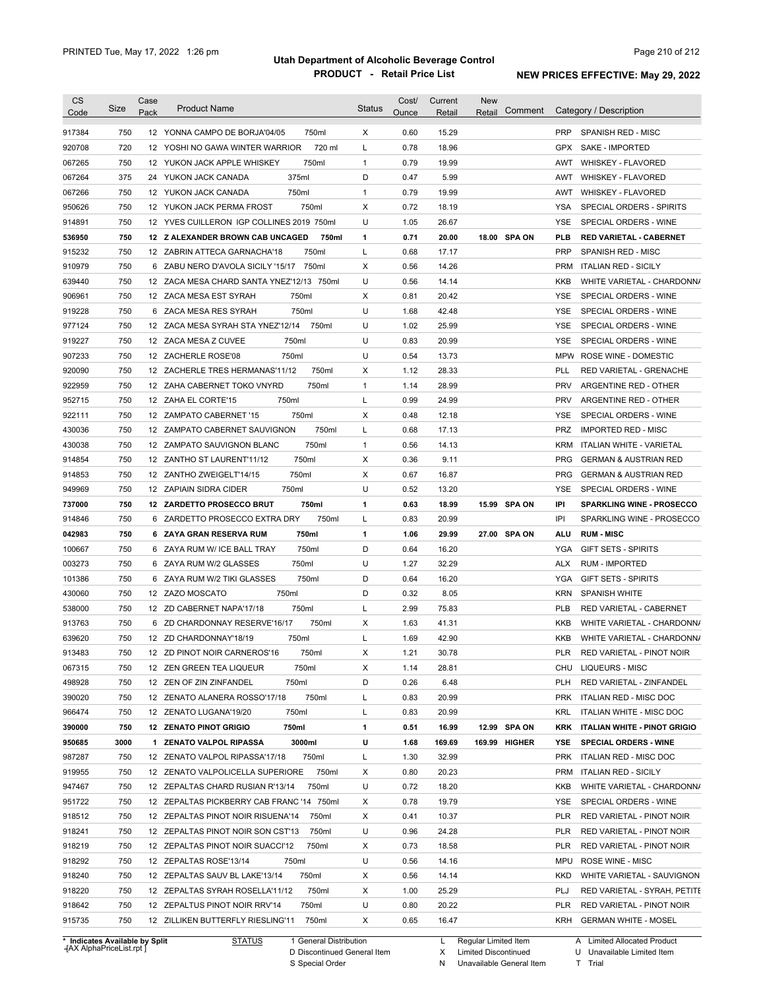| <b>CS</b>        |            | Case |                                                                   |               | Cost/        | Current        | <b>New</b>        |            |                                                |
|------------------|------------|------|-------------------------------------------------------------------|---------------|--------------|----------------|-------------------|------------|------------------------------------------------|
| Code             | Size       | Pack | <b>Product Name</b>                                               | <b>Status</b> | Ounce        | Retail         | Comment<br>Retail |            | Category / Description                         |
| 917384           | 750        |      | 12 YONNA CAMPO DE BORJA'04/05<br>750ml                            | X             | 0.60         | 15.29          |                   | <b>PRP</b> | SPANISH RED - MISC                             |
| 920708           | 720        |      | 720 ml<br>12 YOSHI NO GAWA WINTER WARRIOR                         | L             | 0.78         | 18.96          |                   | <b>GPX</b> | <b>SAKE - IMPORTED</b>                         |
| 067265           | 750        |      | 750ml<br>12 YUKON JACK APPLE WHISKEY                              | $\mathbf{1}$  | 0.79         | 19.99          |                   | AWT        | <b>WHISKEY - FLAVORED</b>                      |
| 067264           | 375        |      | 375ml<br>24 YUKON JACK CANADA                                     | D             | 0.47         | 5.99           |                   | AWT        | <b>WHISKEY - FLAVORED</b>                      |
| 067266           | 750        |      | 750ml<br>12 YUKON JACK CANADA                                     | 1             | 0.79         | 19.99          |                   | AWT        | <b>WHISKEY - FLAVORED</b>                      |
| 950626           | 750        |      | 750ml<br>12 YUKON JACK PERMA FROST                                | X             | 0.72         | 18.19          |                   | YSA        | SPECIAL ORDERS - SPIRITS                       |
| 914891           | 750        |      | 12 YVES CUILLERON IGP COLLINES 2019 750ml                         | U             | 1.05         | 26.67          |                   | <b>YSE</b> | SPECIAL ORDERS - WINE                          |
| 536950           | 750        |      | 12 Z ALEXANDER BROWN CAB UNCAGED<br>750ml                         | 1             | 0.71         | 20.00          | 18.00 SPA ON      | <b>PLB</b> | <b>RED VARIETAL - CABERNET</b>                 |
| 915232           | 750        |      | 750ml<br>12 ZABRIN ATTECA GARNACHA'18                             | L             | 0.68         | 17.17          |                   | <b>PRP</b> | SPANISH RED - MISC                             |
| 910979           | 750        |      | 6 ZABU NERO D'AVOLA SICILY '15/17 750ml                           | Χ             | 0.56         | 14.26          |                   | <b>PRM</b> | <b>ITALIAN RED - SICILY</b>                    |
| 639440           | 750        |      | 12 ZACA MESA CHARD SANTA YNEZ'12/13 750ml                         | U             | 0.56         | 14.14          |                   | KKB        | WHITE VARIETAL - CHARDONN/                     |
| 906961           | 750        |      | 750ml<br>12 ZACA MESA EST SYRAH                                   | Χ             | 0.81         | 20.42          |                   | YSE        | SPECIAL ORDERS - WINE                          |
| 919228           | 750        |      | 750ml<br>6 ZACA MESA RES SYRAH                                    | U             | 1.68         | 42.48          |                   | YSE        | SPECIAL ORDERS - WINE                          |
| 977124           | 750        |      | 12 ZACA MESA SYRAH STA YNEZ'12/14<br>750ml                        | U             | 1.02         | 25.99          |                   | YSE        | SPECIAL ORDERS - WINE                          |
| 919227           | 750        |      | 750ml<br>12 ZACA MESA Z CUVEE                                     | U             | 0.83         | 20.99          |                   | <b>YSE</b> | SPECIAL ORDERS - WINE                          |
| 907233           | 750        |      | 750ml<br>12 ZACHERLE ROSE'08                                      | U             | 0.54         | 13.73          |                   | <b>MPW</b> | ROSE WINE - DOMESTIC                           |
| 920090           | 750        |      | 12 ZACHERLE TRES HERMANAS'11/12<br>750ml                          | х             | 1.12         | 28.33          |                   | <b>PLL</b> | RED VARIETAL - GRENACHE                        |
| 922959           | 750        |      | 750ml<br>12 ZAHA CABERNET TOKO VNYRD                              | $\mathbf{1}$  | 1.14         | 28.99          |                   | <b>PRV</b> | ARGENTINE RED - OTHER                          |
| 952715           | 750        |      | 750ml<br>12 ZAHA EL CORTE'15                                      | L             | 0.99         | 24.99          |                   | <b>PRV</b> | ARGENTINE RED - OTHER                          |
|                  | 750        |      | 750ml<br>12 ZAMPATO CABERNET '15                                  | X             | 0.48         | 12.18          |                   | <b>YSE</b> | SPECIAL ORDERS - WINE                          |
| 922111<br>430036 | 750        |      | 750ml<br>12 ZAMPATO CABERNET SAUVIGNON                            | Г             | 0.68         | 17.13          |                   | <b>PRZ</b> | <b>IMPORTED RED - MISC</b>                     |
| 430038           | 750        |      | 750ml<br>12 ZAMPATO SAUVIGNON BLANC                               | $\mathbf{1}$  | 0.56         | 14.13          |                   | <b>KRM</b> | ITALIAN WHITE - VARIETAL                       |
|                  | 750        |      | 750ml                                                             | Χ             | 0.36         | 9.11           |                   | <b>PRG</b> |                                                |
| 914854           |            |      | 12 ZANTHO ST LAURENT'11/12                                        |               |              |                |                   |            | <b>GERMAN &amp; AUSTRIAN RED</b>               |
| 914853           | 750        |      | 750ml<br>12 ZANTHO ZWEIGELT'14/15                                 | X             | 0.67         | 16.87          |                   | <b>PRG</b> | <b>GERMAN &amp; AUSTRIAN RED</b>               |
| 949969           | 750        |      | 12 ZAPIAIN SIDRA CIDER<br>750ml                                   | U             | 0.52         | 13.20          |                   | <b>YSE</b> | SPECIAL ORDERS - WINE                          |
| 737000           | 750<br>750 |      | 750ml<br>12 ZARDETTO PROSECCO BRUT<br>750ml                       | 1             | 0.63<br>0.83 | 18.99<br>20.99 | 15.99 SPA ON      | IPI<br>IPI | <b>SPARKLING WINE - PROSECCO</b>               |
| 914846<br>042983 | 750        |      | 6 ZARDETTO PROSECCO EXTRA DRY<br>750ml<br>6 ZAYA GRAN RESERVA RUM | L<br>1        | 1.06         | 29.99          | 27.00 SPA ON      | ALU        | SPARKLING WINE - PROSECCO<br><b>RUM - MISC</b> |
| 100667           | 750        |      | 750ml<br>6 ZAYA RUM W/ ICE BALL TRAY                              | D             | 0.64         | 16.20          |                   | YGA        | <b>GIFT SETS - SPIRITS</b>                     |
| 003273           | 750        |      | 750ml<br>6 ZAYA RUM W/2 GLASSES                                   | U             | 1.27         | 32.29          |                   | <b>ALX</b> | <b>RUM - IMPORTED</b>                          |
| 101386           | 750        |      | 750ml<br>6 ZAYA RUM W/2 TIKI GLASSES                              | D             | 0.64         | 16.20          |                   | YGA        | <b>GIFT SETS - SPIRITS</b>                     |
| 430060           | 750        |      | 750ml<br>12 ZAZO MOSCATO                                          | D             | 0.32         | 8.05           |                   | <b>KRN</b> | <b>SPANISH WHITE</b>                           |
| 538000           |            |      |                                                                   | Г             |              | 75.83          |                   | <b>PLB</b> | RED VARIETAL - CABERNET                        |
|                  |            |      |                                                                   |               |              |                |                   |            |                                                |
|                  | 750        |      | 750ml<br>12 ZD CABERNET NAPA'17/18                                |               | 2.99         |                |                   |            |                                                |
| 913763           | 750        |      | 750ml<br>6 ZD CHARDONNAY RESERVE'16/17                            | X             | 1.63         | 41.31          |                   | KKB        | WHITE VARIETAL - CHARDONN/                     |
| 639620           | 750        |      | 12 ZD CHARDONNAY'18/19<br>750ml                                   | Г             | 1.69         | 42.90          |                   | <b>KKB</b> | WHITE VARIETAL - CHARDONN/                     |
| 913483           | 750        |      | 12 ZD PINOT NOIR CARNEROS'16<br>750ml                             | X             | 1.21         | 30.78          |                   | <b>PLR</b> | RED VARIETAL - PINOT NOIR                      |
| 067315           | 750        |      | 12 ZEN GREEN TEA LIQUEUR<br>750ml                                 | X             | 1.14         | 28.81          |                   |            | CHU LIQUEURS - MISC                            |
| 498928           | 750        |      | 750ml<br>12 ZEN OF ZIN ZINFANDEL                                  | D             | 0.26         | 6.48           |                   | <b>PLH</b> | RED VARIETAL - ZINFANDEL                       |
| 390020           | 750        |      | 750ml<br>12 ZENATO ALANERA ROSSO'17/18                            | L             | 0.83         | 20.99          |                   |            | PRK ITALIAN RED - MISC DOC                     |
| 966474           | 750        |      | 12 ZENATO LUGANA'19/20<br>750ml                                   | L             | 0.83         | 20.99          |                   | KRL        | ITALIAN WHITE - MISC DOC                       |
| 390000           | 750        |      | 750ml<br>12 ZENATO PINOT GRIGIO                                   | 1             | 0.51         | 16.99          | 12.99 SPA ON      |            | KRK ITALIAN WHITE - PINOT GRIGIO               |
| 950685           | 3000       |      | 3000ml<br>1 ZENATO VALPOL RIPASSA                                 | U             | 1.68         | 169.69         | 169.99 HIGHER     | YSE        | <b>SPECIAL ORDERS - WINE</b>                   |
| 987287           | 750        |      | 750ml<br>12 ZENATO VALPOL RIPASSA'17/18                           | L             | 1.30         | 32.99          |                   |            | PRK ITALIAN RED - MISC DOC                     |
| 919955           | 750        |      | 750ml<br>12 ZENATO VALPOLICELLA SUPERIORE                         | Х             | 0.80         | 20.23          |                   | PRM        | <b>ITALIAN RED - SICILY</b>                    |
| 947467           | 750        |      | 12 ZEPALTAS CHARD RUSIAN R'13/14<br>750ml                         | U             | 0.72         | 18.20          |                   | KKB        | WHITE VARIETAL - CHARDONN/                     |
| 951722           | 750        |      | 12 ZEPALTAS PICKBERRY CAB FRANC '14 750ml                         | х             | 0.78         | 19.79          |                   | YSE        | SPECIAL ORDERS - WINE                          |
| 918512           | 750        |      | 12 ZEPALTAS PINOT NOIR RISUENA'14<br>750ml                        | X             | 0.41         | 10.37          |                   | <b>PLR</b> | RED VARIETAL - PINOT NOIR                      |
| 918241           | 750        |      | 12 ZEPALTAS PINOT NOIR SON CST'13<br>750ml                        | U             | 0.96         | 24.28          |                   | <b>PLR</b> | RED VARIETAL - PINOT NOIR                      |
| 918219           | 750        |      | 12 ZEPALTAS PINOT NOIR SUACCI'12<br>750ml                         | Х             | 0.73         | 18.58          |                   | <b>PLR</b> | RED VARIETAL - PINOT NOIR                      |
| 918292           | 750        |      | 12 ZEPALTAS ROSE'13/14<br>750ml                                   | U             | 0.56         | 14.16          |                   | MPU        | ROSE WINE - MISC                               |
| 918240           | 750        |      | 750ml<br>12 ZEPALTAS SAUV BL LAKE'13/14                           | Х             | 0.56         | 14.14          |                   | KKD        | WHITE VARIETAL - SAUVIGNON                     |
| 918220           | 750        |      | 750ml<br>12 ZEPALTAS SYRAH ROSELLA'11/12                          | Х             | 1.00         | 25.29          |                   | PLJ        | RED VARIETAL - SYRAH, PETITE                   |
| 918642           | 750        |      | 750ml<br>12 ZEPALTUS PINOT NOIR RRV'14                            | U             | 0.80         | 20.22          |                   | PLR        | RED VARIETAL - PINOT NOIR                      |
| 915735           | 750        |      | 750ml<br>12 ZILLIKEN BUTTERFLY RIESLING'11                        | X             | 0.65         | 16.47          |                   |            | KRH GERMAN WHITE - MOSEL                       |

**Case** [AX AlphaPriceList.rpt ]

D Discontinued General Item

S Special Order

X Limited Discontinued

N Unavailable General Item

U Unavailable Limited Item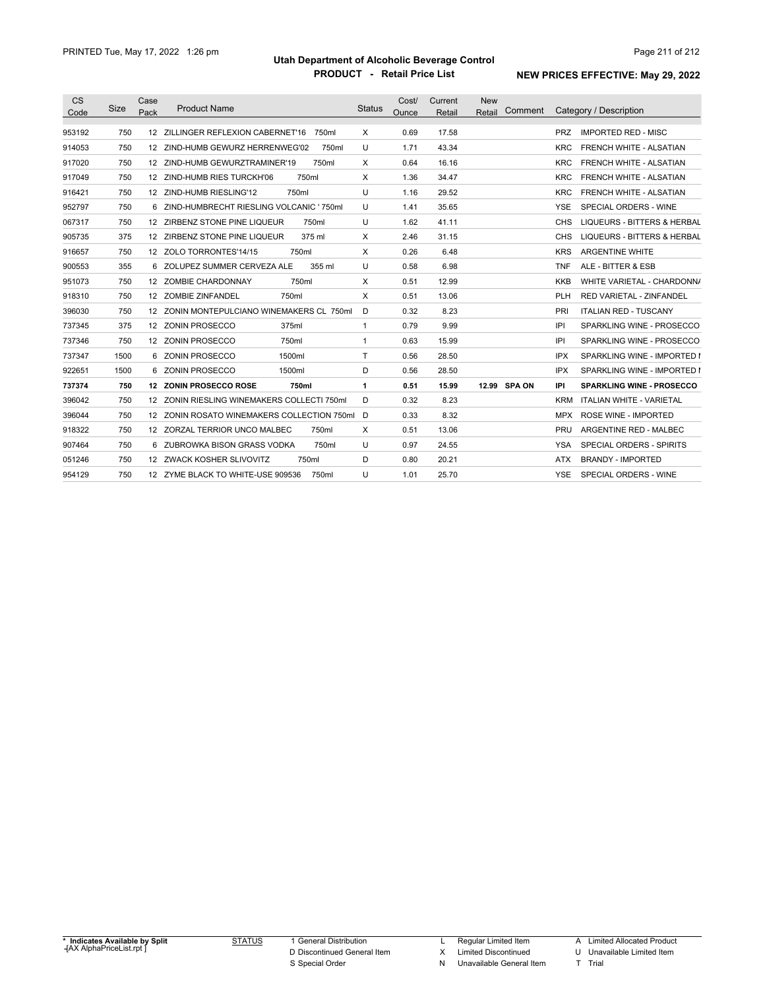| <b>CS</b> |      | Case             |                                             |        |               | Cost/ | Current | <b>New</b>   |                                               |
|-----------|------|------------------|---------------------------------------------|--------|---------------|-------|---------|--------------|-----------------------------------------------|
| Code      | Size | Pack             | <b>Product Name</b>                         |        | <b>Status</b> | Ounce | Retail  | Retail       | Comment Category / Description                |
| 953192    | 750  | 12 <sup>12</sup> | ZILLINGER REFLEXION CABERNET'16             | 750ml  | $\times$      | 0.69  | 17.58   |              | <b>IMPORTED RED - MISC</b><br><b>PRZ</b>      |
| 914053    | 750  |                  | 12 ZIND-HUMB GEWURZ HERRENWEG'02            | 750ml  | U             | 1.71  | 43.34   |              | <b>FRENCH WHITE - ALSATIAN</b><br>KRC         |
| 917020    | 750  |                  | 12 ZIND-HUMB GEWURZTRAMINER'19              | 750ml  | Χ             | 0.64  | 16.16   |              | FRENCH WHITE - ALSATIAN<br><b>KRC</b>         |
| 917049    | 750  |                  | 12 ZIND-HUMB RIES TURCKH'06<br>750ml        |        | X             | 1.36  | 34.47   |              | FRENCH WHITE - ALSATIAN<br>KRC                |
| 916421    | 750  |                  | 12 ZIND-HUMB RIESLING'12<br>750ml           |        | U             | 1.16  | 29.52   |              | FRENCH WHITE - ALSATIAN<br><b>KRC</b>         |
| 952797    | 750  | 6.               | ZIND-HUMBRECHT RIESLING VOLCANIC ' 750ml    |        | U             | 1.41  | 35.65   |              | SPECIAL ORDERS - WINE<br>YSE                  |
| 067317    | 750  |                  | 12 ZIRBENZ STONE PINE LIQUEUR               | 750ml  | U             | 1.62  | 41.11   |              | <b>LIQUEURS - BITTERS &amp; HERBAL</b><br>CHS |
| 905735    | 375  |                  | 12 ZIRBENZ STONE PINE LIQUEUR               | 375 ml | X             | 2.46  | 31.15   |              | LIQUEURS - BITTERS & HERBAL<br>CHS            |
| 916657    | 750  |                  | 12 ZOLO TORRONTES'14/15<br>750ml            |        | X             | 0.26  | 6.48    |              | <b>ARGENTINE WHITE</b><br><b>KRS</b>          |
| 900553    | 355  |                  | 6 ZOLUPEZ SUMMER CERVEZA ALE                | 355 ml | U             | 0.58  | 6.98    |              | ALE - BITTER & ESB<br><b>TNF</b>              |
| 951073    | 750  |                  | 12 ZOMBIE CHARDONNAY<br>750ml               |        | X             | 0.51  | 12.99   |              | WHITE VARIETAL - CHARDONN/<br>KKB             |
| 918310    | 750  |                  | 12 ZOMBIE ZINFANDEL<br>750ml                |        | X             | 0.51  | 13.06   |              | <b>RED VARIETAL - ZINFANDEL</b><br>PLH        |
| 396030    | 750  |                  | 12 ZONIN MONTEPULCIANO WINEMAKERS CL 750ml  |        | D             | 0.32  | 8.23    |              | <b>ITALIAN RED - TUSCANY</b><br>PRI           |
| 737345    | 375  |                  | 12 ZONIN PROSECCO<br>375ml                  |        | $\mathbf{1}$  | 0.79  | 9.99    |              | SPARKLING WINE - PROSECCO<br>IPI              |
| 737346    | 750  |                  | 12 ZONIN PROSECCO<br>750ml                  |        | $\mathbf{1}$  | 0.63  | 15.99   |              | SPARKLING WINE - PROSECCO<br>IPI              |
| 737347    | 1500 |                  | 6 ZONIN PROSECCO<br>1500ml                  |        | T             | 0.56  | 28.50   |              | <b>IPX</b><br>SPARKLING WINE - IMPORTED I     |
| 922651    | 1500 |                  | 6 ZONIN PROSECCO<br>1500ml                  |        | D             | 0.56  | 28.50   |              | IPX<br>SPARKLING WINE - IMPORTED I            |
| 737374    | 750  |                  | 12 ZONIN PROSECCO ROSE<br>750ml             |        | $\mathbf{1}$  | 0.51  | 15.99   | 12.99 SPA ON | <b>SPARKLING WINE - PROSECCO</b><br>IPI       |
| 396042    | 750  |                  | 12 ZONIN RIESLING WINEMAKERS COLLECTI 750ml |        | D             | 0.32  | 8.23    |              | <b>ITALIAN WHITE - VARIETAL</b><br>KRM        |
| 396044    | 750  |                  | 12 ZONIN ROSATO WINEMAKERS COLLECTION 750ml |        | D             | 0.33  | 8.32    |              | <b>ROSE WINE - IMPORTED</b><br>MPX            |
| 918322    | 750  |                  | 12 ZORZAL TERRIOR UNCO MALBEC               | 750ml  | X             | 0.51  | 13.06   |              | ARGENTINE RED - MALBEC<br>PRU                 |
| 907464    | 750  |                  | 6 ZUBROWKA BISON GRASS VODKA                | 750ml  | U             | 0.97  | 24.55   |              | <b>SPECIAL ORDERS - SPIRITS</b><br>YSA        |
| 051246    | 750  |                  | 12 ZWACK KOSHER SLIVOVITZ<br>750ml          |        | D             | 0.80  | 20.21   |              | <b>BRANDY - IMPORTED</b><br>ATX               |
| 954129    | 750  |                  | 12 ZYME BLACK TO WHITE-USE 909536           | 750ml  | U             | 1.01  | 25.70   |              | SPECIAL ORDERS - WINE<br><b>YSE</b>           |

STATUS 1 General Distribution D Discontinued General Item S Special Order

L Regular Limited Item

X Limited Discontinued N Unavailable General Item A Limited Allocated Product U Unavailable Limited Item